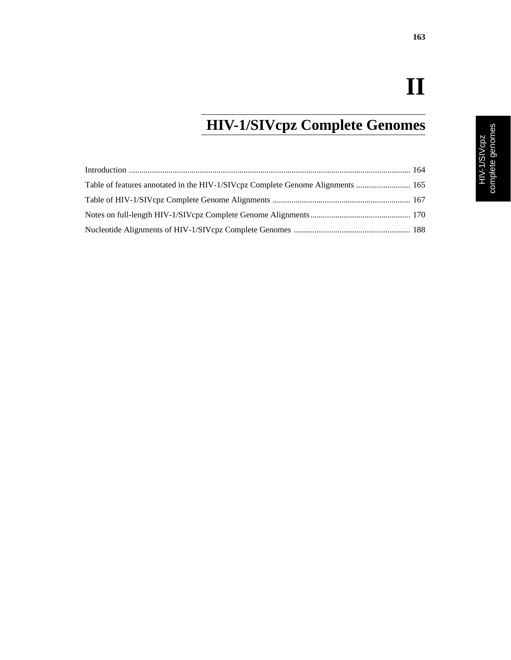# **HIV-1/SIVcpz Complete Genomes**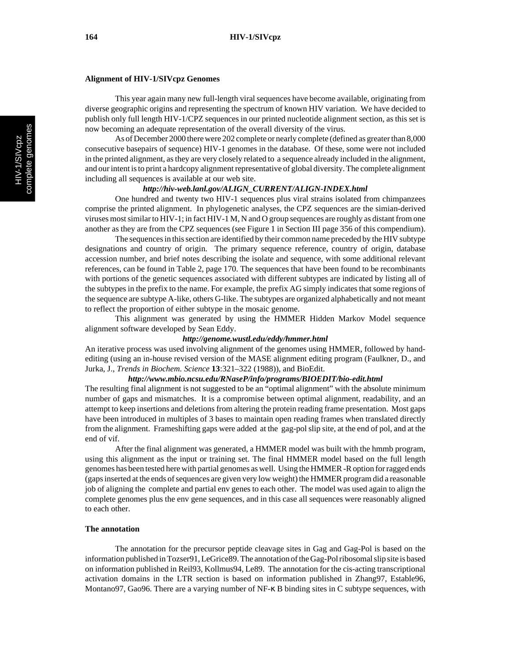# **Alignment of HIV-1/SIVcpz Genomes**

This year again many new full-length viral sequences have become available, originating from diverse geographic origins and representing the spectrum of known HIV variation. We have decided to publish only full length HIV-1/CPZ sequences in our printed nucleotide alignment section, as this set is now becoming an adequate representation of the overall diversity of the virus.

As of December 2000 there were 202 complete or nearly complete (defined as greater than 8,000 consecutive basepairs of sequence) HIV-1 genomes in the database. Of these, some were not included in the printed alignment, as they are very closely related to a sequence already included in the alignment, and our intent is to print a hardcopy alignment representative of global diversity. The complete alignment including all sequences is available at our web site.

### *http://hiv-web.lanl.gov/ALIGN\_CURRENT/ALIGN-INDEX.html*

One hundred and twenty two HIV-1 sequences plus viral strains isolated from chimpanzees comprise the printed alignment. In phylogenetic analyses, the CPZ sequences are the simian-derived viruses most similar to HIV-1; in fact HIV-1 M, N and O group sequences are roughly as distant from one another as they are from the CPZ sequences (see Figure 1 in Section III page 356 of this compendium).

The sequences in this section are identified by their common name preceded by the HIV subtype designations and country of origin. The primary sequence reference, country of origin, database accession number, and brief notes describing the isolate and sequence, with some additional relevant references, can be found in Table 2, page 170. The sequences that have been found to be recombinants with portions of the genetic sequences associated with different subtypes are indicated by listing all of the subtypes in the prefix to the name. For example, the prefix AG simply indicates that some regions of the sequence are subtype A-like, others G-like. The subtypes are organized alphabetically and not meant to reflect the proportion of either subtype in the mosaic genome.

This alignment was generated by using the HMMER Hidden Markov Model sequence alignment software developed by Sean Eddy.

# *http://genome.wustl.edu/eddy/hmmer.html*

An iterative process was used involving alignment of the genomes using HMMER, followed by handediting (using an in-house revised version of the MASE alignment editing program (Faulkner, D., and Jurka, J., *Trends in Biochem. Science* **13**:321–322 (1988)), and BioEdit.

### *http://www.mbio.ncsu.edu/RNaseP/info/programs/BIOEDIT/bio-edit.html*

The resulting final alignment is not suggested to be an "optimal alignment" with the absolute minimum number of gaps and mismatches. It is a compromise between optimal alignment, readability, and an attempt to keep insertions and deletions from altering the protein reading frame presentation. Most gaps have been introduced in multiples of 3 bases to maintain open reading frames when translated directly from the alignment. Frameshifting gaps were added at the gag-pol slip site, at the end of pol, and at the end of vif.

After the final alignment was generated, a HMMER model was built with the hmmb program, using this alignment as the input or training set. The final HMMER model based on the full length genomes has been tested here with partial genomes as well. Using the HMMER -R option for ragged ends (gaps inserted at the ends of sequences are given very low weight) the HMMER program did a reasonable job of aligning the complete and partial env genes to each other. The model was used again to align the complete genomes plus the env gene sequences, and in this case all sequences were reasonably aligned to each other.

## **The annotation**

The annotation for the precursor peptide cleavage sites in Gag and Gag-Pol is based on the information published in Tozser91, LeGrice89. The annotation of the Gag-Pol ribosomal slip site is based on information published in Reil93, Kollmus94, Le89. The annotation for the cis-acting transcriptional activation domains in the LTR section is based on information published in Zhang97, Estable96, Montano97, Gao96. There are a varying number of NF-κ B binding sites in C subtype sequences, with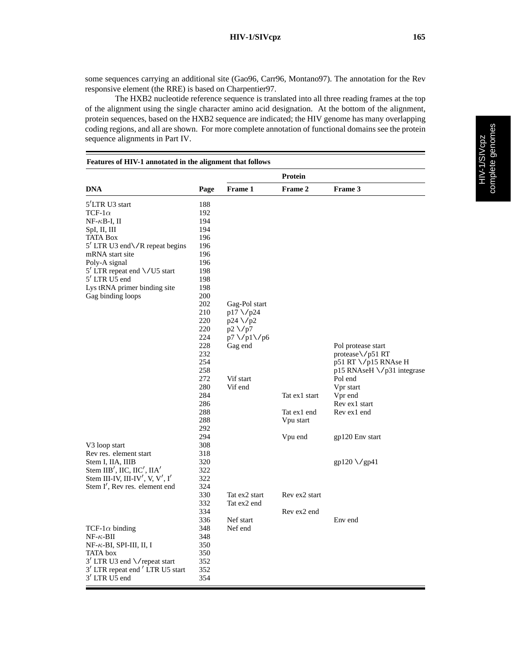HIV-1/SIVcpz complete genomes

HIV-1/SIVcpz<br>complete genomes

some sequences carrying an additional site (Gao96, Carr96, Montano97). The annotation for the Rev responsive element (the RRE) is based on Charpentier97.

The HXB2 nucleotide reference sequence is translated into all three reading frames at the top of the alignment using the single character amino acid designation. At the bottom of the alignment, protein sequences, based on the HXB2 sequence are indicated; the HIV genome has many overlapping coding regions, and all are shown. For more complete annotation of functional domains see the protein sequence alignments in Part IV.

|                                                 |            |                    | Protein       |                                          |
|-------------------------------------------------|------------|--------------------|---------------|------------------------------------------|
| <b>DNA</b>                                      | Page       | Frame 1            | Frame 2       | Frame 3                                  |
| 5'LTR U3 start                                  | 188        |                    |               |                                          |
| TCF-1 $\alpha$                                  | 192        |                    |               |                                          |
| $NF-\kappa B-I$ , II                            | 194        |                    |               |                                          |
| SpI, II, III                                    | 194        |                    |               |                                          |
| TATA Box                                        | 196        |                    |               |                                          |
| 5' LTR U3 end $\setminus$ /R repeat begins      | 196        |                    |               |                                          |
| mRNA start site                                 | 196        |                    |               |                                          |
| Poly-A signal                                   | 196        |                    |               |                                          |
| 5' LTR repeat end $\setminus$ / U5 start        | 198        |                    |               |                                          |
| 5' LTR U5 end                                   | 198        |                    |               |                                          |
| Lys tRNA primer binding site                    | 198        |                    |               |                                          |
| Gag binding loops                               | 200        |                    |               |                                          |
|                                                 | 202        | Gag-Pol start      |               |                                          |
|                                                 | 210        | $p17 \ \/p24$      |               |                                          |
|                                                 | 220        | $p24 \setminus p2$ |               |                                          |
|                                                 | 220        | $p2 \setminus p7$  |               |                                          |
|                                                 | 224        | $p7 \ \/p1 \ \/p6$ |               |                                          |
|                                                 | 228        | Gag end            |               | Pol protease start                       |
|                                                 | 232        |                    |               | $protease \ \/p51 RT$                    |
|                                                 | 254        |                    |               | $p51 RT \ \pmb{\setminus} / p15 RNAse H$ |
|                                                 | 258        |                    |               | $p15$ RNAseH $\\/p31$ integrase          |
|                                                 | 272        | Vif start          |               | Pol end                                  |
|                                                 | 280        | Vif end            |               | Vpr start                                |
|                                                 | 284        |                    | Tat ex1 start | Vpr end                                  |
|                                                 | 286        |                    |               | Rev ex1 start                            |
|                                                 | 288        |                    | Tat ex1 end   | Rev ex1 end                              |
|                                                 | 288        |                    | Vpu start     |                                          |
|                                                 | 292        |                    |               |                                          |
|                                                 | 294        |                    | Vpu end       | gp120 Env start                          |
| V3 loop start                                   | 308        |                    |               |                                          |
| Rev res. element start                          | 318        |                    |               |                                          |
| Stem I, IIA, IIIB<br>Stem IIB', IIC, IIC', IIA' | 320<br>322 |                    |               | $gp120 \setminus gp41$                   |
| Stem III-IV, III-IV', V, V', I'                 | 322        |                    |               |                                          |
| Stem I', Rev res. element end                   | 324        |                    |               |                                          |
|                                                 | 330        | Tat ex2 start      | Rev ex2 start |                                          |
|                                                 | 332        | Tat ex2 end        |               |                                          |
|                                                 | 334        |                    | Rev ex2 end   |                                          |
|                                                 | 336        | Nef start          |               | Env end                                  |
| TCF-1 $\alpha$ binding                          | 348        | Nef end            |               |                                          |
| $NF-\kappa-BII$                                 | 348        |                    |               |                                          |
| $NF-\kappa-BI$ , SPI-III, II, I                 | 350        |                    |               |                                          |
| TATA box                                        | 350        |                    |               |                                          |
| $3'$ LTR U3 end $\setminus$ /repeat start       | 352        |                    |               |                                          |
| 3' LTR repeat end ' LTR U5 start                | 352        |                    |               |                                          |
| 3' LTR U5 end                                   | 354        |                    |               |                                          |

# **Features of HIV-1 annotated in the alignment that follows**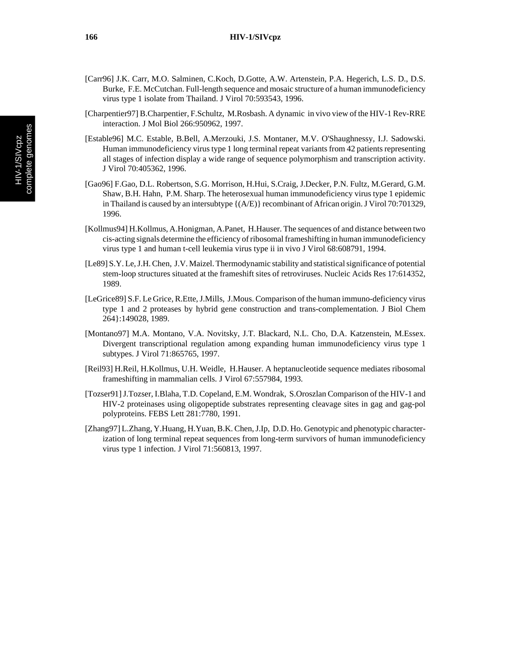- [Carr96] J.K. Carr, M.O. Salminen, C.Koch, D.Gotte, A.W. Artenstein, P.A. Hegerich, L.S. D., D.S. Burke, F.E. McCutchan. Full-length sequence and mosaic structure of a human immunodeficiency virus type 1 isolate from Thailand. J Virol 70:593543, 1996.
- [Charpentier97] B.Charpentier, F.Schultz, M.Rosbash. A dynamic in vivo view of the HIV-1 Rev-RRE interaction. J Mol Biol 266:950962, 1997.
- [Estable96] M.C. Estable, B.Bell, A.Merzouki, J.S. Montaner, M.V. O'Shaughnessy, I.J. Sadowski. Human immunodeficiency virus type 1 long terminal repeat variants from 42 patients representing all stages of infection display a wide range of sequence polymorphism and transcription activity. J Virol 70:405362, 1996.
- [Gao96] F.Gao, D.L. Robertson, S.G. Morrison, H.Hui, S.Craig, J.Decker, P.N. Fultz, M.Gerard, G.M. Shaw, B.H. Hahn, P.M. Sharp. The heterosexual human immunodeficiency virus type 1 epidemic in Thailand is caused by an intersubtype {(A/E)} recombinant of African origin. J Virol 70:701329, 1996.
- [Kollmus94] H.Kollmus, A.Honigman, A.Panet, H.Hauser. The sequences of and distance between two cis-acting signals determine the efficiency of ribosomal frameshifting in human immunodeficiency virus type 1 and human t-cell leukemia virus type ii in vivo J Virol 68:608791, 1994.
- [Le89] S.Y. Le, J.H. Chen, J.V. Maizel. Thermodynamic stability and statistical significance of potential stem-loop structures situated at the frameshift sites of retroviruses. Nucleic Acids Res 17:614352, 1989.
- [LeGrice89] S.F. Le Grice, R.Ette, J.Mills, J.Mous. Comparison of the human immuno-deficiency virus type 1 and 2 proteases by hybrid gene construction and trans-complementation. J Biol Chem 264}:149028, 1989.
- [Montano97] M.A. Montano, V.A. Novitsky, J.T. Blackard, N.L. Cho, D.A. Katzenstein, M.Essex. Divergent transcriptional regulation among expanding human immunodeficiency virus type 1 subtypes. J Virol 71:865765, 1997.
- [Reil93] H.Reil, H.Kollmus, U.H. Weidle, H.Hauser. A heptanucleotide sequence mediates ribosomal frameshifting in mammalian cells. J Virol 67:557984, 1993.
- [Tozser91] J.Tozser, I.Blaha, T.D. Copeland, E.M. Wondrak, S.Oroszlan Comparison of the HIV-1 and HIV-2 proteinases using oligopeptide substrates representing cleavage sites in gag and gag-pol polyproteins. FEBS Lett 281:7780, 1991.
- [Zhang97] L.Zhang, Y.Huang, H.Yuan, B.K. Chen, J.Ip, D.D. Ho. Genotypic and phenotypic characterization of long terminal repeat sequences from long-term survivors of human immunodeficiency virus type 1 infection. J Virol 71:560813, 1997.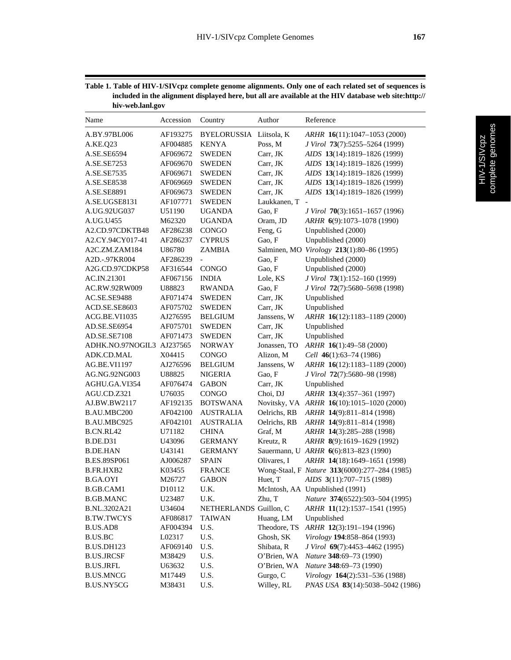**Table 1. Table of HIV-1/SIVcpz complete genome alignments. Only one of each related set of sequences is included in the alignment displayed here, but all are available at the HIV database web site:http:// hiv-web.lanl.gov**

| Name                      | Accession          | Country                  | Author       | Reference                                     |
|---------------------------|--------------------|--------------------------|--------------|-----------------------------------------------|
| A.BY.97BL006              | AF193275           | BYELORUSSIA Liitsola, K  |              | ARHR 16(11):1047-1053 (2000)                  |
| A.KE.Q23                  | AF004885           | <b>KENYA</b>             | Poss, M      | J Virol 73(7):5255-5264 (1999)                |
| A.SE.SE6594               | AF069672           | <b>SWEDEN</b>            | Carr, JK     | AIDS 13(14):1819-1826 (1999)                  |
| A.SE.SE7253               | AF069670           | <b>SWEDEN</b>            | Carr, JK     | AIDS 13(14):1819-1826 (1999)                  |
| A.SE.SE7535               | AF069671           | <b>SWEDEN</b>            | Carr, JK     | AIDS 13(14):1819-1826 (1999)                  |
| A.SE.SE8538               | AF069669           | <b>SWEDEN</b>            | Carr, JK     | AIDS 13(14):1819-1826 (1999)                  |
| A.SE.SE8891               | AF069673           | <b>SWEDEN</b>            | Carr, JK     | AIDS 13(14):1819-1826 (1999)                  |
| A.SE.UGSE8131             | AF107771           | <b>SWEDEN</b>            | Laukkanen, T |                                               |
| A.UG.92UG037              | U51190             | <b>UGANDA</b>            | Gao, F       | J Virol 70(3):1651-1657 (1996)                |
| A.UG.U455                 | M62320             | <b>UGANDA</b>            | Oram, JD     | ARHR 6(9):1073-1078 (1990)                    |
| A2.CD.97CDKTB48           | AF286238           | <b>CONGO</b>             | Feng, G      | Unpublished (2000)                            |
| A2.CY.94CY017-41          | AF286237           | <b>CYPRUS</b>            | Gao, F       | Unpublished (2000)                            |
| A2C.ZM.ZAM184             | U86780             | ZAMBIA                   |              | Salminen, MO Virology 213(1):80-86 (1995)     |
| A2D.-.97KR004             | AF286239           | $\overline{\phantom{a}}$ | Gao, F       | Unpublished (2000)                            |
| A2G.CD.97CDKP58           | AF316544           | <b>CONGO</b>             | Gao, F       | Unpublished (2000)                            |
| AC.IN.21301               | AF067156           | <b>INDIA</b>             | Lole, KS     | J Virol 73(1):152-160 (1999)                  |
| <b>AC.RW.92RW009</b>      | U88823             | <b>RWANDA</b>            | Gao, F       | J Virol 72(7):5680-5698 (1998)                |
| AC.SE.SE9488              | AF071474           | <b>SWEDEN</b>            | Carr, JK     | Unpublished                                   |
| ACD.SE.SE8603             | AF075702           | <b>SWEDEN</b>            | Carr, JK     | Unpublished                                   |
| ACG.BE.VI1035             | AJ276595           | <b>BELGIUM</b>           | Janssens, W  | ARHR 16(12):1183-1189 (2000)                  |
| AD.SE.SE6954              | AF075701           | <b>SWEDEN</b>            | Carr, JK     | Unpublished                                   |
| AD.SE.SE7108              | AF071473           | <b>SWEDEN</b>            | Carr, JK     | Unpublished                                   |
| ADHK.NO.97NOGIL3 AJ237565 |                    | <b>NORWAY</b>            | Jonassen, TO | ARHR 16(1):49-58 (2000)                       |
| ADK.CD.MAL                | X04415             | <b>CONGO</b>             | Alizon, M    | Cell $46(1):63-74(1986)$                      |
| AG.BE.VI1197              | AJ276596           | <b>BELGIUM</b>           | Janssens, W  | ARHR 16(12):1183-1189 (2000)                  |
| AG.NG.92NG003             | U88825             | <b>NIGERIA</b>           | Gao, F       | J Virol 72(7):5680-98 (1998)                  |
| AGHU.GA.VI354             | AF076474           | <b>GABON</b>             | Carr, JK     | Unpublished                                   |
| AGU.CD.Z321               | U76035             | <b>CONGO</b>             | Choi, DJ     | ARHR 13(4):357-361 (1997)                     |
| AJ.BW.BW2117              | AF192135           | <b>BOTSWANA</b>          |              | Novitsky, VA ARHR 16(10):1015-1020 (2000)     |
| B.AU.MBC200               | AF042100           | <b>AUSTRALIA</b>         | Oelrichs, RB | ARHR 14(9):811-814 (1998)                     |
| B.AU.MBC925               | AF042101           | <b>AUSTRALIA</b>         | Oelrichs, RB | ARHR 14(9):811-814 (1998)                     |
| B.CN.RL42                 | U71182             | <b>CHINA</b>             | Graf, M      | ARHR 14(3):285-288 (1998)                     |
| B.DE.D31                  | U43096             | <b>GERMANY</b>           | Kreutz, R    | ARHR $8(9):1619-1629(1992)$                   |
| <b>B.DE.HAN</b>           | U43141             | <b>GERMANY</b>           |              | Sauermann, U ARHR 6(6):813-823 (1990)         |
| <b>B.ES.89SP061</b>       | AJ006287           | <b>SPAIN</b>             | Olivares, I  | ARHR 14(18):1649-1651 (1998)                  |
| B.FR.HXB2                 | K03455             | <b>FRANCE</b>            |              | Wong-Staal, F Nature 313(6000):277-284 (1985) |
| <b>B.GA.OYI</b>           | M26727             | <b>GABON</b>             | Huet, T      | AIDS 3(11):707-715 (1989)                     |
| B.GB.CAM1                 | D <sub>10112</sub> | U.K.                     |              | McIntosh, AA Unpublished (1991)               |
| B.GB.MANC                 | U23487             | U.K.                     | Zhu, T       | Nature 374(6522):503-504 (1995)               |
| B.NL.3202A21              | U34604             | NETHERLANDS Guillon, C   |              | ARHR 11(12):1537-1541 (1995)                  |
| <b>B.TW.TWCYS</b>         | AF086817           | <b>TAIWAN</b>            | Huang, LM    | Unpublished                                   |
| B.US.AD8                  | AF004394           | U.S.                     | Theodore, TS | ARHR 12(3):191-194 (1996)                     |
| B.US.BC                   | L02317             | U.S.                     | Ghosh, SK    | Virology 194:858-864 (1993)                   |
| <b>B.US.DH123</b>         | AF069140           | U.S.                     | Shibata, R   | J Virol 69(7):4453-4462 (1995)                |
| <b>B.US.JRCSF</b>         | M38429             | U.S.                     | O'Brien, WA  | Nature 348:69-73 (1990)                       |
| <b>B.US.JRFL</b>          | U63632             | U.S.                     | O'Brien, WA  | Nature 348:69-73 (1990)                       |
| <b>B.US.MNCG</b>          | M17449             | U.S.                     | Gurgo, C     | Virology 164(2):531-536 (1988)                |
| B.US.NY5CG                | M38431             | U.S.                     | Willey, RL   | PNAS USA 83(14):5038-5042 (1986)              |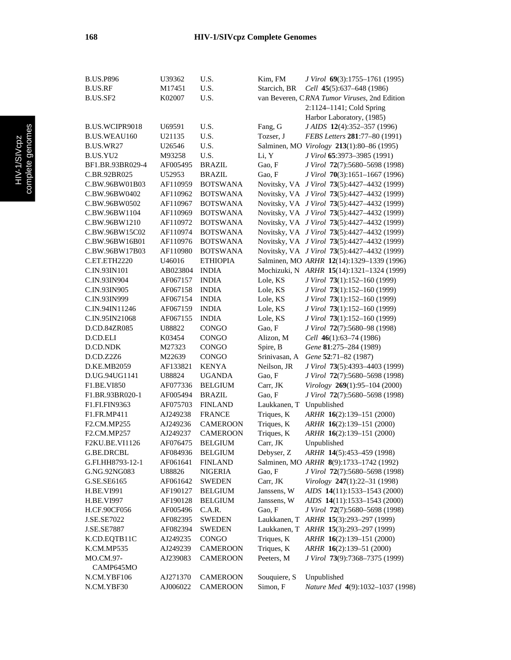| <b>B.US.P896</b>                     | U39362   | U.S.            | Kim, FM       | J Virol 69(3):1755-1761 (1995)                             |
|--------------------------------------|----------|-----------------|---------------|------------------------------------------------------------|
| <b>B.US.RF</b>                       | M17451   | U.S.            | Starcich, BR  | Cell 45(5):637-648 (1986)                                  |
| B.US.SF2                             | K02007   | U.S.            |               | van Beveren, CRNA Tumor Viruses, 2nd Edition               |
|                                      |          |                 |               | 2:1124-1141; Cold Spring                                   |
|                                      |          |                 |               | Harbor Laboratory, (1985)                                  |
| B.US.WCIPR9018                       | U69591   | U.S.            | Fang, G       | JAIDS 12(4):352-357 (1996)                                 |
| B.US.WEAU160                         | U21135   | U.S.            | Tozser, J     | FEBS Letters 281:77-80 (1991)                              |
| B.US.WR27                            | U26546   | U.S.            |               | Salminen, MO Virology 213(1):80-86 (1995)                  |
| B.US.YU2                             | M93258   | U.S.            | Li, Y         | J Virol 65:3973-3985 (1991)                                |
| BF1.BR.93BR029-4                     | AF005495 | <b>BRAZIL</b>   | Gao, F        | J Virol 72(7):5680-5698 (1998)                             |
| C.BR.92BR025                         | U52953   | <b>BRAZIL</b>   | Gao, F        | J Virol 70(3):1651-1667 (1996)                             |
| C.BW.96BW01B03                       | AF110959 | <b>BOTSWANA</b> |               | Novitsky, VA <i>J Virol</i> <b>73</b> (5):4427-4432 (1999) |
| C.BW.96BW0402                        | AF110962 | <b>BOTSWANA</b> |               | Novitsky, VA J Virol 73(5):4427-4432 (1999)                |
| C.BW.96BW0502                        | AF110967 | <b>BOTSWANA</b> |               | Novitsky, VA J Virol 73(5):4427-4432 (1999)                |
| C.BW.96BW1104                        | AF110969 | <b>BOTSWANA</b> |               | Novitsky, VA <i>J Virol</i> <b>73</b> (5):4427-4432 (1999) |
| C.BW.96BW1210                        | AF110972 | <b>BOTSWANA</b> |               | Novitsky, VA <i>J Virol</i> <b>73</b> (5):4427-4432 (1999) |
| C.BW.96BW15C02                       | AF110974 | <b>BOTSWANA</b> |               | Novitsky, VA J Virol 73(5):4427-4432 (1999)                |
| C.BW.96BW16B01                       | AF110976 | <b>BOTSWANA</b> |               | Novitsky, VA J Virol 73(5):4427-4432 (1999)                |
| C.BW.96BW17B03                       | AF110980 | <b>BOTSWANA</b> |               | Novitsky, VA J Virol 73(5):4427-4432 (1999)                |
| C.ET.ETH2220                         | U46016   | <b>ETHIOPIA</b> |               | Salminen, MO ARHR 12(14):1329-1339 (1996)                  |
| C.IN.93IN101                         | AB023804 | <b>INDIA</b>    |               | Mochizuki, N ARHR 15(14):1321-1324 (1999)                  |
| C.IN.93IN904                         | AF067157 | <b>INDIA</b>    | Lole, KS      | J Virol 73(1):152-160 (1999)                               |
| C.IN.93IN905                         | AF067158 | <b>INDIA</b>    | Lole, KS      | J Virol 73(1):152-160 (1999)                               |
| C.IN.93IN999                         | AF067154 | <b>INDIA</b>    | Lole, KS      | J Virol 73(1):152-160 (1999)                               |
| C.IN.94IN11246                       | AF067159 | <b>INDIA</b>    | Lole, KS      | J Virol 73(1):152-160 (1999)                               |
| C.IN.95IN21068                       | AF067155 | <b>INDIA</b>    | Lole, KS      | J Virol 73(1):152-160 (1999)                               |
| D.CD.84ZR085                         | U88822   | <b>CONGO</b>    | Gao, F        | J Virol 72(7):5680-98 (1998)                               |
| D.CD.ELI                             | K03454   | <b>CONGO</b>    | Alizon, M     | Cell $46(1):63-74(1986)$                                   |
| D.CD.NDK                             | M27323   | <b>CONGO</b>    | Spire, B      | Gene 81:275-284 (1989)                                     |
| D.CD.Z2Z6                            | M22639   | <b>CONGO</b>    | Srinivasan, A | Gene 52:71-82 (1987)                                       |
| D.KE.MB2059                          | AF133821 | <b>KENYA</b>    | Neilson, JR   | J Virol 73(5):4393-4403 (1999)                             |
| D.UG.94UG1141                        | U88824   | <b>UGANDA</b>   | Gao, F        | J Virol 72(7):5680-5698 (1998)                             |
| F1.BE.VI850                          | AF077336 | <b>BELGIUM</b>  | Carr, JK      | Virology $269(1):95-104(2000)$                             |
| F1.BR.93BR020-1                      | AF005494 | <b>BRAZIL</b>   | Gao, F        | J Virol 72(7):5680-5698 (1998)                             |
| F1.FI.FIN9363                        | AF075703 | <b>FINLAND</b>  | Laukkanen, T  | Unpublished                                                |
| F1.FR.MP411                          | AJ249238 | <b>FRANCE</b>   | Triques, K    | ARHR 16(2):139-151 (2000)                                  |
| F <sub>2</sub> .CM.MP <sub>255</sub> | AJ249236 | <b>CAMEROON</b> | Triques, K    | ARHR 16(2):139-151 (2000)                                  |
| F2.CM.MP257                          | AJ249237 | <b>CAMEROON</b> | Triques, K    | ARHR 16(2):139-151 (2000)                                  |
| F2KU.BE.VI1126                       | AF076475 | <b>BELGIUM</b>  | Carr, JK      | Unpublished                                                |
| G.BE.DRCBL                           | AF084936 | <b>BELGIUM</b>  | Debyser, Z    | ARHR 14(5):453-459 (1998)                                  |
| G.FI.HH8793-12-1                     | AF061641 | <b>FINLAND</b>  |               | Salminen, MO ARHR 8(9):1733-1742 (1992)                    |
| G.NG.92NG083                         | U88826   | <b>NIGERIA</b>  | Gao, F        | J Virol 72(7):5680-5698 (1998)                             |
| G.SE.SE6165                          | AF061642 | <b>SWEDEN</b>   | Carr, JK      | Virology $247(1):22-31(1998)$                              |
| <b>H.BE.VI991</b>                    | AF190127 | <b>BELGIUM</b>  | Janssens, W   | AIDS 14(11):1533-1543 (2000)                               |
| <b>H.BE.VI997</b>                    | AF190128 | <b>BELGIUM</b>  | Janssens, W   | AIDS 14(11):1533-1543 (2000)                               |
| H.CF.90CF056                         | AF005496 | C.A.R.          | Gao, F        | J Virol 72(7):5680-5698 (1998)                             |
| <b>J.SE.SE7022</b>                   | AF082395 | <b>SWEDEN</b>   | Laukkanen, T  | ARHR 15(3):293-297 (1999)                                  |
| <b>J.SE.SE7887</b>                   | AF082394 | <b>SWEDEN</b>   | Laukkanen, T  | ARHR 15(3):293-297 (1999)                                  |
| K.CD.EQTB11C                         | AJ249235 | <b>CONGO</b>    | Triques, K    | ARHR 16(2):139-151 (2000)                                  |
| K.CM.MP535                           | AJ249239 | <b>CAMEROON</b> | Triques, K    | ARHR 16(2):139-51 (2000)                                   |
| MO.CM.97-                            | AJ239083 | <b>CAMEROON</b> | Peeters, M    | J Virol 73(9):7368-7375 (1999)                             |
| CAMP645MO                            |          |                 |               |                                                            |
| N.CM.YBF106                          | AJ271370 | <b>CAMEROON</b> | Souquiere, S  | Unpublished                                                |
| N.CM.YBF30                           | AJ006022 | <b>CAMEROON</b> | Simon, F      | Nature Med 4(9):1032-1037 (1998)                           |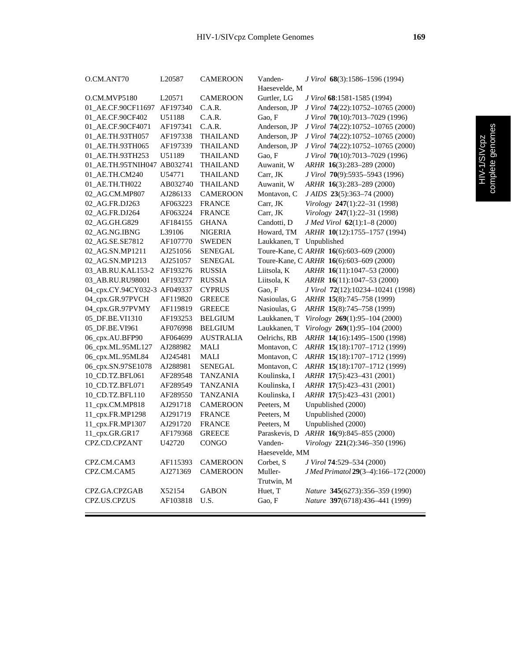| O.CM.ANT70                   | L <sub>2</sub> 0587 | <b>CAMEROON</b>  | Vanden-        | <i>J Virol</i> 68(3):1586–1596 (1994)   |
|------------------------------|---------------------|------------------|----------------|-----------------------------------------|
|                              |                     |                  | Haesevelde, M  |                                         |
| O.CM.MVP5180                 | L20571              | <b>CAMEROON</b>  | Gurtler, LG    | J Virol 68:1581-1585 (1994)             |
| 01_AE.CF.90CF11697           | AF197340            | C.A.R.           | Anderson, JP   | J Virol 74(22):10752-10765 (2000)       |
| 01_AE.CF.90CF402             | U51188              | C.A.R.           | Gao, F         | J Virol 70(10):7013-7029 (1996)         |
| 01_AE.CF.90CF4071            | AF197341            | C.A.R.           | Anderson, JP   | J Virol 74(22):10752-10765 (2000)       |
| 01 AE.TH.93TH057             | AF197338            | <b>THAILAND</b>  | Anderson, JP   | J Virol 74(22):10752-10765 (2000)       |
| 01_AE.TH.93TH065             | AF197339            | <b>THAILAND</b>  | Anderson, JP   | J Virol 74(22):10752-10765 (2000)       |
| 01_AE.TH.93TH253             | U51189              | <b>THAILAND</b>  | Gao, F         | J Virol 70(10):7013-7029 (1996)         |
| 01 AE.TH.95TNIH047 AB032741  |                     | <b>THAILAND</b>  | Auwanit, W     | ARHR 16(3):283-289 (2000)               |
| 01_AE.TH.CM240               | U54771              | <b>THAILAND</b>  | Carr, JK       | J Virol 70(9):5935-5943 (1996)          |
| 01_AE.TH.TH022               | AB032740            | <b>THAILAND</b>  | Auwanit, W     | ARHR 16(3):283-289 (2000)               |
| 02_AG.CM.MP807               | AJ286133            | <b>CAMEROON</b>  | Montavon, C    | J AIDS 23(5):363-74 (2000)              |
| 02_AG.FR.DJ263               | AF063223            | <b>FRANCE</b>    | Carr, JK       | Virology 247(1):22-31 (1998)            |
| 02_AG.FR.DJ264               | AF063224            | <b>FRANCE</b>    | Carr, JK       | Virology 247(1):22-31 (1998)            |
| 02 AG.GH.G829                | AF184155            | <b>GHANA</b>     | Candotti, D    | J Med Virol 62(1):1-8 (2000)            |
| 02_AG.NG.IBNG                | L39106              | <b>NIGERIA</b>   | Howard, TM     | ARHR 10(12):1755-1757 (1994)            |
| 02_AG.SE.SE7812              | AF107770            | <b>SWEDEN</b>    | Laukkanen, T   | Unpublished                             |
| 02_AG.SN.MP1211              | AJ251056            | <b>SENEGAL</b>   |                | Toure-Kane, C ARHR 16(6):603-609 (2000) |
| 02_AG.SN.MP1213              | AJ251057            | <b>SENEGAL</b>   |                | Toure-Kane, C ARHR 16(6):603-609 (2000) |
| 03_AB.RU.KAL153-2            | AF193276            | <b>RUSSIA</b>    | Liitsola, K    | ARHR 16(11):1047-53 (2000)              |
| 03_AB.RU.RU98001             | AF193277            | <b>RUSSIA</b>    | Liitsola, K    | ARHR 16(11):1047-53 (2000)              |
| 04_cpx.CY.94CY032-3 AF049337 |                     | <b>CYPRUS</b>    | Gao, F         | J Virol 72(12):10234-10241 (1998)       |
| 04_cpx.GR.97PVCH             | AF119820            | <b>GREECE</b>    | Nasioulas, G   | ARHR 15(8):745-758 (1999)               |
| 04_cpx.GR.97PVMY             | AF119819            | <b>GREECE</b>    | Nasioulas, G   | ARHR 15(8):745-758 (1999)               |
| 05_DF.BE.VI1310              | AF193253            | <b>BELGIUM</b>   | Laukkanen, T   | Virology $269(1):95-104(2000)$          |
| 05_DF.BE.VI961               | AF076998            | <b>BELGIUM</b>   | Laukkanen, T   | Virology 269(1):95-104 (2000)           |
| 06_cpx.AU.BFP90              | AF064699            | <b>AUSTRALIA</b> | Oelrichs, RB   | ARHR 14(16):1495-1500 (1998)            |
| 06_cpx.ML.95ML127            | AJ288982            | MALI             | Montavon, C    | ARHR 15(18):1707-1712 (1999)            |
| 06_cpx.ML.95ML84             | AJ245481            | MALI             | Montavon, C    | ARHR 15(18):1707-1712 (1999)            |
| 06_cpx.SN.97SE1078           | AJ288981            | <b>SENEGAL</b>   | Montavon, C    | ARHR 15(18):1707-1712 (1999)            |
| 10_CD.TZ.BFL061              | AF289548            | <b>TANZANIA</b>  | Koulinska, I   | ARHR 17(5):423-431 (2001)               |
| 10 CD.TZ.BFL071              | AF289549            | <b>TANZANIA</b>  | Koulinska, I   | ARHR 17(5):423-431 (2001)               |
| 10_CD.TZ.BFL110              | AF289550            | <b>TANZANIA</b>  | Koulinska, I   | ARHR 17(5):423-431 (2001)               |
| 11_cpx.CM.MP818              | AJ291718            | <b>CAMEROON</b>  | Peeters, M     | Unpublished (2000)                      |
| 11_cpx.FR.MP1298             | AJ291719            | <b>FRANCE</b>    | Peeters, M     | Unpublished (2000)                      |
| 11_cpx.FR.MP1307             | AJ291720            | <b>FRANCE</b>    | Peeters, M     | Unpublished (2000)                      |
| 11_cpx.GR.GR17               | AF179368            | <b>GREECE</b>    | Paraskevis, D  | ARHR 16(9):845-855 (2000)               |
| CPZ.CD.CPZANT                | U42720              | <b>CONGO</b>     | Vanden-        | Virology 221(2):346-350 (1996)          |
|                              |                     |                  | Haesevelde, MM |                                         |
| CPZ.CM.CAM3                  | AF115393            | <b>CAMEROON</b>  | Corbet, S      | J Virol 74:529-534 (2000)               |
| CPZ.CM.CAM5                  | AJ271369            | <b>CAMEROON</b>  | Muller-        | J Med Primatol 29(3-4):166-172 (2000)   |
|                              |                     |                  | Trutwin, M     |                                         |
| CPZ.GA.CPZGAB                | X52154              | <b>GABON</b>     | Huet, T        | Nature 345(6273):356-359 (1990)         |
| CPZ.US.CPZUS                 | AF103818            | U.S.             | Gao, F         | Nature 397(6718):436-441 (1999)         |
|                              |                     |                  |                |                                         |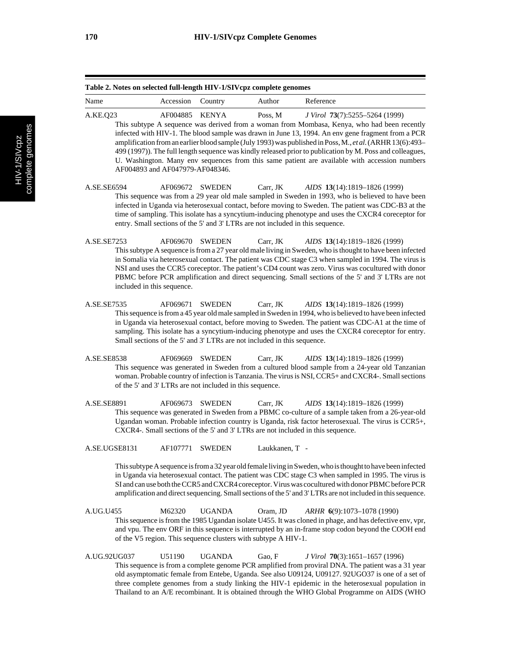| Name          |                                 | Accession       | Country                                                                                          | Author         | Reference                                                                                                                                                                                                                                                                                                                                                                                                                                                                                                                                                     |
|---------------|---------------------------------|-----------------|--------------------------------------------------------------------------------------------------|----------------|---------------------------------------------------------------------------------------------------------------------------------------------------------------------------------------------------------------------------------------------------------------------------------------------------------------------------------------------------------------------------------------------------------------------------------------------------------------------------------------------------------------------------------------------------------------|
| A.KE.Q23      | AF004893 and AF047979-AF048346. | AF004885        | <b>KENYA</b>                                                                                     | Poss, M        | J Virol 73(7):5255-5264 (1999)<br>This subtype A sequence was derived from a woman from Mombasa, Kenya, who had been recently<br>infected with HIV-1. The blood sample was drawn in June 13, 1994. An env gene fragment from a PCR<br>amplification from an earlier blood sample (July 1993) was published in Poss, M., et al. (ARHR 13(6):493-<br>499 (1997)). The full length sequence was kindly released prior to publication by M. Poss and colleagues,<br>U. Washington. Many env sequences from this same patient are available with accession numbers |
| A.SE.SE6594   |                                 | AF069672 SWEDEN | entry. Small sections of the 5' and 3' LTRs are not included in this sequence.                   | Carr, JK       | AIDS 13(14):1819-1826 (1999)<br>This sequence was from a 29 year old male sampled in Sweden in 1993, who is believed to have been<br>infected in Uganda via heterosexual contact, before moving to Sweden. The patient was CDC-B3 at the<br>time of sampling. This isolate has a syncytium-inducing phenotype and uses the CXCR4 coreceptor for                                                                                                                                                                                                               |
| A.SE.SE7253   | included in this sequence.      | AF069670        | <b>SWEDEN</b>                                                                                    | Carr, JK       | AIDS 13(14):1819-1826 (1999)<br>This subtype A sequence is from a 27 year old male living in Sweden, who is thought to have been infected<br>in Somalia via heterosexual contact. The patient was CDC stage C3 when sampled in 1994. The virus is<br>NSI and uses the CCR5 coreceptor. The patient's CD4 count was zero. Virus was cocultured with donor<br>PBMC before PCR amplification and direct sequencing. Small sections of the 5' and 3' LTRs are not                                                                                                 |
| A.SE.SE7535   |                                 | AF069671        | <b>SWEDEN</b><br>Small sections of the 5' and 3' LTRs are not included in this sequence.         | Carr, JK       | AIDS 13(14):1819-1826 (1999)<br>This sequence is from a 45 year old male sampled in Sweden in 1994, who is believed to have been infected<br>in Uganda via heterosexual contact, before moving to Sweden. The patient was CDC-A1 at the time of<br>sampling. This isolate has a syncytium-inducing phenotype and uses the CXCR4 coreceptor for entry.                                                                                                                                                                                                         |
| A.SE.SE8538   |                                 | AF069669        | <b>SWEDEN</b><br>of the 5' and 3' LTRs are not included in this sequence.                        | Carr, JK       | AIDS 13(14):1819-1826 (1999)<br>This sequence was generated in Sweden from a cultured blood sample from a 24-year old Tanzanian<br>woman. Probable country of infection is Tanzania. The virus is NSI, CCR5+ and CXCR4-. Small sections                                                                                                                                                                                                                                                                                                                       |
| A.SE.SE8891   |                                 | AF069673        | <b>SWEDEN</b><br>CXCR4-. Small sections of the 5' and 3' LTRs are not included in this sequence. | Carr, JK       | AIDS 13(14):1819-1826 (1999)<br>This sequence was generated in Sweden from a PBMC co-culture of a sample taken from a 26-year-old<br>Ugandan woman. Probable infection country is Uganda, risk factor heterosexual. The virus is CCR5+,                                                                                                                                                                                                                                                                                                                       |
| A.SE.UGSE8131 |                                 | AF107771        | <b>SWEDEN</b>                                                                                    | Laukkanen, T - |                                                                                                                                                                                                                                                                                                                                                                                                                                                                                                                                                               |
|               |                                 |                 |                                                                                                  |                | This subtype A sequence is from a 32 year old female living in Sweden, who is thought to have been infected<br>in Uganda via heterosexual contact. The patient was CDC stage C3 when sampled in 1995. The virus is<br>SI and can use both the CCR5 and CXCR4 coreceptor. Virus was cocultured with donor PBMC before PCR<br>amplification and direct sequencing. Small sections of the 5' and 3' LTRs are not included in this sequence.                                                                                                                      |
| A.UG.U455     |                                 | M62320          | <b>UGANDA</b><br>of the V5 region. This sequence clusters with subtype A HIV-1.                  | Oram, JD       | ARHR 6(9):1073-1078 (1990)<br>This sequence is from the 1985 Ugandan isolate U455. It was cloned in phage, and has defective env, vpr,<br>and vpu. The env ORF in this sequence is interrupted by an in-frame stop codon beyond the COOH end                                                                                                                                                                                                                                                                                                                  |

A.UG.92UG037 U51190 UGANDA Gao, F *J Virol* **70**(3):1651–1657 (1996) This sequence is from a complete genome PCR amplified from proviral DNA. The patient was a 31 year old asymptomatic female from Entebe, Uganda. See also U09124, U09127. 92UGO37 is one of a set of three complete genomes from a study linking the HIV-1 epidemic in the heterosexual population in Thailand to an A/E recombinant. It is obtained through the WHO Global Programme on AIDS (WHO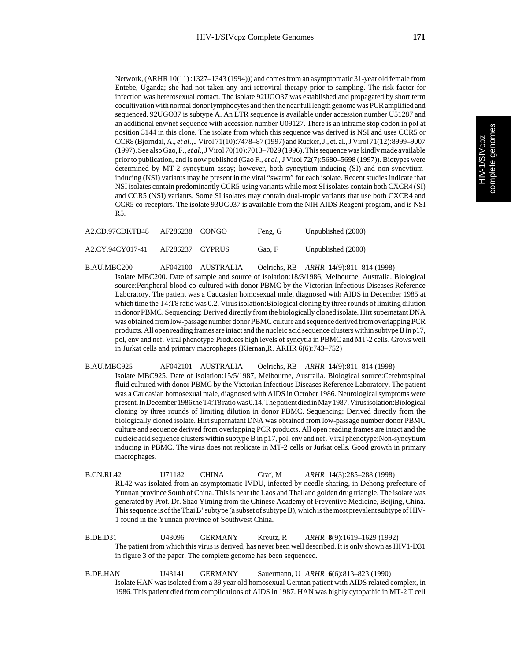Network, (ARHR 10(11) :1327–1343 (1994))) and comes from an asymptomatic 31-year old female from Entebe, Uganda; she had not taken any anti-retroviral therapy prior to sampling. The risk factor for infection was heterosexual contact. The isolate 92UGO37 was established and propagated by short term cocultivation with normal donor lymphocytes and then the near full length genome was PCR amplified and sequenced. 92UGO37 is subtype A. An LTR sequence is available under accession number U51287 and an additional env/nef sequence with accession number U09127. There is an inframe stop codon in pol at position 3144 in this clone. The isolate from which this sequence was derived is NSI and uses CCR5 or CCR8 (Bjorndal, A., *et al*., J Virol 71(10):7478–87 (1997) and Rucker, J., et. al., J Virol 71(12):8999–9007 (1997). See also Gao, F., *et al*., J Virol 70(10):7013–7029 (1996). This sequence was kindly made available prior to publication, and is now published (Gao F., *et al*., J Virol 72(7):5680–5698 (1997)). Biotypes were determined by MT-2 syncytium assay; however, both syncytium-inducing (SI) and non-syncytiuminducing (NSI) variants may be present in the viral "swarm" for each isolate. Recent studies indicate that NSI isolates contain predominantly CCR5-using variants while most SI isolates contain both CXCR4 (SI) and CCR5 (NSI) variants. Some SI isolates may contain dual-tropic variants that use both CXCR4 and CCR5 co-receptors. The isolate 93UG037 is available from the NIH AIDS Reagent program, and is NSI R5.

| A2.CD.97CDKTB48  | AF286238 CONGO  | Feng, G | Unpublished (2000) |
|------------------|-----------------|---------|--------------------|
| A2.CY.94CY017-41 | AF286237 CYPRUS | Gao. F  | Unpublished (2000) |

B.AU.MBC200 AF042100 AUSTRALIA Oelrichs, RB *ARHR* **14**(9):811–814 (1998) Isolate MBC200. Date of sample and source of isolation:18/3/1986, Melbourne, Australia. Biological source:Peripheral blood co-cultured with donor PBMC by the Victorian Infectious Diseases Reference Laboratory. The patient was a Caucasian homosexual male, diagnosed with AIDS in December 1985 at which time the T4:T8 ratio was 0.2. Virus isolation: Biological cloning by three rounds of limiting dilution in donor PBMC. Sequencing: Derived directly from the biologically cloned isolate. Hirt supernatant DNA was obtained from low-passage number donor PBMC culture and sequence derived from overlapping PCR products. All open reading frames are intact and the nucleic acid sequence clusters within subtype B in p17, pol, env and nef. Viral phenotype:Produces high levels of syncytia in PBMC and MT-2 cells. Grows well in Jurkat cells and primary macrophages (Kiernan,R. ARHR 6(6):743–752)

B.AU.MBC925 AF042101 AUSTRALIA Oelrichs, RB *ARHR* **14**(9):811–814 (1998)

Isolate MBC925. Date of isolation:15/5/1987, Melbourne, Australia. Biological source:Cerebrospinal fluid cultured with donor PBMC by the Victorian Infectious Diseases Reference Laboratory. The patient was a Caucasian homosexual male, diagnosed with AIDS in October 1986. Neurological symptoms were present. In December 1986 the T4:T8 ratio was 0.14. The patient died in May 1987. Virus isolation:Biological cloning by three rounds of limiting dilution in donor PBMC. Sequencing: Derived directly from the biologically cloned isolate. Hirt supernatant DNA was obtained from low-passage number donor PBMC culture and sequence derived from overlapping PCR products. All open reading frames are intact and the nucleic acid sequence clusters within subtype B in p17, pol, env and nef. Viral phenotype:Non-syncytium inducing in PBMC. The virus does not replicate in MT-2 cells or Jurkat cells. Good growth in primary macrophages.

- B.CN.RL42 U71182 CHINA Graf, M *ARHR* **14**(3):285–288 (1998) RL42 was isolated from an asymptomatic IVDU, infected by needle sharing, in Dehong prefecture of Yunnan province South of China. This is near the Laos and Thailand golden drug triangle. The isolate was generated by Prof. Dr. Shao Yiming from the Chinese Academy of Preventive Medicine, Beijing, China. This sequence is of the Thai B' subtype (a subset of subtype B), which is the most prevalent subtype of HIV-1 found in the Yunnan province of Southwest China.
- B.DE.D31 U43096 GERMANY Kreutz, R *ARHR* **8**(9):1619–1629 (1992) The patient from which this virus is derived, has never been well described. It is only shown as HIV1-D31 in figure 3 of the paper. The complete genome has been sequenced.
- B.DE.HAN U43141 GERMANY Sauermann, U *ARHR* **6**(6):813–823 (1990) Isolate HAN was isolated from a 39 year old homosexual German patient with AIDS related complex, in 1986. This patient died from complications of AIDS in 1987. HAN was highly cytopathic in MT-2 T cell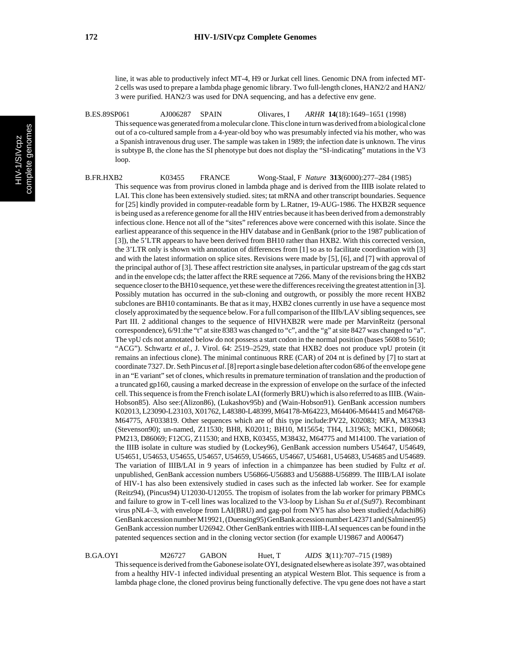line, it was able to productively infect MT-4, H9 or Jurkat cell lines. Genomic DNA from infected MT-2 cells was used to prepare a lambda phage genomic library. Two full-length clones, HAN2/2 and HAN2/ 3 were purified. HAN2/3 was used for DNA sequencing, and has a defective env gene.

B.ES.89SP061 AJ006287 SPAIN Olivares, I *ARHR* **14**(18):1649–1651 (1998) This sequence was generated from a molecular clone. This clone in turn was derived from a biological clone out of a co-cultured sample from a 4-year-old boy who was presumably infected via his mother, who was a Spanish intravenous drug user. The sample was taken in 1989; the infection date is unknown. The virus is subtype B, the clone has the SI phenotype but does not display the "SI-indicating" mutations in the V3 loop.

B.FR.HXB2 K03455 FRANCE Wong-Staal, F *Nature* **313**(6000):277–284 (1985) This sequence was from provirus cloned in lambda phage and is derived from the IIIB isolate related to LAI. This clone has been extensively studied. sites; tat mRNA and other transcript boundaries. Sequence for [25] kindly provided in computer-readable form by L.Ratner, 19-AUG-1986. The HXB2R sequence is being used as a reference genome for all the HIV entries because it has been derived from a demonstrably infectious clone. Hence not all of the "sites" references above were concerned with this isolate. Since the earliest appearance of this sequence in the HIV database and in GenBank (prior to the 1987 publication of [3]), the 5'LTR appears to have been derived from BH10 rather than HXB2. With this corrected version, the 3'LTR only is shown with annotation of differences from [1] so as to facilitate coordination with [3] and with the latest information on splice sites. Revisions were made by [5], [6], and [7] with approval of the principal author of [3]. These affect restriction site analyses, in particular upstream of the gag cds start and in the envelope cds; the latter affect the RRE sequence at 7266. Many of the revisions bring the HXB2 sequence closer to the BH10 sequence, yet these were the differences receiving the greatest attention in [3]. Possibly mutation has occurred in the sub-cloning and outgrowth, or possibly the more recent HXB2 subclones are BH10 contaminants. Be that as it may, HXB2 clones currently in use have a sequence most closely approximated by the sequence below. For a full comparison of the IIIb/LAV sibling sequences, see Part III. 2 additional changes to the sequence of HIVHXB2R were made per MarvinReitz (personal correspondence), 6/91:the "t" at site 8383 was changed to "c", and the "g" at site 8427 was changed to "a". The vpU cds not annotated below do not possess a start codon in the normal position (bases 5608 to 5610; "ACG"). Schwartz *et al*., J. Virol. 64: 2519–2529, state that HXB2 does not produce vpU protein (it remains an infectious clone). The minimal continuous RRE (CAR) of 204 nt is defined by [7] to start at coordinate 7327. Dr. Seth Pincus *et al*. [8] report a single base deletion after codon 686 of the envelope gene in an "E variant" set of clones, which results in premature termination of translation and the production of a truncated gp160, causing a marked decrease in the expression of envelope on the surface of the infected cell. This sequence is from the French isolate LAI (formerly BRU) which is also referred to as IIIB. (Wain-Hobson85). Also see:(Alizon86), (Lukashov95b) and (Wain-Hobson91). GenBank accession numbers K02013, L23090-L23103, X01762, L48380-L48399, M64178-M64223, M64406-M64415 and M64768- M64775, AF033819. Other sequences which are of this type include:PV22, K02083; MFA, M33943 (Stevenson90); un-named, Z11530; BH8, K02011; BH10, M15654; TH4, L31963; MCK1, D86068; PM213, D86069; F12CG, Z11530; and HXB, K03455, M38432, M64775 and M14100. The variation of the IIIB isolate in culture was studied by (Lockey96), GenBank accession numbers U54647, U54649, U54651, U54653, U54655, U54657, U54659, U54665, U54667, U54681, U54683, U54685 and U54689. The variation of IIIB/LAI in 9 years of infection in a chimpanzee has been studied by Fultz *et al*. unpublished, GenBank accession numbers U56866-U56883 and U56888-U56899. The IIIB/LAI isolate of HIV-1 has also been extensively studied in cases such as the infected lab worker. See for example (Reitz94), (Pincus94) U12030-U12055. The tropism of isolates from the lab worker for primary PBMCs and failure to grow in T-cell lines was localized to the V3-loop by Lishan Su *et al*.(Su97). Recombinant virus pNL4–3, with envelope from LAI(BRU) and gag-pol from NY5 has also been studied:(Adachi86) GenBank accession number M19921, (Duensing95) GenBank accession number L42371 and (Salminen95) GenBank accession number U26942. Other GenBank entries with IIIB-LAI sequences can be found in the patented sequences section and in the cloning vector section (for example U19867 and A00647)

B.GA.OYI M26727 GABON Huet, T *AIDS* **3**(11):707–715 (1989) This sequence is derived from the Gabonese isolate OYI, designated elsewhere as isolate 397, was obtained from a healthy HIV-1 infected individual presenting an atypical Western Blot. This sequence is from a lambda phage clone, the cloned provirus being functionally defective. The vpu gene does not have a start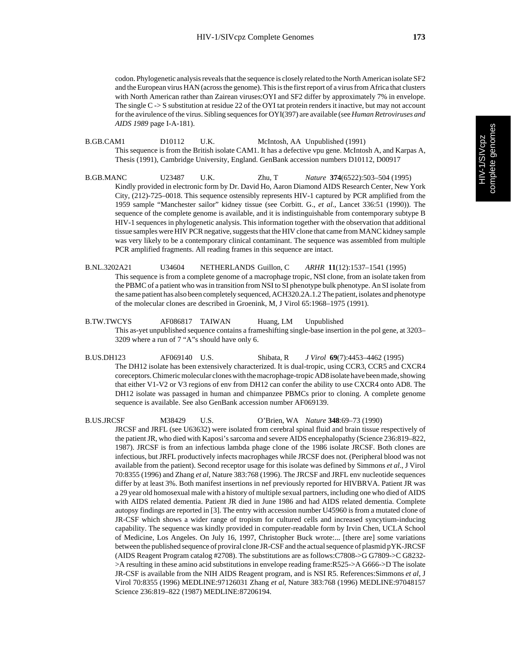codon. Phylogenetic analysis reveals that the sequence is closely related to the North American isolate SF2 and the European virus HAN (across the genome). This is the first report of a virus from Africa that clusters with North American rather than Zairean viruses:OYI and SF2 differ by approximately 7% in envelope. The single C -> S substitution at residue 22 of the OYI tat protein renders it inactive, but may not account for the avirulence of the virus. Sibling sequences for OYI(397) are available (see *Human Retroviruses and AIDS 1989* page I-A-181).

- B.GB.CAM1 D10112 U.K. McIntosh, AA Unpublished (1991) This sequence is from the British isolate CAM1. It has a defective vpu gene. McIntosh A, and Karpas A, Thesis (1991), Cambridge University, England. GenBank accession numbers D10112, D00917
- B.GB.MANC U23487 U.K. Zhu, T *Nature* **374**(6522):503–504 (1995) Kindly provided in electronic form by Dr. David Ho, Aaron Diamond AIDS Research Center, New York City, (212)-725–0018. This sequence ostensibly represents HIV-1 captured by PCR amplified from the 1959 sample "Manchester sailor" kidney tissue (see Corbitt. G., *et al*., Lancet 336:51 (1990)). The sequence of the complete genome is available, and it is indistinguishable from contemporary subtype B HIV-1 sequences in phylogenetic analysis. This information together with the observation that additional tissue samples were HIV PCR negative, suggests that the HIV clone that came from MANC kidney sample was very likely to be a contemporary clinical contaminant. The sequence was assembled from multiple PCR amplified fragments. All reading frames in this sequence are intact.
- B.NL.3202A21 U34604 NETHERLANDS Guillon, C *ARHR* **11**(12):1537–1541 (1995) This sequence is from a complete genome of a macrophage tropic, NSI clone, from an isolate taken from the PBMC of a patient who was in transition from NSI to SI phenotype bulk phenotype. An SI isolate from the same patient has also been completely sequenced, ACH320.2A.1.2 The patient, isolates and phenotype of the molecular clones are described in Groenink, M, J Virol 65:1968–1975 (1991).
- B.TW.TWCYS AF086817 TAIWAN Huang, LM Unpublished This as-yet unpublished sequence contains a frameshifting single-base insertion in the pol gene, at 3203– 3209 where a run of 7 "A"s should have only 6.
- B.US.DH123 AF069140 U.S. Shibata, R *J Virol* **69**(7):4453–4462 (1995) The DH12 isolate has been extensively characterized. It is dual-tropic, using CCR3, CCR5 and CXCR4 coreceptors. Chimeric molecular clones with the macrophage-tropic AD8 isolate have been made, showing that either V1-V2 or V3 regions of env from DH12 can confer the ability to use CXCR4 onto AD8. The DH12 isolate was passaged in human and chimpanzee PBMCs prior to cloning. A complete genome sequence is available. See also GenBank accession number AF069139.

B.US.JRCSF M38429 U.S. O'Brien, WA *Nature* **348**:69–73 (1990) JRCSF and JRFL (see U63632) were isolated from cerebral spinal fluid and brain tissue respectively of the patient JR, who died with Kaposi's sarcoma and severe AIDS encephalopathy (Science 236:819–822, 1987). JRCSF is from an infectious lambda phage clone of the 1986 isolate JRCSF. Both clones are infectious, but JRFL productively infects macrophages while JRCSF does not. (Peripheral blood was not available from the patient). Second receptor usage for this isolate was defined by Simmons *et al*., J Virol 70:8355 (1996) and Zhang *et al*, Nature 383:768 (1996). The JRCSF and JRFL env nucleotide sequences differ by at least 3%. Both manifest insertions in nef previously reported for HIVBRVA. Patient JR was a 29 year old homosexual male with a history of multiple sexual partners, including one who died of AIDS with AIDS related dementia. Patient JR died in June 1986 and had AIDS related dementia. Complete autopsy findings are reported in [3]. The entry with accession number U45960 is from a mutated clone of JR-CSF which shows a wider range of tropism for cultured cells and increased syncytium-inducing capability. The sequence was kindly provided in computer-readable form by Irvin Chen, UCLA School of Medicine, Los Angeles. On July 16, 1997, Christopher Buck wrote:... [there are] some variations between the published sequence of proviral clone JR-CSF and the actual sequence of plasmid pYK-JRCSF (AIDS Reagent Program catalog #2708). The substitutions are as follows:C7808->G G7809->C G8232- >A resulting in these amino acid substitutions in envelope reading frame:R525->A G666->D The isolate JR-CSF is available from the NIH AIDS Reagent program, and is NSI R5. References:Simmons *et al*, J Virol 70:8355 (1996) MEDLINE:97126031 Zhang *et al*, Nature 383:768 (1996) MEDLINE:97048157 Science 236:819–822 (1987) MEDLINE:87206194.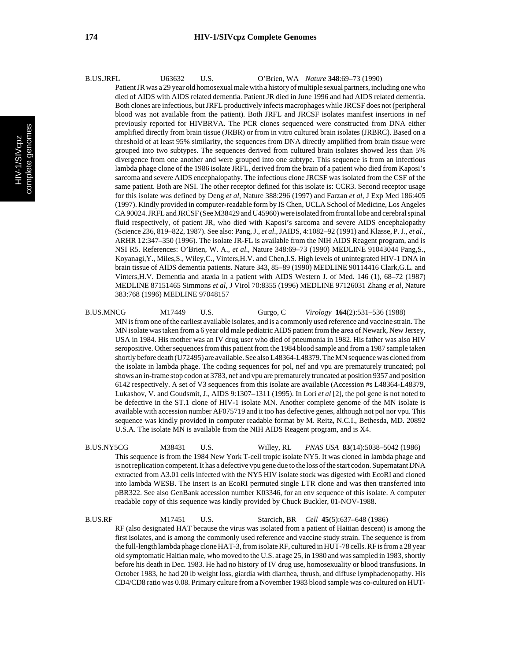B.US.JRFL U63632 U.S. O'Brien, WA *Nature* **348**:69–73 (1990)

Patient JR was a 29 year old homosexual male with a history of multiple sexual partners, including one who died of AIDS with AIDS related dementia. Patient JR died in June 1996 and had AIDS related dementia. Both clones are infectious, but JRFL productively infects macrophages while JRCSF does not (peripheral blood was not available from the patient). Both JRFL and JRCSF isolates manifest insertions in nef previously reported for HIVBRVA. The PCR clones sequenced were constructed from DNA either amplified directly from brain tissue (JRBR) or from in vitro cultured brain isolates (JRBRC). Based on a threshold of at least 95% similarity, the sequences from DNA directly amplified from brain tissue were grouped into two subtypes. The sequences derived from cultured brain isolates showed less than 5% divergence from one another and were grouped into one subtype. This sequence is from an infectious lambda phage clone of the 1986 isolate JRFL, derived from the brain of a patient who died from Kaposi's sarcoma and severe AIDS encephalopathy. The infectious clone JRCSF was isolated from the CSF of the same patient. Both are NSI. The other receptor defined for this isolate is: CCR3. Second receptor usage for this isolate was defined by Deng *et al*, Nature 388:296 (1997) and Farzan *et al*, J Exp Med 186:405 (1997). Kindly provided in computer-readable form by IS Chen, UCLA School of Medicine, Los Angeles CA 90024. JRFL and JRCSF (See M38429 and U45960) were isolated from frontal lobe and cerebral spinal fluid respectively, of patient JR, who died with Kaposi's sarcoma and severe AIDS encephalopathy (Science 236, 819–822, 1987). See also: Pang, J., *et al*., JAIDS, 4:1082–92 (1991) and Klasse, P. J., *et al*., ARHR 12:347–350 (1996). The isolate JR-FL is available from the NIH AIDS Reagent program, and is NSI R5. References: O'Brien, W. A., *et al*., Nature 348:69–73 (1990) MEDLINE 91043044 Pang,S., Koyanagi,Y., Miles,S., Wiley,C., Vinters,H.V. and Chen,I.S. High levels of unintegrated HIV-1 DNA in brain tissue of AIDS dementia patients. Nature 343, 85–89 (1990) MEDLINE 90114416 Clark,G.L. and Vinters,H.V. Dementia and ataxia in a patient with AIDS Western J. of Med. 146 (1), 68–72 (1987) MEDLINE 87151465 Simmons *et al*, J Virol 70:8355 (1996) MEDLINE 97126031 Zhang *et al*, Nature 383:768 (1996) MEDLINE 97048157

B.US.MNCG M17449 U.S. Gurgo, C *Virology* **164**(2):531–536 (1988) MN is from one of the earliest available isolates, and is a commonly used reference and vaccine strain. The MN isolate was taken from a 6 year old male pediatric AIDS patient from the area of Newark, New Jersey, USA in 1984. His mother was an IV drug user who died of pneumonia in 1982. His father was also HIV seropositive. Other sequences from this patient from the 1984 blood sample and from a 1987 sample taken shortly before death (U72495) are available. See also L48364-L48379. The MN sequence was cloned from the isolate in lambda phage. The coding sequences for pol, nef and vpu are prematurely truncated; pol shows an in-frame stop codon at 3783, nef and vpu are prematurely truncated at position 9357 and position 6142 respectively. A set of V3 sequences from this isolate are available (Accession #s L48364-L48379, Lukashov, V. and Goudsmit, J., AIDS 9:1307–1311 (1995). In Lori *et al* [2], the pol gene is not noted to be defective in the ST.1 clone of HIV-1 isolate MN. Another complete genome of the MN isolate is available with accession number AF075719 and it too has defective genes, although not pol nor vpu. This sequence was kindly provided in computer readable format by M. Reitz, N.C.I., Bethesda, MD. 20892 U.S.A. The isolate MN is available from the NIH AIDS Reagent program, and is X4.

B.US.NY5CG M38431 U.S. Willey, RL *PNAS USA* **83**(14):5038–5042 (1986) This sequence is from the 1984 New York T-cell tropic isolate NY5. It was cloned in lambda phage and is not replication competent. It has a defective vpu gene due to the loss of the start codon. Supernatant DNA extracted from A3.01 cells infected with the NY5 HIV isolate stock was digested with EcoRI and cloned into lambda WESB. The insert is an EcoRI permuted single LTR clone and was then transferred into pBR322. See also GenBank accession number K03346, for an env sequence of this isolate. A computer readable copy of this sequence was kindly provided by Chuck Buckler, 01-NOV-1988.

B.US.RF M17451 U.S. Starcich, BR *Cell* **45**(5):637–648 (1986) RF (also designated HAT because the virus was isolated from a patient of Haitian descent) is among the first isolates, and is among the commonly used reference and vaccine study strain. The sequence is from the full-length lambda phage clone HAT-3, from isolate RF, cultured in HUT-78 cells. RF is from a 28 year old symptomatic Haitian male, who moved to the U.S. at age 25, in 1980 and was sampled in 1983, shortly before his death in Dec. 1983. He had no history of IV drug use, homosexuality or blood transfusions. In October 1983, he had 20 lb weight loss, giardia with diarrhea, thrush, and diffuse lymphadenopathy. His CD4/CD8 ratio was 0.08. Primary culture from a November 1983 blood sample was co-cultured on HUT-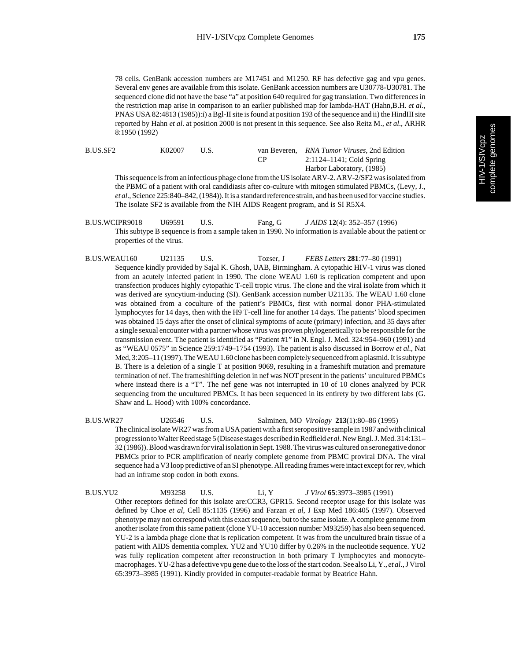78 cells. GenBank accession numbers are M17451 and M1250. RF has defective gag and vpu genes. Several env genes are available from this isolate. GenBank accession numbers are U30778-U30781. The sequenced clone did not have the base "a" at position 640 required for gag translation. Two differences in the restriction map arise in comparison to an earlier published map for lambda-HAT (Hahn,B.H. *et al*., PNAS USA 82:4813 (1985)):i) a Bgl-II site is found at position 193 of the sequence and ii) the HindIII site reported by Hahn *et al*. at position 2000 is not present in this sequence. See also Reitz M., *et al*., ARHR 8:1950 (1992)

| B.US.SF <sub>2</sub> | K02007 | U.S. |    | van Beveren, RNA Tumor Viruses, 2nd Edition                                                            |
|----------------------|--------|------|----|--------------------------------------------------------------------------------------------------------|
|                      |        |      | CP | $2:1124-1141$ ; Cold Spring                                                                            |
|                      |        |      |    | Harbor Laboratory, (1985)                                                                              |
|                      |        |      |    | This sequence is from an infectious phage clone from the US isolate ARV-2. ARV-2/SF2 was isolated from |
|                      |        |      |    | the PBMC of a patient with oral candidiasis after co-culture with mitogen stimulated PBMCs. (Levy, J., |

the PBMC of a patient with oral candidiasis after co-culture with mitogen stimulated PBMCs, (Levy, J., *et al*., Science 225:840–842, (1984)). It is a standard reference strain, and has been used for vaccine studies. The isolate SF2 is available from the NIH AIDS Reagent program, and is SI R5X4.

- B.US.WCIPR9018 U69591 U.S. Fang, G *J AIDS* **12**(4): 352–357 (1996) This subtype B sequence is from a sample taken in 1990. No information is available about the patient or properties of the virus.
- B.US.WEAU160 U21135 U.S. Tozser, J *FEBS Letters* **281**:77–80 (1991) Sequence kindly provided by Sajal K. Ghosh, UAB, Birmingham. A cytopathic HIV-1 virus was cloned from an acutely infected patient in 1990. The clone WEAU 1.60 is replication competent and upon transfection produces highly cytopathic T-cell tropic virus. The clone and the viral isolate from which it was derived are syncytium-inducing (SI). GenBank accession number U21135. The WEAU 1.60 clone was obtained from a coculture of the patient's PBMCs, first with normal donor PHA-stimulated lymphocytes for 14 days, then with the H9 T-cell line for another 14 days. The patients' blood specimen was obtained 15 days after the onset of clinical symptoms of acute (primary) infection, and 35 days after a single sexual encounter with a partner whose virus was proven phylogenetically to be responsible for the transmission event. The patient is identified as "Patient #1" in N. Engl. J. Med. 324:954–960 (1991) and as "WEAU 0575" in Science 259:1749–1754 (1993). The patient is also discussed in Borrow *et al*., Nat Med, 3:205–11 (1997). The WEAU 1.60 clone has been completely sequenced from a plasmid. It is subtype B. There is a deletion of a single T at position 9069, resulting in a frameshift mutation and premature termination of nef. The frameshifting deletion in nef was NOT present in the patients' uncultured PBMCs where instead there is a "T". The nef gene was not interrupted in 10 of 10 clones analyzed by PCR sequencing from the uncultured PBMCs. It has been sequenced in its entirety by two different labs (G. Shaw and L. Hood) with 100% concordance.
- B.US.WR27 U26546 U.S. Salminen, MO *Virology* **213**(1):80–86 (1995) The clinical isolate WR27 was from a USA patient with a first seropositive sample in 1987 and with clinical progression to Walter Reed stage 5 (Disease stages described in Redfield *et al*. New Engl. J. Med. 314:131– 32 (1986)). Blood was drawn for viral isolation in Sept. 1988. The virus was cultured on seronegative donor PBMCs prior to PCR amplification of nearly complete genome from PBMC proviral DNA. The viral sequence had a V3 loop predictive of an SI phenotype. All reading frames were intact except for rev, which had an inframe stop codon in both exons.
- B.US.YU2 M93258 U.S. Li, Y *J Virol* **65**:3973–3985 (1991) Other receptors defined for this isolate are:CCR3, GPR15. Second receptor usage for this isolate was defined by Choe *et al*, Cell 85:1135 (1996) and Farzan *et al*, J Exp Med 186:405 (1997). Observed phenotype may not correspond with this exact sequence, but to the same isolate. A complete genome from another isolate from this same patient (clone YU-10 accession number M93259) has also been sequenced. YU-2 is a lambda phage clone that is replication competent. It was from the uncultured brain tissue of a patient with AIDS dementia complex. YU2 and YU10 differ by 0.26% in the nucleotide sequence. YU2 was fully replication competent after reconstruction in both primary T lymphocytes and monocytemacrophages. YU-2 has a defective vpu gene due to the loss of the start codon. See also Li, Y., *et al*., J Virol 65:3973–3985 (1991). Kindly provided in computer-readable format by Beatrice Hahn.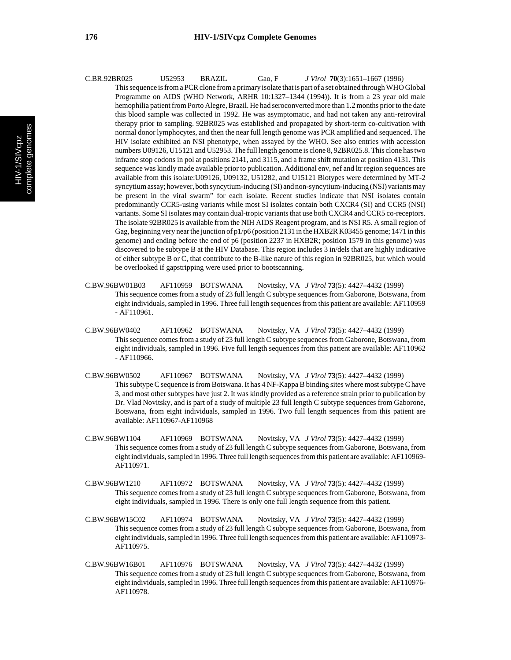- C.BR.92BR025 U52953 BRAZIL Gao, F *J Virol* **70**(3):1651–1667 (1996) This sequence is from a PCR clone from a primary isolate that is part of a set obtained through WHO Global Programme on AIDS (WHO Network, ARHR 10:1327–1344 (1994)). It is from a 23 year old male hemophilia patient from Porto Alegre, Brazil. He had seroconverted more than 1.2 months prior to the date this blood sample was collected in 1992. He was asymptomatic, and had not taken any anti-retroviral therapy prior to sampling. 92BR025 was established and propagated by short-term co-cultivation with normal donor lymphocytes, and then the near full length genome was PCR amplified and sequenced. The HIV isolate exhibited an NSI phenotype, when assayed by the WHO. See also entries with accession numbers U09126, U15121 and U52953. The full length genome is clone 8, 92BR025.8. This clone has two inframe stop codons in pol at positions 2141, and 3115, and a frame shift mutation at position 4131. This sequence was kindly made available prior to publication. Additional env, nef and ltr region sequences are available from this isolate:U09126, U09132, U51282, and U15121 Biotypes were determined by MT-2 syncytium assay; however, both syncytium-inducing (SI) and non-syncytium-inducing (NSI) variants may be present in the viral swarm" for each isolate. Recent studies indicate that NSI isolates contain predominantly CCR5-using variants while most SI isolates contain both CXCR4 (SI) and CCR5 (NSI) variants. Some SI isolates may contain dual-tropic variants that use both CXCR4 and CCR5 co-receptors. The isolate 92BR025 is available from the NIH AIDS Reagent program, and is NSI R5. A small region of Gag, beginning very near the junction of p1/p6 (position 2131 in the HXB2R K03455 genome; 1471 in this genome) and ending before the end of p6 (position 2237 in HXB2R; position 1579 in this genome) was discovered to be subtype B at the HIV Database. This region includes 3 in/dels that are highly indicative of either subtype B or C, that contribute to the B-like nature of this region in 92BR025, but which would be overlooked if gapstripping were used prior to bootscanning.
- C.BW.96BW01B03 AF110959 BOTSWANA Novitsky, VA *J Virol* **73**(5): 4427–4432 (1999) This sequence comes from a study of 23 full length C subtype sequences from Gaborone, Botswana, from eight individuals, sampled in 1996. Three full length sequences from this patient are available: AF110959 - AF110961.
- C.BW.96BW0402 AF110962 BOTSWANA Novitsky, VA *J Virol* **73**(5): 4427–4432 (1999) This sequence comes from a study of 23 full length C subtype sequences from Gaborone, Botswana, from eight individuals, sampled in 1996. Five full length sequences from this patient are available: AF110962 - AF110966.
- C.BW.96BW0502 AF110967 BOTSWANA Novitsky, VA *J Virol* **73**(5): 4427–4432 (1999) This subtype C sequence is from Botswana. It has 4 NF-Kappa B binding sites where most subtype C have 3, and most other subtypes have just 2. It was kindly provided as a reference strain prior to publication by Dr. Vlad Novitsky, and is part of a study of multiple 23 full length C subtype sequences from Gaborone, Botswana, from eight individuals, sampled in 1996. Two full length sequences from this patient are available: AF110967-AF110968
- C.BW.96BW1104 AF110969 BOTSWANA Novitsky, VA *J Virol* **73**(5): 4427–4432 (1999) This sequence comes from a study of 23 full length C subtype sequences from Gaborone, Botswana, from eight individuals, sampled in 1996. Three full length sequences from this patient are available: AF110969- AF110971.
- C.BW.96BW1210 AF110972 BOTSWANA Novitsky, VA *J Virol* **73**(5): 4427–4432 (1999) This sequence comes from a study of 23 full length C subtype sequences from Gaborone, Botswana, from eight individuals, sampled in 1996. There is only one full length sequence from this patient.
- C.BW.96BW15C02 AF110974 BOTSWANA Novitsky, VA *J Virol* **73**(5): 4427–4432 (1999) This sequence comes from a study of 23 full length C subtype sequences from Gaborone, Botswana, from eight individuals, sampled in 1996. Three full length sequences from this patient are available: AF110973- AF110975.
- C.BW.96BW16B01 AF110976 BOTSWANA Novitsky, VA *J Virol* **73**(5): 4427–4432 (1999) This sequence comes from a study of 23 full length C subtype sequences from Gaborone, Botswana, from eight individuals, sampled in 1996. Three full length sequences from this patient are available: AF110976- AF110978.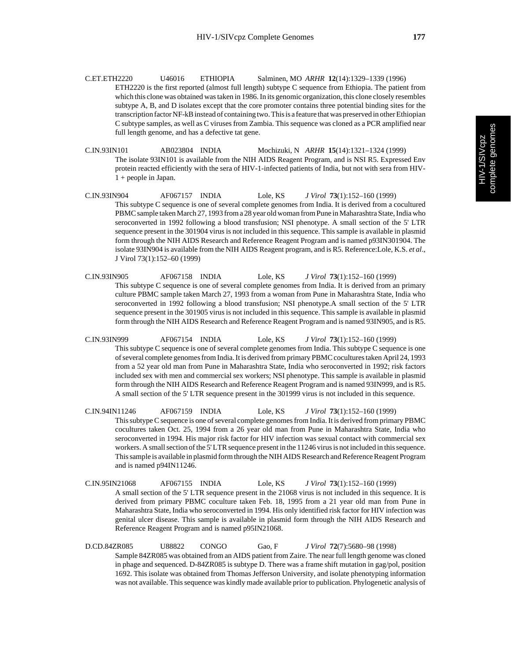C.ET.ETH2220 U46016 ETHIOPIA Salminen, MO *ARHR* **12**(14):1329–1339 (1996) ETH2220 is the first reported (almost full length) subtype C sequence from Ethiopia. The patient from which this clone was obtained was taken in 1986. In its genomic organization, this clone closely resembles subtype A, B, and D isolates except that the core promoter contains three potential binding sites for the transcription factor NF-kB instead of containing two. This is a feature that was preserved in other Ethiopian C subtype samples, as well as C viruses from Zambia. This sequence was cloned as a PCR amplified near full length genome, and has a defective tat gene.

C.IN.93IN101 AB023804 INDIA Mochizuki, N *ARHR* **15**(14):1321–1324 (1999) The isolate 93IN101 is available from the NIH AIDS Reagent Program, and is NSI R5. Expressed Env protein reacted efficiently with the sera of HIV-1-infected patients of India, but not with sera from HIV-1 + people in Japan.

C.IN.93IN904 AF067157 INDIA Lole, KS *J Virol* **73**(1):152–160 (1999) This subtype C sequence is one of several complete genomes from India. It is derived from a cocultured PBMC sample taken March 27, 1993 from a 28 year old woman from Pune in Maharashtra State, India who seroconverted in 1992 following a blood transfusion; NSI phenotype. A small section of the 5' LTR sequence present in the 301904 virus is not included in this sequence. This sample is available in plasmid form through the NIH AIDS Research and Reference Reagent Program and is named p93IN301904. The isolate 93IN904 is available from the NIH AIDS Reagent program, and is R5. Reference:Lole, K.S. *et al*., J Virol 73(1):152–60 (1999)

C.IN.93IN905 AF067158 INDIA Lole, KS *J Virol* **73**(1):152–160 (1999) This subtype C sequence is one of several complete genomes from India. It is derived from an primary culture PBMC sample taken March 27, 1993 from a woman from Pune in Maharashtra State, India who seroconverted in 1992 following a blood transfusion; NSI phenotype.A small section of the 5' LTR sequence present in the 301905 virus is not included in this sequence. This sample is available in plasmid form through the NIH AIDS Research and Reference Reagent Program and is named 93IN905, and is R5.

C.IN.93IN999 AF067154 INDIA Lole, KS *J Virol* **73**(1):152–160 (1999) This subtype C sequence is one of several complete genomes from India. This subtype C sequence is one of several complete genomes from India. It is derived from primary PBMC cocultures taken April 24, 1993 from a 52 year old man from Pune in Maharashtra State, India who seroconverted in 1992; risk factors included sex with men and commercial sex workers; NSI phenotype. This sample is available in plasmid form through the NIH AIDS Research and Reference Reagent Program and is named 93IN999, and is R5. A small section of the 5' LTR sequence present in the 301999 virus is not included in this sequence.

C.IN.94IN11246 AF067159 INDIA Lole, KS *J Virol* **73**(1):152–160 (1999) This subtype C sequence is one of several complete genomes from India. It is derived from primary PBMC cocultures taken Oct. 25, 1994 from a 26 year old man from Pune in Maharashtra State, India who seroconverted in 1994. His major risk factor for HIV infection was sexual contact with commercial sex workers. A small section of the 5' LTR sequence present in the 11246 virus is not included in this sequence. This sample is available in plasmid form through the NIH AIDS Research and Reference Reagent Program and is named p94IN11246.

C.IN.95IN21068 AF067155 INDIA Lole, KS *J Virol* **73**(1):152–160 (1999) A small section of the 5' LTR sequence present in the 21068 virus is not included in this sequence. It is derived from primary PBMC coculture taken Feb. 18, 1995 from a 21 year old man from Pune in Maharashtra State, India who seroconverted in 1994. His only identified risk factor for HIV infection was genital ulcer disease. This sample is available in plasmid form through the NIH AIDS Research and Reference Reagent Program and is named p95IN21068.

D.CD.84ZR085 U88822 CONGO Gao, F *J Virol* **72**(7):5680–98 (1998) Sample 84ZR085 was obtained from an AIDS patient from Zaire. The near full length genome was cloned in phage and sequenced. D-84ZR085 is subtype D. There was a frame shift mutation in gag/pol, position 1692. This isolate was obtained from Thomas Jefferson University, and isolate phenotyping information was not available. This sequence was kindly made available prior to publication. Phylogenetic analysis of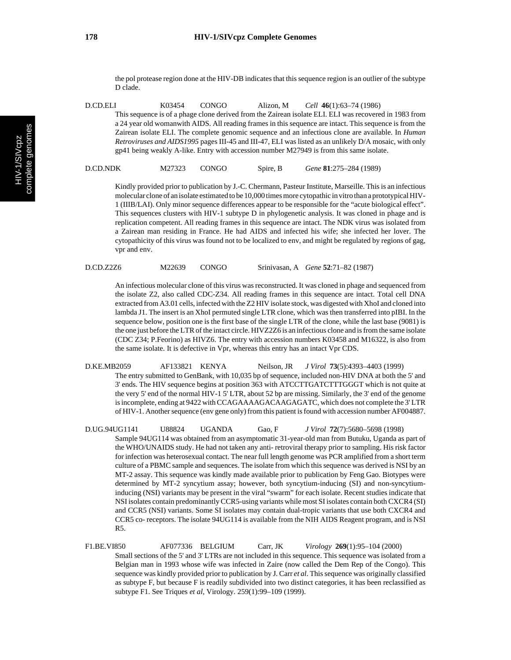D.CD.ELI K03454 CONGO Alizon, M *Cell* **46**(1):63–74 (1986) This sequence is of a phage clone derived from the Zairean isolate ELI. ELI was recovered in 1983 from a 24 year old womanwith AIDS. All reading frames in this sequence are intact. This sequence is from the Zairean isolate ELI. The complete genomic sequence and an infectious clone are available. In *Human Retroviruses and AIDS1995* pages III-45 and III-47, ELI was listed as an unlikely D/A mosaic, with only gp41 being weakly A-like. Entry with accession number M27949 is from this same isolate.

D.CD.NDK M27323 CONGO Spire, B *Gene* **81**:275–284 (1989)

Kindly provided prior to publication by J.-C. Chermann, Pasteur Institute, Marseille. This is an infectious molecular clone of an isolate estimated to be 10,000 times more cytopathic in vitro than a prototypical HIV-1 (IIIB/LAI). Only minor sequence differences appear to be responsible for the "acute biological effect". This sequences clusters with HIV-1 subtype D in phylogenetic analysis. It was cloned in phage and is replication competent. All reading frames in this sequence are intact. The NDK virus was isolated from a Zairean man residing in France. He had AIDS and infected his wife; she infected her lover. The cytopathicity of this virus was found not to be localized to env, and might be regulated by regions of gag, vpr and env.

D.CD.Z2Z6 M22639 CONGO Srinivasan, A *Gene* **52**:71–82 (1987)

An infectious molecular clone of this virus was reconstructed. It was cloned in phage and sequenced from the isolate Z2, also called CDC-Z34. All reading frames in this sequence are intact. Total cell DNA extracted from A3.01 cells, infected with the Z2 HIV isolate stock, was digested with XhoI and cloned into lambda J1. The insert is an XhoI permuted single LTR clone, which was then transferred into pIBI. In the sequence below, position one is the first base of the single LTR of the clone, while the last base (9081) is the one just before the LTR of the intact circle. HIVZ2Z6 is an infectious clone and is from the same isolate (CDC Z34; P.Feorino) as HIVZ6. The entry with accession numbers K03458 and M16322, is also from the same isolate. It is defective in Vpr, whereas this entry has an intact Vpr CDS.

D.KE.MB2059 AF133821 KENYA Neilson, JR *J Virol* **73**(5):4393–4403 (1999) The entry submitted to GenBank, with 10,035 bp of sequence, included non-HIV DNA at both the 5' and 3' ends. The HIV sequence begins at position 363 with ATCCTTGATCTTTGGGT which is not quite at the very 5' end of the normal HIV-1 5' LTR, about 52 bp are missing. Similarly, the 3' end of the genome is incomplete, ending at 9422 with CCAGAAAAGACAAGAGATC, which does not complete the 3'LTR of HIV-1. Another sequence (env gene only) from this patient is found with accession number AF004887.

- D.UG.94UG1141 U88824 UGANDA Gao, F *J Virol* **72**(7):5680–5698 (1998) Sample 94UG114 was obtained from an asymptomatic 31-year-old man from Butuku, Uganda as part of the WHO/UNAIDS study. He had not taken any anti- retroviral therapy prior to sampling. His risk factor for infection was heterosexual contact. The near full length genome was PCR amplified from a short term culture of a PBMC sample and sequences. The isolate from which this sequence was derived is NSI by an MT-2 assay. This sequence was kindly made available prior to publication by Feng Gao. Biotypes were determined by MT-2 syncytium assay; however, both syncytium-inducing (SI) and non-syncytiuminducing (NSI) variants may be present in the viral "swarm" for each isolate. Recent studies indicate that NSI isolates contain predominantly CCR5-using variants while most SI isolates contain both CXCR4 (SI) and CCR5 (NSI) variants. Some SI isolates may contain dual-tropic variants that use both CXCR4 and CCR5 co- receptors. The isolate 94UG114 is available from the NIH AIDS Reagent program, and is NSI R5.
- F1.BE.VI850 AF077336 BELGIUM Carr, JK *Virology* **269**(1):95–104 (2000) Small sections of the 5' and 3' LTRs are not included in this sequence. This sequence was isolated from a Belgian man in 1993 whose wife was infected in Zaire (now called the Dem Rep of the Congo). This sequence was kindly provided prior to publication by J. Carr *et al*. This sequence was originally classified as subtype F, but because F is readily subdivided into two distinct categories, it has been reclassified as subtype F1. See Triques *et al*, Virology. 259(1):99–109 (1999).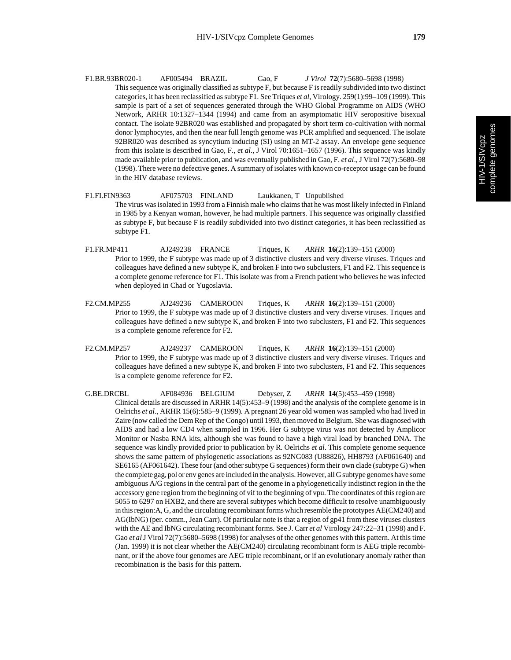- F1.BR.93BR020-1 AF005494 BRAZIL Gao, F *J Virol* **72**(7):5680–5698 (1998) This sequence was originally classified as subtype F, but because F is readily subdivided into two distinct categories, it has been reclassified as subtype F1. See Triques *et al*, Virology. 259(1):99–109 (1999). This sample is part of a set of sequences generated through the WHO Global Programme on AIDS (WHO Network, ARHR 10:1327–1344 (1994) and came from an asymptomatic HIV seropositive bisexual contact. The isolate 92BR020 was established and propagated by short term co-cultivation with normal donor lymphocytes, and then the near full length genome was PCR amplified and sequenced. The isolate 92BR020 was described as syncytium inducing (SI) using an MT-2 assay. An envelope gene sequence from this isolate is described in Gao, F., *et al*., J Virol 70:1651–1657 (1996). This sequence was kindly made available prior to publication, and was eventually published in Gao, F. *et al*., J Virol 72(7):5680–98 (1998). There were no defective genes. A summary of isolates with known co-receptor usage can be found in the HIV database reviews.
- F1.FI.FIN9363 AF075703 FINLAND Laukkanen, T Unpublished The virus was isolated in 1993 from a Finnish male who claims that he was most likely infected in Finland in 1985 by a Kenyan woman, however, he had multiple partners. This sequence was originally classified as subtype F, but because F is readily subdivided into two distinct categories, it has been reclassified as subtype F1.
- F1.FR.MP411 AJ249238 FRANCE Triques, K *ARHR* **16**(2):139–151 (2000) Prior to 1999, the F subtype was made up of 3 distinctive clusters and very diverse viruses. Triques and colleagues have defined a new subtype K, and broken F into two subclusters, F1 and F2. This sequence is a complete genome reference for F1. This isolate was from a French patient who believes he was infected when deployed in Chad or Yugoslavia.
- F2.CM.MP255 AJ249236 CAMEROON Triques, K *ARHR* **16**(2):139–151 (2000) Prior to 1999, the F subtype was made up of 3 distinctive clusters and very diverse viruses. Triques and colleagues have defined a new subtype K, and broken F into two subclusters, F1 and F2. This sequences is a complete genome reference for F2.
- F2.CM.MP257 AJ249237 CAMEROON Triques, K *ARHR* **16**(2):139–151 (2000) Prior to 1999, the F subtype was made up of 3 distinctive clusters and very diverse viruses. Triques and colleagues have defined a new subtype K, and broken F into two subclusters, F1 and F2. This sequences is a complete genome reference for F2.

G.BE.DRCBL AF084936 BELGIUM Debyser, Z *ARHR* **14**(5):453–459 (1998) Clinical details are discussed in ARHR 14(5):453–9 (1998) and the analysis of the complete genome is in Oelrichs *et al*., ARHR 15(6):585–9 (1999). A pregnant 26 year old women was sampled who had lived in Zaire (now called the Dem Rep of the Congo) until 1993, then moved to Belgium. She was diagnosed with AIDS and had a low CD4 when sampled in 1996. Her G subtype virus was not detected by Amplicor Monitor or Nasba RNA kits, although she was found to have a high viral load by branched DNA. The sequence was kindly provided prior to publication by R. Oelrichs *et al*. This complete genome sequence shows the same pattern of phylogenetic associations as 92NG083 (U88826), HH8793 (AF061640) and SE6165 (AF061642). These four (and other subtype G sequences) form their own clade (subtype G) when the complete gag, pol or env genes are included in the analysis. However, all G subtype genomes have some ambiguous A/G regions in the central part of the genome in a phylogenetically indistinct region in the the accessory gene region from the beginning of vif to the beginning of vpu. The coordinates of this region are 5055 to 6297 on HXB2, and there are several subtypes which become difficult to resolve unambiguously in this region:A, G, and the circulating recombinant forms which resemble the prototypes AE(CM240) and AG(IbNG) (per. comm., Jean Carr). Of particular note is that a region of gp41 from these viruses clusters with the AE and IbNG circulating recombinant forms. See J. Carr *et al* Virology 247:22–31 (1998) and F. Gao *et al* J Virol 72(7):5680–5698 (1998) for analyses of the other genomes with this pattern. At this time (Jan. 1999) it is not clear whether the AE(CM240) circulating recombinant form is AEG triple recombinant, or if the above four genomes are AEG triple recombinant, or if an evolutionary anomaly rather than recombination is the basis for this pattern.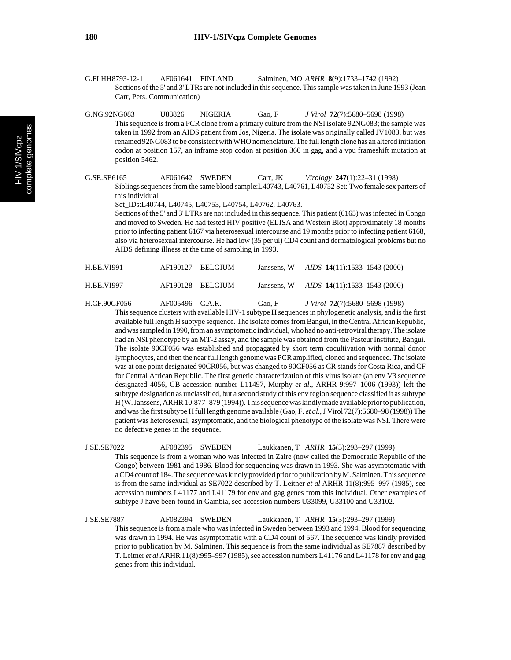- G.FI.HH8793-12-1 AF061641 FINLAND Salminen, MO *ARHR* **8**(9):1733–1742 (1992) Sections of the 5' and 3' LTRs are not included in this sequence. This sample was taken in June 1993 (Jean Carr, Pers. Communication)
- G.NG.92NG083 U88826 NIGERIA Gao, F *J Virol* **72**(7):5680–5698 (1998) This sequence is from a PCR clone from a primary culture from the NSI isolate 92NG083; the sample was taken in 1992 from an AIDS patient from Jos, Nigeria. The isolate was originally called JV1083, but was renamed 92NG083 to be consistent with WHO nomenclature. The full length clone has an altered initiation codon at position 157, an inframe stop codon at position 360 in gag, and a vpu frameshift mutation at position 5462.

G.SE.SE6165 AF061642 SWEDEN Carr, JK *Virology* **247**(1):22–31 (1998) Siblings sequences from the same blood sample:L40743, L40761, L40752 Set: Two female sex parters of this individual

Set\_IDs:L40744, L40745, L40753, L40754, L40762, L40763. Sections of the 5' and 3' LTRs are not included in this sequence. This patient (6165) was infected in Congo and moved to Sweden. He had tested HIV positive (ELISA and Western Blot) approximately 18 months prior to infecting patient 6167 via heterosexual intercourse and 19 months prior to infecting patient 6168, also via heterosexual intercourse. He had low (35 per ul) CD4 count and dermatological problems but no AIDS defining illness at the time of sampling in 1993.

| <b>H.BE.VI991</b> | AF190127 BELGIUM | Janssens. W | $AIDS$ 14(11):1533-1543 (2000) |
|-------------------|------------------|-------------|--------------------------------|
| <b>H.BE.VI997</b> | AF190128 BELGIUM | Janssens. W | $AIDS$ 14(11):1533-1543 (2000) |

H.CF.90CF056 AF005496 C.A.R. Gao, F *J Virol* **72**(7):5680–5698 (1998) This sequence clusters with available HIV-1 subtype H sequences in phylogenetic analysis, and is the first available full length H subtype sequence. The isolate comes from Bangui, in the Central African Republic, and was sampled in 1990, from an asymptomatic individual, who had no anti-retroviral therapy. The isolate had an NSI phenotype by an MT-2 assay, and the sample was obtained from the Pasteur Institute, Bangui. The isolate 90CF056 was established and propagated by short term cocultivation with normal donor lymphocytes, and then the near full length genome was PCR amplified, cloned and sequenced. The isolate was at one point designated 90CR056, but was changed to 90CF056 as CR stands for Costa Rica, and CF for Central African Republic. The first genetic characterization of this virus isolate (an env V3 sequence designated 4056, GB accession number L11497, Murphy *et al*., ARHR 9:997–1006 (1993)) left the subtype designation as unclassified, but a second study of this env region sequence classified it as subtype H (W. Janssens, ARHR 10:877–879 (1994)). This sequence was kindly made available prior to publication, and was the first subtype H full length genome available (Gao, F. *et al*., J Virol 72(7):5680–98 (1998)) The patient was heterosexual, asymptomatic, and the biological phenotype of the isolate was NSI. There were no defective genes in the sequence.

J.SE.SE7022 AF082395 SWEDEN Laukkanen, T *ARHR* **15**(3):293–297 (1999) This sequence is from a woman who was infected in Zaire (now called the Democratic Republic of the Congo) between 1981 and 1986. Blood for sequencing was drawn in 1993. She was asymptomatic with a CD4 count of 184. The sequence was kindly provided prior to publication by M. Salminen. This sequence is from the same individual as SE7022 described by T. Leitner *et al* ARHR 11(8):995–997 (1985), see accession numbers L41177 and L41179 for env and gag genes from this individual. Other examples of subtype J have been found in Gambia, see accession numbers U33099, U33100 and U33102.

J.SE.SE7887 AF082394 SWEDEN Laukkanen, T *ARHR* **15**(3):293–297 (1999) This sequence is from a male who was infected in Sweden between 1993 and 1994. Blood for sequencing was drawn in 1994. He was asymptomatic with a CD4 count of 567. The sequence was kindly provided prior to publication by M. Salminen. This sequence is from the same individual as SE7887 described by T. Leitner *et al* ARHR 11(8):995–997 (1985), see accession numbers L41176 and L41178 for env and gag genes from this individual.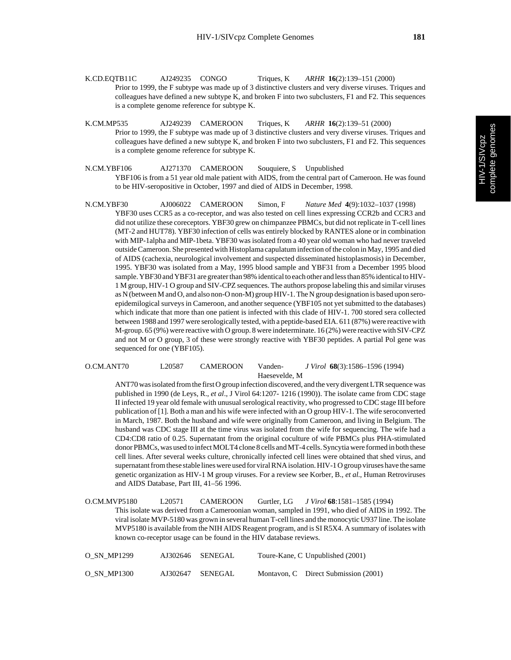- K.CD.EQTB11C AJ249235 CONGO Triques, K *ARHR* **16**(2):139–151 (2000) Prior to 1999, the F subtype was made up of 3 distinctive clusters and very diverse viruses. Triques and colleagues have defined a new subtype K, and broken F into two subclusters, F1 and F2. This sequences is a complete genome reference for subtype K.
- K.CM.MP535 AJ249239 CAMEROON Triques, K *ARHR* **16**(2):139–51 (2000) Prior to 1999, the F subtype was made up of 3 distinctive clusters and very diverse viruses. Triques and colleagues have defined a new subtype K, and broken F into two subclusters, F1 and F2. This sequences is a complete genome reference for subtype K.
- N.CM.YBF106 AJ271370 CAMEROON Souquiere, S Unpublished YBF106 is from a 51 year old male patient with AIDS, from the central part of Cameroon. He was found to be HIV-seropositive in October, 1997 and died of AIDS in December, 1998.
- N.CM.YBF30 AJ006022 CAMEROON Simon, F *Nature Med* **4**(9):1032–1037 (1998) YBF30 uses CCR5 as a co-receptor, and was also tested on cell lines expressing CCR2b and CCR3 and did not utilize these coreceptors. YBF30 grew on chimpanzee PBMCs, but did not replicate in T-cell lines (MT-2 and HUT78). YBF30 infection of cells was entirely blocked by RANTES alone or in combination with MIP-1alpha and MIP-1beta. YBF30 was isolated from a 40 year old woman who had never traveled outside Cameroon. She presented with Histoplama capulatum infection of the colon in May, 1995 and died of AIDS (cachexia, neurological involvement and suspected disseminated histoplasmosis) in December, 1995. YBF30 was isolated from a May, 1995 blood sample and YBF31 from a December 1995 blood sample. YBF30 and YBF31 are greater than 98% identical to each other and less than 85% identical to HIV-1 M group, HIV-1 O group and SIV-CPZ sequences. The authors propose labeling this and similar viruses as N (between M and O, and also non-O non-M) group HIV-1. The N group designation is based upon seroepidemilogical surveys in Cameroon, and another sequence (YBF105 not yet submitted to the databases) which indicate that more than one patient is infected with this clade of HIV-1. 700 stored sera collected between 1988 and 1997 were serologically tested, with a peptide-based EIA. 611 (87%) were reactive with M-group. 65 (9%) were reactive with O group. 8 were indeterminate. 16 (2%) were reactive with SIV-CPZ and not M or O group, 3 of these were strongly reactive with YBF30 peptides. A partial Pol gene was sequenced for one (YBF105).

O.CM.ANT70 L20587 CAMEROON Vanden- *J Virol* **68**(3):1586–1596 (1994) Haesevelde, M

ANT70 was isolated from the first O group infection discovered, and the very divergent LTR sequence was published in 1990 (de Leys, R., *et al*., J Virol 64:1207- 1216 (1990)). The isolate came from CDC stage II infected 19 year old female with unusual serological reactivity, who progressed to CDC stage III before publication of [1]. Both a man and his wife were infected with an O group HIV-1. The wife seroconverted in March, 1987. Both the husband and wife were originally from Cameroon, and living in Belgium. The husband was CDC stage III at the time virus was isolated from the wife for sequencing. The wife had a CD4:CD8 ratio of 0.25. Supernatant from the original coculture of wife PBMCs plus PHA-stimulated donor PBMCs, was used to infect MOLT4 clone 8 cells and MT-4 cells. Syncytia were formed in both these cell lines. After several weeks culture, chronically infected cell lines were obtained that shed virus, and supernatant from these stable lines were used for viral RNA isolation. HIV-1 O group viruses have the same genetic organization as HIV-1 M group viruses. For a review see Korber, B., *et al*., Human Retroviruses and AIDS Database, Part III, 41–56 1996.

O.CM.MVP5180 L20571 CAMEROON Gurtler, LG *J Virol* **68**:1581–1585 (1994) This isolate was derived from a Cameroonian woman, sampled in 1991, who died of AIDS in 1992. The viral isolate MVP-5180 was grown in several human T-cell lines and the monocytic U937 line. The isolate MVP5180 is available from the NIH AIDS Reagent program, and is SI R5X4. A summary of isolates with known co-receptor usage can be found in the HIV database reviews.

| O SN MP1299 | AJ302646 SENEGAL | Toure-Kane, C Unpublished (2001)     |
|-------------|------------------|--------------------------------------|
| O SN MP1300 | AJ302647 SENEGAL | Montavon, C Direct Submission (2001) |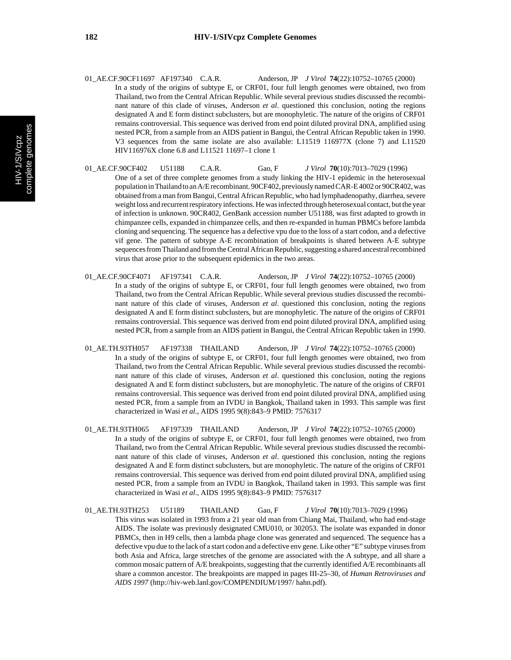- 01\_AE.CF.90CF11697 AF197340 C.A.R. Anderson, JP *J Virol* **74**(22):10752–10765 (2000) In a study of the origins of subtype E, or CRF01, four full length genomes were obtained, two from Thailand, two from the Central African Republic. While several previous studies discussed the recombinant nature of this clade of viruses, Anderson *et al*. questioned this conclusion, noting the regions designated A and E form distinct subclusters, but are monophyletic. The nature of the origins of CRF01 remains controversial. This sequence was derived from end point diluted proviral DNA, amplified using nested PCR, from a sample from an AIDS patient in Bangui, the Central African Republic taken in 1990. V3 sequences from the same isolate are also available: L11519 116977X (clone 7) and L11520 HIV116976X clone 6.8 and L11521 11697–1 clone 1
- 01\_AE.CF.90CF402 U51188 C.A.R. Gao, F *J Virol* **70**(10):7013–7029 (1996) One of a set of three complete genomes from a study linking the HIV-1 epidemic in the heterosexual population in Thailand to an A/E recombinant. 90CF402, previously named CAR-E 4002 or 90CR402, was obtained from a man from Bangui, Central African Republic, who had lymphadenopathy, diarrhea, severe weight loss and recurrent respiratory infections. He was infected through heterosexual contact, but the year of infection is unknown. 90CR402, GenBank accession number U51188, was first adapted to growth in chimpanzee cells, expanded in chimpanzee cells, and then re-expanded in human PBMCs before lambda cloning and sequencing. The sequence has a defective vpu due to the loss of a start codon, and a defective vif gene. The pattern of subtype A-E recombination of breakpoints is shared between A-E subtype sequences from Thailand and from the Central African Republic, suggesting a shared ancestral recombined virus that arose prior to the subsequent epidemics in the two areas.
- 01\_AE.CF.90CF4071 AF197341 C.A.R. Anderson, JP *J Virol* **74**(22):10752–10765 (2000) In a study of the origins of subtype E, or CRF01, four full length genomes were obtained, two from Thailand, two from the Central African Republic. While several previous studies discussed the recombinant nature of this clade of viruses, Anderson *et al*. questioned this conclusion, noting the regions designated A and E form distinct subclusters, but are monophyletic. The nature of the origins of CRF01 remains controversial. This sequence was derived from end point diluted proviral DNA, amplified using nested PCR, from a sample from an AIDS patient in Bangui, the Central African Republic taken in 1990.
- 01\_AE.TH.93TH057 AF197338 THAILAND Anderson, JP *J Virol* **74**(22):10752–10765 (2000) In a study of the origins of subtype E, or CRF01, four full length genomes were obtained, two from Thailand, two from the Central African Republic. While several previous studies discussed the recombinant nature of this clade of viruses, Anderson *et al*. questioned this conclusion, noting the regions designated A and E form distinct subclusters, but are monophyletic. The nature of the origins of CRF01 remains controversial. This sequence was derived from end point diluted proviral DNA, amplified using nested PCR, from a sample from an IVDU in Bangkok, Thailand taken in 1993. This sample was first characterized in Wasi *et al*., AIDS 1995 9(8):843–9 PMID: 7576317
- 01\_AE.TH.93TH065 AF197339 THAILAND Anderson, JP *J Virol* **74**(22):10752–10765 (2000) In a study of the origins of subtype E, or CRF01, four full length genomes were obtained, two from Thailand, two from the Central African Republic. While several previous studies discussed the recombinant nature of this clade of viruses, Anderson *et al*. questioned this conclusion, noting the regions designated A and E form distinct subclusters, but are monophyletic. The nature of the origins of CRF01 remains controversial. This sequence was derived from end point diluted proviral DNA, amplified using nested PCR, from a sample from an IVDU in Bangkok, Thailand taken in 1993. This sample was first characterized in Wasi *et al*., AIDS 1995 9(8):843–9 PMID: 7576317
- 01\_AE.TH.93TH253 U51189 THAILAND Gao, F *J Virol* **70**(10):7013–7029 (1996) This virus was isolated in 1993 from a 21 year old man from Chiang Mai, Thailand, who had end-stage AIDS. The isolate was previously designated CMU010, or 302053. The isolate was expanded in donor PBMCs, then in H9 cells, then a lambda phage clone was generated and sequenced. The sequence has a defective vpu due to the lack of a start codon and a defective env gene. Like other "E" subtype viruses from both Asia and Africa, large stretches of the genome are associated with the A subtype, and all share a common mosaic pattern of A/E breakpoints, suggesting that the currently identified A/E recombinants all share a common ancestor. The breakpoints are mapped in pages III-25–30, of *Human Retroviruses and AIDS 1997* (http://hiv-web.lanl.gov/COMPENDIUM/1997/ hahn.pdf).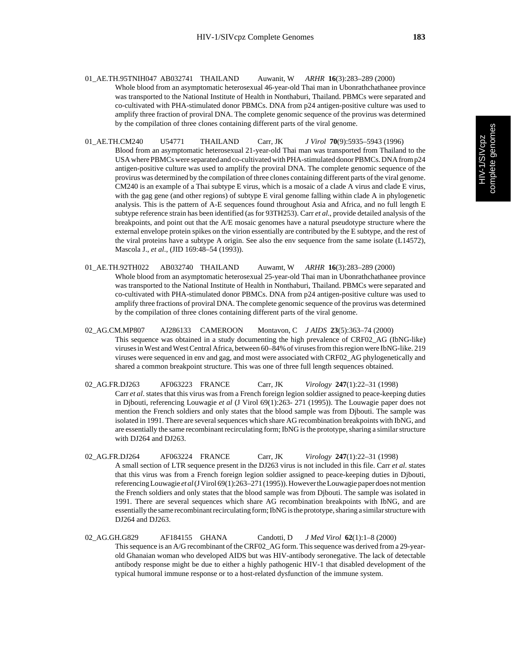- 
- 01\_AE.TH.95TNIH047 AB032741 THAILAND Auwanit, W *ARHR* **16**(3):283–289 (2000) Whole blood from an asymptomatic heterosexual 46-year-old Thai man in Ubonrathchathanee province was transported to the National Institute of Health in Nonthaburi, Thailand. PBMCs were separated and co-cultivated with PHA-stimulated donor PBMCs. DNA from p24 antigen-positive culture was used to amplify three fraction of proviral DNA. The complete genomic sequence of the provirus was determined by the compilation of three clones containing different parts of the viral genome.
- 01\_AE.TH.CM240 U54771 THAILAND Carr, JK *J Virol* **70**(9):5935–5943 (1996) Blood from an asymptomatic heterosexual 21-year-old Thai man was transported from Thailand to the USA where PBMCs were separated and co-cultivated with PHA-stimulated donor PBMCs. DNA from p24 antigen-positive culture was used to amplify the proviral DNA. The complete genomic sequence of the provirus was determined by the compilation of three clones containing different parts of the viral genome. CM240 is an example of a Thai subtype E virus, which is a mosaic of a clade A virus and clade E virus, with the gag gene (and other regions) of subtype E viral genome falling within clade A in phylogenetic analysis. This is the pattern of A-E sequences found throughout Asia and Africa, and no full length E subtype reference strain has been identified (as for 93TH253). Carr *et al*., provide detailed analysis of the breakpoints, and point out that the A/E mosaic genomes have a natural pseudotype structure where the external envelope protein spikes on the virion essentially are contributed by the E subtype, and the rest of the viral proteins have a subtype A origin. See also the env sequence from the same isolate (L14572), Mascola J., *et al*., (JID 169:48–54 (1993)).
- 01\_AE.TH.92TH022 AB032740 THAILAND Auwamt, W *ARHR* **16**(3):283–289 (2000) Whole blood from an asymptomatic heterosexual 25-year-old Thai man in Ubonrathchathanee province was transported to the National Institute of Health in Nonthaburi, Thailand. PBMCs were separated and co-cultivated with PHA-stimulated donor PBMCs. DNA from p24 antigen-positive culture was used to amplify three fractions of proviral DNA. The complete genomic sequence of the provirus was determined by the compilation of three clones containing different parts of the viral genome.
- 02\_AG.CM.MP807 AJ286133 CAMEROON Montavon, C *J AIDS* **23**(5):363–74 (2000) This sequence was obtained in a study documenting the high prevalence of CRF02\_AG (IbNG-like) viruses in West and West Central Africa, between 60–84% of viruses from this region were IbNG-like. 219 viruses were sequenced in env and gag, and most were associated with CRF02\_AG phylogenetically and shared a common breakpoint structure. This was one of three full length sequences obtained.
- 02\_AG.FR.DJ263 AF063223 FRANCE Carr, JK *Virology* **247**(1):22–31 (1998) Carr *et al*. states that this virus was from a French foreign legion soldier assigned to peace-keeping duties in Djbouti, referencing Louwagie *et al* (J Virol 69(1):263- 271 (1995)). The Louwagie paper does not mention the French soldiers and only states that the blood sample was from Djbouti. The sample was isolated in 1991. There are several sequences which share AG recombination breakpoints with IbNG, and are essentially the same recombinant recirculating form; IbNG is the prototype, sharing a similar structure with DJ264 and DJ263.
- 02\_AG.FR.DJ264 AF063224 FRANCE Carr, JK *Virology* **247**(1):22–31 (1998) A small section of LTR sequence present in the DJ263 virus is not included in this file. Carr *et al*. states that this virus was from a French foreign legion soldier assigned to peace-keeping duties in Djbouti, referencing Louwagie *et al* (J Virol 69(1):263–271 (1995)). However the Louwagie paper does not mention the French soldiers and only states that the blood sample was from Djbouti. The sample was isolated in 1991. There are several sequences which share AG recombination breakpoints with IbNG, and are essentially the same recombinant recirculating form; IbNG is the prototype, sharing a similar structure with DJ264 and DJ263.
- 02\_AG.GH.G829 AF184155 GHANA Candotti, D *J Med Virol* **62**(1):1–8 (2000) This sequence is an A/G recombinant of the CRF02\_AG form. This sequence was derived from a 29-yearold Ghanaian woman who developed AIDS but was HIV-antibody seronegative. The lack of detectable antibody response might be due to either a highly pathogenic HIV-1 that disabled development of the typical humoral immune response or to a host-related dysfunction of the immune system.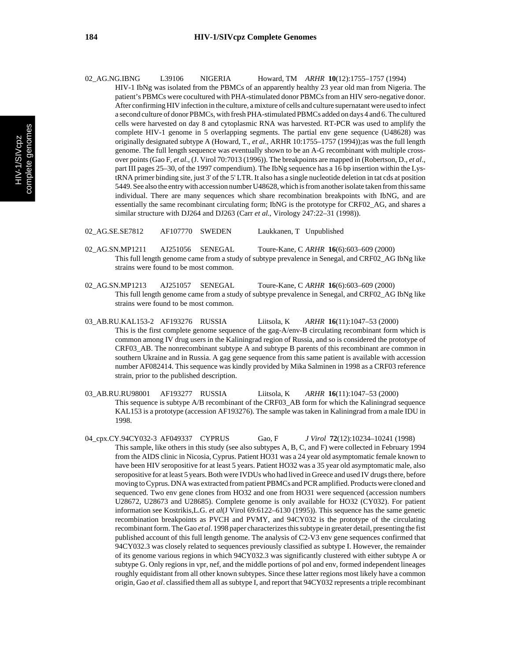02\_AG.NG.IBNG L39106 NIGERIA Howard, TM *ARHR* **10**(12):1755–1757 (1994) HIV-1 IbNg was isolated from the PBMCs of an apparently healthy 23 year old man from Nigeria. The patient's PBMCs were cocultured with PHA-stimulated donor PBMCs from an HIV sero-negative donor. After confirming HIV infection in the culture, a mixture of cells and culture supernatant were used to infect a second culture of donor PBMCs, with fresh PHA-stimulated PBMCs added on days 4 and 6. The cultured cells were harvested on day 8 and cytoplasmic RNA was harvested. RT-PCR was used to amplify the complete HIV-1 genome in 5 overlapping segments. The partial env gene sequence (U48628) was originally designated subtype A (Howard, T., *et al*., ARHR 10:1755–1757 (1994));as was the full length genome. The full length sequence was eventually shown to be an A-G recombinant with multiple crossover points (Gao F, *et al*., (J. Virol 70:7013 (1996)). The breakpoints are mapped in (Robertson, D., *et al*., part III pages 25–30, of the 1997 compendium). The IbNg sequence has a 16 bp insertion within the LystRNA primer binding site, just 3' of the 5' LTR. It also has a single nucleotide deletion in tat cds at position 5449. See also the entry with accession number U48628, which is from another isolate taken from this same individual. There are many sequences which share recombination breakpoints with IbNG, and are essentially the same recombinant circulating form; IbNG is the prototype for CRF02\_AG, and shares a similar structure with DJ264 and DJ263 (Carr *et al*., Virology 247:22–31 (1998)).

02 AG.SE.SE7812 AF107770 SWEDEN Laukkanen, T Unpublished

- 02\_AG.SN.MP1211 AJ251056 SENEGAL Toure-Kane, C *ARHR* **16**(6):603–609 (2000) This full length genome came from a study of subtype prevalence in Senegal, and CRF02\_AG IbNg like strains were found to be most common.
- 02\_AG.SN.MP1213 AJ251057 SENEGAL Toure-Kane, C *ARHR* **16**(6):603–609 (2000) This full length genome came from a study of subtype prevalence in Senegal, and CRF02\_AG IbNg like strains were found to be most common.
- 03\_AB.RU.KAL153-2 AF193276 RUSSIA Liitsola, K *ARHR* **16**(11):1047–53 (2000) This is the first complete genome sequence of the gag-A/env-B circulating recombinant form which is common among IV drug users in the Kaliningrad region of Russia, and so is considered the prototype of CRF03\_AB. The nonrecombinant subtype A and subtype B parents of this recombinant are common in southern Ukraine and in Russia. A gag gene sequence from this same patient is available with accession number AF082414. This sequence was kindly provided by Mika Salminen in 1998 as a CRF03 reference strain, prior to the published description.
- 03\_AB.RU.RU98001 AF193277 RUSSIA Liitsola, K *ARHR* **16**(11):1047–53 (2000) This sequence is subtype A/B recombinant of the CRF03\_AB form for which the Kaliningrad sequence KAL153 is a prototype (accession AF193276). The sample was taken in Kaliningrad from a male IDU in 1998.
- 04\_cpx.CY.94CY032-3 AF049337 CYPRUS Gao, F *J Virol* **72**(12):10234–10241 (1998) This sample, like others in this study (see also subtypes A, B, C, and F) were collected in February 1994 from the AIDS clinic in Nicosia, Cyprus. Patient HO31 was a 24 year old asymptomatic female known to have been HIV seropositive for at least 5 years. Patient HO32 was a 35 year old asymptomatic male, also seropositive for at least 5 years. Both were IVDUs who had lived in Greece and used IV drugs there, before moving to Cyprus. DNA was extracted from patient PBMCs and PCR amplified. Products were cloned and sequenced. Two env gene clones from HO32 and one from HO31 were sequenced (accession numbers U28672, U28673 and U28685). Complete genome is only available for HO32 (CY032). For patient information see Kostrikis,L.G. *et al*(J Virol 69:6122–6130 (1995)). This sequence has the same genetic recombination breakpoints as PVCH and PVMY, and 94CY032 is the prototype of the circulating recombinant form. The Gao *et al*. 1998 paper characterizes this subtype in greater detail, presenting the fist published account of this full length genome. The analysis of C2-V3 env gene sequences confirmed that 94CY032.3 was closely related to sequences previously classified as subtype I. However, the remainder of its genome various regions in which 94CY032.3 was significantly clustered with either subtype A or subtype G. Only regions in vpr, nef, and the middle portions of pol and env, formed independent lineages roughly equidistant from all other known subtypes. Since these latter regions most likely have a common origin, Gao *et al*. classified them all as subtype I, and report that 94CY032 represents a triple recombinant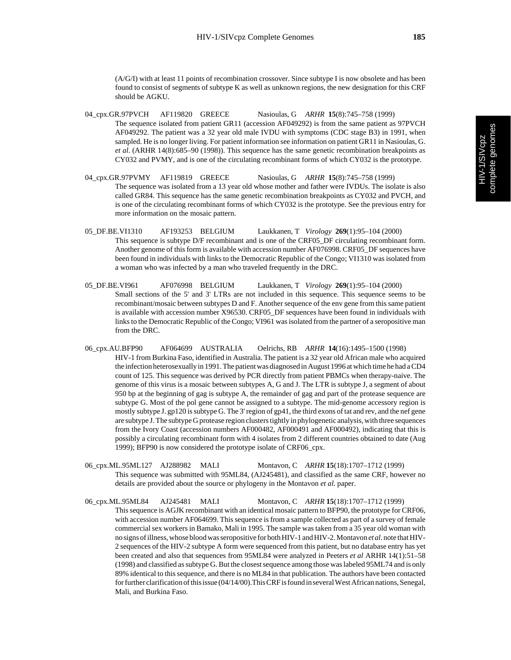(A/G/I) with at least 11 points of recombination crossover. Since subtype I is now obsolete and has been found to consist of segments of subtype K as well as unknown regions, the new designation for this CRF should be AGKU.

- 04\_cpx.GR.97PVCH AF119820 GREECE Nasioulas, G *ARHR* **15**(8):745–758 (1999) The sequence isolated from patient GR11 (accession AF049292) is from the same patient as 97PVCH AF049292. The patient was a 32 year old male IVDU with symptoms (CDC stage B3) in 1991, when sampled. He is no longer living. For patient information see information on patient GR11 in Nasioulas, G. *et al*. (ARHR 14(8):685–90 (1998)). This sequence has the same genetic recombination breakpoints as CY032 and PVMY, and is one of the circulating recombinant forms of which CY032 is the prototype.
- 04\_cpx.GR.97PVMY AF119819 GREECE Nasioulas, G *ARHR* **15**(8):745–758 (1999) The sequence was isolated from a 13 year old whose mother and father were IVDUs. The isolate is also called GR84. This sequence has the same genetic recombination breakpoints as CY032 and PVCH, and is one of the circulating recombinant forms of which CY032 is the prototype. See the previous entry for more information on the mosaic pattern.
- 05\_DF.BE.VI1310 AF193253 BELGIUM Laukkanen, T *Virology* **269**(1):95–104 (2000) This sequence is subtype D/F recombinant and is one of the CRF05\_DF circulating recombinant form. Another genome of this form is available with accession number AF076998. CRF05\_DF sequences have been found in individuals with links to the Democratic Republic of the Congo; VI1310 was isolated from a woman who was infected by a man who traveled frequently in the DRC.
- 05\_DF.BE.VI961 AF076998 BELGIUM Laukkanen, T *Virology* **269**(1):95–104 (2000) Small sections of the 5' and 3' LTRs are not included in this sequence. This sequence seems to be recombinant/mosaic between subtypes D and F. Another sequence of the env gene from this same patient is available with accession number X96530. CRF05 DF sequences have been found in individuals with links to the Democratic Republic of the Congo; VI961 was isolated from the partner of a seropositive man from the DRC.
- 06\_cpx.AU.BFP90 AF064699 AUSTRALIA Oelrichs, RB *ARHR* **14**(16):1495–1500 (1998) HIV-1 from Burkina Faso, identified in Australia. The patient is a 32 year old African male who acquired the infection heterosexually in 1991. The patient was diagnosed in August 1996 at which time he had a CD4 count of 125. This sequence was derived by PCR directly from patient PBMCs when therapy-naive. The genome of this virus is a mosaic between subtypes A, G and J. The LTR is subtype J, a segment of about 950 bp at the beginning of gag is subtype A, the remainder of gag and part of the protease sequence are subtype G. Most of the pol gene cannot be assigned to a subtype. The mid-genome accessory region is mostly subtype J. gp120 is subtype G. The 3' region of gp41, the third exons of tat and rev, and the nef gene are subtype J. The subtype G protease region clusters tightly in phylogenetic analysis, with three sequences from the Ivory Coast (accession numbers AF000482, AF000491 and AF000492), indicating that this is possibly a circulating recombinant form with 4 isolates from 2 different countries obtained to date (Aug 1999); BFP90 is now considered the prototype isolate of CRF06\_cpx.
- 06\_cpx.ML.95ML127 AJ288982 MALI Montavon, C *ARHR* **15**(18):1707–1712 (1999) This sequence was submitted with 95ML84, (AJ245481), and classified as the same CRF, however no details are provided about the source or phylogeny in the Montavon *et al*. paper.
- 06\_cpx.ML.95ML84 AJ245481 MALI Montavon, C *ARHR* **15**(18):1707–1712 (1999) This sequence is AGJK recombinant with an identical mosaic pattern to BFP90, the prototype for CRF06, with accession number AF064699. This sequence is from a sample collected as part of a survey of female commercial sex workers in Bamako, Mali in 1995. The sample was taken from a 35 year old woman with no signs of illness, whose blood was seropositive for both HIV-1 and HIV-2. Montavon *et al*. note that HIV-2 sequences of the HIV-2 subtype A form were sequenced from this patient, but no database entry has yet been created and also that sequences from 95ML84 were analyzed in Peeters *et al* ARHR 14(1):51–58 (1998) and classified as subtype G. But the closest sequence among those was labeled 95ML74 and is only 89% identical to this sequence, and there is no ML84 in that publication. The authors have been contacted for further clarification of this issue (04/14/00).This CRF is found in several West African nations, Senegal, Mali, and Burkina Faso.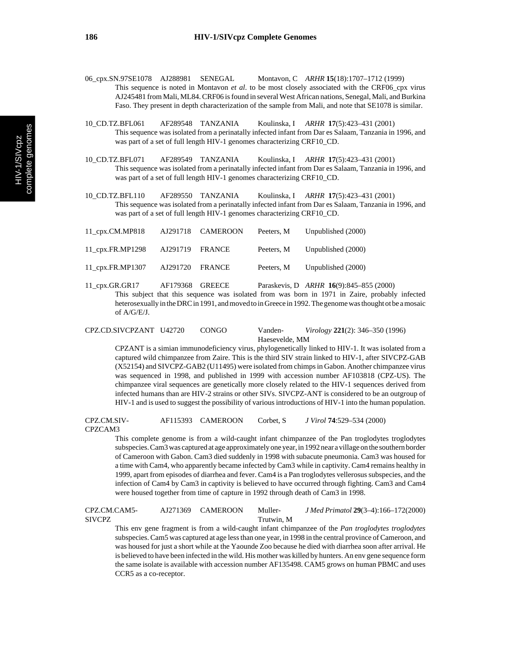- 06\_cpx.SN.97SE1078 AJ288981 SENEGAL Montavon, C *ARHR* **15**(18):1707–1712 (1999) This sequence is noted in Montavon *et al*. to be most closely associated with the CRF06\_cpx virus AJ245481 from Mali, ML84. CRF06 is found in several West African nations, Senegal, Mali, and Burkina Faso. They present in depth characterization of the sample from Mali, and note that SE1078 is similar.
- 10\_CD.TZ.BFL061 AF289548 TANZANIA Koulinska, I *ARHR* **17**(5):423–431 (2001) This sequence was isolated from a perinatally infected infant from Dar es Salaam, Tanzania in 1996, and was part of a set of full length HIV-1 genomes characterizing CRF10\_CD.
- 10\_CD.TZ.BFL071 AF289549 TANZANIA Koulinska, I *ARHR* **17**(5):423–431 (2001) This sequence was isolated from a perinatally infected infant from Dar es Salaam, Tanzania in 1996, and was part of a set of full length HIV-1 genomes characterizing CRF10\_CD.
- 10\_CD.TZ.BFL110 AF289550 TANZANIA Koulinska, I *ARHR* **17**(5):423–431 (2001) This sequence was isolated from a perinatally infected infant from Dar es Salaam, Tanzania in 1996, and was part of a set of full length HIV-1 genomes characterizing CRF10\_CD.

| $11$ <sub>cpx</sub> .CM.MP818 |                 | AJ291718 CAMEROON | Peeters, M | Unpublished (2000) |
|-------------------------------|-----------------|-------------------|------------|--------------------|
| 11_cpx.FR.MP1298              | AJ291719 FRANCE |                   | Peeters, M | Unpublished (2000) |
| $11$ cpx.FR.MP1307            | AJ291720        | FRANCE            | Peeters, M | Unpublished (2000) |

11\_cpx.GR.GR17 AF179368 GREECE Paraskevis, D *ARHR* **16**(9):845–855 (2000) This subject that this sequence was isolated from was born in 1971 in Zaire, probably infected heterosexually in the DRC in 1991, and moved to in Greece in 1992. The genome was thought ot be a mosaic of A/G/E/J.

CPZ.CD.SIVCPZANT U42720 CONGO Vanden- *Virology* **221**(2): 346–350 (1996) Haesevelde, MM

CPZANT is a simian immunodeficiency virus, phylogenetically linked to HIV-1. It was isolated from a captured wild chimpanzee from Zaire. This is the third SIV strain linked to HIV-1, after SIVCPZ-GAB (X52154) and SIVCPZ-GAB2 (U11495) were isolated from chimps in Gabon. Another chimpanzee virus was sequenced in 1998, and published in 1999 with accession number AF103818 (CPZ-US). The chimpanzee viral sequences are genetically more closely related to the HIV-1 sequences derived from infected humans than are HIV-2 strains or other SIVs. SIVCPZ-ANT is considered to be an outgroup of HIV-1 and is used to suggest the possibility of various introductions of HIV-1 into the human population.

CPZ.CM.SIV- AF115393 CAMEROON Corbet, S *J Virol* **74**:529–534 (2000) CPZCAM3

This complete genome is from a wild-caught infant chimpanzee of the Pan troglodytes troglodytes subspecies. Cam3 was captured at age approximately one year, in 1992 near a village on the southern border of Cameroon with Gabon. Cam3 died suddenly in 1998 with subacute pneumonia. Cam3 was housed for a time with Cam4, who apparently became infected by Cam3 while in captivity. Cam4 remains healthy in 1999, apart from episodes of diarrhea and fever. Cam4 is a Pan troglodytes vellerosus subspecies, and the infection of Cam4 by Cam3 in captivity is believed to have occurred through fighting. Cam3 and Cam4 were housed together from time of capture in 1992 through death of Cam3 in 1998.

| CPZ.CM.CAM5- |                        | AJ271369 CAMEROON | Muller-    | <i>J Med Primatol</i> 29(3–4):166–172(2000)                                                                |
|--------------|------------------------|-------------------|------------|------------------------------------------------------------------------------------------------------------|
| SIVCPZ       |                        |                   | Trutwin, M |                                                                                                            |
|              |                        |                   |            | This env gene fragment is from a wild-caught infant chimpanzee of the Pan troglodytes troglodytes          |
|              |                        |                   |            | subspecies. Cam5 was captured at age less than one year, in 1998 in the central province of Cameroon, and  |
|              |                        |                   |            | was housed for just a short while at the Yaounde Zoo because he died with diarrhea soon after arrival. He  |
|              |                        |                   |            | is believed to have been infected in the wild. His mother was killed by hunters. An env gene sequence form |
|              |                        |                   |            | the same isolate is available with accession number AF135498. CAM5 grows on human PBMC and uses            |
|              | CCR5 as a co-receptor. |                   |            |                                                                                                            |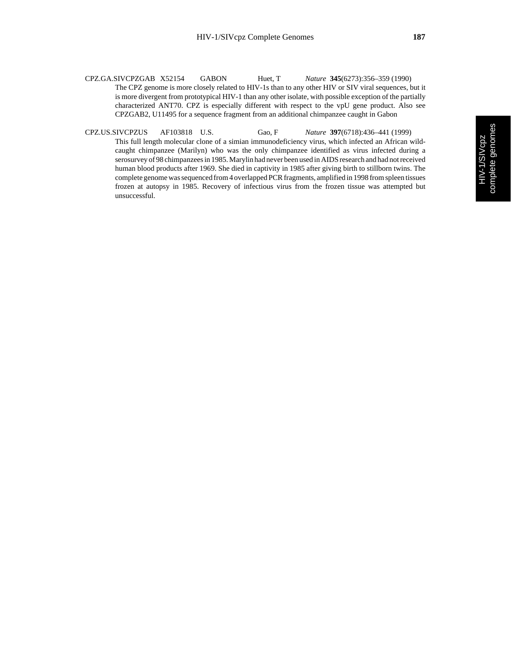- CPZ.GA.SIVCPZGAB X52154 GABON Huet, T *Nature* **345**(6273):356–359 (1990) The CPZ genome is more closely related to HIV-1s than to any other HIV or SIV viral sequences, but it is more divergent from prototypical HIV-1 than any other isolate, with possible exception of the partially characterized ANT70. CPZ is especially different with respect to the vpU gene product. Also see CPZGAB2, U11495 for a sequence fragment from an additional chimpanzee caught in Gabon
- CPZ.US.SIVCPZUS AF103818 U.S. Gao, F *Nature* **397**(6718):436–441 (1999) This full length molecular clone of a simian immunodeficiency virus, which infected an African wildcaught chimpanzee (Marilyn) who was the only chimpanzee identified as virus infected during a serosurvey of 98 chimpanzees in 1985. Marylin had never been used in AIDS research and had not received human blood products after 1969. She died in captivity in 1985 after giving birth to stillborn twins. The complete genome was sequenced from 4 overlapped PCR fragments, amplified in 1998 from spleen tissues frozen at autopsy in 1985. Recovery of infectious virus from the frozen tissue was attempted but unsuccessful.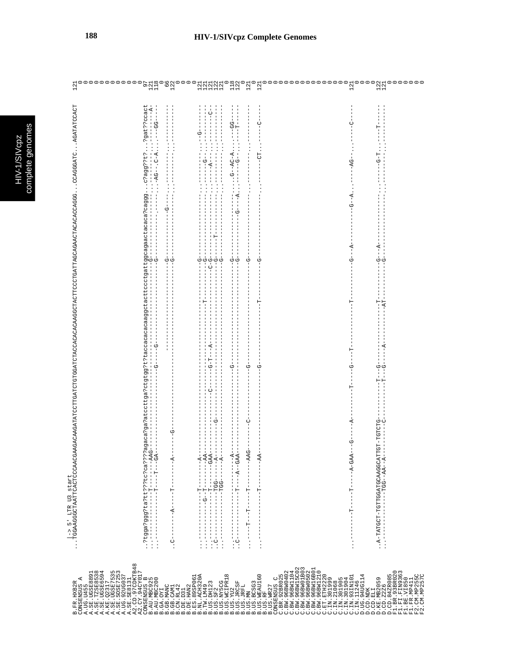| . AGATATCCACT<br>. CCAGGATC.                                                | ?gat??ccact<br>------------<br>J.<br>$\mathbf{I}$<br>I.<br>$\mathbf{I}$<br>п<br>т<br>п<br>$\blacksquare$<br>1<br>Ш.<br>$-99 -$<br>$\,$ I<br>j,<br>т<br>$\overline{\mathcal{L}}$<br>$\bullet$<br>$\bullet$<br>$\cdot$<br>$\mathsf{\sim}\cdot$<br>J.<br>T<br>c?agg??t<br>$-AG-$<br>л.<br>л.<br>J.<br>$\ddot{\cdot}$<br>$\cdot$<br>ו וס<br>$\mathbf{I}$<br>caggo<br>$\blacksquare$<br>$\blacksquare$<br>L.<br>т<br>Ü<br>-1<br>ī<br>$\blacksquare$<br>L. | J<br>$\mathbf{I}$<br>$\overline{C}$<br>Τ.<br>-1<br>$\mathbf{I}$<br>т<br>$\mathbf{I}$<br>п<br>$\mathbf{I}$<br>п<br>п<br>$\mathbf{I}$<br>$\mathbf{I}$<br>п<br>J.<br>-<br>л<br>$\mathbf{I}$<br>$\begin{array}{c}\n-5 \\ -5 \\ -5\n\end{array}$<br>$\mathbf{I}$<br>$\mathbf{I}$<br>J.<br>$\overline{\phantom{a}}$<br>↻<br>п<br>п.<br>J.<br>п<br>т<br>Ť<br>$\mathsf I$<br>$\mathbf{I}$<br>п<br>ひ<br>Ţ<br>$\blacksquare$<br>I.<br>$\bullet$<br>п<br>ţ<br>$\bullet$<br>$\blacksquare$ .<br>$\cdot$<br>$\cdot$<br><br>$\bullet$<br>$\bullet$<br>$-5 - 2 - 4$<br>$\mathbb T$<br>I.<br>J.<br>$\overline{\phantom{a}}$<br>5<br>$\dot{\vec{q}}$<br>$\overline{\phantom{a}}$<br>$\overline{A}$<br>1<br>$\mathbf{I}$<br>$\mathbf{I}$<br>$\frac{1}{1}$<br>п<br>п<br>$\blacksquare$<br>T<br>υ<br>$\mathbf{I}$<br>J.<br>$\overline{1}$<br>л<br>$\cdot$<br>т<br>п.<br>п<br>п<br>$\bullet$<br>$\mathbf{I}$<br>т.<br>-1<br>п<br>HH<br>$\bullet$<br>$\cdot$<br>$\blacksquare$<br><br>$\boldsymbol{\mathcal{A}}$<br>п<br>J.<br>$\mathbf{I}$<br>Τ.<br>$\mathbf{I}$<br>$\blacksquare$<br>л<br>п<br>ひ<br>$\mathbf{I}$<br>п | J.<br>$\mathbf{I}$<br>J.<br>$\mathbf{I}$<br>L.<br>ı<br>I<br>↻<br>$\blacksquare$<br>턱<br>л.<br>т<br>다<br>다<br>$-AG$<br>L.<br>$-4$<br>Ġ |
|-----------------------------------------------------------------------------|------------------------------------------------------------------------------------------------------------------------------------------------------------------------------------------------------------------------------------------------------------------------------------------------------------------------------------------------------------------------------------------------------------------------------------------------------|---------------------------------------------------------------------------------------------------------------------------------------------------------------------------------------------------------------------------------------------------------------------------------------------------------------------------------------------------------------------------------------------------------------------------------------------------------------------------------------------------------------------------------------------------------------------------------------------------------------------------------------------------------------------------------------------------------------------------------------------------------------------------------------------------------------------------------------------------------------------------------------------------------------------------------------------------------------------------------------------------------------------------------------------------------------------------------------------------|---------------------------------------------------------------------------------------------------------------------------------------|
|                                                                             | ggcagaactacaca?<br>G--------------<br>ಕ<br>じ じ<br>caaggctacttccctgatt<br>-------------------<br>Ť<br>$\blacksquare$<br>J.<br>$\blacksquare$<br>H.                                                                                                                                                                                                                                                                                                    | н<br>T<br>л<br>$\mathbf{I}$<br>$\mathbf{I}$<br>じ じ<br>じ じ<br>ひ<br>ひ<br>ひ<br>υυ<br>$\rm J$<br>т<br>J.<br>$\mathbf{I}$<br>$\mathbf{I}$<br>$\blacksquare$<br>J.<br>$\mathbf{I}$<br>п<br>$\mathbf{I}$<br>부<br>ь                                                                                                                                                                                                                                                                                                                                                                                                                                                                                                                                                                                                                                                                                                                                                                                                                                                                                       | ш<br>A<br>К<br>$\overline{\phantom{a}}$<br>л<br>ひ<br>Ü<br>ひ<br>-1<br>Н<br>е<br>$-AT$                                                  |
| 、JOOAOOAOACACACAOAOOOAHAAOHOOOHHOAHOOOAAOAOAOAHOHAODHOHOHUDHADHHOOAADAAOAOO | gaca?ga?atccttga?ctgtgg?t?taccacaca<br>ပ္ပံ<br>$\mathbf{I}$<br>÷<br>ပုံ                                                                                                                                                                                                                                                                                                                                                                              | K,<br>$\mathbf{I}$<br>J.<br>턱<br>л<br>ひ<br>ひ<br>ひ<br>ひ<br>U<br>J.                                                                                                                                                                                                                                                                                                                                                                                                                                                                                                                                                                                                                                                                                                                                                                                                                                                                                                                                                                                                                                 | A<br>е<br><b>I</b><br>ш<br>ひ<br>ひ<br>ひ<br>ī<br>Ť<br>$\blacksquare$<br>л<br>п<br>-1<br>н<br>е<br>ь                                     |
| -> 5' LTR U3 start<br>.TGGAAGGGCTAATTCACTCCCAACGAA                          | U<br>$-GA -$<br>$\dot{A}$<br>$-1$<br>$\frac{1}{1}$<br>$\frac{1}{2}$<br>텃                                                                                                                                                                                                                                                                                                                                                                             | ひ<br>U<br>T<br>-1<br>$-RAG-$<br>$-AA-$<br>$-GAA$ -<br>$- A -$<br>$-GAA-$<br>$-AA-$<br>$-A$<br>п<br>$\ddot{A}$<br>$\ddot{A}$<br>$-A$<br>ш<br>-591-<br>TGG.<br>F<br>н<br>H<br>$-5 - 7$<br>т<br>L.                                                                                                                                                                                                                                                                                                                                                                                                                                                                                                                                                                                                                                                                                                                                                                                                                                                                                                   | R<br><b>SLOTGL-LE</b><br>๓<br>A-TATGCT-TGTTGGATGCAAGGCATT<br>$-AGA - GAA$<br>$-4A - 4A - 5B$<br>п<br>ŕ                                |
|                                                                             | л<br>$\ddot{A}$<br>л<br>$\frac{1}{2}$<br>$\frac{1}{2}$<br>ن<br>:                                                                                                                                                                                                                                                                                                                                                                                     | L.<br>턱<br>L.<br>$\mathbb{H}$<br>п<br>J.<br>I<br>ŧ<br>J.<br>$\ddot{\cdot}$<br>$\vdots$<br>୍<br>Ó.<br>$\ddot{\phantom{0}}$                                                                                                                                                                                                                                                                                                                                                                                                                                                                                                                                                                                                                                                                                                                                                                                                                                                                                                                                                                         | п<br>ř<br>$\ddot{\cdot}$                                                                                                              |
|                                                                             |                                                                                                                                                                                                                                                                                                                                                                                                                                                      |                                                                                                                                                                                                                                                                                                                                                                                                                                                                                                                                                                                                                                                                                                                                                                                                                                                                                                                                                                                                                                                                                                   |                                                                                                                                       |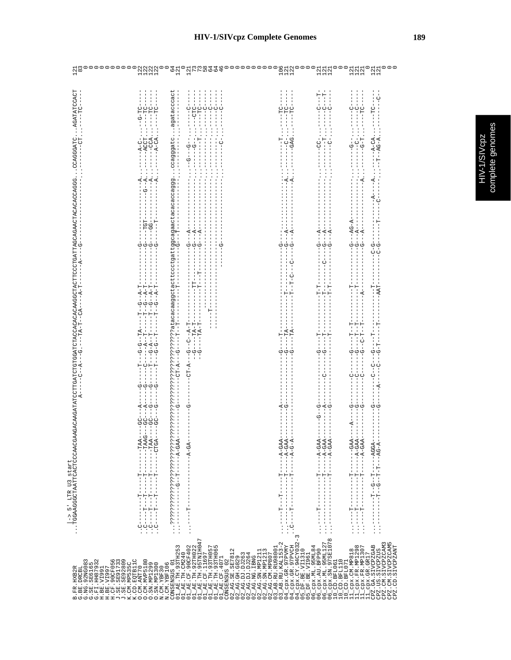| . AGATATCCACT<br>$-10$                                                                                                                                                                                                                                                                                                                                                                                                                 | - 11<br>$\mathbf{I}$<br>$1 \quad 1 \quad 1$<br>Ť.<br>ï.<br>$\mathbf{I}$<br>Т<br>$\mathbf{I}$<br>$\mathbf{I}$<br>$\blacksquare$<br>ליקי<br>הודו<br>ה<br>$\mathbf{I}$<br>ł.<br>т<br>$\mathbf{I}$                                                                                                                                                         | .agatacccact<br>-----------                                                 | $\blacksquare$<br>$\blacksquare$<br>п<br>Ħ<br>$\frac{1}{1}$<br>$\frac{1}{1}$<br>÷<br>ŧ<br>-1<br>j.<br>$\mathbf{I}$<br>$\pm$<br>$\mathbf I$<br>$\mathbf{I}$<br>$\blacksquare$<br>$\mathbf{I}$<br>ili<br>Ili<br>$\vdots$<br>Ì                                                                                                                                                                                                                                                                                                                                                                                                  | $\mathbf{1}$<br>л.<br>$\frac{1}{1}$<br>$\vert \vert$<br>$\blacksquare$<br>$\blacksquare$<br>טטט<br>חחק<br>!!!<br>$\blacksquare$<br>$\blacksquare$<br>п<br>$\mathbf{I}$<br>т.<br>$\sim$ $\sim$         | $1 - 1$<br>부부부<br>I.<br>$\mathbb{I}=\mathbb{I}$<br>$\begin{array}{c} 1 \\ 0 \\ 1 \end{array}$ $\begin{array}{c} 1 \\ 0 \\ 1 \end{array}$<br>$\mathbf{I}$<br>ш<br>- 1<br>п<br>-1<br>- 1    | $\blacksquare$<br>п<br>÷i.<br>$\mathbf{I}$<br>$\mathbf{I}$<br>÷<br>Ť<br>J.<br>Ť.<br>Ü<br>$\,$ I<br>Ī<br>$\begin{array}{c} \hline \end{array}$<br>$\overline{\phantom{a}}$<br>J.<br>-1<br>$\mathbf{I}$<br>J.<br>$-55$<br>ή ή ή<br>       <br>       <br>L.<br>J.<br>$\blacksquare$<br>$\blacksquare$<br>п<br>- 1<br>л<br>W<br>$\mathsf I$<br>т.<br>$\cdot$ |
|----------------------------------------------------------------------------------------------------------------------------------------------------------------------------------------------------------------------------------------------------------------------------------------------------------------------------------------------------------------------------------------------------------------------------------------|--------------------------------------------------------------------------------------------------------------------------------------------------------------------------------------------------------------------------------------------------------------------------------------------------------------------------------------------------------|-----------------------------------------------------------------------------|------------------------------------------------------------------------------------------------------------------------------------------------------------------------------------------------------------------------------------------------------------------------------------------------------------------------------------------------------------------------------------------------------------------------------------------------------------------------------------------------------------------------------------------------------------------------------------------------------------------------------|-------------------------------------------------------------------------------------------------------------------------------------------------------------------------------------------------------|-------------------------------------------------------------------------------------------------------------------------------------------------------------------------------------------|-----------------------------------------------------------------------------------------------------------------------------------------------------------------------------------------------------------------------------------------------------------------------------------------------------------------------------------------------------------|
| .CCAGGGATC<br>5                                                                                                                                                                                                                                                                                                                                                                                                                        | ï<br>L.<br>$\frac{1}{4}$                                                                                                                                                                                                                                                                                                                               | $U$  <br>-----------<br>------------<br>$U$  <br>$\cdot$                    | $\begin{array}{cccccc} . & . & . & . & . & . & . \\ . & . & . & . & . & . \\ . & . & . & . & . & . \\ . & . & . & . & . & . \\ . & . & . & . & . & . \\ . & . & . & . & . & . \\ . & . & . & . & . & . \\ . & . & . & . & . & . \\ . & . & . & . & . & . \\ . & . & . & . & . & . \\ . & . & . & . & . & . \\ . & . & . & . & . & . \\ . & . & . & . & . & . \\ . & . & . & . & . & . \\ . & . & . & . & . & . \\ . & . & . & . & . & . \\ . & . & . & . & . & . \\ . & . & . &$<br>$\blacksquare$<br>ပုံ<br>$\frac{1}{1}$<br>Τ.<br>$\frac{1}{1}$<br>$\overline{\phantom{a}}$<br>ł<br>ל<br>י<br>$\frac{1}{4}$<br>Î<br>Ħ<br>È | $\cdot$<br>$-1045$<br>$\mathsf I$<br>$\blacksquare$<br>$\blacksquare$<br>п<br>$\mathbf{I}$<br>$\cdot$                                                                                                 | - -<br> - - -<br> - - -<br>ġ<br>$\frac{6}{1}$<br>$\,$ I<br>$1 - 1 - 1$<br>т.<br>-1<br>$\blacksquare$<br>L<br>$\mathbb{L}$<br>$\blacksquare$<br>ŧ                                          | $\ddot{\phantom{0}}$<br>$-1 - -A - CA$ .<br>$-T - AG - A$ .<br>$-5$<br>$-5$<br>$+1$<br>$-9-$<br>φ<br>I<br>$\blacksquare$<br>- 1<br>$\mathbf{I}$<br>л.<br>- 1<br>-1<br>$\mathbf{I}$<br>$\mathbf{I}$<br>$\mathbf{I}$<br>$\cdot$<br>$\vdots$                                                                                                                 |
|                                                                                                                                                                                                                                                                                                                                                                                                                                        | ひ<br>Ť<br>Т<br>L.<br>$\blacksquare$<br>$\mathbf{L}$                                                                                                                                                                                                                                                                                                    | cagaactacacaccaggg<br>--T--------------                                     | $\vdots$<br>$\cdot$<br>$\mathsf I$<br>Ţ<br>$\overline{\phantom{a}}$<br>I<br>$\blacksquare$<br>$\mathbf I$<br>-1<br>$\mathbf{I}$                                                                                                                                                                                                                                                                                                                                                                                                                                                                                              | $: \mathbb{R}^2$<br>$\ddot{A}$ .<br>$\cdot$ 1<br>$\mathbf{I}$<br>٠i<br>$\mathbf{I}$<br>$\cdot$ 1                                                                                                      | iii<br>M<br>T<br>$\mathbf{I}$ $\mathbf{I}$<br>т<br>$\blacksquare$<br>т<br>$\mathbf{I}$<br>$\mathbf{1}$                                                                                    | $\cdot$ $\cdot$<br>$\ddot{A}$ .<br>Ą<br>$\mathsf I$<br>$\mathbf{I}$<br>$\blacksquare$<br>$\mathbf{I}$<br>Ť<br>I<br>$\blacksquare$<br>$\stackrel{+}{\mathbb{A}}{}$<br>$\frac{1}{2}$<br>- 1<br>-1                                                                                                                                                           |
| ひ                                                                                                                                                                                                                                                                                                                                                                                                                                      | ÷<br>ا<br>$-TGT$<br>$\mathbf{I}$<br>ġ<br>Ť<br>J.<br>$\blacksquare$<br>J.<br>$\mathbf{I}$<br>$\mathbf{I}$<br>ひひひひ<br>$\mathbf{I}$<br>Ħ<br>$\mathbf{I}$<br>т                                                                                                                                                                                             |                                                                             | $\mathbf{I}$<br>ŦŦ<br>T<br>$\mathbf{I}$<br>ーーー<br>こうこう<br>-1<br>т<br>$\,$ I<br>ひ<br>Шł<br>$\blacksquare$<br>$\blacksquare$<br>$\blacksquare$<br>$\blacksquare$<br>$\blacksquare$<br>$\mathbf{I}$<br>$\mathbf{I}$<br>$\mathbf{L}$<br>$\mathbf{I}$<br>T.<br>1                                                                                                                                                                                                                                                                                                                                                                  | $\cdot$ 1<br>$\cdot$ 1<br>- 1<br>$\ddot{\phantom{0}}$<br>$\mathbf{I}$<br>$\triangle$ $\triangle$<br>г<br>$\blacksquare$<br>H<br>せいじ<br>T<br>$\mathbf{I}$<br>$\blacksquare$<br>$\mathbf{I}$<br>-1<br>ш | $\mathbf{I}$<br>$-1$<br>$-1$<br>$-4$<br>$-4$<br>$-1$<br>$-1$<br>$-1$<br>$-1$<br>$-1$<br>$-1$<br>Ŧ<br>Ħ<br>Ť.<br>п<br>$\blacksquare$                                                       | К<br>부<br>$A + 1$<br>$A + 1$<br>$\overline{1}$<br>Ť<br>J,<br>Ţ<br>$\overline{1}$<br>-1<br>п<br>999<br>ပုံပုံ<br>$\overline{\phantom{a}}$<br>$\mathbf{I}$<br>J.<br>ပုံပုံ<br>$\mathbf{I}$<br>- 1<br>-1                                                                                                                                                     |
| $\overline{A}$<br>$-AA-T$                                                                                                                                                                                                                                                                                                                                                                                                              | $\mathbf{L}$<br>$\blacksquare$<br>L.<br>$\mathbf{I}$<br>L.<br>$\mathbf{I}$<br>п<br>$\begin{array}{l} \mathbb{I}^{--} - \mathbb{G}^{--} \mathbb{A}^-\mathbb{T}^- \\ \mathbb{I}^{--} - \mathbb{A}^-\mathbb{T}^+ \\ \mathbb{I}^{--} - \mathbb{G}^{--} \mathbb{A}^-\mathbb{T}^- \\ \mathbb{I}^{--} - \mathbb{G}^{--} \mathbb{A}^-\mathbb{T}^+ \end{array}$ |                                                                             | $\blacksquare$<br>$\mathbf{I}$<br>$\mathbf{I}$<br>-1<br>п<br>п<br>$\mathbf{I}$<br>- 1<br>-1<br>$\mathbf{I}$<br>$\mathbf{I}$<br>$\mathsf I$<br>Ť<br>$\blacksquare$<br>Ť<br>$\mathbf{I}$<br>-1<br>$\mathbf I$<br>-1<br>п.<br>$\overline{1}$<br>п<br>$\mathsf I$<br>1<br>÷<br>$\mathbf{I}$<br>- 1<br>$\frac{1}{1}$<br>$1 - 1$<br>1<br>$\blacksquare$                                                                                                                                                                                                                                                                            | U<br>-1<br>$\blacksquare$<br>ш<br>$\blacksquare$<br>U<br>-1<br>п<br>루<br>п<br>$\blacksquare$<br>J.<br>日日<br>-1<br>Ť<br>-11<br>-1                                                                      | $\overline{1}$ O $\overline{1}$<br>H<br>T.<br>$\mathbf{I}$<br>$\mathbf{1}$<br>$\mathbf{I}$<br>클루<br>٣<br>$\blacksquare$<br>HHH<br>$\pm$<br>ł.<br>$\mathbf{1}$<br>т.<br>$\mathbf{I}$       | J.<br>HH<br>J.<br>Н<br>$-AA$ -<br>Ť<br>J,<br>$\overline{A}$<br>п<br>л                                                                                                                                                                                                                                                                                     |
| $- - C A$<br>$-TA-T$<br>$\ddot{\circ}$                                                                                                                                                                                                                                                                                                                                                                                                 | éééé<br>TITT<br>$-TA-$<br>Ţ<br>$\mathbf{I}$<br>$\mathbf{I}$<br>$\mathbf{I}$<br>- 11<br>-1<br>$-3 - 5 - 7$<br>$-1 - 4 - 7 - 7$<br>$-3 - 7 - 7 - 7$<br>$-6 - 8 - 7 - 7 - 7 - 7$                                                                                                                                                                          |                                                                             | $\overline{1}$<br>-1<br>$\mathbf{I}$<br>$=-A-T$<br>$-TA-T$<br>$-TA-T$<br>Ó<br>$\mathbf I$<br>$\blacksquare$<br>$\begin{bmatrix} 1 & 1 & 1 \\ 0 & 0 & 0 \\ 1 & 1 & 1 \end{bmatrix}$                                                                                                                                                                                                                                                                                                                                                                                                                                           | $-TR-$<br>н<br>$\blacksquare$<br>$\blacksquare$<br>$\blacksquare$<br>- 1<br>ししし<br>$\blacksquare$                                                                                                     | $\mathbf{1}$<br>$\mathbf{1}$<br>л.<br>$\mathbf{I}$<br>$\blacksquare$<br>$\mathbf{I}$ $\mathbf{I}$<br>$\mathbf{I}$<br>т<br>- 1<br>부부부<br>$1 - 1$<br>T.<br>п<br>$\mathbf{1}$<br>ーーー<br>しし ! | 日日<br>н<br>H<br>Ť<br>$\frac{1}{1}$<br>÷,<br>T<br>L.<br>J.<br>ÉÉE<br>    U<br>탁<br>$\blacksquare$<br>$\blacksquare$<br>0.00                                                                                                                                                                                                                                |
| $\overline{A}$<br>ł<br>Ü<br>$\Delta$                                                                                                                                                                                                                                                                                                                                                                                                   | T<br>$\mathbf{I}$<br>いいに<br>$\mathbf{I}$<br>11<br>л.<br>$\mathbf{I}$<br>Ш.<br>ዋ ዋዋ ዋ<br>$\mathbf{I}$<br>.<br>$\mathbf{I}$<br>$\mathbf{I}$                                                                                                                                                                                                              | $0 - 1$<br>- G-LD-<br>Scccccc<br>ς.<br>$\frac{1}{2}$<br>ς.<br>$0 - 1$<br>ς. | $CT - A$                                                                                                                                                                                                                                                                                                                                                                                                                                                                                                                                                                                                                     | $\begin{array}{c} \hline \end{array}$<br>$\mathbf{I}$<br>- 1                                                                                                                                          | т<br>Ţ<br>$\perp$<br>т.<br>I.<br>$\mathbf{I}$<br>$\mathbf{I}$<br>L.<br>$\overline{1}$ O $\overline{1}$<br>$\mathbf{I}$<br>п<br>$\mathbf{1}$<br>$\mathbf{L}$                               | ÷<br>$\overline{\phantom{a}}$<br>$\mathbf{I}$<br>Ť<br>$\frac{1}{1}$<br>$\mathbf{I}$<br>$\blacksquare$<br>- 1<br>$\overline{\phantom{a}}$<br>- 1<br>-1<br>ш<br>υU<br>$\overline{\phantom{a}}$<br>$\mathbf{I}$<br>-11<br>ł<br>$\frac{1}{1}$<br>-1<br>п<br>ÜÜÜ<br>Ü<br>J.<br>$\blacksquare$<br><b>I</b><br>$\mathbf{A}^-$<br>Ţ<br>п<br>J.                    |
|                                                                                                                                                                                                                                                                                                                                                                                                                                        | 4466<br>-1<br>÷<br>÷<br>Ť.<br>ပွဲ ပွဲ ပွဲ ပွဲ<br>ဗု ဗု ဗု ဗု<br>$\blacksquare$<br>$\mathbf{I}$                                                                                                                                                                                                                                                         | $5 - 5 - -$<br>ن ن ن ن ن<br>ς.<br>$\sim$                                    | Ġ                                                                                                                                                                                                                                                                                                                                                                                                                                                                                                                                                                                                                            | ৰ ৩<br>п<br>п                                                                                                                                                                                         | しょう<br>$\frac{1}{\sigma}$<br>Ĥ<br>$\mathsf I$<br>÷<br>$\mathbf{I}$<br>п<br>$\mathbf{1}$<br>$\blacksquare$                                                                                 | もも<br>あああ<br>п<br>$\blacksquare$<br>J.<br>$- A -$                                                                                                                                                                                                                                                                                                         |
|                                                                                                                                                                                                                                                                                                                                                                                                                                        | $-TAA$<br>--TAAG<br>$-ATAA$<br>$-45DTG-A$<br>п<br>т<br>L.<br>$\blacksquare$                                                                                                                                                                                                                                                                            |                                                                             | $A-GA$                                                                                                                                                                                                                                                                                                                                                                                                                                                                                                                                                                                                                       | $A-GAA-$<br>$A-G-A$<br>$- A - G A A$<br>$\mathbf{I}$<br>$\mathbf{I}$<br>$\mathbf{I}$<br>п<br>$\overline{\phantom{a}}$                                                                                 | --A-GAA<br>--A4-GAA<br>--A4-GAA<br>--A4-GAA<br>т<br>$\frac{1}{1}$<br>$\blacksquare$<br>I.                                                                                                 | $-45A$<br>$-4-7-6A-$<br>$A-GAA$<br>$-AGGAA-$<br>$- -G - -\mathbf{T} - \mathbf{T} - -\mathbf{A}G - \mathbf{A}$<br>$\mathbf{I}$<br>J.<br>$\mathbf{I}$<br>J.<br>л<br>$\frac{1}{1}$<br>J.                                                                                                                                                                     |
| -> 5' LTR U3 start<br>TGGAAGGGCTAATTCACTCCCAACGA<br>' LTR U3<br>LN                                                                                                                                                                                                                                                                                                                                                                     | 부부부<br>ŧ<br>-<br>HH<br>÷<br>F<br>Ť<br>J.<br>$\mathbf{I}$                                                                                                                                                                                                                                                                                               |                                                                             | н                                                                                                                                                                                                                                                                                                                                                                                                                                                                                                                                                                                                                            | FF<br>ī.<br>ı<br>1<br>п<br>$\frac{1}{1}$<br>1<br>÷<br>$\blacksquare$<br>$\frac{1}{1}$<br>- 1<br>÷.                                                                                                    | eee<br>TTT<br>I.<br>т<br>п<br>п<br>$\blacksquare$<br>I.<br>Τ.<br>$\frac{1}{2}$<br>十十<br>т.<br>$\mathbb{L}$<br>Ť                                                                           | 턱<br>부부<br>부<br>$\overline{1}$<br>りー<br>п<br>-1<br>л<br>-1<br>Н<br>н<br>$\overline{\phantom{a}}$<br>п<br>J.<br>п<br>Η<br>부                                                                                                                                                                                                                                |
|                                                                                                                                                                                                                                                                                                                                                                                                                                        | 부부<br>T-T<br>$\mathsf I$<br>$\mathsf I$<br>$\mathbf{I}$<br>$\mathsf I$<br>$\ddot{\circ}$                                                                                                                                                                                                                                                               | $\ddot{\phantom{0}}$<br>$\cdot$                                             | Ţ<br>$\mathbf{I}$                                                                                                                                                                                                                                                                                                                                                                                                                                                                                                                                                                                                            | ł<br>÷<br>$\overline{\phantom{a}}$<br>I<br>$\mathbf{I}$<br>$\mathbf{I}$<br>$\frac{1}{4}$<br>$\mathbf I$<br>$\vdots$                                                                                   | Ħ<br>Ĺ<br>$\frac{1}{4}$<br>$\frac{1}{4}$<br>Ì                                                                                                                                             | $-1$<br>Ť<br>H<br>J,<br>ţ<br>$\cdot$<br>ţ<br>$\cdot$<br>$\vdots$<br>$\ddot{\phantom{0}}$                                                                                                                                                                                                                                                                  |
|                                                                                                                                                                                                                                                                                                                                                                                                                                        |                                                                                                                                                                                                                                                                                                                                                        |                                                                             | $\begin{array}{l} (11 \  \  \, 124 \  \  \, 124 \  \  \, 125 \  \  \, 125 \  \  \, 126 \  \  \, 247 \  \  \, 127 \  \  \, 128 \  \  \, 127 \  \  \, 128 \  \  \, 128 \  \  \, 128 \  \  \, 129 \  \  \, 128 \  \  \, 129 \  \  \, 129 \  \  \, 129 \  \  \, 129 \  \  \, 129 \  \  \, 129 \  \  \, 129$                                                                                                                                                                                                                                                                                                                      |                                                                                                                                                                                                       |                                                                                                                                                                                           | $(20,246\cdot38\cdot387912\cdot3839\cdot384\cdot387912\cdot3839\cdot384\cdot387912\cdot3839\cdot384\cdot387912\cdot3839\cdot384\cdot387912\cdot3839\cdot384\cdot387912\cdot383\cdot387912\cdot381\cdot1013263\cdot384\cdot381\cdot1013263\cdot384\cdot381\cdot1013263\cdot384\cdot381\cdot1013263\cdot384\cdot381\cdot1013263\cdot3$                      |
| $\begin{smallmatrix} \texttt{B} & \texttt{H} & \texttt{H} & \texttt{H} & \texttt{H} & \texttt{H} & \texttt{H} & \texttt{H} & \texttt{H} & \texttt{H} & \texttt{H} \\ \texttt{C} & \texttt{C} & \texttt{D} & \texttt{C} & \texttt{D} & \texttt{D} & \texttt{D} & \texttt{D} & \texttt{D} & \texttt{D} & \texttt{D} \\ \texttt{C} & \texttt{C} & \texttt{D} & \texttt{D} & \texttt{D} & \texttt{D} & \texttt{D} & \texttt{D} & \texttt{$ |                                                                                                                                                                                                                                                                                                                                                        |                                                                             |                                                                                                                                                                                                                                                                                                                                                                                                                                                                                                                                                                                                                              |                                                                                                                                                                                                       |                                                                                                                                                                                           |                                                                                                                                                                                                                                                                                                                                                           |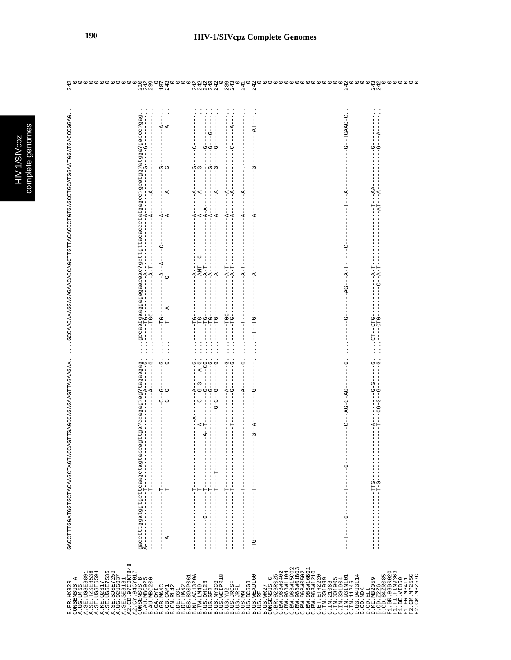| $\cdot$                                                                                                                                                                                                                                                             | $\cdot$<br>$\cdot$<br>$\ddot{\phantom{a}}$                                | $\bullet$ .<br><br>$\bullet$<br>$\cdot$<br>$\ddot{\phantom{0}}$<br>1<br>1<br>$\mathbf{I}$<br>$\mathbf{I}$<br>-1<br>$\triangle$ $\triangle$<br>$\mathbf{I}$<br>$\overline{\phantom{a}}$<br>L.<br>- 1<br>$\mathbf{I}$<br>т.<br>L.<br>л.<br>п.<br>υ υ<br>$\overline{\phantom{a}}$<br>$\mathbf{I}$<br>- 1 | $\ddot{\cdot}$<br>$\cdot$<br>$\cdot$<br>$\cdot$<br>$\mathsf I$<br>I.<br>$\mathsf I$<br>1<br>$\blacksquare$<br>$\mathbf{I}$<br>$\overline{\phantom{a}}$<br>$\blacksquare$<br>-1<br>$\mathbf{I}$<br>п<br>-1<br>$\mathbf{I}$<br>J.<br>-1<br>ပြု<br>$\blacksquare$<br>$\blacksquare$<br>$\mathbf{I}$<br>$\mathbf{1}$<br>п<br>-<br>ひーウウウ<br>$1 \quad 1 \quad 1$<br>л.<br>Ш.<br>$\mathsf I$<br>$\overline{\phantom{a}}$<br>$\mathbf{I}$<br>$\mathbf{1}$<br>$\blacksquare$<br>$\mathbf{I}$<br>$\mathbf{1}$<br>-1<br>ш<br><b>しい</b><br>∣ ७ ७<br>Τ.<br>$\blacksquare$<br>$\mathbf{I}$<br>- 1<br>-1<br>$\perp$<br>$\mathbf{I}$<br>п<br>- 1 | $\bullet$<br>$\ddot{\phantom{0}}$<br>$\mathbf I$<br>- 1<br>L.<br>- 1<br>A,<br>$\mathbf{I}$<br>↻                                                       | $\blacksquare$<br>п<br>п<br>H.<br>AT.<br>ひ                                                                | $\cdot$<br>TGAAC-C<br>Ů          | $\bullet$<br>$\sim$ $\sim$<br>$\cdot$<br>$\mathsf I$<br>A<br>$\mathbf{I}$<br>ひひ                                        |
|---------------------------------------------------------------------------------------------------------------------------------------------------------------------------------------------------------------------------------------------------------------------|---------------------------------------------------------------------------|-------------------------------------------------------------------------------------------------------------------------------------------------------------------------------------------------------------------------------------------------------------------------------------------------------|----------------------------------------------------------------------------------------------------------------------------------------------------------------------------------------------------------------------------------------------------------------------------------------------------------------------------------------------------------------------------------------------------------------------------------------------------------------------------------------------------------------------------------------------------------------------------------------------------------------------------------|-------------------------------------------------------------------------------------------------------------------------------------------------------|-----------------------------------------------------------------------------------------------------------|----------------------------------|------------------------------------------------------------------------------------------------------------------------|
|                                                                                                                                                                                                                                                                     |                                                                           | $\mathbf{I}$<br>L.<br>- 1<br>л.<br>$\overline{A}$<br>$\,$ I<br>$- A -$<br>ł<br>п<br>п                                                                                                                                                                                                                 | $\mathbf{1}$<br>$\mathbf{I}$<br>$\mathbf{I}$<br>L.<br>- 1<br>п<br>$\mathbf{I}$<br>- 1<br>ш<br>$-4$<br>$1 + \mathcal{A}$<br>$\mathbf{I}$<br>T<br>$\mathbf{I}$<br>$\mathbf{I}$<br>$\blacksquare$<br>$- - - \frac{A}{A} -$<br>$- - - \frac{A}{A} - A -$<br>$- - \frac{A}{A} - -$<br>$\frac{1}{1}$                                                                                                                                                                                                                                                                                                                                   | $\mathbf{I}$<br>- 1<br>$- A -$<br>$\mathbf{I}$<br>- 11<br>$\mathbf{1}$<br>$\mathbf{1}$<br>$\overline{A}$ $\overline{A}$ $\overline{A}$ $\overline{A}$ | $-\dot{A}$<br>L.<br>ш<br>H.<br>$\mathbf{I}$<br>$-{\bf A}$<br>A                                            | К<br>$\mathbf{I}$<br>н           | AA.<br>$\ddot{A}$<br>J.<br>-1<br>-1<br>FR <sub>4</sub>                                                                 |
|                                                                                                                                                                                                                                                                     |                                                                           | U<br>1<br>$\mathbf{I}$<br>$\mathbb I$<br>$-4$<br>$-4.1$<br>$\mathbf{I}$<br>$\mathbf{I}$<br>- 1<br>т.<br>$\mathsf I$<br>$\mathsf I$<br>$\mathbf{I}$<br>- 1<br>$\overline{1}$                                                                                                                           | ↻<br>$\overline{1}$<br>$\frac{1}{1}$<br>$\blacksquare$<br>$\mathbf{I}$<br>$A = 1$<br>$A = 1$<br>$A = 1$<br>$\frac{1}{1}$<br>÷<br>÷<br>$\mathbf{I}$<br>- 1<br>$\overline{1}$<br>л.<br>п<br>$\overline{1}$<br>п<br>$\blacksquare$<br>ш<br>ш                                                                                                                                                                                                                                                                                                                                                                                        | $\blacksquare$<br>$\begin{array}{l} \mathbf{A}-\mathbf{T} \\ \mathbf{A}-\mathbf{T} \end{array}$<br>J.<br>$\perp$                                      | $A-T$<br>A<br>л.                                                                                          | U<br>T<br>٣<br>$A-T$<br>AG.<br>т | $A-T$<br>$A-T$<br>J.<br>$\frac{1}{1}$<br>Ü                                                                             |
| H<br>ú,                                                                                                                                                                                                                                                             | $\vdots$<br>$\cdot$<br>$\cdots$<br>のひひ<br>T                               | Ť<br>H<br>한다.<br>무단<br>L.<br>$\blacksquare$<br>т.<br>- 1<br>$\mathsf I$<br>$\mathsf I$<br>$\vdots$<br><b>v</b><br>Ī<br>L.<br>$\blacksquare$<br>л.<br>$\mathbf{I}$                                                                                                                                     | H,<br>$\mathsf I$<br>È<br>Ħ<br>$\cdot$<br>$\bullet$<br>$\cdot$ $\cdot$<br>$\begin{array}{cccc} 0 & 0 & 0 & 0 & 0 \\ 1 & 0 & 0 & 1 & 1 \\ 1 & 1 & 1 & 1 & 1 \end{array}$<br>Ť.<br>$\overline{1}$                                                                                                                                                                                                                                                                                                                                                                                                                                  | $\perp$<br>$\mathbf I$<br>ひひ<br>T.<br>$\mathbf{I}$<br>$\perp$<br>л.<br>- 1<br>$\mathbf{I}$                                                            | $-\Gamma$<br>$\mathbf{I}$<br>Ė<br>$\mathbf{I}$<br>$\mathbf{I}$<br>п<br>н<br>I.<br>ш<br>ひ<br>ī.<br>п<br>л. | ಲ<br>ひ                           | e<br>Cup<br>Cup<br>J<br>$\mathbf{1}$<br>Ė.<br>$\cdot$<br>$\cdot$<br>$\sim$ $\sim$<br>$\ddot{\phantom{0}}$<br><b>いい</b> |
|                                                                                                                                                                                                                                                                     | g?tagaaga<br>-A-------<br>-A-------<br>$\mathbf{I}$<br>$\frac{1}{1}$<br>п | <b>ひ ウ</b><br>ĪΙ<br>$\mathbf{I}$<br>- 1<br>ΰŮ<br>T.<br>$\overline{\phantom{a}}$<br>L.<br>$\blacksquare$                                                                                                                                                                                               | ှုံ ဗုံ<br>$\mathbf{I}$<br>$\mathbf{I}$<br>- 1<br>$\mathbf{I}$<br>п<br>နှစ်စုံစုံစုံ<br>      <br>十十<br>ΪŮ<br>Ó<br>ΙÌ<br>$\check{5}$<br>$\mathbf{I}$<br>$\blacksquare$<br>$\blacksquare$<br>$\mathbf{1}$<br>$\blacksquare$<br>L.<br>- 1<br>$1 - 1$<br>Τ.<br>п<br>$\mathbb{C}$ $\top$<br>$\mathbf{I}$<br>$\begin{array}{c}\n-1 \\ -1 \\ -1\n\end{array}$<br>L.<br><b>I</b><br>$\mathbf{I}$<br>- 1<br>$\mathsf I$<br>$-4$<br>$\mathbf{I}$<br>$\mathbf{I}$                                                                                                                                                                          | L.<br>$\mathbf{I}$<br>R Q<br>$\mathbf{I}$<br>$1 - 1$<br>н<br>$\mathbf{I}$<br>- 1                                                                      | ひ<br>$-\overline{A}$<br>A<br>п<br>භ්                                                                      | $-AC - C - AC - C$<br>U          | ပုံ<br>じ じ<br>לט<br> -<br>  ט<br>ΚH                                                                                    |
| GAACCTTTGGATGGTGCTAAGCTAGTACCAGTTGAGCCAGAGAAGTTAGAAGAA                                                                                                                                                                                                              | ł<br>Η<br>п                                                               | Н<br>H<br>п                                                                                                                                                                                                                                                                                           | I<br>I<br>л<br>т<br>H<br>п<br>투<br>I<br>т<br>ш<br>ł<br>J.<br>J.<br>$\mathbf{I}$<br>Ĥ<br>H<br>н<br>٣<br>٣<br>т<br>L<br>ပုံ<br>л                                                                                                                                                                                                                                                                                                                                                                                                                                                                                                   | $\mathbf{I}$<br>Н<br>н<br>J.                                                                                                                          | н<br>н<br>ш                                                                                               | ပှံ<br>$\mathbf{I}$<br>٣<br>ပုံ  | .<br>FTG<br>$T - G$                                                                                                    |
| $\begin{smallmatrix}R. R. B2334\\R. R. 1935893\\R. 1935936\\R. 193517\\R. 193517\\R. 193517\\R. 193517\\R. 193517\\R. 193517\\R. 193517\\R. 193517\\R. 193517\\R. 193517\\R. 193517\\R. 193517\\R. 193517\\R. 193517\\R. 193517\\R. 193517\\R. 193517\\R. 193517\\$ | п<br>л                                                                    | п<br>К<br>$\overline{\phantom{a}}$<br>ı                                                                                                                                                                                                                                                               | ш<br>ш<br>Π<br>ш<br>ш<br>$\mathbf{I}$<br>I<br>п<br>п                                                                                                                                                                                                                                                                                                                                                                                                                                                                                                                                                                             |                                                                                                                                                       | ш<br>-TG                                                                                                  | H<br>٣<br>J,<br>п                |                                                                                                                        |
|                                                                                                                                                                                                                                                                     |                                                                           |                                                                                                                                                                                                                                                                                                       |                                                                                                                                                                                                                                                                                                                                                                                                                                                                                                                                                                                                                                  |                                                                                                                                                       |                                                                                                           |                                  |                                                                                                                        |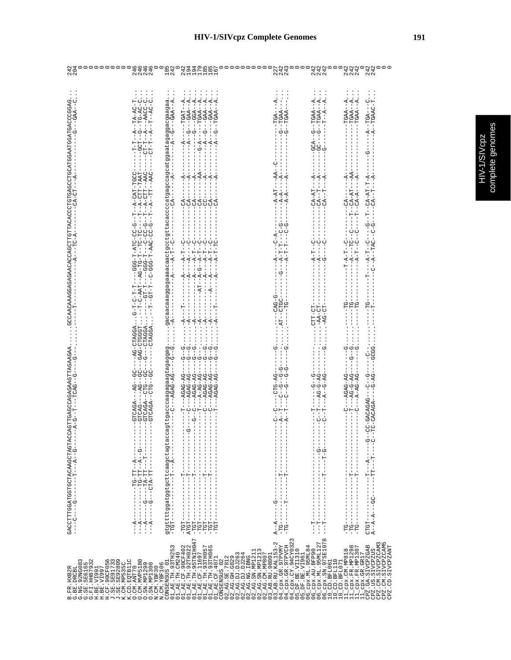| 242<br>204                   |                                                                                                                                                                                                                                                                                                                                                                                                                                                   |                                                                                   | $\circ$ $\circ$                                                          |                                                | GRAHHHHH                                                                                                                                                                                                                                                                                                                                                                                                                                                                                                                                                                                                                                                                                                                                                                                                                                                       |  | 2344<br>232                                                                                                                                                                                                     |               |                                                                                                        | $\cdots$                                                     |                                                                                                                                                                                                                                   | annonnooo<br>444 44<br>044 44                                                                                                               |
|------------------------------|---------------------------------------------------------------------------------------------------------------------------------------------------------------------------------------------------------------------------------------------------------------------------------------------------------------------------------------------------------------------------------------------------------------------------------------------------|-----------------------------------------------------------------------------------|--------------------------------------------------------------------------|------------------------------------------------|----------------------------------------------------------------------------------------------------------------------------------------------------------------------------------------------------------------------------------------------------------------------------------------------------------------------------------------------------------------------------------------------------------------------------------------------------------------------------------------------------------------------------------------------------------------------------------------------------------------------------------------------------------------------------------------------------------------------------------------------------------------------------------------------------------------------------------------------------------------|--|-----------------------------------------------------------------------------------------------------------------------------------------------------------------------------------------------------------------|---------------|--------------------------------------------------------------------------------------------------------|--------------------------------------------------------------|-----------------------------------------------------------------------------------------------------------------------------------------------------------------------------------------------------------------------------------|---------------------------------------------------------------------------------------------------------------------------------------------|
| $\bullet$<br>$\cdot$         | $\mathbb{C}$<br>$\begin{array}{l} \mathbb{P}{\rm I} - \mathbb{P}{\rm A} - \mathbb{T}{\rm A} - \mathbb{P}{\rm A} \, {\rm C} - \mathbb{T} \\ \mathbb{P}{\rm I} - \mathbb{G}{\rm I} - \mathbb{T}{\rm G} - \mathbb{P}{\rm A} \, {\rm C} - \mathbb{C} \\ \mathbb{P}{\rm I} - \mathbb{P}{\rm A} - \mathbb{P}{\rm A} \mathbb{P}{\rm A} \, {\rm C} \, {\rm C} - \mathbb{C} \\ \mathbb{P}{\rm I} - \mathbb{P}{\rm A} - \mathbb{T}{\rm I} - \mathbb{P}{\rm$ | gaa<br>-- A<br>AGBEC<br>-GRA-<br>ggaatagagga<br>------A--G--                      |                                                                          |                                                | $\begin{array}{ll} & -1 - 0 A R^1 - A \; . \cr \hline 1 & -1 - 0 A R^2 - A \; . \cr \hline 2 & -1 - 0 A R^2 - A \; . \cr \hline 3 & -1 - 0 A R^2 - A \; . \cr \hline 4 & -1 - 0 A R^2 - A \; . \cr \hline 5 & -1 - 0 A R^2 - A \; . \cr \hline 6 & -1 - 0 A R^2 - A \; . \cr \hline 7 & -1 - 0 A R^2 - A \; . \cr \hline \end{array}$<br>$\begin{aligned} &\cdot-\alpha_1-\alpha_2-\alpha_3-\alpha_4-\alpha_5-\alpha_6-\alpha_7+\alpha_8-\alpha_7+\alpha_8-\alpha_7+\alpha_8-\alpha_7+\alpha_8-\alpha_7+\alpha_8-\alpha_7+\alpha_8-\alpha_7+\alpha_8-\alpha_7+\alpha_8-\alpha_7+\alpha_8-\alpha_7+\alpha_8-\alpha_7+\alpha_8-\alpha_7+\alpha_8-\alpha_7+\alpha_8+\alpha_7+\alpha_7+\alpha_8+\alpha_7+\alpha_8+\alpha_7+\alpha_8+\alpha_7+\alpha_8+\alpha_7+\alpha_8+\alpha_7+\alpha_8+\alpha_7+\alpha_8+\alpha_7+\alpha_8+\alpha_7+\alpha_8+\alpha_7+\alpha_8$ |  | $\cdot$<br>$\leq$ 1<br>$\mathbf{I}$<br>т,<br>-1<br>$:-TGAA$<br>$:-TGAA$<br>TGA<br>じ じ<br>$\begin{matrix} 1 & 1 \\ 1 & 1 \end{matrix}$                                                                           |               | $\begin{array}{c}\n -A \\  -A\n \end{array}$                                                           | $\mathbf{a}=\mathbf{a}+\mathbf{a}$                           | $\cdot$<br>$\mathbf{I}$<br>$\mathbf{I}$<br>- 11<br>$\mathbf{I}$ $\mathbf{I}$                                                                                                                                                      | $- - A - T G A - - C$ $- - A - T G A A C - T$<br>$\frac{1}{\mathbf{C}}$                                                                     |
|                              | $\mathsf I$<br>Τ.<br>$\mathbf{I}$<br>$\blacksquare$<br>$\blacksquare$<br>-1                                                                                                                                                                                                                                                                                                                                                                       | ugcat<br>-----<br>igccas<br>----A                                                 | ÷i.                                                                      | Ť.<br>$\mathbb{L}$                             | Ĵ<br>$\frac{1}{1}$<br>$\begin{array}{ccccccccccccc} . & . & . & . & . & . & . & . & . & . \\ -1 & . & . & . & . & . & . & . & . & . \\ -2 & . & . & . & . & . & . & . & . & . \\ -1 & . & . & . & . & . & . & . & . & . \\ -1 & . & . & . & . & . & . & . & . & . \\ \end{array}$                                                                                                                                                                                                                                                                                                                                                                                                                                                                                                                                                                              |  | U<br>$\Box$<br>$- A +$<br>$- A -$<br>$- A -$<br>ŤТ                                                                                                                                                              |               | $1 - 1 - 1$<br>$1 - 1 - 1$<br>$1 - 1 - 1$                                                              |                                                              | $\mathbf{1}$<br>$\mathbf{I}$ $\mathbf{I}$<br>$\mathbf{I}$                                                                                                                                                                         | $\mathbf{I}$<br>$\begin{array}{l} \text{CA}-\text{AT}-\text{T}-\text{A}\\ \text{CA}--\text{T}-\text{A} \end{array}$<br>J                    |
|                              |                                                                                                                                                                                                                                                                                                                                                                                                                                                   | ggagaaacaactgcctgttacacccatga<br>----A----A-T--C-----------CA---                  | Ť<br>÷Î,<br>ŧ                                                            | Ł<br>H                                         | H<br>ł<br>Ť<br>$\frac{1}{1}$<br>$\frac{1}{1}$<br>ţ<br>j<br>Ħ                                                                                                                                                                                                                                                                                                                                                                                                                                                                                                                                                                                                                                                                                                                                                                                                   |  | - 11<br>$\mathbf{1}$<br>LΙ<br>十立<br>HH                                                                                                                                                                          | $\frac{1}{1}$ | $1 - 1 - 1$<br>$1 - 1 - 1$<br>$1 - 1 - 1$<br>$1 + 1 + 1$<br>$1 - 1 - 1$                                | $1 - 1$<br>$\mathbf{I}$                                      | <br>       <br>       <br>$\Box$                                                                                                                                                                                                  | $\frac{1}{1}$<br>п<br>$\frac{1}{1}$<br><b>I</b><br>ပ်ပုံ<br> -<br>   <br>$\,$ I<br>U<br>J.<br>Ţ<br>н                                        |
|                              |                                                                                                                                                                                                                                                                                                                                                                                                                                                   | ucaacaaas<br> ---------<br>$394 - 4$<br>$\mathbb{R}^3$                            | $\mathsf I$<br>$H$ $\vdash$                                              |                                                | $1 - 1$<br>Ť                                                                                                                                                                                                                                                                                                                                                                                                                                                                                                                                                                                                                                                                                                                                                                                                                                                   |  | $\blacksquare$<br>$\frac{1}{2}$                                                                                                                                                                                 |               | $1 + 1 + 1$<br>HJ<br>$-1 - 1 = 0$<br>$-1 - 2 = 0$<br>$-1 - 1 = 0$<br>$-1 = 0$<br>$-1 = 0$<br>$-1 = -1$ | i i<br>$1 - 1$<br>$\perp$<br>i i i                           | $\mathbf{I}$<br>$\pm$ $\pm$<br>$\mathbb{I}$<br>발물<br>$\cdot$ $\cdot$                                                                                                                                                              | 1<br>÷ë<br>¤                                                                                                                                |
|                              | -14                                                                                                                                                                                                                                                                                                                                                                                                                                               | $\epsilon$ .<br>のひ<br>ia<br>Gal<br>Gal<br>σī<br>cccaagagaagtag<br>C---AGAG-AG---- |                                                                          | and a series<br>$\cdot$                        | <b>ひひひひひひひ</b>                                                                                                                                                                                                                                                                                                                                                                                                                                                                                                                                                                                                                                                                                                                                                                                                                                                 |  | ט ויט<br>$\mathbf{I}$<br>Ŧ<br>$\mathbf{1}$<br>$\mathbb{I}$<br>$\mathbf{I}$                                                                                                                                      |               | $1$ $1$ $0$<br>$\mathbf{I}$<br>$1 + 1 + 1$<br>$1 - 1 - 1$<br>$1 \quad 1 \quad 1$                       | $1 - 1$                                                      | $\sim$ $\sim$ $\sim$<br>$\begin{array}{c} . & . & . \\ . & . & . \\ . & . & . \\ . & . & . \\ . & . & . \end{array}$<br>-1<br>$\Box$<br>$\mathbf{I}$                                                                              | $\mathbb{I}$<br>$-GCGG$<br>$\frac{1}{2}$<br>п<br>п<br>$-54 - - - - -$                                                                       |
|                              | -<br>-- CTCAGA<br>-- CTCAGA<br>-- CTCAGA                                                                                                                                                                                                                                                                                                                                                                                                          | accagttgac<br>---------<br>œ                                                      | $\begin{array}{c} 1 \\ -1 \\ 0 \end{array}$<br>$1 - 1$<br>் த<br>Ŧ<br>Ť. | $\blacksquare$<br>$\mathbf{I}$<br>$\mathbf{I}$ |                                                                                                                                                                                                                                                                                                                                                                                                                                                                                                                                                                                                                                                                                                                                                                                                                                                                |  | Ţ<br>$\mathbf{I}$<br>$\frac{1}{1}$<br>J<br>$\,$ I<br>1<br>$\mathbf{I}$                                                                                                                                          |               | ုံ ပုံ ပုံ<br>ц<br>$\frac{1}{1}$<br>$\overline{1}$<br>т<br>$-1 - 6$                                    | $\Gamma = \Gamma$<br>$\mathbf{I}$<br>ŧ<br>$-1 - T - G$       | $\blacksquare$<br>$\frac{1}{1}$<br>$\overline{\phantom{a}}$<br>$\,$ I<br>$\frac{1}{2}$<br>$\overline{\phantom{a}}$<br>$\frac{1}{4}$<br>п<br>- 1                                                                                   | -CC-GACAGAG-<br>TC-CACAGA--<br>ŧ<br>Ţ<br>$T---A-----$<br>J,<br>$\,$ I                                                                       |
|                              | ပ် ပုံ<br>   <br>л.<br>$\mathbf{I}$<br>$\mathbb{L}$<br>$\mathsf I$<br>ш<br>$-4$<br>К<br>$-4$<br>Ť                                                                                                                                                                                                                                                                                                                                                 | gtgttttggatggtgcttcaagctagt<br>-TGT-------------T---A----                         | Ħ                                                                        | $\frac{1}{4}$<br>$\frac{1}{1}$                 | $---T---$<br>$\frac{1}{1}$<br>F<br>F<br>F                                                                                                                                                                                                                                                                                                                                                                                                                                                                                                                                                                                                                                                                                                                                                                                                                      |  | $\mathsf I$<br>$\frac{1}{1}$<br>$-1 - 1 -$<br>$\blacksquare$<br>J.<br>$\mathsf I$<br>$\frac{1}{1}$<br>$-1 - 1 -$<br>ロー<br>$\mathbf{I}$<br>$\mathbf{I}$<br>-<br>Ť.<br>$\mathsf I$<br>$-4 -$<br> -<br> -<br>  T T |               | $\frac{1}{1}$<br>$\mathbf I$<br>$\mathbf{I}$<br>$\mathbb{I}$                                           | $-1 - T - -$<br>$1 - 1$<br>$1 - 1$<br>Ħ<br>$\Gamma = \Gamma$ | -i<br>п<br>п<br>п<br>Ť<br>$\,$ I<br>$\overline{1}$<br>$\overline{\phantom{a}}$<br>-1<br>-1<br>$\mathbf{1}$<br>$\overline{1}$<br>$\mathbf{I}$<br>$\mathbf{I}$<br>$\frac{1}{4}$<br>$\frac{1}{1}$<br>- 1<br>- - - -<br>명명<br>- - - - | - エー・エー・エー<br>Ì<br>п<br>- 1<br>$\mathbf{I}$<br>$\overline{\phantom{a}}$<br>$-3D - -4 - -4 - -$<br>J.<br>$\frac{1}{1}$<br>$\,$ I<br>$CTGT -$ |
| 3. FR. HXB2R<br>3. BE. DRCBL |                                                                                                                                                                                                                                                                                                                                                                                                                                                   |                                                                                   |                                                                          |                                                |                                                                                                                                                                                                                                                                                                                                                                                                                                                                                                                                                                                                                                                                                                                                                                                                                                                                |  | К                                                                                                                                                                                                               |               | J.                                                                                                     | $\mathbb{I}-\mathbb{I}$                                      |                                                                                                                                                                                                                                   | A,                                                                                                                                          |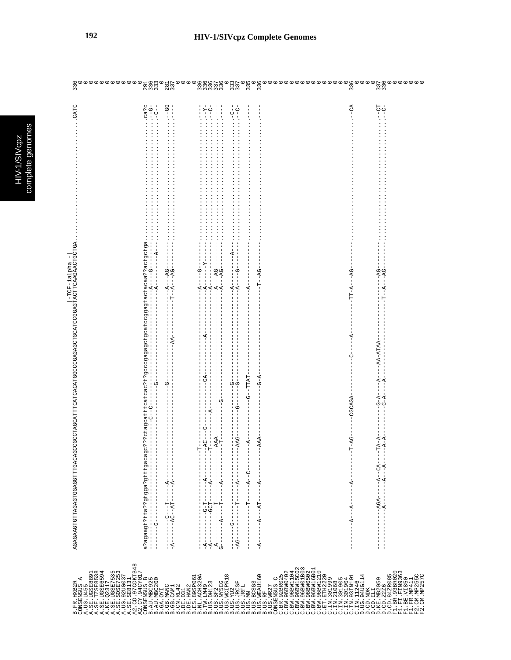| $\overline{33}$                                                               | 29.77                                                                                                                                                                                                                                                                                                                                                                        | 28.3                                                                                                                                                                                                                                                          | m m m m m<br>m m m m m                                                                                                                                                                                                                                                                                                                                                                                                                                                                                                                                                                                                                                                                                                                                                                                                                                                                                                                                                                                                                             | 32                                                                                                                                                                                                                                                                                                           | $\frac{3}{3}$<br>$\overline{33}$                                                         | $\overline{33}$                                              | 33                                                                                                                                                         |
|-------------------------------------------------------------------------------|------------------------------------------------------------------------------------------------------------------------------------------------------------------------------------------------------------------------------------------------------------------------------------------------------------------------------------------------------------------------------|---------------------------------------------------------------------------------------------------------------------------------------------------------------------------------------------------------------------------------------------------------------|----------------------------------------------------------------------------------------------------------------------------------------------------------------------------------------------------------------------------------------------------------------------------------------------------------------------------------------------------------------------------------------------------------------------------------------------------------------------------------------------------------------------------------------------------------------------------------------------------------------------------------------------------------------------------------------------------------------------------------------------------------------------------------------------------------------------------------------------------------------------------------------------------------------------------------------------------------------------------------------------------------------------------------------------------|--------------------------------------------------------------------------------------------------------------------------------------------------------------------------------------------------------------------------------------------------------------------------------------------------------------|------------------------------------------------------------------------------------------|--------------------------------------------------------------|------------------------------------------------------------------------------------------------------------------------------------------------------------|
| CATC                                                                          | O<br>$\mathbf{I}$<br>$\overline{\phantom{a}}$<br>$0.001$<br>$0.001$<br>$0.001$<br>$\ddotsc$<br>úQ<br>$\mathbf{L}$                                                                                                                                                                                                                                                            | $-100 - 1$<br>$\bullet$<br>$\ddot{\phantom{0}}$<br>- 11<br>-1                                                                                                                                                                                                 | $\mathbf{I}$<br>$\mathbf{I}$<br>$\mathbf{L}$<br>L.<br>ijgri<br>Fili<br>-1<br>$\mathbf{I}$<br>H<br>Ħ<br>È<br>$\vdots$<br>$\ddot{\cdot}$<br>$\cdot$<br>$\vdots$<br>$\vdots$<br>$\frac{1}{2}$<br>Ì<br>$\ddot{\cdot}$<br>$\ddot{\cdot}$<br>$\vdots$<br>$\vdots$<br>$\vdots$<br>$\cdot$<br>$\mathbf{L}$<br>$\blacksquare$<br>T.<br>$\blacksquare$<br>$\blacksquare$<br>$\mathbf{I}$<br>-1<br>$\mathbf{I}$                                                                                                                                                                                                                                                                                                                                                                                                                                                                                                                                                                                                                                               | $\mathbf{I}$<br>$\blacksquare$<br>$\begin{array}{c} 1 & 0 \\ 0 & 1 \\ 1 & 1 \end{array}$<br>$\bullet$<br>$\cdot$<br>$\cdot$<br>$\mathbf{I}$<br>л.                                                                                                                                                            | -1<br>п<br>$\mathsf I$<br>$\mathfrak l$<br>$\mathbf{I}$<br>$\mathbf{I}$<br>L.            | g<br>$\mathbf{I}$                                            | $\begin{bmatrix} 1 & 1 \\ 1 & 1 \end{bmatrix}$                                                                                                             |
| (=TCF-1alpha -  <br>CGCCTAGCATTTCATCACACGCCGAGAGCTGCATCCGAGTACTTCAAGAACTGCTGA | actgctga<br>--------<br>- 1<br>A<br>$\overline{\phantom{a}}$<br>đ<br>6.9<br>л<br><b>G</b><br>$\mathbf{I}$<br>ca<br>$\mathbf{I}$<br>$\blacksquare$<br>$\begin{array}{c}\nC \uparrow a \\ I - A\n\end{array}$<br>œ<br>- 11<br>άp<br>gcatccgga<br>ť<br>ה<br>aga<br> -<br>cccg<br>isfac<br>-1<br>п.<br>ட ம<br>O<br>п.<br>tcatca<br>- 1<br>- 1<br>- 1<br>. .<br>↵<br>ب<br>άÓ<br>ה | - 11<br>$\blacksquare$<br>п.<br>- 1<br>$\mathbf{I}$<br>$-40$<br>$\mathbf{I}$<br>$\blacksquare$<br>$\mathbf{I}$<br>$\overline{A}$<br>T<br>л.<br>$\blacksquare$<br>$\mathbf{H}$<br>$\mathbf{I}$<br>$\blacksquare$<br>J.<br>- 1<br>AA<br>п<br>-1<br>ひ<br>ī<br>L. | $\mathbf{I}$<br>$\mathbf{I}$<br>-1<br>$\mathbf{I}$<br>- 11<br>$\mathbf{I}$<br>H.<br>$\blacksquare$<br>$\mathbf{I}$<br>- 11<br>$\mathbf{1}$<br>$1 - 1 - 1$<br>Y<br>T<br>$\begin{array}{c} -1 & -1 \\ -1 & -1 \\ -1 & -1 \\ -1 & -1 \end{array}$<br>ပ္ပံ<br>$\mathbf{I}$<br>-1<br>$\mathbf{I}$<br>Ť.<br>$\mathbf{I}$<br>$\mathbf{I}$<br>$\begin{array}{c c c c} 1 & 1 & 1 & 1 \\ 1 & 1 & 1 & 1 \\ 1 & 1 & 1 & 1 \\ \end{array}$<br>Ţ<br>1<br>$\mathbf I$<br>$\mathbf{I}$<br>$\mathbf{I}$<br>- 11<br>- 11<br>$\mathbf{I}$<br>L.<br>л.<br>-11<br>-1<br>$\blacksquare$<br>L.<br>A<br>л.<br>H.<br>л.<br>$\blacksquare$<br>$\mathbf{I}$<br>$\blacksquare$<br>යි<br>$\mathbf{I}$<br>- 1<br>$\blacksquare$<br>$\mathbf{I}$<br>Τ.<br>- 11<br>- 1<br>T.<br>- 11<br>$\overline{\phantom{a}}$<br>- 11<br>$\blacksquare$<br>-11<br>п.<br>п.<br>- 1<br>- 1<br>්<br>$\mathbf{I}$<br>$\blacksquare$<br>т.<br>$\mathbf{1}$<br>- 1<br>÷<br>$\blacksquare$<br>т.<br>-1<br>∣ ⊄<br>$\blacksquare$<br>J.<br>$\mathbf{I}$<br>$\blacksquare$<br>л.<br>л.<br>-11<br>т<br>- 1 | $\mathbb{L}$<br>A,<br>Ţ<br>$\mathbf{I}$<br>$\mathbf{1}$<br>ט ו<br>$\mathbf{1}$<br>$\mathbf{I}$<br>$\blacksquare$<br>-1<br>$\overline{A}$<br>л.<br>л.<br>$\mathbf{I}$<br>т.<br>- 1<br>л.<br>Ţ<br>$\blacksquare$<br>- 1<br>じ じ<br>Ť<br>$\mathbf{I}$<br>$\mathbf{1}$<br>т.<br>$\mathbf{I}$<br>ひ<br>$\mathbf{I}$ | $-AG$<br>$\Delta$<br>$\mathbb{C}$ – $\mathbb{C}$<br><b>TTAT</b><br>ひ                     | $-AG$<br>$\overline{A}$<br>К<br>п<br>O<br>CGCAGA<br>п        | $- A$ G<br>$- A$ G<br>$\dot{A}$<br>AA-ATAA<br>$\mathbf{I}$<br>ΚK<br>л.<br>J.<br>$\begin{array}{c}\nA \\ C \\ D\n\end{array}$                               |
| AGAGAAGTGAAGAGAGGAGGTTGACACG                                                  | œ<br>ť<br>$\stackrel{\circ}{\scriptstyle\circ}$<br>U<br>a?agaagt?tta??gtgga?gtttgacag<br>-1<br>$\blacksquare$<br>л<br>п<br>$\mathbf{I}$<br>$\overline{c}_{1}^{+}$<br>$\mathbf{I}$<br>J.<br>п<br>-<br>п<br>$\overline{\phantom{a}}$<br>т                                                                                                                                      | л<br>л<br>J.<br>п<br>$-4 - A$<br>Ŗ<br>п<br>$\overline{1}$<br>턱<br>$- - AT$<br>J.<br>$\overline{1}$<br>U<br>$- - AC$<br>J.<br>$\,$ I<br>п<br>л<br>Ť.<br>ш<br>A,<br>$\mathbf{I}$<br>J.                                                                          | ひ<br>L.<br>-1<br>H.<br>-1<br><b>AAA</b><br>$\frac{1}{2}$<br>$\blacksquare$<br>부<br>-11<br>t<br>ī<br>Ī<br>I<br>п<br>ш<br>$- - A$<br>$-4$<br>Ŗ.<br>ı<br>J<br>т<br>J.<br>H<br>I<br>$-5-5$<br>$-1$<br><b>LOS-</b><br>Ţ<br>I<br>т<br>т<br>J.<br>$- - A$<br>ı<br>1<br>т<br>п<br>H<br>T<br>I<br>J<br>т<br>п<br>J<br>л<br>J.<br>$\begin{array}{c} \rule{0pt}{2.5ex} \rule{0pt}{2.5ex} \rule{0pt}{2.5ex} \rule{0pt}{2.5ex} \rule{0pt}{2.5ex} \rule{0pt}{2.5ex} \rule{0pt}{2.5ex} \rule{0pt}{2.5ex} \rule{0pt}{2.5ex} \rule{0pt}{2.5ex} \rule{0pt}{2.5ex} \rule{0pt}{2.5ex} \rule{0pt}{2.5ex} \rule{0pt}{2.5ex} \rule{0pt}{2.5ex} \rule{0pt}{2.5ex} \rule{0pt}{2.5ex} \rule{0pt}{2.5ex} \rule{0pt}{2.5ex} \rule{0$<br>$\mathbf{I}$<br>$- A -$<br>ı<br>$- A -$<br>$-4$<br>ά<br>ı                                                                                                                                                                                                                                                                              | H.<br>$-10$<br>$\mathbf{I}$<br>Ŗ<br>٣<br>I<br>$\mathbf{I}$<br>п<br>ပ္ပံ<br>п<br>$\mathbf{I}$<br>л<br>AG-<br>J.<br>T                                                                                                                                                                                          | AAA<br>$\vec{A}$<br>Ü<br>J.<br>$\dot{A}$<br>Ŗ<br>I<br>I<br>H<br>$-74$<br>$-4-$<br>u<br>К | <b>AG</b><br>F<br>ш<br>ш<br>$-4$<br>$-$ A $-$<br>п<br>ш<br>п | $\triangleleft$ $\triangleleft$<br>$\overrightarrow{A}$ –<br>부<br>J.<br>$\frac{1}{1}$<br>J<br>ï<br>$A - C A$<br>$-4$ - $-4$<br>ł<br>J.<br>$-AGA-$<br>$-4-$ |
|                                                                               |                                                                                                                                                                                                                                                                                                                                                                              |                                                                                                                                                                                                                                                               |                                                                                                                                                                                                                                                                                                                                                                                                                                                                                                                                                                                                                                                                                                                                                                                                                                                                                                                                                                                                                                                    |                                                                                                                                                                                                                                                                                                              |                                                                                          |                                                              |                                                                                                                                                            |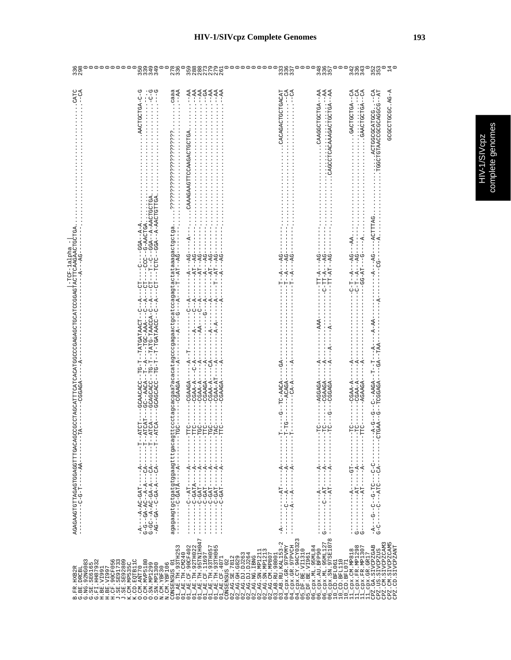| CATC<br>--CA                                                                                                                                                                                                            |                                                                                                                                                                                                                                                                                                                                                                                                                                                                                               | $A = -12$                                                   |                                                                                                                                                                                                                                                                                                                                                                                                                                                                                         |                                                                                                                                                                                                                                                                                                                                                                                                                       |                                                                                                   |                                                                                                                                                                                                                                                                                                                                                                                                                                                                                                                                                                                                                                                                          |
|-------------------------------------------------------------------------------------------------------------------------------------------------------------------------------------------------------------------------|-----------------------------------------------------------------------------------------------------------------------------------------------------------------------------------------------------------------------------------------------------------------------------------------------------------------------------------------------------------------------------------------------------------------------------------------------------------------------------------------------|-------------------------------------------------------------|-----------------------------------------------------------------------------------------------------------------------------------------------------------------------------------------------------------------------------------------------------------------------------------------------------------------------------------------------------------------------------------------------------------------------------------------------------------------------------------------|-----------------------------------------------------------------------------------------------------------------------------------------------------------------------------------------------------------------------------------------------------------------------------------------------------------------------------------------------------------------------------------------------------------------------|---------------------------------------------------------------------------------------------------|--------------------------------------------------------------------------------------------------------------------------------------------------------------------------------------------------------------------------------------------------------------------------------------------------------------------------------------------------------------------------------------------------------------------------------------------------------------------------------------------------------------------------------------------------------------------------------------------------------------------------------------------------------------------------|
|                                                                                                                                                                                                                         | $\begin{minipage}{0.9\textwidth} \begin{tabular}{@{}c@{}} \hline \multicolumn{1}{@{}}{\textbf{0}}{\textbf{1}} & \multicolumn{1}{@{}}{\textbf{0}}{\textbf{2}} & \multicolumn{1}{@{}}{\textbf{3}}{\textbf{3}} & \multicolumn{1}{@{}}{\textbf{5}}\\ \multicolumn{1}{c}{\textbf{1}} & \multicolumn{1}{c}{\textbf{2}} & \multicolumn{1}{c}{\textbf{3}} & \multicolumn{1}{c}{\textbf{4}} & \multicolumn{1}{c}{\textbf{5}} & \multicolumn{1}{c}{\textbf{6}} & \multicolumn{1}{c}{$<br>U-U-AULOUDIONA |                                                             |                                                                                                                                                                                                                                                                                                                                                                                                                                                                                         |                                                                                                                                                                                                                                                                                                                                                                                                                       |                                                                                                   | $c_1$<br>contraction $\cdots$ and $\cdots$ and $\cdots$ and $\cdots$ and<br>contraction $\cdots$ and $\cdots$ and $\cdots$<br>$\begin{minipage}{0.03\textwidth} \begin{tabular}{l} \multicolumn{2}{c} {\textbf{2.63\textwidth} \centering} \end{tabular} \end{minipage} \begin{minipage}{0.03\textwidth} \begin{tabular}{l} \multicolumn{2}{c} {\textbf{2.63\textwidth} \centering} \end{tabular} \end{minipage} \begin{minipage}{0.03\textwidth} \centering \begin{tabular}{l} \multicolumn{2}{c} {\textbf{2.63\textwidth} \centering} \end{tabular} \end{minipage} \end{minipage} \begin{minipage}{0.03\textwidth} \centering \begin{tabular}{l} \$<br>GCGCCTGCGC.AG-A |
|                                                                                                                                                                                                                         |                                                                                                                                                                                                                                                                                                                                                                                                                                                                                               |                                                             |                                                                                                                                                                                                                                                                                                                                                                                                                                                                                         |                                                                                                                                                                                                                                                                                                                                                                                                                       |                                                                                                   |                                                                                                                                                                                                                                                                                                                                                                                                                                                                                                                                                                                                                                                                          |
|                                                                                                                                                                                                                         |                                                                                                                                                                                                                                                                                                                                                                                                                                                                                               |                                                             |                                                                                                                                                                                                                                                                                                                                                                                                                                                                                         |                                                                                                                                                                                                                                                                                                                                                                                                                       |                                                                                                   |                                                                                                                                                                                                                                                                                                                                                                                                                                                                                                                                                                                                                                                                          |
|                                                                                                                                                                                                                         |                                                                                                                                                                                                                                                                                                                                                                                                                                                                                               |                                                             |                                                                                                                                                                                                                                                                                                                                                                                                                                                                                         |                                                                                                                                                                                                                                                                                                                                                                                                                       |                                                                                                   |                                                                                                                                                                                                                                                                                                                                                                                                                                                                                                                                                                                                                                                                          |
|                                                                                                                                                                                                                         |                                                                                                                                                                                                                                                                                                                                                                                                                                                                                               |                                                             |                                                                                                                                                                                                                                                                                                                                                                                                                                                                                         |                                                                                                                                                                                                                                                                                                                                                                                                                       |                                                                                                   |                                                                                                                                                                                                                                                                                                                                                                                                                                                                                                                                                                                                                                                                          |
|                                                                                                                                                                                                                         |                                                                                                                                                                                                                                                                                                                                                                                                                                                                                               |                                                             |                                                                                                                                                                                                                                                                                                                                                                                                                                                                                         |                                                                                                                                                                                                                                                                                                                                                                                                                       |                                                                                                   | $---ACTTTAG$                                                                                                                                                                                                                                                                                                                                                                                                                                                                                                                                                                                                                                                             |
|                                                                                                                                                                                                                         | $-4x - 0$ - $-1 - 0 - 0 - 03x - 0 - 0$<br>$-4x - 0$ - $-1 - 00 - 0 - 04x$ (Ta)<br>$-4x - 0$ - $-1 - 00 - 0 - 04x$ (Ta)<br>$-1 - 0$ - $-1 - 0$ - $-1 - 0$ - $-1 - 0$ - $-1 - 0$ - $-1 - 0$ - $-1 - 0$ - $-1 - 0$ - $-1 - 0$ - $-1 - 0$ - $-1 - 0$ - $-1 - 0$ -                                                                                                                                                                                                                                 |                                                             | $\mathsf I$                                                                                                                                                                                                                                                                                                                                                                                                                                                                             |                                                                                                                                                                                                                                                                                                                                                                                                                       | $\mathbf{I}=\mathbf{I}-\mathbf{I}$<br>$1 - 1 - 1$<br>$\mathbf{I}$<br>L.                           | $-A$<br>÷i<br>$-A.$<br>$---AA$ .<br>-1                                                                                                                                                                                                                                                                                                                                                                                                                                                                                                                                                                                                                                   |
| $-4G$                                                                                                                                                                                                                   |                                                                                                                                                                                                                                                                                                                                                                                                                                                                                               |                                                             | $\mathbf{I}$<br>Ť<br>Ť<br>$\begin{split} -T^{\text{}} &=-1-\ldots-\ldots-2-\Delta-2-\Delta-1-\Delta T-AG-2-\Delta T-AG-2-\Delta T-AG-2-\Delta T-AG-2-\Delta T-AG-2-\Delta T-AG-2-\Delta T-AG-2-\Delta T-AG-2-\Delta T-AG-2-\Delta T-AG-2-\Delta T-AG-2-\Delta T-AG-2-\Delta T-AG-2-\Delta T-AG-2-\Delta T-AG-2-\Delta T-AG-2-\Delta T-AG-2-\Delta T-AG-2-\Delta T-AG-2-\Delta T-AG-2-\Delta T-AG-2-\Delta T-AG-2-\Delta T-AG-2-\Delta T-AG-2-\Delta T-AG-2-\Delta T-AG-2-\Delta T-AG-2$ | $\frac{0}{4}$ $\frac{0}{4}$ $\frac{0}{4}$ $\frac{0}{4}$                                                                                                                                                                                                                                                                                                                                                               | Ţ<br>$\blacksquare$                                                                               | $A---AG$                                                                                                                                                                                                                                                                                                                                                                                                                                                                                                                                                                                                                                                                 |
| $-4$                                                                                                                                                                                                                    |                                                                                                                                                                                                                                                                                                                                                                                                                                                                                               |                                                             |                                                                                                                                                                                                                                                                                                                                                                                                                                                                                         |                                                                                                                                                                                                                                                                                                                                                                                                                       |                                                                                                   | J                                                                                                                                                                                                                                                                                                                                                                                                                                                                                                                                                                                                                                                                        |
|                                                                                                                                                                                                                         |                                                                                                                                                                                                                                                                                                                                                                                                                                                                                               |                                                             |                                                                                                                                                                                                                                                                                                                                                                                                                                                                                         | $\mathbf{I}$                                                                                                                                                                                                                                                                                                                                                                                                          | $\blacksquare$                                                                                    | $\ddot{A}$                                                                                                                                                                                                                                                                                                                                                                                                                                                                                                                                                                                                                                                               |
|                                                                                                                                                                                                                         |                                                                                                                                                                                                                                                                                                                                                                                                                                                                                               |                                                             |                                                                                                                                                                                                                                                                                                                                                                                                                                                                                         |                                                                                                                                                                                                                                                                                                                                                                                                                       | $\mathbf{I}$<br>$-1 - 2A +$<br>$-1 - 1 -$                                                         | $-4 - A - A$                                                                                                                                                                                                                                                                                                                                                                                                                                                                                                                                                                                                                                                             |
|                                                                                                                                                                                                                         |                                                                                                                                                                                                                                                                                                                                                                                                                                                                                               |                                                             |                                                                                                                                                                                                                                                                                                                                                                                                                                                                                         |                                                                                                                                                                                                                                                                                                                                                                                                                       | Т<br>$\mathbf{I}$<br>$\mathbf{I}$<br>$\blacksquare$<br>т                                          | t,<br>$\ddot{A}$                                                                                                                                                                                                                                                                                                                                                                                                                                                                                                                                                                                                                                                         |
| Accompandamente de la producción de la partición de la partición de la partición de la partición de l<br>Accompandamente de la partición de la partición de la partición de la partición de la partición de la partició | $\begin{array}{rl} -604A C A C C -T0 -T-12A T G A T A C T -C \\ -6C -6A C A -T-1-1-12C -4A A C -C \\ -6C -6A C A -T-1-1-12C -4A A C -C \\ -6C A G C A C C -T0 -T-1-1-12A T A C C -C \\ -6C A G C A C C -T0-1-1-1-12A T A C C -C \end{array}$                                                                                                                                                                                                                                                  |                                                             |                                                                                                                                                                                                                                                                                                                                                                                                                                                                                         | л.<br>$- -A -$<br>$-6A$<br>$\mathbb{I}$                                                                                                                                                                                                                                                                                                                                                                               | $-4$                                                                                              | $- - GA - TAA$<br>$- A - A -$<br>$- A -$                                                                                                                                                                                                                                                                                                                                                                                                                                                                                                                                                                                                                                 |
| CGGAGA                                                                                                                                                                                                                  |                                                                                                                                                                                                                                                                                                                                                                                                                                                                                               |                                                             | CGAA-AT-<br>CGAAGA                                                                                                                                                                                                                                                                                                                                                                                                                                                                      | $---CA - A -$<br>$C-AACA$<br>-ACAGA                                                                                                                                                                                                                                                                                                                                                                                   | - 1<br>т.                                                                                         | $-1 - \text{AAGA} - \text{T} - \text{T} -$                                                                                                                                                                                                                                                                                                                                                                                                                                                                                                                                                                                                                               |
|                                                                                                                                                                                                                         |                                                                                                                                                                                                                                                                                                                                                                                                                                                                                               |                                                             | $-1$<br>Ī                                                                                                                                                                                                                                                                                                                                                                                                                                                                               |                                                                                                                                                                                                                                                                                                                                                                                                                       |                                                                                                   | $-45AGBCGBCA$<br>ن<br>۱<br>$\blacksquare$                                                                                                                                                                                                                                                                                                                                                                                                                                                                                                                                                                                                                                |
|                                                                                                                                                                                                                         | $\mathbf{I}$<br>r--ATCAT<br>r--ATCA--<br>r--ATCA--<br>ĒA                                                                                                                                                                                                                                                                                                                                                                                                                                      | gttccctagca<br>-TGC-------                                  | $\frac{1}{1}$<br>ים<br>ידפבי<br>ידפבי<br><b>TTC</b>                                                                                                                                                                                                                                                                                                                                                                                                                                     | ひ<br>- 1번<br>- 1번<br>- 1번                                                                                                                                                                                                                                                                                                                                                                                             | نې<br>ا<br>т<br>- 11<br>L.<br>OÙÙ<br>HHH<br>!!!                                                   | Ť<br>$\frac{1}{2}$<br>$A - G$<br>$\mathbf{I}$<br>CTGAA<br>sign<br>Sign<br>Sign                                                                                                                                                                                                                                                                                                                                                                                                                                                                                                                                                                                           |
|                                                                                                                                                                                                                         | $\begin{array}{c} -1 \\ -1 \\ -1 \end{array}$<br>$\frac{1}{1}$                                                                                                                                                                                                                                                                                                                                                                                                                                |                                                             | $\frac{1}{1}$                                                                                                                                                                                                                                                                                                                                                                                                                                                                           | $-1$ $-1$ $-1$ $-1$                                                                                                                                                                                                                                                                                                                                                                                                   | $-1$ $-1$ $-1$ $-1$ $-1$<br>т<br>- 1                                                              | $\overline{\phantom{a}}$<br>L.<br>т                                                                                                                                                                                                                                                                                                                                                                                                                                                                                                                                                                                                                                      |
| AGAGAAGTGTTAGAGTGGAGGTTGACAO<br>$-AA$ -                                                                                                                                                                                 | $\frac{1}{1}$<br>$\frac{1}{1}$<br>п<br>$-(-1)$<br>$- -$ CA-<br>$-CT$                                                                                                                                                                                                                                                                                                                                                                                                                          | agagaagtgctgatgtggaagtttgaca<br>---------C-GATA----A------- | $- -A - - -$<br>$---A---$<br>$-1$<br>$-1$<br>$-1$<br>$-1$<br>$-1$<br>$-1$<br>$-1$<br>$-1$                                                                                                                                                                                                                                                                                                                                                                                               | $\frac{1}{1}$<br>Ť<br>$-4$<br>$-4$                                                                                                                                                                                                                                                                                                                                                                                    | Ť.<br>$\begin{array}{c}\n- -A & - \\ - -A & - \n\end{array}$<br>$---A---$                         | $- -A - -$<br>$\frac{1}{1}$<br>$-4$ <sup>-</sup><br>$-4$                                                                                                                                                                                                                                                                                                                                                                                                                                                                                                                                                                                                                 |
|                                                                                                                                                                                                                         |                                                                                                                                                                                                                                                                                                                                                                                                                                                                                               |                                                             | T<br>I.                                                                                                                                                                                                                                                                                                                                                                                                                                                                                 | J.<br>$\mathbf{I}$<br>$1 - -2 - -$<br>$---AT-$                                                                                                                                                                                                                                                                                                                                                                        | 1<br>$\mathbf{I}$<br>Ţ.                                                                           | $-1 - 0 - 1 - 0 - 0 - 0 - 0 - 0$<br>$---ATT---$<br>$---A---$<br>$---ATC$<br>$\mathbf{I}$<br>$- - A$ T                                                                                                                                                                                                                                                                                                                                                                                                                                                                                                                                                                    |
|                                                                                                                                                                                                                         | - A - - - - A - AC - GAT<br>G - G - - GA - AC - - A - A<br>G - GC - - A - AC - GA - A<br>$-AG - -G - -C - A - A - A$                                                                                                                                                                                                                                                                                                                                                                          |                                                             | $-1P - C - -P$<br>$-1450 - 0 - -$<br>I<br>I                                                                                                                                                                                                                                                                                                                                                                                                                                             | $- - A$<br>$\frac{1}{2}$                                                                                                                                                                                                                                                                                                                                                                                              | $-4$ - $-1$<br>J.                                                                                 | $\blacksquare$<br>т<br>$1 - 1$<br>ローウー<br>$-1$<br>$\,$ I<br>$\overline{\phantom{a}}$                                                                                                                                                                                                                                                                                                                                                                                                                                                                                                                                                                                     |
|                                                                                                                                                                                                                         |                                                                                                                                                                                                                                                                                                                                                                                                                                                                                               |                                                             | I.<br>í<br>$\frac{1}{4}$<br>$\frac{1}{1}$<br>Ţ<br>J<br>I.<br>$\overline{\phantom{a}}$<br>$1 - 1$<br>Τ.                                                                                                                                                                                                                                                                                                                                                                                  | J.<br>J.<br>Ť.<br>j.<br>п<br>$- A -$<br>Ţ<br>J<br>$\frac{1}{1}$<br>$\overline{\phantom{a}}$<br>-i                                                                                                                                                                                                                                                                                                                     | Ι.<br>$\blacksquare$<br>ï.<br>$\mathbf{I}$<br>$\frac{1}{\mathsf{G}}$<br>$\frac{1}{1}$<br>L.<br>I. | $\mathbf{I}$<br>л<br>J.<br>- 1<br>$\overline{\phantom{a}}$<br>п<br>$\mathsf I$<br>$-A-$<br>Ť<br>ł<br>U<br>U<br>ひひ                                                                                                                                                                                                                                                                                                                                                                                                                                                                                                                                                        |
|                                                                                                                                                                                                                         |                                                                                                                                                                                                                                                                                                                                                                                                                                                                                               |                                                             |                                                                                                                                                                                                                                                                                                                                                                                                                                                                                         |                                                                                                                                                                                                                                                                                                                                                                                                                       |                                                                                                   |                                                                                                                                                                                                                                                                                                                                                                                                                                                                                                                                                                                                                                                                          |
|                                                                                                                                                                                                                         |                                                                                                                                                                                                                                                                                                                                                                                                                                                                                               |                                                             |                                                                                                                                                                                                                                                                                                                                                                                                                                                                                         |                                                                                                                                                                                                                                                                                                                                                                                                                       |                                                                                                   |                                                                                                                                                                                                                                                                                                                                                                                                                                                                                                                                                                                                                                                                          |
|                                                                                                                                                                                                                         | $\begin{smallmatrix} \texttt{B}, \texttt{F.R. HXBBR} \\ \texttt{G}, \texttt{NG}, \texttt{9} \\ \texttt{G}, \texttt{1} \\ \texttt{1} \\ \texttt{1} \\ \texttt{1} \\ \texttt{1} \\ \texttt{1} \\ \texttt{2} \\ \texttt{2} \\ \texttt{3} \\ \texttt{5} \\ \texttt{6} \\ \texttt{7} \\ \texttt{8} \\ \texttt{9} \\ \texttt{1} \\ \texttt{1} \\ \texttt{2} \\ \texttt{1} \\ \texttt{2} \\ \texttt{3} \\ \texttt{5} \\ \texttt{6} \\ \texttt{7} \\ \texttt{8} \\ \text$                             |                                                             |                                                                                                                                                                                                                                                                                                                                                                                                                                                                                         | $\begin{array}{l} \text{M3 F}, \text{H2}, \text{CH} \text{1934423} \\ \text{M4 F}, \text{H3}, \text{CH} \text{193444} \\ \text{M5 F}, \text{H4}, \text{H5}, \text{H6}, \text{H7}, \text{H8}, \text{H8}, \text{H8}, \text{H8}, \text{H8}, \text{H8}, \text{H8}, \text{H8}, \text{H8}, \text{H8}, \text{H8}, \text{H8}, \text{H8}, \text{H8}, \text{H8}, \text{H8}, \text{H8}, \text{H8}, \text{H8}, \text{H8}, \text{$ |                                                                                                   | CPZ.CM.SIVCPZCAM3<br>CPZ.CM.SIVCPZCAM5<br>CPZ.CD.SIVCPZANT                                                                                                                                                                                                                                                                                                                                                                                                                                                                                                                                                                                                               |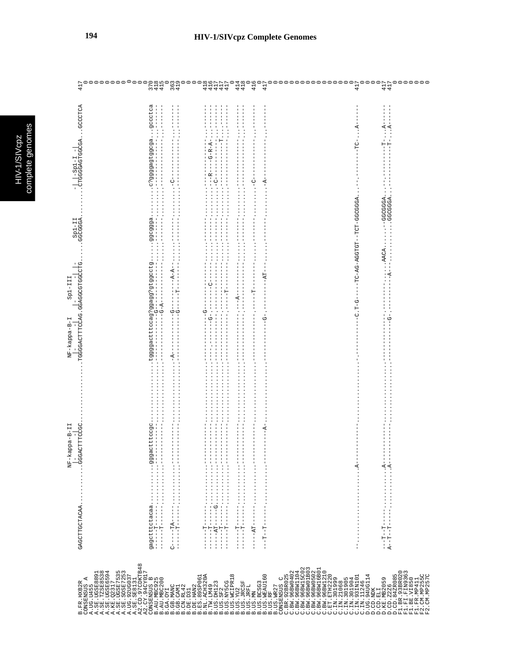| -     -sp1-1 -  <br>.стееездетеесассстед<br>$-5p1-7$                                                   | gccctca<br>$\mathbf{I}$<br>$\mathbf{I}$<br>1<br>$\vdots$<br>$\vdots$                                                                                                                                                                                                                                                                              | $\mathbf{1}$<br>$\mathbf{I}$<br>$\mathbb{L}$<br>$\,$ I<br>T<br>ţ<br>÷,<br>$\mathbf{I}$<br>$\mathbf{1}$<br>$\mathbf{1}$<br>$\mathbf{I}$<br>$\begin{array}{c} 1 \\ 1 \\ 1 \end{array}$<br>$\mathbf{I}$<br>п<br>$\vdots$ | $\mathbf{I}$<br>1<br>$\overline{\phantom{a}}$<br>$\blacksquare$<br>л.<br>т<br>п<br>$\mathbf I$<br>$\mathsf I$<br>$\mathbf{I}$<br>T<br>$\mathbf{I}$<br>т<br>$- R$<br>T<br>п<br>$\bigcirc_{l}^{l}$<br>十十<br>$\blacksquare$<br>$\overline{\phantom{a}}$                                                                                                                                                                                                                                                                                                                                | $\mathbf{I}$<br>$\mathbf{I}$<br>$\mathbf{I}$<br>- 11<br>т<br>$\mathbf I$<br>$\bullet$<br>$\ddot{\phantom{0}}$<br>$\mathbf{I}$<br>$\overline{\phantom{a}}$<br>л<br>п<br>$\blacksquare$<br>п.       | I<br>U<br>ī<br>$\cdot$                      | $\overline{\phantom{a}}$<br>п<br>$- A$                                           | Ą.<br>Ü                                                                | $\mathbf{L}$<br>1<br>Ţ<br>$\blacksquare$<br>$\mathbf{I}$<br>$\mathbb{L}$<br>л<br>$\ddot{A}$ .<br>$\ddot{A}$<br>$\frac{1}{2}$<br>텃                                                                                              |
|--------------------------------------------------------------------------------------------------------|---------------------------------------------------------------------------------------------------------------------------------------------------------------------------------------------------------------------------------------------------------------------------------------------------------------------------------------------------|-----------------------------------------------------------------------------------------------------------------------------------------------------------------------------------------------------------------------|-------------------------------------------------------------------------------------------------------------------------------------------------------------------------------------------------------------------------------------------------------------------------------------------------------------------------------------------------------------------------------------------------------------------------------------------------------------------------------------------------------------------------------------------------------------------------------------|---------------------------------------------------------------------------------------------------------------------------------------------------------------------------------------------------|---------------------------------------------|----------------------------------------------------------------------------------|------------------------------------------------------------------------|--------------------------------------------------------------------------------------------------------------------------------------------------------------------------------------------------------------------------------|
| $Sp1-II$<br>.GGCGGGA.                                                                                  | $\blacksquare$<br>$\mathbf{I}$<br>$\cdot$                                                                                                                                                                                                                                                                                                         | - 1<br>$\frac{1}{4}$<br>п.<br>$\mathbf{I}$<br>$\vdots$<br>$\cdot$                                                                                                                                                     | $\frac{1}{1}$<br>$\blacksquare$<br>$\mathbf{I}$<br>т<br>п<br>ï<br>$\frac{1}{1}$<br>ŧ<br>- 1<br>Ť.                                                                                                                                                                                                                                                                                                                                                                                                                                                                                   | $\blacksquare$                                                                                                                                                                                    |                                             |                                                                                  | - 45000000-HUH--HUHOOK-DK-UH                                           | $-45656664.$                                                                                                                                                                                                                   |
| .<br>TOCOCOCOCOCACO.<br>CACOCHIVACOCOCOC<br>$\mathbf{I}$<br>$5p1 - 111$<br>$\mathbf{I}$<br>$\mathbb T$ | $\frac{1}{2}$<br>$\cdot$                                                                                                                                                                                                                                                                                                                          | $\frac{1}{2}$<br>$\pm$ $\pm$<br>$\mathbf{I}$<br>Ť<br>$\mathbf{I}$<br>- 1<br>부부<br>$\mathbf{1}$<br>$\mathbf{1}$<br>$\mathbb{I}=\mathbb{I}$                                                                             | $\mathsf I$<br>$\mathbf{I}$<br>т<br>$\mathsf I$<br>$\frac{0}{1}$<br>Ħ<br>$\mathbf{I}$<br>$\mathsf I$<br>Т<br>- 1<br>$\mathbf{I}$<br>1<br>-1<br>持                                                                                                                                                                                                                                                                                                                                                                                                                                    | $\mathbf{I}$<br>$\mathbf{I}$<br>п<br>$\blacksquare$<br>$\mathbf{I}$<br><b>I</b><br>$-4$<br>$\mathbf{I}$<br>$\blacksquare$                                                                         | 투                                           | $-AT$<br>ш<br>п<br>п                                                             | t−ci                                                                   | AACA                                                                                                                                                                                                                           |
| NF-kappa-B-I<br> -                                                                                     | $\vdots$                                                                                                                                                                                                                                                                                                                                          | $\frac{1}{9}$ $\frac{1}{9}$<br>$\mathbf{I}$<br>$\blacksquare$<br>$\mathbf{1}$<br>$\blacksquare$<br>$\mathbf{1}$<br>$1 - 1$<br>-1<br>$\mathbf{I}$<br>$-4-7$<br>п                                                       | $\begin{array}{c} 1 \\ 0 \\ 1 \end{array}$<br>$-\frac{1}{9}$<br>è.<br>$\mathsf I$<br>$\,$ I<br>Т<br>$\mathbf{I}$<br>-1<br>т<br>п<br>$\mathfrak l$<br>$\mathsf I$<br>т<br>I<br>Ţ<br>$\mathbf{I}$<br>Ť                                                                                                                                                                                                                                                                                                                                                                                | $\mathbb{L}$<br>$\blacksquare$                                                                                                                                                                    |                                             | $\frac{1}{\sqrt{2}}$                                                             | U                                                                      | ひ                                                                                                                                                                                                                              |
| <b>TTTCCGC</b>                                                                                         | $\frac{1}{2}$ $\frac{1}{2}$ $\frac{1}{2}$ $\frac{1}{2}$ $\frac{1}{2}$ $\frac{1}{2}$ $\frac{1}{2}$ $\frac{1}{2}$ $\frac{1}{2}$ $\frac{1}{2}$ $\frac{1}{2}$ $\frac{1}{2}$ $\frac{1}{2}$ $\frac{1}{2}$ $\frac{1}{2}$ $\frac{1}{2}$ $\frac{1}{2}$ $\frac{1}{2}$ $\frac{1}{2}$ $\frac{1}{2}$ $\frac{1}{2}$ $\frac{1}{2}$<br>tttccgc.<br>$\blacksquare$ |                                                                                                                                                                                                                       | L<br>- 1<br>п<br>$\blacksquare$<br>I.                                                                                                                                                                                                                                                                                                                                                                                                                                                                                                                                               | $\mathbf{I}$<br>- 1<br>$\mathbf{I}$                                                                                                                                                               |                                             | $-4$                                                                             |                                                                        |                                                                                                                                                                                                                                |
| NF-kappa-B-II<br> -<br>CGGGAC<br>$\mathsf I$                                                           | - 1<br>O                                                                                                                                                                                                                                                                                                                                          | $\mathbf{I}$<br>J<br>$\blacksquare$<br>$\mathbf{I}$<br>-<br>п<br>$\vdots$<br>$\frac{1}{10}$                                                                                                                           | I.<br>I<br>I<br>п<br>$\frac{1}{4}$<br>$\frac{1}{1}$<br>п<br>$\overline{\phantom{a}}$<br>$\mathbf{I}$<br>$\mathbf{I}$<br>1<br>$\begin{bmatrix} 1 & 1 & 1 \\ 1 & 1 & 1 \\ 1 & 1 & 1 \\ 1 & 1 & 1 \\ 1 & 1 & 1 \\ 1 & 1 & 1 \\ 1 & 1 & 1 \\ 1 & 1 & 1 \\ 1 & 1 & 1 \\ 1 & 1 & 1 \\ 1 & 1 & 1 \\ 1 & 1 & 1 \\ 1 & 1 & 1 \\ 1 & 1 & 1 \\ 1 & 1 & 1 & 1 \\ 1 & 1 & 1 & 1 \\ 1 & 1 & 1 & 1 \\ 1 & 1 & 1 & 1 \\ 1 & 1 & 1 & 1 \\ 1 & 1 & 1 & 1 \\ 1 & 1 & 1 & 1 \\ 1 & $<br>$\begin{array}{c} \mathbf{1} \\ \mathbf{2} \\ \mathbf{3} \\ \mathbf{4} \\ \mathbf{5} \\ \mathbf{6} \end{array}$ | $\mathbf{I}$<br>T<br>$\overline{\phantom{a}}$<br>п<br>$\blacksquare$<br>$\mathbf{I}$<br>т<br>$\cdot$<br>$\cdot$<br>$\ddot{\phantom{0}}$<br>$\ddot{\phantom{0}}$<br>$\vdots$<br>$\cdot$<br>$\cdot$ | ш<br>п<br>$\bullet$<br>$\cdot$              | ш<br>ш                                                                           | Ą.<br>$\bullet$<br>$\bullet$                                           | $\mathbf{I}$<br>$\mathbf{I}$<br>1<br>п<br>$\ddot{A}$<br>Ť.<br>$\ddot{A}$<br>$\bullet$<br>$\bullet$<br>$\cdot$<br>$\cdot$<br>$\cdot$<br>$\bullet$<br>$\cdot$<br>$\bullet$<br>$\ddot{\cdot}$<br>$\bullet$<br>$\cdot$<br>$\vdots$ |
| GACCTTGCTACAA                                                                                          |                                                                                                                                                                                                                                                                                                                                                   | $\mathbf{L}$<br>- 1<br>$\,$ I<br>Ι.<br>$\blacksquare$<br>1<br>$-\frac{\text{TA}}{\text{A}} -$<br>$\mathbf{I}$<br>- 1<br>$\mathbf{I}$<br>$\blacksquare$<br>1<br>п<br>↻<br>п                                            | L<br>$\mathbf I$<br>$\overline{\phantom{a}}$<br>л.<br>п<br>-1<br>$\blacksquare$<br>$\mathbf I$<br>$\overline{1}$<br>H<br>I<br>Ť<br>$\overline{1}$<br>ł<br>$\begin{array}{c} \hline \end{array}$<br>$\blacksquare$<br>- 1<br>-1<br>$-1$<br>복<br>$- - A T$<br>부<br>부<br>$\blacksquare$<br>$\mathbf{I}$<br>- 1<br>п<br>H<br>-1<br>$\mathsf I$<br>$\mathfrak l$<br>$\overline{\phantom{a}}$<br>J.<br>I.<br>п                                                                                                                                                                            | $\vert - \vert$<br>-1<br>- 1<br>$\mathbf{I}$<br>т<br>$\mathbf{I}$<br>÷<br>-1<br>부부<br>$\mathbf{I}$<br>$\overline{\phantom{a}}$<br>т<br>п<br>$\mathbf{I}$<br>$\overline{\phantom{a}}$              | I.<br>-1<br>-1<br>-1<br>AT.<br>J.<br>п<br>т | $\mathbf{I}$<br>л.<br>п<br>$\blacksquare$<br>-1<br>Ý<br>$\blacksquare$<br>부<br>л | $\bullet$<br>$\bullet$<br>$\cdot$<br>$\ddot{\phantom{0}}$<br>$\bullet$ | $\cdot$<br>$\mathbf{I}$<br>$\mathbf{I}$<br>1<br>т<br>1<br>I<br>$\mathbf{I}$<br>$\mathbf{I}$<br>부부<br>$\blacksquare$<br>$\blacksquare$<br>부부<br>$\mathsf I$<br>$\overline{A}$<br>$\blacksquare$                                 |
|                                                                                                        |                                                                                                                                                                                                                                                                                                                                                   |                                                                                                                                                                                                                       |                                                                                                                                                                                                                                                                                                                                                                                                                                                                                                                                                                                     |                                                                                                                                                                                                   |                                             |                                                                                  |                                                                        |                                                                                                                                                                                                                                |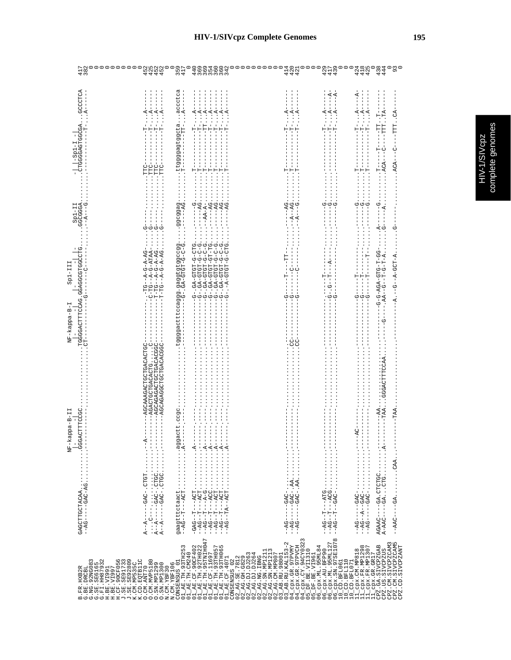| ∼<br>$\frac{1}{4}$ $\frac{8}{8}$                                                                                 | 4444                                                                                            | 359<br>417<br>$\circ$                                  | 4 wwwwww<br>4 ののせのの4<br>0 のの4 O O U                                                                                                                                                                                                                                                                                                                                                                                                                                  | 00000000000<br>4040000<br>404<br>444                                                                                                                                                                    | タマクの<br>ひこの<br>タイム                                                                                                                                                                                                                                                                                                                                                                         | 485084<br>485084<br>485084<br>$\circ \underset{\sigma}{\circ}$                                                                                                                                                                                                                                                                                                                                            |
|------------------------------------------------------------------------------------------------------------------|-------------------------------------------------------------------------------------------------|--------------------------------------------------------|----------------------------------------------------------------------------------------------------------------------------------------------------------------------------------------------------------------------------------------------------------------------------------------------------------------------------------------------------------------------------------------------------------------------------------------------------------------------|---------------------------------------------------------------------------------------------------------------------------------------------------------------------------------------------------------|--------------------------------------------------------------------------------------------------------------------------------------------------------------------------------------------------------------------------------------------------------------------------------------------------------------------------------------------------------------------------------------------|-----------------------------------------------------------------------------------------------------------------------------------------------------------------------------------------------------------------------------------------------------------------------------------------------------------------------------------------------------------------------------------------------------------|
| .GCCCTCA<br>$\ddot{A}$ .                                                                                         | л.<br>Ť.<br>$\mathsf I$<br>$\mathsf I$<br>$A = 1$<br>$A = 1$<br>$\vdots$ $A = 1$                | $\therefore$ accctca<br>$\therefore$ A----             | $\mathbf{I}$<br>т<br>л<br>т<br>ł<br>Ť.<br>ï.<br>$\mathsf I$<br>$\mathsf I$<br>Ţ<br>Ţ<br>$\mathbf{I}$                                                                                                                                                                                                                                                                                                                                                                 | 冒<br>T.<br>$\,$ I<br>$A$ ---<br>$A$ -----<br>$A$ ---                                                                                                                                                    | $-4 - 4 - 1$<br>п<br>$\mathsf I$<br>$-2$<br>$-3$<br>$-3$<br>$-3$<br>$-3$<br>$-3$<br>$-3$<br>$-3$                                                                                                                                                                                                                                                                                           | $\mathbf{I}$<br>$-4 -$<br>$\mathbf{I}$<br>п<br>л<br>Ť.<br>$\mathsf I$<br>$\mathsf I$<br>$\mathsf I$<br>$\overline{\phantom{a}}$<br>$\overline{\phantom{a}}$<br>Ţ<br>$\overline{\phantom{a}}$<br>$\mathbf{I}$<br>$\begin{array}{c}\n1 \\ \vdots \\ A \\ \vdots\n\end{array}$<br>J.<br>-1<br>Ļ.<br>TA:<br>Š.                                                                                                |
| . creeeca.creecea.<br>텃<br>$\mathbf I$<br>$-5p1-1$                                                               |                                                                                                 | icta<br>TT-<br>ו ת                                     | I.<br>п<br>т<br>1                                                                                                                                                                                                                                                                                                                                                                                                                                                    | $\begin{array}{cccccc} \mathbb{L} & \mathbb{L} & \mathbb{L} \\ \mathbb{L} & \mathbb{L} & \mathbb{L} \\ \mathbb{L} & \mathbb{L} & \mathbb{L} \\ \mathbb{L} & \mathbb{L} & \mathbb{L} \end{array}$<br>- 1 | $\begin{array}{c} \cdot \cdot \cdot \\ \cdot \cdot \cdot \\ \cdot \cdot \cdot \\ \cdot \cdot \cdot \\ \cdot \cdot \cdot \end{array}$<br>$\mathbf{I}$<br>п<br>L.<br>$\mathsf I$                                                                                                                                                                                                             | $+ + +$<br>FT-<br>$-{\tt TTT}$<br>$TTT-$<br>$\mathbf{I}$<br>$\mathbf{I}$<br>$\blacksquare$<br>-1<br>$\begin{array}{c} 1 \\ 1 \\ 1 \end{array}$<br>ĤŸ<br>п<br>Ī                                                                                                                                                                                                                                            |
|                                                                                                                  | Ť.<br><b>PHO</b><br>C C<br>EE<br>Ğ<br>Ĩ                                                         | $\frac{1}{2}$                                          | Ħ<br>-i<br>j.<br>$\frac{1}{4}$<br>888888<br>:::::::                                                                                                                                                                                                                                                                                                                                                                                                                  | $\mathbf{I}$<br>$\mathbf{I}$<br>155                                                                                                                                                                     | Ì,<br>$\ddot{\phantom{1}}$                                                                                                                                                                                                                                                                                                                                                                 | $.ACA-$<br>$\therefore$ T-CA-<br>$\mathbf{I}$<br>$\overline{\phantom{a}}$<br>J<br>$\,$ I<br>666<br>:::<br>$\bullet$<br>$\cdot$                                                                                                                                                                                                                                                                            |
| Sp1-II<br>GGCGGGA.<br>ပု<br>$- -A - -$                                                                           | ł<br>$\frac{1}{1}$<br>ひ<br>ひひひ<br>$\frac{1}{2}$                                                 | のひ<br>$-1 - 1 - 1 - 1$                                 | $\ddot{a}$<br>$\ddot{a}$<br>$\ddot{a}$<br>$\ddot{a}$<br>$\ddot{a}$<br>$\ddot{a}$<br>$\ddot{a}$<br>$\ddot{a}$<br>$\ddot{a}$<br>$\ddot{a}$<br>$\ddot{a}$<br>$\ddot{a}$<br><br><br><br><br><br><br><br><br><br><br><br><br><br><br><br><br><br><br><br><br><br><br>AG.<br>Ŧ<br>$\frac{1}{2}$                                                                                                                                                                            | $\begin{array}{c} . & . & . \\ . & . & . \\ . & . & . \\ . & . & . \\ . & . & . \end{array}$<br>$- -A - AC$<br>-- $A - C$                                                                               | 111<br>$\begin{bmatrix} 1 & 1 & 1 \\ 1 & 1 & 1 \\ 1 & 1 & 1 \\ 1 & 1 & 1 \\ 1 & 1 & 1 \\ 1 & 1 & 1 \\ 1 & 1 & 1 \\ 1 & 1 & 1 \\ 1 & 1 & 1 \\ 1 & 1 & 1 \\ 1 & 1 & 1 \\ 1 & 1 & 1 \\ 1 & 1 & 1 \\ 1 & 1 & 1 \\ 1 & 1 & 1 \\ 1 & 1 & 1 \\ 1 & 1 & 1 \\ 1 & 1 & 1 \\ 1 & 1 & 1 \\ 1 & 1 & 1 \\ 1 & 1 & 1 \\ 1 & 1 & 1 \\ 1 & 1 & 1 \\ 1 & 1 & $<br>$\overline{\phantom{a}}$<br>$\ddot{\cdot}$ | $\ddot{\phi}$<br>ひ<br>A.<br>-1<br>Ť<br>$\mathbf{I}$<br>ł<br>$\frac{1}{1}$<br>п<br>J.<br>$\overline{\phantom{a}}$<br>$\mathbf{I}$<br>$\blacksquare$<br>$\mathbf{I}$<br>$\mathbf{I}$<br>$\frac{1}{2}$<br>п<br>$\ddot{a}$<br>ڣ                                                                                                                                                                               |
| $2p1 - I1I$                                                                                                      |                                                                                                 | のひ                                                     | $\alpha$ , $\alpha$ , $\alpha$ , $\alpha$<br>$\begin{split} &\frac{1}{1-\theta^2}-\frac{1}{2\theta^2}-\frac{1}{2\theta^2}-\frac{1}{2\theta^2}-\frac{1}{2\theta^2}-\frac{1}{2\theta^2}-\frac{1}{2\theta^2}-\frac{1}{2\theta^2}-\frac{1}{2\theta^2}-\frac{1}{2\theta^2}-\frac{1}{2\theta^2}-\frac{1}{2\theta^2}-\frac{1}{2\theta^2}-\frac{1}{2\theta^2}-\frac{1}{2\theta^2}-\frac{1}{2\theta^2}-\frac{1}{2\theta^2}-\frac{1}{2\theta^2}-\frac{1}{2\theta^2}-\frac{1}{$ | Ħ<br>÷,<br>Ü<br>U<br>Ī<br>Ţ<br>T<br>п<br>I.<br>-1<br>л                                                                                                                                                  | ćΰ<br>$\blacksquare$<br>$\blacksquare$<br>$\overline{A}$<br>$\mathbf{I}$<br>$\mathbf{I}$<br>$\frac{1}{1}$<br>л.<br>L.<br>$\mathbf{I}$<br>$\begin{array}{cccc} -2 & -2 & -2 \\ -2 & -2 & -2 \\ -2 & -2 & -2 \\ \end{array}$                                                                                                                                                                 | -11<br>$\blacksquare$<br>$\blacksquare$<br>п<br>$\ddot{ }$<br>$-1$ - $-1$ - $-1$ - $-1$ - $-1$<br>$\mathbf{I}$<br>п<br>п<br>п<br>$\overline{1}$<br>$\mathbf{I}$<br>$\begin{array}{c} \begin{array}{c} \text{1} & \text{1} \\ \text{2} & \text{1} \\ \text{3} & \text{1} \\ \text{4} & \text{1} \\ \text{5} & \text{1} \\ \text{6} & \text{1} \\ \end{array} \end{array}$<br>$\overline{\phantom{a}}$<br>Ţ |
| $\mathbf{H}$<br>NF-kappa-B-<br> -                                                                                |                                                                                                 | tggggactttc<br>------------                            | ţ                                                                                                                                                                                                                                                                                                                                                                                                                                                                    | じ じ じ<br>Ţ<br>$\mathbf{I}$<br>$\mathbf{I}$<br>. ဗွ်ဗွ်<br>.                                                                                                                                             | $\blacksquare$<br>-1                                                                                                                                                                                                                                                                                                                                                                       | しゅゅ<br>Ä.<br>$\frac{1}{1}$                                                                                                                                                                                                                                                                                                                                                                                |
| $\blacksquare$                                                                                                   | AGACTGCTGACACTGACACC-<br>AGCAGAGACTGCTGACACGC-<br>AGCAGAGGCTGCTGACACGC-<br>AGCAAAGACTGCAACACTGC | O<br>$\mathbf{I}$<br>t.ccg<br>$\overline{\phantom{a}}$ |                                                                                                                                                                                                                                                                                                                                                                                                                                                                      |                                                                                                                                                                                                         |                                                                                                                                                                                                                                                                                                                                                                                            | - TAA GGGACTTTCCAA<br>- TAA GGGACTTTCCAA<br>$-AA$<br>TAA<br>$\mathbf{I}$                                                                                                                                                                                                                                                                                                                                  |
| CTTTCCGC<br>NF-kappa-B-II<br>$\cdots$<br>$\begin{array}{c} \begin{array}{c} \end{array} \end{array}$<br>$\vdots$ | $-1$<br>$\mathsf I$                                                                             | acti<br>$\mathbf{I}$<br>999<br><br>                    |                                                                                                                                                                                                                                                                                                                                                                                                                                                                      |                                                                                                                                                                                                         |                                                                                                                                                                                                                                                                                                                                                                                            | Q<br>Ť<br>Ť.<br>I.                                                                                                                                                                                                                                                                                                                                                                                        |
| $\ddot{\cdot}$                                                                                                   |                                                                                                 |                                                        |                                                                                                                                                                                                                                                                                                                                                                                                                                                                      |                                                                                                                                                                                                         |                                                                                                                                                                                                                                                                                                                                                                                            | .CAA                                                                                                                                                                                                                                                                                                                                                                                                      |
|                                                                                                                  | --GAC-JORD--                                                                                    |                                                        |                                                                                                                                                                                                                                                                                                                                                                                                                                                                      |                                                                                                                                                                                                         |                                                                                                                                                                                                                                                                                                                                                                                            | $A$ - $A$ - $\cdots$ $\cdots$ $\cdots$ $A$ -<br>$-3A. CTCTCU$<br>$--GA$                                                                                                                                                                                                                                                                                                                                   |
| GAGCTTGCTACAA<br>--AG------GAC-AG                                                                                | $- -A - - -$<br>Ţ<br>$- -A - -$<br>$C - A -$<br>$\triangle$ $\triangle$                         | gaagtttctaact<br>--AG--T---ACT                         |                                                                                                                                                                                                                                                                                                                                                                                                                                                                      |                                                                                                                                                                                                         |                                                                                                                                                                                                                                                                                                                                                                                            | Ť<br>$- -RAC - -$<br>AGAAC-<br>A-AAC-                                                                                                                                                                                                                                                                                                                                                                     |
|                                                                                                                  |                                                                                                 |                                                        |                                                                                                                                                                                                                                                                                                                                                                                                                                                                      |                                                                                                                                                                                                         |                                                                                                                                                                                                                                                                                                                                                                                            |                                                                                                                                                                                                                                                                                                                                                                                                           |
|                                                                                                                  |                                                                                                 |                                                        |                                                                                                                                                                                                                                                                                                                                                                                                                                                                      |                                                                                                                                                                                                         |                                                                                                                                                                                                                                                                                                                                                                                            | $\begin{array}{ll} \texttt{CPZ} \texttt{.} \texttt{CM} \texttt{.} \texttt{SIVCPZCAM3} \\ \texttt{CPZ} \texttt{.} \texttt{CM} \texttt{.} \texttt{SIVCPZCAM5} \\ \texttt{CPZ} \texttt{.} \texttt{CD} \texttt{.} \texttt{SIVCPZANT} \end{array}$                                                                                                                                                             |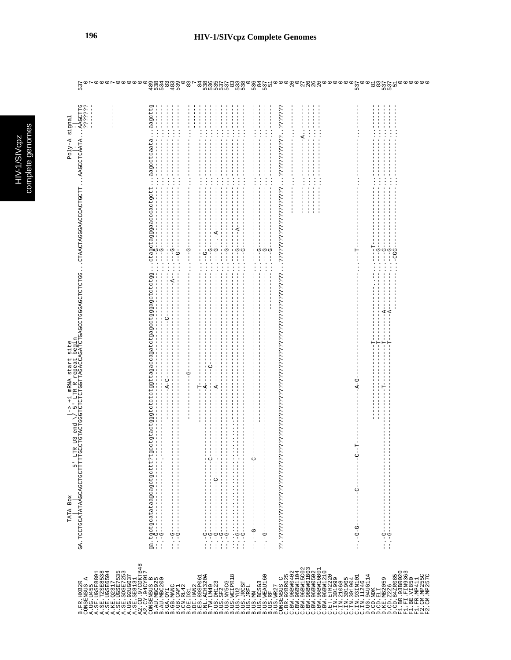HIV-1/SIVcpz<br>complete genomes

|                                                                                                                                                                                                                                                                                                                                                |                                                                                                                                                                                                                                                                                                                                                                                                                                                                                                                                                                                                                                                                                                                                                                                                                                                                                                                                                                                                                                                                                                                                                                                                                                                                                                                                                                                                                                                                                                                                                                                                                                                                                                                                                                                                                                                                                                                                                                                                                                                                                                                                                                                                                                                                                                                                                                                                                                                                                                                                                                                                                                                                                                                                                                                                                                                                                                                                                                                                                                                                                                                                                                                                                                                                                                                                                                                                             |                                                                                                                                                                                                                                                                                                                                                                                                                                                                                                                                                                                                                                                                                                                                                                                                                                                                                                                                                                                                                                                                                                                                                                                                                                                                                                                                                                                                                                                                                                                                                                                                                                                                                                                                                                                                                                                                                                                                                                                                                                                                                                                                                                                                                                                                                                                                                                                                                                                                                                                                                                                                                                                                                                                                                                                                                                                                                                                                                                                                                                                                                                                                                                                                                                                                                                                                                                                                                                                                                                                                                                                                                                                                                                                                                                                                                                                                                                                                                                                                                                                                                                                                                                                                                                                                                                                                                                                                                                                                                                                                                                                                                                                                                                                                                                                                                                                                                                                                                                                                                                                                                                                                                                                                                                                                                                                                                                                                                                                                                                                                                      |                                                                                                                                                                                                                                                                                                                                                                                                                                                                                                                                                                                                                                                                                                                                                                                                                                                                                                                                                                                                                                                                                                                                                                                                                                                                                                                                                                                                                                                                                                                                                                                                                                                                                                                                                                                                                                                                                                                                                                                                                                                                                                                                                                                                                                                                                                                                                                                                                                                                                                                                                                                                                                                                                                                         |                                                                                                                                                                                                                                                                                                                                                                                                                                                                                                                                                                                                                                                                                                                                                                                                                                        | ע שהוא קווי שהשמעה היה היה היה היה שהוא היה שהשמעה של המשחק היה שהיה לא היה שהיה לא היה שהיה לא היה לא היה לא<br>היה המשחק המשחק המשחק המשחק המשחק היה המשחק היה המשחק היה המשחק היה המשחק היה היה היה היה לא היה לא היה לא היה                                                                                                                                                                                                                                                                                                                                                                                                                                                                                                                                                                                                                                                                                                                                                                                                                                                                                                                                                                                                           |
|------------------------------------------------------------------------------------------------------------------------------------------------------------------------------------------------------------------------------------------------------------------------------------------------------------------------------------------------|-------------------------------------------------------------------------------------------------------------------------------------------------------------------------------------------------------------------------------------------------------------------------------------------------------------------------------------------------------------------------------------------------------------------------------------------------------------------------------------------------------------------------------------------------------------------------------------------------------------------------------------------------------------------------------------------------------------------------------------------------------------------------------------------------------------------------------------------------------------------------------------------------------------------------------------------------------------------------------------------------------------------------------------------------------------------------------------------------------------------------------------------------------------------------------------------------------------------------------------------------------------------------------------------------------------------------------------------------------------------------------------------------------------------------------------------------------------------------------------------------------------------------------------------------------------------------------------------------------------------------------------------------------------------------------------------------------------------------------------------------------------------------------------------------------------------------------------------------------------------------------------------------------------------------------------------------------------------------------------------------------------------------------------------------------------------------------------------------------------------------------------------------------------------------------------------------------------------------------------------------------------------------------------------------------------------------------------------------------------------------------------------------------------------------------------------------------------------------------------------------------------------------------------------------------------------------------------------------------------------------------------------------------------------------------------------------------------------------------------------------------------------------------------------------------------------------------------------------------------------------------------------------------------------------------------------------------------------------------------------------------------------------------------------------------------------------------------------------------------------------------------------------------------------------------------------------------------------------------------------------------------------------------------------------------------------------------------------------------------------------------------------------------------|------------------------------------------------------------------------------------------------------------------------------------------------------------------------------------------------------------------------------------------------------------------------------------------------------------------------------------------------------------------------------------------------------------------------------------------------------------------------------------------------------------------------------------------------------------------------------------------------------------------------------------------------------------------------------------------------------------------------------------------------------------------------------------------------------------------------------------------------------------------------------------------------------------------------------------------------------------------------------------------------------------------------------------------------------------------------------------------------------------------------------------------------------------------------------------------------------------------------------------------------------------------------------------------------------------------------------------------------------------------------------------------------------------------------------------------------------------------------------------------------------------------------------------------------------------------------------------------------------------------------------------------------------------------------------------------------------------------------------------------------------------------------------------------------------------------------------------------------------------------------------------------------------------------------------------------------------------------------------------------------------------------------------------------------------------------------------------------------------------------------------------------------------------------------------------------------------------------------------------------------------------------------------------------------------------------------------------------------------------------------------------------------------------------------------------------------------------------------------------------------------------------------------------------------------------------------------------------------------------------------------------------------------------------------------------------------------------------------------------------------------------------------------------------------------------------------------------------------------------------------------------------------------------------------------------------------------------------------------------------------------------------------------------------------------------------------------------------------------------------------------------------------------------------------------------------------------------------------------------------------------------------------------------------------------------------------------------------------------------------------------------------------------------------------------------------------------------------------------------------------------------------------------------------------------------------------------------------------------------------------------------------------------------------------------------------------------------------------------------------------------------------------------------------------------------------------------------------------------------------------------------------------------------------------------------------------------------------------------------------------------------------------------------------------------------------------------------------------------------------------------------------------------------------------------------------------------------------------------------------------------------------------------------------------------------------------------------------------------------------------------------------------------------------------------------------------------------------------------------------------------------------------------------------------------------------------------------------------------------------------------------------------------------------------------------------------------------------------------------------------------------------------------------------------------------------------------------------------------------------------------------------------------------------------------------------------------------------------------------------------------------------------------------------------------------------------------------------------------------------------------------------------------------------------------------------------------------------------------------------------------------------------------------------------------------------------------------------------------------------------------------------------------------------------------------------------------------------------------------------------------------------------------------------------------|-------------------------------------------------------------------------------------------------------------------------------------------------------------------------------------------------------------------------------------------------------------------------------------------------------------------------------------------------------------------------------------------------------------------------------------------------------------------------------------------------------------------------------------------------------------------------------------------------------------------------------------------------------------------------------------------------------------------------------------------------------------------------------------------------------------------------------------------------------------------------------------------------------------------------------------------------------------------------------------------------------------------------------------------------------------------------------------------------------------------------------------------------------------------------------------------------------------------------------------------------------------------------------------------------------------------------------------------------------------------------------------------------------------------------------------------------------------------------------------------------------------------------------------------------------------------------------------------------------------------------------------------------------------------------------------------------------------------------------------------------------------------------------------------------------------------------------------------------------------------------------------------------------------------------------------------------------------------------------------------------------------------------------------------------------------------------------------------------------------------------------------------------------------------------------------------------------------------------------------------------------------------------------------------------------------------------------------------------------------------------------------------------------------------------------------------------------------------------------------------------------------------------------------------------------------------------------------------------------------------------------------------------------------------------------------------------------------------------|----------------------------------------------------------------------------------------------------------------------------------------------------------------------------------------------------------------------------------------------------------------------------------------------------------------------------------------------------------------------------------------------------------------------------------------------------------------------------------------------------------------------------------------------------------------------------------------------------------------------------------------------------------------------------------------------------------------------------------------------------------------------------------------------------------------------------------------|-------------------------------------------------------------------------------------------------------------------------------------------------------------------------------------------------------------------------------------------------------------------------------------------------------------------------------------------------------------------------------------------------------------------------------------------------------------------------------------------------------------------------------------------------------------------------------------------------------------------------------------------------------------------------------------------------------------------------------------------------------------------------------------------------------------------------------------------------------------------------------------------------------------------------------------------------------------------------------------------------------------------------------------------------------------------------------------------------------------------------------------------------------------------------------------------------------------------------------------------|
| <b>ひ へ</b><br>idsidas.<br>Diliop <del>yy</del><br>п<br>$\frac{signal}{}$<br>п<br>- 1<br>U-> +1 mRNA start site<br>U3 end \/ 5' LTR R repeat begin<br>CTGTACTGGGTCTCTCGGTTAGACCAGATCTGAGCCTGGGAGCTCTCTGGCTAACTAGGGAACCCACTGCTTAAGCCTCAATA<br>$\begin{bmatrix} 1 & 1 \\ 1 & 1 \\ 2 & 1 \end{bmatrix}$ GA. TCCTGCATARAGCAGCTGCTTTTTGC<br>TATA BOX | তা<br>$\blacksquare$<br>J.<br>$\mathbf{I}$<br>$\mathbf{I}$<br>$\mathbf{I}$<br>.aagctt,<br>$\mathbf{I}$<br>J<br>$\frac{1}{1}$<br>$\mathbf{I}$<br>$\frac{1}{1}$<br>$\frac{1}{1}$<br>$\frac{1}{4}$<br>$\mathbf{I}$<br>ł<br>$\mathbf I$<br>$\overline{\phantom{a}}$<br>$\mathbf I$<br>$\blacksquare$<br>$\mathbf{I}$<br>$\frac{1}{2}$<br>$\mathbf{I}$<br>J.<br>$\bullet$<br>$\bullet$<br>$\cdot$<br>$\bullet$<br>$\ddot{\cdot}$<br>$\cdot$<br>$\bullet$<br>$\bullet$<br>$\cdot$<br>$\cdot$<br>$\cdot$<br>$\cdot$<br>$\cdot$<br>aagcctcaata.<br>$\frac{1}{1}$<br>$\pm$<br>$\mathbf{I}$<br>$\mathbf{I}$<br>$\mathbf{I}$<br>-<br>$\mathsf I$<br>$\overline{\phantom{a}}$<br>J.<br>$\mathbf{I}$<br>$\mathbf{I}$<br>$\blacksquare$<br>$\mathbf{I}$<br>$\mathbf{I}$<br>п<br>т<br>$\mathbf{I}$<br>Ť.<br>T<br>$\blacksquare$<br>$\mathbf{I}$<br>$\frac{1}{1}$<br>$\mathbf{I}$<br>-1<br>-1<br>$\mathsf I$<br>-1<br>п<br>т<br>Ħ<br>Œ.<br>ţ<br>$\cdot$<br>$\cdot$<br>$\cdot$<br>$\cdot$<br>$\begin{aligned} \vdots \ \texttt{ctagger}\ \texttt{gg} \ \texttt{gg} \ \texttt{gg} \ \texttt{gg} \ \texttt{g} \ \texttt{g} \ \texttt{g} \ \texttt{g} \ \texttt{g} \ \texttt{g} \ \texttt{g} \ \texttt{g} \ \texttt{g} \ \texttt{g} \ \texttt{h} \ \texttt{h} \ \texttt{h} \ \texttt{h} \ \texttt{h} \ \texttt{h} \ \texttt{h} \ \texttt{h} \ \texttt{h} \ \texttt{h} \ \texttt{h} \ \texttt{h} \ \texttt{h} \ \texttt{h} \ \texttt{h} \ \$<br>1<br>$\blacksquare$<br>$\mathbf{I}$<br>$\mathbf{I}$<br>$\mathbf{I}$<br>$\mathbf{I}$<br>п.<br>$\mathbf{I}$<br>п<br>$\frac{1}{\sqrt{2}}$<br>л.<br>$\cdot$<br>$\bullet$<br>$\cdot$<br>$\bullet$<br>$\cdot$<br>$\cdot$<br>$\cdot$<br>$\cdot$<br>$\cdot$<br>$\cdot$<br>$\mathbf{I}$<br>$\mathbf{L}$<br>$\mathbf{I}$<br>$\mathbf{I}$<br>$\mathbf{I}$<br>$\mathbf{I}$<br>$\mathsf I$<br>$\overline{A}$<br>$\mathbf I$<br>$\mathbf I$<br>$\mathbf{I}$<br>-1<br>$\mathbf{I}$<br>$\overline{\phantom{a}}$<br>$\mathbf{I}$<br>$\mathbf{I}$<br>Ţ<br>$\mathbf{I}$<br>$\overline{\phantom{a}}$<br>$\blacksquare$<br>$\mathbf{I}$<br>$\blacksquare$<br>$\blacksquare$<br>- 1<br>-11<br>-1<br>$\mathbb T$<br>л<br>$\mathbf{I}$<br>-1<br>$\mathbf{I}$<br>л<br>$\mathsf I$<br>J,<br>Τİ<br>-1<br>$\frac{1}{1}$<br>$\frac{1}{2}$<br>$\,$ I<br>$\mathbf{I}$<br>$\mathbf{I}$<br>$\overline{\phantom{a}}$<br>I<br>T<br>$\blacksquare$<br>$\mathbf{I}$<br>п<br>п<br>п<br>-1<br>-1<br>$\mathbf{I}$<br>$\blacksquare$<br>$\overline{1}$<br>$\blacksquare$<br>$\mathbf{I}$<br>$\mathbf{I}$<br>$\blacksquare$<br>$\blacksquare$<br>$\mathbf{I}$<br>$\mathbf{I}$<br>п<br>$\mathbf{I}$<br>$\mathbf{I}$<br>$\mathbf{I}$<br>- 1<br>- 11<br>$\mathbf{I}$<br>$\mathbf I$<br>$\mathbf I$<br>$\mathbf{I}$<br>T<br>ひ<br>$\mathbf{I}$<br>$\mathbf{I}$<br>$\mathbf{I}$<br>$\blacksquare$<br>J.<br>$\mathbf{I}$<br>$1 - 1$<br>$\mathbf{I}$<br>$A-C$<br>$\blacksquare$<br>$\mathbf{I}$<br>п.<br>- 1<br>т.<br>$\mathsf I$<br>$\mathbb T$<br>$\overline{\phantom{a}}$<br>$\mathbf{I}$<br>п<br>$\mathsf I$<br>$\overline{\phantom{a}}$<br>J.<br>$\frac{1}{1}$<br>$\blacksquare$<br>ŧ<br>$\blacksquare$<br>л<br>$\blacksquare$<br>п<br>п<br>$\mathbf{I}$<br>$\mathbf I$<br>$\blacksquare$<br>$\mathbf{I}$<br>$\mathbf{I}$<br>J.<br>$\mathbf{I}$<br>$\mathbf{I}$<br>-1<br>- 1<br>п<br>- 1<br>- 1<br>$\mathbf{I}$<br>$\mathbf{I}$<br>п<br>-1<br>п<br>п<br>1<br>$-5$<br>$\ddot{\circ}$ $\ddot{\circ}$<br>$\frac{\infty}{\infty}$ | $\frac{1}{1}$<br>I<br>$\overline{\phantom{a}}$<br>$\frac{1}{1}$<br>$\frac{1}{1}$<br>$\frac{1}{4}$<br>п<br>Ť<br>$\frac{1}{1}$<br>ł<br>п<br>I.<br>$\mathbf{I}$<br>J.<br>J.<br>$\mathbf{I}$<br>J.<br>п<br>÷<br>÷,<br>Ŧ,<br>$\bullet$<br>$\cdot$<br>$\cdot$<br>$\cdot$<br>$\cdot$<br>$\cdot$<br>$\cdot$ $\cdot$<br>$\cdot$ $\cdot$<br>$\cdot$<br>$\cdot$<br>$\cdot$<br>$\cdot$<br>$\frac{1}{4}$<br>$\blacksquare$<br>$\frac{1}{4}$<br>Ţ<br>$\blacksquare$<br>Ł<br>$\frac{1}{1}$<br>$\frac{1}{1}$<br>f,<br>п<br>$\mathsf I$<br>$\overline{\phantom{a}}$<br>$\mathsf I$<br>I<br>$\blacksquare$<br>$\blacksquare$<br>$\mathbf{I}$<br>$\mathbf{I}$<br>$\mathbf{I}$<br>I.<br>- 1<br>-1<br>$\blacksquare$<br>$\frac{1}{4}$<br>$\blacksquare$<br>-1<br>$\mathbf{I}$<br>л.<br>п<br>- 1<br>$\mathbf{I}$<br>- 11<br>Ť.<br>$\mathbf{I}$<br>$\mathbf{I}$<br>$\blacksquare$<br>1<br>$\blacksquare$<br>$\frac{1}{4}$<br>$\mathbf{I}$<br>Ť<br>Ţ<br>$\mathbf{I}$<br>$\blacksquare$<br>$\mathbf{I}$<br>$\mathbf{I}$<br>п<br>-1<br>$\mathbf{I}$<br>$\mathbf{I}$<br>- 1<br>$\mathbf{I}$<br>L<br>Ι.<br>$\mathbf{I}$<br>п<br>ш<br>000<br>÷<br>÷<br>$\ddot{\cdot}$<br>$\vdots$<br>$\cdot$<br>$\bullet$<br>$\cdot$<br>$\mathsf I$<br>$\,$ I<br>$\mathbb{R}^n$<br>$\,$ I<br>$\mathsf I$<br>$\mathbf{I}$<br>L<br>$\mathbf{I}$<br>$\mathbf{I}$<br>$\frac{1}{4}$<br>J.<br>Ť<br>Ţ<br>$\mathbf{I}$<br>$\blacksquare$<br>$\blacksquare$<br>$\mathbf{I}$<br>п<br>-1<br>-1<br>$\blacksquare$<br>Ť.<br>$\mathsf I$<br>Ι.<br>т<br>$\mathsf I$<br>I<br>$\mathbf{I}$<br>$\blacksquare$<br>$\mathbf{I}$<br>$\blacksquare$<br>$\mathbf{I}$<br>T.<br>п.<br>$\blacksquare$<br>$\blacksquare$<br>-1<br>$\blacksquare$<br>л.<br>-1<br>$\blacksquare$<br>$\mathbf{I}$<br>$\mathbf{I}$<br>$\mathbf{I}$<br>$\mathbf{I}$<br>$\blacksquare$<br>$\blacksquare$<br>$\mathbf{I}$<br>I.<br>п<br>$\mathbf{L}$<br>л.<br>$\blacksquare$<br>$\blacksquare$<br>-1<br>-1<br>л.<br>п<br>$\mathbf I$<br>$\mathbf{I}$<br>$\mathbf{I}$<br>$-4-$<br>-1<br>$\blacksquare$<br>$\blacksquare$<br>$\mathbf{I}$<br>$-1$<br>$-1$<br>$-1$<br>$-1$<br>$-1$<br>$-1$<br>$-1$<br>$-1$<br>-1<br>$\blacksquare$<br>$\mathbf{L}$<br>п.<br>-1<br>п<br>Ι.<br>$\mathbf{I}$<br>$\blacksquare$<br>п<br>1<br>$\overline{\phantom{a}}$<br>$\mathbf{I}$<br>-1<br>$\mathbf{L}$<br>- 1<br>÷<br>十十<br>$\overline{\phantom{a}}$<br>л.<br>- 1<br>$\blacksquare$<br><b>ひ ひ</b><br>$\mathbb{L}$<br>$\frac{1}{1}$<br>$\mathbf{I}$<br>$\blacksquare$<br>$\mathbf{I}$<br>л.<br>-<br>$\bullet$<br>$\sim$<br>$\cdot$<br>$\cdot$<br>$\blacksquare$ .<br>$\cdot$<br>$\mathbf{I}$<br>$\blacksquare$<br>$\blacksquare$<br>$\mathbf{I}$<br>$\blacksquare$<br>$\blacksquare$<br>$\mathbf{I}$<br>$\blacksquare$<br>$\blacksquare$<br>1<br>$\mathbf I$<br>$\mathbb{L}$<br>$\mathbf{I}$<br>I.<br>$\blacksquare$<br>п<br>$\blacksquare$<br>J.<br>$\mathbf{I}$<br>Ţ<br>T<br>п<br>- 11<br>$\blacksquare$<br>$\blacksquare$<br>л.<br>п<br>-1<br>$\mathbb{I}$<br>Ι.<br>т<br>$\blacksquare$<br>$\blacksquare$<br>$\overline{\phantom{a}}$<br>$\mathbf{I}$<br>I.<br>$\mathbf{I}$<br>$\mathbf{I}$<br>п.<br>п<br>ш<br>$\mathsf I$<br>T<br>$\overline{1}$<br>T<br>j.<br>÷.<br>т<br>$\blacksquare$<br>$\mathbf{I}$<br>$\blacksquare$<br>$\mathbf{I}$<br>T<br>п<br>$\blacksquare$<br>$\mathbf{L}$<br>л.<br>п<br>-1<br>т<br>$\perp$<br>$\mathbb T$<br>Ι.<br>т<br>$\mathbf{L}$<br>$\blacksquare$<br>$\blacksquare$<br>$\mathbf{I}$<br>T<br>-1<br>л.<br>п<br>- 1<br>-1<br>$\blacksquare$<br>п<br>$\mathbf{I}$<br>$\mathbf{I}$<br>$\mathbf{I}$<br>T<br>$\blacksquare$<br>$\overline{\phantom{a}}$<br>$\mathbf{I}$<br>T<br>п<br>л.<br>п<br>$\blacksquare$<br>п.<br>т<br>1<br>$\blacksquare$<br>п<br>т<br>1<br>$\overline{\phantom{a}}$<br>Ι.<br>$\blacksquare$<br>$\mathbf{I}$<br>T<br>- 1<br>т<br>ပုံ<br>п.<br>- 1<br>п<br>п.<br>т<br>Ť.<br>$\mathbb{I}$<br>$\mathfrak l$<br>п<br>$\overline{\phantom{a}}$<br>Ι.<br>Ţ<br>$\mathbf{I}$<br>T<br>п<br>$\mathbf{I}$<br>Ι.<br>$\blacksquare$<br>-1<br>п.<br>т<br>Ť.<br>$\mathsf I$<br>$\mathsf I$<br>1<br>$- -A -$<br>-<br>Н<br>A<br>$\mathbf I$<br>$\mathsf I$<br>$\mathsf I$<br>Ť<br>$\frac{1}{2}$<br>$\mathbf{I}$<br>Ţ<br>T<br>$\mathbf{I}$<br>$\blacksquare$<br>$\mathbf{I}$<br>л.<br>$\mathbb{I}$<br>T<br>-1<br>J.<br>$\mathbf{I}$<br>T<br>-11<br>л.<br>п<br>$\mathbf{I}$<br>-1<br>л.<br>Ť<br>1<br>Ť<br>$\mathbf{I}$<br>-1<br>ш<br>1<br>$\blacksquare$<br>$\overline{\phantom{a}}$<br>$\mathbf{I}$<br>$\mathbf{I}$<br>$\mathbf{I}$<br>Т<br>$\blacksquare$<br>- 11<br>$\blacksquare$<br>л.<br>п<br>-1<br>- 1<br>л.<br>$\blacksquare$<br>1<br>$\mathbf{I}$<br>$\mathbf{I}$<br>ш<br>$\mathbf{I}$<br>$\mathbf{L}$<br>п.<br>$\bullet$<br>$-1$<br>$\frac{1}{1}$<br>$\frac{1}{1}$<br>п<br>I<br>$\frac{1}{1}$<br>$\frac{1}{1}$<br>$-5 -$<br>$\overline{\phantom{a}}$<br>$\frac{1}{1}$<br>$\frac{1}{1}$<br>$\overline{\phantom{a}}$<br>$\mathbf{I}$<br>п<br>п<br>$\overline{\phantom{a}}$<br>ı<br>п<br>л.<br>J.<br>л.<br>J.<br>$\mathbf{I}$<br>$\mathbf{I}$<br>л<br>l<br>ш<br>$\mathsf I$<br>$\begin{array}{c} \rule{0pt}{2.5ex} \rule{0pt}{2.5ex} \rule{0pt}{2.5ex} \rule{0pt}{2.5ex} \rule{0pt}{2.5ex} \rule{0pt}{2.5ex} \rule{0pt}{2.5ex} \rule{0pt}{2.5ex} \rule{0pt}{2.5ex} \rule{0pt}{2.5ex} \rule{0pt}{2.5ex} \rule{0pt}{2.5ex} \rule{0pt}{2.5ex} \rule{0pt}{2.5ex} \rule{0pt}{2.5ex} \rule{0pt}{2.5ex} \rule{0pt}{2.5ex} \rule{0pt}{2.5ex} \rule{0pt}{2.5ex} \rule{0$<br>J,<br>$\ddot{\ddot{\theta}}$<br>ې<br>.<br>$\ddot{\circ}$ - $\ddot{\circ}$<br>9<br>-- - -<br>$-1$<br>$-1 - 9$<br>$\frac{1}{1}$<br>$\overline{\phantom{a}}$ | ς.<br>$\mathbf{I}$<br>-1<br>J.<br>п<br>cccc<br>$\mathbf{I}$<br>$\mathbf{I}$<br>$\mathbf{I}$<br>$\overline{\phantom{a}}$<br>J.<br>$\overline{1}$<br>ł<br>$\mathbf{I}$<br>п<br>J.<br>L.<br>$\mathbf I$<br>$\mathsf I$<br>I<br>J.<br>$\overline{1}$<br>$\frac{1}{2}$<br>ı<br>Í,<br>$\mathbf{I}$<br>J.<br>$\cdot$<br>$\,$ .<br>$\bullet$<br>$\cdot$<br>$\bullet$<br>$\cdot$<br>$\cdot$<br>$\cdot$<br>$\cdot$<br>$\cdot$<br>ς.<br>$\cdot$<br>1<br>$\mathbf{I}$<br>$\mathbf{I}$<br>J.<br>م.<br>م<br>$\mathbf{I}$<br>т<br>п<br>c c c<br>T<br>$\blacksquare$<br>J.<br>п<br>п<br>п<br>J.<br>ς.<br>I.<br>п<br>c c c<br>$\mathbf{I}$<br>п<br>т<br>-1<br>$\blacksquare$<br>L.<br>ς.<br>п<br>ς.<br>ı<br>Ì<br>$\bullet$<br>$\cdot$<br>$\blacksquare$<br>$\bullet$<br>$\cdot$<br>$\cdot$<br>$\cdot$<br>$\ddot{\phantom{0}}$<br>$\cdot$<br>$\begin{array}{c} \rule{0pt}{2.5ex} \rule{0pt}{2.5ex} \rule{0pt}{2.5ex} \rule{0pt}{2.5ex} \rule{0pt}{2.5ex} \rule{0pt}{2.5ex} \rule{0pt}{2.5ex} \rule{0pt}{2.5ex} \rule{0pt}{2.5ex} \rule{0pt}{2.5ex} \rule{0pt}{2.5ex} \rule{0pt}{2.5ex} \rule{0pt}{2.5ex} \rule{0pt}{2.5ex} \rule{0pt}{2.5ex} \rule{0pt}{2.5ex} \rule{0pt}{2.5ex} \rule{0pt}{2.5ex} \rule{0pt}{2.5ex} \rule{0$<br>ς.<br>$\mathbf{I}$<br>$\sum_{i=1}^{n}$<br>$\mathbf{I}$<br>$\mathbf{I}$<br>$\blacksquare$<br>$\mathbf{I}$<br>L.<br>т<br>-1<br>$\blacksquare$<br>п<br>L.<br>ς.<br>$\mathbf{I}$<br>т<br>$\mathbf{I}$<br>п<br>-1<br>c.c.c<br>$\mathbf{I}$<br>$\mathbf{I}$<br>$\blacksquare$<br>J.<br>J.<br>-1<br>$\mathbf{I}$<br>$\blacksquare$<br>п<br>$\mathbf{I}$<br>ς.<br>$\mathsf I$<br>J.<br>т<br>п<br><b>r</b><br>ς.<br>т<br>п<br>т<br>п<br>ن ځ<br>د<br>T<br>п<br>п<br>$\mathbf{I}$<br>$\blacksquare$<br>л<br>ς.<br>п.<br>т<br>$\blacksquare$<br>666666<br>I.<br>$\mathbf{I}$<br>$\mathbf{I}$<br>$\mathbf{I}$<br>$\blacksquare$<br>$\overline{\phantom{a}}$<br>$\blacksquare$<br>-1<br>じ じ<br>ひ<br>$\mathbf{I}$<br>$\frac{1}{1}$<br>Ī<br>$\mathbf{I}$<br>п<br>$\mathbf{I}$<br>-11<br>п<br>٠.<br>$\cdot$<br>$\cdot$<br>$\cdot$<br>$\cdot$<br>$\cdot$<br>$\cdot$<br>$\mathbf{L}$<br>$\blacksquare$<br>$\mathfrak{g}$ .<br>$\mathbf{I}$<br>п<br>ς.<br>$\mathbf I$<br>п<br>ن ن<br>د<br>-1<br>п<br>т<br>-1<br>ς.<br>666666<br>т<br>т<br>ш<br>$\mathbf{I}$<br>т<br>ш<br>ن ځ ځ<br>т<br>-1<br>п<br>$\sim$<br>ن ن<br>د<br>-1<br>п<br>$\sim$<br>ن ځ ځ<br>п<br>-1<br>п<br>$\sim$<br>ن ن<br>د<br>-1<br>п<br>$\sim$<br>ن ن<br>د<br>л<br>-1<br>-1<br>ς.<br>ن ن<br>د<br>-1<br>-1<br>ш<br>ن ځ<br>د<br>-1<br>ς.<br>ن ن<br>د<br>T<br>$\mathbf{I}$<br>т<br>$\mathbf{I}$<br>$\sim$<br>$\mathbf{I}$<br>ن ځ ځ<br>ς.<br>ი.<br>ن<br>پ<br>ω.<br>とと、 とこととこととこととこととこととこととこと<br>ပုံ<br>л<br>л<br>л<br>$-1$ .<br>ن<br>!<br>I<br>$\mathbf{I}$<br>J. | $\blacksquare$<br>$\mathbf{I}$<br>$\mathbf{I}$<br>- 1<br>$\mathbf{I}$<br>1<br>H<br>Ť.<br>$\mathbf{I}$<br>$\mathsf I$<br>$\mathbf{I}$<br>-1<br>ı<br>$\frac{1}{1}$<br>$\cdot$<br>$\cdot$<br>$\cdot$<br>$\cdot$<br>Ч<br>$\ddot{\phantom{a}}$<br>T<br>$\,$ I<br>п<br>$\mathbf{I}$<br>л.<br>$\mathbf{I}$<br>п<br>$\mathbf{I}$<br>-1<br>л.<br>$\mathbf{I}$<br>1<br>$\bullet$<br>$\vdots$<br>$\cdot$<br>$\ddot{\phantom{0}}$<br>$\cdot$<br>$\cdot$<br>$\cdot$<br>$\ddot{\phantom{0}}$<br>$\mathbb{L}$<br>$\mathbb T$<br>j.<br>$\mathbf{I}$<br>$\blacksquare$<br>H<br>л.<br>п.<br>$\blacksquare$<br>л<br>$\mathbf I$<br>$\mathbf{I}$<br>п<br>-1<br>$\overline{\phantom{a}}$<br>$\mathsf I$<br>L.<br>$\mathbf{I}$<br>$\overline{\phantom{a}}$<br>J.<br>$\mathbf{I}$<br>п.<br>$\blacksquare$<br>л<br>$\mathsf I$<br>$\mathbf{I}$<br>$\mathbf{I}$ | $\mathbb I$<br>-1<br>J.<br>$\overline{1}$<br>$\mathbf{I}$<br>J.<br>$\blacksquare$<br>$\frac{1}{1}$<br>-1<br>$\overline{\phantom{a}}$<br>$\frac{1}{4}$<br>I<br>٠.<br>٠<br>$\cdot$<br>$\cdot$<br>$\cdot$<br>J.<br>T<br>$\vdots$<br>$\vdots$<br>$\cdot$<br>$\ddot{\phantom{a}}$<br>л<br>$\mathbf{I}$<br>$\mathbf{I}$<br>$\mathbf{I}$<br>$\frac{1}{2}$<br>- 1<br>-1<br>-1<br>- 1<br>ပ် ပုံ<br>၂ ၂<br>ပ် ပွဲ<br>  ပွဲ<br>   <br>Н<br>J.<br>т<br>×,<br>$\cdot$<br>$\bullet$<br>$\cdot$<br>$\cdot$<br>$\cdot$<br>$\cdot$<br>$\mathbf{I}$<br>т<br>л<br>ш<br>J.<br>$\mathbf{I}$<br>$-A$ -<br>$-4$<br>$\overline{1}$<br><b>I</b><br>-1<br>-1<br>$\frac{1}{1}$<br>$\mathbf{I}$<br>J.<br>п<br>-1<br>п<br>н<br>부부<br>Е<br>-1<br>ひ<br>ш<br>$\bar{A}$<br>۴<br>$\blacksquare$<br>л<br>п<br>Н<br>ပုံ<br>p<br>т<br>п<br>т<br><b>0-0-1-1</b><br>$\begin{array}{c} \rule{0pt}{2.5ex} \rule{0pt}{2.5ex} \rule{0pt}{2.5ex} \rule{0pt}{2.5ex} \rule{0pt}{2.5ex} \rule{0pt}{2.5ex} \rule{0pt}{2.5ex} \rule{0pt}{2.5ex} \rule{0pt}{2.5ex} \rule{0pt}{2.5ex} \rule{0pt}{2.5ex} \rule{0pt}{2.5ex} \rule{0pt}{2.5ex} \rule{0pt}{2.5ex} \rule{0pt}{2.5ex} \rule{0pt}{2.5ex} \rule{0pt}{2.5ex} \rule{0pt}{2.5ex} \rule{0pt}{2.5ex} \rule{0$<br>$-5 - - -$<br>$\ddot{c}$ |

**HIV-1/SIVcpz Complete Genomes**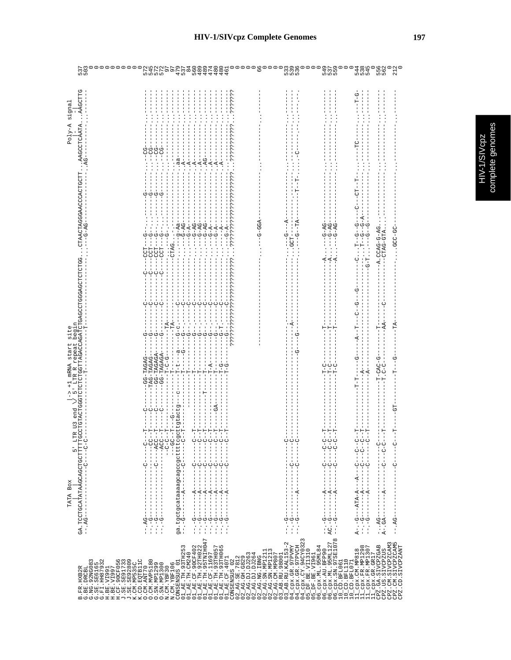|                                    | 0000000000<br>3<br>53.<br>50                                                                                                                                                                                                                                                                        |          |                                                                          |                                                               |                                   |                                                            |                                        |                                          |                                                                                                                                |                                                                                                                                                                                                                        |                         |                                                                          |                                                                                          | LUNUN 410 N444444<br>L4LLOVLUNG COOC<br>UNUNLLOVLA                                                                                             |  |       | $\overset{\circ}{\circ}$ |                  |                                                 |                                                             | M M W O O O O<br>M M M<br>L M L M |                                                                                                                                                                                                               |                                                                              | していこのの<br>ひとしているので<br>ひとりののの |                                                             | 548<br>588<br>588                                                                           | O                         | 55G                                                               | $\overline{21}$                                            |
|------------------------------------|-----------------------------------------------------------------------------------------------------------------------------------------------------------------------------------------------------------------------------------------------------------------------------------------------------|----------|--------------------------------------------------------------------------|---------------------------------------------------------------|-----------------------------------|------------------------------------------------------------|----------------------------------------|------------------------------------------|--------------------------------------------------------------------------------------------------------------------------------|------------------------------------------------------------------------------------------------------------------------------------------------------------------------------------------------------------------------|-------------------------|--------------------------------------------------------------------------|------------------------------------------------------------------------------------------|------------------------------------------------------------------------------------------------------------------------------------------------|--|-------|--------------------------|------------------|-------------------------------------------------|-------------------------------------------------------------|-----------------------------------|---------------------------------------------------------------------------------------------------------------------------------------------------------------------------------------------------------------|------------------------------------------------------------------------------|------------------------------|-------------------------------------------------------------|---------------------------------------------------------------------------------------------|---------------------------|-------------------------------------------------------------------|------------------------------------------------------------|
| signal                             | AAGCTTG                                                                                                                                                                                                                                                                                             |          | $\mathbf{I}$<br>л.<br>п                                                  | $\frac{1}{1}$                                                 |                                   | $\begin{array}{c} \hline \end{array}$<br>Ť<br>$\mathsf I$  | J.<br>Ţ                                | I<br>ł<br>$\vdots$                       | J.<br>л<br>Ť<br>ı<br>$\cdot$                                                                                                   | $\begin{array}{c} \hline \end{array}$<br>Ť<br>$\vdots$<br>$\vdots$                                                                                                                                                     | J.<br>I                 | Ť                                                                        |                                                                                          | ς.<br>5666<br>$\mathfrak{g}$ .                                                                                                                 |  |       |                          | ı<br>т           | J.<br>п                                         | Ì,                                                          |                                   | J.<br>$\begin{array}{c} \hline \end{array}$<br>-1<br>Ť.<br>J.<br>$\bullet$                                                                                                                                    | H<br>J.<br>J.                                                                |                              | - T-                                                        | T<br>ţ<br>$\blacksquare$<br>ï<br>ı                                                          |                           | $\mathbf{I}$                                                      |                                                            |
| $Poly-A$                           | AAGCCTCAATA                                                                                                                                                                                                                                                                                         |          | ליטי ליטי<br>לי                                                          |                                                               | $\cdot$<br>$\mathbf{I}$           | $\vdots$<br>$\cdot$                                        | $\cdot$<br>$\cdot$                     | ł                                        | $\cdot$                                                                                                                        | $\cdot$<br>$\frac{1}{1}$                                                                                                                                                                                               |                         |                                                                          |                                                                                          | Λ.<br>ς.<br>ᡣ.<br>$\frac{1}{2}$<br>$\sim$<br>$\mathsf{\alpha}\cdot$<br>$\sum_{i=1}^{n}$<br>ი.                                                  |  |       |                          |                  |                                                 | Ò<br>т                                                      |                                   | $\cdot$<br>$\mathbf{I}$                                                                                                                                                                                       |                                                                              |                              | P<br>F                                                      |                                                                                             |                           |                                                                   |                                                            |
|                                    |                                                                                                                                                                                                                                                                                                     |          | -1                                                                       | W                                                             |                                   | $\vdots$                                                   |                                        | $\frac{1}{1}$                            |                                                                                                                                | $a = 1$<br>$a = 1$<br>$\vdots$ $a = 1$<br>$\vdots$ $a = 1$<br>$\vdots$ $a = 1$<br>$\vdots$ $a = 1$<br>$\vdots$ $a = 1$<br>$\vdots$ $a = 1$<br>$\vdots$ $a = 1$<br>$\vdots$ $a = 1$<br>$\vdots$ $a = 1$<br>$\mathbf{I}$ |                         | $\ddot{A}$ .<br>T                                                        |                                                                                          | $\ddot{\cdot}$<br>ς.<br>$\frac{1}{2}$<br>ᡣ.<br>ი.<br>$\tilde{c}$                                                                               |  |       |                          |                  |                                                 | $\mathbf{r}$<br>부<br>٣                                      |                                   |                                                                                                                                                                                                               |                                                                              |                              | 턴                                                           | $\mathbf{I}$<br>п                                                                           |                           |                                                                   |                                                            |
|                                    | . CTAACTAGGGAACCCACTGCTT<br>-94-5-                                                                                                                                                                                                                                                                  | 텅        | စုံစုံစုံစုံ<br>т.<br>$\frac{1}{4}$<br><b>しいい</b>                        | $\blacksquare$<br>草                                           | ゥ<br>$\blacksquare$<br>-<br>CTAG- | $-25 - 75$<br>Ť.<br>Ť<br>$\frac{1}{2}$                     | Ĭ<br>È                                 |                                          |                                                                                                                                |                                                                                                                                                                                                                        |                         | $G - A$<br>$\frac{1}{2}$                                                 | $-4$                                                                                     | $\sim$<br>ი.<br>$\sum_{i=1}^{n}$<br>icce<br>$\frac{1}{2}$<br>$\ddot{A}$<br>$\ddot{C}$<br>$\mathsf{c}\cdot$<br>$\tilde{\mathcal{C}}$<br>$\cdot$ |  | $G-0$ |                          | К<br>ľ<br>ひ<br>Ť | -1<br>L.<br>$\mathsf I$<br>$\frac{1}{1}$ g      | $-TTA$<br>Ġ<br>$\mathsf I$<br>п                             |                                   | $\mathbf{I}$<br>3<br>34-45<br>34-55<br>$\mathbf{I}$<br>$\begin{smallmatrix} 1 & 1 \\ 1 & 1 \\ 1 & 1 \end{smallmatrix}$                                                                                        | ĪΙ<br>$\perp$                                                                |                              | 텅<br>-<br>U<br>-1<br>υ<br>Ŧ<br>יט ט<br>   <br>  ו<br>ee<br> | $- -G - A$<br>ひ<br>$\overline{\phantom{a}}$<br>$\frac{1}{\sqrt{2}}$<br>$\blacksquare$       | A.CCAG-G-AG               | $-CTAC-GTA$                                                       | <b>CO-DO-</b>                                              |
|                                    |                                                                                                                                                                                                                                                                                                     |          | 1<br>$\mathbf{I}$<br>$\mathbf{I}$<br>oppo<br>1                           | $\mathbf{I}$<br>$1 - 1$<br>$\blacksquare$                     |                                   | $\mathsf I$<br>$\mathsf I$                                 | $\mathbf{I}$                           | $\mathbf{I}$                             |                                                                                                                                |                                                                                                                                                                                                                        |                         |                                                                          |                                                                                          | Λ.<br>ς.<br>ი.<br>$\frac{1}{2}$<br>ς.<br>$\mathsf{\small \alpha}$<br>$\mathfrak{g}$ .<br>$\alpha$                                              |  |       |                          |                  |                                                 |                                                             |                                   | $\begin{array}{c}\nA \\ A \\ I\n\end{array}$<br>$\mathbf{I}$                                                                                                                                                  |                                                                              |                              | ひ                                                           | $-1 - 5$                                                                                    |                           |                                                                   |                                                            |
| begin                              | . \/ 5' LTR R repeat begin<br>GGGTCTCTGTTAGACCAGATCTGAGCCTGGGAGCTCTCTGG                                                                                                                                                                                                                             |          | ł<br>L.<br>л.<br>п<br>т.<br>$\mathbf{I}$<br>$\mathsf I$                  | UUU I<br>$\blacksquare$                                       | -1                                | ÷,<br>H<br>$\mathbf{I}$                                    | $\frac{1}{1}$<br>υU                    | $\frac{1}{1}$<br>U<br>Ť<br>$\mathfrak l$ | $\frac{1}{1}$<br>$\frac{1}{1}$<br>Ť<br>ł                                                                                       | ÷,<br>Ť<br>Ť.                                                                                                                                                                                                          |                         | ł                                                                        |                                                                                          | ი.<br>م.<br>م<br>ς.<br>ς.<br>$\mathsf{\alpha}\cdot$<br>ი.<br>ი<br>ς.                                                                           |  |       |                          | т                | $\vec{A}$                                       |                                                             |                                   | $\frac{1}{1}$<br>п<br>부부부                                                                                                                                                                                     | $\blacksquare$                                                               |                              | ن<br>!<br>U<br>텃                                            |                                                                                             | Н                         | I<br>$-AA$                                                        | $-TA$                                                      |
| site<br>start                      |                                                                                                                                                                                                                                                                                                     | ひ        | မှု မှု မှ<br>$\mathbf{I}$<br>-1<br>Ť.                                   |                                                               |                                   | $-\frac{1}{6}$<br>Ť                                        | $\frac{1}{1}$                          | 1<br>Ţ<br>$\frac{1}{1}$                  | Ţ<br>Ţ<br>÷<br>$\frac{1}{1}$                                                                                                   | $\mathbf{I}$<br>$\mathbf{I}$<br>$\frac{1}{1}$                                                                                                                                                                          | $-4$                    | Ť<br>$\mathsf I$<br>п<br>$\frac{1}{1}$                                   | $T-5$<br>ひ<br>÷<br>$\mathsf I$<br>$\mathbf{I}$<br>ပုံ ပုံ                                | c.cc<br>$\sim$<br>ς.                                                                                                                           |  |       |                          |                  | л                                               | ひ<br>$\frac{1}{1}$<br>ひ                                     |                                   | $\blacksquare$<br>$\mathbf{I}$<br>$\mathbf{I}$                                                                                                                                                                | $\blacksquare$                                                               |                              | $\overline{A}$<br>ひ<br>Ţ<br>J.                              | J.                                                                                          |                           |                                                                   | ひ                                                          |
| mRNA<br>' LTR R<br>$\frac{1}{1}$ m |                                                                                                                                                                                                                                                                                                     | GG-TAGAG | $\mathbf{I}$<br>$\blacksquare$                                           | - 1                                                           |                                   | н<br>н<br>ł<br>Ŧ<br>$\frac{1}{1}$<br>U                     | $\mathsf{H}$<br>$\frac{1}{1}$          | Ţ                                        | н<br>н<br>÷<br>ł<br>$\blacksquare$                                                                                             | ь<br>f,<br>f,<br>÷<br> <br>-1                                                                                                                                                                                          | Н<br>ł                  |                                                                          | H <sub>H</sub>                                                                           |                                                                                                                                                |  |       |                          |                  |                                                 |                                                             |                                   | UUU<br>UUU<br>т<br>п.                                                                                                                                                                                         | $\blacksquare$                                                               |                              | ۲<br>H                                                      | ÷,<br>A<br>A<br>Ť<br>$\mathbf{I}$<br>I.                                                     |                           |                                                                   | Н                                                          |
| end<br>ב<br>-<br>ה                 | IR U3 end<br>3CCTGTACT                                                                                                                                                                                                                                                                              | ု        | L.<br>L.                                                                 | $\mathbf{I}$<br>00001<br>      <br>- 1<br>부부부부부부<br>$---ACC-$ | J.<br>$\mathbf{I}$<br>$-10$       | ה<br>J.<br>ن<br>ٻ<br>$\mathsf I$<br>$\mathbf{I}$<br>$-90-$ | scttgtacts<br>--T-------<br>sgettttege |                                          | $\mathbf{I}$<br>$\mathbf{I}$                                                                                                   | Ť.<br>$\blacksquare$<br>eeeee<br>ָטְטְטָטָטָטָ<br>אין יין יין יין                                                                                                                                                      |                         | Т<br>$\blacksquare$                                                      | 부부                                                                                       |                                                                                                                                                |  |       |                          |                  | ပုံပုံပုံ<br>Î.                                 |                                                             |                                   | $\mathbf{I}$<br>부부부<br>ή γ.<br>ÜÜÜ                                                                                                                                                                            |                                                                              |                              |                                                             | л<br>부부부<br>$\frac{1}{2}$ $\frac{1}{2}$ $\frac{1}{2}$ $\frac{1}{2}$ $\frac{1}{2}$           | J.<br>$\overline{1}$<br>Ÿ | 부<br>$\blacksquare$<br>$\frac{0}{1}$                              | 5<br>Ĥ<br>U<br>п                                           |
| Box                                |                                                                                                                                                                                                                                                                                                     | U        | $-1 - 1 - 1$<br>$\frac{1}{2}$<br>$\mathbf{I}$<br>т.<br>т.                | п                                                             |                                   | $\mathbf{I}$                                               | 0.0<br>0.1<br>0.1                      |                                          | $\mathbf{I}$<br>$\mathbf{I}$<br>$\mathbf{I}$<br>$\mathbf{I}$<br>j.<br>$\mathbf{I}$<br>$\mathbf{I}$<br>$\mathbf{I}$<br>-1<br>-1 | ŧ<br>11111<br>п<br>$\mathbf{I}$                                                                                                                                                                                        | $\frac{1}{1}$<br>п      | I<br>÷<br>$\blacksquare$<br>ł<br>$\frac{1}{1}$<br>T<br>$\mathbf{I}$<br>п | $\mathbf{I}$<br>$\mathbf{I}$<br>п<br>υU<br>- I<br>$\mathbf{I}$<br>H<br>$\mathsf I$<br>J. |                                                                                                                                                |  |       |                          |                  | L.<br>L.<br>υU<br>$\mathbf{I}$<br>л<br>L.<br>J. | л<br>$\frac{1}{1}$<br>$\blacksquare$<br>л                   |                                   | Ť.<br>Ť,<br>$\blacksquare$<br>$\mathbf{I}$<br>$\mathbf{I}$<br>$\mathbf{I}$<br>ひひひ<br>÷<br>$\mathbf{I}$<br>п<br>-1<br>п.<br>$\mathbf{I}$<br>$\mathbf{I}$                                                       | $\mathbf{I}$<br>$\mathbf{I}$<br>- 1<br>$\frac{1}{1}$<br>$\blacksquare$<br>J. |                              | υU<br>J.<br>L.<br>U<br>$\frac{1}{1}$<br>$-4$                | H<br>$\mathbf{I}$<br>U U<br>Ŧ<br>÷<br>$\mathfrak l$<br>÷<br>$\frac{1}{4}$<br>$\blacksquare$ |                           | Ü<br>$\mathbf{I}$<br>п<br>л<br>U<br>ł<br>$\mathbf{I}$<br>-1<br>J. | ш<br>U                                                     |
| TATA                               | FIFIFIONDO 40044E454D0FODF ・ 400mm                                                                                                                                                                                                                                                                  |          | л.<br>л.<br>л.<br>$\mathbf{I}$<br>п<br>т.<br>$\mathsf I$<br>$\mathbf{I}$ | J.<br>ひ                                                       |                                   |                                                            | a.tgctgcataaagca<br>-.----------       |                                          | $\mathbf{I}$<br>$\mathbf{I}$<br>$\mathbf{I}$<br>п<br>$\mathbf{I}$<br>т                                                         | $\begin{array}{c}\n -A & - \\  -A & - \\  -A & - \\  -A & - \\  -A & - \\  -A & -\n\end{array}$<br>$\,$ I<br>$\frac{1}{1}$<br>$\mathbf{I}$                                                                             | ı<br>J.<br>$\mathbf{I}$ | I<br>ı<br>T<br>$\mathbf I$                                               | K,<br>K,<br>$\frac{1}{1}$<br>f.<br>$\overline{1}$<br>п<br>$\blacksquare$<br>$\mathbf{I}$ |                                                                                                                                                |  |       |                          | т                | $\mathbf{I}$<br>L.<br>L.<br>-1                  | A<br>$\frac{1}{1}$<br>$\blacksquare$<br>п<br>$\blacksquare$ |                                   | $\begin{array}{c}\n- A - \\ - A \\ - A \\ - \end{array}$<br>$\overline{\phantom{a}}$<br>$\blacksquare$<br>$\mathbf{I}$<br>- 11<br>$\mathbf{I}$<br>$\blacksquare$<br>$\frac{1}{6}$ $\frac{1}{6}$ $\frac{1}{6}$ | $\blacksquare$<br>- 1<br>$\pm$ $\pm$                                         |                              |                                                             |                                                                                             |                           | К<br>Ĭ<br>$\mathbf{I}$<br>п<br>п                                  |                                                            |
|                                    | .AG                                                                                                                                                                                                                                                                                                 | $-.AG.$  | ပုံပုံ<br> -<br>   <br>$\mathbf{I}$<br>п                                 | $\frac{1}{2}$<br>$\,$ I<br>$\blacksquare$                     |                                   |                                                            | ו רס                                   |                                          | $1 - 1$                                                                                                                        | י יוויון<br>קייריון<br>קייריון<br>$\mathbf{I}$                                                                                                                                                                         | $\blacksquare$          | -1<br>- 1                                                                |                                                                                          |                                                                                                                                                |  |       |                          | I.               | စုံစုံစုံ<br> -<br>!!!<br>$\mathbf{I}$          | $\blacksquare$                                              |                                   | $\mathsf I$<br>T                                                                                                                                                                                              | $AC -$                                                                       |                              |                                                             | $\ddot{A}$ = $\ddot{A}$ = $\ddot{A}$ = $\ddot{A}$                                           | $\mathsf I$               | GA-<br>A                                                          | $-.AG-$                                                    |
|                                    | $\begin{smallmatrix} (3,102,123)\\ (2,102,138)\\ (2,102,138)\\ (2,102,139)\\ (2,102,139)\\ (2,102,139)\\ (2,102,139)\\ (2,102,139)\\ (2,102,139)\\ (2,102,130)\\ (2,102,130)\\ (2,102,130)\\ (2,102,130)\\ (2,102,130)\\ (2,102,130)\\ (2,102,130)\\ (2,102,130)\\ (2,102,130$<br>.HXB2R<br>T.DRCBL |          |                                                                          |                                                               |                                   |                                                            |                                        |                                          |                                                                                                                                |                                                                                                                                                                                                                        |                         |                                                                          |                                                                                          |                                                                                                                                                |  |       |                          |                  |                                                 |                                                             |                                   |                                                                                                                                                                                                               |                                                                              |                              |                                                             |                                                                                             |                           |                                                                   | CPZ.CM.SIVCPZCAM3<br>CPZ.CM.SIVCPZCAM5<br>CPZ.CD.SIVCPZAMT |
|                                    | $F$ R.<br>四ひ                                                                                                                                                                                                                                                                                        |          |                                                                          |                                                               |                                   |                                                            |                                        |                                          |                                                                                                                                |                                                                                                                                                                                                                        |                         |                                                                          |                                                                                          |                                                                                                                                                |  |       |                          |                  |                                                 |                                                             |                                   |                                                                                                                                                                                                               |                                                                              |                              |                                                             |                                                                                             |                           |                                                                   |                                                            |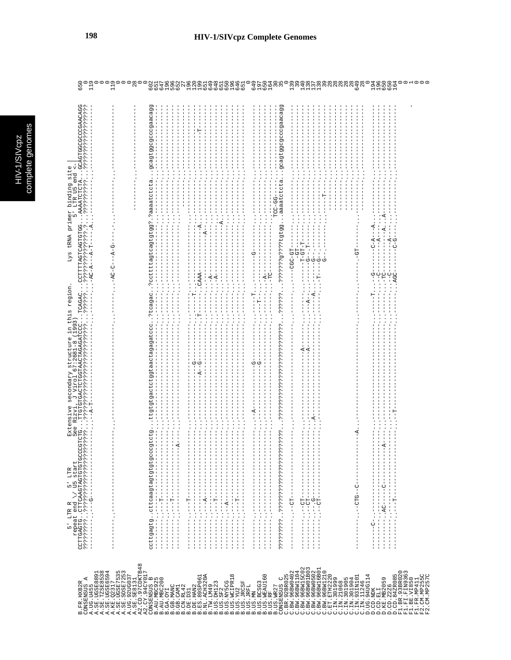complete genomes HIV-1/SIVcpz

|                                                                                                                                                                                                                                                                                                                                                                                        |                                                                                                                 |                                                                                                                          | R H H MORGHING HHHRARARDANG AHRH HHHH NA HHRARARDAH DONG HARARDAH ARANG ARANG ARANG ANG HARAH HARAH A HHRAH HA<br>M H H M DIA40 AMARARDAH ARANG ARANG AMARAH AMAH ARANG ARANG ARANG ARANG ARANG ANG AHRAH A HARAH A HARAH HARAH<br>D |                                                                                                                                                                                                                                                                                                                                                                                                                                                                                                                                                                                                                                                                                                                                                                                                                                                                                                                                                                                                  |                                                                                                                                                                                                                                                                                                                                                                                                                                                                                                                                                                                                                                                                                                                                                                                                                                            |                                                                                                                                                                                                                                                                                                                                                                                                                                                                                                                                                                                                                                                                                                                                                                                                                                                                                                                                                                                                                                                                                                                                                                                                                                                         |                                                                                                                                                                                                                                                                                                                                                                                                                                                                                                                                                                                                                                                      |                                                                                                                                                                                                                                                                                                                                                                                                                                                           |                                                                                                                                                                                                                                                                                                                                                                                                                                                                                                                                                                                                                                                                                                                                                                                                                                                                                                                                                                                                                                                                                                                                                                                                                                                                                                                                                                                                                                                       |                                                                                                                                                                                                                                                                                                                                                                                                                                                                                                                                                                                                                                                                                                                                                                                                                                                                                 |                                                                                                                                                                                                                                                                                                                                                                                            |                                                                                                                                                                                                                                                                                                                                                                                                                                                                                                                                                                                                                                                        |                                                                                                                                                                                                                                                                                                                                                                                                                                                                                                   |                                                                                                                                                                                                                                                                                                                                                                                                                                                                                                                                                                                                                                                                                                                                                                                                                                                                                                                                                                                                                                                                                                                                                                                                                                                                                                                                                                                                                                        |                                                                                                                                                                                                                                                                                                                                                                                                                                                                        |                                                                                                                                                                                                                                                                                                                                                                                                                                                                                                        |                                                                                                                                                                                                                                                                                                                                                                                                                                                                                                                                                                                                                                                                                                                                                                                                                                                                                                                                                                                                                                                                                                                                                                                                                                                                                                       |                                                                                                                                    |                                                                                                                                                                                                                                                                                                                                                                                                                                                                                                                                                                                                                                     |                                                                                                                                                                                                                                                                                                                                                                                                |                                                                                                                                                                                                                                                                                                                                                                                                                                                                                                                                                                                                                 |                                                                                                                                                                                                                                                                                                                                                                                                                                                                                                                                                                                                                                                                                                                                                                                                                                                                                                                                                                                                                                                                                                                                                                           |                                                                                                                                                                                                                                                                                                                                                                                                                                                                                                                                                                                                                                                                                                                                                                                                                                                                        |                                                                                                                                                                                                                                                                                                                                                                                                                                                                                                                                                  |                                                                         |                                                                                                                                                                       |                                                                                                                                                            |                                                                                                                                  |                                                                                                                                                                                                                                 |                                                                                                                                                                                                                                                                                                                                                                                                                                                                                                                                                                                                                                                                                                    |                                                                                                                                                                                                                                                                                                                                                                                                                                                                                                                            |                                                                                                                                                                                                       |   |  |
|----------------------------------------------------------------------------------------------------------------------------------------------------------------------------------------------------------------------------------------------------------------------------------------------------------------------------------------------------------------------------------------|-----------------------------------------------------------------------------------------------------------------|--------------------------------------------------------------------------------------------------------------------------|--------------------------------------------------------------------------------------------------------------------------------------------------------------------------------------------------------------------------------------|--------------------------------------------------------------------------------------------------------------------------------------------------------------------------------------------------------------------------------------------------------------------------------------------------------------------------------------------------------------------------------------------------------------------------------------------------------------------------------------------------------------------------------------------------------------------------------------------------------------------------------------------------------------------------------------------------------------------------------------------------------------------------------------------------------------------------------------------------------------------------------------------------------------------------------------------------------------------------------------------------|--------------------------------------------------------------------------------------------------------------------------------------------------------------------------------------------------------------------------------------------------------------------------------------------------------------------------------------------------------------------------------------------------------------------------------------------------------------------------------------------------------------------------------------------------------------------------------------------------------------------------------------------------------------------------------------------------------------------------------------------------------------------------------------------------------------------------------------------|---------------------------------------------------------------------------------------------------------------------------------------------------------------------------------------------------------------------------------------------------------------------------------------------------------------------------------------------------------------------------------------------------------------------------------------------------------------------------------------------------------------------------------------------------------------------------------------------------------------------------------------------------------------------------------------------------------------------------------------------------------------------------------------------------------------------------------------------------------------------------------------------------------------------------------------------------------------------------------------------------------------------------------------------------------------------------------------------------------------------------------------------------------------------------------------------------------------------------------------------------------|------------------------------------------------------------------------------------------------------------------------------------------------------------------------------------------------------------------------------------------------------------------------------------------------------------------------------------------------------------------------------------------------------------------------------------------------------------------------------------------------------------------------------------------------------------------------------------------------------------------------------------------------------|-----------------------------------------------------------------------------------------------------------------------------------------------------------------------------------------------------------------------------------------------------------------------------------------------------------------------------------------------------------------------------------------------------------------------------------------------------------|-------------------------------------------------------------------------------------------------------------------------------------------------------------------------------------------------------------------------------------------------------------------------------------------------------------------------------------------------------------------------------------------------------------------------------------------------------------------------------------------------------------------------------------------------------------------------------------------------------------------------------------------------------------------------------------------------------------------------------------------------------------------------------------------------------------------------------------------------------------------------------------------------------------------------------------------------------------------------------------------------------------------------------------------------------------------------------------------------------------------------------------------------------------------------------------------------------------------------------------------------------------------------------------------------------------------------------------------------------------------------------------------------------------------------------------------------------|---------------------------------------------------------------------------------------------------------------------------------------------------------------------------------------------------------------------------------------------------------------------------------------------------------------------------------------------------------------------------------------------------------------------------------------------------------------------------------------------------------------------------------------------------------------------------------------------------------------------------------------------------------------------------------------------------------------------------------------------------------------------------------------------------------------------------------------------------------------------------------|--------------------------------------------------------------------------------------------------------------------------------------------------------------------------------------------------------------------------------------------------------------------------------------------------------------------------------------------------------------------------------------------|--------------------------------------------------------------------------------------------------------------------------------------------------------------------------------------------------------------------------------------------------------------------------------------------------------------------------------------------------------------------------------------------------------------------------------------------------------------------------------------------------------------------------------------------------------------------------------------------------------------------------------------------------------|---------------------------------------------------------------------------------------------------------------------------------------------------------------------------------------------------------------------------------------------------------------------------------------------------------------------------------------------------------------------------------------------------------------------------------------------------------------------------------------------------|----------------------------------------------------------------------------------------------------------------------------------------------------------------------------------------------------------------------------------------------------------------------------------------------------------------------------------------------------------------------------------------------------------------------------------------------------------------------------------------------------------------------------------------------------------------------------------------------------------------------------------------------------------------------------------------------------------------------------------------------------------------------------------------------------------------------------------------------------------------------------------------------------------------------------------------------------------------------------------------------------------------------------------------------------------------------------------------------------------------------------------------------------------------------------------------------------------------------------------------------------------------------------------------------------------------------------------------------------------------------------------------------------------------------------------------|------------------------------------------------------------------------------------------------------------------------------------------------------------------------------------------------------------------------------------------------------------------------------------------------------------------------------------------------------------------------------------------------------------------------------------------------------------------------|--------------------------------------------------------------------------------------------------------------------------------------------------------------------------------------------------------------------------------------------------------------------------------------------------------------------------------------------------------------------------------------------------------------------------------------------------------------------------------------------------------|-------------------------------------------------------------------------------------------------------------------------------------------------------------------------------------------------------------------------------------------------------------------------------------------------------------------------------------------------------------------------------------------------------------------------------------------------------------------------------------------------------------------------------------------------------------------------------------------------------------------------------------------------------------------------------------------------------------------------------------------------------------------------------------------------------------------------------------------------------------------------------------------------------------------------------------------------------------------------------------------------------------------------------------------------------------------------------------------------------------------------------------------------------------------------------------------------------------------------------------------------------------------------------------------------------|------------------------------------------------------------------------------------------------------------------------------------|-------------------------------------------------------------------------------------------------------------------------------------------------------------------------------------------------------------------------------------------------------------------------------------------------------------------------------------------------------------------------------------------------------------------------------------------------------------------------------------------------------------------------------------------------------------------------------------------------------------------------------------|------------------------------------------------------------------------------------------------------------------------------------------------------------------------------------------------------------------------------------------------------------------------------------------------------------------------------------------------------------------------------------------------|-----------------------------------------------------------------------------------------------------------------------------------------------------------------------------------------------------------------------------------------------------------------------------------------------------------------------------------------------------------------------------------------------------------------------------------------------------------------------------------------------------------------------------------------------------------------------------------------------------------------|---------------------------------------------------------------------------------------------------------------------------------------------------------------------------------------------------------------------------------------------------------------------------------------------------------------------------------------------------------------------------------------------------------------------------------------------------------------------------------------------------------------------------------------------------------------------------------------------------------------------------------------------------------------------------------------------------------------------------------------------------------------------------------------------------------------------------------------------------------------------------------------------------------------------------------------------------------------------------------------------------------------------------------------------------------------------------------------------------------------------------------------------------------------------------|------------------------------------------------------------------------------------------------------------------------------------------------------------------------------------------------------------------------------------------------------------------------------------------------------------------------------------------------------------------------------------------------------------------------------------------------------------------------------------------------------------------------------------------------------------------------------------------------------------------------------------------------------------------------------------------------------------------------------------------------------------------------------------------------------------------------------------------------------------------------|--------------------------------------------------------------------------------------------------------------------------------------------------------------------------------------------------------------------------------------------------------------------------------------------------------------------------------------------------------------------------------------------------------------------------------------------------------------------------------------------------------------------------------------------------|-------------------------------------------------------------------------|-----------------------------------------------------------------------------------------------------------------------------------------------------------------------|------------------------------------------------------------------------------------------------------------------------------------------------------------|----------------------------------------------------------------------------------------------------------------------------------|---------------------------------------------------------------------------------------------------------------------------------------------------------------------------------------------------------------------------------|----------------------------------------------------------------------------------------------------------------------------------------------------------------------------------------------------------------------------------------------------------------------------------------------------------------------------------------------------------------------------------------------------------------------------------------------------------------------------------------------------------------------------------------------------------------------------------------------------------------------------------------------------------------------------------------------------|----------------------------------------------------------------------------------------------------------------------------------------------------------------------------------------------------------------------------------------------------------------------------------------------------------------------------------------------------------------------------------------------------------------------------------------------------------------------------------------------------------------------------|-------------------------------------------------------------------------------------------------------------------------------------------------------------------------------------------------------|---|--|
| $\overset{\circ}{\circ}$ $\overset{\circ}{\circ}$ $\cdot$ $\overset{\circ}{\circ}$<br>CAACACAC<br>Ū۵.<br>ت<br>تا م<br>ccg<br>??<br>ひ ი.<br>CAGTC<br>CAGTC<br>$\mathbf{I}$<br>imer binding site<br>5 LTR U5 end <-<br>AAAATCTCTAGC<br>????????????                                                                                                                                      |                                                                                                                 |                                                                                                                          |                                                                                                                                                                                                                                      | 9909009800899<br>-11<br>$\mathbf{I}$<br>$\mathbf{I}$<br>$\blacksquare$<br>$\mathbf{I}$<br>-1<br>$\mathbf{I}$<br>-11<br>-1<br>cagt<br>$\mathbf{I}$<br>-11<br>$\blacksquare$<br>đ<br>$\mathbb{I}$<br>aaaatctct<br>$\mathbb T$<br>$\overline{\phantom{a}}$<br>$\mathbf{I}$<br>$\mathbf{I}$<br>$\mathbf{I}$<br>$\blacksquare$<br>$\mathbf{I}$<br>$\mathbf{I}$<br>$\mathbf{I}$<br>ρ.<br>$\cdot$                                                                                                                                                                                                                                                                                                                                                                                                                                                                                                                                                                                                       | л<br>п<br>$\mathbf{I}$<br>$\mathbf{I}$<br>ш<br>J.<br>$\mathbf{I}$<br>п<br>$\mathbf{I}$<br>I<br>J.<br>п<br>J.<br>$\blacksquare$<br>$\overline{1}$<br>$\mathbf{I}$<br>п<br>$\mathbf{I}$<br>$\blacksquare$<br>$\blacksquare$<br>$\overline{1}$<br>п<br>$\mathbf{I}$<br>$\mathbf I$<br>$\overline{\phantom{a}}$<br>Â,<br>彗生                                                                                                                                                                                                                                                                                                                                                                                                                                                                                                                    | $\mathbf{I}$<br>$\mathbf{I}$<br>$\mathbf{I}$<br>п.<br>п<br>п.<br>$\blacksquare$<br>$\mathbf{I}$<br>$\mathbf{I}$<br>т<br>$\mathbf{I}$<br>Ť<br>-1<br>$\mathbf I$<br>$\mathsf I$<br>特式                                                                                                                                                                                                                                                                                                                                                                                                                                                                                                                                                                                                                                                                                                                                                                                                                                                                                                                                                                                                                                                                     | -1<br>-1<br>J.<br>$\mathbf{I}$<br>-1<br>J.<br>J<br>$\blacksquare$<br>÷<br>$\blacksquare$<br>$\mathbf I$<br>$\mathbf{I}$<br>$\mathbf{I}$<br>$\mathbf I$<br>$\,$ I<br>$\mathbf{I}$<br>$\frac{1}{1}$<br>J.<br>$\mathsf I$<br>$\frac{1}{4}$<br>п<br>J.<br>$\frac{1}{1}$<br>J.<br>$\blacksquare$<br>$\overline{\phantom{a}}$<br>$\,$ I                                                                                                                                                                                                                                                                                                                    | т<br>I<br>1<br>T<br>I<br>$\mathbf{I}$<br>$\mathbf{I}$<br>ţ.                                                                                                                                                                                                                                                                                                                                                                                               | п<br>-1<br>ш<br>j.<br>н<br>Ť<br>п<br>п<br>$\mathbf I$<br>$\mathbf{I}$<br>J.<br>$\mathbf{I}$<br>п<br>$\mathsf I$<br>$\mathbf I$<br>-1<br>$\begin{array}{c} \hline \end{array}$<br>-1<br>п<br>Ť.<br>$\mathbf{I}$<br>ina<br>1111<br>ŧ<br>$\overline{\phantom{a}}$<br>п<br>Ţ<br>Ţ<br>$\mathbf{I}$<br>$\overline{\phantom{a}}$<br>$\mathbf{I}$<br>J.<br>$\mathsf I$<br>$\mathbf{I}$<br>333                                                                                                                                                                                                                                                                                                                                                                                                                                                                                                                                                                                                                                                                                                                                                                                                                                                                                                                                                                                                                                                                 | $\overline{1}$<br>п<br>$\overline{\phantom{a}}$<br>$\mathsf I$<br>L.<br>J.<br>$\overline{1}$<br>$\mathbf{I}$<br>$\mathsf I$<br>Ţ<br>$\mathbf{I}$<br>J.<br>$\frac{1}{1}$<br>Ţ<br>$\mathbf{I}$<br>$\mathbf{I}$<br>$\mathsf I$                                                                                                                                                                                                                                                                                                                                                                                                                                                                                                                                                                                                                                                     | л<br>-1<br>п<br>т<br>$\vdots$<br>$\cdot$<br>1<br>п<br>$\mathfrak l$<br>$\blacksquare$<br>H                                                                                                                                                                                                                                                                                                 | л.<br>1<br>п.<br>п.<br>-1<br>$\mathsf I$<br>$\ddot{\cdot}$<br>$\cdot$<br>$\frac{1}{4}$<br>$\mathbf{I}$<br>Ţ<br>$\mathbf{I}$<br>Ť.<br>$\mathbf{I}$<br>$\cdot$                                                                                                                                                                                                                                                                                                                                                                                                                                                                                           | т<br>л<br>т<br>I.<br>T<br>п<br>T<br>п<br>т<br>T<br>т.<br>Ť.<br>$\bullet$<br>$\cdot$<br>т<br>L.<br>т<br>L.<br>L<br>T<br>$\bullet$                                                                                                                                                                                                                                                                                                                                                                  | п<br>$\cdot$<br>п<br>п<br>J.<br>$\cdot$                                                                                                                                                                                                                                                                                                                                                                                                                                                                                                                                                                                                                                                                                                                                                                                                                                                                                                                                                                                                                                                                                                                                                                                                                                                                                                                                                                                                | -1<br>ш<br>п<br>т<br>т<br>т<br>T<br>I<br>$\mathbf{I}$<br>I.<br>Ĵ,                                                                                                                                                                                                                                                                                                                                                                                                      | т<br>t<br>$\bullet$<br>$\cdot$<br>п<br>$\mathbf{I}$<br>$\mathbf{I}$<br>$\mathsf I$<br>$\frac{1}{4}$<br>$\bullet$                                                                                                                                                                                                                                                                                                                                                                                       | п<br>1<br>$\mathbf{I}$<br>J.<br>п<br>п<br>$\mathbf{I}$<br>п<br>л<br>п<br>п<br>п<br>п<br>п<br>$\mathbf{I}$<br>$\mathbf{I}$<br>п<br>п<br>$\mathbf{I}$<br>п<br>Ì<br>$\cdot$<br>I<br>$\mathbf{I}$<br>п<br>п<br>л.<br>$\mathbf{I}$<br>$\blacksquare$<br>п<br>- 1<br>п<br>$\mathbf{I}$<br>$\mathbf{I}$<br>$\overline{\phantom{a}}$<br>$\mathbf{I}$<br>$\bullet$<br>$\ddot{\phantom{0}}$                                                                                                                                                                                                                                                                                                                                                                                                                                                                                                                                                                                                                                                                                                                                                                                                                                                                                                                     | $\blacksquare$<br>$\mathbf{I}$<br>$\mathbf{I}$<br>$\cdot$<br>$\cdot$<br>$\cdot$<br>$\cdot$<br>-1<br>-1<br>$TCC-GG---$<br>aaaatctc. | cccgaacagg<br>aacac<br>cagt<br>ת<br>Ĭ,<br>đ<br>$\ddot{c}$                                                                                                                                                                                                                                                                                                                                                                                                                                                                                                                                                                           | L.<br>-1<br>L.<br>л<br>$\mathbf{I}$<br>л.<br>$\mathbf{I}$<br>-1<br>Τ.<br>$\mathbf{I}$<br>п.<br>Τ.<br>$\mathbf{I}$<br>H.<br>$\mathbf{I}$<br>$\blacksquare$<br>Τ.<br>$\mathbf{I}$<br>$\mathsf I$<br>-1<br>$\mathsf I$<br>$\blacksquare$<br>$\mathbf{I}$<br>- 11<br>Τ.<br>$\mathbf{I}$<br>$\mathbf{I}$<br>$\mathbf{I}$<br>Ţ<br>$\mathbf{I}$<br>$\perp$<br>$\mathbb{L}$<br>-1<br>$\mathsf I$<br>п. | п<br>п<br>п<br>J.<br>п<br>J.<br>$\mathbf{I}$<br>$\mathbf{I}$<br>п<br>$\mathbf{I}$<br>п.<br>п<br>$\mathbf{I}$<br>$\mathbf{I}$<br>$\mathbb{I}$<br>$\cdot$<br>$\mathbf I$<br>$\mathbf{I}$<br>л.<br>$\mathbf{I}$<br>$\mathbf{I}$                                                                                                                                                                                                                                                                                                                                                                                    | $\mathbf{I}$<br>$\mathbf{I}$<br>$\mathbf{I}$<br>$\blacksquare$<br>$\mathbf{I}$<br>$\blacksquare$<br>-1<br>$\blacksquare$<br>п.<br>$\mathbb T$<br>$\mathbf{I}$<br>$\mathbf{I}$<br>$\overline{\phantom{a}}$<br>$\mathbf{I}$<br>$\blacksquare$<br>$\mathbf I$<br>9999<br>$\mathsf I$<br>- 1<br>$\blacksquare$<br>- 1<br>$\mathbf{I}$<br>T<br>ĦĦ<br>$\mathbf{I}$<br>$\,$ I                                                                                                                                                                                                                                                                                                                                                                                                                                                                                                                                                                                                                                                                                                                                                                                                    | $\mathbf{I}$<br>$\blacksquare$<br>$\mathbf{I}$<br>$\mathbf{I}$<br>$\mathsf I$<br>Ţ<br>1<br>Ť.<br>333<br>$\mathbf{I}$<br>$\mathbf{I}$<br>$\mathbf{I}$<br>$\mathbb{I}$<br>111111                                                                                                                                                                                                                                                                                                                                                                                                                                                                                                                                                                                                                                                                                         | $\blacksquare$<br>л<br>$\mathbf{I}$<br>$\overline{\phantom{a}}$<br>$\mathbf{I}$<br>$\overline{\phantom{a}}$<br>J.<br>$\mathbf{I}$<br>$\blacksquare$<br>-1<br>$\mathsf I$<br>$\mathbf{I}$<br>$\blacksquare$<br>$\mathbf{I}$<br>$\mathbf{I}$<br>$\mathbb T$<br>$\,$ I<br>$\mathbf{I}$<br>J.<br>$\frac{1}{1}$<br>п<br>Ť.<br>$\mathbf I$<br>÷.<br>$\sim$<br>$\blacksquare$<br>$\mathbf{I}$<br>$\blacksquare$<br>$\mathbf{I}$<br>-1<br>J.<br>$\mathbf{I}$<br>$\ddot{r}$<br>$\mathsf I$<br>Ţ<br>$\mathbf{I}$<br>$\mathbf{I}$<br>$\,$ I<br>$\mathbf{I}$ | $\blacksquare$<br>ţ<br>$\vdots$<br>$\cdot$<br>$\cdot$<br>-1<br>J.<br>-1 | л<br>$\overline{1}$<br>T<br>п<br>л<br>T<br>$\ddot{\cdot}$<br>J.<br>$\mathbf{I}$<br>L.<br>п<br>I.<br>J<br>J.<br>$\mathbf{I}$<br>$\mathbf{I}$<br>Ť<br>$\mathsf I$<br>I. | ш<br>п<br>п<br>J.<br>л.<br>$\mathbf{I}$<br>$\cdot$<br>$\cdot$<br>п<br>т.<br>Ť.<br>$\mathbf{I}$<br>$\frac{1}{1}$<br>$\mathbf I$<br>$\overline{\phantom{a}}$ | ш<br>т<br>$\ddot{\phantom{0}}$<br>-1<br>$\mathbf{I}$<br>т<br>$\mathbf{I}$<br>л<br>- 1<br>-1<br>$\mathbf{I}$<br>т<br>$\mathbf{I}$ | л<br>J.<br>I.<br>$\bullet$<br>$\ddot{\phantom{a}}$                                                                                                                                                                              | л<br>п<br>$\mathsf I$<br>$\mathbf{I}$<br>$\cdot$                                                                                                                                                                                                                                                                                                                                                                                                                                                                                                                                                                                                                                                   | $\cdot$<br>$\cdot$                                                                                                                                                                                                                                                                                                                                                                                                                                                                                                         |                                                                                                                                                                                                       | л |  |
| itzq<br>$9^\circ \cdot 4$<br>tRNA<br>ăr F<br>$\mathbb{O}$<br>다 ^ 4<br>Š<br>- - - AC<br>- 2 2 2 2 2 2 3<br>- PC - DC<br>O <sub>0</sub><br>Ъ<br>egion.<br>$(1)$ $\circ$<br>GA<br>P<br>$\sum_{i=1}^{n}$<br>Я<br>$\mathbb{O} \mathbb{I}$<br>Ĕ<br>(93)<br>$\blacksquare$<br>asive<br>dizvi<br>PTGTC<br>--A-1<br>Extens<br>See Ri<br>See Ri<br>Brens<br>Seens<br>č.<br>Eč<br>ې<br>U م<br>Ū۴. | $\cdots$<br>$\,$ .<br>٠,<br>$\cdots$<br>$\ddot{\phantom{a}}$<br>-1<br>п<br>$\ddot{\phantom{a}}$<br>$\cdot$<br>Ш | ひ<br>$\overline{A}$<br>$\mathbf{I}$<br>ပုံ<br>$-AC$<br>п<br>ш<br>$\bullet$<br>Ţ<br>п<br>п<br>п<br>$\mathbf{I}$<br>п<br>п |                                                                                                                                                                                                                                      | ი.<br>9<br>$\blacksquare$<br>gtcagtgt<br>-11<br>-1<br>$\mathbf{I}$<br>$\blacksquare$<br>ccttttag<br>ŏiiii<br>::::::<br>:::::<br><b>r.</b><br>O<br>$\mathbf{I}$<br>tcagao<br>$\mathbf{I}$<br>$\mathbf{I}$<br>$\begin{array}{c} 2 \frac{1}{2} \\ 2 \frac{1}{2} \\ 2 \frac{1}{2} \end{array}$<br>CCC<br>$\mathbf I$<br>$\mathbf{I}$<br>$\blacksquare$<br>gagato<br>-1<br>$\mathbf{I}$<br>$\mathbf{I}$<br>ggtaacta<br>$\blacksquare$<br>$\blacksquare$<br>-1<br>$\overline{\phantom{a}}$<br>$\blacksquare$<br>-1<br>tgtgtgactct<br>$\blacksquare$<br>-1<br>$\mathbf{I}$<br>$\blacksquare$<br>-1<br>-1<br>$\overline{1}$<br>$\vdots$<br>$\cdot$<br>ס<br>cogtot<br>- 1<br>$\blacksquare$<br>$\blacksquare$<br>$\blacksquare$<br>cttcaagtagtgtgtgc<br>Ť.<br>$\mathsf I$<br>$\mathbf{I}$<br>$\mathbf{I}$<br>$\mathbf I$<br>$\,$ I<br>Ţ<br>$\blacksquare$<br>Ť<br>п.<br>$\frac{1}{1}$<br>$\frac{1}{1}$<br>ţ<br>ccttgagtg<br>$\mathbb{I}$<br>$\,$ I<br>Ţ<br>$\frac{1}{1}$<br>$\frac{1}{1}$<br>$\mathbf{I}$ | J.<br>$\blacksquare$<br>$\mathbf{I}$<br>L.<br>$\mathbf{I}$<br>$\overline{\phantom{a}}$<br>Ι.<br>$\blacksquare$<br>$\mathbf{I}$<br>т.<br>$\frac{1}{4}$<br>Ĩ,<br>$\cdot$<br>$\cdot$<br>$\mathbf{I}$<br>п<br>п<br>л<br>J.<br>$\mathbf{I}$<br>п<br>$\mathbf{I}$<br>$\mathbf{I}$<br>$\mathbf{I}$<br>$\mathbf{I}$<br>$\mathbf{I}$<br>$\cdot$<br>$\cdot$<br>- 1<br>$\blacksquare$<br>п<br>$\mathbf{I}$<br>п<br>$\blacksquare$<br>$\blacksquare$<br>I<br>I<br>J<br>$\mathbf{I}$<br>J<br>$\mathbf{I}$<br>ï<br>$\mathbf{I}$<br>J<br>$\mathbf{I}$<br>$\frac{1}{4}$<br>$\mathbf{I}$<br>Ι.<br>$\frac{1}{1}$<br>Ť.<br>$\mathbf{I}$<br>$\mathbf{I}$<br>$-1$ – $T$ – –<br>Ť.<br>÷<br>Ι.<br>Ť.<br>$\frac{1}{4}$<br>ţ<br>$\mathbb I$<br>$\mathsf I$<br>$\frac{1}{1}$<br>J.<br>Ţ<br>Ι.<br>Ť.<br>$\frac{1}{1}$<br>$\mathsf I$<br>$\frac{1}{1}$<br>$\mathbb{L}$ | î<br>$\mathbf{I}$<br>$\mathfrak l$<br>$\,$ I<br>$\mathbf{I}$<br>$\mathbf{I}$<br>$\mathbf{I}$<br>т<br>$\mathbf{I}$<br>$\blacksquare$<br>$\blacksquare$<br>$\mathbf{I}$<br>$\mathsf I$<br>T<br>$\blacksquare$<br>$\blacksquare$<br>I.<br>$\blacksquare$<br>I.<br>$\overline{\phantom{a}}$<br>$\overline{\phantom{a}}$<br>$\mathbf{I}$<br>T<br>$\mathbf{I}$<br>- 1<br>Ħ<br>Ţ<br>$\mathbf{I}$<br>$\blacksquare$<br>$\mathbf{I}$<br>$\mathbf I$<br>Ι.<br>$\mathsf I$<br>$\mathbf{I}$<br>$\blacksquare$<br>$\mathbf{I}$<br>-1<br>T<br>$\mathbf{I}$<br>$\mathbf{I}$<br>$\blacksquare$<br>$\mathbf{I}$<br>-1<br>$\overline{1}$<br>I.<br>Ì,<br>$\cdot$<br>$\cdot$<br>- 1<br>п<br>- 1<br>$\blacksquare$<br>$\mathbf I$<br>т<br>A<br>$\mathbf{I}$<br>- 1<br>Ţ<br>$\mathsf I$<br>$\mathsf I$<br>I<br>$\mathbf{I}$<br>$\mathbf{I}$<br>$\mathbf{I}$<br>$\mathbf{I}$<br>Ť.<br>$\mathfrak l$<br>$\mathsf I$<br>$\,$ I<br>ł<br>$\frac{1}{1}$<br>Ť.<br>$- - - - - - - - - - -$<br>$\blacksquare$<br>$\blacksquare$<br>$\overline{\phantom{a}}$<br>$\overline{\phantom{a}}$<br>$\frac{1}{1}$<br>J.<br>$\frac{1}{1}$<br>$\vdots$<br>$\overline{\phantom{a}}$<br>$\frac{1}{1}$<br>$\overline{\phantom{a}}$<br>$\frac{1}{1}$<br>ŧ<br>$\frac{1}{1}$<br>$1 - 1$<br>$\mathbf{I}$ | ł<br>$\mathsf I$<br>$\blacksquare$<br>л.<br>$\mathbf{L}$<br>$\mathbf{L}$<br>л.<br>$\mathbf{I}$<br>л.<br>$\mathbb{L}$<br>$\mathsf I$<br>Ι.<br>л.<br>$\mathbf{I}$<br>$\mathsf I$<br>$\blacksquare$<br>$\mathbf{I}$<br>$\mathsf I$<br>$\blacksquare$<br>$\mathbf{I}$<br>$\mathbf{L}$<br>л.<br>$\mathbf{I}$<br>$\blacksquare$<br>$\mathbf{I}$<br>$\blacksquare$<br>$\blacksquare$<br>$\mathbf{I}$<br>$\blacksquare$<br>$\blacksquare$<br>$\mathbf{I}$<br>1<br>$\mathbf{I}$<br>Ť.<br>$\mathbf I$<br>$\mathbf{I}$<br>л.<br>л<br>$\mathsf I$<br>$\,$ I<br>$\frac{1}{4}$<br>Ť.<br>$\mathsf I$<br>$\frac{1}{1}$<br>ţ<br>$\mathbf I$<br>J<br>Ť<br>$\mathbf{L}$ | $\bullet$<br>f,<br>I<br>J,<br>- 11<br>$\mathbf{I}$<br>-1<br>CAAA<br>$\blacksquare$<br>$\bullet$<br>$\bullet$<br>부<br>$\mathbf{I}$<br>ţ<br>$\cdot$<br>Ţ<br>т<br>-1<br>-1<br>ひ<br>Ť<br>-1<br>л<br>$\mathbf{I}$<br>л<br>т<br>п<br>п<br>I<br>I<br>J<br>т<br>$\mathfrak l$<br>$\mathsf I$<br>Ţ<br>$\mathbf{I}$<br>$\,$ I<br>$\mathbf{I}$<br>т<br>т<br>$\frac{1}{1}$<br>$\frac{1}{1}$<br>I<br>$\mathsf I$<br>$\frac{1}{1}$<br>Ţ<br>$\frac{1}{4}$<br>$\mathbb T$ | $\cdot$ $\cdot$<br>$-4$<br>$A -$<br>Ţ<br>$\mathbf{I}$<br>$\mathbf{L}$<br>$\mathbb T$<br>$\overline{\phantom{a}}$<br>$\mathsf I$<br>$\mathbf{I}$<br>$\blacksquare$<br>п.<br>$\blacksquare$<br>$\blacksquare$<br>$\mathbf{I}$<br>$\blacksquare$<br>$\mathbf{I}$<br>п<br>п<br>$\overline{\phantom{a}}$<br>Ĵ,<br>÷ĭ<br>$\mathbf{L}$<br>$\mathbf{I}$<br>$\mathsf I$<br>I<br>$\,$ I<br>I<br>Ţ<br>$\begin{array}{c} \hline \end{array}$<br>WW<br>$\mathbf I$<br>$\,$ I<br>$\blacksquare$<br>$\overline{\phantom{a}}$<br>$\mathbf{I}$<br>п<br>-1<br>$\blacksquare$<br>$\blacksquare$<br>п.<br>п<br>$\mathbf{I}$<br>$\blacksquare$<br>ŧ<br>$\blacksquare$<br>п<br>ひ<br>п<br>Ť<br>$\blacksquare$<br>$-\overline{A}$<br>п<br>$\mathsf I$<br>$\mathbf{I}$<br>п<br>$\mathbf{I}$<br>п<br>$\blacksquare$<br>$\blacksquare$<br>-1<br>1<br>$\mathbf{I}$<br>$\mathbf{I}$<br>п<br>Ť<br>J.<br>-1<br>1111<br>$\mathbf{I}$<br>$\mathbf{I}$<br>$\mathbf{I}$<br>п<br>$\mathbf{I}$<br>I<br>Ţ<br>$\begin{array}{c} \hline \end{array}$<br>1<br>$\frac{1}{1}$<br>Ť.<br>$\mathsf I$<br>$\mathbf{I}$<br>$\frac{1}{4}$<br>$\frac{1}{4}$<br>Ť.<br>$\mathsf I$<br>$\blacksquare$<br>$\blacksquare$<br>$\blacksquare$<br>п<br>$\mathsf I$<br>J.<br>$\mathbf{I}$<br>$-4 -$<br>ţ<br>$\mathsf I$<br>$\frac{1}{3}$<br>ţ<br>$\mathsf I$<br>ţ<br>$\frac{1}{2}$<br>$\frac{1}{4}$<br>$\frac{1}{1}$<br>$\,$ I<br>$\overline{\phantom{a}}$<br>Ť<br>ł<br>$\mathbf{I}$<br>$\overline{\phantom{a}}$ | $\cdots$<br>ł<br>J.<br>$\mathbf{I}$<br>J.<br>$\mathbf{I}$<br>-11<br>$\mathbf I$<br>$\blacksquare$<br>$\blacksquare$<br>$\mathbf{I}$<br>$A - A -$<br>$\cdot$<br>÷,<br>$\cdot$<br>$\mathbf{I}$<br>$\mathsf I$<br>$\frac{1}{1}$<br>$\mathbf I$<br>J<br>J.<br>$\blacksquare$<br>$\mathbf{I}$<br>$\mathbf{I}$<br>$\mathbf{I}$<br>$\mathbf{I}$<br>$\mathsf I$<br>$\mathbf{I}$<br>$\mathbf{I}$<br>$\mathsf I$<br>$\mathbf{I}$<br>L.<br>J.<br>Ţ<br>$\mathbf{I}$<br>$\mathbf{I}$<br>$\mathbf{I}$ $\mathbf{I}$<br>J.<br>$\mathbf{I}$<br>J.<br>$\overline{1}$<br>$\overline{\phantom{a}}$<br>$\frac{1}{1}$<br>$\begin{array}{c} \begin{array}{c} \begin{array}{c} \begin{array}{c} \end{array} \\ \begin{array}{c} \end{array} \\ \begin{array}{c} \end{array} \\ \begin{array}{c} \end{array} \end{array} \end{array} \end{array}$<br>Ť.<br>$\frac{1}{1}$<br>$\frac{1}{1}$<br>$\mathbf I$ | ∙ ⊄<br>$\frac{1}{1}$<br>$\mathsf I$<br>T<br>-1<br>-1<br>п.<br>п<br>$\ddot{\cdot}$<br>$\mathbf{I}$<br>I.<br>$\mathsf I$<br>$\mathfrak l$<br>I<br>п<br>$\mathbf{I}$<br>-1<br>т<br>$\mathbf{I}$<br>-1<br>$\mathbf{I}$<br>$\cdot$<br>I<br>$\frac{1}{1}$<br>$\frac{1}{1}$<br>I<br>I.<br>T.<br>$-\frac{1}{1}$<br>$\frac{1}{1}$<br>$\frac{1}{1}$<br>$\frac{1}{1}$<br>$\mathbf{I}$<br>$\mathbf{I}$ | $\cdot$<br>ť<br>Ť<br>$\mathsf I$<br>п<br>$\mathbf{I}$<br>$\mathbb{I}$<br>$\mathbf{I}$<br>п.<br>$\mathbf{I}$<br>п<br>$\mathsf I$<br>$\frac{1}{1}$<br>-1<br>٠.<br>$\ddot{\phantom{a}}$<br>$\cdot$<br>$\mathbf{I}$<br>$\mathsf I$<br>$\mathsf I$<br>п<br>$\bullet$<br>$\cdot$<br>$\mathsf I$<br>п<br>$\mathbf{I}$<br>п.<br>п<br>$\mathbf{I}$<br>п.<br>$\mathbb{I}$<br>$\mathbf{I}$<br>п.<br>п<br>т.<br>$\mathsf I$<br>$\ddot{\cdot}$<br>$\mathbf{I}$<br>$\mathbf I$<br>J.<br>J.<br>J.<br>J<br>J.<br>$\blacksquare$<br>п<br>$- A -$<br>$\frac{1}{1}$<br>È<br>$-1$ $-1$ $-1$ $-1$ $-1$ $-1$ $-1$<br>I<br>$\mathbf{I}$<br>J.<br>J.<br>I<br>I<br>$\mathbf{I}$ | $\bullet$<br>Ť<br>I<br>I<br>T.<br>T<br>$\mathfrak l$<br>T.<br>п<br>I.<br>T<br>т<br>т<br>I<br>I.<br>п<br>٠.<br>$\bullet$<br>L.<br>т<br>$\mathsf I$<br>T<br>л.<br>т<br>$\bullet$<br>$\bullet$<br>$\mathbf I$<br>T<br>т<br>т<br>T<br>п<br>т<br>I.<br>п<br>$\mathbf{I}$<br>T<br>т<br>I<br>I.<br>п<br>Ť.<br>$\cdot$<br>п<br>п<br>л<br>$\mathfrak l$<br>Ţ<br>$\frac{1}{1}$<br>$-1$ $-1$ $-1$ $-1$ $-1$ $-1$<br>Ť.<br>Ţ<br>$\frac{1}{1}$<br>ţ<br>$\mathbf I$<br>$\frac{1}{1}$<br>$\frac{1}{1}$<br>ŧ<br>- | ÷,<br>$\mathbf{I}$<br>$\blacksquare$<br>п<br>$\cdot$<br>$\cdot$<br>$\cdot$<br>$\blacksquare$<br>$\blacksquare$<br>$\mathbf{I}$<br>$\overline{1}$<br>$\mathbf{I}$<br>$\overline{\phantom{a}}$<br>п<br>п<br>ı<br>$\overline{1}$<br>$\overline{1}$<br>п<br>$\blacksquare$<br>$\blacksquare$<br>п<br>п<br>$\mathbf{I}$<br>$\overline{\phantom{a}}$<br>п<br>п<br>$\mathsf I$<br>$\overline{\phantom{a}}$<br>J<br>$\mathbf{I}$<br>$\overline{\phantom{a}}$<br>п<br>п<br>J<br>I<br>п<br>$\mathsf I$<br>I<br>J<br>$\frac{1}{2}$<br>I<br>п<br>ţ<br>$\vdots$<br>$\begin{array}{c} \rule{0pt}{2.5ex} \rule{0pt}{2.5ex} \rule{0pt}{2.5ex} \rule{0pt}{2.5ex} \rule{0pt}{2.5ex} \rule{0pt}{2.5ex} \rule{0pt}{2.5ex} \rule{0pt}{2.5ex} \rule{0pt}{2.5ex} \rule{0pt}{2.5ex} \rule{0pt}{2.5ex} \rule{0pt}{2.5ex} \rule{0pt}{2.5ex} \rule{0pt}{2.5ex} \rule{0pt}{2.5ex} \rule{0pt}{2.5ex} \rule{0pt}{2.5ex} \rule{0pt}{2.5ex} \rule{0pt}{2.5ex} \rule{0$<br>Ţ<br>I<br>I<br>J.<br>$\frac{1}{1}$<br>$\begin{array}{c} \rule{0pt}{2.5ex} \rule{0pt}{2.5ex} \rule{0pt}{2.5ex} \rule{0pt}{2.5ex} \rule{0pt}{2.5ex} \rule{0pt}{2.5ex} \rule{0pt}{2.5ex} \rule{0pt}{2.5ex} \rule{0pt}{2.5ex} \rule{0pt}{2.5ex} \rule{0pt}{2.5ex} \rule{0pt}{2.5ex} \rule{0pt}{2.5ex} \rule{0pt}{2.5ex} \rule{0pt}{2.5ex} \rule{0pt}{2.5ex} \rule{0pt}{2.5ex} \rule{0pt}{2.5ex} \rule{0pt}{2.5ex} \rule{0$<br>I<br>$\overline{\phantom{a}}$<br>Ť<br>$\frac{1}{4}$<br>$\,$ I<br>1 | ł<br>$\mathbf{I}$<br>-1<br>J.<br>ပုံ<br>т<br>т<br>п<br>$\mathbf I$<br>$\mathbf{I}$<br>$\mathbf{L}$<br>$\overline{\mathbb{F}}_{\mathbb{I}}$<br>$\mathbf{I}$<br>п<br>Τ.<br>T<br>т<br>л<br>т<br>T<br>$\mathbf{I}$<br>п<br>ひ<br>ī<br>$\blacksquare$<br>л.<br>т<br>-1<br>$\mathbf{I}$<br>$\dot{A}$<br>$\mathfrak l$<br>I<br>I<br>п<br>ï<br>I<br>J.<br>$\mathbf{I}$<br>j<br>I.<br>ï<br>I<br>I<br>ł<br>$\mathbf{I}$<br>I<br>I<br>$\frac{1}{1}$<br>I<br>I<br>$\mathbf{I}$<br>T | $\cdot$<br>$\cdot$<br>I.<br>$\mathbf{I}$<br>$\mathbf{I}$<br>1<br>1<br>$\mathbf{I}$<br>п<br>T<br>$\blacksquare$<br>-<br>¥<br>¥<br>$\cdot$<br>$\cdot$<br>$\cdot$<br>$\mathbf{I}$<br>$\mathbf{I}$<br>Н<br>Ť<br>٠.<br>п<br>$\mathbf{I}$<br>$\mathbf{I}$<br>$\mathbf{I}$<br>ひ<br>Ť<br>$\mathbf{I}$<br>-1<br>п<br>$\bullet$<br>$\cdot$<br>Ţ<br>1<br>$\mathfrak l$<br>I.<br>$\frac{1}{1}$<br>1<br>Ť.<br>$\mathsf I$<br>$\frac{1}{1}$<br>$\frac{1}{4}$<br>ţ<br>$\mathbb{I}$<br>I<br>Т<br>T<br>ï<br>1<br>Ť<br>1 | $\cdot$<br>$\mathbf{I}$<br>$\mathbf{I}$<br>1<br>$\overline{\phantom{a}}$<br>$\blacksquare$<br>J.<br>$\blacksquare$<br>п<br>$\blacksquare$<br>$\overline{\phantom{a}}$<br>$\mathbf{I}$<br>J.<br>- 1<br>п<br>$\mathsf I$<br>J.<br>$\overline{\phantom{a}}$<br>$\blacksquare$<br>п<br>$\blacksquare$<br>п<br>п<br>ı.<br>$-TC$<br>$\blacksquare$<br>$-$ A<br>$\epsilon$ , $\epsilon$<br>$\cdot$<br>$\blacksquare$<br>$\blacksquare$<br>$\mathsf I$<br>$\mathsf I$<br>$\mathbf{I}$<br>$\mathsf I$<br>$\mathbf{I}$<br>$\overline{\phantom{a}}$<br>$\mathbf{I}$<br>п<br>$\mathbf{I}$<br>$\frac{1}{4}$<br>$\cdot$<br>$\mathbf{I}$<br>$\blacksquare$<br>л<br>$\blacksquare$<br>п<br>п<br>$\blacksquare$<br>п<br>п<br>п<br>п<br>л<br>1<br>$\blacksquare$<br>п<br>л<br>п<br>л<br>$\blacksquare$<br>п<br>п<br>J.<br>п<br>п<br>$\cdot$<br>$\cdot$<br>$\blacksquare$<br>п<br>$\blacksquare$<br>п<br>$\mathbf{I}$<br>I<br>J<br>$\frac{1}{2}$<br>J.<br>$\frac{1}{1}$<br>п<br>I<br>$\,$ I<br>$\frac{1}{1}$<br>J.<br>п<br>J<br>J.<br>$\frac{1}{4}$<br>п<br>$\overline{\phantom{a}}$<br>$\frac{1}{1}$<br>п<br>п<br>$\overline{1}$<br>$\frac{1}{4}$<br>$\overline{1}$<br>I<br>$\frac{1}{2}$<br>J<br>$\mathbf{I}$<br>$\frac{1}{1}$<br>J.<br>j<br>$\overline{\phantom{a}}$<br>$\frac{1}{4}$<br>J.<br>п<br>$\mathbf{I}$<br>п | $\cdot$<br>j                                                                                                                       | 9<br>tgt.<br>ò.<br>3555.<br>čćć<br>ς.<br>ς.<br>ς.<br>ρ.<br>$\cdot$<br>$\cdot$<br>$\cdot$<br>ρ.<br><b>r.</b><br>ς.<br>ς.<br>ρ.<br>ς.<br>$\cdot$<br>$\cdot$<br>$\cdot$<br><b>r.</b><br>م.<br>م<br><b>r</b><br>ς.<br>ς.<br>$\sim$<br><b>r</b><br><b>r.</b><br>ᡣ.<br>$\sim$<br><b>r</b><br>ς.<br>ς.<br>$\sim$<br>ς.<br><b>r</b><br><u>ლ.</u><br><b>r</b><br>ς.<br>$\frac{1}{2}$<br>ς.<br>ᡣ.<br>ρ.<br><b>r.</b><br><b>r.</b><br>$\cdot$<br>$\cdot$<br>ი.<br>ρ.<br>ρ.<br><b>r</b><br><b>r.</b><br>ρ.<br>Λ.<br>ᡣ.<br>c.cc<br>ς.<br>c c c<br>ccc.<br>i cicci<br>ς.<br><b>r</b><br>$\ddot{\cdot}$<br>ς.<br>c c c<br>ς.<br>ن ځ ځ<br><b>C.</b> | $\mathbf{I}$<br>$\mathbf{I}$<br>$\mathbf{I}$<br>п.<br>л.<br>- 1<br>т.<br>$\mathbb{I}$<br>$\mathbf{I}$<br>Τ.<br>٠.<br>$\cdot$<br>$\mathbf{I}$<br>L.<br>L.<br>L.<br>J.<br>-1<br>L.<br>J.<br>$\mathbf{I}$<br>J.<br>J.<br>L.<br>L.<br>п<br>J.<br>$\overline{\phantom{a}}$<br>텅<br>$\frac{1}{4}$<br>$\mathsf I$<br>J.<br>L.<br>$\mathbb{I}$<br>J.<br>L.<br>-1                                       | $\mathbf{r}=\mathbf{r}+\mathbf{r}+\mathbf{r}$<br>$\mathbf{L}$<br>$\mathbf{I}$<br>ŧ<br>$\mathbf{I}$<br>J<br>J.<br>$\mathbf{L}$<br>п<br>$\mathbf{I}$<br>л.<br>т.<br>$\cdot$<br>$\cdot$<br>T<br>$\mathbf{I}$<br>л.<br>ш<br>$\mathbb{I}$<br>$\mathbf{I}$<br>$\mathbf{I}$<br>J.<br>п<br>H.<br>п<br>ш<br>п<br>$\mathbf{I}$<br>$\mathbf{I}$<br>$\cdot$<br>п<br>$\mathbf{I}$<br>I<br>п<br>$\frac{1}{1}$<br>$\mathbf{I}$<br>$\begin{bmatrix} 1 \\ 1 \\ 1 \\ 1 \end{bmatrix}$<br>L<br>t<br>$\mathsf I$<br>$\overline{\phantom{a}}$<br>п<br>$\frac{1}{1}$<br>$\overline{\phantom{a}}$<br>J<br>$\mathbf{I}$<br>$\mathbf{I}$ | $\mathbf{I}$<br>$\mathbf{I}$<br>$\mathbf{I}$<br>$\mathbf{I}$<br>н<br>٠.<br>$\pm$<br>$\mathbf{I}$<br>$\blacksquare$<br>$\mathbf{I}$<br>$\mathbf{I}$<br>$\blacksquare$<br>$\mathbf{I}$<br>$\mathbf{I}$<br>$\mathbf{I}$<br>$\mathbf{I}$<br>$\cdot$<br>$\mathbb{N}$<br>$\mathbf{r}_i$<br>$\mathbf{I}$<br>$\mathbf{I}$<br>$\mathbf{I}$<br>К<br>$\mathbf{I}$<br>$\mathbf{I}$<br>ı<br>$\cdot$<br>$\cdot$<br>$\cdot$<br>$\mathbf{I}$<br>$\mathbf{I}$<br>$\mathbf{I}$<br>$\mathbf{I}$<br>$\mathbf{I}$<br>п.<br>$\triangle$ $\triangle$<br>T<br>$\mathbf{I}$<br>$\mathbf{I}$<br>$\mathbf{I}$<br>-1<br>$\mathbf{I}$<br>п<br>$\mathbf{I}$<br>$\mathbf{I}$<br>$\blacksquare$<br>$\ddot{a}$<br>$\bullet$<br>$\cdot$<br>$\mathsf I$<br>$\mathbb I$<br>$\frac{1}{1}$<br>$\mathbf{I}$<br>J,<br>Ť.<br>$\mathsf I$<br>$\,$ I<br>$\begin{bmatrix} 1 \\ 1 \\ 1 \\ 1 \end{bmatrix}$<br>Ţ<br>$\frac{1}{1}$<br>$\overline{1}$<br>J,<br>-- - - -<br>탄탄<br>- - - -<br>$\frac{1}{4}$<br>$\mathbb{I}$<br>$\overline{1}$<br>$\mathbb I$<br>J<br>$\mathbf{I}$<br>Ţ<br>$\mathbf{I}$<br>$\frac{1}{1}$<br>Ť.<br>$\mathsf I$<br>$\,$ I<br>Ť<br>$\overline{\phantom{a}}$<br>$\blacksquare$<br>$\blacksquare$ | $\cdots$<br>$\mathbf{I}$<br>$\blacksquare$<br>ŀ.<br>$\cdot$<br>$\mathbf{1}$<br>トのののの<br>$\mathbf{I}$<br>-1<br>$\mathbf{I}$<br>٣<br>$\mathbf{I}$<br>٠.<br>$\bullet$<br>$\cdot$<br>$\cdot$<br>$\cdot$<br>л<br>п<br>$\ddot{\phantom{0}}$<br>$\cdot$<br>$\ddot{\phantom{0}}$<br>л<br>л<br>$\mathbf{I}$<br>$\blacksquare$<br>п<br>$\mathbf{I}$<br>$\mathbf{I}$<br>J.<br>$-T$<br>$\frac{1}{4}$<br>$\cdot$<br>$\begin{array}{c} \rule{0.2cm}{0.15mm} \rule{0.2cm}{0.15mm} \rule{0.2cm}{0.15mm} \rule{0.2cm}{0.15mm} \rule{0.2cm}{0.15mm} \rule{0.2cm}{0.15mm} \rule{0.2cm}{0.15mm} \rule{0.2cm}{0.15mm} \rule{0.2cm}{0.15mm} \rule{0.2cm}{0.15mm} \rule{0.2cm}{0.15mm} \rule{0.2cm}{0.15mm} \rule{0.2cm}{0.15mm} \rule{0.2cm}{0.15mm} \rule{0.2cm}{0.15mm} \rule{$<br>$\mathbf{I}$<br>J.<br>$\begin{array}{c} \end{array}$<br>$\frac{1}{4}$<br>$\mathbf{I}$<br>$\blacksquare$ | $\mathbf{I}$                                                                                                                                                                                                                                                                                                                                                                                                                                                                                                                                     |                                                                         |                                                                                                                                                                       |                                                                                                                                                            | 5<br>-1<br>$\blacksquare$<br>-1<br>$-CTG - C$<br>I.<br>$\cdot$<br>$\ddot{\phantom{0}}$<br>I                                      | $\overline{A}$<br>U<br>$\mathbf{I}$<br>Τ.<br>-1<br>Τ.<br>Н<br>Τ.<br>т<br>$\mathbf{L}$<br>Ţ<br>I<br>-1<br>Ţ<br>I<br>J<br>Τ.<br>т<br>J.<br>J.<br>J.<br>I<br>J.<br>$\frac{1}{1}$<br>i<br>I<br>$-1$<br>I<br>I<br>$\mathbf{I}$<br>Τ. | $\cdot$<br>$\mathbf{I}$<br>$1 - 1$<br>$\mathbf{I}$<br>$-4$<br>$-4$<br>$\mathbf{I}$<br>-1<br>п<br>$\mathbf{I}$<br>-1<br>п<br>-1<br>-1<br>$\mathbb{C}^{\pm}$<br>$\blacksquare$<br>$\mathbf{I}$<br><b>I</b><br>$\blacksquare$<br>$\cdot$<br>$\ddot{\phantom{0}}$<br>$\cdot$<br>$\ddot{\phantom{0}}$<br>- 1<br>п<br>$\mathbf{I}$<br>$\frac{1}{1}$<br>$\frac{1}{1}$<br>j.<br>$\begin{array}{c} \n\cdot & \cdot & \cdot \\ \n\cdot & \cdot & \cdot \\ \n\cdot & \cdot & \cdot \\ \n\cdot & \cdot & \cdot \end{array}$<br>ţ<br>j.<br>$\frac{1}{1}$<br>$\frac{1}{1}$<br>$\begin{array}{c} \begin{array}{c} \text{1} \\ \text{2} \\ \text{3} \\ \text{4} \end{array} \end{array}$<br>$\,$ I<br>$\mathbf{I}$ | $\vdots$<br>$\cdot$<br>$\blacksquare$<br>4<br>$\mathbf{I}$<br>J.<br>$\vec{r}$<br>$\mathbf{I}$<br>-1<br>ליטטט<br>הורי היא<br>ליי היא<br>$\ddot{\cdot}$<br>$\cdot$<br>$\cdot$<br>$\cdot$<br>$\ddot{\phantom{a}}$<br>I<br>$\cdot$<br>$\cdot$<br>К<br>$\mathfrak l$<br>J.<br>$\mathbf{I}$<br>$\mathbf{I}$<br>$\mathbf{I}$<br>$1 - 1$ $-1 - 1 - 1$ $-1$ $-1 - 1 - 1$<br>$\mathbf{I}$<br>ł<br>$\frac{1}{1}$<br>$\frac{1}{4}$<br>$\mathbf I$<br>1<br>1<br>$\mathbf{I}$<br>Ť.<br>$\mathsf I$<br>ŧ<br>$\frac{1}{4}$<br>$\mathbb{I}$ | U<br>J.<br>л<br>. .<br>부<br>п<br>п<br>J.<br>п<br>J.<br>J.<br>п<br>J.<br>$\frac{1}{1}$<br>J<br>$\ddot{\cdot}$<br>I<br>I<br>J.<br>I<br>J<br>$\frac{1}{2}$<br>$\blacksquare$<br>$\overline{\phantom{a}}$ |   |  |

 $\begin{smallmatrix} \texttt{R}, \texttt{IRBR} \\ \texttt{MSBRS} \\ \texttt{MSBRS} \\ \texttt{MSBRS} \\ \texttt{MSBRS} \\ \texttt{MSBRS} \\ \texttt{MSBRS} \\ \texttt{MSBRS} \\ \texttt{MSBRS} \\ \texttt{MSBRS} \\ \texttt{MSBRS} \\ \texttt{MSBRS} \\ \texttt{MSBRS} \\ \texttt{MSBRS} \\ \texttt{MSBRS} \\ \texttt{MSBRS} \\ \texttt{MSBRS} \\ \texttt{MSBRS} \\ \texttt{MSBRS} \\ \texttt{MSBRS} \\ \texttt{MSBRS} \\ \texttt{MSBRS} \\ \texttt{MSBRS} \\ \text$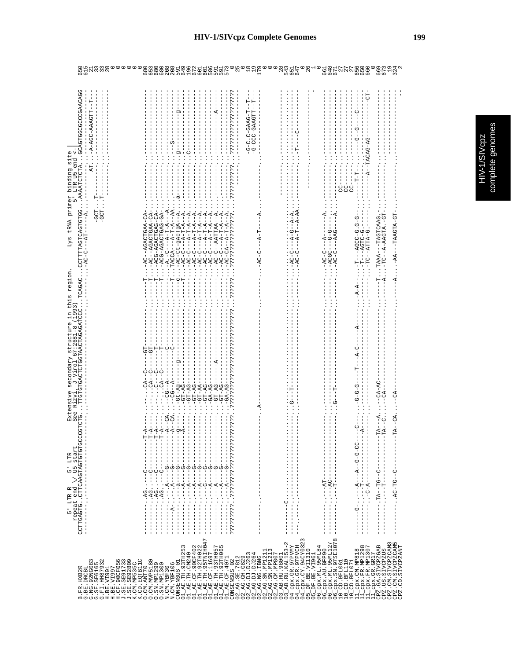| C<br>í |
|--------|
|        |
|        |
|        |
|        |
|        |
| è      |
|        |
|        |
|        |
|        |
|        |
|        |
| Ł      |
| ï      |
|        |
|        |

| OMHM30<br>nduwww                                                                                                                                                                                                                                                                                                                                                                                                                   |                                                                                                                                                                                           | $\mathbf{\sim}$                                                                                                                                                                                                                                                                                                                                                                                                                            | ഥഠയത<br>5457<br>5547<br>566<br>금급증                                                                                                                                                                                                                                                                                                                                                                                                                                                  | ᡡ<br>$\mathbf{\Omega}$<br>667<br>$\frac{1}{2}$                                                                                                                                                                                                                                                                                                                                                                                                                                                                    |
|------------------------------------------------------------------------------------------------------------------------------------------------------------------------------------------------------------------------------------------------------------------------------------------------------------------------------------------------------------------------------------------------------------------------------------|-------------------------------------------------------------------------------------------------------------------------------------------------------------------------------------------|--------------------------------------------------------------------------------------------------------------------------------------------------------------------------------------------------------------------------------------------------------------------------------------------------------------------------------------------------------------------------------------------------------------------------------------------|-------------------------------------------------------------------------------------------------------------------------------------------------------------------------------------------------------------------------------------------------------------------------------------------------------------------------------------------------------------------------------------------------------------------------------------------------------------------------------------|-------------------------------------------------------------------------------------------------------------------------------------------------------------------------------------------------------------------------------------------------------------------------------------------------------------------------------------------------------------------------------------------------------------------------------------------------------------------------------------------------------------------|
| AAAATCTCTAGCAGTGGCGCCCCAACAGG<br>י<br>י<br>AT-A-AGC-AAAGTT<br>$\frac{1}{\sqrt{2}}$<br>end                                                                                                                                                                                                                                                                                                                                          | $-5 -$<br>I<br>Ì,<br>க<br>$\vdots$                                                                                                                                                        | ところとことことことことことこと<br>$-4$<br>J.<br>$\mathsf I$<br>U<br>$\mathfrak{g}$ .<br>٠.<br>$\ddot{\cdot}$<br>$\bullet$<br>$\bullet$                                                                                                                                                                                                                                                                                                                   | J.<br>п<br>$\mathbf{I}$<br>י<br>י<br>י<br>י<br>U                                                                                                                                                                                                                                                                                                                                                                                                                                    | $\frac{1}{2}$<br>$\frac{1}{1}$<br>$\mathbf I$<br>r<br> <br>ပုံ<br>りー<br>--TACAG-AG<br>1<br>п<br>$\vdots$<br>$\bullet$<br>$\vdots$                                                                                                                                                                                                                                                                                                                                                                                 |
| tRNA primer binding site<br>U5<br>LTR<br>J.<br>Ė<br>Б<br>A.<br>$-6C$<br>$-6CT$                                                                                                                                                                                                                                                                                                                                                     | <u>დ</u>                                                                                                                                                                                  | CCCCCCCCC<br>$-4$                                                                                                                                                                                                                                                                                                                                                                                                                          | $\vec{A}$                                                                                                                                                                                                                                                                                                                                                                                                                                                                           | $-1 - 1 - 1 - 1 -$<br>т<br>A,<br>1<br>$\overline{\phantom{a}}$<br>f,<br>f,<br>f.<br>ÜÜ<br>Ü<br>$\mathbf{I}$<br>ÜΟ<br>Ü<br>÷.<br>A,<br>$-4$<br>$\mathbf{I}$                                                                                                                                                                                                                                                                                                                                                        |
| CCTTTTAGTCAGTGTGG<br>ł<br>$-AT$<br>$_{\rm LYS}$<br>$C-C$                                                                                                                                                                                                                                                                                                                                                                           | $\begin{array}{l} -A \ . \ -C---A-T-A--A \ . \\ \mathrm{TACCA}--A-T-A--A-A-A \ . \end{array}$<br>-ACG-AGACTGAG-CA-<br>-ACG-AGACTGAG-GA-<br>$-AC - AGACTCGAA - CA -$<br>- AU - AGHURUH - - | $-$ - AATTAA $-$ A.<br>$- - - - - - - - - - -$<br>ċ.<br>$-AC-CA - -A-T- A$<br>CCCCCCCC<br>$-AC-C$<br>c.c.c                                                                                                                                                                                                                                                                                                                                 | $- -A - A$<br>: :<br>$A-T$<br>$-4-1$<br>U<br>$\mathbf{I}$<br>T<br>$\mathbf{I}$<br>U<br>-AU<br>-<br>$-AC-C$                                                                                                                                                                                                                                                                                                                                                                          | --TAAGTA-GT<br>. TAAA---TAGTCAAG.<br>. . -TC--A-AAGTA . -GT<br>U-U-U-UUUK-------<br>$-1.5 - 1 - 1 - 1 - 1 - 1$<br>$-5AB-1$<br>$-TT - ATTA - G$<br>$\overline{A}$<br>$\frac{1}{1}$<br>T<br>$\blacksquare$<br>U<br>-AC-C<br>-<br>- AC<br>- AC<br>-<br>$-AA-$<br>TAAA-                                                                                                                                                                                                                                               |
| region<br>TCAGAC<br>in this<br>93)<br>CC<br>C<br>Ō<br>structure<br>$\alpha$<br>268                                                                                                                                                                                                                                                                                                                                                 | $-0.1$<br>言<br>$-1$<br>$-1 - 7$<br>$\mathsf I$<br>п                                                                                                                                       | $-1$ .<br>cccc<br>$\frac{1}{1}$<br>$\frac{1}{1}$<br>$\sim$                                                                                                                                                                                                                                                                                                                                                                                 |                                                                                                                                                                                                                                                                                                                                                                                                                                                                                     | $\vec{A}$<br>Ą<br>부<br>$\frac{1}{1}$<br>$A - A$<br>Æ<br>J.                                                                                                                                                                                                                                                                                                                                                                                                                                                        |
| LAUAUALUAALUULULUAULULULULU<br>ن<br>secondary<br>J Virol (<br>Extensive<br>See Rizvi                                                                                                                                                                                                                                                                                                                                               | Ğ.<br>5<br>부<br>ں<br>ا<br>부<br>$\blacksquare$<br>$\blacksquare$<br>л<br>ÜÜ<br>U<br>U<br>$-1$<br>$-6t - Ag - -$<br>÷<br>F                                                                  | م.<br>م<br>ن ن.<br>$-GT-AG-$<br>ن ځ<br>د<br>$-GT - AG -$<br>$-GA-AG$<br>$-GT - AG$<br>$-6A - AC$<br>cccc.<br>$\mathfrak{g}$ .                                                                                                                                                                                                                                                                                                              |                                                                                                                                                                                                                                                                                                                                                                                                                                                                                     | $A-C$<br>T<br>н<br>$CA-AC$<br>ひーウーウ<br>$\frac{1}{2}$<br>$-5$<br>$-CA$<br>T<br>ひ                                                                                                                                                                                                                                                                                                                                                                                                                                   |
| CGLCLC<br>CTTCAAGTAGTGTGCC<br>5 start<br>5' LTR                                                                                                                                                                                                                                                                                                                                                                                    | $-4 - CA$ .<br>$-7 - CA$ .<br>$\frac{1}{1}$<br>п<br>Ť,<br>п<br>$A = A + A$<br>$rac{1}{9}$ $rac{1}{4}$<br>부<br>۳<br>ا<br>부<br>1<br>- 1                                                     | ن ن ن ن ن<br>5555555<br>$\mathbf{I}$<br>$\,$ I<br>$\frac{1}{2}$<br>J,<br>ŧ<br>$\frac{1}{1}$                                                                                                                                                                                                                                                                                                                                                | $\vdots$<br>J<br>Ť<br>$\vdots$<br>$\overline{\phantom{a}}$                                                                                                                                                                                                                                                                                                                                                                                                                          | $-4$<br>$TA---CA$<br>$TA--C$<br>$- A -$<br>$TA-$<br>$\frac{1}{1}$<br>т<br>т<br>$\mathsf I$<br>T<br>$\frac{1}{1}$<br>$\overline{\phantom{a}}$<br>т<br>Ť.<br>L.                                                                                                                                                                                                                                                                                                                                                     |
| P<br>S' LTR R<br>repeat end<br>repeat end<br>cCTTGAGTGCTTC                                                                                                                                                                                                                                                                                                                                                                         | ن<br>ا                                                                                                                                                                                    | . c.c.c.c<br>ں<br>ا<br>$\ldots$ - - $  -$<br>.<br>Scccc<br>$- - A$<br>$\frac{1}{4}$<br>ŧ<br>$\vdots$<br>$\ddot{\cdot}$<br>$\begin{array}{c} 1 \\ 1 \\ 1 \end{array}$<br>666666<br>$\begin{bmatrix} 1 \\ 1 \\ 1 \end{bmatrix}$<br>ŧ<br>$\frac{1}{1}$<br>$\frac{1}{1}$<br>$\mathbf{I}$<br>$\mathbf{I}$<br>$\mathsf{\alpha}.$                                                                                                                 | $\mathsf I$<br>Ţ<br>Ť<br>$\vdots$<br>$\begin{bmatrix} 1 & 1 & 1 \\ 1 & 1 & 1 \\ 1 & 1 & 1 \\ 1 & 1 & 1 \\ 1 & 1 & 1 \\ 1 & 1 & 1 \\ 1 & 1 & 1 \\ 1 & 1 & 1 \\ 1 & 1 & 1 \\ 1 & 1 & 1 \\ 1 & 1 & 1 \\ 1 & 1 & 1 \\ 1 & 1 & 1 \\ 1 & 1 & 1 \\ 1 & 1 & 1 \\ 1 & 1 & 1 \\ 1 & 1 & 1 \\ 1 & 1 & 1 \\ 1 & 1 & 1 \\ 1 & 1 & 1 \\ 1 & 1 & 1 \\ 1 & 1 & 1 \\ 1 & 1 & 1 \\ 1 & 1 & $<br>$\frac{1}{2}$<br>$\frac{1}{2}$<br>$\ddot{\cdot}$<br>$\mathsf I$<br>$\frac{1}{4}$<br>-1<br>$\mathsf I$ | $\frac{1}{1}$<br>U--51-DH.<br>$\frac{1}{1}$<br>$- -7A$<br>$- -7A$<br>$- - -$<br>п<br>$C - A -$<br>부<br>$\frac{1}{2}$<br>т<br>$\frac{1}{4}$<br>$\overline{\phantom{a}}$<br>$\frac{1}{2}$<br>$\frac{1}{4}$<br>ţ<br>$\ddot{\cdot}$<br>$\mathsf I$<br>$\mathsf I$<br>$\mathsf I$<br>$\frac{1}{1}$<br>Ţ<br>$\frac{1}{1}$<br>$\frac{1}{1}$<br>$\mathbf{I}$<br>$\mathbf{L}$<br>п<br>л<br>Ť.<br>$\mathbf{I}$<br>1<br>$\mathsf I$<br>T<br>$\frac{1}{1}$<br>$\mathbf{I}$<br>ŧ<br>I<br>т<br>÷<br>ł<br>п<br>$\mathbf{I}$<br>т |
| $\begin{smallmatrix} \texttt{B.}, \texttt{ER, HXBBR} \\ \texttt{G.}, \texttt{B.}, \texttt{B.}, \texttt{B.}, \texttt{B.}, \texttt{B.}, \texttt{B.}, \texttt{B.}, \texttt{B.}, \texttt{B.}, \texttt{B.}, \texttt{B.}, \texttt{B.}, \texttt{B.}, \texttt{B.}, \texttt{B.}, \texttt{B.}, \texttt{B.}, \texttt{B.}, \texttt{B.}, \texttt{B.}, \texttt{B.}, \texttt{B.}, \texttt{B.}, \texttt{B.}, \texttt{B.}, \texttt{B.}, \texttt{B.$ |                                                                                                                                                                                           | $\mathfrak{g}$ .<br>47<br>$\begin{array}{l}0. \text{ } \text{O.} \text{CO} \text{A} \text{A} \text{A} \text{B} \text{B} \text{C} \text{O} \\ 0. \text{ } \text{O.} \text{CO} \text{N} \text{WPE} \text{S} \text{180} \\ 0. \text{ } \text{O.} \text{C} \text{N} \text{M} \text{WPE} \text{S} \text{180} \\ 0. \text{ } \text{O.} \text{N} \text{M} \text{B} \text{B} \text{S} \text{O} \text{I} \\ 0. \text{ } \text{O.} \text{N} \text{S$ | 0000000                                                                                                                                                                                                                                                                                                                                                                                                                                                                             | $\mathbb{I}-\mathbb{I}$<br>${}^{\circ}$<br>$\begin{array}{l} 04-292.1370070\\ 04-292.1370704\\ 04-292.131\\ 05-207.181,11131\\ 06-207.181,11131\\ 07-207.181,11131\\ 08-207.181,11131\\ 09-207.181,11131\\ 010-202.181,1981107\\ 06-202.181,1981107\\ 07-202.181,1011\\ 10-201.181011\\ 11-20$<br>CPZ.CM.SIVCPZCAM3<br>CPZ.CM.SIVCPZCAM3<br>CPZ.CD.SIVCPZAMT<br>CPZ.CD.SIVCPZAMT                                                                                                                                  |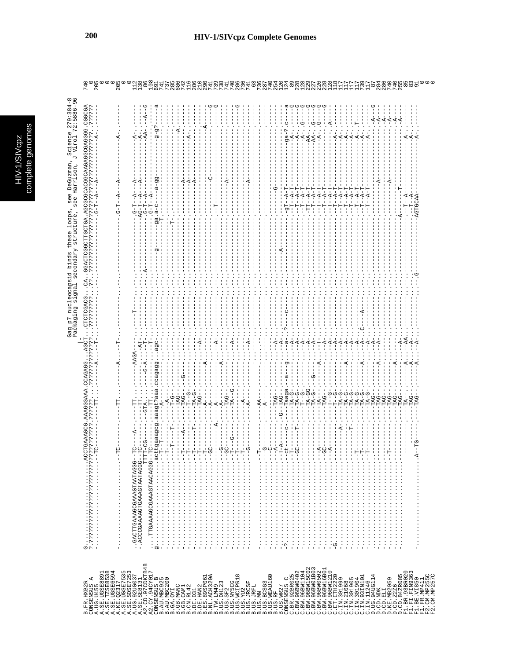complete genomes HIV-1/SIVcpz

ר מ הווה שפרדמשמים המרכז המדים המותחות מהמממלות החדוקות ממרדמ משלימ<br>לי ס הממספר להממשמשת המותחת הממשמשמעות ממממלות המותחת הממשמשת הממספר לי ס<br>כס המסספר המשפטלות המספר המותחת המותחת המותחת המותחת המותחת הממשמשת המותחת המ  $- - -1 - 1 - ...$ <br>  $-1 - 1 - 1 - ...$ <br>  $-1 - 1 - ...$ Ħ AGTGCAA- $\begin{split} \mathbf{1} & \mathbf{1} & \mathbf{1} & \mathbf{1} & \mathbf{1} & \mathbf{1} & \mathbf{1} & \mathbf{1} & \mathbf{1} & \mathbf{1} & \mathbf{1} & \mathbf{1} & \mathbf{1} & \mathbf{1} & \mathbf{1} & \mathbf{1} & \mathbf{1} & \mathbf{1} & \mathbf{1} & \mathbf{1} & \mathbf{1} & \mathbf{1} & \mathbf{1} & \mathbf{1} & \mathbf{1} & \mathbf{1} & \mathbf{1} & \mathbf{1} & \mathbf{1} & \mathbf{1} & \mathbf{1$  $\begin{array}{c} \n\vdots \\
\vdots \\
\vdots \\
\vdots\n\end{array}$  $\frac{1}{1}$  $\begin{array}{c}\n1 \\
1 \\
1 \\
1\n\end{array}$ ප්  $\frac{1}{3}$  $\begin{array}{c}\n\vdots \\
\vdots \\
\vdots\n\end{array}$  $-4-4-1$  $A - -1$ ÷  $-\cdot$  ,  $-\cdot$  – –  $-$  TT .  $\frac{1}{1}$  $-5T - A$ ÷

Gag p7 nucleocapsid binds these loops, see DeGuzman, Science 279:384-8<br>Packaging signal secondary structure, see Harrison, J Virol 72:586-96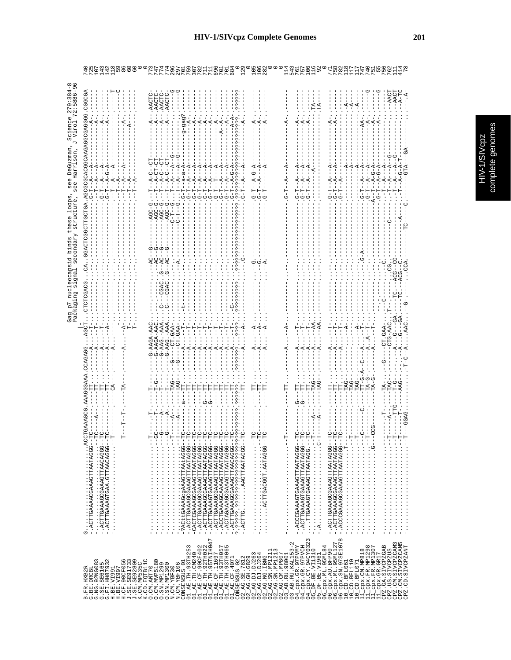| $G-T$                                                                                                                                                                                                                                                                                                                                                                                                                                                                                                                                                                                                                           |
|---------------------------------------------------------------------------------------------------------------------------------------------------------------------------------------------------------------------------------------------------------------------------------------------------------------------------------------------------------------------------------------------------------------------------------------------------------------------------------------------------------------------------------------------------------------------------------------------------------------------------------|
| )------------------------------<br><br>- . ACTTGAAAGCGAAAGTTAATAGGG--1<br>- - .ACTTGAAAGCGAAAGTTAATAGGG--1<br>- - .ACTTGAAAGTGAAAGTTAATAGGG--1<br>- ACTTGAAAGCGAAAGTTAATAGGG--T<br>- ACCTGAAAGCAAAAGTTAATAGGG-<br>- ACTAGAAAGCGAAAGTTAATAGGG--<br>T<br>- . ACCCGAAAGTGAAAGTTAATAGGG--7<br>-ACTTGAAAGTGAAAGTTAATAGGG--7<br>- TTGAAAGTGAAAGTTAATAGG . --7<br>- ACTTGAAAGCGAAAGTTAATAGGG--<br>にじしょう スイス・スイス スイス・スイス スイス・スイス スイス<br>ロート・・・・・・・・・・・・・・・・・・・・・・・・・<br>ロート・・・・・・・・・・・・・・・・・・・・・・<br>ロート・ファイン ファイン・ファイン ディー・ディー・アー<br>アー・ファイン スイン・スイン スイン・スイン スイン・スイン<br>-CACTCGAAAGCGAAAGTTAATAGG--<br>レイ・ファイン ファイン・ファイン ファイン・ファイン<br> |
|                                                                                                                                                                                                                                                                                                                                                                                                                                                                                                                                                                                                                                 |
|                                                                                                                                                                                                                                                                                                                                                                                                                                                                                                                                                                                                                                 |
|                                                                                                                                                                                                                                                                                                                                                                                                                                                                                                                                                                                                                                 |
|                                                                                                                                                                                                                                                                                                                                                                                                                                                                                                                                                                                                                                 |
|                                                                                                                                                                                                                                                                                                                                                                                                                                                                                                                                                                                                                                 |
|                                                                                                                                                                                                                                                                                                                                                                                                                                                                                                                                                                                                                                 |
|                                                                                                                                                                                                                                                                                                                                                                                                                                                                                                                                                                                                                                 |
|                                                                                                                                                                                                                                                                                                                                                                                                                                                                                                                                                                                                                                 |
|                                                                                                                                                                                                                                                                                                                                                                                                                                                                                                                                                                                                                                 |
|                                                                                                                                                                                                                                                                                                                                                                                                                                                                                                                                                                                                                                 |
|                                                                                                                                                                                                                                                                                                                                                                                                                                                                                                                                                                                                                                 |
|                                                                                                                                                                                                                                                                                                                                                                                                                                                                                                                                                                                                                                 |
|                                                                                                                                                                                                                                                                                                                                                                                                                                                                                                                                                                                                                                 |
|                                                                                                                                                                                                                                                                                                                                                                                                                                                                                                                                                                                                                                 |
|                                                                                                                                                                                                                                                                                                                                                                                                                                                                                                                                                                                                                                 |
|                                                                                                                                                                                                                                                                                                                                                                                                                                                                                                                                                                                                                                 |
|                                                                                                                                                                                                                                                                                                                                                                                                                                                                                                                                                                                                                                 |
|                                                                                                                                                                                                                                                                                                                                                                                                                                                                                                                                                                                                                                 |
|                                                                                                                                                                                                                                                                                                                                                                                                                                                                                                                                                                                                                                 |
|                                                                                                                                                                                                                                                                                                                                                                                                                                                                                                                                                                                                                                 |
|                                                                                                                                                                                                                                                                                                                                                                                                                                                                                                                                                                                                                                 |
|                                                                                                                                                                                                                                                                                                                                                                                                                                                                                                                                                                                                                                 |
|                                                                                                                                                                                                                                                                                                                                                                                                                                                                                                                                                                                                                                 |
|                                                                                                                                                                                                                                                                                                                                                                                                                                                                                                                                                                                                                                 |
|                                                                                                                                                                                                                                                                                                                                                                                                                                                                                                                                                                                                                                 |
|                                                                                                                                                                                                                                                                                                                                                                                                                                                                                                                                                                                                                                 |
|                                                                                                                                                                                                                                                                                                                                                                                                                                                                                                                                                                                                                                 |
|                                                                                                                                                                                                                                                                                                                                                                                                                                                                                                                                                                                                                                 |
|                                                                                                                                                                                                                                                                                                                                                                                                                                                                                                                                                                                                                                 |
|                                                                                                                                                                                                                                                                                                                                                                                                                                                                                                                                                                                                                                 |
|                                                                                                                                                                                                                                                                                                                                                                                                                                                                                                                                                                                                                                 |
|                                                                                                                                                                                                                                                                                                                                                                                                                                                                                                                                                                                                                                 |
|                                                                                                                                                                                                                                                                                                                                                                                                                                                                                                                                                                                                                                 |
|                                                                                                                                                                                                                                                                                                                                                                                                                                                                                                                                                                                                                                 |
|                                                                                                                                                                                                                                                                                                                                                                                                                                                                                                                                                                                                                                 |
|                                                                                                                                                                                                                                                                                                                                                                                                                                                                                                                                                                                                                                 |
|                                                                                                                                                                                                                                                                                                                                                                                                                                                                                                                                                                                                                                 |
|                                                                                                                                                                                                                                                                                                                                                                                                                                                                                                                                                                                                                                 |
|                                                                                                                                                                                                                                                                                                                                                                                                                                                                                                                                                                                                                                 |
|                                                                                                                                                                                                                                                                                                                                                                                                                                                                                                                                                                                                                                 |
|                                                                                                                                                                                                                                                                                                                                                                                                                                                                                                                                                                                                                                 |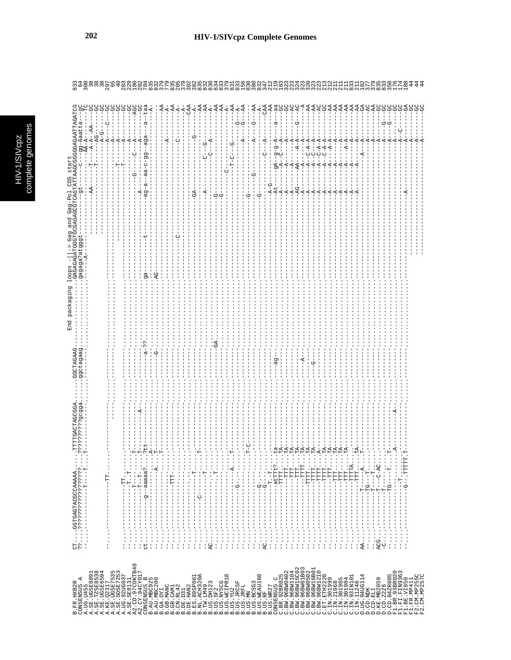| ש מ HOMPONDIDA ADDONADONADONADONADOR DA HOMPONDO A CONTRADO DE DA HOMPONDO A DIRENDO A MARCADO A MAGOR DA MAGOR<br>DA MAGOR DA MAGOR DA HOMPONDO A MAGOR DA HOMPONDO DA MAGOR DA MAGOR DA MAGOR DA MAGOR DA MAGOR DA MAGOR DA MA |                                  |                        |           |                                  |                    |    |                 |             |                         |                                     |                              |                                             |                                                                        |                                                                                                                                       |                   |                                |                                                    |                                                |                                                     |                                   |                               |                                                              |                                            |                       |                          |                                                                              |                                     |        |                        |                                   |                                                                                                                                                                                                                                                                                                                                                                                   | $\infty$ m                                     | o commmmmnt mmundom                      | $\infty$       |                                |               |               |               | $\infty$ $\sim$ $\sim$            |                                        |                                              |               |                              |                    |   |   |                         |      |               |               |                                  | $\infty$ $\sim$                                              |       |   | diarramantr<br>Higreadaigh |    |                    |                                            |                                                                                                                                                                                                                                                                                                                                                    | $\cdot$ $\sim$ $\infty$                         |   |  |  |
|----------------------------------------------------------------------------------------------------------------------------------------------------------------------------------------------------------------------------------|----------------------------------|------------------------|-----------|----------------------------------|--------------------|----|-----------------|-------------|-------------------------|-------------------------------------|------------------------------|---------------------------------------------|------------------------------------------------------------------------|---------------------------------------------------------------------------------------------------------------------------------------|-------------------|--------------------------------|----------------------------------------------------|------------------------------------------------|-----------------------------------------------------|-----------------------------------|-------------------------------|--------------------------------------------------------------|--------------------------------------------|-----------------------|--------------------------|------------------------------------------------------------------------------|-------------------------------------|--------|------------------------|-----------------------------------|-----------------------------------------------------------------------------------------------------------------------------------------------------------------------------------------------------------------------------------------------------------------------------------------------------------------------------------------------------------------------------------|------------------------------------------------|------------------------------------------|----------------|--------------------------------|---------------|---------------|---------------|-----------------------------------|----------------------------------------|----------------------------------------------|---------------|------------------------------|--------------------|---|---|-------------------------|------|---------------|---------------|----------------------------------|--------------------------------------------------------------|-------|---|----------------------------|----|--------------------|--------------------------------------------|----------------------------------------------------------------------------------------------------------------------------------------------------------------------------------------------------------------------------------------------------------------------------------------------------------------------------------------------------|-------------------------------------------------|---|--|--|
|                                                                                                                                                                                                                                  |                                  |                        | Y         | $\mathbf{I}$                     |                    |    |                 |             | ত্                      | 8                                   | $-$ taa                      |                                             |                                                                        |                                                                                                                                       |                   |                                |                                                    |                                                | ₫                                                   | Ŗ                                 |                               |                                                              | ĀĀ.                                        |                       |                          | Ą                                                                            | Ŕ                                   | 4      | Ą                      | $\frac{1}{\mathcal{A}}$<br>л      | -AA<br>$\mathbf{I}$                                                                                                                                                                                                                                                                                                                                                               |                                                | $-AA$                                    | $A$ ,          | - CAA                          | $-AA$         | -aa           | g             | 8                                 |                                        | $- - - AC$                                   |               | $-AA$                        | $-AA$              | ă | 8 | R                       |      |               |               |                                  |                                                              |       |   |                            |    |                    |                                            |                                                                                                                                                                                                                                                                                                                                                    |                                                 |   |  |  |
| $-99 - Aaatta$<br>$-AA-A------$                                                                                                                                                                                                  | $\frac{1}{1}$                    | $-1 - A - A - A - A -$ | $- A - G$ | ن<br>۱<br>Ť<br>Ą<br>п            | $\frac{1}{1}$<br>К | K, | A               | F           | Æ<br>$\mathbf{I}$<br>ပု | ш<br>Ŗ                              | $\frac{a}{1}$<br>-aga<br>-99 |                                             |                                                                        |                                                                                                                                       |                   |                                |                                                    |                                                |                                                     |                                   | ひ                             |                                                              | ပုံ<br>ပ္ပ                                 | $-1$<br>$\frac{1}{2}$ |                          |                                                                              |                                     |        | ပု<br>$-1 - C$         | ひ                                 | Ġ٢<br>$-4$                                                                                                                                                                                                                                                                                                                                                                        | J.                                             | ပ္ပံ<br>J.<br>$\mathbf{I}$               |                | $- -A$<br>ΥJ                   |               | đ             | $A - -9 - -4$ | $-4$<br>$\mathbf{I}$<br>$-A$ -    | $-4$<br>$\overline{1}$<br>$-A$ -       | $\frac{1}{2}$<br>J.<br>$- -A - A$<br>$-AA$ - | ł             | $-A$ – $A$ – $C$ – $A$ – $A$ |                    |   |   |                         | $-4$ |               | $-4 - A - P$  |                                  |                                                              | $-A-$ |   |                            | J. | $-9 - -$<br>п      | $\overset{1}{\circ}$<br>T<br>ŧ             | ш                                                                                                                                                                                                                                                                                                                                                  | J.<br>$\frac{1}{2}$                             |   |  |  |
|                                                                                                                                                                                                                                  | 턱<br>J.<br>$\mathbf{I}$<br>$-AA$ |                        |           |                                  |                    |    |                 |             | $\mathbf{I}$<br>ひ       | п<br>$-4$                           | $-aa-0$<br>ീ<br> <br>Φg      |                                             |                                                                        |                                                                                                                                       |                   |                                |                                                    |                                                |                                                     |                                   | S                             |                                                              | $- A -$                                    |                       |                          | ひ                                                                            | ひ                                   | U      | л                      |                                   |                                                                                                                                                                                                                                                                                                                                                                                   | 也                                              | Ġ٢                                       | ひ              |                                | $-A-G-$       | $-At$         | п<br>$-A-$    | $-A$ -                            | $-4$                                   | ł<br>$\blacksquare$<br>ÄG.                   | A<br>К        | п<br>A,                      | K,                 | A | К |                         |      | A A A         |               | K,                               | K,                                                           |       |   |                            |    |                    |                                            |                                                                                                                                                                                                                                                                                                                                                    |                                                 |   |  |  |
| packaging<br>End                                                                                                                                                                                                                 |                                  |                        |           |                                  |                    |    |                 |             |                         |                                     | ₫                            |                                             | AG.                                                                    |                                                                                                                                       |                   |                                |                                                    |                                                |                                                     |                                   |                               |                                                              |                                            |                       |                          |                                                                              |                                     |        |                        |                                   |                                                                                                                                                                                                                                                                                                                                                                                   |                                                |                                          |                |                                |               |               |               |                                   |                                        |                                              |               |                              |                    |   |   |                         |      |               |               |                                  |                                                              |       |   |                            |    |                    |                                            |                                                                                                                                                                                                                                                                                                                                                    |                                                 |   |  |  |
| GGCTAGAAG<br>ggctagaag                                                                                                                                                                                                           |                                  |                        |           |                                  |                    |    |                 |             |                         |                                     | <b>G</b>                     |                                             | $\begin{array}{c} 1 \\ 0 \\ 1 \end{array}$                             |                                                                                                                                       |                   |                                |                                                    |                                                |                                                     |                                   |                               |                                                              |                                            |                       | ဗု                       |                                                                              |                                     |        |                        |                                   |                                                                                                                                                                                                                                                                                                                                                                                   |                                                |                                          |                |                                |               | $-90$         |               |                                   |                                        |                                              | $-4$          |                              | $rac{1}{\sqrt{2}}$ |   |   |                         |      |               |               |                                  |                                                              |       |   |                            |    |                    |                                            |                                                                                                                                                                                                                                                                                                                                                    |                                                 |   |  |  |
| TTTTGACTAGOGGA<br>ATTTTGACTAGOGGA<br>$\mathfrak{g}$                                                                                                                                                                              |                                  |                        |           |                                  |                    |    |                 |             |                         | $-4$                                | ?tt                          |                                             |                                                                        |                                                                                                                                       |                   |                                |                                                    |                                                |                                                     |                                   |                               |                                                              |                                            |                       |                          |                                                                              |                                     |        |                        |                                   |                                                                                                                                                                                                                                                                                                                                                                                   | ں<br>!                                         |                                          |                |                                |               |               |               |                                   |                                        |                                              |               |                              |                    |   |   |                         |      |               |               |                                  | : $\tilde{E}$                                                |       |   |                            |    |                    |                                            | K,                                                                                                                                                                                                                                                                                                                                                 |                                                 |   |  |  |
|                                                                                                                                                                                                                                  |                                  |                        |           | $\cdot$<br>$\cdot$<br>$-14$<br>I |                    |    | $-$ TT $\ldots$ | J<br>H<br>Ħ | т<br>$\mathbf{I}$<br>т  | $\frac{1}{1}$<br>I<br>$\frac{1}{1}$ | --aaaaa?<br>ة<br>أ<br>ct     | 1<br>т<br>1<br>т<br>I<br>J<br>$\frac{1}{1}$ | $- - - - - - - -$<br>1<br>ï<br>I<br>$\mathbf{I}$<br>I<br>$\frac{1}{1}$ | $\begin{array}{c} \mathbf{1} \end{array}$<br>1<br>J.<br>$\mathbf{I}$<br>$\mathbf{I}$<br>$\frac{1}{1}$<br>I<br>I<br>I<br>$\frac{1}{2}$ | J.<br>Ţ<br>I<br>Ţ | $\frac{1}{1}$<br>$\frac{1}{1}$ | $-1 - 1 = 1 - 1 - 1 - 1 - 1$<br>T<br>$\frac{1}{1}$ | $\frac{1}{1}$<br>$\mathbf{I}$<br>$\frac{1}{4}$ | J.<br>п<br>$\mathbb{I}$<br>ı<br>I<br>J.<br>$\vdots$ | I<br>$\frac{1}{1}$<br>п<br>I<br>Í | $-1$ $-1$ $-1$<br>$\mathsf I$ | $\vdots$<br>I<br>$\frac{1}{1}$<br>$-1$<br>I<br>$\frac{1}{4}$ | $\cdots$ T $\cdots$<br>J.<br>$\frac{1}{1}$ | AC                    | $\cdot$<br>$\frac{1}{2}$ | $\begin{array}{c}\n\vdots \\ \vdots \\ \vdots\n\end{array}$<br>$\frac{1}{1}$ | $\frac{1}{1}$<br>I<br>$\frac{1}{1}$ | İ<br>Í | $- - - - - - A$ .<br>Ť | $-1 - 5 - 1 - 1$<br>$\frac{1}{1}$ | $\begin{array}{c} \begin{array}{c} \bullet \\ \bullet \\ \end{array} \\ \begin{array}{c} \bullet \\ \end{array} \\ \begin{array}{c} \bullet \\ \end{array} \\ \begin{array}{c} \bullet \\ \end{array} \\ \begin{array}{c} \bullet \\ \end{array} \\ \begin{array}{c} \bullet \\ \end{array} \\ \begin{array}{c} \bullet \\ \end{array} \\ \end{array}$<br>I<br>I<br>$\frac{1}{1}$ | $\frac{1}{1}$<br>$\mathbb{I}$<br>$\frac{1}{1}$ | l,<br>ï<br>$\cdot$<br>$\dot{\mathbf{r}}$ | $-1 - -6 - -1$ | $-1$ $-1$ $-1$ $-1$ $-1$<br>AC | $\frac{1}{1}$ | $\frac{1}{1}$ | ł             | $---TTTT$ .<br>Í<br>$\frac{1}{1}$ | $---TTTT$ .<br>I<br>I<br>$\frac{1}{1}$ | í<br>I<br>$\frac{1}{1}$                      | $\frac{1}{1}$ | $\frac{1}{1}$<br>$\vdots$    |                    | Ţ |   | ÷<br>F<br>$\frac{1}{1}$ | Í    | $\frac{1}{1}$ | $\frac{1}{1}$ | $-$ TTTTA<br>J.<br>$\frac{1}{1}$ | $    \Gamma$ $\Gamma$ $\Gamma$ $\ldots$ $-$<br>$\frac{1}{4}$ | AA    | ì |                            | J  | п<br>$\frac{1}{2}$ | $-1 - 1 - 1 - 1 - 1 - 1 - 1$<br>т<br>医心室 计 | $\frac{1}{2}$ $\frac{1}{2}$ $\frac{1}{2}$ $\frac{1}{2}$ $\frac{1}{2}$ $\frac{1}{2}$ $\frac{1}{2}$ $\frac{1}{2}$ $\frac{1}{2}$ $\frac{1}{2}$ $\frac{1}{2}$ $\frac{1}{2}$ $\frac{1}{2}$ $\frac{1}{2}$ $\frac{1}{2}$ $\frac{1}{2}$ $\frac{1}{2}$ $\frac{1}{2}$ $\frac{1}{2}$ $\frac{1}{2}$ $\frac{1}{2}$ $\frac{1}{2}$<br>I.<br>т<br>ı<br>ì<br>I<br>I | $\begin{array}{c} 1 \\ 1 \\ 1 \\ 1 \end{array}$ | Ť |  |  |

 $\begin{smallmatrix} \texttt{R}, \texttt{HZBAR} \\ \texttt{R}, \texttt{HZBRB} \\ \texttt{R}, \texttt{R}, \texttt{R}, \texttt{R}, \texttt{R}, \texttt{R}, \texttt{R}, \texttt{R}, \texttt{R}, \texttt{R}, \texttt{R}, \texttt{R}, \texttt{R}, \texttt{R}, \texttt{R}, \texttt{R}, \texttt{R}, \texttt{R}, \texttt{R}, \texttt{R}, \texttt{R}, \texttt{R}, \texttt{R}, \texttt{R}, \texttt{R}, \texttt{R}, \texttt{R}, \texttt{R}, \texttt{R}, \texttt{R}, \text$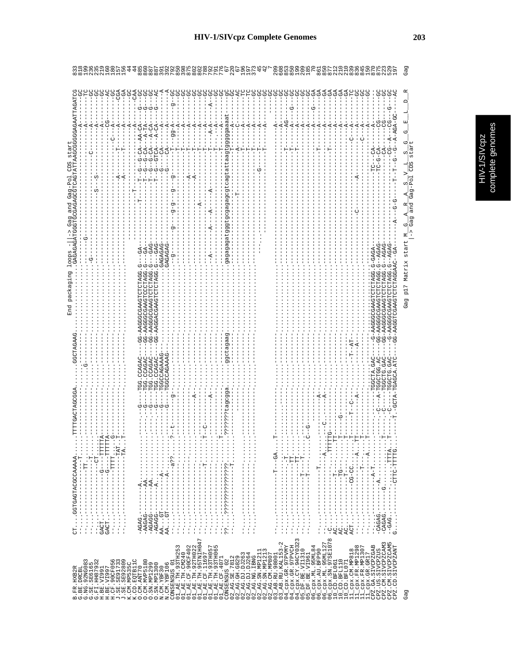| К<br>К | U | ⋖ |   |    | ひ<br>$AA-$             | ひ<br>$-A-TA$             | ひ<br>$A-CA$                                        | ė<br>$-4$                     |                        |                        | ס<br>י<br>ğ             |  |  |   | $\vec{A}$   |  | Ł.<br>99999aaaa                                           | 22 |  |  |  |                                                                                                                                                                                                                                                                                                                                                                                                  |  | ပု |  | Ú<br>Æ |  |  |    | C)         |        | К |             | U                                     | ひ                             | ひ<br>Ů                         |
|--------|---|---|---|----|------------------------|--------------------------|----------------------------------------------------|-------------------------------|------------------------|------------------------|-------------------------|--|--|---|-------------|--|-----------------------------------------------------------|----|--|--|--|--------------------------------------------------------------------------------------------------------------------------------------------------------------------------------------------------------------------------------------------------------------------------------------------------------------------------------------------------------------------------------------------------|--|----|--|--------|--|--|----|------------|--------|---|-------------|---------------------------------------|-------------------------------|--------------------------------|
| U.     |   | U | К | K, | F                      | τ.<br>C                  | $-CA$<br>ひ<br>ひ                                    | $-CTC$ A<br>ひ                 | Ś<br>ひ                 | J<br>也                 | т<br>ᡃᡉ<br>ת<br>ס<br>চা |  |  | К | р<br>ፋ<br>⋖ |  | ttaagt<br>cagta<br>gagagaatggttgcgagagcgt                 |    |  |  |  |                                                                                                                                                                                                                                                                                                                                                                                                  |  |    |  |        |  |  |    |            | K,     | Ü | F<br>P      | Ę<br>ローワート                            | S                             | $-4$ $-5$                      |
|        |   |   |   |    | UURIUIUIURRIUUUUURF-UU | CCTAGG<br>ひけのえばひひののはよーのの | <b>GAG</b><br>CTCTAGG<br>CGAAGT<br><b>GG-AAGGG</b> | UAG-<br>UURHUHUHURGUQTUURH-UU | GAGAGAG                | GAGAGAG                | ס<br>י                  |  |  |   |             |  | gctagaag                                                  |    |  |  |  |                                                                                                                                                                                                                                                                                                                                                                                                  |  |    |  |        |  |  |    | п<br>$-4T$ | d<br>I |   | AGT<br>A4-i | <b>CORPORACION</b><br><b>GG-AAGGG</b> | AGAG<br>UUALULULUAGUUUUUUA-UU | AGAG<br>UURIUIUIURRUUUUURRE-U- |
|        |   |   |   |    | g                      | g<br>C.                  | CCAGAC<br>.<br>95<br>ひ                             | CCAGA<br>.<br>1991<br>ひ       | <b>GGCCAGAAAG</b><br>ひ | TGGCCAGAAAG<br>J,<br>C | ת                       |  |  |   |             |  | agcgga<br>↵<br>Ω.<br>$\sim$<br>$\mathfrak{g}$<br>ς.<br>ć. |    |  |  |  |                                                                                                                                                                                                                                                                                                                                                                                                  |  |    |  |        |  |  | τŋ | ь          | К      |   |             | A.SOLOGO<br>$-4$                      | TGGCTG.GA                     | 5090                           |
|        |   |   |   |    |                        |                          |                                                    |                               |                        |                        |                         |  |  |   |             |  |                                                           |    |  |  |  | $\begin{tabular}{ c c } \hline \texttt{AAGAG} & \texttt{} & \texttt{} & \texttt{} & \texttt{} & \texttt{} & \texttt{} & \texttt{} & \texttt{} & \texttt{} & \texttt{} & \texttt{} & \texttt{} & \texttt{} & \texttt{} & \texttt{} & \texttt{} & \texttt{} & \texttt{} & \texttt{} & \texttt{} & \texttt{} & \texttt{} & \texttt{} & \texttt{} & \texttt{} & \texttt{} & \texttt{} & \texttt{} &$ |  |    |  |        |  |  |    |            |        |   |             |                                       |                               |                                |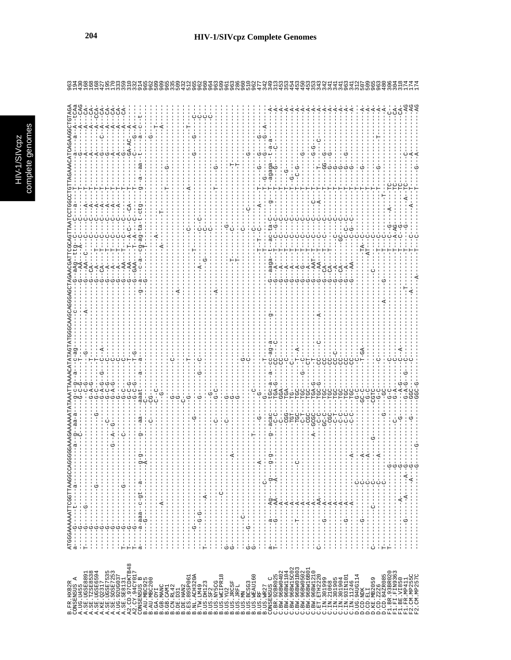|                                                                                                                                                                                                                                                                                                                                                                                                                                                            |                                                                 |                                                                      |                                         | o o o o o o o o o o                                                                                                                                                                                                                                                                                                              |                 | $\begin{array}{cccccccccc} \mathcal{L} & \mathcal{L} & \mathcal{L} & \mathcal{L} & \mathcal{L} & \mathcal{L} & \mathcal{L} & \mathcal{L} & \mathcal{L} & \mathcal{L} & \mathcal{L} & \mathcal{L} & \mathcal{L} & \mathcal{L} & \mathcal{L} & \mathcal{L} & \mathcal{L} & \mathcal{L} & \mathcal{L} & \mathcal{L} & \mathcal{L} & \mathcal{L} & \mathcal{L} & \mathcal{L} & \mathcal{L} & \mathcal{L} & \mathcal{L} & \mathcal{L} & \mathcal{L} & \mathcal{L} & \$ |                 |
|------------------------------------------------------------------------------------------------------------------------------------------------------------------------------------------------------------------------------------------------------------------------------------------------------------------------------------------------------------------------------------------------------------------------------------------------------------|-----------------------------------------------------------------|----------------------------------------------------------------------|-----------------------------------------|----------------------------------------------------------------------------------------------------------------------------------------------------------------------------------------------------------------------------------------------------------------------------------------------------------------------------------|-----------------|-------------------------------------------------------------------------------------------------------------------------------------------------------------------------------------------------------------------------------------------------------------------------------------------------------------------------------------------------------------------------------------------------------------------------------------------------------------------|-----------------|
|                                                                                                                                                                                                                                                                                                                                                                                                                                                            |                                                                 |                                                                      |                                         | <b>ひひひひひひ</b>                                                                                                                                                                                                                                                                                                                    |                 |                                                                                                                                                                                                                                                                                                                                                                                                                                                                   |                 |
|                                                                                                                                                                                                                                                                                                                                                                                                                                                            |                                                                 | יט וֹ טִטְטָ וֹ וֹ טָטָ<br>אֲלִטְאָלִי וְ טְטְטָ<br>שְׁטָּטְטָטָטָטָ |                                         |                                                                                                                                                                                                                                                                                                                                  |                 |                                                                                                                                                                                                                                                                                                                                                                                                                                                                   |                 |
|                                                                                                                                                                                                                                                                                                                                                                                                                                                            |                                                                 |                                                                      |                                         |                                                                                                                                                                                                                                                                                                                                  |                 |                                                                                                                                                                                                                                                                                                                                                                                                                                                                   |                 |
|                                                                                                                                                                                                                                                                                                                                                                                                                                                            |                                                                 |                                                                      |                                         |                                                                                                                                                                                                                                                                                                                                  |                 |                                                                                                                                                                                                                                                                                                                                                                                                                                                                   |                 |
|                                                                                                                                                                                                                                                                                                                                                                                                                                                            |                                                                 |                                                                      |                                         |                                                                                                                                                                                                                                                                                                                                  |                 |                                                                                                                                                                                                                                                                                                                                                                                                                                                                   |                 |
|                                                                                                                                                                                                                                                                                                                                                                                                                                                            |                                                                 |                                                                      |                                         |                                                                                                                                                                                                                                                                                                                                  |                 |                                                                                                                                                                                                                                                                                                                                                                                                                                                                   |                 |
|                                                                                                                                                                                                                                                                                                                                                                                                                                                            |                                                                 |                                                                      |                                         |                                                                                                                                                                                                                                                                                                                                  |                 |                                                                                                                                                                                                                                                                                                                                                                                                                                                                   |                 |
|                                                                                                                                                                                                                                                                                                                                                                                                                                                            |                                                                 |                                                                      |                                         |                                                                                                                                                                                                                                                                                                                                  |                 |                                                                                                                                                                                                                                                                                                                                                                                                                                                                   |                 |
|                                                                                                                                                                                                                                                                                                                                                                                                                                                            |                                                                 |                                                                      |                                         |                                                                                                                                                                                                                                                                                                                                  |                 |                                                                                                                                                                                                                                                                                                                                                                                                                                                                   |                 |
|                                                                                                                                                                                                                                                                                                                                                                                                                                                            |                                                                 |                                                                      |                                         |                                                                                                                                                                                                                                                                                                                                  |                 |                                                                                                                                                                                                                                                                                                                                                                                                                                                                   |                 |
|                                                                                                                                                                                                                                                                                                                                                                                                                                                            |                                                                 |                                                                      |                                         |                                                                                                                                                                                                                                                                                                                                  |                 |                                                                                                                                                                                                                                                                                                                                                                                                                                                                   |                 |
|                                                                                                                                                                                                                                                                                                                                                                                                                                                            |                                                                 |                                                                      |                                         |                                                                                                                                                                                                                                                                                                                                  |                 |                                                                                                                                                                                                                                                                                                                                                                                                                                                                   |                 |
| $\frac{9}{1} - \frac{9}{1} - \frac{1}{1}$                                                                                                                                                                                                                                                                                                                                                                                                                  |                                                                 |                                                                      |                                         |                                                                                                                                                                                                                                                                                                                                  |                 |                                                                                                                                                                                                                                                                                                                                                                                                                                                                   |                 |
|                                                                                                                                                                                                                                                                                                                                                                                                                                                            |                                                                 |                                                                      |                                         |                                                                                                                                                                                                                                                                                                                                  |                 |                                                                                                                                                                                                                                                                                                                                                                                                                                                                   |                 |
|                                                                                                                                                                                                                                                                                                                                                                                                                                                            |                                                                 |                                                                      |                                         |                                                                                                                                                                                                                                                                                                                                  |                 |                                                                                                                                                                                                                                                                                                                                                                                                                                                                   |                 |
|                                                                                                                                                                                                                                                                                                                                                                                                                                                            |                                                                 |                                                                      |                                         |                                                                                                                                                                                                                                                                                                                                  |                 | $\frac{1}{2}$ $\frac{1}{2}$ $\frac{1}{2}$<br>$\frac{1}{1}$ $\frac{1}{1}$                                                                                                                                                                                                                                                                                                                                                                                          |                 |
| I<br>j                                                                                                                                                                                                                                                                                                                                                                                                                                                     |                                                                 |                                                                      |                                         |                                                                                                                                                                                                                                                                                                                                  |                 |                                                                                                                                                                                                                                                                                                                                                                                                                                                                   |                 |
| J.                                                                                                                                                                                                                                                                                                                                                                                                                                                         |                                                                 |                                                                      |                                         |                                                                                                                                                                                                                                                                                                                                  |                 |                                                                                                                                                                                                                                                                                                                                                                                                                                                                   |                 |
|                                                                                                                                                                                                                                                                                                                                                                                                                                                            |                                                                 |                                                                      |                                         |                                                                                                                                                                                                                                                                                                                                  |                 |                                                                                                                                                                                                                                                                                                                                                                                                                                                                   |                 |
|                                                                                                                                                                                                                                                                                                                                                                                                                                                            |                                                                 |                                                                      |                                         |                                                                                                                                                                                                                                                                                                                                  |                 |                                                                                                                                                                                                                                                                                                                                                                                                                                                                   |                 |
|                                                                                                                                                                                                                                                                                                                                                                                                                                                            |                                                                 |                                                                      |                                         |                                                                                                                                                                                                                                                                                                                                  |                 |                                                                                                                                                                                                                                                                                                                                                                                                                                                                   |                 |
|                                                                                                                                                                                                                                                                                                                                                                                                                                                            |                                                                 |                                                                      |                                         |                                                                                                                                                                                                                                                                                                                                  |                 |                                                                                                                                                                                                                                                                                                                                                                                                                                                                   |                 |
|                                                                                                                                                                                                                                                                                                                                                                                                                                                            |                                                                 |                                                                      |                                         |                                                                                                                                                                                                                                                                                                                                  |                 |                                                                                                                                                                                                                                                                                                                                                                                                                                                                   |                 |
|                                                                                                                                                                                                                                                                                                                                                                                                                                                            |                                                                 |                                                                      |                                         |                                                                                                                                                                                                                                                                                                                                  |                 |                                                                                                                                                                                                                                                                                                                                                                                                                                                                   |                 |
|                                                                                                                                                                                                                                                                                                                                                                                                                                                            |                                                                 |                                                                      |                                         |                                                                                                                                                                                                                                                                                                                                  |                 |                                                                                                                                                                                                                                                                                                                                                                                                                                                                   |                 |
|                                                                                                                                                                                                                                                                                                                                                                                                                                                            |                                                                 |                                                                      |                                         |                                                                                                                                                                                                                                                                                                                                  |                 |                                                                                                                                                                                                                                                                                                                                                                                                                                                                   |                 |
|                                                                                                                                                                                                                                                                                                                                                                                                                                                            |                                                                 |                                                                      |                                         |                                                                                                                                                                                                                                                                                                                                  |                 |                                                                                                                                                                                                                                                                                                                                                                                                                                                                   |                 |
|                                                                                                                                                                                                                                                                                                                                                                                                                                                            |                                                                 |                                                                      |                                         |                                                                                                                                                                                                                                                                                                                                  |                 |                                                                                                                                                                                                                                                                                                                                                                                                                                                                   |                 |
|                                                                                                                                                                                                                                                                                                                                                                                                                                                            |                                                                 |                                                                      |                                         |                                                                                                                                                                                                                                                                                                                                  |                 |                                                                                                                                                                                                                                                                                                                                                                                                                                                                   |                 |
|                                                                                                                                                                                                                                                                                                                                                                                                                                                            |                                                                 |                                                                      |                                         |                                                                                                                                                                                                                                                                                                                                  |                 |                                                                                                                                                                                                                                                                                                                                                                                                                                                                   |                 |
|                                                                                                                                                                                                                                                                                                                                                                                                                                                            |                                                                 |                                                                      |                                         |                                                                                                                                                                                                                                                                                                                                  |                 |                                                                                                                                                                                                                                                                                                                                                                                                                                                                   |                 |
|                                                                                                                                                                                                                                                                                                                                                                                                                                                            |                                                                 |                                                                      |                                         |                                                                                                                                                                                                                                                                                                                                  |                 |                                                                                                                                                                                                                                                                                                                                                                                                                                                                   |                 |
|                                                                                                                                                                                                                                                                                                                                                                                                                                                            |                                                                 |                                                                      |                                         |                                                                                                                                                                                                                                                                                                                                  |                 |                                                                                                                                                                                                                                                                                                                                                                                                                                                                   |                 |
| J<br>$\frac{1}{1}$                                                                                                                                                                                                                                                                                                                                                                                                                                         |                                                                 |                                                                      |                                         |                                                                                                                                                                                                                                                                                                                                  |                 |                                                                                                                                                                                                                                                                                                                                                                                                                                                                   |                 |
|                                                                                                                                                                                                                                                                                                                                                                                                                                                            |                                                                 |                                                                      |                                         |                                                                                                                                                                                                                                                                                                                                  |                 |                                                                                                                                                                                                                                                                                                                                                                                                                                                                   |                 |
|                                                                                                                                                                                                                                                                                                                                                                                                                                                            |                                                                 |                                                                      |                                         |                                                                                                                                                                                                                                                                                                                                  |                 |                                                                                                                                                                                                                                                                                                                                                                                                                                                                   |                 |
| $-4$                                                                                                                                                                                                                                                                                                                                                                                                                                                       |                                                                 |                                                                      |                                         |                                                                                                                                                                                                                                                                                                                                  |                 |                                                                                                                                                                                                                                                                                                                                                                                                                                                                   |                 |
|                                                                                                                                                                                                                                                                                                                                                                                                                                                            |                                                                 |                                                                      |                                         |                                                                                                                                                                                                                                                                                                                                  |                 |                                                                                                                                                                                                                                                                                                                                                                                                                                                                   |                 |
|                                                                                                                                                                                                                                                                                                                                                                                                                                                            |                                                                 |                                                                      |                                         |                                                                                                                                                                                                                                                                                                                                  |                 |                                                                                                                                                                                                                                                                                                                                                                                                                                                                   |                 |
| I<br>$\frac{1}{1}$                                                                                                                                                                                                                                                                                                                                                                                                                                         |                                                                 |                                                                      |                                         |                                                                                                                                                                                                                                                                                                                                  |                 |                                                                                                                                                                                                                                                                                                                                                                                                                                                                   |                 |
|                                                                                                                                                                                                                                                                                                                                                                                                                                                            |                                                                 |                                                                      |                                         |                                                                                                                                                                                                                                                                                                                                  |                 |                                                                                                                                                                                                                                                                                                                                                                                                                                                                   |                 |
|                                                                                                                                                                                                                                                                                                                                                                                                                                                            |                                                                 |                                                                      |                                         |                                                                                                                                                                                                                                                                                                                                  |                 |                                                                                                                                                                                                                                                                                                                                                                                                                                                                   |                 |
| I.<br>п<br>I<br>ı<br>ł.                                                                                                                                                                                                                                                                                                                                                                                                                                    |                                                                 |                                                                      |                                         |                                                                                                                                                                                                                                                                                                                                  |                 |                                                                                                                                                                                                                                                                                                                                                                                                                                                                   |                 |
| $\frac{1}{1}$                                                                                                                                                                                                                                                                                                                                                                                                                                              |                                                                 |                                                                      |                                         |                                                                                                                                                                                                                                                                                                                                  |                 |                                                                                                                                                                                                                                                                                                                                                                                                                                                                   |                 |
| $-4-$                                                                                                                                                                                                                                                                                                                                                                                                                                                      |                                                                 |                                                                      |                                         |                                                                                                                                                                                                                                                                                                                                  |                 |                                                                                                                                                                                                                                                                                                                                                                                                                                                                   |                 |
| т<br>Ť<br>$\begin{array}{c} \hline \end{array}$<br>$\frac{1}{4}$                                                                                                                                                                                                                                                                                                                                                                                           |                                                                 |                                                                      |                                         |                                                                                                                                                                                                                                                                                                                                  |                 | Ġ<br>じ じ                                                                                                                                                                                                                                                                                                                                                                                                                                                          |                 |
|                                                                                                                                                                                                                                                                                                                                                                                                                                                            |                                                                 |                                                                      |                                         |                                                                                                                                                                                                                                                                                                                                  |                 |                                                                                                                                                                                                                                                                                                                                                                                                                                                                   |                 |
|                                                                                                                                                                                                                                                                                                                                                                                                                                                            |                                                                 |                                                                      |                                         |                                                                                                                                                                                                                                                                                                                                  |                 | $\frac{1}{4}$ $\frac{1}{1}$                                                                                                                                                                                                                                                                                                                                                                                                                                       |                 |
|                                                                                                                                                                                                                                                                                                                                                                                                                                                            |                                                                 |                                                                      |                                         |                                                                                                                                                                                                                                                                                                                                  |                 |                                                                                                                                                                                                                                                                                                                                                                                                                                                                   |                 |
|                                                                                                                                                                                                                                                                                                                                                                                                                                                            |                                                                 |                                                                      |                                         |                                                                                                                                                                                                                                                                                                                                  |                 |                                                                                                                                                                                                                                                                                                                                                                                                                                                                   |                 |
| т<br>I.                                                                                                                                                                                                                                                                                                                                                                                                                                                    |                                                                 |                                                                      |                                         |                                                                                                                                                                                                                                                                                                                                  |                 |                                                                                                                                                                                                                                                                                                                                                                                                                                                                   |                 |
| I.<br>J.                                                                                                                                                                                                                                                                                                                                                                                                                                                   |                                                                 |                                                                      |                                         |                                                                                                                                                                                                                                                                                                                                  |                 |                                                                                                                                                                                                                                                                                                                                                                                                                                                                   |                 |
|                                                                                                                                                                                                                                                                                                                                                                                                                                                            |                                                                 |                                                                      |                                         |                                                                                                                                                                                                                                                                                                                                  |                 |                                                                                                                                                                                                                                                                                                                                                                                                                                                                   |                 |
| J.<br>J.<br>J                                                                                                                                                                                                                                                                                                                                                                                                                                              |                                                                 |                                                                      |                                         |                                                                                                                                                                                                                                                                                                                                  |                 |                                                                                                                                                                                                                                                                                                                                                                                                                                                                   |                 |
| $\frac{1}{2}$<br>$\begin{array}{c} \end{array}$                                                                                                                                                                                                                                                                                                                                                                                                            |                                                                 |                                                                      |                                         |                                                                                                                                                                                                                                                                                                                                  |                 |                                                                                                                                                                                                                                                                                                                                                                                                                                                                   |                 |
|                                                                                                                                                                                                                                                                                                                                                                                                                                                            |                                                                 |                                                                      |                                         |                                                                                                                                                                                                                                                                                                                                  |                 |                                                                                                                                                                                                                                                                                                                                                                                                                                                                   |                 |
|                                                                                                                                                                                                                                                                                                                                                                                                                                                            | ပွဲမှုပွဲပွဲပုံပုံပွဲမှုပုံပုံပုံ<br>မှုပုံပုဂ္ဂိပုဂ္ဂိပုပုပုပု |                                                                      | ליז ליז ליז ליז ליז ליז ליז ליז ליז ליז | $\begin{array}{ccccccccccccc} 1 & 1 & 1 & 1 & 1 & 1 & 1 \\ 0 & 0 & 1 & 1 & 1 & 1 & 1 \\ 1 & 1 & 1 & 1 & 1 & 1 & 1 \\ 1 & 1 & 1 & 1 & 1 & 1 & 1 \\ 1 & 1 & 1 & 1 & 1 & 1 & 1 \\ 1 & 1 & 1 & 1 & 1 & 1 & 1 \\ 1 & 1 & 1 & 1 & 1 & 1 & 1 \\ 1 & 1 & 1 & 1 & 1 & 1 & 1 \\ 1 & 1 & 1 & 1 & 1 & 1 & 1 \\ 1 & 1 & 1 & 1 & 1 & 1 & 1 \\$ |                 |                                                                                                                                                                                                                                                                                                                                                                                                                                                                   |                 |
|                                                                                                                                                                                                                                                                                                                                                                                                                                                            |                                                                 |                                                                      |                                         |                                                                                                                                                                                                                                                                                                                                  |                 |                                                                                                                                                                                                                                                                                                                                                                                                                                                                   |                 |
|                                                                                                                                                                                                                                                                                                                                                                                                                                                            |                                                                 |                                                                      |                                         |                                                                                                                                                                                                                                                                                                                                  |                 |                                                                                                                                                                                                                                                                                                                                                                                                                                                                   |                 |
|                                                                                                                                                                                                                                                                                                                                                                                                                                                            |                                                                 |                                                                      |                                         |                                                                                                                                                                                                                                                                                                                                  |                 |                                                                                                                                                                                                                                                                                                                                                                                                                                                                   |                 |
|                                                                                                                                                                                                                                                                                                                                                                                                                                                            |                                                                 |                                                                      |                                         |                                                                                                                                                                                                                                                                                                                                  |                 |                                                                                                                                                                                                                                                                                                                                                                                                                                                                   |                 |
|                                                                                                                                                                                                                                                                                                                                                                                                                                                            |                                                                 |                                                                      |                                         | ್ರ ಸ್ತ                                                                                                                                                                                                                                                                                                                           | F 8 9 9 9 9 9 9 | ּיִי יִי יָ<br>יְיִי יִי יִי יִ                                                                                                                                                                                                                                                                                                                                                                                                                                   | $A \triangle A$ |
|                                                                                                                                                                                                                                                                                                                                                                                                                                                            |                                                                 |                                                                      |                                         |                                                                                                                                                                                                                                                                                                                                  |                 |                                                                                                                                                                                                                                                                                                                                                                                                                                                                   |                 |
|                                                                                                                                                                                                                                                                                                                                                                                                                                                            |                                                                 |                                                                      |                                         |                                                                                                                                                                                                                                                                                                                                  |                 |                                                                                                                                                                                                                                                                                                                                                                                                                                                                   |                 |
| $\begin{array}{c} 1 \\ 1 \\ 1 \end{array}$                                                                                                                                                                                                                                                                                                                                                                                                                 |                                                                 |                                                                      |                                         |                                                                                                                                                                                                                                                                                                                                  |                 |                                                                                                                                                                                                                                                                                                                                                                                                                                                                   | $A A A A A$     |
|                                                                                                                                                                                                                                                                                                                                                                                                                                                            |                                                                 |                                                                      |                                         |                                                                                                                                                                                                                                                                                                                                  |                 |                                                                                                                                                                                                                                                                                                                                                                                                                                                                   |                 |
| $\frac{1}{1}$                                                                                                                                                                                                                                                                                                                                                                                                                                              |                                                                 |                                                                      |                                         |                                                                                                                                                                                                                                                                                                                                  |                 |                                                                                                                                                                                                                                                                                                                                                                                                                                                                   |                 |
| $\begin{bmatrix} 1 \\ 1 \\ 1 \end{bmatrix}$                                                                                                                                                                                                                                                                                                                                                                                                                |                                                                 |                                                                      |                                         |                                                                                                                                                                                                                                                                                                                                  |                 | ਂ ਲ                                                                                                                                                                                                                                                                                                                                                                                                                                                               |                 |
|                                                                                                                                                                                                                                                                                                                                                                                                                                                            |                                                                 |                                                                      |                                         |                                                                                                                                                                                                                                                                                                                                  |                 |                                                                                                                                                                                                                                                                                                                                                                                                                                                                   |                 |
| I                                                                                                                                                                                                                                                                                                                                                                                                                                                          |                                                                 |                                                                      |                                         |                                                                                                                                                                                                                                                                                                                                  |                 |                                                                                                                                                                                                                                                                                                                                                                                                                                                                   |                 |
|                                                                                                                                                                                                                                                                                                                                                                                                                                                            |                                                                 |                                                                      |                                         |                                                                                                                                                                                                                                                                                                                                  |                 |                                                                                                                                                                                                                                                                                                                                                                                                                                                                   |                 |
|                                                                                                                                                                                                                                                                                                                                                                                                                                                            |                                                                 |                                                                      |                                         |                                                                                                                                                                                                                                                                                                                                  |                 |                                                                                                                                                                                                                                                                                                                                                                                                                                                                   |                 |
| J.<br>J<br>J<br>j<br>I<br>÷                                                                                                                                                                                                                                                                                                                                                                                                                                |                                                                 |                                                                      |                                         |                                                                                                                                                                                                                                                                                                                                  |                 |                                                                                                                                                                                                                                                                                                                                                                                                                                                                   |                 |
|                                                                                                                                                                                                                                                                                                                                                                                                                                                            |                                                                 |                                                                      |                                         |                                                                                                                                                                                                                                                                                                                                  |                 |                                                                                                                                                                                                                                                                                                                                                                                                                                                                   |                 |
|                                                                                                                                                                                                                                                                                                                                                                                                                                                            |                                                                 |                                                                      |                                         |                                                                                                                                                                                                                                                                                                                                  |                 |                                                                                                                                                                                                                                                                                                                                                                                                                                                                   |                 |
|                                                                                                                                                                                                                                                                                                                                                                                                                                                            |                                                                 |                                                                      |                                         |                                                                                                                                                                                                                                                                                                                                  |                 |                                                                                                                                                                                                                                                                                                                                                                                                                                                                   |                 |
|                                                                                                                                                                                                                                                                                                                                                                                                                                                            |                                                                 |                                                                      |                                         |                                                                                                                                                                                                                                                                                                                                  |                 |                                                                                                                                                                                                                                                                                                                                                                                                                                                                   |                 |
| J.<br>$\overline{\phantom{a}}$<br>$\frac{1}{1}$                                                                                                                                                                                                                                                                                                                                                                                                            |                                                                 |                                                                      |                                         |                                                                                                                                                                                                                                                                                                                                  |                 |                                                                                                                                                                                                                                                                                                                                                                                                                                                                   |                 |
| $-4$<br>$\frac{1}{1}$                                                                                                                                                                                                                                                                                                                                                                                                                                      |                                                                 |                                                                      |                                         |                                                                                                                                                                                                                                                                                                                                  |                 |                                                                                                                                                                                                                                                                                                                                                                                                                                                                   |                 |
|                                                                                                                                                                                                                                                                                                                                                                                                                                                            |                                                                 |                                                                      |                                         |                                                                                                                                                                                                                                                                                                                                  |                 |                                                                                                                                                                                                                                                                                                                                                                                                                                                                   |                 |
| п<br>J.<br>$\mathbf{I}$<br>l                                                                                                                                                                                                                                                                                                                                                                                                                               |                                                                 |                                                                      |                                         |                                                                                                                                                                                                                                                                                                                                  |                 |                                                                                                                                                                                                                                                                                                                                                                                                                                                                   |                 |
| $\mathbf{I}$<br>$\mathbf{I}$<br>- 11                                                                                                                                                                                                                                                                                                                                                                                                                       |                                                                 |                                                                      |                                         |                                                                                                                                                                                                                                                                                                                                  |                 |                                                                                                                                                                                                                                                                                                                                                                                                                                                                   |                 |
|                                                                                                                                                                                                                                                                                                                                                                                                                                                            |                                                                 |                                                                      |                                         |                                                                                                                                                                                                                                                                                                                                  |                 |                                                                                                                                                                                                                                                                                                                                                                                                                                                                   |                 |
| $\frac{1}{4}$<br>$\begin{aligned} T & = \begin{bmatrix} T & -1 & -1 \\ T & -1 & -1 \\ T & -1 & -1 \\ T & -1 & -1 \\ T & -1 & -1 \\ T & -1 & -1 \\ T & -1 & -1 \\ T & -1 & -1 \\ T & -1 & -1 \\ T & -1 & -1 \\ T & -1 & -1 \\ T & -1 & -1 \\ T & -1 & -1 \\ T & -1 & -1 \\ T & -1 & -1 \\ T & -1 & -1 \\ T & -1 & -1 \\ T & -1 & -1 \\ T & -1 & -1 \\ T & -1 & -1 \\ T & -1 & -1 \\ T & -1 & -1 \\ T & -1 & -1 \\ T & -1 & -1 \\ T & -1 & -1 \\ T & -1 & -$ |                                                                 |                                                                      |                                         |                                                                                                                                                                                                                                                                                                                                  |                 |                                                                                                                                                                                                                                                                                                                                                                                                                                                                   |                 |
|                                                                                                                                                                                                                                                                                                                                                                                                                                                            |                                                                 |                                                                      |                                         |                                                                                                                                                                                                                                                                                                                                  |                 |                                                                                                                                                                                                                                                                                                                                                                                                                                                                   |                 |
| $\frac{1}{1}$                                                                                                                                                                                                                                                                                                                                                                                                                                              |                                                                 |                                                                      |                                         |                                                                                                                                                                                                                                                                                                                                  |                 |                                                                                                                                                                                                                                                                                                                                                                                                                                                                   |                 |
| $\mathsf I$<br>$\frac{1}{1}$                                                                                                                                                                                                                                                                                                                                                                                                                               |                                                                 |                                                                      |                                         |                                                                                                                                                                                                                                                                                                                                  |                 |                                                                                                                                                                                                                                                                                                                                                                                                                                                                   |                 |
|                                                                                                                                                                                                                                                                                                                                                                                                                                                            |                                                                 |                                                                      |                                         |                                                                                                                                                                                                                                                                                                                                  |                 |                                                                                                                                                                                                                                                                                                                                                                                                                                                                   |                 |
| $\mathbf{I}$<br>$\frac{1}{1}$                                                                                                                                                                                                                                                                                                                                                                                                                              |                                                                 |                                                                      |                                         |                                                                                                                                                                                                                                                                                                                                  |                 |                                                                                                                                                                                                                                                                                                                                                                                                                                                                   |                 |
|                                                                                                                                                                                                                                                                                                                                                                                                                                                            |                                                                 |                                                                      |                                         |                                                                                                                                                                                                                                                                                                                                  |                 |                                                                                                                                                                                                                                                                                                                                                                                                                                                                   |                 |
|                                                                                                                                                                                                                                                                                                                                                                                                                                                            |                                                                 |                                                                      |                                         |                                                                                                                                                                                                                                                                                                                                  |                 |                                                                                                                                                                                                                                                                                                                                                                                                                                                                   |                 |
|                                                                                                                                                                                                                                                                                                                                                                                                                                                            |                                                                 |                                                                      |                                         |                                                                                                                                                                                                                                                                                                                                  |                 |                                                                                                                                                                                                                                                                                                                                                                                                                                                                   |                 |

 $\begin{smallmatrix}R. & R12234 & R\\ 023588893 & 0\\ 0340888533 & 0\\ 040888533 & 0\\ 050888533 & 0\\ 040888533 & 0\\ 05088553 & 0\\ 051775 & 0\\ 0521775 & 0\\ 05321775 & 0\\ 0540885520 & 0\\ 055088775 & 0\\ 056088775 & 0\\ 056088775 & 0\\ 056088775 & 0\\ 056088775 &$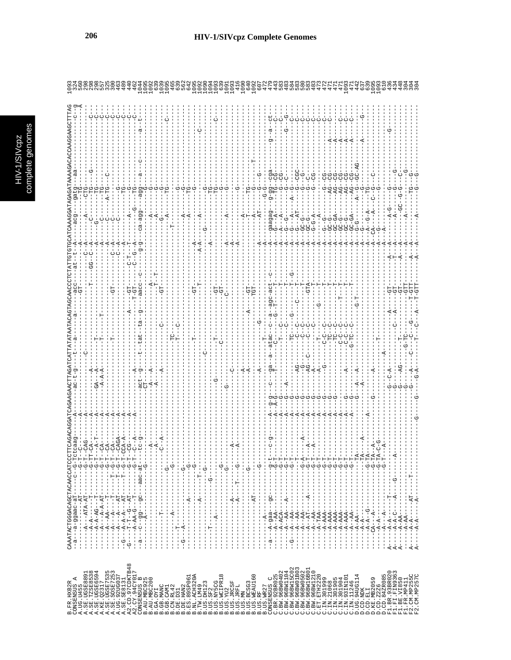|  |                                                                                                                                                                                                                                                                                                                                                                                                      |  |  |  |  |                     |                      |                                                                                                                                                                                                                                                                                                                                                                                                 |                                             |                                               |                                                                                  |                                                                    |                                              |                                               |                                    |                                      |                         |                      |                                                                                                |                                           |             |                                                        |                                                        |                                                                         |                                |                             |                                                       |                             |                                                                     |                                    |                                                                            |  |  |  |  |  | ှု<br>၂ မိမိ ၂ မိ ၂ မိမိမိမိမိ                                                                                                                                                                                                                                                                                                                                             |           |                           |                    |   |                |         |        |   |                |                                    |               |               |                              |                                                         |        |   |
|--|------------------------------------------------------------------------------------------------------------------------------------------------------------------------------------------------------------------------------------------------------------------------------------------------------------------------------------------------------------------------------------------------------|--|--|--|--|---------------------|----------------------|-------------------------------------------------------------------------------------------------------------------------------------------------------------------------------------------------------------------------------------------------------------------------------------------------------------------------------------------------------------------------------------------------|---------------------------------------------|-----------------------------------------------|----------------------------------------------------------------------------------|--------------------------------------------------------------------|----------------------------------------------|-----------------------------------------------|------------------------------------|--------------------------------------|-------------------------|----------------------|------------------------------------------------------------------------------------------------|-------------------------------------------|-------------|--------------------------------------------------------|--------------------------------------------------------|-------------------------------------------------------------------------|--------------------------------|-----------------------------|-------------------------------------------------------|-----------------------------|---------------------------------------------------------------------|------------------------------------|----------------------------------------------------------------------------|--|--|--|--|--|----------------------------------------------------------------------------------------------------------------------------------------------------------------------------------------------------------------------------------------------------------------------------------------------------------------------------------------------------------------------------|-----------|---------------------------|--------------------|---|----------------|---------|--------|---|----------------|------------------------------------|---------------|---------------|------------------------------|---------------------------------------------------------|--------|---|
|  |                                                                                                                                                                                                                                                                                                                                                                                                      |  |  |  |  |                     |                      |                                                                                                                                                                                                                                                                                                                                                                                                 |                                             |                                               |                                                                                  |                                                                    |                                              |                                               |                                    |                                      |                         |                      |                                                                                                |                                           |             |                                                        |                                                        |                                                                         |                                |                             |                                                       |                             |                                                                     |                                    |                                                                            |  |  |  |  |  |                                                                                                                                                                                                                                                                                                                                                                            |           |                           |                    |   |                |         |        |   |                |                                    |               |               |                              |                                                         |        |   |
|  |                                                                                                                                                                                                                                                                                                                                                                                                      |  |  |  |  |                     |                      |                                                                                                                                                                                                                                                                                                                                                                                                 |                                             |                                               |                                                                                  |                                                                    |                                              |                                               |                                    |                                      |                         |                      |                                                                                                |                                           |             |                                                        |                                                        |                                                                         |                                |                             |                                                       |                             |                                                                     |                                    |                                                                            |  |  |  |  |  |                                                                                                                                                                                                                                                                                                                                                                            |           |                           |                    |   |                |         |        |   |                |                                    |               |               |                              |                                                         |        |   |
|  |                                                                                                                                                                                                                                                                                                                                                                                                      |  |  |  |  |                     |                      |                                                                                                                                                                                                                                                                                                                                                                                                 |                                             |                                               |                                                                                  |                                                                    |                                              |                                               |                                    |                                      |                         |                      |                                                                                                |                                           |             |                                                        |                                                        |                                                                         |                                |                             |                                                       |                             |                                                                     |                                    |                                                                            |  |  |  |  |  |                                                                                                                                                                                                                                                                                                                                                                            |           |                           |                    |   |                |         |        |   |                |                                    |               |               |                              |                                                         |        |   |
|  |                                                                                                                                                                                                                                                                                                                                                                                                      |  |  |  |  |                     |                      |                                                                                                                                                                                                                                                                                                                                                                                                 |                                             |                                               |                                                                                  |                                                                    |                                              |                                               |                                    |                                      |                         |                      |                                                                                                |                                           |             |                                                        |                                                        |                                                                         |                                |                             |                                                       |                             |                                                                     |                                    |                                                                            |  |  |  |  |  |                                                                                                                                                                                                                                                                                                                                                                            |           |                           |                    |   |                |         |        |   |                |                                    |               |               |                              |                                                         |        |   |
|  |                                                                                                                                                                                                                                                                                                                                                                                                      |  |  |  |  | -<br>-aacc<br>-aac  |                      |                                                                                                                                                                                                                                                                                                                                                                                                 |                                             |                                               |                                                                                  |                                                                    |                                              |                                               |                                    |                                      |                         |                      |                                                                                                |                                           |             | $\overline{5}$                                         | 5p                                                     |                                                                         |                                |                             |                                                       |                             |                                                                     |                                    |                                                                            |  |  |  |  |  |                                                                                                                                                                                                                                                                                                                                                                            |           |                           |                    |   |                |         |        |   |                |                                    |               |               |                              |                                                         |        |   |
|  |                                                                                                                                                                                                                                                                                                                                                                                                      |  |  |  |  |                     |                      |                                                                                                                                                                                                                                                                                                                                                                                                 |                                             |                                               |                                                                                  |                                                                    |                                              |                                               |                                    |                                      |                         |                      |                                                                                                |                                           |             |                                                        |                                                        |                                                                         |                                |                             |                                                       |                             |                                                                     |                                    |                                                                            |  |  |  |  |  |                                                                                                                                                                                                                                                                                                                                                                            |           |                           |                    |   |                |         |        |   |                |                                    |               |               |                              |                                                         |        |   |
|  |                                                                                                                                                                                                                                                                                                                                                                                                      |  |  |  |  |                     |                      |                                                                                                                                                                                                                                                                                                                                                                                                 |                                             |                                               |                                                                                  |                                                                    |                                              |                                               |                                    |                                      |                         |                      |                                                                                                |                                           |             |                                                        |                                                        |                                                                         |                                |                             |                                                       |                             |                                                                     |                                    |                                                                            |  |  |  |  |  |                                                                                                                                                                                                                                                                                                                                                                            |           |                           |                    |   |                |         |        |   |                |                                    |               |               |                              |                                                         |        |   |
|  |                                                                                                                                                                                                                                                                                                                                                                                                      |  |  |  |  |                     |                      |                                                                                                                                                                                                                                                                                                                                                                                                 |                                             |                                               |                                                                                  |                                                                    |                                              |                                               |                                    |                                      |                         |                      |                                                                                                |                                           |             |                                                        |                                                        |                                                                         |                                |                             |                                                       |                             |                                                                     |                                    |                                                                            |  |  |  |  |  |                                                                                                                                                                                                                                                                                                                                                                            |           |                           |                    |   |                |         |        |   |                |                                    |               |               |                              |                                                         |        |   |
|  |                                                                                                                                                                                                                                                                                                                                                                                                      |  |  |  |  |                     |                      |                                                                                                                                                                                                                                                                                                                                                                                                 |                                             |                                               |                                                                                  |                                                                    |                                              |                                               |                                    |                                      |                         |                      |                                                                                                |                                           |             |                                                        |                                                        |                                                                         |                                |                             |                                                       |                             |                                                                     |                                    |                                                                            |  |  |  |  |  |                                                                                                                                                                                                                                                                                                                                                                            |           |                           |                    |   |                |         |        |   |                |                                    |               |               |                              |                                                         |        |   |
|  |                                                                                                                                                                                                                                                                                                                                                                                                      |  |  |  |  |                     |                      |                                                                                                                                                                                                                                                                                                                                                                                                 |                                             |                                               |                                                                                  |                                                                    |                                              |                                               |                                    |                                      |                         |                      |                                                                                                |                                           |             |                                                        |                                                        |                                                                         |                                |                             |                                                       |                             |                                                                     |                                    |                                                                            |  |  |  |  |  |                                                                                                                                                                                                                                                                                                                                                                            |           |                           |                    |   |                |         |        |   |                |                                    |               |               |                              |                                                         |        |   |
|  |                                                                                                                                                                                                                                                                                                                                                                                                      |  |  |  |  |                     |                      |                                                                                                                                                                                                                                                                                                                                                                                                 |                                             |                                               |                                                                                  |                                                                    |                                              |                                               |                                    |                                      |                         |                      |                                                                                                |                                           |             |                                                        |                                                        |                                                                         |                                |                             |                                                       |                             |                                                                     |                                    |                                                                            |  |  |  |  |  |                                                                                                                                                                                                                                                                                                                                                                            |           |                           |                    |   |                |         |        |   |                |                                    |               |               |                              |                                                         |        |   |
|  |                                                                                                                                                                                                                                                                                                                                                                                                      |  |  |  |  | $\blacksquare$<br>↵ | $\frac{1}{\sqrt{2}}$ | J.<br>$\frac{1}{4}$                                                                                                                                                                                                                                                                                                                                                                             | $\frac{1}{1}$                               | $\mathbf{I}$<br>$\mathbf{I}$<br>$\frac{1}{1}$ | υ<br>Ī                                                                           | $\overset{1}{\circ}$<br>$\,$ I<br>ł                                | $\mathbf{I}$<br>$\mathbf{I}$<br>$\mathbf{I}$ | $\begin{array}{c} -1 \\ -1 \\ -1 \end{array}$ |                                    | $\mathbf{I}$<br>ပုံ<br>$\frac{1}{1}$ | ひ<br>ŧ<br>$\frac{1}{1}$ | J,                   | $-1$                                                                                           | п<br>$\overline{1}$<br>$-1$ - $-1$ - $-1$ |             | Т<br>т<br>T                                            |                                                        | $-\frac{1}{2}$                                                          | $\frac{1}{1}$<br>$\frac{1}{1}$ |                             | п                                                     | ن<br>۱<br>J.                | ł<br>j                                                              | ပုံ<br>$\frac{1}{1}$               | п<br>J.                                                                    |  |  |  |  |  |                                                                                                                                                                                                                                                                                                                                                                            | $T - D -$ | 툿<br>ಲ್ಲ<br>$\frac{1}{1}$ | ب<br>$\frac{1}{1}$ | ġ | $L - D -$<br>ł | ပု<br>п | 투<br>I |   |                | 11111<br>101010<br>11111<br>I<br>I |               |               |                              | $\frac{1}{1}$                                           |        |   |
|  | $\begin{array}{l} \texttt{CAA} \texttt{ARD} \texttt{CG} \texttt{BG} \texttt{AG} \texttt{BG} \texttt{CG} \texttt{CG} \texttt{CG} \texttt{CG} \texttt{CG} \texttt{CG} \texttt{CG} \texttt{CG} \texttt{CG} \texttt{CG} \texttt{CG} \texttt{CG} \texttt{CG} \texttt{CG} \texttt{CG} \texttt{CG} \texttt{CG} \texttt{CG} \texttt{CG} \texttt{CG} \texttt{CG} \texttt{CG} \texttt{CG} \texttt{CG} \texttt$ |  |  |  |  |                     |                      | $\begin{array}{c} \rule{0pt}{2.5ex} \rule{0pt}{2.5ex} \rule{0pt}{2.5ex} \rule{0pt}{2.5ex} \rule{0pt}{2.5ex} \rule{0pt}{2.5ex} \rule{0pt}{2.5ex} \rule{0pt}{2.5ex} \rule{0pt}{2.5ex} \rule{0pt}{2.5ex} \rule{0pt}{2.5ex} \rule{0pt}{2.5ex} \rule{0pt}{2.5ex} \rule{0pt}{2.5ex} \rule{0pt}{2.5ex} \rule{0pt}{2.5ex} \rule{0pt}{2.5ex} \rule{0pt}{2.5ex} \rule{0pt}{2.5ex} \rule{0$                | Ť.                                          | 1<br>$\mathbf{I}$                             | L.<br>$\mathbb{I}$                                                               | Ţ                                                                  | $\mathbf{I}$<br>$\mathbf{I}$<br>$\mathbf{I}$ |                                               | т<br>I.<br>$\mathbf{I}$<br>т<br>I. | л<br>п<br>$-1$ - $-1$ - $-1$         | Т                       | $-1 - 1 - 1 - 1 - 1$ | $\frac{1}{1}$<br>$\mathbb I$<br>Ţ<br>п                                                         | $\frac{1}{1}$                             |             | $\mathbf{I}$<br>$\mathsf I$<br>$\mathbf I$<br>-1<br>Ť. | Ţ<br>п<br>J.                                           | I<br>J.<br>J.<br>J.                                                     |                                | ウーーー - II- - - - マーーーーーーーーー | J.<br>ï                                               |                             | $---ATT---$                                                         | I<br>т<br>1<br>Ţ.<br>т<br>Ť.       | п<br>$\overline{\phantom{a}}$<br>$\,$ I<br>$\mathsf I$<br>п<br>$\mathsf I$ |  |  |  |  |  | $\begin{array}{l} -a \!-\! 1 \!-\! a \!-\! 3 \!-\! 2 \! \mathrm{a} a \!-\! 3 \! \mathrm{c} \!- \! 3 \! \mathrm{c} \!- \! 3 \!- \! 2 \! \mathrm{c} \!- \! 3 \! \mathrm{c} \!- \! 3 \! \mathrm{c} \!- \! 3 \! \mathrm{c} \!- \! 3 \! \mathrm{c} \!- \! 3 \! \mathrm{c} \!- \! 3 \! \mathrm{c} \! \!- \! 3 \! \mathrm{c} \! \!- \! 3 \! \mathrm{c} \! \!- \! 3 \! \mathrm{c}$ |           |                           |                    |   |                |         |        | ŧ |                |                                    | יך<br>י<br>I. |               |                              | J<br>1<br>п                                             | T<br>т |   |
|  |                                                                                                                                                                                                                                                                                                                                                                                                      |  |  |  |  |                     |                      | Ħ<br>I<br>т<br>$\begin{array}{c} \rule{0pt}{2.5ex} \rule{0pt}{2.5ex} \rule{0pt}{2.5ex} \rule{0pt}{2.5ex} \rule{0pt}{2.5ex} \rule{0pt}{2.5ex} \rule{0pt}{2.5ex} \rule{0pt}{2.5ex} \rule{0pt}{2.5ex} \rule{0pt}{2.5ex} \rule{0pt}{2.5ex} \rule{0pt}{2.5ex} \rule{0pt}{2.5ex} \rule{0pt}{2.5ex} \rule{0pt}{2.5ex} \rule{0pt}{2.5ex} \rule{0pt}{2.5ex} \rule{0pt}{2.5ex} \rule{0pt}{2.5ex} \rule{0$ | $\mathsf I$<br>$\mathsf I$<br>$\frac{1}{1}$ | ---------                                     | $\mathsf I$<br>$\mathbf{I}$<br>$\mathbf I$<br>$\mathsf I$<br>J.<br>$\frac{1}{1}$ | $- - - - - - -$<br>$\begin{array}{c} \end{array}$<br>$\frac{1}{1}$ | п<br>л.<br>-1<br>J<br>۲<br>ا                 |                                               | J.<br>-1<br>$-6 - - -$             | I<br>I<br>$\frac{1}{1}$              | 1<br>п                  | $\,$ I               | $\begin{array}{c} \hline \end{array}$<br>л.<br>$\begin{array}{c} 1 \\ 1 \\ 1 \\ 1 \end{array}$ | $-1 - 1 - 1 - 1 - 1$                      | $\mathsf I$ | $\mathsf I$<br>$- - A -$<br>ţ                          | $\mathbb I$<br>I<br>$-1$ $-1$ $-1$ $-1$ $-1$ $-1$ $-1$ | $\begin{bmatrix} 1 \\ 1 \\ 1 \end{bmatrix}$<br>$\sf I$<br>$\frac{1}{1}$ |                                |                             | J<br>$\frac{1}{1}$<br>$\mathsf I$<br>$\mathsf I$<br>1 | ı<br>$\mathsf I$<br>I<br>J. | $\mathsf I$<br>$\frac{1}{1}$<br>÷i.<br>$\mathsf I$<br>$\frac{1}{1}$ | $\mathbf{I}$<br>-1<br>1<br>I<br>ł, | $- - A -$<br>$\overline{\phantom{a}}$<br>ł                                 |  |  |  |  |  |                                                                                                                                                                                                                                                                                                                                                                            |           |                           |                    |   |                |         |        |   | $- -A - A - -$ | $- -A - -A - A$                    |               |               |                              |                                                         |        |   |
|  |                                                                                                                                                                                                                                                                                                                                                                                                      |  |  |  |  |                     |                      | I                                                                                                                                                                                                                                                                                                                                                                                               | $\mathbf{I}$                                | J                                             |                                                                                  | I<br>J,                                                            |                                              |                                               |                                    |                                      |                         | I<br>I               |                                                                                                | $\frac{1}{1}$                             |             | ı                                                      | $\overline{\phantom{a}}$<br>I                          | I<br>I                                                                  | $\frac{1}{1}$                  |                             |                                                       |                             |                                                                     |                                    |                                                                            |  |  |  |  |  |                                                                                                                                                                                                                                                                                                                                                                            |           |                           |                    |   |                |         |        |   | $\overline{1}$ | I<br>J,<br>п                       | $\,$ I<br>ł   | $\frac{1}{1}$ | $\mathsf I$<br>$\frac{1}{1}$ | $\mathbf{I}$<br>$A \triangleleft A$ $A \triangleleft A$ | ţ      | Ħ |

 $\begin{smallmatrix} \texttt{R}, \texttt{HKB} \\ \texttt{R}, \texttt{R}, \texttt{R}, \texttt{R}, \texttt{R}, \texttt{R}, \texttt{R}, \texttt{R}, \texttt{R}, \texttt{R}, \texttt{R}, \texttt{R}, \texttt{R}, \texttt{R}, \texttt{R}, \texttt{R}, \texttt{R}, \texttt{R}, \texttt{R}, \texttt{R}, \texttt{R}, \texttt{R}, \texttt{R}, \texttt{R}, \texttt{R}, \texttt{R}, \texttt{R}, \texttt{R}, \texttt{R}, \texttt{R}, \texttt{R}, \texttt{R}, \texttt{R}, \text$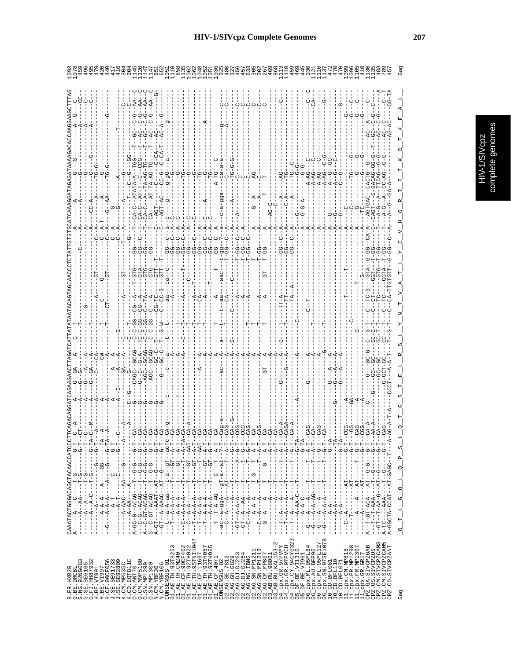| 510000003434463324811610000003434463324811                                                                                                                                                                                                                                                                                                                                                                                                                                                                                                                                                                                                                                                                                                                                                                                                                                                                                                                                                                                                                                                                                                                                                                                                                                                                                                                                                                                                                                                                                                                                                                                                                                                                                                                                                                                                                                                                                                                                                                                                                                                                                                                                                                                                                                                                                                                                                                                                                                                                                                                                                                                                                                                                                                                                                                                                                                                                                                                                                                                                                                                                                                                                                                                                                                                                                                                                                                                                                                                                                                                                                                                                                                                                                                                                                                                                                                                                                                                                                                                                                                                                                                                                                                                                           |
|------------------------------------------------------------------------------------------------------------------------------------------------------------------------------------------------------------------------------------------------------------------------------------------------------------------------------------------------------------------------------------------------------------------------------------------------------------------------------------------------------------------------------------------------------------------------------------------------------------------------------------------------------------------------------------------------------------------------------------------------------------------------------------------------------------------------------------------------------------------------------------------------------------------------------------------------------------------------------------------------------------------------------------------------------------------------------------------------------------------------------------------------------------------------------------------------------------------------------------------------------------------------------------------------------------------------------------------------------------------------------------------------------------------------------------------------------------------------------------------------------------------------------------------------------------------------------------------------------------------------------------------------------------------------------------------------------------------------------------------------------------------------------------------------------------------------------------------------------------------------------------------------------------------------------------------------------------------------------------------------------------------------------------------------------------------------------------------------------------------------------------------------------------------------------------------------------------------------------------------------------------------------------------------------------------------------------------------------------------------------------------------------------------------------------------------------------------------------------------------------------------------------------------------------------------------------------------------------------------------------------------------------------------------------------------------------------------------------------------------------------------------------------------------------------------------------------------------------------------------------------------------------------------------------------------------------------------------------------------------------------------------------------------------------------------------------------------------------------------------------------------------------------------------------------------------------------------------------------------------------------------------------------------------------------------------------------------------------------------------------------------------------------------------------------------------------------------------------------------------------------------------------------------------------------------------------------------------------------------------------------------------------------------------------------------------------------------------------------------------------------------------------------------------------------------------------------------------------------------------------------------------------------------------------------------------------------------------------------------------------------------------------------------------------------------------------------------------------------------------------------------------------------------------------------------------------------------------------------------------------------|
| ひ ひ ひ                                                                                                                                                                                                                                                                                                                                                                                                                                                                                                                                                                                                                                                                                                                                                                                                                                                                                                                                                                                                                                                                                                                                                                                                                                                                                                                                                                                                                                                                                                                                                                                                                                                                                                                                                                                                                                                                                                                                                                                                                                                                                                                                                                                                                                                                                                                                                                                                                                                                                                                                                                                                                                                                                                                                                                                                                                                                                                                                                                                                                                                                                                                                                                                                                                                                                                                                                                                                                                                                                                                                                                                                                                                                                                                                                                                                                                                                                                                                                                                                                                                                                                                                                                                                                                                |
| $G-G-A$                                                                                                                                                                                                                                                                                                                                                                                                                                                                                                                                                                                                                                                                                                                                                                                                                                                                                                                                                                                                                                                                                                                                                                                                                                                                                                                                                                                                                                                                                                                                                                                                                                                                                                                                                                                                                                                                                                                                                                                                                                                                                                                                                                                                                                                                                                                                                                                                                                                                                                                                                                                                                                                                                                                                                                                                                                                                                                                                                                                                                                                                                                                                                                                                                                                                                                                                                                                                                                                                                                                                                                                                                                                                                                                                                                                                                                                                                                                                                                                                                                                                                                                                                                                                                                              |
|                                                                                                                                                                                                                                                                                                                                                                                                                                                                                                                                                                                                                                                                                                                                                                                                                                                                                                                                                                                                                                                                                                                                                                                                                                                                                                                                                                                                                                                                                                                                                                                                                                                                                                                                                                                                                                                                                                                                                                                                                                                                                                                                                                                                                                                                                                                                                                                                                                                                                                                                                                                                                                                                                                                                                                                                                                                                                                                                                                                                                                                                                                                                                                                                                                                                                                                                                                                                                                                                                                                                                                                                                                                                                                                                                                                                                                                                                                                                                                                                                                                                                                                                                                                                                                                      |
|                                                                                                                                                                                                                                                                                                                                                                                                                                                                                                                                                                                                                                                                                                                                                                                                                                                                                                                                                                                                                                                                                                                                                                                                                                                                                                                                                                                                                                                                                                                                                                                                                                                                                                                                                                                                                                                                                                                                                                                                                                                                                                                                                                                                                                                                                                                                                                                                                                                                                                                                                                                                                                                                                                                                                                                                                                                                                                                                                                                                                                                                                                                                                                                                                                                                                                                                                                                                                                                                                                                                                                                                                                                                                                                                                                                                                                                                                                                                                                                                                                                                                                                                                                                                                                                      |
| $G-TPA-$<br>l.<br>$---T A -$<br>$G-TA-$<br>CAAATACTGGGACAGCTACAACCATCCT<br>$G-TA$<br>J.<br>$\mathbf{I}$<br>J.<br>$-4$<br>$-TA$<br>$\frac{1}{5}$<br>부<br>부<br>$-5$<br>부부<br>당명<br>$A-T$<br>부<br>턱<br>$\overline{G}-\overline{G}$<br>Η<br>Ο<br>무능<br>투<br>투<br>acT<br>턱<br>$A-T$<br>-----GT--AAT<br>----GT--A-T<br>$A-T$<br>부<br>부<br>부<br>부<br>부<br>٢<br>ij<br>$A-T$<br>부<br>부<br>부<br>토<br>부<br>부<br>부<br>부<br>부<br>투<br>$A-T$<br>$A-T$<br>부<br>부<br>Ţ<br>$A-T$<br>부<br>턱<br>부<br>ĀÄ.<br>T.<br>S<br>ひ<br>ひ<br>ひ<br>ひ<br>ひ<br>ひ<br>ひ<br>ひ<br>ひ<br>ひ<br>υ<br>υ<br>ပု<br>먹<br>$-159 - -$<br>$\begin{array}{c} 1 \\ 1 \\ 1 \end{array}$<br>A-UUCAU-A-UAUU-A-UUCU-A<br>Í<br>$\frac{1}{1}$<br>Ì<br>Ť<br>J,<br>J<br>J<br>$- - G T - -$<br>------------<br>$-150 - -$<br>$-1 - 1 - -$<br>$\frac{1}{4}$<br>ł<br>Ť<br>f,<br>ł<br>$-1 - 1 - -$<br>$-1 - 5 - -$<br>$\frac{1}{1}$<br>$\frac{1}{1}$<br>$\frac{1}{1}$<br>Ì<br>J<br>J<br>Ĵ<br>$\frac{1}{1}$<br>$\frac{1}{1}$<br>ł<br>$\frac{1}{1}$<br>$-1$<br>$\frac{1}{1}$<br>$\frac{1}{1}$<br>Ť<br>$\frac{1}{1}$<br>ŧ<br>÷<br>$\mathbf{a}$<br>T<br>$\frac{1}{1}$<br>J.<br>п<br>$\mathbf{I}$<br>п<br>п<br>H<br>1<br>$-5 - 1$<br>ï<br>$-9^{\circ}$<br>--gT-a--at<br>--AT------T<br>$-4$<br>$\frac{1}{2}$<br>j<br>$-9 - -$<br>턱<br>÷<br> <br>$\overline{\phantom{a}}$<br>I<br>I.<br>$-1$<br>უ<br> <br>$-\frac{c}{l}$<br>J<br>I<br>ţ<br>$\circ$<br>$\frac{1}{2}$<br>$-9$<br>$\frac{1}{1}$<br>ŧ<br>$\frac{1}{1}$<br>$\frac{1}{1}$<br>ł<br>ł<br>J.<br>$\frac{1}{1}$<br>$\frac{1}{1}$<br>$-GT - R - RARAC - RT - G$<br>$-1 - T - G$<br>$-1 - 1 - 1$<br>$-1 - T - G$<br>$\overline{\phantom{a}}$<br>$\frac{1}{2}$<br>U<br> <br>$---AA--$<br>$t - a$<br>$\frac{1}{4}$<br>$\frac{1}{1}$<br>$\frac{1}{4}$<br>$\frac{1}{4}$<br>$-1$<br>ł<br>$\frac{1}{4}$<br>$\frac{1}{1}$<br>Ť<br>$\frac{1}{1}$<br>$\frac{1}{1}$<br>$\frac{1}{4}$<br>$\blacksquare$<br>$\frac{1}{1}$<br>$---\mathbf{A}\mathbf{T}---$<br>ł<br>$\mathbf{I}$<br>$\mathbf{I}$<br>ᆸ<br>$\frac{1}{4}$<br>$\mathsf I$<br>$\blacksquare$<br>$-AT$ -<br>턱<br>÷<br>†<br>루<br>턱<br>$\begin{array}{rll} -a - g\,GA & - - g\,T - \\ -A & - - A & - - A\,T - \\ - - - A & - - - A\,T - \\ - - - A & - A & - - \\ -A & - A & - - - \\ -A & - - A & - - - \\ -A & - - A & - \end{array}$<br>Ĥ<br>$---AT-$<br>Н<br>투<br>$---AT$<br>텃<br>부<br>부<br>부<br>부<br>부<br>F,<br>י<br>י<br>L.<br>F-<br>텃<br>부<br>부<br>부<br>Ť<br>부<br>$-\mathbf{A}$<br>Ĩ<br>$- - A$<br>Ī.<br>$\mathbf{I}$<br>1<br>-1<br>-1<br>J.<br>$\overline{\phantom{a}}$<br>$---DA - A - AG - -$<br>O<br>$\blacksquare$<br>:--a-A-aa--<br>:--A-A-A----<br>$\frac{1}{1}$<br>$- - A A - -$<br>J.<br>$\mathbf{I}$<br>J.<br>$\frac{1}{1}$<br>$\frac{1}{1}$<br>ł<br>Ť<br>$\frac{1}{1}$<br>Ť<br>Ť<br>ŧ<br>Ť<br>$A = -R - -$<br>$-A = -$<br>$-A = -$<br>$-A = -$<br>$-A = -$<br>Ů<br>J.<br>$\frac{1}{1}$<br>ł<br>ප්<br>$A-GC - G - RCAG$<br>$-P A A T$<br>Ť.<br>J.<br>$\mathbf{I}$<br>$- A - A A - -$<br>$C - 1 - 1$<br>$- -A - AAC$<br>$- -A - A - A$<br>$A - A - A$<br>J.<br>$- -A - -A$<br>J.<br>ひ<br>$A - A - A$<br>$\begin{array}{c}\nA - A - A \\ A - A - A\n\end{array}$<br>1<br>$A - A A - C$<br>J.<br>$\mathbf{I}$<br>J.<br>-<br>$-4-7$<br>$A - A -$<br>I.<br>$\begin{array}{c} \end{array}$<br>$- -A - -$<br>j<br>$- -A - -$<br>H<br>$-4$<br>$\ddot{A}$<br>$-4$<br>$\begin{array}{c}\nA \\ -A \\ -A\n\end{array}$<br>$A - GT - -$<br>Ť<br>Ţ<br>$\frac{1}{1}$<br>$\frac{1}{1}$<br>$\frac{1}{1}$<br>Ŧ<br>$-50-$<br>Ŧ<br>Ŧ<br>Ţ<br>Ť<br>Ŧ<br>부<br>$-TC$ -<br>J<br>1<br>$\mathbf{I}$<br>J<br>I<br>$\mathbf{I}$<br>$-55$<br>÷g-<br>ပုံ<br>Ÿ<br>$\frac{1}{2}$<br>F<br>I<br>$\frac{1}{2}$<br>Ť<br>$\overset{-}{\circ}$<br>$\frac{1}{1}$<br>U<br>$\frac{1}{1}$<br>$\frac{1}{2}$<br>J.<br>J.<br>т<br>J.<br>п<br>ı<br>↵<br>◡<br>부<br>ד<br>-<br>L.<br>$\mathbf{I}$<br>부<br>$\mathbf{I}$<br>ł<br>I<br>٢<br>ï<br>Î,<br>ī<br>ė<br>Ġ٢<br>ひ<br>J.<br>Ī.<br>$\mathsf I$<br>$\mathsf I$<br>ひ<br>$\overline{\phantom{a}}$<br>$\mathsf I$<br>$\overline{\phantom{a}}$<br>J.<br>$\mathbf{I}$<br>1<br>1<br>т<br>J.<br>1<br>-1<br>$\blacksquare$<br>$\overline{A}$<br>$\mathbf I$<br>$\mathbf I$<br>Ť<br>$\mathbf{I}$<br>O.<br>К<br>$\overline{1}$<br>$\mathbf{I}$<br>J.<br>$\blacksquare$<br>К<br>$\overline{1}$<br>т<br>3<br>$^{\circ}$ |
| $\begin{smallmatrix} 0008288893 & 0 & 1\\ 01 & 01 & 01\\ 01 & 01 & 01\\ 01 & 01 & 01\\ 01 & 01 & 01\\ 01 & 01 & 01\\ 01 & 01 & 01\\ 01 & 01 & 01\\ 01 & 01 & 01\\ 01 & 01 & 01\\ 01 & 01 & 01\\ 01 & 01 & 01\\ 01 & 01 & 01\\ 01 & 01 & 01\\ 01 & 01 & 01\\ 01 & 01 & 01\\ 01 & 01 & 01\\ 01 &$<br>$\begin{array}{l} 04-{\tt cpx}, 081.974000'\\ 04-{\tt cpx}, 081.974000'\\ 04-{\tt cpx}, 081.9740023\\ 05-{\tt DFT}, 181.91130 \\ 05-{\tt DFT}, 181.91130 \\ 06-{\tt cpx}, 081.91130 \\ 07-{\tt cpx}, 081.91130 \\ 06-{\tt cpx}, 081.91130 \\ 07-{\tt cpx}, 081.91111 \\ 08-{\tt cpx}, 081.91110 \\ 09-{\tt c$<br>Z.US. SIVCPZUS<br>Z.CM. SIVCPZCAM3<br>Z.CM. SIVCPZCAM5<br>GA.SIVCPZGAB<br><b>SIVCPZANT</b><br>$\infty$<br>92NG083<br>SE6165<br>HH87932<br>.CM.YBF106<br>DNSENSUS 01<br>L_AE.TH.93T<br>B.FR.HXB2R<br>G.BE.DRCBL<br>$\ddot{\rm e}$<br>$\sigma$<br>G.NG.<br>$\mathbb N$<br>$\begin{array}{c}\nN & N & N \\ N & \Omega & \Omega\n\end{array}$<br>CPZ<br>Gag<br>$\mathbf{\Omega}$<br>C)<br>$\circ$<br>$\circ$<br>0000<br>$\circ$<br>$\circ$<br>U<br>U<br>U<br>U<br>o<br>$\circ$<br>$\circ$<br>$\circ$                                                                                                                                                                                                                                                                                                                                                                                                                                                                                                                                                                                                                                                                                                                                                                                                                                                                                                                                                                                                                                                                                                                                                                                                                                                                                                                                                                                                                                                                                                                                                                                                                                                                                                                                                                                                                                                                                                                                                                                                                                                                                                                                                                                                                                                                                                                                                                                                                                                                                                                                                                                                                                                                                                                                                                                                                                                                                                                                                                                                                                                                                                                                 |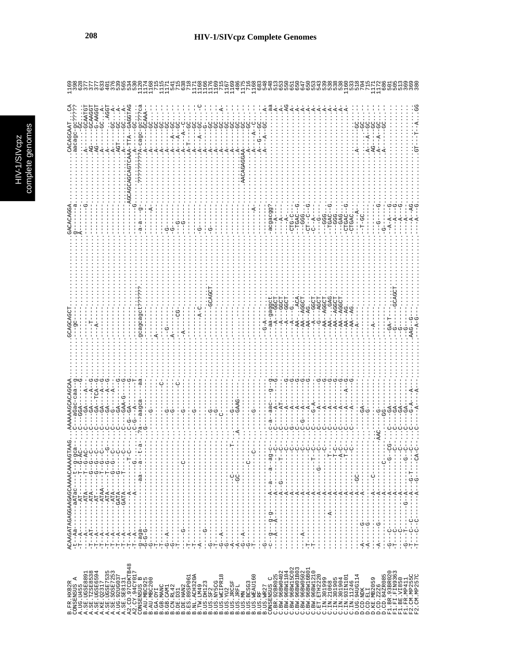|                                                                                                                                                                                                                                                                                                                                                                                                                | ACAAGATAGAGGAAGAGCAAAACAAAAG                                                                                                                                                                                                                                                                                                                                                                     |                                                                                                                                                                                                                                                                                                                                                                                                                             |  | CAGCAGO                                                                                                                                                                                                                                                                                                                                                                                                    | <b>EACACAGGZ</b> |                                                                                                                                                                                                                                                                                                                                                                                                                                                                                                                                                                                                                                                                                                        |  |
|----------------------------------------------------------------------------------------------------------------------------------------------------------------------------------------------------------------------------------------------------------------------------------------------------------------------------------------------------------------------------------------------------------------|--------------------------------------------------------------------------------------------------------------------------------------------------------------------------------------------------------------------------------------------------------------------------------------------------------------------------------------------------------------------------------------------------|-----------------------------------------------------------------------------------------------------------------------------------------------------------------------------------------------------------------------------------------------------------------------------------------------------------------------------------------------------------------------------------------------------------------------------|--|------------------------------------------------------------------------------------------------------------------------------------------------------------------------------------------------------------------------------------------------------------------------------------------------------------------------------------------------------------------------------------------------------------|------------------|--------------------------------------------------------------------------------------------------------------------------------------------------------------------------------------------------------------------------------------------------------------------------------------------------------------------------------------------------------------------------------------------------------------------------------------------------------------------------------------------------------------------------------------------------------------------------------------------------------------------------------------------------------------------------------------------------------|--|
| Ħ                                                                                                                                                                                                                                                                                                                                                                                                              |                                                                                                                                                                                                                                                                                                                                                                                                  | $\begin{array}{c} \dot{u} \\ \dot{v} \\ \dot{v} \end{array}$                                                                                                                                                                                                                                                                                                                                                                |  |                                                                                                                                                                                                                                                                                                                                                                                                            |                  |                                                                                                                                                                                                                                                                                                                                                                                                                                                                                                                                                                                                                                                                                                        |  |
|                                                                                                                                                                                                                                                                                                                                                                                                                | --aATac----<br>---AT------                                                                                                                                                                                                                                                                                                                                                                       | $\begin{array}{l} \mathsf{P} \mathsf{A} \mathsf{A} \mathsf{B} \mathsf{B} \mathsf{B} \mathsf{B} \mathsf{B} \mathsf{B} \mathsf{B} \mathsf{B} \mathsf{B} \mathsf{B} \mathsf{B} \mathsf{B} \mathsf{B} \mathsf{B} \mathsf{B} \mathsf{B} \mathsf{B} \mathsf{B} \mathsf{B} \mathsf{B} \mathsf{B} \mathsf{B} \mathsf{B} \mathsf{B} \mathsf{B} \mathsf{B} \mathsf{B} \mathsf{B} \mathsf{B} \mathsf{B} \mathsf{B} \mathsf{B} \mathsf$ |  |                                                                                                                                                                                                                                                                                                                                                                                                            |                  |                                                                                                                                                                                                                                                                                                                                                                                                                                                                                                                                                                                                                                                                                                        |  |
| п                                                                                                                                                                                                                                                                                                                                                                                                              | $\blacksquare$                                                                                                                                                                                                                                                                                                                                                                                   | לקמה המירה הן<br>הורך המירה הן<br>н<br>ŧ                                                                                                                                                                                                                                                                                                                                                                                    |  |                                                                                                                                                                                                                                                                                                                                                                                                            |                  | $\begin{array}{l} \mathcal{A}:\mathcal{A}\rightarrow\mathcal{A}\rightarrow\mathcal{B}\rightarrow\mathcal{B}\rightarrow\mathcal{B}\rightarrow\mathcal{B}\rightarrow\mathcal{B}\rightarrow\mathcal{B}\rightarrow\mathcal{B}\rightarrow\mathcal{B}\rightarrow\mathcal{B}\rightarrow\mathcal{B}\rightarrow\mathcal{B}\rightarrow\mathcal{B}\rightarrow\mathcal{B}\rightarrow\mathcal{B}\rightarrow\mathcal{B}\rightarrow\mathcal{B}\rightarrow\mathcal{B}\rightarrow\mathcal{B}\rightarrow\mathcal{B}\rightarrow\mathcal{B}\rightarrow\mathcal{B}\rightarrow\mathcal{B}\rightarrow\mathcal{B}\rightarrow\mathcal{B}\rightarrow\mathcal{B}\rightarrow\mathcal{B}\rightarrow\mathcal{B}\rightarrow\mathcal{$ |  |
| п<br>п                                                                                                                                                                                                                                                                                                                                                                                                         | J.                                                                                                                                                                                                                                                                                                                                                                                               | ひ<br>÷                                                                                                                                                                                                                                                                                                                                                                                                                      |  |                                                                                                                                                                                                                                                                                                                                                                                                            |                  |                                                                                                                                                                                                                                                                                                                                                                                                                                                                                                                                                                                                                                                                                                        |  |
| п<br>$\mathsf I$                                                                                                                                                                                                                                                                                                                                                                                               | $\mathbf{I}$                                                                                                                                                                                                                                                                                                                                                                                     | ÷                                                                                                                                                                                                                                                                                                                                                                                                                           |  |                                                                                                                                                                                                                                                                                                                                                                                                            |                  |                                                                                                                                                                                                                                                                                                                                                                                                                                                                                                                                                                                                                                                                                                        |  |
| J.<br>$\overline{1}$                                                                                                                                                                                                                                                                                                                                                                                           | J.                                                                                                                                                                                                                                                                                                                                                                                               | ひ H<br>$\frac{1}{1}$                                                                                                                                                                                                                                                                                                                                                                                                        |  |                                                                                                                                                                                                                                                                                                                                                                                                            |                  |                                                                                                                                                                                                                                                                                                                                                                                                                                                                                                                                                                                                                                                                                                        |  |
| т                                                                                                                                                                                                                                                                                                                                                                                                              | T                                                                                                                                                                                                                                                                                                                                                                                                | ŧ                                                                                                                                                                                                                                                                                                                                                                                                                           |  |                                                                                                                                                                                                                                                                                                                                                                                                            |                  |                                                                                                                                                                                                                                                                                                                                                                                                                                                                                                                                                                                                                                                                                                        |  |
| 투                                                                                                                                                                                                                                                                                                                                                                                                              |                                                                                                                                                                                                                                                                                                                                                                                                  | 日の<br>$\frac{1}{1}$                                                                                                                                                                                                                                                                                                                                                                                                         |  |                                                                                                                                                                                                                                                                                                                                                                                                            |                  |                                                                                                                                                                                                                                                                                                                                                                                                                                                                                                                                                                                                                                                                                                        |  |
| п<br>1<br>J<br>$\mathbf{I}$                                                                                                                                                                                                                                                                                                                                                                                    | J                                                                                                                                                                                                                                                                                                                                                                                                |                                                                                                                                                                                                                                                                                                                                                                                                                             |  |                                                                                                                                                                                                                                                                                                                                                                                                            |                  |                                                                                                                                                                                                                                                                                                                                                                                                                                                                                                                                                                                                                                                                                                        |  |
| $\mathbf{I}$<br>-1                                                                                                                                                                                                                                                                                                                                                                                             |                                                                                                                                                                                                                                                                                                                                                                                                  | ひ<br>$\overline{\phantom{a}}$<br>- 1                                                                                                                                                                                                                                                                                                                                                                                        |  |                                                                                                                                                                                                                                                                                                                                                                                                            |                  |                                                                                                                                                                                                                                                                                                                                                                                                                                                                                                                                                                                                                                                                                                        |  |
| $\mathbf{I}$<br>$\mathsf I$<br>T<br>т<br>$-1 = -2$<br>$-1 = -2$<br>$-1 = -2$                                                                                                                                                                                                                                                                                                                                   | T                                                                                                                                                                                                                                                                                                                                                                                                | т<br>$\begin{array}{c} \rule{0pt}{2.5ex} \rule{0pt}{2.5ex} \rule{0pt}{2.5ex} \rule{0pt}{2.5ex} \rule{0pt}{2.5ex} \rule{0pt}{2.5ex} \rule{0pt}{2.5ex} \rule{0pt}{2.5ex} \rule{0pt}{2.5ex} \rule{0pt}{2.5ex} \rule{0pt}{2.5ex} \rule{0pt}{2.5ex} \rule{0pt}{2.5ex} \rule{0pt}{2.5ex} \rule{0pt}{2.5ex} \rule{0pt}{2.5ex} \rule{0pt}{2.5ex} \rule{0pt}{2.5ex} \rule{0pt}{2.5ex} \rule{0$<br>н<br>$\frac{1}{1}$                 |  |                                                                                                                                                                                                                                                                                                                                                                                                            |                  |                                                                                                                                                                                                                                                                                                                                                                                                                                                                                                                                                                                                                                                                                                        |  |
| L.<br>L.<br>п                                                                                                                                                                                                                                                                                                                                                                                                  | J.                                                                                                                                                                                                                                                                                                                                                                                               | 턱<br>$\overline{1}$<br>I<br>т                                                                                                                                                                                                                                                                                                                                                                                               |  |                                                                                                                                                                                                                                                                                                                                                                                                            |                  |                                                                                                                                                                                                                                                                                                                                                                                                                                                                                                                                                                                                                                                                                                        |  |
|                                                                                                                                                                                                                                                                                                                                                                                                                |                                                                                                                                                                                                                                                                                                                                                                                                  |                                                                                                                                                                                                                                                                                                                                                                                                                             |  |                                                                                                                                                                                                                                                                                                                                                                                                            |                  |                                                                                                                                                                                                                                                                                                                                                                                                                                                                                                                                                                                                                                                                                                        |  |
| $\blacksquare$<br>Ť.<br>$\mathbf I$<br>$\mathbf{I}$<br>п<br>$-T=-A-$                                                                                                                                                                                                                                                                                                                                           | -1                                                                                                                                                                                                                                                                                                                                                                                               | $\frac{1}{1}$<br>$\frac{1}{1}$                                                                                                                                                                                                                                                                                                                                                                                              |  |                                                                                                                                                                                                                                                                                                                                                                                                            |                  |                                                                                                                                                                                                                                                                                                                                                                                                                                                                                                                                                                                                                                                                                                        |  |
| п<br>$\mathbf{I}$<br>$\overline{\phantom{a}}$                                                                                                                                                                                                                                                                                                                                                                  | $- = - - - - - -$<br>$\blacksquare$<br>п<br>$\overline{\phantom{a}}$<br>$\mathbf{I}$<br>$\overline{\phantom{a}}$                                                                                                                                                                                                                                                                                 | – –<br>                                                                                                                                                                                                                                                                                                                                                                                                                     |  |                                                                                                                                                                                                                                                                                                                                                                                                            |                  |                                                                                                                                                                                                                                                                                                                                                                                                                                                                                                                                                                                                                                                                                                        |  |
|                                                                                                                                                                                                                                                                                                                                                                                                                | $\mathbf{I}$<br>$\mathbb{I}$<br>J.                                                                                                                                                                                                                                                                                                                                                               | -1                                                                                                                                                                                                                                                                                                                                                                                                                          |  |                                                                                                                                                                                                                                                                                                                                                                                                            |                  |                                                                                                                                                                                                                                                                                                                                                                                                                                                                                                                                                                                                                                                                                                        |  |
| л                                                                                                                                                                                                                                                                                                                                                                                                              | $\mathbf{I}$<br>T<br>Ţ<br>л<br>Ţ<br>$\mathbf{I}$                                                                                                                                                                                                                                                                                                                                                 | п<br>т                                                                                                                                                                                                                                                                                                                                                                                                                      |  |                                                                                                                                                                                                                                                                                                                                                                                                            |                  |                                                                                                                                                                                                                                                                                                                                                                                                                                                                                                                                                                                                                                                                                                        |  |
| п<br>$\frac{1}{1}$                                                                                                                                                                                                                                                                                                                                                                                             |                                                                                                                                                                                                                                                                                                                                                                                                  | $\mathbf{I}$                                                                                                                                                                                                                                                                                                                                                                                                                |  |                                                                                                                                                                                                                                                                                                                                                                                                            |                  |                                                                                                                                                                                                                                                                                                                                                                                                                                                                                                                                                                                                                                                                                                        |  |
| 합부                                                                                                                                                                                                                                                                                                                                                                                                             |                                                                                                                                                                                                                                                                                                                                                                                                  |                                                                                                                                                                                                                                                                                                                                                                                                                             |  |                                                                                                                                                                                                                                                                                                                                                                                                            |                  |                                                                                                                                                                                                                                                                                                                                                                                                                                                                                                                                                                                                                                                                                                        |  |
| I<br>J.<br>$\frac{1}{4}$                                                                                                                                                                                                                                                                                                                                                                                       |                                                                                                                                                                                                                                                                                                                                                                                                  | п                                                                                                                                                                                                                                                                                                                                                                                                                           |  |                                                                                                                                                                                                                                                                                                                                                                                                            |                  |                                                                                                                                                                                                                                                                                                                                                                                                                                                                                                                                                                                                                                                                                                        |  |
| $-4 - -5 -$                                                                                                                                                                                                                                                                                                                                                                                                    |                                                                                                                                                                                                                                                                                                                                                                                                  |                                                                                                                                                                                                                                                                                                                                                                                                                             |  |                                                                                                                                                                                                                                                                                                                                                                                                            |                  |                                                                                                                                                                                                                                                                                                                                                                                                                                                                                                                                                                                                                                                                                                        |  |
| т<br>т<br>$-1$                                                                                                                                                                                                                                                                                                                                                                                                 |                                                                                                                                                                                                                                                                                                                                                                                                  | п<br>I.                                                                                                                                                                                                                                                                                                                                                                                                                     |  |                                                                                                                                                                                                                                                                                                                                                                                                            |                  |                                                                                                                                                                                                                                                                                                                                                                                                                                                                                                                                                                                                                                                                                                        |  |
| п<br>Ť.<br>$\frac{1}{1}$<br>부                                                                                                                                                                                                                                                                                                                                                                                  |                                                                                                                                                                                                                                                                                                                                                                                                  | $\frac{1}{1}$                                                                                                                                                                                                                                                                                                                                                                                                               |  |                                                                                                                                                                                                                                                                                                                                                                                                            |                  |                                                                                                                                                                                                                                                                                                                                                                                                                                                                                                                                                                                                                                                                                                        |  |
|                                                                                                                                                                                                                                                                                                                                                                                                                |                                                                                                                                                                                                                                                                                                                                                                                                  |                                                                                                                                                                                                                                                                                                                                                                                                                             |  |                                                                                                                                                                                                                                                                                                                                                                                                            |                  |                                                                                                                                                                                                                                                                                                                                                                                                                                                                                                                                                                                                                                                                                                        |  |
| $\overset{1}{\circ}$<br>J.<br>ŧ                                                                                                                                                                                                                                                                                                                                                                                |                                                                                                                                                                                                                                                                                                                                                                                                  | $\Gamma$                                                                                                                                                                                                                                                                                                                                                                                                                    |  |                                                                                                                                                                                                                                                                                                                                                                                                            |                  |                                                                                                                                                                                                                                                                                                                                                                                                                                                                                                                                                                                                                                                                                                        |  |
| л<br>I<br>$-1 - 1 -$                                                                                                                                                                                                                                                                                                                                                                                           |                                                                                                                                                                                                                                                                                                                                                                                                  | т<br>ï<br>I                                                                                                                                                                                                                                                                                                                                                                                                                 |  |                                                                                                                                                                                                                                                                                                                                                                                                            |                  |                                                                                                                                                                                                                                                                                                                                                                                                                                                                                                                                                                                                                                                                                                        |  |
| п<br>J.<br>$\frac{1}{4}$<br>투                                                                                                                                                                                                                                                                                                                                                                                  |                                                                                                                                                                                                                                                                                                                                                                                                  |                                                                                                                                                                                                                                                                                                                                                                                                                             |  |                                                                                                                                                                                                                                                                                                                                                                                                            |                  |                                                                                                                                                                                                                                                                                                                                                                                                                                                                                                                                                                                                                                                                                                        |  |
| I<br>I                                                                                                                                                                                                                                                                                                                                                                                                         |                                                                                                                                                                                                                                                                                                                                                                                                  | т                                                                                                                                                                                                                                                                                                                                                                                                                           |  |                                                                                                                                                                                                                                                                                                                                                                                                            |                  |                                                                                                                                                                                                                                                                                                                                                                                                                                                                                                                                                                                                                                                                                                        |  |
| $-4$                                                                                                                                                                                                                                                                                                                                                                                                           |                                                                                                                                                                                                                                                                                                                                                                                                  |                                                                                                                                                                                                                                                                                                                                                                                                                             |  |                                                                                                                                                                                                                                                                                                                                                                                                            |                  |                                                                                                                                                                                                                                                                                                                                                                                                                                                                                                                                                                                                                                                                                                        |  |
| ن<br>ا<br>$\mathbf{I}$<br>1                                                                                                                                                                                                                                                                                                                                                                                    |                                                                                                                                                                                                                                                                                                                                                                                                  | $\mathbf{I}$                                                                                                                                                                                                                                                                                                                                                                                                                |  |                                                                                                                                                                                                                                                                                                                                                                                                            |                  |                                                                                                                                                                                                                                                                                                                                                                                                                                                                                                                                                                                                                                                                                                        |  |
| I<br>H<br>J<br>$-5$                                                                                                                                                                                                                                                                                                                                                                                            |                                                                                                                                                                                                                                                                                                                                                                                                  | J.<br>$\overline{\phantom{a}}$<br>J<br>L.                                                                                                                                                                                                                                                                                                                                                                                   |  |                                                                                                                                                                                                                                                                                                                                                                                                            |                  |                                                                                                                                                                                                                                                                                                                                                                                                                                                                                                                                                                                                                                                                                                        |  |
| $\mathbf{I}$<br>투                                                                                                                                                                                                                                                                                                                                                                                              | J.                                                                                                                                                                                                                                                                                                                                                                                               | $\mathbf{I}$<br>п<br>-1                                                                                                                                                                                                                                                                                                                                                                                                     |  |                                                                                                                                                                                                                                                                                                                                                                                                            |                  |                                                                                                                                                                                                                                                                                                                                                                                                                                                                                                                                                                                                                                                                                                        |  |
|                                                                                                                                                                                                                                                                                                                                                                                                                |                                                                                                                                                                                                                                                                                                                                                                                                  |                                                                                                                                                                                                                                                                                                                                                                                                                             |  |                                                                                                                                                                                                                                                                                                                                                                                                            |                  |                                                                                                                                                                                                                                                                                                                                                                                                                                                                                                                                                                                                                                                                                                        |  |
| J<br>$-4 - - - - -$                                                                                                                                                                                                                                                                                                                                                                                            | $\begin{bmatrix} 1 \\ 1 \\ 1 \end{bmatrix}$<br>1                                                                                                                                                                                                                                                                                                                                                 | п<br>J.                                                                                                                                                                                                                                                                                                                                                                                                                     |  |                                                                                                                                                                                                                                                                                                                                                                                                            |                  |                                                                                                                                                                                                                                                                                                                                                                                                                                                                                                                                                                                                                                                                                                        |  |
| $\frac{1}{1}$<br>$-6 - -$                                                                                                                                                                                                                                                                                                                                                                                      | J.                                                                                                                                                                                                                                                                                                                                                                                               | J.<br>ı<br>J<br>L.                                                                                                                                                                                                                                                                                                                                                                                                          |  |                                                                                                                                                                                                                                                                                                                                                                                                            |                  |                                                                                                                                                                                                                                                                                                                                                                                                                                                                                                                                                                                                                                                                                                        |  |
| т<br>I<br>1<br>п                                                                                                                                                                                                                                                                                                                                                                                               | Ť.<br>T<br>л                                                                                                                                                                                                                                                                                                                                                                                     | п<br>$-1$ $-1$ $-1$ $-1$ $-1$                                                                                                                                                                                                                                                                                                                                                                                               |  |                                                                                                                                                                                                                                                                                                                                                                                                            |                  |                                                                                                                                                                                                                                                                                                                                                                                                                                                                                                                                                                                                                                                                                                        |  |
|                                                                                                                                                                                                                                                                                                                                                                                                                |                                                                                                                                                                                                                                                                                                                                                                                                  |                                                                                                                                                                                                                                                                                                                                                                                                                             |  |                                                                                                                                                                                                                                                                                                                                                                                                            |                  |                                                                                                                                                                                                                                                                                                                                                                                                                                                                                                                                                                                                                                                                                                        |  |
| л<br>т<br>$\mathbf{I}$<br>п                                                                                                                                                                                                                                                                                                                                                                                    | UU - - - -<br>л<br>л                                                                                                                                                                                                                                                                                                                                                                             | п<br>п<br>Ĵ                                                                                                                                                                                                                                                                                                                                                                                                                 |  |                                                                                                                                                                                                                                                                                                                                                                                                            |                  |                                                                                                                                                                                                                                                                                                                                                                                                                                                                                                                                                                                                                                                                                                        |  |
| п                                                                                                                                                                                                                                                                                                                                                                                                              | J.<br>п                                                                                                                                                                                                                                                                                                                                                                                          | п<br>I.                                                                                                                                                                                                                                                                                                                                                                                                                     |  |                                                                                                                                                                                                                                                                                                                                                                                                            |                  |                                                                                                                                                                                                                                                                                                                                                                                                                                                                                                                                                                                                                                                                                                        |  |
| $\overset{1}{\circ}$                                                                                                                                                                                                                                                                                                                                                                                           | J,<br>J.<br>J.                                                                                                                                                                                                                                                                                                                                                                                   | $\overline{\phantom{a}}$<br>$\frac{1}{1}$<br>J<br>п                                                                                                                                                                                                                                                                                                                                                                         |  |                                                                                                                                                                                                                                                                                                                                                                                                            |                  |                                                                                                                                                                                                                                                                                                                                                                                                                                                                                                                                                                                                                                                                                                        |  |
| $\frac{1}{1}$<br>T.<br>J<br>$\mathbf{I}$<br>부                                                                                                                                                                                                                                                                                                                                                                  | Ť<br>$\mathbf{I}$<br>$\mathsf I$<br>$\begin{array}{c} \end{array}$<br>$\mathbf{I}$<br>-1                                                                                                                                                                                                                                                                                                         | т<br>$\frac{1}{1}$                                                                                                                                                                                                                                                                                                                                                                                                          |  |                                                                                                                                                                                                                                                                                                                                                                                                            |                  |                                                                                                                                                                                                                                                                                                                                                                                                                                                                                                                                                                                                                                                                                                        |  |
| -1<br>т<br>I.<br>п<br>I<br>I<br>п                                                                                                                                                                                                                                                                                                                                                                              | T<br>-1<br>T<br>т<br>$\mathbf{I}$                                                                                                                                                                                                                                                                                                                                                                | т<br>J,<br>т                                                                                                                                                                                                                                                                                                                                                                                                                |  |                                                                                                                                                                                                                                                                                                                                                                                                            |                  |                                                                                                                                                                                                                                                                                                                                                                                                                                                                                                                                                                                                                                                                                                        |  |
|                                                                                                                                                                                                                                                                                                                                                                                                                |                                                                                                                                                                                                                                                                                                                                                                                                  |                                                                                                                                                                                                                                                                                                                                                                                                                             |  |                                                                                                                                                                                                                                                                                                                                                                                                            |                  |                                                                                                                                                                                                                                                                                                                                                                                                                                                                                                                                                                                                                                                                                                        |  |
| п<br>H.<br>$\mathbf{I}$<br>$\mathbf{I}$<br>ပှံ                                                                                                                                                                                                                                                                                                                                                                 | п<br>1<br>п<br>$\mathbf{I}$<br>п<br>$\mathbf{I}$                                                                                                                                                                                                                                                                                                                                                 | ı<br>ł<br>ı<br>п                                                                                                                                                                                                                                                                                                                                                                                                            |  |                                                                                                                                                                                                                                                                                                                                                                                                            |                  |                                                                                                                                                                                                                                                                                                                                                                                                                                                                                                                                                                                                                                                                                                        |  |
| $\frac{9}{1}$<br>U<br>л.                                                                                                                                                                                                                                                                                                                                                                                       | $-\frac{a}{a}$<br>$\mathbf{I}$<br>$\mathbf{I}$<br>$\mathsf I$                                                                                                                                                                                                                                                                                                                                    | oı<br>$- - - - - - -$                                                                                                                                                                                                                                                                                                                                                                                                       |  |                                                                                                                                                                                                                                                                                                                                                                                                            |                  |                                                                                                                                                                                                                                                                                                                                                                                                                                                                                                                                                                                                                                                                                                        |  |
| $\mathbf{I}$<br>$-5 - -4 - -8 - -1$<br>$\blacksquare$                                                                                                                                                                                                                                                                                                                                                          | ŧ<br>$\mathbf{I}$<br>-1<br>$\mathbb{I}$<br>$\blacksquare$                                                                                                                                                                                                                                                                                                                                        | J.<br>т                                                                                                                                                                                                                                                                                                                                                                                                                     |  |                                                                                                                                                                                                                                                                                                                                                                                                            |                  |                                                                                                                                                                                                                                                                                                                                                                                                                                                                                                                                                                                                                                                                                                        |  |
| $\blacksquare$<br>J.<br>т<br>т<br>I<br>T<br>т                                                                                                                                                                                                                                                                                                                                                                  | ပုံ<br>$\mathbf{I}$<br>J.                                                                                                                                                                                                                                                                                                                                                                        | н<br>I.<br>Ť                                                                                                                                                                                                                                                                                                                                                                                                                |  |                                                                                                                                                                                                                                                                                                                                                                                                            |                  |                                                                                                                                                                                                                                                                                                                                                                                                                                                                                                                                                                                                                                                                                                        |  |
| $\mathsf I$                                                                                                                                                                                                                                                                                                                                                                                                    | $\mathsf I$                                                                                                                                                                                                                                                                                                                                                                                      | Ť                                                                                                                                                                                                                                                                                                                                                                                                                           |  |                                                                                                                                                                                                                                                                                                                                                                                                            |                  |                                                                                                                                                                                                                                                                                                                                                                                                                                                                                                                                                                                                                                                                                                        |  |
| п<br>$\mathbf{I}$<br>I<br>$\mathbf{I}$<br>п<br>J.<br>$\mathbf{I}$<br>J<br>п                                                                                                                                                                                                                                                                                                                                    | $\mathbf{I}$<br>п<br>п<br>$\mathbf{I}$<br>$\mathbf{I}$                                                                                                                                                                                                                                                                                                                                           | п<br>п<br>п                                                                                                                                                                                                                                                                                                                                                                                                                 |  |                                                                                                                                                                                                                                                                                                                                                                                                            |                  |                                                                                                                                                                                                                                                                                                                                                                                                                                                                                                                                                                                                                                                                                                        |  |
| п<br>$\mathsf I$<br>$\overline{1}$<br>$\overline{\phantom{a}}$<br>I                                                                                                                                                                                                                                                                                                                                            | $\overline{1}$<br>-1<br>п                                                                                                                                                                                                                                                                                                                                                                        | L.<br>$\overline{1}$<br>п                                                                                                                                                                                                                                                                                                                                                                                                   |  |                                                                                                                                                                                                                                                                                                                                                                                                            |                  |                                                                                                                                                                                                                                                                                                                                                                                                                                                                                                                                                                                                                                                                                                        |  |
| т<br>$\begin{array}{c} \rule{0pt}{2.5ex} \rule{0pt}{2.5ex} \rule{0pt}{2.5ex} \rule{0pt}{2.5ex} \rule{0pt}{2.5ex} \rule{0pt}{2.5ex} \rule{0pt}{2.5ex} \rule{0pt}{2.5ex} \rule{0pt}{2.5ex} \rule{0pt}{2.5ex} \rule{0pt}{2.5ex} \rule{0pt}{2.5ex} \rule{0pt}{2.5ex} \rule{0pt}{2.5ex} \rule{0pt}{2.5ex} \rule{0pt}{2.5ex} \rule{0pt}{2.5ex} \rule{0pt}{2.5ex} \rule{0pt}{2.5ex} \rule{0$<br>I<br>п<br>u<br>J,     | I<br>T<br>л<br>I<br>I                                                                                                                                                                                                                                                                                                                                                                            | л<br>Ţ<br>J,<br>л                                                                                                                                                                                                                                                                                                                                                                                                           |  |                                                                                                                                                                                                                                                                                                                                                                                                            |                  |                                                                                                                                                                                                                                                                                                                                                                                                                                                                                                                                                                                                                                                                                                        |  |
|                                                                                                                                                                                                                                                                                                                                                                                                                |                                                                                                                                                                                                                                                                                                                                                                                                  |                                                                                                                                                                                                                                                                                                                                                                                                                             |  |                                                                                                                                                                                                                                                                                                                                                                                                            |                  |                                                                                                                                                                                                                                                                                                                                                                                                                                                                                                                                                                                                                                                                                                        |  |
| $\mathbf{I}$<br>$\mathsf I$<br>$\mathsf I$<br>$- - A - -$<br>п                                                                                                                                                                                                                                                                                                                                                 | $\frac{1}{1}$<br>$\mathbf{I}$<br>$\mathbf{I}$<br>$\mathbf{I}$                                                                                                                                                                                                                                                                                                                                    | п<br>J.<br>÷<br>$\mathbf{I}$                                                                                                                                                                                                                                                                                                                                                                                                |  |                                                                                                                                                                                                                                                                                                                                                                                                            |                  |                                                                                                                                                                                                                                                                                                                                                                                                                                                                                                                                                                                                                                                                                                        |  |
| $\frac{1}{1}$<br>$\overline{\phantom{a}}$<br>I<br>$\frac{1}{1}$<br>$\frac{1}{12}$<br>1                                                                                                                                                                                                                                                                                                                         | I<br>f,<br>п<br>$\mathbf{I}$<br>I                                                                                                                                                                                                                                                                                                                                                                | J.<br>$\frac{1}{1}$<br>J<br>$\overline{\phantom{a}}$                                                                                                                                                                                                                                                                                                                                                                        |  |                                                                                                                                                                                                                                                                                                                                                                                                            |                  |                                                                                                                                                                                                                                                                                                                                                                                                                                                                                                                                                                                                                                                                                                        |  |
| $\frac{1}{1}$<br>$\mathsf I$<br>$\mathbf{I}$<br>$\overline{\phantom{a}}$<br>$\frac{1}{1}$                                                                                                                                                                                                                                                                                                                      | $\mathbf{I}$<br>$\mathbf{I}$<br>$\mathbf{I}$                                                                                                                                                                                                                                                                                                                                                     | $-1$<br>$\mathsf I$<br>$\mathbf{I}$<br>$\mathbf{I}$                                                                                                                                                                                                                                                                                                                                                                         |  |                                                                                                                                                                                                                                                                                                                                                                                                            |                  |                                                                                                                                                                                                                                                                                                                                                                                                                                                                                                                                                                                                                                                                                                        |  |
| п<br>Ť.<br>I<br>$\mathbf{I}$<br>л<br>л<br>I                                                                                                                                                                                                                                                                                                                                                                    | Ť<br>-1<br>$\begin{array}{c} \rule{0pt}{2.5ex} \rule{0pt}{2.5ex} \rule{0pt}{2.5ex} \rule{0pt}{2.5ex} \rule{0pt}{2.5ex} \rule{0pt}{2.5ex} \rule{0pt}{2.5ex} \rule{0pt}{2.5ex} \rule{0pt}{2.5ex} \rule{0pt}{2.5ex} \rule{0pt}{2.5ex} \rule{0pt}{2.5ex} \rule{0pt}{2.5ex} \rule{0pt}{2.5ex} \rule{0pt}{2.5ex} \rule{0pt}{2.5ex} \rule{0pt}{2.5ex} \rule{0pt}{2.5ex} \rule{0pt}{2.5ex} \rule{0$<br>T | J<br>$-1$                                                                                                                                                                                                                                                                                                                                                                                                                   |  |                                                                                                                                                                                                                                                                                                                                                                                                            |                  |                                                                                                                                                                                                                                                                                                                                                                                                                                                                                                                                                                                                                                                                                                        |  |
| $\mathbf{I}$                                                                                                                                                                                                                                                                                                                                                                                                   | $\mathbf{I}$<br>$\frac{1}{1}$<br>$\mathbf{I}$                                                                                                                                                                                                                                                                                                                                                    | п                                                                                                                                                                                                                                                                                                                                                                                                                           |  |                                                                                                                                                                                                                                                                                                                                                                                                            |                  |                                                                                                                                                                                                                                                                                                                                                                                                                                                                                                                                                                                                                                                                                                        |  |
| $\begin{array}{c} \rule{0pt}{2.5ex} \rule{0pt}{2.5ex} \rule{0pt}{2.5ex} \rule{0pt}{2.5ex} \rule{0pt}{2.5ex} \rule{0pt}{2.5ex} \rule{0pt}{2.5ex} \rule{0pt}{2.5ex} \rule{0pt}{2.5ex} \rule{0pt}{2.5ex} \rule{0pt}{2.5ex} \rule{0pt}{2.5ex} \rule{0pt}{2.5ex} \rule{0pt}{2.5ex} \rule{0pt}{2.5ex} \rule{0pt}{2.5ex} \rule{0pt}{2.5ex} \rule{0pt}{2.5ex} \rule{0pt}{2.5ex} \rule{0$<br>I<br>п<br>п<br>I<br>I<br>I | т<br>$\begin{array}{c} \rule{0pt}{2.5ex} \rule{0pt}{2.5ex} \rule{0pt}{2.5ex} \rule{0pt}{2.5ex} \rule{0pt}{2.5ex} \rule{0pt}{2.5ex} \rule{0pt}{2.5ex} \rule{0pt}{2.5ex} \rule{0pt}{2.5ex} \rule{0pt}{2.5ex} \rule{0pt}{2.5ex} \rule{0pt}{2.5ex} \rule{0pt}{2.5ex} \rule{0pt}{2.5ex} \rule{0pt}{2.5ex} \rule{0pt}{2.5ex} \rule{0pt}{2.5ex} \rule{0pt}{2.5ex} \rule{0pt}{2.5ex} \rule{0$<br>I       | ł<br>I                                                                                                                                                                                                                                                                                                                                                                                                                      |  |                                                                                                                                                                                                                                                                                                                                                                                                            |                  |                                                                                                                                                                                                                                                                                                                                                                                                                                                                                                                                                                                                                                                                                                        |  |
| $-4 - 2$<br>$\overline{\phantom{a}}$<br>$\overline{\phantom{a}}$<br>п<br>$\overline{\phantom{a}}$<br>$\frac{1}{1}$                                                                                                                                                                                                                                                                                             | $\blacksquare$<br>$\blacksquare$<br>п<br>$\overline{\phantom{a}}$                                                                                                                                                                                                                                                                                                                                | T<br>$\blacksquare$<br>п<br>$\overline{1}$<br>$\overline{1}$<br>п                                                                                                                                                                                                                                                                                                                                                           |  |                                                                                                                                                                                                                                                                                                                                                                                                            |                  |                                                                                                                                                                                                                                                                                                                                                                                                                                                                                                                                                                                                                                                                                                        |  |
| ı                                                                                                                                                                                                                                                                                                                                                                                                              | п<br>п                                                                                                                                                                                                                                                                                                                                                                                           | J.                                                                                                                                                                                                                                                                                                                                                                                                                          |  |                                                                                                                                                                                                                                                                                                                                                                                                            |                  |                                                                                                                                                                                                                                                                                                                                                                                                                                                                                                                                                                                                                                                                                                        |  |
| J.<br>Ť.<br>$\overline{\phantom{a}}$                                                                                                                                                                                                                                                                                                                                                                           | $\overline{1}$<br>$\mathbf{I}$<br>J.                                                                                                                                                                                                                                                                                                                                                             | J<br>$\mathbf{I}$                                                                                                                                                                                                                                                                                                                                                                                                           |  |                                                                                                                                                                                                                                                                                                                                                                                                            |                  |                                                                                                                                                                                                                                                                                                                                                                                                                                                                                                                                                                                                                                                                                                        |  |
| л<br>J.<br>I<br>J,<br>л<br>I                                                                                                                                                                                                                                                                                                                                                                                   | J.<br>Í<br>п<br>п<br>J,                                                                                                                                                                                                                                                                                                                                                                          | п<br>I<br>$\mathbf{I}$                                                                                                                                                                                                                                                                                                                                                                                                      |  |                                                                                                                                                                                                                                                                                                                                                                                                            |                  |                                                                                                                                                                                                                                                                                                                                                                                                                                                                                                                                                                                                                                                                                                        |  |
|                                                                                                                                                                                                                                                                                                                                                                                                                |                                                                                                                                                                                                                                                                                                                                                                                                  |                                                                                                                                                                                                                                                                                                                                                                                                                             |  |                                                                                                                                                                                                                                                                                                                                                                                                            |                  |                                                                                                                                                                                                                                                                                                                                                                                                                                                                                                                                                                                                                                                                                                        |  |
| $\mathbf{I}$<br>$\mathbf{I}$<br>$\,$ I<br>$\overline{\phantom{a}}$<br>$\blacksquare$<br>$\overline{\phantom{a}}$<br>$\overline{\phantom{a}}$<br>J.                                                                                                                                                                                                                                                             | $\mathsf I$<br>$\mathbf{I}$<br>$\mathbf{I}$<br>$\triangle$ $\triangle$<br>T<br>$\mathbf{I}$<br>$\mathbf{I}$<br>$\mathbf{I}$<br>$\blacksquare$                                                                                                                                                                                                                                                    | $\mathbf{I}$<br>$\mathbf{I}$<br>J<br>J,<br>$\blacksquare$                                                                                                                                                                                                                                                                                                                                                                   |  |                                                                                                                                                                                                                                                                                                                                                                                                            |                  |                                                                                                                                                                                                                                                                                                                                                                                                                                                                                                                                                                                                                                                                                                        |  |
| J.                                                                                                                                                                                                                                                                                                                                                                                                             | $- - -$ GC<br>$\mathbf{I}$<br>$\blacksquare$<br>п<br>J.<br>л                                                                                                                                                                                                                                                                                                                                     | J.<br>Ţ<br>$\,$ I                                                                                                                                                                                                                                                                                                                                                                                                           |  |                                                                                                                                                                                                                                                                                                                                                                                                            |                  |                                                                                                                                                                                                                                                                                                                                                                                                                                                                                                                                                                                                                                                                                                        |  |
| -1<br>$\mathbf I$<br>ن<br>ا<br>1<br>$-A$ -                                                                                                                                                                                                                                                                                                                                                                     | п<br>$\mathbf{I}$<br>$\blacksquare$<br>$-\overline{A}$<br>$\mathbf{I}$<br>$\mathbf{I}$<br>$\blacksquare$<br>$\mathbf{I}$                                                                                                                                                                                                                                                                         | т<br>Т<br>$\mathbf{I}$                                                                                                                                                                                                                                                                                                                                                                                                      |  |                                                                                                                                                                                                                                                                                                                                                                                                            |                  |                                                                                                                                                                                                                                                                                                                                                                                                                                                                                                                                                                                                                                                                                                        |  |
| л.<br>$\frac{6}{1}$<br>$\mathbf I$<br>ŧ<br>$-4$                                                                                                                                                                                                                                                                                                                                                                | $\mathsf I$<br>п<br>т.<br>$\mathbf{I}$<br>$\mathbf{I}$<br>л.<br>$\mathbf{I}$<br>J.                                                                                                                                                                                                                                                                                                               | J.<br>п<br>J.<br>J<br>п                                                                                                                                                                                                                                                                                                                                                                                                     |  |                                                                                                                                                                                                                                                                                                                                                                                                            |                  |                                                                                                                                                                                                                                                                                                                                                                                                                                                                                                                                                                                                                                                                                                        |  |
| -1<br>$\mathbb{I}$<br>$\mathsf I$<br>J.<br>J.<br>J.<br>$\mathsf I$<br>п<br>J.                                                                                                                                                                                                                                                                                                                                  | $-1 - 1$<br>Ą<br>Ŧ<br>L.<br>т<br>J.                                                                                                                                                                                                                                                                                                                                                              | J<br>-1<br>Ť                                                                                                                                                                                                                                                                                                                                                                                                                |  |                                                                                                                                                                                                                                                                                                                                                                                                            |                  |                                                                                                                                                                                                                                                                                                                                                                                                                                                                                                                                                                                                                                                                                                        |  |
| ن<br>ٻ                                                                                                                                                                                                                                                                                                                                                                                                         | $\blacksquare$                                                                                                                                                                                                                                                                                                                                                                                   |                                                                                                                                                                                                                                                                                                                                                                                                                             |  |                                                                                                                                                                                                                                                                                                                                                                                                            |                  |                                                                                                                                                                                                                                                                                                                                                                                                                                                                                                                                                                                                                                                                                                        |  |
| -1<br>J.<br>J.<br>$-A$ --                                                                                                                                                                                                                                                                                                                                                                                      | I<br>I.<br>ፈ ⊄<br>T,<br>т<br>J.                                                                                                                                                                                                                                                                                                                                                                  | ı<br>ı<br>Ţ<br>т                                                                                                                                                                                                                                                                                                                                                                                                            |  |                                                                                                                                                                                                                                                                                                                                                                                                            |                  |                                                                                                                                                                                                                                                                                                                                                                                                                                                                                                                                                                                                                                                                                                        |  |
| т<br>I.<br>Ţ<br>п<br>л<br>т<br>I<br>I<br>т                                                                                                                                                                                                                                                                                                                                                                     | $\mathfrak l$<br>İ<br>Ţ<br>т<br>ï<br>I<br>п                                                                                                                                                                                                                                                                                                                                                      | л<br>$\mathsf I$<br>$\frac{1}{1}$<br>ţ<br>$\mathbf{I}$                                                                                                                                                                                                                                                                                                                                                                      |  |                                                                                                                                                                                                                                                                                                                                                                                                            |                  |                                                                                                                                                                                                                                                                                                                                                                                                                                                                                                                                                                                                                                                                                                        |  |
| -1<br>$\mathsf I$<br>$\frac{1}{1}$                                                                                                                                                                                                                                                                                                                                                                             | $\mathbf{I}$<br>$\blacksquare$<br>A<br>T<br>-1<br>$\mathbf{I}$                                                                                                                                                                                                                                                                                                                                   | $-1$<br>$\frac{1}{2}$<br>$\mathbf{I}$                                                                                                                                                                                                                                                                                                                                                                                       |  | $\begin{small} \vdots \\ -6 & -4 & -1 \\ -6 & -8 & -8 & -6 \\ -1 & -6 & -6 & -6 \\ -1 & -1 & -1 & -6 \\ -1 & -1 & -1 & -1 \\ -1 & -1 & -1 & -1 \\ -1 & -1 & -1 & -1 \\ -1 & -1 & -1 & -1 \\ -1 & -1 & -1 & -1 \\ -1 & -1 & -1 & -1 \\ -1 & -1 & -1 & -1 \\ -1 & -1 & -1 & -1 \\ -1 & -1 & -1 & -1 \\ -1 & -1 & -1 & -1 \\ -1 & -1 & -1 & -1 \\ -1 & -1 & -1 & -1 \\ -1 & -1 & -1 & -1 \\ -1 & -1 & -1 & -$ |                  |                                                                                                                                                                                                                                                                                                                                                                                                                                                                                                                                                                                                                                                                                                        |  |
| п<br>$\overline{\phantom{a}}$<br>$\frac{1}{4}$                                                                                                                                                                                                                                                                                                                                                                 | J<br>$\mathbf{I}$<br>К<br>Ĭ<br>$\mathbf{I}$<br>$\mathbf{I}$<br>$\overline{\phantom{a}}$<br>$\mathbf{I}$                                                                                                                                                                                                                                                                                          | ٠<br>ı<br>J<br>$\frac{1}{1}$<br>$\overline{\phantom{a}}$<br>$\mathbf{I}$<br>$\blacksquare$                                                                                                                                                                                                                                                                                                                                  |  |                                                                                                                                                                                                                                                                                                                                                                                                            |                  |                                                                                                                                                                                                                                                                                                                                                                                                                                                                                                                                                                                                                                                                                                        |  |
| L.<br>$\mathbf{I}$<br>T<br>$\mathbf{I}$                                                                                                                                                                                                                                                                                                                                                                        | J.<br>Ť<br>К<br>$\mathsf I$<br>J.                                                                                                                                                                                                                                                                                                                                                                | J.<br>-1<br>J.<br>$\mathbf{I}$                                                                                                                                                                                                                                                                                                                                                                                              |  |                                                                                                                                                                                                                                                                                                                                                                                                            |                  |                                                                                                                                                                                                                                                                                                                                                                                                                                                                                                                                                                                                                                                                                                        |  |
| $\blacksquare$                                                                                                                                                                                                                                                                                                                                                                                                 | ن<br>۱                                                                                                                                                                                                                                                                                                                                                                                           | $-1$<br>I<br>I                                                                                                                                                                                                                                                                                                                                                                                                              |  |                                                                                                                                                                                                                                                                                                                                                                                                            |                  |                                                                                                                                                                                                                                                                                                                                                                                                                                                                                                                                                                                                                                                                                                        |  |
| $\mathbb T$<br>$\frac{1}{1}$                                                                                                                                                                                                                                                                                                                                                                                   | $\mathbf I$<br>$\frac{1}{1}$<br>т                                                                                                                                                                                                                                                                                                                                                                | т                                                                                                                                                                                                                                                                                                                                                                                                                           |  |                                                                                                                                                                                                                                                                                                                                                                                                            |                  |                                                                                                                                                                                                                                                                                                                                                                                                                                                                                                                                                                                                                                                                                                        |  |
| ÷<br>$\frac{0}{1}$<br>$\frac{1}{2}$<br>$1 - 1$<br>- 11<br>부부                                                                                                                                                                                                                                                                                                                                                   | $\begin{array}{c}\nA \\ I \\ I \\ I\n\end{array}$<br>-1<br>Ť.<br>$\mathbb{I}$                                                                                                                                                                                                                                                                                                                    | $\mathbf I$                                                                                                                                                                                                                                                                                                                                                                                                                 |  |                                                                                                                                                                                                                                                                                                                                                                                                            |                  |                                                                                                                                                                                                                                                                                                                                                                                                                                                                                                                                                                                                                                                                                                        |  |
| $\blacksquare$<br>$\blacksquare$                                                                                                                                                                                                                                                                                                                                                                               | $\mathbf{I}$<br>$\mathsf I$<br>$\overline{\phantom{a}}$                                                                                                                                                                                                                                                                                                                                          | $---C$                                                                                                                                                                                                                                                                                                                                                                                                                      |  |                                                                                                                                                                                                                                                                                                                                                                                                            |                  |                                                                                                                                                                                                                                                                                                                                                                                                                                                                                                                                                                                                                                                                                                        |  |
|                                                                                                                                                                                                                                                                                                                                                                                                                |                                                                                                                                                                                                                                                                                                                                                                                                  |                                                                                                                                                                                                                                                                                                                                                                                                                             |  |                                                                                                                                                                                                                                                                                                                                                                                                            |                  |                                                                                                                                                                                                                                                                                                                                                                                                                                                                                                                                                                                                                                                                                                        |  |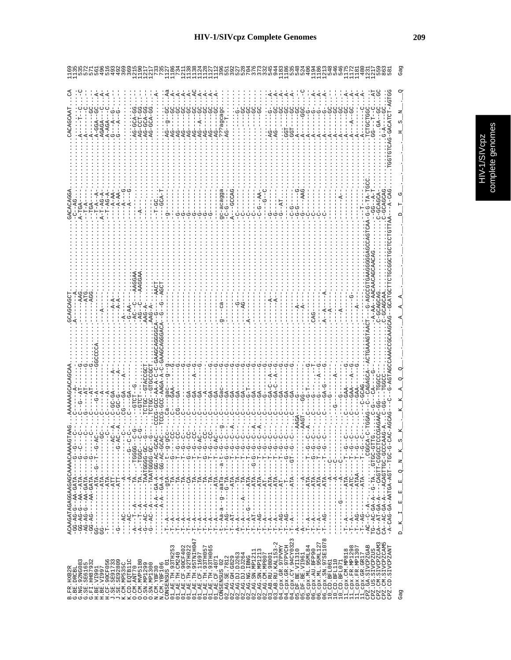|                              |             |                                                                                             |                                               | A-GGA-<br>AGAGA--<br>A-AGA--<br>3---A---<br>3---A---                                                                                                                                                                                                                                                                                                                                                                                                        |                                                 |                                                                                     |                                            |                              |                                            |               | : 2010-005<br>2010-005-08<br>2010-005-08<br>2010-005-005                                              |                        |                                    |                                   |   |                                 |   |                                   | $\frac{1}{3}$<br>$\frac{1}{3}$<br>$\frac{1}{3}$<br>$\frac{1}{3}$ |                                           |                             |     |                                                                |                                        |                                                                         |                       |                                 |                            |                          |                                        |                 |                                          |                                                                                                                                                                                                                                                                                                                                |                                   |             |                              |                                       |                                  |                                                     |                |   |                |   |                             |                 |                 |                                        |                                 |                     |                                      |                                                                                    |                                                |        |                                                                                                   |                                                    |                                                   |                   | TCTGCTG<br>90---T                              |                                                                                                |                                                                                                                                                                                                                                                                                                                                                                                                   |                        |  |
|------------------------------|-------------|---------------------------------------------------------------------------------------------|-----------------------------------------------|-------------------------------------------------------------------------------------------------------------------------------------------------------------------------------------------------------------------------------------------------------------------------------------------------------------------------------------------------------------------------------------------------------------------------------------------------------------|-------------------------------------------------|-------------------------------------------------------------------------------------|--------------------------------------------|------------------------------|--------------------------------------------|---------------|-------------------------------------------------------------------------------------------------------|------------------------|------------------------------------|-----------------------------------|---|---------------------------------|---|-----------------------------------|------------------------------------------------------------------|-------------------------------------------|-----------------------------|-----|----------------------------------------------------------------|----------------------------------------|-------------------------------------------------------------------------|-----------------------|---------------------------------|----------------------------|--------------------------|----------------------------------------|-----------------|------------------------------------------|--------------------------------------------------------------------------------------------------------------------------------------------------------------------------------------------------------------------------------------------------------------------------------------------------------------------------------|-----------------------------------|-------------|------------------------------|---------------------------------------|----------------------------------|-----------------------------------------------------|----------------|---|----------------|---|-----------------------------|-----------------|-----------------|----------------------------------------|---------------------------------|---------------------|--------------------------------------|------------------------------------------------------------------------------------|------------------------------------------------|--------|---------------------------------------------------------------------------------------------------|----------------------------------------------------|---------------------------------------------------|-------------------|------------------------------------------------|------------------------------------------------------------------------------------------------|---------------------------------------------------------------------------------------------------------------------------------------------------------------------------------------------------------------------------------------------------------------------------------------------------------------------------------------------------------------------------------------------------|------------------------|--|
|                              |             |                                                                                             |                                               | $\begin{array}{r} -1 - A - A \\ \hline 1 - A G - A \\ -1 - A G - A \\ -1 - A G - A \\ -1 - A G - A \\ -1 - A G - A \\ -1 - A G - A \\ -1 - A G - A \\ -1 - A G - A \\ -1 - A G - A \\ -1 - A G - A \\ -1 - A G - A \\ -1 - A G - A \\ -1 - A G - A \\ -1 - A G - A \\ -1 - A G - A \\ -1 - A G - A \\ -1 - A G - A \\ -1 - A G - A \\ -1 - A G - A \\ -1 - A G - A \\ -1 - A G - A \\ -1 - A G - A \\ -1 - A G - A \\ -1 - A G - A \\ -1 - A G - A \\ -1 -$ |                                                 |                                                                                     |                                            |                              |                                            |               |                                                                                                       |                        |                                    |                                   |   |                                 |   |                                   |                                                                  |                                           |                             |     |                                                                |                                        |                                                                         |                       |                                 |                            |                          |                                        |                 |                                          |                                                                                                                                                                                                                                                                                                                                |                                   |             |                              |                                       |                                  |                                                     |                |   |                |   |                             |                 |                 |                                        |                                 |                     |                                      |                                                                                    |                                                |        |                                                                                                   |                                                    |                                                   |                   |                                                |                                                                                                |                                                                                                                                                                                                                                                                                                                                                                                                   |                        |  |
|                              |             |                                                                                             |                                               |                                                                                                                                                                                                                                                                                                                                                                                                                                                             |                                                 |                                                                                     |                                            |                              |                                            |               |                                                                                                       |                        |                                    |                                   |   |                                 |   |                                   |                                                                  |                                           |                             |     |                                                                |                                        |                                                                         |                       |                                 |                            |                          |                                        |                 |                                          |                                                                                                                                                                                                                                                                                                                                |                                   |             |                              |                                       |                                  |                                                     |                |   |                |   |                             |                 |                 |                                        |                                 |                     |                                      |                                                                                    |                                                |        |                                                                                                   |                                                    |                                                   | $-4 - 24 - 2 - 1$ |                                                |                                                                                                |                                                                                                                                                                                                                                                                                                                                                                                                   |                        |  |
|                              |             |                                                                                             |                                               |                                                                                                                                                                                                                                                                                                                                                                                                                                                             |                                                 |                                                                                     |                                            |                              |                                            |               |                                                                                                       |                        |                                    |                                   |   |                                 |   |                                   |                                                                  |                                           |                             |     |                                                                |                                        |                                                                         |                       |                                 |                            |                          |                                        |                 |                                          |                                                                                                                                                                                                                                                                                                                                |                                   |             |                              |                                       |                                  | UU    <br>  T   T    <br>  T   T   U<br>  U   U   U |                |   |                |   |                             |                 |                 |                                        |                                 |                     |                                      |                                                                                    |                                                |        |                                                                                                   |                                                    |                                                   |                   |                                                |                                                                                                |                                                                                                                                                                                                                                                                                                                                                                                                   |                        |  |
| ACAAGATAGAGGAAGAGCAAAACAAAAG | $\mathsf I$ | ţ<br>п<br>$\frac{1}{2}$<br>$\frac{6}{1}$<br>$\mathbf{I}$<br>Ť<br>$\mathbf{I}$<br>$-AA-GATA$ | $-6 - A$<br>$\frac{1}{1}$<br>ף<br>י<br>$-ATA$ | $ ATA$                                                                                                                                                                                                                                                                                                                                                                                                                                                      | ł<br>$\mathbf{I}$<br>$\mathbf{I}$<br>$ ATA$     | $\blacksquare$                                                                      | $- - - - - 46$<br>$---ATT$                 | $\blacksquare$<br>$-ATT$     | $\mathbf{I}$<br>Ť<br>$-4$<br>$\frac{1}{1}$ | $\frac{0}{1}$ |                                                                                                       |                        | Τ.<br>-- TAATGGG-GC<br>$\mathsf I$ | UU-UUUUTAAT--<br>Ť.               |   |                                 |   | ŧ<br>$\frac{5}{1}$<br>$---ZD - -$ |                                                                  | י<br>ד<br>Ť,<br>$---TA$                   | $-1 - 5 - 5$<br>$---C_{A}-$ | ウーー | $-5 - 5 - 4$<br>$\ddot{\tau}$<br>$----11 - 10 - 10 = 0.000000$ | $G - A$<br>$\frac{1}{2}$<br>$---T A -$ | $\begin{bmatrix} 1 \\ -1 \\ 0 \end{bmatrix}$<br>÷<br>$-1$<br>$---T A -$ | Ţ<br>$---T A --$<br>Ť | $-4-5$<br>י<br>ו<br>$---ATA---$ | l<br>ひ<br>$- = aBTba - -a$ | I<br>ひ<br>ロー<br>$-G-TA-$ | Ţ<br><b>しり</b><br>ŧ<br>$- - A T A - -$ | Ţ<br>ŧ          | $\frac{6}{1}$<br>ひ<br>$\frac{1}{1}$<br>Ţ | Ĩ,                                                                                                                                                                                                                                                                                                                             | $-10$<br>-l<br>$-4TA-1$           | ÷<br>÷<br>투 | <b>しり</b><br>$- - A T A - -$ | - 1<br>Ť<br>$\frac{1}{1}$<br>$---ATA$ | ひ<br>Ħ<br>۲<br>ا<br>$---ATA - -$ | ĬĬĪ<br>ひ<br>Ĩ,<br>$-ATA-$                           | ひ<br>J<br>$-1$ |   | $-1 - 1$<br>IJ |   |                             |                 | $-5 - 7$<br>ウーー | t<br>$-\frac{c}{1}$<br>$-1$<br>$--ATA$ | $\frac{1}{2}$<br>J.<br>-------- | $\frac{1}{1}$<br>Ť, | ŧ<br>$-4$<br>$\frac{1}{4}$           | $\begin{array}{c} 1 \\ -1 \\ -1 \\ -1 \end{array}$<br>t,<br>$-4$<br>ł              | l.<br>$-1$ - $-1$ - $-1$ - $-1$<br>$------ATA$ | i<br>i | J.<br>$C - C$<br>ţ<br>$---ATC$                                                                    | ÷<br>$C - C$<br>۲<br>ا<br>$- - A T A A - -$        | - - ツ - - ト - - - - - ベ ロ ベ - -                   |                   | -AC--C--A-- cGGCA<br>TG--AC-GA-A--G-TAGTGC-GTT | CA - - AT - GA - A - - - - - CAGITI - CGGCCTIC<br>CA - - AC - GA - A - - - - ACAGTIGC - GCCCCA | U-U-UDH--HUR-RIDHRY-UQU-U                                                                                                                                                                                                                                                                                                                                                                         | C)<br>z<br>O<br>囸<br>囸 |  |
|                              |             | $-AG-AG-G-1G-2A-GATA$<br>$-GG - AG -$                                                       | п                                             | $-1 - 1$                                                                                                                                                                                                                                                                                                                                                                                                                                                    | $\frac{1}{1}$<br>$\frac{1}{1}$<br>$\frac{1}{2}$ | $\mathsf I$<br>Ţ<br>$\overline{\phantom{a}}$<br>$\blacksquare$<br>ï<br>$\mathbf{I}$ | $\,$ I<br>п<br>ł<br>$\,$ I<br>$\,$ I<br>J. | L.<br>$\frac{1}{\mathbf{C}}$ |                                            |               | -1<br>$\begin{array}{c}\n 1 & 1 \\  1 & 1 \\  1 & 1\n \end{array}$<br>$-1 - 2C$<br>$-1 - 2C$<br>$-2C$ | $-4 - -T$<br>$-G - AC$ | $\frac{1}{1}$                      | $\mathsf I$<br>Ť<br>$- - AC$<br>Ġ | İ | $\frac{1}{1}$<br>$\blacksquare$ | Ŧ | $\frac{1}{1}$<br>$-4$             | $\frac{1}{1}$<br>$-4$                                            | $\blacksquare$<br>$\frac{1}{1}$<br>К<br>Ŧ | $\frac{1}{1}$<br>ł<br>Ŧ     | A,  | A,<br>Ŧ                                                        |                                        | ł<br>$-4$                                                               | $-4$                  | Ţ<br>Ţ<br>۴                     | $- - Aa - a - g$<br>ť      | $T - P_0G -$             | J.<br>$\frac{1}{1}$<br>e               | $- A - - A - -$ | Ĥ                                        | りー<br>$-4$<br>Η                                                                                                                                                                                                                                                                                                                | $\frac{1}{1}$<br>$---ATT---$<br>부 | 탁           | ţ                            | $\frac{1}{1}$<br>$- - A - -$<br>투     | 부                                | $\frac{1}{1}$<br>Ĥ                                  | 턱              | 투 | 투              | т | $\blacksquare$<br>$- A - -$ | $- -A - -$<br>부 | ł<br>$-T$ --A   | $\frac{1}{1}$<br>$\frac{1}{1}$<br>$-4$ | İ<br>$---AG--$<br>$\infty$      |                     | ł<br>$\frac{1}{2}$<br>$\blacksquare$ | $-9 - 1$<br>J.<br>j.<br>J.<br>$\overline{\phantom{a}}$<br>$\overline{\phantom{a}}$ | $- -A - -$<br>투                                |        | $\mathsf I$<br>$\mathbf{I}$<br>л.<br>J.<br>$\overline{\phantom{a}}$<br>$\frac{1}{1}$<br>$-4$<br>투 | $\frac{1}{1}$<br>j.<br>$-T$ - $P$ G <sup>---</sup> | $\begin{array}{c} \end{array}$<br>J,<br>$-T$ --AG |                   |                                                |                                                                                                |                                                                                                                                                                                                                                                                                                                                                                                                   | 囸<br>ٰٰٰ               |  |
| 3. FR. HXB2R<br>3. BE. DRCBL | 四ひひ         |                                                                                             |                                               |                                                                                                                                                                                                                                                                                                                                                                                                                                                             |                                                 |                                                                                     |                                            |                              |                                            |               |                                                                                                       |                        |                                    |                                   |   |                                 |   | 3                                 |                                                                  |                                           |                             |     |                                                                |                                        |                                                                         |                       |                                 |                            |                          |                                        |                 |                                          | $\begin{array}{l} 11.148\cdot 141.1446\cdot 1446\cdot 1446\cdot 1446\cdot 1446\cdot 1446\cdot 1446\cdot 1446\cdot 1446\cdot 1446\cdot 1446\cdot 1446\cdot 1446\cdot 1446\cdot 1446\cdot 1446\cdot 1446\cdot 1446\cdot 1446\cdot 1446\cdot 1446\cdot 1446\cdot 1446\cdot 1446\cdot 1446\cdot 1446\cdot 1446\cdot 1446\cdot 144$ |                                   |             |                              |                                       |                                  |                                                     |                |   | 323            |   |                             |                 |                 |                                        |                                 |                     |                                      |                                                                                    |                                                |        |                                                                                                   |                                                    |                                                   |                   |                                                |                                                                                                | $\begin{array}{l} (44-{\tt cpx}, {\tt (Ri,3PWW)}\\ (44-{\tt cpx}, {\tt (Ri,3PWW)}\\ (54-{\tt cpx}, {\tt (Ri,3PWW)}\\ (65-{\tt cpx}, {\tt IR}, {\tt V1301}\\ (75-{\tt cpx}, {\tt Ri}, {\tt J1310} \\ (86-{\tt cpx}, {\tt Ri}, {\tt J1310} \\ (96-{\tt cpx}, {\tt Ri}, {\tt J2300} \\ (96-{\tt cpx}, {\tt Ri}, {\tt J3PWW})\\ (10-{\tt cD}, {\tt I3PWW} \\ (10-{\tt cD}, {\tt I3PWW} \\ (11-{\tt c$ | Gag                    |  |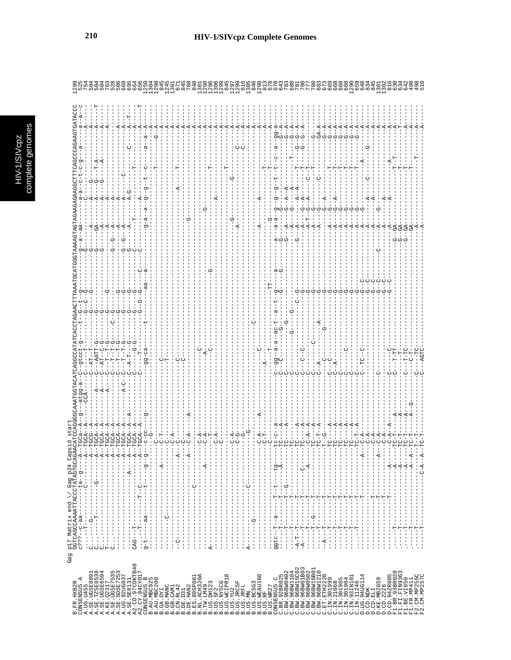|                                                                                                                           |                                                                                  |                                                                    |                      |                                                                  |                                                          |                               | w                       |                                               | O                                                            | $\circ$                   | O                                                                  |                       | cocococococo<br>nondanor          |   |                                                             |                                                                      | $\overline{ }$      |                                      | $\infty$                                                                                                  |      |   |                                                    |                                   |                              |               |                             |                                      | $\approx$ $\approx$ |   |                                      | თ თ<br>$\sim$ |   |                                                                                                      |                    | 0.040                       |                                                  | ${}^{\circ}$ | O      | 6                     |                                                     |                         |                               | $\infty$ $\infty$ $\infty$ $\infty$ $\Gamma$<br>O |                                                                                                                                                                                                                                                                                                                                                                                        |                                                                   |                                          |         |                           | $\infty$ $\infty$ r<br>$\circ$         | w                             |                                                                                  |                                      |                            |     |                                                         |                                |                    |         |                                               |   |                   |                        |                    |                                                          |                           |                     |                                       |                                |                                                                                                                                                                                                                      |                   |
|---------------------------------------------------------------------------------------------------------------------------|----------------------------------------------------------------------------------|--------------------------------------------------------------------|----------------------|------------------------------------------------------------------|----------------------------------------------------------|-------------------------------|-------------------------|-----------------------------------------------|--------------------------------------------------------------|---------------------------|--------------------------------------------------------------------|-----------------------|-----------------------------------|---|-------------------------------------------------------------|----------------------------------------------------------------------|---------------------|--------------------------------------|-----------------------------------------------------------------------------------------------------------|------|---|----------------------------------------------------|-----------------------------------|------------------------------|---------------|-----------------------------|--------------------------------------|---------------------|---|--------------------------------------|---------------|---|------------------------------------------------------------------------------------------------------|--------------------|-----------------------------|--------------------------------------------------|--------------|--------|-----------------------|-----------------------------------------------------|-------------------------|-------------------------------|---------------------------------------------------|----------------------------------------------------------------------------------------------------------------------------------------------------------------------------------------------------------------------------------------------------------------------------------------------------------------------------------------------------------------------------------------|-------------------------------------------------------------------|------------------------------------------|---------|---------------------------|----------------------------------------|-------------------------------|----------------------------------------------------------------------------------|--------------------------------------|----------------------------|-----|---------------------------------------------------------|--------------------------------|--------------------|---------|-----------------------------------------------|---|-------------------|------------------------|--------------------|----------------------------------------------------------|---------------------------|---------------------|---------------------------------------|--------------------------------|----------------------------------------------------------------------------------------------------------------------------------------------------------------------------------------------------------------------|-------------------|
| Œ                                                                                                                         |                                                                                  |                                                                    |                      |                                                                  |                                                          |                               |                         |                                               |                                                              |                           |                                                                    |                       |                                   |   |                                                             |                                                                      |                     |                                      |                                                                                                           |      |   |                                                    |                                   |                              |               |                             |                                      |                     |   |                                      |               |   |                                                                                                      |                    |                             |                                                  |              |        |                       |                                                     |                         |                               |                                                   |                                                                                                                                                                                                                                                                                                                                                                                        |                                                                   |                                          |         |                           |                                        |                               |                                                                                  |                                      |                            |     |                                                         |                                |                    |         |                                               |   |                   |                        |                    |                                                          |                           |                     |                                       |                                |                                                                                                                                                                                                                      |                   |
|                                                                                                                           |                                                                                  |                                                                    |                      |                                                                  |                                                          |                               |                         |                                               |                                                              |                           |                                                                    |                       | ൽ<br>œ                            |   | ζŋ                                                          |                                                                      |                     |                                      |                                                                                                           |      |   |                                                    |                                   |                              |               |                             |                                      |                     |   |                                      | U             | O |                                                                                                      |                    |                             |                                                  |              |        | ᠬ<br>gg<br>ď          |                                                     |                         |                               | rŋ                                                | ζŋ<br>Φ                                                                                                                                                                                                                                                                                                                                                                                | てり<br>ひ                                                           |                                          |         | てり                        | $GA-$                                  | ひ                             | てり                                                                               |                                      |                            | ひひひ |                                                         | てり                             | τŋ                 |         |                                               |   |                   |                        |                    |                                                          |                           |                     |                                       |                                |                                                                                                                                                                                                                      |                   |
| Į                                                                                                                         | ひ                                                                                | ひ                                                                  | ひ                    |                                                                  |                                                          |                               |                         |                                               |                                                              |                           |                                                                    |                       |                                   |   |                                                             |                                                                      |                     |                                      |                                                                                                           |      |   |                                                    |                                   |                              |               |                             |                                      |                     |   | ひ                                    |               |   |                                                                                                      |                    |                             |                                                  |              |        | C                     |                                                     |                         |                               |                                                   |                                                                                                                                                                                                                                                                                                                                                                                        |                                                                   |                                          |         |                           |                                        |                               |                                                                                  |                                      |                            |     |                                                         |                                |                    |         |                                               |   |                   |                        |                    |                                                          |                           |                     |                                       |                                |                                                                                                                                                                                                                      |                   |
| ن<br>ا<br>C)                                                                                                              |                                                                                  | ΚK                                                                 |                      | $\triangle$ $\triangle$                                          | Æ                                                        |                               |                         |                                               |                                                              |                           |                                                                    |                       | ᡃᡉ<br>তা<br>œ                     |   |                                                             |                                                                      |                     |                                      |                                                                                                           |      |   |                                                    |                                   |                              |               |                             |                                      |                     |   |                                      |               |   |                                                                                                      |                    |                             |                                                  |              |        | ᡃᡉ<br>ᡃ<br>ᡃᡉ         |                                                     | てり                      |                               | ひ                                                 |                                                                                                                                                                                                                                                                                                                                                                                        | К<br>ひ                                                            |                                          | υυ      |                           | ひ                                      | ひ                             | ひ                                                                                |                                      | $\mathbf{I}$<br><b>ひ ひ</b> |     | ひ                                                       | ひ                              | τŋ                 | ひ       | К                                             |   | K,                | ひ                      | A                  |                                                          |                           |                     |                                       |                                |                                                                                                                                                                                                                      |                   |
| რ-<br>ن<br>ا                                                                                                              |                                                                                  |                                                                    | F                    | Ŗ                                                                | Ŗ<br>ပ္ပ်                                                | F                             | ά                       | F                                             |                                                              |                           |                                                                    |                       | ø<br>তা                           |   |                                                             |                                                                      |                     |                                      |                                                                                                           |      |   |                                                    |                                   |                              |               |                             |                                      |                     |   | ひ                                    |               |   |                                                                                                      |                    |                             |                                                  |              | ひ      | đ                     | $\frac{1}{6}$ ෆ්                                    | Ġ                       |                               |                                                   | K,<br>Α                                                                                                                                                                                                                                                                                                                                                                                |                                                                   |                                          |         |                           |                                        |                               |                                                                                  |                                      |                            |     |                                                         |                                |                    |         |                                               |   |                   |                        |                    |                                                          |                           | ပ္ပ်                | ά                                     |                                |                                                                                                                                                                                                                      |                   |
| ת<br>てり                                                                                                                   |                                                                                  | じ じ                                                                | てり                   |                                                                  | ひ                                                        |                               |                         | υ υ                                           |                                                              | U                         | O                                                                  |                       | œ                                 |   |                                                             |                                                                      |                     |                                      |                                                                                                           |      |   |                                                    |                                   |                              |               |                             |                                      |                     |   |                                      |               |   |                                                                                                      |                    |                             |                                                  |              |        | ᠬᡦ                    |                                                     |                         |                               |                                                   |                                                                                                                                                                                                                                                                                                                                                                                        |                                                                   |                                          |         |                           |                                        |                               |                                                                                  |                                      |                            |     |                                                         |                                |                    |         |                                               |   |                   |                        |                    |                                                          |                           |                     |                                       |                                |                                                                                                                                                                                                                      |                   |
| তা<br>ひ<br>U                                                                                                              | U                                                                                |                                                                    |                      | ひ                                                                |                                                          | ひ                             | ひ                       |                                               | ひ                                                            | U                         | ひ<br>ひ                                                             |                       | ď<br>œ                            |   |                                                             |                                                                      |                     |                                      |                                                                                                           |      |   |                                                    |                                   |                              |               |                             |                                      |                     |   |                                      |               |   |                                                                                                      |                    |                             |                                                  |              |        | ᡃᡉ                    |                                                     |                         |                               |                                                   |                                                                                                                                                                                                                                                                                                                                                                                        |                                                                   |                                          |         |                           |                                        |                               |                                                                                  |                                      |                            |     |                                                         |                                |                    |         | O                                             |   | O                 | O                      |                    |                                                          |                           |                     |                                       |                                |                                                                                                                                                                                                                      |                   |
|                                                                                                                           |                                                                                  |                                                                    |                      | ひ                                                                | ひ                                                        |                               | ひ                       |                                               | 也                                                            |                           |                                                                    |                       |                                   |   |                                                             |                                                                      |                     |                                      |                                                                                                           |      |   |                                                    |                                   |                              |               |                             |                                      |                     |   |                                      |               |   |                                                                                                      |                    |                             |                                                  |              |        | Œ<br>ac-t             |                                                     |                         |                               |                                                   |                                                                                                                                                                                                                                                                                                                                                                                        |                                                                   |                                          |         |                           |                                        |                               |                                                                                  |                                      |                            |     |                                                         |                                |                    |         |                                               |   |                   |                        |                    |                                                          |                           |                     |                                       |                                |                                                                                                                                                                                                                      |                   |
| t c                                                                                                                       | $AT - 1$                                                                         | $-AAT$                                                             | $-AT$                | $D - T - T - G$<br>C)                                            | $-1 - 1 -$                                               | U<br>H<br>U)                  | ں<br>ا<br>O             |                                               | υ<br>U)                                                      | ひ<br>U                    |                                                                    |                       | $99 - ca$                         |   |                                                             | C)                                                                   |                     |                                      | U                                                                                                         |      |   |                                                    |                                   |                              | U             |                             |                                      |                     |   |                                      |               |   |                                                                                                      |                    |                             |                                                  |              |        | œ<br>್ಥ<br>gg         |                                                     |                         |                               |                                                   |                                                                                                                                                                                                                                                                                                                                                                                        | C<br>U                                                            |                                          |         |                           |                                        |                               |                                                                                  |                                      |                            |     |                                                         |                                |                    |         |                                               |   |                   |                        |                    |                                                          |                           |                     | ۲<br>با                               |                                |                                                                                                                                                                                                                      | àg.<br>Ag         |
| Œ                                                                                                                         |                                                                                  | $-4$                                                               | $\vec{A}$            | К                                                                |                                                          |                               | ပု                      | К                                             |                                                              |                           |                                                                    |                       |                                   |   |                                                             |                                                                      |                     |                                      |                                                                                                           |      |   |                                                    |                                   |                              |               |                             |                                      |                     |   |                                      |               |   |                                                                                                      |                    |                             |                                                  |              |        |                       |                                                     |                         |                               |                                                   |                                                                                                                                                                                                                                                                                                                                                                                        |                                                                   |                                          |         |                           |                                        |                               |                                                                                  |                                      |                            |     |                                                         |                                |                    |         |                                               |   |                   |                        |                    |                                                          |                           |                     |                                       |                                |                                                                                                                                                                                                                      |                   |
|                                                                                                                           |                                                                                  |                                                                    |                      |                                                                  |                                                          |                               |                         |                                               |                                                              |                           |                                                                    |                       |                                   |   |                                                             |                                                                      |                     |                                      |                                                                                                           |      |   |                                                    |                                   |                              |               |                             |                                      |                     |   |                                      | ט             |   |                                                                                                      |                    |                             |                                                  |              |        | ൯                     |                                                     | Æ                       |                               |                                                   |                                                                                                                                                                                                                                                                                                                                                                                        |                                                                   |                                          |         |                           |                                        |                               | Æ                                                                                | Æ                                    |                            |     |                                                         |                                |                    |         |                                               |   |                   |                        |                    |                                                          |                           |                     |                                       |                                |                                                                                                                                                                                                                      |                   |
| Ť<br>ŧ                                                                                                                    | ŧ                                                                                | $\frac{1}{1}$<br>$-4$                                              | ŧ                    | Ť<br>$-4$                                                        | ł                                                        | $\frac{1}{1}$<br>$-4$<br>$-4$ |                         | Ť<br>$-4$                                     | $\frac{1}{1}$<br>$-4$                                        | ŧ<br>A                    | ł<br>$-4$                                                          |                       | তা                                |   |                                                             |                                                                      |                     | л                                    | $\blacksquare$<br>$-4$                                                                                    | $-4$ | п | т<br>т<br>I                                        | ш                                 |                              |               | ΰ                           | $\zeta$                              |                     |   | ಕ                                    |               |   | п<br>$\mathsf I$<br>$\mathbf{I}$                                                                     |                    |                             | т                                                | ш            |        |                       | J<br>т<br>п                                         |                         |                               |                                                   | H.<br>$\begin{array}{c} \rule{0pt}{2.5ex} \rule{0pt}{2.5ex} \rule{0pt}{2.5ex} \rule{0pt}{2.5ex} \rule{0pt}{2.5ex} \rule{0pt}{2.5ex} \rule{0pt}{2.5ex} \rule{0pt}{2.5ex} \rule{0pt}{2.5ex} \rule{0pt}{2.5ex} \rule{0pt}{2.5ex} \rule{0pt}{2.5ex} \rule{0pt}{2.5ex} \rule{0pt}{2.5ex} \rule{0pt}{2.5ex} \rule{0pt}{2.5ex} \rule{0pt}{2.5ex} \rule{0pt}{2.5ex} \rule{0pt}{2.5ex} \rule{0$ | J<br>п<br>1                                                       |                                          |         |                           |                                        |                               | J,<br>п<br>п<br>$\overline{\phantom{a}}$                                         | п                                    | 1                          |     | л<br>т<br>л                                             | J,<br>$\mathbf{I}$<br>J.<br>Ţ  | п<br>ı             | $-4 -$  | л.<br>п                                       |   | п<br>-1           | $\blacksquare$<br>$-4$ | т<br>H.            | J.<br>$\mathbf{I}$<br>$\mathbf I$                        | J<br>$\overline{1}$<br>J. | $\frac{1}{1}$<br>J. | $\frac{1}{1}$<br>$\mathbf{I}$         |                                | Ī,<br>J.                                                                                                                                                                                                             | đ,                |
| $-4$<br>$-4$<br>т<br>ł<br>j.<br>ים<br>י<br>I.<br>$\begin{array}{c}\n-1 \\ \downarrow \\ 0\n\end{array}$<br>-ta<br>ï<br>j. | $\frac{1}{4}$<br>1<br>л<br>Ť.<br>$\mathbf{I}$<br>$\mathbf{I}$<br>п               | п<br>j<br>J.<br>п<br>$\frac{1}{2}$<br>$\,$ I                       | п<br>H               | ł<br>1<br>-1<br>$\mathbf{I}$<br>-1<br>т                          | í<br>I<br>п<br>J.<br>п<br>J                              | п<br>$\mathbf{I}$<br>п        | J.<br>$\mathbf{I}$      | 1<br>1<br>$\blacksquare$<br>$\mathbf{I}$<br>T | J.<br>$\frac{1}{1}$<br>$\vec{A}$<br>H<br>$\overline{1}$<br>п |                           | $\mathbf{I}$<br>1<br>ï<br>J<br>$\mathbf{I}$<br>f,<br>$\frac{1}{2}$ |                       | $\mathbf{I}$<br>ף<br>י<br>ப<br>L. |   | п<br>$\mathbf{I}$<br>$\mathbf{I}$<br>п                      | $-A$<br>$\overline{\phantom{a}}$<br>$\mathbf{I}$<br>п<br>I<br>п<br>ш |                     | п<br>л<br>л<br>I<br>п<br>I<br>т<br>u | $\frac{1}{1}$<br>J<br>$\blacksquare$<br>п<br>$\overline{1}$<br>$\blacksquare$<br>$\overline{\phantom{a}}$ | т    |   | I<br>т<br>$\mathfrak l$<br>I<br>I<br>$\frac{1}{C}$ | I<br>$\mathbf{I}$<br>$\mathbf{I}$ | $-4 - 7$<br>I<br>п<br>I<br>Ţ | т<br>L.<br>L. | п<br>п<br>Ï<br>J,<br>л<br>л |                                      |                     | H | -1<br>-1<br>-1<br>$\mathbf{I}$<br>-1 |               |   | $\mathbf{I}$<br>$\mathbf{I}$<br>$\overline{\phantom{a}}$<br>$\mathbf{I}$<br>п<br>$\blacksquare$<br>п | J.<br>J.<br>H<br>Ÿ |                             | J,<br>I<br>т<br>Ť.<br>I.<br>т<br>I.<br>п<br>т    | п<br>ш       | п<br>ш | L.<br>$-tg-$<br>$-1$  | I<br>T<br>$-4$<br>Ţ<br>J,<br>л<br>$\mathbf{I}$<br>ł | п<br>$\frac{6}{1}$      |                               | I<br>H<br>H<br>H                                  | л<br>-1<br>1<br>л<br>$\mathbf{I}$                                                                                                                                                                                                                                                                                                                                                      | J<br>÷<br>ပုံ<br>$\mathbf{I}$<br>п<br>L<br>$\mathbf{I}$<br>п<br>j | $- A -$<br>$\,$ I<br>$\overline{1}$<br>п |         | I<br>J.                   | $\mathbf{I}$<br>п<br>$\mathbf{I}$<br>п | т<br>т<br>т                   | $\overline{\phantom{a}}$<br>п<br>$\overline{\phantom{a}}$<br>$\blacksquare$<br>п | I<br>J.<br>-1<br>J.<br>ł             |                            | ш   | п<br>т<br>I.<br>п<br>л                                  | 1<br>-1<br>$\overline{1}$<br>ш | L.<br>I.<br>H      | п<br>T. | I<br>$\mathbf{I}$<br>$\frac{1}{1}$<br>J.<br>п |   | I<br>J.<br>п<br>т | H<br>J<br>I<br>H       | I.<br>л<br>J.<br>т | $- -A - -$<br>$\frac{1}{1}$<br>J,<br>$\blacksquare$<br>л | $-A$ -<br>J.              | $-4 -$              | $- -A - -$<br>$\frac{1}{1}$<br>I<br>т | $- -A - -A - -$<br>I<br>т<br>т | I<br>$\mathbf{I}$<br>п<br>J.<br>$\mathbf{I}$<br>п                                                                                                                                                                    | Ţ<br>I            |
| I.<br>т<br>I.<br>$-6-0-1$<br>I<br>$\blacksquare$<br>j.                                                                    | $\mathbf{I}$<br>$\mathbf{I}$<br>$\mathbf I$<br>Т<br>$\frac{1}{1}$<br>$-1$ - $-1$ | $\overline{1}$<br>$\blacksquare$<br>J.<br>$\blacksquare$<br>F<br>F | J.<br>$\overline{1}$ | T<br>т<br>I.<br>$\mathbf{I}$<br>п<br>$\mathbf{I}$<br>$\mathsf I$ | л<br>J.<br>$\overline{1}$<br>I<br>п<br>$\mathbf{I}$<br>J |                               | -1                      | $\blacksquare$<br>т<br>I.<br>T<br>I.<br>T     |                                                              | $\mathbf{I}$              | י<br>ד<br>$\mathbf{I}$<br>J<br>$\frac{1}{4}$<br>$\mathbf{I}$       |                       | -aa-                              |   | п<br>п<br>J.<br>$\frac{1}{1}$<br>Ť.<br>$\overline{1}$<br>J. | J.<br>п<br>п<br>ш                                                    | $\blacksquare$<br>Ÿ | I<br>п<br>I<br>п<br>т                | J.<br>п<br>$\overline{1}$<br>J<br>$\blacksquare$<br>Ť.<br>I<br>J.                                         | т    |   | Ţ<br>J,<br>л<br>Ţ<br>I<br>I<br>1<br>Ť.<br>Ţ        |                                   | п<br>п                       | J.            | л<br>п<br>J,                | J.<br>$\overline{\phantom{a}}$<br>J. |                     |   | -1<br>п                              | u             |   | $\blacksquare$<br>$\mathbf{I}$<br>Ť.<br>$\,$ I                                                       | J.                 | $\blacksquare$<br>$\dot{c}$ | п<br>т<br>п<br>$\frac{1}{1}$<br>$\mathsf I$<br>T | п<br>-1      | п<br>п | ь<br>$\frac{1}{2}$    | н<br>I<br>л<br>J.<br>Т<br>$\mathbf{I}$              | ۳<br>$\mathbf{I}$<br>-1 | ╘<br>$\overline{\phantom{a}}$ | J<br>H                                            | т<br>$\mathbf{I}$<br>$\mathbf I$<br>$\mathbf{I}$                                                                                                                                                                                                                                                                                                                                       | ⊢<br>1<br>п<br>I<br>I<br>л.<br>j.                                 | п<br>$\,$ I                              | H       | I<br>$\overset{1}{\circ}$ | T<br>т<br>п.<br>$\mathbf{I}$           | ь<br>т<br>1<br>$\overline{1}$ | ı<br>$\mathbf{I}$<br>п<br>Ť                                                      | ⊢<br>J.<br>I<br>-1<br>$\overline{1}$ | Ť.                         | J.  | ٣<br>т<br>п<br>$\mathbf{I}$<br>т<br>T<br>$\overline{1}$ | I.<br>п<br>п<br>-1             | ⊢<br>J.            |         | ш<br>п<br>п                                   | ۳ | $\overline{1}$    | ı                      |                    | ь<br>л<br>$\mathbf{I}$<br>л<br>п                         |                           |                     | ı<br>ï<br>I<br>т<br>$\frac{1}{1}$     | п<br>I<br>т<br>т               | $\mathbf{I}$<br>п<br>$\blacksquare$                                                                                                                                                                                  |                   |
| F<br>I<br><b>666</b><br>ţ<br>$\cdot$<br>$\circ$                                                                           | 1<br>$\vdots$                                                                    | $\overline{\phantom{a}}$<br>$\blacksquare$<br>Ţ<br>Ì               | H<br>$\vdots$        | 1<br>т<br>л<br>п<br>$\cdot$ UUUHU                                | J<br>J.<br>$\mathbf{I}$                                  | $\ddot{\cdot}$                | $\mathbf{I}$<br>л<br>Ш. | т<br>T                                        |                                                              | 투<br>$\mathbf{I}$<br>CAG- | Ţ                                                                  | Ì<br>$\cdot$ $\sigma$ | $\ddot{\tau}$                     | ı | п<br>J.<br>$\overline{\phantom{a}}$<br>п<br>$\mathbf{I}$    | п<br>п<br>п<br>п<br>п<br>I.                                          | п                   | ш<br>п<br>п                          | J.<br>J<br>U<br>$\mathbf{I}$<br>$\blacksquare$                                                            |      |   | J,<br>п<br>$\mathbf{I}$<br>J,<br>л<br>л            | п<br>ш                            | п                            | L.<br>A,      | J,<br>л<br>л<br>J           | J.<br>I                              |                     | H | -1                                   | ı             |   | $\overline{\phantom{a}}$<br>п<br>$\mathbf{I}$<br>J<br>$\overline{\phantom{a}}$<br>п                  | H<br>J.<br>п<br>A, |                             | т<br>$\mathbf{I}$<br>I<br>т<br>п                 | ш            | ш      | $\mathbf{I}$<br>ggtc- | $\frac{1}{2}$<br>$\mathbf{I}$<br>л                  | $\mathbf{I}$            | ш                             | 부<br>H                                            | Ţ<br>$A-T$ .<br>-1                                                                                                                                                                                                                                                                                                                                                                     | ۲<br>ا<br>J<br>$\mathbf{I}$<br>К<br>ш                             | п                                        | J.<br>I | J.                        | -<br>-1                                | י<br>י<br>$-A-$               | יך<br>י<br>ı<br>I.                                                               | י<br>ד<br>J<br>п                     |                            | 부   | 부<br>J,<br>т                                            | 부<br>J.                        | ד<br>ד<br>$\vdots$ |         | J.<br>1<br>J<br>п                             |   |                   | H<br>H                 | $\mathbf{I}$<br>-1 | п<br>$\mathbf{I}$<br>I<br>л                              | Ť<br>J.<br>п              | 부<br>I<br>L.        | י<br>י<br>I<br>I<br>т                 | י<br>י<br>I<br>п               | י<br>י<br>$\,$ I<br>$\begin{array}{c} \hline \end{array}$<br>$\mathbf{I}$                                                                                                                                            | יך<br>י<br>J<br>п |
|                                                                                                                           |                                                                                  |                                                                    |                      |                                                                  |                                                          |                               |                         |                                               |                                                              | ${}^{\circ}$              |                                                                    |                       |                                   |   |                                                             |                                                                      |                     |                                      |                                                                                                           |      |   |                                                    |                                   |                              |               |                             |                                      |                     |   |                                      |               |   |                                                                                                      |                    |                             |                                                  |              |        |                       |                                                     |                         |                               |                                                   |                                                                                                                                                                                                                                                                                                                                                                                        |                                                                   |                                          |         |                           |                                        |                               |                                                                                  |                                      |                            |     |                                                         |                                |                    |         |                                               |   |                   |                        |                    |                                                          |                           |                     |                                       |                                | $\begin{array}{l} \text{D. CD. 84 ZR085} \\ \text{F1. B2. 93 BR020} \\ \text{F1. F1. F1199363} \\ \text{F1. F1. F1199363} \\ \text{F2. T192. V1850} \\ \text{F3. C00. MP255C} \\ \text{F2. C00. MP255C} \end{array}$ |                   |
|                                                                                                                           |                                                                                  |                                                                    |                      |                                                                  |                                                          |                               |                         |                                               |                                                              |                           |                                                                    |                       |                                   |   |                                                             |                                                                      |                     |                                      |                                                                                                           |      |   |                                                    |                                   |                              |               |                             |                                      |                     |   |                                      |               |   |                                                                                                      |                    |                             |                                                  |              |        |                       |                                                     |                         |                               |                                                   |                                                                                                                                                                                                                                                                                                                                                                                        |                                                                   |                                          |         |                           |                                        |                               |                                                                                  |                                      |                            |     |                                                         |                                |                    |         |                                               |   |                   |                        |                    |                                                          |                           |                     |                                       |                                |                                                                                                                                                                                                                      |                   |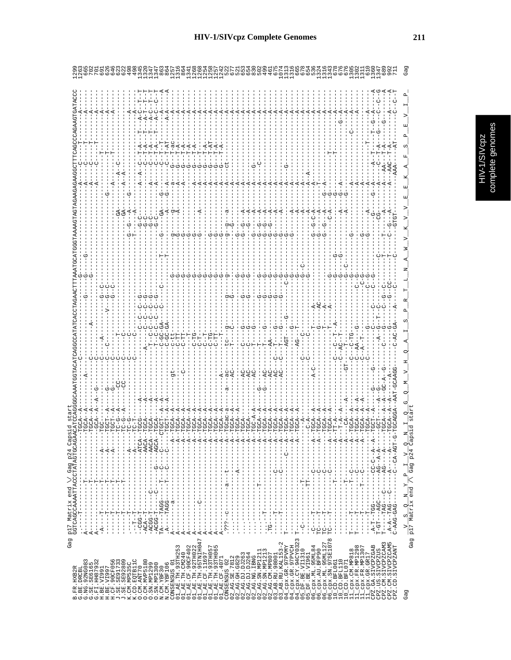| $\overline{A}$<br>Ŧ<br>$\frac{1}{2}$<br>Ţ<br>- 1<br>$\frac{1}{1}$<br>$    \Gamma$<br>$\frac{1}{1}$<br>$\frac{1}{1}$<br>$\mathbf{I}$<br>$\frac{1}{1}$<br>Ĵ<br>Ť<br>i i i i<br>• । । ।<br>• ব'ব'ব<br>IHH |                      |  |
|--------------------------------------------------------------------------------------------------------------------------------------------------------------------------------------------------------|----------------------|--|
|                                                                                                                                                                                                        |                      |  |
|                                                                                                                                                                                                        |                      |  |
|                                                                                                                                                                                                        |                      |  |
|                                                                                                                                                                                                        |                      |  |
|                                                                                                                                                                                                        |                      |  |
|                                                                                                                                                                                                        |                      |  |
|                                                                                                                                                                                                        |                      |  |
|                                                                                                                                                                                                        |                      |  |
|                                                                                                                                                                                                        |                      |  |
|                                                                                                                                                                                                        |                      |  |
|                                                                                                                                                                                                        |                      |  |
|                                                                                                                                                                                                        |                      |  |
|                                                                                                                                                                                                        |                      |  |
|                                                                                                                                                                                                        |                      |  |
|                                                                                                                                                                                                        |                      |  |
|                                                                                                                                                                                                        |                      |  |
|                                                                                                                                                                                                        |                      |  |
|                                                                                                                                                                                                        |                      |  |
|                                                                                                                                                                                                        |                      |  |
|                                                                                                                                                                                                        |                      |  |
|                                                                                                                                                                                                        | לז לז לז לז לז לז לז |  |
|                                                                                                                                                                                                        |                      |  |
|                                                                                                                                                                                                        |                      |  |
|                                                                                                                                                                                                        |                      |  |
|                                                                                                                                                                                                        |                      |  |
|                                                                                                                                                                                                        |                      |  |
|                                                                                                                                                                                                        |                      |  |
|                                                                                                                                                                                                        |                      |  |
|                                                                                                                                                                                                        |                      |  |
|                                                                                                                                                                                                        |                      |  |
|                                                                                                                                                                                                        |                      |  |
|                                                                                                                                                                                                        |                      |  |
|                                                                                                                                                                                                        |                      |  |
|                                                                                                                                                                                                        |                      |  |
|                                                                                                                                                                                                        |                      |  |
|                                                                                                                                                                                                        |                      |  |
|                                                                                                                                                                                                        |                      |  |
|                                                                                                                                                                                                        |                      |  |
|                                                                                                                                                                                                        |                      |  |
|                                                                                                                                                                                                        |                      |  |
|                                                                                                                                                                                                        |                      |  |
|                                                                                                                                                                                                        |                      |  |
|                                                                                                                                                                                                        |                      |  |
|                                                                                                                                                                                                        |                      |  |
|                                                                                                                                                                                                        |                      |  |
|                                                                                                                                                                                                        |                      |  |
|                                                                                                                                                                                                        |                      |  |
|                                                                                                                                                                                                        |                      |  |
|                                                                                                                                                                                                        |                      |  |
|                                                                                                                                                                                                        |                      |  |
|                                                                                                                                                                                                        |                      |  |
|                                                                                                                                                                                                        |                      |  |
|                                                                                                                                                                                                        |                      |  |
|                                                                                                                                                                                                        |                      |  |
| $\blacksquare$<br>---------<br>$\frac{1}{1}$<br>$\blacksquare$                                                                                                                                         |                      |  |
| $\frac{1}{4}$<br>÷j.<br>$\blacksquare$                                                                                                                                                                 |                      |  |
| T<br>ï<br>$\frac{1}{4}$<br>- 11<br>J<br>$\frac{1}{1}$<br>I.<br>$\mathsf I$<br>п                                                                                                                        |                      |  |
| $\begin{array}{c} 4 \\ 1 \\ 1 \end{array}$<br>$\frac{1}{1}$<br>$-550$                                                                                                                                  |                      |  |
|                                                                                                                                                                                                        |                      |  |
| $\mathbf{I}$<br>$\mathsf I$<br>п.                                                                                                                                                                      |                      |  |
| $-4$<br>H<br>$\mathbf{I}$<br>$\blacksquare$                                                                                                                                                            |                      |  |
| - 1                                                                                                                                                                                                    |                      |  |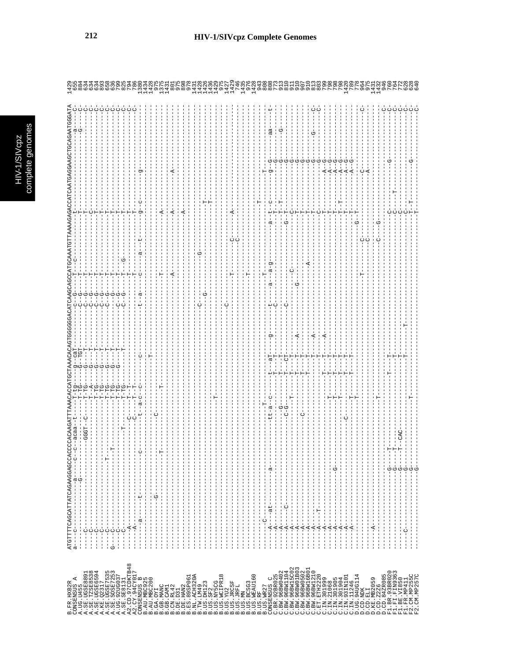| ももももももも<br>Ü<br>aa<br>ひ<br>也<br>******************<br>ס<br>ס<br>AAAAA<br>Ο<br>Ü<br>O<br>부<br>Ĥ<br>$\downarrow$<br>Ω⊢<br>U<br>$\sigma$<br>ひ<br>υU<br>ひ<br>თ<br><b>Q</b><br>U<br><b>6666666666</b><br><b>Q</b><br>ひひひひひひひひひ<br>ൽ<br><b>UUUUU</b><br>υU<br>- 11<br>⊥ບ<br>↻<br>$-\vec{A}$<br>$\ddot{A}$<br>A<br>88888888<br>66666666666<br>あめめめめめめめめ<br>66666<br>ׇ֦<br>ׇׇׇׇׇׇׇׇׇֺֺ֧֛֛֛֛֦֦֦֡֡֬֡֡֓֡֬֡֬֡֡֬֓֡֡֬֓֡֡֬֓֡֬֓׀ׇ֢֬׆ׇׇׇׇׇׇ֧֢֖֬֬֬֬֬׀֧֖֖֖֖֖֖֩֩׆֛<br>ׇׇׇׇׇׇׇׇׇ֧֧֧֧֧׀ׇ֧׆֛׀֖֛֖֖֖֖֖֖֖֡֡֬֬׀֧׆֛׀֛֛֖֖֖֖֖֖֖֖֖׀֛֛֖֩֩֩֩֩֩֩֩׀֧<br>ׇׇ֧֜׀ׇׇ֧֖֛֖֖֖֖֖֬׀֧֖֖֖֖֖֖֖֖֖֖׀֧֖׆׀֖֛֖֖֖׀֖֖֖֖֖֖֖֖֖֖׀<br>U<br>$\Gamma$<br>Ĥ<br>Ĥ<br>đ<br>$\frac{1}{\sigma}$<br>ບ ບ່<br>Ů<br>GGGI<br>J.<br>л.<br>-1<br>$\mathbf{I}$<br>$\mathbf{I}$<br>$\mathbf{I}$<br>$\pm$<br>甘<br>$-1$<br>$-1$<br>$-1$<br>$-1$<br>$-1$<br>$\begin{array}{c} 1 & 0 & 0 \\ 0 & 1 & 0 \\ 0 & 1 & 0 \\ 0 & 0 & 1 \\ 0 & 0 & 0 \\ 0 & 0 & 0 \\ 0 & 0 & 0 \\ 0 & 0 & 0 \\ 0 & 0 & 0 \\ 0 & 0 & 0 \\ 0 & 0 & 0 \\ 0 & 0 & 0 \\ 0 & 0 & 0 \\ 0 & 0 & 0 \\ 0 & 0 & 0 & 0 \\ 0 & 0 & 0 & 0 \\ 0 & 0 & 0 & 0 \\ 0 & 0 & 0 & 0 \\ 0 & 0 & 0 & 0 & 0 \\ 0 & 0 & 0 & 0 & 0 \\ 0 & 0 & 0 &$<br>$\begin{smallmatrix} 1 & 1 & 1 \\ 1 & 1 & 1 \\ 1 & 1 & 1 \end{smallmatrix}$<br>$\frac{1}{4}$<br>$\frac{1}{4}$<br>ï<br>T<br>I<br>I.<br>$\blacksquare$<br>T<br>1<br>п<br>Ť.<br>Ť.<br>I<br>I.<br>$\mathsf I$<br>1<br>$\mathsf I$<br>$\mathbf I$<br>т<br>$\blacksquare$<br>$\mathsf I$<br>I<br>T<br>$\blacksquare$<br>$\mathbf{I}$<br>- 1<br>$\mathbf{I}$ $\mathbf{I}$<br>$\mathbf{I}$<br>- 1<br>-1<br>т<br>п<br>-1<br>т<br><b>I</b><br>Ť.<br>ï.<br>Ť.<br>Ť.<br>$\mathbf I$<br>$\blacksquare$<br>1<br>T<br>$\Gamma = \Gamma$<br>$\mathsf I$<br>I<br>$\mathsf I$<br>т<br>Ħ<br>Ţ<br>$\frac{1}{4}$<br>T<br>1<br>J.<br>Ţ<br>1<br>$\blacksquare$<br>$\frac{1}{1}$<br>$\mathbf{I}$<br>- 1<br>$\mathbf{I}$<br><b>I</b><br>$\mathbf{I}$<br>ţ<br>$\mathbf{1}$<br>Ť.<br>1<br>$\mathsf I$<br>$- -A -$<br>$\overline{\phantom{a}}$<br>I<br>$-1 - C - 1$<br>$\mathsf I$<br>ŧ<br>I<br>I<br>Ţ<br>T<br>$\frac{1}{4}$<br>$\frac{1}{4}$<br>$\frac{1}{1}$<br>$\mathbf{I}$<br>-1<br>Ť.<br>Ť. |                                                             |  |  |  |  |  |
|------------------------------------------------------------------------------------------------------------------------------------------------------------------------------------------------------------------------------------------------------------------------------------------------------------------------------------------------------------------------------------------------------------------------------------------------------------------------------------------------------------------------------------------------------------------------------------------------------------------------------------------------------------------------------------------------------------------------------------------------------------------------------------------------------------------------------------------------------------------------------------------------------------------------------------------------------------------------------------------------------------------------------------------------------------------------------------------------------------------------------------------------------------------------------------------------------------------------------------------------------------------------------------------------------------------------------------------------------------------------------------------------------------------------------------------------------------------------------------------------------------------------------------------------------------------------------------------------------------------------------------------------------------------------------------------------------------------------------------------------------------------------------------------------------------------------------------------------------------------------------------------------------------------------------------------------------------------------------------------------------------------------------------------------------------------------------------------|-------------------------------------------------------------|--|--|--|--|--|
|                                                                                                                                                                                                                                                                                                                                                                                                                                                                                                                                                                                                                                                                                                                                                                                                                                                                                                                                                                                                                                                                                                                                                                                                                                                                                                                                                                                                                                                                                                                                                                                                                                                                                                                                                                                                                                                                                                                                                                                                                                                                                          |                                                             |  |  |  |  |  |
|                                                                                                                                                                                                                                                                                                                                                                                                                                                                                                                                                                                                                                                                                                                                                                                                                                                                                                                                                                                                                                                                                                                                                                                                                                                                                                                                                                                                                                                                                                                                                                                                                                                                                                                                                                                                                                                                                                                                                                                                                                                                                          |                                                             |  |  |  |  |  |
|                                                                                                                                                                                                                                                                                                                                                                                                                                                                                                                                                                                                                                                                                                                                                                                                                                                                                                                                                                                                                                                                                                                                                                                                                                                                                                                                                                                                                                                                                                                                                                                                                                                                                                                                                                                                                                                                                                                                                                                                                                                                                          |                                                             |  |  |  |  |  |
|                                                                                                                                                                                                                                                                                                                                                                                                                                                                                                                                                                                                                                                                                                                                                                                                                                                                                                                                                                                                                                                                                                                                                                                                                                                                                                                                                                                                                                                                                                                                                                                                                                                                                                                                                                                                                                                                                                                                                                                                                                                                                          |                                                             |  |  |  |  |  |
|                                                                                                                                                                                                                                                                                                                                                                                                                                                                                                                                                                                                                                                                                                                                                                                                                                                                                                                                                                                                                                                                                                                                                                                                                                                                                                                                                                                                                                                                                                                                                                                                                                                                                                                                                                                                                                                                                                                                                                                                                                                                                          |                                                             |  |  |  |  |  |
|                                                                                                                                                                                                                                                                                                                                                                                                                                                                                                                                                                                                                                                                                                                                                                                                                                                                                                                                                                                                                                                                                                                                                                                                                                                                                                                                                                                                                                                                                                                                                                                                                                                                                                                                                                                                                                                                                                                                                                                                                                                                                          |                                                             |  |  |  |  |  |
|                                                                                                                                                                                                                                                                                                                                                                                                                                                                                                                                                                                                                                                                                                                                                                                                                                                                                                                                                                                                                                                                                                                                                                                                                                                                                                                                                                                                                                                                                                                                                                                                                                                                                                                                                                                                                                                                                                                                                                                                                                                                                          |                                                             |  |  |  |  |  |
|                                                                                                                                                                                                                                                                                                                                                                                                                                                                                                                                                                                                                                                                                                                                                                                                                                                                                                                                                                                                                                                                                                                                                                                                                                                                                                                                                                                                                                                                                                                                                                                                                                                                                                                                                                                                                                                                                                                                                                                                                                                                                          |                                                             |  |  |  |  |  |
|                                                                                                                                                                                                                                                                                                                                                                                                                                                                                                                                                                                                                                                                                                                                                                                                                                                                                                                                                                                                                                                                                                                                                                                                                                                                                                                                                                                                                                                                                                                                                                                                                                                                                                                                                                                                                                                                                                                                                                                                                                                                                          |                                                             |  |  |  |  |  |
|                                                                                                                                                                                                                                                                                                                                                                                                                                                                                                                                                                                                                                                                                                                                                                                                                                                                                                                                                                                                                                                                                                                                                                                                                                                                                                                                                                                                                                                                                                                                                                                                                                                                                                                                                                                                                                                                                                                                                                                                                                                                                          |                                                             |  |  |  |  |  |
|                                                                                                                                                                                                                                                                                                                                                                                                                                                                                                                                                                                                                                                                                                                                                                                                                                                                                                                                                                                                                                                                                                                                                                                                                                                                                                                                                                                                                                                                                                                                                                                                                                                                                                                                                                                                                                                                                                                                                                                                                                                                                          |                                                             |  |  |  |  |  |
|                                                                                                                                                                                                                                                                                                                                                                                                                                                                                                                                                                                                                                                                                                                                                                                                                                                                                                                                                                                                                                                                                                                                                                                                                                                                                                                                                                                                                                                                                                                                                                                                                                                                                                                                                                                                                                                                                                                                                                                                                                                                                          |                                                             |  |  |  |  |  |
|                                                                                                                                                                                                                                                                                                                                                                                                                                                                                                                                                                                                                                                                                                                                                                                                                                                                                                                                                                                                                                                                                                                                                                                                                                                                                                                                                                                                                                                                                                                                                                                                                                                                                                                                                                                                                                                                                                                                                                                                                                                                                          |                                                             |  |  |  |  |  |
|                                                                                                                                                                                                                                                                                                                                                                                                                                                                                                                                                                                                                                                                                                                                                                                                                                                                                                                                                                                                                                                                                                                                                                                                                                                                                                                                                                                                                                                                                                                                                                                                                                                                                                                                                                                                                                                                                                                                                                                                                                                                                          |                                                             |  |  |  |  |  |
|                                                                                                                                                                                                                                                                                                                                                                                                                                                                                                                                                                                                                                                                                                                                                                                                                                                                                                                                                                                                                                                                                                                                                                                                                                                                                                                                                                                                                                                                                                                                                                                                                                                                                                                                                                                                                                                                                                                                                                                                                                                                                          |                                                             |  |  |  |  |  |
|                                                                                                                                                                                                                                                                                                                                                                                                                                                                                                                                                                                                                                                                                                                                                                                                                                                                                                                                                                                                                                                                                                                                                                                                                                                                                                                                                                                                                                                                                                                                                                                                                                                                                                                                                                                                                                                                                                                                                                                                                                                                                          |                                                             |  |  |  |  |  |
|                                                                                                                                                                                                                                                                                                                                                                                                                                                                                                                                                                                                                                                                                                                                                                                                                                                                                                                                                                                                                                                                                                                                                                                                                                                                                                                                                                                                                                                                                                                                                                                                                                                                                                                                                                                                                                                                                                                                                                                                                                                                                          |                                                             |  |  |  |  |  |
|                                                                                                                                                                                                                                                                                                                                                                                                                                                                                                                                                                                                                                                                                                                                                                                                                                                                                                                                                                                                                                                                                                                                                                                                                                                                                                                                                                                                                                                                                                                                                                                                                                                                                                                                                                                                                                                                                                                                                                                                                                                                                          |                                                             |  |  |  |  |  |
|                                                                                                                                                                                                                                                                                                                                                                                                                                                                                                                                                                                                                                                                                                                                                                                                                                                                                                                                                                                                                                                                                                                                                                                                                                                                                                                                                                                                                                                                                                                                                                                                                                                                                                                                                                                                                                                                                                                                                                                                                                                                                          |                                                             |  |  |  |  |  |
|                                                                                                                                                                                                                                                                                                                                                                                                                                                                                                                                                                                                                                                                                                                                                                                                                                                                                                                                                                                                                                                                                                                                                                                                                                                                                                                                                                                                                                                                                                                                                                                                                                                                                                                                                                                                                                                                                                                                                                                                                                                                                          |                                                             |  |  |  |  |  |
|                                                                                                                                                                                                                                                                                                                                                                                                                                                                                                                                                                                                                                                                                                                                                                                                                                                                                                                                                                                                                                                                                                                                                                                                                                                                                                                                                                                                                                                                                                                                                                                                                                                                                                                                                                                                                                                                                                                                                                                                                                                                                          |                                                             |  |  |  |  |  |
|                                                                                                                                                                                                                                                                                                                                                                                                                                                                                                                                                                                                                                                                                                                                                                                                                                                                                                                                                                                                                                                                                                                                                                                                                                                                                                                                                                                                                                                                                                                                                                                                                                                                                                                                                                                                                                                                                                                                                                                                                                                                                          |                                                             |  |  |  |  |  |
|                                                                                                                                                                                                                                                                                                                                                                                                                                                                                                                                                                                                                                                                                                                                                                                                                                                                                                                                                                                                                                                                                                                                                                                                                                                                                                                                                                                                                                                                                                                                                                                                                                                                                                                                                                                                                                                                                                                                                                                                                                                                                          |                                                             |  |  |  |  |  |
|                                                                                                                                                                                                                                                                                                                                                                                                                                                                                                                                                                                                                                                                                                                                                                                                                                                                                                                                                                                                                                                                                                                                                                                                                                                                                                                                                                                                                                                                                                                                                                                                                                                                                                                                                                                                                                                                                                                                                                                                                                                                                          |                                                             |  |  |  |  |  |
|                                                                                                                                                                                                                                                                                                                                                                                                                                                                                                                                                                                                                                                                                                                                                                                                                                                                                                                                                                                                                                                                                                                                                                                                                                                                                                                                                                                                                                                                                                                                                                                                                                                                                                                                                                                                                                                                                                                                                                                                                                                                                          |                                                             |  |  |  |  |  |
|                                                                                                                                                                                                                                                                                                                                                                                                                                                                                                                                                                                                                                                                                                                                                                                                                                                                                                                                                                                                                                                                                                                                                                                                                                                                                                                                                                                                                                                                                                                                                                                                                                                                                                                                                                                                                                                                                                                                                                                                                                                                                          |                                                             |  |  |  |  |  |
|                                                                                                                                                                                                                                                                                                                                                                                                                                                                                                                                                                                                                                                                                                                                                                                                                                                                                                                                                                                                                                                                                                                                                                                                                                                                                                                                                                                                                                                                                                                                                                                                                                                                                                                                                                                                                                                                                                                                                                                                                                                                                          |                                                             |  |  |  |  |  |
|                                                                                                                                                                                                                                                                                                                                                                                                                                                                                                                                                                                                                                                                                                                                                                                                                                                                                                                                                                                                                                                                                                                                                                                                                                                                                                                                                                                                                                                                                                                                                                                                                                                                                                                                                                                                                                                                                                                                                                                                                                                                                          |                                                             |  |  |  |  |  |
|                                                                                                                                                                                                                                                                                                                                                                                                                                                                                                                                                                                                                                                                                                                                                                                                                                                                                                                                                                                                                                                                                                                                                                                                                                                                                                                                                                                                                                                                                                                                                                                                                                                                                                                                                                                                                                                                                                                                                                                                                                                                                          |                                                             |  |  |  |  |  |
|                                                                                                                                                                                                                                                                                                                                                                                                                                                                                                                                                                                                                                                                                                                                                                                                                                                                                                                                                                                                                                                                                                                                                                                                                                                                                                                                                                                                                                                                                                                                                                                                                                                                                                                                                                                                                                                                                                                                                                                                                                                                                          |                                                             |  |  |  |  |  |
|                                                                                                                                                                                                                                                                                                                                                                                                                                                                                                                                                                                                                                                                                                                                                                                                                                                                                                                                                                                                                                                                                                                                                                                                                                                                                                                                                                                                                                                                                                                                                                                                                                                                                                                                                                                                                                                                                                                                                                                                                                                                                          |                                                             |  |  |  |  |  |
|                                                                                                                                                                                                                                                                                                                                                                                                                                                                                                                                                                                                                                                                                                                                                                                                                                                                                                                                                                                                                                                                                                                                                                                                                                                                                                                                                                                                                                                                                                                                                                                                                                                                                                                                                                                                                                                                                                                                                                                                                                                                                          |                                                             |  |  |  |  |  |
|                                                                                                                                                                                                                                                                                                                                                                                                                                                                                                                                                                                                                                                                                                                                                                                                                                                                                                                                                                                                                                                                                                                                                                                                                                                                                                                                                                                                                                                                                                                                                                                                                                                                                                                                                                                                                                                                                                                                                                                                                                                                                          |                                                             |  |  |  |  |  |
|                                                                                                                                                                                                                                                                                                                                                                                                                                                                                                                                                                                                                                                                                                                                                                                                                                                                                                                                                                                                                                                                                                                                                                                                                                                                                                                                                                                                                                                                                                                                                                                                                                                                                                                                                                                                                                                                                                                                                                                                                                                                                          |                                                             |  |  |  |  |  |
|                                                                                                                                                                                                                                                                                                                                                                                                                                                                                                                                                                                                                                                                                                                                                                                                                                                                                                                                                                                                                                                                                                                                                                                                                                                                                                                                                                                                                                                                                                                                                                                                                                                                                                                                                                                                                                                                                                                                                                                                                                                                                          |                                                             |  |  |  |  |  |
|                                                                                                                                                                                                                                                                                                                                                                                                                                                                                                                                                                                                                                                                                                                                                                                                                                                                                                                                                                                                                                                                                                                                                                                                                                                                                                                                                                                                                                                                                                                                                                                                                                                                                                                                                                                                                                                                                                                                                                                                                                                                                          |                                                             |  |  |  |  |  |
|                                                                                                                                                                                                                                                                                                                                                                                                                                                                                                                                                                                                                                                                                                                                                                                                                                                                                                                                                                                                                                                                                                                                                                                                                                                                                                                                                                                                                                                                                                                                                                                                                                                                                                                                                                                                                                                                                                                                                                                                                                                                                          |                                                             |  |  |  |  |  |
|                                                                                                                                                                                                                                                                                                                                                                                                                                                                                                                                                                                                                                                                                                                                                                                                                                                                                                                                                                                                                                                                                                                                                                                                                                                                                                                                                                                                                                                                                                                                                                                                                                                                                                                                                                                                                                                                                                                                                                                                                                                                                          |                                                             |  |  |  |  |  |
|                                                                                                                                                                                                                                                                                                                                                                                                                                                                                                                                                                                                                                                                                                                                                                                                                                                                                                                                                                                                                                                                                                                                                                                                                                                                                                                                                                                                                                                                                                                                                                                                                                                                                                                                                                                                                                                                                                                                                                                                                                                                                          |                                                             |  |  |  |  |  |
|                                                                                                                                                                                                                                                                                                                                                                                                                                                                                                                                                                                                                                                                                                                                                                                                                                                                                                                                                                                                                                                                                                                                                                                                                                                                                                                                                                                                                                                                                                                                                                                                                                                                                                                                                                                                                                                                                                                                                                                                                                                                                          |                                                             |  |  |  |  |  |
|                                                                                                                                                                                                                                                                                                                                                                                                                                                                                                                                                                                                                                                                                                                                                                                                                                                                                                                                                                                                                                                                                                                                                                                                                                                                                                                                                                                                                                                                                                                                                                                                                                                                                                                                                                                                                                                                                                                                                                                                                                                                                          |                                                             |  |  |  |  |  |
|                                                                                                                                                                                                                                                                                                                                                                                                                                                                                                                                                                                                                                                                                                                                                                                                                                                                                                                                                                                                                                                                                                                                                                                                                                                                                                                                                                                                                                                                                                                                                                                                                                                                                                                                                                                                                                                                                                                                                                                                                                                                                          |                                                             |  |  |  |  |  |
|                                                                                                                                                                                                                                                                                                                                                                                                                                                                                                                                                                                                                                                                                                                                                                                                                                                                                                                                                                                                                                                                                                                                                                                                                                                                                                                                                                                                                                                                                                                                                                                                                                                                                                                                                                                                                                                                                                                                                                                                                                                                                          |                                                             |  |  |  |  |  |
|                                                                                                                                                                                                                                                                                                                                                                                                                                                                                                                                                                                                                                                                                                                                                                                                                                                                                                                                                                                                                                                                                                                                                                                                                                                                                                                                                                                                                                                                                                                                                                                                                                                                                                                                                                                                                                                                                                                                                                                                                                                                                          |                                                             |  |  |  |  |  |
|                                                                                                                                                                                                                                                                                                                                                                                                                                                                                                                                                                                                                                                                                                                                                                                                                                                                                                                                                                                                                                                                                                                                                                                                                                                                                                                                                                                                                                                                                                                                                                                                                                                                                                                                                                                                                                                                                                                                                                                                                                                                                          |                                                             |  |  |  |  |  |
|                                                                                                                                                                                                                                                                                                                                                                                                                                                                                                                                                                                                                                                                                                                                                                                                                                                                                                                                                                                                                                                                                                                                                                                                                                                                                                                                                                                                                                                                                                                                                                                                                                                                                                                                                                                                                                                                                                                                                                                                                                                                                          |                                                             |  |  |  |  |  |
|                                                                                                                                                                                                                                                                                                                                                                                                                                                                                                                                                                                                                                                                                                                                                                                                                                                                                                                                                                                                                                                                                                                                                                                                                                                                                                                                                                                                                                                                                                                                                                                                                                                                                                                                                                                                                                                                                                                                                                                                                                                                                          |                                                             |  |  |  |  |  |
|                                                                                                                                                                                                                                                                                                                                                                                                                                                                                                                                                                                                                                                                                                                                                                                                                                                                                                                                                                                                                                                                                                                                                                                                                                                                                                                                                                                                                                                                                                                                                                                                                                                                                                                                                                                                                                                                                                                                                                                                                                                                                          |                                                             |  |  |  |  |  |
|                                                                                                                                                                                                                                                                                                                                                                                                                                                                                                                                                                                                                                                                                                                                                                                                                                                                                                                                                                                                                                                                                                                                                                                                                                                                                                                                                                                                                                                                                                                                                                                                                                                                                                                                                                                                                                                                                                                                                                                                                                                                                          |                                                             |  |  |  |  |  |
|                                                                                                                                                                                                                                                                                                                                                                                                                                                                                                                                                                                                                                                                                                                                                                                                                                                                                                                                                                                                                                                                                                                                                                                                                                                                                                                                                                                                                                                                                                                                                                                                                                                                                                                                                                                                                                                                                                                                                                                                                                                                                          |                                                             |  |  |  |  |  |
|                                                                                                                                                                                                                                                                                                                                                                                                                                                                                                                                                                                                                                                                                                                                                                                                                                                                                                                                                                                                                                                                                                                                                                                                                                                                                                                                                                                                                                                                                                                                                                                                                                                                                                                                                                                                                                                                                                                                                                                                                                                                                          |                                                             |  |  |  |  |  |
|                                                                                                                                                                                                                                                                                                                                                                                                                                                                                                                                                                                                                                                                                                                                                                                                                                                                                                                                                                                                                                                                                                                                                                                                                                                                                                                                                                                                                                                                                                                                                                                                                                                                                                                                                                                                                                                                                                                                                                                                                                                                                          |                                                             |  |  |  |  |  |
|                                                                                                                                                                                                                                                                                                                                                                                                                                                                                                                                                                                                                                                                                                                                                                                                                                                                                                                                                                                                                                                                                                                                                                                                                                                                                                                                                                                                                                                                                                                                                                                                                                                                                                                                                                                                                                                                                                                                                                                                                                                                                          |                                                             |  |  |  |  |  |
|                                                                                                                                                                                                                                                                                                                                                                                                                                                                                                                                                                                                                                                                                                                                                                                                                                                                                                                                                                                                                                                                                                                                                                                                                                                                                                                                                                                                                                                                                                                                                                                                                                                                                                                                                                                                                                                                                                                                                                                                                                                                                          |                                                             |  |  |  |  |  |
|                                                                                                                                                                                                                                                                                                                                                                                                                                                                                                                                                                                                                                                                                                                                                                                                                                                                                                                                                                                                                                                                                                                                                                                                                                                                                                                                                                                                                                                                                                                                                                                                                                                                                                                                                                                                                                                                                                                                                                                                                                                                                          |                                                             |  |  |  |  |  |
|                                                                                                                                                                                                                                                                                                                                                                                                                                                                                                                                                                                                                                                                                                                                                                                                                                                                                                                                                                                                                                                                                                                                                                                                                                                                                                                                                                                                                                                                                                                                                                                                                                                                                                                                                                                                                                                                                                                                                                                                                                                                                          |                                                             |  |  |  |  |  |
|                                                                                                                                                                                                                                                                                                                                                                                                                                                                                                                                                                                                                                                                                                                                                                                                                                                                                                                                                                                                                                                                                                                                                                                                                                                                                                                                                                                                                                                                                                                                                                                                                                                                                                                                                                                                                                                                                                                                                                                                                                                                                          |                                                             |  |  |  |  |  |
|                                                                                                                                                                                                                                                                                                                                                                                                                                                                                                                                                                                                                                                                                                                                                                                                                                                                                                                                                                                                                                                                                                                                                                                                                                                                                                                                                                                                                                                                                                                                                                                                                                                                                                                                                                                                                                                                                                                                                                                                                                                                                          |                                                             |  |  |  |  |  |
|                                                                                                                                                                                                                                                                                                                                                                                                                                                                                                                                                                                                                                                                                                                                                                                                                                                                                                                                                                                                                                                                                                                                                                                                                                                                                                                                                                                                                                                                                                                                                                                                                                                                                                                                                                                                                                                                                                                                                                                                                                                                                          |                                                             |  |  |  |  |  |
|                                                                                                                                                                                                                                                                                                                                                                                                                                                                                                                                                                                                                                                                                                                                                                                                                                                                                                                                                                                                                                                                                                                                                                                                                                                                                                                                                                                                                                                                                                                                                                                                                                                                                                                                                                                                                                                                                                                                                                                                                                                                                          |                                                             |  |  |  |  |  |
|                                                                                                                                                                                                                                                                                                                                                                                                                                                                                                                                                                                                                                                                                                                                                                                                                                                                                                                                                                                                                                                                                                                                                                                                                                                                                                                                                                                                                                                                                                                                                                                                                                                                                                                                                                                                                                                                                                                                                                                                                                                                                          |                                                             |  |  |  |  |  |
|                                                                                                                                                                                                                                                                                                                                                                                                                                                                                                                                                                                                                                                                                                                                                                                                                                                                                                                                                                                                                                                                                                                                                                                                                                                                                                                                                                                                                                                                                                                                                                                                                                                                                                                                                                                                                                                                                                                                                                                                                                                                                          |                                                             |  |  |  |  |  |
|                                                                                                                                                                                                                                                                                                                                                                                                                                                                                                                                                                                                                                                                                                                                                                                                                                                                                                                                                                                                                                                                                                                                                                                                                                                                                                                                                                                                                                                                                                                                                                                                                                                                                                                                                                                                                                                                                                                                                                                                                                                                                          |                                                             |  |  |  |  |  |
|                                                                                                                                                                                                                                                                                                                                                                                                                                                                                                                                                                                                                                                                                                                                                                                                                                                                                                                                                                                                                                                                                                                                                                                                                                                                                                                                                                                                                                                                                                                                                                                                                                                                                                                                                                                                                                                                                                                                                                                                                                                                                          |                                                             |  |  |  |  |  |
|                                                                                                                                                                                                                                                                                                                                                                                                                                                                                                                                                                                                                                                                                                                                                                                                                                                                                                                                                                                                                                                                                                                                                                                                                                                                                                                                                                                                                                                                                                                                                                                                                                                                                                                                                                                                                                                                                                                                                                                                                                                                                          |                                                             |  |  |  |  |  |
|                                                                                                                                                                                                                                                                                                                                                                                                                                                                                                                                                                                                                                                                                                                                                                                                                                                                                                                                                                                                                                                                                                                                                                                                                                                                                                                                                                                                                                                                                                                                                                                                                                                                                                                                                                                                                                                                                                                                                                                                                                                                                          |                                                             |  |  |  |  |  |
|                                                                                                                                                                                                                                                                                                                                                                                                                                                                                                                                                                                                                                                                                                                                                                                                                                                                                                                                                                                                                                                                                                                                                                                                                                                                                                                                                                                                                                                                                                                                                                                                                                                                                                                                                                                                                                                                                                                                                                                                                                                                                          |                                                             |  |  |  |  |  |
|                                                                                                                                                                                                                                                                                                                                                                                                                                                                                                                                                                                                                                                                                                                                                                                                                                                                                                                                                                                                                                                                                                                                                                                                                                                                                                                                                                                                                                                                                                                                                                                                                                                                                                                                                                                                                                                                                                                                                                                                                                                                                          |                                                             |  |  |  |  |  |
|                                                                                                                                                                                                                                                                                                                                                                                                                                                                                                                                                                                                                                                                                                                                                                                                                                                                                                                                                                                                                                                                                                                                                                                                                                                                                                                                                                                                                                                                                                                                                                                                                                                                                                                                                                                                                                                                                                                                                                                                                                                                                          |                                                             |  |  |  |  |  |
|                                                                                                                                                                                                                                                                                                                                                                                                                                                                                                                                                                                                                                                                                                                                                                                                                                                                                                                                                                                                                                                                                                                                                                                                                                                                                                                                                                                                                                                                                                                                                                                                                                                                                                                                                                                                                                                                                                                                                                                                                                                                                          |                                                             |  |  |  |  |  |
|                                                                                                                                                                                                                                                                                                                                                                                                                                                                                                                                                                                                                                                                                                                                                                                                                                                                                                                                                                                                                                                                                                                                                                                                                                                                                                                                                                                                                                                                                                                                                                                                                                                                                                                                                                                                                                                                                                                                                                                                                                                                                          |                                                             |  |  |  |  |  |
|                                                                                                                                                                                                                                                                                                                                                                                                                                                                                                                                                                                                                                                                                                                                                                                                                                                                                                                                                                                                                                                                                                                                                                                                                                                                                                                                                                                                                                                                                                                                                                                                                                                                                                                                                                                                                                                                                                                                                                                                                                                                                          |                                                             |  |  |  |  |  |
|                                                                                                                                                                                                                                                                                                                                                                                                                                                                                                                                                                                                                                                                                                                                                                                                                                                                                                                                                                                                                                                                                                                                                                                                                                                                                                                                                                                                                                                                                                                                                                                                                                                                                                                                                                                                                                                                                                                                                                                                                                                                                          |                                                             |  |  |  |  |  |
|                                                                                                                                                                                                                                                                                                                                                                                                                                                                                                                                                                                                                                                                                                                                                                                                                                                                                                                                                                                                                                                                                                                                                                                                                                                                                                                                                                                                                                                                                                                                                                                                                                                                                                                                                                                                                                                                                                                                                                                                                                                                                          |                                                             |  |  |  |  |  |
|                                                                                                                                                                                                                                                                                                                                                                                                                                                                                                                                                                                                                                                                                                                                                                                                                                                                                                                                                                                                                                                                                                                                                                                                                                                                                                                                                                                                                                                                                                                                                                                                                                                                                                                                                                                                                                                                                                                                                                                                                                                                                          |                                                             |  |  |  |  |  |
|                                                                                                                                                                                                                                                                                                                                                                                                                                                                                                                                                                                                                                                                                                                                                                                                                                                                                                                                                                                                                                                                                                                                                                                                                                                                                                                                                                                                                                                                                                                                                                                                                                                                                                                                                                                                                                                                                                                                                                                                                                                                                          |                                                             |  |  |  |  |  |
|                                                                                                                                                                                                                                                                                                                                                                                                                                                                                                                                                                                                                                                                                                                                                                                                                                                                                                                                                                                                                                                                                                                                                                                                                                                                                                                                                                                                                                                                                                                                                                                                                                                                                                                                                                                                                                                                                                                                                                                                                                                                                          |                                                             |  |  |  |  |  |
|                                                                                                                                                                                                                                                                                                                                                                                                                                                                                                                                                                                                                                                                                                                                                                                                                                                                                                                                                                                                                                                                                                                                                                                                                                                                                                                                                                                                                                                                                                                                                                                                                                                                                                                                                                                                                                                                                                                                                                                                                                                                                          |                                                             |  |  |  |  |  |
|                                                                                                                                                                                                                                                                                                                                                                                                                                                                                                                                                                                                                                                                                                                                                                                                                                                                                                                                                                                                                                                                                                                                                                                                                                                                                                                                                                                                                                                                                                                                                                                                                                                                                                                                                                                                                                                                                                                                                                                                                                                                                          |                                                             |  |  |  |  |  |
|                                                                                                                                                                                                                                                                                                                                                                                                                                                                                                                                                                                                                                                                                                                                                                                                                                                                                                                                                                                                                                                                                                                                                                                                                                                                                                                                                                                                                                                                                                                                                                                                                                                                                                                                                                                                                                                                                                                                                                                                                                                                                          |                                                             |  |  |  |  |  |
|                                                                                                                                                                                                                                                                                                                                                                                                                                                                                                                                                                                                                                                                                                                                                                                                                                                                                                                                                                                                                                                                                                                                                                                                                                                                                                                                                                                                                                                                                                                                                                                                                                                                                                                                                                                                                                                                                                                                                                                                                                                                                          |                                                             |  |  |  |  |  |
|                                                                                                                                                                                                                                                                                                                                                                                                                                                                                                                                                                                                                                                                                                                                                                                                                                                                                                                                                                                                                                                                                                                                                                                                                                                                                                                                                                                                                                                                                                                                                                                                                                                                                                                                                                                                                                                                                                                                                                                                                                                                                          |                                                             |  |  |  |  |  |
|                                                                                                                                                                                                                                                                                                                                                                                                                                                                                                                                                                                                                                                                                                                                                                                                                                                                                                                                                                                                                                                                                                                                                                                                                                                                                                                                                                                                                                                                                                                                                                                                                                                                                                                                                                                                                                                                                                                                                                                                                                                                                          |                                                             |  |  |  |  |  |
|                                                                                                                                                                                                                                                                                                                                                                                                                                                                                                                                                                                                                                                                                                                                                                                                                                                                                                                                                                                                                                                                                                                                                                                                                                                                                                                                                                                                                                                                                                                                                                                                                                                                                                                                                                                                                                                                                                                                                                                                                                                                                          |                                                             |  |  |  |  |  |
|                                                                                                                                                                                                                                                                                                                                                                                                                                                                                                                                                                                                                                                                                                                                                                                                                                                                                                                                                                                                                                                                                                                                                                                                                                                                                                                                                                                                                                                                                                                                                                                                                                                                                                                                                                                                                                                                                                                                                                                                                                                                                          |                                                             |  |  |  |  |  |
|                                                                                                                                                                                                                                                                                                                                                                                                                                                                                                                                                                                                                                                                                                                                                                                                                                                                                                                                                                                                                                                                                                                                                                                                                                                                                                                                                                                                                                                                                                                                                                                                                                                                                                                                                                                                                                                                                                                                                                                                                                                                                          |                                                             |  |  |  |  |  |
|                                                                                                                                                                                                                                                                                                                                                                                                                                                                                                                                                                                                                                                                                                                                                                                                                                                                                                                                                                                                                                                                                                                                                                                                                                                                                                                                                                                                                                                                                                                                                                                                                                                                                                                                                                                                                                                                                                                                                                                                                                                                                          | $\mathsf I$<br>$\mathsf I$<br>$\mathbf{I}$<br>$\frac{1}{1}$ |  |  |  |  |  |
|                                                                                                                                                                                                                                                                                                                                                                                                                                                                                                                                                                                                                                                                                                                                                                                                                                                                                                                                                                                                                                                                                                                                                                                                                                                                                                                                                                                                                                                                                                                                                                                                                                                                                                                                                                                                                                                                                                                                                                                                                                                                                          |                                                             |  |  |  |  |  |

 $\begin{smallmatrix} \texttt{R}, \texttt{HKB} \\ \texttt{R}, \texttt{R}, \texttt{R}, \texttt{R}, \texttt{R}, \texttt{R}, \texttt{R}, \texttt{R}, \texttt{R}, \texttt{R}, \texttt{R}, \texttt{R}, \texttt{R}, \texttt{R}, \texttt{R}, \texttt{R}, \texttt{R}, \texttt{R}, \texttt{R}, \texttt{R}, \texttt{R}, \texttt{R}, \texttt{R}, \texttt{R}, \texttt{R}, \texttt{R}, \texttt{R}, \texttt{R}, \texttt{R}, \texttt{R}, \texttt{R}, \texttt{R}, \texttt{R}, \text$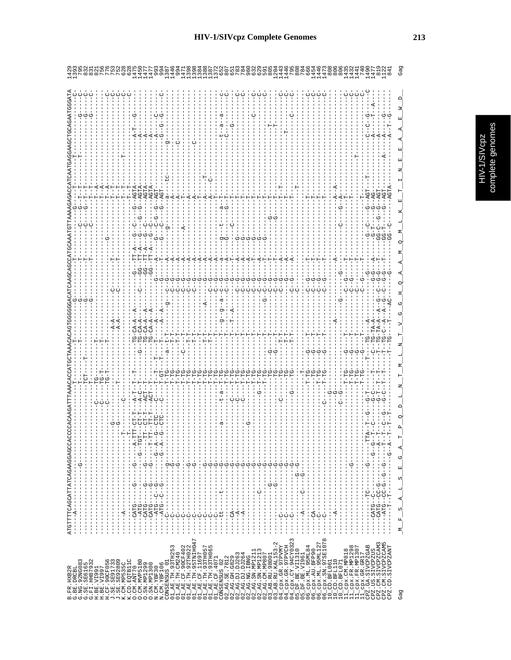$\triangleright$  $\mathbf{r}$  $\overline{A}$  $\mathbb{A}$ 피  $-4 - E$ <sub> $T$ </sub> $I$  $N$  $E$  $\begin{smallmatrix} 1 & 1 & 1 & 1 \\ 1 & 1 & 1 & 1 \\ 1 & 1 & 1 & 1 \end{smallmatrix}$  $-AGTA \mathbb{R}$  $\overline{a}$  $\overline{M}$  O  $\geq$  $A$  $\begin{bmatrix} 1 & 1 & 1 \\ 1 & 1 & 1 \\ 1 & 1 & 1 \\ 1 & 1 & 1 \\ 1 & 1 & 1 \\ 1 & 1 & 1 \\ 1 & 1 & 1 \\ 1 & 1 & 1 \\ 1 & 1 & 1 \\ 1 & 1 & 1 \\ 1 & 1 & 1 \\ 1 & 1 & 1 \\ 1 & 1 & 1 \\ 1 & 1 & 1 \\ 1 & 1 & 1 \\ 1 & 1 & 1 \\ 1 & 1 & 1 \\ 1 & 1 & 1 \\ 1 & 1 & 1 \\ 1 & 1 & 1 \\ 1 & 1 & 1 \\ 1 & 1 & 1 \\ 1 & 1 & 1 \\ 1 & 1 &$  $\overline{A}$ ė  $\sim$  $\mathbf{r}$ မှု မှ ູ<br>ບ  $-AC$ U  $\vert$  $\overline{a}$  $\frac{1}{2}$  $M_{L}$  $-1 - 1 -$ 니  $\mathbf{z}$  $\begin{array}{c} 1 & 1 & 1 & 1 \\ 1 & 1 & 1 & 1 \\ 1 & 1 & 1 & 1 \end{array}$  $-4$   $-4$  $\begin{array}{r} \vspace{2mm} \begin{array}{r} \vspace{2mm} \vspace{2mm} \vspace{2mm} \vspace{2mm} \vspace{2mm} \vspace{2mm} \vspace{2mm} \vspace{2mm} \vspace{2mm} \vspace{2mm} \vspace{2mm} \vspace{2mm} \vspace{2mm} \vspace{2mm} \vspace{2mm} \vspace{2mm} \vspace{2mm} \vspace{2mm} \vspace{2mm} \vspace{2mm} \vspace{2mm} \vspace{2mm} \vspace{2mm} \vspace{2mm} \vspace{2mm} \vspace{2mm} \vspace{2mm} \vspace{2mm} \vspace$  $\alpha$  $\overline{F}$  $G \rightarrow$  $-9 - -9 -$ 니  $\sim$ -0-5-5-<br>-0-5- $A_{\perp}$  $--TC$  $M - F - S$ 

 $\begin{smallmatrix} \texttt{R}, \texttt{RKBR} \\ \texttt{R}, \texttt{B}, \texttt{B}, \texttt{B}, \texttt{B}, \texttt{B}, \texttt{B}, \texttt{B}, \texttt{B}, \texttt{B}, \texttt{B}, \texttt{B}, \texttt{B}, \texttt{B}, \texttt{B}, \texttt{B}, \texttt{B}, \texttt{B}, \texttt{B}, \texttt{B}, \texttt{B}, \texttt{B}, \texttt{B}, \texttt{B}, \texttt{B}, \texttt{B}, \texttt{B}, \texttt{B}, \texttt{B}, \texttt{B}, \texttt{B}, \texttt{B}, \texttt{B}, \$ 

Gag

 $\mathsf{P}_1$ 

Gag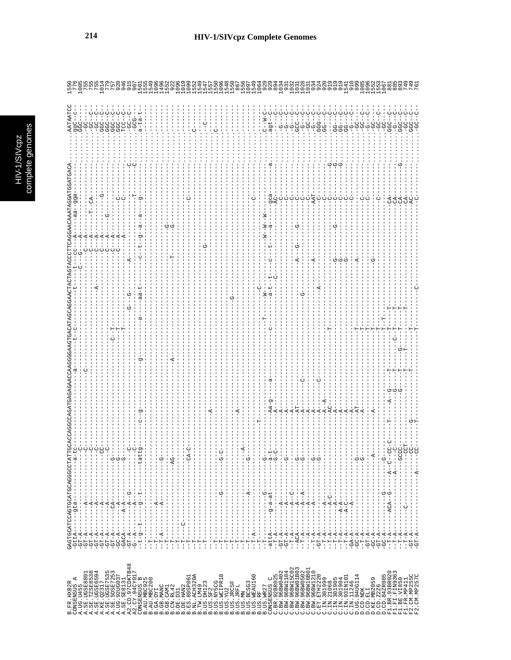|                                                                    |                                                                                                                                         |                                                                                                                                                                                                                                                                                                                                                                                        | GAGAGAACAAGGGGA | GACATAGCAGGAA |        |  |                                                                       |  |
|--------------------------------------------------------------------|-----------------------------------------------------------------------------------------------------------------------------------------|----------------------------------------------------------------------------------------------------------------------------------------------------------------------------------------------------------------------------------------------------------------------------------------------------------------------------------------------------------------------------------------|-----------------|---------------|--------|--|-----------------------------------------------------------------------|--|
|                                                                    |                                                                                                                                         |                                                                                                                                                                                                                                                                                                                                                                                        |                 |               |        |  |                                                                       |  |
|                                                                    |                                                                                                                                         |                                                                                                                                                                                                                                                                                                                                                                                        |                 |               |        |  |                                                                       |  |
|                                                                    |                                                                                                                                         |                                                                                                                                                                                                                                                                                                                                                                                        |                 |               |        |  |                                                                       |  |
|                                                                    |                                                                                                                                         |                                                                                                                                                                                                                                                                                                                                                                                        |                 |               |        |  |                                                                       |  |
|                                                                    |                                                                                                                                         |                                                                                                                                                                                                                                                                                                                                                                                        |                 |               |        |  |                                                                       |  |
|                                                                    |                                                                                                                                         |                                                                                                                                                                                                                                                                                                                                                                                        |                 |               |        |  |                                                                       |  |
|                                                                    |                                                                                                                                         |                                                                                                                                                                                                                                                                                                                                                                                        |                 |               |        |  |                                                                       |  |
|                                                                    |                                                                                                                                         |                                                                                                                                                                                                                                                                                                                                                                                        |                 |               |        |  |                                                                       |  |
|                                                                    |                                                                                                                                         |                                                                                                                                                                                                                                                                                                                                                                                        |                 |               |        |  |                                                                       |  |
|                                                                    |                                                                                                                                         |                                                                                                                                                                                                                                                                                                                                                                                        |                 |               |        |  |                                                                       |  |
|                                                                    |                                                                                                                                         |                                                                                                                                                                                                                                                                                                                                                                                        |                 |               |        |  |                                                                       |  |
|                                                                    |                                                                                                                                         |                                                                                                                                                                                                                                                                                                                                                                                        |                 |               |        |  |                                                                       |  |
|                                                                    |                                                                                                                                         |                                                                                                                                                                                                                                                                                                                                                                                        |                 |               |        |  | -909-                                                                 |  |
|                                                                    |                                                                                                                                         |                                                                                                                                                                                                                                                                                                                                                                                        |                 |               |        |  | $a-ta-$                                                               |  |
|                                                                    |                                                                                                                                         |                                                                                                                                                                                                                                                                                                                                                                                        |                 |               |        |  |                                                                       |  |
| $\,$ I                                                             |                                                                                                                                         | $\mathbf I$                                                                                                                                                                                                                                                                                                                                                                            |                 |               |        |  |                                                                       |  |
| $\mathsf I$                                                        |                                                                                                                                         |                                                                                                                                                                                                                                                                                                                                                                                        |                 |               |        |  |                                                                       |  |
| $\,$ I                                                             |                                                                                                                                         |                                                                                                                                                                                                                                                                                                                                                                                        |                 |               |        |  |                                                                       |  |
|                                                                    |                                                                                                                                         |                                                                                                                                                                                                                                                                                                                                                                                        |                 |               |        |  |                                                                       |  |
| ii<br>II                                                           |                                                                                                                                         |                                                                                                                                                                                                                                                                                                                                                                                        |                 |               | ひ      |  |                                                                       |  |
| $\mathsf I$                                                        | $\mathsf I$<br>$\frac{1}{1}$<br>j<br>$\mathbf{I}$<br>$\mathbf{I}$<br>$\blacksquare$<br>ï.<br>Т<br>÷                                     | $---AG-$                                                                                                                                                                                                                                                                                                                                                                               |                 |               |        |  |                                                                       |  |
| $\frac{1}{1}$<br>$\begin{array}{c} \n 1 \\  1 \\  1\n \end{array}$ | $\overline{\phantom{a}}$<br>$\overline{\phantom{a}}$<br>Ħ<br>$\,$ I<br>$\frac{1}{1}$<br>$\overline{\phantom{a}}$<br>Ţ                   | Ţ<br>÷<br>$\frac{1}{4}$<br>$\overline{\phantom{a}}$                                                                                                                                                                                                                                                                                                                                    |                 |               |        |  |                                                                       |  |
| $-1$<br>$-1$<br>$-1$<br>$-1$<br>$-1$                               | $\frac{1}{1}$<br>$\frac{1}{1}$                                                                                                          | J.<br>Ť.<br>$\overline{\phantom{a}}$                                                                                                                                                                                                                                                                                                                                                   |                 |               |        |  |                                                                       |  |
| $\frac{1}{4}$<br>I.<br>$\frac{1}{1}$<br>합                          | $\mathsf I$<br>$\frac{1}{4}$<br>Ţ                                                                                                       | $---CA$                                                                                                                                                                                                                                                                                                                                                                                |                 |               |        |  |                                                                       |  |
|                                                                    |                                                                                                                                         |                                                                                                                                                                                                                                                                                                                                                                                        |                 |               |        |  |                                                                       |  |
| ţ<br>$\begin{bmatrix} 1 \\ 1 \\ 1 \\ 1 \end{bmatrix}$              | $\mathsf I$<br>$\begin{array}{c} \begin{array}{c} \text{1} \\ \text{2} \\ \text{3} \\ \text{4} \end{array} \end{array}$<br>ł.<br>ï<br>I | $\begin{array}{c} \rule{0pt}{2.5ex} \rule{0pt}{2.5ex} \rule{0pt}{2.5ex} \rule{0pt}{2.5ex} \rule{0pt}{2.5ex} \rule{0pt}{2.5ex} \rule{0pt}{2.5ex} \rule{0pt}{2.5ex} \rule{0pt}{2.5ex} \rule{0pt}{2.5ex} \rule{0pt}{2.5ex} \rule{0pt}{2.5ex} \rule{0pt}{2.5ex} \rule{0pt}{2.5ex} \rule{0pt}{2.5ex} \rule{0pt}{2.5ex} \rule{0pt}{2.5ex} \rule{0pt}{2.5ex} \rule{0pt}{2.5ex} \rule{0$<br>Ť. |                 |               |        |  |                                                                       |  |
| $\frac{1}{1}$<br>т<br>I<br>ţ                                       | I.<br>$\begin{bmatrix} 1 \\ 1 \\ 1 \\ 1 \end{bmatrix}$<br>Ţ<br>1<br>1<br>Ţ                                                              | 1<br>I<br>$\frac{1}{1}$                                                                                                                                                                                                                                                                                                                                                                |                 |               |        |  |                                                                       |  |
| $\frac{1}{4}$<br>$\,$ I<br>J<br>j                                  | $\,$ I<br>$\frac{1}{2}$<br>$\frac{1}{4}$<br>$\frac{1}{2}$<br>$\frac{1}{4}$<br>$\overline{\phantom{a}}$                                  | $\frac{1}{1}$                                                                                                                                                                                                                                                                                                                                                                          |                 |               |        |  |                                                                       |  |
| T                                                                  | Ţ<br>$\mathbf{I}$                                                                                                                       |                                                                                                                                                                                                                                                                                                                                                                                        |                 |               |        |  |                                                                       |  |
|                                                                    |                                                                                                                                         |                                                                                                                                                                                                                                                                                                                                                                                        |                 |               |        |  |                                                                       |  |
| $\frac{1}{4}$                                                      | $\frac{1}{1}$<br>ł<br>$\mathsf I$<br>ł.<br>Ť.<br>$\mathbf{I}$                                                                           | ł                                                                                                                                                                                                                                                                                                                                                                                      |                 |               |        |  |                                                                       |  |
| Ť.<br>$\mathsf I$<br>Ţ<br>$\mathbf{I}$<br>Ĵ                        | $\mathsf I$<br>$\mathbf I$<br>$\frac{1}{1}$<br>$-1$<br>$-1$<br>$-1$<br>$-1$<br>$\,$ I<br>$\mathbf{I}$<br>$\mathbf{I}$                   | -1<br>$-1$                                                                                                                                                                                                                                                                                                                                                                             |                 |               |        |  |                                                                       |  |
| $\frac{1}{1}$                                                      | $\frac{1}{1}$<br>ŧ<br>$\frac{1}{1}$<br>Ï<br>$\mathsf I$<br>$\frac{1}{1}$                                                                | $\frac{1}{1}$                                                                                                                                                                                                                                                                                                                                                                          |                 |               |        |  |                                                                       |  |
|                                                                    |                                                                                                                                         |                                                                                                                                                                                                                                                                                                                                                                                        |                 |               |        |  |                                                                       |  |
|                                                                    |                                                                                                                                         | I<br>$\frac{1}{4}$                                                                                                                                                                                                                                                                                                                                                                     |                 |               |        |  |                                                                       |  |
|                                                                    | $\frac{1}{4}$<br>J.<br>ł<br>$\mathsf I$<br>$\frac{1}{1}$<br>Ť.                                                                          | $\mathbf{I}$<br>Ť.<br>$\begin{array}{c} \end{array}$                                                                                                                                                                                                                                                                                                                                   |                 |               |        |  |                                                                       |  |
| -1<br>ï<br>j                                                       | $\mathbf{I}$<br>J.<br>ï<br>J.<br>$\frac{1}{1}$<br>J.<br>$\mathbf{I}$<br>$\overline{\phantom{a}}$                                        | $\mathbf{I}$<br>J.<br>Ţ                                                                                                                                                                                                                                                                                                                                                                |                 |               |        |  |                                                                       |  |
| $-1 - T - -$                                                       | $---A---$                                                                                                                               | $-\frac{c}{l}$                                                                                                                                                                                                                                                                                                                                                                         |                 |               |        |  |                                                                       |  |
| $\mathsf I$<br>$\frac{1}{4}$                                       | $\mathsf I$<br>$\mathbf{I}$<br>$\mathbf{I}$<br>$\mathbf I$<br>Ť.<br>$\mathbf{I}$<br>$\mathbf{I}$                                        | Ť.                                                                                                                                                                                                                                                                                                                                                                                     |                 |               |        |  |                                                                       |  |
| ï.<br>т<br>$- -T - A - -$                                          | I.<br>$\mathbf{I}$<br>$\mathsf I$<br>J.<br>-1<br>$\mathbf I$<br>-1<br>$\mathbf{I}$<br>$\blacksquare$<br>-1<br>I<br>Т<br>$\mathbf{I}$    | $\mathbf{I}$<br>п<br>- 1<br>$\mathsf I$                                                                                                                                                                                                                                                                                                                                                |                 |               |        |  |                                                                       |  |
| Ť<br>I<br>ĵ                                                        | J,<br>п<br>$\mathbf{I}$<br>- 1<br>$\blacksquare$<br>$\blacksquare$<br>л<br>л<br>J.                                                      | л<br>J,<br>I                                                                                                                                                                                                                                                                                                                                                                           |                 |               |        |  |                                                                       |  |
| $\blacksquare$<br>j                                                |                                                                                                                                         | ţ                                                                                                                                                                                                                                                                                                                                                                                      |                 |               | ē<br>ē |  | $C - N -$                                                             |  |
|                                                                    |                                                                                                                                         |                                                                                                                                                                                                                                                                                                                                                                                        |                 |               |        |  |                                                                       |  |
| $\,$ I<br>$-$ att $A$ --                                           | $\begin{bmatrix} 1 \\ 1 \\ 1 \end{bmatrix}$                                                                                             | $-5 - 6 - 6$<br>j                                                                                                                                                                                                                                                                                                                                                                      |                 |               |        |  | $a$ gt-                                                               |  |
|                                                                    |                                                                                                                                         | $\mathsf I$                                                                                                                                                                                                                                                                                                                                                                            |                 |               |        |  |                                                                       |  |
|                                                                    |                                                                                                                                         | I.<br>л.<br>I<br>L.                                                                                                                                                                                                                                                                                                                                                                    |                 |               |        |  |                                                                       |  |
|                                                                    |                                                                                                                                         |                                                                                                                                                                                                                                                                                                                                                                                        |                 |               |        |  |                                                                       |  |
|                                                                    |                                                                                                                                         | $-1$<br>$\overline{\phantom{a}}$                                                                                                                                                                                                                                                                                                                                                       |                 |               |        |  |                                                                       |  |
|                                                                    |                                                                                                                                         | ŧ<br>Ť.                                                                                                                                                                                                                                                                                                                                                                                |                 |               |        |  |                                                                       |  |
|                                                                    |                                                                                                                                         |                                                                                                                                                                                                                                                                                                                                                                                        |                 |               |        |  |                                                                       |  |
|                                                                    |                                                                                                                                         |                                                                                                                                                                                                                                                                                                                                                                                        |                 |               |        |  |                                                                       |  |
| $\mathsf I$                                                        |                                                                                                                                         | ပုံ ပုံ<br> -<br>                                                                                                                                                                                                                                                                                                                                                                      |                 |               |        |  |                                                                       |  |
|                                                                    |                                                                                                                                         | $\mathbf{I}$<br>T<br>$\mathbf I$                                                                                                                                                                                                                                                                                                                                                       |                 |               |        |  |                                                                       |  |
| $\mathsf I$                                                        |                                                                                                                                         | $\frac{1}{1}$                                                                                                                                                                                                                                                                                                                                                                          |                 |               |        |  |                                                                       |  |
| $\mathsf I$                                                        |                                                                                                                                         | ပ်ပုံ<br>   <br>! !<br>I                                                                                                                                                                                                                                                                                                                                                               |                 |               |        |  |                                                                       |  |
| ţ                                                                  | $\mathsf I$<br>$\frac{1}{1}$<br>ł                                                                                                       |                                                                                                                                                                                                                                                                                                                                                                                        |                 |               |        |  |                                                                       |  |
| $\mathsf I$                                                        |                                                                                                                                         | $\frac{1}{4}$<br>I                                                                                                                                                                                                                                                                                                                                                                     |                 |               |        |  | .<br>ლ                                                                |  |
|                                                                    |                                                                                                                                         | 1<br>Ť.                                                                                                                                                                                                                                                                                                                                                                                |                 |               |        |  |                                                                       |  |
| $\mathbf I$                                                        | ii<br>Iil                                                                                                                               |                                                                                                                                                                                                                                                                                                                                                                                        |                 |               |        |  | ုံ ဗွဲ ဗွဲ<br>၂ ဗ ဗ                                                   |  |
|                                                                    | $\mathsf I$                                                                                                                             |                                                                                                                                                                                                                                                                                                                                                                                        |                 |               |        |  |                                                                       |  |
|                                                                    | $\mathsf I$                                                                                                                             |                                                                                                                                                                                                                                                                                                                                                                                        |                 |               |        |  |                                                                       |  |
|                                                                    |                                                                                                                                         |                                                                                                                                                                                                                                                                                                                                                                                        |                 |               |        |  |                                                                       |  |
|                                                                    | ÷                                                                                                                                       |                                                                                                                                                                                                                                                                                                                                                                                        |                 |               |        |  |                                                                       |  |
|                                                                    | $\overline{\phantom{a}}$<br>$\blacksquare$<br>ł<br>$\blacksquare$                                                                       | $\frac{1}{1}$<br>$\,$ I                                                                                                                                                                                                                                                                                                                                                                |                 |               |        |  |                                                                       |  |
|                                                                    | $\mathbf{I}$<br>$\mathbf{I}$<br>$\mathbf{I}$<br>$\mathbf{I}$<br>$\blacksquare$                                                          | $\blacksquare$                                                                                                                                                                                                                                                                                                                                                                         |                 |               |        |  |                                                                       |  |
| j.                                                                 | $\mathsf I$<br>$\mathsf I$<br>T<br>J.<br>-1<br>$\mathsf I$                                                                              |                                                                                                                                                                                                                                                                                                                                                                                        |                 |               |        |  |                                                                       |  |
|                                                                    | Ţ<br>$\mathbf{I}$<br>Ħ<br>$1 - 1$<br>$\mathbf{I}$<br>-1<br>L<br>I.<br>Ħ                                                                 | 1<br>စုံစုံ  <br>    <br>     <br>I                                                                                                                                                                                                                                                                                                                                                    |                 |               |        |  |                                                                       |  |
|                                                                    | $\,$ I<br>$\mathbf{I}$<br>- 1<br>$\frac{1}{1}$<br>$\,$ I                                                                                | $\,$ I                                                                                                                                                                                                                                                                                                                                                                                 |                 |               |        |  |                                                                       |  |
|                                                                    | $\mathbf{I}$                                                                                                                            | $\frac{1}{1}$                                                                                                                                                                                                                                                                                                                                                                          |                 |               |        |  |                                                                       |  |
|                                                                    | J.<br>L.<br>$\mathsf I$<br>$\frac{1}{1}$<br>j.<br>Ţ<br>j.<br>J.                                                                         | $-4$<br>$\overline{\phantom{a}}$                                                                                                                                                                                                                                                                                                                                                       |                 |               |        |  |                                                                       |  |
|                                                                    | J.<br>п<br>J.<br>$\mathbf{I}$<br>-1                                                                                                     | $\blacksquare$<br>I                                                                                                                                                                                                                                                                                                                                                                    |                 |               |        |  |                                                                       |  |
|                                                                    |                                                                                                                                         | $\ddot{\circ}$<br>$\ddot{\circ}$                                                                                                                                                                                                                                                                                                                                                       |                 |               |        |  |                                                                       |  |
|                                                                    |                                                                                                                                         |                                                                                                                                                                                                                                                                                                                                                                                        |                 |               |        |  |                                                                       |  |
|                                                                    |                                                                                                                                         |                                                                                                                                                                                                                                                                                                                                                                                        |                 |               |        |  | $\frac{1}{2}$ $\frac{1}{2}$ $\frac{1}{2}$ $\frac{1}{2}$ $\frac{1}{2}$ |  |
|                                                                    |                                                                                                                                         |                                                                                                                                                                                                                                                                                                                                                                                        |                 |               |        |  |                                                                       |  |
| $\frac{1}{4}$                                                      | $\frac{1}{1}$<br>ţ<br>$\mathbf{I}$<br>Ť.<br>$\mathsf I$<br>- i<br>İΙ<br>$\mathsf I$<br>Ţ                                                |                                                                                                                                                                                                                                                                                                                                                                                        |                 |               |        |  |                                                                       |  |
|                                                                    | $\mathbf{I}$<br>$\frac{1}{4}$<br>C                                                                                                      | ŧ                                                                                                                                                                                                                                                                                                                                                                                      |                 |               |        |  |                                                                       |  |
| $\mathsf I$                                                        |                                                                                                                                         | Ť.                                                                                                                                                                                                                                                                                                                                                                                     |                 |               |        |  |                                                                       |  |
|                                                                    |                                                                                                                                         |                                                                                                                                                                                                                                                                                                                                                                                        |                 |               |        |  |                                                                       |  |
|                                                                    |                                                                                                                                         |                                                                                                                                                                                                                                                                                                                                                                                        |                 |               |        |  |                                                                       |  |
|                                                                    | J<br>$\overline{1}$<br>$\overline{1}$<br>J                                                                                              | J.<br>$\,$ I                                                                                                                                                                                                                                                                                                                                                                           |                 |               |        |  |                                                                       |  |
|                                                                    |                                                                                                                                         |                                                                                                                                                                                                                                                                                                                                                                                        |                 |               |        |  |                                                                       |  |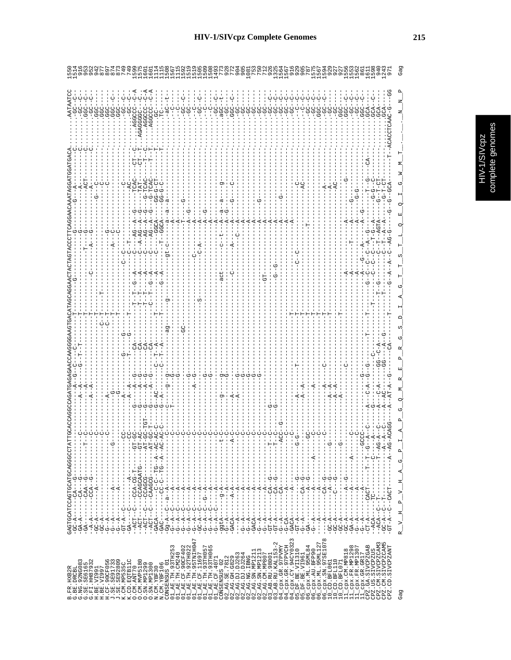| $\begin{array}{l} \bar{r} - 2G - A \\ \bar{r} - 2G - A \\ \bar{r} - 3G - A \\ \bar{r} - 2G - A \end{array}$ |                                                                  |  |
|-------------------------------------------------------------------------------------------------------------|------------------------------------------------------------------|--|
|                                                                                                             |                                                                  |  |
|                                                                                                             |                                                                  |  |
|                                                                                                             |                                                                  |  |
|                                                                                                             |                                                                  |  |
|                                                                                                             |                                                                  |  |
|                                                                                                             |                                                                  |  |
|                                                                                                             |                                                                  |  |
|                                                                                                             |                                                                  |  |
|                                                                                                             |                                                                  |  |
|                                                                                                             |                                                                  |  |
|                                                                                                             |                                                                  |  |
|                                                                                                             |                                                                  |  |
|                                                                                                             |                                                                  |  |
|                                                                                                             |                                                                  |  |
|                                                                                                             |                                                                  |  |
|                                                                                                             |                                                                  |  |
|                                                                                                             |                                                                  |  |
|                                                                                                             |                                                                  |  |
|                                                                                                             |                                                                  |  |
|                                                                                                             |                                                                  |  |
|                                                                                                             |                                                                  |  |
|                                                                                                             |                                                                  |  |
|                                                                                                             |                                                                  |  |
|                                                                                                             |                                                                  |  |
|                                                                                                             |                                                                  |  |
|                                                                                                             |                                                                  |  |
|                                                                                                             |                                                                  |  |
|                                                                                                             |                                                                  |  |
|                                                                                                             |                                                                  |  |
|                                                                                                             |                                                                  |  |
|                                                                                                             |                                                                  |  |
|                                                                                                             |                                                                  |  |
|                                                                                                             |                                                                  |  |
|                                                                                                             |                                                                  |  |
|                                                                                                             |                                                                  |  |
|                                                                                                             |                                                                  |  |
|                                                                                                             |                                                                  |  |
|                                                                                                             |                                                                  |  |
|                                                                                                             |                                                                  |  |
|                                                                                                             |                                                                  |  |
|                                                                                                             |                                                                  |  |
|                                                                                                             |                                                                  |  |
|                                                                                                             |                                                                  |  |
|                                                                                                             |                                                                  |  |
|                                                                                                             |                                                                  |  |
|                                                                                                             |                                                                  |  |
|                                                                                                             |                                                                  |  |
|                                                                                                             |                                                                  |  |
|                                                                                                             |                                                                  |  |
|                                                                                                             |                                                                  |  |
|                                                                                                             |                                                                  |  |
|                                                                                                             |                                                                  |  |
|                                                                                                             |                                                                  |  |
|                                                                                                             |                                                                  |  |
|                                                                                                             |                                                                  |  |
|                                                                                                             |                                                                  |  |
|                                                                                                             |                                                                  |  |
|                                                                                                             |                                                                  |  |
|                                                                                                             |                                                                  |  |
|                                                                                                             |                                                                  |  |
|                                                                                                             |                                                                  |  |
|                                                                                                             |                                                                  |  |
|                                                                                                             |                                                                  |  |
|                                                                                                             |                                                                  |  |
|                                                                                                             |                                                                  |  |
|                                                                                                             |                                                                  |  |
|                                                                                                             |                                                                  |  |
|                                                                                                             |                                                                  |  |
|                                                                                                             |                                                                  |  |
|                                                                                                             |                                                                  |  |
|                                                                                                             |                                                                  |  |
|                                                                                                             |                                                                  |  |
|                                                                                                             |                                                                  |  |
|                                                                                                             |                                                                  |  |
|                                                                                                             |                                                                  |  |
|                                                                                                             |                                                                  |  |
|                                                                                                             |                                                                  |  |
|                                                                                                             |                                                                  |  |
|                                                                                                             |                                                                  |  |
|                                                                                                             |                                                                  |  |
|                                                                                                             |                                                                  |  |
|                                                                                                             |                                                                  |  |
|                                                                                                             |                                                                  |  |
|                                                                                                             |                                                                  |  |
|                                                                                                             |                                                                  |  |
|                                                                                                             |                                                                  |  |
|                                                                                                             |                                                                  |  |
|                                                                                                             |                                                                  |  |
|                                                                                                             |                                                                  |  |
|                                                                                                             |                                                                  |  |
|                                                                                                             |                                                                  |  |
|                                                                                                             |                                                                  |  |
|                                                                                                             | $\Delta$<br>ゎ<br>К<br>피<br>$\triangleright$<br>$\mathbf{p}$<br>피 |  |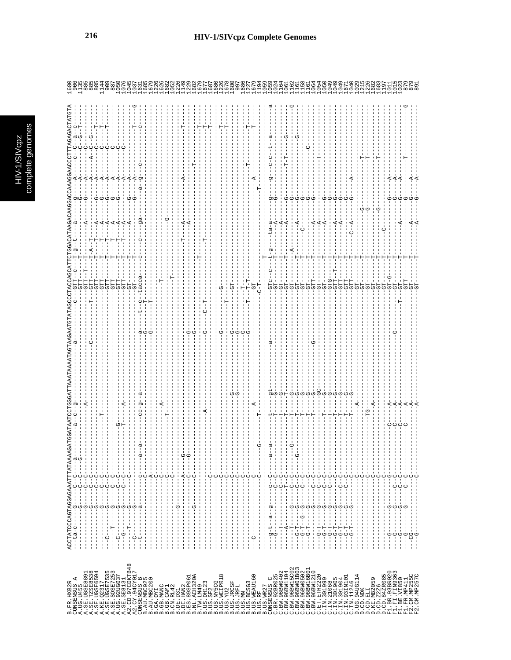|  |        |  |  |                           | ひ                    |   |  |
|--|--------|--|--|---------------------------|----------------------|---|--|
|  |        |  |  |                           |                      | ひ |  |
|  |        |  |  |                           |                      |   |  |
|  |        |  |  |                           |                      |   |  |
|  |        |  |  | ええええええ                    | RRRR<br><b>ひひひひひ</b> |   |  |
|  |        |  |  |                           |                      |   |  |
|  |        |  |  |                           |                      |   |  |
|  |        |  |  |                           |                      |   |  |
|  |        |  |  |                           |                      |   |  |
|  |        |  |  |                           | ひ                    |   |  |
|  |        |  |  |                           |                      |   |  |
|  |        |  |  |                           |                      |   |  |
|  |        |  |  |                           |                      |   |  |
|  |        |  |  |                           |                      |   |  |
|  |        |  |  |                           |                      |   |  |
|  |        |  |  |                           |                      |   |  |
|  |        |  |  |                           |                      |   |  |
|  |        |  |  |                           |                      |   |  |
|  |        |  |  |                           |                      |   |  |
|  |        |  |  |                           |                      |   |  |
|  |        |  |  |                           |                      |   |  |
|  |        |  |  |                           |                      |   |  |
|  |        |  |  |                           |                      |   |  |
|  |        |  |  |                           |                      |   |  |
|  |        |  |  |                           |                      |   |  |
|  |        |  |  |                           |                      |   |  |
|  |        |  |  |                           |                      |   |  |
|  |        |  |  |                           |                      |   |  |
|  |        |  |  |                           |                      |   |  |
|  |        |  |  |                           |                      |   |  |
|  |        |  |  |                           |                      |   |  |
|  |        |  |  |                           |                      |   |  |
|  | じ ひ    |  |  |                           |                      |   |  |
|  |        |  |  |                           |                      |   |  |
|  |        |  |  |                           |                      |   |  |
|  |        |  |  |                           |                      |   |  |
|  |        |  |  |                           |                      |   |  |
|  |        |  |  |                           |                      |   |  |
|  |        |  |  |                           |                      |   |  |
|  |        |  |  |                           |                      |   |  |
|  |        |  |  | $\dot{u} \not\in \dot{u}$ | ה<br>あひ              |   |  |
|  |        |  |  |                           |                      |   |  |
|  |        |  |  |                           |                      |   |  |
|  |        |  |  |                           |                      |   |  |
|  |        |  |  |                           |                      |   |  |
|  | .<br>. |  |  |                           |                      |   |  |
|  |        |  |  | Ą                         |                      |   |  |
|  |        |  |  |                           |                      |   |  |
|  |        |  |  |                           |                      |   |  |
|  |        |  |  |                           | ひひひひ                 |   |  |
|  |        |  |  |                           |                      |   |  |
|  |        |  |  |                           |                      |   |  |
|  | あああああ  |  |  | $A \land A$               |                      |   |  |
|  |        |  |  |                           |                      |   |  |
|  |        |  |  |                           | υυ                   |   |  |
|  |        |  |  | $\mathcal{A} \mathcal{A}$ |                      |   |  |
|  |        |  |  |                           |                      |   |  |
|  |        |  |  |                           |                      |   |  |
|  |        |  |  | A                         |                      |   |  |
|  |        |  |  |                           |                      |   |  |
|  |        |  |  |                           |                      |   |  |
|  |        |  |  | じ じ                       |                      |   |  |
|  |        |  |  |                           |                      |   |  |
|  |        |  |  |                           |                      |   |  |
|  |        |  |  | ひ                         |                      |   |  |
|  |        |  |  |                           |                      |   |  |
|  |        |  |  |                           |                      |   |  |
|  |        |  |  |                           |                      |   |  |
|  |        |  |  |                           |                      |   |  |
|  |        |  |  |                           |                      |   |  |
|  |        |  |  |                           |                      |   |  |
|  |        |  |  |                           |                      |   |  |
|  |        |  |  |                           |                      |   |  |
|  |        |  |  |                           |                      |   |  |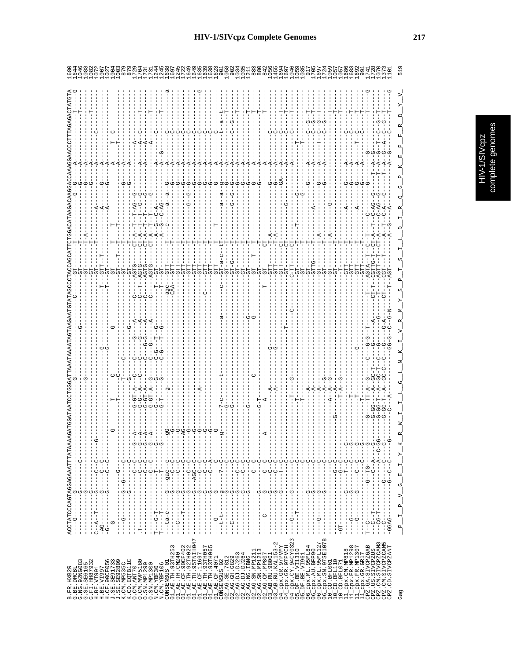|                                                                                                                                                                                                                                                                                                                                                                                                                                                                                                                                                                                                                                                                                                                                                                                                                                                                                                                                                                                                                                                                                                                                                                                                                                                                                                                                                                                                                                                                                                                                                                                                                                                                                                                                                                                                                                                                                                                                                                                                                                                                                                                                                                                                                                                                                                                                                                                                                                                                                                                                                                                                                                                                                                                                                                                                                                                                                                                                                                                                                                                                                                                                                                                                                                                                                                                                                                                                                                                                                                                                                                                                                                                                                                                                                                                                                                                                                                                                                                                                                                                                                                                                                                                                                                                                                                                                                                                                                                                                                                                                                                                                                                                                                                                                                                                                                                                                                                                                                                                                                                                                                                                                                                                                                                                                                                                                                                                                                                                                                                                                                                                                                                                                                                                                                                                                                                                                                                                                                                                                                                                                                                                                                                                                                                                                                                                                                                                                                                                                                                                                                                                                                                                                                                                                                                                                                                                                                                                                                                                                                                                                                                                                                                                                                                               | ່ທ່                                             |
|-----------------------------------------------------------------------------------------------------------------------------------------------------------------------------------------------------------------------------------------------------------------------------------------------------------------------------------------------------------------------------------------------------------------------------------------------------------------------------------------------------------------------------------------------------------------------------------------------------------------------------------------------------------------------------------------------------------------------------------------------------------------------------------------------------------------------------------------------------------------------------------------------------------------------------------------------------------------------------------------------------------------------------------------------------------------------------------------------------------------------------------------------------------------------------------------------------------------------------------------------------------------------------------------------------------------------------------------------------------------------------------------------------------------------------------------------------------------------------------------------------------------------------------------------------------------------------------------------------------------------------------------------------------------------------------------------------------------------------------------------------------------------------------------------------------------------------------------------------------------------------------------------------------------------------------------------------------------------------------------------------------------------------------------------------------------------------------------------------------------------------------------------------------------------------------------------------------------------------------------------------------------------------------------------------------------------------------------------------------------------------------------------------------------------------------------------------------------------------------------------------------------------------------------------------------------------------------------------------------------------------------------------------------------------------------------------------------------------------------------------------------------------------------------------------------------------------------------------------------------------------------------------------------------------------------------------------------------------------------------------------------------------------------------------------------------------------------------------------------------------------------------------------------------------------------------------------------------------------------------------------------------------------------------------------------------------------------------------------------------------------------------------------------------------------------------------------------------------------------------------------------------------------------------------------------------------------------------------------------------------------------------------------------------------------------------------------------------------------------------------------------------------------------------------------------------------------------------------------------------------------------------------------------------------------------------------------------------------------------------------------------------------------------------------------------------------------------------------------------------------------------------------------------------------------------------------------------------------------------------------------------------------------------------------------------------------------------------------------------------------------------------------------------------------------------------------------------------------------------------------------------------------------------------------------------------------------------------------------------------------------------------------------------------------------------------------------------------------------------------------------------------------------------------------------------------------------------------------------------------------------------------------------------------------------------------------------------------------------------------------------------------------------------------------------------------------------------------------------------------------------------------------------------------------------------------------------------------------------------------------------------------------------------------------------------------------------------------------------------------------------------------------------------------------------------------------------------------------------------------------------------------------------------------------------------------------------------------------------------------------------------------------------------------------------------------------------------------------------------------------------------------------------------------------------------------------------------------------------------------------------------------------------------------------------------------------------------------------------------------------------------------------------------------------------------------------------------------------------------------------------------------------------------------------------------------------------------------------------------------------------------------------------------------------------------------------------------------------------------------------------------------------------------------------------------------------------------------------------------------------------------------------------------------------------------------------------------------------------------------------------------------------------------------------------------------------------------------------------------------------------------------------------------------------------------------------------------------------------------------------------------------------------------------------------------------------------------------------------------------------------------------------------------------------------------------------------------------------------------------------------------------------------------------------------------------------------------------------------------------------|-------------------------------------------------|
| υυ<br>$H \ntriangleleft$<br>てり<br>てり                                                                                                                                                                                                                                                                                                                                                                                                                                                                                                                                                                                                                                                                                                                                                                                                                                                                                                                                                                                                                                                                                                                                                                                                                                                                                                                                                                                                                                                                                                                                                                                                                                                                                                                                                                                                                                                                                                                                                                                                                                                                                                                                                                                                                                                                                                                                                                                                                                                                                                                                                                                                                                                                                                                                                                                                                                                                                                                                                                                                                                                                                                                                                                                                                                                                                                                                                                                                                                                                                                                                                                                                                                                                                                                                                                                                                                                                                                                                                                                                                                                                                                                                                                                                                                                                                                                                                                                                                                                                                                                                                                                                                                                                                                                                                                                                                                                                                                                                                                                                                                                                                                                                                                                                                                                                                                                                                                                                                                                                                                                                                                                                                                                                                                                                                                                                                                                                                                                                                                                                                                                                                                                                                                                                                                                                                                                                                                                                                                                                                                                                                                                                                                                                                                                                                                                                                                                                                                                                                                                                                                                                                                                                                                                                          |                                                 |
| τŋ<br>HHHUÙ<br>(1)                                                                                                                                                                                                                                                                                                                                                                                                                                                                                                                                                                                                                                                                                                                                                                                                                                                                                                                                                                                                                                                                                                                                                                                                                                                                                                                                                                                                                                                                                                                                                                                                                                                                                                                                                                                                                                                                                                                                                                                                                                                                                                                                                                                                                                                                                                                                                                                                                                                                                                                                                                                                                                                                                                                                                                                                                                                                                                                                                                                                                                                                                                                                                                                                                                                                                                                                                                                                                                                                                                                                                                                                                                                                                                                                                                                                                                                                                                                                                                                                                                                                                                                                                                                                                                                                                                                                                                                                                                                                                                                                                                                                                                                                                                                                                                                                                                                                                                                                                                                                                                                                                                                                                                                                                                                                                                                                                                                                                                                                                                                                                                                                                                                                                                                                                                                                                                                                                                                                                                                                                                                                                                                                                                                                                                                                                                                                                                                                                                                                                                                                                                                                                                                                                                                                                                                                                                                                                                                                                                                                                                                                                                                                                                                                                            |                                                 |
| A A A                                                                                                                                                                                                                                                                                                                                                                                                                                                                                                                                                                                                                                                                                                                                                                                                                                                                                                                                                                                                                                                                                                                                                                                                                                                                                                                                                                                                                                                                                                                                                                                                                                                                                                                                                                                                                                                                                                                                                                                                                                                                                                                                                                                                                                                                                                                                                                                                                                                                                                                                                                                                                                                                                                                                                                                                                                                                                                                                                                                                                                                                                                                                                                                                                                                                                                                                                                                                                                                                                                                                                                                                                                                                                                                                                                                                                                                                                                                                                                                                                                                                                                                                                                                                                                                                                                                                                                                                                                                                                                                                                                                                                                                                                                                                                                                                                                                                                                                                                                                                                                                                                                                                                                                                                                                                                                                                                                                                                                                                                                                                                                                                                                                                                                                                                                                                                                                                                                                                                                                                                                                                                                                                                                                                                                                                                                                                                                                                                                                                                                                                                                                                                                                                                                                                                                                                                                                                                                                                                                                                                                                                                                                                                                                                                                         |                                                 |
| ひ<br>ひ<br>てりてり<br>ひひ<br>てり<br>ひ<br>ひひ                                                                                                                                                                                                                                                                                                                                                                                                                                                                                                                                                                                                                                                                                                                                                                                                                                                                                                                                                                                                                                                                                                                                                                                                                                                                                                                                                                                                                                                                                                                                                                                                                                                                                                                                                                                                                                                                                                                                                                                                                                                                                                                                                                                                                                                                                                                                                                                                                                                                                                                                                                                                                                                                                                                                                                                                                                                                                                                                                                                                                                                                                                                                                                                                                                                                                                                                                                                                                                                                                                                                                                                                                                                                                                                                                                                                                                                                                                                                                                                                                                                                                                                                                                                                                                                                                                                                                                                                                                                                                                                                                                                                                                                                                                                                                                                                                                                                                                                                                                                                                                                                                                                                                                                                                                                                                                                                                                                                                                                                                                                                                                                                                                                                                                                                                                                                                                                                                                                                                                                                                                                                                                                                                                                                                                                                                                                                                                                                                                                                                                                                                                                                                                                                                                                                                                                                                                                                                                                                                                                                                                                                                                                                                                                                         |                                                 |
| 병<br>545<br>ひひひひ<br>$\begin{array}{c} \hline \end{array}$<br>$\overline{\phantom{a}}$<br>I.<br>$\mathbf{I}$<br>$1 - 5 - 1 - 1 - 1$<br>$\mathbf{I}$<br>$\frac{0}{1}$<br>ひ<br>$\mathbf{I}$<br>$\mathbf{I}$<br>$\blacksquare$<br>$\mathbf{I}$<br>$\mathbf{I}$<br>J.<br>$\mathbf{I}$<br>$\blacksquare$<br>J.<br>$\mathbf{I}$<br>$\mathbf{I}$<br>$\blacksquare$<br>לָקָטְּקָ<br>ပုံ<br>לָקָטָּטָ<br>לוווין<br>$\mathbf{I}$<br>л.<br>-1<br>п<br>- 1<br>$\blacksquare$<br>-1<br>$\mathbf{I}$<br>$\overline{1}$<br>L.                                                                                                                                                                                                                                                                                                                                                                                                                                                                                                                                                                                                                                                                                                                                                                                                                                                                                                                                                                                                                                                                                                                                                                                                                                                                                                                                                                                                                                                                                                                                                                                                                                                                                                                                                                                                                                                                                                                                                                                                                                                                                                                                                                                                                                                                                                                                                                                                                                                                                                                                                                                                                                                                                                                                                                                                                                                                                                                                                                                                                                                                                                                                                                                                                                                                                                                                                                                                                                                                                                                                                                                                                                                                                                                                                                                                                                                                                                                                                                                                                                                                                                                                                                                                                                                                                                                                                                                                                                                                                                                                                                                                                                                                                                                                                                                                                                                                                                                                                                                                                                                                                                                                                                                                                                                                                                                                                                                                                                                                                                                                                                                                                                                                                                                                                                                                                                                                                                                                                                                                                                                                                                                                                                                                                                                                                                                                                                                                                                                                                                                                                                                                                                                                                                                                 |                                                 |
| $\mathsf I$<br>$\mathbb{L}$<br>$\,$ I<br>$\overline{\phantom{a}}$<br>J<br>$\mathbf{I}$<br>T<br>$\mathbf{I}$<br>Ť<br>I<br>Ť<br>ł<br>÷<br>÷<br>Ť<br>Ť<br>$\frac{1}{1}$<br>J.<br>I<br>ł<br>L.<br>ł<br>л<br>ŧ<br>$\frac{1}{1}$<br>п<br>Ť.<br>j.<br>$\mathbf{I}$<br><b>I</b><br>$\mathbf{I}$<br>$\mathbf{I}$<br>$\mathbf{I}$<br>$\mathbf{I}$<br>$\mathbf{I}$<br>J.<br>$\mathbf{I}$<br>-1<br>$\mathbf{I}$<br>$\blacksquare$<br>$\mathbf{I}$<br>п<br>$\blacksquare$<br>$\mathbf{I}$<br>п.<br>п<br>л<br>-1<br>л<br>п<br>л.<br>п<br>Ü<br>K,<br>U<br>$\frac{0}{1}$<br>U<br>$-4$<br>U<br>↻<br>↻<br>↻<br>↻<br>K,<br>↻<br>$\begin{array}{c}\n0 \\ 1\n\end{array}$<br>$C_1$<br>↻<br>$\begin{array}{c}\n0 \\ 1\n\end{array}$<br>↻<br>-<br>U<br>U<br>U<br>$\frac{1}{1}$<br>U<br>O<br>O<br>U<br>◡<br>◡<br>O<br>U<br>O<br>O<br>U<br>O<br>U<br>$-1$<br>U<br>U<br>U<br>U<br>U<br>Ő<br>Ő<br>O<br>Õ<br>J.<br>J.<br>÷<br>J.<br>J.<br>J.<br>$\frac{1}{1}$<br>ŧ<br>$\frac{1}{1}$<br>ŧ<br>J.<br>$\frac{1}{1}$<br>$\frac{1}{1}$<br>÷<br>Ť<br>ŧ<br>ł<br>Ť.<br>$\frac{1}{1}$<br>÷<br>J.<br>ŧ<br>Ŧ<br>÷<br>J,<br>÷<br>J<br>Ī<br>Ī<br>$\frac{1}{1}$<br>Ŧ<br>$\frac{1}{1}$<br>J<br>$\frac{1}{1}$<br>$\mathbf{I}$<br>J.<br>Ŧ<br>J.<br>J.<br>÷<br>$-GI - TG -$<br>$\blacksquare$<br>J.<br>$\mathbf{I}$<br>$\mathbf{I}$<br>$\blacksquare$<br>$\blacksquare$<br>$\frac{1}{1}$<br>$\frac{1}{1}$<br>්<br>$-$ -AGC-<br>$C - 1$<br>ひ<br>한터<br>   <br>! !<br>÷<br>F<br>gac.<br>$-\frac{1}{1}$<br>$\mathfrak{c}$<br>Ü<br>U<br>Ü<br>Ü<br>한 번  <br>       <br>       <br>$-1 - 6$<br>÷<br> <br>U<br>U<br>↻<br>↻<br>↻<br>$\frac{1}{2}$<br>U<br>U<br>п<br>U<br>U<br>$\begin{array}{c} \stackrel{.}{\circ} \stackrel{.}{\circ} \stackrel{.}{\circ} \stackrel{.}{\circ} \ \stackrel{.}{\circ} \stackrel{.}{\circ} \stackrel{.}{\circ} \ \stackrel{.}{\circ} \stackrel{.}{\circ} \stackrel{.}{\circ} \end{array}$<br>U<br>O<br>Ţ<br>$\frac{1}{1}$<br>Ť.<br>Ī<br>Ţ<br>Ī<br>$\frac{1}{1}$<br>Ţ<br>$\overline{\phantom{a}}$<br>Ť<br>$\begin{bmatrix} 1 & 1 \\ 1 & 1 \end{bmatrix}$<br>$\begin{array}{c} 1 & 1 & 1 \\ 1 & 1 & 1 \\ 1 & 1 & 1 \\ \end{array}$<br>J<br>Ī<br>$\,$ I<br>Ŧ<br>$-5 - -$<br>J.<br>$-9 - -$<br>J<br>$\mathbf{I}$<br>$\frac{1}{1}$<br>$\blacksquare$<br>$\frac{1}{4}$<br>$\mathsf I$<br>$\mathbf{I}$<br>J.<br>$\blacksquare$<br>T<br>$\mathbf{I}$<br>$\frac{1}{4}$<br>$\frac{1}{1}$<br>Ť<br>Ť<br>$\overline{\phantom{a}}$<br>$\sigma$<br>$\mathbf{I}$<br>I.<br>$\frac{1}{1}$<br>$\blacksquare$<br>$\mathbf{I}$<br>J.<br>T<br>$\mathbf{I}$<br>$\frac{1}{4}$<br>$\mathbf{I}$<br>Ŧ.<br>$\mathbf{I}$<br>$\blacksquare$<br>1<br>J.<br>$\mathbf{I}$<br>л.<br>$\mathbf{I}$<br>ł.<br>-1<br>п<br>-1<br>Ť.<br>$\mathbf{I}$<br>Ť.<br>$\mathbf{I}$<br>J.<br>$1 - 1$<br>Ť.<br>Ť.<br>$\blacksquare$<br>$\mathbf{I}$<br>$\mathbf{I}$<br>- 1<br>$\mathbf{I}$<br>$\overline{1}$<br>Ť.<br>Ť.<br>$\mathsf I$<br>$\mathsf I$<br>$\mathsf I$<br>$\mathbf{I}$<br>$\mathsf I$<br>$\mathbb{L}$<br>$\mathbf{I}$<br>Ţ<br>Ť<br>$\mathbf{I}$<br>I.<br>စ်စုံစုံစုံစုံ<br>$\mathsf I$<br>$\mathsf I$<br>$-1$<br>,,,,,,,,,,,,,,,,,,,,,,,,,,<br><b>ひひひひひ</b><br>ליט ליט ליט<br>החייה ה<br>$\blacksquare$<br>1<br>Ţ<br>$\blacksquare$<br>Т<br>$\blacksquare$<br>- 11<br>। ଓ<br>$\mathbf{1}$<br>$\mathbf{I}$<br>ひ<br>$\begin{array}{c} 1 & 0 \\ 0 & 1 \\ 1 & 1 \end{array}$<br>$\mathbf{I}$<br>$\mathbf{I}$<br>I<br>$\frac{1}{4}$<br>$\mathbf{I}$<br>-11<br>Ι.<br>$\frac{1}{1}$<br>÷<br>ŧ<br>$\mathbf{I}$<br>Ť<br>Ť<br>Ť<br>ŧ<br>Ť<br>$\frac{1}{1}$<br>Ħ<br>-1<br>$\mathbf{I}$<br>$\mathbf{I}$<br>п<br>$\mathbf{I}$<br>-1<br>$\mathbf{1}$<br>÷<br>Ħ<br>- 1<br>ŧ<br>-1<br>-<br>$\blacksquare$<br>$\mathbf{I}$<br>Ħ<br>п.<br>$\mathbf{I}$<br>$\mathbf{I}$<br>л.<br>J.<br>-1<br>Ť.<br>Ť.<br>Ť.<br>Ť.<br>Ť.<br>ï.<br>$\mathsf I$<br>$\mathbf{I}$<br>$\mathbf I$<br>$\mathsf I$<br>$\mathsf I$<br>$\,$ I<br>Ť,<br>$\blacksquare$<br>1<br>J.<br>$\mathbf{I}$<br>п<br>1<br>$\mathbf{I}$<br>$\,$ I<br>$\mathsf I$<br>$\,$ I<br>I<br>$\mathsf I$<br>$\,$ I<br>$\mathsf I$<br>L<br>$\,$ I<br>$\,$ I<br>I.<br>J<br>$\mathbb{I}$<br>$\begin{array}{c} \rule{0pt}{2.5ex} \rule{0pt}{2.5ex} \rule{0pt}{2.5ex} \rule{0pt}{2.5ex} \rule{0pt}{2.5ex} \rule{0pt}{2.5ex} \rule{0pt}{2.5ex} \rule{0pt}{2.5ex} \rule{0pt}{2.5ex} \rule{0pt}{2.5ex} \rule{0pt}{2.5ex} \rule{0pt}{2.5ex} \rule{0pt}{2.5ex} \rule{0pt}{2.5ex} \rule{0pt}{2.5ex} \rule{0pt}{2.5ex} \rule{0pt}{2.5ex} \rule{0pt}{2.5ex} \rule{0pt}{2.5ex} \rule{0$<br>I<br>ı<br>$\mathbf{I}$<br>I.<br>$\mathbf{I}$<br>$\mathbf{I}$<br>Å<br>$\mathbf{I}$<br>$\mathbf{I}$<br>$\blacksquare$<br>$\mathbf{I}$<br>$\overline{\phantom{a}}$<br>$\mathbf{I}$<br>I.<br>$\mathbf{I}$<br>J.<br>$\mathbf{I}$<br>T<br>1<br>f,<br>Ţ<br>$\mathbf{I}$<br>$\mathbf{I}$<br>$\frac{1}{1}$<br>1<br>L.<br>$\mathbf{I}$<br>$\mathbf{I}$<br>$\blacksquare$<br>$\blacksquare$<br>$\blacksquare$<br>$\blacksquare$<br>$\mathbf{I}$<br>$\mathbf{I}$<br>$\blacksquare$<br>$\blacksquare$<br>$\mathbf{I}$<br>$\mathbf{I}$<br>$\mathbf{I}$<br>- 11<br>$\blacksquare$<br>- 1<br>$\overline{\phantom{a}}$<br>$\blacksquare$<br>$\blacksquare$<br>$\blacksquare$<br>$\overline{1}$<br>$\mathbf{I}$<br>I.<br>T<br>$\overline{\phantom{a}}$<br>п<br>$\frac{1}{1}$<br>$\overline{\phantom{a}}$<br>J.<br>$\blacksquare$<br>$\mathbf{I}$<br>$\mathbf{L}$<br>$\blacksquare$<br>$\blacksquare$<br>$\frac{1}{4}$<br>$\frac{1}{1}$<br>$\mathbf{I}$<br>$\mathbf{I}$<br>$\mathbf{I}$<br>$\mathbf{I}$<br>L.<br>л<br>- 1<br>$\mathbf{I}$<br>п<br>$\mathbf{I}$<br>$\mathbf{I}$<br>$\frac{1}{1}$<br>$\mathbf{I}$<br>п<br>п<br>$\mathbf{I}$<br>п<br>$\mathbf{I}$<br>-1<br>п<br>$\mathbf{I}$<br>п<br>$\mathbf{I}$<br>$\mathbf{I}$<br>$\mathbf{I}$<br>$\mathbf{I}$<br>п.<br>-1<br>л.<br>п<br>-1<br>$\mathbf{I}$<br>п<br>п<br>L.<br>$\mathbf{I}$<br>п<br>-1<br>п<br>$\mathbf{I}$<br>$-1 - 9 - -1$<br>$-ta-c$<br>$T$ – – – – $T$<br>Ť.<br>Ť.<br>$\ddot{r}$<br>Ť.<br>j.<br>J.<br>T.<br>$\mathbb{I}$<br>$---A---T$<br>I<br>$\,$ I<br>$- - - - - -$<br>L<br>$\mathbf I$<br>$\mathsf I$<br>$\mathsf I$<br>$\mathsf I$<br>1<br>$\mathsf I$<br>Ţ<br>Ť<br>$\begin{array}{c} \rule{0pt}{2.5ex} \rule{0pt}{2.5ex} \rule{0pt}{2.5ex} \rule{0pt}{2.5ex} \rule{0pt}{2.5ex} \rule{0pt}{2.5ex} \rule{0pt}{2.5ex} \rule{0pt}{2.5ex} \rule{0pt}{2.5ex} \rule{0pt}{2.5ex} \rule{0pt}{2.5ex} \rule{0pt}{2.5ex} \rule{0pt}{2.5ex} \rule{0pt}{2.5ex} \rule{0pt}{2.5ex} \rule{0pt}{2.5ex} \rule{0pt}{2.5ex} \rule{0pt}{2.5ex} \rule{0pt}{2.5ex} \rule{0$<br>$-1$<br>T<br>1<br>1<br>$\overline{\phantom{a}}$<br>1<br>$-50$ -L<br>-1<br>I.<br>$-5$<br>$\,$ I<br>$\begin{bmatrix} 1 \\ 1 \\ 1 \end{bmatrix}$<br>$\begin{array}{c} \begin{array}{c} \cdot & \cdot \\ \cdot & \cdot \\ \cdot & \cdot \end{array} \\ \begin{array}{c} \cdot & \cdot \\ \cdot & \cdot \end{array} \end{array}$<br>$\mathsf I$<br>L<br>Ħ<br>$\frac{1}{2}$<br>$-t-t$ .<br>Ħ<br>$\frac{1}{6}$<br>$\,$ I<br>$\begin{array}{c}\n1 \\ 0 \\ 1\n\end{array}$<br>L<br>$\begin{array}{c}\n1 \\ 0 \\ 0 \\ 1\n\end{array}$<br>$\frac{1}{1}$<br>j.<br>ı<br>$\frac{1}{2}$<br>$\mathsf I$<br>$\overline{\phantom{a}}$<br>÷<br>$\mathsf I$<br>J.<br>$\frac{1}{4}$<br>т<br>J.<br>Ţ<br>I<br>$\frac{1}{4}$<br>$\blacksquare$<br>$\mathbf{I}$<br>$\overline{\phantom{a}}$<br>$\frac{1}{1}$ | 囯<br>ひ<br>$\triangleright$<br>$\mathbf{\Omega}$ |
| $AG - - -$<br>$-9 - -$<br>$\mathbf{T}----\mathbf{T}$<br>$-1$<br>GGAG-<br>$\frac{1}{5}$<br>ł<br>$\frac{1}{1}$<br>Ħ<br>$\frac{1}{1}$<br>$-15$<br>$\frac{1}{1}$<br>1<br>$\mathbf{I}$<br>$\overline{\phantom{a}}$<br>$\blacksquare$<br>$\mathbf{I}$<br>C<br>$\frac{1}{1}$<br>U<br> <br>L.<br>-<br>$\mathbf{I}$<br>-11<br>- 1<br>ŧ<br>Ť.<br>Ť.<br>Ť.<br>$\mathbf{I}$<br>$\mathbf{I}$<br>- 11<br>$-1$<br>$\mathbf{L}$<br>Ť.<br>Ť.<br>$\blacksquare$<br>$\mathbf{I}$<br>$\mathbf{I}$<br>$\mathbf{I}$<br>$\overline{\phantom{a}}$<br>$\begin{array}{c} \rule{0pt}{2.5ex} \rule{0pt}{2.5ex} \rule{0pt}{2.5ex} \rule{0pt}{2.5ex} \rule{0pt}{2.5ex} \rule{0pt}{2.5ex} \rule{0pt}{2.5ex} \rule{0pt}{2.5ex} \rule{0pt}{2.5ex} \rule{0pt}{2.5ex} \rule{0pt}{2.5ex} \rule{0pt}{2.5ex} \rule{0pt}{2.5ex} \rule{0pt}{2.5ex} \rule{0pt}{2.5ex} \rule{0pt}{2.5ex} \rule{0pt}{2.5ex} \rule{0pt}{2.5ex} \rule{0pt}{2.5ex} \rule{0$<br>$\mathsf I$<br>Ţ<br>$\overline{\phantom{a}}$<br>$\,$ I<br>$\mathbf I$<br>$\mathsf I$<br>$\mathsf I$<br>$\,$ I<br>$\,$ I<br>$\mathbf{I}$<br>1<br>$\mathsf I$<br>$\overline{\phantom{a}}$<br>$\mathsf I$<br>U<br>Æ<br>$\overline{\phantom{a}}$<br>$\blacksquare$<br>$\mathbf{I}$<br>T.<br>FF<br>$\blacksquare$<br>$\mathbf{I}$<br>$\blacksquare$<br>$\mathbf{I}$<br>$\blacksquare$<br>$\mathbf{I}$<br>- 11<br>$\blacksquare$<br>$\blacksquare$<br>$\mathbf{I}$<br>$\blacksquare$<br>$\mathbf{I}$<br>Н<br>I<br>$\mathbf{I}$<br>$\mathbf{I}$<br>т<br>п<br>-<br>т<br>$\sim$<br>${}^{\circ}$<br>$\begin{smallmatrix} \text{N} & \text{N} & \text{N} & \text{N} & \text{N} & \text{N} & \text{N} & \text{N} & \text{N} & \text{N} & \text{N} & \text{N} & \text{N} & \text{N} & \text{N} & \text{N} & \text{N} & \text{N} & \text{N} & \text{N} & \text{N} & \text{N} & \text{N} & \text{N} & \text{N} & \text{N} & \text{N} & \text{N} & \text{N} & \text{N} & \text{N} & \text{N} & \text{N} & \text{N} & \text{N} & \text{N$<br>$\infty$<br>$\sim$<br>$0 \, m \, m$<br>U<br>$\circ$<br>1. FR. HXB2R<br>F. BE. DRCBL<br>පි<br>ωö<br>$\circ$<br>↻<br>$\circ \circ \circ$<br>$\circ$<br>0000<br>00000000000HHHHH<br>U<br>U<br>↻<br>U                                                                                                                                                                                                                                                                                                                                                                                                                                                                                                                                                                                                                                                                                                                                                                                                                                                                                                                                                                                                                                                                                                                                                                                                                                                                                                                                                                                                                                                                                                                                                                                                                                                                                                                                                                                                                                                                                                                                                                                                                                                                                                                                                                                                                                                                                                                                                                                                                                                                                                                                                                                                                                                                                                                                                                                                                                                                                                                                                                                                                                                                                                                                                                                                                                                                                                                                                                                                                                                                                                                                                                                                                                                                                                                                                                                                                                                                                                                                                                                                                                                                                                                                                                                                                                                                                                                                                                                                                                                                                                                                                                                                                                                                                                                                                                                                                                                                                                                                                                                                                                                                                                | $\mathbf{a}$<br>Gag                             |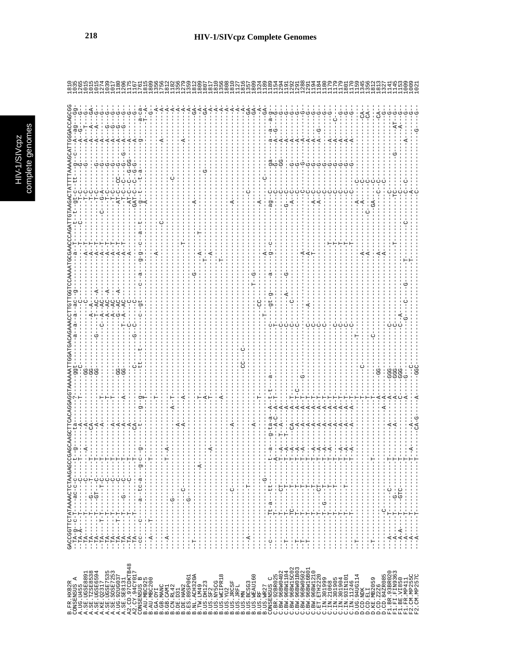complete genomes HIV-1/SIVopz

|                                                                                                                                                                                               | $\circ$ $\circ$ $\circ$                                                                                                                                                                                                                                                                                                                                                                                                                                                                                                                                                                                                                                                                                                                                                                                                                                                                                                                                                                        | $^\infty$                                                                                                                                                                                                                                                                                                                                                                                                                                                                                                                                                                                                                                                                                  | 0.00000000<br>∞ ഗ ത ത<br>12222111                                                                                                                                                                                                                                                                   | + 8 + + 0 0 0 0 0 0 + + + +                                                                                                                                                                                                                                                                                                                                                                                                                                                                                                                                                                                                                                                                                                                                                                                                                                                                                                                                                                                                                                                                                                                                                                                                                                                                                                                                                                                                                                                                                                                                                                                                                                                                                                          |
|-----------------------------------------------------------------------------------------------------------------------------------------------------------------------------------------------|------------------------------------------------------------------------------------------------------------------------------------------------------------------------------------------------------------------------------------------------------------------------------------------------------------------------------------------------------------------------------------------------------------------------------------------------------------------------------------------------------------------------------------------------------------------------------------------------------------------------------------------------------------------------------------------------------------------------------------------------------------------------------------------------------------------------------------------------------------------------------------------------------------------------------------------------------------------------------------------------|--------------------------------------------------------------------------------------------------------------------------------------------------------------------------------------------------------------------------------------------------------------------------------------------------------------------------------------------------------------------------------------------------------------------------------------------------------------------------------------------------------------------------------------------------------------------------------------------------------------------------------------------------------------------------------------------|-----------------------------------------------------------------------------------------------------------------------------------------------------------------------------------------------------------------------------------------------------------------------------------------------------|--------------------------------------------------------------------------------------------------------------------------------------------------------------------------------------------------------------------------------------------------------------------------------------------------------------------------------------------------------------------------------------------------------------------------------------------------------------------------------------------------------------------------------------------------------------------------------------------------------------------------------------------------------------------------------------------------------------------------------------------------------------------------------------------------------------------------------------------------------------------------------------------------------------------------------------------------------------------------------------------------------------------------------------------------------------------------------------------------------------------------------------------------------------------------------------------------------------------------------------------------------------------------------------------------------------------------------------------------------------------------------------------------------------------------------------------------------------------------------------------------------------------------------------------------------------------------------------------------------------------------------------------------------------------------------------------------------------------------------------|
| $\pi$ H<br>$H \triangleleft A$<br>∣ ひひひひ<br>ו רס<br>σO                                                                                                                                        |                                                                                                                                                                                                                                                                                                                                                                                                                                                                                                                                                                                                                                                                                                                                                                                                                                                                                                                                                                                                |                                                                                                                                                                                                                                                                                                                                                                                                                                                                                                                                                                                                                                                                                            | ര் i<br>т.<br><b>ಠ ೮</b><br>ひ                                                                                                                                                                                                                                                                       | 疏                                                                                                                                                                                                                                                                                                                                                                                                                                                                                                                                                                                                                                                                                                                                                                                                                                                                                                                                                                                                                                                                                                                                                                                                                                                                                                                                                                                                                                                                                                                                                                                                                                                                                                                                    |
| 4444444444                                                                                                                                                                                    |                                                                                                                                                                                                                                                                                                                                                                                                                                                                                                                                                                                                                                                                                                                                                                                                                                                                                                                                                                                                |                                                                                                                                                                                                                                                                                                                                                                                                                                                                                                                                                                                                                                                                                            | AAAAAAAAA                                                                                                                                                                                                                                                                                           | A A A A                                                                                                                                                                                                                                                                                                                                                                                                                                                                                                                                                                                                                                                                                                                                                                                                                                                                                                                                                                                                                                                                                                                                                                                                                                                                                                                                                                                                                                                                                                                                                                                                                                                                                                                              |
| あひ ひ<br>ひ ひ ひ ひ ひ ひ ひ ひ<br>11179999                                                                                                                                                           |                                                                                                                                                                                                                                                                                                                                                                                                                                                                                                                                                                                                                                                                                                                                                                                                                                                                                                                                                                                                |                                                                                                                                                                                                                                                                                                                                                                                                                                                                                                                                                                                                                                                                                            | ט ו<br>ω<br>あめほ<br><b>ひひひひひひひひひひひひ</b>                                                                                                                                                                                                                                                              |                                                                                                                                                                                                                                                                                                                                                                                                                                                                                                                                                                                                                                                                                                                                                                                                                                                                                                                                                                                                                                                                                                                                                                                                                                                                                                                                                                                                                                                                                                                                                                                                                                                                                                                                      |
| ּסְטְטְטְ<br>!!!!<br>UUU TUUUUU<br>ወ⊄                                                                                                                                                         |                                                                                                                                                                                                                                                                                                                                                                                                                                                                                                                                                                                                                                                                                                                                                                                                                                                                                                                                                                                                | O                                                                                                                                                                                                                                                                                                                                                                                                                                                                                                                                                                                                                                                                                          | ひひひひひ<br>ひひひひ<br>$-4$<br>$-4$<br>ĞВ<br>ပ္ပ်                                                                                                                                                                                                                                                         | ひひひひひと<br>$\vec{A}$<br>$\overline{A}$                                                                                                                                                                                                                                                                                                                                                                                                                                                                                                                                                                                                                                                                                                                                                                                                                                                                                                                                                                                                                                                                                                                                                                                                                                                                                                                                                                                                                                                                                                                                                                                                                                                                                                |
|                                                                                                                                                                                               |                                                                                                                                                                                                                                                                                                                                                                                                                                                                                                                                                                                                                                                                                                                                                                                                                                                                                                                                                                                                |                                                                                                                                                                                                                                                                                                                                                                                                                                                                                                                                                                                                                                                                                            |                                                                                                                                                                                                                                                                                                     | нн                                                                                                                                                                                                                                                                                                                                                                                                                                                                                                                                                                                                                                                                                                                                                                                                                                                                                                                                                                                                                                                                                                                                                                                                                                                                                                                                                                                                                                                                                                                                                                                                                                                                                                                                   |
| <b>ፈፈፈፈፈፈፈ</b><br>তা<br>ה                                                                                                                                                                     |                                                                                                                                                                                                                                                                                                                                                                                                                                                                                                                                                                                                                                                                                                                                                                                                                                                                                                                                                                                                |                                                                                                                                                                                                                                                                                                                                                                                                                                                                                                                                                                                                                                                                                            | RAH<br>m                                                                                                                                                                                                                                                                                            | Æ<br>Æ<br>Æ                                                                                                                                                                                                                                                                                                                                                                                                                                                                                                                                                                                                                                                                                                                                                                                                                                                                                                                                                                                                                                                                                                                                                                                                                                                                                                                                                                                                                                                                                                                                                                                                                                                                                                                          |
| A<br>Æ<br>uuuuu<br>5<br>m<br>তা<br>$\mathbf{I}$<br>$A + A A B + A$                                                                                                                            |                                                                                                                                                                                                                                                                                                                                                                                                                                                                                                                                                                                                                                                                                                                                                                                                                                                                                                                                                                                                |                                                                                                                                                                                                                                                                                                                                                                                                                                                                                                                                                                                                                                                                                            | তা                                                                                                                                                                                                                                                                                                  |                                                                                                                                                                                                                                                                                                                                                                                                                                                                                                                                                                                                                                                                                                                                                                                                                                                                                                                                                                                                                                                                                                                                                                                                                                                                                                                                                                                                                                                                                                                                                                                                                                                                                                                                      |
| O<br>υU                                                                                                                                                                                       |                                                                                                                                                                                                                                                                                                                                                                                                                                                                                                                                                                                                                                                                                                                                                                                                                                                                                                                                                                                                |                                                                                                                                                                                                                                                                                                                                                                                                                                                                                                                                                                                                                                                                                            |                                                                                                                                                                                                                                                                                                     |                                                                                                                                                                                                                                                                                                                                                                                                                                                                                                                                                                                                                                                                                                                                                                                                                                                                                                                                                                                                                                                                                                                                                                                                                                                                                                                                                                                                                                                                                                                                                                                                                                                                                                                                      |
| U<br>ந<br>333<br>8                                                                                                                                                                            |                                                                                                                                                                                                                                                                                                                                                                                                                                                                                                                                                                                                                                                                                                                                                                                                                                                                                                                                                                                                |                                                                                                                                                                                                                                                                                                                                                                                                                                                                                                                                                                                                                                                                                            |                                                                                                                                                                                                                                                                                                     | 999<br>8                                                                                                                                                                                                                                                                                                                                                                                                                                                                                                                                                                                                                                                                                                                                                                                                                                                                                                                                                                                                                                                                                                                                                                                                                                                                                                                                                                                                                                                                                                                                                                                                                                                                                                                             |
| ወF<br>চা                                                                                                                                                                                      | К<br>⊢                                                                                                                                                                                                                                                                                                                                                                                                                                                                                                                                                                                                                                                                                                                                                                                                                                                                                                                                                                                         |                                                                                                                                                                                                                                                                                                                                                                                                                                                                                                                                                                                                                                                                                            | <b>A A A A A A A A A A A A A A A A</b>                                                                                                                                                                                                                                                              |                                                                                                                                                                                                                                                                                                                                                                                                                                                                                                                                                                                                                                                                                                                                                                                                                                                                                                                                                                                                                                                                                                                                                                                                                                                                                                                                                                                                                                                                                                                                                                                                                                                                                                                                      |
| 44844<br>$A \land A$                                                                                                                                                                          |                                                                                                                                                                                                                                                                                                                                                                                                                                                                                                                                                                                                                                                                                                                                                                                                                                                                                                                                                                                                |                                                                                                                                                                                                                                                                                                                                                                                                                                                                                                                                                                                                                                                                                            | σU<br>ಗ ≮<br>A<br>$\begin{array}{c} 444444444444 \ 844444 \end{array}$                                                                                                                                                                                                                              |                                                                                                                                                                                                                                                                                                                                                                                                                                                                                                                                                                                                                                                                                                                                                                                                                                                                                                                                                                                                                                                                                                                                                                                                                                                                                                                                                                                                                                                                                                                                                                                                                                                                                                                                      |
| Ť<br>-1<br>-<br>÷<br>- 1<br>-1<br>J.<br>л<br>j.<br>j.<br>J.<br>j.<br>J.<br>$\mathbf{I}$<br>$\mathbf{I}$                                                                                       | п.<br>$\mathbf{I}$<br>$\blacksquare$<br>п                                                                                                                                                                                                                                                                                                                                                                                                                                                                                                                                                                                                                                                                                                                                                                                                                                                                                                                                                      | H.<br>$\overline{1}$                                                                                                                                                                                                                                                                                                                                                                                                                                                                                                                                                                                                                                                                       | ≮ ≮ ≮<br>∣⊄⊄⊄⊄<br>ŧ<br>ł<br>÷<br>л<br>-1<br>Ť<br>п.<br>ш<br>j.<br>I.<br>I.                                                                                                                                                                                                                          | ∣≮⊀<br>J.<br>-1<br>Ш.<br>H.<br>÷<br>÷<br>÷<br>Ï<br>$\mathbf{I}$<br>$\mathbf{I}$                                                                                                                                                                                                                                                                                                                                                                                                                                                                                                                                                                                                                                                                                                                                                                                                                                                                                                                                                                                                                                                                                                                                                                                                                                                                                                                                                                                                                                                                                                                                                                                                                                                      |
| $\frac{1}{2}$<br>н<br>법<br>$-5 - 6 -$<br>ь<br>부<br>부<br>$\frac{1}{2}$<br>Н<br>부<br>ľ<br>43<br>Ŧ<br>J.<br>J.<br>ı<br>J,<br>I<br>J.<br>- 11<br>J.<br>L.                                         | $\frac{1}{1}$<br>T<br>J<br>Т<br>Т<br>부<br>$\frac{1}{1}$<br>$\frac{1}{1}$<br>Ţ<br>$\frac{1}{1}$<br>$\frac{1}{4}$<br>$\frac{1}{1}$<br>J.<br>$\mathbf{I}$<br>J.<br>Ť.<br>Ť.<br>J.<br>$\mathsf I$<br>$\mathsf I$<br>$\mathsf I$<br>$\begin{array}{c} \rule{0pt}{2.5ex} \rule{0pt}{2.5ex} \rule{0pt}{2.5ex} \rule{0pt}{2.5ex} \rule{0pt}{2.5ex} \rule{0pt}{2.5ex} \rule{0pt}{2.5ex} \rule{0pt}{2.5ex} \rule{0pt}{2.5ex} \rule{0pt}{2.5ex} \rule{0pt}{2.5ex} \rule{0pt}{2.5ex} \rule{0pt}{2.5ex} \rule{0pt}{2.5ex} \rule{0pt}{2.5ex} \rule{0pt}{2.5ex} \rule{0pt}{2.5ex} \rule{0pt}{2.5ex} \rule{0pt}{2.5ex} \rule{0$<br>$\mathsf I$<br>ı<br>$\mathbb{I}$<br>$\,$ $\,$<br>$\,$ I<br>-į.<br>$\mathsf I$<br>$\mathbb I$<br>$\mathsf I$<br>ŧ<br>$\mathsf I$<br>$\overline{\phantom{a}}$<br>Ħ<br>$\mathbf{1}$<br>$\mathbf{I}$<br>$\mathbf{I}$<br>-1<br>$\mathbf{I}$<br>- 1<br>$\blacksquare$<br>$\blacksquare$<br>$\mathbf{1}$<br>$\blacksquare$<br>п.<br>-1<br>п.<br>$\mathbf{I}$<br>$\mathbf{I}$<br>-1 | $-1$<br>J.<br>$\overline{1}$<br>I<br>1<br>$\mathbf{I}$<br>$\mathbf{I}$<br>T<br>$\mathbf{I}$<br>$\blacksquare$<br>$\blacksquare$<br>-1<br>п<br>L.<br>л.<br>$\mathbf{I}$<br>$\mathbf{I}$<br>$\mathbf{I}$<br>$\mathsf I$<br>$\mathsf I$<br>$\mathbf I$<br>$\mathbf I$<br>J<br>1<br>$\mathbf{I}$<br>-1<br>т<br>-1<br>$\mathsf I$<br>$\,$ I<br>$\,$ I<br>$\mathsf I$<br>$\mathsf I$<br>$\overline{\phantom{a}}$<br>T<br>T<br>п<br>1<br>$\blacksquare$<br>$\mathbf{I}$<br>$\mathbf{I}$<br>$\mathbf{I}$<br>Ţ<br>$\mathbf{I}$<br>-1<br>$\mathbf{I}$<br>- 11<br>ပုံ<br>$\blacksquare$<br>$\blacksquare$<br>$\mathbf{I}$<br>$\mathbf{I}$<br>п.<br>$\mathbf{I}$<br>-1<br>$\mathbf{I}$<br>$\mathbf{I}$ | $-4$<br>부<br>٣<br>부<br>$-1$<br>$\mathbf{H}$<br>٣<br>Ţ<br>⊢<br>ł<br>Í<br>$\frac{1}{1}$<br>Ĥ,<br>ï<br>Ť.<br>I.<br>$\mathsf I$<br>Ţ<br>$\mathsf I$<br>г<br>Ι.<br>п<br>I<br>$\overline{\phantom{a}}$<br>Ţ<br>$\,$ I<br>$\,$ I<br>I<br>$\mathsf I$<br>$\mathbf{I}$<br>$\mathbf{I}$<br>Ţ.<br>$\mathbf{I}$ | יך<br>י<br>T-T<br>е<br>부부<br>臂<br>⊢<br>٣<br>۳<br>ا<br>⊢<br>부<br>⊢<br>Ţ<br>Ţ<br>Ť<br>f.<br>Ţ<br>п<br>J<br>J.<br>$\frac{1}{2}$<br>л<br>J.<br>$\blacksquare$<br>$\mathbf{I}$<br>т<br>-1<br>л.<br>Ť.<br>Ť.<br>J.<br>Ť.<br>$\begin{array}{c} \rule{0pt}{2.5ex} \rule{0pt}{2.5ex} \rule{0pt}{2.5ex} \rule{0pt}{2.5ex} \rule{0pt}{2.5ex} \rule{0pt}{2.5ex} \rule{0pt}{2.5ex} \rule{0pt}{2.5ex} \rule{0pt}{2.5ex} \rule{0pt}{2.5ex} \rule{0pt}{2.5ex} \rule{0pt}{2.5ex} \rule{0pt}{2.5ex} \rule{0pt}{2.5ex} \rule{0pt}{2.5ex} \rule{0pt}{2.5ex} \rule{0pt}{2.5ex} \rule{0pt}{2.5ex} \rule{0pt}{2.5ex} \rule{0$<br>$\mathsf I$<br>$\begin{array}{c} \rule{0pt}{2.5ex} \rule{0pt}{2.5ex} \rule{0pt}{2.5ex} \rule{0pt}{2.5ex} \rule{0pt}{2.5ex} \rule{0pt}{2.5ex} \rule{0pt}{2.5ex} \rule{0pt}{2.5ex} \rule{0pt}{2.5ex} \rule{0pt}{2.5ex} \rule{0pt}{2.5ex} \rule{0pt}{2.5ex} \rule{0pt}{2.5ex} \rule{0pt}{2.5ex} \rule{0pt}{2.5ex} \rule{0pt}{2.5ex} \rule{0pt}{2.5ex} \rule{0pt}{2.5ex} \rule{0pt}{2.5ex} \rule{0$<br>$\mathbb{I}$<br>I<br>$\mathbf{I}$<br>$\overline{\phantom{a}}$<br>I.<br>1<br>п<br>т<br>т<br>$\,$ I<br>$\mathsf I$<br>I<br>$\begin{array}{c} \end{array}$<br>I<br>$\mathsf I$<br>$\overline{\phantom{a}}$<br>$\overline{\phantom{a}}$<br>$\begin{array}{c} \end{array}$<br>$\,$ I<br>$\mathsf I$<br>$\mathbf{I}$<br>I.<br>$\overline{\phantom{a}}$<br>J.<br>J,<br>$\frac{1}{1}$<br>$\mathbf{I}$<br>Ţ<br>$\blacksquare$<br>$\mathbf{I}$<br>$\mathbf{I}$<br>$\mathbf{I}$<br>$\overline{\phantom{a}}$<br>$\blacksquare$<br>$\mathbf{I}$<br>$\mathbf{I}$<br>T<br>$\mathbf{I}$<br>Т<br>$\mathbf{I}$<br>$\blacksquare$<br>-1<br>$\mathbf{I}$<br>-1<br>$\mathbf{I}$<br>-1<br>$\mathbf{I}$<br>т<br>$\mathbf{I}$<br>-1<br><b>I</b> |
| GACCGGTTCTATAAACTCTAAGAGCCGA<br>$- -a - -c - a$<br>1<br>$\mathbf{I}$<br>т<br>$\mathbf{I}$<br>$\mathfrak l$<br>$\overline{\phantom{a}}$<br>$\mathsf I$<br>I<br>÷<br>J.<br>$\blacksquare$<br>-1 | $\mathbf{I}$<br>Ť<br>Ť.<br>ţ<br>Ť.<br>$\mathbf I$<br>$\mathbf{I}$<br>$\frac{1}{4}$<br>$\mathsf I$<br>$\mathsf I$<br>山<br>$\mathbf{I}$<br>п.<br>-1<br>$\blacksquare$<br>Ι.<br>$\mathbf{I}$<br>Т<br>T<br>п<br>$\frac{1}{2}$<br>十十<br>$-1 - 5 - -$<br>$\blacksquare$<br>п.<br>п<br>十十<br>-1<br>-1<br>п<br>п<br>$\overline{1}$<br>-1<br>$\mathbf I$<br>Ť.<br>$\mathbf{I}$<br>Ť.<br>Ť.<br>Ħ<br>$\,$ I<br>$\mathsf I$<br>$\mathsf I$<br>$\frac{1}{6}$<br>$\mathsf I$<br>$\mathsf I$<br>$\overline{\phantom{a}}$<br>1<br>Ţ<br>Ţ<br>-1<br>$\mathbf{I}$<br>$\mathbf{I}$<br>1<br>1<br>$\overline{\phantom{a}}$<br>$\blacksquare$<br>$\mathbf{I}$<br>Ι.<br>$\mathbf{I}$<br>$\blacksquare$<br>$\mathbf{I}$                                                                                                                                                                                                                                                                                                 | $-1$<br>Ť.<br>Ť.<br>Ť.<br>$\,$ I<br>$\mathsf I$<br>$\mathbf I$<br>-1<br>$\mathbf{I}$<br>$\blacksquare$<br>- 11<br>$\blacksquare$<br>$\overline{\phantom{a}}$<br>Т<br>Т<br>$\mathbf{I}$<br>ပုံ<br>$\mathbf{I}$<br>$\mathbf{I}$<br>$\blacksquare$<br>$\mathbf{I}$<br>$\mathbf{I}$<br>п<br>$\mathbf{I}$<br>$\mathbf{I}$<br>Ť.<br>Ť.<br>$\mathbf I$<br>$\mathsf I$<br>$\mathbf{I}$<br>-1<br>$\mathsf I$<br>$\,$ I<br>$\mathsf I$<br>$\overline{\phantom{a}}$<br>$\mathbf I$<br>$\mathsf I$<br>J.<br>$\overline{\phantom{a}}$<br>$\frac{1}{4}$<br>J.<br>$\mathsf I$<br>$\mathbf{I}$<br>$\mathbf{I}$<br>$\mathbf{I}$<br>$\mathbf{I}$<br>$\mathbf{I}$<br>L.<br>л.<br>л<br>-1                      | $-179 - 1$<br>J.<br>$-tt$<br>$\mathbf{I}$<br>$\mathbf{I}$<br>$\mathbf{I}$<br>$\mathsf I$<br>$\overline{\phantom{a}}$<br>$\,$ I<br>$\mathsf I$<br>$\,$ I<br>$\mathbf I$<br>I.<br>$\mathbf{I}$<br>I<br>-1                                                                                             | ŧ<br>$\,$ I<br>j.<br>$- - - - - - - - -$<br>ŧ<br>$\mathsf I$<br>$\mathbf{I}$<br>п<br>-1<br>u<br>$\frac{1}{1}$<br>Ţ<br>$\mathbf{I}$<br>ı<br>т<br>$\blacksquare$<br>$\mathsf I$<br>$\mathbf{I}$<br>- 11<br>$\mathbf{I}$<br>$\frac{1}{4}$<br>$\frac{1}{2}$<br>-1<br>$\mathbf{I}$<br>L.<br>т<br>-1<br>Ť<br>$\mathbf{I}$<br>$\mathbf I$<br>$\mathbf{I}$<br>$\mathsf I$<br>1<br>$\overline{\phantom{a}}$<br>$\begin{array}{cccccccccc} . & . & . & . & . & . \\ . & . & . & . & . & . \\ . & . & . & . & . & . \\ . & . & . & . & . & . \\ . & . & . & . & . & . \end{array}$<br>$\mathsf I$<br>Ţ<br>$\mathsf I$<br>$\,$ I<br>$\frac{1}{1}$<br>I.<br>$\begin{array}{c} \hline \end{array}$<br>T<br>$\overline{\phantom{a}}$<br>J<br>I<br>-1<br>L.<br>-1<br>$\mathbf{I}$<br>$\mathbf{I}$<br>-1<br>$\mathbf{I}$<br>-1                                                                                                                                                                                                                                                                                                                                                                                                                                                                                                                                                                                                                                                                                                                                                                                                                                                                                                                        |
| 1<br>$\mathsf I$<br>$\mathsf I$<br>$\mathsf I$<br>J<br>昌<br>$\frac{1}{2}$<br>$\mathbf{I}$<br>I                                                                                                | $\frac{1}{1}$<br>$\frac{1}{1}$<br>$\mathbf I$<br>Ť.<br>Ť.<br>$\mathsf I$<br>$\mathsf I$<br>$\mathsf I$<br>$\,$ I<br>$\,$ I<br>$\frac{1}{1}$<br>$\mathsf I$<br>$\mathsf I$<br>$\mathsf I$<br>$\mathbf I$<br>$\mathsf I$<br>$\mathsf I$<br>$\frac{1}{1}$<br>Ţ<br>$\frac{1}{1}$<br>Ţ<br>÷<br>$\frac{1}{1}$<br>Ţ<br>$\frac{1}{1}$<br>$\frac{1}{1}$<br>т<br>$\overline{\phantom{a}}$<br>$\frac{1}{1}$<br>Ι.<br>J.<br>п<br>п<br>Ť.<br>Ť.<br>J.<br>Ť.<br>$\mathbf{I}$<br>$\mathbf{I}$<br>$\mathsf I$<br>$\mathsf I$<br>$\overline{\phantom{a}}$<br>1<br>1<br>J,<br>T<br>J.<br>Ţ<br>I<br>$\mathbf I$<br>I<br>I                                                                                                                                                                                                                                                                                                                                                                                         | $\frac{1}{1}$<br>$\mathbf I$<br>$\mathbf I$<br>j.<br>Ť.<br>Ť.<br>$\mathsf I$<br>$\mathsf I$<br>-1<br>п.<br>$\mathsf I$<br>I.<br>$\mathsf I$<br>$\mathsf I$<br>$\mathbf I$<br>$\mathbf{I}$<br>J<br>$\frac{1}{1}$<br>$\frac{1}{1}$<br>$\overline{1}$<br>$\mathbf{I}$<br>Ţ<br>п<br>$\mathsf I$<br>1<br>$\mathbf{I}$<br>-1<br>$\mathbf{I}$<br>$\mathbf{I}$<br>$\frac{1}{1}$<br>п.<br>$\mathbf{I}$<br>$\mathbf{I}$<br>-1<br>$\mathbf{I}$<br>Ť.<br>ï<br>ï.<br>j.<br>Ť.<br>$\mathbf I$<br>$\mathsf I$<br>I<br>I<br>J<br>J<br>I<br>$\mathbf{I}$                                                                                                                                                    | $---\nabla C-----$<br>Ħ<br>j<br>j<br>-l<br>Ĵ<br>$\mathbf I$<br>÷<br>ا<br>$\frac{1}{2}$<br>۲<br>ا<br>$\frac{1}{2}$<br>۲<br>ا<br>법<br>$\mathsf I$<br>$\overline{\phantom{a}}$<br>$\mathsf I$<br>$\,$ I<br>$\mathbf I$<br>$\mathsf I$<br>J.<br>÷                                                       | j<br>$\frac{1}{1}$<br>j<br>$\frac{1}{1}$<br>$\frac{1}{4}$<br>$\frac{1}{4}$<br>$\mathbf{I}$<br>$\mathbf{I}$<br>J<br>$\mathsf I$<br>$\,$ I<br>$\overline{\phantom{a}}$<br>T<br>$\frac{1}{2}$<br>$\mathbf{I}$<br>$\mathsf I$<br>$\,$ I<br>$\,$ I<br>Ť<br>ł<br>$\frac{1}{2}$<br>$\frac{1}{2}$<br>$\frac{1}{2}$<br>부부<br>$\mathbf{I}$<br>I.<br>$\overline{\phantom{a}}$<br>$-1$<br>$-\frac{1}{2}$<br>투<br>۲<br>ا<br>F<br>I<br>۲<br>ا<br>$\mathbf{I}$<br>$\mathbf{I}$<br>-1<br>- 1<br>Ť.<br>$\mathsf I$<br>$\overline{\phantom{a}}$<br>$\mathsf I$<br>$\mathsf I$<br>$\mathsf I$<br>$\overline{\phantom{a}}$<br>$\mathsf I$<br>$\,$ I<br>$\,$ I<br>$\mathsf I$<br>$\,$ I<br>$\mathsf I$<br>ı<br>Ţ<br>J.<br>$\mathbf{I}$<br>I.<br>I.<br>1<br>$\blacksquare$                                                                                                                                                                                                                                                                                                                                                                                                                                                                                                                                                                                                                                                                                                                                                                                                                                                                                                                                                                                 |
| $\frac{1}{1}$<br>$\frac{1}{1}$<br>$-10$<br>T<br>$\mathbf{I}$                                                                                                                                  | $-1$ - $-$ - $-$ - $ -$<br>---------<br>$-1$ $-1$ $-1$ $-1$ $-1$<br>$\begin{bmatrix} 1 & 1 & 1 \\ 1 & 1 & 1 \\ 1 & 1 & 1 \\ 1 & 1 & 1 \end{bmatrix}$<br>$\overline{\phantom{a}}$<br>$- -A - -$<br>$\frac{1}{1}$<br>J.<br>$\frac{1}{1}$<br>$\mathbf{I}$<br>$\frac{1}{1}$<br>ï<br>Ť<br>Ţ<br>$\overline{\phantom{a}}$<br>$\frac{1}{1}$<br>I<br>$\frac{1}{1}$<br>$\frac{1}{4}$<br>ł<br>ł<br>J<br>$\mathbf{I}$<br>$\mathbf{I}$                                                                                                                                                                                                                                                                                                                                                                                                                                                                                                                                                                      | ţ<br>$\frac{1}{1}$<br>$\begin{bmatrix} 1 \\ 1 \\ 1 \\ 1 \end{bmatrix}$<br>í<br>т<br>-1<br>$-4-1$<br>ţ<br>$\begin{array}{c} \rule{0pt}{2.5ex} \rule{0pt}{2.5ex} \rule{0pt}{2.5ex} \rule{0pt}{2.5ex} \rule{0pt}{2.5ex} \rule{0pt}{2.5ex} \rule{0pt}{2.5ex} \rule{0pt}{2.5ex} \rule{0pt}{2.5ex} \rule{0pt}{2.5ex} \rule{0pt}{2.5ex} \rule{0pt}{2.5ex} \rule{0pt}{2.5ex} \rule{0pt}{2.5ex} \rule{0pt}{2.5ex} \rule{0pt}{2.5ex} \rule{0pt}{2.5ex} \rule{0pt}{2.5ex} \rule{0pt}{2.5ex} \rule{0$<br>-<br>Ţ<br>Ť<br>÷<br>J<br>$\frac{1}{4}$<br>Ţ<br>$\frac{1}{1}$<br>$-1$<br>J.<br>J.<br>$\mathbf{I}$<br>п                                                                                         | $\begin{bmatrix} 1 \\ 1 \\ 1 \\ 1 \end{bmatrix}$<br>$\begin{bmatrix} 1 \\ 1 \\ 1 \end{bmatrix}$<br>ţ<br>$-1 - 1 - 1 -$<br>$\frac{1}{1}$<br>$- - \mathbf{T} = - -$<br>Ι.<br>-1<br>J.<br>$\mathsf I$<br>Ţ<br>I<br>Ţ<br>$\frac{1}{2}$<br>$\frac{1}{1}$<br>$\frac{1}{1}$<br>$\frac{1}{1}$<br>J.         | $\begin{bmatrix} 1 \\ 1 \\ 1 \\ 1 \end{bmatrix}$<br>$---A - A - - -$<br>$- - - - - - - -$<br>$\frac{1}{1}$<br>$\frac{1}{1}$<br>$\frac{1}{1}$<br>ţ<br>$\blacksquare$<br>$\frac{1}{1}$<br>-1<br>т<br><b>I</b><br>п<br>$- -A - -$<br>Ť.<br>$\mathsf I$<br>I<br>$-1$ $-1$<br>$\overline{\phantom{a}}$<br>$\frac{1}{1}$<br>$\,$ I<br>$\overline{\phantom{a}}$<br>I<br>I<br>$\,$ I<br>$\frac{1}{1}$<br>$\frac{1}{1}$<br>$\frac{1}{1}$<br>$\frac{1}{1}$<br>$\frac{1}{1}$<br>$\frac{1}{4}$<br>부부<br>$\frac{1}{1}$<br>$\frac{1}{1}$                                                                                                                                                                                                                                                                                                                                                                                                                                                                                                                                                                                                                                                                                                                                                                                                                                                                                                                                                                                                                                                                                                                                                                                                           |

 $\begin{smallmatrix} \texttt{R1} & \texttt{R1} & \texttt{R2} & \texttt{R3} & \texttt{R4} & \texttt{R5} & \texttt{R6} & \texttt{R6} & \texttt{R7} & \texttt{R8} & \texttt{R8} & \texttt{R9} & \texttt{R0} & \texttt{R1} & \texttt{R2} & \texttt{R2} & \texttt{R3} & \texttt{R4} & \texttt{R5} & \texttt{R6} & \texttt{R7} & \texttt{R8} & \texttt{R9} & \texttt{R0} & \texttt{R1} & \texttt{R2} & \texttt{R2$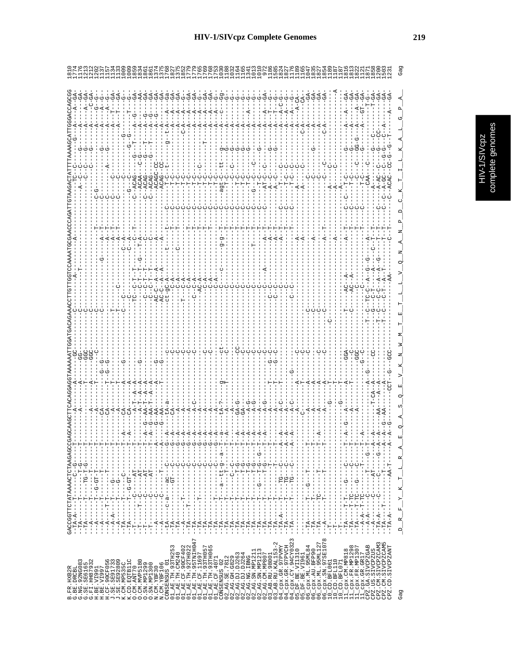| $333.333333333333$                                                                                                                                                                                                                                                                                                                                                                                                                                                                                                                                                                                                                                                                                                                                                                                                                                                                                                                                                                                                                                                                                                                                                                                                                                                                                                                                                                                                                                                                                                                                                                                                                                                                                                                                                                                            |                                                                                                                                                                                                                  |
|---------------------------------------------------------------------------------------------------------------------------------------------------------------------------------------------------------------------------------------------------------------------------------------------------------------------------------------------------------------------------------------------------------------------------------------------------------------------------------------------------------------------------------------------------------------------------------------------------------------------------------------------------------------------------------------------------------------------------------------------------------------------------------------------------------------------------------------------------------------------------------------------------------------------------------------------------------------------------------------------------------------------------------------------------------------------------------------------------------------------------------------------------------------------------------------------------------------------------------------------------------------------------------------------------------------------------------------------------------------------------------------------------------------------------------------------------------------------------------------------------------------------------------------------------------------------------------------------------------------------------------------------------------------------------------------------------------------------------------------------------------------------------------------------------------------|------------------------------------------------------------------------------------------------------------------------------------------------------------------------------------------------------------------|
|                                                                                                                                                                                                                                                                                                                                                                                                                                                                                                                                                                                                                                                                                                                                                                                                                                                                                                                                                                                                                                                                                                                                                                                                                                                                                                                                                                                                                                                                                                                                                                                                                                                                                                                                                                                                               |                                                                                                                                                                                                                  |
|                                                                                                                                                                                                                                                                                                                                                                                                                                                                                                                                                                                                                                                                                                                                                                                                                                                                                                                                                                                                                                                                                                                                                                                                                                                                                                                                                                                                                                                                                                                                                                                                                                                                                                                                                                                                               |                                                                                                                                                                                                                  |
|                                                                                                                                                                                                                                                                                                                                                                                                                                                                                                                                                                                                                                                                                                                                                                                                                                                                                                                                                                                                                                                                                                                                                                                                                                                                                                                                                                                                                                                                                                                                                                                                                                                                                                                                                                                                               |                                                                                                                                                                                                                  |
|                                                                                                                                                                                                                                                                                                                                                                                                                                                                                                                                                                                                                                                                                                                                                                                                                                                                                                                                                                                                                                                                                                                                                                                                                                                                                                                                                                                                                                                                                                                                                                                                                                                                                                                                                                                                               |                                                                                                                                                                                                                  |
|                                                                                                                                                                                                                                                                                                                                                                                                                                                                                                                                                                                                                                                                                                                                                                                                                                                                                                                                                                                                                                                                                                                                                                                                                                                                                                                                                                                                                                                                                                                                                                                                                                                                                                                                                                                                               |                                                                                                                                                                                                                  |
|                                                                                                                                                                                                                                                                                                                                                                                                                                                                                                                                                                                                                                                                                                                                                                                                                                                                                                                                                                                                                                                                                                                                                                                                                                                                                                                                                                                                                                                                                                                                                                                                                                                                                                                                                                                                               |                                                                                                                                                                                                                  |
|                                                                                                                                                                                                                                                                                                                                                                                                                                                                                                                                                                                                                                                                                                                                                                                                                                                                                                                                                                                                                                                                                                                                                                                                                                                                                                                                                                                                                                                                                                                                                                                                                                                                                                                                                                                                               |                                                                                                                                                                                                                  |
|                                                                                                                                                                                                                                                                                                                                                                                                                                                                                                                                                                                                                                                                                                                                                                                                                                                                                                                                                                                                                                                                                                                                                                                                                                                                                                                                                                                                                                                                                                                                                                                                                                                                                                                                                                                                               |                                                                                                                                                                                                                  |
| $\mathbf{I}$<br>$\blacksquare$<br>f,<br>$\mathbf{I}$<br>J<br>1<br>J.<br>$\mathbf{I}$<br>$\mathbf{I}$<br>п<br>л<br>$\frac{1}{1}$<br>п<br>J.<br>ひ<br><b>ひひひひ</b><br>ひ<br>ひ<br>ひ<br>н<br>$\mathbf{H}$<br>ひ<br>ひ<br>н<br>н<br>н<br>н<br>н<br>Н<br>н<br>н<br>н<br>н<br>н<br>I<br>$\frac{1}{1}$<br>Ŧ<br>÷<br>Ť<br>$- - 5 - -$<br>ł<br>ł<br>Ť<br>I<br>ł<br>ł<br>ł<br>Í<br>$\frac{1}{1}$<br>J,<br>I<br>ŧ<br>Ť.<br>$\blacksquare$<br>T.<br>-1<br>ï<br>ن<br>ا<br>j<br>$\mathfrak l$<br>I.<br>I.<br>т<br>$\frac{1}{1}$<br>$\mathsf I$<br>$\blacksquare$<br>-i<br>$\frac{1}{4}$<br>$\mathsf I$<br>$\blacksquare$<br>$\mathsf I$<br>ł<br>$\frac{1}{1}$<br>$\blacksquare$<br>$\frac{1}{4}$<br>$\frac{1}{4}$<br>-i<br>$\,$ I<br>ı<br>$\mathbf{I}$<br>т<br>I.<br>1<br>$\mathbf{I}$<br>$\overline{1}$<br>$\blacksquare$<br>$\mathbf{I}$<br>-1<br>I.<br>J                                                                                                                                                                                                                                                                                                                                                                                                                                                                                                                                                                                                                                                                                                                                                                                                                                                                                                                                                                       | E<br>-1<br>п<br>т<br>ŧ,<br>-1<br>T<br>$-1$<br>н<br>A<br>$\mathbf{H}$<br>н<br>$\frac{1}{1}$<br>ł<br>$\frac{1}{1}$<br>ł<br>1<br>л<br>凶<br>ł                                                                        |
| $- - - - - - - - - - - - -$<br>$- - P A T - - -$<br>$--1--1--$<br>$-1$ - $-1$ - $-1$ - $-1$<br>$-1 - T - G$<br>$-1 - T - G$<br>$\frac{1}{2}$<br>$-1$<br>$\overline{\phantom{a}}$<br>$\blacksquare$<br>$\frac{1}{1}$<br>$\frac{1}{1}$<br>$-155 - 1$<br>$\begin{picture}(120,140)(-0.000,0){\line(1,0){100}} \put(0,0){\line(1,0){100}} \put(0,0){\line(1,0){100}} \put(0,0){\line(1,0){100}} \put(0,0){\line(1,0){100}} \put(0,0){\line(1,0){100}} \put(0,0){\line(1,0){100}} \put(0,0){\line(1,0){100}} \put(0,0){\line(1,0){100}} \put(0,0){\line(1,0){100}} \put(0,0){\line(1,0){100}} \put(0,0){$<br>۲.<br>U<br>U<br>$-1$<br>J<br>J<br>J<br>$\frac{0}{1}$<br>U<br>п<br>$-1 -$<br>п<br>п<br>$-1$<br>ï<br>ł<br>$\frac{1}{1}$<br>ı<br>Ť<br>$\frac{1}{1}$<br>$\frac{1}{1}$<br>י<br>י<br>T<br>$- - 1 - 1 - - - - -$<br>$\mathbf{I}$<br>$\frac{1}{2}$<br>$\mathsf I$<br>$-1$<br>$-1$<br>$-1$<br>$\frac{1}{1}$<br>$\mathbf{I}$<br>$\frac{1}{1}$<br>J.<br>п<br>п<br>п<br>$ -$ ac<br>j.<br>ï<br>$\begin{bmatrix} 1 & 1 & 1 \\ 1 & 1 & 1 \\ 1 & 1 & 1 \\ 1 & 1 & 1 \\ 1 & 1 & 1 \\ 1 & 1 & 1 \\ 1 & 1 & 1 \\ 1 & 1 & 1 \\ 1 & 1 & 1 \\ 1 & 1 & 1 \\ 1 & 1 & 1 \\ 1 & 1 & 1 \\ 1 & 1 & 1 \\ 1 & 1 & 1 \\ 1 & 1 & 1 \\ 1 & 1 & 1 \\ 1 & 1 & 1 \\ 1 & 1 & 1 \\ 1 & 1 & 1 \\ 1 & 1 & 1 \\ 1 & 1 & 1 \\ 1 & 1 & 1 \\ 1 & 1 & 1 \\ 1 & 1 & $<br>J.<br>$\begin{array}{c} \end{array}$<br>$\mathfrak l$<br>I<br>$\frac{1}{6}$<br>$\frac{1}{2}$<br>$\overline{\phantom{a}}$<br>$\mathsf I$<br>Ħ<br>iii<br>j<br>$\frac{1}{1}$<br>$\overline{\phantom{a}}$<br>T<br>$\frac{1}{1}$<br>т<br>$\overline{\phantom{a}}$<br>$\frac{1}{1}$<br>$\mathbf{I}$<br>$\frac{1}{1}$<br>j<br>$\frac{1}{1}$<br>$\frac{1}{1}$<br>л<br>I<br>÷<br>$\frac{1}{1}$<br>п<br>j.<br>ï<br>ï<br>ï<br>Ť<br>$\overline{\phantom{a}}$<br>$\mathbb{I}$<br>$\,$ I | $- - - - - - - - - -$<br>$-1$ - $-1$ - $-1$ - $-1$<br>$- - P_{1}T - - -$<br>$-AA-T-$<br>$-1$<br>급<br>$\frac{1}{1}$<br>1<br>$\frac{1}{1}$<br>$\frac{1}{1}$<br>$\frac{1}{1}$<br>Ţ<br>$\frac{1}{1}$<br>I.<br>≃<br>I |
| GACCGGTTCTATAAACTCTAAGAGCCGA<br>$\begin{array}{l} --2,----T-T----------\\ --2,-2--------\\ \end{array}$<br>$-1$ $-1$<br>$-1$<br>$\frac{1}{2}$<br>$\frac{1}{1}$<br>$- - \mathbf{T} - \mathbf{T} -$<br>$-1$<br>$-5 - 0$<br>$- - \mathbf{T} - - - -$<br>$-1$<br>۲<br>ا<br>F<br>F<br>$-1 - T - T$<br>$-1$<br>$\frac{1}{2}$<br>$-1$<br>$\frac{1}{2}$<br>۲<br>ا<br>부부<br>$\frac{1}{2}$<br>$\overline{\phantom{a}}$<br>J.<br>$-1$<br>י<br>י<br>$\frac{1}{2}$<br>۲<br>ا<br>ï<br>ï<br>п<br>L.<br>ï<br>I.<br>$\overline{\phantom{a}}$<br>$---T A - A - -$<br>$\begin{array}{c} 1 \\ 1 \\ 1 \end{array}$<br>$\begin{array}{c} 1 \\ 1 \\ 1 \\ 1 \end{array}$<br>$\mathbf{I}$<br>$\mathsf I$<br>$\mathsf I$<br>$\mathsf I$<br>I<br>$\,$ I<br>I.<br>$\overline{\phantom{a}}$<br>ţ<br>$\mathbf{I}$<br>ŧ<br>$\frac{1}{1}$<br>L<br>ŧ<br>ŧ<br>ŧ<br>$-TA---$<br>$\mathbf{I}$<br>÷<br>п<br>$\blacksquare$<br>ŧ<br>ŧ<br>T<br>$\blacksquare$<br>I<br>$-T A - A -$<br>H<br>I<br>$\mathbf{I}$<br>$\overline{1}$<br>ŧ<br>ŧ<br>$\blacksquare$<br>$-TA--$<br>$\frac{1}{1}$<br>Ĵ,<br>$\mathbf{I}$<br>ŧ,<br>$\mathbf{I}$<br>÷,<br>Ť,<br>$\frac{1}{1}$<br>$\frac{1}{1}$<br>ţ<br>Ť,<br>$\frac{1}{1}$<br>$\frac{1}{1}$<br>$\mathbf{I}$<br>$\frac{1}{1}$<br>$\frac{1}{4}$<br>Ť,<br>л<br>J.<br>ŧ,<br>$\frac{1}{1}$<br>ŧ<br>ŧ<br>Ť.<br>Ť.<br>Ť.<br>Ť.<br>$\mathbf I$<br>$\frac{1}{1}$<br>$-17A$<br>$-17A$<br>$-TA$<br>$-TA$<br>$-TA$<br>$-4$<br>A<br>$-4$<br>$-4$<br>$-4$<br>$-4$<br>$-tA$<br>$-TA$<br>$-TA$<br>$--TA$<br>$--TA$<br>$-TH$<br>$-TH$<br>$-TA$<br>$-TA$<br>$-TA$<br>$-TA$<br>$-TA$ .<br>$-TA$<br>$-TA$<br>$- - T A$<br>$-4$<br>$---TA$<br>$---TA$<br>$-4$<br>부<br>투<br>Ţ<br>$\frac{1}{1}$<br>۲<br>ا<br>부<br>$\mathbf{I}$<br>Ť.<br>$1 - 1$<br>$\blacksquare$<br>$\mathbf{I}$                                                         | $-T-T$<br>$- -A - A - T - TC$<br>$\frac{1}{2}$<br>$\frac{0}{1}$<br>f,<br>Ť.<br>$-TA---T$<br>$-TA - A - -$<br>Ŀ,<br>$- -A - A - -$<br>T<br>$-TA - A$<br>$\frac{1}{1}$<br>ŧ,<br>叱<br>$-TA$<br>$-4$<br>$\Box$       |
| $\sim$<br>${}^{\circ}$<br>$\begin{smallmatrix} \texttt{R}, \texttt{HXB2R}\ \texttt{G}, \texttt{G}, \texttt{DXGG05}\ \texttt{G}, \texttt{G}, \texttt{DXGG05}\ \texttt{G}, \texttt{G}, \texttt{G}, \texttt{G}, \texttt{G}, \texttt{G}, \texttt{G}, \texttt{G}, \texttt{G}, \texttt{G}, \texttt{G}, \texttt{G}, \texttt{G}, \texttt{G}, \texttt{G}, \texttt{G}, \texttt{G}, \texttt{G}, \texttt{G}, \texttt{G}, \texttt{G}, \texttt{G}, \texttt{G}, \texttt{G}, \texttt{G}, \texttt{$<br><b>四 ひ ひ</b><br><b>UUIIIHHAKKOOOOZZ</b><br>ŏoo<br>Ū<br>$\circ$<br>$\circ$<br>$\circ$                                                                                                                                                                                                                                                                                                                                                                                                                                                                                                                                                                                                                                                                                                                                                                                                                                                                                                                                                                                                                                                                                                                                                                                                                                    | Gag                                                                                                                                                                                                              |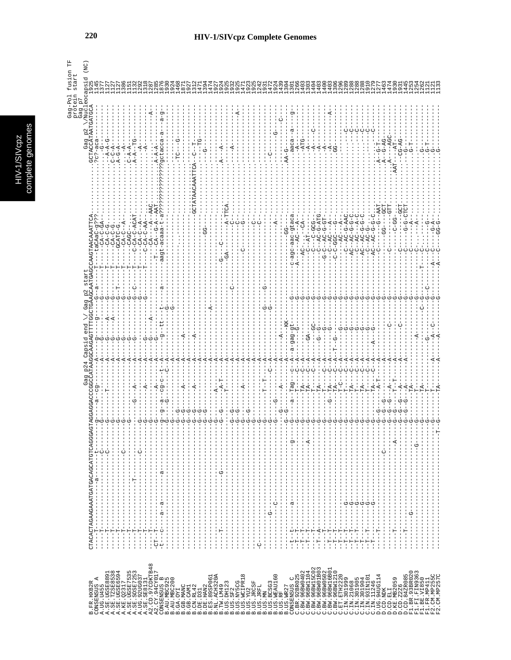| 910<br>279<br>$\overline{28}$<br>$\overline{9}$<br>$\frac{6}{8}$<br>24<br>$\frac{6}{2}$<br>40 <sub>1</sub><br>40<br>G<br>$^\infty$<br>28<br>Σ<br>39<br>0.47<br>$\overline{30}$<br>$\overline{30}$<br>$\frac{1}{4}$<br>0.000<br>92<br>20<br>40<br>30<br>$\frac{0}{4}$<br>$\frac{0}{4}$<br>⊳<br>г<br>$\infty$<br>$^{\circ}$<br>Ö<br>4<br>4<br>Ö<br>4<br>$\sim$<br>$\sim$<br>G<br>G<br>G<br>G<br>4<br>$\mathbf{\Omega}$<br>Gag p2 \/Nucl<br>CCTACCATAATGATGCA<br>e – g<br><del>ס</del><br>ပု<br>I.<br>œ<br>U<br>U<br>U<br>U<br>U<br>?gctacca-a<br>ပု<br>I<br>J.<br>J<br>J.<br>п<br>п<br>$\begin{bmatrix} 1 & 1 & 1 \\ 1 & -1 & -1 \\ 1 & -1 & -1 \\ 1 & -1 & -1 \end{bmatrix}$<br>$2c2 - aca$<br>$-TTG-$<br>aaca<br>$-ATG-$<br>$-4-4-4-6$<br>Ë<br>부부<br>$-4 -$<br>$-4-1$<br>$\begin{array}{c}\n- A - A \\ - A - A - A\n\end{array}$<br>$-4-$<br>$\mathbf{I}$<br>$-4$<br>$-4$<br>$-4$<br>$A-G-A$ .<br>co.<br>$A - C - C$<br>A<br>1<br>$A - A - A$<br>$\mathbf{I}$<br>$\vec{A}$<br>$\vec{A}$<br>ပု<br>$-4$<br>$\ddot{\phantom{0}}$<br>ပု<br>$-AA$ .<br>J.<br>$A - A$<br>Ϋ́<br>ပု<br>$\cdot$<br>$\vdots$<br>J.<br>$\overline{A}$ .<br>GCTATAACAAATTCA<br>ĉ.<br>$-9222$<br>-TTCA<br>$-AA$ -<br>$--AAC$<br>・・・・5-5-5<br>AU-5-5-4<br>--C-CA-C-ACAT<br>c-agc-aac-gtaca<br>U-U-U-U-U<br>л<br>--AC-0-24-<br>$-AC -C -DAC$<br>Ÿ<br>ပု<br>--T-----taCAaC-g??<br>--T--------CA-C-GA-<br>--AC-0-04-<br>$-A$ -<br>$- - A$<br>$\vec{A}$<br>$-CA$ - $G$ – $A$<br>aagt-acaaa-t<br>К<br>U<br>U<br>ひ<br>U<br>U<br>$-1$ CA<br><b>500-1</b><br>Ŗ<br>υ<br><b>U-U-U4-</b><br>$-4$<br>$-AA$<br>$\vec{A}$<br>A<br>ပုံ<br>ပု<br>ပု<br>$-AC - G-$<br>es<br>9<br>ن<br>م<br>$-404 - C$<br>$-CA-C$<br>$C - CA - C$<br>$-45 -$<br>$-$ CAGC<br>$-CA-C$<br>$-AC-$<br>$-AC-$<br>$\frac{1}{2}$<br>$-995 -$<br>$\frac{1}{1}$<br>AC<br>$-AC$<br>$CA-$<br>ï<br>C<br>$-AC-$<br>U<br>$-AC$<br>O<br>ט<br>ו<br>U<br>ひーひ<br>ひし<br>U<br>$-AC$<br>U<br>$-AC$<br>ុ<br>¦<br>п<br>U<br>U<br>$-GA$<br>$\mathbf{I}$<br>I.<br>п<br>J.<br>J,<br>п<br>п<br>투<br>ひ<br>К<br>J.<br>J.<br>н<br>$-6 - -5 -$<br>$\frac{1}{2}$<br>U<br>ᄳ<br>ወ<br>텃<br>I<br>ပု<br>ひ<br>ひ<br>ひ<br>ပု<br>ひ<br>U<br>C<br>C<br>ם ז<br>٢.<br>U<br>℧<br>U<br>С<br>С<br>ن<br>ひ<br>ひ<br>$\frac{1}{1}$<br>ט<br>⋖                                                                                                                                                                                                                                                                                                                                                                                                                                                                                                                                                                                                                                                                                                                                                                                                                                                                                                                                                                                                                                                                                                                                                                                                                                                                                                                                                                                                                                                                                                                                                                                                                                                                                                                                                                                                                                                                                                                                                                                                                                                                                                                                                                                                                                                                                                                                                                                                                                                                                                                                                                                                                                                                                                                                                                                                                                                                                                                                                                                            |                                                                                                                                                                                                                                                                                                                                                                                                                                                                                                                                                                                                                                                                                                             |
|--------------------------------------------------------------------------------------------------------------------------------------------------------------------------------------------------------------------------------------------------------------------------------------------------------------------------------------------------------------------------------------------------------------------------------------------------------------------------------------------------------------------------------------------------------------------------------------------------------------------------------------------------------------------------------------------------------------------------------------------------------------------------------------------------------------------------------------------------------------------------------------------------------------------------------------------------------------------------------------------------------------------------------------------------------------------------------------------------------------------------------------------------------------------------------------------------------------------------------------------------------------------------------------------------------------------------------------------------------------------------------------------------------------------------------------------------------------------------------------------------------------------------------------------------------------------------------------------------------------------------------------------------------------------------------------------------------------------------------------------------------------------------------------------------------------------------------------------------------------------------------------------------------------------------------------------------------------------------------------------------------------------------------------------------------------------------------------------------------------------------------------------------------------------------------------------------------------------------------------------------------------------------------------------------------------------------------------------------------------------------------------------------------------------------------------------------------------------------------------------------------------------------------------------------------------------------------------------------------------------------------------------------------------------------------------------------------------------------------------------------------------------------------------------------------------------------------------------------------------------------------------------------------------------------------------------------------------------------------------------------------------------------------------------------------------------------------------------------------------------------------------------------------------------------------------------------------------------------------------------------------------------------------------------------------------------------------------------------------------------------------------------------------------------------------------------------------------------------------------------------------------------------------------------------------------------------------------------------------------------------------------------------------------------------------------------------------------------------------------------------------------------------------------------------------------------------------------------------------------------------------------------------------------------------------------------------------------------------------------------------------------------------------------------------------------------------------------------------------------------------------------------------------------------------------------------------------------------------------------------------------------------------------------------------------------------------------------------------------------------------------------------------------------------------------------------------------------------------------------------------------------------------------------------------------------------------------------------------------------------------------------------------------------------------------------------------------------------------------------------------------------------------------------------------------------------------------------------------------------------------------------------------------------------------------------------------------------------------------------------------------------------------------------------------------------------------------------------------------------------------------------------------------------------------------------------------------------------|-------------------------------------------------------------------------------------------------------------------------------------------------------------------------------------------------------------------------------------------------------------------------------------------------------------------------------------------------------------------------------------------------------------------------------------------------------------------------------------------------------------------------------------------------------------------------------------------------------------------------------------------------------------------------------------------------------------|
|                                                                                                                                                                                                                                                                                                                                                                                                                                                                                                                                                                                                                                                                                                                                                                                                                                                                                                                                                                                                                                                                                                                                                                                                                                                                                                                                                                                                                                                                                                                                                                                                                                                                                                                                                                                                                                                                                                                                                                                                                                                                                                                                                                                                                                                                                                                                                                                                                                                                                                                                                                                                                                                                                                                                                                                                                                                                                                                                                                                                                                                                                                                                                                                                                                                                                                                                                                                                                                                                                                                                                                                                                                                                                                                                                                                                                                                                                                                                                                                                                                                                                                                                                                                                                                                                                                                                                                                                                                                                                                                                                                                                                                                                                                                                                                                                                                                                                                                                                                                                                                                                                                                                                                                                                    | . فه<br>93.<br>44<br>777<br>26<br>m<br>m<br>4<br>$\sim$<br>2                                                                                                                                                                                                                                                                                                                                                                                                                                                                                                                                                                                                                                                |
|                                                                                                                                                                                                                                                                                                                                                                                                                                                                                                                                                                                                                                                                                                                                                                                                                                                                                                                                                                                                                                                                                                                                                                                                                                                                                                                                                                                                                                                                                                                                                                                                                                                                                                                                                                                                                                                                                                                                                                                                                                                                                                                                                                                                                                                                                                                                                                                                                                                                                                                                                                                                                                                                                                                                                                                                                                                                                                                                                                                                                                                                                                                                                                                                                                                                                                                                                                                                                                                                                                                                                                                                                                                                                                                                                                                                                                                                                                                                                                                                                                                                                                                                                                                                                                                                                                                                                                                                                                                                                                                                                                                                                                                                                                                                                                                                                                                                                                                                                                                                                                                                                                                                                                                                                    | $-4GC$<br>$-AG$<br>$-CG - AG$<br>$- - P T$<br>부<br>투<br>$-A--G$<br>ひ<br>ひひひ<br>ひ<br>ひ<br>$-4 -$<br>$\mathbf{I}$<br>LAA.                                                                                                                                                                                                                                                                                                                                                                                                                                                                                                                                                                                     |
|                                                                                                                                                                                                                                                                                                                                                                                                                                                                                                                                                                                                                                                                                                                                                                                                                                                                                                                                                                                                                                                                                                                                                                                                                                                                                                                                                                                                                                                                                                                                                                                                                                                                                                                                                                                                                                                                                                                                                                                                                                                                                                                                                                                                                                                                                                                                                                                                                                                                                                                                                                                                                                                                                                                                                                                                                                                                                                                                                                                                                                                                                                                                                                                                                                                                                                                                                                                                                                                                                                                                                                                                                                                                                                                                                                                                                                                                                                                                                                                                                                                                                                                                                                                                                                                                                                                                                                                                                                                                                                                                                                                                                                                                                                                                                                                                                                                                                                                                                                                                                                                                                                                                                                                                                    | $-GCT$<br>-GCT<br><b>IID-</b><br>G-G-CLCL<br>$-AA$ -<br>$C-G-G-.$<br>ن<br> <br> <br>ひ<br>ב לי<br>לי לי<br>לי לי<br>₹<br>К<br>ஜ்<br>C                                                                                                                                                                                                                                                                                                                                                                                                                                                                                                                                                                        |
|                                                                                                                                                                                                                                                                                                                                                                                                                                                                                                                                                                                                                                                                                                                                                                                                                                                                                                                                                                                                                                                                                                                                                                                                                                                                                                                                                                                                                                                                                                                                                                                                                                                                                                                                                                                                                                                                                                                                                                                                                                                                                                                                                                                                                                                                                                                                                                                                                                                                                                                                                                                                                                                                                                                                                                                                                                                                                                                                                                                                                                                                                                                                                                                                                                                                                                                                                                                                                                                                                                                                                                                                                                                                                                                                                                                                                                                                                                                                                                                                                                                                                                                                                                                                                                                                                                                                                                                                                                                                                                                                                                                                                                                                                                                                                                                                                                                                                                                                                                                                                                                                                                                                                                                                                    | $-A$ -<br>A<br>٣<br>U                                                                                                                                                                                                                                                                                                                                                                                                                                                                                                                                                                                                                                                                                       |
| $-\frac{1}{9}$<br>$-A$ --<br>$-4$<br>$-4$<br>$-t$<br>-KK<br>I<br>မ္ပ<br>$\mathbf{I}$<br>ゥ<br>υ<br>ひ<br>უ<br>ひ<br>ひ<br>↻<br>ひ<br>ひ<br>υ<br>ט<br>J.                                                                                                                                                                                                                                                                                                                                                                                                                                                                                                                                                                                                                                                                                                                                                                                                                                                                                                                                                                                                                                                                                                                                                                                                                                                                                                                                                                                                                                                                                                                                                                                                                                                                                                                                                                                                                                                                                                                                                                                                                                                                                                                                                                                                                                                                                                                                                                                                                                                                                                                                                                                                                                                                                                                                                                                                                                                                                                                                                                                                                                                                                                                                                                                                                                                                                                                                                                                                                                                                                                                                                                                                                                                                                                                                                                                                                                                                                                                                                                                                                                                                                                                                                                                                                                                                                                                                                                                                                                                                                                                                                                                                                                                                                                                                                                                                                                                                                                                                                                                                                                                                  | ひ<br>U<br>C<br>۲<br>C                                                                                                                                                                                                                                                                                                                                                                                                                                                                                                                                                                                                                                                                                       |
| $-a - ga - g - g t$<br>ł<br>J,<br>ק<br>$\vec{A}$<br>F<br>$-6A$<br>ة في<br>أ<br>ひ<br>ひ<br>ひ<br>ひ<br>υ<br>ひ<br>ひ<br>ひ<br>ひ<br>ပု<br>٢<br>$-A$<br>1<br>п<br>ï<br>ن<br>ا<br>J                                                                                                                                                                                                                                                                                                                                                                                                                                                                                                                                                                                                                                                                                                                                                                                                                                                                                                                                                                                                                                                                                                                                                                                                                                                                                                                                                                                                                                                                                                                                                                                                                                                                                                                                                                                                                                                                                                                                                                                                                                                                                                                                                                                                                                                                                                                                                                                                                                                                                                                                                                                                                                                                                                                                                                                                                                                                                                                                                                                                                                                                                                                                                                                                                                                                                                                                                                                                                                                                                                                                                                                                                                                                                                                                                                                                                                                                                                                                                                                                                                                                                                                                                                                                                                                                                                                                                                                                                                                                                                                                                                                                                                                                                                                                                                                                                                                                                                                                                                                                                                          | $-\mathbf{A}$<br>$\overline{A}$<br>ပှံ<br>R                                                                                                                                                                                                                                                                                                                                                                                                                                                                                                                                                                                                                                                                 |
| $- -A - -$<br>-A<br>$-4$<br>F<br>1<br>$-4$<br>Ţ<br>F<br>F<br>$\overline{A}$<br>$\mathbf{I}$<br>п<br>п<br>J<br>1<br>J.<br>J.<br>т<br>ш<br>$\frac{1}{2}$<br>ပု<br>$\ddot{\tau}$<br>U<br>◡<br>U<br>O<br>U<br>U<br>ပု<br>U<br>U<br>U<br>C<br>U<br>U<br>U<br>$-60-$<br>턱<br>부<br>$- A - T$<br>ں<br>ا<br>I<br>$-{\rm TA}-$<br>$- A$<br>$\overline{\phantom{a}}$<br>л                                                                                                                                                                                                                                                                                                                                                                                                                                                                                                                                                                                                                                                                                                                                                                                                                                                                                                                                                                                                                                                                                                                                                                                                                                                                                                                                                                                                                                                                                                                                                                                                                                                                                                                                                                                                                                                                                                                                                                                                                                                                                                                                                                                                                                                                                                                                                                                                                                                                                                                                                                                                                                                                                                                                                                                                                                                                                                                                                                                                                                                                                                                                                                                                                                                                                                                                                                                                                                                                                                                                                                                                                                                                                                                                                                                                                                                                                                                                                                                                                                                                                                                                                                                                                                                                                                                                                                                                                                                                                                                                                                                                                                                                                                                                                                                                                                                     | К<br>부<br>$- A -$                                                                                                                                                                                                                                                                                                                                                                                                                                                                                                                                                                                                                                                                                           |
| $-Tag$<br>$-TA-$<br>$-5$<br>$-TA-$<br>$-TA-$<br>$-TA-$<br>$-TA-$<br>$-TA-$<br>$\dot{A}$<br>$-\dot{A}$<br>$\dot{A}$<br>TA.<br>$-4$<br>F<br>$-4$<br>탁<br>턱<br>$-4$<br>$\frac{1}{\Gamma}$<br>턱<br>부<br>Н<br>부<br>Н<br>$-\overline{a}$<br>Ů<br>Ö,<br>Ġ<br>Ů<br>ひ<br>ن<br>۱<br>Ţ<br>ひ<br>ひ<br>1<br>ᡃ<br>ט<br>てり<br>ט<br>פי<br>ט<br>ט<br>℧<br>ט<br>C<br>פ<br>τŋ                                                                                                                                                                                                                                                                                                                                                                                                                                                                                                                                                                                                                                                                                                                                                                                                                                                                                                                                                                                                                                                                                                                                                                                                                                                                                                                                                                                                                                                                                                                                                                                                                                                                                                                                                                                                                                                                                                                                                                                                                                                                                                                                                                                                                                                                                                                                                                                                                                                                                                                                                                                                                                                                                                                                                                                                                                                                                                                                                                                                                                                                                                                                                                                                                                                                                                                                                                                                                                                                                                                                                                                                                                                                                                                                                                                                                                                                                                                                                                                                                                                                                                                                                                                                                                                                                                                                                                                                                                                                                                                                                                                                                                                                                                                                                                                                                                                          | $-4$<br>$-4-$<br>$-TA-$<br>TA<br>$\vec{A}$<br>$\frac{1}{1}$<br>$F^4$<br>Ĥ<br>부<br>ь<br>؋<br>Ġ٢<br>رخ<br>۱<br>ပုံ<br>ひ<br>๓<br>てり<br>ט<br>ט                                                                                                                                                                                                                                                                                                                                                                                                                                                                                                                                                                  |
| CTACACTAGAAGAARGARGACATCHCAGGAGTAGGACCCGGCCATAGCAAGAGTTTTGGCTGAAGCAATGAGCAAGTAACAAATTCA<br>CTACACTAGAAGAATGARGACATCHCGGGAGTAGGACCCGCCATAGCAAGAGTTTTGGCTGAAGCAATGAGCAAGTAACAAATTCA<br>טי<br>   <br>   <br>ひ<br>ゥ<br>ひ<br>ひ<br>ひ<br>ᄳ<br>U<br>U<br>ט<br>СS<br>তা<br>てり<br>פי<br>U<br>$-1 - 1$<br>ł<br>$\frac{1}{1}$<br>$-1$ $-1$ $-1$ $-1$ $-1$ $-1$<br>$-5$<br>ł<br>J.<br>J.<br>ï<br>j<br>j<br>J.<br>$\overline{\phantom{a}}$<br>J,<br>$-1$ D $-1$ $-1$ $-1$<br>Ţ<br>$-1$<br>$-1$<br>$-1$<br>$-1$<br>I<br>$\begin{array}{c} \end{array}$<br>$\frac{1}{1}$<br>$\begin{array}{c} \n 1 \\  1 \\  1\n \end{array}$<br>$\frac{1}{1}$<br>$\overline{\phantom{a}}$<br>$-1$ $-1$ $-1$ $-1$ $-1$ $-1$<br>İ<br>$\begin{bmatrix} 1 \\ 1 \\ 1 \\ 1 \end{bmatrix}$<br>$-1$ $-1$ $-1$ $-1$ $-1$ $-1$<br>$\frac{1}{1}$<br>$\mathbf{I}$<br>J.<br>J.<br>I<br>J,<br>$\mathbf{I}$<br>$\frac{1}{1}$<br>$\mathbf{I}$<br>I<br>Т<br>I<br>$\frac{1}{1}$<br>J<br>$\overline{\phantom{a}}$<br>I<br>$\overline{\phantom{a}}$<br>$\blacksquare$<br>$\overline{1}$<br>$\blacksquare$<br>л.<br>J.<br>л<br>п<br>т<br>ł<br>ł<br>$\frac{1}{1}$<br>п<br>J.<br>ï<br>Ť<br>ï<br>j<br>-1<br>п<br>Т<br>п<br>J.<br>L<br>Ţ<br>$\frac{1}{1}$<br>$\overline{\phantom{a}}$<br>$\mathsf I$<br>Ţ<br>$\begin{array}{c} \end{array}$<br>I<br>$\blacksquare$<br>J.<br>$\mathbf{I}$<br>$\overline{\phantom{a}}$<br>$\mathbf{I}$<br>$\frac{1}{1}$<br>1<br>J<br>$\mathbf{I}$<br>Ţ<br>J.<br>J<br>$\overline{\phantom{a}}$<br>$\overline{\phantom{a}}$<br>ł.<br>$\frac{1}{1}$<br>$\frac{1}{1}$<br>$\frac{1}{1}$<br>$\frac{1}{1}$<br>J.<br>л<br>$-8 - -$<br>ł<br>ł<br>$-1$ - $-1$ - $-1$<br>т<br>$\frac{1}{1}$<br>J<br>H<br>$\mathbf{I}$<br>$\mathbf{I}$<br>$\begin{array}{c} \begin{array}{c} \text{1} \\ \text{2} \\ \text{3} \\ \text{4} \end{array} \end{array}$<br>$\frac{1}{4}$<br>$\mathsf I$<br>$\overline{\phantom{a}}$<br>J<br>I<br>$\begin{bmatrix} 1 \\ 1 \\ 1 \end{bmatrix}$<br>$\overline{\phantom{a}}$<br>$\begin{array}{c} \n 1 \\  1 \\  1\n \end{array}$<br>J<br>$\frac{1}{2}$<br>$\frac{1}{1}$<br>$\begin{array}{c} 1 \\ 1 \\ 1 \end{array}$<br>$\frac{1}{4}$<br>J<br>$\overline{1}$<br>$-1$<br>J<br>ł.<br>$\frac{1}{1}$<br>J<br>J<br>Ţ<br>I<br>$-1$ $-1$ $-1$ $-1$<br>I<br>J<br>$\overline{\phantom{a}}$<br>$\overline{1}$<br>I.<br>$\blacksquare$<br>-1<br>$\mathbf{I}$<br>- 1<br>л<br>п<br>т<br>л<br>л<br>т<br>H<br>H<br>Ť<br>$\mathbf{1}$<br>Í<br>ţ<br>ł<br>I<br>J.<br>$\mathbf{I}$<br>$\mathbb{I}$<br>$\overline{\phantom{a}}$<br>$\blacksquare$<br>$\blacksquare$<br>$\frac{1}{1}$<br>$\mathbf{I}$<br>$\mathbf{I}$<br>J.<br>J.<br>$\frac{1}{1}$<br>-1<br>п<br>п<br>л<br>т<br>ł<br>п<br>-1<br>H<br>J.<br>$\mathbf{1}$<br>Ť<br>Ť<br>$\mathbf{I}$<br>j<br>$\mathbf{I}$<br>Ť<br>J.<br>J.<br>$\mathsf I$<br>$\mathsf I$<br>$\mathbf I$<br>$\overline{\phantom{a}}$<br>$\mathbf{I}$<br>т<br>т<br>п<br>п<br>ı<br>J.<br>$\blacksquare$<br>$\,$ I<br>$\blacksquare$<br>J<br>$\mathsf I$<br>$\,$ I<br>$-1$<br>$- - - - - -$<br>$\overline{\phantom{a}}$<br>$\frac{1}{1}$<br>$\frac{1}{1}$<br>$-6 - 6 - -$<br>$\frac{1}{1}$<br>$\mathbf{I}$<br>I.<br>J<br>J<br>$\overline{\phantom{a}}$<br>т<br>$\overline{\phantom{a}}$<br>I<br>I<br>I<br>$\mathbf{I}$<br>I<br>$\frac{1}{1}$<br>I.<br>$\overline{\phantom{a}}$<br>$\mathbf{I}$<br>T<br>$\mathbf{I}$<br>$\mathbf{I}$<br>ל<br>י<br>ن<br>۱<br>ပုံပုံ<br>၂၂<br>Ġ<br>$\mathbf{I}$<br>$\blacksquare$<br>$\mathbf{I}$<br>ပု<br>п<br>J,<br>л<br>п<br>ŧ<br>т<br>ł<br>ł<br>ł<br>J,<br>п<br>$-1 - 9 - 1 - 1$<br>1<br>$\mathbf{I}$<br>1<br>п<br>л<br>п<br>$\mathbf{I}$<br>ï<br>j<br>J.<br>Ì<br>ï<br>$\mathfrak l$<br>I<br>$\begin{bmatrix} 1 \\ 1 \\ 1 \\ 1 \end{bmatrix}$<br>$\frac{1}{1}$<br>$\,$ I<br>$\begin{array}{c} 1 \\ 1 \\ 1 \end{array}$<br>$\overline{\phantom{a}}$<br>$\mathbf{I}$<br>$\frac{1}{1}$<br>$\overline{1}$<br>T<br>$\frac{1}{1}$<br>I<br>J<br>Ţ<br>I.<br>I<br>ł<br>I<br>$\mathbf{I}$<br>J.<br>J<br>$\mathbf{I}$<br>$\overline{\phantom{a}}$<br>J.<br>$\frac{1}{1}$<br>I<br>п<br>J.<br>J,<br>$\overline{\phantom{a}}$<br>$\frac{1}{1}$<br>I<br>$\overline{\phantom{a}}$<br>$\mathbf{I}$<br>$\blacksquare$<br>$\mathbf{I}$<br>п<br>$\overline{1}$<br>-1<br>п<br>L.<br>л<br>-1<br>л<br>т<br>т<br>т<br>п<br>л<br>-1<br>L.<br>п<br>-1<br>п<br>-1<br>п<br>J.<br>$\mathbf{I}$<br>$\mathbf{I}$<br>Ť.<br>J.<br>L<br>$\mathsf I$<br>I.<br>$\overline{\phantom{a}}$<br>$\mathbf I$<br>I.<br>$\overline{\phantom{a}}$<br>$\mathbf{I}$<br>I.<br>п<br>1<br>1<br>ı<br>J,<br>J.<br>$\frac{1}{4}$<br>Ţ<br>ł<br>$\frac{1}{1}$<br>$\overline{1}$<br>$\overline{\phantom{a}}$<br>$\overline{\phantom{a}}$<br>$\begin{array}{c} \end{array}$<br>$\blacksquare$<br>$-1 - -1 - -1 -$<br>$\overline{1}$<br>$- - \mathbf{T} - \mathbf{T} - \mathbf{A} -$<br>$\mathbf{I}$<br>$\overline{1}$<br>$\blacksquare$<br>$\blacksquare$<br>$\blacksquare$<br>ı<br>$\blacksquare$<br>J<br>J,<br>$\frac{1}{2}$<br>$\frac{1}{1}$<br>ı<br>$\blacksquare$<br>$\mathbf{I}$<br>I<br>÷.<br>$-1$<br>$-1 - 1$<br>$-1$<br>부<br>$\frac{1}{1}$<br>$\frac{1}{1}$<br>۳<br>ا<br>$-1 - 1 - 1$<br>부<br>모-<br>-<br>$1 - -1 -$<br>부<br>부<br>$T--T$<br>ł<br>п<br>í<br>$\frac{1}{1}$<br>l,<br>ł<br>п<br>$\frac{1}{1}$<br>$-1$<br>부<br>부<br>j<br>T,<br>п | てり<br>ひ<br>U<br>てり<br>п<br>ï<br>J.<br>Ţ<br>Ţ<br>$\mathbf{I}$<br>$\begin{array}{c} 1 \\ 0 \\ 1 \end{array}$<br>$\frac{1}{1}$<br>Ţ<br>$\frac{1}{1}$<br>$\begin{bmatrix} 1 \\ 1 \\ 1 \end{bmatrix}$<br>$-1$<br>$\frac{1}{1}$<br>Í<br>J.<br>I<br>J,<br>ı<br>I<br>Ţ<br>$\overline{\phantom{a}}$<br>$\mathsf I$<br>$\,$ I<br>$\mathbf{I}$<br>J,<br>J.<br>I<br>Ţ<br>$\frac{1}{4}$<br>-1<br>J.<br>п<br>J,<br>j<br>Ţ<br>I<br>I<br>I<br>I<br>I<br>J.<br>J.<br>J.<br>л<br>J,<br>п<br>$\mathsf I$<br>I<br>л<br>$-1$ - $-1$ - $-1$<br>ł<br>Ţ<br>J,<br>I<br>J<br>1<br>1<br>т<br>J.<br>л<br>1<br>т<br>$\overline{\phantom{a}}$<br>$\overline{1}$<br>J.<br>$\mathbf{I}$<br>$\frac{1}{2}$<br>$-1$<br>п<br>J.<br>п<br>п<br>J, |

 $\begin{smallmatrix} \texttt{R.HR 200} \\ \texttt{R.HR 200} \\ \texttt{R.HR 200} \\ \texttt{R.HR 200} \\ \texttt{R.HR 200} \\ \texttt{R.HR 200} \\ \texttt{R.HR 200} \\ \texttt{R.HR 200} \\ \texttt{R.HR 200} \\ \texttt{R.HR 200} \\ \texttt{R.HR 200} \\ \texttt{R.HR 200} \\ \texttt{R.HR 200} \\ \texttt{R.HR 200} \\ \texttt{R.HR 200} \\ \texttt{R.HR 200} \\ \texttt{R.$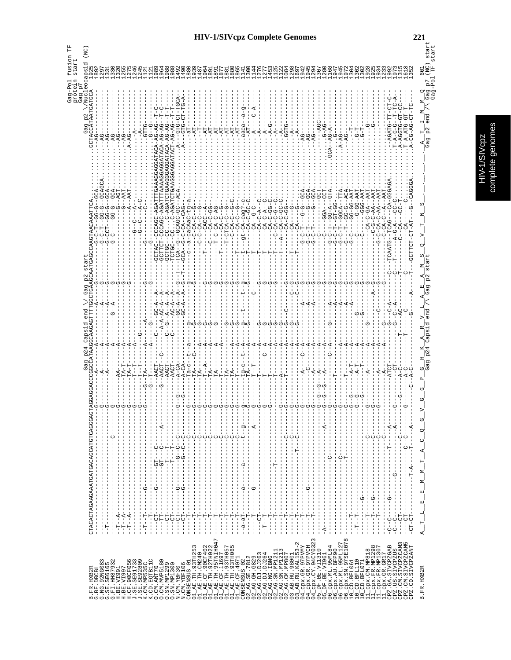| (NC)                                                                                                   |                                                                           |                                                                                                       |                                  |                                                                                        |                               |                                       |                            |                                                 |                                            |                                                                    |                                                                                       |                                              |                                                    |                                                                                                          |                                               |                                   |                                                                                                                    |                                             |                                                                       |                                          |                               |                                               |                                                                                                                                |                                                |                                                                                                      |                                                                                                             |                            |                                                              |                                           |                                                                 |                                                                    |                                                            |                                                         |                                                              | <b>HIV-1/SIVcpz Complete Genomes</b>                    |                                            |                                                                                           |                                                 |                                                                                                      |                                                                                                          |                                                     |                                             |                                           |                                            |                              |                             |                                                |                           |                                                                                      |                        | na4aasn4maww8a                               | 221                                |
|--------------------------------------------------------------------------------------------------------|---------------------------------------------------------------------------|-------------------------------------------------------------------------------------------------------|----------------------------------|----------------------------------------------------------------------------------------|-------------------------------|---------------------------------------|----------------------------|-------------------------------------------------|--------------------------------------------|--------------------------------------------------------------------|---------------------------------------------------------------------------------------|----------------------------------------------|----------------------------------------------------|----------------------------------------------------------------------------------------------------------|-----------------------------------------------|-----------------------------------|--------------------------------------------------------------------------------------------------------------------|---------------------------------------------|-----------------------------------------------------------------------|------------------------------------------|-------------------------------|-----------------------------------------------|--------------------------------------------------------------------------------------------------------------------------------|------------------------------------------------|------------------------------------------------------------------------------------------------------|-------------------------------------------------------------------------------------------------------------|----------------------------|--------------------------------------------------------------|-------------------------------------------|-----------------------------------------------------------------|--------------------------------------------------------------------|------------------------------------------------------------|---------------------------------------------------------|--------------------------------------------------------------|---------------------------------------------------------|--------------------------------------------|-------------------------------------------------------------------------------------------|-------------------------------------------------|------------------------------------------------------------------------------------------------------|----------------------------------------------------------------------------------------------------------|-----------------------------------------------------|---------------------------------------------|-------------------------------------------|--------------------------------------------|------------------------------|-----------------------------|------------------------------------------------|---------------------------|--------------------------------------------------------------------------------------|------------------------|----------------------------------------------|------------------------------------|
| GCTAC<br>$-AC$                                                                                         | $-AG$                                                                     | <b>0000</b><br>AAAA                                                                                   |                                  |                                                                                        | $A - AG$                      |                                       |                            | <b>CLLC</b>                                     |                                            |                                                                    |                                                                                       |                                              | ŧ,                                                 |                                                                                                          | $-$ aT $-$                                    | $\cdots$ - AT                     | ļ                                                                                                                  | $\ldots -AT$                                |                                                                       | $\cdots -AT$                             | 99                            |                                               |                                                                                                                                | f,                                             |                                                                                                      |                                                                                                             |                            | f,                                                           | Ť                                         | f,<br>$\cdot$                                                   | ţ                                                                  | .GGTG-                                                     | $\frac{1}{2}$                                           | $-AG$                                                        | $-AG$                                                   | $-AC$                                      |                                                                                           |                                                 | ଼ି କ                                                                                                 | ゥ<br>שפי<br>ראף<br>-                                                                                     |                                                     | 턱<br>$\mathbf{I}$<br>$\cdot$                | 분<br>ひ<br>$\ddot{\cdot}$                  | 등<br>$\ddot{\cdot}$                        | ن<br>:                       | ಿ.<br>$\ddot{\cdot}$        |                                                |                           | ں<br>ا<br>$-4$<br>AGATG<br>ℭ<br>$T - A - I$                                          | S<br>C<br>Ġ<br>A-AGGTG | 텃<br>÷<br>÷<br>$-A-ATG$                      | $-TC$<br>5<br>$A-CG-AG-$           |
| రే<br>Ū<br>ひ<br>ც<br>ს<br>GTAA<br>TGAGCCAA                                                             | GCAGCA<br>ಲ್ಲ<br>$-55-$<br>- - - -<br>- - - - - -<br>- - - - -<br>- - - - | GCA.<br>ī<br>-99<br>-99-1<br>-99-1                                                                    | GCA<br>AGT<br>AAT<br>$\,$ I<br>ひ | Ť<br>ひ<br>J.<br>ш                                                                      | $-AA$<br>$A + C$<br>$A + C$   | л.<br>$\mathbf{I}$<br>υU<br>-1<br>じ じ | $\frac{1}{1}$              | $\ddot{\phantom{0}}$<br>U)<br>ひ                 | -CCCAGC-AGATTGAAAGGAGGATACA<br>Ů<br>GCTAC- |                                                                    | GCTTCT-COCAGC-AGATTTAAAAGGAGATACA-AG-AG<br>DA-DA-ACCTGC--C-AGATCTGAAGGADADA-AAG-AG-AG | C-AGATCTGAAGGAGATACT-AG-AG<br>$C_1$<br>TCTGC | ACA<br><b>UU-UUCAUU-</b><br>$\frac{1}{2}$<br>TCA   | $\ddot{A}$<br>$\cdots$ $\cdots$ $\cdots$<br>$-CAG$<br>$-5$<br>$\frac{1}{2}$<br>ひ<br>$\frac{1}{1}$<br>GCA | ್ರ<br>$-19$<br>a-caCAaC<br>-<br>$\frac{0}{1}$ | てり<br>ပု<br>၂<br>$C_{\rm A}$<br>U | $\begin{smallmatrix} 1 & 1 & 1 \\ 1 & 1 & 1 \end{smallmatrix}$<br>ひ<br>$\frac{1}{4}$<br>Ÿ<br>$-CA$<br>Ó.<br>U<br>÷ | K,<br>Ŧ<br><b>CACC</b><br>$\mathbf{I}$<br>Е | <br>만족    <br>'      <br>$CA-C$<br>$\mathbf{I}$<br>UH<br>$\mathbf{I}$ | $-CA-C$<br>$\frac{1}{1}$<br>$\mathbf{I}$ | Ÿ<br>S<br>$\blacksquare$<br>ь | $\bullet$<br>Ÿ<br>-CTCA-<br>H<br>$\mathbf{I}$ | $\cdot$<br>ု<br>$\frac{1}{2}$<br>$-CA-C$<br>ပုံ<br>$\blacksquare$<br>$\mathbf{I}$                                              | $\cdot$<br>$\frac{6}{1}$<br>$\Gamma$<br>ි<br>е | $\cdot$<br>$\blacksquare$<br>$\downarrow$<br>$\frac{1}{2}$<br>-1<br>$\overline{ }$<br>$\blacksquare$ | $\pm$ $\pm$<br>$-CA - cagf - c - c$<br>- CA-C-GC-C<br>- CA--G-C--<br>п<br>j.<br>$\mathbf{I}$<br>л<br>н<br>⊢ | $CA-C-A$ -<br>$\mathbf{I}$ | $\cdot$<br>$\mathbf{I}$<br>$\mathbf{I}$<br>$\mathbf{I}$<br>۳ | $\blacksquare$<br>L.<br>п<br>ᡛ            | $\cdot$<br>ပု<br>ပုံ<br>$C - C - C$<br>$\overline{1}$<br>H<br>⊢ | $\bullet$<br>$-C$<br>$\Gamma$<br>$\mathfrak{S}$<br>-<br>$-4$<br>٣  | $\cdot$<br>95<br>ΥJ<br>ි<br>F                              | <b>ひひ</b><br>$\mathcal{E}$<br>τj                        | $\vdots$<br>GCA<br>ł<br>$-9-9-$<br>$\blacksquare$<br>п       | Ì<br>$\vdots$<br>$\cdot$<br>GCA<br>부<br>いいい<br>ひしし<br>п | $\ddot{\cdot}$<br>$-GCA$<br>ပုံ ပုံ<br>부   | U                                                                                         | $\cdot$<br>$\frac{1}{2}$<br>ලියි<br>↻           | GCA<br>$GG - A -$<br>1<br>$\blacksquare$<br>U<br>ှိ ဗုံ                                              | $\ddot{\cdot}$<br>SHIPS-TITA<br>GGCA--TITA<br><b>99-1</b><br>5<br>ł<br>÷<br>L.<br>$\mathbf{I}$<br>U<br>U | $\vdots$<br>ACA<br>$-99 - - -$<br>л                 | <b>AAT</b><br>-99-99<br>U<br>ひひひ            | $\bullet$<br><b>AAT</b><br>$G-G-G -$<br>↻ | $\alpha = \alpha = \alpha$<br>GGG-AAT<br>U | CA-C-GA--AAT<br>$\mathbf{I}$ | AAT.<br>Ŧ<br>$-CD-DA$<br>ひし | <b>AAT</b><br>Ŧ<br>$-CA-CAA$<br>Ü<br>$\bar{5}$ | Ť<br>ں<br>ا<br>$-CA$<br>U | $\overline{c}$<br>U<br>U<br>Ō.<br>$-TCA$<br>ι<br>Ρ<br>К<br>-TCAATG                   | U<br>ŏ<br>ే<br>U       | U<br>F<br>л                                  | ŪAG<br>Ġ<br>л<br>$T - T$<br>GCTTCT |
| Gag p24 Capsid end \/ Gag p2 s<br>GCCATAAGGCAAGAGTTTTGGCTGAAGCAA<br>てり<br>ł<br>K,<br>$\mathbf{I}$<br>К | <b>ひひひひひひ</b><br>ł<br>К<br>J.<br>L.<br>$\mathbf{I}$                       | л.<br>$\triangle$ $\triangle$<br>Ţ<br>ひ<br>$\mathbf{I}$<br>$\mathbf{I}$<br>Ť.<br>AAAA<br>$\mathbf{I}$ | $\blacksquare$                   | I.<br>т<br>т<br>$\mathbf{I}$<br>$\mathbf{I}$<br>К<br>1                                 | A<br>$\blacksquare$           | Ш.<br>К<br>$\blacksquare$             | ひ<br>$\blacksquare$<br>- 1 | ひ<br>ひ<br>п<br>$-4$<br>j.<br>ш<br>Æ<br>K,<br>J. | H.<br>К<br>ł<br>$G - A$<br>ပုံ<br>U<br>л.  | A<br>$\frac{1}{1}$<br>$\boldsymbol{\mathcal{A}}$<br>$A - A - AC -$ | -1<br>К<br>J,<br>$-6 - -A - -A$<br>п                                                  | ł<br>$AC - A$<br>υU                          | п<br>부<br>ひ<br>ŧ<br>K,<br>ł<br>$G - A$<br>п<br>л   | $\mathbf{I}$<br>Н<br>ひ<br>÷<br>$\frac{1}{1}$<br>$G - A$                                                  | ਨਾ<br>൯<br>1                                  | あひ<br>てり                          | J                                                                                                                  | ひ                                           | <b>ひひ</b><br>めめめめ<br>$A \land A$                                      |                                          | ひ                             | ひ<br>$\blacksquare$<br>てり                     | ひ<br>ł<br>$\overline{\phantom{a}}$<br>$\blacksquare$<br>п<br>てり<br>$\mathbf{I}$<br>$\mathbf{I}$                                | ひ<br>てり                                        | あひ<br>↵<br>$\mathbf{I}$<br>- 11<br>$\overline{v}$<br>ì.<br>のひ<br>$\blacksquare$                      | U<br>ł<br>л<br>J.<br>$\blacksquare$                                                                         | ひ<br>Ů<br>K,               | H.<br>K,<br>$\mathbf{I}$                                     | <b>ひ ひ ひ</b><br>てりてり<br>$\mathbf{I}$<br>Ţ | てり<br>п<br>$\overline{\phantom{a}}$                             | てり<br>л.<br>⋖<br>-1                                                | ๓<br>п<br>ပု<br>てり<br>$\blacksquare$<br>К<br>$\frac{1}{2}$ | <b>ひ ウ</b><br>J.<br>U<br>てりてり<br>- 1<br>-11<br>-1<br>J. | ひ<br>U<br>I<br>ł<br>К<br>$\overline{\phantom{a}}$<br>п<br>K, | ひ<br>ł<br>К<br>T<br>п<br>л.<br>К<br>$\mathbf{I}$        | ひ<br>Ą<br>$\mathbf{I}$<br>K,               | ひ<br>A<br>$\mathbf{I}$                                                                    | てり<br>$\mathbf{I}$                              | ひ<br>$\frac{1}{1}$<br>К<br>$\overline{\phantom{a}}$<br>п<br>ひ<br>п.<br>K,                            | てり<br>てり<br>$\frac{1}{1}$<br>$A \land A$<br>J.                                                           | てり<br>$\mathbf{I}$<br>$\triangle$ $\triangle$<br>J. | てり<br>$\blacksquare$<br>К<br>$\overline{1}$ | てり<br>ひ<br>J.                             | てり<br>л<br>ひ<br>п<br>K,<br>$\mathbf{I}$    | ひ<br>ပုံ<br>л.<br>K,         | ひ<br>$\vec{A}$<br>K,        | ひ<br>-1<br>$\frac{1}{2}$                       | C<br>ပုံ                  | C)<br>$-$ C $-$ A<br>$\vec{A}$<br>U<br>ひ<br>ζŋ<br>$\mathbf{I}$                       | Ω⊢<br>AC.<br>Н         | $\cup$ H<br>$\mathbf{I}$<br>ပု<br>Ш          | К<br>ひ                             |
| $\mathbf{I}$<br>GACCCG<br>K,<br>ひ                                                                      | п<br>Ť.<br>К<br>ひ                                                         | л.<br>A<br>めめめ                                                                                        | Ą                                | п<br>턴<br>$\mathbf{I}$<br>ひ                                                            | $\mathbf{TA}-\mathbf{T}$<br>ひ | $\mathbf{I}$<br>부<br>ひ                | 부<br>$\mathbf{I}$<br>ひ     | Ι.<br>TA.<br>$\frac{1}{1}$<br>ひ<br>ပု<br>ひ      | <b>AACT</b><br>1                           | U<br>AACT<br>ပှံ                                                   | AACT.                                                                                 | <b>AACT</b>                                  | $A-CA$<br>J.<br>ပု<br>ひ                            | ပု                                                                                                       | $\ddot{\tau}$<br>$A-CA$<br>Ta-c<br>TA--<br>ひ  | O<br>ひ                            | л<br>$TA-$<br>л<br>-1<br>л<br>ひ                                                                                    | $-4$<br>ひ                                   | $TA-$<br>ひひ                                                           | -1<br>$TA-$                              | н<br>ひ                        | $\overline{\phantom{a}}$<br>FA<br>п<br>ひ      | п<br>$\mathbf{I}$<br>$\mathbf{I}$<br>п<br>Ť.<br>·TA·<br>$\mathbf{I}$<br>$\mathbf{I}$<br>ひ                                      | ひ                                              | - 1<br>$\downarrow$<br>$\,$ I<br>$\blacksquare$<br>$\frac{0}{1}$<br>ס<br>₽Η<br>$\blacksquare$<br>あひ  | л<br>-11<br>부<br>$\blacksquare$<br>п<br>ひ                                                                   | ひ                          | $\blacksquare$<br>i<br>$\mathbf{I}$<br>-1<br>п<br>ひ          | $\mathbf{I}$<br>J.<br>FF<br>п<br>ひ        | п<br>Н<br>п                                                     | $\mathbf{I}$<br>$\blacksquare$<br>$\mathbf{I}$<br>1<br>Æ<br>п<br>ひ | $\blacksquare$<br>$\blacksquare$<br>п<br>$\mathbf{I}$<br>ひ | п<br>$\mathbf{I}$<br>п<br>$\blacksquare$<br>ひ<br>ひ      | $\frac{1}{1}$<br>U<br>J.<br>- 1<br>К<br>$\mathbf{I}$<br>ひ    | л.<br>$\mathbf{I}$<br>п.<br>Ü<br>J.<br>ひ                | $\blacksquare$<br>$\mathbf I$<br>$-4$<br>ひ | $\mathbf{I}$<br>п<br>$\mathbf{I}$<br>A<br>J.<br>$\mathbf{I}$<br>ပုံ<br>$\frac{6}{1}$<br>ひ | $\mathbf I$<br>К<br>J.<br>п<br>ひ<br>ن<br>ب<br>ひ | $\frac{1}{1}$<br>$\frac{1}{2}$<br>$\mathbf{I}$<br>$\mathbf{I}$<br>Ť.<br>$\mathbf{I}$<br>J.<br>1<br>ひ | 부<br>ひ<br>ひ                                                                                              | $\blacksquare$<br>ひ                                 | <b>I</b><br>북<br>К<br>J<br>п<br>ပု<br>ひ     | 북<br>К,<br>п<br>ن<br>ب<br>ひ               | 부<br>1<br>п<br>りー                          | -1<br>A<br>ひ                 | ひ                           | j.<br>$-4$<br>ひ                                | j.<br>Ą<br>J              | ATCT<br>5<br>ပု                                                                      | U<br>A,<br>п<br>ပု     | U<br>Æ<br>л<br>Ġ٢                            | U<br>$\overline{A}$<br>п<br>U      |
| CTACACTAGAAGAAATGAACACACACACCOGGAGAA                                                                   |                                                                           | i<br>л.<br>л.<br>$\mathbf{I}$<br>л.<br>$\mathbf{I}$                                                   |                                  | л<br>$\mathbf{I}$<br>J,<br>л<br>$\mathbf{I}$<br>л<br>$\mathbf{I}$<br>$\mathbf{I}$<br>л |                               |                                       |                            |                                                 | Y<br>$-10$                                 | $- A -$<br>$\Gamma$<br>ーロー                                         | 부<br>I<br>ا<br>ا                                                                      | 부<br>$\frac{1}{1}$                           | J<br>п<br>ט<br>ו<br>$\frac{1}{1}$<br>ပု<br>п<br>л. | U<br>ひ                                                                                                   | -1<br>U<br>$\mathbf{I}$                       | U                                 | л<br>U<br>I<br>$\mathbf{I}$                                                                                        | п<br>U                                      | L.<br>U                                                               | -1<br>U                                  | U                             | п<br>U                                        | J<br>-1<br>U<br>$\mathbf{I}$<br>J<br>л                                                                                         |                                                | ק<br>↵<br>$\overline{\phantom{a}}$<br>п<br>ة<br>أ<br>п                                               | $-4-$<br>л<br>$\mathbf I$<br>Í<br>л                                                                         |                            | $\mathbf{I}$<br>п<br>$\mathbf{I}$                            | $\blacksquare$                            | $\frac{1}{1}$<br>$\frac{1}{2}$                                  | $\mathbf{I}$                                                       | п<br>$\frac{C}{1}$<br>$\,$ I<br>$\frac{1}{1}$              | $\mathbf{I}$<br>- 1<br>U                                | п<br>п<br>п                                                  | п<br>п<br>л.<br>J.<br>п<br>т.<br>J.<br>п                |                                            | п                                                                                         | $-4-$                                           | п<br>ပု<br>Í<br>J.                                                                                   |                                                                                                          | $C_{\frac{1}{2}}$                                   |                                             |                                           |                                            | л.<br>ပု                     | $\mathbf{I}$<br>U           | п<br>U<br>$\overline{1}$                       | J<br>J.<br>Ÿ<br>п<br>투    | $-4$<br>$-4$<br>$\frac{1}{1}$<br>ひ<br>$\blacksquare$                                 | ↻                      | п<br>J,<br>л<br>$\frac{1}{2}$<br>Ÿ<br>J<br>л | $-4$<br>п<br>н<br>$F - A$          |
|                                                                                                        | J.<br>1<br>I                                                              | п<br>-1<br>턱                                                                                          | $-T$ – $-$ A                     | л<br>$-4$<br>부<br>T                                                                    | $-4$<br>부                     |                                       |                            | ひ<br>۲<br>-<br>탁                                | ပု<br>-CT                                  | -TT-                                                               | $-17$                                                                                 | $-CT$                                        | ن<br>ٻ<br>л.<br>$\mathbf{I}$<br>$\mathbf{I}$       | ひ<br>$-17 - 1$                                                                                           | J<br>투<br>$\mathbf{I}$                        | 투                                 | J<br>부                                                                                                             | п<br>부                                      | 부                                                                     | ii<br>II                                 |                               | J.<br>투<br>$\overline{1}$<br>п                | $\overline{\phantom{a}}$<br>J<br>$\mathbf{I}$<br>$\overline{\phantom{a}}$<br>J.<br>$\frac{1}{1}$<br>۲<br>ا<br>j<br>$\,$ I<br>1 | 부                                              | $\frac{1}{2}$<br>$-a-aT$                                                                             | Ġ<br> <br>Ţ<br>п<br>ך<br>-<br>턴<br>Ţ                                                                        | 텅<br>-                     | ۲<br>ا<br>투                                                  | ł<br>$-1$                                 | $\frac{1}{1}$<br>턱<br>J.                                        | ł<br>$\frac{1}{2}$                                                 | $\frac{1}{1}$<br>$\frac{1}{2}$<br>부                        | f.<br>۲<br>ا<br>$\mathbf{I}$                            | J<br>י<br>י<br>Ţ                                             | ن<br>۱<br>J.<br>ı<br>-1<br>$-1$<br>ï                    | 부                                          | п                                                                                         | ł<br>К<br>$\mathbf{I}$                          | J.<br>п<br>п<br>п<br>$\frac{1}{1}$                                                                   | J<br>$\mathsf I$<br>J,<br>$\mathbf{I}$                                                                   |                                                     | 턱                                           | 부<br>투                                    | Ġ<br> <br>$\mathbf{I}$<br>ï<br>I<br>T      | 부                            | Ġ<br>ŧ<br>i<br>F            | 턱<br>п                                         | l.                        | 먹<br>$\mathbf{I}$<br>$\frac{1}{1}$<br>U<br>÷<br>$\frac{1}{2}$<br>↻<br>$\blacksquare$ | Ę<br>$\blacksquare$    | п<br>ï<br>I<br>I<br>5<br>f.<br>J.            | 5<br>ビー                            |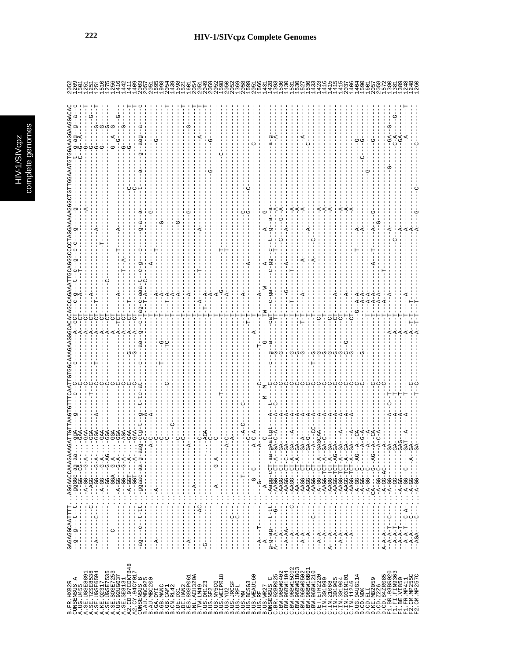| I.<br>ш<br>H<br>J.                                                                                                                             |                                                                                                                                                                                                                                                                                                                                                                               |  |  |  |             |
|------------------------------------------------------------------------------------------------------------------------------------------------|-------------------------------------------------------------------------------------------------------------------------------------------------------------------------------------------------------------------------------------------------------------------------------------------------------------------------------------------------------------------------------|--|--|--|-------------|
| $\mathsf I$<br>$\mathsf I$<br>$\mathbf{I}$<br>т<br>$\mathbf{I}$<br>п<br>л<br>$\mathbf{I}$                                                      |                                                                                                                                                                                                                                                                                                                                                                               |  |  |  |             |
| $-1$<br>п<br>ï<br>I<br>I<br>$\frac{1}{1}$                                                                                                      |                                                                                                                                                                                                                                                                                                                                                                               |  |  |  | פז פז פז פז |
| $\mathsf I$<br>$\overline{\phantom{a}}$<br>$\overline{1}$<br>$\frac{1}{2}$<br>$- - - - - - - -$                                                |                                                                                                                                                                                                                                                                                                                                                                               |  |  |  |             |
| J.<br>$\overline{\phantom{a}}$<br>$\mathbf{I}$<br>H<br>J<br>$\frac{1}{1}$                                                                      |                                                                                                                                                                                                                                                                                                                                                                               |  |  |  |             |
| I<br>$\mathsf I$<br>1<br>ł<br>J,                                                                                                               |                                                                                                                                                                                                                                                                                                                                                                               |  |  |  |             |
| $\mathbf I$<br>$\mathsf I$<br>$\mathbf{I}$<br>J.                                                                                               |                                                                                                                                                                                                                                                                                                                                                                               |  |  |  |             |
| $\mathbf{I}$<br>I<br>I<br>Î<br>I<br>I<br>$\frac{1}{1}$                                                                                         |                                                                                                                                                                                                                                                                                                                                                                               |  |  |  |             |
| 1<br>п<br>$\mathbf{I}$<br>-1                                                                                                                   |                                                                                                                                                                                                                                                                                                                                                                               |  |  |  |             |
| J.<br>$\overline{\phantom{a}}$<br>H                                                                                                            |                                                                                                                                                                                                                                                                                                                                                                               |  |  |  |             |
| I<br>$\mathsf I$<br>I<br>п<br>ï<br>I<br>т                                                                                                      |                                                                                                                                                                                                                                                                                                                                                                               |  |  |  |             |
| $-ag$ ---c--t-tt                                                                                                                               | T.<br>-ggaac-aa-g                                                                                                                                                                                                                                                                                                                                                             |  |  |  |             |
|                                                                                                                                                |                                                                                                                                                                                                                                                                                                                                                                               |  |  |  | aag         |
| $\ddot{\phantom{0}}$<br>ı<br>I<br>H<br>H<br>H                                                                                                  | ı<br>Ţ<br>J.<br>I<br>ı<br>ï<br>$\cdot$                                                                                                                                                                                                                                                                                                                                        |  |  |  |             |
| T<br>т<br>Т<br>т<br>T<br>Т<br>т<br>ţ                                                                                                           | $\mathbf{I}$<br>$\mathsf I$<br>$\mathsf I$<br>$\begin{bmatrix} 1 & 0 & 0 \\ 0 & 1 & 0 \\ 0 & 0 & 0 \\ 0 & 0 & 0 \\ 0 & 0 & 0 \\ 0 & 0 & 0 \\ 0 & 0 & 0 \\ 0 & 0 & 0 \\ 0 & 0 & 0 & 0 \\ 0 & 0 & 0 & 0 \\ 0 & 0 & 0 & 0 \\ 0 & 0 & 0 & 0 \\ 0 & 0 & 0 & 0 & 0 \\ 0 & 0 & 0 & 0 & 0 \\ 0 & 0 & 0 & 0 & 0 \\ 0 & 0 & 0 & 0 & 0 & 0 \\ 0 & 0 & 0 & 0 & 0 & 0 \\ 0 & 0 & 0 & 0 & $ |  |  |  |             |
| $\frac{1}{4}$<br>I<br>ł                                                                                                                        | $\frac{1}{1}$                                                                                                                                                                                                                                                                                                                                                                 |  |  |  |             |
| I.<br>$\overline{\phantom{a}}$<br>Ţ<br>ł<br>ţ                                                                                                  | -1<br>$\mathsf I$<br>$\overline{\phantom{a}}$<br>$\frac{1}{2}$<br>$\frac{1}{2}$                                                                                                                                                                                                                                                                                               |  |  |  |             |
| I<br>J<br>I<br>$\frac{1}{1}$                                                                                                                   | $\frac{1}{2}$                                                                                                                                                                                                                                                                                                                                                                 |  |  |  |             |
| $\begin{array}{c} 1 \\ 1 \\ 1 \end{array}$<br>ł<br>Ţ<br>I<br>$\frac{1}{1}$                                                                     | т<br>т<br>I<br>I<br>$\frac{1}{1}$<br>ţ                                                                                                                                                                                                                                                                                                                                        |  |  |  |             |
| ţ<br>$\frac{1}{1}$<br>J<br>ļ                                                                                                                   | $\mathbf I$<br>$-1$ $-1$ $-1$ $-1$ $-1$ $-1$ $-1$<br>$\vdots$                                                                                                                                                                                                                                                                                                                 |  |  |  |             |
| I<br>$\frac{1}{1}$<br>$\frac{1}{1}$<br>J<br>Î                                                                                                  | ı<br>ı<br>I<br>$\begin{array}{c} \n 1 \\  1 \\  1\n \end{array}$<br>$\ddot{\cdot}$                                                                                                                                                                                                                                                                                            |  |  |  |             |
| ţ<br>$\frac{1}{4}$<br>$\mathbf I$<br>1<br>л<br>$-4-$                                                                                           | п<br>$\,$ I<br>J.<br>$\frac{1}{1}$                                                                                                                                                                                                                                                                                                                                            |  |  |  |             |
| $\begin{bmatrix} 1 \\ 1 \\ 1 \\ 1 \end{bmatrix}$<br>J<br>п<br>$\frac{1}{1}$                                                                    | $\frac{1}{1}$<br>$\begin{array}{c} \end{array}$<br>$- -A - - -$                                                                                                                                                                                                                                                                                                               |  |  |  |             |
| $\begin{bmatrix} 1 \\ 1 \\ 1 \\ 1 \end{bmatrix}$                                                                                               | $\frac{1}{4}$<br>I<br>$\begin{bmatrix} 1 \\ 1 \\ 1 \end{bmatrix}$<br>ţ                                                                                                                                                                                                                                                                                                        |  |  |  |             |
| $----AC$<br>$\mathbf{I}$<br>$\mathbf{I}$<br>$-1$ - $-1$                                                                                        | $\overline{\phantom{a}}$<br>п<br>$\ddot{\cdot}$                                                                                                                                                                                                                                                                                                                               |  |  |  |             |
| 1                                                                                                                                              | $\frac{1}{1}$                                                                                                                                                                                                                                                                                                                                                                 |  |  |  |             |
| ı<br>I<br>J<br>H<br>I<br>J<br>ı                                                                                                                | J.<br>J                                                                                                                                                                                                                                                                                                                                                                       |  |  |  |             |
| T<br>ţ<br>п<br>J.<br>$\mathbf I$<br>$\frac{1}{1}$                                                                                              | $-9-7$<br>$- - - - - - - - -$                                                                                                                                                                                                                                                                                                                                                 |  |  |  |             |
| I<br>J<br>J<br>$\frac{1}{1}$<br>$\overline{\phantom{a}}$<br>J<br>$\frac{1}{1}$                                                                 | п<br>J.<br>$\mathbf I$<br>$\mathbf{I}$<br>$\frac{1}{1}$<br>$\frac{1}{1}$<br>$\vdots$                                                                                                                                                                                                                                                                                          |  |  |  |             |
| ı<br>J.<br>$\mathbb{I}$<br>ı<br>J.                                                                                                             | L.<br>-1<br>I<br>ı<br>-1<br>$\frac{1}{1}$<br>$\frac{1}{1}$<br>$\ddot{\cdot}$                                                                                                                                                                                                                                                                                                  |  |  |  |             |
| $\frac{1}{1}$                                                                                                                                  | I<br>T<br>Ť.<br>I<br>$\frac{1}{1}$<br>$\vdots$                                                                                                                                                                                                                                                                                                                                |  |  |  |             |
| ı<br>$\frac{1}{1}$                                                                                                                             | I.<br>$\frac{1}{1}$<br>Ţ<br>÷<br>$\begin{bmatrix} 1 \\ 1 \\ 1 \\ 1 \end{bmatrix}$<br>$\ddot{\cdot}$                                                                                                                                                                                                                                                                           |  |  |  |             |
| J.<br>п                                                                                                                                        | п<br>$\mathbf{I}$<br>$\overline{\phantom{a}}$<br>--------                                                                                                                                                                                                                                                                                                                     |  |  |  |             |
|                                                                                                                                                | J.<br>ı<br>$\ddot{\phantom{0}}$                                                                                                                                                                                                                                                                                                                                               |  |  |  |             |
| ţ<br>T<br>1<br>$\mathsf I$<br>I<br>$\mathbf{I}$                                                                                                | ÷<br>$-1 - 5 - 1 - 1$                                                                                                                                                                                                                                                                                                                                                         |  |  |  |             |
| $\mathsf I$<br>J.<br>T<br>ï<br>$-1 - 2 - 1 - 1$                                                                                                | п<br>T<br>$\ddot{\cdot}$                                                                                                                                                                                                                                                                                                                                                      |  |  |  |             |
| J.<br>ı<br>п                                                                                                                                   | J.<br>$- - A - -$                                                                                                                                                                                                                                                                                                                                                             |  |  |  |             |
|                                                                                                                                                | $\vdots$                                                                                                                                                                                                                                                                                                                                                                      |  |  |  |             |
|                                                                                                                                                |                                                                                                                                                                                                                                                                                                                                                                               |  |  |  | ወ⊄          |
|                                                                                                                                                |                                                                                                                                                                                                                                                                                                                                                                               |  |  |  |             |
|                                                                                                                                                |                                                                                                                                                                                                                                                                                                                                                                               |  |  |  |             |
|                                                                                                                                                |                                                                                                                                                                                                                                                                                                                                                                               |  |  |  |             |
|                                                                                                                                                |                                                                                                                                                                                                                                                                                                                                                                               |  |  |  |             |
|                                                                                                                                                |                                                                                                                                                                                                                                                                                                                                                                               |  |  |  |             |
|                                                                                                                                                |                                                                                                                                                                                                                                                                                                                                                                               |  |  |  |             |
|                                                                                                                                                |                                                                                                                                                                                                                                                                                                                                                                               |  |  |  |             |
|                                                                                                                                                |                                                                                                                                                                                                                                                                                                                                                                               |  |  |  |             |
| Ţ<br>$-1 - C - 1$<br>H                                                                                                                         |                                                                                                                                                                                                                                                                                                                                                                               |  |  |  |             |
| л<br>Ţ<br>$- -A - A -$                                                                                                                         |                                                                                                                                                                                                                                                                                                                                                                               |  |  |  |             |
| I<br>ł,<br>I<br>J,<br>T                                                                                                                        |                                                                                                                                                                                                                                                                                                                                                                               |  |  |  |             |
| Ţ<br>$\overline{\phantom{a}}$<br>$\begin{array}{c} \hline \end{array}$<br>ł<br>$\,$ I<br>J,<br>$\overline{\phantom{a}}$<br>$A = -A$<br>$A - A$ |                                                                                                                                                                                                                                                                                                                                                                               |  |  |  |             |
| $\frac{1}{1}$<br>ł<br>Ţ<br>Ť.                                                                                                                  |                                                                                                                                                                                                                                                                                                                                                                               |  |  |  |             |
|                                                                                                                                                |                                                                                                                                                                                                                                                                                                                                                                               |  |  |  |             |
| I<br>I<br>$\mathsf I$<br>$\frac{1}{1}$<br>ł                                                                                                    |                                                                                                                                                                                                                                                                                                                                                                               |  |  |  |             |
| $\begin{array}{c} 1 \\ 1 \\ 1 \end{array}$<br>ł<br>$-1$                                                                                        |                                                                                                                                                                                                                                                                                                                                                                               |  |  |  |             |
| $\mathbf{I}$<br>I<br>$\mathbf{I}$<br>ì<br>$-1$ $-1$                                                                                            |                                                                                                                                                                                                                                                                                                                                                                               |  |  |  |             |
|                                                                                                                                                |                                                                                                                                                                                                                                                                                                                                                                               |  |  |  |             |
| $\mathbf{I}$<br>ı<br>I                                                                                                                         |                                                                                                                                                                                                                                                                                                                                                                               |  |  |  |             |
| $\mathbf{I}$<br>$\mathsf I$<br>п<br>п<br>$\mathbf{I}$<br>$\mathbf{I}$                                                                          |                                                                                                                                                                                                                                                                                                                                                                               |  |  |  |             |
|                                                                                                                                                |                                                                                                                                                                                                                                                                                                                                                                               |  |  |  |             |
| I.<br>I<br>J.                                                                                                                                  |                                                                                                                                                                                                                                                                                                                                                                               |  |  |  |             |
| I<br>I<br>J.<br>$\mathbb{I}$<br>J.<br>J.                                                                                                       |                                                                                                                                                                                                                                                                                                                                                                               |  |  |  |             |
| $\mathbf{I}$<br>л<br>J.<br>$\mathbf{I}$<br>$\mathbf{I}$                                                                                        |                                                                                                                                                                                                                                                                                                                                                                               |  |  |  |             |
|                                                                                                                                                |                                                                                                                                                                                                                                                                                                                                                                               |  |  |  |             |
|                                                                                                                                                |                                                                                                                                                                                                                                                                                                                                                                               |  |  |  |             |
|                                                                                                                                                |                                                                                                                                                                                                                                                                                                                                                                               |  |  |  |             |
|                                                                                                                                                |                                                                                                                                                                                                                                                                                                                                                                               |  |  |  |             |
|                                                                                                                                                |                                                                                                                                                                                                                                                                                                                                                                               |  |  |  |             |
|                                                                                                                                                |                                                                                                                                                                                                                                                                                                                                                                               |  |  |  |             |
|                                                                                                                                                |                                                                                                                                                                                                                                                                                                                                                                               |  |  |  |             |
|                                                                                                                                                |                                                                                                                                                                                                                                                                                                                                                                               |  |  |  |             |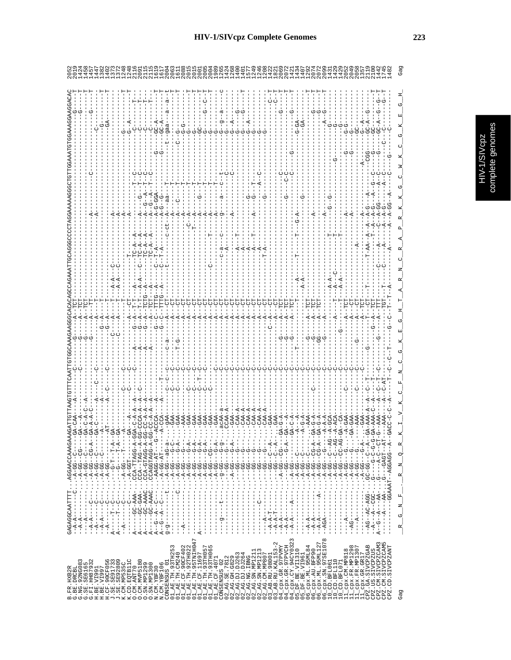| . AGGAACCAAAGAA.<br>$-1$ - $-1$ - $-1$ - $-1$ - $-1$ - $-1$ - $-1$ - $-1$                                   | $- -A - \underline{T} - \underline{T} - \underline{A} -$<br>$-AGT-$                                                                                                                   | CCA-GTAGG-A-GG<br>CCAGGTAGG-A-GG<br>CCA-TTAGG-A-G<br>$CCA - TAG - -A-G$ | ш<br>$-. -114-044-044-$                                                                                                                      | $- -  G - A -$<br>ŧ<br>Ġ<br>ŧ<br>$- A - GG$<br>$A-GG$                                                                                      | j.<br>ּט<br> <br> <br>-<br>- A - G<br>- A -<br>$- A - G G$<br>$- A - G G$ | $-4 - 5 - 4 - 1$<br>$\frac{1}{2}$<br>יט<br>ו<br>ו<br>$\ddot{c}$<br>$\ddot{c}$<br>$-9 - 6 -$<br>ن<br>- - -<br>$-4-9-9$<br>$-99 - - -$<br>$- A - GG$ | ł<br>---55----                                                                                                                        | $-399 - 4 - 399 - 59$                                                                                                                                      | $C - AG - C$<br>$\begin{split} \mathcal{L}^{(1)}_{\mathcal{A}} = \begin{bmatrix} \mathcal{L}^{(2)}_{\mathcal{A}} & \mathcal{L}^{(3)}_{\mathcal{A}} & \mathcal{L}^{(4)}_{\mathcal{A}} & \mathcal{L}^{(4)}_{\mathcal{A}} & \mathcal{L}^{(4)}_{\mathcal{A}} & \mathcal{L}^{(4)}_{\mathcal{A}} & \mathcal{L}^{(4)}_{\mathcal{A}} & \mathcal{L}^{(4)}_{\mathcal{A}} & \mathcal{L}^{(4)}_{\mathcal{A}} & \mathcal{L}^{(4)}_{\mathcal{A}} & \mathcal{L}^{(4)}_{$ | $-$ -AGGAGG- $-$ A<br>O<br>z<br>ĸ                                                                                                                                                                                                                                                                                                                                                                                                                                                                                                                                                                            |
|-------------------------------------------------------------------------------------------------------------|---------------------------------------------------------------------------------------------------------------------------------------------------------------------------------------|-------------------------------------------------------------------------|----------------------------------------------------------------------------------------------------------------------------------------------|--------------------------------------------------------------------------------------------------------------------------------------------|---------------------------------------------------------------------------|----------------------------------------------------------------------------------------------------------------------------------------------------|---------------------------------------------------------------------------------------------------------------------------------------|------------------------------------------------------------------------------------------------------------------------------------------------------------|-----------------------------------------------------------------------------------------------------------------------------------------------------------------------------------------------------------------------------------------------------------------------------------------------------------------------------------------------------------------------------------------------------------------------------------------------------------|--------------------------------------------------------------------------------------------------------------------------------------------------------------------------------------------------------------------------------------------------------------------------------------------------------------------------------------------------------------------------------------------------------------------------------------------------------------------------------------------------------------------------------------------------------------------------------------------------------------|
| GAGAGGCAATTTT<br>--A-A--------C<br>Ť<br>f,<br>ł<br>$\frac{c}{1}$<br>$\frac{1}{1}$<br>$-A-A-$<br>$-$ – – $A$ | Ť<br>ł<br>ł<br>$-1 - 1 - 1$<br>$-1 - 1 - 1$<br>r<br> <br> <br>ပု<br>j<br>$\frac{1}{1}$<br>I.<br>J.<br>$A - -$<br>$-\mathbf{A}$<br>$\mathbf{I}$<br>К<br>J.<br>$\overline{\phantom{a}}$ | $\mathsf I$<br>$\mathsf I$<br>$\mathsf I$<br>A<br>A                     | $\begin{array}{c} \begin{array}{c} \bullet \\ \bullet \\ \bullet \end{array} \end{array}$<br>$A - -G - -A - -C$<br>ţ<br>$\triangleleft$<br>R | $-1$ $-1$ $-1$ $-1$ $-1$<br>$\frac{1}{1}$<br>$\vdots$<br>$\ddot{\phantom{0}}$<br>$\cdot$<br>Ţ<br>$-5 - 5$<br>Ť<br>$-4$<br>$\mathsf I$<br>т | $\frac{1}{1}$<br>$\frac{1}{1}$<br>ţ<br>$\mathbf I$<br>K,                  | J.<br>$\frac{1}{1}$<br>$\frac{1}{1}$                                                                                                               | ٠.<br>$\bullet$<br>$-1$ - $-1$ - $-1$<br>$\frac{1}{1}$<br>$\frac{1}{1}$<br>$-{\bf A}-{\bf A}-{\bf T}=-$<br>I<br>$-4-$<br>J,<br>т<br>т | $\frac{1}{1}$<br>$- A - A - - - - A -$<br>J<br>I<br>$\frac{1}{1}$<br>J,<br>--A-A-T<br>---A-A----<br>---A-A----<br>J.<br>$\blacksquare$<br>$\mathbf I$<br>т | $- -A - \ldots$<br>$\frac{1}{1}$<br>$-A-A-$<br>$-A-A$<br>$-A - A$<br>$-AGA$<br>$\frac{1}{1}$<br>ı<br>J.<br>$\,$ I<br>J.                                                                                                                                                                                                                                                                                                                                   | -GGAAAT<br>$-AG - -AC - AGG$<br>E.<br>Z<br>U<br>$-4-$<br>I<br>$-4 - 2$<br>$-AG-$<br>Ţ                                                                                                                                                                                                                                                                                                                                                                                                                                                                                                                        |
| 3. FR. HXB2R<br>3. BE. DRCBL<br>四ひ                                                                          |                                                                                                                                                                                       |                                                                         |                                                                                                                                              |                                                                                                                                            |                                                                           |                                                                                                                                                    |                                                                                                                                       |                                                                                                                                                            | $^{\circ}$                                                                                                                                                                                                                                                                                                                                                                                                                                                | $\begin{smallmatrix} \textcolor{red}{0} & \textcolor{red}{0} & \textcolor{red}{0} & \textcolor{red}{0} & \textcolor{red}{0} & \textcolor{red}{0} & \textcolor{red}{0} & \textcolor{red}{0} & \textcolor{red}{0} & \textcolor{red}{0} & \textcolor{red}{0} & \textcolor{red}{0} & \textcolor{red}{0} & \textcolor{red}{0} & \textcolor{red}{0} & \textcolor{red}{0} & \textcolor{red}{0} & \textcolor{red}{0} & \textcolor{red}{0} & \textcolor{red}{0} & \textcolor{red}{0} & \textcolor{red}{0} & \textcolor{red}{0} & \textcolor{red}{0$<br>CPZ.CM.SIVCPZCAM5<br>.CD.SIVCPZANT<br>$\mathbb N$<br>Gag<br>e, |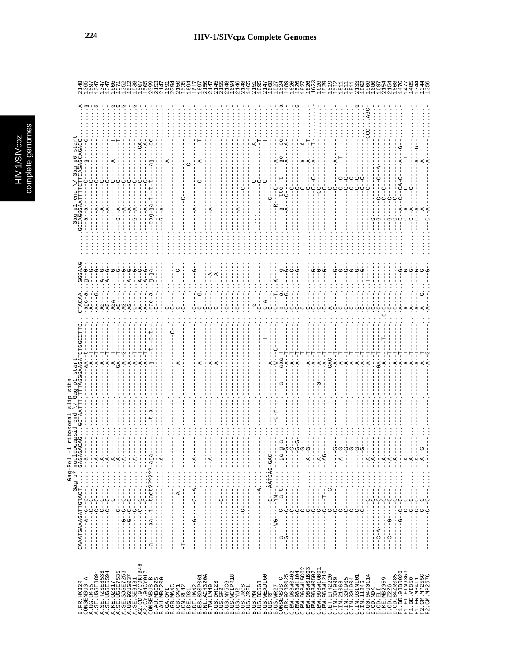|                                                                                                                       | SONTADO DE DE DO DO                                                                                                                                                                                                                                                                                                                                                                                                                                                                                                                                                                                                                                                                                                                                                                                                                 |                                                                                            |                                                   |                          |                    |                    |                                                                          |                                           |                               |                                 |                                                        |                              | ○                                                    |          |                                                   | σ<br>O                                                            | o                                                                       |                                                                                                            | ഗ                                                                 | w                     | G                                      | စ္ပ                               | LC.                                                |                                             |                      |                                             |                                                                     |         | ৩                                |                                                        |                                             | 46                    |                                                                               | ৩                                     |                                                                                                                                    | ৩<br>ဖ                                        | ഥ ഥ                                             | 4                                                                 | ৩                                                                      | 5                                                                                                                                                                                                                                                                                                                                                                                                                                                       | w                       | w                                                             | ဖ                  | ৩                                               | ഗ                                            | ഥ                                                    | ഗ                              |                           | ഗ                                                    | ٣                  |                                                           | ഗ                                           | ഥ                                                         | $^{\circ}$<br>G         | O                                        |                                   | ৩                  |                                           |                    |                                              |                                                    |                                                   |
|-----------------------------------------------------------------------------------------------------------------------|-------------------------------------------------------------------------------------------------------------------------------------------------------------------------------------------------------------------------------------------------------------------------------------------------------------------------------------------------------------------------------------------------------------------------------------------------------------------------------------------------------------------------------------------------------------------------------------------------------------------------------------------------------------------------------------------------------------------------------------------------------------------------------------------------------------------------------------|--------------------------------------------------------------------------------------------|---------------------------------------------------|--------------------------|--------------------|--------------------|--------------------------------------------------------------------------|-------------------------------------------|-------------------------------|---------------------------------|--------------------------------------------------------|------------------------------|------------------------------------------------------|----------|---------------------------------------------------|-------------------------------------------------------------------|-------------------------------------------------------------------------|------------------------------------------------------------------------------------------------------------|-------------------------------------------------------------------|-----------------------|----------------------------------------|-----------------------------------|----------------------------------------------------|---------------------------------------------|----------------------|---------------------------------------------|---------------------------------------------------------------------|---------|----------------------------------|--------------------------------------------------------|---------------------------------------------|-----------------------|-------------------------------------------------------------------------------|---------------------------------------|------------------------------------------------------------------------------------------------------------------------------------|-----------------------------------------------|-------------------------------------------------|-------------------------------------------------------------------|------------------------------------------------------------------------|---------------------------------------------------------------------------------------------------------------------------------------------------------------------------------------------------------------------------------------------------------------------------------------------------------------------------------------------------------------------------------------------------------------------------------------------------------|-------------------------|---------------------------------------------------------------|--------------------|-------------------------------------------------|----------------------------------------------|------------------------------------------------------|--------------------------------|---------------------------|------------------------------------------------------|--------------------|-----------------------------------------------------------|---------------------------------------------|-----------------------------------------------------------|-------------------------|------------------------------------------|-----------------------------------|--------------------|-------------------------------------------|--------------------|----------------------------------------------|----------------------------------------------------|---------------------------------------------------|
|                                                                                                                       |                                                                                                                                                                                                                                                                                                                                                                                                                                                                                                                                                                                                                                                                                                                                                                                                                                     |                                                                                            |                                                   |                          |                    |                    |                                                                          |                                           |                               |                                 |                                                        |                              |                                                      |          |                                                   |                                                                   |                                                                         |                                                                                                            |                                                                   |                       |                                        |                                   |                                                    |                                             |                      |                                             |                                                                     |         |                                  |                                                        |                                             |                       |                                                                               |                                       |                                                                                                                                    |                                               |                                                 |                                                                   |                                                                        |                                                                                                                                                                                                                                                                                                                                                                                                                                                         |                         |                                                               |                    |                                                 |                                              |                                                      |                                |                           |                                                      |                    |                                                           |                                             | AGC                                                       |                         |                                          |                                   |                    |                                           |                    |                                              |                                                    |                                                   |
|                                                                                                                       |                                                                                                                                                                                                                                                                                                                                                                                                                                                                                                                                                                                                                                                                                                                                                                                                                                     |                                                                                            |                                                   |                          |                    |                    |                                                                          |                                           |                               |                                 |                                                        |                              |                                                      |          |                                                   |                                                                   |                                                                         |                                                                                                            |                                                                   |                       |                                        |                                   |                                                    |                                             |                      |                                             |                                                                     |         |                                  |                                                        |                                             |                       |                                                                               |                                       |                                                                                                                                    |                                               |                                                 |                                                                   |                                                                        |                                                                                                                                                                                                                                                                                                                                                                                                                                                         |                         |                                                               |                    |                                                 |                                              |                                                      |                                |                           |                                                      |                    |                                                           |                                             |                                                           |                         |                                          |                                   |                    |                                           |                    |                                              |                                                    |                                                   |
| start                                                                                                                 | $\frac{1}{2}$<br>ة<br>أ                                                                                                                                                                                                                                                                                                                                                                                                                                                                                                                                                                                                                                                                                                                                                                                                             |                                                                                            |                                                   |                          |                    | 텃<br>$\vec{A}$     | 부                                                                        |                                           |                               |                                 | $-GA$ -                                                | $-4$                         | $-CC$<br>$\mathbf{I}$<br>л<br>$\mathfrak l$<br>$-ag$ |          |                                                   | $\vec{A}$                                                         |                                                                         |                                                                                                            |                                                                   | ب                     |                                        | ۳                                 | $\tilde{A}$                                        |                                             |                      |                                             |                                                                     |         |                                  |                                                        |                                             |                       | $-4$                                                                          | ۳                                     | Ţ                                                                                                                                  |                                               | $\overline{A}$                                  | $-50$<br>$-A$<br>ó<br>п<br>ወ⊄                                     |                                                                        |                                                                                                                                                                                                                                                                                                                                                                                                                                                         | $-A$ -<br>$-A$ -        | 뒥<br>í<br>$-$ A                                               | 부<br>$-\vec{A}$    |                                                 |                                              |                                                      | K,                             |                           |                                                      |                    |                                                           |                                             |                                                           |                         | $-A$ -                                   |                                   |                    | ن<br>!<br>$\frac{1}{1}$<br>$\overline{A}$ | Ė                  |                                              | $-5 - 1$<br>$-4$                                   | К                                                 |
| Gag pl end \/ Gag p6 star<br>CCAGGGAATTTTCTTCAGAGAGACC                                                                | U<br>Ò                                                                                                                                                                                                                                                                                                                                                                                                                                                                                                                                                                                                                                                                                                                                                                                                                              | O                                                                                          | $- A -$                                           |                          | $-4$               | C.                 | U                                                                        | F                                         | O<br>$-1$                     | C J                             | U                                                      | ų.                           | $\ddot{\phantom{0}}$<br>$-1$<br>$-cag-ga-t$          |          |                                                   |                                                                   |                                                                         |                                                                                                            | ပု                                                                |                       | I                                      | ပု<br>$-4$                        |                                                    |                                             | $-4$                 |                                             |                                                                     |         |                                  | $\tilde{A}$                                            | ↻                                           |                       |                                                                               | 000                                   |                                                                                                                                    | $\blacksquare$<br>ပုံ                         | ï<br>$- -$ ttc<br>U<br> <br>$- -R -$            | <b>I</b><br>$-9 - - - 1$<br>$-2 - - - -$                          |                                                                        |                                                                                                                                                                                                                                                                                                                                                                                                                                                         |                         | U                                                             | $\frac{1}{2}$<br>U | g                                               | U                                            |                                                      |                                | ↻                         | U                                                    | U                  | U                                                         | ◡                                           |                                                           |                         | ပ္ပ<br>U<br>J                            | U<br>U                            | U                  | $-1$<br>U<br>$C - A -$                    | U                  | $-1 - 1$                                     | $- - A$                                            | $\vec{A}$                                         |
|                                                                                                                       | $- = -a - -a$                                                                                                                                                                                                                                                                                                                                                                                                                                                                                                                                                                                                                                                                                                                                                                                                                       |                                                                                            |                                                   |                          |                    |                    | $-5 - -1 - -1$                                                           |                                           |                               | $A - B -$                       |                                                        |                              |                                                      |          | $-6 - -A -$                                       |                                                                   |                                                                         |                                                                                                            |                                                                   |                       | J                                      |                                   |                                                    |                                             |                      |                                             |                                                                     |         |                                  |                                                        |                                             |                       |                                                                               |                                       |                                                                                                                                    |                                               |                                                 |                                                                   |                                                                        |                                                                                                                                                                                                                                                                                                                                                                                                                                                         |                         |                                                               |                    |                                                 |                                              |                                                      |                                |                           |                                                      |                    |                                                           |                                             |                                                           | じじ                      |                                          |                                   | ひ<br>ひ             |                                           | U                  | $\circ$                                      | U                                                  |                                                   |
| <b>DAADDD.</b>                                                                                                        | ウー<br>$-1$<br>তা                                                                                                                                                                                                                                                                                                                                                                                                                                                                                                                                                                                                                                                                                                                                                                                                                    | $\frac{1}{1}$                                                                              | <b>७ ७</b>                                        | ひ<br>К                   | К                  | ひ                  | ひ                                                                        | υ                                         | ひ<br>-1<br>Ą                  | ġ                               | $\frac{6}{1}$<br>$\triangle$ $\triangle$               | $-\frac{6}{1}$               | $-9a-$<br>ס                                          |          |                                                   |                                                                   |                                                                         | לי<br>י                                                                                                    |                                                                   | п                     | $\frac{1}{6}$                          |                                   |                                                    |                                             | $-A$ -               | $- A -$                                     |                                                                     |         |                                  |                                                        |                                             |                       |                                                                               |                                       |                                                                                                                                    |                                               | п                                               | п                                                                 | のひひ                                                                    | Ġ<br>1                                                                                                                                                                                                                                                                                                                                                                                                                                                  |                         |                                                               |                    | υ υ                                             | ひ                                            |                                                      |                                | <b>ひ ひ</b>                | ひ                                                    | υ                  | ひ                                                         | ひ                                           |                                                           |                         |                                          |                                   |                    |                                           | ひひひひ               |                                              |                                                    | ひ                                                 |
| CTACAA                                                                                                                | -agc-a.<br>ŧ                                                                                                                                                                                                                                                                                                                                                                                                                                                                                                                                                                                                                                                                                                                                                                                                                        | $A - -G$                                                                                   | $-AG--$                                           |                          | $-5A$              | AGA-               | $-5A$                                                                    | $-5A$                                     | $-46 -$                       | I                               | $\frac{1}{1}$                                          |                              | $caC - a$ .                                          |          |                                                   |                                                                   |                                                                         |                                                                                                            |                                                                   |                       |                                        |                                   | りー                                                 |                                             |                      |                                             |                                                                     |         |                                  |                                                        |                                             |                       | Ψ                                                                             | I                                     | $- A -$                                                                                                                            |                                               | $\frac{1}{2}$                                   | $\frac{1}{2}$<br>$- - - G$                                        |                                                                        |                                                                                                                                                                                                                                                                                                                                                                                                                                                         |                         |                                                               |                    |                                                 |                                              |                                                      |                                |                           |                                                      |                    |                                                           |                                             |                                                           |                         |                                          |                                   |                    |                                           |                    |                                              |                                                    | 먹                                                 |
|                                                                                                                       | $\blacksquare$<br>ţ                                                                                                                                                                                                                                                                                                                                                                                                                                                                                                                                                                                                                                                                                                                                                                                                                 | Ė                                                                                          | Ĥ                                                 |                          |                    | Ę                  |                                                                          |                                           |                               | $-A--T--$                       | $\overline{1}$<br>T-T                                  |                              | т<br>$\mathsf I$<br>$-5 - 5$<br>$\frac{1}{1}$        |          |                                                   |                                                                   | ΰ                                                                       |                                                                                                            |                                                                   |                       |                                        |                                   |                                                    |                                             |                      |                                             |                                                                     |         |                                  |                                                        |                                             |                       |                                                                               |                                       |                                                                                                                                    |                                               | $-5$                                            | T-T                                                               |                                                                        |                                                                                                                                                                                                                                                                                                                                                                                                                                                         |                         |                                                               |                    |                                                 |                                              |                                                      |                                |                           |                                                      |                    |                                                           |                                             |                                                           |                         | ٣                                        |                                   |                    |                                           |                    |                                              |                                                    |                                                   |
| Gag-Pol -1 ribosomal slip site<br>Gag p7 nucleocapsid end \/ Gag p1 start<br>TGAGAGACAGGCTAATTT.TTTAGGGAAGATCTGGCCTTC | $-aA - t -$<br>$-4$                                                                                                                                                                                                                                                                                                                                                                                                                                                                                                                                                                                                                                                                                                                                                                                                                 | $- -$                                                                                      |                                                   | К                        | $-4 - 7$           | $-A-$              | $-GA - T$                                                                | $A - G$                                   | $\overline{A}$                |                                 | К                                                      | K,                           | $\frac{1}{9}$<br>$t - a$                             |          |                                                   |                                                                   |                                                                         | К                                                                                                          |                                                                   |                       |                                        |                                   | ⋖                                                  |                                             | $-4$                 | К                                           |                                                                     |         |                                  |                                                        |                                             |                       |                                                                               |                                       |                                                                                                                                    |                                               | $-a$ aa $-T$ -<br>$-NI$ -                       | К<br>൯                                                            | $\frac{1}{1}$<br>К                                                     | $\frac{1}{1}$<br>К                                                                                                                                                                                                                                                                                                                                                                                                                                      |                         | К                                                             | K,                 | $-4-$<br>ひ                                      | $-A$ -                                       | GAC-T                                                | $-1$                           | K,                        | $-A$ -                                               | $-A$ -             | $-4 -$                                                    | К                                           | $-4 -$                                                    |                         | $G-A$ -                                  | $\vec{A}$<br>$\mathbf{I}$         | $\overline{A}$     | ì<br>К                                    | $A -$              | $-A$ -                                       | ì<br>К                                             |                                                   |
|                                                                                                                       | $-\alpha$<br>п<br>$\mathsf I$                                                                                                                                                                                                                                                                                                                                                                                                                                                                                                                                                                                                                                                                                                                                                                                                       | $\bullet$                                                                                  |                                                   |                          |                    |                    | $-4 - 1$                                                                 |                                           | L.<br>$\mathbf{I}$            | $\mathbf{I}$<br>$- - A$         | J.                                                     |                              | $22 - a$ ga-                                         |          | $-4$                                              |                                                                   | п<br>$\,$ I                                                             | $\mathbf I$<br>$\mathbb I$                                                                                 | ı                                                                 | т                     |                                        | $-1$                              |                                                    |                                             | $-1$                 |                                             |                                                                     |         |                                  |                                                        |                                             |                       |                                                                               |                                       | $\mathbb I$                                                                                                                        |                                               |                                                 |                                                                   |                                                                        | $\begin{array}{cccccccccccccc} . & . & . & . & . & . & . & . & . \\ \hline 1 & . & . & . & . & . & . & . & . \\ \hline 2 & . & . & . & . & . & . & . & . \\ \hline 3 & . & . & . & . & . & . & . & . \\ \hline 4 & . & . & . & . & . & . & . & . \\ \hline 5 & . & . & . & . & . & . & . & . \\ \hline 6 & . & . & . & . & . & . & . & . \\ \hline 7 & . & . & . & . & . & . & . & . \\ \hline 8 & . & . & . & . & . & . & . & . \\ \hline \end{array}$ |                         |                                                               |                    | $-4 - 1$                                        | $- -AG -$                                    | $\mathbf{I}$                                         |                                | $-4$<br>$\cdot$           | $\blacksquare$<br><u> တုံတုံတုံတုံ</u> တုံ           | I<br>$\cdot$       | H<br>$\overline{\phantom{a}}$<br>$\mathsf I$              | I                                           | п<br>$- - A$                                              | $-4$                    | J.<br>$\cdot$                            | $-4$                              | $\ddotsc$<br>$-4-$ | ı                                         | $-4 -$             | $-4-$                                        | $-4 - 7$<br>$\bullet$                              | $-4$                                              |
|                                                                                                                       | $\vdots$                                                                                                                                                                                                                                                                                                                                                                                                                                                                                                                                                                                                                                                                                                                                                                                                                            |                                                                                            |                                                   |                          |                    |                    | ÷                                                                        | ţ                                         | $\ddot{\cdot}$                | $\ddot{\cdot}$                  | $\vdots$                                               |                              | $\mathsf{\alpha}.$                                   | $\vdots$ | $\vdots$<br>$\ddot{\phantom{0}}$<br>$\cdot$       | $\bullet$<br>$\cdot$                                              |                                                                         | Ħ                                                                                                          |                                                                   | $\vdots$              | $\vdots$                               | $\vdots$                          | $\vdots$                                           | $\vdots$                                    | $\vdots$<br>$\vdots$ | $\ddot{\cdot}$                              | $\vdots$<br>$\ddot{\phantom{0}}$<br>$\cdot$                         | $\cdot$ |                                  |                                                        |                                             | $\ddot{\cdot}$        |                                                                               | $\vdots$                              |                                                                                                                                    |                                               | $\frac{1}{2}$                                   | $\cdot$                                                           |                                                                        |                                                                                                                                                                                                                                                                                                                                                                                                                                                         |                         |                                                               |                    |                                                 |                                              |                                                      |                                |                           |                                                      |                    | $\ddot{\cdot}$                                            | ţ                                           | Ì                                                         | $\vdots$                |                                          | ţ                                 |                    | ţ<br>$\vdots$                             | :                  | $\vdots$                                     |                                                    |                                                   |
|                                                                                                                       | Ι.<br>$\mathbf{I}$<br>-1<br>$\mathbf{I}$<br>ぃぃぃぃ<br><u>iiiii</u>                                                                                                                                                                                                                                                                                                                                                                                                                                                                                                                                                                                                                                                                                                                                                                    | $\frac{1}{1}$                                                                              | $\blacksquare$                                    | U                        | $\frac{1}{1}$<br>п | ↻<br>$\frac{1}{1}$ | п                                                                        | ı<br>$\blacksquare$<br>↻<br>$\frac{1}{1}$ | Ť<br>U                        | I<br>л<br>т<br>$\frac{1}{1}$    | $\frac{1}{1}$<br>$\frac{1}{2}$                         | -1<br>-1<br>◡<br>$\mathsf I$ |                                                      | ш        | $\mathbf{I}$<br>1<br>Ţ                            | $\ddot{\cdot}$<br>$\overline{\phantom{a}}$<br>$\blacksquare$<br>j | $\vdots$<br>$\,$ $\,$<br>$\mathbf{I}$<br>$\frac{1}{1}$<br>$\,$ I        | $\vdots$<br>$-4 -$                                                                                         | J.<br>$\frac{1}{4}$                                               | Т<br>л<br>л           | $\ddot{\cdot}$<br>$-4$                 | $\ddot{\cdot}$<br>I               | т<br>I.<br>-1<br>$\mathbf{I}$<br>т<br>$\mathbf{I}$ | T<br>$\frac{1}{1}$                          | I<br>I               | J.<br>$\mathbf{I}$<br>$\mathsf I$<br>$\,$ I | $\frac{1}{1}$<br>$\frac{1}{2}$                                      |         | I.<br>ł                          | I<br>$\frac{1}{1}$<br>I                                | $\frac{1}{1}$<br>$\mathsf I$                | J<br>H                | Т<br>Ť<br>I.                                                                  | $- - - A$<br>I.                       | Ţ<br>п<br>$\overline{\phantom{a}}$<br>T                                                                                            |                                               | $-1 + XY - 1$                                   | $\ddot{\cdot}$<br>$- -a - t$<br>$\mathbf{I}$<br>$\mathbf{I}$      | $\overline{\phantom{a}}$<br>$\blacksquare$<br>$\overline{\phantom{a}}$ | J<br>л<br>J.<br>$\frac{1}{4}$                                                                                                                                                                                                                                                                                                                                                                                                                           | п<br>ï<br>$\frac{1}{4}$ | J<br>ł<br>$\frac{1}{4}$                                       | L.<br>÷            | $\frac{1}{1}$<br>$\begin{array}{c} \end{array}$ | $\frac{1}{2}$<br>$\frac{1}{4}$               | $-1$<br>$\frac{1}{1}$                                | $\frac{1}{1}$                  |                           | т<br>$\frac{1}{1}$                                   | п                  | $\frac{1}{1}$                                             | п                                           | ÷<br>$\frac{1}{2}$                                        | $\mathbf{I}$<br>U<br>J. | $\frac{1}{\mathbf{C}}$<br>J.             | ÷<br>$\frac{1}{1}$<br>Ü<br>U<br>ŧ | ł<br>U<br>п        | f.<br>U<br>Ŧ                              | ÷<br>O<br>÷        | $\mathbf{I}$<br>U<br>Ŧ                       | $\mathbf{I}$<br>O<br>Ť                             | $\blacksquare$<br>U                               |
| CAAATGAAAGATTGTACT                                                                                                    | $\begin{array}{c} 0.75 \\ -0.75 \\ -0.75 \\ -0.75 \\ -0.75 \\ -0.75 \\ -0.75 \\ -0.75 \\ -0.75 \\ -0.75 \\ -0.75 \\ -0.75 \\ -0.75 \\ -0.75 \\ -0.75 \\ -0.75 \\ -0.75 \\ -0.75 \\ -0.75 \\ -0.75 \\ -0.75 \\ -0.75 \\ -0.75 \\ -0.75 \\ -0.75 \\ -0.75 \\ -0.75 \\ -0.75 \\ -0.75 \\ -0.75 \\ -0.75 \\ -0.75 \\ -0.75 \\ -0.75 \\ -0.75 \\ -0.$<br>$\frac{1}{1}$<br>I<br>$\overline{\phantom{a}}$<br>J.<br>Ť.<br>J.<br>$\begin{array}{c} \rule{0pt}{2.5ex} \rule{0pt}{2.5ex} \rule{0pt}{2.5ex} \rule{0pt}{2.5ex} \rule{0pt}{2.5ex} \rule{0pt}{2.5ex} \rule{0pt}{2.5ex} \rule{0pt}{2.5ex} \rule{0pt}{2.5ex} \rule{0pt}{2.5ex} \rule{0pt}{2.5ex} \rule{0pt}{2.5ex} \rule{0pt}{2.5ex} \rule{0pt}{2.5ex} \rule{0pt}{2.5ex} \rule{0pt}{2.5ex} \rule{0pt}{2.5ex} \rule{0pt}{2.5ex} \rule{0pt}{2.5ex} \rule{0$<br>Ţ<br>$\mathbf{I}$<br>J. | Ţ<br>$\mathbf{I}$<br>Ť.<br>$\overline{\phantom{a}}$<br>$\frac{1}{1}$<br>Ť.<br>$\mathbf{I}$ | $\begin{array}{c}\n0 \\ 1\n\end{array}$<br>п<br>H | U<br>п<br>$\blacksquare$ | -1<br>I.           | ш<br>ш<br>п<br>п   | ÷<br>↻<br>÷<br>$\overline{1}$<br>п<br>$\overline{\phantom{a}}$<br>J<br>H | $-5 - 5 - 5$<br>I<br>т                    | $\overline{\phantom{a}}$<br>п | U<br>ī<br>п<br>т<br>I<br>I<br>т | $\frac{1}{2}$<br>$\mathbf{I}$<br>ł<br>I<br>J<br>1<br>п |                              | $-aa - t - t - act$ ??<br>I<br>$\frac{1}{4}$<br>4Q   |          | J.<br>п<br>$\mathbf{I}$<br>Ţ<br>J.<br>1<br>п<br>I | $\overline{1}$<br>-1<br>$\,$ I<br>$\overline{1}$<br>H             | 1<br>$\frac{1}{4}$<br>$\,$ I<br>J.<br>п<br>$\mathbf{I}$<br>I<br>т<br>J. | $\frac{1}{1}$<br>$\overline{\phantom{a}}$<br>$\overline{\phantom{a}}$<br>$\mathbf{I}$<br>ï<br>I<br>J.<br>ш | $\mathbf{I}$<br>$\blacksquare$<br>J.<br>$\overline{1}$<br>п<br>J. | п<br>т<br>ш<br>I<br>т | U – – – – – – – –<br>I<br>J<br>л<br>J. | $\mathbf{I}$<br>т<br>I.<br>т<br>л | $\mathbf{I}$<br>п<br>T<br>ш                        | J<br>п<br>J.<br>л.<br>J<br>I<br>H<br>J<br>H | ı                    | $\mathbf{I}$<br>п<br>$\mathbf I$<br>п       | $\frac{1}{1}$<br>$\overline{\phantom{a}}$<br>$\mathbf{I}$<br>п<br>п |         | T<br>п<br>т<br>I<br>I.<br>т<br>ı | J,<br>т<br>1<br>$\mathbf{I}$<br>I<br>п<br>J,<br>J<br>л | $\overset{1}{\circ}$<br>$\frac{1}{1}$<br>j. | I<br>H<br>ı<br>ı<br>H | Т<br>$\mathbf{I}$<br>1<br>$\mathsf I$<br>$\blacksquare$<br>$\mathbf{I}$<br>I. | I<br>т<br>т<br>I<br>I.<br>т<br>1<br>I | $\mathbf{I}$<br>п<br>$\mathbf{I}$<br>$\mathsf I$<br>T<br>$\mathbf{I}$<br>$\overline{\phantom{a}}$<br>$\overline{\phantom{a}}$<br>ш | J.<br>ï<br>I<br>$\overline{1}$<br>ı<br>I<br>п | ن<br>ا<br>$\mathbf{I}$<br>$-5M - -$<br>J.<br>J. | ÷<br>$\frac{1}{1}$<br>$\frac{1}{1}$<br>I<br>ł<br>$-9 - -$<br>$-1$ | -11<br>ုပ္<br>J.                                                       | $\frac{1}{1}$<br>Т<br>$\mathbf{I}$<br>$\begin{array}{c} \rule{0pt}{2.5ex} \rule{0pt}{2.5ex} \rule{0pt}{2.5ex} \rule{0pt}{2.5ex} \rule{0pt}{2.5ex} \rule{0pt}{2.5ex} \rule{0pt}{2.5ex} \rule{0pt}{2.5ex} \rule{0pt}{2.5ex} \rule{0pt}{2.5ex} \rule{0pt}{2.5ex} \rule{0pt}{2.5ex} \rule{0pt}{2.5ex} \rule{0pt}{2.5ex} \rule{0pt}{2.5ex} \rule{0pt}{2.5ex} \rule{0pt}{2.5ex} \rule{0pt}{2.5ex} \rule{0pt}{2.5ex} \rule{0$<br>I<br>$\frac{1}{4}$            | U<br> <br>T<br>л.<br>п  | $\frac{1}{1}$<br>$\mathbf{I}$<br>$\mathbf{I}$<br>I<br>J<br>J. | ု                  | $\mathbf{I}$<br>$\frac{1}{1}$<br>I<br>J,<br>л   | $\Gamma$<br>$\mathsf I$<br>1<br>$\mathbf{I}$ | $-1 - 1$<br>$\overline{\phantom{a}}$<br>j<br>J<br>J. | $\frac{1}{2}$<br>$\frac{1}{1}$ | ◡<br>J,<br>$\overline{1}$ | $\frac{1}{2}$<br>$\mathbf{I}$<br>$\blacksquare$<br>л | f,<br>ပု<br>ı<br>п | $\frac{1}{1}$<br>$\frac{1}{2}$<br>$\frac{1}{1}$<br>J<br>ł | $\frac{1}{1}$<br>Ÿ<br>I<br>т<br>I<br>I<br>т | л.<br>J.<br>J.<br>п<br>J.<br>$\mathbf{I}$<br>J<br>J.<br>ш |                         | I<br>J.<br>п<br>$\mathbf{I}$<br>$-C - A$ | л<br>Ť<br>л<br>$-1$               | Ŧ<br>$\frac{1}{6}$ | $-1 - 5 - 1$<br>J<br>J.                   | $\frac{1}{1}$<br>л | $\frac{1}{2}$<br>$\mathbf{I}$<br>л<br>I<br>п | $\frac{1}{2}$<br>I<br>п<br>ï<br>$\frac{1}{2}$<br>1 | ÷<br>υu<br>ī<br>л<br>п<br>п<br>J.<br>$\mathbf{I}$ |

 $\begin{smallmatrix}R11112124\\181515333\\1815154\\181515533\\1815155317\\1815155317\\18151555317\\18151555317\\1815155554\\1815155554\\1815155554\\18151555554\\18151555554\\18151555554\\181515555554\\1815155555554\\18151555555551\\18151555555551\\1815$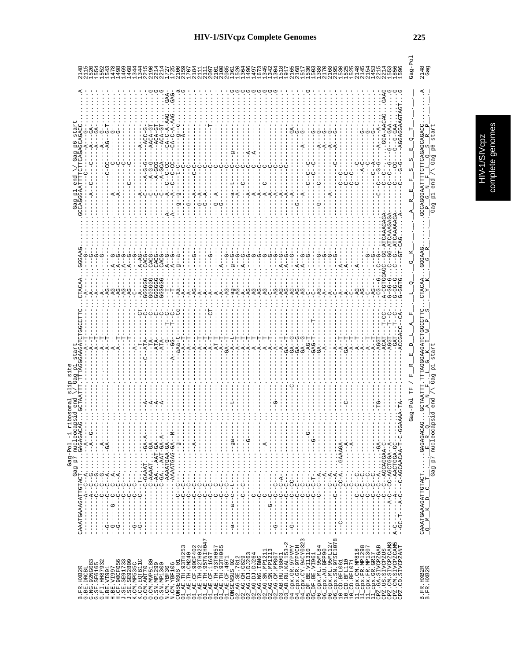|  | omes<br>5<br>00<br>н<br>ere |
|--|-----------------------------|

| $Gag-PK$<br>2148<br>Gag<br><u> ಈ വ സ ന ന ന ന പ</u><br>ഥ ന<br>ow∞o∞nonn∞n<br>m <sub>1</sub><br>4<br>⊥25547<br>000<br>419112200001190<br>$0 \vee 0 \vee 0 \vee 0$<br>nummud<br>Tummud<br>400.<br>4<br>HH W W H W O W N<br>$\circ$<br>4<br>4<br>$\circ$<br>$\sigma$<br><u>– ពេលល</u><br>ru ru ru 4<br>4<br>4<br>4332<br>$M$ $\Omega$ $\Omega$<br>m m m<br>4<br>4<br>6 m m m<br>Б<br>25<br>25<br>25<br>$N$ $N$ $N$<br>HΝ<br>C<br>てり<br>てり<br>K,<br>Q<br>GAG<br>ĞAA<br>GAA<br>-AGGAGGAAG<br>$-{\rm CA} - {\rm C} - {\rm A} - {\rm A} - {\rm A} i$<br>GGA-AAC<br>$- - - GAA$<br>GCCAGGGAATTTTCTTCAGAGCAGACC<br>COAGGGAATTTTCTTCAGAGCAGACC<br>$G - -G - G A A$<br>등<br>よび<br>Ü<br>$-ACA-C$<br>ט<br>י<br>F<br>E<br>ひ<br>ひ<br>ひ<br>てり<br>でり<br>てり<br>てり<br>C٦<br>てり<br>てり<br>てり<br>てり<br>てり<br>AACA-<br>τŋ<br>$-ACA$<br>$-ACC-$<br>তা<br>oj<br>$-AG-$<br>$- A -$<br>Ą<br>F<br>1<br>$-4$<br>К<br>Æ<br>F<br>Æ<br>ন্<br>ų.<br>Ó<br>囸<br>К<br>Gag<br>$\circ$<br>ωj<br>п<br>ن<br>ا<br>g<br>ひ<br>U<br>↻<br>↻<br>U<br>U<br>$-1 - 4 - 6$<br>U<br>O<br>U<br>O<br>t<br>ပု<br>Ğ<br>!<br>Ā<br>$\frac{1}{1}$<br>Ğ<br>U<br>U<br>U<br>CΩ<br>$-4 - 0$<br>ひ<br>$A - G$<br>ن<br>ا<br>O<br>U<br>U<br>O<br>O<br>U<br>O<br>C)<br>ပု<br>U<br>U<br>-1<br>$\overline{\phantom{a}}$<br>т<br>$\mathsf I$<br>Ŀ,<br>ပုံပုံ<br>$\frac{1}{2}$<br>U<br>Щ<br>U<br>U<br>U<br>U<br>↻<br>↻<br>U<br>U<br>O<br>O<br>C<br>C<br>C)<br>z<br>J.<br>п<br>1<br>$\frac{1}{1}$<br>л<br>囸<br>$\overline{A}$<br><b>Q</b><br>$\overline{A}$<br>$-1$<br>ত<br>K,<br>↻<br>$\overline{P}$<br>ゼ<br>Ť<br>J<br>R<br>T<br>$\overset{1}{\circ}$<br>Φ<br>Φ<br>ひ<br>ひ<br>$\frac{1}{2}$<br>ひ<br>י<br>י<br>⋖<br>ATCAAAAAG<br>-GG-ATCAAA<br>$GT-CA$<br>$-99 -$<br>Ţ<br><b>DAADDO</b><br>P<br>ひ<br>ပု<br>ひ<br>也<br>ᄞ<br>ᄄ<br>也<br>ひ<br>ひ<br>U<br>ט<br>℧<br>↻<br>U<br>U<br>$A - A$<br>ą<br>Ř<br>Ō<br>A<br>Ō,<br>ひ<br>ひ<br>K.<br>Æ<br>K.<br>U<br>◡<br>ਨਾ<br><b>ADDIDO-1</b><br>CTACAA<br>99999<br><b>GGGGG</b><br>じー<br>PGGLS-<br>×<br>GGGG<br><b>GGGG</b><br>$\circ$<br>$AG-$<br>ひ<br>ᆞ<br>.GCTAATTT.TTTAGGAAGATCTGGCCTTC<br>- A N F - L G K I W P S<br>UHUUUUHUHAGAAUUUAHHH .FI<br>Ŀ,<br>U<br>O<br>↻<br>↻<br>↻<br>U<br>s<br>S<br>$\frac{C}{1}$<br>O<br>$-1$<br>К<br>۴<br>Е<br>부<br>ACCGACC<br>ᆞ<br><b>GAT</b><br>-AGGT<br>⊢<br>ACAT<br>AGG'<br>ł<br>ATA<br>$-ATTA$<br>ᄞ<br>99 -<br>aAa-<br>$AT-$<br>Ť<br>GAG<br>ł<br>ł<br>ATA<br>ł<br>ŧ,<br>ł<br>ł<br>ł<br>ł<br>ł<br>$\frac{1}{1}$<br>ł<br>ł<br>ł<br>ł<br>í<br>ł<br>$AG-$<br>i.<br>$\Box$<br>start<br>К<br>К<br>K,<br>$\overline{A}$<br>Æ<br>යි<br>3<br>囸<br>$\overline{A}$<br>R<br>Ŀ,<br>Ë<br>$Gag-Po1$<br>$-4$<br>К<br>К<br>К<br>Gag p7 nucleocapsid<br>ÁÀ<br>CAAATGAAAGATTGTACTGAGAGACAG<br>C-AGCAACAA-T-C-G<br>-AAAATGAG-GA--M-<br>ל<br>י<br>$-4-4-6$<br>ł<br>ŧ<br>$-4-49-1$<br>'-AAAAT -GA---<br>'-AA AAT-GA---<br>'-GA AAT-GA-A-<br>f,<br>Œ,<br>1<br>J.<br>J,<br>$-GA$ -<br>ł<br>ł<br>п<br>I<br>$\frac{1}{1}$<br>$- -A - -$<br>$\frac{1}{1}$<br>$\frac{1}{1}$<br>$\frac{1}{1}$<br>п<br>$-1 - 4 - 1$<br>п<br>I<br>ł<br>ł<br>$-AAATGAA-GA-$<br>$-9a-$<br>j<br>Ġ<br> <br> <br>$\frac{1}{1}$<br>ن<br>۱<br>$\overline{\phantom{a}}$<br>$\begin{array}{c} \rule{0pt}{2.5ex} \rule{0pt}{2.5ex} \rule{0pt}{2.5ex} \rule{0pt}{2.5ex} \rule{0pt}{2.5ex} \rule{0pt}{2.5ex} \rule{0pt}{2.5ex} \rule{0pt}{2.5ex} \rule{0pt}{2.5ex} \rule{0pt}{2.5ex} \rule{0pt}{2.5ex} \rule{0pt}{2.5ex} \rule{0pt}{2.5ex} \rule{0pt}{2.5ex} \rule{0pt}{2.5ex} \rule{0pt}{2.5ex} \rule{0pt}{2.5ex} \rule{0pt}{2.5ex} \rule{0pt}{2.5ex} \rule{0$<br>$\mathbf{I}$<br>$\mathbf{I}$<br>I.<br>п<br>$-4 -$<br>т<br>п<br>Л<br>J.<br>J.<br>$\cdots$ - $-$ A-<br>Ţ<br>I<br>$\begin{array}{c} \end{array}$<br>$\frac{1}{1}$<br>$-6A$<br>$-1 - CC - AGCTGGA - A$<br>--AACTGGA-GC<br>ף<br>י<br>$-AGCAGGAAA-C$<br>回<br>$\,$ I<br>$\begin{array}{c} \end{array}$<br>$\mathbf{I}$<br>I<br>I<br>т<br>J<br>I<br>I<br>$\mathbf{I}$<br>J,<br>J<br>$\mathbf{I}$<br>T<br>$\blacksquare$<br>$\mathbf{I}$<br>$\mathbf{I}$<br>$\mathbf{I}$<br>Ħ<br>$\frac{1}{2}$<br>$\mathbf{I}$<br>п<br>л<br>$\frac{1}{2}$<br>$\frac{1}{2}$<br>$\frac{1}{2}$<br>$\frac{1}{2}$<br>$\frac{1}{2}$<br>п<br>п<br>H.<br>Ì<br>Ì<br>Ì<br>$\vdots$<br>Ì<br>Ì<br>$\vdots$<br>Ì<br>$\vdots$<br>Ì<br>È<br>Ì<br>Ì<br>$\vdots$<br>$\frac{1}{2}$<br>Ì<br>$\vdots$<br>Ì<br>Ì<br>Ì<br>$\vdots$<br>$\vdots$<br>$\vdots$<br>$\frac{1}{1}$<br>$\ddot{\cdot}$<br>$\vdots$<br>$\vdots$<br>$\vdots$<br>$\vdots$<br>$\vdots$<br>$-1 - -$<br>$\vdots$<br>$\cdot$<br>$\vdots$<br>$\ddot{\cdot}$<br>$- -A \ldots$<br>$\overline{1}$<br>$-4$<br>$- - A$<br>$-4$<br>$\mathbf I$<br>$- A -$<br>$\frac{1}{2}$<br>$-4$<br>$\begin{array}{c} 4000744 \\ + + + + + + \\ + + + + + \end{array}$<br>L.<br>↻<br>$\begin{array}{c} \nabla \cdot \nabla \cdot \nabla \cdot \nabla \cdot \nabla \cdot \nabla \cdot \nabla \cdot \nabla \cdot \nabla \cdot \nabla \cdot \nabla \cdot \nabla \cdot \nabla \cdot \nabla \cdot \nabla \cdot \nabla \cdot \nabla \cdot \nabla \cdot \nabla \cdot \nabla \cdot \nabla \cdot \nabla \cdot \nabla \cdot \nabla \cdot \nabla \cdot \nabla \cdot \nabla \cdot \nabla \cdot \nabla \cdot \nabla \cdot \nabla \cdot \nabla \cdot \nabla \cdot \nabla \cdot \nabla \cdot \nab$<br>CAAATGAAAGATTGTACT<br>ł<br>Ĵ<br>ė,<br>н<br>Ŧ<br>$\frac{1}{1}$<br>$\frac{1}{1}$<br>é<br>$\frac{1}{1}$<br>$\frac{1}{4}$<br>$\overline{\phantom{a}}$<br>$\mathsf I$<br>$\mathsf I$<br>$\frac{1}{1}$<br>$\frac{1}{4}$<br>$\mathbf{I}$<br>ŧ<br>Ť<br>Ť<br>$\mathbf{I}$<br>$\frac{1}{1}$<br>Ť<br>÷<br>$\frac{1}{1}$<br>÷<br>÷<br>$\begin{array}{c} \rule{0pt}{2.5ex} \rule{0pt}{2.5ex} \rule{0pt}{2.5ex} \rule{0pt}{2.5ex} \rule{0pt}{2.5ex} \rule{0pt}{2.5ex} \rule{0pt}{2.5ex} \rule{0pt}{2.5ex} \rule{0pt}{2.5ex} \rule{0pt}{2.5ex} \rule{0pt}{2.5ex} \rule{0pt}{2.5ex} \rule{0pt}{2.5ex} \rule{0pt}{2.5ex} \rule{0pt}{2.5ex} \rule{0pt}{2.5ex} \rule{0pt}{2.5ex} \rule{0pt}{2.5ex} \rule{0pt}{2.5ex} \rule{0$<br>$\mathbf{I}$<br>$\mathbf{I}$<br>$\overline{\phantom{a}}$<br>$\mathbf{I}$<br>i<br>-<br>U<br>I<br>U<br>U<br>U<br>$\frac{1}{1}$<br>ļ<br>U<br>U<br>U<br>U<br>U<br> <br>ט<br>ו<br>$\frac{1}{1}$<br>U<br>$\frac{1}{1}$<br>U<br>U<br>U<br>U<br>$\frac{1}{1}$<br>$\frac{1}{2}$<br>O<br>U<br>U<br>U<br>U<br>U<br>U<br>U<br>U<br>Ô<br>O<br>O<br>U<br>$\frac{1}{1}$<br>C<br>◡<br>U<br>U<br>◡<br>$\circ$<br>Ť<br>ŧ<br>÷<br>T<br>Ť<br>÷<br>÷<br>$\frac{1}{1}$<br>ŧ<br>ŧ<br>$\frac{1}{1}$<br>$\frac{1}{1}$<br>÷<br>Ť<br>÷<br>Ť<br>Ŧ<br>÷<br>$\frac{1}{1}$<br>Ť<br>$\blacksquare$<br>$\frac{1}{1}$<br>ł<br>÷<br>÷<br>÷<br>÷<br>÷<br>Ť<br>÷<br>-1<br>ŧ<br>-1<br>$\blacksquare$<br>$\mathbf{I}$<br>ŧ<br>-1<br>ŧ<br>÷<br>÷<br>$\frac{1}{1}$<br>п<br>j.<br>$\overline{\phantom{a}}$<br>Ÿ<br>$-4-$<br>U<br>K,<br>$-1$<br>ט<br>ו<br>↻<br>りーウー<br>ט<br>ו<br>i<br>$\frac{1}{1}$<br>$\frac{C}{1}$<br>ט<br>ו<br>$O - 1 - 1 - 1 - 1 - 1$<br>$-1$<br>$\begin{array}{c}\nC \\ 1\n\end{array}$<br>U<br>--<br>U<br>U<br>U<br>↻<br>$-1 - 5 - 1$<br>ں<br>ا<br>$0 - 1 - 1 - 1 - 1$<br>$\frac{1}{2}$<br>$-\frac{1}{2}$<br>U<br> <br>U<br>りー<br>U<br>ပု<br>К<br>י<br>ד<br>$\begin{array}{c}\n0 \\ 1\n\end{array}$<br>ט<br>ו<br>$\begin{array}{c}\n0 \\ 1\n\end{array}$<br>י<br>י<br>U<br>U<br>$\frac{1}{2}$<br>י<br>ו<br>$\frac{1}{2}$<br>$\square$<br>Ţ<br>Ī<br>Ţ<br>$\frac{1}{1}$<br>$\frac{1}{1}$<br>Ţ<br>Ī<br>÷<br>Ţ<br>$\mathbf{I}$<br>J<br>$\begin{array}{c} 1 \\ 1 \\ 1 \end{array}$<br>$\overline{\phantom{a}}$<br>ŧ<br>J.<br>Ţ<br>$\frac{1}{4}$<br>J<br>$\frac{1}{2}$<br>$-4 - 7$<br>J<br>J.<br>$\overline{\phantom{a}}$<br>$\mathbf{I}$<br>$\mathbf{I}$<br>$\overline{1}$<br>$\mathbf{I}$<br>J.<br>-1<br>$B$ - - - - - $B$<br>Ť.<br>Ï<br>$\begin{array}{c} 1 \\ 1 \\ 1 \end{array}$<br>$\overline{\phantom{a}}$<br>ı<br>I<br>$\begin{bmatrix} 1 \\ 1 \\ 1 \end{bmatrix}$<br>Ţ<br>$\frac{1}{1}$<br>$\frac{1}{1}$<br>$\frac{1}{1}$<br>×<br>$\mathbf{I}$<br>$\begin{array}{c} \end{array}$<br>I<br>Ţ<br>$\mathbf{I}$<br>$\mathbf{I}$<br>$\frac{1}{1}$<br>J.<br>I<br>I<br>$\mathbf{I}$<br>J.<br>п<br>$\mathbf{I}$<br>J<br>-<br>P<br>P<br>P<br>P<br>P<br>P<br>P<br>P<br>P<br>P<br>i<br>p<br>t<br>P<br>$\frac{1}{1}$<br>$\frac{1}{1}$<br>J.<br>1<br>$\frac{1}{1}$<br>л<br>ł<br>п<br>1<br>п<br>ı<br>ł<br>п<br>l,<br>$\frac{1}{1}$<br>п<br>$\frac{1}{1}$<br>л<br>-1<br>Ť<br>$\frac{1}{1}$<br>Σ<br>ï<br>J.<br>ï<br>$-1$<br>ï<br>$\mathbf{I}$<br>$\frac{1}{2}$<br>ţ<br>$\frac{1}{1}$<br>$\overline{\phantom{a}}$<br>J<br>J<br>۱Ä<br>ပု<br>ပု<br>ပု<br>ပု<br>ပု<br>I<br>I<br>J<br>$\mathbf{I}$<br>J<br>J,<br>ပု<br>J<br>$\mathbf{I}$<br>I<br>J<br>$A-C$<br>$\circ$<br>L.<br>$\mathbf{I}$<br>$\blacksquare$<br>п<br>-1<br>$\mathbf{I}$<br>п<br>-1<br>п<br>-1<br>L.<br>л<br>$\mathbf{I}$<br>$\mathbf{I}$<br>$\overline{1}$<br>$\mathbf{I}$<br>-<br>- 1<br>$\begin{array}{l} 04-{\rm cycx.} (37.97{\rm FWW})\\ 04-{\rm cycx.} (37.97{\rm FWW})\\ 04-{\rm cycx.} (37.97{\rm VWH})\\ 05-{\rm DF} : {\rm B^2}. {\rm W1310} \\ 06-{\rm cycx.} (37.961)\\ 07-{\rm cycx.} (37.961)\\ 06-{\rm cycx.} (37.961)\\ 07-{\rm cycx.} (37.961)\\ 08-{\rm cycx.} (37.95{\rm EDM})\\ 09-{\rm cycx.} (37.95{\rm EDM})\\ 09$<br>$\begin{smallmatrix} \texttt{B.} & \texttt{IR.117B2R}\\ \texttt{G.18E.15ECGB3}\\ \texttt{G.18E.15ECGB3}\\ \texttt{G.18E.15ECGB3}\\ \texttt{G.18E.15E733}\\ \texttt{G.18E.15E733}\\ \texttt{G.18E.15E733}\\ \texttt{G.18E.15E733}\\ \texttt{G.18E.15E733}\\ \texttt{G.18E.15E733}\\ \texttt{G.18E.15E733}\\ \texttt{G.18E.15E730}\\ \texttt{G.$<br>CPZ.CM.SIVCPZCAM3<br>CPZ.CM.SIVCPZCAM5<br>CPZ.CD.SIVCPZANT<br>$\begin{array}{l} 11\!\!-\!\! \begin{array}{l} \texttt{CPX}.\texttt{ON}.\texttt{WFB18}\\ 11\!\!-\!\! \begin{array}{l} \texttt{CPX}.\texttt{FN}.\texttt{WFB139}\\ 11\!\!-\!\! \begin{array}{l} \texttt{CPX}.\texttt{FN}.\texttt{WFB1307}\\ 11\!\!-\!\! \begin{array}{l} \texttt{CPX}.\texttt{BN}.\texttt{WFB1307}\\ 11\!\!-\!\! \begin{array}{l} \texttt{CPX}.\texttt{SN}.\texttt{CPZAB}\\ 11\!\!-\!\! \begin{array}{l} \texttt$<br>B.FR.HXB2R<br>B.FR.HXB2R |  | ᄞ<br>ဥ<br>g-Pol -1 z<br>7 nucleoca<br>GAGAGAC<br>Gag-Pol<br>Gag p7 nuc. | Ф<br>$\vec{p}$<br>31 <sub>0</sub><br>Gag<br>٩Ē<br>ω<br>GCTAAT<br>end<br>soma<br>bris | star | CACAAA | GGGAAG |     |     | Gag pl end \/ Gag p6 star<br>CCAGGGAATTTTCTTCAGAGACAGACC |  |
|---------------------------------------------------------------------------------------------------------------------------------------------------------------------------------------------------------------------------------------------------------------------------------------------------------------------------------------------------------------------------------------------------------------------------------------------------------------------------------------------------------------------------------------------------------------------------------------------------------------------------------------------------------------------------------------------------------------------------------------------------------------------------------------------------------------------------------------------------------------------------------------------------------------------------------------------------------------------------------------------------------------------------------------------------------------------------------------------------------------------------------------------------------------------------------------------------------------------------------------------------------------------------------------------------------------------------------------------------------------------------------------------------------------------------------------------------------------------------------------------------------------------------------------------------------------------------------------------------------------------------------------------------------------------------------------------------------------------------------------------------------------------------------------------------------------------------------------------------------------------------------------------------------------------------------------------------------------------------------------------------------------------------------------------------------------------------------------------------------------------------------------------------------------------------------------------------------------------------------------------------------------------------------------------------------------------------------------------------------------------------------------------------------------------------------------------------------------------------------------------------------------------------------------------------------------------------------------------------------------------------------------------------------------------------------------------------------------------------------------------------------------------------------------------------------------------------------------------------------------------------------------------------------------------------------------------------------------------------------------------------------------------------------------------------------------------------------------------------------------------------------------------------------------------------------------------------------------------------------------------------------------------------------------------------------------------------------------------------------------------------------------------------------------------------------------------------------------------------------------------------------------------------------------------------------------------------------------------------------------------------------------------------------------------------------------------------------------------------------------------------------------------------------------------------------------------------------------------------------------------------------------------------------------------------------------------------------------------------------------------------------------------------------------------------------------------------------------------------------------------------------------------------------------------------------------------------------------------------------------------------------------------------------------------------------------------------------------------------------------------------------------------------------------------------------------------------------------------------------------------------------------------------------------------------------------------------------------------------------------------------------------------------------------------------------------------------------------------------------------------------------------------------------------------------------------------------------------------------------------------------------------------------------------------------------------------------------------------------------------------------------------------------------------------------------------------------------------------------------------------------------------------------------------------------------------------------------------------------------------------------------------------------------------------------------------------------------------------------------------------------------------------------------------------------------------------------------------------------------------------------------------------------------------------------------------------------------------------------------------------------------------------------------------------------------------------------------------------------------------------------------------------------------------------------------------------------------------------------------------------------------------------------------------------------------------------------------------------------------------------------------------------------------------------------------------------------------------------------------------------------------------------------------------------------------------------------------------------------------------------------------------------------------------------------------------------------------------------------------------------------------------------------------------------------------------------------------------------------------------------------------------------------------------------------------------------------------------------------------------------------------------------------------------------------------------------------------------------------------------------------------------------------------------------------------------------------------------------------------------------------------------------------------------------------------------------------------------------------------------------------------------------------------------------------------------------------------------------------------------------------------------------------------------------------------------------------------------------------------------------------------------------------------------------------------------------------------------------------------------------------------------------------------------------------------------------------------------------------------------------------------------------------------------------------------------------------------------------------------------------------------------------------------------------------------------------------------------------------------------------------------------------------------------------------------------------------------------------------------------------------------------------------------------------------------------------------------------------------------------------------------------------------------------------------------------------------------------------------------------------------------------------------------------------------------------------------------------------------------------------------------------------------------------------------------------------------------------------------------------------------------------------------------------------------------------------------------------------------------------------------------------------------------------------------------------------------------------------------------------------------------------------------------------------------------------------------------------------------------------------------------------------------------------------------------------------------------------------------------------------------------------------------------------------------------------------------------------------------------------------------------------------------------------------------------------------------------------------------------------------------------------------------------------------------------------------------------------------------------------------------------------------------------------------------------------------------------------------------------------------------------------------------------------------------------------------------------------------------------------------------------------------------------------------------------------------------------------------------------------------------------------------------------------------------------------------------------------------------------------------------------------------------------------------------------------------------------------------------------------------------------------------------------------------------------------------------------|--|-------------------------------------------------------------------------|--------------------------------------------------------------------------------------|------|--------|--------|-----|-----|----------------------------------------------------------|--|
|                                                                                                                                                                                                                                                                                                                                                                                                                                                                                                                                                                                                                                                                                                                                                                                                                                                                                                                                                                                                                                                                                                                                                                                                                                                                                                                                                                                                                                                                                                                                                                                                                                                                                                                                                                                                                                                                                                                                                                                                                                                                                                                                                                                                                                                                                                                                                                                                                                                                                                                                                                                                                                                                                                                                                                                                                                                                                                                                                                                                                                                                                                                                                                                                                                                                                                                                                                                                                                                                                                                                                                                                                                                                                                                                                                                                                                                                                                                                                                                                                                                                                                                                                                                                                                                                                                                                                                                                                                                                                                                                                                                                                                                                                                                                                                                                                                                                                                                                                                                                                                                                                                                                                                                                                                                                                                                                                                                                                                                                                                                                                                                                                                                                                                                                                                                                                                                                                                                                                                                                                                                                                                                                                                                                                                                                                                                                                                                                                                                                                                                                                                                                                                                                                                                                                                                                                                                                                                                                                                                                                                                                                                                                                                                                                                                                                                                                                                                                                                                                                                                                                                                                                                                                                                                                                                                                                                                                                                                                                                                                                                                                                                                                                                                                                                                                                                                                                                                                                                                                                                                                                                                                                                                                                                                                                                                                                                                                                                                                                                                                                                                                                                                                                                                                                                                                                                                                                                                                                                                                                                                                                                                                                                                                                                                                                                                                                                                                                                                                                         |  |                                                                         |                                                                                      |      |        |        |     |     |                                                          |  |
|                                                                                                                                                                                                                                                                                                                                                                                                                                                                                                                                                                                                                                                                                                                                                                                                                                                                                                                                                                                                                                                                                                                                                                                                                                                                                                                                                                                                                                                                                                                                                                                                                                                                                                                                                                                                                                                                                                                                                                                                                                                                                                                                                                                                                                                                                                                                                                                                                                                                                                                                                                                                                                                                                                                                                                                                                                                                                                                                                                                                                                                                                                                                                                                                                                                                                                                                                                                                                                                                                                                                                                                                                                                                                                                                                                                                                                                                                                                                                                                                                                                                                                                                                                                                                                                                                                                                                                                                                                                                                                                                                                                                                                                                                                                                                                                                                                                                                                                                                                                                                                                                                                                                                                                                                                                                                                                                                                                                                                                                                                                                                                                                                                                                                                                                                                                                                                                                                                                                                                                                                                                                                                                                                                                                                                                                                                                                                                                                                                                                                                                                                                                                                                                                                                                                                                                                                                                                                                                                                                                                                                                                                                                                                                                                                                                                                                                                                                                                                                                                                                                                                                                                                                                                                                                                                                                                                                                                                                                                                                                                                                                                                                                                                                                                                                                                                                                                                                                                                                                                                                                                                                                                                                                                                                                                                                                                                                                                                                                                                                                                                                                                                                                                                                                                                                                                                                                                                                                                                                                                                                                                                                                                                                                                                                                                                                                                                                                                                                                                                         |  |                                                                         |                                                                                      |      |        |        |     |     |                                                          |  |
|                                                                                                                                                                                                                                                                                                                                                                                                                                                                                                                                                                                                                                                                                                                                                                                                                                                                                                                                                                                                                                                                                                                                                                                                                                                                                                                                                                                                                                                                                                                                                                                                                                                                                                                                                                                                                                                                                                                                                                                                                                                                                                                                                                                                                                                                                                                                                                                                                                                                                                                                                                                                                                                                                                                                                                                                                                                                                                                                                                                                                                                                                                                                                                                                                                                                                                                                                                                                                                                                                                                                                                                                                                                                                                                                                                                                                                                                                                                                                                                                                                                                                                                                                                                                                                                                                                                                                                                                                                                                                                                                                                                                                                                                                                                                                                                                                                                                                                                                                                                                                                                                                                                                                                                                                                                                                                                                                                                                                                                                                                                                                                                                                                                                                                                                                                                                                                                                                                                                                                                                                                                                                                                                                                                                                                                                                                                                                                                                                                                                                                                                                                                                                                                                                                                                                                                                                                                                                                                                                                                                                                                                                                                                                                                                                                                                                                                                                                                                                                                                                                                                                                                                                                                                                                                                                                                                                                                                                                                                                                                                                                                                                                                                                                                                                                                                                                                                                                                                                                                                                                                                                                                                                                                                                                                                                                                                                                                                                                                                                                                                                                                                                                                                                                                                                                                                                                                                                                                                                                                                                                                                                                                                                                                                                                                                                                                                                                                                                                                                                         |  |                                                                         |                                                                                      |      |        |        |     |     |                                                          |  |
|                                                                                                                                                                                                                                                                                                                                                                                                                                                                                                                                                                                                                                                                                                                                                                                                                                                                                                                                                                                                                                                                                                                                                                                                                                                                                                                                                                                                                                                                                                                                                                                                                                                                                                                                                                                                                                                                                                                                                                                                                                                                                                                                                                                                                                                                                                                                                                                                                                                                                                                                                                                                                                                                                                                                                                                                                                                                                                                                                                                                                                                                                                                                                                                                                                                                                                                                                                                                                                                                                                                                                                                                                                                                                                                                                                                                                                                                                                                                                                                                                                                                                                                                                                                                                                                                                                                                                                                                                                                                                                                                                                                                                                                                                                                                                                                                                                                                                                                                                                                                                                                                                                                                                                                                                                                                                                                                                                                                                                                                                                                                                                                                                                                                                                                                                                                                                                                                                                                                                                                                                                                                                                                                                                                                                                                                                                                                                                                                                                                                                                                                                                                                                                                                                                                                                                                                                                                                                                                                                                                                                                                                                                                                                                                                                                                                                                                                                                                                                                                                                                                                                                                                                                                                                                                                                                                                                                                                                                                                                                                                                                                                                                                                                                                                                                                                                                                                                                                                                                                                                                                                                                                                                                                                                                                                                                                                                                                                                                                                                                                                                                                                                                                                                                                                                                                                                                                                                                                                                                                                                                                                                                                                                                                                                                                                                                                                                                                                                                                                                         |  |                                                                         |                                                                                      |      |        |        |     |     |                                                          |  |
|                                                                                                                                                                                                                                                                                                                                                                                                                                                                                                                                                                                                                                                                                                                                                                                                                                                                                                                                                                                                                                                                                                                                                                                                                                                                                                                                                                                                                                                                                                                                                                                                                                                                                                                                                                                                                                                                                                                                                                                                                                                                                                                                                                                                                                                                                                                                                                                                                                                                                                                                                                                                                                                                                                                                                                                                                                                                                                                                                                                                                                                                                                                                                                                                                                                                                                                                                                                                                                                                                                                                                                                                                                                                                                                                                                                                                                                                                                                                                                                                                                                                                                                                                                                                                                                                                                                                                                                                                                                                                                                                                                                                                                                                                                                                                                                                                                                                                                                                                                                                                                                                                                                                                                                                                                                                                                                                                                                                                                                                                                                                                                                                                                                                                                                                                                                                                                                                                                                                                                                                                                                                                                                                                                                                                                                                                                                                                                                                                                                                                                                                                                                                                                                                                                                                                                                                                                                                                                                                                                                                                                                                                                                                                                                                                                                                                                                                                                                                                                                                                                                                                                                                                                                                                                                                                                                                                                                                                                                                                                                                                                                                                                                                                                                                                                                                                                                                                                                                                                                                                                                                                                                                                                                                                                                                                                                                                                                                                                                                                                                                                                                                                                                                                                                                                                                                                                                                                                                                                                                                                                                                                                                                                                                                                                                                                                                                                                                                                                                                                         |  |                                                                         |                                                                                      |      |        |        |     |     |                                                          |  |
|                                                                                                                                                                                                                                                                                                                                                                                                                                                                                                                                                                                                                                                                                                                                                                                                                                                                                                                                                                                                                                                                                                                                                                                                                                                                                                                                                                                                                                                                                                                                                                                                                                                                                                                                                                                                                                                                                                                                                                                                                                                                                                                                                                                                                                                                                                                                                                                                                                                                                                                                                                                                                                                                                                                                                                                                                                                                                                                                                                                                                                                                                                                                                                                                                                                                                                                                                                                                                                                                                                                                                                                                                                                                                                                                                                                                                                                                                                                                                                                                                                                                                                                                                                                                                                                                                                                                                                                                                                                                                                                                                                                                                                                                                                                                                                                                                                                                                                                                                                                                                                                                                                                                                                                                                                                                                                                                                                                                                                                                                                                                                                                                                                                                                                                                                                                                                                                                                                                                                                                                                                                                                                                                                                                                                                                                                                                                                                                                                                                                                                                                                                                                                                                                                                                                                                                                                                                                                                                                                                                                                                                                                                                                                                                                                                                                                                                                                                                                                                                                                                                                                                                                                                                                                                                                                                                                                                                                                                                                                                                                                                                                                                                                                                                                                                                                                                                                                                                                                                                                                                                                                                                                                                                                                                                                                                                                                                                                                                                                                                                                                                                                                                                                                                                                                                                                                                                                                                                                                                                                                                                                                                                                                                                                                                                                                                                                                                                                                                                                                         |  |                                                                         |                                                                                      |      |        |        |     |     |                                                          |  |
|                                                                                                                                                                                                                                                                                                                                                                                                                                                                                                                                                                                                                                                                                                                                                                                                                                                                                                                                                                                                                                                                                                                                                                                                                                                                                                                                                                                                                                                                                                                                                                                                                                                                                                                                                                                                                                                                                                                                                                                                                                                                                                                                                                                                                                                                                                                                                                                                                                                                                                                                                                                                                                                                                                                                                                                                                                                                                                                                                                                                                                                                                                                                                                                                                                                                                                                                                                                                                                                                                                                                                                                                                                                                                                                                                                                                                                                                                                                                                                                                                                                                                                                                                                                                                                                                                                                                                                                                                                                                                                                                                                                                                                                                                                                                                                                                                                                                                                                                                                                                                                                                                                                                                                                                                                                                                                                                                                                                                                                                                                                                                                                                                                                                                                                                                                                                                                                                                                                                                                                                                                                                                                                                                                                                                                                                                                                                                                                                                                                                                                                                                                                                                                                                                                                                                                                                                                                                                                                                                                                                                                                                                                                                                                                                                                                                                                                                                                                                                                                                                                                                                                                                                                                                                                                                                                                                                                                                                                                                                                                                                                                                                                                                                                                                                                                                                                                                                                                                                                                                                                                                                                                                                                                                                                                                                                                                                                                                                                                                                                                                                                                                                                                                                                                                                                                                                                                                                                                                                                                                                                                                                                                                                                                                                                                                                                                                                                                                                                                                                         |  |                                                                         |                                                                                      |      |        |        |     |     |                                                          |  |
|                                                                                                                                                                                                                                                                                                                                                                                                                                                                                                                                                                                                                                                                                                                                                                                                                                                                                                                                                                                                                                                                                                                                                                                                                                                                                                                                                                                                                                                                                                                                                                                                                                                                                                                                                                                                                                                                                                                                                                                                                                                                                                                                                                                                                                                                                                                                                                                                                                                                                                                                                                                                                                                                                                                                                                                                                                                                                                                                                                                                                                                                                                                                                                                                                                                                                                                                                                                                                                                                                                                                                                                                                                                                                                                                                                                                                                                                                                                                                                                                                                                                                                                                                                                                                                                                                                                                                                                                                                                                                                                                                                                                                                                                                                                                                                                                                                                                                                                                                                                                                                                                                                                                                                                                                                                                                                                                                                                                                                                                                                                                                                                                                                                                                                                                                                                                                                                                                                                                                                                                                                                                                                                                                                                                                                                                                                                                                                                                                                                                                                                                                                                                                                                                                                                                                                                                                                                                                                                                                                                                                                                                                                                                                                                                                                                                                                                                                                                                                                                                                                                                                                                                                                                                                                                                                                                                                                                                                                                                                                                                                                                                                                                                                                                                                                                                                                                                                                                                                                                                                                                                                                                                                                                                                                                                                                                                                                                                                                                                                                                                                                                                                                                                                                                                                                                                                                                                                                                                                                                                                                                                                                                                                                                                                                                                                                                                                                                                                                                                                         |  |                                                                         |                                                                                      |      |        |        |     |     |                                                          |  |
|                                                                                                                                                                                                                                                                                                                                                                                                                                                                                                                                                                                                                                                                                                                                                                                                                                                                                                                                                                                                                                                                                                                                                                                                                                                                                                                                                                                                                                                                                                                                                                                                                                                                                                                                                                                                                                                                                                                                                                                                                                                                                                                                                                                                                                                                                                                                                                                                                                                                                                                                                                                                                                                                                                                                                                                                                                                                                                                                                                                                                                                                                                                                                                                                                                                                                                                                                                                                                                                                                                                                                                                                                                                                                                                                                                                                                                                                                                                                                                                                                                                                                                                                                                                                                                                                                                                                                                                                                                                                                                                                                                                                                                                                                                                                                                                                                                                                                                                                                                                                                                                                                                                                                                                                                                                                                                                                                                                                                                                                                                                                                                                                                                                                                                                                                                                                                                                                                                                                                                                                                                                                                                                                                                                                                                                                                                                                                                                                                                                                                                                                                                                                                                                                                                                                                                                                                                                                                                                                                                                                                                                                                                                                                                                                                                                                                                                                                                                                                                                                                                                                                                                                                                                                                                                                                                                                                                                                                                                                                                                                                                                                                                                                                                                                                                                                                                                                                                                                                                                                                                                                                                                                                                                                                                                                                                                                                                                                                                                                                                                                                                                                                                                                                                                                                                                                                                                                                                                                                                                                                                                                                                                                                                                                                                                                                                                                                                                                                                                                                         |  |                                                                         |                                                                                      |      |        |        |     |     |                                                          |  |
|                                                                                                                                                                                                                                                                                                                                                                                                                                                                                                                                                                                                                                                                                                                                                                                                                                                                                                                                                                                                                                                                                                                                                                                                                                                                                                                                                                                                                                                                                                                                                                                                                                                                                                                                                                                                                                                                                                                                                                                                                                                                                                                                                                                                                                                                                                                                                                                                                                                                                                                                                                                                                                                                                                                                                                                                                                                                                                                                                                                                                                                                                                                                                                                                                                                                                                                                                                                                                                                                                                                                                                                                                                                                                                                                                                                                                                                                                                                                                                                                                                                                                                                                                                                                                                                                                                                                                                                                                                                                                                                                                                                                                                                                                                                                                                                                                                                                                                                                                                                                                                                                                                                                                                                                                                                                                                                                                                                                                                                                                                                                                                                                                                                                                                                                                                                                                                                                                                                                                                                                                                                                                                                                                                                                                                                                                                                                                                                                                                                                                                                                                                                                                                                                                                                                                                                                                                                                                                                                                                                                                                                                                                                                                                                                                                                                                                                                                                                                                                                                                                                                                                                                                                                                                                                                                                                                                                                                                                                                                                                                                                                                                                                                                                                                                                                                                                                                                                                                                                                                                                                                                                                                                                                                                                                                                                                                                                                                                                                                                                                                                                                                                                                                                                                                                                                                                                                                                                                                                                                                                                                                                                                                                                                                                                                                                                                                                                                                                                                                                         |  |                                                                         |                                                                                      |      |        |        |     |     |                                                          |  |
|                                                                                                                                                                                                                                                                                                                                                                                                                                                                                                                                                                                                                                                                                                                                                                                                                                                                                                                                                                                                                                                                                                                                                                                                                                                                                                                                                                                                                                                                                                                                                                                                                                                                                                                                                                                                                                                                                                                                                                                                                                                                                                                                                                                                                                                                                                                                                                                                                                                                                                                                                                                                                                                                                                                                                                                                                                                                                                                                                                                                                                                                                                                                                                                                                                                                                                                                                                                                                                                                                                                                                                                                                                                                                                                                                                                                                                                                                                                                                                                                                                                                                                                                                                                                                                                                                                                                                                                                                                                                                                                                                                                                                                                                                                                                                                                                                                                                                                                                                                                                                                                                                                                                                                                                                                                                                                                                                                                                                                                                                                                                                                                                                                                                                                                                                                                                                                                                                                                                                                                                                                                                                                                                                                                                                                                                                                                                                                                                                                                                                                                                                                                                                                                                                                                                                                                                                                                                                                                                                                                                                                                                                                                                                                                                                                                                                                                                                                                                                                                                                                                                                                                                                                                                                                                                                                                                                                                                                                                                                                                                                                                                                                                                                                                                                                                                                                                                                                                                                                                                                                                                                                                                                                                                                                                                                                                                                                                                                                                                                                                                                                                                                                                                                                                                                                                                                                                                                                                                                                                                                                                                                                                                                                                                                                                                                                                                                                                                                                                                                         |  |                                                                         |                                                                                      |      |        |        |     |     |                                                          |  |
|                                                                                                                                                                                                                                                                                                                                                                                                                                                                                                                                                                                                                                                                                                                                                                                                                                                                                                                                                                                                                                                                                                                                                                                                                                                                                                                                                                                                                                                                                                                                                                                                                                                                                                                                                                                                                                                                                                                                                                                                                                                                                                                                                                                                                                                                                                                                                                                                                                                                                                                                                                                                                                                                                                                                                                                                                                                                                                                                                                                                                                                                                                                                                                                                                                                                                                                                                                                                                                                                                                                                                                                                                                                                                                                                                                                                                                                                                                                                                                                                                                                                                                                                                                                                                                                                                                                                                                                                                                                                                                                                                                                                                                                                                                                                                                                                                                                                                                                                                                                                                                                                                                                                                                                                                                                                                                                                                                                                                                                                                                                                                                                                                                                                                                                                                                                                                                                                                                                                                                                                                                                                                                                                                                                                                                                                                                                                                                                                                                                                                                                                                                                                                                                                                                                                                                                                                                                                                                                                                                                                                                                                                                                                                                                                                                                                                                                                                                                                                                                                                                                                                                                                                                                                                                                                                                                                                                                                                                                                                                                                                                                                                                                                                                                                                                                                                                                                                                                                                                                                                                                                                                                                                                                                                                                                                                                                                                                                                                                                                                                                                                                                                                                                                                                                                                                                                                                                                                                                                                                                                                                                                                                                                                                                                                                                                                                                                                                                                                                                                         |  |                                                                         |                                                                                      |      |        |        |     |     |                                                          |  |
|                                                                                                                                                                                                                                                                                                                                                                                                                                                                                                                                                                                                                                                                                                                                                                                                                                                                                                                                                                                                                                                                                                                                                                                                                                                                                                                                                                                                                                                                                                                                                                                                                                                                                                                                                                                                                                                                                                                                                                                                                                                                                                                                                                                                                                                                                                                                                                                                                                                                                                                                                                                                                                                                                                                                                                                                                                                                                                                                                                                                                                                                                                                                                                                                                                                                                                                                                                                                                                                                                                                                                                                                                                                                                                                                                                                                                                                                                                                                                                                                                                                                                                                                                                                                                                                                                                                                                                                                                                                                                                                                                                                                                                                                                                                                                                                                                                                                                                                                                                                                                                                                                                                                                                                                                                                                                                                                                                                                                                                                                                                                                                                                                                                                                                                                                                                                                                                                                                                                                                                                                                                                                                                                                                                                                                                                                                                                                                                                                                                                                                                                                                                                                                                                                                                                                                                                                                                                                                                                                                                                                                                                                                                                                                                                                                                                                                                                                                                                                                                                                                                                                                                                                                                                                                                                                                                                                                                                                                                                                                                                                                                                                                                                                                                                                                                                                                                                                                                                                                                                                                                                                                                                                                                                                                                                                                                                                                                                                                                                                                                                                                                                                                                                                                                                                                                                                                                                                                                                                                                                                                                                                                                                                                                                                                                                                                                                                                                                                                                                                         |  |                                                                         |                                                                                      |      |        |        |     |     |                                                          |  |
|                                                                                                                                                                                                                                                                                                                                                                                                                                                                                                                                                                                                                                                                                                                                                                                                                                                                                                                                                                                                                                                                                                                                                                                                                                                                                                                                                                                                                                                                                                                                                                                                                                                                                                                                                                                                                                                                                                                                                                                                                                                                                                                                                                                                                                                                                                                                                                                                                                                                                                                                                                                                                                                                                                                                                                                                                                                                                                                                                                                                                                                                                                                                                                                                                                                                                                                                                                                                                                                                                                                                                                                                                                                                                                                                                                                                                                                                                                                                                                                                                                                                                                                                                                                                                                                                                                                                                                                                                                                                                                                                                                                                                                                                                                                                                                                                                                                                                                                                                                                                                                                                                                                                                                                                                                                                                                                                                                                                                                                                                                                                                                                                                                                                                                                                                                                                                                                                                                                                                                                                                                                                                                                                                                                                                                                                                                                                                                                                                                                                                                                                                                                                                                                                                                                                                                                                                                                                                                                                                                                                                                                                                                                                                                                                                                                                                                                                                                                                                                                                                                                                                                                                                                                                                                                                                                                                                                                                                                                                                                                                                                                                                                                                                                                                                                                                                                                                                                                                                                                                                                                                                                                                                                                                                                                                                                                                                                                                                                                                                                                                                                                                                                                                                                                                                                                                                                                                                                                                                                                                                                                                                                                                                                                                                                                                                                                                                                                                                                                                                         |  |                                                                         |                                                                                      |      |        |        |     |     |                                                          |  |
|                                                                                                                                                                                                                                                                                                                                                                                                                                                                                                                                                                                                                                                                                                                                                                                                                                                                                                                                                                                                                                                                                                                                                                                                                                                                                                                                                                                                                                                                                                                                                                                                                                                                                                                                                                                                                                                                                                                                                                                                                                                                                                                                                                                                                                                                                                                                                                                                                                                                                                                                                                                                                                                                                                                                                                                                                                                                                                                                                                                                                                                                                                                                                                                                                                                                                                                                                                                                                                                                                                                                                                                                                                                                                                                                                                                                                                                                                                                                                                                                                                                                                                                                                                                                                                                                                                                                                                                                                                                                                                                                                                                                                                                                                                                                                                                                                                                                                                                                                                                                                                                                                                                                                                                                                                                                                                                                                                                                                                                                                                                                                                                                                                                                                                                                                                                                                                                                                                                                                                                                                                                                                                                                                                                                                                                                                                                                                                                                                                                                                                                                                                                                                                                                                                                                                                                                                                                                                                                                                                                                                                                                                                                                                                                                                                                                                                                                                                                                                                                                                                                                                                                                                                                                                                                                                                                                                                                                                                                                                                                                                                                                                                                                                                                                                                                                                                                                                                                                                                                                                                                                                                                                                                                                                                                                                                                                                                                                                                                                                                                                                                                                                                                                                                                                                                                                                                                                                                                                                                                                                                                                                                                                                                                                                                                                                                                                                                                                                                                                                         |  |                                                                         |                                                                                      |      |        |        |     |     |                                                          |  |
|                                                                                                                                                                                                                                                                                                                                                                                                                                                                                                                                                                                                                                                                                                                                                                                                                                                                                                                                                                                                                                                                                                                                                                                                                                                                                                                                                                                                                                                                                                                                                                                                                                                                                                                                                                                                                                                                                                                                                                                                                                                                                                                                                                                                                                                                                                                                                                                                                                                                                                                                                                                                                                                                                                                                                                                                                                                                                                                                                                                                                                                                                                                                                                                                                                                                                                                                                                                                                                                                                                                                                                                                                                                                                                                                                                                                                                                                                                                                                                                                                                                                                                                                                                                                                                                                                                                                                                                                                                                                                                                                                                                                                                                                                                                                                                                                                                                                                                                                                                                                                                                                                                                                                                                                                                                                                                                                                                                                                                                                                                                                                                                                                                                                                                                                                                                                                                                                                                                                                                                                                                                                                                                                                                                                                                                                                                                                                                                                                                                                                                                                                                                                                                                                                                                                                                                                                                                                                                                                                                                                                                                                                                                                                                                                                                                                                                                                                                                                                                                                                                                                                                                                                                                                                                                                                                                                                                                                                                                                                                                                                                                                                                                                                                                                                                                                                                                                                                                                                                                                                                                                                                                                                                                                                                                                                                                                                                                                                                                                                                                                                                                                                                                                                                                                                                                                                                                                                                                                                                                                                                                                                                                                                                                                                                                                                                                                                                                                                                                                                         |  |                                                                         |                                                                                      |      |        |        |     |     |                                                          |  |
|                                                                                                                                                                                                                                                                                                                                                                                                                                                                                                                                                                                                                                                                                                                                                                                                                                                                                                                                                                                                                                                                                                                                                                                                                                                                                                                                                                                                                                                                                                                                                                                                                                                                                                                                                                                                                                                                                                                                                                                                                                                                                                                                                                                                                                                                                                                                                                                                                                                                                                                                                                                                                                                                                                                                                                                                                                                                                                                                                                                                                                                                                                                                                                                                                                                                                                                                                                                                                                                                                                                                                                                                                                                                                                                                                                                                                                                                                                                                                                                                                                                                                                                                                                                                                                                                                                                                                                                                                                                                                                                                                                                                                                                                                                                                                                                                                                                                                                                                                                                                                                                                                                                                                                                                                                                                                                                                                                                                                                                                                                                                                                                                                                                                                                                                                                                                                                                                                                                                                                                                                                                                                                                                                                                                                                                                                                                                                                                                                                                                                                                                                                                                                                                                                                                                                                                                                                                                                                                                                                                                                                                                                                                                                                                                                                                                                                                                                                                                                                                                                                                                                                                                                                                                                                                                                                                                                                                                                                                                                                                                                                                                                                                                                                                                                                                                                                                                                                                                                                                                                                                                                                                                                                                                                                                                                                                                                                                                                                                                                                                                                                                                                                                                                                                                                                                                                                                                                                                                                                                                                                                                                                                                                                                                                                                                                                                                                                                                                                                                                         |  |                                                                         |                                                                                      |      |        |        |     |     |                                                          |  |
|                                                                                                                                                                                                                                                                                                                                                                                                                                                                                                                                                                                                                                                                                                                                                                                                                                                                                                                                                                                                                                                                                                                                                                                                                                                                                                                                                                                                                                                                                                                                                                                                                                                                                                                                                                                                                                                                                                                                                                                                                                                                                                                                                                                                                                                                                                                                                                                                                                                                                                                                                                                                                                                                                                                                                                                                                                                                                                                                                                                                                                                                                                                                                                                                                                                                                                                                                                                                                                                                                                                                                                                                                                                                                                                                                                                                                                                                                                                                                                                                                                                                                                                                                                                                                                                                                                                                                                                                                                                                                                                                                                                                                                                                                                                                                                                                                                                                                                                                                                                                                                                                                                                                                                                                                                                                                                                                                                                                                                                                                                                                                                                                                                                                                                                                                                                                                                                                                                                                                                                                                                                                                                                                                                                                                                                                                                                                                                                                                                                                                                                                                                                                                                                                                                                                                                                                                                                                                                                                                                                                                                                                                                                                                                                                                                                                                                                                                                                                                                                                                                                                                                                                                                                                                                                                                                                                                                                                                                                                                                                                                                                                                                                                                                                                                                                                                                                                                                                                                                                                                                                                                                                                                                                                                                                                                                                                                                                                                                                                                                                                                                                                                                                                                                                                                                                                                                                                                                                                                                                                                                                                                                                                                                                                                                                                                                                                                                                                                                                                                         |  |                                                                         |                                                                                      |      |        |        |     |     |                                                          |  |
|                                                                                                                                                                                                                                                                                                                                                                                                                                                                                                                                                                                                                                                                                                                                                                                                                                                                                                                                                                                                                                                                                                                                                                                                                                                                                                                                                                                                                                                                                                                                                                                                                                                                                                                                                                                                                                                                                                                                                                                                                                                                                                                                                                                                                                                                                                                                                                                                                                                                                                                                                                                                                                                                                                                                                                                                                                                                                                                                                                                                                                                                                                                                                                                                                                                                                                                                                                                                                                                                                                                                                                                                                                                                                                                                                                                                                                                                                                                                                                                                                                                                                                                                                                                                                                                                                                                                                                                                                                                                                                                                                                                                                                                                                                                                                                                                                                                                                                                                                                                                                                                                                                                                                                                                                                                                                                                                                                                                                                                                                                                                                                                                                                                                                                                                                                                                                                                                                                                                                                                                                                                                                                                                                                                                                                                                                                                                                                                                                                                                                                                                                                                                                                                                                                                                                                                                                                                                                                                                                                                                                                                                                                                                                                                                                                                                                                                                                                                                                                                                                                                                                                                                                                                                                                                                                                                                                                                                                                                                                                                                                                                                                                                                                                                                                                                                                                                                                                                                                                                                                                                                                                                                                                                                                                                                                                                                                                                                                                                                                                                                                                                                                                                                                                                                                                                                                                                                                                                                                                                                                                                                                                                                                                                                                                                                                                                                                                                                                                                                                         |  |                                                                         |                                                                                      |      |        |        |     |     |                                                          |  |
|                                                                                                                                                                                                                                                                                                                                                                                                                                                                                                                                                                                                                                                                                                                                                                                                                                                                                                                                                                                                                                                                                                                                                                                                                                                                                                                                                                                                                                                                                                                                                                                                                                                                                                                                                                                                                                                                                                                                                                                                                                                                                                                                                                                                                                                                                                                                                                                                                                                                                                                                                                                                                                                                                                                                                                                                                                                                                                                                                                                                                                                                                                                                                                                                                                                                                                                                                                                                                                                                                                                                                                                                                                                                                                                                                                                                                                                                                                                                                                                                                                                                                                                                                                                                                                                                                                                                                                                                                                                                                                                                                                                                                                                                                                                                                                                                                                                                                                                                                                                                                                                                                                                                                                                                                                                                                                                                                                                                                                                                                                                                                                                                                                                                                                                                                                                                                                                                                                                                                                                                                                                                                                                                                                                                                                                                                                                                                                                                                                                                                                                                                                                                                                                                                                                                                                                                                                                                                                                                                                                                                                                                                                                                                                                                                                                                                                                                                                                                                                                                                                                                                                                                                                                                                                                                                                                                                                                                                                                                                                                                                                                                                                                                                                                                                                                                                                                                                                                                                                                                                                                                                                                                                                                                                                                                                                                                                                                                                                                                                                                                                                                                                                                                                                                                                                                                                                                                                                                                                                                                                                                                                                                                                                                                                                                                                                                                                                                                                                                                                         |  |                                                                         |                                                                                      |      |        |        |     |     |                                                          |  |
|                                                                                                                                                                                                                                                                                                                                                                                                                                                                                                                                                                                                                                                                                                                                                                                                                                                                                                                                                                                                                                                                                                                                                                                                                                                                                                                                                                                                                                                                                                                                                                                                                                                                                                                                                                                                                                                                                                                                                                                                                                                                                                                                                                                                                                                                                                                                                                                                                                                                                                                                                                                                                                                                                                                                                                                                                                                                                                                                                                                                                                                                                                                                                                                                                                                                                                                                                                                                                                                                                                                                                                                                                                                                                                                                                                                                                                                                                                                                                                                                                                                                                                                                                                                                                                                                                                                                                                                                                                                                                                                                                                                                                                                                                                                                                                                                                                                                                                                                                                                                                                                                                                                                                                                                                                                                                                                                                                                                                                                                                                                                                                                                                                                                                                                                                                                                                                                                                                                                                                                                                                                                                                                                                                                                                                                                                                                                                                                                                                                                                                                                                                                                                                                                                                                                                                                                                                                                                                                                                                                                                                                                                                                                                                                                                                                                                                                                                                                                                                                                                                                                                                                                                                                                                                                                                                                                                                                                                                                                                                                                                                                                                                                                                                                                                                                                                                                                                                                                                                                                                                                                                                                                                                                                                                                                                                                                                                                                                                                                                                                                                                                                                                                                                                                                                                                                                                                                                                                                                                                                                                                                                                                                                                                                                                                                                                                                                                                                                                                                                         |  |                                                                         |                                                                                      |      |        |        |     |     |                                                          |  |
|                                                                                                                                                                                                                                                                                                                                                                                                                                                                                                                                                                                                                                                                                                                                                                                                                                                                                                                                                                                                                                                                                                                                                                                                                                                                                                                                                                                                                                                                                                                                                                                                                                                                                                                                                                                                                                                                                                                                                                                                                                                                                                                                                                                                                                                                                                                                                                                                                                                                                                                                                                                                                                                                                                                                                                                                                                                                                                                                                                                                                                                                                                                                                                                                                                                                                                                                                                                                                                                                                                                                                                                                                                                                                                                                                                                                                                                                                                                                                                                                                                                                                                                                                                                                                                                                                                                                                                                                                                                                                                                                                                                                                                                                                                                                                                                                                                                                                                                                                                                                                                                                                                                                                                                                                                                                                                                                                                                                                                                                                                                                                                                                                                                                                                                                                                                                                                                                                                                                                                                                                                                                                                                                                                                                                                                                                                                                                                                                                                                                                                                                                                                                                                                                                                                                                                                                                                                                                                                                                                                                                                                                                                                                                                                                                                                                                                                                                                                                                                                                                                                                                                                                                                                                                                                                                                                                                                                                                                                                                                                                                                                                                                                                                                                                                                                                                                                                                                                                                                                                                                                                                                                                                                                                                                                                                                                                                                                                                                                                                                                                                                                                                                                                                                                                                                                                                                                                                                                                                                                                                                                                                                                                                                                                                                                                                                                                                                                                                                                                                         |  |                                                                         |                                                                                      |      |        |        |     |     |                                                          |  |
|                                                                                                                                                                                                                                                                                                                                                                                                                                                                                                                                                                                                                                                                                                                                                                                                                                                                                                                                                                                                                                                                                                                                                                                                                                                                                                                                                                                                                                                                                                                                                                                                                                                                                                                                                                                                                                                                                                                                                                                                                                                                                                                                                                                                                                                                                                                                                                                                                                                                                                                                                                                                                                                                                                                                                                                                                                                                                                                                                                                                                                                                                                                                                                                                                                                                                                                                                                                                                                                                                                                                                                                                                                                                                                                                                                                                                                                                                                                                                                                                                                                                                                                                                                                                                                                                                                                                                                                                                                                                                                                                                                                                                                                                                                                                                                                                                                                                                                                                                                                                                                                                                                                                                                                                                                                                                                                                                                                                                                                                                                                                                                                                                                                                                                                                                                                                                                                                                                                                                                                                                                                                                                                                                                                                                                                                                                                                                                                                                                                                                                                                                                                                                                                                                                                                                                                                                                                                                                                                                                                                                                                                                                                                                                                                                                                                                                                                                                                                                                                                                                                                                                                                                                                                                                                                                                                                                                                                                                                                                                                                                                                                                                                                                                                                                                                                                                                                                                                                                                                                                                                                                                                                                                                                                                                                                                                                                                                                                                                                                                                                                                                                                                                                                                                                                                                                                                                                                                                                                                                                                                                                                                                                                                                                                                                                                                                                                                                                                                                                                         |  |                                                                         |                                                                                      |      |        |        |     |     |                                                          |  |
|                                                                                                                                                                                                                                                                                                                                                                                                                                                                                                                                                                                                                                                                                                                                                                                                                                                                                                                                                                                                                                                                                                                                                                                                                                                                                                                                                                                                                                                                                                                                                                                                                                                                                                                                                                                                                                                                                                                                                                                                                                                                                                                                                                                                                                                                                                                                                                                                                                                                                                                                                                                                                                                                                                                                                                                                                                                                                                                                                                                                                                                                                                                                                                                                                                                                                                                                                                                                                                                                                                                                                                                                                                                                                                                                                                                                                                                                                                                                                                                                                                                                                                                                                                                                                                                                                                                                                                                                                                                                                                                                                                                                                                                                                                                                                                                                                                                                                                                                                                                                                                                                                                                                                                                                                                                                                                                                                                                                                                                                                                                                                                                                                                                                                                                                                                                                                                                                                                                                                                                                                                                                                                                                                                                                                                                                                                                                                                                                                                                                                                                                                                                                                                                                                                                                                                                                                                                                                                                                                                                                                                                                                                                                                                                                                                                                                                                                                                                                                                                                                                                                                                                                                                                                                                                                                                                                                                                                                                                                                                                                                                                                                                                                                                                                                                                                                                                                                                                                                                                                                                                                                                                                                                                                                                                                                                                                                                                                                                                                                                                                                                                                                                                                                                                                                                                                                                                                                                                                                                                                                                                                                                                                                                                                                                                                                                                                                                                                                                                                                         |  |                                                                         |                                                                                      |      |        |        |     |     |                                                          |  |
|                                                                                                                                                                                                                                                                                                                                                                                                                                                                                                                                                                                                                                                                                                                                                                                                                                                                                                                                                                                                                                                                                                                                                                                                                                                                                                                                                                                                                                                                                                                                                                                                                                                                                                                                                                                                                                                                                                                                                                                                                                                                                                                                                                                                                                                                                                                                                                                                                                                                                                                                                                                                                                                                                                                                                                                                                                                                                                                                                                                                                                                                                                                                                                                                                                                                                                                                                                                                                                                                                                                                                                                                                                                                                                                                                                                                                                                                                                                                                                                                                                                                                                                                                                                                                                                                                                                                                                                                                                                                                                                                                                                                                                                                                                                                                                                                                                                                                                                                                                                                                                                                                                                                                                                                                                                                                                                                                                                                                                                                                                                                                                                                                                                                                                                                                                                                                                                                                                                                                                                                                                                                                                                                                                                                                                                                                                                                                                                                                                                                                                                                                                                                                                                                                                                                                                                                                                                                                                                                                                                                                                                                                                                                                                                                                                                                                                                                                                                                                                                                                                                                                                                                                                                                                                                                                                                                                                                                                                                                                                                                                                                                                                                                                                                                                                                                                                                                                                                                                                                                                                                                                                                                                                                                                                                                                                                                                                                                                                                                                                                                                                                                                                                                                                                                                                                                                                                                                                                                                                                                                                                                                                                                                                                                                                                                                                                                                                                                                                                                                         |  |                                                                         |                                                                                      |      |        |        |     |     |                                                          |  |
|                                                                                                                                                                                                                                                                                                                                                                                                                                                                                                                                                                                                                                                                                                                                                                                                                                                                                                                                                                                                                                                                                                                                                                                                                                                                                                                                                                                                                                                                                                                                                                                                                                                                                                                                                                                                                                                                                                                                                                                                                                                                                                                                                                                                                                                                                                                                                                                                                                                                                                                                                                                                                                                                                                                                                                                                                                                                                                                                                                                                                                                                                                                                                                                                                                                                                                                                                                                                                                                                                                                                                                                                                                                                                                                                                                                                                                                                                                                                                                                                                                                                                                                                                                                                                                                                                                                                                                                                                                                                                                                                                                                                                                                                                                                                                                                                                                                                                                                                                                                                                                                                                                                                                                                                                                                                                                                                                                                                                                                                                                                                                                                                                                                                                                                                                                                                                                                                                                                                                                                                                                                                                                                                                                                                                                                                                                                                                                                                                                                                                                                                                                                                                                                                                                                                                                                                                                                                                                                                                                                                                                                                                                                                                                                                                                                                                                                                                                                                                                                                                                                                                                                                                                                                                                                                                                                                                                                                                                                                                                                                                                                                                                                                                                                                                                                                                                                                                                                                                                                                                                                                                                                                                                                                                                                                                                                                                                                                                                                                                                                                                                                                                                                                                                                                                                                                                                                                                                                                                                                                                                                                                                                                                                                                                                                                                                                                                                                                                                                                                         |  |                                                                         |                                                                                      |      |        |        |     |     |                                                          |  |
|                                                                                                                                                                                                                                                                                                                                                                                                                                                                                                                                                                                                                                                                                                                                                                                                                                                                                                                                                                                                                                                                                                                                                                                                                                                                                                                                                                                                                                                                                                                                                                                                                                                                                                                                                                                                                                                                                                                                                                                                                                                                                                                                                                                                                                                                                                                                                                                                                                                                                                                                                                                                                                                                                                                                                                                                                                                                                                                                                                                                                                                                                                                                                                                                                                                                                                                                                                                                                                                                                                                                                                                                                                                                                                                                                                                                                                                                                                                                                                                                                                                                                                                                                                                                                                                                                                                                                                                                                                                                                                                                                                                                                                                                                                                                                                                                                                                                                                                                                                                                                                                                                                                                                                                                                                                                                                                                                                                                                                                                                                                                                                                                                                                                                                                                                                                                                                                                                                                                                                                                                                                                                                                                                                                                                                                                                                                                                                                                                                                                                                                                                                                                                                                                                                                                                                                                                                                                                                                                                                                                                                                                                                                                                                                                                                                                                                                                                                                                                                                                                                                                                                                                                                                                                                                                                                                                                                                                                                                                                                                                                                                                                                                                                                                                                                                                                                                                                                                                                                                                                                                                                                                                                                                                                                                                                                                                                                                                                                                                                                                                                                                                                                                                                                                                                                                                                                                                                                                                                                                                                                                                                                                                                                                                                                                                                                                                                                                                                                                                                         |  |                                                                         |                                                                                      |      |        |        |     |     |                                                          |  |
|                                                                                                                                                                                                                                                                                                                                                                                                                                                                                                                                                                                                                                                                                                                                                                                                                                                                                                                                                                                                                                                                                                                                                                                                                                                                                                                                                                                                                                                                                                                                                                                                                                                                                                                                                                                                                                                                                                                                                                                                                                                                                                                                                                                                                                                                                                                                                                                                                                                                                                                                                                                                                                                                                                                                                                                                                                                                                                                                                                                                                                                                                                                                                                                                                                                                                                                                                                                                                                                                                                                                                                                                                                                                                                                                                                                                                                                                                                                                                                                                                                                                                                                                                                                                                                                                                                                                                                                                                                                                                                                                                                                                                                                                                                                                                                                                                                                                                                                                                                                                                                                                                                                                                                                                                                                                                                                                                                                                                                                                                                                                                                                                                                                                                                                                                                                                                                                                                                                                                                                                                                                                                                                                                                                                                                                                                                                                                                                                                                                                                                                                                                                                                                                                                                                                                                                                                                                                                                                                                                                                                                                                                                                                                                                                                                                                                                                                                                                                                                                                                                                                                                                                                                                                                                                                                                                                                                                                                                                                                                                                                                                                                                                                                                                                                                                                                                                                                                                                                                                                                                                                                                                                                                                                                                                                                                                                                                                                                                                                                                                                                                                                                                                                                                                                                                                                                                                                                                                                                                                                                                                                                                                                                                                                                                                                                                                                                                                                                                                                                         |  |                                                                         |                                                                                      |      |        |        |     |     |                                                          |  |
|                                                                                                                                                                                                                                                                                                                                                                                                                                                                                                                                                                                                                                                                                                                                                                                                                                                                                                                                                                                                                                                                                                                                                                                                                                                                                                                                                                                                                                                                                                                                                                                                                                                                                                                                                                                                                                                                                                                                                                                                                                                                                                                                                                                                                                                                                                                                                                                                                                                                                                                                                                                                                                                                                                                                                                                                                                                                                                                                                                                                                                                                                                                                                                                                                                                                                                                                                                                                                                                                                                                                                                                                                                                                                                                                                                                                                                                                                                                                                                                                                                                                                                                                                                                                                                                                                                                                                                                                                                                                                                                                                                                                                                                                                                                                                                                                                                                                                                                                                                                                                                                                                                                                                                                                                                                                                                                                                                                                                                                                                                                                                                                                                                                                                                                                                                                                                                                                                                                                                                                                                                                                                                                                                                                                                                                                                                                                                                                                                                                                                                                                                                                                                                                                                                                                                                                                                                                                                                                                                                                                                                                                                                                                                                                                                                                                                                                                                                                                                                                                                                                                                                                                                                                                                                                                                                                                                                                                                                                                                                                                                                                                                                                                                                                                                                                                                                                                                                                                                                                                                                                                                                                                                                                                                                                                                                                                                                                                                                                                                                                                                                                                                                                                                                                                                                                                                                                                                                                                                                                                                                                                                                                                                                                                                                                                                                                                                                                                                                                                                         |  |                                                                         |                                                                                      |      |        |        |     |     |                                                          |  |
|                                                                                                                                                                                                                                                                                                                                                                                                                                                                                                                                                                                                                                                                                                                                                                                                                                                                                                                                                                                                                                                                                                                                                                                                                                                                                                                                                                                                                                                                                                                                                                                                                                                                                                                                                                                                                                                                                                                                                                                                                                                                                                                                                                                                                                                                                                                                                                                                                                                                                                                                                                                                                                                                                                                                                                                                                                                                                                                                                                                                                                                                                                                                                                                                                                                                                                                                                                                                                                                                                                                                                                                                                                                                                                                                                                                                                                                                                                                                                                                                                                                                                                                                                                                                                                                                                                                                                                                                                                                                                                                                                                                                                                                                                                                                                                                                                                                                                                                                                                                                                                                                                                                                                                                                                                                                                                                                                                                                                                                                                                                                                                                                                                                                                                                                                                                                                                                                                                                                                                                                                                                                                                                                                                                                                                                                                                                                                                                                                                                                                                                                                                                                                                                                                                                                                                                                                                                                                                                                                                                                                                                                                                                                                                                                                                                                                                                                                                                                                                                                                                                                                                                                                                                                                                                                                                                                                                                                                                                                                                                                                                                                                                                                                                                                                                                                                                                                                                                                                                                                                                                                                                                                                                                                                                                                                                                                                                                                                                                                                                                                                                                                                                                                                                                                                                                                                                                                                                                                                                                                                                                                                                                                                                                                                                                                                                                                                                                                                                                                                         |  |                                                                         |                                                                                      |      |        |        |     |     |                                                          |  |
|                                                                                                                                                                                                                                                                                                                                                                                                                                                                                                                                                                                                                                                                                                                                                                                                                                                                                                                                                                                                                                                                                                                                                                                                                                                                                                                                                                                                                                                                                                                                                                                                                                                                                                                                                                                                                                                                                                                                                                                                                                                                                                                                                                                                                                                                                                                                                                                                                                                                                                                                                                                                                                                                                                                                                                                                                                                                                                                                                                                                                                                                                                                                                                                                                                                                                                                                                                                                                                                                                                                                                                                                                                                                                                                                                                                                                                                                                                                                                                                                                                                                                                                                                                                                                                                                                                                                                                                                                                                                                                                                                                                                                                                                                                                                                                                                                                                                                                                                                                                                                                                                                                                                                                                                                                                                                                                                                                                                                                                                                                                                                                                                                                                                                                                                                                                                                                                                                                                                                                                                                                                                                                                                                                                                                                                                                                                                                                                                                                                                                                                                                                                                                                                                                                                                                                                                                                                                                                                                                                                                                                                                                                                                                                                                                                                                                                                                                                                                                                                                                                                                                                                                                                                                                                                                                                                                                                                                                                                                                                                                                                                                                                                                                                                                                                                                                                                                                                                                                                                                                                                                                                                                                                                                                                                                                                                                                                                                                                                                                                                                                                                                                                                                                                                                                                                                                                                                                                                                                                                                                                                                                                                                                                                                                                                                                                                                                                                                                                                                                         |  |                                                                         |                                                                                      |      |        |        |     |     |                                                          |  |
|                                                                                                                                                                                                                                                                                                                                                                                                                                                                                                                                                                                                                                                                                                                                                                                                                                                                                                                                                                                                                                                                                                                                                                                                                                                                                                                                                                                                                                                                                                                                                                                                                                                                                                                                                                                                                                                                                                                                                                                                                                                                                                                                                                                                                                                                                                                                                                                                                                                                                                                                                                                                                                                                                                                                                                                                                                                                                                                                                                                                                                                                                                                                                                                                                                                                                                                                                                                                                                                                                                                                                                                                                                                                                                                                                                                                                                                                                                                                                                                                                                                                                                                                                                                                                                                                                                                                                                                                                                                                                                                                                                                                                                                                                                                                                                                                                                                                                                                                                                                                                                                                                                                                                                                                                                                                                                                                                                                                                                                                                                                                                                                                                                                                                                                                                                                                                                                                                                                                                                                                                                                                                                                                                                                                                                                                                                                                                                                                                                                                                                                                                                                                                                                                                                                                                                                                                                                                                                                                                                                                                                                                                                                                                                                                                                                                                                                                                                                                                                                                                                                                                                                                                                                                                                                                                                                                                                                                                                                                                                                                                                                                                                                                                                                                                                                                                                                                                                                                                                                                                                                                                                                                                                                                                                                                                                                                                                                                                                                                                                                                                                                                                                                                                                                                                                                                                                                                                                                                                                                                                                                                                                                                                                                                                                                                                                                                                                                                                                                                                         |  |                                                                         |                                                                                      |      |        |        |     |     |                                                          |  |
|                                                                                                                                                                                                                                                                                                                                                                                                                                                                                                                                                                                                                                                                                                                                                                                                                                                                                                                                                                                                                                                                                                                                                                                                                                                                                                                                                                                                                                                                                                                                                                                                                                                                                                                                                                                                                                                                                                                                                                                                                                                                                                                                                                                                                                                                                                                                                                                                                                                                                                                                                                                                                                                                                                                                                                                                                                                                                                                                                                                                                                                                                                                                                                                                                                                                                                                                                                                                                                                                                                                                                                                                                                                                                                                                                                                                                                                                                                                                                                                                                                                                                                                                                                                                                                                                                                                                                                                                                                                                                                                                                                                                                                                                                                                                                                                                                                                                                                                                                                                                                                                                                                                                                                                                                                                                                                                                                                                                                                                                                                                                                                                                                                                                                                                                                                                                                                                                                                                                                                                                                                                                                                                                                                                                                                                                                                                                                                                                                                                                                                                                                                                                                                                                                                                                                                                                                                                                                                                                                                                                                                                                                                                                                                                                                                                                                                                                                                                                                                                                                                                                                                                                                                                                                                                                                                                                                                                                                                                                                                                                                                                                                                                                                                                                                                                                                                                                                                                                                                                                                                                                                                                                                                                                                                                                                                                                                                                                                                                                                                                                                                                                                                                                                                                                                                                                                                                                                                                                                                                                                                                                                                                                                                                                                                                                                                                                                                                                                                                                                         |  |                                                                         |                                                                                      |      |        |        |     |     |                                                          |  |
|                                                                                                                                                                                                                                                                                                                                                                                                                                                                                                                                                                                                                                                                                                                                                                                                                                                                                                                                                                                                                                                                                                                                                                                                                                                                                                                                                                                                                                                                                                                                                                                                                                                                                                                                                                                                                                                                                                                                                                                                                                                                                                                                                                                                                                                                                                                                                                                                                                                                                                                                                                                                                                                                                                                                                                                                                                                                                                                                                                                                                                                                                                                                                                                                                                                                                                                                                                                                                                                                                                                                                                                                                                                                                                                                                                                                                                                                                                                                                                                                                                                                                                                                                                                                                                                                                                                                                                                                                                                                                                                                                                                                                                                                                                                                                                                                                                                                                                                                                                                                                                                                                                                                                                                                                                                                                                                                                                                                                                                                                                                                                                                                                                                                                                                                                                                                                                                                                                                                                                                                                                                                                                                                                                                                                                                                                                                                                                                                                                                                                                                                                                                                                                                                                                                                                                                                                                                                                                                                                                                                                                                                                                                                                                                                                                                                                                                                                                                                                                                                                                                                                                                                                                                                                                                                                                                                                                                                                                                                                                                                                                                                                                                                                                                                                                                                                                                                                                                                                                                                                                                                                                                                                                                                                                                                                                                                                                                                                                                                                                                                                                                                                                                                                                                                                                                                                                                                                                                                                                                                                                                                                                                                                                                                                                                                                                                                                                                                                                                                                         |  |                                                                         |                                                                                      |      |        |        |     |     |                                                          |  |
|                                                                                                                                                                                                                                                                                                                                                                                                                                                                                                                                                                                                                                                                                                                                                                                                                                                                                                                                                                                                                                                                                                                                                                                                                                                                                                                                                                                                                                                                                                                                                                                                                                                                                                                                                                                                                                                                                                                                                                                                                                                                                                                                                                                                                                                                                                                                                                                                                                                                                                                                                                                                                                                                                                                                                                                                                                                                                                                                                                                                                                                                                                                                                                                                                                                                                                                                                                                                                                                                                                                                                                                                                                                                                                                                                                                                                                                                                                                                                                                                                                                                                                                                                                                                                                                                                                                                                                                                                                                                                                                                                                                                                                                                                                                                                                                                                                                                                                                                                                                                                                                                                                                                                                                                                                                                                                                                                                                                                                                                                                                                                                                                                                                                                                                                                                                                                                                                                                                                                                                                                                                                                                                                                                                                                                                                                                                                                                                                                                                                                                                                                                                                                                                                                                                                                                                                                                                                                                                                                                                                                                                                                                                                                                                                                                                                                                                                                                                                                                                                                                                                                                                                                                                                                                                                                                                                                                                                                                                                                                                                                                                                                                                                                                                                                                                                                                                                                                                                                                                                                                                                                                                                                                                                                                                                                                                                                                                                                                                                                                                                                                                                                                                                                                                                                                                                                                                                                                                                                                                                                                                                                                                                                                                                                                                                                                                                                                                                                                                                                         |  |                                                                         |                                                                                      |      |        |        |     |     |                                                          |  |
|                                                                                                                                                                                                                                                                                                                                                                                                                                                                                                                                                                                                                                                                                                                                                                                                                                                                                                                                                                                                                                                                                                                                                                                                                                                                                                                                                                                                                                                                                                                                                                                                                                                                                                                                                                                                                                                                                                                                                                                                                                                                                                                                                                                                                                                                                                                                                                                                                                                                                                                                                                                                                                                                                                                                                                                                                                                                                                                                                                                                                                                                                                                                                                                                                                                                                                                                                                                                                                                                                                                                                                                                                                                                                                                                                                                                                                                                                                                                                                                                                                                                                                                                                                                                                                                                                                                                                                                                                                                                                                                                                                                                                                                                                                                                                                                                                                                                                                                                                                                                                                                                                                                                                                                                                                                                                                                                                                                                                                                                                                                                                                                                                                                                                                                                                                                                                                                                                                                                                                                                                                                                                                                                                                                                                                                                                                                                                                                                                                                                                                                                                                                                                                                                                                                                                                                                                                                                                                                                                                                                                                                                                                                                                                                                                                                                                                                                                                                                                                                                                                                                                                                                                                                                                                                                                                                                                                                                                                                                                                                                                                                                                                                                                                                                                                                                                                                                                                                                                                                                                                                                                                                                                                                                                                                                                                                                                                                                                                                                                                                                                                                                                                                                                                                                                                                                                                                                                                                                                                                                                                                                                                                                                                                                                                                                                                                                                                                                                                                                                         |  |                                                                         |                                                                                      |      |        |        |     |     |                                                          |  |
|                                                                                                                                                                                                                                                                                                                                                                                                                                                                                                                                                                                                                                                                                                                                                                                                                                                                                                                                                                                                                                                                                                                                                                                                                                                                                                                                                                                                                                                                                                                                                                                                                                                                                                                                                                                                                                                                                                                                                                                                                                                                                                                                                                                                                                                                                                                                                                                                                                                                                                                                                                                                                                                                                                                                                                                                                                                                                                                                                                                                                                                                                                                                                                                                                                                                                                                                                                                                                                                                                                                                                                                                                                                                                                                                                                                                                                                                                                                                                                                                                                                                                                                                                                                                                                                                                                                                                                                                                                                                                                                                                                                                                                                                                                                                                                                                                                                                                                                                                                                                                                                                                                                                                                                                                                                                                                                                                                                                                                                                                                                                                                                                                                                                                                                                                                                                                                                                                                                                                                                                                                                                                                                                                                                                                                                                                                                                                                                                                                                                                                                                                                                                                                                                                                                                                                                                                                                                                                                                                                                                                                                                                                                                                                                                                                                                                                                                                                                                                                                                                                                                                                                                                                                                                                                                                                                                                                                                                                                                                                                                                                                                                                                                                                                                                                                                                                                                                                                                                                                                                                                                                                                                                                                                                                                                                                                                                                                                                                                                                                                                                                                                                                                                                                                                                                                                                                                                                                                                                                                                                                                                                                                                                                                                                                                                                                                                                                                                                                                                                         |  |                                                                         |                                                                                      |      |        |        |     |     |                                                          |  |
|                                                                                                                                                                                                                                                                                                                                                                                                                                                                                                                                                                                                                                                                                                                                                                                                                                                                                                                                                                                                                                                                                                                                                                                                                                                                                                                                                                                                                                                                                                                                                                                                                                                                                                                                                                                                                                                                                                                                                                                                                                                                                                                                                                                                                                                                                                                                                                                                                                                                                                                                                                                                                                                                                                                                                                                                                                                                                                                                                                                                                                                                                                                                                                                                                                                                                                                                                                                                                                                                                                                                                                                                                                                                                                                                                                                                                                                                                                                                                                                                                                                                                                                                                                                                                                                                                                                                                                                                                                                                                                                                                                                                                                                                                                                                                                                                                                                                                                                                                                                                                                                                                                                                                                                                                                                                                                                                                                                                                                                                                                                                                                                                                                                                                                                                                                                                                                                                                                                                                                                                                                                                                                                                                                                                                                                                                                                                                                                                                                                                                                                                                                                                                                                                                                                                                                                                                                                                                                                                                                                                                                                                                                                                                                                                                                                                                                                                                                                                                                                                                                                                                                                                                                                                                                                                                                                                                                                                                                                                                                                                                                                                                                                                                                                                                                                                                                                                                                                                                                                                                                                                                                                                                                                                                                                                                                                                                                                                                                                                                                                                                                                                                                                                                                                                                                                                                                                                                                                                                                                                                                                                                                                                                                                                                                                                                                                                                                                                                                                                                         |  |                                                                         |                                                                                      |      |        |        |     |     |                                                          |  |
|                                                                                                                                                                                                                                                                                                                                                                                                                                                                                                                                                                                                                                                                                                                                                                                                                                                                                                                                                                                                                                                                                                                                                                                                                                                                                                                                                                                                                                                                                                                                                                                                                                                                                                                                                                                                                                                                                                                                                                                                                                                                                                                                                                                                                                                                                                                                                                                                                                                                                                                                                                                                                                                                                                                                                                                                                                                                                                                                                                                                                                                                                                                                                                                                                                                                                                                                                                                                                                                                                                                                                                                                                                                                                                                                                                                                                                                                                                                                                                                                                                                                                                                                                                                                                                                                                                                                                                                                                                                                                                                                                                                                                                                                                                                                                                                                                                                                                                                                                                                                                                                                                                                                                                                                                                                                                                                                                                                                                                                                                                                                                                                                                                                                                                                                                                                                                                                                                                                                                                                                                                                                                                                                                                                                                                                                                                                                                                                                                                                                                                                                                                                                                                                                                                                                                                                                                                                                                                                                                                                                                                                                                                                                                                                                                                                                                                                                                                                                                                                                                                                                                                                                                                                                                                                                                                                                                                                                                                                                                                                                                                                                                                                                                                                                                                                                                                                                                                                                                                                                                                                                                                                                                                                                                                                                                                                                                                                                                                                                                                                                                                                                                                                                                                                                                                                                                                                                                                                                                                                                                                                                                                                                                                                                                                                                                                                                                                                                                                                                                         |  |                                                                         |                                                                                      |      |        |        |     |     |                                                          |  |
|                                                                                                                                                                                                                                                                                                                                                                                                                                                                                                                                                                                                                                                                                                                                                                                                                                                                                                                                                                                                                                                                                                                                                                                                                                                                                                                                                                                                                                                                                                                                                                                                                                                                                                                                                                                                                                                                                                                                                                                                                                                                                                                                                                                                                                                                                                                                                                                                                                                                                                                                                                                                                                                                                                                                                                                                                                                                                                                                                                                                                                                                                                                                                                                                                                                                                                                                                                                                                                                                                                                                                                                                                                                                                                                                                                                                                                                                                                                                                                                                                                                                                                                                                                                                                                                                                                                                                                                                                                                                                                                                                                                                                                                                                                                                                                                                                                                                                                                                                                                                                                                                                                                                                                                                                                                                                                                                                                                                                                                                                                                                                                                                                                                                                                                                                                                                                                                                                                                                                                                                                                                                                                                                                                                                                                                                                                                                                                                                                                                                                                                                                                                                                                                                                                                                                                                                                                                                                                                                                                                                                                                                                                                                                                                                                                                                                                                                                                                                                                                                                                                                                                                                                                                                                                                                                                                                                                                                                                                                                                                                                                                                                                                                                                                                                                                                                                                                                                                                                                                                                                                                                                                                                                                                                                                                                                                                                                                                                                                                                                                                                                                                                                                                                                                                                                                                                                                                                                                                                                                                                                                                                                                                                                                                                                                                                                                                                                                                                                                                                         |  |                                                                         |                                                                                      |      |        |        |     |     |                                                          |  |
|                                                                                                                                                                                                                                                                                                                                                                                                                                                                                                                                                                                                                                                                                                                                                                                                                                                                                                                                                                                                                                                                                                                                                                                                                                                                                                                                                                                                                                                                                                                                                                                                                                                                                                                                                                                                                                                                                                                                                                                                                                                                                                                                                                                                                                                                                                                                                                                                                                                                                                                                                                                                                                                                                                                                                                                                                                                                                                                                                                                                                                                                                                                                                                                                                                                                                                                                                                                                                                                                                                                                                                                                                                                                                                                                                                                                                                                                                                                                                                                                                                                                                                                                                                                                                                                                                                                                                                                                                                                                                                                                                                                                                                                                                                                                                                                                                                                                                                                                                                                                                                                                                                                                                                                                                                                                                                                                                                                                                                                                                                                                                                                                                                                                                                                                                                                                                                                                                                                                                                                                                                                                                                                                                                                                                                                                                                                                                                                                                                                                                                                                                                                                                                                                                                                                                                                                                                                                                                                                                                                                                                                                                                                                                                                                                                                                                                                                                                                                                                                                                                                                                                                                                                                                                                                                                                                                                                                                                                                                                                                                                                                                                                                                                                                                                                                                                                                                                                                                                                                                                                                                                                                                                                                                                                                                                                                                                                                                                                                                                                                                                                                                                                                                                                                                                                                                                                                                                                                                                                                                                                                                                                                                                                                                                                                                                                                                                                                                                                                                                         |  |                                                                         |                                                                                      |      |        |        |     |     |                                                          |  |
|                                                                                                                                                                                                                                                                                                                                                                                                                                                                                                                                                                                                                                                                                                                                                                                                                                                                                                                                                                                                                                                                                                                                                                                                                                                                                                                                                                                                                                                                                                                                                                                                                                                                                                                                                                                                                                                                                                                                                                                                                                                                                                                                                                                                                                                                                                                                                                                                                                                                                                                                                                                                                                                                                                                                                                                                                                                                                                                                                                                                                                                                                                                                                                                                                                                                                                                                                                                                                                                                                                                                                                                                                                                                                                                                                                                                                                                                                                                                                                                                                                                                                                                                                                                                                                                                                                                                                                                                                                                                                                                                                                                                                                                                                                                                                                                                                                                                                                                                                                                                                                                                                                                                                                                                                                                                                                                                                                                                                                                                                                                                                                                                                                                                                                                                                                                                                                                                                                                                                                                                                                                                                                                                                                                                                                                                                                                                                                                                                                                                                                                                                                                                                                                                                                                                                                                                                                                                                                                                                                                                                                                                                                                                                                                                                                                                                                                                                                                                                                                                                                                                                                                                                                                                                                                                                                                                                                                                                                                                                                                                                                                                                                                                                                                                                                                                                                                                                                                                                                                                                                                                                                                                                                                                                                                                                                                                                                                                                                                                                                                                                                                                                                                                                                                                                                                                                                                                                                                                                                                                                                                                                                                                                                                                                                                                                                                                                                                                                                                                                         |  |                                                                         |                                                                                      |      |        |        |     |     |                                                          |  |
|                                                                                                                                                                                                                                                                                                                                                                                                                                                                                                                                                                                                                                                                                                                                                                                                                                                                                                                                                                                                                                                                                                                                                                                                                                                                                                                                                                                                                                                                                                                                                                                                                                                                                                                                                                                                                                                                                                                                                                                                                                                                                                                                                                                                                                                                                                                                                                                                                                                                                                                                                                                                                                                                                                                                                                                                                                                                                                                                                                                                                                                                                                                                                                                                                                                                                                                                                                                                                                                                                                                                                                                                                                                                                                                                                                                                                                                                                                                                                                                                                                                                                                                                                                                                                                                                                                                                                                                                                                                                                                                                                                                                                                                                                                                                                                                                                                                                                                                                                                                                                                                                                                                                                                                                                                                                                                                                                                                                                                                                                                                                                                                                                                                                                                                                                                                                                                                                                                                                                                                                                                                                                                                                                                                                                                                                                                                                                                                                                                                                                                                                                                                                                                                                                                                                                                                                                                                                                                                                                                                                                                                                                                                                                                                                                                                                                                                                                                                                                                                                                                                                                                                                                                                                                                                                                                                                                                                                                                                                                                                                                                                                                                                                                                                                                                                                                                                                                                                                                                                                                                                                                                                                                                                                                                                                                                                                                                                                                                                                                                                                                                                                                                                                                                                                                                                                                                                                                                                                                                                                                                                                                                                                                                                                                                                                                                                                                                                                                                                                                         |  |                                                                         |                                                                                      |      |        |        |     |     |                                                          |  |
|                                                                                                                                                                                                                                                                                                                                                                                                                                                                                                                                                                                                                                                                                                                                                                                                                                                                                                                                                                                                                                                                                                                                                                                                                                                                                                                                                                                                                                                                                                                                                                                                                                                                                                                                                                                                                                                                                                                                                                                                                                                                                                                                                                                                                                                                                                                                                                                                                                                                                                                                                                                                                                                                                                                                                                                                                                                                                                                                                                                                                                                                                                                                                                                                                                                                                                                                                                                                                                                                                                                                                                                                                                                                                                                                                                                                                                                                                                                                                                                                                                                                                                                                                                                                                                                                                                                                                                                                                                                                                                                                                                                                                                                                                                                                                                                                                                                                                                                                                                                                                                                                                                                                                                                                                                                                                                                                                                                                                                                                                                                                                                                                                                                                                                                                                                                                                                                                                                                                                                                                                                                                                                                                                                                                                                                                                                                                                                                                                                                                                                                                                                                                                                                                                                                                                                                                                                                                                                                                                                                                                                                                                                                                                                                                                                                                                                                                                                                                                                                                                                                                                                                                                                                                                                                                                                                                                                                                                                                                                                                                                                                                                                                                                                                                                                                                                                                                                                                                                                                                                                                                                                                                                                                                                                                                                                                                                                                                                                                                                                                                                                                                                                                                                                                                                                                                                                                                                                                                                                                                                                                                                                                                                                                                                                                                                                                                                                                                                                                                                         |  |                                                                         |                                                                                      |      |        |        |     |     |                                                          |  |
|                                                                                                                                                                                                                                                                                                                                                                                                                                                                                                                                                                                                                                                                                                                                                                                                                                                                                                                                                                                                                                                                                                                                                                                                                                                                                                                                                                                                                                                                                                                                                                                                                                                                                                                                                                                                                                                                                                                                                                                                                                                                                                                                                                                                                                                                                                                                                                                                                                                                                                                                                                                                                                                                                                                                                                                                                                                                                                                                                                                                                                                                                                                                                                                                                                                                                                                                                                                                                                                                                                                                                                                                                                                                                                                                                                                                                                                                                                                                                                                                                                                                                                                                                                                                                                                                                                                                                                                                                                                                                                                                                                                                                                                                                                                                                                                                                                                                                                                                                                                                                                                                                                                                                                                                                                                                                                                                                                                                                                                                                                                                                                                                                                                                                                                                                                                                                                                                                                                                                                                                                                                                                                                                                                                                                                                                                                                                                                                                                                                                                                                                                                                                                                                                                                                                                                                                                                                                                                                                                                                                                                                                                                                                                                                                                                                                                                                                                                                                                                                                                                                                                                                                                                                                                                                                                                                                                                                                                                                                                                                                                                                                                                                                                                                                                                                                                                                                                                                                                                                                                                                                                                                                                                                                                                                                                                                                                                                                                                                                                                                                                                                                                                                                                                                                                                                                                                                                                                                                                                                                                                                                                                                                                                                                                                                                                                                                                                                                                                                                                         |  |                                                                         |                                                                                      |      |        |        |     |     |                                                          |  |
|                                                                                                                                                                                                                                                                                                                                                                                                                                                                                                                                                                                                                                                                                                                                                                                                                                                                                                                                                                                                                                                                                                                                                                                                                                                                                                                                                                                                                                                                                                                                                                                                                                                                                                                                                                                                                                                                                                                                                                                                                                                                                                                                                                                                                                                                                                                                                                                                                                                                                                                                                                                                                                                                                                                                                                                                                                                                                                                                                                                                                                                                                                                                                                                                                                                                                                                                                                                                                                                                                                                                                                                                                                                                                                                                                                                                                                                                                                                                                                                                                                                                                                                                                                                                                                                                                                                                                                                                                                                                                                                                                                                                                                                                                                                                                                                                                                                                                                                                                                                                                                                                                                                                                                                                                                                                                                                                                                                                                                                                                                                                                                                                                                                                                                                                                                                                                                                                                                                                                                                                                                                                                                                                                                                                                                                                                                                                                                                                                                                                                                                                                                                                                                                                                                                                                                                                                                                                                                                                                                                                                                                                                                                                                                                                                                                                                                                                                                                                                                                                                                                                                                                                                                                                                                                                                                                                                                                                                                                                                                                                                                                                                                                                                                                                                                                                                                                                                                                                                                                                                                                                                                                                                                                                                                                                                                                                                                                                                                                                                                                                                                                                                                                                                                                                                                                                                                                                                                                                                                                                                                                                                                                                                                                                                                                                                                                                                                                                                                                                                         |  |                                                                         |                                                                                      |      |        |        |     |     |                                                          |  |
|                                                                                                                                                                                                                                                                                                                                                                                                                                                                                                                                                                                                                                                                                                                                                                                                                                                                                                                                                                                                                                                                                                                                                                                                                                                                                                                                                                                                                                                                                                                                                                                                                                                                                                                                                                                                                                                                                                                                                                                                                                                                                                                                                                                                                                                                                                                                                                                                                                                                                                                                                                                                                                                                                                                                                                                                                                                                                                                                                                                                                                                                                                                                                                                                                                                                                                                                                                                                                                                                                                                                                                                                                                                                                                                                                                                                                                                                                                                                                                                                                                                                                                                                                                                                                                                                                                                                                                                                                                                                                                                                                                                                                                                                                                                                                                                                                                                                                                                                                                                                                                                                                                                                                                                                                                                                                                                                                                                                                                                                                                                                                                                                                                                                                                                                                                                                                                                                                                                                                                                                                                                                                                                                                                                                                                                                                                                                                                                                                                                                                                                                                                                                                                                                                                                                                                                                                                                                                                                                                                                                                                                                                                                                                                                                                                                                                                                                                                                                                                                                                                                                                                                                                                                                                                                                                                                                                                                                                                                                                                                                                                                                                                                                                                                                                                                                                                                                                                                                                                                                                                                                                                                                                                                                                                                                                                                                                                                                                                                                                                                                                                                                                                                                                                                                                                                                                                                                                                                                                                                                                                                                                                                                                                                                                                                                                                                                                                                                                                                                                         |  |                                                                         |                                                                                      |      |        |        |     |     |                                                          |  |
|                                                                                                                                                                                                                                                                                                                                                                                                                                                                                                                                                                                                                                                                                                                                                                                                                                                                                                                                                                                                                                                                                                                                                                                                                                                                                                                                                                                                                                                                                                                                                                                                                                                                                                                                                                                                                                                                                                                                                                                                                                                                                                                                                                                                                                                                                                                                                                                                                                                                                                                                                                                                                                                                                                                                                                                                                                                                                                                                                                                                                                                                                                                                                                                                                                                                                                                                                                                                                                                                                                                                                                                                                                                                                                                                                                                                                                                                                                                                                                                                                                                                                                                                                                                                                                                                                                                                                                                                                                                                                                                                                                                                                                                                                                                                                                                                                                                                                                                                                                                                                                                                                                                                                                                                                                                                                                                                                                                                                                                                                                                                                                                                                                                                                                                                                                                                                                                                                                                                                                                                                                                                                                                                                                                                                                                                                                                                                                                                                                                                                                                                                                                                                                                                                                                                                                                                                                                                                                                                                                                                                                                                                                                                                                                                                                                                                                                                                                                                                                                                                                                                                                                                                                                                                                                                                                                                                                                                                                                                                                                                                                                                                                                                                                                                                                                                                                                                                                                                                                                                                                                                                                                                                                                                                                                                                                                                                                                                                                                                                                                                                                                                                                                                                                                                                                                                                                                                                                                                                                                                                                                                                                                                                                                                                                                                                                                                                                                                                                                                                         |  |                                                                         |                                                                                      |      |        |        |     |     |                                                          |  |
|                                                                                                                                                                                                                                                                                                                                                                                                                                                                                                                                                                                                                                                                                                                                                                                                                                                                                                                                                                                                                                                                                                                                                                                                                                                                                                                                                                                                                                                                                                                                                                                                                                                                                                                                                                                                                                                                                                                                                                                                                                                                                                                                                                                                                                                                                                                                                                                                                                                                                                                                                                                                                                                                                                                                                                                                                                                                                                                                                                                                                                                                                                                                                                                                                                                                                                                                                                                                                                                                                                                                                                                                                                                                                                                                                                                                                                                                                                                                                                                                                                                                                                                                                                                                                                                                                                                                                                                                                                                                                                                                                                                                                                                                                                                                                                                                                                                                                                                                                                                                                                                                                                                                                                                                                                                                                                                                                                                                                                                                                                                                                                                                                                                                                                                                                                                                                                                                                                                                                                                                                                                                                                                                                                                                                                                                                                                                                                                                                                                                                                                                                                                                                                                                                                                                                                                                                                                                                                                                                                                                                                                                                                                                                                                                                                                                                                                                                                                                                                                                                                                                                                                                                                                                                                                                                                                                                                                                                                                                                                                                                                                                                                                                                                                                                                                                                                                                                                                                                                                                                                                                                                                                                                                                                                                                                                                                                                                                                                                                                                                                                                                                                                                                                                                                                                                                                                                                                                                                                                                                                                                                                                                                                                                                                                                                                                                                                                                                                                                                                         |  |                                                                         |                                                                                      |      |        |        |     |     |                                                          |  |
|                                                                                                                                                                                                                                                                                                                                                                                                                                                                                                                                                                                                                                                                                                                                                                                                                                                                                                                                                                                                                                                                                                                                                                                                                                                                                                                                                                                                                                                                                                                                                                                                                                                                                                                                                                                                                                                                                                                                                                                                                                                                                                                                                                                                                                                                                                                                                                                                                                                                                                                                                                                                                                                                                                                                                                                                                                                                                                                                                                                                                                                                                                                                                                                                                                                                                                                                                                                                                                                                                                                                                                                                                                                                                                                                                                                                                                                                                                                                                                                                                                                                                                                                                                                                                                                                                                                                                                                                                                                                                                                                                                                                                                                                                                                                                                                                                                                                                                                                                                                                                                                                                                                                                                                                                                                                                                                                                                                                                                                                                                                                                                                                                                                                                                                                                                                                                                                                                                                                                                                                                                                                                                                                                                                                                                                                                                                                                                                                                                                                                                                                                                                                                                                                                                                                                                                                                                                                                                                                                                                                                                                                                                                                                                                                                                                                                                                                                                                                                                                                                                                                                                                                                                                                                                                                                                                                                                                                                                                                                                                                                                                                                                                                                                                                                                                                                                                                                                                                                                                                                                                                                                                                                                                                                                                                                                                                                                                                                                                                                                                                                                                                                                                                                                                                                                                                                                                                                                                                                                                                                                                                                                                                                                                                                                                                                                                                                                                                                                                                                         |  |                                                                         |                                                                                      |      |        |        |     |     |                                                          |  |
|                                                                                                                                                                                                                                                                                                                                                                                                                                                                                                                                                                                                                                                                                                                                                                                                                                                                                                                                                                                                                                                                                                                                                                                                                                                                                                                                                                                                                                                                                                                                                                                                                                                                                                                                                                                                                                                                                                                                                                                                                                                                                                                                                                                                                                                                                                                                                                                                                                                                                                                                                                                                                                                                                                                                                                                                                                                                                                                                                                                                                                                                                                                                                                                                                                                                                                                                                                                                                                                                                                                                                                                                                                                                                                                                                                                                                                                                                                                                                                                                                                                                                                                                                                                                                                                                                                                                                                                                                                                                                                                                                                                                                                                                                                                                                                                                                                                                                                                                                                                                                                                                                                                                                                                                                                                                                                                                                                                                                                                                                                                                                                                                                                                                                                                                                                                                                                                                                                                                                                                                                                                                                                                                                                                                                                                                                                                                                                                                                                                                                                                                                                                                                                                                                                                                                                                                                                                                                                                                                                                                                                                                                                                                                                                                                                                                                                                                                                                                                                                                                                                                                                                                                                                                                                                                                                                                                                                                                                                                                                                                                                                                                                                                                                                                                                                                                                                                                                                                                                                                                                                                                                                                                                                                                                                                                                                                                                                                                                                                                                                                                                                                                                                                                                                                                                                                                                                                                                                                                                                                                                                                                                                                                                                                                                                                                                                                                                                                                                                                                         |  |                                                                         |                                                                                      |      |        |        |     |     |                                                          |  |
|                                                                                                                                                                                                                                                                                                                                                                                                                                                                                                                                                                                                                                                                                                                                                                                                                                                                                                                                                                                                                                                                                                                                                                                                                                                                                                                                                                                                                                                                                                                                                                                                                                                                                                                                                                                                                                                                                                                                                                                                                                                                                                                                                                                                                                                                                                                                                                                                                                                                                                                                                                                                                                                                                                                                                                                                                                                                                                                                                                                                                                                                                                                                                                                                                                                                                                                                                                                                                                                                                                                                                                                                                                                                                                                                                                                                                                                                                                                                                                                                                                                                                                                                                                                                                                                                                                                                                                                                                                                                                                                                                                                                                                                                                                                                                                                                                                                                                                                                                                                                                                                                                                                                                                                                                                                                                                                                                                                                                                                                                                                                                                                                                                                                                                                                                                                                                                                                                                                                                                                                                                                                                                                                                                                                                                                                                                                                                                                                                                                                                                                                                                                                                                                                                                                                                                                                                                                                                                                                                                                                                                                                                                                                                                                                                                                                                                                                                                                                                                                                                                                                                                                                                                                                                                                                                                                                                                                                                                                                                                                                                                                                                                                                                                                                                                                                                                                                                                                                                                                                                                                                                                                                                                                                                                                                                                                                                                                                                                                                                                                                                                                                                                                                                                                                                                                                                                                                                                                                                                                                                                                                                                                                                                                                                                                                                                                                                                                                                                                                                         |  |                                                                         |                                                                                      |      |        |        |     |     |                                                          |  |
|                                                                                                                                                                                                                                                                                                                                                                                                                                                                                                                                                                                                                                                                                                                                                                                                                                                                                                                                                                                                                                                                                                                                                                                                                                                                                                                                                                                                                                                                                                                                                                                                                                                                                                                                                                                                                                                                                                                                                                                                                                                                                                                                                                                                                                                                                                                                                                                                                                                                                                                                                                                                                                                                                                                                                                                                                                                                                                                                                                                                                                                                                                                                                                                                                                                                                                                                                                                                                                                                                                                                                                                                                                                                                                                                                                                                                                                                                                                                                                                                                                                                                                                                                                                                                                                                                                                                                                                                                                                                                                                                                                                                                                                                                                                                                                                                                                                                                                                                                                                                                                                                                                                                                                                                                                                                                                                                                                                                                                                                                                                                                                                                                                                                                                                                                                                                                                                                                                                                                                                                                                                                                                                                                                                                                                                                                                                                                                                                                                                                                                                                                                                                                                                                                                                                                                                                                                                                                                                                                                                                                                                                                                                                                                                                                                                                                                                                                                                                                                                                                                                                                                                                                                                                                                                                                                                                                                                                                                                                                                                                                                                                                                                                                                                                                                                                                                                                                                                                                                                                                                                                                                                                                                                                                                                                                                                                                                                                                                                                                                                                                                                                                                                                                                                                                                                                                                                                                                                                                                                                                                                                                                                                                                                                                                                                                                                                                                                                                                                                                         |  |                                                                         |                                                                                      |      |        |        |     |     |                                                          |  |
|                                                                                                                                                                                                                                                                                                                                                                                                                                                                                                                                                                                                                                                                                                                                                                                                                                                                                                                                                                                                                                                                                                                                                                                                                                                                                                                                                                                                                                                                                                                                                                                                                                                                                                                                                                                                                                                                                                                                                                                                                                                                                                                                                                                                                                                                                                                                                                                                                                                                                                                                                                                                                                                                                                                                                                                                                                                                                                                                                                                                                                                                                                                                                                                                                                                                                                                                                                                                                                                                                                                                                                                                                                                                                                                                                                                                                                                                                                                                                                                                                                                                                                                                                                                                                                                                                                                                                                                                                                                                                                                                                                                                                                                                                                                                                                                                                                                                                                                                                                                                                                                                                                                                                                                                                                                                                                                                                                                                                                                                                                                                                                                                                                                                                                                                                                                                                                                                                                                                                                                                                                                                                                                                                                                                                                                                                                                                                                                                                                                                                                                                                                                                                                                                                                                                                                                                                                                                                                                                                                                                                                                                                                                                                                                                                                                                                                                                                                                                                                                                                                                                                                                                                                                                                                                                                                                                                                                                                                                                                                                                                                                                                                                                                                                                                                                                                                                                                                                                                                                                                                                                                                                                                                                                                                                                                                                                                                                                                                                                                                                                                                                                                                                                                                                                                                                                                                                                                                                                                                                                                                                                                                                                                                                                                                                                                                                                                                                                                                                                                         |  |                                                                         |                                                                                      |      |        |        |     |     |                                                          |  |
|                                                                                                                                                                                                                                                                                                                                                                                                                                                                                                                                                                                                                                                                                                                                                                                                                                                                                                                                                                                                                                                                                                                                                                                                                                                                                                                                                                                                                                                                                                                                                                                                                                                                                                                                                                                                                                                                                                                                                                                                                                                                                                                                                                                                                                                                                                                                                                                                                                                                                                                                                                                                                                                                                                                                                                                                                                                                                                                                                                                                                                                                                                                                                                                                                                                                                                                                                                                                                                                                                                                                                                                                                                                                                                                                                                                                                                                                                                                                                                                                                                                                                                                                                                                                                                                                                                                                                                                                                                                                                                                                                                                                                                                                                                                                                                                                                                                                                                                                                                                                                                                                                                                                                                                                                                                                                                                                                                                                                                                                                                                                                                                                                                                                                                                                                                                                                                                                                                                                                                                                                                                                                                                                                                                                                                                                                                                                                                                                                                                                                                                                                                                                                                                                                                                                                                                                                                                                                                                                                                                                                                                                                                                                                                                                                                                                                                                                                                                                                                                                                                                                                                                                                                                                                                                                                                                                                                                                                                                                                                                                                                                                                                                                                                                                                                                                                                                                                                                                                                                                                                                                                                                                                                                                                                                                                                                                                                                                                                                                                                                                                                                                                                                                                                                                                                                                                                                                                                                                                                                                                                                                                                                                                                                                                                                                                                                                                                                                                                                                                         |  |                                                                         |                                                                                      |      |        |        |     |     |                                                          |  |
|                                                                                                                                                                                                                                                                                                                                                                                                                                                                                                                                                                                                                                                                                                                                                                                                                                                                                                                                                                                                                                                                                                                                                                                                                                                                                                                                                                                                                                                                                                                                                                                                                                                                                                                                                                                                                                                                                                                                                                                                                                                                                                                                                                                                                                                                                                                                                                                                                                                                                                                                                                                                                                                                                                                                                                                                                                                                                                                                                                                                                                                                                                                                                                                                                                                                                                                                                                                                                                                                                                                                                                                                                                                                                                                                                                                                                                                                                                                                                                                                                                                                                                                                                                                                                                                                                                                                                                                                                                                                                                                                                                                                                                                                                                                                                                                                                                                                                                                                                                                                                                                                                                                                                                                                                                                                                                                                                                                                                                                                                                                                                                                                                                                                                                                                                                                                                                                                                                                                                                                                                                                                                                                                                                                                                                                                                                                                                                                                                                                                                                                                                                                                                                                                                                                                                                                                                                                                                                                                                                                                                                                                                                                                                                                                                                                                                                                                                                                                                                                                                                                                                                                                                                                                                                                                                                                                                                                                                                                                                                                                                                                                                                                                                                                                                                                                                                                                                                                                                                                                                                                                                                                                                                                                                                                                                                                                                                                                                                                                                                                                                                                                                                                                                                                                                                                                                                                                                                                                                                                                                                                                                                                                                                                                                                                                                                                                                                                                                                                                                         |  |                                                                         |                                                                                      |      |        |        |     |     |                                                          |  |
|                                                                                                                                                                                                                                                                                                                                                                                                                                                                                                                                                                                                                                                                                                                                                                                                                                                                                                                                                                                                                                                                                                                                                                                                                                                                                                                                                                                                                                                                                                                                                                                                                                                                                                                                                                                                                                                                                                                                                                                                                                                                                                                                                                                                                                                                                                                                                                                                                                                                                                                                                                                                                                                                                                                                                                                                                                                                                                                                                                                                                                                                                                                                                                                                                                                                                                                                                                                                                                                                                                                                                                                                                                                                                                                                                                                                                                                                                                                                                                                                                                                                                                                                                                                                                                                                                                                                                                                                                                                                                                                                                                                                                                                                                                                                                                                                                                                                                                                                                                                                                                                                                                                                                                                                                                                                                                                                                                                                                                                                                                                                                                                                                                                                                                                                                                                                                                                                                                                                                                                                                                                                                                                                                                                                                                                                                                                                                                                                                                                                                                                                                                                                                                                                                                                                                                                                                                                                                                                                                                                                                                                                                                                                                                                                                                                                                                                                                                                                                                                                                                                                                                                                                                                                                                                                                                                                                                                                                                                                                                                                                                                                                                                                                                                                                                                                                                                                                                                                                                                                                                                                                                                                                                                                                                                                                                                                                                                                                                                                                                                                                                                                                                                                                                                                                                                                                                                                                                                                                                                                                                                                                                                                                                                                                                                                                                                                                                                                                                                                                         |  |                                                                         |                                                                                      |      |        |        |     |     |                                                          |  |
|                                                                                                                                                                                                                                                                                                                                                                                                                                                                                                                                                                                                                                                                                                                                                                                                                                                                                                                                                                                                                                                                                                                                                                                                                                                                                                                                                                                                                                                                                                                                                                                                                                                                                                                                                                                                                                                                                                                                                                                                                                                                                                                                                                                                                                                                                                                                                                                                                                                                                                                                                                                                                                                                                                                                                                                                                                                                                                                                                                                                                                                                                                                                                                                                                                                                                                                                                                                                                                                                                                                                                                                                                                                                                                                                                                                                                                                                                                                                                                                                                                                                                                                                                                                                                                                                                                                                                                                                                                                                                                                                                                                                                                                                                                                                                                                                                                                                                                                                                                                                                                                                                                                                                                                                                                                                                                                                                                                                                                                                                                                                                                                                                                                                                                                                                                                                                                                                                                                                                                                                                                                                                                                                                                                                                                                                                                                                                                                                                                                                                                                                                                                                                                                                                                                                                                                                                                                                                                                                                                                                                                                                                                                                                                                                                                                                                                                                                                                                                                                                                                                                                                                                                                                                                                                                                                                                                                                                                                                                                                                                                                                                                                                                                                                                                                                                                                                                                                                                                                                                                                                                                                                                                                                                                                                                                                                                                                                                                                                                                                                                                                                                                                                                                                                                                                                                                                                                                                                                                                                                                                                                                                                                                                                                                                                                                                                                                                                                                                                                                         |  |                                                                         |                                                                                      |      |        |        |     |     |                                                          |  |
|                                                                                                                                                                                                                                                                                                                                                                                                                                                                                                                                                                                                                                                                                                                                                                                                                                                                                                                                                                                                                                                                                                                                                                                                                                                                                                                                                                                                                                                                                                                                                                                                                                                                                                                                                                                                                                                                                                                                                                                                                                                                                                                                                                                                                                                                                                                                                                                                                                                                                                                                                                                                                                                                                                                                                                                                                                                                                                                                                                                                                                                                                                                                                                                                                                                                                                                                                                                                                                                                                                                                                                                                                                                                                                                                                                                                                                                                                                                                                                                                                                                                                                                                                                                                                                                                                                                                                                                                                                                                                                                                                                                                                                                                                                                                                                                                                                                                                                                                                                                                                                                                                                                                                                                                                                                                                                                                                                                                                                                                                                                                                                                                                                                                                                                                                                                                                                                                                                                                                                                                                                                                                                                                                                                                                                                                                                                                                                                                                                                                                                                                                                                                                                                                                                                                                                                                                                                                                                                                                                                                                                                                                                                                                                                                                                                                                                                                                                                                                                                                                                                                                                                                                                                                                                                                                                                                                                                                                                                                                                                                                                                                                                                                                                                                                                                                                                                                                                                                                                                                                                                                                                                                                                                                                                                                                                                                                                                                                                                                                                                                                                                                                                                                                                                                                                                                                                                                                                                                                                                                                                                                                                                                                                                                                                                                                                                                                                                                                                                                                         |  |                                                                         |                                                                                      |      |        |        |     |     |                                                          |  |
|                                                                                                                                                                                                                                                                                                                                                                                                                                                                                                                                                                                                                                                                                                                                                                                                                                                                                                                                                                                                                                                                                                                                                                                                                                                                                                                                                                                                                                                                                                                                                                                                                                                                                                                                                                                                                                                                                                                                                                                                                                                                                                                                                                                                                                                                                                                                                                                                                                                                                                                                                                                                                                                                                                                                                                                                                                                                                                                                                                                                                                                                                                                                                                                                                                                                                                                                                                                                                                                                                                                                                                                                                                                                                                                                                                                                                                                                                                                                                                                                                                                                                                                                                                                                                                                                                                                                                                                                                                                                                                                                                                                                                                                                                                                                                                                                                                                                                                                                                                                                                                                                                                                                                                                                                                                                                                                                                                                                                                                                                                                                                                                                                                                                                                                                                                                                                                                                                                                                                                                                                                                                                                                                                                                                                                                                                                                                                                                                                                                                                                                                                                                                                                                                                                                                                                                                                                                                                                                                                                                                                                                                                                                                                                                                                                                                                                                                                                                                                                                                                                                                                                                                                                                                                                                                                                                                                                                                                                                                                                                                                                                                                                                                                                                                                                                                                                                                                                                                                                                                                                                                                                                                                                                                                                                                                                                                                                                                                                                                                                                                                                                                                                                                                                                                                                                                                                                                                                                                                                                                                                                                                                                                                                                                                                                                                                                                                                                                                                                                                         |  |                                                                         |                                                                                      |      |        |        |     |     |                                                          |  |
|                                                                                                                                                                                                                                                                                                                                                                                                                                                                                                                                                                                                                                                                                                                                                                                                                                                                                                                                                                                                                                                                                                                                                                                                                                                                                                                                                                                                                                                                                                                                                                                                                                                                                                                                                                                                                                                                                                                                                                                                                                                                                                                                                                                                                                                                                                                                                                                                                                                                                                                                                                                                                                                                                                                                                                                                                                                                                                                                                                                                                                                                                                                                                                                                                                                                                                                                                                                                                                                                                                                                                                                                                                                                                                                                                                                                                                                                                                                                                                                                                                                                                                                                                                                                                                                                                                                                                                                                                                                                                                                                                                                                                                                                                                                                                                                                                                                                                                                                                                                                                                                                                                                                                                                                                                                                                                                                                                                                                                                                                                                                                                                                                                                                                                                                                                                                                                                                                                                                                                                                                                                                                                                                                                                                                                                                                                                                                                                                                                                                                                                                                                                                                                                                                                                                                                                                                                                                                                                                                                                                                                                                                                                                                                                                                                                                                                                                                                                                                                                                                                                                                                                                                                                                                                                                                                                                                                                                                                                                                                                                                                                                                                                                                                                                                                                                                                                                                                                                                                                                                                                                                                                                                                                                                                                                                                                                                                                                                                                                                                                                                                                                                                                                                                                                                                                                                                                                                                                                                                                                                                                                                                                                                                                                                                                                                                                                                                                                                                                                                         |  |                                                                         |                                                                                      |      |        |        |     |     |                                                          |  |
|                                                                                                                                                                                                                                                                                                                                                                                                                                                                                                                                                                                                                                                                                                                                                                                                                                                                                                                                                                                                                                                                                                                                                                                                                                                                                                                                                                                                                                                                                                                                                                                                                                                                                                                                                                                                                                                                                                                                                                                                                                                                                                                                                                                                                                                                                                                                                                                                                                                                                                                                                                                                                                                                                                                                                                                                                                                                                                                                                                                                                                                                                                                                                                                                                                                                                                                                                                                                                                                                                                                                                                                                                                                                                                                                                                                                                                                                                                                                                                                                                                                                                                                                                                                                                                                                                                                                                                                                                                                                                                                                                                                                                                                                                                                                                                                                                                                                                                                                                                                                                                                                                                                                                                                                                                                                                                                                                                                                                                                                                                                                                                                                                                                                                                                                                                                                                                                                                                                                                                                                                                                                                                                                                                                                                                                                                                                                                                                                                                                                                                                                                                                                                                                                                                                                                                                                                                                                                                                                                                                                                                                                                                                                                                                                                                                                                                                                                                                                                                                                                                                                                                                                                                                                                                                                                                                                                                                                                                                                                                                                                                                                                                                                                                                                                                                                                                                                                                                                                                                                                                                                                                                                                                                                                                                                                                                                                                                                                                                                                                                                                                                                                                                                                                                                                                                                                                                                                                                                                                                                                                                                                                                                                                                                                                                                                                                                                                                                                                                                                         |  |                                                                         |                                                                                      |      |        |        |     |     |                                                          |  |
|                                                                                                                                                                                                                                                                                                                                                                                                                                                                                                                                                                                                                                                                                                                                                                                                                                                                                                                                                                                                                                                                                                                                                                                                                                                                                                                                                                                                                                                                                                                                                                                                                                                                                                                                                                                                                                                                                                                                                                                                                                                                                                                                                                                                                                                                                                                                                                                                                                                                                                                                                                                                                                                                                                                                                                                                                                                                                                                                                                                                                                                                                                                                                                                                                                                                                                                                                                                                                                                                                                                                                                                                                                                                                                                                                                                                                                                                                                                                                                                                                                                                                                                                                                                                                                                                                                                                                                                                                                                                                                                                                                                                                                                                                                                                                                                                                                                                                                                                                                                                                                                                                                                                                                                                                                                                                                                                                                                                                                                                                                                                                                                                                                                                                                                                                                                                                                                                                                                                                                                                                                                                                                                                                                                                                                                                                                                                                                                                                                                                                                                                                                                                                                                                                                                                                                                                                                                                                                                                                                                                                                                                                                                                                                                                                                                                                                                                                                                                                                                                                                                                                                                                                                                                                                                                                                                                                                                                                                                                                                                                                                                                                                                                                                                                                                                                                                                                                                                                                                                                                                                                                                                                                                                                                                                                                                                                                                                                                                                                                                                                                                                                                                                                                                                                                                                                                                                                                                                                                                                                                                                                                                                                                                                                                                                                                                                                                                                                                                                                                         |  |                                                                         |                                                                                      |      |        |        |     |     |                                                          |  |
|                                                                                                                                                                                                                                                                                                                                                                                                                                                                                                                                                                                                                                                                                                                                                                                                                                                                                                                                                                                                                                                                                                                                                                                                                                                                                                                                                                                                                                                                                                                                                                                                                                                                                                                                                                                                                                                                                                                                                                                                                                                                                                                                                                                                                                                                                                                                                                                                                                                                                                                                                                                                                                                                                                                                                                                                                                                                                                                                                                                                                                                                                                                                                                                                                                                                                                                                                                                                                                                                                                                                                                                                                                                                                                                                                                                                                                                                                                                                                                                                                                                                                                                                                                                                                                                                                                                                                                                                                                                                                                                                                                                                                                                                                                                                                                                                                                                                                                                                                                                                                                                                                                                                                                                                                                                                                                                                                                                                                                                                                                                                                                                                                                                                                                                                                                                                                                                                                                                                                                                                                                                                                                                                                                                                                                                                                                                                                                                                                                                                                                                                                                                                                                                                                                                                                                                                                                                                                                                                                                                                                                                                                                                                                                                                                                                                                                                                                                                                                                                                                                                                                                                                                                                                                                                                                                                                                                                                                                                                                                                                                                                                                                                                                                                                                                                                                                                                                                                                                                                                                                                                                                                                                                                                                                                                                                                                                                                                                                                                                                                                                                                                                                                                                                                                                                                                                                                                                                                                                                                                                                                                                                                                                                                                                                                                                                                                                                                                                                                                                         |  |                                                                         |                                                                                      |      |        |        |     |     |                                                          |  |
|                                                                                                                                                                                                                                                                                                                                                                                                                                                                                                                                                                                                                                                                                                                                                                                                                                                                                                                                                                                                                                                                                                                                                                                                                                                                                                                                                                                                                                                                                                                                                                                                                                                                                                                                                                                                                                                                                                                                                                                                                                                                                                                                                                                                                                                                                                                                                                                                                                                                                                                                                                                                                                                                                                                                                                                                                                                                                                                                                                                                                                                                                                                                                                                                                                                                                                                                                                                                                                                                                                                                                                                                                                                                                                                                                                                                                                                                                                                                                                                                                                                                                                                                                                                                                                                                                                                                                                                                                                                                                                                                                                                                                                                                                                                                                                                                                                                                                                                                                                                                                                                                                                                                                                                                                                                                                                                                                                                                                                                                                                                                                                                                                                                                                                                                                                                                                                                                                                                                                                                                                                                                                                                                                                                                                                                                                                                                                                                                                                                                                                                                                                                                                                                                                                                                                                                                                                                                                                                                                                                                                                                                                                                                                                                                                                                                                                                                                                                                                                                                                                                                                                                                                                                                                                                                                                                                                                                                                                                                                                                                                                                                                                                                                                                                                                                                                                                                                                                                                                                                                                                                                                                                                                                                                                                                                                                                                                                                                                                                                                                                                                                                                                                                                                                                                                                                                                                                                                                                                                                                                                                                                                                                                                                                                                                                                                                                                                                                                                                                                         |  |                                                                         |                                                                                      |      |        |        |     |     |                                                          |  |
|                                                                                                                                                                                                                                                                                                                                                                                                                                                                                                                                                                                                                                                                                                                                                                                                                                                                                                                                                                                                                                                                                                                                                                                                                                                                                                                                                                                                                                                                                                                                                                                                                                                                                                                                                                                                                                                                                                                                                                                                                                                                                                                                                                                                                                                                                                                                                                                                                                                                                                                                                                                                                                                                                                                                                                                                                                                                                                                                                                                                                                                                                                                                                                                                                                                                                                                                                                                                                                                                                                                                                                                                                                                                                                                                                                                                                                                                                                                                                                                                                                                                                                                                                                                                                                                                                                                                                                                                                                                                                                                                                                                                                                                                                                                                                                                                                                                                                                                                                                                                                                                                                                                                                                                                                                                                                                                                                                                                                                                                                                                                                                                                                                                                                                                                                                                                                                                                                                                                                                                                                                                                                                                                                                                                                                                                                                                                                                                                                                                                                                                                                                                                                                                                                                                                                                                                                                                                                                                                                                                                                                                                                                                                                                                                                                                                                                                                                                                                                                                                                                                                                                                                                                                                                                                                                                                                                                                                                                                                                                                                                                                                                                                                                                                                                                                                                                                                                                                                                                                                                                                                                                                                                                                                                                                                                                                                                                                                                                                                                                                                                                                                                                                                                                                                                                                                                                                                                                                                                                                                                                                                                                                                                                                                                                                                                                                                                                                                                                                                                         |  |                                                                         |                                                                                      |      |        |        |     |     |                                                          |  |
|                                                                                                                                                                                                                                                                                                                                                                                                                                                                                                                                                                                                                                                                                                                                                                                                                                                                                                                                                                                                                                                                                                                                                                                                                                                                                                                                                                                                                                                                                                                                                                                                                                                                                                                                                                                                                                                                                                                                                                                                                                                                                                                                                                                                                                                                                                                                                                                                                                                                                                                                                                                                                                                                                                                                                                                                                                                                                                                                                                                                                                                                                                                                                                                                                                                                                                                                                                                                                                                                                                                                                                                                                                                                                                                                                                                                                                                                                                                                                                                                                                                                                                                                                                                                                                                                                                                                                                                                                                                                                                                                                                                                                                                                                                                                                                                                                                                                                                                                                                                                                                                                                                                                                                                                                                                                                                                                                                                                                                                                                                                                                                                                                                                                                                                                                                                                                                                                                                                                                                                                                                                                                                                                                                                                                                                                                                                                                                                                                                                                                                                                                                                                                                                                                                                                                                                                                                                                                                                                                                                                                                                                                                                                                                                                                                                                                                                                                                                                                                                                                                                                                                                                                                                                                                                                                                                                                                                                                                                                                                                                                                                                                                                                                                                                                                                                                                                                                                                                                                                                                                                                                                                                                                                                                                                                                                                                                                                                                                                                                                                                                                                                                                                                                                                                                                                                                                                                                                                                                                                                                                                                                                                                                                                                                                                                                                                                                                                                                                                                                         |  |                                                                         |                                                                                      |      |        |        |     |     |                                                          |  |
|                                                                                                                                                                                                                                                                                                                                                                                                                                                                                                                                                                                                                                                                                                                                                                                                                                                                                                                                                                                                                                                                                                                                                                                                                                                                                                                                                                                                                                                                                                                                                                                                                                                                                                                                                                                                                                                                                                                                                                                                                                                                                                                                                                                                                                                                                                                                                                                                                                                                                                                                                                                                                                                                                                                                                                                                                                                                                                                                                                                                                                                                                                                                                                                                                                                                                                                                                                                                                                                                                                                                                                                                                                                                                                                                                                                                                                                                                                                                                                                                                                                                                                                                                                                                                                                                                                                                                                                                                                                                                                                                                                                                                                                                                                                                                                                                                                                                                                                                                                                                                                                                                                                                                                                                                                                                                                                                                                                                                                                                                                                                                                                                                                                                                                                                                                                                                                                                                                                                                                                                                                                                                                                                                                                                                                                                                                                                                                                                                                                                                                                                                                                                                                                                                                                                                                                                                                                                                                                                                                                                                                                                                                                                                                                                                                                                                                                                                                                                                                                                                                                                                                                                                                                                                                                                                                                                                                                                                                                                                                                                                                                                                                                                                                                                                                                                                                                                                                                                                                                                                                                                                                                                                                                                                                                                                                                                                                                                                                                                                                                                                                                                                                                                                                                                                                                                                                                                                                                                                                                                                                                                                                                                                                                                                                                                                                                                                                                                                                                                                         |  |                                                                         |                                                                                      |      |        |        |     |     |                                                          |  |
|                                                                                                                                                                                                                                                                                                                                                                                                                                                                                                                                                                                                                                                                                                                                                                                                                                                                                                                                                                                                                                                                                                                                                                                                                                                                                                                                                                                                                                                                                                                                                                                                                                                                                                                                                                                                                                                                                                                                                                                                                                                                                                                                                                                                                                                                                                                                                                                                                                                                                                                                                                                                                                                                                                                                                                                                                                                                                                                                                                                                                                                                                                                                                                                                                                                                                                                                                                                                                                                                                                                                                                                                                                                                                                                                                                                                                                                                                                                                                                                                                                                                                                                                                                                                                                                                                                                                                                                                                                                                                                                                                                                                                                                                                                                                                                                                                                                                                                                                                                                                                                                                                                                                                                                                                                                                                                                                                                                                                                                                                                                                                                                                                                                                                                                                                                                                                                                                                                                                                                                                                                                                                                                                                                                                                                                                                                                                                                                                                                                                                                                                                                                                                                                                                                                                                                                                                                                                                                                                                                                                                                                                                                                                                                                                                                                                                                                                                                                                                                                                                                                                                                                                                                                                                                                                                                                                                                                                                                                                                                                                                                                                                                                                                                                                                                                                                                                                                                                                                                                                                                                                                                                                                                                                                                                                                                                                                                                                                                                                                                                                                                                                                                                                                                                                                                                                                                                                                                                                                                                                                                                                                                                                                                                                                                                                                                                                                                                                                                                                                         |  |                                                                         |                                                                                      |      |        |        |     |     |                                                          |  |
|                                                                                                                                                                                                                                                                                                                                                                                                                                                                                                                                                                                                                                                                                                                                                                                                                                                                                                                                                                                                                                                                                                                                                                                                                                                                                                                                                                                                                                                                                                                                                                                                                                                                                                                                                                                                                                                                                                                                                                                                                                                                                                                                                                                                                                                                                                                                                                                                                                                                                                                                                                                                                                                                                                                                                                                                                                                                                                                                                                                                                                                                                                                                                                                                                                                                                                                                                                                                                                                                                                                                                                                                                                                                                                                                                                                                                                                                                                                                                                                                                                                                                                                                                                                                                                                                                                                                                                                                                                                                                                                                                                                                                                                                                                                                                                                                                                                                                                                                                                                                                                                                                                                                                                                                                                                                                                                                                                                                                                                                                                                                                                                                                                                                                                                                                                                                                                                                                                                                                                                                                                                                                                                                                                                                                                                                                                                                                                                                                                                                                                                                                                                                                                                                                                                                                                                                                                                                                                                                                                                                                                                                                                                                                                                                                                                                                                                                                                                                                                                                                                                                                                                                                                                                                                                                                                                                                                                                                                                                                                                                                                                                                                                                                                                                                                                                                                                                                                                                                                                                                                                                                                                                                                                                                                                                                                                                                                                                                                                                                                                                                                                                                                                                                                                                                                                                                                                                                                                                                                                                                                                                                                                                                                                                                                                                                                                                                                                                                                                                                         |  |                                                                         |                                                                                      |      |        |        |     |     |                                                          |  |
|                                                                                                                                                                                                                                                                                                                                                                                                                                                                                                                                                                                                                                                                                                                                                                                                                                                                                                                                                                                                                                                                                                                                                                                                                                                                                                                                                                                                                                                                                                                                                                                                                                                                                                                                                                                                                                                                                                                                                                                                                                                                                                                                                                                                                                                                                                                                                                                                                                                                                                                                                                                                                                                                                                                                                                                                                                                                                                                                                                                                                                                                                                                                                                                                                                                                                                                                                                                                                                                                                                                                                                                                                                                                                                                                                                                                                                                                                                                                                                                                                                                                                                                                                                                                                                                                                                                                                                                                                                                                                                                                                                                                                                                                                                                                                                                                                                                                                                                                                                                                                                                                                                                                                                                                                                                                                                                                                                                                                                                                                                                                                                                                                                                                                                                                                                                                                                                                                                                                                                                                                                                                                                                                                                                                                                                                                                                                                                                                                                                                                                                                                                                                                                                                                                                                                                                                                                                                                                                                                                                                                                                                                                                                                                                                                                                                                                                                                                                                                                                                                                                                                                                                                                                                                                                                                                                                                                                                                                                                                                                                                                                                                                                                                                                                                                                                                                                                                                                                                                                                                                                                                                                                                                                                                                                                                                                                                                                                                                                                                                                                                                                                                                                                                                                                                                                                                                                                                                                                                                                                                                                                                                                                                                                                                                                                                                                                                                                                                                                                                         |  |                                                                         |                                                                                      |      |        |        |     |     |                                                          |  |
|                                                                                                                                                                                                                                                                                                                                                                                                                                                                                                                                                                                                                                                                                                                                                                                                                                                                                                                                                                                                                                                                                                                                                                                                                                                                                                                                                                                                                                                                                                                                                                                                                                                                                                                                                                                                                                                                                                                                                                                                                                                                                                                                                                                                                                                                                                                                                                                                                                                                                                                                                                                                                                                                                                                                                                                                                                                                                                                                                                                                                                                                                                                                                                                                                                                                                                                                                                                                                                                                                                                                                                                                                                                                                                                                                                                                                                                                                                                                                                                                                                                                                                                                                                                                                                                                                                                                                                                                                                                                                                                                                                                                                                                                                                                                                                                                                                                                                                                                                                                                                                                                                                                                                                                                                                                                                                                                                                                                                                                                                                                                                                                                                                                                                                                                                                                                                                                                                                                                                                                                                                                                                                                                                                                                                                                                                                                                                                                                                                                                                                                                                                                                                                                                                                                                                                                                                                                                                                                                                                                                                                                                                                                                                                                                                                                                                                                                                                                                                                                                                                                                                                                                                                                                                                                                                                                                                                                                                                                                                                                                                                                                                                                                                                                                                                                                                                                                                                                                                                                                                                                                                                                                                                                                                                                                                                                                                                                                                                                                                                                                                                                                                                                                                                                                                                                                                                                                                                                                                                                                                                                                                                                                                                                                                                                                                                                                                                                                                                                                                         |  |                                                                         |                                                                                      |      |        |        |     |     |                                                          |  |
|                                                                                                                                                                                                                                                                                                                                                                                                                                                                                                                                                                                                                                                                                                                                                                                                                                                                                                                                                                                                                                                                                                                                                                                                                                                                                                                                                                                                                                                                                                                                                                                                                                                                                                                                                                                                                                                                                                                                                                                                                                                                                                                                                                                                                                                                                                                                                                                                                                                                                                                                                                                                                                                                                                                                                                                                                                                                                                                                                                                                                                                                                                                                                                                                                                                                                                                                                                                                                                                                                                                                                                                                                                                                                                                                                                                                                                                                                                                                                                                                                                                                                                                                                                                                                                                                                                                                                                                                                                                                                                                                                                                                                                                                                                                                                                                                                                                                                                                                                                                                                                                                                                                                                                                                                                                                                                                                                                                                                                                                                                                                                                                                                                                                                                                                                                                                                                                                                                                                                                                                                                                                                                                                                                                                                                                                                                                                                                                                                                                                                                                                                                                                                                                                                                                                                                                                                                                                                                                                                                                                                                                                                                                                                                                                                                                                                                                                                                                                                                                                                                                                                                                                                                                                                                                                                                                                                                                                                                                                                                                                                                                                                                                                                                                                                                                                                                                                                                                                                                                                                                                                                                                                                                                                                                                                                                                                                                                                                                                                                                                                                                                                                                                                                                                                                                                                                                                                                                                                                                                                                                                                                                                                                                                                                                                                                                                                                                                                                                                                                         |  |                                                                         |                                                                                      |      |        |        |     |     |                                                          |  |
|                                                                                                                                                                                                                                                                                                                                                                                                                                                                                                                                                                                                                                                                                                                                                                                                                                                                                                                                                                                                                                                                                                                                                                                                                                                                                                                                                                                                                                                                                                                                                                                                                                                                                                                                                                                                                                                                                                                                                                                                                                                                                                                                                                                                                                                                                                                                                                                                                                                                                                                                                                                                                                                                                                                                                                                                                                                                                                                                                                                                                                                                                                                                                                                                                                                                                                                                                                                                                                                                                                                                                                                                                                                                                                                                                                                                                                                                                                                                                                                                                                                                                                                                                                                                                                                                                                                                                                                                                                                                                                                                                                                                                                                                                                                                                                                                                                                                                                                                                                                                                                                                                                                                                                                                                                                                                                                                                                                                                                                                                                                                                                                                                                                                                                                                                                                                                                                                                                                                                                                                                                                                                                                                                                                                                                                                                                                                                                                                                                                                                                                                                                                                                                                                                                                                                                                                                                                                                                                                                                                                                                                                                                                                                                                                                                                                                                                                                                                                                                                                                                                                                                                                                                                                                                                                                                                                                                                                                                                                                                                                                                                                                                                                                                                                                                                                                                                                                                                                                                                                                                                                                                                                                                                                                                                                                                                                                                                                                                                                                                                                                                                                                                                                                                                                                                                                                                                                                                                                                                                                                                                                                                                                                                                                                                                                                                                                                                                                                                                                                         |  |                                                                         |                                                                                      |      |        |        |     |     |                                                          |  |
|                                                                                                                                                                                                                                                                                                                                                                                                                                                                                                                                                                                                                                                                                                                                                                                                                                                                                                                                                                                                                                                                                                                                                                                                                                                                                                                                                                                                                                                                                                                                                                                                                                                                                                                                                                                                                                                                                                                                                                                                                                                                                                                                                                                                                                                                                                                                                                                                                                                                                                                                                                                                                                                                                                                                                                                                                                                                                                                                                                                                                                                                                                                                                                                                                                                                                                                                                                                                                                                                                                                                                                                                                                                                                                                                                                                                                                                                                                                                                                                                                                                                                                                                                                                                                                                                                                                                                                                                                                                                                                                                                                                                                                                                                                                                                                                                                                                                                                                                                                                                                                                                                                                                                                                                                                                                                                                                                                                                                                                                                                                                                                                                                                                                                                                                                                                                                                                                                                                                                                                                                                                                                                                                                                                                                                                                                                                                                                                                                                                                                                                                                                                                                                                                                                                                                                                                                                                                                                                                                                                                                                                                                                                                                                                                                                                                                                                                                                                                                                                                                                                                                                                                                                                                                                                                                                                                                                                                                                                                                                                                                                                                                                                                                                                                                                                                                                                                                                                                                                                                                                                                                                                                                                                                                                                                                                                                                                                                                                                                                                                                                                                                                                                                                                                                                                                                                                                                                                                                                                                                                                                                                                                                                                                                                                                                                                                                                                                                                                                                                         |  |                                                                         | $\rm{p}1$<br>TGag<br>end                                                             |      |        |        | Gag | end | start<br>Ъq                                              |  |
|                                                                                                                                                                                                                                                                                                                                                                                                                                                                                                                                                                                                                                                                                                                                                                                                                                                                                                                                                                                                                                                                                                                                                                                                                                                                                                                                                                                                                                                                                                                                                                                                                                                                                                                                                                                                                                                                                                                                                                                                                                                                                                                                                                                                                                                                                                                                                                                                                                                                                                                                                                                                                                                                                                                                                                                                                                                                                                                                                                                                                                                                                                                                                                                                                                                                                                                                                                                                                                                                                                                                                                                                                                                                                                                                                                                                                                                                                                                                                                                                                                                                                                                                                                                                                                                                                                                                                                                                                                                                                                                                                                                                                                                                                                                                                                                                                                                                                                                                                                                                                                                                                                                                                                                                                                                                                                                                                                                                                                                                                                                                                                                                                                                                                                                                                                                                                                                                                                                                                                                                                                                                                                                                                                                                                                                                                                                                                                                                                                                                                                                                                                                                                                                                                                                                                                                                                                                                                                                                                                                                                                                                                                                                                                                                                                                                                                                                                                                                                                                                                                                                                                                                                                                                                                                                                                                                                                                                                                                                                                                                                                                                                                                                                                                                                                                                                                                                                                                                                                                                                                                                                                                                                                                                                                                                                                                                                                                                                                                                                                                                                                                                                                                                                                                                                                                                                                                                                                                                                                                                                                                                                                                                                                                                                                                                                                                                                                                                                                                                                         |  |                                                                         |                                                                                      |      |        |        |     |     |                                                          |  |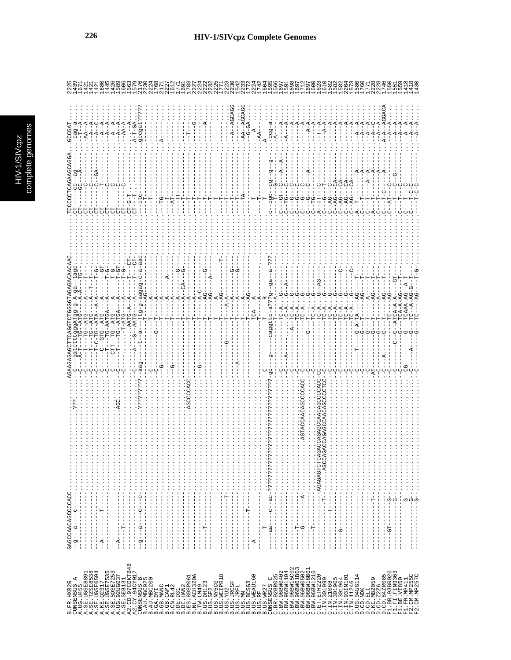| ZU ARU AU AU AU ALUUUUU LUUU AU LLUUU AU AU AU AU<br>--gatcttts<br>--A-T----TC<br>$\frac{1}{2}$ $\frac{1}{2}$ $\frac{1}{2}$ $\frac{1}{2}$ $\frac{1}{2}$ $\frac{1}{2}$ $\frac{1}{2}$ $\frac{1}{2}$ $\frac{1}{2}$ $\frac{1}{2}$ $\frac{1}{2}$ $\frac{1}{2}$ $\frac{1}{2}$ $\frac{1}{2}$ $\frac{1}{2}$ $\frac{1}{2}$ $\frac{1}{2}$ $\frac{1}{2}$ $\frac{1}{2}$ $\frac{1}{2}$ $\frac{1}{2}$ $\frac{1}{2}$<br>$\frac{1}{2}$ = $\frac{1}{2}$ = $\frac{1}{2}$ = $\frac{1}{2}$ = $\frac{1}{2}$ = $\frac{1}{2}$ = $\frac{1}{2}$<br>GAGCCAACAGCCCACC.<br>-1<br>$\frac{1}{1}$<br>Ť.<br>$-1 - 0 - 1$<br>J<br>п<br>I<br>$- -$ = $-$ = $-$ = $-$<br>ı<br>J                                                                                                                                                                          | $A-ga-A-A--$                                                               | <b>FCCCCCTCAGAAGCAGGA</b><br>-ag<br>Ť          | <b>RADOCC</b><br>$-585$                      |  |
|-----------------------------------------------------------------------------------------------------------------------------------------------------------------------------------------------------------------------------------------------------------------------------------------------------------------------------------------------------------------------------------------------------------------------------------------------------------------------------------------------------------------------------------------------------------------------------------------------------------------------------------------------------------------------------------------------------------------------------------------------------------------------------------------------------------------------|----------------------------------------------------------------------------|------------------------------------------------|----------------------------------------------|--|
| $\frac{1}{\mathbf{C}}$<br>-T-----------<br>$\frac{1}{2}$ $\frac{1}{2}$ $\frac{1}{2}$ $\frac{1}{2}$ $\frac{1}{2}$ $\frac{1}{2}$ $\frac{1}{2}$ $\frac{1}{2}$ $\frac{1}{2}$ $\frac{1}{2}$ $\frac{1}{2}$ $\frac{1}{2}$ $\frac{1}{2}$ $\frac{1}{2}$ $\frac{1}{2}$ $\frac{1}{2}$ $\frac{1}{2}$ $\frac{1}{2}$ $\frac{1}{2}$ $\frac{1}{2}$ $\frac{1}{2}$ $\frac{1}{2}$<br>ŧ<br>ï<br>I.<br>$\frac{1}{1}$<br>I<br>т<br>$\mathfrak l$<br>$\mathfrak l$<br>$\mathsf I$<br>T<br>Ţ<br>$\frac{1}{4}$<br>т<br>$\frac{1}{1}$<br>I<br>ţ<br>$\mathbf{I}$<br>1                                                                                                                                                                                                                                                                            | т<br>$-1 - 1 - -1 - -$                                                     | ŧ<br>$\mathbf{I}$                              | $-AA$ -<br>Ť<br>$\overline{A}$               |  |
| --T---TG--ATG----A<br>--T-T-C-TG--ATA--A-A<br>--C-GTG--ATG-------<br>$\frac{1}{2}$ , $\frac{1}{2}$ , $\frac{1}{2}$ , $\frac{1}{2}$ , $\frac{1}{2}$ , $\frac{1}{2}$ , $\frac{1}{2}$ , $\frac{1}{2}$ , $\frac{1}{2}$ , $\frac{1}{2}$<br>$\begin{array}{c} \mathbf{1} \\ \mathbf{1} \\ \mathbf{1} \\ \mathbf{1} \\ \mathbf{1} \end{array}$<br>$\begin{bmatrix} 1 \\ 1 \\ 1 \\ 1 \end{bmatrix}$<br>$\blacksquare$                                                                                                                                                                                                                                                                                                                                                                                                         | $-1 - 5 - 1$<br>$-1 - 5 - 1$<br>$-1 - 5 - 1$                               | $  GA$                                         | Ť<br>$-4$                                    |  |
| $-ATG-TTG-ATGA-$<br>$\frac{1}{2}$                                                                                                                                                                                                                                                                                                                                                                                                                                                                                                                                                                                                                                                                                                                                                                                     |                                                                            | ÷                                              | ŧ<br>ť<br>$-4$                               |  |
| $\begin{bmatrix} 1 \\ 1 \\ 1 \\ 1 \end{bmatrix}$                                                                                                                                                                                                                                                                                                                                                                                                                                                                                                                                                                                                                                                                                                                                                                      | $\frac{\mathbf{T}-\mathbf{G}-\mathbf{F}}{\mathbf{T}-\mathbf{G}\mathbf{T}}$ |                                                | $- -A - -1$                                  |  |
| $-5T-1T-1$<br>$\begin{array}{c} \rule{0pt}{2.5ex} \rule{0pt}{2.5ex} \rule{0pt}{2.5ex} \rule{0pt}{2.5ex} \rule{0pt}{2.5ex} \rule{0pt}{2.5ex} \rule{0pt}{2.5ex} \rule{0pt}{2.5ex} \rule{0pt}{2.5ex} \rule{0pt}{2.5ex} \rule{0pt}{2.5ex} \rule{0pt}{2.5ex} \rule{0pt}{2.5ex} \rule{0pt}{2.5ex} \rule{0pt}{2.5ex} \rule{0pt}{2.5ex} \rule{0pt}{2.5ex} \rule{0pt}{2.5ex} \rule{0pt}{2.5ex} \rule{0$<br>$-1 - 1 - 1$<br>J.<br>Ť<br>$-A$ -<br>I.                                                                                                                                                                                                                                                                                                                                                                             | $T-G-$                                                                     |                                                | $-AA - A$                                    |  |
| $\frac{1}{2}$ $\frac{1}{2}$ $\frac{1}{2}$ $\frac{1}{2}$ $\frac{1}{2}$ $\frac{1}{2}$ $\frac{1}{2}$ $\frac{1}{2}$ $\frac{1}{2}$ $\frac{1}{2}$ $\frac{1}{2}$ $\frac{1}{2}$ $\frac{1}{2}$ $\frac{1}{2}$ $\frac{1}{2}$ $\frac{1}{2}$ $\frac{1}{2}$ $\frac{1}{2}$ $\frac{1}{2}$ $\frac{1}{2}$ $\frac{1}{2}$ $\frac{1}{2}$<br>$\frac{1}{1}$<br>H<br>ı<br>J<br>H<br>I<br>J<br>ı<br>J.                                                                                                                                                                                                                                                                                                                                                                                                                                         |                                                                            | T-9-TC                                         | $- - A$                                      |  |
| $-1$<br>$\frac{1}{1}$<br>I<br>I<br>$\frac{1}{1}$<br>İ<br>ţ                                                                                                                                                                                                                                                                                                                                                                                                                                                                                                                                                                                                                                                                                                                                                            | 5<br>P<br>Ţ<br>-1                                                          | י<br>ו                                         | $A-T-GA$ .                                   |  |
| $-\frac{1}{\alpha}$<br>$-1 -$<br>$-aaa-$                                                                                                                                                                                                                                                                                                                                                                                                                                                                                                                                                                                                                                                                                                                                                                              | Ttg-g-aagage-c-a-aac                                                       | $-ctc-$                                        | gccgat??"                                    |  |
| $\frac{1}{1}$<br>Ü<br>Î                                                                                                                                                                                                                                                                                                                                                                                                                                                                                                                                                                                                                                                                                                                                                                                               |                                                                            | 턴<br>$\frac{1}{1}$                             |                                              |  |
| も!<br>$\begin{aligned} \mathcal{L}_{\mathcal{A}}^{\mathcal{A}} & = \mathcal{L}_{\mathcal{A}}^{\mathcal{A}} + \mathcal{L}_{\mathcal{A}}^{\mathcal{A}} + \mathcal{L}_{\mathcal{A}}^{\mathcal{A}} + \mathcal{L}_{\mathcal{A}}^{\mathcal{A}} + \mathcal{L}_{\mathcal{A}}^{\mathcal{A}} + \mathcal{L}_{\mathcal{A}}^{\mathcal{A}} + \mathcal{L}_{\mathcal{A}}^{\mathcal{A}} + \mathcal{L}_{\mathcal{A}}^{\mathcal{A}} + \mathcal{L}_{\mathcal{A}}^{\mathcal{A}} + \mathcal{L}_{\mathcal{A}}^{\$<br>$\begin{array}{c} 1 \\ 1 \\ 1 \end{array}$<br>I                                                                                                                                                                                                                                                                         |                                                                            |                                                |                                              |  |
| Ġ٢<br>$\frac{1}{1}$                                                                                                                                                                                                                                                                                                                                                                                                                                                                                                                                                                                                                                                                                                                                                                                                   |                                                                            | $-10$                                          |                                              |  |
| $\frac{1}{2}$ $\frac{1}{2}$ $\frac{1}{2}$ $\frac{1}{2}$ $\frac{1}{2}$ $\frac{1}{2}$ $\frac{1}{2}$ $\frac{1}{2}$ $\frac{1}{2}$ $\frac{1}{2}$ $\frac{1}{2}$ $\frac{1}{2}$ $\frac{1}{2}$ $\frac{1}{2}$ $\frac{1}{2}$ $\frac{1}{2}$ $\frac{1}{2}$ $\frac{1}{2}$ $\frac{1}{2}$ $\frac{1}{2}$ $\frac{1}{2}$ $\frac{1}{2}$<br>j<br>$\begin{bmatrix} 1 \\ 1 \\ 1 \\ 1 \end{bmatrix}$<br>$\frac{1}{1}$<br>$\frac{1}{1}$<br>ı                                                                                                                                                                                                                                                                                                                                                                                                   |                                                                            |                                                |                                              |  |
| $\frac{1}{1}$                                                                                                                                                                                                                                                                                                                                                                                                                                                                                                                                                                                                                                                                                                                                                                                                         |                                                                            |                                                |                                              |  |
| $\frac{1}{1}$<br>I<br>$\frac{1}{1}$<br>$\frac{1}{1}$<br>$\frac{1}{1}$<br>I<br>I<br>J.<br>J.                                                                                                                                                                                                                                                                                                                                                                                                                                                                                                                                                                                                                                                                                                                           | りー<br>$A - C A -$                                                          |                                                |                                              |  |
| $\frac{1}{1}$<br>ш                                                                                                                                                                                                                                                                                                                                                                                                                                                                                                                                                                                                                                                                                                                                                                                                    |                                                                            |                                                | $-1$                                         |  |
| $\frac{1}{1}$<br>Ţ<br>I<br>í<br>I<br>Í<br>u                                                                                                                                                                                                                                                                                                                                                                                                                                                                                                                                                                                                                                                                                                                                                                           |                                                                            |                                                |                                              |  |
| ţ<br>$\frac{1}{1}$<br>$\frac{1}{1}$                                                                                                                                                                                                                                                                                                                                                                                                                                                                                                                                                                                                                                                                                                                                                                                   | $-4-$                                                                      |                                                |                                              |  |
| $\begin{bmatrix} 1 \\ 1 \\ 1 \end{bmatrix}$<br>$\frac{1}{1}$<br>$\frac{1}{1}$                                                                                                                                                                                                                                                                                                                                                                                                                                                                                                                                                                                                                                                                                                                                         | りー<br>$- -AG - -$<br>$AG - -$                                              |                                                | $- - - A$                                    |  |
|                                                                                                                                                                                                                                                                                                                                                                                                                                                                                                                                                                                                                                                                                                                                                                                                                       |                                                                            |                                                |                                              |  |
|                                                                                                                                                                                                                                                                                                                                                                                                                                                                                                                                                                                                                                                                                                                                                                                                                       | $-1$                                                                       |                                                |                                              |  |
| $\begin{array}{c} \n 1 \\  1 \\  1\n \end{array}$                                                                                                                                                                                                                                                                                                                                                                                                                                                                                                                                                                                                                                                                                                                                                                     | $-4 - -4$                                                                  |                                                |                                              |  |
| $\frac{1}{1}$<br>ţ<br>J,                                                                                                                                                                                                                                                                                                                                                                                                                                                                                                                                                                                                                                                                                                                                                                                              | ひ<br>$\frac{1}{1}$                                                         |                                                | $-4 - A - BGCAG$                             |  |
| $\frac{1}{1}$<br>$\frac{1}{1}$<br>т                                                                                                                                                                                                                                                                                                                                                                                                                                                                                                                                                                                                                                                                                                                                                                                   | $-4$                                                                       |                                                |                                              |  |
| $\frac{1}{2}$ $\frac{1}{2}$ $\frac{1}{2}$ $\frac{1}{2}$ $\frac{1}{2}$ $\frac{1}{2}$ $\frac{1}{2}$ $\frac{1}{2}$ $\frac{1}{2}$ $\frac{1}{2}$<br>$\frac{1}{1}$<br>$\overline{\phantom{a}}$<br>$\mathbf{I}$<br>$\frac{1}{1}$<br>I<br>I<br>$\frac{1}{1}$<br>ı<br>L                                                                                                                                                                                                                                                                                                                                                                                                                                                                                                                                                        |                                                                            |                                                | $-AA$ - $-AGCAG$                             |  |
| d<br>B<br>$\begin{aligned} \frac{1}{2} \left( \frac{1}{2} \left( \frac{1}{2} \right) + \frac{1}{2} \left( \frac{1}{2} \right) + \frac{1}{2} \left( \frac{1}{2} \right) + \frac{1}{2} \left( \frac{1}{2} \right) + \frac{1}{2} \left( \frac{1}{2} \right) + \frac{1}{2} \left( \frac{1}{2} \right) + \frac{1}{2} \left( \frac{1}{2} \right) + \frac{1}{2} \left( \frac{1}{2} \right) + \frac{1}{2} \left( \frac{1}{2} \right) + \frac{1}{2} \left( \frac{1}{2$<br>I<br>$-1$ - $-1$ - $-1$                                                                                                                                                                                                                                                                                                                              | $-4$                                                                       |                                                | $-5-9$<br>$-4-$                              |  |
| $\frac{1}{1}$<br>$\frac{1}{1}$<br>$\frac{1}{1}$<br>т                                                                                                                                                                                                                                                                                                                                                                                                                                                                                                                                                                                                                                                                                                                                                                  | $-1$                                                                       |                                                | $-AA$ -                                      |  |
| $\begin{array}{c} 1 \\ 1 \\ 1 \\ 1 \end{array}$<br>$\overline{\phantom{a}}$<br>$\frac{1}{1}$<br>$-1 - 2 - 1 - 1 -$                                                                                                                                                                                                                                                                                                                                                                                                                                                                                                                                                                                                                                                                                                    | $\frac{1}{1}$                                                              |                                                | ŧ                                            |  |
| caggttc-a???<br>ņ                                                                                                                                                                                                                                                                                                                                                                                                                                                                                                                                                                                                                                                                                                                                                                                                     | $-\frac{1}{6}$<br>$-9a$<br>ה                                               | თ<br>ᡃ<br>5a<br>$-1000-1$                      | $-$ ccg-a                                    |  |
| $C - A$ .<br>$\frac{1}{2}$ $\frac{1}{2}$ $\frac{1}{2}$ $\frac{1}{2}$ $\frac{1}{2}$ $\frac{1}{2}$ $\frac{1}{2}$ $\frac{1}{2}$ $\frac{1}{2}$ $\frac{1}{2}$ $\frac{1}{2}$ $\frac{1}{2}$ $\frac{1}{2}$ $\frac{1}{2}$ $\frac{1}{2}$ $\frac{1}{2}$ $\frac{1}{2}$ $\frac{1}{2}$ $\frac{1}{2}$ $\frac{1}{2}$ $\frac{1}{2}$ $\frac{1}{2}$<br>J.<br>J.<br>J.<br>$\frac{1}{1}$<br>ı                                                                                                                                                                                                                                                                                                                                                                                                                                              | م<br>ا                                                                     | $-1$<br>$\frac{1}{1}$<br>Ü<br>$-1 - 1 - 1 - 1$ | $\frac{1}{1}$<br>$-4-$                       |  |
| $\mathbf{1}$                                                                                                                                                                                                                                                                                                                                                                                                                                                                                                                                                                                                                                                                                                                                                                                                          |                                                                            | $-10$                                          | $-1 - 4 - 1$                                 |  |
| ה<br>לא לא ל<br>האירה<br>$\ddot{A}$                                                                                                                                                                                                                                                                                                                                                                                                                                                                                                                                                                                                                                                                                                                                                                                   |                                                                            | ひ                                              |                                              |  |
|                                                                                                                                                                                                                                                                                                                                                                                                                                                                                                                                                                                                                                                                                                                                                                                                                       |                                                                            | ひ                                              |                                              |  |
| $\overline{\phantom{a}}$                                                                                                                                                                                                                                                                                                                                                                                                                                                                                                                                                                                                                                                                                                                                                                                              |                                                                            | ひ                                              | $\mathsf I$                                  |  |
| $-144$<br>ひ<br>$\frac{1}{2}$<br>$\mathsf I$<br>$\frac{1}{1}$<br>$\mathsf I$<br>п<br>п<br>I<br>J.<br>$-1 - 2 - 1 - 1 -$<br>п<br>$\mathsf I$<br>$\mathbf{I}$                                                                                                                                                                                                                                                                                                                                                                                                                                                                                                                                                                                                                                                            |                                                                            | Ť<br>ġ<br>$-10$                                | $-4-$                                        |  |
| $\begin{bmatrix} 1 & 1 & 1 \\ 1 & 1 & 1 \\ 1 & 1 & 1 \\ 1 & 1 & 1 \\ 1 & 1 & 1 \\ 1 & 1 & 1 \\ 1 & 1 & 1 \\ 1 & 1 & 1 \\ 1 & 1 & 1 \\ 1 & 1 & 1 \\ 1 & 1 & 1 \\ 1 & 1 & 1 \\ 1 & 1 & 1 \\ 1 & 1 & 1 \\ 1 & 1 & 1 \\ 1 & 1 & 1 \\ 1 & 1 & 1 \\ 1 & 1 & 1 \\ 1 & 1 & 1 \\ 1 & 1 & 1 \\ 1 & 1 & 1 \\ 1 & 1 & 1 \\ 1 & 1 & 1 \\ 1 & 1 & $<br>I<br>I<br>$\frac{1}{1}$<br>$\frac{1}{1}$<br>т                                                                                                                                                                                                                                                                                                                                                                                                                                | $- - AC$                                                                   | $-1$                                           | ł<br>ن<br>ا                                  |  |
|                                                                                                                                                                                                                                                                                                                                                                                                                                                                                                                                                                                                                                                                                                                                                                                                                       |                                                                            | $-1$                                           | $- -A -$                                     |  |
|                                                                                                                                                                                                                                                                                                                                                                                                                                                                                                                                                                                                                                                                                                                                                                                                                       |                                                                            | $- - AC$                                       | $\begin{bmatrix} 1 \\ 1 \\ 1 \end{bmatrix}$  |  |
|                                                                                                                                                                                                                                                                                                                                                                                                                                                                                                                                                                                                                                                                                                                                                                                                                       |                                                                            | $CA-$<br>$- - AG$                              |                                              |  |
|                                                                                                                                                                                                                                                                                                                                                                                                                                                                                                                                                                                                                                                                                                                                                                                                                       | i<br>-                                                                     |                                                | İ                                            |  |
| $\frac{1}{1}$<br>-1<br>п.<br>$\mathbf{I}$<br>п<br>$\begin{array}{c} 1 \\ 1 \\ 1 \end{array}$<br>т<br>I<br>п<br>1                                                                                                                                                                                                                                                                                                                                                                                                                                                                                                                                                                                                                                                                                                      | $\frac{C}{1}$                                                              |                                                | Ť<br>ŧ<br>$\mathsf I$                        |  |
| $A -$<br>$G - A -$<br>$\begin{bmatrix} 1 \\ 1 \\ 1 \end{bmatrix}$<br>$\begin{bmatrix} 1 \\ 1 \\ 1 \end{bmatrix}$<br>$\frac{1}{1}$<br>I<br>J.                                                                                                                                                                                                                                                                                                                                                                                                                                                                                                                                                                                                                                                                          | 부부                                                                         | $-4$                                           | ÷,<br>$-4$                                   |  |
| $\frac{1}{2}$ $\frac{1}{2}$ $\frac{1}{2}$ $\frac{1}{2}$ $\frac{1}{2}$ $\frac{1}{2}$ $\frac{1}{2}$ $\frac{1}{2}$ $\frac{1}{2}$ $\frac{1}{2}$ $\frac{1}{2}$ $\frac{1}{2}$ $\frac{1}{2}$ $\frac{1}{2}$ $\frac{1}{2}$ $\frac{1}{2}$ $\frac{1}{2}$ $\frac{1}{2}$ $\frac{1}{2}$ $\frac{1}{2}$ $\frac{1}{2}$ $\frac{1}{2}$<br>$\frac{1}{2}$ $\frac{1}{2}$ $\frac{1}{2}$ $\frac{1}{2}$ $\frac{1}{2}$ $\frac{1}{2}$ $\frac{1}{2}$ $\frac{1}{2}$ $\frac{1}{2}$ $\frac{1}{2}$ $\frac{1}{2}$ $\frac{1}{2}$ $\frac{1}{2}$ $\frac{1}{2}$ $\frac{1}{2}$ $\frac{1}{2}$ $\frac{1}{2}$ $\frac{1}{2}$ $\frac{1}{2}$ $\frac{1}{2}$ $\frac{1}{2}$ $\frac{1}{2}$<br>$\frac{1}{1}$<br>$\,$ I<br>$\begin{array}{c} \end{array}$<br>J,<br>$\begin{bmatrix} 1 \\ 1 \\ 1 \\ 1 \end{bmatrix}$<br>$\begin{array}{c} 1 \\ 1 \\ 1 \end{array}$<br>J. | $-1$<br>្ងុ<br>T                                                           | $\ddot{r}$                                     |                                              |  |
| ひ<br>1<br>I<br>$\mathbf{I}$<br>$\mathbf{I}$<br>1<br>j<br>J<br>п                                                                                                                                                                                                                                                                                                                                                                                                                                                                                                                                                                                                                                                                                                                                                       | $- - A$                                                                    | $\ddot{A}$ - $-\ddot{A}$ - $-\ddot{A}$<br>Ō    |                                              |  |
| υυ<br>$\begin{bmatrix} 1 & 1 & 1 & 1 \\ 1 & 1 & 1 & 1 \\ 1 & 1 & 1 & 1 \\ 1 & 1 & 1 & 1 \\ 1 & 1 & 1 & 1 \\ 1 & 1 & 1 & 1 \\ 1 & 1 & 1 & 1 \\ 1 & 1 & 1 & 1 \\ 1 & 1 & 1 & 1 \\ 1 & 1 & 1 & 1 \\ 1 & 1 & 1 & 1 \\ 1 & 1 & 1 & 1 & 1 \\ 1 & 1 & 1 & 1 & 1 \\ 1 & 1 & 1 & 1 & 1 \\ 1 & 1 & 1 & 1 & 1 \\ 1 & 1 & 1 & 1 & 1 \\ 1 & 1 & $<br>$-1$ – $-1$ – $-1$<br>I<br>I.<br>J.                                                                                                                                                                                                                                                                                                                                                                                                                                           | $-7AC-$                                                                    | $\vec{A}$<br>E O                               |                                              |  |
| H                                                                                                                                                                                                                                                                                                                                                                                                                                                                                                                                                                                                                                                                                                                                                                                                                     |                                                                            |                                                |                                              |  |
| ļ                                                                                                                                                                                                                                                                                                                                                                                                                                                                                                                                                                                                                                                                                                                                                                                                                     |                                                                            | $\overline{C}$<br>$\frac{1}{2}$<br>U           | $A - A - -I$<br>$A - A - -I$<br>$A - A - -I$ |  |
| $- - ATCA - A - I$<br>ر<br>ن<br>$\vdots$<br>$-5 - 7$<br>$- - - - - - - -$<br>T<br>ï.<br>$-1 - 12 - 1$<br>J<br>$\begin{array}{c} 1 \\ 1 \end{array}$<br>$\frac{1}{1}$<br>п                                                                                                                                                                                                                                                                                                                                                                                                                                                                                                                                                                                                                                             |                                                                            | Ţ<br>j<br>$-4T$<br>ļ                           |                                              |  |
| $\mathsf I$<br>$\overline{1}$<br>$\overline{1}$<br>$\overline{1}$<br>$\begin{bmatrix} 1 & 1 & 1 \\ 1 & 1 & 1 \\ 1 & 1 & 1 \\ 1 & 1 & 1 \end{bmatrix}$<br>J.                                                                                                                                                                                                                                                                                                                                                                                                                                                                                                                                                                                                                                                           | $CA - A -$                                                                 | יך<br>י                                        | $- -A - i$                                   |  |
| ひ<br>$G - -$<br>Ţ<br>ł<br>J.<br>$\begin{bmatrix} 1 \\ 1 \\ 1 \\ 1 \end{bmatrix}$                                                                                                                                                                                                                                                                                                                                                                                                                                                                                                                                                                                                                                                                                                                                      | CAAA-                                                                      |                                                | ÷<br>$-4$                                    |  |
| $-1 - 0$<br>1<br>Ť.<br>$\frac{1}{1}$<br>ţ                                                                                                                                                                                                                                                                                                                                                                                                                                                                                                                                                                                                                                                                                                                                                                             | $C - A -$                                                                  | ပုံ                                            | $-4$                                         |  |
| J.<br>I<br>J<br>$\frac{1}{1}$                                                                                                                                                                                                                                                                                                                                                                                                                                                                                                                                                                                                                                                                                                                                                                                         |                                                                            |                                                |                                              |  |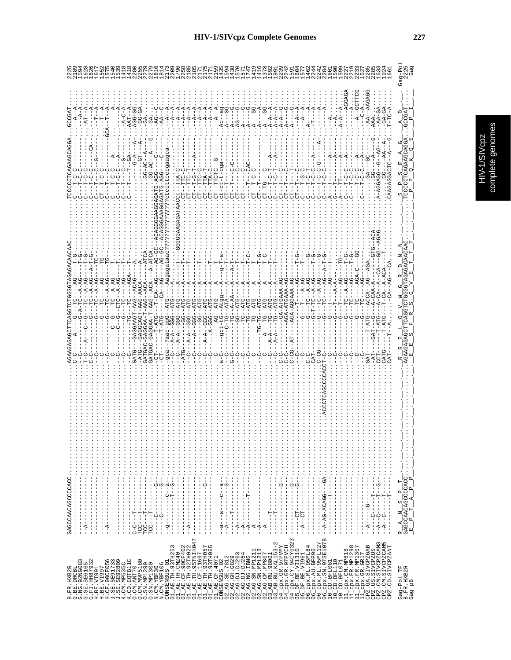|                                    | GAGCCAACAGCCCCACC<br>ł,<br>ı<br>I<br>I.<br>ï.<br>T.<br>I<br>Ţ<br>I<br>$\mathbf{I}$<br>ı<br>$\frac{1}{4}$<br>$\frac{1}{1}$<br>Ţ<br>$\frac{1}{4}$<br>$-\mathbf{A}$<br>I.<br>$\overline{1}$                                                                                                                                                                                                                   |                                                        |                                           |          | ĭ<br>ļ                                                                                          |                                                                                                                   |                        |
|------------------------------------|------------------------------------------------------------------------------------------------------------------------------------------------------------------------------------------------------------------------------------------------------------------------------------------------------------------------------------------------------------------------------------------------------------|--------------------------------------------------------|-------------------------------------------|----------|-------------------------------------------------------------------------------------------------|-------------------------------------------------------------------------------------------------------------------|------------------------|
|                                    | п<br>л.<br>т<br>J.                                                                                                                                                                                                                                                                                                                                                                                         |                                                        | Ţ<br>$A - A$<br>$A - A$<br>Ť              |          | ں<br>ا<br>- 1<br>Ţ<br>т<br>$\mathbf{I}$                                                         |                                                                                                                   |                        |
|                                    | Ţ<br>J<br>п<br>J.                                                                                                                                                                                                                                                                                                                                                                                          |                                                        |                                           |          | ن<br>ا<br>Ĭ.                                                                                    | ÷<br>부                                                                                                            |                        |
|                                    | $\frac{1}{1}$<br>$\ddot{A}$                                                                                                                                                                                                                                                                                                                                                                                |                                                        | $- A - A$                                 |          | - 11<br>Ţ                                                                                       | ÷<br>부                                                                                                            |                        |
|                                    | $\frac{1}{1}$<br>J.<br>ï<br>I<br>т<br>J.                                                                                                                                                                                                                                                                                                                                                                   | 5<br>-<br>-                                            | $- -A - A$<br>$- A - A$                   |          | $\frac{1}{1}$<br>÷<br>$\begin{array}{c} 0 & 0 \\ 0 & 0 \\ 0 & 1 \\ 0 & 1 \end{array}$<br>ļ<br>ŧ |                                                                                                                   |                        |
|                                    | ţ<br>ţ                                                                                                                                                                                                                                                                                                                                                                                                     |                                                        | ĩ                                         |          | $-5 - 64$<br>$\frac{1}{2}$<br>Ţ                                                                 | $A-C-A$                                                                                                           |                        |
|                                    | L.                                                                                                                                                                                                                                                                                                                                                                                                         |                                                        |                                           |          |                                                                                                 | AAT--                                                                                                             |                        |
|                                    | $---\mathbf{T}----$<br>---------<br>$\frac{1}{2}$                                                                                                                                                                                                                                                                                                                                                          | -GAGGAA                                                | $--AC$                                    |          |                                                                                                 | AGG-GG                                                                                                            |                        |
|                                    | ł<br>$\frac{1}{4}$<br>$-1 - 1 - 1$<br>ġ                                                                                                                                                                                                                                                                                                                                                                    | GAC-GAGGA                                              |                                           |          |                                                                                                 | $G - GA$                                                                                                          |                        |
|                                    | п<br>Ţ<br>$\blacksquare$<br>$\mathsf I$<br>$-1 - 1 - 1 - 1$<br>TCC.<br>TCC                                                                                                                                                                                                                                                                                                                                 | BATGAC-GAGGA                                           | $-4 - A - A$<br>$-4C$                     |          |                                                                                                 |                                                                                                                   |                        |
|                                    | $-1$ - $-1$ - $-1$<br>J.<br>$-1 - 1$                                                                                                                                                                                                                                                                                                                                                                       | A<br>-                                                 | Ť<br>$-4$                                 |          |                                                                                                 | -H                                                                                                                |                        |
|                                    | ł<br>ပ္ပံ<br>$\mathbf{I}$<br>$-\frac{1}{2}$<br>$\mathbf{I}$                                                                                                                                                                                                                                                                                                                                                | $-1 - T - A$                                           | J,                                        |          | $G - AG$                                                                                        |                                                                                                                   |                        |
|                                    | $-1$<br>$-1$<br>$-1$<br>$-1$<br>$-1$<br>$\frac{1}{1}$<br>ŧ<br>$\frac{1}{2}$                                                                                                                                                                                                                                                                                                                                | Ĭ,<br>$ca - 2aa$                                       | agagataac                                 |          |                                                                                                 | ÷                                                                                                                 |                        |
|                                    | ۲<br>ا<br>$\mathbf{I}$<br>Ĵ<br>ŧ<br>л.                                                                                                                                                                                                                                                                                                                                                                     | $\tilde{A}$<br>$- -A - A$<br>$-4$                      |                                           |          |                                                                                                 | H                                                                                                                 |                        |
|                                    | 1<br>$\mathbf{I}$<br>$\mathbf{I}$<br>$\frac{1}{1}$<br>I<br>$\frac{1}{1}$<br>$\frac{1}{1}$<br>J.<br>$\overline{\phantom{a}}$                                                                                                                                                                                                                                                                                |                                                        |                                           |          |                                                                                                 |                                                                                                                   |                        |
|                                    | $\frac{1}{1}$<br>$\frac{1}{1}$<br>$\dot{A}$                                                                                                                                                                                                                                                                                                                                                                | $A - A$                                                |                                           |          | Ţ                                                                                               | $- A - i$<br>$- A - i$<br>$- A - i$<br>$- A - i$<br>$- A - i$<br>$- A - i$<br>$- A - i$<br>$- A - i$<br>$- A - i$ |                        |
|                                    | $\frac{1}{1}$<br>$\frac{1}{1}$<br>J.<br>$\blacksquare$<br>$\mathsf I$                                                                                                                                                                                                                                                                                                                                      | $-1$<br>H                                              |                                           |          | $-5 - 1 - -$                                                                                    |                                                                                                                   |                        |
|                                    | $\frac{1}{1}$<br>J.<br>I.<br>ï<br>J.<br>$\mathbf{I}$<br>т                                                                                                                                                                                                                                                                                                                                                  |                                                        |                                           |          | $-TTC-$                                                                                         |                                                                                                                   |                        |
|                                    | $-1 - 9 - 1 - 1$<br>$\frac{1}{1}$<br>$\frac{1}{1}$<br>Ť.                                                                                                                                                                                                                                                                                                                                                   | $- -A - A$                                             |                                           |          | $  TT2$                                                                                         |                                                                                                                   |                        |
|                                    | $\frac{1}{1}$<br>I<br>$\overline{\phantom{a}}$<br>$\frac{1}{1}$                                                                                                                                                                                                                                                                                                                                            | $-4.4 - 9$                                             |                                           |          | Ŧ                                                                                               |                                                                                                                   |                        |
|                                    | ł<br>$\frac{1}{2}$<br>$\mathbf{I}$<br>ï<br>ł<br>$\overline{\phantom{a}}$<br>$\mathbf{I}$<br>$\mathsf I$                                                                                                                                                                                                                                                                                                    |                                                        |                                           |          |                                                                                                 |                                                                                                                   |                        |
|                                    | $-1 - 5 - 3 - 1$<br>$- - -a - -$<br>J.<br>$\frac{a}{1}$                                                                                                                                                                                                                                                                                                                                                    | ---90t-tu<br>------C-Tu                                | ה                                         | ೆ        | $2 - t - cga -$<br>부분                                                                           | ת                                                                                                                 |                        |
|                                    | I<br>$\begin{array}{c} 1 \\ 1 \\ 1 \\ 1 \end{array}$<br>$-1 - 1 - 1$<br>$\ddot{A}$<br>$\mathbf{I}$                                                                                                                                                                                                                                                                                                         |                                                        | $- -A - T$                                |          | $\begin{array}{c} 1 & 0 \\ 0 & 1 \end{array}$<br>f,                                             |                                                                                                                   |                        |
|                                    | $\frac{1}{1}$<br>$-1$ $-1$ $-1$ $-1$ $-1$ $-1$ $-1$<br>ł<br>ţ<br>$-\overline{A}$                                                                                                                                                                                                                                                                                                                           |                                                        |                                           |          | п.                                                                                              | $\frac{1}{\mathcal{C}}$                                                                                           |                        |
|                                    | $\frac{1}{1}$<br>$\dot{A}$                                                                                                                                                                                                                                                                                                                                                                                 |                                                        |                                           |          |                                                                                                 | t,                                                                                                                |                        |
|                                    | $-1$ - $-1$ - $-1$ - $-1$<br>-1                                                                                                                                                                                                                                                                                                                                                                            |                                                        |                                           | ں<br>ا   | CAC                                                                                             | $-1 - 1 - 1$<br>$-1 - 1 - 1 - 1$                                                                                  |                        |
|                                    | $\frac{1}{2}$<br>$\frac{1}{1}$                                                                                                                                                                                                                                                                                                                                                                             | Ť                                                      |                                           |          | $\overline{C}$<br>$CT - T$                                                                      |                                                                                                                   |                        |
|                                    | Ť<br>$-1$ $-1$ $-1$ $-1$ $-1$ $-1$ $-1$                                                                                                                                                                                                                                                                                                                                                                    | $-9T - -1$                                             |                                           | ပု       | J<br>H-LK                                                                                       | 99-<br>ŧ                                                                                                          |                        |
|                                    | $\frac{1}{1}$<br>$\frac{1}{1}$<br>$\mathbf{I}$                                                                                                                                                                                                                                                                                                                                                             |                                                        |                                           |          | $- - - A$<br>$\frac{1}{\sqrt{2}}$<br>ł                                                          | ÷                                                                                                                 |                        |
|                                    | $-1$ – $T$ – $-1$                                                                                                                                                                                                                                                                                                                                                                                          | $-1 - -A - A$<br>$-1 - A - A - A$                      |                                           |          | $-5 - 7$                                                                                        | $\begin{array}{c}\nA & A \\ A & A\n\end{array}$                                                                   |                        |
|                                    | $-1$<br>ţ<br>$\frac{1}{1}$<br>1                                                                                                                                                                                                                                                                                                                                                                            |                                                        |                                           |          |                                                                                                 |                                                                                                                   |                        |
|                                    | $\mathbf{I}$<br>$\mathbf I$<br>T<br>J<br>$\frac{1}{1}$<br>п<br>$\frac{1}{1}$<br>Ť.                                                                                                                                                                                                                                                                                                                         |                                                        |                                           |          | IJ                                                                                              | 制                                                                                                                 |                        |
|                                    | $-9 - -$<br>$\frac{1}{1}$<br>$\overline{\phantom{a}}$<br>-1<br>$\overline{\phantom{a}}$<br>$\blacksquare$                                                                                                                                                                                                                                                                                                  | GA-AG<br>f.<br>$CG--A'$                                | GAAA-                                     |          |                                                                                                 |                                                                                                                   |                        |
|                                    | $-9 - -$                                                                                                                                                                                                                                                                                                                                                                                                   |                                                        |                                           |          |                                                                                                 | $-4$                                                                                                              |                        |
|                                    | $\frac{1}{1}$<br>$\frac{1}{1}$<br>$\mathsf I$<br>$\begin{array}{c} 1 \\ 1 \\ 1 \end{array}$<br>$\frac{1}{1}$<br>I<br>$-1$ - $-1$ - $    -$<br>Ţ<br>$\frac{1}{1}$<br>$\frac{1}{1}$<br>$\mathsf I$                                                                                                                                                                                                           |                                                        | $-4 - A - P$<br>$-4 - 2$                  |          | $\blacksquare$<br>ーリー<br>$\frac{1}{2}$                                                          | HH<br>$\ddot{A}$<br>$\frac{1}{1}$                                                                                 |                        |
|                                    | $\mathbf{I}$<br>j.<br>п                                                                                                                                                                                                                                                                                                                                                                                    |                                                        | $-4 - A$                                  | v<br>Ĥ   |                                                                                                 |                                                                                                                   |                        |
|                                    | I.                                                                                                                                                                                                                                                                                                                                                                                                         |                                                        | –<br>A<br>Ť                               | ひ        | $-1 - 7 - 7 - 7 - 8 - 1$                                                                        |                                                                                                                   |                        |
|                                    | $- A - A G - A C A G - - G A$<br>$\mathbf{I}$                                                                                                                                                                                                                                                                                                                                                              |                                                        | $-1 - A - T - G$<br>$-1$<br>$\frac{1}{t}$ |          | $\frac{1}{2}$<br>$\frac{1}{2}$                                                                  | Ħ                                                                                                                 |                        |
|                                    | $\begin{array}{c} \bullet \\ \bullet \\ \bullet \\ \bullet \end{array}$<br>$\frac{1}{1}$<br>J.                                                                                                                                                                                                                                                                                                             |                                                        | $-1$                                      |          |                                                                                                 | $-4$                                                                                                              |                        |
|                                    | $\frac{1}{1}$<br>$\overline{\phantom{a}}$<br>$\frac{1}{1}$                                                                                                                                                                                                                                                                                                                                                 | 11111                                                  | $---A - A$                                |          | H                                                                                               | $\frac{-A}{A-B-j}$                                                                                                |                        |
|                                    | $\overline{\phantom{a}}$<br>-1                                                                                                                                                                                                                                                                                                                                                                             |                                                        |                                           |          | Ĵ,                                                                                              |                                                                                                                   |                        |
|                                    | $\frac{1}{1}$<br>$-1$<br>Ţ.<br>ł.<br>$\frac{1}{1}$                                                                                                                                                                                                                                                                                                                                                         |                                                        |                                           | ט        | Î                                                                                               | $-----AGG$                                                                                                        |                        |
|                                    | $\frac{1}{1}$<br>ţ<br>$\mathbf{I}$<br>-1<br>$\mathsf I$<br>Ţ<br>$\frac{1}{4}$<br>$\frac{1}{1}$<br>Ť<br>1                                                                                                                                                                                                                                                                                                   | W                                                      | $GA-C$                                    |          | $\frac{1}{1}$                                                                                   | Ť                                                                                                                 |                        |
|                                    | J,<br>т<br>$\begin{array}{c} \rule{0pt}{2.5ex} \rule{0pt}{2.5ex} \rule{0pt}{2.5ex} \rule{0pt}{2.5ex} \rule{0pt}{2.5ex} \rule{0pt}{2.5ex} \rule{0pt}{2.5ex} \rule{0pt}{2.5ex} \rule{0pt}{2.5ex} \rule{0pt}{2.5ex} \rule{0pt}{2.5ex} \rule{0pt}{2.5ex} \rule{0pt}{2.5ex} \rule{0pt}{2.5ex} \rule{0pt}{2.5ex} \rule{0pt}{2.5ex} \rule{0pt}{2.5ex} \rule{0pt}{2.5ex} \rule{0pt}{2.5ex} \rule{0$<br>т<br>I<br>л |                                                        | $-1$                                      |          | Ã.                                                                                              | $-5 - 7 -$                                                                                                        |                        |
|                                    | J.<br>ţ<br>ט<br>ו<br>$-4 -$                                                                                                                                                                                                                                                                                                                                                                                | -AT                                                    | $G - -A G A$<br>$CCA--A$                  |          | で!                                                                                              | $-AA$ - $-AA$ G                                                                                                   |                        |
|                                    | ι<br>Ο                                                                                                                                                                                                                                                                                                                                                                                                     | $-GAT$                                                 | $-AA-A$                                   |          |                                                                                                 |                                                                                                                   |                        |
|                                    | $-5 -$<br>$- A - C$                                                                                                                                                                                                                                                                                                                                                                                        | $-4$                                                   | $-CA$                                     | で<br>- 1 | $\frac{1}{2}$                                                                                   | $-AA-C$                                                                                                           |                        |
|                                    | Ĵ<br>י<br>ד<br>$-A$ -C-                                                                                                                                                                                                                                                                                                                                                                                    | $TA-T$                                                 |                                           |          | $\overline{A}$                                                                                  | $-TC-$                                                                                                            |                        |
|                                    |                                                                                                                                                                                                                                                                                                                                                                                                            |                                                        |                                           |          | CAAGAGGACTC                                                                                     |                                                                                                                   |                        |
| Gag-Pol TF<br>B.FR.HXB2R<br>Gag p6 |                                                                                                                                                                                                                                                                                                                                                                                                            | O<br>囯<br>$\alpha$                                     | ≏<br>œ<br>び<br>z                          |          | ひ<br>K.<br>囯<br>ω<br>$\mathbf{a}$<br><b>CO</b>                                                  | ≏<br>К                                                                                                            |                        |
|                                    | $R_A = A \frac{N_S}{2} \frac{S}{P} = \frac{P}{T} \frac{1}{P} \cdots$<br>$R_B = P \frac{P}{T} = \frac{P}{P} \frac{P}{P} = \frac{P}{T} \cdots$                                                                                                                                                                                                                                                               | GAAGAGAGCTTCAGGTCTGGGGTAGAGACAA<br>E E S F R S G V E T |                                           | ć        | PPD OK<br>PPD OK<br>PPD OK OE                                                                   | ICGA<br>P<br>ÿ                                                                                                    | Gag-Poi<br>2225<br>Gag |
|                                    |                                                                                                                                                                                                                                                                                                                                                                                                            |                                                        |                                           |          |                                                                                                 |                                                                                                                   |                        |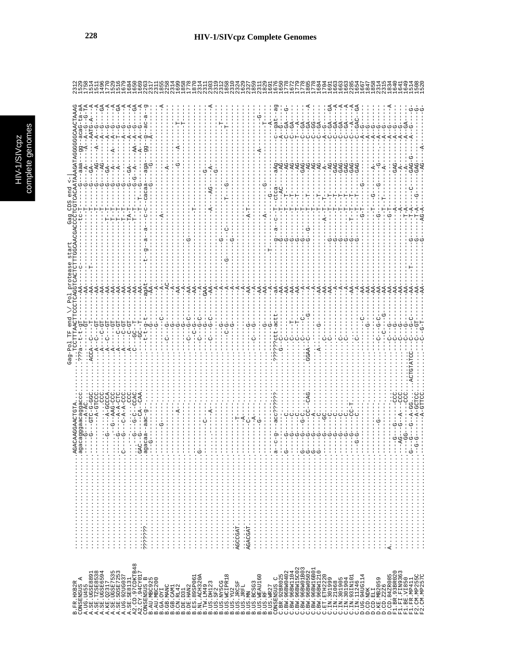|               |                                                                                                                                                                                                                                                                                                                                                                                                                                                                                                                                                                                                                                                                                                                                                                                                                                                                    |                        |                                               |     | CGACC                             | AAAGGGGGGGCAA              |                                     |  |
|---------------|--------------------------------------------------------------------------------------------------------------------------------------------------------------------------------------------------------------------------------------------------------------------------------------------------------------------------------------------------------------------------------------------------------------------------------------------------------------------------------------------------------------------------------------------------------------------------------------------------------------------------------------------------------------------------------------------------------------------------------------------------------------------------------------------------------------------------------------------------------------------|------------------------|-----------------------------------------------|-----|-----------------------------------|----------------------------|-------------------------------------|--|
|               | $\frac{1}{2}$ $\frac{1}{2}$ $\frac{1}{2}$ $\frac{1}{2}$ $\frac{1}{2}$ $\frac{1}{2}$ $\frac{1}{2}$ $\frac{1}{2}$ $\frac{1}{2}$ $\frac{1}{2}$ $\frac{1}{2}$ $\frac{1}{2}$ $\frac{1}{2}$ $\frac{1}{2}$ $\frac{1}{2}$ $\frac{1}{2}$ $\frac{1}{2}$ $\frac{1}{2}$ $\frac{1}{2}$ $\frac{1}{2}$ $\frac{1}{2}$ $\frac{1}{2}$                                                                                                                                                                                                                                                                                                                                                                                                                                                                                                                                                | gacagggaaca            | ī-                                            |     |                                   | aaa                        | ta-a<br>acaG                        |  |
|               | $\frac{1}{2}$ : $\frac{1}{2}$ : $\frac{1}{2}$ : $\frac{1}{2}$ : $\frac{1}{2}$ : $\frac{1}{2}$ : $\frac{1}{2}$ : $\frac{1}{2}$ : $\frac{1}{2}$ : $\frac{1}{2}$ : $\frac{1}{2}$ : $\frac{1}{2}$ : $\frac{1}{2}$ : $\frac{1}{2}$ : $\frac{1}{2}$ : $\frac{1}{2}$ : $\frac{1}{2}$ : $\frac{1}{2}$ : $\frac{1$<br>$\vdots$<br>$\vdots$<br>$\begin{array}{cccc}\n\vdots & \vdots & \vdots & \vdots & \vdots \\ \vdots & \vdots & \vdots & \vdots & \vdots \\ \vdots & \vdots & \vdots & \vdots & \vdots \\ \vdots & \vdots & \vdots & \vdots & \vdots \\ \vdots & \vdots & \vdots & \vdots & \vdots \\ \vdots & \vdots & \vdots & \vdots & \vdots \\ \vdots & \vdots & \vdots & \vdots & \vdots \\ \vdots & \vdots & \vdots & \vdots & \vdots \\ \vdots & \vdots & \vdots & \vdots & \vdots \\ \vdots & \vdots & \vdots & \vdots & \vdots \\ \vdots & \vdots & \vdots &$ |                        |                                               |     | めめめめめめめ                           |                            | 5<br>- 5                            |  |
|               |                                                                                                                                                                                                                                                                                                                                                                                                                                                                                                                                                                                                                                                                                                                                                                                                                                                                    |                        | $-1$ - $-1$<br>ACC.                           |     |                                   |                            | $\tilde{\mathcal{A}}$<br><b>AAT</b> |  |
|               |                                                                                                                                                                                                                                                                                                                                                                                                                                                                                                                                                                                                                                                                                                                                                                                                                                                                    | UHD-4-1                | ή                                             |     |                                   |                            | Ť,                                  |  |
|               |                                                                                                                                                                                                                                                                                                                                                                                                                                                                                                                                                                                                                                                                                                                                                                                                                                                                    |                        | 5<br>5<br>$-1$<br>$-1 - C - 1$                |     | н                                 | $-6A$                      | $-GA$                               |  |
|               | .                                                                                                                                                                                                                                                                                                                                                                                                                                                                                                                                                                                                                                                                                                                                                                                                                                                                  | $-PAAG-CC$             |                                               |     | ۳                                 |                            | Ħ                                   |  |
|               | .                                                                                                                                                                                                                                                                                                                                                                                                                                                                                                                                                                                                                                                                                                                                                                                                                                                                  | $\overline{1}$         | 5<br>$\frac{1}{2}$                            |     | ╘                                 | $-4$                       |                                     |  |
|               |                                                                                                                                                                                                                                                                                                                                                                                                                                                                                                                                                                                                                                                                                                                                                                                                                                                                    | $C - A - A - C$        | $\begin{array}{c} 1 & 1 \\ 1 & 1 \end{array}$ |     | ひ<br>н                            |                            | ひ<br>$\pm$<br>Æ                     |  |
|               | $\vdots$<br>$\vdots$<br>$\frac{1}{2}$ $\frac{1}{2}$ $\frac{1}{2}$ $\frac{1}{2}$ $\frac{1}{2}$ $\frac{1}{2}$ $\frac{1}{2}$ $\frac{1}{2}$ $\frac{1}{2}$ $\frac{1}{2}$ $\frac{1}{2}$ $\frac{1}{2}$ $\frac{1}{2}$ $\frac{1}{2}$ $\frac{1}{2}$ $\frac{1}{2}$ $\frac{1}{2}$ $\frac{1}{2}$ $\frac{1}{2}$ $\frac{1}{2}$ $\frac{1}{2}$ $\frac{1}{2}$                                                                                                                                                                                                                                                                                                                                                                                                                                                                                                                        |                        |                                               |     | ↻<br>$T-A-T$                      | $-6A$                      | ひ                                   |  |
| $\frac{8}{3}$ | $\vdots$<br>$\frac{1}{2}$                                                                                                                                                                                                                                                                                                                                                                                                                                                                                                                                                                                                                                                                                                                                                                                                                                          | U<br>פ                 |                                               |     | ひ                                 | $-5 - 2$                   | ÷                                   |  |
|               |                                                                                                                                                                                                                                                                                                                                                                                                                                                                                                                                                                                                                                                                                                                                                                                                                                                                    | Í                      |                                               |     | ပု<br>Ĥ                           |                            |                                     |  |
|               |                                                                                                                                                                                                                                                                                                                                                                                                                                                                                                                                                                                                                                                                                                                                                                                                                                                                    | -aac-<br>ಡ             |                                               | agA | -cacaa<br>U<br>$\frac{1}{C}$<br>ø | ם<br>פָּס<br>-aga-         | $C - \overline{C}$                  |  |
|               | $\vdots$<br>$\vdots$<br>$\vdots$                                                                                                                                                                                                                                                                                                                                                                                                                                                                                                                                                                                                                                                                                                                                                                                                                                   |                        |                                               |     |                                   |                            |                                     |  |
|               |                                                                                                                                                                                                                                                                                                                                                                                                                                                                                                                                                                                                                                                                                                                                                                                                                                                                    |                        |                                               |     |                                   |                            |                                     |  |
|               |                                                                                                                                                                                                                                                                                                                                                                                                                                                                                                                                                                                                                                                                                                                                                                                                                                                                    |                        |                                               |     |                                   |                            |                                     |  |
|               |                                                                                                                                                                                                                                                                                                                                                                                                                                                                                                                                                                                                                                                                                                                                                                                                                                                                    |                        | έ,                                            |     |                                   |                            |                                     |  |
|               | $\vdots$<br>$\vdots$<br>$\vdots$<br>$\frac{1}{2}$ $\frac{1}{2}$ $\frac{1}{2}$ $\frac{1}{2}$ $\frac{1}{2}$ $\frac{1}{2}$ $\frac{1}{2}$ $\frac{1}{2}$ $\frac{1}{2}$ $\frac{1}{2}$ $\frac{1}{2}$ $\frac{1}{2}$ $\frac{1}{2}$ $\frac{1}{2}$ $\frac{1}{2}$ $\frac{1}{2}$ $\frac{1}{2}$ $\frac{1}{2}$ $\frac{1}{2}$ $\frac{1}{2}$ $\frac{1}{2}$ $\frac{1}{2}$                                                                                                                                                                                                                                                                                                                                                                                                                                                                                                            |                        |                                               |     |                                   |                            |                                     |  |
|               | $\frac{1}{2}$ $\frac{1}{2}$ $\frac{1}{2}$ $\frac{1}{2}$ $\frac{1}{2}$ $\frac{1}{2}$ $\frac{1}{2}$ $\frac{1}{2}$ $\frac{1}{2}$ $\frac{1}{2}$ $\frac{1}{2}$ $\frac{1}{2}$ $\frac{1}{2}$ $\frac{1}{2}$ $\frac{1}{2}$ $\frac{1}{2}$ $\frac{1}{2}$ $\frac{1}{2}$ $\frac{1}{2}$ $\frac{1}{2}$ $\frac{1}{2}$ $\frac{1}{2}$                                                                                                                                                                                                                                                                                                                                                                                                                                                                                                                                                |                        |                                               |     |                                   |                            |                                     |  |
|               |                                                                                                                                                                                                                                                                                                                                                                                                                                                                                                                                                                                                                                                                                                                                                                                                                                                                    |                        | Ó.<br>Ų                                       |     |                                   |                            |                                     |  |
|               | $\vdots$<br>$\vdots$                                                                                                                                                                                                                                                                                                                                                                                                                                                                                                                                                                                                                                                                                                                                                                                                                                               |                        |                                               |     |                                   |                            |                                     |  |
|               | .<br>$\frac{1}{2}$ $\frac{1}{2}$ $\frac{1}{2}$ $\frac{1}{2}$ $\frac{1}{2}$ $\frac{1}{2}$ $\frac{1}{2}$ $\frac{1}{2}$ $\frac{1}{2}$ $\frac{1}{2}$ $\frac{1}{2}$ $\frac{1}{2}$ $\frac{1}{2}$ $\frac{1}{2}$ $\frac{1}{2}$ $\frac{1}{2}$ $\frac{1}{2}$ $\frac{1}{2}$ $\frac{1}{2}$ $\frac{1}{2}$ $\frac{1}{2}$ $\frac{1}{2}$<br>$\begin{bmatrix} 1 & 1 & 1 & 1 \\ 1 & 1 & 1 & 1 \\ 1 & 1 & 1 & 1 \\ 1 & 1 & 1 & 1 \\ 1 & 1 & 1 & 1 \\ 1 & 1 & 1 & 1 \\ 1 & 1 & 1 & 1 \\ 1 & 1 & 1 & 1 \\ 1 & 1 & 1 & 1 \\ 1 & 1 & 1 & 1 \\ 1 & 1 & 1 & 1 \\ 1 & 1 & 1 & 1 & 1 \\ 1 & 1 & 1 & 1 & 1 \\ 1 & 1 & 1 & 1 & 1 \\ 1 & 1 & 1 & 1 & 1 \\ 1 & 1 & 1 & 1 & 1 \\ 1 & 1 & $                                                                                                                                                                                                         |                        | ပ္ပံ                                          |     |                                   |                            |                                     |  |
|               |                                                                                                                                                                                                                                                                                                                                                                                                                                                                                                                                                                                                                                                                                                                                                                                                                                                                    |                        | п                                             |     |                                   | てり                         |                                     |  |
|               | $\frac{1}{2}$ : $\frac{1}{2}$ : $\frac{1}{2}$ : $\frac{1}{2}$ : $\frac{1}{2}$ : $\frac{1}{2}$<br>$\ddot{\cdot}$<br>$\begin{array}{cccc}\n1 & 1 & 1 & 1 & 1 \\ 1 & 1 & 1 & 1 & 1 \\ 1 & 1 & 1 & 1 & 1\n\end{array}$                                                                                                                                                                                                                                                                                                                                                                                                                                                                                                                                                                                                                                                 |                        | ن<br>پ<br>é                                   |     |                                   |                            |                                     |  |
|               | $\vdots$<br>$\frac{1}{2}$ $\frac{1}{2}$ $\frac{1}{2}$ $\frac{1}{2}$ $\frac{1}{2}$ $\frac{1}{2}$ $\frac{1}{2}$ $\frac{1}{2}$ $\frac{1}{2}$ $\frac{1}{2}$ $\frac{1}{2}$ $\frac{1}{2}$ $\frac{1}{2}$ $\frac{1}{2}$ $\frac{1}{2}$ $\frac{1}{2}$ $\frac{1}{2}$ $\frac{1}{2}$ $\frac{1}{2}$ $\frac{1}{2}$ $\frac{1}{2}$ $\frac{1}{2}$                                                                                                                                                                                                                                                                                                                                                                                                                                                                                                                                    |                        |                                               |     |                                   |                            |                                     |  |
|               | $\vdots$ : : : : : :<br>$\vdots$<br>$\cdot$<br>$\vdots$<br>$\cdot$                                                                                                                                                                                                                                                                                                                                                                                                                                                                                                                                                                                                                                                                                                                                                                                                 |                        |                                               |     |                                   |                            |                                     |  |
|               |                                                                                                                                                                                                                                                                                                                                                                                                                                                                                                                                                                                                                                                                                                                                                                                                                                                                    |                        | U<br>                                         |     |                                   |                            |                                     |  |
|               | $\vdots$<br>AGCCGAT                                                                                                                                                                                                                                                                                                                                                                                                                                                                                                                                                                                                                                                                                                                                                                                                                                                |                        |                                               |     |                                   |                            |                                     |  |
|               | $\vdots$                                                                                                                                                                                                                                                                                                                                                                                                                                                                                                                                                                                                                                                                                                                                                                                                                                                           |                        |                                               |     |                                   |                            |                                     |  |
|               |                                                                                                                                                                                                                                                                                                                                                                                                                                                                                                                                                                                                                                                                                                                                                                                                                                                                    |                        | ひ                                             |     |                                   |                            |                                     |  |
|               |                                                                                                                                                                                                                                                                                                                                                                                                                                                                                                                                                                                                                                                                                                                                                                                                                                                                    |                        | ひ<br>ŧ<br>Ų                                   |     |                                   |                            |                                     |  |
|               | $\vdots$<br>$\begin{array}{c} \vdots \\ \vdots \\ \vdots \\ \vdots \end{array}$                                                                                                                                                                                                                                                                                                                                                                                                                                                                                                                                                                                                                                                                                                                                                                                    |                        |                                               |     |                                   |                            |                                     |  |
|               | $\frac{1}{2}$ : $\frac{1}{2}$ : $\frac{1}{2}$ : $\frac{1}{2}$ : $\frac{1}{2}$ : $\frac{1}{2}$<br>.<br>.                                                                                                                                                                                                                                                                                                                                                                                                                                                                                                                                                                                                                                                                                                                                                            |                        | ひ                                             |     |                                   |                            |                                     |  |
|               |                                                                                                                                                                                                                                                                                                                                                                                                                                                                                                                                                                                                                                                                                                                                                                                                                                                                    |                        | ひ                                             |     | ෆ                                 |                            |                                     |  |
|               | $\vdots$<br>$\vdots$<br>$\vdots$<br>$\frac{1}{2}$ $\frac{1}{2}$ $\frac{1}{2}$ $\frac{1}{2}$ $\frac{1}{2}$ $\frac{1}{2}$ $\frac{1}{2}$ $\frac{1}{2}$ $\frac{1}{2}$ $\frac{1}{2}$ $\frac{1}{2}$ $\frac{1}{2}$ $\frac{1}{2}$ $\frac{1}{2}$ $\frac{1}{2}$ $\frac{1}{2}$ $\frac{1}{2}$ $\frac{1}{2}$ $\frac{1}{2}$ $\frac{1}{2}$ $\frac{1}{2}$ $\frac{1}{2}$                                                                                                                                                                                                                                                                                                                                                                                                                                                                                                            | UU                     | ??ctt-actt                                    |     | tca.                              | aAg                        | gat                                 |  |
|               | $\frac{1}{2}$                                                                                                                                                                                                                                                                                                                                                                                                                                                                                                                                                                                                                                                                                                                                                                                                                                                      |                        |                                               |     |                                   |                            |                                     |  |
|               | $\vdots$<br>.                                                                                                                                                                                                                                                                                                                                                                                                                                                                                                                                                                                                                                                                                                                                                                                                                                                      |                        |                                               |     |                                   | ŖG                         | $\overline{G}A$                     |  |
|               | $\vdots$                                                                                                                                                                                                                                                                                                                                                                                                                                                                                                                                                                                                                                                                                                                                                                                                                                                           |                        | 투                                             |     | あひ ひ ひ ひ                          |                            | $-GA -$                             |  |
| $\sim$ $\sim$ | $\ddot{\cdot}$<br>$\ddot{\cdot}$<br>$\begin{array}{c} \vdots \\ \vdots \\ \vdots \end{array}$                                                                                                                                                                                                                                                                                                                                                                                                                                                                                                                                                                                                                                                                                                                                                                      |                        | 투<br>υU                                       |     |                                   | טטטטטט<br>תתתתתת<br>ייטייי | $-4$                                |  |
|               | $\vdots$                                                                                                                                                                                                                                                                                                                                                                                                                                                                                                                                                                                                                                                                                                                                                                                                                                                           | $-5 - 1$<br><u>ບ ບ</u> | $-1$                                          |     | <b>ひひ</b>                         |                            |                                     |  |
|               | $\vdots$<br>$\vdots$ $\vdots$                                                                                                                                                                                                                                                                                                                                                                                                                                                                                                                                                                                                                                                                                                                                                                                                                                      | Y                      |                                               |     | ပ္ပ်                              |                            |                                     |  |
|               | $\vdots$                                                                                                                                                                                                                                                                                                                                                                                                                                                                                                                                                                                                                                                                                                                                                                                                                                                           | ט                      |                                               |     |                                   |                            | 334                                 |  |
|               | $\vdots$                                                                                                                                                                                                                                                                                                                                                                                                                                                                                                                                                                                                                                                                                                                                                                                                                                                           | Ο<br>ט                 | υ                                             |     |                                   |                            |                                     |  |
|               | $\ddot{\cdot}$                                                                                                                                                                                                                                                                                                                                                                                                                                                                                                                                                                                                                                                                                                                                                                                                                                                     | U                      |                                               |     |                                   | $-40 - 10$                 | $\overline{d}$                      |  |
|               | $\vdots$<br>$\vdots$<br>$\frac{1}{2}$<br>$\frac{1}{2}$                                                                                                                                                                                                                                                                                                                                                                                                                                                                                                                                                                                                                                                                                                                                                                                                             |                        |                                               |     |                                   | GAG.                       |                                     |  |
|               | $\vdots$<br>$\vdots$<br>$\vdots$<br>$\frac{1}{2}$                                                                                                                                                                                                                                                                                                                                                                                                                                                                                                                                                                                                                                                                                                                                                                                                                  |                        |                                               |     | ひ ひ ひ                             | GAG                        |                                     |  |
|               | $\ddot{\cdot}$                                                                                                                                                                                                                                                                                                                                                                                                                                                                                                                                                                                                                                                                                                                                                                                                                                                     |                        |                                               |     | <b>ひひ</b>                         |                            |                                     |  |
|               | $\vdots$<br>$\frac{1}{2}$                                                                                                                                                                                                                                                                                                                                                                                                                                                                                                                                                                                                                                                                                                                                                                                                                                          |                        |                                               |     | 턱                                 | GAG                        |                                     |  |
|               | $\vdots$                                                                                                                                                                                                                                                                                                                                                                                                                                                                                                                                                                                                                                                                                                                                                                                                                                                           |                        |                                               |     |                                   |                            | ₿<br>P<br>GAC-                      |  |
|               | $\frac{1}{2}$                                                                                                                                                                                                                                                                                                                                                                                                                                                                                                                                                                                                                                                                                                                                                                                                                                                      |                        | Ÿ                                             |     | ပု<br><b>1-9-</b>                 |                            |                                     |  |
|               | $\vdots$                                                                                                                                                                                                                                                                                                                                                                                                                                                                                                                                                                                                                                                                                                                                                                                                                                                           |                        |                                               |     |                                   |                            |                                     |  |
|               | $\frac{1}{2}$                                                                                                                                                                                                                                                                                                                                                                                                                                                                                                                                                                                                                                                                                                                                                                                                                                                      |                        | ن<br>پ                                        |     | Ġ٢                                |                            |                                     |  |
|               | $\frac{1}{2}$<br>$\frac{1}{2}$                                                                                                                                                                                                                                                                                                                                                                                                                                                                                                                                                                                                                                                                                                                                                                                                                                     |                        |                                               |     | י<br>י                            |                            |                                     |  |
|               | $A \cdot \cdot \cdot$                                                                                                                                                                                                                                                                                                                                                                                                                                                                                                                                                                                                                                                                                                                                                                                                                                              |                        | ひ                                             |     | ן<br>י                            |                            |                                     |  |
|               | $\vdots$                                                                                                                                                                                                                                                                                                                                                                                                                                                                                                                                                                                                                                                                                                                                                                                                                                                           |                        | ๓                                             |     |                                   |                            |                                     |  |
|               | $\vdots$                                                                                                                                                                                                                                                                                                                                                                                                                                                                                                                                                                                                                                                                                                                                                                                                                                                           |                        | ひ                                             |     | ť                                 |                            |                                     |  |
|               |                                                                                                                                                                                                                                                                                                                                                                                                                                                                                                                                                                                                                                                                                                                                                                                                                                                                    |                        |                                               |     |                                   |                            |                                     |  |
|               |                                                                                                                                                                                                                                                                                                                                                                                                                                                                                                                                                                                                                                                                                                                                                                                                                                                                    |                        |                                               |     |                                   |                            |                                     |  |
|               |                                                                                                                                                                                                                                                                                                                                                                                                                                                                                                                                                                                                                                                                                                                                                                                                                                                                    |                        |                                               |     |                                   |                            |                                     |  |
|               |                                                                                                                                                                                                                                                                                                                                                                                                                                                                                                                                                                                                                                                                                                                                                                                                                                                                    |                        |                                               |     |                                   |                            |                                     |  |

**HIV-1/SIVcpz Complete Genomes** 

COMPRETO DO COMPROMO COMPRETO DO COMPROMO COMPROMENTO COMPROMENTO COMPROMO COMPROMO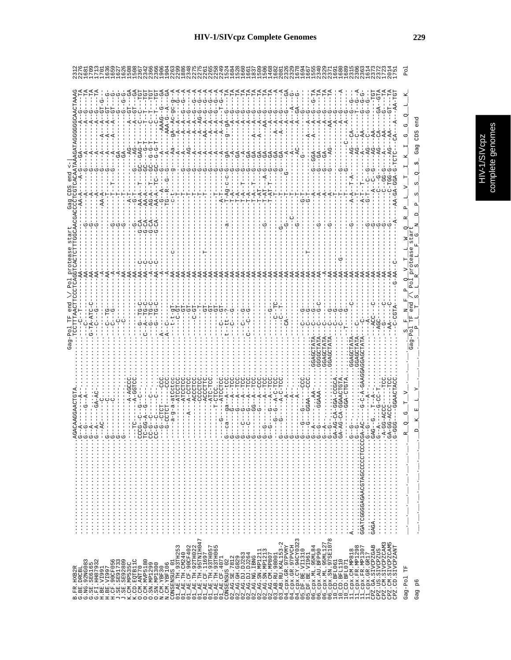| HXB <sub>2R</sub><br>.DRCBL<br>囸<br>ER<br>$\mathbf m$ |                                                           |  |        |              |          |                  |       |                                                                                                                                                              |                                  |         |
|-------------------------------------------------------|-----------------------------------------------------------|--|--------|--------------|----------|------------------|-------|--------------------------------------------------------------------------------------------------------------------------------------------------------------|----------------------------------|---------|
|                                                       |                                                           |  |        |              |          |                  |       |                                                                                                                                                              |                                  |         |
|                                                       |                                                           |  |        | G-TA-ATC     |          |                  |       |                                                                                                                                                              |                                  |         |
|                                                       |                                                           |  |        |              |          |                  |       |                                                                                                                                                              |                                  |         |
|                                                       |                                                           |  |        | $5 - 70$     |          |                  |       |                                                                                                                                                              | 5                                |         |
|                                                       |                                                           |  |        | Ó.           |          |                  |       |                                                                                                                                                              |                                  |         |
|                                                       |                                                           |  |        |              |          |                  |       |                                                                                                                                                              |                                  |         |
|                                                       |                                                           |  |        |              |          |                  |       |                                                                                                                                                              |                                  |         |
|                                                       |                                                           |  |        |              |          |                  |       |                                                                                                                                                              |                                  |         |
|                                                       |                                                           |  |        |              | งข<br>งง |                  |       |                                                                                                                                                              |                                  |         |
|                                                       |                                                           |  |        |              |          |                  |       |                                                                                                                                                              |                                  |         |
|                                                       |                                                           |  |        | ŦŦ<br>てり     |          | iči<br>III<br>II |       |                                                                                                                                                              |                                  |         |
|                                                       |                                                           |  |        | てり<br>÷      |          |                  | 9-9-1 |                                                                                                                                                              |                                  |         |
|                                                       |                                                           |  |        |              |          |                  |       |                                                                                                                                                              |                                  |         |
|                                                       |                                                           |  |        |              |          |                  |       |                                                                                                                                                              |                                  |         |
|                                                       |                                                           |  |        | ּיָה קֿ<br>י |          |                  |       |                                                                                                                                                              | თ<br>ს  <br><u>ს</u>             |         |
|                                                       |                                                           |  |        |              |          |                  |       |                                                                                                                                                              | $-9 - 7$                         |         |
|                                                       |                                                           |  |        | 동<br>-       |          |                  |       | $-1 - A - A$<br>$-1 - A - A$<br>$-1 - A - A$<br>$-1 - A - A$<br>$-1 - A - A$<br>$-1 - A - A$<br>$-1 - A - A$<br>$-1 - A - A$<br>$-1 - A - A$<br>$-1 - A - A$ |                                  |         |
|                                                       |                                                           |  |        | 당-9·         |          |                  |       |                                                                                                                                                              | ה ה ה ה ה ה<br>י י י י י י י י י |         |
|                                                       |                                                           |  |        |              |          |                  |       |                                                                                                                                                              |                                  |         |
|                                                       |                                                           |  |        | 븅            |          |                  |       |                                                                                                                                                              |                                  |         |
|                                                       |                                                           |  |        | ত            |          |                  |       |                                                                                                                                                              |                                  |         |
|                                                       |                                                           |  |        |              |          |                  |       |                                                                                                                                                              | $-9-$                            |         |
|                                                       |                                                           |  |        |              |          |                  |       | $\frac{1}{2}$                                                                                                                                                |                                  |         |
|                                                       |                                                           |  |        |              |          |                  |       |                                                                                                                                                              |                                  |         |
|                                                       |                                                           |  | Ħ      |              |          | 打开<br>机机         |       |                                                                                                                                                              |                                  |         |
|                                                       |                                                           |  |        |              |          |                  |       |                                                                                                                                                              |                                  |         |
|                                                       |                                                           |  | ।<br>ए | $-5 - -1$    |          | ÷                |       |                                                                                                                                                              |                                  |         |
|                                                       |                                                           |  | Ť      |              |          |                  |       |                                                                                                                                                              |                                  |         |
|                                                       |                                                           |  |        |              |          |                  |       | $- - A$                                                                                                                                                      |                                  |         |
|                                                       |                                                           |  |        |              |          |                  |       |                                                                                                                                                              |                                  |         |
|                                                       |                                                           |  |        |              |          |                  |       |                                                                                                                                                              |                                  |         |
|                                                       |                                                           |  |        |              |          |                  |       |                                                                                                                                                              |                                  |         |
|                                                       |                                                           |  |        |              |          |                  |       |                                                                                                                                                              |                                  |         |
|                                                       |                                                           |  |        |              |          |                  |       |                                                                                                                                                              |                                  |         |
|                                                       |                                                           |  |        |              |          |                  |       |                                                                                                                                                              |                                  |         |
|                                                       |                                                           |  |        | てり           |          |                  |       |                                                                                                                                                              |                                  |         |
|                                                       |                                                           |  |        |              |          |                  |       |                                                                                                                                                              |                                  |         |
|                                                       |                                                           |  |        |              |          |                  |       |                                                                                                                                                              |                                  |         |
|                                                       |                                                           |  |        |              |          |                  |       |                                                                                                                                                              |                                  |         |
|                                                       |                                                           |  |        | פ            |          |                  |       |                                                                                                                                                              |                                  |         |
|                                                       |                                                           |  |        | UΟ           |          |                  |       |                                                                                                                                                              |                                  |         |
|                                                       |                                                           |  |        |              |          |                  |       |                                                                                                                                                              |                                  |         |
|                                                       |                                                           |  |        |              |          |                  |       |                                                                                                                                                              |                                  |         |
|                                                       |                                                           |  |        |              |          |                  |       |                                                                                                                                                              |                                  |         |
|                                                       |                                                           |  |        |              |          |                  |       |                                                                                                                                                              |                                  |         |
|                                                       |                                                           |  |        |              |          |                  |       |                                                                                                                                                              |                                  |         |
|                                                       |                                                           |  |        |              |          |                  |       |                                                                                                                                                              |                                  |         |
|                                                       |                                                           |  |        |              |          |                  |       |                                                                                                                                                              |                                  |         |
|                                                       | $\begin{array}{c} \vdots \\ \vdots \\ \vdots \end{array}$ |  |        |              |          |                  |       |                                                                                                                                                              |                                  |         |
|                                                       | $\ddot{\cdot}$                                            |  |        |              |          |                  |       |                                                                                                                                                              |                                  |         |
|                                                       |                                                           |  |        |              |          |                  |       |                                                                                                                                                              |                                  |         |
| Ë<br>Gag-Pol                                          |                                                           |  |        |              |          |                  |       |                                                                                                                                                              |                                  | $\circ$ |
|                                                       |                                                           |  |        | end          |          |                  |       |                                                                                                                                                              |                                  |         |
| 9q<br>Gag                                             |                                                           |  |        |              |          |                  |       | end<br>CDS                                                                                                                                                   |                                  |         |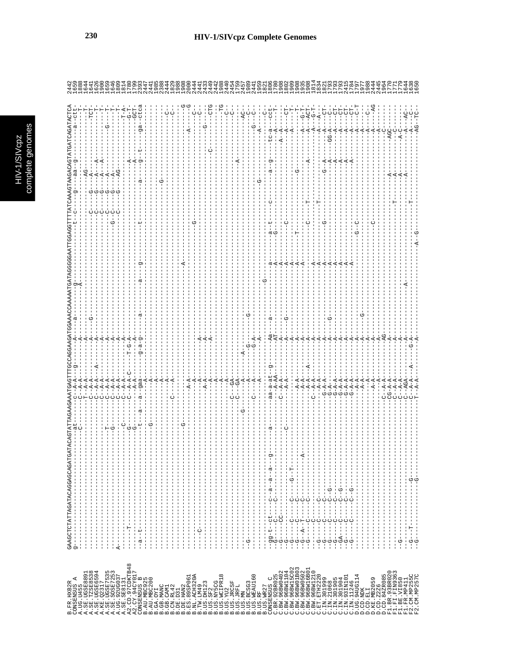| しつのしのすつのMP<br>$-1100$                                                                                                                                                                                                                                                                                                                                                                                                                                                                                                                                                                                                                                                                                                                                                                                                                                                                                                                                |                                                                                                                                                                                                                                                                                                                                                                                                                                                                                                                                                                                                                                                                                                                                                                                                                                                                                                                                                                                                                                                                                                                                                                | ოოო ო<br>യ ധ യ യ യ സ യ<br>4                                                                                                                                                                                                                                                                                                                                                                                                                                                                                                                                                                                                                                                                                                                                                                                                                                                                                                                                                                                                                                                                                                                                                                                       |
|------------------------------------------------------------------------------------------------------------------------------------------------------------------------------------------------------------------------------------------------------------------------------------------------------------------------------------------------------------------------------------------------------------------------------------------------------------------------------------------------------------------------------------------------------------------------------------------------------------------------------------------------------------------------------------------------------------------------------------------------------------------------------------------------------------------------------------------------------------------------------------------------------------------------------------------------------|----------------------------------------------------------------------------------------------------------------------------------------------------------------------------------------------------------------------------------------------------------------------------------------------------------------------------------------------------------------------------------------------------------------------------------------------------------------------------------------------------------------------------------------------------------------------------------------------------------------------------------------------------------------------------------------------------------------------------------------------------------------------------------------------------------------------------------------------------------------------------------------------------------------------------------------------------------------------------------------------------------------------------------------------------------------------------------------------------------------------------------------------------------------|-------------------------------------------------------------------------------------------------------------------------------------------------------------------------------------------------------------------------------------------------------------------------------------------------------------------------------------------------------------------------------------------------------------------------------------------------------------------------------------------------------------------------------------------------------------------------------------------------------------------------------------------------------------------------------------------------------------------------------------------------------------------------------------------------------------------------------------------------------------------------------------------------------------------------------------------------------------------------------------------------------------------------------------------------------------------------------------------------------------------------------------------------------------------------------------------------------------------|
| $\frac{1}{1}$                                                                                                                                                                                                                                                                                                                                                                                                                                                                                                                                                                                                                                                                                                                                                                                                                                                                                                                                        |                                                                                                                                                                                                                                                                                                                                                                                                                                                                                                                                                                                                                                                                                                                                                                                                                                                                                                                                                                                                                                                                                                                                                                |                                                                                                                                                                                                                                                                                                                                                                                                                                                                                                                                                                                                                                                                                                                                                                                                                                                                                                                                                                                                                                                                                                                                                                                                                   |
| ひ<br>ú,<br>ה                                                                                                                                                                                                                                                                                                                                                                                                                                                                                                                                                                                                                                                                                                                                                                                                                                                                                                                                         | ひ<br>ပု<br>$\frac{1}{\mathbf{U}}$                                                                                                                                                                                                                                                                                                                                                                                                                                                                                                                                                                                                                                                                                                                                                                                                                                                                                                                                                                                                                                                                                                                              | ₫<br>Ą                                                                                                                                                                                                                                                                                                                                                                                                                                                                                                                                                                                                                                                                                                                                                                                                                                                                                                                                                                                                                                                                                                                                                                                                            |
| ת<br>К<br>ี ⊲ ຫ                                                                                                                                                                                                                                                                                                                                                                                                                                                                                                                                                                                                                                                                                                                                                                                                                                                                                                                                      | তা                                                                                                                                                                                                                                                                                                                                                                                                                                                                                                                                                                                                                                                                                                                                                                                                                                                                                                                                                                                                                                                                                                                                                             | $\overline{A}$<br>A A A A A                                                                                                                                                                                                                                                                                                                                                                                                                                                                                                                                                                                                                                                                                                                                                                                                                                                                                                                                                                                                                                                                                                                                                                                       |
| ā<br>O i i i i i O<br>A A A A A A                                                                                                                                                                                                                                                                                                                                                                                                                                                                                                                                                                                                                                                                                                                                                                                                                                                                                                                    |                                                                                                                                                                                                                                                                                                                                                                                                                                                                                                                                                                                                                                                                                                                                                                                                                                                                                                                                                                                                                                                                                                                                                                | てり<br>$A \land A$                                                                                                                                                                                                                                                                                                                                                                                                                                                                                                                                                                                                                                                                                                                                                                                                                                                                                                                                                                                                                                                                                                                                                                                                 |
| <b>ひひひひひひ</b>                                                                                                                                                                                                                                                                                                                                                                                                                                                                                                                                                                                                                                                                                                                                                                                                                                                                                                                                        |                                                                                                                                                                                                                                                                                                                                                                                                                                                                                                                                                                                                                                                                                                                                                                                                                                                                                                                                                                                                                                                                                                                                                                |                                                                                                                                                                                                                                                                                                                                                                                                                                                                                                                                                                                                                                                                                                                                                                                                                                                                                                                                                                                                                                                                                                                                                                                                                   |
| ひひひひひひ<br>ひ                                                                                                                                                                                                                                                                                                                                                                                                                                                                                                                                                                                                                                                                                                                                                                                                                                                                                                                                          |                                                                                                                                                                                                                                                                                                                                                                                                                                                                                                                                                                                                                                                                                                                                                                                                                                                                                                                                                                                                                                                                                                                                                                | σΟ                                                                                                                                                                                                                                                                                                                                                                                                                                                                                                                                                                                                                                                                                                                                                                                                                                                                                                                                                                                                                                                                                                                                                                                                                |
|                                                                                                                                                                                                                                                                                                                                                                                                                                                                                                                                                                                                                                                                                                                                                                                                                                                                                                                                                      |                                                                                                                                                                                                                                                                                                                                                                                                                                                                                                                                                                                                                                                                                                                                                                                                                                                                                                                                                                                                                                                                                                                                                                |                                                                                                                                                                                                                                                                                                                                                                                                                                                                                                                                                                                                                                                                                                                                                                                                                                                                                                                                                                                                                                                                                                                                                                                                                   |
|                                                                                                                                                                                                                                                                                                                                                                                                                                                                                                                                                                                                                                                                                                                                                                                                                                                                                                                                                      |                                                                                                                                                                                                                                                                                                                                                                                                                                                                                                                                                                                                                                                                                                                                                                                                                                                                                                                                                                                                                                                                                                                                                                | $A \land A$<br>Æ<br>ΚK<br>K,<br>K,<br>⋖⋖<br>Æ<br>Æ                                                                                                                                                                                                                                                                                                                                                                                                                                                                                                                                                                                                                                                                                                                                                                                                                                                                                                                                                                                                                                                                                                                                                                |
| ወ⊄                                                                                                                                                                                                                                                                                                                                                                                                                                                                                                                                                                                                                                                                                                                                                                                                                                                                                                                                                   |                                                                                                                                                                                                                                                                                                                                                                                                                                                                                                                                                                                                                                                                                                                                                                                                                                                                                                                                                                                                                                                                                                                                                                |                                                                                                                                                                                                                                                                                                                                                                                                                                                                                                                                                                                                                                                                                                                                                                                                                                                                                                                                                                                                                                                                                                                                                                                                                   |
| てり<br>œ                                                                                                                                                                                                                                                                                                                                                                                                                                                                                                                                                                                                                                                                                                                                                                                                                                                                                                                                              | ൯                                                                                                                                                                                                                                                                                                                                                                                                                                                                                                                                                                                                                                                                                                                                                                                                                                                                                                                                                                                                                                                                                                                                                              | てり                                                                                                                                                                                                                                                                                                                                                                                                                                                                                                                                                                                                                                                                                                                                                                                                                                                                                                                                                                                                                                                                                                                                                                                                                |
| $A \land A$<br>তা<br>ပ္ပ်<br><b>G</b>                                                                                                                                                                                                                                                                                                                                                                                                                                                                                                                                                                                                                                                                                                                                                                                                                                                                                                                | ΚK<br>්<br>Ġ                                                                                                                                                                                                                                                                                                                                                                                                                                                                                                                                                                                                                                                                                                                                                                                                                                                                                                                                                                                                                                                                                                                                                   | σE                                                                                                                                                                                                                                                                                                                                                                                                                                                                                                                                                                                                                                                                                                                                                                                                                                                                                                                                                                                                                                                                                                                                                                                                                |
|                                                                                                                                                                                                                                                                                                                                                                                                                                                                                                                                                                                                                                                                                                                                                                                                                                                                                                                                                      |                                                                                                                                                                                                                                                                                                                                                                                                                                                                                                                                                                                                                                                                                                                                                                                                                                                                                                                                                                                                                                                                                                                                                                |                                                                                                                                                                                                                                                                                                                                                                                                                                                                                                                                                                                                                                                                                                                                                                                                                                                                                                                                                                                                                                                                                                                                                                                                                   |
| みみみみ<br>$\mathbf{I}$<br>$\mathbf{I}$<br>J.<br>л.<br>- 11                                                                                                                                                                                                                                                                                                                                                                                                                                                                                                                                                                                                                                                                                                                                                                                                                                                                                             | $\ddot{\mathcal{E}}$<br>$A \land A$<br>$\overline{A}$<br>ŧ<br>$\overline{A}$<br>-11                                                                                                                                                                                                                                                                                                                                                                                                                                                                                                                                                                                                                                                                                                                                                                                                                                                                                                                                                                                                                                                                            | aa-a-at<br>---A-A2<br>---A-A<br>---A-A<br>みみみみみみみみ<br>$\mathbf{I}$                                                                                                                                                                                                                                                                                                                                                                                                                                                                                                                                                                                                                                                                                                                                                                                                                                                                                                                                                                                                                                                                                                                                                |
| <b>UUUUUU</b>                                                                                                                                                                                                                                                                                                                                                                                                                                                                                                                                                                                                                                                                                                                                                                                                                                                                                                                                        | U<br>ō<br>O<br>↻                                                                                                                                                                                                                                                                                                                                                                                                                                                                                                                                                                                                                                                                                                                                                                                                                                                                                                                                                                                                                                                                                                                                               | O !<br>Ó                                                                                                                                                                                                                                                                                                                                                                                                                                                                                                                                                                                                                                                                                                                                                                                                                                                                                                                                                                                                                                                                                                                                                                                                          |
| ן מה<br>ה<br>ט<br>日の                                                                                                                                                                                                                                                                                                                                                                                                                                                                                                                                                                                                                                                                                                                                                                                                                                                                                                                                 |                                                                                                                                                                                                                                                                                                                                                                                                                                                                                                                                                                                                                                                                                                                                                                                                                                                                                                                                                                                                                                                                                                                                                                |                                                                                                                                                                                                                                                                                                                                                                                                                                                                                                                                                                                                                                                                                                                                                                                                                                                                                                                                                                                                                                                                                                                                                                                                                   |
| $\mathbf{I}$<br>$\mathbf{I}$<br>- 11<br>$\begin{array}{c} \hline \end{array}$<br>$\overline{\phantom{a}}$                                                                                                                                                                                                                                                                                                                                                                                                                                                                                                                                                                                                                                                                                                                                                                                                                                            | H.<br>ш<br>-1<br>$\frac{1}{2}$<br>Ť.<br>$\mathbf I$<br>$\mathbf{I}$<br>$\frac{1}{1}$<br>$\mathsf I$<br>-1<br>-1<br>$\blacksquare$<br>$\overline{\phantom{a}}$<br>$\overline{\phantom{a}}$<br>$\mathbf{I}$                                                                                                                                                                                                                                                                                                                                                                                                                                                                                                                                                                                                                                                                                                                                                                                                                                                                                                                                                      | - 1<br>$\mathbf{I}$                                                                                                                                                                                                                                                                                                                                                                                                                                                                                                                                                                                                                                                                                                                                                                                                                                                                                                                                                                                                                                                                                                                                                                                               |
| $\frac{1}{2}$<br>Ţ<br>$\blacksquare$<br>$\blacksquare$<br>$\mathbf{I}$<br>$\blacksquare$<br>$\blacksquare$<br>п<br>- 1<br>п<br>$\blacksquare$<br>-1<br>$\blacksquare$<br>-1<br>п<br>п<br>$\mathsf I$<br>$\mathsf I$<br>$\overline{\phantom{a}}$<br>$\mathsf I$<br>1<br>$\mathbf{I}$<br>$\blacksquare$<br>$\mathbf{I}$<br>т<br>$\mathbf{I}$<br>$\,$ I<br>$\,$ I<br>$\,$ I<br>$\mathsf I$<br>ţ<br>$\frac{1}{1}$<br>Т<br>$\mathbf{I}$<br>$\mathbf{I}$<br>$\mathbf{I}$<br>1<br>$\overline{\phantom{a}}$<br>$\frac{1}{1}$<br>$\frac{1}{4}$<br>- 1<br>.<br>- 1<br>$\overline{\phantom{a}}$<br>$\mathbf{I}$<br>$\mathbf{I}$<br>$\overline{\phantom{a}}$<br>Ţ<br>$\mathbf{I}$<br>$1 - 1 = 1$<br>$\blacksquare$<br>$\mathbf{I}$<br>1<br>$\mathbf{I}$<br>- 1<br>$\blacksquare$<br>- 1<br>-1<br>-1<br>$\mathbf{I}$<br>$-1$<br>$\mathbf{1}$<br>Ť<br>Ť.<br>$\mathbf{I}$<br>Ĵ<br>$\mathbf I$<br>$1 - 1$<br>$\,$ I<br>$\mathbf{I}$<br>$\mathbf{I}$<br>-1            | $\frac{1}{2}$<br>Ţ<br>$\frac{1}{1}$<br>Ţ<br>$\frac{1}{4}$<br>Ţ<br>Ţ<br>Ť<br>Ţ<br>$\frac{1}{1}$<br>$\mathbf{I}$<br>$\mathbf{I}$<br>$\blacksquare$<br>п.<br>$\mathbf{I}$<br>$\mathbf{I}$<br>Ι.<br>$\mathbf{I}$<br>$\mathbf{I}$<br>$\mathbf{I}$<br>$\mathbf{I}$<br>$\blacksquare$<br>$\mathbf{I}$<br>-1<br>Ť.<br>J.<br>J.<br>J.<br>Ť.<br>Ť.<br>$\mathsf I$<br>$\mathsf I$<br>$\mathsf I$<br>$\mathbf I$<br>$\mathsf I$<br>J.<br>т<br>$\mathbf{I}$<br>$\mathsf I$<br>$\,$ I<br>$\mathsf I$<br>$\frac{1}{1}$<br>$\frac{1}{2}$<br>$\frac{1}{1}$<br>$\,$ I<br>$\frac{1}{1}$<br>$\frac{1}{1}$<br>$\frac{1}{2}$<br>$\begin{array}{c} \begin{array}{c} \begin{array}{c} \begin{array}{c} \begin{array}{c} \end{array} \\ \end{array} \\ \begin{array}{c} \end{array} \\ \begin{array}{c} \end{array} \\ \end{array} \end{array} \end{array}$<br>$\mathbf{I}$<br>$\frac{1}{1}$<br>$\frac{1}{1}$<br>$\overline{1}$<br>$\mathbf I$<br>$\mathbf{I}$<br>$\blacksquare$<br>$\mathbf{I}$<br>- 1<br>$\mathbf{I}$<br>$\frac{1}{1}$<br>$\mathbf{I}$<br>$\frac{1}{1}$<br>$\mathbf{I}$<br>-1<br>$\mathbf{I}$<br>- 11<br>-1<br>T.<br>$\mathbf I$<br>$\mathbf I$<br>-1<br>$\mathbf{I}$ | $\frac{1}{1}$<br>Ť<br>ŧ<br>$\frac{1}{4}$<br>$\mathbf{I}$<br>$\frac{1}{4}$<br>Ţ<br>$\frac{1}{1}$<br>$\frac{1}{1}$<br>Ţ<br>$\frac{1}{4}$<br>$\frac{1}{1}$<br>Ţ<br>$\frac{1}{1}$<br>$\frac{1}{4}$<br>Ţ<br>J.<br>$\frac{1}{1}$<br>$\overline{\phantom{a}}$<br>- 11<br>$\mathbf{I}$<br>$\mathbf{I}$<br>$\blacksquare$<br>$\mathbf{I}$<br>$\mathbf{I}$<br>$\blacksquare$<br>п<br>- 1<br>$\begin{array}{c cccc} 1 & 1 & 1 & 1 & 1 \\ 1 & 0 & 1 & 1 & 1 & 1 \\ 1 & 1 & 1 & 1 & 1 & 1 \\ 1 & 1 & 1 & 1 & 1 & 1 \\ 1 & 1 & 1 & 1 & 1 & 1 \\ 1 & 1 & 1 & 1 & 1 & 1 \\ 1 & 1 & 1 & 1 & 1 & 1 \\ 1 & 1 & 1 & 1 & 1 & 1 \\ 1 & 1 & 1 & 1 & 1 & 1 \\ 1 & 1 & 1 & 1 & 1 & 1 \\ 1 & 1 & 1 & 1 & 1 & 1 \\ 1 & 1 & 1 & 1 & 1 & $<br>Ť.<br>Ť.<br>Ť.<br>J.<br>Ť.<br>$\mathsf I$<br>$\,$ I<br>$\mathbf{I}$<br>$\begin{array}{c} \frac{1}{2} \\ \frac{1}{2} \end{array}$<br>$\begin{array}{c} \begin{array}{c} \begin{array}{c} \begin{array}{c} \begin{array}{c} \end{array} \\ \begin{array}{c} \end{array} \\ \begin{array}{c} \end{array} \\ \begin{array}{c} \end{array} \end{array} \end{array} \end{array}$<br>Ţ<br>$\begin{array}{c} \begin{array}{c} 1 \\ 1 \\ 1 \end{array} \end{array}$<br>$-5 - 5 - 1$<br>$\mathbf{I}$<br>т. |
| $1 - 1 - 1$<br>$-1$<br>$\blacksquare$<br>$\mathbf{I}$<br>Ţ<br>$\overline{\phantom{a}}$<br>$\mathbf{I}$<br>$\mathbf{I}$<br>$\frac{1}{4}$<br>1111<br>- 1<br>$\mathbf{I}$<br>$\blacksquare$<br>- 1<br>-1<br>-1<br>-1<br>п<br>-1<br>$\mathbf{I}$<br>.<br>$\mathbf{I}$<br>j.<br>÷i.<br>$\mathbf{I}$<br>Ť.<br>$\mathbf{I}$<br>$\mathbf{I}$<br>$\mathbf{I}$<br>$\mathbf I$<br>$\mathbf I$<br>$1 - 1 - 1$<br>$\mathsf I$<br>$\,$ I<br>$\,$ I<br>$\,$ I<br>1<br>$\mathbf{I}$<br>$\mathbf{I}$<br>$\mathbf{I}$<br>$\mathbf{I}$<br>- 11<br>Ţ<br>$\overline{\phantom{a}}$<br>甘<br>$\mathbf{I}$<br>$\frac{1}{4}$<br>$\overline{\phantom{a}}$<br>÷<br>J.<br>$\frac{1}{1}$<br>$\overline{\phantom{a}}$<br>$\blacksquare$<br>$\blacksquare$<br>$\mathbf{I}$<br>$\blacksquare$<br>$\mathbf{I}$<br>$\Box$<br>- 1<br>- 1<br>$\mathbf{I}$<br>- 1<br>-1<br><b>TERMINE</b><br>$\mathbf{I}$<br>$\mathbf{1}$<br>$\overline{1}$<br>Ť.<br>$\mathbf{I}$<br>$\,$ I<br>$\mathbf I$ | $\mathbf{I}$<br>T<br>$\mathsf I$<br>- 11<br>1<br>$\blacksquare$<br>$\frac{1}{1}$<br>$\frac{1}{4}$<br>$\frac{1}{4}$<br>$\frac{1}{4}$<br>$\mathbf{I}$<br>$\blacksquare$<br>$\mathbf{I}$<br>Ť<br>Ť<br>-1<br>-1<br>- 11<br>- 1<br>j.<br>Ť.<br>$\mathbf I$<br>j.<br>- 11<br>$\mathsf I$<br>$\mathbf{I}$<br>$\mathbf{I}$<br>$\mathsf I$<br>$\mathsf I$<br>$\mathbb T$<br>$\mathsf I$<br>$\mathsf I$<br>$\blacksquare$<br>$\mathsf I$<br>$\mathbb T$<br>$\mathbb I$<br>排<br>$\mathbf{I}$<br>1<br>$\frac{1}{4}$<br>$\overline{\phantom{a}}$<br>÷<br>Ħ<br>$\frac{1}{1}$<br>$\frac{1}{1}$<br>$\frac{1}{4}$<br>$\overline{\phantom{a}}$<br>$\mathsf I$<br>÷<br>$\mathbf{I}$<br>$\frac{1}{4}$<br>$\blacksquare$<br>$\mathbf{I}$<br>$\mathbf{I}$<br>$\mathbf{I}$<br>-11<br>- 1<br>$\mathbf{I}$<br>$\pm$<br>-1<br>Ť.<br>$\mathbf{I}$<br>$\mathbf I$<br>$1 - 1$<br>$\mathbf I$<br>$\mathbf I$                                                                                                                                                                                                                                                                                 | $\mathbf{I}$<br>$\mathbf{I}$<br>$\frac{1}{4}$<br>$\mathbf{I}$<br>-1<br>$\mathbf{I}$<br>-1<br>Ť.<br>Ť.<br>$\mathbb{I}$<br>$\mathbb{I}$<br>$\mathbf I$<br>$\mathbf I$<br>$\mathbf{I}$<br>$\blacksquare$<br>$\mathbf{I}$<br>÷<br>$\mathbf{I}$<br>ŧ<br>Ţ<br>-1<br>Т<br>J.<br>Ţ<br>- 1<br>$\mathbf{I}$<br>$\frac{1}{1}$<br>л.<br>$\mathbf{L}$<br>$\mathbf{L}$<br>$\mathbf{I}$<br>$\mathbb{I}$<br>$\mathbb T$                                                                                                                                                                                                                                                                                                                                                                                                                                                                                                                                                                                                                                                                                                                                                                                                           |
| $\mathbf{I}=\mathbf{I}$<br>$\mathbf{I}$<br>$\mathbf{I}$<br>$\,$ I<br>$\,$ I<br>$\mathsf I$<br>$\,$ I<br>$\mathsf I$<br>$\,$ I<br>$\,$ I<br>$\,$ I<br>$\overline{\phantom{a}}$<br>j.<br>Ħ<br>$\frac{1}{1}$<br>$1 - 1 - 1$<br>-14<br>$\frac{1}{1}$<br>$\overline{1}$<br>$\mathbf{I}$<br>$\overline{\phantom{a}}$<br>$\frac{1}{1}$<br>$\frac{1}{1}$<br>$\mathbf{I}$<br>$\blacksquare$<br>$\pm$ $\pm$<br>$\frac{1}{4}$<br>$\frac{1}{4}$<br>- 1<br>-1<br>$\pm$ $\pm$<br>$\mathbf{I}$<br>$\blacksquare$<br>$-1$<br>$\blacksquare$<br>$\perp$<br>$\blacksquare$<br>$\begin{array}{c} \begin{array}{c} \text{1} \\ \text{2} \\ \text{3} \\ \text{4} \end{array} \end{array}$<br>$-1 - - - - - - - -$<br>$-1$ $-1$ $-1$ $-1$ $-1$ $-1$ $-1$<br>$-1$<br>$\blacksquare$<br>$\blacksquare$<br>$\overline{\phantom{a}}$<br>$\mathbf{I}$<br>Ţ<br>Ţ<br>$\frac{1}{1}$<br>$\frac{1}{4}$<br>$A - - - - - -$<br>$\overline{\phantom{a}}$                                | $\mathsf I$<br>$\,$ I<br>$\,$ I<br>$\mathsf I$<br>$\mathbb T$<br>$\mathbf{I}$<br>$\mathsf I$<br>$\frac{1}{1}$<br>$\,$ I<br>$\mathsf I$<br>$\mathbf{I}$<br>$\mathbf{I}$<br>$\mathbf{I}$<br>$\mathbf I$<br>$\mathbf{I}$<br>$\blacksquare$<br>$\frac{1}{1}$<br>Ħ<br>$\mathbf{I}$<br>$\frac{1}{1}$<br>$\mathbf{I}$<br>$\frac{1}{1}$<br>甘<br>HH<br>$\blacksquare$<br>-1<br>$\mathbf{I}$<br>Ť<br>$\mathbf{I}$<br>Ť.<br>$\mathbf{I}$<br>$\blacksquare$<br>$\begin{array}{c} 1 & 1 \\ 1 & 0 \\ 1 & 1 \\ 1 & 1 \\ 1 & 1 \\ 1 & 1 \\ 1 & 1 \\ 1 & 1 \\ 1 & 1 \\ 1 & 1 \\ 1 & 1 \\ 1 & 1 \\ 1 & 1 \\ 1 & 1 \\ 1 & 1 \\ 1 & 1 \\ 1 & 1 \\ 1 & 1 \\ 1 & 1 \\ 1 & 1 \\ 1 & 1 \\ 1 & 1 \\ 1 & 1 \\ 1 & 1 \\ 1 & 1 \\ 1 & 1 \\ 1 & 1 \\ 1 & 1 \\ 1 & 1 \\ 1 & 1 \\ 1 & 1 \\ 1 & 1 \\ 1 & 1 \\ 1 & 1 \\ 1 & 1 \\ 1 &$<br>$\mathbf{I}$<br>$\frac{1}{2}$<br>$\frac{1}{2}$<br>$\mathbf{I}$                                                                                                                                                                                                                                                                                         | $\mathbf{I}$<br>$\blacksquare$<br>$\mathsf I$<br>$\mathsf I$<br>$\frac{1}{1}$<br>$\frac{1}{4}$<br>$\frac{1}{1}$<br>$\frac{1}{1}$<br>Ţ<br>$\frac{1}{1}$<br>$\mathbf{I}$<br>T<br>Ţ<br>$\frac{1}{4}$<br>$\frac{1}{4}$<br>$\frac{1}{4}$<br>$\mathbf{I}$<br>т.<br>Ť.<br>$\mathbf{I}$<br>$\blacksquare$<br>$\mathsf I$<br>$\mathsf I$<br>п<br>J.                                                                                                                                                                                                                                                                                                                                                                                                                                                                                                                                                                                                                                                                                                                                                                                                                                                                        |
| $\blacksquare$<br>$\mathbf{I}$<br>$\mathbf{I}$                                                                                                                                                                                                                                                                                                                                                                                                                                                                                                                                                                                                                                                                                                                                                                                                                                                                                                       | ţ<br>$\begin{array}{c} \begin{array}{c} \begin{array}{c} \begin{array}{c} \end{array} \\ \begin{array}{c} \end{array} \\ \begin{array}{c} \end{array} \\ \begin{array}{c} \end{array} \\ \begin{array}{c} \end{array} \end{array} \end{array}$<br>$\begin{array}{c} \begin{array}{c} \text{1} \\ \text{2} \\ \text{3} \\ \text{4} \end{array} \end{array}$<br>$\frac{1}{1}$<br>$\begin{array}{c} \begin{array}{c} \text{1} \\ \text{1} \\ \text{1} \end{array} \\ \text{1} \end{array}$<br>$\frac{1}{1}$<br>$\frac{1}{1}$<br>$\mathbf{I}$<br>$\frac{1}{4}$<br>$\frac{1}{4}$                                                                                                                                                                                                                                                                                                                                                                                                                                                                                                                                                                                    | $\frac{1}{1}$<br>$\frac{1}{2}$<br>$\mathbf{I}$<br>$\frac{1}{1}$<br>$\frac{1}{1}$<br>$\frac{1}{2}$<br>ł<br>$\frac{1}{1}$<br>$-1 - 0 - 1$<br>$\frac{1}{1}$                                                                                                                                                                                                                                                                                                                                                                                                                                                                                                                                                                                                                                                                                                                                                                                                                                                                                                                                                                                                                                                          |

 $\begin{smallmatrix} \texttt{R1} & \texttt{R1} & \texttt{R2} & \texttt{R3} & \texttt{R4} & \texttt{R5} & \texttt{R6} & \texttt{R6} & \texttt{R7} & \texttt{R8} & \texttt{R8} & \texttt{R9} & \texttt{R0} & \texttt{R1} & \texttt{R2} & \texttt{R2} & \texttt{R3} & \texttt{R4} & \texttt{R5} & \texttt{R6} & \texttt{R7} & \texttt{R8} & \texttt{R9} & \texttt{R0} & \texttt{R1} & \texttt{R2} & \texttt{R2$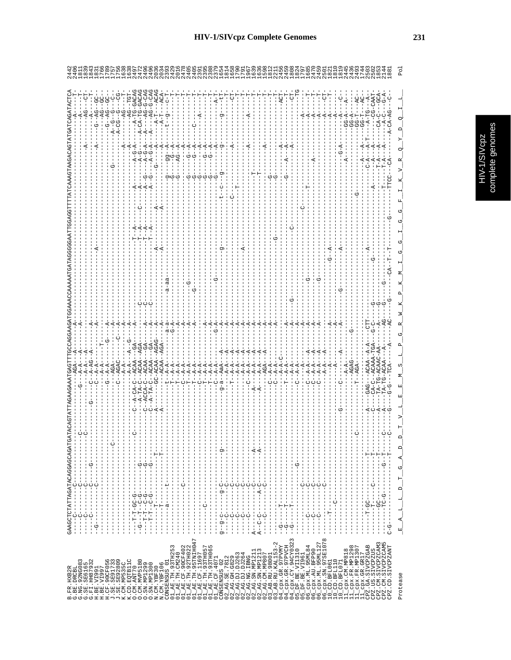| RRRRRRRRRRRR<br>$A \land A$<br>$\mathbf{I}$<br>-11<br>$1 \quad 1 \quad 1$<br>9999<br>$\pm$<br>하다<br>이 - 주<br>- - -<br><b>७ ७</b><br>$\overline{A}$ $\overline{A}$ $\overline{A}$ $\overline{A}$<br>ט ט ו<br>÷<br>じ じ<br>せせせせせせ<br>あひひ<br>ひ<br>ひ<br>$A \land A$<br>нн<br>てり<br>↻<br>O<br><b>AAAAAAAAAAA</b><br>₫⊄<br>$\frac{1}{6}$ $\frac{1}{6}$<br>みみみみみみみみ<br>A - A<br>A - A<br>A A A<br>A<br>A<br>$A -$<br>$A$ $A$<br>A A A A A<br>$\overline{A}$ –<br>$\overline{A}$<br>$A - D$<br>Ţ<br>υņ<br>ပ္ပ<br>U<br>ര<br>$\frac{1}{4}$<br>$\frac{1}{4}$<br>$TA-T$<br>り<br>ざ<br>U)<br>⋖⋖<br>$\mathbf{I}$<br>U-------<br>$-1$ - $-1$ - $-1$<br>J<br>I<br>$\frac{1}{1}$<br>ţ<br>$\frac{1}{1}$<br>$\frac{1}{1}$<br>$\frac{1}{\sigma}$<br>$\overline{\phantom{a}}$<br>$\begin{bmatrix} 1 \\ 1 \\ 1 \end{bmatrix}$<br>$\frac{1}{1}$<br>$-1$<br>т<br>$\frac{1}{1}$<br>$\frac{1}{1}$<br>$\frac{1}{1}$<br>$\frac{1}{1}$<br>$\frac{1}{1}$<br>$\frac{1}{1}$<br>$\blacksquare$<br>п<br>í<br>ł<br>$\frac{1}{1}$<br>Ť<br>ł<br>ł<br>$-1$ $-1$ $-1$ $-1$ $-1$ $-1$ $-1$<br>ł<br>п<br>Ť.<br>ï<br>$\mathbb{I}$<br>F<br>-<br>۲<br>-<br>۲<br>ا<br>$\frac{1}{1}$<br>$\overline{\phantom{a}}$<br>$\,$ I<br>$\mathsf I$<br>$-1$<br>ţ<br>Í<br>$\frac{1}{1}$<br>$\begin{array}{c} \hline \end{array}$<br>J.<br>J<br>J.<br>ţ<br>Ţ<br>J<br>т<br>I<br>$-5 - 7$<br>$\frac{1}{1}$<br>J.<br>ì<br>$\overline{\phantom{a}}$<br>$\mathbf{I}$<br>$\overline{1}$<br>I<br>í<br>$\frac{1}{1}$<br>ì<br>$\frac{1}{2}$<br>$\frac{1}{1}$<br>л.<br>J<br>Ť.<br>j<br>п<br>$\frac{1}{1}$<br>$\frac{1}{1}$<br>Ĵ<br>Ť<br>$1 - 1$<br>$\frac{1}{1}$<br>Ĵ<br>Ť.<br>$\frac{1}{1}$<br>Í<br>$\frac{1}{1}$<br>$\mathsf I$<br>$\frac{1}{1}$<br>$\overline{\phantom{a}}$<br>$-1$ - $-1$<br>$\frac{1}{4}$<br>1<br>-1<br>J<br>$\overline{1}$<br>$\,$ I<br>$\mathbf{I}$<br>$\frac{1}{2}$<br>$\frac{1}{1}$<br>$\frac{1}{1}$<br>$\frac{1}{2}$<br>$\begin{array}{c}\n0 \\ 1\n\end{array}$<br>U<br> <br>T<br>$\frac{1}{1}$<br>I<br>$\frac{1}{1}$<br>Ţ<br>$\frac{1}{2}$<br>$-1$ - $-1$ - $-1$<br>$-1$<br>$\overline{\phantom{a}}$<br>$\frac{C}{1}$<br>$\frac{1}{2}$<br>$\frac{C}{1}$<br>$O - \overline{\rho}$<br>- 0<br>- 0<br>- 0<br>$\frac{1}{1}$<br>ှ<br>၂<br>י<br>י<br>$\frac{C}{1}$<br>U<br> <br>$\frac{1}{1}$<br>$\mathbf{I}$<br>J.<br>$\frac{1}{1}$<br>ŧ<br>п.<br>т<br>т.<br>$\frac{1}{1}$<br>$\mathbf{I}$<br>í<br>$\blacksquare$<br>$-{\mathbf T} - {\mathbf T} - {\mathbf G} - {\mathbf G}$<br>ŧ<br>$\begin{array}{c} 1 \\ 1 \\ 1 \end{array}$<br>Ĩ<br>$\begin{bmatrix} 1 \\ 1 \\ 1 \end{bmatrix}$<br>$\begin{bmatrix} 1 \\ 1 \\ 1 \end{bmatrix}$<br>$\frac{1}{1}$<br>$\frac{1}{1}$<br>$\begin{array}{c} \mathbf{1} \\ \mathbf{1} \\ \mathbf{1} \\ \mathbf{1} \\ \mathbf{1} \\ \mathbf{1} \\ \mathbf{1} \end{array}$<br>$-1$<br>$-1$<br>$-1$<br>$- - 59 - -$<br>$\frac{1}{1}$<br>$\frac{1}{1}$<br>$\mathsf I$<br>I<br>$\frac{1}{1}$<br>$\frac{1}{1}$<br>$\overline{\phantom{a}}$<br>I.<br>I<br>Í<br>$\frac{1}{1}$<br>÷<br>T<br>$\mathbf{I}$<br>$\frac{1}{1}$<br>$\frac{1}{1}$<br>$\frac{1}{4}$<br>f,<br>$\frac{1}{4}$<br>$\mathbf{I}$<br>$\frac{1}{1}$<br>J.<br>$\frac{1}{1}$<br>$\frac{1}{1}$<br>$\frac{1}{1}$<br>J.<br>$\blacksquare$<br>$-10-1-1$<br>$\mathbf{I}$<br>T<br>$\mathbf{I}$<br>$\blacksquare$<br>J.<br>ı<br>$\mathbf{I}$<br>$\mathbf{I}$<br>$\mathbf{I}$<br>$\mathbf{I}$<br>Ť<br>ę<br>$-\frac{a}{1}$<br>$\mathbf{I}$<br>$- - - - C$<br>ï<br>T.<br>i<br>İ<br>$\,$ I<br>J.<br>J.<br>$\mathbf{I}$<br>턴<br>$\frac{1}{1}$<br>$\frac{1}{1}$<br>$\frac{1}{4}$<br>$\mathsf I$<br>$\,$ I<br>$\,$ I<br>$\mathsf I$<br>J<br>$\mathbf{I}$<br>$\mathbf{I}$<br>$\frac{1}{1}$<br>$\mathbf{I}$<br>۲<br>ا<br>$\overline{\phantom{a}}$<br>$\overline{\phantom{a}}$<br>$\mathbf{I}$<br>J<br>I<br>-1<br>$\mathbf{I}$<br>- 1<br>$\blacksquare$<br>$\blacksquare$<br>$\overline{\phantom{a}}$<br>$\mathbf{I}$<br>$\mathbf{I}$<br>$\frac{1}{1}$<br>$\frac{1}{1}$<br>$\frac{1}{1}$<br>$\frac{1}{4}$<br>ŧ<br>í<br>J.<br>J.<br>п<br>$\frac{1}{1}$<br>$\Gamma$<br>$C + 1$<br>$+ 1$<br>$+ 1$<br>ł<br>-1<br>í<br>$\frac{1}{1}$<br>$\frac{1}{1}$<br>ł<br>$\frac{1}{1}$<br>ï<br>$\overline{\phantom{a}}$<br>$\overline{\phantom{a}}$<br>I<br>$\mathbb{I}$<br>1<br>J,<br>J<br>I<br>$-\frac{9}{1}$<br>J<br>Ġ<br>J<br>J.<br>J.<br>$\overline{\phantom{a}}$<br>I<br>$\overline{\phantom{a}}$<br>1<br>$\frac{1}{1}$<br>J.<br>J<br>I.<br>$\blacksquare$<br>п<br>п<br>т<br>L.<br>L.<br>$\blacksquare$ |                       |     |
|----------------------------------------------------------------------------------------------------------------------------------------------------------------------------------------------------------------------------------------------------------------------------------------------------------------------------------------------------------------------------------------------------------------------------------------------------------------------------------------------------------------------------------------------------------------------------------------------------------------------------------------------------------------------------------------------------------------------------------------------------------------------------------------------------------------------------------------------------------------------------------------------------------------------------------------------------------------------------------------------------------------------------------------------------------------------------------------------------------------------------------------------------------------------------------------------------------------------------------------------------------------------------------------------------------------------------------------------------------------------------------------------------------------------------------------------------------------------------------------------------------------------------------------------------------------------------------------------------------------------------------------------------------------------------------------------------------------------------------------------------------------------------------------------------------------------------------------------------------------------------------------------------------------------------------------------------------------------------------------------------------------------------------------------------------------------------------------------------------------------------------------------------------------------------------------------------------------------------------------------------------------------------------------------------------------------------------------------------------------------------------------------------------------------------------------------------------------------------------------------------------------------------------------------------------------------------------------------------------------------------------------------------------------------------------------------------------------------------------------------------------------------------------------------------------------------------------------------------------------------------------------------------------------------------------------------------------------------------------------------------------------------------------------------------------------------------------------------------------------------------------------------------------------------------------------------------------------------------------------------------------------------------------------------------------------------------------------------------------------------------------------------------------------------------------------------------------------------------------------------------------------------------------------------------------------------------------------------------------------------------------------------------------------------------------------------------------------------------------------------------------------------------------------------------------------------------------------------------------------------------------------------------------------------------------------------------------------------------------------------------------------------------------------------------------------------------------------------------------------------------------------------------------------------------------------------------------------------------------------------------------------------------------------------------------------------------------------------------------------------------------------------------------------|-----------------------|-----|
|                                                                                                                                                                                                                                                                                                                                                                                                                                                                                                                                                                                                                                                                                                                                                                                                                                                                                                                                                                                                                                                                                                                                                                                                                                                                                                                                                                                                                                                                                                                                                                                                                                                                                                                                                                                                                                                                                                                                                                                                                                                                                                                                                                                                                                                                                                                                                                                                                                                                                                                                                                                                                                                                                                                                                                                                                                                                                                                                                                                                                                                                                                                                                                                                                                                                                                                                                                                                                                                                                                                                                                                                                                                                                                                                                                                                                                                                                                                                                                                                                                                                                                                                                                                                                                                                                                                                                                                                                |                       |     |
| $\begin{array}{c}\nC - C \\ C - 1 \\ 1\n\end{array}$<br>$-1$<br>$-\frac{c}{l}$<br>$C - C$<br>$\frac{1}{1}$<br>$\mathbb{L}$<br>$\mathbf I$<br>$\prec$<br>ה<br>$\begin{array}{l} (44-{\tt cpx.} (37.9709W)\\ (44-{\tt cpx.} (37.9709W)\\ (45-{\tt cpx.} (37.97093)\\ (5-{\tt p} {\tt r.} (38.97093)\\ (65-{\tt p} {\tt r.} (38.9709)\\ (66-{\tt cpx.} (37.97961)\\ (66-{\tt cpx.} (37.97961)\\ (67-{\tt cpx.} (37.978107)\\ (68-{\tt cpx.} (37.978107)\\ (69-{\tt cpx.} (37.9781$                                                                                                                                                                                                                                                                                                                                                                                                                                                                                                                                                                                                                                                                                                                                                                                                                                                                                                                                                                                                                                                                                                                                                                                                                                                                                                                                                                                                                                                                                                                                                                                                                                                                                                                                                                                                                                                                                                                                                                                                                                                                                                                                                                                                                                                                                                                                                                                                                                                                                                                                                                                                                                                                                                                                                                                                                                                                                                                                                                                                                                                                                                                                                                                                                                                                                                                                                                                                                                                                                                                                                                                                                                                                                                                                                                                                                                                                                                                                |                       | ৬   |
|                                                                                                                                                                                                                                                                                                                                                                                                                                                                                                                                                                                                                                                                                                                                                                                                                                                                                                                                                                                                                                                                                                                                                                                                                                                                                                                                                                                                                                                                                                                                                                                                                                                                                                                                                                                                                                                                                                                                                                                                                                                                                                                                                                                                                                                                                                                                                                                                                                                                                                                                                                                                                                                                                                                                                                                                                                                                                                                                                                                                                                                                                                                                                                                                                                                                                                                                                                                                                                                                                                                                                                                                                                                                                                                                                                                                                                                                                                                                                                                                                                                                                                                                                                                                                                                                                                                                                                                                                |                       |     |
|                                                                                                                                                                                                                                                                                                                                                                                                                                                                                                                                                                                                                                                                                                                                                                                                                                                                                                                                                                                                                                                                                                                                                                                                                                                                                                                                                                                                                                                                                                                                                                                                                                                                                                                                                                                                                                                                                                                                                                                                                                                                                                                                                                                                                                                                                                                                                                                                                                                                                                                                                                                                                                                                                                                                                                                                                                                                                                                                                                                                                                                                                                                                                                                                                                                                                                                                                                                                                                                                                                                                                                                                                                                                                                                                                                                                                                                                                                                                                                                                                                                                                                                                                                                                                                                                                                                                                                                                                |                       |     |
|                                                                                                                                                                                                                                                                                                                                                                                                                                                                                                                                                                                                                                                                                                                                                                                                                                                                                                                                                                                                                                                                                                                                                                                                                                                                                                                                                                                                                                                                                                                                                                                                                                                                                                                                                                                                                                                                                                                                                                                                                                                                                                                                                                                                                                                                                                                                                                                                                                                                                                                                                                                                                                                                                                                                                                                                                                                                                                                                                                                                                                                                                                                                                                                                                                                                                                                                                                                                                                                                                                                                                                                                                                                                                                                                                                                                                                                                                                                                                                                                                                                                                                                                                                                                                                                                                                                                                                                                                | ပုံ                   |     |
|                                                                                                                                                                                                                                                                                                                                                                                                                                                                                                                                                                                                                                                                                                                                                                                                                                                                                                                                                                                                                                                                                                                                                                                                                                                                                                                                                                                                                                                                                                                                                                                                                                                                                                                                                                                                                                                                                                                                                                                                                                                                                                                                                                                                                                                                                                                                                                                                                                                                                                                                                                                                                                                                                                                                                                                                                                                                                                                                                                                                                                                                                                                                                                                                                                                                                                                                                                                                                                                                                                                                                                                                                                                                                                                                                                                                                                                                                                                                                                                                                                                                                                                                                                                                                                                                                                                                                                                                                |                       |     |
|                                                                                                                                                                                                                                                                                                                                                                                                                                                                                                                                                                                                                                                                                                                                                                                                                                                                                                                                                                                                                                                                                                                                                                                                                                                                                                                                                                                                                                                                                                                                                                                                                                                                                                                                                                                                                                                                                                                                                                                                                                                                                                                                                                                                                                                                                                                                                                                                                                                                                                                                                                                                                                                                                                                                                                                                                                                                                                                                                                                                                                                                                                                                                                                                                                                                                                                                                                                                                                                                                                                                                                                                                                                                                                                                                                                                                                                                                                                                                                                                                                                                                                                                                                                                                                                                                                                                                                                                                | $A-CG-$               | も ど |
|                                                                                                                                                                                                                                                                                                                                                                                                                                                                                                                                                                                                                                                                                                                                                                                                                                                                                                                                                                                                                                                                                                                                                                                                                                                                                                                                                                                                                                                                                                                                                                                                                                                                                                                                                                                                                                                                                                                                                                                                                                                                                                                                                                                                                                                                                                                                                                                                                                                                                                                                                                                                                                                                                                                                                                                                                                                                                                                                                                                                                                                                                                                                                                                                                                                                                                                                                                                                                                                                                                                                                                                                                                                                                                                                                                                                                                                                                                                                                                                                                                                                                                                                                                                                                                                                                                                                                                                                                |                       |     |
|                                                                                                                                                                                                                                                                                                                                                                                                                                                                                                                                                                                                                                                                                                                                                                                                                                                                                                                                                                                                                                                                                                                                                                                                                                                                                                                                                                                                                                                                                                                                                                                                                                                                                                                                                                                                                                                                                                                                                                                                                                                                                                                                                                                                                                                                                                                                                                                                                                                                                                                                                                                                                                                                                                                                                                                                                                                                                                                                                                                                                                                                                                                                                                                                                                                                                                                                                                                                                                                                                                                                                                                                                                                                                                                                                                                                                                                                                                                                                                                                                                                                                                                                                                                                                                                                                                                                                                                                                |                       |     |
|                                                                                                                                                                                                                                                                                                                                                                                                                                                                                                                                                                                                                                                                                                                                                                                                                                                                                                                                                                                                                                                                                                                                                                                                                                                                                                                                                                                                                                                                                                                                                                                                                                                                                                                                                                                                                                                                                                                                                                                                                                                                                                                                                                                                                                                                                                                                                                                                                                                                                                                                                                                                                                                                                                                                                                                                                                                                                                                                                                                                                                                                                                                                                                                                                                                                                                                                                                                                                                                                                                                                                                                                                                                                                                                                                                                                                                                                                                                                                                                                                                                                                                                                                                                                                                                                                                                                                                                                                |                       |     |
|                                                                                                                                                                                                                                                                                                                                                                                                                                                                                                                                                                                                                                                                                                                                                                                                                                                                                                                                                                                                                                                                                                                                                                                                                                                                                                                                                                                                                                                                                                                                                                                                                                                                                                                                                                                                                                                                                                                                                                                                                                                                                                                                                                                                                                                                                                                                                                                                                                                                                                                                                                                                                                                                                                                                                                                                                                                                                                                                                                                                                                                                                                                                                                                                                                                                                                                                                                                                                                                                                                                                                                                                                                                                                                                                                                                                                                                                                                                                                                                                                                                                                                                                                                                                                                                                                                                                                                                                                |                       |     |
|                                                                                                                                                                                                                                                                                                                                                                                                                                                                                                                                                                                                                                                                                                                                                                                                                                                                                                                                                                                                                                                                                                                                                                                                                                                                                                                                                                                                                                                                                                                                                                                                                                                                                                                                                                                                                                                                                                                                                                                                                                                                                                                                                                                                                                                                                                                                                                                                                                                                                                                                                                                                                                                                                                                                                                                                                                                                                                                                                                                                                                                                                                                                                                                                                                                                                                                                                                                                                                                                                                                                                                                                                                                                                                                                                                                                                                                                                                                                                                                                                                                                                                                                                                                                                                                                                                                                                                                                                |                       |     |
|                                                                                                                                                                                                                                                                                                                                                                                                                                                                                                                                                                                                                                                                                                                                                                                                                                                                                                                                                                                                                                                                                                                                                                                                                                                                                                                                                                                                                                                                                                                                                                                                                                                                                                                                                                                                                                                                                                                                                                                                                                                                                                                                                                                                                                                                                                                                                                                                                                                                                                                                                                                                                                                                                                                                                                                                                                                                                                                                                                                                                                                                                                                                                                                                                                                                                                                                                                                                                                                                                                                                                                                                                                                                                                                                                                                                                                                                                                                                                                                                                                                                                                                                                                                                                                                                                                                                                                                                                |                       |     |
|                                                                                                                                                                                                                                                                                                                                                                                                                                                                                                                                                                                                                                                                                                                                                                                                                                                                                                                                                                                                                                                                                                                                                                                                                                                                                                                                                                                                                                                                                                                                                                                                                                                                                                                                                                                                                                                                                                                                                                                                                                                                                                                                                                                                                                                                                                                                                                                                                                                                                                                                                                                                                                                                                                                                                                                                                                                                                                                                                                                                                                                                                                                                                                                                                                                                                                                                                                                                                                                                                                                                                                                                                                                                                                                                                                                                                                                                                                                                                                                                                                                                                                                                                                                                                                                                                                                                                                                                                |                       |     |
|                                                                                                                                                                                                                                                                                                                                                                                                                                                                                                                                                                                                                                                                                                                                                                                                                                                                                                                                                                                                                                                                                                                                                                                                                                                                                                                                                                                                                                                                                                                                                                                                                                                                                                                                                                                                                                                                                                                                                                                                                                                                                                                                                                                                                                                                                                                                                                                                                                                                                                                                                                                                                                                                                                                                                                                                                                                                                                                                                                                                                                                                                                                                                                                                                                                                                                                                                                                                                                                                                                                                                                                                                                                                                                                                                                                                                                                                                                                                                                                                                                                                                                                                                                                                                                                                                                                                                                                                                | ⊢                     |     |
|                                                                                                                                                                                                                                                                                                                                                                                                                                                                                                                                                                                                                                                                                                                                                                                                                                                                                                                                                                                                                                                                                                                                                                                                                                                                                                                                                                                                                                                                                                                                                                                                                                                                                                                                                                                                                                                                                                                                                                                                                                                                                                                                                                                                                                                                                                                                                                                                                                                                                                                                                                                                                                                                                                                                                                                                                                                                                                                                                                                                                                                                                                                                                                                                                                                                                                                                                                                                                                                                                                                                                                                                                                                                                                                                                                                                                                                                                                                                                                                                                                                                                                                                                                                                                                                                                                                                                                                                                |                       |     |
|                                                                                                                                                                                                                                                                                                                                                                                                                                                                                                                                                                                                                                                                                                                                                                                                                                                                                                                                                                                                                                                                                                                                                                                                                                                                                                                                                                                                                                                                                                                                                                                                                                                                                                                                                                                                                                                                                                                                                                                                                                                                                                                                                                                                                                                                                                                                                                                                                                                                                                                                                                                                                                                                                                                                                                                                                                                                                                                                                                                                                                                                                                                                                                                                                                                                                                                                                                                                                                                                                                                                                                                                                                                                                                                                                                                                                                                                                                                                                                                                                                                                                                                                                                                                                                                                                                                                                                                                                |                       |     |
|                                                                                                                                                                                                                                                                                                                                                                                                                                                                                                                                                                                                                                                                                                                                                                                                                                                                                                                                                                                                                                                                                                                                                                                                                                                                                                                                                                                                                                                                                                                                                                                                                                                                                                                                                                                                                                                                                                                                                                                                                                                                                                                                                                                                                                                                                                                                                                                                                                                                                                                                                                                                                                                                                                                                                                                                                                                                                                                                                                                                                                                                                                                                                                                                                                                                                                                                                                                                                                                                                                                                                                                                                                                                                                                                                                                                                                                                                                                                                                                                                                                                                                                                                                                                                                                                                                                                                                                                                |                       |     |
|                                                                                                                                                                                                                                                                                                                                                                                                                                                                                                                                                                                                                                                                                                                                                                                                                                                                                                                                                                                                                                                                                                                                                                                                                                                                                                                                                                                                                                                                                                                                                                                                                                                                                                                                                                                                                                                                                                                                                                                                                                                                                                                                                                                                                                                                                                                                                                                                                                                                                                                                                                                                                                                                                                                                                                                                                                                                                                                                                                                                                                                                                                                                                                                                                                                                                                                                                                                                                                                                                                                                                                                                                                                                                                                                                                                                                                                                                                                                                                                                                                                                                                                                                                                                                                                                                                                                                                                                                |                       |     |
|                                                                                                                                                                                                                                                                                                                                                                                                                                                                                                                                                                                                                                                                                                                                                                                                                                                                                                                                                                                                                                                                                                                                                                                                                                                                                                                                                                                                                                                                                                                                                                                                                                                                                                                                                                                                                                                                                                                                                                                                                                                                                                                                                                                                                                                                                                                                                                                                                                                                                                                                                                                                                                                                                                                                                                                                                                                                                                                                                                                                                                                                                                                                                                                                                                                                                                                                                                                                                                                                                                                                                                                                                                                                                                                                                                                                                                                                                                                                                                                                                                                                                                                                                                                                                                                                                                                                                                                                                |                       |     |
|                                                                                                                                                                                                                                                                                                                                                                                                                                                                                                                                                                                                                                                                                                                                                                                                                                                                                                                                                                                                                                                                                                                                                                                                                                                                                                                                                                                                                                                                                                                                                                                                                                                                                                                                                                                                                                                                                                                                                                                                                                                                                                                                                                                                                                                                                                                                                                                                                                                                                                                                                                                                                                                                                                                                                                                                                                                                                                                                                                                                                                                                                                                                                                                                                                                                                                                                                                                                                                                                                                                                                                                                                                                                                                                                                                                                                                                                                                                                                                                                                                                                                                                                                                                                                                                                                                                                                                                                                |                       |     |
|                                                                                                                                                                                                                                                                                                                                                                                                                                                                                                                                                                                                                                                                                                                                                                                                                                                                                                                                                                                                                                                                                                                                                                                                                                                                                                                                                                                                                                                                                                                                                                                                                                                                                                                                                                                                                                                                                                                                                                                                                                                                                                                                                                                                                                                                                                                                                                                                                                                                                                                                                                                                                                                                                                                                                                                                                                                                                                                                                                                                                                                                                                                                                                                                                                                                                                                                                                                                                                                                                                                                                                                                                                                                                                                                                                                                                                                                                                                                                                                                                                                                                                                                                                                                                                                                                                                                                                                                                |                       |     |
|                                                                                                                                                                                                                                                                                                                                                                                                                                                                                                                                                                                                                                                                                                                                                                                                                                                                                                                                                                                                                                                                                                                                                                                                                                                                                                                                                                                                                                                                                                                                                                                                                                                                                                                                                                                                                                                                                                                                                                                                                                                                                                                                                                                                                                                                                                                                                                                                                                                                                                                                                                                                                                                                                                                                                                                                                                                                                                                                                                                                                                                                                                                                                                                                                                                                                                                                                                                                                                                                                                                                                                                                                                                                                                                                                                                                                                                                                                                                                                                                                                                                                                                                                                                                                                                                                                                                                                                                                |                       |     |
|                                                                                                                                                                                                                                                                                                                                                                                                                                                                                                                                                                                                                                                                                                                                                                                                                                                                                                                                                                                                                                                                                                                                                                                                                                                                                                                                                                                                                                                                                                                                                                                                                                                                                                                                                                                                                                                                                                                                                                                                                                                                                                                                                                                                                                                                                                                                                                                                                                                                                                                                                                                                                                                                                                                                                                                                                                                                                                                                                                                                                                                                                                                                                                                                                                                                                                                                                                                                                                                                                                                                                                                                                                                                                                                                                                                                                                                                                                                                                                                                                                                                                                                                                                                                                                                                                                                                                                                                                |                       |     |
|                                                                                                                                                                                                                                                                                                                                                                                                                                                                                                                                                                                                                                                                                                                                                                                                                                                                                                                                                                                                                                                                                                                                                                                                                                                                                                                                                                                                                                                                                                                                                                                                                                                                                                                                                                                                                                                                                                                                                                                                                                                                                                                                                                                                                                                                                                                                                                                                                                                                                                                                                                                                                                                                                                                                                                                                                                                                                                                                                                                                                                                                                                                                                                                                                                                                                                                                                                                                                                                                                                                                                                                                                                                                                                                                                                                                                                                                                                                                                                                                                                                                                                                                                                                                                                                                                                                                                                                                                |                       |     |
|                                                                                                                                                                                                                                                                                                                                                                                                                                                                                                                                                                                                                                                                                                                                                                                                                                                                                                                                                                                                                                                                                                                                                                                                                                                                                                                                                                                                                                                                                                                                                                                                                                                                                                                                                                                                                                                                                                                                                                                                                                                                                                                                                                                                                                                                                                                                                                                                                                                                                                                                                                                                                                                                                                                                                                                                                                                                                                                                                                                                                                                                                                                                                                                                                                                                                                                                                                                                                                                                                                                                                                                                                                                                                                                                                                                                                                                                                                                                                                                                                                                                                                                                                                                                                                                                                                                                                                                                                |                       |     |
|                                                                                                                                                                                                                                                                                                                                                                                                                                                                                                                                                                                                                                                                                                                                                                                                                                                                                                                                                                                                                                                                                                                                                                                                                                                                                                                                                                                                                                                                                                                                                                                                                                                                                                                                                                                                                                                                                                                                                                                                                                                                                                                                                                                                                                                                                                                                                                                                                                                                                                                                                                                                                                                                                                                                                                                                                                                                                                                                                                                                                                                                                                                                                                                                                                                                                                                                                                                                                                                                                                                                                                                                                                                                                                                                                                                                                                                                                                                                                                                                                                                                                                                                                                                                                                                                                                                                                                                                                |                       |     |
|                                                                                                                                                                                                                                                                                                                                                                                                                                                                                                                                                                                                                                                                                                                                                                                                                                                                                                                                                                                                                                                                                                                                                                                                                                                                                                                                                                                                                                                                                                                                                                                                                                                                                                                                                                                                                                                                                                                                                                                                                                                                                                                                                                                                                                                                                                                                                                                                                                                                                                                                                                                                                                                                                                                                                                                                                                                                                                                                                                                                                                                                                                                                                                                                                                                                                                                                                                                                                                                                                                                                                                                                                                                                                                                                                                                                                                                                                                                                                                                                                                                                                                                                                                                                                                                                                                                                                                                                                |                       |     |
|                                                                                                                                                                                                                                                                                                                                                                                                                                                                                                                                                                                                                                                                                                                                                                                                                                                                                                                                                                                                                                                                                                                                                                                                                                                                                                                                                                                                                                                                                                                                                                                                                                                                                                                                                                                                                                                                                                                                                                                                                                                                                                                                                                                                                                                                                                                                                                                                                                                                                                                                                                                                                                                                                                                                                                                                                                                                                                                                                                                                                                                                                                                                                                                                                                                                                                                                                                                                                                                                                                                                                                                                                                                                                                                                                                                                                                                                                                                                                                                                                                                                                                                                                                                                                                                                                                                                                                                                                |                       |     |
|                                                                                                                                                                                                                                                                                                                                                                                                                                                                                                                                                                                                                                                                                                                                                                                                                                                                                                                                                                                                                                                                                                                                                                                                                                                                                                                                                                                                                                                                                                                                                                                                                                                                                                                                                                                                                                                                                                                                                                                                                                                                                                                                                                                                                                                                                                                                                                                                                                                                                                                                                                                                                                                                                                                                                                                                                                                                                                                                                                                                                                                                                                                                                                                                                                                                                                                                                                                                                                                                                                                                                                                                                                                                                                                                                                                                                                                                                                                                                                                                                                                                                                                                                                                                                                                                                                                                                                                                                |                       |     |
|                                                                                                                                                                                                                                                                                                                                                                                                                                                                                                                                                                                                                                                                                                                                                                                                                                                                                                                                                                                                                                                                                                                                                                                                                                                                                                                                                                                                                                                                                                                                                                                                                                                                                                                                                                                                                                                                                                                                                                                                                                                                                                                                                                                                                                                                                                                                                                                                                                                                                                                                                                                                                                                                                                                                                                                                                                                                                                                                                                                                                                                                                                                                                                                                                                                                                                                                                                                                                                                                                                                                                                                                                                                                                                                                                                                                                                                                                                                                                                                                                                                                                                                                                                                                                                                                                                                                                                                                                |                       |     |
|                                                                                                                                                                                                                                                                                                                                                                                                                                                                                                                                                                                                                                                                                                                                                                                                                                                                                                                                                                                                                                                                                                                                                                                                                                                                                                                                                                                                                                                                                                                                                                                                                                                                                                                                                                                                                                                                                                                                                                                                                                                                                                                                                                                                                                                                                                                                                                                                                                                                                                                                                                                                                                                                                                                                                                                                                                                                                                                                                                                                                                                                                                                                                                                                                                                                                                                                                                                                                                                                                                                                                                                                                                                                                                                                                                                                                                                                                                                                                                                                                                                                                                                                                                                                                                                                                                                                                                                                                |                       |     |
|                                                                                                                                                                                                                                                                                                                                                                                                                                                                                                                                                                                                                                                                                                                                                                                                                                                                                                                                                                                                                                                                                                                                                                                                                                                                                                                                                                                                                                                                                                                                                                                                                                                                                                                                                                                                                                                                                                                                                                                                                                                                                                                                                                                                                                                                                                                                                                                                                                                                                                                                                                                                                                                                                                                                                                                                                                                                                                                                                                                                                                                                                                                                                                                                                                                                                                                                                                                                                                                                                                                                                                                                                                                                                                                                                                                                                                                                                                                                                                                                                                                                                                                                                                                                                                                                                                                                                                                                                |                       |     |
|                                                                                                                                                                                                                                                                                                                                                                                                                                                                                                                                                                                                                                                                                                                                                                                                                                                                                                                                                                                                                                                                                                                                                                                                                                                                                                                                                                                                                                                                                                                                                                                                                                                                                                                                                                                                                                                                                                                                                                                                                                                                                                                                                                                                                                                                                                                                                                                                                                                                                                                                                                                                                                                                                                                                                                                                                                                                                                                                                                                                                                                                                                                                                                                                                                                                                                                                                                                                                                                                                                                                                                                                                                                                                                                                                                                                                                                                                                                                                                                                                                                                                                                                                                                                                                                                                                                                                                                                                |                       |     |
|                                                                                                                                                                                                                                                                                                                                                                                                                                                                                                                                                                                                                                                                                                                                                                                                                                                                                                                                                                                                                                                                                                                                                                                                                                                                                                                                                                                                                                                                                                                                                                                                                                                                                                                                                                                                                                                                                                                                                                                                                                                                                                                                                                                                                                                                                                                                                                                                                                                                                                                                                                                                                                                                                                                                                                                                                                                                                                                                                                                                                                                                                                                                                                                                                                                                                                                                                                                                                                                                                                                                                                                                                                                                                                                                                                                                                                                                                                                                                                                                                                                                                                                                                                                                                                                                                                                                                                                                                |                       |     |
|                                                                                                                                                                                                                                                                                                                                                                                                                                                                                                                                                                                                                                                                                                                                                                                                                                                                                                                                                                                                                                                                                                                                                                                                                                                                                                                                                                                                                                                                                                                                                                                                                                                                                                                                                                                                                                                                                                                                                                                                                                                                                                                                                                                                                                                                                                                                                                                                                                                                                                                                                                                                                                                                                                                                                                                                                                                                                                                                                                                                                                                                                                                                                                                                                                                                                                                                                                                                                                                                                                                                                                                                                                                                                                                                                                                                                                                                                                                                                                                                                                                                                                                                                                                                                                                                                                                                                                                                                |                       |     |
|                                                                                                                                                                                                                                                                                                                                                                                                                                                                                                                                                                                                                                                                                                                                                                                                                                                                                                                                                                                                                                                                                                                                                                                                                                                                                                                                                                                                                                                                                                                                                                                                                                                                                                                                                                                                                                                                                                                                                                                                                                                                                                                                                                                                                                                                                                                                                                                                                                                                                                                                                                                                                                                                                                                                                                                                                                                                                                                                                                                                                                                                                                                                                                                                                                                                                                                                                                                                                                                                                                                                                                                                                                                                                                                                                                                                                                                                                                                                                                                                                                                                                                                                                                                                                                                                                                                                                                                                                |                       |     |
|                                                                                                                                                                                                                                                                                                                                                                                                                                                                                                                                                                                                                                                                                                                                                                                                                                                                                                                                                                                                                                                                                                                                                                                                                                                                                                                                                                                                                                                                                                                                                                                                                                                                                                                                                                                                                                                                                                                                                                                                                                                                                                                                                                                                                                                                                                                                                                                                                                                                                                                                                                                                                                                                                                                                                                                                                                                                                                                                                                                                                                                                                                                                                                                                                                                                                                                                                                                                                                                                                                                                                                                                                                                                                                                                                                                                                                                                                                                                                                                                                                                                                                                                                                                                                                                                                                                                                                                                                |                       |     |
|                                                                                                                                                                                                                                                                                                                                                                                                                                                                                                                                                                                                                                                                                                                                                                                                                                                                                                                                                                                                                                                                                                                                                                                                                                                                                                                                                                                                                                                                                                                                                                                                                                                                                                                                                                                                                                                                                                                                                                                                                                                                                                                                                                                                                                                                                                                                                                                                                                                                                                                                                                                                                                                                                                                                                                                                                                                                                                                                                                                                                                                                                                                                                                                                                                                                                                                                                                                                                                                                                                                                                                                                                                                                                                                                                                                                                                                                                                                                                                                                                                                                                                                                                                                                                                                                                                                                                                                                                |                       |     |
|                                                                                                                                                                                                                                                                                                                                                                                                                                                                                                                                                                                                                                                                                                                                                                                                                                                                                                                                                                                                                                                                                                                                                                                                                                                                                                                                                                                                                                                                                                                                                                                                                                                                                                                                                                                                                                                                                                                                                                                                                                                                                                                                                                                                                                                                                                                                                                                                                                                                                                                                                                                                                                                                                                                                                                                                                                                                                                                                                                                                                                                                                                                                                                                                                                                                                                                                                                                                                                                                                                                                                                                                                                                                                                                                                                                                                                                                                                                                                                                                                                                                                                                                                                                                                                                                                                                                                                                                                |                       |     |
|                                                                                                                                                                                                                                                                                                                                                                                                                                                                                                                                                                                                                                                                                                                                                                                                                                                                                                                                                                                                                                                                                                                                                                                                                                                                                                                                                                                                                                                                                                                                                                                                                                                                                                                                                                                                                                                                                                                                                                                                                                                                                                                                                                                                                                                                                                                                                                                                                                                                                                                                                                                                                                                                                                                                                                                                                                                                                                                                                                                                                                                                                                                                                                                                                                                                                                                                                                                                                                                                                                                                                                                                                                                                                                                                                                                                                                                                                                                                                                                                                                                                                                                                                                                                                                                                                                                                                                                                                |                       |     |
|                                                                                                                                                                                                                                                                                                                                                                                                                                                                                                                                                                                                                                                                                                                                                                                                                                                                                                                                                                                                                                                                                                                                                                                                                                                                                                                                                                                                                                                                                                                                                                                                                                                                                                                                                                                                                                                                                                                                                                                                                                                                                                                                                                                                                                                                                                                                                                                                                                                                                                                                                                                                                                                                                                                                                                                                                                                                                                                                                                                                                                                                                                                                                                                                                                                                                                                                                                                                                                                                                                                                                                                                                                                                                                                                                                                                                                                                                                                                                                                                                                                                                                                                                                                                                                                                                                                                                                                                                |                       |     |
|                                                                                                                                                                                                                                                                                                                                                                                                                                                                                                                                                                                                                                                                                                                                                                                                                                                                                                                                                                                                                                                                                                                                                                                                                                                                                                                                                                                                                                                                                                                                                                                                                                                                                                                                                                                                                                                                                                                                                                                                                                                                                                                                                                                                                                                                                                                                                                                                                                                                                                                                                                                                                                                                                                                                                                                                                                                                                                                                                                                                                                                                                                                                                                                                                                                                                                                                                                                                                                                                                                                                                                                                                                                                                                                                                                                                                                                                                                                                                                                                                                                                                                                                                                                                                                                                                                                                                                                                                |                       |     |
|                                                                                                                                                                                                                                                                                                                                                                                                                                                                                                                                                                                                                                                                                                                                                                                                                                                                                                                                                                                                                                                                                                                                                                                                                                                                                                                                                                                                                                                                                                                                                                                                                                                                                                                                                                                                                                                                                                                                                                                                                                                                                                                                                                                                                                                                                                                                                                                                                                                                                                                                                                                                                                                                                                                                                                                                                                                                                                                                                                                                                                                                                                                                                                                                                                                                                                                                                                                                                                                                                                                                                                                                                                                                                                                                                                                                                                                                                                                                                                                                                                                                                                                                                                                                                                                                                                                                                                                                                |                       |     |
|                                                                                                                                                                                                                                                                                                                                                                                                                                                                                                                                                                                                                                                                                                                                                                                                                                                                                                                                                                                                                                                                                                                                                                                                                                                                                                                                                                                                                                                                                                                                                                                                                                                                                                                                                                                                                                                                                                                                                                                                                                                                                                                                                                                                                                                                                                                                                                                                                                                                                                                                                                                                                                                                                                                                                                                                                                                                                                                                                                                                                                                                                                                                                                                                                                                                                                                                                                                                                                                                                                                                                                                                                                                                                                                                                                                                                                                                                                                                                                                                                                                                                                                                                                                                                                                                                                                                                                                                                |                       |     |
|                                                                                                                                                                                                                                                                                                                                                                                                                                                                                                                                                                                                                                                                                                                                                                                                                                                                                                                                                                                                                                                                                                                                                                                                                                                                                                                                                                                                                                                                                                                                                                                                                                                                                                                                                                                                                                                                                                                                                                                                                                                                                                                                                                                                                                                                                                                                                                                                                                                                                                                                                                                                                                                                                                                                                                                                                                                                                                                                                                                                                                                                                                                                                                                                                                                                                                                                                                                                                                                                                                                                                                                                                                                                                                                                                                                                                                                                                                                                                                                                                                                                                                                                                                                                                                                                                                                                                                                                                |                       |     |
|                                                                                                                                                                                                                                                                                                                                                                                                                                                                                                                                                                                                                                                                                                                                                                                                                                                                                                                                                                                                                                                                                                                                                                                                                                                                                                                                                                                                                                                                                                                                                                                                                                                                                                                                                                                                                                                                                                                                                                                                                                                                                                                                                                                                                                                                                                                                                                                                                                                                                                                                                                                                                                                                                                                                                                                                                                                                                                                                                                                                                                                                                                                                                                                                                                                                                                                                                                                                                                                                                                                                                                                                                                                                                                                                                                                                                                                                                                                                                                                                                                                                                                                                                                                                                                                                                                                                                                                                                |                       |     |
|                                                                                                                                                                                                                                                                                                                                                                                                                                                                                                                                                                                                                                                                                                                                                                                                                                                                                                                                                                                                                                                                                                                                                                                                                                                                                                                                                                                                                                                                                                                                                                                                                                                                                                                                                                                                                                                                                                                                                                                                                                                                                                                                                                                                                                                                                                                                                                                                                                                                                                                                                                                                                                                                                                                                                                                                                                                                                                                                                                                                                                                                                                                                                                                                                                                                                                                                                                                                                                                                                                                                                                                                                                                                                                                                                                                                                                                                                                                                                                                                                                                                                                                                                                                                                                                                                                                                                                                                                |                       |     |
|                                                                                                                                                                                                                                                                                                                                                                                                                                                                                                                                                                                                                                                                                                                                                                                                                                                                                                                                                                                                                                                                                                                                                                                                                                                                                                                                                                                                                                                                                                                                                                                                                                                                                                                                                                                                                                                                                                                                                                                                                                                                                                                                                                                                                                                                                                                                                                                                                                                                                                                                                                                                                                                                                                                                                                                                                                                                                                                                                                                                                                                                                                                                                                                                                                                                                                                                                                                                                                                                                                                                                                                                                                                                                                                                                                                                                                                                                                                                                                                                                                                                                                                                                                                                                                                                                                                                                                                                                |                       |     |
|                                                                                                                                                                                                                                                                                                                                                                                                                                                                                                                                                                                                                                                                                                                                                                                                                                                                                                                                                                                                                                                                                                                                                                                                                                                                                                                                                                                                                                                                                                                                                                                                                                                                                                                                                                                                                                                                                                                                                                                                                                                                                                                                                                                                                                                                                                                                                                                                                                                                                                                                                                                                                                                                                                                                                                                                                                                                                                                                                                                                                                                                                                                                                                                                                                                                                                                                                                                                                                                                                                                                                                                                                                                                                                                                                                                                                                                                                                                                                                                                                                                                                                                                                                                                                                                                                                                                                                                                                |                       |     |
|                                                                                                                                                                                                                                                                                                                                                                                                                                                                                                                                                                                                                                                                                                                                                                                                                                                                                                                                                                                                                                                                                                                                                                                                                                                                                                                                                                                                                                                                                                                                                                                                                                                                                                                                                                                                                                                                                                                                                                                                                                                                                                                                                                                                                                                                                                                                                                                                                                                                                                                                                                                                                                                                                                                                                                                                                                                                                                                                                                                                                                                                                                                                                                                                                                                                                                                                                                                                                                                                                                                                                                                                                                                                                                                                                                                                                                                                                                                                                                                                                                                                                                                                                                                                                                                                                                                                                                                                                |                       |     |
|                                                                                                                                                                                                                                                                                                                                                                                                                                                                                                                                                                                                                                                                                                                                                                                                                                                                                                                                                                                                                                                                                                                                                                                                                                                                                                                                                                                                                                                                                                                                                                                                                                                                                                                                                                                                                                                                                                                                                                                                                                                                                                                                                                                                                                                                                                                                                                                                                                                                                                                                                                                                                                                                                                                                                                                                                                                                                                                                                                                                                                                                                                                                                                                                                                                                                                                                                                                                                                                                                                                                                                                                                                                                                                                                                                                                                                                                                                                                                                                                                                                                                                                                                                                                                                                                                                                                                                                                                |                       |     |
|                                                                                                                                                                                                                                                                                                                                                                                                                                                                                                                                                                                                                                                                                                                                                                                                                                                                                                                                                                                                                                                                                                                                                                                                                                                                                                                                                                                                                                                                                                                                                                                                                                                                                                                                                                                                                                                                                                                                                                                                                                                                                                                                                                                                                                                                                                                                                                                                                                                                                                                                                                                                                                                                                                                                                                                                                                                                                                                                                                                                                                                                                                                                                                                                                                                                                                                                                                                                                                                                                                                                                                                                                                                                                                                                                                                                                                                                                                                                                                                                                                                                                                                                                                                                                                                                                                                                                                                                                |                       |     |
|                                                                                                                                                                                                                                                                                                                                                                                                                                                                                                                                                                                                                                                                                                                                                                                                                                                                                                                                                                                                                                                                                                                                                                                                                                                                                                                                                                                                                                                                                                                                                                                                                                                                                                                                                                                                                                                                                                                                                                                                                                                                                                                                                                                                                                                                                                                                                                                                                                                                                                                                                                                                                                                                                                                                                                                                                                                                                                                                                                                                                                                                                                                                                                                                                                                                                                                                                                                                                                                                                                                                                                                                                                                                                                                                                                                                                                                                                                                                                                                                                                                                                                                                                                                                                                                                                                                                                                                                                |                       |     |
|                                                                                                                                                                                                                                                                                                                                                                                                                                                                                                                                                                                                                                                                                                                                                                                                                                                                                                                                                                                                                                                                                                                                                                                                                                                                                                                                                                                                                                                                                                                                                                                                                                                                                                                                                                                                                                                                                                                                                                                                                                                                                                                                                                                                                                                                                                                                                                                                                                                                                                                                                                                                                                                                                                                                                                                                                                                                                                                                                                                                                                                                                                                                                                                                                                                                                                                                                                                                                                                                                                                                                                                                                                                                                                                                                                                                                                                                                                                                                                                                                                                                                                                                                                                                                                                                                                                                                                                                                |                       |     |
|                                                                                                                                                                                                                                                                                                                                                                                                                                                                                                                                                                                                                                                                                                                                                                                                                                                                                                                                                                                                                                                                                                                                                                                                                                                                                                                                                                                                                                                                                                                                                                                                                                                                                                                                                                                                                                                                                                                                                                                                                                                                                                                                                                                                                                                                                                                                                                                                                                                                                                                                                                                                                                                                                                                                                                                                                                                                                                                                                                                                                                                                                                                                                                                                                                                                                                                                                                                                                                                                                                                                                                                                                                                                                                                                                                                                                                                                                                                                                                                                                                                                                                                                                                                                                                                                                                                                                                                                                |                       |     |
|                                                                                                                                                                                                                                                                                                                                                                                                                                                                                                                                                                                                                                                                                                                                                                                                                                                                                                                                                                                                                                                                                                                                                                                                                                                                                                                                                                                                                                                                                                                                                                                                                                                                                                                                                                                                                                                                                                                                                                                                                                                                                                                                                                                                                                                                                                                                                                                                                                                                                                                                                                                                                                                                                                                                                                                                                                                                                                                                                                                                                                                                                                                                                                                                                                                                                                                                                                                                                                                                                                                                                                                                                                                                                                                                                                                                                                                                                                                                                                                                                                                                                                                                                                                                                                                                                                                                                                                                                |                       |     |
|                                                                                                                                                                                                                                                                                                                                                                                                                                                                                                                                                                                                                                                                                                                                                                                                                                                                                                                                                                                                                                                                                                                                                                                                                                                                                                                                                                                                                                                                                                                                                                                                                                                                                                                                                                                                                                                                                                                                                                                                                                                                                                                                                                                                                                                                                                                                                                                                                                                                                                                                                                                                                                                                                                                                                                                                                                                                                                                                                                                                                                                                                                                                                                                                                                                                                                                                                                                                                                                                                                                                                                                                                                                                                                                                                                                                                                                                                                                                                                                                                                                                                                                                                                                                                                                                                                                                                                                                                | ) 번 번<br>1 명<br>1 명 명 |     |
|                                                                                                                                                                                                                                                                                                                                                                                                                                                                                                                                                                                                                                                                                                                                                                                                                                                                                                                                                                                                                                                                                                                                                                                                                                                                                                                                                                                                                                                                                                                                                                                                                                                                                                                                                                                                                                                                                                                                                                                                                                                                                                                                                                                                                                                                                                                                                                                                                                                                                                                                                                                                                                                                                                                                                                                                                                                                                                                                                                                                                                                                                                                                                                                                                                                                                                                                                                                                                                                                                                                                                                                                                                                                                                                                                                                                                                                                                                                                                                                                                                                                                                                                                                                                                                                                                                                                                                                                                |                       |     |
|                                                                                                                                                                                                                                                                                                                                                                                                                                                                                                                                                                                                                                                                                                                                                                                                                                                                                                                                                                                                                                                                                                                                                                                                                                                                                                                                                                                                                                                                                                                                                                                                                                                                                                                                                                                                                                                                                                                                                                                                                                                                                                                                                                                                                                                                                                                                                                                                                                                                                                                                                                                                                                                                                                                                                                                                                                                                                                                                                                                                                                                                                                                                                                                                                                                                                                                                                                                                                                                                                                                                                                                                                                                                                                                                                                                                                                                                                                                                                                                                                                                                                                                                                                                                                                                                                                                                                                                                                |                       |     |
|                                                                                                                                                                                                                                                                                                                                                                                                                                                                                                                                                                                                                                                                                                                                                                                                                                                                                                                                                                                                                                                                                                                                                                                                                                                                                                                                                                                                                                                                                                                                                                                                                                                                                                                                                                                                                                                                                                                                                                                                                                                                                                                                                                                                                                                                                                                                                                                                                                                                                                                                                                                                                                                                                                                                                                                                                                                                                                                                                                                                                                                                                                                                                                                                                                                                                                                                                                                                                                                                                                                                                                                                                                                                                                                                                                                                                                                                                                                                                                                                                                                                                                                                                                                                                                                                                                                                                                                                                |                       |     |
|                                                                                                                                                                                                                                                                                                                                                                                                                                                                                                                                                                                                                                                                                                                                                                                                                                                                                                                                                                                                                                                                                                                                                                                                                                                                                                                                                                                                                                                                                                                                                                                                                                                                                                                                                                                                                                                                                                                                                                                                                                                                                                                                                                                                                                                                                                                                                                                                                                                                                                                                                                                                                                                                                                                                                                                                                                                                                                                                                                                                                                                                                                                                                                                                                                                                                                                                                                                                                                                                                                                                                                                                                                                                                                                                                                                                                                                                                                                                                                                                                                                                                                                                                                                                                                                                                                                                                                                                                |                       |     |
| 부<br>J<br>$-1 - 5 - -1 -$<br>$\begin{array}{c} \end{array}$<br>Ţ<br>$-1 - 0 - 1$<br>J<br>1<br>п<br>Ш.                                                                                                                                                                                                                                                                                                                                                                                                                                                                                                                                                                                                                                                                                                                                                                                                                                                                                                                                                                                                                                                                                                                                                                                                                                                                                                                                                                                                                                                                                                                                                                                                                                                                                                                                                                                                                                                                                                                                                                                                                                                                                                                                                                                                                                                                                                                                                                                                                                                                                                                                                                                                                                                                                                                                                                                                                                                                                                                                                                                                                                                                                                                                                                                                                                                                                                                                                                                                                                                                                                                                                                                                                                                                                                                                                                                                                                                                                                                                                                                                                                                                                                                                                                                                                                                                                                          |                       |     |
| ь<br>ပု<br>Ü                                                                                                                                                                                                                                                                                                                                                                                                                                                                                                                                                                                                                                                                                                                                                                                                                                                                                                                                                                                                                                                                                                                                                                                                                                                                                                                                                                                                                                                                                                                                                                                                                                                                                                                                                                                                                                                                                                                                                                                                                                                                                                                                                                                                                                                                                                                                                                                                                                                                                                                                                                                                                                                                                                                                                                                                                                                                                                                                                                                                                                                                                                                                                                                                                                                                                                                                                                                                                                                                                                                                                                                                                                                                                                                                                                                                                                                                                                                                                                                                                                                                                                                                                                                                                                                                                                                                                                                                   |                       |     |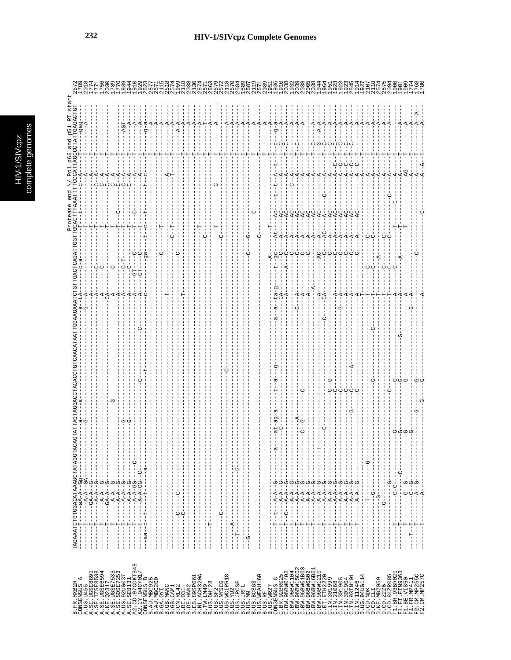complete genomes HIV-1/SIVCPZ

| k,<br>k,<br>$-A - A -$<br>₫<br>₫<br>k,<br>₫<br>₫<br>$\overline{A}$<br>Ā<br>K,<br>K,<br>Ā<br>Ā,<br>K,<br>Ā,<br>Ā,<br>K,<br>ল<br>ত -<br>K,<br>K,<br>$A - A$<br>K,<br>K,<br>Ā,<br>К<br>К<br>œ<br>К<br>К<br>К<br>н<br>К<br>₫<br>К<br>К<br>К<br>К<br>К<br>К<br>К<br>К<br>К<br>К<br>К<br>A,<br>К<br>К<br>K,<br>AGT<br>Æ<br>Æ<br>Ψ<br>I<br>Ů<br>めひひひひ<br>Ü<br>Ü<br>Ü<br>Ü<br>$\mathbf C$<br>U)<br>U<br>U<br>U<br>C<br>$\overline{1}$<br>ひ<br>К<br>К<br>みみみみみ<br>К<br>A<br>К<br>K,<br>K,<br>К<br>O<br>K,<br>K,<br>ď<br>К<br>К<br>₫<br>K,<br>K,<br>K,<br>K,<br>₫,<br>K,<br>J.<br>$\mathbf{I}$<br>J.<br>I.<br>п<br>ш<br>O<br><b>UUUUU</b><br>τ.<br>U<br><b>COOCOOCO</b><br>TRAFFICA<br>AC.<br>COOCO<br>AAAAA<br>Ő<br>$\overline{A}$<br>C)<br>↵<br>ă<br>C<br>К<br>E<br>$A + I$<br>At<br>A A A A<br>A A A A A<br>Ü<br>ÜÜ<br>Ü<br>U<br>U<br>ひ<br>U<br>U<br>U<br>ġ<br>U<br>U<br>O<br>υU<br>U<br>U<br>U<br>U<br>Q<br>U<br>υU<br>υU<br>U<br>U<br>U<br>ת<br>К<br>К<br>ь<br>Ü<br>U<br>R<br>U<br>U<br>U<br>U<br>U<br>↻<br>U<br>$\mathbf{I}$<br>5<br>5<br>I<br>م<br>ا<br>4<br>K,<br>К<br>F<br>К<br>К<br>К<br>₫<br>రే<br>К<br>К<br>К<br>ď<br>Æ<br>K,<br>Æ<br>Æ<br>К<br>F<br>K,<br>↵<br>Φ<br>ひ<br>œ<br>ひ<br>C<br>൯<br>ਨਾ<br>๓<br>m<br>פי<br>てり<br>τŋ<br>ひひひひ<br>(3C)<br>œ<br>άã<br>К<br>ひ<br>Φ<br>Ü<br>ひ<br>↵<br>U<br>ø<br>ひひ<br>てり<br>$\mathbf{I}$<br>$\mathbf{I}$<br>$\mathbf{I}$<br>$\blacksquare$<br>÷<br>$\blacksquare$<br>$\mathbf{I}$<br>л.<br>- 1<br>$\blacksquare$<br>п<br>- 1<br>л.<br>т.<br>т<br>$\blacksquare$<br>- 1<br>$\mathbf{I}$<br>-11<br>п<br>$\frac{1}{2}$<br>$-\frac{c}{l}$<br>1<br>$\mathbf{I}$<br>$\mathbb{I}$<br>Ι.<br>$\mathbf{I}$<br>$\mathbf{I}$<br>$\mathbf{I}$<br>-1<br>$\mathbf{I}$<br>-11<br>-<br>$\mathbf{I}$<br>п<br>$\mathbf{I}$<br>т<br>H.<br>$\,$ I<br>$-1 - 0$<br>$\mathbf I$<br>$\mathsf I$<br>$\frac{1}{2}$<br>$ \frac{a}{2}$<br>$\mathbf{I}$<br>$\mathbf{I}$<br>1<br>$\mathbf{I}$<br>т<br>$\overline{\phantom{a}}$<br>$\blacksquare$<br>$\blacksquare$<br>$\mathbf{I}$<br>$\blacksquare$<br>$\blacksquare$<br>$\blacksquare$<br>$\mathbf{I}$<br>$\blacksquare$<br>-11<br>$\mathbf{1}$<br>- 1<br>$\overline{\phantom{a}}$<br>$\blacksquare$<br>п<br>л<br>- 1<br>-1<br>л<br>$\frac{1}{1}$<br>11111111<br>$\mathbf{1}$<br>$\mathbf{I}$<br>- 1<br>$\mathbf{I}$<br>$\blacksquare$<br>п<br>л.<br>$\blacksquare$<br>$\blacksquare$<br>$\mathbf{I}$<br>$\blacksquare$<br>- 1<br>- 1<br>п.<br>$\mathbf{I}$<br>-1<br>п<br>п.<br>п<br>$\blacksquare$<br>$\mathbf{I}$<br>-11<br>п<br>$\mathbf{I}$<br>- 1<br>п<br>т<br>т.<br>Ť.<br>Ĵ.<br>Ť<br>$\mathsf I$<br>$\mathbb T$<br>$\mathbf I$<br>$\mathbf I$<br>$1 - 1 - 1$<br>L<br>$\mathbb T$<br>$\mathbf{L}$<br>$\blacksquare$<br>$\mathbf{I}$<br>- 1<br>$\mathbf{I}$<br>л.<br><b>I</b><br>$\begin{array}{l} p_{1} = 1, p_{2} = 1, p_{3} = 1, p_{4} = 1, p_{5} = 1, p_{6} = 1, p_{7} = 1, p_{8} = 1, p_{9} = 1, p_{1} = 1, p_{1} = 1, p_{1} = 1, p_{1} = 1, p_{1} = 1, p_{1} = 1, p_{1} = 1, p_{1} = 1, p_{1} = 1, p_{1} = 1, p_{1} = 1, p_{1} = 1, p_{1} = 1, p_{1} = 1, p_{1} = 1, p_{1} = 1, p_{1} = 1, p_{1} =$<br>$\frac{1}{\sqrt{2}}$<br>Т<br>i 한 한 번<br>! ! ! ! !<br>$\frac{1}{1}$<br>ł<br>п<br>$\begin{array}{c} 1.76 \pm 0.76 \pm 0.76 \pm 0.76 \pm 0.76 \pm 0.76 \pm 0.76 \pm 0.76 \pm 0.76 \pm 0.76 \pm 0.76 \pm 0.76 \pm 0.76 \pm 0.76 \pm 0.76 \pm 0.76 \pm 0.76 \pm 0.76 \pm 0.76 \pm 0.76 \pm 0.76 \pm 0.76 \pm 0.76 \pm 0.76 \pm 0.76 \pm 0.76 \pm 0.76 \pm 0.76 \pm 0.76 \pm 0.76 \pm 0.$<br>Ť.<br>- 1<br>$\,$ I<br>т<br>$\begin{array}{c} 0 & 1 \\ + & 0 \\ + & 1 \end{array}$<br>וְטָטָׁ<br>וווווו<br>וווווו<br>十十十<br>$\frac{1}{2}$<br>ŧ<br>$\mathbf{I}$<br>п<br>$\mathbf{I}$<br>- 11<br>$\mathbf{I}$<br>п<br>$\mathbf{I}$<br>$1 - 1 - 1$<br>$\mathsf I$<br>$\mathbf{I}$<br>$\stackrel{\shortparallel }{\circ }$<br>ш<br>$\frac{1}{2}$ | ó<br>$\mathbf{I}$<br>Ţ | ø | $A$ --t $A$ |  |  | pep- |
|--------------------------------------------------------------------------------------------------------------------------------------------------------------------------------------------------------------------------------------------------------------------------------------------------------------------------------------------------------------------------------------------------------------------------------------------------------------------------------------------------------------------------------------------------------------------------------------------------------------------------------------------------------------------------------------------------------------------------------------------------------------------------------------------------------------------------------------------------------------------------------------------------------------------------------------------------------------------------------------------------------------------------------------------------------------------------------------------------------------------------------------------------------------------------------------------------------------------------------------------------------------------------------------------------------------------------------------------------------------------------------------------------------------------------------------------------------------------------------------------------------------------------------------------------------------------------------------------------------------------------------------------------------------------------------------------------------------------------------------------------------------------------------------------------------------------------------------------------------------------------------------------------------------------------------------------------------------------------------------------------------------------------------------------------------------------------------------------------------------------------------------------------------------------------------------------------------------------------------------------------------------------------------------------------------------------------------------------------------------------------------------------------------------------------------------------------------------------------------------------------------------------------------------------------------------------------------------------------------------------------------------------------------------------------------------------------------------------------------------------------------------------------------------------------------------------------------------------------------------------------------------------------------------------------------------------------------------------------------------------------------------------------------------------------------------------------------------------------------------------------------------------------------------------------------------------------------------------------------------------------------------------------------------------------------------------------------------------------------------------------------------------------------------------------------------------------------------------------------------------------------------------------------------------------------------------------------------------------------------------------------------------------------------------------------------------------------------------------------------------------------------------------------------------------------------|------------------------|---|-------------|--|--|------|
|                                                                                                                                                                                                                                                                                                                                                                                                                                                                                                                                                                                                                                                                                                                                                                                                                                                                                                                                                                                                                                                                                                                                                                                                                                                                                                                                                                                                                                                                                                                                                                                                                                                                                                                                                                                                                                                                                                                                                                                                                                                                                                                                                                                                                                                                                                                                                                                                                                                                                                                                                                                                                                                                                                                                                                                                                                                                                                                                                                                                                                                                                                                                                                                                                                                                                                                                                                                                                                                                                                                                                                                                                                                                                                                                                                                                              |                        |   |             |  |  |      |
|                                                                                                                                                                                                                                                                                                                                                                                                                                                                                                                                                                                                                                                                                                                                                                                                                                                                                                                                                                                                                                                                                                                                                                                                                                                                                                                                                                                                                                                                                                                                                                                                                                                                                                                                                                                                                                                                                                                                                                                                                                                                                                                                                                                                                                                                                                                                                                                                                                                                                                                                                                                                                                                                                                                                                                                                                                                                                                                                                                                                                                                                                                                                                                                                                                                                                                                                                                                                                                                                                                                                                                                                                                                                                                                                                                                                              |                        |   |             |  |  |      |
|                                                                                                                                                                                                                                                                                                                                                                                                                                                                                                                                                                                                                                                                                                                                                                                                                                                                                                                                                                                                                                                                                                                                                                                                                                                                                                                                                                                                                                                                                                                                                                                                                                                                                                                                                                                                                                                                                                                                                                                                                                                                                                                                                                                                                                                                                                                                                                                                                                                                                                                                                                                                                                                                                                                                                                                                                                                                                                                                                                                                                                                                                                                                                                                                                                                                                                                                                                                                                                                                                                                                                                                                                                                                                                                                                                                                              |                        |   |             |  |  |      |
|                                                                                                                                                                                                                                                                                                                                                                                                                                                                                                                                                                                                                                                                                                                                                                                                                                                                                                                                                                                                                                                                                                                                                                                                                                                                                                                                                                                                                                                                                                                                                                                                                                                                                                                                                                                                                                                                                                                                                                                                                                                                                                                                                                                                                                                                                                                                                                                                                                                                                                                                                                                                                                                                                                                                                                                                                                                                                                                                                                                                                                                                                                                                                                                                                                                                                                                                                                                                                                                                                                                                                                                                                                                                                                                                                                                                              |                        |   |             |  |  |      |
|                                                                                                                                                                                                                                                                                                                                                                                                                                                                                                                                                                                                                                                                                                                                                                                                                                                                                                                                                                                                                                                                                                                                                                                                                                                                                                                                                                                                                                                                                                                                                                                                                                                                                                                                                                                                                                                                                                                                                                                                                                                                                                                                                                                                                                                                                                                                                                                                                                                                                                                                                                                                                                                                                                                                                                                                                                                                                                                                                                                                                                                                                                                                                                                                                                                                                                                                                                                                                                                                                                                                                                                                                                                                                                                                                                                                              |                        |   |             |  |  |      |
|                                                                                                                                                                                                                                                                                                                                                                                                                                                                                                                                                                                                                                                                                                                                                                                                                                                                                                                                                                                                                                                                                                                                                                                                                                                                                                                                                                                                                                                                                                                                                                                                                                                                                                                                                                                                                                                                                                                                                                                                                                                                                                                                                                                                                                                                                                                                                                                                                                                                                                                                                                                                                                                                                                                                                                                                                                                                                                                                                                                                                                                                                                                                                                                                                                                                                                                                                                                                                                                                                                                                                                                                                                                                                                                                                                                                              |                        |   |             |  |  |      |
|                                                                                                                                                                                                                                                                                                                                                                                                                                                                                                                                                                                                                                                                                                                                                                                                                                                                                                                                                                                                                                                                                                                                                                                                                                                                                                                                                                                                                                                                                                                                                                                                                                                                                                                                                                                                                                                                                                                                                                                                                                                                                                                                                                                                                                                                                                                                                                                                                                                                                                                                                                                                                                                                                                                                                                                                                                                                                                                                                                                                                                                                                                                                                                                                                                                                                                                                                                                                                                                                                                                                                                                                                                                                                                                                                                                                              |                        |   |             |  |  |      |
|                                                                                                                                                                                                                                                                                                                                                                                                                                                                                                                                                                                                                                                                                                                                                                                                                                                                                                                                                                                                                                                                                                                                                                                                                                                                                                                                                                                                                                                                                                                                                                                                                                                                                                                                                                                                                                                                                                                                                                                                                                                                                                                                                                                                                                                                                                                                                                                                                                                                                                                                                                                                                                                                                                                                                                                                                                                                                                                                                                                                                                                                                                                                                                                                                                                                                                                                                                                                                                                                                                                                                                                                                                                                                                                                                                                                              |                        |   |             |  |  |      |
|                                                                                                                                                                                                                                                                                                                                                                                                                                                                                                                                                                                                                                                                                                                                                                                                                                                                                                                                                                                                                                                                                                                                                                                                                                                                                                                                                                                                                                                                                                                                                                                                                                                                                                                                                                                                                                                                                                                                                                                                                                                                                                                                                                                                                                                                                                                                                                                                                                                                                                                                                                                                                                                                                                                                                                                                                                                                                                                                                                                                                                                                                                                                                                                                                                                                                                                                                                                                                                                                                                                                                                                                                                                                                                                                                                                                              |                        |   |             |  |  |      |
|                                                                                                                                                                                                                                                                                                                                                                                                                                                                                                                                                                                                                                                                                                                                                                                                                                                                                                                                                                                                                                                                                                                                                                                                                                                                                                                                                                                                                                                                                                                                                                                                                                                                                                                                                                                                                                                                                                                                                                                                                                                                                                                                                                                                                                                                                                                                                                                                                                                                                                                                                                                                                                                                                                                                                                                                                                                                                                                                                                                                                                                                                                                                                                                                                                                                                                                                                                                                                                                                                                                                                                                                                                                                                                                                                                                                              |                        |   |             |  |  |      |
|                                                                                                                                                                                                                                                                                                                                                                                                                                                                                                                                                                                                                                                                                                                                                                                                                                                                                                                                                                                                                                                                                                                                                                                                                                                                                                                                                                                                                                                                                                                                                                                                                                                                                                                                                                                                                                                                                                                                                                                                                                                                                                                                                                                                                                                                                                                                                                                                                                                                                                                                                                                                                                                                                                                                                                                                                                                                                                                                                                                                                                                                                                                                                                                                                                                                                                                                                                                                                                                                                                                                                                                                                                                                                                                                                                                                              |                        |   |             |  |  |      |
|                                                                                                                                                                                                                                                                                                                                                                                                                                                                                                                                                                                                                                                                                                                                                                                                                                                                                                                                                                                                                                                                                                                                                                                                                                                                                                                                                                                                                                                                                                                                                                                                                                                                                                                                                                                                                                                                                                                                                                                                                                                                                                                                                                                                                                                                                                                                                                                                                                                                                                                                                                                                                                                                                                                                                                                                                                                                                                                                                                                                                                                                                                                                                                                                                                                                                                                                                                                                                                                                                                                                                                                                                                                                                                                                                                                                              |                        |   |             |  |  |      |
|                                                                                                                                                                                                                                                                                                                                                                                                                                                                                                                                                                                                                                                                                                                                                                                                                                                                                                                                                                                                                                                                                                                                                                                                                                                                                                                                                                                                                                                                                                                                                                                                                                                                                                                                                                                                                                                                                                                                                                                                                                                                                                                                                                                                                                                                                                                                                                                                                                                                                                                                                                                                                                                                                                                                                                                                                                                                                                                                                                                                                                                                                                                                                                                                                                                                                                                                                                                                                                                                                                                                                                                                                                                                                                                                                                                                              |                        |   |             |  |  |      |
|                                                                                                                                                                                                                                                                                                                                                                                                                                                                                                                                                                                                                                                                                                                                                                                                                                                                                                                                                                                                                                                                                                                                                                                                                                                                                                                                                                                                                                                                                                                                                                                                                                                                                                                                                                                                                                                                                                                                                                                                                                                                                                                                                                                                                                                                                                                                                                                                                                                                                                                                                                                                                                                                                                                                                                                                                                                                                                                                                                                                                                                                                                                                                                                                                                                                                                                                                                                                                                                                                                                                                                                                                                                                                                                                                                                                              |                        |   |             |  |  |      |
|                                                                                                                                                                                                                                                                                                                                                                                                                                                                                                                                                                                                                                                                                                                                                                                                                                                                                                                                                                                                                                                                                                                                                                                                                                                                                                                                                                                                                                                                                                                                                                                                                                                                                                                                                                                                                                                                                                                                                                                                                                                                                                                                                                                                                                                                                                                                                                                                                                                                                                                                                                                                                                                                                                                                                                                                                                                                                                                                                                                                                                                                                                                                                                                                                                                                                                                                                                                                                                                                                                                                                                                                                                                                                                                                                                                                              |                        |   |             |  |  |      |
|                                                                                                                                                                                                                                                                                                                                                                                                                                                                                                                                                                                                                                                                                                                                                                                                                                                                                                                                                                                                                                                                                                                                                                                                                                                                                                                                                                                                                                                                                                                                                                                                                                                                                                                                                                                                                                                                                                                                                                                                                                                                                                                                                                                                                                                                                                                                                                                                                                                                                                                                                                                                                                                                                                                                                                                                                                                                                                                                                                                                                                                                                                                                                                                                                                                                                                                                                                                                                                                                                                                                                                                                                                                                                                                                                                                                              |                        |   |             |  |  |      |
|                                                                                                                                                                                                                                                                                                                                                                                                                                                                                                                                                                                                                                                                                                                                                                                                                                                                                                                                                                                                                                                                                                                                                                                                                                                                                                                                                                                                                                                                                                                                                                                                                                                                                                                                                                                                                                                                                                                                                                                                                                                                                                                                                                                                                                                                                                                                                                                                                                                                                                                                                                                                                                                                                                                                                                                                                                                                                                                                                                                                                                                                                                                                                                                                                                                                                                                                                                                                                                                                                                                                                                                                                                                                                                                                                                                                              |                        |   |             |  |  |      |
|                                                                                                                                                                                                                                                                                                                                                                                                                                                                                                                                                                                                                                                                                                                                                                                                                                                                                                                                                                                                                                                                                                                                                                                                                                                                                                                                                                                                                                                                                                                                                                                                                                                                                                                                                                                                                                                                                                                                                                                                                                                                                                                                                                                                                                                                                                                                                                                                                                                                                                                                                                                                                                                                                                                                                                                                                                                                                                                                                                                                                                                                                                                                                                                                                                                                                                                                                                                                                                                                                                                                                                                                                                                                                                                                                                                                              |                        |   |             |  |  |      |
|                                                                                                                                                                                                                                                                                                                                                                                                                                                                                                                                                                                                                                                                                                                                                                                                                                                                                                                                                                                                                                                                                                                                                                                                                                                                                                                                                                                                                                                                                                                                                                                                                                                                                                                                                                                                                                                                                                                                                                                                                                                                                                                                                                                                                                                                                                                                                                                                                                                                                                                                                                                                                                                                                                                                                                                                                                                                                                                                                                                                                                                                                                                                                                                                                                                                                                                                                                                                                                                                                                                                                                                                                                                                                                                                                                                                              |                        |   |             |  |  |      |
|                                                                                                                                                                                                                                                                                                                                                                                                                                                                                                                                                                                                                                                                                                                                                                                                                                                                                                                                                                                                                                                                                                                                                                                                                                                                                                                                                                                                                                                                                                                                                                                                                                                                                                                                                                                                                                                                                                                                                                                                                                                                                                                                                                                                                                                                                                                                                                                                                                                                                                                                                                                                                                                                                                                                                                                                                                                                                                                                                                                                                                                                                                                                                                                                                                                                                                                                                                                                                                                                                                                                                                                                                                                                                                                                                                                                              |                        |   |             |  |  |      |
|                                                                                                                                                                                                                                                                                                                                                                                                                                                                                                                                                                                                                                                                                                                                                                                                                                                                                                                                                                                                                                                                                                                                                                                                                                                                                                                                                                                                                                                                                                                                                                                                                                                                                                                                                                                                                                                                                                                                                                                                                                                                                                                                                                                                                                                                                                                                                                                                                                                                                                                                                                                                                                                                                                                                                                                                                                                                                                                                                                                                                                                                                                                                                                                                                                                                                                                                                                                                                                                                                                                                                                                                                                                                                                                                                                                                              |                        |   |             |  |  |      |
|                                                                                                                                                                                                                                                                                                                                                                                                                                                                                                                                                                                                                                                                                                                                                                                                                                                                                                                                                                                                                                                                                                                                                                                                                                                                                                                                                                                                                                                                                                                                                                                                                                                                                                                                                                                                                                                                                                                                                                                                                                                                                                                                                                                                                                                                                                                                                                                                                                                                                                                                                                                                                                                                                                                                                                                                                                                                                                                                                                                                                                                                                                                                                                                                                                                                                                                                                                                                                                                                                                                                                                                                                                                                                                                                                                                                              |                        |   |             |  |  |      |
|                                                                                                                                                                                                                                                                                                                                                                                                                                                                                                                                                                                                                                                                                                                                                                                                                                                                                                                                                                                                                                                                                                                                                                                                                                                                                                                                                                                                                                                                                                                                                                                                                                                                                                                                                                                                                                                                                                                                                                                                                                                                                                                                                                                                                                                                                                                                                                                                                                                                                                                                                                                                                                                                                                                                                                                                                                                                                                                                                                                                                                                                                                                                                                                                                                                                                                                                                                                                                                                                                                                                                                                                                                                                                                                                                                                                              |                        |   |             |  |  |      |
|                                                                                                                                                                                                                                                                                                                                                                                                                                                                                                                                                                                                                                                                                                                                                                                                                                                                                                                                                                                                                                                                                                                                                                                                                                                                                                                                                                                                                                                                                                                                                                                                                                                                                                                                                                                                                                                                                                                                                                                                                                                                                                                                                                                                                                                                                                                                                                                                                                                                                                                                                                                                                                                                                                                                                                                                                                                                                                                                                                                                                                                                                                                                                                                                                                                                                                                                                                                                                                                                                                                                                                                                                                                                                                                                                                                                              |                        |   |             |  |  |      |
|                                                                                                                                                                                                                                                                                                                                                                                                                                                                                                                                                                                                                                                                                                                                                                                                                                                                                                                                                                                                                                                                                                                                                                                                                                                                                                                                                                                                                                                                                                                                                                                                                                                                                                                                                                                                                                                                                                                                                                                                                                                                                                                                                                                                                                                                                                                                                                                                                                                                                                                                                                                                                                                                                                                                                                                                                                                                                                                                                                                                                                                                                                                                                                                                                                                                                                                                                                                                                                                                                                                                                                                                                                                                                                                                                                                                              |                        |   |             |  |  |      |
|                                                                                                                                                                                                                                                                                                                                                                                                                                                                                                                                                                                                                                                                                                                                                                                                                                                                                                                                                                                                                                                                                                                                                                                                                                                                                                                                                                                                                                                                                                                                                                                                                                                                                                                                                                                                                                                                                                                                                                                                                                                                                                                                                                                                                                                                                                                                                                                                                                                                                                                                                                                                                                                                                                                                                                                                                                                                                                                                                                                                                                                                                                                                                                                                                                                                                                                                                                                                                                                                                                                                                                                                                                                                                                                                                                                                              |                        |   |             |  |  |      |
|                                                                                                                                                                                                                                                                                                                                                                                                                                                                                                                                                                                                                                                                                                                                                                                                                                                                                                                                                                                                                                                                                                                                                                                                                                                                                                                                                                                                                                                                                                                                                                                                                                                                                                                                                                                                                                                                                                                                                                                                                                                                                                                                                                                                                                                                                                                                                                                                                                                                                                                                                                                                                                                                                                                                                                                                                                                                                                                                                                                                                                                                                                                                                                                                                                                                                                                                                                                                                                                                                                                                                                                                                                                                                                                                                                                                              |                        |   |             |  |  |      |
|                                                                                                                                                                                                                                                                                                                                                                                                                                                                                                                                                                                                                                                                                                                                                                                                                                                                                                                                                                                                                                                                                                                                                                                                                                                                                                                                                                                                                                                                                                                                                                                                                                                                                                                                                                                                                                                                                                                                                                                                                                                                                                                                                                                                                                                                                                                                                                                                                                                                                                                                                                                                                                                                                                                                                                                                                                                                                                                                                                                                                                                                                                                                                                                                                                                                                                                                                                                                                                                                                                                                                                                                                                                                                                                                                                                                              |                        |   |             |  |  |      |
|                                                                                                                                                                                                                                                                                                                                                                                                                                                                                                                                                                                                                                                                                                                                                                                                                                                                                                                                                                                                                                                                                                                                                                                                                                                                                                                                                                                                                                                                                                                                                                                                                                                                                                                                                                                                                                                                                                                                                                                                                                                                                                                                                                                                                                                                                                                                                                                                                                                                                                                                                                                                                                                                                                                                                                                                                                                                                                                                                                                                                                                                                                                                                                                                                                                                                                                                                                                                                                                                                                                                                                                                                                                                                                                                                                                                              |                        |   |             |  |  |      |
|                                                                                                                                                                                                                                                                                                                                                                                                                                                                                                                                                                                                                                                                                                                                                                                                                                                                                                                                                                                                                                                                                                                                                                                                                                                                                                                                                                                                                                                                                                                                                                                                                                                                                                                                                                                                                                                                                                                                                                                                                                                                                                                                                                                                                                                                                                                                                                                                                                                                                                                                                                                                                                                                                                                                                                                                                                                                                                                                                                                                                                                                                                                                                                                                                                                                                                                                                                                                                                                                                                                                                                                                                                                                                                                                                                                                              |                        |   |             |  |  |      |
|                                                                                                                                                                                                                                                                                                                                                                                                                                                                                                                                                                                                                                                                                                                                                                                                                                                                                                                                                                                                                                                                                                                                                                                                                                                                                                                                                                                                                                                                                                                                                                                                                                                                                                                                                                                                                                                                                                                                                                                                                                                                                                                                                                                                                                                                                                                                                                                                                                                                                                                                                                                                                                                                                                                                                                                                                                                                                                                                                                                                                                                                                                                                                                                                                                                                                                                                                                                                                                                                                                                                                                                                                                                                                                                                                                                                              |                        |   |             |  |  |      |
|                                                                                                                                                                                                                                                                                                                                                                                                                                                                                                                                                                                                                                                                                                                                                                                                                                                                                                                                                                                                                                                                                                                                                                                                                                                                                                                                                                                                                                                                                                                                                                                                                                                                                                                                                                                                                                                                                                                                                                                                                                                                                                                                                                                                                                                                                                                                                                                                                                                                                                                                                                                                                                                                                                                                                                                                                                                                                                                                                                                                                                                                                                                                                                                                                                                                                                                                                                                                                                                                                                                                                                                                                                                                                                                                                                                                              |                        |   |             |  |  |      |
|                                                                                                                                                                                                                                                                                                                                                                                                                                                                                                                                                                                                                                                                                                                                                                                                                                                                                                                                                                                                                                                                                                                                                                                                                                                                                                                                                                                                                                                                                                                                                                                                                                                                                                                                                                                                                                                                                                                                                                                                                                                                                                                                                                                                                                                                                                                                                                                                                                                                                                                                                                                                                                                                                                                                                                                                                                                                                                                                                                                                                                                                                                                                                                                                                                                                                                                                                                                                                                                                                                                                                                                                                                                                                                                                                                                                              |                        |   |             |  |  |      |
|                                                                                                                                                                                                                                                                                                                                                                                                                                                                                                                                                                                                                                                                                                                                                                                                                                                                                                                                                                                                                                                                                                                                                                                                                                                                                                                                                                                                                                                                                                                                                                                                                                                                                                                                                                                                                                                                                                                                                                                                                                                                                                                                                                                                                                                                                                                                                                                                                                                                                                                                                                                                                                                                                                                                                                                                                                                                                                                                                                                                                                                                                                                                                                                                                                                                                                                                                                                                                                                                                                                                                                                                                                                                                                                                                                                                              |                        |   |             |  |  |      |
|                                                                                                                                                                                                                                                                                                                                                                                                                                                                                                                                                                                                                                                                                                                                                                                                                                                                                                                                                                                                                                                                                                                                                                                                                                                                                                                                                                                                                                                                                                                                                                                                                                                                                                                                                                                                                                                                                                                                                                                                                                                                                                                                                                                                                                                                                                                                                                                                                                                                                                                                                                                                                                                                                                                                                                                                                                                                                                                                                                                                                                                                                                                                                                                                                                                                                                                                                                                                                                                                                                                                                                                                                                                                                                                                                                                                              |                        |   |             |  |  |      |
|                                                                                                                                                                                                                                                                                                                                                                                                                                                                                                                                                                                                                                                                                                                                                                                                                                                                                                                                                                                                                                                                                                                                                                                                                                                                                                                                                                                                                                                                                                                                                                                                                                                                                                                                                                                                                                                                                                                                                                                                                                                                                                                                                                                                                                                                                                                                                                                                                                                                                                                                                                                                                                                                                                                                                                                                                                                                                                                                                                                                                                                                                                                                                                                                                                                                                                                                                                                                                                                                                                                                                                                                                                                                                                                                                                                                              |                        |   |             |  |  |      |
|                                                                                                                                                                                                                                                                                                                                                                                                                                                                                                                                                                                                                                                                                                                                                                                                                                                                                                                                                                                                                                                                                                                                                                                                                                                                                                                                                                                                                                                                                                                                                                                                                                                                                                                                                                                                                                                                                                                                                                                                                                                                                                                                                                                                                                                                                                                                                                                                                                                                                                                                                                                                                                                                                                                                                                                                                                                                                                                                                                                                                                                                                                                                                                                                                                                                                                                                                                                                                                                                                                                                                                                                                                                                                                                                                                                                              |                        |   |             |  |  |      |
|                                                                                                                                                                                                                                                                                                                                                                                                                                                                                                                                                                                                                                                                                                                                                                                                                                                                                                                                                                                                                                                                                                                                                                                                                                                                                                                                                                                                                                                                                                                                                                                                                                                                                                                                                                                                                                                                                                                                                                                                                                                                                                                                                                                                                                                                                                                                                                                                                                                                                                                                                                                                                                                                                                                                                                                                                                                                                                                                                                                                                                                                                                                                                                                                                                                                                                                                                                                                                                                                                                                                                                                                                                                                                                                                                                                                              |                        |   |             |  |  |      |
|                                                                                                                                                                                                                                                                                                                                                                                                                                                                                                                                                                                                                                                                                                                                                                                                                                                                                                                                                                                                                                                                                                                                                                                                                                                                                                                                                                                                                                                                                                                                                                                                                                                                                                                                                                                                                                                                                                                                                                                                                                                                                                                                                                                                                                                                                                                                                                                                                                                                                                                                                                                                                                                                                                                                                                                                                                                                                                                                                                                                                                                                                                                                                                                                                                                                                                                                                                                                                                                                                                                                                                                                                                                                                                                                                                                                              |                        |   |             |  |  |      |
|                                                                                                                                                                                                                                                                                                                                                                                                                                                                                                                                                                                                                                                                                                                                                                                                                                                                                                                                                                                                                                                                                                                                                                                                                                                                                                                                                                                                                                                                                                                                                                                                                                                                                                                                                                                                                                                                                                                                                                                                                                                                                                                                                                                                                                                                                                                                                                                                                                                                                                                                                                                                                                                                                                                                                                                                                                                                                                                                                                                                                                                                                                                                                                                                                                                                                                                                                                                                                                                                                                                                                                                                                                                                                                                                                                                                              |                        |   |             |  |  |      |
|                                                                                                                                                                                                                                                                                                                                                                                                                                                                                                                                                                                                                                                                                                                                                                                                                                                                                                                                                                                                                                                                                                                                                                                                                                                                                                                                                                                                                                                                                                                                                                                                                                                                                                                                                                                                                                                                                                                                                                                                                                                                                                                                                                                                                                                                                                                                                                                                                                                                                                                                                                                                                                                                                                                                                                                                                                                                                                                                                                                                                                                                                                                                                                                                                                                                                                                                                                                                                                                                                                                                                                                                                                                                                                                                                                                                              |                        |   |             |  |  |      |
|                                                                                                                                                                                                                                                                                                                                                                                                                                                                                                                                                                                                                                                                                                                                                                                                                                                                                                                                                                                                                                                                                                                                                                                                                                                                                                                                                                                                                                                                                                                                                                                                                                                                                                                                                                                                                                                                                                                                                                                                                                                                                                                                                                                                                                                                                                                                                                                                                                                                                                                                                                                                                                                                                                                                                                                                                                                                                                                                                                                                                                                                                                                                                                                                                                                                                                                                                                                                                                                                                                                                                                                                                                                                                                                                                                                                              |                        |   |             |  |  |      |
|                                                                                                                                                                                                                                                                                                                                                                                                                                                                                                                                                                                                                                                                                                                                                                                                                                                                                                                                                                                                                                                                                                                                                                                                                                                                                                                                                                                                                                                                                                                                                                                                                                                                                                                                                                                                                                                                                                                                                                                                                                                                                                                                                                                                                                                                                                                                                                                                                                                                                                                                                                                                                                                                                                                                                                                                                                                                                                                                                                                                                                                                                                                                                                                                                                                                                                                                                                                                                                                                                                                                                                                                                                                                                                                                                                                                              |                        |   |             |  |  |      |
|                                                                                                                                                                                                                                                                                                                                                                                                                                                                                                                                                                                                                                                                                                                                                                                                                                                                                                                                                                                                                                                                                                                                                                                                                                                                                                                                                                                                                                                                                                                                                                                                                                                                                                                                                                                                                                                                                                                                                                                                                                                                                                                                                                                                                                                                                                                                                                                                                                                                                                                                                                                                                                                                                                                                                                                                                                                                                                                                                                                                                                                                                                                                                                                                                                                                                                                                                                                                                                                                                                                                                                                                                                                                                                                                                                                                              |                        |   |             |  |  |      |
|                                                                                                                                                                                                                                                                                                                                                                                                                                                                                                                                                                                                                                                                                                                                                                                                                                                                                                                                                                                                                                                                                                                                                                                                                                                                                                                                                                                                                                                                                                                                                                                                                                                                                                                                                                                                                                                                                                                                                                                                                                                                                                                                                                                                                                                                                                                                                                                                                                                                                                                                                                                                                                                                                                                                                                                                                                                                                                                                                                                                                                                                                                                                                                                                                                                                                                                                                                                                                                                                                                                                                                                                                                                                                                                                                                                                              |                        |   |             |  |  |      |
|                                                                                                                                                                                                                                                                                                                                                                                                                                                                                                                                                                                                                                                                                                                                                                                                                                                                                                                                                                                                                                                                                                                                                                                                                                                                                                                                                                                                                                                                                                                                                                                                                                                                                                                                                                                                                                                                                                                                                                                                                                                                                                                                                                                                                                                                                                                                                                                                                                                                                                                                                                                                                                                                                                                                                                                                                                                                                                                                                                                                                                                                                                                                                                                                                                                                                                                                                                                                                                                                                                                                                                                                                                                                                                                                                                                                              |                        |   |             |  |  |      |
|                                                                                                                                                                                                                                                                                                                                                                                                                                                                                                                                                                                                                                                                                                                                                                                                                                                                                                                                                                                                                                                                                                                                                                                                                                                                                                                                                                                                                                                                                                                                                                                                                                                                                                                                                                                                                                                                                                                                                                                                                                                                                                                                                                                                                                                                                                                                                                                                                                                                                                                                                                                                                                                                                                                                                                                                                                                                                                                                                                                                                                                                                                                                                                                                                                                                                                                                                                                                                                                                                                                                                                                                                                                                                                                                                                                                              |                        |   |             |  |  |      |
|                                                                                                                                                                                                                                                                                                                                                                                                                                                                                                                                                                                                                                                                                                                                                                                                                                                                                                                                                                                                                                                                                                                                                                                                                                                                                                                                                                                                                                                                                                                                                                                                                                                                                                                                                                                                                                                                                                                                                                                                                                                                                                                                                                                                                                                                                                                                                                                                                                                                                                                                                                                                                                                                                                                                                                                                                                                                                                                                                                                                                                                                                                                                                                                                                                                                                                                                                                                                                                                                                                                                                                                                                                                                                                                                                                                                              |                        |   |             |  |  |      |
|                                                                                                                                                                                                                                                                                                                                                                                                                                                                                                                                                                                                                                                                                                                                                                                                                                                                                                                                                                                                                                                                                                                                                                                                                                                                                                                                                                                                                                                                                                                                                                                                                                                                                                                                                                                                                                                                                                                                                                                                                                                                                                                                                                                                                                                                                                                                                                                                                                                                                                                                                                                                                                                                                                                                                                                                                                                                                                                                                                                                                                                                                                                                                                                                                                                                                                                                                                                                                                                                                                                                                                                                                                                                                                                                                                                                              |                        |   |             |  |  |      |
|                                                                                                                                                                                                                                                                                                                                                                                                                                                                                                                                                                                                                                                                                                                                                                                                                                                                                                                                                                                                                                                                                                                                                                                                                                                                                                                                                                                                                                                                                                                                                                                                                                                                                                                                                                                                                                                                                                                                                                                                                                                                                                                                                                                                                                                                                                                                                                                                                                                                                                                                                                                                                                                                                                                                                                                                                                                                                                                                                                                                                                                                                                                                                                                                                                                                                                                                                                                                                                                                                                                                                                                                                                                                                                                                                                                                              |                        |   |             |  |  |      |
|                                                                                                                                                                                                                                                                                                                                                                                                                                                                                                                                                                                                                                                                                                                                                                                                                                                                                                                                                                                                                                                                                                                                                                                                                                                                                                                                                                                                                                                                                                                                                                                                                                                                                                                                                                                                                                                                                                                                                                                                                                                                                                                                                                                                                                                                                                                                                                                                                                                                                                                                                                                                                                                                                                                                                                                                                                                                                                                                                                                                                                                                                                                                                                                                                                                                                                                                                                                                                                                                                                                                                                                                                                                                                                                                                                                                              |                        |   |             |  |  |      |
|                                                                                                                                                                                                                                                                                                                                                                                                                                                                                                                                                                                                                                                                                                                                                                                                                                                                                                                                                                                                                                                                                                                                                                                                                                                                                                                                                                                                                                                                                                                                                                                                                                                                                                                                                                                                                                                                                                                                                                                                                                                                                                                                                                                                                                                                                                                                                                                                                                                                                                                                                                                                                                                                                                                                                                                                                                                                                                                                                                                                                                                                                                                                                                                                                                                                                                                                                                                                                                                                                                                                                                                                                                                                                                                                                                                                              |                        |   |             |  |  |      |
|                                                                                                                                                                                                                                                                                                                                                                                                                                                                                                                                                                                                                                                                                                                                                                                                                                                                                                                                                                                                                                                                                                                                                                                                                                                                                                                                                                                                                                                                                                                                                                                                                                                                                                                                                                                                                                                                                                                                                                                                                                                                                                                                                                                                                                                                                                                                                                                                                                                                                                                                                                                                                                                                                                                                                                                                                                                                                                                                                                                                                                                                                                                                                                                                                                                                                                                                                                                                                                                                                                                                                                                                                                                                                                                                                                                                              |                        |   |             |  |  |      |
|                                                                                                                                                                                                                                                                                                                                                                                                                                                                                                                                                                                                                                                                                                                                                                                                                                                                                                                                                                                                                                                                                                                                                                                                                                                                                                                                                                                                                                                                                                                                                                                                                                                                                                                                                                                                                                                                                                                                                                                                                                                                                                                                                                                                                                                                                                                                                                                                                                                                                                                                                                                                                                                                                                                                                                                                                                                                                                                                                                                                                                                                                                                                                                                                                                                                                                                                                                                                                                                                                                                                                                                                                                                                                                                                                                                                              |                        |   |             |  |  |      |
|                                                                                                                                                                                                                                                                                                                                                                                                                                                                                                                                                                                                                                                                                                                                                                                                                                                                                                                                                                                                                                                                                                                                                                                                                                                                                                                                                                                                                                                                                                                                                                                                                                                                                                                                                                                                                                                                                                                                                                                                                                                                                                                                                                                                                                                                                                                                                                                                                                                                                                                                                                                                                                                                                                                                                                                                                                                                                                                                                                                                                                                                                                                                                                                                                                                                                                                                                                                                                                                                                                                                                                                                                                                                                                                                                                                                              |                        |   |             |  |  |      |
|                                                                                                                                                                                                                                                                                                                                                                                                                                                                                                                                                                                                                                                                                                                                                                                                                                                                                                                                                                                                                                                                                                                                                                                                                                                                                                                                                                                                                                                                                                                                                                                                                                                                                                                                                                                                                                                                                                                                                                                                                                                                                                                                                                                                                                                                                                                                                                                                                                                                                                                                                                                                                                                                                                                                                                                                                                                                                                                                                                                                                                                                                                                                                                                                                                                                                                                                                                                                                                                                                                                                                                                                                                                                                                                                                                                                              |                        |   |             |  |  |      |
|                                                                                                                                                                                                                                                                                                                                                                                                                                                                                                                                                                                                                                                                                                                                                                                                                                                                                                                                                                                                                                                                                                                                                                                                                                                                                                                                                                                                                                                                                                                                                                                                                                                                                                                                                                                                                                                                                                                                                                                                                                                                                                                                                                                                                                                                                                                                                                                                                                                                                                                                                                                                                                                                                                                                                                                                                                                                                                                                                                                                                                                                                                                                                                                                                                                                                                                                                                                                                                                                                                                                                                                                                                                                                                                                                                                                              |                        |   |             |  |  |      |
|                                                                                                                                                                                                                                                                                                                                                                                                                                                                                                                                                                                                                                                                                                                                                                                                                                                                                                                                                                                                                                                                                                                                                                                                                                                                                                                                                                                                                                                                                                                                                                                                                                                                                                                                                                                                                                                                                                                                                                                                                                                                                                                                                                                                                                                                                                                                                                                                                                                                                                                                                                                                                                                                                                                                                                                                                                                                                                                                                                                                                                                                                                                                                                                                                                                                                                                                                                                                                                                                                                                                                                                                                                                                                                                                                                                                              |                        |   |             |  |  |      |
|                                                                                                                                                                                                                                                                                                                                                                                                                                                                                                                                                                                                                                                                                                                                                                                                                                                                                                                                                                                                                                                                                                                                                                                                                                                                                                                                                                                                                                                                                                                                                                                                                                                                                                                                                                                                                                                                                                                                                                                                                                                                                                                                                                                                                                                                                                                                                                                                                                                                                                                                                                                                                                                                                                                                                                                                                                                                                                                                                                                                                                                                                                                                                                                                                                                                                                                                                                                                                                                                                                                                                                                                                                                                                                                                                                                                              |                        |   |             |  |  |      |
|                                                                                                                                                                                                                                                                                                                                                                                                                                                                                                                                                                                                                                                                                                                                                                                                                                                                                                                                                                                                                                                                                                                                                                                                                                                                                                                                                                                                                                                                                                                                                                                                                                                                                                                                                                                                                                                                                                                                                                                                                                                                                                                                                                                                                                                                                                                                                                                                                                                                                                                                                                                                                                                                                                                                                                                                                                                                                                                                                                                                                                                                                                                                                                                                                                                                                                                                                                                                                                                                                                                                                                                                                                                                                                                                                                                                              |                        |   |             |  |  |      |
|                                                                                                                                                                                                                                                                                                                                                                                                                                                                                                                                                                                                                                                                                                                                                                                                                                                                                                                                                                                                                                                                                                                                                                                                                                                                                                                                                                                                                                                                                                                                                                                                                                                                                                                                                                                                                                                                                                                                                                                                                                                                                                                                                                                                                                                                                                                                                                                                                                                                                                                                                                                                                                                                                                                                                                                                                                                                                                                                                                                                                                                                                                                                                                                                                                                                                                                                                                                                                                                                                                                                                                                                                                                                                                                                                                                                              | ÷<br>ا                 |   |             |  |  |      |
|                                                                                                                                                                                                                                                                                                                                                                                                                                                                                                                                                                                                                                                                                                                                                                                                                                                                                                                                                                                                                                                                                                                                                                                                                                                                                                                                                                                                                                                                                                                                                                                                                                                                                                                                                                                                                                                                                                                                                                                                                                                                                                                                                                                                                                                                                                                                                                                                                                                                                                                                                                                                                                                                                                                                                                                                                                                                                                                                                                                                                                                                                                                                                                                                                                                                                                                                                                                                                                                                                                                                                                                                                                                                                                                                                                                                              |                        |   |             |  |  |      |
|                                                                                                                                                                                                                                                                                                                                                                                                                                                                                                                                                                                                                                                                                                                                                                                                                                                                                                                                                                                                                                                                                                                                                                                                                                                                                                                                                                                                                                                                                                                                                                                                                                                                                                                                                                                                                                                                                                                                                                                                                                                                                                                                                                                                                                                                                                                                                                                                                                                                                                                                                                                                                                                                                                                                                                                                                                                                                                                                                                                                                                                                                                                                                                                                                                                                                                                                                                                                                                                                                                                                                                                                                                                                                                                                                                                                              |                        |   |             |  |  |      |
|                                                                                                                                                                                                                                                                                                                                                                                                                                                                                                                                                                                                                                                                                                                                                                                                                                                                                                                                                                                                                                                                                                                                                                                                                                                                                                                                                                                                                                                                                                                                                                                                                                                                                                                                                                                                                                                                                                                                                                                                                                                                                                                                                                                                                                                                                                                                                                                                                                                                                                                                                                                                                                                                                                                                                                                                                                                                                                                                                                                                                                                                                                                                                                                                                                                                                                                                                                                                                                                                                                                                                                                                                                                                                                                                                                                                              |                        |   |             |  |  |      |
|                                                                                                                                                                                                                                                                                                                                                                                                                                                                                                                                                                                                                                                                                                                                                                                                                                                                                                                                                                                                                                                                                                                                                                                                                                                                                                                                                                                                                                                                                                                                                                                                                                                                                                                                                                                                                                                                                                                                                                                                                                                                                                                                                                                                                                                                                                                                                                                                                                                                                                                                                                                                                                                                                                                                                                                                                                                                                                                                                                                                                                                                                                                                                                                                                                                                                                                                                                                                                                                                                                                                                                                                                                                                                                                                                                                                              |                        |   |             |  |  |      |
|                                                                                                                                                                                                                                                                                                                                                                                                                                                                                                                                                                                                                                                                                                                                                                                                                                                                                                                                                                                                                                                                                                                                                                                                                                                                                                                                                                                                                                                                                                                                                                                                                                                                                                                                                                                                                                                                                                                                                                                                                                                                                                                                                                                                                                                                                                                                                                                                                                                                                                                                                                                                                                                                                                                                                                                                                                                                                                                                                                                                                                                                                                                                                                                                                                                                                                                                                                                                                                                                                                                                                                                                                                                                                                                                                                                                              |                        |   |             |  |  |      |
|                                                                                                                                                                                                                                                                                                                                                                                                                                                                                                                                                                                                                                                                                                                                                                                                                                                                                                                                                                                                                                                                                                                                                                                                                                                                                                                                                                                                                                                                                                                                                                                                                                                                                                                                                                                                                                                                                                                                                                                                                                                                                                                                                                                                                                                                                                                                                                                                                                                                                                                                                                                                                                                                                                                                                                                                                                                                                                                                                                                                                                                                                                                                                                                                                                                                                                                                                                                                                                                                                                                                                                                                                                                                                                                                                                                                              |                        |   |             |  |  |      |
|                                                                                                                                                                                                                                                                                                                                                                                                                                                                                                                                                                                                                                                                                                                                                                                                                                                                                                                                                                                                                                                                                                                                                                                                                                                                                                                                                                                                                                                                                                                                                                                                                                                                                                                                                                                                                                                                                                                                                                                                                                                                                                                                                                                                                                                                                                                                                                                                                                                                                                                                                                                                                                                                                                                                                                                                                                                                                                                                                                                                                                                                                                                                                                                                                                                                                                                                                                                                                                                                                                                                                                                                                                                                                                                                                                                                              |                        |   |             |  |  |      |
|                                                                                                                                                                                                                                                                                                                                                                                                                                                                                                                                                                                                                                                                                                                                                                                                                                                                                                                                                                                                                                                                                                                                                                                                                                                                                                                                                                                                                                                                                                                                                                                                                                                                                                                                                                                                                                                                                                                                                                                                                                                                                                                                                                                                                                                                                                                                                                                                                                                                                                                                                                                                                                                                                                                                                                                                                                                                                                                                                                                                                                                                                                                                                                                                                                                                                                                                                                                                                                                                                                                                                                                                                                                                                                                                                                                                              |                        |   |             |  |  |      |
|                                                                                                                                                                                                                                                                                                                                                                                                                                                                                                                                                                                                                                                                                                                                                                                                                                                                                                                                                                                                                                                                                                                                                                                                                                                                                                                                                                                                                                                                                                                                                                                                                                                                                                                                                                                                                                                                                                                                                                                                                                                                                                                                                                                                                                                                                                                                                                                                                                                                                                                                                                                                                                                                                                                                                                                                                                                                                                                                                                                                                                                                                                                                                                                                                                                                                                                                                                                                                                                                                                                                                                                                                                                                                                                                                                                                              |                        |   |             |  |  |      |
|                                                                                                                                                                                                                                                                                                                                                                                                                                                                                                                                                                                                                                                                                                                                                                                                                                                                                                                                                                                                                                                                                                                                                                                                                                                                                                                                                                                                                                                                                                                                                                                                                                                                                                                                                                                                                                                                                                                                                                                                                                                                                                                                                                                                                                                                                                                                                                                                                                                                                                                                                                                                                                                                                                                                                                                                                                                                                                                                                                                                                                                                                                                                                                                                                                                                                                                                                                                                                                                                                                                                                                                                                                                                                                                                                                                                              |                        |   |             |  |  |      |
|                                                                                                                                                                                                                                                                                                                                                                                                                                                                                                                                                                                                                                                                                                                                                                                                                                                                                                                                                                                                                                                                                                                                                                                                                                                                                                                                                                                                                                                                                                                                                                                                                                                                                                                                                                                                                                                                                                                                                                                                                                                                                                                                                                                                                                                                                                                                                                                                                                                                                                                                                                                                                                                                                                                                                                                                                                                                                                                                                                                                                                                                                                                                                                                                                                                                                                                                                                                                                                                                                                                                                                                                                                                                                                                                                                                                              |                        |   |             |  |  |      |
|                                                                                                                                                                                                                                                                                                                                                                                                                                                                                                                                                                                                                                                                                                                                                                                                                                                                                                                                                                                                                                                                                                                                                                                                                                                                                                                                                                                                                                                                                                                                                                                                                                                                                                                                                                                                                                                                                                                                                                                                                                                                                                                                                                                                                                                                                                                                                                                                                                                                                                                                                                                                                                                                                                                                                                                                                                                                                                                                                                                                                                                                                                                                                                                                                                                                                                                                                                                                                                                                                                                                                                                                                                                                                                                                                                                                              |                        |   |             |  |  |      |
|                                                                                                                                                                                                                                                                                                                                                                                                                                                                                                                                                                                                                                                                                                                                                                                                                                                                                                                                                                                                                                                                                                                                                                                                                                                                                                                                                                                                                                                                                                                                                                                                                                                                                                                                                                                                                                                                                                                                                                                                                                                                                                                                                                                                                                                                                                                                                                                                                                                                                                                                                                                                                                                                                                                                                                                                                                                                                                                                                                                                                                                                                                                                                                                                                                                                                                                                                                                                                                                                                                                                                                                                                                                                                                                                                                                                              |                        |   |             |  |  |      |

 $\begin{smallmatrix} \texttt{R.HR} & \texttt{R.HR} \\ \texttt{A} & \texttt{A} \\ \texttt{A} & \texttt{B} \\ \texttt{A} & \texttt{B} \\ \texttt{B} & \texttt{B} \\ \texttt{B} & \texttt{B} \\ \texttt{A} & \texttt{A} \\ \texttt{A} & \texttt{A} \\ \texttt{A} & \texttt{A} \\ \texttt{A} & \texttt{A} \\ \texttt{A} & \texttt{A} \\ \texttt{A} & \texttt{A} \\ \texttt{A} & \texttt{A} \\ \texttt{A} & \texttt{A} \\ \texttt{A} & \texttt{A} \\$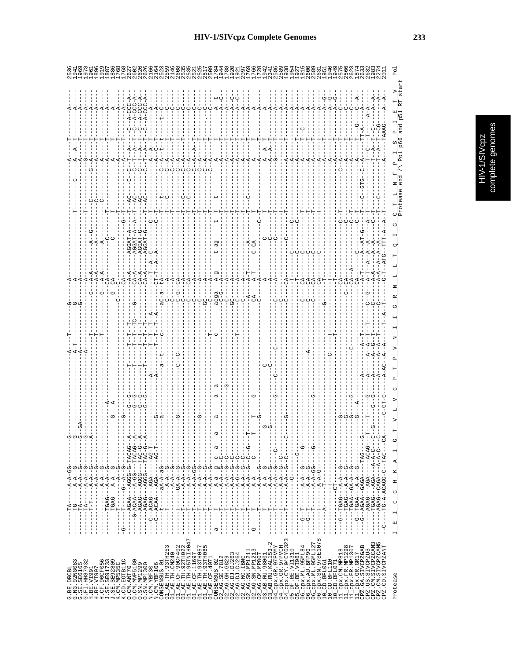|                                                                                                                                                                                                                                                                                                                                                                                                                                                                                                                                                                                                                                                                                                                                                                    | .<br>משלמשמחמת הממשמחמם הממשמעים<br>ממשמחמת האני או כממשמעלים הממשמעים<br>ממח שטש אני או כממשמעלים ומות                                                                                                                                                                                                                                                                                                                                                                                                                                                                                                 |
|--------------------------------------------------------------------------------------------------------------------------------------------------------------------------------------------------------------------------------------------------------------------------------------------------------------------------------------------------------------------------------------------------------------------------------------------------------------------------------------------------------------------------------------------------------------------------------------------------------------------------------------------------------------------------------------------------------------------------------------------------------------------|---------------------------------------------------------------------------------------------------------------------------------------------------------------------------------------------------------------------------------------------------------------------------------------------------------------------------------------------------------------------------------------------------------------------------------------------------------------------------------------------------------------------------------------------------------------------------------------------------------|
|                                                                                                                                                                                                                                                                                                                                                                                                                                                                                                                                                                                                                                                                                                                                                                    |                                                                                                                                                                                                                                                                                                                                                                                                                                                                                                                                                                                                         |
| ŮŮŮŮ                                                                                                                                                                                                                                                                                                                                                                                                                                                                                                                                                                                                                                                                                                                                                               |                                                                                                                                                                                                                                                                                                                                                                                                                                                                                                                                                                                                         |
| п                                                                                                                                                                                                                                                                                                                                                                                                                                                                                                                                                                                                                                                                                                                                                                  |                                                                                                                                                                                                                                                                                                                                                                                                                                                                                                                                                                                                         |
|                                                                                                                                                                                                                                                                                                                                                                                                                                                                                                                                                                                                                                                                                                                                                                    |                                                                                                                                                                                                                                                                                                                                                                                                                                                                                                                                                                                                         |
| AC<br>AC                                                                                                                                                                                                                                                                                                                                                                                                                                                                                                                                                                                                                                                                                                                                                           |                                                                                                                                                                                                                                                                                                                                                                                                                                                                                                                                                                                                         |
| U                                                                                                                                                                                                                                                                                                                                                                                                                                                                                                                                                                                                                                                                                                                                                                  | Ū<br>O                                                                                                                                                                                                                                                                                                                                                                                                                                                                                                                                                                                                  |
| GGAT-A                                                                                                                                                                                                                                                                                                                                                                                                                                                                                                                                                                                                                                                                                                                                                             |                                                                                                                                                                                                                                                                                                                                                                                                                                                                                                                                                                                                         |
|                                                                                                                                                                                                                                                                                                                                                                                                                                                                                                                                                                                                                                                                                                                                                                    | ≮ ⊄<br>Æ                                                                                                                                                                                                                                                                                                                                                                                                                                                                                                                                                                                                |
| Ů<br>ပုံ<br>ಹ ಲ<br>ひ<br>Ф<br>υU                                                                                                                                                                                                                                                                                                                                                                                                                                                                                                                                                                                                                                                                                                                                    | ひ<br>C٦                                                                                                                                                                                                                                                                                                                                                                                                                                                                                                                                                                                                 |
|                                                                                                                                                                                                                                                                                                                                                                                                                                                                                                                                                                                                                                                                                                                                                                    |                                                                                                                                                                                                                                                                                                                                                                                                                                                                                                                                                                                                         |
|                                                                                                                                                                                                                                                                                                                                                                                                                                                                                                                                                                                                                                                                                                                                                                    |                                                                                                                                                                                                                                                                                                                                                                                                                                                                                                                                                                                                         |
| めめめめ                                                                                                                                                                                                                                                                                                                                                                                                                                                                                                                                                                                                                                                                                                                                                               | $\triangle$ $\triangle$<br>K,                                                                                                                                                                                                                                                                                                                                                                                                                                                                                                                                                                           |
| ⋖<br>Æ<br>めめめめ                                                                                                                                                                                                                                                                                                                                                                                                                                                                                                                                                                                                                                                                                                                                                     |                                                                                                                                                                                                                                                                                                                                                                                                                                                                                                                                                                                                         |
| I<br>÷<br>$\frac{1}{1}$<br>ł                                                                                                                                                                                                                                                                                                                                                                                                                                                                                                                                                                                                                                                                                                                                       | ひ<br>ပုံ                                                                                                                                                                                                                                                                                                                                                                                                                                                                                                                                                                                                |
| --TACAG<br>やーー<br>UAUCH-U-UUCH-<br>– - ದ<br>$\frac{1}{1}$<br>$\frac{1}{1}$<br>T.<br>$\frac{1}{1}$<br>ţ<br>$\mathsf I$<br>ł,<br>$\frac{1}{2}$<br>$\mathsf I$<br>$\blacksquare$<br>$\overline{1}$<br>$\mathbf{I}$<br>$-1$<br>$\frac{1}{1}$<br>$\frac{0}{1}$<br>U<br>$\frac{1}{1}$<br>$\frac{0}{1}$<br>U<br>J.<br>т,<br>Ť<br>$\blacksquare$<br>$\blacksquare$<br>п<br>п<br>-1<br>უ<br>!<br>უ<br> <br> <br>$\frac{6}{1}$<br>ף<br>י<br>ပုံ<br>ひ                                                                                                                                                                                                                                                                                                                         | $\frac{6}{1}$<br>$\frac{1}{1}$<br>ΰ<br>$\begin{array}{c} 1 & 1 & 1 \\ 1 & -1 & -1 \\ 1 & -1 & -1 \\ 1 & -1 & -1 \\ 1 & -1 & -1 \\ 1 & -1 & -1 \\ 1 & -1 & -1 \\ 1 & -1 & -1 \\ 1 & -1 & -1 \\ 1 & -1 & -1 \\ 1 & -1 & -1 \\ 1 & -1 & -1 \\ 1 & -1 & -1 \\ 1 & -1 & -1 \\ 1 & -1 & -1 \\ 1 & -1 & -1 \\ 1 & -1 & -1 \\ 1 & -1 & -1 \\ 1 & -1 & -1 \\ 1 & -1 & -1 \\ 1 & -1 & -1 \\ 1 & -1 & -1 \\ 1 & -1 & -1 \\ 1 & -1 &$<br>ł<br>$- - TAG - -$<br>$\frac{6}{1}$<br>$\frac{1}{1}$<br>K,<br>$\frac{1}{1}$<br>Ť<br>$\frac{1}{1}$<br>ţ<br>ï<br>ن<br>ب<br>ף<br>י<br>$-\frac{5}{1}$<br>×                     |
| $- A - B - GC$<br>$-4-4-4-6$<br>Ţ<br>$\frac{1}{2}$<br>Ŧ,<br>Ť<br>$A - A$<br>$A - A$<br>$A - A$<br>$-4$<br>$-4$<br>$A - A$<br>$A - A$<br>$A - A$<br>$A - A$<br>$A - A$<br>Ġ                                                                                                                                                                                                                                                                                                                                                                                                                                                                                                                                                                                         | $-1 - A - A - C$<br>J,<br>$\frac{1}{1}$<br>$A - A$<br>$A - A$<br>$A - A$<br>Ħ,<br>$\mathbf{I}$<br>$-1$<br>5p<br>ල්                                                                                                                                                                                                                                                                                                                                                                                                                                                                                      |
| U-UAGAG----UAGA----<br>ひひー イーー ー イインベーリーー<br>$-$ -TGAG $-$<br>$---T A ---$<br>J<br>J.<br>$-5A3T - -$<br>$-AGAA-$<br>ŧ,<br>т<br>$\mathbf{L} = \mathbf{L} = -1$<br>T.<br>$-1$ – $T$ – –<br>Ĵ<br>$\frac{1}{1}$<br>$\mathsf I$<br>$\,$ I<br>1<br>J.<br>$\mathbf{I}$<br>$-TA$<br>$-TTG-$<br>$---TA$<br>$\mathbf{I}$<br>$\mathbf{I}$<br>투<br>$-1$<br>$-1$<br>부<br>$-1$<br>$-1$<br>יך<br>י<br>۲<br>ا<br>۲<br>ا<br>$-1$<br>י<br>י<br>י<br>י<br>Ŧ<br>Ĩ,<br>T<br>Ť<br>Ť<br>Ť<br>Ţ<br>ł<br>Ι.<br>п<br>-1<br>$\overline{1}$<br>$\overline{\phantom{a}}$<br>I<br>I<br>$\frac{1}{2}$<br>$\frac{C}{1}$<br>J,<br>I<br>I<br>$\overline{1}$<br>$\mathbf{I}$<br>I<br>J<br>J.<br>I<br>$\overline{\phantom{a}}$<br>J,<br>J<br>J.<br>J<br>$\overline{\phantom{a}}$<br>$\mathbf{I}$<br>J. | - - -ひ - ぱ - ぱ - - -ぱのぱ - - - ひぱひH - -<br>--TG-A-ACAGG-C-TAC<br>$- -A - A - A - B - C$<br>U--4-4-44UH--U-<br>- - AGAA - - AAGA-<br>$-$ -CAA<br>--GA<br>--A<br>$\frac{1}{1}$<br>I<br>$\overline{1}$<br>$--TGAG$<br>I.<br>ï<br>℧<br>$-1$<br>$-1$<br>۲<br>با<br>۲<br>ا<br>י<br>ד<br>י<br>ד<br>$\frac{1}{2}$<br>н<br>$\frac{1}{1}$<br>$\frac{1}{1}$<br>ŧ<br>$\frac{1}{\sqrt{2}}$<br>$\overline{\phantom{a}}$<br>ပု<br>ပု<br>Ţ<br>$\begin{array}{c} \end{array}$<br>$\mathsf I$<br>国<br>$\mathbf{I}$<br>$\overline{1}$<br>$\mathbf{I}$<br>J,<br>I<br>J<br>J<br>$\blacksquare$                                |
| ł<br>$\blacksquare$<br>$\frac{1}{1}$<br>$\overline{\phantom{a}}$<br>$\mathbf{I}$<br>л<br>п<br>п<br>1<br>J.<br>J.<br>л<br>п<br>п<br>п<br>H<br>1<br>-1<br>п<br><b>I</b><br>ပုံ<br>$\mathbf{I}$<br>ပုံ<br><b>G</b><br>$\mathsf I$<br>п                                                                                                                                                                                                                                                                                                                                                                                                                                                                                                                                | T<br>$\frac{1}{2}$<br>-1<br>п<br>1<br>п<br>H<br>л<br>п<br>$\frac{1}{1}$<br>$\mathbf{I}$<br>$\mathbf{I}$<br>3<br>$\infty$<br>r                                                                                                                                                                                                                                                                                                                                                                                                                                                                           |
|                                                                                                                                                                                                                                                                                                                                                                                                                                                                                                                                                                                                                                                                                                                                                                    |                                                                                                                                                                                                                                                                                                                                                                                                                                                                                                                                                                                                         |
| $\begin{smallmatrix} (3.186, 380580\\ (3.186, 3805805)\\ (3.186, 380593\\ (3.186, 380593)\\ (3.186, 380593\\ (3.187, 19991\\ (3.187, 19991\\ (3.187, 19991\\ (3.187, 19991\\ (3.187, 19991\\ (3.187, 19991\\ (3.187, 19991\\ (3.187, 19991\\ (3.187, 19991\\ (3.187, 19$                                                                                                                                                                                                                                                                                                                                                                                                                                                                                           | $\frac{4}{4}$ cpx.GR. 97 PWMY<br>$\frac{4}{4}$ cpx.GR. 97 PWCH<br>$\frac{4}{5}$ cpx.CY. 94 CY0323<br>5 DF.BE.VI1310<br>5 DF.BE.VI961<br>$\begin{array}{l} 06 \!\! \begin{array}{l} \!\! 06 \!\! \begin{array}{l} \!\! \text{C-px.}\!\! \text{in} \!\! \text{in} \!\! \text{in} \!\! \text{is} \!\! \text{with} \!\! \text{as} \!\! \text{with} \!\! \text{is} \!\! \text{with} \!\! \text{is} \!\! \text{with} \!\! \text{is} \!\! \text{with} \!\! \text{is} \!\! \text{with} \!\! \text{is} \!\! \text{with} \!\! \text{is} \!\! \text{with} \!\! \text{is} \!\! \text{with} \!\! \text{$<br>Protease |
|                                                                                                                                                                                                                                                                                                                                                                                                                                                                                                                                                                                                                                                                                                                                                                    | ம்ம<br>4                                                                                                                                                                                                                                                                                                                                                                                                                                                                                                                                                                                                |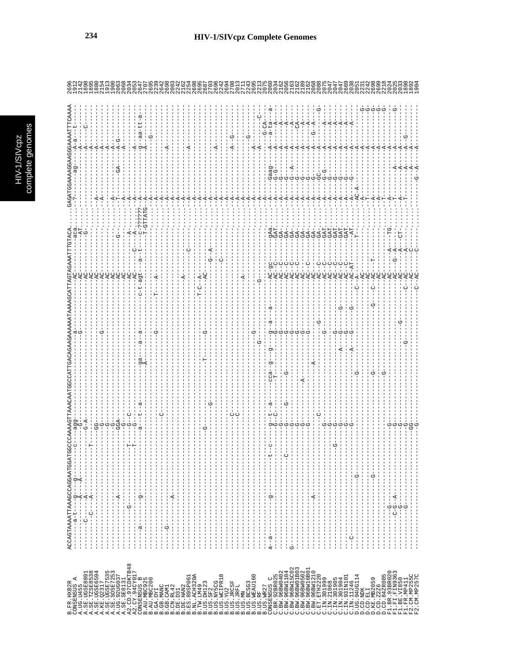| ACCAGTAAAATTAAAGCCAGGAATGGATO                                                                                                                                                                                                                                                                                                                                  | 59<br>9<br>AAACAAT                | CATTGACAGAAGAAAAAATAAAAAG |                                                                                              |                   | GAAAAGGAA                       |                               | `ە ق                                                                                                                                                                                                                                                                                                                                                                                                                                                                                                                                 |
|----------------------------------------------------------------------------------------------------------------------------------------------------------------------------------------------------------------------------------------------------------------------------------------------------------------------------------------------------------------|-----------------------------------|---------------------------|----------------------------------------------------------------------------------------------|-------------------|---------------------------------|-------------------------------|--------------------------------------------------------------------------------------------------------------------------------------------------------------------------------------------------------------------------------------------------------------------------------------------------------------------------------------------------------------------------------------------------------------------------------------------------------------------------------------------------------------------------------------|
|                                                                                                                                                                                                                                                                                                                                                                |                                   |                           |                                                                                              |                   |                                 |                               |                                                                                                                                                                                                                                                                                                                                                                                                                                                                                                                                      |
|                                                                                                                                                                                                                                                                                                                                                                |                                   |                           |                                                                                              |                   |                                 |                               |                                                                                                                                                                                                                                                                                                                                                                                                                                                                                                                                      |
|                                                                                                                                                                                                                                                                                                                                                                |                                   |                           |                                                                                              |                   |                                 |                               |                                                                                                                                                                                                                                                                                                                                                                                                                                                                                                                                      |
| J<br>$\frac{1}{1}$<br>J.<br>J.<br>п<br>I                                                                                                                                                                                                                                                                                                                       |                                   |                           |                                                                                              |                   |                                 | K.                            |                                                                                                                                                                                                                                                                                                                                                                                                                                                                                                                                      |
| $\overline{\phantom{a}}$<br>$\frac{1}{1}$<br>$\frac{1}{1}$<br>I<br>J<br>$\frac{1}{1}$                                                                                                                                                                                                                                                                          |                                   |                           |                                                                                              |                   |                                 |                               |                                                                                                                                                                                                                                                                                                                                                                                                                                                                                                                                      |
|                                                                                                                                                                                                                                                                                                                                                                |                                   |                           |                                                                                              |                   |                                 | Æ                             |                                                                                                                                                                                                                                                                                                                                                                                                                                                                                                                                      |
| л<br>T.<br>$\mathsf I$                                                                                                                                                                                                                                                                                                                                         |                                   |                           |                                                                                              |                   |                                 |                               |                                                                                                                                                                                                                                                                                                                                                                                                                                                                                                                                      |
| J<br>$\frac{1}{1}$<br>$\,$ I<br>$\begin{array}{c} \begin{array}{c} \begin{array}{c} \begin{array}{c} \begin{array}{c} \end{array} \\ \begin{array}{c} \end{array} \\ \begin{array}{c} \end{array} \\ \begin{array}{c} \end{array} \\ \begin{array}{c} \end{array} \\ \begin{array}{c} \end{array} \\ \end{array} \end{array} \end{array}$<br>$\overline{1}$    |                                   |                           |                                                                                              |                   |                                 | К                             |                                                                                                                                                                                                                                                                                                                                                                                                                                                                                                                                      |
| п<br>$\mathsf I$<br>$\mathsf I$                                                                                                                                                                                                                                                                                                                                |                                   |                           |                                                                                              |                   |                                 | ပု<br>K,                      | $MOM-MOM$                                                                                                                                                                                                                                                                                                                                                                                                                                                                                                                            |
| I<br>Ť                                                                                                                                                                                                                                                                                                                                                         | <u>မွ</u> ှဲမှ မှ မှ မွှဲမှ မှ မှ |                           |                                                                                              |                   |                                 | Æ                             | H 8888H 990000000000                                                                                                                                                                                                                                                                                                                                                                                                                                                                                                                 |
| $\overline{\phantom{a}}$<br>$\frac{1}{1}$<br>- 1<br>- 1<br>$-1$<br>$-1$<br>$-1$<br>$\mathbf{I}$<br>ł<br>$\overline{\phantom{a}}$<br>J.                                                                                                                                                                                                                         |                                   |                           |                                                                                              |                   |                                 |                               |                                                                                                                                                                                                                                                                                                                                                                                                                                                                                                                                      |
| $\frac{1}{1}$<br>$\frac{1}{1}$<br>T<br>$\mathfrak l$<br>т<br>т<br>$\mathfrak l$<br>$\begin{bmatrix} 1 \\ 1 \\ 1 \end{bmatrix}$                                                                                                                                                                                                                                 |                                   |                           | U                                                                                            | К                 |                                 | Ā.                            | $\sim$                                                                                                                                                                                                                                                                                                                                                                                                                                                                                                                               |
| I<br>Í<br>J                                                                                                                                                                                                                                                                                                                                                    |                                   | ൯                         | gд                                                                                           | U                 |                                 | $-eg$ .                       |                                                                                                                                                                                                                                                                                                                                                                                                                                                                                                                                      |
| -1<br>J.<br>J.<br>$\blacksquare$<br>- 1<br>T<br>J.<br>J.                                                                                                                                                                                                                                                                                                       |                                   | ga<br>A                   |                                                                                              |                   |                                 | $\overline{O}$ $\overline{A}$ |                                                                                                                                                                                                                                                                                                                                                                                                                                                                                                                                      |
| т<br>ï.<br>I.<br>I.<br>ł                                                                                                                                                                                                                                                                                                                                       |                                   |                           |                                                                                              |                   |                                 | Ġ                             |                                                                                                                                                                                                                                                                                                                                                                                                                                                                                                                                      |
| I<br>$\frac{1}{1}$<br>$\overline{\phantom{a}}$<br>$\,$ I<br>$\begin{array}{c} \begin{array}{c} \uparrow \\ \downarrow \\ \downarrow \\ \downarrow \end{array} \end{array}$<br>J<br>J.                                                                                                                                                                          |                                   | H<br>Ġ                    |                                                                                              |                   |                                 |                               |                                                                                                                                                                                                                                                                                                                                                                                                                                                                                                                                      |
| J<br>Í<br>$-1$<br>Í                                                                                                                                                                                                                                                                                                                                            |                                   |                           |                                                                                              |                   |                                 |                               | $\circ$ $\circ$                                                                                                                                                                                                                                                                                                                                                                                                                                                                                                                      |
| J<br>ı<br>Ť<br>H<br>$\overline{\phantom{a}}$<br>$\overline{\phantom{a}}$<br>$\overline{\phantom{a}}$<br>-1<br>$\mathbf{I}$<br>$\blacksquare$<br>$\begin{array}{c} -1 \\ -1 \end{array}$<br>J<br>$\overline{1}$                                                                                                                                                 |                                   |                           |                                                                                              |                   |                                 | K.                            | $\circ$                                                                                                                                                                                                                                                                                                                                                                                                                                                                                                                              |
|                                                                                                                                                                                                                                                                                                                                                                |                                   |                           |                                                                                              |                   |                                 |                               |                                                                                                                                                                                                                                                                                                                                                                                                                                                                                                                                      |
| ł<br>-----------<br>$\frac{1}{1}$<br>I                                                                                                                                                                                                                                                                                                                         |                                   |                           |                                                                                              |                   |                                 |                               | $\circ$                                                                                                                                                                                                                                                                                                                                                                                                                                                                                                                              |
| I<br>$\frac{1}{1}$<br>$-1$ $-1$ $-1$ $-1$ $-1$ $-1$ $-1$<br>í                                                                                                                                                                                                                                                                                                  |                                   |                           |                                                                                              |                   |                                 |                               |                                                                                                                                                                                                                                                                                                                                                                                                                                                                                                                                      |
| $\mathbf{I}$<br>$\mathsf I$<br>-1<br>$\mathbf{I}$<br>$\overline{\phantom{a}}$<br>-1<br>$\mathbf{I}$<br>$\overline{\phantom{a}}$<br>$\mathbf{I}$<br>$\mathsf I$<br>J.<br>$\overline{\phantom{a}}$<br>$\overline{\phantom{a}}$                                                                                                                                   |                                   |                           |                                                                                              |                   |                                 |                               |                                                                                                                                                                                                                                                                                                                                                                                                                                                                                                                                      |
| I<br>ţ<br>ł                                                                                                                                                                                                                                                                                                                                                    |                                   |                           |                                                                                              |                   |                                 |                               | $\sim$                                                                                                                                                                                                                                                                                                                                                                                                                                                                                                                               |
| í<br>I<br>$\begin{array}{c} \begin{array}{c} \text{1} \\ \text{2} \\ \text{3} \\ \text{4} \end{array} \\ \end{array}$<br>ł<br>I                                                                                                                                                                                                                                |                                   |                           |                                                                                              |                   |                                 |                               | <b>LO</b>                                                                                                                                                                                                                                                                                                                                                                                                                                                                                                                            |
| $\begin{bmatrix} 1 \\ 1 \\ 1 \\ 1 \end{bmatrix}$<br>Ť.<br>$\mathsf I$<br>$\frac{1}{1}$<br>$\frac{1}{1}$<br>$-1$ $-1$ $-1$ $-1$ $-1$ $-1$ $-1$ $-1$                                                                                                                                                                                                             |                                   |                           |                                                                                              |                   |                                 |                               |                                                                                                                                                                                                                                                                                                                                                                                                                                                                                                                                      |
|                                                                                                                                                                                                                                                                                                                                                                |                                   |                           |                                                                                              |                   |                                 |                               | $\omega$                                                                                                                                                                                                                                                                                                                                                                                                                                                                                                                             |
| I<br>Î<br>$\overline{\phantom{a}}$<br>$\begin{array}{c} \n\cdot & \cdot & \cdot \\ \n\cdot & \cdot & \cdot \\ \n\cdot & \cdot & \cdot \\ \n\end{array}$<br>$\mathbf{I}$<br>$\frac{1}{1}$<br>$\frac{1}{2}$<br>$\begin{array}{c} 1 \\ 1 \\ 1 \\ 1 \end{array}$<br>$\frac{1}{1}$                                                                                  |                                   | てり                        |                                                                                              |                   |                                 |                               | 0.00400000000                                                                                                                                                                                                                                                                                                                                                                                                                                                                                                                        |
| I<br>Ţ<br>$\mathbf{I}$<br>$\mathsf I$<br>J.<br>L.<br>J.<br>$\overline{\phantom{a}}$<br>T<br>-1<br>Ť.<br>T<br>$\frac{1}{1}$<br>J<br>$\frac{1}{1}$<br>J                                                                                                                                                                                                          |                                   |                           |                                                                                              |                   |                                 |                               |                                                                                                                                                                                                                                                                                                                                                                                                                                                                                                                                      |
| ı<br>ł,<br>I.<br>$\frac{1}{1}$<br>$\frac{1}{1}$<br>ţ<br>т                                                                                                                                                                                                                                                                                                      |                                   |                           |                                                                                              |                   |                                 |                               | <b>LO</b>                                                                                                                                                                                                                                                                                                                                                                                                                                                                                                                            |
| J<br>$\frac{1}{1}$<br>$\overline{\phantom{a}}$<br>$\begin{bmatrix} 1 \\ 1 \\ 1 \\ 1 \\ 1 \end{bmatrix}$<br>$\overline{\phantom{a}}$<br>$\frac{1}{2}$<br>$\frac{1}{4}$<br>$\,$ I<br>$\frac{1}{1}$<br>J<br>$\begin{array}{c} \hline \end{array}$<br>ł<br>$\,$ I<br>J<br>J.                                                                                       |                                   |                           |                                                                                              |                   |                                 |                               | $\sim$                                                                                                                                                                                                                                                                                                                                                                                                                                                                                                                               |
|                                                                                                                                                                                                                                                                                                                                                                |                                   |                           |                                                                                              |                   |                                 |                               | w                                                                                                                                                                                                                                                                                                                                                                                                                                                                                                                                    |
| т<br>Ť.<br>$\frac{1}{1}$                                                                                                                                                                                                                                                                                                                                       |                                   |                           |                                                                                              |                   |                                 |                               |                                                                                                                                                                                                                                                                                                                                                                                                                                                                                                                                      |
| I<br>ł<br>$\begin{bmatrix} 1 & 0 & 0 \\ 0 & 1 & 0 \\ 0 & 1 & 0 \\ 0 & 0 & 0 \\ 0 & 0 & 0 \\ 0 & 0 & 0 \\ 0 & 0 & 0 \\ 0 & 0 & 0 & 0 \\ 0 & 0 & 0 & 0 \\ 0 & 0 & 0 & 0 \\ 0 & 0 & 0 & 0 & 0 \\ 0 & 0 & 0 & 0 & 0 \\ 0 & 0 & 0 & 0 & 0 \\ 0 & 0 & 0 & 0 & 0 & 0 \\ 0 & 0 & 0 & 0 & 0 & 0 \\ 0 & 0 & 0 & 0 & 0 & 0 \\ 0 & 0 & 0 & 0 & 0 & $<br>$\frac{1}{1}$<br>í | ÜÜ                                |                           |                                                                                              |                   |                                 | ひ<br>$\overline{A}$           |                                                                                                                                                                                                                                                                                                                                                                                                                                                                                                                                      |
| т<br>T.<br>$\mathsf I$<br>$\begin{array}{c} \begin{array}{c} \text{1} \\ \text{2} \\ \text{3} \\ \text{4} \end{array} \end{array}$<br>$\mathsf I$<br>$\frac{1}{1}$<br>$\mathsf I$<br>$\frac{1}{1}$<br>$\mathsf I$<br>Ţ<br>ţ<br>ł                                                                                                                               |                                   |                           |                                                                                              |                   |                                 |                               | $\circ$                                                                                                                                                                                                                                                                                                                                                                                                                                                                                                                              |
| I<br>$\frac{1}{1}$<br>$\frac{1}{1}$<br>$\frac{1}{1}$<br>$\overline{\phantom{a}}$<br>$\begin{array}{c} 1 \\ 1 \\ 1 \end{array}$<br>$\frac{1}{1}$                                                                                                                                                                                                                |                                   |                           |                                                                                              |                   |                                 |                               |                                                                                                                                                                                                                                                                                                                                                                                                                                                                                                                                      |
| J.<br>J.<br>ı<br>$\frac{1}{1}$<br>J.<br>L.<br>J.<br>I<br>T<br>-1<br>Ť.<br>ı<br>$\frac{1}{4}$<br>Ť.<br>I<br>ł<br>ı<br>I<br>L.                                                                                                                                                                                                                                   |                                   |                           |                                                                                              |                   |                                 | Ġ                             |                                                                                                                                                                                                                                                                                                                                                                                                                                                                                                                                      |
| т<br>ł,<br>$\begin{bmatrix} 1 \\ 1 \\ 1 \\ 1 \end{bmatrix}$<br>$\frac{1}{1}$                                                                                                                                                                                                                                                                                   |                                   |                           |                                                                                              |                   |                                 |                               | ᡡ<br>īΟ                                                                                                                                                                                                                                                                                                                                                                                                                                                                                                                              |
|                                                                                                                                                                                                                                                                                                                                                                |                                   |                           |                                                                                              |                   |                                 |                               |                                                                                                                                                                                                                                                                                                                                                                                                                                                                                                                                      |
| I<br>$\frac{1}{1}$<br>$\mathsf I$<br>$\begin{array}{c} \n 1 \\  1 \\  1\n \end{array}$<br>$\mathsf I$<br>$\frac{1}{1}$<br>$\frac{1}{1}$<br>I<br>$-1$ $-1$ $-1$ $-1$ $-1$ $-1$ $-1$                                                                                                                                                                             |                                   | ά                         |                                                                                              |                   |                                 | Ā,                            |                                                                                                                                                                                                                                                                                                                                                                                                                                                                                                                                      |
| 1<br>п<br>$\mathsf I$<br>$\mathsf I$<br>Ţ<br>$\frac{1}{1}$<br>т<br>$\mathbf{I}$<br>Ť.<br>$\mathsf I$<br>т<br>п<br>Ţ<br>$\mathbf{I}$<br>$\mathsf I$<br>$\overline{\phantom{a}}$<br>т<br>ł<br>$\frac{1}{2}$<br>$\mathbf{I}$                                                                                                                                      |                                   |                           |                                                                                              |                   |                                 | E<br>ē                        | 56                                                                                                                                                                                                                                                                                                                                                                                                                                                                                                                                   |
| a--a---------g------------                                                                                                                                                                                                                                                                                                                                     | t,                                | ൯<br>ה<br>চা<br>೮         |                                                                                              |                   | Gaag<br>G-G-9                   | $\frac{1}{\sigma}$<br>k.      |                                                                                                                                                                                                                                                                                                                                                                                                                                                                                                                                      |
| $\overline{1}$<br>п<br>ı<br>-1<br>J.<br>$\mathbf{I}$<br>ı<br>ï<br>$\mathsf I$<br>ı<br>$\mathbf{I}$                                                                                                                                                                                                                                                             |                                   | あひ                        | Ő                                                                                            |                   |                                 | Æ                             |                                                                                                                                                                                                                                                                                                                                                                                                                                                                                                                                      |
| I<br>$\frac{1}{1}$<br>ţ<br>ţ<br>$\frac{1}{1}$                                                                                                                                                                                                                                                                                                                  | あひひひひひひ                           | Ů                         | Ő                                                                                            | ooooooooooooooooo | ひ                               | Æ                             | w m w ln w w w w w w                                                                                                                                                                                                                                                                                                                                                                                                                                                                                                                 |
| $\frac{1}{2}$<br>Î<br>I<br>$\frac{1}{1}$<br>I<br>$\frac{1}{1}$<br>I<br>I<br>$\frac{1}{1}$<br>$\frac{1}{1}$                                                                                                                                                                                                                                                     |                                   |                           |                                                                                              |                   | J.                              | K,                            |                                                                                                                                                                                                                                                                                                                                                                                                                                                                                                                                      |
| $-1$<br>$-1$<br>$-1$<br>$-1$                                                                                                                                                                                                                                                                                                                                   |                                   |                           |                                                                                              |                   |                                 |                               |                                                                                                                                                                                                                                                                                                                                                                                                                                                                                                                                      |
| Ť<br>$\begin{array}{cccccccccccccc} 1 & 1 & 1 & 1 & 1 & 1 & 1 & 1 & 1 & 1 & 1 & 1 \\ & & 1 & 1 & 1 & 1 & 1 & 1 & 1 & 1 & 1 & 1 \\ \end{array}$<br>$\begin{array}{c} 1 \\ 1 \\ 1 \end{array}$                                                                                                                                                                   |                                   | ひひひ                       | ひひひひ<br>υU                                                                                   |                   | $- - A$<br>ዋዋዋዋዋዋ               | $\mathbb{R}$ $\mathbb{R}$     |                                                                                                                                                                                                                                                                                                                                                                                                                                                                                                                                      |
| I<br>$\frac{1}{1}$<br>$\mathsf I$<br>$\frac{1}{1}$<br>Ţ<br>$-1$ $-1$ $-1$ $-1$ $-1$ $-1$ $-1$                                                                                                                                                                                                                                                                  |                                   |                           |                                                                                              |                   |                                 |                               |                                                                                                                                                                                                                                                                                                                                                                                                                                                                                                                                      |
| п<br>I.<br>$\mathsf I$<br>$\frac{1}{1}$<br>$\frac{1}{1}$<br>$\mathsf I$<br>Ţ<br>$\frac{1}{1}$<br>$\mathsf I$<br>$\frac{1}{1}$<br>$\overline{\phantom{a}}$<br>т<br>$\frac{1}{1}$<br>$\mathsf I$<br>$\frac{1}{1}$                                                                                                                                                |                                   |                           | -1                                                                                           |                   |                                 |                               |                                                                                                                                                                                                                                                                                                                                                                                                                                                                                                                                      |
| I<br>$\frac{1}{1}$<br>I<br>ţ<br>I<br>I<br>$\frac{1}{1}$<br>$\frac{1}{1}$<br>п                                                                                                                                                                                                                                                                                  |                                   | <b>vv</b>                 |                                                                                              |                   | т                               |                               |                                                                                                                                                                                                                                                                                                                                                                                                                                                                                                                                      |
| I<br>$\mathsf I$<br>$\frac{1}{1}$<br>$---A---$<br>$\begin{array}{c} 1 \\ 1 \\ 1 \end{array}$<br>ı<br>$\frac{1}{1}$<br>$\mathsf I$<br>J<br>$\blacksquare$<br>-1                                                                                                                                                                                                 |                                   |                           | $\begin{array}{c} \n\bullet & \circ \\ \n\bullet & \circ \\ \n\bullet & \bullet \end{array}$ |                   |                                 | $\overset{1}{\circ}$          |                                                                                                                                                                                                                                                                                                                                                                                                                                                                                                                                      |
| ł<br>$\frac{1}{1}$                                                                                                                                                                                                                                                                                                                                             |                                   |                           |                                                                                              |                   | しひ                              | -1<br>$\overline{A}$          |                                                                                                                                                                                                                                                                                                                                                                                                                                                                                                                                      |
| $\frac{1}{1}$<br>ţ                                                                                                                                                                                                                                                                                                                                             |                                   |                           |                                                                                              |                   |                                 |                               |                                                                                                                                                                                                                                                                                                                                                                                                                                                                                                                                      |
| í<br>$\mathsf I$<br>$-1$ + $-1$ + $-1$ + $-1$ + $-1$<br>Ţ<br>ţ<br>Ţ<br>I<br>$\begin{array}{c} \n 1 \\  1 \\  1\n \end{array}$                                                                                                                                                                                                                                  | てり                                | C                         | ひひひひ                                                                                         |                   | စ်စုံစုံစုံစုံ<br>စုံ ! ! ! ! ! |                               |                                                                                                                                                                                                                                                                                                                                                                                                                                                                                                                                      |
| $\mathbf{I}$<br>$\mathbf{I}$<br>$\mathsf I$<br>T<br>$\begin{array}{c} \n\cdot & \cdot \\ \n\cdot & \cdot \\ \n\cdot & \cdot \n\end{array}$<br>Ť.<br>$\mathsf I$<br>Ţ<br>$\frac{1}{1}$<br>T<br>$\frac{1}{4}$<br>Ť.<br>T<br>Ť<br>$\mathsf I$<br>$\frac{1}{1}$<br>-1                                                                                              |                                   |                           |                                                                                              |                   |                                 |                               | $\circ$                                                                                                                                                                                                                                                                                                                                                                                                                                                                                                                              |
| J.<br>-1<br>Ť.<br>$\frac{1}{1}$<br>I<br>J.<br>$\frac{1}{1}$                                                                                                                                                                                                                                                                                                    |                                   |                           |                                                                                              |                   |                                 |                               | $\circ$                                                                                                                                                                                                                                                                                                                                                                                                                                                                                                                              |
| I<br>ł<br>$\begin{array}{c} 1 \\ 1 \\ 1 \end{array}$<br>$\begin{bmatrix} 1 & 1 & 1 \\ 1 & 1 & 1 \\ 1 & 1 & 1 \\ 1 & 1 & 1 \end{bmatrix}$                                                                                                                                                                                                                       |                                   | じ じ                       |                                                                                              |                   |                                 | K.                            |                                                                                                                                                                                                                                                                                                                                                                                                                                                                                                                                      |
| ł                                                                                                                                                                                                                                                                                                                                                              | לז לז לז לז לז                    | ひ                         | U U<br>(1)                                                                                   |                   |                                 |                               | $\circ$                                                                                                                                                                                                                                                                                                                                                                                                                                                                                                                              |
| J<br>1<br>ï<br>$\overline{\phantom{a}}$<br>Ţ<br>ł<br>1<br>$\mathbf{I}$<br>$\mathbf{I}$<br>J.<br>$\frac{1}{1}$<br>$\frac{1}{1}$<br>$\,$ I<br>Ţ<br>$-1$<br>п                                                                                                                                                                                                     |                                   | てり<br>К                   | $AC - I$                                                                                     |                   | K.                              |                               |                                                                                                                                                                                                                                                                                                                                                                                                                                                                                                                                      |
|                                                                                                                                                                                                                                                                                                                                                                |                                   |                           |                                                                                              |                   |                                 |                               |                                                                                                                                                                                                                                                                                                                                                                                                                                                                                                                                      |
| L.<br>$-1 - 1 - 1$<br>J.<br>-1<br>J.                                                                                                                                                                                                                                                                                                                           |                                   |                           |                                                                                              |                   | $A$ C-A<br>A---                 |                               | ഄ൚ഩ                                                                                                                                                                                                                                                                                                                                                                                                                                                                                                                                  |
| J,<br>ł<br>$\mathsf I$<br>J.<br>$\frac{1}{1}$<br>J.<br>J.<br>$\overline{\phantom{a}}$<br>I<br>$\frac{1}{1}$<br>$\mathsf I$<br>$\frac{1}{1}$<br>Ţ<br>$\begin{bmatrix} 1 \\ 1 \\ 1 \\ 1 \\ 1 \end{bmatrix}$                                                                                                                                                      |                                   |                           |                                                                                              |                   |                                 |                               |                                                                                                                                                                                                                                                                                                                                                                                                                                                                                                                                      |
| 1<br>-1<br>Ť.<br>$\begin{array}{c} \hline \end{array}$<br>$\mathbf{I}$<br>$\mathbf{I}$<br>-1<br>$\mathbf{I}$<br>л.<br>$\mathsf I$<br>$\mathsf I$<br>Ţ<br>$\frac{1}{1}$<br>T<br>$\frac{1}{1}$<br>$\mathsf I$<br>T<br>Ť<br>T<br>J.<br>$\mathbf{I}$                                                                                                               |                                   |                           |                                                                                              |                   |                                 |                               |                                                                                                                                                                                                                                                                                                                                                                                                                                                                                                                                      |
| J.<br>$\frac{1}{1}$<br>$\begin{bmatrix} 1 \\ 1 \\ 1 \end{bmatrix}$<br>Ť                                                                                                                                                                                                                                                                                        |                                   |                           |                                                                                              |                   |                                 |                               | īΟ                                                                                                                                                                                                                                                                                                                                                                                                                                                                                                                                   |
| I<br>$\frac{1}{1}$<br>$\begin{bmatrix} 1 \\ 1 \\ 1 \\ 1 \end{bmatrix}$<br>$\blacksquare$<br>$\mathsf I$<br>$\mathsf I$<br>$\frac{1}{1}$<br>$\begin{bmatrix} 1 \\ 1 \\ 1 \\ 1 \end{bmatrix}$<br>$\frac{1}{1}$<br>$\sf I$<br>Ť                                                                                                                                   |                                   |                           |                                                                                              |                   | RΚ                              |                               |                                                                                                                                                                                                                                                                                                                                                                                                                                                                                                                                      |
| 1<br>Ť.<br>$\overline{\phantom{a}}$<br>$\frac{1}{1}$<br>$\frac{1}{1}$<br>J.<br>$\frac{1}{1}$                                                                                                                                                                                                                                                                   |                                   |                           |                                                                                              |                   |                                 |                               | <b>VO N</b>                                                                                                                                                                                                                                                                                                                                                                                                                                                                                                                          |
|                                                                                                                                                                                                                                                                                                                                                                |                                   |                           |                                                                                              |                   |                                 |                               |                                                                                                                                                                                                                                                                                                                                                                                                                                                                                                                                      |
| $\frac{1}{1}$<br>$-1$ $-1$ $-1$ $-1$ $-1$ $-1$ $-1$<br>$\mathsf I$<br>I<br>$\frac{1}{1}$<br>Ť                                                                                                                                                                                                                                                                  | でり                                |                           |                                                                                              |                   |                                 |                               |                                                                                                                                                                                                                                                                                                                                                                                                                                                                                                                                      |
| ı<br>ł                                                                                                                                                                                                                                                                                                                                                         | <b>ひ ひ</b>                        |                           |                                                                                              |                   |                                 |                               | $\circ$                                                                                                                                                                                                                                                                                                                                                                                                                                                                                                                              |
| J.<br>ŧ                                                                                                                                                                                                                                                                                                                                                        |                                   |                           |                                                                                              |                   |                                 |                               |                                                                                                                                                                                                                                                                                                                                                                                                                                                                                                                                      |
| Ţ<br>$\frac{1}{1}$<br><b>I</b>                                                                                                                                                                                                                                                                                                                                 |                                   |                           |                                                                                              |                   |                                 |                               |                                                                                                                                                                                                                                                                                                                                                                                                                                                                                                                                      |
| J<br>л<br>J<br>$\mathbf{I}$<br>$\mathbf{I}$<br>Ţ<br>1<br>$\frac{1}{1}$<br>$\mathsf I$<br>ŧ                                                                                                                                                                                                                                                                     |                                   |                           |                                                                                              |                   |                                 |                               | $\overset{\circ}{\phantom{0}}\overset{\circ}{\phantom{0}}\overset{\circ}{\phantom{0}}\overset{\circ}{\phantom{0}}\overset{\circ}{\phantom{0}}\overset{\circ}{\phantom{0}}\overset{\circ}{\phantom{0}}\overset{\circ}{\phantom{0}}\overset{\circ}{\phantom{0}}\overset{\circ}{\phantom{0}}\overset{\circ}{\phantom{0}}\overset{\circ}{\phantom{0}}\overset{\circ}{\phantom{0}}\overset{\circ}{\phantom{0}}\overset{\circ}{\phantom{0}}\overset{\circ}{\phantom{0}}\overset{\circ}{\phantom{0}}\overset{\circ}{\phantom{0}}\overset{\$ |
|                                                                                                                                                                                                                                                                                                                                                                |                                   |                           |                                                                                              |                   |                                 |                               |                                                                                                                                                                                                                                                                                                                                                                                                                                                                                                                                      |
|                                                                                                                                                                                                                                                                                                                                                                |                                   |                           |                                                                                              |                   |                                 |                               |                                                                                                                                                                                                                                                                                                                                                                                                                                                                                                                                      |

 $\begin{smallmatrix} \texttt{R.HR} \\ \texttt{R.HR} \\ \texttt{R.HR} \\ \texttt{R.HR} \\ \texttt{R.HR} \\ \texttt{R.HR} \\ \texttt{R.HR} \\ \texttt{R.HR} \\ \texttt{R.HR} \\ \texttt{R.HR} \\ \texttt{R.HR} \\ \texttt{R.HR} \\ \texttt{R.HR} \\ \texttt{R.HR} \\ \texttt{R.HR} \\ \texttt{R.HR} \\ \texttt{R.HR} \\ \texttt{R.HR} \\ \texttt{R.HR} \\ \texttt{R.HR} \\ \texttt{R.HR} \\ \texttt{R.HR} \\ \texttt{R.HR} \\ \texttt{R.HR$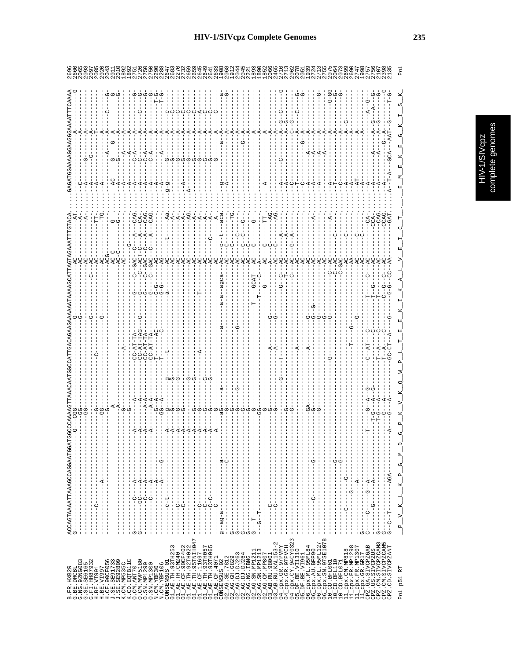| OOOOOOOOOOF<br>⇔ന<br>の9000x88804L<br>HODDONNHD                                                                                                                                                                                                                                                                                                                                                                                                                                                                                                                                                                                                     | 000001                                                                                                                                                                                         |
|----------------------------------------------------------------------------------------------------------------------------------------------------------------------------------------------------------------------------------------------------------------------------------------------------------------------------------------------------------------------------------------------------------------------------------------------------------------------------------------------------------------------------------------------------------------------------------------------------------------------------------------------------|------------------------------------------------------------------------------------------------------------------------------------------------------------------------------------------------|
| <b>UUUUUUKUUU</b>                                                                                                                                                                                                                                                                                                                                                                                                                                                                                                                                                                                                                                  |                                                                                                                                                                                                |
|                                                                                                                                                                                                                                                                                                                                                                                                                                                                                                                                                                                                                                                    |                                                                                                                                                                                                |
| đ<br><u>THILLI</u>                                                                                                                                                                                                                                                                                                                                                                                                                                                                                                                                                                                                                                 |                                                                                                                                                                                                |
|                                                                                                                                                                                                                                                                                                                                                                                                                                                                                                                                                                                                                                                    |                                                                                                                                                                                                |
| ወ⊄                                                                                                                                                                                                                                                                                                                                                                                                                                                                                                                                                                                                                                                 |                                                                                                                                                                                                |
| $A + 1 + 1$<br>$-1 + 1$<br>$-1 + 1$<br>$-1$<br>$-1$<br>$-1$<br>$-1$<br>$-1$                                                                                                                                                                                                                                                                                                                                                                                                                                                                                                                                                                        |                                                                                                                                                                                                |
| HHT.<br>UUU I                                                                                                                                                                                                                                                                                                                                                                                                                                                                                                                                                                                                                                      |                                                                                                                                                                                                |
|                                                                                                                                                                                                                                                                                                                                                                                                                                                                                                                                                                                                                                                    |                                                                                                                                                                                                |
| ー」ーー<br>リリリリ<br>ひ‐ひし<br>$\begin{array}{c} 1 & 1 \\ 0 & H \end{array}$<br>÷<br>$\frac{1}{2}$ $\frac{1}{2}$ $\frac{1}{2}$ $\frac{1}{2}$ $\frac{1}{2}$ $\frac{1}{2}$ $\frac{1}{2}$<br>Ů<br>ひひひひひひ ぺ                                                                                                                                                                                                                                                                                                                                                                                                                                                   | $\frac{1}{2}$ $\frac{1}{2}$ $\frac{1}{2}$ $\frac{1}{2}$ $\frac{1}{2}$                                                                                                                          |
|                                                                                                                                                                                                                                                                                                                                                                                                                                                                                                                                                                                                                                                    |                                                                                                                                                                                                |
|                                                                                                                                                                                                                                                                                                                                                                                                                                                                                                                                                                                                                                                    |                                                                                                                                                                                                |
|                                                                                                                                                                                                                                                                                                                                                                                                                                                                                                                                                                                                                                                    | $-4$<br>нь                                                                                                                                                                                     |
|                                                                                                                                                                                                                                                                                                                                                                                                                                                                                                                                                                                                                                                    |                                                                                                                                                                                                |
|                                                                                                                                                                                                                                                                                                                                                                                                                                                                                                                                                                                                                                                    |                                                                                                                                                                                                |
| ြ  <br>ဗဗ္ဗီ <del>စပ်</del> ဗဗ်<br>  ဗု                                                                                                                                                                                                                                                                                                                                                                                                                                                                                                                                                                                                            | ひ                                                                                                                                                                                              |
| <b>A A A A A A A A</b>                                                                                                                                                                                                                                                                                                                                                                                                                                                                                                                                                                                                                             | $\Box$                                                                                                                                                                                         |
| $\frac{1}{1}$<br>$\frac{1}{1}$<br>$\frac{1}{1}$<br>$-5 - 7$<br>$-6 - -$<br>$\frac{1}{1}$<br>$\frac{1}{4}$<br>$\frac{1}{4}$<br>ł<br>ı<br>Ť<br>$\frac{1}{1}$<br>$\frac{1}{1}$<br>$\begin{array}{c} 1 \\ 0 \\ 1 \end{array}$<br>ï<br>j<br>$\frac{1}{2}$<br>$\frac{1}{1}$                                                                                                                                                                                                                                                                                                                                                                              | Σ<br>$\overline{c}_{\overline{1}}^{\dagger}$<br>$\dot{q}$<br>$\mathsf I$<br>℧                                                                                                                  |
| $- -A - -$<br>$- -A - -$<br>$-4$<br>J,<br>Ť<br>$-4 -$<br>$- -A -$<br>$\frac{1}{1}$<br>$-4$<br>$-4$<br>$\mathbf{I}$<br>I<br>$\frac{1}{4}$<br>$\frac{1}{1}$<br>j.<br>$\mathbf{I}$<br>п<br>J<br>$\mathbf{I}$<br>$\blacksquare$<br>п<br>п<br>п                                                                                                                                                                                                                                                                                                                                                                                                         | $\mathbf{\Omega}$<br>-AGA<br>ပု<br>$\frac{1}{1}$<br>$-4-$<br>I<br>$-G - -A -$<br>$-4 -$<br>Ţ<br>т<br>п<br>j<br>ï<br>т<br>$\mathsf I$<br>J.<br>$\mathbf{I}$<br>I<br>I<br>$\mathbf{I}$<br>ı<br>ı |
| ACCAGTAAAATTAAAGCCAGGAATGGATC<br>G---------------<br>$-1$<br>$-1$<br>$\frac{1}{1}$<br>$\frac{1}{1}$<br>$\frac{1}{1}$<br>$\frac{1}{1}$<br>ł<br>ŧ<br>ł<br>$-95 -$<br>Ü<br>$\mathbf{I}$<br>Ť.<br>j<br>Ť.<br>$-1$<br>U<br>$\mathsf I$<br>$-c-t$ .<br>$\begin{bmatrix} 1 \\ 1 \end{bmatrix}$<br>$\frac{1}{1}$<br>$\frac{1}{1}$<br>י<br>י<br>J.<br>т<br>$\overline{\phantom{a}}$<br>$\mathbf{I}$<br>$\frac{1}{1}$<br>$\frac{1}{1}$<br>$\overline{1}$<br>$- \mathbf{G} - \mathbf{T} - \mathbf{D} -$<br>U<br> <br>J.<br>$\begin{bmatrix} 1 \\ 1 \\ 1 \end{bmatrix}$<br>T<br>L.<br>$\mathbf{I}$<br>$\frac{1}{1}$<br>$\frac{1}{4}$<br>п<br>п<br>п<br>-1<br>I | ł<br>ł<br>$\begin{array}{c} 1 \\ 1 \\ 1 \end{array}$<br>$\frac{1}{2}$<br>ပု<br>I<br>J.<br>÷<br>×<br>$\frac{1}{1}$<br>$\frac{1}{4}$<br>п<br>i<br>투<br>п<br>$\mathsf I$<br>⋗                     |
| --ag-a<br>$\frac{1}{1}$<br>$\frac{1}{1}$<br>п<br>I<br>$\frac{1}{1}$<br>J<br>I<br>J.<br>J.<br>$\frac{1}{1}$<br>1<br>-1<br>п<br>$\frac{1}{1}$<br>ï<br>J.<br>Ť<br>$\mathbf I$<br>$\overline{\phantom{a}}$<br>т<br>1<br>$\mathsf I$<br>ひ<br>ひ<br>ה<br>$\overline{1}$<br>J,<br>$\mathbf{I}$<br>$\mathbf{I}$<br>-1<br>$\mathbf{I}$<br>$\blacksquare$<br>T                                                                                                                                                                                                                                                                                                | I<br>$\mathbf{I}$<br>ပု<br>J.<br>ł<br>H<br>Ť<br>$\overline{1}$<br>$\mathbf{a}$<br>J.<br>ひ<br>ひ<br>U<br>ひ ひ<br>J.<br>$\mathbf{I}$<br>$\mathbf{I}$                                               |
|                                                                                                                                                                                                                                                                                                                                                                                                                                                                                                                                                                                                                                                    |                                                                                                                                                                                                |
| .FR.HXB2R<br>.BE.DRCBL                                                                                                                                                                                                                                                                                                                                                                                                                                                                                                                                                                                                                             | 뒪<br>p51                                                                                                                                                                                       |
| 四 ひ                                                                                                                                                                                                                                                                                                                                                                                                                                                                                                                                                                                                                                                | Po <sub>1</sub>                                                                                                                                                                                |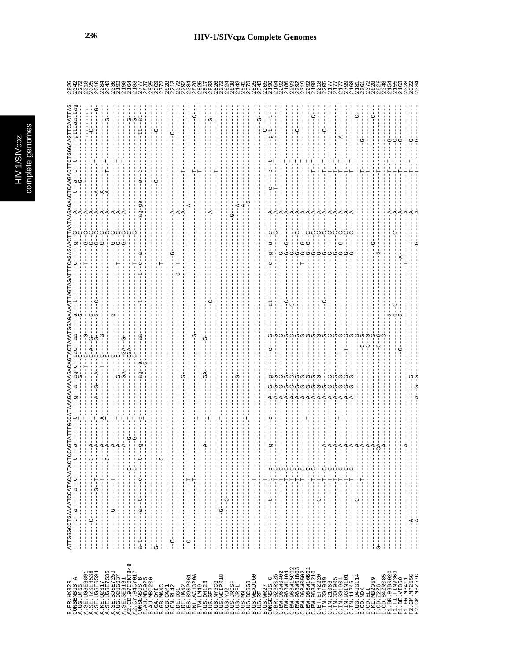| NNNNNNNNNNN                                                                                                                                                                                                                                                                                                                                                                                                                  |        |                                                                                                                                                                                                                                                                                                                                                                                                                                                                                                                                           |                                                                                                                                                                                                                                                                                                                                                                                                                                                                                                                                                                                                                                           | NNNNNN                                                                                                                                                                                                                                                                                                                                                                                                                                                                                                                                                                                                                                                                                                                                                                                                   |
|------------------------------------------------------------------------------------------------------------------------------------------------------------------------------------------------------------------------------------------------------------------------------------------------------------------------------------------------------------------------------------------------------------------------------|--------|-------------------------------------------------------------------------------------------------------------------------------------------------------------------------------------------------------------------------------------------------------------------------------------------------------------------------------------------------------------------------------------------------------------------------------------------------------------------------------------------------------------------------------------------|-------------------------------------------------------------------------------------------------------------------------------------------------------------------------------------------------------------------------------------------------------------------------------------------------------------------------------------------------------------------------------------------------------------------------------------------------------------------------------------------------------------------------------------------------------------------------------------------------------------------------------------------|----------------------------------------------------------------------------------------------------------------------------------------------------------------------------------------------------------------------------------------------------------------------------------------------------------------------------------------------------------------------------------------------------------------------------------------------------------------------------------------------------------------------------------------------------------------------------------------------------------------------------------------------------------------------------------------------------------------------------------------------------------------------------------------------------------|
| CTGGGAAGTTCAATTAG<br>tcaatta<br>ひ<br>ひ<br>đ<br>也<br>்                                                                                                                                                                                                                                                                                                                                                                        | C<br>U | ↵<br>ᡃ                                                                                                                                                                                                                                                                                                                                                                                                                                                                                                                                    | U<br>O                                                                                                                                                                                                                                                                                                                                                                                                                                                                                                                                                                                                                                    |                                                                                                                                                                                                                                                                                                                                                                                                                                                                                                                                                                                                                                                                                                                                                                                                          |
|                                                                                                                                                                                                                                                                                                                                                                                                                              |        |                                                                                                                                                                                                                                                                                                                                                                                                                                                                                                                                           |                                                                                                                                                                                                                                                                                                                                                                                                                                                                                                                                                                                                                                           |                                                                                                                                                                                                                                                                                                                                                                                                                                                                                                                                                                                                                                                                                                                                                                                                          |
| FF<br>нн<br>н<br>TAATAAGAGAACTCAAGACTI<br>Ü<br><b>Q</b><br>൯                                                                                                                                                                                                                                                                                                                                                                 | てり     |                                                                                                                                                                                                                                                                                                                                                                                                                                                                                                                                           | н<br><b>HHHHH</b><br>ь                                                                                                                                                                                                                                                                                                                                                                                                                                                                                                                                                                                                                    | Н                                                                                                                                                                                                                                                                                                                                                                                                                                                                                                                                                                                                                                                                                                                                                                                                        |
| К<br>K,<br>A                                                                                                                                                                                                                                                                                                                                                                                                                 |        |                                                                                                                                                                                                                                                                                                                                                                                                                                                                                                                                           |                                                                                                                                                                                                                                                                                                                                                                                                                                                                                                                                                                                                                                           |                                                                                                                                                                                                                                                                                                                                                                                                                                                                                                                                                                                                                                                                                                                                                                                                          |
| তা<br>みみみみみみみみ<br>তা                                                                                                                                                                                                                                                                                                                                                                                                         | Æ<br>Æ | K,<br>R                                                                                                                                                                                                                                                                                                                                                                                                                                                                                                                                   | <b>AAAAAAAAAAAAA</b>                                                                                                                                                                                                                                                                                                                                                                                                                                                                                                                                                                                                                      | RRRA                                                                                                                                                                                                                                                                                                                                                                                                                                                                                                                                                                                                                                                                                                                                                                                                     |
|                                                                                                                                                                                                                                                                                                                                                                                                                              |        | U<br>U                                                                                                                                                                                                                                                                                                                                                                                                                                                                                                                                    | л.                                                                                                                                                                                                                                                                                                                                                                                                                                                                                                                                                                                                                                        | U                                                                                                                                                                                                                                                                                                                                                                                                                                                                                                                                                                                                                                                                                                                                                                                                        |
| <b>TCAGAGAACT</b><br>ひひひひ<br>তা<br><b>ひひひ</b>                                                                                                                                                                                                                                                                                                                                                                                |        | œ<br>তা                                                                                                                                                                                                                                                                                                                                                                                                                                                                                                                                   | ひ<br><b>ツツ</b><br>ひ ひ ひ ひ ひ ひ ひ ひ ひ ひ<br>υυ                                                                                                                                                                                                                                                                                                                                                                                                                                                                                                                                                                                               | ひ<br>ひ                                                                                                                                                                                                                                                                                                                                                                                                                                                                                                                                                                                                                                                                                                                                                                                                   |
| U                                                                                                                                                                                                                                                                                                                                                                                                                            |        |                                                                                                                                                                                                                                                                                                                                                                                                                                                                                                                                           | $\mathbf{I}$<br>н                                                                                                                                                                                                                                                                                                                                                                                                                                                                                                                                                                                                                         |                                                                                                                                                                                                                                                                                                                                                                                                                                                                                                                                                                                                                                                                                                                                                                                                          |
| TAAAGAAAAAAGACAGTACTAAATGGAGAAAATTAGTAGATT<br>O                                                                                                                                                                                                                                                                                                                                                                              |        |                                                                                                                                                                                                                                                                                                                                                                                                                                                                                                                                           |                                                                                                                                                                                                                                                                                                                                                                                                                                                                                                                                                                                                                                           |                                                                                                                                                                                                                                                                                                                                                                                                                                                                                                                                                                                                                                                                                                                                                                                                          |
| σΟ<br><b>ひ ひ</b>                                                                                                                                                                                                                                                                                                                                                                                                             |        |                                                                                                                                                                                                                                                                                                                                                                                                                                                                                                                                           |                                                                                                                                                                                                                                                                                                                                                                                                                                                                                                                                                                                                                                           | り ひ                                                                                                                                                                                                                                                                                                                                                                                                                                                                                                                                                                                                                                                                                                                                                                                                      |
| aa<br>ひ<br>ひ<br>ひ<br>てり<br>൯<br>1                                                                                                                                                                                                                                                                                                                                                                                            | C.     |                                                                                                                                                                                                                                                                                                                                                                                                                                                                                                                                           |                                                                                                                                                                                                                                                                                                                                                                                                                                                                                                                                                                                                                                           |                                                                                                                                                                                                                                                                                                                                                                                                                                                                                                                                                                                                                                                                                                                                                                                                          |
| $-A$<br>cac<br>$\tilde{E}$<br>÷,<br>CGA<br>J.<br>Ü<br>ひひひ<br>υU<br>ದ ಲ                                                                                                                                                                                                                                                                                                                                                       |        |                                                                                                                                                                                                                                                                                                                                                                                                                                                                                                                                           |                                                                                                                                                                                                                                                                                                                                                                                                                                                                                                                                                                                                                                           | U<br>U<br>U                                                                                                                                                                                                                                                                                                                                                                                                                                                                                                                                                                                                                                                                                                                                                                                              |
| O<br>ag-<br>$\mathfrak{F}$<br>তা<br>ひ<br>œ                                                                                                                                                                                                                                                                                                                                                                                   | යි     |                                                                                                                                                                                                                                                                                                                                                                                                                                                                                                                                           | 555555555                                                                                                                                                                                                                                                                                                                                                                                                                                                                                                                                                                                                                                 | <b>ひひひひひ</b>                                                                                                                                                                                                                                                                                                                                                                                                                                                                                                                                                                                                                                                                                                                                                                                             |
| ๓<br>K,                                                                                                                                                                                                                                                                                                                                                                                                                      |        |                                                                                                                                                                                                                                                                                                                                                                                                                                                                                                                                           | <b>UUUUUUUUUUUUUU</b><br>$\frac{1}{1}$<br>л<br>$\mathbf{I}$<br>$\blacksquare$<br>- 11<br>-1<br>л.<br>- 1<br>AAAAAAAAAAAAAA                                                                                                                                                                                                                                                                                                                                                                                                                                                                                                                | ひ                                                                                                                                                                                                                                                                                                                                                                                                                                                                                                                                                                                                                                                                                                                                                                                                        |
| е<br>н<br>O                                                                                                                                                                                                                                                                                                                                                                                                                  |        |                                                                                                                                                                                                                                                                                                                                                                                                                                                                                                                                           |                                                                                                                                                                                                                                                                                                                                                                                                                                                                                                                                                                                                                                           |                                                                                                                                                                                                                                                                                                                                                                                                                                                                                                                                                                                                                                                                                                                                                                                                          |
| <b>ひ ひ</b>                                                                                                                                                                                                                                                                                                                                                                                                                   |        |                                                                                                                                                                                                                                                                                                                                                                                                                                                                                                                                           |                                                                                                                                                                                                                                                                                                                                                                                                                                                                                                                                                                                                                                           |                                                                                                                                                                                                                                                                                                                                                                                                                                                                                                                                                                                                                                                                                                                                                                                                          |
| RGTAT<br>AAAAAA<br>তা                                                                                                                                                                                                                                                                                                                                                                                                        |        | ന<br>п.                                                                                                                                                                                                                                                                                                                                                                                                                                                                                                                                   | J.<br>п<br>л.<br>$\mathbf{I}$<br>L.<br>п<br>л.                                                                                                                                                                                                                                                                                                                                                                                                                                                                                                                                                                                            | $\mathbf{I}$<br>- 11<br>п.<br>т.                                                                                                                                                                                                                                                                                                                                                                                                                                                                                                                                                                                                                                                                                                                                                                         |
|                                                                                                                                                                                                                                                                                                                                                                                                                              |        | 1<br>$\mathbb T$<br>$\mathbf{I}$<br>Τ.<br>$\mathsf I$<br>ŧ                                                                                                                                                                                                                                                                                                                                                                                                                                                                                | Ħ<br><b>TELESCOPE</b><br>$\mathsf I$<br>$\mathbf{I}$<br>- 11<br>$\blacksquare$                                                                                                                                                                                                                                                                                                                                                                                                                                                                                                                                                            | $\mathbf{I}$<br>$\mathbf{I}$<br>- 11<br>$\mathbf{I}$<br>T.<br>$\mathbf{I}$<br>$\mathbf{I}$<br>$\blacksquare$<br>$\mathbf{I}$<br>1<br>т.<br>-1<br>$\blacksquare$<br>-1<br>п.<br>$\blacksquare$<br>$\mathbf{I}$<br>$\mathbf{I}$<br>$\mathbf{I}$                                                                                                                                                                                                                                                                                                                                                                                                                                                                                                                                                            |
|                                                                                                                                                                                                                                                                                                                                                                                                                              |        | iititi<br>IIIII<br>н<br>ŧ<br>$\sim 1-1-1-1$<br>$\pm$ $\pm$<br>-1<br>$\mathbf{I}$<br>ŧ<br>$\blacksquare$<br>- 11                                                                                                                                                                                                                                                                                                                                                                                                                           | FF<br>HH I<br>н<br>н<br><b>HHHHH</b><br>٣<br>Ħ<br>1111<br>333333<br>$\,$ I<br>$\mathsf I$<br>$\mathsf I$<br>$1 - 1 - 1$<br>$\mathbf{I}$<br>$\,$ I<br>$\mathsf I$<br>$\mathbb{I}$<br>$\mathbf I$<br>1111<br>$\frac{1}{1}$<br>Ħ<br>$\frac{1}{1}$<br>$\frac{1}{1}$<br>÷<br>÷                                                                                                                                                                                                                                                                                                                                                                 | + F+<br>н<br>-1<br>Ħ<br>34<br>÷<br>$\frac{1}{1}$<br>$\mathsf I$<br>$\mathbf I$<br>$\sim 1$<br>$\mathbf{I}$<br>$\mathbf{I}$<br>$\mathbf{I}$<br>-i i<br>÷<br>$\begin{array}{c} 1 & 1 & 1 \\ 0 & 1 & 1 \end{array}$<br>$\pm$<br>$\blacksquare$<br>$\mathbf{I}$<br>$\blacksquare$<br>$\Box$<br>$\mathbf{1}$ $\mathbf{1}$ $\mathbf{1}$                                                                                                                                                                                                                                                                                                                                                                                                                                                                        |
|                                                                                                                                                                                                                                                                                                                                                                                                                              |        | $\perp$<br>$\mathbf{I}$<br>$\begin{bmatrix} 1 & 1 & 1 & 1 & 1 \\ 1 & 1 & 1 & 1 & 1 & 1 \\ 1 & 1 & 1 & 1 & 1 & 1 \\ 1 & 1 & 1 & 1 & 1 & 1 \\ 1 & 1 & 1 & 1 & 1 & 1 \\ 1 & 1 & 1 & 1 & 1 & 1 \\ 1 & 1 & 1 & 1 & 1 & 1 \\ 1 & 1 & 1 & 1 & 1 & 1 \\ 1 & 1 & 1 & 1 & 1 & 1 \\ 1 & 1 & 1 & 1 & 1 & 1 \\ 1 & 1 & 1 & 1 & 1 & 1 \\ 1 & 1 & 1 & 1 & 1 & 1 \\ $<br>$\mathbb{I}$<br>$\perp$<br>$\mathbf{I}$                                                                                                                                          | $\mathbf{I}$<br>$1 - 1$<br>Ü<br>$\mathbf{1}$<br>$\mathsf I$<br>$\mathsf I$<br>$\mathbf{I}$<br>$\mathbb T$<br>$\mathsf I$<br>-1<br>$\mathsf I$<br>$\blacksquare$<br>$1 - 1 - 1$<br>THHH<br>$\blacksquare$<br>- 1<br>1111111<br>$\mathbf{I}$<br>.<br>$\mathbb T$                                                                                                                                                                                                                                                                                                                                                                            | τ.<br>$\mathbf I$<br>$\mathbf I$<br>$\mathbf{I}$<br>$\perp$<br>$\mathbf{I}$<br>$1 - 1$<br><u>THHHH</u><br>$\mathbf{I}$<br>$\blacksquare$<br>$\mathbf{I}$<br>$\blacksquare$<br>- 1<br>$\mathbf{1}$ $\mathbf{1}$ $\mathbf{1}$<br>- 1<br>л.<br>$\frac{1}{2}$<br>.<br>$\mathbf{I}$                                                                                                                                                                                                                                                                                                                                                                                                                                                                                                                           |
|                                                                                                                                                                                                                                                                                                                                                                                                                              |        | $\mathsf I$<br>$\mathbf{I}$<br>$\mathbf{I}$<br>$\mathbf{I}$<br>$\blacksquare$<br>$\mathbf{I}$<br>$\mathbf{I}$<br>$\blacksquare$<br>$\mathbf{I}$<br>$\blacksquare$<br>$\mathbf{I}$<br>- 1<br>п.<br>- 1<br>$\blacksquare$<br>Τ.<br>-1<br>$\mathbf{I}$<br>л.<br>- 11<br>$\blacksquare$<br>$\mathbb T$<br>$\mathbb T$<br>$\mathbf I$<br>-1<br>-1<br>1<br>$\mathbf{I}$<br>$\mathbf{I}$<br>-1<br>т<br>$\mathsf I$<br>$\mathbb I$<br>I<br>I<br>$\mathbf{I}$<br>$\mathbf{I}$<br>I<br>1<br>J.<br>J.<br>1<br>1<br>Ţ<br>$\mathbf{I}$<br>$\mathbf{I}$ | <b>.</b><br>$\begin{array}{cccccccccccccc} 1 & 1 & 1 & 1 & 1 & 1 & 1 & 1 \end{array}$<br>$1 - 1$<br>$\pm$<br>÷<br>- 11<br>Ι.<br>J.<br>$\mathbf{I}$<br>$\mathbf{I}$<br>$\mathbf{I}$<br>$\blacksquare$<br>$\mathbf{I}$<br>$\mathbf{I}$<br>$\mathbf{I}$<br>$\mathbf{I}$<br>$\mathbf{L}$<br>- 1<br>$\mathbf{I}$<br>-1<br>- 11<br>$1 - 1$<br>$\mathbb T$<br>$\mathbb T$<br>$\mathbb{L}$<br>$\mathbf I$<br>$\mathbf{I}$<br>-<br>-1<br>$\mathsf I$<br>$\mathsf I$<br>$\mathsf I$<br>$\mathbb I$<br>$\,$ I<br>$\mathsf I$<br>$\mathsf I$<br>$\mathsf I$<br>1<br>Ţ<br>J.<br>-1<br>Ţ<br>$\mathbf{I}$<br>$\mathsf I$<br>Ţ<br>-1<br>Ţ<br>$\mathbf{I}$ | $\mathbf{I}$<br>.<br>$-1$ $-1$ $-1$<br>$\blacksquare$<br>J.<br>$\mathbf{I}$<br>$\mathbf{I}$<br>$\mathbf{I}$<br>$\mathbf{I}$<br>$\mathbf{I}$<br>$\mathbf{I}$<br>$\mathbf{I}$<br>$\blacksquare$<br>$\mathbf{I}$<br>-11<br>$\blacksquare$<br>$\mathbf{I}$<br>$\blacksquare$<br>-11<br>$\blacksquare$<br>-1<br>-1<br>- 1<br>$\blacksquare$<br>- 1<br>$\mathbf{I}$<br>$\blacksquare$<br>- 1<br>$\mathbf{I}$<br>$\mathbf I$<br>$\mathbb{L}$<br>$\mathbf I$<br>$\mathbb T$<br>$\mathbf{I}$<br>$\blacksquare$<br>$\mathbf{I}$<br>$\blacksquare$<br>Τ.<br>$\blacksquare$<br>-1<br>$\mathbf{I}$<br>$\,$ I<br>$\mathsf I$<br>$\mathsf I$<br>$\mathsf I$<br>$\mathsf I$<br>-1<br>Ţ<br>$\mathbf{I}$<br>T<br>$\mathbf{I}$<br>$\mathbf I$<br>-1<br>$\mathbf{I}$<br>÷<br>$\mathbf{I}$<br>-1<br>-1<br>$\blacksquare$<br>1 |
| $\begin{array}{l} \mathbf{A} \mathbf{T1} \mathbf{3} \mathbf{6} \mathbf{8} \mathbf{1} \mathbf{0} \mathbf{1} \mathbf{1} \mathbf{1} \mathbf{1} \mathbf{1} \mathbf{1} \mathbf{1} \mathbf{1} \mathbf{1} \mathbf{1} \mathbf{1} \mathbf{1} \mathbf{1} \mathbf{1} \mathbf{1} \mathbf{1} \mathbf{1} \mathbf{1} \mathbf{1} \mathbf{1} \mathbf{1} \mathbf{1} \mathbf{1} \mathbf{1} \mathbf{1} \mathbf{1} \mathbf{1} \mathbf{1} \mathbf$ |        | $\frac{1}{1}$<br>$\mathbf{I}$<br>Ť<br>т<br>п<br>1<br>п<br>-<br>$\mathbf{I}$<br>-1<br>$\mathbf I$<br>Ť.<br>J.<br>Ť.<br>$\mathbf{I}$<br>Ť.<br>т,<br>$\blacksquare$<br>п<br>$\mathbf I$                                                                                                                                                                                                                                                                                                                                                      | $\frac{1}{4}$<br>$\mathbf{I}$<br>ŧ<br>п<br>$\mathbf{I}$<br>$\mathbf{I}$<br>$\mathbf{I}$<br>-1<br>ŧ<br>-1<br>÷<br>Ť.<br>$\mathbf{I}$<br>т.<br>$\perp$<br>$\mathbf I$<br>$\mathbf I$<br>$\blacksquare$<br>$\,$ I<br>$\mathbf{I}$<br>$\mathsf I$<br>$\,$ I<br>$\mathbb{L}=\mathbb{L}$<br>$\mathsf I$<br>$\mathbf{I}$<br>$\mathbf{I}$<br>$\mathbf{I}$<br>$\mathbf{I}$<br>$\blacksquare$<br>$\mathbf{I}$<br>$\mathbf{I}$<br>$\blacksquare$<br>$\mathbf{I}$                                                                                                                                                                                     | $\frac{1}{4}$<br>$\mathbf{I}$<br>$\mathbf{I}$<br>$\mathbf{I}$<br>÷<br>-1<br>-1<br>$\mathbf{I}$<br>-1<br><b>I</b><br>$\mathbf{I}$<br>п.<br>-1<br>Ť.<br>-1<br>$\mathbf{I}$<br>$\mathbf{I}$<br>$\begin{array}{c} 1 \\ 0 \\ 1 \end{array}$<br>$\mathbf{I}$<br>$-1$<br>$\mathbb T$<br>$\mathbf{I}$<br>$\blacksquare$<br>$\mathbf{I}$<br>$\mathbb I$<br>$\mathbf{I}$<br>$\mathbf{I}$<br>$\mathsf I$<br>$\mathbb{I}$<br>$\mathbb{I}$<br>$\mathbf{I}$ $\mathbf{I}$<br>Ι.<br>$\mathbf{I}$<br>$\mathbf{I}$<br>$\mathbf{I}$<br>$\mathbf{I}$<br>$\mathbf{I}$<br>$\mathbf{I}$<br>-11<br>$\blacksquare$<br>$\mathbf{L}$<br>$\pm$                                                                                                                                                                                       |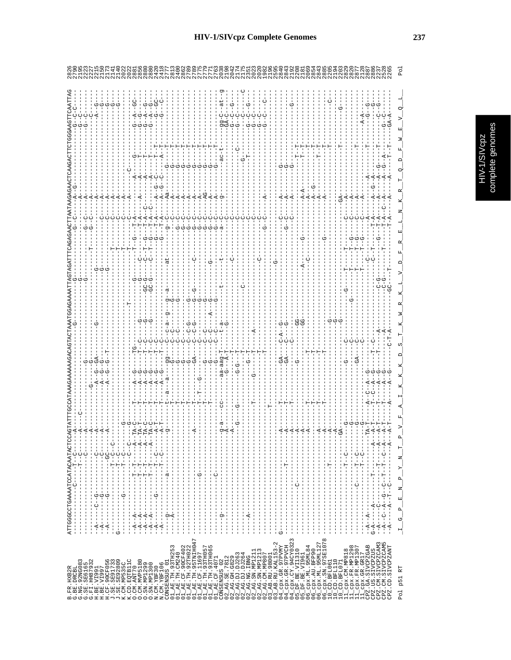| 999<br>්<br>y<br>Ġ<br>לז לז לז לז לז<br>ō<br><b>ひ ひ ひ</b><br>ひひひ<br>d th d d th<br>92991<br>めめめめ<br>ひひひひ<br>$\mathsf{r}$                                                                                                                                                                                                                                                                                                                                                                                                                                                                                                                                                                                                                                                                                                                                                                                                                                                                                                                                                                                                                                                                                                                                                  |                                  |
|---------------------------------------------------------------------------------------------------------------------------------------------------------------------------------------------------------------------------------------------------------------------------------------------------------------------------------------------------------------------------------------------------------------------------------------------------------------------------------------------------------------------------------------------------------------------------------------------------------------------------------------------------------------------------------------------------------------------------------------------------------------------------------------------------------------------------------------------------------------------------------------------------------------------------------------------------------------------------------------------------------------------------------------------------------------------------------------------------------------------------------------------------------------------------------------------------------------------------------------------------------------------------|----------------------------------|
| ひトトトトイ<br><b>ひひひひひひひひひひ</b><br>ええええいひ                                                                                                                                                                                                                                                                                                                                                                                                                                                                                                                                                                                                                                                                                                                                                                                                                                                                                                                                                                                                                                                                                                                                                                                                                                     |                                  |
| 11 31 1 1 1 1 3 3 4 5 4 5<br>RRR<br>ひひひひば                                                                                                                                                                                                                                                                                                                                                                                                                                                                                                                                                                                                                                                                                                                                                                                                                                                                                                                                                                                                                                                                                                                                                                                                                                 |                                  |
| ひひひ<br>てり てり てり                                                                                                                                                                                                                                                                                                                                                                                                                                                                                                                                                                                                                                                                                                                                                                                                                                                                                                                                                                                                                                                                                                                                                                                                                                                           |                                  |
| <b>ひひひ</b><br>iji<br>v<br>めめめめめめ<br>ひひひ<br>ו ו ש ש<br>ಹ ೮                                                                                                                                                                                                                                                                                                                                                                                                                                                                                                                                                                                                                                                                                                                                                                                                                                                                                                                                                                                                                                                                                                                                                                                                                 |                                  |
| 1 00 1 000<br>ぃぃぃ<br>88888<br>ううごうし<br>ひ<br>ひ<br>てり                                                                                                                                                                                                                                                                                                                                                                                                                                                                                                                                                                                                                                                                                                                                                                                                                                                                                                                                                                                                                                                                                                                                                                                                                       |                                  |
|                                                                                                                                                                                                                                                                                                                                                                                                                                                                                                                                                                                                                                                                                                                                                                                                                                                                                                                                                                                                                                                                                                                                                                                                                                                                           |                                  |
| $-1 - A - 1$<br>$-1 - A - 1$<br>$\blacksquare$<br>$\begin{array}{c} 1 \\ 1 \\ 1 \end{array}$<br>-1<br>К<br>п<br>$\mathbf{I}$<br>Ť.<br>Ť.<br>Ť.<br>Ţ<br>$\frac{1}{2}$<br>$-1 - 1 - 1$<br>$-1 - 1 - 1$<br>$C - C$<br>$C - C - C$<br>$C - C - C$<br>$C - C$<br>$C - C$<br>$C - C$<br>$C - C$<br>$C - C$<br>$C - C$<br>$C - C$<br>$C - C$<br>$C - C$<br>$C - C$<br>$C - C$<br>$C - C$<br>$C - C$<br>$C - C$<br>$C - C$<br>$C - C$<br>$C - C$<br>$C - C$<br>$C - C$<br>$C - C$<br>$C - C$<br>$C - C$<br>$C - C$<br>$C - C$<br>$C - C$<br>$C - C$<br>$C - C$<br>$C - C$<br><br>号<br>$\mathbf{I}$<br>-1<br>$\frac{1}{1}$<br>$\frac{1}{4}$<br>-1<br>п<br>÷<br>ا                                                                                                                                                                                                                                                                                                                                                                                                                                                                                                                                                                                                                   | Е<br>z                           |
| ATTGGGCCTGAAATCCATACAATACTCC<br>$\begin{array}{l} \begin{array}{l} \mathbf{1} & \mathbf{1} & \mathbf{1} & \mathbf{1} & \mathbf{1} & \mathbf{1} & \mathbf{1} & \mathbf{1} & \mathbf{1} & \mathbf{1} & \mathbf{1} & \mathbf{1} & \mathbf{1} & \mathbf{1} & \mathbf{1} & \mathbf{1} & \mathbf{1} & \mathbf{1} & \mathbf{1} & \mathbf{1} & \mathbf{1} & \mathbf{1} & \mathbf{1} & \mathbf{1} & \mathbf{1} & \mathbf{1} & \mathbf{1} & \mathbf{1} & \mathbf{1} & \mathbf$<br>$-1 - 2 - 3 - 3 - 4$<br>$-1$<br>$-1$<br>$-1$<br>$-1$<br>$\frac{1}{1}$<br>$\frac{1}{1}$<br>$\frac{1}{1}$<br>$\frac{1}{1}$<br>J<br>U<br>$\begin{bmatrix} 1 \\ 1 \\ 1 \\ 1 \end{bmatrix}$<br>$- - p - - p - -$<br>$\frac{1}{1}$<br>$\frac{1}{4}$<br>$\,$ I<br>$\blacksquare$<br>U<br> <br>$\begin{array}{c} \hline \end{array}$<br>$\mathbf{I}$<br>$\frac{1}{1}$<br>1<br>$\overline{\phantom{a}}$<br>$\frac{1}{4}$<br>$- A - - A - -$<br>-1<br>п<br>J.<br>j.<br>T.<br>$\mathsf I$<br>$\frac{1}{1}$<br>$\frac{1}{2}$<br>$\begin{array}{c} \end{array}$<br>$\frac{1}{1}$<br>$\mathsf I$<br>$\frac{1}{4}$<br>$\begin{array}{c} 1 & 1 \\ 1 & 1 \\ 1 & 1 \end{array}$<br>I<br>$\frac{1}{1}$<br>I<br>$\frac{1}{1}$<br>1<br>$\mathbf{I}$<br>$\blacksquare$<br>ŧ<br>J.<br>$\mathbf{I}$<br>Ť.<br>$\mathbf{I}$ | д<br>z<br>囯<br>$\mathbf{a}$<br>ひ |
| $G - A$<br>$-4$<br>$-\vec{A}$<br>$\mathsf I$<br>$\overline{\phantom{a}}$<br>$^{\circ}$<br>3. FR. HXB2R<br>3. BE. DRCBL<br>四ひ                                                                                                                                                                                                                                                                                                                                                                                                                                                                                                                                                                                                                                                                                                                                                                                                                                                                                                                                                                                                                                                                                                                                              | 员<br>p51<br>Po <sub>1</sub>      |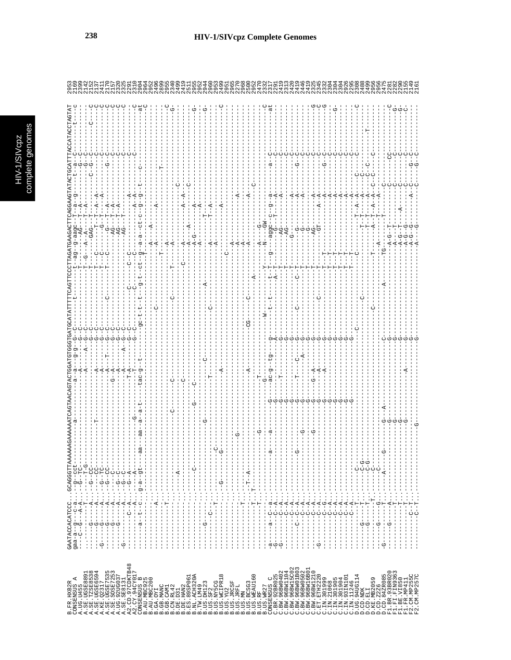| n o o                                                                                                                                                                                                                                                                                                                                                                                  | 1111411120201202014800244009999949909999499049<br>$\overline{M}$ $\overline{M}$ $\overline{M}$ $\overline{M}$ $\overline{M}$ $\overline{M}$ $\overline{M}$ $\overline{M}$ $\overline{M}$ $\overline{M}$ $\overline{M}$ $\overline{M}$ $\overline{M}$ $\overline{M}$ $\overline{M}$ $\overline{M}$ $\overline{M}$ $\overline{M}$ $\overline{M}$ $\overline{M}$ $\overline{M}$ $\overline{M}$ $\overline{M}$ $\overline{M}$ $\overline{$ |           |                  |   |                         |              |    |    |        |                                      |                               |                                   |                                                                                          |                                                                                                       |                                                                              |                                              |                                                                                        |                                                 |                                                             |                                                                            |                                                              |                                                    |                                                               |                                                                                              |                                                                                    |                                                                      |                                                                  |                                                   |                                                                                         |                                             |                                                                                                                                                                                                                                                                                                                                                                                                                                |                                                                                                                   |                                                                        |                                        |                                                     |                                                                    |                             |                   |                   |                                                           |                             |                                                      |      |                               |                                         |               |                   |                                                     |                                    |    |                                     |                                                                           |                                                                  |                          |                                                      | A WOOONGO GOODING GOOG<br>A WOOONGO GOOGING A GOOG |                              |                                                                              |                                    |                             |  |
|----------------------------------------------------------------------------------------------------------------------------------------------------------------------------------------------------------------------------------------------------------------------------------------------------------------------------------------------------------------------------------------|----------------------------------------------------------------------------------------------------------------------------------------------------------------------------------------------------------------------------------------------------------------------------------------------------------------------------------------------------------------------------------------------------------------------------------------|-----------|------------------|---|-------------------------|--------------|----|----|--------|--------------------------------------|-------------------------------|-----------------------------------|------------------------------------------------------------------------------------------|-------------------------------------------------------------------------------------------------------|------------------------------------------------------------------------------|----------------------------------------------|----------------------------------------------------------------------------------------|-------------------------------------------------|-------------------------------------------------------------|----------------------------------------------------------------------------|--------------------------------------------------------------|----------------------------------------------------|---------------------------------------------------------------|----------------------------------------------------------------------------------------------|------------------------------------------------------------------------------------|----------------------------------------------------------------------|------------------------------------------------------------------|---------------------------------------------------|-----------------------------------------------------------------------------------------|---------------------------------------------|--------------------------------------------------------------------------------------------------------------------------------------------------------------------------------------------------------------------------------------------------------------------------------------------------------------------------------------------------------------------------------------------------------------------------------|-------------------------------------------------------------------------------------------------------------------|------------------------------------------------------------------------|----------------------------------------|-----------------------------------------------------|--------------------------------------------------------------------|-----------------------------|-------------------|-------------------|-----------------------------------------------------------|-----------------------------|------------------------------------------------------|------|-------------------------------|-----------------------------------------|---------------|-------------------|-----------------------------------------------------|------------------------------------|----|-------------------------------------|---------------------------------------------------------------------------|------------------------------------------------------------------|--------------------------|------------------------------------------------------|----------------------------------------------------|------------------------------|------------------------------------------------------------------------------|------------------------------------|-----------------------------|--|
|                                                                                                                                                                                                                                                                                                                                                                                        |                                                                                                                                                                                                                                                                                                                                                                                                                                        | U         |                  |   |                         |              |    |    |        |                                      |                               |                                   |                                                                                          |                                                                                                       |                                                                              |                                              |                                                                                        |                                                 |                                                             |                                                                            |                                                              |                                                    |                                                               |                                                                                              |                                                                                    |                                                                      |                                                                  |                                                   |                                                                                         |                                             |                                                                                                                                                                                                                                                                                                                                                                                                                                |                                                                                                                   |                                                                        |                                        |                                                     |                                                                    |                             |                   |                   |                                                           |                             |                                                      |      |                               |                                         |               |                   |                                                     |                                    |    |                                     |                                                                           |                                                                  |                          |                                                      |                                                    |                              |                                                                              |                                    |                             |  |
| œ<br>てり                                                                                                                                                                                                                                                                                                                                                                                | ひひ                                                                                                                                                                                                                                                                                                                                                                                                                                     |           |                  | ひ |                         |              |    |    |        |                                      |                               |                                   |                                                                                          |                                                                                                       |                                                                              |                                              |                                                                                        |                                                 |                                                             |                                                                            |                                                              |                                                    |                                                               |                                                                                              |                                                                                    |                                                                      |                                                                  |                                                   |                                                                                         |                                             |                                                                                                                                                                                                                                                                                                                                                                                                                                |                                                                                                                   |                                                                        |                                        |                                                     |                                                                    |                             |                   | 우                 |                                                           |                             |                                                      |      | O<br>우                        |                                         |               |                   |                                                     |                                    |    | ひひひひ                                |                                                                           |                                                                  |                          |                                                      |                                                    |                              |                                                                              |                                    |                             |  |
| CAGGAAG<br>ה<br>α ⊄                                                                                                                                                                                                                                                                                                                                                                    | ⋖                                                                                                                                                                                                                                                                                                                                                                                                                                      | Æ<br>К    | ⊢                | ⊢ | $\triangle$ $\triangle$ |              |    |    | Æ<br>A | তা<br>ת                              |                               |                                   |                                                                                          |                                                                                                       |                                                                              |                                              |                                                                                        |                                                 |                                                             |                                                                            |                                                              |                                                    |                                                               |                                                                                              |                                                                                    |                                                                      |                                                                  |                                                   |                                                                                         |                                             |                                                                                                                                                                                                                                                                                                                                                                                                                                |                                                                                                                   |                                                                        | תז                                     | ರ ≮                                                 |                                                                    |                             |                   |                   |                                                           |                             |                                                      | Æ    |                               |                                         |               |                   |                                                     |                                    | K, |                                     |                                                                           | ⊢                                                                |                          |                                                      |                                                    |                              |                                                                              |                                    |                             |  |
| аg                                                                                                                                                                                                                                                                                                                                                                                     | К                                                                                                                                                                                                                                                                                                                                                                                                                                      | 부<br>GAG- | p<br>!<br>ひひひ    |   |                         | י<br>לאלי לא |    |    |        | U<br>ത<br>$\frac{1}{\sigma}$<br>∪ ຫ⊩ |                               |                                   |                                                                                          |                                                                                                       |                                                                              |                                              |                                                                                        |                                                 |                                                             |                                                                            |                                                              |                                                    |                                                               |                                                                                              |                                                                                    |                                                                      |                                                                  |                                                   |                                                                                         |                                             |                                                                                                                                                                                                                                                                                                                                                                                                                                |                                                                                                                   |                                                                        |                                        | agge<br>--0<br>--0                                  |                                                                    | $-745 - 745$                |                   |                   | うううう                                                      |                             |                                                      | භ    |                               |                                         |               |                   | ٣                                                   |                                    |    |                                     |                                                                           |                                                                  |                          |                                                      |                                                    |                              | $\frac{1}{\mathsf{A}}$                                                       | ₫                                  |                             |  |
|                                                                                                                                                                                                                                                                                                                                                                                        | ↻<br>HHHHH                                                                                                                                                                                                                                                                                                                                                                                                                             |           |                  |   |                         |              |    | U  | C)     | Ó                                    |                               |                                   |                                                                                          |                                                                                                       |                                                                              |                                              |                                                                                        |                                                 |                                                             |                                                                            |                                                              |                                                    |                                                               |                                                                                              |                                                                                    |                                                                      |                                                                  |                                                   |                                                                                         |                                             |                                                                                                                                                                                                                                                                                                                                                                                                                                |                                                                                                                   |                                                                        | $\frac{1}{1}$                          | нн<br>$\overline{A}$                                |                                                                    |                             |                   | Ü                 |                                                           |                             |                                                      |      |                               |                                         |               |                   |                                                     |                                    |    |                                     |                                                                           |                                                                  |                          |                                                      |                                                    |                              |                                                                              |                                    |                             |  |
|                                                                                                                                                                                                                                                                                                                                                                                        |                                                                                                                                                                                                                                                                                                                                                                                                                                        |           |                  |   |                         |              |    |    |        |                                      |                               |                                   |                                                                                          |                                                                                                       |                                                                              |                                              |                                                                                        |                                                 |                                                             |                                                                            |                                                              |                                                    |                                                               |                                                                                              |                                                                                    |                                                                      |                                                                  |                                                   |                                                                                         |                                             |                                                                                                                                                                                                                                                                                                                                                                                                                                |                                                                                                                   |                                                                        |                                        |                                                     |                                                                    |                             |                   |                   |                                                           |                             |                                                      |      |                               |                                         |               |                   |                                                     |                                    |    |                                     |                                                                           |                                                                  |                          |                                                      |                                                    |                              |                                                                              |                                    |                             |  |
| ה                                                                                                                                                                                                                                                                                                                                                                                      | てりてり<br>К                                                                                                                                                                                                                                                                                                                                                                                                                              |           | .<br>UUU<br>ひひひひ |   |                         | てり           | てり | てり |        |                                      |                               |                                   |                                                                                          |                                                                                                       |                                                                              |                                              |                                                                                        |                                                 |                                                             |                                                                            |                                                              |                                                    |                                                               |                                                                                              |                                                                                    |                                                                      |                                                                  |                                                   |                                                                                         |                                             |                                                                                                                                                                                                                                                                                                                                                                                                                                |                                                                                                                   |                                                                        | তা<br>↵                                | ጠ⊄                                                  |                                                                    |                             |                   |                   |                                                           |                             |                                                      |      | ひひひひひひひひひひ                    |                                         | てり            |                   |                                                     |                                    |    |                                     |                                                                           |                                                                  |                          |                                                      |                                                    |                              |                                                                              |                                    |                             |  |
| 4                                                                                                                                                                                                                                                                                                                                                                                      |                                                                                                                                                                                                                                                                                                                                                                                                                                        |           |                  |   | ප්                      | A A          |    | K, |        | তা<br>tac                            |                               |                                   |                                                                                          |                                                                                                       |                                                                              |                                              |                                                                                        |                                                 |                                                             |                                                                            |                                                              |                                                    |                                                               |                                                                                              |                                                                                    |                                                                      |                                                                  |                                                   |                                                                                         |                                             |                                                                                                                                                                                                                                                                                                                                                                                                                                |                                                                                                                   | ά                                                                      | $-9 - 5$                               |                                                     |                                                                    |                             |                   |                   |                                                           |                             | $-4$<br>ပ္ပ်                                         | A,   | K,                            |                                         |               |                   |                                                     |                                    |    |                                     |                                                                           |                                                                  |                          |                                                      |                                                    |                              |                                                                              |                                    |                             |  |
| AAGAAAAAATCAGT                                                                                                                                                                                                                                                                                                                                                                         |                                                                                                                                                                                                                                                                                                                                                                                                                                        |           |                  |   |                         |              |    |    |        |                                      |                               |                                   |                                                                                          |                                                                                                       |                                                                              |                                              |                                                                                        |                                                 |                                                             |                                                                            |                                                              |                                                    |                                                               |                                                                                              |                                                                                    |                                                                      |                                                                  |                                                   |                                                                                         |                                             |                                                                                                                                                                                                                                                                                                                                                                                                                                |                                                                                                                   |                                                                        |                                        |                                                     |                                                                    |                             |                   |                   |                                                           |                             |                                                      |      | ひ ひ ひ ひ ひ ひ ひ ひ ひ ひ ひ ひ ひ ひ ひ |                                         |               |                   |                                                     |                                    |    |                                     |                                                                           |                                                                  |                          |                                                      |                                                    |                              |                                                                              |                                    |                             |  |
|                                                                                                                                                                                                                                                                                                                                                                                        |                                                                                                                                                                                                                                                                                                                                                                                                                                        |           |                  |   |                         |              |    |    |        | $\mathbf{I}$<br>$\,$ I               |                               |                                   | J,                                                                                       | $\begin{array}{c} \hline \end{array}$<br>$\overline{\phantom{a}}$                                     | л                                                                            | $\blacksquare$                               | ш<br>$\mathbf{I}$                                                                      | J.                                              | 1                                                           | 1                                                                          | -1                                                           | J                                                  |                                                               | $\mathbf{I}$                                                                                 | I                                                                                  |                                                                      | J,                                                               |                                                   | J                                                                                       |                                             | $\mathbf{I}$                                                                                                                                                                                                                                                                                                                                                                                                                   | I                                                                                                                 | $\mathbf{I}$                                                           | J                                      |                                                     |                                                                    |                             |                   |                   |                                                           |                             |                                                      |      |                               | $\mathbf{I}$                            | J.            | ш<br>J.<br>I<br>Ţ | п<br>$\mathbf I$<br>$\frac{1}{1}$                   | п<br>п                             |    | 1<br>п                              | $\blacksquare$                                                            |                                                                  |                          | $\mathbf{I}$<br>$\mathsf I$<br>$\mathbf{I}$          | $\mathbf{I}$                                       | J.<br>J.                     | 1                                                                            |                                    |                             |  |
| $\begin{picture}(180,180) \put(0,0){\vector(1,0){180}} \put(1,0){\vector(1,0){180}} \put(1,0){\vector(1,0){180}} \put(1,0){\vector(1,0){180}} \put(1,0){\vector(1,0){180}} \put(1,0){\vector(1,0){180}} \put(1,0){\vector(1,0){180}} \put(1,0){\vector(1,0){180}} \put(1,0){\vector(1,0){180}} \put(1,0){\vector(1,0){180}} \put(1,0){\vector(1,0){180}} \put(1,0){\vector$<br>$\cdot$ |                                                                                                                                                                                                                                                                                                                                                                                                                                        | $\cdot$   |                  |   |                         |              |    |    |        | $-a - -$ gt<br>$\frac{1}{2}$         | ٠                             | T<br>$\frac{1}{4}$                | $\overline{\phantom{a}}$<br>$\mathbf{I}$<br>$\frac{1}{1}$<br>$\mathsf I$<br>ţ<br>$\cdot$ | $\mathbf{I}$<br>J.<br>$\frac{1}{1}$<br>т<br>$\vdots$                                                  | п<br>J.<br>$\frac{1}{1}$<br>I<br>$\vdots$                                    | $\mathbf{I}$<br>т<br>$\mathbf{I}$<br>$\cdot$ | $\mathsf I$<br>$\vdots$                                                                | J.<br>ı<br>$\overline{\phantom{a}}$<br>$\vdots$ | $\mathbf{I}$<br>I.<br>I.<br>$\blacksquare$<br>$\frac{1}{4}$ | $\frac{1}{2}$<br>ţ<br>ŧ                                                    | $\blacksquare$<br>$\vdots$                                   | 1<br>J.<br>$\overline{\phantom{a}}$<br>ł<br>п<br>ţ | J.<br>ł<br>$\mathsf I$<br>$\vdots$                            | -1<br>Ť.<br>$\begin{array}{c} \end{array}$<br>$\frac{1}{1}$<br>$\mathsf I$<br>$\ddot{\cdot}$ | п<br>$-5 - 1$                                                                      | L.<br>$\mathbf{I}$<br>$\frac{1}{1}$<br>$\mathsf I$<br>$\ddot{\cdot}$ | $\frac{1}{1}$<br>L<br>ţ                                          | л.<br>$\,$ I<br>$\frac{1}{1}$<br>$\mathsf I$<br>ţ | п<br>$\mathbf{I}$<br>J<br>Ť<br>$\frac{1}{4}$                                            | $- -\mathbf{T} - \mathbf{T} - \mathbf{A} -$ | п<br>ţ<br>J<br>Ħ                                                                                                                                                                                                                                                                                                                                                                                                               | ł<br>$\mathsf I$<br>ł<br>$\frac{1}{4}$                                                                            | л.<br>1<br>$\mathbb I$<br>ł<br>$\bullet$                               | 1<br>$\mathsf I$<br>$\frac{1}{1}$<br>: | $\overline{\phantom{a}}$                            | I.                                                                 | п<br>п<br>$\mathbf{I}$<br>J | $\mathsf I$       | т<br>ï<br>Ţ<br>J, | т<br>т                                                    | 1<br>İ<br>$\mathbf{I}$<br>1 |                                                      |      | л<br>т<br>Ţ<br>$\mathbf{I}$   | -1<br>1<br>$\mathbf{I}$<br>$\mathbf{I}$ | $\frac{1}{1}$ | $\mathbf{I}$<br>ï | J.<br>ï<br>$\overline{\phantom{a}}$<br>$\mathbf{I}$ | п                                  |    | İ<br>$\vdots$                       | $\mathsf I$<br>Ţ<br>$\vdots$                                              | $\frac{1}{4}$<br>$\ddot{\cdot}$                                  | I<br>J.<br>$\frac{1}{1}$ | $-$ – – – $A$<br>$\vdots$                            | т<br>Ť.<br>Ţ<br>$\mathbf{I}$                       | п<br>п<br>$\mathbf{I}$<br>I. | J.<br>п<br>Ť<br>-1<br>$\mathsf I$<br>$\,$ I<br>$\frac{1}{4}$<br>$\mathbf{I}$ |                                    |                             |  |
|                                                                                                                                                                                                                                                                                                                                                                                        |                                                                                                                                                                                                                                                                                                                                                                                                                                        |           |                  |   |                         |              |    |    |        |                                      | I<br>I<br>п<br>$\blacksquare$ | Т<br>I.<br>T<br>I.<br>T<br>I<br>T | $-----A$<br>$\frac{1}{1}$<br>I<br>J<br>п                                                 | $\mathsf I$<br>$\frac{1}{4}$<br>J.<br>$\,$ I<br>J.<br>$\blacksquare$<br>$\mathbf{I}$<br>$\frac{1}{1}$ | $\mathbb{T}^{--\top}$<br>$\overline{\phantom{a}}$<br>J<br>J.<br>I<br>I<br>J. | I.<br>т<br>H.<br>т<br>т                      | $\mathbf{I}$<br>J<br>п<br>$\mathbf I$<br>J<br>J<br>$\frac{1}{1}$<br>$\frac{1}{1}$<br>п | п<br>-1<br>$\overline{\phantom{a}}$<br>Ť        | $\mathbf I$<br>J.<br>$\frac{1}{1}$<br>İ                     | L<br>т<br>T<br>$\mathsf I$<br>$\mathsf I$<br>$\frac{1}{1}$<br>I.<br>I<br>п | 1<br>T<br>$\mathbf{I}$<br>-<br>$\mathbf{I}$<br>$\frac{1}{1}$ | т<br>$\frac{1}{1}$<br>$-1$<br>$-1$<br>$-1$<br>$-1$ | $\mathsf I$<br>$\frac{1}{4}$<br>$\frac{1}{2}$<br>ŧ<br>I<br>J. | יך<br>י<br>÷<br>$\begin{array}{c} 1 \\ 1 \\ 1 \end{array}$<br>$\frac{1}{1}$                  | I.<br>$\frac{1}{1}$<br>$\mathbf{I}$<br>$\mathbf{I}$<br>п<br>I<br>I<br>$\mathbf{I}$ | T<br>$\mathsf I$<br>Ι.<br>$\mathbf{I}$                               | L<br>J.<br>Ι.<br>$\mathbf I$<br>J,<br>I<br>т<br>ï<br>I<br>I<br>п | $\mathsf I$<br>-1<br>$\mathbf{I}$<br>-            | $\frac{1}{2} - \frac{1}{2}$<br>$\overline{\phantom{a}}$<br>$\mathbf{I}$<br>1<br>I<br>J. | $\mathsf I$<br>J.<br>J.<br>J.               | $\begin{array}{c} \end{array}$<br>$\begin{array}{c} \rule{0.2cm}{0.15mm} \rule{0.2cm}{0.15mm} \rule{0.2cm}{0.15mm} \rule{0.2cm}{0.15mm} \rule{0.2cm}{0.15mm} \rule{0.2cm}{0.15mm} \rule{0.2cm}{0.15mm} \rule{0.2cm}{0.15mm} \rule{0.2cm}{0.15mm} \rule{0.2cm}{0.15mm} \rule{0.2cm}{0.15mm} \rule{0.2cm}{0.15mm} \rule{0.2cm}{0.15mm} \rule{0.2cm}{0.15mm} \rule{0.2cm}{0.15mm} \rule{$<br>$\frac{1}{1}$<br>$\frac{1}{1}$<br>J. | $\begin{array}{c} \mathbf{F} \\ \mathbf{F} \\ \mathbf{F} \\ \mathbf{F} \end{array}$<br>I<br>п<br>п<br>I<br>I<br>т | $\mathsf I$<br>п<br>$\mathbf{I}$<br>л.<br>п<br>ł<br>$\mathbf{I}$<br>л. | $- - - - - - - - -$                    | $\frac{1}{1}$<br>ŧ<br>$\overline{\phantom{a}}$<br>ŧ | $\frac{1}{1}$<br>$\frac{1}{4}$<br>$\mathsf I$<br>$\mathbf{I}$<br>ŧ | I<br>п                      | J<br>$\mathbf{I}$ | ţ                 | ילילילי<br>            <br>             <br>$\frac{1}{2}$ | $\frac{1}{1}$               | $\frac{C}{1}$<br>J.<br>$\mathbf{I}$<br>$\frac{1}{1}$ |      | ł                             |                                         | J.            | J<br>ı            | $\frac{1}{1}$<br>J.                                 | $\mathbf{I}$<br>$\mathbf{I}$<br>J. |    | $\mathfrak l$<br>$-5 - 7$<br>I<br>п | Ť.<br>$\mathsf I$<br>$\blacksquare$<br>ပုံ<br>$\mathsf I$<br>$\mathbf{I}$ | $\frac{1}{2} - \frac{1}{2}$<br>Ť.<br>$\mathsf I$<br>J.<br>ŧ<br>J | I<br>т                   | $\frac{1}{2}$<br>ţ<br>$\frac{1}{1}$<br>J<br>J.<br>J, | $\,$ I<br>I<br>т<br>Ť.                             | J                            | $\frac{1}{1}$<br>J.                                                          | 1<br>ï<br>I<br>Ţ<br>$\blacksquare$ | ne<br>11<br>υ υ΄<br>!!<br>п |  |
|                                                                                                                                                                                                                                                                                                                                                                                        |                                                                                                                                                                                                                                                                                                                                                                                                                                        |           |                  |   |                         |              |    |    |        |                                      |                               |                                   | L                                                                                        |                                                                                                       |                                                                              |                                              |                                                                                        |                                                 |                                                             |                                                                            |                                                              |                                                    |                                                               | J.                                                                                           | L                                                                                  |                                                                      | J.                                                               |                                                   |                                                                                         |                                             | п                                                                                                                                                                                                                                                                                                                                                                                                                              | т                                                                                                                 | п                                                                      |                                        | a qi                                                | Ġ٢                                                                 | 1<br>I<br>п                 | -1                | $\mathfrak l$     | -1<br>$\mathbf{I}$                                        | $\mathbf{I}$                |                                                      | $-1$ |                               | ш                                       |               | J.                | $\mathbf I$                                         |                                    |    |                                     |                                                                           |                                                                  | $\mathbb{I}$             | ပု                                                   | T                                                  |                              | п                                                                            |                                    |                             |  |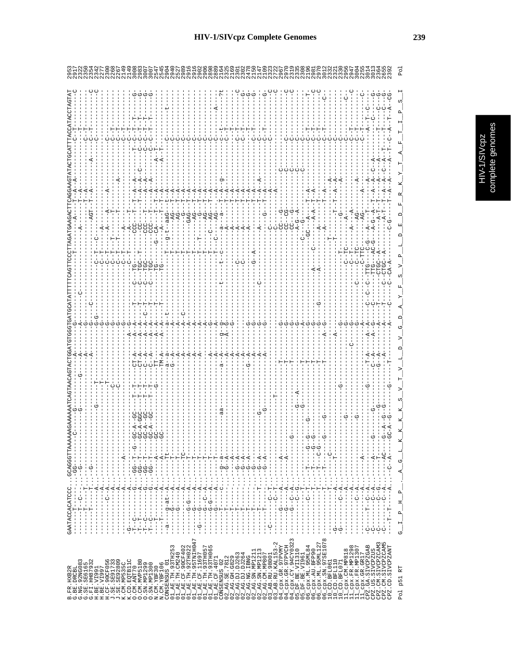|                                                                                                                                                                                                                                                                                                                                                                                                                                                   |         |                    |        |        |                                                                         |                |          |        |         |                             |                    |                                                                                                         |               |                    |                                           |           |             |    |              |   |    |    |   |              |   |               |    |  |         |                    |  |                                                                                                                                                                                                                                                                                                                                                                                                                                                                                                  |                             |                              |               |                     | mwwdwgoowwwgaou<br>Hwowgr-Hwuwwaou |               |                                               |                         |                |                                  |                                         |                          |                                |                         |                    |                |        |                                |                              |                       |                                          |                                |
|---------------------------------------------------------------------------------------------------------------------------------------------------------------------------------------------------------------------------------------------------------------------------------------------------------------------------------------------------------------------------------------------------------------------------------------------------|---------|--------------------|--------|--------|-------------------------------------------------------------------------|----------------|----------|--------|---------|-----------------------------|--------------------|---------------------------------------------------------------------------------------------------------|---------------|--------------------|-------------------------------------------|-----------|-------------|----|--------------|---|----|----|---|--------------|---|---------------|----|--|---------|--------------------|--|--------------------------------------------------------------------------------------------------------------------------------------------------------------------------------------------------------------------------------------------------------------------------------------------------------------------------------------------------------------------------------------------------------------------------------------------------------------------------------------------------|-----------------------------|------------------------------|---------------|---------------------|------------------------------------|---------------|-----------------------------------------------|-------------------------|----------------|----------------------------------|-----------------------------------------|--------------------------|--------------------------------|-------------------------|--------------------|----------------|--------|--------------------------------|------------------------------|-----------------------|------------------------------------------|--------------------------------|
|                                                                                                                                                                                                                                                                                                                                                                                                                                                   |         |                    |        |        |                                                                         |                |          |        |         |                             |                    |                                                                                                         |               |                    |                                           |           |             |    |              |   |    |    |   |              |   |               |    |  |         |                    |  |                                                                                                                                                                                                                                                                                                                                                                                                                                                                                                  |                             |                              |               |                     |                                    |               |                                               |                         |                |                                  |                                         |                          |                                |                         |                    |                |        |                                |                              |                       |                                          |                                |
|                                                                                                                                                                                                                                                                                                                                                                                                                                                   |         |                    |        |        |                                                                         |                |          |        |         |                             |                    |                                                                                                         |               |                    |                                           |           |             |    |              |   |    |    |   |              |   |               |    |  |         |                    |  |                                                                                                                                                                                                                                                                                                                                                                                                                                                                                                  |                             |                              |               |                     |                                    |               |                                               |                         |                |                                  |                                         |                          |                                |                         |                    |                |        |                                |                              |                       |                                          |                                |
|                                                                                                                                                                                                                                                                                                                                                                                                                                                   |         |                    |        |        |                                                                         |                |          |        |         |                             |                    |                                                                                                         |               |                    |                                           |           |             |    |              |   |    |    |   |              |   |               |    |  |         |                    |  |                                                                                                                                                                                                                                                                                                                                                                                                                                                                                                  |                             |                              |               |                     |                                    |               |                                               |                         |                |                                  |                                         |                          |                                | ひひひ                     |                    |                |        |                                |                              |                       |                                          |                                |
|                                                                                                                                                                                                                                                                                                                                                                                                                                                   |         |                    |        |        |                                                                         |                |          |        |         |                             |                    | AAAA                                                                                                    |               |                    |                                           |           |             |    |              |   |    |    |   |              |   |               |    |  |         |                    |  |                                                                                                                                                                                                                                                                                                                                                                                                                                                                                                  |                             |                              |               |                     |                                    |               |                                               |                         |                |                                  |                                         |                          |                                |                         |                    |                |        |                                |                              |                       |                                          |                                |
|                                                                                                                                                                                                                                                                                                                                                                                                                                                   |         |                    |        |        |                                                                         |                |          |        |         |                             |                    | aaaaaaaaaaaaaaaaaaaaaaaaaa                                                                              |               |                    |                                           |           |             |    |              |   |    |    |   |              |   |               |    |  |         |                    |  |                                                                                                                                                                                                                                                                                                                                                                                                                                                                                                  |                             |                              |               |                     |                                    |               |                                               |                         |                |                                  |                                         |                          |                                |                         |                    |                |        |                                |                              |                       |                                          |                                |
|                                                                                                                                                                                                                                                                                                                                                                                                                                                   |         |                    |        |        |                                                                         |                |          |        |         |                             |                    |                                                                                                         |               |                    |                                           | ה         |             |    |              |   |    |    |   |              |   | $\circ$       |    |  | I ARARA |                    |  |                                                                                                                                                                                                                                                                                                                                                                                                                                                                                                  |                             |                              |               |                     |                                    |               |                                               |                         |                |                                  |                                         |                          |                                |                         |                    |                |        |                                | ₫                            |                       |                                          |                                |
|                                                                                                                                                                                                                                                                                                                                                                                                                                                   |         |                    |        |        |                                                                         |                |          |        |         |                             |                    |                                                                                                         |               |                    |                                           |           |             |    |              |   |    |    |   |              |   |               |    |  |         |                    |  |                                                                                                                                                                                                                                                                                                                                                                                                                                                                                                  |                             |                              |               |                     |                                    |               |                                               |                         |                |                                  |                                         |                          |                                |                         |                    |                |        |                                |                              |                       |                                          |                                |
|                                                                                                                                                                                                                                                                                                                                                                                                                                                   |         |                    |        |        |                                                                         |                |          |        |         |                             |                    | ひひひひ                                                                                                    |               |                    |                                           |           |             |    |              |   |    |    |   |              |   |               |    |  |         |                    |  |                                                                                                                                                                                                                                                                                                                                                                                                                                                                                                  |                             |                              |               |                     |                                    |               |                                               |                         |                |                                  |                                         |                          |                                |                         |                    |                |        |                                |                              |                       |                                          |                                |
|                                                                                                                                                                                                                                                                                                                                                                                                                                                   |         |                    |        |        |                                                                         |                |          |        |         |                             |                    |                                                                                                         |               |                    |                                           |           |             |    |              |   |    |    |   |              |   |               |    |  |         |                    |  |                                                                                                                                                                                                                                                                                                                                                                                                                                                                                                  |                             |                              |               |                     |                                    |               |                                               |                         |                |                                  |                                         |                          |                                |                         |                    |                |        |                                |                              |                       |                                          |                                |
|                                                                                                                                                                                                                                                                                                                                                                                                                                                   |         |                    |        |        |                                                                         |                |          |        |         |                             |                    | みみみみみみ                                                                                                  |               |                    |                                           |           |             |    |              |   |    |    |   |              |   |               | ወ⊄ |  |         |                    |  |                                                                                                                                                                                                                                                                                                                                                                                                                                                                                                  |                             |                              |               |                     | ෭ෟ ๔ ෭ෟ                            |               |                                               |                         |                |                                  |                                         |                          |                                |                         | てり                 |                |        |                                | √ C T √<br>Æ                 |                       |                                          |                                |
|                                                                                                                                                                                                                                                                                                                                                                                                                                                   |         |                    |        |        |                                                                         |                |          |        |         |                             |                    |                                                                                                         |               |                    |                                           |           |             |    |              |   |    |    |   |              |   |               |    |  |         |                    |  |                                                                                                                                                                                                                                                                                                                                                                                                                                                                                                  |                             |                              |               |                     |                                    |               |                                               |                         |                |                                  |                                         |                          |                                |                         |                    |                |        |                                |                              |                       |                                          |                                |
|                                                                                                                                                                                                                                                                                                                                                                                                                                                   |         |                    |        |        |                                                                         |                |          |        |         |                             |                    | היונדברי<br>היונדברי                                                                                    |               |                    |                                           |           |             |    |              |   |    |    |   |              |   |               |    |  |         |                    |  |                                                                                                                                                                                                                                                                                                                                                                                                                                                                                                  |                             |                              |               |                     |                                    |               |                                               |                         |                |                                  |                                         |                          |                                |                         |                    |                |        |                                |                              |                       |                                          |                                |
|                                                                                                                                                                                                                                                                                                                                                                                                                                                   |         |                    |        |        |                                                                         |                |          |        |         |                             |                    | 自白白白也                                                                                                   |               |                    |                                           |           |             |    |              |   |    |    |   |              |   |               |    |  |         |                    |  |                                                                                                                                                                                                                                                                                                                                                                                                                                                                                                  |                             |                              |               |                     |                                    |               |                                               |                         |                |                                  |                                         |                          |                                |                         |                    |                |        |                                |                              |                       |                                          |                                |
|                                                                                                                                                                                                                                                                                                                                                                                                                                                   |         |                    |        |        |                                                                         |                |          |        |         |                             |                    |                                                                                                         |               |                    |                                           |           |             |    |              |   |    |    |   |              |   |               |    |  |         |                    |  |                                                                                                                                                                                                                                                                                                                                                                                                                                                                                                  |                             |                              |               |                     | υυ                                 |               |                                               |                         |                |                                  |                                         |                          |                                |                         |                    |                |        |                                |                              |                       |                                          |                                |
|                                                                                                                                                                                                                                                                                                                                                                                                                                                   |         |                    |        |        |                                                                         |                |          |        | Ť       | j.                          |                    | $A \land A$<br>ひひひひ<br>ł                                                                                | $\frac{1}{1}$ |                    |                                           |           |             |    |              |   |    |    |   |              |   |               |    |  |         |                    |  |                                                                                                                                                                                                                                                                                                                                                                                                                                                                                                  |                             |                              | $\frac{1}{1}$ |                     |                                    |               | $\frac{1}{1}$                                 | ÷                       |                | Ť                                |                                         |                          |                                |                         |                    |                |        |                                |                              |                       |                                          |                                |
|                                                                                                                                                                                                                                                                                                                                                                                                                                                   | ပု      |                    |        |        |                                                                         |                | $-4 - -$ |        | Ġ<br>   | $\frac{1}{1}$               |                    |                                                                                                         |               |                    | $\frac{1}{1}$<br>$- - A$<br>$\frac{1}{1}$ | $-1$      | 부           |    | י<br>ד       | 부 | ī, | Ĭ, | Ţ | $\mathbf{I}$ | 부 |               |    |  |         |                    |  |                                                                                                                                                                                                                                                                                                                                                                                                                                                                                                  | $- - A - -$<br>$\mathbf{I}$ | $- - A - -$<br>$\frac{1}{1}$ | -1            | $\frac{1}{1}$<br>Ť. | п<br>ï                             | ı<br>Ť        | $\frac{6}{1}$<br>Ĵ<br>부                       | $\frac{6}{1}$<br>ŧ<br>투 | <b>9-7-1-1</b> | -1<br>$\mathsf I$<br>Ţ<br>j<br>٢ | $\mathbf{I}$<br>$\,$ I<br>$\frac{1}{2}$ | $--T--$<br>$\frac{1}{1}$ |                                | т                       | п                  |                | $-4 -$ |                                | $- -A - - -$                 | ł<br>부                | ł                                        | $\mathbf{I}$<br>$- - A$<br>ပို |
|                                                                                                                                                                                                                                                                                                                                                                                                                                                   |         | К                  | $-4$ . | $-4$ . | К                                                                       | $\mathbf{r}_i$ | $\prec$  |        |         |                             |                    | $\begin{array}{ccccccccc}\n\mathbf{A} & \mathbf{C} & \mathbf{A} & \mathbf{C} & \mathbf{C}\n\end{array}$ |               | $\overline{A}$ .   | Ā.                                        |           |             |    |              |   |    |    |   |              |   |               |    |  |         |                    |  |                                                                                                                                                                                                                                                                                                                                                                                                                                                                                                  |                             |                              |               |                     |                                    |               |                                               |                         | ך<br>ד         |                                  |                                         |                          |                                |                         |                    |                |        |                                |                              |                       |                                          |                                |
|                                                                                                                                                                                                                                                                                                                                                                                                                                                   | 부       | $\frac{1}{1}$<br>Ť |        | ن<br>ا | $\begin{bmatrix} 1 \\ 1 \\ 1 \end{bmatrix}$<br>$\overline{\phantom{a}}$ | ł<br>I.        |          |        | Ť<br>Ť. | $\frac{1}{1}$               | $\frac{1}{1}$      | Ť                                                                                                       |               | Ţ<br>$\frac{1}{1}$ | Ť<br>Ť.<br>$\overline{1}$                 |           |             |    |              |   |    |    |   |              |   |               |    |  |         | ÷.                 |  |                                                                                                                                                                                                                                                                                                                                                                                                                                                                                                  |                             |                              |               |                     |                                    | $\frac{1}{1}$ | $\begin{array}{c} 0 & 1 \\ 1 & 1 \end{array}$ | ŧ                       | Ĵ.<br>J.       | Ţ<br>Ť.                          | $\frac{1}{1}$                           | Ţ                        | $\frac{1}{1}$<br>$\frac{1}{2}$ | $-4$ .<br>$\frac{1}{1}$ | Ţ<br>$\frac{1}{1}$ | $-1$<br>i<br>C | T<br>Ť | $-4$<br>$-1 - 1 - 1$           | $-404$<br>U<br>$\frac{1}{2}$ | U<br>Ţ                | Ü<br>Ţ                                   |                                |
| GAATACCACATCCC<br>$\frac{1}{1}$<br>Ţ<br>-1                                                                                                                                                                                                                                                                                                                                                                                                        | I<br>I. | 1                  |        | п      |                                                                         | п              | -        | ÷<br>υ | -       | - 1<br>$\overline{1}$<br>부부 | -1<br>$\mathbf{I}$ | -1<br>$\mathbf{I}$<br>인턴인인턴<br>그 그 그 그<br>부부                                                            |               | j.                 | Ĵ<br>$\frac{1}{2}$<br>$\,$ I              | $-\alpha$ | $\mathsf I$ | Ť. | $\mathbf{I}$ | - |    | Ġ  |   |              | 1 | $\frac{1}{1}$ |    |  |         | $\mathbf{I}$<br>J. |  | $\begin{small} \begin{smallmatrix} . & . & . & . & . & . \\ . & . & . & . & . \\ . & . & . & . & . \\ . & . & . & . & . \\ . & . & . & . & . \\ . & . & . & . & . \\ . & . & . & . & . \\ . & . & . & . & . \\ . & . & . & . & . \\ . & . & . & . & . \\ . & . & . & . & . \\ . & . & . & . & . \\ . & . & . & . & . \\ . & . & . & . & . \\ . & . & . & . & . \\ . & . & . & . & . \\ . & . & . & . & . \\ . & . & . & . & . \\ . & . & . & . & . \\ . & . & . & . & . \\ . & . & . & .$<br>ပုံ |                             |                              |               |                     |                                    |               |                                               |                         |                | п<br>Ť.                          | $\mathbf{I}$                            | $\frac{1}{1}$<br>Ġ       | Ť<br>ひ                         |                         |                    |                |        | $\frac{1}{1}$<br>$\frac{1}{2}$ | ţ<br>Ť                       | I<br>I<br>Ť<br>ပုံပုံ | $\frac{1}{1}$<br>1<br>$\frac{1}{1}$<br>U | 부<br>٣<br>$\mathbf{I}$         |
|                                                                                                                                                                                                                                                                                                                                                                                                                                                   |         |                    |        |        |                                                                         |                |          |        |         |                             |                    |                                                                                                         |               |                    |                                           |           |             |    |              |   |    |    |   |              |   |               |    |  |         |                    |  |                                                                                                                                                                                                                                                                                                                                                                                                                                                                                                  |                             |                              |               | 3                   |                                    |               |                                               |                         |                | ${}^{\circ}$                     |                                         |                          |                                |                         |                    |                |        |                                |                              |                       |                                          |                                |
|                                                                                                                                                                                                                                                                                                                                                                                                                                                   |         |                    |        |        |                                                                         |                |          |        |         |                             |                    |                                                                                                         |               |                    |                                           |           |             |    |              |   |    |    |   |              |   |               |    |  |         |                    |  |                                                                                                                                                                                                                                                                                                                                                                                                                                                                                                  |                             |                              |               |                     |                                    |               |                                               |                         |                |                                  |                                         |                          |                                |                         |                    |                |        |                                |                              |                       |                                          |                                |
| $\begin{smallmatrix} \texttt{R}, \texttt{H} \texttt{R}, \texttt{H} \texttt{R}, \texttt{H} \texttt{R}, \texttt{H} \texttt{R}, \texttt{H} \texttt{R}, \texttt{H} \texttt{R}, \texttt{H} \texttt{R}, \texttt{H} \texttt{R}, \texttt{H} \texttt{R}, \texttt{H} \texttt{R}, \texttt{H} \texttt{R}, \texttt{H} \texttt{R}, \texttt{H} \texttt{R}, \texttt{H} \texttt{R}, \texttt{H} \texttt{R}, \texttt{H} \texttt{R}, \texttt{H} \texttt{R}, \texttt{$ |         |                    |        |        |                                                                         |                |          |        |         |                             |                    |                                                                                                         |               |                    |                                           |           |             |    |              |   |    |    |   |              |   |               |    |  |         |                    |  |                                                                                                                                                                                                                                                                                                                                                                                                                                                                                                  |                             |                              |               |                     |                                    |               |                                               |                         |                |                                  |                                         |                          |                                |                         |                    |                |        |                                |                              |                       |                                          |                                |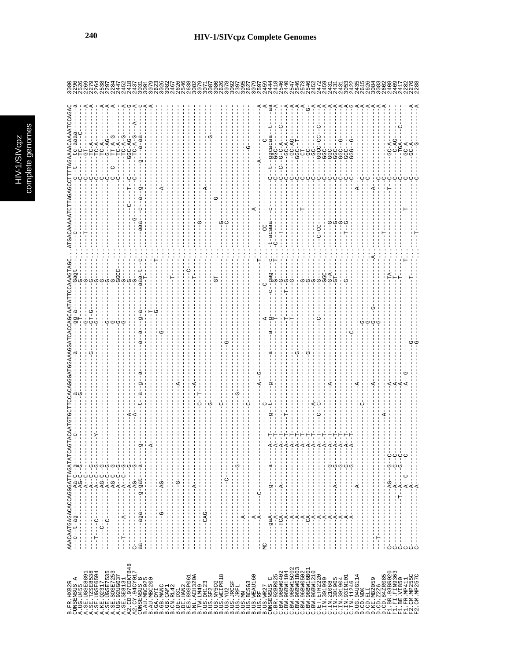|                                                                                                                                                                                                                                                                                                                                                                                                                                                                                                           |                                                                                                                                                                                                                                                                                                                                                           | CCACOCOCACORAAGOREOOOCACOCACO |                     | GACAAAAATC:   | CAAAA                |                             |
|-----------------------------------------------------------------------------------------------------------------------------------------------------------------------------------------------------------------------------------------------------------------------------------------------------------------------------------------------------------------------------------------------------------------------------------------------------------------------------------------------------------|-----------------------------------------------------------------------------------------------------------------------------------------------------------------------------------------------------------------------------------------------------------------------------------------------------------------------------------------------------------|-------------------------------|---------------------|---------------|----------------------|-----------------------------|
|                                                                                                                                                                                                                                                                                                                                                                                                                                                                                                           |                                                                                                                                                                                                                                                                                                                                                           |                               |                     |               |                      |                             |
|                                                                                                                                                                                                                                                                                                                                                                                                                                                                                                           |                                                                                                                                                                                                                                                                                                                                                           |                               |                     |               |                      |                             |
|                                                                                                                                                                                                                                                                                                                                                                                                                                                                                                           |                                                                                                                                                                                                                                                                                                                                                           |                               | 무<br>$\frac{1}{6}$  |               |                      |                             |
|                                                                                                                                                                                                                                                                                                                                                                                                                                                                                                           |                                                                                                                                                                                                                                                                                                                                                           |                               | τŋ                  |               | $TC - A$<br>$TC - A$ |                             |
|                                                                                                                                                                                                                                                                                                                                                                                                                                                                                                           |                                                                                                                                                                                                                                                                                                                                                           |                               |                     |               |                      |                             |
|                                                                                                                                                                                                                                                                                                                                                                                                                                                                                                           |                                                                                                                                                                                                                                                                                                                                                           |                               |                     |               |                      |                             |
|                                                                                                                                                                                                                                                                                                                                                                                                                                                                                                           |                                                                                                                                                                                                                                                                                                                                                           |                               |                     |               | Ü                    |                             |
|                                                                                                                                                                                                                                                                                                                                                                                                                                                                                                           |                                                                                                                                                                                                                                                                                                                                                           |                               | ს<br>ს<br>ひひひひ      |               |                      |                             |
|                                                                                                                                                                                                                                                                                                                                                                                                                                                                                                           |                                                                                                                                                                                                                                                                                                                                                           |                               |                     |               |                      |                             |
|                                                                                                                                                                                                                                                                                                                                                                                                                                                                                                           |                                                                                                                                                                                                                                                                                                                                                           |                               |                     |               | U)                   |                             |
|                                                                                                                                                                                                                                                                                                                                                                                                                                                                                                           |                                                                                                                                                                                                                                                                                                                                                           |                               |                     | ပု            | ひ<br>$TC - A -$      |                             |
|                                                                                                                                                                                                                                                                                                                                                                                                                                                                                                           |                                                                                                                                                                                                                                                                                                                                                           |                               | $a-t$<br>T-         | ൯<br>U<br>aaa |                      |                             |
|                                                                                                                                                                                                                                                                                                                                                                                                                                                                                                           |                                                                                                                                                                                                                                                                                                                                                           |                               |                     |               |                      |                             |
| Ţ<br>1<br>$\mathbf I$<br>$\mathsf I$<br>$\frac{1}{1}$<br>ï<br>ï                                                                                                                                                                                                                                                                                                                                                                                                                                           |                                                                                                                                                                                                                                                                                                                                                           |                               |                     |               |                      |                             |
| $\pm$ $\pm$<br>$\frac{1}{4}$<br>$\,$ I<br>$\overline{\phantom{a}}$<br>п<br>ï<br>$\frac{1}{1}$                                                                                                                                                                                                                                                                                                                                                                                                             |                                                                                                                                                                                                                                                                                                                                                           |                               | ب                   |               |                      |                             |
| J,                                                                                                                                                                                                                                                                                                                                                                                                                                                                                                        |                                                                                                                                                                                                                                                                                                                                                           |                               |                     |               |                      |                             |
| J.<br>$\blacksquare$<br>т.<br>$\mathsf I$<br>$\mathbf{I}$<br>$\mathbf{I}$<br>Ť<br>$\frac{1}{1}$                                                                                                                                                                                                                                                                                                                                                                                                           |                                                                                                                                                                                                                                                                                                                                                           |                               |                     |               |                      |                             |
| $\vert - \vert$                                                                                                                                                                                                                                                                                                                                                                                                                                                                                           |                                                                                                                                                                                                                                                                                                                                                           |                               |                     |               |                      |                             |
|                                                                                                                                                                                                                                                                                                                                                                                                                                                                                                           |                                                                                                                                                                                                                                                                                                                                                           |                               |                     |               |                      |                             |
|                                                                                                                                                                                                                                                                                                                                                                                                                                                                                                           |                                                                                                                                                                                                                                                                                                                                                           |                               |                     |               |                      |                             |
| $R_{\text{2}}$                                                                                                                                                                                                                                                                                                                                                                                                                                                                                            |                                                                                                                                                                                                                                                                                                                                                           |                               | U                   |               |                      |                             |
|                                                                                                                                                                                                                                                                                                                                                                                                                                                                                                           |                                                                                                                                                                                                                                                                                                                                                           |                               |                     |               |                      |                             |
|                                                                                                                                                                                                                                                                                                                                                                                                                                                                                                           |                                                                                                                                                                                                                                                                                                                                                           |                               |                     |               |                      |                             |
|                                                                                                                                                                                                                                                                                                                                                                                                                                                                                                           |                                                                                                                                                                                                                                                                                                                                                           |                               |                     |               |                      |                             |
| I<br>$\frac{1}{1}$<br>J.                                                                                                                                                                                                                                                                                                                                                                                                                                                                                  |                                                                                                                                                                                                                                                                                                                                                           | てり                            |                     |               |                      |                             |
| Т<br>$\frac{1}{1}$                                                                                                                                                                                                                                                                                                                                                                                                                                                                                        |                                                                                                                                                                                                                                                                                                                                                           |                               |                     |               |                      |                             |
| $\frac{1}{1}$                                                                                                                                                                                                                                                                                                                                                                                                                                                                                             |                                                                                                                                                                                                                                                                                                                                                           |                               |                     | めひ            |                      |                             |
| $\frac{1}{1}$                                                                                                                                                                                                                                                                                                                                                                                                                                                                                             |                                                                                                                                                                                                                                                                                                                                                           |                               |                     |               |                      |                             |
| $\frac{1}{1}$                                                                                                                                                                                                                                                                                                                                                                                                                                                                                             |                                                                                                                                                                                                                                                                                                                                                           |                               |                     |               |                      |                             |
| 十十<br>$\frac{1}{1}$                                                                                                                                                                                                                                                                                                                                                                                                                                                                                       |                                                                                                                                                                                                                                                                                                                                                           |                               |                     |               |                      |                             |
| $\begin{array}{cccccccccc} . & . & . & . & . & . & . & . \\ . & . & . & . & . & . & . & . \\ . & . & . & . & . & . & . & . \\ . & . & . & . & . & . & . & . \\ . & . & . & . & . & . & . & . \\ . & . & . & . & . & . & . & . \\ . & . & . & . & . & . & . & . \\ . & . & . & . & . & . & . & . \\ . & . & . & . & . & . & . & . \\ . & . & . & . & . & . & . & . \\ . & . & . & . & . & . & . & . \\ . & . & . & . & . & . & . & . \\ . & . & . & . & . & . & . & . \\ . & .$<br>$\,$ I<br>$\frac{1}{1}$ | J.<br>$\mathsf I$<br>$\frac{1}{1}$<br>Ť.<br>$\mathsf I$<br>$\frac{1}{1}$<br>$\mathsf I$<br>$\frac{1}{1}$                                                                                                                                                                                                                                                  |                               |                     |               |                      |                             |
|                                                                                                                                                                                                                                                                                                                                                                                                                                                                                                           | $\mathbf{I}$<br>$\overline{\phantom{a}}$<br>÷<br>$\mathbf{I}$<br>$\mathsf I$<br>$\begin{array}{c} \begin{array}{c} \begin{array}{c} \begin{array}{c} \end{array} \\ \begin{array}{c} \end{array} \\ \begin{array}{c} \end{array} \\ \begin{array}{c} \end{array} \\ \begin{array}{c} \end{array} \\ \begin{array}{c} \end{array} \end{array} \end{array}$ |                               |                     |               |                      |                             |
|                                                                                                                                                                                                                                                                                                                                                                                                                                                                                                           | $\mathbf{I}$<br>$\mathsf I$<br>÷<br>$\mathbf{I}$<br>$\mathbb{L}$                                                                                                                                                                                                                                                                                          |                               |                     |               |                      |                             |
|                                                                                                                                                                                                                                                                                                                                                                                                                                                                                                           | $\frac{1}{1}$<br>Ť.<br>$\mathsf I$                                                                                                                                                                                                                                                                                                                        |                               |                     |               |                      |                             |
| п<br>$\mathbf{I}$<br>$MC - -$                                                                                                                                                                                                                                                                                                                                                                                                                                                                             | $\mathsf I$<br>$\,$ I<br>$\frac{1}{4}$<br>J.<br>J<br>$\frac{1}{1}$<br>$\frac{1}{1}$                                                                                                                                                                                                                                                                       | O                             |                     | g             |                      |                             |
| $\mathbf{1}$                                                                                                                                                                                                                                                                                                                                                                                                                                                                                              | AAAA<br>$\mathbb{L}$<br>$\begin{array}{c}\n\mathbf{a} \\ \mathbf{b} \\ \mathbf{c} \\ \mathbf{c}\n\end{array}$<br>Ť.<br>$\frac{1}{2}$                                                                                                                                                                                                                      | ന<br>↵<br>তা                  | σg<br>めひ<br>ர⊢<br>൯ | Ο<br>t-acaaa  | ggcacaa              | 4                           |
|                                                                                                                                                                                                                                                                                                                                                                                                                                                                                                           | I<br>$\mathbf{I}$                                                                                                                                                                                                                                                                                                                                         |                               |                     |               | $-1 - 1 - 1$         |                             |
| I.<br>T.                                                                                                                                                                                                                                                                                                                                                                                                                                                                                                  | т                                                                                                                                                                                                                                                                                                                                                         |                               |                     |               | ΰ                    |                             |
| $\mathbf{I}$<br>ï                                                                                                                                                                                                                                                                                                                                                                                                                                                                                         | $-1$ $-1$ $-1$ $-1$ $-1$ $-1$ $-1$                                                                                                                                                                                                                                                                                                                        |                               | υυ                  |               |                      | 4555544                     |
|                                                                                                                                                                                                                                                                                                                                                                                                                                                                                                           |                                                                                                                                                                                                                                                                                                                                                           |                               |                     |               |                      |                             |
| 1                                                                                                                                                                                                                                                                                                                                                                                                                                                                                                         | Ť.<br>$\mathsf I$<br>$\mathsf I$                                                                                                                                                                                                                                                                                                                          |                               |                     |               |                      |                             |
| Ť.                                                                                                                                                                                                                                                                                                                                                                                                                                                                                                        | ł.<br>$\frac{1}{1}$                                                                                                                                                                                                                                                                                                                                       |                               |                     |               | 5                    |                             |
| $\mathbf{I}$                                                                                                                                                                                                                                                                                                                                                                                                                                                                                              | -1<br>$\mathbf I$<br>Ţ                                                                                                                                                                                                                                                                                                                                    |                               |                     |               | Ū                    |                             |
|                                                                                                                                                                                                                                                                                                                                                                                                                                                                                                           | ŧ<br>$\begin{bmatrix} 1 \\ 1 \\ 1 \\ 1 \end{bmatrix}$                                                                                                                                                                                                                                                                                                     |                               |                     |               | Ū                    |                             |
|                                                                                                                                                                                                                                                                                                                                                                                                                                                                                                           | - 11<br>$\frac{1}{1}$<br>$\begin{array}{c} \begin{array}{c} \text{1} \\ \text{2} \\ \text{3} \\ \text{4} \end{array} \end{array}$                                                                                                                                                                                                                         | O                             |                     | C<br>C<br>I   | GGCC-                | 457                         |
| $\mathbf{I}$                                                                                                                                                                                                                                                                                                                                                                                                                                                                                              | $\blacksquare$<br>$\mathbf{I}$<br>$\mathbf{I}$<br>1<br>$\frac{1}{1}$<br>$\mathsf I$<br>- 1                                                                                                                                                                                                                                                                |                               | <u>ე</u><br>ს       |               | <b>GGC</b>           |                             |
|                                                                                                                                                                                                                                                                                                                                                                                                                                                                                                           | $\Box$<br>HHH                                                                                                                                                                                                                                                                                                                                             |                               | $G - A$             |               | 59<br>59             |                             |
|                                                                                                                                                                                                                                                                                                                                                                                                                                                                                                           |                                                                                                                                                                                                                                                                                                                                                           |                               | Ġ                   |               | <b>GGC</b>           |                             |
|                                                                                                                                                                                                                                                                                                                                                                                                                                                                                                           | $\blacksquare$                                                                                                                                                                                                                                                                                                                                            |                               |                     |               |                      |                             |
|                                                                                                                                                                                                                                                                                                                                                                                                                                                                                                           | <i>AAAAAAAAAA</i><br>$\begin{array}{c} 0 & 0 & 0 \\ 0 & 0 & 0 \\ 0 & 0 & 0 \\ 0 & 0 & 0 \\ 0 & 0 & 0 \\ 0 & 0 & 0 \\ 0 & 0 & 0 \\ 0 & 0 & 0 \\ 0 & 0 & 0 \\ 0 & 0 & 0 \\ 0 & 0 & 0 \\ 0 & 0 & 0 \\ 0 & 0 & 0 \\ 0 & 0 & 0 \\ 0 & 0 & 0 & 0 \\ 0 & 0 & 0 & 0 \\ 0 & 0 & 0 & 0 \\ 0 & 0 & 0 & 0 \\ 0 & 0 & 0 & 0 & 0 \\ 0 & 0 & 0 & 0 & 0 \\ 0 & 0 & 0 &$   |                               |                     | めめめめ          | 99<br>99             |                             |
|                                                                                                                                                                                                                                                                                                                                                                                                                                                                                                           | $\pm$                                                                                                                                                                                                                                                                                                                                                     |                               |                     |               | 먹<br>999             |                             |
| $\mathbf{I}$<br>l,                                                                                                                                                                                                                                                                                                                                                                                                                                                                                        | - 11                                                                                                                                                                                                                                                                                                                                                      |                               |                     |               |                      |                             |
| $\mathbf{I}$<br>$\mathbf{I}$<br>- 1<br>Ť.<br>$\overline{1}$<br>$\frac{1}{4}$<br>$\frac{1}{1}$<br>$\,$ I<br>$\frac{1}{4}$                                                                                                                                                                                                                                                                                                                                                                                  | - 11<br>$\mathbb{L}$<br>$\mathbf{I}$                                                                                                                                                                                                                                                                                                                      |                               |                     |               |                      |                             |
| ÷<br>J                                                                                                                                                                                                                                                                                                                                                                                                                                                                                                    | <b>TELEVISION</b><br>$\blacksquare$<br>$\mathbf{I}$                                                                                                                                                                                                                                                                                                       |                               | ひひひむ                |               |                      |                             |
| $\frac{1}{1}$                                                                                                                                                                                                                                                                                                                                                                                                                                                                                             |                                                                                                                                                                                                                                                                                                                                                           |                               |                     |               |                      |                             |
| $\frac{1}{1}$                                                                                                                                                                                                                                                                                                                                                                                                                                                                                             | $\overline{\phantom{a}}$                                                                                                                                                                                                                                                                                                                                  | Æ                             | ひ                   |               |                      |                             |
| $-1 - 1 -$<br>т                                                                                                                                                                                                                                                                                                                                                                                                                                                                                           | ŧ<br>$\mathbf{I}$<br>$\frac{1}{4}$                                                                                                                                                                                                                                                                                                                        |                               |                     |               |                      | 53334406000<br>544404466006 |
| ł<br>$\mathsf I$<br>$\frac{1}{1}$                                                                                                                                                                                                                                                                                                                                                                                                                                                                         |                                                                                                                                                                                                                                                                                                                                                           |                               |                     |               |                      |                             |
| $\frac{1}{2}$<br>$\begin{array}{c} \begin{array}{c} \begin{array}{c} \begin{array}{c} \end{array} \\ \begin{array}{c} \end{array} \\ \begin{array}{c} \end{array} \\ \begin{array}{c} \end{array} \\ \begin{array}{c} \end{array} \\ \begin{array}{c} \end{array} \end{array} \end{array}$                                                                                                                                                                                                                |                                                                                                                                                                                                                                                                                                                                                           |                               |                     |               |                      |                             |
| $\frac{1}{1}$<br>İ                                                                                                                                                                                                                                                                                                                                                                                                                                                                                        |                                                                                                                                                                                                                                                                                                                                                           |                               |                     |               |                      |                             |
| Ţ<br>п.<br>$\mathbf{I}$<br>Ţ<br>$\frac{1}{1}$<br>Т<br>J.                                                                                                                                                                                                                                                                                                                                                                                                                                                  |                                                                                                                                                                                                                                                                                                                                                           |                               |                     |               |                      |                             |
| 1<br>$\mathbf{L}$<br>損害<br><b>UUUUUU</b>                                                                                                                                                                                                                                                                                                                                                                                                                                                                  |                                                                                                                                                                                                                                                                                                                                                           |                               |                     |               |                      |                             |
| - 1                                                                                                                                                                                                                                                                                                                                                                                                                                                                                                       |                                                                                                                                                                                                                                                                                                                                                           |                               |                     |               |                      |                             |
|                                                                                                                                                                                                                                                                                                                                                                                                                                                                                                           |                                                                                                                                                                                                                                                                                                                                                           |                               |                     |               |                      |                             |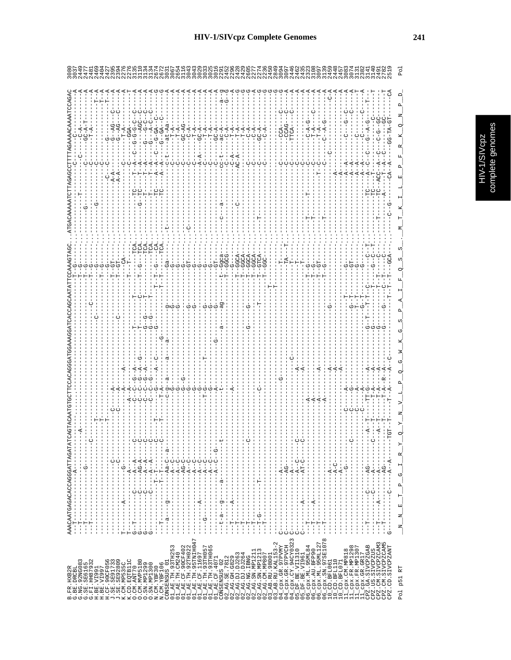| υU<br>ひひひひ<br>ひひひひ<br>$-50 -$<br>$-5$<br>$\overline{5}$<br>$\frac{1}{5}$<br>じ じ<br>$\overline{6}$<br>ീ<br>-<br>ーしし<br>J<br>666<br>$\triangle$ $\triangle$<br>ひひ<br><b>GCA</b><br>ŭŬ<br>ຫບ<br>לז לזרח<br>てり<br>τŋ<br>てりてり<br>υυ<br>日のの<br>ひひひひ<br>൯<br>ひひひひ | л.<br>÷<br>÷<br>Ť<br>- 1<br>$\overline{\phantom{a}}$<br>$\mathbf{I}$<br>$\overline{1}$<br>$\frac{1}{1}$<br>$-1$<br>$-1$<br>$\frac{C}{1}$<br>$\frac{1}{1}$<br>$\frac{1}{1}$<br>H<br>$\frac{1}{1}$<br>Ť.<br>j.<br>$\mathsf I$<br>$-\frac{a}{1}$<br>$-1$<br>$\frac{1}{1}$<br>$\frac{1}{1}$<br>$\frac{1}{4}$<br>ı<br>1<br>ł<br>Ť<br>$\frac{1}{1}$<br>$\frac{1}{2}$<br>$\frac{1}{1}$<br>f,<br>ŧ<br>Ť<br>$\frac{1}{1}$<br>$\frac{1}{1}$<br>$\frac{1}{1}$<br>J.<br>$\blacksquare$<br>$\blacksquare$<br>$\mathbf{I}$<br>$-1$<br>$\frac{1}{1}$<br>$- - - - - - -$<br>$----Aa-C$<br>$\frac{1}{6}$<br>$\begin{array}{c} 1 \\ 0 \\ 1 \end{array}$<br>T<br>J.<br>$\frac{1}{1}$<br>$\overline{\phantom{a}}$<br>---------<br>$\begin{array}{c c c c} \hline \textbf{1} & \textbf{1} & \textbf{1} & \textbf{1} & \textbf{1} \\ \hline \textbf{1} & \textbf{1} & \textbf{1} & \textbf{1} & \textbf{1} & \textbf{1} \\ \hline \textbf{1} & \textbf{1} & \textbf{1} & \textbf{1} & \textbf{1} & \textbf{1} & \textbf{1} \\ \hline \textbf{1} & \textbf{1} & \textbf{1} & \textbf{1} & \textbf{1} & \textbf{1} & \textbf{1} & \textbf{1} \\ \hline \textbf{1} & \textbf$<br>п<br>- 1<br>j<br>T.<br>$-1$ $-1$ $-1$ $-1$ $-1$ $-1$ $-1$ $-1$<br>$-1$ - $-1$ - $-1$ - $-1$ - $-1$<br>J.<br>J<br>I<br>$\overline{1}$<br>I<br>$\frac{1}{1}$<br>ı<br>$\mathbf{I}$<br>$- -A - -$<br>$-1 - 9 - 1$<br>$\mathbf{I}$<br>-1<br>ï<br>$\frac{1}{2}$<br>Ĵ<br>$\mathbf{I}$<br>-1 |
|------------------------------------------------------------------------------------------------------------------------------------------------------------------------------------------------------------------------------------------------------------|----------------------------------------------------------------------------------------------------------------------------------------------------------------------------------------------------------------------------------------------------------------------------------------------------------------------------------------------------------------------------------------------------------------------------------------------------------------------------------------------------------------------------------------------------------------------------------------------------------------------------------------------------------------------------------------------------------------------------------------------------------------------------------------------------------------------------------------------------------------------------------------------------------------------------------------------------------------------------------------------------------------------------------------------------------------------------------------------------------------------------------------------------------------------------------------------------------------------------------------------------------------------------------------------------------------------------------------------------------------------------------------------------------------------------------------------|
|                                                                                                                                                                                                                                                            |                                                                                                                                                                                                                                                                                                                                                                                                                                                                                                                                                                                                                                                                                                                                                                                                                                                                                                                                                                                                                                                                                                                                                                                                                                                                                                                                                                                                                                              |
| <b>HHHHH</b>                                                                                                                                                                                                                                               | $\frac{1}{2}$                                                                                                                                                                                                                                                                                                                                                                                                                                                                                                                                                                                                                                                                                                                                                                                                                                                                                                                                                                                                                                                                                                                                                                                                                                                                                                                                                                                                                                |
|                                                                                                                                                                                                                                                            |                                                                                                                                                                                                                                                                                                                                                                                                                                                                                                                                                                                                                                                                                                                                                                                                                                                                                                                                                                                                                                                                                                                                                                                                                                                                                                                                                                                                                                              |
|                                                                                                                                                                                                                                                            | $\frac{1}{1}$<br>$\begin{array}{c} \rule{0pt}{2ex} \rule{0pt}{2ex} \rule{0pt}{2ex} \rule{0pt}{2ex} \rule{0pt}{2ex} \rule{0pt}{2ex} \rule{0pt}{2ex} \rule{0pt}{2ex} \rule{0pt}{2ex} \rule{0pt}{2ex} \rule{0pt}{2ex} \rule{0pt}{2ex} \rule{0pt}{2ex} \rule{0pt}{2ex} \rule{0pt}{2ex} \rule{0pt}{2ex} \rule{0pt}{2ex} \rule{0pt}{2ex} \rule{0pt}{2ex} \rule{0pt}{2ex} \rule{0pt}{2ex} \rule{0pt}{2ex} \rule{0pt}{2ex} \rule{0pt}{$                                                                                                                                                                                                                                                                                                                                                                                                                                                                                                                                                                                                                                                                                                                                                                                                                                                                                                                                                                                                              |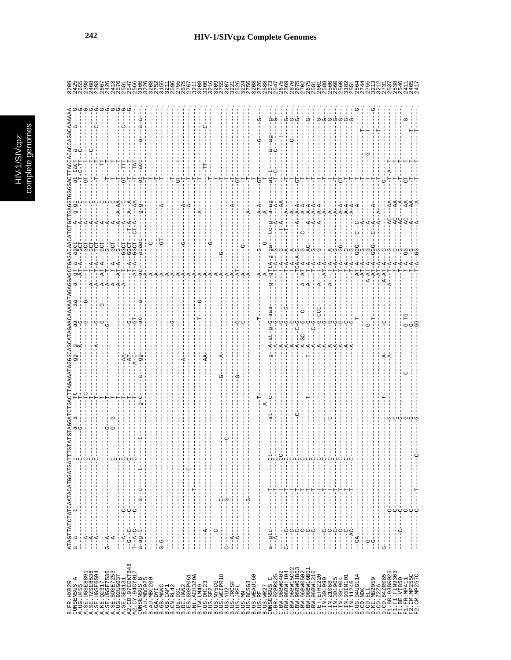|                                                                                                                                                                                   |                                                                                                                                                                                                                                                                                                                                                                                                                |  | AGAAATAGGCAGCATAGAACAAAAA |                                                                                                        |                                                                                                                                                                                                                                                                                                                                                                                                                                                |                                                                                                                                                                                                                                                                                                                                                   | GAGGTGGGGA         |          | CAGACAAAA        |         |
|-----------------------------------------------------------------------------------------------------------------------------------------------------------------------------------|----------------------------------------------------------------------------------------------------------------------------------------------------------------------------------------------------------------------------------------------------------------------------------------------------------------------------------------------------------------------------------------------------------------|--|---------------------------|--------------------------------------------------------------------------------------------------------|------------------------------------------------------------------------------------------------------------------------------------------------------------------------------------------------------------------------------------------------------------------------------------------------------------------------------------------------------------------------------------------------------------------------------------------------|---------------------------------------------------------------------------------------------------------------------------------------------------------------------------------------------------------------------------------------------------------------------------------------------------------------------------------------------------|--------------------|----------|------------------|---------|
|                                                                                                                                                                                   | $\begin{array}{c c c c} 1 & 1 & 1 & 1 & 1 \\ \hline 1 & 1 & 1 & 1 & 1 & 1 \\ \hline 0 & 0 & 0 & 0 & 0 & 0 \\ 1 & 1 & 1 & 1 & 1 & 1 & 1 \\ 1 & 1 & 1 & 1 & 1 & 1 & 1 \\ \hline 1 & 1 & 1 & 1 & 1 & 1 & 1 \\ \end{array}$<br>ĦĦ                                                                                                                                                                                  |  |                           |                                                                                                        |                                                                                                                                                                                                                                                                                                                                                                                                                                                | $A^A - 3A^A - 2A^A - 3A^A - 3A^A - 3A^A - 3A^A - 3A^A - 3A^A - 3A^A - 3A^A - 3A^A - 3A^A - 3A^A - 3A^A - 3A^A - 3A^A - 3A^A - 3A^A - 3A^A - 3A^A - 3A^A - 3A^A - 3A^A - 3A^A - 3A^A - 3A^A - 3A^A - 3A^A - 3A^A - 3A^A - 3A^A - 3A^A - 3A^A - 3A^A - 3A^A - 3A^A -$                                                                               |                    | <b>G</b> |                  |         |
| $1 - 1 - 1$<br>$\mathbf{I}$<br>$\mathbf{I}$<br><b>I</b>                                                                                                                           | 十十十                                                                                                                                                                                                                                                                                                                                                                                                            |  |                           | ו ט                                                                                                    |                                                                                                                                                                                                                                                                                                                                                                                                                                                |                                                                                                                                                                                                                                                                                                                                                   |                    |          |                  |         |
| $\blacksquare$<br>л.<br>1<br>$- - A - - -$<br>--- A ----                                                                                                                          |                                                                                                                                                                                                                                                                                                                                                                                                                |  |                           |                                                                                                        | $\frac{1}{2}$<br>$\begin{array}{c} 1 & 1 & 1 & 1 \\ 1 & - & - & - \\ 1 & - & - & - \\ 1 & - & - & - \\ 1 & - & - & - \\ 1 & - & - & - \\ 1 & - & - & - \\ 1 & - & - & - \\ 1 & - & - & - \\ 1 & - & - & - \\ 1 & - & - & - \\ 1 & - & - & - \\ 1 & - & - & - \\ 1 & - & - & - \\ 1 & - & - & - \\ 1 & - & - & - \\ 1 & - & - & - \\ 1 & - & - & - \\ 1 & - & - & - \\ 1 & - & - & - \\ 1 & - & - & - \\ 1 & - & - & - \\ 1 & - & - & - \\ 1 &$ |                                                                                                                                                                                                                                                                                                                                                   |                    |          |                  | 4 w r 4 |
| $\frac{1}{1}$<br>$\,$ I<br>$\overline{\phantom{a}}$<br>п<br>$\mathbf{I}$                                                                                                          | J.<br>$\overline{\phantom{a}}$<br>$\,$ I                                                                                                                                                                                                                                                                                                                                                                       |  |                           | <b>ひ ひ</b>                                                                                             |                                                                                                                                                                                                                                                                                                                                                                                                                                                |                                                                                                                                                                                                                                                                                                                                                   |                    |          | U                |         |
| $\blacksquare$<br>- 1<br>$\blacksquare$<br>$\overline{\phantom{a}}$<br>$\mathbf{I}$<br>$\frac{1}{1}$<br>$\frac{1}{1}$                                                             | -1<br>$\overline{\phantom{a}}$<br>$\overline{1}$<br>$\overline{1}$<br>-j<br>$\blacksquare$<br>- 1                                                                                                                                                                                                                                                                                                              |  |                           |                                                                                                        |                                                                                                                                                                                                                                                                                                                                                                                                                                                |                                                                                                                                                                                                                                                                                                                                                   |                    |          |                  |         |
| $\frac{1}{4}$<br>$\mathsf I$<br>T<br>$\mathfrak l$<br>$G = -A = -1$                                                                                                               | $\blacksquare$<br>$\mathbf{I}$<br>т                                                                                                                                                                                                                                                                                                                                                                            |  |                           |                                                                                                        |                                                                                                                                                                                                                                                                                                                                                                                                                                                |                                                                                                                                                                                                                                                                                                                                                   |                    |          |                  |         |
| $\mathbf{I}$<br>-11<br>$\mathbf{I}$<br>-1<br>$\,$ I<br>I<br>п<br>т<br>$\mathsf I$<br>$\frac{1}{1}$                                                                                | $\blacksquare$<br>T<br>I<br>$\mathbf{I}$<br>т<br>J.<br>J.<br>J.                                                                                                                                                                                                                                                                                                                                                |  |                           |                                                                                                        | - 10<br>- 10<br>- 1                                                                                                                                                                                                                                                                                                                                                                                                                            |                                                                                                                                                                                                                                                                                                                                                   |                    | ᄇ        |                  |         |
| $\mathbf{I}$                                                                                                                                                                      | $\blacksquare$<br>ָטַטְטְטָ<br>                 <br>ţ<br>ł<br>1<br>т<br>T.                                                                                                                                                                                                                                                                                                                                     |  | ĀĀ.                       |                                                                                                        |                                                                                                                                                                                                                                                                                                                                                                                                                                                |                                                                                                                                                                                                                                                                                                                                                   |                    | $LLL -$  | O                |         |
| $\frac{1}{1}$                                                                                                                                                                     | $\blacksquare$                                                                                                                                                                                                                                                                                                                                                                                                 |  | RΙ                        |                                                                                                        |                                                                                                                                                                                                                                                                                                                                                                                                                                                |                                                                                                                                                                                                                                                                                                                                                   |                    |          |                  |         |
| $\frac{1}{1}$                                                                                                                                                                     | $\blacksquare$<br>I<br>I<br>I<br>I<br>I<br>л<br>Ţ                                                                                                                                                                                                                                                                                                                                                              |  | $A-C$                     |                                                                                                        |                                                                                                                                                                                                                                                                                                                                                                                                                                                |                                                                                                                                                                                                                                                                                                                                                   |                    | $-TTAT$  |                  |         |
| Ť.<br>$\mathsf I$<br>$\mathbf{I}$<br>$\frac{1}{1}$<br>$-1 - 2 - 2 - 1$<br>$T - 3 - 2 - 1$<br>$= -8 - 3 - 1$                                                                       | ш<br>$\mathbf{I}$<br>$\frac{1}{1}$                                                                                                                                                                                                                                                                                                                                                                             |  | bb-                       | しも る                                                                                                   | $\begin{array}{ll} \lambda_{11}^* & \cdot & \cdot \\ -T & -1 & -1 & -1 \\ -T & -2 & -1 & -1 \\ -2T & -2 & -1 & -1 \\ -2T & -2 & -1 & -1 \\ -2T & -2 & -1 & -2 \\ \end{array}$                                                                                                                                                                                                                                                                  |                                                                                                                                                                                                                                                                                                                                                   | ה<br>$\frac{1}{5}$ | $-acc$   | $a - a$          |         |
| - 1<br>J.<br>J.<br>I<br>1<br>$\mathbf{I}$<br>J.                                                                                                                                   | I<br>J.<br>J<br>I                                                                                                                                                                                                                                                                                                                                                                                              |  |                           |                                                                                                        |                                                                                                                                                                                                                                                                                                                                                                                                                                                |                                                                                                                                                                                                                                                                                                                                                   |                    |          |                  |         |
| T<br>I.<br>т<br>т                                                                                                                                                                 | I<br>т<br>I<br>ı<br>I<br>ı<br>I<br>J.<br>I.<br>ï<br>I<br>I                                                                                                                                                                                                                                                                                                                                                     |  |                           |                                                                                                        |                                                                                                                                                                                                                                                                                                                                                                                                                                                |                                                                                                                                                                                                                                                                                                                                                   |                    |          |                  |         |
| $\frac{1}{1}$<br>$\frac{1}{1}$<br>$\mathsf I$<br>$\mathbf{I}$<br>$\overline{\phantom{a}}$<br>$\mathbf{I}$<br>- 1                                                                  | J<br>J.<br>Ť.<br>$\overline{\phantom{a}}$<br>ł<br>J<br>ţ<br>$\mathbf{I}$<br>$\overline{\phantom{a}}$<br>Ť.<br>$\mathsf I$                                                                                                                                                                                                                                                                                      |  |                           |                                                                                                        |                                                                                                                                                                                                                                                                                                                                                                                                                                                |                                                                                                                                                                                                                                                                                                                                                   |                    |          |                  |         |
| J.                                                                                                                                                                                | 1<br>J.<br>$\,$ I<br>Ť.<br>$\begin{array}{c} \hline \end{array}$                                                                                                                                                                                                                                                                                                                                               |  |                           |                                                                                                        | 5                                                                                                                                                                                                                                                                                                                                                                                                                                              |                                                                                                                                                                                                                                                                                                                                                   |                    |          |                  |         |
| I                                                                                                                                                                                 | I<br>I<br>ï<br>I<br>I                                                                                                                                                                                                                                                                                                                                                                                          |  |                           |                                                                                                        |                                                                                                                                                                                                                                                                                                                                                                                                                                                |                                                                                                                                                                                                                                                                                                                                                   |                    |          |                  |         |
| $\mathbf{I}$<br>$\mathbf{I}$<br>п                                                                                                                                                 | $\overline{\phantom{a}}$                                                                                                                                                                                                                                                                                                                                                                                       |  |                           |                                                                                                        |                                                                                                                                                                                                                                                                                                                                                                                                                                                |                                                                                                                                                                                                                                                                                                                                                   |                    |          |                  |         |
| -1<br>т<br>J.<br>I<br>Ţ<br>1                                                                                                                                                      | ı<br>1                                                                                                                                                                                                                                                                                                                                                                                                         |  |                           |                                                                                                        |                                                                                                                                                                                                                                                                                                                                                                                                                                                |                                                                                                                                                                                                                                                                                                                                                   |                    |          |                  |         |
| $\frac{1}{1}$<br>J.<br>$\frac{1}{1}$<br>$\frac{1}{1}$                                                                                                                             | $-1$<br>I                                                                                                                                                                                                                                                                                                                                                                                                      |  |                           |                                                                                                        |                                                                                                                                                                                                                                                                                                                                                                                                                                                |                                                                                                                                                                                                                                                                                                                                                   |                    |          |                  |         |
| Ţ<br>1<br>$\frac{1}{1}$                                                                                                                                                           | I<br>ï.<br>$\frac{1}{2} + \frac{1}{2} + \frac{1}{2} + \frac{1}{2} + \frac{1}{2} + \frac{1}{2} + \frac{1}{2} + \frac{1}{2} + \frac{1}{2} + \frac{1}{2} + \frac{1}{2} + \frac{1}{2} + \frac{1}{2} + \frac{1}{2} + \frac{1}{2} + \frac{1}{2} + \frac{1}{2} + \frac{1}{2} + \frac{1}{2} + \frac{1}{2} + \frac{1}{2} + \frac{1}{2} + \frac{1}{2} + \frac{1}{2} + \frac{1}{2} + \frac{1}{2} + \frac{1}{2} + \frac{1$ |  |                           |                                                                                                        |                                                                                                                                                                                                                                                                                                                                                                                                                                                |                                                                                                                                                                                                                                                                                                                                                   |                    |          |                  |         |
| т<br>ı<br>I<br>т<br>ï<br>$\mathsf I$<br>$\frac{1}{1}$                                                                                                                             | ì<br>I<br>I<br>I<br>п<br>ï<br>$\mathsf I$<br>I                                                                                                                                                                                                                                                                                                                                                                 |  |                           |                                                                                                        |                                                                                                                                                                                                                                                                                                                                                                                                                                                |                                                                                                                                                                                                                                                                                                                                                   |                    |          |                  |         |
| л.<br>п<br>$\mathbf{I}$<br>п                                                                                                                                                      | $\mathbf{I}$<br>т<br>л.<br>J.<br>т<br>J.                                                                                                                                                                                                                                                                                                                                                                       |  |                           |                                                                                                        |                                                                                                                                                                                                                                                                                                                                                                                                                                                |                                                                                                                                                                                                                                                                                                                                                   |                    |          |                  |         |
| т<br>т<br>L<br>Ţ<br>ı<br>T<br>I<br>Ţ.<br>т                                                                                                                                        | ı<br>-1<br>ï<br>ı<br>ı                                                                                                                                                                                                                                                                                                                                                                                         |  |                           |                                                                                                        |                                                                                                                                                                                                                                                                                                                                                                                                                                                |                                                                                                                                                                                                                                                                                                                                                   |                    |          |                  |         |
| т<br>ı<br>I<br>$-1$<br>$-1$<br>$-1$<br>$-1$                                                                                                                                       | I<br>п<br>$\mathbf{I}$<br>I.                                                                                                                                                                                                                                                                                                                                                                                   |  |                           |                                                                                                        |                                                                                                                                                                                                                                                                                                                                                                                                                                                |                                                                                                                                                                                                                                                                                                                                                   |                    |          |                  |         |
| Ť.<br>ł<br>$\begin{bmatrix} 1 \\ 1 \\ 1 \\ 1 \end{bmatrix}$                                                                                                                       | I<br>Ť                                                                                                                                                                                                                                                                                                                                                                                                         |  |                           |                                                                                                        |                                                                                                                                                                                                                                                                                                                                                                                                                                                |                                                                                                                                                                                                                                                                                                                                                   |                    |          |                  |         |
| Ţ<br>ı<br>Ţ<br>J<br>$\begin{array}{c} 1 \\ 1 \\ 1 \end{array}$<br>U                                                                                                               |                                                                                                                                                                                                                                                                                                                                                                                                                |  |                           |                                                                                                        |                                                                                                                                                                                                                                                                                                                                                                                                                                                |                                                                                                                                                                                                                                                                                                                                                   |                    |          |                  |         |
| $\blacksquare$<br>$\mathsf I$<br>Т                                                                                                                                                | ÷<br>I.<br>т<br>1                                                                                                                                                                                                                                                                                                                                                                                              |  |                           |                                                                                                        |                                                                                                                                                                                                                                                                                                                                                                                                                                                |                                                                                                                                                                                                                                                                                                                                                   |                    |          |                  |         |
| $\mathbf{I}$<br>$\mathsf I$<br>$\mathfrak l$<br>I.<br>т<br>$- -A - -$                                                                                                             | т<br>ï<br>т<br>1                                                                                                                                                                                                                                                                                                                                                                                               |  |                           |                                                                                                        |                                                                                                                                                                                                                                                                                                                                                                                                                                                |                                                                                                                                                                                                                                                                                                                                                   |                    |          |                  |         |
| л.<br>п<br>ı<br>I<br>п<br>п                                                                                                                                                       | J.<br>п<br>п<br>т<br>$\mathbf{I}$                                                                                                                                                                                                                                                                                                                                                                              |  |                           |                                                                                                        |                                                                                                                                                                                                                                                                                                                                                                                                                                                |                                                                                                                                                                                                                                                                                                                                                   |                    |          |                  |         |
| Ť.<br>I.<br>T<br>L<br>$\frac{1}{1}$                                                                                                                                               | I<br>$\mathbf{I}$<br>$-1$                                                                                                                                                                                                                                                                                                                                                                                      |  |                           |                                                                                                        |                                                                                                                                                                                                                                                                                                                                                                                                                                                |                                                                                                                                                                                                                                                                                                                                                   |                    |          |                  |         |
| $\mathsf I$<br>T<br>т<br>$\frac{1}{1}$                                                                                                                                            | $\begin{array}{c} 1 \\ 1 \\ 1 \end{array}$<br>÷<br>I.<br>ï<br>$\frac{1}{1}$                                                                                                                                                                                                                                                                                                                                    |  |                           |                                                                                                        |                                                                                                                                                                                                                                                                                                                                                                                                                                                |                                                                                                                                                                                                                                                                                                                                                   |                    |          |                  |         |
| л.<br>1<br>$\overline{\phantom{a}}$<br>J<br>Ť                                                                                                                                     | п<br>ł<br>п                                                                                                                                                                                                                                                                                                                                                                                                    |  |                           |                                                                                                        |                                                                                                                                                                                                                                                                                                                                                                                                                                                |                                                                                                                                                                                                                                                                                                                                                   |                    |          |                  |         |
| $\mathbf{I}$<br>п<br>$\mathbf{I}$<br>T<br>$\mathbf{I}$<br>-1<br>Ť.<br>$\frac{1}{1}$                                                                                               | $\mathbf{I}$<br>-1<br>J<br>Ť                                                                                                                                                                                                                                                                                                                                                                                   |  | ೆ                         | ൯<br>-aa                                                                                               |                                                                                                                                                                                                                                                                                                                                                                                                                                                |                                                                                                                                                                                                                                                                                                                                                   |                    | ιQ       | তা<br>-ag        |         |
| $a - -gtc -$<br>------                                                                                                                                                            | J<br>ד<br>ד                                                                                                                                                                                                                                                                                                                                                                                                    |  |                           | $\frac{9}{1}$                                                                                          |                                                                                                                                                                                                                                                                                                                                                                                                                                                |                                                                                                                                                                                                                                                                                                                                                   |                    |          |                  |         |
| т<br>J.<br>п<br>$\mathbf I$                                                                                                                                                       | I<br>I<br>ı<br>$-1 - 1 - 1 -$                                                                                                                                                                                                                                                                                                                                                                                  |  |                           |                                                                                                        |                                                                                                                                                                                                                                                                                                                                                                                                                                                |                                                                                                                                                                                                                                                                                                                                                   |                    |          | н                |         |
| $\frac{1}{1}$<br>$\begin{array}{c} 1 & 0 \\ 1 & 1 \\ 0 & 1 \\ 1 & 1 \\ 0 & 0 \end{array}$                                                                                         | $\overline{\phantom{a}}$<br>$-1 - 2 - 1 -$                                                                                                                                                                                                                                                                                                                                                                     |  |                           | ひ ひ ひ                                                                                                  |                                                                                                                                                                                                                                                                                                                                                                                                                                                | - tc-g--a-ag<br>- - - - - A - - - - - A -<br>- - T-A - - - - - AA<br>- - T-- - - - - A - - - -                                                                                                                                                                                                                                                    |                    |          |                  |         |
| $\frac{1}{4}$                                                                                                                                                                     | I<br>$-1 - 1 - 1$                                                                                                                                                                                                                                                                                                                                                                                              |  |                           |                                                                                                        |                                                                                                                                                                                                                                                                                                                                                                                                                                                |                                                                                                                                                                                                                                                                                                                                                   |                    |          | ပ္ပ              |         |
| $\frac{1}{1}$                                                                                                                                                                     | I.<br>$\begin{bmatrix} 1 & 1 & 1 \\ 1 & 1 & 1 \\ 1 & 1 & 1 \\ 1 & 1 & 1 \\ 1 & 1 & 1 \\ 1 & 1 & 1 \\ 1 & 1 & 1 \\ 1 & 1 & 1 \\ 1 & 1 & 1 \\ 1 & 1 & 1 \\ 1 & 1 & 1 \\ 1 & 1 & 1 \\ 1 & 1 & 1 \\ 1 & 1 & 1 \\ 1 & 1 & 1 \\ 1 & 1 & 1 \\ 1 & 1 & 1 \\ 1 & 1 & 1 \\ 1 & 1 & 1 \\ 1 & 1 & 1 \\ 1 & 1 & 1 & 1 \\ 1 & 1 & 1 & 1 \\ 1 & 1 & 1 & $                                                                     |  |                           | ė                                                                                                      |                                                                                                                                                                                                                                                                                                                                                                                                                                                |                                                                                                                                                                                                                                                                                                                                                   |                    |          | Ġ                |         |
| 1<br>$\begin{array}{c} 1 \\ 1 \\ 1 \end{array}$                                                                                                                                   | $\mathbf{I}$<br>1<br>J.<br>$\overline{\phantom{a}}$                                                                                                                                                                                                                                                                                                                                                            |  | $-50-$                    | ł.                                                                                                     |                                                                                                                                                                                                                                                                                                                                                                                                                                                |                                                                                                                                                                                                                                                                                                                                                   |                    |          |                  |         |
| -1<br>Ţ<br>$\frac{1}{1}$                                                                                                                                                          | $\mathbf{I}$<br>п<br>-1<br>J<br>Ť<br>Ť.<br>$\mathsf I$                                                                                                                                                                                                                                                                                                                                                         |  |                           |                                                                                                        |                                                                                                                                                                                                                                                                                                                                                                                                                                                |                                                                                                                                                                                                                                                                                                                                                   |                    |          | ひ                |         |
| $\frac{1}{1}$                                                                                                                                                                     | I<br>J.<br>1<br>J<br>ד<br>ד<br>Ť.                                                                                                                                                                                                                                                                                                                                                                              |  |                           |                                                                                                        |                                                                                                                                                                                                                                                                                                                                                                                                                                                |                                                                                                                                                                                                                                                                                                                                                   |                    |          |                  |         |
| $\frac{1}{1}$<br>$\frac{1}{4}$<br>וֹטְטְטְטְטְ<br>          <br>                                                                                                                  | $\begin{array}{c} 1 \\ 1 \\ 1 \end{array}$<br>$-1 - 1 - 1 - 1 - 1 - 1$                                                                                                                                                                                                                                                                                                                                         |  | みみみみみみ                    | יַ יָּהַיְ יִי יָּהָ יִי יִי יִי יִי יִ<br>  יִי יִי יִי אֲ יִי יִי יִי יִי יִי יִ<br>  שִׁלְּי יִי יָ |                                                                                                                                                                                                                                                                                                                                                                                                                                                | $\begin{array}{c} 1 \  \  \, -1 \  \  \, -1 \  \  \, -2 \  \  \, -2 \  \  \, -2 \  \  \, -2 \  \  \, -2 \  \  \, -2 \  \  \, -2 \  \  \, -2 \  \  \, -2 \  \  \, -2 \  \  \, -2 \  \  \, -2 \  \  \, -2 \  \  \, -2 \  \  \, -2 \  \  \, -2 \  \  \, -2 \  \  \, -2 \  \  \, -2 \  \  \, -2 \  \  \, -2 \  \  \, -2 \  \  \, -2 \  \  \, -2 \  \$ |                    |          | Ġ                |         |
| $\frac{1}{1}$                                                                                                                                                                     | $\mathbf{I}$<br>п<br>п<br>$-1$<br>Ť.<br>$\mathsf I$                                                                                                                                                                                                                                                                                                                                                            |  |                           |                                                                                                        |                                                                                                                                                                                                                                                                                                                                                                                                                                                |                                                                                                                                                                                                                                                                                                                                                   |                    |          |                  |         |
| $\begin{array}{c} \n\cdot & \cdot & \cdot \\ \n\cdot & \cdot & \cdot \\ \n\cdot & \cdot & \cdot \end{array}$                                                                      | $\frac{1}{1}$<br>Ĵ                                                                                                                                                                                                                                                                                                                                                                                             |  |                           |                                                                                                        |                                                                                                                                                                                                                                                                                                                                                                                                                                                |                                                                                                                                                                                                                                                                                                                                                   |                    |          | <u>ი ი ი ი ი</u> |         |
| $\begin{bmatrix} 1 \\ 1 \\ 1 \\ 1 \end{bmatrix}$                                                                                                                                  | $\frac{1}{1}$<br>I.<br>J<br>$\ddot{r}$                                                                                                                                                                                                                                                                                                                                                                         |  |                           |                                                                                                        |                                                                                                                                                                                                                                                                                                                                                                                                                                                |                                                                                                                                                                                                                                                                                                                                                   |                    |          |                  |         |
| Ť.<br>$\frac{1}{4}$                                                                                                                                                               | J.<br>-1<br>J                                                                                                                                                                                                                                                                                                                                                                                                  |  |                           |                                                                                                        |                                                                                                                                                                                                                                                                                                                                                                                                                                                |                                                                                                                                                                                                                                                                                                                                                   |                    |          |                  |         |
| $\frac{1}{1}$<br>ł<br>$\mathbf{I}$                                                                                                                                                | J.<br>$\frac{1}{1}$<br>$-1 - 1 - -$<br>$\,$ I<br>$\begin{array}{c} \rule{0.2cm}{0.15mm} \rule{0.2cm}{0.15mm} \rule{0.2cm}{0.15mm} \rule{0.2cm}{0.15mm} \rule{0.2cm}{0.15mm} \rule{0.2cm}{0.15mm} \rule{0.2cm}{0.15mm} \rule{0.2cm}{0.15mm} \rule{0.2cm}{0.15mm} \rule{0.2cm}{0.15mm} \rule{0.2cm}{0.15mm} \rule{0.2cm}{0.15mm} \rule{0.2cm}{0.15mm} \rule{0.2cm}{0.15mm} \rule{0.2cm}{0.15mm} \rule{$          |  |                           |                                                                                                        |                                                                                                                                                                                                                                                                                                                                                                                                                                                |                                                                                                                                                                                                                                                                                                                                                   |                    |          |                  |         |
| $\frac{1}{1}$                                                                                                                                                                     | $\frac{1}{1}$<br>$-1 - T - -$<br>$\mathbf I$<br>$\frac{1}{1}$                                                                                                                                                                                                                                                                                                                                                  |  |                           |                                                                                                        |                                                                                                                                                                                                                                                                                                                                                                                                                                                |                                                                                                                                                                                                                                                                                                                                                   | $\overline{A}$     |          | ひ                |         |
| $\overline{1}$<br>$-6A-$                                                                                                                                                          | J.<br>п<br>$\overline{\phantom{a}}$<br>J                                                                                                                                                                                                                                                                                                                                                                       |  |                           |                                                                                                        |                                                                                                                                                                                                                                                                                                                                                                                                                                                |                                                                                                                                                                                                                                                                                                                                                   |                    |          |                  |         |
| $\mathbf I$                                                                                                                                                                       | $\mathbf{I}$<br>-1<br>$\mathbf{I}$<br>$\mathbf I$<br>Ť                                                                                                                                                                                                                                                                                                                                                         |  |                           |                                                                                                        |                                                                                                                                                                                                                                                                                                                                                                                                                                                | $\overline{C}$                                                                                                                                                                                                                                                                                                                                    |                    |          |                  |         |
| $\mathbf{I}$<br>Ť.<br>Ť.<br>$\begin{array}{c} 1 & 1 & 1 & 1 \\ 1 & 1 & 1 & 1 \\ 1 & 1 & 1 & 1 \\ 1 & 0 & 0 & 1 \\ 1 & 1 & 1 & 1 \\ 1 & 1 & 1 & 1 \end{array}$                     | п<br>$\frac{1}{1}$<br>$\frac{1}{1}$<br>п<br>$\mathbf I$<br>Ţ                                                                                                                                                                                                                                                                                                                                                   |  |                           |                                                                                                        | $\begin{small} \frac{1}{3} & - & \frac{1}{3} & - & \frac{1}{3} & - & \frac{1}{3} & - & \frac{1}{3} & - & \frac{1}{3} & - & \frac{1}{3} & - & \frac{1}{3} & - & \frac{1}{3} & - & \frac{1}{3} & - & \frac{1}{3} & - & \frac{1}{3} & - & \frac{1}{3} & - & \frac{1}{3} & - & \frac{1}{3} & - & \frac{1}{3} & - & \frac{1}{3} & - & \frac{1}{3} & - & \frac{1}{3} & - & \frac{1}{3} & - & \frac{1}{3} & - & \frac{1}{$                            |                                                                                                                                                                                                                                                                                                                                                   |                    |          |                  |         |
| J.<br>$\mathsf I$<br>J.<br>$\mathbb{I}$                                                                                                                                           | $\frac{1}{4}$                                                                                                                                                                                                                                                                                                                                                                                                  |  |                           |                                                                                                        |                                                                                                                                                                                                                                                                                                                                                                                                                                                |                                                                                                                                                                                                                                                                                                                                                   |                    |          |                  |         |
| $\overline{1}$<br>$\mathbf I$                                                                                                                                                     | $\overline{\phantom{a}}$                                                                                                                                                                                                                                                                                                                                                                                       |  |                           |                                                                                                        |                                                                                                                                                                                                                                                                                                                                                                                                                                                |                                                                                                                                                                                                                                                                                                                                                   |                    |          |                  |         |
| T<br>$G - - - -$                                                                                                                                                                  | -1                                                                                                                                                                                                                                                                                                                                                                                                             |  |                           |                                                                                                        |                                                                                                                                                                                                                                                                                                                                                                                                                                                |                                                                                                                                                                                                                                                                                                                                                   |                    |          |                  |         |
| I<br>$\frac{1}{4}$<br>I<br>п.                                                                                                                                                     | $\frac{1}{1}$                                                                                                                                                                                                                                                                                                                                                                                                  |  |                           |                                                                                                        |                                                                                                                                                                                                                                                                                                                                                                                                                                                |                                                                                                                                                                                                                                                                                                                                                   |                    |          |                  |         |
| $\frac{1}{1}$ $\frac{1}{1}$ $\frac{1}{1}$ $\frac{1}{1}$ $\frac{1}{1}$ $\frac{1}{1}$ $\frac{1}{1}$ $\frac{1}{1}$ $\frac{1}{1}$ $\frac{1}{1}$<br>$\mathbf{I}$<br>$\frac{1}{1}$<br>п | J.<br>ŧ                                                                                                                                                                                                                                                                                                                                                                                                        |  |                           |                                                                                                        |                                                                                                                                                                                                                                                                                                                                                                                                                                                | $\begin{array}{c}\n 1 \\  1 \\  2 \\  3 \\  4 \\  5\n \end{array}$                                                                                                                                                                                                                                                                                |                    |          |                  |         |
| ł<br>C                                                                                                                                                                            | $\frac{1}{1}$                                                                                                                                                                                                                                                                                                                                                                                                  |  |                           |                                                                                                        |                                                                                                                                                                                                                                                                                                                                                                                                                                                |                                                                                                                                                                                                                                                                                                                                                   |                    |          |                  |         |
| $\frac{1}{1}$<br>$\frac{1}{1}$<br>I.<br>ţ                                                                                                                                         | -<br>Ť.<br>т<br>Ť.<br>Ť                                                                                                                                                                                                                                                                                                                                                                                        |  |                           |                                                                                                        |                                                                                                                                                                                                                                                                                                                                                                                                                                                | ă                                                                                                                                                                                                                                                                                                                                                 |                    |          |                  |         |
| $\frac{C}{1}$<br>Ţ<br>$\frac{1}{1}$<br>$\frac{1}{1}$                                                                                                                              | п<br>ł<br>I<br>$\frac{1}{1}$<br>$\begin{array}{c} 1 \\ 1 \\ 1 \end{array}$<br>Ť                                                                                                                                                                                                                                                                                                                                |  |                           |                                                                                                        |                                                                                                                                                                                                                                                                                                                                                                                                                                                |                                                                                                                                                                                                                                                                                                                                                   |                    |          |                  |         |
| Ó<br>- 1<br>$\,$ I<br>- 1<br>- 1<br>$\overline{1}$<br>$\overline{\phantom{a}}$                                                                                                    | $-1$ - $-1$<br>$-1 - 1 - 1 -$<br>J,                                                                                                                                                                                                                                                                                                                                                                            |  |                           |                                                                                                        |                                                                                                                                                                                                                                                                                                                                                                                                                                                |                                                                                                                                                                                                                                                                                                                                                   |                    |          |                  |         |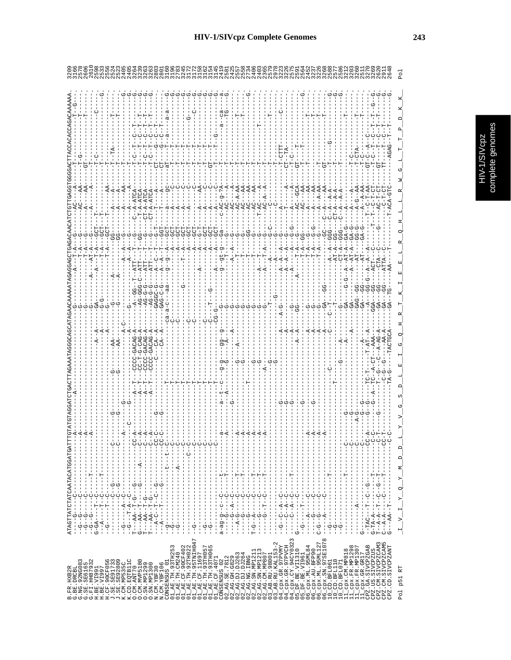|                                                                                  |                      |                                | $\mathbf{I}$ | Ť<br>$\frac{1}{2}$                              | ÷,<br>$\frac{1}{1}$                          |   |    | $\begin{bmatrix} 1 & 1 & 1 \\ 0 & 1 & 1 \\ 0 & 1 & 1 \\ 1 & 1 & 1 \end{bmatrix}$ |  | יו<br>יטסט<br>יוויו |  | Ť<br>U<br>$\frac{1}{1}$ | ÷ | ÷ | i i | ÷<br>$\begin{smallmatrix} 1 & 1 & 1 \\ 0 & 0 & 0 & 1 \\ 0 & 1 & 1 & 1 \\ 0 & 1 & 1 & 1 \\ 0 & 0 & 1 & 1 \\ 0 & 0 & 0 & 1 \\ 0 & 0 & 0 & 1 \\ 0 & 0 & 0 & 1 \\ 0 & 0 & 0 & 1 \\ 0 & 0 & 0 & 1 \\ 0 & 0 & 0 & 1 \\ 0 & 0 & 0 & 1 \\ 0 & 0 & 0 & 1 \\ 0 & 0 & 0 & 1 \\ 0 & 0 & 0 & 1 \\ 0 & 0 & 0 & 1 \\ 0 & 0 & 0 & 1 \\ 0 & 0 & 0 & 1 \\ $ | ÷ | ÷             | ÷.                | ÷             |   | $\mathsf I$ |  |                                                                                                                                                                                                                                                                                                                                                                                                                                  |               |   |               |        |  |     |  |  |  |   |  |               |    |          | ÷             | Ť<br>$\begin{array}{c}\n0 \\ 0 \\ 1\n\end{array}$ | j.<br>$\frac{0}{1}$                   | ÷<br>$\frac{1}{1}$               |                      |            |                                                 |                       | U<br>-1      |
|----------------------------------------------------------------------------------|----------------------|--------------------------------|--------------|-------------------------------------------------|----------------------------------------------|---|----|----------------------------------------------------------------------------------|--|---------------------|--|-------------------------|---|---|-----|-------------------------------------------------------------------------------------------------------------------------------------------------------------------------------------------------------------------------------------------------------------------------------------------------------------------------------------------|---|---------------|-------------------|---------------|---|-------------|--|----------------------------------------------------------------------------------------------------------------------------------------------------------------------------------------------------------------------------------------------------------------------------------------------------------------------------------------------------------------------------------------------------------------------------------|---------------|---|---------------|--------|--|-----|--|--|--|---|--|---------------|----|----------|---------------|---------------------------------------------------|---------------------------------------|----------------------------------|----------------------|------------|-------------------------------------------------|-----------------------|--------------|
|                                                                                  |                      |                                |              |                                                 |                                              |   |    |                                                                                  |  |                     |  |                         |   |   |     |                                                                                                                                                                                                                                                                                                                                           |   |               |                   |               | Ĵ |             |  |                                                                                                                                                                                                                                                                                                                                                                                                                                  |               |   |               |        |  |     |  |  |  |   |  |               |    |          |               |                                                   |                                       |                                  |                      |            |                                                 | ï                     | <b>I</b>     |
| $\frac{1}{1}$<br>$\mathbf{I}$<br>$\frac{1}{1}$<br>Î.                             | $\ddot{r}$           | $\frac{1}{2}$<br>$\frac{1}{1}$ |              | Ť<br>Ĵ                                          | Ť                                            |   | п. |                                                                                  |  |                     |  |                         |   |   |     |                                                                                                                                                                                                                                                                                                                                           |   |               |                   | $\frac{1}{1}$ |   | ÷           |  | Ĵ.                                                                                                                                                                                                                                                                                                                                                                                                                               | $\frac{1}{2}$ | 부 | $\frac{1}{2}$ | ۲<br>ا |  |     |  |  |  |   |  | $\frac{1}{1}$ |    |          | $\frac{1}{2}$ | $\frac{1}{1}$                                     | J,                                    |                                  | f,                   | יך<br>י    | ד<br>ד                                          | $-1$                  |              |
| $\mathsf I$<br>$\mathbb T$<br>$\mathbf{I}$<br>L.<br>$\mathbf{I}$<br>$\mathbf{I}$ | $\mathbf{I}$<br>- 11 | ÷<br>$\blacksquare$            |              | $\frac{1}{1}$                                   | ּוֹיִםְ לִי<br>         <br>טְטְטְטְ<br>!!!! |   |    |                                                                                  |  |                     |  |                         |   |   |     |                                                                                                                                                                                                                                                                                                                                           |   |               |                   |               |   |             |  |                                                                                                                                                                                                                                                                                                                                                                                                                                  |               |   |               |        |  | -11 |  |  |  | ÷ |  |               |    |          |               | $\frac{1}{4}$                                     |                                       | $\mathsf I$                      | $\frac{6}{1}$        |            | $-\frac{6}{1}$                                  |                       |              |
|                                                                                  | י<br>י               |                                |              | $\frac{1}{1}$<br>$\frac{1}{1}$<br>$\frac{1}{2}$ | т<br>ı                                       | ı |    |                                                                                  |  |                     |  |                         |   |   |     | 414                                                                                                                                                                                                                                                                                                                                       |   |               |                   |               |   |             |  | $\begin{array}{l} \mathbf{a} = \mathbf{a} + \mathbf{b} + \mathbf{c} + \mathbf{c} + \mathbf{c} + \mathbf{c} + \mathbf{c} + \mathbf{c} + \mathbf{c} + \mathbf{c} + \mathbf{c} + \mathbf{c} + \mathbf{c} + \mathbf{c} + \mathbf{c} + \mathbf{c} + \mathbf{c} + \mathbf{c} + \mathbf{c} + \mathbf{c} + \mathbf{c} + \mathbf{c} + \mathbf{c} + \mathbf{c} + \mathbf{c} + \mathbf{c} + \mathbf{c} + \mathbf{c} + \mathbf{c} + \mathbf$ |               |   |               |        |  |     |  |  |  |   |  |               | Ť. | Ħ        |               | Ť<br>$\overline{\phantom{a}}$                     | $-4 - -1$                             | $\mathbf{I}$<br>-                | $-1 - 1 - 1 - 1 - 1$ |            | : - TA - A - - - - - C<br>: - - A - A - - T - C | $- - - - - - - - - -$ | ÷<br>        |
| မှုမှုမှု<br>မှုမှုမှု<br>ن<br>ا<br>$\frac{1}{2}$<br>Ť                           | Ġ<br>- 11            | $- - A - -$<br>$G-GA-$         |              | $\frac{1}{1}$<br>؋                              | т<br>-1                                      |   |    |                                                                                  |  |                     |  |                         |   |   |     | ن<br>-                                                                                                                                                                                                                                                                                                                                    |   | $\frac{1}{6}$ | J,<br>ပုံ ပုံ<br> |               |   |             |  |                                                                                                                                                                                                                                                                                                                                                                                                                                  |               |   |               |        |  |     |  |  |  |   |  |               |    | $-1 - 1$ |               | п<br>$\mathsf I$<br>$\mathbb I$<br>- 1            | -1<br>$\,$ I<br>$\blacksquare$<br>- 1 | $\stackrel{1}{\circlearrowleft}$ |                      | $G-TA-A--$ |                                                 | ↻                     | $---AA$<br>ひ |
|                                                                                  |                      |                                |              |                                                 |                                              |   |    |                                                                                  |  |                     |  |                         |   |   |     |                                                                                                                                                                                                                                                                                                                                           |   |               |                   |               |   |             |  |                                                                                                                                                                                                                                                                                                                                                                                                                                  |               |   |               |        |  |     |  |  |  |   |  |               |    |          |               |                                                   |                                       |                                  |                      |            |                                                 |                       |              |
|                                                                                  |                      |                                |              |                                                 |                                              |   |    |                                                                                  |  |                     |  |                         |   |   |     |                                                                                                                                                                                                                                                                                                                                           |   |               |                   |               |   |             |  |                                                                                                                                                                                                                                                                                                                                                                                                                                  |               |   |               |        |  |     |  |  |  |   |  |               |    |          |               |                                                   |                                       |                                  |                      |            |                                                 |                       |              |
| .FR.HXB2R<br>.BE.DRCBL                                                           |                      |                                |              |                                                 |                                              |   |    |                                                                                  |  |                     |  |                         |   |   |     |                                                                                                                                                                                                                                                                                                                                           |   |               |                   |               |   |             |  |                                                                                                                                                                                                                                                                                                                                                                                                                                  |               |   |               |        |  |     |  |  |  |   |  |               |    |          |               |                                                   |                                       |                                  |                      |            |                                                 |                       |              |
| 四ひ                                                                               |                      |                                |              |                                                 |                                              |   |    |                                                                                  |  |                     |  |                         |   |   |     |                                                                                                                                                                                                                                                                                                                                           |   |               |                   |               |   |             |  |                                                                                                                                                                                                                                                                                                                                                                                                                                  |               |   |               |        |  |     |  |  |  |   |  |               |    |          |               |                                                   |                                       |                                  |                      |            |                                                 |                       |              |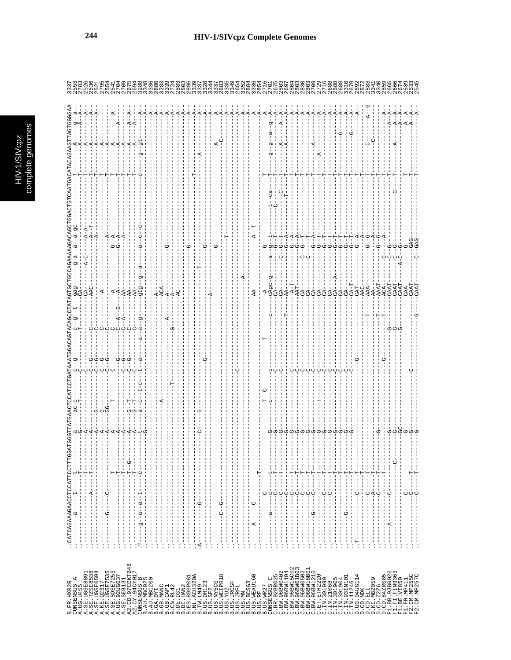complete genomes HIV-1/SIVopz

| K,<br>К<br>ס<br>К<br>ፈ ⊄<br>ひ<br>đ<br>A A A A<br>চ<br>$\dot{A}$ $\dot{A}$<br>Ü<br>ה<br>ਨਾ<br>תז<br>δ,<br>U<br>€<br>HHKKU<br>$A \land A$<br>HHKK<br>$\triangle$ $\Box$<br>ন' ত<br>ΚΗ<br>нн<br>н<br>н<br>Ġ<br>せせせせ<br>じ じ<br>じ じ<br>てりてり<br>てり<br>てり<br>$\tau$<br>τ٠<br>לז הל<br>てり<br>O<br>cAg<br>CA-<br>gtg<br>ACA<br>K,<br>ひ<br>ס<br>めひめ<br>U)<br>m<br>υυ<br><b>ひ ひ</b><br>ひ<br>ひ<br>U<br>99<br>ひ<br>ひ<br>υυ<br>đ<br>ტ ტ ტ ტ ტ ტ<br>********************<br>⊄⊄⊄⊄⊄<br>⋖⋖<br>$\mathbf{I}$<br>J.<br>I<br>$\frac{1}{1}$<br>J<br>-1<br>$\frac{1}{1}$<br>$\mathbf{I}$<br>$\mathbf{I}$<br>- 1<br>- 1<br>Ť.<br>$\mathbf I$<br>$\mathbf I$<br>$\mathsf I$<br>$\,$ I<br>I<br>$\frac{1}{1}$<br>Ħ<br>$\begin{matrix} 1 \\ 1 \\ 1 \end{matrix}$<br>т<br>ŧ<br>$\mathbf{I}$<br>Ť.<br>T<br>t<br>È.<br>$\ddot{\cdot}$<br>$\ddot{\cdot}$<br>:<br>$\bullet$ |  |  |
|-------------------------------------------------------------------------------------------------------------------------------------------------------------------------------------------------------------------------------------------------------------------------------------------------------------------------------------------------------------------------------------------------------------------------------------------------------------------------------------------------------------------------------------------------------------------------------------------------------------------------------------------------------------------------------------------------------------------------------------------------------------------------------------------------------------------------------------------|--|--|
|                                                                                                                                                                                                                                                                                                                                                                                                                                                                                                                                                                                                                                                                                                                                                                                                                                           |  |  |
|                                                                                                                                                                                                                                                                                                                                                                                                                                                                                                                                                                                                                                                                                                                                                                                                                                           |  |  |
|                                                                                                                                                                                                                                                                                                                                                                                                                                                                                                                                                                                                                                                                                                                                                                                                                                           |  |  |
|                                                                                                                                                                                                                                                                                                                                                                                                                                                                                                                                                                                                                                                                                                                                                                                                                                           |  |  |
|                                                                                                                                                                                                                                                                                                                                                                                                                                                                                                                                                                                                                                                                                                                                                                                                                                           |  |  |
|                                                                                                                                                                                                                                                                                                                                                                                                                                                                                                                                                                                                                                                                                                                                                                                                                                           |  |  |
|                                                                                                                                                                                                                                                                                                                                                                                                                                                                                                                                                                                                                                                                                                                                                                                                                                           |  |  |
|                                                                                                                                                                                                                                                                                                                                                                                                                                                                                                                                                                                                                                                                                                                                                                                                                                           |  |  |
|                                                                                                                                                                                                                                                                                                                                                                                                                                                                                                                                                                                                                                                                                                                                                                                                                                           |  |  |
|                                                                                                                                                                                                                                                                                                                                                                                                                                                                                                                                                                                                                                                                                                                                                                                                                                           |  |  |
|                                                                                                                                                                                                                                                                                                                                                                                                                                                                                                                                                                                                                                                                                                                                                                                                                                           |  |  |
|                                                                                                                                                                                                                                                                                                                                                                                                                                                                                                                                                                                                                                                                                                                                                                                                                                           |  |  |
|                                                                                                                                                                                                                                                                                                                                                                                                                                                                                                                                                                                                                                                                                                                                                                                                                                           |  |  |
|                                                                                                                                                                                                                                                                                                                                                                                                                                                                                                                                                                                                                                                                                                                                                                                                                                           |  |  |
|                                                                                                                                                                                                                                                                                                                                                                                                                                                                                                                                                                                                                                                                                                                                                                                                                                           |  |  |
|                                                                                                                                                                                                                                                                                                                                                                                                                                                                                                                                                                                                                                                                                                                                                                                                                                           |  |  |
|                                                                                                                                                                                                                                                                                                                                                                                                                                                                                                                                                                                                                                                                                                                                                                                                                                           |  |  |
|                                                                                                                                                                                                                                                                                                                                                                                                                                                                                                                                                                                                                                                                                                                                                                                                                                           |  |  |
|                                                                                                                                                                                                                                                                                                                                                                                                                                                                                                                                                                                                                                                                                                                                                                                                                                           |  |  |
|                                                                                                                                                                                                                                                                                                                                                                                                                                                                                                                                                                                                                                                                                                                                                                                                                                           |  |  |
|                                                                                                                                                                                                                                                                                                                                                                                                                                                                                                                                                                                                                                                                                                                                                                                                                                           |  |  |
|                                                                                                                                                                                                                                                                                                                                                                                                                                                                                                                                                                                                                                                                                                                                                                                                                                           |  |  |
|                                                                                                                                                                                                                                                                                                                                                                                                                                                                                                                                                                                                                                                                                                                                                                                                                                           |  |  |
|                                                                                                                                                                                                                                                                                                                                                                                                                                                                                                                                                                                                                                                                                                                                                                                                                                           |  |  |
|                                                                                                                                                                                                                                                                                                                                                                                                                                                                                                                                                                                                                                                                                                                                                                                                                                           |  |  |
|                                                                                                                                                                                                                                                                                                                                                                                                                                                                                                                                                                                                                                                                                                                                                                                                                                           |  |  |
|                                                                                                                                                                                                                                                                                                                                                                                                                                                                                                                                                                                                                                                                                                                                                                                                                                           |  |  |
|                                                                                                                                                                                                                                                                                                                                                                                                                                                                                                                                                                                                                                                                                                                                                                                                                                           |  |  |
|                                                                                                                                                                                                                                                                                                                                                                                                                                                                                                                                                                                                                                                                                                                                                                                                                                           |  |  |
|                                                                                                                                                                                                                                                                                                                                                                                                                                                                                                                                                                                                                                                                                                                                                                                                                                           |  |  |
|                                                                                                                                                                                                                                                                                                                                                                                                                                                                                                                                                                                                                                                                                                                                                                                                                                           |  |  |
|                                                                                                                                                                                                                                                                                                                                                                                                                                                                                                                                                                                                                                                                                                                                                                                                                                           |  |  |
|                                                                                                                                                                                                                                                                                                                                                                                                                                                                                                                                                                                                                                                                                                                                                                                                                                           |  |  |
|                                                                                                                                                                                                                                                                                                                                                                                                                                                                                                                                                                                                                                                                                                                                                                                                                                           |  |  |
|                                                                                                                                                                                                                                                                                                                                                                                                                                                                                                                                                                                                                                                                                                                                                                                                                                           |  |  |
|                                                                                                                                                                                                                                                                                                                                                                                                                                                                                                                                                                                                                                                                                                                                                                                                                                           |  |  |
|                                                                                                                                                                                                                                                                                                                                                                                                                                                                                                                                                                                                                                                                                                                                                                                                                                           |  |  |
|                                                                                                                                                                                                                                                                                                                                                                                                                                                                                                                                                                                                                                                                                                                                                                                                                                           |  |  |
|                                                                                                                                                                                                                                                                                                                                                                                                                                                                                                                                                                                                                                                                                                                                                                                                                                           |  |  |
|                                                                                                                                                                                                                                                                                                                                                                                                                                                                                                                                                                                                                                                                                                                                                                                                                                           |  |  |
|                                                                                                                                                                                                                                                                                                                                                                                                                                                                                                                                                                                                                                                                                                                                                                                                                                           |  |  |
|                                                                                                                                                                                                                                                                                                                                                                                                                                                                                                                                                                                                                                                                                                                                                                                                                                           |  |  |
|                                                                                                                                                                                                                                                                                                                                                                                                                                                                                                                                                                                                                                                                                                                                                                                                                                           |  |  |
|                                                                                                                                                                                                                                                                                                                                                                                                                                                                                                                                                                                                                                                                                                                                                                                                                                           |  |  |
|                                                                                                                                                                                                                                                                                                                                                                                                                                                                                                                                                                                                                                                                                                                                                                                                                                           |  |  |
|                                                                                                                                                                                                                                                                                                                                                                                                                                                                                                                                                                                                                                                                                                                                                                                                                                           |  |  |
|                                                                                                                                                                                                                                                                                                                                                                                                                                                                                                                                                                                                                                                                                                                                                                                                                                           |  |  |
|                                                                                                                                                                                                                                                                                                                                                                                                                                                                                                                                                                                                                                                                                                                                                                                                                                           |  |  |
|                                                                                                                                                                                                                                                                                                                                                                                                                                                                                                                                                                                                                                                                                                                                                                                                                                           |  |  |
|                                                                                                                                                                                                                                                                                                                                                                                                                                                                                                                                                                                                                                                                                                                                                                                                                                           |  |  |
|                                                                                                                                                                                                                                                                                                                                                                                                                                                                                                                                                                                                                                                                                                                                                                                                                                           |  |  |
|                                                                                                                                                                                                                                                                                                                                                                                                                                                                                                                                                                                                                                                                                                                                                                                                                                           |  |  |
|                                                                                                                                                                                                                                                                                                                                                                                                                                                                                                                                                                                                                                                                                                                                                                                                                                           |  |  |
|                                                                                                                                                                                                                                                                                                                                                                                                                                                                                                                                                                                                                                                                                                                                                                                                                                           |  |  |
|                                                                                                                                                                                                                                                                                                                                                                                                                                                                                                                                                                                                                                                                                                                                                                                                                                           |  |  |
|                                                                                                                                                                                                                                                                                                                                                                                                                                                                                                                                                                                                                                                                                                                                                                                                                                           |  |  |
|                                                                                                                                                                                                                                                                                                                                                                                                                                                                                                                                                                                                                                                                                                                                                                                                                                           |  |  |
|                                                                                                                                                                                                                                                                                                                                                                                                                                                                                                                                                                                                                                                                                                                                                                                                                                           |  |  |
|                                                                                                                                                                                                                                                                                                                                                                                                                                                                                                                                                                                                                                                                                                                                                                                                                                           |  |  |
|                                                                                                                                                                                                                                                                                                                                                                                                                                                                                                                                                                                                                                                                                                                                                                                                                                           |  |  |
|                                                                                                                                                                                                                                                                                                                                                                                                                                                                                                                                                                                                                                                                                                                                                                                                                                           |  |  |
|                                                                                                                                                                                                                                                                                                                                                                                                                                                                                                                                                                                                                                                                                                                                                                                                                                           |  |  |
|                                                                                                                                                                                                                                                                                                                                                                                                                                                                                                                                                                                                                                                                                                                                                                                                                                           |  |  |
|                                                                                                                                                                                                                                                                                                                                                                                                                                                                                                                                                                                                                                                                                                                                                                                                                                           |  |  |
|                                                                                                                                                                                                                                                                                                                                                                                                                                                                                                                                                                                                                                                                                                                                                                                                                                           |  |  |
|                                                                                                                                                                                                                                                                                                                                                                                                                                                                                                                                                                                                                                                                                                                                                                                                                                           |  |  |
|                                                                                                                                                                                                                                                                                                                                                                                                                                                                                                                                                                                                                                                                                                                                                                                                                                           |  |  |
|                                                                                                                                                                                                                                                                                                                                                                                                                                                                                                                                                                                                                                                                                                                                                                                                                                           |  |  |
|                                                                                                                                                                                                                                                                                                                                                                                                                                                                                                                                                                                                                                                                                                                                                                                                                                           |  |  |
|                                                                                                                                                                                                                                                                                                                                                                                                                                                                                                                                                                                                                                                                                                                                                                                                                                           |  |  |
|                                                                                                                                                                                                                                                                                                                                                                                                                                                                                                                                                                                                                                                                                                                                                                                                                                           |  |  |
|                                                                                                                                                                                                                                                                                                                                                                                                                                                                                                                                                                                                                                                                                                                                                                                                                                           |  |  |
|                                                                                                                                                                                                                                                                                                                                                                                                                                                                                                                                                                                                                                                                                                                                                                                                                                           |  |  |
|                                                                                                                                                                                                                                                                                                                                                                                                                                                                                                                                                                                                                                                                                                                                                                                                                                           |  |  |
|                                                                                                                                                                                                                                                                                                                                                                                                                                                                                                                                                                                                                                                                                                                                                                                                                                           |  |  |
|                                                                                                                                                                                                                                                                                                                                                                                                                                                                                                                                                                                                                                                                                                                                                                                                                                           |  |  |
| J.<br>$\overline{\phantom{a}}$<br>$\mathbf{I}$<br>$\,$ $\,$                                                                                                                                                                                                                                                                                                                                                                                                                                                                                                                                                                                                                                                                                                                                                                               |  |  |
| $\blacksquare$<br>J,                                                                                                                                                                                                                                                                                                                                                                                                                                                                                                                                                                                                                                                                                                                                                                                                                      |  |  |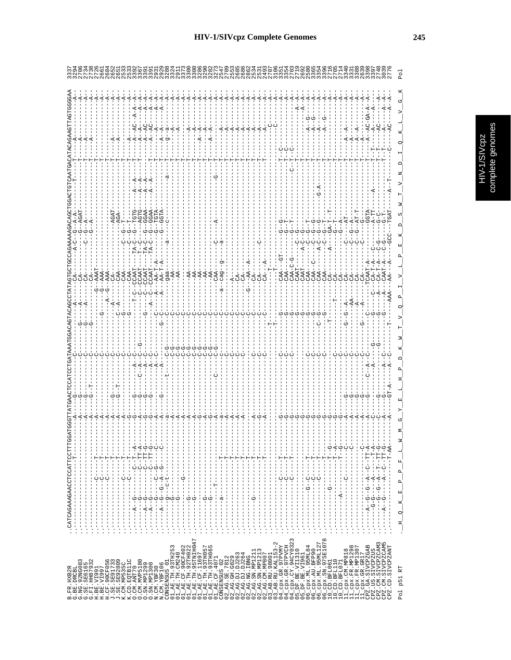| TGTG<br>AGTG<br>유민이 일어 있다<br>めめ<br>ÒÒ<br>ひ<br>てり<br>$A = 1$<br>j<br>j.<br>÷.<br>$\begin{bmatrix} 1 & 1 & 1 & 1 \\ 0 & 0 & 0 & 0 \\ 1 & 1 & 0 & 0 \\ 0 & 0 & 0 & 1 \\ 0 & 0 & 0 & 1 \\ 0 & 0 & 0 & 1 \\ 0 & 0 & 0 & 1 \\ 0 & 0 & 0 & 1 \\ 0 & 0 & 0 & 1 \\ 0 & 0 & 0 & 1 \\ 0 & 0 & 0 & 1 \\ 0 & 0 & 0 & 1 \\ 0 & 0 & 0 & 1 \\ 0 & 0 & 0 & 1 \\ 0 & 0 & 0 & 1 \\ 0 & 0 & 0 & 1 \\ 0 & 0 & 0 & 1 \\ 0 & 0 & 0 & $<br>f.<br>i<br>i<br>$\mathbf{I}$<br>$-1T$ $T - A$<br>Ü<br>$-1 - T - A$<br>$- -R - -T - -T - -G -$<br>$-1$ $T$ $T$ $-$ G<br>ŧ<br>$\frac{1}{1}$<br>$\frac{1}{1}$<br>÷<br>÷<br>J,<br>ŧ<br>÷<br>÷<br>÷<br>÷<br>÷<br>÷<br>$\overline{1}$<br>$\mathbf{I}$<br>$\mathbf{I}$<br>$\mathbf{I}$<br>$\blacksquare$<br>$\mathbf{I}$<br>$\blacksquare$<br>$\mathbf{I}$<br>$\blacksquare$<br>부<br>н<br>$-1$<br>$\frac{1}{2}$<br>부<br>부부<br>$\begin{array}{c} \begin{array}{c} 1 & 0 \\ 1 & 1 \\ 1 & 1 \\ 1 & 1 \\ 1 & 1 \\ 1 & 1 \\ 1 & 1 \\ 1 & 1 \\ 1 & 1 \\ 1 & 1 \\ 1 & 1 \\ 1 & 1 \\ 1 & 1 \\ 1 & 1 \\ 1 & 1 \\ 1 & 1 \\ 1 & 1 \\ 1 & 1 \\ 1 & 1 \\ 1 & 1 \\ 1 & 1 \\ 1 & 1 \\ 1 & 1 \\ 1 & 1 \\ 1 & 1 \\ 1 & 1 \\ 1 & 1 \\ 1 & 1 \\ 1 & 1 \\ 1 & 1 \\ 1 & 1 \\ 1 & 1 \\ 1 & 1 \\ 1 & 1 \\ 1$<br>$\frac{1}{2}$<br>י<br>י<br>$-1$<br>부<br>부<br>۲<br>ا<br>٢-<br>부<br>Ĩ.<br>$\frac{1}{1}$<br>J.<br>ļ<br>1<br>-1<br>ŧ<br>-<br>J.<br>п<br>-<br>т<br>$\,$ I<br>לי<br> -<br> -<br> -<br>$\frac{1}{2}$<br>ł<br>$\mathbf{I}$<br>$\mathbf{I}$<br>Ť<br>$\frac{1}{1}$<br>$\frac{1}{1}$<br>$\frac{1}{1}$<br>-i<br>-i.<br>÷<br>t<br>Ť.<br>$\mathbf{I}$<br>$\overline{\phantom{a}}$<br>$\frac{1}{1}$<br>$\overline{1}$<br>$\,$ I<br>$\frac{1}{2}$<br>$-4$<br>$-4$<br>$\begin{array}{c} \nabla + \mathbf{1} & \mathbf{1} & \mathbf{1} \\ \nabla + \mathbf{1} & \mathbf{1} & \mathbf{1} \\ \nabla + \mathbf{1} & \mathbf{1} & \mathbf{1} \end{array}$<br>י ט<br>ו<br>$\overline{1}$<br>J.<br>$-$ - $-$ - $ -$<br>Ţ<br>$\frac{1}{1}$<br>$\frac{1}{1}$<br>$\frac{1}{1}$<br>$- - - \Gamma - - -$<br>$\begin{bmatrix} 1 \\ 1 \\ 1 \\ 1 \end{bmatrix}$<br>U<br>$\begin{array}{c}\n0 \\ 1\n\end{array}$<br>$\frac{0}{1}$<br>$\frac{1}{2}$<br>T<br>$-4$<br>O<br>O<br>$\frac{1}{1}$<br>T<br>J.<br>$\mathbf{I}$<br>$\frac{1}{4}$<br>Ť<br>ŧ<br>$\frac{1}{4}$<br><b>I</b><br>т<br>ł<br>п<br>п<br>-<br>$\frac{1}{1}$<br>1<br>Ť<br>Ť.<br>J.<br>$-1 - 0$<br>$-\frac{c}{1}$<br>甘<br>Ħ<br>$-1$<br>ט<br>ו<br>$\frac{6}{1}$<br>$\frac{1}{1}$<br>$- -A - -$<br>÷<br>÷<br>j.<br>$\frac{1}{1}$<br>ţ<br>$\mathbf{I}$<br>$\blacksquare$<br>$\frac{1}{1}$<br>÷<br>÷<br>J.<br>÷<br>$\frac{1}{1}$<br>$-1$<br>$-1$<br>$-1$<br>ţ<br>$\frac{1}{1}$<br>$\frac{1}{1}$<br>Ţ<br>Ţ<br>J<br>ł<br>$\mathbf{I}$<br>$\mathbf{I}$<br>$\blacksquare$<br>$\overline{1}$<br>-1<br>- 1<br>$\begin{array}{c} 1 & 0 & 0 \\ 0 & 1 & 1 \\ 0 & 1 & 1 \\ 0 & 1 & 1 \\ 0 & 0 & 1 \\ 0 & 0 & 1 \\ 0 & 0 & 0 \\ 0 & 0 & 0 \\ 0 & 0 & 0 \\ 0 & 0 & 0 \\ 0 & 0 & 0 \\ 0 & 0 & 0 \\ 0 & 0 & 0 \\ 0 & 0 & 0 \\ 0 & 0 & 0 \\ 0 & 0 & 0 & 0 \\ 0 & 0 & 0 & 0 \\ 0 & 0 & 0 & 0 \\ 0 & 0 & 0 & 0 \\ 0 & 0 & 0 & 0 \\ 0 & 0 & 0 & 0 & 0 \\ 0 &$<br>$- - - -$<br>$-\frac{a}{1}$<br>Ť.<br>$- - - - G$<br>$-1 - -1 - -1 -$<br>ن<br>ا<br>$-1 - 1$<br>I<br>$-4 - 8 - 9$<br>$-5 - 9 - 1$<br>ひ<br>Ť<br>Ħ<br>$\frac{1}{2}$<br>$\frac{1}{2}$<br>$\frac{1}{2}$<br>$\mathbf I$<br>$- - A$<br>$\frac{1}{1}$<br>$\frac{1}{1}$<br>$\frac{1}{1}$<br>ł<br>I<br>ţ<br>$\begin{array}{c} \hline \end{array}$<br>I<br>I.<br>т |  |  |  |  |  |  |
|---------------------------------------------------------------------------------------------------------------------------------------------------------------------------------------------------------------------------------------------------------------------------------------------------------------------------------------------------------------------------------------------------------------------------------------------------------------------------------------------------------------------------------------------------------------------------------------------------------------------------------------------------------------------------------------------------------------------------------------------------------------------------------------------------------------------------------------------------------------------------------------------------------------------------------------------------------------------------------------------------------------------------------------------------------------------------------------------------------------------------------------------------------------------------------------------------------------------------------------------------------------------------------------------------------------------------------------------------------------------------------------------------------------------------------------------------------------------------------------------------------------------------------------------------------------------------------------------------------------------------------------------------------------------------------------------------------------------------------------------------------------------------------------------------------------------------------------------------------------------------------------------------------------------------------------------------------------------------------------------------------------------------------------------------------------------------------------------------------------------------------------------------------------------------------------------------------------------------------------------------------------------------------------------------------------------------------------------------------------------------------------------------------------------------------------------------------------------------------------------------------------------------------------------------------------------------------------------------------------------------------------------------------------------------------------------------------------------------------------------------------------------------------------------------------------------------------------------------------------------------------------------------------------------------------------------------------------------------------------------------------------------------------------------------------------------------------------------------------------------------------------------------------------------------------------------------------------------------------------------------------------------------------------------------------------------------------------------------------------------------------------------------------------------------------|--|--|--|--|--|--|
|                                                                                                                                                                                                                                                                                                                                                                                                                                                                                                                                                                                                                                                                                                                                                                                                                                                                                                                                                                                                                                                                                                                                                                                                                                                                                                                                                                                                                                                                                                                                                                                                                                                                                                                                                                                                                                                                                                                                                                                                                                                                                                                                                                                                                                                                                                                                                                                                                                                                                                                                                                                                                                                                                                                                                                                                                                                                                                                                                                                                                                                                                                                                                                                                                                                                                                                                                                                                                                 |  |  |  |  |  |  |
|                                                                                                                                                                                                                                                                                                                                                                                                                                                                                                                                                                                                                                                                                                                                                                                                                                                                                                                                                                                                                                                                                                                                                                                                                                                                                                                                                                                                                                                                                                                                                                                                                                                                                                                                                                                                                                                                                                                                                                                                                                                                                                                                                                                                                                                                                                                                                                                                                                                                                                                                                                                                                                                                                                                                                                                                                                                                                                                                                                                                                                                                                                                                                                                                                                                                                                                                                                                                                                 |  |  |  |  |  |  |
| $\begin{smallmatrix} \textcolor{red}{0} & \textcolor{red}{0} & \textcolor{red}{0} & \textcolor{red}{0} & \textcolor{red}{0} & \textcolor{red}{0} & \textcolor{red}{0} & \textcolor{red}{0} & \textcolor{red}{0} & \textcolor{red}{0} & \textcolor{red}{0} & \textcolor{red}{0} & \textcolor{red}{0} & \textcolor{red}{0} & \textcolor{red}{0} & \textcolor{red}{0} & \textcolor{red}{0} & \textcolor{red}{0} & \textcolor{red}{0} & \textcolor{red}{0} & \textcolor{red}{0} & \textcolor{red}{0} & \textcolor{red}{0} & \textcolor{red}{0$                                                                                                                                                                                                                                                                                                                                                                                                                                                                                                                                                                                                                                                                                                                                                                                                                                                                                                                                                                                                                                                                                                                                                                                                                                                                                                                                                                                                                                                                                                                                                                                                                                                                                                                                                                                                                                                                                                                                                                                                                                                                                                                                                                                                                                                                                                                                                                                                                                                                                                                                                                                                                                                                                                                                                                                                                                                                                      |  |  |  |  |  |  |
|                                                                                                                                                                                                                                                                                                                                                                                                                                                                                                                                                                                                                                                                                                                                                                                                                                                                                                                                                                                                                                                                                                                                                                                                                                                                                                                                                                                                                                                                                                                                                                                                                                                                                                                                                                                                                                                                                                                                                                                                                                                                                                                                                                                                                                                                                                                                                                                                                                                                                                                                                                                                                                                                                                                                                                                                                                                                                                                                                                                                                                                                                                                                                                                                                                                                                                                                                                                                                                 |  |  |  |  |  |  |
|                                                                                                                                                                                                                                                                                                                                                                                                                                                                                                                                                                                                                                                                                                                                                                                                                                                                                                                                                                                                                                                                                                                                                                                                                                                                                                                                                                                                                                                                                                                                                                                                                                                                                                                                                                                                                                                                                                                                                                                                                                                                                                                                                                                                                                                                                                                                                                                                                                                                                                                                                                                                                                                                                                                                                                                                                                                                                                                                                                                                                                                                                                                                                                                                                                                                                                                                                                                                                                 |  |  |  |  |  |  |
|                                                                                                                                                                                                                                                                                                                                                                                                                                                                                                                                                                                                                                                                                                                                                                                                                                                                                                                                                                                                                                                                                                                                                                                                                                                                                                                                                                                                                                                                                                                                                                                                                                                                                                                                                                                                                                                                                                                                                                                                                                                                                                                                                                                                                                                                                                                                                                                                                                                                                                                                                                                                                                                                                                                                                                                                                                                                                                                                                                                                                                                                                                                                                                                                                                                                                                                                                                                                                                 |  |  |  |  |  |  |
|                                                                                                                                                                                                                                                                                                                                                                                                                                                                                                                                                                                                                                                                                                                                                                                                                                                                                                                                                                                                                                                                                                                                                                                                                                                                                                                                                                                                                                                                                                                                                                                                                                                                                                                                                                                                                                                                                                                                                                                                                                                                                                                                                                                                                                                                                                                                                                                                                                                                                                                                                                                                                                                                                                                                                                                                                                                                                                                                                                                                                                                                                                                                                                                                                                                                                                                                                                                                                                 |  |  |  |  |  |  |
|                                                                                                                                                                                                                                                                                                                                                                                                                                                                                                                                                                                                                                                                                                                                                                                                                                                                                                                                                                                                                                                                                                                                                                                                                                                                                                                                                                                                                                                                                                                                                                                                                                                                                                                                                                                                                                                                                                                                                                                                                                                                                                                                                                                                                                                                                                                                                                                                                                                                                                                                                                                                                                                                                                                                                                                                                                                                                                                                                                                                                                                                                                                                                                                                                                                                                                                                                                                                                                 |  |  |  |  |  |  |
|                                                                                                                                                                                                                                                                                                                                                                                                                                                                                                                                                                                                                                                                                                                                                                                                                                                                                                                                                                                                                                                                                                                                                                                                                                                                                                                                                                                                                                                                                                                                                                                                                                                                                                                                                                                                                                                                                                                                                                                                                                                                                                                                                                                                                                                                                                                                                                                                                                                                                                                                                                                                                                                                                                                                                                                                                                                                                                                                                                                                                                                                                                                                                                                                                                                                                                                                                                                                                                 |  |  |  |  |  |  |
|                                                                                                                                                                                                                                                                                                                                                                                                                                                                                                                                                                                                                                                                                                                                                                                                                                                                                                                                                                                                                                                                                                                                                                                                                                                                                                                                                                                                                                                                                                                                                                                                                                                                                                                                                                                                                                                                                                                                                                                                                                                                                                                                                                                                                                                                                                                                                                                                                                                                                                                                                                                                                                                                                                                                                                                                                                                                                                                                                                                                                                                                                                                                                                                                                                                                                                                                                                                                                                 |  |  |  |  |  |  |
|                                                                                                                                                                                                                                                                                                                                                                                                                                                                                                                                                                                                                                                                                                                                                                                                                                                                                                                                                                                                                                                                                                                                                                                                                                                                                                                                                                                                                                                                                                                                                                                                                                                                                                                                                                                                                                                                                                                                                                                                                                                                                                                                                                                                                                                                                                                                                                                                                                                                                                                                                                                                                                                                                                                                                                                                                                                                                                                                                                                                                                                                                                                                                                                                                                                                                                                                                                                                                                 |  |  |  |  |  |  |
|                                                                                                                                                                                                                                                                                                                                                                                                                                                                                                                                                                                                                                                                                                                                                                                                                                                                                                                                                                                                                                                                                                                                                                                                                                                                                                                                                                                                                                                                                                                                                                                                                                                                                                                                                                                                                                                                                                                                                                                                                                                                                                                                                                                                                                                                                                                                                                                                                                                                                                                                                                                                                                                                                                                                                                                                                                                                                                                                                                                                                                                                                                                                                                                                                                                                                                                                                                                                                                 |  |  |  |  |  |  |
|                                                                                                                                                                                                                                                                                                                                                                                                                                                                                                                                                                                                                                                                                                                                                                                                                                                                                                                                                                                                                                                                                                                                                                                                                                                                                                                                                                                                                                                                                                                                                                                                                                                                                                                                                                                                                                                                                                                                                                                                                                                                                                                                                                                                                                                                                                                                                                                                                                                                                                                                                                                                                                                                                                                                                                                                                                                                                                                                                                                                                                                                                                                                                                                                                                                                                                                                                                                                                                 |  |  |  |  |  |  |
|                                                                                                                                                                                                                                                                                                                                                                                                                                                                                                                                                                                                                                                                                                                                                                                                                                                                                                                                                                                                                                                                                                                                                                                                                                                                                                                                                                                                                                                                                                                                                                                                                                                                                                                                                                                                                                                                                                                                                                                                                                                                                                                                                                                                                                                                                                                                                                                                                                                                                                                                                                                                                                                                                                                                                                                                                                                                                                                                                                                                                                                                                                                                                                                                                                                                                                                                                                                                                                 |  |  |  |  |  |  |
|                                                                                                                                                                                                                                                                                                                                                                                                                                                                                                                                                                                                                                                                                                                                                                                                                                                                                                                                                                                                                                                                                                                                                                                                                                                                                                                                                                                                                                                                                                                                                                                                                                                                                                                                                                                                                                                                                                                                                                                                                                                                                                                                                                                                                                                                                                                                                                                                                                                                                                                                                                                                                                                                                                                                                                                                                                                                                                                                                                                                                                                                                                                                                                                                                                                                                                                                                                                                                                 |  |  |  |  |  |  |
|                                                                                                                                                                                                                                                                                                                                                                                                                                                                                                                                                                                                                                                                                                                                                                                                                                                                                                                                                                                                                                                                                                                                                                                                                                                                                                                                                                                                                                                                                                                                                                                                                                                                                                                                                                                                                                                                                                                                                                                                                                                                                                                                                                                                                                                                                                                                                                                                                                                                                                                                                                                                                                                                                                                                                                                                                                                                                                                                                                                                                                                                                                                                                                                                                                                                                                                                                                                                                                 |  |  |  |  |  |  |
|                                                                                                                                                                                                                                                                                                                                                                                                                                                                                                                                                                                                                                                                                                                                                                                                                                                                                                                                                                                                                                                                                                                                                                                                                                                                                                                                                                                                                                                                                                                                                                                                                                                                                                                                                                                                                                                                                                                                                                                                                                                                                                                                                                                                                                                                                                                                                                                                                                                                                                                                                                                                                                                                                                                                                                                                                                                                                                                                                                                                                                                                                                                                                                                                                                                                                                                                                                                                                                 |  |  |  |  |  |  |
|                                                                                                                                                                                                                                                                                                                                                                                                                                                                                                                                                                                                                                                                                                                                                                                                                                                                                                                                                                                                                                                                                                                                                                                                                                                                                                                                                                                                                                                                                                                                                                                                                                                                                                                                                                                                                                                                                                                                                                                                                                                                                                                                                                                                                                                                                                                                                                                                                                                                                                                                                                                                                                                                                                                                                                                                                                                                                                                                                                                                                                                                                                                                                                                                                                                                                                                                                                                                                                 |  |  |  |  |  |  |
|                                                                                                                                                                                                                                                                                                                                                                                                                                                                                                                                                                                                                                                                                                                                                                                                                                                                                                                                                                                                                                                                                                                                                                                                                                                                                                                                                                                                                                                                                                                                                                                                                                                                                                                                                                                                                                                                                                                                                                                                                                                                                                                                                                                                                                                                                                                                                                                                                                                                                                                                                                                                                                                                                                                                                                                                                                                                                                                                                                                                                                                                                                                                                                                                                                                                                                                                                                                                                                 |  |  |  |  |  |  |
|                                                                                                                                                                                                                                                                                                                                                                                                                                                                                                                                                                                                                                                                                                                                                                                                                                                                                                                                                                                                                                                                                                                                                                                                                                                                                                                                                                                                                                                                                                                                                                                                                                                                                                                                                                                                                                                                                                                                                                                                                                                                                                                                                                                                                                                                                                                                                                                                                                                                                                                                                                                                                                                                                                                                                                                                                                                                                                                                                                                                                                                                                                                                                                                                                                                                                                                                                                                                                                 |  |  |  |  |  |  |
|                                                                                                                                                                                                                                                                                                                                                                                                                                                                                                                                                                                                                                                                                                                                                                                                                                                                                                                                                                                                                                                                                                                                                                                                                                                                                                                                                                                                                                                                                                                                                                                                                                                                                                                                                                                                                                                                                                                                                                                                                                                                                                                                                                                                                                                                                                                                                                                                                                                                                                                                                                                                                                                                                                                                                                                                                                                                                                                                                                                                                                                                                                                                                                                                                                                                                                                                                                                                                                 |  |  |  |  |  |  |
|                                                                                                                                                                                                                                                                                                                                                                                                                                                                                                                                                                                                                                                                                                                                                                                                                                                                                                                                                                                                                                                                                                                                                                                                                                                                                                                                                                                                                                                                                                                                                                                                                                                                                                                                                                                                                                                                                                                                                                                                                                                                                                                                                                                                                                                                                                                                                                                                                                                                                                                                                                                                                                                                                                                                                                                                                                                                                                                                                                                                                                                                                                                                                                                                                                                                                                                                                                                                                                 |  |  |  |  |  |  |
|                                                                                                                                                                                                                                                                                                                                                                                                                                                                                                                                                                                                                                                                                                                                                                                                                                                                                                                                                                                                                                                                                                                                                                                                                                                                                                                                                                                                                                                                                                                                                                                                                                                                                                                                                                                                                                                                                                                                                                                                                                                                                                                                                                                                                                                                                                                                                                                                                                                                                                                                                                                                                                                                                                                                                                                                                                                                                                                                                                                                                                                                                                                                                                                                                                                                                                                                                                                                                                 |  |  |  |  |  |  |
|                                                                                                                                                                                                                                                                                                                                                                                                                                                                                                                                                                                                                                                                                                                                                                                                                                                                                                                                                                                                                                                                                                                                                                                                                                                                                                                                                                                                                                                                                                                                                                                                                                                                                                                                                                                                                                                                                                                                                                                                                                                                                                                                                                                                                                                                                                                                                                                                                                                                                                                                                                                                                                                                                                                                                                                                                                                                                                                                                                                                                                                                                                                                                                                                                                                                                                                                                                                                                                 |  |  |  |  |  |  |
|                                                                                                                                                                                                                                                                                                                                                                                                                                                                                                                                                                                                                                                                                                                                                                                                                                                                                                                                                                                                                                                                                                                                                                                                                                                                                                                                                                                                                                                                                                                                                                                                                                                                                                                                                                                                                                                                                                                                                                                                                                                                                                                                                                                                                                                                                                                                                                                                                                                                                                                                                                                                                                                                                                                                                                                                                                                                                                                                                                                                                                                                                                                                                                                                                                                                                                                                                                                                                                 |  |  |  |  |  |  |
|                                                                                                                                                                                                                                                                                                                                                                                                                                                                                                                                                                                                                                                                                                                                                                                                                                                                                                                                                                                                                                                                                                                                                                                                                                                                                                                                                                                                                                                                                                                                                                                                                                                                                                                                                                                                                                                                                                                                                                                                                                                                                                                                                                                                                                                                                                                                                                                                                                                                                                                                                                                                                                                                                                                                                                                                                                                                                                                                                                                                                                                                                                                                                                                                                                                                                                                                                                                                                                 |  |  |  |  |  |  |
|                                                                                                                                                                                                                                                                                                                                                                                                                                                                                                                                                                                                                                                                                                                                                                                                                                                                                                                                                                                                                                                                                                                                                                                                                                                                                                                                                                                                                                                                                                                                                                                                                                                                                                                                                                                                                                                                                                                                                                                                                                                                                                                                                                                                                                                                                                                                                                                                                                                                                                                                                                                                                                                                                                                                                                                                                                                                                                                                                                                                                                                                                                                                                                                                                                                                                                                                                                                                                                 |  |  |  |  |  |  |
|                                                                                                                                                                                                                                                                                                                                                                                                                                                                                                                                                                                                                                                                                                                                                                                                                                                                                                                                                                                                                                                                                                                                                                                                                                                                                                                                                                                                                                                                                                                                                                                                                                                                                                                                                                                                                                                                                                                                                                                                                                                                                                                                                                                                                                                                                                                                                                                                                                                                                                                                                                                                                                                                                                                                                                                                                                                                                                                                                                                                                                                                                                                                                                                                                                                                                                                                                                                                                                 |  |  |  |  |  |  |
|                                                                                                                                                                                                                                                                                                                                                                                                                                                                                                                                                                                                                                                                                                                                                                                                                                                                                                                                                                                                                                                                                                                                                                                                                                                                                                                                                                                                                                                                                                                                                                                                                                                                                                                                                                                                                                                                                                                                                                                                                                                                                                                                                                                                                                                                                                                                                                                                                                                                                                                                                                                                                                                                                                                                                                                                                                                                                                                                                                                                                                                                                                                                                                                                                                                                                                                                                                                                                                 |  |  |  |  |  |  |
|                                                                                                                                                                                                                                                                                                                                                                                                                                                                                                                                                                                                                                                                                                                                                                                                                                                                                                                                                                                                                                                                                                                                                                                                                                                                                                                                                                                                                                                                                                                                                                                                                                                                                                                                                                                                                                                                                                                                                                                                                                                                                                                                                                                                                                                                                                                                                                                                                                                                                                                                                                                                                                                                                                                                                                                                                                                                                                                                                                                                                                                                                                                                                                                                                                                                                                                                                                                                                                 |  |  |  |  |  |  |
|                                                                                                                                                                                                                                                                                                                                                                                                                                                                                                                                                                                                                                                                                                                                                                                                                                                                                                                                                                                                                                                                                                                                                                                                                                                                                                                                                                                                                                                                                                                                                                                                                                                                                                                                                                                                                                                                                                                                                                                                                                                                                                                                                                                                                                                                                                                                                                                                                                                                                                                                                                                                                                                                                                                                                                                                                                                                                                                                                                                                                                                                                                                                                                                                                                                                                                                                                                                                                                 |  |  |  |  |  |  |
|                                                                                                                                                                                                                                                                                                                                                                                                                                                                                                                                                                                                                                                                                                                                                                                                                                                                                                                                                                                                                                                                                                                                                                                                                                                                                                                                                                                                                                                                                                                                                                                                                                                                                                                                                                                                                                                                                                                                                                                                                                                                                                                                                                                                                                                                                                                                                                                                                                                                                                                                                                                                                                                                                                                                                                                                                                                                                                                                                                                                                                                                                                                                                                                                                                                                                                                                                                                                                                 |  |  |  |  |  |  |
|                                                                                                                                                                                                                                                                                                                                                                                                                                                                                                                                                                                                                                                                                                                                                                                                                                                                                                                                                                                                                                                                                                                                                                                                                                                                                                                                                                                                                                                                                                                                                                                                                                                                                                                                                                                                                                                                                                                                                                                                                                                                                                                                                                                                                                                                                                                                                                                                                                                                                                                                                                                                                                                                                                                                                                                                                                                                                                                                                                                                                                                                                                                                                                                                                                                                                                                                                                                                                                 |  |  |  |  |  |  |
|                                                                                                                                                                                                                                                                                                                                                                                                                                                                                                                                                                                                                                                                                                                                                                                                                                                                                                                                                                                                                                                                                                                                                                                                                                                                                                                                                                                                                                                                                                                                                                                                                                                                                                                                                                                                                                                                                                                                                                                                                                                                                                                                                                                                                                                                                                                                                                                                                                                                                                                                                                                                                                                                                                                                                                                                                                                                                                                                                                                                                                                                                                                                                                                                                                                                                                                                                                                                                                 |  |  |  |  |  |  |
|                                                                                                                                                                                                                                                                                                                                                                                                                                                                                                                                                                                                                                                                                                                                                                                                                                                                                                                                                                                                                                                                                                                                                                                                                                                                                                                                                                                                                                                                                                                                                                                                                                                                                                                                                                                                                                                                                                                                                                                                                                                                                                                                                                                                                                                                                                                                                                                                                                                                                                                                                                                                                                                                                                                                                                                                                                                                                                                                                                                                                                                                                                                                                                                                                                                                                                                                                                                                                                 |  |  |  |  |  |  |
|                                                                                                                                                                                                                                                                                                                                                                                                                                                                                                                                                                                                                                                                                                                                                                                                                                                                                                                                                                                                                                                                                                                                                                                                                                                                                                                                                                                                                                                                                                                                                                                                                                                                                                                                                                                                                                                                                                                                                                                                                                                                                                                                                                                                                                                                                                                                                                                                                                                                                                                                                                                                                                                                                                                                                                                                                                                                                                                                                                                                                                                                                                                                                                                                                                                                                                                                                                                                                                 |  |  |  |  |  |  |
|                                                                                                                                                                                                                                                                                                                                                                                                                                                                                                                                                                                                                                                                                                                                                                                                                                                                                                                                                                                                                                                                                                                                                                                                                                                                                                                                                                                                                                                                                                                                                                                                                                                                                                                                                                                                                                                                                                                                                                                                                                                                                                                                                                                                                                                                                                                                                                                                                                                                                                                                                                                                                                                                                                                                                                                                                                                                                                                                                                                                                                                                                                                                                                                                                                                                                                                                                                                                                                 |  |  |  |  |  |  |
|                                                                                                                                                                                                                                                                                                                                                                                                                                                                                                                                                                                                                                                                                                                                                                                                                                                                                                                                                                                                                                                                                                                                                                                                                                                                                                                                                                                                                                                                                                                                                                                                                                                                                                                                                                                                                                                                                                                                                                                                                                                                                                                                                                                                                                                                                                                                                                                                                                                                                                                                                                                                                                                                                                                                                                                                                                                                                                                                                                                                                                                                                                                                                                                                                                                                                                                                                                                                                                 |  |  |  |  |  |  |
|                                                                                                                                                                                                                                                                                                                                                                                                                                                                                                                                                                                                                                                                                                                                                                                                                                                                                                                                                                                                                                                                                                                                                                                                                                                                                                                                                                                                                                                                                                                                                                                                                                                                                                                                                                                                                                                                                                                                                                                                                                                                                                                                                                                                                                                                                                                                                                                                                                                                                                                                                                                                                                                                                                                                                                                                                                                                                                                                                                                                                                                                                                                                                                                                                                                                                                                                                                                                                                 |  |  |  |  |  |  |
|                                                                                                                                                                                                                                                                                                                                                                                                                                                                                                                                                                                                                                                                                                                                                                                                                                                                                                                                                                                                                                                                                                                                                                                                                                                                                                                                                                                                                                                                                                                                                                                                                                                                                                                                                                                                                                                                                                                                                                                                                                                                                                                                                                                                                                                                                                                                                                                                                                                                                                                                                                                                                                                                                                                                                                                                                                                                                                                                                                                                                                                                                                                                                                                                                                                                                                                                                                                                                                 |  |  |  |  |  |  |
|                                                                                                                                                                                                                                                                                                                                                                                                                                                                                                                                                                                                                                                                                                                                                                                                                                                                                                                                                                                                                                                                                                                                                                                                                                                                                                                                                                                                                                                                                                                                                                                                                                                                                                                                                                                                                                                                                                                                                                                                                                                                                                                                                                                                                                                                                                                                                                                                                                                                                                                                                                                                                                                                                                                                                                                                                                                                                                                                                                                                                                                                                                                                                                                                                                                                                                                                                                                                                                 |  |  |  |  |  |  |
|                                                                                                                                                                                                                                                                                                                                                                                                                                                                                                                                                                                                                                                                                                                                                                                                                                                                                                                                                                                                                                                                                                                                                                                                                                                                                                                                                                                                                                                                                                                                                                                                                                                                                                                                                                                                                                                                                                                                                                                                                                                                                                                                                                                                                                                                                                                                                                                                                                                                                                                                                                                                                                                                                                                                                                                                                                                                                                                                                                                                                                                                                                                                                                                                                                                                                                                                                                                                                                 |  |  |  |  |  |  |
|                                                                                                                                                                                                                                                                                                                                                                                                                                                                                                                                                                                                                                                                                                                                                                                                                                                                                                                                                                                                                                                                                                                                                                                                                                                                                                                                                                                                                                                                                                                                                                                                                                                                                                                                                                                                                                                                                                                                                                                                                                                                                                                                                                                                                                                                                                                                                                                                                                                                                                                                                                                                                                                                                                                                                                                                                                                                                                                                                                                                                                                                                                                                                                                                                                                                                                                                                                                                                                 |  |  |  |  |  |  |
|                                                                                                                                                                                                                                                                                                                                                                                                                                                                                                                                                                                                                                                                                                                                                                                                                                                                                                                                                                                                                                                                                                                                                                                                                                                                                                                                                                                                                                                                                                                                                                                                                                                                                                                                                                                                                                                                                                                                                                                                                                                                                                                                                                                                                                                                                                                                                                                                                                                                                                                                                                                                                                                                                                                                                                                                                                                                                                                                                                                                                                                                                                                                                                                                                                                                                                                                                                                                                                 |  |  |  |  |  |  |
|                                                                                                                                                                                                                                                                                                                                                                                                                                                                                                                                                                                                                                                                                                                                                                                                                                                                                                                                                                                                                                                                                                                                                                                                                                                                                                                                                                                                                                                                                                                                                                                                                                                                                                                                                                                                                                                                                                                                                                                                                                                                                                                                                                                                                                                                                                                                                                                                                                                                                                                                                                                                                                                                                                                                                                                                                                                                                                                                                                                                                                                                                                                                                                                                                                                                                                                                                                                                                                 |  |  |  |  |  |  |
|                                                                                                                                                                                                                                                                                                                                                                                                                                                                                                                                                                                                                                                                                                                                                                                                                                                                                                                                                                                                                                                                                                                                                                                                                                                                                                                                                                                                                                                                                                                                                                                                                                                                                                                                                                                                                                                                                                                                                                                                                                                                                                                                                                                                                                                                                                                                                                                                                                                                                                                                                                                                                                                                                                                                                                                                                                                                                                                                                                                                                                                                                                                                                                                                                                                                                                                                                                                                                                 |  |  |  |  |  |  |
|                                                                                                                                                                                                                                                                                                                                                                                                                                                                                                                                                                                                                                                                                                                                                                                                                                                                                                                                                                                                                                                                                                                                                                                                                                                                                                                                                                                                                                                                                                                                                                                                                                                                                                                                                                                                                                                                                                                                                                                                                                                                                                                                                                                                                                                                                                                                                                                                                                                                                                                                                                                                                                                                                                                                                                                                                                                                                                                                                                                                                                                                                                                                                                                                                                                                                                                                                                                                                                 |  |  |  |  |  |  |
|                                                                                                                                                                                                                                                                                                                                                                                                                                                                                                                                                                                                                                                                                                                                                                                                                                                                                                                                                                                                                                                                                                                                                                                                                                                                                                                                                                                                                                                                                                                                                                                                                                                                                                                                                                                                                                                                                                                                                                                                                                                                                                                                                                                                                                                                                                                                                                                                                                                                                                                                                                                                                                                                                                                                                                                                                                                                                                                                                                                                                                                                                                                                                                                                                                                                                                                                                                                                                                 |  |  |  |  |  |  |
|                                                                                                                                                                                                                                                                                                                                                                                                                                                                                                                                                                                                                                                                                                                                                                                                                                                                                                                                                                                                                                                                                                                                                                                                                                                                                                                                                                                                                                                                                                                                                                                                                                                                                                                                                                                                                                                                                                                                                                                                                                                                                                                                                                                                                                                                                                                                                                                                                                                                                                                                                                                                                                                                                                                                                                                                                                                                                                                                                                                                                                                                                                                                                                                                                                                                                                                                                                                                                                 |  |  |  |  |  |  |
|                                                                                                                                                                                                                                                                                                                                                                                                                                                                                                                                                                                                                                                                                                                                                                                                                                                                                                                                                                                                                                                                                                                                                                                                                                                                                                                                                                                                                                                                                                                                                                                                                                                                                                                                                                                                                                                                                                                                                                                                                                                                                                                                                                                                                                                                                                                                                                                                                                                                                                                                                                                                                                                                                                                                                                                                                                                                                                                                                                                                                                                                                                                                                                                                                                                                                                                                                                                                                                 |  |  |  |  |  |  |
|                                                                                                                                                                                                                                                                                                                                                                                                                                                                                                                                                                                                                                                                                                                                                                                                                                                                                                                                                                                                                                                                                                                                                                                                                                                                                                                                                                                                                                                                                                                                                                                                                                                                                                                                                                                                                                                                                                                                                                                                                                                                                                                                                                                                                                                                                                                                                                                                                                                                                                                                                                                                                                                                                                                                                                                                                                                                                                                                                                                                                                                                                                                                                                                                                                                                                                                                                                                                                                 |  |  |  |  |  |  |
|                                                                                                                                                                                                                                                                                                                                                                                                                                                                                                                                                                                                                                                                                                                                                                                                                                                                                                                                                                                                                                                                                                                                                                                                                                                                                                                                                                                                                                                                                                                                                                                                                                                                                                                                                                                                                                                                                                                                                                                                                                                                                                                                                                                                                                                                                                                                                                                                                                                                                                                                                                                                                                                                                                                                                                                                                                                                                                                                                                                                                                                                                                                                                                                                                                                                                                                                                                                                                                 |  |  |  |  |  |  |
|                                                                                                                                                                                                                                                                                                                                                                                                                                                                                                                                                                                                                                                                                                                                                                                                                                                                                                                                                                                                                                                                                                                                                                                                                                                                                                                                                                                                                                                                                                                                                                                                                                                                                                                                                                                                                                                                                                                                                                                                                                                                                                                                                                                                                                                                                                                                                                                                                                                                                                                                                                                                                                                                                                                                                                                                                                                                                                                                                                                                                                                                                                                                                                                                                                                                                                                                                                                                                                 |  |  |  |  |  |  |
|                                                                                                                                                                                                                                                                                                                                                                                                                                                                                                                                                                                                                                                                                                                                                                                                                                                                                                                                                                                                                                                                                                                                                                                                                                                                                                                                                                                                                                                                                                                                                                                                                                                                                                                                                                                                                                                                                                                                                                                                                                                                                                                                                                                                                                                                                                                                                                                                                                                                                                                                                                                                                                                                                                                                                                                                                                                                                                                                                                                                                                                                                                                                                                                                                                                                                                                                                                                                                                 |  |  |  |  |  |  |
|                                                                                                                                                                                                                                                                                                                                                                                                                                                                                                                                                                                                                                                                                                                                                                                                                                                                                                                                                                                                                                                                                                                                                                                                                                                                                                                                                                                                                                                                                                                                                                                                                                                                                                                                                                                                                                                                                                                                                                                                                                                                                                                                                                                                                                                                                                                                                                                                                                                                                                                                                                                                                                                                                                                                                                                                                                                                                                                                                                                                                                                                                                                                                                                                                                                                                                                                                                                                                                 |  |  |  |  |  |  |
|                                                                                                                                                                                                                                                                                                                                                                                                                                                                                                                                                                                                                                                                                                                                                                                                                                                                                                                                                                                                                                                                                                                                                                                                                                                                                                                                                                                                                                                                                                                                                                                                                                                                                                                                                                                                                                                                                                                                                                                                                                                                                                                                                                                                                                                                                                                                                                                                                                                                                                                                                                                                                                                                                                                                                                                                                                                                                                                                                                                                                                                                                                                                                                                                                                                                                                                                                                                                                                 |  |  |  |  |  |  |
|                                                                                                                                                                                                                                                                                                                                                                                                                                                                                                                                                                                                                                                                                                                                                                                                                                                                                                                                                                                                                                                                                                                                                                                                                                                                                                                                                                                                                                                                                                                                                                                                                                                                                                                                                                                                                                                                                                                                                                                                                                                                                                                                                                                                                                                                                                                                                                                                                                                                                                                                                                                                                                                                                                                                                                                                                                                                                                                                                                                                                                                                                                                                                                                                                                                                                                                                                                                                                                 |  |  |  |  |  |  |
|                                                                                                                                                                                                                                                                                                                                                                                                                                                                                                                                                                                                                                                                                                                                                                                                                                                                                                                                                                                                                                                                                                                                                                                                                                                                                                                                                                                                                                                                                                                                                                                                                                                                                                                                                                                                                                                                                                                                                                                                                                                                                                                                                                                                                                                                                                                                                                                                                                                                                                                                                                                                                                                                                                                                                                                                                                                                                                                                                                                                                                                                                                                                                                                                                                                                                                                                                                                                                                 |  |  |  |  |  |  |
|                                                                                                                                                                                                                                                                                                                                                                                                                                                                                                                                                                                                                                                                                                                                                                                                                                                                                                                                                                                                                                                                                                                                                                                                                                                                                                                                                                                                                                                                                                                                                                                                                                                                                                                                                                                                                                                                                                                                                                                                                                                                                                                                                                                                                                                                                                                                                                                                                                                                                                                                                                                                                                                                                                                                                                                                                                                                                                                                                                                                                                                                                                                                                                                                                                                                                                                                                                                                                                 |  |  |  |  |  |  |
| $A - T$                                                                                                                                                                                                                                                                                                                                                                                                                                                                                                                                                                                                                                                                                                                                                                                                                                                                                                                                                                                                                                                                                                                                                                                                                                                                                                                                                                                                                                                                                                                                                                                                                                                                                                                                                                                                                                                                                                                                                                                                                                                                                                                                                                                                                                                                                                                                                                                                                                                                                                                                                                                                                                                                                                                                                                                                                                                                                                                                                                                                                                                                                                                                                                                                                                                                                                                                                                                                                         |  |  |  |  |  |  |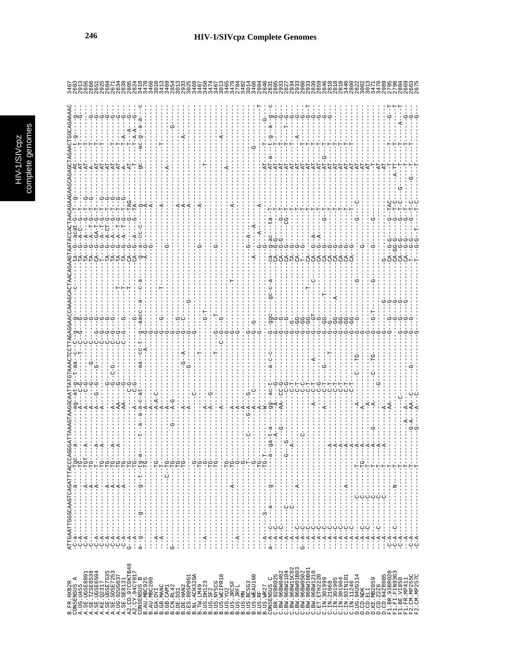| 9999999<br><u></u> ? ? ? ? ? ? ? ? ? ? ? ?<br>יט<br>דו<br>ד<br>ひ<br>œ<br>$ac-9$<br>ה<br>888888<br>AT.<br>ATH<br>AARA<br>RT.<br>gc<br>ወ⊄<br>HHH<br>မှ မှ<br>၂ မှ<br>ပုံ<br>ひ ひ ひ ひ ひ<br><b>ひひひひひひひひひひ</b><br>ひ<br>ゅのひ<br><b>しひひ</b><br>あめめめのめ しめめめめのめめ<br><b>000000000000</b><br>ひひひど<br>ಗ <b>ಲ</b><br>てり<br>0000606000000000<br>てり てり てり てり てり<br>등<br>ŭ<br>부<br>ά<br><u>-</u><br><b>ひひひひひ</b><br>めひ ひ ひ ひ ひ ひ ひ<br><b>G</b><br>ひひ<br>ひ<br>ひ<br>むめめめめめ<br>ひ ひ ひ ひ ひ ひ ひ ひ<br>000000<br>C<br>C<br>ひ<br>ひ<br>U<br>あひひひひ<br><b>しいい</b><br>595595555<br><b>し し</b><br>J<br>Ţ<br>ပုံ ပုံ<br>$-56-$<br><b>ひひひひひひひ</b><br>$a-c-a$<br>$-1 - 1 - 1$<br>$-1 - 1 - 1 - 1$<br>$-1 - 1 - 1 - 1 - 1$<br>ஜ<br>A A A<br><b>¤ ¤ ¤ ¤ ¤</b><br>⋖⋖<br>ှု<br>.<br>$\mathbf{I}$<br>$-1$ , $1$ , $1$ , $1$ , $1$<br>$\perp$<br>$\blacksquare$<br>-1<br>$\blacksquare$<br>-1<br>$\mathbf{I}$<br>$\blacksquare$<br>п<br>п<br>$\mathbf{I}$<br>-1<br>$\mathbf{I}$<br>$\blacksquare$<br>L.<br>ŧ<br>ŧ<br>- 1<br>-1<br>$\mathbf{I}$<br>÷<br>п.<br>ּוֹ פָׁוֹפְפָפְוֹ פְּפָפָוֹם<br>וְקִנְיִן וְוְוֹדָן וְקָנְיִן וְוֹדָן וְ<br>וְיִין וְוְוֹדְן וְוֹדְן וְ<br>U<br>Ť.<br>Ť.<br>j.<br>ಲ<br>$\mathbf I$<br>$\blacksquare$<br>$-7 - 7$<br>èĕe<br>¦¦¦<br>Н<br>н<br>НF<br>H<br>н<br>666<br>$\blacksquare$<br>1<br>÷<br>Ţ<br>$\blacksquare$<br>$\mathbf{I}$<br>$\frac{1}{1}$<br>Ţ<br>÷,<br>Ĥ.<br>11<br>÷<br>Τ.<br>- 1<br>$\mathbf{I}$<br>$\mathbf{I}$<br>$\Box$<br>- 1<br>-1<br>$\mathbf{I}$<br>л.<br>- 1<br>$\blacksquare$<br>-1<br>Ü<br>Ť.<br>$1 - 1$<br>J.<br>$1 - 1$<br>Ť.<br>Ť.<br>$\mathbb T$<br>$\mathbf I$<br>$\mathsf I$<br>$\mathbb{L}$<br>$\mathbf{I}$<br>$\mathsf I$<br>$\mathbf I$<br>$\mathbb{I}$<br>$\mathbb T$<br>1<br>$\mathbf{I}$<br>$\mathsf I$<br>$\mathsf I$<br>$1 - 1$<br>$\,$ I<br>1<br>$\mathbf I$<br>$\mathbb T$<br>T<br>$\mathbf{I}$<br>$\blacksquare$<br>1<br>I.<br>J.<br>1<br>$\mathbf{I}$<br>ı<br>1<br>Ī<br>$\mathsf I$<br>$\mathsf I$<br>$\mathsf I$<br>I.<br>$\mathbf{I}$<br>$\begin{array}{cccc}\n- & - & - & - & - \\ - & - & - & - \\ - & - & - & - \\ - & - & - & - \\ - & - & - & - \\ - & - & - & - \\ - & - & - & - \\ - & - & - & - \\ - & - & - & - \\ - & - & - & - \\ - & - & - & - \\ - & - & - & - \\ - & - & - & - \\ - & - & - & - \\ - & - & - & - \\ - & - & - & - \\ - & - & - & - \\ - & - & - & - \\ - & - & - & - \\ - & - & - & - \\ - & - & - & - \\ - & - & - & - \\ - & - & - & - \\ - & - & - & - \\ - & - & - & - \\ - & - & - & - \\ - &$<br>1<br>$\mathbb I$<br>$\frac{1}{1}$<br>$\mathsf I$<br>$\begin{array}{c}\n-1 \\ -1 \\ -1\n\end{array}$<br>$\mathsf I$<br>$\,$ I<br>$\mathsf I$<br>$\,$ I<br>$\mathbb T$<br>$\mathbf{I}$<br>L<br>п.<br>$\blacksquare$<br>-1<br>J.<br>$-1 - N -$<br>ł<br>$\mathbf{I}$<br>÷,<br>Ţ<br>ł<br>$\frac{1}{1}$<br>$\mathbf{I}$<br>T.<br>J,<br>$\frac{1}{1}$<br>$\frac{1}{1}$<br>Ŧ<br>$\mathbf{I}$<br>J.<br>$\mathbf{I}$<br>ł<br>$\begin{array}{c} 1 & 1 \\ 1 & 0 \\ 1 & 1 \\ 1 & 1 \end{array}$<br>$\frac{1}{1}$<br>ŧ<br>Ť<br>$\frac{1}{1}$<br>ł.<br>J,<br>$\frac{1}{1}$<br>$\frac{1}{1}$<br>$---A$ -<br>T<br>Ŀ<br>ł<br>J.<br>ł<br>$\mathbf{I}$<br>$\mathbf{I}$<br>J,<br>$\mathbf{I}$<br>$\blacksquare$<br>Ť.<br>j.<br>Ť.<br>1<br>$\mathbf{I}$<br>т<br>-11<br>$\mathbf{I}$<br>-<br>$\mathbf{I}$<br>圭圭<br>$\mathsf I$<br>$\mathbf{I}=\mathbf{I}$<br>$\mathbb{I}-\mathbb{I}$<br>$\mathbb{R}^n$<br>$\,$ I<br>$\,$ I<br>$\mathbf{I}=\mathbf{I}=\mathbf{I}$<br>$\mathbb{I}$<br>$\mathbb T$<br>$\mathbf{I}$<br>$\mathsf I$<br>$\overline{\phantom{a}}$<br>$\mathbf{I}$<br>$\mathbf{I}$ $\mathbf{I}$<br>$\sim 1$<br>$\mathbf{I}$<br>$\mathbb{I}$<br>$\,$ I<br>$\mathbf{I}$<br>$\mathbf{I}$<br>$\mathbf{I}$<br>$\begin{array}{cccccccccc} 1 & 1 & 1 & 1 & 1 \end{array}$<br>$\blacksquare$<br>$\mathbf{I}$<br>$\mathbf{I}$<br>- 11<br>$\mathbf{I}$<br>$\mathbf{I}$ $\mathbf{I}$<br>$\mathbf{I}$<br>$\blacksquare$<br>$\mathbf{I}$<br>$\mathbf{I}$ $\mathbf{I}$<br>$\blacksquare$<br>$1 - 1$<br>$\blacksquare$<br>$\mathbf{I}$<br>L.<br>- 1<br>J.<br>$\blacksquare$<br>$\mathbf{L}$<br>$\mathbf{I}$<br>$\mathbf{I}$<br>$\mathbf{I}$<br>$\mathbf{I}$<br>- 11<br>-1<br>- 1<br>후후후후후후<br>$\perp$<br>$\frac{1}{1}$<br>$\mathbf{I}$<br>л.<br>$\blacksquare$<br>- 1<br>$\mathbf{I}$<br>$\mathbf{I}$<br>- 1<br>$\blacksquare$<br>п.<br>$\mathbf{I}$<br>- 1<br>л.<br>$\mathbf{I}$<br>п.<br>л.<br>п.<br>$\mathbf{I}$<br>$\mathbf{I}$<br>$\mathbf{I}$<br>$\mathbf I$<br>Ť<br>$\mathbb{L}$<br>$\mathsf I$<br>$\mathbf{L}$<br>$\mathbb{L}$<br>$\mathbf{I}$<br>1<br>$\mathbf{I}$<br>$\mathbf I$<br>$\blacksquare$<br>$\blacksquare$<br>$\mathbf{I}$<br>J.<br>$\blacksquare$<br>п<br>$\mathbf{I}$<br>$\mathbf{I}$<br>-1<br>L.<br>$\blacksquare$<br>$\mathbb{I}$<br>$\mathsf I$<br>$\mathsf I$<br>$1 - 1$<br>$-1$ $-1$ $-1$<br>$\mathbf{I}$<br>$\frac{1}{\alpha}$<br>$-1 - 1$<br>Τ.<br>$\blacksquare$<br>Τ.<br>÷.<br>$+ + + +$<br>$\blacksquare$<br>$\frac{1}{4}$<br>$\blacksquare$<br>$\mathbf{I}$<br>$\overline{\phantom{a}}$<br>Т<br>f,<br>$\mathbf{I}$<br>$\mathbf{I}$<br>$\mathbf{I}$<br>T<br>$\blacksquare$<br>L.<br>$\mathbf{I}$<br>$\mathbf{I}$<br>$\mathbf{I}$<br>$\mathbf{I}$<br>$\mathbf{I}$<br>$\mathbf{I}$<br>-1<br>J.<br>$\mathbf{I}$<br>$\blacksquare$<br>$\mathbf{I}$<br>$\mathbf{I}$<br>- 1<br>- 1<br>- 1<br>п.<br>-1<br>- 1<br>$\mathbf{I}$<br>л.<br>п<br>л.<br>п<br>п<br>L.<br>L.<br>$\mathbf{I}$<br>п<br>$\mathbf{I}$<br>$\mathbf{I}$<br>-1<br>$\mathbf{I}$<br>$1 - 1 - 1$<br>$\mathbf I$<br>CO <sub>1</sub><br>$\mathsf I$<br>$\mathbf{I}$<br>$\mathsf I$<br>$\mathbb{L}$<br>$\mathbb T$<br>$\mathsf I$<br>1<br>1<br>$\mathsf I$<br>$\mathsf I$<br>$\mathbf{I}$<br>$\mathbf{I}$<br>$\mathbf{I}$<br>$\mathbf{I}$<br>T<br>$\blacksquare$<br>L.<br>$\mathbf{I}$<br>$\mathbf{I}$<br>$\mathbf{I}$<br>л.<br>$\mathbb{I}$<br>$\mathbb{R}^n$<br>$\blacksquare$<br>Ţ<br>ŧ<br>$\overline{\phantom{a}}$<br>J<br>$\mathbf{I}$<br>$\overline{\phantom{a}}$<br>$\overline{\phantom{a}}$<br>1<br>$\mathbf{I}$<br>- 11<br>$\mathbf{I}$<br>1<br>$\mathbf{I}$<br>$\mathbf{I}$<br>- 11<br>$\mathbf{I}$<br>$\mathbf{I}$<br>$\blacksquare$<br>$\mathbf{I}$<br>$\blacksquare$<br>$\mathbf{I}$<br>$\frac{1}{1}$<br>-1<br>$\mathbf{I}$<br>$\blacksquare$<br>ŧ<br>Ť<br>$\frac{1}{1}$<br>I<br>$\mathbf{I}$<br>$\mathbf{I}$<br>T<br>$\blacksquare$<br>- 1<br>$\blacksquare$<br>$\blacksquare$<br>п<br>$\mathbf{I}$<br>H.<br>т<br>$\mathbf{I}$<br>$\mathbf{I}$<br>-1<br>п<br>п<br>-1<br>п.<br>$\mathbf{I}$<br>$\mathbf{I}$<br>$\mathbf{I}$<br>л.<br>п<br>$\mathbf{I}$<br>-1<br>$\mathbf{I}$<br>-1<br>Ü<br>1<br>$\begin{array}{c} \rule{0pt}{2.5ex} \rule{0pt}{2.5ex} \rule{0pt}{2.5ex} \rule{0pt}{2.5ex} \rule{0pt}{2.5ex} \rule{0pt}{2.5ex} \rule{0pt}{2.5ex} \rule{0pt}{2.5ex} \rule{0pt}{2.5ex} \rule{0pt}{2.5ex} \rule{0pt}{2.5ex} \rule{0pt}{2.5ex} \rule{0pt}{2.5ex} \rule{0pt}{2.5ex} \rule{0pt}{2.5ex} \rule{0pt}{2.5ex} \rule{0pt}{2.5ex} \rule{0pt}{2.5ex} \rule{0pt}{2.5ex} \rule{0$<br>$\mathbf{I}$<br>$\mathsf I$<br>$\mathbf I$<br>U<br>$\mathbf I$<br>J.<br>J.<br>T<br>J.<br>$\blacksquare$<br>$\mathbf{I}$<br>-1 |  |  | AGAGGAACCAAA<br>のひ |  | ל זוה |
|---------------------------------------------------------------------------------------------------------------------------------------------------------------------------------------------------------------------------------------------------------------------------------------------------------------------------------------------------------------------------------------------------------------------------------------------------------------------------------------------------------------------------------------------------------------------------------------------------------------------------------------------------------------------------------------------------------------------------------------------------------------------------------------------------------------------------------------------------------------------------------------------------------------------------------------------------------------------------------------------------------------------------------------------------------------------------------------------------------------------------------------------------------------------------------------------------------------------------------------------------------------------------------------------------------------------------------------------------------------------------------------------------------------------------------------------------------------------------------------------------------------------------------------------------------------------------------------------------------------------------------------------------------------------------------------------------------------------------------------------------------------------------------------------------------------------------------------------------------------------------------------------------------------------------------------------------------------------------------------------------------------------------------------------------------------------------------------------------------------------------------------------------------------------------------------------------------------------------------------------------------------------------------------------------------------------------------------------------------------------------------------------------------------------------------------------------------------------------------------------------------------------------------------------------------------------------------------------------------------------------------------------------------------------------------------------------------------------------------------------------------------------------------------------------------------------------------------------------------------------------------------------------------------------------------------------------------------------------------------------------------------------------------------------------------------------------------------------------------------------------------------------------------------------------------------------------------------------------------------------------------------------------------------------------------------------------------------------------------------------------------------------------------------------------------------------------------------------------------------------------------------------------------------------------------------------------------------------------------------------------------------------------------------------------------------------------------------------------------------------------------------------------------------------------------------------------------------------------------------------------------------------------------------------------------------------------------------------------------------------------------------------------------------------------------------------------------------------------------------------------------------------------------------------------------------------------------------------------------------------------------------------------------------------------------------------------------------------------------------------------------------------------------------------------------------------------------------------------------------------------------------------------------------------------------------------------------------------------------------------------------------------------------------------------------------------------------------------------------------------------------------------------------------------------------------------------------------------------------------------------------------------------------------------------------------------------------------------------------------------------------------------------------------------------------------------------------------------------------------------------------------------------------------------------------------------------------------------------------------------------------------------------------------------------------------------------------------------------------------------------------------------------------------------------------------------------------------------------------------------------------------------------------------------------------------------------------------------------------------------------------------------------------------------------------------------------------------------------------------------------------------------------------------------------------------------------------------------------------------------------------------------------------------------------------------------------------------------------------------------------------------------------------------------------------------------------------------------------------------------------------------------------------------------------------------------------------------------------------------------------------------------------------------------------------------------------------------------------------------------------------------------------------------------------------------------------------------------------------------------------------------------------------------------------------------------------------------------------------------------------------------------------------------------------------------------------------------------------------------------------------------------------------------------------------------------------------------------------------------------------------------------------------------------------------------------------------------------------------------------------------------------------------------------------------|--|--|--------------------|--|-------|
|                                                                                                                                                                                                                                                                                                                                                                                                                                                                                                                                                                                                                                                                                                                                                                                                                                                                                                                                                                                                                                                                                                                                                                                                                                                                                                                                                                                                                                                                                                                                                                                                                                                                                                                                                                                                                                                                                                                                                                                                                                                                                                                                                                                                                                                                                                                                                                                                                                                                                                                                                                                                                                                                                                                                                                                                                                                                                                                                                                                                                                                                                                                                                                                                                                                                                                                                                                                                                                                                                                                                                                                                                                                                                                                                                                                                                                                                                                                                                                                                                                                                                                                                                                                                                                                                                                                                                                                                                                                                                                                                                                                                                                                                                                                                                                                                                                                                                                                                                                                                                                                                                                                                                                                                                                                                                                                                                                                                                                                                                                                                                                                                                                                                                                                                                                                                                                                                                                                                                                                                                                                                                                                                                                                                                                                                                                                                                                                                                                                                                                                                                                                                                                                                                                                                                                                                                                                                                                                                                                                                                                                         |  |  |                    |  |       |
|                                                                                                                                                                                                                                                                                                                                                                                                                                                                                                                                                                                                                                                                                                                                                                                                                                                                                                                                                                                                                                                                                                                                                                                                                                                                                                                                                                                                                                                                                                                                                                                                                                                                                                                                                                                                                                                                                                                                                                                                                                                                                                                                                                                                                                                                                                                                                                                                                                                                                                                                                                                                                                                                                                                                                                                                                                                                                                                                                                                                                                                                                                                                                                                                                                                                                                                                                                                                                                                                                                                                                                                                                                                                                                                                                                                                                                                                                                                                                                                                                                                                                                                                                                                                                                                                                                                                                                                                                                                                                                                                                                                                                                                                                                                                                                                                                                                                                                                                                                                                                                                                                                                                                                                                                                                                                                                                                                                                                                                                                                                                                                                                                                                                                                                                                                                                                                                                                                                                                                                                                                                                                                                                                                                                                                                                                                                                                                                                                                                                                                                                                                                                                                                                                                                                                                                                                                                                                                                                                                                                                                                         |  |  |                    |  |       |
|                                                                                                                                                                                                                                                                                                                                                                                                                                                                                                                                                                                                                                                                                                                                                                                                                                                                                                                                                                                                                                                                                                                                                                                                                                                                                                                                                                                                                                                                                                                                                                                                                                                                                                                                                                                                                                                                                                                                                                                                                                                                                                                                                                                                                                                                                                                                                                                                                                                                                                                                                                                                                                                                                                                                                                                                                                                                                                                                                                                                                                                                                                                                                                                                                                                                                                                                                                                                                                                                                                                                                                                                                                                                                                                                                                                                                                                                                                                                                                                                                                                                                                                                                                                                                                                                                                                                                                                                                                                                                                                                                                                                                                                                                                                                                                                                                                                                                                                                                                                                                                                                                                                                                                                                                                                                                                                                                                                                                                                                                                                                                                                                                                                                                                                                                                                                                                                                                                                                                                                                                                                                                                                                                                                                                                                                                                                                                                                                                                                                                                                                                                                                                                                                                                                                                                                                                                                                                                                                                                                                                                                         |  |  |                    |  |       |
|                                                                                                                                                                                                                                                                                                                                                                                                                                                                                                                                                                                                                                                                                                                                                                                                                                                                                                                                                                                                                                                                                                                                                                                                                                                                                                                                                                                                                                                                                                                                                                                                                                                                                                                                                                                                                                                                                                                                                                                                                                                                                                                                                                                                                                                                                                                                                                                                                                                                                                                                                                                                                                                                                                                                                                                                                                                                                                                                                                                                                                                                                                                                                                                                                                                                                                                                                                                                                                                                                                                                                                                                                                                                                                                                                                                                                                                                                                                                                                                                                                                                                                                                                                                                                                                                                                                                                                                                                                                                                                                                                                                                                                                                                                                                                                                                                                                                                                                                                                                                                                                                                                                                                                                                                                                                                                                                                                                                                                                                                                                                                                                                                                                                                                                                                                                                                                                                                                                                                                                                                                                                                                                                                                                                                                                                                                                                                                                                                                                                                                                                                                                                                                                                                                                                                                                                                                                                                                                                                                                                                                                         |  |  |                    |  |       |
|                                                                                                                                                                                                                                                                                                                                                                                                                                                                                                                                                                                                                                                                                                                                                                                                                                                                                                                                                                                                                                                                                                                                                                                                                                                                                                                                                                                                                                                                                                                                                                                                                                                                                                                                                                                                                                                                                                                                                                                                                                                                                                                                                                                                                                                                                                                                                                                                                                                                                                                                                                                                                                                                                                                                                                                                                                                                                                                                                                                                                                                                                                                                                                                                                                                                                                                                                                                                                                                                                                                                                                                                                                                                                                                                                                                                                                                                                                                                                                                                                                                                                                                                                                                                                                                                                                                                                                                                                                                                                                                                                                                                                                                                                                                                                                                                                                                                                                                                                                                                                                                                                                                                                                                                                                                                                                                                                                                                                                                                                                                                                                                                                                                                                                                                                                                                                                                                                                                                                                                                                                                                                                                                                                                                                                                                                                                                                                                                                                                                                                                                                                                                                                                                                                                                                                                                                                                                                                                                                                                                                                                         |  |  |                    |  |       |
|                                                                                                                                                                                                                                                                                                                                                                                                                                                                                                                                                                                                                                                                                                                                                                                                                                                                                                                                                                                                                                                                                                                                                                                                                                                                                                                                                                                                                                                                                                                                                                                                                                                                                                                                                                                                                                                                                                                                                                                                                                                                                                                                                                                                                                                                                                                                                                                                                                                                                                                                                                                                                                                                                                                                                                                                                                                                                                                                                                                                                                                                                                                                                                                                                                                                                                                                                                                                                                                                                                                                                                                                                                                                                                                                                                                                                                                                                                                                                                                                                                                                                                                                                                                                                                                                                                                                                                                                                                                                                                                                                                                                                                                                                                                                                                                                                                                                                                                                                                                                                                                                                                                                                                                                                                                                                                                                                                                                                                                                                                                                                                                                                                                                                                                                                                                                                                                                                                                                                                                                                                                                                                                                                                                                                                                                                                                                                                                                                                                                                                                                                                                                                                                                                                                                                                                                                                                                                                                                                                                                                                                         |  |  |                    |  |       |
|                                                                                                                                                                                                                                                                                                                                                                                                                                                                                                                                                                                                                                                                                                                                                                                                                                                                                                                                                                                                                                                                                                                                                                                                                                                                                                                                                                                                                                                                                                                                                                                                                                                                                                                                                                                                                                                                                                                                                                                                                                                                                                                                                                                                                                                                                                                                                                                                                                                                                                                                                                                                                                                                                                                                                                                                                                                                                                                                                                                                                                                                                                                                                                                                                                                                                                                                                                                                                                                                                                                                                                                                                                                                                                                                                                                                                                                                                                                                                                                                                                                                                                                                                                                                                                                                                                                                                                                                                                                                                                                                                                                                                                                                                                                                                                                                                                                                                                                                                                                                                                                                                                                                                                                                                                                                                                                                                                                                                                                                                                                                                                                                                                                                                                                                                                                                                                                                                                                                                                                                                                                                                                                                                                                                                                                                                                                                                                                                                                                                                                                                                                                                                                                                                                                                                                                                                                                                                                                                                                                                                                                         |  |  |                    |  |       |
|                                                                                                                                                                                                                                                                                                                                                                                                                                                                                                                                                                                                                                                                                                                                                                                                                                                                                                                                                                                                                                                                                                                                                                                                                                                                                                                                                                                                                                                                                                                                                                                                                                                                                                                                                                                                                                                                                                                                                                                                                                                                                                                                                                                                                                                                                                                                                                                                                                                                                                                                                                                                                                                                                                                                                                                                                                                                                                                                                                                                                                                                                                                                                                                                                                                                                                                                                                                                                                                                                                                                                                                                                                                                                                                                                                                                                                                                                                                                                                                                                                                                                                                                                                                                                                                                                                                                                                                                                                                                                                                                                                                                                                                                                                                                                                                                                                                                                                                                                                                                                                                                                                                                                                                                                                                                                                                                                                                                                                                                                                                                                                                                                                                                                                                                                                                                                                                                                                                                                                                                                                                                                                                                                                                                                                                                                                                                                                                                                                                                                                                                                                                                                                                                                                                                                                                                                                                                                                                                                                                                                                                         |  |  |                    |  |       |
|                                                                                                                                                                                                                                                                                                                                                                                                                                                                                                                                                                                                                                                                                                                                                                                                                                                                                                                                                                                                                                                                                                                                                                                                                                                                                                                                                                                                                                                                                                                                                                                                                                                                                                                                                                                                                                                                                                                                                                                                                                                                                                                                                                                                                                                                                                                                                                                                                                                                                                                                                                                                                                                                                                                                                                                                                                                                                                                                                                                                                                                                                                                                                                                                                                                                                                                                                                                                                                                                                                                                                                                                                                                                                                                                                                                                                                                                                                                                                                                                                                                                                                                                                                                                                                                                                                                                                                                                                                                                                                                                                                                                                                                                                                                                                                                                                                                                                                                                                                                                                                                                                                                                                                                                                                                                                                                                                                                                                                                                                                                                                                                                                                                                                                                                                                                                                                                                                                                                                                                                                                                                                                                                                                                                                                                                                                                                                                                                                                                                                                                                                                                                                                                                                                                                                                                                                                                                                                                                                                                                                                                         |  |  |                    |  |       |
|                                                                                                                                                                                                                                                                                                                                                                                                                                                                                                                                                                                                                                                                                                                                                                                                                                                                                                                                                                                                                                                                                                                                                                                                                                                                                                                                                                                                                                                                                                                                                                                                                                                                                                                                                                                                                                                                                                                                                                                                                                                                                                                                                                                                                                                                                                                                                                                                                                                                                                                                                                                                                                                                                                                                                                                                                                                                                                                                                                                                                                                                                                                                                                                                                                                                                                                                                                                                                                                                                                                                                                                                                                                                                                                                                                                                                                                                                                                                                                                                                                                                                                                                                                                                                                                                                                                                                                                                                                                                                                                                                                                                                                                                                                                                                                                                                                                                                                                                                                                                                                                                                                                                                                                                                                                                                                                                                                                                                                                                                                                                                                                                                                                                                                                                                                                                                                                                                                                                                                                                                                                                                                                                                                                                                                                                                                                                                                                                                                                                                                                                                                                                                                                                                                                                                                                                                                                                                                                                                                                                                                                         |  |  |                    |  |       |
|                                                                                                                                                                                                                                                                                                                                                                                                                                                                                                                                                                                                                                                                                                                                                                                                                                                                                                                                                                                                                                                                                                                                                                                                                                                                                                                                                                                                                                                                                                                                                                                                                                                                                                                                                                                                                                                                                                                                                                                                                                                                                                                                                                                                                                                                                                                                                                                                                                                                                                                                                                                                                                                                                                                                                                                                                                                                                                                                                                                                                                                                                                                                                                                                                                                                                                                                                                                                                                                                                                                                                                                                                                                                                                                                                                                                                                                                                                                                                                                                                                                                                                                                                                                                                                                                                                                                                                                                                                                                                                                                                                                                                                                                                                                                                                                                                                                                                                                                                                                                                                                                                                                                                                                                                                                                                                                                                                                                                                                                                                                                                                                                                                                                                                                                                                                                                                                                                                                                                                                                                                                                                                                                                                                                                                                                                                                                                                                                                                                                                                                                                                                                                                                                                                                                                                                                                                                                                                                                                                                                                                                         |  |  |                    |  |       |
|                                                                                                                                                                                                                                                                                                                                                                                                                                                                                                                                                                                                                                                                                                                                                                                                                                                                                                                                                                                                                                                                                                                                                                                                                                                                                                                                                                                                                                                                                                                                                                                                                                                                                                                                                                                                                                                                                                                                                                                                                                                                                                                                                                                                                                                                                                                                                                                                                                                                                                                                                                                                                                                                                                                                                                                                                                                                                                                                                                                                                                                                                                                                                                                                                                                                                                                                                                                                                                                                                                                                                                                                                                                                                                                                                                                                                                                                                                                                                                                                                                                                                                                                                                                                                                                                                                                                                                                                                                                                                                                                                                                                                                                                                                                                                                                                                                                                                                                                                                                                                                                                                                                                                                                                                                                                                                                                                                                                                                                                                                                                                                                                                                                                                                                                                                                                                                                                                                                                                                                                                                                                                                                                                                                                                                                                                                                                                                                                                                                                                                                                                                                                                                                                                                                                                                                                                                                                                                                                                                                                                                                         |  |  |                    |  |       |
|                                                                                                                                                                                                                                                                                                                                                                                                                                                                                                                                                                                                                                                                                                                                                                                                                                                                                                                                                                                                                                                                                                                                                                                                                                                                                                                                                                                                                                                                                                                                                                                                                                                                                                                                                                                                                                                                                                                                                                                                                                                                                                                                                                                                                                                                                                                                                                                                                                                                                                                                                                                                                                                                                                                                                                                                                                                                                                                                                                                                                                                                                                                                                                                                                                                                                                                                                                                                                                                                                                                                                                                                                                                                                                                                                                                                                                                                                                                                                                                                                                                                                                                                                                                                                                                                                                                                                                                                                                                                                                                                                                                                                                                                                                                                                                                                                                                                                                                                                                                                                                                                                                                                                                                                                                                                                                                                                                                                                                                                                                                                                                                                                                                                                                                                                                                                                                                                                                                                                                                                                                                                                                                                                                                                                                                                                                                                                                                                                                                                                                                                                                                                                                                                                                                                                                                                                                                                                                                                                                                                                                                         |  |  |                    |  |       |
|                                                                                                                                                                                                                                                                                                                                                                                                                                                                                                                                                                                                                                                                                                                                                                                                                                                                                                                                                                                                                                                                                                                                                                                                                                                                                                                                                                                                                                                                                                                                                                                                                                                                                                                                                                                                                                                                                                                                                                                                                                                                                                                                                                                                                                                                                                                                                                                                                                                                                                                                                                                                                                                                                                                                                                                                                                                                                                                                                                                                                                                                                                                                                                                                                                                                                                                                                                                                                                                                                                                                                                                                                                                                                                                                                                                                                                                                                                                                                                                                                                                                                                                                                                                                                                                                                                                                                                                                                                                                                                                                                                                                                                                                                                                                                                                                                                                                                                                                                                                                                                                                                                                                                                                                                                                                                                                                                                                                                                                                                                                                                                                                                                                                                                                                                                                                                                                                                                                                                                                                                                                                                                                                                                                                                                                                                                                                                                                                                                                                                                                                                                                                                                                                                                                                                                                                                                                                                                                                                                                                                                                         |  |  |                    |  |       |
|                                                                                                                                                                                                                                                                                                                                                                                                                                                                                                                                                                                                                                                                                                                                                                                                                                                                                                                                                                                                                                                                                                                                                                                                                                                                                                                                                                                                                                                                                                                                                                                                                                                                                                                                                                                                                                                                                                                                                                                                                                                                                                                                                                                                                                                                                                                                                                                                                                                                                                                                                                                                                                                                                                                                                                                                                                                                                                                                                                                                                                                                                                                                                                                                                                                                                                                                                                                                                                                                                                                                                                                                                                                                                                                                                                                                                                                                                                                                                                                                                                                                                                                                                                                                                                                                                                                                                                                                                                                                                                                                                                                                                                                                                                                                                                                                                                                                                                                                                                                                                                                                                                                                                                                                                                                                                                                                                                                                                                                                                                                                                                                                                                                                                                                                                                                                                                                                                                                                                                                                                                                                                                                                                                                                                                                                                                                                                                                                                                                                                                                                                                                                                                                                                                                                                                                                                                                                                                                                                                                                                                                         |  |  |                    |  |       |
|                                                                                                                                                                                                                                                                                                                                                                                                                                                                                                                                                                                                                                                                                                                                                                                                                                                                                                                                                                                                                                                                                                                                                                                                                                                                                                                                                                                                                                                                                                                                                                                                                                                                                                                                                                                                                                                                                                                                                                                                                                                                                                                                                                                                                                                                                                                                                                                                                                                                                                                                                                                                                                                                                                                                                                                                                                                                                                                                                                                                                                                                                                                                                                                                                                                                                                                                                                                                                                                                                                                                                                                                                                                                                                                                                                                                                                                                                                                                                                                                                                                                                                                                                                                                                                                                                                                                                                                                                                                                                                                                                                                                                                                                                                                                                                                                                                                                                                                                                                                                                                                                                                                                                                                                                                                                                                                                                                                                                                                                                                                                                                                                                                                                                                                                                                                                                                                                                                                                                                                                                                                                                                                                                                                                                                                                                                                                                                                                                                                                                                                                                                                                                                                                                                                                                                                                                                                                                                                                                                                                                                                         |  |  |                    |  |       |
| 1                                                                                                                                                                                                                                                                                                                                                                                                                                                                                                                                                                                                                                                                                                                                                                                                                                                                                                                                                                                                                                                                                                                                                                                                                                                                                                                                                                                                                                                                                                                                                                                                                                                                                                                                                                                                                                                                                                                                                                                                                                                                                                                                                                                                                                                                                                                                                                                                                                                                                                                                                                                                                                                                                                                                                                                                                                                                                                                                                                                                                                                                                                                                                                                                                                                                                                                                                                                                                                                                                                                                                                                                                                                                                                                                                                                                                                                                                                                                                                                                                                                                                                                                                                                                                                                                                                                                                                                                                                                                                                                                                                                                                                                                                                                                                                                                                                                                                                                                                                                                                                                                                                                                                                                                                                                                                                                                                                                                                                                                                                                                                                                                                                                                                                                                                                                                                                                                                                                                                                                                                                                                                                                                                                                                                                                                                                                                                                                                                                                                                                                                                                                                                                                                                                                                                                                                                                                                                                                                                                                                                                                       |  |  |                    |  |       |
| $a - A - C - C - A - C$<br>$- -A - -$<br>$-1 - A - - -$<br>$G - -A - -$<br>$-1 - 2 - 1 - 1$<br>I<br>J<br>$\mathsf I$<br>$- -A - -$                                                                                                                                                                                                                                                                                                                                                                                                                                                                                                                                                                                                                                                                                                                                                                                                                                                                                                                                                                                                                                                                                                                                                                                                                                                                                                                                                                                                                                                                                                                                                                                                                                                                                                                                                                                                                                                                                                                                                                                                                                                                                                                                                                                                                                                                                                                                                                                                                                                                                                                                                                                                                                                                                                                                                                                                                                                                                                                                                                                                                                                                                                                                                                                                                                                                                                                                                                                                                                                                                                                                                                                                                                                                                                                                                                                                                                                                                                                                                                                                                                                                                                                                                                                                                                                                                                                                                                                                                                                                                                                                                                                                                                                                                                                                                                                                                                                                                                                                                                                                                                                                                                                                                                                                                                                                                                                                                                                                                                                                                                                                                                                                                                                                                                                                                                                                                                                                                                                                                                                                                                                                                                                                                                                                                                                                                                                                                                                                                                                                                                                                                                                                                                                                                                                                                                                                                                                                                                                      |  |  |                    |  |       |
|                                                                                                                                                                                                                                                                                                                                                                                                                                                                                                                                                                                                                                                                                                                                                                                                                                                                                                                                                                                                                                                                                                                                                                                                                                                                                                                                                                                                                                                                                                                                                                                                                                                                                                                                                                                                                                                                                                                                                                                                                                                                                                                                                                                                                                                                                                                                                                                                                                                                                                                                                                                                                                                                                                                                                                                                                                                                                                                                                                                                                                                                                                                                                                                                                                                                                                                                                                                                                                                                                                                                                                                                                                                                                                                                                                                                                                                                                                                                                                                                                                                                                                                                                                                                                                                                                                                                                                                                                                                                                                                                                                                                                                                                                                                                                                                                                                                                                                                                                                                                                                                                                                                                                                                                                                                                                                                                                                                                                                                                                                                                                                                                                                                                                                                                                                                                                                                                                                                                                                                                                                                                                                                                                                                                                                                                                                                                                                                                                                                                                                                                                                                                                                                                                                                                                                                                                                                                                                                                                                                                                                                         |  |  |                    |  |       |
|                                                                                                                                                                                                                                                                                                                                                                                                                                                                                                                                                                                                                                                                                                                                                                                                                                                                                                                                                                                                                                                                                                                                                                                                                                                                                                                                                                                                                                                                                                                                                                                                                                                                                                                                                                                                                                                                                                                                                                                                                                                                                                                                                                                                                                                                                                                                                                                                                                                                                                                                                                                                                                                                                                                                                                                                                                                                                                                                                                                                                                                                                                                                                                                                                                                                                                                                                                                                                                                                                                                                                                                                                                                                                                                                                                                                                                                                                                                                                                                                                                                                                                                                                                                                                                                                                                                                                                                                                                                                                                                                                                                                                                                                                                                                                                                                                                                                                                                                                                                                                                                                                                                                                                                                                                                                                                                                                                                                                                                                                                                                                                                                                                                                                                                                                                                                                                                                                                                                                                                                                                                                                                                                                                                                                                                                                                                                                                                                                                                                                                                                                                                                                                                                                                                                                                                                                                                                                                                                                                                                                                                         |  |  |                    |  |       |
|                                                                                                                                                                                                                                                                                                                                                                                                                                                                                                                                                                                                                                                                                                                                                                                                                                                                                                                                                                                                                                                                                                                                                                                                                                                                                                                                                                                                                                                                                                                                                                                                                                                                                                                                                                                                                                                                                                                                                                                                                                                                                                                                                                                                                                                                                                                                                                                                                                                                                                                                                                                                                                                                                                                                                                                                                                                                                                                                                                                                                                                                                                                                                                                                                                                                                                                                                                                                                                                                                                                                                                                                                                                                                                                                                                                                                                                                                                                                                                                                                                                                                                                                                                                                                                                                                                                                                                                                                                                                                                                                                                                                                                                                                                                                                                                                                                                                                                                                                                                                                                                                                                                                                                                                                                                                                                                                                                                                                                                                                                                                                                                                                                                                                                                                                                                                                                                                                                                                                                                                                                                                                                                                                                                                                                                                                                                                                                                                                                                                                                                                                                                                                                                                                                                                                                                                                                                                                                                                                                                                                                                         |  |  |                    |  |       |
|                                                                                                                                                                                                                                                                                                                                                                                                                                                                                                                                                                                                                                                                                                                                                                                                                                                                                                                                                                                                                                                                                                                                                                                                                                                                                                                                                                                                                                                                                                                                                                                                                                                                                                                                                                                                                                                                                                                                                                                                                                                                                                                                                                                                                                                                                                                                                                                                                                                                                                                                                                                                                                                                                                                                                                                                                                                                                                                                                                                                                                                                                                                                                                                                                                                                                                                                                                                                                                                                                                                                                                                                                                                                                                                                                                                                                                                                                                                                                                                                                                                                                                                                                                                                                                                                                                                                                                                                                                                                                                                                                                                                                                                                                                                                                                                                                                                                                                                                                                                                                                                                                                                                                                                                                                                                                                                                                                                                                                                                                                                                                                                                                                                                                                                                                                                                                                                                                                                                                                                                                                                                                                                                                                                                                                                                                                                                                                                                                                                                                                                                                                                                                                                                                                                                                                                                                                                                                                                                                                                                                                                         |  |  |                    |  |       |
|                                                                                                                                                                                                                                                                                                                                                                                                                                                                                                                                                                                                                                                                                                                                                                                                                                                                                                                                                                                                                                                                                                                                                                                                                                                                                                                                                                                                                                                                                                                                                                                                                                                                                                                                                                                                                                                                                                                                                                                                                                                                                                                                                                                                                                                                                                                                                                                                                                                                                                                                                                                                                                                                                                                                                                                                                                                                                                                                                                                                                                                                                                                                                                                                                                                                                                                                                                                                                                                                                                                                                                                                                                                                                                                                                                                                                                                                                                                                                                                                                                                                                                                                                                                                                                                                                                                                                                                                                                                                                                                                                                                                                                                                                                                                                                                                                                                                                                                                                                                                                                                                                                                                                                                                                                                                                                                                                                                                                                                                                                                                                                                                                                                                                                                                                                                                                                                                                                                                                                                                                                                                                                                                                                                                                                                                                                                                                                                                                                                                                                                                                                                                                                                                                                                                                                                                                                                                                                                                                                                                                                                         |  |  |                    |  |       |
|                                                                                                                                                                                                                                                                                                                                                                                                                                                                                                                                                                                                                                                                                                                                                                                                                                                                                                                                                                                                                                                                                                                                                                                                                                                                                                                                                                                                                                                                                                                                                                                                                                                                                                                                                                                                                                                                                                                                                                                                                                                                                                                                                                                                                                                                                                                                                                                                                                                                                                                                                                                                                                                                                                                                                                                                                                                                                                                                                                                                                                                                                                                                                                                                                                                                                                                                                                                                                                                                                                                                                                                                                                                                                                                                                                                                                                                                                                                                                                                                                                                                                                                                                                                                                                                                                                                                                                                                                                                                                                                                                                                                                                                                                                                                                                                                                                                                                                                                                                                                                                                                                                                                                                                                                                                                                                                                                                                                                                                                                                                                                                                                                                                                                                                                                                                                                                                                                                                                                                                                                                                                                                                                                                                                                                                                                                                                                                                                                                                                                                                                                                                                                                                                                                                                                                                                                                                                                                                                                                                                                                                         |  |  |                    |  |       |
|                                                                                                                                                                                                                                                                                                                                                                                                                                                                                                                                                                                                                                                                                                                                                                                                                                                                                                                                                                                                                                                                                                                                                                                                                                                                                                                                                                                                                                                                                                                                                                                                                                                                                                                                                                                                                                                                                                                                                                                                                                                                                                                                                                                                                                                                                                                                                                                                                                                                                                                                                                                                                                                                                                                                                                                                                                                                                                                                                                                                                                                                                                                                                                                                                                                                                                                                                                                                                                                                                                                                                                                                                                                                                                                                                                                                                                                                                                                                                                                                                                                                                                                                                                                                                                                                                                                                                                                                                                                                                                                                                                                                                                                                                                                                                                                                                                                                                                                                                                                                                                                                                                                                                                                                                                                                                                                                                                                                                                                                                                                                                                                                                                                                                                                                                                                                                                                                                                                                                                                                                                                                                                                                                                                                                                                                                                                                                                                                                                                                                                                                                                                                                                                                                                                                                                                                                                                                                                                                                                                                                                                         |  |  |                    |  |       |
|                                                                                                                                                                                                                                                                                                                                                                                                                                                                                                                                                                                                                                                                                                                                                                                                                                                                                                                                                                                                                                                                                                                                                                                                                                                                                                                                                                                                                                                                                                                                                                                                                                                                                                                                                                                                                                                                                                                                                                                                                                                                                                                                                                                                                                                                                                                                                                                                                                                                                                                                                                                                                                                                                                                                                                                                                                                                                                                                                                                                                                                                                                                                                                                                                                                                                                                                                                                                                                                                                                                                                                                                                                                                                                                                                                                                                                                                                                                                                                                                                                                                                                                                                                                                                                                                                                                                                                                                                                                                                                                                                                                                                                                                                                                                                                                                                                                                                                                                                                                                                                                                                                                                                                                                                                                                                                                                                                                                                                                                                                                                                                                                                                                                                                                                                                                                                                                                                                                                                                                                                                                                                                                                                                                                                                                                                                                                                                                                                                                                                                                                                                                                                                                                                                                                                                                                                                                                                                                                                                                                                                                         |  |  |                    |  |       |
|                                                                                                                                                                                                                                                                                                                                                                                                                                                                                                                                                                                                                                                                                                                                                                                                                                                                                                                                                                                                                                                                                                                                                                                                                                                                                                                                                                                                                                                                                                                                                                                                                                                                                                                                                                                                                                                                                                                                                                                                                                                                                                                                                                                                                                                                                                                                                                                                                                                                                                                                                                                                                                                                                                                                                                                                                                                                                                                                                                                                                                                                                                                                                                                                                                                                                                                                                                                                                                                                                                                                                                                                                                                                                                                                                                                                                                                                                                                                                                                                                                                                                                                                                                                                                                                                                                                                                                                                                                                                                                                                                                                                                                                                                                                                                                                                                                                                                                                                                                                                                                                                                                                                                                                                                                                                                                                                                                                                                                                                                                                                                                                                                                                                                                                                                                                                                                                                                                                                                                                                                                                                                                                                                                                                                                                                                                                                                                                                                                                                                                                                                                                                                                                                                                                                                                                                                                                                                                                                                                                                                                                         |  |  |                    |  |       |
|                                                                                                                                                                                                                                                                                                                                                                                                                                                                                                                                                                                                                                                                                                                                                                                                                                                                                                                                                                                                                                                                                                                                                                                                                                                                                                                                                                                                                                                                                                                                                                                                                                                                                                                                                                                                                                                                                                                                                                                                                                                                                                                                                                                                                                                                                                                                                                                                                                                                                                                                                                                                                                                                                                                                                                                                                                                                                                                                                                                                                                                                                                                                                                                                                                                                                                                                                                                                                                                                                                                                                                                                                                                                                                                                                                                                                                                                                                                                                                                                                                                                                                                                                                                                                                                                                                                                                                                                                                                                                                                                                                                                                                                                                                                                                                                                                                                                                                                                                                                                                                                                                                                                                                                                                                                                                                                                                                                                                                                                                                                                                                                                                                                                                                                                                                                                                                                                                                                                                                                                                                                                                                                                                                                                                                                                                                                                                                                                                                                                                                                                                                                                                                                                                                                                                                                                                                                                                                                                                                                                                                                         |  |  |                    |  |       |
|                                                                                                                                                                                                                                                                                                                                                                                                                                                                                                                                                                                                                                                                                                                                                                                                                                                                                                                                                                                                                                                                                                                                                                                                                                                                                                                                                                                                                                                                                                                                                                                                                                                                                                                                                                                                                                                                                                                                                                                                                                                                                                                                                                                                                                                                                                                                                                                                                                                                                                                                                                                                                                                                                                                                                                                                                                                                                                                                                                                                                                                                                                                                                                                                                                                                                                                                                                                                                                                                                                                                                                                                                                                                                                                                                                                                                                                                                                                                                                                                                                                                                                                                                                                                                                                                                                                                                                                                                                                                                                                                                                                                                                                                                                                                                                                                                                                                                                                                                                                                                                                                                                                                                                                                                                                                                                                                                                                                                                                                                                                                                                                                                                                                                                                                                                                                                                                                                                                                                                                                                                                                                                                                                                                                                                                                                                                                                                                                                                                                                                                                                                                                                                                                                                                                                                                                                                                                                                                                                                                                                                                         |  |  |                    |  |       |
|                                                                                                                                                                                                                                                                                                                                                                                                                                                                                                                                                                                                                                                                                                                                                                                                                                                                                                                                                                                                                                                                                                                                                                                                                                                                                                                                                                                                                                                                                                                                                                                                                                                                                                                                                                                                                                                                                                                                                                                                                                                                                                                                                                                                                                                                                                                                                                                                                                                                                                                                                                                                                                                                                                                                                                                                                                                                                                                                                                                                                                                                                                                                                                                                                                                                                                                                                                                                                                                                                                                                                                                                                                                                                                                                                                                                                                                                                                                                                                                                                                                                                                                                                                                                                                                                                                                                                                                                                                                                                                                                                                                                                                                                                                                                                                                                                                                                                                                                                                                                                                                                                                                                                                                                                                                                                                                                                                                                                                                                                                                                                                                                                                                                                                                                                                                                                                                                                                                                                                                                                                                                                                                                                                                                                                                                                                                                                                                                                                                                                                                                                                                                                                                                                                                                                                                                                                                                                                                                                                                                                                                         |  |  |                    |  |       |
|                                                                                                                                                                                                                                                                                                                                                                                                                                                                                                                                                                                                                                                                                                                                                                                                                                                                                                                                                                                                                                                                                                                                                                                                                                                                                                                                                                                                                                                                                                                                                                                                                                                                                                                                                                                                                                                                                                                                                                                                                                                                                                                                                                                                                                                                                                                                                                                                                                                                                                                                                                                                                                                                                                                                                                                                                                                                                                                                                                                                                                                                                                                                                                                                                                                                                                                                                                                                                                                                                                                                                                                                                                                                                                                                                                                                                                                                                                                                                                                                                                                                                                                                                                                                                                                                                                                                                                                                                                                                                                                                                                                                                                                                                                                                                                                                                                                                                                                                                                                                                                                                                                                                                                                                                                                                                                                                                                                                                                                                                                                                                                                                                                                                                                                                                                                                                                                                                                                                                                                                                                                                                                                                                                                                                                                                                                                                                                                                                                                                                                                                                                                                                                                                                                                                                                                                                                                                                                                                                                                                                                                         |  |  |                    |  |       |
|                                                                                                                                                                                                                                                                                                                                                                                                                                                                                                                                                                                                                                                                                                                                                                                                                                                                                                                                                                                                                                                                                                                                                                                                                                                                                                                                                                                                                                                                                                                                                                                                                                                                                                                                                                                                                                                                                                                                                                                                                                                                                                                                                                                                                                                                                                                                                                                                                                                                                                                                                                                                                                                                                                                                                                                                                                                                                                                                                                                                                                                                                                                                                                                                                                                                                                                                                                                                                                                                                                                                                                                                                                                                                                                                                                                                                                                                                                                                                                                                                                                                                                                                                                                                                                                                                                                                                                                                                                                                                                                                                                                                                                                                                                                                                                                                                                                                                                                                                                                                                                                                                                                                                                                                                                                                                                                                                                                                                                                                                                                                                                                                                                                                                                                                                                                                                                                                                                                                                                                                                                                                                                                                                                                                                                                                                                                                                                                                                                                                                                                                                                                                                                                                                                                                                                                                                                                                                                                                                                                                                                                         |  |  |                    |  |       |
|                                                                                                                                                                                                                                                                                                                                                                                                                                                                                                                                                                                                                                                                                                                                                                                                                                                                                                                                                                                                                                                                                                                                                                                                                                                                                                                                                                                                                                                                                                                                                                                                                                                                                                                                                                                                                                                                                                                                                                                                                                                                                                                                                                                                                                                                                                                                                                                                                                                                                                                                                                                                                                                                                                                                                                                                                                                                                                                                                                                                                                                                                                                                                                                                                                                                                                                                                                                                                                                                                                                                                                                                                                                                                                                                                                                                                                                                                                                                                                                                                                                                                                                                                                                                                                                                                                                                                                                                                                                                                                                                                                                                                                                                                                                                                                                                                                                                                                                                                                                                                                                                                                                                                                                                                                                                                                                                                                                                                                                                                                                                                                                                                                                                                                                                                                                                                                                                                                                                                                                                                                                                                                                                                                                                                                                                                                                                                                                                                                                                                                                                                                                                                                                                                                                                                                                                                                                                                                                                                                                                                                                         |  |  |                    |  |       |
|                                                                                                                                                                                                                                                                                                                                                                                                                                                                                                                                                                                                                                                                                                                                                                                                                                                                                                                                                                                                                                                                                                                                                                                                                                                                                                                                                                                                                                                                                                                                                                                                                                                                                                                                                                                                                                                                                                                                                                                                                                                                                                                                                                                                                                                                                                                                                                                                                                                                                                                                                                                                                                                                                                                                                                                                                                                                                                                                                                                                                                                                                                                                                                                                                                                                                                                                                                                                                                                                                                                                                                                                                                                                                                                                                                                                                                                                                                                                                                                                                                                                                                                                                                                                                                                                                                                                                                                                                                                                                                                                                                                                                                                                                                                                                                                                                                                                                                                                                                                                                                                                                                                                                                                                                                                                                                                                                                                                                                                                                                                                                                                                                                                                                                                                                                                                                                                                                                                                                                                                                                                                                                                                                                                                                                                                                                                                                                                                                                                                                                                                                                                                                                                                                                                                                                                                                                                                                                                                                                                                                                                         |  |  |                    |  |       |
|                                                                                                                                                                                                                                                                                                                                                                                                                                                                                                                                                                                                                                                                                                                                                                                                                                                                                                                                                                                                                                                                                                                                                                                                                                                                                                                                                                                                                                                                                                                                                                                                                                                                                                                                                                                                                                                                                                                                                                                                                                                                                                                                                                                                                                                                                                                                                                                                                                                                                                                                                                                                                                                                                                                                                                                                                                                                                                                                                                                                                                                                                                                                                                                                                                                                                                                                                                                                                                                                                                                                                                                                                                                                                                                                                                                                                                                                                                                                                                                                                                                                                                                                                                                                                                                                                                                                                                                                                                                                                                                                                                                                                                                                                                                                                                                                                                                                                                                                                                                                                                                                                                                                                                                                                                                                                                                                                                                                                                                                                                                                                                                                                                                                                                                                                                                                                                                                                                                                                                                                                                                                                                                                                                                                                                                                                                                                                                                                                                                                                                                                                                                                                                                                                                                                                                                                                                                                                                                                                                                                                                                         |  |  |                    |  |       |
|                                                                                                                                                                                                                                                                                                                                                                                                                                                                                                                                                                                                                                                                                                                                                                                                                                                                                                                                                                                                                                                                                                                                                                                                                                                                                                                                                                                                                                                                                                                                                                                                                                                                                                                                                                                                                                                                                                                                                                                                                                                                                                                                                                                                                                                                                                                                                                                                                                                                                                                                                                                                                                                                                                                                                                                                                                                                                                                                                                                                                                                                                                                                                                                                                                                                                                                                                                                                                                                                                                                                                                                                                                                                                                                                                                                                                                                                                                                                                                                                                                                                                                                                                                                                                                                                                                                                                                                                                                                                                                                                                                                                                                                                                                                                                                                                                                                                                                                                                                                                                                                                                                                                                                                                                                                                                                                                                                                                                                                                                                                                                                                                                                                                                                                                                                                                                                                                                                                                                                                                                                                                                                                                                                                                                                                                                                                                                                                                                                                                                                                                                                                                                                                                                                                                                                                                                                                                                                                                                                                                                                                         |  |  |                    |  |       |
|                                                                                                                                                                                                                                                                                                                                                                                                                                                                                                                                                                                                                                                                                                                                                                                                                                                                                                                                                                                                                                                                                                                                                                                                                                                                                                                                                                                                                                                                                                                                                                                                                                                                                                                                                                                                                                                                                                                                                                                                                                                                                                                                                                                                                                                                                                                                                                                                                                                                                                                                                                                                                                                                                                                                                                                                                                                                                                                                                                                                                                                                                                                                                                                                                                                                                                                                                                                                                                                                                                                                                                                                                                                                                                                                                                                                                                                                                                                                                                                                                                                                                                                                                                                                                                                                                                                                                                                                                                                                                                                                                                                                                                                                                                                                                                                                                                                                                                                                                                                                                                                                                                                                                                                                                                                                                                                                                                                                                                                                                                                                                                                                                                                                                                                                                                                                                                                                                                                                                                                                                                                                                                                                                                                                                                                                                                                                                                                                                                                                                                                                                                                                                                                                                                                                                                                                                                                                                                                                                                                                                                                         |  |  |                    |  |       |
|                                                                                                                                                                                                                                                                                                                                                                                                                                                                                                                                                                                                                                                                                                                                                                                                                                                                                                                                                                                                                                                                                                                                                                                                                                                                                                                                                                                                                                                                                                                                                                                                                                                                                                                                                                                                                                                                                                                                                                                                                                                                                                                                                                                                                                                                                                                                                                                                                                                                                                                                                                                                                                                                                                                                                                                                                                                                                                                                                                                                                                                                                                                                                                                                                                                                                                                                                                                                                                                                                                                                                                                                                                                                                                                                                                                                                                                                                                                                                                                                                                                                                                                                                                                                                                                                                                                                                                                                                                                                                                                                                                                                                                                                                                                                                                                                                                                                                                                                                                                                                                                                                                                                                                                                                                                                                                                                                                                                                                                                                                                                                                                                                                                                                                                                                                                                                                                                                                                                                                                                                                                                                                                                                                                                                                                                                                                                                                                                                                                                                                                                                                                                                                                                                                                                                                                                                                                                                                                                                                                                                                                         |  |  |                    |  |       |
|                                                                                                                                                                                                                                                                                                                                                                                                                                                                                                                                                                                                                                                                                                                                                                                                                                                                                                                                                                                                                                                                                                                                                                                                                                                                                                                                                                                                                                                                                                                                                                                                                                                                                                                                                                                                                                                                                                                                                                                                                                                                                                                                                                                                                                                                                                                                                                                                                                                                                                                                                                                                                                                                                                                                                                                                                                                                                                                                                                                                                                                                                                                                                                                                                                                                                                                                                                                                                                                                                                                                                                                                                                                                                                                                                                                                                                                                                                                                                                                                                                                                                                                                                                                                                                                                                                                                                                                                                                                                                                                                                                                                                                                                                                                                                                                                                                                                                                                                                                                                                                                                                                                                                                                                                                                                                                                                                                                                                                                                                                                                                                                                                                                                                                                                                                                                                                                                                                                                                                                                                                                                                                                                                                                                                                                                                                                                                                                                                                                                                                                                                                                                                                                                                                                                                                                                                                                                                                                                                                                                                                                         |  |  |                    |  |       |
|                                                                                                                                                                                                                                                                                                                                                                                                                                                                                                                                                                                                                                                                                                                                                                                                                                                                                                                                                                                                                                                                                                                                                                                                                                                                                                                                                                                                                                                                                                                                                                                                                                                                                                                                                                                                                                                                                                                                                                                                                                                                                                                                                                                                                                                                                                                                                                                                                                                                                                                                                                                                                                                                                                                                                                                                                                                                                                                                                                                                                                                                                                                                                                                                                                                                                                                                                                                                                                                                                                                                                                                                                                                                                                                                                                                                                                                                                                                                                                                                                                                                                                                                                                                                                                                                                                                                                                                                                                                                                                                                                                                                                                                                                                                                                                                                                                                                                                                                                                                                                                                                                                                                                                                                                                                                                                                                                                                                                                                                                                                                                                                                                                                                                                                                                                                                                                                                                                                                                                                                                                                                                                                                                                                                                                                                                                                                                                                                                                                                                                                                                                                                                                                                                                                                                                                                                                                                                                                                                                                                                                                         |  |  |                    |  |       |
|                                                                                                                                                                                                                                                                                                                                                                                                                                                                                                                                                                                                                                                                                                                                                                                                                                                                                                                                                                                                                                                                                                                                                                                                                                                                                                                                                                                                                                                                                                                                                                                                                                                                                                                                                                                                                                                                                                                                                                                                                                                                                                                                                                                                                                                                                                                                                                                                                                                                                                                                                                                                                                                                                                                                                                                                                                                                                                                                                                                                                                                                                                                                                                                                                                                                                                                                                                                                                                                                                                                                                                                                                                                                                                                                                                                                                                                                                                                                                                                                                                                                                                                                                                                                                                                                                                                                                                                                                                                                                                                                                                                                                                                                                                                                                                                                                                                                                                                                                                                                                                                                                                                                                                                                                                                                                                                                                                                                                                                                                                                                                                                                                                                                                                                                                                                                                                                                                                                                                                                                                                                                                                                                                                                                                                                                                                                                                                                                                                                                                                                                                                                                                                                                                                                                                                                                                                                                                                                                                                                                                                                         |  |  |                    |  |       |
|                                                                                                                                                                                                                                                                                                                                                                                                                                                                                                                                                                                                                                                                                                                                                                                                                                                                                                                                                                                                                                                                                                                                                                                                                                                                                                                                                                                                                                                                                                                                                                                                                                                                                                                                                                                                                                                                                                                                                                                                                                                                                                                                                                                                                                                                                                                                                                                                                                                                                                                                                                                                                                                                                                                                                                                                                                                                                                                                                                                                                                                                                                                                                                                                                                                                                                                                                                                                                                                                                                                                                                                                                                                                                                                                                                                                                                                                                                                                                                                                                                                                                                                                                                                                                                                                                                                                                                                                                                                                                                                                                                                                                                                                                                                                                                                                                                                                                                                                                                                                                                                                                                                                                                                                                                                                                                                                                                                                                                                                                                                                                                                                                                                                                                                                                                                                                                                                                                                                                                                                                                                                                                                                                                                                                                                                                                                                                                                                                                                                                                                                                                                                                                                                                                                                                                                                                                                                                                                                                                                                                                                         |  |  |                    |  |       |
|                                                                                                                                                                                                                                                                                                                                                                                                                                                                                                                                                                                                                                                                                                                                                                                                                                                                                                                                                                                                                                                                                                                                                                                                                                                                                                                                                                                                                                                                                                                                                                                                                                                                                                                                                                                                                                                                                                                                                                                                                                                                                                                                                                                                                                                                                                                                                                                                                                                                                                                                                                                                                                                                                                                                                                                                                                                                                                                                                                                                                                                                                                                                                                                                                                                                                                                                                                                                                                                                                                                                                                                                                                                                                                                                                                                                                                                                                                                                                                                                                                                                                                                                                                                                                                                                                                                                                                                                                                                                                                                                                                                                                                                                                                                                                                                                                                                                                                                                                                                                                                                                                                                                                                                                                                                                                                                                                                                                                                                                                                                                                                                                                                                                                                                                                                                                                                                                                                                                                                                                                                                                                                                                                                                                                                                                                                                                                                                                                                                                                                                                                                                                                                                                                                                                                                                                                                                                                                                                                                                                                                                         |  |  |                    |  |       |
|                                                                                                                                                                                                                                                                                                                                                                                                                                                                                                                                                                                                                                                                                                                                                                                                                                                                                                                                                                                                                                                                                                                                                                                                                                                                                                                                                                                                                                                                                                                                                                                                                                                                                                                                                                                                                                                                                                                                                                                                                                                                                                                                                                                                                                                                                                                                                                                                                                                                                                                                                                                                                                                                                                                                                                                                                                                                                                                                                                                                                                                                                                                                                                                                                                                                                                                                                                                                                                                                                                                                                                                                                                                                                                                                                                                                                                                                                                                                                                                                                                                                                                                                                                                                                                                                                                                                                                                                                                                                                                                                                                                                                                                                                                                                                                                                                                                                                                                                                                                                                                                                                                                                                                                                                                                                                                                                                                                                                                                                                                                                                                                                                                                                                                                                                                                                                                                                                                                                                                                                                                                                                                                                                                                                                                                                                                                                                                                                                                                                                                                                                                                                                                                                                                                                                                                                                                                                                                                                                                                                                                                         |  |  |                    |  |       |
|                                                                                                                                                                                                                                                                                                                                                                                                                                                                                                                                                                                                                                                                                                                                                                                                                                                                                                                                                                                                                                                                                                                                                                                                                                                                                                                                                                                                                                                                                                                                                                                                                                                                                                                                                                                                                                                                                                                                                                                                                                                                                                                                                                                                                                                                                                                                                                                                                                                                                                                                                                                                                                                                                                                                                                                                                                                                                                                                                                                                                                                                                                                                                                                                                                                                                                                                                                                                                                                                                                                                                                                                                                                                                                                                                                                                                                                                                                                                                                                                                                                                                                                                                                                                                                                                                                                                                                                                                                                                                                                                                                                                                                                                                                                                                                                                                                                                                                                                                                                                                                                                                                                                                                                                                                                                                                                                                                                                                                                                                                                                                                                                                                                                                                                                                                                                                                                                                                                                                                                                                                                                                                                                                                                                                                                                                                                                                                                                                                                                                                                                                                                                                                                                                                                                                                                                                                                                                                                                                                                                                                                         |  |  |                    |  |       |
|                                                                                                                                                                                                                                                                                                                                                                                                                                                                                                                                                                                                                                                                                                                                                                                                                                                                                                                                                                                                                                                                                                                                                                                                                                                                                                                                                                                                                                                                                                                                                                                                                                                                                                                                                                                                                                                                                                                                                                                                                                                                                                                                                                                                                                                                                                                                                                                                                                                                                                                                                                                                                                                                                                                                                                                                                                                                                                                                                                                                                                                                                                                                                                                                                                                                                                                                                                                                                                                                                                                                                                                                                                                                                                                                                                                                                                                                                                                                                                                                                                                                                                                                                                                                                                                                                                                                                                                                                                                                                                                                                                                                                                                                                                                                                                                                                                                                                                                                                                                                                                                                                                                                                                                                                                                                                                                                                                                                                                                                                                                                                                                                                                                                                                                                                                                                                                                                                                                                                                                                                                                                                                                                                                                                                                                                                                                                                                                                                                                                                                                                                                                                                                                                                                                                                                                                                                                                                                                                                                                                                                                         |  |  |                    |  |       |
|                                                                                                                                                                                                                                                                                                                                                                                                                                                                                                                                                                                                                                                                                                                                                                                                                                                                                                                                                                                                                                                                                                                                                                                                                                                                                                                                                                                                                                                                                                                                                                                                                                                                                                                                                                                                                                                                                                                                                                                                                                                                                                                                                                                                                                                                                                                                                                                                                                                                                                                                                                                                                                                                                                                                                                                                                                                                                                                                                                                                                                                                                                                                                                                                                                                                                                                                                                                                                                                                                                                                                                                                                                                                                                                                                                                                                                                                                                                                                                                                                                                                                                                                                                                                                                                                                                                                                                                                                                                                                                                                                                                                                                                                                                                                                                                                                                                                                                                                                                                                                                                                                                                                                                                                                                                                                                                                                                                                                                                                                                                                                                                                                                                                                                                                                                                                                                                                                                                                                                                                                                                                                                                                                                                                                                                                                                                                                                                                                                                                                                                                                                                                                                                                                                                                                                                                                                                                                                                                                                                                                                                         |  |  |                    |  |       |
|                                                                                                                                                                                                                                                                                                                                                                                                                                                                                                                                                                                                                                                                                                                                                                                                                                                                                                                                                                                                                                                                                                                                                                                                                                                                                                                                                                                                                                                                                                                                                                                                                                                                                                                                                                                                                                                                                                                                                                                                                                                                                                                                                                                                                                                                                                                                                                                                                                                                                                                                                                                                                                                                                                                                                                                                                                                                                                                                                                                                                                                                                                                                                                                                                                                                                                                                                                                                                                                                                                                                                                                                                                                                                                                                                                                                                                                                                                                                                                                                                                                                                                                                                                                                                                                                                                                                                                                                                                                                                                                                                                                                                                                                                                                                                                                                                                                                                                                                                                                                                                                                                                                                                                                                                                                                                                                                                                                                                                                                                                                                                                                                                                                                                                                                                                                                                                                                                                                                                                                                                                                                                                                                                                                                                                                                                                                                                                                                                                                                                                                                                                                                                                                                                                                                                                                                                                                                                                                                                                                                                                                         |  |  |                    |  |       |
|                                                                                                                                                                                                                                                                                                                                                                                                                                                                                                                                                                                                                                                                                                                                                                                                                                                                                                                                                                                                                                                                                                                                                                                                                                                                                                                                                                                                                                                                                                                                                                                                                                                                                                                                                                                                                                                                                                                                                                                                                                                                                                                                                                                                                                                                                                                                                                                                                                                                                                                                                                                                                                                                                                                                                                                                                                                                                                                                                                                                                                                                                                                                                                                                                                                                                                                                                                                                                                                                                                                                                                                                                                                                                                                                                                                                                                                                                                                                                                                                                                                                                                                                                                                                                                                                                                                                                                                                                                                                                                                                                                                                                                                                                                                                                                                                                                                                                                                                                                                                                                                                                                                                                                                                                                                                                                                                                                                                                                                                                                                                                                                                                                                                                                                                                                                                                                                                                                                                                                                                                                                                                                                                                                                                                                                                                                                                                                                                                                                                                                                                                                                                                                                                                                                                                                                                                                                                                                                                                                                                                                                         |  |  |                    |  |       |
|                                                                                                                                                                                                                                                                                                                                                                                                                                                                                                                                                                                                                                                                                                                                                                                                                                                                                                                                                                                                                                                                                                                                                                                                                                                                                                                                                                                                                                                                                                                                                                                                                                                                                                                                                                                                                                                                                                                                                                                                                                                                                                                                                                                                                                                                                                                                                                                                                                                                                                                                                                                                                                                                                                                                                                                                                                                                                                                                                                                                                                                                                                                                                                                                                                                                                                                                                                                                                                                                                                                                                                                                                                                                                                                                                                                                                                                                                                                                                                                                                                                                                                                                                                                                                                                                                                                                                                                                                                                                                                                                                                                                                                                                                                                                                                                                                                                                                                                                                                                                                                                                                                                                                                                                                                                                                                                                                                                                                                                                                                                                                                                                                                                                                                                                                                                                                                                                                                                                                                                                                                                                                                                                                                                                                                                                                                                                                                                                                                                                                                                                                                                                                                                                                                                                                                                                                                                                                                                                                                                                                                                         |  |  |                    |  |       |
|                                                                                                                                                                                                                                                                                                                                                                                                                                                                                                                                                                                                                                                                                                                                                                                                                                                                                                                                                                                                                                                                                                                                                                                                                                                                                                                                                                                                                                                                                                                                                                                                                                                                                                                                                                                                                                                                                                                                                                                                                                                                                                                                                                                                                                                                                                                                                                                                                                                                                                                                                                                                                                                                                                                                                                                                                                                                                                                                                                                                                                                                                                                                                                                                                                                                                                                                                                                                                                                                                                                                                                                                                                                                                                                                                                                                                                                                                                                                                                                                                                                                                                                                                                                                                                                                                                                                                                                                                                                                                                                                                                                                                                                                                                                                                                                                                                                                                                                                                                                                                                                                                                                                                                                                                                                                                                                                                                                                                                                                                                                                                                                                                                                                                                                                                                                                                                                                                                                                                                                                                                                                                                                                                                                                                                                                                                                                                                                                                                                                                                                                                                                                                                                                                                                                                                                                                                                                                                                                                                                                                                                         |  |  |                    |  |       |
|                                                                                                                                                                                                                                                                                                                                                                                                                                                                                                                                                                                                                                                                                                                                                                                                                                                                                                                                                                                                                                                                                                                                                                                                                                                                                                                                                                                                                                                                                                                                                                                                                                                                                                                                                                                                                                                                                                                                                                                                                                                                                                                                                                                                                                                                                                                                                                                                                                                                                                                                                                                                                                                                                                                                                                                                                                                                                                                                                                                                                                                                                                                                                                                                                                                                                                                                                                                                                                                                                                                                                                                                                                                                                                                                                                                                                                                                                                                                                                                                                                                                                                                                                                                                                                                                                                                                                                                                                                                                                                                                                                                                                                                                                                                                                                                                                                                                                                                                                                                                                                                                                                                                                                                                                                                                                                                                                                                                                                                                                                                                                                                                                                                                                                                                                                                                                                                                                                                                                                                                                                                                                                                                                                                                                                                                                                                                                                                                                                                                                                                                                                                                                                                                                                                                                                                                                                                                                                                                                                                                                                                         |  |  |                    |  |       |
| $-C-A$<br>-- $C$ - $A$ - - $C$ -<br>$- -A - -$                                                                                                                                                                                                                                                                                                                                                                                                                                                                                                                                                                                                                                                                                                                                                                                                                                                                                                                                                                                                                                                                                                                                                                                                                                                                                                                                                                                                                                                                                                                                                                                                                                                                                                                                                                                                                                                                                                                                                                                                                                                                                                                                                                                                                                                                                                                                                                                                                                                                                                                                                                                                                                                                                                                                                                                                                                                                                                                                                                                                                                                                                                                                                                                                                                                                                                                                                                                                                                                                                                                                                                                                                                                                                                                                                                                                                                                                                                                                                                                                                                                                                                                                                                                                                                                                                                                                                                                                                                                                                                                                                                                                                                                                                                                                                                                                                                                                                                                                                                                                                                                                                                                                                                                                                                                                                                                                                                                                                                                                                                                                                                                                                                                                                                                                                                                                                                                                                                                                                                                                                                                                                                                                                                                                                                                                                                                                                                                                                                                                                                                                                                                                                                                                                                                                                                                                                                                                                                                                                                                                          |  |  |                    |  |       |
|                                                                                                                                                                                                                                                                                                                                                                                                                                                                                                                                                                                                                                                                                                                                                                                                                                                                                                                                                                                                                                                                                                                                                                                                                                                                                                                                                                                                                                                                                                                                                                                                                                                                                                                                                                                                                                                                                                                                                                                                                                                                                                                                                                                                                                                                                                                                                                                                                                                                                                                                                                                                                                                                                                                                                                                                                                                                                                                                                                                                                                                                                                                                                                                                                                                                                                                                                                                                                                                                                                                                                                                                                                                                                                                                                                                                                                                                                                                                                                                                                                                                                                                                                                                                                                                                                                                                                                                                                                                                                                                                                                                                                                                                                                                                                                                                                                                                                                                                                                                                                                                                                                                                                                                                                                                                                                                                                                                                                                                                                                                                                                                                                                                                                                                                                                                                                                                                                                                                                                                                                                                                                                                                                                                                                                                                                                                                                                                                                                                                                                                                                                                                                                                                                                                                                                                                                                                                                                                                                                                                                                                         |  |  |                    |  |       |
|                                                                                                                                                                                                                                                                                                                                                                                                                                                                                                                                                                                                                                                                                                                                                                                                                                                                                                                                                                                                                                                                                                                                                                                                                                                                                                                                                                                                                                                                                                                                                                                                                                                                                                                                                                                                                                                                                                                                                                                                                                                                                                                                                                                                                                                                                                                                                                                                                                                                                                                                                                                                                                                                                                                                                                                                                                                                                                                                                                                                                                                                                                                                                                                                                                                                                                                                                                                                                                                                                                                                                                                                                                                                                                                                                                                                                                                                                                                                                                                                                                                                                                                                                                                                                                                                                                                                                                                                                                                                                                                                                                                                                                                                                                                                                                                                                                                                                                                                                                                                                                                                                                                                                                                                                                                                                                                                                                                                                                                                                                                                                                                                                                                                                                                                                                                                                                                                                                                                                                                                                                                                                                                                                                                                                                                                                                                                                                                                                                                                                                                                                                                                                                                                                                                                                                                                                                                                                                                                                                                                                                                         |  |  |                    |  |       |
|                                                                                                                                                                                                                                                                                                                                                                                                                                                                                                                                                                                                                                                                                                                                                                                                                                                                                                                                                                                                                                                                                                                                                                                                                                                                                                                                                                                                                                                                                                                                                                                                                                                                                                                                                                                                                                                                                                                                                                                                                                                                                                                                                                                                                                                                                                                                                                                                                                                                                                                                                                                                                                                                                                                                                                                                                                                                                                                                                                                                                                                                                                                                                                                                                                                                                                                                                                                                                                                                                                                                                                                                                                                                                                                                                                                                                                                                                                                                                                                                                                                                                                                                                                                                                                                                                                                                                                                                                                                                                                                                                                                                                                                                                                                                                                                                                                                                                                                                                                                                                                                                                                                                                                                                                                                                                                                                                                                                                                                                                                                                                                                                                                                                                                                                                                                                                                                                                                                                                                                                                                                                                                                                                                                                                                                                                                                                                                                                                                                                                                                                                                                                                                                                                                                                                                                                                                                                                                                                                                                                                                                         |  |  |                    |  |       |
|                                                                                                                                                                                                                                                                                                                                                                                                                                                                                                                                                                                                                                                                                                                                                                                                                                                                                                                                                                                                                                                                                                                                                                                                                                                                                                                                                                                                                                                                                                                                                                                                                                                                                                                                                                                                                                                                                                                                                                                                                                                                                                                                                                                                                                                                                                                                                                                                                                                                                                                                                                                                                                                                                                                                                                                                                                                                                                                                                                                                                                                                                                                                                                                                                                                                                                                                                                                                                                                                                                                                                                                                                                                                                                                                                                                                                                                                                                                                                                                                                                                                                                                                                                                                                                                                                                                                                                                                                                                                                                                                                                                                                                                                                                                                                                                                                                                                                                                                                                                                                                                                                                                                                                                                                                                                                                                                                                                                                                                                                                                                                                                                                                                                                                                                                                                                                                                                                                                                                                                                                                                                                                                                                                                                                                                                                                                                                                                                                                                                                                                                                                                                                                                                                                                                                                                                                                                                                                                                                                                                                                                         |  |  |                    |  |       |
|                                                                                                                                                                                                                                                                                                                                                                                                                                                                                                                                                                                                                                                                                                                                                                                                                                                                                                                                                                                                                                                                                                                                                                                                                                                                                                                                                                                                                                                                                                                                                                                                                                                                                                                                                                                                                                                                                                                                                                                                                                                                                                                                                                                                                                                                                                                                                                                                                                                                                                                                                                                                                                                                                                                                                                                                                                                                                                                                                                                                                                                                                                                                                                                                                                                                                                                                                                                                                                                                                                                                                                                                                                                                                                                                                                                                                                                                                                                                                                                                                                                                                                                                                                                                                                                                                                                                                                                                                                                                                                                                                                                                                                                                                                                                                                                                                                                                                                                                                                                                                                                                                                                                                                                                                                                                                                                                                                                                                                                                                                                                                                                                                                                                                                                                                                                                                                                                                                                                                                                                                                                                                                                                                                                                                                                                                                                                                                                                                                                                                                                                                                                                                                                                                                                                                                                                                                                                                                                                                                                                                                                         |  |  |                    |  |       |
|                                                                                                                                                                                                                                                                                                                                                                                                                                                                                                                                                                                                                                                                                                                                                                                                                                                                                                                                                                                                                                                                                                                                                                                                                                                                                                                                                                                                                                                                                                                                                                                                                                                                                                                                                                                                                                                                                                                                                                                                                                                                                                                                                                                                                                                                                                                                                                                                                                                                                                                                                                                                                                                                                                                                                                                                                                                                                                                                                                                                                                                                                                                                                                                                                                                                                                                                                                                                                                                                                                                                                                                                                                                                                                                                                                                                                                                                                                                                                                                                                                                                                                                                                                                                                                                                                                                                                                                                                                                                                                                                                                                                                                                                                                                                                                                                                                                                                                                                                                                                                                                                                                                                                                                                                                                                                                                                                                                                                                                                                                                                                                                                                                                                                                                                                                                                                                                                                                                                                                                                                                                                                                                                                                                                                                                                                                                                                                                                                                                                                                                                                                                                                                                                                                                                                                                                                                                                                                                                                                                                                                                         |  |  |                    |  |       |
|                                                                                                                                                                                                                                                                                                                                                                                                                                                                                                                                                                                                                                                                                                                                                                                                                                                                                                                                                                                                                                                                                                                                                                                                                                                                                                                                                                                                                                                                                                                                                                                                                                                                                                                                                                                                                                                                                                                                                                                                                                                                                                                                                                                                                                                                                                                                                                                                                                                                                                                                                                                                                                                                                                                                                                                                                                                                                                                                                                                                                                                                                                                                                                                                                                                                                                                                                                                                                                                                                                                                                                                                                                                                                                                                                                                                                                                                                                                                                                                                                                                                                                                                                                                                                                                                                                                                                                                                                                                                                                                                                                                                                                                                                                                                                                                                                                                                                                                                                                                                                                                                                                                                                                                                                                                                                                                                                                                                                                                                                                                                                                                                                                                                                                                                                                                                                                                                                                                                                                                                                                                                                                                                                                                                                                                                                                                                                                                                                                                                                                                                                                                                                                                                                                                                                                                                                                                                                                                                                                                                                                                         |  |  |                    |  |       |
|                                                                                                                                                                                                                                                                                                                                                                                                                                                                                                                                                                                                                                                                                                                                                                                                                                                                                                                                                                                                                                                                                                                                                                                                                                                                                                                                                                                                                                                                                                                                                                                                                                                                                                                                                                                                                                                                                                                                                                                                                                                                                                                                                                                                                                                                                                                                                                                                                                                                                                                                                                                                                                                                                                                                                                                                                                                                                                                                                                                                                                                                                                                                                                                                                                                                                                                                                                                                                                                                                                                                                                                                                                                                                                                                                                                                                                                                                                                                                                                                                                                                                                                                                                                                                                                                                                                                                                                                                                                                                                                                                                                                                                                                                                                                                                                                                                                                                                                                                                                                                                                                                                                                                                                                                                                                                                                                                                                                                                                                                                                                                                                                                                                                                                                                                                                                                                                                                                                                                                                                                                                                                                                                                                                                                                                                                                                                                                                                                                                                                                                                                                                                                                                                                                                                                                                                                                                                                                                                                                                                                                                         |  |  |                    |  |       |
|                                                                                                                                                                                                                                                                                                                                                                                                                                                                                                                                                                                                                                                                                                                                                                                                                                                                                                                                                                                                                                                                                                                                                                                                                                                                                                                                                                                                                                                                                                                                                                                                                                                                                                                                                                                                                                                                                                                                                                                                                                                                                                                                                                                                                                                                                                                                                                                                                                                                                                                                                                                                                                                                                                                                                                                                                                                                                                                                                                                                                                                                                                                                                                                                                                                                                                                                                                                                                                                                                                                                                                                                                                                                                                                                                                                                                                                                                                                                                                                                                                                                                                                                                                                                                                                                                                                                                                                                                                                                                                                                                                                                                                                                                                                                                                                                                                                                                                                                                                                                                                                                                                                                                                                                                                                                                                                                                                                                                                                                                                                                                                                                                                                                                                                                                                                                                                                                                                                                                                                                                                                                                                                                                                                                                                                                                                                                                                                                                                                                                                                                                                                                                                                                                                                                                                                                                                                                                                                                                                                                                                                         |  |  |                    |  |       |
|                                                                                                                                                                                                                                                                                                                                                                                                                                                                                                                                                                                                                                                                                                                                                                                                                                                                                                                                                                                                                                                                                                                                                                                                                                                                                                                                                                                                                                                                                                                                                                                                                                                                                                                                                                                                                                                                                                                                                                                                                                                                                                                                                                                                                                                                                                                                                                                                                                                                                                                                                                                                                                                                                                                                                                                                                                                                                                                                                                                                                                                                                                                                                                                                                                                                                                                                                                                                                                                                                                                                                                                                                                                                                                                                                                                                                                                                                                                                                                                                                                                                                                                                                                                                                                                                                                                                                                                                                                                                                                                                                                                                                                                                                                                                                                                                                                                                                                                                                                                                                                                                                                                                                                                                                                                                                                                                                                                                                                                                                                                                                                                                                                                                                                                                                                                                                                                                                                                                                                                                                                                                                                                                                                                                                                                                                                                                                                                                                                                                                                                                                                                                                                                                                                                                                                                                                                                                                                                                                                                                                                                         |  |  |                    |  |       |
|                                                                                                                                                                                                                                                                                                                                                                                                                                                                                                                                                                                                                                                                                                                                                                                                                                                                                                                                                                                                                                                                                                                                                                                                                                                                                                                                                                                                                                                                                                                                                                                                                                                                                                                                                                                                                                                                                                                                                                                                                                                                                                                                                                                                                                                                                                                                                                                                                                                                                                                                                                                                                                                                                                                                                                                                                                                                                                                                                                                                                                                                                                                                                                                                                                                                                                                                                                                                                                                                                                                                                                                                                                                                                                                                                                                                                                                                                                                                                                                                                                                                                                                                                                                                                                                                                                                                                                                                                                                                                                                                                                                                                                                                                                                                                                                                                                                                                                                                                                                                                                                                                                                                                                                                                                                                                                                                                                                                                                                                                                                                                                                                                                                                                                                                                                                                                                                                                                                                                                                                                                                                                                                                                                                                                                                                                                                                                                                                                                                                                                                                                                                                                                                                                                                                                                                                                                                                                                                                                                                                                                                         |  |  |                    |  |       |
|                                                                                                                                                                                                                                                                                                                                                                                                                                                                                                                                                                                                                                                                                                                                                                                                                                                                                                                                                                                                                                                                                                                                                                                                                                                                                                                                                                                                                                                                                                                                                                                                                                                                                                                                                                                                                                                                                                                                                                                                                                                                                                                                                                                                                                                                                                                                                                                                                                                                                                                                                                                                                                                                                                                                                                                                                                                                                                                                                                                                                                                                                                                                                                                                                                                                                                                                                                                                                                                                                                                                                                                                                                                                                                                                                                                                                                                                                                                                                                                                                                                                                                                                                                                                                                                                                                                                                                                                                                                                                                                                                                                                                                                                                                                                                                                                                                                                                                                                                                                                                                                                                                                                                                                                                                                                                                                                                                                                                                                                                                                                                                                                                                                                                                                                                                                                                                                                                                                                                                                                                                                                                                                                                                                                                                                                                                                                                                                                                                                                                                                                                                                                                                                                                                                                                                                                                                                                                                                                                                                                                                                         |  |  |                    |  |       |
|                                                                                                                                                                                                                                                                                                                                                                                                                                                                                                                                                                                                                                                                                                                                                                                                                                                                                                                                                                                                                                                                                                                                                                                                                                                                                                                                                                                                                                                                                                                                                                                                                                                                                                                                                                                                                                                                                                                                                                                                                                                                                                                                                                                                                                                                                                                                                                                                                                                                                                                                                                                                                                                                                                                                                                                                                                                                                                                                                                                                                                                                                                                                                                                                                                                                                                                                                                                                                                                                                                                                                                                                                                                                                                                                                                                                                                                                                                                                                                                                                                                                                                                                                                                                                                                                                                                                                                                                                                                                                                                                                                                                                                                                                                                                                                                                                                                                                                                                                                                                                                                                                                                                                                                                                                                                                                                                                                                                                                                                                                                                                                                                                                                                                                                                                                                                                                                                                                                                                                                                                                                                                                                                                                                                                                                                                                                                                                                                                                                                                                                                                                                                                                                                                                                                                                                                                                                                                                                                                                                                                                                         |  |  |                    |  |       |
|                                                                                                                                                                                                                                                                                                                                                                                                                                                                                                                                                                                                                                                                                                                                                                                                                                                                                                                                                                                                                                                                                                                                                                                                                                                                                                                                                                                                                                                                                                                                                                                                                                                                                                                                                                                                                                                                                                                                                                                                                                                                                                                                                                                                                                                                                                                                                                                                                                                                                                                                                                                                                                                                                                                                                                                                                                                                                                                                                                                                                                                                                                                                                                                                                                                                                                                                                                                                                                                                                                                                                                                                                                                                                                                                                                                                                                                                                                                                                                                                                                                                                                                                                                                                                                                                                                                                                                                                                                                                                                                                                                                                                                                                                                                                                                                                                                                                                                                                                                                                                                                                                                                                                                                                                                                                                                                                                                                                                                                                                                                                                                                                                                                                                                                                                                                                                                                                                                                                                                                                                                                                                                                                                                                                                                                                                                                                                                                                                                                                                                                                                                                                                                                                                                                                                                                                                                                                                                                                                                                                                                                         |  |  |                    |  |       |
|                                                                                                                                                                                                                                                                                                                                                                                                                                                                                                                                                                                                                                                                                                                                                                                                                                                                                                                                                                                                                                                                                                                                                                                                                                                                                                                                                                                                                                                                                                                                                                                                                                                                                                                                                                                                                                                                                                                                                                                                                                                                                                                                                                                                                                                                                                                                                                                                                                                                                                                                                                                                                                                                                                                                                                                                                                                                                                                                                                                                                                                                                                                                                                                                                                                                                                                                                                                                                                                                                                                                                                                                                                                                                                                                                                                                                                                                                                                                                                                                                                                                                                                                                                                                                                                                                                                                                                                                                                                                                                                                                                                                                                                                                                                                                                                                                                                                                                                                                                                                                                                                                                                                                                                                                                                                                                                                                                                                                                                                                                                                                                                                                                                                                                                                                                                                                                                                                                                                                                                                                                                                                                                                                                                                                                                                                                                                                                                                                                                                                                                                                                                                                                                                                                                                                                                                                                                                                                                                                                                                                                                         |  |  |                    |  |       |
|                                                                                                                                                                                                                                                                                                                                                                                                                                                                                                                                                                                                                                                                                                                                                                                                                                                                                                                                                                                                                                                                                                                                                                                                                                                                                                                                                                                                                                                                                                                                                                                                                                                                                                                                                                                                                                                                                                                                                                                                                                                                                                                                                                                                                                                                                                                                                                                                                                                                                                                                                                                                                                                                                                                                                                                                                                                                                                                                                                                                                                                                                                                                                                                                                                                                                                                                                                                                                                                                                                                                                                                                                                                                                                                                                                                                                                                                                                                                                                                                                                                                                                                                                                                                                                                                                                                                                                                                                                                                                                                                                                                                                                                                                                                                                                                                                                                                                                                                                                                                                                                                                                                                                                                                                                                                                                                                                                                                                                                                                                                                                                                                                                                                                                                                                                                                                                                                                                                                                                                                                                                                                                                                                                                                                                                                                                                                                                                                                                                                                                                                                                                                                                                                                                                                                                                                                                                                                                                                                                                                                                                         |  |  |                    |  |       |
|                                                                                                                                                                                                                                                                                                                                                                                                                                                                                                                                                                                                                                                                                                                                                                                                                                                                                                                                                                                                                                                                                                                                                                                                                                                                                                                                                                                                                                                                                                                                                                                                                                                                                                                                                                                                                                                                                                                                                                                                                                                                                                                                                                                                                                                                                                                                                                                                                                                                                                                                                                                                                                                                                                                                                                                                                                                                                                                                                                                                                                                                                                                                                                                                                                                                                                                                                                                                                                                                                                                                                                                                                                                                                                                                                                                                                                                                                                                                                                                                                                                                                                                                                                                                                                                                                                                                                                                                                                                                                                                                                                                                                                                                                                                                                                                                                                                                                                                                                                                                                                                                                                                                                                                                                                                                                                                                                                                                                                                                                                                                                                                                                                                                                                                                                                                                                                                                                                                                                                                                                                                                                                                                                                                                                                                                                                                                                                                                                                                                                                                                                                                                                                                                                                                                                                                                                                                                                                                                                                                                                                                         |  |  |                    |  |       |
|                                                                                                                                                                                                                                                                                                                                                                                                                                                                                                                                                                                                                                                                                                                                                                                                                                                                                                                                                                                                                                                                                                                                                                                                                                                                                                                                                                                                                                                                                                                                                                                                                                                                                                                                                                                                                                                                                                                                                                                                                                                                                                                                                                                                                                                                                                                                                                                                                                                                                                                                                                                                                                                                                                                                                                                                                                                                                                                                                                                                                                                                                                                                                                                                                                                                                                                                                                                                                                                                                                                                                                                                                                                                                                                                                                                                                                                                                                                                                                                                                                                                                                                                                                                                                                                                                                                                                                                                                                                                                                                                                                                                                                                                                                                                                                                                                                                                                                                                                                                                                                                                                                                                                                                                                                                                                                                                                                                                                                                                                                                                                                                                                                                                                                                                                                                                                                                                                                                                                                                                                                                                                                                                                                                                                                                                                                                                                                                                                                                                                                                                                                                                                                                                                                                                                                                                                                                                                                                                                                                                                                                         |  |  |                    |  |       |
|                                                                                                                                                                                                                                                                                                                                                                                                                                                                                                                                                                                                                                                                                                                                                                                                                                                                                                                                                                                                                                                                                                                                                                                                                                                                                                                                                                                                                                                                                                                                                                                                                                                                                                                                                                                                                                                                                                                                                                                                                                                                                                                                                                                                                                                                                                                                                                                                                                                                                                                                                                                                                                                                                                                                                                                                                                                                                                                                                                                                                                                                                                                                                                                                                                                                                                                                                                                                                                                                                                                                                                                                                                                                                                                                                                                                                                                                                                                                                                                                                                                                                                                                                                                                                                                                                                                                                                                                                                                                                                                                                                                                                                                                                                                                                                                                                                                                                                                                                                                                                                                                                                                                                                                                                                                                                                                                                                                                                                                                                                                                                                                                                                                                                                                                                                                                                                                                                                                                                                                                                                                                                                                                                                                                                                                                                                                                                                                                                                                                                                                                                                                                                                                                                                                                                                                                                                                                                                                                                                                                                                                         |  |  |                    |  |       |
|                                                                                                                                                                                                                                                                                                                                                                                                                                                                                                                                                                                                                                                                                                                                                                                                                                                                                                                                                                                                                                                                                                                                                                                                                                                                                                                                                                                                                                                                                                                                                                                                                                                                                                                                                                                                                                                                                                                                                                                                                                                                                                                                                                                                                                                                                                                                                                                                                                                                                                                                                                                                                                                                                                                                                                                                                                                                                                                                                                                                                                                                                                                                                                                                                                                                                                                                                                                                                                                                                                                                                                                                                                                                                                                                                                                                                                                                                                                                                                                                                                                                                                                                                                                                                                                                                                                                                                                                                                                                                                                                                                                                                                                                                                                                                                                                                                                                                                                                                                                                                                                                                                                                                                                                                                                                                                                                                                                                                                                                                                                                                                                                                                                                                                                                                                                                                                                                                                                                                                                                                                                                                                                                                                                                                                                                                                                                                                                                                                                                                                                                                                                                                                                                                                                                                                                                                                                                                                                                                                                                                                                         |  |  |                    |  |       |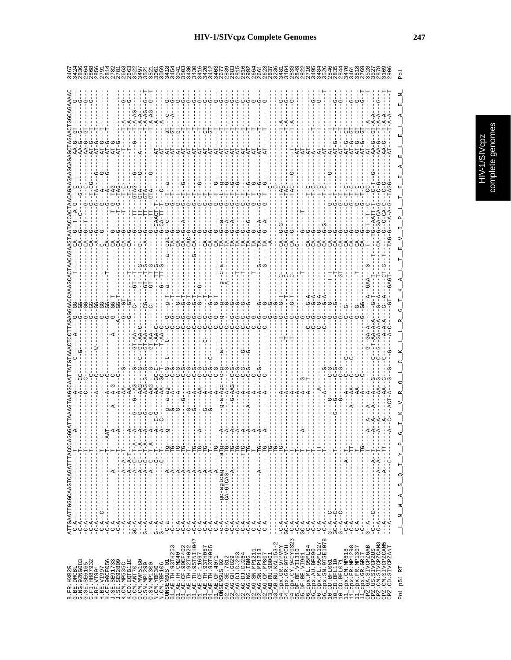| $\begin{smallmatrix} \texttt{R}, \texttt{HRL} \texttt{MRL} \texttt{R}, \texttt{HRL} \texttt{MRL} \texttt{R}, \texttt{HRL} \texttt{MRL} \texttt{R}, \texttt{HRL} \texttt{R}, \texttt{HRL} \texttt{R}, \texttt{HRL} \texttt{R}, \texttt{HRL} \texttt{R}, \texttt{HRL} \texttt{R}, \texttt{HRL} \texttt{R}, \texttt{HRL} \texttt{R}, \texttt{HRL} \texttt{R}, \texttt{HRL} \texttt{R}, \texttt{HRL} \texttt{R}, \texttt{HRL} \texttt{R}, \texttt{H$ | ATTGAATTGGGCAAGTCAGATTTACCCA<br>п<br>$\mathbf{I}$                                                                                                                                                                                                                                                                                                | J.<br>I                        |      |                 |      |                      |           |          |       |                 |                         |  |
|--------------------------------------------------------------------------------------------------------------------------------------------------------------------------------------------------------------------------------------------------------------------------------------------------------------------------------------------------------------------------------------------------------------------------------------------------|--------------------------------------------------------------------------------------------------------------------------------------------------------------------------------------------------------------------------------------------------------------------------------------------------------------------------------------------------|--------------------------------|------|-----------------|------|----------------------|-----------|----------|-------|-----------------|-------------------------|--|
|                                                                                                                                                                                                                                                                                                                                                                                                                                                  | ł<br>$-1$<br>$-1$<br>$-1$<br>$-1$                                                                                                                                                                                                                                                                                                                | $\blacksquare$<br>J.           |      |                 |      |                      |           |          |       |                 |                         |  |
|                                                                                                                                                                                                                                                                                                                                                                                                                                                  | -<br>$-C - A$                                                                                                                                                                                                                                                                                                                                    | $\blacksquare$<br>н<br>т.      |      |                 |      |                      |           |          |       |                 |                         |  |
|                                                                                                                                                                                                                                                                                                                                                                                                                                                  | т<br>ł<br>$\tilde{A}$<br>ပု                                                                                                                                                                                                                                                                                                                      | ÷<br>T.                        |      |                 | ひひひひ |                      |           |          |       |                 |                         |  |
|                                                                                                                                                                                                                                                                                                                                                                                                                                                  | J,<br>$-1$                                                                                                                                                                                                                                                                                                                                       |                                |      |                 |      |                      |           |          |       |                 |                         |  |
|                                                                                                                                                                                                                                                                                                                                                                                                                                                  | U<br>I<br>$-4$<br>↻                                                                                                                                                                                                                                                                                                                              |                                |      |                 |      |                      |           |          |       |                 |                         |  |
|                                                                                                                                                                                                                                                                                                                                                                                                                                                  | т<br>$-C - A$                                                                                                                                                                                                                                                                                                                                    |                                |      |                 |      |                      |           |          |       | ひ ひ ひ ひ ひ ひ ひ ひ |                         |  |
|                                                                                                                                                                                                                                                                                                                                                                                                                                                  | п<br>К<br>-1<br>$\mathbf{I}$<br>$\mathbf{I}$<br>$-C - A$                                                                                                                                                                                                                                                                                         | $\mathbf{I}$                   |      |                 |      |                      |           |          |       |                 |                         |  |
|                                                                                                                                                                                                                                                                                                                                                                                                                                                  | п<br>H<br>$-C - A$                                                                                                                                                                                                                                                                                                                               | $\mathbf{I}$                   |      |                 |      |                      |           |          |       |                 |                         |  |
|                                                                                                                                                                                                                                                                                                                                                                                                                                                  | $\mathsf I$<br>$\mathbf{I}$<br>1<br>$\mathbf{I}$<br>п<br>A<br>Ţ                                                                                                                                                                                                                                                                                  |                                |      |                 |      |                      |           |          |       |                 |                         |  |
|                                                                                                                                                                                                                                                                                                                                                                                                                                                  | $\begin{array}{l}A_1^1 + A_2^2 + A_3^3 + A_4^4 + A_5^5 + A_6^6 + A_7^7 + A_7^8 + A_7^9 + A_7^9 + A_7^9 + A_7^9 + A_7^9 + A_7^9 + A_7^9 + A_7^9 + A_7^9 + A_7^9 + A_7^9 + A_7^9 + A_7^9 + A_7^9 + A_7^9 + A_7^9 + A_7^9 + A_7^9 + A_7^9 + A_7^9 + A_7^9 + A_7^9 + A_7^9 + A_7^9 + A_7^9 + A_7^9 + A_7^9 + A_7$<br>$\blacksquare$<br>L.<br>A,<br>Ť | 탵                              |      |                 |      |                      |           |          |       |                 |                         |  |
|                                                                                                                                                                                                                                                                                                                                                                                                                                                  | $G - A$                                                                                                                                                                                                                                                                                                                                          |                                |      |                 |      |                      |           |          | i i i |                 |                         |  |
|                                                                                                                                                                                                                                                                                                                                                                                                                                                  | п<br>$-4$<br>$\blacksquare$                                                                                                                                                                                                                                                                                                                      | Ħ                              |      |                 |      |                      |           |          |       |                 |                         |  |
|                                                                                                                                                                                                                                                                                                                                                                                                                                                  | К<br>Ŧ<br>ひ                                                                                                                                                                                                                                                                                                                                      |                                |      |                 |      |                      |           |          |       |                 |                         |  |
|                                                                                                                                                                                                                                                                                                                                                                                                                                                  | I.<br>Ť.<br>I.<br>ł<br>К<br>Ŧ                                                                                                                                                                                                                                                                                                                    |                                |      |                 |      |                      |           |          |       |                 |                         |  |
|                                                                                                                                                                                                                                                                                                                                                                                                                                                  |                                                                                                                                                                                                                                                                                                                                                  | ÷                              |      |                 |      |                      |           |          |       |                 |                         |  |
|                                                                                                                                                                                                                                                                                                                                                                                                                                                  | $- - A$<br>ט ט                                                                                                                                                                                                                                                                                                                                   | - 11<br>HHHH<br>IIII           |      |                 |      |                      |           |          |       |                 |                         |  |
|                                                                                                                                                                                                                                                                                                                                                                                                                                                  | $-C-a$                                                                                                                                                                                                                                                                                                                                           |                                |      |                 |      |                      |           |          |       |                 |                         |  |
|                                                                                                                                                                                                                                                                                                                                                                                                                                                  | $\frac{1}{2}$                                                                                                                                                                                                                                                                                                                                    | 부부                             |      |                 |      |                      |           |          |       |                 |                         |  |
|                                                                                                                                                                                                                                                                                                                                                                                                                                                  | л.                                                                                                                                                                                                                                                                                                                                               |                                |      |                 |      |                      |           |          |       |                 |                         |  |
|                                                                                                                                                                                                                                                                                                                                                                                                                                                  |                                                                                                                                                                                                                                                                                                                                                  |                                |      |                 |      |                      |           |          |       |                 |                         |  |
|                                                                                                                                                                                                                                                                                                                                                                                                                                                  |                                                                                                                                                                                                                                                                                                                                                  | $\frac{1}{1}$                  |      |                 |      |                      |           |          |       |                 |                         |  |
|                                                                                                                                                                                                                                                                                                                                                                                                                                                  | ļ                                                                                                                                                                                                                                                                                                                                                |                                | でりてり |                 |      |                      |           |          |       |                 |                         |  |
|                                                                                                                                                                                                                                                                                                                                                                                                                                                  |                                                                                                                                                                                                                                                                                                                                                  |                                |      |                 |      |                      |           |          |       |                 |                         |  |
|                                                                                                                                                                                                                                                                                                                                                                                                                                                  | т                                                                                                                                                                                                                                                                                                                                                | $\frac{1}{2}$                  |      |                 |      |                      |           |          |       |                 |                         |  |
|                                                                                                                                                                                                                                                                                                                                                                                                                                                  | $\mathbf{I}$                                                                                                                                                                                                                                                                                                                                     |                                | てりてり |                 |      |                      |           |          |       |                 |                         |  |
|                                                                                                                                                                                                                                                                                                                                                                                                                                                  | ł<br>$\mathbf{I}$                                                                                                                                                                                                                                                                                                                                | 한다.<br>그 부                     |      |                 |      |                      |           |          |       |                 |                         |  |
|                                                                                                                                                                                                                                                                                                                                                                                                                                                  | -                                                                                                                                                                                                                                                                                                                                                | $-TG-$                         |      |                 |      |                      |           |          |       |                 |                         |  |
|                                                                                                                                                                                                                                                                                                                                                                                                                                                  | $\,$ I<br>$\mathbf{I}$<br>$\frac{1}{1}$                                                                                                                                                                                                                                                                                                          |                                |      | ぴ ぴ ぴ ぴ め ぴ ぴ ぴ |      | לז לז לז לז הז לז לז |           |          |       |                 |                         |  |
|                                                                                                                                                                                                                                                                                                                                                                                                                                                  | ---940159-25---<br>---CA-GTCAG--<br>$\blacksquare$<br>$\mathbf{I}$<br>$\blacksquare$                                                                                                                                                                                                                                                             | 1----аТ9<br>------т6<br>------ |      |                 |      |                      |           |          |       |                 |                         |  |
|                                                                                                                                                                                                                                                                                                                                                                                                                                                  |                                                                                                                                                                                                                                                                                                                                                  |                                |      |                 |      |                      |           |          |       |                 |                         |  |
|                                                                                                                                                                                                                                                                                                                                                                                                                                                  | ł<br>$\mathbf{I}$<br>Ť.<br>$\mathsf I$<br>$\frac{1}{1}$                                                                                                                                                                                                                                                                                          |                                |      |                 |      |                      |           |          |       |                 |                         |  |
|                                                                                                                                                                                                                                                                                                                                                                                                                                                  | ł<br>$\frac{1}{1}$<br>$\mathbf I$<br>$\mathsf I$<br>$\mathbf{I}$<br>$\frac{1}{1}$                                                                                                                                                                                                                                                                |                                |      |                 |      |                      |           |          |       |                 |                         |  |
|                                                                                                                                                                                                                                                                                                                                                                                                                                                  | $\mathbf{I}$<br>$\mathbf{I}$<br>$\frac{1}{1}$                                                                                                                                                                                                                                                                                                    |                                |      |                 |      |                      |           |          |       |                 |                         |  |
|                                                                                                                                                                                                                                                                                                                                                                                                                                                  |                                                                                                                                                                                                                                                                                                                                                  |                                |      |                 |      |                      |           |          |       |                 |                         |  |
|                                                                                                                                                                                                                                                                                                                                                                                                                                                  | $\blacksquare$<br>ׇׇׇׇ֡֓֡֡֡֡֡֡֡֡֡֡֡֡֡֡֝׀<br>֧֢׀֛֢׆֧֢֡֡֡֡׀֧֢׆֛֢׀֛֢׆֛׀֛֢׆׀֛֢׆֛׀֛֖֚׆֛׀<br>׆֛׀׀׀׀׀׀׀׀׀׀׀׀׀׀                                                                                                                                                                                                                                          | 1                              |      |                 |      |                      |           |          |       |                 | <b>ひひひひひひひひひひひひひひひひ</b> |  |
|                                                                                                                                                                                                                                                                                                                                                                                                                                                  | ŧ                                                                                                                                                                                                                                                                                                                                                | T                              |      |                 |      |                      |           |          |       |                 |                         |  |
|                                                                                                                                                                                                                                                                                                                                                                                                                                                  | п.                                                                                                                                                                                                                                                                                                                                               |                                |      |                 |      |                      |           |          |       |                 |                         |  |
|                                                                                                                                                                                                                                                                                                                                                                                                                                                  | ÷j.                                                                                                                                                                                                                                                                                                                                              |                                |      |                 |      |                      |           |          |       |                 |                         |  |
|                                                                                                                                                                                                                                                                                                                                                                                                                                                  | $\mathbf{I}$<br>$\blacksquare$                                                                                                                                                                                                                                                                                                                   |                                |      |                 |      |                      |           |          |       |                 |                         |  |
|                                                                                                                                                                                                                                                                                                                                                                                                                                                  | $\mathbf{I}$                                                                                                                                                                                                                                                                                                                                     |                                |      |                 |      |                      |           |          |       |                 |                         |  |
|                                                                                                                                                                                                                                                                                                                                                                                                                                                  | $\blacksquare$                                                                                                                                                                                                                                                                                                                                   |                                |      |                 |      |                      |           |          |       |                 |                         |  |
|                                                                                                                                                                                                                                                                                                                                                                                                                                                  |                                                                                                                                                                                                                                                                                                                                                  |                                |      |                 |      |                      |           |          |       |                 |                         |  |
|                                                                                                                                                                                                                                                                                                                                                                                                                                                  | $\mathbf{I}$                                                                                                                                                                                                                                                                                                                                     |                                |      |                 |      |                      |           |          |       |                 |                         |  |
|                                                                                                                                                                                                                                                                                                                                                                                                                                                  | וֹ תִּתְתֹּתְתֹּתְתֹּתְתְֹתֹּתְתִּ<br>- יוֹיִם שְׁיִיִם שִׁיְחָיִם שִׁיְחָיִם<br>- יוֹט שְׁיִים שִׁיְחָיוֹ שִׁט שָׁי                                                                                                                                                                                                                             |                                |      |                 |      |                      |           |          |       |                 |                         |  |
|                                                                                                                                                                                                                                                                                                                                                                                                                                                  | ł<br>$\frac{1}{1}$                                                                                                                                                                                                                                                                                                                               |                                |      |                 |      |                      |           |          |       |                 |                         |  |
|                                                                                                                                                                                                                                                                                                                                                                                                                                                  | J,<br>f,                                                                                                                                                                                                                                                                                                                                         |                                |      |                 |      | てりてり                 | 555555555 |          |       |                 |                         |  |
|                                                                                                                                                                                                                                                                                                                                                                                                                                                  | $\mathbf{L}$<br>Ť<br>1<br>1<br>ï.                                                                                                                                                                                                                                                                                                                | Ī.                             |      |                 |      |                      |           |          |       |                 |                         |  |
|                                                                                                                                                                                                                                                                                                                                                                                                                                                  | Ť,                                                                                                                                                                                                                                                                                                                                               |                                |      |                 |      |                      |           |          |       |                 |                         |  |
|                                                                                                                                                                                                                                                                                                                                                                                                                                                  | Ħ<br>$\begin{array}{c}\nC \\ 1\n\end{array}$                                                                                                                                                                                                                                                                                                     |                                |      |                 |      |                      |           | てりてりてりてり |       |                 |                         |  |
|                                                                                                                                                                                                                                                                                                                                                                                                                                                  | $\blacksquare$<br>$\blacksquare$<br>U<br>I                                                                                                                                                                                                                                                                                                       |                                |      |                 |      |                      |           |          |       |                 |                         |  |
|                                                                                                                                                                                                                                                                                                                                                                                                                                                  | $\frac{0}{1}$                                                                                                                                                                                                                                                                                                                                    |                                |      |                 |      |                      |           |          |       |                 |                         |  |
|                                                                                                                                                                                                                                                                                                                                                                                                                                                  |                                                                                                                                                                                                                                                                                                                                                  |                                |      |                 |      |                      |           |          |       |                 |                         |  |
|                                                                                                                                                                                                                                                                                                                                                                                                                                                  | $- -A - -$<br>ŧ,                                                                                                                                                                                                                                                                                                                                 |                                |      |                 |      |                      |           |          |       | めめめめ            |                         |  |
|                                                                                                                                                                                                                                                                                                                                                                                                                                                  | $\mathbf{I}$<br>п<br>J<br>ł<br>$-1$<br>$-1$<br>$-1$<br>$-1$<br>$-1$                                                                                                                                                                                                                                                                              | Ī.<br>$\mathbf{I}$             |      |                 |      |                      |           |          |       |                 |                         |  |
|                                                                                                                                                                                                                                                                                                                                                                                                                                                  | H                                                                                                                                                                                                                                                                                                                                                | T.                             |      |                 |      |                      |           |          |       |                 |                         |  |
|                                                                                                                                                                                                                                                                                                                                                                                                                                                  | 1<br>$\mathbf{I}$<br>п<br>$-5 - 1$                                                                                                                                                                                                                                                                                                               | 텃                              |      |                 |      |                      |           |          |       |                 |                         |  |
| CPZ.GA.SIVCPZGAB                                                                                                                                                                                                                                                                                                                                                                                                                                 | л.<br>К<br>门。                                                                                                                                                                                                                                                                                                                                    | J.                             |      |                 |      |                      |           |          |       |                 |                         |  |
| CPZ.GA.SIVCPZUS<br>CPZ.US.SIVCPZUS<br>CPZ.CM.SIVCPZCAM3<br>-- ^- civCPZCAM5                                                                                                                                                                                                                                                                                                                                                                      | $-1$<br>O<br>$\mathbf{I}$<br>$\mathbf{I}$                                                                                                                                                                                                                                                                                                        | Ĩ.                             |      |                 |      |                      |           |          |       |                 |                         |  |
|                                                                                                                                                                                                                                                                                                                                                                                                                                                  | $-4 - 2 - 4 - 1$<br>J<br>J<br>j<br>$-5$                                                                                                                                                                                                                                                                                                          |                                |      |                 |      |                      |           |          |       |                 |                         |  |
| 1.SIVCPZCAM5<br>0.SIVCPZANT<br>CPZ.CM.<br>CPZ.CD.                                                                                                                                                                                                                                                                                                                                                                                                | 1<br>$-4-$<br>$\begin{array}{c} \end{array}$<br>÷<br>$\mathbf{I}$<br>1<br>Ť,<br>К<br>Ţ<br>п                                                                                                                                                                                                                                                      | 텃<br>$\mathbf{I}$              |      |                 |      |                      |           |          |       |                 |                         |  |
|                                                                                                                                                                                                                                                                                                                                                                                                                                                  | U<br>п<br>A<br>J<br>$\blacksquare$                                                                                                                                                                                                                                                                                                               |                                |      |                 |      |                      |           |          |       |                 |                         |  |
|                                                                                                                                                                                                                                                                                                                                                                                                                                                  |                                                                                                                                                                                                                                                                                                                                                  |                                |      |                 |      |                      |           |          |       |                 |                         |  |
| 뒪<br>p51<br>Po <sub>1</sub>                                                                                                                                                                                                                                                                                                                                                                                                                      | ◠<br>C<br>з<br>z                                                                                                                                                                                                                                                                                                                                 |                                |      |                 |      |                      |           |          |       |                 |                         |  |
|                                                                                                                                                                                                                                                                                                                                                                                                                                                  |                                                                                                                                                                                                                                                                                                                                                  |                                |      |                 |      |                      |           |          |       |                 |                         |  |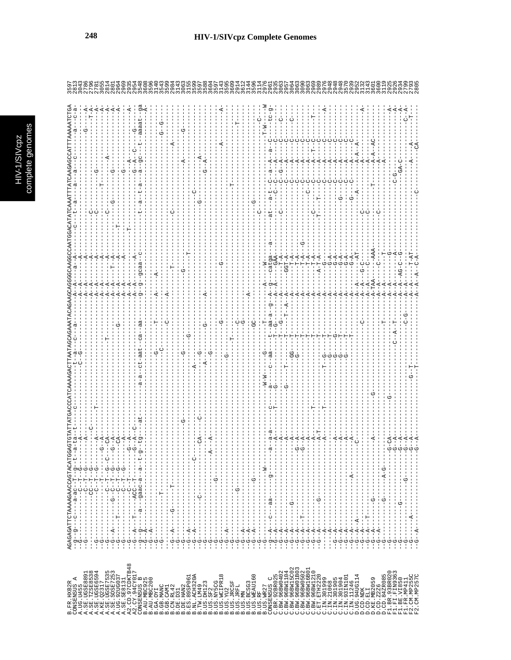| laaa<br>$A - A$<br>てり<br>൯<br>œ<br>н<br>부부유유우우우우<br>$\overline{0}$<br>gcaa<br>ወ⊄<br>1 1 1 1 1 1 1<br>A A A A A A A<br>σÜ<br>$\begin{array}{l} \mathcal{A}\oplus\mathcal{A}\oplus\mathcal{A}\oplus\mathcal{A}\oplus\mathcal{A}\oplus\mathcal{A}\oplus\mathcal{A}\oplus\mathcal{A}\oplus\mathcal{A}\oplus\mathcal{A}\oplus\mathcal{A}\oplus\mathcal{A}\oplus\mathcal{A}\oplus\mathcal{A}\oplus\mathcal{A}\oplus\mathcal{A}\oplus\mathcal{A}\oplus\mathcal{A}\oplus\mathcal{A}\oplus\mathcal{A}\oplus\mathcal{A}\oplus\mathcal{A}\oplus\mathcal{A}\oplus\mathcal{A}\oplus\mathcal{A}\oplus\mathcal{A}\oplus\mathcal{A$<br>$\begin{array}{c} 0 & 1 \\ 1 & 1 \end{array}$<br>$\mathbf{1}$<br>$\blacksquare$<br>$\blacksquare$<br>$\blacksquare$<br>- 11<br>$\mathbf{L}$<br>- 1<br>- 1<br>$\mathbf{I}$<br>$\blacksquare$<br>- 1<br>$\blacksquare$<br>$\mathbf{I}$<br>- 11<br>$\perp$<br>1 1 1 1<br>$\blacksquare$<br>- 11<br>$\mathbf{I}$<br>$\mathbf{1}$<br>$\blacksquare$<br>$\blacksquare$<br>- 1<br>$\mathbf{I}$<br>$\mathbf{I}$<br>- 11<br>- 1<br>- 1<br>- 1<br>$\blacksquare$<br>$\blacksquare$<br>л.<br>.<br>$1 - 1$<br>$1 - 1 - 1 - 1$<br>$1 - 1$<br>$1 - 1 - 1 - 1 - 1 - 1$<br>$-1$<br>$1 - 1 - 1$<br>$\mathbf{I}$<br>Ť.<br>$\mathbf{I}$<br>$\mathbf{I}$<br>Τ.<br>1<br>- 11<br>$\mathbf{1}$<br>ひ<br>$1 - 1 - 1$<br>$\perp$<br>$\mathbf{I}$<br>$\mathbb{I}-\mathbb{I}$<br>$\,$ I<br>$\mathsf I$<br>$\mathsf I$<br>$\mathbf{I}$<br>$\,$ I<br>$\blacksquare$<br>$\,$ I<br>$\blacksquare$<br>$\mathbb{L}$<br>$\mathsf I$<br>J.<br>$\blacksquare$<br>$\mathbf{I}$<br>$\mathbf{I}$<br>$\overline{\phantom{a}}$<br>$-1$<br>$-1$<br>$-1$<br>$-1$<br>$-1$<br>$-1$<br>$-1$<br>$-1$<br>$\begin{array}{c}\n-1 \\ -1 \\ \vdots \\ -1 \\ \vdots \\ -1 \\ \vdots \\ -1 \\ \vdots \\ -1 \\ \vdots \\ -1 \\ \vdots \\ -1 \\ \vdots \\ -1 \\ \vdots \\ -1 \\ \vdots \\ -1 \\ \vdots \\ -1 \\ \vdots \\ -1 \\ \vdots \\ -1 \\ \vdots \\ -1 \\ \vdots \\ -1 \\ \vdots \\ -1 \\ \vdots \\ -1 \\ \vdots \\ -1 \\ \vdots \\ -1 \\ \vdots \\ -1 \\ \vdots \\ -1 \\ \vdots \\ -1 \\ \vdots \\ -1 \\ \vdots \\ -1 \\ \vdots \\ -1 \\ \vdots \\ -1 \\ \vdots \\ -1 \\ \vdots \\ -1 \\ \vdots \\ -1 \\ \vdots \\ -1 \\ \vdots$<br>WHIT<br>甘甘<br>$\mathbf{I}$<br>$\begin{array}{cccc} 1 & 1 & 1 & 1 & 1 & 1 & 1 \\ 1 & 0 & 1 & 1 & 1 & 1 & 1 \\ 1 & 1 & 1 & 1 & 1 & 1 & 1 \\ 1 & 1 & 1 & 1 & 1 & 0 & 1 \\ \end{array}$<br>J<br>Ť.<br>J.<br>Ţ<br>HHI<br>-11<br>$\begin{array}{c} \n 1 \\  -1 \\  -1 \\  -1 \\  -1\n \end{array}$<br>- 11<br>- 11<br>$\frac{1}{4}$<br>土土<br>$\frac{1}{4}$<br>- 1<br>- 11<br>$\frac{1}{1}$<br>$\frac{1}{1}$<br>$\frac{1}{1}$<br>Ħ<br>$\frac{1}{1}$<br>$\mathsf I$<br>Ħ<br>Ħ<br>- 1<br>Ħ |
|--------------------------------------------------------------------------------------------------------------------------------------------------------------------------------------------------------------------------------------------------------------------------------------------------------------------------------------------------------------------------------------------------------------------------------------------------------------------------------------------------------------------------------------------------------------------------------------------------------------------------------------------------------------------------------------------------------------------------------------------------------------------------------------------------------------------------------------------------------------------------------------------------------------------------------------------------------------------------------------------------------------------------------------------------------------------------------------------------------------------------------------------------------------------------------------------------------------------------------------------------------------------------------------------------------------------------------------------------------------------------------------------------------------------------------------------------------------------------------------------------------------------------------------------------------------------------------------------------------------------------------------------------------------------------------------------------------------------------------------------------------------------------------------------------------------------------------------------------------------------------------------------------------------------------------------------------------------------------------------------------------------------------------------------------------------------------------------------------------------------------------------------------------------------------------------------------------------------------------------------------------------------------------------------------------------------------------------------------------------------------------------------------------------------------------------------------------------------------------------------------------------------------------------------------------------------------------------------------------------------------------------------------------------------------------------------|
|                                                                                                                                                                                                                                                                                                                                                                                                                                                                                                                                                                                                                                                                                                                                                                                                                                                                                                                                                                                                                                                                                                                                                                                                                                                                                                                                                                                                                                                                                                                                                                                                                                                                                                                                                                                                                                                                                                                                                                                                                                                                                                                                                                                                                                                                                                                                                                                                                                                                                                                                                                                                                                                                                            |
|                                                                                                                                                                                                                                                                                                                                                                                                                                                                                                                                                                                                                                                                                                                                                                                                                                                                                                                                                                                                                                                                                                                                                                                                                                                                                                                                                                                                                                                                                                                                                                                                                                                                                                                                                                                                                                                                                                                                                                                                                                                                                                                                                                                                                                                                                                                                                                                                                                                                                                                                                                                                                                                                                            |
|                                                                                                                                                                                                                                                                                                                                                                                                                                                                                                                                                                                                                                                                                                                                                                                                                                                                                                                                                                                                                                                                                                                                                                                                                                                                                                                                                                                                                                                                                                                                                                                                                                                                                                                                                                                                                                                                                                                                                                                                                                                                                                                                                                                                                                                                                                                                                                                                                                                                                                                                                                                                                                                                                            |
|                                                                                                                                                                                                                                                                                                                                                                                                                                                                                                                                                                                                                                                                                                                                                                                                                                                                                                                                                                                                                                                                                                                                                                                                                                                                                                                                                                                                                                                                                                                                                                                                                                                                                                                                                                                                                                                                                                                                                                                                                                                                                                                                                                                                                                                                                                                                                                                                                                                                                                                                                                                                                                                                                            |
|                                                                                                                                                                                                                                                                                                                                                                                                                                                                                                                                                                                                                                                                                                                                                                                                                                                                                                                                                                                                                                                                                                                                                                                                                                                                                                                                                                                                                                                                                                                                                                                                                                                                                                                                                                                                                                                                                                                                                                                                                                                                                                                                                                                                                                                                                                                                                                                                                                                                                                                                                                                                                                                                                            |
|                                                                                                                                                                                                                                                                                                                                                                                                                                                                                                                                                                                                                                                                                                                                                                                                                                                                                                                                                                                                                                                                                                                                                                                                                                                                                                                                                                                                                                                                                                                                                                                                                                                                                                                                                                                                                                                                                                                                                                                                                                                                                                                                                                                                                                                                                                                                                                                                                                                                                                                                                                                                                                                                                            |
|                                                                                                                                                                                                                                                                                                                                                                                                                                                                                                                                                                                                                                                                                                                                                                                                                                                                                                                                                                                                                                                                                                                                                                                                                                                                                                                                                                                                                                                                                                                                                                                                                                                                                                                                                                                                                                                                                                                                                                                                                                                                                                                                                                                                                                                                                                                                                                                                                                                                                                                                                                                                                                                                                            |
|                                                                                                                                                                                                                                                                                                                                                                                                                                                                                                                                                                                                                                                                                                                                                                                                                                                                                                                                                                                                                                                                                                                                                                                                                                                                                                                                                                                                                                                                                                                                                                                                                                                                                                                                                                                                                                                                                                                                                                                                                                                                                                                                                                                                                                                                                                                                                                                                                                                                                                                                                                                                                                                                                            |
|                                                                                                                                                                                                                                                                                                                                                                                                                                                                                                                                                                                                                                                                                                                                                                                                                                                                                                                                                                                                                                                                                                                                                                                                                                                                                                                                                                                                                                                                                                                                                                                                                                                                                                                                                                                                                                                                                                                                                                                                                                                                                                                                                                                                                                                                                                                                                                                                                                                                                                                                                                                                                                                                                            |
|                                                                                                                                                                                                                                                                                                                                                                                                                                                                                                                                                                                                                                                                                                                                                                                                                                                                                                                                                                                                                                                                                                                                                                                                                                                                                                                                                                                                                                                                                                                                                                                                                                                                                                                                                                                                                                                                                                                                                                                                                                                                                                                                                                                                                                                                                                                                                                                                                                                                                                                                                                                                                                                                                            |
|                                                                                                                                                                                                                                                                                                                                                                                                                                                                                                                                                                                                                                                                                                                                                                                                                                                                                                                                                                                                                                                                                                                                                                                                                                                                                                                                                                                                                                                                                                                                                                                                                                                                                                                                                                                                                                                                                                                                                                                                                                                                                                                                                                                                                                                                                                                                                                                                                                                                                                                                                                                                                                                                                            |
|                                                                                                                                                                                                                                                                                                                                                                                                                                                                                                                                                                                                                                                                                                                                                                                                                                                                                                                                                                                                                                                                                                                                                                                                                                                                                                                                                                                                                                                                                                                                                                                                                                                                                                                                                                                                                                                                                                                                                                                                                                                                                                                                                                                                                                                                                                                                                                                                                                                                                                                                                                                                                                                                                            |
|                                                                                                                                                                                                                                                                                                                                                                                                                                                                                                                                                                                                                                                                                                                                                                                                                                                                                                                                                                                                                                                                                                                                                                                                                                                                                                                                                                                                                                                                                                                                                                                                                                                                                                                                                                                                                                                                                                                                                                                                                                                                                                                                                                                                                                                                                                                                                                                                                                                                                                                                                                                                                                                                                            |
|                                                                                                                                                                                                                                                                                                                                                                                                                                                                                                                                                                                                                                                                                                                                                                                                                                                                                                                                                                                                                                                                                                                                                                                                                                                                                                                                                                                                                                                                                                                                                                                                                                                                                                                                                                                                                                                                                                                                                                                                                                                                                                                                                                                                                                                                                                                                                                                                                                                                                                                                                                                                                                                                                            |
|                                                                                                                                                                                                                                                                                                                                                                                                                                                                                                                                                                                                                                                                                                                                                                                                                                                                                                                                                                                                                                                                                                                                                                                                                                                                                                                                                                                                                                                                                                                                                                                                                                                                                                                                                                                                                                                                                                                                                                                                                                                                                                                                                                                                                                                                                                                                                                                                                                                                                                                                                                                                                                                                                            |
|                                                                                                                                                                                                                                                                                                                                                                                                                                                                                                                                                                                                                                                                                                                                                                                                                                                                                                                                                                                                                                                                                                                                                                                                                                                                                                                                                                                                                                                                                                                                                                                                                                                                                                                                                                                                                                                                                                                                                                                                                                                                                                                                                                                                                                                                                                                                                                                                                                                                                                                                                                                                                                                                                            |
|                                                                                                                                                                                                                                                                                                                                                                                                                                                                                                                                                                                                                                                                                                                                                                                                                                                                                                                                                                                                                                                                                                                                                                                                                                                                                                                                                                                                                                                                                                                                                                                                                                                                                                                                                                                                                                                                                                                                                                                                                                                                                                                                                                                                                                                                                                                                                                                                                                                                                                                                                                                                                                                                                            |
|                                                                                                                                                                                                                                                                                                                                                                                                                                                                                                                                                                                                                                                                                                                                                                                                                                                                                                                                                                                                                                                                                                                                                                                                                                                                                                                                                                                                                                                                                                                                                                                                                                                                                                                                                                                                                                                                                                                                                                                                                                                                                                                                                                                                                                                                                                                                                                                                                                                                                                                                                                                                                                                                                            |
|                                                                                                                                                                                                                                                                                                                                                                                                                                                                                                                                                                                                                                                                                                                                                                                                                                                                                                                                                                                                                                                                                                                                                                                                                                                                                                                                                                                                                                                                                                                                                                                                                                                                                                                                                                                                                                                                                                                                                                                                                                                                                                                                                                                                                                                                                                                                                                                                                                                                                                                                                                                                                                                                                            |
|                                                                                                                                                                                                                                                                                                                                                                                                                                                                                                                                                                                                                                                                                                                                                                                                                                                                                                                                                                                                                                                                                                                                                                                                                                                                                                                                                                                                                                                                                                                                                                                                                                                                                                                                                                                                                                                                                                                                                                                                                                                                                                                                                                                                                                                                                                                                                                                                                                                                                                                                                                                                                                                                                            |
|                                                                                                                                                                                                                                                                                                                                                                                                                                                                                                                                                                                                                                                                                                                                                                                                                                                                                                                                                                                                                                                                                                                                                                                                                                                                                                                                                                                                                                                                                                                                                                                                                                                                                                                                                                                                                                                                                                                                                                                                                                                                                                                                                                                                                                                                                                                                                                                                                                                                                                                                                                                                                                                                                            |
|                                                                                                                                                                                                                                                                                                                                                                                                                                                                                                                                                                                                                                                                                                                                                                                                                                                                                                                                                                                                                                                                                                                                                                                                                                                                                                                                                                                                                                                                                                                                                                                                                                                                                                                                                                                                                                                                                                                                                                                                                                                                                                                                                                                                                                                                                                                                                                                                                                                                                                                                                                                                                                                                                            |
|                                                                                                                                                                                                                                                                                                                                                                                                                                                                                                                                                                                                                                                                                                                                                                                                                                                                                                                                                                                                                                                                                                                                                                                                                                                                                                                                                                                                                                                                                                                                                                                                                                                                                                                                                                                                                                                                                                                                                                                                                                                                                                                                                                                                                                                                                                                                                                                                                                                                                                                                                                                                                                                                                            |
|                                                                                                                                                                                                                                                                                                                                                                                                                                                                                                                                                                                                                                                                                                                                                                                                                                                                                                                                                                                                                                                                                                                                                                                                                                                                                                                                                                                                                                                                                                                                                                                                                                                                                                                                                                                                                                                                                                                                                                                                                                                                                                                                                                                                                                                                                                                                                                                                                                                                                                                                                                                                                                                                                            |
|                                                                                                                                                                                                                                                                                                                                                                                                                                                                                                                                                                                                                                                                                                                                                                                                                                                                                                                                                                                                                                                                                                                                                                                                                                                                                                                                                                                                                                                                                                                                                                                                                                                                                                                                                                                                                                                                                                                                                                                                                                                                                                                                                                                                                                                                                                                                                                                                                                                                                                                                                                                                                                                                                            |
|                                                                                                                                                                                                                                                                                                                                                                                                                                                                                                                                                                                                                                                                                                                                                                                                                                                                                                                                                                                                                                                                                                                                                                                                                                                                                                                                                                                                                                                                                                                                                                                                                                                                                                                                                                                                                                                                                                                                                                                                                                                                                                                                                                                                                                                                                                                                                                                                                                                                                                                                                                                                                                                                                            |
|                                                                                                                                                                                                                                                                                                                                                                                                                                                                                                                                                                                                                                                                                                                                                                                                                                                                                                                                                                                                                                                                                                                                                                                                                                                                                                                                                                                                                                                                                                                                                                                                                                                                                                                                                                                                                                                                                                                                                                                                                                                                                                                                                                                                                                                                                                                                                                                                                                                                                                                                                                                                                                                                                            |
|                                                                                                                                                                                                                                                                                                                                                                                                                                                                                                                                                                                                                                                                                                                                                                                                                                                                                                                                                                                                                                                                                                                                                                                                                                                                                                                                                                                                                                                                                                                                                                                                                                                                                                                                                                                                                                                                                                                                                                                                                                                                                                                                                                                                                                                                                                                                                                                                                                                                                                                                                                                                                                                                                            |
|                                                                                                                                                                                                                                                                                                                                                                                                                                                                                                                                                                                                                                                                                                                                                                                                                                                                                                                                                                                                                                                                                                                                                                                                                                                                                                                                                                                                                                                                                                                                                                                                                                                                                                                                                                                                                                                                                                                                                                                                                                                                                                                                                                                                                                                                                                                                                                                                                                                                                                                                                                                                                                                                                            |
|                                                                                                                                                                                                                                                                                                                                                                                                                                                                                                                                                                                                                                                                                                                                                                                                                                                                                                                                                                                                                                                                                                                                                                                                                                                                                                                                                                                                                                                                                                                                                                                                                                                                                                                                                                                                                                                                                                                                                                                                                                                                                                                                                                                                                                                                                                                                                                                                                                                                                                                                                                                                                                                                                            |
|                                                                                                                                                                                                                                                                                                                                                                                                                                                                                                                                                                                                                                                                                                                                                                                                                                                                                                                                                                                                                                                                                                                                                                                                                                                                                                                                                                                                                                                                                                                                                                                                                                                                                                                                                                                                                                                                                                                                                                                                                                                                                                                                                                                                                                                                                                                                                                                                                                                                                                                                                                                                                                                                                            |
|                                                                                                                                                                                                                                                                                                                                                                                                                                                                                                                                                                                                                                                                                                                                                                                                                                                                                                                                                                                                                                                                                                                                                                                                                                                                                                                                                                                                                                                                                                                                                                                                                                                                                                                                                                                                                                                                                                                                                                                                                                                                                                                                                                                                                                                                                                                                                                                                                                                                                                                                                                                                                                                                                            |
|                                                                                                                                                                                                                                                                                                                                                                                                                                                                                                                                                                                                                                                                                                                                                                                                                                                                                                                                                                                                                                                                                                                                                                                                                                                                                                                                                                                                                                                                                                                                                                                                                                                                                                                                                                                                                                                                                                                                                                                                                                                                                                                                                                                                                                                                                                                                                                                                                                                                                                                                                                                                                                                                                            |
|                                                                                                                                                                                                                                                                                                                                                                                                                                                                                                                                                                                                                                                                                                                                                                                                                                                                                                                                                                                                                                                                                                                                                                                                                                                                                                                                                                                                                                                                                                                                                                                                                                                                                                                                                                                                                                                                                                                                                                                                                                                                                                                                                                                                                                                                                                                                                                                                                                                                                                                                                                                                                                                                                            |
|                                                                                                                                                                                                                                                                                                                                                                                                                                                                                                                                                                                                                                                                                                                                                                                                                                                                                                                                                                                                                                                                                                                                                                                                                                                                                                                                                                                                                                                                                                                                                                                                                                                                                                                                                                                                                                                                                                                                                                                                                                                                                                                                                                                                                                                                                                                                                                                                                                                                                                                                                                                                                                                                                            |
|                                                                                                                                                                                                                                                                                                                                                                                                                                                                                                                                                                                                                                                                                                                                                                                                                                                                                                                                                                                                                                                                                                                                                                                                                                                                                                                                                                                                                                                                                                                                                                                                                                                                                                                                                                                                                                                                                                                                                                                                                                                                                                                                                                                                                                                                                                                                                                                                                                                                                                                                                                                                                                                                                            |
|                                                                                                                                                                                                                                                                                                                                                                                                                                                                                                                                                                                                                                                                                                                                                                                                                                                                                                                                                                                                                                                                                                                                                                                                                                                                                                                                                                                                                                                                                                                                                                                                                                                                                                                                                                                                                                                                                                                                                                                                                                                                                                                                                                                                                                                                                                                                                                                                                                                                                                                                                                                                                                                                                            |
|                                                                                                                                                                                                                                                                                                                                                                                                                                                                                                                                                                                                                                                                                                                                                                                                                                                                                                                                                                                                                                                                                                                                                                                                                                                                                                                                                                                                                                                                                                                                                                                                                                                                                                                                                                                                                                                                                                                                                                                                                                                                                                                                                                                                                                                                                                                                                                                                                                                                                                                                                                                                                                                                                            |
|                                                                                                                                                                                                                                                                                                                                                                                                                                                                                                                                                                                                                                                                                                                                                                                                                                                                                                                                                                                                                                                                                                                                                                                                                                                                                                                                                                                                                                                                                                                                                                                                                                                                                                                                                                                                                                                                                                                                                                                                                                                                                                                                                                                                                                                                                                                                                                                                                                                                                                                                                                                                                                                                                            |
|                                                                                                                                                                                                                                                                                                                                                                                                                                                                                                                                                                                                                                                                                                                                                                                                                                                                                                                                                                                                                                                                                                                                                                                                                                                                                                                                                                                                                                                                                                                                                                                                                                                                                                                                                                                                                                                                                                                                                                                                                                                                                                                                                                                                                                                                                                                                                                                                                                                                                                                                                                                                                                                                                            |
|                                                                                                                                                                                                                                                                                                                                                                                                                                                                                                                                                                                                                                                                                                                                                                                                                                                                                                                                                                                                                                                                                                                                                                                                                                                                                                                                                                                                                                                                                                                                                                                                                                                                                                                                                                                                                                                                                                                                                                                                                                                                                                                                                                                                                                                                                                                                                                                                                                                                                                                                                                                                                                                                                            |
|                                                                                                                                                                                                                                                                                                                                                                                                                                                                                                                                                                                                                                                                                                                                                                                                                                                                                                                                                                                                                                                                                                                                                                                                                                                                                                                                                                                                                                                                                                                                                                                                                                                                                                                                                                                                                                                                                                                                                                                                                                                                                                                                                                                                                                                                                                                                                                                                                                                                                                                                                                                                                                                                                            |
|                                                                                                                                                                                                                                                                                                                                                                                                                                                                                                                                                                                                                                                                                                                                                                                                                                                                                                                                                                                                                                                                                                                                                                                                                                                                                                                                                                                                                                                                                                                                                                                                                                                                                                                                                                                                                                                                                                                                                                                                                                                                                                                                                                                                                                                                                                                                                                                                                                                                                                                                                                                                                                                                                            |
|                                                                                                                                                                                                                                                                                                                                                                                                                                                                                                                                                                                                                                                                                                                                                                                                                                                                                                                                                                                                                                                                                                                                                                                                                                                                                                                                                                                                                                                                                                                                                                                                                                                                                                                                                                                                                                                                                                                                                                                                                                                                                                                                                                                                                                                                                                                                                                                                                                                                                                                                                                                                                                                                                            |
|                                                                                                                                                                                                                                                                                                                                                                                                                                                                                                                                                                                                                                                                                                                                                                                                                                                                                                                                                                                                                                                                                                                                                                                                                                                                                                                                                                                                                                                                                                                                                                                                                                                                                                                                                                                                                                                                                                                                                                                                                                                                                                                                                                                                                                                                                                                                                                                                                                                                                                                                                                                                                                                                                            |
|                                                                                                                                                                                                                                                                                                                                                                                                                                                                                                                                                                                                                                                                                                                                                                                                                                                                                                                                                                                                                                                                                                                                                                                                                                                                                                                                                                                                                                                                                                                                                                                                                                                                                                                                                                                                                                                                                                                                                                                                                                                                                                                                                                                                                                                                                                                                                                                                                                                                                                                                                                                                                                                                                            |
|                                                                                                                                                                                                                                                                                                                                                                                                                                                                                                                                                                                                                                                                                                                                                                                                                                                                                                                                                                                                                                                                                                                                                                                                                                                                                                                                                                                                                                                                                                                                                                                                                                                                                                                                                                                                                                                                                                                                                                                                                                                                                                                                                                                                                                                                                                                                                                                                                                                                                                                                                                                                                                                                                            |
|                                                                                                                                                                                                                                                                                                                                                                                                                                                                                                                                                                                                                                                                                                                                                                                                                                                                                                                                                                                                                                                                                                                                                                                                                                                                                                                                                                                                                                                                                                                                                                                                                                                                                                                                                                                                                                                                                                                                                                                                                                                                                                                                                                                                                                                                                                                                                                                                                                                                                                                                                                                                                                                                                            |
|                                                                                                                                                                                                                                                                                                                                                                                                                                                                                                                                                                                                                                                                                                                                                                                                                                                                                                                                                                                                                                                                                                                                                                                                                                                                                                                                                                                                                                                                                                                                                                                                                                                                                                                                                                                                                                                                                                                                                                                                                                                                                                                                                                                                                                                                                                                                                                                                                                                                                                                                                                                                                                                                                            |
|                                                                                                                                                                                                                                                                                                                                                                                                                                                                                                                                                                                                                                                                                                                                                                                                                                                                                                                                                                                                                                                                                                                                                                                                                                                                                                                                                                                                                                                                                                                                                                                                                                                                                                                                                                                                                                                                                                                                                                                                                                                                                                                                                                                                                                                                                                                                                                                                                                                                                                                                                                                                                                                                                            |
|                                                                                                                                                                                                                                                                                                                                                                                                                                                                                                                                                                                                                                                                                                                                                                                                                                                                                                                                                                                                                                                                                                                                                                                                                                                                                                                                                                                                                                                                                                                                                                                                                                                                                                                                                                                                                                                                                                                                                                                                                                                                                                                                                                                                                                                                                                                                                                                                                                                                                                                                                                                                                                                                                            |
|                                                                                                                                                                                                                                                                                                                                                                                                                                                                                                                                                                                                                                                                                                                                                                                                                                                                                                                                                                                                                                                                                                                                                                                                                                                                                                                                                                                                                                                                                                                                                                                                                                                                                                                                                                                                                                                                                                                                                                                                                                                                                                                                                                                                                                                                                                                                                                                                                                                                                                                                                                                                                                                                                            |
|                                                                                                                                                                                                                                                                                                                                                                                                                                                                                                                                                                                                                                                                                                                                                                                                                                                                                                                                                                                                                                                                                                                                                                                                                                                                                                                                                                                                                                                                                                                                                                                                                                                                                                                                                                                                                                                                                                                                                                                                                                                                                                                                                                                                                                                                                                                                                                                                                                                                                                                                                                                                                                                                                            |
|                                                                                                                                                                                                                                                                                                                                                                                                                                                                                                                                                                                                                                                                                                                                                                                                                                                                                                                                                                                                                                                                                                                                                                                                                                                                                                                                                                                                                                                                                                                                                                                                                                                                                                                                                                                                                                                                                                                                                                                                                                                                                                                                                                                                                                                                                                                                                                                                                                                                                                                                                                                                                                                                                            |
|                                                                                                                                                                                                                                                                                                                                                                                                                                                                                                                                                                                                                                                                                                                                                                                                                                                                                                                                                                                                                                                                                                                                                                                                                                                                                                                                                                                                                                                                                                                                                                                                                                                                                                                                                                                                                                                                                                                                                                                                                                                                                                                                                                                                                                                                                                                                                                                                                                                                                                                                                                                                                                                                                            |
|                                                                                                                                                                                                                                                                                                                                                                                                                                                                                                                                                                                                                                                                                                                                                                                                                                                                                                                                                                                                                                                                                                                                                                                                                                                                                                                                                                                                                                                                                                                                                                                                                                                                                                                                                                                                                                                                                                                                                                                                                                                                                                                                                                                                                                                                                                                                                                                                                                                                                                                                                                                                                                                                                            |
|                                                                                                                                                                                                                                                                                                                                                                                                                                                                                                                                                                                                                                                                                                                                                                                                                                                                                                                                                                                                                                                                                                                                                                                                                                                                                                                                                                                                                                                                                                                                                                                                                                                                                                                                                                                                                                                                                                                                                                                                                                                                                                                                                                                                                                                                                                                                                                                                                                                                                                                                                                                                                                                                                            |
|                                                                                                                                                                                                                                                                                                                                                                                                                                                                                                                                                                                                                                                                                                                                                                                                                                                                                                                                                                                                                                                                                                                                                                                                                                                                                                                                                                                                                                                                                                                                                                                                                                                                                                                                                                                                                                                                                                                                                                                                                                                                                                                                                                                                                                                                                                                                                                                                                                                                                                                                                                                                                                                                                            |
|                                                                                                                                                                                                                                                                                                                                                                                                                                                                                                                                                                                                                                                                                                                                                                                                                                                                                                                                                                                                                                                                                                                                                                                                                                                                                                                                                                                                                                                                                                                                                                                                                                                                                                                                                                                                                                                                                                                                                                                                                                                                                                                                                                                                                                                                                                                                                                                                                                                                                                                                                                                                                                                                                            |
|                                                                                                                                                                                                                                                                                                                                                                                                                                                                                                                                                                                                                                                                                                                                                                                                                                                                                                                                                                                                                                                                                                                                                                                                                                                                                                                                                                                                                                                                                                                                                                                                                                                                                                                                                                                                                                                                                                                                                                                                                                                                                                                                                                                                                                                                                                                                                                                                                                                                                                                                                                                                                                                                                            |
|                                                                                                                                                                                                                                                                                                                                                                                                                                                                                                                                                                                                                                                                                                                                                                                                                                                                                                                                                                                                                                                                                                                                                                                                                                                                                                                                                                                                                                                                                                                                                                                                                                                                                                                                                                                                                                                                                                                                                                                                                                                                                                                                                                                                                                                                                                                                                                                                                                                                                                                                                                                                                                                                                            |
|                                                                                                                                                                                                                                                                                                                                                                                                                                                                                                                                                                                                                                                                                                                                                                                                                                                                                                                                                                                                                                                                                                                                                                                                                                                                                                                                                                                                                                                                                                                                                                                                                                                                                                                                                                                                                                                                                                                                                                                                                                                                                                                                                                                                                                                                                                                                                                                                                                                                                                                                                                                                                                                                                            |
|                                                                                                                                                                                                                                                                                                                                                                                                                                                                                                                                                                                                                                                                                                                                                                                                                                                                                                                                                                                                                                                                                                                                                                                                                                                                                                                                                                                                                                                                                                                                                                                                                                                                                                                                                                                                                                                                                                                                                                                                                                                                                                                                                                                                                                                                                                                                                                                                                                                                                                                                                                                                                                                                                            |
|                                                                                                                                                                                                                                                                                                                                                                                                                                                                                                                                                                                                                                                                                                                                                                                                                                                                                                                                                                                                                                                                                                                                                                                                                                                                                                                                                                                                                                                                                                                                                                                                                                                                                                                                                                                                                                                                                                                                                                                                                                                                                                                                                                                                                                                                                                                                                                                                                                                                                                                                                                                                                                                                                            |
|                                                                                                                                                                                                                                                                                                                                                                                                                                                                                                                                                                                                                                                                                                                                                                                                                                                                                                                                                                                                                                                                                                                                                                                                                                                                                                                                                                                                                                                                                                                                                                                                                                                                                                                                                                                                                                                                                                                                                                                                                                                                                                                                                                                                                                                                                                                                                                                                                                                                                                                                                                                                                                                                                            |
|                                                                                                                                                                                                                                                                                                                                                                                                                                                                                                                                                                                                                                                                                                                                                                                                                                                                                                                                                                                                                                                                                                                                                                                                                                                                                                                                                                                                                                                                                                                                                                                                                                                                                                                                                                                                                                                                                                                                                                                                                                                                                                                                                                                                                                                                                                                                                                                                                                                                                                                                                                                                                                                                                            |
|                                                                                                                                                                                                                                                                                                                                                                                                                                                                                                                                                                                                                                                                                                                                                                                                                                                                                                                                                                                                                                                                                                                                                                                                                                                                                                                                                                                                                                                                                                                                                                                                                                                                                                                                                                                                                                                                                                                                                                                                                                                                                                                                                                                                                                                                                                                                                                                                                                                                                                                                                                                                                                                                                            |
|                                                                                                                                                                                                                                                                                                                                                                                                                                                                                                                                                                                                                                                                                                                                                                                                                                                                                                                                                                                                                                                                                                                                                                                                                                                                                                                                                                                                                                                                                                                                                                                                                                                                                                                                                                                                                                                                                                                                                                                                                                                                                                                                                                                                                                                                                                                                                                                                                                                                                                                                                                                                                                                                                            |
|                                                                                                                                                                                                                                                                                                                                                                                                                                                                                                                                                                                                                                                                                                                                                                                                                                                                                                                                                                                                                                                                                                                                                                                                                                                                                                                                                                                                                                                                                                                                                                                                                                                                                                                                                                                                                                                                                                                                                                                                                                                                                                                                                                                                                                                                                                                                                                                                                                                                                                                                                                                                                                                                                            |
|                                                                                                                                                                                                                                                                                                                                                                                                                                                                                                                                                                                                                                                                                                                                                                                                                                                                                                                                                                                                                                                                                                                                                                                                                                                                                                                                                                                                                                                                                                                                                                                                                                                                                                                                                                                                                                                                                                                                                                                                                                                                                                                                                                                                                                                                                                                                                                                                                                                                                                                                                                                                                                                                                            |
|                                                                                                                                                                                                                                                                                                                                                                                                                                                                                                                                                                                                                                                                                                                                                                                                                                                                                                                                                                                                                                                                                                                                                                                                                                                                                                                                                                                                                                                                                                                                                                                                                                                                                                                                                                                                                                                                                                                                                                                                                                                                                                                                                                                                                                                                                                                                                                                                                                                                                                                                                                                                                                                                                            |
|                                                                                                                                                                                                                                                                                                                                                                                                                                                                                                                                                                                                                                                                                                                                                                                                                                                                                                                                                                                                                                                                                                                                                                                                                                                                                                                                                                                                                                                                                                                                                                                                                                                                                                                                                                                                                                                                                                                                                                                                                                                                                                                                                                                                                                                                                                                                                                                                                                                                                                                                                                                                                                                                                            |
|                                                                                                                                                                                                                                                                                                                                                                                                                                                                                                                                                                                                                                                                                                                                                                                                                                                                                                                                                                                                                                                                                                                                                                                                                                                                                                                                                                                                                                                                                                                                                                                                                                                                                                                                                                                                                                                                                                                                                                                                                                                                                                                                                                                                                                                                                                                                                                                                                                                                                                                                                                                                                                                                                            |
|                                                                                                                                                                                                                                                                                                                                                                                                                                                                                                                                                                                                                                                                                                                                                                                                                                                                                                                                                                                                                                                                                                                                                                                                                                                                                                                                                                                                                                                                                                                                                                                                                                                                                                                                                                                                                                                                                                                                                                                                                                                                                                                                                                                                                                                                                                                                                                                                                                                                                                                                                                                                                                                                                            |

 $\begin{smallmatrix} \texttt{R}, \texttt{HKB} \\ \texttt{R}, \texttt{R}, \texttt{R}, \texttt{R}, \texttt{R}, \texttt{R}, \texttt{R}, \texttt{R}, \texttt{R}, \texttt{R}, \texttt{R}, \texttt{R}, \texttt{R}, \texttt{R}, \texttt{R}, \texttt{R}, \texttt{R}, \texttt{R}, \texttt{R}, \texttt{R}, \texttt{R}, \texttt{R}, \texttt{R}, \texttt{R}, \texttt{R}, \texttt{R}, \texttt{R}, \texttt{R}, \texttt{R}, \texttt{R}, \texttt{R}, \texttt{R}, \texttt{R}, \text$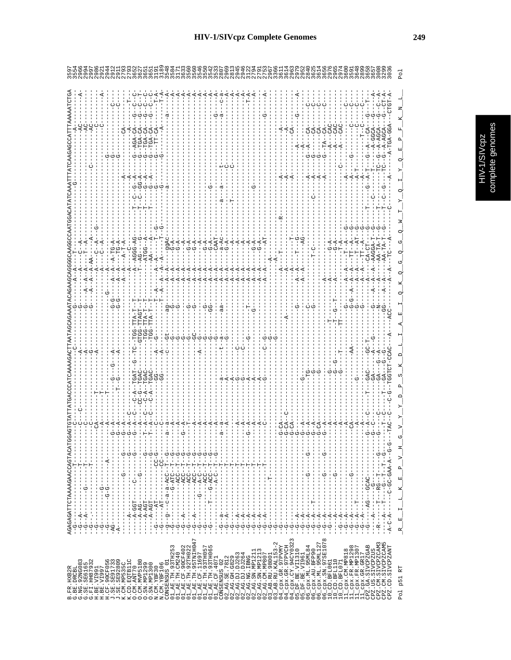|                                                                                                              |                                                                                 |                                                                                             |                            |                                                                                                     |                                     |                                                                       |                   | 0.0000000000                                   |                                 |                                                                                                                  |                                          |                         |                                   |                            |                   |           |      |                                                                                                                                                                                                                                                                                                                                                                                                                                                                                                                 |        |        |                  |                        |                  |      |                             | www.annumeran.com |                                                                                                                                                                                                                                                                                                                                                                                                                             |                               |                                                        |               |               |                                |                                                  |               |               |                                                                                                                   |            |                                                           |                                         |                                                                                                                                                                                                                                                                                                                                                                                                                     |                                                 |                                                                   |                                                                                                      |                         | $\omega\omega\omega\omega\sigma\sigma\sigma\omega\omega\omega\omega\omega\omega$ |                    |           |                                                                                                                                                                                                                                                                                                                                                                                                                  |                               |
|--------------------------------------------------------------------------------------------------------------|---------------------------------------------------------------------------------|---------------------------------------------------------------------------------------------|----------------------------|-----------------------------------------------------------------------------------------------------|-------------------------------------|-----------------------------------------------------------------------|-------------------|------------------------------------------------|---------------------------------|------------------------------------------------------------------------------------------------------------------|------------------------------------------|-------------------------|-----------------------------------|----------------------------|-------------------|-----------|------|-----------------------------------------------------------------------------------------------------------------------------------------------------------------------------------------------------------------------------------------------------------------------------------------------------------------------------------------------------------------------------------------------------------------------------------------------------------------------------------------------------------------|--------|--------|------------------|------------------------|------------------|------|-----------------------------|-------------------|-----------------------------------------------------------------------------------------------------------------------------------------------------------------------------------------------------------------------------------------------------------------------------------------------------------------------------------------------------------------------------------------------------------------------------|-------------------------------|--------------------------------------------------------|---------------|---------------|--------------------------------|--------------------------------------------------|---------------|---------------|-------------------------------------------------------------------------------------------------------------------|------------|-----------------------------------------------------------|-----------------------------------------|---------------------------------------------------------------------------------------------------------------------------------------------------------------------------------------------------------------------------------------------------------------------------------------------------------------------------------------------------------------------------------------------------------------------|-------------------------------------------------|-------------------------------------------------------------------|------------------------------------------------------------------------------------------------------|-------------------------|----------------------------------------------------------------------------------|--------------------|-----------|------------------------------------------------------------------------------------------------------------------------------------------------------------------------------------------------------------------------------------------------------------------------------------------------------------------------------------------------------------------------------------------------------------------|-------------------------------|
|                                                                                                              |                                                                                 |                                                                                             |                            |                                                                                                     |                                     |                                                                       |                   |                                                |                                 |                                                                                                                  |                                          |                         |                                   |                            |                   |           |      |                                                                                                                                                                                                                                                                                                                                                                                                                                                                                                                 |        |        |                  |                        |                  |      |                             |                   |                                                                                                                                                                                                                                                                                                                                                                                                                             |                               |                                                        |               |               |                                |                                                  |               |               |                                                                                                                   |            |                                                           |                                         |                                                                                                                                                                                                                                                                                                                                                                                                                     |                                                 |                                                                   |                                                                                                      |                         |                                                                                  |                    |           |                                                                                                                                                                                                                                                                                                                                                                                                                  |                               |
|                                                                                                              |                                                                                 |                                                                                             |                            |                                                                                                     |                                     |                                                                       |                   |                                                |                                 | $\begin{array}{l} \mathtt{TGA-} \\ \mathtt{TGA-} \\ \mathtt{TGA-} \\ \mathtt{TTA-} \\ \mathtt{TTA-} \end{array}$ |                                          |                         |                                   |                            |                   |           |      |                                                                                                                                                                                                                                                                                                                                                                                                                                                                                                                 |        |        |                  |                        |                  |      |                             |                   |                                                                                                                                                                                                                                                                                                                                                                                                                             |                               |                                                        |               |               |                                |                                                  |               |               |                                                                                                                   |            |                                                           |                                         |                                                                                                                                                                                                                                                                                                                                                                                                                     |                                                 |                                                                   |                                                                                                      |                         |                                                                                  |                    |           |                                                                                                                                                                                                                                                                                                                                                                                                                  |                               |
|                                                                                                              |                                                                                 |                                                                                             |                            |                                                                                                     |                                     |                                                                       |                   | <b>ひ ひ ひ ひ ひ ひ</b>                             |                                 |                                                                                                                  |                                          |                         |                                   |                            |                   |           |      |                                                                                                                                                                                                                                                                                                                                                                                                                                                                                                                 |        |        |                  |                        |                  |      |                             |                   |                                                                                                                                                                                                                                                                                                                                                                                                                             |                               |                                                        |               |               |                                |                                                  |               |               |                                                                                                                   |            | てりてりてり                                                    |                                         |                                                                                                                                                                                                                                                                                                                                                                                                                     |                                                 |                                                                   |                                                                                                      |                         |                                                                                  |                    |           |                                                                                                                                                                                                                                                                                                                                                                                                                  |                               |
|                                                                                                              |                                                                                 |                                                                                             |                            |                                                                                                     |                                     |                                                                       |                   | A A A A<br>9899997                             |                                 |                                                                                                                  |                                          |                         |                                   |                            |                   |           |      |                                                                                                                                                                                                                                                                                                                                                                                                                                                                                                                 |        |        |                  |                        |                  |      |                             |                   |                                                                                                                                                                                                                                                                                                                                                                                                                             |                               |                                                        |               |               |                                |                                                  |               |               |                                                                                                                   |            |                                                           |                                         |                                                                                                                                                                                                                                                                                                                                                                                                                     |                                                 |                                                                   |                                                                                                      |                         |                                                                                  |                    |           |                                                                                                                                                                                                                                                                                                                                                                                                                  |                               |
|                                                                                                              |                                                                                 |                                                                                             |                            |                                                                                                     |                                     |                                                                       |                   |                                                |                                 |                                                                                                                  |                                          |                         |                                   |                            |                   |           |      |                                                                                                                                                                                                                                                                                                                                                                                                                                                                                                                 |        |        |                  |                        |                  |      |                             |                   |                                                                                                                                                                                                                                                                                                                                                                                                                             |                               |                                                        |               |               |                                |                                                  |               |               |                                                                                                                   |            |                                                           |                                         |                                                                                                                                                                                                                                                                                                                                                                                                                     |                                                 |                                                                   |                                                                                                      |                         |                                                                                  |                    |           |                                                                                                                                                                                                                                                                                                                                                                                                                  |                               |
|                                                                                                              |                                                                                 |                                                                                             |                            |                                                                                                     |                                     |                                                                       |                   |                                                |                                 |                                                                                                                  |                                          |                         |                                   |                            |                   |           |      |                                                                                                                                                                                                                                                                                                                                                                                                                                                                                                                 |        |        |                  |                        |                  |      |                             |                   | ָטׁוֹוֹוֹוֹוֹוֹוֹפְטֹוֹוֹוֹוֹוֹוֹוֹוֹפְ<br>מתקלת הקלה הקלה הקלה הקלה הקלה<br>היוויון וויכוליוויון<br>טוֹווֹוֹוֹוֹוֹ                                                                                                                                                                                                                                                                                                         |                               |                                                        |               |               |                                |                                                  |               |               |                                                                                                                   |            |                                                           |                                         |                                                                                                                                                                                                                                                                                                                                                                                                                     |                                                 |                                                                   |                                                                                                      |                         | ひ ひ ひ ひ ひ ひ                                                                      |                    |           |                                                                                                                                                                                                                                                                                                                                                                                                                  |                               |
|                                                                                                              |                                                                                 |                                                                                             |                            |                                                                                                     |                                     |                                                                       |                   |                                                |                                 |                                                                                                                  |                                          |                         |                                   |                            |                   |           |      |                                                                                                                                                                                                                                                                                                                                                                                                                                                                                                                 |        |        |                  |                        |                  |      |                             |                   |                                                                                                                                                                                                                                                                                                                                                                                                                             |                               |                                                        |               |               |                                |                                                  |               |               |                                                                                                                   |            |                                                           |                                         |                                                                                                                                                                                                                                                                                                                                                                                                                     |                                                 |                                                                   |                                                                                                      |                         |                                                                                  |                    |           |                                                                                                                                                                                                                                                                                                                                                                                                                  |                               |
|                                                                                                              |                                                                                 |                                                                                             |                            |                                                                                                     |                                     |                                                                       |                   |                                                |                                 |                                                                                                                  |                                          |                         |                                   |                            |                   |           |      |                                                                                                                                                                                                                                                                                                                                                                                                                                                                                                                 |        |        |                  |                        |                  |      |                             |                   | <i>R R R R R R R R R R R R R R R R R</i>                                                                                                                                                                                                                                                                                                                                                                                    |                               |                                                        |               |               |                                |                                                  |               |               |                                                                                                                   |            |                                                           |                                         |                                                                                                                                                                                                                                                                                                                                                                                                                     |                                                 |                                                                   |                                                                                                      |                         |                                                                                  |                    |           |                                                                                                                                                                                                                                                                                                                                                                                                                  |                               |
|                                                                                                              | てりてり                                                                            |                                                                                             |                            |                                                                                                     |                                     |                                                                       |                   |                                                |                                 |                                                                                                                  |                                          |                         |                                   |                            |                   |           |      | υ υ                                                                                                                                                                                                                                                                                                                                                                                                                                                                                                             |        |        |                  |                        |                  |      |                             |                   |                                                                                                                                                                                                                                                                                                                                                                                                                             |                               |                                                        |               |               |                                |                                                  |               |               |                                                                                                                   |            |                                                           |                                         |                                                                                                                                                                                                                                                                                                                                                                                                                     |                                                 |                                                                   |                                                                                                      |                         |                                                                                  |                    |           |                                                                                                                                                                                                                                                                                                                                                                                                                  |                               |
|                                                                                                              |                                                                                 |                                                                                             |                            |                                                                                                     |                                     |                                                                       |                   |                                                |                                 |                                                                                                                  |                                          |                         |                                   |                            |                   |           |      |                                                                                                                                                                                                                                                                                                                                                                                                                                                                                                                 |        |        |                  |                        |                  |      |                             |                   |                                                                                                                                                                                                                                                                                                                                                                                                                             |                               |                                                        |               |               |                                |                                                  |               |               |                                                                                                                   |            |                                                           |                                         |                                                                                                                                                                                                                                                                                                                                                                                                                     |                                                 |                                                                   |                                                                                                      |                         |                                                                                  |                    |           |                                                                                                                                                                                                                                                                                                                                                                                                                  |                               |
|                                                                                                              |                                                                                 |                                                                                             |                            |                                                                                                     |                                     |                                                                       |                   |                                                |                                 |                                                                                                                  |                                          |                         |                                   |                            |                   |           |      |                                                                                                                                                                                                                                                                                                                                                                                                                                                                                                                 |        |        |                  |                        |                  |      |                             |                   |                                                                                                                                                                                                                                                                                                                                                                                                                             |                               |                                                        |               |               |                                |                                                  |               |               |                                                                                                                   | てりてり       |                                                           |                                         |                                                                                                                                                                                                                                                                                                                                                                                                                     |                                                 |                                                                   |                                                                                                      |                         |                                                                                  |                    |           |                                                                                                                                                                                                                                                                                                                                                                                                                  |                               |
|                                                                                                              |                                                                                 |                                                                                             |                            |                                                                                                     |                                     |                                                                       |                   |                                                |                                 |                                                                                                                  |                                          |                         |                                   |                            |                   |           |      |                                                                                                                                                                                                                                                                                                                                                                                                                                                                                                                 |        |        |                  |                        |                  |      |                             |                   |                                                                                                                                                                                                                                                                                                                                                                                                                             |                               |                                                        |               |               |                                |                                                  |               |               |                                                                                                                   |            |                                                           |                                         |                                                                                                                                                                                                                                                                                                                                                                                                                     |                                                 |                                                                   |                                                                                                      |                         |                                                                                  |                    |           |                                                                                                                                                                                                                                                                                                                                                                                                                  |                               |
|                                                                                                              |                                                                                 |                                                                                             |                            |                                                                                                     |                                     |                                                                       |                   | ひひひひひ !                                        |                                 |                                                                                                                  |                                          |                         |                                   |                            |                   |           |      |                                                                                                                                                                                                                                                                                                                                                                                                                                                                                                                 |        |        |                  |                        |                  |      |                             |                   | てり                                                                                                                                                                                                                                                                                                                                                                                                                          |                               |                                                        |               |               |                                |                                                  |               |               | 9999999999                                                                                                        |            |                                                           |                                         |                                                                                                                                                                                                                                                                                                                                                                                                                     |                                                 |                                                                   |                                                                                                      |                         |                                                                                  |                    |           |                                                                                                                                                                                                                                                                                                                                                                                                                  |                               |
| $\frac{1}{1}$<br>$\frac{1}{2}$<br>J.                                                                         | $\frac{1}{4}$<br>$\overline{\phantom{a}}$                                       | $\mathsf I$<br>$\mathbf{I}$                                                                 |                            | $\overline{1}$<br>J<br>$\overline{\phantom{a}}$                                                     |                                     | ひ<br>$\frac{1}{1}$                                                    | ひ<br>$\mathbf{I}$ | ひ<br>Ť                                         | $\blacksquare$                  | ひ<br>$\blacksquare$                                                                                              | ひ<br>1<br>$\mathbf{I}$                   |                         |                                   |                            |                   |           |      |                                                                                                                                                                                                                                                                                                                                                                                                                                                                                                                 |        |        |                  |                        |                  |      |                             |                   | WW                                                                                                                                                                                                                                                                                                                                                                                                                          | $\frac{1}{1}$                 | $\begin{array}{c} 1 \\ 1 \end{array}$<br>$\frac{1}{1}$ | $\frac{1}{4}$ |               |                                | $\frac{1}{1}$                                    |               | ł<br>J.       |                                                                                                                   |            | л                                                         |                                         | Î<br>$\begin{array}{c} \rule{0pt}{2ex} \rule{0pt}{2ex} \rule{0pt}{2ex} \rule{0pt}{2ex} \rule{0pt}{2ex} \rule{0pt}{2ex} \rule{0pt}{2ex} \rule{0pt}{2ex} \rule{0pt}{2ex} \rule{0pt}{2ex} \rule{0pt}{2ex} \rule{0pt}{2ex} \rule{0pt}{2ex} \rule{0pt}{2ex} \rule{0pt}{2ex} \rule{0pt}{2ex} \rule{0pt}{2ex} \rule{0pt}{2ex} \rule{0pt}{2ex} \rule{0pt}{2ex} \rule{0pt}{2ex} \rule{0pt}{2ex} \rule{0pt}{2ex} \rule{0pt}{$ |                                                 | J                                                                 | $\begin{bmatrix} 1 \\ 1 \\ 1 \end{bmatrix}$<br>Ť                                                     |                         |                                                                                  |                    |           | $\begin{array}{c} \rule{0pt}{2.5ex} \rule{0pt}{2.5ex} \rule{0pt}{2.5ex} \rule{0pt}{2.5ex} \rule{0pt}{2.5ex} \rule{0pt}{2.5ex} \rule{0pt}{2.5ex} \rule{0pt}{2.5ex} \rule{0pt}{2.5ex} \rule{0pt}{2.5ex} \rule{0pt}{2.5ex} \rule{0pt}{2.5ex} \rule{0pt}{2.5ex} \rule{0pt}{2.5ex} \rule{0pt}{2.5ex} \rule{0pt}{2.5ex} \rule{0pt}{2.5ex} \rule{0pt}{2.5ex} \rule{0pt}{2.5ex} \rule{0$<br>$\frac{1}{4}$<br>Ť<br>ن<br>۱ |                               |
| י<br>ד<br>부<br>$\mathbf{I}$<br>п<br>L.<br>Ţ<br>$\mathbb{I}$<br>1<br>$\mathsf I$<br>$\frac{1}{1}$<br>J.<br>L. | 臂<br>$\blacksquare$<br>Ť.<br>$\mathsf I$<br>$\,$ I<br>Т<br>$\blacksquare$<br>Ι. | $\mathbf{I}$<br>1<br>ï<br>$\mathbf{I}$<br>п<br>$\mathsf I$<br>$\mathbf{I}$<br>$\frac{1}{1}$ | $-4-$<br>$\mathbf{I}$<br>ŧ | $\frac{1}{1}$<br>$\frac{1}{1}$<br>$\mathbf{I}$<br>$\overline{\phantom{a}}$<br>$\overline{1}$<br>- 1 |                                     | $\mathbf{I}$<br>$\begin{array}{c}\n-1 \\ -1 \\ -1 \\ -1\n\end{array}$ |                   | $\mathbf{I}$<br>$\frac{1}{4}$<br>$\frac{1}{2}$ | T.<br>т<br>$\frac{1}{2}$<br>-14 | 1<br>j.                                                                                                          | - 11<br>$\mathbf I$<br>$\mathsf I$<br>十十 | $\mathsf I$             | $\mathbf{I}$<br>$\mathbf{I}$      |                            |                   |           |      |                                                                                                                                                                                                                                                                                                                                                                                                                                                                                                                 |        |        |                  |                        |                  |      |                             |                   |                                                                                                                                                                                                                                                                                                                                                                                                                             |                               |                                                        |               |               | $\mathsf I$                    |                                                  |               | ł             | $\mathbf{I}$<br>J.                                                                                                |            | $\frac{1}{4}$<br>Ť.<br>T<br>$\mathbf{I}$<br>1<br>I.<br>I. | $-1$ - $-1$ - $-1$ - $-1$ - $-1$ - $-1$ | $\frac{1}{1}$<br>Ť                                                                                                                                                                                                                                                                                                                                                                                                  | Ġ٢<br>$\mathbf{I}$                              | $\overline{1}$<br>T<br>$\mathbf{I}$                               | $\frac{1}{1}$<br>$\frac{1}{4}$<br>$\frac{1}{\sqrt{2}}$<br>$\mathbf I$<br>$\mathsf I$<br>T<br>J.<br>п |                         |                                                                                  | $\frac{1}{1}$<br>Ť | $-9 - 1$  |                                                                                                                                                                                                                                                                                                                                                                                                                  | $C - G - G A A - A - G - G -$ |
| نې<br>۱<br>Ť.<br>Ţ<br>т<br>L.<br>Ť.<br>$\mathbb{I}$                                                          | Ť.<br>$\mathsf I$<br>j.<br>ł                                                    | ł                                                                                           |                            | $\frac{1}{1}$<br>ï                                                                                  | $\frac{1}{4}$<br>J.<br>$\mathbf{I}$ | 十十<br>T.<br>$\mathsf I$<br>$\mathbf{I}$                               |                   |                                                | L                               |                                                                                                                  | $\mathsf I$                              | $--- PAT---$            | $---AT - -$                       |                            |                   |           |      | $\begin{small} \begin{smallmatrix} . & . & . & . & . & . \\ . & . & . & . & . \\ . & . & . & . & . \\ . & . & . & . & . & . \\ . & . & . & . & . & . \\ . & . & . & . & . & . \\ . & . & . & . & . & . \\ . & . & . & . & . & . \\ . & . & . & . & . & . \\ . & . & . & . & . & . \\ . & . & . & . & . & . \\ . & . & . & . & . & . \\ . & . & . & . & . & . \\ . & . & . & . & . & . \\ . & . & . & . & . & . \\ . & . & . & . & . & . \\ . & . & . & . & . & . \\ . & . & . & . & .$<br>$- - - - - - - - - -$ |        |        |                  |                        |                  |      |                             |                   | $\begin{array}{c} \mathbf{A}=\mathbf{I}+\mathbf{I}+\mathbf{I}+\mathbf{I}+\mathbf{I}+\mathbf{I}+\mathbf{I}+\mathbf{I}+\mathbf{I}+\mathbf{I}+\mathbf{I}+\mathbf{I}+\mathbf{I}+\mathbf{I}+\mathbf{I}+\mathbf{I}+\mathbf{I}+\mathbf{I}+\mathbf{I}+\mathbf{I}+\mathbf{I}+\mathbf{I}+\mathbf{I}+\mathbf{I}+\mathbf{I}+\mathbf{I}+\mathbf{I}+\mathbf{I}+\mathbf{I}+\mathbf{I}+\mathbf{I}+\mathbf{I}+\mathbf{I}+\mathbf{I}+\mathbf$ | $\frac{1}{1}$<br>$\mathbf{I}$ |                                                        |               | $\frac{1}{1}$ | $\frac{1}{1}$<br>$\frac{1}{1}$ | $\begin{bmatrix} 1 \\ 1 \\ 1 \\ 1 \end{bmatrix}$ | $\frac{1}{1}$ | $\frac{1}{1}$ | Ť.<br>$\begin{array}{c} \begin{array}{c} \text{1} \\ \text{1} \\ \text{1} \\ \text{1} \end{array} \\ \end{array}$ | $-1 - 1 -$ | J.<br>ł.                                                  | ï<br>$\frac{1}{4}$<br>$\mathbf{I}$      | $\frac{1}{1}$                                                                                                                                                                                                                                                                                                                                                                                                       | $\blacksquare$<br>$\blacksquare$<br>$\mathbf I$ | J.<br>$\frac{1}{1}$<br>- 1<br>$\mathbf{I}$                        | ï<br>$\begin{array}{c} \hline \end{array}$<br>$\mathbf{I}$<br>$\mathbf{I}$                           | 부                       | $\mathbf{I}$                                                                     | $-4G-1-GCAC$       | ı         | ひ‐‐H‐‐H‐‐ひ‐‐‐‐H‐‐‐‐<br>J.                                                                                                                                                                                                                                                                                                                                                                                        | Ţ<br>$\mathbf{I}$<br>ï<br>T   |
| $- - A - -$<br>$- -A - -$<br>п<br>ï<br>$\frac{6}{1}$<br>$-\frac{c}{1}$<br>ပု                                 | ا:<br>ا<br>ပု<br>$-1$                                                           | J.<br>$\frac{6}{1}$                                                                         | $C - C$                    | $\frac{1}{1}$<br>$-AG-$                                                                             | $\overline{1}$<br>$\vec{A}$         |                                                                       | $\vec{A}$         | $\mathbf{I}$                                   | I<br>п                          |                                                                                                                  | -1                                       | $\mathbf{I}$<br>İ<br>ပု | $\mathbf{I}$<br>$\mathbf I$<br>ပု | $-\frac{9}{1}$<br>あひ<br>J. | п<br>$\mathbf{I}$ | טף<br>יוו | $-1$ | $-1$                                                                                                                                                                                                                                                                                                                                                                                                                                                                                                            | ↻<br>- | ひ<br>Ť | $\,$ I<br>ن<br>ا | $\mathsf I$<br>-1<br>1 | יט<br>יוו<br>יוו | $-4$ | $\mathbb T$<br>$\mathbf{I}$ | $-1$              | ליט ליט<br>דור                                                                                                                                                                                                                                                                                                                                                                                                              |                               |                                                        | $\mathsf I$   | $\pm$         |                                | $\blacksquare$                                   |               |               |                                                                                                                   |            |                                                           | $-1$                                    | ن<br>ا                                                                                                                                                                                                                                                                                                                                                                                                              | -1<br>$\mathbf{I}$                              | $- - A$<br>$\begin{array}{c} 1 & 0 \\ 0 & 1 \\ 1 & 1 \end{array}$ | К<br>Ţ<br>$C - C$                                                                                    | Æ<br>$\mathbf{I}$<br>ပု | $-4$<br>$-1$                                                                     | I.<br>Ţ<br>りー      | $-4$<br>÷ | $- - - - - - -$<br>L.<br>$-R$                                                                                                                                                                                                                                                                                                                                                                                    | $- A - C - A$                 |
|                                                                                                              |                                                                                 |                                                                                             |                            |                                                                                                     |                                     |                                                                       |                   |                                                |                                 |                                                                                                                  |                                          |                         |                                   |                            |                   |           |      |                                                                                                                                                                                                                                                                                                                                                                                                                                                                                                                 |        |        |                  |                        |                  |      |                             |                   |                                                                                                                                                                                                                                                                                                                                                                                                                             |                               |                                                        |               |               |                                |                                                  |               |               |                                                                                                                   |            |                                                           |                                         |                                                                                                                                                                                                                                                                                                                                                                                                                     |                                                 |                                                                   |                                                                                                      |                         |                                                                                  |                    |           | $\begin{array}{l} 111\, \text{c} \text{p} \text{x}, \text{ in } 1307\\ 112\, \text{c} \text{p} \text{x}, \text{ St.} \text{ on } 1307\\ \text{c} \text{h} \text{z}, \text{ in } 1307\\ \text{c} \text{p} \text{z}, \text{ in } 317\, \text{CPEZ0AB}\\ \text{c} \text{p} \text{z}, \text{ in } 317\, \text{CPEZCAM1}\\ \text{c} \text{p} \text{z}, \text{ in } 317\, \text{CPEZAM1}\\ \text{c} \text{p} \text{$   |                               |
|                                                                                                              |                                                                                 |                                                                                             |                            |                                                                                                     |                                     |                                                                       |                   |                                                |                                 |                                                                                                                  |                                          |                         |                                   |                            |                   |           |      |                                                                                                                                                                                                                                                                                                                                                                                                                                                                                                                 |        |        |                  |                        |                  |      |                             |                   |                                                                                                                                                                                                                                                                                                                                                                                                                             |                               |                                                        |               |               |                                |                                                  |               |               |                                                                                                                   |            |                                                           |                                         |                                                                                                                                                                                                                                                                                                                                                                                                                     |                                                 |                                                                   |                                                                                                      |                         |                                                                                  |                    |           |                                                                                                                                                                                                                                                                                                                                                                                                                  |                               |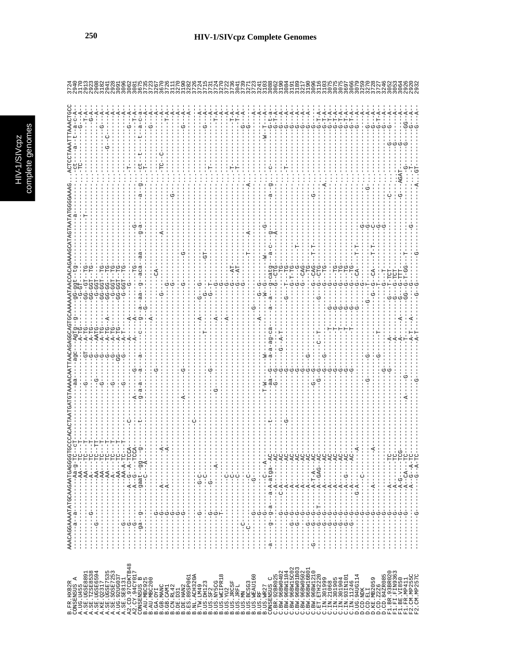| 1 20842996873267<br>のんてきて<br>$\infty$ or $\infty$<br>ののHOP<br>ᡡ<br>∼<br>1 のううえつう0 0 0 0 0 0 0 1 0 0 0<br>M M M<br>oowoonnrrnoo<br>$\rightarrow \infty$ .<br>NNNMNNMMM                                                                                                                                                                                                                                                                                                                                                                                                                                                                                                                                                                                                                                                                                                                                                                                                                                                                                                                                                                                                                                                                                                                                                                                                                                                                                                                                                                                                                                                                                                                                                                                                                                                                                                                                                                                                                                                                                                                                                                                                                                                                                                                                                                                                                                                                                                                                                                                                                                                                                                                                                                                                                                                                                                                                                                                                                                                                                                                                                                                                                                                                                                                                                                                                                                                                                                                                                                                                                                                                                                                                                                                                                                                                                                                                                                                                                                                                                                      |                                                                                                                                                                                                                                                                                                                                                                  |
|----------------------------------------------------------------------------------------------------------------------------------------------------------------------------------------------------------------------------------------------------------------------------------------------------------------------------------------------------------------------------------------------------------------------------------------------------------------------------------------------------------------------------------------------------------------------------------------------------------------------------------------------------------------------------------------------------------------------------------------------------------------------------------------------------------------------------------------------------------------------------------------------------------------------------------------------------------------------------------------------------------------------------------------------------------------------------------------------------------------------------------------------------------------------------------------------------------------------------------------------------------------------------------------------------------------------------------------------------------------------------------------------------------------------------------------------------------------------------------------------------------------------------------------------------------------------------------------------------------------------------------------------------------------------------------------------------------------------------------------------------------------------------------------------------------------------------------------------------------------------------------------------------------------------------------------------------------------------------------------------------------------------------------------------------------------------------------------------------------------------------------------------------------------------------------------------------------------------------------------------------------------------------------------------------------------------------------------------------------------------------------------------------------------------------------------------------------------------------------------------------------------------------------------------------------------------------------------------------------------------------------------------------------------------------------------------------------------------------------------------------------------------------------------------------------------------------------------------------------------------------------------------------------------------------------------------------------------------------------------------------------------------------------------------------------------------------------------------------------------------------------------------------------------------------------------------------------------------------------------------------------------------------------------------------------------------------------------------------------------------------------------------------------------------------------------------------------------------------------------------------------------------------------------------------------------------------------------------------------------------------------------------------------------------------------------------------------------------------------------------------------------------------------------------------------------------------------------------------------------------------------------------------------------------------------------------------------------------------------------------------------------------------------------------------------------------------|------------------------------------------------------------------------------------------------------------------------------------------------------------------------------------------------------------------------------------------------------------------------------------------------------------------------------------------------------------------|
| К<br>К<br>$A$ -<br>Æ<br>$F - A$<br>ത<br>ਸ਼੍ਰ<br>ά<br>ę.<br>Ļ.<br>é<br>$\frac{1}{2}$<br>U<br>$\blacksquare$<br>↵<br>턴<br>$\overline{1}$<br>$\mathbf{I}$<br>$\mathbf{I}$<br>п<br>п<br>л<br>п<br>т<br>-1<br>Q<br>Ů<br><b>Q</b><br>ひ<br>ひ<br>ひ<br>ひ<br>ひ<br>ひ<br>τŋ<br>ひ<br>τŋ<br>てり<br>τ٠<br>でり<br>τŋ<br>てり<br>てり<br>ひ<br>ひ<br>ひ<br>てり<br>E<br>てり<br>てり<br>C)<br>てり<br>U                                                                                                                                                                                                                                                                                                                                                                                                                                                                                                                                                                                                                                                                                                                                                                                                                                                                                                                                                                                                                                                                                                                                                                                                                                                                                                                                                                                                                                                                                                                                                                                                                                                                                                                                                                                                                                                                                                                                                                                                                                                                                                                                                                                                                                                                                                                                                                                                                                                                                                                                                                                                                                                                                                                                                                                                                                                                                                                                                                                                                                                                                                                                                                                                                                                                                                                                                                                                                                                                                                                                                                                                                                                                                                      | უ<br>ს<br>めめゆ<br>τŋ                                                                                                                                                                                                                                                                                                                                              |
| O<br>ᡃᡡ<br>൯                                                                                                                                                                                                                                                                                                                                                                                                                                                                                                                                                                                                                                                                                                                                                                                                                                                                                                                                                                                                                                                                                                                                                                                                                                                                                                                                                                                                                                                                                                                                                                                                                                                                                                                                                                                                                                                                                                                                                                                                                                                                                                                                                                                                                                                                                                                                                                                                                                                                                                                                                                                                                                                                                                                                                                                                                                                                                                                                                                                                                                                                                                                                                                                                                                                                                                                                                                                                                                                                                                                                                                                                                                                                                                                                                                                                                                                                                                                                                                                                                                                               |                                                                                                                                                                                                                                                                                                                                                                  |
| CAGAAAGCATAGTAATATGGGAAAAG<br><b>ひ ひ ひ ひ ひ</b><br>ത്<br>ወ⊄<br>ᡃᡡ<br>൯<br>з<br>CAG-<br>CTC<br>τŋ<br>FG<br>nd p<br>PHD<br>PHD<br>ひ<br>פ<br>입<br>입<br>ር<br>ኮ<br>FG<br>FG<br>FG<br>ೆ<br>AT<br>RТ<br>욉<br>Ō<br>Ś<br>4<br>U<br>Н<br>п<br>L.<br>のひ<br>てり<br>ひ<br>τŋ<br>てり<br>ひ<br>ひ<br>ひひ<br>๓<br>てり<br>তা<br>ь<br>Сŋ                                                                                                                                                                                                                                                                                                                                                                                                                                                                                                                                                                                                                                                                                                                                                                                                                                                                                                                                                                                                                                                                                                                                                                                                                                                                                                                                                                                                                                                                                                                                                                                                                                                                                                                                                                                                                                                                                                                                                                                                                                                                                                                                                                                                                                                                                                                                                                                                                                                                                                                                                                                                                                                                                                                                                                                                                                                                                                                                                                                                                                                                                                                                                                                                                                                                                                                                                                                                                                                                                                                                                                                                                                                                                                                                                             |                                                                                                                                                                                                                                                                                                                                                                  |
| .<br>თ<br>ひ<br>ひ<br>ひ<br>てり<br>ひ<br>з<br>ひ<br>ಡ<br>פי<br>п<br>ひ<br><b>Q</b><br>ひ<br>ひ<br>ひ<br>ひ ひ ひ ひ ひ ひ<br>αÜ<br>൯<br>K,<br>তা<br>⋖<br>-TG<br>תז<br><b>ひ ひ</b><br><b>UPPB</b><br>てり<br>ೆ<br>ĔĔ<br>$A-T$<br>AAT<br>٣<br>ᡛ<br>딞<br>т<br>$A \triangle A$<br>К<br>К<br>A<br>К<br>К<br>$-aq$<br>C J                                                                                                                                                                                                                                                                                                                                                                                                                                                                                                                                                                                                                                                                                                                                                                                                                                                                                                                                                                                                                                                                                                                                                                                                                                                                                                                                                                                                                                                                                                                                                                                                                                                                                                                                                                                                                                                                                                                                                                                                                                                                                                                                                                                                                                                                                                                                                                                                                                                                                                                                                                                                                                                                                                                                                                                                                                                                                                                                                                                                                                                                                                                                                                                                                                                                                                                                                                                                                                                                                                                                                                                                                                                                                                                                                                           | 99<br>じ じ じ                                                                                                                                                                                                                                                                                                                                                      |
| CACACTAATGATGTAAACAATTAACAGAGCACAGTGCAAAAAAAT<br>Ф<br>ひ<br>agc<br><u>ဥ</u> ႁ ႁ ႁ ႁ ႁ ႁ<br>ひ<br>ひ<br>з<br>œ<br>ひ<br>ひ<br>ιQ<br>てり<br>でりてりてりてりてり<br>ひひひひひひひひひ<br>ひ<br>σ<br>ひ<br>ひ<br>てり<br>œ<br>≊<br>œ<br>τŋ<br>൯<br>ת<br>¢                                                                                                                                                                                                                                                                                                                                                                                                                                                                                                                                                                                                                                                                                                                                                                                                                                                                                                                                                                                                                                                                                                                                                                                                                                                                                                                                                                                                                                                                                                                                                                                                                                                                                                                                                                                                                                                                                                                                                                                                                                                                                                                                                                                                                                                                                                                                                                                                                                                                                                                                                                                                                                                                                                                                                                                                                                                                                                                                                                                                                                                                                                                                                                                                                                                                                                                                                                                                                                                                                                                                                                                                                                                                                                                                                                                                                                                  |                                                                                                                                                                                                                                                                                                                                                                  |
| ਨਾ<br>J.<br>Ш.<br>J.<br>Ш.<br>H.<br>ш<br>п.<br>H.<br>-<br>ш<br>J.<br>-<br>J.<br>$\mathsf I$<br>$\mathbf{I}$<br>$\mathbf{I}$<br>$\blacksquare$<br>$\blacksquare$<br>T<br>J.<br>$- - A -$<br>$\mathbf{I}$<br>$\overline{1}$<br>$\blacksquare$<br>$\mathbf{I}$<br>$\mathbf{I}$<br>$\blacksquare$<br>$\mathbf{I}$<br>J.<br>$\overline{\phantom{a}}$<br>$\mathbf{I}$<br>I<br>-1<br>L.<br>п<br>$\mathbf{I}$<br>1111<br>$\mathbf{I}$<br>$\mathbf{I}$<br>$\blacksquare$<br>-1<br>п.<br>$\blacksquare$<br>$\mathbf{I}$<br>- 1<br>$\mathbf{I}$<br>-1<br>$\mathbf{I}$<br>$\mathbf{I}$<br>л.<br>п<br>$\mathbf{I}$<br>л<br>-1<br>$\mathbf{I}$<br>т<br>$\mathbf{I}$<br>$\mathbf{I}$<br>Ť.<br>$\mathbb{I}$<br>$\mathbb T$<br>1<br>$\mathbf{I}$<br>$\mathbf I$<br>$\mathsf I$<br>$\mathsf I$<br>$\mathbf{I}$<br>Ι.<br>$\mathbf{I}$<br>$\overline{\phantom{a}}$<br>$\blacksquare$<br>I.<br>$\mathbf{I}$                                                                                                                                                                                                                                                                                                                                                                                                                                                                                                                                                                                                                                                                                                                                                                                                                                                                                                                                                                                                                                                                                                                                                                                                                                                                                                                                                                                                                                                                                                                                                                                                                                                                                                                                                                                                                                                                                                                                                                                                                                                                                                                                                                                                                                                                                                                                                                                                                                                                                                                                                                                                                                                                                                                                                                                                                                                                                                                                                                                                                                                                                                                                                                                     |                                                                                                                                                                                                                                                                                                                                                                  |
| $      +$<br>I<br>п<br>$\,$ I<br>$\mathsf I$<br>$\mathbf{I}$<br>$\mathsf I$<br>$\overline{\phantom{a}}$<br>$\mathbf I$<br>$\,$ I<br>$\mathbf I$<br>$\begin{bmatrix} 1 & 1 \\ 1 & 1 \\ 1 & 1 \\ 1 & 1 \\ 1 & 1 \end{bmatrix}$<br>$\overline{\phantom{a}}$<br>$\mathsf I$<br>$\,$ I<br>$\,$ I<br>Т<br>$\blacksquare$<br>ပုံပုံပုံ<br>         <br>$\frac{1}{2}$<br>$\mathbf{I}$<br>$- -A - - - -$<br>$\mathbf{I}$<br>$\mathbf{I}$<br>$\mathbf{I}$<br>$\mathbf{I}$<br>$-9 - 0 -$<br>$-1$<br>$\frac{1}{1}$<br>$\frac{1}{2}$<br>Ţ<br>Ţ<br>$-1$ - $-1$ - $-1$ - $-1$ - $-1$ - $-1$ - $-1$<br>1<br>$\mathbf{I}$<br>$\blacksquare$<br>Ţ<br>$\mathbf{I}$<br>$\blacksquare$<br>$\mathbf{I}$<br>$\mathbf{I}$<br>$\mathbf{I}$<br>$\mathbf{I}$<br>$\mathbf{I}$<br>-1<br>п.<br>$\blacksquare$<br>$\mathbf{I}$<br>- 11<br>-1<br>Ť.<br>ပုံ<br>Ť.<br>Ť.<br>$\overline{\phantom{a}}$<br>$\mathsf I$<br>$\mathsf I$<br>$\mathbf I$<br>$\blacksquare$<br>T<br>J.<br>$\frac{1}{1}$<br>$\mathbf{I}$<br>$\mathbf{I}$<br>1<br>$\mathbf{I}$<br>$\mathbf{I}$<br>$\mathbf{I}$<br>$\mathbf{I}$<br>J.<br>$\blacksquare$<br>$\mathbf{I}$<br>- 11<br>-1<br>$\mathbf{I}$<br>$\blacksquare$<br>$\blacksquare$<br>п<br>$\mathbf{I}$<br>- 1<br>Τ.<br><b>I</b><br>$\mathbf{I}$<br><b>I</b><br>- 11<br>$\mathbf{I}$<br>L.<br>п<br>-1<br>- 11<br>Ť.<br>Ť.<br>$\mathbf I$<br>т.<br>Ť.<br>Ť.<br>J.<br>J.<br>Ť.<br>$\mathbf{I}$<br>$\mathsf I$<br>$\mathbf{I}$<br>$\mathbf{I}$<br>$\mathsf I$<br>$\mathbf{I}$<br>$\blacksquare$<br>$\mathbf{I}$<br>т<br>$\,$ I<br>$\,$ I<br>$\mathsf I$<br>$\mathbf I$<br>$\mathsf I$<br>$\frac{1}{1}$<br>л.<br>$\mathbb{I}-\mathbb{I}$<br>$\,$ I<br>$\mathsf I$<br>$\mathsf I$<br>$\mathsf I$<br>$\mathsf I$<br>$\,$ I<br>$\mathsf I$<br>$\,$ I<br>$\mathbf{I} = \mathbf{I}$<br>$\mathbf{I}$<br>$\frac{1}{2}$<br>$\mathsf I$<br>1<br>$\mathbf{I}$<br>$\overline{\phantom{a}}$<br>$\mathbf{I}$<br>$\mathbf{I}$<br>$\blacksquare$<br>J.<br>$\mathbf{I}$<br>$\blacksquare$<br>Т<br>$\mathbf{I}$<br>Ι.<br>$\blacksquare$<br>L.<br>$\mathbf{I}$<br>J.<br>$\mathbf{I}$<br>$\mathbf{I}$<br>$\blacksquare$<br>-1<br>$\blacksquare$<br>L.<br>$\mathbf{I}$<br>J.<br>L.<br>I<br>$\mathbf{I}$<br>L.<br>Ţ<br>$\mathbf{I}$<br>J.<br>$\mathbf{I}$<br>л<br>-1<br>- 1<br>- 11<br>$\mathbf{I}$<br>$\mathbf{I}$<br>$\mathbf{I}$<br>$\mathbf{I}$<br>T<br>$\mathbf{I}$<br>$\mathbf{I}$<br>$\mathbf{I}$<br>$\mathbf{I}$<br>$\blacksquare$<br>$\mathbf{I}$<br>п.<br>$\blacksquare$<br>$\mathbf{I}$<br>-1<br>$\mathbf{I}$<br>$\mathbf{I}$<br>$\mathbf{I}$<br>-1<br>п.<br>$\mathbf{I}$<br>п<br>п<br>п<br>п<br>л<br>л<br>л<br>$\mathbf{I}$<br>L.<br>п<br>J.<br>л.<br>$\mathbf{I}$<br>-1<br><b>G</b><br>$\mathbf{I}$<br>$\mathbb T$<br>$\mathbf I$<br>$\mathbf{I}$<br>$\mathbf{I}$<br>$\mathbf{I}$<br>$\blacksquare$<br>$\mathbb{I}$<br>$\mathbf{I}$<br>$\mathsf I$<br>$\mathbf{I}$<br>$\mathbf{I}$<br>$\mathbf{I}$<br>Ι.<br>$\mathbf{I}$<br>$\mathbf{I}$<br>$\blacksquare$<br>$\overline{1}$<br>$\mathbf{I}$<br>$\mathbf{I}$<br>$\mathbf{I}$<br>п.<br>$\mathbf{I}$<br>$\mathbf{I}$<br>$\mathbf{I}$<br>$\mathbf{I}$<br>$\blacksquare$<br>п.<br>-<br>$\mathbf{I}$<br>- 1<br><b>I</b><br>п<br>$\blacksquare$<br>-1<br>п<br>-<br>$\overline{\phantom{a}}$<br>J<br>j.<br><u>ရုံရုံရုံရုံရုံ</u><br>ပ္ပံ<br>ו טט ה<br><b>ひ ひ ひ</b><br>ה<br>ל<br>חווני<br>לי<br>ひ<br>ひひひひ<br><b>じ じ</b><br>ひひひひ<br>п.<br>$\mathbf{I}$<br>-1<br>1<br>$\overline{\phantom{a}}$<br><b>ツツ</b><br>ひ<br>↻<br>ひ<br>U<br>- 11<br>- 1<br>НŦ<br><u>TITTI</u><br>Ŧ<br>Ħ<br>Ť<br>Ţ<br>Ħ<br>$\frac{1}{2}$<br>Ť<br>Ť<br>$\mathbf{I}$<br>$\frac{1}{1}$<br>-1<br>- 11<br>$\mathbf{I}$<br>÷<br>-1<br>÷<br>-1<br>Ť<br>Ť.<br>÷<br>÷<br>÷<br>÷<br>÷<br>÷<br>Ť<br>÷<br>÷<br>Ť<br>j.<br>$\mathbb{I}$<br>$\blacksquare$<br>$\mathbf{I}$<br>$\mathsf I$<br>$\mathbf{I}$<br>$\,$ I<br>$\,$ I<br>$\mathsf I$<br>$\mathbf{I}$<br>$\perp$<br>$\mathbf I$<br>$\blacksquare$<br>$\mathbb I$<br>$\mathsf I$<br>$\,$ I<br>$\mathsf I$<br>$\mathsf I$<br>$\,$ I<br>ひひ<br>ひ<br><b>ひ ひ</b><br>ひ<br>ひ<br>$\mathfrak l$<br>1<br>$\overline{\phantom{a}}$<br>Т<br>T<br>J, | - - - A - - CA - - - TC<br>- - - - A - - CA - - - TC<br>- - - - - - - - - A - TC<br>$\mathsf I$<br>$\,$ I<br>$\mathsf I$<br>$\overline{\phantom{a}}$<br>$\mathsf I$<br>1<br>J.<br>$\blacksquare$<br>Ţ.<br>$\mathbf{I}$<br>п<br>$\mathbf{I}$<br>$\mathbf{I}$<br>-1<br>$\mathbf{I}$<br>-<br><b>しいい</b><br>$\mathbf{L}$<br>ひ<br>HHH<br>$\mathbf{I}$<br>$\mathbb{I}$ |
| $-1 - 1 - 1 - 1$<br>$\frac{1}{2}$<br>$\sf I$<br>$\mathsf I$<br>Ţ<br>Ī<br>J.<br>$\mathbf{I}$<br>Ţ<br>$\frac{1}{1}$<br>1<br>$\blacksquare$<br>$\mathbf{I}$<br>$\mathbf{I}$<br>$\blacksquare$<br>$\frac{1}{1}$<br>п<br>Ţ<br>$\frac{1}{1}$<br>$\frac{1}{1}$<br>$\mathbf{I}$<br>Т<br>$\frac{1}{2}$<br>T<br>J.<br>$\mathbf{I}$<br>$\mathbf{I}$<br>Ť<br>Ţ<br>$\frac{1}{1}$<br>Ţ<br>1<br>$\mathbf{I}$<br>J<br>I<br>T<br>-1<br>п<br>$\mathbf{I}$<br>I.<br>$\mathbf{I}$<br>J.<br>J.<br>$\frac{1}{4}$<br>Ι.<br>J,<br>$\mathbf{I}$<br>$\blacksquare$<br>$\blacksquare$<br>J.<br>$\blacksquare$<br>J.<br>I.<br>п<br>$\mathbf{I}$<br>п<br>$\mathbf{I}$<br>$\mathbf{I}$<br>п<br>л<br>$\mathbf{I}$<br>L.<br>п<br>л.<br>т<br>Ť.<br>ï<br>Ť.<br>J.<br>Ť<br>Ť.<br>j.<br>ï.<br>ï<br>$\mathbf{I}$<br>ï<br>T.<br>Ť.<br>Ť.<br>Ť.<br>J.<br>$\mathbf I$<br>$\mathsf I$<br>Ţ<br>Ţ<br>1<br>J.<br>I.<br>J<br>I<br>J.<br>J<br>I<br>-1<br>I<br>ш<br>I<br>$\,$ I<br>$\,$ I<br>$\,$ I<br>$\,$ I<br>$\mathsf I$<br>$\,$ I<br>I<br>$\overline{\phantom{a}}$<br>$\,$ I<br>$\mathsf I$<br>$\mathsf I$<br>$\mathsf I$<br>$\begin{array}{c} \end{array}$<br>$\mathsf I$<br>J<br>$\,$ I<br>Ţ<br>I<br>I<br>$\mathsf I$<br>I<br>$\frac{1}{1}$<br>I<br>$\mathbf{I}$<br>$\begin{array}{c} \end{array}$<br>$\frac{1}{1}$<br>I<br>I<br>I<br>$\frac{1}{\alpha}$<br>Ţ<br>÷<br>$\overline{1}$<br>$\mathsf I$<br>ŧ<br>$\blacksquare$<br>$\frac{1}{1}$<br>Ţ<br>$\mathbf I$<br>$\mathbf I$<br>T<br>÷<br>$\overline{1}$<br>$\frac{1}{1}$<br>J.<br>$\mathbf{I}$<br>1<br>$\frac{1}{2}$<br>$\frac{1}{4}$<br>Ţ<br>$\frac{1}{4}$<br>$\mathbf{I}$<br>J<br>J,<br>$\mathbf{I}$<br>$\frac{1}{4}$<br>÷<br>$\overline{\phantom{a}}$<br>I.<br>Ţ<br>Ť<br>$\overline{\phantom{a}}$<br>÷<br>T<br>$\mathsf I$<br>ł<br>Ť<br>$\overline{\phantom{a}}$<br>÷<br>$\mathbf{I}$<br>Ţ<br>$\frac{1}{1}$<br>ပုံ<br>$\mathbf{I}$<br>$\blacksquare$<br>$\mathbf{I}$<br>- 11<br>$\mathbf{I}$<br>- 11<br>$\blacksquare$<br>$\blacksquare$<br>$\mathbf{I}$<br>$\mathbf{I}$<br>$\blacksquare$<br>$\blacksquare$<br>$\mathbf{I}$<br>$\blacksquare$<br>$\mathbf{I}$<br>$\mathbf{I}$<br>$\mathbf{I}$<br>- 11<br>п.<br>$\mathbf{I}$<br>- 11<br>$\mathbf{I}$<br>$\mathbf{I}$<br>- 11<br>L.<br>$\mathbf{I}$<br>$\mathbf{I}$                                                                                                                                                                                                                                                                                                                                                                                                                                                                                                                                                                                                                                                                                                                                                                                                                                                                                                                                                                                                                                                                                                                                                                                                                                                                                                                                                                                                                                                                                                                                                                                                                                                                                                                                                                                                                                           | $\mathbf I$<br>J.<br>$\mathbf{L}$<br>- 1<br>$\mathbf{I}$<br>L.<br>$\mathbf{I}$<br>$\overline{\phantom{a}}$<br>$\mathsf I$<br>$\mathbf{I}$<br>$\mathsf I$<br>J.<br>-1<br>$\mathbf{I}$<br>$\mathbf{I}$<br>$\mathbf{I}$<br>$\blacksquare$<br>$\mathbf{I}$<br>$\mathbf{I}$                                                                                           |

 $\begin{smallmatrix} \texttt{R1} & \texttt{R1} & \texttt{R2} & \texttt{R3} & \texttt{R4} & \texttt{R5} & \texttt{R6} & \texttt{R6} & \texttt{R7} & \texttt{R8} & \texttt{R8} & \texttt{R9} & \texttt{R0} & \texttt{R1} & \texttt{R2} & \texttt{R2} & \texttt{R3} & \texttt{R4} & \texttt{R5} & \texttt{R6} & \texttt{R7} & \texttt{R8} & \texttt{R9} & \texttt{R0} & \texttt{R1} & \texttt{R2} & \texttt{R2$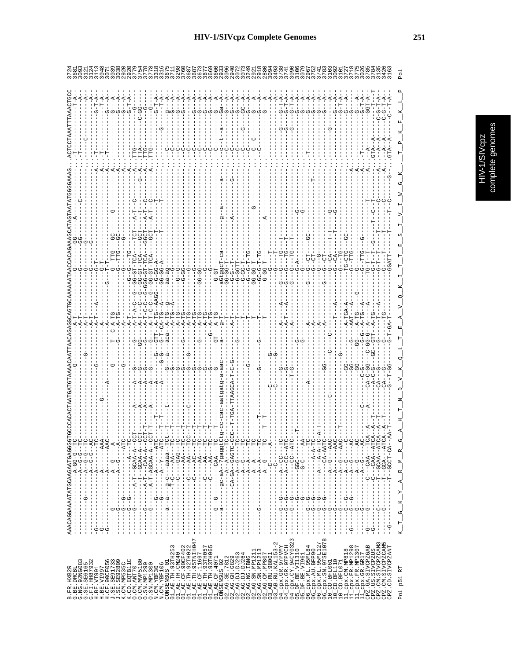| نغ<br>ت<br>υυ<br><u> မုံမုံမုံမှ မှ မှ</u><br>לז לז לז<br>てりてりてりてり<br>わひ ひ ひ<br>てりてりてり<br>τŋ<br>てい<br>$-AAA$<br>$---AAC$<br>$- - - - - - -$<br>$- - - - - - - -$<br>$---CAA---TC$<br>$---AAC$<br>--GCAA--ATC<br>UH4---400---<br>رح<br>$---ATC$<br>$- A - - - - - - ATC$<br>-- A - - - - - - - - A TC<br>a---aaaa---TCt<br>------AA----TC<br>-----GAG---TC<br>$\begin{split} \mathbf{1}_{\{1,2,3\}}=\mathbf{1}_{\{1,3\}}=\mathbf{1}_{\{1,3\}}=\mathbf{1}_{\{1,3\}}=\mathbf{1}_{\{1,3\}}=\mathbf{1}_{\{1,3\}}=\mathbf{1}_{\{1,3\}}=\mathbf{1}_{\{1,3\}}=\mathbf{1}_{\{1,3\}}=\mathbf{1}_{\{1,3\}}=\mathbf{1}_{\{1,3\}}=\mathbf{1}_{\{1,3\}}=\mathbf{1}_{\{1,3\}}=\mathbf{1}_{\{1,3\}}=\mathbf{1}_{\{1,3\}}=\mathbf{1}_{\{1,3\}}=\mathbf{1$<br>$-10$<br>$---AAC$<br>$- - - -$<br>$-----AC$<br>$- - - - -$<br>$---CAA---ATC$<br>$-10$<br>ں<br>ا<br>บ<br> <br> <br>r<br>I<br>י<br>ו<br>$-1 - -A - -A - B - TC$<br>---CA-AATC<br>$- - - - - - - - - - - - - - -$<br>U – – – – –<br>י<br>ד<br>$-1 - -1 - -1 - -1 - 1$<br>$- - A - -$<br>$-1 - A - T - GCAA - A$<br>$-$ -GCAA $-$ A<br>$-4 - 4 - 4 - 4 - 4$<br>$-1 - A - T - AGCAA - A$<br>ġ<br>ن<br>آ<br>İ<br>J<br>$\frac{1}{1}$<br>$\blacksquare$<br>$-1$<br>Ť.<br>$-4-6$<br>$\mathsf I$<br>$\mathsf I$<br>$- -A - -$<br>L.<br>$\mathsf I$<br>$\frac{1}{1}$<br>$\frac{1}{2}$<br>$\frac{1}{2}$<br>$\frac{1}{2}$<br>$\frac{1}{2}$<br>۲<br>ا<br>$\frac{1}{1}$<br>$a_1 - a_2 - a_3 - a_4$<br>$\frac{1}{2}$<br>$\frac{1}{2}$<br>$\frac{1}{1}$<br>Ţ<br>$\frac{1}{1}$<br>$\frac{1}{1}$<br>$\mathbf{I}$<br>$\mathbf{I}$<br>$\mathbf{I}$<br>I<br>$\frac{1}{1}$<br>י<br>י<br>$\mathbf{I}$<br>$\mathbf{I}$<br>п<br>Ť<br>$\mathbf{I}$<br>ì<br>ï<br>ï<br>$\frac{1}{1}$<br>ŧ<br>$\frac{1}{1}$<br>$\begin{array}{c} 1 \\ 1 \\ 1 \end{array}$<br>$\frac{1}{1}$<br>$\frac{1}{1}$<br>$\frac{1}{1}$<br>$\frac{1}{1}$<br>$\mathsf I$<br>$\mathsf I$<br>$\overline{\phantom{a}}$<br>÷<br>J,<br>Ť<br>$\mathbf{I}$<br>$\frac{1}{1}$<br>÷<br>H<br>$\mathbf{I}$<br>$\overline{\phantom{a}}$<br>÷<br>$\frac{1}{1}$<br>I<br>$\mathbf{I}$<br>$\blacksquare$<br>$\mathbf{I}$<br>п<br>$\blacksquare$<br>1<br>$-\frac{6}{1}$<br>نې<br>۱<br>ن<br>ا<br>Ť.<br>$\mathbf{I}$<br>$-1 - 5 - 7$<br>$-1 - 1$<br>ن<br>با<br>$- -a - a$<br>ï.<br>ტ<br>- ს<br>-<br>$\mathsf I$<br>$\mathsf I$<br>$\mathsf I$<br>$-\frac{c}{1}$<br>$-\frac{5}{1}$<br>ּטִיטְ<br>   <br>   <br>ひ<br>ġ<br>ウーー<br>ひ<br>ひ<br>ל<br>י<br>ပြ<br>1<br>1<br>-1<br>J.<br>-1<br>-1<br>J.<br>$\frac{1}{1}$<br>$\,$ I<br>T<br>Ť<br>Ť<br>$\,$ I<br>$\mathsf I$<br>$\mathsf I$<br>$\frac{1}{1}$<br>$\mathsf I$<br>I.<br>$\begin{array}{c} \hline \end{array}$<br>J.<br>$\blacksquare$<br>$\mathbf{I}$<br>$\mathbf{I}$<br>$\frac{1}{2}$<br>$\mathbf{I}$<br>ပုံ<br>Ġ٢<br>Ġ<br>$\dot{c}$<br>$\dot{\vec{\theta}}$<br>ပုံ<br>ဗံ့<br>ひ<br>Ġ<br>Ġ<br>$\frac{1}{\sqrt{2}}$<br>$\frac{1}{\sqrt{2}}$<br>ပု<br>ပု<br>$\frac{1}{1}$<br>Í<br>ပု<br>무<br>ပု<br>ပု<br>ပု<br>ို<br>也<br>ပု<br>U<br>т<br>л<br>1<br>п<br>$\frac{1}{1}$<br>п<br>ī<br>т<br>J.<br>$\mathsf I$<br>I<br>$\mathsf I$<br>J<br>$\begin{array}{c} \rule{0.2cm}{0.15mm} \rule{0.2cm}{0.15mm} \rule{0.2cm}{0.15mm} \rule{0.2cm}{0.15mm} \rule{0.2cm}{0.15mm} \rule{0.2cm}{0.15mm} \rule{0.2cm}{0.15mm} \rule{0.2cm}{0.15mm} \rule{0.2cm}{0.15mm} \rule{0.2cm}{0.15mm} \rule{0.2cm}{0.15mm} \rule{0.2cm}{0.15mm} \rule{0.2cm}{0.15mm} \rule{0.2cm}{0.15mm} \rule{0.2cm}{0.15mm} \rule{$<br>$\frac{1}{1}$<br>I<br>I<br>I<br>$\mathbf{I}$<br>I<br>J<br>I<br>J<br>I<br>J<br>J<br>I<br>J.<br>J<br>$\mathbf{I}$<br>J<br>ţ<br>J<br>I<br>J.<br>л<br>J<br>$\mathbf{I}$<br>$\overline{1}$<br>$\mathbf{I}$<br>$\blacksquare$<br>I<br>J.<br>$\overline{1}$<br>$\frac{1}{2}$<br>$\mathbf{I}$<br>т<br>л<br>J<br>л<br>л<br>1<br>л<br>п<br>п<br>п<br>J.<br>п<br>т<br>J.<br>ひ<br>U<br>ひ<br>ပု<br>ひ<br>$\blacksquare$<br>$\mathbf{I}$<br>I.<br>$\mathbf{I}$ | $-40 - 1000 -$<br>$\frac{1}{1}$<br>ပု |  |  |
|------------------------------------------------------------------------------------------------------------------------------------------------------------------------------------------------------------------------------------------------------------------------------------------------------------------------------------------------------------------------------------------------------------------------------------------------------------------------------------------------------------------------------------------------------------------------------------------------------------------------------------------------------------------------------------------------------------------------------------------------------------------------------------------------------------------------------------------------------------------------------------------------------------------------------------------------------------------------------------------------------------------------------------------------------------------------------------------------------------------------------------------------------------------------------------------------------------------------------------------------------------------------------------------------------------------------------------------------------------------------------------------------------------------------------------------------------------------------------------------------------------------------------------------------------------------------------------------------------------------------------------------------------------------------------------------------------------------------------------------------------------------------------------------------------------------------------------------------------------------------------------------------------------------------------------------------------------------------------------------------------------------------------------------------------------------------------------------------------------------------------------------------------------------------------------------------------------------------------------------------------------------------------------------------------------------------------------------------------------------------------------------------------------------------------------------------------------------------------------------------------------------------------------------------------------------------------------------------------------------------------------------------------------------------------------------------------------------------------------------------------------------------------------------------------------------------------------------------------------------------------------------------------------------------------------------------------------------------------------------------------------------------------------------------------------------------------------------------------------------------------------------------------------------------------------------------------------------------------------------------------------------------------------------------------------------------------------------------------------------------------------------------------------------------------------------------------------------------------------------------------------------------------------------------------------------------------------------------------------------------------------------------------------------------------------------------------------------------------------------------------------------------------------------------------------------------------------------------------------|---------------------------------------|--|--|
|                                                                                                                                                                                                                                                                                                                                                                                                                                                                                                                                                                                                                                                                                                                                                                                                                                                                                                                                                                                                                                                                                                                                                                                                                                                                                                                                                                                                                                                                                                                                                                                                                                                                                                                                                                                                                                                                                                                                                                                                                                                                                                                                                                                                                                                                                                                                                                                                                                                                                                                                                                                                                                                                                                                                                                                                                                                                                                                                                                                                                                                                                                                                                                                                                                                                                                                                                                                                                                                                                                                                                                                                                                                                                                                                                                                                                                                            |                                       |  |  |
|                                                                                                                                                                                                                                                                                                                                                                                                                                                                                                                                                                                                                                                                                                                                                                                                                                                                                                                                                                                                                                                                                                                                                                                                                                                                                                                                                                                                                                                                                                                                                                                                                                                                                                                                                                                                                                                                                                                                                                                                                                                                                                                                                                                                                                                                                                                                                                                                                                                                                                                                                                                                                                                                                                                                                                                                                                                                                                                                                                                                                                                                                                                                                                                                                                                                                                                                                                                                                                                                                                                                                                                                                                                                                                                                                                                                                                                            |                                       |  |  |
|                                                                                                                                                                                                                                                                                                                                                                                                                                                                                                                                                                                                                                                                                                                                                                                                                                                                                                                                                                                                                                                                                                                                                                                                                                                                                                                                                                                                                                                                                                                                                                                                                                                                                                                                                                                                                                                                                                                                                                                                                                                                                                                                                                                                                                                                                                                                                                                                                                                                                                                                                                                                                                                                                                                                                                                                                                                                                                                                                                                                                                                                                                                                                                                                                                                                                                                                                                                                                                                                                                                                                                                                                                                                                                                                                                                                                                                            |                                       |  |  |
|                                                                                                                                                                                                                                                                                                                                                                                                                                                                                                                                                                                                                                                                                                                                                                                                                                                                                                                                                                                                                                                                                                                                                                                                                                                                                                                                                                                                                                                                                                                                                                                                                                                                                                                                                                                                                                                                                                                                                                                                                                                                                                                                                                                                                                                                                                                                                                                                                                                                                                                                                                                                                                                                                                                                                                                                                                                                                                                                                                                                                                                                                                                                                                                                                                                                                                                                                                                                                                                                                                                                                                                                                                                                                                                                                                                                                                                            |                                       |  |  |
|                                                                                                                                                                                                                                                                                                                                                                                                                                                                                                                                                                                                                                                                                                                                                                                                                                                                                                                                                                                                                                                                                                                                                                                                                                                                                                                                                                                                                                                                                                                                                                                                                                                                                                                                                                                                                                                                                                                                                                                                                                                                                                                                                                                                                                                                                                                                                                                                                                                                                                                                                                                                                                                                                                                                                                                                                                                                                                                                                                                                                                                                                                                                                                                                                                                                                                                                                                                                                                                                                                                                                                                                                                                                                                                                                                                                                                                            |                                       |  |  |
| .CM.YBF106<br>ONSENSUS 01<br>1_AE.TH.93TH253<br>1_AE.TH.CM240                                                                                                                                                                                                                                                                                                                                                                                                                                                                                                                                                                                                                                                                                                                                                                                                                                                                                                                                                                                                                                                                                                                                                                                                                                                                                                                                                                                                                                                                                                                                                                                                                                                                                                                                                                                                                                                                                                                                                                                                                                                                                                                                                                                                                                                                                                                                                                                                                                                                                                                                                                                                                                                                                                                                                                                                                                                                                                                                                                                                                                                                                                                                                                                                                                                                                                                                                                                                                                                                                                                                                                                                                                                                                                                                                                                              |                                       |  |  |
|                                                                                                                                                                                                                                                                                                                                                                                                                                                                                                                                                                                                                                                                                                                                                                                                                                                                                                                                                                                                                                                                                                                                                                                                                                                                                                                                                                                                                                                                                                                                                                                                                                                                                                                                                                                                                                                                                                                                                                                                                                                                                                                                                                                                                                                                                                                                                                                                                                                                                                                                                                                                                                                                                                                                                                                                                                                                                                                                                                                                                                                                                                                                                                                                                                                                                                                                                                                                                                                                                                                                                                                                                                                                                                                                                                                                                                                            |                                       |  |  |
|                                                                                                                                                                                                                                                                                                                                                                                                                                                                                                                                                                                                                                                                                                                                                                                                                                                                                                                                                                                                                                                                                                                                                                                                                                                                                                                                                                                                                                                                                                                                                                                                                                                                                                                                                                                                                                                                                                                                                                                                                                                                                                                                                                                                                                                                                                                                                                                                                                                                                                                                                                                                                                                                                                                                                                                                                                                                                                                                                                                                                                                                                                                                                                                                                                                                                                                                                                                                                                                                                                                                                                                                                                                                                                                                                                                                                                                            |                                       |  |  |
|                                                                                                                                                                                                                                                                                                                                                                                                                                                                                                                                                                                                                                                                                                                                                                                                                                                                                                                                                                                                                                                                                                                                                                                                                                                                                                                                                                                                                                                                                                                                                                                                                                                                                                                                                                                                                                                                                                                                                                                                                                                                                                                                                                                                                                                                                                                                                                                                                                                                                                                                                                                                                                                                                                                                                                                                                                                                                                                                                                                                                                                                                                                                                                                                                                                                                                                                                                                                                                                                                                                                                                                                                                                                                                                                                                                                                                                            |                                       |  |  |
|                                                                                                                                                                                                                                                                                                                                                                                                                                                                                                                                                                                                                                                                                                                                                                                                                                                                                                                                                                                                                                                                                                                                                                                                                                                                                                                                                                                                                                                                                                                                                                                                                                                                                                                                                                                                                                                                                                                                                                                                                                                                                                                                                                                                                                                                                                                                                                                                                                                                                                                                                                                                                                                                                                                                                                                                                                                                                                                                                                                                                                                                                                                                                                                                                                                                                                                                                                                                                                                                                                                                                                                                                                                                                                                                                                                                                                                            |                                       |  |  |
|                                                                                                                                                                                                                                                                                                                                                                                                                                                                                                                                                                                                                                                                                                                                                                                                                                                                                                                                                                                                                                                                                                                                                                                                                                                                                                                                                                                                                                                                                                                                                                                                                                                                                                                                                                                                                                                                                                                                                                                                                                                                                                                                                                                                                                                                                                                                                                                                                                                                                                                                                                                                                                                                                                                                                                                                                                                                                                                                                                                                                                                                                                                                                                                                                                                                                                                                                                                                                                                                                                                                                                                                                                                                                                                                                                                                                                                            |                                       |  |  |
|                                                                                                                                                                                                                                                                                                                                                                                                                                                                                                                                                                                                                                                                                                                                                                                                                                                                                                                                                                                                                                                                                                                                                                                                                                                                                                                                                                                                                                                                                                                                                                                                                                                                                                                                                                                                                                                                                                                                                                                                                                                                                                                                                                                                                                                                                                                                                                                                                                                                                                                                                                                                                                                                                                                                                                                                                                                                                                                                                                                                                                                                                                                                                                                                                                                                                                                                                                                                                                                                                                                                                                                                                                                                                                                                                                                                                                                            |                                       |  |  |
|                                                                                                                                                                                                                                                                                                                                                                                                                                                                                                                                                                                                                                                                                                                                                                                                                                                                                                                                                                                                                                                                                                                                                                                                                                                                                                                                                                                                                                                                                                                                                                                                                                                                                                                                                                                                                                                                                                                                                                                                                                                                                                                                                                                                                                                                                                                                                                                                                                                                                                                                                                                                                                                                                                                                                                                                                                                                                                                                                                                                                                                                                                                                                                                                                                                                                                                                                                                                                                                                                                                                                                                                                                                                                                                                                                                                                                                            |                                       |  |  |
|                                                                                                                                                                                                                                                                                                                                                                                                                                                                                                                                                                                                                                                                                                                                                                                                                                                                                                                                                                                                                                                                                                                                                                                                                                                                                                                                                                                                                                                                                                                                                                                                                                                                                                                                                                                                                                                                                                                                                                                                                                                                                                                                                                                                                                                                                                                                                                                                                                                                                                                                                                                                                                                                                                                                                                                                                                                                                                                                                                                                                                                                                                                                                                                                                                                                                                                                                                                                                                                                                                                                                                                                                                                                                                                                                                                                                                                            |                                       |  |  |
|                                                                                                                                                                                                                                                                                                                                                                                                                                                                                                                                                                                                                                                                                                                                                                                                                                                                                                                                                                                                                                                                                                                                                                                                                                                                                                                                                                                                                                                                                                                                                                                                                                                                                                                                                                                                                                                                                                                                                                                                                                                                                                                                                                                                                                                                                                                                                                                                                                                                                                                                                                                                                                                                                                                                                                                                                                                                                                                                                                                                                                                                                                                                                                                                                                                                                                                                                                                                                                                                                                                                                                                                                                                                                                                                                                                                                                                            |                                       |  |  |
|                                                                                                                                                                                                                                                                                                                                                                                                                                                                                                                                                                                                                                                                                                                                                                                                                                                                                                                                                                                                                                                                                                                                                                                                                                                                                                                                                                                                                                                                                                                                                                                                                                                                                                                                                                                                                                                                                                                                                                                                                                                                                                                                                                                                                                                                                                                                                                                                                                                                                                                                                                                                                                                                                                                                                                                                                                                                                                                                                                                                                                                                                                                                                                                                                                                                                                                                                                                                                                                                                                                                                                                                                                                                                                                                                                                                                                                            |                                       |  |  |
|                                                                                                                                                                                                                                                                                                                                                                                                                                                                                                                                                                                                                                                                                                                                                                                                                                                                                                                                                                                                                                                                                                                                                                                                                                                                                                                                                                                                                                                                                                                                                                                                                                                                                                                                                                                                                                                                                                                                                                                                                                                                                                                                                                                                                                                                                                                                                                                                                                                                                                                                                                                                                                                                                                                                                                                                                                                                                                                                                                                                                                                                                                                                                                                                                                                                                                                                                                                                                                                                                                                                                                                                                                                                                                                                                                                                                                                            |                                       |  |  |
|                                                                                                                                                                                                                                                                                                                                                                                                                                                                                                                                                                                                                                                                                                                                                                                                                                                                                                                                                                                                                                                                                                                                                                                                                                                                                                                                                                                                                                                                                                                                                                                                                                                                                                                                                                                                                                                                                                                                                                                                                                                                                                                                                                                                                                                                                                                                                                                                                                                                                                                                                                                                                                                                                                                                                                                                                                                                                                                                                                                                                                                                                                                                                                                                                                                                                                                                                                                                                                                                                                                                                                                                                                                                                                                                                                                                                                                            |                                       |  |  |
|                                                                                                                                                                                                                                                                                                                                                                                                                                                                                                                                                                                                                                                                                                                                                                                                                                                                                                                                                                                                                                                                                                                                                                                                                                                                                                                                                                                                                                                                                                                                                                                                                                                                                                                                                                                                                                                                                                                                                                                                                                                                                                                                                                                                                                                                                                                                                                                                                                                                                                                                                                                                                                                                                                                                                                                                                                                                                                                                                                                                                                                                                                                                                                                                                                                                                                                                                                                                                                                                                                                                                                                                                                                                                                                                                                                                                                                            |                                       |  |  |
|                                                                                                                                                                                                                                                                                                                                                                                                                                                                                                                                                                                                                                                                                                                                                                                                                                                                                                                                                                                                                                                                                                                                                                                                                                                                                                                                                                                                                                                                                                                                                                                                                                                                                                                                                                                                                                                                                                                                                                                                                                                                                                                                                                                                                                                                                                                                                                                                                                                                                                                                                                                                                                                                                                                                                                                                                                                                                                                                                                                                                                                                                                                                                                                                                                                                                                                                                                                                                                                                                                                                                                                                                                                                                                                                                                                                                                                            |                                       |  |  |
|                                                                                                                                                                                                                                                                                                                                                                                                                                                                                                                                                                                                                                                                                                                                                                                                                                                                                                                                                                                                                                                                                                                                                                                                                                                                                                                                                                                                                                                                                                                                                                                                                                                                                                                                                                                                                                                                                                                                                                                                                                                                                                                                                                                                                                                                                                                                                                                                                                                                                                                                                                                                                                                                                                                                                                                                                                                                                                                                                                                                                                                                                                                                                                                                                                                                                                                                                                                                                                                                                                                                                                                                                                                                                                                                                                                                                                                            |                                       |  |  |
| Z.US. SIVCPZUS<br>Z.CM. SIVCPZCAM3<br>Z.CM. SIVCPZCAM5                                                                                                                                                                                                                                                                                                                                                                                                                                                                                                                                                                                                                                                                                                                                                                                                                                                                                                                                                                                                                                                                                                                                                                                                                                                                                                                                                                                                                                                                                                                                                                                                                                                                                                                                                                                                                                                                                                                                                                                                                                                                                                                                                                                                                                                                                                                                                                                                                                                                                                                                                                                                                                                                                                                                                                                                                                                                                                                                                                                                                                                                                                                                                                                                                                                                                                                                                                                                                                                                                                                                                                                                                                                                                                                                                                                                     | .CD.SIVCPZANT                         |  |  |
|                                                                                                                                                                                                                                                                                                                                                                                                                                                                                                                                                                                                                                                                                                                                                                                                                                                                                                                                                                                                                                                                                                                                                                                                                                                                                                                                                                                                                                                                                                                                                                                                                                                                                                                                                                                                                                                                                                                                                                                                                                                                                                                                                                                                                                                                                                                                                                                                                                                                                                                                                                                                                                                                                                                                                                                                                                                                                                                                                                                                                                                                                                                                                                                                                                                                                                                                                                                                                                                                                                                                                                                                                                                                                                                                                                                                                                                            |                                       |  |  |
|                                                                                                                                                                                                                                                                                                                                                                                                                                                                                                                                                                                                                                                                                                                                                                                                                                                                                                                                                                                                                                                                                                                                                                                                                                                                                                                                                                                                                                                                                                                                                                                                                                                                                                                                                                                                                                                                                                                                                                                                                                                                                                                                                                                                                                                                                                                                                                                                                                                                                                                                                                                                                                                                                                                                                                                                                                                                                                                                                                                                                                                                                                                                                                                                                                                                                                                                                                                                                                                                                                                                                                                                                                                                                                                                                                                                                                                            |                                       |  |  |
|                                                                                                                                                                                                                                                                                                                                                                                                                                                                                                                                                                                                                                                                                                                                                                                                                                                                                                                                                                                                                                                                                                                                                                                                                                                                                                                                                                                                                                                                                                                                                                                                                                                                                                                                                                                                                                                                                                                                                                                                                                                                                                                                                                                                                                                                                                                                                                                                                                                                                                                                                                                                                                                                                                                                                                                                                                                                                                                                                                                                                                                                                                                                                                                                                                                                                                                                                                                                                                                                                                                                                                                                                                                                                                                                                                                                                                                            |                                       |  |  |
|                                                                                                                                                                                                                                                                                                                                                                                                                                                                                                                                                                                                                                                                                                                                                                                                                                                                                                                                                                                                                                                                                                                                                                                                                                                                                                                                                                                                                                                                                                                                                                                                                                                                                                                                                                                                                                                                                                                                                                                                                                                                                                                                                                                                                                                                                                                                                                                                                                                                                                                                                                                                                                                                                                                                                                                                                                                                                                                                                                                                                                                                                                                                                                                                                                                                                                                                                                                                                                                                                                                                                                                                                                                                                                                                                                                                                                                            |                                       |  |  |
|                                                                                                                                                                                                                                                                                                                                                                                                                                                                                                                                                                                                                                                                                                                                                                                                                                                                                                                                                                                                                                                                                                                                                                                                                                                                                                                                                                                                                                                                                                                                                                                                                                                                                                                                                                                                                                                                                                                                                                                                                                                                                                                                                                                                                                                                                                                                                                                                                                                                                                                                                                                                                                                                                                                                                                                                                                                                                                                                                                                                                                                                                                                                                                                                                                                                                                                                                                                                                                                                                                                                                                                                                                                                                                                                                                                                                                                            |                                       |  |  |
|                                                                                                                                                                                                                                                                                                                                                                                                                                                                                                                                                                                                                                                                                                                                                                                                                                                                                                                                                                                                                                                                                                                                                                                                                                                                                                                                                                                                                                                                                                                                                                                                                                                                                                                                                                                                                                                                                                                                                                                                                                                                                                                                                                                                                                                                                                                                                                                                                                                                                                                                                                                                                                                                                                                                                                                                                                                                                                                                                                                                                                                                                                                                                                                                                                                                                                                                                                                                                                                                                                                                                                                                                                                                                                                                                                                                                                                            |                                       |  |  |
|                                                                                                                                                                                                                                                                                                                                                                                                                                                                                                                                                                                                                                                                                                                                                                                                                                                                                                                                                                                                                                                                                                                                                                                                                                                                                                                                                                                                                                                                                                                                                                                                                                                                                                                                                                                                                                                                                                                                                                                                                                                                                                                                                                                                                                                                                                                                                                                                                                                                                                                                                                                                                                                                                                                                                                                                                                                                                                                                                                                                                                                                                                                                                                                                                                                                                                                                                                                                                                                                                                                                                                                                                                                                                                                                                                                                                                                            |                                       |  |  |
|                                                                                                                                                                                                                                                                                                                                                                                                                                                                                                                                                                                                                                                                                                                                                                                                                                                                                                                                                                                                                                                                                                                                                                                                                                                                                                                                                                                                                                                                                                                                                                                                                                                                                                                                                                                                                                                                                                                                                                                                                                                                                                                                                                                                                                                                                                                                                                                                                                                                                                                                                                                                                                                                                                                                                                                                                                                                                                                                                                                                                                                                                                                                                                                                                                                                                                                                                                                                                                                                                                                                                                                                                                                                                                                                                                                                                                                            |                                       |  |  |
|                                                                                                                                                                                                                                                                                                                                                                                                                                                                                                                                                                                                                                                                                                                                                                                                                                                                                                                                                                                                                                                                                                                                                                                                                                                                                                                                                                                                                                                                                                                                                                                                                                                                                                                                                                                                                                                                                                                                                                                                                                                                                                                                                                                                                                                                                                                                                                                                                                                                                                                                                                                                                                                                                                                                                                                                                                                                                                                                                                                                                                                                                                                                                                                                                                                                                                                                                                                                                                                                                                                                                                                                                                                                                                                                                                                                                                                            |                                       |  |  |
|                                                                                                                                                                                                                                                                                                                                                                                                                                                                                                                                                                                                                                                                                                                                                                                                                                                                                                                                                                                                                                                                                                                                                                                                                                                                                                                                                                                                                                                                                                                                                                                                                                                                                                                                                                                                                                                                                                                                                                                                                                                                                                                                                                                                                                                                                                                                                                                                                                                                                                                                                                                                                                                                                                                                                                                                                                                                                                                                                                                                                                                                                                                                                                                                                                                                                                                                                                                                                                                                                                                                                                                                                                                                                                                                                                                                                                                            |                                       |  |  |
|                                                                                                                                                                                                                                                                                                                                                                                                                                                                                                                                                                                                                                                                                                                                                                                                                                                                                                                                                                                                                                                                                                                                                                                                                                                                                                                                                                                                                                                                                                                                                                                                                                                                                                                                                                                                                                                                                                                                                                                                                                                                                                                                                                                                                                                                                                                                                                                                                                                                                                                                                                                                                                                                                                                                                                                                                                                                                                                                                                                                                                                                                                                                                                                                                                                                                                                                                                                                                                                                                                                                                                                                                                                                                                                                                                                                                                                            |                                       |  |  |
|                                                                                                                                                                                                                                                                                                                                                                                                                                                                                                                                                                                                                                                                                                                                                                                                                                                                                                                                                                                                                                                                                                                                                                                                                                                                                                                                                                                                                                                                                                                                                                                                                                                                                                                                                                                                                                                                                                                                                                                                                                                                                                                                                                                                                                                                                                                                                                                                                                                                                                                                                                                                                                                                                                                                                                                                                                                                                                                                                                                                                                                                                                                                                                                                                                                                                                                                                                                                                                                                                                                                                                                                                                                                                                                                                                                                                                                            |                                       |  |  |
|                                                                                                                                                                                                                                                                                                                                                                                                                                                                                                                                                                                                                                                                                                                                                                                                                                                                                                                                                                                                                                                                                                                                                                                                                                                                                                                                                                                                                                                                                                                                                                                                                                                                                                                                                                                                                                                                                                                                                                                                                                                                                                                                                                                                                                                                                                                                                                                                                                                                                                                                                                                                                                                                                                                                                                                                                                                                                                                                                                                                                                                                                                                                                                                                                                                                                                                                                                                                                                                                                                                                                                                                                                                                                                                                                                                                                                                            |                                       |  |  |
|                                                                                                                                                                                                                                                                                                                                                                                                                                                                                                                                                                                                                                                                                                                                                                                                                                                                                                                                                                                                                                                                                                                                                                                                                                                                                                                                                                                                                                                                                                                                                                                                                                                                                                                                                                                                                                                                                                                                                                                                                                                                                                                                                                                                                                                                                                                                                                                                                                                                                                                                                                                                                                                                                                                                                                                                                                                                                                                                                                                                                                                                                                                                                                                                                                                                                                                                                                                                                                                                                                                                                                                                                                                                                                                                                                                                                                                            |                                       |  |  |
|                                                                                                                                                                                                                                                                                                                                                                                                                                                                                                                                                                                                                                                                                                                                                                                                                                                                                                                                                                                                                                                                                                                                                                                                                                                                                                                                                                                                                                                                                                                                                                                                                                                                                                                                                                                                                                                                                                                                                                                                                                                                                                                                                                                                                                                                                                                                                                                                                                                                                                                                                                                                                                                                                                                                                                                                                                                                                                                                                                                                                                                                                                                                                                                                                                                                                                                                                                                                                                                                                                                                                                                                                                                                                                                                                                                                                                                            |                                       |  |  |
|                                                                                                                                                                                                                                                                                                                                                                                                                                                                                                                                                                                                                                                                                                                                                                                                                                                                                                                                                                                                                                                                                                                                                                                                                                                                                                                                                                                                                                                                                                                                                                                                                                                                                                                                                                                                                                                                                                                                                                                                                                                                                                                                                                                                                                                                                                                                                                                                                                                                                                                                                                                                                                                                                                                                                                                                                                                                                                                                                                                                                                                                                                                                                                                                                                                                                                                                                                                                                                                                                                                                                                                                                                                                                                                                                                                                                                                            |                                       |  |  |
|                                                                                                                                                                                                                                                                                                                                                                                                                                                                                                                                                                                                                                                                                                                                                                                                                                                                                                                                                                                                                                                                                                                                                                                                                                                                                                                                                                                                                                                                                                                                                                                                                                                                                                                                                                                                                                                                                                                                                                                                                                                                                                                                                                                                                                                                                                                                                                                                                                                                                                                                                                                                                                                                                                                                                                                                                                                                                                                                                                                                                                                                                                                                                                                                                                                                                                                                                                                                                                                                                                                                                                                                                                                                                                                                                                                                                                                            |                                       |  |  |
|                                                                                                                                                                                                                                                                                                                                                                                                                                                                                                                                                                                                                                                                                                                                                                                                                                                                                                                                                                                                                                                                                                                                                                                                                                                                                                                                                                                                                                                                                                                                                                                                                                                                                                                                                                                                                                                                                                                                                                                                                                                                                                                                                                                                                                                                                                                                                                                                                                                                                                                                                                                                                                                                                                                                                                                                                                                                                                                                                                                                                                                                                                                                                                                                                                                                                                                                                                                                                                                                                                                                                                                                                                                                                                                                                                                                                                                            |                                       |  |  |
|                                                                                                                                                                                                                                                                                                                                                                                                                                                                                                                                                                                                                                                                                                                                                                                                                                                                                                                                                                                                                                                                                                                                                                                                                                                                                                                                                                                                                                                                                                                                                                                                                                                                                                                                                                                                                                                                                                                                                                                                                                                                                                                                                                                                                                                                                                                                                                                                                                                                                                                                                                                                                                                                                                                                                                                                                                                                                                                                                                                                                                                                                                                                                                                                                                                                                                                                                                                                                                                                                                                                                                                                                                                                                                                                                                                                                                                            |                                       |  |  |
|                                                                                                                                                                                                                                                                                                                                                                                                                                                                                                                                                                                                                                                                                                                                                                                                                                                                                                                                                                                                                                                                                                                                                                                                                                                                                                                                                                                                                                                                                                                                                                                                                                                                                                                                                                                                                                                                                                                                                                                                                                                                                                                                                                                                                                                                                                                                                                                                                                                                                                                                                                                                                                                                                                                                                                                                                                                                                                                                                                                                                                                                                                                                                                                                                                                                                                                                                                                                                                                                                                                                                                                                                                                                                                                                                                                                                                                            |                                       |  |  |
|                                                                                                                                                                                                                                                                                                                                                                                                                                                                                                                                                                                                                                                                                                                                                                                                                                                                                                                                                                                                                                                                                                                                                                                                                                                                                                                                                                                                                                                                                                                                                                                                                                                                                                                                                                                                                                                                                                                                                                                                                                                                                                                                                                                                                                                                                                                                                                                                                                                                                                                                                                                                                                                                                                                                                                                                                                                                                                                                                                                                                                                                                                                                                                                                                                                                                                                                                                                                                                                                                                                                                                                                                                                                                                                                                                                                                                                            |                                       |  |  |
|                                                                                                                                                                                                                                                                                                                                                                                                                                                                                                                                                                                                                                                                                                                                                                                                                                                                                                                                                                                                                                                                                                                                                                                                                                                                                                                                                                                                                                                                                                                                                                                                                                                                                                                                                                                                                                                                                                                                                                                                                                                                                                                                                                                                                                                                                                                                                                                                                                                                                                                                                                                                                                                                                                                                                                                                                                                                                                                                                                                                                                                                                                                                                                                                                                                                                                                                                                                                                                                                                                                                                                                                                                                                                                                                                                                                                                                            |                                       |  |  |
|                                                                                                                                                                                                                                                                                                                                                                                                                                                                                                                                                                                                                                                                                                                                                                                                                                                                                                                                                                                                                                                                                                                                                                                                                                                                                                                                                                                                                                                                                                                                                                                                                                                                                                                                                                                                                                                                                                                                                                                                                                                                                                                                                                                                                                                                                                                                                                                                                                                                                                                                                                                                                                                                                                                                                                                                                                                                                                                                                                                                                                                                                                                                                                                                                                                                                                                                                                                                                                                                                                                                                                                                                                                                                                                                                                                                                                                            |                                       |  |  |
|                                                                                                                                                                                                                                                                                                                                                                                                                                                                                                                                                                                                                                                                                                                                                                                                                                                                                                                                                                                                                                                                                                                                                                                                                                                                                                                                                                                                                                                                                                                                                                                                                                                                                                                                                                                                                                                                                                                                                                                                                                                                                                                                                                                                                                                                                                                                                                                                                                                                                                                                                                                                                                                                                                                                                                                                                                                                                                                                                                                                                                                                                                                                                                                                                                                                                                                                                                                                                                                                                                                                                                                                                                                                                                                                                                                                                                                            |                                       |  |  |
|                                                                                                                                                                                                                                                                                                                                                                                                                                                                                                                                                                                                                                                                                                                                                                                                                                                                                                                                                                                                                                                                                                                                                                                                                                                                                                                                                                                                                                                                                                                                                                                                                                                                                                                                                                                                                                                                                                                                                                                                                                                                                                                                                                                                                                                                                                                                                                                                                                                                                                                                                                                                                                                                                                                                                                                                                                                                                                                                                                                                                                                                                                                                                                                                                                                                                                                                                                                                                                                                                                                                                                                                                                                                                                                                                                                                                                                            |                                       |  |  |
|                                                                                                                                                                                                                                                                                                                                                                                                                                                                                                                                                                                                                                                                                                                                                                                                                                                                                                                                                                                                                                                                                                                                                                                                                                                                                                                                                                                                                                                                                                                                                                                                                                                                                                                                                                                                                                                                                                                                                                                                                                                                                                                                                                                                                                                                                                                                                                                                                                                                                                                                                                                                                                                                                                                                                                                                                                                                                                                                                                                                                                                                                                                                                                                                                                                                                                                                                                                                                                                                                                                                                                                                                                                                                                                                                                                                                                                            |                                       |  |  |
|                                                                                                                                                                                                                                                                                                                                                                                                                                                                                                                                                                                                                                                                                                                                                                                                                                                                                                                                                                                                                                                                                                                                                                                                                                                                                                                                                                                                                                                                                                                                                                                                                                                                                                                                                                                                                                                                                                                                                                                                                                                                                                                                                                                                                                                                                                                                                                                                                                                                                                                                                                                                                                                                                                                                                                                                                                                                                                                                                                                                                                                                                                                                                                                                                                                                                                                                                                                                                                                                                                                                                                                                                                                                                                                                                                                                                                                            |                                       |  |  |
|                                                                                                                                                                                                                                                                                                                                                                                                                                                                                                                                                                                                                                                                                                                                                                                                                                                                                                                                                                                                                                                                                                                                                                                                                                                                                                                                                                                                                                                                                                                                                                                                                                                                                                                                                                                                                                                                                                                                                                                                                                                                                                                                                                                                                                                                                                                                                                                                                                                                                                                                                                                                                                                                                                                                                                                                                                                                                                                                                                                                                                                                                                                                                                                                                                                                                                                                                                                                                                                                                                                                                                                                                                                                                                                                                                                                                                                            |                                       |  |  |
|                                                                                                                                                                                                                                                                                                                                                                                                                                                                                                                                                                                                                                                                                                                                                                                                                                                                                                                                                                                                                                                                                                                                                                                                                                                                                                                                                                                                                                                                                                                                                                                                                                                                                                                                                                                                                                                                                                                                                                                                                                                                                                                                                                                                                                                                                                                                                                                                                                                                                                                                                                                                                                                                                                                                                                                                                                                                                                                                                                                                                                                                                                                                                                                                                                                                                                                                                                                                                                                                                                                                                                                                                                                                                                                                                                                                                                                            |                                       |  |  |
|                                                                                                                                                                                                                                                                                                                                                                                                                                                                                                                                                                                                                                                                                                                                                                                                                                                                                                                                                                                                                                                                                                                                                                                                                                                                                                                                                                                                                                                                                                                                                                                                                                                                                                                                                                                                                                                                                                                                                                                                                                                                                                                                                                                                                                                                                                                                                                                                                                                                                                                                                                                                                                                                                                                                                                                                                                                                                                                                                                                                                                                                                                                                                                                                                                                                                                                                                                                                                                                                                                                                                                                                                                                                                                                                                                                                                                                            |                                       |  |  |
|                                                                                                                                                                                                                                                                                                                                                                                                                                                                                                                                                                                                                                                                                                                                                                                                                                                                                                                                                                                                                                                                                                                                                                                                                                                                                                                                                                                                                                                                                                                                                                                                                                                                                                                                                                                                                                                                                                                                                                                                                                                                                                                                                                                                                                                                                                                                                                                                                                                                                                                                                                                                                                                                                                                                                                                                                                                                                                                                                                                                                                                                                                                                                                                                                                                                                                                                                                                                                                                                                                                                                                                                                                                                                                                                                                                                                                                            |                                       |  |  |
|                                                                                                                                                                                                                                                                                                                                                                                                                                                                                                                                                                                                                                                                                                                                                                                                                                                                                                                                                                                                                                                                                                                                                                                                                                                                                                                                                                                                                                                                                                                                                                                                                                                                                                                                                                                                                                                                                                                                                                                                                                                                                                                                                                                                                                                                                                                                                                                                                                                                                                                                                                                                                                                                                                                                                                                                                                                                                                                                                                                                                                                                                                                                                                                                                                                                                                                                                                                                                                                                                                                                                                                                                                                                                                                                                                                                                                                            |                                       |  |  |
|                                                                                                                                                                                                                                                                                                                                                                                                                                                                                                                                                                                                                                                                                                                                                                                                                                                                                                                                                                                                                                                                                                                                                                                                                                                                                                                                                                                                                                                                                                                                                                                                                                                                                                                                                                                                                                                                                                                                                                                                                                                                                                                                                                                                                                                                                                                                                                                                                                                                                                                                                                                                                                                                                                                                                                                                                                                                                                                                                                                                                                                                                                                                                                                                                                                                                                                                                                                                                                                                                                                                                                                                                                                                                                                                                                                                                                                            |                                       |  |  |
|                                                                                                                                                                                                                                                                                                                                                                                                                                                                                                                                                                                                                                                                                                                                                                                                                                                                                                                                                                                                                                                                                                                                                                                                                                                                                                                                                                                                                                                                                                                                                                                                                                                                                                                                                                                                                                                                                                                                                                                                                                                                                                                                                                                                                                                                                                                                                                                                                                                                                                                                                                                                                                                                                                                                                                                                                                                                                                                                                                                                                                                                                                                                                                                                                                                                                                                                                                                                                                                                                                                                                                                                                                                                                                                                                                                                                                                            |                                       |  |  |
|                                                                                                                                                                                                                                                                                                                                                                                                                                                                                                                                                                                                                                                                                                                                                                                                                                                                                                                                                                                                                                                                                                                                                                                                                                                                                                                                                                                                                                                                                                                                                                                                                                                                                                                                                                                                                                                                                                                                                                                                                                                                                                                                                                                                                                                                                                                                                                                                                                                                                                                                                                                                                                                                                                                                                                                                                                                                                                                                                                                                                                                                                                                                                                                                                                                                                                                                                                                                                                                                                                                                                                                                                                                                                                                                                                                                                                                            |                                       |  |  |
|                                                                                                                                                                                                                                                                                                                                                                                                                                                                                                                                                                                                                                                                                                                                                                                                                                                                                                                                                                                                                                                                                                                                                                                                                                                                                                                                                                                                                                                                                                                                                                                                                                                                                                                                                                                                                                                                                                                                                                                                                                                                                                                                                                                                                                                                                                                                                                                                                                                                                                                                                                                                                                                                                                                                                                                                                                                                                                                                                                                                                                                                                                                                                                                                                                                                                                                                                                                                                                                                                                                                                                                                                                                                                                                                                                                                                                                            |                                       |  |  |
|                                                                                                                                                                                                                                                                                                                                                                                                                                                                                                                                                                                                                                                                                                                                                                                                                                                                                                                                                                                                                                                                                                                                                                                                                                                                                                                                                                                                                                                                                                                                                                                                                                                                                                                                                                                                                                                                                                                                                                                                                                                                                                                                                                                                                                                                                                                                                                                                                                                                                                                                                                                                                                                                                                                                                                                                                                                                                                                                                                                                                                                                                                                                                                                                                                                                                                                                                                                                                                                                                                                                                                                                                                                                                                                                                                                                                                                            |                                       |  |  |
|                                                                                                                                                                                                                                                                                                                                                                                                                                                                                                                                                                                                                                                                                                                                                                                                                                                                                                                                                                                                                                                                                                                                                                                                                                                                                                                                                                                                                                                                                                                                                                                                                                                                                                                                                                                                                                                                                                                                                                                                                                                                                                                                                                                                                                                                                                                                                                                                                                                                                                                                                                                                                                                                                                                                                                                                                                                                                                                                                                                                                                                                                                                                                                                                                                                                                                                                                                                                                                                                                                                                                                                                                                                                                                                                                                                                                                                            |                                       |  |  |
|                                                                                                                                                                                                                                                                                                                                                                                                                                                                                                                                                                                                                                                                                                                                                                                                                                                                                                                                                                                                                                                                                                                                                                                                                                                                                                                                                                                                                                                                                                                                                                                                                                                                                                                                                                                                                                                                                                                                                                                                                                                                                                                                                                                                                                                                                                                                                                                                                                                                                                                                                                                                                                                                                                                                                                                                                                                                                                                                                                                                                                                                                                                                                                                                                                                                                                                                                                                                                                                                                                                                                                                                                                                                                                                                                                                                                                                            |                                       |  |  |
|                                                                                                                                                                                                                                                                                                                                                                                                                                                                                                                                                                                                                                                                                                                                                                                                                                                                                                                                                                                                                                                                                                                                                                                                                                                                                                                                                                                                                                                                                                                                                                                                                                                                                                                                                                                                                                                                                                                                                                                                                                                                                                                                                                                                                                                                                                                                                                                                                                                                                                                                                                                                                                                                                                                                                                                                                                                                                                                                                                                                                                                                                                                                                                                                                                                                                                                                                                                                                                                                                                                                                                                                                                                                                                                                                                                                                                                            |                                       |  |  |
|                                                                                                                                                                                                                                                                                                                                                                                                                                                                                                                                                                                                                                                                                                                                                                                                                                                                                                                                                                                                                                                                                                                                                                                                                                                                                                                                                                                                                                                                                                                                                                                                                                                                                                                                                                                                                                                                                                                                                                                                                                                                                                                                                                                                                                                                                                                                                                                                                                                                                                                                                                                                                                                                                                                                                                                                                                                                                                                                                                                                                                                                                                                                                                                                                                                                                                                                                                                                                                                                                                                                                                                                                                                                                                                                                                                                                                                            |                                       |  |  |
|                                                                                                                                                                                                                                                                                                                                                                                                                                                                                                                                                                                                                                                                                                                                                                                                                                                                                                                                                                                                                                                                                                                                                                                                                                                                                                                                                                                                                                                                                                                                                                                                                                                                                                                                                                                                                                                                                                                                                                                                                                                                                                                                                                                                                                                                                                                                                                                                                                                                                                                                                                                                                                                                                                                                                                                                                                                                                                                                                                                                                                                                                                                                                                                                                                                                                                                                                                                                                                                                                                                                                                                                                                                                                                                                                                                                                                                            |                                       |  |  |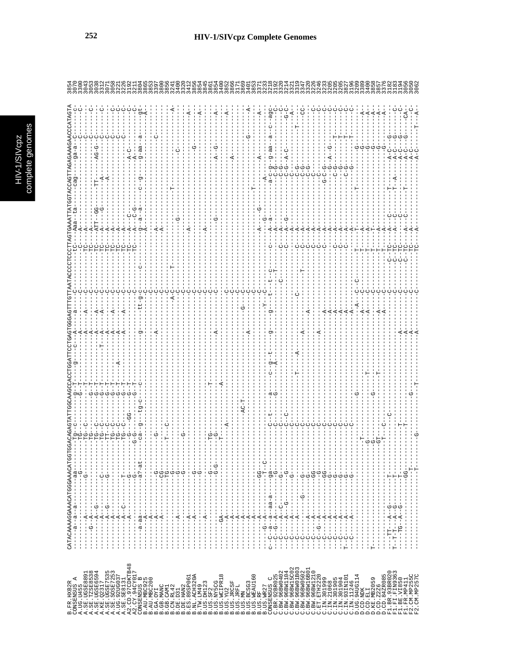| ひ<br>൯<br>U<br>U<br>ස්<br>ת<br>ന<br><b>ツウ</b><br>ひひひ<br>めめめめの<br>あひ<br>ひひひ<br>ひひひひ<br>U<br>Ο<br>U<br>υU<br>τŋ<br><b>LQ</b><br>তা<br>ひひひひひひ<br>R R<br>$\triangle$ $\triangle$<br>K,<br>ወ⊄<br>66666<br>せせせせせせせ<br>൯<br>CATACAAAAGGAAACATGGGAAACAT<br>------a--a--a---------aa-----<br>$\mathbf{I}$<br>$1 - 1 - 1 - 1$<br>$1 - 1 - 1 - 1$<br>$\mathsf I$<br>$\mathbb T$<br>$\blacksquare$<br>$\mathbf I$<br>$\mathbb T$<br>$\,$ I<br>$\mathbf{I}$<br>- 11<br>$\mathbf{I}$<br>$\mathsf I$<br>$\begin{array}{c} 1 \ 1 \ 1 \ 1 \end{array}$<br>$\blacksquare$<br>ġ<br>Ħ<br>$\mathsf I$<br>$\mathbb{I}$<br>$\mathsf I$<br>$\mathsf I$<br>$\frac{1}{1}$<br>-1<br>$\blacksquare$<br>- 11<br>$1 - 1$<br>$\mathbb T$<br>$\mathbf{I}$<br>- 1<br>$\mathbf{I}$<br>-1<br>$\blacksquare$<br>$\mathbf{I}$<br>$\mathbf{I}$<br>111111<br>T.<br>$-1$<br>$-1$<br>$-1$<br>$-1$<br>$-1$<br>$-1$<br>$-1$<br>$-1$<br>I<br>$\frac{1}{4}$<br>Ħ<br>十十<br>十十<br>十十十<br>ŧ<br>п<br>j.<br>$-1$<br>Ť.<br>- 11<br>Ť.<br>$\mathbf{I}$<br>$\mathbf{I}$ |           |  |  |  |                              |
|--------------------------------------------------------------------------------------------------------------------------------------------------------------------------------------------------------------------------------------------------------------------------------------------------------------------------------------------------------------------------------------------------------------------------------------------------------------------------------------------------------------------------------------------------------------------------------------------------------------------------------------------------------------------------------------------------------------------------------------------------------------------------------------------------------------------------------------------------------------------------------------------------------------------------------------------------------------------------------------------------------------------|-----------|--|--|--|------------------------------|
|                                                                                                                                                                                                                                                                                                                                                                                                                                                                                                                                                                                                                                                                                                                                                                                                                                                                                                                                                                                                                    |           |  |  |  | $\mathbf{L}$                 |
|                                                                                                                                                                                                                                                                                                                                                                                                                                                                                                                                                                                                                                                                                                                                                                                                                                                                                                                                                                                                                    |           |  |  |  |                              |
|                                                                                                                                                                                                                                                                                                                                                                                                                                                                                                                                                                                                                                                                                                                                                                                                                                                                                                                                                                                                                    |           |  |  |  | $\blacksquare$               |
|                                                                                                                                                                                                                                                                                                                                                                                                                                                                                                                                                                                                                                                                                                                                                                                                                                                                                                                                                                                                                    |           |  |  |  | $\overline{\phantom{a}}$     |
|                                                                                                                                                                                                                                                                                                                                                                                                                                                                                                                                                                                                                                                                                                                                                                                                                                                                                                                                                                                                                    |           |  |  |  | Н                            |
|                                                                                                                                                                                                                                                                                                                                                                                                                                                                                                                                                                                                                                                                                                                                                                                                                                                                                                                                                                                                                    |           |  |  |  | $\blacksquare$               |
|                                                                                                                                                                                                                                                                                                                                                                                                                                                                                                                                                                                                                                                                                                                                                                                                                                                                                                                                                                                                                    |           |  |  |  | $\mathbf{I}$<br>$\mathbf{I}$ |
|                                                                                                                                                                                                                                                                                                                                                                                                                                                                                                                                                                                                                                                                                                                                                                                                                                                                                                                                                                                                                    |           |  |  |  | $\blacksquare$               |
|                                                                                                                                                                                                                                                                                                                                                                                                                                                                                                                                                                                                                                                                                                                                                                                                                                                                                                                                                                                                                    |           |  |  |  |                              |
|                                                                                                                                                                                                                                                                                                                                                                                                                                                                                                                                                                                                                                                                                                                                                                                                                                                                                                                                                                                                                    |           |  |  |  | - 1 E+                       |
|                                                                                                                                                                                                                                                                                                                                                                                                                                                                                                                                                                                                                                                                                                                                                                                                                                                                                                                                                                                                                    |           |  |  |  | -1                           |
|                                                                                                                                                                                                                                                                                                                                                                                                                                                                                                                                                                                                                                                                                                                                                                                                                                                                                                                                                                                                                    |           |  |  |  |                              |
|                                                                                                                                                                                                                                                                                                                                                                                                                                                                                                                                                                                                                                                                                                                                                                                                                                                                                                                                                                                                                    |           |  |  |  |                              |
|                                                                                                                                                                                                                                                                                                                                                                                                                                                                                                                                                                                                                                                                                                                                                                                                                                                                                                                                                                                                                    |           |  |  |  |                              |
|                                                                                                                                                                                                                                                                                                                                                                                                                                                                                                                                                                                                                                                                                                                                                                                                                                                                                                                                                                                                                    |           |  |  |  |                              |
|                                                                                                                                                                                                                                                                                                                                                                                                                                                                                                                                                                                                                                                                                                                                                                                                                                                                                                                                                                                                                    |           |  |  |  |                              |
|                                                                                                                                                                                                                                                                                                                                                                                                                                                                                                                                                                                                                                                                                                                                                                                                                                                                                                                                                                                                                    |           |  |  |  |                              |
|                                                                                                                                                                                                                                                                                                                                                                                                                                                                                                                                                                                                                                                                                                                                                                                                                                                                                                                                                                                                                    |           |  |  |  |                              |
|                                                                                                                                                                                                                                                                                                                                                                                                                                                                                                                                                                                                                                                                                                                                                                                                                                                                                                                                                                                                                    |           |  |  |  |                              |
|                                                                                                                                                                                                                                                                                                                                                                                                                                                                                                                                                                                                                                                                                                                                                                                                                                                                                                                                                                                                                    |           |  |  |  |                              |
|                                                                                                                                                                                                                                                                                                                                                                                                                                                                                                                                                                                                                                                                                                                                                                                                                                                                                                                                                                                                                    |           |  |  |  |                              |
|                                                                                                                                                                                                                                                                                                                                                                                                                                                                                                                                                                                                                                                                                                                                                                                                                                                                                                                                                                                                                    |           |  |  |  |                              |
|                                                                                                                                                                                                                                                                                                                                                                                                                                                                                                                                                                                                                                                                                                                                                                                                                                                                                                                                                                                                                    |           |  |  |  |                              |
|                                                                                                                                                                                                                                                                                                                                                                                                                                                                                                                                                                                                                                                                                                                                                                                                                                                                                                                                                                                                                    |           |  |  |  |                              |
|                                                                                                                                                                                                                                                                                                                                                                                                                                                                                                                                                                                                                                                                                                                                                                                                                                                                                                                                                                                                                    |           |  |  |  |                              |
|                                                                                                                                                                                                                                                                                                                                                                                                                                                                                                                                                                                                                                                                                                                                                                                                                                                                                                                                                                                                                    |           |  |  |  |                              |
|                                                                                                                                                                                                                                                                                                                                                                                                                                                                                                                                                                                                                                                                                                                                                                                                                                                                                                                                                                                                                    |           |  |  |  | O                            |
|                                                                                                                                                                                                                                                                                                                                                                                                                                                                                                                                                                                                                                                                                                                                                                                                                                                                                                                                                                                                                    |           |  |  |  |                              |
|                                                                                                                                                                                                                                                                                                                                                                                                                                                                                                                                                                                                                                                                                                                                                                                                                                                                                                                                                                                                                    |           |  |  |  |                              |
|                                                                                                                                                                                                                                                                                                                                                                                                                                                                                                                                                                                                                                                                                                                                                                                                                                                                                                                                                                                                                    |           |  |  |  |                              |
|                                                                                                                                                                                                                                                                                                                                                                                                                                                                                                                                                                                                                                                                                                                                                                                                                                                                                                                                                                                                                    |           |  |  |  |                              |
|                                                                                                                                                                                                                                                                                                                                                                                                                                                                                                                                                                                                                                                                                                                                                                                                                                                                                                                                                                                                                    |           |  |  |  |                              |
|                                                                                                                                                                                                                                                                                                                                                                                                                                                                                                                                                                                                                                                                                                                                                                                                                                                                                                                                                                                                                    |           |  |  |  |                              |
|                                                                                                                                                                                                                                                                                                                                                                                                                                                                                                                                                                                                                                                                                                                                                                                                                                                                                                                                                                                                                    |           |  |  |  |                              |
|                                                                                                                                                                                                                                                                                                                                                                                                                                                                                                                                                                                                                                                                                                                                                                                                                                                                                                                                                                                                                    |           |  |  |  |                              |
|                                                                                                                                                                                                                                                                                                                                                                                                                                                                                                                                                                                                                                                                                                                                                                                                                                                                                                                                                                                                                    |           |  |  |  |                              |
|                                                                                                                                                                                                                                                                                                                                                                                                                                                                                                                                                                                                                                                                                                                                                                                                                                                                                                                                                                                                                    |           |  |  |  |                              |
|                                                                                                                                                                                                                                                                                                                                                                                                                                                                                                                                                                                                                                                                                                                                                                                                                                                                                                                                                                                                                    |           |  |  |  | $\mathbf{I}$                 |
|                                                                                                                                                                                                                                                                                                                                                                                                                                                                                                                                                                                                                                                                                                                                                                                                                                                                                                                                                                                                                    |           |  |  |  | Ť                            |
|                                                                                                                                                                                                                                                                                                                                                                                                                                                                                                                                                                                                                                                                                                                                                                                                                                                                                                                                                                                                                    |           |  |  |  | $\mathbf{1}$                 |
|                                                                                                                                                                                                                                                                                                                                                                                                                                                                                                                                                                                                                                                                                                                                                                                                                                                                                                                                                                                                                    |           |  |  |  |                              |
|                                                                                                                                                                                                                                                                                                                                                                                                                                                                                                                                                                                                                                                                                                                                                                                                                                                                                                                                                                                                                    |           |  |  |  | $\mathbf I$                  |
|                                                                                                                                                                                                                                                                                                                                                                                                                                                                                                                                                                                                                                                                                                                                                                                                                                                                                                                                                                                                                    |           |  |  |  | $\mathsf I$                  |
|                                                                                                                                                                                                                                                                                                                                                                                                                                                                                                                                                                                                                                                                                                                                                                                                                                                                                                                                                                                                                    |           |  |  |  |                              |
|                                                                                                                                                                                                                                                                                                                                                                                                                                                                                                                                                                                                                                                                                                                                                                                                                                                                                                                                                                                                                    |           |  |  |  |                              |
|                                                                                                                                                                                                                                                                                                                                                                                                                                                                                                                                                                                                                                                                                                                                                                                                                                                                                                                                                                                                                    |           |  |  |  |                              |
|                                                                                                                                                                                                                                                                                                                                                                                                                                                                                                                                                                                                                                                                                                                                                                                                                                                                                                                                                                                                                    |           |  |  |  |                              |
|                                                                                                                                                                                                                                                                                                                                                                                                                                                                                                                                                                                                                                                                                                                                                                                                                                                                                                                                                                                                                    |           |  |  |  |                              |
|                                                                                                                                                                                                                                                                                                                                                                                                                                                                                                                                                                                                                                                                                                                                                                                                                                                                                                                                                                                                                    |           |  |  |  |                              |
|                                                                                                                                                                                                                                                                                                                                                                                                                                                                                                                                                                                                                                                                                                                                                                                                                                                                                                                                                                                                                    |           |  |  |  |                              |
|                                                                                                                                                                                                                                                                                                                                                                                                                                                                                                                                                                                                                                                                                                                                                                                                                                                                                                                                                                                                                    |           |  |  |  |                              |
|                                                                                                                                                                                                                                                                                                                                                                                                                                                                                                                                                                                                                                                                                                                                                                                                                                                                                                                                                                                                                    |           |  |  |  | $\mathbf I$                  |
|                                                                                                                                                                                                                                                                                                                                                                                                                                                                                                                                                                                                                                                                                                                                                                                                                                                                                                                                                                                                                    |           |  |  |  | $\frac{1}{1}$                |
|                                                                                                                                                                                                                                                                                                                                                                                                                                                                                                                                                                                                                                                                                                                                                                                                                                                                                                                                                                                                                    |           |  |  |  | $\mathbf I$                  |
|                                                                                                                                                                                                                                                                                                                                                                                                                                                                                                                                                                                                                                                                                                                                                                                                                                                                                                                                                                                                                    |           |  |  |  | ÷                            |
|                                                                                                                                                                                                                                                                                                                                                                                                                                                                                                                                                                                                                                                                                                                                                                                                                                                                                                                                                                                                                    |           |  |  |  |                              |
|                                                                                                                                                                                                                                                                                                                                                                                                                                                                                                                                                                                                                                                                                                                                                                                                                                                                                                                                                                                                                    |           |  |  |  |                              |
|                                                                                                                                                                                                                                                                                                                                                                                                                                                                                                                                                                                                                                                                                                                                                                                                                                                                                                                                                                                                                    |           |  |  |  |                              |
|                                                                                                                                                                                                                                                                                                                                                                                                                                                                                                                                                                                                                                                                                                                                                                                                                                                                                                                                                                                                                    |           |  |  |  |                              |
|                                                                                                                                                                                                                                                                                                                                                                                                                                                                                                                                                                                                                                                                                                                                                                                                                                                                                                                                                                                                                    |           |  |  |  |                              |
|                                                                                                                                                                                                                                                                                                                                                                                                                                                                                                                                                                                                                                                                                                                                                                                                                                                                                                                                                                                                                    |           |  |  |  |                              |
|                                                                                                                                                                                                                                                                                                                                                                                                                                                                                                                                                                                                                                                                                                                                                                                                                                                                                                                                                                                                                    |           |  |  |  | $\mathbf{I}$                 |
|                                                                                                                                                                                                                                                                                                                                                                                                                                                                                                                                                                                                                                                                                                                                                                                                                                                                                                                                                                                                                    |           |  |  |  | $\mathbf{I}$                 |
|                                                                                                                                                                                                                                                                                                                                                                                                                                                                                                                                                                                                                                                                                                                                                                                                                                                                                                                                                                                                                    |           |  |  |  | 1                            |
|                                                                                                                                                                                                                                                                                                                                                                                                                                                                                                                                                                                                                                                                                                                                                                                                                                                                                                                                                                                                                    |           |  |  |  |                              |
|                                                                                                                                                                                                                                                                                                                                                                                                                                                                                                                                                                                                                                                                                                                                                                                                                                                                                                                                                                                                                    |           |  |  |  | $\mathbb{I}$                 |
|                                                                                                                                                                                                                                                                                                                                                                                                                                                                                                                                                                                                                                                                                                                                                                                                                                                                                                                                                                                                                    | AGAGAAAGZ |  |  |  |                              |

400 mm 8 N H 8 H 8 H 8 M H 4 M M L O B H 0 H 8 H 4 H 4 D N 8 H 8 H 8 H 4 H 4 M H 8 M D 4 H 9 L 9 D 8 M W M D D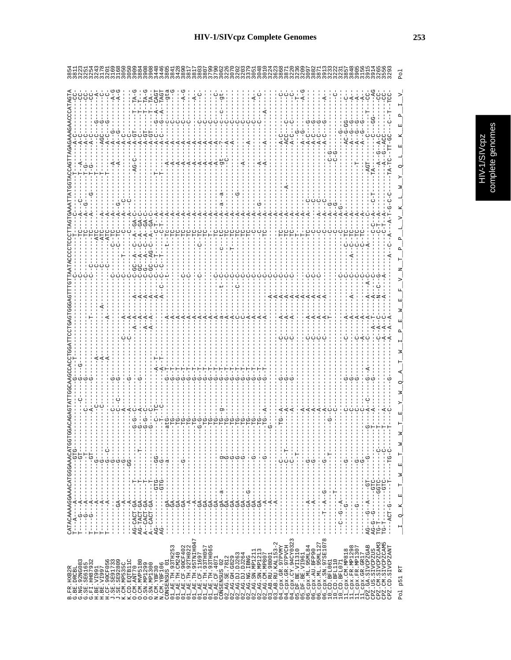|                                                                |                                                                                                                                                                                                                                                                            |                     |                 |                           |            |                      |           |                |                           |                        |                              |                         |                                                                                                        |                   |             |               |           |                      |                    |       |          |            |              |           |                                                                                 |           |                     |         |                     |                |                     |             |               |                                    |                    |                      |                  |   |          |                   | $\circ$ $\circ$ $\circ$ $\circ$ $\circ$ $\circ$ |          |         |                          |                 |                                      |        |                                                                      |                                |                    |                                |                                       |
|----------------------------------------------------------------|----------------------------------------------------------------------------------------------------------------------------------------------------------------------------------------------------------------------------------------------------------------------------|---------------------|-----------------|---------------------------|------------|----------------------|-----------|----------------|---------------------------|------------------------|------------------------------|-------------------------|--------------------------------------------------------------------------------------------------------|-------------------|-------------|---------------|-----------|----------------------|--------------------|-------|----------|------------|--------------|-----------|---------------------------------------------------------------------------------|-----------|---------------------|---------|---------------------|----------------|---------------------|-------------|---------------|------------------------------------|--------------------|----------------------|------------------|---|----------|-------------------|-------------------------------------------------|----------|---------|--------------------------|-----------------|--------------------------------------|--------|----------------------------------------------------------------------|--------------------------------|--------------------|--------------------------------|---------------------------------------|
|                                                                |                                                                                                                                                                                                                                                                            |                     |                 |                           |            |                      |           |                |                           |                        |                              |                         |                                                                                                        |                   |             |               |           |                      |                    |       |          |            |              |           | ्<br>१८८८ - १८८८ - १८८८ - १८८८ - १८८८ - १८८८<br>२८८ - २८८८ - १८८८ - १८८८ - १८८८ |           |                     |         |                     |                |                     |             |               |                                    |                    |                      |                  |   |          |                   |                                                 |          |         |                          |                 |                                      |        | $\begin{array}{c} 1 & 1 \\ \hline 1 & 1 \\ \hline 1 & 1 \end{array}$ |                                |                    |                                |                                       |
|                                                                |                                                                                                                                                                                                                                                                            |                     |                 |                           |            |                      |           |                |                           |                        |                              |                         |                                                                                                        |                   |             |               |           |                      |                    |       |          |            |              |           |                                                                                 |           |                     |         |                     |                |                     |             |               |                                    |                    |                      |                  |   |          |                   |                                                 |          |         | ÛÛ                       |                 |                                      |        |                                                                      |                                |                    |                                |                                       |
|                                                                |                                                                                                                                                                                                                                                                            |                     |                 |                           |            |                      |           |                |                           |                        |                              |                         |                                                                                                        |                   |             |               |           |                      |                    |       |          |            |              |           |                                                                                 |           |                     |         |                     |                |                     |             |               |                                    |                    |                      |                  |   |          |                   |                                                 |          |         |                          |                 |                                      |        |                                                                      |                                |                    |                                |                                       |
|                                                                |                                                                                                                                                                                                                                                                            |                     |                 |                           |            |                      |           |                |                           |                        |                              |                         |                                                                                                        |                   |             |               |           |                      |                    |       |          |            |              |           |                                                                                 |           |                     |         |                     |                |                     |             |               |                                    |                    |                      |                  |   |          |                   |                                                 |          |         |                          |                 |                                      |        |                                                                      |                                |                    |                                |                                       |
|                                                                |                                                                                                                                                                                                                                                                            |                     |                 |                           |            |                      |           |                |                           |                        |                              |                         |                                                                                                        |                   |             |               |           |                      |                    |       |          |            |              |           |                                                                                 |           |                     |         |                     |                |                     |             |               |                                    |                    |                      |                  |   | RARARARA |                   |                                                 |          |         |                          |                 |                                      |        |                                                                      |                                |                    |                                |                                       |
|                                                                |                                                                                                                                                                                                                                                                            |                     |                 |                           |            |                      |           |                |                           |                        |                              |                         |                                                                                                        |                   |             |               |           |                      |                    |       |          |            |              |           |                                                                                 |           |                     |         |                     |                |                     |             |               |                                    |                    |                      |                  |   |          |                   |                                                 |          |         |                          |                 |                                      |        |                                                                      |                                |                    |                                |                                       |
|                                                                |                                                                                                                                                                                                                                                                            |                     |                 |                           |            |                      |           |                |                           |                        |                              |                         |                                                                                                        |                   |             |               |           |                      |                    |       |          |            |              |           |                                                                                 |           |                     |         |                     |                | ******************* |             |               |                                    |                    |                      |                  |   |          |                   |                                                 |          |         |                          |                 |                                      |        |                                                                      |                                |                    |                                |                                       |
|                                                                |                                                                                                                                                                                                                                                                            |                     |                 |                           |            |                      |           |                |                           |                        |                              |                         |                                                                                                        |                   |             |               |           |                      |                    |       |          |            |              |           |                                                                                 |           |                     |         |                     |                |                     |             |               |                                    |                    |                      |                  |   |          |                   |                                                 |          |         |                          |                 |                                      |        |                                                                      |                                |                    |                                |                                       |
|                                                                |                                                                                                                                                                                                                                                                            |                     |                 |                           |            |                      |           |                |                           |                        |                              |                         |                                                                                                        |                   |             |               |           |                      |                    |       |          |            |              |           |                                                                                 |           |                     |         |                     |                |                     |             |               |                                    |                    |                      |                  |   |          |                   |                                                 |          |         |                          |                 |                                      |        |                                                                      |                                |                    |                                |                                       |
|                                                                | J.                                                                                                                                                                                                                                                                         | $-1$ $-1$ $-1$ $-1$ | $- - 129 - - -$ | l<br>$\frac{1}{\sqrt{2}}$ |            | -- ט<br>-- ט<br>-- י | ï<br>$-1$ | ပု             | ţ<br>$\frac{1}{\sqrt{2}}$ | $- - - - - - - -$<br>H | I<br>I<br>I<br>т             | 턱<br>$\frac{1}{1}$<br>í |                                                                                                        | j<br>$\mathbf{I}$ | $-55 - - -$ | $-5 - 7$<br>I | $ \alpha$ |                      | Ţ<br>$\frac{1}{1}$ | $-5$  |          |            |              |           |                                                                                 |           | l.<br>თ<br>ပု       | ł<br>りー | ţ<br>$-\frac{c}{1}$ | Ţ<br>ひ         |                     | ł<br>ט<br>י | ł             | ŧ<br>$\ddot{\phi}$<br>$\mathbf{I}$ |                    | $-1$<br>$-1$<br>$-1$ | i<br>I<br>C<br>I | U | ÷<br>    | $\frac{1}{1}$     | $-1 - 5 - 1$<br>Ġ                               |          | j<br>ပု | -- 1                     |                 |                                      | $-1$   | í<br>$\frac{1}{2}$<br>Í                                              | C                              | ł<br>$\frac{1}{2}$ | $-9 -$                         | i<br>i                                |
| CATACAAAAGGAAACATGGGAAACATGG<br>T---A----A-------------GTG---- | ł                                                                                                                                                                                                                                                                          | $-4 - 2$            | ţ               | $- - A - -$               | $- -A - -$ | $-4-$                |           | $-6A$          | $-4$                      | $- -A - -$             | サート                          | $-1$                    | $\frac{1}{1}$                                                                                          | ÷<br>+            | $-1010 - 1$ | $-CTG-$       | л         | $- - gA - -$<br>--GA |                    | $-6A$ | $- -A -$ | $- -A - -$ | $-5A$        |           | $-6A -$<br>$-45$                                                                | $-gA - a$ | $-6A$ -             | ï       | ı<br>$- -$ GA $-$   | $-6A-$         | $-GA - G$           | $-45$       | $-450 -$      | $-4-1$                             | $- -A - -$<br>$-1$ | т                    | 1                | п |          | $\mathbf{I}$<br>п | I<br>$- - A - -$                                | $-4 - 7$ | $-4-7$  | $\frac{1}{1}$<br>J.<br>п | $-1$<br>J.<br>I |                                      | ن<br>ا | J<br>J.<br>T,                                                        | $\overline{1}$                 | ¦<br>I<br>ı<br>I.  | $-150 -$<br>$-1$ - $-1$ - $-1$ | UHUU----<br><b>CHO-</b>               |
|                                                                | $\vdash$<br>3. 19203138<br>0. 19203138<br>0. 19203138<br>1. 19203138<br>1. 19203138<br>1. 19203138<br>1. 19203138<br>1. 19203138<br>1. 19203138<br>1. 193138<br>1. 1931313<br>1. 19203138<br>1. 19203138<br>1. 19203138<br>1. 19203138<br>1. 19203138<br>1. 19203138<br>1. | י<br>י<br>I         |                 | f,                        | ł          | ì                    |           | $\overline{1}$ |                           | H                      | AG-CACT-GA--<br>AG-TACT-GA-- |                         | A - - CACT-GA - - -<br>A - - CACT-GA - - - -<br>AG - - - - - - - - - - - -<br>AG - - - - - - - - - - - |                   |             |               |           | $\mathbf{I}$<br>I    | $-1$ $-1$          |       |          |            | $\mathbf{I}$ | $-1$ $-1$ | I.<br>I                                                                         |           | $\overline{1}$<br>J |         | $\frac{1}{1}$       | $\overline{1}$ | $\overline{1}$      | í           | $\frac{1}{1}$ | ı<br>I                             |                    |                      |                  |   |          |                   | j.<br>I                                         | J.       | י<br>ד  | J<br>1<br>j              |                 | $-4$<br>$-1$<br>$-1$<br>$-1$<br>$-1$ |        | J<br>J<br>í<br>J<br>J                                                | $\frac{6}{1}$<br>$\frac{1}{1}$ | ı<br>ı             | $AG-$                          | $\frac{1}{2}$<br><b>O-DA</b><br>TO-DA |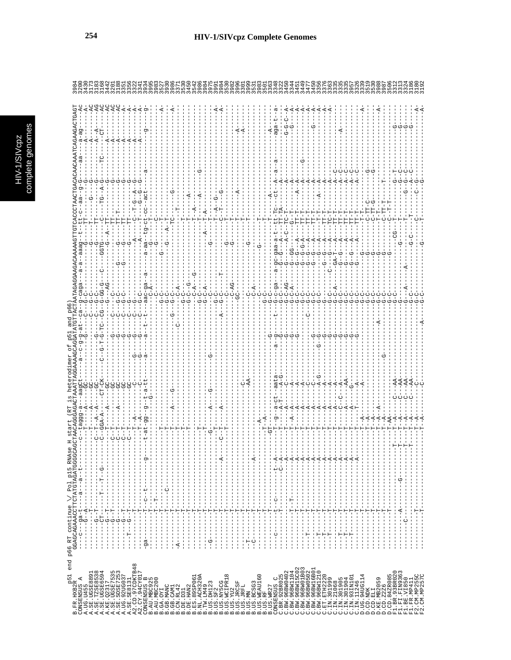|                                                                                                                                                                                                                                                                                                                                                                                                                                           |                                      |                                                                                                 |                               |                                   |                                   |                                          |                                     |                                   |                   |   | $m \, m \, \sigma \, \sigma$  |                                    |                          |                                   |                     |      | 0 10 0 0          |                         |             | m <sub>10</sub>                    |    |                  |   |                               |                                    | $\sigma$                  |                                                                                |             |   |   |                         |                  |                                                                               | $\sigma$                                                     |                       |                                       |                             |    |              |                                           |                                                                                      |                |                                                      |                                              |                   |      |                         |              |                         |                                                                                       |            |         |                     |    |                               |                    |            |                       |                  |             |                    | $\sigma$       |   |                                        |    |                      |                              |         |                             |                           |  |
|-------------------------------------------------------------------------------------------------------------------------------------------------------------------------------------------------------------------------------------------------------------------------------------------------------------------------------------------------------------------------------------------------------------------------------------------|--------------------------------------|-------------------------------------------------------------------------------------------------|-------------------------------|-----------------------------------|-----------------------------------|------------------------------------------|-------------------------------------|-----------------------------------|-------------------|---|-------------------------------|------------------------------------|--------------------------|-----------------------------------|---------------------|------|-------------------|-------------------------|-------------|------------------------------------|----|------------------|---|-------------------------------|------------------------------------|---------------------------|--------------------------------------------------------------------------------|-------------|---|---|-------------------------|------------------|-------------------------------------------------------------------------------|--------------------------------------------------------------|-----------------------|---------------------------------------|-----------------------------|----|--------------|-------------------------------------------|--------------------------------------------------------------------------------------|----------------|------------------------------------------------------|----------------------------------------------|-------------------|------|-------------------------|--------------|-------------------------|---------------------------------------------------------------------------------------|------------|---------|---------------------|----|-------------------------------|--------------------|------------|-----------------------|------------------|-------------|--------------------|----------------|---|----------------------------------------|----|----------------------|------------------------------|---------|-----------------------------|---------------------------|--|
|                                                                                                                                                                                                                                                                                                                                                                                                                                           |                                      |                                                                                                 |                               |                                   |                                   |                                          |                                     |                                   |                   |   |                               |                                    |                          |                                   |                     |      |                   |                         |             |                                    |    |                  |   |                               |                                    |                           |                                                                                |             |   |   |                         |                  |                                                                               |                                                              |                       |                                       |                             |    |              |                                           |                                                                                      | ◡              |                                                      |                                              |                   |      |                         |              |                         |                                                                                       |            |         |                     |    |                               |                    |            |                       |                  |             |                    |                |   |                                        |    |                      |                              |         |                             |                           |  |
| CUTAACTOACAACAACAACHOACAACHOA                                                                                                                                                                                                                                                                                                                                                                                                             |                                      | Æ                                                                                               | ₫                             | 5                                 |                                   |                                          | みみみみみ                               |                                   |                   |   |                               |                                    |                          |                                   |                     |      |                   |                         |             |                                    |    |                  |   |                               |                                    |                           |                                                                                |             |   |   |                         |                  |                                                                               |                                                              |                       |                                       |                             |    |              | aga-                                      |                                                                                      | ပ္ပံ<br>ひ      | U                                                    |                                              |                   |      |                         | Ů            |                         |                                                                                       |            |         |                     |    |                               |                    |            |                       |                  |             |                    |                |   |                                        | てり | めめ                   |                              |         |                             |                           |  |
|                                                                                                                                                                                                                                                                                                                                                                                                                                           |                                      |                                                                                                 |                               |                                   |                                   |                                          |                                     |                                   |                   |   |                               |                                    |                          |                                   |                     |      |                   |                         |             |                                    |    |                  |   |                               |                                    |                           |                                                                                |             |   |   |                         |                  |                                                                               |                                                              |                       |                                       |                             |    |              |                                           |                                                                                      |                |                                                      |                                              |                   |      |                         |              |                         |                                                                                       |            |         |                     |    |                               |                    |            |                       |                  |             |                    |                |   |                                        |    |                      |                              |         |                             |                           |  |
|                                                                                                                                                                                                                                                                                                                                                                                                                                           |                                      | てり                                                                                              | ひ                             | ひ<br>K,                           | τŋ                                |                                          | ひひひ                                 |                                   | てり                |   | ひ                             | ひ                                  |                          |                                   |                     |      |                   |                         |             |                                    |    |                  |   |                               |                                    |                           |                                                                                |             |   |   |                         |                  |                                                                               |                                                              |                       |                                       |                             |    |              |                                           |                                                                                      |                | К                                                    | К                                            | К                 |      | $\Delta$                |              | $\triangle$ $\triangle$ | A                                                                                     |            | τJ<br>К | К                   | υU | ↻                             |                    |            |                       | ひ                | てり          |                    |                |   |                                        |    | U                    | ↻                            |         |                             |                           |  |
|                                                                                                                                                                                                                                                                                                                                                                                                                                           |                                      |                                                                                                 |                               | E                                 |                                   |                                          |                                     |                                   |                   |   | ひ                             | Ů                                  |                          |                                   |                     |      |                   |                         |             |                                    |    |                  |   |                               | $\overline{A}$                     |                           | К                                                                              |             |   |   |                         |                  |                                                                               |                                                              |                       |                                       |                             |    |              |                                           |                                                                                      |                |                                                      |                                              |                   |      |                         |              |                         |                                                                                       |            |         |                     |    |                               |                    |            |                       |                  |             |                    |                |   |                                        |    |                      |                              |         |                             |                           |  |
| <b>USCAC</b>                                                                                                                                                                                                                                                                                                                                                                                                                              |                                      |                                                                                                 |                               |                                   |                                   |                                          |                                     |                                   |                   |   |                               |                                    | Ġ                        |                                   |                     |      |                   |                         |             |                                    |    |                  |   |                               |                                    |                           |                                                                                |             |   |   |                         |                  |                                                                               |                                                              |                       |                                       |                             |    |              |                                           |                                                                                      |                |                                                      |                                              |                   |      |                         |              |                         |                                                                                       |            |         |                     |    |                               |                    |            |                       |                  |             |                    |                |   |                                        |    |                      |                              |         |                             |                           |  |
|                                                                                                                                                                                                                                                                                                                                                                                                                                           |                                      |                                                                                                 |                               | <b>0H0D-</b>                      |                                   |                                          | ひ                                   | ט                                 |                   |   |                               |                                    | ൯<br>œ                   |                                   |                     |      |                   |                         |             |                                    |    |                  |   |                               |                                    |                           |                                                                                |             | 也 |   | ℧                       |                  |                                                                               |                                                              |                       |                                       |                             |    |              | ൯<br>œ                                    | τŋ                                                                                   | K.             | 99                                                   | Æ<br>Ġ                                       | Æ                 |      | Æ                       | Æ<br>めめめ     | Æ<br>てり                 | Æ<br>ひ                                                                                | Æ<br>てり    | К       | Æ<br>てり             |    |                               | てり                 |            | てり                    |                  |             |                    | <b>ひ ひ ひ ひ</b> |   |                                        |    |                      |                              |         |                             |                           |  |
| GTTACTAATAGAGGAGCAAAAAAAGTT                                                                                                                                                                                                                                                                                                                                                                                                               |                                      |                                                                                                 |                               |                                   |                                   |                                          |                                     |                                   |                   |   |                               |                                    |                          |                                   |                     |      |                   |                         |             |                                    |    |                  |   |                               |                                    |                           |                                                                                |             |   |   |                         |                  |                                                                               |                                                              |                       |                                       |                             |    |              |                                           | てり                                                                                   |                | <b>ひひ</b>                                            |                                              | めめめめ              |      |                         |              |                         | ひ                                                                                     |            | ö       |                     |    | あああ                           |                    | 也          |                       |                  |             |                    |                |   |                                        |    |                      |                              |         |                             |                           |  |
|                                                                                                                                                                                                                                                                                                                                                                                                                                           |                                      |                                                                                                 |                               | - - - - -<br>- - - -<br>- - -     | ひ                                 |                                          | O<br>ひ                              | C<br>ά                            | τŋ                |   | τŋ                            | ひ                                  | ಡ                        |                                   |                     |      |                   | ਨ                       |             |                                    |    |                  |   | ਨ                             | ပ္ပ                                |                           |                                                                                | しし          |   |   | Ü                       |                  |                                                                               |                                                              |                       |                                       |                             |    |              | ğ                                         |                                                                                      | $\overline{A}$ |                                                      |                                              |                   |      |                         |              |                         |                                                                                       |            |         |                     |    |                               |                    |            |                       |                  |             |                    |                |   |                                        |    |                      |                              |         |                             |                           |  |
|                                                                                                                                                                                                                                                                                                                                                                                                                                           | đ<br>œ                               |                                                                                                 |                               | g<br>$-TC$                        |                                   |                                          |                                     |                                   |                   |   |                               |                                    |                          |                                   |                     |      |                   |                         |             |                                    |    |                  |   |                               |                                    |                           |                                                                                |             |   |   |                         |                  |                                                                               |                                                              |                       |                                       |                             |    |              |                                           |                                                                                      |                |                                                      |                                              |                   |      |                         |              |                         |                                                                                       |            |         |                     |    |                               |                    |            |                       |                  |             |                    |                |   |                                        |    |                      |                              |         |                             |                           |  |
|                                                                                                                                                                                                                                                                                                                                                                                                                                           | ᡃᡉ<br>তা                             |                                                                                                 | てり                            | ひ<br>$G-T-C$                      |                                   | てり                                       |                                     | υυ                                | ひ                 | ひ |                               | ひ                                  |                          |                                   |                     |      |                   |                         |             |                                    |    |                  |   |                               |                                    |                           |                                                                                |             |   |   |                         |                  |                                                                               |                                                              |                       |                                       |                             |    |              | あひ                                        |                                                                                      | ひ              | ひ                                                    | U                                            |                   |      |                         |              |                         |                                                                                       | פי         | ℧       | ט                   |    | ひ                             |                    |            |                       |                  |             |                    |                |   |                                        |    |                      |                              |         |                             |                           |  |
|                                                                                                                                                                                                                                                                                                                                                                                                                                           |                                      |                                                                                                 |                               |                                   |                                   |                                          |                                     |                                   |                   |   | ט                             | ひ                                  | ď                        |                                   |                     |      |                   |                         |             |                                    |    |                  |   |                               |                                    |                           |                                                                                |             |   |   |                         |                  |                                                                               |                                                              |                       |                                       |                             |    |              |                                           |                                                                                      |                |                                                      |                                              |                   |      |                         |              |                         |                                                                                       |            |         |                     |    |                               |                    |            |                       |                  |             |                    |                |   |                                        |    |                      |                              |         |                             |                           |  |
|                                                                                                                                                                                                                                                                                                                                                                                                                                           |                                      |                                                                                                 | Ū                             | $CT-CK$                           | 9<br>G                            | g                                        | g                                   | g                                 |                   |   |                               |                                    | ൯                        |                                   |                     |      |                   |                         |             |                                    |    |                  |   |                               |                                    |                           |                                                                                |             |   |   |                         |                  |                                                                               |                                                              |                       |                                       |                             |    |              | đ                                         |                                                                                      |                |                                                      |                                              |                   |      | O                       |              | $A - G$                 | A                                                                                     | К          | К       | K,                  |    |                               |                    |            |                       |                  |             |                    |                |   |                                        | C) | ももも                  | Ą                            |         |                             |                           |  |
|                                                                                                                                                                                                                                                                                                                                                                                                                                           |                                      |                                                                                                 |                               |                                   |                                   |                                          |                                     |                                   |                   |   |                               |                                    | ত<br>ত                   |                                   |                     |      |                   |                         |             |                                    |    |                  |   |                               |                                    |                           |                                                                                |             |   |   |                         |                  |                                                                               |                                                              |                       |                                       |                             |    |              | তা                                        |                                                                                      |                |                                                      |                                              |                   |      |                         |              |                         |                                                                                       |            |         |                     |    |                               |                    |            | ⋖                     |                  |             | $\vec{A}$          |                | К |                                        |    |                      |                              |         |                             |                           |  |
|                                                                                                                                                                                                                                                                                                                                                                                                                                           |                                      |                                                                                                 | U                             | GÃ<br>Ū<br>U                      | п                                 | U                                        | U                                   | ↻                                 | τ.                |   |                               |                                    | তা                       |                                   |                     |      |                   |                         |             |                                    |    |                  |   |                               |                                    |                           |                                                                                |             |   |   |                         |                  |                                                                               |                                                              |                       |                                       |                             |    |              |                                           |                                                                                      |                |                                                      |                                              |                   |      |                         |              |                         |                                                                                       |            |         |                     |    |                               |                    |            |                       |                  |             |                    |                |   |                                        |    |                      |                              |         |                             |                           |  |
|                                                                                                                                                                                                                                                                                                                                                                                                                                           |                                      |                                                                                                 |                               | $\overline{1}$                    |                                   |                                          |                                     |                                   |                   |   |                               |                                    | יס<br>י                  | J,                                |                     |      |                   |                         |             |                                    |    |                  |   | J.                            | J                                  | J.                        | ļ                                                                              | $-4$        |   |   | I<br>I<br>I             | I.               | $\overline{\phantom{a}}$                                                      |                                                              | $-4$                  | $\mathbf{I}$                          |                             |    |              | $-4$                                      | $-4$                                                                                 | $-4 -$         | $-4 -$                                               | $-4$                                         |                   | $-4$ | $- - P -$               | $-A-$        | $-A-$                   |                                                                                       | $-4 - 1$   | $-A-$   | $-$ A $-$<br>J.     |    | $-4$                          | $- A$              | $\ddot{A}$ |                       |                  |             |                    |                |   |                                        |    |                      |                              |         |                             |                           |  |
|                                                                                                                                                                                                                                                                                                                                                                                                                                           | ↵<br>$-1$                            | л<br>$\mathbf{I}$<br>$\mathbf{I}$                                                               |                               | $-1 - 1 - 1 - 1 - 1 - 1 - 1$      |                                   |                                          |                                     | л<br>I<br>I<br>т<br>J,<br>I       |                   |   | п                             |                                    | J.                       | í<br>п<br>п                       |                     |      | п<br>j<br>J.<br>I | Î                       | J           |                                    |    |                  |   | ł<br>J,<br>í                  | J.<br>ï                            | J.<br>$\mathbf{I}$        | $\frac{1}{1}$<br>$\mathbf{I}$<br>I<br>л                                        | J           |   |   | т<br>$\mathfrak l$<br>I | п<br>п           | п                                                                             |                                                              | I<br>I<br>I           | л                                     | J.<br>J.<br>J.              |    |              | $-1$<br>ı                                 | $\frac{1}{1}$<br>J.<br>j                                                             |                |                                                      | $\mathfrak l$<br>I<br>I<br>I<br>I            | I                 |      | ı                       |              | п<br>п                  | $\mathbf I$<br>$\begin{array}{c} \end{array}$<br>$\blacksquare$<br>л<br>$\mathfrak l$ | J.         |         | I<br>J.             |    | J,<br>I<br>л<br>$\frac{1}{1}$ |                    | H          | I<br>I<br>т           | J                |             |                    |                |   |                                        |    | ーリー                  |                              | J       |                             |                           |  |
| 6 RT continue \/ Pol p15 RNA;<br>GGAGCAGAAACCTTCTATGTAGATGGGG                                                                                                                                                                                                                                                                                                                                                                             | $\overline{1}$<br>$\frac{1}{2}$<br>ł | п<br>л<br>I.<br>$\mathbf{I}$<br>J.<br>Ť<br><b>I</b><br>Ï                                        | п                             | Ť                                 | J.<br>$\frac{1}{1}$               | <b>I</b>                                 | ı<br>$\overline{1}$<br>$\mathbf{I}$ | л<br>т<br>Ţ<br>I<br>$\frac{1}{1}$ | J.                |   | f.                            | J.                                 | $1 - t$<br>$\frac{0}{1}$ | $\mathbf{I}$<br>$\mathbf{I}$<br>Ť | J,<br>$\frac{1}{2}$ |      | I<br>ł            | $\frac{1}{2}$<br>I<br>J | т<br>I      | п                                  | J. | ł                | ł | I<br>J,<br>J<br>$\frac{1}{1}$ | J.                                 | ı                         | $\mathbf{I}$<br>$\mathbf{I}$<br>I<br>ł                                         |             | H |   | J,<br>ł                 | I                | $\mathbf I$<br>ł                                                              | $\frac{1}{1}$                                                | ı<br>I<br>ł           | $\mathbf I$<br>$\mathbf{I}$<br>ł<br>۳ | I<br>ł                      | J. |              | $\overline{\phantom{a}}$<br>$\frac{0}{1}$ | $\mathbf{I}$<br>ł<br>ᡛ                                                               |                | $\overline{\phantom{a}}$<br>۲<br>ا<br>Н              | $\mathfrak l$<br>I<br>İ                      | J<br>Í<br>۳       |      | ł                       | J.           | I                       | Í                                                                                     | J.         |         | J.<br>$\frac{1}{1}$ |    | J.<br>п<br>ł                  |                    | H          | I                     | J.               |             |                    |                |   | ᡛ                                      |    |                      |                              | п       |                             |                           |  |
|                                                                                                                                                                                                                                                                                                                                                                                                                                           |                                      | $-1$<br>$\mathsf I$<br>$\mathbf I$<br>$\mathbf{I}$<br>п                                         | ⊢<br>Ĩ,<br>ひ<br>ī<br>J.<br>J. | 。<br>5<br>J.<br>$\mathbf{I}$<br>Î | ד<br>-<br>Ġ<br>!<br>$\frac{1}{1}$ | י<br>י<br>ひ<br>Ť<br>$\blacksquare$<br>J. | Ť<br>Ġ<br>J.<br>J.                  | יך<br>י<br>ပု<br>I.               | H<br>Ţ<br>a       |   | 텃<br>п<br>п                   | ⊢<br>Ī.                            | 텃<br>J.<br>J.            | יי<br>י<br>$\frac{1}{2}$          | ٢<br>J.<br>J        | $-1$ | $\frac{1}{1}$     | 두<br>I<br>I<br>Î        | I<br>I<br>í | ÷<br>$\overline{\phantom{a}}$<br>1 | J. | ŗ<br>I<br>I<br>I | 텃 | ין<br>ו<br>I<br>J.<br>í       | $\frac{1}{1}$<br>$\mathbf{I}$<br>ı | 7<br>J.<br>ı              | ᡄ<br>ŀ<br>ï<br>$\mathbf{I}$<br>$\begin{array}{c} \end{array}$<br>$\frac{1}{1}$ | ÷<br>п<br>п | ⊢ | ı | י<br>י<br>I<br>Î<br>ł   | ᡛ<br>I<br>I<br>I | ŗ<br>$\mathbf{I}$<br>$\overline{\phantom{a}}$<br>$\mathsf I$<br>$\frac{1}{1}$ | J.<br>I.<br>$\begin{bmatrix} 1 \\ 1 \\ 1 \\ 1 \end{bmatrix}$ | ⊢<br>I<br>ı<br>I<br>í | J.<br>п                               | ۳<br>J,<br>п<br>I<br>I<br>I |    | $\mathbf{I}$ | ٢<br>т<br>J.                              | ł<br>$\mathbf{I}$<br>$\mathbf{I}$<br>$\begin{array}{c} \end{array}$<br>$\frac{1}{1}$ |                | Ť<br>I                                               | $\frac{1}{2}$<br>I.<br>Ţ<br>$\mathsf I$<br>ł | J.<br>I<br>I<br>п | J    | $\frac{1}{1}$<br>ı<br>J | J.<br>I<br>H | I                       | 부<br>J,<br>Ĵ                                                                          | 텃<br>I     | 5       | 두<br>ı              |    | ۲<br>ا<br>$\mathfrak l$<br>J  | י<br>י<br><b>I</b> | J.         | י<br>ד<br>I<br>I<br>л | י<br>ו<br>I<br>I | י<br>ד<br>ı | ⊢<br>J.<br>п<br>J. | ۳              | I | Ť<br>$\mathbf{I}$<br>$\mathbf{I}$<br>п |    | $\ddot{\mathcal{A}}$ | $\frac{1}{1}$<br>ن<br>ا<br>í | J.<br>H | 투<br>п<br>$\mathbf{I}$<br>п | J.<br>$\overline{1}$<br>H |  |
| p66 RT continue                                                                                                                                                                                                                                                                                                                                                                                                                           | $\overline{C}$<br>I                  | $\mathbf I$<br>$\frac{1}{1}$<br>$\,$ I<br>J.<br>$\blacksquare$<br>$\mathsf I$<br>$\blacksquare$ | j<br>J.<br>п<br>п             | I<br>$\overline{1}$               | $\,$ I<br>J<br>п                  |                                          | ï<br>I<br>I<br>п                    | $\frac{1}{1}$<br>I<br>п           | $-1 - T - -$<br>п |   | I<br>п<br>л<br>$\blacksquare$ | J<br>$\overline{\phantom{a}}$<br>п | $\frac{1}{9}$            | $\blacksquare$                    | J.<br>п             |      | J<br>J<br>п       | I<br>I<br>L.            | I<br>I<br>т | $-A-$                              |    | I<br>I           |   | J<br>I<br>л                   | j                                  | ı<br>$\overset{-}{\circ}$ | $\mathbf{I}$                                                                   |             |   |   | I                       | I                | $\mathbf{I}$                                                                  | 턱                                                            | ပု                    | ï                                     | Ţ                           | j  |              | $-1$<br>$-1$                              | $\frac{1}{1}$                                                                        |                | $\overline{\phantom{a}}$<br>$\overline{\phantom{a}}$ | $\,$ I<br>$\mathbf{I}$                       | I<br>J<br>I       |      | $\frac{1}{1}$           |              | $-1$                    | ÷<br>F                                                                                | $-1 - 1 -$ |         | $-1$                |    | ÷                             | i<br>i             |            | I<br>I                | I<br>J           |             |                    |                |   |                                        |    |                      |                              | п<br>I  |                             |                           |  |
| end                                                                                                                                                                                                                                                                                                                                                                                                                                       |                                      |                                                                                                 |                               |                                   |                                   |                                          |                                     |                                   |                   |   |                               |                                    |                          |                                   |                     |      |                   |                         |             |                                    |    |                  |   |                               |                                    |                           |                                                                                |             |   |   |                         |                  |                                                                               |                                                              |                       |                                       |                             |    |              |                                           |                                                                                      |                |                                                      |                                              |                   |      |                         |              |                         |                                                                                       |            |         |                     |    |                               |                    |            |                       |                  |             |                    |                |   |                                        |    |                      |                              |         |                             |                           |  |
| $\begin{smallmatrix} \texttt{DR} & \texttt{R} & \texttt{R} & \texttt{R} & \texttt{R} & \texttt{R} & \texttt{R} & \texttt{R} \\ \texttt{R} & \texttt{R} & \texttt{R} & \texttt{R} & \texttt{R} & \texttt{R} \\ \texttt{R} & \texttt{R} & \texttt{R} & \texttt{R} & \texttt{R} & \texttt{R} \\ \texttt{R} & \texttt{R} & \texttt{R} & \texttt{R} & \texttt{R} & \texttt{R} \\ \texttt{R} & \texttt{R} & \texttt{R} & \texttt{R} & \texttt{$ |                                      |                                                                                                 |                               |                                   |                                   |                                          |                                     |                                   |                   |   |                               |                                    |                          |                                   |                     |      |                   |                         |             |                                    |    |                  |   |                               |                                    |                           |                                                                                |             |   |   |                         |                  |                                                                               |                                                              |                       |                                       |                             |    |              |                                           |                                                                                      |                |                                                      |                                              |                   |      |                         |              |                         |                                                                                       |            |         |                     |    |                               |                    |            |                       |                  |             |                    |                |   |                                        |    |                      |                              |         |                             |                           |  |
|                                                                                                                                                                                                                                                                                                                                                                                                                                           |                                      |                                                                                                 |                               |                                   |                                   |                                          |                                     |                                   |                   |   |                               |                                    |                          |                                   |                     |      |                   |                         |             |                                    |    |                  |   |                               |                                    |                           |                                                                                |             |   |   |                         |                  |                                                                               |                                                              |                       |                                       |                             |    |              |                                           |                                                                                      |                |                                                      |                                              |                   |      |                         |              |                         |                                                                                       |            |         |                     |    |                               |                    |            |                       |                  |             |                    |                |   |                                        |    |                      |                              |         |                             |                           |  |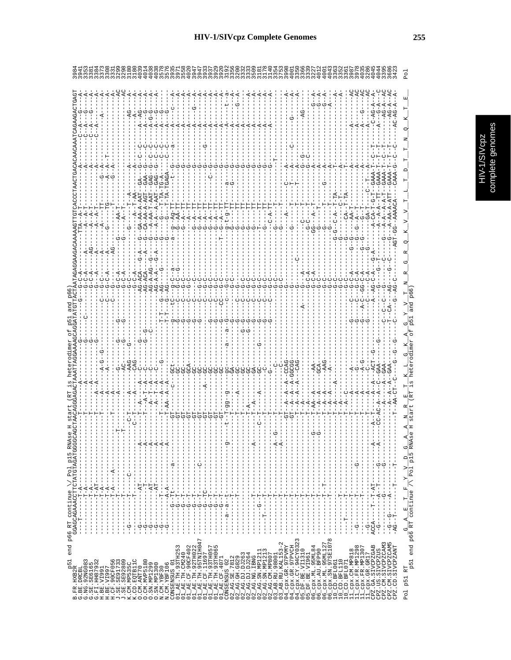| $\frac{1}{1}$<br>J<br>ပုံ<br>후후후후<br>$\frac{1}{\sqrt{2}}$<br>$\mathbf{I}$<br>л<br>п<br>-1<br>т<br>J.<br>п<br>Ť.<br>Ť.<br>J.<br>$\begin{smallmatrix} \texttt{B. R, HZBZR}\\ \texttt{G. B} & \texttt{B. B} & \texttt{B. B} \\ \texttt{G. B} & \texttt{B. B} & \texttt{B. C} \\ \texttt{G. B} & \texttt{G. B} & \texttt{G. B} \\ \texttt{G. B} & \texttt{G. B} & \texttt{G. B} \\ \texttt{G. B} & \texttt{G. B} & \texttt{G. B} \\ \texttt{G. B} & \texttt{G. B} & \texttt{G. B} \\ \texttt{G. B} & \texttt{G. B} & \texttt{G. B} \\ \texttt{G. B} & \text$ | J,<br>T<br>п<br>ė<br>J,<br>т<br>I                                                                                                                                                                                                                                                                                                                                                                                                                                                              |                                                                                |  |              |      |  |
|----------------------------------------------------------------------------------------------------------------------------------------------------------------------------------------------------------------------------------------------------------------------------------------------------------------------------------------------------------------------------------------------------------------------------------------------------------------------------------------------------------------------------------------------------------|------------------------------------------------------------------------------------------------------------------------------------------------------------------------------------------------------------------------------------------------------------------------------------------------------------------------------------------------------------------------------------------------------------------------------------------------------------------------------------------------|--------------------------------------------------------------------------------|--|--------------|------|--|
|                                                                                                                                                                                                                                                                                                                                                                                                                                                                                                                                                          |                                                                                                                                                                                                                                                                                                                                                                                                                                                                                                |                                                                                |  |              |      |  |
|                                                                                                                                                                                                                                                                                                                                                                                                                                                                                                                                                          |                                                                                                                                                                                                                                                                                                                                                                                                                                                                                                |                                                                                |  |              |      |  |
|                                                                                                                                                                                                                                                                                                                                                                                                                                                                                                                                                          | $\mathsf I$<br>J<br>$\mathbf{I}$<br>$\mathsf I$<br>$\mathsf I$                                                                                                                                                                                                                                                                                                                                                                                                                                 | $\mathbf{I}$<br>- 11<br>$\mathbb T$<br>$\frac{1}{1}$<br>$\frac{1}{1}$          |  |              |      |  |
|                                                                                                                                                                                                                                                                                                                                                                                                                                                                                                                                                          | $\overline{\phantom{a}}$<br>J<br>$\overline{\phantom{a}}$<br>$\overline{\phantom{a}}$                                                                                                                                                                                                                                                                                                                                                                                                          | Ť<br><b>I</b>                                                                  |  |              |      |  |
|                                                                                                                                                                                                                                                                                                                                                                                                                                                                                                                                                          | I.<br>$- -T - A$<br>I.<br>т<br>I.                                                                                                                                                                                                                                                                                                                                                                                                                                                              | п<br>$\mathsf I$                                                               |  |              |      |  |
|                                                                                                                                                                                                                                                                                                                                                                                                                                                                                                                                                          | I<br>$\mathbf{I}$<br>$\overline{\phantom{a}}$                                                                                                                                                                                                                                                                                                                                                                                                                                                  |                                                                                |  |              |      |  |
|                                                                                                                                                                                                                                                                                                                                                                                                                                                                                                                                                          | $\overline{1}$<br>F<br>-<br>$\mathsf I$<br>$\mathsf I$                                                                                                                                                                                                                                                                                                                                                                                                                                         |                                                                                |  |              |      |  |
|                                                                                                                                                                                                                                                                                                                                                                                                                                                                                                                                                          | J.<br>J<br>$\overline{\phantom{a}}$<br>J.<br>$\,$ I                                                                                                                                                                                                                                                                                                                                                                                                                                            |                                                                                |  |              |      |  |
|                                                                                                                                                                                                                                                                                                                                                                                                                                                                                                                                                          | $\frac{1}{1}$<br>Ţ<br>1<br>$\mathsf I$<br>$\mathsf I$<br>$\mathbf{I}$                                                                                                                                                                                                                                                                                                                                                                                                                          | -<br>1<br>-<br>Ť.                                                              |  |              |      |  |
|                                                                                                                                                                                                                                                                                                                                                                                                                                                                                                                                                          | ł<br>j.<br>ł                                                                                                                                                                                                                                                                                                                                                                                                                                                                                   | $\,$ I<br>$\overline{\phantom{a}}$<br>$\overline{\phantom{a}}$<br>j.           |  |              |      |  |
|                                                                                                                                                                                                                                                                                                                                                                                                                                                                                                                                                          | $\frac{1}{1}$<br>I<br>J,<br>$\mathbf{I}$<br>$\frac{1}{2}$<br>F<br>I<br>İ<br>ï.<br>I                                                                                                                                                                                                                                                                                                                                                                                                            | л                                                                              |  |              |      |  |
|                                                                                                                                                                                                                                                                                                                                                                                                                                                                                                                                                          | Ť.<br>$---PAT---$<br>$\mathsf I$<br>Ţ<br>$\mathbf{I}$<br>T,<br>$\frac{1}{4}$                                                                                                                                                                                                                                                                                                                                                                                                                   | $-4$<br>1<br>-1<br>$\mathsf I$<br>$\mathbf{I}$                                 |  |              |      |  |
|                                                                                                                                                                                                                                                                                                                                                                                                                                                                                                                                                          | J<br>부부<br>$\overline{1}$<br>Ť.<br>$\overline{\phantom{a}}$<br>$\begin{bmatrix} 1 \\ 1 \\ 1 \\ 1 \end{bmatrix}$                                                                                                                                                                                                                                                                                                                                                                                | $\frac{1}{1}$<br>$\frac{1}{1}$                                                 |  |              |      |  |
|                                                                                                                                                                                                                                                                                                                                                                                                                                                                                                                                                          | $\frac{1}{2}$                                                                                                                                                                                                                                                                                                                                                                                                                                                                                  | $-4 - 7 - 7$<br>$\frac{1}{1}$                                                  |  |              |      |  |
|                                                                                                                                                                                                                                                                                                                                                                                                                                                                                                                                                          | ţ<br>---AT----<br>---AT----<br>$\frac{1}{1}$<br>I.                                                                                                                                                                                                                                                                                                                                                                                                                                             |                                                                                |  |              |      |  |
|                                                                                                                                                                                                                                                                                                                                                                                                                                                                                                                                                          | $\frac{1}{1}$<br>$\,$ I<br>$\begin{bmatrix} 1 \\ 1 \\ 1 \\ 1 \end{bmatrix}$                                                                                                                                                                                                                                                                                                                                                                                                                    | $-4$<br>ţ<br>$\frac{1}{1}$                                                     |  |              | ひひひひ |  |
|                                                                                                                                                                                                                                                                                                                                                                                                                                                                                                                                                          | $\frac{1}{1}$<br>$\mathbf{I}$<br>Ĵ<br>$\ddot{ }$<br>$\overline{\phantom{a}}$<br>$\frac{1}{2}$                                                                                                                                                                                                                                                                                                                                                                                                  | $-4$<br>$\frac{1}{1}$<br>$\frac{1}{1}$                                         |  |              |      |  |
| ပ္ပ္                                                                                                                                                                                                                                                                                                                                                                                                                                                                                                                                                     | $- -A - A - -$<br>$\begin{bmatrix} 1 \\ 1 \\ 1 \end{bmatrix}$                                                                                                                                                                                                                                                                                                                                                                                                                                  | $-4$<br>J<br>$\frac{1}{4}$                                                     |  |              |      |  |
| -1                                                                                                                                                                                                                                                                                                                                                                                                                                                                                                                                                       | $\mathsf I$<br>$\mathbf{I}$<br>п<br>Ť<br>$-1$ T $-1$<br>$\frac{5}{1}$<br>T.<br>$\mathsf I$<br>$\mathbf{I}$                                                                                                                                                                                                                                                                                                                                                                                     | -1<br>I.<br>т<br>$rac{1}{6}$                                                   |  |              |      |  |
| $\frac{1}{1}$                                                                                                                                                                                                                                                                                                                                                                                                                                                                                                                                            | $\frac{1}{1}$<br>$\frac{1}{1}$<br>۲<br>ا                                                                                                                                                                                                                                                                                                                                                                                                                                                       | $\mathsf I$<br>п<br>$\frac{1}{1}$                                              |  |              |      |  |
|                                                                                                                                                                                                                                                                                                                                                                                                                                                                                                                                                          |                                                                                                                                                                                                                                                                                                                                                                                                                                                                                                |                                                                                |  |              |      |  |
| Ť                                                                                                                                                                                                                                                                                                                                                                                                                                                                                                                                                        | j                                                                                                                                                                                                                                                                                                                                                                                                                                                                                              | J<br>$\frac{1}{1}$<br>ţ                                                        |  |              |      |  |
| <b>I</b><br>T.                                                                                                                                                                                                                                                                                                                                                                                                                                                                                                                                           | I<br>j<br>ééé<br>TTT<br>$-\frac{c}{1}$<br>п<br>$\begin{array}{c} \end{array}$<br>J,                                                                                                                                                                                                                                                                                                                                                                                                            | 1<br>Ť                                                                         |  |              |      |  |
| 1                                                                                                                                                                                                                                                                                                                                                                                                                                                                                                                                                        | $\frac{5}{1}$<br>I.                                                                                                                                                                                                                                                                                                                                                                                                                                                                            | $\frac{1}{4}$                                                                  |  |              |      |  |
| ÷<br>$\mathbf{I}$<br>$\overline{ }$                                                                                                                                                                                                                                                                                                                                                                                                                                                                                                                      | U<br> -<br> -                                                                                                                                                                                                                                                                                                                                                                                                                                                                                  | $\frac{1}{4}$<br>$\mathsf I$<br>$-1 - 1 - 1 -$                                 |  |              |      |  |
| ł                                                                                                                                                                                                                                                                                                                                                                                                                                                                                                                                                        | U<br>------                                                                                                                                                                                                                                                                                                                                                                                                                                                                                    | $\mathbf{I}$<br>$\frac{1}{1}$                                                  |  |              |      |  |
|                                                                                                                                                                                                                                                                                                                                                                                                                                                                                                                                                          |                                                                                                                                                                                                                                                                                                                                                                                                                                                                                                |                                                                                |  |              |      |  |
|                                                                                                                                                                                                                                                                                                                                                                                                                                                                                                                                                          | $\frac{1}{\sqrt{2}}$<br>$\frac{1}{1}$                                                                                                                                                                                                                                                                                                                                                                                                                                                          |                                                                                |  |              |      |  |
| $\frac{1}{1}$                                                                                                                                                                                                                                                                                                                                                                                                                                                                                                                                            | ウーー                                                                                                                                                                                                                                                                                                                                                                                                                                                                                            | $\frac{1}{4}$<br>$\frac{1}{1}$<br>$\frac{1}{1}$                                |  |              |      |  |
| ł                                                                                                                                                                                                                                                                                                                                                                                                                                                                                                                                                        | $\begin{bmatrix} 1 \\ 1 \\ 1 \end{bmatrix}$<br>۲<br>ا<br>ひ<br>$\begin{bmatrix} 1 \\ 1 \\ 1 \\ 1 \end{bmatrix}$                                                                                                                                                                                                                                                                                                                                                                                 | $\mathbf{I}$<br>$\begin{array}{c} 1 \\ 1 \end{array}$<br>$\frac{1}{1}$         |  |              |      |  |
|                                                                                                                                                                                                                                                                                                                                                                                                                                                                                                                                                          |                                                                                                                                                                                                                                                                                                                                                                                                                                                                                                | $\frac{1}{9}$                                                                  |  |              |      |  |
|                                                                                                                                                                                                                                                                                                                                                                                                                                                                                                                                                          | $\frac{1}{1}$<br>$\frac{1}{1}$<br><b>Q</b><br>ŧ<br>$   \alpha$                                                                                                                                                                                                                                                                                                                                                                                                                                 |                                                                                |  |              |      |  |
| 1                                                                                                                                                                                                                                                                                                                                                                                                                                                                                                                                                        | j<br>$\frac{1}{2}$<br>$\frac{1}{1}$<br>I<br>I                                                                                                                                                                                                                                                                                                                                                                                                                                                  | Å<br>Å                                                                         |  |              |      |  |
| ł                                                                                                                                                                                                                                                                                                                                                                                                                                                                                                                                                        | $\begin{bmatrix} 1 \\ 1 \\ 1 \\ 1 \end{bmatrix}$<br>$\begin{bmatrix} 1 & 1 & 1 \\ 1 & 1 & 1 \\ 1 & 1 & 1 \\ 1 & 1 & 1 \\ 1 & 1 & 1 \\ 1 & 1 & 1 \\ 1 & 1 & 1 \\ 1 & 1 & 1 \\ 1 & 1 & 1 \\ 1 & 1 & 1 \\ 1 & 1 & 1 \\ 1 & 1 & 1 \\ 1 & 1 & 1 \\ 1 & 1 & 1 \\ 1 & 1 & 1 & 1 \\ 1 & 1 & 1 & 1 \\ 1 & 1 & 1 & 1 \\ 1 & 1 & 1 & 1 \\ 1 & 1 & 1 & 1 \\ 1 & 1 & 1 & 1 \\ 1 & 1 & 1 & 1 \\ 1 & $                                                                                                        | $\frac{1}{1}$<br>I<br>ł                                                        |  |              |      |  |
|                                                                                                                                                                                                                                                                                                                                                                                                                                                                                                                                                          | $\mathsf I$<br>부는<br>$\,$ I<br>$-1$ $-1$ $-1$ $-1$ $-1$ $-1$                                                                                                                                                                                                                                                                                                                                                                                                                                   |                                                                                |  |              |      |  |
|                                                                                                                                                                                                                                                                                                                                                                                                                                                                                                                                                          | - 1<br>- 1<br>- 1                                                                                                                                                                                                                                                                                                                                                                                                                                                                              |                                                                                |  |              |      |  |
| -1                                                                                                                                                                                                                                                                                                                                                                                                                                                                                                                                                       | J<br>$\frac{1}{1}$<br>$\,$ I<br>$\overline{1}$                                                                                                                                                                                                                                                                                                                                                                                                                                                 |                                                                                |  |              |      |  |
| $\frac{1}{1}$                                                                                                                                                                                                                                                                                                                                                                                                                                                                                                                                            | $\frac{1}{1}$<br>I                                                                                                                                                                                                                                                                                                                                                                                                                                                                             |                                                                                |  |              |      |  |
| -1                                                                                                                                                                                                                                                                                                                                                                                                                                                                                                                                                       | $-1 - 6$<br>Ţ                                                                                                                                                                                                                                                                                                                                                                                                                                                                                  | <b>I</b><br>$\mathsf I$<br>J.<br>$\frac{1}{1}$                                 |  |              |      |  |
|                                                                                                                                                                                                                                                                                                                                                                                                                                                                                                                                                          | $\frac{1}{1}$<br>$-1 - 7$                                                                                                                                                                                                                                                                                                                                                                                                                                                                      | $\mathbf{I}$                                                                   |  |              |      |  |
|                                                                                                                                                                                                                                                                                                                                                                                                                                                                                                                                                          |                                                                                                                                                                                                                                                                                                                                                                                                                                                                                                |                                                                                |  |              |      |  |
|                                                                                                                                                                                                                                                                                                                                                                                                                                                                                                                                                          | $-1$ $-1$ $-1$ $-1$ $-1$ $-1$                                                                                                                                                                                                                                                                                                                                                                                                                                                                  | $\frac{1}{1}$<br>$\frac{1}{1}$                                                 |  | $-4 - 5 - 5$ |      |  |
| $\blacksquare$                                                                                                                                                                                                                                                                                                                                                                                                                                                                                                                                           | $\frac{1}{1}$                                                                                                                                                                                                                                                                                                                                                                                                                                                                                  | $-4$<br>$\frac{1}{1}$                                                          |  |              |      |  |
| ł                                                                                                                                                                                                                                                                                                                                                                                                                                                                                                                                                        | j<br>$\frac{1}{2}$<br>ţ<br>ţ                                                                                                                                                                                                                                                                                                                                                                                                                                                                   | $-4$                                                                           |  |              |      |  |
|                                                                                                                                                                                                                                                                                                                                                                                                                                                                                                                                                          |                                                                                                                                                                                                                                                                                                                                                                                                                                                                                                | $\frac{1}{1}$<br>$-1$                                                          |  |              |      |  |
|                                                                                                                                                                                                                                                                                                                                                                                                                                                                                                                                                          |                                                                                                                                                                                                                                                                                                                                                                                                                                                                                                |                                                                                |  |              |      |  |
|                                                                                                                                                                                                                                                                                                                                                                                                                                                                                                                                                          | j<br>부                                                                                                                                                                                                                                                                                                                                                                                                                                                                                         |                                                                                |  |              |      |  |
| ł<br>3                                                                                                                                                                                                                                                                                                                                                                                                                                                                                                                                                   | $\begin{array}{c} \frac{1}{2} \\ \frac{1}{2} \end{array}$<br>F<br>F<br>$\frac{1}{1}$                                                                                                                                                                                                                                                                                                                                                                                                           | $\frac{1}{1}$<br>ţ                                                             |  |              |      |  |
| ł                                                                                                                                                                                                                                                                                                                                                                                                                                                                                                                                                        | Ť                                                                                                                                                                                                                                                                                                                                                                                                                                                                                              | $\frac{1}{1}$<br>$\,$ I                                                        |  |              |      |  |
|                                                                                                                                                                                                                                                                                                                                                                                                                                                                                                                                                          | $\begin{array}{c} \frac{1}{2} \\ \frac{1}{2} \end{array}$                                                                                                                                                                                                                                                                                                                                                                                                                                      |                                                                                |  |              |      |  |
| $\overline{\phantom{a}}$                                                                                                                                                                                                                                                                                                                                                                                                                                                                                                                                 | $-1$<br>$\begin{bmatrix} 1 \\ 1 \\ 1 \\ 1 \end{bmatrix}$<br>$\begin{array}{c} \hline \end{array}$                                                                                                                                                                                                                                                                                                                                                                                              |                                                                                |  |              |      |  |
| -1                                                                                                                                                                                                                                                                                                                                                                                                                                                                                                                                                       | $\begin{array}{c} \n\frac{1}{2} \\ \frac{1}{2} \\ \frac{1}{2} \\ \frac{1}{2} \\ \frac{1}{2} \\ \frac{1}{2} \\ \frac{1}{2} \\ \frac{1}{2} \\ \frac{1}{2} \\ \frac{1}{2} \\ \frac{1}{2} \\ \frac{1}{2} \\ \frac{1}{2} \\ \frac{1}{2} \\ \frac{1}{2} \\ \frac{1}{2} \\ \frac{1}{2} \\ \frac{1}{2} \\ \frac{1}{2} \\ \frac{1}{2} \\ \frac{1}{2} \\ \frac{1}{2} \\ \frac{1}{2} \\ \frac{1}{2} \\ \frac{1}{2} \\ \frac{1}{2} \\ \frac{$<br>ד<br>ד<br>$\begin{array}{c} 1 \\ 1 \\ 1 \\ 1 \end{array}$ |                                                                                |  |              |      |  |
| l,                                                                                                                                                                                                                                                                                                                                                                                                                                                                                                                                                       | -----------<br>$\begin{array}{c} 1 \\ 1 \\ 1 \end{array}$<br>J                                                                                                                                                                                                                                                                                                                                                                                                                                 |                                                                                |  |              |      |  |
| ł                                                                                                                                                                                                                                                                                                                                                                                                                                                                                                                                                        | $-1 - 1$<br>$-1$                                                                                                                                                                                                                                                                                                                                                                                                                                                                               | $\frac{1}{1}$                                                                  |  |              |      |  |
|                                                                                                                                                                                                                                                                                                                                                                                                                                                                                                                                                          | $-1$ $-1$ $-1$ $-1$ $-1$ $-1$                                                                                                                                                                                                                                                                                                                                                                                                                                                                  |                                                                                |  |              |      |  |
| $\mathbf{I}$<br>${}^{\circ}$                                                                                                                                                                                                                                                                                                                                                                                                                                                                                                                             | $\frac{1}{1}$<br>י<br>ד<br>$\mathsf I$<br>$\begin{array}{c} 1 \\ 1 \\ 1 \end{array}$<br>T                                                                                                                                                                                                                                                                                                                                                                                                      |                                                                                |  |              |      |  |
| J.                                                                                                                                                                                                                                                                                                                                                                                                                                                                                                                                                       | J<br>$\frac{1}{4}$<br>ı<br>ï<br>J<br>$\frac{1}{1}$<br>I<br>I                                                                                                                                                                                                                                                                                                                                                                                                                                   |                                                                                |  |              |      |  |
| -1                                                                                                                                                                                                                                                                                                                                                                                                                                                                                                                                                       | $\frac{1}{1}$<br>$\frac{1}{2}$<br>I<br>I<br>$\frac{1}{4}$<br>J                                                                                                                                                                                                                                                                                                                                                                                                                                 |                                                                                |  |              |      |  |
|                                                                                                                                                                                                                                                                                                                                                                                                                                                                                                                                                          | $\begin{array}{c} -1 \\ -1 \\ -1 \\ -1 \end{array}$                                                                                                                                                                                                                                                                                                                                                                                                                                            |                                                                                |  |              |      |  |
| Ť.                                                                                                                                                                                                                                                                                                                                                                                                                                                                                                                                                       | $\frac{1}{1}$<br>יך<br>י                                                                                                                                                                                                                                                                                                                                                                                                                                                                       |                                                                                |  |              |      |  |
| j                                                                                                                                                                                                                                                                                                                                                                                                                                                                                                                                                        | $\begin{bmatrix} 1 \\ 1 \\ 1 \end{bmatrix}$<br>$\begin{array}{c} 1 \\ 1 \\ 1 \end{array}$<br>$\frac{1}{1}$                                                                                                                                                                                                                                                                                                                                                                                     | J.<br>j                                                                        |  |              |      |  |
|                                                                                                                                                                                                                                                                                                                                                                                                                                                                                                                                                          | $\frac{1}{1}$<br>법<br>$\mathsf I$<br>$-1 - -1 - -1$                                                                                                                                                                                                                                                                                                                                                                                                                                            | J<br>$-1$                                                                      |  |              |      |  |
| п                                                                                                                                                                                                                                                                                                                                                                                                                                                                                                                                                        | $\mathsf I$<br>יך<br>י<br>I<br>J,<br>Ť<br>$\frac{1}{1}$                                                                                                                                                                                                                                                                                                                                                                                                                                        | T                                                                              |  |              |      |  |
|                                                                                                                                                                                                                                                                                                                                                                                                                                                                                                                                                          |                                                                                                                                                                                                                                                                                                                                                                                                                                                                                                |                                                                                |  |              |      |  |
| $\mathbb{I}$                                                                                                                                                                                                                                                                                                                                                                                                                                                                                                                                             | I<br>$\mathbf{I}$<br>I                                                                                                                                                                                                                                                                                                                                                                                                                                                                         | $\mathbf{I}$<br>п<br>п<br>$\mathbf{I}$                                         |  |              |      |  |
|                                                                                                                                                                                                                                                                                                                                                                                                                                                                                                                                                          | $\overline{1}$<br>PAT<br>י<br>ד<br>ACCA----T                                                                                                                                                                                                                                                                                                                                                                                                                                                   | $-4$<br>$\mathsf I$                                                            |  |              |      |  |
| $-\frac{1}{9}$                                                                                                                                                                                                                                                                                                                                                                                                                                                                                                                                           | ł<br>۳<br>--T<br>$-4$<br>J<br>$\overline{\phantom{a}}$<br>Ť                                                                                                                                                                                                                                                                                                                                                                                                                                    | $-4$<br>$\overline{\phantom{a}}$<br>Ť                                          |  |              |      |  |
| п<br>ï                                                                                                                                                                                                                                                                                                                                                                                                                                                                                                                                                   | I<br>п<br>$-9 - -$<br>I<br>п<br>ı<br>I<br>$\mathbf{I}$                                                                                                                                                                                                                                                                                                                                                                                                                                         | т<br>I<br>I<br>$\mathbf{I}$<br>ပ်ပုံ<br>   <br>                                |  |              |      |  |
| $\mathsf I$                                                                                                                                                                                                                                                                                                                                                                                                                                                                                                                                              | J.<br>$\mathbf{I}$<br><b>I</b><br>$- -A - -$<br>ŧ<br>$-5 - 6$                                                                                                                                                                                                                                                                                                                                                                                                                                  | <b>I</b><br>$\frac{1}{1}$<br>$\mathsf I$<br>I.<br>л<br>$\mathsf I$<br><b>I</b> |  |              |      |  |
| AG-                                                                                                                                                                                                                                                                                                                                                                                                                                                                                                                                                      | $\frac{1}{1}$<br>$\overline{\phantom{a}}$<br>$\overline{1}$<br>J<br>$\mathbf{I}$<br>$\frac{1}{2}$                                                                                                                                                                                                                                                                                                                                                                                              | $\overline{1}$<br>$\frac{1}{2}$                                                |  |              |      |  |
| $\mathbf{I}$                                                                                                                                                                                                                                                                                                                                                                                                                                                                                                                                             | п                                                                                                                                                                                                                                                                                                                                                                                                                                                                                              |                                                                                |  |              |      |  |
|                                                                                                                                                                                                                                                                                                                                                                                                                                                                                                                                                          |                                                                                                                                                                                                                                                                                                                                                                                                                                                                                                |                                                                                |  |              |      |  |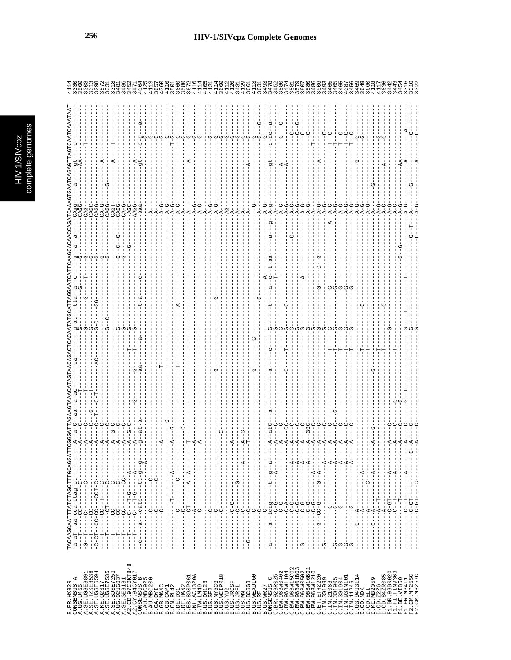|                                                                                                                                                                                                                                                                                                                                                                                                                                                                                                                                                                                                                                                              | っ                                                                                                                                                                                                                                                                                                                                                                                                                                                                                                                                                                                                                                                                                                                                                                                                                     |                                                                                                                                                                                                                                                                                                                                                                                                                                                                                                                                                                                                                 |                                                                                                                                                                                                                                                                                                                                                                                                                                                                                                                                                                                                                                                                                                                                                                                                                                                                                                                                                                                                                                                                                                                                       |                                                                                                                                                                                                                                                                                                                                                                                                                                         | თ თ<br>$\circ$<br>৩                                                                                                                                                                                                                                                                                                                                                                                                                                                                                                                                                                                                                                                                                                                                                                                                                                                                         |
|--------------------------------------------------------------------------------------------------------------------------------------------------------------------------------------------------------------------------------------------------------------------------------------------------------------------------------------------------------------------------------------------------------------------------------------------------------------------------------------------------------------------------------------------------------------------------------------------------------------------------------------------------------------|-----------------------------------------------------------------------------------------------------------------------------------------------------------------------------------------------------------------------------------------------------------------------------------------------------------------------------------------------------------------------------------------------------------------------------------------------------------------------------------------------------------------------------------------------------------------------------------------------------------------------------------------------------------------------------------------------------------------------------------------------------------------------------------------------------------------------|-----------------------------------------------------------------------------------------------------------------------------------------------------------------------------------------------------------------------------------------------------------------------------------------------------------------------------------------------------------------------------------------------------------------------------------------------------------------------------------------------------------------------------------------------------------------------------------------------------------------|---------------------------------------------------------------------------------------------------------------------------------------------------------------------------------------------------------------------------------------------------------------------------------------------------------------------------------------------------------------------------------------------------------------------------------------------------------------------------------------------------------------------------------------------------------------------------------------------------------------------------------------------------------------------------------------------------------------------------------------------------------------------------------------------------------------------------------------------------------------------------------------------------------------------------------------------------------------------------------------------------------------------------------------------------------------------------------------------------------------------------------------|-----------------------------------------------------------------------------------------------------------------------------------------------------------------------------------------------------------------------------------------------------------------------------------------------------------------------------------------------------------------------------------------------------------------------------------------|---------------------------------------------------------------------------------------------------------------------------------------------------------------------------------------------------------------------------------------------------------------------------------------------------------------------------------------------------------------------------------------------------------------------------------------------------------------------------------------------------------------------------------------------------------------------------------------------------------------------------------------------------------------------------------------------------------------------------------------------------------------------------------------------------------------------------------------------------------------------------------------------|
|                                                                                                                                                                                                                                                                                                                                                                                                                                                                                                                                                                                                                                                              | ひ ひ<br>כי ז<br>τŋ<br>てり<br>τŋ<br>てり                                                                                                                                                                                                                                                                                                                                                                                                                                                                                                                                                                                                                                                                                                                                                                                   | פי                                                                                                                                                                                                                                                                                                                                                                                                                                                                                                                                                                                                              | てり<br>œ<br>O<br>פי<br>ത                                                                                                                                                                                                                                                                                                                                                                                                                                                                                                                                                                                                                                                                                                                                                                                                                                                                                                                                                                                                                                                                                                               | ひ<br>てり<br>U                                                                                                                                                                                                                                                                                                                                                                                                                            | U<br>υ υ<br>てり<br>U                                                                                                                                                                                                                                                                                                                                                                                                                                                                                                                                                                                                                                                                                                                                                                                                                                                                         |
| К                                                                                                                                                                                                                                                                                                                                                                                                                                                                                                                                                                                                                                                            |                                                                                                                                                                                                                                                                                                                                                                                                                                                                                                                                                                                                                                                                                                                                                                                                                       |                                                                                                                                                                                                                                                                                                                                                                                                                                                                                                                                                                                                                 | তা                                                                                                                                                                                                                                                                                                                                                                                                                                                                                                                                                                                                                                                                                                                                                                                                                                                                                                                                                                                                                                                                                                                                    | K,<br>К                                                                                                                                                                                                                                                                                                                                                                                                                                 | ⊢⊢                                                                                                                                                                                                                                                                                                                                                                                                                                                                                                                                                                                                                                                                                                                                                                                                                                                                                          |
| TCAAAGTGAATCAGAGTTAGTCAATCAAATAA                                                                                                                                                                                                                                                                                                                                                                                                                                                                                                                                                                                                                             |                                                                                                                                                                                                                                                                                                                                                                                                                                                                                                                                                                                                                                                                                                                                                                                                                       |                                                                                                                                                                                                                                                                                                                                                                                                                                                                                                                                                                                                                 |                                                                                                                                                                                                                                                                                                                                                                                                                                                                                                                                                                                                                                                                                                                                                                                                                                                                                                                                                                                                                                                                                                                                       |                                                                                                                                                                                                                                                                                                                                                                                                                                         |                                                                                                                                                                                                                                                                                                                                                                                                                                                                                                                                                                                                                                                                                                                                                                                                                                                                                             |
| Ā                                                                                                                                                                                                                                                                                                                                                                                                                                                                                                                                                                                                                                                            | <b>ひ ひ ひ</b><br>てり                                                                                                                                                                                                                                                                                                                                                                                                                                                                                                                                                                                                                                                                                                                                                                                                    | υυ<br>ひ                                                                                                                                                                                                                                                                                                                                                                                                                                                                                                                                                                                                         | ひ<br>তা                                                                                                                                                                                                                                                                                                                                                                                                                                                                                                                                                                                                                                                                                                                                                                                                                                                                                                                                                                                                                                                                                                                               | てり<br>ر ہ                                                                                                                                                                                                                                                                                                                                                                                                                               | ひ<br>υυ<br>てり<br>ひ<br>てり<br>ひ<br>ひ<br>ひ<br>⊲. ⊲.                                                                                                                                                                                                                                                                                                                                                                                                                                                                                                                                                                                                                                                                                                                                                                                                                                            |
| TTCAAGCACAACCAGA<br>ひ<br>υυ<br>ひ<br>ひ<br>ひ<br>あひ<br>AGGAATCA                                                                                                                                                                                                                                                                                                                                                                                                                                                                                                                                                                                                 |                                                                                                                                                                                                                                                                                                                                                                                                                                                                                                                                                                                                                                                                                                                                                                                                                       |                                                                                                                                                                                                                                                                                                                                                                                                                                                                                                                                                                                                                 | ס<br>m<br>ᠬ<br>൯<br>U<br>൯                                                                                                                                                                                                                                                                                                                                                                                                                                                                                                                                                                                                                                                                                                                                                                                                                                                                                                                                                                                                                                                                                                            | 也                                                                                                                                                                                                                                                                                                                                                                                                                                       | ひ<br>めめめめ                                                                                                                                                                                                                                                                                                                                                                                                                                                                                                                                                                                                                                                                                                                                                                                                                                                                                   |
| 9<br>U<br>൯                                                                                                                                                                                                                                                                                                                                                                                                                                                                                                                                                                                                                                                  |                                                                                                                                                                                                                                                                                                                                                                                                                                                                                                                                                                                                                                                                                                                                                                                                                       |                                                                                                                                                                                                                                                                                                                                                                                                                                                                                                                                                                                                                 |                                                                                                                                                                                                                                                                                                                                                                                                                                                                                                                                                                                                                                                                                                                                                                                                                                                                                                                                                                                                                                                                                                                                       |                                                                                                                                                                                                                                                                                                                                                                                                                                         |                                                                                                                                                                                                                                                                                                                                                                                                                                                                                                                                                                                                                                                                                                                                                                                                                                                                                             |
| あひ<br>てり<br>てり<br>てり<br>てり<br>てり<br>てり<br>てり<br>τŋ<br>C.                                                                                                                                                                                                                                                                                                                                                                                                                                                                                                                                                                                                     |                                                                                                                                                                                                                                                                                                                                                                                                                                                                                                                                                                                                                                                                                                                                                                                                                       |                                                                                                                                                                                                                                                                                                                                                                                                                                                                                                                                                                                                                 |                                                                                                                                                                                                                                                                                                                                                                                                                                                                                                                                                                                                                                                                                                                                                                                                                                                                                                                                                                                                                                                                                                                                       | פי                                                                                                                                                                                                                                                                                                                                                                                                                                      | ٣                                                                                                                                                                                                                                                                                                                                                                                                                                                                                                                                                                                                                                                                                                                                                                                                                                                                                           |
| AGAAGTAAACATAACAGACTCACAATAT<br>てり<br>τŋ                                                                                                                                                                                                                                                                                                                                                                                                                                                                                                                                                                                                                     | ത<br>൯                                                                                                                                                                                                                                                                                                                                                                                                                                                                                                                                                                                                                                                                                                                                                                                                                |                                                                                                                                                                                                                                                                                                                                                                                                                                                                                                                                                                                                                 |                                                                                                                                                                                                                                                                                                                                                                                                                                                                                                                                                                                                                                                                                                                                                                                                                                                                                                                                                                                                                                                                                                                                       | C.                                                                                                                                                                                                                                                                                                                                                                                                                                      | rŋ                                                                                                                                                                                                                                                                                                                                                                                                                                                                                                                                                                                                                                                                                                                                                                                                                                                                                          |
| て)て)<br>.<br>UUU<br>O<br>O<br>ひ<br>ひ                                                                                                                                                                                                                                                                                                                                                                                                                                                                                                                                                                                                                         | ひ                                                                                                                                                                                                                                                                                                                                                                                                                                                                                                                                                                                                                                                                                                                                                                                                                     |                                                                                                                                                                                                                                                                                                                                                                                                                                                                                                                                                                                                                 |                                                                                                                                                                                                                                                                                                                                                                                                                                                                                                                                                                                                                                                                                                                                                                                                                                                                                                                                                                                                                                                                                                                                       | ပ္ ပ္<br>C)<br>U<br>O<br>U<br>ğ                                                                                                                                                                                                                                                                                                                                                                                                         | O<br>O                                                                                                                                                                                                                                                                                                                                                                                                                                                                                                                                                                                                                                                                                                                                                                                                                                                                                      |
| RRRA                                                                                                                                                                                                                                                                                                                                                                                                                                                                                                                                                                                                                                                         |                                                                                                                                                                                                                                                                                                                                                                                                                                                                                                                                                                                                                                                                                                                                                                                                                       |                                                                                                                                                                                                                                                                                                                                                                                                                                                                                                                                                                                                                 |                                                                                                                                                                                                                                                                                                                                                                                                                                                                                                                                                                                                                                                                                                                                                                                                                                                                                                                                                                                                                                                                                                                                       |                                                                                                                                                                                                                                                                                                                                                                                                                                         |                                                                                                                                                                                                                                                                                                                                                                                                                                                                                                                                                                                                                                                                                                                                                                                                                                                                                             |
| $\begin{array}{l} \texttt{TACAAGCAATTTATCTAGCTTTCGAGGAT} \\ \texttt{-a=at--aa-coa-ctag-ct-----} \\ \texttt{-a=--t--cc----c=--} \\ \texttt{-----t--} \\ \texttt{-----t--} \\ \texttt{---t--} \\ \texttt{---t--} \\ \texttt{---t--} \\ \texttt{---t--} \\ \texttt{---t--} \\ \texttt{---t--} \\ \texttt{---t--} \\ \texttt{---t--} \\ \texttt{---t--} \\ \texttt{---t--} \\ \texttt{---t--} \\ \texttt{---t--} \\ \texttt{---t--} \\ \texttt{---t--} \\ \texttt{---t$<br>$\mathbf{I}$<br>л<br>$\blacksquare$<br>-11<br>$\mathbf{I}$<br>л.<br>-1<br>L.<br>÷,<br>$\mathsf I$<br>$-4-7$<br>T<br>$\mathbf{I}$<br>$\mathbf{I}$<br>$-4$<br>$\mathbf I$<br>キキし<br>计上下 | $\mathbf{I}$<br>$\frac{9}{-1}$<br>T<br>J.<br>$\blacksquare$<br>л<br>п<br>п<br><b>I</b><br>- 1<br>-1<br>Ť.<br>Ť.<br>Ť.<br>$\mathbf{I}$<br>$-2 - 1 - -$<br>$\frac{1}{1}$<br>$\frac{1}{1}$<br>Τ.<br>$\overline{\phantom{a}}$<br>$\overline{\phantom{a}}$<br>-1<br>$\overline{\phantom{a}}$<br>$\mathbf{I}$<br>$\begin{bmatrix} 1 & 0 & 0 \\ 1 & 1 & 1 \\ 1 & 1 & 1 \end{bmatrix}$<br>т<br>$\frac{1}{4}$<br>-1                                                                                                                                                                                                                                                                                                                                                                                                            | $\mathbf{I}$<br>п<br>Т<br>-1<br>п<br>$\mathbf{I}$<br>$\mathbf{I}$<br>л.<br>$\mathbf{I}$<br>$\frac{1}{1}$<br>$\mathsf I$<br>$\mathbf{I}$<br>J.<br>-1<br>-1<br>$\,$ I<br>$\mathsf I$<br>$\mathsf I$<br>Ţ<br>ŧ<br>$\mathbf{I}$<br>J.<br>$\mathbf{I}$<br>1<br>J.<br>$\blacksquare$<br>$\mathbf{I}$<br>$\blacksquare$<br>$\mathbf{I}$<br>л.<br>L.<br>Ť.<br>$\mathbf{I}$<br>Ť.<br>Ť.<br>п<br>ı<br>$\mathbf{I}$<br>$\overline{1}$<br>$\mathbf{I}$<br>J.<br>J.<br>1<br>-1<br>л.<br>$\mathbf{I}$<br>- 11<br>п.<br>L.<br>п                                                                                                | $\mathbf{I}$<br>$\mathsf I$<br>$- -A -$<br>$\frac{1}{1}$<br>$\begin{matrix} 1 \\ -1 \end{matrix}$<br>п<br>L.<br>п<br>J.<br>$\mathbf{I}$<br>$\mathbf{I}$<br>п<br>$\mathbb T$<br>т<br>$\overline{\phantom{a}}$<br>ı<br>I<br>ŧ<br>$\,$ I<br>$\mathbb{I}$<br>$\mathsf I$<br>$-94$<br>$\overline{\phantom{a}}$<br>ţ<br>$\mathbf{I}$<br>十十<br>$\mathbf{I}$<br>$\blacksquare$<br>п<br>י<br>י<br>Ť.<br>$\begin{array}{c} \n\cdot & \cdot \\ \n\cdot & \cdot \\ \n\cdot & \cdot \end{array}$<br>Ţ<br>$\mathsf I$<br>1<br>J.<br>1<br>T<br>J.<br>п<br>т<br>$\mathbf{I}$<br>т                                                                                                                                                                                                                                                                                                                                                                                                                                                                                                                                                                     | Ш.<br>ш<br>$1 - 1$<br>$\mathbf{I}$<br>$\mathbf I$<br>Ι.<br>ш<br>$\mathsf I$<br>$\mathsf I$<br>Ħ<br>$\,$ I<br>$\mathbf{I}$<br>$\frac{1}{1}$<br>$\frac{1}{4}$<br>j.<br>Ť.<br>Ť.<br>$\frac{1}{\sqrt{2}}$<br>$\mathbf I$<br>$\overline{\phantom{a}}$<br>Ţ<br>$\mathbf{I}$<br>T<br>$\mathbf{I}$<br>T<br>Т<br>$\blacksquare$<br>$\mathbf{I}$<br>п<br>$\mathbf{I}$<br>п<br>л.<br>$\mathbf{I}$<br>$\mathbf{I}$                                  | J.<br>ט<br>י<br>L<br>$\mathbf{I}$<br>$\mathbf{I}$<br>-1<br>I<br>$\overline{\phantom{a}}$<br>$\begin{array}{ccccccc}\nA & A & A & A & A & A \\ 1 & 1 & 1 & 1 & 1 & 1\n\end{array}$<br>$\blacksquare$<br>J.<br>Т<br>ţ<br>$\blacksquare$<br>$- - A - -$<br>т<br>т<br>÷,<br>$\frac{1}{1}$<br>$-4$<br>$\begin{array}{c}\n1 \\ 1 \\ 1 \\ 1 \\ 1\n\end{array}$<br>п<br>HHH<br>$-4$<br>$\mathsf I$<br>$\begin{array}{c} 1 & 1 & 1 \\ 1 & 1 & 1 \\ 1 & 1 & 1 \\ 1 & 1 & 1 \\ 1 & 1 & 1 \end{array}$<br>$\mathbf{I}$<br>$\mathbf{I}$<br>$\mathbf{I}$<br>Ţ<br>$\mathbf{I}$<br>$\mathbf{I}$<br>$\mathbf{I}$<br>$\blacksquare$<br>$\overline{1}$<br>$\mathbf{I}$<br>$\frac{1}{2}$<br>J.<br>$\mathsf I$<br>$\mathbb{I}$<br>$\overline{\phantom{a}}$<br>$\mathbf{I}$<br>- 1<br>$\mathbf{I}$<br>$\mathsf I$<br>$\mathbf{I}$<br>$\mathbf{I}$<br>$\mathbf{I}$<br>L.<br>п<br>- 1<br>L.<br>L.<br>-1<br>J.<br>-1 |
| יטְסְׁסְ<br>יולי                                                                                                                                                                                                                                                                                                                                                                                                                                                                                                                                                                                                                                             | $1 - 1$<br>$\begin{array}{c} 1 & 1 & 1 \\ 1 & 1 & 1 \\ 1 & 1 & 1 \\ 1 & 1 & 1 \\ 1 & 1 & 1 \\ 1 & 1 & 1 \\ 1 & 1 & 1 \\ 1 & 1 & 1 \\ 1 & 1 & 1 \\ 1 & 1 & 1 \\ 1 & 1 & 1 \\ 1 & 1 & 1 \\ 1 & 1 & 1 \\ 1 & 1 & 1 \\ 1 & 1 & 1 & 1 \\ 1 & 1 & 1 & 1 \\ 1 & 1 & 1 & 1 \\ 1 & 1 & 1 & 1 \\ 1 & 1 & 1 & 1 \\ 1 & 1 & 1 & 1 \\ 1 & 1 & 1 & 1 \\ 1 &$<br>1<br>$\mathbb{I}-\mathbb{I}$<br>蒀<br>$\mathsf I$<br>-1<br>$\mathbf{1}$<br>$\mathbf{I}$<br>$\mathsf I$<br>υU<br>Ħ<br>Ŧ<br>т<br>L.<br>$\mathbf{I}$<br>I.<br>1<br>$\mathsf I$<br>$\mathbb T$<br>I.<br>$\blacksquare$<br>e<br>-<br>I<br>$\mathsf I$<br>$\overline{\phantom{a}}$<br>$\overline{\phantom{a}}$<br>$\overline{\phantom{a}}$<br>$\mathbf{I}$<br>J,<br>$\overline{\phantom{a}}$<br>J.<br>J.<br>$\mathbf{I}$<br>$\overline{\phantom{a}}$<br>J.<br>-1<br>п<br>п | $\mathsf I$<br>$\mathbf{I}$<br>$\mathsf I$<br>$\mathbf{I}$<br>$\mathbf{I}$<br>$\mathsf I$<br>$-100 - 100 - 1$<br>ŧ<br>$\mathbf{I}$<br>$\mathbf{I}$<br>$\overline{\phantom{a}}$<br>$\mathbf{I}$<br>$\overline{1}$<br>$C - C$<br>л.<br>f,<br>$\mathbf{I}$<br>$\frac{1}{4}$<br>十十<br>$\blacksquare$<br>I.<br>A<br>U<br>ひひひ<br>Ť<br>÷<br>$\frac{1}{1}$<br>$\frac{1}{1}$<br>J.<br>Ť<br>$\mathbf{I}$<br>п.<br>-1<br>Ť.<br>J.<br>Ť<br>Ť.<br>Ť.<br>$\mathsf I$<br>$\mathbf I$<br>$\blacksquare$<br>$\mathbf{I}$<br>т<br>1<br>-1<br>Т<br>1<br>$\mathbf{I}$<br>1<br>I<br>$\mathbf{I}$<br>п<br>I<br>$\mathbf{I}$<br>I<br>- | $\begin{array}{c} \rule{0pt}{2.5ex} \rule{0pt}{2.5ex} \rule{0pt}{2.5ex} \rule{0pt}{2.5ex} \rule{0pt}{2.5ex} \rule{0pt}{2.5ex} \rule{0pt}{2.5ex} \rule{0pt}{2.5ex} \rule{0pt}{2.5ex} \rule{0pt}{2.5ex} \rule{0pt}{2.5ex} \rule{0pt}{2.5ex} \rule{0pt}{2.5ex} \rule{0pt}{2.5ex} \rule{0pt}{2.5ex} \rule{0pt}{2.5ex} \rule{0pt}{2.5ex} \rule{0pt}{2.5ex} \rule{0pt}{2.5ex} \rule{0$<br>$\overline{\phantom{a}}$<br>÷<br>$a - t$ cag--<br>----------<br>十十<br>÷<br>ŧ<br>÷<br>ł<br>U<br>ひひひひ<br>U<br>$\frac{1}{1}$<br>Ť<br>$\frac{1}{1}$<br>$\frac{1}{1}$<br>Ť<br>$\frac{1}{2}$<br>$\mathbf{I}$<br>j.<br>I.<br>1<br>I<br>I.<br>$-1$<br>$\,$ I<br>I<br>I.<br>$\begin{array}{c} \rule{0pt}{2ex} \rule{0pt}{2ex} \rule{0pt}{2ex} \rule{0pt}{2ex} \rule{0pt}{2ex} \rule{0pt}{2ex} \rule{0pt}{2ex} \rule{0pt}{2ex} \rule{0pt}{2ex} \rule{0pt}{2ex} \rule{0pt}{2ex} \rule{0pt}{2ex} \rule{0pt}{2ex} \rule{0pt}{2ex} \rule{0pt}{2ex} \rule{0pt}{2ex} \rule{0pt}{2ex} \rule{0pt}{2ex} \rule{0pt}{2ex} \rule{0pt}{2ex} \rule{0pt}{2ex} \rule{0pt}{2ex} \rule{0pt}{2ex} \rule{0pt}{$<br>÷<br>т<br>J<br>J.<br>$\mathbf{I}$<br>T<br>$\mathbf{I}$<br>J. | $\mathbf{I}$<br>I.<br>$\mathbf{I}$<br>ָהַקְּקָ <sup>ׂ</sup><br>לַאָלְּטְלָּטְלָ<br>J,<br>-1<br>$\mathbb T$<br>$\mathsf I$<br>$0 - 9 - 1 - 1 - 1 - 1$<br>Ť<br>Ħ<br>T<br>÷<br>÷<br>÷<br>л<br>-<br>T.<br>Ť.<br>J.<br>Ť.<br>j.<br>ï<br>$\mathbf{I}$<br>$\mathbb I$<br>$\mathsf I$<br>т<br>п<br>J,<br>$\overline{1}$<br>ł<br>$\frac{1}{1}$<br>$\frac{1}{1}$<br>$\frac{1}{1}$<br>Ţ<br>$\frac{1}{1}$<br>$\mathsf I$<br>$\mathbf{I}$<br>-1<br>л | $\mathbf{I}$<br>Ť.<br>$\mathsf I$<br>$\overline{\phantom{a}}$<br>$-1.50 - 0.1 - 0.0$<br>十十<br>ŧ<br>J.<br>$\blacksquare$<br>J.<br>J<br>甘<br>$A - T$<br>ŧ<br>臂<br>לה<br>המפו<br>ל<br>j.<br>- 11<br>$\blacksquare$<br>I,<br>မှ ဗုံမှ<br>       <br>       <br>ひ<br>j.<br>-1<br>Ť<br>Ą<br>К<br>$- - - A$<br>$- - A$<br>U<br>т<br>ł<br>Ŧ<br>Ŧ<br>$\mathbf{I}$<br>Ť<br>Ť<br>Ť<br>$\frac{1}{1}$<br>f.<br>-<br>ï.<br>j.<br>ï<br>Ť.<br>ï<br>Ť.<br>Ť.<br>$\frac{1}{1}$<br>$\,$ I<br>$-1$<br>$\mathsf I$<br>$\mathsf I$<br>$\mathbf{I}$<br>I<br>I<br>T<br>$\mathbf{I}$<br>Ţ<br>Ţ<br>I<br>$\overline{\phantom{a}}$<br>I<br>÷<br>J.<br>I<br>J.<br>-1<br>Т<br>п<br>$\mathbf{I}$<br>$\mathbf{I}$<br>$\mathbf{I}$<br>$\mathbf{I}$<br>т<br>п<br>ı<br>т<br>-1<br>$\mathbf{I}$                                                                                                                                 |
|                                                                                                                                                                                                                                                                                                                                                                                                                                                                                                                                                                                                                                                              | ţ<br>Ť<br>ŧ<br>$\frac{1}{1}$<br>Ť.<br>$\frac{1}{1}$<br>J,<br>ı<br>-1<br>$\frac{1}{2}$<br>$\mathsf I$<br>$\,$ I<br>Ţ<br>$\overline{\phantom{a}}$<br>ı<br>$\mathsf I$<br>$\,$ I<br>L<br>$\overline{\phantom{a}}$<br>J.<br>J.<br>$\overline{\phantom{a}}$<br>$\mathbf{I}$<br>$\blacksquare$<br>$\blacksquare$<br>т<br>п<br>п                                                                                                                                                                                                                                                                                                                                                                                                                                                                                             | $\frac{1}{1}$<br>$\frac{1}{1}$<br>$\frac{1}{1}$<br>$\frac{1}{1}$<br>Ť<br>ţ<br>Ť<br>$\mathsf I$<br>1<br>$\mathsf I$<br>$\blacksquare$<br>$\overline{\phantom{a}}$<br>J<br>$\mathsf I$<br>T<br>$\mathbf{I}$<br>1<br>J<br>-1<br>Ţ<br>Ţ<br>Ť<br>$\blacksquare$<br>$\mathbf{I}$<br>п<br>J.<br>$\mathbf{I}$<br>L.                                                                                                                                                                                                                                                                                                     | $B = - - - B$<br>$\frac{1}{1}$<br>T.<br>ï<br>$\mathbf{I}$<br>$\overline{\mathbf{e}}_{\mathbf{y}}^{\mathbf{i}}$<br>I<br>I<br>Ţ<br>Ţ<br>Ţ<br>J.<br>Ţ<br>$\mathbf{I}$<br>$\mathbf{I}$<br>$\blacksquare$<br>T<br>$\overline{\phantom{a}}$                                                                                                                                                                                                                                                                                                                                                                                                                                                                                                                                                                                                                                                                                                                                                                                                                                                                                                 | $\frac{1}{1}$<br>ï<br>j.<br>J.<br>I.<br>1<br>J,<br>$\mathsf I$<br>$\frac{1}{1}$<br>$\frac{1}{1}$<br>$\mathsf I$<br>$-5$<br>$\mathsf I$<br>$\mathsf I$<br>$-1$<br>$\blacksquare$<br>Ť<br>$\mathbf{I}$<br>$\frac{1}{4}$<br>J.<br>$\mathbf{I}$<br>-1<br>$\mathbf{I}$                                                                                                                                                                       | $\mathsf I$<br>$\mathsf I$<br>ı<br>п<br>$\frac{1}{1}$<br>$\mathbf{I}$<br>$\mathbf{I}$<br>$\mathbf{I}$<br>$\blacksquare$<br>$\mathbf{I}$<br>I<br>$\begin{array}{c} \hline \end{array}$<br>Ť<br>I<br>-1<br>$\mathbf I$<br>л<br>J.<br>゙゙ゖ゙゙゙゙゙゙゙ゖゖ <mark>゙</mark><br>$\blacksquare$<br>L.<br>л<br>L.<br>L.<br>$\mathbf{I}$<br>-1<br>л.<br>п<br>$\mathbf{I}$<br>$\mathbf{I}$                                                                                                                                                                                                                                                                                                                                                                                                                                                                                                                    |

 $\begin{smallmatrix} \texttt{R1} & \texttt{R1} & \texttt{R2} & \texttt{R3} & \texttt{R4} & \texttt{R5} & \texttt{R6} & \texttt{R6} & \texttt{R7} & \texttt{R8} & \texttt{R8} & \texttt{R9} & \texttt{R0} & \texttt{R1} & \texttt{R2} & \texttt{R2} & \texttt{R3} & \texttt{R4} & \texttt{R5} & \texttt{R6} & \texttt{R7} & \texttt{R8} & \texttt{R9} & \texttt{R0} & \texttt{R1} & \texttt{R2} & \texttt{R2$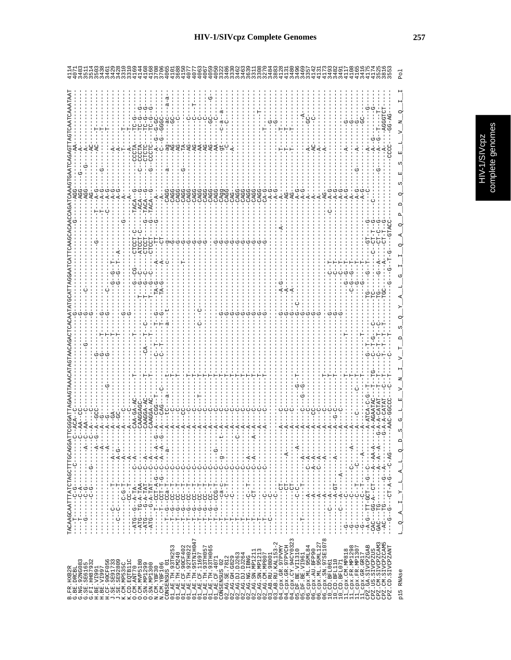| $- - A - -$<br>Ť<br>J.<br>$- - - -$<br>$-4$<br>$---A-$<br>$-1 - CT - 1 - 2 - 24 - 2$<br>$-5 - A - C -$<br>$\begin{array}{cccccccccc} 1 & 1 & 1 & 1 & 1 & 1 & 1 \\ \hline 1 & 1 & 1 & 1 & 1 & 1 & 1 \\ \end{array}$<br>$\frac{1}{4}$<br>÷<br>Ť<br>$\frac{1}{1}$<br>$\overline{\phantom{a}}$<br>Ţ<br>J,<br>÷<br>÷Î,<br>÷Î,<br>$-1 - 4 - 1 - 1 - 1 - 1 - 1 - 4 - 1$<br>$\overline{\phantom{a}}$<br>$\frac{1}{1}$<br>$\frac{1}{1}$<br>$\mathbf{I}$<br>$\mathbf{I}$<br>$\mathbf{I}$<br>$\frac{1}{1}$<br>J,<br>т<br>ł<br>Ť<br>J.<br>ï<br>A,<br>Ť.<br>К<br>$-4$<br>$- - A$<br>$\,$ I<br>$\,$ I<br>Ţ<br>Ŧ<br>4444<br>$\frac{1}{1}$<br>$\frac{1}{1}$<br>$\frac{1}{1}$<br>$\mathsf I$<br>$\mathsf I$<br>ţ<br>-14<br>$\frac{1}{4}$<br>$\frac{1}{4}$<br>$\mathbf{I}$<br>$\frac{1}{1}$<br>$-5 - 1$<br>J.<br>$\mathbf{I}$<br>$\mathbf{I}$<br>$\blacksquare$<br>$-1$<br>$\frac{0}{1}$<br>ပုံပုံ<br>     <br>     <br>ּיִםְיֹםְיֹםְיָ<br>             <br>             <br>J.<br>п<br>ţ<br>ŧ<br>L.<br>т<br>$-1$<br>۲<br>ا<br>O<br>O<br>U<br>C)<br>$-1$ $-1$ $-1$<br>$-1 - 2 - 4 - 6$<br>$-1 - 1 - 1 - 1$<br>Ť<br>Ť<br>ł<br>$\frac{1}{2}$<br>Ţ<br>j<br>$\frac{1}{1}$<br>J.<br>L<br>$-1$ - $-1$ - $-1$ - $-1$ - $-1$ - $-1$ - $-1$ - $-1$ - $-1$ - $-1$ - $-1$<br>$\frac{1}{1}$<br>$-1$ $-1$ $-1$ $-1$<br>J.<br>Ť<br>ţ<br>J<br>$\blacksquare$<br>J<br>$1 - 1$<br>ï.<br>$\mathbf{I}$<br>Ţ<br>$-ATG--TG-A-TAA$<br>$-ATG---G-A-TAT$<br>$-TAT$<br>$Ca - T$ .<br>$+ - 20 - - 1$<br>$\,$ I<br>$  \frac{1}{2}$<br>$T - -T$<br>$20 - 7$<br>$C - T$<br>Ţ<br>1-100-10<br>1-100-11<br>1-100-11<br>Ù<br>C<br>$- -G - -A - T A$<br>$-1$ - $-1$ - $-1$<br>$C - A$<br>C-C<br>$\mathbf{I}$<br>$-1 - 1$<br>U<br> <br> <br>$-\frac{1}{2}$<br>--A-G--TT-GC<br>-CAC---GG-A<br>-GAC---TG----<br>Ţ<br>$\frac{1}{1}$<br>ŧ<br>ט<br> -<br>$-ATG---G-R$<br>$-1 - 1 - C$<br>ּטְ<br>י<br>$\frac{5}{1}$<br>$\frac{1}{1}$<br>$\frac{1}{1}$<br>$\frac{1}{1}$<br>$\frac{1}{1}$<br>Ţ<br>$\frac{1}{1}$<br>$\frac{1}{1}$<br>÷<br>$-1 = -1 -$<br>$\mathbf{I}$<br>I<br>$\mathbf{I}$<br>$\frac{1}{1}$<br>$-1 - 1$<br>j.<br>T.<br>$\begin{array}{c} \rule{0pt}{2.5ex} \rule{0pt}{2.5ex} \rule{0pt}{2.5ex} \rule{0pt}{2.5ex} \rule{0pt}{2.5ex} \rule{0pt}{2.5ex} \rule{0pt}{2.5ex} \rule{0pt}{2.5ex} \rule{0pt}{2.5ex} \rule{0pt}{2.5ex} \rule{0pt}{2.5ex} \rule{0pt}{2.5ex} \rule{0pt}{2.5ex} \rule{0pt}{2.5ex} \rule{0pt}{2.5ex} \rule{0pt}{2.5ex} \rule{0pt}{2.5ex} \rule{0pt}{2.5ex} \rule{0pt}{2.5ex} \rule{0$<br>$-1 - 1$<br>U<br> <br>$-1$<br>$\frac{1}{4}$<br>$\frac{1}{4}$<br>$\frac{1}{4}$<br>$\frac{1}{1}$<br>$\frac{1}{1}$<br>ţ<br>$\mathsf I$<br>$\blacksquare$<br>$\blacksquare$<br>$\frac{1}{2}$<br>$\frac{1}{1}$<br>$\frac{1}{2}$<br>J.<br>$-ATG-$<br>$-\frac{c}{l}$<br>ပုံ<br>ن<br>ا<br>$\frac{1}{1}$<br>$\frac{1}{1}$<br>부<br>부부<br>ÊÊEEE<br>Ϋ́<br>$\frac{1}{1}$<br>$\frac{1}{2}$<br>п<br>п<br>$\frac{1}{1}$<br>부<br>י יו יו יו יו יו<br>יו יו יו יו יו<br>ŧ<br>Ī.<br>T.<br>$\mathsf I$<br>I.<br>$\mathbf{I}$<br>ġ<br>すずり<br>Ġ<br>$\begin{array}{ll} \texttt{CPZ} & \dots \cup \cup \texttt{VCEAB} \\ \texttt{CPZ} & \texttt{US} & \texttt{SIVCPZUB} \\ \texttt{CPZ} & \texttt{CM} & \texttt{SIVCPZCAM3} \\ \texttt{CPZ} & \texttt{CM} & \texttt{SIVCPZCAM5} \\ \texttt{CPZ} & \texttt{CM} & \texttt{SIVCPZCAM5} \\ \texttt{CPZ} & \texttt{CPZ} & \texttt{CPL} & \texttt{CPL} \\ \end{array}$ |  |
|-------------------------------------------------------------------------------------------------------------------------------------------------------------------------------------------------------------------------------------------------------------------------------------------------------------------------------------------------------------------------------------------------------------------------------------------------------------------------------------------------------------------------------------------------------------------------------------------------------------------------------------------------------------------------------------------------------------------------------------------------------------------------------------------------------------------------------------------------------------------------------------------------------------------------------------------------------------------------------------------------------------------------------------------------------------------------------------------------------------------------------------------------------------------------------------------------------------------------------------------------------------------------------------------------------------------------------------------------------------------------------------------------------------------------------------------------------------------------------------------------------------------------------------------------------------------------------------------------------------------------------------------------------------------------------------------------------------------------------------------------------------------------------------------------------------------------------------------------------------------------------------------------------------------------------------------------------------------------------------------------------------------------------------------------------------------------------------------------------------------------------------------------------------------------------------------------------------------------------------------------------------------------------------------------------------------------------------------------------------------------------------------------------------------------------------------------------------------------------------------------------------------------------------------------------------------------------------------------------------------------------------------------------------------------------------------------------------------------------------------------------------------------------------------------------------------------------------------------------------------------------------------------------------------------------------------------------------------------------------------------------------------------------------------------------------------------------------------------------------------------------------------------------------------------------------------------------------------------------------------------------------------------------------------------------------------------------------------------------|--|
|                                                                                                                                                                                                                                                                                                                                                                                                                                                                                                                                                                                                                                                                                                                                                                                                                                                                                                                                                                                                                                                                                                                                                                                                                                                                                                                                                                                                                                                                                                                                                                                                                                                                                                                                                                                                                                                                                                                                                                                                                                                                                                                                                                                                                                                                                                                                                                                                                                                                                                                                                                                                                                                                                                                                                                                                                                                                                                                                                                                                                                                                                                                                                                                                                                                                                                                                                       |  |
|                                                                                                                                                                                                                                                                                                                                                                                                                                                                                                                                                                                                                                                                                                                                                                                                                                                                                                                                                                                                                                                                                                                                                                                                                                                                                                                                                                                                                                                                                                                                                                                                                                                                                                                                                                                                                                                                                                                                                                                                                                                                                                                                                                                                                                                                                                                                                                                                                                                                                                                                                                                                                                                                                                                                                                                                                                                                                                                                                                                                                                                                                                                                                                                                                                                                                                                                                       |  |
|                                                                                                                                                                                                                                                                                                                                                                                                                                                                                                                                                                                                                                                                                                                                                                                                                                                                                                                                                                                                                                                                                                                                                                                                                                                                                                                                                                                                                                                                                                                                                                                                                                                                                                                                                                                                                                                                                                                                                                                                                                                                                                                                                                                                                                                                                                                                                                                                                                                                                                                                                                                                                                                                                                                                                                                                                                                                                                                                                                                                                                                                                                                                                                                                                                                                                                                                                       |  |
|                                                                                                                                                                                                                                                                                                                                                                                                                                                                                                                                                                                                                                                                                                                                                                                                                                                                                                                                                                                                                                                                                                                                                                                                                                                                                                                                                                                                                                                                                                                                                                                                                                                                                                                                                                                                                                                                                                                                                                                                                                                                                                                                                                                                                                                                                                                                                                                                                                                                                                                                                                                                                                                                                                                                                                                                                                                                                                                                                                                                                                                                                                                                                                                                                                                                                                                                                       |  |
|                                                                                                                                                                                                                                                                                                                                                                                                                                                                                                                                                                                                                                                                                                                                                                                                                                                                                                                                                                                                                                                                                                                                                                                                                                                                                                                                                                                                                                                                                                                                                                                                                                                                                                                                                                                                                                                                                                                                                                                                                                                                                                                                                                                                                                                                                                                                                                                                                                                                                                                                                                                                                                                                                                                                                                                                                                                                                                                                                                                                                                                                                                                                                                                                                                                                                                                                                       |  |
|                                                                                                                                                                                                                                                                                                                                                                                                                                                                                                                                                                                                                                                                                                                                                                                                                                                                                                                                                                                                                                                                                                                                                                                                                                                                                                                                                                                                                                                                                                                                                                                                                                                                                                                                                                                                                                                                                                                                                                                                                                                                                                                                                                                                                                                                                                                                                                                                                                                                                                                                                                                                                                                                                                                                                                                                                                                                                                                                                                                                                                                                                                                                                                                                                                                                                                                                                       |  |
|                                                                                                                                                                                                                                                                                                                                                                                                                                                                                                                                                                                                                                                                                                                                                                                                                                                                                                                                                                                                                                                                                                                                                                                                                                                                                                                                                                                                                                                                                                                                                                                                                                                                                                                                                                                                                                                                                                                                                                                                                                                                                                                                                                                                                                                                                                                                                                                                                                                                                                                                                                                                                                                                                                                                                                                                                                                                                                                                                                                                                                                                                                                                                                                                                                                                                                                                                       |  |
|                                                                                                                                                                                                                                                                                                                                                                                                                                                                                                                                                                                                                                                                                                                                                                                                                                                                                                                                                                                                                                                                                                                                                                                                                                                                                                                                                                                                                                                                                                                                                                                                                                                                                                                                                                                                                                                                                                                                                                                                                                                                                                                                                                                                                                                                                                                                                                                                                                                                                                                                                                                                                                                                                                                                                                                                                                                                                                                                                                                                                                                                                                                                                                                                                                                                                                                                                       |  |
|                                                                                                                                                                                                                                                                                                                                                                                                                                                                                                                                                                                                                                                                                                                                                                                                                                                                                                                                                                                                                                                                                                                                                                                                                                                                                                                                                                                                                                                                                                                                                                                                                                                                                                                                                                                                                                                                                                                                                                                                                                                                                                                                                                                                                                                                                                                                                                                                                                                                                                                                                                                                                                                                                                                                                                                                                                                                                                                                                                                                                                                                                                                                                                                                                                                                                                                                                       |  |
|                                                                                                                                                                                                                                                                                                                                                                                                                                                                                                                                                                                                                                                                                                                                                                                                                                                                                                                                                                                                                                                                                                                                                                                                                                                                                                                                                                                                                                                                                                                                                                                                                                                                                                                                                                                                                                                                                                                                                                                                                                                                                                                                                                                                                                                                                                                                                                                                                                                                                                                                                                                                                                                                                                                                                                                                                                                                                                                                                                                                                                                                                                                                                                                                                                                                                                                                                       |  |
|                                                                                                                                                                                                                                                                                                                                                                                                                                                                                                                                                                                                                                                                                                                                                                                                                                                                                                                                                                                                                                                                                                                                                                                                                                                                                                                                                                                                                                                                                                                                                                                                                                                                                                                                                                                                                                                                                                                                                                                                                                                                                                                                                                                                                                                                                                                                                                                                                                                                                                                                                                                                                                                                                                                                                                                                                                                                                                                                                                                                                                                                                                                                                                                                                                                                                                                                                       |  |
|                                                                                                                                                                                                                                                                                                                                                                                                                                                                                                                                                                                                                                                                                                                                                                                                                                                                                                                                                                                                                                                                                                                                                                                                                                                                                                                                                                                                                                                                                                                                                                                                                                                                                                                                                                                                                                                                                                                                                                                                                                                                                                                                                                                                                                                                                                                                                                                                                                                                                                                                                                                                                                                                                                                                                                                                                                                                                                                                                                                                                                                                                                                                                                                                                                                                                                                                                       |  |
|                                                                                                                                                                                                                                                                                                                                                                                                                                                                                                                                                                                                                                                                                                                                                                                                                                                                                                                                                                                                                                                                                                                                                                                                                                                                                                                                                                                                                                                                                                                                                                                                                                                                                                                                                                                                                                                                                                                                                                                                                                                                                                                                                                                                                                                                                                                                                                                                                                                                                                                                                                                                                                                                                                                                                                                                                                                                                                                                                                                                                                                                                                                                                                                                                                                                                                                                                       |  |
|                                                                                                                                                                                                                                                                                                                                                                                                                                                                                                                                                                                                                                                                                                                                                                                                                                                                                                                                                                                                                                                                                                                                                                                                                                                                                                                                                                                                                                                                                                                                                                                                                                                                                                                                                                                                                                                                                                                                                                                                                                                                                                                                                                                                                                                                                                                                                                                                                                                                                                                                                                                                                                                                                                                                                                                                                                                                                                                                                                                                                                                                                                                                                                                                                                                                                                                                                       |  |
|                                                                                                                                                                                                                                                                                                                                                                                                                                                                                                                                                                                                                                                                                                                                                                                                                                                                                                                                                                                                                                                                                                                                                                                                                                                                                                                                                                                                                                                                                                                                                                                                                                                                                                                                                                                                                                                                                                                                                                                                                                                                                                                                                                                                                                                                                                                                                                                                                                                                                                                                                                                                                                                                                                                                                                                                                                                                                                                                                                                                                                                                                                                                                                                                                                                                                                                                                       |  |
|                                                                                                                                                                                                                                                                                                                                                                                                                                                                                                                                                                                                                                                                                                                                                                                                                                                                                                                                                                                                                                                                                                                                                                                                                                                                                                                                                                                                                                                                                                                                                                                                                                                                                                                                                                                                                                                                                                                                                                                                                                                                                                                                                                                                                                                                                                                                                                                                                                                                                                                                                                                                                                                                                                                                                                                                                                                                                                                                                                                                                                                                                                                                                                                                                                                                                                                                                       |  |
|                                                                                                                                                                                                                                                                                                                                                                                                                                                                                                                                                                                                                                                                                                                                                                                                                                                                                                                                                                                                                                                                                                                                                                                                                                                                                                                                                                                                                                                                                                                                                                                                                                                                                                                                                                                                                                                                                                                                                                                                                                                                                                                                                                                                                                                                                                                                                                                                                                                                                                                                                                                                                                                                                                                                                                                                                                                                                                                                                                                                                                                                                                                                                                                                                                                                                                                                                       |  |
|                                                                                                                                                                                                                                                                                                                                                                                                                                                                                                                                                                                                                                                                                                                                                                                                                                                                                                                                                                                                                                                                                                                                                                                                                                                                                                                                                                                                                                                                                                                                                                                                                                                                                                                                                                                                                                                                                                                                                                                                                                                                                                                                                                                                                                                                                                                                                                                                                                                                                                                                                                                                                                                                                                                                                                                                                                                                                                                                                                                                                                                                                                                                                                                                                                                                                                                                                       |  |
|                                                                                                                                                                                                                                                                                                                                                                                                                                                                                                                                                                                                                                                                                                                                                                                                                                                                                                                                                                                                                                                                                                                                                                                                                                                                                                                                                                                                                                                                                                                                                                                                                                                                                                                                                                                                                                                                                                                                                                                                                                                                                                                                                                                                                                                                                                                                                                                                                                                                                                                                                                                                                                                                                                                                                                                                                                                                                                                                                                                                                                                                                                                                                                                                                                                                                                                                                       |  |
|                                                                                                                                                                                                                                                                                                                                                                                                                                                                                                                                                                                                                                                                                                                                                                                                                                                                                                                                                                                                                                                                                                                                                                                                                                                                                                                                                                                                                                                                                                                                                                                                                                                                                                                                                                                                                                                                                                                                                                                                                                                                                                                                                                                                                                                                                                                                                                                                                                                                                                                                                                                                                                                                                                                                                                                                                                                                                                                                                                                                                                                                                                                                                                                                                                                                                                                                                       |  |
|                                                                                                                                                                                                                                                                                                                                                                                                                                                                                                                                                                                                                                                                                                                                                                                                                                                                                                                                                                                                                                                                                                                                                                                                                                                                                                                                                                                                                                                                                                                                                                                                                                                                                                                                                                                                                                                                                                                                                                                                                                                                                                                                                                                                                                                                                                                                                                                                                                                                                                                                                                                                                                                                                                                                                                                                                                                                                                                                                                                                                                                                                                                                                                                                                                                                                                                                                       |  |
|                                                                                                                                                                                                                                                                                                                                                                                                                                                                                                                                                                                                                                                                                                                                                                                                                                                                                                                                                                                                                                                                                                                                                                                                                                                                                                                                                                                                                                                                                                                                                                                                                                                                                                                                                                                                                                                                                                                                                                                                                                                                                                                                                                                                                                                                                                                                                                                                                                                                                                                                                                                                                                                                                                                                                                                                                                                                                                                                                                                                                                                                                                                                                                                                                                                                                                                                                       |  |
|                                                                                                                                                                                                                                                                                                                                                                                                                                                                                                                                                                                                                                                                                                                                                                                                                                                                                                                                                                                                                                                                                                                                                                                                                                                                                                                                                                                                                                                                                                                                                                                                                                                                                                                                                                                                                                                                                                                                                                                                                                                                                                                                                                                                                                                                                                                                                                                                                                                                                                                                                                                                                                                                                                                                                                                                                                                                                                                                                                                                                                                                                                                                                                                                                                                                                                                                                       |  |
|                                                                                                                                                                                                                                                                                                                                                                                                                                                                                                                                                                                                                                                                                                                                                                                                                                                                                                                                                                                                                                                                                                                                                                                                                                                                                                                                                                                                                                                                                                                                                                                                                                                                                                                                                                                                                                                                                                                                                                                                                                                                                                                                                                                                                                                                                                                                                                                                                                                                                                                                                                                                                                                                                                                                                                                                                                                                                                                                                                                                                                                                                                                                                                                                                                                                                                                                                       |  |
|                                                                                                                                                                                                                                                                                                                                                                                                                                                                                                                                                                                                                                                                                                                                                                                                                                                                                                                                                                                                                                                                                                                                                                                                                                                                                                                                                                                                                                                                                                                                                                                                                                                                                                                                                                                                                                                                                                                                                                                                                                                                                                                                                                                                                                                                                                                                                                                                                                                                                                                                                                                                                                                                                                                                                                                                                                                                                                                                                                                                                                                                                                                                                                                                                                                                                                                                                       |  |
|                                                                                                                                                                                                                                                                                                                                                                                                                                                                                                                                                                                                                                                                                                                                                                                                                                                                                                                                                                                                                                                                                                                                                                                                                                                                                                                                                                                                                                                                                                                                                                                                                                                                                                                                                                                                                                                                                                                                                                                                                                                                                                                                                                                                                                                                                                                                                                                                                                                                                                                                                                                                                                                                                                                                                                                                                                                                                                                                                                                                                                                                                                                                                                                                                                                                                                                                                       |  |
|                                                                                                                                                                                                                                                                                                                                                                                                                                                                                                                                                                                                                                                                                                                                                                                                                                                                                                                                                                                                                                                                                                                                                                                                                                                                                                                                                                                                                                                                                                                                                                                                                                                                                                                                                                                                                                                                                                                                                                                                                                                                                                                                                                                                                                                                                                                                                                                                                                                                                                                                                                                                                                                                                                                                                                                                                                                                                                                                                                                                                                                                                                                                                                                                                                                                                                                                                       |  |
|                                                                                                                                                                                                                                                                                                                                                                                                                                                                                                                                                                                                                                                                                                                                                                                                                                                                                                                                                                                                                                                                                                                                                                                                                                                                                                                                                                                                                                                                                                                                                                                                                                                                                                                                                                                                                                                                                                                                                                                                                                                                                                                                                                                                                                                                                                                                                                                                                                                                                                                                                                                                                                                                                                                                                                                                                                                                                                                                                                                                                                                                                                                                                                                                                                                                                                                                                       |  |
|                                                                                                                                                                                                                                                                                                                                                                                                                                                                                                                                                                                                                                                                                                                                                                                                                                                                                                                                                                                                                                                                                                                                                                                                                                                                                                                                                                                                                                                                                                                                                                                                                                                                                                                                                                                                                                                                                                                                                                                                                                                                                                                                                                                                                                                                                                                                                                                                                                                                                                                                                                                                                                                                                                                                                                                                                                                                                                                                                                                                                                                                                                                                                                                                                                                                                                                                                       |  |
|                                                                                                                                                                                                                                                                                                                                                                                                                                                                                                                                                                                                                                                                                                                                                                                                                                                                                                                                                                                                                                                                                                                                                                                                                                                                                                                                                                                                                                                                                                                                                                                                                                                                                                                                                                                                                                                                                                                                                                                                                                                                                                                                                                                                                                                                                                                                                                                                                                                                                                                                                                                                                                                                                                                                                                                                                                                                                                                                                                                                                                                                                                                                                                                                                                                                                                                                                       |  |
|                                                                                                                                                                                                                                                                                                                                                                                                                                                                                                                                                                                                                                                                                                                                                                                                                                                                                                                                                                                                                                                                                                                                                                                                                                                                                                                                                                                                                                                                                                                                                                                                                                                                                                                                                                                                                                                                                                                                                                                                                                                                                                                                                                                                                                                                                                                                                                                                                                                                                                                                                                                                                                                                                                                                                                                                                                                                                                                                                                                                                                                                                                                                                                                                                                                                                                                                                       |  |
|                                                                                                                                                                                                                                                                                                                                                                                                                                                                                                                                                                                                                                                                                                                                                                                                                                                                                                                                                                                                                                                                                                                                                                                                                                                                                                                                                                                                                                                                                                                                                                                                                                                                                                                                                                                                                                                                                                                                                                                                                                                                                                                                                                                                                                                                                                                                                                                                                                                                                                                                                                                                                                                                                                                                                                                                                                                                                                                                                                                                                                                                                                                                                                                                                                                                                                                                                       |  |
|                                                                                                                                                                                                                                                                                                                                                                                                                                                                                                                                                                                                                                                                                                                                                                                                                                                                                                                                                                                                                                                                                                                                                                                                                                                                                                                                                                                                                                                                                                                                                                                                                                                                                                                                                                                                                                                                                                                                                                                                                                                                                                                                                                                                                                                                                                                                                                                                                                                                                                                                                                                                                                                                                                                                                                                                                                                                                                                                                                                                                                                                                                                                                                                                                                                                                                                                                       |  |
|                                                                                                                                                                                                                                                                                                                                                                                                                                                                                                                                                                                                                                                                                                                                                                                                                                                                                                                                                                                                                                                                                                                                                                                                                                                                                                                                                                                                                                                                                                                                                                                                                                                                                                                                                                                                                                                                                                                                                                                                                                                                                                                                                                                                                                                                                                                                                                                                                                                                                                                                                                                                                                                                                                                                                                                                                                                                                                                                                                                                                                                                                                                                                                                                                                                                                                                                                       |  |
|                                                                                                                                                                                                                                                                                                                                                                                                                                                                                                                                                                                                                                                                                                                                                                                                                                                                                                                                                                                                                                                                                                                                                                                                                                                                                                                                                                                                                                                                                                                                                                                                                                                                                                                                                                                                                                                                                                                                                                                                                                                                                                                                                                                                                                                                                                                                                                                                                                                                                                                                                                                                                                                                                                                                                                                                                                                                                                                                                                                                                                                                                                                                                                                                                                                                                                                                                       |  |
|                                                                                                                                                                                                                                                                                                                                                                                                                                                                                                                                                                                                                                                                                                                                                                                                                                                                                                                                                                                                                                                                                                                                                                                                                                                                                                                                                                                                                                                                                                                                                                                                                                                                                                                                                                                                                                                                                                                                                                                                                                                                                                                                                                                                                                                                                                                                                                                                                                                                                                                                                                                                                                                                                                                                                                                                                                                                                                                                                                                                                                                                                                                                                                                                                                                                                                                                                       |  |
|                                                                                                                                                                                                                                                                                                                                                                                                                                                                                                                                                                                                                                                                                                                                                                                                                                                                                                                                                                                                                                                                                                                                                                                                                                                                                                                                                                                                                                                                                                                                                                                                                                                                                                                                                                                                                                                                                                                                                                                                                                                                                                                                                                                                                                                                                                                                                                                                                                                                                                                                                                                                                                                                                                                                                                                                                                                                                                                                                                                                                                                                                                                                                                                                                                                                                                                                                       |  |
|                                                                                                                                                                                                                                                                                                                                                                                                                                                                                                                                                                                                                                                                                                                                                                                                                                                                                                                                                                                                                                                                                                                                                                                                                                                                                                                                                                                                                                                                                                                                                                                                                                                                                                                                                                                                                                                                                                                                                                                                                                                                                                                                                                                                                                                                                                                                                                                                                                                                                                                                                                                                                                                                                                                                                                                                                                                                                                                                                                                                                                                                                                                                                                                                                                                                                                                                                       |  |
|                                                                                                                                                                                                                                                                                                                                                                                                                                                                                                                                                                                                                                                                                                                                                                                                                                                                                                                                                                                                                                                                                                                                                                                                                                                                                                                                                                                                                                                                                                                                                                                                                                                                                                                                                                                                                                                                                                                                                                                                                                                                                                                                                                                                                                                                                                                                                                                                                                                                                                                                                                                                                                                                                                                                                                                                                                                                                                                                                                                                                                                                                                                                                                                                                                                                                                                                                       |  |
|                                                                                                                                                                                                                                                                                                                                                                                                                                                                                                                                                                                                                                                                                                                                                                                                                                                                                                                                                                                                                                                                                                                                                                                                                                                                                                                                                                                                                                                                                                                                                                                                                                                                                                                                                                                                                                                                                                                                                                                                                                                                                                                                                                                                                                                                                                                                                                                                                                                                                                                                                                                                                                                                                                                                                                                                                                                                                                                                                                                                                                                                                                                                                                                                                                                                                                                                                       |  |
|                                                                                                                                                                                                                                                                                                                                                                                                                                                                                                                                                                                                                                                                                                                                                                                                                                                                                                                                                                                                                                                                                                                                                                                                                                                                                                                                                                                                                                                                                                                                                                                                                                                                                                                                                                                                                                                                                                                                                                                                                                                                                                                                                                                                                                                                                                                                                                                                                                                                                                                                                                                                                                                                                                                                                                                                                                                                                                                                                                                                                                                                                                                                                                                                                                                                                                                                                       |  |
|                                                                                                                                                                                                                                                                                                                                                                                                                                                                                                                                                                                                                                                                                                                                                                                                                                                                                                                                                                                                                                                                                                                                                                                                                                                                                                                                                                                                                                                                                                                                                                                                                                                                                                                                                                                                                                                                                                                                                                                                                                                                                                                                                                                                                                                                                                                                                                                                                                                                                                                                                                                                                                                                                                                                                                                                                                                                                                                                                                                                                                                                                                                                                                                                                                                                                                                                                       |  |
|                                                                                                                                                                                                                                                                                                                                                                                                                                                                                                                                                                                                                                                                                                                                                                                                                                                                                                                                                                                                                                                                                                                                                                                                                                                                                                                                                                                                                                                                                                                                                                                                                                                                                                                                                                                                                                                                                                                                                                                                                                                                                                                                                                                                                                                                                                                                                                                                                                                                                                                                                                                                                                                                                                                                                                                                                                                                                                                                                                                                                                                                                                                                                                                                                                                                                                                                                       |  |
|                                                                                                                                                                                                                                                                                                                                                                                                                                                                                                                                                                                                                                                                                                                                                                                                                                                                                                                                                                                                                                                                                                                                                                                                                                                                                                                                                                                                                                                                                                                                                                                                                                                                                                                                                                                                                                                                                                                                                                                                                                                                                                                                                                                                                                                                                                                                                                                                                                                                                                                                                                                                                                                                                                                                                                                                                                                                                                                                                                                                                                                                                                                                                                                                                                                                                                                                                       |  |
|                                                                                                                                                                                                                                                                                                                                                                                                                                                                                                                                                                                                                                                                                                                                                                                                                                                                                                                                                                                                                                                                                                                                                                                                                                                                                                                                                                                                                                                                                                                                                                                                                                                                                                                                                                                                                                                                                                                                                                                                                                                                                                                                                                                                                                                                                                                                                                                                                                                                                                                                                                                                                                                                                                                                                                                                                                                                                                                                                                                                                                                                                                                                                                                                                                                                                                                                                       |  |
|                                                                                                                                                                                                                                                                                                                                                                                                                                                                                                                                                                                                                                                                                                                                                                                                                                                                                                                                                                                                                                                                                                                                                                                                                                                                                                                                                                                                                                                                                                                                                                                                                                                                                                                                                                                                                                                                                                                                                                                                                                                                                                                                                                                                                                                                                                                                                                                                                                                                                                                                                                                                                                                                                                                                                                                                                                                                                                                                                                                                                                                                                                                                                                                                                                                                                                                                                       |  |
|                                                                                                                                                                                                                                                                                                                                                                                                                                                                                                                                                                                                                                                                                                                                                                                                                                                                                                                                                                                                                                                                                                                                                                                                                                                                                                                                                                                                                                                                                                                                                                                                                                                                                                                                                                                                                                                                                                                                                                                                                                                                                                                                                                                                                                                                                                                                                                                                                                                                                                                                                                                                                                                                                                                                                                                                                                                                                                                                                                                                                                                                                                                                                                                                                                                                                                                                                       |  |
|                                                                                                                                                                                                                                                                                                                                                                                                                                                                                                                                                                                                                                                                                                                                                                                                                                                                                                                                                                                                                                                                                                                                                                                                                                                                                                                                                                                                                                                                                                                                                                                                                                                                                                                                                                                                                                                                                                                                                                                                                                                                                                                                                                                                                                                                                                                                                                                                                                                                                                                                                                                                                                                                                                                                                                                                                                                                                                                                                                                                                                                                                                                                                                                                                                                                                                                                                       |  |
|                                                                                                                                                                                                                                                                                                                                                                                                                                                                                                                                                                                                                                                                                                                                                                                                                                                                                                                                                                                                                                                                                                                                                                                                                                                                                                                                                                                                                                                                                                                                                                                                                                                                                                                                                                                                                                                                                                                                                                                                                                                                                                                                                                                                                                                                                                                                                                                                                                                                                                                                                                                                                                                                                                                                                                                                                                                                                                                                                                                                                                                                                                                                                                                                                                                                                                                                                       |  |
|                                                                                                                                                                                                                                                                                                                                                                                                                                                                                                                                                                                                                                                                                                                                                                                                                                                                                                                                                                                                                                                                                                                                                                                                                                                                                                                                                                                                                                                                                                                                                                                                                                                                                                                                                                                                                                                                                                                                                                                                                                                                                                                                                                                                                                                                                                                                                                                                                                                                                                                                                                                                                                                                                                                                                                                                                                                                                                                                                                                                                                                                                                                                                                                                                                                                                                                                                       |  |
|                                                                                                                                                                                                                                                                                                                                                                                                                                                                                                                                                                                                                                                                                                                                                                                                                                                                                                                                                                                                                                                                                                                                                                                                                                                                                                                                                                                                                                                                                                                                                                                                                                                                                                                                                                                                                                                                                                                                                                                                                                                                                                                                                                                                                                                                                                                                                                                                                                                                                                                                                                                                                                                                                                                                                                                                                                                                                                                                                                                                                                                                                                                                                                                                                                                                                                                                                       |  |
|                                                                                                                                                                                                                                                                                                                                                                                                                                                                                                                                                                                                                                                                                                                                                                                                                                                                                                                                                                                                                                                                                                                                                                                                                                                                                                                                                                                                                                                                                                                                                                                                                                                                                                                                                                                                                                                                                                                                                                                                                                                                                                                                                                                                                                                                                                                                                                                                                                                                                                                                                                                                                                                                                                                                                                                                                                                                                                                                                                                                                                                                                                                                                                                                                                                                                                                                                       |  |
|                                                                                                                                                                                                                                                                                                                                                                                                                                                                                                                                                                                                                                                                                                                                                                                                                                                                                                                                                                                                                                                                                                                                                                                                                                                                                                                                                                                                                                                                                                                                                                                                                                                                                                                                                                                                                                                                                                                                                                                                                                                                                                                                                                                                                                                                                                                                                                                                                                                                                                                                                                                                                                                                                                                                                                                                                                                                                                                                                                                                                                                                                                                                                                                                                                                                                                                                                       |  |
|                                                                                                                                                                                                                                                                                                                                                                                                                                                                                                                                                                                                                                                                                                                                                                                                                                                                                                                                                                                                                                                                                                                                                                                                                                                                                                                                                                                                                                                                                                                                                                                                                                                                                                                                                                                                                                                                                                                                                                                                                                                                                                                                                                                                                                                                                                                                                                                                                                                                                                                                                                                                                                                                                                                                                                                                                                                                                                                                                                                                                                                                                                                                                                                                                                                                                                                                                       |  |
|                                                                                                                                                                                                                                                                                                                                                                                                                                                                                                                                                                                                                                                                                                                                                                                                                                                                                                                                                                                                                                                                                                                                                                                                                                                                                                                                                                                                                                                                                                                                                                                                                                                                                                                                                                                                                                                                                                                                                                                                                                                                                                                                                                                                                                                                                                                                                                                                                                                                                                                                                                                                                                                                                                                                                                                                                                                                                                                                                                                                                                                                                                                                                                                                                                                                                                                                                       |  |
|                                                                                                                                                                                                                                                                                                                                                                                                                                                                                                                                                                                                                                                                                                                                                                                                                                                                                                                                                                                                                                                                                                                                                                                                                                                                                                                                                                                                                                                                                                                                                                                                                                                                                                                                                                                                                                                                                                                                                                                                                                                                                                                                                                                                                                                                                                                                                                                                                                                                                                                                                                                                                                                                                                                                                                                                                                                                                                                                                                                                                                                                                                                                                                                                                                                                                                                                                       |  |
|                                                                                                                                                                                                                                                                                                                                                                                                                                                                                                                                                                                                                                                                                                                                                                                                                                                                                                                                                                                                                                                                                                                                                                                                                                                                                                                                                                                                                                                                                                                                                                                                                                                                                                                                                                                                                                                                                                                                                                                                                                                                                                                                                                                                                                                                                                                                                                                                                                                                                                                                                                                                                                                                                                                                                                                                                                                                                                                                                                                                                                                                                                                                                                                                                                                                                                                                                       |  |
|                                                                                                                                                                                                                                                                                                                                                                                                                                                                                                                                                                                                                                                                                                                                                                                                                                                                                                                                                                                                                                                                                                                                                                                                                                                                                                                                                                                                                                                                                                                                                                                                                                                                                                                                                                                                                                                                                                                                                                                                                                                                                                                                                                                                                                                                                                                                                                                                                                                                                                                                                                                                                                                                                                                                                                                                                                                                                                                                                                                                                                                                                                                                                                                                                                                                                                                                                       |  |
|                                                                                                                                                                                                                                                                                                                                                                                                                                                                                                                                                                                                                                                                                                                                                                                                                                                                                                                                                                                                                                                                                                                                                                                                                                                                                                                                                                                                                                                                                                                                                                                                                                                                                                                                                                                                                                                                                                                                                                                                                                                                                                                                                                                                                                                                                                                                                                                                                                                                                                                                                                                                                                                                                                                                                                                                                                                                                                                                                                                                                                                                                                                                                                                                                                                                                                                                                       |  |
|                                                                                                                                                                                                                                                                                                                                                                                                                                                                                                                                                                                                                                                                                                                                                                                                                                                                                                                                                                                                                                                                                                                                                                                                                                                                                                                                                                                                                                                                                                                                                                                                                                                                                                                                                                                                                                                                                                                                                                                                                                                                                                                                                                                                                                                                                                                                                                                                                                                                                                                                                                                                                                                                                                                                                                                                                                                                                                                                                                                                                                                                                                                                                                                                                                                                                                                                                       |  |
|                                                                                                                                                                                                                                                                                                                                                                                                                                                                                                                                                                                                                                                                                                                                                                                                                                                                                                                                                                                                                                                                                                                                                                                                                                                                                                                                                                                                                                                                                                                                                                                                                                                                                                                                                                                                                                                                                                                                                                                                                                                                                                                                                                                                                                                                                                                                                                                                                                                                                                                                                                                                                                                                                                                                                                                                                                                                                                                                                                                                                                                                                                                                                                                                                                                                                                                                                       |  |
|                                                                                                                                                                                                                                                                                                                                                                                                                                                                                                                                                                                                                                                                                                                                                                                                                                                                                                                                                                                                                                                                                                                                                                                                                                                                                                                                                                                                                                                                                                                                                                                                                                                                                                                                                                                                                                                                                                                                                                                                                                                                                                                                                                                                                                                                                                                                                                                                                                                                                                                                                                                                                                                                                                                                                                                                                                                                                                                                                                                                                                                                                                                                                                                                                                                                                                                                                       |  |
|                                                                                                                                                                                                                                                                                                                                                                                                                                                                                                                                                                                                                                                                                                                                                                                                                                                                                                                                                                                                                                                                                                                                                                                                                                                                                                                                                                                                                                                                                                                                                                                                                                                                                                                                                                                                                                                                                                                                                                                                                                                                                                                                                                                                                                                                                                                                                                                                                                                                                                                                                                                                                                                                                                                                                                                                                                                                                                                                                                                                                                                                                                                                                                                                                                                                                                                                                       |  |
|                                                                                                                                                                                                                                                                                                                                                                                                                                                                                                                                                                                                                                                                                                                                                                                                                                                                                                                                                                                                                                                                                                                                                                                                                                                                                                                                                                                                                                                                                                                                                                                                                                                                                                                                                                                                                                                                                                                                                                                                                                                                                                                                                                                                                                                                                                                                                                                                                                                                                                                                                                                                                                                                                                                                                                                                                                                                                                                                                                                                                                                                                                                                                                                                                                                                                                                                                       |  |
|                                                                                                                                                                                                                                                                                                                                                                                                                                                                                                                                                                                                                                                                                                                                                                                                                                                                                                                                                                                                                                                                                                                                                                                                                                                                                                                                                                                                                                                                                                                                                                                                                                                                                                                                                                                                                                                                                                                                                                                                                                                                                                                                                                                                                                                                                                                                                                                                                                                                                                                                                                                                                                                                                                                                                                                                                                                                                                                                                                                                                                                                                                                                                                                                                                                                                                                                                       |  |
|                                                                                                                                                                                                                                                                                                                                                                                                                                                                                                                                                                                                                                                                                                                                                                                                                                                                                                                                                                                                                                                                                                                                                                                                                                                                                                                                                                                                                                                                                                                                                                                                                                                                                                                                                                                                                                                                                                                                                                                                                                                                                                                                                                                                                                                                                                                                                                                                                                                                                                                                                                                                                                                                                                                                                                                                                                                                                                                                                                                                                                                                                                                                                                                                                                                                                                                                                       |  |
|                                                                                                                                                                                                                                                                                                                                                                                                                                                                                                                                                                                                                                                                                                                                                                                                                                                                                                                                                                                                                                                                                                                                                                                                                                                                                                                                                                                                                                                                                                                                                                                                                                                                                                                                                                                                                                                                                                                                                                                                                                                                                                                                                                                                                                                                                                                                                                                                                                                                                                                                                                                                                                                                                                                                                                                                                                                                                                                                                                                                                                                                                                                                                                                                                                                                                                                                                       |  |
| Ť.                                                                                                                                                                                                                                                                                                                                                                                                                                                                                                                                                                                                                                                                                                                                                                                                                                                                                                                                                                                                                                                                                                                                                                                                                                                                                                                                                                                                                                                                                                                                                                                                                                                                                                                                                                                                                                                                                                                                                                                                                                                                                                                                                                                                                                                                                                                                                                                                                                                                                                                                                                                                                                                                                                                                                                                                                                                                                                                                                                                                                                                                                                                                                                                                                                                                                                                                                    |  |
| $- - - - - - - - - - - - - - - - - - - -$<br>Ť.<br>$-AC---TCG--$                                                                                                                                                                                                                                                                                                                                                                                                                                                                                                                                                                                                                                                                                                                                                                                                                                                                                                                                                                                                                                                                                                                                                                                                                                                                                                                                                                                                                                                                                                                                                                                                                                                                                                                                                                                                                                                                                                                                                                                                                                                                                                                                                                                                                                                                                                                                                                                                                                                                                                                                                                                                                                                                                                                                                                                                                                                                                                                                                                                                                                                                                                                                                                                                                                                                                      |  |
|                                                                                                                                                                                                                                                                                                                                                                                                                                                                                                                                                                                                                                                                                                                                                                                                                                                                                                                                                                                                                                                                                                                                                                                                                                                                                                                                                                                                                                                                                                                                                                                                                                                                                                                                                                                                                                                                                                                                                                                                                                                                                                                                                                                                                                                                                                                                                                                                                                                                                                                                                                                                                                                                                                                                                                                                                                                                                                                                                                                                                                                                                                                                                                                                                                                                                                                                                       |  |
|                                                                                                                                                                                                                                                                                                                                                                                                                                                                                                                                                                                                                                                                                                                                                                                                                                                                                                                                                                                                                                                                                                                                                                                                                                                                                                                                                                                                                                                                                                                                                                                                                                                                                                                                                                                                                                                                                                                                                                                                                                                                                                                                                                                                                                                                                                                                                                                                                                                                                                                                                                                                                                                                                                                                                                                                                                                                                                                                                                                                                                                                                                                                                                                                                                                                                                                                                       |  |
|                                                                                                                                                                                                                                                                                                                                                                                                                                                                                                                                                                                                                                                                                                                                                                                                                                                                                                                                                                                                                                                                                                                                                                                                                                                                                                                                                                                                                                                                                                                                                                                                                                                                                                                                                                                                                                                                                                                                                                                                                                                                                                                                                                                                                                                                                                                                                                                                                                                                                                                                                                                                                                                                                                                                                                                                                                                                                                                                                                                                                                                                                                                                                                                                                                                                                                                                                       |  |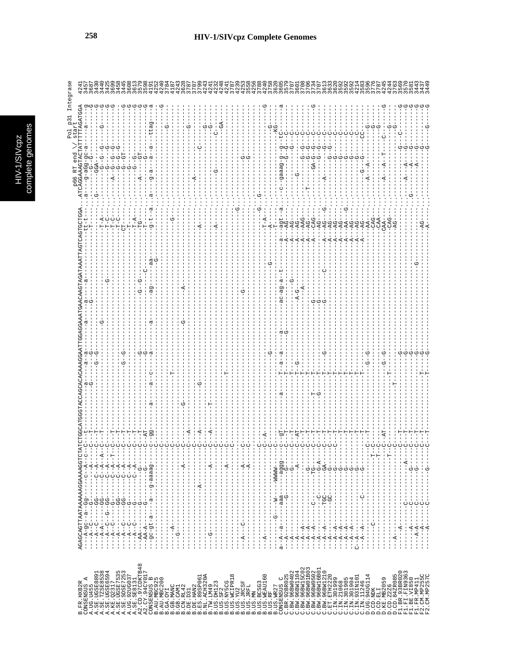| $-GA$<br>ひ<br>ᄞ<br>のひ<br>ひ<br><b>ひ ひ</b><br><b>ひ ひ</b><br>てり<br>てり<br>ζŋ<br>פ<br>פ<br>↻<br>မှမှမှ<br>φä<br>ひ<br>υ<br>ひひひひ<br>ത<br>פי<br>τŋ<br>ற்ற<br>פ<br><b>v</b> v<br>ט<br>てり<br>τŋ<br>gaaag<br>$-GA$<br>К<br>GGA<br>Æ<br><b>いいいいいい</b><br>U<br>Ó<br><b>J</b><br>C٦<br>ပု<br>К<br>ᡡ<br>К<br>ပု<br>U<br>$-T - A$<br>$-9 - t$<br>-agt<br>-AG-<br>۲P<br>T<br>ひ<br>ි<br>AG<br>ă<br>C<br>∡<br>멓<br>i C<br>Ğ.<br>부부<br>Ĥ<br>Ĥ<br>5<br>$\begin{array}{c}\n 1 \\  1 \\  -4 \\  1\n \end{array}$<br>$-4$<br>Ŗ<br>c<br>-ag-a<br>তা<br>$- A - G$<br>てり<br>൯<br>ひ<br>ひ<br>U<br>ひ<br>てり<br>ひ<br>℧<br>ത<br>C<br>ひ<br>7.<br>$\begin{small} \texttt{AGACGAGT} \texttt{MAMAAGAGT} \texttt{CTRA} \texttt{MAMAAGGAT} \texttt{CTRA} \ \texttt{A} \texttt{A} \texttt{CFT} \texttt{A} \texttt{A} \texttt{CFT} \ \texttt{A} \texttt{I} \texttt{CFT} \ \texttt{A} \texttt{I} \texttt{CFT} \ \texttt{A} \texttt{I} \texttt{CFT} \ \texttt{A} \texttt{I} \texttt{CFT} \ \texttt{A} \texttt{I} \texttt{CFT} \ \texttt{A} \texttt{I} \texttt{CFT} \ \texttt{A} \$<br>부<br>ī<br>⊢<br>Ī.<br>$\blacksquare$<br>I.<br>$- -A - -$<br>$\frac{1}{1}$<br>$\mathbf{I}$<br>$\mathbf{I}$<br>- 11<br>- 11<br>$\mathbf{I}$<br>$- A -$<br>$\mathbf{I}$<br>$\mathbf{I}$<br>$\mathbf{I}$<br>$\begin{array}{c} 1 \\ 0 \\ 0 \\ 1 \end{array}$<br>$\mathbf{I}$<br>$- -A$<br>$\mathbf{I}$<br>$\mathbf{I}$<br>л.<br>$\blacksquare$<br>п<br>$\mathbf{I}$<br>$\mathbf{I}$<br>ת<br>$-4$<br>Ť.<br>$\mathbf{L}$<br>$\mathsf I$<br>$\mathsf I$<br>1<br>$\pm$ $\pm$<br>$\mathsf I$<br>Ι.<br>$\overline{\phantom{a}}$<br>$\blacksquare$<br>$\mathbf{I}$<br>т<br>$\mathbf{I}$<br>$\frac{1}{\sqrt{2}}$<br>$-a$ ---g-aaaa<br>$\mathsf I$<br>$\,$ I<br>$\mathsf I$<br>$\overline{\phantom{a}}$<br>$\mathbf{I}$<br>I.<br>I<br>1<br>十十<br>$\mathbf{I}$<br>$\mathbf{I}$<br>$\blacksquare$<br>$\mathbf{I}$<br>÷<br>I.<br>$\mathbf{I}$<br>J.<br>$\blacksquare$<br>$\mathbf{I}$<br>т<br>J.<br>$\blacksquare$<br>$\mathbf{I}$<br>I<br>- 1<br>$\mathbf{1}$<br>$\frac{1}{4}$<br>-1<br>-1<br>$\mathbf{I}$<br>$\mathbf{I}$<br>- 1<br>-1<br>$\mathbf{I}$<br>п<br>- 1<br>$\mathbf{I}$<br>$\mathbf{I}$<br>$\mathbf{I}$<br>-1<br>$\mathbf{I}$<br>л.<br>- 1<br>п<br>п<br>$\mathbf{I}$<br>÷.<br>$\mathbf{1}$<br>$1 - 1$<br>$\mathbf I$<br>Ť.<br>$\mathbf{I}$<br>$\mathbf{I}$<br>$\mathsf I$<br>$\mathfrak l$<br>$\mathbf{I}$<br>T<br>J.<br>$\mathbf{I}$<br>1<br>т.<br>$\frac{1}{1}$<br>$\frac{1}{1}$<br>Ţ<br>ł<br>I<br>$\frac{1}{4}$<br>$\frac{1}{4}$<br>$\frac{1}{1}$<br>$-4 -$<br>$\frac{1}{1}$<br>$\mathbf{I}$<br>$\mathbf{I}$<br>$\blacksquare$<br>п.<br>л<br>п<br>п<br>т<br>п<br>т.<br>Ť.<br>$\mathsf I$<br>$\mathbb{L}$<br>$\mathsf I$<br>$\,$ I<br>1<br>$\mathbf I$<br>$\mathbf I$<br>$\mathbf{I}$<br>$\mathbf{I}$<br>-1<br>$\blacksquare$<br>$\mathbf{I}$<br>J,<br>п<br>п<br>п<br>л.<br>1<br>1<br>$\mathbf I$<br>$\begin{array}{cccccc} - & - & - & - \\ - & - & - & - \\ - & - & - & - \\ - & - & - & - \\ - & - & - & - \\ - & - & - & - \\ - & - & - & - \end{array}$<br>$\mathsf I$<br>$\frac{1}{2}$<br>$\overline{\phantom{a}}$<br>$- -N - -$<br>$\begin{array}{c} \hline \end{array}$<br>$\frac{1}{1}$<br>$\frac{1}{1}$<br>$\blacksquare$<br>$\mathbf{I}$<br>$\mathbf{I}$<br>$\mathbf{I}$<br>$\mathbf{I}$<br>I.<br>-1<br>$\mathbf{I}$<br>$\overline{1}$<br>T<br>ţ<br>$\frac{1}{1}$<br>j.<br>÷<br>Å<br>$\mathbf I$<br>Ţ<br>Ţ<br>$\mathbf{I}$<br>T<br>$\overline{\phantom{a}}$<br>$\overline{\phantom{a}}$<br>I<br>Ť<br>f,<br>$\mathbf{I}$<br>$\mathbf{I}$<br>-1<br>т.<br>$\mathbf{I}$<br>т<br>п<br>п<br>п<br>п<br>$\mathbf{I}$<br>-1<br>1<br>$\mathbf{I}$<br>$\mathbf{I}$<br>п<br>-1<br>ひ<br>Ü<br>Ť.<br>UUUUU<br>$\mathbf{I}$<br>$\mathbf{I}$<br>I.<br>$\mathbf{I}$<br>1<br>$\mathbf{I}$<br>$\mathbf{I}$<br>Ť<br>$\mathsf I$<br>Ŧ<br>J<br>Ť<br>J<br>1<br>$\frac{1}{1}$<br>$\mathbf{I}$<br>ŧ<br>-1<br>$\blacksquare$<br>$\begin{array}{c} \hline \end{array}$<br>J<br>J.<br>ŧ<br>$\overline{\phantom{a}}$<br>$\frac{1}{4}$<br>$\mathbf{I}$<br>$\blacksquare$<br>$\mathbf{I}$<br>$\blacksquare$<br>$\blacksquare$<br>$\blacksquare$<br>$\mathbf{I}$<br>$\mathbf{I}$<br>L.<br>J.<br>$\blacksquare$<br>1<br>1<br>$\mathbf{I}$<br>л.<br>л.<br>-11<br>- 1<br>п<br>п.<br>-1<br>J,<br>$\mathbf{I}$<br>J.<br>п<br>л.<br>т<br>$\mathbf{I}$<br>п.<br>п<br>п<br>J.<br>л.<br>- 11<br>$\blacksquare$<br>-1<br>л<br>п<br>п<br>$1 - 1 - 1$<br>Ť.<br>Ť.<br>j.<br>$\frac{1}{2}$<br>Ť.<br><b>LQ</b><br>$\mathbb{L}$<br>$\mathbf{I}$<br>$\mathsf I$<br>$\mathbf{I}$<br>$\mathbf{I}$<br>$\mathbf I$<br>1<br>$\blacksquare$<br>$\mathbf{I}$<br>$\mathbf{I}$<br>T<br>T<br>$\mathbf{I}$<br>$\mathbf{L}$<br>$\overline{\phantom{a}}$<br>J.<br>п<br>-<br>п<br>J.<br>$\mathsf I$<br>$\mathbb{I}$<br>$----1$<br>$\blacksquare$<br>$\overline{\phantom{a}}$<br>$\,$ I<br>$\mathsf I$<br>$\frac{1}{1}$<br>$\mathsf I$<br>$\begin{smallmatrix} \begin{matrix} 1 & 0 & 0 & 0 & 0 \\ 0 & 1 & 0 & 0 & 0 \\ 0 & 0 & 0 & 0 & 0 \\ 0 & 0 & 0 & 0 & 0 \\ 0 & 0 & 0 & 0 & 0 \\ 0 & 0 & 0 & 0 & 0 \\ 0 & 0 & 0 & 0 & 0 \\ 0 & 0 & 0 & 0 & 0 \\ 0 & 0 & 0 & 0 & 0 \\ 0 & 0 & 0 & 0 & 0 \\ 0 & 0 & 0 & 0 & 0 \\ 0 & 0 & 0 & 0 & 0 \\ 0 & 0 & 0 & 0 & 0 \\ 0 & 0 & 0 & 0 & 0$<br>$\mathsf I$<br>$\overline{1}$<br>$- - A - -$<br>I.<br>Т<br>$- - - - - - - -$<br>$\frac{1}{2}$<br>$\blacksquare$<br>I<br>I.<br>T<br>$\begin{array}{c} \hline \end{array}$<br>$\mathbf{I}$<br>$\mathbf{I}$<br>I<br>т<br>J,<br>1<br>Ţ<br>$\mathbf{I}$<br>$\blacksquare$<br>J.<br>1<br>1<br>$\blacksquare$<br>п<br>п |  |  |   |  | $\mathbf{1}$<br>Ħ | $\mathbf{I}$<br>-1<br>$\blacksquare$<br>п.<br>$\mathbf{I}$<br>- 1<br>п. |                     |
|-----------------------------------------------------------------------------------------------------------------------------------------------------------------------------------------------------------------------------------------------------------------------------------------------------------------------------------------------------------------------------------------------------------------------------------------------------------------------------------------------------------------------------------------------------------------------------------------------------------------------------------------------------------------------------------------------------------------------------------------------------------------------------------------------------------------------------------------------------------------------------------------------------------------------------------------------------------------------------------------------------------------------------------------------------------------------------------------------------------------------------------------------------------------------------------------------------------------------------------------------------------------------------------------------------------------------------------------------------------------------------------------------------------------------------------------------------------------------------------------------------------------------------------------------------------------------------------------------------------------------------------------------------------------------------------------------------------------------------------------------------------------------------------------------------------------------------------------------------------------------------------------------------------------------------------------------------------------------------------------------------------------------------------------------------------------------------------------------------------------------------------------------------------------------------------------------------------------------------------------------------------------------------------------------------------------------------------------------------------------------------------------------------------------------------------------------------------------------------------------------------------------------------------------------------------------------------------------------------------------------------------------------------------------------------------------------------------------------------------------------------------------------------------------------------------------------------------------------------------------------------------------------------------------------------------------------------------------------------------------------------------------------------------------------------------------------------------------------------------------------------------------------------------------------------------------------------------------------------------------------------------------------------------------------------------------------------------------------------------------------------------------------------------------------------------------------------------------------------------------------------------------------------------------------------------------------------------------------------------------------------------------------------------------------------------------------------------------------------------------------------------------------------------------------------------------------------------------------------------------------------------------------------------------------------------------------------------------------------------------------------------------------------------------------------------------------------------------------------------------------------------------------------------------------------------------------------------------------------------------------------------------------------------------------------------------------------------------------------------------------------------------------------------------------------------------------------------------------------------------------------------------------------------------------------------------------------------------------------------------------------------------------------------------------------------------------------------------------------------------------------------------------------------------------------------------------------------------------------------------------------------------------------------------------------------------------------------------------------------------------------------------------------------------------------------------------------------------------------------------------------------------------------------------------------------------------------------------------------------------------------------------------------------------------------------------------------------------------------------------------------------------------------------------------------------------------------------------------------------------|--|--|---|--|-------------------|-------------------------------------------------------------------------|---------------------|
|                                                                                                                                                                                                                                                                                                                                                                                                                                                                                                                                                                                                                                                                                                                                                                                                                                                                                                                                                                                                                                                                                                                                                                                                                                                                                                                                                                                                                                                                                                                                                                                                                                                                                                                                                                                                                                                                                                                                                                                                                                                                                                                                                                                                                                                                                                                                                                                                                                                                                                                                                                                                                                                                                                                                                                                                                                                                                                                                                                                                                                                                                                                                                                                                                                                                                                                                                                                                                                                                                                                                                                                                                                                                                                                                                                                                                                                                                                                                                                                                                                                                                                                                                                                                                                                                                                                                                                                                                                                                                                                                                                                                                                                                                                                                                                                                                                                                                                                                                                                                                                                                                                                                                                                                                                                                                                                                                                                                                                                                                         |  |  |   |  |                   |                                                                         |                     |
|                                                                                                                                                                                                                                                                                                                                                                                                                                                                                                                                                                                                                                                                                                                                                                                                                                                                                                                                                                                                                                                                                                                                                                                                                                                                                                                                                                                                                                                                                                                                                                                                                                                                                                                                                                                                                                                                                                                                                                                                                                                                                                                                                                                                                                                                                                                                                                                                                                                                                                                                                                                                                                                                                                                                                                                                                                                                                                                                                                                                                                                                                                                                                                                                                                                                                                                                                                                                                                                                                                                                                                                                                                                                                                                                                                                                                                                                                                                                                                                                                                                                                                                                                                                                                                                                                                                                                                                                                                                                                                                                                                                                                                                                                                                                                                                                                                                                                                                                                                                                                                                                                                                                                                                                                                                                                                                                                                                                                                                                                         |  |  |   |  |                   |                                                                         |                     |
|                                                                                                                                                                                                                                                                                                                                                                                                                                                                                                                                                                                                                                                                                                                                                                                                                                                                                                                                                                                                                                                                                                                                                                                                                                                                                                                                                                                                                                                                                                                                                                                                                                                                                                                                                                                                                                                                                                                                                                                                                                                                                                                                                                                                                                                                                                                                                                                                                                                                                                                                                                                                                                                                                                                                                                                                                                                                                                                                                                                                                                                                                                                                                                                                                                                                                                                                                                                                                                                                                                                                                                                                                                                                                                                                                                                                                                                                                                                                                                                                                                                                                                                                                                                                                                                                                                                                                                                                                                                                                                                                                                                                                                                                                                                                                                                                                                                                                                                                                                                                                                                                                                                                                                                                                                                                                                                                                                                                                                                                                         |  |  |   |  |                   |                                                                         |                     |
|                                                                                                                                                                                                                                                                                                                                                                                                                                                                                                                                                                                                                                                                                                                                                                                                                                                                                                                                                                                                                                                                                                                                                                                                                                                                                                                                                                                                                                                                                                                                                                                                                                                                                                                                                                                                                                                                                                                                                                                                                                                                                                                                                                                                                                                                                                                                                                                                                                                                                                                                                                                                                                                                                                                                                                                                                                                                                                                                                                                                                                                                                                                                                                                                                                                                                                                                                                                                                                                                                                                                                                                                                                                                                                                                                                                                                                                                                                                                                                                                                                                                                                                                                                                                                                                                                                                                                                                                                                                                                                                                                                                                                                                                                                                                                                                                                                                                                                                                                                                                                                                                                                                                                                                                                                                                                                                                                                                                                                                                                         |  |  |   |  |                   |                                                                         |                     |
|                                                                                                                                                                                                                                                                                                                                                                                                                                                                                                                                                                                                                                                                                                                                                                                                                                                                                                                                                                                                                                                                                                                                                                                                                                                                                                                                                                                                                                                                                                                                                                                                                                                                                                                                                                                                                                                                                                                                                                                                                                                                                                                                                                                                                                                                                                                                                                                                                                                                                                                                                                                                                                                                                                                                                                                                                                                                                                                                                                                                                                                                                                                                                                                                                                                                                                                                                                                                                                                                                                                                                                                                                                                                                                                                                                                                                                                                                                                                                                                                                                                                                                                                                                                                                                                                                                                                                                                                                                                                                                                                                                                                                                                                                                                                                                                                                                                                                                                                                                                                                                                                                                                                                                                                                                                                                                                                                                                                                                                                                         |  |  |   |  |                   |                                                                         |                     |
|                                                                                                                                                                                                                                                                                                                                                                                                                                                                                                                                                                                                                                                                                                                                                                                                                                                                                                                                                                                                                                                                                                                                                                                                                                                                                                                                                                                                                                                                                                                                                                                                                                                                                                                                                                                                                                                                                                                                                                                                                                                                                                                                                                                                                                                                                                                                                                                                                                                                                                                                                                                                                                                                                                                                                                                                                                                                                                                                                                                                                                                                                                                                                                                                                                                                                                                                                                                                                                                                                                                                                                                                                                                                                                                                                                                                                                                                                                                                                                                                                                                                                                                                                                                                                                                                                                                                                                                                                                                                                                                                                                                                                                                                                                                                                                                                                                                                                                                                                                                                                                                                                                                                                                                                                                                                                                                                                                                                                                                                                         |  |  |   |  |                   |                                                                         |                     |
|                                                                                                                                                                                                                                                                                                                                                                                                                                                                                                                                                                                                                                                                                                                                                                                                                                                                                                                                                                                                                                                                                                                                                                                                                                                                                                                                                                                                                                                                                                                                                                                                                                                                                                                                                                                                                                                                                                                                                                                                                                                                                                                                                                                                                                                                                                                                                                                                                                                                                                                                                                                                                                                                                                                                                                                                                                                                                                                                                                                                                                                                                                                                                                                                                                                                                                                                                                                                                                                                                                                                                                                                                                                                                                                                                                                                                                                                                                                                                                                                                                                                                                                                                                                                                                                                                                                                                                                                                                                                                                                                                                                                                                                                                                                                                                                                                                                                                                                                                                                                                                                                                                                                                                                                                                                                                                                                                                                                                                                                                         |  |  |   |  |                   |                                                                         |                     |
|                                                                                                                                                                                                                                                                                                                                                                                                                                                                                                                                                                                                                                                                                                                                                                                                                                                                                                                                                                                                                                                                                                                                                                                                                                                                                                                                                                                                                                                                                                                                                                                                                                                                                                                                                                                                                                                                                                                                                                                                                                                                                                                                                                                                                                                                                                                                                                                                                                                                                                                                                                                                                                                                                                                                                                                                                                                                                                                                                                                                                                                                                                                                                                                                                                                                                                                                                                                                                                                                                                                                                                                                                                                                                                                                                                                                                                                                                                                                                                                                                                                                                                                                                                                                                                                                                                                                                                                                                                                                                                                                                                                                                                                                                                                                                                                                                                                                                                                                                                                                                                                                                                                                                                                                                                                                                                                                                                                                                                                                                         |  |  |   |  |                   |                                                                         |                     |
|                                                                                                                                                                                                                                                                                                                                                                                                                                                                                                                                                                                                                                                                                                                                                                                                                                                                                                                                                                                                                                                                                                                                                                                                                                                                                                                                                                                                                                                                                                                                                                                                                                                                                                                                                                                                                                                                                                                                                                                                                                                                                                                                                                                                                                                                                                                                                                                                                                                                                                                                                                                                                                                                                                                                                                                                                                                                                                                                                                                                                                                                                                                                                                                                                                                                                                                                                                                                                                                                                                                                                                                                                                                                                                                                                                                                                                                                                                                                                                                                                                                                                                                                                                                                                                                                                                                                                                                                                                                                                                                                                                                                                                                                                                                                                                                                                                                                                                                                                                                                                                                                                                                                                                                                                                                                                                                                                                                                                                                                                         |  |  |   |  |                   |                                                                         |                     |
|                                                                                                                                                                                                                                                                                                                                                                                                                                                                                                                                                                                                                                                                                                                                                                                                                                                                                                                                                                                                                                                                                                                                                                                                                                                                                                                                                                                                                                                                                                                                                                                                                                                                                                                                                                                                                                                                                                                                                                                                                                                                                                                                                                                                                                                                                                                                                                                                                                                                                                                                                                                                                                                                                                                                                                                                                                                                                                                                                                                                                                                                                                                                                                                                                                                                                                                                                                                                                                                                                                                                                                                                                                                                                                                                                                                                                                                                                                                                                                                                                                                                                                                                                                                                                                                                                                                                                                                                                                                                                                                                                                                                                                                                                                                                                                                                                                                                                                                                                                                                                                                                                                                                                                                                                                                                                                                                                                                                                                                                                         |  |  |   |  |                   |                                                                         |                     |
|                                                                                                                                                                                                                                                                                                                                                                                                                                                                                                                                                                                                                                                                                                                                                                                                                                                                                                                                                                                                                                                                                                                                                                                                                                                                                                                                                                                                                                                                                                                                                                                                                                                                                                                                                                                                                                                                                                                                                                                                                                                                                                                                                                                                                                                                                                                                                                                                                                                                                                                                                                                                                                                                                                                                                                                                                                                                                                                                                                                                                                                                                                                                                                                                                                                                                                                                                                                                                                                                                                                                                                                                                                                                                                                                                                                                                                                                                                                                                                                                                                                                                                                                                                                                                                                                                                                                                                                                                                                                                                                                                                                                                                                                                                                                                                                                                                                                                                                                                                                                                                                                                                                                                                                                                                                                                                                                                                                                                                                                                         |  |  |   |  |                   |                                                                         |                     |
|                                                                                                                                                                                                                                                                                                                                                                                                                                                                                                                                                                                                                                                                                                                                                                                                                                                                                                                                                                                                                                                                                                                                                                                                                                                                                                                                                                                                                                                                                                                                                                                                                                                                                                                                                                                                                                                                                                                                                                                                                                                                                                                                                                                                                                                                                                                                                                                                                                                                                                                                                                                                                                                                                                                                                                                                                                                                                                                                                                                                                                                                                                                                                                                                                                                                                                                                                                                                                                                                                                                                                                                                                                                                                                                                                                                                                                                                                                                                                                                                                                                                                                                                                                                                                                                                                                                                                                                                                                                                                                                                                                                                                                                                                                                                                                                                                                                                                                                                                                                                                                                                                                                                                                                                                                                                                                                                                                                                                                                                                         |  |  |   |  |                   |                                                                         |                     |
|                                                                                                                                                                                                                                                                                                                                                                                                                                                                                                                                                                                                                                                                                                                                                                                                                                                                                                                                                                                                                                                                                                                                                                                                                                                                                                                                                                                                                                                                                                                                                                                                                                                                                                                                                                                                                                                                                                                                                                                                                                                                                                                                                                                                                                                                                                                                                                                                                                                                                                                                                                                                                                                                                                                                                                                                                                                                                                                                                                                                                                                                                                                                                                                                                                                                                                                                                                                                                                                                                                                                                                                                                                                                                                                                                                                                                                                                                                                                                                                                                                                                                                                                                                                                                                                                                                                                                                                                                                                                                                                                                                                                                                                                                                                                                                                                                                                                                                                                                                                                                                                                                                                                                                                                                                                                                                                                                                                                                                                                                         |  |  |   |  |                   |                                                                         |                     |
|                                                                                                                                                                                                                                                                                                                                                                                                                                                                                                                                                                                                                                                                                                                                                                                                                                                                                                                                                                                                                                                                                                                                                                                                                                                                                                                                                                                                                                                                                                                                                                                                                                                                                                                                                                                                                                                                                                                                                                                                                                                                                                                                                                                                                                                                                                                                                                                                                                                                                                                                                                                                                                                                                                                                                                                                                                                                                                                                                                                                                                                                                                                                                                                                                                                                                                                                                                                                                                                                                                                                                                                                                                                                                                                                                                                                                                                                                                                                                                                                                                                                                                                                                                                                                                                                                                                                                                                                                                                                                                                                                                                                                                                                                                                                                                                                                                                                                                                                                                                                                                                                                                                                                                                                                                                                                                                                                                                                                                                                                         |  |  |   |  |                   |                                                                         |                     |
|                                                                                                                                                                                                                                                                                                                                                                                                                                                                                                                                                                                                                                                                                                                                                                                                                                                                                                                                                                                                                                                                                                                                                                                                                                                                                                                                                                                                                                                                                                                                                                                                                                                                                                                                                                                                                                                                                                                                                                                                                                                                                                                                                                                                                                                                                                                                                                                                                                                                                                                                                                                                                                                                                                                                                                                                                                                                                                                                                                                                                                                                                                                                                                                                                                                                                                                                                                                                                                                                                                                                                                                                                                                                                                                                                                                                                                                                                                                                                                                                                                                                                                                                                                                                                                                                                                                                                                                                                                                                                                                                                                                                                                                                                                                                                                                                                                                                                                                                                                                                                                                                                                                                                                                                                                                                                                                                                                                                                                                                                         |  |  |   |  |                   |                                                                         |                     |
|                                                                                                                                                                                                                                                                                                                                                                                                                                                                                                                                                                                                                                                                                                                                                                                                                                                                                                                                                                                                                                                                                                                                                                                                                                                                                                                                                                                                                                                                                                                                                                                                                                                                                                                                                                                                                                                                                                                                                                                                                                                                                                                                                                                                                                                                                                                                                                                                                                                                                                                                                                                                                                                                                                                                                                                                                                                                                                                                                                                                                                                                                                                                                                                                                                                                                                                                                                                                                                                                                                                                                                                                                                                                                                                                                                                                                                                                                                                                                                                                                                                                                                                                                                                                                                                                                                                                                                                                                                                                                                                                                                                                                                                                                                                                                                                                                                                                                                                                                                                                                                                                                                                                                                                                                                                                                                                                                                                                                                                                                         |  |  |   |  |                   |                                                                         |                     |
|                                                                                                                                                                                                                                                                                                                                                                                                                                                                                                                                                                                                                                                                                                                                                                                                                                                                                                                                                                                                                                                                                                                                                                                                                                                                                                                                                                                                                                                                                                                                                                                                                                                                                                                                                                                                                                                                                                                                                                                                                                                                                                                                                                                                                                                                                                                                                                                                                                                                                                                                                                                                                                                                                                                                                                                                                                                                                                                                                                                                                                                                                                                                                                                                                                                                                                                                                                                                                                                                                                                                                                                                                                                                                                                                                                                                                                                                                                                                                                                                                                                                                                                                                                                                                                                                                                                                                                                                                                                                                                                                                                                                                                                                                                                                                                                                                                                                                                                                                                                                                                                                                                                                                                                                                                                                                                                                                                                                                                                                                         |  |  |   |  |                   |                                                                         |                     |
|                                                                                                                                                                                                                                                                                                                                                                                                                                                                                                                                                                                                                                                                                                                                                                                                                                                                                                                                                                                                                                                                                                                                                                                                                                                                                                                                                                                                                                                                                                                                                                                                                                                                                                                                                                                                                                                                                                                                                                                                                                                                                                                                                                                                                                                                                                                                                                                                                                                                                                                                                                                                                                                                                                                                                                                                                                                                                                                                                                                                                                                                                                                                                                                                                                                                                                                                                                                                                                                                                                                                                                                                                                                                                                                                                                                                                                                                                                                                                                                                                                                                                                                                                                                                                                                                                                                                                                                                                                                                                                                                                                                                                                                                                                                                                                                                                                                                                                                                                                                                                                                                                                                                                                                                                                                                                                                                                                                                                                                                                         |  |  |   |  |                   |                                                                         |                     |
|                                                                                                                                                                                                                                                                                                                                                                                                                                                                                                                                                                                                                                                                                                                                                                                                                                                                                                                                                                                                                                                                                                                                                                                                                                                                                                                                                                                                                                                                                                                                                                                                                                                                                                                                                                                                                                                                                                                                                                                                                                                                                                                                                                                                                                                                                                                                                                                                                                                                                                                                                                                                                                                                                                                                                                                                                                                                                                                                                                                                                                                                                                                                                                                                                                                                                                                                                                                                                                                                                                                                                                                                                                                                                                                                                                                                                                                                                                                                                                                                                                                                                                                                                                                                                                                                                                                                                                                                                                                                                                                                                                                                                                                                                                                                                                                                                                                                                                                                                                                                                                                                                                                                                                                                                                                                                                                                                                                                                                                                                         |  |  |   |  |                   |                                                                         |                     |
|                                                                                                                                                                                                                                                                                                                                                                                                                                                                                                                                                                                                                                                                                                                                                                                                                                                                                                                                                                                                                                                                                                                                                                                                                                                                                                                                                                                                                                                                                                                                                                                                                                                                                                                                                                                                                                                                                                                                                                                                                                                                                                                                                                                                                                                                                                                                                                                                                                                                                                                                                                                                                                                                                                                                                                                                                                                                                                                                                                                                                                                                                                                                                                                                                                                                                                                                                                                                                                                                                                                                                                                                                                                                                                                                                                                                                                                                                                                                                                                                                                                                                                                                                                                                                                                                                                                                                                                                                                                                                                                                                                                                                                                                                                                                                                                                                                                                                                                                                                                                                                                                                                                                                                                                                                                                                                                                                                                                                                                                                         |  |  |   |  |                   |                                                                         |                     |
|                                                                                                                                                                                                                                                                                                                                                                                                                                                                                                                                                                                                                                                                                                                                                                                                                                                                                                                                                                                                                                                                                                                                                                                                                                                                                                                                                                                                                                                                                                                                                                                                                                                                                                                                                                                                                                                                                                                                                                                                                                                                                                                                                                                                                                                                                                                                                                                                                                                                                                                                                                                                                                                                                                                                                                                                                                                                                                                                                                                                                                                                                                                                                                                                                                                                                                                                                                                                                                                                                                                                                                                                                                                                                                                                                                                                                                                                                                                                                                                                                                                                                                                                                                                                                                                                                                                                                                                                                                                                                                                                                                                                                                                                                                                                                                                                                                                                                                                                                                                                                                                                                                                                                                                                                                                                                                                                                                                                                                                                                         |  |  |   |  |                   |                                                                         |                     |
|                                                                                                                                                                                                                                                                                                                                                                                                                                                                                                                                                                                                                                                                                                                                                                                                                                                                                                                                                                                                                                                                                                                                                                                                                                                                                                                                                                                                                                                                                                                                                                                                                                                                                                                                                                                                                                                                                                                                                                                                                                                                                                                                                                                                                                                                                                                                                                                                                                                                                                                                                                                                                                                                                                                                                                                                                                                                                                                                                                                                                                                                                                                                                                                                                                                                                                                                                                                                                                                                                                                                                                                                                                                                                                                                                                                                                                                                                                                                                                                                                                                                                                                                                                                                                                                                                                                                                                                                                                                                                                                                                                                                                                                                                                                                                                                                                                                                                                                                                                                                                                                                                                                                                                                                                                                                                                                                                                                                                                                                                         |  |  |   |  |                   |                                                                         |                     |
|                                                                                                                                                                                                                                                                                                                                                                                                                                                                                                                                                                                                                                                                                                                                                                                                                                                                                                                                                                                                                                                                                                                                                                                                                                                                                                                                                                                                                                                                                                                                                                                                                                                                                                                                                                                                                                                                                                                                                                                                                                                                                                                                                                                                                                                                                                                                                                                                                                                                                                                                                                                                                                                                                                                                                                                                                                                                                                                                                                                                                                                                                                                                                                                                                                                                                                                                                                                                                                                                                                                                                                                                                                                                                                                                                                                                                                                                                                                                                                                                                                                                                                                                                                                                                                                                                                                                                                                                                                                                                                                                                                                                                                                                                                                                                                                                                                                                                                                                                                                                                                                                                                                                                                                                                                                                                                                                                                                                                                                                                         |  |  |   |  |                   |                                                                         |                     |
|                                                                                                                                                                                                                                                                                                                                                                                                                                                                                                                                                                                                                                                                                                                                                                                                                                                                                                                                                                                                                                                                                                                                                                                                                                                                                                                                                                                                                                                                                                                                                                                                                                                                                                                                                                                                                                                                                                                                                                                                                                                                                                                                                                                                                                                                                                                                                                                                                                                                                                                                                                                                                                                                                                                                                                                                                                                                                                                                                                                                                                                                                                                                                                                                                                                                                                                                                                                                                                                                                                                                                                                                                                                                                                                                                                                                                                                                                                                                                                                                                                                                                                                                                                                                                                                                                                                                                                                                                                                                                                                                                                                                                                                                                                                                                                                                                                                                                                                                                                                                                                                                                                                                                                                                                                                                                                                                                                                                                                                                                         |  |  |   |  |                   |                                                                         | $\frac{a}{1}$       |
|                                                                                                                                                                                                                                                                                                                                                                                                                                                                                                                                                                                                                                                                                                                                                                                                                                                                                                                                                                                                                                                                                                                                                                                                                                                                                                                                                                                                                                                                                                                                                                                                                                                                                                                                                                                                                                                                                                                                                                                                                                                                                                                                                                                                                                                                                                                                                                                                                                                                                                                                                                                                                                                                                                                                                                                                                                                                                                                                                                                                                                                                                                                                                                                                                                                                                                                                                                                                                                                                                                                                                                                                                                                                                                                                                                                                                                                                                                                                                                                                                                                                                                                                                                                                                                                                                                                                                                                                                                                                                                                                                                                                                                                                                                                                                                                                                                                                                                                                                                                                                                                                                                                                                                                                                                                                                                                                                                                                                                                                                         |  |  |   |  |                   |                                                                         |                     |
|                                                                                                                                                                                                                                                                                                                                                                                                                                                                                                                                                                                                                                                                                                                                                                                                                                                                                                                                                                                                                                                                                                                                                                                                                                                                                                                                                                                                                                                                                                                                                                                                                                                                                                                                                                                                                                                                                                                                                                                                                                                                                                                                                                                                                                                                                                                                                                                                                                                                                                                                                                                                                                                                                                                                                                                                                                                                                                                                                                                                                                                                                                                                                                                                                                                                                                                                                                                                                                                                                                                                                                                                                                                                                                                                                                                                                                                                                                                                                                                                                                                                                                                                                                                                                                                                                                                                                                                                                                                                                                                                                                                                                                                                                                                                                                                                                                                                                                                                                                                                                                                                                                                                                                                                                                                                                                                                                                                                                                                                                         |  |  |   |  |                   |                                                                         |                     |
|                                                                                                                                                                                                                                                                                                                                                                                                                                                                                                                                                                                                                                                                                                                                                                                                                                                                                                                                                                                                                                                                                                                                                                                                                                                                                                                                                                                                                                                                                                                                                                                                                                                                                                                                                                                                                                                                                                                                                                                                                                                                                                                                                                                                                                                                                                                                                                                                                                                                                                                                                                                                                                                                                                                                                                                                                                                                                                                                                                                                                                                                                                                                                                                                                                                                                                                                                                                                                                                                                                                                                                                                                                                                                                                                                                                                                                                                                                                                                                                                                                                                                                                                                                                                                                                                                                                                                                                                                                                                                                                                                                                                                                                                                                                                                                                                                                                                                                                                                                                                                                                                                                                                                                                                                                                                                                                                                                                                                                                                                         |  |  |   |  |                   |                                                                         |                     |
|                                                                                                                                                                                                                                                                                                                                                                                                                                                                                                                                                                                                                                                                                                                                                                                                                                                                                                                                                                                                                                                                                                                                                                                                                                                                                                                                                                                                                                                                                                                                                                                                                                                                                                                                                                                                                                                                                                                                                                                                                                                                                                                                                                                                                                                                                                                                                                                                                                                                                                                                                                                                                                                                                                                                                                                                                                                                                                                                                                                                                                                                                                                                                                                                                                                                                                                                                                                                                                                                                                                                                                                                                                                                                                                                                                                                                                                                                                                                                                                                                                                                                                                                                                                                                                                                                                                                                                                                                                                                                                                                                                                                                                                                                                                                                                                                                                                                                                                                                                                                                                                                                                                                                                                                                                                                                                                                                                                                                                                                                         |  |  |   |  |                   |                                                                         |                     |
|                                                                                                                                                                                                                                                                                                                                                                                                                                                                                                                                                                                                                                                                                                                                                                                                                                                                                                                                                                                                                                                                                                                                                                                                                                                                                                                                                                                                                                                                                                                                                                                                                                                                                                                                                                                                                                                                                                                                                                                                                                                                                                                                                                                                                                                                                                                                                                                                                                                                                                                                                                                                                                                                                                                                                                                                                                                                                                                                                                                                                                                                                                                                                                                                                                                                                                                                                                                                                                                                                                                                                                                                                                                                                                                                                                                                                                                                                                                                                                                                                                                                                                                                                                                                                                                                                                                                                                                                                                                                                                                                                                                                                                                                                                                                                                                                                                                                                                                                                                                                                                                                                                                                                                                                                                                                                                                                                                                                                                                                                         |  |  |   |  |                   |                                                                         |                     |
|                                                                                                                                                                                                                                                                                                                                                                                                                                                                                                                                                                                                                                                                                                                                                                                                                                                                                                                                                                                                                                                                                                                                                                                                                                                                                                                                                                                                                                                                                                                                                                                                                                                                                                                                                                                                                                                                                                                                                                                                                                                                                                                                                                                                                                                                                                                                                                                                                                                                                                                                                                                                                                                                                                                                                                                                                                                                                                                                                                                                                                                                                                                                                                                                                                                                                                                                                                                                                                                                                                                                                                                                                                                                                                                                                                                                                                                                                                                                                                                                                                                                                                                                                                                                                                                                                                                                                                                                                                                                                                                                                                                                                                                                                                                                                                                                                                                                                                                                                                                                                                                                                                                                                                                                                                                                                                                                                                                                                                                                                         |  |  |   |  |                   |                                                                         |                     |
|                                                                                                                                                                                                                                                                                                                                                                                                                                                                                                                                                                                                                                                                                                                                                                                                                                                                                                                                                                                                                                                                                                                                                                                                                                                                                                                                                                                                                                                                                                                                                                                                                                                                                                                                                                                                                                                                                                                                                                                                                                                                                                                                                                                                                                                                                                                                                                                                                                                                                                                                                                                                                                                                                                                                                                                                                                                                                                                                                                                                                                                                                                                                                                                                                                                                                                                                                                                                                                                                                                                                                                                                                                                                                                                                                                                                                                                                                                                                                                                                                                                                                                                                                                                                                                                                                                                                                                                                                                                                                                                                                                                                                                                                                                                                                                                                                                                                                                                                                                                                                                                                                                                                                                                                                                                                                                                                                                                                                                                                                         |  |  |   |  |                   |                                                                         |                     |
|                                                                                                                                                                                                                                                                                                                                                                                                                                                                                                                                                                                                                                                                                                                                                                                                                                                                                                                                                                                                                                                                                                                                                                                                                                                                                                                                                                                                                                                                                                                                                                                                                                                                                                                                                                                                                                                                                                                                                                                                                                                                                                                                                                                                                                                                                                                                                                                                                                                                                                                                                                                                                                                                                                                                                                                                                                                                                                                                                                                                                                                                                                                                                                                                                                                                                                                                                                                                                                                                                                                                                                                                                                                                                                                                                                                                                                                                                                                                                                                                                                                                                                                                                                                                                                                                                                                                                                                                                                                                                                                                                                                                                                                                                                                                                                                                                                                                                                                                                                                                                                                                                                                                                                                                                                                                                                                                                                                                                                                                                         |  |  |   |  |                   |                                                                         |                     |
|                                                                                                                                                                                                                                                                                                                                                                                                                                                                                                                                                                                                                                                                                                                                                                                                                                                                                                                                                                                                                                                                                                                                                                                                                                                                                                                                                                                                                                                                                                                                                                                                                                                                                                                                                                                                                                                                                                                                                                                                                                                                                                                                                                                                                                                                                                                                                                                                                                                                                                                                                                                                                                                                                                                                                                                                                                                                                                                                                                                                                                                                                                                                                                                                                                                                                                                                                                                                                                                                                                                                                                                                                                                                                                                                                                                                                                                                                                                                                                                                                                                                                                                                                                                                                                                                                                                                                                                                                                                                                                                                                                                                                                                                                                                                                                                                                                                                                                                                                                                                                                                                                                                                                                                                                                                                                                                                                                                                                                                                                         |  |  |   |  |                   |                                                                         |                     |
|                                                                                                                                                                                                                                                                                                                                                                                                                                                                                                                                                                                                                                                                                                                                                                                                                                                                                                                                                                                                                                                                                                                                                                                                                                                                                                                                                                                                                                                                                                                                                                                                                                                                                                                                                                                                                                                                                                                                                                                                                                                                                                                                                                                                                                                                                                                                                                                                                                                                                                                                                                                                                                                                                                                                                                                                                                                                                                                                                                                                                                                                                                                                                                                                                                                                                                                                                                                                                                                                                                                                                                                                                                                                                                                                                                                                                                                                                                                                                                                                                                                                                                                                                                                                                                                                                                                                                                                                                                                                                                                                                                                                                                                                                                                                                                                                                                                                                                                                                                                                                                                                                                                                                                                                                                                                                                                                                                                                                                                                                         |  |  |   |  |                   |                                                                         |                     |
|                                                                                                                                                                                                                                                                                                                                                                                                                                                                                                                                                                                                                                                                                                                                                                                                                                                                                                                                                                                                                                                                                                                                                                                                                                                                                                                                                                                                                                                                                                                                                                                                                                                                                                                                                                                                                                                                                                                                                                                                                                                                                                                                                                                                                                                                                                                                                                                                                                                                                                                                                                                                                                                                                                                                                                                                                                                                                                                                                                                                                                                                                                                                                                                                                                                                                                                                                                                                                                                                                                                                                                                                                                                                                                                                                                                                                                                                                                                                                                                                                                                                                                                                                                                                                                                                                                                                                                                                                                                                                                                                                                                                                                                                                                                                                                                                                                                                                                                                                                                                                                                                                                                                                                                                                                                                                                                                                                                                                                                                                         |  |  |   |  |                   |                                                                         |                     |
|                                                                                                                                                                                                                                                                                                                                                                                                                                                                                                                                                                                                                                                                                                                                                                                                                                                                                                                                                                                                                                                                                                                                                                                                                                                                                                                                                                                                                                                                                                                                                                                                                                                                                                                                                                                                                                                                                                                                                                                                                                                                                                                                                                                                                                                                                                                                                                                                                                                                                                                                                                                                                                                                                                                                                                                                                                                                                                                                                                                                                                                                                                                                                                                                                                                                                                                                                                                                                                                                                                                                                                                                                                                                                                                                                                                                                                                                                                                                                                                                                                                                                                                                                                                                                                                                                                                                                                                                                                                                                                                                                                                                                                                                                                                                                                                                                                                                                                                                                                                                                                                                                                                                                                                                                                                                                                                                                                                                                                                                                         |  |  |   |  |                   |                                                                         | $-5 - 7$            |
|                                                                                                                                                                                                                                                                                                                                                                                                                                                                                                                                                                                                                                                                                                                                                                                                                                                                                                                                                                                                                                                                                                                                                                                                                                                                                                                                                                                                                                                                                                                                                                                                                                                                                                                                                                                                                                                                                                                                                                                                                                                                                                                                                                                                                                                                                                                                                                                                                                                                                                                                                                                                                                                                                                                                                                                                                                                                                                                                                                                                                                                                                                                                                                                                                                                                                                                                                                                                                                                                                                                                                                                                                                                                                                                                                                                                                                                                                                                                                                                                                                                                                                                                                                                                                                                                                                                                                                                                                                                                                                                                                                                                                                                                                                                                                                                                                                                                                                                                                                                                                                                                                                                                                                                                                                                                                                                                                                                                                                                                                         |  |  |   |  |                   |                                                                         | п<br>1              |
|                                                                                                                                                                                                                                                                                                                                                                                                                                                                                                                                                                                                                                                                                                                                                                                                                                                                                                                                                                                                                                                                                                                                                                                                                                                                                                                                                                                                                                                                                                                                                                                                                                                                                                                                                                                                                                                                                                                                                                                                                                                                                                                                                                                                                                                                                                                                                                                                                                                                                                                                                                                                                                                                                                                                                                                                                                                                                                                                                                                                                                                                                                                                                                                                                                                                                                                                                                                                                                                                                                                                                                                                                                                                                                                                                                                                                                                                                                                                                                                                                                                                                                                                                                                                                                                                                                                                                                                                                                                                                                                                                                                                                                                                                                                                                                                                                                                                                                                                                                                                                                                                                                                                                                                                                                                                                                                                                                                                                                                                                         |  |  |   |  |                   |                                                                         |                     |
|                                                                                                                                                                                                                                                                                                                                                                                                                                                                                                                                                                                                                                                                                                                                                                                                                                                                                                                                                                                                                                                                                                                                                                                                                                                                                                                                                                                                                                                                                                                                                                                                                                                                                                                                                                                                                                                                                                                                                                                                                                                                                                                                                                                                                                                                                                                                                                                                                                                                                                                                                                                                                                                                                                                                                                                                                                                                                                                                                                                                                                                                                                                                                                                                                                                                                                                                                                                                                                                                                                                                                                                                                                                                                                                                                                                                                                                                                                                                                                                                                                                                                                                                                                                                                                                                                                                                                                                                                                                                                                                                                                                                                                                                                                                                                                                                                                                                                                                                                                                                                                                                                                                                                                                                                                                                                                                                                                                                                                                                                         |  |  |   |  |                   |                                                                         |                     |
|                                                                                                                                                                                                                                                                                                                                                                                                                                                                                                                                                                                                                                                                                                                                                                                                                                                                                                                                                                                                                                                                                                                                                                                                                                                                                                                                                                                                                                                                                                                                                                                                                                                                                                                                                                                                                                                                                                                                                                                                                                                                                                                                                                                                                                                                                                                                                                                                                                                                                                                                                                                                                                                                                                                                                                                                                                                                                                                                                                                                                                                                                                                                                                                                                                                                                                                                                                                                                                                                                                                                                                                                                                                                                                                                                                                                                                                                                                                                                                                                                                                                                                                                                                                                                                                                                                                                                                                                                                                                                                                                                                                                                                                                                                                                                                                                                                                                                                                                                                                                                                                                                                                                                                                                                                                                                                                                                                                                                                                                                         |  |  |   |  |                   |                                                                         |                     |
|                                                                                                                                                                                                                                                                                                                                                                                                                                                                                                                                                                                                                                                                                                                                                                                                                                                                                                                                                                                                                                                                                                                                                                                                                                                                                                                                                                                                                                                                                                                                                                                                                                                                                                                                                                                                                                                                                                                                                                                                                                                                                                                                                                                                                                                                                                                                                                                                                                                                                                                                                                                                                                                                                                                                                                                                                                                                                                                                                                                                                                                                                                                                                                                                                                                                                                                                                                                                                                                                                                                                                                                                                                                                                                                                                                                                                                                                                                                                                                                                                                                                                                                                                                                                                                                                                                                                                                                                                                                                                                                                                                                                                                                                                                                                                                                                                                                                                                                                                                                                                                                                                                                                                                                                                                                                                                                                                                                                                                                                                         |  |  |   |  |                   |                                                                         |                     |
|                                                                                                                                                                                                                                                                                                                                                                                                                                                                                                                                                                                                                                                                                                                                                                                                                                                                                                                                                                                                                                                                                                                                                                                                                                                                                                                                                                                                                                                                                                                                                                                                                                                                                                                                                                                                                                                                                                                                                                                                                                                                                                                                                                                                                                                                                                                                                                                                                                                                                                                                                                                                                                                                                                                                                                                                                                                                                                                                                                                                                                                                                                                                                                                                                                                                                                                                                                                                                                                                                                                                                                                                                                                                                                                                                                                                                                                                                                                                                                                                                                                                                                                                                                                                                                                                                                                                                                                                                                                                                                                                                                                                                                                                                                                                                                                                                                                                                                                                                                                                                                                                                                                                                                                                                                                                                                                                                                                                                                                                                         |  |  |   |  |                   |                                                                         |                     |
|                                                                                                                                                                                                                                                                                                                                                                                                                                                                                                                                                                                                                                                                                                                                                                                                                                                                                                                                                                                                                                                                                                                                                                                                                                                                                                                                                                                                                                                                                                                                                                                                                                                                                                                                                                                                                                                                                                                                                                                                                                                                                                                                                                                                                                                                                                                                                                                                                                                                                                                                                                                                                                                                                                                                                                                                                                                                                                                                                                                                                                                                                                                                                                                                                                                                                                                                                                                                                                                                                                                                                                                                                                                                                                                                                                                                                                                                                                                                                                                                                                                                                                                                                                                                                                                                                                                                                                                                                                                                                                                                                                                                                                                                                                                                                                                                                                                                                                                                                                                                                                                                                                                                                                                                                                                                                                                                                                                                                                                                                         |  |  |   |  |                   |                                                                         |                     |
|                                                                                                                                                                                                                                                                                                                                                                                                                                                                                                                                                                                                                                                                                                                                                                                                                                                                                                                                                                                                                                                                                                                                                                                                                                                                                                                                                                                                                                                                                                                                                                                                                                                                                                                                                                                                                                                                                                                                                                                                                                                                                                                                                                                                                                                                                                                                                                                                                                                                                                                                                                                                                                                                                                                                                                                                                                                                                                                                                                                                                                                                                                                                                                                                                                                                                                                                                                                                                                                                                                                                                                                                                                                                                                                                                                                                                                                                                                                                                                                                                                                                                                                                                                                                                                                                                                                                                                                                                                                                                                                                                                                                                                                                                                                                                                                                                                                                                                                                                                                                                                                                                                                                                                                                                                                                                                                                                                                                                                                                                         |  |  |   |  |                   |                                                                         | ÷<br>$\blacksquare$ |
|                                                                                                                                                                                                                                                                                                                                                                                                                                                                                                                                                                                                                                                                                                                                                                                                                                                                                                                                                                                                                                                                                                                                                                                                                                                                                                                                                                                                                                                                                                                                                                                                                                                                                                                                                                                                                                                                                                                                                                                                                                                                                                                                                                                                                                                                                                                                                                                                                                                                                                                                                                                                                                                                                                                                                                                                                                                                                                                                                                                                                                                                                                                                                                                                                                                                                                                                                                                                                                                                                                                                                                                                                                                                                                                                                                                                                                                                                                                                                                                                                                                                                                                                                                                                                                                                                                                                                                                                                                                                                                                                                                                                                                                                                                                                                                                                                                                                                                                                                                                                                                                                                                                                                                                                                                                                                                                                                                                                                                                                                         |  |  |   |  |                   |                                                                         | $\frac{1}{2}$       |
|                                                                                                                                                                                                                                                                                                                                                                                                                                                                                                                                                                                                                                                                                                                                                                                                                                                                                                                                                                                                                                                                                                                                                                                                                                                                                                                                                                                                                                                                                                                                                                                                                                                                                                                                                                                                                                                                                                                                                                                                                                                                                                                                                                                                                                                                                                                                                                                                                                                                                                                                                                                                                                                                                                                                                                                                                                                                                                                                                                                                                                                                                                                                                                                                                                                                                                                                                                                                                                                                                                                                                                                                                                                                                                                                                                                                                                                                                                                                                                                                                                                                                                                                                                                                                                                                                                                                                                                                                                                                                                                                                                                                                                                                                                                                                                                                                                                                                                                                                                                                                                                                                                                                                                                                                                                                                                                                                                                                                                                                                         |  |  |   |  |                   |                                                                         |                     |
|                                                                                                                                                                                                                                                                                                                                                                                                                                                                                                                                                                                                                                                                                                                                                                                                                                                                                                                                                                                                                                                                                                                                                                                                                                                                                                                                                                                                                                                                                                                                                                                                                                                                                                                                                                                                                                                                                                                                                                                                                                                                                                                                                                                                                                                                                                                                                                                                                                                                                                                                                                                                                                                                                                                                                                                                                                                                                                                                                                                                                                                                                                                                                                                                                                                                                                                                                                                                                                                                                                                                                                                                                                                                                                                                                                                                                                                                                                                                                                                                                                                                                                                                                                                                                                                                                                                                                                                                                                                                                                                                                                                                                                                                                                                                                                                                                                                                                                                                                                                                                                                                                                                                                                                                                                                                                                                                                                                                                                                                                         |  |  |   |  |                   |                                                                         |                     |
|                                                                                                                                                                                                                                                                                                                                                                                                                                                                                                                                                                                                                                                                                                                                                                                                                                                                                                                                                                                                                                                                                                                                                                                                                                                                                                                                                                                                                                                                                                                                                                                                                                                                                                                                                                                                                                                                                                                                                                                                                                                                                                                                                                                                                                                                                                                                                                                                                                                                                                                                                                                                                                                                                                                                                                                                                                                                                                                                                                                                                                                                                                                                                                                                                                                                                                                                                                                                                                                                                                                                                                                                                                                                                                                                                                                                                                                                                                                                                                                                                                                                                                                                                                                                                                                                                                                                                                                                                                                                                                                                                                                                                                                                                                                                                                                                                                                                                                                                                                                                                                                                                                                                                                                                                                                                                                                                                                                                                                                                                         |  |  |   |  |                   |                                                                         |                     |
|                                                                                                                                                                                                                                                                                                                                                                                                                                                                                                                                                                                                                                                                                                                                                                                                                                                                                                                                                                                                                                                                                                                                                                                                                                                                                                                                                                                                                                                                                                                                                                                                                                                                                                                                                                                                                                                                                                                                                                                                                                                                                                                                                                                                                                                                                                                                                                                                                                                                                                                                                                                                                                                                                                                                                                                                                                                                                                                                                                                                                                                                                                                                                                                                                                                                                                                                                                                                                                                                                                                                                                                                                                                                                                                                                                                                                                                                                                                                                                                                                                                                                                                                                                                                                                                                                                                                                                                                                                                                                                                                                                                                                                                                                                                                                                                                                                                                                                                                                                                                                                                                                                                                                                                                                                                                                                                                                                                                                                                                                         |  |  |   |  |                   |                                                                         |                     |
|                                                                                                                                                                                                                                                                                                                                                                                                                                                                                                                                                                                                                                                                                                                                                                                                                                                                                                                                                                                                                                                                                                                                                                                                                                                                                                                                                                                                                                                                                                                                                                                                                                                                                                                                                                                                                                                                                                                                                                                                                                                                                                                                                                                                                                                                                                                                                                                                                                                                                                                                                                                                                                                                                                                                                                                                                                                                                                                                                                                                                                                                                                                                                                                                                                                                                                                                                                                                                                                                                                                                                                                                                                                                                                                                                                                                                                                                                                                                                                                                                                                                                                                                                                                                                                                                                                                                                                                                                                                                                                                                                                                                                                                                                                                                                                                                                                                                                                                                                                                                                                                                                                                                                                                                                                                                                                                                                                                                                                                                                         |  |  |   |  |                   |                                                                         |                     |
|                                                                                                                                                                                                                                                                                                                                                                                                                                                                                                                                                                                                                                                                                                                                                                                                                                                                                                                                                                                                                                                                                                                                                                                                                                                                                                                                                                                                                                                                                                                                                                                                                                                                                                                                                                                                                                                                                                                                                                                                                                                                                                                                                                                                                                                                                                                                                                                                                                                                                                                                                                                                                                                                                                                                                                                                                                                                                                                                                                                                                                                                                                                                                                                                                                                                                                                                                                                                                                                                                                                                                                                                                                                                                                                                                                                                                                                                                                                                                                                                                                                                                                                                                                                                                                                                                                                                                                                                                                                                                                                                                                                                                                                                                                                                                                                                                                                                                                                                                                                                                                                                                                                                                                                                                                                                                                                                                                                                                                                                                         |  |  |   |  |                   |                                                                         |                     |
|                                                                                                                                                                                                                                                                                                                                                                                                                                                                                                                                                                                                                                                                                                                                                                                                                                                                                                                                                                                                                                                                                                                                                                                                                                                                                                                                                                                                                                                                                                                                                                                                                                                                                                                                                                                                                                                                                                                                                                                                                                                                                                                                                                                                                                                                                                                                                                                                                                                                                                                                                                                                                                                                                                                                                                                                                                                                                                                                                                                                                                                                                                                                                                                                                                                                                                                                                                                                                                                                                                                                                                                                                                                                                                                                                                                                                                                                                                                                                                                                                                                                                                                                                                                                                                                                                                                                                                                                                                                                                                                                                                                                                                                                                                                                                                                                                                                                                                                                                                                                                                                                                                                                                                                                                                                                                                                                                                                                                                                                                         |  |  |   |  |                   |                                                                         |                     |
|                                                                                                                                                                                                                                                                                                                                                                                                                                                                                                                                                                                                                                                                                                                                                                                                                                                                                                                                                                                                                                                                                                                                                                                                                                                                                                                                                                                                                                                                                                                                                                                                                                                                                                                                                                                                                                                                                                                                                                                                                                                                                                                                                                                                                                                                                                                                                                                                                                                                                                                                                                                                                                                                                                                                                                                                                                                                                                                                                                                                                                                                                                                                                                                                                                                                                                                                                                                                                                                                                                                                                                                                                                                                                                                                                                                                                                                                                                                                                                                                                                                                                                                                                                                                                                                                                                                                                                                                                                                                                                                                                                                                                                                                                                                                                                                                                                                                                                                                                                                                                                                                                                                                                                                                                                                                                                                                                                                                                                                                                         |  |  |   |  |                   |                                                                         |                     |
|                                                                                                                                                                                                                                                                                                                                                                                                                                                                                                                                                                                                                                                                                                                                                                                                                                                                                                                                                                                                                                                                                                                                                                                                                                                                                                                                                                                                                                                                                                                                                                                                                                                                                                                                                                                                                                                                                                                                                                                                                                                                                                                                                                                                                                                                                                                                                                                                                                                                                                                                                                                                                                                                                                                                                                                                                                                                                                                                                                                                                                                                                                                                                                                                                                                                                                                                                                                                                                                                                                                                                                                                                                                                                                                                                                                                                                                                                                                                                                                                                                                                                                                                                                                                                                                                                                                                                                                                                                                                                                                                                                                                                                                                                                                                                                                                                                                                                                                                                                                                                                                                                                                                                                                                                                                                                                                                                                                                                                                                                         |  |  |   |  |                   |                                                                         |                     |
|                                                                                                                                                                                                                                                                                                                                                                                                                                                                                                                                                                                                                                                                                                                                                                                                                                                                                                                                                                                                                                                                                                                                                                                                                                                                                                                                                                                                                                                                                                                                                                                                                                                                                                                                                                                                                                                                                                                                                                                                                                                                                                                                                                                                                                                                                                                                                                                                                                                                                                                                                                                                                                                                                                                                                                                                                                                                                                                                                                                                                                                                                                                                                                                                                                                                                                                                                                                                                                                                                                                                                                                                                                                                                                                                                                                                                                                                                                                                                                                                                                                                                                                                                                                                                                                                                                                                                                                                                                                                                                                                                                                                                                                                                                                                                                                                                                                                                                                                                                                                                                                                                                                                                                                                                                                                                                                                                                                                                                                                                         |  |  |   |  |                   |                                                                         |                     |
|                                                                                                                                                                                                                                                                                                                                                                                                                                                                                                                                                                                                                                                                                                                                                                                                                                                                                                                                                                                                                                                                                                                                                                                                                                                                                                                                                                                                                                                                                                                                                                                                                                                                                                                                                                                                                                                                                                                                                                                                                                                                                                                                                                                                                                                                                                                                                                                                                                                                                                                                                                                                                                                                                                                                                                                                                                                                                                                                                                                                                                                                                                                                                                                                                                                                                                                                                                                                                                                                                                                                                                                                                                                                                                                                                                                                                                                                                                                                                                                                                                                                                                                                                                                                                                                                                                                                                                                                                                                                                                                                                                                                                                                                                                                                                                                                                                                                                                                                                                                                                                                                                                                                                                                                                                                                                                                                                                                                                                                                                         |  |  |   |  |                   |                                                                         |                     |
|                                                                                                                                                                                                                                                                                                                                                                                                                                                                                                                                                                                                                                                                                                                                                                                                                                                                                                                                                                                                                                                                                                                                                                                                                                                                                                                                                                                                                                                                                                                                                                                                                                                                                                                                                                                                                                                                                                                                                                                                                                                                                                                                                                                                                                                                                                                                                                                                                                                                                                                                                                                                                                                                                                                                                                                                                                                                                                                                                                                                                                                                                                                                                                                                                                                                                                                                                                                                                                                                                                                                                                                                                                                                                                                                                                                                                                                                                                                                                                                                                                                                                                                                                                                                                                                                                                                                                                                                                                                                                                                                                                                                                                                                                                                                                                                                                                                                                                                                                                                                                                                                                                                                                                                                                                                                                                                                                                                                                                                                                         |  |  |   |  |                   |                                                                         |                     |
|                                                                                                                                                                                                                                                                                                                                                                                                                                                                                                                                                                                                                                                                                                                                                                                                                                                                                                                                                                                                                                                                                                                                                                                                                                                                                                                                                                                                                                                                                                                                                                                                                                                                                                                                                                                                                                                                                                                                                                                                                                                                                                                                                                                                                                                                                                                                                                                                                                                                                                                                                                                                                                                                                                                                                                                                                                                                                                                                                                                                                                                                                                                                                                                                                                                                                                                                                                                                                                                                                                                                                                                                                                                                                                                                                                                                                                                                                                                                                                                                                                                                                                                                                                                                                                                                                                                                                                                                                                                                                                                                                                                                                                                                                                                                                                                                                                                                                                                                                                                                                                                                                                                                                                                                                                                                                                                                                                                                                                                                                         |  |  |   |  |                   |                                                                         |                     |
|                                                                                                                                                                                                                                                                                                                                                                                                                                                                                                                                                                                                                                                                                                                                                                                                                                                                                                                                                                                                                                                                                                                                                                                                                                                                                                                                                                                                                                                                                                                                                                                                                                                                                                                                                                                                                                                                                                                                                                                                                                                                                                                                                                                                                                                                                                                                                                                                                                                                                                                                                                                                                                                                                                                                                                                                                                                                                                                                                                                                                                                                                                                                                                                                                                                                                                                                                                                                                                                                                                                                                                                                                                                                                                                                                                                                                                                                                                                                                                                                                                                                                                                                                                                                                                                                                                                                                                                                                                                                                                                                                                                                                                                                                                                                                                                                                                                                                                                                                                                                                                                                                                                                                                                                                                                                                                                                                                                                                                                                                         |  |  |   |  |                   |                                                                         |                     |
|                                                                                                                                                                                                                                                                                                                                                                                                                                                                                                                                                                                                                                                                                                                                                                                                                                                                                                                                                                                                                                                                                                                                                                                                                                                                                                                                                                                                                                                                                                                                                                                                                                                                                                                                                                                                                                                                                                                                                                                                                                                                                                                                                                                                                                                                                                                                                                                                                                                                                                                                                                                                                                                                                                                                                                                                                                                                                                                                                                                                                                                                                                                                                                                                                                                                                                                                                                                                                                                                                                                                                                                                                                                                                                                                                                                                                                                                                                                                                                                                                                                                                                                                                                                                                                                                                                                                                                                                                                                                                                                                                                                                                                                                                                                                                                                                                                                                                                                                                                                                                                                                                                                                                                                                                                                                                                                                                                                                                                                                                         |  |  |   |  |                   |                                                                         |                     |
|                                                                                                                                                                                                                                                                                                                                                                                                                                                                                                                                                                                                                                                                                                                                                                                                                                                                                                                                                                                                                                                                                                                                                                                                                                                                                                                                                                                                                                                                                                                                                                                                                                                                                                                                                                                                                                                                                                                                                                                                                                                                                                                                                                                                                                                                                                                                                                                                                                                                                                                                                                                                                                                                                                                                                                                                                                                                                                                                                                                                                                                                                                                                                                                                                                                                                                                                                                                                                                                                                                                                                                                                                                                                                                                                                                                                                                                                                                                                                                                                                                                                                                                                                                                                                                                                                                                                                                                                                                                                                                                                                                                                                                                                                                                                                                                                                                                                                                                                                                                                                                                                                                                                                                                                                                                                                                                                                                                                                                                                                         |  |  | œ |  |                   |                                                                         |                     |
|                                                                                                                                                                                                                                                                                                                                                                                                                                                                                                                                                                                                                                                                                                                                                                                                                                                                                                                                                                                                                                                                                                                                                                                                                                                                                                                                                                                                                                                                                                                                                                                                                                                                                                                                                                                                                                                                                                                                                                                                                                                                                                                                                                                                                                                                                                                                                                                                                                                                                                                                                                                                                                                                                                                                                                                                                                                                                                                                                                                                                                                                                                                                                                                                                                                                                                                                                                                                                                                                                                                                                                                                                                                                                                                                                                                                                                                                                                                                                                                                                                                                                                                                                                                                                                                                                                                                                                                                                                                                                                                                                                                                                                                                                                                                                                                                                                                                                                                                                                                                                                                                                                                                                                                                                                                                                                                                                                                                                                                                                         |  |  |   |  |                   |                                                                         |                     |
| GGAGGAAATGAACHAGTAAATAAATTA<br>ACCACCACACAAAGGAATT                                                                                                                                                                                                                                                                                                                                                                                                                                                                                                                                                                                                                                                                                                                                                                                                                                                                                                                                                                                                                                                                                                                                                                                                                                                                                                                                                                                                                                                                                                                                                                                                                                                                                                                                                                                                                                                                                                                                                                                                                                                                                                                                                                                                                                                                                                                                                                                                                                                                                                                                                                                                                                                                                                                                                                                                                                                                                                                                                                                                                                                                                                                                                                                                                                                                                                                                                                                                                                                                                                                                                                                                                                                                                                                                                                                                                                                                                                                                                                                                                                                                                                                                                                                                                                                                                                                                                                                                                                                                                                                                                                                                                                                                                                                                                                                                                                                                                                                                                                                                                                                                                                                                                                                                                                                                                                                                                                                                                                      |  |  |   |  |                   |                                                                         |                     |

 $\begin{smallmatrix} \texttt{R}, \texttt{IRBR} \\ \texttt{MSBRS} \\ \texttt{MSBRS} \\ \texttt{MSBRS} \\ \texttt{MSBRS} \\ \texttt{MSBRS} \\ \texttt{MSBRS} \\ \texttt{MSBRS} \\ \texttt{MSBRS} \\ \texttt{MSBRS} \\ \texttt{MSBRS} \\ \texttt{MSBRS} \\ \texttt{MSBRS} \\ \texttt{MSBRS} \\ \texttt{MSBRS} \\ \texttt{MSBRS} \\ \texttt{MSBRS} \\ \texttt{MSBRS} \\ \texttt{MSBRS} \\ \texttt{MSBRS} \\ \texttt{MSBRS} \\ \texttt{MSBRS} \\ \texttt{MSBRS} \\ \text$ 

Pol p31 Integrase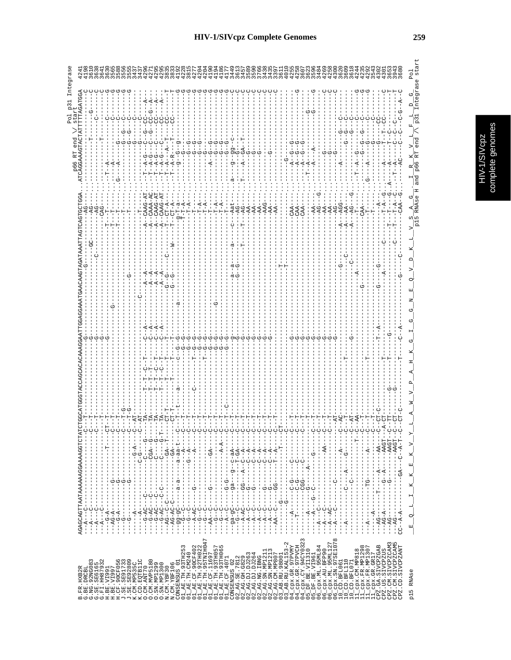| TATTTTTAGATGGA                                                                                                                             |                             |                      |                    |                                                                               |                                                                                 |                   |                                            | ပု                                                                                              |                                                                                              |                                                                                                                     |                                   |                                                                      |                                            |                                                                                                                                                                                                                                                                                                     |                                                                              |                                                                      |                                                                                                   |                                                     |                                                   |                                                                                                                             |                                              |                                                               |                                                                    |                                                 |                                                      |                                                                           |                                                            |                                                                                                                                         |                                                       |                                    |                                                                   |                                                           |                                                                                     | てり                                           | てり                            |                                        |                                                                                                    |                                 |                                                       |                                       |        |    |                                                                                                             |           |                                                                       |                                                                                                                                                                                                                                                                                                                                                                                                                                          |                                         |
|--------------------------------------------------------------------------------------------------------------------------------------------|-----------------------------|----------------------|--------------------|-------------------------------------------------------------------------------|---------------------------------------------------------------------------------|-------------------|--------------------------------------------|-------------------------------------------------------------------------------------------------|----------------------------------------------------------------------------------------------|---------------------------------------------------------------------------------------------------------------------|-----------------------------------|----------------------------------------------------------------------|--------------------------------------------|-----------------------------------------------------------------------------------------------------------------------------------------------------------------------------------------------------------------------------------------------------------------------------------------------------|------------------------------------------------------------------------------|----------------------------------------------------------------------|---------------------------------------------------------------------------------------------------|-----------------------------------------------------|---------------------------------------------------|-----------------------------------------------------------------------------------------------------------------------------|----------------------------------------------|---------------------------------------------------------------|--------------------------------------------------------------------|-------------------------------------------------|------------------------------------------------------|---------------------------------------------------------------------------|------------------------------------------------------------|-----------------------------------------------------------------------------------------------------------------------------------------|-------------------------------------------------------|------------------------------------|-------------------------------------------------------------------|-----------------------------------------------------------|-------------------------------------------------------------------------------------|----------------------------------------------|-------------------------------|----------------------------------------|----------------------------------------------------------------------------------------------------|---------------------------------|-------------------------------------------------------|---------------------------------------|--------|----|-------------------------------------------------------------------------------------------------------------|-----------|-----------------------------------------------------------------------|------------------------------------------------------------------------------------------------------------------------------------------------------------------------------------------------------------------------------------------------------------------------------------------------------------------------------------------------------------------------------------------------------------------------------------------|-----------------------------------------|
| ATCAGGAAAGTAC                                                                                                                              | F<br>1                      | $\overline{A}$       | $-4$               | ひ                                                                             | ひ                                                                               |                   |                                            | ပုံ ပုံ                                                                                         | $-4 - 0$                                                                                     | $-4-0$                                                                                                              | $-4 -$                            | $---A-R$                                                             | ひ<br>ந்                                    |                                                                                                                                                                                                                                                                                                     | ひ                                                                            |                                                                      |                                                                                                   |                                                     |                                                   | ᄲ                                                                                                                           |                                              | gg<br>ס                                                       | З<br>$\overline{A}$                                                |                                                 |                                                      |                                                                           |                                                            |                                                                                                                                         |                                                       |                                    |                                                                   |                                                           | $\vec{A}$                                                                           |                                              |                               | ひ                                      | ひ                                                                                                  | ひ                               | ひ                                                     |                                       | υ      | C٦ |                                                                                                             |           |                                                                       | Æ                                                                                                                                                                                                                                                                                                                                                                                                                                        | $-4$                                    |
|                                                                                                                                            |                             |                      |                    |                                                                               |                                                                                 |                   | $CAAG - A$                                 | CAAA-A                                                                                          | CAAG-A'<br>ŧ                                                                                 | CAAG-AT<br>Ī                                                                                                        | $CT-A$                            | $\tilde{A}$                                                          | $\overline{a}$                             |                                                                                                                                                                                                                                                                                                     |                                                                              | $\tilde{\mathcal{A}}$                                                |                                                                                                   |                                                     | F                                                 |                                                                                                                             |                                              | ō                                                             |                                                                    |                                                 |                                                      |                                                                           |                                                            |                                                                                                                                         |                                                       |                                    |                                                                   |                                                           | CAA                                                                                 |                                              | $-54$                         |                                        |                                                                                                    |                                 | ġ                                                     | Æ                                     |        |    |                                                                                                             |           | $\vec{A}$                                                             |                                                                                                                                                                                                                                                                                                                                                                                                                                          |                                         |
|                                                                                                                                            |                             |                      |                    |                                                                               |                                                                                 |                   | $-4$                                       | $-A$ – $A$ – $A$                                                                                | $-A$ – $A$ – $A$                                                                             | К<br>$-A$ - $-A$                                                                                                    | 무                                 |                                                                      |                                            |                                                                                                                                                                                                                                                                                                     |                                                                              |                                                                      |                                                                                                   |                                                     |                                                   |                                                                                                                             |                                              | ൯                                                             |                                                                    |                                                 |                                                      |                                                                           |                                                            |                                                                                                                                         |                                                       |                                    |                                                                   |                                                           |                                                                                     |                                              |                               |                                        |                                                                                                    |                                 |                                                       | K,                                    |        |    |                                                                                                             |           |                                                                       |                                                                                                                                                                                                                                                                                                                                                                                                                                          |                                         |
| てり<br>ひ                                                                                                                                    | ひ                           |                      |                    |                                                                               |                                                                                 |                   |                                            |                                                                                                 | $- - A$                                                                                      |                                                                                                                     |                                   |                                                                      | てり                                         | τŋ<br>τŋ                                                                                                                                                                                                                                                                                            | ひ                                                                            | ひ                                                                    | ᄞ                                                                                                 | てり                                                  | てり                                                | ひ                                                                                                                           |                                              |                                                               |                                                                    |                                                 |                                                      |                                                                           |                                                            |                                                                                                                                         |                                                       |                                    |                                                                   |                                                           | てり                                                                                  | てり                                           | てり<br>C                       | C                                      |                                                                                                    |                                 |                                                       |                                       |        |    |                                                                                                             |           |                                                                       |                                                                                                                                                                                                                                                                                                                                                                                                                                          |                                         |
| ↻<br>O                                                                                                                                     |                             |                      |                    | 우<br>U                                                                        | ↻                                                                               |                   |                                            |                                                                                                 |                                                                                              |                                                                                                                     |                                   |                                                                      |                                            |                                                                                                                                                                                                                                                                                                     |                                                                              |                                                                      |                                                                                                   |                                                     |                                                   |                                                                                                                             |                                              |                                                               |                                                                    |                                                 |                                                      |                                                                           |                                                            |                                                                                                                                         |                                                       |                                    |                                                                   |                                                           |                                                                                     |                                              |                               |                                        |                                                                                                    |                                 |                                                       |                                       |        |    |                                                                                                             |           |                                                                       |                                                                                                                                                                                                                                                                                                                                                                                                                                          |                                         |
| I<br>-1<br>I.<br>$\blacksquare$<br>$\mathbf{I}$<br>-1<br>л<br>$\mathbf{I}$<br>п.<br>л<br>л<br>$\mathbf{I}$<br>п<br>л<br>п.<br>Ť.<br>л<br>л | н<br>п<br>л                 | ပု<br>$\blacksquare$ | $\mathbf{I}$<br>ပု | $\mathbf{I}$<br>п<br>$\mathbf I$<br>$\mathbf{I}$<br>$\frac{1}{1}$<br>ပုံ<br>T | $\mathsf I$<br>$-G - A$<br>$\mathbf{I}$<br>т<br>$\frac{1}{2}$<br>т<br>л         | $-C-C$<br>п<br>л. | ပု<br>Ţ<br>$-1$<br>J.<br>I<br>$\mathbf{I}$ | $\mathbf{I}$<br>$- - CGA - G$<br>$\frac{1}{4}$<br>$\mathbf{I}$<br>п<br>п<br>1<br>$\blacksquare$ | $-5 - 0$<br>Ť<br>U<br>$\begin{bmatrix} 1 \\ 1 \\ 1 \\ 1 \end{bmatrix}$<br>$\frac{1}{1}$<br>Ť | $T - D - -$<br>$\frac{1}{1}$<br>ウーー<br>$\mathbf{I}$<br>$\mathbf{I}$<br>$\mathbf{I}$<br>$\mathsf I$<br>$\frac{1}{2}$ | ÷,<br>Ė<br>$-GA$<br>J<br>L.<br>L. | T<br>$-GA-$<br>$\mathsf I$<br>I<br>I.<br>$\mathbf{I}$<br>т<br>1<br>I | $-aa - a - b -$<br>J.<br>Ť.<br>$=-a-a$     | ⋖<br>$- - A$<br>ł<br>$C - 1$<br>J.                                                                                                                                                                                                                                                                  | ŧ<br>л<br>T.<br>$\begin{array}{c} 1 \\ 0 \\ 1 \end{array}$<br>$\blacksquare$ | T<br>$-1$<br>-1<br>I.<br>I.<br>1<br>$\mathsf I$<br>т<br>$\mathbf{I}$ | л.<br>п<br>п<br>п<br>$\mathbf{I}$<br>п<br>$\mathbf{I}$<br>$\mathbf{I}$<br>Ť.<br>$\mathbf{I}$<br>п | $-GA -$<br>п<br>-1<br>$\mathbf{I}$<br>$\frac{1}{6}$ | ı<br>T<br>ï.<br>$\mathbf{I}$<br>т<br>1<br>T<br>п  | $\overline{1}$<br>$- -A - A$<br>J<br>$\overline{\phantom{a}}$<br>J.<br>$\begin{array}{c} \hline \end{array}$<br>п<br>п<br>п | $\frac{1}{1}$<br>$-9 - 0 - 1$                | $-aa$<br>$-9 - 9 - -9 - -$                                    | $-GA$<br>$-1$<br>$-4 - -1 - -1 - -1$<br>Ţ<br>1<br>ł<br>$\,$ I<br>Т | $-4$<br>ပု                                      | $- - A$<br>U<br> <br> <br>I<br>л<br>J.<br>ပ် ပုံ<br> | $-4$<br>$\frac{1}{1}$<br>$\mathbf{I}$<br>T<br>т<br>т<br>$\mathbf{I}$<br>п | т<br>$-4$<br>$\frac{C}{1}$<br>ł<br>$\mathbb{I}$<br>$C - C$ | -1<br>$-4$<br>$-1$<br>$\frac{1}{1}$<br>⊢<br>$\frac{1}{1}$<br>$\mathbf{I}$<br>$\frac{1}{1}$<br>-1<br>$\mathbf{I}$<br>-- 00<br>--<br>$-1$ | İ<br>I<br>$\mathbf{I}$<br>$\mathbf{I}$<br>п<br>ï<br>I | J.<br>J<br>$\mathbf{I}$<br>J       | U<br> <br>-1<br>$\frac{1}{2}$<br>U                                | ŧ<br>$\frac{1}{2}$<br>ł<br>$\frac{6}{1}$<br>$\frac{1}{2}$ | ł<br>$C - 1$<br>$\frac{1}{1}$<br>$-559 -$                                           | J,<br>$\frac{1}{1}$                          | ပုံ<br>I.<br>т                | $-AA$ -<br>J,<br>п<br>т<br>T<br>т<br>т | ı<br>п<br>$\blacksquare$<br>$\blacksquare$<br>$\blacksquare$<br>$\,$ I<br>$\overline{\phantom{a}}$ | J.<br>-1<br>$\frac{1}{1}$<br>J. | п<br>$-1 - 0 - 1$<br>$-4 -$<br>J.<br>$-1 - 1 -$<br>J. | J.<br>t,<br>$-4$<br>U<br>J.<br>I<br>п | F<br>- |    | $\overline{\phantom{a}}$<br>$\overline{A}$<br>$\frac{1}{1}$<br>$\,$ I<br>$\blacksquare$<br>п<br>f,<br>$-10$ | $-AA$ -   | $\blacksquare$<br>--AAGT<br>J.<br>I<br>$-4-$<br>$-4-$<br>Ġ<br>J,<br>л | $-AA-$<br>$\mathbf{I}$<br>ł<br>Ġ<br>I.<br>л                                                                                                                                                                                                                                                                                                                                                                                              | --AAGT<br>$-2 - 7 - -1$<br>$-GA$ -<br>ı |
| ÷<br>÷<br>$\frac{1}{1}$<br>Ϋ́<br>$-24 - -12$<br>$-24 - -12$<br>$-24 - -12$<br>$- - A - -$                                                  | J<br>$\mathbf{I}$<br>$-9-7$ | $-AG - A$<br>J.      | $-5-5$             | п<br>$\mathbf{I}$<br>ပု                                                       | $\mathbf{I}$<br>л<br>$\mathsf I$<br>$-1$<br>$\frac{1}{\sqrt{2}}$<br>T<br>п<br>1 | $-4$              | $-1$                                       | $\begin{array}{c}\n\dot{\mathbf{C}} \\ \downarrow \\ \downarrow\n\end{array}$                   | ΰΰ<br>   <br>   <br>$\mathbf{I}$                                                             | J.                                                                                                                  | $\frac{1}{2}$<br>U--54-           | ł<br>ပု<br>$- - A G - AC$                                            | J.<br>$\mathbf{I}$<br>υU<br>$-99 - 96 - 1$ | $-5 - 5 -$<br>$\begin{tabular}{l} $R_{1,1}^{(1)}(N), 123416 \\ \hline 0.0082081931 \\ 0.11.4817 \\ 0.12.4827 \\ 0.12.4837 \\ 0.13.4847 \\ 0.14.485 \\ 0.15.487 \\ 0.16.487 \\ 0.17.487 \\ 0.18.487 \\ 0.17.487 \\ 0.18.487 \\ 0.19.487 \\ 0.10.487 \\ 0.11.487 \\ 0.12.487 \\ 0.13.487 \\ 0.14.487$ | ÷<br>$\blacksquare$<br>$- -A - AC$<br>$\mathbf{I}$                           | U<br>ŧ<br>ġ<br>$\mathbf I$                                           | Ť.<br>L.<br>ု<br>၂<br>ပု<br>$\mathbf{I}$                                                          | -1<br>$\circ$<br>Ţ<br>$-AA$                         | 1<br>$\mathbf{I}$<br>O<br>$\frac{1}{1}$<br>י<br>י | $\mathsf I$<br>J.<br>$\blacksquare$<br>O<br>J,<br>$-\frac{c}{1}$                                                            | $\mathsf I$<br>$\frac{1}{1}$<br>$-4 - 4 - C$ | $\,$ I<br>ł<br>$-9a - 9C -$<br>$-10c - 6c -$<br>$-10c - 8c -$ | ŧ<br>$\,$ I<br>$\mathbf{I}$<br>Ť<br>Ť                              | $\overline{1}$<br>$\mathbf{I}$<br>U<br>$-4 - 1$ | ł<br>$- -A - C$<br>I                                 | $\mathbf{I}$<br>$\mathbf{I}$<br>O<br>Ī<br>$-4$                            | Ť<br>ں<br>ا<br>$- - A$<br>J.                               | $\frac{1}{1}$<br>÷.<br>$\frac{C}{L}$<br>U<br> <br>$-AA$<br>$- - A$<br>$\mathbf{I}$<br>$\mathbf{I}$                                      | $-1 - 0 - 1$<br>ï<br>п<br>п<br>$\mathfrak l$<br>Ţ     | $-1$<br>ï<br>J<br>J<br>п<br>I<br>л | J,<br>$\overline{1}$<br>j.<br>Ą<br>$\mathbf{I}$<br>$\overline{1}$ | 1<br>Ť.<br>Ť                                              | I<br>$\overline{\phantom{a}}$<br>$\mathbf{I}$<br>$\,$ I<br>$\frac{1}{1}$<br>ï<br>J. | ŧ<br>$---A$<br>$\mathsf I$<br>$\blacksquare$ | <b>ローースー</b><br>Ť<br>$-A$ --C | Ť                                      | ł<br>$\frac{1}{1}$<br>$- - A - - C - - A - - A C - - A C -$                                        | Ť<br>L.<br>$-1 - 4 - 1$         | $\,$ I<br>$\mathbf{I}$<br>$\,$ I<br>ı<br>I<br>Ţ       | -<br>Ť,<br>$-4$                       |        |    | $\mathbf{I}$<br>$- -A - -$                                                                                  | 턱<br>$-4$ | Ţ<br>$-4G - A$<br>$- - A$ G                                           | $\mathbf{I}$<br>$\begin{array}{ll} & \mathcal{A}\texttt{f1071} \\ -\texttt{cpx} & \mathcal{A}\texttt{f1071} \\ 11-\texttt{cpx} & \texttt{FR} & \texttt{WPI298} \\ 111-\texttt{cpx} & \texttt{FR} & \texttt{WPI307} \\ \texttt{CEZ} & \texttt{GR} & \texttt{WPI307} \\ \texttt{CEZ} & \texttt{GR} & \texttt{SITCPEZAB} \\ \texttt{CEZ} & \texttt{GR} & \texttt{SITCPEZAB} \\ \texttt{CEZ} & \texttt{CR} & \texttt{SITCPEZC*} \\ \texttt{$ | $CC--A-A$<br>Í<br>$---AG$               |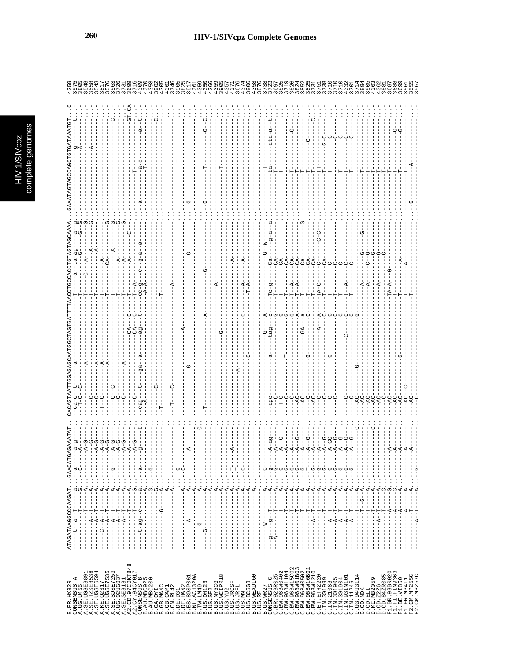| மா<br>$mno$ $mno$ $mno$ $mno$ $n \rightarrow \infty$         |                                | n m m m m m m m    | 4 ru     |              | $\overline{a}$                                                                                                          |   |        |   |                       |     |     | しこうしょうけいりつしゅつ<br>フラうろうろうしつ<br>4 |                      | 4         |    |   | ₩                                                      | 4  |                                                                                                                                                                                                                   |   |            |    | 4 | <i>NH</i> www.wor<br><b>commmmmmmmmumm</b><br>4 | 4                  | 4                              | ₩             |                                           | ↤             | 4 |  |   |                   |              |                            | $\infty$ |              | ოით                    | O   |                                                                  |              |    |           | $\infty \rhd \infty$ $\infty$ $\infty$ $\infty$ $\rhd$ |                       |                |                       | <b>៧៣៧</b> ៣៣                           |                             |                         |              |    |                                    |     |                                   |   | თო          |                |              | 000000<br>$\infty$ |                     | O |              |                             | <b>6555</b>  |                                                              |  |
|--------------------------------------------------------------|--------------------------------|--------------------|----------|--------------|-------------------------------------------------------------------------------------------------------------------------|---|--------|---|-----------------------|-----|-----|---------------------------------|----------------------|-----------|----|---|--------------------------------------------------------|----|-------------------------------------------------------------------------------------------------------------------------------------------------------------------------------------------------------------------|---|------------|----|---|-------------------------------------------------|--------------------|--------------------------------|---------------|-------------------------------------------|---------------|---|--|---|-------------------|--------------|----------------------------|----------|--------------|------------------------|-----|------------------------------------------------------------------|--------------|----|-----------|--------------------------------------------------------|-----------------------|----------------|-----------------------|-----------------------------------------|-----------------------------|-------------------------|--------------|----|------------------------------------|-----|-----------------------------------|---|-------------|----------------|--------------|--------------------|---------------------|---|--------------|-----------------------------|--------------|--------------------------------------------------------------|--|
|                                                              |                                |                    |          |              |                                                                                                                         |   |        |   |                       |     |     |                                 |                      |           |    |   |                                                        |    |                                                                                                                                                                                                                   |   |            |    |   |                                                 |                    |                                |               |                                           |               |   |  |   |                   |              |                            |          |              |                        |     |                                                                  |              |    |           |                                                        |                       |                |                       |                                         |                             |                         |              |    |                                    |     |                                   |   |             |                |              |                    |                     |   |              |                             |              |                                                              |  |
|                                                              |                                |                    |          |              |                                                                                                                         |   |        |   |                       | č٦  |     | ൯                               |                      |           |    |   |                                                        |    |                                                                                                                                                                                                                   |   |            |    |   |                                                 | てり                 |                                |               |                                           |               |   |  |   |                   |              |                            |          |              | œ<br>൯                 |     |                                                                  |              |    |           |                                                        |                       |                |                       |                                         |                             | O                       | U            |    |                                    | O   |                                   |   |             |                |              |                    |                     |   |              |                             |              |                                                              |  |
|                                                              | Ġ<br>Æ                         |                    | Æ        |              |                                                                                                                         |   |        |   |                       |     |     |                                 |                      |           |    |   |                                                        |    |                                                                                                                                                                                                                   |   |            |    |   |                                                 |                    |                                |               |                                           |               |   |  |   |                   |              |                            |          |              | ಕ                      |     |                                                                  |              |    |           |                                                        |                       | C              |                       |                                         | U<br>てり                     |                         |              |    | υU                                 |     |                                   |   |             |                |              |                    |                     |   |              |                             |              |                                                              |  |
| GAAATAGTAGCCAGCTGEGATAAATG                                   |                                |                    |          |              |                                                                                                                         |   |        |   |                       |     |     | υ                               | σF                   |           |    |   |                                                        |    |                                                                                                                                                                                                                   |   |            |    |   |                                                 |                    |                                |               |                                           |               |   |  |   |                   |              |                            |          |              | œ<br>↵                 |     |                                                                  |              |    |           |                                                        |                       |                |                       |                                         |                             |                         |              |    |                                    |     |                                   |   |             |                | н            | ь                  |                     |   |              |                             |              |                                                              |  |
|                                                              |                                |                    |          |              |                                                                                                                         |   |        |   |                       |     |     |                                 |                      |           |    |   |                                                        |    |                                                                                                                                                                                                                   |   |            |    |   |                                                 |                    |                                |               |                                           |               |   |  |   |                   |              |                            |          |              |                        |     |                                                                  |              |    |           |                                                        |                       |                |                       |                                         |                             |                         |              |    |                                    |     |                                   |   |             |                |              |                    |                     |   |              |                             |              |                                                              |  |
|                                                              |                                |                    |          |              |                                                                                                                         |   |        |   |                       |     |     |                                 |                      |           |    |   |                                                        |    |                                                                                                                                                                                                                   |   |            | ひ  |   |                                                 | ひ                  |                                |               |                                           |               |   |  |   |                   |              |                            |          |              |                        |     |                                                                  |              |    |           |                                                        |                       |                |                       |                                         |                             |                         |              |    |                                    |     |                                   |   |             |                |              |                    |                     |   |              |                             |              |                                                              |  |
|                                                              | তা<br>đ<br>U                   | ひ                  | 也        |              |                                                                                                                         |   |        |   |                       | U   |     |                                 |                      |           |    |   |                                                        |    |                                                                                                                                                                                                                   |   |            |    |   |                                                 |                    |                                |               |                                           |               |   |  |   |                   |              |                            |          |              | ൯                      |     |                                                                  |              |    |           |                                                        |                       |                |                       | U                                       |                             |                         |              |    |                                    |     |                                   |   |             |                |              |                    |                     |   |              |                             |              |                                                              |  |
|                                                              | -ta-ag<br>U                    |                    | A        | ⋖            |                                                                                                                         |   |        |   |                       |     |     | ത<br>൯                          |                      |           |    |   |                                                        |    |                                                                                                                                                                                                                   |   |            | ζŋ |   |                                                 |                    |                                |               |                                           |               |   |  |   |                   |              |                            |          | з<br>ひ       | თ                      |     |                                                                  |              |    |           |                                                        |                       |                |                       | U                                       |                             |                         |              |    |                                    |     |                                   |   | じ じ じ       |                | てり           | C.                 |                     |   |              |                             |              |                                                              |  |
|                                                              | đ                              | U                  |          |              | К                                                                                                                       | ే |        | A | К                     |     |     | ה<br>υ                          |                      |           |    |   |                                                        |    |                                                                                                                                                                                                                   |   |            |    |   |                                                 |                    |                                |               |                                           |               |   |  |   |                   |              |                            |          |              | <b>්</b> ජී            |     | నే                                                               |              | రే |           | ే                                                      | ేచ్                   |                |                       | C)                                      | ే                           | U)                      | U            | C) | O                                  |     |                                   |   | U           |                |              |                    | ひ                   |   |              |                             |              |                                                              |  |
|                                                              |                                |                    |          |              |                                                                                                                         |   |        |   |                       |     | К   |                                 | $C = 9$<br>$- A - A$ |           |    | E |                                                        |    | К                                                                                                                                                                                                                 |   |            |    |   |                                                 |                    |                                |               |                                           |               |   |  | ₫ | К<br>$\mathbb{H}$ |              |                            |          |              | ה<br>O                 |     |                                                                  |              |    | $-4$      | К                                                      |                       |                |                       | U<br>ď                                  |                             |                         |              |    | К<br>$\,$ I<br>$\blacksquare$<br>н |     |                                   | К | A           |                | К            |                    | $\overline{A}$<br>К |   |              |                             |              |                                                              |  |
|                                                              |                                |                    |          |              |                                                                                                                         |   |        |   |                       | τ)  | ↻   | ŧ.                              |                      |           |    |   |                                                        |    |                                                                                                                                                                                                                   |   |            |    |   |                                                 |                    |                                |               |                                           |               |   |  |   |                   |              |                            |          |              | υ                      |     |                                                                  |              |    |           |                                                        |                       |                |                       |                                         |                             |                         |              |    |                                    | r)  |                                   |   |             |                |              |                    |                     |   |              |                             |              |                                                              |  |
|                                                              |                                |                    |          |              |                                                                                                                         |   |        |   |                       | రే  | ĊĀ- | ā                               |                      |           |    |   |                                                        |    |                                                                                                                                                                                                                   |   |            |    |   |                                                 |                    |                                |               | ζŋ                                        |               |   |  |   |                   |              |                            |          | Ġ            | tag                    |     |                                                                  |              |    |           |                                                        | з                     |                |                       | ⋖                                       |                             |                         |              |    |                                    |     |                                   |   |             |                |              |                    |                     |   |              |                             |              |                                                              |  |
| AAAAAOOTIPOFUOUVOUOUOUOUAAFFIFITAGFOOUOUOAOOAOOFFFFAAUGOKUOO |                                |                    |          |              |                                                                                                                         |   |        |   |                       |     |     | ത                               |                      |           |    |   |                                                        |    |                                                                                                                                                                                                                   |   |            |    |   |                                                 |                    |                                |               |                                           |               |   |  |   |                   |              |                            |          |              | ൯                      |     |                                                                  |              |    |           |                                                        |                       | ᄄ              |                       |                                         |                             |                         |              |    |                                    |     |                                   |   |             |                |              |                    |                     |   |              |                             |              |                                                              |  |
|                                                              | œ                              | $\overline{A}$     |          |              | $\mathop{\mathbf{A}}\limits^{\mathbf{A}}\mathop{\mathbf{A}}\limits^{\mathbf{I}}\mathop{\mathbf{A}}\limits^{\mathbf{I}}$ |   |        |   | $\tilde{\mathcal{A}}$ |     |     | ø<br>তা                         |                      |           |    |   |                                                        |    |                                                                                                                                                                                                                   |   |            | C٦ |   |                                                 |                    |                                |               |                                           |               |   |  |   |                   |              |                            |          |              |                        |     |                                                                  |              |    |           |                                                        |                       |                |                       |                                         |                             |                         |              |    |                                    |     |                                   |   |             |                |              |                    |                     |   |              |                             |              |                                                              |  |
|                                                              |                                |                    | ◡        |              | C                                                                                                                       |   | O<br>U | U | U                     |     | ب   | ↵                               |                      |           | C) |   |                                                        |    | ↻                                                                                                                                                                                                                 |   |            |    |   |                                                 |                    |                                |               |                                           |               |   |  |   |                   |              |                            |          |              | agc                    | U   | U<br>H                                                           |              |    |           |                                                        |                       |                |                       |                                         |                             |                         |              |    |                                    |     |                                   |   |             |                |              |                    |                     |   |              |                             |              |                                                              |  |
|                                                              | - 0 - 0<br>- 0 - 0<br>- 1 -    |                    |          |              | H                                                                                                                       |   |        |   |                       |     |     |                                 | $-2ag-$              |           |    |   | ۴                                                      |    | е                                                                                                                                                                                                                 |   |            |    |   |                                                 |                    |                                |               |                                           |               |   |  |   |                   |              |                            |          |              |                        |     |                                                                  |              |    |           |                                                        |                       |                |                       |                                         |                             |                         |              |    |                                    |     |                                   |   |             |                |              |                    |                     |   |              |                             |              |                                                              |  |
|                                                              | ה                              |                    | ひひひひひひひひ |              |                                                                                                                         |   |        |   |                       |     | ひ   |                                 |                      |           |    |   |                                                        |    |                                                                                                                                                                                                                   |   |            |    |   |                                                 |                    |                                |               |                                           |               |   |  |   |                   |              |                            |          |              | চা<br>$\tilde{\sigma}$ |     | ပု                                                               |              |    |           | Ġ٢                                                     |                       | ပု             |                       |                                         |                             | <u>ဗုံဗွဲ</u> ဗုံဗုံဗုံ |              |    |                                    |     |                                   |   |             |                |              |                    |                     |   |              |                             |              |                                                              |  |
| <b>TAAAT</b>                                                 | $\mathbb{L}$<br>$\blacksquare$ |                    |          |              | $\perp$                                                                                                                 |   |        |   |                       |     |     |                                 |                      |           |    |   |                                                        |    |                                                                                                                                                                                                                   |   |            |    |   |                                                 |                    |                                |               | $\blacksquare$                            |               |   |  |   | L.                |              |                            |          | $\mathbf{I}$ | $\mathbf{I}$           |     |                                                                  |              |    |           |                                                        | I.                    | I.             |                       |                                         |                             |                         |              |    | $\blacksquare$                     |     |                                   |   |             |                |              |                    |                     |   |              | $A \land A$<br>$\mathbf{I}$ | К            |                                                              |  |
| <b>GAACATG</b>                                               | 十十                             | $\mathbf{I}$<br>л. | - 1      | $\mathbf{I}$ | $\blacksquare$                                                                                                          | п | - 1    | п | $\mathbf{I}$          | - 1 | п   | Ť                               | - 1<br>$\mathbf{I}$  | Т<br>- 11 | п  |   | $\begin{array}{c} \hline \end{array}$<br>$\frac{1}{1}$ | -1 | $\begin{array}{c} \begin{array}{c} \uparrow \\ \uparrow \\ \downarrow \\ \downarrow \\ \downarrow \\ \downarrow \\ \downarrow \\ \downarrow \\ \downarrow \\ \downarrow \\ \downarrow \\ \end{array} \end{array}$ | Ť | - 1<br>- 1 | п  | т | -<br>999                                        | -1<br>$\mathbf{1}$ | $\mathbf{I}$<br>$\blacksquare$ | т.<br>-<br>ï. | $\blacksquare$<br>$\mathbf{I}$<br>$\cdot$ | J.            |   |  |   | L.                | $\mathbf{I}$ | $1 \quad 1 \quad 1$<br>- 1 |          | - 1          | $\mathbf{I}$<br>т.     | - 1 | 1<br>п                                                           | $\mathbf{I}$ |    | - 1<br>L. | -11<br>п<br>the contract of the con-                   | $\pm$<br>$\mathbf{I}$ | $\blacksquare$ | $\blacksquare$<br>- 1 | п<br><u>                           </u> | $1 - 1 - 1$<br>$\mathbf{I}$ | -1                      | $\mathbf{I}$ |    | 十十                                 | - 1 |                                   |   | $1 - 1 - 1$ | $\blacksquare$ | $\mathbf{I}$ |                    |                     |   | $\mathbf{I}$ | -1<br>$\mathbf I$           | $\mathbf{L}$ | $\begin{matrix} 1 & 1 \\ 1 & 0 \\ 1 & 1 \end{matrix}$<br>- 1 |  |
|                                                              |                                |                    |          |              |                                                                                                                         |   |        |   |                       |     |     |                                 |                      |           |    |   |                                                        |    |                                                                                                                                                                                                                   |   |            |    |   |                                                 |                    |                                |               |                                           | $\sim$ $\sim$ |   |  |   |                   |              |                            |          |              |                        |     | $\mathbf{a} = \mathbf{a} + \mathbf{a} + \mathbf{a} + \mathbf{a}$ |              |    |           |                                                        |                       |                |                       | $\sim$ $\sim$                           |                             |                         |              |    |                                    |     | the company's company's company's |   |             |                |              |                    |                     |   |              |                             |              |                                                              |  |
|                                                              |                                |                    |          |              |                                                                                                                         |   |        |   |                       |     |     |                                 |                      |           |    |   |                                                        |    |                                                                                                                                                                                                                   |   |            |    |   |                                                 |                    |                                |               |                                           |               |   |  |   |                   |              |                            |          |              |                        |     |                                                                  |              |    |           |                                                        |                       |                |                       |                                         |                             |                         |              |    |                                    |     |                                   |   |             |                |              |                    |                     |   |              |                             |              |                                                              |  |
|                                                              |                                |                    |          |              |                                                                                                                         |   |        |   |                       |     |     |                                 |                      |           |    |   |                                                        |    |                                                                                                                                                                                                                   |   |            |    |   |                                                 |                    |                                |               |                                           |               |   |  |   |                   |              |                            |          |              |                        |     |                                                                  |              |    |           |                                                        |                       |                |                       |                                         |                             |                         |              |    |                                    |     |                                   |   |             |                |              |                    |                     |   |              |                             |              |                                                              |  |
|                                                              |                                |                    |          |              |                                                                                                                         |   |        |   |                       |     |     |                                 |                      |           |    |   |                                                        |    |                                                                                                                                                                                                                   |   |            |    |   |                                                 |                    |                                |               |                                           |               |   |  |   |                   |              |                            |          |              |                        |     |                                                                  |              |    |           |                                                        |                       |                |                       |                                         |                             |                         |              |    |                                    |     |                                   |   |             |                |              |                    |                     |   |              |                             |              |                                                              |  |

 $\begin{smallmatrix}R. & R132234 \\ R203333334 \\ R3343317 \\ R4343317 \\ R543317 \\ R653338 \\ R75317 \\ R853102317 \\ R95102317 \\ R152102317 \\ R2632317 \\ R363317 \\ R434317 \\ R54317 \\ R55102022 \\ R56102022 \\ R57102022 \\ R5810202 \\ R5910202 \\ R51110202 \\ R5121102 \\ R5212102 \\ R53220 \\ R543$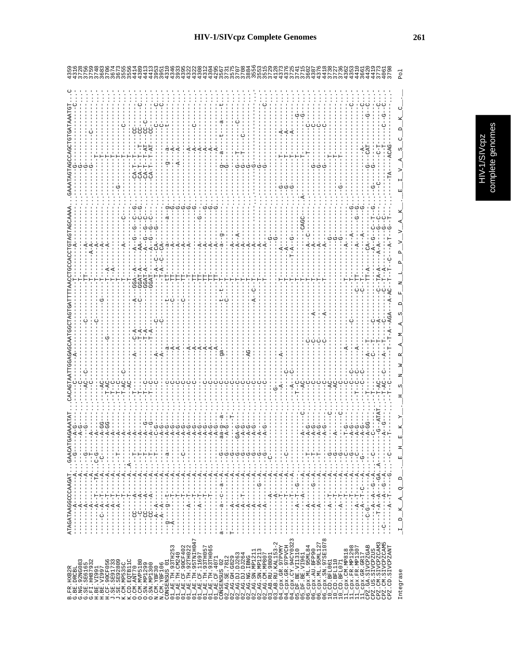|  | $T - A$<br>$C - A$<br>T-A |
|--|---------------------------|
|--|---------------------------|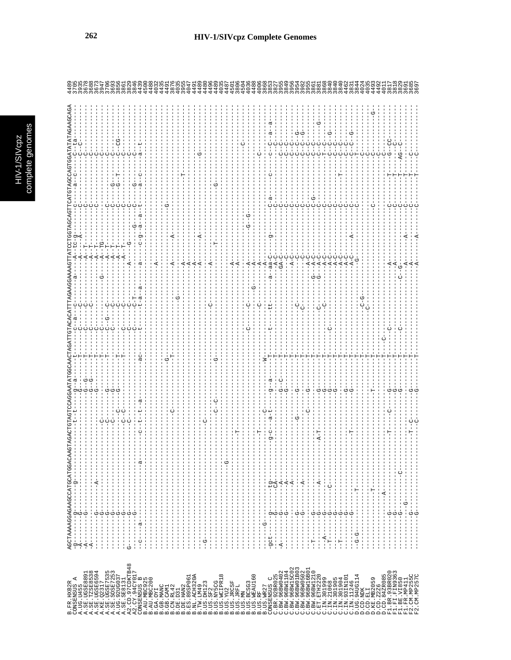|                                                                                                                                                                                                                                                                                                                                                                                                                                       | CCAGGAATATGCAACTA<br>œ | GTACACATTTAGAAGGAAAAG<br>O<br>œ | CCTGCAGCAGTTCAT<br>έ                       | GTAGCCAGT | GGATATATAGAAGCAG<br>ta | 4 ב טיס פסט ב הסטמט ממע 4 ה של הסטט מגל של המים הווסח המוכונות המוכונות הווסח המוכונות המוכונות המוכונות הסטמט<br>מסטט ב מסטמט ה מוכח הווסח הווסח היה הווסח המוכונים הווסח המוכח הווסח המוכונות היה הווסח המוכח המוכח היה הווסח<br> |
|---------------------------------------------------------------------------------------------------------------------------------------------------------------------------------------------------------------------------------------------------------------------------------------------------------------------------------------------------------------------------------------------------------------------------------------|------------------------|---------------------------------|--------------------------------------------|-----------|------------------------|-------------------------------------------------------------------------------------------------------------------------------------------------------------------------------------------------------------------------------------|
|                                                                                                                                                                                                                                                                                                                                                                                                                                       | あひひひひ                  | て)て)                            | ה                                          | て)て)      |                        |                                                                                                                                                                                                                                     |
|                                                                                                                                                                                                                                                                                                                                                                                                                                       | ひひ                     |                                 | н<br>ΚK                                    |           |                        | mmmmmmmmmmm <del>u</del>                                                                                                                                                                                                            |
|                                                                                                                                                                                                                                                                                                                                                                                                                                       |                        | C)                              | н                                          | τJ        |                        |                                                                                                                                                                                                                                     |
|                                                                                                                                                                                                                                                                                                                                                                                                                                       |                        |                                 | н<br>ł                                     | C.        |                        |                                                                                                                                                                                                                                     |
|                                                                                                                                                                                                                                                                                                                                                                                                                                       | נ זנ                   | 也                               |                                            |           |                        |                                                                                                                                                                                                                                     |
|                                                                                                                                                                                                                                                                                                                                                                                                                                       | じ じ                    | υU<br>ပုံ<br>U                  |                                            |           |                        |                                                                                                                                                                                                                                     |
|                                                                                                                                                                                                                                                                                                                                                                                                                                       | ひ<br>C)                | O                               |                                            | てり<br>也   | y                      |                                                                                                                                                                                                                                     |
|                                                                                                                                                                                                                                                                                                                                                                                                                                       | ÜÜ<br>◡                | υU<br>↻                         | AAAAA<br>Titutti<br>AAAAA                  | ひひひひ      | U<br>↻                 |                                                                                                                                                                                                                                     |
|                                                                                                                                                                                                                                                                                                                                                                                                                                       |                        | C)<br>O                         |                                            | U)        |                        |                                                                                                                                                                                                                                     |
|                                                                                                                                                                                                                                                                                                                                                                                                                                       |                        | 부<br>U)<br>U                    | Φ                                          | ひ<br>C)   |                        |                                                                                                                                                                                                                                     |
| $-\frac{1}{6}$<br>$\begin{array}{c} \begin{array}{c} \begin{array}{c} \begin{array}{c} \begin{array}{c} \end{array} \\ \begin{array}{c} \end{array} \\ \begin{array}{c} \end{array} \\ \begin{array}{c} \end{array} \end{array} \end{array} \end{array}$<br>$\mathbf{I} = \mathbf{I}$<br>Ħ<br>$\overline{\phantom{a}}$<br>J.<br>÷,                                                                                                    |                        | ಗ<br>ப                          | ൯<br>൯<br>তা<br>O<br>൯                     | υ<br>൯    |                        |                                                                                                                                                                                                                                     |
| - 1<br>$\blacksquare$<br>-11<br>- 1<br>Ţ<br>$\blacksquare$                                                                                                                                                                                                                                                                                                                                                                            |                        |                                 |                                            |           |                        | $\mathbf{H}$                                                                                                                                                                                                                        |
| T<br>-<br>L<br>L<br>$1 - 1$<br>Ι.<br>Ť.<br>L<br>-<br>Ť.<br>Ħ<br>Ţ.<br>十十<br>L<br>ł<br>I.<br>$\frac{1}{1}$                                                                                                                                                                                                                                                                                                                             |                        |                                 |                                            |           |                        | 4                                                                                                                                                                                                                                   |
| $\begin{array}{c} \hline \end{array}$<br>$\blacksquare$<br>$\mathbf{I}$<br>$\,$ I<br>$\frac{1}{1}$<br>Ť<br>$\,$ I<br>$\,$ I<br>j.<br>$\mathbf{I}$<br>$\,$ I<br>$\frac{1}{1}$<br>$\frac{1}{1}$                                                                                                                                                                                                                                         |                        |                                 |                                            |           |                        | 4                                                                                                                                                                                                                                   |
| J<br>$\overline{\phantom{a}}$<br>$\begin{array}{cccccccccc} \cdot & \cdot & \cdot & \cdot & \cdot & \cdot & \cdot \\ \cdot & \cdot & \cdot & \cdot & \cdot & \cdot & \cdot & \cdot \\ \cdot & \cdot & \cdot & \cdot & \cdot & \cdot & \cdot & \cdot \\ \cdot & \cdot & \cdot & \cdot & \cdot & \cdot & \cdot & \cdot \end{array}$<br>$\,$ I<br>$\frac{1}{1}$<br>$\,$ I<br>$\overline{1}$<br>$\overline{\phantom{a}}$<br>$\frac{1}{1}$ |                        |                                 |                                            |           |                        | 4                                                                                                                                                                                                                                   |
| 1<br>J.<br>J.<br>$\begin{bmatrix} 1 & 1 \\ 1 & 1 \\ 1 & 1 \end{bmatrix}$<br>$\overline{\phantom{a}}$<br>J.<br>$\blacksquare$<br>$\,$ I<br>$\blacksquare$<br>$\blacksquare$<br>$\,$ I<br>j.<br>Ţ<br>$\overline{\phantom{a}}$<br>$\,$ I<br>I.                                                                                                                                                                                           |                        |                                 |                                            |           |                        | $4 \omega$                                                                                                                                                                                                                          |
| ţ<br>$\mathsf I$<br>$\frac{1}{4}$<br>I.<br>$\mathbf{I}$<br>$\frac{1}{4}$<br>ŧ<br>$\begin{array}{c} 1 \\ 1 \\ 1 \\ 1 \end{array}$<br>İ<br>$\frac{1}{1}$<br>$-1$ $-1$ $-1$ $-1$ $-1$ $-1$<br>Ť                                                                                                                                                                                                                                          |                        |                                 |                                            |           |                        |                                                                                                                                                                                                                                     |
| $\blacksquare$<br>-1<br>-1<br>$\mathbf{I}$<br>- 1<br>$\blacksquare$<br>$\overline{\phantom{a}}$<br>- 1<br>$\blacksquare$<br>$\mathbf{I}$<br>$\mathbf{I}$<br>- 1<br>$\mathbf{I}$<br>$\blacksquare$<br>$\frac{1}{4}$<br>$\mathbf{I}$<br>$\mathsf I$<br>$\mathbf{I}$<br>$\mathbf{I}$<br>Ť                                                                                                                                                |                        |                                 |                                            |           |                        |                                                                                                                                                                                                                                     |
| ł<br>L<br>$\frac{1}{1}$<br>$\frac{1}{1}$                                                                                                                                                                                                                                                                                                                                                                                              |                        |                                 |                                            |           |                        |                                                                                                                                                                                                                                     |
| $\frac{1}{4}$<br>$\mathsf I$<br>$\begin{array}{c} \begin{array}{c} \begin{array}{c} \begin{array}{c} \begin{array}{c} \end{array} \\ \begin{array}{c} \end{array} \\ \begin{array}{c} \end{array} \\ \begin{array}{c} \end{array} \\ \begin{array}{c} \end{array} \end{array} \end{array} \end{array}$<br>$\mathsf I$<br>甘<br>Ħ<br>$\mathsf I$<br>$\frac{1}{1}$<br>Ţ<br>$\frac{1}{4}$                                                 |                        |                                 |                                            |           |                        | 444                                                                                                                                                                                                                                 |
| $\blacksquare$<br>$\mathsf I$<br>$\mathsf I$<br>÷<br>T.<br>$\mathbf{I}$<br>-1<br>T.<br>$\mathbf{I}$<br>$\mathbf{I}$<br>Ť.<br>$\mathsf I$<br>$\frac{1}{1}$<br>$\frac{1}{4}$<br>$\frac{1}{1}$                                                                                                                                                                                                                                           |                        |                                 |                                            |           |                        | 4                                                                                                                                                                                                                                   |
| Ţ<br>$\frac{1}{1}$<br>$\mathbf{I}$<br>$\frac{1}{2}$<br>$\mathbf{I}$<br>Ť.<br>$\mathbf{I}$<br>-1<br>$\mathbf I$<br>$\mathbb I$<br>ŧ<br>$\,$ I<br>$\frac{1}{1}$<br>$\frac{1}{6}$                                                                                                                                                                                                                                                        |                        |                                 |                                            |           |                        | 4                                                                                                                                                                                                                                   |
| $\mathbf{I}$<br>$\mathbf{I}$<br>$\mathsf I$<br>$\mathsf I$<br>$\mathbf{I}$<br>$\mathbf{I}$<br>$\mathbf{I}$<br>$\mathbf{I}$<br>$\mathbf{I}$<br>$\mathsf I$<br>J.<br>$\mathbf{I}$<br>$\mathbf{I}$<br>$\mathsf I$<br>$\frac{1}{1}$<br>$\mathsf I$<br>T<br>L.<br>J.<br>L.                                                                                                                                                                 |                        |                                 |                                            |           |                        | 4                                                                                                                                                                                                                                   |
| Ţ<br>T<br>$\mathsf I$<br>$\mathsf I$<br>$\mathcal{A}$<br>$\frac{1}{4}$<br>L<br>$\frac{1}{1}$<br>Ţ<br>$\mathbf{I}$<br>1<br>$\mathsf I$<br>ŧ<br>$\begin{bmatrix} 1 \\ 1 \\ 1 \\ 1 \end{bmatrix}$<br>$\frac{1}{1}$                                                                                                                                                                                                                       |                        |                                 |                                            |           |                        | 4                                                                                                                                                                                                                                   |
| $\blacksquare$<br>$\blacksquare$<br>$\mathsf I$<br>$\,$ I<br>$\mathbf{I}$<br>$\frac{1}{1}$<br>$\frac{1}{1}$<br>$\overline{\phantom{a}}$<br>$\blacksquare$<br>$\mathbf{I}$<br>$\,$ I<br>$\frac{1}{1}$<br>$\,$ I<br>$\frac{1}{1}$<br>$\frac{1}{1}$                                                                                                                                                                                      |                        |                                 |                                            |           |                        |                                                                                                                                                                                                                                     |
| $\frac{1}{9}$<br>$\frac{1}{1}$<br>$\frac{1}{4}$<br>$\mathsf I$<br>$\frac{1}{4}$<br>Ť.<br>$\frac{1}{1}$                                                                                                                                                                                                                                                                                                                                |                        |                                 |                                            |           |                        | 4                                                                                                                                                                                                                                   |
| Ţ<br>T<br>$\mathfrak l$<br>$\,$ I<br>÷<br>$\mathbf{I}$<br>Ť<br>$\frac{1}{4}$<br>$\mathbb{I}$<br>ł                                                                                                                                                                                                                                                                                                                                     |                        |                                 |                                            |           |                        | 4                                                                                                                                                                                                                                   |
| $\mathbf{I}$<br>$\blacksquare$<br>掛                                                                                                                                                                                                                                                                                                                                                                                                   |                        |                                 |                                            |           |                        |                                                                                                                                                                                                                                     |
| т<br>$\mathbf{I}$                                                                                                                                                                                                                                                                                                                                                                                                                     |                        |                                 |                                            |           |                        |                                                                                                                                                                                                                                     |
| $\mathbf{I}$<br>$\mathbf{I}$                                                                                                                                                                                                                                                                                                                                                                                                          |                        | C)                              |                                            |           |                        |                                                                                                                                                                                                                                     |
| Τ.<br>Ι.                                                                                                                                                                                                                                                                                                                                                                                                                              |                        |                                 |                                            |           |                        |                                                                                                                                                                                                                                     |
| ÷                                                                                                                                                                                                                                                                                                                                                                                                                                     |                        | C)                              | Æ                                          |           |                        |                                                                                                                                                                                                                                     |
| T<br>$\mathbf{I}$<br>$\mathbf{I}$<br>$\blacksquare$                                                                                                                                                                                                                                                                                                                                                                                   | C)<br>↵<br>đ           |                                 |                                            | ൯         | ൯<br>C)                |                                                                                                                                                                                                                                     |
| $\blacksquare$<br>- 1                                                                                                                                                                                                                                                                                                                                                                                                                 | ת<br>ת                 | ൯<br>σ                          | ত¦ ¤                                       |           | ൯                      |                                                                                                                                                                                                                                     |
| $\frac{1}{1}$                                                                                                                                                                                                                                                                                                                                                                                                                         | U<br>ひ                 | F                               |                                            |           |                        |                                                                                                                                                                                                                                     |
| $\frac{1}{1}$                                                                                                                                                                                                                                                                                                                                                                                                                         |                        |                                 |                                            |           |                        |                                                                                                                                                                                                                                     |
| Ť                                                                                                                                                                                                                                                                                                                                                                                                                                     |                        |                                 | Æ                                          |           |                        |                                                                                                                                                                                                                                     |
| $\frac{1}{1}$                                                                                                                                                                                                                                                                                                                                                                                                                         | ひ                      | U                               |                                            |           | Ü<br>τ,                |                                                                                                                                                                                                                                     |
| 1<br>$\mathbf{I}$                                                                                                                                                                                                                                                                                                                                                                                                                     |                        | C.                              |                                            |           | ひ<br>U<br>U            |                                                                                                                                                                                                                                     |
| T<br>$\mathbf{I}$                                                                                                                                                                                                                                                                                                                                                                                                                     | ๓                      |                                 |                                            |           | U)                     |                                                                                                                                                                                                                                     |
| $\mathbf{I}$                                                                                                                                                                                                                                                                                                                                                                                                                          |                        | ひ                               |                                            | υ         | ↻<br>υU                |                                                                                                                                                                                                                                     |
| $\blacksquare$                                                                                                                                                                                                                                                                                                                                                                                                                        | ひ                      | ひ                               |                                            |           | C<br>C)                |                                                                                                                                                                                                                                     |
| $\mathbf{I}$<br>$\mathbf{I}$                                                                                                                                                                                                                                                                                                                                                                                                          | ひ                      | U                               |                                            |           | ↻                      |                                                                                                                                                                                                                                     |
| $\mathbf{I}$<br>-1                                                                                                                                                                                                                                                                                                                                                                                                                    | ひ                      |                                 | ד ד ד ד ד ד ד ד ד ד<br>ת ת ת ת ת ת ת ת ת ת |           | ひ<br>υU                |                                                                                                                                                                                                                                     |
| $\mathbf{I}$                                                                                                                                                                                                                                                                                                                                                                                                                          | ひ                      |                                 |                                            |           |                        |                                                                                                                                                                                                                                     |
| $\mathbf{I}$                                                                                                                                                                                                                                                                                                                                                                                                                          |                        |                                 | Ő                                          |           | C)                     |                                                                                                                                                                                                                                     |
| Ţ<br>1                                                                                                                                                                                                                                                                                                                                                                                                                                | ひ                      |                                 |                                            |           |                        |                                                                                                                                                                                                                                     |
| $\begin{array}{c} \hline \end{array}$<br>$\overline{\phantom{a}}$                                                                                                                                                                                                                                                                                                                                                                     |                        |                                 |                                            |           | ひ<br>٢١                |                                                                                                                                                                                                                                     |
|                                                                                                                                                                                                                                                                                                                                                                                                                                       |                        |                                 |                                            |           |                        |                                                                                                                                                                                                                                     |
| 1<br>$\mathbf{I}$                                                                                                                                                                                                                                                                                                                                                                                                                     |                        | 也<br>U                          |                                            |           |                        | 4                                                                                                                                                                                                                                   |
| $\mathbf{I}$<br>$\mathbf{I}$                                                                                                                                                                                                                                                                                                                                                                                                          |                        |                                 |                                            |           |                        |                                                                                                                                                                                                                                     |
|                                                                                                                                                                                                                                                                                                                                                                                                                                       |                        |                                 |                                            |           |                        | 4                                                                                                                                                                                                                                   |
|                                                                                                                                                                                                                                                                                                                                                                                                                                       |                        |                                 |                                            |           |                        | $\overline{ }$                                                                                                                                                                                                                      |
|                                                                                                                                                                                                                                                                                                                                                                                                                                       |                        |                                 |                                            |           |                        | 4                                                                                                                                                                                                                                   |
|                                                                                                                                                                                                                                                                                                                                                                                                                                       |                        |                                 |                                            |           | g<br>てり                |                                                                                                                                                                                                                                     |
|                                                                                                                                                                                                                                                                                                                                                                                                                                       |                        |                                 |                                            |           | : זכז                  |                                                                                                                                                                                                                                     |
|                                                                                                                                                                                                                                                                                                                                                                                                                                       |                        |                                 |                                            |           |                        |                                                                                                                                                                                                                                     |
|                                                                                                                                                                                                                                                                                                                                                                                                                                       |                        |                                 |                                            |           |                        |                                                                                                                                                                                                                                     |
|                                                                                                                                                                                                                                                                                                                                                                                                                                       |                        |                                 |                                            |           |                        |                                                                                                                                                                                                                                     |
|                                                                                                                                                                                                                                                                                                                                                                                                                                       |                        |                                 |                                            |           |                        |                                                                                                                                                                                                                                     |

 $\begin{smallmatrix} \texttt{R.HR} \\ \texttt{R.IRER} \\ \texttt{R.IRER} \\ \texttt{R.IRER} \\ \texttt{R.IRER} \\ \texttt{R.IRER} \\ \texttt{R.IRER} \\ \texttt{R.IRER} \\ \texttt{R.IRER} \\ \texttt{R.IRER} \\ \texttt{R.IRER} \\ \texttt{R.IRER} \\ \texttt{R.IRER} \\ \texttt{R.IRER} \\ \texttt{R.IRER} \\ \texttt{R.IRER} \\ \texttt{R.IRER} \\ \texttt{R.IRER} \\ \texttt{R.IRER} \\ \texttt{R.IRER} \\ \texttt{R.IRER} \\ \texttt{R$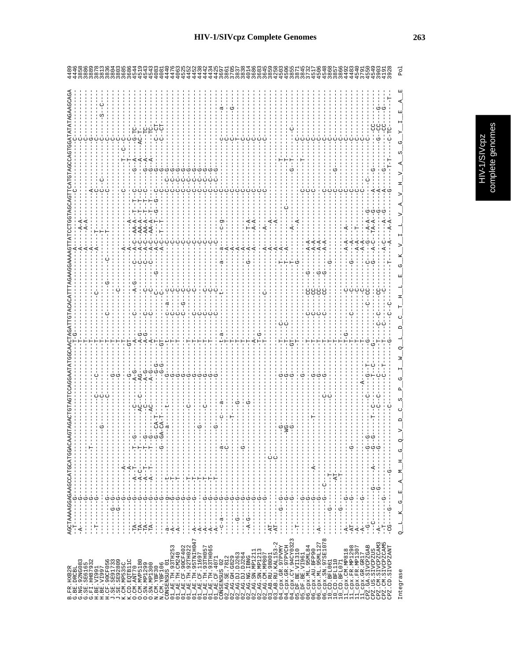| 8 תיום 2000 מסמס 2000 000 תוקש 2000 תוכן 4 000 משפח מקומ 2000 המסמכ 2000 המסמכ 2000 המסמכ 2000 000 000 000 000<br>שלום 2000 000 000 000 000 000 תוקש 2000 תוכן 4 000 000 000 המסמכ 2000 המסמכ 2000 המסמכ 2000 000 000 000 000                                                                                                                                                                                                                                                                                                                                                                                                                                                                                                                                                                                                                                                                                                                                                                                                                                                                                                                                                                                                                                                                                                                                                                                                                                                                                                                                                                                                                                                                                                                                                                                                                                                 | 433344                                                                                                                                                                                                                                                                                                                                                                                                                                                                                                                                                                                                                                                                                                                              |
|-------------------------------------------------------------------------------------------------------------------------------------------------------------------------------------------------------------------------------------------------------------------------------------------------------------------------------------------------------------------------------------------------------------------------------------------------------------------------------------------------------------------------------------------------------------------------------------------------------------------------------------------------------------------------------------------------------------------------------------------------------------------------------------------------------------------------------------------------------------------------------------------------------------------------------------------------------------------------------------------------------------------------------------------------------------------------------------------------------------------------------------------------------------------------------------------------------------------------------------------------------------------------------------------------------------------------------------------------------------------------------------------------------------------------------------------------------------------------------------------------------------------------------------------------------------------------------------------------------------------------------------------------------------------------------------------------------------------------------------------------------------------------------------------------------------------------------------------------------------------------------|-------------------------------------------------------------------------------------------------------------------------------------------------------------------------------------------------------------------------------------------------------------------------------------------------------------------------------------------------------------------------------------------------------------------------------------------------------------------------------------------------------------------------------------------------------------------------------------------------------------------------------------------------------------------------------------------------------------------------------------|
| ! 수수요요<br>(1)<br>HUUU                                                                                                                                                                                                                                                                                                                                                                                                                                                                                                                                                                                                                                                                                                                                                                                                                                                                                                                                                                                                                                                                                                                                                                                                                                                                                                                                                                                                                                                                                                                                                                                                                                                                                                                                                                                                                                                         | υ υ<br>ひひひ                                                                                                                                                                                                                                                                                                                                                                                                                                                                                                                                                                                                                                                                                                                          |
| ↻<br>$A \land A$<br><b>ひひひひひひひひひひひひひひ</b><br>$1 - 1 - 1 - 1 - 1$<br>$\blacksquare$<br>. ° ° ° ° ° ° ° ° ° ° ° ° ° ° °                                                                                                                                                                                                                                                                                                                                                                                                                                                                                                                                                                                                                                                                                                                                                                                                                                                                                                                                                                                                                                                                                                                                                                                                                                                                                                                                                                                                                                                                                                                                                                                                                                                                                                                                                         |                                                                                                                                                                                                                                                                                                                                                                                                                                                                                                                                                                                                                                                                                                                                     |
| ロート<br>머니터먼<br>AAAAH<br>ፈ ⊄<br>$\triangle$ $\triangle$<br>2222                                                                                                                                                                                                                                                                                                                                                                                                                                                                                                                                                                                                                                                                                                                                                                                                                                                                                                                                                                                                                                                                                                                                                                                                                                                                                                                                                                                                                                                                                                                                                                                                                                                                                                                                                                                                                | C) C) C) C) C)<br>ひ ひ ひ                                                                                                                                                                                                                                                                                                                                                                                                                                                                                                                                                                                                                                                                                                             |
| <u> ひ ひ ひ ひ ひ ひ</u><br>AAAAA<br>AAAA<br>A A A<br>ರ⊂ <⊂ <<br>ひひひひ                                                                                                                                                                                                                                                                                                                                                                                                                                                                                                                                                                                                                                                                                                                                                                                                                                                                                                                                                                                                                                                                                                                                                                                                                                                                                                                                                                                                                                                                                                                                                                                                                                                                                                                                                                                                              | よよよよしし<br>КК<br>$\begin{array}{c} 1 & 1 \\ 1 & 1 \end{array}$<br>$\overline{A}$<br>⊄⊄⊄⊄<br>てつてり<br>エーてりてり                                                                                                                                                                                                                                                                                                                                                                                                                                                                                                                                                                                                                           |
| <b>.</b><br>UU I<br>ひ<br>ひひひひ<br>ひひひひ                                                                                                                                                                                                                                                                                                                                                                                                                                                                                                                                                                                                                                                                                                                                                                                                                                                                                                                                                                                                                                                                                                                                                                                                                                                                                                                                                                                                                                                                                                                                                                                                                                                                                                                                                                                                                                         | ひひひひ<br>.<br>ひひひひ                                                                                                                                                                                                                                                                                                                                                                                                                                                                                                                                                                                                                                                                                                                   |
|                                                                                                                                                                                                                                                                                                                                                                                                                                                                                                                                                                                                                                                                                                                                                                                                                                                                                                                                                                                                                                                                                                                                                                                                                                                                                                                                                                                                                                                                                                                                                                                                                                                                                                                                                                                                                                                                               | O                                                                                                                                                                                                                                                                                                                                                                                                                                                                                                                                                                                                                                                                                                                                   |
| てりてり<br>! ७ ७ ७ ७<br>$A-G$<br>AG-<br><b>ひひひひひひひひひ</b><br>ひ ひ コ<br>ひひひ                                                                                                                                                                                                                                                                                                                                                                                                                                                                                                                                                                                                                                                                                                                                                                                                                                                                                                                                                                                                                                                                                                                                                                                                                                                                                                                                                                                                                                                                                                                                                                                                                                                                                                                                                                                                         | ひ<br>てりてりてり<br>ΗU                                                                                                                                                                                                                                                                                                                                                                                                                                                                                                                                                                                                                                                                                                                   |
| $-GB-$<br>$-\frac{6}{1}$<br>J                                                                                                                                                                                                                                                                                                                                                                                                                                                                                                                                                                                                                                                                                                                                                                                                                                                                                                                                                                                                                                                                                                                                                                                                                                                                                                                                                                                                                                                                                                                                                                                                                                                                                                                                                                                                                                                 | $\frac{1}{\sqrt{2}}$<br>ن<br>ا<br>ا<br>C<br>ŧ<br>ひ                                                                                                                                                                                                                                                                                                                                                                                                                                                                                                                                                                                                                                                                                  |
| AGCTAAAAGGAGAAGCCATGCATGGACAAG<br>--T--------G----------------------<br>$-1$<br>$-1$<br>$-1$<br>$-1$<br>$-1$<br>$-1$<br>$-1$<br>$-1$<br>$-1$<br>$-1$<br>$-1$<br>$-1$<br>$\begin{bmatrix} 1 & 1 & 1 \\ 1 & 1 & 1 \\ 1 & 1 & 1 \\ 1 & 1 & 1 \\ 1 & 1 & 1 \\ 1 & 1 & 1 \\ 1 & 1 & 1 \\ 1 & 1 & 1 \\ 1 & 1 & 1 \\ 1 & 1 & 1 \\ 1 & 1 & 1 \\ 1 & 1 & 1 \\ 1 & 1 & 1 \\ 1 & 1 & 1 \\ 1 & 1 & 1 & 1 \\ 1 & 1 & 1 & 1 \\ 1 & 1 & 1 & 1 \\ 1 & 1 & 1 & 1 \\ 1 & 1 & 1 & 1 \\ 1 & 1 & 1 & 1 & 1 \\ 1 & 1 & 1 & 1 & $<br>$\frac{1}{2}$<br>$O - 1$<br>ţ<br>$\frac{1}{1}$<br>li<br>1<br>L<br>$\overline{\phantom{a}}$<br>$\frac{1}{2}$<br>$\frac{1}{1}$<br>Ţ<br>$\blacksquare$<br>$\frac{1}{1}$<br>$\mathbf{I}$<br>ł<br>л.<br>j.<br>$\frac{1}{1}$<br>$\frac{1}{1}$<br>j<br>$\frac{1}{1}$<br>$\frac{1}{1}$<br>$-4$<br>$-4$<br>ł<br>Ŧ<br>$-4 - 4 - T$<br>ł<br>$\mathbf{I}$<br>$\begin{array}{c} \begin{array}{c} \begin{array}{c} \begin{array}{c} \begin{array}{c} \end{array} \\ \end{array} \\ \begin{array}{c} \end{array} \\ \begin{array}{c} \end{array} \end{array} \end{array} \end{array}$<br>$\begin{bmatrix} 1 \\ 1 \\ 1 \\ 1 \end{bmatrix}$<br>$\begin{bmatrix} 1 \\ 1 \\ 1 \\ 1 \end{bmatrix}$<br>턱<br>Ĥ<br>$\begin{array}{c} 1 \\ 1 \\ 1 \end{array}$<br>$\overline{\phantom{a}}$<br>$\blacksquare$<br>÷ee<br>¦¦¦<br>۲<br>ا<br>$\frac{1}{2}$<br>$\frac{1}{1}$<br>부<br>$\overline{1}$<br>п<br>п<br>T.<br>$\mathsf I$<br>$\mathbf I$<br>$\frac{1}{G} - - \frac{1}{G}$<br>J.<br>寸土<br>$\mathsf I$<br>$\mathsf I$<br>$\,$ I<br>$\mathsf I$<br>$\,$ I<br>$\mathsf I$<br>$\mathsf I$<br>$\,$ I<br>$\mathsf I$<br>$\mathbf{I} = \mathbf{I}$<br>÷į.<br>$\frac{1}{1}$<br>44<br>$\mathbb{R}^n$<br>T<br>Ţ<br>$\overline{\phantom{a}}$<br>$-1$ $-1$ $-1$<br>$\blacksquare$<br>$\blacksquare$<br>$\mathbf{I}$<br>$\mathbf{I}$<br>-1<br>$\blacksquare$<br>$\mathbf{L}$<br>$\frac{1}{1}$<br>Ţ | $-1 - 1$<br>ပ် ပုံ<br>   <br>   <br>U<br>$\blacksquare$<br>т<br>$-1$ $-1$ $-1$<br>Ť.<br>ï<br>Ξ<br>$\frac{1}{1}$<br>$-4 -$<br>$\mathsf I$<br>$\frac{1}{1}$<br>J<br>$\frac{1}{1}$<br>ł<br>ပှ<br>Σ<br>$\begin{array}{c}\n1 \\ 1 \\ 1 \\ 1\n\end{array}$<br>$\frac{1}{1}$<br>$-1$ – $-1$<br>$-1 - 4$<br>$\begin{array}{c} 1 \\ 1 \\ 1 \\ 1 \end{array}$<br>$\frac{1}{1}$<br>$\begin{array}{c} \frac{1}{2} \\ \frac{1}{2} \end{array}$<br>ţ<br>$\frac{1}{1}$<br>$\frac{1}{11}$<br>К<br>$\frac{1}{2}$<br>ပ် ပုံ<br>   <br>Ħ<br>$\frac{1}{1}$<br>j.<br>囯<br>Ι.<br>$\mathbf{I}$<br>$\frac{1}{4}$                                                                                                                                            |
| $-1$<br>111<br>L.<br>ひ<br>ひ<br>ひ<br>ひ<br><b>ひひひひひ</b><br>க்க்க<br>ひ<br>ひひひひひ<br>ひ<br>ひ<br>ひ<br>ひ<br>ひ<br>ひ<br>ひ<br>$\frac{1}{1}$<br>Ť<br>$\frac{1}{1}$<br>ĬΙ<br>$\frac{1}{1}$<br>$\begin{bmatrix} 1 & 1 & 1 & 1 & 1 \\ 1 & 1 & 1 & 1 & 1 \\ 1 & 1 & 1 & 1 & 1 \\ 1 & 1 & 1 & 1 & 1 \\ 1 & 1 & 1 & 1 & 1 \\ 1 & 1 & 1 & 1 & 1 \\ 1 & 1 & 1 & 1 & 1 \\ 1 & 1 & 1 & 1 & 1 \\ 1 & 1 & 1 & 1 & 1 \\ 1 & 1 & 1 & 1 & 1 \\ 1 & 1 & 1 & 1 & 1 \\ 1 & 1 & 1 & 1 & 1 \\ 1 & 1 & 1 & 1 & 1 \\ 1 & 1 & 1 & 1 & 1 \\ 1 & $<br>ŧ<br>÷<br>Ť<br>H<br>$\mathbf{I}$<br>$\blacksquare$<br>$-1 - 9$<br>ن<br>۱<br>п<br>п<br>$\frac{1}{1}$<br>ı<br>- 1<br>Î<br>ï.<br>L<br>$\overline{\phantom{a}}$<br>J.<br>$\frac{1}{1}$<br>$\,$ I<br>$\overline{\phantom{a}}$<br>$\overline{\phantom{a}}$<br>$\mathsf I$<br>Ţ<br>I.<br>$-1$<br>J.<br>1<br>I<br>$\overline{\phantom{a}}$<br>1<br>$-TA$ --<br>$-TA$ --<br>$-TA$ -<br>$\begin{array}{c} \hline \end{array}$<br>J,<br>Ţ<br>Ţ<br>$-AT - -$<br>$-A$ -<br>$\frac{1}{1}$<br>÷,<br>т<br>H<br>л<br>J.<br>$-TA-$<br>Ť<br>ï.<br>J,<br>$\,$ I<br>$\pm 1$<br>$\alpha \leq \alpha$<br>$\mathsf I$                                                                                                                                                                                                                                                                                                                                                                                                                                                                                                                                                                                                                                                                                                                                                                | $-1 - 0 - 1$<br>п<br>ひ<br>ひ<br><b>9</b> - - - - - - - -<br>$- - - - - -$<br>j.<br>ひ<br>ひ<br>U<br>Ť<br>I<br>Ă.<br>$-1$<br>$-1$<br>$-1$<br>$-1$<br>$-1$<br>$-1$<br>$-1$<br>$\begin{array}{c} \rule{0pt}{2.5ex} \rule{0pt}{2.5ex} \rule{0pt}{2.5ex} \rule{0pt}{2.5ex} \rule{0pt}{2.5ex} \rule{0pt}{2.5ex} \rule{0pt}{2.5ex} \rule{0pt}{2.5ex} \rule{0pt}{2.5ex} \rule{0pt}{2.5ex} \rule{0pt}{2.5ex} \rule{0pt}{2.5ex} \rule{0pt}{2.5ex} \rule{0pt}{2.5ex} \rule{0pt}{2.5ex} \rule{0pt}{2.5ex} \rule{0pt}{2.5ex} \rule{0pt}{2.5ex} \rule{0pt}{2.5ex} \rule{0$<br>$\mathbf{I}$<br>Ť<br>J<br>ن<br>۱<br>$\frac{1}{1}$<br>$A - - - - -$<br>ï<br>≃<br>$- - - - - - -$<br>$- -C - -$<br>$\frac{1}{1}$<br>J<br>ł<br>$-CG$<br>j.<br>ن<br>ا<br>O |
| $\begin{smallmatrix} \text{0} & \text{0} & \text{0} & \text{0} & \text{0} & \text{0} & \text{0} & \text{0} & \text{0} & \text{0} & \text{0} & \text{0} & \text{0} & \text{0} & \text{0} & \text{0} & \text{0} & \text{0} & \text{0} & \text{0} & \text{0} & \text{0} & \text{0} & \text{0} & \text{0} & \text{0} & \text{0} & \text{0} & \text{0} & \text{0} & \text{0} & \text{0} & \text{0} & \text{0} & \text{0} & \text{0$<br>. FR. HXB2R<br>. BE. DRCBL<br>四ひ                                                                                                                                                                                                                                                                                                                                                                                                                                                                                                                                                                                                                                                                                                                                                                                                                                                                                                                                                                                                                                                                                                                                                                                                                                                                                                                                                                                                            | CPZ.CD.SIVCPZANT<br>Integrase                                                                                                                                                                                                                                                                                                                                                                                                                                                                                                                                                                                                                                                                                                       |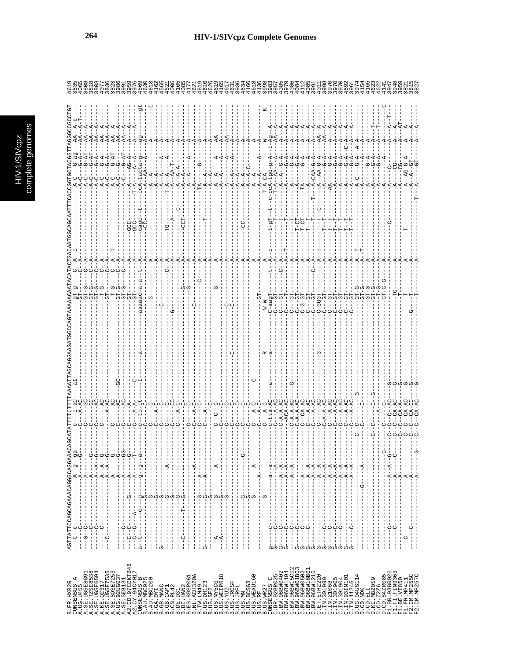| $\begin{small} \texttt{AGT} \texttt{M} \texttt{M} \texttt{M} \texttt{M} \texttt{M} \texttt{M} \texttt{M} \texttt{M} \texttt{M} \texttt{M} \texttt{M} \texttt{M} \texttt{M} \texttt{M} \texttt{M} \texttt{M} \texttt{M} \texttt{M} \texttt{M} \texttt{M} \texttt{M} \texttt{M} \texttt{M} \texttt{M} \texttt{M} \texttt{M} \texttt{M} \texttt{M} \texttt{M} \texttt{M} \texttt{M} \texttt{M} \texttt{M} \texttt{M} \texttt{$ |                                                                                                                                                                                                       |  |                      |                                                                                                                                       |  |
|-----------------------------------------------------------------------------------------------------------------------------------------------------------------------------------------------------------------------------------------------------------------------------------------------------------------------------------------------------------------------------------------------------------------------------|-------------------------------------------------------------------------------------------------------------------------------------------------------------------------------------------------------|--|----------------------|---------------------------------------------------------------------------------------------------------------------------------------|--|
|                                                                                                                                                                                                                                                                                                                                                                                                                             |                                                                                                                                                                                                       |  |                      |                                                                                                                                       |  |
|                                                                                                                                                                                                                                                                                                                                                                                                                             |                                                                                                                                                                                                       |  |                      |                                                                                                                                       |  |
|                                                                                                                                                                                                                                                                                                                                                                                                                             |                                                                                                                                                                                                       |  | あんでん                 |                                                                                                                                       |  |
|                                                                                                                                                                                                                                                                                                                                                                                                                             |                                                                                                                                                                                                       |  |                      |                                                                                                                                       |  |
|                                                                                                                                                                                                                                                                                                                                                                                                                             |                                                                                                                                                                                                       |  |                      |                                                                                                                                       |  |
|                                                                                                                                                                                                                                                                                                                                                                                                                             |                                                                                                                                                                                                       |  |                      |                                                                                                                                       |  |
|                                                                                                                                                                                                                                                                                                                                                                                                                             |                                                                                                                                                                                                       |  |                      |                                                                                                                                       |  |
|                                                                                                                                                                                                                                                                                                                                                                                                                             |                                                                                                                                                                                                       |  |                      |                                                                                                                                       |  |
|                                                                                                                                                                                                                                                                                                                                                                                                                             |                                                                                                                                                                                                       |  | မှ မှ မှ             | みみみみみみみみみみ                                                                                                                            |  |
|                                                                                                                                                                                                                                                                                                                                                                                                                             |                                                                                                                                                                                                       |  |                      |                                                                                                                                       |  |
|                                                                                                                                                                                                                                                                                                                                                                                                                             |                                                                                                                                                                                                       |  |                      |                                                                                                                                       |  |
|                                                                                                                                                                                                                                                                                                                                                                                                                             |                                                                                                                                                                                                       |  |                      |                                                                                                                                       |  |
|                                                                                                                                                                                                                                                                                                                                                                                                                             |                                                                                                                                                                                                       |  |                      |                                                                                                                                       |  |
|                                                                                                                                                                                                                                                                                                                                                                                                                             |                                                                                                                                                                                                       |  |                      | ובבודובובובונו<br>לא אישי לא אין אישי לא אישי<br>לא אישי לא אין אישי לא אישי<br>לא אישי לא אישי לא אישי<br>לא היו לא וא וא וא לא אישי |  |
|                                                                                                                                                                                                                                                                                                                                                                                                                             |                                                                                                                                                                                                       |  |                      |                                                                                                                                       |  |
|                                                                                                                                                                                                                                                                                                                                                                                                                             |                                                                                                                                                                                                       |  |                      |                                                                                                                                       |  |
|                                                                                                                                                                                                                                                                                                                                                                                                                             |                                                                                                                                                                                                       |  |                      |                                                                                                                                       |  |
|                                                                                                                                                                                                                                                                                                                                                                                                                             | .                                                                                                                                                                                                     |  |                      |                                                                                                                                       |  |
|                                                                                                                                                                                                                                                                                                                                                                                                                             |                                                                                                                                                                                                       |  |                      |                                                                                                                                       |  |
|                                                                                                                                                                                                                                                                                                                                                                                                                             |                                                                                                                                                                                                       |  |                      |                                                                                                                                       |  |
|                                                                                                                                                                                                                                                                                                                                                                                                                             |                                                                                                                                                                                                       |  |                      |                                                                                                                                       |  |
|                                                                                                                                                                                                                                                                                                                                                                                                                             |                                                                                                                                                                                                       |  |                      |                                                                                                                                       |  |
|                                                                                                                                                                                                                                                                                                                                                                                                                             |                                                                                                                                                                                                       |  |                      |                                                                                                                                       |  |
|                                                                                                                                                                                                                                                                                                                                                                                                                             |                                                                                                                                                                                                       |  |                      |                                                                                                                                       |  |
|                                                                                                                                                                                                                                                                                                                                                                                                                             |                                                                                                                                                                                                       |  |                      |                                                                                                                                       |  |
| .<br><u>  999999     999   9   1</u><br><u>                     </u><br>111111                                                                                                                                                                                                                                                                                                                                              |                                                                                                                                                                                                       |  |                      |                                                                                                                                       |  |
|                                                                                                                                                                                                                                                                                                                                                                                                                             |                                                                                                                                                                                                       |  |                      |                                                                                                                                       |  |
| $\overline{\phantom{a}}$                                                                                                                                                                                                                                                                                                                                                                                                    | $\mathsf I$<br>I<br>$\overline{\phantom{a}}$<br>$\blacksquare$<br>$\overline{\phantom{a}}$<br>I<br>$\blacksquare$<br>J.                                                                               |  |                      |                                                                                                                                       |  |
| $\blacksquare$<br>$\mathbf{I}$                                                                                                                                                                                                                                                                                                                                                                                              | $\mathbf{I}$<br>$\mathbf{I}$                                                                                                                                                                          |  |                      |                                                                                                                                       |  |
| $1 - 1 - 1 - 1$<br>- 11                                                                                                                                                                                                                                                                                                                                                                                                     | $\mathbf{1}$ $\mathbf{1}$ $\mathbf{1}$<br>$1 - 1 - 1 - 1$<br>$\mathcal{A}$    <br>$\mathbf{L}$<br>$\mathbb{R}^n$<br>计卡卡                                                                               |  |                      |                                                                                                                                       |  |
| $\Box$                                                                                                                                                                                                                                                                                                                                                                                                                      |                                                                                                                                                                                                       |  |                      |                                                                                                                                       |  |
| $\perp$<br>$\mathsf I$<br>$\mathsf I$<br>$\mathbf{I}$<br>-1                                                                                                                                                                                                                                                                                                                                                                 | $\blacksquare$<br>$\blacksquare$                                                                                                                                                                      |  |                      |                                                                                                                                       |  |
| Ι.<br>$1 - 1 - 1 - 1 - 1$<br>$1 - 1 - 1$<br>Ţ<br>$\mathbf{I}$<br>$\mathbf{I}$<br>п                                                                                                                                                                                                                                                                                                                                          | $\mathbf{I} = \mathbf{I}$<br>$1 - 1 - 1 - 1$<br>$\begin{array}{cccccccccc} 1 & 1 & 1 & 1 & 1 \end{array}$<br>Ħ                                                                                        |  |                      |                                                                                                                                       |  |
| $\mathbf{I}$<br>- 1<br>$\mathbf{I}$<br>-1                                                                                                                                                                                                                                                                                                                                                                                   |                                                                                                                                                                                                       |  |                      |                                                                                                                                       |  |
| $\mathbf{I}$<br>т<br>-1<br>$\mathbf I$                                                                                                                                                                                                                                                                                                                                                                                      | ו טו<br>$\pm 1$<br>T                                                                                                                                                                                  |  |                      |                                                                                                                                       |  |
| $\mathbf{1}$                                                                                                                                                                                                                                                                                                                                                                                                                | $\mathbf{I}$                                                                                                                                                                                          |  |                      |                                                                                                                                       |  |
| ---------------<br>.<br>.<br>1 1 1 1 1 1 1 0 0 0 0 0 0 0 0 0<br>$1 - 1 - 1$<br>$\mathbf{I}$                                                                                                                                                                                                                                                                                                                                 | $\blacksquare$<br>.<br>$\pm 1$<br>A                                                                                                                                                                   |  |                      |                                                                                                                                       |  |
| $\mathbb{I}$<br>$\blacksquare$                                                                                                                                                                                                                                                                                                                                                                                              | 1<br>-1                                                                                                                                                                                               |  |                      |                                                                                                                                       |  |
|                                                                                                                                                                                                                                                                                                                                                                                                                             | $\mathbf{1}$ $\mathbf{1}$ $\mathbf{1}$<br>$\mathbf{I}$                                                                                                                                                |  |                      |                                                                                                                                       |  |
| $\pm$                                                                                                                                                                                                                                                                                                                                                                                                                       |                                                                                                                                                                                                       |  |                      |                                                                                                                                       |  |
| $\mathbf{I}$                                                                                                                                                                                                                                                                                                                                                                                                                | $\mathbf{I}$                                                                                                                                                                                          |  |                      |                                                                                                                                       |  |
| $\mathbf{L}$<br>$\pm$ $\pm$                                                                                                                                                                                                                                                                                                                                                                                                 | $\blacksquare$<br>$\mathbf{I}$<br>みみみみ                                                                                                                                                                |  |                      |                                                                                                                                       |  |
| $\mathbb T$<br>- 11<br>$\mathbf{I}$<br>$1 - 1$                                                                                                                                                                                                                                                                                                                                                                              | -1                                                                                                                                                                                                    |  |                      |                                                                                                                                       |  |
| $\blacksquare$<br>$\blacksquare$                                                                                                                                                                                                                                                                                                                                                                                            | $\mathbf{I}$                                                                                                                                                                                          |  |                      |                                                                                                                                       |  |
| $\blacksquare$<br>- 1<br>$\blacksquare$<br>- 1<br>$\overline{\phantom{a}}$<br>$\blacksquare$                                                                                                                                                                                                                                                                                                                                | $1 - 1 - 1$<br>$\blacksquare$                                                                                                                                                                         |  |                      |                                                                                                                                       |  |
| $\blacksquare$<br>$\mathbb T$<br>$\mathbf{I}$<br>п.<br>$\mathbb T$                                                                                                                                                                                                                                                                                                                                                          | $\blacksquare$<br>$\mathbf{I}$                                                                                                                                                                        |  |                      |                                                                                                                                       |  |
| $\blacksquare$                                                                                                                                                                                                                                                                                                                                                                                                              | <b>TIIII</b><br>$\blacksquare$                                                                                                                                                                        |  |                      |                                                                                                                                       |  |
| $\blacksquare$<br>$\mathbf{I} = \mathbf{I}$<br>$\mathbf{1}$<br>$\mathbf{1}$<br>$\mathbf{1}$                                                                                                                                                                                                                                                                                                                                 | $\mathbf{I}$                                                                                                                                                                                          |  |                      |                                                                                                                                       |  |
| $\blacksquare$<br>$1 - 1 - 1$                                                                                                                                                                                                                                                                                                                                                                                               | $1 \cdot 1 \cdot 1$                                                                                                                                                                                   |  |                      |                                                                                                                                       |  |
| $\blacksquare$<br>$\blacksquare$<br>$\blacksquare$<br>$\blacksquare$                                                                                                                                                                                                                                                                                                                                                        | $\Box$<br>$\blacksquare$                                                                                                                                                                              |  |                      |                                                                                                                                       |  |
| - 1<br>п.<br>п.                                                                                                                                                                                                                                                                                                                                                                                                             | -1                                                                                                                                                                                                    |  |                      |                                                                                                                                       |  |
| - 1<br>$\mathbf I$<br>$1 - 1 - 1$                                                                                                                                                                                                                                                                                                                                                                                           | $\mathbf{I}$<br>$\mathbf{I}$                                                                                                                                                                          |  |                      |                                                                                                                                       |  |
| .<br><b>TELEVISION</b><br>$\Box$<br>$-1$<br>$1 - 1 - 1 - 1$<br>$\blacksquare$<br>$U U U U U + U$<br>$\frac{1}{2}$                                                                                                                                                                                                                                                                                                           | т.<br>RARARARA<br>11 21 31 22 24 24 24 24 25 26 26 27 28 24 25 26 27<br>ו קיקוריקיה קיקוריקיה וקיקוריה ויקובו<br>בין הרובה הרובה הרובה ויקובות הרובה הרובה<br>בין הרובה הרובה הרובה הרובה הרובה הרובה |  | <b>UUUUUUUUUUUUU</b> | AAAAAAAAAAAAAAA                                                                                                                       |  |
| $\mathbf{I}$                                                                                                                                                                                                                                                                                                                                                                                                                | $\mathbf{I}$                                                                                                                                                                                          |  |                      |                                                                                                                                       |  |
| $\blacksquare$<br>$\mathbf{I}$<br>$\blacksquare$<br>$\blacksquare$<br>$\blacksquare$                                                                                                                                                                                                                                                                                                                                        | $\mathbf{I}$                                                                                                                                                                                          |  |                      |                                                                                                                                       |  |
|                                                                                                                                                                                                                                                                                                                                                                                                                             |                                                                                                                                                                                                       |  |                      |                                                                                                                                       |  |
| $\Box$<br>$1 - 1$<br>$\Box$<br>$\Box$<br>$\mathbf{1}$<br>$\mathbf{I} = \mathbf{I}$                                                                                                                                                                                                                                                                                                                                          | $1 - 1$                                                                                                                                                                                               |  |                      |                                                                                                                                       |  |
|                                                                                                                                                                                                                                                                                                                                                                                                                             |                                                                                                                                                                                                       |  |                      |                                                                                                                                       |  |
| $\overline{\phantom{a}}$<br>$\blacksquare$<br>$\perp$<br>$\mathbf{1}$<br>$\mathbf{I}$<br>J.<br>J.<br>$\mathbf{I}$<br>$\blacksquare$                                                                                                                                                                                                                                                                                         |                                                                                                                                                                                                       |  |                      |                                                                                                                                       |  |
| $1 + 1 + 1$<br>$1 - 1 - 1$<br>$\blacksquare$<br>$\blacksquare$<br>$\blacksquare$<br>-1<br>$\mathbf{I}$<br>$\mathbb T$<br>$\mathbf{I}$                                                                                                                                                                                                                                                                                       |                                                                                                                                                                                                       |  |                      |                                                                                                                                       |  |
| $1 - 1$<br>$\blacksquare$<br>- 1<br>$1 - 1 - 1$<br>$\mathbf{I}$<br>$\blacksquare$<br>$\mathbf{I}$<br>$\blacksquare$<br>- 1<br>$\mathbb{R}^n$<br>- 1                                                                                                                                                                                                                                                                         | $\overline{A}$                                                                                                                                                                                        |  |                      |                                                                                                                                       |  |
| $\perp$<br>$1 - 1 - 1 - 1 - 1$<br>$\mathbf{I}$<br>$\mathbf{I}$<br>$\blacksquare$<br>Ι.<br>$\blacksquare$<br>$1 + 1 + 1 + 1$<br>- 1<br>$\mathbf{I}$<br>$\mathbf{I}$<br>-1<br>J.                                                                                                                                                                                                                                              | .<br>.<br>111111<br>$\mathbf{I}$<br>.<br>$  1 +   1  $                                                                                                                                                |  |                      |                                                                                                                                       |  |
| $\blacksquare$<br>$\blacksquare$<br>$1 - 1$<br>$\blacksquare$<br>$\blacksquare$<br>$\mathbf{I}$<br>-11<br>Ι.<br>$\mathbf{I}$<br>H.<br>Ш.                                                                                                                                                                                                                                                                                    |                                                                                                                                                                                                       |  |                      |                                                                                                                                       |  |
| $\mathbf{I}$<br>$\blacksquare$<br>-1<br>$\blacksquare$<br>$\mathbf{I}$<br>$-1$<br>-1                                                                                                                                                                                                                                                                                                                                        | $\blacksquare$<br>-1<br>$\blacksquare$                                                                                                                                                                |  |                      |                                                                                                                                       |  |
| -1<br>$\mathbf{I}$<br>т<br>$\mathbf{I}$                                                                                                                                                                                                                                                                                                                                                                                     |                                                                                                                                                                                                       |  |                      |                                                                                                                                       |  |
| $\mathsf I$<br>$\blacksquare$<br>$\mathbf{I}$<br>$1 - 1$<br>1<br>-1<br>$\mathbf{I}$<br>υU<br>1<br>1<br>$\mathbf{I}$<br>-                                                                                                                                                                                                                                                                                                    | A                                                                                                                                                                                                     |  |                      |                                                                                                                                       |  |
| $\mathbb{I}$<br>$\mathbf{I}$<br>$\mathbf{I}$<br>$\mathbf{I}$<br>$\mathbf{I}$<br>л.<br>$\mathbf{I}$<br>- 1<br>$\mathbf{I}$<br>Ŧ<br>$\mathbf{I}$<br>$\mathbf{I}$                                                                                                                                                                                                                                                              | ひひ<br>IJH<br>$\blacksquare$                                                                                                                                                                           |  |                      |                                                                                                                                       |  |
| $\mathbf I$<br>$\blacksquare$<br>-1<br>$\mathbf{I}$<br>$\mathbf{I}$<br>-1<br>$\mathbf{I}$<br>$\blacksquare$<br>-1                                                                                                                                                                                                                                                                                                           | $\mathbf{I}$<br>$\mathbf{I}$                                                                                                                                                                          |  |                      |                                                                                                                                       |  |
| $\perp$<br>$\blacksquare$<br>л.<br>$\blacksquare$<br>$\mathsf I$<br>$\mathbf{I}$<br>$\mathbf{I}$<br>$\mathop{\cup}\limits_{l}^{\mathop{\textstyle\bigcup}}$<br>$\mathbf{I}$                                                                                                                                                                                                                                                 | $\mathbf{I}$<br>$\mathbf{I}$<br>-1                                                                                                                                                                    |  |                      |                                                                                                                                       |  |
| $\mathbf{I}$<br>$\mathbf{I}$<br>$\mathbf{1}$<br>$1 - 1 - 1$<br>$-1$<br>$\overline{C}$<br>$\mathbf I$<br>$\mathbf{I}$                                                                                                                                                                                                                                                                                                        | $\blacksquare$<br>THHI<br>RARRA<br>i i i i i i i                                                                                                                                                      |  |                      |                                                                                                                                       |  |
| $1 - 1$<br>$\Box$<br>$\blacksquare$<br>Ħ                                                                                                                                                                                                                                                                                                                                                                                    | $\mathbf{1}$<br>$\pm$ $\pm$<br>$\Box$                                                                                                                                                                 |  |                      |                                                                                                                                       |  |
|                                                                                                                                                                                                                                                                                                                                                                                                                             |                                                                                                                                                                                                       |  |                      |                                                                                                                                       |  |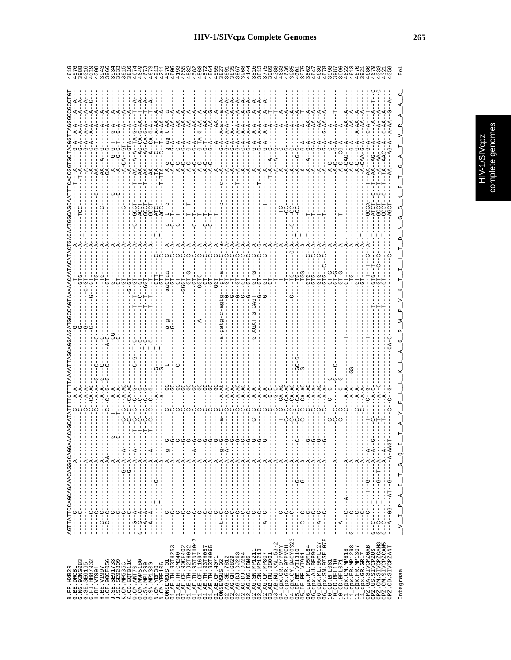| $\begin{small} \begin{smallmatrix} . & . & . & . & . & . \\ . & . & . & . & . \\ . & . & . & . & . \\ . & . & . & . & . \\ . & . & . & . & . \\ . & . & . & . & . \\ . & . & . & . & . \\ . & . & . & . & . \\ . & . & . & . & . \\ . & . & . & . & . \\ . & . & . & . & . \\ . & . & . & . & . \\ . & . & . & . & . \\ . & . & . & . & . \\ . & . & . & . & . \\ . & . & . & . & . \\ . & . & . & . & . \\ . & . & . & . & . \\ . & . & . & . & . \\ . & . & . & . & . \\ . & . & . & .$<br>ţ.<br>÷<br>Ť<br>Ť<br>Ť<br>$-4 -$<br>$- - - -$<br>ŧ<br>ŧ<br>Ť<br>$---AA$ -<br>Ť<br>$\frac{1}{1}$<br>ł<br>$   \overline{A}$<br>$-4$<br>$-4$<br>$-4$<br>$-4$<br>$-4$<br>$\begin{array}{c} -1 \\ -1 \\ 1 \end{array}$<br><b>C</b><br>-----<br>ή<br>υ<br>$\mathbb{I}$<br>$\mathsf I$<br>$\overline{\phantom{a}}$<br>$\frac{1}{1}$<br>Ţ<br>$\frac{1}{1}$<br>$\blacksquare$<br>$\frac{1}{2} - \frac{1}{2} - \frac{1}{2} - \frac{1}{2} - \frac{1}{2} - \frac{1}{2} - \frac{1}{2} - \frac{1}{2} - \frac{1}{2} - \frac{1}{2} - \frac{1}{2} - \frac{1}{2} - \frac{1}{2} - \frac{1}{2} - \frac{1}{2} - \frac{1}{2} - \frac{1}{2} - \frac{1}{2} - \frac{1}{2} - \frac{1}{2} - \frac{1}{2} - \frac{1}{2} - \frac{1}{2} - \frac{1}{2} - \frac{1}{2} - \frac{1}{2} - \frac{1}{2} - \frac{1$<br>$\begin{array}{c} 1 & 1 & 1 \\ 1 & 1 & 1 \\ 1 & 1 & 1 \\ 1 & 1 & 1 \\ 1 & 1 & 1 \\ 1 & 1 & 1 \\ 1 & 1 & 1 \\ 1 & 1 & 1 \\ 1 & 1 & 1 \\ 1 & 1 & 1 \\ 1 & 1 & 1 \\ 1 & 1 & 1 \\ 1 & 1 & 1 \\ 1 & 1 & 1 \\ 1 & 1 & 1 \\ 1 & 1 & 1 \\ 1 & 1 & 1 \\ 1 & 1 & 1 \\ 1 & 1 & 1 \\ 1 & 1 & 1 & 1 \\ 1 & 1 & 1 & 1 \\ 1 & 1 & 1 & 1 \\ 1 & 1 &$<br>$\begin{array}{c} \begin{array}{c} \begin{array}{c} \begin{array}{c} \end{array} \\ \begin{array}{c} \end{array} \\ \begin{array}{c} \end{array} \\ \begin{array}{c} \end{array} \\ \begin{array}{c} \end{array} \end{array} \end{array}$<br>$-1$<br>$-1$<br>$-1$ $-1$ $-1$<br>$\frac{1}{1}$<br>$\frac{1}{1}$<br>$\frac{1}{1}$<br>$\frac{1}{1}$<br>$\frac{1}{1}$<br>$\frac{1}{1}$<br>÷<br>Ť<br>Ť<br>$\frac{1}{1}$<br>$\frac{1}{1}$<br>Ť<br>Ť<br>Ť,<br>$A - -$<br>$- -A - -A - -$<br>$\frac{1}{1}$<br>J,<br>$\frac{1}{1}$<br>Ť<br>Ť<br>f,<br>ł<br>f,<br>п<br>$-5 - -1$<br>Ü<br>U<br>U<br>↻<br>↻<br>U<br>Ţ<br>Ţ<br>$-1 - C - C$<br>Ī<br>$-5 - -$<br>$- -A - i$<br>$\begin{bmatrix} 1 \\ 1 \\ 1 \\ 1 \end{bmatrix}$<br>$-1 - t -$<br>$\frac{1}{1}$<br>$\frac{1}{1}$<br>$\frac{1}{1}$<br>$- -A - -$<br>Ť<br>$\frac{1}{1}$<br>ţ<br>Ť<br>$\frac{1}{1}$<br>$\frac{1}{1}$<br>$\frac{1}{1}$<br>$\frac{1}{1}$<br>$\frac{1}{1}$<br>ţ<br>$\begin{bmatrix} 1 \\ 1 \\ 1 \\ 1 \end{bmatrix}$<br>$\frac{1}{2}$<br>$\frac{1}{1}$<br>$\frac{1}{1}$<br>ļ<br>$\frac{1}{1}$<br>$\frac{1}{2}$<br>$\frac{1}{1}$<br>Ť<br>I<br>U<br> <br>I.<br>J.<br>ł.<br>$\frac{1}{1}$<br>$\frac{1}{1}$<br>Í<br>ł,<br>Í<br>ï<br>ï<br>Ť.<br>$\mathbf I$<br>$\sf I$<br>п<br>Т<br>ひ<br>ı<br>$\begin{smallmatrix} \texttt{R, HXB2R}\\ \texttt{G, BZ} & \texttt{GQ} & \texttt{GQ} & \texttt{GQ} & \texttt{GQ} & \texttt{GQ} & \texttt{GQ} & \texttt{GQ} & \texttt{GQ} & \texttt{GQ} & \texttt{GQ} & \texttt{GQ} & \texttt{GQ} & \texttt{GQ} & \texttt{GQ} & \texttt{GQ} & \texttt{GQ} & \texttt{GQ} & \texttt{GQ} & \texttt{GQ} & \texttt{GQ} & \texttt{GQ} & \texttt{GQ} & \texttt{GQ} & \texttt{GQ} &$ |    |  |  |  |
|----------------------------------------------------------------------------------------------------------------------------------------------------------------------------------------------------------------------------------------------------------------------------------------------------------------------------------------------------------------------------------------------------------------------------------------------------------------------------------------------------------------------------------------------------------------------------------------------------------------------------------------------------------------------------------------------------------------------------------------------------------------------------------------------------------------------------------------------------------------------------------------------------------------------------------------------------------------------------------------------------------------------------------------------------------------------------------------------------------------------------------------------------------------------------------------------------------------------------------------------------------------------------------------------------------------------------------------------------------------------------------------------------------------------------------------------------------------------------------------------------------------------------------------------------------------------------------------------------------------------------------------------------------------------------------------------------------------------------------------------------------------------------------------------------------------------------------------------------------------------------------------------------------------------------------------------------------------------------------------------------------------------------------------------------------------------------------------------------------------------------------------------------------------------------------------------------------------------------------------------------------------------------------------------------------------------------------------------------------------------------------------------------------------------------------------------------------------------------------------------------------------------------------------------------------------------------------------------------------------------------------------------------------------------------------------------------------------------------------------------------------------------------------------------------------------------------------------------------------------------------------------------------------------------------------------------------------------------------------------------------------------------------------------------------------------------------------------------------------------------------------------------------------------------------------------------------------------------------------------------------------------------------------|----|--|--|--|
|                                                                                                                                                                                                                                                                                                                                                                                                                                                                                                                                                                                                                                                                                                                                                                                                                                                                                                                                                                                                                                                                                                                                                                                                                                                                                                                                                                                                                                                                                                                                                                                                                                                                                                                                                                                                                                                                                                                                                                                                                                                                                                                                                                                                                                                                                                                                                                                                                                                                                                                                                                                                                                                                                                                                                                                                                                                                                                                                                                                                                                                                                                                                                                                                                                                                                  |    |  |  |  |
|                                                                                                                                                                                                                                                                                                                                                                                                                                                                                                                                                                                                                                                                                                                                                                                                                                                                                                                                                                                                                                                                                                                                                                                                                                                                                                                                                                                                                                                                                                                                                                                                                                                                                                                                                                                                                                                                                                                                                                                                                                                                                                                                                                                                                                                                                                                                                                                                                                                                                                                                                                                                                                                                                                                                                                                                                                                                                                                                                                                                                                                                                                                                                                                                                                                                                  |    |  |  |  |
|                                                                                                                                                                                                                                                                                                                                                                                                                                                                                                                                                                                                                                                                                                                                                                                                                                                                                                                                                                                                                                                                                                                                                                                                                                                                                                                                                                                                                                                                                                                                                                                                                                                                                                                                                                                                                                                                                                                                                                                                                                                                                                                                                                                                                                                                                                                                                                                                                                                                                                                                                                                                                                                                                                                                                                                                                                                                                                                                                                                                                                                                                                                                                                                                                                                                                  |    |  |  |  |
|                                                                                                                                                                                                                                                                                                                                                                                                                                                                                                                                                                                                                                                                                                                                                                                                                                                                                                                                                                                                                                                                                                                                                                                                                                                                                                                                                                                                                                                                                                                                                                                                                                                                                                                                                                                                                                                                                                                                                                                                                                                                                                                                                                                                                                                                                                                                                                                                                                                                                                                                                                                                                                                                                                                                                                                                                                                                                                                                                                                                                                                                                                                                                                                                                                                                                  |    |  |  |  |
|                                                                                                                                                                                                                                                                                                                                                                                                                                                                                                                                                                                                                                                                                                                                                                                                                                                                                                                                                                                                                                                                                                                                                                                                                                                                                                                                                                                                                                                                                                                                                                                                                                                                                                                                                                                                                                                                                                                                                                                                                                                                                                                                                                                                                                                                                                                                                                                                                                                                                                                                                                                                                                                                                                                                                                                                                                                                                                                                                                                                                                                                                                                                                                                                                                                                                  |    |  |  |  |
|                                                                                                                                                                                                                                                                                                                                                                                                                                                                                                                                                                                                                                                                                                                                                                                                                                                                                                                                                                                                                                                                                                                                                                                                                                                                                                                                                                                                                                                                                                                                                                                                                                                                                                                                                                                                                                                                                                                                                                                                                                                                                                                                                                                                                                                                                                                                                                                                                                                                                                                                                                                                                                                                                                                                                                                                                                                                                                                                                                                                                                                                                                                                                                                                                                                                                  |    |  |  |  |
|                                                                                                                                                                                                                                                                                                                                                                                                                                                                                                                                                                                                                                                                                                                                                                                                                                                                                                                                                                                                                                                                                                                                                                                                                                                                                                                                                                                                                                                                                                                                                                                                                                                                                                                                                                                                                                                                                                                                                                                                                                                                                                                                                                                                                                                                                                                                                                                                                                                                                                                                                                                                                                                                                                                                                                                                                                                                                                                                                                                                                                                                                                                                                                                                                                                                                  |    |  |  |  |
|                                                                                                                                                                                                                                                                                                                                                                                                                                                                                                                                                                                                                                                                                                                                                                                                                                                                                                                                                                                                                                                                                                                                                                                                                                                                                                                                                                                                                                                                                                                                                                                                                                                                                                                                                                                                                                                                                                                                                                                                                                                                                                                                                                                                                                                                                                                                                                                                                                                                                                                                                                                                                                                                                                                                                                                                                                                                                                                                                                                                                                                                                                                                                                                                                                                                                  |    |  |  |  |
|                                                                                                                                                                                                                                                                                                                                                                                                                                                                                                                                                                                                                                                                                                                                                                                                                                                                                                                                                                                                                                                                                                                                                                                                                                                                                                                                                                                                                                                                                                                                                                                                                                                                                                                                                                                                                                                                                                                                                                                                                                                                                                                                                                                                                                                                                                                                                                                                                                                                                                                                                                                                                                                                                                                                                                                                                                                                                                                                                                                                                                                                                                                                                                                                                                                                                  |    |  |  |  |
|                                                                                                                                                                                                                                                                                                                                                                                                                                                                                                                                                                                                                                                                                                                                                                                                                                                                                                                                                                                                                                                                                                                                                                                                                                                                                                                                                                                                                                                                                                                                                                                                                                                                                                                                                                                                                                                                                                                                                                                                                                                                                                                                                                                                                                                                                                                                                                                                                                                                                                                                                                                                                                                                                                                                                                                                                                                                                                                                                                                                                                                                                                                                                                                                                                                                                  |    |  |  |  |
|                                                                                                                                                                                                                                                                                                                                                                                                                                                                                                                                                                                                                                                                                                                                                                                                                                                                                                                                                                                                                                                                                                                                                                                                                                                                                                                                                                                                                                                                                                                                                                                                                                                                                                                                                                                                                                                                                                                                                                                                                                                                                                                                                                                                                                                                                                                                                                                                                                                                                                                                                                                                                                                                                                                                                                                                                                                                                                                                                                                                                                                                                                                                                                                                                                                                                  |    |  |  |  |
|                                                                                                                                                                                                                                                                                                                                                                                                                                                                                                                                                                                                                                                                                                                                                                                                                                                                                                                                                                                                                                                                                                                                                                                                                                                                                                                                                                                                                                                                                                                                                                                                                                                                                                                                                                                                                                                                                                                                                                                                                                                                                                                                                                                                                                                                                                                                                                                                                                                                                                                                                                                                                                                                                                                                                                                                                                                                                                                                                                                                                                                                                                                                                                                                                                                                                  |    |  |  |  |
|                                                                                                                                                                                                                                                                                                                                                                                                                                                                                                                                                                                                                                                                                                                                                                                                                                                                                                                                                                                                                                                                                                                                                                                                                                                                                                                                                                                                                                                                                                                                                                                                                                                                                                                                                                                                                                                                                                                                                                                                                                                                                                                                                                                                                                                                                                                                                                                                                                                                                                                                                                                                                                                                                                                                                                                                                                                                                                                                                                                                                                                                                                                                                                                                                                                                                  |    |  |  |  |
|                                                                                                                                                                                                                                                                                                                                                                                                                                                                                                                                                                                                                                                                                                                                                                                                                                                                                                                                                                                                                                                                                                                                                                                                                                                                                                                                                                                                                                                                                                                                                                                                                                                                                                                                                                                                                                                                                                                                                                                                                                                                                                                                                                                                                                                                                                                                                                                                                                                                                                                                                                                                                                                                                                                                                                                                                                                                                                                                                                                                                                                                                                                                                                                                                                                                                  |    |  |  |  |
|                                                                                                                                                                                                                                                                                                                                                                                                                                                                                                                                                                                                                                                                                                                                                                                                                                                                                                                                                                                                                                                                                                                                                                                                                                                                                                                                                                                                                                                                                                                                                                                                                                                                                                                                                                                                                                                                                                                                                                                                                                                                                                                                                                                                                                                                                                                                                                                                                                                                                                                                                                                                                                                                                                                                                                                                                                                                                                                                                                                                                                                                                                                                                                                                                                                                                  |    |  |  |  |
|                                                                                                                                                                                                                                                                                                                                                                                                                                                                                                                                                                                                                                                                                                                                                                                                                                                                                                                                                                                                                                                                                                                                                                                                                                                                                                                                                                                                                                                                                                                                                                                                                                                                                                                                                                                                                                                                                                                                                                                                                                                                                                                                                                                                                                                                                                                                                                                                                                                                                                                                                                                                                                                                                                                                                                                                                                                                                                                                                                                                                                                                                                                                                                                                                                                                                  |    |  |  |  |
|                                                                                                                                                                                                                                                                                                                                                                                                                                                                                                                                                                                                                                                                                                                                                                                                                                                                                                                                                                                                                                                                                                                                                                                                                                                                                                                                                                                                                                                                                                                                                                                                                                                                                                                                                                                                                                                                                                                                                                                                                                                                                                                                                                                                                                                                                                                                                                                                                                                                                                                                                                                                                                                                                                                                                                                                                                                                                                                                                                                                                                                                                                                                                                                                                                                                                  |    |  |  |  |
|                                                                                                                                                                                                                                                                                                                                                                                                                                                                                                                                                                                                                                                                                                                                                                                                                                                                                                                                                                                                                                                                                                                                                                                                                                                                                                                                                                                                                                                                                                                                                                                                                                                                                                                                                                                                                                                                                                                                                                                                                                                                                                                                                                                                                                                                                                                                                                                                                                                                                                                                                                                                                                                                                                                                                                                                                                                                                                                                                                                                                                                                                                                                                                                                                                                                                  |    |  |  |  |
|                                                                                                                                                                                                                                                                                                                                                                                                                                                                                                                                                                                                                                                                                                                                                                                                                                                                                                                                                                                                                                                                                                                                                                                                                                                                                                                                                                                                                                                                                                                                                                                                                                                                                                                                                                                                                                                                                                                                                                                                                                                                                                                                                                                                                                                                                                                                                                                                                                                                                                                                                                                                                                                                                                                                                                                                                                                                                                                                                                                                                                                                                                                                                                                                                                                                                  |    |  |  |  |
|                                                                                                                                                                                                                                                                                                                                                                                                                                                                                                                                                                                                                                                                                                                                                                                                                                                                                                                                                                                                                                                                                                                                                                                                                                                                                                                                                                                                                                                                                                                                                                                                                                                                                                                                                                                                                                                                                                                                                                                                                                                                                                                                                                                                                                                                                                                                                                                                                                                                                                                                                                                                                                                                                                                                                                                                                                                                                                                                                                                                                                                                                                                                                                                                                                                                                  |    |  |  |  |
|                                                                                                                                                                                                                                                                                                                                                                                                                                                                                                                                                                                                                                                                                                                                                                                                                                                                                                                                                                                                                                                                                                                                                                                                                                                                                                                                                                                                                                                                                                                                                                                                                                                                                                                                                                                                                                                                                                                                                                                                                                                                                                                                                                                                                                                                                                                                                                                                                                                                                                                                                                                                                                                                                                                                                                                                                                                                                                                                                                                                                                                                                                                                                                                                                                                                                  |    |  |  |  |
|                                                                                                                                                                                                                                                                                                                                                                                                                                                                                                                                                                                                                                                                                                                                                                                                                                                                                                                                                                                                                                                                                                                                                                                                                                                                                                                                                                                                                                                                                                                                                                                                                                                                                                                                                                                                                                                                                                                                                                                                                                                                                                                                                                                                                                                                                                                                                                                                                                                                                                                                                                                                                                                                                                                                                                                                                                                                                                                                                                                                                                                                                                                                                                                                                                                                                  |    |  |  |  |
|                                                                                                                                                                                                                                                                                                                                                                                                                                                                                                                                                                                                                                                                                                                                                                                                                                                                                                                                                                                                                                                                                                                                                                                                                                                                                                                                                                                                                                                                                                                                                                                                                                                                                                                                                                                                                                                                                                                                                                                                                                                                                                                                                                                                                                                                                                                                                                                                                                                                                                                                                                                                                                                                                                                                                                                                                                                                                                                                                                                                                                                                                                                                                                                                                                                                                  |    |  |  |  |
|                                                                                                                                                                                                                                                                                                                                                                                                                                                                                                                                                                                                                                                                                                                                                                                                                                                                                                                                                                                                                                                                                                                                                                                                                                                                                                                                                                                                                                                                                                                                                                                                                                                                                                                                                                                                                                                                                                                                                                                                                                                                                                                                                                                                                                                                                                                                                                                                                                                                                                                                                                                                                                                                                                                                                                                                                                                                                                                                                                                                                                                                                                                                                                                                                                                                                  |    |  |  |  |
|                                                                                                                                                                                                                                                                                                                                                                                                                                                                                                                                                                                                                                                                                                                                                                                                                                                                                                                                                                                                                                                                                                                                                                                                                                                                                                                                                                                                                                                                                                                                                                                                                                                                                                                                                                                                                                                                                                                                                                                                                                                                                                                                                                                                                                                                                                                                                                                                                                                                                                                                                                                                                                                                                                                                                                                                                                                                                                                                                                                                                                                                                                                                                                                                                                                                                  |    |  |  |  |
|                                                                                                                                                                                                                                                                                                                                                                                                                                                                                                                                                                                                                                                                                                                                                                                                                                                                                                                                                                                                                                                                                                                                                                                                                                                                                                                                                                                                                                                                                                                                                                                                                                                                                                                                                                                                                                                                                                                                                                                                                                                                                                                                                                                                                                                                                                                                                                                                                                                                                                                                                                                                                                                                                                                                                                                                                                                                                                                                                                                                                                                                                                                                                                                                                                                                                  |    |  |  |  |
|                                                                                                                                                                                                                                                                                                                                                                                                                                                                                                                                                                                                                                                                                                                                                                                                                                                                                                                                                                                                                                                                                                                                                                                                                                                                                                                                                                                                                                                                                                                                                                                                                                                                                                                                                                                                                                                                                                                                                                                                                                                                                                                                                                                                                                                                                                                                                                                                                                                                                                                                                                                                                                                                                                                                                                                                                                                                                                                                                                                                                                                                                                                                                                                                                                                                                  |    |  |  |  |
|                                                                                                                                                                                                                                                                                                                                                                                                                                                                                                                                                                                                                                                                                                                                                                                                                                                                                                                                                                                                                                                                                                                                                                                                                                                                                                                                                                                                                                                                                                                                                                                                                                                                                                                                                                                                                                                                                                                                                                                                                                                                                                                                                                                                                                                                                                                                                                                                                                                                                                                                                                                                                                                                                                                                                                                                                                                                                                                                                                                                                                                                                                                                                                                                                                                                                  |    |  |  |  |
|                                                                                                                                                                                                                                                                                                                                                                                                                                                                                                                                                                                                                                                                                                                                                                                                                                                                                                                                                                                                                                                                                                                                                                                                                                                                                                                                                                                                                                                                                                                                                                                                                                                                                                                                                                                                                                                                                                                                                                                                                                                                                                                                                                                                                                                                                                                                                                                                                                                                                                                                                                                                                                                                                                                                                                                                                                                                                                                                                                                                                                                                                                                                                                                                                                                                                  |    |  |  |  |
|                                                                                                                                                                                                                                                                                                                                                                                                                                                                                                                                                                                                                                                                                                                                                                                                                                                                                                                                                                                                                                                                                                                                                                                                                                                                                                                                                                                                                                                                                                                                                                                                                                                                                                                                                                                                                                                                                                                                                                                                                                                                                                                                                                                                                                                                                                                                                                                                                                                                                                                                                                                                                                                                                                                                                                                                                                                                                                                                                                                                                                                                                                                                                                                                                                                                                  |    |  |  |  |
|                                                                                                                                                                                                                                                                                                                                                                                                                                                                                                                                                                                                                                                                                                                                                                                                                                                                                                                                                                                                                                                                                                                                                                                                                                                                                                                                                                                                                                                                                                                                                                                                                                                                                                                                                                                                                                                                                                                                                                                                                                                                                                                                                                                                                                                                                                                                                                                                                                                                                                                                                                                                                                                                                                                                                                                                                                                                                                                                                                                                                                                                                                                                                                                                                                                                                  |    |  |  |  |
|                                                                                                                                                                                                                                                                                                                                                                                                                                                                                                                                                                                                                                                                                                                                                                                                                                                                                                                                                                                                                                                                                                                                                                                                                                                                                                                                                                                                                                                                                                                                                                                                                                                                                                                                                                                                                                                                                                                                                                                                                                                                                                                                                                                                                                                                                                                                                                                                                                                                                                                                                                                                                                                                                                                                                                                                                                                                                                                                                                                                                                                                                                                                                                                                                                                                                  |    |  |  |  |
|                                                                                                                                                                                                                                                                                                                                                                                                                                                                                                                                                                                                                                                                                                                                                                                                                                                                                                                                                                                                                                                                                                                                                                                                                                                                                                                                                                                                                                                                                                                                                                                                                                                                                                                                                                                                                                                                                                                                                                                                                                                                                                                                                                                                                                                                                                                                                                                                                                                                                                                                                                                                                                                                                                                                                                                                                                                                                                                                                                                                                                                                                                                                                                                                                                                                                  |    |  |  |  |
|                                                                                                                                                                                                                                                                                                                                                                                                                                                                                                                                                                                                                                                                                                                                                                                                                                                                                                                                                                                                                                                                                                                                                                                                                                                                                                                                                                                                                                                                                                                                                                                                                                                                                                                                                                                                                                                                                                                                                                                                                                                                                                                                                                                                                                                                                                                                                                                                                                                                                                                                                                                                                                                                                                                                                                                                                                                                                                                                                                                                                                                                                                                                                                                                                                                                                  |    |  |  |  |
|                                                                                                                                                                                                                                                                                                                                                                                                                                                                                                                                                                                                                                                                                                                                                                                                                                                                                                                                                                                                                                                                                                                                                                                                                                                                                                                                                                                                                                                                                                                                                                                                                                                                                                                                                                                                                                                                                                                                                                                                                                                                                                                                                                                                                                                                                                                                                                                                                                                                                                                                                                                                                                                                                                                                                                                                                                                                                                                                                                                                                                                                                                                                                                                                                                                                                  |    |  |  |  |
|                                                                                                                                                                                                                                                                                                                                                                                                                                                                                                                                                                                                                                                                                                                                                                                                                                                                                                                                                                                                                                                                                                                                                                                                                                                                                                                                                                                                                                                                                                                                                                                                                                                                                                                                                                                                                                                                                                                                                                                                                                                                                                                                                                                                                                                                                                                                                                                                                                                                                                                                                                                                                                                                                                                                                                                                                                                                                                                                                                                                                                                                                                                                                                                                                                                                                  |    |  |  |  |
|                                                                                                                                                                                                                                                                                                                                                                                                                                                                                                                                                                                                                                                                                                                                                                                                                                                                                                                                                                                                                                                                                                                                                                                                                                                                                                                                                                                                                                                                                                                                                                                                                                                                                                                                                                                                                                                                                                                                                                                                                                                                                                                                                                                                                                                                                                                                                                                                                                                                                                                                                                                                                                                                                                                                                                                                                                                                                                                                                                                                                                                                                                                                                                                                                                                                                  |    |  |  |  |
|                                                                                                                                                                                                                                                                                                                                                                                                                                                                                                                                                                                                                                                                                                                                                                                                                                                                                                                                                                                                                                                                                                                                                                                                                                                                                                                                                                                                                                                                                                                                                                                                                                                                                                                                                                                                                                                                                                                                                                                                                                                                                                                                                                                                                                                                                                                                                                                                                                                                                                                                                                                                                                                                                                                                                                                                                                                                                                                                                                                                                                                                                                                                                                                                                                                                                  |    |  |  |  |
|                                                                                                                                                                                                                                                                                                                                                                                                                                                                                                                                                                                                                                                                                                                                                                                                                                                                                                                                                                                                                                                                                                                                                                                                                                                                                                                                                                                                                                                                                                                                                                                                                                                                                                                                                                                                                                                                                                                                                                                                                                                                                                                                                                                                                                                                                                                                                                                                                                                                                                                                                                                                                                                                                                                                                                                                                                                                                                                                                                                                                                                                                                                                                                                                                                                                                  |    |  |  |  |
|                                                                                                                                                                                                                                                                                                                                                                                                                                                                                                                                                                                                                                                                                                                                                                                                                                                                                                                                                                                                                                                                                                                                                                                                                                                                                                                                                                                                                                                                                                                                                                                                                                                                                                                                                                                                                                                                                                                                                                                                                                                                                                                                                                                                                                                                                                                                                                                                                                                                                                                                                                                                                                                                                                                                                                                                                                                                                                                                                                                                                                                                                                                                                                                                                                                                                  |    |  |  |  |
|                                                                                                                                                                                                                                                                                                                                                                                                                                                                                                                                                                                                                                                                                                                                                                                                                                                                                                                                                                                                                                                                                                                                                                                                                                                                                                                                                                                                                                                                                                                                                                                                                                                                                                                                                                                                                                                                                                                                                                                                                                                                                                                                                                                                                                                                                                                                                                                                                                                                                                                                                                                                                                                                                                                                                                                                                                                                                                                                                                                                                                                                                                                                                                                                                                                                                  |    |  |  |  |
|                                                                                                                                                                                                                                                                                                                                                                                                                                                                                                                                                                                                                                                                                                                                                                                                                                                                                                                                                                                                                                                                                                                                                                                                                                                                                                                                                                                                                                                                                                                                                                                                                                                                                                                                                                                                                                                                                                                                                                                                                                                                                                                                                                                                                                                                                                                                                                                                                                                                                                                                                                                                                                                                                                                                                                                                                                                                                                                                                                                                                                                                                                                                                                                                                                                                                  |    |  |  |  |
|                                                                                                                                                                                                                                                                                                                                                                                                                                                                                                                                                                                                                                                                                                                                                                                                                                                                                                                                                                                                                                                                                                                                                                                                                                                                                                                                                                                                                                                                                                                                                                                                                                                                                                                                                                                                                                                                                                                                                                                                                                                                                                                                                                                                                                                                                                                                                                                                                                                                                                                                                                                                                                                                                                                                                                                                                                                                                                                                                                                                                                                                                                                                                                                                                                                                                  |    |  |  |  |
|                                                                                                                                                                                                                                                                                                                                                                                                                                                                                                                                                                                                                                                                                                                                                                                                                                                                                                                                                                                                                                                                                                                                                                                                                                                                                                                                                                                                                                                                                                                                                                                                                                                                                                                                                                                                                                                                                                                                                                                                                                                                                                                                                                                                                                                                                                                                                                                                                                                                                                                                                                                                                                                                                                                                                                                                                                                                                                                                                                                                                                                                                                                                                                                                                                                                                  |    |  |  |  |
| $\frac{1}{1}$<br>Ť<br>$\frac{1}{2}$<br>1<br>Ť.                                                                                                                                                                                                                                                                                                                                                                                                                                                                                                                                                                                                                                                                                                                                                                                                                                                                                                                                                                                                                                                                                                                                                                                                                                                                                                                                                                                                                                                                                                                                                                                                                                                                                                                                                                                                                                                                                                                                                                                                                                                                                                                                                                                                                                                                                                                                                                                                                                                                                                                                                                                                                                                                                                                                                                                                                                                                                                                                                                                                                                                                                                                                                                                                                                   |    |  |  |  |
|                                                                                                                                                                                                                                                                                                                                                                                                                                                                                                                                                                                                                                                                                                                                                                                                                                                                                                                                                                                                                                                                                                                                                                                                                                                                                                                                                                                                                                                                                                                                                                                                                                                                                                                                                                                                                                                                                                                                                                                                                                                                                                                                                                                                                                                                                                                                                                                                                                                                                                                                                                                                                                                                                                                                                                                                                                                                                                                                                                                                                                                                                                                                                                                                                                                                                  |    |  |  |  |
| ł<br>$- - - - - A$<br>$\frac{1}{2}$<br>Ι.<br>$\frac{1}{1}$                                                                                                                                                                                                                                                                                                                                                                                                                                                                                                                                                                                                                                                                                                                                                                                                                                                                                                                                                                                                                                                                                                                                                                                                                                                                                                                                                                                                                                                                                                                                                                                                                                                                                                                                                                                                                                                                                                                                                                                                                                                                                                                                                                                                                                                                                                                                                                                                                                                                                                                                                                                                                                                                                                                                                                                                                                                                                                                                                                                                                                                                                                                                                                                                                       |    |  |  |  |
| ł<br>$----A$<br>I.<br>$\frac{1}{1}$<br>Ü<br>$\frac{1}{1}$                                                                                                                                                                                                                                                                                                                                                                                                                                                                                                                                                                                                                                                                                                                                                                                                                                                                                                                                                                                                                                                                                                                                                                                                                                                                                                                                                                                                                                                                                                                                                                                                                                                                                                                                                                                                                                                                                                                                                                                                                                                                                                                                                                                                                                                                                                                                                                                                                                                                                                                                                                                                                                                                                                                                                                                                                                                                                                                                                                                                                                                                                                                                                                                                                        |    |  |  |  |
|                                                                                                                                                                                                                                                                                                                                                                                                                                                                                                                                                                                                                                                                                                                                                                                                                                                                                                                                                                                                                                                                                                                                                                                                                                                                                                                                                                                                                                                                                                                                                                                                                                                                                                                                                                                                                                                                                                                                                                                                                                                                                                                                                                                                                                                                                                                                                                                                                                                                                                                                                                                                                                                                                                                                                                                                                                                                                                                                                                                                                                                                                                                                                                                                                                                                                  |    |  |  |  |
| Ť<br>$-1$<br>U<br>$\frac{1}{1}$                                                                                                                                                                                                                                                                                                                                                                                                                                                                                                                                                                                                                                                                                                                                                                                                                                                                                                                                                                                                                                                                                                                                                                                                                                                                                                                                                                                                                                                                                                                                                                                                                                                                                                                                                                                                                                                                                                                                                                                                                                                                                                                                                                                                                                                                                                                                                                                                                                                                                                                                                                                                                                                                                                                                                                                                                                                                                                                                                                                                                                                                                                                                                                                                                                                  |    |  |  |  |
| Ť<br>J.<br>1<br>$\mathsf I$<br>I.<br>$\frac{1}{1}$<br>U<br>Ţ<br>п<br>-1                                                                                                                                                                                                                                                                                                                                                                                                                                                                                                                                                                                                                                                                                                                                                                                                                                                                                                                                                                                                                                                                                                                                                                                                                                                                                                                                                                                                                                                                                                                                                                                                                                                                                                                                                                                                                                                                                                                                                                                                                                                                                                                                                                                                                                                                                                                                                                                                                                                                                                                                                                                                                                                                                                                                                                                                                                                                                                                                                                                                                                                                                                                                                                                                          |    |  |  |  |
| $\frac{1}{1}$                                                                                                                                                                                                                                                                                                                                                                                                                                                                                                                                                                                                                                                                                                                                                                                                                                                                                                                                                                                                                                                                                                                                                                                                                                                                                                                                                                                                                                                                                                                                                                                                                                                                                                                                                                                                                                                                                                                                                                                                                                                                                                                                                                                                                                                                                                                                                                                                                                                                                                                                                                                                                                                                                                                                                                                                                                                                                                                                                                                                                                                                                                                                                                                                                                                                    |    |  |  |  |
| $-1$ - $-1$<br>$\frac{1}{1}$<br>$\frac{1}{1}$<br>$\mathsf I$                                                                                                                                                                                                                                                                                                                                                                                                                                                                                                                                                                                                                                                                                                                                                                                                                                                                                                                                                                                                                                                                                                                                                                                                                                                                                                                                                                                                                                                                                                                                                                                                                                                                                                                                                                                                                                                                                                                                                                                                                                                                                                                                                                                                                                                                                                                                                                                                                                                                                                                                                                                                                                                                                                                                                                                                                                                                                                                                                                                                                                                                                                                                                                                                                     |    |  |  |  |
| $\frac{1}{1}$<br>U<br>$-1 - 1 - 1$                                                                                                                                                                                                                                                                                                                                                                                                                                                                                                                                                                                                                                                                                                                                                                                                                                                                                                                                                                                                                                                                                                                                                                                                                                                                                                                                                                                                                                                                                                                                                                                                                                                                                                                                                                                                                                                                                                                                                                                                                                                                                                                                                                                                                                                                                                                                                                                                                                                                                                                                                                                                                                                                                                                                                                                                                                                                                                                                                                                                                                                                                                                                                                                                                                               |    |  |  |  |
| $\frac{1}{1}$<br>$-$ - $-$ - $ -$<br>$\frac{1}{1}$<br>$\frac{1}{1}$<br>↻<br>Ţ<br>J<br>$\overline{\phantom{a}}$<br>$\overline{\phantom{a}}$                                                                                                                                                                                                                                                                                                                                                                                                                                                                                                                                                                                                                                                                                                                                                                                                                                                                                                                                                                                                                                                                                                                                                                                                                                                                                                                                                                                                                                                                                                                                                                                                                                                                                                                                                                                                                                                                                                                                                                                                                                                                                                                                                                                                                                                                                                                                                                                                                                                                                                                                                                                                                                                                                                                                                                                                                                                                                                                                                                                                                                                                                                                                       |    |  |  |  |
|                                                                                                                                                                                                                                                                                                                                                                                                                                                                                                                                                                                                                                                                                                                                                                                                                                                                                                                                                                                                                                                                                                                                                                                                                                                                                                                                                                                                                                                                                                                                                                                                                                                                                                                                                                                                                                                                                                                                                                                                                                                                                                                                                                                                                                                                                                                                                                                                                                                                                                                                                                                                                                                                                                                                                                                                                                                                                                                                                                                                                                                                                                                                                                                                                                                                                  |    |  |  |  |
| $\frac{1}{1}$<br>$-1$ - $-1$<br>$\begin{bmatrix} 1 \\ 1 \\ 1 \end{bmatrix}$<br>$\frac{1}{1}$<br>O<br>$\frac{1}{1}$<br>$\overline{\phantom{a}}$<br>j.                                                                                                                                                                                                                                                                                                                                                                                                                                                                                                                                                                                                                                                                                                                                                                                                                                                                                                                                                                                                                                                                                                                                                                                                                                                                                                                                                                                                                                                                                                                                                                                                                                                                                                                                                                                                                                                                                                                                                                                                                                                                                                                                                                                                                                                                                                                                                                                                                                                                                                                                                                                                                                                                                                                                                                                                                                                                                                                                                                                                                                                                                                                             |    |  |  |  |
| Ť<br>$\frac{1}{1}$<br>$\frac{1}{4}$<br>U<br>$-4 - 4 - 6$                                                                                                                                                                                                                                                                                                                                                                                                                                                                                                                                                                                                                                                                                                                                                                                                                                                                                                                                                                                                                                                                                                                                                                                                                                                                                                                                                                                                                                                                                                                                                                                                                                                                                                                                                                                                                                                                                                                                                                                                                                                                                                                                                                                                                                                                                                                                                                                                                                                                                                                                                                                                                                                                                                                                                                                                                                                                                                                                                                                                                                                                                                                                                                                                                         |    |  |  |  |
|                                                                                                                                                                                                                                                                                                                                                                                                                                                                                                                                                                                                                                                                                                                                                                                                                                                                                                                                                                                                                                                                                                                                                                                                                                                                                                                                                                                                                                                                                                                                                                                                                                                                                                                                                                                                                                                                                                                                                                                                                                                                                                                                                                                                                                                                                                                                                                                                                                                                                                                                                                                                                                                                                                                                                                                                                                                                                                                                                                                                                                                                                                                                                                                                                                                                                  |    |  |  |  |
| Ť<br>$\frac{1}{1}$<br>$\frac{1}{1}$<br>$-1$<br>$^{\circ}$                                                                                                                                                                                                                                                                                                                                                                                                                                                                                                                                                                                                                                                                                                                                                                                                                                                                                                                                                                                                                                                                                                                                                                                                                                                                                                                                                                                                                                                                                                                                                                                                                                                                                                                                                                                                                                                                                                                                                                                                                                                                                                                                                                                                                                                                                                                                                                                                                                                                                                                                                                                                                                                                                                                                                                                                                                                                                                                                                                                                                                                                                                                                                                                                                        |    |  |  |  |
| $\frac{1}{1}$<br>$\mathsf I$                                                                                                                                                                                                                                                                                                                                                                                                                                                                                                                                                                                                                                                                                                                                                                                                                                                                                                                                                                                                                                                                                                                                                                                                                                                                                                                                                                                                                                                                                                                                                                                                                                                                                                                                                                                                                                                                                                                                                                                                                                                                                                                                                                                                                                                                                                                                                                                                                                                                                                                                                                                                                                                                                                                                                                                                                                                                                                                                                                                                                                                                                                                                                                                                                                                     |    |  |  |  |
|                                                                                                                                                                                                                                                                                                                                                                                                                                                                                                                                                                                                                                                                                                                                                                                                                                                                                                                                                                                                                                                                                                                                                                                                                                                                                                                                                                                                                                                                                                                                                                                                                                                                                                                                                                                                                                                                                                                                                                                                                                                                                                                                                                                                                                                                                                                                                                                                                                                                                                                                                                                                                                                                                                                                                                                                                                                                                                                                                                                                                                                                                                                                                                                                                                                                                  |    |  |  |  |
| $   A$<br>$\mathsf I$<br>ı<br>$\mathsf I$                                                                                                                                                                                                                                                                                                                                                                                                                                                                                                                                                                                                                                                                                                                                                                                                                                                                                                                                                                                                                                                                                                                                                                                                                                                                                                                                                                                                                                                                                                                                                                                                                                                                                                                                                                                                                                                                                                                                                                                                                                                                                                                                                                                                                                                                                                                                                                                                                                                                                                                                                                                                                                                                                                                                                                                                                                                                                                                                                                                                                                                                                                                                                                                                                                        |    |  |  |  |
| $- - A - -$                                                                                                                                                                                                                                                                                                                                                                                                                                                                                                                                                                                                                                                                                                                                                                                                                                                                                                                                                                                                                                                                                                                                                                                                                                                                                                                                                                                                                                                                                                                                                                                                                                                                                                                                                                                                                                                                                                                                                                                                                                                                                                                                                                                                                                                                                                                                                                                                                                                                                                                                                                                                                                                                                                                                                                                                                                                                                                                                                                                                                                                                                                                                                                                                                                                                      |    |  |  |  |
| ï.<br>$\frac{1}{1}$<br>$- - - A$<br>$\mathsf I$<br>I.<br>ł<br>$   A$<br>U<br>Ŧ<br>т<br>$\mathsf I$                                                                                                                                                                                                                                                                                                                                                                                                                                                                                                                                                                                                                                                                                                                                                                                                                                                                                                                                                                                                                                                                                                                                                                                                                                                                                                                                                                                                                                                                                                                                                                                                                                                                                                                                                                                                                                                                                                                                                                                                                                                                                                                                                                                                                                                                                                                                                                                                                                                                                                                                                                                                                                                                                                                                                                                                                                                                                                                                                                                                                                                                                                                                                                               | î. |  |  |  |
|                                                                                                                                                                                                                                                                                                                                                                                                                                                                                                                                                                                                                                                                                                                                                                                                                                                                                                                                                                                                                                                                                                                                                                                                                                                                                                                                                                                                                                                                                                                                                                                                                                                                                                                                                                                                                                                                                                                                                                                                                                                                                                                                                                                                                                                                                                                                                                                                                                                                                                                                                                                                                                                                                                                                                                                                                                                                                                                                                                                                                                                                                                                                                                                                                                                                                  |    |  |  |  |
| $\frac{1}{1}$<br>$- - - A$<br>÷<br>↻<br>$\frac{1}{1}$<br>$\frac{1}{1}$<br>ひ                                                                                                                                                                                                                                                                                                                                                                                                                                                                                                                                                                                                                                                                                                                                                                                                                                                                                                                                                                                                                                                                                                                                                                                                                                                                                                                                                                                                                                                                                                                                                                                                                                                                                                                                                                                                                                                                                                                                                                                                                                                                                                                                                                                                                                                                                                                                                                                                                                                                                                                                                                                                                                                                                                                                                                                                                                                                                                                                                                                                                                                                                                                                                                                                      |    |  |  |  |
| $\frac{1}{1}$<br>$-4$<br>$\frac{1}{1}$<br>C<br>Ţ<br>$\overline{1}$<br>J.<br>$\overline{1}$                                                                                                                                                                                                                                                                                                                                                                                                                                                                                                                                                                                                                                                                                                                                                                                                                                                                                                                                                                                                                                                                                                                                                                                                                                                                                                                                                                                                                                                                                                                                                                                                                                                                                                                                                                                                                                                                                                                                                                                                                                                                                                                                                                                                                                                                                                                                                                                                                                                                                                                                                                                                                                                                                                                                                                                                                                                                                                                                                                                                                                                                                                                                                                                       |    |  |  |  |
|                                                                                                                                                                                                                                                                                                                                                                                                                                                                                                                                                                                                                                                                                                                                                                                                                                                                                                                                                                                                                                                                                                                                                                                                                                                                                                                                                                                                                                                                                                                                                                                                                                                                                                                                                                                                                                                                                                                                                                                                                                                                                                                                                                                                                                                                                                                                                                                                                                                                                                                                                                                                                                                                                                                                                                                                                                                                                                                                                                                                                                                                                                                                                                                                                                                                                  |    |  |  |  |
| ł<br>$  A$<br>Ţ<br>J,<br>U<br>Ī<br>Ť<br>$\mathbf{I}$                                                                                                                                                                                                                                                                                                                                                                                                                                                                                                                                                                                                                                                                                                                                                                                                                                                                                                                                                                                                                                                                                                                                                                                                                                                                                                                                                                                                                                                                                                                                                                                                                                                                                                                                                                                                                                                                                                                                                                                                                                                                                                                                                                                                                                                                                                                                                                                                                                                                                                                                                                                                                                                                                                                                                                                                                                                                                                                                                                                                                                                                                                                                                                                                                             |    |  |  |  |
| п<br>$\frac{1}{1}$                                                                                                                                                                                                                                                                                                                                                                                                                                                                                                                                                                                                                                                                                                                                                                                                                                                                                                                                                                                                                                                                                                                                                                                                                                                                                                                                                                                                                                                                                                                                                                                                                                                                                                                                                                                                                                                                                                                                                                                                                                                                                                                                                                                                                                                                                                                                                                                                                                                                                                                                                                                                                                                                                                                                                                                                                                                                                                                                                                                                                                                                                                                                                                                                                                                               |    |  |  |  |
| $\frac{1}{1}$<br>$-1 - 1$<br>j,                                                                                                                                                                                                                                                                                                                                                                                                                                                                                                                                                                                                                                                                                                                                                                                                                                                                                                                                                                                                                                                                                                                                                                                                                                                                                                                                                                                                                                                                                                                                                                                                                                                                                                                                                                                                                                                                                                                                                                                                                                                                                                                                                                                                                                                                                                                                                                                                                                                                                                                                                                                                                                                                                                                                                                                                                                                                                                                                                                                                                                                                                                                                                                                                                                                  |    |  |  |  |
| $- -A - -A - -$<br>$\begin{array}{c}\n0 \\ 1 \\ 1\n\end{array}$                                                                                                                                                                                                                                                                                                                                                                                                                                                                                                                                                                                                                                                                                                                                                                                                                                                                                                                                                                                                                                                                                                                                                                                                                                                                                                                                                                                                                                                                                                                                                                                                                                                                                                                                                                                                                                                                                                                                                                                                                                                                                                                                                                                                                                                                                                                                                                                                                                                                                                                                                                                                                                                                                                                                                                                                                                                                                                                                                                                                                                                                                                                                                                                                                  |    |  |  |  |
| $\frac{1}{1}$<br><b>しい</b>                                                                                                                                                                                                                                                                                                                                                                                                                                                                                                                                                                                                                                                                                                                                                                                                                                                                                                                                                                                                                                                                                                                                                                                                                                                                                                                                                                                                                                                                                                                                                                                                                                                                                                                                                                                                                                                                                                                                                                                                                                                                                                                                                                                                                                                                                                                                                                                                                                                                                                                                                                                                                                                                                                                                                                                                                                                                                                                                                                                                                                                                                                                                                                                                                                                       |    |  |  |  |
| $C - C$                                                                                                                                                                                                                                                                                                                                                                                                                                                                                                                                                                                                                                                                                                                                                                                                                                                                                                                                                                                                                                                                                                                                                                                                                                                                                                                                                                                                                                                                                                                                                                                                                                                                                                                                                                                                                                                                                                                                                                                                                                                                                                                                                                                                                                                                                                                                                                                                                                                                                                                                                                                                                                                                                                                                                                                                                                                                                                                                                                                                                                                                                                                                                                                                                                                                          |    |  |  |  |
|                                                                                                                                                                                                                                                                                                                                                                                                                                                                                                                                                                                                                                                                                                                                                                                                                                                                                                                                                                                                                                                                                                                                                                                                                                                                                                                                                                                                                                                                                                                                                                                                                                                                                                                                                                                                                                                                                                                                                                                                                                                                                                                                                                                                                                                                                                                                                                                                                                                                                                                                                                                                                                                                                                                                                                                                                                                                                                                                                                                                                                                                                                                                                                                                                                                                                  |    |  |  |  |
| $- A - A A G'$<br>$-5 - 1$<br>$--AT$<br>$-55 - 4 - -$                                                                                                                                                                                                                                                                                                                                                                                                                                                                                                                                                                                                                                                                                                                                                                                                                                                                                                                                                                                                                                                                                                                                                                                                                                                                                                                                                                                                                                                                                                                                                                                                                                                                                                                                                                                                                                                                                                                                                                                                                                                                                                                                                                                                                                                                                                                                                                                                                                                                                                                                                                                                                                                                                                                                                                                                                                                                                                                                                                                                                                                                                                                                                                                                                            |    |  |  |  |
|                                                                                                                                                                                                                                                                                                                                                                                                                                                                                                                                                                                                                                                                                                                                                                                                                                                                                                                                                                                                                                                                                                                                                                                                                                                                                                                                                                                                                                                                                                                                                                                                                                                                                                                                                                                                                                                                                                                                                                                                                                                                                                                                                                                                                                                                                                                                                                                                                                                                                                                                                                                                                                                                                                                                                                                                                                                                                                                                                                                                                                                                                                                                                                                                                                                                                  |    |  |  |  |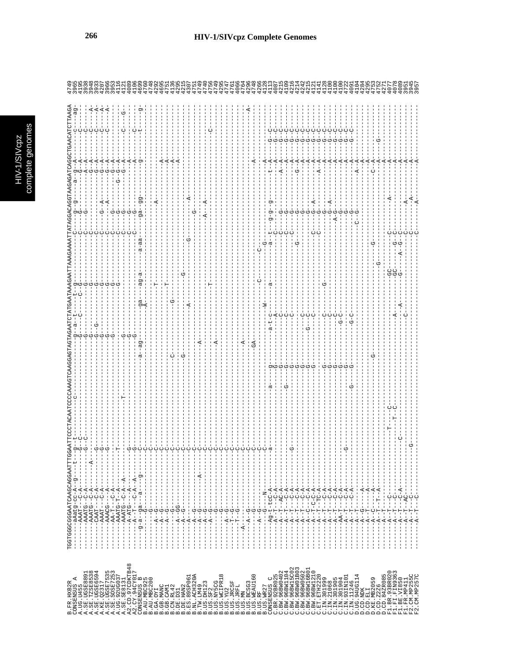| ひ<br>$-4$<br>J,<br>Ţ<br>ŧ<br>J,                                                                                                                                                                                                                                                                                                                                                                                       | $\mathfrak{r}$ : | めめめめめめ         | あひひひひひひひひ   |               | あひ ひ               | みみみみみみみみ         | UUUUU                                     |
|-----------------------------------------------------------------------------------------------------------------------------------------------------------------------------------------------------------------------------------------------------------------------------------------------------------------------------------------------------------------------------------------------------------------------|------------------|----------------|-------------|---------------|--------------------|------------------|-------------------------------------------|
| $\overline{\phantom{a}}$<br>п<br>J.<br>$\,$ I<br>貫<br>$\frac{1}{1}$                                                                                                                                                                                                                                                                                                                                                   |                  | ひ              |             |               |                    |                  |                                           |
| J.<br>Ţ<br>J                                                                                                                                                                                                                                                                                                                                                                                                          |                  |                |             |               | K,<br>ひ            |                  |                                           |
| т<br>$\mathbf{I}$<br>$\mathsf I$<br><b>TITI</b><br>1                                                                                                                                                                                                                                                                                                                                                                  |                  |                |             |               | K.                 |                  |                                           |
| $\mathbf{I}$<br>Ť<br>$\,$ I<br>I                                                                                                                                                                                                                                                                                                                                                                                      |                  |                |             |               | ひひひひ               |                  |                                           |
| п<br>$\overline{1}$<br>$\overline{\phantom{a}}$<br>$\mathsf I$                                                                                                                                                                                                                                                                                                                                                        |                  |                |             |               |                    |                  |                                           |
| 1<br>п<br>Ť.<br>$\mathbb{I}$<br>$-4$<br>Ţ<br>đ,<br>$\mathbf{I}$                                                                                                                                                                                                                                                                                                                                                       |                  | てりてり           |             |               |                    | K,               | U                                         |
| $\mathbf{I}$<br>$\mathbf{I}$<br>$\mathbf{I}$<br>$\mathbf I$                                                                                                                                                                                                                                                                                                                                                           |                  |                |             |               | ひ                  | Æ                |                                           |
| 1<br>J.                                                                                                                                                                                                                                                                                                                                                                                                               |                  | аg             | ൯<br>൯<br>ה | aa            | рg<br>Г<br>đ<br>ᡃᡡ | তা               |                                           |
| -1<br>J.                                                                                                                                                                                                                                                                                                                                                                                                              |                  |                |             |               |                    |                  |                                           |
| 1<br>$\frac{1}{1}$<br>$\frac{1}{1}$<br>$\mathbf{I}$<br>$\frac{1}{1}$<br>じ じ<br>Ť                                                                                                                                                                                                                                                                                                                                      |                  |                |             |               |                    |                  |                                           |
| Ť<br>İ<br>$\overline{\phantom{a}}$<br>п<br>$\mathbf I$<br>$\,$ I<br>f,<br>J.                                                                                                                                                                                                                                                                                                                                          |                  |                |             |               |                    |                  |                                           |
| Ť<br>$\frac{1}{1}$<br>$\mathbf{I}$<br>$\mathbf{I}$<br>$\mathsf I$<br>$\frac{1}{1}$<br>υ υ                                                                                                                                                                                                                                                                                                                             |                  |                |             |               |                    |                  |                                           |
| ŧ<br>$\mathsf I$<br>$\mathbf{I}$<br>$\mathbf{I}$<br>J.<br>$\overline{\phantom{a}}$<br>$\frac{1}{1}$<br>H                                                                                                                                                                                                                                                                                                              |                  |                |             |               |                    | Æ                |                                           |
| $\frac{1}{1}$<br>ł<br>$\mathsf I$<br>T<br>$\frac{1}{1}$<br>Ţ<br>$\frac{1}{1}$<br>J<br>J.<br>$\mathbf{I}$<br>п<br>Ţ<br>ひ<br>Ť<br>$\mathbf{I}$<br>$\mathbf I$<br>$\mathbf I$<br>$\frac{1}{1}$<br>$\mathbf{I}$                                                                                                                                                                                                           |                  |                |             |               |                    |                  |                                           |
| ш<br>I<br>L.<br>I                                                                                                                                                                                                                                                                                                                                                                                                     |                  |                |             |               |                    |                  |                                           |
| I<br>I<br>т<br>т<br>I                                                                                                                                                                                                                                                                                                                                                                                                 |                  |                |             |               |                    |                  |                                           |
| п<br>I<br>I<br>I<br>т<br>т<br>I                                                                                                                                                                                                                                                                                                                                                                                       |                  |                |             |               |                    |                  |                                           |
| $\mathsf I$<br>т                                                                                                                                                                                                                                                                                                                                                                                                      |                  |                |             |               |                    |                  |                                           |
| I<br>Ţ<br>I<br>I<br>п<br>I<br>I<br>п<br>ı<br>I                                                                                                                                                                                                                                                                                                                                                                        |                  |                |             |               | ⋖<br>К             |                  |                                           |
| -1<br>J.                                                                                                                                                                                                                                                                                                                                                                                                              |                  |                |             |               |                    |                  |                                           |
| п<br>I<br>п<br>Ţ.<br>ひ<br>Ī<br>т<br>г<br>I<br>I                                                                                                                                                                                                                                                                                                                                                                       |                  |                |             |               |                    |                  |                                           |
| 1<br>I<br>J<br>п<br>$\overline{\phantom{a}}$<br>ひ<br>T<br>$\blacksquare$<br>п<br>J,<br>I<br>I                                                                                                                                                                                                                                                                                                                         |                  |                |             |               |                    |                  |                                           |
| J.<br>j<br>$\overline{\phantom{a}}$<br>$\overline{\phantom{a}}$<br>J.<br>J.<br>$\overline{\phantom{a}}$<br>ひ<br>$-1 - 7 - 7 - 7$<br>$\overline{\phantom{a}}$                                                                                                                                                                                                                                                          |                  |                |             |               |                    |                  |                                           |
| J<br>л<br>$\mathbf{I}$<br>ひ<br>÷<br> <br>I                                                                                                                                                                                                                                                                                                                                                                            |                  |                |             |               |                    |                  |                                           |
| $\frac{1}{1}$<br>$\begin{bmatrix} 1 \\ 1 \\ 1 \end{bmatrix}$<br>$\mathbf{I}$<br>п<br>п<br>$\mathbf{I}$<br>$\overline{\phantom{a}}$<br>п<br>ひ<br>$\blacksquare$<br>Ţ<br>$\mathbf{I}$<br>J.<br>$\mathbf{I}$                                                                                                                                                                                                             |                  |                |             |               |                    |                  |                                           |
| $\mathsf I$<br>$\frac{1}{1}$<br>$\mathbf{I}$<br>-1<br>$\mathbf{I}$<br>$\mathbf{I}$<br>-1<br>$-4 - 4 - 6$                                                                                                                                                                                                                                                                                                              |                  |                |             |               |                    |                  |                                           |
| т<br>Ť.<br>т<br>$\frac{1}{4}$<br>$\blacksquare$<br>п<br>T<br>$\mathbf{I}$<br>T<br>ひ<br>$\frac{1}{1}$<br>Ť.<br>I                                                                                                                                                                                                                                                                                                       |                  | 3              |             |               |                    |                  |                                           |
| I.<br>J.<br>-1<br>$\blacksquare$<br>л<br>п<br>J.<br>$\mathbf{I}$<br>Ġ<br>$-4 - - -$                                                                                                                                                                                                                                                                                                                                   |                  |                |             |               |                    |                  |                                           |
| $\mathsf I$<br>$\mathsf I$<br>$\mathbf{I}$<br>$\blacksquare$<br>J.<br>$\blacksquare$<br>$N$ – – – – –<br>ひ<br>Ī<br>$\,$ $\,$                                                                                                                                                                                                                                                                                          |                  |                |             | てり            |                    |                  |                                           |
| J.<br>$\overline{\phantom{a}}$<br>$\overline{\phantom{a}}$<br>$C - A$<br>$- - Ag - t - tc$                                                                                                                                                                                                                                                                                                                            |                  |                | Ü           | ↵<br><b>Q</b> | তা<br>তা           | ⋖⋖               |                                           |
| Ţ<br>$\frac{1}{1}$                                                                                                                                                                                                                                                                                                                                                                                                    |                  |                |             |               |                    |                  |                                           |
| ï<br>I<br>ŧ                                                                                                                                                                                                                                                                                                                                                                                                           |                  | てり             | <b>AUU</b>  | ひひひ           |                    | $A \land A$<br>Ą |                                           |
| п<br>$\mathbf{I}$<br>$\overline{\phantom{a}}$                                                                                                                                                                                                                                                                                                                                                                         |                  | てり             |             |               | $\tau$             |                  |                                           |
| Ţ<br>Ŧ                                                                                                                                                                                                                                                                                                                                                                                                                |                  |                | Ü           | U             |                    |                  |                                           |
| ł<br>Ţ<br>$\frac{1}{1}$                                                                                                                                                                                                                                                                                                                                                                                               |                  |                |             | Ġ             |                    | R R<br>υ         |                                           |
|                                                                                                                                                                                                                                                                                                                                                                                                                       |                  |                |             |               |                    |                  |                                           |
| $\mathbf{I}$<br>$\overline{\phantom{a}}$<br>Ť                                                                                                                                                                                                                                                                                                                                                                         |                  | てりてり           | ÜΟ          |               |                    | ⋖⋖               |                                           |
| п<br>ł                                                                                                                                                                                                                                                                                                                                                                                                                |                  |                |             |               |                    |                  |                                           |
| J.<br>-1                                                                                                                                                                                                                                                                                                                                                                                                              |                  | てり             |             | U             | K,                 | K.               |                                           |
| п<br>ï<br>÷<br>ŧ,<br>$\begin{split} &\frac{1}{2} \frac{1}{2} \frac{1}{2} \frac{1}{4} \frac{1}{4} \frac{1}{4} \frac{1}{4} \frac{1}{4} \frac{1}{4} \frac{1}{4} \frac{1}{4} \frac{1}{4} \frac{1}{4} \frac{1}{4} \frac{1}{4} \frac{1}{4} \frac{1}{4} \frac{1}{4} \frac{1}{4} \frac{1}{4} \frac{1}{4} \frac{1}{4} \frac{1}{4} \frac{1}{4} \frac{1}{4} \frac{1}{4} \frac{1}{4} \frac{1}{4} \frac{1}{4} \frac{1}{4} \frac{1$ |                  |                |             | U             | ももももももももももも        | ⋖<br>К           | <b>UUUUUUUUUUUU</b><br>****************** |
| ł<br>1<br>ł,                                                                                                                                                                                                                                                                                                                                                                                                          |                  |                |             |               |                    |                  |                                           |
| п<br>1<br>ł,                                                                                                                                                                                                                                                                                                                                                                                                          |                  |                | ÜΟ          |               | ∱                  |                  |                                           |
| J.                                                                                                                                                                                                                                                                                                                                                                                                                    |                  | <b>ひ ひ ひ ひ</b> |             |               | k.                 |                  |                                           |
| $\overline{1}$                                                                                                                                                                                                                                                                                                                                                                                                        |                  |                |             |               |                    |                  |                                           |
| I<br>т                                                                                                                                                                                                                                                                                                                                                                                                                |                  |                |             |               |                    |                  |                                           |
| J.<br>$\mathbf{I}$                                                                                                                                                                                                                                                                                                                                                                                                    |                  | ๓              |             |               | てりてり               | $A \land A$      |                                           |
| I.<br>т<br>Ι.<br>H.<br>п<br>J.<br>$---A---T$                                                                                                                                                                                                                                                                                                                                                                          |                  |                |             |               | U                  | K,               |                                           |
| $\mathbf{I}$<br>$\mathbf{I}$<br>$\begin{array}{c}\n 1 \\  1 \\  1 \\  1\n \end{array}$<br>$\frac{1}{3}$<br>$- -A - G$                                                                                                                                                                                                                                                                                                 |                  |                |             |               |                    |                  |                                           |
| $\mathbf{I}$<br>Ť<br>J.<br>$---A---T$<br>J                                                                                                                                                                                                                                                                                                                                                                            |                  |                |             |               |                    |                  |                                           |
| $\overline{1}$                                                                                                                                                                                                                                                                                                                                                                                                        |                  |                |             | τŋ            |                    | Æ<br>U           |                                           |
| п<br>$\overline{\phantom{a}}$<br>$\overline{1}$<br>۲<br>ا                                                                                                                                                                                                                                                                                                                                                             |                  |                |             |               |                    |                  |                                           |
| т<br>J.<br>$\mathsf I$                                                                                                                                                                                                                                                                                                                                                                                                |                  |                |             |               |                    |                  |                                           |
| f,<br>$- - - - - - - - - -$                                                                                                                                                                                                                                                                                                                                                                                           |                  |                |             |               |                    |                  |                                           |
| ÷<br>$-1 - 2 - 1 - 1 - 1 - 1$                                                                                                                                                                                                                                                                                                                                                                                         |                  |                |             | てり            |                    |                  |                                           |
| $-4$<br>$- -R -T - -C$                                                                                                                                                                                                                                                                                                                                                                                                |                  |                |             |               |                    |                  |                                           |
| Ť                                                                                                                                                                                                                                                                                                                                                                                                                     |                  |                |             |               |                    |                  |                                           |
| ŧ<br>ပ္ပံပုံပုံ<br>၂၂၂<br>၂၂၂<br>$\mathbf{I}$                                                                                                                                                                                                                                                                                                                                                                         |                  |                |             |               |                    |                  |                                           |
| $\mathbf{I}$<br>$\blacksquare$                                                                                                                                                                                                                                                                                                                                                                                        |                  |                |             |               |                    |                  |                                           |
|                                                                                                                                                                                                                                                                                                                                                                                                                       |                  |                |             |               |                    |                  |                                           |

 $\begin{smallmatrix} \texttt{R}, \texttt{HKB} \\ \texttt{R}, \texttt{R}, \texttt{R}, \texttt{R}, \texttt{R}, \texttt{R}, \texttt{R}, \texttt{R}, \texttt{R}, \texttt{R}, \texttt{R}, \texttt{R}, \texttt{R}, \texttt{R}, \texttt{R}, \texttt{R}, \texttt{R}, \texttt{R}, \texttt{R}, \texttt{R}, \texttt{R}, \texttt{R}, \texttt{R}, \texttt{R}, \texttt{R}, \texttt{R}, \texttt{R}, \texttt{R}, \texttt{R}, \texttt{R}, \texttt{R}, \texttt{R}, \texttt{R}, \text$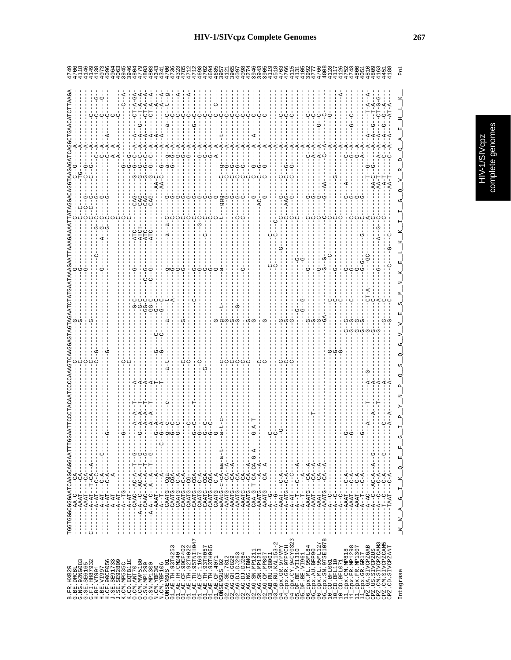| O<br>ひひひひ<br>ひ<br>ანბა<br>てり<br>てり<br>$\mathbf{I}$<br>,,,,,,,<br>- 58999<br>ひ<br>てりてり |
|---------------------------------------------------------------------------------------|
|                                                                                       |
|                                                                                       |
|                                                                                       |
|                                                                                       |
|                                                                                       |
|                                                                                       |
|                                                                                       |
|                                                                                       |
|                                                                                       |
|                                                                                       |
|                                                                                       |
|                                                                                       |
|                                                                                       |
|                                                                                       |
|                                                                                       |
|                                                                                       |
|                                                                                       |
|                                                                                       |
|                                                                                       |
|                                                                                       |
|                                                                                       |
|                                                                                       |
|                                                                                       |
|                                                                                       |
|                                                                                       |
|                                                                                       |
|                                                                                       |
|                                                                                       |
|                                                                                       |
|                                                                                       |
|                                                                                       |
|                                                                                       |
|                                                                                       |
|                                                                                       |
|                                                                                       |
|                                                                                       |
|                                                                                       |
|                                                                                       |
|                                                                                       |
|                                                                                       |
|                                                                                       |
|                                                                                       |
|                                                                                       |
|                                                                                       |
|                                                                                       |
|                                                                                       |
| てりてりてり                                                                                |
|                                                                                       |
| ひひひひ<br>ひ ひ ひ ひ ひ ひ ひ                                                                 |
|                                                                                       |
|                                                                                       |
|                                                                                       |
|                                                                                       |
|                                                                                       |
|                                                                                       |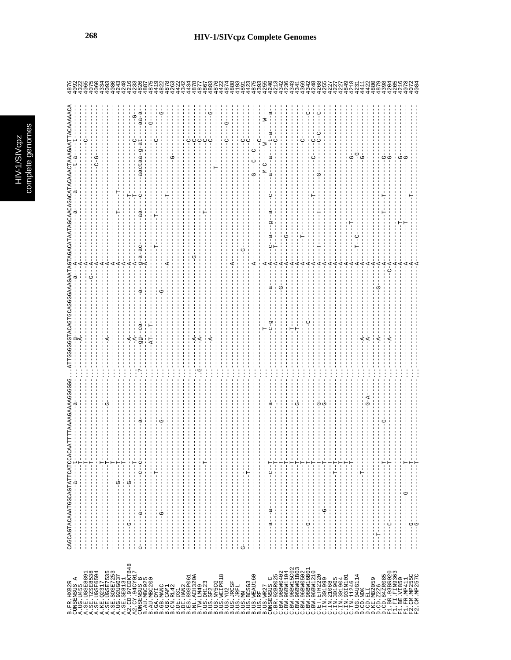|                                                                                                                                                                                                                                                                                                                                                                                                                                                                                                                                                                                                                                                                                                                             | CAATTTTAAAAGAAAAGGGGG                                           |                         | ATTGGGGGGGGACAGGGGAAAGAATAGTAGACATAGCAACAGACATAGACATAAAGTAAAGFAAATTACAAAACA | $\infty$ $\circ$ |
|-----------------------------------------------------------------------------------------------------------------------------------------------------------------------------------------------------------------------------------------------------------------------------------------------------------------------------------------------------------------------------------------------------------------------------------------------------------------------------------------------------------------------------------------------------------------------------------------------------------------------------------------------------------------------------------------------------------------------------|-----------------------------------------------------------------|-------------------------|-----------------------------------------------------------------------------|------------------|
|                                                                                                                                                                                                                                                                                                                                                                                                                                                                                                                                                                                                                                                                                                                             | ø                                                               | $-\alpha$<br>ក្នុង      | $-t-a-$<br>$\frac{1}{2}$<br>$-\alpha$<br>$-4$                               | $\frac{1}{1}$    |
| -1                                                                                                                                                                                                                                                                                                                                                                                                                                                                                                                                                                                                                                                                                                                          | j.                                                              |                         | Æ                                                                           |                  |
| $\,$ I<br>$\mathbf{I}$<br>$\mathbf{I}$<br>$\mathbf I$<br>$\mathsf I$<br>ŧ<br>$\frac{1}{1}$<br>$\frac{1}{1}$<br>п.                                                                                                                                                                                                                                                                                                                                                                                                                                                                                                                                                                                                           | J.<br>부                                                         |                         | ΑA                                                                          | U                |
| $\,$ I<br>$\mathbf{I}$<br>Ť<br>$\mathbf{I}$<br>ŧ<br>$\,$ I<br>Ţ<br>$\frac{1}{4}$<br>$\,$ I<br>$\frac{1}{4}$<br>$\mathbf{I}$                                                                                                                                                                                                                                                                                                                                                                                                                                                                                                                                                                                                 | J.<br>י<br>י                                                    | Ġ                       |                                                                             | 4                |
| Ť<br>$\mathbb I$<br>Ť<br>Ť<br>Ť.<br>$\mathsf I$<br>$\mathbf{I}$<br>$\mathbf{I}$<br>Ť.<br>$\mathsf I$<br>$\frac{1}{1}$<br>$\frac{1}{1}$<br>$\frac{1}{1}$                                                                                                                                                                                                                                                                                                                                                                                                                                                                                                                                                                     | ÷,                                                              |                         | ひ<br>Ů<br>К                                                                 | 4                |
| $\mathsf I$<br>$\frac{1}{1}$<br>$\mathbf{I}$<br>$\mathsf I$<br>J<br>$\frac{1}{1}$<br>$\frac{1}{1}$<br>$\overline{1}$                                                                                                                                                                                                                                                                                                                                                                                                                                                                                                                                                                                                        | $-1$<br>J.                                                      |                         | K,                                                                          | 4                |
| $\mathbf I$<br>Ţ<br>т.<br>$\mathsf I$<br>-1<br>Ť<br>ţ<br>-1                                                                                                                                                                                                                                                                                                                                                                                                                                                                                                                                                                                                                                                                 | ÷                                                               |                         | K.<br>К                                                                     | 4<br>4           |
| $\mathsf I$<br>$\mathsf I$                                                                                                                                                                                                                                                                                                                                                                                                                                                                                                                                                                                                                                                                                                  | j.                                                              |                         | K,                                                                          | 4                |
|                                                                                                                                                                                                                                                                                                                                                                                                                                                                                                                                                                                                                                                                                                                             | j.                                                              |                         | K.                                                                          |                  |
| $\frac{1}{4}$<br>$\perp$<br>Ţ                                                                                                                                                                                                                                                                                                                                                                                                                                                                                                                                                                                                                                                                                               |                                                                 | K,                      | Æ                                                                           | 4                |
| $\begin{array}{c} \begin{array}{c} \text{1} \\ \text{1} \\ \text{1} \\ \text{1} \end{array} \end{array}$<br>Ť.<br>$\mathsf I$<br>Ţ<br>$\frac{1}{1}$<br>$\mathsf I$<br>$\frac{1}{1}$<br>J.<br>$\frac{1}{1}$<br>п                                                                                                                                                                                                                                                                                                                                                                                                                                                                                                             | л.<br>$-1$                                                      | K,                      | Æ                                                                           | 4<br>ပု<br>ပု    |
| $0 - 1 - 1 - 1$<br>$\mathsf I$<br>$\mathbf{I}$<br>$\frac{1}{1}$<br>$- = - - - - - -$<br>$\frac{1}{1}$<br>U                                                                                                                                                                                                                                                                                                                                                                                                                                                                                                                                                                                                                  | ш<br>$-1$                                                       | ි.<br>gg                | aactaa-g<br>U<br>aa<br>U<br>œ<br>đ<br>ወ⊄                                    | aa-<br>$-at$     |
| Ť<br>$\begin{array}{c} \n 1 \\  1 \\  1 \\  1\n \end{array}$<br>$\mathsf I$<br>$\mathbf{I}$<br>Ť<br>$\mathsf I$<br>Ţ<br>$\frac{1}{1}$<br>$\mathsf I$<br>$\mathsf I$<br>ŧ<br>$\frac{1}{1}$                                                                                                                                                                                                                                                                                                                                                                                                                                                                                                                                   |                                                                 |                         |                                                                             |                  |
| $\frac{1}{1}$<br>Т<br>$\frac{1}{1}$<br>$\mathsf I$<br>Ţ.<br>ł.                                                                                                                                                                                                                                                                                                                                                                                                                                                                                                                                                                                                                                                              | Ţ                                                               | н<br>Ţ<br>$AT -$        |                                                                             | v                |
|                                                                                                                                                                                                                                                                                                                                                                                                                                                                                                                                                                                                                                                                                                                             |                                                                 |                         | ۴<br>ь                                                                      | 4<br>U           |
|                                                                                                                                                                                                                                                                                                                                                                                                                                                                                                                                                                                                                                                                                                                             | ひ                                                               | უ                       |                                                                             |                  |
| $\frac{1}{1}$<br>$\frac{1}{1}$<br>J.<br>Ţ<br>$\mathbf{I}$<br>J.<br>Ť<br>I<br>J<br>ı<br>Ť<br>Î<br>J<br>J                                                                                                                                                                                                                                                                                                                                                                                                                                                                                                                                                                                                                     |                                                                 |                         |                                                                             |                  |
| ł,<br>$\frac{1}{1}$<br>I.<br>1<br>$\mathsf I$<br>Ţ<br>$\frac{1}{4}$<br>$\begin{array}{c} 1 \\ 1 \\ 1 \\ 1 \\ 1 \end{array}$<br>I<br>ł<br>I                                                                                                                                                                                                                                                                                                                                                                                                                                                                                                                                                                                  |                                                                 |                         | ひ                                                                           |                  |
| $\frac{1}{1}$<br>$\,$ I<br>$\frac{1}{1}$<br>$\begin{array}{c} \n 1 \\  1 \\  1 \\  1\n \end{array}$<br>$\frac{1}{1}$<br>Í<br>п                                                                                                                                                                                                                                                                                                                                                                                                                                                                                                                                                                                              | Ţ                                                               |                         |                                                                             |                  |
| j.<br>$\frac{1}{1}$<br>- 1<br>-1<br>$\overline{\phantom{a}}$<br>-1<br>$\mathbf{I}$<br>$\mathbf{I}$<br>$\overline{\phantom{a}}$<br>$\overline{\phantom{a}}$<br>j.<br>J.                                                                                                                                                                                                                                                                                                                                                                                                                                                                                                                                                      | $\mathbf{I}$<br>$\mathbf{I}$                                    |                         |                                                                             |                  |
| $\frac{1}{1}$<br>I.<br>Ţ<br>ł.<br>I.<br>$\begin{bmatrix} 1 \\ 1 \\ 1 \\ 1 \end{bmatrix}$<br>ţ<br>I<br>I                                                                                                                                                                                                                                                                                                                                                                                                                                                                                                                                                                                                                     | Ţ                                                               |                         |                                                                             |                  |
| $\frac{1}{4}$<br>$\begin{bmatrix} 1 \\ 1 \\ 1 \\ 1 \end{bmatrix}$<br>$\frac{1}{1}$<br>Ţ<br>J<br>Ť<br>Ţ<br>$\begin{bmatrix} 1 \\ 1 \\ 1 \\ 1 \end{bmatrix}$<br>í<br>I<br>I                                                                                                                                                                                                                                                                                                                                                                                                                                                                                                                                                   | ш<br>I                                                          | $\triangle$ $\triangle$ | ひ                                                                           | ひひひ              |
| $\mathsf I$<br>$\frac{1}{1}$<br>$\begin{array}{c} \n 1 \\  1 \\  1 \\  1\n \end{array}$<br>$\begin{bmatrix} 1 \\ 1 \\ 1 \\ 1 \end{bmatrix}$                                                                                                                                                                                                                                                                                                                                                                                                                                                                                                                                                                                 | $\frac{1}{1}$                                                   |                         |                                                                             |                  |
| ----------<br>$\frac{1}{1}$<br>J<br>í<br>J<br>J<br>$\frac{1}{1}$<br>J<br>J<br>í<br>Í                                                                                                                                                                                                                                                                                                                                                                                                                                                                                                                                                                                                                                        | J.                                                              |                         |                                                                             |                  |
| $\frac{1}{1}$<br>п<br>J<br>J<br>Ť<br>$\overline{\phantom{a}}$<br>$\frac{1}{1}$<br>J                                                                                                                                                                                                                                                                                                                                                                                                                                                                                                                                                                                                                                         | J.                                                              | K,                      |                                                                             |                  |
| $\frac{1}{4}$<br>$\begin{array}{c} \begin{array}{c} \text{1} \\ \text{1} \\ \text{1} \\ \text{1} \end{array} \end{array}$<br>ï.<br>$\mathsf I$<br>I<br>ł,<br>I<br>ţ<br>I<br>I<br>ł<br>$\frac{1}{2}$<br>т                                                                                                                                                                                                                                                                                                                                                                                                                                                                                                                    | I                                                               |                         |                                                                             |                  |
| $\frac{1}{4}$<br>$\,$ I<br>$\frac{1}{1}$<br>$\frac{1}{4}$<br>$\,$ I<br>$\overline{\phantom{a}}$<br>ł<br>$\,$ I<br>$\frac{1}{1}$<br>J.<br>ł<br>$\frac{1}{1}$<br>п                                                                                                                                                                                                                                                                                                                                                                                                                                                                                                                                                            | J.                                                              |                         |                                                                             |                  |
| $\frac{1}{1}$<br>$\begin{bmatrix} 1 \\ 1 \\ 1 \\ 1 \end{bmatrix}$<br>J.<br>ŧ<br>$\frac{1}{1}$<br>$\overline{1}$                                                                                                                                                                                                                                                                                                                                                                                                                                                                                                                                                                                                             |                                                                 |                         |                                                                             | ပု               |
| ł<br>$\frac{1}{1}$<br>$\mathsf I$<br>J.<br>ł<br>I<br>$\begin{bmatrix} 1 & 1 & 1 \\ 1 & 1 & 1 \\ 1 & 1 & 1 \\ 1 & 1 & 1 \\ 1 & 1 & 1 \\ 1 & 1 & 1 \\ 1 & 1 & 1 \\ 1 & 1 & 1 \\ 1 & 1 & 1 \\ 1 & 1 & 1 \\ 1 & 1 & 1 \\ 1 & 1 & 1 \\ 1 & 1 & 1 \\ 1 & 1 & 1 \\ 1 & 1 & 1 & 1 \\ 1 & 1 & 1 & 1 \\ 1 & 1 & 1 & 1 \\ 1 & 1 & 1 & 1 \\ 1 & 1 & 1 & 1 \\ 1 & 1 & 1 & 1 \\ 1 & 1 & 1 & 1 \\ 1 & $<br>$\frac{1}{1}$<br>$\frac{1}{1}$<br>$\mathbf{I}$                                                                                                                                                                                                                                                                                  | I.                                                              |                         |                                                                             |                  |
| $\mathbf{I}$                                                                                                                                                                                                                                                                                                                                                                                                                                                                                                                                                                                                                                                                                                                | ţ                                                               |                         |                                                                             |                  |
| $\,$ I<br>$\begin{array}{c} \n\cdot & \cdot & \cdot \\ \n\cdot & \cdot & \cdot \\ \n\cdot & \cdot & \cdot \n\end{array}$<br>J<br>$\frac{1}{1}$<br>$\overline{\phantom{a}}$<br>ひ                                                                                                                                                                                                                                                                                                                                                                                                                                                                                                                                             | $\frac{1}{1}$                                                   |                         | ひ                                                                           | O                |
| $\frac{1}{1}$<br>$\mathsf I$<br>$\frac{1}{1}$                                                                                                                                                                                                                                                                                                                                                                                                                                                                                                                                                                                                                                                                               |                                                                 |                         |                                                                             | ↻                |
| $\frac{1}{4}$<br>$\mathsf I$<br>$\frac{1}{1}$<br>-                                                                                                                                                                                                                                                                                                                                                                                                                                                                                                                                                                                                                                                                          | I                                                               |                         | Ÿ<br>ပုံ<br>$\overset{1}{\circ}$                                            |                  |
| Ť<br>$\begin{array}{c} \begin{array}{c} \begin{array}{c} \begin{array}{c} \end{array}\\ \begin{array}{c} \end{array}\\ \begin{array}{c} \end{array}\\ \begin{array}{c} \end{array}\\ \begin{array}{c} \end{array}\\ \begin{array}{c} \end{array}\\ \begin{array}{c} \end{array}\\ \begin{array}{c} \end{array}\\ \begin{array}{c} \end{array}\\ \begin{array}{c} \end{array}\\ \begin{array}{c} \end{array}\\ \begin{array}{c} \end{array}\\ \begin{array}{c} \end{array}\\ \begin{array}{c} \end{array}\\ \begin{array}{c} \end{array}\\ \begin{array}{c} \end{array}\\ \begin{array}{c}$<br>Ţ<br>J<br>ł<br>$\,$ I<br>$\begin{bmatrix} 1 \\ 1 \\ 1 \\ 1 \end{bmatrix}$<br>$\begin{bmatrix} 1 \\ 1 \\ 1 \\ 1 \end{bmatrix}$ | J,                                                              |                         |                                                                             | ↻                |
| Ť<br>$\begin{array}{c} \begin{array}{c} \text{1} \\ \text{1} \\ \text{1} \\ \text{1} \end{array} \end{array}$<br>ł<br>$\mathbb I$<br>$-1$ $-1$ $-1$ $-1$ $-1$ $-1$<br>$\frac{1}{1}$                                                                                                                                                                                                                                                                                                                                                                                                                                                                                                                                         |                                                                 |                         | п<br>$-N-C$                                                                 | z<br>z           |
|                                                                                                                                                                                                                                                                                                                                                                                                                                                                                                                                                                                                                                                                                                                             | j                                                               |                         |                                                                             | п                |
|                                                                                                                                                                                                                                                                                                                                                                                                                                                                                                                                                                                                                                                                                                                             |                                                                 | ה<br>Ů                  | œ<br>$\frac{1}{\sigma}$<br>œ<br>তা<br>œ<br>υH                               | œ<br>$\ddot{}$   |
| $\begin{array}{c} \begin{array}{c} \text{1} \\ \text{2} \\ \text{3} \\ \text{4} \end{array} \end{array}$<br>$\mathbf{I}$<br>$\mathsf I$<br>$\frac{1}{1}$<br>$\begin{bmatrix} 1 & 1 & 1 \\ 1 & 1 & 1 \\ 1 & 1 & 1 \\ 1 & 1 & 1 \\ 1 & 1 & 1 \\ 1 & 1 & 1 \\ 1 & 1 & 1 \\ 1 & 1 & 1 \\ 1 & 1 & 1 \\ 1 & 1 & 1 \\ 1 & 1 & 1 \\ 1 & 1 & 1 \\ 1 & 1 & 1 \\ 1 & 1 & 1 \\ 1 & 1 & 1 \\ 1 & 1 & 1 \\ 1 & 1 & 1 \\ 1 & 1 & 1 \\ 1 & 1 & 1 \\ 1 & 1 & 1 \\ 1 & 1 & 1 \\ 1 & 1 & 1 \\ 1 & 1 & 1 \\ 1 & 1 & $                                                                                                                                                                                                                           | Ť<br>법                                                          |                         |                                                                             |                  |
|                                                                                                                                                                                                                                                                                                                                                                                                                                                                                                                                                                                                                                                                                                                             | Ĵ.                                                              |                         |                                                                             |                  |
| п<br>-1<br>1<br>Ţ<br>$\frac{1}{1}$<br>$\mathsf I$<br>Ţ<br>$\frac{1}{1}$<br>$\mathsf I$<br>Ţ<br>$\frac{1}{1}$<br>$\mathsf I$<br>Ţ<br>Ť<br>$\frac{1}{1}$<br>п                                                                                                                                                                                                                                                                                                                                                                                                                                                                                                                                                                 | ÷<br>۳<br>-                                                     |                         | უ                                                                           |                  |
| $\mathsf I$<br>$\frac{1}{1}$<br>$\mathsf I$<br>Ţ<br>$\frac{1}{1}$<br>ţ<br>L.                                                                                                                                                                                                                                                                                                                                                                                                                                                                                                                                                                                                                                                | ÷,                                                              | H                       |                                                                             |                  |
| $\mathbf{I}$                                                                                                                                                                                                                                                                                                                                                                                                                                                                                                                                                                                                                                                                                                                | てり<br>÷                                                         |                         |                                                                             |                  |
| $\frac{1}{1}$                                                                                                                                                                                                                                                                                                                                                                                                                                                                                                                                                                                                                                                                                                               |                                                                 |                         |                                                                             |                  |
| $\,$ I<br>$-1$ $-1$ $-1$ $-1$ $-1$ $-1$ $-1$                                                                                                                                                                                                                                                                                                                                                                                                                                                                                                                                                                                                                                                                                |                                                                 | Ü                       |                                                                             |                  |
| $\,$ I<br>ŧ<br>$\overline{\phantom{a}}$<br>$\frac{1}{4}$<br>$\frac{1}{1}$                                                                                                                                                                                                                                                                                                                                                                                                                                                                                                                                                                                                                                                   | 333                                                             |                         | U)<br>ь                                                                     | Y                |
| $\,$ I<br>I                                                                                                                                                                                                                                                                                                                                                                                                                                                                                                                                                                                                                                                                                                                 | ひ<br>÷                                                          |                         | ひ<br>ᡛ                                                                      | ပု<br>Ü          |
| $\,$ I<br>$\mathsf I$<br>$-1$<br>$\mathbf{I}$                                                                                                                                                                                                                                                                                                                                                                                                                                                                                                                                                                                                                                                                               | C<br>÷<br>부                                                     |                         |                                                                             |                  |
| $\begin{bmatrix} 1 \\ 1 \\ 1 \\ 1 \end{bmatrix}$<br>$\mathbf{I}$<br>Ť.<br>J<br>$\frac{1}{1}$<br>$\mathsf I$<br>J.                                                                                                                                                                                                                                                                                                                                                                                                                                                                                                                                                                                                           | ÷<br>۲<br>ا                                                     |                         |                                                                             |                  |
| ------------<br>$\,$ I<br>$\overline{1}$<br>Ť<br>$\blacksquare$<br>J<br>$\frac{1}{1}$<br>$\overline{\phantom{a}}$<br>$\frac{1}{1}$                                                                                                                                                                                                                                                                                                                                                                                                                                                                                                                                                                                          | ÷,                                                              |                         |                                                                             |                  |
|                                                                                                                                                                                                                                                                                                                                                                                                                                                                                                                                                                                                                                                                                                                             | ÷<br>F<br>-                                                     |                         |                                                                             |                  |
| $\mathsf I$<br>$\frac{1}{1}$                                                                                                                                                                                                                                                                                                                                                                                                                                                                                                                                                                                                                                                                                                |                                                                 |                         |                                                                             |                  |
| ţ<br>$\frac{1}{4}$<br>$\begin{array}{c} \end{array}$<br>$\begin{bmatrix} 1 \\ 1 \\ 1 \\ 1 \end{bmatrix}$<br>$\frac{1}{1}$<br>ļ                                                                                                                                                                                                                                                                                                                                                                                                                                                                                                                                                                                              | J.                                                              |                         | Е                                                                           |                  |
| $\frac{1}{1}$<br>$\,$ I                                                                                                                                                                                                                                                                                                                                                                                                                                                                                                                                                                                                                                                                                                     | J.                                                              |                         | ひ                                                                           |                  |
| $\frac{1}{1}$<br>$\blacksquare$<br>$\frac{1}{4}$<br>J.<br>-1<br>J.<br>$\overline{\phantom{a}}$<br>Ť<br>$\,$ I<br>J.<br>$\frac{1}{1}$<br>ţ<br>$\begin{array}{c} \n\cdot & \cdot \\ \n\cdot & \cdot \\ \n\cdot & \cdot \n\end{array}$<br>J.                                                                                                                                                                                                                                                                                                                                                                                                                                                                                   |                                                                 |                         | O<br>⊢                                                                      |                  |
| $-1 - 1 - 1$<br>-1<br>$\mathsf I$<br>I.<br>1<br>-<br>T.<br>$\mathsf I$<br>÷<br>$\frac{1}{1}$<br>$\mathsf I$<br>÷<br>Ť<br>$\frac{1}{1}$<br>$\mathbf{I}$                                                                                                                                                                                                                                                                                                                                                                                                                                                                                                                                                                      | т                                                               | К                       | ひ                                                                           |                  |
| $\,$ I<br>$\mathsf I$<br>$\frac{1}{1}$<br>$\frac{1}{1}$<br>$-1$ $-1$ $-1$ $-1$ $-1$ $-1$                                                                                                                                                                                                                                                                                                                                                                                                                                                                                                                                                                                                                                    | $G - A$<br>л.<br>$\,$ I<br>$\frac{1}{1}$                        | Ą                       |                                                                             |                  |
| Ť<br>$\overline{\phantom{a}}$<br>J.<br>$\overline{\phantom{a}}$<br>-1<br>$\mathbf{I}$<br>$\overline{\phantom{a}}$<br>Ť<br>$\mathsf I$<br>Ţ<br>$\frac{1}{4}$<br>$\mathsf I$<br>$\mathsf I$<br>Ť<br>J                                                                                                                                                                                                                                                                                                                                                                                                                                                                                                                         |                                                                 |                         |                                                                             |                  |
| ŧ<br>$\frac{1}{1}$<br>$\frac{1}{1}$<br>$\mathsf I$<br>Ţ<br>$\frac{1}{4}$<br>$\mathsf I$<br>$\frac{1}{1}$<br>$-$                                                                                                                                                                                                                                                                                                                                                                                                                                                                                                                                                                                                             |                                                                 | К                       |                                                                             |                  |
|                                                                                                                                                                                                                                                                                                                                                                                                                                                                                                                                                                                                                                                                                                                             |                                                                 |                         | ひ                                                                           |                  |
| $\frac{1}{1}$<br>Ť.<br>Т<br>-1<br>$\mathsf I$<br>$\mathsf I$<br>-1<br>Ť<br>$\mathsf I$<br>Ť<br>$-1 - 1 - 1$<br>$\mathbf{I}$                                                                                                                                                                                                                                                                                                                                                                                                                                                                                                                                                                                                 | j.<br>$\frac{1}{2}$                                             | U                       | ひ                                                                           | 4                |
| $\overline{\phantom{a}}$<br>п<br>$\frac{1}{1}$<br>п<br>$\frac{1}{1}$<br>$\overline{\phantom{a}}$<br>J<br>$\frac{1}{1}$<br>$\mathbb I$<br>л.                                                                                                                                                                                                                                                                                                                                                                                                                                                                                                                                                                                 | л.<br>$\mathsf I$<br>$\begin{array}{c} 1 \\ 1 \\ 1 \end{array}$ |                         |                                                                             |                  |
| Ť<br>I<br>т<br>ì<br>J.<br>J.<br>I<br>ı<br>$-1$ $-1$ $-1$ $-1$ $-1$ $-1$ $-1$ $-1$<br>$\frac{1}{1}$<br>п                                                                                                                                                                                                                                                                                                                                                                                                                                                                                                                                                                                                                     | л.<br>$\overline{\phantom{a}}$                                  |                         | ひ                                                                           | 4                |
|                                                                                                                                                                                                                                                                                                                                                                                                                                                                                                                                                                                                                                                                                                                             |                                                                 |                         |                                                                             |                  |
|                                                                                                                                                                                                                                                                                                                                                                                                                                                                                                                                                                                                                                                                                                                             |                                                                 |                         |                                                                             |                  |
|                                                                                                                                                                                                                                                                                                                                                                                                                                                                                                                                                                                                                                                                                                                             |                                                                 |                         |                                                                             |                  |

 $\begin{smallmatrix}R. HX B3034\\ 0.08338893\\ 0.083375\\ 0.083400\\ 0.083503\\ 0.083503\\ 0.083503\\ 0.083503\\ 0.083503\\ 0.083503\\ 0.083503\\ 0.083503\\ 0.083503\\ 0.083503\\ 0.083503\\ 0.083503\\ 0.083503\\ 0.083503\\ 0.083503\\ 0.083503\\ 0.083503\\ 0$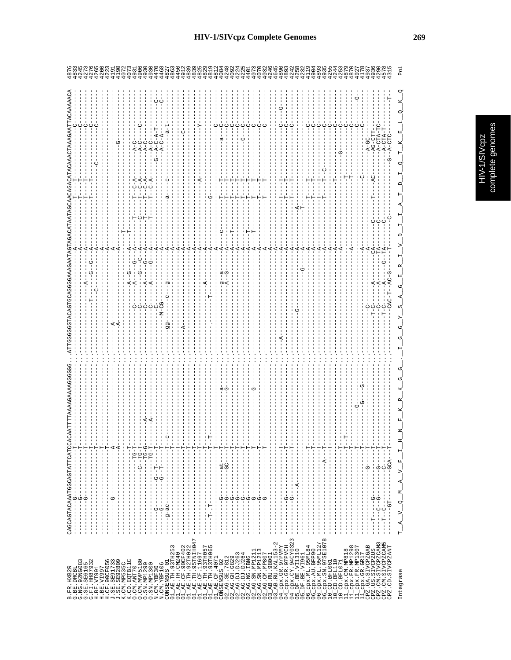| ל המתעמש המתחשב המתעמש המתחשב המתחשב המתעמש המתחשב המתחשב המתחשב המתחשב המתחשב המתחשב המתחשב המתחשב המתחשב.<br>מסט המתחשב המתחשב המתחשב המתחשב המתחשב המתחשב המתחשב המתחשב המתחשב המתחשב המתחשב המתחשב המתחשב המתחשב המתחשב ה<br>המ                                                                                                                                                                                                                                                                                                                                                                                                                                                                                                                                                                                                                                                                                                                                                                                                                                                                                                                                                                                                                                                                                                                                                                                                                                                                                                                                                                                                                                                                                                                         | ρo                                                                                                                                                                                                                                                                                                                                                                                                                                        |
|-------------------------------------------------------------------------------------------------------------------------------------------------------------------------------------------------------------------------------------------------------------------------------------------------------------------------------------------------------------------------------------------------------------------------------------------------------------------------------------------------------------------------------------------------------------------------------------------------------------------------------------------------------------------------------------------------------------------------------------------------------------------------------------------------------------------------------------------------------------------------------------------------------------------------------------------------------------------------------------------------------------------------------------------------------------------------------------------------------------------------------------------------------------------------------------------------------------------------------------------------------------------------------------------------------------------------------------------------------------------------------------------------------------------------------------------------------------------------------------------------------------------------------------------------------------------------------------------------------------------------------------------------------------------------------------------------------------------------------------------------------------|-------------------------------------------------------------------------------------------------------------------------------------------------------------------------------------------------------------------------------------------------------------------------------------------------------------------------------------------------------------------------------------------------------------------------------------------|
| ひ<br>↻<br>ひひひ<br>υU<br>U<br>ï<br>$- A - T$<br>œ<br>Ŗ.<br>ひ<br>൯<br>ÜÜ<br>ひひひ<br>U<br>$\overline{A}$<br>$\overline{A}$ $\overline{A}$ $\overline{A}$ $\overline{A}$ $\overline{A}$<br>К<br>๓                                                                                                                                                                                                                                                                                                                                                                                                                                                                                                                                                                                                                                                                                                                                                                                                                                                                                                                                                                                                                                                                                                                                                                                                                                                                                                                                                                                                                                                                                                                                                                 | U)<br>A-CTA-TC<br>$A-CTA-$<br>AG-CT<br>$A-CTC$                                                                                                                                                                                                                                                                                                                                                                                            |
| $A^{\text{A}}$ $A^{\text{A}}$<br>н<br>н<br>н<br>⊢<br>Ü<br>U<br>U<br>Н<br>е<br>Е<br>⊢<br>ᠬ<br>⊢<br>터 이 터                                                                                                                                                                                                                                                                                                                                                                                                                                                                                                                                                                                                                                                                                                                                                                                                                                                                                                                                                                                                                                                                                                                                                                                                                                                                                                                                                                                                                                                                                                                                                                                                                                                     | ь<br>Н<br>부<br>۴<br>К<br>н<br>υU                                                                                                                                                                                                                                                                                                                                                                                                          |
| U<br>К<br>⋖<br>r<br> <br> <br>$\overset{1}{\circ}$<br>ひ<br>ひ<br>ひ<br>ひ<br>ひ<br>τ.<br>œ<br>⋖<br>К<br>K,<br>ወ⊄<br>К<br>ᢐ<br>$M-CG$<br>C)<br>υU<br>↻<br>K,<br>Æ<br>তা<br>Ōï<br>К                                                                                                                                                                                                                                                                                                                                                                                                                                                                                                                                                                                                                                                                                                                                                                                                                                                                                                                                                                                                                                                                                                                                                                                                                                                                                                                                                                                                                                                                                                                                                                               | S<br>FA<br>⋖⋖<br>Æ<br>K,<br>Æ<br>ひ<br>てり<br>К<br>K,<br>К<br>۴<br>Ü<br>↻<br>↻<br>τ)<br>U                                                                                                                                                                                                                                                                                                                                                   |
| PAAAAGAAAAGGGG<br>m<br>$\frac{1}{1}$<br>$\frac{1}{1}$<br>ŧ<br>$\frac{1}{1}$<br>$\frac{1}{1}$<br>ŧ<br>$\frac{1}{1}$<br>J,<br>Ť<br>j.<br>-i<br>$----A$<br>$-4$<br>$-1$<br>부<br>۴<br>ا<br>부<br>F-<br>יך<br>י<br>부<br>부<br>יך<br>י<br>$\frac{1}{2}$<br>יך<br>י<br>ד<br>טי<br>$\frac{1}{2}$<br>$\begin{array}{cccccccccc} \dot{p} & \dot{p} & \dot{p} & \dot{p} & \dot{p} & \dot{p} & \dot{p} & \dot{p} & \dot{p} & \dot{p} & \dot{p} & \dot{p} & \dot{p} & \dot{p} & \dot{p} & \dot{p} & \dot{p} & \dot{p} & \dot{p} & \dot{p} & \dot{p} & \dot{p} & \dot{p} & \dot{p} & \dot{p} & \dot{p} & \dot{p} & \dot{p} & \dot{p} & \dot{p} & \dot{p} & \dot{p} & \dot{p} & \dot{p} & \dot{p} & \$<br>י<br>ד<br>Ì<br>$\frac{1}{1}$<br>$\frac{1}{4}$<br>÷<br>$\frac{1}{4}$<br>$\frac{1}{4}$<br>$\frac{1}{1}$<br>$\frac{1}{1}$<br>$\frac{1}{4}$<br>$\frac{1}{1}$<br>$\frac{1}{1}$<br>ŧ.<br>$\frac{1}{1}$<br>$\frac{1}{1}$<br>$\,$ I<br>$-155 - 1 - 1$<br>Ť<br>$\frac{1}{1}$                                                                                                                                                                                                                                                                                                                                                                                                                                                                                                                                                                                                                                                                                                                                                                                                | Ξ<br>$\frac{1}{1}$<br>ŧ<br>$\frac{1}{1}$<br>ł<br>÷<br>$\blacksquare$<br>ŔŔ<br>¦¦¦¦<br>$\frac{1}{2}$<br>부<br>$---A---T$<br>۴,<br>$-1$<br>$1 - -1 -$<br>$-1$<br><b>L--------</b><br>무<br>-<br>יך<br>י<br>$L = - - - -$<br>۳<br>ا<br>$\frac{1}{1}$<br>$\mathbf I$<br>$\frac{1}{1}$<br>$\mathbf{I}$<br>$\frac{1}{1}$<br>$\frac{1}{4}$<br>$-1 - 5 - -$<br>$-GCA$<br>-1<br>ł<br>Ť<br>ł<br>j.<br>Ť.<br>匞<br>Ť<br>$-\frac{5}{1}$<br>$\frac{1}{1}$ |
| CAGCAGTACAAATGGCAGTATTCATCCAC<br>$\frac{1}{1}$<br>$\frac{1}{1}$<br>Î.<br>$\mathsf I$<br>$\frac{1}{1}$<br>甘<br>ł<br>$\frac{1}{5}$<br>J.<br>$-1 - 9 - 1$<br>$\overline{\phantom{a}}$<br>$\begin{bmatrix} 1 & 1 & 1 \\ 1 & 1 & 1 \\ 1 & 1 & 1 \\ 1 & 1 & 1 \\ 1 & 1 & 1 \\ 1 & 1 & 1 \\ 1 & 1 & 1 \\ 1 & 1 & 1 \\ 1 & 1 & 1 \\ 1 & 1 & 1 \\ 1 & 1 & 1 \\ 1 & 1 & 1 \\ 1 & 1 & 1 \\ 1 & 1 & 1 \\ 1 & 1 & 1 \\ 1 & 1 & 1 \\ 1 & 1 & 1 \\ 1 & 1 & 1 \\ 1 & 1 & 1 \\ 1 & 1 & 1 \\ 1 & 1 & 1 \\ 1 & 1 & 1 \\ 1 & 1 & 1 \\ 1 & 1 & $<br>J,<br>ł<br>Ť<br>$\mathbf{I}$<br>J.<br>$\frac{1}{4}$<br>计寸<br>$\mathbf{I}$<br>п<br>Ť<br>п<br>п<br>-1<br>ï<br>$\mathbf I$<br>$\mathbf{I}$<br>ひ<br>ひ<br>ひ<br>ひ<br>ပုံ ပုံ<br>     <br>     <br>Ī<br>$-9 - 9 - 2 -$<br>$\frac{1}{4}$<br>$\begin{array}{c} \begin{array}{c} \uparrow \\ \uparrow \\ \downarrow \\ \downarrow \end{array} & \begin{array}{c} \downarrow \\ \downarrow \\ \downarrow \end{array} & \begin{array}{c} \downarrow \\ \downarrow \\ \downarrow \end{array} & \begin{array}{c} \downarrow \\ \downarrow \\ \downarrow \end{array} & \begin{array}{c} \downarrow \\ \downarrow \\ \downarrow \end{array} & \begin{array}{c} \downarrow \\ \downarrow \\ \downarrow \end{array} & \begin{array}{c} \downarrow \\ \downarrow \\ \downarrow \end{array} \end{array}$<br>$-1$<br>$\begin{bmatrix} 0 & 0 & 0 \\ 0 & 1 & 1 & 1 \\ 0 & 0 & 1 & 1 \\ 0 & 0 & 0 & 1 \end{bmatrix}$<br>$\frac{1}{1}$<br>$\frac{1}{1}$<br>$\mathbf{I}$<br>$\mathbf{I}$<br>Ţ<br>$\frac{1}{4}$<br>$\frac{1}{1}$<br>$\frac{1}{1}$<br>$\mathbf{I}$<br>Ţ<br>п.<br>T<br>$\frac{1}{1}$<br>т<br>Ť.<br>1<br>п<br>$\mathsf I$<br>J<br>J<br>J<br>J.<br>J.<br>J<br>J.<br>$\overline{\phantom{a}}$<br>ı<br>J.<br>п<br>-1<br>п<br>п<br>ł<br>ï<br>т | $\frac{1}{1}$<br>$-1$ $-1$ $-1$<br>$\begin{array}{c} \n 1 \\  1 \\  1\n \end{array}$<br>$\frac{1}{1}$<br>К<br>Σ<br>$\frac{1}{1}$<br>$-1 - 3 - -1 - -1 - -1$<br>Ť<br>ن<br>۱<br>$-150 -$<br>O<br>$\frac{1}{1}$<br>$\begin{bmatrix} 1 \\ 1 \\ 1 \\ 1 \end{bmatrix}$<br>Ť<br>ţ<br>$\frac{1}{2}$<br>$\frac{1}{2}$                                                                                                                              |
| $\begin{smallmatrix} \texttt{R1}, \texttt{R2}, \texttt{R3}, \texttt{R4}, \texttt{R5}, \texttt{R6}, \texttt{R6}, \texttt{R6}, \texttt{R7}, \texttt{R8}, \texttt{R8}, \texttt{R8}, \texttt{R9}, \texttt{R1}, \texttt{R2}, \texttt{R3}, \texttt{R4}, \texttt{R5}, \texttt{R6}, \texttt{R6}, \texttt{R7}, \texttt{R8}, \texttt{R8}, \texttt{R9}, \texttt{R1}, \texttt{R2}, \texttt{R3}, \texttt{R4}, \texttt{R5}, \texttt{R6}, \texttt{$                                                                                                                                                                                                                                                                                                                                                                                                                                                                                                                                                                                                                                                                                                                                                                                                                                                                                                                                                                                                                                                                                                                                                                                                                                                                                                                        | Integrase                                                                                                                                                                                                                                                                                                                                                                                                                                 |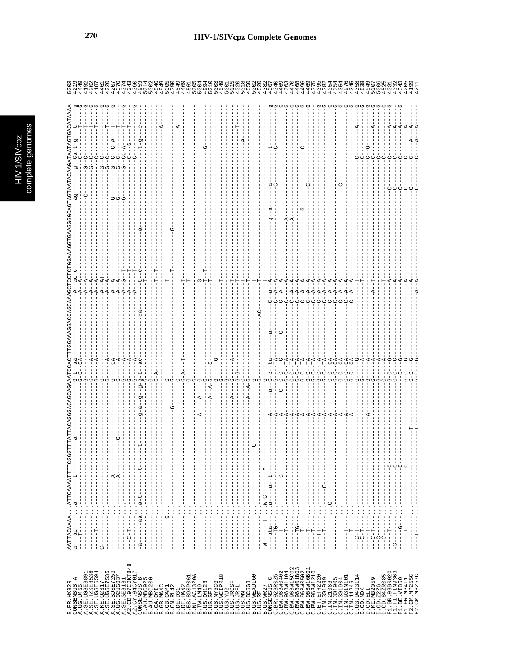| O<br>てり<br>てり<br>てり<br>τŋ<br>Æ,<br>m<br>$\overline{1}$<br>ቶ | AAAA<br>$A \land A$<br>ΚK<br>K,<br>-aa<br>-CA<br>78777<br>ひ<br>Æ<br>К<br>A<br>υ<br>ō<br>Ü | $-C - A$<br>তা<br>ن<br>$-4$<br>đ<br>Ö i<br>U U<br>U<br>U)<br>U)<br>$\zeta$ )<br>τJ<br>ひひひ<br>U<br>ひひひひむ<br><b>しい</b><br>তা<br>āg<br><b>ひ ひ ひ</b><br>н<br>ä<br>ĀТ.<br>Ā,<br>Ā.<br>τŋ<br>ΚK<br>K,<br>Æ | Æ<br>⊢                                                     |
|-------------------------------------------------------------|-------------------------------------------------------------------------------------------|------------------------------------------------------------------------------------------------------------------------------------------------------------------------------------------------------|------------------------------------------------------------|
|                                                             |                                                                                           |                                                                                                                                                                                                      |                                                            |
|                                                             |                                                                                           |                                                                                                                                                                                                      |                                                            |
|                                                             |                                                                                           |                                                                                                                                                                                                      |                                                            |
|                                                             |                                                                                           |                                                                                                                                                                                                      |                                                            |
|                                                             |                                                                                           |                                                                                                                                                                                                      |                                                            |
|                                                             |                                                                                           |                                                                                                                                                                                                      |                                                            |
|                                                             |                                                                                           |                                                                                                                                                                                                      |                                                            |
|                                                             |                                                                                           |                                                                                                                                                                                                      |                                                            |
|                                                             |                                                                                           |                                                                                                                                                                                                      |                                                            |
|                                                             |                                                                                           |                                                                                                                                                                                                      |                                                            |
|                                                             |                                                                                           |                                                                                                                                                                                                      |                                                            |
|                                                             |                                                                                           |                                                                                                                                                                                                      |                                                            |
|                                                             |                                                                                           |                                                                                                                                                                                                      |                                                            |
|                                                             |                                                                                           |                                                                                                                                                                                                      |                                                            |
|                                                             |                                                                                           |                                                                                                                                                                                                      |                                                            |
|                                                             |                                                                                           |                                                                                                                                                                                                      |                                                            |
|                                                             |                                                                                           |                                                                                                                                                                                                      |                                                            |
|                                                             |                                                                                           |                                                                                                                                                                                                      |                                                            |
|                                                             |                                                                                           |                                                                                                                                                                                                      |                                                            |
|                                                             |                                                                                           |                                                                                                                                                                                                      |                                                            |
|                                                             |                                                                                           |                                                                                                                                                                                                      |                                                            |
|                                                             |                                                                                           |                                                                                                                                                                                                      |                                                            |
|                                                             |                                                                                           |                                                                                                                                                                                                      |                                                            |
|                                                             |                                                                                           |                                                                                                                                                                                                      |                                                            |
|                                                             |                                                                                           |                                                                                                                                                                                                      |                                                            |
|                                                             |                                                                                           |                                                                                                                                                                                                      |                                                            |
|                                                             |                                                                                           |                                                                                                                                                                                                      |                                                            |
|                                                             |                                                                                           |                                                                                                                                                                                                      |                                                            |
|                                                             |                                                                                           |                                                                                                                                                                                                      |                                                            |
|                                                             |                                                                                           |                                                                                                                                                                                                      |                                                            |
|                                                             |                                                                                           |                                                                                                                                                                                                      |                                                            |
|                                                             |                                                                                           |                                                                                                                                                                                                      |                                                            |
|                                                             |                                                                                           |                                                                                                                                                                                                      |                                                            |
|                                                             |                                                                                           |                                                                                                                                                                                                      |                                                            |
|                                                             |                                                                                           |                                                                                                                                                                                                      |                                                            |
| Q                                                           |                                                                                           | <b>LQ</b><br>൯<br>ഗ                                                                                                                                                                                  |                                                            |
|                                                             |                                                                                           |                                                                                                                                                                                                      |                                                            |
|                                                             |                                                                                           |                                                                                                                                                                                                      |                                                            |
|                                                             | п<br>↻                                                                                    |                                                                                                                                                                                                      |                                                            |
|                                                             |                                                                                           |                                                                                                                                                                                                      |                                                            |
|                                                             |                                                                                           |                                                                                                                                                                                                      |                                                            |
|                                                             |                                                                                           |                                                                                                                                                                                                      |                                                            |
|                                                             |                                                                                           |                                                                                                                                                                                                      |                                                            |
|                                                             |                                                                                           |                                                                                                                                                                                                      |                                                            |
|                                                             |                                                                                           |                                                                                                                                                                                                      |                                                            |
|                                                             |                                                                                           |                                                                                                                                                                                                      |                                                            |
|                                                             |                                                                                           |                                                                                                                                                                                                      |                                                            |
|                                                             |                                                                                           |                                                                                                                                                                                                      |                                                            |
|                                                             |                                                                                           |                                                                                                                                                                                                      |                                                            |
|                                                             |                                                                                           |                                                                                                                                                                                                      |                                                            |
|                                                             |                                                                                           |                                                                                                                                                                                                      |                                                            |
|                                                             |                                                                                           |                                                                                                                                                                                                      |                                                            |
|                                                             |                                                                                           |                                                                                                                                                                                                      |                                                            |
|                                                             |                                                                                           |                                                                                                                                                                                                      |                                                            |
|                                                             |                                                                                           |                                                                                                                                                                                                      |                                                            |
|                                                             |                                                                                           |                                                                                                                                                                                                      |                                                            |
|                                                             |                                                                                           |                                                                                                                                                                                                      |                                                            |
|                                                             |                                                                                           |                                                                                                                                                                                                      |                                                            |
|                                                             |                                                                                           |                                                                                                                                                                                                      |                                                            |
|                                                             |                                                                                           |                                                                                                                                                                                                      |                                                            |
|                                                             |                                                                                           |                                                                                                                                                                                                      |                                                            |
|                                                             |                                                                                           |                                                                                                                                                                                                      |                                                            |
|                                                             |                                                                                           |                                                                                                                                                                                                      |                                                            |
|                                                             |                                                                                           |                                                                                                                                                                                                      |                                                            |
|                                                             | ひひひ<br>C)<br>ひひ<br>てりてり<br><b>ひひひひひひひひひひ</b><br>てりてり<br>Æ<br>Ü                            | <b>A A A A A A A A A A</b><br>α ⊄<br>A<br>Æ,<br>К<br>K,<br>U<br>U<br>υU<br>υU<br>U<br>τJ<br>↻<br>υU<br><b>DRAKAAAAAAAAAAA</b> AAA<br>$t\overline{a}$<br>ñ<br>Æ<br>K R<br>てりてり                        | ๓<br>↵<br>U)<br>O<br>U)<br>Æ<br>Æ<br>Æ<br>Æ<br>Æ<br>Æ<br>Æ |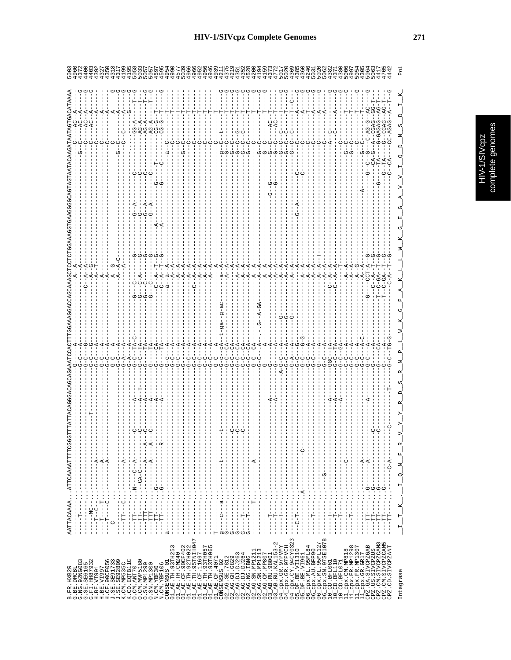| ひひひひ<br>めめめめめめ<br>ひくべ<br>$A \land A$<br>みみさみみみみみみみ<br>ത⊄<br>I A A A A A A A A A A<br>RRRR<br>RRRA<br>÷<br>TH F<br>ひひひひ<br><b>ひひ ff</b><br>$\blacksquare$<br>$\blacksquare$<br>ひひひひ<br>ひひひ<br>くひひくくく<br>UUUUUUUUUUUUUU    <br>ひひひひえばひひ<br>$1$ 1 1 0 0 0<br>RRRR<br>ひひひと<br>т<br>$-1$<br>$-1$<br>ĸ<br>$-1$<br>Ţ<br>J<br>$\mathbf{I}$<br>$\mathbf{I}$<br>I<br>I<br>$\mathbf{I}$<br>I<br>$\frac{1}{1}$<br>п<br>л<br>$\frac{1}{1}$<br>п<br>ı<br>J,<br>т<br>$-4-1$<br>$-4 -$<br>$\begin{array}{c} \end{array}$<br>$-4$<br>$-4-$<br>$-9 - -1$<br>i<br>i<br>I.<br>$-4$<br>I<br>$-$ – $-$ A<br>$-4$<br>I<br>ť<br>I<br>I<br>$\overline{\phantom{a}}$<br>J<br>п<br>J.<br>J.<br>I<br>I<br>ļ<br>I<br>I<br>I<br>$C-A$ <sup>-</sup> $C-A$ <sup>-</sup><br>I<br>ပု<br>$\frac{1}{1}$<br>í<br>ı<br>ł<br>i<br>I<br>I<br>$\mathbf{I}$<br>ı<br>I<br>$-1 - N$<br>l<br>I<br>ì<br>I<br>$\frac{1}{2}$<br>J<br>I<br>I<br>J.<br>J,<br>Ċ.<br>Ì,<br>I<br>ı<br>$\frac{1}{2}$<br>f,<br>т<br>٠.<br>$\vdots$<br>$\vdots$<br>$\vdots$<br>$\vdots$<br>$\ddot{\cdot}$<br>$\vdots$<br>$\vdots$<br>$\ddot{ }$ .<br>$\vdots$<br>$\vdots$<br>$\vdots$<br>$\ddot{\cdot}$<br>$\cdot$<br>$\vdots$<br>$\cdot$<br>$\ddot{\cdot}$<br>$\vdots$<br>$\cdot$<br>$\vdots$<br>$\vdots$<br>$\cdot$<br>부부<br>----------<br>I.<br>ି<br>କ<br>I<br>I<br>J.<br>I.<br>ł<br>ု<br>J.<br>J.<br>ï<br>$\overline{\phantom{a}}$<br>T<br>I<br>Ţ<br>I<br>ı<br>$-T - C$<br>$-7M$<br>$\mathsf I$<br>$-1 - T - -$<br>$-1$<br>J<br>J<br>$-1$<br>$-TTT$ -<br>$\mathsf I$<br>I<br>J<br>J<br>J<br>-TT-<br>$-TTT$<br>$\mathbf{I}$<br>$\frac{1}{C}$<br>I<br>$\frac{1}{1}$<br>$-1$<br>$-1$ - $C$ - $T$<br>FT-<br>T<br>부<br>Ĥ<br>투<br>i<br>F<br>$\frac{1}{1}$<br>Ë<br>I<br>H<br>т<br>т<br>I<br>п<br>$\frac{1}{1}$<br>í<br>ł<br>т<br>т<br>Ĥ<br>부<br>т<br>Ť<br>ŗ<br>I<br>п<br>Î<br>т<br>ن<br>۱<br>J<br>J,<br>$\mathbf{I}$<br>J.<br>I<br>ı<br>I<br>I<br>I<br>l.<br>J<br>$\blacksquare$<br>$\mathbf{I}$<br>$\mathbf{I}$<br>I<br>I<br>I<br>J<br>$\mathbf{I}$<br>п<br>л<br>п<br>п<br>п<br>I<br>п<br>ひ<br><b>G</b><br>ひ<br>ひ<br>ひ<br>あぴ<br>J.<br>$\frac{11}{11}$ = cpx. FR. MP1298<br>$\frac{11}{11}$ = cpx. FR. MP1307<br>$\frac{11}{11}$ = cpx. GR. GR17<br>B.FR.HXB2R<br>G.BE.DRCBL<br>$\frac{1}{2}$ | 부부부부<br>T<br>לקלקס<br>לקלקס<br>לאלאס<br>ひひひひ                   |
|--------------------------------------------------------------------------------------------------------------------------------------------------------------------------------------------------------------------------------------------------------------------------------------------------------------------------------------------------------------------------------------------------------------------------------------------------------------------------------------------------------------------------------------------------------------------------------------------------------------------------------------------------------------------------------------------------------------------------------------------------------------------------------------------------------------------------------------------------------------------------------------------------------------------------------------------------------------------------------------------------------------------------------------------------------------------------------------------------------------------------------------------------------------------------------------------------------------------------------------------------------------------------------------------------------------------------------------------------------------------------------------------------------------------------------------------------------------------------------------------------------------------------------------------------------------------------------------------------------------------------------------------------------------------------------------------------------------------------------------------------------------------------------------------------------------------------------------------------------------------------------------------------------------------------------------------------------------------------------------------------------------------------------------------------------------------------------------------------------------------------------------------------------------------------------------------------------------------|----------------------------------------------------------------|
|                                                                                                                                                                                                                                                                                                                                                                                                                                                                                                                                                                                                                                                                                                                                                                                                                                                                                                                                                                                                                                                                                                                                                                                                                                                                                                                                                                                                                                                                                                                                                                                                                                                                                                                                                                                                                                                                                                                                                                                                                                                                                                                                                                                                                    |                                                                |
|                                                                                                                                                                                                                                                                                                                                                                                                                                                                                                                                                                                                                                                                                                                                                                                                                                                                                                                                                                                                                                                                                                                                                                                                                                                                                                                                                                                                                                                                                                                                                                                                                                                                                                                                                                                                                                                                                                                                                                                                                                                                                                                                                                                                                    |                                                                |
|                                                                                                                                                                                                                                                                                                                                                                                                                                                                                                                                                                                                                                                                                                                                                                                                                                                                                                                                                                                                                                                                                                                                                                                                                                                                                                                                                                                                                                                                                                                                                                                                                                                                                                                                                                                                                                                                                                                                                                                                                                                                                                                                                                                                                    |                                                                |
|                                                                                                                                                                                                                                                                                                                                                                                                                                                                                                                                                                                                                                                                                                                                                                                                                                                                                                                                                                                                                                                                                                                                                                                                                                                                                                                                                                                                                                                                                                                                                                                                                                                                                                                                                                                                                                                                                                                                                                                                                                                                                                                                                                                                                    |                                                                |
|                                                                                                                                                                                                                                                                                                                                                                                                                                                                                                                                                                                                                                                                                                                                                                                                                                                                                                                                                                                                                                                                                                                                                                                                                                                                                                                                                                                                                                                                                                                                                                                                                                                                                                                                                                                                                                                                                                                                                                                                                                                                                                                                                                                                                    |                                                                |
|                                                                                                                                                                                                                                                                                                                                                                                                                                                                                                                                                                                                                                                                                                                                                                                                                                                                                                                                                                                                                                                                                                                                                                                                                                                                                                                                                                                                                                                                                                                                                                                                                                                                                                                                                                                                                                                                                                                                                                                                                                                                                                                                                                                                                    |                                                                |
|                                                                                                                                                                                                                                                                                                                                                                                                                                                                                                                                                                                                                                                                                                                                                                                                                                                                                                                                                                                                                                                                                                                                                                                                                                                                                                                                                                                                                                                                                                                                                                                                                                                                                                                                                                                                                                                                                                                                                                                                                                                                                                                                                                                                                    |                                                                |
|                                                                                                                                                                                                                                                                                                                                                                                                                                                                                                                                                                                                                                                                                                                                                                                                                                                                                                                                                                                                                                                                                                                                                                                                                                                                                                                                                                                                                                                                                                                                                                                                                                                                                                                                                                                                                                                                                                                                                                                                                                                                                                                                                                                                                    |                                                                |
|                                                                                                                                                                                                                                                                                                                                                                                                                                                                                                                                                                                                                                                                                                                                                                                                                                                                                                                                                                                                                                                                                                                                                                                                                                                                                                                                                                                                                                                                                                                                                                                                                                                                                                                                                                                                                                                                                                                                                                                                                                                                                                                                                                                                                    |                                                                |
|                                                                                                                                                                                                                                                                                                                                                                                                                                                                                                                                                                                                                                                                                                                                                                                                                                                                                                                                                                                                                                                                                                                                                                                                                                                                                                                                                                                                                                                                                                                                                                                                                                                                                                                                                                                                                                                                                                                                                                                                                                                                                                                                                                                                                    |                                                                |
|                                                                                                                                                                                                                                                                                                                                                                                                                                                                                                                                                                                                                                                                                                                                                                                                                                                                                                                                                                                                                                                                                                                                                                                                                                                                                                                                                                                                                                                                                                                                                                                                                                                                                                                                                                                                                                                                                                                                                                                                                                                                                                                                                                                                                    |                                                                |
|                                                                                                                                                                                                                                                                                                                                                                                                                                                                                                                                                                                                                                                                                                                                                                                                                                                                                                                                                                                                                                                                                                                                                                                                                                                                                                                                                                                                                                                                                                                                                                                                                                                                                                                                                                                                                                                                                                                                                                                                                                                                                                                                                                                                                    |                                                                |
|                                                                                                                                                                                                                                                                                                                                                                                                                                                                                                                                                                                                                                                                                                                                                                                                                                                                                                                                                                                                                                                                                                                                                                                                                                                                                                                                                                                                                                                                                                                                                                                                                                                                                                                                                                                                                                                                                                                                                                                                                                                                                                                                                                                                                    |                                                                |
|                                                                                                                                                                                                                                                                                                                                                                                                                                                                                                                                                                                                                                                                                                                                                                                                                                                                                                                                                                                                                                                                                                                                                                                                                                                                                                                                                                                                                                                                                                                                                                                                                                                                                                                                                                                                                                                                                                                                                                                                                                                                                                                                                                                                                    |                                                                |
|                                                                                                                                                                                                                                                                                                                                                                                                                                                                                                                                                                                                                                                                                                                                                                                                                                                                                                                                                                                                                                                                                                                                                                                                                                                                                                                                                                                                                                                                                                                                                                                                                                                                                                                                                                                                                                                                                                                                                                                                                                                                                                                                                                                                                    |                                                                |
|                                                                                                                                                                                                                                                                                                                                                                                                                                                                                                                                                                                                                                                                                                                                                                                                                                                                                                                                                                                                                                                                                                                                                                                                                                                                                                                                                                                                                                                                                                                                                                                                                                                                                                                                                                                                                                                                                                                                                                                                                                                                                                                                                                                                                    | てりてり                                                           |
|                                                                                                                                                                                                                                                                                                                                                                                                                                                                                                                                                                                                                                                                                                                                                                                                                                                                                                                                                                                                                                                                                                                                                                                                                                                                                                                                                                                                                                                                                                                                                                                                                                                                                                                                                                                                                                                                                                                                                                                                                                                                                                                                                                                                                    |                                                                |
|                                                                                                                                                                                                                                                                                                                                                                                                                                                                                                                                                                                                                                                                                                                                                                                                                                                                                                                                                                                                                                                                                                                                                                                                                                                                                                                                                                                                                                                                                                                                                                                                                                                                                                                                                                                                                                                                                                                                                                                                                                                                                                                                                                                                                    |                                                                |
|                                                                                                                                                                                                                                                                                                                                                                                                                                                                                                                                                                                                                                                                                                                                                                                                                                                                                                                                                                                                                                                                                                                                                                                                                                                                                                                                                                                                                                                                                                                                                                                                                                                                                                                                                                                                                                                                                                                                                                                                                                                                                                                                                                                                                    |                                                                |
|                                                                                                                                                                                                                                                                                                                                                                                                                                                                                                                                                                                                                                                                                                                                                                                                                                                                                                                                                                                                                                                                                                                                                                                                                                                                                                                                                                                                                                                                                                                                                                                                                                                                                                                                                                                                                                                                                                                                                                                                                                                                                                                                                                                                                    |                                                                |
|                                                                                                                                                                                                                                                                                                                                                                                                                                                                                                                                                                                                                                                                                                                                                                                                                                                                                                                                                                                                                                                                                                                                                                                                                                                                                                                                                                                                                                                                                                                                                                                                                                                                                                                                                                                                                                                                                                                                                                                                                                                                                                                                                                                                                    |                                                                |
|                                                                                                                                                                                                                                                                                                                                                                                                                                                                                                                                                                                                                                                                                                                                                                                                                                                                                                                                                                                                                                                                                                                                                                                                                                                                                                                                                                                                                                                                                                                                                                                                                                                                                                                                                                                                                                                                                                                                                                                                                                                                                                                                                                                                                    |                                                                |
|                                                                                                                                                                                                                                                                                                                                                                                                                                                                                                                                                                                                                                                                                                                                                                                                                                                                                                                                                                                                                                                                                                                                                                                                                                                                                                                                                                                                                                                                                                                                                                                                                                                                                                                                                                                                                                                                                                                                                                                                                                                                                                                                                                                                                    |                                                                |
|                                                                                                                                                                                                                                                                                                                                                                                                                                                                                                                                                                                                                                                                                                                                                                                                                                                                                                                                                                                                                                                                                                                                                                                                                                                                                                                                                                                                                                                                                                                                                                                                                                                                                                                                                                                                                                                                                                                                                                                                                                                                                                                                                                                                                    |                                                                |
|                                                                                                                                                                                                                                                                                                                                                                                                                                                                                                                                                                                                                                                                                                                                                                                                                                                                                                                                                                                                                                                                                                                                                                                                                                                                                                                                                                                                                                                                                                                                                                                                                                                                                                                                                                                                                                                                                                                                                                                                                                                                                                                                                                                                                    |                                                                |
|                                                                                                                                                                                                                                                                                                                                                                                                                                                                                                                                                                                                                                                                                                                                                                                                                                                                                                                                                                                                                                                                                                                                                                                                                                                                                                                                                                                                                                                                                                                                                                                                                                                                                                                                                                                                                                                                                                                                                                                                                                                                                                                                                                                                                    |                                                                |
|                                                                                                                                                                                                                                                                                                                                                                                                                                                                                                                                                                                                                                                                                                                                                                                                                                                                                                                                                                                                                                                                                                                                                                                                                                                                                                                                                                                                                                                                                                                                                                                                                                                                                                                                                                                                                                                                                                                                                                                                                                                                                                                                                                                                                    |                                                                |
|                                                                                                                                                                                                                                                                                                                                                                                                                                                                                                                                                                                                                                                                                                                                                                                                                                                                                                                                                                                                                                                                                                                                                                                                                                                                                                                                                                                                                                                                                                                                                                                                                                                                                                                                                                                                                                                                                                                                                                                                                                                                                                                                                                                                                    |                                                                |
|                                                                                                                                                                                                                                                                                                                                                                                                                                                                                                                                                                                                                                                                                                                                                                                                                                                                                                                                                                                                                                                                                                                                                                                                                                                                                                                                                                                                                                                                                                                                                                                                                                                                                                                                                                                                                                                                                                                                                                                                                                                                                                                                                                                                                    |                                                                |
|                                                                                                                                                                                                                                                                                                                                                                                                                                                                                                                                                                                                                                                                                                                                                                                                                                                                                                                                                                                                                                                                                                                                                                                                                                                                                                                                                                                                                                                                                                                                                                                                                                                                                                                                                                                                                                                                                                                                                                                                                                                                                                                                                                                                                    |                                                                |
|                                                                                                                                                                                                                                                                                                                                                                                                                                                                                                                                                                                                                                                                                                                                                                                                                                                                                                                                                                                                                                                                                                                                                                                                                                                                                                                                                                                                                                                                                                                                                                                                                                                                                                                                                                                                                                                                                                                                                                                                                                                                                                                                                                                                                    |                                                                |
|                                                                                                                                                                                                                                                                                                                                                                                                                                                                                                                                                                                                                                                                                                                                                                                                                                                                                                                                                                                                                                                                                                                                                                                                                                                                                                                                                                                                                                                                                                                                                                                                                                                                                                                                                                                                                                                                                                                                                                                                                                                                                                                                                                                                                    |                                                                |
|                                                                                                                                                                                                                                                                                                                                                                                                                                                                                                                                                                                                                                                                                                                                                                                                                                                                                                                                                                                                                                                                                                                                                                                                                                                                                                                                                                                                                                                                                                                                                                                                                                                                                                                                                                                                                                                                                                                                                                                                                                                                                                                                                                                                                    |                                                                |
|                                                                                                                                                                                                                                                                                                                                                                                                                                                                                                                                                                                                                                                                                                                                                                                                                                                                                                                                                                                                                                                                                                                                                                                                                                                                                                                                                                                                                                                                                                                                                                                                                                                                                                                                                                                                                                                                                                                                                                                                                                                                                                                                                                                                                    | י פ                                                            |
|                                                                                                                                                                                                                                                                                                                                                                                                                                                                                                                                                                                                                                                                                                                                                                                                                                                                                                                                                                                                                                                                                                                                                                                                                                                                                                                                                                                                                                                                                                                                                                                                                                                                                                                                                                                                                                                                                                                                                                                                                                                                                                                                                                                                                    |                                                                |
|                                                                                                                                                                                                                                                                                                                                                                                                                                                                                                                                                                                                                                                                                                                                                                                                                                                                                                                                                                                                                                                                                                                                                                                                                                                                                                                                                                                                                                                                                                                                                                                                                                                                                                                                                                                                                                                                                                                                                                                                                                                                                                                                                                                                                    | あひひひひひ                                                         |
|                                                                                                                                                                                                                                                                                                                                                                                                                                                                                                                                                                                                                                                                                                                                                                                                                                                                                                                                                                                                                                                                                                                                                                                                                                                                                                                                                                                                                                                                                                                                                                                                                                                                                                                                                                                                                                                                                                                                                                                                                                                                                                                                                                                                                    |                                                                |
|                                                                                                                                                                                                                                                                                                                                                                                                                                                                                                                                                                                                                                                                                                                                                                                                                                                                                                                                                                                                                                                                                                                                                                                                                                                                                                                                                                                                                                                                                                                                                                                                                                                                                                                                                                                                                                                                                                                                                                                                                                                                                                                                                                                                                    |                                                                |
|                                                                                                                                                                                                                                                                                                                                                                                                                                                                                                                                                                                                                                                                                                                                                                                                                                                                                                                                                                                                                                                                                                                                                                                                                                                                                                                                                                                                                                                                                                                                                                                                                                                                                                                                                                                                                                                                                                                                                                                                                                                                                                                                                                                                                    |                                                                |
|                                                                                                                                                                                                                                                                                                                                                                                                                                                                                                                                                                                                                                                                                                                                                                                                                                                                                                                                                                                                                                                                                                                                                                                                                                                                                                                                                                                                                                                                                                                                                                                                                                                                                                                                                                                                                                                                                                                                                                                                                                                                                                                                                                                                                    |                                                                |
|                                                                                                                                                                                                                                                                                                                                                                                                                                                                                                                                                                                                                                                                                                                                                                                                                                                                                                                                                                                                                                                                                                                                                                                                                                                                                                                                                                                                                                                                                                                                                                                                                                                                                                                                                                                                                                                                                                                                                                                                                                                                                                                                                                                                                    | てりてり                                                           |
|                                                                                                                                                                                                                                                                                                                                                                                                                                                                                                                                                                                                                                                                                                                                                                                                                                                                                                                                                                                                                                                                                                                                                                                                                                                                                                                                                                                                                                                                                                                                                                                                                                                                                                                                                                                                                                                                                                                                                                                                                                                                                                                                                                                                                    |                                                                |
|                                                                                                                                                                                                                                                                                                                                                                                                                                                                                                                                                                                                                                                                                                                                                                                                                                                                                                                                                                                                                                                                                                                                                                                                                                                                                                                                                                                                                                                                                                                                                                                                                                                                                                                                                                                                                                                                                                                                                                                                                                                                                                                                                                                                                    |                                                                |
|                                                                                                                                                                                                                                                                                                                                                                                                                                                                                                                                                                                                                                                                                                                                                                                                                                                                                                                                                                                                                                                                                                                                                                                                                                                                                                                                                                                                                                                                                                                                                                                                                                                                                                                                                                                                                                                                                                                                                                                                                                                                                                                                                                                                                    |                                                                |
|                                                                                                                                                                                                                                                                                                                                                                                                                                                                                                                                                                                                                                                                                                                                                                                                                                                                                                                                                                                                                                                                                                                                                                                                                                                                                                                                                                                                                                                                                                                                                                                                                                                                                                                                                                                                                                                                                                                                                                                                                                                                                                                                                                                                                    |                                                                |
|                                                                                                                                                                                                                                                                                                                                                                                                                                                                                                                                                                                                                                                                                                                                                                                                                                                                                                                                                                                                                                                                                                                                                                                                                                                                                                                                                                                                                                                                                                                                                                                                                                                                                                                                                                                                                                                                                                                                                                                                                                                                                                                                                                                                                    |                                                                |
|                                                                                                                                                                                                                                                                                                                                                                                                                                                                                                                                                                                                                                                                                                                                                                                                                                                                                                                                                                                                                                                                                                                                                                                                                                                                                                                                                                                                                                                                                                                                                                                                                                                                                                                                                                                                                                                                                                                                                                                                                                                                                                                                                                                                                    |                                                                |
|                                                                                                                                                                                                                                                                                                                                                                                                                                                                                                                                                                                                                                                                                                                                                                                                                                                                                                                                                                                                                                                                                                                                                                                                                                                                                                                                                                                                                                                                                                                                                                                                                                                                                                                                                                                                                                                                                                                                                                                                                                                                                                                                                                                                                    |                                                                |
|                                                                                                                                                                                                                                                                                                                                                                                                                                                                                                                                                                                                                                                                                                                                                                                                                                                                                                                                                                                                                                                                                                                                                                                                                                                                                                                                                                                                                                                                                                                                                                                                                                                                                                                                                                                                                                                                                                                                                                                                                                                                                                                                                                                                                    |                                                                |
|                                                                                                                                                                                                                                                                                                                                                                                                                                                                                                                                                                                                                                                                                                                                                                                                                                                                                                                                                                                                                                                                                                                                                                                                                                                                                                                                                                                                                                                                                                                                                                                                                                                                                                                                                                                                                                                                                                                                                                                                                                                                                                                                                                                                                    |                                                                |
|                                                                                                                                                                                                                                                                                                                                                                                                                                                                                                                                                                                                                                                                                                                                                                                                                                                                                                                                                                                                                                                                                                                                                                                                                                                                                                                                                                                                                                                                                                                                                                                                                                                                                                                                                                                                                                                                                                                                                                                                                                                                                                                                                                                                                    |                                                                |
|                                                                                                                                                                                                                                                                                                                                                                                                                                                                                                                                                                                                                                                                                                                                                                                                                                                                                                                                                                                                                                                                                                                                                                                                                                                                                                                                                                                                                                                                                                                                                                                                                                                                                                                                                                                                                                                                                                                                                                                                                                                                                                                                                                                                                    |                                                                |
|                                                                                                                                                                                                                                                                                                                                                                                                                                                                                                                                                                                                                                                                                                                                                                                                                                                                                                                                                                                                                                                                                                                                                                                                                                                                                                                                                                                                                                                                                                                                                                                                                                                                                                                                                                                                                                                                                                                                                                                                                                                                                                                                                                                                                    |                                                                |
|                                                                                                                                                                                                                                                                                                                                                                                                                                                                                                                                                                                                                                                                                                                                                                                                                                                                                                                                                                                                                                                                                                                                                                                                                                                                                                                                                                                                                                                                                                                                                                                                                                                                                                                                                                                                                                                                                                                                                                                                                                                                                                                                                                                                                    |                                                                |
|                                                                                                                                                                                                                                                                                                                                                                                                                                                                                                                                                                                                                                                                                                                                                                                                                                                                                                                                                                                                                                                                                                                                                                                                                                                                                                                                                                                                                                                                                                                                                                                                                                                                                                                                                                                                                                                                                                                                                                                                                                                                                                                                                                                                                    | $\begin{smallmatrix} 1 & 0 & 0 \\ 1 & 1 & 1 \end{smallmatrix}$ |
|                                                                                                                                                                                                                                                                                                                                                                                                                                                                                                                                                                                                                                                                                                                                                                                                                                                                                                                                                                                                                                                                                                                                                                                                                                                                                                                                                                                                                                                                                                                                                                                                                                                                                                                                                                                                                                                                                                                                                                                                                                                                                                                                                                                                                    |                                                                |
|                                                                                                                                                                                                                                                                                                                                                                                                                                                                                                                                                                                                                                                                                                                                                                                                                                                                                                                                                                                                                                                                                                                                                                                                                                                                                                                                                                                                                                                                                                                                                                                                                                                                                                                                                                                                                                                                                                                                                                                                                                                                                                                                                                                                                    |                                                                |
|                                                                                                                                                                                                                                                                                                                                                                                                                                                                                                                                                                                                                                                                                                                                                                                                                                                                                                                                                                                                                                                                                                                                                                                                                                                                                                                                                                                                                                                                                                                                                                                                                                                                                                                                                                                                                                                                                                                                                                                                                                                                                                                                                                                                                    |                                                                |
|                                                                                                                                                                                                                                                                                                                                                                                                                                                                                                                                                                                                                                                                                                                                                                                                                                                                                                                                                                                                                                                                                                                                                                                                                                                                                                                                                                                                                                                                                                                                                                                                                                                                                                                                                                                                                                                                                                                                                                                                                                                                                                                                                                                                                    | ひひひひ                                                           |
|                                                                                                                                                                                                                                                                                                                                                                                                                                                                                                                                                                                                                                                                                                                                                                                                                                                                                                                                                                                                                                                                                                                                                                                                                                                                                                                                                                                                                                                                                                                                                                                                                                                                                                                                                                                                                                                                                                                                                                                                                                                                                                                                                                                                                    |                                                                |
|                                                                                                                                                                                                                                                                                                                                                                                                                                                                                                                                                                                                                                                                                                                                                                                                                                                                                                                                                                                                                                                                                                                                                                                                                                                                                                                                                                                                                                                                                                                                                                                                                                                                                                                                                                                                                                                                                                                                                                                                                                                                                                                                                                                                                    |                                                                |
| $-1$                                                                                                                                                                                                                                                                                                                                                                                                                                                                                                                                                                                                                                                                                                                                                                                                                                                                                                                                                                                                                                                                                                                                                                                                                                                                                                                                                                                                                                                                                                                                                                                                                                                                                                                                                                                                                                                                                                                                                                                                                                                                                                                                                                                                               |                                                                |
| $- - A$<br>п<br>I<br>ڣ<br>$\mathbf{I}$<br>È<br>T<br>п                                                                                                                                                                                                                                                                                                                                                                                                                                                                                                                                                                                                                                                                                                                                                                                                                                                                                                                                                                                                                                                                                                                                                                                                                                                                                                                                                                                                                                                                                                                                                                                                                                                                                                                                                                                                                                                                                                                                                                                                                                                                                                                                                              |                                                                |
| U<br>$\vdots$<br>LL-<br>$\begin{array}{l} \begin{array}{l} \mathcal{L}=\mathcal{L}^{\mu}\mathcal{N}\star\cdot\mathcal{S}\mathcal{R}\star\cdot\mathcal{S}\mathcal{R}\star\cdot\mathcal{S}\star\cdot\mathcal{S}\star\cdot\mathcal{S}\star\cdot\mathcal{S}\star\cdot\mathcal{S}\star\cdot\mathcal{S}\star\cdot\mathcal{S}\star\cdot\mathcal{S}\star\cdot\mathcal{S}\star\cdot\mathcal{S}\star\mathcal{S}\star\mathcal{S}\star\mathcal{S}\star\mathcal{S}\star\mathcal{S}\star\mathcal{S}\star\mathcal{S}\star\mathcal{S}\star\mathcal{S}\star\mathcal$                                                                                                                                                                                                                                                                                                                                                                                                                                                                                                                                                                                                                                                                                                                                                                                                                                                                                                                                                                                                                                                                                                                                                                                                                                                                                                                                                                                                                                                                                                                                                                                                                                                                |                                                                |
| ن<br>:                                                                                                                                                                                                                                                                                                                                                                                                                                                                                                                                                                                                                                                                                                                                                                                                                                                                                                                                                                                                                                                                                                                                                                                                                                                                                                                                                                                                                                                                                                                                                                                                                                                                                                                                                                                                                                                                                                                                                                                                                                                                                                                                                                                                             |                                                                |
| υU<br>$\mathbf{I}$<br>ל<br>.<br>$\ddot{\phantom{0}}$<br>Ę                                                                                                                                                                                                                                                                                                                                                                                                                                                                                                                                                                                                                                                                                                                                                                                                                                                                                                                                                                                                                                                                                                                                                                                                                                                                                                                                                                                                                                                                                                                                                                                                                                                                                                                                                                                                                                                                                                                                                                                                                                                                                                                                                          | нн                                                             |
| - 1<br>$\mathbf{I}$<br>т<br>ï<br>ં<br>$\cdot$<br>$\mathbf I$<br>$\mathfrak l$<br>$\frac{1}{1}$<br>FT-<br>л                                                                                                                                                                                                                                                                                                                                                                                                                                                                                                                                                                                                                                                                                                                                                                                                                                                                                                                                                                                                                                                                                                                                                                                                                                                                                                                                                                                                                                                                                                                                                                                                                                                                                                                                                                                                                                                                                                                                                                                                                                                                                                         | ひ                                                              |
| $-9 - - -$<br>п<br>$\mathbf{I}$<br>Ë<br>I                                                                                                                                                                                                                                                                                                                                                                                                                                                                                                                                                                                                                                                                                                                                                                                                                                                                                                                                                                                                                                                                                                                                                                                                                                                                                                                                                                                                                                                                                                                                                                                                                                                                                                                                                                                                                                                                                                                                                                                                                                                                                                                                                                          |                                                                |
|                                                                                                                                                                                                                                                                                                                                                                                                                                                                                                                                                                                                                                                                                                                                                                                                                                                                                                                                                                                                                                                                                                                                                                                                                                                                                                                                                                                                                                                                                                                                                                                                                                                                                                                                                                                                                                                                                                                                                                                                                                                                                                                                                                                                                    |                                                                |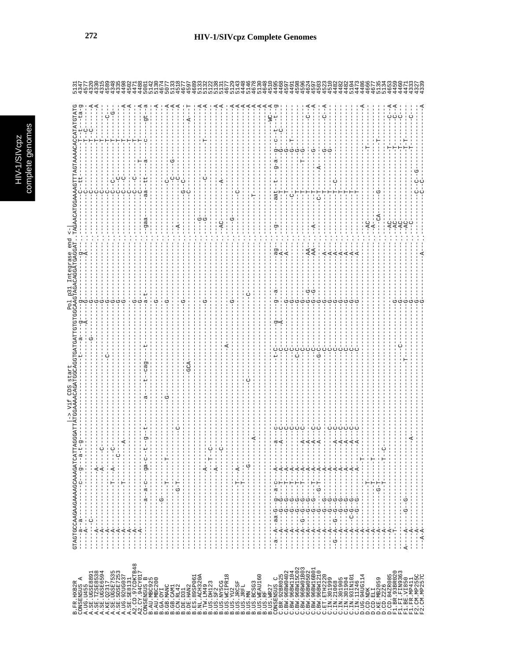| à,<br>$-10C$<br>$\ddot{\phantom{0}}$<br>$-A$ -<br>U<br>↻<br>텃<br>٣<br>r<br>F<br>⊢<br>ひ<br>ひ<br>ひ<br>ひ<br>ひ<br>あひ<br>ひ<br>ൽ<br>К<br>U<br>ပု<br>Ÿ<br>$-t$<br>U<br>U<br>U<br>$\frac{0}{1}$<br>$\frac{1}{2}$<br>U<br>Ŗ<br>ひ<br>œ<br>U<br>dt<br>۴<br>⊢<br>$\circ$<br>S<br>ל<br>י<br>Ġ٢<br>ひ<br><b>Q</b><br>$-AC$<br>ā<br>$-AC$<br>-AC<br>-AC<br>-AC<br>AC<br>Ŗ<br>ত়া<br>$AA -$<br>AA-<br>Φ<br>ክፈ<br>A,<br>AAAAAA<br>A<br>ပုံ ပုံ<br>൯<br>ひ ひ ひ<br>てり<br>U<br>ひ<br>てり<br>てり<br>ひ<br><b>ひ ひ</b><br>ひ<br>ひ<br>ひ<br>てり<br>てり<br>תי<br>פיז<br>К<br>ወ⊄<br>てり<br>υU<br>υU<br>U<br>↻<br>∪<br>U)<br>Ó<br>Ü<br>GCA<br>ā<br>Ο<br>U<br>তা<br>A A A A<br>K,<br>К<br>К<br>A<br>O<br>л<br>抖<br>İŤ<br>÷.<br>$\mathbf{I}$<br>$\frac{1}{2}$<br>Ť<br>- 1<br>$\blacksquare$<br>$\blacksquare$<br>- 11<br>$\blacksquare$<br>- 11<br>- 11<br>$\blacksquare$<br>$\frac{0}{1}$<br>$\mathbf{I}$<br>$\mathbf{I}$<br>$\mathbf{I}$<br>$\mathbf{I}$<br>$\mathbf{I}$<br>$\mathbf{L}$<br>$\blacksquare$<br>$\blacksquare$<br>$\Box$<br>$\blacksquare$<br>$\blacksquare$<br>$\mathbf{I}$<br>- 11<br>$\mathbf{I}$<br>- 11<br>$\mathbf{L}$<br>$\blacksquare$<br>$\mathbf{I}$<br>$\blacksquare$<br>- 11<br>$\blacksquare$<br>$\blacksquare$<br>$\blacksquare$<br>$\Box$<br>- 1<br>$\blacksquare$<br>1111111<br>$\blacksquare$<br>- 1<br>- 1<br>$\blacksquare$<br>$\blacksquare$<br>$\blacksquare$<br>$\blacksquare$<br>п<br>$\mathbf{L}$<br>- 1<br>- 1<br>- 1<br>$\mathbf{I}$<br>$\mathbf{I}$<br>- 1<br>$\mathbf{I}$<br>$\blacksquare$<br>$\blacksquare$<br>л.<br>- 11<br>$\blacksquare$<br>- 1<br>$\mathbf{I}$<br>$\blacksquare$<br>- 11<br>$\blacksquare$<br>- 1<br>п<br><b>Q</b><br>$-1 - 1 - 1$<br>$-1 - A - 1$<br>ט ו<br>Ť.<br>Ť.<br>$\mathbf{L}$<br>$\mathbb{L}$<br>$\mathbf{L}$<br>$\mathbb T$<br>$\mathbb T$<br>$1 - 1$<br>$\mathbb T$<br>1<br>$\mathbb T$<br>$\begin{array}{cccccccccc} 1 & 1 & 1 & 1 & 1 \end{array}$<br>I.<br>- 1<br>1<br>$\mathbf{I}$<br>1<br>J.<br>$\mathbf{I}$<br>$\mathbf{I}$<br>$\mathbf{I}$<br>$\mathbb{R}$ $\mathbb{R}$ $\top$<br>$\boldsymbol{\mathcal{A}}$<br>$\,$ I<br>$\mathbf{I}$<br>ה<br>$\mathsf I$<br>$\mathbf{I}$<br>$\mathbb T$<br>$\mathsf I$<br>$\mathsf I$<br>A<br>$\mathbf{I}$<br>$\mathbf{I}$<br>$1 - 1 - 1$<br><b>A A A A A A A A A A A A A A A A</b><br>$\mathfrak l$<br>$\mathbf{I}$<br>$\blacksquare$<br>т,<br>$\mathbf{I}$<br>$\mathbf{I}$<br>$\mathbf{I}$<br>T<br>$\mathbf{I}$<br>Ţ<br>-FF 1<br>J<br>$\mathbf{I}$<br>$\mathbf{I}$ $\mathbf{I}$<br>$\blacksquare$<br>4 F<br>$\mathbf{I}$<br>IJ<br>$\mathbf{I}$<br>$\blacksquare$<br>- 1<br>- 11<br>$\mathbf{I}$<br>J<br>$\mathbf{I}$<br>T<br>$\mathbf{I}$<br>- 1<br>$\Box$<br>וניו במהירה המהירה המהירה.<br>נוננו ברווח ברווח בו נוננו בנו<br>$\mathbf{I}$<br>J.<br>п<br>$\blacksquare$<br>- 11<br>п<br>$1 \quad 1 \quad 1$<br>$\perp$<br>$\overline{\phantom{a}}$<br>J<br>$\Box$<br>$\mathbf{I}$<br>$\mathbf{I}$<br>л.<br>-11<br>- 1<br>п.<br>$\blacksquare$<br>- 1<br>- 1<br>$\mathbf{I}$<br>L.<br>- 1<br>- 11<br>$\blacksquare$<br>л.<br>т.<br>т.<br>$\mathbf{I}$<br>$\mathbf{I}$<br><b>TERMINE</b><br>J.<br>$\Gamma$<br>Ħ<br>Ť.<br>$\mathbf I$<br>$1 - 1 - 1$<br>$\mathbf{I}$<br>$\mathbb T$<br>$1 - 1 - 1 - 1$<br>Τ.<br>$1$ $1$ $1$ $1$<br>$\mathbf{I}$<br>T<br>1<br>$\mathbf{I}$<br>-1<br>.<br>- 5<br>iiiii<br>HHIM<br>부분<br>$\frac{1}{2}$<br>措<br>$\frac{1}{1}$<br>Ħ<br>$\blacksquare$<br>$\frac{1}{4}$<br>부부<br>ĦĦ<br>ittet<br>III.<br>Ħ<br>$\frac{1}{1}$<br>ł<br>ł.<br>÷<br>÷<br>$\mathbf{I}$<br>÷<br>$\blacksquare$<br>$\blacksquare$<br>$\mathbf{I}$<br>п<br>п.<br>$1 - 1$<br><b>Q</b><br>$\mathbf{I}$<br>÷.<br>$\mathbf{I}$<br>$\mathbf{L}$<br>$\mathbf{I}$<br>$\mathbf{L}$<br>$\mathbf{I}$<br>$\mathbb{I}$<br>$\perp$<br>$\mathbb T$<br>$\mathbb{L}$<br>$1 - 1 - 1$<br>$\mathbb{L}$<br>$\blacksquare$<br>$\mathbf{I}$<br>- 11<br>$\mathbf{I}$<br>т<br>$\mathbf{I}$<br>$\blacksquare$<br>$\mathbb{I}-\mathbb{I}$<br>$\mathbf{I} = \mathbf{I}$<br>$\,$ I<br>Ťİ<br>$\mathbf{I}$<br>$\mathbb I$<br>$\frac{1}{1}$<br>$1 - 1 - 1 - 1$<br>т,<br>$\mathbf{L}$<br>$\mathbf{I}$<br>$\blacksquare$<br>$\blacksquare$<br>ŧ<br>1<br>$\mathbf{I}$<br>$\overline{\phantom{a}}$<br>-1<br>1<br>$\mathbf{I}$<br>т<br>J.<br>$\mathbf{I}$<br>$\mathbf{I}$<br>$\mathbb I$<br>1 1 1 1 1<br>$\blacksquare$<br>$\mathbf{I}$<br>$\blacksquare$<br>$\mathbf{I}$ $\mathbf{I}$<br>$\blacksquare$<br>$\blacksquare$<br>$\mathbf{I}$<br>$\mathbf{I}$<br>$\overset{1}{\circ}$<br>$\mathbf{I}$<br>-1<br>$\overline{\phantom{0}}$<br>$\mathbf{I}$<br>计打击<br>$\blacksquare$<br>-1<br>$\mathbf{I}$<br>$\mathbf{I}$<br>т<br>$\mathbf{I}$<br>$\mathbf{I}$<br>$\blacksquare$<br>$1 - 1 - 1$<br>$\mathbf{I}$<br>$\mathbf{I}$<br>$\mathbf{I}$<br>$\overline{1}$<br>- 11<br>$\mathbf{1}$<br>л.<br>- 1<br>$\ddot{\phi}$<br>$-9 - 5$<br>- 11<br>$\blacksquare$<br>$\blacksquare$<br>$\blacksquare$<br>$\blacksquare$<br>$\mathbf{I}$<br>$\mathbf{I}$<br>- 11<br>$\perp$<br>$\blacksquare$<br>$1 + 1 + 1$<br>- 11<br>$\blacksquare$<br>- 11<br>$\mathbf{I}$<br>-1<br>$\mathbf{I}$<br>- 1<br>-11<br>$\mathbf{I}$<br>п.<br>- 1<br>- 1<br>- 1<br>$1 - 1$<br>$\mathbf I$<br>$1 - 1 - 1$<br>$\begin{array}{cccccccccccccc} 1 & 1 & 1 & 1 & 1 & 1 & 1 \end{array}$<br>$\blacksquare$<br>$\mathbf{I}$<br>$1 - 1$<br>$\mathbf{I}$<br>$\mathbb T$<br>$\mathsf I$<br>$\mathbb{I}$<br>$1 - 1$<br>$\mathbb T$<br>$\perp$<br>$\mathbb T$<br>$\mathbf{I}$<br>L<br>11111<br>$\mathbf{I}$<br>Ι.<br>J.<br>1<br>л.<br>$\mathbf{I}$<br>$\mathbf I$<br>$\mathbf I$<br>$\mathsf I$<br>$\mathbf I$<br>$\blacksquare$<br>$\,$ I<br>$\mathbf{I}$<br>$\mathbf{I}$<br>$\mathbb T$<br>$\mathbf{I}$<br>$\mathsf I$<br>$\mathbf I$<br>$\mathbf I$<br>$-1$<br>$1 - 1 - 1 - 1$<br>$\blacksquare$<br>Ι.<br>$\mathbf{I}$<br>$\mathbf{I}$<br>$\mathbf{I}$<br>1<br>1<br>$\overline{\phantom{a}}$<br>$\blacksquare$<br>J.<br>T<br>$\mathbf{I}$<br>- 1<br><b><i>BB</i> BB</b><br>$\blacksquare$<br>$\Box$<br>$\blacksquare$<br>$\blacksquare$<br>Τ.<br>$\mathbf{I}$<br>L.<br>$\blacksquare$<br>$\blacksquare$<br>$1 - 1 - 1$<br>$1 - 1 - 1 - 1$<br>$\overline{\phantom{a}}$<br>-1<br>$\mathbf{I}$<br>$\mathbf{I}$<br>$1 - 1 - 1$<br>$\blacksquare$<br>$\Box$<br>- 1<br>- 1<br><b>TELESTIC</b><br>$\perp$<br>$\mathbf{1}$<br>$\perp$<br>$\pm$ $\pm$<br>$\blacksquare$<br>$\blacksquare$<br>$\mathbf{1}$<br>- 1<br>$\blacksquare$<br>-11<br>-1<br>т.<br>$\blacksquare$<br>-1<br>$\mathbf{I}$<br>$\mathbf{I}$<br>$\mathbf{I}$<br>л.<br>$\mathbf{I}$<br>- 1<br>$\blacksquare$<br>ŧ<br>$\mathbf{L}$<br>$\mathbf{I}$<br>$1 - 1$<br>$1 - 1 - 1$<br>- 1<br>$1 - 1$<br>$1 - 1 - 1$<br>$1 - 1 - 1$<br>1<br>$\pm$ $\pm$<br>$\mathbf{I}$<br>$\mathbf I$<br>$1 - 1$<br>$\mathbf{L}$<br>$\mathbb T$<br>$\mathsf I$<br>$\mathsf I$<br>$\mathsf I$<br>$\mathbf{I}$<br>$\perp$<br>$\mathbb T$<br>$\mathbf{I}$<br>1<br>$\mathsf I$<br>$\mathbf i$<br>-1<br>$\overline{C}$<br>$\mathbf I$<br>$\mathbf{I}$<br>$\mathbf{L}$<br>$\mathbf{I}$<br>$\pm$ $\pm$<br>$1 - 1 - 1$<br>$\mathsf I$<br>$\mathsf I$<br>$\mathbb I$<br>$\mathsf I$<br>$\mathbf I$<br>$\mathbf{L}$<br>$-1-1$<br>$\mathbf{I} = \mathbf{I}$<br>$-1$<br>$\blacksquare$<br>$\mathbf{I}$<br>п<br>$\blacksquare$<br>$\blacksquare$<br>п<br>J.<br>T<br>$\overline{\phantom{0}}$<br>Т<br>÷.<br>十十<br>÷<br>$\blacksquare$<br>$\mathbf{I}$<br>$\mathbf{I}$<br>L.<br>$\mathbf{I}$<br>$\blacksquare$<br>$\mathbf{I}$<br>$\mathbf{I}$<br>$\mathbf{I}$<br>$\mathbf{I}$<br>$\blacksquare$<br>J.<br>T<br>J.<br>1<br>1<br>J.<br>T.<br>$\mathbf{I}$<br>$\mathbf{I}$<br>$\blacksquare$<br>$\mathbf{I}$<br>$\mathbf{I}$<br>L.<br>- 1<br>-1<br>$\mathbf{I}$<br>л.<br>п<br>$\mathbf{I}$<br>л. |  |  |  |  | ŧ<br>÷<br>$1 - 1 - 1$<br>$1 - 1 - 1 - 1$<br>$1 - 1 - 1 - 1$ |
|-----------------------------------------------------------------------------------------------------------------------------------------------------------------------------------------------------------------------------------------------------------------------------------------------------------------------------------------------------------------------------------------------------------------------------------------------------------------------------------------------------------------------------------------------------------------------------------------------------------------------------------------------------------------------------------------------------------------------------------------------------------------------------------------------------------------------------------------------------------------------------------------------------------------------------------------------------------------------------------------------------------------------------------------------------------------------------------------------------------------------------------------------------------------------------------------------------------------------------------------------------------------------------------------------------------------------------------------------------------------------------------------------------------------------------------------------------------------------------------------------------------------------------------------------------------------------------------------------------------------------------------------------------------------------------------------------------------------------------------------------------------------------------------------------------------------------------------------------------------------------------------------------------------------------------------------------------------------------------------------------------------------------------------------------------------------------------------------------------------------------------------------------------------------------------------------------------------------------------------------------------------------------------------------------------------------------------------------------------------------------------------------------------------------------------------------------------------------------------------------------------------------------------------------------------------------------------------------------------------------------------------------------------------------------------------------------------------------------------------------------------------------------------------------------------------------------------------------------------------------------------------------------------------------------------------------------------------------------------------------------------------------------------------------------------------------------------------------------------------------------------------------------------------------------------------------------------------------------------------------------------------------------------------------------------------------------------------------------------------------------------------------------------------------------------------------------------------------------------------------------------------------------------------------------------------------------------------------------------------------------------------------------------------------------------------------------------------------------------------------------------------------------------------------------------------------------------------------------------------------------------------------------------------------------------------------------------------------------------------------------------------------------------------------------------------------------------------------------------------------------------------------------------------------------------------------------------------------------------------------------------------------------------------------------------------------------------------------------------------------------------------------------------------------------------------------------------------------------------------------------------------------------------------------------------------------------------------------------------------------------------------------------------------------------------------------------------------------------------------------------------------------------------------------------------------------------------------------------------------------------------------------------------------------------------------------------------------------------------------------------------------------------------------------------------------------------------------------------------------------------------------------------------------------------------------------------------------------------------------------------------------------------------------------------------------------------------------------------------------------------------------------------------------------------------------------------------------------------------------------------------------------------------------------------------------------------------------------------------------------------------------------------------------------------------------------------------------------------------------------------------------------------------------------------------------------------------------------------------------------------------------------------------------------------------------------------------------------------------------------------------------------------------------------------------------------------------------------------------------------------------------------------------------------------------------------------------------------------------------------------------------------------------------------------------------------------------------------------------------------------------------------------------------------------------------------------------------------------------------------------------------------------------------------------------------------------------------------------------------------------------------------------------------------------------------------------------------------------------------------------------------------------------------------------------------------------------------------------------------------------------------------------------------------------------------------------------------------------------------------------------------------------------------------------------------------------------------------------------------------------------------------------------------------------------------------------------------------------------------------------------------------------------------------------------------------------------------------------------------------------------------------------------------------------------------------------------------------------------------------------------------------------------------------------------------------------------------------------------------------|--|--|--|--|-------------------------------------------------------------|
|                                                                                                                                                                                                                                                                                                                                                                                                                                                                                                                                                                                                                                                                                                                                                                                                                                                                                                                                                                                                                                                                                                                                                                                                                                                                                                                                                                                                                                                                                                                                                                                                                                                                                                                                                                                                                                                                                                                                                                                                                                                                                                                                                                                                                                                                                                                                                                                                                                                                                                                                                                                                                                                                                                                                                                                                                                                                                                                                                                                                                                                                                                                                                                                                                                                                                                                                                                                                                                                                                                                                                                                                                                                                                                                                                                                                                                                                                                                                                                                                                                                                                                                                                                                                                                                                                                                                                                                                                                                                                                                                                                                                                                                                                                                                                                                                                                                                                                                                                                                                                                                                                                                                                                                                                                                                                                                                                                                                                                                                                                                                                                                                                                                                                                                                                                                                                                                                                                                                                                                                                                                                                                                                                                                                                                                                                                                                                                                                                                                                                                                                                                                                                                                                                                                                                                                                                                                                                                                                                                                                                                                                                                                                                                                                                                                                                                                                                                                                                                                                                                                                                                                                                 |  |  |  |  |                                                             |
|                                                                                                                                                                                                                                                                                                                                                                                                                                                                                                                                                                                                                                                                                                                                                                                                                                                                                                                                                                                                                                                                                                                                                                                                                                                                                                                                                                                                                                                                                                                                                                                                                                                                                                                                                                                                                                                                                                                                                                                                                                                                                                                                                                                                                                                                                                                                                                                                                                                                                                                                                                                                                                                                                                                                                                                                                                                                                                                                                                                                                                                                                                                                                                                                                                                                                                                                                                                                                                                                                                                                                                                                                                                                                                                                                                                                                                                                                                                                                                                                                                                                                                                                                                                                                                                                                                                                                                                                                                                                                                                                                                                                                                                                                                                                                                                                                                                                                                                                                                                                                                                                                                                                                                                                                                                                                                                                                                                                                                                                                                                                                                                                                                                                                                                                                                                                                                                                                                                                                                                                                                                                                                                                                                                                                                                                                                                                                                                                                                                                                                                                                                                                                                                                                                                                                                                                                                                                                                                                                                                                                                                                                                                                                                                                                                                                                                                                                                                                                                                                                                                                                                                                                 |  |  |  |  |                                                             |
|                                                                                                                                                                                                                                                                                                                                                                                                                                                                                                                                                                                                                                                                                                                                                                                                                                                                                                                                                                                                                                                                                                                                                                                                                                                                                                                                                                                                                                                                                                                                                                                                                                                                                                                                                                                                                                                                                                                                                                                                                                                                                                                                                                                                                                                                                                                                                                                                                                                                                                                                                                                                                                                                                                                                                                                                                                                                                                                                                                                                                                                                                                                                                                                                                                                                                                                                                                                                                                                                                                                                                                                                                                                                                                                                                                                                                                                                                                                                                                                                                                                                                                                                                                                                                                                                                                                                                                                                                                                                                                                                                                                                                                                                                                                                                                                                                                                                                                                                                                                                                                                                                                                                                                                                                                                                                                                                                                                                                                                                                                                                                                                                                                                                                                                                                                                                                                                                                                                                                                                                                                                                                                                                                                                                                                                                                                                                                                                                                                                                                                                                                                                                                                                                                                                                                                                                                                                                                                                                                                                                                                                                                                                                                                                                                                                                                                                                                                                                                                                                                                                                                                                                                 |  |  |  |  |                                                             |
|                                                                                                                                                                                                                                                                                                                                                                                                                                                                                                                                                                                                                                                                                                                                                                                                                                                                                                                                                                                                                                                                                                                                                                                                                                                                                                                                                                                                                                                                                                                                                                                                                                                                                                                                                                                                                                                                                                                                                                                                                                                                                                                                                                                                                                                                                                                                                                                                                                                                                                                                                                                                                                                                                                                                                                                                                                                                                                                                                                                                                                                                                                                                                                                                                                                                                                                                                                                                                                                                                                                                                                                                                                                                                                                                                                                                                                                                                                                                                                                                                                                                                                                                                                                                                                                                                                                                                                                                                                                                                                                                                                                                                                                                                                                                                                                                                                                                                                                                                                                                                                                                                                                                                                                                                                                                                                                                                                                                                                                                                                                                                                                                                                                                                                                                                                                                                                                                                                                                                                                                                                                                                                                                                                                                                                                                                                                                                                                                                                                                                                                                                                                                                                                                                                                                                                                                                                                                                                                                                                                                                                                                                                                                                                                                                                                                                                                                                                                                                                                                                                                                                                                                                 |  |  |  |  |                                                             |
|                                                                                                                                                                                                                                                                                                                                                                                                                                                                                                                                                                                                                                                                                                                                                                                                                                                                                                                                                                                                                                                                                                                                                                                                                                                                                                                                                                                                                                                                                                                                                                                                                                                                                                                                                                                                                                                                                                                                                                                                                                                                                                                                                                                                                                                                                                                                                                                                                                                                                                                                                                                                                                                                                                                                                                                                                                                                                                                                                                                                                                                                                                                                                                                                                                                                                                                                                                                                                                                                                                                                                                                                                                                                                                                                                                                                                                                                                                                                                                                                                                                                                                                                                                                                                                                                                                                                                                                                                                                                                                                                                                                                                                                                                                                                                                                                                                                                                                                                                                                                                                                                                                                                                                                                                                                                                                                                                                                                                                                                                                                                                                                                                                                                                                                                                                                                                                                                                                                                                                                                                                                                                                                                                                                                                                                                                                                                                                                                                                                                                                                                                                                                                                                                                                                                                                                                                                                                                                                                                                                                                                                                                                                                                                                                                                                                                                                                                                                                                                                                                                                                                                                                                 |  |  |  |  |                                                             |
|                                                                                                                                                                                                                                                                                                                                                                                                                                                                                                                                                                                                                                                                                                                                                                                                                                                                                                                                                                                                                                                                                                                                                                                                                                                                                                                                                                                                                                                                                                                                                                                                                                                                                                                                                                                                                                                                                                                                                                                                                                                                                                                                                                                                                                                                                                                                                                                                                                                                                                                                                                                                                                                                                                                                                                                                                                                                                                                                                                                                                                                                                                                                                                                                                                                                                                                                                                                                                                                                                                                                                                                                                                                                                                                                                                                                                                                                                                                                                                                                                                                                                                                                                                                                                                                                                                                                                                                                                                                                                                                                                                                                                                                                                                                                                                                                                                                                                                                                                                                                                                                                                                                                                                                                                                                                                                                                                                                                                                                                                                                                                                                                                                                                                                                                                                                                                                                                                                                                                                                                                                                                                                                                                                                                                                                                                                                                                                                                                                                                                                                                                                                                                                                                                                                                                                                                                                                                                                                                                                                                                                                                                                                                                                                                                                                                                                                                                                                                                                                                                                                                                                                                                 |  |  |  |  |                                                             |
|                                                                                                                                                                                                                                                                                                                                                                                                                                                                                                                                                                                                                                                                                                                                                                                                                                                                                                                                                                                                                                                                                                                                                                                                                                                                                                                                                                                                                                                                                                                                                                                                                                                                                                                                                                                                                                                                                                                                                                                                                                                                                                                                                                                                                                                                                                                                                                                                                                                                                                                                                                                                                                                                                                                                                                                                                                                                                                                                                                                                                                                                                                                                                                                                                                                                                                                                                                                                                                                                                                                                                                                                                                                                                                                                                                                                                                                                                                                                                                                                                                                                                                                                                                                                                                                                                                                                                                                                                                                                                                                                                                                                                                                                                                                                                                                                                                                                                                                                                                                                                                                                                                                                                                                                                                                                                                                                                                                                                                                                                                                                                                                                                                                                                                                                                                                                                                                                                                                                                                                                                                                                                                                                                                                                                                                                                                                                                                                                                                                                                                                                                                                                                                                                                                                                                                                                                                                                                                                                                                                                                                                                                                                                                                                                                                                                                                                                                                                                                                                                                                                                                                                                                 |  |  |  |  |                                                             |
|                                                                                                                                                                                                                                                                                                                                                                                                                                                                                                                                                                                                                                                                                                                                                                                                                                                                                                                                                                                                                                                                                                                                                                                                                                                                                                                                                                                                                                                                                                                                                                                                                                                                                                                                                                                                                                                                                                                                                                                                                                                                                                                                                                                                                                                                                                                                                                                                                                                                                                                                                                                                                                                                                                                                                                                                                                                                                                                                                                                                                                                                                                                                                                                                                                                                                                                                                                                                                                                                                                                                                                                                                                                                                                                                                                                                                                                                                                                                                                                                                                                                                                                                                                                                                                                                                                                                                                                                                                                                                                                                                                                                                                                                                                                                                                                                                                                                                                                                                                                                                                                                                                                                                                                                                                                                                                                                                                                                                                                                                                                                                                                                                                                                                                                                                                                                                                                                                                                                                                                                                                                                                                                                                                                                                                                                                                                                                                                                                                                                                                                                                                                                                                                                                                                                                                                                                                                                                                                                                                                                                                                                                                                                                                                                                                                                                                                                                                                                                                                                                                                                                                                                                 |  |  |  |  |                                                             |
|                                                                                                                                                                                                                                                                                                                                                                                                                                                                                                                                                                                                                                                                                                                                                                                                                                                                                                                                                                                                                                                                                                                                                                                                                                                                                                                                                                                                                                                                                                                                                                                                                                                                                                                                                                                                                                                                                                                                                                                                                                                                                                                                                                                                                                                                                                                                                                                                                                                                                                                                                                                                                                                                                                                                                                                                                                                                                                                                                                                                                                                                                                                                                                                                                                                                                                                                                                                                                                                                                                                                                                                                                                                                                                                                                                                                                                                                                                                                                                                                                                                                                                                                                                                                                                                                                                                                                                                                                                                                                                                                                                                                                                                                                                                                                                                                                                                                                                                                                                                                                                                                                                                                                                                                                                                                                                                                                                                                                                                                                                                                                                                                                                                                                                                                                                                                                                                                                                                                                                                                                                                                                                                                                                                                                                                                                                                                                                                                                                                                                                                                                                                                                                                                                                                                                                                                                                                                                                                                                                                                                                                                                                                                                                                                                                                                                                                                                                                                                                                                                                                                                                                                                 |  |  |  |  |                                                             |
|                                                                                                                                                                                                                                                                                                                                                                                                                                                                                                                                                                                                                                                                                                                                                                                                                                                                                                                                                                                                                                                                                                                                                                                                                                                                                                                                                                                                                                                                                                                                                                                                                                                                                                                                                                                                                                                                                                                                                                                                                                                                                                                                                                                                                                                                                                                                                                                                                                                                                                                                                                                                                                                                                                                                                                                                                                                                                                                                                                                                                                                                                                                                                                                                                                                                                                                                                                                                                                                                                                                                                                                                                                                                                                                                                                                                                                                                                                                                                                                                                                                                                                                                                                                                                                                                                                                                                                                                                                                                                                                                                                                                                                                                                                                                                                                                                                                                                                                                                                                                                                                                                                                                                                                                                                                                                                                                                                                                                                                                                                                                                                                                                                                                                                                                                                                                                                                                                                                                                                                                                                                                                                                                                                                                                                                                                                                                                                                                                                                                                                                                                                                                                                                                                                                                                                                                                                                                                                                                                                                                                                                                                                                                                                                                                                                                                                                                                                                                                                                                                                                                                                                                                 |  |  |  |  |                                                             |
|                                                                                                                                                                                                                                                                                                                                                                                                                                                                                                                                                                                                                                                                                                                                                                                                                                                                                                                                                                                                                                                                                                                                                                                                                                                                                                                                                                                                                                                                                                                                                                                                                                                                                                                                                                                                                                                                                                                                                                                                                                                                                                                                                                                                                                                                                                                                                                                                                                                                                                                                                                                                                                                                                                                                                                                                                                                                                                                                                                                                                                                                                                                                                                                                                                                                                                                                                                                                                                                                                                                                                                                                                                                                                                                                                                                                                                                                                                                                                                                                                                                                                                                                                                                                                                                                                                                                                                                                                                                                                                                                                                                                                                                                                                                                                                                                                                                                                                                                                                                                                                                                                                                                                                                                                                                                                                                                                                                                                                                                                                                                                                                                                                                                                                                                                                                                                                                                                                                                                                                                                                                                                                                                                                                                                                                                                                                                                                                                                                                                                                                                                                                                                                                                                                                                                                                                                                                                                                                                                                                                                                                                                                                                                                                                                                                                                                                                                                                                                                                                                                                                                                                                                 |  |  |  |  |                                                             |
|                                                                                                                                                                                                                                                                                                                                                                                                                                                                                                                                                                                                                                                                                                                                                                                                                                                                                                                                                                                                                                                                                                                                                                                                                                                                                                                                                                                                                                                                                                                                                                                                                                                                                                                                                                                                                                                                                                                                                                                                                                                                                                                                                                                                                                                                                                                                                                                                                                                                                                                                                                                                                                                                                                                                                                                                                                                                                                                                                                                                                                                                                                                                                                                                                                                                                                                                                                                                                                                                                                                                                                                                                                                                                                                                                                                                                                                                                                                                                                                                                                                                                                                                                                                                                                                                                                                                                                                                                                                                                                                                                                                                                                                                                                                                                                                                                                                                                                                                                                                                                                                                                                                                                                                                                                                                                                                                                                                                                                                                                                                                                                                                                                                                                                                                                                                                                                                                                                                                                                                                                                                                                                                                                                                                                                                                                                                                                                                                                                                                                                                                                                                                                                                                                                                                                                                                                                                                                                                                                                                                                                                                                                                                                                                                                                                                                                                                                                                                                                                                                                                                                                                                                 |  |  |  |  |                                                             |
|                                                                                                                                                                                                                                                                                                                                                                                                                                                                                                                                                                                                                                                                                                                                                                                                                                                                                                                                                                                                                                                                                                                                                                                                                                                                                                                                                                                                                                                                                                                                                                                                                                                                                                                                                                                                                                                                                                                                                                                                                                                                                                                                                                                                                                                                                                                                                                                                                                                                                                                                                                                                                                                                                                                                                                                                                                                                                                                                                                                                                                                                                                                                                                                                                                                                                                                                                                                                                                                                                                                                                                                                                                                                                                                                                                                                                                                                                                                                                                                                                                                                                                                                                                                                                                                                                                                                                                                                                                                                                                                                                                                                                                                                                                                                                                                                                                                                                                                                                                                                                                                                                                                                                                                                                                                                                                                                                                                                                                                                                                                                                                                                                                                                                                                                                                                                                                                                                                                                                                                                                                                                                                                                                                                                                                                                                                                                                                                                                                                                                                                                                                                                                                                                                                                                                                                                                                                                                                                                                                                                                                                                                                                                                                                                                                                                                                                                                                                                                                                                                                                                                                                                                 |  |  |  |  |                                                             |
|                                                                                                                                                                                                                                                                                                                                                                                                                                                                                                                                                                                                                                                                                                                                                                                                                                                                                                                                                                                                                                                                                                                                                                                                                                                                                                                                                                                                                                                                                                                                                                                                                                                                                                                                                                                                                                                                                                                                                                                                                                                                                                                                                                                                                                                                                                                                                                                                                                                                                                                                                                                                                                                                                                                                                                                                                                                                                                                                                                                                                                                                                                                                                                                                                                                                                                                                                                                                                                                                                                                                                                                                                                                                                                                                                                                                                                                                                                                                                                                                                                                                                                                                                                                                                                                                                                                                                                                                                                                                                                                                                                                                                                                                                                                                                                                                                                                                                                                                                                                                                                                                                                                                                                                                                                                                                                                                                                                                                                                                                                                                                                                                                                                                                                                                                                                                                                                                                                                                                                                                                                                                                                                                                                                                                                                                                                                                                                                                                                                                                                                                                                                                                                                                                                                                                                                                                                                                                                                                                                                                                                                                                                                                                                                                                                                                                                                                                                                                                                                                                                                                                                                                                 |  |  |  |  |                                                             |
|                                                                                                                                                                                                                                                                                                                                                                                                                                                                                                                                                                                                                                                                                                                                                                                                                                                                                                                                                                                                                                                                                                                                                                                                                                                                                                                                                                                                                                                                                                                                                                                                                                                                                                                                                                                                                                                                                                                                                                                                                                                                                                                                                                                                                                                                                                                                                                                                                                                                                                                                                                                                                                                                                                                                                                                                                                                                                                                                                                                                                                                                                                                                                                                                                                                                                                                                                                                                                                                                                                                                                                                                                                                                                                                                                                                                                                                                                                                                                                                                                                                                                                                                                                                                                                                                                                                                                                                                                                                                                                                                                                                                                                                                                                                                                                                                                                                                                                                                                                                                                                                                                                                                                                                                                                                                                                                                                                                                                                                                                                                                                                                                                                                                                                                                                                                                                                                                                                                                                                                                                                                                                                                                                                                                                                                                                                                                                                                                                                                                                                                                                                                                                                                                                                                                                                                                                                                                                                                                                                                                                                                                                                                                                                                                                                                                                                                                                                                                                                                                                                                                                                                                                 |  |  |  |  |                                                             |
|                                                                                                                                                                                                                                                                                                                                                                                                                                                                                                                                                                                                                                                                                                                                                                                                                                                                                                                                                                                                                                                                                                                                                                                                                                                                                                                                                                                                                                                                                                                                                                                                                                                                                                                                                                                                                                                                                                                                                                                                                                                                                                                                                                                                                                                                                                                                                                                                                                                                                                                                                                                                                                                                                                                                                                                                                                                                                                                                                                                                                                                                                                                                                                                                                                                                                                                                                                                                                                                                                                                                                                                                                                                                                                                                                                                                                                                                                                                                                                                                                                                                                                                                                                                                                                                                                                                                                                                                                                                                                                                                                                                                                                                                                                                                                                                                                                                                                                                                                                                                                                                                                                                                                                                                                                                                                                                                                                                                                                                                                                                                                                                                                                                                                                                                                                                                                                                                                                                                                                                                                                                                                                                                                                                                                                                                                                                                                                                                                                                                                                                                                                                                                                                                                                                                                                                                                                                                                                                                                                                                                                                                                                                                                                                                                                                                                                                                                                                                                                                                                                                                                                                                                 |  |  |  |  |                                                             |
|                                                                                                                                                                                                                                                                                                                                                                                                                                                                                                                                                                                                                                                                                                                                                                                                                                                                                                                                                                                                                                                                                                                                                                                                                                                                                                                                                                                                                                                                                                                                                                                                                                                                                                                                                                                                                                                                                                                                                                                                                                                                                                                                                                                                                                                                                                                                                                                                                                                                                                                                                                                                                                                                                                                                                                                                                                                                                                                                                                                                                                                                                                                                                                                                                                                                                                                                                                                                                                                                                                                                                                                                                                                                                                                                                                                                                                                                                                                                                                                                                                                                                                                                                                                                                                                                                                                                                                                                                                                                                                                                                                                                                                                                                                                                                                                                                                                                                                                                                                                                                                                                                                                                                                                                                                                                                                                                                                                                                                                                                                                                                                                                                                                                                                                                                                                                                                                                                                                                                                                                                                                                                                                                                                                                                                                                                                                                                                                                                                                                                                                                                                                                                                                                                                                                                                                                                                                                                                                                                                                                                                                                                                                                                                                                                                                                                                                                                                                                                                                                                                                                                                                                                 |  |  |  |  |                                                             |
|                                                                                                                                                                                                                                                                                                                                                                                                                                                                                                                                                                                                                                                                                                                                                                                                                                                                                                                                                                                                                                                                                                                                                                                                                                                                                                                                                                                                                                                                                                                                                                                                                                                                                                                                                                                                                                                                                                                                                                                                                                                                                                                                                                                                                                                                                                                                                                                                                                                                                                                                                                                                                                                                                                                                                                                                                                                                                                                                                                                                                                                                                                                                                                                                                                                                                                                                                                                                                                                                                                                                                                                                                                                                                                                                                                                                                                                                                                                                                                                                                                                                                                                                                                                                                                                                                                                                                                                                                                                                                                                                                                                                                                                                                                                                                                                                                                                                                                                                                                                                                                                                                                                                                                                                                                                                                                                                                                                                                                                                                                                                                                                                                                                                                                                                                                                                                                                                                                                                                                                                                                                                                                                                                                                                                                                                                                                                                                                                                                                                                                                                                                                                                                                                                                                                                                                                                                                                                                                                                                                                                                                                                                                                                                                                                                                                                                                                                                                                                                                                                                                                                                                                                 |  |  |  |  |                                                             |
|                                                                                                                                                                                                                                                                                                                                                                                                                                                                                                                                                                                                                                                                                                                                                                                                                                                                                                                                                                                                                                                                                                                                                                                                                                                                                                                                                                                                                                                                                                                                                                                                                                                                                                                                                                                                                                                                                                                                                                                                                                                                                                                                                                                                                                                                                                                                                                                                                                                                                                                                                                                                                                                                                                                                                                                                                                                                                                                                                                                                                                                                                                                                                                                                                                                                                                                                                                                                                                                                                                                                                                                                                                                                                                                                                                                                                                                                                                                                                                                                                                                                                                                                                                                                                                                                                                                                                                                                                                                                                                                                                                                                                                                                                                                                                                                                                                                                                                                                                                                                                                                                                                                                                                                                                                                                                                                                                                                                                                                                                                                                                                                                                                                                                                                                                                                                                                                                                                                                                                                                                                                                                                                                                                                                                                                                                                                                                                                                                                                                                                                                                                                                                                                                                                                                                                                                                                                                                                                                                                                                                                                                                                                                                                                                                                                                                                                                                                                                                                                                                                                                                                                                                 |  |  |  |  |                                                             |
|                                                                                                                                                                                                                                                                                                                                                                                                                                                                                                                                                                                                                                                                                                                                                                                                                                                                                                                                                                                                                                                                                                                                                                                                                                                                                                                                                                                                                                                                                                                                                                                                                                                                                                                                                                                                                                                                                                                                                                                                                                                                                                                                                                                                                                                                                                                                                                                                                                                                                                                                                                                                                                                                                                                                                                                                                                                                                                                                                                                                                                                                                                                                                                                                                                                                                                                                                                                                                                                                                                                                                                                                                                                                                                                                                                                                                                                                                                                                                                                                                                                                                                                                                                                                                                                                                                                                                                                                                                                                                                                                                                                                                                                                                                                                                                                                                                                                                                                                                                                                                                                                                                                                                                                                                                                                                                                                                                                                                                                                                                                                                                                                                                                                                                                                                                                                                                                                                                                                                                                                                                                                                                                                                                                                                                                                                                                                                                                                                                                                                                                                                                                                                                                                                                                                                                                                                                                                                                                                                                                                                                                                                                                                                                                                                                                                                                                                                                                                                                                                                                                                                                                                                 |  |  |  |  |                                                             |
|                                                                                                                                                                                                                                                                                                                                                                                                                                                                                                                                                                                                                                                                                                                                                                                                                                                                                                                                                                                                                                                                                                                                                                                                                                                                                                                                                                                                                                                                                                                                                                                                                                                                                                                                                                                                                                                                                                                                                                                                                                                                                                                                                                                                                                                                                                                                                                                                                                                                                                                                                                                                                                                                                                                                                                                                                                                                                                                                                                                                                                                                                                                                                                                                                                                                                                                                                                                                                                                                                                                                                                                                                                                                                                                                                                                                                                                                                                                                                                                                                                                                                                                                                                                                                                                                                                                                                                                                                                                                                                                                                                                                                                                                                                                                                                                                                                                                                                                                                                                                                                                                                                                                                                                                                                                                                                                                                                                                                                                                                                                                                                                                                                                                                                                                                                                                                                                                                                                                                                                                                                                                                                                                                                                                                                                                                                                                                                                                                                                                                                                                                                                                                                                                                                                                                                                                                                                                                                                                                                                                                                                                                                                                                                                                                                                                                                                                                                                                                                                                                                                                                                                                                 |  |  |  |  |                                                             |
|                                                                                                                                                                                                                                                                                                                                                                                                                                                                                                                                                                                                                                                                                                                                                                                                                                                                                                                                                                                                                                                                                                                                                                                                                                                                                                                                                                                                                                                                                                                                                                                                                                                                                                                                                                                                                                                                                                                                                                                                                                                                                                                                                                                                                                                                                                                                                                                                                                                                                                                                                                                                                                                                                                                                                                                                                                                                                                                                                                                                                                                                                                                                                                                                                                                                                                                                                                                                                                                                                                                                                                                                                                                                                                                                                                                                                                                                                                                                                                                                                                                                                                                                                                                                                                                                                                                                                                                                                                                                                                                                                                                                                                                                                                                                                                                                                                                                                                                                                                                                                                                                                                                                                                                                                                                                                                                                                                                                                                                                                                                                                                                                                                                                                                                                                                                                                                                                                                                                                                                                                                                                                                                                                                                                                                                                                                                                                                                                                                                                                                                                                                                                                                                                                                                                                                                                                                                                                                                                                                                                                                                                                                                                                                                                                                                                                                                                                                                                                                                                                                                                                                                                                 |  |  |  |  |                                                             |
|                                                                                                                                                                                                                                                                                                                                                                                                                                                                                                                                                                                                                                                                                                                                                                                                                                                                                                                                                                                                                                                                                                                                                                                                                                                                                                                                                                                                                                                                                                                                                                                                                                                                                                                                                                                                                                                                                                                                                                                                                                                                                                                                                                                                                                                                                                                                                                                                                                                                                                                                                                                                                                                                                                                                                                                                                                                                                                                                                                                                                                                                                                                                                                                                                                                                                                                                                                                                                                                                                                                                                                                                                                                                                                                                                                                                                                                                                                                                                                                                                                                                                                                                                                                                                                                                                                                                                                                                                                                                                                                                                                                                                                                                                                                                                                                                                                                                                                                                                                                                                                                                                                                                                                                                                                                                                                                                                                                                                                                                                                                                                                                                                                                                                                                                                                                                                                                                                                                                                                                                                                                                                                                                                                                                                                                                                                                                                                                                                                                                                                                                                                                                                                                                                                                                                                                                                                                                                                                                                                                                                                                                                                                                                                                                                                                                                                                                                                                                                                                                                                                                                                                                                 |  |  |  |  |                                                             |
|                                                                                                                                                                                                                                                                                                                                                                                                                                                                                                                                                                                                                                                                                                                                                                                                                                                                                                                                                                                                                                                                                                                                                                                                                                                                                                                                                                                                                                                                                                                                                                                                                                                                                                                                                                                                                                                                                                                                                                                                                                                                                                                                                                                                                                                                                                                                                                                                                                                                                                                                                                                                                                                                                                                                                                                                                                                                                                                                                                                                                                                                                                                                                                                                                                                                                                                                                                                                                                                                                                                                                                                                                                                                                                                                                                                                                                                                                                                                                                                                                                                                                                                                                                                                                                                                                                                                                                                                                                                                                                                                                                                                                                                                                                                                                                                                                                                                                                                                                                                                                                                                                                                                                                                                                                                                                                                                                                                                                                                                                                                                                                                                                                                                                                                                                                                                                                                                                                                                                                                                                                                                                                                                                                                                                                                                                                                                                                                                                                                                                                                                                                                                                                                                                                                                                                                                                                                                                                                                                                                                                                                                                                                                                                                                                                                                                                                                                                                                                                                                                                                                                                                                                 |  |  |  |  |                                                             |
|                                                                                                                                                                                                                                                                                                                                                                                                                                                                                                                                                                                                                                                                                                                                                                                                                                                                                                                                                                                                                                                                                                                                                                                                                                                                                                                                                                                                                                                                                                                                                                                                                                                                                                                                                                                                                                                                                                                                                                                                                                                                                                                                                                                                                                                                                                                                                                                                                                                                                                                                                                                                                                                                                                                                                                                                                                                                                                                                                                                                                                                                                                                                                                                                                                                                                                                                                                                                                                                                                                                                                                                                                                                                                                                                                                                                                                                                                                                                                                                                                                                                                                                                                                                                                                                                                                                                                                                                                                                                                                                                                                                                                                                                                                                                                                                                                                                                                                                                                                                                                                                                                                                                                                                                                                                                                                                                                                                                                                                                                                                                                                                                                                                                                                                                                                                                                                                                                                                                                                                                                                                                                                                                                                                                                                                                                                                                                                                                                                                                                                                                                                                                                                                                                                                                                                                                                                                                                                                                                                                                                                                                                                                                                                                                                                                                                                                                                                                                                                                                                                                                                                                                                 |  |  |  |  |                                                             |
|                                                                                                                                                                                                                                                                                                                                                                                                                                                                                                                                                                                                                                                                                                                                                                                                                                                                                                                                                                                                                                                                                                                                                                                                                                                                                                                                                                                                                                                                                                                                                                                                                                                                                                                                                                                                                                                                                                                                                                                                                                                                                                                                                                                                                                                                                                                                                                                                                                                                                                                                                                                                                                                                                                                                                                                                                                                                                                                                                                                                                                                                                                                                                                                                                                                                                                                                                                                                                                                                                                                                                                                                                                                                                                                                                                                                                                                                                                                                                                                                                                                                                                                                                                                                                                                                                                                                                                                                                                                                                                                                                                                                                                                                                                                                                                                                                                                                                                                                                                                                                                                                                                                                                                                                                                                                                                                                                                                                                                                                                                                                                                                                                                                                                                                                                                                                                                                                                                                                                                                                                                                                                                                                                                                                                                                                                                                                                                                                                                                                                                                                                                                                                                                                                                                                                                                                                                                                                                                                                                                                                                                                                                                                                                                                                                                                                                                                                                                                                                                                                                                                                                                                                 |  |  |  |  |                                                             |
|                                                                                                                                                                                                                                                                                                                                                                                                                                                                                                                                                                                                                                                                                                                                                                                                                                                                                                                                                                                                                                                                                                                                                                                                                                                                                                                                                                                                                                                                                                                                                                                                                                                                                                                                                                                                                                                                                                                                                                                                                                                                                                                                                                                                                                                                                                                                                                                                                                                                                                                                                                                                                                                                                                                                                                                                                                                                                                                                                                                                                                                                                                                                                                                                                                                                                                                                                                                                                                                                                                                                                                                                                                                                                                                                                                                                                                                                                                                                                                                                                                                                                                                                                                                                                                                                                                                                                                                                                                                                                                                                                                                                                                                                                                                                                                                                                                                                                                                                                                                                                                                                                                                                                                                                                                                                                                                                                                                                                                                                                                                                                                                                                                                                                                                                                                                                                                                                                                                                                                                                                                                                                                                                                                                                                                                                                                                                                                                                                                                                                                                                                                                                                                                                                                                                                                                                                                                                                                                                                                                                                                                                                                                                                                                                                                                                                                                                                                                                                                                                                                                                                                                                                 |  |  |  |  |                                                             |
|                                                                                                                                                                                                                                                                                                                                                                                                                                                                                                                                                                                                                                                                                                                                                                                                                                                                                                                                                                                                                                                                                                                                                                                                                                                                                                                                                                                                                                                                                                                                                                                                                                                                                                                                                                                                                                                                                                                                                                                                                                                                                                                                                                                                                                                                                                                                                                                                                                                                                                                                                                                                                                                                                                                                                                                                                                                                                                                                                                                                                                                                                                                                                                                                                                                                                                                                                                                                                                                                                                                                                                                                                                                                                                                                                                                                                                                                                                                                                                                                                                                                                                                                                                                                                                                                                                                                                                                                                                                                                                                                                                                                                                                                                                                                                                                                                                                                                                                                                                                                                                                                                                                                                                                                                                                                                                                                                                                                                                                                                                                                                                                                                                                                                                                                                                                                                                                                                                                                                                                                                                                                                                                                                                                                                                                                                                                                                                                                                                                                                                                                                                                                                                                                                                                                                                                                                                                                                                                                                                                                                                                                                                                                                                                                                                                                                                                                                                                                                                                                                                                                                                                                                 |  |  |  |  |                                                             |
|                                                                                                                                                                                                                                                                                                                                                                                                                                                                                                                                                                                                                                                                                                                                                                                                                                                                                                                                                                                                                                                                                                                                                                                                                                                                                                                                                                                                                                                                                                                                                                                                                                                                                                                                                                                                                                                                                                                                                                                                                                                                                                                                                                                                                                                                                                                                                                                                                                                                                                                                                                                                                                                                                                                                                                                                                                                                                                                                                                                                                                                                                                                                                                                                                                                                                                                                                                                                                                                                                                                                                                                                                                                                                                                                                                                                                                                                                                                                                                                                                                                                                                                                                                                                                                                                                                                                                                                                                                                                                                                                                                                                                                                                                                                                                                                                                                                                                                                                                                                                                                                                                                                                                                                                                                                                                                                                                                                                                                                                                                                                                                                                                                                                                                                                                                                                                                                                                                                                                                                                                                                                                                                                                                                                                                                                                                                                                                                                                                                                                                                                                                                                                                                                                                                                                                                                                                                                                                                                                                                                                                                                                                                                                                                                                                                                                                                                                                                                                                                                                                                                                                                                                 |  |  |  |  | $\blacksquare$                                              |
|                                                                                                                                                                                                                                                                                                                                                                                                                                                                                                                                                                                                                                                                                                                                                                                                                                                                                                                                                                                                                                                                                                                                                                                                                                                                                                                                                                                                                                                                                                                                                                                                                                                                                                                                                                                                                                                                                                                                                                                                                                                                                                                                                                                                                                                                                                                                                                                                                                                                                                                                                                                                                                                                                                                                                                                                                                                                                                                                                                                                                                                                                                                                                                                                                                                                                                                                                                                                                                                                                                                                                                                                                                                                                                                                                                                                                                                                                                                                                                                                                                                                                                                                                                                                                                                                                                                                                                                                                                                                                                                                                                                                                                                                                                                                                                                                                                                                                                                                                                                                                                                                                                                                                                                                                                                                                                                                                                                                                                                                                                                                                                                                                                                                                                                                                                                                                                                                                                                                                                                                                                                                                                                                                                                                                                                                                                                                                                                                                                                                                                                                                                                                                                                                                                                                                                                                                                                                                                                                                                                                                                                                                                                                                                                                                                                                                                                                                                                                                                                                                                                                                                                                                 |  |  |  |  | $\mathbf{I}$<br>$\mathbb T$                                 |
|                                                                                                                                                                                                                                                                                                                                                                                                                                                                                                                                                                                                                                                                                                                                                                                                                                                                                                                                                                                                                                                                                                                                                                                                                                                                                                                                                                                                                                                                                                                                                                                                                                                                                                                                                                                                                                                                                                                                                                                                                                                                                                                                                                                                                                                                                                                                                                                                                                                                                                                                                                                                                                                                                                                                                                                                                                                                                                                                                                                                                                                                                                                                                                                                                                                                                                                                                                                                                                                                                                                                                                                                                                                                                                                                                                                                                                                                                                                                                                                                                                                                                                                                                                                                                                                                                                                                                                                                                                                                                                                                                                                                                                                                                                                                                                                                                                                                                                                                                                                                                                                                                                                                                                                                                                                                                                                                                                                                                                                                                                                                                                                                                                                                                                                                                                                                                                                                                                                                                                                                                                                                                                                                                                                                                                                                                                                                                                                                                                                                                                                                                                                                                                                                                                                                                                                                                                                                                                                                                                                                                                                                                                                                                                                                                                                                                                                                                                                                                                                                                                                                                                                                                 |  |  |  |  | 1                                                           |
|                                                                                                                                                                                                                                                                                                                                                                                                                                                                                                                                                                                                                                                                                                                                                                                                                                                                                                                                                                                                                                                                                                                                                                                                                                                                                                                                                                                                                                                                                                                                                                                                                                                                                                                                                                                                                                                                                                                                                                                                                                                                                                                                                                                                                                                                                                                                                                                                                                                                                                                                                                                                                                                                                                                                                                                                                                                                                                                                                                                                                                                                                                                                                                                                                                                                                                                                                                                                                                                                                                                                                                                                                                                                                                                                                                                                                                                                                                                                                                                                                                                                                                                                                                                                                                                                                                                                                                                                                                                                                                                                                                                                                                                                                                                                                                                                                                                                                                                                                                                                                                                                                                                                                                                                                                                                                                                                                                                                                                                                                                                                                                                                                                                                                                                                                                                                                                                                                                                                                                                                                                                                                                                                                                                                                                                                                                                                                                                                                                                                                                                                                                                                                                                                                                                                                                                                                                                                                                                                                                                                                                                                                                                                                                                                                                                                                                                                                                                                                                                                                                                                                                                                                 |  |  |  |  | -1<br>-1                                                    |
|                                                                                                                                                                                                                                                                                                                                                                                                                                                                                                                                                                                                                                                                                                                                                                                                                                                                                                                                                                                                                                                                                                                                                                                                                                                                                                                                                                                                                                                                                                                                                                                                                                                                                                                                                                                                                                                                                                                                                                                                                                                                                                                                                                                                                                                                                                                                                                                                                                                                                                                                                                                                                                                                                                                                                                                                                                                                                                                                                                                                                                                                                                                                                                                                                                                                                                                                                                                                                                                                                                                                                                                                                                                                                                                                                                                                                                                                                                                                                                                                                                                                                                                                                                                                                                                                                                                                                                                                                                                                                                                                                                                                                                                                                                                                                                                                                                                                                                                                                                                                                                                                                                                                                                                                                                                                                                                                                                                                                                                                                                                                                                                                                                                                                                                                                                                                                                                                                                                                                                                                                                                                                                                                                                                                                                                                                                                                                                                                                                                                                                                                                                                                                                                                                                                                                                                                                                                                                                                                                                                                                                                                                                                                                                                                                                                                                                                                                                                                                                                                                                                                                                                                                 |  |  |  |  | $\blacksquare$<br>$\mathbb T$                               |
|                                                                                                                                                                                                                                                                                                                                                                                                                                                                                                                                                                                                                                                                                                                                                                                                                                                                                                                                                                                                                                                                                                                                                                                                                                                                                                                                                                                                                                                                                                                                                                                                                                                                                                                                                                                                                                                                                                                                                                                                                                                                                                                                                                                                                                                                                                                                                                                                                                                                                                                                                                                                                                                                                                                                                                                                                                                                                                                                                                                                                                                                                                                                                                                                                                                                                                                                                                                                                                                                                                                                                                                                                                                                                                                                                                                                                                                                                                                                                                                                                                                                                                                                                                                                                                                                                                                                                                                                                                                                                                                                                                                                                                                                                                                                                                                                                                                                                                                                                                                                                                                                                                                                                                                                                                                                                                                                                                                                                                                                                                                                                                                                                                                                                                                                                                                                                                                                                                                                                                                                                                                                                                                                                                                                                                                                                                                                                                                                                                                                                                                                                                                                                                                                                                                                                                                                                                                                                                                                                                                                                                                                                                                                                                                                                                                                                                                                                                                                                                                                                                                                                                                                                 |  |  |  |  | -1<br>т                                                     |
|                                                                                                                                                                                                                                                                                                                                                                                                                                                                                                                                                                                                                                                                                                                                                                                                                                                                                                                                                                                                                                                                                                                                                                                                                                                                                                                                                                                                                                                                                                                                                                                                                                                                                                                                                                                                                                                                                                                                                                                                                                                                                                                                                                                                                                                                                                                                                                                                                                                                                                                                                                                                                                                                                                                                                                                                                                                                                                                                                                                                                                                                                                                                                                                                                                                                                                                                                                                                                                                                                                                                                                                                                                                                                                                                                                                                                                                                                                                                                                                                                                                                                                                                                                                                                                                                                                                                                                                                                                                                                                                                                                                                                                                                                                                                                                                                                                                                                                                                                                                                                                                                                                                                                                                                                                                                                                                                                                                                                                                                                                                                                                                                                                                                                                                                                                                                                                                                                                                                                                                                                                                                                                                                                                                                                                                                                                                                                                                                                                                                                                                                                                                                                                                                                                                                                                                                                                                                                                                                                                                                                                                                                                                                                                                                                                                                                                                                                                                                                                                                                                                                                                                                                 |  |  |  |  | п<br>т                                                      |
|                                                                                                                                                                                                                                                                                                                                                                                                                                                                                                                                                                                                                                                                                                                                                                                                                                                                                                                                                                                                                                                                                                                                                                                                                                                                                                                                                                                                                                                                                                                                                                                                                                                                                                                                                                                                                                                                                                                                                                                                                                                                                                                                                                                                                                                                                                                                                                                                                                                                                                                                                                                                                                                                                                                                                                                                                                                                                                                                                                                                                                                                                                                                                                                                                                                                                                                                                                                                                                                                                                                                                                                                                                                                                                                                                                                                                                                                                                                                                                                                                                                                                                                                                                                                                                                                                                                                                                                                                                                                                                                                                                                                                                                                                                                                                                                                                                                                                                                                                                                                                                                                                                                                                                                                                                                                                                                                                                                                                                                                                                                                                                                                                                                                                                                                                                                                                                                                                                                                                                                                                                                                                                                                                                                                                                                                                                                                                                                                                                                                                                                                                                                                                                                                                                                                                                                                                                                                                                                                                                                                                                                                                                                                                                                                                                                                                                                                                                                                                                                                                                                                                                                                                 |  |  |  |  | L.<br>J.                                                    |
|                                                                                                                                                                                                                                                                                                                                                                                                                                                                                                                                                                                                                                                                                                                                                                                                                                                                                                                                                                                                                                                                                                                                                                                                                                                                                                                                                                                                                                                                                                                                                                                                                                                                                                                                                                                                                                                                                                                                                                                                                                                                                                                                                                                                                                                                                                                                                                                                                                                                                                                                                                                                                                                                                                                                                                                                                                                                                                                                                                                                                                                                                                                                                                                                                                                                                                                                                                                                                                                                                                                                                                                                                                                                                                                                                                                                                                                                                                                                                                                                                                                                                                                                                                                                                                                                                                                                                                                                                                                                                                                                                                                                                                                                                                                                                                                                                                                                                                                                                                                                                                                                                                                                                                                                                                                                                                                                                                                                                                                                                                                                                                                                                                                                                                                                                                                                                                                                                                                                                                                                                                                                                                                                                                                                                                                                                                                                                                                                                                                                                                                                                                                                                                                                                                                                                                                                                                                                                                                                                                                                                                                                                                                                                                                                                                                                                                                                                                                                                                                                                                                                                                                                                 |  |  |  |  | п                                                           |
|                                                                                                                                                                                                                                                                                                                                                                                                                                                                                                                                                                                                                                                                                                                                                                                                                                                                                                                                                                                                                                                                                                                                                                                                                                                                                                                                                                                                                                                                                                                                                                                                                                                                                                                                                                                                                                                                                                                                                                                                                                                                                                                                                                                                                                                                                                                                                                                                                                                                                                                                                                                                                                                                                                                                                                                                                                                                                                                                                                                                                                                                                                                                                                                                                                                                                                                                                                                                                                                                                                                                                                                                                                                                                                                                                                                                                                                                                                                                                                                                                                                                                                                                                                                                                                                                                                                                                                                                                                                                                                                                                                                                                                                                                                                                                                                                                                                                                                                                                                                                                                                                                                                                                                                                                                                                                                                                                                                                                                                                                                                                                                                                                                                                                                                                                                                                                                                                                                                                                                                                                                                                                                                                                                                                                                                                                                                                                                                                                                                                                                                                                                                                                                                                                                                                                                                                                                                                                                                                                                                                                                                                                                                                                                                                                                                                                                                                                                                                                                                                                                                                                                                                                 |  |  |  |  |                                                             |
|                                                                                                                                                                                                                                                                                                                                                                                                                                                                                                                                                                                                                                                                                                                                                                                                                                                                                                                                                                                                                                                                                                                                                                                                                                                                                                                                                                                                                                                                                                                                                                                                                                                                                                                                                                                                                                                                                                                                                                                                                                                                                                                                                                                                                                                                                                                                                                                                                                                                                                                                                                                                                                                                                                                                                                                                                                                                                                                                                                                                                                                                                                                                                                                                                                                                                                                                                                                                                                                                                                                                                                                                                                                                                                                                                                                                                                                                                                                                                                                                                                                                                                                                                                                                                                                                                                                                                                                                                                                                                                                                                                                                                                                                                                                                                                                                                                                                                                                                                                                                                                                                                                                                                                                                                                                                                                                                                                                                                                                                                                                                                                                                                                                                                                                                                                                                                                                                                                                                                                                                                                                                                                                                                                                                                                                                                                                                                                                                                                                                                                                                                                                                                                                                                                                                                                                                                                                                                                                                                                                                                                                                                                                                                                                                                                                                                                                                                                                                                                                                                                                                                                                                                 |  |  |  |  | $\mathbf{I}$<br>-                                           |
|                                                                                                                                                                                                                                                                                                                                                                                                                                                                                                                                                                                                                                                                                                                                                                                                                                                                                                                                                                                                                                                                                                                                                                                                                                                                                                                                                                                                                                                                                                                                                                                                                                                                                                                                                                                                                                                                                                                                                                                                                                                                                                                                                                                                                                                                                                                                                                                                                                                                                                                                                                                                                                                                                                                                                                                                                                                                                                                                                                                                                                                                                                                                                                                                                                                                                                                                                                                                                                                                                                                                                                                                                                                                                                                                                                                                                                                                                                                                                                                                                                                                                                                                                                                                                                                                                                                                                                                                                                                                                                                                                                                                                                                                                                                                                                                                                                                                                                                                                                                                                                                                                                                                                                                                                                                                                                                                                                                                                                                                                                                                                                                                                                                                                                                                                                                                                                                                                                                                                                                                                                                                                                                                                                                                                                                                                                                                                                                                                                                                                                                                                                                                                                                                                                                                                                                                                                                                                                                                                                                                                                                                                                                                                                                                                                                                                                                                                                                                                                                                                                                                                                                                                 |  |  |  |  | п<br>ı                                                      |
|                                                                                                                                                                                                                                                                                                                                                                                                                                                                                                                                                                                                                                                                                                                                                                                                                                                                                                                                                                                                                                                                                                                                                                                                                                                                                                                                                                                                                                                                                                                                                                                                                                                                                                                                                                                                                                                                                                                                                                                                                                                                                                                                                                                                                                                                                                                                                                                                                                                                                                                                                                                                                                                                                                                                                                                                                                                                                                                                                                                                                                                                                                                                                                                                                                                                                                                                                                                                                                                                                                                                                                                                                                                                                                                                                                                                                                                                                                                                                                                                                                                                                                                                                                                                                                                                                                                                                                                                                                                                                                                                                                                                                                                                                                                                                                                                                                                                                                                                                                                                                                                                                                                                                                                                                                                                                                                                                                                                                                                                                                                                                                                                                                                                                                                                                                                                                                                                                                                                                                                                                                                                                                                                                                                                                                                                                                                                                                                                                                                                                                                                                                                                                                                                                                                                                                                                                                                                                                                                                                                                                                                                                                                                                                                                                                                                                                                                                                                                                                                                                                                                                                                                                 |  |  |  |  | $\mathsf I$                                                 |
|                                                                                                                                                                                                                                                                                                                                                                                                                                                                                                                                                                                                                                                                                                                                                                                                                                                                                                                                                                                                                                                                                                                                                                                                                                                                                                                                                                                                                                                                                                                                                                                                                                                                                                                                                                                                                                                                                                                                                                                                                                                                                                                                                                                                                                                                                                                                                                                                                                                                                                                                                                                                                                                                                                                                                                                                                                                                                                                                                                                                                                                                                                                                                                                                                                                                                                                                                                                                                                                                                                                                                                                                                                                                                                                                                                                                                                                                                                                                                                                                                                                                                                                                                                                                                                                                                                                                                                                                                                                                                                                                                                                                                                                                                                                                                                                                                                                                                                                                                                                                                                                                                                                                                                                                                                                                                                                                                                                                                                                                                                                                                                                                                                                                                                                                                                                                                                                                                                                                                                                                                                                                                                                                                                                                                                                                                                                                                                                                                                                                                                                                                                                                                                                                                                                                                                                                                                                                                                                                                                                                                                                                                                                                                                                                                                                                                                                                                                                                                                                                                                                                                                                                                 |  |  |  |  |                                                             |
|                                                                                                                                                                                                                                                                                                                                                                                                                                                                                                                                                                                                                                                                                                                                                                                                                                                                                                                                                                                                                                                                                                                                                                                                                                                                                                                                                                                                                                                                                                                                                                                                                                                                                                                                                                                                                                                                                                                                                                                                                                                                                                                                                                                                                                                                                                                                                                                                                                                                                                                                                                                                                                                                                                                                                                                                                                                                                                                                                                                                                                                                                                                                                                                                                                                                                                                                                                                                                                                                                                                                                                                                                                                                                                                                                                                                                                                                                                                                                                                                                                                                                                                                                                                                                                                                                                                                                                                                                                                                                                                                                                                                                                                                                                                                                                                                                                                                                                                                                                                                                                                                                                                                                                                                                                                                                                                                                                                                                                                                                                                                                                                                                                                                                                                                                                                                                                                                                                                                                                                                                                                                                                                                                                                                                                                                                                                                                                                                                                                                                                                                                                                                                                                                                                                                                                                                                                                                                                                                                                                                                                                                                                                                                                                                                                                                                                                                                                                                                                                                                                                                                                                                                 |  |  |  |  | т                                                           |
|                                                                                                                                                                                                                                                                                                                                                                                                                                                                                                                                                                                                                                                                                                                                                                                                                                                                                                                                                                                                                                                                                                                                                                                                                                                                                                                                                                                                                                                                                                                                                                                                                                                                                                                                                                                                                                                                                                                                                                                                                                                                                                                                                                                                                                                                                                                                                                                                                                                                                                                                                                                                                                                                                                                                                                                                                                                                                                                                                                                                                                                                                                                                                                                                                                                                                                                                                                                                                                                                                                                                                                                                                                                                                                                                                                                                                                                                                                                                                                                                                                                                                                                                                                                                                                                                                                                                                                                                                                                                                                                                                                                                                                                                                                                                                                                                                                                                                                                                                                                                                                                                                                                                                                                                                                                                                                                                                                                                                                                                                                                                                                                                                                                                                                                                                                                                                                                                                                                                                                                                                                                                                                                                                                                                                                                                                                                                                                                                                                                                                                                                                                                                                                                                                                                                                                                                                                                                                                                                                                                                                                                                                                                                                                                                                                                                                                                                                                                                                                                                                                                                                                                                                 |  |  |  |  |                                                             |
|                                                                                                                                                                                                                                                                                                                                                                                                                                                                                                                                                                                                                                                                                                                                                                                                                                                                                                                                                                                                                                                                                                                                                                                                                                                                                                                                                                                                                                                                                                                                                                                                                                                                                                                                                                                                                                                                                                                                                                                                                                                                                                                                                                                                                                                                                                                                                                                                                                                                                                                                                                                                                                                                                                                                                                                                                                                                                                                                                                                                                                                                                                                                                                                                                                                                                                                                                                                                                                                                                                                                                                                                                                                                                                                                                                                                                                                                                                                                                                                                                                                                                                                                                                                                                                                                                                                                                                                                                                                                                                                                                                                                                                                                                                                                                                                                                                                                                                                                                                                                                                                                                                                                                                                                                                                                                                                                                                                                                                                                                                                                                                                                                                                                                                                                                                                                                                                                                                                                                                                                                                                                                                                                                                                                                                                                                                                                                                                                                                                                                                                                                                                                                                                                                                                                                                                                                                                                                                                                                                                                                                                                                                                                                                                                                                                                                                                                                                                                                                                                                                                                                                                                                 |  |  |  |  | $\mathbf{I}$<br>л.                                          |
|                                                                                                                                                                                                                                                                                                                                                                                                                                                                                                                                                                                                                                                                                                                                                                                                                                                                                                                                                                                                                                                                                                                                                                                                                                                                                                                                                                                                                                                                                                                                                                                                                                                                                                                                                                                                                                                                                                                                                                                                                                                                                                                                                                                                                                                                                                                                                                                                                                                                                                                                                                                                                                                                                                                                                                                                                                                                                                                                                                                                                                                                                                                                                                                                                                                                                                                                                                                                                                                                                                                                                                                                                                                                                                                                                                                                                                                                                                                                                                                                                                                                                                                                                                                                                                                                                                                                                                                                                                                                                                                                                                                                                                                                                                                                                                                                                                                                                                                                                                                                                                                                                                                                                                                                                                                                                                                                                                                                                                                                                                                                                                                                                                                                                                                                                                                                                                                                                                                                                                                                                                                                                                                                                                                                                                                                                                                                                                                                                                                                                                                                                                                                                                                                                                                                                                                                                                                                                                                                                                                                                                                                                                                                                                                                                                                                                                                                                                                                                                                                                                                                                                                                                 |  |  |  |  |                                                             |
|                                                                                                                                                                                                                                                                                                                                                                                                                                                                                                                                                                                                                                                                                                                                                                                                                                                                                                                                                                                                                                                                                                                                                                                                                                                                                                                                                                                                                                                                                                                                                                                                                                                                                                                                                                                                                                                                                                                                                                                                                                                                                                                                                                                                                                                                                                                                                                                                                                                                                                                                                                                                                                                                                                                                                                                                                                                                                                                                                                                                                                                                                                                                                                                                                                                                                                                                                                                                                                                                                                                                                                                                                                                                                                                                                                                                                                                                                                                                                                                                                                                                                                                                                                                                                                                                                                                                                                                                                                                                                                                                                                                                                                                                                                                                                                                                                                                                                                                                                                                                                                                                                                                                                                                                                                                                                                                                                                                                                                                                                                                                                                                                                                                                                                                                                                                                                                                                                                                                                                                                                                                                                                                                                                                                                                                                                                                                                                                                                                                                                                                                                                                                                                                                                                                                                                                                                                                                                                                                                                                                                                                                                                                                                                                                                                                                                                                                                                                                                                                                                                                                                                                                                 |  |  |  |  | $\blacksquare$<br>J.                                        |
|                                                                                                                                                                                                                                                                                                                                                                                                                                                                                                                                                                                                                                                                                                                                                                                                                                                                                                                                                                                                                                                                                                                                                                                                                                                                                                                                                                                                                                                                                                                                                                                                                                                                                                                                                                                                                                                                                                                                                                                                                                                                                                                                                                                                                                                                                                                                                                                                                                                                                                                                                                                                                                                                                                                                                                                                                                                                                                                                                                                                                                                                                                                                                                                                                                                                                                                                                                                                                                                                                                                                                                                                                                                                                                                                                                                                                                                                                                                                                                                                                                                                                                                                                                                                                                                                                                                                                                                                                                                                                                                                                                                                                                                                                                                                                                                                                                                                                                                                                                                                                                                                                                                                                                                                                                                                                                                                                                                                                                                                                                                                                                                                                                                                                                                                                                                                                                                                                                                                                                                                                                                                                                                                                                                                                                                                                                                                                                                                                                                                                                                                                                                                                                                                                                                                                                                                                                                                                                                                                                                                                                                                                                                                                                                                                                                                                                                                                                                                                                                                                                                                                                                                                 |  |  |  |  | $\mathbf{I}$<br>$\mathbf{I}$                                |
|                                                                                                                                                                                                                                                                                                                                                                                                                                                                                                                                                                                                                                                                                                                                                                                                                                                                                                                                                                                                                                                                                                                                                                                                                                                                                                                                                                                                                                                                                                                                                                                                                                                                                                                                                                                                                                                                                                                                                                                                                                                                                                                                                                                                                                                                                                                                                                                                                                                                                                                                                                                                                                                                                                                                                                                                                                                                                                                                                                                                                                                                                                                                                                                                                                                                                                                                                                                                                                                                                                                                                                                                                                                                                                                                                                                                                                                                                                                                                                                                                                                                                                                                                                                                                                                                                                                                                                                                                                                                                                                                                                                                                                                                                                                                                                                                                                                                                                                                                                                                                                                                                                                                                                                                                                                                                                                                                                                                                                                                                                                                                                                                                                                                                                                                                                                                                                                                                                                                                                                                                                                                                                                                                                                                                                                                                                                                                                                                                                                                                                                                                                                                                                                                                                                                                                                                                                                                                                                                                                                                                                                                                                                                                                                                                                                                                                                                                                                                                                                                                                                                                                                                                 |  |  |  |  | -1<br>$\mathbf{I}$                                          |
|                                                                                                                                                                                                                                                                                                                                                                                                                                                                                                                                                                                                                                                                                                                                                                                                                                                                                                                                                                                                                                                                                                                                                                                                                                                                                                                                                                                                                                                                                                                                                                                                                                                                                                                                                                                                                                                                                                                                                                                                                                                                                                                                                                                                                                                                                                                                                                                                                                                                                                                                                                                                                                                                                                                                                                                                                                                                                                                                                                                                                                                                                                                                                                                                                                                                                                                                                                                                                                                                                                                                                                                                                                                                                                                                                                                                                                                                                                                                                                                                                                                                                                                                                                                                                                                                                                                                                                                                                                                                                                                                                                                                                                                                                                                                                                                                                                                                                                                                                                                                                                                                                                                                                                                                                                                                                                                                                                                                                                                                                                                                                                                                                                                                                                                                                                                                                                                                                                                                                                                                                                                                                                                                                                                                                                                                                                                                                                                                                                                                                                                                                                                                                                                                                                                                                                                                                                                                                                                                                                                                                                                                                                                                                                                                                                                                                                                                                                                                                                                                                                                                                                                                                 |  |  |  |  |                                                             |
|                                                                                                                                                                                                                                                                                                                                                                                                                                                                                                                                                                                                                                                                                                                                                                                                                                                                                                                                                                                                                                                                                                                                                                                                                                                                                                                                                                                                                                                                                                                                                                                                                                                                                                                                                                                                                                                                                                                                                                                                                                                                                                                                                                                                                                                                                                                                                                                                                                                                                                                                                                                                                                                                                                                                                                                                                                                                                                                                                                                                                                                                                                                                                                                                                                                                                                                                                                                                                                                                                                                                                                                                                                                                                                                                                                                                                                                                                                                                                                                                                                                                                                                                                                                                                                                                                                                                                                                                                                                                                                                                                                                                                                                                                                                                                                                                                                                                                                                                                                                                                                                                                                                                                                                                                                                                                                                                                                                                                                                                                                                                                                                                                                                                                                                                                                                                                                                                                                                                                                                                                                                                                                                                                                                                                                                                                                                                                                                                                                                                                                                                                                                                                                                                                                                                                                                                                                                                                                                                                                                                                                                                                                                                                                                                                                                                                                                                                                                                                                                                                                                                                                                                                 |  |  |  |  | $\mathbf{I}$<br>$\mathbf{I}$                                |
|                                                                                                                                                                                                                                                                                                                                                                                                                                                                                                                                                                                                                                                                                                                                                                                                                                                                                                                                                                                                                                                                                                                                                                                                                                                                                                                                                                                                                                                                                                                                                                                                                                                                                                                                                                                                                                                                                                                                                                                                                                                                                                                                                                                                                                                                                                                                                                                                                                                                                                                                                                                                                                                                                                                                                                                                                                                                                                                                                                                                                                                                                                                                                                                                                                                                                                                                                                                                                                                                                                                                                                                                                                                                                                                                                                                                                                                                                                                                                                                                                                                                                                                                                                                                                                                                                                                                                                                                                                                                                                                                                                                                                                                                                                                                                                                                                                                                                                                                                                                                                                                                                                                                                                                                                                                                                                                                                                                                                                                                                                                                                                                                                                                                                                                                                                                                                                                                                                                                                                                                                                                                                                                                                                                                                                                                                                                                                                                                                                                                                                                                                                                                                                                                                                                                                                                                                                                                                                                                                                                                                                                                                                                                                                                                                                                                                                                                                                                                                                                                                                                                                                                                                 |  |  |  |  | п<br>$\mathbf{I}$                                           |
|                                                                                                                                                                                                                                                                                                                                                                                                                                                                                                                                                                                                                                                                                                                                                                                                                                                                                                                                                                                                                                                                                                                                                                                                                                                                                                                                                                                                                                                                                                                                                                                                                                                                                                                                                                                                                                                                                                                                                                                                                                                                                                                                                                                                                                                                                                                                                                                                                                                                                                                                                                                                                                                                                                                                                                                                                                                                                                                                                                                                                                                                                                                                                                                                                                                                                                                                                                                                                                                                                                                                                                                                                                                                                                                                                                                                                                                                                                                                                                                                                                                                                                                                                                                                                                                                                                                                                                                                                                                                                                                                                                                                                                                                                                                                                                                                                                                                                                                                                                                                                                                                                                                                                                                                                                                                                                                                                                                                                                                                                                                                                                                                                                                                                                                                                                                                                                                                                                                                                                                                                                                                                                                                                                                                                                                                                                                                                                                                                                                                                                                                                                                                                                                                                                                                                                                                                                                                                                                                                                                                                                                                                                                                                                                                                                                                                                                                                                                                                                                                                                                                                                                                                 |  |  |  |  |                                                             |
|                                                                                                                                                                                                                                                                                                                                                                                                                                                                                                                                                                                                                                                                                                                                                                                                                                                                                                                                                                                                                                                                                                                                                                                                                                                                                                                                                                                                                                                                                                                                                                                                                                                                                                                                                                                                                                                                                                                                                                                                                                                                                                                                                                                                                                                                                                                                                                                                                                                                                                                                                                                                                                                                                                                                                                                                                                                                                                                                                                                                                                                                                                                                                                                                                                                                                                                                                                                                                                                                                                                                                                                                                                                                                                                                                                                                                                                                                                                                                                                                                                                                                                                                                                                                                                                                                                                                                                                                                                                                                                                                                                                                                                                                                                                                                                                                                                                                                                                                                                                                                                                                                                                                                                                                                                                                                                                                                                                                                                                                                                                                                                                                                                                                                                                                                                                                                                                                                                                                                                                                                                                                                                                                                                                                                                                                                                                                                                                                                                                                                                                                                                                                                                                                                                                                                                                                                                                                                                                                                                                                                                                                                                                                                                                                                                                                                                                                                                                                                                                                                                                                                                                                                 |  |  |  |  | $\mathsf I$                                                 |
|                                                                                                                                                                                                                                                                                                                                                                                                                                                                                                                                                                                                                                                                                                                                                                                                                                                                                                                                                                                                                                                                                                                                                                                                                                                                                                                                                                                                                                                                                                                                                                                                                                                                                                                                                                                                                                                                                                                                                                                                                                                                                                                                                                                                                                                                                                                                                                                                                                                                                                                                                                                                                                                                                                                                                                                                                                                                                                                                                                                                                                                                                                                                                                                                                                                                                                                                                                                                                                                                                                                                                                                                                                                                                                                                                                                                                                                                                                                                                                                                                                                                                                                                                                                                                                                                                                                                                                                                                                                                                                                                                                                                                                                                                                                                                                                                                                                                                                                                                                                                                                                                                                                                                                                                                                                                                                                                                                                                                                                                                                                                                                                                                                                                                                                                                                                                                                                                                                                                                                                                                                                                                                                                                                                                                                                                                                                                                                                                                                                                                                                                                                                                                                                                                                                                                                                                                                                                                                                                                                                                                                                                                                                                                                                                                                                                                                                                                                                                                                                                                                                                                                                                                 |  |  |  |  | -1<br>$\mathbf{I}$                                          |
|                                                                                                                                                                                                                                                                                                                                                                                                                                                                                                                                                                                                                                                                                                                                                                                                                                                                                                                                                                                                                                                                                                                                                                                                                                                                                                                                                                                                                                                                                                                                                                                                                                                                                                                                                                                                                                                                                                                                                                                                                                                                                                                                                                                                                                                                                                                                                                                                                                                                                                                                                                                                                                                                                                                                                                                                                                                                                                                                                                                                                                                                                                                                                                                                                                                                                                                                                                                                                                                                                                                                                                                                                                                                                                                                                                                                                                                                                                                                                                                                                                                                                                                                                                                                                                                                                                                                                                                                                                                                                                                                                                                                                                                                                                                                                                                                                                                                                                                                                                                                                                                                                                                                                                                                                                                                                                                                                                                                                                                                                                                                                                                                                                                                                                                                                                                                                                                                                                                                                                                                                                                                                                                                                                                                                                                                                                                                                                                                                                                                                                                                                                                                                                                                                                                                                                                                                                                                                                                                                                                                                                                                                                                                                                                                                                                                                                                                                                                                                                                                                                                                                                                                                 |  |  |  |  | л.                                                          |
|                                                                                                                                                                                                                                                                                                                                                                                                                                                                                                                                                                                                                                                                                                                                                                                                                                                                                                                                                                                                                                                                                                                                                                                                                                                                                                                                                                                                                                                                                                                                                                                                                                                                                                                                                                                                                                                                                                                                                                                                                                                                                                                                                                                                                                                                                                                                                                                                                                                                                                                                                                                                                                                                                                                                                                                                                                                                                                                                                                                                                                                                                                                                                                                                                                                                                                                                                                                                                                                                                                                                                                                                                                                                                                                                                                                                                                                                                                                                                                                                                                                                                                                                                                                                                                                                                                                                                                                                                                                                                                                                                                                                                                                                                                                                                                                                                                                                                                                                                                                                                                                                                                                                                                                                                                                                                                                                                                                                                                                                                                                                                                                                                                                                                                                                                                                                                                                                                                                                                                                                                                                                                                                                                                                                                                                                                                                                                                                                                                                                                                                                                                                                                                                                                                                                                                                                                                                                                                                                                                                                                                                                                                                                                                                                                                                                                                                                                                                                                                                                                                                                                                                                                 |  |  |  |  |                                                             |
|                                                                                                                                                                                                                                                                                                                                                                                                                                                                                                                                                                                                                                                                                                                                                                                                                                                                                                                                                                                                                                                                                                                                                                                                                                                                                                                                                                                                                                                                                                                                                                                                                                                                                                                                                                                                                                                                                                                                                                                                                                                                                                                                                                                                                                                                                                                                                                                                                                                                                                                                                                                                                                                                                                                                                                                                                                                                                                                                                                                                                                                                                                                                                                                                                                                                                                                                                                                                                                                                                                                                                                                                                                                                                                                                                                                                                                                                                                                                                                                                                                                                                                                                                                                                                                                                                                                                                                                                                                                                                                                                                                                                                                                                                                                                                                                                                                                                                                                                                                                                                                                                                                                                                                                                                                                                                                                                                                                                                                                                                                                                                                                                                                                                                                                                                                                                                                                                                                                                                                                                                                                                                                                                                                                                                                                                                                                                                                                                                                                                                                                                                                                                                                                                                                                                                                                                                                                                                                                                                                                                                                                                                                                                                                                                                                                                                                                                                                                                                                                                                                                                                                                                                 |  |  |  |  | $\mathbf{I}$                                                |
|                                                                                                                                                                                                                                                                                                                                                                                                                                                                                                                                                                                                                                                                                                                                                                                                                                                                                                                                                                                                                                                                                                                                                                                                                                                                                                                                                                                                                                                                                                                                                                                                                                                                                                                                                                                                                                                                                                                                                                                                                                                                                                                                                                                                                                                                                                                                                                                                                                                                                                                                                                                                                                                                                                                                                                                                                                                                                                                                                                                                                                                                                                                                                                                                                                                                                                                                                                                                                                                                                                                                                                                                                                                                                                                                                                                                                                                                                                                                                                                                                                                                                                                                                                                                                                                                                                                                                                                                                                                                                                                                                                                                                                                                                                                                                                                                                                                                                                                                                                                                                                                                                                                                                                                                                                                                                                                                                                                                                                                                                                                                                                                                                                                                                                                                                                                                                                                                                                                                                                                                                                                                                                                                                                                                                                                                                                                                                                                                                                                                                                                                                                                                                                                                                                                                                                                                                                                                                                                                                                                                                                                                                                                                                                                                                                                                                                                                                                                                                                                                                                                                                                                                                 |  |  |  |  |                                                             |
|                                                                                                                                                                                                                                                                                                                                                                                                                                                                                                                                                                                                                                                                                                                                                                                                                                                                                                                                                                                                                                                                                                                                                                                                                                                                                                                                                                                                                                                                                                                                                                                                                                                                                                                                                                                                                                                                                                                                                                                                                                                                                                                                                                                                                                                                                                                                                                                                                                                                                                                                                                                                                                                                                                                                                                                                                                                                                                                                                                                                                                                                                                                                                                                                                                                                                                                                                                                                                                                                                                                                                                                                                                                                                                                                                                                                                                                                                                                                                                                                                                                                                                                                                                                                                                                                                                                                                                                                                                                                                                                                                                                                                                                                                                                                                                                                                                                                                                                                                                                                                                                                                                                                                                                                                                                                                                                                                                                                                                                                                                                                                                                                                                                                                                                                                                                                                                                                                                                                                                                                                                                                                                                                                                                                                                                                                                                                                                                                                                                                                                                                                                                                                                                                                                                                                                                                                                                                                                                                                                                                                                                                                                                                                                                                                                                                                                                                                                                                                                                                                                                                                                                                                 |  |  |  |  |                                                             |
|                                                                                                                                                                                                                                                                                                                                                                                                                                                                                                                                                                                                                                                                                                                                                                                                                                                                                                                                                                                                                                                                                                                                                                                                                                                                                                                                                                                                                                                                                                                                                                                                                                                                                                                                                                                                                                                                                                                                                                                                                                                                                                                                                                                                                                                                                                                                                                                                                                                                                                                                                                                                                                                                                                                                                                                                                                                                                                                                                                                                                                                                                                                                                                                                                                                                                                                                                                                                                                                                                                                                                                                                                                                                                                                                                                                                                                                                                                                                                                                                                                                                                                                                                                                                                                                                                                                                                                                                                                                                                                                                                                                                                                                                                                                                                                                                                                                                                                                                                                                                                                                                                                                                                                                                                                                                                                                                                                                                                                                                                                                                                                                                                                                                                                                                                                                                                                                                                                                                                                                                                                                                                                                                                                                                                                                                                                                                                                                                                                                                                                                                                                                                                                                                                                                                                                                                                                                                                                                                                                                                                                                                                                                                                                                                                                                                                                                                                                                                                                                                                                                                                                                                                 |  |  |  |  |                                                             |
|                                                                                                                                                                                                                                                                                                                                                                                                                                                                                                                                                                                                                                                                                                                                                                                                                                                                                                                                                                                                                                                                                                                                                                                                                                                                                                                                                                                                                                                                                                                                                                                                                                                                                                                                                                                                                                                                                                                                                                                                                                                                                                                                                                                                                                                                                                                                                                                                                                                                                                                                                                                                                                                                                                                                                                                                                                                                                                                                                                                                                                                                                                                                                                                                                                                                                                                                                                                                                                                                                                                                                                                                                                                                                                                                                                                                                                                                                                                                                                                                                                                                                                                                                                                                                                                                                                                                                                                                                                                                                                                                                                                                                                                                                                                                                                                                                                                                                                                                                                                                                                                                                                                                                                                                                                                                                                                                                                                                                                                                                                                                                                                                                                                                                                                                                                                                                                                                                                                                                                                                                                                                                                                                                                                                                                                                                                                                                                                                                                                                                                                                                                                                                                                                                                                                                                                                                                                                                                                                                                                                                                                                                                                                                                                                                                                                                                                                                                                                                                                                                                                                                                                                                 |  |  |  |  |                                                             |
|                                                                                                                                                                                                                                                                                                                                                                                                                                                                                                                                                                                                                                                                                                                                                                                                                                                                                                                                                                                                                                                                                                                                                                                                                                                                                                                                                                                                                                                                                                                                                                                                                                                                                                                                                                                                                                                                                                                                                                                                                                                                                                                                                                                                                                                                                                                                                                                                                                                                                                                                                                                                                                                                                                                                                                                                                                                                                                                                                                                                                                                                                                                                                                                                                                                                                                                                                                                                                                                                                                                                                                                                                                                                                                                                                                                                                                                                                                                                                                                                                                                                                                                                                                                                                                                                                                                                                                                                                                                                                                                                                                                                                                                                                                                                                                                                                                                                                                                                                                                                                                                                                                                                                                                                                                                                                                                                                                                                                                                                                                                                                                                                                                                                                                                                                                                                                                                                                                                                                                                                                                                                                                                                                                                                                                                                                                                                                                                                                                                                                                                                                                                                                                                                                                                                                                                                                                                                                                                                                                                                                                                                                                                                                                                                                                                                                                                                                                                                                                                                                                                                                                                                                 |  |  |  |  |                                                             |
|                                                                                                                                                                                                                                                                                                                                                                                                                                                                                                                                                                                                                                                                                                                                                                                                                                                                                                                                                                                                                                                                                                                                                                                                                                                                                                                                                                                                                                                                                                                                                                                                                                                                                                                                                                                                                                                                                                                                                                                                                                                                                                                                                                                                                                                                                                                                                                                                                                                                                                                                                                                                                                                                                                                                                                                                                                                                                                                                                                                                                                                                                                                                                                                                                                                                                                                                                                                                                                                                                                                                                                                                                                                                                                                                                                                                                                                                                                                                                                                                                                                                                                                                                                                                                                                                                                                                                                                                                                                                                                                                                                                                                                                                                                                                                                                                                                                                                                                                                                                                                                                                                                                                                                                                                                                                                                                                                                                                                                                                                                                                                                                                                                                                                                                                                                                                                                                                                                                                                                                                                                                                                                                                                                                                                                                                                                                                                                                                                                                                                                                                                                                                                                                                                                                                                                                                                                                                                                                                                                                                                                                                                                                                                                                                                                                                                                                                                                                                                                                                                                                                                                                                                 |  |  |  |  |                                                             |
|                                                                                                                                                                                                                                                                                                                                                                                                                                                                                                                                                                                                                                                                                                                                                                                                                                                                                                                                                                                                                                                                                                                                                                                                                                                                                                                                                                                                                                                                                                                                                                                                                                                                                                                                                                                                                                                                                                                                                                                                                                                                                                                                                                                                                                                                                                                                                                                                                                                                                                                                                                                                                                                                                                                                                                                                                                                                                                                                                                                                                                                                                                                                                                                                                                                                                                                                                                                                                                                                                                                                                                                                                                                                                                                                                                                                                                                                                                                                                                                                                                                                                                                                                                                                                                                                                                                                                                                                                                                                                                                                                                                                                                                                                                                                                                                                                                                                                                                                                                                                                                                                                                                                                                                                                                                                                                                                                                                                                                                                                                                                                                                                                                                                                                                                                                                                                                                                                                                                                                                                                                                                                                                                                                                                                                                                                                                                                                                                                                                                                                                                                                                                                                                                                                                                                                                                                                                                                                                                                                                                                                                                                                                                                                                                                                                                                                                                                                                                                                                                                                                                                                                                                 |  |  |  |  |                                                             |
|                                                                                                                                                                                                                                                                                                                                                                                                                                                                                                                                                                                                                                                                                                                                                                                                                                                                                                                                                                                                                                                                                                                                                                                                                                                                                                                                                                                                                                                                                                                                                                                                                                                                                                                                                                                                                                                                                                                                                                                                                                                                                                                                                                                                                                                                                                                                                                                                                                                                                                                                                                                                                                                                                                                                                                                                                                                                                                                                                                                                                                                                                                                                                                                                                                                                                                                                                                                                                                                                                                                                                                                                                                                                                                                                                                                                                                                                                                                                                                                                                                                                                                                                                                                                                                                                                                                                                                                                                                                                                                                                                                                                                                                                                                                                                                                                                                                                                                                                                                                                                                                                                                                                                                                                                                                                                                                                                                                                                                                                                                                                                                                                                                                                                                                                                                                                                                                                                                                                                                                                                                                                                                                                                                                                                                                                                                                                                                                                                                                                                                                                                                                                                                                                                                                                                                                                                                                                                                                                                                                                                                                                                                                                                                                                                                                                                                                                                                                                                                                                                                                                                                                                                 |  |  |  |  | $\frac{1}{1}$                                               |
|                                                                                                                                                                                                                                                                                                                                                                                                                                                                                                                                                                                                                                                                                                                                                                                                                                                                                                                                                                                                                                                                                                                                                                                                                                                                                                                                                                                                                                                                                                                                                                                                                                                                                                                                                                                                                                                                                                                                                                                                                                                                                                                                                                                                                                                                                                                                                                                                                                                                                                                                                                                                                                                                                                                                                                                                                                                                                                                                                                                                                                                                                                                                                                                                                                                                                                                                                                                                                                                                                                                                                                                                                                                                                                                                                                                                                                                                                                                                                                                                                                                                                                                                                                                                                                                                                                                                                                                                                                                                                                                                                                                                                                                                                                                                                                                                                                                                                                                                                                                                                                                                                                                                                                                                                                                                                                                                                                                                                                                                                                                                                                                                                                                                                                                                                                                                                                                                                                                                                                                                                                                                                                                                                                                                                                                                                                                                                                                                                                                                                                                                                                                                                                                                                                                                                                                                                                                                                                                                                                                                                                                                                                                                                                                                                                                                                                                                                                                                                                                                                                                                                                                                                 |  |  |  |  |                                                             |
|                                                                                                                                                                                                                                                                                                                                                                                                                                                                                                                                                                                                                                                                                                                                                                                                                                                                                                                                                                                                                                                                                                                                                                                                                                                                                                                                                                                                                                                                                                                                                                                                                                                                                                                                                                                                                                                                                                                                                                                                                                                                                                                                                                                                                                                                                                                                                                                                                                                                                                                                                                                                                                                                                                                                                                                                                                                                                                                                                                                                                                                                                                                                                                                                                                                                                                                                                                                                                                                                                                                                                                                                                                                                                                                                                                                                                                                                                                                                                                                                                                                                                                                                                                                                                                                                                                                                                                                                                                                                                                                                                                                                                                                                                                                                                                                                                                                                                                                                                                                                                                                                                                                                                                                                                                                                                                                                                                                                                                                                                                                                                                                                                                                                                                                                                                                                                                                                                                                                                                                                                                                                                                                                                                                                                                                                                                                                                                                                                                                                                                                                                                                                                                                                                                                                                                                                                                                                                                                                                                                                                                                                                                                                                                                                                                                                                                                                                                                                                                                                                                                                                                                                                 |  |  |  |  |                                                             |
|                                                                                                                                                                                                                                                                                                                                                                                                                                                                                                                                                                                                                                                                                                                                                                                                                                                                                                                                                                                                                                                                                                                                                                                                                                                                                                                                                                                                                                                                                                                                                                                                                                                                                                                                                                                                                                                                                                                                                                                                                                                                                                                                                                                                                                                                                                                                                                                                                                                                                                                                                                                                                                                                                                                                                                                                                                                                                                                                                                                                                                                                                                                                                                                                                                                                                                                                                                                                                                                                                                                                                                                                                                                                                                                                                                                                                                                                                                                                                                                                                                                                                                                                                                                                                                                                                                                                                                                                                                                                                                                                                                                                                                                                                                                                                                                                                                                                                                                                                                                                                                                                                                                                                                                                                                                                                                                                                                                                                                                                                                                                                                                                                                                                                                                                                                                                                                                                                                                                                                                                                                                                                                                                                                                                                                                                                                                                                                                                                                                                                                                                                                                                                                                                                                                                                                                                                                                                                                                                                                                                                                                                                                                                                                                                                                                                                                                                                                                                                                                                                                                                                                                                                 |  |  |  |  |                                                             |
|                                                                                                                                                                                                                                                                                                                                                                                                                                                                                                                                                                                                                                                                                                                                                                                                                                                                                                                                                                                                                                                                                                                                                                                                                                                                                                                                                                                                                                                                                                                                                                                                                                                                                                                                                                                                                                                                                                                                                                                                                                                                                                                                                                                                                                                                                                                                                                                                                                                                                                                                                                                                                                                                                                                                                                                                                                                                                                                                                                                                                                                                                                                                                                                                                                                                                                                                                                                                                                                                                                                                                                                                                                                                                                                                                                                                                                                                                                                                                                                                                                                                                                                                                                                                                                                                                                                                                                                                                                                                                                                                                                                                                                                                                                                                                                                                                                                                                                                                                                                                                                                                                                                                                                                                                                                                                                                                                                                                                                                                                                                                                                                                                                                                                                                                                                                                                                                                                                                                                                                                                                                                                                                                                                                                                                                                                                                                                                                                                                                                                                                                                                                                                                                                                                                                                                                                                                                                                                                                                                                                                                                                                                                                                                                                                                                                                                                                                                                                                                                                                                                                                                                                                 |  |  |  |  |                                                             |
|                                                                                                                                                                                                                                                                                                                                                                                                                                                                                                                                                                                                                                                                                                                                                                                                                                                                                                                                                                                                                                                                                                                                                                                                                                                                                                                                                                                                                                                                                                                                                                                                                                                                                                                                                                                                                                                                                                                                                                                                                                                                                                                                                                                                                                                                                                                                                                                                                                                                                                                                                                                                                                                                                                                                                                                                                                                                                                                                                                                                                                                                                                                                                                                                                                                                                                                                                                                                                                                                                                                                                                                                                                                                                                                                                                                                                                                                                                                                                                                                                                                                                                                                                                                                                                                                                                                                                                                                                                                                                                                                                                                                                                                                                                                                                                                                                                                                                                                                                                                                                                                                                                                                                                                                                                                                                                                                                                                                                                                                                                                                                                                                                                                                                                                                                                                                                                                                                                                                                                                                                                                                                                                                                                                                                                                                                                                                                                                                                                                                                                                                                                                                                                                                                                                                                                                                                                                                                                                                                                                                                                                                                                                                                                                                                                                                                                                                                                                                                                                                                                                                                                                                                 |  |  |  |  |                                                             |
|                                                                                                                                                                                                                                                                                                                                                                                                                                                                                                                                                                                                                                                                                                                                                                                                                                                                                                                                                                                                                                                                                                                                                                                                                                                                                                                                                                                                                                                                                                                                                                                                                                                                                                                                                                                                                                                                                                                                                                                                                                                                                                                                                                                                                                                                                                                                                                                                                                                                                                                                                                                                                                                                                                                                                                                                                                                                                                                                                                                                                                                                                                                                                                                                                                                                                                                                                                                                                                                                                                                                                                                                                                                                                                                                                                                                                                                                                                                                                                                                                                                                                                                                                                                                                                                                                                                                                                                                                                                                                                                                                                                                                                                                                                                                                                                                                                                                                                                                                                                                                                                                                                                                                                                                                                                                                                                                                                                                                                                                                                                                                                                                                                                                                                                                                                                                                                                                                                                                                                                                                                                                                                                                                                                                                                                                                                                                                                                                                                                                                                                                                                                                                                                                                                                                                                                                                                                                                                                                                                                                                                                                                                                                                                                                                                                                                                                                                                                                                                                                                                                                                                                                                 |  |  |  |  |                                                             |
|                                                                                                                                                                                                                                                                                                                                                                                                                                                                                                                                                                                                                                                                                                                                                                                                                                                                                                                                                                                                                                                                                                                                                                                                                                                                                                                                                                                                                                                                                                                                                                                                                                                                                                                                                                                                                                                                                                                                                                                                                                                                                                                                                                                                                                                                                                                                                                                                                                                                                                                                                                                                                                                                                                                                                                                                                                                                                                                                                                                                                                                                                                                                                                                                                                                                                                                                                                                                                                                                                                                                                                                                                                                                                                                                                                                                                                                                                                                                                                                                                                                                                                                                                                                                                                                                                                                                                                                                                                                                                                                                                                                                                                                                                                                                                                                                                                                                                                                                                                                                                                                                                                                                                                                                                                                                                                                                                                                                                                                                                                                                                                                                                                                                                                                                                                                                                                                                                                                                                                                                                                                                                                                                                                                                                                                                                                                                                                                                                                                                                                                                                                                                                                                                                                                                                                                                                                                                                                                                                                                                                                                                                                                                                                                                                                                                                                                                                                                                                                                                                                                                                                                                                 |  |  |  |  |                                                             |
| ס<br>ה<br>$-\frac{a}{2}$                                                                                                                                                                                                                                                                                                                                                                                                                                                                                                                                                                                                                                                                                                                                                                                                                                                                                                                                                                                                                                                                                                                                                                                                                                                                                                                                                                                                                                                                                                                                                                                                                                                                                                                                                                                                                                                                                                                                                                                                                                                                                                                                                                                                                                                                                                                                                                                                                                                                                                                                                                                                                                                                                                                                                                                                                                                                                                                                                                                                                                                                                                                                                                                                                                                                                                                                                                                                                                                                                                                                                                                                                                                                                                                                                                                                                                                                                                                                                                                                                                                                                                                                                                                                                                                                                                                                                                                                                                                                                                                                                                                                                                                                                                                                                                                                                                                                                                                                                                                                                                                                                                                                                                                                                                                                                                                                                                                                                                                                                                                                                                                                                                                                                                                                                                                                                                                                                                                                                                                                                                                                                                                                                                                                                                                                                                                                                                                                                                                                                                                                                                                                                                                                                                                                                                                                                                                                                                                                                                                                                                                                                                                                                                                                                                                                                                                                                                                                                                                                                                                                                                                        |  |  |  |  | THH                                                         |

 $\begin{smallmatrix} \texttt{R}, \texttt{HZBAR} \\ \texttt{R}, \texttt{HZBRB} \\ \texttt{R}, \texttt{R}, \texttt{R}, \texttt{R}, \texttt{R}, \texttt{R}, \texttt{R}, \texttt{R}, \texttt{R}, \texttt{R}, \texttt{R}, \texttt{R}, \texttt{R}, \texttt{R}, \texttt{R}, \texttt{R}, \texttt{R}, \texttt{R}, \texttt{R}, \texttt{R}, \texttt{R}, \texttt{R}, \texttt{R}, \texttt{R}, \texttt{R}, \texttt{R}, \texttt{R}, \texttt{R}, \texttt{R}, \texttt{R}, \text$ 

**HIV-1/SIVcpz Complete Genomes**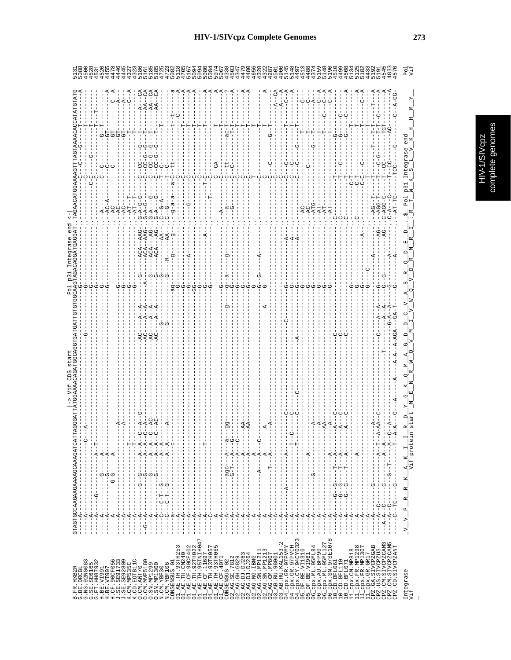| Ã<br>AA<br>Ã<br>てり<br>τŋ<br>EQ<br>-<br>t,<br>đ<br>$G - A - G -$<br>$-9 - 7$<br>ี<br>g-a<br>$-AGG$<br>$-4$<br>-AT<br>œ<br>$-4$<br>F<br>てり<br>ひ<br>ひ<br>ת<br>Æ<br>তা<br>ひひひ<br>てり<br>U<br>τŋ<br>ひ<br>τŋ<br>ざ<br>ひ<br>C)<br>j<br>i.<br>$\frac{1}{2}$<br>$-1$ - $-1$ - $-1$ - $-1$<br>$-1 - A - T -$<br>$\begin{array}{c} \n\bullet \quad \vdots \\ \n\bullet \quad \vdots \\ \n\bullet \quad \vdots \\ \n\bullet \quad \vdots \end{array}$<br>$\mathbf I$<br>œ<br>စုပုံ၊<br>၂၂၂<br>$\frac{1}{2}$<br>$\frac{1}{2}$<br>$-1$<br>부<br>۲۲<br>الل<br>Т<br>$C = -A$<br>$T = -A$<br>$- -A$<br>$- -A$<br>$- -A$<br>$- A$<br>÷<br>$\mathbf{I}$<br>$\frac{1}{1}$<br>J.<br>$\frac{1}{1}$<br>$\mathbf{I}$<br>ŧ<br>$-1$ + $-1$ + $-1$ + $-1$ + $-1$ + $-1$ + $-1$ + $-1$ + $-1$ + $-1$ + $-1$ + $-1$ + $-1$ + $-1$ + $-1$ + $-1$ + $-1$ + $-1$ + $-1$ + $-1$ + $-1$ + $-1$ + $-1$ + $-1$ + $-1$ + $-1$ + $-1$ + $-1$ + $-1$ + $-1$ + $-1$ + $-1$<br>-1<br>$\frac{1}{1}$<br>-1<br>$\overline{\phantom{a}}$<br>$\mathbf{I}$<br>$\mathbf{I}$<br>$1 - 1$<br>j.<br>ï<br>$-4$<br>ï.<br>К<br>К<br>$   \mathbf{A}$ .<br>$-4$<br>$\mathbf{I}$<br>$\begin{array}{c} \begin{array}{c} \begin{array}{c} \begin{array}{c} \begin{array}{c} \end{array} \\ \begin{array}{c} \end{array} \\ \begin{array}{c} \end{array} \end{array} \end{array} \end{array} \end{array}$<br>Ŧ<br>Ţ<br>Ĩ<br>$- - \underline{T} - - \underline{D} - -$<br>$\begin{array}{c} \begin{array}{c} \begin{array}{c} \begin{array}{c} \begin{array}{c} \end{array} \\ \end{array} \\ \begin{array}{c} \end{array} \\ \begin{array}{c} \end{array} \end{array} \end{array} \end{array}$<br>$\frac{1}{1}$<br>$\mathbf{I}$<br>Ţ<br>- 1<br>$\blacksquare$<br>$\mathbf{I}$<br>-1<br>п<br>-11<br>$\mathbf{I}$<br>$\overline{\phantom{a}}$<br>÷ĭ.<br>$\frac{1}{1}$<br>$\mathsf I$<br>$\mathbf{I}$<br>$\mathbf{1}$<br>$\frac{1}{4}$<br>$\mathbf{I}$<br>$\frac{1}{4}$<br>$- - - - - - - -$<br>$\mathbf{I}$<br>$\mathbf{I}$<br>т.<br>$\mathbf{I}$<br>$\overline{\phantom{a}}$<br>H<br>$\frac{1}{1}$<br>Ť.<br>$\frac{1}{1}$<br>1111<br>    <br>     <br>$\frac{1}{1}$<br>$\mathsf I$<br>Ţ<br>$\mathbf{I}$<br>ł<br>$\mathbf{I}$<br>$\mathbf{I}$<br>$\mathbf{I}$<br>$\blacksquare$<br>$\overline{\phantom{a}}$<br>÷<br>J.<br>$\mathbf{I}$<br>$\blacksquare$<br>$\blacksquare$<br>п<br>$1 - 1 - 1$<br>Ť.<br>$\mathbf I$<br>j.<br>$\mathbf{I}$<br>Ť<br>$\mathbf{I}$<br>$-9 - -$<br>$\mathsf I$<br>$\mathsf I$<br>$\mathsf I$<br>$\blacksquare$<br>L<br>$\mathsf I$<br>$\,$ I<br>$\mathsf I$<br>Ť<br>$\frac{1}{1}$<br>$\mathbf{I}$<br>ł<br>Ť<br>$\frac{6}{1}$<br>$1 - 1 - 1$<br>$\blacksquare$<br>I.<br>$\mathbf{I}$<br>$\blacksquare$<br>1<br>$\mathbf{I}$<br>$\mathbf{I}$<br>$\begin{array}{c} 1 \\ 1 \\ 1 \end{array}$<br>- 1<br>- 1<br>$\mathbf{1}$<br>- 1<br>$\overline{\phantom{a}}$<br>$\mathbf{I}$<br>L.<br>$\mathbf{I}$<br>J.<br>-1<br>$\blacksquare$<br>$\frac{1}{4}$<br>$\mathbf{I}$<br>$\mathbf{I}$<br>п<br>л<br>$-1$<br>Ť.<br>Ť.<br>Ţ<br>$\mathbb{I}-\mathbb{I}$<br>$\mathsf I$<br>$\,$ I<br>$\mathbb I$<br>$\frac{1}{1}$<br>יט<br>ו<br>$-1$<br>$\frac{1}{1}$<br>- 1<br>- 1<br>- 1 - 1<br>- 1 - 1<br>ပု<br>÷,<br>I<br>$\frac{1}{1}$<br>$\frac{1}{1}$<br>十十<br>$\mathbf{I}$<br>ŧ<br>$\frac{1}{2}$<br>$\frac{1}{1}$<br>$\blacksquare$<br>$\mathbf{I}$<br>$\blacksquare$<br>$\mathbf{I}$<br>I<br>ł<br>$\frac{1}{1}$<br>I.<br>1<br>$\frac{1}{1}$<br>I<br>$\blacksquare$<br>$\mathbf{I}$<br>$\frac{1}{1}$<br>$\frac{1}{1}$<br>J.<br>Ţ<br>ł<br>÷<br>$\mathbf{I}$<br>$\blacksquare$<br>$\mathbf{I}$<br>$\blacksquare$<br>$\mathbf{I}$<br>$\mathbf{I}$<br>-1<br>$\overline{\phantom{0}}$<br>$\blacksquare$<br>$\blacksquare$<br>$\blacksquare$<br>$\mathbf{I}$<br>- 1<br>$\blacksquare$<br>- 1<br>$\mathbf{I}$<br>- 1<br>т<br>$\mathbf{I}$<br>- 1<br>J.<br>Ť.<br>$\mathbf I$<br>Ť.<br>$\mathbf{I}$<br>j.<br>Ť.<br>$\,$ I<br>$\mathbf I$<br>$\mathbb T$<br>$\mathbb T$<br>$\mathbb{I}$<br>$\mathsf I$<br>$\mathbf{I}$<br>T<br>$\frac{1}{1}$<br>$-1 - A - A - C - C - A - C - C$<br>т.<br>$\mathbf{I}$<br>п<br>$\frac{1}{4}$<br>$\,$ I<br>$\,$ I<br>$\frac{1}{4}$<br>$\frac{1}{1}$<br>$\frac{1}{1}$<br>$\,$ I<br>$\mathsf I$<br>$\,$ I<br>$\frac{1}{4}$<br>$\mathsf I$<br>$\mathbf{I}$<br>$\blacksquare$<br>$\blacksquare$<br>$\mathbf{I}$<br>$\mathbf{I}$<br>$\blacksquare$<br>$\blacksquare$<br>$\mathbf{I}$<br>$\overline{1}$<br>J.<br>$\blacksquare$<br>J.<br>$\blacksquare$<br>$\mathbf{I}$<br>$\blacksquare$<br>$\blacksquare$<br>$\mathbf{I}$<br>$\blacksquare$<br>L.<br>- 11<br>$\mathbf{I}$<br>К<br>К<br>$---A$<br>$-4$<br>K.<br>⋖<br>К<br>Æ<br>↻<br>- 1<br>K,<br>Æ<br>K,<br>K,<br>Æ<br>K,<br>K.<br>⋖<br>K.<br>⋖<br>$- - - - A$<br>$-4$<br>Æ<br>$-4$<br>Æ<br>$-1$<br>Æ<br>Æ<br>Æ<br>Æ<br>Æ<br>O<br>К<br>Æ<br>U<br>К<br>Æ<br>Æ<br>Æ<br>RΚ<br>Æ<br>Æ<br>Æ<br>К<br>$-1$<br>Æ<br>Ţ<br>Ţ<br>Ŧ<br>Ĭ<br>Ĭ<br>T<br>Ţ<br>ť<br>Ţ<br>Ţ<br>T<br>Ţ<br>Ţ<br>Ţ<br>Ĭ<br>f<br>Ţ<br>$\mathbf{I}$<br>$\overline{\phantom{a}}$<br>f<br>Ţ<br>j.<br>Ï<br>T<br>Ï<br>Ţ<br>Ť<br>Ţ<br>Ť<br>Ţ<br>J.<br>T<br>T<br>Ť<br>$\frac{1}{1}$<br>T<br>Ţ<br>J<br>-1<br>$\frac{1}{1}$<br>I<br>$\mathsf I$<br>$\mathsf I$<br>$\frac{1}{\sqrt{2}}$<br>$\frac{1}{4}$<br>$\frac{1}{1}$<br>ţ<br>I<br>I<br>$\overline{\phantom{a}}$<br>$\overline{1}$<br>I<br>I<br>п<br>J<br>I<br>$\mathbf{I}$<br>$\mathbf{I}$<br>T<br>$\mathbf{I}$<br>I<br>J<br>т<br>J.<br>$\frac{1}{1}$<br>J<br>$\blacksquare$<br>J.<br>$\blacksquare$<br>T<br>$\frac{1}{4}$<br>$\overline{\phantom{a}}$<br>п.<br>Ť<br>J<br>$\overline{\phantom{a}}$<br>$\mathbf{I}$<br>J.<br>$\mathbf{I}$<br>$\overline{1}$<br>$\mathbf{I}$<br>$\blacksquare$<br>$\mathbf{I}$<br>J.<br>$\mathbf{I}$<br>$\blacksquare$<br>т<br>п<br>L.<br>-1<br>т<br>п<br>-1<br>п<br>п<br>п<br>-1<br>$\mathbf{I}$<br>$\blacksquare$<br>$\mathbf{I}$<br>$\blacksquare$<br>$\mathsf I$ |                                      |                |                      |  |  |  |
|---------------------------------------------------------------------------------------------------------------------------------------------------------------------------------------------------------------------------------------------------------------------------------------------------------------------------------------------------------------------------------------------------------------------------------------------------------------------------------------------------------------------------------------------------------------------------------------------------------------------------------------------------------------------------------------------------------------------------------------------------------------------------------------------------------------------------------------------------------------------------------------------------------------------------------------------------------------------------------------------------------------------------------------------------------------------------------------------------------------------------------------------------------------------------------------------------------------------------------------------------------------------------------------------------------------------------------------------------------------------------------------------------------------------------------------------------------------------------------------------------------------------------------------------------------------------------------------------------------------------------------------------------------------------------------------------------------------------------------------------------------------------------------------------------------------------------------------------------------------------------------------------------------------------------------------------------------------------------------------------------------------------------------------------------------------------------------------------------------------------------------------------------------------------------------------------------------------------------------------------------------------------------------------------------------------------------------------------------------------------------------------------------------------------------------------------------------------------------------------------------------------------------------------------------------------------------------------------------------------------------------------------------------------------------------------------------------------------------------------------------------------------------------------------------------------------------------------------------------------------------------------------------------------------------------------------------------------------------------------------------------------------------------------------------------------------------------------------------------------------------------------------------------------------------------------------------------------------------------------------------------------------------------------------------------------------------------------------------------------------------------------------------------------------------------------------------------------------------------------------------------------------------------------------------------------------------------------------------------------------------------------------------------------------------------------------------------------------------------------------------------------------------------------------------------------------------------------------------------------------------------------------------------------------------------------------------------------------------------------------------------------------------------------------------------------------------------------------------------------------------------------------------------------------------------------------------------------------------------------------------------------------------------------------------------------------------------------------------------------------------------------------------------------------------------------------------------------------------------------------------------------------------------------------------------------------------------------------------------------------------------------------------------------------------------------------------------------------------------------------------------------------------------------------------------------------------------------------------------------------------------------------------------------------------------------------------------------------------------------------------------------------------------------------------------------------------------------------------------------------------------------------------------------------------------------------------------------------------------------------------------------------------------------------------------------------------------------------------------------------------------------------------------------------------------------------------------------------------------------------------------------------------------------------------------------------------------------------------------------------------------------------------------------------------------------------------------------------------------------------------------------------------------------------------------------|--------------------------------------|----------------|----------------------|--|--|--|
|                                                                                                                                                                                                                                                                                                                                                                                                                                                                                                                                                                                                                                                                                                                                                                                                                                                                                                                                                                                                                                                                                                                                                                                                                                                                                                                                                                                                                                                                                                                                                                                                                                                                                                                                                                                                                                                                                                                                                                                                                                                                                                                                                                                                                                                                                                                                                                                                                                                                                                                                                                                                                                                                                                                                                                                                                                                                                                                                                                                                                                                                                                                                                                                                                                                                                                                                                                                                                                                                                                                                                                                                                                                                                                                                                                                                                                                                                                                                                                                                                                                                                                                                                                                                                                                                                                                                                                                                                                                                                                                                                                                                                                                                                                                                                                                                                                                                                                                                                                                                                                                                                                                                                                                                                                                                                                                                                                                                                                                                                                                                                                                                                                                                                                                                                                                                               |                                      |                |                      |  |  |  |
| $\begin{smallmatrix} 1.818 & 1.81828\\ 0.182 & 0.818208\\ 0.183 & 0.818208\\ 0.185 & 0.818208\\ 0.186 & 0.818 & 0.818 & 0.818\\ 0.187 & 0.818 & 0.818 & 0.818\\ 0.188 & 0.818 & 0.818 & 0.818\\ 0.189 & 0.818 & 0.818 & 0.818\\ 0.181 & 0.818 & 0.818 & 0.818\\ 0.182 &$                                                                                                                                                                                                                                                                                                                                                                                                                                                                                                                                                                                                                                                                                                                                                                                                                                                                                                                                                                                                                                                                                                                                                                                                                                                                                                                                                                                                                                                                                                                                                                                                                                                                                                                                                                                                                                                                                                                                                                                                                                                                                                                                                                                                                                                                                                                                                                                                                                                                                                                                                                                                                                                                                                                                                                                                                                                                                                                                                                                                                                                                                                                                                                                                                                                                                                                                                                                                                                                                                                                                                                                                                                                                                                                                                                                                                                                                                                                                                                                                                                                                                                                                                                                                                                                                                                                                                                                                                                                                                                                                                                                                                                                                                                                                                                                                                                                                                                                                                                                                                                                                                                                                                                                                                                                                                                                                                                                                                                                                                                                                      |                                      |                |                      |  |  |  |
|                                                                                                                                                                                                                                                                                                                                                                                                                                                                                                                                                                                                                                                                                                                                                                                                                                                                                                                                                                                                                                                                                                                                                                                                                                                                                                                                                                                                                                                                                                                                                                                                                                                                                                                                                                                                                                                                                                                                                                                                                                                                                                                                                                                                                                                                                                                                                                                                                                                                                                                                                                                                                                                                                                                                                                                                                                                                                                                                                                                                                                                                                                                                                                                                                                                                                                                                                                                                                                                                                                                                                                                                                                                                                                                                                                                                                                                                                                                                                                                                                                                                                                                                                                                                                                                                                                                                                                                                                                                                                                                                                                                                                                                                                                                                                                                                                                                                                                                                                                                                                                                                                                                                                                                                                                                                                                                                                                                                                                                                                                                                                                                                                                                                                                                                                                                                               |                                      |                |                      |  |  |  |
|                                                                                                                                                                                                                                                                                                                                                                                                                                                                                                                                                                                                                                                                                                                                                                                                                                                                                                                                                                                                                                                                                                                                                                                                                                                                                                                                                                                                                                                                                                                                                                                                                                                                                                                                                                                                                                                                                                                                                                                                                                                                                                                                                                                                                                                                                                                                                                                                                                                                                                                                                                                                                                                                                                                                                                                                                                                                                                                                                                                                                                                                                                                                                                                                                                                                                                                                                                                                                                                                                                                                                                                                                                                                                                                                                                                                                                                                                                                                                                                                                                                                                                                                                                                                                                                                                                                                                                                                                                                                                                                                                                                                                                                                                                                                                                                                                                                                                                                                                                                                                                                                                                                                                                                                                                                                                                                                                                                                                                                                                                                                                                                                                                                                                                                                                                                                               |                                      |                |                      |  |  |  |
|                                                                                                                                                                                                                                                                                                                                                                                                                                                                                                                                                                                                                                                                                                                                                                                                                                                                                                                                                                                                                                                                                                                                                                                                                                                                                                                                                                                                                                                                                                                                                                                                                                                                                                                                                                                                                                                                                                                                                                                                                                                                                                                                                                                                                                                                                                                                                                                                                                                                                                                                                                                                                                                                                                                                                                                                                                                                                                                                                                                                                                                                                                                                                                                                                                                                                                                                                                                                                                                                                                                                                                                                                                                                                                                                                                                                                                                                                                                                                                                                                                                                                                                                                                                                                                                                                                                                                                                                                                                                                                                                                                                                                                                                                                                                                                                                                                                                                                                                                                                                                                                                                                                                                                                                                                                                                                                                                                                                                                                                                                                                                                                                                                                                                                                                                                                                               |                                      |                |                      |  |  |  |
|                                                                                                                                                                                                                                                                                                                                                                                                                                                                                                                                                                                                                                                                                                                                                                                                                                                                                                                                                                                                                                                                                                                                                                                                                                                                                                                                                                                                                                                                                                                                                                                                                                                                                                                                                                                                                                                                                                                                                                                                                                                                                                                                                                                                                                                                                                                                                                                                                                                                                                                                                                                                                                                                                                                                                                                                                                                                                                                                                                                                                                                                                                                                                                                                                                                                                                                                                                                                                                                                                                                                                                                                                                                                                                                                                                                                                                                                                                                                                                                                                                                                                                                                                                                                                                                                                                                                                                                                                                                                                                                                                                                                                                                                                                                                                                                                                                                                                                                                                                                                                                                                                                                                                                                                                                                                                                                                                                                                                                                                                                                                                                                                                                                                                                                                                                                                               |                                      |                |                      |  |  |  |
|                                                                                                                                                                                                                                                                                                                                                                                                                                                                                                                                                                                                                                                                                                                                                                                                                                                                                                                                                                                                                                                                                                                                                                                                                                                                                                                                                                                                                                                                                                                                                                                                                                                                                                                                                                                                                                                                                                                                                                                                                                                                                                                                                                                                                                                                                                                                                                                                                                                                                                                                                                                                                                                                                                                                                                                                                                                                                                                                                                                                                                                                                                                                                                                                                                                                                                                                                                                                                                                                                                                                                                                                                                                                                                                                                                                                                                                                                                                                                                                                                                                                                                                                                                                                                                                                                                                                                                                                                                                                                                                                                                                                                                                                                                                                                                                                                                                                                                                                                                                                                                                                                                                                                                                                                                                                                                                                                                                                                                                                                                                                                                                                                                                                                                                                                                                                               |                                      |                |                      |  |  |  |
|                                                                                                                                                                                                                                                                                                                                                                                                                                                                                                                                                                                                                                                                                                                                                                                                                                                                                                                                                                                                                                                                                                                                                                                                                                                                                                                                                                                                                                                                                                                                                                                                                                                                                                                                                                                                                                                                                                                                                                                                                                                                                                                                                                                                                                                                                                                                                                                                                                                                                                                                                                                                                                                                                                                                                                                                                                                                                                                                                                                                                                                                                                                                                                                                                                                                                                                                                                                                                                                                                                                                                                                                                                                                                                                                                                                                                                                                                                                                                                                                                                                                                                                                                                                                                                                                                                                                                                                                                                                                                                                                                                                                                                                                                                                                                                                                                                                                                                                                                                                                                                                                                                                                                                                                                                                                                                                                                                                                                                                                                                                                                                                                                                                                                                                                                                                                               |                                      |                |                      |  |  |  |
|                                                                                                                                                                                                                                                                                                                                                                                                                                                                                                                                                                                                                                                                                                                                                                                                                                                                                                                                                                                                                                                                                                                                                                                                                                                                                                                                                                                                                                                                                                                                                                                                                                                                                                                                                                                                                                                                                                                                                                                                                                                                                                                                                                                                                                                                                                                                                                                                                                                                                                                                                                                                                                                                                                                                                                                                                                                                                                                                                                                                                                                                                                                                                                                                                                                                                                                                                                                                                                                                                                                                                                                                                                                                                                                                                                                                                                                                                                                                                                                                                                                                                                                                                                                                                                                                                                                                                                                                                                                                                                                                                                                                                                                                                                                                                                                                                                                                                                                                                                                                                                                                                                                                                                                                                                                                                                                                                                                                                                                                                                                                                                                                                                                                                                                                                                                                               |                                      |                |                      |  |  |  |
|                                                                                                                                                                                                                                                                                                                                                                                                                                                                                                                                                                                                                                                                                                                                                                                                                                                                                                                                                                                                                                                                                                                                                                                                                                                                                                                                                                                                                                                                                                                                                                                                                                                                                                                                                                                                                                                                                                                                                                                                                                                                                                                                                                                                                                                                                                                                                                                                                                                                                                                                                                                                                                                                                                                                                                                                                                                                                                                                                                                                                                                                                                                                                                                                                                                                                                                                                                                                                                                                                                                                                                                                                                                                                                                                                                                                                                                                                                                                                                                                                                                                                                                                                                                                                                                                                                                                                                                                                                                                                                                                                                                                                                                                                                                                                                                                                                                                                                                                                                                                                                                                                                                                                                                                                                                                                                                                                                                                                                                                                                                                                                                                                                                                                                                                                                                                               |                                      |                |                      |  |  |  |
|                                                                                                                                                                                                                                                                                                                                                                                                                                                                                                                                                                                                                                                                                                                                                                                                                                                                                                                                                                                                                                                                                                                                                                                                                                                                                                                                                                                                                                                                                                                                                                                                                                                                                                                                                                                                                                                                                                                                                                                                                                                                                                                                                                                                                                                                                                                                                                                                                                                                                                                                                                                                                                                                                                                                                                                                                                                                                                                                                                                                                                                                                                                                                                                                                                                                                                                                                                                                                                                                                                                                                                                                                                                                                                                                                                                                                                                                                                                                                                                                                                                                                                                                                                                                                                                                                                                                                                                                                                                                                                                                                                                                                                                                                                                                                                                                                                                                                                                                                                                                                                                                                                                                                                                                                                                                                                                                                                                                                                                                                                                                                                                                                                                                                                                                                                                                               |                                      |                |                      |  |  |  |
|                                                                                                                                                                                                                                                                                                                                                                                                                                                                                                                                                                                                                                                                                                                                                                                                                                                                                                                                                                                                                                                                                                                                                                                                                                                                                                                                                                                                                                                                                                                                                                                                                                                                                                                                                                                                                                                                                                                                                                                                                                                                                                                                                                                                                                                                                                                                                                                                                                                                                                                                                                                                                                                                                                                                                                                                                                                                                                                                                                                                                                                                                                                                                                                                                                                                                                                                                                                                                                                                                                                                                                                                                                                                                                                                                                                                                                                                                                                                                                                                                                                                                                                                                                                                                                                                                                                                                                                                                                                                                                                                                                                                                                                                                                                                                                                                                                                                                                                                                                                                                                                                                                                                                                                                                                                                                                                                                                                                                                                                                                                                                                                                                                                                                                                                                                                                               |                                      |                |                      |  |  |  |
|                                                                                                                                                                                                                                                                                                                                                                                                                                                                                                                                                                                                                                                                                                                                                                                                                                                                                                                                                                                                                                                                                                                                                                                                                                                                                                                                                                                                                                                                                                                                                                                                                                                                                                                                                                                                                                                                                                                                                                                                                                                                                                                                                                                                                                                                                                                                                                                                                                                                                                                                                                                                                                                                                                                                                                                                                                                                                                                                                                                                                                                                                                                                                                                                                                                                                                                                                                                                                                                                                                                                                                                                                                                                                                                                                                                                                                                                                                                                                                                                                                                                                                                                                                                                                                                                                                                                                                                                                                                                                                                                                                                                                                                                                                                                                                                                                                                                                                                                                                                                                                                                                                                                                                                                                                                                                                                                                                                                                                                                                                                                                                                                                                                                                                                                                                                                               |                                      |                |                      |  |  |  |
|                                                                                                                                                                                                                                                                                                                                                                                                                                                                                                                                                                                                                                                                                                                                                                                                                                                                                                                                                                                                                                                                                                                                                                                                                                                                                                                                                                                                                                                                                                                                                                                                                                                                                                                                                                                                                                                                                                                                                                                                                                                                                                                                                                                                                                                                                                                                                                                                                                                                                                                                                                                                                                                                                                                                                                                                                                                                                                                                                                                                                                                                                                                                                                                                                                                                                                                                                                                                                                                                                                                                                                                                                                                                                                                                                                                                                                                                                                                                                                                                                                                                                                                                                                                                                                                                                                                                                                                                                                                                                                                                                                                                                                                                                                                                                                                                                                                                                                                                                                                                                                                                                                                                                                                                                                                                                                                                                                                                                                                                                                                                                                                                                                                                                                                                                                                                               |                                      |                |                      |  |  |  |
|                                                                                                                                                                                                                                                                                                                                                                                                                                                                                                                                                                                                                                                                                                                                                                                                                                                                                                                                                                                                                                                                                                                                                                                                                                                                                                                                                                                                                                                                                                                                                                                                                                                                                                                                                                                                                                                                                                                                                                                                                                                                                                                                                                                                                                                                                                                                                                                                                                                                                                                                                                                                                                                                                                                                                                                                                                                                                                                                                                                                                                                                                                                                                                                                                                                                                                                                                                                                                                                                                                                                                                                                                                                                                                                                                                                                                                                                                                                                                                                                                                                                                                                                                                                                                                                                                                                                                                                                                                                                                                                                                                                                                                                                                                                                                                                                                                                                                                                                                                                                                                                                                                                                                                                                                                                                                                                                                                                                                                                                                                                                                                                                                                                                                                                                                                                                               |                                      |                |                      |  |  |  |
|                                                                                                                                                                                                                                                                                                                                                                                                                                                                                                                                                                                                                                                                                                                                                                                                                                                                                                                                                                                                                                                                                                                                                                                                                                                                                                                                                                                                                                                                                                                                                                                                                                                                                                                                                                                                                                                                                                                                                                                                                                                                                                                                                                                                                                                                                                                                                                                                                                                                                                                                                                                                                                                                                                                                                                                                                                                                                                                                                                                                                                                                                                                                                                                                                                                                                                                                                                                                                                                                                                                                                                                                                                                                                                                                                                                                                                                                                                                                                                                                                                                                                                                                                                                                                                                                                                                                                                                                                                                                                                                                                                                                                                                                                                                                                                                                                                                                                                                                                                                                                                                                                                                                                                                                                                                                                                                                                                                                                                                                                                                                                                                                                                                                                                                                                                                                               |                                      |                |                      |  |  |  |
|                                                                                                                                                                                                                                                                                                                                                                                                                                                                                                                                                                                                                                                                                                                                                                                                                                                                                                                                                                                                                                                                                                                                                                                                                                                                                                                                                                                                                                                                                                                                                                                                                                                                                                                                                                                                                                                                                                                                                                                                                                                                                                                                                                                                                                                                                                                                                                                                                                                                                                                                                                                                                                                                                                                                                                                                                                                                                                                                                                                                                                                                                                                                                                                                                                                                                                                                                                                                                                                                                                                                                                                                                                                                                                                                                                                                                                                                                                                                                                                                                                                                                                                                                                                                                                                                                                                                                                                                                                                                                                                                                                                                                                                                                                                                                                                                                                                                                                                                                                                                                                                                                                                                                                                                                                                                                                                                                                                                                                                                                                                                                                                                                                                                                                                                                                                                               |                                      |                |                      |  |  |  |
|                                                                                                                                                                                                                                                                                                                                                                                                                                                                                                                                                                                                                                                                                                                                                                                                                                                                                                                                                                                                                                                                                                                                                                                                                                                                                                                                                                                                                                                                                                                                                                                                                                                                                                                                                                                                                                                                                                                                                                                                                                                                                                                                                                                                                                                                                                                                                                                                                                                                                                                                                                                                                                                                                                                                                                                                                                                                                                                                                                                                                                                                                                                                                                                                                                                                                                                                                                                                                                                                                                                                                                                                                                                                                                                                                                                                                                                                                                                                                                                                                                                                                                                                                                                                                                                                                                                                                                                                                                                                                                                                                                                                                                                                                                                                                                                                                                                                                                                                                                                                                                                                                                                                                                                                                                                                                                                                                                                                                                                                                                                                                                                                                                                                                                                                                                                                               |                                      |                |                      |  |  |  |
|                                                                                                                                                                                                                                                                                                                                                                                                                                                                                                                                                                                                                                                                                                                                                                                                                                                                                                                                                                                                                                                                                                                                                                                                                                                                                                                                                                                                                                                                                                                                                                                                                                                                                                                                                                                                                                                                                                                                                                                                                                                                                                                                                                                                                                                                                                                                                                                                                                                                                                                                                                                                                                                                                                                                                                                                                                                                                                                                                                                                                                                                                                                                                                                                                                                                                                                                                                                                                                                                                                                                                                                                                                                                                                                                                                                                                                                                                                                                                                                                                                                                                                                                                                                                                                                                                                                                                                                                                                                                                                                                                                                                                                                                                                                                                                                                                                                                                                                                                                                                                                                                                                                                                                                                                                                                                                                                                                                                                                                                                                                                                                                                                                                                                                                                                                                                               |                                      |                |                      |  |  |  |
|                                                                                                                                                                                                                                                                                                                                                                                                                                                                                                                                                                                                                                                                                                                                                                                                                                                                                                                                                                                                                                                                                                                                                                                                                                                                                                                                                                                                                                                                                                                                                                                                                                                                                                                                                                                                                                                                                                                                                                                                                                                                                                                                                                                                                                                                                                                                                                                                                                                                                                                                                                                                                                                                                                                                                                                                                                                                                                                                                                                                                                                                                                                                                                                                                                                                                                                                                                                                                                                                                                                                                                                                                                                                                                                                                                                                                                                                                                                                                                                                                                                                                                                                                                                                                                                                                                                                                                                                                                                                                                                                                                                                                                                                                                                                                                                                                                                                                                                                                                                                                                                                                                                                                                                                                                                                                                                                                                                                                                                                                                                                                                                                                                                                                                                                                                                                               |                                      |                |                      |  |  |  |
|                                                                                                                                                                                                                                                                                                                                                                                                                                                                                                                                                                                                                                                                                                                                                                                                                                                                                                                                                                                                                                                                                                                                                                                                                                                                                                                                                                                                                                                                                                                                                                                                                                                                                                                                                                                                                                                                                                                                                                                                                                                                                                                                                                                                                                                                                                                                                                                                                                                                                                                                                                                                                                                                                                                                                                                                                                                                                                                                                                                                                                                                                                                                                                                                                                                                                                                                                                                                                                                                                                                                                                                                                                                                                                                                                                                                                                                                                                                                                                                                                                                                                                                                                                                                                                                                                                                                                                                                                                                                                                                                                                                                                                                                                                                                                                                                                                                                                                                                                                                                                                                                                                                                                                                                                                                                                                                                                                                                                                                                                                                                                                                                                                                                                                                                                                                                               |                                      |                |                      |  |  |  |
|                                                                                                                                                                                                                                                                                                                                                                                                                                                                                                                                                                                                                                                                                                                                                                                                                                                                                                                                                                                                                                                                                                                                                                                                                                                                                                                                                                                                                                                                                                                                                                                                                                                                                                                                                                                                                                                                                                                                                                                                                                                                                                                                                                                                                                                                                                                                                                                                                                                                                                                                                                                                                                                                                                                                                                                                                                                                                                                                                                                                                                                                                                                                                                                                                                                                                                                                                                                                                                                                                                                                                                                                                                                                                                                                                                                                                                                                                                                                                                                                                                                                                                                                                                                                                                                                                                                                                                                                                                                                                                                                                                                                                                                                                                                                                                                                                                                                                                                                                                                                                                                                                                                                                                                                                                                                                                                                                                                                                                                                                                                                                                                                                                                                                                                                                                                                               |                                      |                |                      |  |  |  |
|                                                                                                                                                                                                                                                                                                                                                                                                                                                                                                                                                                                                                                                                                                                                                                                                                                                                                                                                                                                                                                                                                                                                                                                                                                                                                                                                                                                                                                                                                                                                                                                                                                                                                                                                                                                                                                                                                                                                                                                                                                                                                                                                                                                                                                                                                                                                                                                                                                                                                                                                                                                                                                                                                                                                                                                                                                                                                                                                                                                                                                                                                                                                                                                                                                                                                                                                                                                                                                                                                                                                                                                                                                                                                                                                                                                                                                                                                                                                                                                                                                                                                                                                                                                                                                                                                                                                                                                                                                                                                                                                                                                                                                                                                                                                                                                                                                                                                                                                                                                                                                                                                                                                                                                                                                                                                                                                                                                                                                                                                                                                                                                                                                                                                                                                                                                                               |                                      |                |                      |  |  |  |
|                                                                                                                                                                                                                                                                                                                                                                                                                                                                                                                                                                                                                                                                                                                                                                                                                                                                                                                                                                                                                                                                                                                                                                                                                                                                                                                                                                                                                                                                                                                                                                                                                                                                                                                                                                                                                                                                                                                                                                                                                                                                                                                                                                                                                                                                                                                                                                                                                                                                                                                                                                                                                                                                                                                                                                                                                                                                                                                                                                                                                                                                                                                                                                                                                                                                                                                                                                                                                                                                                                                                                                                                                                                                                                                                                                                                                                                                                                                                                                                                                                                                                                                                                                                                                                                                                                                                                                                                                                                                                                                                                                                                                                                                                                                                                                                                                                                                                                                                                                                                                                                                                                                                                                                                                                                                                                                                                                                                                                                                                                                                                                                                                                                                                                                                                                                                               |                                      |                |                      |  |  |  |
|                                                                                                                                                                                                                                                                                                                                                                                                                                                                                                                                                                                                                                                                                                                                                                                                                                                                                                                                                                                                                                                                                                                                                                                                                                                                                                                                                                                                                                                                                                                                                                                                                                                                                                                                                                                                                                                                                                                                                                                                                                                                                                                                                                                                                                                                                                                                                                                                                                                                                                                                                                                                                                                                                                                                                                                                                                                                                                                                                                                                                                                                                                                                                                                                                                                                                                                                                                                                                                                                                                                                                                                                                                                                                                                                                                                                                                                                                                                                                                                                                                                                                                                                                                                                                                                                                                                                                                                                                                                                                                                                                                                                                                                                                                                                                                                                                                                                                                                                                                                                                                                                                                                                                                                                                                                                                                                                                                                                                                                                                                                                                                                                                                                                                                                                                                                                               |                                      |                |                      |  |  |  |
|                                                                                                                                                                                                                                                                                                                                                                                                                                                                                                                                                                                                                                                                                                                                                                                                                                                                                                                                                                                                                                                                                                                                                                                                                                                                                                                                                                                                                                                                                                                                                                                                                                                                                                                                                                                                                                                                                                                                                                                                                                                                                                                                                                                                                                                                                                                                                                                                                                                                                                                                                                                                                                                                                                                                                                                                                                                                                                                                                                                                                                                                                                                                                                                                                                                                                                                                                                                                                                                                                                                                                                                                                                                                                                                                                                                                                                                                                                                                                                                                                                                                                                                                                                                                                                                                                                                                                                                                                                                                                                                                                                                                                                                                                                                                                                                                                                                                                                                                                                                                                                                                                                                                                                                                                                                                                                                                                                                                                                                                                                                                                                                                                                                                                                                                                                                                               |                                      |                |                      |  |  |  |
|                                                                                                                                                                                                                                                                                                                                                                                                                                                                                                                                                                                                                                                                                                                                                                                                                                                                                                                                                                                                                                                                                                                                                                                                                                                                                                                                                                                                                                                                                                                                                                                                                                                                                                                                                                                                                                                                                                                                                                                                                                                                                                                                                                                                                                                                                                                                                                                                                                                                                                                                                                                                                                                                                                                                                                                                                                                                                                                                                                                                                                                                                                                                                                                                                                                                                                                                                                                                                                                                                                                                                                                                                                                                                                                                                                                                                                                                                                                                                                                                                                                                                                                                                                                                                                                                                                                                                                                                                                                                                                                                                                                                                                                                                                                                                                                                                                                                                                                                                                                                                                                                                                                                                                                                                                                                                                                                                                                                                                                                                                                                                                                                                                                                                                                                                                                                               |                                      |                |                      |  |  |  |
|                                                                                                                                                                                                                                                                                                                                                                                                                                                                                                                                                                                                                                                                                                                                                                                                                                                                                                                                                                                                                                                                                                                                                                                                                                                                                                                                                                                                                                                                                                                                                                                                                                                                                                                                                                                                                                                                                                                                                                                                                                                                                                                                                                                                                                                                                                                                                                                                                                                                                                                                                                                                                                                                                                                                                                                                                                                                                                                                                                                                                                                                                                                                                                                                                                                                                                                                                                                                                                                                                                                                                                                                                                                                                                                                                                                                                                                                                                                                                                                                                                                                                                                                                                                                                                                                                                                                                                                                                                                                                                                                                                                                                                                                                                                                                                                                                                                                                                                                                                                                                                                                                                                                                                                                                                                                                                                                                                                                                                                                                                                                                                                                                                                                                                                                                                                                               |                                      |                |                      |  |  |  |
|                                                                                                                                                                                                                                                                                                                                                                                                                                                                                                                                                                                                                                                                                                                                                                                                                                                                                                                                                                                                                                                                                                                                                                                                                                                                                                                                                                                                                                                                                                                                                                                                                                                                                                                                                                                                                                                                                                                                                                                                                                                                                                                                                                                                                                                                                                                                                                                                                                                                                                                                                                                                                                                                                                                                                                                                                                                                                                                                                                                                                                                                                                                                                                                                                                                                                                                                                                                                                                                                                                                                                                                                                                                                                                                                                                                                                                                                                                                                                                                                                                                                                                                                                                                                                                                                                                                                                                                                                                                                                                                                                                                                                                                                                                                                                                                                                                                                                                                                                                                                                                                                                                                                                                                                                                                                                                                                                                                                                                                                                                                                                                                                                                                                                                                                                                                                               |                                      |                |                      |  |  |  |
|                                                                                                                                                                                                                                                                                                                                                                                                                                                                                                                                                                                                                                                                                                                                                                                                                                                                                                                                                                                                                                                                                                                                                                                                                                                                                                                                                                                                                                                                                                                                                                                                                                                                                                                                                                                                                                                                                                                                                                                                                                                                                                                                                                                                                                                                                                                                                                                                                                                                                                                                                                                                                                                                                                                                                                                                                                                                                                                                                                                                                                                                                                                                                                                                                                                                                                                                                                                                                                                                                                                                                                                                                                                                                                                                                                                                                                                                                                                                                                                                                                                                                                                                                                                                                                                                                                                                                                                                                                                                                                                                                                                                                                                                                                                                                                                                                                                                                                                                                                                                                                                                                                                                                                                                                                                                                                                                                                                                                                                                                                                                                                                                                                                                                                                                                                                                               |                                      |                |                      |  |  |  |
|                                                                                                                                                                                                                                                                                                                                                                                                                                                                                                                                                                                                                                                                                                                                                                                                                                                                                                                                                                                                                                                                                                                                                                                                                                                                                                                                                                                                                                                                                                                                                                                                                                                                                                                                                                                                                                                                                                                                                                                                                                                                                                                                                                                                                                                                                                                                                                                                                                                                                                                                                                                                                                                                                                                                                                                                                                                                                                                                                                                                                                                                                                                                                                                                                                                                                                                                                                                                                                                                                                                                                                                                                                                                                                                                                                                                                                                                                                                                                                                                                                                                                                                                                                                                                                                                                                                                                                                                                                                                                                                                                                                                                                                                                                                                                                                                                                                                                                                                                                                                                                                                                                                                                                                                                                                                                                                                                                                                                                                                                                                                                                                                                                                                                                                                                                                                               |                                      |                |                      |  |  |  |
|                                                                                                                                                                                                                                                                                                                                                                                                                                                                                                                                                                                                                                                                                                                                                                                                                                                                                                                                                                                                                                                                                                                                                                                                                                                                                                                                                                                                                                                                                                                                                                                                                                                                                                                                                                                                                                                                                                                                                                                                                                                                                                                                                                                                                                                                                                                                                                                                                                                                                                                                                                                                                                                                                                                                                                                                                                                                                                                                                                                                                                                                                                                                                                                                                                                                                                                                                                                                                                                                                                                                                                                                                                                                                                                                                                                                                                                                                                                                                                                                                                                                                                                                                                                                                                                                                                                                                                                                                                                                                                                                                                                                                                                                                                                                                                                                                                                                                                                                                                                                                                                                                                                                                                                                                                                                                                                                                                                                                                                                                                                                                                                                                                                                                                                                                                                                               |                                      |                |                      |  |  |  |
|                                                                                                                                                                                                                                                                                                                                                                                                                                                                                                                                                                                                                                                                                                                                                                                                                                                                                                                                                                                                                                                                                                                                                                                                                                                                                                                                                                                                                                                                                                                                                                                                                                                                                                                                                                                                                                                                                                                                                                                                                                                                                                                                                                                                                                                                                                                                                                                                                                                                                                                                                                                                                                                                                                                                                                                                                                                                                                                                                                                                                                                                                                                                                                                                                                                                                                                                                                                                                                                                                                                                                                                                                                                                                                                                                                                                                                                                                                                                                                                                                                                                                                                                                                                                                                                                                                                                                                                                                                                                                                                                                                                                                                                                                                                                                                                                                                                                                                                                                                                                                                                                                                                                                                                                                                                                                                                                                                                                                                                                                                                                                                                                                                                                                                                                                                                                               |                                      |                |                      |  |  |  |
|                                                                                                                                                                                                                                                                                                                                                                                                                                                                                                                                                                                                                                                                                                                                                                                                                                                                                                                                                                                                                                                                                                                                                                                                                                                                                                                                                                                                                                                                                                                                                                                                                                                                                                                                                                                                                                                                                                                                                                                                                                                                                                                                                                                                                                                                                                                                                                                                                                                                                                                                                                                                                                                                                                                                                                                                                                                                                                                                                                                                                                                                                                                                                                                                                                                                                                                                                                                                                                                                                                                                                                                                                                                                                                                                                                                                                                                                                                                                                                                                                                                                                                                                                                                                                                                                                                                                                                                                                                                                                                                                                                                                                                                                                                                                                                                                                                                                                                                                                                                                                                                                                                                                                                                                                                                                                                                                                                                                                                                                                                                                                                                                                                                                                                                                                                                                               |                                      |                |                      |  |  |  |
|                                                                                                                                                                                                                                                                                                                                                                                                                                                                                                                                                                                                                                                                                                                                                                                                                                                                                                                                                                                                                                                                                                                                                                                                                                                                                                                                                                                                                                                                                                                                                                                                                                                                                                                                                                                                                                                                                                                                                                                                                                                                                                                                                                                                                                                                                                                                                                                                                                                                                                                                                                                                                                                                                                                                                                                                                                                                                                                                                                                                                                                                                                                                                                                                                                                                                                                                                                                                                                                                                                                                                                                                                                                                                                                                                                                                                                                                                                                                                                                                                                                                                                                                                                                                                                                                                                                                                                                                                                                                                                                                                                                                                                                                                                                                                                                                                                                                                                                                                                                                                                                                                                                                                                                                                                                                                                                                                                                                                                                                                                                                                                                                                                                                                                                                                                                                               |                                      |                |                      |  |  |  |
|                                                                                                                                                                                                                                                                                                                                                                                                                                                                                                                                                                                                                                                                                                                                                                                                                                                                                                                                                                                                                                                                                                                                                                                                                                                                                                                                                                                                                                                                                                                                                                                                                                                                                                                                                                                                                                                                                                                                                                                                                                                                                                                                                                                                                                                                                                                                                                                                                                                                                                                                                                                                                                                                                                                                                                                                                                                                                                                                                                                                                                                                                                                                                                                                                                                                                                                                                                                                                                                                                                                                                                                                                                                                                                                                                                                                                                                                                                                                                                                                                                                                                                                                                                                                                                                                                                                                                                                                                                                                                                                                                                                                                                                                                                                                                                                                                                                                                                                                                                                                                                                                                                                                                                                                                                                                                                                                                                                                                                                                                                                                                                                                                                                                                                                                                                                                               |                                      |                |                      |  |  |  |
|                                                                                                                                                                                                                                                                                                                                                                                                                                                                                                                                                                                                                                                                                                                                                                                                                                                                                                                                                                                                                                                                                                                                                                                                                                                                                                                                                                                                                                                                                                                                                                                                                                                                                                                                                                                                                                                                                                                                                                                                                                                                                                                                                                                                                                                                                                                                                                                                                                                                                                                                                                                                                                                                                                                                                                                                                                                                                                                                                                                                                                                                                                                                                                                                                                                                                                                                                                                                                                                                                                                                                                                                                                                                                                                                                                                                                                                                                                                                                                                                                                                                                                                                                                                                                                                                                                                                                                                                                                                                                                                                                                                                                                                                                                                                                                                                                                                                                                                                                                                                                                                                                                                                                                                                                                                                                                                                                                                                                                                                                                                                                                                                                                                                                                                                                                                                               |                                      |                |                      |  |  |  |
|                                                                                                                                                                                                                                                                                                                                                                                                                                                                                                                                                                                                                                                                                                                                                                                                                                                                                                                                                                                                                                                                                                                                                                                                                                                                                                                                                                                                                                                                                                                                                                                                                                                                                                                                                                                                                                                                                                                                                                                                                                                                                                                                                                                                                                                                                                                                                                                                                                                                                                                                                                                                                                                                                                                                                                                                                                                                                                                                                                                                                                                                                                                                                                                                                                                                                                                                                                                                                                                                                                                                                                                                                                                                                                                                                                                                                                                                                                                                                                                                                                                                                                                                                                                                                                                                                                                                                                                                                                                                                                                                                                                                                                                                                                                                                                                                                                                                                                                                                                                                                                                                                                                                                                                                                                                                                                                                                                                                                                                                                                                                                                                                                                                                                                                                                                                                               |                                      |                |                      |  |  |  |
|                                                                                                                                                                                                                                                                                                                                                                                                                                                                                                                                                                                                                                                                                                                                                                                                                                                                                                                                                                                                                                                                                                                                                                                                                                                                                                                                                                                                                                                                                                                                                                                                                                                                                                                                                                                                                                                                                                                                                                                                                                                                                                                                                                                                                                                                                                                                                                                                                                                                                                                                                                                                                                                                                                                                                                                                                                                                                                                                                                                                                                                                                                                                                                                                                                                                                                                                                                                                                                                                                                                                                                                                                                                                                                                                                                                                                                                                                                                                                                                                                                                                                                                                                                                                                                                                                                                                                                                                                                                                                                                                                                                                                                                                                                                                                                                                                                                                                                                                                                                                                                                                                                                                                                                                                                                                                                                                                                                                                                                                                                                                                                                                                                                                                                                                                                                                               |                                      |                |                      |  |  |  |
|                                                                                                                                                                                                                                                                                                                                                                                                                                                                                                                                                                                                                                                                                                                                                                                                                                                                                                                                                                                                                                                                                                                                                                                                                                                                                                                                                                                                                                                                                                                                                                                                                                                                                                                                                                                                                                                                                                                                                                                                                                                                                                                                                                                                                                                                                                                                                                                                                                                                                                                                                                                                                                                                                                                                                                                                                                                                                                                                                                                                                                                                                                                                                                                                                                                                                                                                                                                                                                                                                                                                                                                                                                                                                                                                                                                                                                                                                                                                                                                                                                                                                                                                                                                                                                                                                                                                                                                                                                                                                                                                                                                                                                                                                                                                                                                                                                                                                                                                                                                                                                                                                                                                                                                                                                                                                                                                                                                                                                                                                                                                                                                                                                                                                                                                                                                                               |                                      |                |                      |  |  |  |
|                                                                                                                                                                                                                                                                                                                                                                                                                                                                                                                                                                                                                                                                                                                                                                                                                                                                                                                                                                                                                                                                                                                                                                                                                                                                                                                                                                                                                                                                                                                                                                                                                                                                                                                                                                                                                                                                                                                                                                                                                                                                                                                                                                                                                                                                                                                                                                                                                                                                                                                                                                                                                                                                                                                                                                                                                                                                                                                                                                                                                                                                                                                                                                                                                                                                                                                                                                                                                                                                                                                                                                                                                                                                                                                                                                                                                                                                                                                                                                                                                                                                                                                                                                                                                                                                                                                                                                                                                                                                                                                                                                                                                                                                                                                                                                                                                                                                                                                                                                                                                                                                                                                                                                                                                                                                                                                                                                                                                                                                                                                                                                                                                                                                                                                                                                                                               |                                      |                |                      |  |  |  |
|                                                                                                                                                                                                                                                                                                                                                                                                                                                                                                                                                                                                                                                                                                                                                                                                                                                                                                                                                                                                                                                                                                                                                                                                                                                                                                                                                                                                                                                                                                                                                                                                                                                                                                                                                                                                                                                                                                                                                                                                                                                                                                                                                                                                                                                                                                                                                                                                                                                                                                                                                                                                                                                                                                                                                                                                                                                                                                                                                                                                                                                                                                                                                                                                                                                                                                                                                                                                                                                                                                                                                                                                                                                                                                                                                                                                                                                                                                                                                                                                                                                                                                                                                                                                                                                                                                                                                                                                                                                                                                                                                                                                                                                                                                                                                                                                                                                                                                                                                                                                                                                                                                                                                                                                                                                                                                                                                                                                                                                                                                                                                                                                                                                                                                                                                                                                               |                                      |                |                      |  |  |  |
|                                                                                                                                                                                                                                                                                                                                                                                                                                                                                                                                                                                                                                                                                                                                                                                                                                                                                                                                                                                                                                                                                                                                                                                                                                                                                                                                                                                                                                                                                                                                                                                                                                                                                                                                                                                                                                                                                                                                                                                                                                                                                                                                                                                                                                                                                                                                                                                                                                                                                                                                                                                                                                                                                                                                                                                                                                                                                                                                                                                                                                                                                                                                                                                                                                                                                                                                                                                                                                                                                                                                                                                                                                                                                                                                                                                                                                                                                                                                                                                                                                                                                                                                                                                                                                                                                                                                                                                                                                                                                                                                                                                                                                                                                                                                                                                                                                                                                                                                                                                                                                                                                                                                                                                                                                                                                                                                                                                                                                                                                                                                                                                                                                                                                                                                                                                                               |                                      |                |                      |  |  |  |
|                                                                                                                                                                                                                                                                                                                                                                                                                                                                                                                                                                                                                                                                                                                                                                                                                                                                                                                                                                                                                                                                                                                                                                                                                                                                                                                                                                                                                                                                                                                                                                                                                                                                                                                                                                                                                                                                                                                                                                                                                                                                                                                                                                                                                                                                                                                                                                                                                                                                                                                                                                                                                                                                                                                                                                                                                                                                                                                                                                                                                                                                                                                                                                                                                                                                                                                                                                                                                                                                                                                                                                                                                                                                                                                                                                                                                                                                                                                                                                                                                                                                                                                                                                                                                                                                                                                                                                                                                                                                                                                                                                                                                                                                                                                                                                                                                                                                                                                                                                                                                                                                                                                                                                                                                                                                                                                                                                                                                                                                                                                                                                                                                                                                                                                                                                                                               |                                      |                |                      |  |  |  |
|                                                                                                                                                                                                                                                                                                                                                                                                                                                                                                                                                                                                                                                                                                                                                                                                                                                                                                                                                                                                                                                                                                                                                                                                                                                                                                                                                                                                                                                                                                                                                                                                                                                                                                                                                                                                                                                                                                                                                                                                                                                                                                                                                                                                                                                                                                                                                                                                                                                                                                                                                                                                                                                                                                                                                                                                                                                                                                                                                                                                                                                                                                                                                                                                                                                                                                                                                                                                                                                                                                                                                                                                                                                                                                                                                                                                                                                                                                                                                                                                                                                                                                                                                                                                                                                                                                                                                                                                                                                                                                                                                                                                                                                                                                                                                                                                                                                                                                                                                                                                                                                                                                                                                                                                                                                                                                                                                                                                                                                                                                                                                                                                                                                                                                                                                                                                               |                                      |                |                      |  |  |  |
|                                                                                                                                                                                                                                                                                                                                                                                                                                                                                                                                                                                                                                                                                                                                                                                                                                                                                                                                                                                                                                                                                                                                                                                                                                                                                                                                                                                                                                                                                                                                                                                                                                                                                                                                                                                                                                                                                                                                                                                                                                                                                                                                                                                                                                                                                                                                                                                                                                                                                                                                                                                                                                                                                                                                                                                                                                                                                                                                                                                                                                                                                                                                                                                                                                                                                                                                                                                                                                                                                                                                                                                                                                                                                                                                                                                                                                                                                                                                                                                                                                                                                                                                                                                                                                                                                                                                                                                                                                                                                                                                                                                                                                                                                                                                                                                                                                                                                                                                                                                                                                                                                                                                                                                                                                                                                                                                                                                                                                                                                                                                                                                                                                                                                                                                                                                                               |                                      |                |                      |  |  |  |
|                                                                                                                                                                                                                                                                                                                                                                                                                                                                                                                                                                                                                                                                                                                                                                                                                                                                                                                                                                                                                                                                                                                                                                                                                                                                                                                                                                                                                                                                                                                                                                                                                                                                                                                                                                                                                                                                                                                                                                                                                                                                                                                                                                                                                                                                                                                                                                                                                                                                                                                                                                                                                                                                                                                                                                                                                                                                                                                                                                                                                                                                                                                                                                                                                                                                                                                                                                                                                                                                                                                                                                                                                                                                                                                                                                                                                                                                                                                                                                                                                                                                                                                                                                                                                                                                                                                                                                                                                                                                                                                                                                                                                                                                                                                                                                                                                                                                                                                                                                                                                                                                                                                                                                                                                                                                                                                                                                                                                                                                                                                                                                                                                                                                                                                                                                                                               |                                      |                |                      |  |  |  |
|                                                                                                                                                                                                                                                                                                                                                                                                                                                                                                                                                                                                                                                                                                                                                                                                                                                                                                                                                                                                                                                                                                                                                                                                                                                                                                                                                                                                                                                                                                                                                                                                                                                                                                                                                                                                                                                                                                                                                                                                                                                                                                                                                                                                                                                                                                                                                                                                                                                                                                                                                                                                                                                                                                                                                                                                                                                                                                                                                                                                                                                                                                                                                                                                                                                                                                                                                                                                                                                                                                                                                                                                                                                                                                                                                                                                                                                                                                                                                                                                                                                                                                                                                                                                                                                                                                                                                                                                                                                                                                                                                                                                                                                                                                                                                                                                                                                                                                                                                                                                                                                                                                                                                                                                                                                                                                                                                                                                                                                                                                                                                                                                                                                                                                                                                                                                               |                                      |                |                      |  |  |  |
|                                                                                                                                                                                                                                                                                                                                                                                                                                                                                                                                                                                                                                                                                                                                                                                                                                                                                                                                                                                                                                                                                                                                                                                                                                                                                                                                                                                                                                                                                                                                                                                                                                                                                                                                                                                                                                                                                                                                                                                                                                                                                                                                                                                                                                                                                                                                                                                                                                                                                                                                                                                                                                                                                                                                                                                                                                                                                                                                                                                                                                                                                                                                                                                                                                                                                                                                                                                                                                                                                                                                                                                                                                                                                                                                                                                                                                                                                                                                                                                                                                                                                                                                                                                                                                                                                                                                                                                                                                                                                                                                                                                                                                                                                                                                                                                                                                                                                                                                                                                                                                                                                                                                                                                                                                                                                                                                                                                                                                                                                                                                                                                                                                                                                                                                                                                                               |                                      |                |                      |  |  |  |
|                                                                                                                                                                                                                                                                                                                                                                                                                                                                                                                                                                                                                                                                                                                                                                                                                                                                                                                                                                                                                                                                                                                                                                                                                                                                                                                                                                                                                                                                                                                                                                                                                                                                                                                                                                                                                                                                                                                                                                                                                                                                                                                                                                                                                                                                                                                                                                                                                                                                                                                                                                                                                                                                                                                                                                                                                                                                                                                                                                                                                                                                                                                                                                                                                                                                                                                                                                                                                                                                                                                                                                                                                                                                                                                                                                                                                                                                                                                                                                                                                                                                                                                                                                                                                                                                                                                                                                                                                                                                                                                                                                                                                                                                                                                                                                                                                                                                                                                                                                                                                                                                                                                                                                                                                                                                                                                                                                                                                                                                                                                                                                                                                                                                                                                                                                                                               |                                      |                |                      |  |  |  |
|                                                                                                                                                                                                                                                                                                                                                                                                                                                                                                                                                                                                                                                                                                                                                                                                                                                                                                                                                                                                                                                                                                                                                                                                                                                                                                                                                                                                                                                                                                                                                                                                                                                                                                                                                                                                                                                                                                                                                                                                                                                                                                                                                                                                                                                                                                                                                                                                                                                                                                                                                                                                                                                                                                                                                                                                                                                                                                                                                                                                                                                                                                                                                                                                                                                                                                                                                                                                                                                                                                                                                                                                                                                                                                                                                                                                                                                                                                                                                                                                                                                                                                                                                                                                                                                                                                                                                                                                                                                                                                                                                                                                                                                                                                                                                                                                                                                                                                                                                                                                                                                                                                                                                                                                                                                                                                                                                                                                                                                                                                                                                                                                                                                                                                                                                                                                               |                                      |                |                      |  |  |  |
|                                                                                                                                                                                                                                                                                                                                                                                                                                                                                                                                                                                                                                                                                                                                                                                                                                                                                                                                                                                                                                                                                                                                                                                                                                                                                                                                                                                                                                                                                                                                                                                                                                                                                                                                                                                                                                                                                                                                                                                                                                                                                                                                                                                                                                                                                                                                                                                                                                                                                                                                                                                                                                                                                                                                                                                                                                                                                                                                                                                                                                                                                                                                                                                                                                                                                                                                                                                                                                                                                                                                                                                                                                                                                                                                                                                                                                                                                                                                                                                                                                                                                                                                                                                                                                                                                                                                                                                                                                                                                                                                                                                                                                                                                                                                                                                                                                                                                                                                                                                                                                                                                                                                                                                                                                                                                                                                                                                                                                                                                                                                                                                                                                                                                                                                                                                                               |                                      |                |                      |  |  |  |
|                                                                                                                                                                                                                                                                                                                                                                                                                                                                                                                                                                                                                                                                                                                                                                                                                                                                                                                                                                                                                                                                                                                                                                                                                                                                                                                                                                                                                                                                                                                                                                                                                                                                                                                                                                                                                                                                                                                                                                                                                                                                                                                                                                                                                                                                                                                                                                                                                                                                                                                                                                                                                                                                                                                                                                                                                                                                                                                                                                                                                                                                                                                                                                                                                                                                                                                                                                                                                                                                                                                                                                                                                                                                                                                                                                                                                                                                                                                                                                                                                                                                                                                                                                                                                                                                                                                                                                                                                                                                                                                                                                                                                                                                                                                                                                                                                                                                                                                                                                                                                                                                                                                                                                                                                                                                                                                                                                                                                                                                                                                                                                                                                                                                                                                                                                                                               | $\frac{1}{2}$<br>$\blacksquare$<br>п | $\blacksquare$ | GA<br>$\overline{A}$ |  |  |  |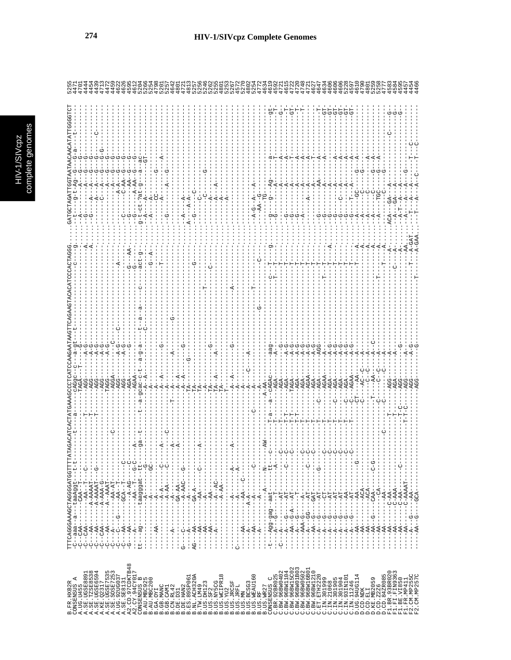|                                          | 44474466562                           |                 |                                 |                             |                             |                                  |                  |                                             |                         |                              |                               |               |               |                                               |   |                         |                          |                     |                                           |                                         |         |                    |                                                                                                                         |              |                                                              |                   |                     |               | LLCCCCCC                             |            |           |               |                                          |                                                                                                                                                                                                                                                                                                                                                                                                  |                            |                                                                                                                                                                                                                                                                                                                                                                                                                                                                                        |        | N 0 H 0 O 10 10 H 0 0 0 0<br>N 10 H 0 O 10 10 H 0 10 10 |                             |               |                    |
|------------------------------------------|---------------------------------------|-----------------|---------------------------------|-----------------------------|-----------------------------|----------------------------------|------------------|---------------------------------------------|-------------------------|------------------------------|-------------------------------|---------------|---------------|-----------------------------------------------|---|-------------------------|--------------------------|---------------------|-------------------------------------------|-----------------------------------------|---------|--------------------|-------------------------------------------------------------------------------------------------------------------------|--------------|--------------------------------------------------------------|-------------------|---------------------|---------------|--------------------------------------|------------|-----------|---------------|------------------------------------------|--------------------------------------------------------------------------------------------------------------------------------------------------------------------------------------------------------------------------------------------------------------------------------------------------------------------------------------------------------------------------------------------------|----------------------------|----------------------------------------------------------------------------------------------------------------------------------------------------------------------------------------------------------------------------------------------------------------------------------------------------------------------------------------------------------------------------------------------------------------------------------------------------------------------------------------|--------|---------------------------------------------------------|-----------------------------|---------------|--------------------|
|                                          |                                       |                 |                                 |                             |                             |                                  |                  |                                             |                         |                              |                               |               |               |                                               |   |                         |                          |                     |                                           |                                         |         |                    |                                                                                                                         |              |                                                              |                   |                     |               |                                      |            |           |               |                                          |                                                                                                                                                                                                                                                                                                                                                                                                  |                            |                                                                                                                                                                                                                                                                                                                                                                                                                                                                                        |        |                                                         |                             |               |                    |
|                                          |                                       |                 |                                 |                             |                             |                                  |                  |                                             |                         |                              |                               |               |               |                                               |   |                         |                          |                     |                                           |                                         |         |                    |                                                                                                                         |              |                                                              |                   |                     |               |                                      |            |           |               |                                          |                                                                                                                                                                                                                                                                                                                                                                                                  |                            |                                                                                                                                                                                                                                                                                                                                                                                                                                                                                        |        |                                                         |                             |               |                    |
|                                          | 한 후 후 후 후 후 후 후 후 후 휴 등<br>ひひひひひひひひひひ |                 |                                 |                             |                             |                                  |                  |                                             |                         |                              |                               |               |               |                                               |   |                         |                          |                     |                                           |                                         |         |                    |                                                                                                                         |              |                                                              |                   |                     |               |                                      |            |           |               | $\overline{A}$ $A$ $A$ $A$ $A$ $I$<br>めめ |                                                                                                                                                                                                                                                                                                                                                                                                  | $A \land A$                | ட் க்க்க                                                                                                                                                                                                                                                                                                                                                                                                                                                                               |        |                                                         |                             |               |                    |
|                                          |                                       |                 |                                 |                             |                             |                                  |                  |                                             |                         |                              |                               |               |               |                                               |   |                         |                          | $A - G - - A -$     | $-AA-0$<br>ΡT-                            | $\frac{1}{9}$ $\frac{1}{1}$<br>十十十      |         |                    |                                                                                                                         |              |                                                              |                   |                     |               |                                      |            |           |               |                                          |                                                                                                                                                                                                                                                                                                                                                                                                  |                            | $\begin{small} \begin{smallmatrix} . & . & . & . & . & . & . \\ . & . & . & . & . & . \\ . & . & . & . & . & . \\ . & . & . & . & . & . \\ . & . & . & . & . & . \\ . & . & . & . & . & . \\ . & . & . & . & . & . \\ . & . & . & . & . & . \\ . & . & . & . & . & . \\ . & . & . & . & . & . \\ . & . & . & . & . & . \\ . & . & . & . & . & . \\ . & . & . & . & . & . \\ . & . & . & . & . & . \\ . & . & . & . & . & . \\ . & . & . & . & . & . \\ . & . & . & . & . & . \\ . & .$ |        |                                                         |                             |               |                    |
|                                          |                                       |                 |                                 |                             |                             |                                  |                  |                                             |                         |                              |                               |               |               |                                               |   |                         |                          |                     |                                           | めひ                                      |         |                    | $\rho \phi \phi \phi$ .                                                                                                 |              |                                                              |                   |                     |               |                                      |            |           |               |                                          |                                                                                                                                                                                                                                                                                                                                                                                                  |                            |                                                                                                                                                                                                                                                                                                                                                                                                                                                                                        |        |                                                         |                             |               |                    |
|                                          |                                       |                 | $G---AP$<br>ひ                   | $act-g-$                    | $-5 - 7$                    |                                  |                  |                                             |                         |                              |                               |               |               |                                               |   |                         |                          |                     |                                           |                                         |         |                    |                                                                                                                         |              |                                                              |                   |                     |               | 封封封                                  |            |           |               |                                          |                                                                                                                                                                                                                                                                                                                                                                                                  |                            |                                                                                                                                                                                                                                                                                                                                                                                                                                                                                        |        |                                                         |                             |               |                    |
|                                          |                                       |                 |                                 |                             |                             |                                  |                  |                                             |                         |                              |                               |               |               |                                               |   |                         |                          |                     |                                           |                                         |         |                    |                                                                                                                         |              |                                                              |                   |                     |               |                                      |            |           |               |                                          |                                                                                                                                                                                                                                                                                                                                                                                                  |                            |                                                                                                                                                                                                                                                                                                                                                                                                                                                                                        |        |                                                         |                             |               |                    |
|                                          |                                       |                 |                                 |                             |                             |                                  |                  |                                             |                         |                              |                               |               |               |                                               |   |                         |                          |                     |                                           |                                         |         |                    |                                                                                                                         |              |                                                              |                   |                     |               |                                      |            |           |               |                                          |                                                                                                                                                                                                                                                                                                                                                                                                  |                            |                                                                                                                                                                                                                                                                                                                                                                                                                                                                                        |        |                                                         |                             |               |                    |
| CCAAGAATAAGTTCAGAAGTACATCCCCACTAGG<br>υυ |                                       |                 |                                 |                             |                             |                                  |                  |                                             |                         |                              |                               |               |               |                                               |   |                         |                          |                     |                                           |                                         |         |                    |                                                                                                                         |              |                                                              |                   |                     |               |                                      |            |           |               |                                          |                                                                                                                                                                                                                                                                                                                                                                                                  |                            | ּ<br>טטטטטטטטט וטטטטט ווודר<br>ואאאאאאאאאי ווודר                                                                                                                                                                                                                                                                                                                                                                                                                                       |        |                                                         |                             |               |                    |
|                                          |                                       |                 |                                 |                             |                             |                                  |                  |                                             |                         |                              |                               |               |               |                                               |   |                         |                          |                     |                                           |                                         |         |                    |                                                                                                                         |              |                                                              |                   |                     |               |                                      |            |           |               |                                          |                                                                                                                                                                                                                                                                                                                                                                                                  |                            |                                                                                                                                                                                                                                                                                                                                                                                                                                                                                        |        |                                                         |                             |               |                    |
|                                          |                                       |                 |                                 | a-gcac-                     |                             |                                  |                  |                                             |                         |                              |                               |               |               |                                               |   |                         |                          |                     |                                           | ιQ                                      |         |                    |                                                                                                                         |              |                                                              |                   | ó                   |               | $\stackrel{\shortparallel }{\circ }$ |            |           |               |                                          |                                                                                                                                                                                                                                                                                                                                                                                                  |                            |                                                                                                                                                                                                                                                                                                                                                                                                                                                                                        |        |                                                         |                             |               |                    |
|                                          |                                       |                 |                                 |                             |                             |                                  |                  |                                             |                         |                              |                               |               |               |                                               |   |                         |                          |                     |                                           | œ                                       |         |                    |                                                                                                                         |              |                                                              |                   |                     |               |                                      |            |           |               |                                          |                                                                                                                                                                                                                                                                                                                                                                                                  |                            |                                                                                                                                                                                                                                                                                                                                                                                                                                                                                        |        |                                                         |                             |               |                    |
|                                          |                                       | $C - C$         | U<br>!                          |                             | မှု မှု<br>  မှု<br>        | $\frac{1}{2}$                    | $\frac{1}{2}$    |                                             |                         |                              |                               |               |               |                                               |   |                         |                          |                     |                                           | $- -t + -$                              | $---A-$ | $-1$ - $-1$ - $-1$ |                                                                                                                         |              | $-1$                                                         |                   |                     |               |                                      |            |           | $\frac{1}{1}$ | やーー                                      |                                                                                                                                                                                                                                                                                                                                                                                                  | <b>C-C-C-</b>              |                                                                                                                                                                                                                                                                                                                                                                                                                                                                                        |        |                                                         | すり                          |               |                    |
|                                          |                                       |                 |                                 | -taagggat--tt<br>$- -A - -$ | $\frac{1}{1}$<br>$- -A - -$ | $---A - A - - - -$<br>$- -A - -$ | $- -A - A - - -$ | $-4B - A$                                   | $-1 - 1 - 244 - 240$    | $-4-GB-7$<br>$- -A - -$      | i<br>i<br>$- - - P_1 + - - -$ |               |               | $-1 - 24 - 40$<br>$- - - - - - - - - - - - -$ |   | $-5$<br>$-AA$ -         |                          | $-1$ $-1$<br>$-4-1$ | $-1 - N -$<br>$\frac{1}{1}$<br>$- -A - -$ |                                         | ۲<br>ا  |                    |                                                                                                                         |              |                                                              |                   | -<br>- טי<br>$-7AT$ | $-10$         | $---AT-$<br>$- PAT -$                | $---AT---$ | $---AA$ - |               | $-AA-$                                   | $-ACA-$<br>$---ACA$                                                                                                                                                                                                                                                                                                                                                                              |                            | $-1$                                                                                                                                                                                                                                                                                                                                                                                                                                                                                   |        |                                                         |                             | $---C-AAAAAT$ |                    |
|                                          | $---A-AA-GA-0$<br>$---A--AART$        |                 | I<br>$\frac{1}{1}$              |                             |                             |                                  |                  | $- - - - - - -$<br>$\overline{\phantom{a}}$ |                         | I.<br>$\mathbf{I}$           |                               |               | $-1 - 1 - 1$  | İ                                             | т | I<br>J,                 | $-4 - A - A -$<br>$\,$ I | I<br>ì              | $-4 -$<br>ï                               | -t----Agg-gag--aat<br>----------------- |         |                    |                                                                                                                         |              | $- A - - - G - - - - A T -$<br>$-1 - 4 - 1 - 0 - 44 - 1 - 1$ | $-AA$ --G----GAT- | $-1$ - $-1$ - $-1$  | $\frac{1}{1}$ |                                      | ပု         |           | ------AT      |                                          | $\begin{array}{c} \rule{0pt}{2.5ex} \rule{0pt}{2.5ex} \rule{0pt}{2.5ex} \rule{0pt}{2.5ex} \rule{0pt}{2.5ex} \rule{0pt}{2.5ex} \rule{0pt}{2.5ex} \rule{0pt}{2.5ex} \rule{0pt}{2.5ex} \rule{0pt}{2.5ex} \rule{0pt}{2.5ex} \rule{0pt}{2.5ex} \rule{0pt}{2.5ex} \rule{0pt}{2.5ex} \rule{0pt}{2.5ex} \rule{0pt}{2.5ex} \rule{0pt}{2.5ex} \rule{0pt}{2.5ex} \rule{0pt}{2.5ex} \rule{0$<br>$\mathbf{I}$ | $-440 - - - - - - - - - -$ |                                                                                                                                                                                                                                                                                                                                                                                                                                                                                        |        | $-4A-0$                                                 | $---C-AA$<br>$-44-0-44$     |               | $-4A -$<br>$-6C -$ |
|                                          | $-AA--$<br>$--CAR$<br>ပု<br>ပု        | ပု<br>ပုံ<br>ပု | $-6 - -44 - - -$<br>$-1$ – $-1$ | $t_{t---ag}$                |                             | $-A-A$                           |                  | $-4 - 2$<br>$\frac{1}{1}$                   | $\,$ I<br>U-----<br>ひ-- | п.<br>$-4$<br>$AG---AA$<br>I | $-1 - 44$                     | $- - A A - -$ | $- - A A - -$ | $---A -$                                      | ł | $-4A-$<br>$\frac{1}{1}$ | 1<br>$-4-$               | $---AA---$          |                                           |                                         |         |                    | - C - - - A - - - - - - - - - - AT -<br>- - - - - - A - - - G - - - - - - AT - -<br>- - - - - - AA - - G - A - - - AT - | $-1 - 4 - 1$ |                                                              |                   |                     | $A - -G$      | $A - -G$<br>$A - -G$                 |            | $A - -G$  | $-4-10$       | $-AA$ -                                  | $-AA$ -                                                                                                                                                                                                                                                                                                                                                                                          | $-AA$ -                    | $-AA$ -                                                                                                                                                                                                                                                                                                                                                                                                                                                                                | --AA-- | $-AA$ --                                                | $---AA---$<br>$- - A A - -$ | $-AA - - -$   |                    |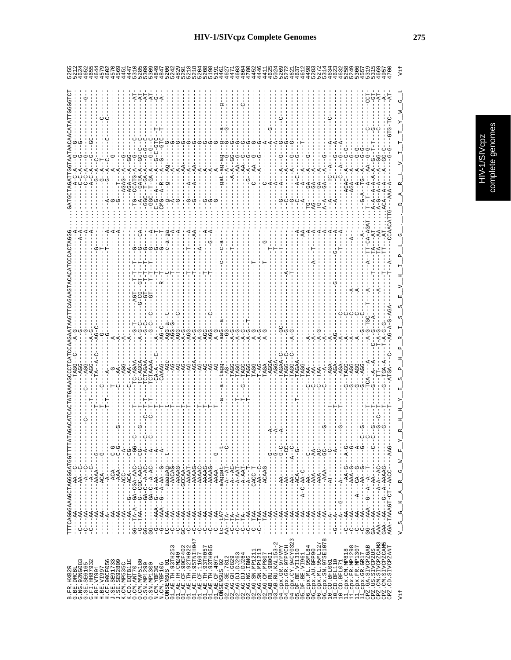| ပုံ<br>-DIAUU--DI<br>-gat-<br>$\frac{1}{2}$                                                                                                                                                                                                                                                                                                                                                                                                                                                                                                                                                                                                                                                                                                                                                                                                                                                                                                                                                                                                                                                                              |                                                                               |
|--------------------------------------------------------------------------------------------------------------------------------------------------------------------------------------------------------------------------------------------------------------------------------------------------------------------------------------------------------------------------------------------------------------------------------------------------------------------------------------------------------------------------------------------------------------------------------------------------------------------------------------------------------------------------------------------------------------------------------------------------------------------------------------------------------------------------------------------------------------------------------------------------------------------------------------------------------------------------------------------------------------------------------------------------------------------------------------------------------------------------|-------------------------------------------------------------------------------|
|                                                                                                                                                                                                                                                                                                                                                                                                                                                                                                                                                                                                                                                                                                                                                                                                                                                                                                                                                                                                                                                                                                                          |                                                                               |
| ।<br>ल                                                                                                                                                                                                                                                                                                                                                                                                                                                                                                                                                                                                                                                                                                                                                                                                                                                                                                                                                                                                                                                                                                                   |                                                                               |
|                                                                                                                                                                                                                                                                                                                                                                                                                                                                                                                                                                                                                                                                                                                                                                                                                                                                                                                                                                                                                                                                                                                          |                                                                               |
|                                                                                                                                                                                                                                                                                                                                                                                                                                                                                                                                                                                                                                                                                                                                                                                                                                                                                                                                                                                                                                                                                                                          |                                                                               |
|                                                                                                                                                                                                                                                                                                                                                                                                                                                                                                                                                                                                                                                                                                                                                                                                                                                                                                                                                                                                                                                                                                                          |                                                                               |
|                                                                                                                                                                                                                                                                                                                                                                                                                                                                                                                                                                                                                                                                                                                                                                                                                                                                                                                                                                                                                                                                                                                          |                                                                               |
|                                                                                                                                                                                                                                                                                                                                                                                                                                                                                                                                                                                                                                                                                                                                                                                                                                                                                                                                                                                                                                                                                                                          |                                                                               |
| $-1$ - $-1$ - $-1$<br>$\begin{array}{c} 1 \\ 1 \\ 1 \end{array}$<br>$-1$ $-1$ $-1$ $-1$ $-1$<br>$- - - - - - -$<br>ں<br>ا                                                                                                                                                                                                                                                                                                                                                                                                                                                                                                                                                                                                                                                                                                                                                                                                                                                                                                                                                                                                | $-1 - 1 - 1$                                                                  |
| - 5 - 5 - - - - 40 4 - - - -<br>$C - C - C$<br>$\frac{1}{1}$<br>$-1 - 2$<br>$\frac{1}{1}$<br>$-5 - 0$<br>$-5$<br>$-0 - - - - 444$<br>$-AA$<br>$---AC$<br>$-9$<br>$\overset{-}{\circ}$<br>りー<br>$---ACA---$<br>$----AA---$<br>$----17A$<br>$---AABA-$<br>$---AAA--$<br>$\frac{1}{1}$<br>$\frac{1}{1}$<br>ł.                                                                                                                                                                                                                                                                                                                                                                                                                                                                                                                                                                                                                                                                                                                                                                                                               | $-AAG-$                                                                       |
| $-1 - 24 - 1 - 4 - 1 - 4 - 1$<br>$---A-AAT$<br>--aAggat<br>$---AAA---$<br>$-4A-1C$<br>-----AAAAG<br>$---A-AAT$<br>$-4A-1$<br>$-4A-1$<br>$---AAAAC$<br>----AAAAG<br>$- - - - - - - - -$<br>$- - - - - - - - - -$<br>$- - - - - - - - - - -$<br>$-00AC-1$<br>$---AAAAN$<br>$------AA-$<br>$-1$ $-1$<br>$---A---$<br>I<br>J.<br>I<br>$\mathsf I$<br>$\begin{array}{c} 1 \\ 1 \\ 1 \end{array}$<br>ţ<br>$-9 - -$<br>I                                                                                                                                                                                                                                                                                                                                                                                                                                                                                                                                                                                                                                                                                                        |                                                                               |
| $\begin{array}{l} \mathbf{0} = \mathbf{0} + \mathbf{0} + \mathbf{0} + \mathbf{0} + \mathbf{0} + \mathbf{0} + \mathbf{0} + \mathbf{0} + \mathbf{0} + \mathbf{0} + \mathbf{0} + \mathbf{0} + \mathbf{0} + \mathbf{0} + \mathbf{0} + \mathbf{0} + \mathbf{0} + \mathbf{0} + \mathbf{0} + \mathbf{0} + \mathbf{0} + \mathbf{0} + \mathbf{0} + \mathbf{0} + \mathbf{0} + \mathbf{0} + \mathbf{0} + \mathbf{0} + \mathbf{0} + \mathbf$<br>$- - - - - - - - - - -$<br>$---AA---$<br>$-AA--$<br>$---AA---$<br>$- - A A - -$<br>$- - 4A - - -$<br>$- - A A - -$<br>$-AA--$<br>-----<br>$-1 - 44 - - -$<br>$-1 - 44 - 1$<br>$-4A-1$<br>$-4A-$<br>$-AA$ -<br>$-AA$ -<br>$-AA$ -<br>$-AA$ -<br>$- -A - -$<br>$-44 - -10 -$<br>$---AA$ -<br>$-AA-$<br>$-AA$ -<br>$- - - A$<br>$-1$<br>J<br>$\frac{1}{1}$<br>$\frac{1}{1}$<br>Ţ<br>Ť<br>I<br>Ť<br>I<br>$\frac{1}{2}$<br>ပု<br>ု<br>$\frac{1}{2}$<br>$\frac{1}{2}$<br>ပု<br>ပု                                                                                                                                                                                                          | GAA--AA---G--A-AAAAAG--<br>AGA-TAAAGT-CT--AACC-                               |
| $\begin{array}{l} 04-\text{cpx}; \text{(3)}\text{7}\text{PWW} \\ 04-\text{cpx}; \text{(3)},\text{9}\text{7}\text{PWW} \\ 05-\text{p},\text{18},\text{V11,310} \\ 05-\text{p},\text{18},\text{V11,310} \\ 06-\text{p},\text{RL},\text{19}\text{5}\text{m},\text{8} \\ 06-\text{cpx}; \text{RL},\text{19}\text{5}\text{m},\text{8} \\ 06-\text{cpx}; \text{RL},\text{9}\text{5}\text{m},\text{9} \\ 06-\text{c$<br>$\begin{smallmatrix} \texttt{B. IRLIRB} \\ \texttt{0.83}, \texttt{B.93}, \texttt{0.94}, \texttt{0.95}, \texttt{0.96}, \texttt{0.97}, \texttt{0.97}, \texttt{0.97}, \texttt{0.97}, \texttt{0.97}, \texttt{0.97}, \texttt{0.97}, \texttt{0.97}, \texttt{0.97}, \texttt{0.97}, \texttt{0.97}, \texttt{0.97}, \texttt{0.97}, \texttt{0.97}, \texttt{0.97}, \texttt{0.97}, \texttt{0.97}, \texttt{$<br>$\begin{array}{l} 11 \overline{1} \text{cpx} \text{.CM} \text{ MPB18} \\ 11 \text{cpx} \text{.FR} \text{.MP1298} \\ 11 \text{cpx} \text{.FR} \text{.MP1307} \\ 11 \text{cpx} \text{.GR} \text{.GR17} \\ 11 \text{cpx} \text{.GR} \text{.GR17} \\ \text{CPZ} \text{.GA} \text{.STVCPZGBB} \end{array}$ | CPZ.US.SIVCPZUS<br>CPZ.CM.SIVCPZCAM3<br>CPZ.CM.SIVCPZCAM3<br>CPZ.CD.SIVCPZAMT |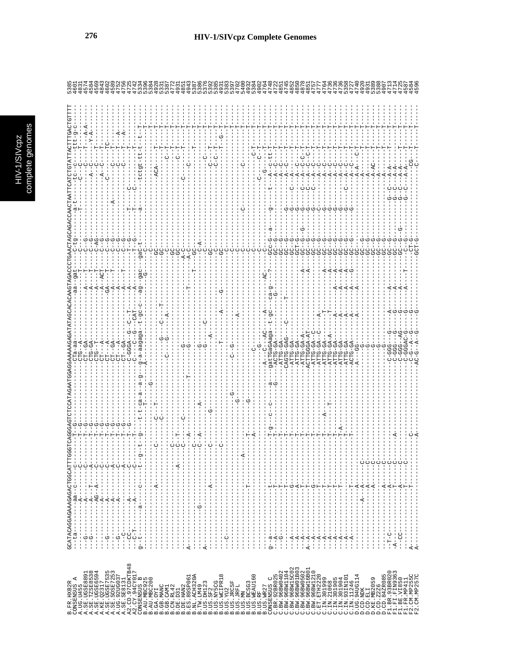|  |   |   |       |    |                        |  |  |  | $\frac{1}{1}$<br>-1<br>$\mathbf{I}$<br>$\mathbf{I}$                                                                                                                                                                                                                                                                                                                                          | $\mathsf I$                                                                                                           | $\mathsf I$<br>-1<br>$\mathbf{I}$<br>- 11<br>$\mathbf{I}$<br>$\mathsf I$                                                                                                                                     | 1<br>1<br>Ħ<br>$\begin{array}{c} \n 1 \\  \phantom{0} \\  \phantom{0} \\  \phantom{0} \\  \phantom{0} \\  \phantom{0} \\  \phantom{0} \\  \phantom{0} \\  \phantom{0} \\  \phantom{0} \\  \phantom{0} \\  \phantom{0} \\  \phantom{0} \\  \phantom{0} \\  \phantom{0} \\  \phantom{0} \\  \phantom{0} \\  \phantom{0} \\  \phantom{0} \\  \phantom{0} \\  \phantom{0} \\  \phantom{0} \\  \phantom{0} \\  \phantom{0} \\  \phantom{0} \\  \phantom{0} \\  \phantom{0} \\  \phantom{0} \\  \phantom{0} \\  \phantom{0} \\  \phantom{0$ |
|--|---|---|-------|----|------------------------|--|--|--|----------------------------------------------------------------------------------------------------------------------------------------------------------------------------------------------------------------------------------------------------------------------------------------------------------------------------------------------------------------------------------------------|-----------------------------------------------------------------------------------------------------------------------|--------------------------------------------------------------------------------------------------------------------------------------------------------------------------------------------------------------|---------------------------------------------------------------------------------------------------------------------------------------------------------------------------------------------------------------------------------------------------------------------------------------------------------------------------------------------------------------------------------------------------------------------------------------------------------------------------------------------------------------------------------------|
|  |   |   |       |    |                        |  |  |  | $\frac{1}{1}$<br>$\mathsf I$                                                                                                                                                                                                                                                                                                                                                                 | $\perp$                                                                                                               | $\mathbf I$<br>$\blacksquare$<br>-1                                                                                                                                                                          |                                                                                                                                                                                                                                                                                                                                                                                                                                                                                                                                       |
|  |   |   |       |    |                        |  |  |  | <u>UUUUUUUU</u><br>Ŧ<br>1                                                                                                                                                                                                                                                                                                                                                                    | $\mathbb{I}$                                                                                                          | $\mathbb{I}$<br>$\mathbf{I}$<br>л.<br>$\mathbf{L}$<br>$\mathbf{I}$<br>л.<br>$\mathbf{I}$                                                                                                                     | T                                                                                                                                                                                                                                                                                                                                                                                                                                                                                                                                     |
|  |   |   |       |    |                        |  |  |  | $\mathbf{I}$<br>$\mathbf{I}$<br>1                                                                                                                                                                                                                                                                                                                                                            | $\mathbb{I}$                                                                                                          | $\mathbf I$<br>$\mathbf{I}$<br>$\mathbf{I}$<br>$\blacksquare$<br>$\mathbf{I}$<br>п.<br>$\mathbf{I}$                                                                                                          | Т                                                                                                                                                                                                                                                                                                                                                                                                                                                                                                                                     |
|  |   |   |       |    |                        |  |  |  | J,<br>$\mathsf I$                                                                                                                                                                                                                                                                                                                                                                            | $\mathbf I$                                                                                                           | $\,$ I<br>$\mathbf{I}$<br>-1<br>$\mathsf I$<br>$\blacksquare$<br>-1<br>-1                                                                                                                                    | $\mathbf{I}$<br>ŧ<br>$\mathbf{I}$<br>$\,$ I<br>п                                                                                                                                                                                                                                                                                                                                                                                                                                                                                      |
|  |   |   |       |    |                        |  |  |  | ÷<br>$\mathbf{I}$                                                                                                                                                                                                                                                                                                                                                                            | $\mathsf I$                                                                                                           | $\overline{\phantom{a}}$<br>Ι.<br>$\mathbf{I}$<br>$\mathsf I$<br>$\mathbf{I}$<br>$\blacksquare$<br>$1 - 1$                                                                                                   | $\mathbf{I}$<br>$\mathbf{I}$<br>$\frac{1}{1}$<br>ŧ<br>$\mathbf{I}$                                                                                                                                                                                                                                                                                                                                                                                                                                                                    |
|  |   |   |       |    |                        |  |  |  | Ť<br>Ť.<br>J.                                                                                                                                                                                                                                                                                                                                                                                | $\mathsf I$<br>$\mathsf I$                                                                                            | L<br>$\mathsf I$<br>Ţ.<br>$\mathbf{I}$<br>$\mathbf{I}$<br>$\blacksquare$<br>$\perp$<br>$\mathsf I$<br>$\mathbf{I}$<br>-11                                                                                    | $\mathsf I$<br>-1<br>$\mathbf{I}$<br>$\mathbf{I}$<br>$\mathbf{I}$<br>$\frac{1}{1}$<br>$\mathbf{1}$<br>$\mathbf{I}$<br>$\blacksquare$<br>-1                                                                                                                                                                                                                                                                                                                                                                                            |
|  |   |   |       |    |                        |  |  |  | ŧ<br>Ŧ<br>$\mathbf I$                                                                                                                                                                                                                                                                                                                                                                        | $\mathbf{I}$                                                                                                          | $- -A -$<br>$\mathbb T$<br>$\mathbf{I}$<br>$-1$<br>$\mathbf{I}$<br>$\mathbf{I}$<br>$\mathbf{1}$<br>$1 - 1$                                                                                                   | -1<br>$\mathbf{I}$<br>$\mathbf{I}$<br>$\mathbf I$<br>$\Gamma = \Gamma = \Gamma$<br>$\mathbf{I}$<br>$\mathbf{I}$                                                                                                                                                                                                                                                                                                                                                                                                                       |
|  |   |   |       |    |                        |  |  |  | $\blacksquare$<br>$\mathsf I$                                                                                                                                                                                                                                                                                                                                                                | J.                                                                                                                    | I<br>$\overline{\phantom{a}}$<br>п<br>$\mathbb{I}$<br>$\mathbb{I}$<br>$\mathbf{I}$<br>L.<br>$\mathsf I$                                                                                                      | J.<br>J.<br>J.<br>j.<br>-1<br>п                                                                                                                                                                                                                                                                                                                                                                                                                                                                                                       |
|  |   |   |       |    |                        |  |  |  | $\mathbf{I}$<br>$\mathsf I$                                                                                                                                                                                                                                                                                                                                                                  |                                                                                                                       | $\mathsf I$<br>$\mathbf{I}$<br>п.<br>$\mathbb{I}$<br>$\mathbf{I}$<br>$\mathbf{I}$<br>$\mathbf{I}$<br>$\mathbb T$                                                                                             | $\mathbb{I}$                                                                                                                                                                                                                                                                                                                                                                                                                                                                                                                          |
|  |   |   |       | ⋖⋖ |                        |  |  |  | -1<br>$\blacksquare$<br>-1<br>$\mathsf I$                                                                                                                                                                                                                                                                                                                                                    | $\mathbf{I}$                                                                                                          | $\,$ I<br>$\mathbf{I}$<br>$\mathbf{I}$<br>$\mathbf I$<br>$\blacksquare$<br>$\mathbf{I}$<br>$\mathbf{I}$<br>$\mathbf{L}$                                                                                      | $\blacksquare$                                                                                                                                                                                                                                                                                                                                                                                                                                                                                                                        |
|  |   |   |       |    |                        |  |  |  | $\mathbf{I}$<br>$\mathsf I$                                                                                                                                                                                                                                                                                                                                                                  |                                                                                                                       | $\perp$<br>$\mathbf{1}$<br>$\mathbf{L}$<br>$\mathbf{I}$<br>$\mathsf I$<br>Τ.<br>$\mathbf{I}$<br>$\mathbb T$                                                                                                  | $\mathsf I$                                                                                                                                                                                                                                                                                                                                                                                                                                                                                                                           |
|  |   |   |       | Æ  |                        |  |  |  | л.<br>L.<br>1<br>J.                                                                                                                                                                                                                                                                                                                                                                          |                                                                                                                       | $\mathbb{I}$<br>$\mathsf I$<br>$\mathbf{I}$<br>$\mathbf{I}$<br>-1<br>$\mathbf{I}$<br>$\perp$<br>$\mathsf I$<br>$\mathbf{I}$<br>$\mathbf{I}$<br>$\mathbf{I}$<br>$\mathbf{I}$<br>$\blacksquare$<br>$\mathbf I$ | $\mathsf I$<br>$\mathsf I$                                                                                                                                                                                                                                                                                                                                                                                                                                                                                                            |
|  |   |   |       |    |                        |  |  |  | $\mathbf{I}$<br>$\mathbf{I}$                                                                                                                                                                                                                                                                                                                                                                 |                                                                                                                       | $\mathbf I$<br>$\mathbf{I}$<br>$\mathbf{I}$<br>$\mathbf I$<br>$\mathbf{I}$<br>$\mathbf{I}$<br>$\mathbf{I}$<br>$1 - 1$                                                                                        | $\mathsf I$                                                                                                                                                                                                                                                                                                                                                                                                                                                                                                                           |
|  |   |   |       |    |                        |  |  |  | т<br>I.                                                                                                                                                                                                                                                                                                                                                                                      |                                                                                                                       | $\,$ I<br>$\mathbf I$<br>-1<br>$\mathbf I$<br>$\mathsf I$<br>Ţ<br>п.<br>$\mathbf{I}$                                                                                                                         | $\,$ I                                                                                                                                                                                                                                                                                                                                                                                                                                                                                                                                |
|  |   |   |       |    |                        |  |  |  |                                                                                                                                                                                                                                                                                                                                                                                              |                                                                                                                       | $\blacksquare$<br>$\blacksquare$<br>$\mathbf{I}$<br>$\mathbf{I}$<br>$\mathbf{I}$<br>$\mathbf{I}$<br>$\mathsf I$                                                                                              | $\mathsf I$                                                                                                                                                                                                                                                                                                                                                                                                                                                                                                                           |
|  |   |   |       |    |                        |  |  |  | п<br>п                                                                                                                                                                                                                                                                                                                                                                                       |                                                                                                                       | $\mathbf{I}$<br>- 11<br>- 11<br>$\mathbf{I}$<br>$\mathbf{I}$<br>- 1<br>$\mathbf{I}$                                                                                                                          | $\,$ I                                                                                                                                                                                                                                                                                                                                                                                                                                                                                                                                |
|  |   |   |       |    |                        |  |  |  | л.<br>J.                                                                                                                                                                                                                                                                                                                                                                                     |                                                                                                                       | $\perp$<br>$\mathbf{I}$<br>$\mathbf{I}$<br>$\mathbf{L}$<br>$\mathbf{I}$ $\mathbf{I}$<br>$\mathbf{I}$<br>$\mathbf{I}$<br>$\mathbb{L}$                                                                         | $\mathsf I$                                                                                                                                                                                                                                                                                                                                                                                                                                                                                                                           |
|  |   |   |       |    |                        |  |  |  | $\mathbf{I}$                                                                                                                                                                                                                                                                                                                                                                                 |                                                                                                                       | $\mathsf I$<br>$\mathbf{I}$<br>$\mathbf{I}$<br>$\mathbb T$<br>$\mathbb{I}$<br>-1<br>$\mathbf{I}$<br>$\mathbb T$                                                                                              | $\mathsf I$                                                                                                                                                                                                                                                                                                                                                                                                                                                                                                                           |
|  |   |   |       |    |                        |  |  |  | I                                                                                                                                                                                                                                                                                                                                                                                            |                                                                                                                       | $\mathbf{I}$<br>- 11<br>$\mathbf{I}$<br>$\mathbf I$<br>$\mathbf{I}$<br>$\mathbf{I}$<br>$\mathbf{I}$                                                                                                          | $\mathsf I$                                                                                                                                                                                                                                                                                                                                                                                                                                                                                                                           |
|  |   |   |       |    |                        |  |  |  | т<br>$\mathbf{I}$<br>$\mathsf I$                                                                                                                                                                                                                                                                                                                                                             | $\overline{\phantom{a}}$                                                                                              | $\blacksquare$<br>$\mathbf{I}$<br>$\mathbf{I}$<br>Ť.<br>$\mathsf I$<br>$\mathsf I$<br>T<br>T<br>Ţ<br>$\mathbf{I}$<br>$\mathbf{I}$<br>Ť.<br>$\mathsf I$                                                       | $\mathsf I$<br>$\mathsf I$<br>Ţ<br>$\mathbf{I}$<br>$\mathbf{I}$                                                                                                                                                                                                                                                                                                                                                                                                                                                                       |
|  |   |   |       |    |                        |  |  |  | $\mathbf I$                                                                                                                                                                                                                                                                                                                                                                                  |                                                                                                                       | $\mathsf I$<br>$\,$ I<br>$\mathbf{I}$<br>-1<br>$\mathbf{I}$<br>-1<br>$\mathbf{I}$<br>$\mathbf{I}$<br>$\mathbf{I}$                                                                                            | $\mathsf I$<br>$\mathbf{I}$<br>п                                                                                                                                                                                                                                                                                                                                                                                                                                                                                                      |
|  | U |   |       |    |                        |  |  |  |                                                                                                                                                                                                                                                                                                                                                                                              |                                                                                                                       | $\mathbf{I}$<br>- 11<br>$\blacksquare$<br>$\mathbf{I}$<br>$\mathbf{I}$<br>-1<br>-1                                                                                                                           | $\mathbf{I}$<br>$\mathbf{I}$<br>$\mathbf{I}$<br>চা                                                                                                                                                                                                                                                                                                                                                                                                                                                                                    |
|  |   |   |       |    |                        |  |  |  | $\mathbf{I}$                                                                                                                                                                                                                                                                                                                                                                                 |                                                                                                                       | $\mathbb{I}$<br>$\mathbf{I}$<br>$\mathbf{I}$<br>1<br>п<br>т.                                                                                                                                                 | 1<br>п<br>п<br>-1                                                                                                                                                                                                                                                                                                                                                                                                                                                                                                                     |
|  |   |   |       |    |                        |  |  |  |                                                                                                                                                                                                                                                                                                                                                                                              | $\mathbf{L}$                                                                                                          | $\mathsf I$<br>$\blacksquare$<br>$\mathbf{I}$<br>$\blacksquare$                                                                                                                                              | -1<br>Т                                                                                                                                                                                                                                                                                                                                                                                                                                                                                                                               |
|  |   |   |       |    |                        |  |  |  | $\mathbf{I}$<br>п<br>$\mathsf I$<br>$\mathsf I$                                                                                                                                                                                                                                                                                                                                              | $-1$<br>Ţ<br>ţ<br>$\perp$<br>$\mathbf{I}$                                                                             | $\mathsf I$<br>$\,$ I<br>$\blacksquare$<br>$\mathbf{I}$<br>л.<br>-1<br>$\mathsf I$<br>$\mathsf I$<br>J.<br>$\mathbf{I}$<br>L.<br>-1                                                                          | J.<br>$\mathbf{I}$<br>т<br>ш<br>$\mathsf I$<br>л.<br>$\,$ I<br>$\mathbf{I}$<br>I                                                                                                                                                                                                                                                                                                                                                                                                                                                      |
|  |   |   |       |    |                        |  |  |  | п<br>л.                                                                                                                                                                                                                                                                                                                                                                                      | I.<br>$\mathbf{I}$<br>- 1<br>$\mathbf{I}$<br>$\mathbf{I}$<br>п.<br>п                                                  | 1<br>$\mathbf{I}$<br>$\mathbf{I}$<br>л.<br>$\mathbf{I}$<br>л.<br>ш                                                                                                                                           | п<br>л.<br>T                                                                                                                                                                                                                                                                                                                                                                                                                                                                                                                          |
|  |   |   |       |    |                        |  |  |  | I.                                                                                                                                                                                                                                                                                                                                                                                           | $\mathbf{I}$<br>$\frac{1}{4}$<br>$\mathbf{I}$<br>- 1<br>$\mathbf{I}$                                                  | -1<br>- 1<br>$\mathbf{I}$<br>$\mathbf{I}$<br>$\mathbf{I}$<br>т                                                                                                                                               | $\mathbf{I}$<br>л<br>1<br>$\mathbb T$<br>$\mathbf{I}$                                                                                                                                                                                                                                                                                                                                                                                                                                                                                 |
|  |   |   |       |    |                        |  |  |  | $\mathbf{I}$<br>1<br>J.                                                                                                                                                                                                                                                                                                                                                                      | Т<br>T<br>-1<br>$\frac{1}{4}$<br>ŧ<br>$\mathsf I$<br>$\mathbf{I}$<br>$\mathbf{I}$<br>$\mathbf{I}$<br>$\mathbb T$<br>T | I<br>$\mathbb{I}$<br>$1 + 1 + 1$<br>$\mathbf{I}$<br>$\mathbf{I}$<br>Ť.<br>$\mathbf{I}$<br>$\mathsf I$<br>J.<br>п.<br>J.<br>$\mathbf{I}$<br>$\mathsf I$<br>1                                                  | $\frac{1}{2}$<br>ŧ<br>$\mathsf I$<br>$\mathbf{I}$                                                                                                                                                                                                                                                                                                                                                                                                                                                                                     |
|  |   |   |       |    |                        |  |  |  | л.<br>$\mathbf{I}$                                                                                                                                                                                                                                                                                                                                                                           | T<br>$\frac{1}{1}$<br>Ţ<br>$\blacksquare$<br>$\mathsf I$                                                              | $\mathsf I$<br>-1<br>L.<br>Ť.<br>1<br>$\mathbf{I}$<br>л.<br>$\mathsf I$                                                                                                                                      | $\mathsf I$<br>$\mathbf{I}$<br>Ť<br>$\mathsf I$<br>J.                                                                                                                                                                                                                                                                                                                                                                                                                                                                                 |
|  |   |   |       |    |                        |  |  |  | -1<br>-1<br>$\begin{array}{c} \rule{0pt}{2.5ex} \rule{0pt}{2.5ex} \rule{0pt}{2.5ex} \rule{0pt}{2.5ex} \rule{0pt}{2.5ex} \rule{0pt}{2.5ex} \rule{0pt}{2.5ex} \rule{0pt}{2.5ex} \rule{0pt}{2.5ex} \rule{0pt}{2.5ex} \rule{0pt}{2.5ex} \rule{0pt}{2.5ex} \rule{0pt}{2.5ex} \rule{0pt}{2.5ex} \rule{0pt}{2.5ex} \rule{0pt}{2.5ex} \rule{0pt}{2.5ex} \rule{0pt}{2.5ex} \rule{0pt}{2.5ex} \rule{0$ | J.<br>ŧ<br>Т<br>-1<br>$\mathbf I$                                                                                     | $\mathsf I$<br>$\blacksquare$<br>-1<br>$\mathsf I$<br>I.<br>$\mathbf{I}$<br>-1<br>$\mathbf{I}$                                                                                                               | I<br>Ť<br>$\mathsf I$<br>$\mathbf{I}$                                                                                                                                                                                                                                                                                                                                                                                                                                                                                                 |
|  |   |   |       |    |                        |  |  |  | H.<br>$\mathbf{I}$<br>$\mathsf I$                                                                                                                                                                                                                                                                                                                                                            | ı<br>$- -A - -$<br>$\mathsf I$                                                                                        | $\mathsf I$<br>$\mathbf{I}$<br>Ι.<br>Ť.<br>T<br>$\mathbf{I}$<br>Τ.<br>1                                                                                                                                      | J.<br>1<br>$\mathsf I$<br>$A - -$                                                                                                                                                                                                                                                                                                                                                                                                                                                                                                     |
|  |   |   |       |    |                        |  |  |  | л.<br>л.<br>л.                                                                                                                                                                                                                                                                                                                                                                               | $\mathbf{I}$<br>$\mathbf{I}$<br>T<br>$\mathbf{I}$<br>л.<br>т                                                          | I.<br>$\mathbf{I}$<br>$\mathbf{I}$<br>л.<br>1<br>$\mathbf{I}$<br>$\mathbf{I}$<br>п                                                                                                                           | $\mathbf{I}$<br>л.<br>-1                                                                                                                                                                                                                                                                                                                                                                                                                                                                                                              |
|  |   |   |       |    |                        |  |  |  | $\mathbf{I}$<br>-1<br>$\mathbf{I}$<br>-1<br>I.<br>T                                                                                                                                                                                                                                                                                                                                          | Т<br>$\mathbf{I}$<br>ŧ<br>- 1<br>-1<br>-1<br>$\mathbf{I}$<br>$\mathbf{I}$<br>- 11<br>$\mathbb T$<br>$\mathbf{I}$      | $\mathsf I$<br>I<br>$\frac{1}{\zeta}$<br>Ť.<br>$\mathsf I$<br>1<br>1<br>$\mathbf I$<br>- 11<br>п.<br>1<br>Ι.                                                                                                 | п<br>т<br>т<br>1<br>I.<br>$\mathsf I$<br>Т<br>I<br>-<br>$\mathbf{I}$                                                                                                                                                                                                                                                                                                                                                                                                                                                                  |
|  |   |   |       |    |                        |  |  |  | T<br>$\mathbf{I}$<br>T                                                                                                                                                                                                                                                                                                                                                                       | ı<br>Ţ<br>Ł<br>-1<br>$\mathbf{L}$<br>$\mathbf{I}$                                                                     | $\mathsf I$<br>14<br>$\mathbf{I}$<br>$\mathbb{L}$<br>-1<br>$\mathbf{I}$<br>$\mathsf I$                                                                                                                       | I<br>ı<br>Ť<br>$A -$                                                                                                                                                                                                                                                                                                                                                                                                                                                                                                                  |
|  |   |   |       |    |                        |  |  |  |                                                                                                                                                                                                                                                                                                                                                                                              | $\mathbf{I}$                                                                                                          | $\blacksquare$<br>$\blacksquare$<br>$\blacksquare$<br>T                                                                                                                                                      | т<br>1<br>T<br>ı<br>L.                                                                                                                                                                                                                                                                                                                                                                                                                                                                                                                |
|  |   |   |       |    |                        |  |  |  | $\begin{array}{c}\n1 \\ 1 \\ 1\n\end{array}$                                                                                                                                                                                                                                                                                                                                                 | $\mathbf{I}$<br>$\mathbf{I}$<br>土土土<br>$1 + 1 + 1$<br>$1 \cdot 1 \cdot 1$<br>$1 - 1 - 1$                              | $1 - 1$<br>事件<br>$1 - 1 - 1$<br>$1 - 1 - 1$<br>$\mathbf{1}$<br>- 1                                                                                                                                           | п<br>п<br>$\mathbf{I}$<br>T                                                                                                                                                                                                                                                                                                                                                                                                                                                                                                           |
|  |   |   |       |    |                        |  |  |  |                                                                                                                                                                                                                                                                                                                                                                                              | ı<br>÷.                                                                                                               | $\pm$ $\pm$<br>$\mathbf{I}$                                                                                                                                                                                  | I.<br>J,<br>п<br>$\mathsf I$<br>I<br>I                                                                                                                                                                                                                                                                                                                                                                                                                                                                                                |
|  |   |   |       |    |                        |  |  |  | L.<br>$\mathbf{I}$                                                                                                                                                                                                                                                                                                                                                                           | Ι.<br>Ħ<br>$\mathbf{I}$<br>$\blacksquare$<br>$\mathsf I$                                                              | $\mathbf{I}$<br>Τ.<br>$\mathbf{I}$<br>$\mathbf{I}$<br>Ι.                                                                                                                                                     | J.<br>J.<br>L.<br>$\mathsf I$                                                                                                                                                                                                                                                                                                                                                                                                                                                                                                         |
|  |   |   |       |    |                        |  |  |  | - 11<br>$\blacksquare$<br>- 11<br>- 1<br>$\blacksquare$                                                                                                                                                                                                                                                                                                                                      | $\overline{\phantom{a}}$<br>$\mathbf{I}$<br>- 1<br>$1 - 1$                                                            | $\mathbf{I}$<br>$\overline{\phantom{a}}$<br>$\overline{\phantom{a}}$<br>- 1<br>$\blacksquare$<br>$1 - 1 - 1$<br>ĦĦ<br>$1 - 1 - 1 - 1$                                                                        | $\mathbf{I}$<br>$\mathbf{I}$<br>$\blacksquare$<br>$\mathbf{I}$<br>$\mathbf{I}$<br>$\overline{\phantom{a}}$<br>J.<br>$\mathbf{I}$<br>$\blacksquare$                                                                                                                                                                                                                                                                                                                                                                                    |
|  |   |   |       |    |                        |  |  |  | $\mathbf{I}$<br>J.<br>$\mathbf{I}$<br>$1 - 1$                                                                                                                                                                                                                                                                                                                                                | $\mathbb{I}-\mathbb{I}$<br>$\begin{array}{c}\n1 \\ 1 \\ 1 \\ 1\n\end{array}$<br>1                                     | ı<br>Ħ                                                                                                                                                                                                       | $\mathbb{I}-\mathbb{I}$<br>Ħ<br>$\Gamma = \Gamma$<br>T<br>т                                                                                                                                                                                                                                                                                                                                                                                                                                                                           |
|  |   |   |       |    |                        |  |  |  |                                                                                                                                                                                                                                                                                                                                                                                              |                                                                                                                       |                                                                                                                                                                                                              |                                                                                                                                                                                                                                                                                                                                                                                                                                                                                                                                       |
|  |   |   |       |    |                        |  |  |  |                                                                                                                                                                                                                                                                                                                                                                                              |                                                                                                                       |                                                                                                                                                                                                              |                                                                                                                                                                                                                                                                                                                                                                                                                                                                                                                                       |
|  |   | н |       |    |                        |  |  |  |                                                                                                                                                                                                                                                                                                                                                                                              |                                                                                                                       |                                                                                                                                                                                                              | $\begin{small} \texttt{CCATA} & \texttt{CACA} & \texttt{CACA} & \texttt{CACA} & \texttt{CACA} & \texttt{CACA} & \texttt{CACA} & \texttt{CACA} & \texttt{CACA} & \texttt{CACA} & \texttt{CACA} & \texttt{CACA} & \texttt{CACA} & \texttt{CACA} & \texttt{CACA} & \texttt{CACA} & \texttt{CACA} & \texttt{CACA} & \texttt{CACA} & \texttt{CACA} & \texttt{CACA} & \texttt{CACA} & \texttt{CACA} & \texttt{CACA}$                                                                                                                        |
|  |   |   |       |    |                        |  |  |  |                                                                                                                                                                                                                                                                                                                                                                                              |                                                                                                                       |                                                                                                                                                                                                              |                                                                                                                                                                                                                                                                                                                                                                                                                                                                                                                                       |
|  |   |   |       |    |                        |  |  |  |                                                                                                                                                                                                                                                                                                                                                                                              |                                                                                                                       |                                                                                                                                                                                                              |                                                                                                                                                                                                                                                                                                                                                                                                                                                                                                                                       |
|  |   |   | ひひひひ  |    |                        |  |  |  |                                                                                                                                                                                                                                                                                                                                                                                              |                                                                                                                       |                                                                                                                                                                                                              |                                                                                                                                                                                                                                                                                                                                                                                                                                                                                                                                       |
|  |   |   |       |    |                        |  |  |  |                                                                                                                                                                                                                                                                                                                                                                                              |                                                                                                                       |                                                                                                                                                                                                              |                                                                                                                                                                                                                                                                                                                                                                                                                                                                                                                                       |
|  |   |   |       |    |                        |  |  |  |                                                                                                                                                                                                                                                                                                                                                                                              |                                                                                                                       |                                                                                                                                                                                                              |                                                                                                                                                                                                                                                                                                                                                                                                                                                                                                                                       |
|  |   |   |       |    |                        |  |  |  |                                                                                                                                                                                                                                                                                                                                                                                              |                                                                                                                       |                                                                                                                                                                                                              |                                                                                                                                                                                                                                                                                                                                                                                                                                                                                                                                       |
|  |   |   | い ひ ひ |    | ----------<br>44444444 |  |  |  |                                                                                                                                                                                                                                                                                                                                                                                              |                                                                                                                       |                                                                                                                                                                                                              |                                                                                                                                                                                                                                                                                                                                                                                                                                                                                                                                       |
|  |   |   |       |    |                        |  |  |  |                                                                                                                                                                                                                                                                                                                                                                                              |                                                                                                                       |                                                                                                                                                                                                              |                                                                                                                                                                                                                                                                                                                                                                                                                                                                                                                                       |
|  |   |   |       |    |                        |  |  |  |                                                                                                                                                                                                                                                                                                                                                                                              |                                                                                                                       |                                                                                                                                                                                                              |                                                                                                                                                                                                                                                                                                                                                                                                                                                                                                                                       |
|  |   |   |       |    |                        |  |  |  |                                                                                                                                                                                                                                                                                                                                                                                              |                                                                                                                       |                                                                                                                                                                                                              |                                                                                                                                                                                                                                                                                                                                                                                                                                                                                                                                       |
|  |   |   |       |    |                        |  |  |  |                                                                                                                                                                                                                                                                                                                                                                                              |                                                                                                                       |                                                                                                                                                                                                              |                                                                                                                                                                                                                                                                                                                                                                                                                                                                                                                                       |

MHH449WW90M0WA4040HLNHHWL00MMHWLNON4W400HMNO0HLL40000LOOH00LW4ML40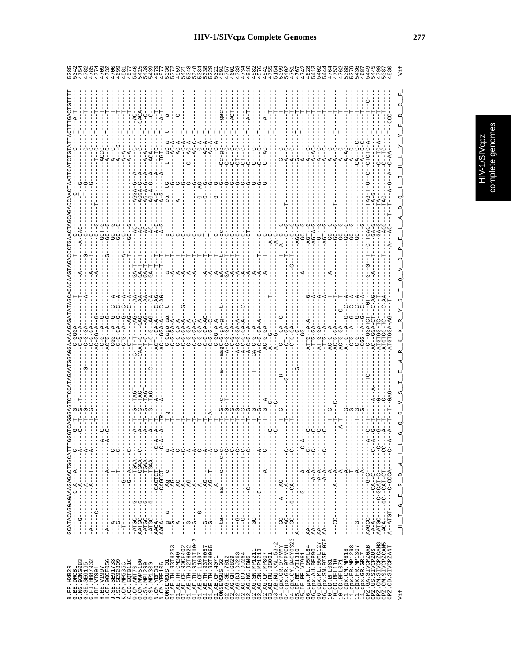| $\mathsf I$                                    |                                                                 |                        |                  |                               |                                  |    |                                                                                                                                                                                                                                                                                                                                                                                                                                                                 |  |  |  |                                                                                                                                                                                                                                                                                                                                                              |  |  |  |  |  |  | $\frac{1}{4}$ | $\mathsf I$   |   |                                                                                                                                                                                                                                                                        | T | Ħ | ÷, | $\,$ I<br>1 | $A + 1$<br>$C + 1$<br>$C + 1$<br>$C + 1$ | Å |  |                                     |   |                                                                          |                     |                                |    |                   | $-4 - 1$          |                      |                                      |                    |
|------------------------------------------------|-----------------------------------------------------------------|------------------------|------------------|-------------------------------|----------------------------------|----|-----------------------------------------------------------------------------------------------------------------------------------------------------------------------------------------------------------------------------------------------------------------------------------------------------------------------------------------------------------------------------------------------------------------------------------------------------------------|--|--|--|--------------------------------------------------------------------------------------------------------------------------------------------------------------------------------------------------------------------------------------------------------------------------------------------------------------------------------------------------------------|--|--|--|--|--|--|---------------|---------------|---|------------------------------------------------------------------------------------------------------------------------------------------------------------------------------------------------------------------------------------------------------------------------|---|---|----|-------------|------------------------------------------|---|--|-------------------------------------|---|--------------------------------------------------------------------------|---------------------|--------------------------------|----|-------------------|-------------------|----------------------|--------------------------------------|--------------------|
| $- - A - -$<br>$- -A -$                        |                                                                 |                        |                  |                               |                                  |    |                                                                                                                                                                                                                                                                                                                                                                                                                                                                 |  |  |  | $\begin{array}{c} 1 & 1 & 1 \\ -1 & 1 & 1 \\ -1 & 1 & 1 \\ -1 & 1 & 1 \\ -1 & 1 & 1 \\ -1 & 1 & 1 \\ -1 & 1 & 1 \\ -1 & 1 & 1 \\ -1 & 1 & 1 \\ -1 & 1 & 1 \\ -1 & 1 & 1 \\ -1 & 1 & 1 \\ -1 & 1 & 1 \\ -1 & 1 & 1 \\ -1 & 1 & 1 \\ -1 & 1 & 1 \\ -1 & 1 & 1 \\ -1 & 1 & 1 \\ -1 & 1 & 1 \\ -1 & 1 & 1 \\ -1 & 1 & 1 \\ -1 & 1 & 1 \\ -1 & 1 & 1 \\ -1 & 1 &$ |  |  |  |  |  |  |               | $\frac{1}{4}$ | Ł | $-1 - 0 - 0$                                                                                                                                                                                                                                                           |   |   |    | -1          |                                          |   |  |                                     |   |                                                                          | j                   |                                | t  | п<br>I,           | Ť                 | $-1 - 1 - 1 - 1 - 1$ | $-1$<br>$-1$<br>$-1$<br>$-1$<br>$-1$ | $T = -1$           |
| I.<br>$\mathsf I$                              |                                                                 |                        |                  |                               |                                  |    | $\begin{array}{l} \mathcal{A} \mathcal{A} \mathcal{A} \mathcal{B} \mathcal{B} \mathcal{C} \mathcal{A} \mathcal{A} \mathcal{A} \mathcal{A} \mathcal{A} \mathcal{A} \mathcal{A} \mathcal{A} \mathcal{A} \mathcal{A} \mathcal{A} \mathcal{A} \mathcal{A} \mathcal{A} \mathcal{A} \mathcal{A} \mathcal{A} \mathcal{A} \mathcal{A} \mathcal{A} \mathcal{A} \mathcal{A} \mathcal{A} \mathcal{A} \mathcal{A} \mathcal{A} \mathcal{A} \mathcal{A} \mathcal{A} \mathcal$ |  |  |  |                                                                                                                                                                                                                                                                                                                                                              |  |  |  |  |  |  |               | $\mathbf{I}$  |   |                                                                                                                                                                                                                                                                        | Ĵ |   |    |             |                                          |   |  | $- - - - - - - - - - - - - - - - -$ |   | $\begin{array}{c} \frac{1}{2} \\ \frac{1}{2} \\ \frac{1}{2} \end{array}$ |                     |                                |    | $-4$              | U - U - - - - - - |                      |                                      | <b>ひーロスワーーしウーー</b> |
| $\frac{1}{1}$<br>$\blacksquare$<br>1<br>$\,$ I | $\mathbf{I}$ $\mathbf{I}$<br>$\blacksquare$<br>$\,$ I<br>$\,$ I | $\mathbf I$<br>Ť.<br>Ţ | Ħ                | $\mathbf{I}$<br>$\mathbf I$   | $\mathbf{L}$                     |    |                                                                                                                                                                                                                                                                                                                                                                                                                                                                 |  |  |  |                                                                                                                                                                                                                                                                                                                                                              |  |  |  |  |  |  |               | ÷             |   |                                                                                                                                                                                                                                                                        |   |   |    |             |                                          |   |  | $\frac{1}{4}$                       |   |                                                                          | $\frac{1}{1}$       |                                |    | $\mathbf{I}$      |                   |                      |                                      |                    |
| $\frac{1}{2}$<br>$- - - - -$                   | $-1 - 1 - 1$                                                    | $\frac{1}{2}$          | $-1 - - - - - -$ | $- - - - - - - -$<br>$-5 - -$ | $-1 - \frac{1}{2} - \frac{1}{2}$ | J. |                                                                                                                                                                                                                                                                                                                                                                                                                                                                 |  |  |  |                                                                                                                                                                                                                                                                                                                                                              |  |  |  |  |  |  |               | $-1$          |   | $\begin{array}{c} \begin{array}{c} \begin{array}{c} \begin{array}{c} \begin{array}{c} \end{array} \\ \begin{array}{c} \end{array} \\ \begin{array}{c} \end{array} \\ \begin{array}{c} \end{array} \\ \begin{array}{c} \end{array} \end{array} \end{array} \end{array}$ | ÷ |   |    |             |                                          |   |  | $---CC$                             | Ť |                                                                          | I.<br>$\frac{1}{4}$ | $\frac{1}{1}$<br>$\frac{1}{1}$ | ロー | Ţ<br>$\mathbf{I}$ | <b>AAGCC</b>      | $-A - A - -$         | AATGC--                              | $-ACA---$          |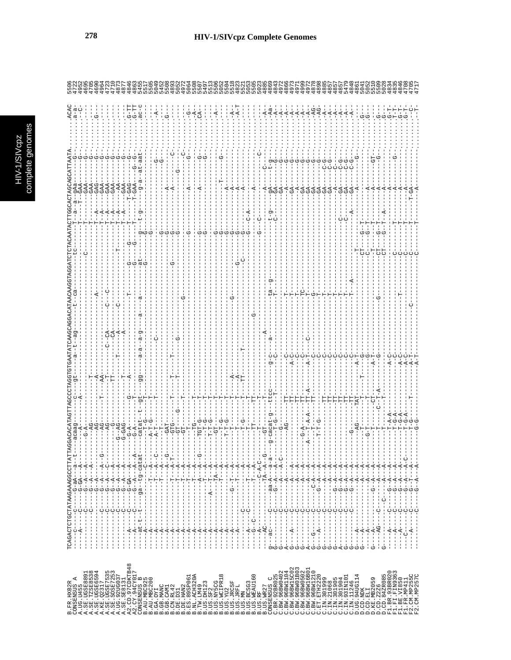| $-t-g-$<br><b>HHHHHHH</b><br>66<br>めめ<br>υυ<br>のひ<br>ပုံ ပုံ<br>탕<br>↵<br>ひ ひ は ひ<br><b>UCAACACACATAACATAACAA</b><br>$\frac{1}{\sigma}$<br>œ<br>-cacat<br>$-5 - 5$<br>$-9 - 1$<br>$\begin{array}{l} \texttt{TOAGACTGCTATAA} \texttt{AA} \texttt{AAGCTTATAA} \texttt{AAGCTTATTA} \texttt{AAGCTTATTA} \texttt{AA} \texttt{AA} \texttt{AA} \texttt{AA} \texttt{AA} \texttt{AA} \texttt{AA} \texttt{AA} \texttt{AA} \texttt{AA} \texttt{AA} \texttt{AA} \texttt{AA} \texttt{AA} \texttt{AA} \texttt{AA} \texttt{AA} \texttt{AA} \texttt{AA} \texttt{AA} \texttt{AA} \texttt{AA} \texttt{AA} \texttt{AA} \texttt{AA} \texttt{AA} \texttt{AA$<br>$A - A - G$<br>$\blacksquare$<br>$\blacksquare$<br>J.<br>$\mathbf{I}$<br>÷<br>-14<br>$\frac{1}{1}$<br>$\frac{1}{1}$<br>J.<br>÷<br>-<br>ŧ<br>$\blacksquare$<br>-1<br>÷<br>ŧ<br>п<br>ŧ<br>$\frac{1}{1}$<br>÷<br>RARAA<br>$\triangle$ $\triangle$<br>$\triangleleft$ $\triangleleft$<br>ΑA<br>$\triangleleft$ $\triangleleft$<br>$\triangle$ $\triangle$<br>A,<br>К<br>$\boldsymbol{\mathcal{A}}$<br>$A = -2$<br>$1 = -2$<br>Ť<br>Ť<br>Ť<br>HH<br>Ţ<br>÷<br>$\mathbf{I}$<br>п.<br>$\frac{1}{1}$<br>Τ.<br>$\mathbf{I}$<br>d, |
|---------------------------------------------------------------------------------------------------------------------------------------------------------------------------------------------------------------------------------------------------------------------------------------------------------------------------------------------------------------------------------------------------------------------------------------------------------------------------------------------------------------------------------------------------------------------------------------------------------------------------------------------------------------------------------------------------------------------------------------------------------------------------------------------------------------------------------------------------------------------------------------------------------------------------------------------------------------------------------------------------------------------------------------------------------------------------------------------------------------------------------------------------------------------|
| 十十<br>$\triangle$ $\triangle$<br>$\frac{1}{2}$                                                                                                                                                                                                                                                                                                                                                                                                                                                                                                                                                                                                                                                                                                                                                                                                                                                                                                                                                                                                                                                                                                                      |
|                                                                                                                                                                                                                                                                                                                                                                                                                                                                                                                                                                                                                                                                                                                                                                                                                                                                                                                                                                                                                                                                                                                                                                     |
|                                                                                                                                                                                                                                                                                                                                                                                                                                                                                                                                                                                                                                                                                                                                                                                                                                                                                                                                                                                                                                                                                                                                                                     |
|                                                                                                                                                                                                                                                                                                                                                                                                                                                                                                                                                                                                                                                                                                                                                                                                                                                                                                                                                                                                                                                                                                                                                                     |

 $\begin{smallmatrix} \texttt{R.HR} \\ \texttt{R.IRER} \\ \texttt{R.IRER} \\ \texttt{R.IRER} \\ \texttt{R.IRER} \\ \texttt{R.IRER} \\ \texttt{R.IRER} \\ \texttt{R.IRER} \\ \texttt{R.IRER} \\ \texttt{R.IRER} \\ \texttt{R.IRER} \\ \texttt{R.IRER} \\ \texttt{R.IRER} \\ \texttt{R.IRER} \\ \texttt{R.IRER} \\ \texttt{R.IRER} \\ \texttt{R.IRER} \\ \texttt{R.IRER} \\ \texttt{R.IRER} \\ \texttt{R.IRER} \\ \texttt{R.IRER} \\ \texttt{R$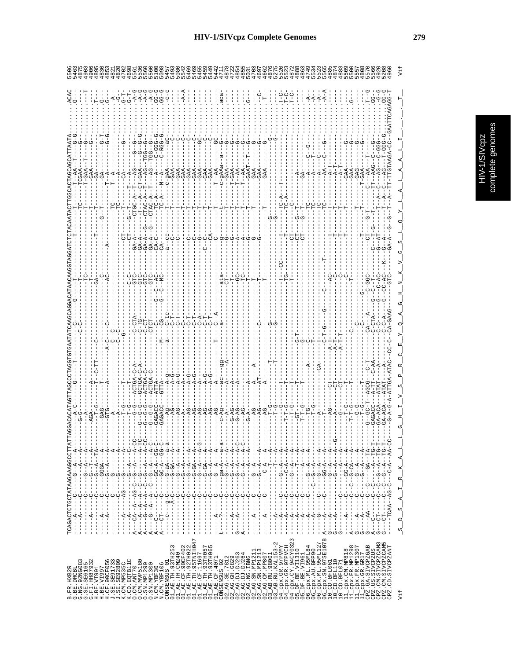|                                                                                                                                                                                                                                                                                                     |                                                                                                                                              | $\begin{bmatrix} \mathbf{A} & \mathbf{I} & \mathbf{I} & \mathbf{I} & \mathbf{I} \\ \mathbf{A} & \mathbf{I} & \mathbf{I} & \mathbf{I} & \mathbf{I} \end{bmatrix}$<br>$\begin{array}{c} 1 & 0 & 1 & 1 \\ 1 & 0 & 1 & 1 \\ 1 & 0 & 1 & 1 \end{array}$ | 0    <br>  U                                                                                                                                              | $\begin{bmatrix} 1 & 0 & 0 & 0 & 1 & 1 & 1 & 1 & 1 \\ 1 & 1 & 1 & 1 & 1 & 1 & 1 & 1 \\ 1 & 1 & 1 & 1 & 1 & 1 & 1 & 1 \\ 1 & 1 & 1 & 1 & 1 & 1 & 1 & 1 \end{bmatrix}$                         |                                                                                                                                       |
|-----------------------------------------------------------------------------------------------------------------------------------------------------------------------------------------------------------------------------------------------------------------------------------------------------|----------------------------------------------------------------------------------------------------------------------------------------------|----------------------------------------------------------------------------------------------------------------------------------------------------------------------------------------------------------------------------------------------------|-----------------------------------------------------------------------------------------------------------------------------------------------------------|----------------------------------------------------------------------------------------------------------------------------------------------------------------------------------------------|---------------------------------------------------------------------------------------------------------------------------------------|
|                                                                                                                                                                                                                                                                                                     |                                                                                                                                              |                                                                                                                                                                                                                                                    |                                                                                                                                                           |                                                                                                                                                                                              |                                                                                                                                       |
|                                                                                                                                                                                                                                                                                                     |                                                                                                                                              |                                                                                                                                                                                                                                                    |                                                                                                                                                           |                                                                                                                                                                                              |                                                                                                                                       |
|                                                                                                                                                                                                                                                                                                     |                                                                                                                                              |                                                                                                                                                                                                                                                    |                                                                                                                                                           |                                                                                                                                                                                              |                                                                                                                                       |
|                                                                                                                                                                                                                                                                                                     |                                                                                                                                              |                                                                                                                                                                                                                                                    |                                                                                                                                                           |                                                                                                                                                                                              |                                                                                                                                       |
|                                                                                                                                                                                                                                                                                                     |                                                                                                                                              |                                                                                                                                                                                                                                                    |                                                                                                                                                           |                                                                                                                                                                                              |                                                                                                                                       |
|                                                                                                                                                                                                                                                                                                     |                                                                                                                                              |                                                                                                                                                                                                                                                    |                                                                                                                                                           |                                                                                                                                                                                              |                                                                                                                                       |
|                                                                                                                                                                                                                                                                                                     |                                                                                                                                              |                                                                                                                                                                                                                                                    |                                                                                                                                                           |                                                                                                                                                                                              |                                                                                                                                       |
|                                                                                                                                                                                                                                                                                                     | 33332                                                                                                                                        |                                                                                                                                                                                                                                                    |                                                                                                                                                           |                                                                                                                                                                                              |                                                                                                                                       |
|                                                                                                                                                                                                                                                                                                     | 0 0 0<br>5 5<br>5 5                                                                                                                          |                                                                                                                                                                                                                                                    |                                                                                                                                                           |                                                                                                                                                                                              |                                                                                                                                       |
|                                                                                                                                                                                                                                                                                                     |                                                                                                                                              |                                                                                                                                                                                                                                                    |                                                                                                                                                           |                                                                                                                                                                                              |                                                                                                                                       |
|                                                                                                                                                                                                                                                                                                     |                                                                                                                                              |                                                                                                                                                                                                                                                    |                                                                                                                                                           |                                                                                                                                                                                              |                                                                                                                                       |
|                                                                                                                                                                                                                                                                                                     |                                                                                                                                              |                                                                                                                                                                                                                                                    |                                                                                                                                                           |                                                                                                                                                                                              |                                                                                                                                       |
|                                                                                                                                                                                                                                                                                                     |                                                                                                                                              |                                                                                                                                                                                                                                                    |                                                                                                                                                           |                                                                                                                                                                                              |                                                                                                                                       |
|                                                                                                                                                                                                                                                                                                     |                                                                                                                                              |                                                                                                                                                                                                                                                    |                                                                                                                                                           |                                                                                                                                                                                              |                                                                                                                                       |
|                                                                                                                                                                                                                                                                                                     |                                                                                                                                              |                                                                                                                                                                                                                                                    |                                                                                                                                                           |                                                                                                                                                                                              |                                                                                                                                       |
|                                                                                                                                                                                                                                                                                                     |                                                                                                                                              |                                                                                                                                                                                                                                                    |                                                                                                                                                           |                                                                                                                                                                                              |                                                                                                                                       |
|                                                                                                                                                                                                                                                                                                     |                                                                                                                                              |                                                                                                                                                                                                                                                    |                                                                                                                                                           |                                                                                                                                                                                              |                                                                                                                                       |
|                                                                                                                                                                                                                                                                                                     | $-a-a-$<br>J,                                                                                                                                | ā-ā<br>$A - G$<br>J<br>$A -$<br>$\overline{A}$                                                                                                                                                                                                     | $\,$ I<br>$\mathbf{I}$<br>$A -$<br>$A-C$<br>$A - C$<br>$\overline{A}$                                                                                     | やーー<br>$\overline{A}$                                                                                                                                                                        | $\,$ I<br>$\overline{1}$<br>$\mathsf I$<br>$AA-C$                                                                                     |
| $- - - A$<br>$- - T A$<br>Æ<br>$-1 - 2 - 4 - 5 - 5$<br>$-4$<br>$- - A$<br>$\vec{A}$<br>$\frac{1}{1}$<br>$\mathbf{I}$<br>$-1 - \frac{1}{n}$<br>$G - A$<br>$-4$<br>$- - A$<br>т                                                                                                                       | Æ<br>C)<br>-1<br>п<br>$G - A - -$<br>$G-GA -$<br>$-4$<br>$-4$<br>$-4$<br>$-4$                                                                | К<br>$\overline{A}$<br>K,<br>Æ<br>Æ<br>п<br>-<br>ш<br>ш<br>$G-GA-$<br>$G---A---$<br>$G-GA-$<br>$\mathbf{I}$<br>$G--A--$<br>$G - A$<br>K,<br>A                                                                                                      | Æ<br>К<br>Æ<br>Æ<br>ı<br>ш<br>J.<br>$\frac{1}{1}$<br>$\mathbf I$<br>$-4-7$<br>I.<br>К<br>К<br>Æ<br>$-C - A$<br>Н<br>Æ<br>K,<br>н<br>Ŧ<br>Ţ<br>Ť<br>т<br>ш | K,<br>K,<br>Æ<br>Æ<br>Æ<br>T<br>$\overline{\phantom{a}}$<br>т<br>л.<br>I<br>Æ<br>٣<br>K,<br>К<br>K,<br>$-4$<br>Æ<br>$\frac{1}{1}$                                                            | $-2-7C-7$<br>$-2-2-1$<br>$T - D T - -1$<br>$---T A -$<br>Æ<br>A<br>1<br>F<br>1<br>T<br>J,<br>$-6 - A - -$<br>$-4$<br>$-45 -$          |
| GGGA-<br>Ġ<br>Ġ<br>ひ<br>ひひ<br>ပု<br>п<br>J<br>1<br>J.                                                                                                                                                                                                                                               | $G - A$<br>$-GC - A$<br>$\frac{c}{1}$<br>$\frac{6}{1}$<br>ひ<br>ひ<br>$\frac{6}{1}$<br>Ī                                                       | $G - A$<br>÷<br>÷<br>Ů<br>ひ<br>J<br>J                                                                                                                                                                                                              | Ŧ<br>Ť<br>J.<br>ပုံ<br>ひ<br>ひ<br>Ġ٢<br>ひ<br>т<br>$\frac{1}{1}$<br>I<br>J.<br>$\mathbf{I}$<br>J.                                                           | $-5 - 7$ .<br>$-5 - 7$<br>$-5 - 7$<br>$-5 - 7$<br>$-55 -$<br>$-5 - -$<br>ł<br>$\frac{1}{5}$<br>÷<br>ن<br>ا<br>$-1 - 1 - -1$<br>т<br>ţ<br>I.<br>J<br>J<br>J.<br>I.<br>I<br>J.<br>$\mathbf{I}$ | - 40-9-1-0-1<br>$-66 - A$<br>$-9 - -1$<br>$ C - A$<br>ပုံ<br>$-1 - 1 - 1$<br>$-1$<br>J.<br>$\mathbf{I}$                               |
| $-1$ $-1$ $-1$ $-1$<br>$\frac{1}{1}$<br>$\frac{1}{1}$<br>1<br>$\frac{1}{1}$<br>Ť<br>л.<br>J.<br>п<br>$---AG$<br>$\,$ I<br>$\frac{1}{2}$<br>U<br>U<br>U<br>U<br>U<br>U                                                                                                                               | $-1 - G - A - A - C$<br>$-1 - G - A - A - C$<br>$\mathbf{I}$<br>$\frac{1}{2}$<br>U<br>U<br>Ť<br>ï<br>J.                                      | Ť<br>$\mathbf{I}$<br>т                                                                                                                                                                                                                             | $\frac{1}{1}$<br>$\frac{1}{1}$<br>ł<br>H<br>л.                                                                                                            | $\frac{1}{1}$<br>ţ<br>T<br>Ť<br>Ť<br>ł<br>T<br>п<br>$\blacksquare$<br>j.<br>U<br>U<br>ひひひ<br>U<br>U<br>÷<br>$\blacksquare$<br>п<br>п<br>т                                                    | ှု<br>၂<br>$AG-C$<br>$\frac{1}{1}$<br>Ť<br>ł<br>$\frac{1}{1}$<br>U<br>U<br>U<br>U<br>I<br>I<br>J.<br>J.<br>ı<br>ı                     |
| TCAGACTCCTATAAGAAAGCCTTAT<br>$- - A - -$<br>J.<br>$- -A -$<br>$\mathbf{I}$<br>$\blacksquare$<br>$-1$<br>$-4$<br>$-4$<br>K,<br>I.<br>T<br>J.                                                                                                                                                         | --CA--A--AG-C<br>---A--A--A--C<br>---G--A--A--C-<br>$\frac{1}{1}$<br>$- - \Gamma \Gamma - - -$<br>$\overline{1}$<br>$\frac{1}{2}$<br>Æ<br>J. | J.<br>$-1$<br>ᡣ.<br>Ţ<br>J.                                                                                                                                                                                                                        | $-1$<br>$-4$<br>$-1$<br>F<br>$-4$<br>1<br>т<br>п<br>$\mathsf I$                                                                                           | J.<br>$-4$<br>てり<br>$-4$<br>$-4$<br>К<br>Æ<br>К<br>Æ<br>$\overline{A}$<br>T<br>Ŧ<br>Ţ<br>$\mathbf{I}$<br>т<br>$\overline{\phantom{a}}$<br>-1                                                 | $-TCAA$<br>S<br>$-AA-$<br>$\blacksquare$<br>$-CT -$<br>К<br>5<br>$\vec{A}$<br>$\tilde{A}$<br>$\mathbf{I}$<br>$\frac{0}{1}$<br>т<br>J. |
| $\mathbf{I}$<br>$\overline{1}$<br>п                                                                                                                                                                                                                                                                 | $A = 12.78$ $A = 12.78$ $A = 12.78$ $A = 12.78$ $A = 12.78$ $A = 12.78$<br>J.<br>$\mathbf{I}$<br>J.<br>T<br>L.                               | J<br>$\blacksquare$                                                                                                                                                                                                                                | T<br>$\blacksquare$<br>$\overset{1}{\mathbb{C}}$<br>т<br>J.                                                                                               | T<br>J.<br>T<br>くいいひ                                                                                                                                                                         | $\blacksquare$<br>I.<br>T<br>$\blacksquare$<br>J.<br>T<br>J.<br>C)<br>т<br>п<br>⊄せせせ⊄せ<br>ひ<br>$\mathbb{I}$                           |
|                                                                                                                                                                                                                                                                                                     |                                                                                                                                              |                                                                                                                                                                                                                                                    |                                                                                                                                                           |                                                                                                                                                                                              |                                                                                                                                       |
| .HXB2R<br>DRCBL                                                                                                                                                                                                                                                                                     |                                                                                                                                              |                                                                                                                                                                                                                                                    |                                                                                                                                                           |                                                                                                                                                                                              |                                                                                                                                       |
| $\begin{array}{ll} \texttt{G.NGC} & \texttt{92NGO} \texttt{83} \\ \texttt{G. SIE. SIEG165} \\ \texttt{G. FIL. HIB7932} \\ \texttt{H. BIE. V1991} \\ \texttt{H. BE. V1991} \\ \texttt{H. CIF. 90CFD56} \\ \texttt{H. CIF. 90CFD56} \\ \texttt{H. CIF. 90CFD56} \end{array}$<br>.<br>ផល<br>ច្ច<br>ច្រ |                                                                                                                                              |                                                                                                                                                                                                                                                    |                                                                                                                                                           |                                                                                                                                                                                              | Ë                                                                                                                                     |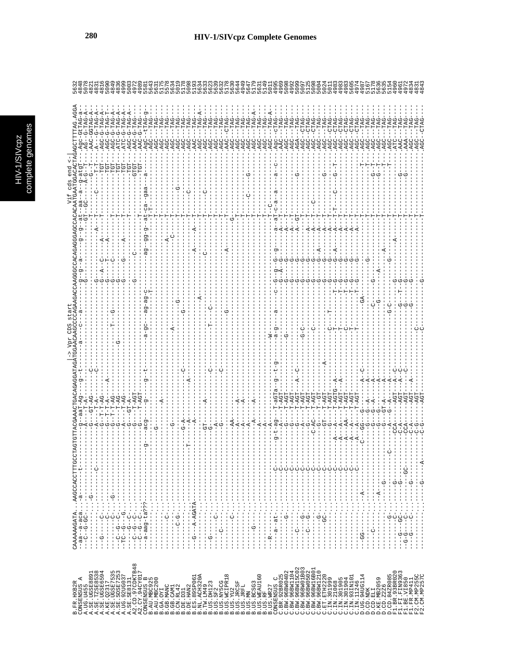complete genomes HIV-1/SIVcpz

| CAAAAAAGATAAAGCCACCTTTGC                                                                                                                                                                                                                                      |              | $BA-T-BG$              | ত        | ർ<br>έ<br>$\sigma$             | œ<br>ত    | $-aa$                         | الہ            |          |           |                            |
|---------------------------------------------------------------------------------------------------------------------------------------------------------------------------------------------------------------------------------------------------------------|--------------|------------------------|----------|--------------------------------|-----------|-------------------------------|----------------|----------|-----------|----------------------------|
|                                                                                                                                                                                                                                                               |              |                        |          |                                | Ծ         | U<br>5<br>ō<br>ס<br>ה         | $9 - atq$<br>ひ | ぴ        |           |                            |
| $\mathbf{I}$<br>T<br>$\frac{1}{2}$                                                                                                                                                                                                                            | ひ            | Á<br>シー                | U        |                                |           |                               |                | AC-GGTA  |           |                            |
|                                                                                                                                                                                                                                                               |              |                        |          |                                |           |                               |                |          |           | $\infty$ $\infty$ $\infty$ |
| $-1$ D $-1$<br>$\begin{array}{c} \begin{array}{c} \text{1} \\ \text{2} \\ \text{3} \\ \text{4} \end{array} \end{array}$<br>$\vdots$<br>J.<br>I<br>$\frac{1}{1}$<br>J<br>Ţ                                                                                     |              | É<br>ł                 |          |                                |           |                               | 부              | ڣ        | ά<br>Ř    |                            |
| $\frac{1}{1}$                                                                                                                                                                                                                                                 | ひ            | م<br>ا<br>$T-T$        |          |                                | U<br>也    |                               | TGT            | りしり      | $-TAG-$   |                            |
| $\frac{1}{1}$<br>I<br>í<br>$\frac{1}{1}$                                                                                                                                                                                                                      | U            | $\mathbf{I}$<br>H<br>H |          |                                | ט         |                               | 5P             | ပုံ      | ৬         | ◯                          |
| $\begin{array}{c}\n1 \\ 1 \\ 2 \\ 3\n\end{array}$                                                                                                                                                                                                             |              |                        |          |                                | U         |                               |                |          |           |                            |
| 1<br>$\frac{1}{1}$<br>$\frac{1}{2}$<br>-1                                                                                                                                                                                                                     |              | Ţ                      |          |                                |           |                               |                | ပု       | TAG-      | $\infty$                   |
| J<br>J<br>$\frac{1}{2}$                                                                                                                                                                                                                                       |              |                        |          |                                |           |                               | 5              | ပု       | $-TAG-$   | $\infty$                   |
| I<br>ì<br>I                                                                                                                                                                                                                                                   |              | ŗ                      |          |                                | C         |                               |                |          | $-G-TAG-$ | $\sigma$                   |
| $\frac{1}{1}$                                                                                                                                                                                                                                                 |              |                        |          |                                |           |                               |                |          | GC-G-TAG- |                            |
| Ţ                                                                                                                                                                                                                                                             |              | $T - \lambda$          |          |                                |           |                               | 5              |          | $-G-TAG$  | $\sigma$                   |
|                                                                                                                                                                                                                                                               |              |                        | LAC<br>- |                                |           |                               | $-TTGT$        | AC-G-TAG |           |                            |
|                                                                                                                                                                                                                                                               |              |                        |          |                                |           |                               |                |          |           | നഥ                         |
|                                                                                                                                                                                                                                                               |              |                        |          | Ο<br>তা<br><b>Q</b><br>ᡃᡉ<br>œ | ਨਾ        | তা<br>δï                      |                |          | ά         |                            |
| $\vdots$                                                                                                                                                                                                                                                      |              |                        |          |                                |           |                               |                |          |           | <b>LO</b>                  |
| $\vdots$<br>I<br>ï<br>$\begin{array}{c} 1 \\ 1 \\ 1 \end{array}$<br>J<br>I<br>I                                                                                                                                                                               |              |                        |          |                                |           |                               |                |          |           | ıο                         |
| $\frac{1}{1}$                                                                                                                                                                                                                                                 |              |                        |          |                                |           |                               |                |          | Ŕ         |                            |
| $-1 - 1 - 1 - 1$<br>I<br>I                                                                                                                                                                                                                                    |              |                        |          |                                |           |                               |                |          |           |                            |
| $\ddot{\cdot}$                                                                                                                                                                                                                                                |              |                        |          |                                |           |                               |                |          |           |                            |
| Т<br>$\frac{1}{1}$<br>$\mathbf{I}$<br>$\frac{1}{2}$                                                                                                                                                                                                           |              |                        |          |                                |           |                               |                |          |           |                            |
| $\frac{1}{1}$ $\frac{1}{1}$ $\frac{1}{1}$ $\frac{1}{1}$ $\frac{1}{1}$ $\frac{1}{1}$ $\frac{1}{1}$ $\frac{1}{1}$ $\frac{1}{1}$ $\frac{1}{1}$<br>J.                                                                                                             |              |                        |          |                                |           |                               |                |          |           |                            |
|                                                                                                                                                                                                                                                               |              |                        |          |                                |           |                               |                |          |           |                            |
| т<br>I<br>I<br>ı<br>u<br>J<br>J                                                                                                                                                                                                                               |              |                        |          |                                |           |                               |                |          |           |                            |
| I.                                                                                                                                                                                                                                                            |              |                        |          |                                |           |                               |                |          |           |                            |
| $- -G - - -A - AGATA -$                                                                                                                                                                                                                                       |              |                        |          |                                |           |                               |                |          |           |                            |
| $\frac{1}{1}$<br>ţ                                                                                                                                                                                                                                            |              |                        |          |                                |           |                               |                |          | $-54$     |                            |
| I<br>I<br>$\vdots$                                                                                                                                                                                                                                            |              |                        |          |                                |           |                               |                |          | ひ         |                            |
|                                                                                                                                                                                                                                                               |              |                        |          |                                |           |                               |                |          |           |                            |
| $\frac{1}{1}$                                                                                                                                                                                                                                                 |              |                        |          |                                |           |                               |                |          |           | 5U                         |
|                                                                                                                                                                                                                                                               |              |                        |          |                                |           |                               |                |          | Ů         | LΟ                         |
| $-1$ $-1$ $-1$ $-1$ $-1$                                                                                                                                                                                                                                      |              |                        |          |                                |           |                               |                |          | TAG-      |                            |
| $\frac{1}{1}$<br>Í<br>ı<br>J.<br>I<br>J                                                                                                                                                                                                                       |              |                        |          |                                |           |                               |                |          |           |                            |
| $-1 - 1 - 1 - 1$<br>J.                                                                                                                                                                                                                                        |              |                        |          |                                |           |                               |                |          |           |                            |
|                                                                                                                                                                                                                                                               |              |                        |          |                                |           |                               |                |          |           |                            |
| п                                                                                                                                                                                                                                                             |              |                        |          |                                |           |                               |                |          |           |                            |
| $\frac{1}{1}$<br>ш                                                                                                                                                                                                                                            |              |                        |          |                                |           |                               |                |          |           |                            |
| I<br>J<br>J,<br>J<br>H                                                                                                                                                                                                                                        |              |                        |          |                                |           |                               |                |          |           |                            |
| I<br>$-1$ - $-1$ - $-1$                                                                                                                                                                                                                                       |              |                        |          |                                |           |                               |                |          |           |                            |
|                                                                                                                                                                                                                                                               |              |                        |          |                                |           |                               |                |          | Ġ<br>R    |                            |
|                                                                                                                                                                                                                                                               |              |                        |          |                                |           |                               |                |          |           |                            |
| I<br>J                                                                                                                                                                                                                                                        |              |                        |          |                                |           |                               |                |          | TAG-      |                            |
| $\begin{bmatrix} 1 \\ 1 \\ 1 \end{bmatrix}$<br>$- - -R - - - - - - -$                                                                                                                                                                                         |              |                        |          |                                |           |                               |                |          | TAG-      |                            |
| U<br>$-3 = -8 -$<br>$\frac{1}{1}$                                                                                                                                                                                                                             |              |                        | Č٥       |                                | てり<br>তা  | ൯<br>U<br>൯<br>φ              |                |          | Ů<br>CTA  |                            |
| л<br>I<br>$\frac{1}{1}$                                                                                                                                                                                                                                       |              |                        | ä.       |                                | ₫         | 4                             |                |          | TAG-      |                            |
| $\begin{array}{c} 1 \\ 0 \\ 1 \end{array}$<br>J<br>$-5$<br>I                                                                                                                                                                                                  |              |                        | AGT      |                                |           | 4                             |                |          |           |                            |
| J,<br>U<br>J.<br>$\frac{1}{1}$<br>J                                                                                                                                                                                                                           |              |                        |          |                                |           | K,                            |                |          |           |                            |
|                                                                                                                                                                                                                                                               |              |                        |          |                                |           |                               |                |          |           |                            |
| Ţ<br>J<br>п<br>I<br>$-1$                                                                                                                                                                                                                                      |              |                        | ق        |                                |           | 5<br>I.<br>k,                 | ひ              |          |           |                            |
| $-10 - 1 - 1 - 1$<br>Ţ<br>п                                                                                                                                                                                                                                   |              |                        |          |                                |           |                               |                |          |           |                            |
| I<br>í<br>J<br>J.                                                                                                                                                                                                                                             |              |                        |          |                                |           | 4                             |                |          |           |                            |
| J.<br>J.                                                                                                                                                                                                                                                      |              |                        |          |                                |           | K,                            |                |          |           |                            |
| ł<br>$\frac{1}{2}$<br>Í<br>ì<br>$\begin{array}{c} -1 \\ -1 \\ -1 \end{array}$<br>ţ<br>J                                                                                                                                                                       |              |                        |          |                                | К<br>てり   |                               |                |          |           |                            |
|                                                                                                                                                                                                                                                               |              |                        |          |                                |           | $\overline{A}$                |                |          |           |                            |
| ì<br>I<br>$-90-1$<br>I<br>I<br>Ţ                                                                                                                                                                                                                              |              | $\blacksquare$         | ĀG       |                                | てり        |                               |                |          |           |                            |
| $\frac{1}{1}$<br>$\mathbf{I}$<br>$\begin{array}{c} 1 \\ 1 \\ 1 \end{array}$                                                                                                                                                                                   |              |                        |          |                                |           |                               |                |          |           |                            |
| Î<br>J<br>I<br>H<br>ı<br>$\mathbf{I}$<br>I<br>H                                                                                                                                                                                                               |              |                        | $-AGT$   |                                | Ķ<br>てりてり | $\overline{A}$ $\overline{A}$ | н<br>ひ         |          |           |                            |
|                                                                                                                                                                                                                                                               |              |                        | $-AGT$   |                                | てり        | Ŕ,                            |                |          | Ř         |                            |
| í<br>ļ<br>J<br>J<br>J<br>I                                                                                                                                                                                                                                    |              |                        |          | C)                             | てり        | k,                            |                |          |           |                            |
| $\begin{array}{cccc} &   &   &   \\   &   &   &   \\   &   &   &   \end{array}$<br>$\frac{1}{1}$<br>J<br>$\begin{array}{c} 1 \\ 1 \\ 1 \end{array}$                                                                                                           |              |                        |          |                                |           |                               |                |          |           |                            |
|                                                                                                                                                                                                                                                               |              |                        |          |                                |           |                               |                |          |           |                            |
| $-1$ - $-1$ - $-1$ - $-1$ - $-1$ - $-1$ - $-1$ - $-1$ - $-1$ - $-1$ - $-1$ - $-1$ - $-1$ - $-1$ - $-1$ - $-1$ - $-1$ - $-1$ - $-1$ - $-1$ - $-1$ - $-1$ - $-1$ - $-1$ - $-1$ - $-1$ - $-1$ - $-1$ - $-1$ - $-1$ - $-1$ - $-1$<br>J<br>I<br>Í,<br>I<br>J,<br>J |              |                        |          |                                |           |                               |                |          |           |                            |
| I.<br>$\cdots$ - $-4$<br>$\frac{1}{2}$                                                                                                                                                                                                                        |              | U                      | Æ        | $-GA$                          |           |                               |                |          |           |                            |
| ì<br>$\frac{1}{1}$<br>$\frac{1}{2}$<br>п<br>$-1$ $-1$ $-1$ $-1$ $-1$ $-1$ $-1$ $-1$<br>п                                                                                                                                                                      |              | ひ                      | K,       |                                |           |                               | н              |          |           |                            |
| ł<br>$\frac{1}{1}$<br>$\frac{1}{2}$<br>$\cdot$<br>J<br>$\frac{1}{1}$                                                                                                                                                                                          |              | ひ                      |          |                                |           |                               | ь<br>でり        |          |           |                            |
| т<br>$-4$<br>I<br>í<br>ı<br>J                                                                                                                                                                                                                                 |              | ひ                      |          | ひ                              |           |                               | н<br>Ů         |          |           |                            |
| I<br>-<br>-ט-<br>$\frac{1}{1}$<br>J<br>I<br>I<br>I                                                                                                                                                                                                            |              | $A-TD$                 |          |                                |           |                               |                |          |           |                            |
|                                                                                                                                                                                                                                                               |              |                        |          |                                |           |                               |                |          |           |                            |
| л<br>í<br>$\frac{1}{1}$                                                                                                                                                                                                                                       |              | ひ                      |          |                                |           |                               |                |          |           |                            |
|                                                                                                                                                                                                                                                               |              |                        | O        |                                |           |                               |                |          |           |                            |
|                                                                                                                                                                                                                                                               |              |                        | U<br>ă   | Е<br>ひ                         |           |                               | C٦             |          |           |                            |
| $-1$<br>$-1$<br>$-1$<br>$-1$<br>$-1$<br>Í<br>I,                                                                                                                                                                                                               | $\mathbf{I}$ |                        |          | τŋ                             |           |                               | c              |          |           |                            |
|                                                                                                                                                                                                                                                               |              |                        |          |                                |           |                               |                |          |           |                            |
| I<br>I<br>J<br>í                                                                                                                                                                                                                                              |              |                        |          |                                |           |                               |                |          |           |                            |
|                                                                                                                                                                                                                                                               |              |                        |          |                                |           |                               |                |          |           |                            |
|                                                                                                                                                                                                                                                               |              |                        |          |                                |           |                               |                |          |           |                            |

 $\begin{smallmatrix} \texttt{R}, \texttt{HKB} \\ \texttt{R}, \texttt{G}, \texttt{G}, \texttt{G}, \texttt{G}, \texttt{G}, \texttt{G}, \texttt{G}, \texttt{G}, \texttt{G}, \texttt{G}, \texttt{G}, \texttt{G}, \texttt{G}, \texttt{G}, \texttt{G}, \texttt{G}, \texttt{G}, \texttt{G}, \texttt{G}, \texttt{G}, \texttt{G}, \texttt{G}, \texttt{G}, \texttt{G}, \texttt{G}, \texttt{G}, \texttt{G}, \texttt{G}, \texttt{G}, \texttt{G}, \texttt{G}, \texttt{G}, \text$ 

**HIV-1/SIVcpz Complete Genomes**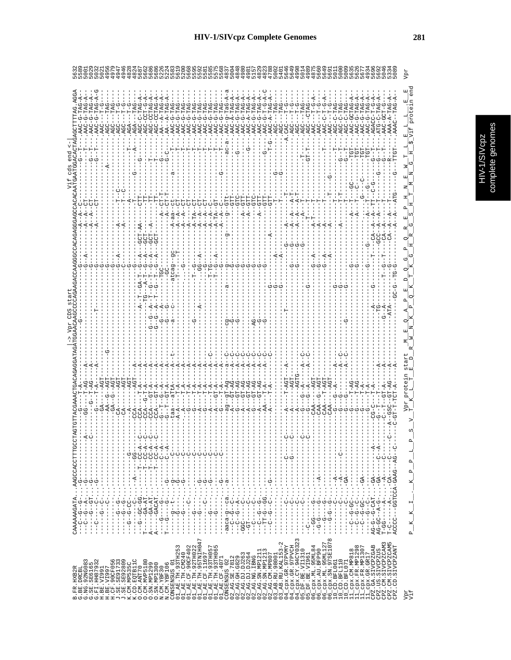| $-1 - 2 - 3 - 4 - 1$<br>т<br>п<br>$-1 - 1 - 1 - 1 - 1$<br>$-4$<br>$-4$<br>I<br>$-1$<br>$\frac{1}{2}$<br>က်<br>မိုက်<br>မို<br>$\frac{1}{1}$<br>$\frac{1}{2}$ , $\frac{1}{2}$ , $\frac{1}{2}$ , $\frac{1}{2}$ , $\frac{1}{2}$ , $\frac{1}{2}$ , $\frac{1}{2}$<br>ုံ ပုံ<br>$\frac{1}{2}$<br>$\frac{1}{2}$<br>$\begin{array}{c}\n0 \\ 1\n\end{array}$<br>$\frac{C}{1}$<br>$\overline{\phantom{a}}$<br>$\blacksquare$<br>I<br>J<br>I<br>J<br>I<br>Ϋ́<br>U<br> <br>ပု<br>$\frac{C}{1}$<br>Í<br>ı<br>$\mathbf{I}$<br>$\mathbf{I}$<br>1<br>H<br>п<br>J.<br>$\mathbf I$<br>$\mathbf{I}$<br>$\frac{1}{1}$<br>ı<br>u<br>I<br>t<br>$-4-$<br>п<br>1<br>J.<br>u<br>I<br>$\frac{1}{1}$<br>$\frac{1}{9}$<br>I<br>$\mathbf{I}$<br>$\frac{1}{1}$<br>J<br>I<br>$\mathbf{I}$<br>I<br>ပ္ပံ<br>$\frac{1}{\sigma}$<br>I<br>$- - A$<br>$- - A$<br>$-1$<br>$-GA$<br>$\overline{\phantom{a}}$<br>$-GA$<br>$\ddot{B}$<br>$-GA$<br>$-4$<br>I<br>п<br>ပုံ<br>نې<br>.<br>יָט<br>י<br>י"<br>י<br>ġ<br>ပု<br>$\frac{1}{\sqrt{2}}$<br>ပု<br>J.<br>ţ<br>ပု<br>п<br>п<br>л<br>п<br>$\frac{1}{1}$<br>Ţ<br>п<br>п<br>т<br>J.<br>$\vdots$<br>ţ<br>$\ddot{\cdot}$<br>$\vdots$<br>Ì<br>$\vdots$<br>$-9 - 1$<br>----GA-AT.<br>---GA-AT.<br>$\frac{1}{6}$<br>$-1 - 5 - -1 -$<br>$-4 -$<br>$-1 - 5 - 1 - 5 - 1$<br>-GACAT<br>$\mathsf I$<br>$\sum_{i=1}^{n}$<br>ರ<br>---ದ<br>$-4 - 5 - -4 -$<br>$\sum_{i=1}^{n}$<br>$\mathsf I$<br>$\mathsf I$<br>$\mathbf{I}$<br>1<br>もーー<br>$\begin{array}{c} 1 \\ 0 \\ 1 \end{array}$<br>$-9 - -9 -$<br>$\begin{array}{c} 1 \\ 1 \\ 1 \end{array}$<br>$-1$<br>-5-5-5-5-<br>$-5-5-5-$<br>$-9 - -9 - -9 -$<br>ن<br>ا<br>$\frac{1}{2}$<br>Ü<br>ひ<br>U--U-U--<br>$\frac{1}{2}$<br>U<br> <br>$\frac{1}{1}$<br>$\frac{1}{1}$<br>$\frac{1}{2}$<br>U<br>U<br>ひ<br>U<br>UU-U-<br>$-1 - 5 - 1$<br>U – – – – –<br>$AG-GC - A - G$<br>$---A$<br>I<br>$-1$<br>↻<br>U<br>$-1 - 1 - 1 - 1 - 1 - 1$<br>$\frac{1}{1}$<br>$\frac{1}{1}$<br>$-5 -$<br>$\frac{1}{6}$<br>I<br>ł<br>Ť<br>$\frac{1}{1}$<br>Ť<br>Ť<br>J<br>$\frac{1}{1}$<br>I<br>$\overline{\phantom{a}}$<br>ن<br>۱<br>Φ<br>Ů<br>ひ<br>ï<br>$-9 - -$<br>Ü<br>ひ<br>$-5 - -2 - - -$<br>-- 111-1<br>1<br>п<br>J.<br>ī<br>$\frac{1}{6}$<br>T<br>Ĭ<br>Ţ<br>$-5 - 5 -$<br>$T-GG--$<br>J<br>I<br>$\frac{1}{1}$<br>$\overline{\phantom{a}}$<br>ţ<br>J.<br>--<br>UUC--<br>$-GT - -$<br>$\mathbb{I}$<br>$-1$<br>I<br>I<br>I<br>$\mathbf{I}$<br>J,<br>$AG-G-$<br>$\frac{1}{2}$<br>1<br>$\mathbf{I}$<br>J.<br>$\Gamma$<br>$\frac{1}{2}$<br>$\overline{\phantom{a}}$<br>ပု<br>$-1$<br>p<br>т<br>L.<br>İ<br>1<br>$\frac{1}{1}$<br>п<br>т<br>п<br>1<br>J.<br>$\frac{1}{1}$<br>п<br>ï<br>Ť.<br>Ť<br>$\mathbf{I}$<br>ပုံ<br>Ĵ<br>I.<br>ı<br>1<br>$\overline{\phantom{a}}$<br>п<br>J.<br>I<br>J.<br>J.<br>$\,$ I<br>$\mathbf{I}$<br>Ţ<br>Н<br>К<br>К<br>Н<br>$\mathbf{I}$<br>п<br>$^{\circ}$<br>CHE CRACK SECTION<br>CP2 . US. SIVCPZUS<br>CP2 . CM . SIVCPZUS<br>CP2 . CM . SIVCPZCAM3<br>CP2 . CD. SIVCPZCAMT |  |  |  |       |
|--------------------------------------------------------------------------------------------------------------------------------------------------------------------------------------------------------------------------------------------------------------------------------------------------------------------------------------------------------------------------------------------------------------------------------------------------------------------------------------------------------------------------------------------------------------------------------------------------------------------------------------------------------------------------------------------------------------------------------------------------------------------------------------------------------------------------------------------------------------------------------------------------------------------------------------------------------------------------------------------------------------------------------------------------------------------------------------------------------------------------------------------------------------------------------------------------------------------------------------------------------------------------------------------------------------------------------------------------------------------------------------------------------------------------------------------------------------------------------------------------------------------------------------------------------------------------------------------------------------------------------------------------------------------------------------------------------------------------------------------------------------------------------------------------------------------------------------------------------------------------------------------------------------------------------------------------------------------------------------------------------------------------------------------------------------------------------------------------------------------------------------------------------------------------------------------------------------------------------------------------------------------------------------------------------------------------------------------------------------------------------------------------------------------------------------------------------------------------------------------------------------------------------------------------------------------------------------------------------------------------------------------------------------------------------------------------------------------------------------------------------------------------------------------------------------------------------------------------------------------------------------------------------------------------------|--|--|--|-------|
|                                                                                                                                                                                                                                                                                                                                                                                                                                                                                                                                                                                                                                                                                                                                                                                                                                                                                                                                                                                                                                                                                                                                                                                                                                                                                                                                                                                                                                                                                                                                                                                                                                                                                                                                                                                                                                                                                                                                                                                                                                                                                                                                                                                                                                                                                                                                                                                                                                                                                                                                                                                                                                                                                                                                                                                                                                                                                                                                |  |  |  |       |
|                                                                                                                                                                                                                                                                                                                                                                                                                                                                                                                                                                                                                                                                                                                                                                                                                                                                                                                                                                                                                                                                                                                                                                                                                                                                                                                                                                                                                                                                                                                                                                                                                                                                                                                                                                                                                                                                                                                                                                                                                                                                                                                                                                                                                                                                                                                                                                                                                                                                                                                                                                                                                                                                                                                                                                                                                                                                                                                                |  |  |  |       |
|                                                                                                                                                                                                                                                                                                                                                                                                                                                                                                                                                                                                                                                                                                                                                                                                                                                                                                                                                                                                                                                                                                                                                                                                                                                                                                                                                                                                                                                                                                                                                                                                                                                                                                                                                                                                                                                                                                                                                                                                                                                                                                                                                                                                                                                                                                                                                                                                                                                                                                                                                                                                                                                                                                                                                                                                                                                                                                                                |  |  |  |       |
|                                                                                                                                                                                                                                                                                                                                                                                                                                                                                                                                                                                                                                                                                                                                                                                                                                                                                                                                                                                                                                                                                                                                                                                                                                                                                                                                                                                                                                                                                                                                                                                                                                                                                                                                                                                                                                                                                                                                                                                                                                                                                                                                                                                                                                                                                                                                                                                                                                                                                                                                                                                                                                                                                                                                                                                                                                                                                                                                |  |  |  |       |
|                                                                                                                                                                                                                                                                                                                                                                                                                                                                                                                                                                                                                                                                                                                                                                                                                                                                                                                                                                                                                                                                                                                                                                                                                                                                                                                                                                                                                                                                                                                                                                                                                                                                                                                                                                                                                                                                                                                                                                                                                                                                                                                                                                                                                                                                                                                                                                                                                                                                                                                                                                                                                                                                                                                                                                                                                                                                                                                                |  |  |  |       |
|                                                                                                                                                                                                                                                                                                                                                                                                                                                                                                                                                                                                                                                                                                                                                                                                                                                                                                                                                                                                                                                                                                                                                                                                                                                                                                                                                                                                                                                                                                                                                                                                                                                                                                                                                                                                                                                                                                                                                                                                                                                                                                                                                                                                                                                                                                                                                                                                                                                                                                                                                                                                                                                                                                                                                                                                                                                                                                                                |  |  |  |       |
|                                                                                                                                                                                                                                                                                                                                                                                                                                                                                                                                                                                                                                                                                                                                                                                                                                                                                                                                                                                                                                                                                                                                                                                                                                                                                                                                                                                                                                                                                                                                                                                                                                                                                                                                                                                                                                                                                                                                                                                                                                                                                                                                                                                                                                                                                                                                                                                                                                                                                                                                                                                                                                                                                                                                                                                                                                                                                                                                |  |  |  |       |
|                                                                                                                                                                                                                                                                                                                                                                                                                                                                                                                                                                                                                                                                                                                                                                                                                                                                                                                                                                                                                                                                                                                                                                                                                                                                                                                                                                                                                                                                                                                                                                                                                                                                                                                                                                                                                                                                                                                                                                                                                                                                                                                                                                                                                                                                                                                                                                                                                                                                                                                                                                                                                                                                                                                                                                                                                                                                                                                                |  |  |  |       |
|                                                                                                                                                                                                                                                                                                                                                                                                                                                                                                                                                                                                                                                                                                                                                                                                                                                                                                                                                                                                                                                                                                                                                                                                                                                                                                                                                                                                                                                                                                                                                                                                                                                                                                                                                                                                                                                                                                                                                                                                                                                                                                                                                                                                                                                                                                                                                                                                                                                                                                                                                                                                                                                                                                                                                                                                                                                                                                                                |  |  |  |       |
|                                                                                                                                                                                                                                                                                                                                                                                                                                                                                                                                                                                                                                                                                                                                                                                                                                                                                                                                                                                                                                                                                                                                                                                                                                                                                                                                                                                                                                                                                                                                                                                                                                                                                                                                                                                                                                                                                                                                                                                                                                                                                                                                                                                                                                                                                                                                                                                                                                                                                                                                                                                                                                                                                                                                                                                                                                                                                                                                |  |  |  |       |
|                                                                                                                                                                                                                                                                                                                                                                                                                                                                                                                                                                                                                                                                                                                                                                                                                                                                                                                                                                                                                                                                                                                                                                                                                                                                                                                                                                                                                                                                                                                                                                                                                                                                                                                                                                                                                                                                                                                                                                                                                                                                                                                                                                                                                                                                                                                                                                                                                                                                                                                                                                                                                                                                                                                                                                                                                                                                                                                                |  |  |  |       |
|                                                                                                                                                                                                                                                                                                                                                                                                                                                                                                                                                                                                                                                                                                                                                                                                                                                                                                                                                                                                                                                                                                                                                                                                                                                                                                                                                                                                                                                                                                                                                                                                                                                                                                                                                                                                                                                                                                                                                                                                                                                                                                                                                                                                                                                                                                                                                                                                                                                                                                                                                                                                                                                                                                                                                                                                                                                                                                                                |  |  |  |       |
|                                                                                                                                                                                                                                                                                                                                                                                                                                                                                                                                                                                                                                                                                                                                                                                                                                                                                                                                                                                                                                                                                                                                                                                                                                                                                                                                                                                                                                                                                                                                                                                                                                                                                                                                                                                                                                                                                                                                                                                                                                                                                                                                                                                                                                                                                                                                                                                                                                                                                                                                                                                                                                                                                                                                                                                                                                                                                                                                |  |  |  |       |
|                                                                                                                                                                                                                                                                                                                                                                                                                                                                                                                                                                                                                                                                                                                                                                                                                                                                                                                                                                                                                                                                                                                                                                                                                                                                                                                                                                                                                                                                                                                                                                                                                                                                                                                                                                                                                                                                                                                                                                                                                                                                                                                                                                                                                                                                                                                                                                                                                                                                                                                                                                                                                                                                                                                                                                                                                                                                                                                                |  |  |  |       |
|                                                                                                                                                                                                                                                                                                                                                                                                                                                                                                                                                                                                                                                                                                                                                                                                                                                                                                                                                                                                                                                                                                                                                                                                                                                                                                                                                                                                                                                                                                                                                                                                                                                                                                                                                                                                                                                                                                                                                                                                                                                                                                                                                                                                                                                                                                                                                                                                                                                                                                                                                                                                                                                                                                                                                                                                                                                                                                                                |  |  |  |       |
|                                                                                                                                                                                                                                                                                                                                                                                                                                                                                                                                                                                                                                                                                                                                                                                                                                                                                                                                                                                                                                                                                                                                                                                                                                                                                                                                                                                                                                                                                                                                                                                                                                                                                                                                                                                                                                                                                                                                                                                                                                                                                                                                                                                                                                                                                                                                                                                                                                                                                                                                                                                                                                                                                                                                                                                                                                                                                                                                |  |  |  |       |
|                                                                                                                                                                                                                                                                                                                                                                                                                                                                                                                                                                                                                                                                                                                                                                                                                                                                                                                                                                                                                                                                                                                                                                                                                                                                                                                                                                                                                                                                                                                                                                                                                                                                                                                                                                                                                                                                                                                                                                                                                                                                                                                                                                                                                                                                                                                                                                                                                                                                                                                                                                                                                                                                                                                                                                                                                                                                                                                                |  |  |  |       |
|                                                                                                                                                                                                                                                                                                                                                                                                                                                                                                                                                                                                                                                                                                                                                                                                                                                                                                                                                                                                                                                                                                                                                                                                                                                                                                                                                                                                                                                                                                                                                                                                                                                                                                                                                                                                                                                                                                                                                                                                                                                                                                                                                                                                                                                                                                                                                                                                                                                                                                                                                                                                                                                                                                                                                                                                                                                                                                                                |  |  |  |       |
|                                                                                                                                                                                                                                                                                                                                                                                                                                                                                                                                                                                                                                                                                                                                                                                                                                                                                                                                                                                                                                                                                                                                                                                                                                                                                                                                                                                                                                                                                                                                                                                                                                                                                                                                                                                                                                                                                                                                                                                                                                                                                                                                                                                                                                                                                                                                                                                                                                                                                                                                                                                                                                                                                                                                                                                                                                                                                                                                |  |  |  |       |
|                                                                                                                                                                                                                                                                                                                                                                                                                                                                                                                                                                                                                                                                                                                                                                                                                                                                                                                                                                                                                                                                                                                                                                                                                                                                                                                                                                                                                                                                                                                                                                                                                                                                                                                                                                                                                                                                                                                                                                                                                                                                                                                                                                                                                                                                                                                                                                                                                                                                                                                                                                                                                                                                                                                                                                                                                                                                                                                                |  |  |  |       |
|                                                                                                                                                                                                                                                                                                                                                                                                                                                                                                                                                                                                                                                                                                                                                                                                                                                                                                                                                                                                                                                                                                                                                                                                                                                                                                                                                                                                                                                                                                                                                                                                                                                                                                                                                                                                                                                                                                                                                                                                                                                                                                                                                                                                                                                                                                                                                                                                                                                                                                                                                                                                                                                                                                                                                                                                                                                                                                                                |  |  |  |       |
|                                                                                                                                                                                                                                                                                                                                                                                                                                                                                                                                                                                                                                                                                                                                                                                                                                                                                                                                                                                                                                                                                                                                                                                                                                                                                                                                                                                                                                                                                                                                                                                                                                                                                                                                                                                                                                                                                                                                                                                                                                                                                                                                                                                                                                                                                                                                                                                                                                                                                                                                                                                                                                                                                                                                                                                                                                                                                                                                |  |  |  |       |
|                                                                                                                                                                                                                                                                                                                                                                                                                                                                                                                                                                                                                                                                                                                                                                                                                                                                                                                                                                                                                                                                                                                                                                                                                                                                                                                                                                                                                                                                                                                                                                                                                                                                                                                                                                                                                                                                                                                                                                                                                                                                                                                                                                                                                                                                                                                                                                                                                                                                                                                                                                                                                                                                                                                                                                                                                                                                                                                                |  |  |  |       |
|                                                                                                                                                                                                                                                                                                                                                                                                                                                                                                                                                                                                                                                                                                                                                                                                                                                                                                                                                                                                                                                                                                                                                                                                                                                                                                                                                                                                                                                                                                                                                                                                                                                                                                                                                                                                                                                                                                                                                                                                                                                                                                                                                                                                                                                                                                                                                                                                                                                                                                                                                                                                                                                                                                                                                                                                                                                                                                                                |  |  |  |       |
|                                                                                                                                                                                                                                                                                                                                                                                                                                                                                                                                                                                                                                                                                                                                                                                                                                                                                                                                                                                                                                                                                                                                                                                                                                                                                                                                                                                                                                                                                                                                                                                                                                                                                                                                                                                                                                                                                                                                                                                                                                                                                                                                                                                                                                                                                                                                                                                                                                                                                                                                                                                                                                                                                                                                                                                                                                                                                                                                |  |  |  |       |
|                                                                                                                                                                                                                                                                                                                                                                                                                                                                                                                                                                                                                                                                                                                                                                                                                                                                                                                                                                                                                                                                                                                                                                                                                                                                                                                                                                                                                                                                                                                                                                                                                                                                                                                                                                                                                                                                                                                                                                                                                                                                                                                                                                                                                                                                                                                                                                                                                                                                                                                                                                                                                                                                                                                                                                                                                                                                                                                                |  |  |  |       |
|                                                                                                                                                                                                                                                                                                                                                                                                                                                                                                                                                                                                                                                                                                                                                                                                                                                                                                                                                                                                                                                                                                                                                                                                                                                                                                                                                                                                                                                                                                                                                                                                                                                                                                                                                                                                                                                                                                                                                                                                                                                                                                                                                                                                                                                                                                                                                                                                                                                                                                                                                                                                                                                                                                                                                                                                                                                                                                                                |  |  |  |       |
|                                                                                                                                                                                                                                                                                                                                                                                                                                                                                                                                                                                                                                                                                                                                                                                                                                                                                                                                                                                                                                                                                                                                                                                                                                                                                                                                                                                                                                                                                                                                                                                                                                                                                                                                                                                                                                                                                                                                                                                                                                                                                                                                                                                                                                                                                                                                                                                                                                                                                                                                                                                                                                                                                                                                                                                                                                                                                                                                |  |  |  |       |
|                                                                                                                                                                                                                                                                                                                                                                                                                                                                                                                                                                                                                                                                                                                                                                                                                                                                                                                                                                                                                                                                                                                                                                                                                                                                                                                                                                                                                                                                                                                                                                                                                                                                                                                                                                                                                                                                                                                                                                                                                                                                                                                                                                                                                                                                                                                                                                                                                                                                                                                                                                                                                                                                                                                                                                                                                                                                                                                                |  |  |  |       |
|                                                                                                                                                                                                                                                                                                                                                                                                                                                                                                                                                                                                                                                                                                                                                                                                                                                                                                                                                                                                                                                                                                                                                                                                                                                                                                                                                                                                                                                                                                                                                                                                                                                                                                                                                                                                                                                                                                                                                                                                                                                                                                                                                                                                                                                                                                                                                                                                                                                                                                                                                                                                                                                                                                                                                                                                                                                                                                                                |  |  |  |       |
|                                                                                                                                                                                                                                                                                                                                                                                                                                                                                                                                                                                                                                                                                                                                                                                                                                                                                                                                                                                                                                                                                                                                                                                                                                                                                                                                                                                                                                                                                                                                                                                                                                                                                                                                                                                                                                                                                                                                                                                                                                                                                                                                                                                                                                                                                                                                                                                                                                                                                                                                                                                                                                                                                                                                                                                                                                                                                                                                |  |  |  |       |
|                                                                                                                                                                                                                                                                                                                                                                                                                                                                                                                                                                                                                                                                                                                                                                                                                                                                                                                                                                                                                                                                                                                                                                                                                                                                                                                                                                                                                                                                                                                                                                                                                                                                                                                                                                                                                                                                                                                                                                                                                                                                                                                                                                                                                                                                                                                                                                                                                                                                                                                                                                                                                                                                                                                                                                                                                                                                                                                                |  |  |  |       |
|                                                                                                                                                                                                                                                                                                                                                                                                                                                                                                                                                                                                                                                                                                                                                                                                                                                                                                                                                                                                                                                                                                                                                                                                                                                                                                                                                                                                                                                                                                                                                                                                                                                                                                                                                                                                                                                                                                                                                                                                                                                                                                                                                                                                                                                                                                                                                                                                                                                                                                                                                                                                                                                                                                                                                                                                                                                                                                                                |  |  |  |       |
|                                                                                                                                                                                                                                                                                                                                                                                                                                                                                                                                                                                                                                                                                                                                                                                                                                                                                                                                                                                                                                                                                                                                                                                                                                                                                                                                                                                                                                                                                                                                                                                                                                                                                                                                                                                                                                                                                                                                                                                                                                                                                                                                                                                                                                                                                                                                                                                                                                                                                                                                                                                                                                                                                                                                                                                                                                                                                                                                |  |  |  |       |
|                                                                                                                                                                                                                                                                                                                                                                                                                                                                                                                                                                                                                                                                                                                                                                                                                                                                                                                                                                                                                                                                                                                                                                                                                                                                                                                                                                                                                                                                                                                                                                                                                                                                                                                                                                                                                                                                                                                                                                                                                                                                                                                                                                                                                                                                                                                                                                                                                                                                                                                                                                                                                                                                                                                                                                                                                                                                                                                                |  |  |  |       |
|                                                                                                                                                                                                                                                                                                                                                                                                                                                                                                                                                                                                                                                                                                                                                                                                                                                                                                                                                                                                                                                                                                                                                                                                                                                                                                                                                                                                                                                                                                                                                                                                                                                                                                                                                                                                                                                                                                                                                                                                                                                                                                                                                                                                                                                                                                                                                                                                                                                                                                                                                                                                                                                                                                                                                                                                                                                                                                                                |  |  |  |       |
|                                                                                                                                                                                                                                                                                                                                                                                                                                                                                                                                                                                                                                                                                                                                                                                                                                                                                                                                                                                                                                                                                                                                                                                                                                                                                                                                                                                                                                                                                                                                                                                                                                                                                                                                                                                                                                                                                                                                                                                                                                                                                                                                                                                                                                                                                                                                                                                                                                                                                                                                                                                                                                                                                                                                                                                                                                                                                                                                |  |  |  |       |
|                                                                                                                                                                                                                                                                                                                                                                                                                                                                                                                                                                                                                                                                                                                                                                                                                                                                                                                                                                                                                                                                                                                                                                                                                                                                                                                                                                                                                                                                                                                                                                                                                                                                                                                                                                                                                                                                                                                                                                                                                                                                                                                                                                                                                                                                                                                                                                                                                                                                                                                                                                                                                                                                                                                                                                                                                                                                                                                                |  |  |  |       |
|                                                                                                                                                                                                                                                                                                                                                                                                                                                                                                                                                                                                                                                                                                                                                                                                                                                                                                                                                                                                                                                                                                                                                                                                                                                                                                                                                                                                                                                                                                                                                                                                                                                                                                                                                                                                                                                                                                                                                                                                                                                                                                                                                                                                                                                                                                                                                                                                                                                                                                                                                                                                                                                                                                                                                                                                                                                                                                                                |  |  |  |       |
|                                                                                                                                                                                                                                                                                                                                                                                                                                                                                                                                                                                                                                                                                                                                                                                                                                                                                                                                                                                                                                                                                                                                                                                                                                                                                                                                                                                                                                                                                                                                                                                                                                                                                                                                                                                                                                                                                                                                                                                                                                                                                                                                                                                                                                                                                                                                                                                                                                                                                                                                                                                                                                                                                                                                                                                                                                                                                                                                |  |  |  |       |
|                                                                                                                                                                                                                                                                                                                                                                                                                                                                                                                                                                                                                                                                                                                                                                                                                                                                                                                                                                                                                                                                                                                                                                                                                                                                                                                                                                                                                                                                                                                                                                                                                                                                                                                                                                                                                                                                                                                                                                                                                                                                                                                                                                                                                                                                                                                                                                                                                                                                                                                                                                                                                                                                                                                                                                                                                                                                                                                                |  |  |  |       |
|                                                                                                                                                                                                                                                                                                                                                                                                                                                                                                                                                                                                                                                                                                                                                                                                                                                                                                                                                                                                                                                                                                                                                                                                                                                                                                                                                                                                                                                                                                                                                                                                                                                                                                                                                                                                                                                                                                                                                                                                                                                                                                                                                                                                                                                                                                                                                                                                                                                                                                                                                                                                                                                                                                                                                                                                                                                                                                                                |  |  |  |       |
|                                                                                                                                                                                                                                                                                                                                                                                                                                                                                                                                                                                                                                                                                                                                                                                                                                                                                                                                                                                                                                                                                                                                                                                                                                                                                                                                                                                                                                                                                                                                                                                                                                                                                                                                                                                                                                                                                                                                                                                                                                                                                                                                                                                                                                                                                                                                                                                                                                                                                                                                                                                                                                                                                                                                                                                                                                                                                                                                |  |  |  |       |
|                                                                                                                                                                                                                                                                                                                                                                                                                                                                                                                                                                                                                                                                                                                                                                                                                                                                                                                                                                                                                                                                                                                                                                                                                                                                                                                                                                                                                                                                                                                                                                                                                                                                                                                                                                                                                                                                                                                                                                                                                                                                                                                                                                                                                                                                                                                                                                                                                                                                                                                                                                                                                                                                                                                                                                                                                                                                                                                                |  |  |  | $-10$ |
|                                                                                                                                                                                                                                                                                                                                                                                                                                                                                                                                                                                                                                                                                                                                                                                                                                                                                                                                                                                                                                                                                                                                                                                                                                                                                                                                                                                                                                                                                                                                                                                                                                                                                                                                                                                                                                                                                                                                                                                                                                                                                                                                                                                                                                                                                                                                                                                                                                                                                                                                                                                                                                                                                                                                                                                                                                                                                                                                |  |  |  |       |
|                                                                                                                                                                                                                                                                                                                                                                                                                                                                                                                                                                                                                                                                                                                                                                                                                                                                                                                                                                                                                                                                                                                                                                                                                                                                                                                                                                                                                                                                                                                                                                                                                                                                                                                                                                                                                                                                                                                                                                                                                                                                                                                                                                                                                                                                                                                                                                                                                                                                                                                                                                                                                                                                                                                                                                                                                                                                                                                                |  |  |  |       |
|                                                                                                                                                                                                                                                                                                                                                                                                                                                                                                                                                                                                                                                                                                                                                                                                                                                                                                                                                                                                                                                                                                                                                                                                                                                                                                                                                                                                                                                                                                                                                                                                                                                                                                                                                                                                                                                                                                                                                                                                                                                                                                                                                                                                                                                                                                                                                                                                                                                                                                                                                                                                                                                                                                                                                                                                                                                                                                                                |  |  |  |       |
|                                                                                                                                                                                                                                                                                                                                                                                                                                                                                                                                                                                                                                                                                                                                                                                                                                                                                                                                                                                                                                                                                                                                                                                                                                                                                                                                                                                                                                                                                                                                                                                                                                                                                                                                                                                                                                                                                                                                                                                                                                                                                                                                                                                                                                                                                                                                                                                                                                                                                                                                                                                                                                                                                                                                                                                                                                                                                                                                |  |  |  |       |
|                                                                                                                                                                                                                                                                                                                                                                                                                                                                                                                                                                                                                                                                                                                                                                                                                                                                                                                                                                                                                                                                                                                                                                                                                                                                                                                                                                                                                                                                                                                                                                                                                                                                                                                                                                                                                                                                                                                                                                                                                                                                                                                                                                                                                                                                                                                                                                                                                                                                                                                                                                                                                                                                                                                                                                                                                                                                                                                                |  |  |  |       |
|                                                                                                                                                                                                                                                                                                                                                                                                                                                                                                                                                                                                                                                                                                                                                                                                                                                                                                                                                                                                                                                                                                                                                                                                                                                                                                                                                                                                                                                                                                                                                                                                                                                                                                                                                                                                                                                                                                                                                                                                                                                                                                                                                                                                                                                                                                                                                                                                                                                                                                                                                                                                                                                                                                                                                                                                                                                                                                                                |  |  |  |       |
|                                                                                                                                                                                                                                                                                                                                                                                                                                                                                                                                                                                                                                                                                                                                                                                                                                                                                                                                                                                                                                                                                                                                                                                                                                                                                                                                                                                                                                                                                                                                                                                                                                                                                                                                                                                                                                                                                                                                                                                                                                                                                                                                                                                                                                                                                                                                                                                                                                                                                                                                                                                                                                                                                                                                                                                                                                                                                                                                |  |  |  |       |
|                                                                                                                                                                                                                                                                                                                                                                                                                                                                                                                                                                                                                                                                                                                                                                                                                                                                                                                                                                                                                                                                                                                                                                                                                                                                                                                                                                                                                                                                                                                                                                                                                                                                                                                                                                                                                                                                                                                                                                                                                                                                                                                                                                                                                                                                                                                                                                                                                                                                                                                                                                                                                                                                                                                                                                                                                                                                                                                                |  |  |  |       |
|                                                                                                                                                                                                                                                                                                                                                                                                                                                                                                                                                                                                                                                                                                                                                                                                                                                                                                                                                                                                                                                                                                                                                                                                                                                                                                                                                                                                                                                                                                                                                                                                                                                                                                                                                                                                                                                                                                                                                                                                                                                                                                                                                                                                                                                                                                                                                                                                                                                                                                                                                                                                                                                                                                                                                                                                                                                                                                                                |  |  |  |       |
|                                                                                                                                                                                                                                                                                                                                                                                                                                                                                                                                                                                                                                                                                                                                                                                                                                                                                                                                                                                                                                                                                                                                                                                                                                                                                                                                                                                                                                                                                                                                                                                                                                                                                                                                                                                                                                                                                                                                                                                                                                                                                                                                                                                                                                                                                                                                                                                                                                                                                                                                                                                                                                                                                                                                                                                                                                                                                                                                |  |  |  |       |
|                                                                                                                                                                                                                                                                                                                                                                                                                                                                                                                                                                                                                                                                                                                                                                                                                                                                                                                                                                                                                                                                                                                                                                                                                                                                                                                                                                                                                                                                                                                                                                                                                                                                                                                                                                                                                                                                                                                                                                                                                                                                                                                                                                                                                                                                                                                                                                                                                                                                                                                                                                                                                                                                                                                                                                                                                                                                                                                                |  |  |  |       |
|                                                                                                                                                                                                                                                                                                                                                                                                                                                                                                                                                                                                                                                                                                                                                                                                                                                                                                                                                                                                                                                                                                                                                                                                                                                                                                                                                                                                                                                                                                                                                                                                                                                                                                                                                                                                                                                                                                                                                                                                                                                                                                                                                                                                                                                                                                                                                                                                                                                                                                                                                                                                                                                                                                                                                                                                                                                                                                                                |  |  |  |       |
|                                                                                                                                                                                                                                                                                                                                                                                                                                                                                                                                                                                                                                                                                                                                                                                                                                                                                                                                                                                                                                                                                                                                                                                                                                                                                                                                                                                                                                                                                                                                                                                                                                                                                                                                                                                                                                                                                                                                                                                                                                                                                                                                                                                                                                                                                                                                                                                                                                                                                                                                                                                                                                                                                                                                                                                                                                                                                                                                |  |  |  |       |
|                                                                                                                                                                                                                                                                                                                                                                                                                                                                                                                                                                                                                                                                                                                                                                                                                                                                                                                                                                                                                                                                                                                                                                                                                                                                                                                                                                                                                                                                                                                                                                                                                                                                                                                                                                                                                                                                                                                                                                                                                                                                                                                                                                                                                                                                                                                                                                                                                                                                                                                                                                                                                                                                                                                                                                                                                                                                                                                                |  |  |  |       |
|                                                                                                                                                                                                                                                                                                                                                                                                                                                                                                                                                                                                                                                                                                                                                                                                                                                                                                                                                                                                                                                                                                                                                                                                                                                                                                                                                                                                                                                                                                                                                                                                                                                                                                                                                                                                                                                                                                                                                                                                                                                                                                                                                                                                                                                                                                                                                                                                                                                                                                                                                                                                                                                                                                                                                                                                                                                                                                                                |  |  |  |       |
|                                                                                                                                                                                                                                                                                                                                                                                                                                                                                                                                                                                                                                                                                                                                                                                                                                                                                                                                                                                                                                                                                                                                                                                                                                                                                                                                                                                                                                                                                                                                                                                                                                                                                                                                                                                                                                                                                                                                                                                                                                                                                                                                                                                                                                                                                                                                                                                                                                                                                                                                                                                                                                                                                                                                                                                                                                                                                                                                |  |  |  |       |
|                                                                                                                                                                                                                                                                                                                                                                                                                                                                                                                                                                                                                                                                                                                                                                                                                                                                                                                                                                                                                                                                                                                                                                                                                                                                                                                                                                                                                                                                                                                                                                                                                                                                                                                                                                                                                                                                                                                                                                                                                                                                                                                                                                                                                                                                                                                                                                                                                                                                                                                                                                                                                                                                                                                                                                                                                                                                                                                                |  |  |  |       |
| $\blacksquare$                                                                                                                                                                                                                                                                                                                                                                                                                                                                                                                                                                                                                                                                                                                                                                                                                                                                                                                                                                                                                                                                                                                                                                                                                                                                                                                                                                                                                                                                                                                                                                                                                                                                                                                                                                                                                                                                                                                                                                                                                                                                                                                                                                                                                                                                                                                                                                                                                                                                                                                                                                                                                                                                                                                                                                                                                                                                                                                 |  |  |  |       |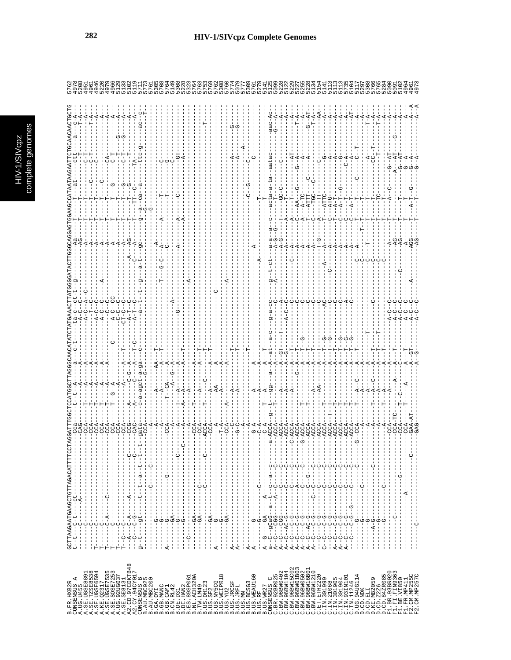| りょうせうせんこうこうこうしょうしろうろうしょうしょうしょう<br>$-4$<br>$\frac{1}{2}$                                                                                                                                                                                                                                                                                                                                                                                                                                                                                                                                                                            |
|------------------------------------------------------------------------------------------------------------------------------------------------------------------------------------------------------------------------------------------------------------------------------------------------------------------------------------------------------------------------------------------------------------------------------------------------------------------------------------------------------------------------------------------------------------------------------------------------------------------------------------|
| งงง่<br>రే<br>$\zeta$<br>ひ                                                                                                                                                                                                                                                                                                                                                                                                                                                                                                                                                                                                         |
| 1111111<br>AAAAAA                                                                                                                                                                                                                                                                                                                                                                                                                                                                                                                                                                                                                  |
|                                                                                                                                                                                                                                                                                                                                                                                                                                                                                                                                                                                                                                    |
| 40000000<br><b>VHUVUVUV</b><br>A,                                                                                                                                                                                                                                                                                                                                                                                                                                                                                                                                                                                                  |
| ፈ ፈ ፈ ፈ                                                                                                                                                                                                                                                                                                                                                                                                                                                                                                                                                                                                                            |
|                                                                                                                                                                                                                                                                                                                                                                                                                                                                                                                                                                                                                                    |
| $\mathbf{I}$<br>$\mathbf{I}$                                                                                                                                                                                                                                                                                                                                                                                                                                                                                                                                                                                                       |
| $\begin{small} @{\small\texttt{CTT}1}\texttt{AA} @{\small\texttt{AA}} \texttt{TC}0{\small\texttt{AA}} @{\small\texttt{CTT}1}\texttt{TA} @{\small\texttt{ATT}1}\texttt{TC}1 \small{\small\texttt{CC}}\\ @{\small\texttt{C-T}1} @{\small\texttt{C-T}2} @{\small\texttt{C-T}2} @{\small\texttt{C-T}1} @{\small\texttt{C-T}2} @{\small\texttt{C-T}2} @{\small\texttt{C-T}2} @{\small\texttt{C-T}2} @{\small\texttt{C-T}2} @{\small\texttt{C-T}2} @{\small\texttt{C$<br>п<br>п<br>-1<br>$\mathbf{I}$<br>- 11<br>$\blacksquare$<br>$\mathbf{I}$<br>ပုံ<br>- 1<br>- 1<br>$\mathbf{I}$<br>$\blacksquare$<br>$\mathbf{I}=\mathbf{I}$<br>- 1 |
| $\blacksquare$<br>$\mathbf{1}$<br>-1<br>$\mathbf I$<br>ddd.<br>$1 \quad \text{FHHHHHH} \quad \text{FHHHHH} \quad \text{FHHHH} \quad \text{FHHHH} \quad \text{FHHHH} \quad \text{FHHHH} \quad \text{FHHHH} \quad \text{FHHHH} \quad \text{FHHHH} \quad \text{FHHHH} \quad \text{FHHHH} \quad \text{FHHHH} \quad \text{FHHHH} \quad \text{FHHHH} \quad \text{FHHHH} \quad \text{FHHHH} \quad \text{FHHHH} \quad \text{FHHHH} \quad \text{FHHHH} \quad \text{FHHHH} \quad \text{FHHHH} \quad \text{FHHHH} \quad \text{FHHHH} \quad \text{FHHHH} \$                                                                                    |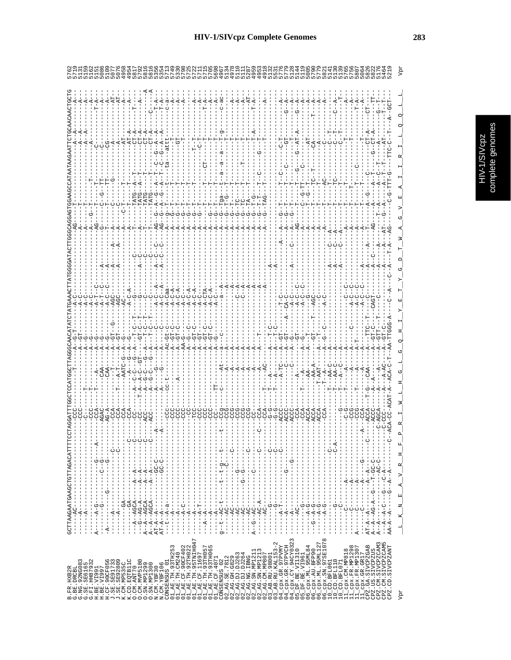|                                                                                                                                                                                                                                                                                                                                                                                                                                                                                                                                                                                                                                                                                                                          | O A LA CAURA COLLA CAURA COLLA                                                                                                                                                                                                                                                                                                                                                                                                                                                                               |
|--------------------------------------------------------------------------------------------------------------------------------------------------------------------------------------------------------------------------------------------------------------------------------------------------------------------------------------------------------------------------------------------------------------------------------------------------------------------------------------------------------------------------------------------------------------------------------------------------------------------------------------------------------------------------------------------------------------------------|--------------------------------------------------------------------------------------------------------------------------------------------------------------------------------------------------------------------------------------------------------------------------------------------------------------------------------------------------------------------------------------------------------------------------------------------------------------------------------------------------------------|
|                                                                                                                                                                                                                                                                                                                                                                                                                                                                                                                                                                                                                                                                                                                          |                                                                                                                                                                                                                                                                                                                                                                                                                                                                                                              |
| ┆┆┆┆┆┊┆┆┆┆┆┆┆┆<br>╟╷╎╎╎╏╷╏╎╎╎╎╷╿┥╏<br>┡┡┡┡┡┞┞┞┞┞┞┞┞┞┞<br>$-135 - 7$                                                                                                                                                                                                                                                                                                                                                                                                                                                                                                                                                                                                                                                      |                                                                                                                                                                                                                                                                                                                                                                                                                                                                                                              |
|                                                                                                                                                                                                                                                                                                                                                                                                                                                                                                                                                                                                                                                                                                                          |                                                                                                                                                                                                                                                                                                                                                                                                                                                                                                              |
|                                                                                                                                                                                                                                                                                                                                                                                                                                                                                                                                                                                                                                                                                                                          |                                                                                                                                                                                                                                                                                                                                                                                                                                                                                                              |
|                                                                                                                                                                                                                                                                                                                                                                                                                                                                                                                                                                                                                                                                                                                          |                                                                                                                                                                                                                                                                                                                                                                                                                                                                                                              |
| AN ANT                                                                                                                                                                                                                                                                                                                                                                                                                                                                                                                                                                                                                                                                                                                   |                                                                                                                                                                                                                                                                                                                                                                                                                                                                                                              |
|                                                                                                                                                                                                                                                                                                                                                                                                                                                                                                                                                                                                                                                                                                                          |                                                                                                                                                                                                                                                                                                                                                                                                                                                                                                              |
|                                                                                                                                                                                                                                                                                                                                                                                                                                                                                                                                                                                                                                                                                                                          |                                                                                                                                                                                                                                                                                                                                                                                                                                                                                                              |
|                                                                                                                                                                                                                                                                                                                                                                                                                                                                                                                                                                                                                                                                                                                          | $- A - T C$<br>$- A - T C$<br>$- A - T C$                                                                                                                                                                                                                                                                                                                                                                                                                                                                    |
|                                                                                                                                                                                                                                                                                                                                                                                                                                                                                                                                                                                                                                                                                                                          |                                                                                                                                                                                                                                                                                                                                                                                                                                                                                                              |
| GCTTAAGAATGAAGCTGTTAGACATTTCC<br>$\frac{1}{1}$<br>$\frac{1}{1}$<br>ł<br>ŧ<br>$\frac{1}{1}$<br>$-4 -$<br>$\begin{array}{c} 1 \\ 1 \\ 0 \\ 1 \\ 1 \end{array}$<br>J<br>$\mathbf{I}$<br>$-1 - 1 - 1$<br>$\frac{1}{1}$<br>$\frac{1}{1}$<br>п<br>$\frac{1}{1}$<br>$\frac{1}{1}$<br>Ť<br>$\frac{1}{1}$<br>$\blacksquare$<br>T.<br>$C - C$<br>I<br>Τ.<br>$\frac{1}{1}$<br>ŧ<br>÷                                                                                                                                                                                                                                                                                                                                                | $\frac{1}{1}$<br>$-1 - 1$<br>$\mathsf I$<br>$-1$<br>$-4 - 5 - 5 - 1$<br>Ť<br>$\frac{1}{2}$<br>Ŀ<br>ł<br>$\frac{1}{1}$<br>$\overline{1}$<br>I<br>$-1$ - $-1$<br>$-1 - 1 - 1$<br>$\begin{array}{c} 1 & 0 & 0 & 0 \\ 1 & 1 & 1 & 1 \\ 1 & 1 & 1 & 1 \end{array}$<br>$\frac{1}{1}$<br>$\frac{1}{1}$<br>ł<br>Ť<br>$\mathsf I$<br>Ξ<br>$-1$<br>$\mathsf I$<br>$\frac{1}{1}$<br>$\frac{1}{1}$<br>$\begin{bmatrix} 1 \\ 1 \\ 1 \\ 1 \end{bmatrix}$<br>$\frac{1}{1}$<br>R<br>$\overline{\phantom{a}}$                 |
| $\begin{array}{l} \begin{array}{l} \mbox{\scriptsize\begin{array}{l} \color{blue}\begin{array}{l} \color{blue}\begin{array}{l} \color{blue}\begin{array}{l} \color{blue}\begin{array}{l} \color{blue}\begin{array}{l} \color{blue}\begin{array}{l} \color{blue}\begin{array}{l} \color{blue}\begin{array}{l} \color{blue}\begin{array}{l} \color{blue}\begin{array}{l} \color{blue}\begin{array}{l} \color{blue}\begin{array}{l} \color{blue}\begin{array}{l} \color{blue}\end{array} \end{array} \end{array} \end{array} \end{array} \end{array}}}} \end{array} & \begin{array}{l} \begin$<br>1<br>L.<br>т<br>$---t$<br>$\frac{1}{1}$<br>L<br>I.<br>Τ.<br>$\mathbf{I}$<br>$-GA-$<br>J<br>J.<br>$\frac{1}{1}$<br>п<br>L. | $-1$ - $-1$ - $-1$ - $-1$<br>AT-A--A--------A----<br>A--A--AG-A--G---T-GC-C<br>A--A----------------AC-C<br>$-1$<br>$-1$<br>$-1$<br>$-1$<br>$-1$<br>$-4 - -4 - -8 - -8 -$<br>Ţ<br>$\blacksquare$<br>$\frac{1}{1}$<br>$\frac{1}{1}$<br>İ<br>$   \overline{A}$<br>$- - - A$<br>Α<br>$\frac{1}{1}$<br>$\frac{1}{1}$<br>$\frac{1}{1}$<br>$\frac{1}{1}$<br>$\frac{1}{1}$<br>I<br>囯<br>$\frac{1}{1}$<br>$\frac{1}{1}$<br>$\frac{1}{1}$<br>f,<br>$\frac{1}{1}$<br>$\frac{1}{1}$<br>÷<br>$\mathbf{I}$<br>$\mathbf{I}$ |
| $--A--AGCA--$<br>A - - A - - A GCA - - -<br>A - - A - - A GCA - - - -<br>A T - A - - A - - - - - - - -<br>A T - A - - A - - - - - -<br>$g$ --t--AC-t--<br>-----AC-----<br>$---GA -$<br>$- - - - - - - - -$<br>$- -A - a - -$<br>$- - - - - - -$<br>ŧ<br>---A<br>---<br>$- -A - -$<br>j,<br>j.<br>j,<br>$- -A - -$<br>-<br>-1<br>I.<br>$-4 -$<br>$-4$<br>$- -A - -A$<br>$-4$<br>$- - - - - - -$<br>ł,<br>$\frac{1}{1}$<br>$\mathsf I$<br>$\frac{1}{1}$<br>$\frac{1}{1}$<br>$-A$ -<br>I<br>Ţ<br>$-1$<br>$\mathsf I$<br>ł<br>$\frac{1}{2}$<br>$\mathsf I$<br>$\frac{1}{1}$<br>$\frac{1}{1}$<br>I<br>J<br>J<br>$\frac{1}{1}$<br>J.<br>$\mathbf{I}$<br>$\blacksquare$<br>J.<br>L.<br>К<br>L.                                  | $---2AC---$<br>$- -A - - -$<br>$rac{6}{1}$<br>$AA - A - -A - -$<br>$-4-6$<br>$0 - 4 - 0 - 1$<br>$-1 - A - G - G - A - G$<br>$\frac{5}{1}$<br>$- - - - -$<br>Z<br>-1<br>$\mathsf I$<br>$-1 - 1$<br>$-1 - 1$<br>$-1 - 1$<br>$\frac{1}{1}$<br>$\begin{array}{c} 1 \\ 1 \end{array}$<br>$\frac{1}{1}$<br>ł<br>$\,$ I<br>$\frac{1}{1}$<br>$\frac{1}{1}$<br>Ť<br>Ť<br>$\frac{1}{2}$<br>$\frac{1}{1}$<br>$\mathbf{I}$<br>J<br>Ţ<br>$A -$<br>÷<br>$\blacksquare$<br>L.<br>T<br>т<br>$\mathbf{I}$                     |
| $\begin{smallmatrix} \texttt{0} & \texttt{0} & \texttt{0} & \texttt{0} & \texttt{0} & \texttt{0} & \texttt{0} & \texttt{0} & \texttt{0} & \texttt{0} & \texttt{0} & \texttt{0} & \texttt{0} & \texttt{0} & \texttt{0} & \texttt{0} & \texttt{0} & \texttt{0} & \texttt{0} & \texttt{0} & \texttt{0} & \texttt{0} & \texttt{0} & \texttt{0} & \texttt{0} & \texttt{0} & \texttt{0} & \texttt{0} & \texttt{0} & \texttt{0} & \texttt{$                                                                                                                                                                                                                                                                                     |                                                                                                                                                                                                                                                                                                                                                                                                                                                                                                              |
|                                                                                                                                                                                                                                                                                                                                                                                                                                                                                                                                                                                                                                                                                                                          | Vpr                                                                                                                                                                                                                                                                                                                                                                                                                                                                                                          |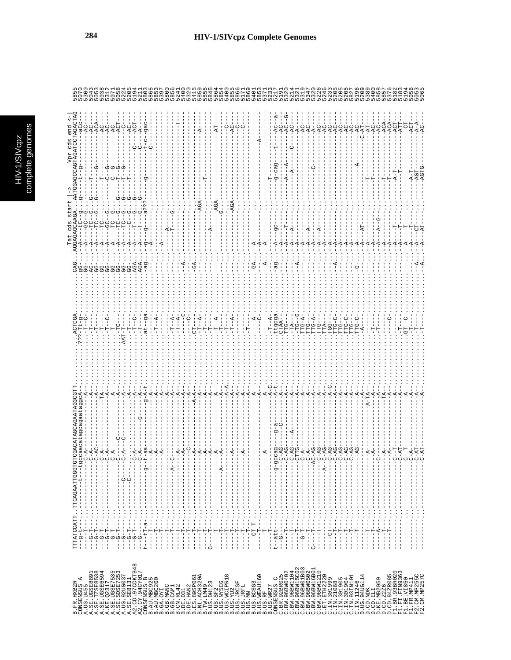|          |                                                                                                                                                                                                                                                                                                                                                                                                                                          |                                                                                                                                                                                                                                                                                                                                                                                                                                                                      |                     |                |                                                                      | cds<br>Tat               | cds                                        | end            |                            |
|----------|------------------------------------------------------------------------------------------------------------------------------------------------------------------------------------------------------------------------------------------------------------------------------------------------------------------------------------------------------------------------------------------------------------------------------------------|----------------------------------------------------------------------------------------------------------------------------------------------------------------------------------------------------------------------------------------------------------------------------------------------------------------------------------------------------------------------------------------------------------------------------------------------------------------------|---------------------|----------------|----------------------------------------------------------------------|--------------------------|--------------------------------------------|----------------|----------------------------|
|          |                                                                                                                                                                                                                                                                                                                                                                                                                                          |                                                                                                                                                                                                                                                                                                                                                                                                                                                                      |                     |                | CAG                                                                  | AGGAGAGCAAGA             | . AATGGAGCCAGTAGATCCTAGACT<br>$_{\rm Vpr}$ |                |                            |
|          |                                                                                                                                                                                                                                                                                                                                                                                                                                          |                                                                                                                                                                                                                                                                                                                                                                                                                                                                      | CGACATAGCAGAATAGCCG |                |                                                                      |                          |                                            |                |                            |
|          |                                                                                                                                                                                                                                                                                                                                                                                                                                          |                                                                                                                                                                                                                                                                                                                                                                                                                                                                      | caacatagcagaatagcA  |                |                                                                      | ף<br>$A + A$             | ס<br>י<br>$\frac{1}{\sigma}$               | -aCc-          |                            |
|          |                                                                                                                                                                                                                                                                                                                                                                                                                                          | J,<br>п<br>I<br>л<br>I<br>I<br>J,                                                                                                                                                                                                                                                                                                                                                                                                                                    |                     |                |                                                                      | ပ္ပ                      |                                            | $-AC$          |                            |
|          |                                                                                                                                                                                                                                                                                                                                                                                                                                          | 1<br>1<br>$\blacksquare$<br>$\frac{1}{1}$<br>$\mathsf I$<br>$\,$ I<br>$\frac{1}{4}$                                                                                                                                                                                                                                                                                                                                                                                  |                     |                |                                                                      | ひ                        | <b>v</b>                                   | $-AC$          |                            |
|          |                                                                                                                                                                                                                                                                                                                                                                                                                                          | $\mathbf{I}$<br>$\overline{\phantom{a}}$<br>$\overline{\phantom{a}}$<br>$\blacksquare$<br>$\frac{1}{1}$<br>$\mathbf{I}$<br>$\overline{\phantom{a}}$<br>$\overline{\phantom{a}}$                                                                                                                                                                                                                                                                                      | $C - AC$            |                |                                                                      | υ<br>ں<br>ד              |                                            | $-ACA-$        |                            |
|          | т,                                                                                                                                                                                                                                                                                                                                                                                                                                       | J.<br>$\mathbf{I}$<br>ł<br>L.<br>J.<br>-1<br>$\mathsf I$                                                                                                                                                                                                                                                                                                                                                                                                             | $-4$                |                |                                                                      | ں<br>ד<br>Æ              |                                            | $-AC$          |                            |
|          | I<br>п                                                                                                                                                                                                                                                                                                                                                                                                                                   | I<br>I<br>I<br>л<br>I<br>Ï<br>п<br>I<br>I<br>I<br>ł.<br>$\cdot$                                                                                                                                                                                                                                                                                                                                                                                                      |                     | ပုံ            |                                                                      | ひ<br>ο<br>Ρ              | ပု<br>Ő                                    | ή<br>$\bar{A}$ |                            |
|          | 1<br>$\begin{bmatrix} -1 & -1 & -1 \\ -1 & -1 & -1 \\ -1 & -1 & -1 \\ -1 & -1 & -1 \\ -1 & -1 & -1 \end{bmatrix}$<br>$\blacksquare$                                                                                                                                                                                                                                                                                                      | $\overline{\phantom{a}}$<br>$\overline{\phantom{a}}$<br>$\begin{array}{c} \hline \end{array}$<br>$\blacksquare$<br>$\frac{1}{1}$<br>$\blacksquare$<br>$\overline{1}$<br>$\overline{\phantom{a}}$<br>÷<br>$\overline{\phantom{a}}$<br>Ť.<br>$\cdot$                                                                                                                                                                                                                   |                     |                | မ္က အို အို အို အို အို အို အို<br>- အို အို အို အို အို အို အို အို |                          | ひ<br>C                                     | Ü              |                            |
|          | J.<br>$\frac{1}{1}$                                                                                                                                                                                                                                                                                                                                                                                                                      | ı<br>J<br>J.<br>п<br>I<br>п<br>J.<br>I<br>J<br>-1<br>Ť.                                                                                                                                                                                                                                                                                                                                                                                                              |                     | $-55-$         |                                                                      | <b>ひ ひ</b><br>Æ          | υ<br>ひ                                     | $-ACT$         |                            |
|          | $\mathsf I$<br>$\mathsf I$<br>I<br>$\frac{1}{1}$<br>ל<br>י                                                                                                                                                                                                                                                                                                                                                                               | т<br>$\mathsf I$<br>$-1$<br>-<br>Ť.<br>$\,$ I<br>Т<br>1<br>Ť.                                                                                                                                                                                                                                                                                                                                                                                                        | Ą                   |                |                                                                      | ひ<br>$-4$                | ひ<br>-1                                    | $\overline{C}$ |                            |
|          |                                                                                                                                                                                                                                                                                                                                                                                                                                          |                                                                                                                                                                                                                                                                                                                                                                                                                                                                      |                     |                |                                                                      |                          | 부부<br><b>しいい</b>                           |                |                            |
|          | $\mathsf I$                                                                                                                                                                                                                                                                                                                                                                                                                              | $\vdots$<br>$\mathsf I$<br>$-1 - 1 -$<br>J.<br>$\mathbf{I}$<br>I<br>Ţ<br>т,<br>$\mathsf I$<br>$\bullet$                                                                                                                                                                                                                                                                                                                                                              |                     |                |                                                                      | ↻<br>$-4$                |                                            |                |                            |
| $\infty$ | $\frac{1}{4}$                                                                                                                                                                                                                                                                                                                                                                                                                            | $\frac{1}{1}$<br>I.<br>п<br>I<br>I.<br>п<br>I<br>$\cdot$                                                                                                                                                                                                                                                                                                                                                                                                             |                     | $\frac{1}{1}$  | AGA.                                                                 |                          | U                                          | 5<br>Ē         |                            |
|          | $\mathsf I$<br>$\overline{\phantom{a}}$<br>J<br>$-5 -$<br>$\overline{1}$                                                                                                                                                                                                                                                                                                                                                                 | I<br>п<br>I<br>п<br>I<br>I<br>J<br>J.<br>$\mathbf{I}$                                                                                                                                                                                                                                                                                                                                                                                                                |                     | ł              | AGA                                                                  | ひ<br>누<br>$\overline{A}$ | O<br>ℭ                                     | $\overline{A}$ |                            |
|          | $---ETT-a-$<br>$\overline{v}$                                                                                                                                                                                                                                                                                                                                                                                                            | $\frac{1}{1}$<br>J.<br>ı<br>т<br>ı<br>I<br>$\mathsf I$<br>Ť                                                                                                                                                                                                                                                                                                                                                                                                          | $\overline{B}-B$    | -ga<br>ب       | $-aa$                                                                | œ<br>Ġ                   | $\frac{1}{2}$<br>ب<br>σ                    | $-9aC$         |                            |
|          | $\blacksquare$<br>$\blacksquare$                                                                                                                                                                                                                                                                                                                                                                                                         | -1<br>j.<br>I<br>$\frac{1}{1}$                                                                                                                                                                                                                                                                                                                                                                                                                                       |                     | т              |                                                                      | ግዳ                       | U                                          |                |                            |
|          |                                                                                                                                                                                                                                                                                                                                                                                                                                          | $\cdot$                                                                                                                                                                                                                                                                                                                                                                                                                                                              |                     |                |                                                                      |                          |                                            |                |                            |
|          | п<br>$\overline{\phantom{a}}$                                                                                                                                                                                                                                                                                                                                                                                                            | $\overline{1}$<br>J.<br>J.<br>I<br>J.<br>J,<br>$\overline{\phantom{a}}$<br>1<br>$\mathbf{I}$                                                                                                                                                                                                                                                                                                                                                                         |                     | $-A$ -T        |                                                                      |                          |                                            |                |                            |
|          | $\blacksquare$<br>$\overline{1}$                                                                                                                                                                                                                                                                                                                                                                                                         | ш<br>$\overline{1}$<br>J.<br>J.<br>I<br>J<br>п<br>J<br>I<br>J<br>J.<br>I                                                                                                                                                                                                                                                                                                                                                                                             |                     |                |                                                                      | Ŗ.                       |                                            |                |                            |
|          | $\mathbb{I}$<br>$\frac{1}{T}$<br>Ţ<br>$\mathbf{I}$<br>L.                                                                                                                                                                                                                                                                                                                                                                                 | $\overline{1}$<br>J.<br>J.<br>т<br>J.<br>т                                                                                                                                                                                                                                                                                                                                                                                                                           |                     |                |                                                                      | ķ                        |                                            |                |                            |
|          | $\frac{1}{4}$<br>$\frac{1}{2}$<br>$\mathbf{I}$                                                                                                                                                                                                                                                                                                                                                                                           | $\mathbf{I}$<br>$\begin{array}{c} 1 \\ 1 \\ 1 \\ 1 \\ 1 \end{array}$                                                                                                                                                                                                                                                                                                                                                                                                 |                     | $T = -A$       |                                                                      | ں<br>-<br>÷              |                                            |                |                            |
|          |                                                                                                                                                                                                                                                                                                                                                                                                                                          |                                                                                                                                                                                                                                                                                                                                                                                                                                                                      |                     |                |                                                                      |                          |                                            |                |                            |
|          | $-1-\mathbf{T}=-$<br>$\,$ I<br>$\blacksquare$<br>$\blacksquare$                                                                                                                                                                                                                                                                                                                                                                          | Ţ<br>ı<br>I<br>п<br>J,<br>I<br>п<br>ш<br>J<br>1<br>ï                                                                                                                                                                                                                                                                                                                                                                                                                 | К                   | $T - -A$       |                                                                      |                          |                                            |                |                            |
|          | $\mathsf I$<br>Ť<br>ن<br>ا<br>J.<br>L.                                                                                                                                                                                                                                                                                                                                                                                                   | J.                                                                                                                                                                                                                                                                                                                                                                                                                                                                   |                     | ט<br>ו         |                                                                      |                          |                                            |                | 4                          |
|          | $-1 - 1 - -$<br>I<br>$\mathbf{I}$                                                                                                                                                                                                                                                                                                                                                                                                        | ı<br>I<br>ı<br>I<br>I                                                                                                                                                                                                                                                                                                                                                                                                                                                |                     | Ϋ́             |                                                                      |                          |                                            |                |                            |
|          | $\mathbf{I}$                                                                                                                                                                                                                                                                                                                                                                                                                             | 1<br>-1<br>п<br>$\mathbf{I}$                                                                                                                                                                                                                                                                                                                                                                                                                                         | $-A - A$            |                | GA.                                                                  |                          |                                            |                | 4                          |
|          | $\cdot$<br>$\mathbb T$                                                                                                                                                                                                                                                                                                                                                                                                                   | л<br>$\begin{array}{c} \rule{0pt}{2.5ex} \rule{0pt}{2.5ex} \rule{0pt}{2.5ex} \rule{0pt}{2.5ex} \rule{0pt}{2.5ex} \rule{0pt}{2.5ex} \rule{0pt}{2.5ex} \rule{0pt}{2.5ex} \rule{0pt}{2.5ex} \rule{0pt}{2.5ex} \rule{0pt}{2.5ex} \rule{0pt}{2.5ex} \rule{0pt}{2.5ex} \rule{0pt}{2.5ex} \rule{0pt}{2.5ex} \rule{0pt}{2.5ex} \rule{0pt}{2.5ex} \rule{0pt}{2.5ex} \rule{0pt}{2.5ex} \rule{0$<br>I<br>$\begin{bmatrix} 1 \\ 1 \\ 1 \end{bmatrix}$<br>ł<br>Ţ<br>$\frac{1}{1}$ |                     | $-4 -$         |                                                                      |                          |                                            |                | $\infty$                   |
|          |                                                                                                                                                                                                                                                                                                                                                                                                                                          | $\bullet$<br>$\cdot$                                                                                                                                                                                                                                                                                                                                                                                                                                                 |                     |                |                                                                      |                          |                                            |                |                            |
|          | $\frac{1}{1}$<br>부부<br>$\mathsf I$<br>T<br>$\blacksquare$<br>-1                                                                                                                                                                                                                                                                                                                                                                          | $\mathbf{I}$<br>$\mathbf{I}$<br>ш<br>ш                                                                                                                                                                                                                                                                                                                                                                                                                               |                     |                |                                                                      |                          |                                            |                |                            |
|          | $\frac{1}{1}$<br>I<br>÷<br>Ü                                                                                                                                                                                                                                                                                                                                                                                                             | ı<br>I<br>I<br>J.<br>J.<br>J<br>H<br>ı<br>I<br>J.                                                                                                                                                                                                                                                                                                                                                                                                                    | Æ                   |                |                                                                      | À,                       |                                            |                | $\infty$ $\infty$ $\infty$ |
|          | ٠<br>$\frac{1}{4}$<br>투<br>Ţ<br>J.<br>$\blacksquare$<br>$\mathbf{I}$                                                                                                                                                                                                                                                                                                                                                                     | $\mathbf{I}$<br>л                                                                                                                                                                                                                                                                                                                                                                                                                                                    |                     | $-4 -$         |                                                                      |                          |                                            | -AT            |                            |
|          | $\mathsf I$                                                                                                                                                                                                                                                                                                                                                                                                                              | $-4$<br>1<br>п<br>I<br>$\mathbf{I}$<br>п<br>Î.                                                                                                                                                                                                                                                                                                                                                                                                                       |                     |                |                                                                      | ပုံ                      |                                            |                | $\infty$                   |
|          | $\cdot$                                                                                                                                                                                                                                                                                                                                                                                                                                  |                                                                                                                                                                                                                                                                                                                                                                                                                                                                      |                     |                |                                                                      |                          |                                            |                |                            |
|          |                                                                                                                                                                                                                                                                                                                                                                                                                                          | ł<br>I<br>$\sf I$<br>L.<br>$\frac{1}{1}$<br>т<br>J.<br>ı<br>ı<br>-1<br>ï                                                                                                                                                                                                                                                                                                                                                                                             |                     |                |                                                                      |                          |                                            |                |                            |
|          | $\mathbf{I}$                                                                                                                                                                                                                                                                                                                                                                                                                             | п<br>Ť.<br>$\,$ I<br>$\begin{array}{c} \rule{0.2cm}{0.15mm} \rule{0.2cm}{0.15mm} \rule{0.2cm}{0.15mm} \rule{0.2cm}{0.15mm} \rule{0.2cm}{0.15mm} \rule{0.2cm}{0.15mm} \rule{0.2cm}{0.15mm} \rule{0.2cm}{0.15mm} \rule{0.2cm}{0.15mm} \rule{0.2cm}{0.15mm} \rule{0.2cm}{0.15mm} \rule{0.2cm}{0.15mm} \rule{0.2cm}{0.15mm} \rule{0.2cm}{0.15mm} \rule{0.2cm}{0.15mm} \rule{$<br>1<br>ŧ<br>1<br>$\mathbf{I}$<br>$\,$ I<br>Ţ<br>$\frac{1}{1}$                             |                     | $T = -A$       |                                                                      |                          |                                            |                | $\infty$ $\infty$          |
|          |                                                                                                                                                                                                                                                                                                                                                                                                                                          | ш<br>п<br>I.<br>т<br>J.<br>J,<br>т<br>I<br>I<br>т<br>ı                                                                                                                                                                                                                                                                                                                                                                                                               |                     |                |                                                                      |                          |                                            |                |                            |
|          | $\mathbf{I}$                                                                                                                                                                                                                                                                                                                                                                                                                             | п<br>ï<br>I<br>J<br>I<br>1<br>j.                                                                                                                                                                                                                                                                                                                                                                                                                                     | Æ                   |                |                                                                      |                          |                                            |                |                            |
|          | $- - - 1 - - - - - -$                                                                                                                                                                                                                                                                                                                                                                                                                    | J.<br>$\mathbf{I}$<br>Ţ<br>J.<br>Í<br>J.<br>ı<br>J.<br>1                                                                                                                                                                                                                                                                                                                                                                                                             |                     |                |                                                                      |                          |                                            |                | $\infty$                   |
|          |                                                                                                                                                                                                                                                                                                                                                                                                                                          |                                                                                                                                                                                                                                                                                                                                                                                                                                                                      |                     |                |                                                                      |                          |                                            |                |                            |
|          | $\cdot$<br>$-1 - 1 - 1 - 1 - 1 - 1$<br>Ť.                                                                                                                                                                                                                                                                                                                                                                                                | -1<br>Ť                                                                                                                                                                                                                                                                                                                                                                                                                                                              |                     | $-4$           | $-6A$                                                                |                          |                                            |                | 4                          |
|          | I.                                                                                                                                                                                                                                                                                                                                                                                                                                       | п<br>ï<br>I<br>I<br>$\mathbf{I}$<br>I<br>I<br>п<br>I<br>I<br>п<br>I<br>٠                                                                                                                                                                                                                                                                                                                                                                                             |                     | ပု             |                                                                      |                          |                                            |                | S<br>∞ ന                   |
|          | $\mathbf{I}$                                                                                                                                                                                                                                                                                                                                                                                                                             | $\mathbf{I}$<br>п<br>п                                                                                                                                                                                                                                                                                                                                                                                                                                               |                     |                | $\overline{A}$ .                                                     |                          |                                            |                |                            |
|          | $\mathbf{I}$                                                                                                                                                                                                                                                                                                                                                                                                                             | $\frac{1}{1}$<br>$\overline{\phantom{a}}$<br>I<br>п<br>I<br>п<br>п<br>I<br>$\mathbf{I}$<br>$\frac{1}{1}$                                                                                                                                                                                                                                                                                                                                                             |                     | $-T$ - $A$ -   |                                                                      |                          |                                            |                |                            |
|          | $--att---$<br>$\overline{v}$                                                                                                                                                                                                                                                                                                                                                                                                             | $\mathbf{I}$<br>$\frac{1}{1}$<br>$\mathbb{I}$<br>$\mathsf I$<br>Ţ<br>Ι.<br>$\mathsf I$                                                                                                                                                                                                                                                                                                                                                                               |                     | ttgcga         |                                                                      | Æ                        |                                            |                |                            |
|          |                                                                                                                                                                                                                                                                                                                                                                                                                                          | $-5-9$<br>$\bullet$                                                                                                                                                                                                                                                                                                                                                                                                                                                  | œ                   |                | pp.                                                                  | ပ္ပက                     | $-a$<br>Ģ                                  |                |                            |
|          | $\frac{1}{2}$<br>$-5 -$<br>$\mathbf{I}$                                                                                                                                                                                                                                                                                                                                                                                                  | u<br>I<br>I<br>J,<br>$\frac{1}{1}$<br>Í<br>Ţ<br>$\frac{1}{1}$<br>$\cdot$                                                                                                                                                                                                                                                                                                                                                                                             | U                   | <b>CTAA-</b>   |                                                                      |                          |                                            |                | Ō                          |
|          | 1<br>$\mathsf I$<br>$\blacksquare$                                                                                                                                                                                                                                                                                                                                                                                                       | $\mathbf{I}$<br>п<br>п                                                                                                                                                                                                                                                                                                                                                                                                                                               |                     | $-5T$          |                                                                      | ŕ                        | $\ddot{A}$<br>$- A$                        |                |                            |
|          | T<br>I<br>$\overline{\phantom{a}}$                                                                                                                                                                                                                                                                                                                                                                                                       | п<br>ı<br>ï<br>I<br>I<br>ı<br>Í<br>ı<br>ı<br>$\mathbf{I}$<br>I<br>J.<br>ı                                                                                                                                                                                                                                                                                                                                                                                            |                     | $-TA$ -        |                                                                      |                          | ٢<br>$-4 -$                                |                |                            |
|          | 1<br>$\mathsf I$<br>$\mathbf{I}$                                                                                                                                                                                                                                                                                                                                                                                                         | 1<br>$\mathbf{I}$<br>J.<br>$\mathbf{I}$<br>п<br>J.<br>п<br>$\mathbf{I}$<br>т                                                                                                                                                                                                                                                                                                                                                                                         |                     | $-TG--G.$      | $\overline{A}$                                                       |                          |                                            |                |                            |
|          | $\mathbf{1}$                                                                                                                                                                                                                                                                                                                                                                                                                             | ш<br>$\mathbf{I}$<br>$\mathbf{I}$<br>$\frac{1}{1}$<br>Ţ<br>$\frac{1}{1}$<br>I<br>J<br>J.<br>j.                                                                                                                                                                                                                                                                                                                                                                       |                     | $TTG - A -$    |                                                                      |                          |                                            |                |                            |
|          | $\mathsf I$<br>$\frac{1}{1}$                                                                                                                                                                                                                                                                                                                                                                                                             |                                                                                                                                                                                                                                                                                                                                                                                                                                                                      |                     |                |                                                                      |                          |                                            |                |                            |
|          | J.<br>$\mathsf I$<br>$\mathbf{I}$<br>п<br>-1                                                                                                                                                                                                                                                                                                                                                                                             | п<br>п<br>ш                                                                                                                                                                                                                                                                                                                                                                                                                                                          |                     | $T = -2T$      |                                                                      | $\frac{1}{4}$            |                                            |                |                            |
|          | т<br>$\mathbf{I}$<br>I<br>Ţ<br>$\mathbf{I}$<br>$\circ$                                                                                                                                                                                                                                                                                                                                                                                   | $- - A$<br>J<br>J<br>H<br>J,<br>J<br>H<br>J<br>J<br>ı                                                                                                                                                                                                                                                                                                                                                                                                                |                     |                |                                                                      |                          | U                                          |                |                            |
|          | $\mathsf I$<br>$\,$ I<br>- 11<br>부부부<br>$\mathsf I$<br>-1<br>$\mathbf{I}$<br>$\mathbf{I}$                                                                                                                                                                                                                                                                                                                                                | п<br>-1<br>-1<br>J.<br>$\mathbf{I}$<br>п<br>$\mathbf{I}$<br>т                                                                                                                                                                                                                                                                                                                                                                                                        |                     | $--$ DT        |                                                                      | $-4$                     |                                            |                |                            |
|          | 1<br>$\mathsf I$<br>$\blacksquare$<br>1<br>j<br>ţ<br>$\blacksquare$<br>$\blacksquare$                                                                                                                                                                                                                                                                                                                                                    | $-4$<br>$\frac{1}{1}$<br>т<br>п<br>Ţ<br>1<br>1<br>Ť.<br>٠                                                                                                                                                                                                                                                                                                                                                                                                            |                     | $ITA--$        |                                                                      |                          |                                            |                |                            |
|          | $\mathsf I$<br>$--CT---$<br>п<br>п                                                                                                                                                                                                                                                                                                                                                                                                       | $\frac{1}{1}$<br>I<br>$\mathbf{I}$<br>п<br>ł<br>п<br>L<br>$\mathbf{I}$<br>1<br>Ţ                                                                                                                                                                                                                                                                                                                                                                                     |                     | $-555$         |                                                                      |                          |                                            |                |                            |
|          | т,<br>$\frac{1}{4}$<br>I                                                                                                                                                                                                                                                                                                                                                                                                                 | $\overline{1}$<br>I<br>п<br>$\bullet$<br>٠                                                                                                                                                                                                                                                                                                                                                                                                                           |                     |                |                                                                      |                          |                                            |                |                            |
|          | -1<br>부부                                                                                                                                                                                                                                                                                                                                                                                                                                 |                                                                                                                                                                                                                                                                                                                                                                                                                                                                      |                     |                |                                                                      |                          |                                            |                |                            |
|          | $\overline{\phantom{a}}$<br>$\overline{\phantom{a}}$<br>H<br>H                                                                                                                                                                                                                                                                                                                                                                           |                                                                                                                                                                                                                                                                                                                                                                                                                                                                      |                     |                |                                                                      |                          |                                            |                |                            |
|          | $\mathsf I$<br>$\frac{1}{4}$<br>F<br>I<br>T<br>-1                                                                                                                                                                                                                                                                                                                                                                                        | J.<br>т<br>٠                                                                                                                                                                                                                                                                                                                                                                                                                                                         | ⋖                   | rrg-c<br>Frg-- |                                                                      |                          |                                            |                | $\sim \infty$              |
|          | $---T-----$<br>J<br>$\mathbf{I}$                                                                                                                                                                                                                                                                                                                                                                                                         | I<br>п<br>L<br>I<br>п<br>I<br>I<br>$\frac{1}{1}$<br>$\bullet$<br>$\ddot{\phantom{0}}$                                                                                                                                                                                                                                                                                                                                                                                | ָט                  |                |                                                                      |                          |                                            |                |                            |
|          | т,<br>$\frac{1}{1}$<br>탁<br>$\overline{1}$<br>$\blacksquare$                                                                                                                                                                                                                                                                                                                                                                             | L.                                                                                                                                                                                                                                                                                                                                                                                                                                                                   |                     | $C-C$          | ပ္ပ                                                                  |                          |                                            |                |                            |
|          | $\frac{1}{1}$<br>I<br>п<br>J<br>I<br>I<br>п                                                                                                                                                                                                                                                                                                                                                                                              | ı<br>I<br>I                                                                                                                                                                                                                                                                                                                                                                                                                                                          |                     | $-A$ -         |                                                                      | $-AT -$                  | $-5 - 7$                                   |                |                            |
|          | $--T--$                                                                                                                                                                                                                                                                                                                                                                                                                                  | $\ddot{\phantom{0}}$<br>٠                                                                                                                                                                                                                                                                                                                                                                                                                                            |                     |                |                                                                      |                          |                                            |                |                            |
|          | $\mathsf I$<br>÷<br>$\blacksquare$                                                                                                                                                                                                                                                                                                                                                                                                       | п<br>п<br>$\cdot$                                                                                                                                                                                                                                                                                                                                                                                                                                                    | $A-TA$<br>К         |                |                                                                      |                          |                                            | $\overline{A}$ |                            |
|          | $\mathsf I$<br>$-1$<br>$\mathbf{I}$<br>I<br>п                                                                                                                                                                                                                                                                                                                                                                                            | I<br>ı<br>$\bullet$                                                                                                                                                                                                                                                                                                                                                                                                                                                  |                     | ÷              |                                                                      |                          |                                            |                | ី<br>។                     |
|          | $\mathsf I$<br>J.<br>$\mathbf{I}$                                                                                                                                                                                                                                                                                                                                                                                                        | L.                                                                                                                                                                                                                                                                                                                                                                                                                                                                   |                     |                |                                                                      | $A - G$                  |                                            |                | $\infty$ $\infty$          |
|          | $\begin{array}{c} \rule{0pt}{2.5ex} \rule{0pt}{2.5ex} \rule{0pt}{2.5ex} \rule{0pt}{2.5ex} \rule{0pt}{2.5ex} \rule{0pt}{2.5ex} \rule{0pt}{2.5ex} \rule{0pt}{2.5ex} \rule{0pt}{2.5ex} \rule{0pt}{2.5ex} \rule{0pt}{2.5ex} \rule{0pt}{2.5ex} \rule{0pt}{2.5ex} \rule{0pt}{2.5ex} \rule{0pt}{2.5ex} \rule{0pt}{2.5ex} \rule{0pt}{2.5ex} \rule{0pt}{2.5ex} \rule{0pt}{2.5ex} \rule{0$<br>$\begin{array}{c}\n-1 \\ -1 \\ -1\n\end{array}$<br>ł | ı<br>I<br>п<br>I<br>٠                                                                                                                                                                                                                                                                                                                                                                                                                                                |                     |                |                                                                      |                          |                                            |                |                            |
|          | I<br>$\mathbf{I}$<br>투<br>J,<br>-1                                                                                                                                                                                                                                                                                                                                                                                                       | п                                                                                                                                                                                                                                                                                                                                                                                                                                                                    |                     | $\frac{1}{2}$  |                                                                      |                          |                                            |                |                            |
|          | п<br>I<br>I<br>J<br>п                                                                                                                                                                                                                                                                                                                                                                                                                    | J<br>I<br>J.                                                                                                                                                                                                                                                                                                                                                                                                                                                         |                     | 1              |                                                                      |                          |                                            |                |                            |
|          | т<br>I<br>J.<br>$\mathbf{I}$                                                                                                                                                                                                                                                                                                                                                                                                             | J.                                                                                                                                                                                                                                                                                                                                                                                                                                                                   |                     |                |                                                                      |                          |                                            |                |                            |
|          | I.<br>I<br>I<br>т<br>т<br>$\mathbf{I}$                                                                                                                                                                                                                                                                                                                                                                                                   | I<br>I.                                                                                                                                                                                                                                                                                                                                                                                                                                                              |                     | ပုံ            |                                                                      |                          |                                            |                |                            |
|          | $\frac{1}{1}$                                                                                                                                                                                                                                                                                                                                                                                                                            | т                                                                                                                                                                                                                                                                                                                                                                                                                                                                    |                     |                |                                                                      |                          |                                            |                |                            |
|          | I<br>I<br>I<br>ï<br>I<br>I<br>$\mathbf{I}$                                                                                                                                                                                                                                                                                                                                                                                               | I<br>ı<br>т                                                                                                                                                                                                                                                                                                                                                                                                                                                          |                     |                |                                                                      |                          |                                            |                |                            |
|          | п<br>I<br>J<br>$\blacksquare$                                                                                                                                                                                                                                                                                                                                                                                                            |                                                                                                                                                                                                                                                                                                                                                                                                                                                                      |                     |                |                                                                      |                          |                                            |                |                            |
|          |                                                                                                                                                                                                                                                                                                                                                                                                                                          |                                                                                                                                                                                                                                                                                                                                                                                                                                                                      |                     |                |                                                                      |                          |                                            |                |                            |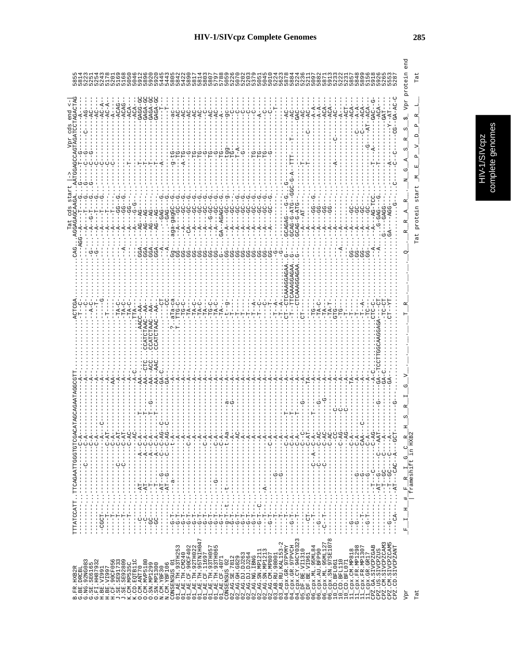| ഗ ഗ                                                                                                                                                                                                                                                                                                                                                                                                                                                                                                                                                                                                                                                                                                                                                                                                                                                                                                                                                                                                                                                                                                                                                                                                                                                                                                                                                                                                                                                                                                                                                                                                                                                                                                                                                                                                                                                                                                                                                                                                                                                                                                                                                                                                                                                                                                                                                                                                                                                                                                                                                                                                                                                                                                                | Ë<br>protei                                          |
|--------------------------------------------------------------------------------------------------------------------------------------------------------------------------------------------------------------------------------------------------------------------------------------------------------------------------------------------------------------------------------------------------------------------------------------------------------------------------------------------------------------------------------------------------------------------------------------------------------------------------------------------------------------------------------------------------------------------------------------------------------------------------------------------------------------------------------------------------------------------------------------------------------------------------------------------------------------------------------------------------------------------------------------------------------------------------------------------------------------------------------------------------------------------------------------------------------------------------------------------------------------------------------------------------------------------------------------------------------------------------------------------------------------------------------------------------------------------------------------------------------------------------------------------------------------------------------------------------------------------------------------------------------------------------------------------------------------------------------------------------------------------------------------------------------------------------------------------------------------------------------------------------------------------------------------------------------------------------------------------------------------------------------------------------------------------------------------------------------------------------------------------------------------------------------------------------------------------------------------------------------------------------------------------------------------------------------------------------------------------------------------------------------------------------------------------------------------------------------------------------------------------------------------------------------------------------------------------------------------------------------------------------------------------------------------------------------------------|------------------------------------------------------|
| U-54-45--50<br>-<br>JAGG-<br>GAGA-<br>GAGA<br>GAG.<br>$-AT -$                                                                                                                                                                                                                                                                                                                                                                                                                                                                                                                                                                                                                                                                                                                                                                                                                                                                                                                                                                                                                                                                                                                                                                                                                                                                                                                                                                                                                                                                                                                                                                                                                                                                                                                                                                                                                                                                                                                                                                                                                                                                                                                                                                                                                                                                                                                                                                                                                                                                                                                                                                                                                                                      | Vpr<br>ω.<br>ທ່                                      |
| ပု<br>ひ<br>ပု<br>C<br>-G-A--TFI<br>U<br>К                                                                                                                                                                                                                                                                                                                                                                                                                                                                                                                                                                                                                                                                                                                                                                                                                                                                                                                                                                                                                                                                                                                                                                                                                                                                                                                                                                                                                                                                                                                                                                                                                                                                                                                                                                                                                                                                                                                                                                                                                                                                                                                                                                                                                                                                                                                                                                                                                                                                                                                                                                                                                                                                          | ≃<br>C)<br>д<br>囸<br>ひ                               |
| ္ပ္ပံ<br>ひ<br>ひ<br>ğ                                                                                                                                                                                                                                                                                                                                                                                                                                                                                                                                                                                                                                                                                                                                                                                                                                                                                                                                                                                                                                                                                                                                                                                                                                                                                                                                                                                                                                                                                                                                                                                                                                                                                                                                                                                                                                                                                                                                                                                                                                                                                                                                                                                                                                                                                                                                                                                                                                                                                                                                                                                                                                                                                               | ≍∣<br>start                                          |
| GCAG-G-ATG-<br>$-70-7$<br>GCAG-G-ATG-<br>しし<br>99<br>$\frac{1}{1}$<br>8<br>뎠-<br>A<br>P<br>$\frac{1}{1}$                                                                                                                                                                                                                                                                                                                                                                                                                                                                                                                                                                                                                                                                                                                                                                                                                                                                                                                                                                                                                                                                                                                                                                                                                                                                                                                                                                                                                                                                                                                                                                                                                                                                                                                                                                                                                                                                                                                                                                                                                                                                                                                                                                                                                                                                                                                                                                                                                                                                                                                                                                                                           |                                                      |
| aga-gag<br>$-AGA$<br>$A - D A$<br>GCAGAG<br>್ರೆ<br>$-1$<br>$-1$<br>F                                                                                                                                                                                                                                                                                                                                                                                                                                                                                                                                                                                                                                                                                                                                                                                                                                                                                                                                                                                                                                                                                                                                                                                                                                                                                                                                                                                                                                                                                                                                                                                                                                                                                                                                                                                                                                                                                                                                                                                                                                                                                                                                                                                                                                                                                                                                                                                                                                                                                                                                                                                                                                               | Tat protein                                          |
| GGA<br>GGA<br>GGA<br>ს<br>სე<br>යි<br>්<br>ෆ්<br>ස්<br>ġ                                                                                                                                                                                                                                                                                                                                                                                                                                                                                                                                                                                                                                                                                                                                                                                                                                                                                                                                                                                                                                                                                                                                                                                                                                                                                                                                                                                                                                                                                                                                                                                                                                                                                                                                                                                                                                                                                                                                                                                                                                                                                                                                                                                                                                                                                                                                                                                                                                                                                                                                                                                                                                                           |                                                      |
| --CTCAAAGAG<br>--TTCAAAG<br>.aTa-ca<br>C<br>TG-0<br>シー<br>$-4$<br>C<br>TG-C<br>A-C<br>U<br>A<br>$TC-C$<br>$TA-C$<br>TA-C<br>$TA-T$<br>ģ<br>$AC - A$<br>CATCTAAC                                                                                                                                                                                                                                                                                                                                                                                                                                                                                                                                                                                                                                                                                                                                                                                                                                                                                                                                                                                                                                                                                                                                                                                                                                                                                                                                                                                                                                                                                                                                                                                                                                                                                                                                                                                                                                                                                                                                                                                                                                                                                                                                                                                                                                                                                                                                                                                                                                                                                                                                                    |                                                      |
|                                                                                                                                                                                                                                                                                                                                                                                                                                                                                                                                                                                                                                                                                                                                                                                                                                                                                                                                                                                                                                                                                                                                                                                                                                                                                                                                                                                                                                                                                                                                                                                                                                                                                                                                                                                                                                                                                                                                                                                                                                                                                                                                                                                                                                                                                                                                                                                                                                                                                                                                                                                                                                                                                                                    |                                                      |
| 3                                                                                                                                                                                                                                                                                                                                                                                                                                                                                                                                                                                                                                                                                                                                                                                                                                                                                                                                                                                                                                                                                                                                                                                                                                                                                                                                                                                                                                                                                                                                                                                                                                                                                                                                                                                                                                                                                                                                                                                                                                                                                                                                                                                                                                                                                                                                                                                                                                                                                                                                                                                                                                                                                                                  |                                                      |
| υ<br>ひ<br>ပု                                                                                                                                                                                                                                                                                                                                                                                                                                                                                                                                                                                                                                                                                                                                                                                                                                                                                                                                                                                                                                                                                                                                                                                                                                                                                                                                                                                                                                                                                                                                                                                                                                                                                                                                                                                                                                                                                                                                                                                                                                                                                                                                                                                                                                                                                                                                                                                                                                                                                                                                                                                                                                                                                                       |                                                      |
| Ť.<br>Ī<br>$- -A - -$<br>Ţ<br>$\mathsf I$<br>$\frac{1}{1}$<br>t<br>Î<br>$-1$ + $-1$ + $-1$ + $-1$ + $-1$ + $-1$ + $-1$ + $-1$ + $-1$ + $-1$ + $-1$ + $-1$ + $-1$ + $-1$ + $-1$ + $-1$ + $-1$ + $-1$ + $-1$ + $-1$ + $-1$ + $-1$ + $-1$ + $-1$ + $-1$ + $-1$ + $-1$ + $-1$ + $-1$ + $-1$ + $-1$ + $-1$<br>$\begin{bmatrix} 1 \\ 1 \\ 1 \\ 1 \end{bmatrix}$<br>ţ<br>J.<br>J.<br>$\mathbf{I}$<br>$\frac{1}{1}$<br>t<br>л<br>$\frac{1}{1}$<br>ŧ<br>п<br>$-4 - -$<br>$\begin{array}{c} 1 \\ 1 \\ 1 \\ 1 \end{array}$<br>$\overline{\phantom{a}}$<br>$\mathsf I$<br>$\begin{array}{c} \rule{0pt}{2.5ex} \rule{0pt}{2.5ex} \rule{0pt}{2.5ex} \rule{0pt}{2.5ex} \rule{0pt}{2.5ex} \rule{0pt}{2.5ex} \rule{0pt}{2.5ex} \rule{0pt}{2.5ex} \rule{0pt}{2.5ex} \rule{0pt}{2.5ex} \rule{0pt}{2.5ex} \rule{0pt}{2.5ex} \rule{0pt}{2.5ex} \rule{0pt}{2.5ex} \rule{0pt}{2.5ex} \rule{0pt}{2.5ex} \rule{0pt}{2.5ex} \rule{0pt}{2.5ex} \rule{0pt}{2.5ex} \rule{0$<br>ł<br>$-4$<br>$-4$<br>$\overline{\phantom{a}}$<br>I<br>$\mathbf{I}$<br>$\frac{1}{1}$<br>$\frac{1}{1}$<br>J.<br>$-1$<br>$\frac{1}{1}$<br>$\frac{0}{1}$<br>Ţ<br>$\frac{1}{1}$<br>-1<br>I.<br>U – – – – – U<br>U – – – – U<br>$\mathbf{I}$<br>$-1$<br>$\frac{1}{1}$<br>$\frac{1}{4}$<br>$\frac{1}{1}$<br>$\frac{1}{1}$<br>H<br>$\mathbf{I}$<br>ł<br>$\frac{1}{1}$<br>ı<br>L.<br>$\mathbf I$<br>$\mathbf I$<br>$\frac{1}{2}$<br>$\,$ I<br>$\frac{1}{1}$<br>$-1$<br>$\begin{bmatrix} 1 & 1 & 1 \\ 1 & 1 & 1 \\ 1 & 1 & 1 \\ 1 & 1 & 1 \\ 1 & 1 & 1 \\ 1 & 1 & 1 \\ 1 & 1 & 1 \\ 1 & 1 & 1 \\ 1 & 1 & 1 \\ 1 & 1 & 1 \\ 1 & 1 & 1 \\ 1 & 1 & 1 \\ 1 & 1 & 1 \\ 1 & 1 & 1 \\ 1 & 1 & 1 & 1 \\ 1 & 1 & 1 & 1 \\ 1 & 1 & 1 & 1 \\ 1 & 1 & 1 & 1 \\ 1 & 1 & 1 & 1 \\ 1 & 1 & 1 & 1 & 1 \\ 1 & 1 & 1 & 1 & $<br>$\frac{1}{1}$<br>$\mathsf I$<br>$\,$ I<br>$\,$ I<br>$\frac{1}{1}$<br>$\frac{1}{1}$<br>$\frac{1}{1}$<br>$\frac{1}{1}$<br>$\frac{1}{1}$<br>п<br>$\Gamma$<br>$-1$<br>$-1$<br>$\frac{1}{2}$<br>$\frac{1}{1}$<br>ł<br>÷<br>$\frac{1}{1}$<br>$\begin{array}{c} \begin{array}{c} \text{1} \\ \text{1} \\ \text{1} \\ \text{1} \end{array} \end{array}$<br>I<br>ŧ<br>$\frac{1}{1}$<br>ł<br>ł<br>$\frac{1}{1}$<br>$\frac{1}{1}$<br>$\frac{1}{1}$<br>$-90 - 1$<br>J.<br>Ġ<br>$-1 - 6$<br>$\frac{6}{1}$<br>I<br>$-9 - -$<br>$\frac{1}{1}$<br>$\overline{\phantom{a}}$<br>$\begin{bmatrix} 1 \\ 1 \\ 1 \\ 1 \end{bmatrix}$<br>$\begin{bmatrix} 1 \\ 1 \\ 1 \\ 1 \end{bmatrix}$<br>$\mathsf I$<br>$-1 - 1$<br>$-1 - 1$<br>$-1$<br>$- - 5 - -$<br>$\mathbb I$<br>$\frac{1}{1}$<br>I<br>J<br>ı<br>$\frac{1}{1}$<br>T<br>$\mathbf{I}$<br>п<br>L.<br>J.                                                                                                                       | $\frac{d}{d\theta}$<br>$\frac{F}{\text{frameshift}}$ |
| $-2AT - -$<br>$\cdots$ - $\mathbb{R}$ $\mathbb{T}$ - $\mathbb{C}$<br>$-1 - 24 - 1$<br>$-1.1 - AT - -$<br>$\frac{1}{1}$<br>$\frac{1}{1}$<br>$\frac{1}{1}$<br>$-1.1 - A - -$<br>$\frac{1}{1}$<br>$\begin{array}{c} 1 \\ 1 \end{array}$<br>ţ<br>$\frac{1}{1}$<br>$-1$ + $t$ $-1$ + $-1$<br>$\frac{1}{1}$<br>J,<br>$\frac{1}{1}$<br>$\frac{1}{2}$<br>$\cdots -AT$<br>ţ<br>Ť.<br>$\ddot{r}$<br>Ĥ<br>∴<br>自由于<br>I.<br>۲<br>ا<br>I.<br>Í<br>$\frac{1}{1}$<br>$\mathsf I$<br>I.<br>J.<br>$\overline{\phantom{a}}$<br>Ţ<br>$\overline{\phantom{a}}$<br>Ţ<br>I<br>$\frac{1}{4}$<br>Ì,<br>$\frac{1}{2}$<br>ŧ<br>ţ<br>ţ<br>ţ.<br>ţ<br>$\frac{1}{2}$<br>ţ.<br>$\frac{1}{2}$<br>$\frac{1}{4}$<br>$\frac{1}{2}$<br>$\frac{1}{2}$<br>$\frac{1}{2}$<br>ţ.<br>$\frac{1}{2}$ , $\frac{1}{2}$ , $\frac{1}{2}$ , $\frac{1}{2}$ , $\frac{1}{2}$<br>$\frac{1}{4}$<br>٠.<br>È,<br>ţ<br>Ì<br>ţ<br>$\bullet$<br>$\cdot$<br>$\vdots$<br>$\cdot$<br>$\frac{1}{1}$<br>$\ddot{\cdot}$<br>$\bullet$<br>$\frac{1}{1}$<br>$\cdot$<br>$\ddot{\cdot}$<br>$\begin{array}{c} \vdots \\ \vdots \\ \vdots \\ \vdots \end{array}$<br>ţ<br>$\cdot$<br>$\vdots$<br>$\bullet$<br>$\cdot$<br>$\vdots$<br>$\vdots$<br>$\vdots$<br>$\vdots$<br>$\frac{1}{1}$<br>$\vdots$<br>$\cdot$<br>$\cdot$<br>$\cdot$<br>$\vdots$<br>$\frac{1}{1}$<br>$\vdots$<br>$\cdot$<br>İ<br>$\cdot$<br>$\cdot$<br>j.<br>$\cdot$<br>$-1 - 2 - 1 - -1 -$<br>$\overline{1}$<br>$\frac{1}{1}$<br>I<br>$\frac{1}{1}$<br>$\mathbf I$<br>$\frac{1}{1}$<br>ţ<br>$\frac{1}{2}$<br>$- \mathbf{G} - \mathbf{T} - \mathbf{I}$<br>$\mathbf I$<br>$\frac{1}{1}$<br>$\mathbf{I}$<br>$\frac{1}{1}$<br>Ť<br>J<br>$\overline{\phantom{a}}$<br>$\perp$<br>$\mathbf{I}$<br>$\mathbf{I}$<br>J<br>$\frac{1}{1}$<br>J<br>$\frac{1}{1}$<br>--エーエー-<br>$\frac{1}{1}$<br>j.<br>$\frac{1}{1}$<br>J<br>J<br>$-1 - 1$<br>ł<br>-1<br>т<br>ï<br>$-1$ - $-1$<br>Ť<br>j.<br>$\mathsf I$<br>$\mathbf{I}$<br>$-4$ <sup>-</sup> CA <sup>-</sup><br>Ţ<br>-CGCT<br>$-5 - 5 -$<br>$-1$ - $-6$<br>$-9 - -$<br>$-1$<br>I<br>Í<br>÷<br> <br>$-9 - -$<br>턱<br>$-9-$<br>투<br>--9--<br>F-<br>다.<br>- 마나<br>- - - - -<br>- - - -<br>$-9 - -$<br>ך<br>-<br>$-9 - -$<br>T<br> <br> <br>$-5 - -$<br>ד<br>ד<br>$-1$<br>יך<br>י<br>ד<br>י<br>יך<br>י<br>۲<br>ا<br>CO-<br>I<br>Ţ<br>I<br>O<br>ပ္ပ<br>$\mathbf{I}$<br>$\frac{1}{1}$<br>п<br>J.<br>ı<br>$\overset{1}{\circ}$<br>ပုံ<br>Ġ<br>$\frac{0}{1}$<br>$\frac{1}{1}$<br>I<br>$\frac{1}{1}$<br>ł<br>$\mathbf{I}$<br>п<br>ŧ<br>ŧ<br>т<br>L.<br>ı<br>Ť<br>ï<br>Ť.<br>Ť.<br>Ü<br>J.<br>J.<br>ï<br>$\overline{\phantom{a}}$<br>$\mathbf I$<br>$\mathsf I$<br>$\mathbf{I}$<br>$\overline{\phantom{a}}$<br>J.<br>$\mathbf{I}$<br>$\mathbf{I}$<br>$\blacksquare$<br>$\blacksquare$<br>J.<br>H | $\pm$<br>¤,<br>щ<br>国                                |
| .FR.HXB2R<br>.BE.DRCBL<br>OOOOOOOOOOOOAAAAA<br><b>四 ひ</b>                                                                                                                                                                                                                                                                                                                                                                                                                                                                                                                                                                                                                                                                                                                                                                                                                                                                                                                                                                                                                                                                                                                                                                                                                                                                                                                                                                                                                                                                                                                                                                                                                                                                                                                                                                                                                                                                                                                                                                                                                                                                                                                                                                                                                                                                                                                                                                                                                                                                                                                                                                                                                                                          | Vpr<br>Tat                                           |

complete genomes HIV-1/SIVcpz

end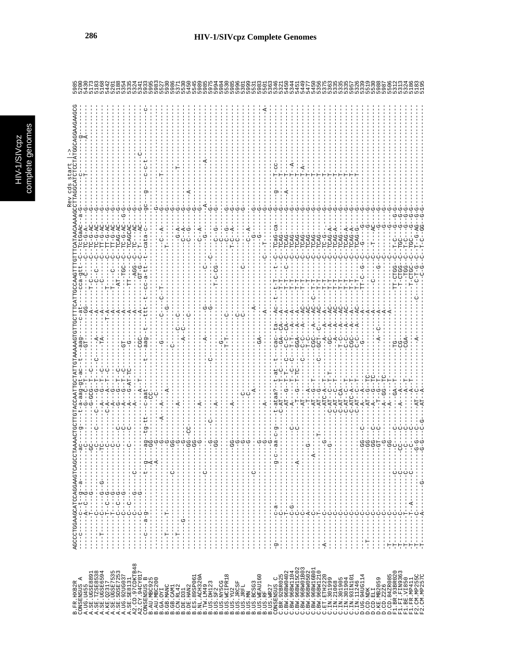| AGCCCTGGAAGCATCCAGGAAGTCAGCC                                                                                                                                                                                                                                                                                                                                                    |         | <b>GTACCAATT</b> | AAAAAGTG |                                                                                                     | HORACDO         |         |              |    |                |                                                                               |
|---------------------------------------------------------------------------------------------------------------------------------------------------------------------------------------------------------------------------------------------------------------------------------------------------------------------------------------------------------------------------------|---------|------------------|----------|-----------------------------------------------------------------------------------------------------|-----------------|---------|--------------|----|----------------|-------------------------------------------------------------------------------|
| J.<br>$\mathbf{I}$<br>$\frac{1}{0}$<br>I<br>J<br>I                                                                                                                                                                                                                                                                                                                              | O       |                  | aaq      | 3                                                                                                   | $cca - qt$      |         |              |    |                |                                                                               |
| $\mathbf{I}$<br>$\mathbf{I}$<br>$\frac{1}{1}$                                                                                                                                                                                                                                                                                                                                   | ひ       | 909-<br>Ġ        |          | $\overline{A}$                                                                                      |                 |         |              |    |                |                                                                               |
| $\frac{1}{1}$<br>÷.<br>$\mathbf{I}$<br>Ť<br>п<br>п<br>ï<br>I<br>$\frac{1}{1}$<br>$C - 1$<br>$\frac{1}{1}$                                                                                                                                                                                                                                                                       | ひひひひ    |                  |          | К                                                                                                   | $\frac{1}{2}$   |         | Ū            |    |                | $\infty$                                                                      |
| $\frac{1}{1}$<br>$-1 - 1 - 1$                                                                                                                                                                                                                                                                                                                                                   |         | K,               | U        |                                                                                                     | U               | τı      | ひ<br>ī<br>TT |    |                |                                                                               |
| $\begin{bmatrix} 1 \\ 1 \\ 1 \\ 1 \end{bmatrix}$<br>Ţ<br>$\frac{1}{1}$                                                                                                                                                                                                                                                                                                          |         | $C - A$          | U        | $\begin{array}{cccc}\n 4 & 4 & 4 & 4 & 4 \\  1 & 1 & 1 & 1 & 1 \\  1 & 1 & 1 & 1 & 1\n \end{array}$ | Ĥ               | -<br>U) | $-TT-G$      |    |                |                                                                               |
| $\frac{1}{1}$<br>不打击<br>$\frac{1}{1}$                                                                                                                                                                                                                                                                                                                                           |         |                  |          |                                                                                                     |                 | U)      | TT-G-        |    |                | 4 S S R<br>4 S S R                                                            |
| J<br>Ť<br>$\mathsf I$<br>C<br>J                                                                                                                                                                                                                                                                                                                                                 |         | ⊲ເບ              | U        |                                                                                                     | ГA-             | U)      | <b>TCAG</b>  |    |                |                                                                               |
| т<br>$\mathsf I$<br>I<br>$\frac{1}{1}$<br>$\mathsf I$<br>$\frac{1}{1}$<br>$\begin{array}{c}\n\bullet \\ \bullet \\ \bullet \\ \bullet \\ \bullet \\ \bullet \\ \bullet\n\end{array}$<br>I                                                                                                                                                                                       | τ,      | $\mathring{A}$   |          |                                                                                                     | <b>POL</b>      | ↻       | $TC-G$       |    |                |                                                                               |
| J.<br>J.<br>Ì<br>$\overline{\phantom{a}}$<br>J.<br>$-1$<br>$\ddot{c}$<br>$\ddot{c}$<br>$\ddot{c}$<br>$\ddot{c}$<br>$\ddot{c}$<br>$\ddot{c}$<br>$\ddot{c}$<br>$\ddot{c}$<br>$\ddot{c}$<br>$\ddot{c}$<br>$\ddot{c}$<br>$\ddot{c}$<br>$\ddot{c}$<br>$\ddot{c}$<br>$\ddot{c}$<br>$\ddot{c}$<br>$\ddot{c}$<br>$\ddot{c}$<br>$\ddot{c}$<br>$\ddot{c}$<br>$\ddot{c}$<br>$\ddot{c}$<br> | τ.      | K,               |          | Æ                                                                                                   | Ë               |         |              |    |                |                                                                               |
| л<br>$\frac{1}{1}$<br>$- - - - C$<br>$\begin{bmatrix} 1 \\ 1 \\ 1 \\ 1 \end{bmatrix}$                                                                                                                                                                                                                                                                                           |         |                  |          |                                                                                                     |                 |         |              |    |                |                                                                               |
| $\mathsf I$<br>$-1$<br>$-1$<br>$-1$<br>$-1$<br>$-1$<br>$-1$<br>$\frac{1}{1}$<br>$\frac{1}{1}$                                                                                                                                                                                                                                                                                   |         | Æ                |          |                                                                                                     | AGG             |         |              |    |                | n m ca 4 m o 6 c 4 m o 6 c + m m 4 m o 6<br>m m m m m o 6 c m o 6 m m 4 m o 6 |
| $\mathsf I$<br>$\frac{1}{1}$<br>ţ<br>$\frac{1}{1}$<br>$\frac{1}{2}$<br>ł<br>$- - - -$<br>$\frac{1}{1}$                                                                                                                                                                                                                                                                          |         |                  | UU<br>U  |                                                                                                     | $G_T-G$         |         |              |    |                |                                                                               |
| I<br>J<br>$-5 - 5 - - - -$                                                                                                                                                                                                                                                                                                                                                      | ᡃᡉ<br>I | -aat<br>Ο        | aag      |                                                                                                     | $a-t$<br>U<br>U |         | cata         |    |                |                                                                               |
|                                                                                                                                                                                                                                                                                                                                                                                 |         |                  |          |                                                                                                     |                 |         |              |    |                |                                                                               |
| J<br>J<br>$\frac{1}{1}$<br>$\frac{1}{1}$<br>í                                                                                                                                                                                                                                                                                                                                   |         |                  |          |                                                                                                     |                 |         |              |    |                |                                                                               |
| $\frac{1}{2}$<br>$\begin{bmatrix} 1 \\ 1 \\ 1 \\ 1 \end{bmatrix}$<br>$\mathsf I$<br>$\frac{1}{1}$<br>Ť.<br>$-1$ $-1$ $-1$ $-1$ $-1$ $-1$ $-1$<br>$\frac{1}{1}$                                                                                                                                                                                                                  |         | Ŗ                | Ü        |                                                                                                     |                 |         |              |    |                |                                                                               |
| Ţ<br>I<br>J<br>J.<br>$\overline{\phantom{a}}$<br>$\frac{1}{1}$<br>I<br>J<br>J,                                                                                                                                                                                                                                                                                                  |         |                  |          |                                                                                                     |                 |         |              |    |                |                                                                               |
| $\mathsf I$<br>$\frac{1}{2}$<br>п.<br>Ť.<br>$\mathbf{I}$<br>-1<br>1<br>$\mathsf I$<br>$\frac{1}{1}$<br>$\frac{1}{1}$                                                                                                                                                                                                                                                            |         |                  |          |                                                                                                     |                 |         |              |    |                |                                                                               |
| 1<br>$\overline{\phantom{a}}$<br>$\frac{1}{1}$<br>$\begin{bmatrix} 1 \\ 1 \\ 1 \\ 1 \end{bmatrix}$<br>$-1$ $-1$ $-1$ $-1$ $-1$                                                                                                                                                                                                                                                  |         |                  |          |                                                                                                     |                 |         |              |    |                |                                                                               |
| I<br>J<br>-1<br>ı<br>I<br>J.<br>T<br>1<br>Ť.<br>$\mathsf I$<br>$\mathbf{I}$<br>-1<br>$\frac{1}{6}$                                                                                                                                                                                                                                                                              |         |                  | ų.       |                                                                                                     |                 |         | U            |    |                |                                                                               |
| $\frac{1}{1}$                                                                                                                                                                                                                                                                                                                                                                   |         |                  |          |                                                                                                     |                 |         |              |    |                |                                                                               |
| ţ<br>ţ<br>T.<br>L<br>$\mathsf I$<br>J.<br>I.<br>I                                                                                                                                                                                                                                                                                                                               |         |                  |          |                                                                                                     |                 |         |              |    |                |                                                                               |
| $\begin{bmatrix} 1 \\ 1 \\ 1 \end{bmatrix}$<br>ţ<br>Í<br>I<br>J,<br>J.<br>$\begin{array}{c} \end{array}$<br>$\mathbf{I}$<br>п                                                                                                                                                                                                                                                   |         |                  |          |                                                                                                     |                 |         |              |    |                |                                                                               |
| $\frac{1}{1}$<br>$\mathbf{I}$<br>$\mathsf I$<br>$\frac{1}{1}$<br>$\begin{bmatrix} 1 \\ 1 \\ 1 \end{bmatrix}$<br>$\frac{1}{1}$<br>ţ<br>$\mathbf{I}$<br>ł<br>$\frac{1}{1}$                                                                                                                                                                                                        |         |                  |          |                                                                                                     |                 |         | $-4$         |    |                |                                                                               |
| ł<br>$\begin{array}{c} 1 \\ 1 \\ 1 \end{array}$                                                                                                                                                                                                                                                                                                                                 |         |                  |          |                                                                                                     |                 |         | ᄞ            |    |                |                                                                               |
| $\frac{1}{1}$<br>$\frac{1}{1}$<br>$\frac{1}{1}$<br>$\begin{bmatrix} 1 \\ 1 \\ 1 \end{bmatrix}$<br>$\frac{1}{1}$<br>$\mathbf I$<br>$\mathsf I$<br>$\mathsf I$<br>$\frac{1}{1}$<br>$\frac{1}{1}$                                                                                                                                                                                  |         |                  |          |                                                                                                     |                 |         |              |    |                |                                                                               |
| $\begin{bmatrix} 1 \\ 1 \\ 1 \\ 1 \end{bmatrix}$<br>I<br>Í<br>Ţ<br>ļ                                                                                                                                                                                                                                                                                                            |         |                  |          |                                                                                                     | じしし             |         | ن<br>ٻ       |    |                | ത                                                                             |
|                                                                                                                                                                                                                                                                                                                                                                                 |         |                  |          |                                                                                                     |                 |         |              |    |                | $\infty$<br>_<br>_<br>ൈ _                                                     |
| $\begin{array}{c} \n 1 \\  1 \\  1 \\  1\n \end{array}$<br>Ţ<br>$\frac{1}{1}$                                                                                                                                                                                                                                                                                                   |         |                  |          |                                                                                                     |                 |         |              |    |                |                                                                               |
| $\frac{1}{1}$<br>$\begin{array}{c} 1 \\ 1 \\ 1 \\ 1 \end{array}$                                                                                                                                                                                                                                                                                                                |         |                  |          |                                                                                                     |                 |         | ט            |    |                |                                                                               |
| $\begin{array}{c} \n 1 \\  1 \\  1 \\  1\n \end{array}$<br>$\frac{1}{1}$                                                                                                                                                                                                                                                                                                        |         |                  |          |                                                                                                     |                 |         |              |    |                |                                                                               |
| $\begin{bmatrix} 1 \\ 1 \\ 1 \end{bmatrix}$<br>$\frac{1}{1}$<br>I                                                                                                                                                                                                                                                                                                               |         |                  |          | C)                                                                                                  |                 |         |              |    |                |                                                                               |
| I<br>$\mathbf{I}$<br>$\frac{1}{1}$                                                                                                                                                                                                                                                                                                                                              |         |                  |          |                                                                                                     |                 |         |              |    |                |                                                                               |
| $\overline{\phantom{a}}$<br>ŧ                                                                                                                                                                                                                                                                                                                                                   |         |                  |          |                                                                                                     |                 |         |              |    |                |                                                                               |
| I<br>т<br>I<br>т<br>ï<br>I<br>I<br>I<br>I                                                                                                                                                                                                                                                                                                                                       |         |                  |          |                                                                                                     |                 |         |              |    |                | ო თ                                                                           |
| I<br>I.                                                                                                                                                                                                                                                                                                                                                                         |         |                  |          |                                                                                                     |                 |         |              |    |                | ოთოთო                                                                         |
| $\frac{1}{2}$ = $\frac{1}{2}$ = $\frac{1}{2}$ = $\frac{1}{2}$ = $\frac{1}{2}$<br>1                                                                                                                                                                                                                                                                                              |         |                  |          |                                                                                                     |                 |         |              |    |                |                                                                               |
| I<br>I<br>I<br>J.<br>j<br>I<br>J<br>$\overline{\phantom{a}}$<br>j<br>I<br>ì                                                                                                                                                                                                                                                                                                     |         |                  |          |                                                                                                     |                 |         |              |    |                |                                                                               |
| Ť.<br>$-1$ $-1$ $-1$ $-1$ $-1$ $-1$ $-1$<br>Ť.<br>$\frac{1}{1}$<br>Ť.                                                                                                                                                                                                                                                                                                           |         |                  |          |                                                                                                     |                 |         |              |    |                |                                                                               |
| $-1 - 1 - 1 - 1 - 1 - 1$<br>$\overline{\phantom{a}}$<br>J.<br>$- = - - - - - -$                                                                                                                                                                                                                                                                                                 |         | ataa:            | ದ<br>ದ   | t a                                                                                                 |                 |         | ී            | תו | C <sub>C</sub> |                                                                               |
| 1<br>1<br>Ť.<br>$\mathsf I$<br>÷<br>ł                                                                                                                                                                                                                                                                                                                                           |         |                  |          |                                                                                                     |                 |         |              |    |                |                                                                               |
| Ť<br>$\begin{array}{c} \n 1 \\  1 \\  1\n \end{array}$<br>$\mathbf{I}$<br>п<br>$\frac{1}{1}$<br>J<br>$\frac{1}{1}$<br>한터<br>   <br>   <br>ì                                                                                                                                                                                                                                     | п       |                  | ပု       |                                                                                                     | U               |         |              | К  |                |                                                                               |
| J<br>J.<br>$\frac{1}{9}$<br>$-1$                                                                                                                                                                                                                                                                                                                                                |         |                  |          |                                                                                                     |                 |         |              |    |                |                                                                               |
| $\frac{1}{1}$                                                                                                                                                                                                                                                                                                                                                                   |         |                  |          |                                                                                                     |                 |         |              |    |                |                                                                               |
| $-4$<br>I<br>I<br>ŧ<br>U<br>!<br>ł                                                                                                                                                                                                                                                                                                                                              |         |                  | F        |                                                                                                     |                 |         |              |    |                |                                                                               |
| $-1$<br>$\mathbf{I}$<br>ï<br>$\frac{1}{1}$<br>C<br>$\frac{1}{1}$                                                                                                                                                                                                                                                                                                                |         |                  | ပု       |                                                                                                     |                 |         |              |    | $T - A$        |                                                                               |
| $\frac{1}{1}$<br>$\frac{1}{1}$<br>$   A$<br>$\begin{bmatrix} 1 \\ 1 \\ 1 \\ 1 \end{bmatrix}$                                                                                                                                                                                                                                                                                    | J       |                  |          |                                                                                                     |                 |         |              |    |                |                                                                               |
| $A$ ---------<br>$\frac{1}{1}$<br>$\begin{array}{c}\nC \\ 1\n\end{array}$<br>$\frac{1}{1}$                                                                                                                                                                                                                                                                                      |         |                  |          | U                                                                                                   |                 |         |              |    |                |                                                                               |
|                                                                                                                                                                                                                                                                                                                                                                                 |         |                  |          |                                                                                                     |                 |         |              |    |                |                                                                               |
| ł<br>$\frac{1}{1}$<br>ţ<br>יך<br>י<br>$\frac{1}{1}$                                                                                                                                                                                                                                                                                                                             |         |                  | 5        |                                                                                                     |                 |         |              |    |                |                                                                               |
| $-1$ $-1$ $-1$ $-1$ $-1$<br>í<br>$\frac{1}{1}$<br>ن<br>ا<br>í<br>$-A$ - - -                                                                                                                                                                                                                                                                                                     |         |                  |          | K,                                                                                                  |                 |         |              |    |                |                                                                               |
| $\begin{array}{c} \n 1 \\  1 \\  1 \\  1\n \end{array}$<br>$\frac{1}{1}$<br>$\Gamma$<br>$\mathbf{I}$                                                                                                                                                                                                                                                                            |         |                  |          |                                                                                                     |                 |         |              |    |                |                                                                               |
| $\frac{1}{1}$<br>$\frac{1}{1}$<br>Ÿ<br>I<br>í                                                                                                                                                                                                                                                                                                                                   |         |                  |          | Æ                                                                                                   |                 |         | CAG<br>CAG   |    |                |                                                                               |
|                                                                                                                                                                                                                                                                                                                                                                                 |         |                  |          |                                                                                                     |                 |         |              |    |                |                                                                               |
| Ť<br>$\frac{0}{1}$<br>$\frac{1}{1}$                                                                                                                                                                                                                                                                                                                                             |         |                  |          | A,                                                                                                  |                 |         | <b>CAG</b>   |    |                |                                                                               |
| $-1$ $-1$ $-1$ $-1$ $-1$<br>í<br>$\frac{1}{4}$<br>$\frac{1}{1}$<br>Í<br>$\frac{1}{1}$                                                                                                                                                                                                                                                                                           |         | $-AT -$          |          | К                                                                                                   | Ţ               |         | TCAG-A       |    |                |                                                                               |
| $\frac{1}{1}$<br>$\frac{1}{1}$<br>$\frac{1}{2}$<br>ł                                                                                                                                                                                                                                                                                                                            |         | $-ATC-P$         |          | $\overline{A}$ $\overline{C}$ $\overline{A}$<br>$\prec$                                             |                 |         | TCAG-A-      |    |                | ന                                                                             |
| $\frac{1}{1}$<br>$\frac{1}{1}$<br>U<br> <br>$\frac{1}{1}$                                                                                                                                                                                                                                                                                                                       |         | $-AT-$           |          | Ą                                                                                                   |                 |         | $CAG-G$      |    |                |                                                                               |
| $\frac{1}{1}$                                                                                                                                                                                                                                                                                                                                                                   |         |                  |          |                                                                                                     | ひ               |         |              |    |                |                                                                               |
| $\frac{1}{1}$<br>I<br>I<br>$\frac{1}{1}$<br>$\frac{1}{1}$<br>I<br>I                                                                                                                                                                                                                                                                                                             |         |                  |          |                                                                                                     |                 |         |              |    |                |                                                                               |
| í<br>$\frac{1}{1}$<br>U<br>!<br>Í<br>$-1 - 1 - 1$                                                                                                                                                                                                                                                                                                                               |         | P                |          | K.                                                                                                  |                 |         |              |    |                | ՠՠՠՠՠ                                                                         |
| J.<br>$\,$ I<br>$\overline{\phantom{a}}$<br>÷<br>$\blacksquare$<br>U<br>$\mathbf{I}$<br>$\overline{1}$                                                                                                                                                                                                                                                                          |         |                  |          | ⋖                                                                                                   |                 |         |              |    |                |                                                                               |
| $\mathbb{I}$<br>$\frac{1}{1}$<br>$\frac{1}{1}$<br>$\frac{1}{1}$<br>$\frac{1}{1}$                                                                                                                                                                                                                                                                                                |         |                  |          | Æ                                                                                                   | ひ               |         |              |    |                |                                                                               |
| I.<br>$\frac{1}{1}$<br>$\frac{1}{1}$<br>I<br>Í<br>$\frac{1}{1}$<br>$\frac{1}{4}$<br>$-1 - 1$<br>$\begin{bmatrix} 1 \\ 1 \\ 1 \\ 1 \end{bmatrix}$                                                                                                                                                                                                                                |         |                  |          |                                                                                                     |                 |         |              |    |                |                                                                               |
| $\mathbf{I}$<br>$\mathsf I$<br>$\blacksquare$<br>÷<br>$-1 - 1$                                                                                                                                                                                                                                                                                                                  |         |                  |          |                                                                                                     |                 |         |              |    |                |                                                                               |
| 1<br>$\frac{1}{1}$<br>J<br>$\frac{1}{1}$<br>ŧ<br>$-1$<br>J<br>$-1$<br>J                                                                                                                                                                                                                                                                                                         |         |                  |          |                                                                                                     | <b>UDU-11</b>   |         |              |    |                |                                                                               |
| Ť<br>↻<br>$\mathbf{I}$                                                                                                                                                                                                                                                                                                                                                          |         |                  |          |                                                                                                     | $T - CTC$       |         |              |    |                |                                                                               |
| J.<br>$\frac{1}{1}$<br>J.                                                                                                                                                                                                                                                                                                                                                       |         |                  |          |                                                                                                     |                 |         |              |    |                |                                                                               |
| L<br>Ħ<br>I.<br>$\mathbf{I} = \mathbf{I}$<br>ł,<br>$\frac{1}{1}$<br>쁩<br>т                                                                                                                                                                                                                                                                                                      |         |                  |          |                                                                                                     |                 |         |              |    |                |                                                                               |
| -1<br>$\,$ I<br>$- - A - -$<br>-1<br>j.                                                                                                                                                                                                                                                                                                                                         |         |                  |          |                                                                                                     |                 |         |              |    |                |                                                                               |
| $\mathbf I$<br>ţ<br>$\frac{1}{1}$<br>$\overline{\phantom{a}}$<br>п<br>$\frac{1}{1}$<br>ŧ<br>U<br>$-1$                                                                                                                                                                                                                                                                           |         |                  |          |                                                                                                     |                 |         |              |    |                |                                                                               |
| $\overline{\phantom{a}}$<br>J.<br>$-9 - - - -$<br>$\frac{1}{4}$<br>$\frac{1}{1}$<br>$\Delta$<br>Ţ<br>J,                                                                                                                                                                                                                                                                         |         |                  |          |                                                                                                     |                 |         |              |    |                |                                                                               |
|                                                                                                                                                                                                                                                                                                                                                                                 |         |                  |          |                                                                                                     |                 |         |              |    |                |                                                                               |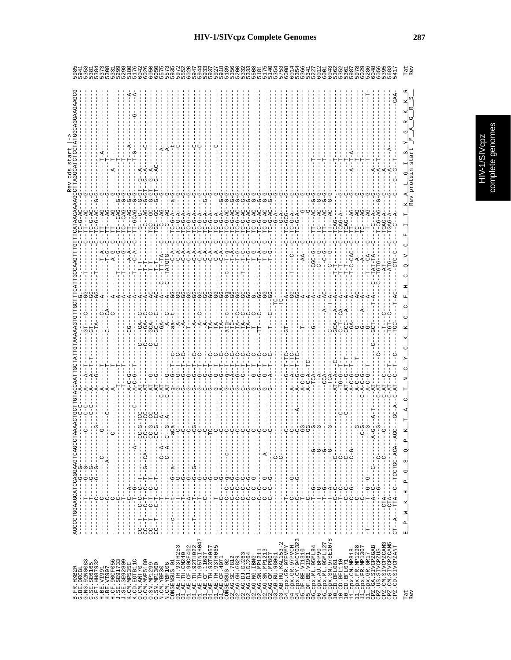|                                                                                                 |        |                                 |                                                   |                                                          |                | 10101       |              |             | LO                                              | LO LO                             |                         |                                       |                          |                                  |                                               |                         |                       | on La                                  |                                 |                                                                | ന                                           |                               |                                                                                                                                      |   |   |                              |                |                     |                   |                                      |                     |     |                                                                                                                                                                                                                                                                                                                                                                                                                                                                                                                                                              |                             |                                         |                                                                                                     |                     |                          |                                           |                    |                                       |                                             |                    |   |                        | င္ပ                                                                             |                    |     |                                |                      |                                | mm 0<br>50                     |                   |                    |                                          |                              |                        |                |                |                              |
|-------------------------------------------------------------------------------------------------|--------|---------------------------------|---------------------------------------------------|----------------------------------------------------------|----------------|-------------|--------------|-------------|-------------------------------------------------|-----------------------------------|-------------------------|---------------------------------------|--------------------------|----------------------------------|-----------------------------------------------|-------------------------|-----------------------|----------------------------------------|---------------------------------|----------------------------------------------------------------|---------------------------------------------|-------------------------------|--------------------------------------------------------------------------------------------------------------------------------------|---|---|------------------------------|----------------|---------------------|-------------------|--------------------------------------|---------------------|-----|--------------------------------------------------------------------------------------------------------------------------------------------------------------------------------------------------------------------------------------------------------------------------------------------------------------------------------------------------------------------------------------------------------------------------------------------------------------------------------------------------------------------------------------------------------------|-----------------------------|-----------------------------------------|-----------------------------------------------------------------------------------------------------|---------------------|--------------------------|-------------------------------------------|--------------------|---------------------------------------|---------------------------------------------|--------------------|---|------------------------|---------------------------------------------------------------------------------|--------------------|-----|--------------------------------|----------------------|--------------------------------|--------------------------------|-------------------|--------------------|------------------------------------------|------------------------------|------------------------|----------------|----------------|------------------------------|
|                                                                                                 |        |                                 |                                                   |                                                          |                |             |              |             |                                                 |                                   |                         |                                       |                          |                                  |                                               |                         |                       |                                        |                                 |                                                                |                                             |                               |                                                                                                                                      |   |   |                              |                |                     |                   |                                      |                     |     |                                                                                                                                                                                                                                                                                                                                                                                                                                                                                                                                                              |                             |                                         |                                                                                                     |                     |                          |                                           |                    |                                       |                                             |                    |   |                        |                                                                                 |                    |     |                                |                      |                                |                                |                   |                    |                                          |                              |                        |                |                | FAA                          |
|                                                                                                 |        |                                 |                                                   |                                                          |                |             |              |             |                                                 |                                   |                         |                                       |                          |                                  |                                               |                         |                       |                                        |                                 |                                                                |                                             |                               |                                                                                                                                      |   |   |                              |                |                     |                   |                                      |                     |     |                                                                                                                                                                                                                                                                                                                                                                                                                                                                                                                                                              |                             |                                         |                                                                                                     |                     |                          |                                           |                    |                                       |                                             |                    |   |                        |                                                                                 |                    |     |                                |                      |                                |                                |                   |                    |                                          |                              |                        |                |                |                              |
|                                                                                                 |        |                                 |                                                   |                                                          |                |             |              |             |                                                 |                                   | Æ<br>てり                 | К<br>てり                               |                          |                                  |                                               |                         |                       |                                        |                                 |                                                                |                                             |                               |                                                                                                                                      |   |   |                              |                |                     |                   |                                      |                     |     |                                                                                                                                                                                                                                                                                                                                                                                                                                                                                                                                                              |                             |                                         |                                                                                                     |                     |                          |                                           |                    |                                       |                                             |                    |   |                        |                                                                                 |                    |     |                                |                      |                                |                                |                   |                    |                                          |                              |                        |                |                |                              |
|                                                                                                 |        |                                 |                                                   |                                                          |                |             |              | Ġ           | てり                                              | Ġ                                 | ひ                       | Ġ                                     | ပ်                       |                                  |                                               |                         |                       |                                        |                                 |                                                                |                                             |                               |                                                                                                                                      |   |   |                              |                |                     |                   |                                      |                     |     |                                                                                                                                                                                                                                                                                                                                                                                                                                                                                                                                                              |                             |                                         |                                                                                                     |                     |                          |                                           |                    |                                       |                                             |                    |   | Ġ                      | Ġ                                                                               | ά                  | Ġ   |                                |                      |                                |                                |                   |                    |                                          |                              |                        |                |                |                              |
|                                                                                                 |        |                                 |                                                   |                                                          |                |             |              |             | ყ<br>ს                                          |                                   |                         |                                       |                          |                                  |                                               |                         |                       |                                        |                                 |                                                                |                                             |                               |                                                                                                                                      |   |   |                              |                |                     |                   |                                      |                     |     |                                                                                                                                                                                                                                                                                                                                                                                                                                                                                                                                                              |                             |                                         |                                                                                                     |                     |                          |                                           |                    |                                       |                                             |                    |   |                        |                                                                                 |                    |     |                                |                      | CAS<br>C                       | Ė                              |                   |                    |                                          |                              |                        |                |                |                              |
|                                                                                                 |        |                                 |                                                   | פ                                                        |                |             |              |             |                                                 |                                   |                         |                                       |                          |                                  |                                               |                         |                       |                                        |                                 |                                                                |                                             |                               |                                                                                                                                      | Æ | Æ |                              | К              | তা                  |                   | O                                    | ט                   | O   |                                                                                                                                                                                                                                                                                                                                                                                                                                                                                                                                                              |                             |                                         |                                                                                                     |                     |                          |                                           |                    |                                       |                                             |                    |   | ひひひ                    |                                                                                 |                    |     |                                |                      |                                | C-CAC                          |                   |                    |                                          |                              |                        |                |                |                              |
|                                                                                                 |        |                                 |                                                   |                                                          |                |             |              |             |                                                 |                                   |                         |                                       |                          |                                  |                                               |                         |                       |                                        |                                 |                                                                |                                             |                               |                                                                                                                                      |   |   |                              |                |                     |                   |                                      |                     |     |                                                                                                                                                                                                                                                                                                                                                                                                                                                                                                                                                              |                             |                                         |                                                                                                     |                     |                          |                                           |                    |                                       |                                             |                    |   |                        |                                                                                 |                    |     |                                |                      |                                |                                |                   |                    |                                          |                              |                        |                |                |                              |
|                                                                                                 |        |                                 |                                                   |                                                          |                |             |              |             |                                                 |                                   |                         |                                       |                          |                                  |                                               |                         |                       |                                        |                                 |                                                                |                                             |                               |                                                                                                                                      |   |   |                              |                |                     |                   |                                      |                     |     |                                                                                                                                                                                                                                                                                                                                                                                                                                                                                                                                                              |                             |                                         |                                                                                                     |                     |                          |                                           |                    |                                       |                                             |                    |   |                        |                                                                                 |                    |     |                                |                      |                                |                                |                   |                    |                                          |                              |                        |                |                |                              |
|                                                                                                 |        |                                 |                                                   |                                                          |                |             |              |             |                                                 |                                   |                         | ひひひ                                   |                          |                                  |                                               |                         |                       |                                        |                                 |                                                                |                                             |                               |                                                                                                                                      |   |   |                              |                |                     |                   |                                      |                     |     |                                                                                                                                                                                                                                                                                                                                                                                                                                                                                                                                                              |                             |                                         |                                                                                                     |                     |                          |                                           |                    |                                       |                                             |                    |   |                        |                                                                                 |                    |     |                                |                      | g                              |                                |                   |                    |                                          |                              |                        |                |                |                              |
|                                                                                                 |        |                                 |                                                   |                                                          |                |             |              |             |                                                 |                                   |                         |                                       |                          |                                  |                                               |                         |                       |                                        |                                 |                                                                |                                             |                               |                                                                                                                                      |   |   |                              |                |                     | τ)                |                                      |                     |     |                                                                                                                                                                                                                                                                                                                                                                                                                                                                                                                                                              |                             |                                         |                                                                                                     |                     |                          |                                           |                    |                                       |                                             |                    |   |                        |                                                                                 |                    |     |                                |                      | 투                              |                                |                   |                    |                                          |                              |                        |                |                |                              |
|                                                                                                 |        |                                 |                                                   |                                                          |                |             |              |             |                                                 |                                   |                         |                                       |                          |                                  |                                               |                         |                       |                                        |                                 |                                                                |                                             |                               |                                                                                                                                      |   |   |                              |                |                     |                   |                                      |                     |     |                                                                                                                                                                                                                                                                                                                                                                                                                                                                                                                                                              |                             |                                         |                                                                                                     |                     |                          |                                           |                    |                                       |                                             |                    |   |                        |                                                                                 |                    |     |                                |                      |                                |                                |                   |                    |                                          |                              |                        |                |                |                              |
|                                                                                                 |        |                                 |                                                   |                                                          |                |             |              |             |                                                 |                                   |                         |                                       |                          |                                  |                                               |                         |                       |                                        |                                 |                                                                |                                             |                               |                                                                                                                                      |   |   |                              |                |                     |                   |                                      |                     |     |                                                                                                                                                                                                                                                                                                                                                                                                                                                                                                                                                              |                             |                                         |                                                                                                     |                     |                          |                                           |                    |                                       |                                             |                    |   |                        |                                                                                 |                    |     |                                |                      |                                |                                |                   |                    |                                          |                              |                        |                |                |                              |
| $\frac{1}{2}$                                                                                   |        | Ÿ<br>ł                          | $-4-$                                             | ÷                                                        | $\blacksquare$ |             | $\mathbf{I}$ |             | $-4-$<br>$\mathsf I$<br>$\mathbf{I}$            | 1<br>I<br>$\mathbf{I}$            |                         | T<br>Ť                                | п<br>J.<br>п             | $-4$                             | ł<br>$- - A$<br>$-1$                          | I<br>I<br>$\frac{1}{1}$ |                       |                                        |                                 | $\frac{1}{1}$<br>$\mathbf{I}$                                  | Л                                           |                               |                                                                                                                                      |   |   | $\mathbf{I}$<br>1<br>п.      | $\blacksquare$ | J.<br>$\frac{1}{1}$ | т<br>$\mathbf{I}$ | $\mathbf{I}$<br>п.                   | п<br>÷              | - 1 | j.                                                                                                                                                                                                                                                                                                                                                                                                                                                                                                                                                           | п<br>J.<br>$\mathsf I$<br>Т | f,<br>$- - - - A$                       | $\frac{1}{1}$                                                                                       | J,<br>$\frac{1}{2}$ | Ť<br>$\frac{1}{2}$       | $\mathbf{I}$                              | $\mathsf I$        | $\blacksquare$                        | п<br>п<br>$\mathbf{I}$                      | J.<br>J<br>J.      |   |                        | 1<br>$\begin{array}{c} \updownarrow \\ \updownarrow \\ \downarrow \end{array},$ | ပုံ                | ပုံ | $\frac{1}{1}$<br>$\frac{1}{1}$ | Ť<br>r<br>           | $\frac{1}{1}$<br>$\frac{C}{1}$ | ပြီ<br>U<br>J,                 |                   |                    | $\overline{\phantom{a}}$                 | Ţ<br>Ť                       | J,<br>$\frac{C}{1}$    | Ÿ              |                |                              |
| $\blacksquare$<br>ပုံ<br>יָט<br>י<br>ו<br>ウー<br>$\frac{6}{1}$<br>Ġ<br>$\blacksquare$<br>L.<br>л | Ġ      | J.<br>$-1$<br>ပု<br>J.          | $\blacksquare$<br>$\mathsf I$                     | Ť<br>п                                                   |                |             |              | Æ           | $\mathbf{I}$<br>τŋ                              | 부<br>O                            | $-9 - -1$<br>U          | $\frac{1}{1}$<br>부부부<br>       <br>C. | л.<br>J.<br>Ť<br>C)      | $- - -$<br>л.                    | j                                             | ひ<br>$\mathbf{I}$       | $-\overline{a}$       | л.<br>ひ<br>$\mathbf{I}$<br>п           | L.<br>ひ<br>Ī                    | $\mathbf{I}$<br>ひ<br>$\frac{1}{1}$<br>$\mathbf{I}$             | л<br>י<br>ד<br>ひ<br>$\mathbf{I}$<br>п       | ひ<br>T<br>п                   | ひ<br>$\overline{1}$<br>п                                                                                                             | ひ | ひ | $\mathbf{I}$<br>$\mathbf{I}$ | てり             |                     | т<br>のひ<br>J,     | $\mathbf{I}$<br>てり                   | л.<br>ひ<br>÷        | ひ   | ÷                                                                                                                                                                                                                                                                                                                                                                                                                                                                                                                                                            | $\mathbf{I}$                | ひ<br>÷                                  | ひ<br>÷                                                                                              |                     | ï<br>ï<br>$\blacksquare$ | п                                         |                    | п<br>ひ<br>Ţ<br>$\mathbf{I}$           | п<br>ひ<br>T<br>$\mathbf{I}$<br>$\mathbf{I}$ | I<br>п             |   |                        | п<br>$\mathbf I$                                                                | てり                 | К   | U)                             | U)                   | O                              | Ġ                              |                   |                    | п<br>ロー                                  | ن<br>ا<br>$\frac{1}{1}$<br>U | ひ                      | $\mathbf{I}$   |                |                              |
| $\mathsf I$<br>$\blacksquare$<br>۳<br>ا<br>$\frac{1}{1}$<br>J.                                  | ۲<br>ا | 1<br>ט<br>ו<br>U<br>ŧ<br>I<br>п | $\mathsf I$<br>$\mathbf{I}$<br>÷<br>$\frac{1}{1}$ | $\,$ I<br>$\overline{1}$<br>O<br>$\frac{1}{1}$<br>J<br>п | ↻<br>-1        | т<br>ł<br>T |              | Ŧ<br>U<br>Ť | $\frac{1}{1}$<br>$\mathbf{I}$<br>$\blacksquare$ | $\pm$<br>ပု<br>U<br>$\frac{1}{1}$ | 부<br>U<br>$\frac{1}{1}$ | ÷<br>부<br>Ü<br>Ì                      | $\frac{1}{1}$<br>けし<br>ŧ | -1<br>י<br>י<br>п                | J.<br>$\overline{a}$                          | $-1$                    | $\mathsf I$<br>Ť<br>U | -1<br>י<br>י<br>T<br>$\mathbf{I}$<br>п | -1<br>$\frac{1}{2}$<br>J.<br>J. | $\mathbf I$<br>$\frac{1}{1}$<br>$\mathbf{I}$<br>$\blacksquare$ | $\mathbf{I}$<br>1<br>I<br>$\mathbf{I}$<br>부 | T<br>$\frac{1}{2}$<br>I.<br>п | $\mathbf{I}$<br>$\overline{1}$<br>Ŧ<br>$\begin{array}{c} \hline \end{array}$<br>$\overline{\phantom{a}}$<br>$\overline{\phantom{a}}$ |   |   | 1<br>부<br>T<br>п<br>T        | ÷<br>J.        | ÷                   | Ť<br>T<br>I.      | $\blacksquare$<br>$\mathbf{I}$<br>-1 | $\frac{1}{1}$<br>J. |     | U<br>$\begin{smallmatrix} \textcolor{blue}{\textbf{1}} & \textcolor{blue}{\textbf{1}} & \textcolor{blue}{\textbf{1}} & \textcolor{blue}{\textbf{1}} & \textcolor{blue}{\textbf{1}} & \textcolor{blue}{\textbf{1}} & \textcolor{blue}{\textbf{1}} & \textcolor{blue}{\textbf{1}} & \textcolor{blue}{\textbf{1}} & \textcolor{blue}{\textbf{1}} & \textcolor{blue}{\textbf{1}} & \textcolor{blue}{\textbf{1}} & \textcolor{blue}{\textbf{1}} & \textcolor{blue}{\textbf{1}} & \textcolor{blue}{\textbf{1}} & \textcolor{blue}{\textbf{1}} & \textcolor{blue}{$ | $\frac{1}{1}$<br>J.         | $\frac{1}{1}$<br>$\mathbf{I}$           | 000000000<br>           <br>υU<br>Ħ<br>$\blacksquare$<br>$\begin{array}{c} 1 \\ 1 \\ 1 \end{array}$ | Ť                   | T<br>I.<br>ï             | $\mathbf{I}$<br>$\frac{1}{2}$<br>$\Gamma$ | $\frac{1}{1}$<br>ţ | $\mathbf{I}$<br>$\mathbf I$<br>O<br>÷ | Ť<br>ŧ<br>T                                 | $\frac{1}{1}$<br>Ţ | Ť | ליט<br>   <br>  י<br>Ť | $-1$<br>T                                                                       | $\frac{1}{1}$<br>Ť | Ť   | ŧ                              | TH.<br>$\frac{1}{1}$ | Ť                              | $\frac{9}{1}$<br>$\frac{1}{1}$ | U<br>$\mathbf{I}$ | H.<br>I.<br>U<br>ŧ | $\frac{6}{1}$<br>י<br>י<br>$\frac{1}{1}$ | ŧ<br>$- - A$<br>$\mathbf{I}$ | $\mathbf{I}$<br>I<br>H | $--CTA--$<br>п | CTA<br>ŧ<br>I. | - - 404-09H00H--0- - 4HH-- - |
| $\begin{array}{c} \end{array}$<br>$\mathbf{I}$<br>л                                             |        |                                 |                                                   |                                                          |                |             |              |             |                                                 | $-1$<br>U                         | ġ                       | ééé<br>TTT<br>ÙÙ<br>UU                |                          | $\mathsf I$<br>$\mathbf{I}$<br>п | $\overline{\phantom{a}}$<br>$\mathbf{I}$<br>H | $\mathbf{I}$            | $\mathsf I$           | $\mathbf{I}$                           | J.<br>$\mathsf I$               | $\mathbf{I}$<br>$\blacksquare$                                 | $\mathbf{I}$                                |                               | $\overline{1}$                                                                                                                       |   |   | I.<br>т                      |                |                     | 1<br>п            | -1                                   | Ţ<br>$\mathbf{I}$   |     |                                                                                                                                                                                                                                                                                                                                                                                                                                                                                                                                                              | Ţ<br>$\blacksquare$         | $\,$ I<br>$\frac{1}{2}$<br>$\mathbf{I}$ | $\frac{1}{4}$                                                                                       | J                   | I                        |                                           | $\frac{1}{1}$      |                                       |                                             |                    |   |                        | Ţ<br>$\mathbf{I}$                                                               |                    |     |                                |                      | Ť                              | п                              |                   | I<br>T             | $-1$                                     | $\mathbf{I}$<br>$\mathbf{I}$ | J<br>J.                | I<br>п         |                | $-4$<br>Ė                    |
|                                                                                                 |        |                                 |                                                   |                                                          |                |             |              |             |                                                 |                                   |                         |                                       |                          |                                  |                                               |                         |                       |                                        |                                 |                                                                |                                             |                               |                                                                                                                                      |   |   |                              |                |                     |                   |                                      |                     |     |                                                                                                                                                                                                                                                                                                                                                                                                                                                                                                                                                              |                             |                                         |                                                                                                     |                     |                          |                                           |                    |                                       |                                             |                    |   |                        |                                                                                 |                    |     |                                |                      |                                |                                |                   |                    |                                          |                              |                        |                |                |                              |
| E.DRCB<br>Щ                                                                                     |        |                                 |                                                   |                                                          |                |             |              |             |                                                 |                                   |                         |                                       |                          |                                  |                                               |                         |                       |                                        |                                 |                                                                |                                             |                               |                                                                                                                                      |   |   |                              |                |                     |                   |                                      |                     |     |                                                                                                                                                                                                                                                                                                                                                                                                                                                                                                                                                              |                             |                                         |                                                                                                     |                     |                          |                                           |                    |                                       |                                             |                    |   |                        |                                                                                 |                    |     |                                |                      |                                |                                |                   |                    |                                          |                              |                        |                |                |                              |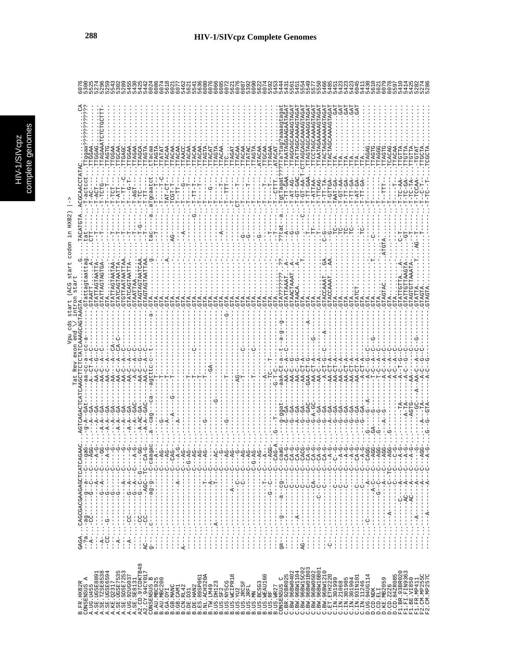complete genomes HIV-1/SIVcpz

Vpu cds start (ACG start codon in HXB2) |->

|                   |                                                                                                                  |                                                                                                                                                                                                                                                                                                                                                                                                                                                                                                                                                                                                                                                                                  |                                                                                                             |                                  |               |                              | TACATGTA<br>đ |               |                      |  |
|-------------------|------------------------------------------------------------------------------------------------------------------|----------------------------------------------------------------------------------------------------------------------------------------------------------------------------------------------------------------------------------------------------------------------------------------------------------------------------------------------------------------------------------------------------------------------------------------------------------------------------------------------------------------------------------------------------------------------------------------------------------------------------------------------------------------------------------|-------------------------------------------------------------------------------------------------------------|----------------------------------|---------------|------------------------------|---------------|---------------|----------------------|--|
|                   | GAGA<br>--?a<br>--A--                                                                                            |                                                                                                                                                                                                                                                                                                                                                                                                                                                                                                                                                                                                                                                                                  | $A_{G_2}$<br>$-9aG$<br>$-1-4G$<br>$-1-1$<br>$-1-1$                                                          |                                  |               |                              |               |               |                      |  |
|                   | Ť                                                                                                                |                                                                                                                                                                                                                                                                                                                                                                                                                                                                                                                                                                                                                                                                                  |                                                                                                             |                                  | $AA-C$        |                              |               |               |                      |  |
|                   | $-4-1$<br>$\begin{array}{c} 1 \\ -1 \end{array}$                                                                 |                                                                                                                                                                                                                                                                                                                                                                                                                                                                                                                                                                                                                                                                                  |                                                                                                             | S<br>$A - A$                     |               | <b>GTATTAGTAGTGA</b>         |               | -TCTC         |                      |  |
|                   |                                                                                                                  |                                                                                                                                                                                                                                                                                                                                                                                                                                                                                                                                                                                                                                                                                  |                                                                                                             | S<br>$A - A$                     | AA-C          |                              |               |               |                      |  |
|                   | $\cdot$<br>$\mathbf I$<br>$\frac{1}{1}$                                                                          |                                                                                                                                                                                                                                                                                                                                                                                                                                                                                                                                                                                                                                                                                  |                                                                                                             | $-GA$<br>$-1$                    | $CD - 1$      | <b>GTATTAGTAATAZ</b>         |               | --<br>--<br>- |                      |  |
|                   | $-4 - 1$                                                                                                         | $\begin{array}{c} \circ \circ \circ \circ \circ \circ \circ \circ \circ \\ \circ \circ \circ \circ \circ \circ \circ \circ \\ \circ \circ \circ \circ \circ \circ \circ \circ \\ \circ \circ \circ \circ \circ \circ \circ \circ \circ \\ \circ \circ \circ \circ \circ \circ \circ \circ \circ \circ \circ \\ \circ \circ \circ \circ \circ \circ \circ \circ \circ \circ \circ \\ \circ \circ \circ \circ \circ \circ \circ \circ \circ \circ \circ \\ \circ \circ \circ \circ \circ \circ \circ \circ \circ \circ \circ \\ \circ \circ \circ \circ \circ \circ \circ \circ \circ \circ \circ \\ \circ \circ \circ \circ \circ \circ \circ \circ \circ \circ \circ \\ \circ \$ |                                                                                                             | $-6A$<br>$A - A$                 | $-4$<br>$A-A$ | GTATCAGTAATTA                |               |               |                      |  |
|                   | I.<br>$\frac{1}{1}$                                                                                              |                                                                                                                                                                                                                                                                                                                                                                                                                                                                                                                                                                                                                                                                                  |                                                                                                             | $-6A$<br>$-4$                    | - AA          | GTGTTAATAATTA                |               |               |                      |  |
|                   | $-4 -$                                                                                                           |                                                                                                                                                                                                                                                                                                                                                                                                                                                                                                                                                                                                                                                                                  |                                                                                                             | $-6A$<br>$A - A$                 | $AA-C$        | <b>GTATCAGTAATTI</b>         |               | - 다<br>다      |                      |  |
|                   | т<br>п                                                                                                           | ひひひ                                                                                                                                                                                                                                                                                                                                                                                                                                                                                                                                                                                                                                                                              |                                                                                                             | $--GAC$<br>$- A - AC - G A$<br>Ţ |               |                              |               | $-AC$         |                      |  |
| B48               | п<br>$\mathbf{I}$<br>$\mathsf I$<br>$\,$ I<br>$\frac{1}{2}$<br>$AC -$<br>$\frac{1}{1}$                           | Ţ<br>$\mathbf{I}$                                                                                                                                                                                                                                                                                                                                                                                                                                                                                                                                                                                                                                                                | $ CA$<br>п<br>$\frac{1}{2}$                                                                                 | $-A - A - GAC$                   |               | GTAGTAGTAATTA<br>AGTAGTAATCA | $-9$          | -TT-<br>-TC   |                      |  |
|                   | $\blacksquare$<br>1<br>$\,$ I<br>Τ.<br>$\frac{1}{4}$<br>U                                                        | Ť                                                                                                                                                                                                                                                                                                                                                                                                                                                                                                                                                                                                                                                                                | caa                                                                                                         |                                  |               |                              | $- -$         | gcaatc        |                      |  |
|                   | - 1<br>-1<br>$\mathbf{I}$<br>÷.<br>$\cdot$<br>$\frac{1}{5}$<br>п                                                 | -1                                                                                                                                                                                                                                                                                                                                                                                                                                                                                                                                                                                                                                                                               | $---A$                                                                                                      | $-0.00 - 1$                      | ö             |                              |               |               |                      |  |
|                   | п<br>J.<br>п<br>Ť.<br>$\frac{1}{4}$                                                                              | $\mathbf{I}$<br>J.<br>Ť<br>ï<br>J.                                                                                                                                                                                                                                                                                                                                                                                                                                                                                                                                                                                                                                               | <b>UUUUU</b><br>Ť.                                                                                          | ひ                                |               |                              |               |               |                      |  |
|                   | п<br>T                                                                                                           | п                                                                                                                                                                                                                                                                                                                                                                                                                                                                                                                                                                                                                                                                                | -1                                                                                                          |                                  |               |                              |               | TD-TR         |                      |  |
|                   | п<br>I<br>Ť<br>т<br>$\vdots$                                                                                     | L.<br>T<br>л.<br>$\mathbf{I}$<br>I.                                                                                                                                                                                                                                                                                                                                                                                                                                                                                                                                                                                                                                              | л.                                                                                                          |                                  |               |                              |               | CGT-T         |                      |  |
|                   | -1<br>$\overline{\phantom{a}}$<br>$\overline{\phantom{a}}$<br>Ť<br>$\,$ I<br>$\ddot{\cdot}$                      | $---A---$<br>$\,$ I<br>$\overline{\phantom{a}}$                                                                                                                                                                                                                                                                                                                                                                                                                                                                                                                                                                                                                                  | - 1                                                                                                         |                                  |               |                              |               | Ę             |                      |  |
|                   | J.<br>J.<br>-1<br>ï<br>$\ddot{\cdot}$                                                                            | L.<br>т<br>$\mathbf{I}$<br>J.<br>J.                                                                                                                                                                                                                                                                                                                                                                                                                                                                                                                                                                                                                                              | υU<br>Ť.                                                                                                    |                                  |               |                              |               |               |                      |  |
|                   | -1<br>т<br>1<br>ł<br>I                                                                                           | Ī<br>ł<br>$\frac{1}{4}$<br>I<br>1                                                                                                                                                                                                                                                                                                                                                                                                                                                                                                                                                                                                                                                |                                                                                                             |                                  |               |                              |               |               | TACA                 |  |
|                   | -1<br>$\mathbf{I}$<br>-<br>J.<br>т                                                                               | $\mathbf{I}$<br>-1<br>Ť.<br>$\mathbf{I}$<br>-1<br>Ť.<br>$\mathbf{I}$                                                                                                                                                                                                                                                                                                                                                                                                                                                                                                                                                                                                             | J.                                                                                                          |                                  |               |                              |               |               |                      |  |
|                   | $\frac{1}{1}$<br>п<br>I<br>$\ddot{\cdot}$                                                                        | T<br>$\mathbf{I}$<br>$\frac{1}{2}$<br>л<br>Ţ<br>I<br>I.<br>ï<br>$\mathbf{I}$<br>$\mathbf{I}$<br>J.                                                                                                                                                                                                                                                                                                                                                                                                                                                                                                                                                                               | ひひひひひ<br>Ť,<br>J.                                                                                           |                                  |               |                              |               |               | IACA<br><b>TAGT</b>  |  |
|                   | I<br>ı                                                                                                           | Ţ<br>т<br>I<br>J.                                                                                                                                                                                                                                                                                                                                                                                                                                                                                                                                                                                                                                                                | J<br>$\mathbf{I}$<br>L.                                                                                     |                                  | Ĝ             |                              |               |               |                      |  |
|                   | -1<br>п<br>$\mathbf{I}$<br>$\ddot{A}$ $\ddot{A}$ $\ddot{A}$ $\ddot{B}$                                           | $\begin{array}{c}\n-1 \\ -1 \\ -1\n\end{array}$<br>$\mathsf I$<br>J.<br>$\mathbf{I}$                                                                                                                                                                                                                                                                                                                                                                                                                                                                                                                                                                                             | $-4$<br>$\blacksquare$<br>Ť.<br>$\mathbf{I}$                                                                |                                  |               |                              |               |               |                      |  |
|                   | $\mathbf{I}$<br>Ť                                                                                                | $\mathbf{I}$<br>$\frac{1}{1}$<br>J<br>$\frac{1}{1}$<br>$\overline{\phantom{a}}$<br>$\frac{1}{1}$                                                                                                                                                                                                                                                                                                                                                                                                                                                                                                                                                                                 | T<br>$\mathbf{I}$<br>$\mathbf{I}$<br>U<br>Ť.                                                                |                                  |               |                              |               |               | <b>LACA</b>          |  |
|                   | J.<br>I<br>ŧ<br>$\frac{1}{2}$<br>I                                                                               | $\mathbf{I}$<br>-1<br>ļ<br>$\frac{1}{4}$<br>J.                                                                                                                                                                                                                                                                                                                                                                                                                                                                                                                                                                                                                                   | $-4$<br>$\mathbf{I}$<br>U<br>J.                                                                             |                                  |               |                              |               |               |                      |  |
|                   | Ť.<br>$\,$ I<br>$\frac{1}{1}$<br>$\frac{1}{2}$<br>$\vdots$                                                       | Ť<br>$\mathbf{I}$<br>$- -A - -$<br>$\frac{1}{1}$                                                                                                                                                                                                                                                                                                                                                                                                                                                                                                                                                                                                                                 | $- - -$ AC                                                                                                  |                                  |               |                              |               |               |                      |  |
|                   | -1<br>T<br>ţ<br>$\frac{1}{1}$                                                                                    | $\frac{1}{1}$<br>$\frac{1}{2}$<br>I<br>$\mathbf{I}$                                                                                                                                                                                                                                                                                                                                                                                                                                                                                                                                                                                                                              | ī<br>$\frac{1}{1}$<br>υU                                                                                    |                                  |               |                              |               |               |                      |  |
|                   | п<br>$\mathbf{I}$<br>$\frac{1}{1}$<br>т<br>$\vdots$                                                              | က်ပုံပုံ<br>၂၂၂၂<br>$\frac{1}{2}$<br>ï<br>$\overline{\phantom{a}}$<br>$\mathbf{I}$                                                                                                                                                                                                                                                                                                                                                                                                                                                                                                                                                                                               | $- - - A$                                                                                                   |                                  |               |                              |               |               |                      |  |
|                   | ı<br>I<br>$\vdots$                                                                                               | ı<br>ı                                                                                                                                                                                                                                                                                                                                                                                                                                                                                                                                                                                                                                                                           |                                                                                                             |                                  |               |                              |               |               |                      |  |
|                   | л<br>I<br>$\frac{1}{1}$                                                                                          | J.<br>J.<br>$\frac{1}{1}$<br>$\mathbf{I}$                                                                                                                                                                                                                                                                                                                                                                                                                                                                                                                                                                                                                                        | $- - - A$                                                                                                   |                                  |               |                              |               |               |                      |  |
|                   | п<br>T<br>I<br>ł<br>$\frac{1}{4}$                                                                                | 1<br>т<br>т<br>т<br>1<br>$\mathbf I$<br>I<br>T                                                                                                                                                                                                                                                                                                                                                                                                                                                                                                                                                                                                                                   | $-44$<br>$-44$<br>$-14$<br>$-14$<br><b>UUU</b><br>Ť.                                                        |                                  |               |                              |               |               |                      |  |
|                   | л.<br>п<br>I<br>ł<br>I                                                                                           | $\mathbb I$<br>T                                                                                                                                                                                                                                                                                                                                                                                                                                                                                                                                                                                                                                                                 |                                                                                                             |                                  |               |                              |               |               |                      |  |
|                   | $\mathbf I$<br>J<br>$\mathbf{I}$<br>Ť<br>$\mathbb I$                                                             | $-1 - 9 - 1$                                                                                                                                                                                                                                                                                                                                                                                                                                                                                                                                                                                                                                                                     |                                                                                                             |                                  |               |                              |               |               |                      |  |
|                   | ı<br>-1<br>Ť.<br>$\vdots$                                                                                        | $\blacksquare$<br>$\mathbf{I}$<br>J.<br>-1<br>j.<br>ı<br>J.                                                                                                                                                                                                                                                                                                                                                                                                                                                                                                                                                                                                                      | ↻<br>J.                                                                                                     |                                  | - T<br>ს      |                              |               |               |                      |  |
|                   | I.<br>$-5 - 6 - 1$<br>ţ<br>ga-                                                                                   | $- - 5 - - - -$<br>- 1                                                                                                                                                                                                                                                                                                                                                                                                                                                                                                                                                                                                                                                           |                                                                                                             | -ggat                            | aaA-Ct        | <b>GTR?</b>                  | rest          | gtTaga        |                      |  |
|                   | п<br>J.<br>$\frac{1}{1}$<br>п<br>I                                                                               | Ţ<br>$\frac{1}{1}$<br>$\frac{1}{1}$<br>$\frac{1}{1}$<br>$\frac{1}{1}$<br>$\overline{\phantom{a}}$<br>$\overline{\phantom{a}}$<br>J.                                                                                                                                                                                                                                                                                                                                                                                                                                                                                                                                              | U<br>U<br>Ţ                                                                                                 | $-6A$                            |               |                              |               | $-AT-AC$      |                      |  |
| 4                 | -1<br>$-4 - -1$                                                                                                  | ł<br>U<br>$\frac{1}{1}$<br>$\mathbf{I}$                                                                                                                                                                                                                                                                                                                                                                                                                                                                                                                                                                                                                                          | U<br>J.                                                                                                     | F                                |               |                              |               | <b>FD-LI</b>  |                      |  |
|                   | $\mathbf{I}$<br>п<br>$\begin{array}{c} 1 \\ 1 \\ 1 \end{array}$<br>$\mathbb I$<br>$AG-$                          | $\mathbf{I}$                                                                                                                                                                                                                                                                                                                                                                                                                                                                                                                                                                                                                                                                     | U<br>Ť,                                                                                                     | F                                |               |                              |               | -GT-AA        | CAAAAGTAGA<br>TAGCAG |  |
| 22.5 <sub>c</sub> | п<br>$\overline{\phantom{a}}$<br>$\frac{1}{4}$<br>I<br>$\bullet$                                                 | J<br>Ţ<br>$\overline{\phantom{a}}$                                                                                                                                                                                                                                                                                                                                                                                                                                                                                                                                                                                                                                               | U<br>J.                                                                                                     | GAC.                             | $GAA-C$       |                              |               | $T-CA$        | TAGTAGCAAAGTAGA      |  |
|                   | $\mathbf{I}$<br>L.<br>$\ddot{\cdot}$                                                                             | $-45 -$<br>$\mathsf I$<br>$\mathbf{I}$                                                                                                                                                                                                                                                                                                                                                                                                                                                                                                                                                                                                                                           | $-1 - 0$<br>U<br>J.                                                                                         | ပု                               | $AA-$         |                              |               | ATTAP         | TCCTAGCAAAAGTAG      |  |
|                   | $\mathfrak l$<br>Ţ<br>Ţ<br>I.<br>ï<br>$\frac{1}{4}$                                                              | $\frac{1}{1}$<br>U<br>$-1$                                                                                                                                                                                                                                                                                                                                                                                                                                                                                                                                                                                                                                                       | U                                                                                                           | З                                | $-AA-C$       |                              |               | TCAG          | TAATAGAAAAAGTAGA     |  |
|                   | -1<br>I.<br>т<br>I<br>I                                                                                          | Ī<br>$-1$<br>$\mathsf I$<br>$\mathbf{I}$                                                                                                                                                                                                                                                                                                                                                                                                                                                                                                                                                                                                                                         | $  CA$<br>↻                                                                                                 |                                  | -A-CT         | GTACC                        |               |               | TACTAGAAAAAGTAGA     |  |
|                   | п<br>J<br>$\mathbf{I}$<br>J<br>j                                                                                 | ł<br>I<br>J.<br>$\blacksquare$                                                                                                                                                                                                                                                                                                                                                                                                                                                                                                                                                                                                                                                   | $- - - A$<br>$\,$ I<br>$\frac{1}{1}$<br>U<br>↻<br>Ť<br>$\mathbf{I}$                                         |                                  |               |                              |               | rg<br>F       | AAGTAGA              |  |
|                   | п<br>$\mathbf{I}$<br>J.<br>L.                                                                                    | Ü<br>U<br>Ť<br>$\frac{1}{1}$<br>$\mathbf{I}$                                                                                                                                                                                                                                                                                                                                                                                                                                                                                                                                                                                                                                     | Ť.                                                                                                          |                                  |               |                              |               | -A<br>Ö       | 3                    |  |
|                   | -1<br>1<br>ł                                                                                                     | J.<br>O<br>Ŧ<br>$\,$ I<br>$\mathbf{I}$                                                                                                                                                                                                                                                                                                                                                                                                                                                                                                                                                                                                                                           | ひひひひ<br>J.                                                                                                  |                                  |               |                              |               | Ğ<br>I        | З                    |  |
|                   | $\overline{\phantom{a}}$<br>$\mathbf{I}$                                                                         | $\mathbf{I}$<br>Ť.<br>$\mathbf{I}$                                                                                                                                                                                                                                                                                                                                                                                                                                                                                                                                                                                                                                               | $\mathbf{I}$                                                                                                |                                  |               |                              |               | Ğ-            |                      |  |
|                   | п<br>J.                                                                                                          | $\frac{1}{\sqrt{2}}\frac{1}{\sqrt{2}}$<br>Ť<br>I<br>$\blacksquare$                                                                                                                                                                                                                                                                                                                                                                                                                                                                                                                                                                                                               | л.                                                                                                          |                                  |               |                              |               | අ             | .<br>U               |  |
|                   | т<br>J<br>т<br>ï                                                                                                 |                                                                                                                                                                                                                                                                                                                                                                                                                                                                                                                                                                                                                                                                                  | $\begin{array}{cccc}\nA & A & A & A & A & A \\ 1 & 1 & 1 & 1 & 1 & 1 \\ 1 & 1 & 1 & 1 & 1 & 1\n\end{array}$ |                                  |               |                              |               | TT-GA         |                      |  |
|                   | п<br>I<br>$\frac{1}{\cdot}$                                                                                      |                                                                                                                                                                                                                                                                                                                                                                                                                                                                                                                                                                                                                                                                                  |                                                                                                             |                                  |               |                              |               |               |                      |  |
|                   | $\mathbf{I}$<br>- 1<br>$\mathbb{I}$<br>-1<br>J<br>$\blacksquare$<br>$\frac{1}{4}$<br>п<br>$\mathsf I$<br>J.<br>ţ |                                                                                                                                                                                                                                                                                                                                                                                                                                                                                                                                                                                                                                                                                  | $-4$<br>$\blacksquare$                                                                                      |                                  |               |                              |               |               | <b>TAGC</b>          |  |
|                   | $\mathbf{I}$<br>$\mathsf I$<br>$\mathsf I$<br>Ţ<br>$\frac{1}{1}$<br>т<br>$\ddot{\cdot}$                          |                                                                                                                                                                                                                                                                                                                                                                                                                                                                                                                                                                                                                                                                                  | $- - - A$                                                                                                   |                                  |               | GTAGTI                       |               |               | TAG                  |  |
|                   | $\blacksquare$<br>$\mathsf I$<br>$-4$<br>$\mathsf I$<br>ţ                                                        | $\mathsf I$<br>-1                                                                                                                                                                                                                                                                                                                                                                                                                                                                                                                                                                                                                                                                | $   \lambda$ <sup><math>\alpha</math></sup>                                                                 |                                  |               |                              |               |               |                      |  |
|                   | п<br>I<br>1<br>I<br>I<br>$\ddot{\cdot}$                                                                          | $\mathbf{I}$<br>п                                                                                                                                                                                                                                                                                                                                                                                                                                                                                                                                                                                                                                                                | U<br>$-1$                                                                                                   |                                  |               |                              |               |               | TACA                 |  |
|                   | J.<br>J.<br>$\vdots$                                                                                             |                                                                                                                                                                                                                                                                                                                                                                                                                                                                                                                                                                                                                                                                                  | K,<br>Ť                                                                                                     |                                  |               | <b>GTATTG</b>                |               |               | FOT                  |  |
|                   | I<br>I<br>ł<br>I<br>Ì                                                                                            |                                                                                                                                                                                                                                                                                                                                                                                                                                                                                                                                                                                                                                                                                  | $- - - A$                                                                                                   |                                  |               | <b>GTATTC</b>                |               |               | <b>TOT</b>           |  |
|                   | п<br>$\overline{\phantom{a}}$<br>$    -$<br>$\frac{1}{4}$<br>T.<br>$\frac{1}{2}$                                 | I<br>$\mathbf{I}$                                                                                                                                                                                                                                                                                                                                                                                                                                                                                                                                                                                                                                                                | $\mathbf{I}$<br>Ť                                                                                           |                                  |               |                              |               |               |                      |  |
|                   | $\mathbf{I}$<br>$\mathbf{I}$<br>$\mathsf I$<br>$\mathbf{I}$<br>Ι.<br>Ť.                                          | Ι.<br>$\mathbf{I}$                                                                                                                                                                                                                                                                                                                                                                                                                                                                                                                                                                                                                                                               | $---AC$<br>Ť.                                                                                               |                                  |               |                              |               |               |                      |  |
|                   | J.<br>$-4$ -                                                                                                     | $-4 -$                                                                                                                                                                                                                                                                                                                                                                                                                                                                                                                                                                                                                                                                           | Ą<br>Ţ<br>υU<br>J.                                                                                          |                                  |               |                              |               |               |                      |  |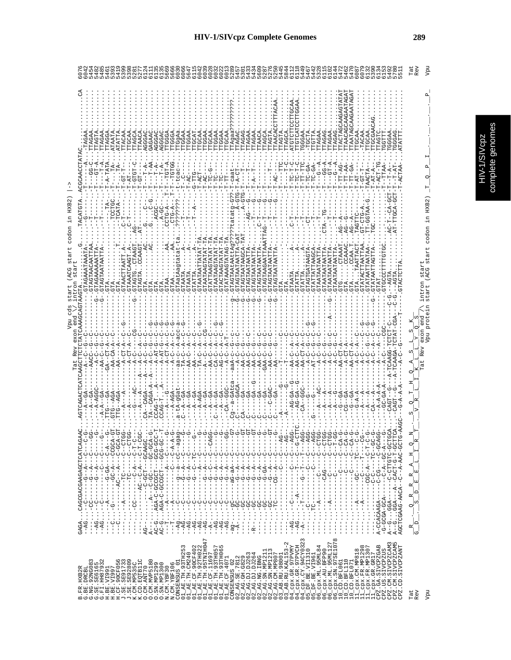|                       |                                                                                                                                                                                                                                                                                                                                                                                                                                      |                                     |                                          |                          |                                                                                  |                                                 |                                              |                        |                                         |                      |                               |                         |                                                      |                                                                  |                                                        |                                     |                           |                                                        |                                                             |                                               |                                          |                                                                                                            |                                                                     |                                                        |                                                               |                                                                                                    |                                                           |                                                                                                 |                                                        |                                                                                                                                                                                                                                                                                                                                                                                                                                                          |                              |                                                                                                                                                                                    |                                                            |                        |                                                                                                                                                                                                             |                                                      |                                                            |                                                                                             |                                                                                |                                            |                                                                                                              |                                                                    |                             |                                                       |                           |                             |                 |                                    | $^{8}$ 1                                                                                                                                                                                                                                                                                                                                                                                                                       |                    | Ē<br>.<br>Ré               |
|-----------------------|--------------------------------------------------------------------------------------------------------------------------------------------------------------------------------------------------------------------------------------------------------------------------------------------------------------------------------------------------------------------------------------------------------------------------------------|-------------------------------------|------------------------------------------|--------------------------|----------------------------------------------------------------------------------|-------------------------------------------------|----------------------------------------------|------------------------|-----------------------------------------|----------------------|-------------------------------|-------------------------|------------------------------------------------------|------------------------------------------------------------------|--------------------------------------------------------|-------------------------------------|---------------------------|--------------------------------------------------------|-------------------------------------------------------------|-----------------------------------------------|------------------------------------------|------------------------------------------------------------------------------------------------------------|---------------------------------------------------------------------|--------------------------------------------------------|---------------------------------------------------------------|----------------------------------------------------------------------------------------------------|-----------------------------------------------------------|-------------------------------------------------------------------------------------------------|--------------------------------------------------------|----------------------------------------------------------------------------------------------------------------------------------------------------------------------------------------------------------------------------------------------------------------------------------------------------------------------------------------------------------------------------------------------------------------------------------------------------------|------------------------------|------------------------------------------------------------------------------------------------------------------------------------------------------------------------------------|------------------------------------------------------------|------------------------|-------------------------------------------------------------------------------------------------------------------------------------------------------------------------------------------------------------|------------------------------------------------------|------------------------------------------------------------|---------------------------------------------------------------------------------------------|--------------------------------------------------------------------------------|--------------------------------------------|--------------------------------------------------------------------------------------------------------------|--------------------------------------------------------------------|-----------------------------|-------------------------------------------------------|---------------------------|-----------------------------|-----------------|------------------------------------|--------------------------------------------------------------------------------------------------------------------------------------------------------------------------------------------------------------------------------------------------------------------------------------------------------------------------------------------------------------------------------------------------------------------------------|--------------------|----------------------------|
|                       |                                                                                                                                                                                                                                                                                                                                                                                                                                      |                                     |                                          |                          |                                                                                  |                                                 |                                              |                        |                                         |                      |                               | GGGZ<br>GGGZ            | TGGG                                                 |                                                                  | TGgP                                                   |                                     |                           |                                                        |                                                             |                                               |                                          |                                                                                                            |                                                                     |                                                        |                                                               |                                                                                                    |                                                           |                                                                                                 |                                                        |                                                                                                                                                                                                                                                                                                                                                                                                                                                          |                              |                                                                                                                                                                                    |                                                            | TGTCAT                 | GGGA                                                                                                                                                                                                        | TGCT                                                 |                                                            |                                                                                             |                                                                                |                                            | TACT                                                                                                         | TAACA                                                              | TAATAGCAAGAATA              | <b>TGCAP</b>                                          |                           |                             |                 |                                    |                                                                                                                                                                                                                                                                                                                                                                                                                                |                    |                            |
| HXB2                  | ACGCAACCT                                                                                                                                                                                                                                                                                                                                                                                                                            |                                     |                                          | $- A - T A T A$<br>$-TA$ | i<br>j                                                                           | $-17-1$                                         |                                              | -GLGH-C                |                                         | $-1 - T - A$         | $- - - - - - - \underline{A}$ | $\mathbf{T}-\mathbf{A}$ |                                                      |                                                                  | ე<br>დ                                                 |                                     |                           | 턱                                                      |                                                             | ਕੋ ਕੇ ਜ਼ਿ                                     |                                          |                                                                                                            |                                                                     |                                                        |                                                               |                                                                                                    |                                                           |                                                                                                 |                                                        |                                                                                                                                                                                                                                                                                                                                                                                                                                                          | $-AC$                        |                                                                                                                                                                                    |                                                            |                        | ŗ                                                                                                                                                                                                           | 턴                                                    |                                                            | $A - D$                                                                                     |                                                                                |                                            | $-TTT - AG$                                                                                                  | -TT-AA                                                             | $-TTT-GB$                   | TA<br>シー                                              | AAC'                      |                             |                 |                                    | -ACTA                                                                                                                                                                                                                                                                                                                                                                                                                          |                    |                            |
| цİ.<br>codon<br>start | TACATGTA.                                                                                                                                                                                                                                                                                                                                                                                                                            |                                     |                                          |                          |                                                                                  | 투                                               | 부                                            |                        |                                         |                      |                               | $\therefore$ ACGC-      |                                                      |                                                                  |                                                        |                                     |                           |                                                        |                                                             |                                               |                                          | T-T                                                                                                        |                                                                     |                                                        |                                                               |                                                                                                    |                                                           |                                                                                                 |                                                        |                                                                                                                                                                                                                                                                                                                                                                                                                                                          |                              |                                                                                                                                                                                    |                                                            |                        |                                                                                                                                                                                                             |                                                      | ۲<br>ا<br>부                                                | $-41T$                                                                                      | 부                                                                              |                                            | $- - A$                                                                                                      | りーー                                                                | CCAA.                       | TAGTT                                                 | $GT-CTG-A$<br>$TT-GGTAA-$ | TGC.                        |                 |                                    |                                                                                                                                                                                                                                                                                                                                                                                                                                |                    |                            |
| star                  | GTAGAAATAAAT.                                                                                                                                                                                                                                                                                                                                                                                                                        | GTAGTAACAATTA                       | GTAGTAATAATTA                            |                          |                                                                                  |                                                 |                                              |                        |                                         |                      |                               |                         |                                                      |                                                                  |                                                        | <b>GTAAT</b>                        | GTAATA                    | <b>GTATT.</b>                                          | GTAATAATTATAT-T<br>GTAATAAGTATAT-T                          | GTAT                                          | GTAATAAGTA                               |                                                                                                            |                                                                     |                                                        |                                                               | GTAGTAATAAGC<br>GTAGTAATAATT<br>999                                                                |                                                           | <b>GTAGTAATAATT</b><br>$\frac{1}{6}$                                                            |                                                        | .<br>ئ                                                                                                                                                                                                                                                                                                                                                                                                                                                   | .<br>ٺ                       |                                                                                                                                                                                    |                                                            |                        |                                                                                                                                                                                                             | GTAG <sup>T</sup>                                    | GTAATAATAATTA<br>TATTAAGC                                  | GTAATAATAATTA                                                                               | GTAATAATAATTA<br>ပု                                                            |                                            |                                                                                                              | ACCAAA<br>GTA                                                      | $-$ GTA.                    | GTA                                                   |                           | .<br>ტ                      |                 |                                    |                                                                                                                                                                                                                                                                                                                                                                                                                                |                    |                            |
| end<br>Vpu            | CAAAGCAGTAAGTA                                                                                                                                                                                                                                                                                                                                                                                                                       |                                     |                                          |                          | $-AA-CA-P$                                                                       |                                                 |                                              |                        |                                         |                      |                               |                         |                                                      |                                                                  |                                                        |                                     |                           |                                                        |                                                             |                                               |                                          |                                                                                                            |                                                                     |                                                        |                                                               |                                                                                                    |                                                           |                                                                                                 | $-GAA$                                                 |                                                                                                                                                                                                                                                                                                                                                                                                                                                          |                              |                                                                                                                                                                                    |                                                            |                        |                                                                                                                                                                                                             |                                                      |                                                            |                                                                                             |                                                                                |                                            |                                                                                                              | י<br>י                                                             | ن<br>ا                      | ρ<br>Τ                                                |                           |                             |                 |                                    | CTAT-CGA<br>턱                                                                                                                                                                                                                                                                                                                                                                                                                  | ω.<br>w.<br>O      | O                          |
|                       |                                                                                                                                                                                                                                                                                                                                                                                                                                      |                                     | $- -A - A$ G                             |                          | $-4GA$<br>$-4G$<br><b>GTG</b>                                                    |                                                 |                                              | $A - -D - -D$          | $- -A - -P$                             |                      | $TA--CAGA- A$<br>CAG-T        | $CAG-T$                 | $-4$                                                 | $- -A - AGE$                                                     | $A - tA - gC$<br>œ                                     |                                     | $-5$                      | $A - AGA$<br>Ţ<br>÷                                    |                                                             | $\begin{array}{c}\n1 \\ 1 \\ 1\n\end{array}$  |                                          | $- - A$                                                                                                    | $-CA$ -                                                             | $9 - a - 9$                                            | $\mathbb{L}$                                                  | $\overline{A}$                                                                                     |                                                           |                                                                                                 |                                                        |                                                                                                                                                                                                                                                                                                                                                                                                                                                          |                              |                                                                                                                                                                                    |                                                            | $-AG-GA$               | $-CA - GGC -$                                                                                                                                                                                               |                                                      | Q                                                          |                                                                                             |                                                                                |                                            |                                                                                                              |                                                                    |                             | $-4 -$                                                |                           | ಳ−                          |                 | $-90 - 5$                          | $-6-A-A-A$                                                                                                                                                                                                                                                                                                                                                                                                                     | Ξ,<br>н<br>O<br>ωj | $\alpha$<br>$\overline{v}$ |
|                       |                                                                                                                                                                                                                                                                                                                                                                                                                                      |                                     |                                          |                          | $C - C$                                                                          | មិតិក្<br>--<br>--<br>--<br>--<br>$\frac{1}{1}$ |                                              | ட்ப்                   |                                         |                      |                               | 부                       | U<br>I<br>$\blacksquare$<br>$\overline{\phantom{a}}$ | $3 - 2 - 4 - 6 - 1$<br>$C - C$                                   | $  a$ ga $\ddot{o}$                                    | $\overset{1}{\circ}$ ບີບີ<br>п<br>U | т<br>U                    | $-1 - 1$<br>л.<br>$\,$ I<br>$\frac{1}{1}$<br>$-1$<br>U | $\,$ I<br>$\frac{1}{1}$<br>U                                | $ CAG$<br>ပု                                  | $\mathsf I$<br>$\frac{1}{1}$<br>U        | $\overline{\phantom{a}}$<br>$\frac{1}{1}$<br>$-\frac{1}{2}$                                                | $-1 - 1$                                                            | <b>18888888</b><br>$\,$ I<br>$\frac{1}{1}$             | Ţ<br>$\frac{1}{1}$<br>$\begin{array}{c}\n0 \\ 1\n\end{array}$ | 55<br>÷<br>$\frac{1}{1}$                                                                           | $\frac{1}{1}$<br>י<br>י                                   | 号 ささ<br>$\mathbf{I}$<br>ł<br>$C - C$                                                            | $\begin{bmatrix} 1 \\ 1 \\ 1 \end{bmatrix}$<br>$- - -$ | $\frac{1}{1}$<br>$\frac{1}{2}$ $\frac{1}{2}$ $\frac{1}{2}$ $\frac{1}{2}$ $\frac{1}{2}$                                                                                                                                                                                                                                                                                                                                                                   | Ť                            | $---AC$<br>$- - - A$ G<br>$\frac{1}{2}$                                                                                                                                            | $- - - A G$<br>ပု<br>- 1                                   | U<br>п.                | 7-10-07<br>1-1400-10-07<br>1-1400-10-07<br>1-1-10-08-10-08-10-07<br>1-10-0708-10-0708-10-07<br>J<br>$\blacksquare$                                                                                          | $\frac{1}{2}$<br>j                                   | U<br>$\frac{1}{1}$<br>-1<br>ï                              | T                                                                                           | ပု                                                                             |                                            |                                                                                                              |                                                                    |                             |                                                       | 0-0-1-0-1-0-              | Ÿ<br>$-9$<br>$-1$           | $- - - - - - -$ | J.<br>$-C - A - G - A - -$         |                                                                                                                                                                                                                                                                                                                                                                                                                                | $\circ$<br>피<br>⋖  | R<br>$\Box$                |
|                       |                                                                                                                                                                                                                                                                                                                                                                                                                                      | ΰġ<br>  U<br>  !                    |                                          |                          | $-4$<br>$- -AC -$<br>J<br>$\blacksquare$<br>Ť.<br>$\overline{\phantom{a}}$<br>Τ. | $T - TC -$<br>$\mathbf{I}$<br>- 11<br>$-4$      | $\mathbf{I}$<br>$\mathbf{I}$<br>$\mathbf{I}$ | $\mathbf{I}$<br>ن<br>۲ | 1<br>Ť.<br>$\mathbf{I}$<br>$\mathbf{I}$ |                      |                               |                         | $-4$<br>H<br>$\ddot{A}$<br>J<br>$\cdot$              | $\frac{1}{2}$<br>$\frac{1}{4}$<br>J.<br>$\frac{1}{1}$<br>$\cdot$ | $\mathbf I$<br>Ţ<br>$\blacksquare$<br>400<br>     <br> | J<br>$\blacksquare$                 | ים ליטורים<br>יוויון<br>ŧ | Ť<br>ł<br>$\frac{1}{1}$                                | $\frac{1}{1}$<br>$\overline{\phantom{a}}$<br>$\blacksquare$ | ひひひひ<br>J.<br>-1<br>Ÿ<br>$\bullet$<br>$\cdot$ | $\mathbf{I}$<br>$\frac{1}{4}$<br>$\cdot$ | $-4$<br>J<br>$\mathbf{I}$<br>ł<br>$\begin{array}{c} C & C \\ C & C \end{array}$<br>$\mathbf{I}$<br>$\cdot$ | $-4$<br>$\frac{6}{1}$<br>$\overline{\phantom{a}}$<br>$\blacksquare$ | $- -aG - 2a - -C$<br>$\,$ I<br>$\mathbf{I}$<br>-1<br>↻ | $-4$<br>ひ<br>ţ<br>Ţ<br>$\mathbf{I}$<br>-1<br>U                | $- -A$<br>$-4$<br>ひひひ<br>Ť<br>$\mathbf{I}$<br>$\begin{array}{c} 0.01 \\ 0.01 \\ -0.01 \end{array}$ | $-4$<br>Ť<br>Ť.<br>J.<br>$\mathbf{I}$<br>ပ် ပွဲ<br>.<br>. | $-4$<br>ひ<br>$\frac{1}{1}$<br>$\begin{array}{c} \end{array}$<br>$\blacksquare$<br>-1<br>U<br>Ğ. | $G-GA$<br>$\frac{1}{1}$<br>л.<br>$\cdots$              | $-4$<br>ひ<br>$\mathsf I$<br>$\mathbf{I}$<br>$\begin{array}{c} 0.01 \\ 0.01 \\ \vdots \\ 0.01 \\ \vdots \\ 0.01 \\ \vdots \\ 0.01 \\ \vdots \\ 0.01 \\ \vdots \\ 0.01 \\ \vdots \\ 0.01 \\ \vdots \\ 0.01 \\ \vdots \\ 0.01 \\ \vdots \\ 0.01 \\ \vdots \\ 0.01 \\ \vdots \\ 0.01 \\ \vdots \\ 0.01 \\ \vdots \\ 0.01 \\ \vdots \\ 0.01 \\ \vdots \\ 0.01 \\ \vdots \\ 0.01 \\ \vdots \\ 0.01 \\ \vdots \\ 0.01 \\ \vdots \\ 0.01 \\ \vdots \\ 0.01 \\ \$ | $-100 - 1$<br>$\blacksquare$ | $\frac{1}{2}$<br>$\mathbf{I}$<br>$\overline{\phantom{a}}$<br>п<br>п<br>$\mathbf{I}$<br>$\mathbf{I}$<br>$\mathbf{I}$<br>п<br>$\mathbb T$<br>$\blacksquare$<br>$\mathbf I$<br>$\,$ I | ט<br>ו<br>$\overline{\phantom{a}}$<br>$\ddot{c}$<br>市<br>全 | 부<br>$\mathbf{I}$<br>п | $-9 - -1$<br>ï<br>$- A$<br>$- P$<br>$- P$<br>$- P$<br>$- P$<br>$- P$<br>$- P$<br>$- P$<br>$- P$<br>$- P$<br>$- P$<br>$- P$<br>$- P$<br>$- P$<br>$- P$<br>$- P$<br>$- P$<br>$- P$<br>$- P$<br>$- P$<br>$- P$ | $\frac{1}{2}$<br>$\frac{1}{1}$<br>İ<br>$\frac{1}{2}$ | ပုံ<br>÷<br>$-1 - 1$<br>-1<br>п<br>÷,<br>- 1<br>$\ddot{z}$ | $-CAG-$<br>$\blacksquare$<br>$\mathbf{I}$<br>$\ddot{A}$<br>-1<br>$\mathsf I$<br>$\mathsf I$ | $\frac{1}{1}$<br>$\frac{1}{1}$<br>$\frac{1}{1}$<br>$\frac{1}{1}$<br>$-4$<br>٠, | $\frac{0}{1}$                              | $-1$ - $-1$<br>$\frac{1}{1}$<br>ï<br>$\overline{\phantom{a}}$<br>$\mathsf I$<br>$\frac{1}{1}$<br>$\mathsf I$ | $\frac{1}{2}$<br>ţ<br>T<br>$\mathbf{I}$<br>т<br>I.<br>$\mathbf{I}$ | $-1$ - $-1$<br>$\mathbf{I}$ | $- - -$ CC<br>$-1 - 1$<br>$\frac{1}{1}$<br>f,<br>$-4$ | $- -$ CGC $-$<br>п        | $\mathbf{I}$<br>ں<br>ا<br>Ÿ | $-50 - 0 - 1$   | I<br>$\frac{1}{1}$<br>$-G-CG-A-CA$ | $A - -G$ GGA-----<br>$A - -G$ GGA---A-<br>AGCTCGAAG-AACA-                                                                                                                                                                                                                                                                                                                                                                      | R,<br>R<br>α<br>ö  | 国<br>囯<br>$\Box$<br>S      |
|                       | $\cdot$<br>GAGA.<br>--AG.                                                                                                                                                                                                                                                                                                                                                                                                            | $\cdot$<br>$\cdot$<br>$\frac{1}{1}$ | $\cdot$<br>$\cdot$<br>$-AG$ .<br>$-AG$ . | $\blacksquare$<br>-      | $\begin{array}{c} \n\text{C} \\ \n\text{C} \\ \n\text{C} \\ \n\end{array}$       | I.<br>-<br>$\mathsf I$                          | J.<br>ŧ                                      | 十十                     | ı                                       | $\frac{1}{1}$<br>AG. |                               |                         | $\cdot$                                              | $\cdot$                                                          |                                                        |                                     |                           |                                                        |                                                             |                                               |                                          |                                                                                                            | $\bullet$                                                           |                                                        |                                                               | $\vdots$<br>Ħ                                                                                      |                                                           | $\vdots$                                                                                        |                                                        | $\frac{1}{\mathbf{K}}$ , $\frac{1}{\mathbf{K}}$ , $\frac{1}{\mathbf{K}}$ , $\frac{1}{\mathbf{K}}$                                                                                                                                                                                                                                                                                                                                                        |                              | $\frac{1}{3}$<br>$\frac{1}{4}$<br>$\mathbf{I}$<br>$\frac{1}{1}$                                                                                                                    |                                                            |                        | $\infty$                                                                                                                                                                                                    | $\mathbf{I}$<br>$\frac{1}{1}$                        | $\frac{1}{1}$<br>÷                                         | ŧ                                                                                           | $\vdots$<br>$\vdots$<br>$\frac{1}{1}$                                          | $\frac{1}{2}$<br>$\frac{1}{4}$<br>$\infty$ | $\frac{1}{2}$<br>$\frac{1}{4}$                                                                               | Ì<br>$\frac{1}{4}$                                                 | $\vdots$<br>-1              | $\frac{1}{1}$                                         | $\frac{1}{1}$             | $\frac{1}{2}$               | A-CCACAAGA      |                                    |                                                                                                                                                                                                                                                                                                                                                                                                                                | R,                 | $\Box$<br>ヮ                |
|                       | $\begin{smallmatrix} \texttt{B.}, \texttt{B.}, \texttt{B.}, \texttt{B.}, \texttt{B.}, \texttt{B.}, \texttt{B.}, \texttt{B.}, \texttt{B.}, \texttt{B.}, \texttt{B.}, \texttt{B.}, \texttt{B.}, \texttt{B.}, \texttt{B.}, \texttt{B.}, \texttt{B.}, \texttt{B.}, \texttt{B.}, \texttt{B.}, \texttt{B.}, \texttt{B.}, \texttt{B.}, \texttt{B.}, \texttt{B.}, \texttt{B.}, \texttt{B.}, \texttt{B.}, \texttt{B.}, \texttt{B.}, \texttt{$ |                                     |                                          |                          |                                                                                  |                                                 |                                              |                        |                                         |                      |                               |                         |                                                      |                                                                  |                                                        |                                     |                           |                                                        |                                                             |                                               |                                          |                                                                                                            |                                                                     |                                                        |                                                               |                                                                                                    |                                                           |                                                                                                 |                                                        |                                                                                                                                                                                                                                                                                                                                                                                                                                                          |                              |                                                                                                                                                                                    |                                                            |                        |                                                                                                                                                                                                             |                                                      |                                                            |                                                                                             |                                                                                |                                            |                                                                                                              |                                                                    |                             |                                                       |                           |                             |                 |                                    | $\begin{smallmatrix} \text{N} & \text{N} & \text{N} & \text{N} & \text{N} & \text{N} & \text{N} & \text{N} & \text{N} & \text{N} & \text{N} & \text{N} & \text{N} & \text{N} & \text{N} & \text{N} & \text{N} & \text{N} & \text{N} & \text{N} & \text{N} & \text{N} & \text{N} & \text{N} & \text{N} & \text{N} & \text{N} & \text{N} & \text{N} & \text{N} & \text{N} & \text{N} & \text{N} & \text{N} & \text{N} & \text{N$ | Tat<br>Rev         |                            |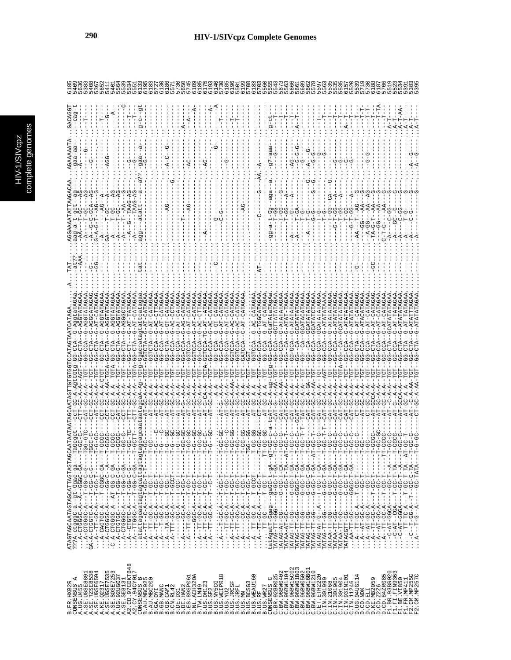| CACAGG<br>$-caa$    |                    |       |     |  |  | ပု                      |                      |  |                                                                                           |             |                                       |                                             |             |                       |                      |                                                                                                                   |          |                                         |                                 |                       |                 |         |                      |          |               |             |                                                  |                                          |                                                       |                                                                             |                          |                                                                               |                   |                  |                                                                                                                                                                      |                   |                                              |                     |                                                                            |       |        |                                                                                                                                           |        |                             |                                                                     |                                                                            |               |
|---------------------|--------------------|-------|-----|--|--|-------------------------|----------------------|--|-------------------------------------------------------------------------------------------|-------------|---------------------------------------|---------------------------------------------|-------------|-----------------------|----------------------|-------------------------------------------------------------------------------------------------------------------|----------|-----------------------------------------|---------------------------------|-----------------------|-----------------|---------|----------------------|----------|---------------|-------------|--------------------------------------------------|------------------------------------------|-------------------------------------------------------|-----------------------------------------------------------------------------|--------------------------|-------------------------------------------------------------------------------|-------------------|------------------|----------------------------------------------------------------------------------------------------------------------------------------------------------------------|-------------------|----------------------------------------------|---------------------|----------------------------------------------------------------------------|-------|--------|-------------------------------------------------------------------------------------------------------------------------------------------|--------|-----------------------------|---------------------------------------------------------------------|----------------------------------------------------------------------------|---------------|
| AGAAAAATP<br>qaa-aa |                    |       | AGG |  |  |                         |                      |  |                                                                                           |             |                                       |                                             |             |                       |                      |                                                                                                                   |          |                                         |                                 |                       |                 |         |                      |          |               | ತಿ          |                                                  |                                          |                                                       |                                                                             |                          |                                                                               |                   |                  | ט                                                                                                                                                                    | <b>v</b> v        |                                              |                     |                                                                            |       |        |                                                                                                                                           |        |                             |                                                                     |                                                                            |               |
|                     |                    |       |     |  |  |                         |                      |  |                                                                                           |             |                                       |                                             |             |                       |                      |                                                                                                                   |          |                                         |                                 |                       |                 |         |                      |          |               | $9 - a - b$ |                                                  |                                          |                                                       |                                                                             |                          |                                                                               |                   |                  | --9---                                                                                                                                                               |                   | $T - D - -$                                  |                     | <b>99-1</b>                                                                |       |        | 99                                                                                                                                        |        |                             |                                                                     |                                                                            |               |
| AGGAAAAA<br>aag-a-  | $\frac{1}{2}$<br>F | ワースーウ |     |  |  |                         |                      |  |                                                                                           |             |                                       |                                             |             |                       |                      |                                                                                                                   |          |                                         |                                 |                       |                 |         |                      |          |               |             |                                                  |                                          |                                                       |                                                                             |                          |                                                                               |                   |                  |                                                                                                                                                                      |                   |                                              | $-AA-$              |                                                                            | $-4-$ | $-5-4$ |                                                                                                                                           | $-T-C$ |                             |                                                                     |                                                                            |               |
|                     | ڣ                  |       |     |  |  |                         |                      |  |                                                                                           |             |                                       |                                             |             |                       |                      |                                                                                                                   |          |                                         |                                 |                       |                 |         |                      |          |               |             |                                                  |                                          |                                                       |                                                                             |                          |                                                                               |                   |                  |                                                                                                                                                                      |                   |                                              | ب                   |                                                                            |       |        |                                                                                                                                           |        |                             |                                                                     |                                                                            |               |
|                     |                    |       |     |  |  |                         |                      |  |                                                                                           |             |                                       |                                             |             |                       |                      |                                                                                                                   |          |                                         |                                 |                       |                 |         |                      |          |               |             |                                                  |                                          |                                                       |                                                                             |                          |                                                                               |                   |                  |                                                                                                                                                                      | Ū                 |                                              |                     |                                                                            |       |        |                                                                                                                                           |        |                             |                                                                     |                                                                            |               |
|                     |                    |       |     |  |  |                         |                      |  |                                                                                           |             |                                       |                                             |             |                       |                      |                                                                                                                   |          |                                         |                                 |                       |                 |         |                      |          |               |             |                                                  |                                          |                                                       |                                                                             |                          |                                                                               |                   |                  |                                                                                                                                                                      |                   |                                              |                     |                                                                            |       |        |                                                                                                                                           |        |                             |                                                                     |                                                                            |               |
|                     |                    |       |     |  |  |                         |                      |  |                                                                                           |             |                                       |                                             |             |                       |                      |                                                                                                                   |          |                                         |                                 |                       |                 |         |                      |          |               |             |                                                  |                                          |                                                       |                                                                             |                          |                                                                               |                   |                  |                                                                                                                                                                      |                   |                                              |                     |                                                                            |       |        |                                                                                                                                           |        |                             |                                                                     |                                                                            |               |
|                     |                    |       |     |  |  |                         |                      |  |                                                                                           |             |                                       |                                             |             |                       |                      |                                                                                                                   |          |                                         |                                 |                       |                 |         |                      |          |               |             |                                                  |                                          |                                                       |                                                                             |                          |                                                                               |                   |                  |                                                                                                                                                                      |                   |                                              |                     |                                                                            |       |        |                                                                                                                                           |        |                             |                                                                     |                                                                            |               |
|                     |                    |       |     |  |  |                         |                      |  |                                                                                           |             |                                       |                                             |             |                       |                      |                                                                                                                   |          |                                         |                                 |                       |                 |         |                      |          |               |             |                                                  |                                          |                                                       |                                                                             |                          |                                                                               |                   |                  |                                                                                                                                                                      |                   |                                              |                     |                                                                            |       |        |                                                                                                                                           |        |                             |                                                                     |                                                                            |               |
|                     |                    |       |     |  |  |                         |                      |  |                                                                                           |             |                                       |                                             |             |                       |                      |                                                                                                                   |          |                                         |                                 |                       |                 |         |                      |          |               |             |                                                  |                                          |                                                       |                                                                             |                          |                                                                               |                   |                  |                                                                                                                                                                      |                   |                                              |                     |                                                                            |       |        |                                                                                                                                           |        |                             |                                                                     |                                                                            |               |
|                     |                    |       |     |  |  | w<br>tagta<br>tagtagcat | 부<br>۳J<br>پ<br>- T- |  |                                                                                           | $--T$ -GCCT | $T - 5D - T - - -$                    | $-90 - T - - - -$                           | -- 199-1-1- | $T - 50 - T - -$      |                      | 등<br>$\frac{1}{4}$                                                                                                |          | $T-GC-T$<br>Ţ                           | $-90-1-1$                       | -- 00<br>--<br>۳<br>ا | $-99 - T - - -$ | $-59-5$ | $-1 - T - 1 - 1 - 1$ | $-50-5-$ | -- 1-00-1--   |             | -- 44<br>-- 44<br>-- 44<br>-- -- 14<br>$-90 - 1$ | $-GA$ -<br>$T-G-G-T$                     | $-GB-$<br><b>L-2555-1</b>                             | $-GB-$<br>$-5A$<br>5-90-9<br>-00-9<br>-00-9<br>$\mathbf{I}$<br>$\mathbf{I}$ | $-GA-$<br>-- 05 - 0<br>0 | $-CA$                                                                         | $-GB-$            | $-GA-$<br>5-05-9 | $-GB-$<br>$G-GC-T$                                                                                                                                                   | $-GA$<br>-- 00- 0 | $-GA$<br>$-GB$<br>5-00-9<br>$-0000 - T$<br>Ï | $T - T - T - T - T$ | $-55-7$                                                                    |       |        |                                                                                                                                           |        | $-4-$<br>$-99-1$<br>Т       | $-TA--$<br>$-4 -$<br>$-99-1$                                        | $-6C - T - TA - -\n-6C - T - TA - -\n-6C - T + TA - -\n-6C - T + TA - C -$ | $\frac{1}{1}$ |
|                     |                    |       |     |  |  |                         | $\frac{1}{1}$        |  | atattagcaat<br>A--TT--C-A-<br>A--TT--C-A-<br>A--TT--CC-A-<br>A--TA--CC-A-<br>A--TA--CC-A- |             | $-100 - 4$<br>J<br>Ť<br>$\frac{1}{4}$ | $ A -- -- -- GC --$<br>$ A -- T T - G C --$ |             | $A - 1 - 1 - 1$<br>È, | $A = -125 - 111 - 6$ | $\mathbf{I}$<br>$-1T$ -CO $-1$<br>$\begin{array}{c}\n\mathbf{A} & \mathbf{A} \\ \vdots & \mathbf{A}\n\end{array}$ | $\vdots$ | $-1$ - $-1$ - $-1$ - $-1$<br>$\ddot{A}$ | $-1T$ -CO $-4$<br>$\frac{1}{4}$ |                       |                 |         |                      |          | $-100 - 11 -$ |             | TATAA-AT-GC-                                     | $\overline{\phantom{a}}$<br>TATAG-TT-GG- | J<br>TATAG-TT-GG--<br>TATAG-TT-GG--<br>TATAG-TT-GG--- | J.                                                                          |                          | $-4$<br>$\begin{array}{l} \tt{TATAG-TT-GG-} \\ \tt{TATAG-AT-G--} \end{array}$ | т<br>TATAG-TT-GG- |                  | $\begin{array}{c} \mathtt{TARTAA-TT\text{--}GG--} \\ \mathtt{TATAA-TT\text{--}GG--} \\ \mathtt{TATAA-TT\text{--}GC--} \\ \mathtt{TATAZ-TT\text{--}GG--} \end{array}$ |                   | $-95-$                                       | J.<br>$AA-TT$       | ł<br>$\begin{array}{c}\n\cdot A--TT-GC-A \\ \cdot A--A--GC-A\n\end{array}$ |       |        | . . A - - AT - GC-A - - - - - - GC-T<br>.A - - TT - GC-A - - - T-GC-T<br>.A - - TT - GC-A - - - - - GC-T<br>.A - - TT - GC-A - - - T-GC-T |        | Ţ<br>$-AT-GGCA-$<br>U<br>Ĭ. | H-00-H---K00---HK-<br>$\frac{1}{1}$<br>$C-AT-GGGA$<br>U<br>Ĭ.<br>Ì, |                                                                            |               |
|                     |                    |       |     |  |  |                         |                      |  |                                                                                           |             |                                       |                                             |             |                       |                      |                                                                                                                   |          |                                         |                                 |                       |                 |         |                      |          |               |             |                                                  |                                          |                                                       |                                                                             |                          |                                                                               |                   |                  |                                                                                                                                                                      |                   |                                              |                     |                                                                            |       |        |                                                                                                                                           |        |                             |                                                                     |                                                                            |               |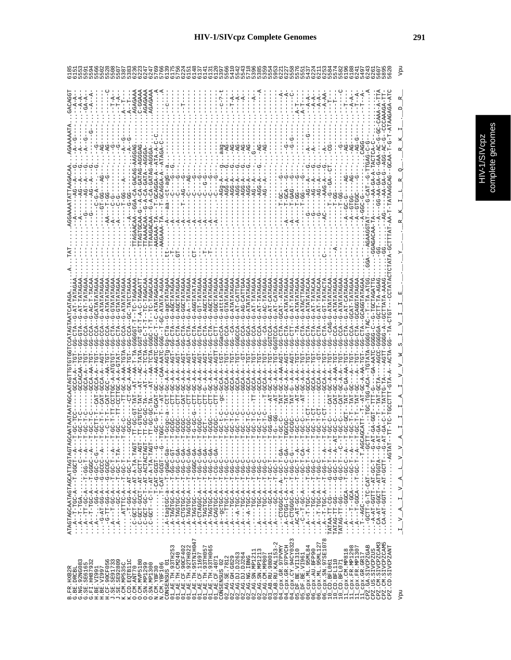|                              |                                                                                                                                                              |                     |                                      |                   |                              |                                 | AGAGAJ                  | A                        | <b>GAGAZ</b> | <b>AGAGAZ</b>           |  |                                          |                         |                   |                |                                              |             |                                    |                                    |                   |                                             |                   |                         |                                  |                 |                                             |                                                                                                                                                                                                                                                                                                                                                                                                                                                        |                                                                          |         |                             |                      |               |                   |                         |                           |                                |           |                                  |               |                                |                                                                                                                                                                                                                                                                                       |                           |            |                                                                                                                                                                   |           |                       |                                     |               |          |
|------------------------------|--------------------------------------------------------------------------------------------------------------------------------------------------------------|---------------------|--------------------------------------|-------------------|------------------------------|---------------------------------|-------------------------|--------------------------|--------------|-------------------------|--|------------------------------------------|-------------------------|-------------------|----------------|----------------------------------------------|-------------|------------------------------------|------------------------------------|-------------------|---------------------------------------------|-------------------|-------------------------|----------------------------------|-----------------|---------------------------------------------|--------------------------------------------------------------------------------------------------------------------------------------------------------------------------------------------------------------------------------------------------------------------------------------------------------------------------------------------------------------------------------------------------------------------------------------------------------|--------------------------------------------------------------------------|---------|-----------------------------|----------------------|---------------|-------------------|-------------------------|---------------------------|--------------------------------|-----------|----------------------------------|---------------|--------------------------------|---------------------------------------------------------------------------------------------------------------------------------------------------------------------------------------------------------------------------------------------------------------------------------------|---------------------------|------------|-------------------------------------------------------------------------------------------------------------------------------------------------------------------|-----------|-----------------------|-------------------------------------|---------------|----------|
|                              |                                                                                                                                                              |                     |                                      |                   |                              |                                 |                         |                          |              |                         |  |                                          |                         |                   |                |                                              |             |                                    |                                    |                   |                                             |                   |                         |                                  |                 |                                             |                                                                                                                                                                                                                                                                                                                                                                                                                                                        |                                                                          |         |                             |                      |               |                   |                         |                           |                                |           |                                  |               |                                |                                                                                                                                                                                                                                                                                       |                           |            |                                                                                                                                                                   |           |                       |                                     |               |          |
|                              |                                                                                                                                                              |                     |                                      |                   |                              |                                 |                         |                          |              |                         |  |                                          |                         |                   |                |                                              |             |                                    |                                    |                   |                                             |                   |                         |                                  |                 |                                             |                                                                                                                                                                                                                                                                                                                                                                                                                                                        |                                                                          |         |                             |                      |               |                   |                         |                           |                                |           |                                  |               |                                |                                                                                                                                                                                                                                                                                       |                           |            |                                                                                                                                                                   |           |                       |                                     |               |          |
|                              |                                                                                                                                                              |                     |                                      |                   |                              |                                 |                         |                          |              |                         |  |                                          |                         |                   |                |                                              |             |                                    |                                    |                   |                                             |                   |                         |                                  |                 |                                             |                                                                                                                                                                                                                                                                                                                                                                                                                                                        |                                                                          |         |                             |                      |               |                   |                         |                           |                                |           |                                  |               |                                |                                                                                                                                                                                                                                                                                       |                           |            |                                                                                                                                                                   |           |                       |                                     |               |          |
|                              |                                                                                                                                                              |                     |                                      |                   |                              |                                 |                         |                          |              |                         |  |                                          |                         |                   |                |                                              |             |                                    |                                    |                   |                                             |                   |                         |                                  |                 |                                             |                                                                                                                                                                                                                                                                                                                                                                                                                                                        |                                                                          |         |                             |                      |               |                   |                         |                           |                                |           |                                  |               |                                |                                                                                                                                                                                                                                                                                       |                           |            |                                                                                                                                                                   |           |                       |                                     |               |          |
|                              |                                                                                                                                                              |                     |                                      |                   |                              |                                 |                         |                          |              |                         |  |                                          |                         |                   |                |                                              |             |                                    |                                    |                   |                                             |                   |                         |                                  |                 |                                             |                                                                                                                                                                                                                                                                                                                                                                                                                                                        |                                                                          |         |                             |                      |               |                   |                         |                           |                                |           |                                  |               |                                |                                                                                                                                                                                                                                                                                       |                           |            |                                                                                                                                                                   |           |                       |                                     |               |          |
|                              |                                                                                                                                                              |                     |                                      |                   |                              |                                 |                         |                          |              |                         |  |                                          |                         |                   |                |                                              |             |                                    |                                    |                   |                                             |                   |                         |                                  |                 |                                             |                                                                                                                                                                                                                                                                                                                                                                                                                                                        |                                                                          |         |                             |                      |               |                   |                         |                           |                                |           |                                  |               |                                |                                                                                                                                                                                                                                                                                       |                           |            |                                                                                                                                                                   |           |                       |                                     |               |          |
|                              |                                                                                                                                                              |                     |                                      |                   |                              |                                 |                         |                          |              |                         |  |                                          |                         |                   |                |                                              |             |                                    |                                    |                   |                                             |                   |                         |                                  |                 |                                             |                                                                                                                                                                                                                                                                                                                                                                                                                                                        |                                                                          |         |                             |                      |               |                   |                         |                           |                                |           |                                  |               |                                |                                                                                                                                                                                                                                                                                       |                           |            |                                                                                                                                                                   |           |                       |                                     |               |          |
|                              |                                                                                                                                                              |                     |                                      |                   |                              |                                 |                         |                          |              |                         |  |                                          |                         |                   |                |                                              |             |                                    |                                    |                   |                                             |                   |                         |                                  |                 |                                             |                                                                                                                                                                                                                                                                                                                                                                                                                                                        |                                                                          |         |                             |                      |               |                   |                         |                           |                                |           |                                  |               |                                |                                                                                                                                                                                                                                                                                       |                           |            |                                                                                                                                                                   |           |                       |                                     |               |          |
| ł<br>$-4$                    | $-4$<br>$- - A$                                                                                                                                              | $\frac{1}{\sigma}$  | $-1$<br>÷                            | $-4$              |                              | f,<br>$\overline{1}$            |                         |                          |              |                         |  |                                          | $-GA$                   | $-GA$             | $-GA$          | $-04$                                        | $-GA$       | $-GA$                              | $-GA$<br>ں<br>!                    |                   |                                             |                   |                         |                                  |                 |                                             |                                                                                                                                                                                                                                                                                                                                                                                                                                                        |                                                                          |         |                             | $-GA--$              | $\frac{1}{6}$ | $-4$              | $-CA$                   | $-4$                      | J,                             | $-4$<br>Ť | ÷,<br>$\frac{1}{1}$<br>$-4$      | $-4$<br>$-1$  | $\frac{1}{C}$<br>$\frac{1}{1}$ | ŧ<br>$- - A$<br>ں<br>!                                                                                                                                                                                                                                                                | $\frac{1}{1}$<br>$-4$     | $- -A - -$ | $--T$ . AGC.                                                                                                                                                      | $- -$ GCT |                       |                                     | -AGTAT        |          |
| ATAGTAGCAATAGTAGCATTAGTAGTAG | $-2$<br>$-1$<br>$-1$<br>$-1$<br>$-1$<br>$-1$<br>$-1$<br>$-1$<br>$-1$<br>$-1$<br>$-1$<br>$-1$<br>$-1$<br>$-1$<br>$-1$<br>$-1$<br>$-1$<br>$-1$<br>$-1$<br>$-1$ | U-00-0-1            | $-9 - 5 - 5 - -$                     | $T - 2D - T - -$  | $-1 - 1 - 1 - 1 - 1 - 1 - 1$ | H-00-H---<br>$-700 - T4$        | -GCT-GC-A-TAT-A-TA-TAGT | HD4--HHUD-H4--HUUD-HUD-U |              | .C-021-A-FA--H-U---H-U- |  |                                          | <b>U-DD-L----</b>       | $-1 - 29 - 1 - 1$ | -- 59- L --    | $-1 - T - GGGC$<br>$-1 - 2 - 4 - 1 - 1$<br>÷ | U-55-H-     | $-1 - 1 - 1 - 1$<br>$\overline{A}$ | -- 1-1-1-<br>$\tilde{\mathcal{A}}$ | $- -55 - 1 - - -$ | $-1 - 29 - 1 - 1$                           | $-55 - 1 - - - -$ | $-1 - 29 - 1 - 1$       | $-99 - T - - -$                  | $-50 - 1 - - -$ | $-99 - T - - -$                             | $-55 - 1 - - -$                                                                                                                                                                                                                                                                                                                                                                                                                                        | $- - - - - - - - -$<br>$-1 - 29 - 1 - -$                                 |         | $- -A - -C - T - G - - - -$ | U-UU-U-I-<br>$-4$    | U-55-H-       | $-1 - 20 - 1 - -$ | <b>H-00--</b><br>ł      | $T - 59 - T - -$          | $-59 - 1 - -$<br>$-55 - 1 - -$ | H-59-L--- | $-9 - -9 - - -$                  | $-9-9-9-1$    | $C-C-T$<br>ł<br>÷              | -- 1-1-                                                                                                                                                                                                                                                                               | $T - 55 -$<br>ı<br>п<br>Ţ |            |                                                                                                                                                                   |           |                       | .CA-AT-GET-AT--HEUD-1-AT            |               | $\Delta$ |
| $\ldots A$ --T-TGA           | $A - 2D - T$<br>$\ldots A$ --T-T-GC-A                                                                                                                        | $A - B - 1 - 1 - 1$ | $A-B-D-TT-TG-1$<br>$A-BD-CA-BD-CB-A$ | $A - D - - - - -$ | $A - 1$<br>$\ddots$ A – –    | ATTTC-A<br>$A - 30 - 1 - 1 - 1$ | $\frac{1}{2}$           |                          |              |                         |  |                                          | $\ldots$ $A-TAGTGC - A$ | $A-CTCGTC-A$      | $A-TAGTGC - A$ | $A-CTAGGC - A$<br>.A-TAGTGC                  | .A-TAGTGC-A | A-TAGTGC                           | A-CAGTGC                           |                   | A---PELL----F.<br>W--DELL------<br>$\vdots$ | $A$ ------------- | $A - B - A - T G C - A$ | $A$ ----TGC-A<br>$A$ ------TGC-A |                 | $A - DCD$<br>$\frac{1}{1}$<br>Ĵ,<br>$\cdot$ | $\ldots$ $A--TGC-A$                                                                                                                                                                                                                                                                                                                                                                                                                                    | $\ldots A$ ----TGC-A-<br>$\ldots A$ ------GC-A-<br>$\ldots A$ -----GC-A- |         | $A-DCDC-1$                  | $\ldots$ $A$ -CTGG-C | $A-CTCGGC-A$  | $-.$ AC-AT-GC--   | $A - C - C - C - C - A$ | $A$ --T-TGC--<br>-------- | $\ldots A$ --T-T-GC-A          |           | --20-LL-VULFUL<br>--20-LL-VULFUL | TATAG-TT-GG-- | TATAG-TT-GG                    | $\ldots$ $A$ -----GGCA-                                                                                                                                                                                                                                                               | $\ldots$ $A$ ------GCA    |            | É<br>:                                                                                                                                                            |           | $ -A - T - T - G T T$ |                                     |               | A        |
|                              |                                                                                                                                                              |                     |                                      |                   |                              |                                 |                         |                          |              |                         |  | CM.YBF106<br>NSENSUS 01<br>AE.TH.93TH253 | AE.TH.CM240             |                   |                |                                              |             |                                    |                                    |                   |                                             |                   |                         |                                  |                 | $2$ $\overline{\phantom{a}}$ AG. SN. MP121  | $\begin{array}{l} 02 \, \underline{\hspace{0.2cm}}\, \text{DQ}}\, 2 \, \text{DQ} \cdot \text{SIN} \cdot \text{MP1} \, 213 \\ 02 \, \underline{\hspace{0.2cm}}\, \text{DQ} \cdot \text{O} \cdot \text{NP} \, 807 \\ 03 \, \underline{\hspace{0.2cm}}\, \text{DQ} \cdot \text{P} \cdot \text{P} \cdot \text{O} \cdot \text{O} \cdot \text{O} \cdot \text{O} \cdot \text{O} \cdot \text{O} \cdot \text{O} \cdot \text{O} \cdot \text{O} \cdot \text{O} \$ |                                                                          |         |                             |                      |               |                   |                         |                           |                                |           |                                  |               |                                | $\begin{array}{l} (M=CPK^*;SITRWW)\\ (M=CPK^*;SITRWW)\\ (M=CPK^*;SITRWW)\\ (M=CPK^*;H=W1,1310\\ (M=DF^*;H=W1,1310\\ (M=CPK^*;H=W19900\\ (M=CPK^*;H=W19900\\ (M=CPK^*;H=W19101\\ (M=CPK^*;H=W1011\\ (M=CPK^*;H=W11310\\ (M=CPK^*;H=W11310\\ (M=CPK^*;H=W11310\\ (M=CPK^*;H=W11310\\ ($ |                           |            | $\begin{array}{l} 11 \_c \texttt{Px} \cdot \texttt{GR} \cdot \texttt{GRI} \end{array} \begin{array}{l} \texttt{GRI} \end{array}$ CPZ $\cdot$ GA $\cdot$ SIVCPZGAB |           | S.SIVCPZUS            | CPZ.CM.SIVCPZCAM5<br>.CM.SIVCPZCAM3 | .CD.SIVCPZANT |          |
| B.FR.HXB2R<br>G.BE.DRCBL     |                                                                                                                                                              |                     |                                      |                   |                              |                                 |                         |                          |              |                         |  |                                          |                         |                   |                |                                              |             |                                    | o                                  | U                 |                                             |                   |                         | O                                |                 | $\circ$                                     | $\circ$                                                                                                                                                                                                                                                                                                                                                                                                                                                | $\circ$                                                                  | $\circ$ | $\circ$                     | $\circ$              |               | $\circ$           | $\circ$                 | $\circ$                   | $\circ$<br>$\circ$             | $\circ$   |                                  |               |                                |                                                                                                                                                                                                                                                                                       |                           |            |                                                                                                                                                                   |           | 1PZ.U<br>U            | CPZ                                 | CPZ           | Vpu      |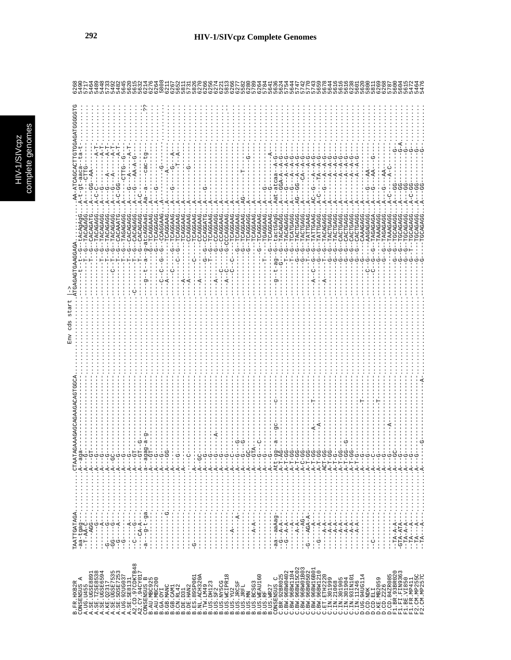|                                                                                                                           | start<br>cds<br>Env                                                        |                            |                                                                       |                                   |
|---------------------------------------------------------------------------------------------------------------------------|----------------------------------------------------------------------------|----------------------------|-----------------------------------------------------------------------|-----------------------------------|
| $\ddot{\phantom{0}}$<br>TAATTGATAGA                                                                                       | ATGAGAGTGAAGGAGA.<br>GAAAGAGCAGAAGACAGTGGCA<br>CTAATA                      |                            | CHOOOCACACHOTOACOOAOHA-A-                                             |                                   |
| $\cdot$<br>$\ddot{\phantom{0}}$<br>$\mathbf{I}$<br>п<br>j.<br>-aa-tgag-<br>--PAA-C-<br>----AA-C-<br>---------             | ウー<br>ひ<br>$-t = -t$<br>--aga<br>---<br>---<br><b>AAAAAAAAAAA GAAAAAAA</b> | --tAcAgAgG<br>--TACAGAGG   | .A-t-gt-aaca--ta-t-<br>CTTG                                           |                                   |
| $\ddot{\psi}$ :<br>$\mathbf{I}$<br>п.                                                                                     | U                                                                          | CACAGATG                   | $A---GG---AA$                                                         |                                   |
| $\cdot$<br>-11<br>$\overline{\phantom{a}}$                                                                                | ひ                                                                          | TACAGAGG<br>п              | 북<br>К<br>$-5-7-$                                                     |                                   |
| ::::::::::<br>L.<br>$\mathbf{I}$                                                                                          | 也<br>Ι.                                                                    | TACAGAGG                   | 부<br>К<br>ひ<br>$\frac{1}{\mathcal{A}}$                                |                                   |
| $\blacksquare$<br>$\frac{1}{2}$ $\frac{1}{2}$ $\frac{1}{2}$ $\frac{1}{2}$                                                 | ひ<br>н<br>もも<br>÷                                                          | -TACAGAGG                  | 북<br>К<br>F<br>Ġ<br>I<br>К                                            |                                   |
| $\mathbf{I}$                                                                                                              | ๓<br>E<br>п<br>U<br>ш<br>でー                                                | TACAGAGG                   | 북<br>К<br>F<br>C<br>K,                                                |                                   |
| $\frac{1}{2}$                                                                                                             | ひ<br><b>v</b> v<br>$\frac{1}{1}$                                           | CACAAATG                   | $A - T$<br>J.<br>$A-C-GG$                                             |                                   |
| $\mathbf{I}$<br>-1<br>Ť.<br>$\mathsf I$<br>Ť<br>$\mathbf{I}$<br>$\overline{\mathbf{c}}_{\mathbf{y}}^{\mathbf{b}}$         | ひ<br>ပုံ<br>ŧ                                                              | TAGAGAGG                   | ל<br>ל<br>$-CTTC$<br>$\overline{A}$                                   |                                   |
| $\mathbf{I}$<br>ŧ<br>Ť<br>$\mathbf{I}$<br>Ţ<br>Ι.                                                                         | ひ<br>ᡛ<br>$\dot{q}$<br>Ţ<br>$\mathbf{1}$                                   | CACAGAGG                   | $A-T$<br>J<br>$\overline{1}$<br>F<br>ပ္ပံ<br>J.<br>$\mathbf{I}$<br>K. |                                   |
| Ţ<br>$\frac{1}{4}$<br>ৰ ৩<br>Ţ<br>$\mathbf{I}$<br>Ĵ.<br>$\frac{1}{2}$                                                     | ひ<br>C J<br>텅<br>Ţ<br>$\mathbf{I}$                                         | CACAGAGG                   | ပု<br>J,                                                              |                                   |
| $\cdot$<br>A                                                                                                              | J,                                                                         |                            | $-AA - A$<br>りー<br>Æ                                                  |                                   |
| $\mathbf{I}$<br>$\frac{1}{1}$<br>$-40 - 7$                                                                                | ひ<br>ひ<br>텅                                                                | -CACAGAGG                  | J,<br>$A-C$                                                           |                                   |
| ್ರ<br>ಇ<br>$-9 - t$<br>$\frac{1}{\sigma}$                                                                                 | g<br>œ<br>J.<br>$-1 - 6$<br>$9 - 8 - 9$                                    | -atcAGGAaG                 | $ca - ta$<br>J.<br>$\frac{1}{\alpha}$<br>Aa                           |                                   |
| $\mathbf{I}$<br>$\mathbf{I}$<br>п<br>J.<br>$\mathbf{I}$<br>$\mathbf{I}$                                                   | ひ                                                                          | TCAGGAAG                   | $\mathbf{I}$                                                          |                                   |
| $\ddot{\phantom{0}}$<br>$\,$ I<br>1<br>1<br>J<br>п                                                                        | ひ                                                                          | -TCAGGAGG                  | ပု                                                                    |                                   |
| -1<br>п<br>$\mathbf{I}$<br>$\mathbf{I}$<br>$\frac{1}{1}$<br>J<br>$\mathbf{I}$<br>п                                        | ๓<br>りー<br>Ü<br>ł<br>Ó                                                     | -CCAGGAAG                  | ಲ                                                                     |                                   |
|                                                                                                                           |                                                                            |                            |                                                                       |                                   |
| $-\frac{6}{1}$<br>$\mathsf I$<br>Ţ<br>$\mathbf{I}$<br>J.<br>$\mathsf I$<br>$\mathbf{I}$                                   | К                                                                          | TCAGGAAG                   | д                                                                     |                                   |
| 1111<br>$\mathsf I$<br>ł<br>$\overline{\phantom{a}}$<br>$\begin{bmatrix} 1 \\ 1 \\ 1 \\ 1 \end{bmatrix}$                  | ひ<br>л<br>U<br>$\mathbf I$<br>÷                                            | TCAGGAAG<br>п              | $\tilde{A}$<br><b>I</b><br>؋<br>ပု                                    |                                   |
| $\mathfrak l$<br>I<br>J.<br>$\overline{\phantom{a}}$<br>$\overline{\phantom{a}}$<br>$\overline{\phantom{a}}$              | ひ<br>U<br>ė<br>$\frac{1}{1}$                                               | -TCAGGAAG                  | ⋖<br>J.<br>ь<br>Ī,                                                    |                                   |
| $\frac{1}{2}$ :                                                                                                           |                                                                            |                            |                                                                       |                                   |
|                                                                                                                           | $\Delta$<br>Ť                                                              | TCAGGAAG                   |                                                                       |                                   |
| $\frac{1}{2}$<br>I                                                                                                        | ⋖<br>$\frac{1}{2}$<br>Ť                                                    | CCAGGAAG                   | ひ                                                                     |                                   |
| $\mathbf I$<br>-<br>$\blacksquare$<br>ひ                                                                                   | U                                                                          | TCAGGAAG                   |                                                                       |                                   |
| $\vdots$<br>ł<br>I<br>ţ<br>I.<br>т                                                                                        | $- A -$                                                                    | CCAGGAAG                   |                                                                       |                                   |
| $\frac{1}{2}$ :<br>I.                                                                                                     |                                                                            |                            |                                                                       |                                   |
| 1                                                                                                                         | ひ<br>ひ                                                                     | CCAGGATG                   | ပု                                                                    |                                   |
| $\vdots$<br>J.                                                                                                            | ひ<br>ь                                                                     | TCAGGAAG                   |                                                                       |                                   |
| $\mathsf I$<br>п                                                                                                          | ↻                                                                          | CCAGGAG                    |                                                                       |                                   |
|                                                                                                                           | A                                                                          |                            |                                                                       |                                   |
| 1<br>ï<br>$\mathbf{I}$<br>ł<br>$\mathbf{I}$                                                                               | ά<br>$\frac{1}{1}$<br>Ü<br>Ì                                               | -CCAGGAAG                  |                                                                       |                                   |
| 1111<br>I<br>I<br>J.<br>ı<br>J.                                                                                           | $\frac{1}{1}$<br>Ü<br>$-A-$                                                | G-CCAGGAAG                 |                                                                       |                                   |
| Ι.<br>п<br>J.<br>$-4 - -$<br>п                                                                                            | $\blacksquare$<br>ن<br>ا<br>Ü                                              | TCAGGAAG                   |                                                                       |                                   |
|                                                                                                                           |                                                                            |                            |                                                                       |                                   |
| $\vdots$<br>$-4 -$<br>I<br>$\frac{1}{1}$<br>$\mathbf{I}$                                                                  | <b>しり</b><br>ひ                                                             | TCAGGAAG                   |                                                                       |                                   |
| J.<br>п<br>Ţ<br>$\begin{array}{c} 1 \\ 1 \\ 1 \end{array}$<br>$\mathbf{I}$                                                | ᄲ                                                                          | -TCAGGAAG                  | п<br>$AG-$                                                            |                                   |
| $\left\{\begin{smallmatrix} 1 & 1 \\ 1 & 1 \end{smallmatrix}\right\}$<br>$\cdot$<br>J.<br>J.<br>п<br>J.<br>$\overline{1}$ | ひ                                                                          | -TCAGGAGG                  | ひ                                                                     | 6641m678688                       |
| ŧ<br>$- - -A - A$<br>$\blacksquare$                                                                                       | $\mathbf{I}$<br>K,                                                         | TCAGGAAG                   |                                                                       |                                   |
|                                                                                                                           |                                                                            |                            |                                                                       |                                   |
| T<br>л<br>I<br>т<br>I.<br>п                                                                                               | ひ                                                                          | -TCAGGAAG                  |                                                                       |                                   |
| $\frac{1}{2}$<br>$\mathbf{I}$<br>÷<br>$\overline{\phantom{a}}$<br>ï<br>$\mathbf{I}$                                       |                                                                            | TGAGGAAG                   | ᄲ                                                                     |                                   |
| $\vdots$<br>$\mathbf{I}$<br>п<br>п<br>п                                                                                   | ひ                                                                          | -TCAGGAAG                  | J<br>ひ<br>L                                                           |                                   |
|                                                                                                                           | $-1$<br>g<br>œ                                                             |                            | υ                                                                     |                                   |
| Ť                                                                                                                         | <b>ひ ウ</b><br>ōe.<br>بة                                                    | --tactGAgG.<br>--TACAGAGG. | Aat-atcaa<br>A---GGA-A-                                               |                                   |
| $\frac{1}{2}$<br>$\mathbf{I}$                                                                                             | ά<br>л                                                                     |                            | ပု                                                                    | るさきころさい<br>とりときとりもとのところについているのです。 |
|                                                                                                                           | ひ<br>Н                                                                     | TACAGAGG                   | ひ<br>K,<br>$-4$<br>ပ္ပ်                                               |                                   |
| $\vdots$<br>$\mathbf{I}$                                                                                                  | ひ<br>۴                                                                     | TCATGAGG                   | ပု<br>К<br>I<br>$-4$<br>ပြီ                                           |                                   |
| $\vdots$<br>$\mathbf{I}$                                                                                                  | ひ<br>也                                                                     | TACTGAG                    | ひ<br>$\blacksquare$<br>К<br>$-A$ -<br>$-55 -$<br>$AG -$               |                                   |
| $- - - 24 - - -$<br>$\overline{\phantom{a}}$<br>п.                                                                        | ひ<br>ひ                                                                     | TACTGAGG<br>п              | 무<br>A,<br>$\mathbf{I}$<br>E<br>J.<br>$\mathbf{I}$                    | ∾<br>74:                          |
| $\frac{1}{2}$ :<br>$\cdot$                                                                                                |                                                                            |                            |                                                                       | 77                                |
| $-AGA - A -$<br>$\mathbf{I}$<br>ပုံ                                                                                       | ひ                                                                          | TATTGAAG                   | უ<br>К                                                                | Οm                                |
| $\frac{1}{2}$<br>L.<br>I<br>ш                                                                                             | 也<br>ひ<br>-1<br>$-4-$<br>E<br>$\overline{A}$                               | TATTGAAG                   | ပု<br>К<br>K,<br>I<br>ーリー<br>$AC -$                                   |                                   |
| $\vdots$<br>п.<br>$\overset{1}{\circ}$                                                                                    | ひ<br>也<br>Ŗ                                                                | TATTGAG                    | ပု<br>$-4$<br>$-{\tt TA}$<br>Ÿ                                        | $7458$<br>$7658$                  |
| $\begin{array}{c} \frac{1}{2} \\ \frac{1}{2} \end{array}$<br>Ť,                                                           | ひ<br>$- A -$                                                               | TACAGAGG                   | ပု<br>K,<br>$\,$ I<br>$\ddot{A}$<br>Ġ٢<br>Æ                           |                                   |
|                                                                                                                           |                                                                            |                            | $\frac{1}{1}$                                                         | 678<br>644                        |
| $\blacksquare$<br>f,                                                                                                      | ひ<br>ひ                                                                     | TACTGAGG                   | 먼<br>!<br>A,<br>Ŕ,                                                    |                                   |
| $\frac{1}{2}$ :<br>$\frac{1}{1}$                                                                                          | ひ                                                                          | TACTGAG                    | ပု<br>К<br>ΚK                                                         |                                   |
| $\overline{\phantom{a}}$<br>$\frac{1}{1}$                                                                                 | ひ                                                                          | CACTGAG                    | ပု<br>K,                                                              |                                   |
| Ť,<br>$-A - A$                                                                                                            | ひ<br>也<br>ひ                                                                | CACTGAGG                   | ပု<br>A<br>A                                                          |                                   |
| ł                                                                                                                         |                                                                            |                            | К                                                                     |                                   |
| $\mathbf{I}$<br>$- -A - A$<br>ı                                                                                           | ひ                                                                          | CACTGAGG                   | ပု<br>K,                                                              |                                   |
| К<br>$-4-$                                                                                                                | 也                                                                          | CACTGAG                    | U<br>К<br>K,                                                          |                                   |
|                                                                                                                           | てり                                                                         | CAAAGAGG                   |                                                                       |                                   |
| $\frac{1}{2}$<br>п<br>$\mathbf{I}$<br>$\mathbf{I}$<br>$\mathbf{I}$<br>п                                                   | ᄲ<br>$\blacksquare$<br>Ü                                                   | AAGAGAGG                   | AA.                                                                   |                                   |
|                                                                                                                           |                                                                            |                            | မှ မှ                                                                 |                                   |
| $\frac{1}{2}$<br>J<br>J.<br>$\mathbf{I}$<br>$\frac{1}{2}$                                                                 | ひ<br>ひ<br>H<br>Ü                                                           | TAGAGAGA                   | ひ<br>$-AA-$<br>$\blacksquare$                                         |                                   |
| J.                                                                                                                        | てり                                                                         | TAAAGAG                    |                                                                       |                                   |
| л<br>J,<br>$\frac{1}{2}$<br>$\mathbf{I}$                                                                                  | ひ<br>てり                                                                    | TAGAGAGG                   | $-AA$<br>ဗ္<br>$\frac{1}{1}$                                          |                                   |
| $\ddot{\cdot}$                                                                                                            |                                                                            |                            |                                                                       |                                   |
| п                                                                                                                         | ひ                                                                          | TAAAGAG                    | A-C<br>$A-C-$                                                         |                                   |
| -1<br>J.<br>$-T-A-RA-$                                                                                                    | ひ                                                                          | TGCAGAG                    | ひ<br>-99<br>$\overline{A}$                                            |                                   |
| Ť,<br>$-GTA-ATTA$                                                                                                         | ↻                                                                          | TGCAGAG                    | $G-\Delta$<br>ပ္ပာ<br>Æ                                               |                                   |
| $\ddot{\cdot}$<br>$\frac{1}{1}$                                                                                           | ひ                                                                          | TGCAGAG                    | Ů<br><b>99-</b><br>A,                                                 |                                   |
| ł                                                                                                                         | н                                                                          | TGCAGAG                    | ්<br>$A-C-GG$                                                         |                                   |
| --TA-A-A-<br>--TA---A<br>--TA---A<br>--TA---A-                                                                            |                                                                            |                            | ひ<br>ロワー                                                              |                                   |
|                                                                                                                           |                                                                            |                            |                                                                       |                                   |
|                                                                                                                           |                                                                            |                            | 8                                                                     |                                   |

 $\begin{smallmatrix}R, HX192R\\ 0&1234893\\ 0&1235893\\ 0&1235893\\ 0&1235893\\ 0&1235893\\ 0&1235893\\ 0&1235893\\ 0&1235893\\ 0&1235893\\ 0&1235893\\ 0&1235893\\ 0&1235893\\ 0&1235893\\ 0&1235893\\ 0&1235893\\ 0&1235893\\ 0&1235893\\ 0&1235893\\ 0&1235$ 

**HIV-1/SIVcpz Complete Genomes**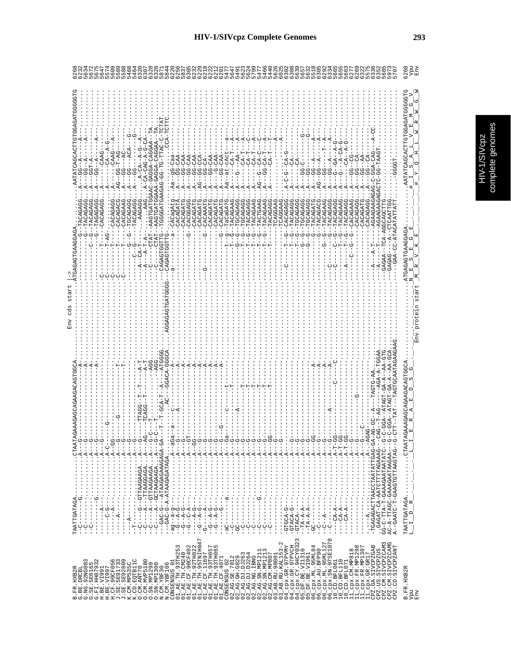| 57<br>64<br>O<br>ن<br>ru ru<br>L                                                                                                                                                                                                                                                                                                                                                                                                                                                                                                                                     | 6268<br>57<br>70<br>w<br>G<br>١c<br>w<br>١c                                                                                                                                                                                                                                                                                                                                                                                                                                                                                                                                                                                                                                                          | Εn<br>Ā                |
|----------------------------------------------------------------------------------------------------------------------------------------------------------------------------------------------------------------------------------------------------------------------------------------------------------------------------------------------------------------------------------------------------------------------------------------------------------------------------------------------------------------------------------------------------------------------|------------------------------------------------------------------------------------------------------------------------------------------------------------------------------------------------------------------------------------------------------------------------------------------------------------------------------------------------------------------------------------------------------------------------------------------------------------------------------------------------------------------------------------------------------------------------------------------------------------------------------------------------------------------------------------------------------|------------------------|
|                                                                                                                                                                                                                                                                                                                                                                                                                                                                                                                                                                      |                                                                                                                                                                                                                                                                                                                                                                                                                                                                                                                                                                                                                                                                                                      | ს $\sigma$             |
|                                                                                                                                                                                                                                                                                                                                                                                                                                                                                                                                                                      |                                                                                                                                                                                                                                                                                                                                                                                                                                                                                                                                                                                                                                                                                                      | Z<br>Σ<br>⊡            |
| CCA-TC<br>ပု<br>↻<br>К<br>U<br>Е                                                                                                                                                                                                                                                                                                                                                                                                                                                                                                                                     | ಲ<br>$-4$<br>$\vec{A}$<br>$-4-0$<br>텃<br>$-1$                                                                                                                                                                                                                                                                                                                                                                                                                                                                                                                                                                                                                                                        |                        |
| <b>CHOOOODHAOAODHDHHOAOOAOHAHAA</b><br>AU-U-A-UAU-AU-<br>-GAGGA-CAGGAA<br>$-4-4-7$<br>- 404---00----<br>$.A-CA--A-G$<br>-CAAG<br>CAAG<br>$CA-T$<br>$CA-T$<br>$-6G-CA-T$<br>AG--GG-T-AG<br>$-40-$<br>$-AA$<br>$at-cAct$<br>$CA-T$<br>$-440-00-044$<br>-r<br>CA<br>GG-CAA<br>GG-CAA<br>GG-CCA<br>$-99-04$<br>aa.<br>$480 - 9 - -$<br>$-40-0-1$<br>$-$ CAA<br>$-5-5-$<br>$-CA$<br>ే<br>$-1$<br>$A - T - D - -$<br>$-9G-C$<br>しゅっ<br>$\mathbf I$<br>50-<br>ロワー<br><u>ეგი</u><br>-- 00<br>--<br>ים<br>י<br>ပု                                                             | <b>DHDDDDDHADADDHDHHDAUDAUHAHAA</b><br>$C-A-C-A$<br>-GG-TAAG<br>$-6A$<br>$-CA$<br>U-400-<br>ĭ<br>טטט<br>ר<br>9<br>9<br>99<br>ც<br>ს<br>ც<br>ს<br>9<br>U<br>99<br>9<br>g<br>ひ<br>てり                                                                                                                                                                                                                                                                                                                                                                                                                                                                                                                   | C<br>CO.               |
| $A - -GG$<br>$AG - G$<br>Aa--<br>$AG - -$<br>ပုံ<br>œ                                                                                                                                                                                                                                                                                                                                                                                                                                                                                                                |                                                                                                                                                                                                                                                                                                                                                                                                                                                                                                                                                                                                                                                                                                      |                        |
| 2H-2-2KHH-2H-2B-2K50KKBHK5D5DH--DHHDDHDK5K2-<br>- AAGDGA-GAAA-GAGDERGAA-<br>AGTGATGGA<br>CACAGAAG<br>-TACAGAGG<br>UACAGAGE<br>CACAGACG<br>TGCAGAGG<br>CGAGAR<br>TGCAGAGG<br>TACAGAGG<br>TGCAGAGG<br>TGCAGAG<br>CACAGAG<br>CACGGAG<br>CACAGAG<br>aCaGA?<br>TACTGAA<br>-TAGAGAG<br>--TACAGAG<br><b>ACAGAA</b><br>CAGGAA<br>TACAGAG<br>TGCAGAG<br>--TACAGAG<br>ACAGAT<br>TACAGAP<br>TACAGAP<br>CACAGA'<br>CAGGA<br>CACAAA'<br><b>ACAGA</b><br>ACAGA<br>ACAGA<br>ACAGA<br>'ACAGA                                                                                         | TACAGAAG<br>TACAGAA<br>TACAGAG<br>TACAGAG<br>CACAGAG<br>-TGCAGAG<br>TACAGAG<br>TACAGAI<br>-TACAGAC<br>CACAGA.<br>CACAGA<br>CACAGZ                                                                                                                                                                                                                                                                                                                                                                                                                                                                                                                                                                    |                        |
| Í<br>J.<br>l.<br>H<br>$\overline{\phantom{a}}$<br>ပု<br>U<br>$-AG$<br>ひ<br>ᄲ<br>ပု<br>먼<br>!<br>ᄲ<br>ひ<br>IRT<br>٦T<br>ا<br>ひ                                                                                                                                                                                                                                                                                                                                                                                                                                        | -GAA-CC-ATACATATTAT<br>I<br>J.<br>ゥ<br>ь                                                                                                                                                                                                                                                                                                                                                                                                                                                                                                                                                                                                                                                             | び                      |
| <b>LGAGAGTGAAGGAGA</b><br>UHHUUHUKUKU –<br>$-CA$<br>$- A - T$<br>ပု<br>K,<br>ပု<br>U                                                                                                                                                                                                                                                                                                                                                                                                                                                                                 | ILUURUUUUR-RUH--RRURU-<br>ATGAGAGTOAAGGAGA<br>$-4$<br>$\Gamma$<br><b>GAGAG</b><br>$-A-$<br>ပု<br>U<br>₹                                                                                                                                                                                                                                                                                                                                                                                                                                                                                                                                                                                              | 囸<br>ωï<br>$\alpha$    |
|                                                                                                                                                                                                                                                                                                                                                                                                                                                                                                                                                                      |                                                                                                                                                                                                                                                                                                                                                                                                                                                                                                                                                                                                                                                                                                      | <b>Fall</b>            |
| star<br>cds                                                                                                                                                                                                                                                                                                                                                                                                                                                                                                                                                          |                                                                                                                                                                                                                                                                                                                                                                                                                                                                                                                                                                                                                                                                                                      | stari                  |
| Env                                                                                                                                                                                                                                                                                                                                                                                                                                                                                                                                                                  |                                                                                                                                                                                                                                                                                                                                                                                                                                                                                                                                                                                                                                                                                                      | Env protein            |
|                                                                                                                                                                                                                                                                                                                                                                                                                                                                                                                                                                      |                                                                                                                                                                                                                                                                                                                                                                                                                                                                                                                                                                                                                                                                                                      |                        |
| CCACA-GCCC<br>$- - A T G G G$<br>$\overline{A}$<br>GAAAGAGAAGAACACGCA<br>$\overline{A}$<br>À,<br>A,<br>R<br>$\vec{A}$<br>К<br>К                                                                                                                                                                                                                                                                                                                                                                                                                                      | -TAGTGCAATAGAAGA<br>$-AA-GC$<br>$-AA=0A-BA-0A-0A-0B-0F$<br>GAAAGAGAAGAACACHOGCA<br>$\dot{A}$<br>Ļ<br>К                                                                                                                                                                                                                                                                                                                                                                                                                                                                                                                                                                                               | てり<br>S                |
|                                                                                                                                                                                                                                                                                                                                                                                                                                                                                                                                                                      | $A-GB-7$<br><b>TAGT</b>                                                                                                                                                                                                                                                                                                                                                                                                                                                                                                                                                                                                                                                                              | ≏<br><b>Ed</b>         |
|                                                                                                                                                                                                                                                                                                                                                                                                                                                                                                                                                                      | $-12AT$<br>$-00A$<br>$-6GA$                                                                                                                                                                                                                                                                                                                                                                                                                                                                                                                                                                                                                                                                          |                        |
| .CTAAT<br>$ A - -G$<br>ပု<br>$-1$<br>ပု<br>וליטיפאי<br>די די די<br>די די די<br>ひ<br>ī<br>$\frac{1}{2}$<br>$\,$ I<br>$\blacksquare$<br>$\mathbf{I}$                                                                                                                                                                                                                                                                                                                                                                                                                   | EE<br>ပု<br>ပု<br>J,                                                                                                                                                                                                                                                                                                                                                                                                                                                                                                                                                                                                                                                                                 | F,                     |
| $\begin{array}{ll} \vspace{0.2cm} \begin{array}{ll} \vspace{0.2cm} \vspace{0.2cm} \vspace{0.2cm} \vspace{0.2cm} \vspace{0.2cm} \vspace{0.2cm} \vspace{0.2cm} \vspace{0.2cm} \vspace{0.2cm} \vspace{0.2cm} \vspace{0.2cm} \vspace{0.2cm} \vspace{0.2cm} \vspace{0.2cm} \vspace{0.2cm} \vspace{0.2cm} \vspace{0.2cm} \vspace{0.2cm} \vspace{0.2cm} \vspace{0.2cm} \vspace{0.2cm} \vspace{0.2cm$<br>$\cdots$ $A$ - -<br>$\cdots$ $\cdots$<br>$\begin{array}{ccc}\nA & A & A & A \\ \vdots & \vdots & \vdots & \vdots \\ \vdots & \vdots & \vdots & \vdots\n\end{array}$ | TAATTGATAGACTAAT<br>GG-C-TTA-T-GAAGAATAATATTAD<br>AC-A-TTAGC-GAAAGAATAAGAA---G<br>A--GAATC-T-GAAGTGTTAAGTAG--G<br>---DAARDRHHHUHA-RO-HRUAGO.<br>$\ddot{A}$ - -<br>$\begin{array}{c}\nA \\ \vdots \\ B\n\end{array}$<br>Ť                                                                                                                                                                                                                                                                                                                                                                                                                                                                             |                        |
| ţ.                                                                                                                                                                                                                                                                                                                                                                                                                                                                                                                                                                   |                                                                                                                                                                                                                                                                                                                                                                                                                                                                                                                                                                                                                                                                                                      |                        |
| TAATTGATAGA.<br>- 1<br>- 1<br>$-1$<br>Т<br>ţ<br>Ť<br>土土<br>-<br>Ť.<br>$-1 - C - G$<br>$-4$<br>$-1 - 1$<br>$G- C - G$<br>$-4$<br>$\blacksquare$<br>$\mathsf I$<br>I<br>$-A$ -<br>$\frac{1}{1}$<br>$-4$<br>Т<br>I<br>$\mathbf{I}$<br>1<br>$\blacksquare$<br>J.<br>п<br>л<br><b>I</b>                                                                                                                                                                                                                                                                                   | $\begin{array}{c} \begin{array}{c} \bullet \\ \bullet \\ \bullet \end{array} \end{array}$<br>$\frac{1}{2}$                                                                                                                                                                                                                                                                                                                                                                                                                                                                                                                                                                                           | $\mathbf{p}$<br>$\Box$ |
| $\frac{1}{1}$<br>Í<br>$\frac{1}{1}$<br>ပု<br>$\frac{1}{2}$<br>Ÿ<br>U<br>U<br>Ÿ<br>U<br>ī<br>$\overline{\phantom{a}}$<br>$\mathbf{I}$                                                                                                                                                                                                                                                                                                                                                                                                                                 | -<br>1<br>$\mathbf{I}$                                                                                                                                                                                                                                                                                                                                                                                                                                                                                                                                                                                                                                                                               | $\mathbf{H}$<br>급      |
|                                                                                                                                                                                                                                                                                                                                                                                                                                                                                                                                                                      | $\begin{array}{l} (44-{\rm cycx},\,37{\rm\,FWW})\\ (44-{\rm cycx},\,37{\rm\,FWW})\\ (45-{\rm cycx},\,37{\rm\,FWW})\\ (5-{\rm pr},\,38{\rm\,V11,1310}\\ (65-{\rm pr},\,38{\rm\,V},\,131{\rm\,Fbb})\\ (66-{\rm cycx},\,301{\rm\,FPP90}\\ (66-{\rm cycx},\,301{\rm\,FPP90})\\ (66-{\rm cycx},\,38{\rm\,V},\,97{\rm\,SRLJ778}\\ (66-{\rm cycx},\,38{\$<br>CPZ-GA.SIVCPZGAB<br>CPZ.US.SIVCPZGAB<br>CPZ.US.SIVCPZUS<br>CPZ.CM.SIVCPZCAM3<br><b>SIVCPZCAM5</b><br>SIVCPZANT<br>$\begin{array}{l} 1 - \text{cpx.}\ \text{CW.}\ \text{W} \text{B} 18 \\ 1 - \text{cpx.}\ \text{FR.}\ \text{MP} 1298 \\ 1 - \text{cpx.}\ \text{FR.}\ \text{MP} 1307 \\ 1 - \text{cpx.}\ \text{GR.}\ \text{GR.} 17 \end{array}$ |                        |
| R.HXB2R<br>BE.DRCBL                                                                                                                                                                                                                                                                                                                                                                                                                                                                                                                                                  | B. FR. HXB2R<br>$\ddot{\circ}$<br>S GD.<br>$\frac{32}{2}$ . CM.                                                                                                                                                                                                                                                                                                                                                                                                                                                                                                                                                                                                                                      |                        |
| $_{\rm FR}$<br>ë<br>血ひ                                                                                                                                                                                                                                                                                                                                                                                                                                                                                                                                               | EB<br>ਸੁਸ਼ਸ਼ਸ                                                                                                                                                                                                                                                                                                                                                                                                                                                                                                                                                                                                                                                                                        | Vpu<br>Env             |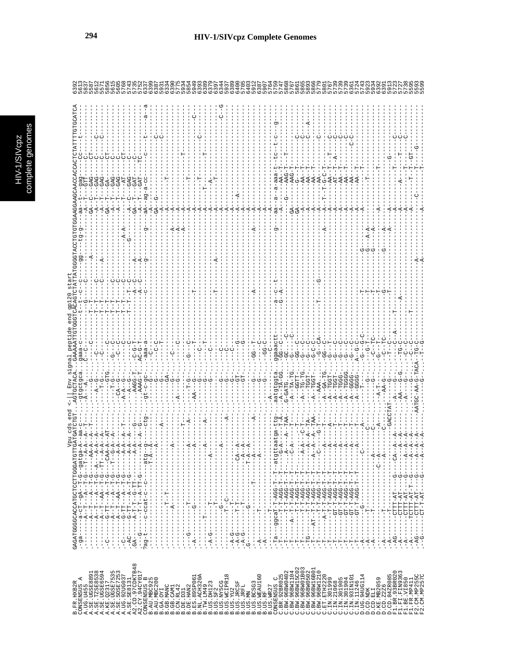complete genomes HIV-1/SIVcpz

| <b>www.www</b>                                                                                                                                                                                                                                                                                                                                                                                                                                  | $\infty$ $\rightarrow$ $\sim$ |                     |                                       | $m \nightharpoonup$ |                    |          | ৩ 4                                          |                                  |                                                                                                                                                                                                                                                                                                                                                                                                     |                                               |               | ოഥოთთოოთ<br>$P$ $m$ $m$ $m$ $m$ $m$ |                                   |                                    |                                |                               |                                                 |                                                       | 4<br>0000mmmmm0                                                                                                                                                                                                                                                                                                                                                                                                  |         | തയ                  |                                             |                   | ᡡ                        |                                                             |               | $\infty$<br>5U      | ιo                    | 0<br>$\mathsf{L} \cap$                                                         | ιo                       |                   | <b>LO</b>                         |                     |                   |                             |                        |        | ဖ                 | 6<br>n 888<br>Din 88     | ৩                                     | $\sigma$   | ${}^{\infty}$     |                                  |         | ৩  |              |    |   | O  |        |      |                                               |                     |                                                     |                                   |                              |             |                                                                                                                                                                                                                                                                                                                                                                                                                       |                       |                |                              |   |
|-------------------------------------------------------------------------------------------------------------------------------------------------------------------------------------------------------------------------------------------------------------------------------------------------------------------------------------------------------------------------------------------------------------------------------------------------|-------------------------------|---------------------|---------------------------------------|---------------------|--------------------|----------|----------------------------------------------|----------------------------------|-----------------------------------------------------------------------------------------------------------------------------------------------------------------------------------------------------------------------------------------------------------------------------------------------------------------------------------------------------------------------------------------------------|-----------------------------------------------|---------------|-------------------------------------|-----------------------------------|------------------------------------|--------------------------------|-------------------------------|-------------------------------------------------|-------------------------------------------------------|------------------------------------------------------------------------------------------------------------------------------------------------------------------------------------------------------------------------------------------------------------------------------------------------------------------------------------------------------------------------------------------------------------------|---------|---------------------|---------------------------------------------|-------------------|--------------------------|-------------------------------------------------------------|---------------|---------------------|-----------------------|--------------------------------------------------------------------------------|--------------------------|-------------------|-----------------------------------|---------------------|-------------------|-----------------------------|------------------------|--------|-------------------|--------------------------|---------------------------------------|------------|-------------------|----------------------------------|---------|----|--------------|----|---|----|--------|------|-----------------------------------------------|---------------------|-----------------------------------------------------|-----------------------------------|------------------------------|-------------|-----------------------------------------------------------------------------------------------------------------------------------------------------------------------------------------------------------------------------------------------------------------------------------------------------------------------------------------------------------------------------------------------------------------------|-----------------------|----------------|------------------------------|---|
|                                                                                                                                                                                                                                                                                                                                                                                                                                                 |                               |                     |                                       |                     |                    |          |                                              |                                  |                                                                                                                                                                                                                                                                                                                                                                                                     |                                               |               |                                     |                                   |                                    |                                |                               |                                                 |                                                       |                                                                                                                                                                                                                                                                                                                                                                                                                  |         |                     |                                             |                   |                          |                                                             |               |                     |                       |                                                                                |                          |                   |                                   |                     |                   |                             |                        |        |                   |                          |                                       |            |                   |                                  |         |    |              |    |   |    |        |      |                                               |                     |                                                     |                                   |                              |             |                                                                                                                                                                                                                                                                                                                                                                                                                       |                       |                |                              |   |
| ~DHAODHDHHHHAHOHOAOOAOOAAODAAODAADDHDHDDHOOAHDDDDHAHHAH                                                                                                                                                                                                                                                                                                                                                                                         |                               |                     |                                       |                     |                    |          |                                              |                                  |                                                                                                                                                                                                                                                                                                                                                                                                     |                                               |               |                                     | O                                 | C.                                 |                                |                               |                                                 |                                                       |                                                                                                                                                                                                                                                                                                                                                                                                                  |         |                     |                                             |                   |                          |                                                             |               |                     |                       |                                                                                |                          |                   |                                   |                     |                   | ত                           |                        |        |                   |                          |                                       | O          |                   | U                                |         | C. | O            |    |   |    |        |      |                                               |                     |                                                     |                                   |                              |             |                                                                                                                                                                                                                                                                                                                                                                                                                       |                       |                |                              |   |
|                                                                                                                                                                                                                                                                                                                                                                                                                                                 | 5                             | C)<br>U             | 5                                     |                     | τJ                 | 5        | U)                                           | U                                |                                                                                                                                                                                                                                                                                                                                                                                                     |                                               |               |                                     |                                   |                                    |                                |                               |                                                 |                                                       |                                                                                                                                                                                                                                                                                                                                                                                                                  |         |                     |                                             |                   |                          |                                                             |               |                     |                       |                                                                                |                          |                   |                                   |                     |                   |                             |                        |        |                   |                          |                                       |            |                   |                                  |         |    |              |    |   |    |        |      |                                               |                     |                                                     |                                   |                              |             |                                                                                                                                                                                                                                                                                                                                                                                                                       |                       |                |                              |   |
| E DO<br>GAG<br>qag                                                                                                                                                                                                                                                                                                                                                                                                                              |                               | GAG.                | GAG-<br>$\mathsf I$<br>$\mathfrak{F}$ | GAG-                | GAG                | $-AT$    | GAG                                          | GAT                              |                                                                                                                                                                                                                                                                                                                                                                                                     | <b>GAT</b>                                    |               |                                     |                                   |                                    |                                |                               |                                                 |                                                       |                                                                                                                                                                                                                                                                                                                                                                                                                  |         |                     |                                             |                   |                          |                                                             |               |                     |                       |                                                                                |                          |                   |                                   |                     |                   | aaa                         |                        |        | AAG               |                          |                                       |            |                   |                                  |         |    |              |    |   |    |        |      |                                               |                     |                                                     |                                   |                              |             |                                                                                                                                                                                                                                                                                                                                                                                                                       |                       |                |                              |   |
|                                                                                                                                                                                                                                                                                                                                                                                                                                                 |                               |                     |                                       |                     |                    |          | U                                            |                                  |                                                                                                                                                                                                                                                                                                                                                                                                     |                                               | -a-c<br>āg    |                                     | ひ                                 |                                    |                                |                               |                                                 |                                                       |                                                                                                                                                                                                                                                                                                                                                                                                                  |         |                     |                                             |                   |                          |                                                             |               |                     |                       |                                                                                |                          |                   |                                   |                     |                   | ᠬ                           |                        |        |                   |                          |                                       |            |                   |                                  |         |    |              |    |   |    |        |      |                                               |                     |                                                     |                                   |                              |             |                                                                                                                                                                                                                                                                                                                                                                                                                       |                       |                |                              |   |
| م<br>م                                                                                                                                                                                                                                                                                                                                                                                                                                          |                               |                     |                                       |                     |                    |          |                                              |                                  |                                                                                                                                                                                                                                                                                                                                                                                                     |                                               | aA            |                                     |                                   |                                    |                                |                               |                                                 |                                                       |                                                                                                                                                                                                                                                                                                                                                                                                                  |         |                     |                                             |                   |                          |                                                             |               |                     |                       |                                                                                |                          |                   |                                   |                     |                   |                             |                        |        |                   |                          |                                       |            |                   |                                  |         |    |              |    |   |    |        |      |                                               |                     |                                                     |                                   |                              |             |                                                                                                                                                                                                                                                                                                                                                                                                                       |                       |                |                              |   |
| ত                                                                                                                                                                                                                                                                                                                                                                                                                                               |                               |                     |                                       |                     |                    | $A - A$  |                                              |                                  |                                                                                                                                                                                                                                                                                                                                                                                                     |                                               | তা            |                                     |                                   |                                    |                                | $\overline{A}$ $\overline{A}$ |                                                 |                                                       |                                                                                                                                                                                                                                                                                                                                                                                                                  |         |                     |                                             |                   |                          |                                                             |               |                     |                       |                                                                                |                          |                   |                                   |                     |                   | ਨ                           |                        |        |                   |                          |                                       |            |                   |                                  |         |    |              |    |   |    |        |      | $A - A$                                       | Æ                   |                                                     | К                                 |                              |             |                                                                                                                                                                                                                                                                                                                                                                                                                       |                       |                |                              |   |
| gg                                                                                                                                                                                                                                                                                                                                                                                                                                              |                               |                     |                                       |                     |                    |          |                                              | К                                |                                                                                                                                                                                                                                                                                                                                                                                                     | К                                             | ס             |                                     |                                   |                                    |                                |                               |                                                 |                                                       |                                                                                                                                                                                                                                                                                                                                                                                                                  |         |                     |                                             |                   |                          |                                                             |               |                     |                       |                                                                                |                          |                   |                                   |                     |                   |                             |                        |        |                   |                          |                                       |            |                   |                                  |         |    |              |    |   |    |        | ט    | ひ                                             | U                   |                                                     | 也                                 |                              |             |                                                                                                                                                                                                                                                                                                                                                                                                                       |                       |                |                              |   |
| Ο<br>◡                                                                                                                                                                                                                                                                                                                                                                                                                                          |                               | O                   |                                       | C.                  | O                  | O        | ↻                                            | τ.                               |                                                                                                                                                                                                                                                                                                                                                                                                     | C)                                            |               |                                     |                                   |                                    |                                |                               |                                                 |                                                       |                                                                                                                                                                                                                                                                                                                                                                                                                  |         |                     |                                             |                   |                          |                                                             |               |                     |                       |                                                                                |                          |                   |                                   |                     |                   |                             |                        |        |                   |                          |                                       |            |                   |                                  |         |    |              |    |   |    |        |      |                                               |                     |                                                     |                                   |                              |             |                                                                                                                                                                                                                                                                                                                                                                                                                       |                       |                |                              |   |
|                                                                                                                                                                                                                                                                                                                                                                                                                                                 | f.                            |                     | J                                     |                     |                    |          |                                              | Æ                                |                                                                                                                                                                                                                                                                                                                                                                                                     | К                                             | U             |                                     |                                   |                                    |                                |                               |                                                 |                                                       |                                                                                                                                                                                                                                                                                                                                                                                                                  |         |                     |                                             |                   |                          |                                                             |               |                     |                       |                                                                                |                          |                   |                                   |                     |                   | U<br>ď                      |                        |        |                   |                          |                                       |            |                   |                                  |         |    |              |    |   |    |        |      |                                               |                     |                                                     | ひ                                 |                              |             |                                                                                                                                                                                                                                                                                                                                                                                                                       |                       |                |                              |   |
|                                                                                                                                                                                                                                                                                                                                                                                                                                                 | 5                             | ⊢                   | $\mathbf{I}$<br>н                     | ۳                   |                    | ь        |                                              |                                  |                                                                                                                                                                                                                                                                                                                                                                                                     |                                               |               |                                     |                                   |                                    |                                |                               |                                                 |                                                       |                                                                                                                                                                                                                                                                                                                                                                                                                  |         |                     |                                             |                   |                          |                                                             |               |                     |                       |                                                                                |                          |                   |                                   |                     |                   |                             |                        |        |                   |                          |                                       |            |                   |                                  |         |    |              |    |   |    |        |      |                                               |                     |                                                     |                                   |                              |             |                                                                                                                                                                                                                                                                                                                                                                                                                       |                       |                |                              |   |
|                                                                                                                                                                                                                                                                                                                                                                                                                                                 |                               |                     |                                       | 1                   | U<br>-1            | п        | U                                            |                                  |                                                                                                                                                                                                                                                                                                                                                                                                     |                                               |               |                                     | ひし                                |                                    |                                |                               |                                                 | п                                                     |                                                                                                                                                                                                                                                                                                                                                                                                                  | U       |                     |                                             |                   |                          | υU                                                          |               | ↻                   | ひ                     | てり                                                                             |                          |                   |                                   |                     |                   | gaaact                      | ーし                     |        |                   |                          |                                       |            |                   |                                  |         |    |              |    |   |    |        |      |                                               |                     |                                                     |                                   |                              |             |                                                                                                                                                                                                                                                                                                                                                                                                                       |                       |                |                              |   |
| gaaa                                                                                                                                                                                                                                                                                                                                                                                                                                            |                               |                     |                                       | Ψ                   | U                  |          |                                              | もし                               | $AC-G-T$                                                                                                                                                                                                                                                                                                                                                                                            |                                               | aaa-a         | U                                   |                                   |                                    |                                | U                             |                                                 | Ó                                                     |                                                                                                                                                                                                                                                                                                                                                                                                                  |         |                     |                                             | U                 |                          |                                                             |               |                     |                       |                                                                                |                          | 99                |                                   | ġ                   |                   |                             |                        |        | .<br>U            | .<br>ც                   |                                       |            | しし                | ひ                                |         |    |              |    |   |    |        |      |                                               |                     |                                                     |                                   |                              |             |                                                                                                                                                                                                                                                                                                                                                                                                                       |                       |                |                              |   |
| gtgctgca                                                                                                                                                                                                                                                                                                                                                                                                                                        |                               | $-A$ -              | <b>GHG</b><br>ひ                       | -T-G                | 也                  | ひ        | ひ                                            | .AAGG                            |                                                                                                                                                                                                                                                                                                                                                                                                     | .AAAG-1                                       | $-5-2-$       | ひ                                   | <b>ひひ</b>                         |                                    | a<br>U                         | ひ                             |                                                 | ひ<br>턱                                                | ひ<br>л                                                                                                                                                                                                                                                                                                                                                                                                           |         |                     |                                             |                   |                          |                                                             |               |                     | رح                    |                                                                                |                          | てり                | τŋ                                |                     |                   |                             |                        | -GATG. | $-A$ --TA-        | <b>LOD-</b>              | ים<br>דָּ                             | <b>TGG</b> | <b>TGGT</b>       | $-AAA$                           | යි      |    |              |    |   | შე | 9999   |      |                                               |                     |                                                     | 也                                 |                              |             |                                                                                                                                                                                                                                                                                                                                                                                                                       |                       | てり             | $\mathcal{F}^{\mathfrak{p}}$ |   |
|                                                                                                                                                                                                                                                                                                                                                                                                                                                 |                               |                     |                                       |                     | $CA -$             | $-A-A--$ | $\vec{A}$                                    |                                  |                                                                                                                                                                                                                                                                                                                                                                                                     |                                               | ă             |                                     |                                   |                                    |                                |                               |                                                 |                                                       | п<br>Ą                                                                                                                                                                                                                                                                                                                                                                                                           |         |                     |                                             |                   |                          |                                                             |               |                     |                       |                                                                                |                          |                   |                                   |                     |                   |                             | aatgtggt<br>-A--TA-0   |        |                   |                          | Ą                                     |            | J.<br>K,          |                                  |         |    |              |    |   |    |        |      |                                               |                     |                                                     | $-AA$                             |                              |             |                                                                                                                                                                                                                                                                                                                                                                                                                       |                       |                | $-AA$                        |   |
|                                                                                                                                                                                                                                                                                                                                                                                                                                                 |                               |                     |                                       |                     |                    |          |                                              | U                                |                                                                                                                                                                                                                                                                                                                                                                                                     | ひ                                             | ctg           |                                     |                                   |                                    |                                |                               |                                                 |                                                       |                                                                                                                                                                                                                                                                                                                                                                                                                  |         |                     |                                             |                   |                          |                                                             |               |                     |                       |                                                                                |                          |                   |                                   |                     |                   |                             |                        |        |                   |                          | Ī.                                    |            | AA.<br>턴          | も                                |         |    |              |    |   |    |        |      |                                               |                     |                                                     |                                   |                              |             |                                                                                                                                                                                                                                                                                                                                                                                                                       |                       |                |                              |   |
|                                                                                                                                                                                                                                                                                                                                                                                                                                                 |                               |                     |                                       |                     |                    | K,       |                                              |                                  |                                                                                                                                                                                                                                                                                                                                                                                                     | К                                             |               |                                     |                                   |                                    |                                |                               |                                                 |                                                       |                                                                                                                                                                                                                                                                                                                                                                                                                  |         |                     |                                             |                   |                          |                                                             |               |                     |                       |                                                                                |                          |                   |                                   |                     |                   | aatqa                       |                        |        |                   |                          |                                       |            | K,                |                                  |         |    |              |    |   |    |        |      |                                               |                     |                                                     |                                   |                              |             | Æ                                                                                                                                                                                                                                                                                                                                                                                                                     |                       |                |                              |   |
|                                                                                                                                                                                                                                                                                                                                                                                                                                                 |                               |                     |                                       |                     |                    |          | $\begin{array}{c}\nA \\ 1 \\ 1\n\end{array}$ | $\mathbf{I}$<br>л                | J<br>J.                                                                                                                                                                                                                                                                                                                                                                                             | п<br>п                                        | $-$ atg $-$   |                                     |                                   |                                    |                                |                               |                                                 |                                                       |                                                                                                                                                                                                                                                                                                                                                                                                                  |         |                     |                                             | $\ddot{A}$        |                          |                                                             |               | T                   | $-CA$                 | $- - - - A$                                                                    |                          | $- - P -$         | $- - A$<br>п<br>т                 |                     |                   | $-ax + by -$                | -<br>л<br>$\mathbf{I}$ |        | Ħ<br>$\mathbf{I}$ | $\vdots$<br>$\mathbf{I}$ | 7<br>$\mathsf I$<br>1<br>$\mathbf{I}$ | п          | $-4 - 7$          | $\mathsf I$<br>$\mathbf{I}$<br>Ť | п       | -1 | $\mathbf{I}$ |    |   |    |        |      | $\mathbf{I}$<br>п                             | $-4 -$<br>п         | $-1$ – $-1$                                         | $- -A -$<br>$\blacksquare$<br>1   | $\mathbf{I}$<br>$\mathbf{I}$ |             |                                                                                                                                                                                                                                                                                                                                                                                                                       |                       |                |                              |   |
|                                                                                                                                                                                                                                                                                                                                                                                                                                                 |                               |                     |                                       |                     |                    |          |                                              |                                  | $\frac{1}{1} - \frac{1}{1} - \frac{1}{1} - \frac{1}{1} - \frac{1}{1} - \frac{1}{1} - \frac{1}{1} - \frac{1}{1} - \frac{1}{1} - \frac{1}{1} - \frac{1}{1} - \frac{1}{1} - \frac{1}{1} - \frac{1}{1} - \frac{1}{1} - \frac{1}{1} - \frac{1}{1} - \frac{1}{1} - \frac{1}{1} - \frac{1}{1} - \frac{1}{1} - \frac{1}{1} - \frac{1}{1} - \frac{1}{1} - \frac{1}{1} - \frac{1}{1} - \frac{1}{1} - \frac{1$ |                                               | $\frac{0}{1}$ |                                     |                                   |                                    | $\blacksquare$                 | $\mathbf{I}$                  |                                                 |                                                       |                                                                                                                                                                                                                                                                                                                                                                                                                  |         |                     |                                             |                   |                          |                                                             |               |                     |                       |                                                                                | I                        | -- T--            | т<br>$\frac{1}{4}$<br>J.<br>Ι.    | $\mathbf{I}$<br>-1  |                   | 부                           | н<br>÷                 |        |                   |                          |                                       |            |                   |                                  |         |    |              |    | ٣ | m  | ⊢      |      |                                               | J.                  | $\overline{\phantom{a}}$<br>п<br>ı<br>п             | -1                                |                              |             |                                                                                                                                                                                                                                                                                                                                                                                                                       |                       |                |                              |   |
| $\begin{small} \mathbf{36} = \mathbf{26} + \mathbf{26} + \mathbf{26} + \mathbf{26} + \mathbf{26} + \mathbf{26} + \mathbf{26} + \mathbf{26} + \mathbf{26} + \mathbf{26} + \mathbf{26} + \mathbf{26} + \mathbf{26} + \mathbf{26} + \mathbf{26} + \mathbf{26} + \mathbf{26} + \mathbf{26} + \mathbf{26} + \mathbf{26} + \mathbf{26} + \mathbf{26} + \mathbf{26} + \mathbf{26} + \mathbf{26} + \mathbf{26}$<br><b>COLACOOLLOULOULADOADOCOOLACAC</b> |                               |                     |                                       |                     |                    |          |                                              |                                  |                                                                                                                                                                                                                                                                                                                                                                                                     |                                               | $-c$ -ccat-c  | л                                   | -1<br>$\mathbb T$                 | - 1<br>$\blacksquare$              | $\frac{1}{2}$<br>$- - - -$     | $\mathbf{I}$<br>$\mathbf{I}$  |                                                 | ۲.                                                    | ÷                                                                                                                                                                                                                                                                                                                                                                                                                | п<br>H. | $\blacksquare$<br>п |                                             | $\mathbf{I}$<br>부 | $\blacksquare$<br>י<br>י | $\overline{\phantom{a}}$<br>$\blacksquare$<br>$\frac{1}{2}$ | $-1$          | $\blacksquare$<br>부 | $\blacksquare$        | $\mathbf{I}$<br>부<br>$\overline{\phantom{a}}$                                  | $\mathbf{I}$<br>ひ        | I.<br>т<br>п<br>1 | Ť.<br>$\blacksquare$<br>- 1<br>j. | $\blacksquare$<br>п |                   | -99caT-T-AGG-T              |                        |        |                   |                          |                                       |            |                   |                                  |         |    |              |    |   |    |        |      | $\begin{array}{c} -1 \\ -1 \\ -1 \end{array}$ | $\blacksquare$<br>J | $\overline{\phantom{a}}$<br>J<br>Ţ<br>$\frac{1}{1}$ | 1                                 | J.                           |             | $\begin{split} \mathcal{L} = \left\{ \begin{aligned} &\mathcal{L}^{\text{H}}\mathbf{L}^{\text{H}}\mathbf{L}^{\text{H}}\mathbf{L}^{\text{H}}\mathbf{L}^{\text{H}}- \mathbf{L}^{\text{H}}\mathbf{L}^{\text{H}}- \mathbf{L}^{\text{H}}\mathbf{L}^{\text{H}}- \mathbf{L}^{\text{H}}\mathbf{L}^{\text{H}}\mathbf{L}^{\text{H}}\mathbf{L}^{\text{H}}\mathbf{L}^{\text{H}}\mathbf{L}^{\text{H}}\mathbf{L}^{\text{H}}\mathbf$ |                       |                |                              |   |
|                                                                                                                                                                                                                                                                                                                                                                                                                                                 |                               |                     |                                       |                     |                    |          |                                              | $-1 - 2 - 4 - T$<br>$\mathbf{I}$ | $-1 - T - T$                                                                                                                                                                                                                                                                                                                                                                                        | ï<br>$\overline{\phantom{a}}$<br>$\mathbf{I}$ | J.            |                                     |                                   | п                                  | L.                             | -1<br>$\mathbf I$<br>J.       |                                                 | $\blacksquare$<br>$\mathbf{I}$<br>$\blacksquare$<br>T | $\frac{5}{1}$<br>т<br>$\begin{array}{c} \rule{0pt}{2.5ex} \rule{0pt}{2.5ex} \rule{0pt}{2.5ex} \rule{0pt}{2.5ex} \rule{0pt}{2.5ex} \rule{0pt}{2.5ex} \rule{0pt}{2.5ex} \rule{0pt}{2.5ex} \rule{0pt}{2.5ex} \rule{0pt}{2.5ex} \rule{0pt}{2.5ex} \rule{0pt}{2.5ex} \rule{0pt}{2.5ex} \rule{0pt}{2.5ex} \rule{0pt}{2.5ex} \rule{0pt}{2.5ex} \rule{0pt}{2.5ex} \rule{0pt}{2.5ex} \rule{0pt}{2.5ex} \rule{0$<br>J<br>J |         | J<br>- 1<br>부       | I<br>ı                                      | -1<br>j.<br>Ť     | I<br>п                   | J.                                                          | I             |                     | $L - L - -$<br>п<br>I | $\mathbf{I}$<br>$\mathbf{I}$<br>Ť.<br>$\overline{\phantom{a}}$<br>$\mathbf{I}$ | T<br>$\blacksquare$<br>п | 1<br>т            | Ť<br>Ť.<br>т<br>т                 | п                   | н<br>Ţ<br>J.      |                             |                        |        |                   |                          |                                       |            |                   |                                  |         |    |              |    |   |    |        |      | 부부<br>$\mathsf I$<br>$\mathbf{I}$             | $\mathbf{I}$        | $\overline{1}$<br>$\blacksquare$                    | $-1 - 1 - 1$<br>$\mathsf I$<br>J. | $-1$<br>$\blacksquare$       | л           |                                                                                                                                                                                                                                                                                                                                                                                                                       | I<br>J.               | I.<br>J.       | $\,$ I<br>$\blacksquare$     |   |
| $-9a$<br>$\mathsf I$<br>电                                                                                                                                                                                                                                                                                                                                                                                                                       | $\,$ I                        | j,<br>$\frac{1}{1}$ | $\mathsf I$<br>$\frac{1}{2}$          | I<br>T<br>т.        | $\mathbf{I}$<br>Ă, |          | $C - C$                                      | $\mathbf{I}$<br>Ť.<br>$-45 -$    | $\ddot{\circ}$                                                                                                                                                                                                                                                                                                                                                                                      | $\mathbf{I}$                                  | j.<br>$2ag-t$ | п                                   | $\mathsf I$<br>$\mathbf{I}$<br>п. | L<br>$\overline{\phantom{a}}$<br>п | I<br>I<br>$\overline{1}$<br>L. | п<br>j<br>1<br>т              | T<br>$\overline{\phantom{a}}$<br>$\overline{1}$ | I.<br>י<br>י<br>$\mathbf{I}$                          | л<br>п<br>$-A-$                                                                                                                                                                                                                                                                                                                                                                                                  |         |                     | п<br>$\mathbf{I}$<br>Ţ<br>$\mathbf{I}$<br>1 | $A-G$<br>÷.       | п<br>I.<br>I.<br>т       | п<br>$\mathbf{I}$<br>J<br>Ţ<br>$\mathbf{I}$                 | -1<br>п<br>J. | -1                  | п                     | $\mathbf{I}$                                                                   |                          | т<br>т            | -<br>$\mathsf I$<br>$-4-$         | ш<br>$-4$           | I<br>$\mathbf{I}$ | L.<br>$\mathsf I$<br>$-$ Ta | ۲<br>ا                 |        | 부부                | $\blacksquare$<br>F.     | $\overline{\phantom{a}}$<br>부         | ひ<br>۴,    | $\mathsf I$<br>۲, | J<br>۴.                          | Ţ<br>부부 | J  | ۲<br>ا       | 부부 |   | ۴. | ۲<br>ا | $-4$ | п                                             | $-4$                | Ţ.<br>J.                                            | т<br>т<br>т<br>$-$ A              | п<br>$\mathbf I$             | J.<br>$-40$ | п<br>$\mathbb{I}_1$<br>$-4$                                                                                                                                                                                                                                                                                                                                                                                           | $\mathbf{I}$<br>$-4-$ | L.<br>$-490 -$ | $\mathbf{I}$                 | п |

**HIV-1/SIVcpz Complete Genomes**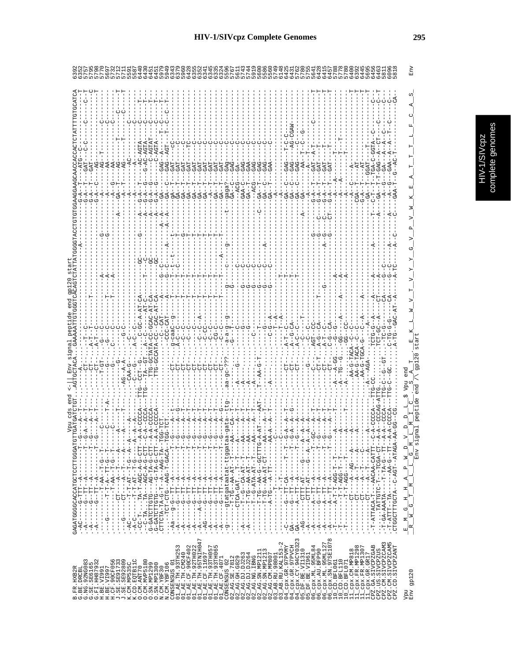| $-1 - 9 - 6$<br>$--1$                                                                                                                                                                                                                                                              |                              | Ţ<br>F-                            | J                             | $-4$                           | $- - - - - - -$  |         |        |                                                                                                                                                                                                                                                                                                                                                                                                                                                                |  |                                                            |  |                                | $-1$ | $\frac{1}{1}$ | Ť                                                                                                                                                                                                                                                                                                                                                                                                   | ÷ | ۲<br>ا                                                | ÷<br>$L = -1$ | ÷<br>$- - - - -$ | ÷<br>۲<br>ا | ÷<br>$-1$ | J,<br>$\frac{1}{1}$    | w      | $-4A$ | $-4$             | $-AA$                                                                                                                                                                                                                                                                                                                                                                                  | $PA-$      |  |               |                                                                                                                                                                                                                                                                                                                     | $\frac{1}{1}$<br>J | Ť<br>$\frac{1}{4}$  |                                                     |        | $-1$ - $-1$ - $-1$ |   | $-4$ |                                                                                                               | $-1$ $-1$ $-1$ $-1$ $-1$                                                                                                                                                                                                                                                                                                                                             | J<br>ワート | J. | Ť             | J.<br>÷.     | ÷                   | ÷                            | ÷                            |        |                                                      |                                                                                                                                                                                                                                                                                             |          |                                                                                                           |                 |                                        |                             | ۹                             |              |
|------------------------------------------------------------------------------------------------------------------------------------------------------------------------------------------------------------------------------------------------------------------------------------|------------------------------|------------------------------------|-------------------------------|--------------------------------|------------------|---------|--------|----------------------------------------------------------------------------------------------------------------------------------------------------------------------------------------------------------------------------------------------------------------------------------------------------------------------------------------------------------------------------------------------------------------------------------------------------------------|--|------------------------------------------------------------|--|--------------------------------|------|---------------|-----------------------------------------------------------------------------------------------------------------------------------------------------------------------------------------------------------------------------------------------------------------------------------------------------------------------------------------------------------------------------------------------------|---|-------------------------------------------------------|---------------|------------------|-------------|-----------|------------------------|--------|-------|------------------|----------------------------------------------------------------------------------------------------------------------------------------------------------------------------------------------------------------------------------------------------------------------------------------------------------------------------------------------------------------------------------------|------------|--|---------------|---------------------------------------------------------------------------------------------------------------------------------------------------------------------------------------------------------------------------------------------------------------------------------------------------------------------|--------------------|---------------------|-----------------------------------------------------|--------|--------------------|---|------|---------------------------------------------------------------------------------------------------------------|----------------------------------------------------------------------------------------------------------------------------------------------------------------------------------------------------------------------------------------------------------------------------------------------------------------------------------------------------------------------|----------|----|---------------|--------------|---------------------|------------------------------|------------------------------|--------|------------------------------------------------------|---------------------------------------------------------------------------------------------------------------------------------------------------------------------------------------------------------------------------------------------------------------------------------------------|----------|-----------------------------------------------------------------------------------------------------------|-----------------|----------------------------------------|-----------------------------|-------------------------------|--------------|
| $\frac{1}{1}$<br>$\frac{1}{1}$                                                                                                                                                                                                                                                     | $\mathbf{I}$                 | - - H - - D - H - - KK - H - - -   | ロー・リーロー ームスーロー                |                                | $  R$ $  T$ $ -$ |         |        |                                                                                                                                                                                                                                                                                                                                                                                                                                                                |  |                                                            |  |                                |      | $\frac{1}{1}$ |                                                                                                                                                                                                                                                                                                                                                                                                     |   | $\frac{1}{4}$                                         |               |                  |             |           |                        |        |       |                  |                                                                                                                                                                                                                                                                                                                                                                                        |            |  |               |                                                                                                                                                                                                                                                                                                                     | $\frac{1}{1}$      | Ť.                  |                                                     |        |                    |   |      |                                                                                                               |                                                                                                                                                                                                                                                                                                                                                                      |          |    | $\frac{1}{1}$ |              |                     | r<br>F                       | ÷<br>                        |        |                                                      |                                                                                                                                                                                                                                                                                             |          | ---AACAA-CATTT--                                                                                          | -- TD-AGD-F-    |                                        |                             | z<br>$\mathbf{a}$             |              |
|                                                                                                                                                                                                                                                                                    |                              |                                    |                               | $- -T - - - - - - - - - - - -$ |                  |         |        |                                                                                                                                                                                                                                                                                                                                                                                                                                                                |  |                                                            |  |                                |      |               |                                                                                                                                                                                                                                                                                                                                                                                                     |   | $- \mathbf{A} = -\mathbf{L} \mathbf{L} - -\mathbf{S}$ | $-4$          | $A -$<br>$-1$    |             |           |                        |        |       |                  |                                                                                                                                                                                                                                                                                                                                                                                        |            |  |               |                                                                                                                                                                                                                                                                                                                     | $-1$               | י<br>יו<br>$T - -T$ |                                                     |        |                    |   |      |                                                                                                               |                                                                                                                                                                                                                                                                                                                                                                      |          |    |               |              |                     | $-1 - 1 - 1 - 1 - 1 - 1 - 1$ | $-1 - 1 - 1 - 1 - 1 - 1 - 1$ |        |                                                      |                                                                                                                                                                                                                                                                                             |          |                                                                                                           |                 |                                        |                             | Α<br>피                        |              |
|                                                                                                                                                                                                                                                                                    | $-4 - 1 - 1 - -6 - -1 - 4 -$ | ひ‐エエー‐∇‐エー‐‐‐‐‐‐‐‐‐‐‐‐‐‐<br>I<br>I | J<br>$\overline{\phantom{a}}$ |                                |                  | Ť.      |        | $\begin{array}{l} -{\bf C} {\bf C} - {\bf T} - \ldots {\bf T} {\bf A} - {\bf T} - {\bf A} {\bf G} - {\bf A} - {\bf G} - {\bf C} {\bf T} {\bf T} - - \\ -{\bf C} - {\bf T} {\bf A} \ldots {\bf T} {\bf A} - {\bf A} {\bf G} - {\bf A} - {\bf G} - {\bf T} {\bf T} - - \\ -{\bf T} {\bf T} - {\bf C} - {\bf T} {\bf A} \ldots {\bf T} {\bf A} - {\bf A} {\bf G} - {\bf T} {\bf A} - {\bf G} - {\bf T} {\bf T} - - \\ -{\bf G} - {\bf G} {\bf A} {\bf T} {\bf C}$ |  |                                                            |  |                                |      |               |                                                                                                                                                                                                                                                                                                                                                                                                     |   | $-1$                                                  |               | りー<br>ï          |             |           | $-1 - 1 - 1 - -1 - -1$ |        |       |                  | $\begin{array}{l} \vspace{0.2cm} \vspace{0.2cm} \vspace{0.2cm} \vspace{0.2cm} \vspace{0.2cm} \vspace{0.2cm} \vspace{0.2cm} \vspace{0.2cm} \vspace{0.2cm} \vspace{0.2cm} \vspace{0.2cm} \vspace{0.2cm} \vspace{0.2cm} \vspace{0.2cm} \vspace{0.2cm} \vspace{0.2cm} \vspace{0.2cm} \vspace{0.2cm} \vspace{0.2cm} \vspace{0.2cm} \vspace{0.2cm} \vspace{0.2cm} \vspace{0.2cm} \vspace{0.$ |            |  |               |                                                                                                                                                                                                                                                                                                                     |                    |                     | - - 1- - 1- - - - - - - - 40 - 1-1- - - - - - - - - |        |                    |   |      |                                                                                                               |                                                                                                                                                                                                                                                                                                                                                                      |          |    |               |              | H--H-DOA-H-H-H----- | $\frac{1}{1}$                |                              |        |                                                      | $\begin{split} &\qquad \qquad \cdots -c\,T^*-\cdots -A^* -A\,G -A^*-A^*-1 \\ &\qquad \qquad \cdots -c\,T^*-\cdots -A^* -T^*-\cdots -A^*-1 \\ &\qquad \qquad \cdots -c\,T^*-\cdots -A^* -T^*-\cdots -C^*-1 \\ &\qquad \qquad \cdots -c\,T^*-\cdots -A^*-\cdots -A^*-\cdots -A^* \end{split}$ | 10------ | $-T-ATTTACA-T$                                                                                            |                 |                                        | CTGGCTTTGCTA--C-AGT--ATAGA- | ᅱ<br>ල්                       | Įн           |
| $-AC--TTTT--A-- \label{eq:2}$                                                                                                                                                                                                                                                      | $-4-1$                       | $\frac{1}{1}$                      | $\frac{1}{1}$                 | $\mathbf{I}$                   |                  | $-AC$ - | $-A-C$ |                                                                                                                                                                                                                                                                                                                                                                                                                                                                |  | G-GATCTTGTG-----G-TA-G-CTT--<br>CTTCTA-TA-G-T--A-AAG-TA--T |  | $-4a - -9 - -9 - -17 - -4 - -$ |      |               | $\frac{1}{2} - \frac{1}{2} - \frac{1}{2} - \frac{1}{2} - \frac{1}{2} - \frac{1}{2} - \frac{1}{2} - \frac{1}{2} - \frac{1}{2} - \frac{1}{2} - \frac{1}{2} - \frac{1}{2} - \frac{1}{2} - \frac{1}{2} - \frac{1}{2} - \frac{1}{2} - \frac{1}{2} - \frac{1}{2} - \frac{1}{2} - \frac{1}{2} - \frac{1}{2} - \frac{1}{2} - \frac{1}{2} - \frac{1}{2} - \frac{1}{2} - \frac{1}{2} - \frac{1}{2} - \frac{1$ |   | ŧ<br>$-4-$                                            | $-4-1-1-1$    | $-AG--$          |             |           | $-1 - -$               | $-9 -$ |       | Ť<br>$\mathsf I$ | $\dot{A}$                                                                                                                                                                                                                                                                                                                                                                              | $\ddot{A}$ |  | $\frac{1}{1}$ |                                                                                                                                                                                                                                                                                                                     |                    |                     |                                                     | ن<br>ڊ |                    |   |      |                                                                                                               | - -A--------CTTT-AT<br>- -A-------A--TT--A<br>- -A-------G--TT--A                                                                                                                                                                                                                                                                                                    |          |    |               |              |                     | $\frac{1}{2}$                | $\frac{1}{T}$                | I<br>Í |                                                      | I<br>$\mathfrak l$                                                                                                                                                                                                                                                                          |          |                                                                                                           |                 |                                        |                             | ≍∣่<br>$\mathbb{F}_\parallel$ | ļ¤,          |
|                                                                                                                                                                                                                                                                                    |                              |                                    |                               |                                |                  |         |        |                                                                                                                                                                                                                                                                                                                                                                                                                                                                |  |                                                            |  |                                |      |               |                                                                                                                                                                                                                                                                                                                                                                                                     |   |                                                       |               |                  |             |           |                        |        |       |                  |                                                                                                                                                                                                                                                                                                                                                                                        |            |  |               |                                                                                                                                                                                                                                                                                                                     |                    | $3 - 2$             |                                                     |        |                    | Σ |      |                                                                                                               |                                                                                                                                                                                                                                                                                                                                                                      |          |    |               | ${}^{\circ}$ |                     |                              |                              |        |                                                      |                                                                                                                                                                                                                                                                                             |          |                                                                                                           |                 |                                        |                             |                               |              |
| $\begin{smallmatrix} 0.102 & 0.9200003 \\ 0.102 & 0.920003 \\ 0.121 & 0.911 & 0.913 \\ 0.122 & 0.911 & 0.913 \\ 0.123 & 0.911 & 0.913 \\ 0.124 & 0.911 & 0.913 \\ 0.125 & 0.911 & 0.913 \\ 0.126 & 0.911 & 0.913 \\ 0.127 & 0.911 & 0.913 \\ 0.127 & 0.911 & 0.913 \\ 0.127 & 0.9$ |                              |                                    |                               |                                |                  |         |        |                                                                                                                                                                                                                                                                                                                                                                                                                                                                |  |                                                            |  |                                |      |               |                                                                                                                                                                                                                                                                                                                                                                                                     |   |                                                       |               |                  |             |           |                        |        |       |                  |                                                                                                                                                                                                                                                                                                                                                                                        |            |  |               | $\frac{2}{2}$ $\frac{2}{3}$ $\frac{2}{3}$ $\frac{2}{3}$ $\frac{2}{3}$ $\frac{2}{3}$ $\frac{2}{3}$ $\frac{2}{3}$ $\frac{2}{3}$ $\frac{2}{3}$ $\frac{2}{3}$ $\frac{2}{3}$ $\frac{2}{3}$ $\frac{2}{3}$ $\frac{2}{3}$ $\frac{2}{3}$ $\frac{2}{3}$ $\frac{2}{3}$ $\frac{2}{3}$ $\frac{2}{3}$ $\frac{2}{3}$ $\frac{2}{3}$ |                    |                     |                                                     |        |                    |   |      | $\frac{4-\text{cpx}}{5-\text{DF}}$ (BR. 97 PVCH<br>5-DF. BE. VI.1310<br>5-DF. BE. VI.1310<br>5-DF. BE. VI.961 | $\begin{array}{l} \bar{6}-\bar{c}p\times\bar{m}\cdot\bar{m}\cdot\bar{3}5\,\bar{m}54\\ \bar{6}-\bar{c}p\times\bar{A}U\cdot\bar{B}FP90\\ \bar{6}-\bar{c}p\times\bar{A}U\cdot\bar{B}FP90\\ \bar{6}-\bar{c}p\times\bar{3}N\cdot\bar{3}75\,\bar{m}1073\\ 0-\bar{c}D\cdot\bar{B}FL061\\ 0-\bar{c}D\cdot\bar{B}FL061\\ 0-\bar{c}D\cdot\bar{B}FL071\\ 0-\bar{c}D\cdot\bar{B$ |          |    |               |              |                     |                              |                              |        | 1_cpx.CM.MP818<br>1_cpx.FR.MP1298<br>1_cpx.FR.MP1307 |                                                                                                                                                                                                                                                                                             |          | $\begin{array}{l} 11\_c\bar{\tt p}{\tt x.\,GR.\,GR17}\\ \underline{C\tt PZ.\,GA.\,STVCPZGAB} \end{array}$ | CPZ.US.SIVCPZUS | CPZ.CM.SIVCPZCAM3<br>CPZ.CM.SIVCPZCAM5 | CPZ.CD.SIVCPZANT            |                               |              |
| 1. FR. HXB2R<br>F. BE. DRCBL                                                                                                                                                                                                                                                       |                              |                                    |                               |                                |                  |         |        |                                                                                                                                                                                                                                                                                                                                                                                                                                                                |  |                                                            |  |                                |      |               |                                                                                                                                                                                                                                                                                                                                                                                                     |   |                                                       |               |                  |             |           |                        |        |       |                  |                                                                                                                                                                                                                                                                                                                                                                                        |            |  |               |                                                                                                                                                                                                                                                                                                                     |                    |                     |                                                     |        |                    |   |      |                                                                                                               |                                                                                                                                                                                                                                                                                                                                                                      |          |    |               |              |                     |                              |                              |        |                                                      |                                                                                                                                                                                                                                                                                             |          |                                                                                                           |                 |                                        |                             |                               | <b>gp120</b> |
|                                                                                                                                                                                                                                                                                    |                              |                                    |                               |                                |                  |         |        |                                                                                                                                                                                                                                                                                                                                                                                                                                                                |  |                                                            |  |                                |      |               |                                                                                                                                                                                                                                                                                                                                                                                                     |   |                                                       |               |                  |             |           |                        |        |       |                  |                                                                                                                                                                                                                                                                                                                                                                                        |            |  |               | $\alpha$                                                                                                                                                                                                                                                                                                            | $\omega$           |                     |                                                     | 4      | 4                  | 4 | ம்   | ம                                                                                                             | 0                                                                                                                                                                                                                                                                                                                                                                    | O        |    | 6             | O            | $\circ$             | $\circ$                      | $\circ$                      |        |                                                      |                                                                                                                                                                                                                                                                                             |          |                                                                                                           |                 |                                        |                             | Vpu<br>Env                    |              |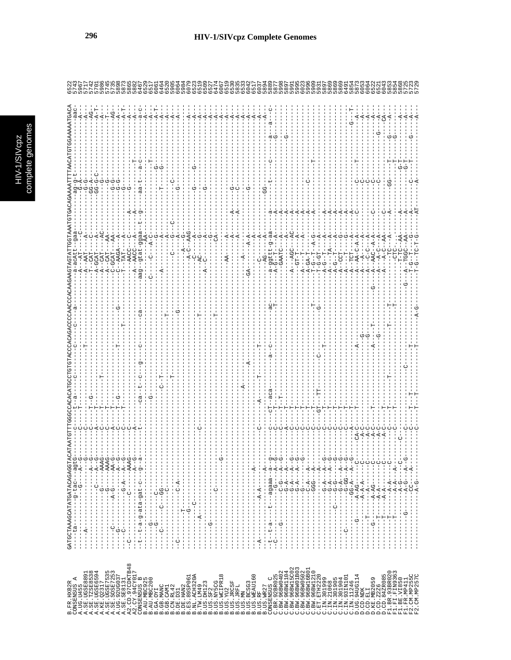| てりてり<br>すっ<br><b>ፈፈፈፈፈፈፈ</b><br>$\begin{array}{l} -A-C-I^+-T^2-1\\ -A--+TPA---1\\ -A-C-I^+-T^2-1\\ -A---1\\ -A---1\\ -A--+1\\ -A--+1\\ -A--+1\\ -A---1\\ -A---1\\ -A---1\\ \end{array}$<br>J.<br>GAATC-<br>$A - C$<br>$T - G - GT$<br>$a - ggt$<br>コロロー<br>$A-G-$<br>$\begin{small} \texttt{GATGCTAAAGGATAMATGATGAGGFG}\\ \texttt{G-T-1} & \texttt{G-T-2} & \texttt{G-T-2} & \texttt{G-T-2} \\ \texttt{G-T-2} & \texttt{G-T-2} & \texttt{G-T-2} \\ \texttt{G-T-2} & \texttt{G-T-2} & \texttt{G-T-2} \\ \texttt{G-T-2} & \texttt{G-T-2} & \texttt{G-T-2} \\ \texttt{G-T-2} & \texttt{G-T-2} & \texttt{G-T-2} \\ \texttt{G-T-2} & \texttt{G-T-2} & \texttt{G-T-2} \\ \texttt{$<br>$\begin{split} \mathbf{1}_{\{1,2,3\}}=\mathbf{1}_{\{1,3\}}=\mathbf{1}_{\{1,3\}}=\mathbf{1}_{\{1,3\}}=\mathbf{1}_{\{1,3\}}=\mathbf{1}_{\{1,3\}}=\mathbf{1}_{\{1,3\}}=\mathbf{1}_{\{1,3\}}=\mathbf{1}_{\{1,3\}}=\mathbf{1}_{\{1,3\}}=\mathbf{1}_{\{1,3\}}=\mathbf{1}_{\{1,3\}}=\mathbf{1}_{\{1,3\}}=\mathbf{1}_{\{1,3\}}=\mathbf{1}_{\{1,3\}}=\mathbf{1}_{\{1,3\}}=\mathbf{1$<br>Ť<br>I.<br>- 11<br>$\blacksquare$<br>$\mathbf{I}$<br>$1 \quad 1 \quad 1$<br>Ť.<br>$1 - 1 - 1$<br>J.<br>$\begin{array}{c} \begin{array}{c} \begin{array}{c} \begin{array}{c} \begin{array}{c} \end{array} \\ \end{array} \\ \begin{array}{c} \end{array} \end{array} \end{array} \end{array}$<br>J<br>$\mathbf{I}$<br>$\frac{1}{1}$<br>$\mathbf{I}$<br>L.<br>т.<br>-1<br>$\frac{1}{1}$<br>ļ<br>$\frac{1}{1}$<br>ŧ<br>$\frac{1}{4}$<br>$\frac{1}{1}$<br>$\blacksquare$<br>$\mathsf I$<br>$\mathsf I$<br>$\mathsf I$<br>÷,<br>ł<br>$\mathsf I$<br>Ţ.<br>Ţ<br>ŧ<br>$\perp$<br>$\frac{1}{4}$<br>Ť.<br>$\mathbf{I}$<br>Ť.<br>$\frac{1}{1}$<br>H |  |  |  |  |
|----------------------------------------------------------------------------------------------------------------------------------------------------------------------------------------------------------------------------------------------------------------------------------------------------------------------------------------------------------------------------------------------------------------------------------------------------------------------------------------------------------------------------------------------------------------------------------------------------------------------------------------------------------------------------------------------------------------------------------------------------------------------------------------------------------------------------------------------------------------------------------------------------------------------------------------------------------------------------------------------------------------------------------------------------------------------------------------------------------------------------------------------------------------------------------------------------------------------------------------------------------------------------------------------------------------------------------------------------------------------------------------------------------------------------------------------------------------------------------------------------------------------------------------------------------------------------------------------------------------------------------------------------------------------------------------------------------|--|--|--|--|
|                                                                                                                                                                                                                                                                                                                                                                                                                                                                                                                                                                                                                                                                                                                                                                                                                                                                                                                                                                                                                                                                                                                                                                                                                                                                                                                                                                                                                                                                                                                                                                                                                                                                                                          |  |  |  |  |
|                                                                                                                                                                                                                                                                                                                                                                                                                                                                                                                                                                                                                                                                                                                                                                                                                                                                                                                                                                                                                                                                                                                                                                                                                                                                                                                                                                                                                                                                                                                                                                                                                                                                                                          |  |  |  |  |
|                                                                                                                                                                                                                                                                                                                                                                                                                                                                                                                                                                                                                                                                                                                                                                                                                                                                                                                                                                                                                                                                                                                                                                                                                                                                                                                                                                                                                                                                                                                                                                                                                                                                                                          |  |  |  |  |
|                                                                                                                                                                                                                                                                                                                                                                                                                                                                                                                                                                                                                                                                                                                                                                                                                                                                                                                                                                                                                                                                                                                                                                                                                                                                                                                                                                                                                                                                                                                                                                                                                                                                                                          |  |  |  |  |
|                                                                                                                                                                                                                                                                                                                                                                                                                                                                                                                                                                                                                                                                                                                                                                                                                                                                                                                                                                                                                                                                                                                                                                                                                                                                                                                                                                                                                                                                                                                                                                                                                                                                                                          |  |  |  |  |
|                                                                                                                                                                                                                                                                                                                                                                                                                                                                                                                                                                                                                                                                                                                                                                                                                                                                                                                                                                                                                                                                                                                                                                                                                                                                                                                                                                                                                                                                                                                                                                                                                                                                                                          |  |  |  |  |
|                                                                                                                                                                                                                                                                                                                                                                                                                                                                                                                                                                                                                                                                                                                                                                                                                                                                                                                                                                                                                                                                                                                                                                                                                                                                                                                                                                                                                                                                                                                                                                                                                                                                                                          |  |  |  |  |
|                                                                                                                                                                                                                                                                                                                                                                                                                                                                                                                                                                                                                                                                                                                                                                                                                                                                                                                                                                                                                                                                                                                                                                                                                                                                                                                                                                                                                                                                                                                                                                                                                                                                                                          |  |  |  |  |
|                                                                                                                                                                                                                                                                                                                                                                                                                                                                                                                                                                                                                                                                                                                                                                                                                                                                                                                                                                                                                                                                                                                                                                                                                                                                                                                                                                                                                                                                                                                                                                                                                                                                                                          |  |  |  |  |
|                                                                                                                                                                                                                                                                                                                                                                                                                                                                                                                                                                                                                                                                                                                                                                                                                                                                                                                                                                                                                                                                                                                                                                                                                                                                                                                                                                                                                                                                                                                                                                                                                                                                                                          |  |  |  |  |
|                                                                                                                                                                                                                                                                                                                                                                                                                                                                                                                                                                                                                                                                                                                                                                                                                                                                                                                                                                                                                                                                                                                                                                                                                                                                                                                                                                                                                                                                                                                                                                                                                                                                                                          |  |  |  |  |
|                                                                                                                                                                                                                                                                                                                                                                                                                                                                                                                                                                                                                                                                                                                                                                                                                                                                                                                                                                                                                                                                                                                                                                                                                                                                                                                                                                                                                                                                                                                                                                                                                                                                                                          |  |  |  |  |
|                                                                                                                                                                                                                                                                                                                                                                                                                                                                                                                                                                                                                                                                                                                                                                                                                                                                                                                                                                                                                                                                                                                                                                                                                                                                                                                                                                                                                                                                                                                                                                                                                                                                                                          |  |  |  |  |
|                                                                                                                                                                                                                                                                                                                                                                                                                                                                                                                                                                                                                                                                                                                                                                                                                                                                                                                                                                                                                                                                                                                                                                                                                                                                                                                                                                                                                                                                                                                                                                                                                                                                                                          |  |  |  |  |
|                                                                                                                                                                                                                                                                                                                                                                                                                                                                                                                                                                                                                                                                                                                                                                                                                                                                                                                                                                                                                                                                                                                                                                                                                                                                                                                                                                                                                                                                                                                                                                                                                                                                                                          |  |  |  |  |
|                                                                                                                                                                                                                                                                                                                                                                                                                                                                                                                                                                                                                                                                                                                                                                                                                                                                                                                                                                                                                                                                                                                                                                                                                                                                                                                                                                                                                                                                                                                                                                                                                                                                                                          |  |  |  |  |
|                                                                                                                                                                                                                                                                                                                                                                                                                                                                                                                                                                                                                                                                                                                                                                                                                                                                                                                                                                                                                                                                                                                                                                                                                                                                                                                                                                                                                                                                                                                                                                                                                                                                                                          |  |  |  |  |
|                                                                                                                                                                                                                                                                                                                                                                                                                                                                                                                                                                                                                                                                                                                                                                                                                                                                                                                                                                                                                                                                                                                                                                                                                                                                                                                                                                                                                                                                                                                                                                                                                                                                                                          |  |  |  |  |
|                                                                                                                                                                                                                                                                                                                                                                                                                                                                                                                                                                                                                                                                                                                                                                                                                                                                                                                                                                                                                                                                                                                                                                                                                                                                                                                                                                                                                                                                                                                                                                                                                                                                                                          |  |  |  |  |
|                                                                                                                                                                                                                                                                                                                                                                                                                                                                                                                                                                                                                                                                                                                                                                                                                                                                                                                                                                                                                                                                                                                                                                                                                                                                                                                                                                                                                                                                                                                                                                                                                                                                                                          |  |  |  |  |
|                                                                                                                                                                                                                                                                                                                                                                                                                                                                                                                                                                                                                                                                                                                                                                                                                                                                                                                                                                                                                                                                                                                                                                                                                                                                                                                                                                                                                                                                                                                                                                                                                                                                                                          |  |  |  |  |
|                                                                                                                                                                                                                                                                                                                                                                                                                                                                                                                                                                                                                                                                                                                                                                                                                                                                                                                                                                                                                                                                                                                                                                                                                                                                                                                                                                                                                                                                                                                                                                                                                                                                                                          |  |  |  |  |
|                                                                                                                                                                                                                                                                                                                                                                                                                                                                                                                                                                                                                                                                                                                                                                                                                                                                                                                                                                                                                                                                                                                                                                                                                                                                                                                                                                                                                                                                                                                                                                                                                                                                                                          |  |  |  |  |
|                                                                                                                                                                                                                                                                                                                                                                                                                                                                                                                                                                                                                                                                                                                                                                                                                                                                                                                                                                                                                                                                                                                                                                                                                                                                                                                                                                                                                                                                                                                                                                                                                                                                                                          |  |  |  |  |
|                                                                                                                                                                                                                                                                                                                                                                                                                                                                                                                                                                                                                                                                                                                                                                                                                                                                                                                                                                                                                                                                                                                                                                                                                                                                                                                                                                                                                                                                                                                                                                                                                                                                                                          |  |  |  |  |
|                                                                                                                                                                                                                                                                                                                                                                                                                                                                                                                                                                                                                                                                                                                                                                                                                                                                                                                                                                                                                                                                                                                                                                                                                                                                                                                                                                                                                                                                                                                                                                                                                                                                                                          |  |  |  |  |
|                                                                                                                                                                                                                                                                                                                                                                                                                                                                                                                                                                                                                                                                                                                                                                                                                                                                                                                                                                                                                                                                                                                                                                                                                                                                                                                                                                                                                                                                                                                                                                                                                                                                                                          |  |  |  |  |
|                                                                                                                                                                                                                                                                                                                                                                                                                                                                                                                                                                                                                                                                                                                                                                                                                                                                                                                                                                                                                                                                                                                                                                                                                                                                                                                                                                                                                                                                                                                                                                                                                                                                                                          |  |  |  |  |
|                                                                                                                                                                                                                                                                                                                                                                                                                                                                                                                                                                                                                                                                                                                                                                                                                                                                                                                                                                                                                                                                                                                                                                                                                                                                                                                                                                                                                                                                                                                                                                                                                                                                                                          |  |  |  |  |
|                                                                                                                                                                                                                                                                                                                                                                                                                                                                                                                                                                                                                                                                                                                                                                                                                                                                                                                                                                                                                                                                                                                                                                                                                                                                                                                                                                                                                                                                                                                                                                                                                                                                                                          |  |  |  |  |
|                                                                                                                                                                                                                                                                                                                                                                                                                                                                                                                                                                                                                                                                                                                                                                                                                                                                                                                                                                                                                                                                                                                                                                                                                                                                                                                                                                                                                                                                                                                                                                                                                                                                                                          |  |  |  |  |
|                                                                                                                                                                                                                                                                                                                                                                                                                                                                                                                                                                                                                                                                                                                                                                                                                                                                                                                                                                                                                                                                                                                                                                                                                                                                                                                                                                                                                                                                                                                                                                                                                                                                                                          |  |  |  |  |
|                                                                                                                                                                                                                                                                                                                                                                                                                                                                                                                                                                                                                                                                                                                                                                                                                                                                                                                                                                                                                                                                                                                                                                                                                                                                                                                                                                                                                                                                                                                                                                                                                                                                                                          |  |  |  |  |
|                                                                                                                                                                                                                                                                                                                                                                                                                                                                                                                                                                                                                                                                                                                                                                                                                                                                                                                                                                                                                                                                                                                                                                                                                                                                                                                                                                                                                                                                                                                                                                                                                                                                                                          |  |  |  |  |
|                                                                                                                                                                                                                                                                                                                                                                                                                                                                                                                                                                                                                                                                                                                                                                                                                                                                                                                                                                                                                                                                                                                                                                                                                                                                                                                                                                                                                                                                                                                                                                                                                                                                                                          |  |  |  |  |
|                                                                                                                                                                                                                                                                                                                                                                                                                                                                                                                                                                                                                                                                                                                                                                                                                                                                                                                                                                                                                                                                                                                                                                                                                                                                                                                                                                                                                                                                                                                                                                                                                                                                                                          |  |  |  |  |
|                                                                                                                                                                                                                                                                                                                                                                                                                                                                                                                                                                                                                                                                                                                                                                                                                                                                                                                                                                                                                                                                                                                                                                                                                                                                                                                                                                                                                                                                                                                                                                                                                                                                                                          |  |  |  |  |
|                                                                                                                                                                                                                                                                                                                                                                                                                                                                                                                                                                                                                                                                                                                                                                                                                                                                                                                                                                                                                                                                                                                                                                                                                                                                                                                                                                                                                                                                                                                                                                                                                                                                                                          |  |  |  |  |
|                                                                                                                                                                                                                                                                                                                                                                                                                                                                                                                                                                                                                                                                                                                                                                                                                                                                                                                                                                                                                                                                                                                                                                                                                                                                                                                                                                                                                                                                                                                                                                                                                                                                                                          |  |  |  |  |
|                                                                                                                                                                                                                                                                                                                                                                                                                                                                                                                                                                                                                                                                                                                                                                                                                                                                                                                                                                                                                                                                                                                                                                                                                                                                                                                                                                                                                                                                                                                                                                                                                                                                                                          |  |  |  |  |
|                                                                                                                                                                                                                                                                                                                                                                                                                                                                                                                                                                                                                                                                                                                                                                                                                                                                                                                                                                                                                                                                                                                                                                                                                                                                                                                                                                                                                                                                                                                                                                                                                                                                                                          |  |  |  |  |
|                                                                                                                                                                                                                                                                                                                                                                                                                                                                                                                                                                                                                                                                                                                                                                                                                                                                                                                                                                                                                                                                                                                                                                                                                                                                                                                                                                                                                                                                                                                                                                                                                                                                                                          |  |  |  |  |
|                                                                                                                                                                                                                                                                                                                                                                                                                                                                                                                                                                                                                                                                                                                                                                                                                                                                                                                                                                                                                                                                                                                                                                                                                                                                                                                                                                                                                                                                                                                                                                                                                                                                                                          |  |  |  |  |
|                                                                                                                                                                                                                                                                                                                                                                                                                                                                                                                                                                                                                                                                                                                                                                                                                                                                                                                                                                                                                                                                                                                                                                                                                                                                                                                                                                                                                                                                                                                                                                                                                                                                                                          |  |  |  |  |
|                                                                                                                                                                                                                                                                                                                                                                                                                                                                                                                                                                                                                                                                                                                                                                                                                                                                                                                                                                                                                                                                                                                                                                                                                                                                                                                                                                                                                                                                                                                                                                                                                                                                                                          |  |  |  |  |
|                                                                                                                                                                                                                                                                                                                                                                                                                                                                                                                                                                                                                                                                                                                                                                                                                                                                                                                                                                                                                                                                                                                                                                                                                                                                                                                                                                                                                                                                                                                                                                                                                                                                                                          |  |  |  |  |
|                                                                                                                                                                                                                                                                                                                                                                                                                                                                                                                                                                                                                                                                                                                                                                                                                                                                                                                                                                                                                                                                                                                                                                                                                                                                                                                                                                                                                                                                                                                                                                                                                                                                                                          |  |  |  |  |
|                                                                                                                                                                                                                                                                                                                                                                                                                                                                                                                                                                                                                                                                                                                                                                                                                                                                                                                                                                                                                                                                                                                                                                                                                                                                                                                                                                                                                                                                                                                                                                                                                                                                                                          |  |  |  |  |
|                                                                                                                                                                                                                                                                                                                                                                                                                                                                                                                                                                                                                                                                                                                                                                                                                                                                                                                                                                                                                                                                                                                                                                                                                                                                                                                                                                                                                                                                                                                                                                                                                                                                                                          |  |  |  |  |
|                                                                                                                                                                                                                                                                                                                                                                                                                                                                                                                                                                                                                                                                                                                                                                                                                                                                                                                                                                                                                                                                                                                                                                                                                                                                                                                                                                                                                                                                                                                                                                                                                                                                                                          |  |  |  |  |
|                                                                                                                                                                                                                                                                                                                                                                                                                                                                                                                                                                                                                                                                                                                                                                                                                                                                                                                                                                                                                                                                                                                                                                                                                                                                                                                                                                                                                                                                                                                                                                                                                                                                                                          |  |  |  |  |
|                                                                                                                                                                                                                                                                                                                                                                                                                                                                                                                                                                                                                                                                                                                                                                                                                                                                                                                                                                                                                                                                                                                                                                                                                                                                                                                                                                                                                                                                                                                                                                                                                                                                                                          |  |  |  |  |
|                                                                                                                                                                                                                                                                                                                                                                                                                                                                                                                                                                                                                                                                                                                                                                                                                                                                                                                                                                                                                                                                                                                                                                                                                                                                                                                                                                                                                                                                                                                                                                                                                                                                                                          |  |  |  |  |
|                                                                                                                                                                                                                                                                                                                                                                                                                                                                                                                                                                                                                                                                                                                                                                                                                                                                                                                                                                                                                                                                                                                                                                                                                                                                                                                                                                                                                                                                                                                                                                                                                                                                                                          |  |  |  |  |
|                                                                                                                                                                                                                                                                                                                                                                                                                                                                                                                                                                                                                                                                                                                                                                                                                                                                                                                                                                                                                                                                                                                                                                                                                                                                                                                                                                                                                                                                                                                                                                                                                                                                                                          |  |  |  |  |
|                                                                                                                                                                                                                                                                                                                                                                                                                                                                                                                                                                                                                                                                                                                                                                                                                                                                                                                                                                                                                                                                                                                                                                                                                                                                                                                                                                                                                                                                                                                                                                                                                                                                                                          |  |  |  |  |

**HIV-1/SIVcpz Complete Genomes**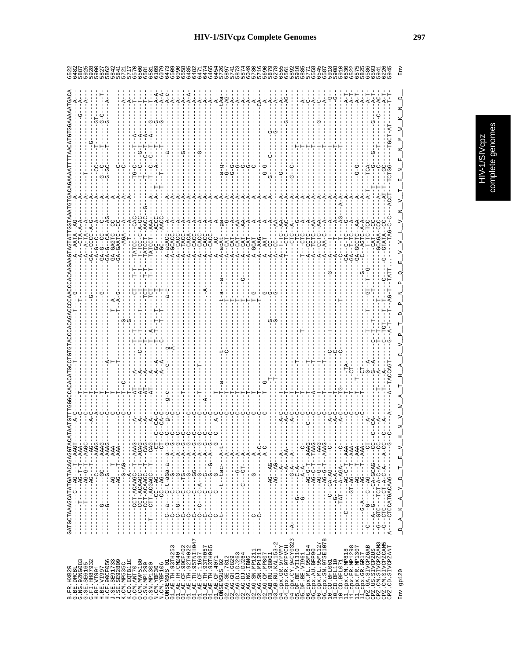ת המעמעות המעמעות המהפתפת המהפתפת המעמעות המעמעות המעמעות המהפתח המהפתח המהפתח המעמעות המה<br>ואם המטפס המהפתח בדרך המהפתח המהפתח של המהפתח המהפתח המהפתח המהפתח המהפתח המהפתח המהפתח המהפתח המהפתח המהפתח ה<br>המהפתח המהפתח המהפת Env GATGATAAGATACAAGATAATGATAATGTTTGGGCAAGACAGTGTGTTGTGCAAGACCCAAGCGAAGAAGTAGTAATGGTAAATGTGAGAAAATTTTTAACATGTGGAAAATGACA  $\Box$  $\mathbf{z}$  $\overline{\mathbf{x}}$  $\begin{array}{cccccccccc} E & M & F & N & M & M \\ \end{array}$  $V_T$  $\mathbf{z}$  $\triangleright$  $V = L$  $V = 7$  $\frac{1}{2}$  $\mathbf{a}$  $\mathbf{z}$  $\mathbf{r}$  $\Box$  $\vdash$  $\Delta$  $\overline{v}$  $\bigcup_{\mathcal{C}}$  $\overline{A}$  $\mathbf{H}$  $\overline{a}$  $\overline{A}$  $\triangleright$  $H_N = V$  $\overline{y}$  $\overline{a}$  $\frac{1}{\Gamma}$  $A = Y - D$  $A$ <sup>K</sup>  $\mathsf{p}_{\mathsf{q}}^{\mathsf{I}}$  $\begin{smallmatrix} 0.181, 0.2828\\ 0.183, 0.28305\\ 0.184, 0.28305\\ 0.185, 0.28305\\ 0.187, 0.28305\\ 0.187, 0.2937\\ 0.188, 0.2932\\ 0.189, 0.2932\\ 0.181, 0.2933\\ 0.293, 0.2933\\ 0.203, 0.2933\\ 0.203, 0.2933\\ 0.203, 0.2933\\ 0.203, 0.2933\\$ gp120 Env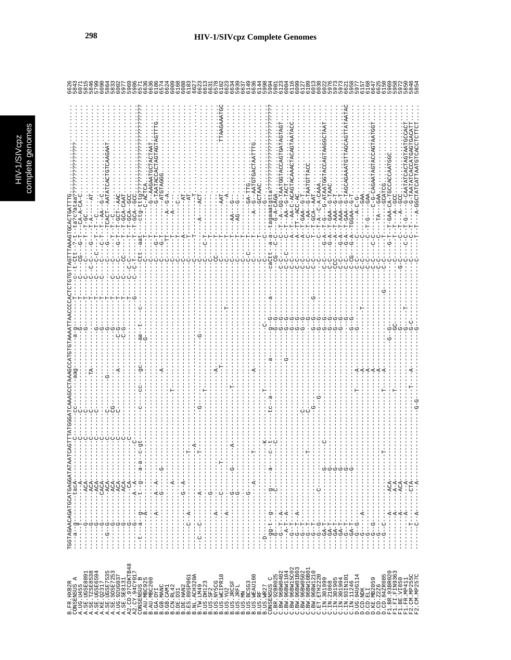| URHURHRUHURUURHUUHRRH-UU---R---H<br>G-TAATGTT<br>-AA-C-ACAGTA<br>T-G-14TATAATG<br>GGCTATCA<br>G-TAATA<br>T-AAA--G-T<br>T-GAA--G-TAGCA<br>tagaaatgtta??<br>--G-A-CAGA<br>GCTAA<br>$T - A - C - A - CAA$<br>$G-TAA$<br>$G - -AA$<br>$T = -A A - -G - T A C$<br>$\mathcal{L}$ - $\mathcal{L}$<br>$\ddot{G}-\ddot{A}$ .<br>-r<br>GA<br>$\frac{1}{\mathcal{O}}$<br>$T - G - A - G - T$<br>T-GCA--GC<br>U-CA--GC<br>ပ္ပ်<br>T-GCA-CAA<br>TGGAA--G-<br>ひ<br>$ctg-t$<br>$\mathbb{T} - \mathbb{G} C \mathbb{T} - -$<br>L<br>A-<br>$T - -AC$<br>$T = AA - T$<br>$-400 -$<br>$T - A A A - -$<br>$T - GAA$ -<br>$-6AB$<br>TCACT<br>$AA-$<br>$AG-$<br>$T-AAA$<br>$T-GC$ .<br>$T - A -$<br>ပု<br>$\mathcal{L}$ - $\mathcal{L}$<br>-9-P-<br>-aa<br>もーー<br>$\frac{1}{\sigma}$<br>ά<br>৬<br>φ<br>$\overline{C}$<br>しし<br>$\pm$<br>Ť<br>$\begin{bmatrix} 1 \\ 0 \\ 1 \end{bmatrix}$<br>$-1$<br>U<br>U<br>$\zeta$<br>$\mathfrak{c}$ )<br>てり<br>てり<br>てり<br>てり<br>てり<br>てり<br>ζŋ<br>じし<br>aa-<br>К<br>К<br>$\overline{\phantom{a}}$<br>$-1 - -1 - -1 - -1 - -1 - -1 - 2$<br>$\frac{1}{1}$<br>$\frac{1}{1}$<br>$-1 - 0 - 1 - 1 - 0 - 1$<br>$\mathbf{I}$<br>$\blacksquare$<br>T<br>J.<br>$-1$ $-1$ $-1$ $-1$ $-1$ $-1$<br>$\frac{1}{4}$<br>т<br>J.<br>l,<br>ŧ<br>п<br>$\frac{1}{1}$<br>J,<br>Ť<br>ţ<br>т<br>Ť<br>í<br>ţ<br>$\frac{1}{1}$<br>$\frac{1}{1}$<br>ł<br>ł<br>Ť<br>T.<br>j<br>1<br>$\frac{1}{1}$<br>$---A---$<br>$\begin{bmatrix} 1 \\ 1 \\ 1 \\ 1 \end{bmatrix}$<br>$\begin{bmatrix} 1 \\ 1 \\ 1 \\ 1 \end{bmatrix}$<br>$\begin{bmatrix} 1 \\ 1 \\ 1 \\ 1 \end{bmatrix}$<br>$\begin{array}{c} \n 1 \\  1 \\  1\n \end{array}$<br>I<br>$- -A - -$<br>Ţ<br>$\frac{1}{1}$<br>$\frac{1}{1}$<br>---------<br>$\overline{1}$<br>$\begin{bmatrix} 1 \\ 1 \\ 1 \\ 1 \end{bmatrix}$<br>I<br>$\frac{1}{1}$<br>I<br>$-1$ $-1$ $-1$ $-1$ $-1$<br>$\frac{1}{1}$<br>$\frac{1}{1}$<br>ţ<br>$\overline{\phantom{a}}$<br>$\frac{1}{1}$<br>$\frac{1}{1}$<br>$\frac{1}{1}$<br>$\blacksquare$<br>$-1$<br>$-1$<br>$-1$<br>$\frac{1}{1}$<br>$-9$<br>$\begin{array}{c} \hline \end{array}$<br>T<br>Ţ<br>1<br>$\overline{\phantom{a}}$<br>п.<br>$\mathbf{I}$<br>1<br>$\mathbf{I}$<br>$\frac{1}{1}$<br>$\overline{\phantom{a}}$<br>п<br>т<br>п<br>J.<br>п<br>T.<br>J.<br>Ť.<br>Ť.<br>ï<br>Ť.<br>Ť.<br>Ť.<br>$\overline{\phantom{a}}$<br>$\begin{array}{c} \frac{1}{2} \\ \frac{1}{2} \end{array}$<br>-1<br>$\,$ I<br>$\overline{\phantom{a}}$<br>I<br>I.<br>$\overline{\phantom{a}}$<br>$\frac{1}{1}$<br>ł<br>Ť<br>- 1<br>J.<br>т<br>$\frac{1}{1}$<br>ł<br>$\,$ $\,$<br>$\mathbf{I}$<br>т<br>I<br>J.<br>$\overline{\phantom{a}}$<br>Ι.<br>1<br>1<br>J.<br>J,<br>ł,<br>-1<br>L.<br>$\mathbf{I}$<br>л<br>$\mathbf{I}$<br>÷,<br>$- - A - -$<br>$- -A - -$<br>1<br>j.<br>Ť.<br>Ť.<br>ï<br>j.<br>$\mathsf I$<br>$\mathbf{I}$<br>1<br>I.<br>$\overline{\phantom{a}}$<br>-1<br>$- - A$<br>ŧ<br>$\frac{1}{1}$<br>$\frac{1}{4}$<br>$\mathsf I$<br>$\frac{1}{1}$<br>$-14$<br>ł<br>$\mathsf I$<br>ţ<br>L<br>ł<br>$\frac{1}{1}$<br>Å<br>$\overline{\phantom{a}}$<br>J.<br>I<br>1<br>ł<br>$\frac{1}{1}$<br>$\frac{1}{1}$<br>$\frac{1}{4}$<br>$\frac{1}{4}$<br>Ì<br>$\frac{1}{1}$<br>$-1 - 5 - 6 - 1$<br>÷,<br>÷<br>Ť<br>$\frac{1}{1}$<br>÷<br>$\blacksquare$<br>f,<br>$\frac{1}{1}$<br>$\frac{1}{4}$<br>$\mathbf{I}$<br>ŧ<br>Ţ<br>十十<br>$\frac{1}{1}$<br>f,<br>÷<br>ł<br>$-5 -$<br>$\mathbf{I}$<br>$\blacksquare$<br>-1<br>$\frac{1}{1}$<br>$\frac{1}{6}$<br>$\frac{1}{6}$<br>$\frac{1}{6}$<br>$\frac{1}{6}$<br>$\frac{1}{6}$<br>$\frac{1}{6}$<br>$\frac{1}{6}$<br>$\frac{1}{6}$<br>$\frac{1}{6}$<br>$\frac{1}{6}$<br>$\frac{1}{6}$<br>$\frac{1}{6}$<br>$\frac{1}{6}$<br>$\frac{1}{6}$<br>$\frac{1}{6}$<br>$\frac{1}{6}$<br>$\frac{1}{6}$<br>$\frac{1}{6}$<br>$\frac{1}{6}$<br>$\frac{1}{6}$<br><br>$\frac{1}{2}$<br>$- -t - -a$<br>ï<br>T.<br>$-1 - 1$<br>Ť<br>$\begin{array}{c}\nC + 1 \\ C + 1\n\end{array}$<br>ï<br>ï<br>ï<br>$-5 - -1 - -1 -$<br>$\mathsf I$<br>$\frac{1}{1}$<br>$\mathsf I$<br>$- - - - - -$<br>I.<br>-1<br>I<br>I<br>I<br>Ţ<br>$\begin{array}{c} \end{array}$<br>I<br>I<br>$\overline{\phantom{a}}$<br>$\frac{1}{1}$<br>$\frac{1}{1}$<br>I<br>I<br>Ţ<br>÷<br>J.<br>I<br>$-1$<br>ن<br>۱<br>$\frac{1}{4}$<br>C<br>$-1$ |  | aaq |  | ta? |  |
|-------------------------------------------------------------------------------------------------------------------------------------------------------------------------------------------------------------------------------------------------------------------------------------------------------------------------------------------------------------------------------------------------------------------------------------------------------------------------------------------------------------------------------------------------------------------------------------------------------------------------------------------------------------------------------------------------------------------------------------------------------------------------------------------------------------------------------------------------------------------------------------------------------------------------------------------------------------------------------------------------------------------------------------------------------------------------------------------------------------------------------------------------------------------------------------------------------------------------------------------------------------------------------------------------------------------------------------------------------------------------------------------------------------------------------------------------------------------------------------------------------------------------------------------------------------------------------------------------------------------------------------------------------------------------------------------------------------------------------------------------------------------------------------------------------------------------------------------------------------------------------------------------------------------------------------------------------------------------------------------------------------------------------------------------------------------------------------------------------------------------------------------------------------------------------------------------------------------------------------------------------------------------------------------------------------------------------------------------------------------------------------------------------------------------------------------------------------------------------------------------------------------------------------------------------------------------------------------------------------------------------------------------------------------------------------------------------------------------------------------------------------------------------------------------------------------------------------------------------------------------------------------------------------------------------------------------------------------------------------------------------------------------------------------------------------------------------------------------------------------------------------------------------------------------------------------------------------------------------------------------------------------------------------------------------------------------------------------------------------------------------------------------------------------------------------------------------------------------------------------------------------------------------------------------------------------------------------------------------------------------------------------------------------------------------------------------------------------------------------------------------------------------------------------------------------------------------------------------------------------------------------------------------------------------------------------------------------------------------------------------------------------------------------------------------------------------------------------------------------------------------------------------------------------------------------------|--|-----|--|-----|--|
|                                                                                                                                                                                                                                                                                                                                                                                                                                                                                                                                                                                                                                                                                                                                                                                                                                                                                                                                                                                                                                                                                                                                                                                                                                                                                                                                                                                                                                                                                                                                                                                                                                                                                                                                                                                                                                                                                                                                                                                                                                                                                                                                                                                                                                                                                                                                                                                                                                                                                                                                                                                                                                                                                                                                                                                                                                                                                                                                                                                                                                                                                                                                                                                                                                                                                                                                                                                                                                                                                                                                                                                                                                                                                                                                                                                                                                                                                                                                                                                                                                                                                                                                                                                           |  |     |  |     |  |
|                                                                                                                                                                                                                                                                                                                                                                                                                                                                                                                                                                                                                                                                                                                                                                                                                                                                                                                                                                                                                                                                                                                                                                                                                                                                                                                                                                                                                                                                                                                                                                                                                                                                                                                                                                                                                                                                                                                                                                                                                                                                                                                                                                                                                                                                                                                                                                                                                                                                                                                                                                                                                                                                                                                                                                                                                                                                                                                                                                                                                                                                                                                                                                                                                                                                                                                                                                                                                                                                                                                                                                                                                                                                                                                                                                                                                                                                                                                                                                                                                                                                                                                                                                                           |  |     |  |     |  |
|                                                                                                                                                                                                                                                                                                                                                                                                                                                                                                                                                                                                                                                                                                                                                                                                                                                                                                                                                                                                                                                                                                                                                                                                                                                                                                                                                                                                                                                                                                                                                                                                                                                                                                                                                                                                                                                                                                                                                                                                                                                                                                                                                                                                                                                                                                                                                                                                                                                                                                                                                                                                                                                                                                                                                                                                                                                                                                                                                                                                                                                                                                                                                                                                                                                                                                                                                                                                                                                                                                                                                                                                                                                                                                                                                                                                                                                                                                                                                                                                                                                                                                                                                                                           |  |     |  |     |  |
|                                                                                                                                                                                                                                                                                                                                                                                                                                                                                                                                                                                                                                                                                                                                                                                                                                                                                                                                                                                                                                                                                                                                                                                                                                                                                                                                                                                                                                                                                                                                                                                                                                                                                                                                                                                                                                                                                                                                                                                                                                                                                                                                                                                                                                                                                                                                                                                                                                                                                                                                                                                                                                                                                                                                                                                                                                                                                                                                                                                                                                                                                                                                                                                                                                                                                                                                                                                                                                                                                                                                                                                                                                                                                                                                                                                                                                                                                                                                                                                                                                                                                                                                                                                           |  |     |  |     |  |
|                                                                                                                                                                                                                                                                                                                                                                                                                                                                                                                                                                                                                                                                                                                                                                                                                                                                                                                                                                                                                                                                                                                                                                                                                                                                                                                                                                                                                                                                                                                                                                                                                                                                                                                                                                                                                                                                                                                                                                                                                                                                                                                                                                                                                                                                                                                                                                                                                                                                                                                                                                                                                                                                                                                                                                                                                                                                                                                                                                                                                                                                                                                                                                                                                                                                                                                                                                                                                                                                                                                                                                                                                                                                                                                                                                                                                                                                                                                                                                                                                                                                                                                                                                                           |  |     |  |     |  |
|                                                                                                                                                                                                                                                                                                                                                                                                                                                                                                                                                                                                                                                                                                                                                                                                                                                                                                                                                                                                                                                                                                                                                                                                                                                                                                                                                                                                                                                                                                                                                                                                                                                                                                                                                                                                                                                                                                                                                                                                                                                                                                                                                                                                                                                                                                                                                                                                                                                                                                                                                                                                                                                                                                                                                                                                                                                                                                                                                                                                                                                                                                                                                                                                                                                                                                                                                                                                                                                                                                                                                                                                                                                                                                                                                                                                                                                                                                                                                                                                                                                                                                                                                                                           |  |     |  |     |  |
|                                                                                                                                                                                                                                                                                                                                                                                                                                                                                                                                                                                                                                                                                                                                                                                                                                                                                                                                                                                                                                                                                                                                                                                                                                                                                                                                                                                                                                                                                                                                                                                                                                                                                                                                                                                                                                                                                                                                                                                                                                                                                                                                                                                                                                                                                                                                                                                                                                                                                                                                                                                                                                                                                                                                                                                                                                                                                                                                                                                                                                                                                                                                                                                                                                                                                                                                                                                                                                                                                                                                                                                                                                                                                                                                                                                                                                                                                                                                                                                                                                                                                                                                                                                           |  |     |  |     |  |
|                                                                                                                                                                                                                                                                                                                                                                                                                                                                                                                                                                                                                                                                                                                                                                                                                                                                                                                                                                                                                                                                                                                                                                                                                                                                                                                                                                                                                                                                                                                                                                                                                                                                                                                                                                                                                                                                                                                                                                                                                                                                                                                                                                                                                                                                                                                                                                                                                                                                                                                                                                                                                                                                                                                                                                                                                                                                                                                                                                                                                                                                                                                                                                                                                                                                                                                                                                                                                                                                                                                                                                                                                                                                                                                                                                                                                                                                                                                                                                                                                                                                                                                                                                                           |  |     |  |     |  |
|                                                                                                                                                                                                                                                                                                                                                                                                                                                                                                                                                                                                                                                                                                                                                                                                                                                                                                                                                                                                                                                                                                                                                                                                                                                                                                                                                                                                                                                                                                                                                                                                                                                                                                                                                                                                                                                                                                                                                                                                                                                                                                                                                                                                                                                                                                                                                                                                                                                                                                                                                                                                                                                                                                                                                                                                                                                                                                                                                                                                                                                                                                                                                                                                                                                                                                                                                                                                                                                                                                                                                                                                                                                                                                                                                                                                                                                                                                                                                                                                                                                                                                                                                                                           |  |     |  |     |  |
|                                                                                                                                                                                                                                                                                                                                                                                                                                                                                                                                                                                                                                                                                                                                                                                                                                                                                                                                                                                                                                                                                                                                                                                                                                                                                                                                                                                                                                                                                                                                                                                                                                                                                                                                                                                                                                                                                                                                                                                                                                                                                                                                                                                                                                                                                                                                                                                                                                                                                                                                                                                                                                                                                                                                                                                                                                                                                                                                                                                                                                                                                                                                                                                                                                                                                                                                                                                                                                                                                                                                                                                                                                                                                                                                                                                                                                                                                                                                                                                                                                                                                                                                                                                           |  |     |  |     |  |
|                                                                                                                                                                                                                                                                                                                                                                                                                                                                                                                                                                                                                                                                                                                                                                                                                                                                                                                                                                                                                                                                                                                                                                                                                                                                                                                                                                                                                                                                                                                                                                                                                                                                                                                                                                                                                                                                                                                                                                                                                                                                                                                                                                                                                                                                                                                                                                                                                                                                                                                                                                                                                                                                                                                                                                                                                                                                                                                                                                                                                                                                                                                                                                                                                                                                                                                                                                                                                                                                                                                                                                                                                                                                                                                                                                                                                                                                                                                                                                                                                                                                                                                                                                                           |  |     |  |     |  |
|                                                                                                                                                                                                                                                                                                                                                                                                                                                                                                                                                                                                                                                                                                                                                                                                                                                                                                                                                                                                                                                                                                                                                                                                                                                                                                                                                                                                                                                                                                                                                                                                                                                                                                                                                                                                                                                                                                                                                                                                                                                                                                                                                                                                                                                                                                                                                                                                                                                                                                                                                                                                                                                                                                                                                                                                                                                                                                                                                                                                                                                                                                                                                                                                                                                                                                                                                                                                                                                                                                                                                                                                                                                                                                                                                                                                                                                                                                                                                                                                                                                                                                                                                                                           |  |     |  |     |  |
|                                                                                                                                                                                                                                                                                                                                                                                                                                                                                                                                                                                                                                                                                                                                                                                                                                                                                                                                                                                                                                                                                                                                                                                                                                                                                                                                                                                                                                                                                                                                                                                                                                                                                                                                                                                                                                                                                                                                                                                                                                                                                                                                                                                                                                                                                                                                                                                                                                                                                                                                                                                                                                                                                                                                                                                                                                                                                                                                                                                                                                                                                                                                                                                                                                                                                                                                                                                                                                                                                                                                                                                                                                                                                                                                                                                                                                                                                                                                                                                                                                                                                                                                                                                           |  |     |  |     |  |
|                                                                                                                                                                                                                                                                                                                                                                                                                                                                                                                                                                                                                                                                                                                                                                                                                                                                                                                                                                                                                                                                                                                                                                                                                                                                                                                                                                                                                                                                                                                                                                                                                                                                                                                                                                                                                                                                                                                                                                                                                                                                                                                                                                                                                                                                                                                                                                                                                                                                                                                                                                                                                                                                                                                                                                                                                                                                                                                                                                                                                                                                                                                                                                                                                                                                                                                                                                                                                                                                                                                                                                                                                                                                                                                                                                                                                                                                                                                                                                                                                                                                                                                                                                                           |  |     |  |     |  |
|                                                                                                                                                                                                                                                                                                                                                                                                                                                                                                                                                                                                                                                                                                                                                                                                                                                                                                                                                                                                                                                                                                                                                                                                                                                                                                                                                                                                                                                                                                                                                                                                                                                                                                                                                                                                                                                                                                                                                                                                                                                                                                                                                                                                                                                                                                                                                                                                                                                                                                                                                                                                                                                                                                                                                                                                                                                                                                                                                                                                                                                                                                                                                                                                                                                                                                                                                                                                                                                                                                                                                                                                                                                                                                                                                                                                                                                                                                                                                                                                                                                                                                                                                                                           |  |     |  |     |  |
|                                                                                                                                                                                                                                                                                                                                                                                                                                                                                                                                                                                                                                                                                                                                                                                                                                                                                                                                                                                                                                                                                                                                                                                                                                                                                                                                                                                                                                                                                                                                                                                                                                                                                                                                                                                                                                                                                                                                                                                                                                                                                                                                                                                                                                                                                                                                                                                                                                                                                                                                                                                                                                                                                                                                                                                                                                                                                                                                                                                                                                                                                                                                                                                                                                                                                                                                                                                                                                                                                                                                                                                                                                                                                                                                                                                                                                                                                                                                                                                                                                                                                                                                                                                           |  |     |  |     |  |
|                                                                                                                                                                                                                                                                                                                                                                                                                                                                                                                                                                                                                                                                                                                                                                                                                                                                                                                                                                                                                                                                                                                                                                                                                                                                                                                                                                                                                                                                                                                                                                                                                                                                                                                                                                                                                                                                                                                                                                                                                                                                                                                                                                                                                                                                                                                                                                                                                                                                                                                                                                                                                                                                                                                                                                                                                                                                                                                                                                                                                                                                                                                                                                                                                                                                                                                                                                                                                                                                                                                                                                                                                                                                                                                                                                                                                                                                                                                                                                                                                                                                                                                                                                                           |  |     |  |     |  |
|                                                                                                                                                                                                                                                                                                                                                                                                                                                                                                                                                                                                                                                                                                                                                                                                                                                                                                                                                                                                                                                                                                                                                                                                                                                                                                                                                                                                                                                                                                                                                                                                                                                                                                                                                                                                                                                                                                                                                                                                                                                                                                                                                                                                                                                                                                                                                                                                                                                                                                                                                                                                                                                                                                                                                                                                                                                                                                                                                                                                                                                                                                                                                                                                                                                                                                                                                                                                                                                                                                                                                                                                                                                                                                                                                                                                                                                                                                                                                                                                                                                                                                                                                                                           |  |     |  |     |  |
|                                                                                                                                                                                                                                                                                                                                                                                                                                                                                                                                                                                                                                                                                                                                                                                                                                                                                                                                                                                                                                                                                                                                                                                                                                                                                                                                                                                                                                                                                                                                                                                                                                                                                                                                                                                                                                                                                                                                                                                                                                                                                                                                                                                                                                                                                                                                                                                                                                                                                                                                                                                                                                                                                                                                                                                                                                                                                                                                                                                                                                                                                                                                                                                                                                                                                                                                                                                                                                                                                                                                                                                                                                                                                                                                                                                                                                                                                                                                                                                                                                                                                                                                                                                           |  |     |  |     |  |
|                                                                                                                                                                                                                                                                                                                                                                                                                                                                                                                                                                                                                                                                                                                                                                                                                                                                                                                                                                                                                                                                                                                                                                                                                                                                                                                                                                                                                                                                                                                                                                                                                                                                                                                                                                                                                                                                                                                                                                                                                                                                                                                                                                                                                                                                                                                                                                                                                                                                                                                                                                                                                                                                                                                                                                                                                                                                                                                                                                                                                                                                                                                                                                                                                                                                                                                                                                                                                                                                                                                                                                                                                                                                                                                                                                                                                                                                                                                                                                                                                                                                                                                                                                                           |  |     |  |     |  |
|                                                                                                                                                                                                                                                                                                                                                                                                                                                                                                                                                                                                                                                                                                                                                                                                                                                                                                                                                                                                                                                                                                                                                                                                                                                                                                                                                                                                                                                                                                                                                                                                                                                                                                                                                                                                                                                                                                                                                                                                                                                                                                                                                                                                                                                                                                                                                                                                                                                                                                                                                                                                                                                                                                                                                                                                                                                                                                                                                                                                                                                                                                                                                                                                                                                                                                                                                                                                                                                                                                                                                                                                                                                                                                                                                                                                                                                                                                                                                                                                                                                                                                                                                                                           |  |     |  |     |  |
|                                                                                                                                                                                                                                                                                                                                                                                                                                                                                                                                                                                                                                                                                                                                                                                                                                                                                                                                                                                                                                                                                                                                                                                                                                                                                                                                                                                                                                                                                                                                                                                                                                                                                                                                                                                                                                                                                                                                                                                                                                                                                                                                                                                                                                                                                                                                                                                                                                                                                                                                                                                                                                                                                                                                                                                                                                                                                                                                                                                                                                                                                                                                                                                                                                                                                                                                                                                                                                                                                                                                                                                                                                                                                                                                                                                                                                                                                                                                                                                                                                                                                                                                                                                           |  |     |  |     |  |
|                                                                                                                                                                                                                                                                                                                                                                                                                                                                                                                                                                                                                                                                                                                                                                                                                                                                                                                                                                                                                                                                                                                                                                                                                                                                                                                                                                                                                                                                                                                                                                                                                                                                                                                                                                                                                                                                                                                                                                                                                                                                                                                                                                                                                                                                                                                                                                                                                                                                                                                                                                                                                                                                                                                                                                                                                                                                                                                                                                                                                                                                                                                                                                                                                                                                                                                                                                                                                                                                                                                                                                                                                                                                                                                                                                                                                                                                                                                                                                                                                                                                                                                                                                                           |  |     |  |     |  |
|                                                                                                                                                                                                                                                                                                                                                                                                                                                                                                                                                                                                                                                                                                                                                                                                                                                                                                                                                                                                                                                                                                                                                                                                                                                                                                                                                                                                                                                                                                                                                                                                                                                                                                                                                                                                                                                                                                                                                                                                                                                                                                                                                                                                                                                                                                                                                                                                                                                                                                                                                                                                                                                                                                                                                                                                                                                                                                                                                                                                                                                                                                                                                                                                                                                                                                                                                                                                                                                                                                                                                                                                                                                                                                                                                                                                                                                                                                                                                                                                                                                                                                                                                                                           |  |     |  |     |  |
|                                                                                                                                                                                                                                                                                                                                                                                                                                                                                                                                                                                                                                                                                                                                                                                                                                                                                                                                                                                                                                                                                                                                                                                                                                                                                                                                                                                                                                                                                                                                                                                                                                                                                                                                                                                                                                                                                                                                                                                                                                                                                                                                                                                                                                                                                                                                                                                                                                                                                                                                                                                                                                                                                                                                                                                                                                                                                                                                                                                                                                                                                                                                                                                                                                                                                                                                                                                                                                                                                                                                                                                                                                                                                                                                                                                                                                                                                                                                                                                                                                                                                                                                                                                           |  |     |  |     |  |
|                                                                                                                                                                                                                                                                                                                                                                                                                                                                                                                                                                                                                                                                                                                                                                                                                                                                                                                                                                                                                                                                                                                                                                                                                                                                                                                                                                                                                                                                                                                                                                                                                                                                                                                                                                                                                                                                                                                                                                                                                                                                                                                                                                                                                                                                                                                                                                                                                                                                                                                                                                                                                                                                                                                                                                                                                                                                                                                                                                                                                                                                                                                                                                                                                                                                                                                                                                                                                                                                                                                                                                                                                                                                                                                                                                                                                                                                                                                                                                                                                                                                                                                                                                                           |  |     |  |     |  |
|                                                                                                                                                                                                                                                                                                                                                                                                                                                                                                                                                                                                                                                                                                                                                                                                                                                                                                                                                                                                                                                                                                                                                                                                                                                                                                                                                                                                                                                                                                                                                                                                                                                                                                                                                                                                                                                                                                                                                                                                                                                                                                                                                                                                                                                                                                                                                                                                                                                                                                                                                                                                                                                                                                                                                                                                                                                                                                                                                                                                                                                                                                                                                                                                                                                                                                                                                                                                                                                                                                                                                                                                                                                                                                                                                                                                                                                                                                                                                                                                                                                                                                                                                                                           |  |     |  |     |  |
|                                                                                                                                                                                                                                                                                                                                                                                                                                                                                                                                                                                                                                                                                                                                                                                                                                                                                                                                                                                                                                                                                                                                                                                                                                                                                                                                                                                                                                                                                                                                                                                                                                                                                                                                                                                                                                                                                                                                                                                                                                                                                                                                                                                                                                                                                                                                                                                                                                                                                                                                                                                                                                                                                                                                                                                                                                                                                                                                                                                                                                                                                                                                                                                                                                                                                                                                                                                                                                                                                                                                                                                                                                                                                                                                                                                                                                                                                                                                                                                                                                                                                                                                                                                           |  |     |  |     |  |
|                                                                                                                                                                                                                                                                                                                                                                                                                                                                                                                                                                                                                                                                                                                                                                                                                                                                                                                                                                                                                                                                                                                                                                                                                                                                                                                                                                                                                                                                                                                                                                                                                                                                                                                                                                                                                                                                                                                                                                                                                                                                                                                                                                                                                                                                                                                                                                                                                                                                                                                                                                                                                                                                                                                                                                                                                                                                                                                                                                                                                                                                                                                                                                                                                                                                                                                                                                                                                                                                                                                                                                                                                                                                                                                                                                                                                                                                                                                                                                                                                                                                                                                                                                                           |  |     |  |     |  |
|                                                                                                                                                                                                                                                                                                                                                                                                                                                                                                                                                                                                                                                                                                                                                                                                                                                                                                                                                                                                                                                                                                                                                                                                                                                                                                                                                                                                                                                                                                                                                                                                                                                                                                                                                                                                                                                                                                                                                                                                                                                                                                                                                                                                                                                                                                                                                                                                                                                                                                                                                                                                                                                                                                                                                                                                                                                                                                                                                                                                                                                                                                                                                                                                                                                                                                                                                                                                                                                                                                                                                                                                                                                                                                                                                                                                                                                                                                                                                                                                                                                                                                                                                                                           |  |     |  |     |  |
|                                                                                                                                                                                                                                                                                                                                                                                                                                                                                                                                                                                                                                                                                                                                                                                                                                                                                                                                                                                                                                                                                                                                                                                                                                                                                                                                                                                                                                                                                                                                                                                                                                                                                                                                                                                                                                                                                                                                                                                                                                                                                                                                                                                                                                                                                                                                                                                                                                                                                                                                                                                                                                                                                                                                                                                                                                                                                                                                                                                                                                                                                                                                                                                                                                                                                                                                                                                                                                                                                                                                                                                                                                                                                                                                                                                                                                                                                                                                                                                                                                                                                                                                                                                           |  |     |  |     |  |
|                                                                                                                                                                                                                                                                                                                                                                                                                                                                                                                                                                                                                                                                                                                                                                                                                                                                                                                                                                                                                                                                                                                                                                                                                                                                                                                                                                                                                                                                                                                                                                                                                                                                                                                                                                                                                                                                                                                                                                                                                                                                                                                                                                                                                                                                                                                                                                                                                                                                                                                                                                                                                                                                                                                                                                                                                                                                                                                                                                                                                                                                                                                                                                                                                                                                                                                                                                                                                                                                                                                                                                                                                                                                                                                                                                                                                                                                                                                                                                                                                                                                                                                                                                                           |  |     |  |     |  |
|                                                                                                                                                                                                                                                                                                                                                                                                                                                                                                                                                                                                                                                                                                                                                                                                                                                                                                                                                                                                                                                                                                                                                                                                                                                                                                                                                                                                                                                                                                                                                                                                                                                                                                                                                                                                                                                                                                                                                                                                                                                                                                                                                                                                                                                                                                                                                                                                                                                                                                                                                                                                                                                                                                                                                                                                                                                                                                                                                                                                                                                                                                                                                                                                                                                                                                                                                                                                                                                                                                                                                                                                                                                                                                                                                                                                                                                                                                                                                                                                                                                                                                                                                                                           |  |     |  |     |  |
|                                                                                                                                                                                                                                                                                                                                                                                                                                                                                                                                                                                                                                                                                                                                                                                                                                                                                                                                                                                                                                                                                                                                                                                                                                                                                                                                                                                                                                                                                                                                                                                                                                                                                                                                                                                                                                                                                                                                                                                                                                                                                                                                                                                                                                                                                                                                                                                                                                                                                                                                                                                                                                                                                                                                                                                                                                                                                                                                                                                                                                                                                                                                                                                                                                                                                                                                                                                                                                                                                                                                                                                                                                                                                                                                                                                                                                                                                                                                                                                                                                                                                                                                                                                           |  |     |  |     |  |
|                                                                                                                                                                                                                                                                                                                                                                                                                                                                                                                                                                                                                                                                                                                                                                                                                                                                                                                                                                                                                                                                                                                                                                                                                                                                                                                                                                                                                                                                                                                                                                                                                                                                                                                                                                                                                                                                                                                                                                                                                                                                                                                                                                                                                                                                                                                                                                                                                                                                                                                                                                                                                                                                                                                                                                                                                                                                                                                                                                                                                                                                                                                                                                                                                                                                                                                                                                                                                                                                                                                                                                                                                                                                                                                                                                                                                                                                                                                                                                                                                                                                                                                                                                                           |  |     |  |     |  |
|                                                                                                                                                                                                                                                                                                                                                                                                                                                                                                                                                                                                                                                                                                                                                                                                                                                                                                                                                                                                                                                                                                                                                                                                                                                                                                                                                                                                                                                                                                                                                                                                                                                                                                                                                                                                                                                                                                                                                                                                                                                                                                                                                                                                                                                                                                                                                                                                                                                                                                                                                                                                                                                                                                                                                                                                                                                                                                                                                                                                                                                                                                                                                                                                                                                                                                                                                                                                                                                                                                                                                                                                                                                                                                                                                                                                                                                                                                                                                                                                                                                                                                                                                                                           |  |     |  |     |  |
|                                                                                                                                                                                                                                                                                                                                                                                                                                                                                                                                                                                                                                                                                                                                                                                                                                                                                                                                                                                                                                                                                                                                                                                                                                                                                                                                                                                                                                                                                                                                                                                                                                                                                                                                                                                                                                                                                                                                                                                                                                                                                                                                                                                                                                                                                                                                                                                                                                                                                                                                                                                                                                                                                                                                                                                                                                                                                                                                                                                                                                                                                                                                                                                                                                                                                                                                                                                                                                                                                                                                                                                                                                                                                                                                                                                                                                                                                                                                                                                                                                                                                                                                                                                           |  |     |  |     |  |
|                                                                                                                                                                                                                                                                                                                                                                                                                                                                                                                                                                                                                                                                                                                                                                                                                                                                                                                                                                                                                                                                                                                                                                                                                                                                                                                                                                                                                                                                                                                                                                                                                                                                                                                                                                                                                                                                                                                                                                                                                                                                                                                                                                                                                                                                                                                                                                                                                                                                                                                                                                                                                                                                                                                                                                                                                                                                                                                                                                                                                                                                                                                                                                                                                                                                                                                                                                                                                                                                                                                                                                                                                                                                                                                                                                                                                                                                                                                                                                                                                                                                                                                                                                                           |  |     |  |     |  |
|                                                                                                                                                                                                                                                                                                                                                                                                                                                                                                                                                                                                                                                                                                                                                                                                                                                                                                                                                                                                                                                                                                                                                                                                                                                                                                                                                                                                                                                                                                                                                                                                                                                                                                                                                                                                                                                                                                                                                                                                                                                                                                                                                                                                                                                                                                                                                                                                                                                                                                                                                                                                                                                                                                                                                                                                                                                                                                                                                                                                                                                                                                                                                                                                                                                                                                                                                                                                                                                                                                                                                                                                                                                                                                                                                                                                                                                                                                                                                                                                                                                                                                                                                                                           |  |     |  |     |  |
|                                                                                                                                                                                                                                                                                                                                                                                                                                                                                                                                                                                                                                                                                                                                                                                                                                                                                                                                                                                                                                                                                                                                                                                                                                                                                                                                                                                                                                                                                                                                                                                                                                                                                                                                                                                                                                                                                                                                                                                                                                                                                                                                                                                                                                                                                                                                                                                                                                                                                                                                                                                                                                                                                                                                                                                                                                                                                                                                                                                                                                                                                                                                                                                                                                                                                                                                                                                                                                                                                                                                                                                                                                                                                                                                                                                                                                                                                                                                                                                                                                                                                                                                                                                           |  |     |  |     |  |
|                                                                                                                                                                                                                                                                                                                                                                                                                                                                                                                                                                                                                                                                                                                                                                                                                                                                                                                                                                                                                                                                                                                                                                                                                                                                                                                                                                                                                                                                                                                                                                                                                                                                                                                                                                                                                                                                                                                                                                                                                                                                                                                                                                                                                                                                                                                                                                                                                                                                                                                                                                                                                                                                                                                                                                                                                                                                                                                                                                                                                                                                                                                                                                                                                                                                                                                                                                                                                                                                                                                                                                                                                                                                                                                                                                                                                                                                                                                                                                                                                                                                                                                                                                                           |  |     |  |     |  |
|                                                                                                                                                                                                                                                                                                                                                                                                                                                                                                                                                                                                                                                                                                                                                                                                                                                                                                                                                                                                                                                                                                                                                                                                                                                                                                                                                                                                                                                                                                                                                                                                                                                                                                                                                                                                                                                                                                                                                                                                                                                                                                                                                                                                                                                                                                                                                                                                                                                                                                                                                                                                                                                                                                                                                                                                                                                                                                                                                                                                                                                                                                                                                                                                                                                                                                                                                                                                                                                                                                                                                                                                                                                                                                                                                                                                                                                                                                                                                                                                                                                                                                                                                                                           |  |     |  |     |  |
|                                                                                                                                                                                                                                                                                                                                                                                                                                                                                                                                                                                                                                                                                                                                                                                                                                                                                                                                                                                                                                                                                                                                                                                                                                                                                                                                                                                                                                                                                                                                                                                                                                                                                                                                                                                                                                                                                                                                                                                                                                                                                                                                                                                                                                                                                                                                                                                                                                                                                                                                                                                                                                                                                                                                                                                                                                                                                                                                                                                                                                                                                                                                                                                                                                                                                                                                                                                                                                                                                                                                                                                                                                                                                                                                                                                                                                                                                                                                                                                                                                                                                                                                                                                           |  |     |  |     |  |
|                                                                                                                                                                                                                                                                                                                                                                                                                                                                                                                                                                                                                                                                                                                                                                                                                                                                                                                                                                                                                                                                                                                                                                                                                                                                                                                                                                                                                                                                                                                                                                                                                                                                                                                                                                                                                                                                                                                                                                                                                                                                                                                                                                                                                                                                                                                                                                                                                                                                                                                                                                                                                                                                                                                                                                                                                                                                                                                                                                                                                                                                                                                                                                                                                                                                                                                                                                                                                                                                                                                                                                                                                                                                                                                                                                                                                                                                                                                                                                                                                                                                                                                                                                                           |  |     |  |     |  |
|                                                                                                                                                                                                                                                                                                                                                                                                                                                                                                                                                                                                                                                                                                                                                                                                                                                                                                                                                                                                                                                                                                                                                                                                                                                                                                                                                                                                                                                                                                                                                                                                                                                                                                                                                                                                                                                                                                                                                                                                                                                                                                                                                                                                                                                                                                                                                                                                                                                                                                                                                                                                                                                                                                                                                                                                                                                                                                                                                                                                                                                                                                                                                                                                                                                                                                                                                                                                                                                                                                                                                                                                                                                                                                                                                                                                                                                                                                                                                                                                                                                                                                                                                                                           |  |     |  |     |  |
|                                                                                                                                                                                                                                                                                                                                                                                                                                                                                                                                                                                                                                                                                                                                                                                                                                                                                                                                                                                                                                                                                                                                                                                                                                                                                                                                                                                                                                                                                                                                                                                                                                                                                                                                                                                                                                                                                                                                                                                                                                                                                                                                                                                                                                                                                                                                                                                                                                                                                                                                                                                                                                                                                                                                                                                                                                                                                                                                                                                                                                                                                                                                                                                                                                                                                                                                                                                                                                                                                                                                                                                                                                                                                                                                                                                                                                                                                                                                                                                                                                                                                                                                                                                           |  |     |  |     |  |
|                                                                                                                                                                                                                                                                                                                                                                                                                                                                                                                                                                                                                                                                                                                                                                                                                                                                                                                                                                                                                                                                                                                                                                                                                                                                                                                                                                                                                                                                                                                                                                                                                                                                                                                                                                                                                                                                                                                                                                                                                                                                                                                                                                                                                                                                                                                                                                                                                                                                                                                                                                                                                                                                                                                                                                                                                                                                                                                                                                                                                                                                                                                                                                                                                                                                                                                                                                                                                                                                                                                                                                                                                                                                                                                                                                                                                                                                                                                                                                                                                                                                                                                                                                                           |  |     |  |     |  |
|                                                                                                                                                                                                                                                                                                                                                                                                                                                                                                                                                                                                                                                                                                                                                                                                                                                                                                                                                                                                                                                                                                                                                                                                                                                                                                                                                                                                                                                                                                                                                                                                                                                                                                                                                                                                                                                                                                                                                                                                                                                                                                                                                                                                                                                                                                                                                                                                                                                                                                                                                                                                                                                                                                                                                                                                                                                                                                                                                                                                                                                                                                                                                                                                                                                                                                                                                                                                                                                                                                                                                                                                                                                                                                                                                                                                                                                                                                                                                                                                                                                                                                                                                                                           |  |     |  |     |  |
|                                                                                                                                                                                                                                                                                                                                                                                                                                                                                                                                                                                                                                                                                                                                                                                                                                                                                                                                                                                                                                                                                                                                                                                                                                                                                                                                                                                                                                                                                                                                                                                                                                                                                                                                                                                                                                                                                                                                                                                                                                                                                                                                                                                                                                                                                                                                                                                                                                                                                                                                                                                                                                                                                                                                                                                                                                                                                                                                                                                                                                                                                                                                                                                                                                                                                                                                                                                                                                                                                                                                                                                                                                                                                                                                                                                                                                                                                                                                                                                                                                                                                                                                                                                           |  |     |  |     |  |
|                                                                                                                                                                                                                                                                                                                                                                                                                                                                                                                                                                                                                                                                                                                                                                                                                                                                                                                                                                                                                                                                                                                                                                                                                                                                                                                                                                                                                                                                                                                                                                                                                                                                                                                                                                                                                                                                                                                                                                                                                                                                                                                                                                                                                                                                                                                                                                                                                                                                                                                                                                                                                                                                                                                                                                                                                                                                                                                                                                                                                                                                                                                                                                                                                                                                                                                                                                                                                                                                                                                                                                                                                                                                                                                                                                                                                                                                                                                                                                                                                                                                                                                                                                                           |  |     |  |     |  |
|                                                                                                                                                                                                                                                                                                                                                                                                                                                                                                                                                                                                                                                                                                                                                                                                                                                                                                                                                                                                                                                                                                                                                                                                                                                                                                                                                                                                                                                                                                                                                                                                                                                                                                                                                                                                                                                                                                                                                                                                                                                                                                                                                                                                                                                                                                                                                                                                                                                                                                                                                                                                                                                                                                                                                                                                                                                                                                                                                                                                                                                                                                                                                                                                                                                                                                                                                                                                                                                                                                                                                                                                                                                                                                                                                                                                                                                                                                                                                                                                                                                                                                                                                                                           |  |     |  |     |  |
|                                                                                                                                                                                                                                                                                                                                                                                                                                                                                                                                                                                                                                                                                                                                                                                                                                                                                                                                                                                                                                                                                                                                                                                                                                                                                                                                                                                                                                                                                                                                                                                                                                                                                                                                                                                                                                                                                                                                                                                                                                                                                                                                                                                                                                                                                                                                                                                                                                                                                                                                                                                                                                                                                                                                                                                                                                                                                                                                                                                                                                                                                                                                                                                                                                                                                                                                                                                                                                                                                                                                                                                                                                                                                                                                                                                                                                                                                                                                                                                                                                                                                                                                                                                           |  |     |  |     |  |
|                                                                                                                                                                                                                                                                                                                                                                                                                                                                                                                                                                                                                                                                                                                                                                                                                                                                                                                                                                                                                                                                                                                                                                                                                                                                                                                                                                                                                                                                                                                                                                                                                                                                                                                                                                                                                                                                                                                                                                                                                                                                                                                                                                                                                                                                                                                                                                                                                                                                                                                                                                                                                                                                                                                                                                                                                                                                                                                                                                                                                                                                                                                                                                                                                                                                                                                                                                                                                                                                                                                                                                                                                                                                                                                                                                                                                                                                                                                                                                                                                                                                                                                                                                                           |  |     |  |     |  |
|                                                                                                                                                                                                                                                                                                                                                                                                                                                                                                                                                                                                                                                                                                                                                                                                                                                                                                                                                                                                                                                                                                                                                                                                                                                                                                                                                                                                                                                                                                                                                                                                                                                                                                                                                                                                                                                                                                                                                                                                                                                                                                                                                                                                                                                                                                                                                                                                                                                                                                                                                                                                                                                                                                                                                                                                                                                                                                                                                                                                                                                                                                                                                                                                                                                                                                                                                                                                                                                                                                                                                                                                                                                                                                                                                                                                                                                                                                                                                                                                                                                                                                                                                                                           |  |     |  |     |  |
|                                                                                                                                                                                                                                                                                                                                                                                                                                                                                                                                                                                                                                                                                                                                                                                                                                                                                                                                                                                                                                                                                                                                                                                                                                                                                                                                                                                                                                                                                                                                                                                                                                                                                                                                                                                                                                                                                                                                                                                                                                                                                                                                                                                                                                                                                                                                                                                                                                                                                                                                                                                                                                                                                                                                                                                                                                                                                                                                                                                                                                                                                                                                                                                                                                                                                                                                                                                                                                                                                                                                                                                                                                                                                                                                                                                                                                                                                                                                                                                                                                                                                                                                                                                           |  |     |  |     |  |
|                                                                                                                                                                                                                                                                                                                                                                                                                                                                                                                                                                                                                                                                                                                                                                                                                                                                                                                                                                                                                                                                                                                                                                                                                                                                                                                                                                                                                                                                                                                                                                                                                                                                                                                                                                                                                                                                                                                                                                                                                                                                                                                                                                                                                                                                                                                                                                                                                                                                                                                                                                                                                                                                                                                                                                                                                                                                                                                                                                                                                                                                                                                                                                                                                                                                                                                                                                                                                                                                                                                                                                                                                                                                                                                                                                                                                                                                                                                                                                                                                                                                                                                                                                                           |  |     |  |     |  |
|                                                                                                                                                                                                                                                                                                                                                                                                                                                                                                                                                                                                                                                                                                                                                                                                                                                                                                                                                                                                                                                                                                                                                                                                                                                                                                                                                                                                                                                                                                                                                                                                                                                                                                                                                                                                                                                                                                                                                                                                                                                                                                                                                                                                                                                                                                                                                                                                                                                                                                                                                                                                                                                                                                                                                                                                                                                                                                                                                                                                                                                                                                                                                                                                                                                                                                                                                                                                                                                                                                                                                                                                                                                                                                                                                                                                                                                                                                                                                                                                                                                                                                                                                                                           |  |     |  |     |  |
|                                                                                                                                                                                                                                                                                                                                                                                                                                                                                                                                                                                                                                                                                                                                                                                                                                                                                                                                                                                                                                                                                                                                                                                                                                                                                                                                                                                                                                                                                                                                                                                                                                                                                                                                                                                                                                                                                                                                                                                                                                                                                                                                                                                                                                                                                                                                                                                                                                                                                                                                                                                                                                                                                                                                                                                                                                                                                                                                                                                                                                                                                                                                                                                                                                                                                                                                                                                                                                                                                                                                                                                                                                                                                                                                                                                                                                                                                                                                                                                                                                                                                                                                                                                           |  |     |  |     |  |
|                                                                                                                                                                                                                                                                                                                                                                                                                                                                                                                                                                                                                                                                                                                                                                                                                                                                                                                                                                                                                                                                                                                                                                                                                                                                                                                                                                                                                                                                                                                                                                                                                                                                                                                                                                                                                                                                                                                                                                                                                                                                                                                                                                                                                                                                                                                                                                                                                                                                                                                                                                                                                                                                                                                                                                                                                                                                                                                                                                                                                                                                                                                                                                                                                                                                                                                                                                                                                                                                                                                                                                                                                                                                                                                                                                                                                                                                                                                                                                                                                                                                                                                                                                                           |  |     |  |     |  |
|                                                                                                                                                                                                                                                                                                                                                                                                                                                                                                                                                                                                                                                                                                                                                                                                                                                                                                                                                                                                                                                                                                                                                                                                                                                                                                                                                                                                                                                                                                                                                                                                                                                                                                                                                                                                                                                                                                                                                                                                                                                                                                                                                                                                                                                                                                                                                                                                                                                                                                                                                                                                                                                                                                                                                                                                                                                                                                                                                                                                                                                                                                                                                                                                                                                                                                                                                                                                                                                                                                                                                                                                                                                                                                                                                                                                                                                                                                                                                                                                                                                                                                                                                                                           |  |     |  |     |  |
|                                                                                                                                                                                                                                                                                                                                                                                                                                                                                                                                                                                                                                                                                                                                                                                                                                                                                                                                                                                                                                                                                                                                                                                                                                                                                                                                                                                                                                                                                                                                                                                                                                                                                                                                                                                                                                                                                                                                                                                                                                                                                                                                                                                                                                                                                                                                                                                                                                                                                                                                                                                                                                                                                                                                                                                                                                                                                                                                                                                                                                                                                                                                                                                                                                                                                                                                                                                                                                                                                                                                                                                                                                                                                                                                                                                                                                                                                                                                                                                                                                                                                                                                                                                           |  |     |  |     |  |
|                                                                                                                                                                                                                                                                                                                                                                                                                                                                                                                                                                                                                                                                                                                                                                                                                                                                                                                                                                                                                                                                                                                                                                                                                                                                                                                                                                                                                                                                                                                                                                                                                                                                                                                                                                                                                                                                                                                                                                                                                                                                                                                                                                                                                                                                                                                                                                                                                                                                                                                                                                                                                                                                                                                                                                                                                                                                                                                                                                                                                                                                                                                                                                                                                                                                                                                                                                                                                                                                                                                                                                                                                                                                                                                                                                                                                                                                                                                                                                                                                                                                                                                                                                                           |  |     |  |     |  |
|                                                                                                                                                                                                                                                                                                                                                                                                                                                                                                                                                                                                                                                                                                                                                                                                                                                                                                                                                                                                                                                                                                                                                                                                                                                                                                                                                                                                                                                                                                                                                                                                                                                                                                                                                                                                                                                                                                                                                                                                                                                                                                                                                                                                                                                                                                                                                                                                                                                                                                                                                                                                                                                                                                                                                                                                                                                                                                                                                                                                                                                                                                                                                                                                                                                                                                                                                                                                                                                                                                                                                                                                                                                                                                                                                                                                                                                                                                                                                                                                                                                                                                                                                                                           |  |     |  |     |  |
|                                                                                                                                                                                                                                                                                                                                                                                                                                                                                                                                                                                                                                                                                                                                                                                                                                                                                                                                                                                                                                                                                                                                                                                                                                                                                                                                                                                                                                                                                                                                                                                                                                                                                                                                                                                                                                                                                                                                                                                                                                                                                                                                                                                                                                                                                                                                                                                                                                                                                                                                                                                                                                                                                                                                                                                                                                                                                                                                                                                                                                                                                                                                                                                                                                                                                                                                                                                                                                                                                                                                                                                                                                                                                                                                                                                                                                                                                                                                                                                                                                                                                                                                                                                           |  |     |  |     |  |
|                                                                                                                                                                                                                                                                                                                                                                                                                                                                                                                                                                                                                                                                                                                                                                                                                                                                                                                                                                                                                                                                                                                                                                                                                                                                                                                                                                                                                                                                                                                                                                                                                                                                                                                                                                                                                                                                                                                                                                                                                                                                                                                                                                                                                                                                                                                                                                                                                                                                                                                                                                                                                                                                                                                                                                                                                                                                                                                                                                                                                                                                                                                                                                                                                                                                                                                                                                                                                                                                                                                                                                                                                                                                                                                                                                                                                                                                                                                                                                                                                                                                                                                                                                                           |  |     |  |     |  |
|                                                                                                                                                                                                                                                                                                                                                                                                                                                                                                                                                                                                                                                                                                                                                                                                                                                                                                                                                                                                                                                                                                                                                                                                                                                                                                                                                                                                                                                                                                                                                                                                                                                                                                                                                                                                                                                                                                                                                                                                                                                                                                                                                                                                                                                                                                                                                                                                                                                                                                                                                                                                                                                                                                                                                                                                                                                                                                                                                                                                                                                                                                                                                                                                                                                                                                                                                                                                                                                                                                                                                                                                                                                                                                                                                                                                                                                                                                                                                                                                                                                                                                                                                                                           |  |     |  |     |  |
|                                                                                                                                                                                                                                                                                                                                                                                                                                                                                                                                                                                                                                                                                                                                                                                                                                                                                                                                                                                                                                                                                                                                                                                                                                                                                                                                                                                                                                                                                                                                                                                                                                                                                                                                                                                                                                                                                                                                                                                                                                                                                                                                                                                                                                                                                                                                                                                                                                                                                                                                                                                                                                                                                                                                                                                                                                                                                                                                                                                                                                                                                                                                                                                                                                                                                                                                                                                                                                                                                                                                                                                                                                                                                                                                                                                                                                                                                                                                                                                                                                                                                                                                                                                           |  |     |  |     |  |
|                                                                                                                                                                                                                                                                                                                                                                                                                                                                                                                                                                                                                                                                                                                                                                                                                                                                                                                                                                                                                                                                                                                                                                                                                                                                                                                                                                                                                                                                                                                                                                                                                                                                                                                                                                                                                                                                                                                                                                                                                                                                                                                                                                                                                                                                                                                                                                                                                                                                                                                                                                                                                                                                                                                                                                                                                                                                                                                                                                                                                                                                                                                                                                                                                                                                                                                                                                                                                                                                                                                                                                                                                                                                                                                                                                                                                                                                                                                                                                                                                                                                                                                                                                                           |  |     |  |     |  |
|                                                                                                                                                                                                                                                                                                                                                                                                                                                                                                                                                                                                                                                                                                                                                                                                                                                                                                                                                                                                                                                                                                                                                                                                                                                                                                                                                                                                                                                                                                                                                                                                                                                                                                                                                                                                                                                                                                                                                                                                                                                                                                                                                                                                                                                                                                                                                                                                                                                                                                                                                                                                                                                                                                                                                                                                                                                                                                                                                                                                                                                                                                                                                                                                                                                                                                                                                                                                                                                                                                                                                                                                                                                                                                                                                                                                                                                                                                                                                                                                                                                                                                                                                                                           |  |     |  |     |  |
|                                                                                                                                                                                                                                                                                                                                                                                                                                                                                                                                                                                                                                                                                                                                                                                                                                                                                                                                                                                                                                                                                                                                                                                                                                                                                                                                                                                                                                                                                                                                                                                                                                                                                                                                                                                                                                                                                                                                                                                                                                                                                                                                                                                                                                                                                                                                                                                                                                                                                                                                                                                                                                                                                                                                                                                                                                                                                                                                                                                                                                                                                                                                                                                                                                                                                                                                                                                                                                                                                                                                                                                                                                                                                                                                                                                                                                                                                                                                                                                                                                                                                                                                                                                           |  |     |  |     |  |
|                                                                                                                                                                                                                                                                                                                                                                                                                                                                                                                                                                                                                                                                                                                                                                                                                                                                                                                                                                                                                                                                                                                                                                                                                                                                                                                                                                                                                                                                                                                                                                                                                                                                                                                                                                                                                                                                                                                                                                                                                                                                                                                                                                                                                                                                                                                                                                                                                                                                                                                                                                                                                                                                                                                                                                                                                                                                                                                                                                                                                                                                                                                                                                                                                                                                                                                                                                                                                                                                                                                                                                                                                                                                                                                                                                                                                                                                                                                                                                                                                                                                                                                                                                                           |  |     |  |     |  |
|                                                                                                                                                                                                                                                                                                                                                                                                                                                                                                                                                                                                                                                                                                                                                                                                                                                                                                                                                                                                                                                                                                                                                                                                                                                                                                                                                                                                                                                                                                                                                                                                                                                                                                                                                                                                                                                                                                                                                                                                                                                                                                                                                                                                                                                                                                                                                                                                                                                                                                                                                                                                                                                                                                                                                                                                                                                                                                                                                                                                                                                                                                                                                                                                                                                                                                                                                                                                                                                                                                                                                                                                                                                                                                                                                                                                                                                                                                                                                                                                                                                                                                                                                                                           |  |     |  |     |  |
|                                                                                                                                                                                                                                                                                                                                                                                                                                                                                                                                                                                                                                                                                                                                                                                                                                                                                                                                                                                                                                                                                                                                                                                                                                                                                                                                                                                                                                                                                                                                                                                                                                                                                                                                                                                                                                                                                                                                                                                                                                                                                                                                                                                                                                                                                                                                                                                                                                                                                                                                                                                                                                                                                                                                                                                                                                                                                                                                                                                                                                                                                                                                                                                                                                                                                                                                                                                                                                                                                                                                                                                                                                                                                                                                                                                                                                                                                                                                                                                                                                                                                                                                                                                           |  |     |  |     |  |
|                                                                                                                                                                                                                                                                                                                                                                                                                                                                                                                                                                                                                                                                                                                                                                                                                                                                                                                                                                                                                                                                                                                                                                                                                                                                                                                                                                                                                                                                                                                                                                                                                                                                                                                                                                                                                                                                                                                                                                                                                                                                                                                                                                                                                                                                                                                                                                                                                                                                                                                                                                                                                                                                                                                                                                                                                                                                                                                                                                                                                                                                                                                                                                                                                                                                                                                                                                                                                                                                                                                                                                                                                                                                                                                                                                                                                                                                                                                                                                                                                                                                                                                                                                                           |  |     |  |     |  |
|                                                                                                                                                                                                                                                                                                                                                                                                                                                                                                                                                                                                                                                                                                                                                                                                                                                                                                                                                                                                                                                                                                                                                                                                                                                                                                                                                                                                                                                                                                                                                                                                                                                                                                                                                                                                                                                                                                                                                                                                                                                                                                                                                                                                                                                                                                                                                                                                                                                                                                                                                                                                                                                                                                                                                                                                                                                                                                                                                                                                                                                                                                                                                                                                                                                                                                                                                                                                                                                                                                                                                                                                                                                                                                                                                                                                                                                                                                                                                                                                                                                                                                                                                                                           |  |     |  |     |  |
|                                                                                                                                                                                                                                                                                                                                                                                                                                                                                                                                                                                                                                                                                                                                                                                                                                                                                                                                                                                                                                                                                                                                                                                                                                                                                                                                                                                                                                                                                                                                                                                                                                                                                                                                                                                                                                                                                                                                                                                                                                                                                                                                                                                                                                                                                                                                                                                                                                                                                                                                                                                                                                                                                                                                                                                                                                                                                                                                                                                                                                                                                                                                                                                                                                                                                                                                                                                                                                                                                                                                                                                                                                                                                                                                                                                                                                                                                                                                                                                                                                                                                                                                                                                           |  |     |  |     |  |
|                                                                                                                                                                                                                                                                                                                                                                                                                                                                                                                                                                                                                                                                                                                                                                                                                                                                                                                                                                                                                                                                                                                                                                                                                                                                                                                                                                                                                                                                                                                                                                                                                                                                                                                                                                                                                                                                                                                                                                                                                                                                                                                                                                                                                                                                                                                                                                                                                                                                                                                                                                                                                                                                                                                                                                                                                                                                                                                                                                                                                                                                                                                                                                                                                                                                                                                                                                                                                                                                                                                                                                                                                                                                                                                                                                                                                                                                                                                                                                                                                                                                                                                                                                                           |  |     |  |     |  |
|                                                                                                                                                                                                                                                                                                                                                                                                                                                                                                                                                                                                                                                                                                                                                                                                                                                                                                                                                                                                                                                                                                                                                                                                                                                                                                                                                                                                                                                                                                                                                                                                                                                                                                                                                                                                                                                                                                                                                                                                                                                                                                                                                                                                                                                                                                                                                                                                                                                                                                                                                                                                                                                                                                                                                                                                                                                                                                                                                                                                                                                                                                                                                                                                                                                                                                                                                                                                                                                                                                                                                                                                                                                                                                                                                                                                                                                                                                                                                                                                                                                                                                                                                                                           |  |     |  |     |  |
|                                                                                                                                                                                                                                                                                                                                                                                                                                                                                                                                                                                                                                                                                                                                                                                                                                                                                                                                                                                                                                                                                                                                                                                                                                                                                                                                                                                                                                                                                                                                                                                                                                                                                                                                                                                                                                                                                                                                                                                                                                                                                                                                                                                                                                                                                                                                                                                                                                                                                                                                                                                                                                                                                                                                                                                                                                                                                                                                                                                                                                                                                                                                                                                                                                                                                                                                                                                                                                                                                                                                                                                                                                                                                                                                                                                                                                                                                                                                                                                                                                                                                                                                                                                           |  |     |  |     |  |
|                                                                                                                                                                                                                                                                                                                                                                                                                                                                                                                                                                                                                                                                                                                                                                                                                                                                                                                                                                                                                                                                                                                                                                                                                                                                                                                                                                                                                                                                                                                                                                                                                                                                                                                                                                                                                                                                                                                                                                                                                                                                                                                                                                                                                                                                                                                                                                                                                                                                                                                                                                                                                                                                                                                                                                                                                                                                                                                                                                                                                                                                                                                                                                                                                                                                                                                                                                                                                                                                                                                                                                                                                                                                                                                                                                                                                                                                                                                                                                                                                                                                                                                                                                                           |  |     |  |     |  |
|                                                                                                                                                                                                                                                                                                                                                                                                                                                                                                                                                                                                                                                                                                                                                                                                                                                                                                                                                                                                                                                                                                                                                                                                                                                                                                                                                                                                                                                                                                                                                                                                                                                                                                                                                                                                                                                                                                                                                                                                                                                                                                                                                                                                                                                                                                                                                                                                                                                                                                                                                                                                                                                                                                                                                                                                                                                                                                                                                                                                                                                                                                                                                                                                                                                                                                                                                                                                                                                                                                                                                                                                                                                                                                                                                                                                                                                                                                                                                                                                                                                                                                                                                                                           |  |     |  |     |  |
|                                                                                                                                                                                                                                                                                                                                                                                                                                                                                                                                                                                                                                                                                                                                                                                                                                                                                                                                                                                                                                                                                                                                                                                                                                                                                                                                                                                                                                                                                                                                                                                                                                                                                                                                                                                                                                                                                                                                                                                                                                                                                                                                                                                                                                                                                                                                                                                                                                                                                                                                                                                                                                                                                                                                                                                                                                                                                                                                                                                                                                                                                                                                                                                                                                                                                                                                                                                                                                                                                                                                                                                                                                                                                                                                                                                                                                                                                                                                                                                                                                                                                                                                                                                           |  |     |  |     |  |
|                                                                                                                                                                                                                                                                                                                                                                                                                                                                                                                                                                                                                                                                                                                                                                                                                                                                                                                                                                                                                                                                                                                                                                                                                                                                                                                                                                                                                                                                                                                                                                                                                                                                                                                                                                                                                                                                                                                                                                                                                                                                                                                                                                                                                                                                                                                                                                                                                                                                                                                                                                                                                                                                                                                                                                                                                                                                                                                                                                                                                                                                                                                                                                                                                                                                                                                                                                                                                                                                                                                                                                                                                                                                                                                                                                                                                                                                                                                                                                                                                                                                                                                                                                                           |  |     |  |     |  |

 $\begin{smallmatrix} \texttt{R.HR} \\ \texttt{R.HR} \\ \texttt{R.HR} \\ \texttt{R.HR} \\ \texttt{R.HR} \\ \texttt{R.HR} \\ \texttt{R.HR} \\ \texttt{R.HR} \\ \texttt{R.HR} \\ \texttt{R.HR} \\ \texttt{R.HR} \\ \texttt{R.HR} \\ \texttt{R.HR} \\ \texttt{R.HR} \\ \texttt{R.HR} \\ \texttt{R.HR} \\ \texttt{R.HR} \\ \texttt{R.HR} \\ \texttt{R.HR} \\ \texttt{R.HR} \\ \texttt{R.HR} \\ \texttt{R.HR} \\ \texttt{R.HR} \\ \texttt{R.HR$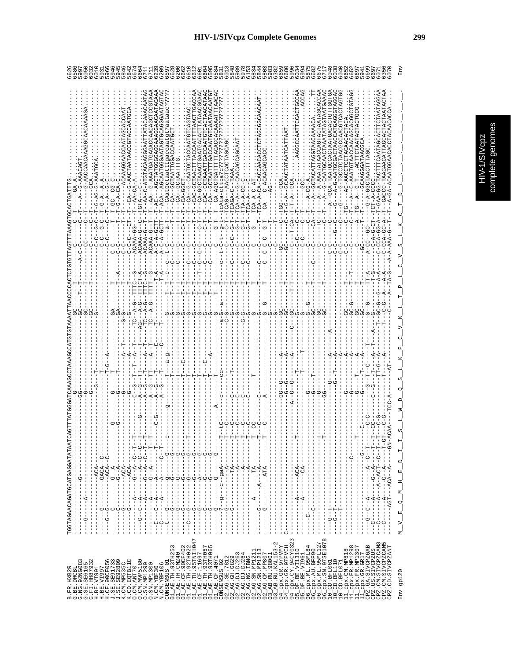|                               |                                                                          |                                                  |                               |                                       |           |               |                                                                                                                                                                                                                                                                    |        |                          |                                     |                           |           |             |          |                         |            |         |               |                          |                                | C<br>G<br>ā   |  |         |               |                      |         | <b>LTATAACGGAA</b> | TGTCACTAACATAA |                |             |               |               |     |             |       |      |  |                                      |            |                                                                        |               |                                                                                                                                       |                                                           |                                                       |               |                |                                                                 |                                             |                      |                          |                          | HUUHUHUAUAUHAHUAUUUUHKAH-KUU |                     |    | CAACGTCACTAGT |                    |                                |  |              |                           |
|-------------------------------|--------------------------------------------------------------------------|--------------------------------------------------|-------------------------------|---------------------------------------|-----------|---------------|--------------------------------------------------------------------------------------------------------------------------------------------------------------------------------------------------------------------------------------------------------------------|--------|--------------------------|-------------------------------------|---------------------------|-----------|-------------|----------|-------------------------|------------|---------|---------------|--------------------------|--------------------------------|---------------|--|---------|---------------|----------------------|---------|--------------------|----------------|----------------|-------------|---------------|---------------|-----|-------------|-------|------|--|--------------------------------------|------------|------------------------------------------------------------------------|---------------|---------------------------------------------------------------------------------------------------------------------------------------|-----------------------------------------------------------|-------------------------------------------------------|---------------|----------------|-----------------------------------------------------------------|---------------------------------------------|----------------------|--------------------------|--------------------------|------------------------------|---------------------|----|---------------|--------------------|--------------------------------|--|--------------|---------------------------|
|                               |                                                                          |                                                  |                               | GCA                                   | AA.<br>ά  |               |                                                                                                                                                                                                                                                                    |        |                          |                                     |                           |           |             |          |                         | AA-C-ATGTA |         |               |                          | --AGCAATGG                     | AatGctaat     |  | -GCTAAT |               | $- -G - CA$          | AC-GCTI | A-GGCTAAA          | -CAC-GCTAAA    |                | - CA-AGURO- |               |               |     | Ϋ́          |       |      |  |                                      |            |                                                                        |               |                                                                                                                                       |                                                           |                                                       |               |                |                                                                 |                                             | 50<br>0              | $A - A$                  | $G-CAA$                  |                              | $- A - C - A A T G$ |    | 白っ            | $-AG-AACC$         | -A--C-AAATGTAAC                |  |              | G-A-GCTAACTTTTAG          |
|                               |                                                                          |                                                  |                               |                                       |           |               |                                                                                                                                                                                                                                                                    |        |                          | έ                                   |                           |           |             |          |                         |            |         |               |                          |                                |               |  |         |               |                      |         |                    |                |                |             |               | $\frac{1}{2}$ | CAG | <b>CAGA</b> | $A-A$ | TA-A |  | $CA - A -$                           | $CA - A -$ |                                                                        |               |                                                                                                                                       |                                                           |                                                       |               |                |                                                                 |                                             |                      |                          |                          |                              |                     |    |               |                    |                                |  |              |                           |
|                               |                                                                          |                                                  |                               |                                       |           |               |                                                                                                                                                                                                                                                                    |        |                          |                                     |                           |           |             | ACAAA-GC |                         |            | ACAAA-G | ACAAA-G       |                          |                                |               |  |         |               |                      |         |                    |                |                |             |               |               |     | ပု          |       |      |  |                                      |            |                                                                        |               |                                                                                                                                       |                                                           |                                                       |               |                |                                                                 |                                             |                      |                          |                          |                              |                     |    |               |                    |                                |  |              |                           |
|                               |                                                                          |                                                  |                               |                                       |           |               |                                                                                                                                                                                                                                                                    |        |                          |                                     |                           |           |             |          |                         |            |         |               |                          |                                |               |  |         |               |                      |         |                    |                |                |             |               |               |     |             |       |      |  |                                      |            |                                                                        |               |                                                                                                                                       |                                                           |                                                       |               |                |                                                                 |                                             |                      |                          |                          |                              |                     |    |               |                    |                                |  |              |                           |
|                               |                                                                          |                                                  |                               |                                       |           |               |                                                                                                                                                                                                                                                                    |        |                          |                                     |                           |           |             |          |                         |            |         |               |                          |                                |               |  |         |               |                      |         |                    |                |                |             |               |               |     |             |       |      |  |                                      |            |                                                                        |               |                                                                                                                                       |                                                           |                                                       |               |                |                                                                 |                                             |                      |                          |                          |                              |                     |    |               |                    |                                |  |              |                           |
|                               |                                                                          |                                                  |                               |                                       |           |               |                                                                                                                                                                                                                                                                    |        |                          |                                     |                           |           |             |          |                         |            |         |               |                          |                                |               |  |         |               |                      |         |                    |                |                |             |               |               |     |             |       |      |  |                                      |            |                                                                        |               |                                                                                                                                       |                                                           |                                                       |               |                |                                                                 |                                             |                      |                          |                          |                              |                     |    |               |                    |                                |  |              |                           |
|                               |                                                                          |                                                  |                               |                                       |           |               |                                                                                                                                                                                                                                                                    |        |                          |                                     |                           |           |             |          |                         |            |         |               |                          |                                |               |  |         |               |                      |         |                    |                |                |             |               |               |     |             |       |      |  |                                      |            |                                                                        |               |                                                                                                                                       |                                                           |                                                       |               |                |                                                                 |                                             |                      |                          |                          |                              |                     |    |               |                    |                                |  |              |                           |
|                               |                                                                          |                                                  |                               |                                       |           |               |                                                                                                                                                                                                                                                                    |        |                          |                                     |                           |           |             |          |                         |            |         |               |                          |                                |               |  |         |               |                      |         |                    |                |                |             |               |               |     |             |       |      |  |                                      |            |                                                                        |               |                                                                                                                                       |                                                           |                                                       |               |                |                                                                 |                                             |                      |                          |                          |                              |                     |    |               |                    |                                |  |              |                           |
|                               |                                                                          |                                                  |                               |                                       |           |               |                                                                                                                                                                                                                                                                    |        |                          |                                     |                           |           |             |          |                         |            |         |               |                          |                                |               |  |         |               |                      |         |                    |                |                |             |               |               |     | ◡           |       |      |  |                                      |            |                                                                        |               |                                                                                                                                       |                                                           |                                                       |               |                |                                                                 |                                             |                      |                          |                          |                              |                     |    |               |                    |                                |  |              |                           |
|                               |                                                                          |                                                  |                               |                                       |           | $\frac{C}{1}$ |                                                                                                                                                                                                                                                                    | י<br>ו |                          |                                     |                           |           | ŧ           | ī<br>Ť   |                         |            |         |               |                          |                                |               |  |         |               | $\frac{1}{2}$        | 主任      |                    | ÷              | $\overline{1}$ | ひ<br>Ţ      | $\frac{1}{4}$ |               |     |             |       |      |  |                                      |            |                                                                        |               |                                                                                                                                       |                                                           |                                                       |               |                |                                                                 |                                             |                      |                          |                          | ł                            |                     |    |               | Ţ<br>$\frac{1}{1}$ |                                |  | Ġ<br>!       |                           |
|                               | $\frac{1}{1}$<br>ပုံ<br>L<br>п<br>ï                                      | $\frac{1}{1}$<br>т.<br>Ť.                        | т                             | -1                                    | $- - ACA$ |               | $-1000 - 1000 - 1000 - 1000 - 1000 - 1000 - 1000 - 1000 - 1000 - 1000 - 1000 - 1000 - 1000 - 1000 - 1000 - 1000 - 1000 - 1000 - 1000 - 1000 - 1000 - 1000 - 1000 - 1000 - 1000 - 1000 - 1000 - 1000 - 1000 - 1000 - 1000 - 1000 - 1000 - 1000 - 1000 - 1000 - 100$ |        |                          |                                     |                           | $---PACA$ | $-ACA$<br>ŧ | ŧ        |                         |            |         |               |                          |                                |               |  |         |               |                      |         |                    |                |                | т           |               |               |     |             |       |      |  |                                      |            | $\begin{bmatrix} 1 \\ 1 \\ 1 \\ 1 \end{bmatrix}$<br>ţ<br>$\frac{1}{1}$ |               | $\begin{array}{c} \begin{array}{c} \uparrow \\ \downarrow \\ \downarrow \\ \downarrow \end{array} \end{array}$<br>Ţ.<br>$\frac{1}{1}$ | $\frac{1}{1}$                                             | $\begin{bmatrix} 1 \\ 1 \\ 1 \\ 1 \\ 1 \end{bmatrix}$ | $\frac{1}{1}$ | $---C_{A} = -$ | J.                                                              | $\begin{bmatrix} 1 \\ 1 \\ 1 \end{bmatrix}$ | -1                   |                          |                          | $\frac{1}{1}$                |                     |    |               | ţ                  | $-1$ - $-1$ - $-1$ - $-1$      |  | $\mathbf{I}$ | <b>ロー・ロー・スーーー</b>         |
| TGGTAGAACAGATGCATGAGGATATAATC | I<br>I.<br>ı<br>$\frac{1}{1}$<br>п<br>$\overline{\phantom{a}}$<br>I<br>п | $\mathsf I$<br>Ţ<br>$\mathbf{I}$<br>$\mathbf{I}$ | $- - - - - - - -$<br>$-5 - 7$ | п<br>$\mathbf{I}$<br>п<br>$\mathbf I$ | п<br>Ť.   | Å             | - ს<br>-   - ს<br>- ! - !                                                                                                                                                                                                                                          |        | J,<br>U<br>$\frac{1}{1}$ | $\frac{1}{1}$<br>U<br>$\frac{1}{1}$ | $- - - - - - - - - - - -$ | I         | $-5 -$      | J.       | $A - A$<br>$-1 - 5 - 1$ |            | ł       | $\frac{1}{1}$ | $C - C$<br>$\frac{1}{2}$ | $\frac{1}{1}$<br>$\frac{1}{2}$ | $\frac{1}{1}$ |  |         | $\frac{1}{2}$ | $-1$<br>$-1$<br>$-1$ |         |                    |                |                |             |               |               |     |             |       |      |  | $- - - - - - - - -$<br>$\frac{1}{1}$ |            | $\begin{array}{c} 1 \\ 1 \\ 1 \end{array}$<br>$\frac{1}{1}$            | $\frac{1}{4}$ | $\frac{1}{4}$                                                                                                                         | $\begin{array}{c} \frac{1}{2} \\ \frac{1}{2} \end{array}$ | $\begin{bmatrix} 1 \\ 1 \\ 1 \end{bmatrix}$<br>í      |               |                | $- - A - -$<br>J<br>$\frac{1}{4}$<br>$\frac{1}{1}$<br>$-1$<br>J |                                             | $-1$<br>$-1$<br>$-1$ | T.<br>I<br>$\frac{1}{1}$ | т<br>ï.<br>$\frac{1}{1}$ | $-1 - 1 - 1 - 1 - 1$         | --9--1              | サー |               | $\frac{1}{1}$      | $\frac{1}{1}$<br>$\frac{1}{1}$ |  |              | $-1$ - $-1$ - $-1$ - $-1$ |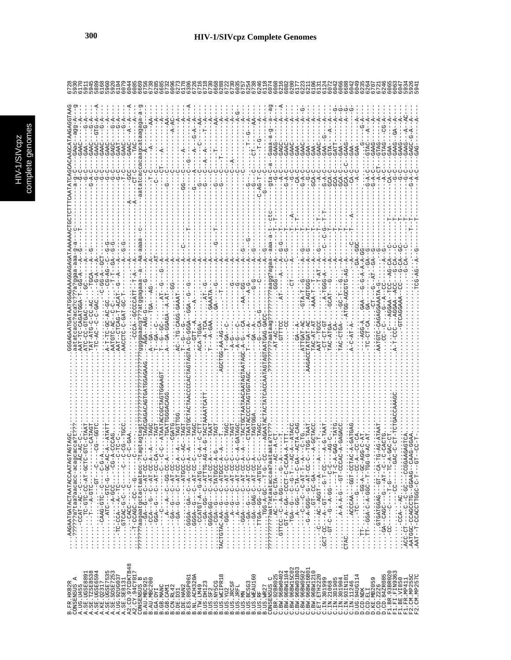HIV-1/SIVcpz<br>complete genomes complete genomes HIV-1/SIVcpz

| .HXB2R                                                                                                                                                                                                                                                                                                                                                                                     | AAGAATGATACTAATACCAATAGT                                                                                                                                                                    |                     |   |                 |  |
|--------------------------------------------------------------------------------------------------------------------------------------------------------------------------------------------------------------------------------------------------------------------------------------------------------------------------------------------------------------------------------------------|---------------------------------------------------------------------------------------------------------------------------------------------------------------------------------------------|---------------------|---|-----------------|--|
| К<br>B.FR.HXB2R<br>CONSENSUS<br>A.UG.U455                                                                                                                                                                                                                                                                                                                                                  | C<br>??????a?taa?aacacc-acag                                                                                                                                                                |                     |   |                 |  |
|                                                                                                                                                                                                                                                                                                                                                                                            | $- - - A$<br>$\vdots$                                                                                                                                                                       |                     |   |                 |  |
|                                                                                                                                                                                                                                                                                                                                                                                            | UHUU-HA-UU-UHU-UHU-TH                                                                                                                                                                       |                     |   |                 |  |
| 1.SE.UGSE8891<br>1.SE.TZSE8591<br>1.SE.UGSE85538                                                                                                                                                                                                                                                                                                                                           | l.<br>$\frac{1}{2}$<br>$\vdots$                                                                                                                                                             | $-4$                |   |                 |  |
|                                                                                                                                                                                                                                                                                                                                                                                            |                                                                                                                                                                                             |                     |   | 5               |  |
|                                                                                                                                                                                                                                                                                                                                                                                            |                                                                                                                                                                                             |                     |   |                 |  |
|                                                                                                                                                                                                                                                                                                                                                                                            | 04-05--0-050---054<br>$\ddot{\cdot}$                                                                                                                                                        |                     |   |                 |  |
|                                                                                                                                                                                                                                                                                                                                                                                            |                                                                                                                                                                                             | ATGT                |   | C<br>CA         |  |
|                                                                                                                                                                                                                                                                                                                                                                                            |                                                                                                                                                                                             | Ţ                   |   |                 |  |
|                                                                                                                                                                                                                                                                                                                                                                                            | Ţ<br>$-1$<br>l<br>$\frac{1}{2}$<br>U-U-UAUHU                                                                                                                                                |                     |   |                 |  |
|                                                                                                                                                                                                                                                                                                                                                                                            | LAJ<br>1<br>ט<br>ו                                                                                                                                                                          |                     |   |                 |  |
| A. IKE, 22317<br>A. SE, 10387535<br>A. SE, 10387535<br>A. J. 92050755<br>A. S. SE, 1020511<br>A2. CD, 97CDKTB48<br>A2. CD, 97CDKTB48<br>CONSENSUS B<br>$\mathcal{A}$ $\mathcal{A}$ $\Omega$                                                                                                                                                                                                | $\frac{1}{1}$<br>í<br>$\frac{1}{2}$                                                                                                                                                         |                     |   |                 |  |
|                                                                                                                                                                                                                                                                                                                                                                                            | ??aagaatgctactaatacc-?<br>ς.<br>ς.<br>$\sim$                                                                                                                                                |                     |   |                 |  |
| CONSENSUS B<br>3.AU.MBC925<br>3.AU.MBC200<br>$\omega$                                                                                                                                                                                                                                                                                                                                      | ひ‐ひひ‐Hぱ‐‐ひ‐‐‐め‐‐ぱひ‐‐・・・・・・・                                                                                                                                                                 |                     |   | acaagcataagaga- |  |
| $\mathbf{\underline{m}}$                                                                                                                                                                                                                                                                                                                                                                   |                                                                                                                                                                                             |                     |   |                 |  |
| .GA.OYI<br>$\mathbf{\underline{m}}$                                                                                                                                                                                                                                                                                                                                                        | :0 - DO - LIK - - D - - - D - - KDD - ・・・・・・<br>$\vdots$                                                                                                                                    |                     |   |                 |  |
| $\mathbf{m}$                                                                                                                                                                                                                                                                                                                                                                               |                                                                                                                                                                                             |                     |   |                 |  |
| 3.GB.MANC<br>3.GB.CAM1                                                                                                                                                                                                                                                                                                                                                                     |                                                                                                                                                                                             | --GA-GGAG           |   |                 |  |
| $\mathbf{\sim}$<br>CN.RL4<br>$m$ $m$                                                                                                                                                                                                                                                                                                                                                       |                                                                                                                                                                                             |                     |   |                 |  |
| .DE.D31                                                                                                                                                                                                                                                                                                                                                                                    |                                                                                                                                                                                             |                     |   |                 |  |
| .DE.HAN2<br>$m$ $m$                                                                                                                                                                                                                                                                                                                                                                        |                                                                                                                                                                                             |                     |   |                 |  |
| S.89SP061<br>F.                                                                                                                                                                                                                                                                                                                                                                            |                                                                                                                                                                                             | 1999-90-            |   |                 |  |
| .NL.ACH320A                                                                                                                                                                                                                                                                                                                                                                                |                                                                                                                                                                                             |                     |   |                 |  |
| മ മ                                                                                                                                                                                                                                                                                                                                                                                        |                                                                                                                                                                                             | ACA-TGG             |   |                 |  |
| $\infty$<br>1.TW.LM49<br>1.US.DH123                                                                                                                                                                                                                                                                                                                                                        |                                                                                                                                                                                             |                     |   |                 |  |
| S.SF2<br>Þ.                                                                                                                                                                                                                                                                                                                                                                                | $-1-C$<br>$-1T$<br>$-1C$                                                                                                                                                                    |                     |   |                 |  |
|                                                                                                                                                                                                                                                                                                                                                                                            |                                                                                                                                                                                             |                     |   |                 |  |
| ${}^{\circ}$<br>3.US.NY5CG<br>3.US.WCIPR18                                                                                                                                                                                                                                                                                                                                                 |                                                                                                                                                                                             |                     |   |                 |  |
| S.YU2<br>F.                                                                                                                                                                                                                                                                                                                                                                                | U-UU-HAT--U--                                                                                                                                                                               |                     |   |                 |  |
| <b>JRCSF</b><br>Š                                                                                                                                                                                                                                                                                                                                                                          | $- -C - C - C - C - C$                                                                                                                                                                      |                     |   |                 |  |
| S. JRFL<br>a p                                                                                                                                                                                                                                                                                                                                                                             | $- - -C - RT - CC - A$                                                                                                                                                                      |                     |   |                 |  |
| IS.MN<br>Ę                                                                                                                                                                                                                                                                                                                                                                                 |                                                                                                                                                                                             |                     |   |                 |  |
| $\ddot{ }$                                                                                                                                                                                                                                                                                                                                                                                 |                                                                                                                                                                                             |                     |   |                 |  |
| JS.BCSG3<br>JS.WEAU160<br>F.                                                                                                                                                                                                                                                                                                                                                               |                                                                                                                                                                                             |                     |   |                 |  |
| IS.RF<br>F.                                                                                                                                                                                                                                                                                                                                                                                | U-ULULULA--U--UU--KULLI                                                                                                                                                                     |                     |   |                 |  |
| .US. WR27<br>മമ                                                                                                                                                                                                                                                                                                                                                                            |                                                                                                                                                                                             |                     |   |                 |  |
| U<br><b>ONSENSUS</b>                                                                                                                                                                                                                                                                                                                                                                       | œ<br>$\cdot$ $\circ$                                                                                                                                                                        | ??aagg?aga<br>aataa | ă | σ               |  |
|                                                                                                                                                                                                                                                                                                                                                                                            |                                                                                                                                                                                             |                     |   |                 |  |
|                                                                                                                                                                                                                                                                                                                                                                                            |                                                                                                                                                                                             |                     |   |                 |  |
|                                                                                                                                                                                                                                                                                                                                                                                            | ACOU-U-HOUU--KU--K-HU                                                                                                                                                                       |                     |   |                 |  |
|                                                                                                                                                                                                                                                                                                                                                                                            |                                                                                                                                                                                             |                     |   |                 |  |
|                                                                                                                                                                                                                                                                                                                                                                                            |                                                                                                                                                                                             |                     |   |                 |  |
|                                                                                                                                                                                                                                                                                                                                                                                            | - 4 - - 1 - 1 4 - U - - U - - - U - - -<br>$\frac{1}{2}$                                                                                                                                    |                     |   |                 |  |
|                                                                                                                                                                                                                                                                                                                                                                                            |                                                                                                                                                                                             |                     |   |                 |  |
|                                                                                                                                                                                                                                                                                                                                                                                            |                                                                                                                                                                                             |                     |   |                 |  |
|                                                                                                                                                                                                                                                                                                                                                                                            |                                                                                                                                                                                             | $-AT$               |   |                 |  |
|                                                                                                                                                                                                                                                                                                                                                                                            | --ひひ-H-の-----Eの--ペ---ひひ--Iひの・                                                                                                                                                               |                     |   |                 |  |
| ひひひひひひ                                                                                                                                                                                                                                                                                                                                                                                     | $O - H +$                                                                                                                                                                                   |                     |   |                 |  |
|                                                                                                                                                                                                                                                                                                                                                                                            |                                                                                                                                                                                             |                     |   |                 |  |
|                                                                                                                                                                                                                                                                                                                                                                                            | -GAG2                                                                                                                                                                                       |                     |   |                 |  |
|                                                                                                                                                                                                                                                                                                                                                                                            | $\ldots \ldots \ldots \ldots \ldots$                                                                                                                                                        |                     |   |                 |  |
|                                                                                                                                                                                                                                                                                                                                                                                            |                                                                                                                                                                                             | $C - A T -$         |   |                 |  |
|                                                                                                                                                                                                                                                                                                                                                                                            | $\vdots$                                                                                                                                                                                    |                     |   |                 |  |
| $\overline{CD}$ . NDK .<br>$\circ$                                                                                                                                                                                                                                                                                                                                                         |                                                                                                                                                                                             |                     |   |                 |  |
|                                                                                                                                                                                                                                                                                                                                                                                            |                                                                                                                                                                                             |                     |   |                 |  |
|                                                                                                                                                                                                                                                                                                                                                                                            |                                                                                                                                                                                             |                     |   |                 |  |
|                                                                                                                                                                                                                                                                                                                                                                                            |                                                                                                                                                                                             |                     |   |                 |  |
|                                                                                                                                                                                                                                                                                                                                                                                            | -- 0 - - - - - - 0 0 - - - - -                                                                                                                                                              |                     |   |                 |  |
|                                                                                                                                                                                                                                                                                                                                                                                            | $\begin{array}{c} \mathbf{1} & \mathbf{1} & \mathbf{1} \\ \mathbf{1} & \mathbf{1} & \mathbf{1} \\ \mathbf{1} & \mathbf{1} & \mathbf{1} \\ \mathbf{1} & \mathbf{1} & \mathbf{1} \end{array}$ |                     |   |                 |  |
|                                                                                                                                                                                                                                                                                                                                                                                            | $\cdots$ $\cdots$ $\cdots$                                                                                                                                                                  |                     |   |                 |  |
| $\begin{array}{l} \text{D.}\ \text{KE}, \text{MD} \text{2059} \\ \text{D.}\ \text{D.}\ \text{D.}\ \text{2226} \\ \text{D.}\ \text{D.}\ \text{342R085} \\ \text{D.}\ \text{D.}\ \text{134R085} \\ \text{D.}\ \text{D.}\ \text{142R085} \\ \text{D.}\ \text{154R} \text{174R09363} \\ \text{F1.}\ \text{F1.}\ \text{F109363} \\ \text{F1.}\ \text{F2.}\ \text{F39363} \\ \text{F1.}\ \text{$ | ACC                                                                                                                                                                                         |                     |   |                 |  |
|                                                                                                                                                                                                                                                                                                                                                                                            | AATGGC-COAGCTG--GGAAG--CAA                                                                                                                                                                  |                     |   |                 |  |
|                                                                                                                                                                                                                                                                                                                                                                                            | - HD - - - H - U - U U U U U U U U U - H - - - H I I                                                                                                                                        |                     |   |                 |  |

 $\begin{smallmatrix} \texttt{R1} & \texttt{R1} & \texttt{R2} & \texttt{R2} & \texttt{R3} & \texttt{R4} & \texttt{R5} & \texttt{R6} & \texttt{R6} & \texttt{R7} & \texttt{R8} & \texttt{R8} & \texttt{R9} & \texttt{R0} & \texttt{R1} & \texttt{R2} & \texttt{R2} & \texttt{R3} & \texttt{R4} & \texttt{R5} & \texttt{R6} & \texttt{R7} & \texttt{R8} & \texttt{R9} & \texttt{R0} & \texttt{R1} & \texttt{R2$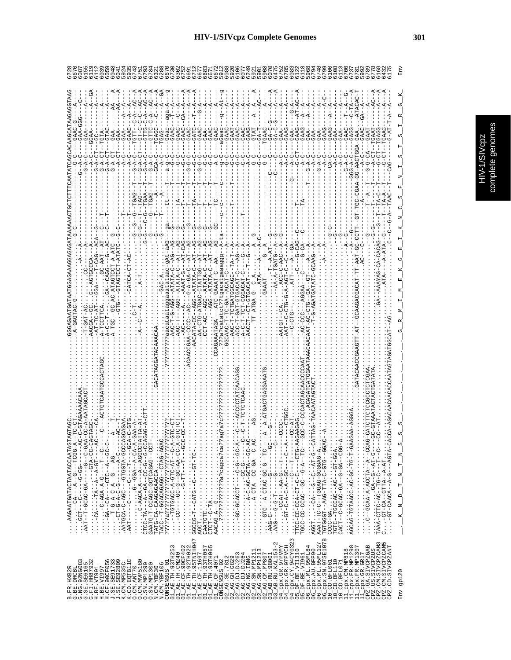|                                                                                                                                                                                                                                                                                                                                               |                              | e<br>CCC |  |                                                       |  |                                 |                       |  |                                  |                                        |                                                     |  |  |      |               |  |  |   |  |  |                     |  |                        |  |                                                         |  |  |                         |                                            |  |                                                                       |  |                             |  |  |                                                                                                                                                                                                                                                                                                                                                                                                                                       |                                                 |                  |                      |
|-----------------------------------------------------------------------------------------------------------------------------------------------------------------------------------------------------------------------------------------------------------------------------------------------------------------------------------------------|------------------------------|----------|--|-------------------------------------------------------|--|---------------------------------|-----------------------|--|----------------------------------|----------------------------------------|-----------------------------------------------------|--|--|------|---------------|--|--|---|--|--|---------------------|--|------------------------|--|---------------------------------------------------------|--|--|-------------------------|--------------------------------------------|--|-----------------------------------------------------------------------|--|-----------------------------|--|--|---------------------------------------------------------------------------------------------------------------------------------------------------------------------------------------------------------------------------------------------------------------------------------------------------------------------------------------------------------------------------------------------------------------------------------------|-------------------------------------------------|------------------|----------------------|
|                                                                                                                                                                                                                                                                                                                                               |                              |          |  |                                                       |  |                                 |                       |  |                                  |                                        |                                                     |  |  |      |               |  |  |   |  |  |                     |  |                        |  |                                                         |  |  |                         |                                            |  |                                                                       |  |                             |  |  |                                                                                                                                                                                                                                                                                                                                                                                                                                       |                                                 |                  |                      |
|                                                                                                                                                                                                                                                                                                                                               |                              |          |  |                                                       |  |                                 |                       |  |                                  |                                        |                                                     |  |  |      | C-CAC-ATGAC-C |  |  | I |  |  |                     |  |                        |  |                                                         |  |  |                         |                                            |  |                                                                       |  |                             |  |  |                                                                                                                                                                                                                                                                                                                                                                                                                                       |                                                 |                  |                      |
|                                                                                                                                                                                                                                                                                                                                               |                              | ACGA     |  |                                                       |  |                                 |                       |  |                                  |                                        |                                                     |  |  | UUUU |               |  |  |   |  |  |                     |  |                        |  |                                                         |  |  |                         |                                            |  |                                                                       |  |                             |  |  |                                                                                                                                                                                                                                                                                                                                                                                                                                       |                                                 |                  |                      |
|                                                                                                                                                                                                                                                                                                                                               |                              |          |  |                                                       |  |                                 |                       |  |                                  |                                        |                                                     |  |  |      |               |  |  |   |  |  |                     |  |                        |  |                                                         |  |  |                         |                                            |  |                                                                       |  |                             |  |  |                                                                                                                                                                                                                                                                                                                                                                                                                                       |                                                 |                  |                      |
|                                                                                                                                                                                                                                                                                                                                               |                              |          |  |                                                       |  |                                 |                       |  |                                  |                                        |                                                     |  |  |      |               |  |  |   |  |  |                     |  |                        |  |                                                         |  |  |                         |                                            |  |                                                                       |  |                             |  |  |                                                                                                                                                                                                                                                                                                                                                                                                                                       |                                                 |                  |                      |
|                                                                                                                                                                                                                                                                                                                                               |                              |          |  |                                                       |  |                                 |                       |  |                                  |                                        |                                                     |  |  |      |               |  |  |   |  |  |                     |  |                        |  |                                                         |  |  |                         |                                            |  |                                                                       |  |                             |  |  |                                                                                                                                                                                                                                                                                                                                                                                                                                       |                                                 |                  |                      |
|                                                                                                                                                                                                                                                                                                                                               |                              |          |  |                                                       |  |                                 |                       |  |                                  |                                        |                                                     |  |  |      |               |  |  |   |  |  |                     |  |                        |  |                                                         |  |  |                         |                                            |  |                                                                       |  |                             |  |  |                                                                                                                                                                                                                                                                                                                                                                                                                                       |                                                 |                  | ΩÓ                   |
|                                                                                                                                                                                                                                                                                                                                               |                              |          |  |                                                       |  |                                 | 4ひのーーーーH!!!!ひーーーーーひーー |  |                                  |                                        |                                                     |  |  |      |               |  |  |   |  |  |                     |  | - ひ‐‐‐‐‐‐‐‐‐‐‐‐‐‐‐‐‐‐  |  |                                                         |  |  |                         |                                            |  |                                                                       |  |                             |  |  |                                                                                                                                                                                                                                                                                                                                                                                                                                       |                                                 |                  | z<br>$\vdash$        |
|                                                                                                                                                                                                                                                                                                                                               |                              |          |  |                                                       |  |                                 |                       |  |                                  |                                        |                                                     |  |  |      |               |  |  |   |  |  |                     |  |                        |  |                                                         |  |  |                         |                                            |  |                                                                       |  |                             |  |  |                                                                                                                                                                                                                                                                                                                                                                                                                                       |                                                 |                  | z<br>$\vdash$        |
| AAGAATGATACTAATACCAATAGT                                                                                                                                                                                                                                                                                                                      | AAU-U--U-----AU-URUU-L---HAH |          |  | - U - U U - - K - - U H U - - - - - K U - - K U - - - |  | AATCOUD-A-C-ACTOTHO--OOA-C-ACTO | j                     |  | iOU-U--U-UU---IU---I----I-I-UULU | - LUU - - DACAULUU - UUAUU - L - ULARU | TATG-CA-CAAGAGAACCA<br>TACC--T-GGACAGAGG--CTAG-AGAC |  |  |      |               |  |  |   |  |  | 04-0-140-00-14H0-4: |  | $-1 - 1 - 1 - -1 - -1$ |  | - K - - U - - - - - U U - - K - U - K - U - L U - L U - |  |  | AAAT-TC-C-CAGOCCCAG---- | ) KUU - - ULU - U - KLL - UKK - - LUUULULU |  | CCCC-GA<br>TGTC--TGCCAC--AC---GT-GGA<br>CACT---C-GCAC-GA--G-GA--CGG-A |  | AGCAG-TG-DA-AC-AC-TG-T-CAAA |  |  |                                                                                                                                                                                                                                                                                                                                                                                                                                       | C-GT-CA--GTTA--A-AT<br>-GT-CAACA--A-G---AGTA-CJ |                  | $\Box$<br>$z_1$<br>× |
|                                                                                                                                                                                                                                                                                                                                               |                              |          |  |                                                       |  |                                 | TAAT.                 |  |                                  |                                        |                                                     |  |  |      |               |  |  |   |  |  |                     |  |                        |  |                                                         |  |  |                         |                                            |  |                                                                       |  |                             |  |  |                                                                                                                                                                                                                                                                                                                                                                                                                                       |                                                 |                  |                      |
| $\begin{smallmatrix} &\text{B. FR. HXBBR}\\ \text{G. 9.20008}\\ \text{G. 9.20008}\\ \text{G. 9.20008}\\ \text{G. 9.20008}\\ \text{G. 9.20008}\\ \text{G. 9.20008}\\ \text{G. 9.20008}\\ \text{G. 9.20008}\\ \text{G. 9.20008}\\ \text{G. 9.20008}\\ \text{G. 9.20008}\\ \text{G. 9.20008}\\ \text{G. 9.20008}\\ \text{G. 9.20008}\\ \text{G.$ |                              |          |  |                                                       |  |                                 |                       |  |                                  |                                        |                                                     |  |  |      |               |  |  |   |  |  |                     |  |                        |  |                                                         |  |  |                         |                                            |  |                                                                       |  |                             |  |  | $\begin{array}{l} 11 \overline{\phantom{\rule{1pt}{5.7pt}}}\phantom{\rule{0pt}{5.5pt}} \mathsf{cpx} \cdot \mathsf{GR} \cdot \mathsf{GR} \cdot \mathsf{IR} \cdot \mathsf{IR} \\ \mathsf{CPE} \cdot \mathsf{GA} \cdot \mathsf{SIVCPZGAB} \\ \mathsf{CPE} \cdot \mathsf{US} \cdot \mathsf{SIVCPZUS} \\ \mathsf{CPE} \cdot \mathsf{CN} \cdot \mathsf{SIVCPZCAM3} \\ \mathsf{CPE} \cdot \mathsf{CN} \cdot \mathsf{SIVCPZCAM3} \end{array}$ |                                                 | <b>SIVCPZANT</b> |                      |
|                                                                                                                                                                                                                                                                                                                                               |                              |          |  |                                                       |  |                                 |                       |  |                                  |                                        |                                                     |  |  |      |               |  |  |   |  |  |                     |  |                        |  |                                                         |  |  |                         |                                            |  |                                                                       |  |                             |  |  |                                                                                                                                                                                                                                                                                                                                                                                                                                       |                                                 |                  | Env gp120            |
|                                                                                                                                                                                                                                                                                                                                               |                              |          |  |                                                       |  |                                 |                       |  |                                  |                                        |                                                     |  |  |      |               |  |  |   |  |  |                     |  |                        |  |                                                         |  |  |                         |                                            |  |                                                                       |  |                             |  |  |                                                                                                                                                                                                                                                                                                                                                                                                                                       |                                                 | $CPZ$ . CD       |                      |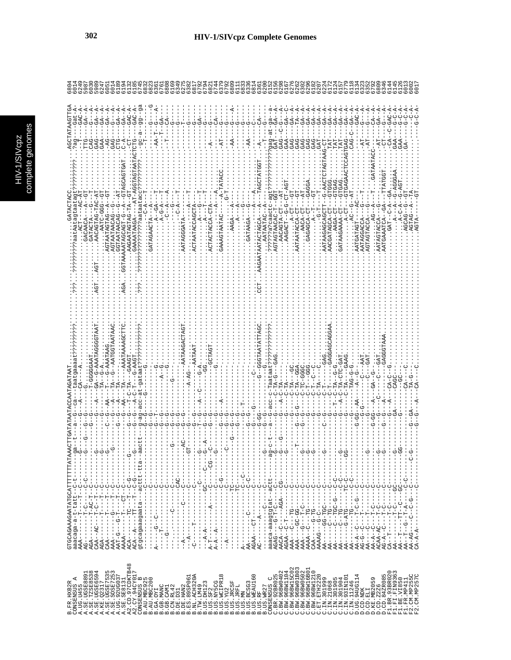$\begin{smallmatrix}R. & R12234 & R\\ 023588893 & 0\\ 0340888533 & 0\\ 040888533 & 0\\ 050888533 & 0\\ 040888533 & 0\\ 05088553 & 0\\ 051775 & 0\\ 0521775 & 0\\ 05321775 & 0\\ 0540885520 & 0\\ 055088775 & 0\\ 056088775 & 0\\ 056088775 & 0\\ 056088775 & 0\\ 056088775 &$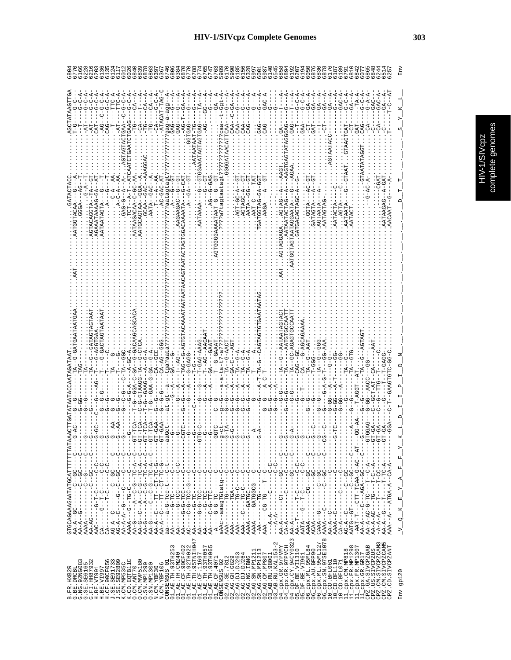|                              |                                                                                                  |           |                                                                                                                                                                                                                                                                                                                                                                                        |                               |                   |                         |                                              |                                                               |                |               |    |                                                                                                                                                                                                                                                                                                                                                                                                                              |   |  |                              |                          |        |             |                                 |   |               |            |                                                                                                                                                                                                                                                                                                                                                                                                                                 |               |                  |            |                |             |                    |                |                          |  |                        |   |              |                                          |                   |                                                                                                                                                                                                                                                                                                                                     |                                |         |                                                                                                                                      |                               |                                                    | යි                                      | යි                                                                                                                                           | යි            |         |                                          |   |            |                                                                                                                                                                                                                                                                                                                                                                               |              |                             |                                  |          |                                                            |  |              |
|------------------------------|--------------------------------------------------------------------------------------------------|-----------|----------------------------------------------------------------------------------------------------------------------------------------------------------------------------------------------------------------------------------------------------------------------------------------------------------------------------------------------------------------------------------------|-------------------------------|-------------------|-------------------------|----------------------------------------------|---------------------------------------------------------------|----------------|---------------|----|------------------------------------------------------------------------------------------------------------------------------------------------------------------------------------------------------------------------------------------------------------------------------------------------------------------------------------------------------------------------------------------------------------------------------|---|--|------------------------------|--------------------------|--------|-------------|---------------------------------|---|---------------|------------|---------------------------------------------------------------------------------------------------------------------------------------------------------------------------------------------------------------------------------------------------------------------------------------------------------------------------------------------------------------------------------------------------------------------------------|---------------|------------------|------------|----------------|-------------|--------------------|----------------|--------------------------|--|------------------------|---|--------------|------------------------------------------|-------------------|-------------------------------------------------------------------------------------------------------------------------------------------------------------------------------------------------------------------------------------------------------------------------------------------------------------------------------------|--------------------------------|---------|--------------------------------------------------------------------------------------------------------------------------------------|-------------------------------|----------------------------------------------------|-----------------------------------------|----------------------------------------------------------------------------------------------------------------------------------------------|---------------|---------|------------------------------------------|---|------------|-------------------------------------------------------------------------------------------------------------------------------------------------------------------------------------------------------------------------------------------------------------------------------------------------------------------------------------------------------------------------------|--------------|-----------------------------|----------------------------------|----------|------------------------------------------------------------|--|--------------|
|                              |                                                                                                  |           |                                                                                                                                                                                                                                                                                                                                                                                        |                               |                   |                         |                                              |                                                               |                |               |    |                                                                                                                                                                                                                                                                                                                                                                                                                              |   |  | TACAT-TAG                    | --66e-e-6e               |        |             |                                 |   |               |            |                                                                                                                                                                                                                                                                                                                                                                                                                                 |               |                  |            | $- -t - Ggt -$ |             |                    |                |                          |  |                        |   |              |                                          |                   |                                                                                                                                                                                                                                                                                                                                     |                                |         |                                                                                                                                      |                               |                                                    |                                         |                                                                                                                                              |               |         |                                          |   |            |                                                                                                                                                                                                                                                                                                                                                                               |              |                             |                                  |          |                                                            |  |              |
|                              |                                                                                                  |           |                                                                                                                                                                                                                                                                                                                                                                                        |                               |                   |                         |                                              |                                                               |                |               |    |                                                                                                                                                                                                                                                                                                                                                                                                                              |   |  |                              |                          |        |             |                                 |   |               |            |                                                                                                                                                                                                                                                                                                                                                                                                                                 |               |                  |            |                |             |                    |                |                          |  |                        |   |              |                                          |                   |                                                                                                                                                                                                                                                                                                                                     |                                |         |                                                                                                                                      |                               |                                                    |                                         |                                                                                                                                              |               |         |                                          |   |            |                                                                                                                                                                                                                                                                                                                                                                               |              |                             |                                  |          |                                                            |  |              |
|                              |                                                                                                  |           |                                                                                                                                                                                                                                                                                                                                                                                        |                               |                   |                         |                                              |                                                               |                |               |    |                                                                                                                                                                                                                                                                                                                                                                                                                              |   |  |                              |                          |        |             |                                 |   |               |            |                                                                                                                                                                                                                                                                                                                                                                                                                                 |               |                  |            |                |             |                    |                |                          |  |                        |   |              |                                          |                   |                                                                                                                                                                                                                                                                                                                                     |                                |         |                                                                                                                                      |                               |                                                    |                                         |                                                                                                                                              |               |         |                                          |   |            |                                                                                                                                                                                                                                                                                                                                                                               |              |                             |                                  |          |                                                            |  |              |
|                              |                                                                                                  |           |                                                                                                                                                                                                                                                                                                                                                                                        |                               |                   |                         |                                              |                                                               |                |               |    |                                                                                                                                                                                                                                                                                                                                                                                                                              |   |  |                              | AC-GAC-AT<br>?aatagtagt? |        |             | 51<br>140-10-10-14<br>150-10-10 |   |               |            |                                                                                                                                                                                                                                                                                                                                                                                                                                 |               |                  |            |                |             |                    |                |                          |  |                        |   |              |                                          |                   |                                                                                                                                                                                                                                                                                                                                     |                                |         |                                                                                                                                      |                               |                                                    |                                         |                                                                                                                                              |               |         |                                          |   |            |                                                                                                                                                                                                                                                                                                                                                                               |              |                             |                                  |          |                                                            |  |              |
|                              |                                                                                                  |           |                                                                                                                                                                                                                                                                                                                                                                                        |                               |                   |                         |                                              |                                                               |                |               |    |                                                                                                                                                                                                                                                                                                                                                                                                                              |   |  |                              |                          |        |             |                                 |   |               |            |                                                                                                                                                                                                                                                                                                                                                                                                                                 |               |                  |            |                |             |                    |                |                          |  |                        |   |              |                                          |                   |                                                                                                                                                                                                                                                                                                                                     |                                |         |                                                                                                                                      |                               |                                                    |                                         |                                                                                                                                              |               |         |                                          |   |            |                                                                                                                                                                                                                                                                                                                                                                               |              |                             |                                  |          |                                                            |  |              |
|                              |                                                                                                  |           |                                                                                                                                                                                                                                                                                                                                                                                        |                               |                   |                         |                                              |                                                               |                |               |    |                                                                                                                                                                                                                                                                                                                                                                                                                              |   |  |                              |                          |        |             |                                 |   |               |            |                                                                                                                                                                                                                                                                                                                                                                                                                                 |               |                  |            |                |             |                    |                |                          |  |                        |   |              |                                          |                   |                                                                                                                                                                                                                                                                                                                                     |                                |         |                                                                                                                                      |                               |                                                    |                                         |                                                                                                                                              |               |         |                                          |   |            |                                                                                                                                                                                                                                                                                                                                                                               |              |                             |                                  |          |                                                            |  |              |
|                              |                                                                                                  |           |                                                                                                                                                                                                                                                                                                                                                                                        |                               |                   |                         |                                              |                                                               |                |               |    |                                                                                                                                                                                                                                                                                                                                                                                                                              |   |  |                              |                          |        |             |                                 |   |               |            |                                                                                                                                                                                                                                                                                                                                                                                                                                 |               |                  |            |                |             |                    |                |                          |  |                        |   |              |                                          |                   |                                                                                                                                                                                                                                                                                                                                     |                                |         |                                                                                                                                      |                               |                                                    |                                         |                                                                                                                                              |               |         |                                          |   |            |                                                                                                                                                                                                                                                                                                                                                                               |              |                             |                                  |          |                                                            |  |              |
|                              |                                                                                                  |           |                                                                                                                                                                                                                                                                                                                                                                                        |                               |                   |                         |                                              |                                                               |                |               |    |                                                                                                                                                                                                                                                                                                                                                                                                                              |   |  |                              |                          |        |             |                                 |   |               |            |                                                                                                                                                                                                                                                                                                                                                                                                                                 |               |                  |            |                |             |                    |                |                          |  |                        |   |              |                                          |                   |                                                                                                                                                                                                                                                                                                                                     |                                |         |                                                                                                                                      |                               |                                                    |                                         |                                                                                                                                              |               |         |                                          |   |            |                                                                                                                                                                                                                                                                                                                                                                               |              |                             |                                  |          |                                                            |  |              |
|                              |                                                                                                  |           |                                                                                                                                                                                                                                                                                                                                                                                        |                               |                   |                         |                                              |                                                               |                |               |    |                                                                                                                                                                                                                                                                                                                                                                                                                              |   |  |                              |                          |        |             |                                 |   |               |            |                                                                                                                                                                                                                                                                                                                                                                                                                                 |               |                  |            |                |             |                    |                |                          |  |                        |   |              |                                          |                   |                                                                                                                                                                                                                                                                                                                                     |                                |         |                                                                                                                                      |                               |                                                    |                                         |                                                                                                                                              |               |         |                                          |   |            |                                                                                                                                                                                                                                                                                                                                                                               |              |                             |                                  |          |                                                            |  |              |
|                              |                                                                                                  |           |                                                                                                                                                                                                                                                                                                                                                                                        |                               |                   |                         |                                              |                                                               |                |               |    |                                                                                                                                                                                                                                                                                                                                                                                                                              |   |  |                              |                          |        |             |                                 |   |               |            |                                                                                                                                                                                                                                                                                                                                                                                                                                 |               |                  |            |                |             |                    |                |                          |  |                        |   |              |                                          |                   |                                                                                                                                                                                                                                                                                                                                     |                                |         |                                                                                                                                      |                               |                                                    |                                         |                                                                                                                                              |               |         |                                          |   |            |                                                                                                                                                                                                                                                                                                                                                                               |              |                             |                                  |          |                                                            |  |              |
|                              |                                                                                                  |           |                                                                                                                                                                                                                                                                                                                                                                                        |                               |                   |                         |                                              |                                                               |                |               |    |                                                                                                                                                                                                                                                                                                                                                                                                                              |   |  |                              |                          |        |             |                                 |   |               |            |                                                                                                                                                                                                                                                                                                                                                                                                                                 |               |                  |            |                |             |                    |                |                          |  |                        |   |              |                                          |                   |                                                                                                                                                                                                                                                                                                                                     |                                |         |                                                                                                                                      |                               |                                                    |                                         |                                                                                                                                              |               |         |                                          |   |            |                                                                                                                                                                                                                                                                                                                                                                               |              |                             |                                  |          |                                                            |  |              |
|                              |                                                                                                  |           |                                                                                                                                                                                                                                                                                                                                                                                        |                               |                   |                         |                                              |                                                               |                |               |    |                                                                                                                                                                                                                                                                                                                                                                                                                              |   |  |                              | ga?aata                  |        |             | $-5-5-$                         |   |               | $-GAG - A$ |                                                                                                                                                                                                                                                                                                                                                                                                                                 |               | $-9 - 0 - 0 - 0$ | $a-t$ ?-a? |                | $A - C - A$ |                    |                |                          |  |                        |   |              |                                          |                   |                                                                                                                                                                                                                                                                                                                                     | A--GC-AGAGTG                   |         | $\begin{array}{lll} \texttt{CA}--\texttt{G}-\texttt{AGCAGAI} \\ \texttt{TA}--\texttt{G}--\texttt{AAT} \cdot \cdot \cdot \end{array}$ |                               |                                                    |                                         |                                                                                                                                              |               |         |                                          |   |            |                                                                                                                                                                                                                                                                                                                                                                               |              |                             |                                  |          |                                                            |  |              |
|                              |                                                                                                  |           |                                                                                                                                                                                                                                                                                                                                                                                        |                               |                   |                         |                                              |                                                               |                |               |    |                                                                                                                                                                                                                                                                                                                                                                                                                              |   |  |                              |                          |        |             |                                 |   |               |            |                                                                                                                                                                                                                                                                                                                                                                                                                                 |               |                  |            |                |             |                    |                |                          |  |                        |   |              |                                          |                   |                                                                                                                                                                                                                                                                                                                                     |                                |         |                                                                                                                                      |                               |                                                    |                                         |                                                                                                                                              |               |         |                                          |   |            |                                                                                                                                                                                                                                                                                                                                                                               |              |                             |                                  |          |                                                            |  |              |
|                              |                                                                                                  |           |                                                                                                                                                                                                                                                                                                                                                                                        |                               |                   |                         |                                              |                                                               |                |               |    |                                                                                                                                                                                                                                                                                                                                                                                                                              |   |  |                              |                          |        |             |                                 |   |               |            |                                                                                                                                                                                                                                                                                                                                                                                                                                 |               |                  |            |                |             |                    |                |                          |  |                        |   |              |                                          |                   |                                                                                                                                                                                                                                                                                                                                     |                                |         |                                                                                                                                      |                               |                                                    |                                         |                                                                                                                                              |               |         |                                          |   |            |                                                                                                                                                                                                                                                                                                                                                                               |              |                             |                                  |          |                                                            |  |              |
|                              |                                                                                                  |           |                                                                                                                                                                                                                                                                                                                                                                                        |                               |                   |                         |                                              |                                                               |                |               |    |                                                                                                                                                                                                                                                                                                                                                                                                                              |   |  |                              |                          |        |             |                                 |   |               |            |                                                                                                                                                                                                                                                                                                                                                                                                                                 |               |                  |            |                |             |                    |                |                          |  |                        |   |              |                                          |                   |                                                                                                                                                                                                                                                                                                                                     |                                |         |                                                                                                                                      |                               |                                                    |                                         |                                                                                                                                              |               |         |                                          |   |            |                                                                                                                                                                                                                                                                                                                                                                               |              |                             |                                  |          |                                                            |  |              |
|                              | л.<br>Ť.<br>U<br>U                                                                               | U         | U                                                                                                                                                                                                                                                                                                                                                                                      |                               |                   |                         | U                                            | -1<br>U                                                       |                | U             | りー | Ť                                                                                                                                                                                                                                                                                                                                                                                                                            | Ť |  | ウーー                          | – - ದ                    |        |             |                                 |   |               |            |                                                                                                                                                                                                                                                                                                                                                                                                                                 |               |                  |            |                |             |                    |                |                          |  |                        |   |              |                                          |                   | U                                                                                                                                                                                                                                                                                                                                   |                                |         |                                                                                                                                      | $\overline{\phantom{a}}$<br>U | U                                                  | T.                                      | ט<br>ו<br>U                                                                                                                                  |               |         |                                          |   |            | $-4T$                                                                                                                                                                                                                                                                                                                                                                         |              | ウーー                         | ウーー                              | ပု<br>I. |                                                            |  |              |
|                              | Î<br>$\frac{1}{1}$<br>ا<br>با<br>ှု                                                              | Ť<br>ŧ    | Ť<br>$\frac{1}{\mathcal{O}}$                                                                                                                                                                                                                                                                                                                                                           | じ<br>し                        | $\mathsf I$<br>ပု | j.<br>$\mathbf I$<br>ပု | ŧ<br>ーし<br>$\frac{1}{\zeta}$                 | Ť<br>ŧ<br>◡                                                   |                | ł<br>Ţ        |    |                                                                                                                                                                                                                                                                                                                                                                                                                              |   |  | $\frac{1}{1}$<br>ひし          | $C - C$                  | ှ<br>ပ | п<br>ن<br>ن | ÷                               | ÷ | $\frac{1}{4}$ | Ħ          |                                                                                                                                                                                                                                                                                                                                                                                                                                 | $\frac{1}{4}$ | -i               | ÷          |                |             | Ť<br>$\frac{1}{1}$ | $\frac{1}{1}$  | $\frac{1}{1}$            |  | f.                     | Ť | $C-C -$<br>Ī | ŧ<br>$\frac{1}{2}$<br>U<br>$\frac{1}{1}$ | י<br>י<br>ن<br>با | Ť<br>$\frac{1}{5}$                                                                                                                                                                                                                                                                                                                  | $\frac{1}{1}$<br>$\frac{1}{1}$ | $C-C -$ | Ť<br>ပု                                                                                                                              | Ť<br>さし                       | Ť<br>ーし                                            | $\frac{C}{I}$                           | Ť                                                                                                                                            |               |         |                                          | ï | $-1$       |                                                                                                                                                                                                                                                                                                                                                                               | י<br>י       |                             | ŧ                                | T        |                                                            |  | Ŀ,<br>Ŀ,     |
| GTGCAGAAAGAATATGCATTTTTTTATA | $\frac{5}{1}$<br>ロー<br>$-1 - 1$<br>$\frac{1}{2}$                                                 | U<br>---- | $\begin{array}{c} 0 & 0 \\ - & 1 \end{array}$<br>ن<br>ا<br>ı                                                                                                                                                                                                                                                                                                                           | Ī                             | $\frac{1}{1}$     | $\frac{1}{1}$<br>j      | ੱ<br> -<br>$-1 - 5 - 0$<br>U – – – – – – – – | $\frac{5}{1}$<br>$\begin{bmatrix} 1 \\ -1 \\ 1 \end{bmatrix}$ |                | $\frac{1}{1}$ |    | $\begin{array}{l} \mathbf{A}\mathbf{A}-\mathbf{G}--\mathbf{A}--\mathbf{C}-\mathbf{G}--\mathbf{T}C-\mathbf{A}-C- \cdot\\ \mathbf{A}\mathbf{A}-\mathbf{G}--\mathbf{C}-\mathbf{A}--\mathbf{C}-\mathbf{G}--\mathbf{T}C-\mathbf{A}-C- \cdot\\ \mathbf{A}\mathbf{A}-\mathbf{G}--\mathbf{A}--\mathbf{C}-\mathbf{A}--\mathbf{C}-\mathbf{G}--\mathbf{T}C-\mathbf{A}-C- \cdot\\ \mathbf{A}\mathbf{A}-\mathbf{G}--\mathbf{A}--\mathbf{$ |   |  | $-1 - 1 - 1 - 1 - 1 - 1 - 1$ | $\frac{1}{1}$            |        |             |                                 |   |               |            | $\begin{small} \mathbf{A}\mathbf{A} & \mathbf{A} & \mathbf{A} & \mathbf{A} & \mathbf{A} & \mathbf{A} & \mathbf{A} & \mathbf{A} & \mathbf{A} & \mathbf{A} & \mathbf{A} & \mathbf{A} & \mathbf{A} & \mathbf{A} & \mathbf{A} & \mathbf{A} & \mathbf{A} & \mathbf{A} & \mathbf{A} & \mathbf{A} & \mathbf{A} & \mathbf{A} & \mathbf{A} & \mathbf{A} & \mathbf{A} & \mathbf{A} & \mathbf{A} & \mathbf{A} & \mathbf{A} & \mathbf{A} &$ |               |                  |            |                |             | $- -10 - 10 - -1$  | $\frac{1}{1}$  | $\overline{\phantom{a}}$ |  | $\mathbf{I}$<br>т<br>ï |   | 1            | T                                        | $-1 - 6$          |                                                                                                                                                                                                                                                                                                                                     | $\frac{1}{1}$                  | $-1$    | $\begin{array}{c} \frac{1}{2} \\ \frac{1}{2} \end{array}$                                                                            | <b>ローーーロワーー</b>               | - 1<br>- 1<br>$\overline{\phantom{a}}$<br>J.<br>j. | ּפָרַ<br>  דור<br>  דור<br>ှ<br> <br>T. | ・リー<br>$\frac{1}{1}$                                                                                                                         |               | ł.      | $\overline{\phantom{a}}$<br>$-1 - 1 - 1$ |   |            | $-{\bf A}{\bf A}{\bf T}-{\bf T}-{\bf T}-{\bf C}{\bf T}{\bf T}-{\bf T}{\bf C}{\bf A}{\bf A}-{\bf G}-{\bf A}{\bf C}$                                                                                                                                                                                                                                                            |              | -- A-A-A-A-A-U-U-U-U-U-U-U- | $A - A - A - C - -C - T - C - A$ |          | AA-A--G---T----T-TC-A<br>AAA--A---ATGA-A--CA-A             |  | ጘ<br>×<br>回  |
|                              | $\begin{array}{c} \text{AA}-\text{A}--\text{GC}-\\ \text{AA}-\text{A}-\text{--G}-\\ \end{array}$ | г<br>Ť.   | I.<br>$\begin{array}{c} \rule{0pt}{2.5ex} \rule{0pt}{2.5ex} \rule{0pt}{2.5ex} \rule{0pt}{2.5ex} \rule{0pt}{2.5ex} \rule{0pt}{2.5ex} \rule{0pt}{2.5ex} \rule{0pt}{2.5ex} \rule{0pt}{2.5ex} \rule{0pt}{2.5ex} \rule{0pt}{2.5ex} \rule{0pt}{2.5ex} \rule{0pt}{2.5ex} \rule{0pt}{2.5ex} \rule{0pt}{2.5ex} \rule{0pt}{2.5ex} \rule{0pt}{2.5ex} \rule{0pt}{2.5ex} \rule{0pt}{2.5ex} \rule{0$ | $-10 - 10 - 1$<br>$\mathsf I$ |                   |                         | $\frac{1}{1}$                                | $AA - A - B - C$                                              | AAAA---G--TG-C |               |    |                                                                                                                                                                                                                                                                                                                                                                                                                              |   |  |                              | $---a-C-Tcc-t$           |        |             |                                 |   |               |            |                                                                                                                                                                                                                                                                                                                                                                                                                                 |               |                  |            |                |             |                    | AAA---C---TG-C | $-92TGD -$               |  |                        |   |              |                                          | $-1 - 2 - 1 - 1$  | $CA - A - - - - - - - C$                                                                                                                                                                                                                                                                                                            | $\mathbf{I}$<br>1              |         | AA - - T - - - - T - C -<br>AATA - - - - - T - C -<br>AAAA - - - - - - - - - C C                                                     |                               | $\,$ I<br>$\,$ I<br>J.<br>-1                       | $\frac{1}{1}$                           | $\frac{1}{1}$<br>Ü                                                                                                                           | $\frac{1}{1}$ | Ť       | J.                                       |   | AATG--GT-- |                                                                                                                                                                                                                                                                                                                                                                               |              |                             |                                  |          |                                                            |  | ×            |
|                              |                                                                                                  | AAAA--    | $PA - AG -$                                                                                                                                                                                                                                                                                                                                                                            | AAC-                          |                   |                         | $AG - A - C$                                 |                                                               |                |               |    |                                                                                                                                                                                                                                                                                                                                                                                                                              |   |  | $PA - A - -C$                | aa--<br>AA--             |        |             |                                 |   |               |            |                                                                                                                                                                                                                                                                                                                                                                                                                                 |               |                  |            |                |             |                    |                | AAAA--                   |  |                        |   |              |                                          | $AA - A - -$      |                                                                                                                                                                                                                                                                                                                                     | $AA - A - -$                   |         |                                                                                                                                      |                               | ACAA--                                             | CAAA--G                                 | $\begin{array}{c}\n\text{A} \text{A} \text{A} \text{A} - - -\text{C} \\ \text{A} \text{A} - \text{A} - -\text{C} -\n\end{array}$<br>$\infty$ |               | AAAA--C |                                          |   |            |                                                                                                                                                                                                                                                                                                                                                                               | $AA - A - -$ |                             |                                  |          |                                                            |  | $\alpha$     |
|                              |                                                                                                  |           |                                                                                                                                                                                                                                                                                                                                                                                        |                               |                   |                         |                                              |                                                               |                |               |    |                                                                                                                                                                                                                                                                                                                                                                                                                              |   |  |                              |                          |        |             |                                 |   |               |            |                                                                                                                                                                                                                                                                                                                                                                                                                                 |               |                  |            |                |             |                    |                |                          |  |                        |   |              |                                          |                   | $\begin{array}{l} (M_4=028, \cdot (36, \cdot 37479W) \\ (M_4=028, \cdot (35, \cdot 37479W) \\ (M_4=028, \cdot (35, \cdot 37479W) \\ (M_5=028, \cdot 34, \cdot 1310 \\ (M_5=028, \cdot 34, \cdot 1396W) \\ (M_6=028, \cdot 34, \cdot 139800 \\ (M_6=028, \cdot 34, \cdot 397881078 \\ (M_6=028, \cdot 384, \cdot 397881078 \\ (M_6=$ |                                |         |                                                                                                                                      |                               |                                                    |                                         |                                                                                                                                              |               |         |                                          |   |            | $\begin{array}{l} 11 \, \rule{0pt}{2.5ex} \rule{0pt}{2.5ex} \rule{0pt}{2.5ex} \rule{0pt}{2.5ex} \rule{0pt}{2.5ex} \rule{0pt}{2.5ex} \rule{0pt}{2.5ex} \rule{0pt}{2.5ex} \rule{0pt}{2.5ex} \rule{0pt}{2.5ex} \rule{0pt}{2.5ex} \rule{0pt}{2.5ex} \rule{0pt}{2.5ex} \rule{0pt}{2.5ex} \rule{0pt}{2.5ex} \rule{0pt}{2.5ex} \rule{0pt}{2.5ex} \rule{0pt}{2.5ex} \rule{0pt}{2.5ex$ |              |                             |                                  |          | CPZ.CM.SIVCPZCAM3<br>CPZ.CM.SIVCPZCAM5<br>CPZ.CD.SIVCPZAMT |  |              |
|                              |                                                                                                  |           |                                                                                                                                                                                                                                                                                                                                                                                        |                               |                   |                         |                                              |                                                               |                |               |    |                                                                                                                                                                                                                                                                                                                                                                                                                              |   |  |                              |                          |        |             |                                 |   |               |            |                                                                                                                                                                                                                                                                                                                                                                                                                                 |               |                  |            |                |             |                    |                |                          |  |                        |   |              |                                          |                   |                                                                                                                                                                                                                                                                                                                                     |                                |         |                                                                                                                                      |                               |                                                    |                                         |                                                                                                                                              |               |         |                                          |   |            |                                                                                                                                                                                                                                                                                                                                                                               |              |                             | S.SIVCPZUS                       |          |                                                            |  | <b>9p120</b> |
|                              |                                                                                                  |           |                                                                                                                                                                                                                                                                                                                                                                                        |                               |                   |                         |                                              |                                                               |                |               |    |                                                                                                                                                                                                                                                                                                                                                                                                                              |   |  |                              |                          |        |             |                                 |   |               |            |                                                                                                                                                                                                                                                                                                                                                                                                                                 |               |                  |            |                |             |                    |                |                          |  |                        |   |              |                                          |                   |                                                                                                                                                                                                                                                                                                                                     |                                |         | $\circ$                                                                                                                              |                               |                                                    | $\circ$                                 | $O - A - A$                                                                                                                                  |               |         |                                          |   |            |                                                                                                                                                                                                                                                                                                                                                                               |              |                             | $CPZ.$ U.                        |          |                                                            |  | Env          |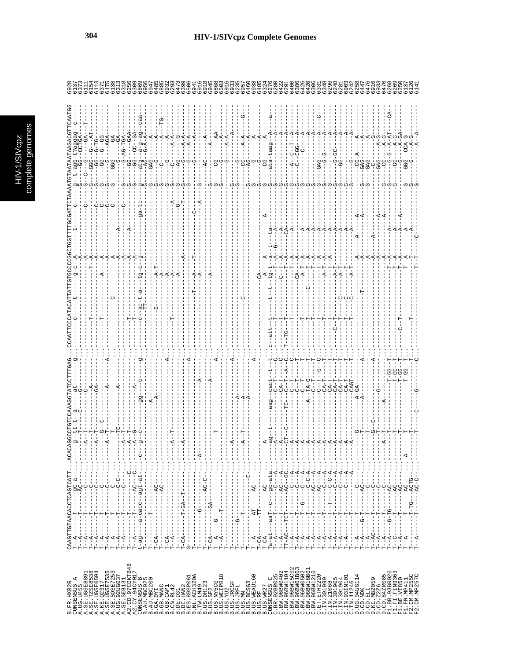|                                 |                                                                                                                                                       | Ă                                                            |  |     |  |                         |  |
|---------------------------------|-------------------------------------------------------------------------------------------------------------------------------------------------------|--------------------------------------------------------------|--|-----|--|-------------------------|--|
|                                 |                                                                                                                                                       |                                                              |  |     |  |                         |  |
| $\rightarrow \infty$            |                                                                                                                                                       |                                                              |  |     |  |                         |  |
|                                 |                                                                                                                                                       |                                                              |  |     |  | ード<br>しし                |  |
|                                 |                                                                                                                                                       |                                                              |  |     |  |                         |  |
|                                 |                                                                                                                                                       |                                                              |  |     |  |                         |  |
| 5                               |                                                                                                                                                       |                                                              |  |     |  |                         |  |
| m m r                           |                                                                                                                                                       |                                                              |  |     |  |                         |  |
|                                 | $\frac{1}{1}$<br>Ĵ<br>법<br>$\mathsf I$<br>I.<br>Н                                                                                                     |                                                              |  |     |  | AG-TG                   |  |
|                                 | I<br>J.<br>j<br>$\frac{1}{1}$<br>I<br>J.<br>$- - - - - - - -$<br>Н                                                                                    | U – – – – – – –                                              |  |     |  | $-5-7$                  |  |
| TB48<br>17                      | ۲<br>ا<br>ţ<br>$- -A - -$<br>Н                                                                                                                        |                                                              |  |     |  | ġ                       |  |
|                                 | $-16 - 0800 - 050 - 0$                                                                                                                                |                                                              |  |     |  |                         |  |
|                                 | $\mathsf I$<br>-1<br>$t$ -ag---<br>T-----                                                                                                             |                                                              |  |     |  | $a - 9 - a$<br>$-8 - 8$ |  |
|                                 | $\frac{1}{1}$<br>$\frac{1}{2}$<br>I<br>т<br>$\frac{1}{1}$<br>$\blacksquare$<br>i<br>H                                                                 | $\frac{1}{1}$                                                |  |     |  |                         |  |
|                                 | $\mathbf{I}$<br>$\mathsf I$<br>$\frac{1}{4}$<br>Ť.<br>$\mathbf{I}$<br>-1                                                                              |                                                              |  |     |  |                         |  |
|                                 | Ť.<br>$\mathbf{I}$<br>п<br>Ť<br>$\mathbf{I}$<br>$T - C A -$                                                                                           |                                                              |  |     |  |                         |  |
|                                 | Î<br>J.<br>J.<br>I.<br>Ţ<br>J.<br>ŧ<br>J.<br>$T - CA - -$                                                                                             | I.                                                           |  |     |  |                         |  |
|                                 | Ť.<br>$\mathsf I$<br>Ţ<br>-1<br>$\mathbf I$<br>$\,$ I<br>Ţ<br>$\frac{1}{1}$<br>$\mathbf{I}$<br>$- -A - -$<br>$\mathbb H$                              |                                                              |  |     |  | $-4 - 7$                |  |
|                                 | п<br>$\mathbf I$<br>$\mathbf{I}$<br>$\blacksquare$<br>$\mathbf{I}$<br>$\mathbf{I}$<br>$\mathbf{I}$<br>п<br>ł<br>$\frac{1}{\Gamma} - \frac{1}{\Gamma}$ | $\frac{1}{1}$<br>$\mathbf{I}$                                |  |     |  |                         |  |
|                                 | $\mathsf I$<br>$\mathbf{I}$<br>$T - CA - -$                                                                                                           | Ι.                                                           |  |     |  |                         |  |
|                                 | T<br>$\mathbf{I}$<br>Ť.<br>$\mathbb{I}$<br>$\frac{1}{4}$<br>ひ                                                                                         | $\frac{1}{4}$                                                |  |     |  | $A - A$<br>じ じ          |  |
|                                 | п<br>ï<br>I<br>$\mathbf{I}$<br>т<br>$\mathbf{I}$<br>$\,$ I<br>$\mathbf{I}$<br>$\frac{1}{1}$<br>$\mathbf{I}$<br>п<br><b>I</b><br>$\frac{1}{14}$        | ŧ<br>$\mathbf{I}$                                            |  |     |  |                         |  |
|                                 | $\mathbf{I}$<br>Т<br>$-1 - 5 - 1$<br>$\mathsf I$<br>Ţ<br>-1<br>Ť.<br>Ţ<br>J<br>н                                                                      | -<br>J.                                                      |  |     |  |                         |  |
|                                 | I<br>$\overline{\phantom{a}}$<br>л.<br>ı<br>$\frac{1}{4}$                                                                                             |                                                              |  |     |  |                         |  |
|                                 | $\mathsf I$<br>$\mathbf{I}$<br>$T - CA - -$                                                                                                           |                                                              |  |     |  |                         |  |
|                                 | н                                                                                                                                                     |                                                              |  |     |  |                         |  |
|                                 | ł,<br>1<br>J.<br>I.<br>$\mathbf{H}$                                                                                                                   | ţ                                                            |  |     |  |                         |  |
|                                 | $\mathsf I$<br>J<br>$\overline{\phantom{a}}$<br>j<br>$\overline{1}$<br>$\frac{1}{1}$<br>E                                                             | ł                                                            |  |     |  |                         |  |
|                                 | ÷,                                                                                                                                                    |                                                              |  |     |  |                         |  |
|                                 | т<br>п<br>$-9 - -$<br>т<br><b>I</b><br>j.<br>п<br>J<br>Н<br>н                                                                                         | J.                                                           |  |     |  |                         |  |
|                                 | п<br>J.<br>- 1<br>$\mathsf I$<br>$\,$ I<br>$\frac{1}{1}$<br>J<br>J.<br>$\overline{\phantom{a}}$<br>T.<br>I<br>J<br>$\mathbb{H}$                       | ì                                                            |  |     |  | $A - A$<br>ひウ           |  |
|                                 | $\mathbf{I}$<br>$\mathbf{I}$<br>-1<br>$\mathbf{I}$<br>$\mathbf{I}$<br>п<br>Ť                                                                          | $\begin{array}{c} 1 \\ 1 \\ 1 \end{array}$<br>$\blacksquare$ |  |     |  |                         |  |
|                                 |                                                                                                                                                       | L<br>$\mathbf{L}$                                            |  |     |  |                         |  |
|                                 |                                                                                                                                                       |                                                              |  |     |  |                         |  |
|                                 |                                                                                                                                                       |                                                              |  |     |  |                         |  |
|                                 |                                                                                                                                                       | $1 - 1$                                                      |  |     |  |                         |  |
|                                 |                                                                                                                                                       |                                                              |  | i i |  | a-taag-                 |  |
|                                 |                                                                                                                                                       | $\mathbf{I}$                                                 |  |     |  |                         |  |
|                                 |                                                                                                                                                       | $\Gamma = \Gamma = \Gamma$                                   |  |     |  |                         |  |
|                                 |                                                                                                                                                       |                                                              |  |     |  |                         |  |
|                                 |                                                                                                                                                       |                                                              |  |     |  |                         |  |
|                                 |                                                                                                                                                       |                                                              |  |     |  |                         |  |
|                                 |                                                                                                                                                       |                                                              |  |     |  |                         |  |
| nooUmomHo<br>M400N00<br>M400N00 |                                                                                                                                                       | 5555555                                                      |  |     |  |                         |  |
|                                 |                                                                                                                                                       |                                                              |  |     |  |                         |  |
|                                 |                                                                                                                                                       |                                                              |  |     |  |                         |  |
|                                 |                                                                                                                                                       |                                                              |  |     |  | ပ္ပ်                    |  |
|                                 |                                                                                                                                                       |                                                              |  |     |  |                         |  |
|                                 |                                                                                                                                                       |                                                              |  |     |  | შ<br>სს<br>ს            |  |
|                                 |                                                                                                                                                       | $\mathbf{I}$                                                 |  |     |  |                         |  |
|                                 |                                                                                                                                                       | Т                                                            |  |     |  |                         |  |
|                                 |                                                                                                                                                       |                                                              |  |     |  | ්                       |  |
|                                 |                                                                                                                                                       |                                                              |  |     |  |                         |  |
|                                 |                                                                                                                                                       | L                                                            |  |     |  | GAG-<br>GAG-            |  |
|                                 |                                                                                                                                                       |                                                              |  |     |  |                         |  |
|                                 |                                                                                                                                                       |                                                              |  |     |  |                         |  |
|                                 |                                                                                                                                                       |                                                              |  |     |  |                         |  |
|                                 |                                                                                                                                                       |                                                              |  |     |  |                         |  |
| 50<br>9 0 0                     |                                                                                                                                                       |                                                              |  |     |  |                         |  |
|                                 |                                                                                                                                                       |                                                              |  |     |  |                         |  |
|                                 |                                                                                                                                                       |                                                              |  |     |  |                         |  |
|                                 |                                                                                                                                                       |                                                              |  |     |  |                         |  |
|                                 |                                                                                                                                                       | $1 - 1 - 1$                                                  |  |     |  |                         |  |
| υU                              |                                                                                                                                                       |                                                              |  |     |  |                         |  |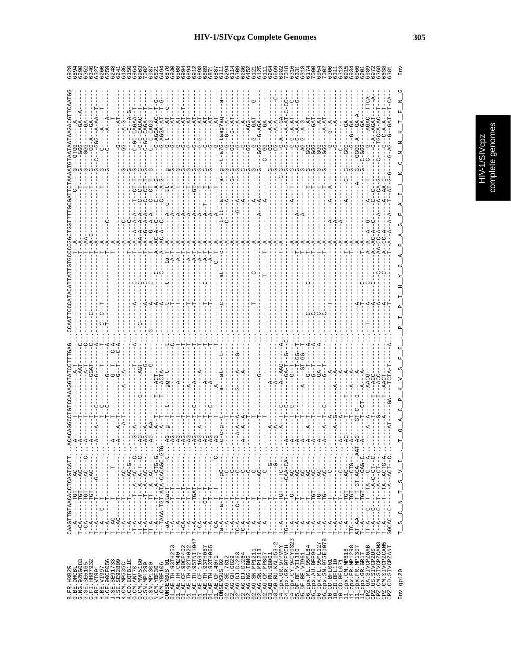| $G - A$<br>ひひええ<br>ပုံ<br>්                                                                                                                                                                                                                                                                                                                                                                                                                                                                                                                                                                                                                                                                                                                                                                                                                                                                                                                                                                      |                                         |
|--------------------------------------------------------------------------------------------------------------------------------------------------------------------------------------------------------------------------------------------------------------------------------------------------------------------------------------------------------------------------------------------------------------------------------------------------------------------------------------------------------------------------------------------------------------------------------------------------------------------------------------------------------------------------------------------------------------------------------------------------------------------------------------------------------------------------------------------------------------------------------------------------------------------------------------------------------------------------------------------------|-----------------------------------------|
|                                                                                                                                                                                                                                                                                                                                                                                                                                                                                                                                                                                                                                                                                                                                                                                                                                                                                                                                                                                                  |                                         |
|                                                                                                                                                                                                                                                                                                                                                                                                                                                                                                                                                                                                                                                                                                                                                                                                                                                                                                                                                                                                  |                                         |
|                                                                                                                                                                                                                                                                                                                                                                                                                                                                                                                                                                                                                                                                                                                                                                                                                                                                                                                                                                                                  |                                         |
|                                                                                                                                                                                                                                                                                                                                                                                                                                                                                                                                                                                                                                                                                                                                                                                                                                                                                                                                                                                                  |                                         |
|                                                                                                                                                                                                                                                                                                                                                                                                                                                                                                                                                                                                                                                                                                                                                                                                                                                                                                                                                                                                  |                                         |
|                                                                                                                                                                                                                                                                                                                                                                                                                                                                                                                                                                                                                                                                                                                                                                                                                                                                                                                                                                                                  |                                         |
|                                                                                                                                                                                                                                                                                                                                                                                                                                                                                                                                                                                                                                                                                                                                                                                                                                                                                                                                                                                                  |                                         |
|                                                                                                                                                                                                                                                                                                                                                                                                                                                                                                                                                                                                                                                                                                                                                                                                                                                                                                                                                                                                  |                                         |
|                                                                                                                                                                                                                                                                                                                                                                                                                                                                                                                                                                                                                                                                                                                                                                                                                                                                                                                                                                                                  |                                         |
|                                                                                                                                                                                                                                                                                                                                                                                                                                                                                                                                                                                                                                                                                                                                                                                                                                                                                                                                                                                                  |                                         |
|                                                                                                                                                                                                                                                                                                                                                                                                                                                                                                                                                                                                                                                                                                                                                                                                                                                                                                                                                                                                  |                                         |
|                                                                                                                                                                                                                                                                                                                                                                                                                                                                                                                                                                                                                                                                                                                                                                                                                                                                                                                                                                                                  |                                         |
|                                                                                                                                                                                                                                                                                                                                                                                                                                                                                                                                                                                                                                                                                                                                                                                                                                                                                                                                                                                                  |                                         |
| $$ ACA<br>$\begin{array}{c}\n1 \\ 1 \\ 2 \\ 3 \\ \vdots \\ n\n\end{array}$<br>J.<br>$\cdot$ -4-<br>$\ddotsc$<br>$\ddot{\theta}$ $\ddot{\theta}$ $\ddot{\theta}$<br>$\cdots$ $-AG$<br>J.<br>$\mathsf I$<br>J.<br>$\frac{1}{2}$<br>$\frac{1}{3}$<br>$\frac{1}{2}$<br>$\frac{1}{2}$                                                                                                                                                                                                                                                                                                                                                                                                                                                                                                                                                                                                                                                                                                                 |                                         |
| ÷                                                                                                                                                                                                                                                                                                                                                                                                                                                                                                                                                                                                                                                                                                                                                                                                                                                                                                                                                                                                | ⋗                                       |
| $\begin{split} \mathbf{T}_{1}^{n} & \mathbf{A}_{2}^{n} & \mathbf{A}_{3}^{n} & \mathbf{A}_{2}^{n} & \mathbf{A}_{3}^{n} & \mathbf{A}_{3}^{n} & \mathbf{A}_{3}^{n} & \mathbf{A}_{3}^{n} & \mathbf{A}_{3}^{n} & \mathbf{A}_{3}^{n} & \mathbf{A}_{3}^{n} & \mathbf{A}_{3}^{n} & \mathbf{A}_{3}^{n} & \mathbf{A}_{3}^{n} & \mathbf{A}_{3}^{n} & \mathbf{A}_{3}^{n} & \mathbf{A}_{3}^{n} & \mathbf{A}_{3}^{n} &$<br>$\begin{array}{l} \bar{\texttt T}-\texttt A--\texttt C--\bar{\texttt T}-\texttt T--\cdots\\ \bar{\texttt T}-\texttt A--\texttt C--\bar{\texttt T}-\texttt T--\cdots\\ \bar{\texttt T}-\texttt A--\texttt C--\bar{\texttt T}-\texttt T--\cdots\\ \bar{\texttt T}-\texttt A--\texttt A--\bar{\texttt T}-\texttt T--\cdots\\ \bar{\texttt T}-\texttt A--\texttt A--\cdots\\ \bar{\texttt T}-\texttt A--\texttt A--\cdots\\ \bar{\texttt T}-\texttt A--\texttt A--\cdots\\ \bar{\texttt T}-\texttt A--\cdots\\ \bar$<br>CAAGTTGTAACACCTCAGTCATT<br>$-\frac{5}{1}$<br>$- - TGT - -$<br>Ĵ | $U - -A - A - -I$<br>ω,<br>$\mathsf{H}$ |
| 부부<br>F<br>F<br>L<br>$\,$ I<br>I.<br>т<br>$\mathsf I$<br>J.<br>$\mathbf{I}$<br>I.<br>J.<br>I<br>ł                                                                                                                                                                                                                                                                                                                                                                                                                                                                                                                                                                                                                                                                                                                                                                                                                                                                                                | z<br>$\frac{1}{4}$<br>ن<br>ا<br>U,      |
| --CA<br>--A<br>--A<br>--A<br>$-4$<br>Н<br><b>F</b><br>е<br>H<br>۳<br>∼<br>$\infty$<br>$\infty$                                                                                                                                                                                                                                                                                                                                                                                                                                                                                                                                                                                                                                                                                                                                                                                                                                                                                                   | GGCAC<br>co.<br>н                       |
|                                                                                                                                                                                                                                                                                                                                                                                                                                                                                                                                                                                                                                                                                                                                                                                                                                                                                                                                                                                                  |                                         |
| $\begin{smallmatrix} \textcolor{red}{0} & \textcolor{red}{0} & \textcolor{red}{0} & \textcolor{red}{0} & \textcolor{red}{0} & \textcolor{red}{0} & \textcolor{red}{0} & \textcolor{red}{0} & \textcolor{red}{0} & \textcolor{red}{0} & \textcolor{red}{0} & \textcolor{red}{0} & \textcolor{red}{0} & \textcolor{red}{0} & \textcolor{red}{0} & \textcolor{red}{0} & \textcolor{red}{0} & \textcolor{red}{0} & \textcolor{red}{0} & \textcolor{red}{0} & \textcolor{red}{0} & \textcolor{red}{0} & \textcolor{red}{0} & \textcolor{red}{0$<br>B.FR.HXB2R<br>G.BE.DRCBL                                                                                                                                                                                                                                                                                                                                                                                                                           | gp120                                   |
|                                                                                                                                                                                                                                                                                                                                                                                                                                                                                                                                                                                                                                                                                                                                                                                                                                                                                                                                                                                                  | Env                                     |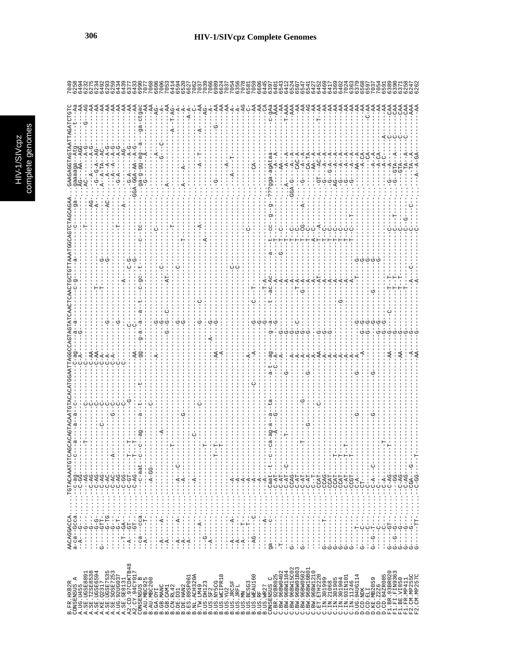|                 | .TGTACAAATGTC<br>$\frac{0}{1}$<br>$\mathsf I$ |                             |      |                |      |                                                                                                                                                                                                                                                                                                                                                                                                                   |                  |               |
|-----------------|-----------------------------------------------|-----------------------------|------|----------------|------|-------------------------------------------------------------------------------------------------------------------------------------------------------------------------------------------------------------------------------------------------------------------------------------------------------------------------------------------------------------------------------------------------------------------|------------------|---------------|
|                 |                                               |                             |      |                |      | のひ<br>jaaaaga-<br>AG---AA                                                                                                                                                                                                                                                                                                                                                                                         |                  |               |
|                 |                                               |                             |      |                |      | $\begin{array}{l} \dot{A}\ddot{A}=-\frac{\dot{A}}{A}-\frac{\dot{A}}{A}-\frac{\dot{A}}{A}-\frac{\dot{A}}{A}-\frac{\dot{A}}{A}-\frac{\dot{A}}{A}-\frac{\dot{A}}{A}-\frac{\dot{A}}{A}-\frac{\dot{A}}{A}-\frac{\dot{A}}{A}-\frac{\dot{A}}{A}-\frac{\dot{A}}{A}-\frac{\dot{A}}{A}-\frac{\dot{A}}{A}-\frac{\dot{A}}{A}-\frac{\dot{A}}{A}-\frac{\dot{A}}{A}-\frac{\dot{A}}{A}-\frac{\dot{A}}{A}-\frac{\dot{A}}{A}-\frac$ | Ġ                |               |
|                 |                                               |                             |      |                | AG.  |                                                                                                                                                                                                                                                                                                                                                                                                                   |                  |               |
|                 |                                               |                             |      |                |      |                                                                                                                                                                                                                                                                                                                                                                                                                   |                  |               |
|                 |                                               |                             |      | <b>ひ ひ</b>     |      |                                                                                                                                                                                                                                                                                                                                                                                                                   |                  |               |
|                 | υU                                            |                             |      |                | ÄC.  |                                                                                                                                                                                                                                                                                                                                                                                                                   |                  |               |
|                 | τJ<br>$- - A$                                 |                             |      |                |      |                                                                                                                                                                                                                                                                                                                                                                                                                   |                  |               |
|                 |                                               |                             |      |                |      |                                                                                                                                                                                                                                                                                                                                                                                                                   |                  |               |
|                 |                                               |                             |      |                |      |                                                                                                                                                                                                                                                                                                                                                                                                                   |                  |               |
|                 |                                               |                             |      |                |      |                                                                                                                                                                                                                                                                                                                                                                                                                   |                  |               |
|                 | $\frac{1}{1}$                                 | Ą                           |      |                |      |                                                                                                                                                                                                                                                                                                                                                                                                                   |                  |               |
| Ť.<br>$\cdot$   | ł<br>$-c-aat$                                 | Θő.                         |      |                |      |                                                                                                                                                                                                                                                                                                                                                                                                                   | -ctga            |               |
| $\frac{1}{2}$   |                                               |                             |      |                |      |                                                                                                                                                                                                                                                                                                                                                                                                                   |                  |               |
|                 |                                               |                             |      |                |      |                                                                                                                                                                                                                                                                                                                                                                                                                   |                  |               |
| 1<br>ï          | ł                                             |                             |      |                |      |                                                                                                                                                                                                                                                                                                                                                                                                                   |                  |               |
| -1<br>п         | J.<br>$\frac{1}{1}$                           |                             |      |                |      |                                                                                                                                                                                                                                                                                                                                                                                                                   |                  |               |
| п               | J<br>$\frac{1}{1}$                            |                             |      |                |      |                                                                                                                                                                                                                                                                                                                                                                                                                   |                  |               |
|                 | $\mathsf I$<br>I<br>ł                         |                             |      |                |      |                                                                                                                                                                                                                                                                                                                                                                                                                   | $I-L$            |               |
|                 | $-1 - A - -C -$                               |                             |      |                |      |                                                                                                                                                                                                                                                                                                                                                                                                                   |                  |               |
| $---A$ - - -    |                                               |                             |      |                |      |                                                                                                                                                                                                                                                                                                                                                                                                                   |                  |               |
| ł               | I<br>$\frac{1}{1}$                            |                             |      |                |      |                                                                                                                                                                                                                                                                                                                                                                                                                   |                  |               |
| $---A---$       |                                               |                             |      |                |      |                                                                                                                                                                                                                                                                                                                                                                                                                   |                  |               |
|                 |                                               |                             |      |                |      |                                                                                                                                                                                                                                                                                                                                                                                                                   |                  |               |
| т               |                                               |                             |      |                |      |                                                                                                                                                                                                                                                                                                                                                                                                                   |                  |               |
|                 |                                               |                             |      |                |      |                                                                                                                                                                                                                                                                                                                                                                                                                   |                  |               |
|                 |                                               |                             |      |                |      |                                                                                                                                                                                                                                                                                                                                                                                                                   |                  |               |
| -1<br>п         |                                               |                             |      |                |      |                                                                                                                                                                                                                                                                                                                                                                                                                   |                  |               |
| п               |                                               |                             |      |                |      |                                                                                                                                                                                                                                                                                                                                                                                                                   |                  |               |
|                 |                                               |                             |      |                |      |                                                                                                                                                                                                                                                                                                                                                                                                                   |                  |               |
|                 |                                               |                             |      |                |      |                                                                                                                                                                                                                                                                                                                                                                                                                   |                  |               |
|                 |                                               |                             |      |                |      |                                                                                                                                                                                                                                                                                                                                                                                                                   |                  |               |
|                 |                                               |                             |      |                |      |                                                                                                                                                                                                                                                                                                                                                                                                                   |                  |               |
| $- -A - -$      |                                               |                             |      |                |      |                                                                                                                                                                                                                                                                                                                                                                                                                   |                  |               |
| $- - P - - -$   |                                               |                             |      |                |      |                                                                                                                                                                                                                                                                                                                                                                                                                   |                  |               |
| п               |                                               |                             |      |                |      |                                                                                                                                                                                                                                                                                                                                                                                                                   |                  |               |
|                 |                                               |                             |      |                |      |                                                                                                                                                                                                                                                                                                                                                                                                                   |                  |               |
|                 |                                               |                             |      |                |      |                                                                                                                                                                                                                                                                                                                                                                                                                   |                  |               |
|                 |                                               |                             |      | $-1 - A$       |      |                                                                                                                                                                                                                                                                                                                                                                                                                   |                  |               |
|                 | ת                                             | $-44 -$<br>↵                | ൽ    | $-ac-AC$       |      |                                                                                                                                                                                                                                                                                                                                                                                                                   | -c-gAa<br>---AAA |               |
|                 |                                               | U)                          |      |                |      |                                                                                                                                                                                                                                                                                                                                                                                                                   |                  |               |
|                 |                                               |                             |      |                |      |                                                                                                                                                                                                                                                                                                                                                                                                                   |                  |               |
|                 |                                               | $\frac{1}{4}$ $\frac{1}{1}$ |      |                |      | $\frac{1}{1}$                                                                                                                                                                                                                                                                                                                                                                                                     |                  |               |
|                 | $\overline{1}$                                | ්                           |      |                |      |                                                                                                                                                                                                                                                                                                                                                                                                                   | $-T - PAP$       | 1010101010    |
|                 |                                               |                             |      |                |      |                                                                                                                                                                                                                                                                                                                                                                                                                   |                  |               |
|                 |                                               |                             |      |                |      |                                                                                                                                                                                                                                                                                                                                                                                                                   |                  |               |
|                 |                                               |                             |      |                |      |                                                                                                                                                                                                                                                                                                                                                                                                                   |                  |               |
|                 |                                               |                             |      |                |      |                                                                                                                                                                                                                                                                                                                                                                                                                   |                  |               |
|                 |                                               |                             | ひひひ‐ | <b>FREEFFF</b> | TH H |                                                                                                                                                                                                                                                                                                                                                                                                                   |                  |               |
|                 |                                               |                             |      |                |      |                                                                                                                                                                                                                                                                                                                                                                                                                   |                  |               |
|                 |                                               |                             |      |                |      |                                                                                                                                                                                                                                                                                                                                                                                                                   |                  |               |
|                 |                                               |                             |      |                |      |                                                                                                                                                                                                                                                                                                                                                                                                                   |                  |               |
|                 |                                               |                             |      |                |      |                                                                                                                                                                                                                                                                                                                                                                                                                   |                  |               |
|                 |                                               |                             |      |                |      |                                                                                                                                                                                                                                                                                                                                                                                                                   |                  |               |
|                 |                                               |                             |      |                |      |                                                                                                                                                                                                                                                                                                                                                                                                                   |                  |               |
|                 |                                               |                             |      |                |      |                                                                                                                                                                                                                                                                                                                                                                                                                   |                  |               |
|                 |                                               |                             |      |                |      |                                                                                                                                                                                                                                                                                                                                                                                                                   |                  |               |
|                 |                                               |                             |      |                |      |                                                                                                                                                                                                                                                                                                                                                                                                                   |                  |               |
|                 |                                               |                             |      |                |      |                                                                                                                                                                                                                                                                                                                                                                                                                   |                  |               |
|                 |                                               |                             |      |                |      |                                                                                                                                                                                                                                                                                                                                                                                                                   |                  |               |
|                 |                                               |                             | ひひひひ | ひひひひど          |      | $\begin{split} \mathcal{A} &= \begin{bmatrix} 1 & -1 \\ -1 & 1 \\ -1 & 1 \\ -1 & 1 \\ -1 & 1 \\ -1 & 1 \\ -1 & 1 \\ -1 & 1 \\ -1 & 1 \\ -1 & 1 \\ -1 & 1 \\ -1 & 1 \\ -1 & 1 \\ -1 & 1 \\ -1 & 1 \\ -1 & 1 \\ -1 & 1 \\ -1 & 1 \\ -1 & 1 \\ -1 & 1 \\ -1 & 1 \\ -1 & 1 \\ -1 & 1 \\ -1 & 1 \\ -1 & 1 \\ -1 & 1 \\ -1 & 1 \\ -1 & 1 \\ -1 & 1 \\ -1 & 1 \\ -1 & 1 \\ -1 & 1 \\ -1 & 1 \\ -1 & $                    |                  | ים ום ום ום ר |
|                 |                                               |                             |      |                |      |                                                                                                                                                                                                                                                                                                                                                                                                                   |                  |               |
|                 | $-1 - C - A - -C - C - C$                     |                             |      |                |      |                                                                                                                                                                                                                                                                                                                                                                                                                   |                  |               |
| $-1$            |                                               |                             |      |                |      |                                                                                                                                                                                                                                                                                                                                                                                                                   |                  |               |
| $  C$ $ A$ $ -$ |                                               |                             |      |                |      |                                                                                                                                                                                                                                                                                                                                                                                                                   |                  |               |
|                 |                                               |                             |      |                |      |                                                                                                                                                                                                                                                                                                                                                                                                                   |                  |               |
|                 |                                               |                             |      |                |      |                                                                                                                                                                                                                                                                                                                                                                                                                   |                  |               |
|                 |                                               |                             |      |                |      |                                                                                                                                                                                                                                                                                                                                                                                                                   |                  |               |
|                 |                                               |                             |      |                |      |                                                                                                                                                                                                                                                                                                                                                                                                                   |                  |               |
|                 |                                               |                             |      |                |      |                                                                                                                                                                                                                                                                                                                                                                                                                   |                  |               |
|                 |                                               |                             |      |                |      |                                                                                                                                                                                                                                                                                                                                                                                                                   |                  |               |
|                 | $\frac{1}{2}$                                 |                             |      |                |      |                                                                                                                                                                                                                                                                                                                                                                                                                   |                  |               |
|                 |                                               |                             |      |                |      |                                                                                                                                                                                                                                                                                                                                                                                                                   |                  |               |

 $\begin{smallmatrix}R. HX B3034\\ 0.08338893\\ 0.083375\\ 0.083400\\ 0.083503\\ 0.083503\\ 0.083503\\ 0.083503\\ 0.083503\\ 0.083503\\ 0.083503\\ 0.083503\\ 0.083503\\ 0.083503\\ 0.083503\\ 0.083503\\ 0.083503\\ 0.083503\\ 0.083503\\ 0.083503\\ 0.083503\\ 0$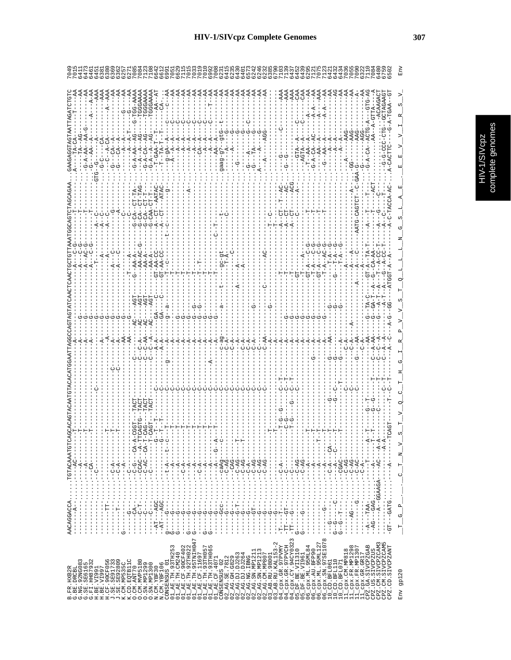| t<br>1<br>မှုမှ<br>၂၂<br>$\frac{1}{1}$<br>$-4$ - $-9$ - $-1$<br>t<br> <br>÷.<br>$\frac{0}{1}$<br>$-1 - C - -1 - -1 - 2$<br>$-1 - A - -CCAC - -A$                                  |  |              |  |
|-----------------------------------------------------------------------------------------------------------------------------------------------------------------------------------|--|--------------|--|
|                                                                                                                                                                                   |  |              |  |
|                                                                                                                                                                                   |  |              |  |
|                                                                                                                                                                                   |  |              |  |
|                                                                                                                                                                                   |  |              |  |
|                                                                                                                                                                                   |  |              |  |
|                                                                                                                                                                                   |  |              |  |
|                                                                                                                                                                                   |  |              |  |
|                                                                                                                                                                                   |  |              |  |
|                                                                                                                                                                                   |  |              |  |
|                                                                                                                                                                                   |  |              |  |
|                                                                                                                                                                                   |  |              |  |
|                                                                                                                                                                                   |  |              |  |
|                                                                                                                                                                                   |  |              |  |
|                                                                                                                                                                                   |  |              |  |
|                                                                                                                                                                                   |  |              |  |
|                                                                                                                                                                                   |  |              |  |
|                                                                                                                                                                                   |  |              |  |
|                                                                                                                                                                                   |  |              |  |
|                                                                                                                                                                                   |  |              |  |
|                                                                                                                                                                                   |  |              |  |
|                                                                                                                                                                                   |  |              |  |
|                                                                                                                                                                                   |  |              |  |
|                                                                                                                                                                                   |  |              |  |
|                                                                                                                                                                                   |  |              |  |
|                                                                                                                                                                                   |  |              |  |
|                                                                                                                                                                                   |  |              |  |
|                                                                                                                                                                                   |  |              |  |
|                                                                                                                                                                                   |  |              |  |
|                                                                                                                                                                                   |  |              |  |
|                                                                                                                                                                                   |  |              |  |
|                                                                                                                                                                                   |  |              |  |
|                                                                                                                                                                                   |  |              |  |
|                                                                                                                                                                                   |  |              |  |
|                                                                                                                                                                                   |  |              |  |
|                                                                                                                                                                                   |  |              |  |
|                                                                                                                                                                                   |  |              |  |
|                                                                                                                                                                                   |  |              |  |
|                                                                                                                                                                                   |  |              |  |
|                                                                                                                                                                                   |  |              |  |
|                                                                                                                                                                                   |  |              |  |
|                                                                                                                                                                                   |  |              |  |
|                                                                                                                                                                                   |  |              |  |
|                                                                                                                                                                                   |  |              |  |
|                                                                                                                                                                                   |  |              |  |
|                                                                                                                                                                                   |  |              |  |
|                                                                                                                                                                                   |  |              |  |
|                                                                                                                                                                                   |  |              |  |
|                                                                                                                                                                                   |  |              |  |
|                                                                                                                                                                                   |  |              |  |
|                                                                                                                                                                                   |  |              |  |
|                                                                                                                                                                                   |  |              |  |
|                                                                                                                                                                                   |  |              |  |
|                                                                                                                                                                                   |  |              |  |
|                                                                                                                                                                                   |  |              |  |
|                                                                                                                                                                                   |  |              |  |
|                                                                                                                                                                                   |  |              |  |
|                                                                                                                                                                                   |  |              |  |
|                                                                                                                                                                                   |  |              |  |
|                                                                                                                                                                                   |  |              |  |
|                                                                                                                                                                                   |  |              |  |
|                                                                                                                                                                                   |  |              |  |
|                                                                                                                                                                                   |  |              |  |
|                                                                                                                                                                                   |  |              |  |
|                                                                                                                                                                                   |  |              |  |
|                                                                                                                                                                                   |  |              |  |
|                                                                                                                                                                                   |  |              |  |
|                                                                                                                                                                                   |  |              |  |
|                                                                                                                                                                                   |  |              |  |
|                                                                                                                                                                                   |  |              |  |
|                                                                                                                                                                                   |  |              |  |
|                                                                                                                                                                                   |  |              |  |
|                                                                                                                                                                                   |  |              |  |
|                                                                                                                                                                                   |  |              |  |
| $U - A A + A A$<br>$U - A A + A A A$<br>$U - A A + A A A$<br>$U - A A A$<br>$-4$<br>$- -AC - - -A - A - A$<br>۲<br>ا<br>י<br>י<br>$-$ - $-$ - $A - A$<br>$- -C - C - A - C - A -$ |  | $GT - A - -$ |  |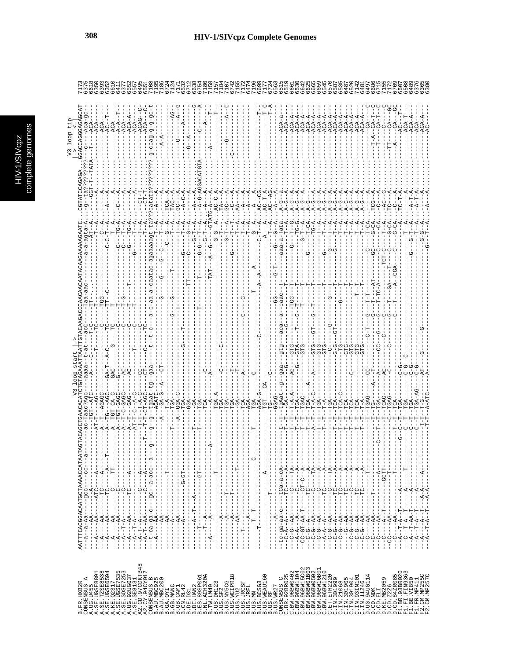complete genomes HIV-1/SIVcpz

|                  |                                                                                                                                                                                                                                                                                                                                                                                                                                                    |              |     | ഥ ത<br>ოოო<br>م ہ |        |             |       | ဖ   | 4         | m m<br>0000 |           | LO<br>LO LO   | <b>LO</b>     |           |                   |                    |               |                                      |     |                     |                               |              |                                                                               |      |                                                                      |                              |                                                                |                                                       |             |                                                                              |                               |                                     |              |        |                                         |                                                           |                                                     |                              |                                  |                                                                                                                   |                                                                                              |                                       |      |                            |         |                 |                           |                         |              |              |              |               | m m           | īΟ       |        | LΟ     |           |           | $\infty$<br>4<br><b>LO</b> | C<br>4<br>LΟ  | O<br><b>LO</b>              | <b>LO</b>   |              |              |        |                               |            |                    |         |                     |           |  |
|------------------|----------------------------------------------------------------------------------------------------------------------------------------------------------------------------------------------------------------------------------------------------------------------------------------------------------------------------------------------------------------------------------------------------------------------------------------------------|--------------|-----|-------------------|--------|-------------|-------|-----|-----------|-------------|-----------|---------------|---------------|-----------|-------------------|--------------------|---------------|--------------------------------------|-----|---------------------|-------------------------------|--------------|-------------------------------------------------------------------------------|------|----------------------------------------------------------------------|------------------------------|----------------------------------------------------------------|-------------------------------------------------------|-------------|------------------------------------------------------------------------------|-------------------------------|-------------------------------------|--------------|--------|-----------------------------------------|-----------------------------------------------------------|-----------------------------------------------------|------------------------------|----------------------------------|-------------------------------------------------------------------------------------------------------------------|----------------------------------------------------------------------------------------------|---------------------------------------|------|----------------------------|---------|-----------------|---------------------------|-------------------------|--------------|--------------|--------------|---------------|---------------|----------|--------|--------|-----------|-----------|----------------------------|---------------|-----------------------------|-------------|--------------|--------------|--------|-------------------------------|------------|--------------------|---------|---------------------|-----------|--|
| loop             | GGACCAGGAGAGCA                                                                                                                                                                                                                                                                                                                                                                                                                                     | Aca-g        | ACA | <b>ACA</b>        | Q      | ă           |       | ACA | $\vec{A}$ | ACA         | $ACA - A$ | $ACA-$        | ACAG-         | $ACA-$    |                   |                    | $-A - A$      |                                      |     |                     | Ġ                             |              |                                                                               | $-4$ |                                                                      |                              | ∻                                                              |                                                       |             |                                                                              |                               | U                                   |              |        |                                         |                                                           |                                                     |                              |                                  |                                                                                                                   |                                                                                              |                                       | ACA. | ൯                          | ্র<br>ব | $ACA-$          | $\overline{A}$<br>C)<br>A | $ACA-1$                 | $ACA-$       | ACA          | $ACA-$       | $ACA-1$       | $ACA - P$     | ACA-     | $ACA-$ | $ACA-$ | $ACA - A$ | $ACA - P$ | $CA - P$<br>п              |               | $\overline{A}$<br>$\dot{A}$ | ÷           |              | Ė            |        | Ġ<br>К                        |            | $A - T$            |         |                     |           |  |
| $\sum_{i=1}^{n}$ |                                                                                                                                                                                                                                                                                                                                                                                                                                                    | U            |     |                   |        |             |       |     |           |             |           |               |               |           | ᡡ                 |                    |               |                                      |     |                     |                               |              |                                                                               | نې   |                                                                      |                              |                                                                | $-4$                                                  |             |                                                                              |                               |                                     |              |        |                                         |                                                           |                                                     |                              |                                  |                                                                                                                   |                                                                                              |                                       |      |                            |         |                 |                           |                         |              |              |              |               |               |          |        |        |           |           |                            |               | J.                          |             |              |              |        |                               |            |                    |         |                     |           |  |
|                  |                                                                                                                                                                                                                                                                                                                                                                                                                                                    |              |     |                   |        |             |       |     |           |             |           |               | 님<br>다        | י<br>בים− | catata            | $-A-$              |               | $TCA--$                              |     | $\mathbf{I}$<br>TAC | $\overline{\phantom{a}}$<br>Ü | $-2-4$       |                                                                               |      |                                                                      | $A-G-A$                      |                                                                | 4                                                     | $C - C - C$ |                                                                              |                               |                                     |              |        |                                         |                                                           | 4                                                   | f,<br>Ü                      | 부                                |                                                                                                                   | $-1$                                                                                         |                                       | ט    |                            | U       |                 | CS                        |                         |              |              |              |               |               |          |        | ↺      | ပု        | ပု        | ې<br>۱                     |               | g                           | L.<br>Ü     | $AC -$       | T.<br>- 11   |        | $\overline{\phantom{a}}$<br>Ü | $C-T-$     |                    | $A-T-1$ | $A - T$             |           |  |
|                  |                                                                                                                                                                                                                                                                                                                                                                                                                                                    | -agta-       |     |                   |        | J<br>י<br>י | ł     |     | ι<br>Ε    | J           | $TG - A$  | $\frac{1}{1}$ | $\frac{1}{1}$ |           | $-ta$             | К<br>$\frac{1}{1}$ | $\frac{1}{1}$ | ł                                    |     |                     |                               |              |                                                                               | ゥ    | でり                                                                   |                              | $\frac{1}{2}$                                                  |                                                       | ひし          |                                                                              |                               | ά                                   |              |        |                                         |                                                           |                                                     | Ù                            |                                  |                                                                                                                   |                                                                                              |                                       |      | Jat<br>$-\frac{1}{\alpha}$ |         |                 | ģ                         | $\frac{1}{1}$<br>י<br>ק | $T - C$ A    | ģ            |              | $\frac{1}{1}$ | $\frac{1}{1}$ | f.       |        | ł      |           |           | ł                          | $C_A$         | G-CA                        | $-CA$       |              | C            |        | じ<br>ひ                        |            |                    |         |                     |           |  |
|                  |                                                                                                                                                                                                                                                                                                                                                                                                                                                    | $a - a$      |     |                   |        | U           |       |     | ပု        |             | ひ         | ひ             |               |           | -caatac-agaaaaagt |                    | ししり<br>ပ္ပ်   | ۲                                    |     |                     |                               | Ů            | U                                                                             |      |                                                                      | ن<br>ت                       |                                                                | υ<br>TAT                                              |             |                                                                              |                               |                                     | C٦           |        |                                         |                                                           |                                                     |                              |                                  |                                                                                                                   |                                                                                              | υ                                     |      | aaa                        |         | ひ               |                           |                         | Ġ            |              |              | ひ             | ひ             | ひ        |        |        |           |           |                            | O             | y                           | U           | <b>DOLDI</b> | U            |        | GGA                           |            |                    |         |                     |           |  |
|                  | TGTACAAGACCAACAATACAAGAAAAAAGAA                                                                                                                                                                                                                                                                                                                                                                                                                    | æ            |     |                   | ē      | J           |       |     |           | ပု          |           |               |               |           | c-aa-a            |                    | ب<br>ᄲ        |                                      |     |                     |                               |              |                                                                               |      |                                                                      |                              |                                                                |                                                       |             |                                                                              |                               |                                     |              |        |                                         |                                                           |                                                     |                              |                                  |                                                                                                                   |                                                                                              | じゅー                                   |      | caac<br>т                  |         | TGG.            |                           |                         |              |              |              |               | Ü             |          | ひ      |        |           |           |                            | 부             | К                           | $-TC-A$     |              | සි<br>н      |        | ⊢                             |            |                    |         |                     |           |  |
|                  |                                                                                                                                                                                                                                                                                                                                                                                                                                                    | -acC         |     |                   |        |             |       |     |           |             |           |               |               |           | ģ                 |                    |               |                                      |     | てり                  |                               |              |                                                                               |      |                                                                      |                              |                                                                |                                                       |             |                                                                              |                               |                                     |              |        | てり                                      |                                                           |                                                     |                              |                                  |                                                                                                                   |                                                                                              |                                       |      | <b>J</b><br>aca            |         |                 | ט                         |                         |              | U<br>5       |              |               | せ             |          |        |        |           |           |                            | 부             | てり                          | ひ<br>ن<br>۱ | てり<br>Ċ      | てり           |        |                               |            |                    |         |                     |           |  |
|                  | PAR.                                                                                                                                                                                                                                                                                                                                                                                                                                               | $-at$<br>aaa |     |                   |        | GA-T        |       | GAC | ひ         | AC          | $-AC$     |               | g             | U         | -gaa              |                    | י<br>ק        |                                      |     |                     |                               |              |                                                                               |      |                                                                      |                              |                                                                |                                                       |             |                                                                              |                               |                                     |              |        |                                         |                                                           | U                                                   |                              |                                  |                                                                                                                   |                                                                                              |                                       |      | a<br>a<br>gaa              |         | <b>GTG</b><br>ă | GTA.<br>ひ                 | GTG.                    |              | GTG-         | GTG          | GH9           | п<br>↻        | いし<br>むし | Ġ      | GH9    | GTG.      | GTG.      | GTG                        | $C_1$         |                             | g           | Q            | U            |        |                               |            |                    |         |                     |           |  |
|                  |                                                                                                                                                                                                                                                                                                                                                                                                                                                    |              |     |                   | $-40A$ |             |       |     | じーロ       |             |           |               | Ë             |           | tg<br>- qaa       |                    |               |                                      |     |                     |                               |              |                                                                               |      |                                                                      |                              |                                                                |                                                       |             |                                                                              |                               |                                     |              |        |                                         |                                                           |                                                     |                              |                                  |                                                                                                                   |                                                                                              |                                       |      |                            |         |                 |                           | CAC.                    |              |              |              |               |               |          |        |        |           |           |                            |               |                             |             |              |              |        |                               |            |                    |         |                     |           |  |
|                  | AGTACAG                                                                                                                                                                                                                                                                                                                                                                                                                                            |              |     |                   |        |             | LGL-C |     |           |             |           |               |               |           |                   |                    |               |                                      |     |                     |                               |              |                                                                               |      |                                                                      |                              |                                                                |                                                       |             |                                                                              |                               |                                     |              |        |                                         |                                                           |                                                     |                              |                                  |                                                                                                                   |                                                                                              |                                       |      |                            |         |                 |                           |                         |              |              |              |               |               |          |        |        |           |           |                            |               |                             |             |              |              |        |                               | Ġ          |                    |         |                     |           |  |
|                  |                                                                                                                                                                                                                                                                                                                                                                                                                                                    |              |     |                   |        |             |       |     |           |             |           |               |               |           |                   |                    |               |                                      |     |                     | -1                            | $\mathbf{I}$ |                                                                               |      | $\mathbf{I}$<br>$\mathbf I$                                          | J.                           |                                                                | J.                                                    |             | $\overline{\phantom{a}}$                                                     | ï                             | $\frac{1}{4}$                       | $\mathbf{I}$ | ------ | $\frac{1}{1}$                           |                                                           | $\mathsf I$<br>$-1$                                 | ı<br>J                       |                                  | $\blacksquare$                                                                                                    |                                                                                              |                                       |      |                            |         |                 |                           |                         | $\mathbf{I}$ | $\mathbf{I}$ | $\mathbf{I}$ | $\frac{1}{1}$ | ÷,            |          |        | л      |           |           |                            |               | Ť.                          | $-4$        |              |              |        |                               |            | <del>ון</del><br>ו |         |                     |           |  |
|                  |                                                                                                                                                                                                                                                                                                                                                                                                                                                    |              |     |                   |        |             |       |     |           |             |           |               |               |           |                   |                    |               | $\blacksquare$<br>$\mathbf{I}$<br>Τ. | - 1 | $\mathbf{I}$        | Ť                             | -11          | $\mathbf{I}$                                                                  |      | $\blacksquare$<br>$\mathbf{I}$<br>$\mathbf{I}$<br>- 11<br>п.<br>$-4$ | $-1.5 - -$<br>- 1<br>Ť.<br>I | ţ<br>$\mathbf{I}$<br>Ť.<br>$\mathbf{I}$<br>Ť.<br>$\frac{1}{1}$ | $\frac{1}{1}$<br>$\overline{\phantom{a}}$<br>J.<br>J. |             | $\mathbf{I}$<br>$\blacksquare$<br>$\blacksquare$<br>$\overline{\phantom{a}}$ | $\frac{1}{1}$<br>$\,$ I<br>-1 | $\frac{1}{1}$<br>Ť<br>$\frac{1}{2}$ | -1<br>-1     |        |                                         | $\overline{\phantom{a}}$                                  | $\frac{1}{1}$<br>ţ<br>$\frac{1}{4}$<br>$\mathbf{I}$ | $\mathbf{I}$<br>л<br>J,<br>т | $- - - - - - - - - -$<br>$1 - 1$ | $\,$ I<br>$\blacksquare$<br>п.                                                                                    | $\mathbf{I}$<br>$\blacksquare$<br>$-1$ – $T$ – –<br>$\frac{1}{4}$                            | $\mathbf{I}$                          |      |                            |         |                 |                           |                         |              |              |              |               |               |          |        |        |           |           |                            | $-1 - -1 - 2$ | $\mathsf I$<br>Ť            | $\mathsf I$ | $-TT$ -GCTT- | $\mathbf{I}$ | i<br>H |                               | $- -A - -$ | $- - A - - -$      |         | J.<br>$\frac{1}{1}$ | $-4 - -1$ |  |
|                  | $\begin{array}{l} \mathbf{A} \mathbf{A} \mathbf{T} \mathbf{T} \mathbf{T} \mathbf{C} \mathbf{G} \mathbf{G} \mathbf{A} \mathbf{A} \mathbf{T} \mathbf{G} \mathbf{G} \mathbf{A} \mathbf{A} \mathbf{T} \mathbf{G} \mathbf{G} \mathbf{A} \mathbf{T} \mathbf{A} \mathbf{G} \mathbf{T} \mathbf{A} \mathbf{A} \mathbf{T} \mathbf{G} \mathbf{G} \mathbf{T} \mathbf{A} \mathbf{A} \mathbf{T} \mathbf{T} \mathbf{G} \mathbf{G} \mathbf{T} \mathbf{T} \mathbf{$ |              |     |                   |        |             |       |     |           |             |           |               |               |           |                   |                    |               |                                      |     | $\mathbf I$         |                               |              | J<br>$\mathbf{I}$<br>$\begin{array}{c} \end{array}$<br>$\mathbf{I}$<br>п<br>Ť |      | $-1 - 2 - 2 - 1$<br>$\frac{1}{4}$                                    | ı                            |                                                                |                                                       |             |                                                                              |                               |                                     |              |        | Ţ<br>$\mathbf{I}$<br>Ť.<br>$-1 - T - -$ | $\overline{A}$<br>T<br>$\overline{\phantom{a}}$<br>I<br>т | $-1 - 1 - 1$<br>$-1 - 1$<br>$\mathsf I$             | $-\frac{1}{1}$               | $\blacksquare$<br>甘              | $\mathbb T$<br>$\overline{\phantom{a}}$<br>$\blacksquare$<br>$\overline{\phantom{a}}$<br>$\overline{\phantom{a}}$ | $\,$ I<br>$\mathbf{I}$<br>- 11<br>$\mathsf I$<br>$\mathbf{I}$<br>$\mathbf{I}$<br>$\mathbf I$ | $\mathbf{I}$<br>$-4$<br>$\frac{1}{1}$ |      | $-tc-ga - aa - c$          |         |                 |                           |                         |              |              |              |               |               |          |        |        |           |           |                            |               |                             |             |              |              |        |                               |            |                    |         |                     |           |  |

 $\begin{smallmatrix} \texttt{R}, \texttt{IRBR} \\ \texttt{MSBRS} \\ \texttt{MSBRS} \\ \texttt{MSBRS} \\ \texttt{MSBRS} \\ \texttt{MSBRS} \\ \texttt{MSBRS} \\ \texttt{MSBRS} \\ \texttt{MSBRS} \\ \texttt{MSBRS} \\ \texttt{MSBRS} \\ \texttt{MSBRS} \\ \texttt{MSBRS} \\ \texttt{MSBRS} \\ \texttt{MSBRS} \\ \texttt{MSBRS} \\ \texttt{MSBRS} \\ \texttt{MSBRS} \\ \texttt{MSBRS} \\ \texttt{MSBRS} \\ \texttt{MSBRS} \\ \texttt{MSBRS} \\ \texttt{MSBRS} \\ \text$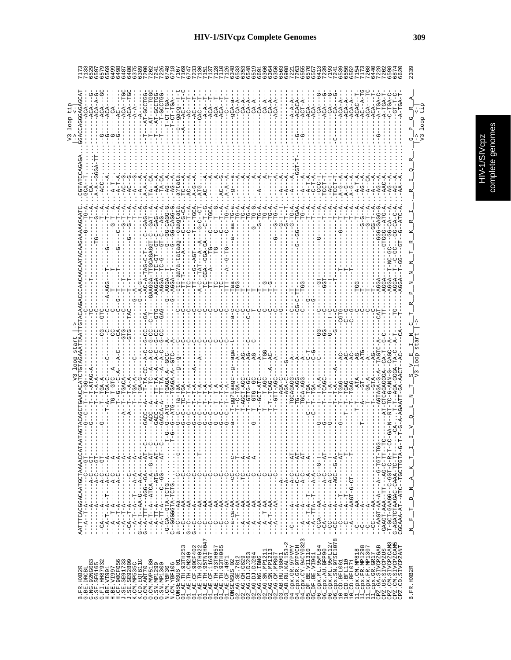| -GCCLGG<br>$ACA - A$<br>$-1 - 1 - 1 - 1$<br>$-1 - 1 - 1 - 1 - 1$<br>$A - A$<br>$A - A$<br>$A - A$<br>$ACA - P$<br>$T-TGA$<br>$A - A$<br>$\begin{array}{l} \mathbb{C}--\mathbb{A}\mathbb{T}--\mathbb{G}\mathbb{C}\mathbb{T}\mathbb{C}\\ \mathbb{C}--\mathbb{A}\mathbb{T}-\mathbb{G}\mathbb{C}\mathbb{C}\mathbb{T}\mathbb{C} \end{array}$<br>$A - A$<br>$-6 - 280$<br>A<br>- A<br>$A - A$<br>GACCAGGAGA<br><b>ACAC</b><br>ACA-<br>$A - T$<br>$-4 - A$<br>ACA<br>i<br>A<br>$-AC$<br>$-4C$<br>$A$ --AC<br>$-CA$<br>$-4T$<br>ت<br>⊣<br>doof                                                                                                                                                                                                                                                                                                                                                                                                                                                                                                                                                                                                                                                                                                                                                                                                                                                                                                                                                       | $-TCFA$<br>R<br>doo                                                              |
|----------------------------------------------------------------------------------------------------------------------------------------------------------------------------------------------------------------------------------------------------------------------------------------------------------------------------------------------------------------------------------------------------------------------------------------------------------------------------------------------------------------------------------------------------------------------------------------------------------------------------------------------------------------------------------------------------------------------------------------------------------------------------------------------------------------------------------------------------------------------------------------------------------------------------------------------------------------------------------------------------------------------------------------------------------------------------------------------------------------------------------------------------------------------------------------------------------------------------------------------------------------------------------------------------------------------------------------------------------------------------------------------------------------------------------------------------------------------------------------------|----------------------------------------------------------------------------------|
| Ť                                                                                                                                                                                                                                                                                                                                                                                                                                                                                                                                                                                                                                                                                                                                                                                                                                                                                                                                                                                                                                                                                                                                                                                                                                                                                                                                                                                                                                                                                            |                                                                                  |
| $-2A - 0$<br>$-2A - 2A$<br>$-2A - 3A - 3A - 2A$<br>$-2A - 2A - 3A - 2A$<br>$-2A - 2A - 2A$<br>$-2A - 2A - 2A$<br>$-2A - 2A - 2A$<br>$-2A - 2A - 3A$<br>$-2A - 2A$<br>$-2A - 2A$<br>$-2A - 2A$<br>$-1$<br><b>L-1222</b><br>$CCC - T$<br>Ť<br>$C = -1$<br>$C = -1$<br>$A-T-1$<br>$AG - -i$<br>$AC - 5A$<br>AAC-<br>$AC - -$<br>ť<br>$\frac{1}{4}$<br>$A -- -$<br>$A-T$<br>$A-T$<br>$A-T$<br>$A - A$<br>먼<br>!<br>ă<br>ပု<br>ひーム<br>۳p                                                                                                                                                                                                                                                                                                                                                                                                                                                                                                                                                                                                                                                                                                                                                                                                                                                                                                                                                                                                                                                          |                                                                                  |
| -caagtata.<br>-C----G-CA.<br>TGAA<br>$---TGCJ$<br>$- - - $ TGCZ<br>ŧ<br>÷<br>÷<br>J<br>ې<br>۱<br>TH.<br>÷<br>$\pm$<br>÷<br>$\frac{1}{1}$<br>÷<br>$-969 - 046$<br>$-989 - 99 -$<br>÷<br> <br>$-040$<br>۲<br>ا<br>$-9 - -$<br>T<br>J.<br>$-aa-1$<br>U<br>U<br>U<br>$\frac{1}{2}$<br>$-CA$                                                                                                                                                                                                                                                                                                                                                                                                                                                                                                                                                                                                                                                                                                                                                                                                                                                                                                                                                                                                                                                                                                                                                                                                      | $\frac{1}{2}$                                                                    |
| GTACAAGACCCAACAACAATACAAGAAAAAA<br>99-<br>9<br>ں<br>L<br>Ħ<br>ပု<br>$-GA--$<br>ひ<br>c-aa?a-tataag<br>ひ<br>$-455 -$                                                                                                                                                                                                                                                                                                                                                                                                                                                                                                                                                                                                                                                                                                                                                                                                                                                                                                                                                                                                                                                                                                                                                                                                                                                                                                                                                                           | ひ                                                                                |
| $C-GGA$<br>$\frac{1}{1}$<br>급<br>-AAGGA-<br>G--AGGA<br>$- - AGGA$<br>AGGA<br>59-<br><b>AGGA</b><br>AGGA<br>$-4 - 4 - 9$<br>$--TGG$<br>-GAAG<br>$- -$ ct<br>$- - A$<br>$\mathbb{F}_{-}$<br>$\frac{1}{2}$<br>G-C-TI<br>ட ம                                                                                                                                                                                                                                                                                                                                                                                                                                                                                                                                                                                                                                                                                                                                                                                                                                                                                                                                                                                                                                                                                                                                                                                                                                                                     | AGGA                                                                             |
| CGTG<br>텅<br>ប៉ុប៉ុ                                                                                                                                                                                                                                                                                                                                                                                                                                                                                                                                                                                                                                                                                                                                                                                                                                                                                                                                                                                                                                                                                                                                                                                                                                                                                                                                                                                                                                                                          | ↻                                                                                |
| ģ<br>$-AG$<br>$\tilde{A}$<br>٢<br>T<br>スーひ                                                                                                                                                                                                                                                                                                                                                                                                                                                                                                                                                                                                                                                                                                                                                                                                                                                                                                                                                                                                                                                                                                                                                                                                                                                                                                                                                                                                                                                   | ЯZ<br>Ò۵<br>doo<br>囯<br>$\sim$                                                   |
| $A - A$<br>$-TTGAC$<br>$- - TGBG$<br>$\mathbb{T}-\mathbb{T}\mathbb{T}=-\mathbb{T}$<br>a-TaA-<br>$-1$<br>j                                                                                                                                                                                                                                                                                                                                                                                                                                                                                                                                                                                                                                                                                                                                                                                                                                                                                                                                                                                                                                                                                                                                                                                                                                                                                                                                                                                    |                                                                                  |
| てり<br>てり<br>Ť<br>л.<br>ш<br>$\mathbf{I}$<br>Ü<br>$\mathbf I$<br>$\mathbf{I}$                                                                                                                                                                                                                                                                                                                                                                                                                                                                                                                                                                                                                                                                                                                                                                                                                                                                                                                                                                                                                                                                                                                                                                                                                                                                                                                                                                                                                 |                                                                                  |
| $\cdots$ $\cdots$<br>$\frac{1}{2}$ = $\frac{1}{2}$ = $\frac{1}{2}$ = $\frac{1}{2}$ = $\frac{1}{2}$ = $\frac{1}{2}$ = $\frac{1}{2}$ = $\frac{1}{2}$ = $\frac{1}{2}$ = $\frac{1}{2}$ = $\frac{1}{2}$ = $\frac{1}{2}$ = $\frac{1}{2}$ = $\frac{1}{2}$ = $\frac{1}{2}$ = $\frac{1}{2}$<br>$- -R + -C$<br>U<br> <br>$\begin{array}{c} 0 \\ 1 \\ 1 \end{array}$<br>$\frac{1}{1}$<br>л.<br>l.<br>$\mathbf{I}$<br>$\mathbf{I}$<br>т<br>п<br>$\mathbf{I}$<br>т.<br>$\blacksquare$<br>п<br>п<br>ŧ<br>$- -A - -$<br>ŧ,<br>п<br>$\blacksquare$<br>п<br>Ť<br>Ť.<br>$---AT-$<br>$-54-5-1$<br>$-7A$<br>ï<br>$- P A T$<br>$\mathbf{I}$<br>$\mathbf I$<br>$\mathsf I$<br>Ť<br>$---AT$<br>$- - A T$<br>Ι.<br>i<br> -<br>  <br>$- - A T$<br>$-AT$<br>$-4$<br>$-1$<br>$-1$<br>$-4$<br>$-$ A<br>$-4$<br>$-4$<br>$- - A$<br>$-4$<br>$\,$ I<br>O<br>$-4$<br>$-4$<br>$\mathsf I$<br>$-9 - -$<br>$-1$<br>н<br>$-5-5$<br>5<br>- 1<br>부<br>5-1-1-<br>$\frac{1}{1}$<br>$\mathsf I$<br>$\mathbf{I}$<br>$\mathbf{I}$<br>$\mathbf{I}$<br>$\mathbf{I}$<br>ł<br>Ť<br>$\overline{\phantom{a}}$<br>$\blacksquare$<br>п<br>$\blacksquare$<br>$\blacksquare$<br>$\mathbf{I}$<br>$\mathbf I$<br>$\frac{1}{1}$<br>$\frac{1}{4}$<br>$\frac{1}{1}$<br>I.<br>$\frac{1}{1}$<br>$\mathsf I$<br>T<br>ш<br>$\blacksquare$<br>f,<br>نغ :<br>ا<br>Υ<br>$\frac{1}{2}$<br>п.<br>$\Gamma$<br>p<br>Y<br>$\Gamma$<br>י<br>ו<br>$-$ -TC<br>U<br>U<br>O<br>◡<br>ု<br>$\Gamma$<br>$\ddot{\cdot}$<br>ī<br>ī<br>$\perp$<br>L<br>Ī<br>J.<br>$\mathsf I$ | Е<br>×<br>К                                                                      |
| - 20-1-4-2-150-2--0545-120-1<br>AATTTCACGACAATGCTAAAACCATAA<br>00H-H0H-0--A-4-A-H0AR--<br>-GAAGT-AAA---TT---AG-C-TDAA-<br>$\begin{array}{l} -\, -\, A - T - - A - - T - - - - A - A \\ -\, A - T - - A A - G - - - - - A - A \end{array}$<br>$-1 - A - C$<br>---A-TTT----AGG--GA<br>--A-T---A---ATCA---A<br>--A-TT-A-------ATG<br>$---ATG$<br>စုံစုံစုံစုံ<br>       <br>       <br>$-4-2$<br>$-6$<br>$-7$<br>$-1 - 4 - 0$<br>$-1 - 4 - 1$<br>$- -AGG - - GA$<br>$- - - -$<br>$-1 - -1$<br>$-4-7$<br>$A---AAGT-G-CT$<br>$\,$ I<br>$\frac{1}{1}$<br>$  A$<br>Ÿ<br>ł<br>$\frac{1}{1}$<br>$\mathbf{I}$<br>$\mathbf{I}$<br>I.<br>$\frac{1}{1}$<br>$\blacksquare$<br>ł,<br>J.<br>$-1$<br>Ť.<br>j.<br>J.<br>т<br>$\,$ I<br>$\mathsf I$<br>$\mathbf I$<br>$\mathsf I$<br>$\,$ I<br>$a-ca-AA$ -<br>t<br>$- -A - -T$<br>$---Aa$ --<br>$1 - 2A - 1 - 2A - 1 - 1$<br>$- - - A A - -$<br>$- - 4A - - -$<br>$-AA--$<br>$- - A A - -$<br>$1 - - A A - - -$<br>י<br>ו<br>$-AA$ -<br>$- -A - -$<br>$\,$ I<br>$- -A - T - A - -$<br>$---A---$<br>ŧ<br>Ţ<br>$\mathbf{I}$<br>Ť<br>$-4 - -1$<br>$- -A - -$<br>$\frac{1}{1}$<br>$\mathbf{I}$<br>$\mathbf{I}$<br>$-PA$<br>$-AA$<br>$-T-T-AA$<br>$--AA$<br>$-AA$<br>$\mathbf{I}$<br>$-4$<br>$A-T-T-A$<br>$- - - - A$<br>$- - A$<br>$-4$<br>$\mathbf{I}$<br>j<br>$\frac{1}{1}$<br>ł<br>ł<br>$\frac{1}{1}$<br>$\frac{1}{1}$<br>$\frac{1}{1}$<br>$\mathbf{I}$<br>л.<br>л.                                                                                              | G-AGATCTAAGAC-CAAA-TC-TT----<br>CGCAAA-AT--ATC--TGCTTGTA-G-T<br>Z<br>$\Box$<br>н |
| $-4 - A - T$<br>$-4 - A - T$<br>$-4 - -$<br>$\frac{1}{1}$<br>-i<br>$\mathbf I$<br>$-CA -$<br>ł<br>Ü<br>$-4$<br>$-4$<br>U<br>U<br>U<br>$\frac{1}{2}$<br>i<br>-<br>$-4$<br>$-4$<br>$- - A$<br>$-4$<br>$-4$<br>U<br>◡<br>ט<br>ו<br>Ţ<br>I<br>$\mathbf{I}$<br>$\frac{1}{\alpha}$<br>ł<br>$\frac{1}{5}$<br>$\frac{1}{1}$<br>$\frac{1}{1}$<br>$\frac{1}{1}$<br>H<br>$\frac{1}{1}$<br>$\blacksquare$<br>$\frac{1}{1}$<br>Ť<br>$\frac{1}{2}$<br>$\begin{array}{c} \nabla \cdot \nabla \cdot \nabla \cdot \nabla \cdot \nabla \cdot \nabla \cdot \nabla \cdot \nabla \cdot \nabla \cdot \nabla \cdot \nabla \cdot \nabla \cdot \nabla \cdot \nabla \cdot \nabla \cdot \nabla \cdot \nabla \cdot \nabla \cdot \nabla \cdot \nabla \cdot \nabla \cdot \nabla \cdot \nabla \cdot \nabla \cdot \nabla \cdot \nabla \cdot \nabla \cdot \nabla \cdot \nabla \cdot \nabla \cdot \nabla \cdot \nabla \cdot \nabla \cdot \nabla \cdot \nabla \cdot \nab$<br>$\frac{1}{1}$<br>л<br>$\blacksquare$<br>п<br>п<br>п<br>$\blacksquare$<br>$\mathbf{I}$<br>J.<br><b>ひ ウ</b><br>ひ<br>U                                                                                                                                                                                                                                                                                                                                                                                                                                | 叫<br>z                                                                           |
| $\begin{array}{l} 11\_cpx.\ \bar{0}x.\ \bar{0}x.\ \bar{w}x108\\ 111\_cpx.\ \bar{w}x.\ \bar{w}1239\\ 111\_cpx.\ \bar{w}x.\ \bar{w}1239\\ 111\_cpx.\ \bar{w}x.\ \bar{w}17\\ 112.5x.\ \bar{w}x.\ \bar{w}17\\ 112.5x.\ \bar{w}x.\ \bar{w}17\\ 212.5x.\ \bar{w}x.\ \bar{w}1.51VCEZQAM\\ 222.5x.\ \bar{w}x.\ \bar{w}1.51VCEZQAM\\ \end{$<br>2.HXB2R<br>: DRCBL                                                                                                                                                                                                                                                                                                                                                                                                                                                                                                                                                                                                                                                                                                                                                                                                                                                                                                                                                                                                                                                                                                                                     | Z.CM.SIVCPZCAM3<br>Z.CM.SIVCPZCAM5<br>Z.CD.SIVCPZANT                             |
| $-BE$<br>四ひ                                                                                                                                                                                                                                                                                                                                                                                                                                                                                                                                                                                                                                                                                                                                                                                                                                                                                                                                                                                                                                                                                                                                                                                                                                                                                                                                                                                                                                                                                  | B. FR. HXB2R<br>CPZ<br>CPZ                                                       |

**HIV-1/SIVcpz Complete Genomes 309**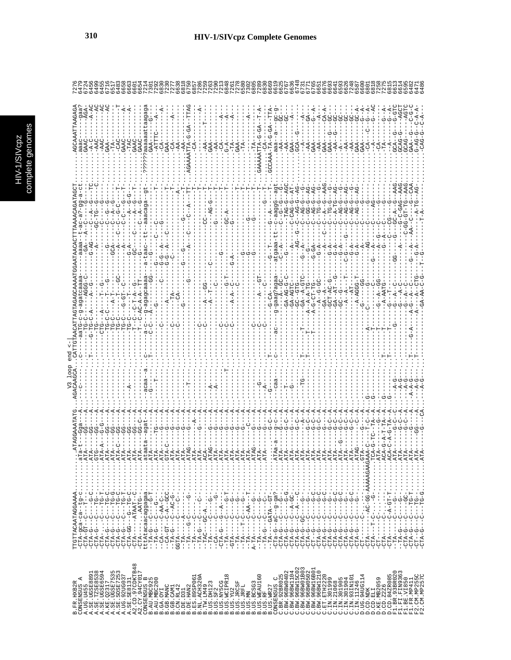| TTGTTACAATAGGAAAA                                                                                                                                                                          |                                                                        |                                                                                                                                                                                                                                                                                                                                                                                                                                                                                                                               |  |      |  |         |       |       |       |  |
|--------------------------------------------------------------------------------------------------------------------------------------------------------------------------------------------|------------------------------------------------------------------------|-------------------------------------------------------------------------------------------------------------------------------------------------------------------------------------------------------------------------------------------------------------------------------------------------------------------------------------------------------------------------------------------------------------------------------------------------------------------------------------------------------------------------------|--|------|--|---------|-------|-------|-------|--|
| -CTA-gca-ca--tg-c<br>-CTA-GT--C---T--                                                                                                                                                      |                                                                        | <u>ო</u>                                                                                                                                                                                                                                                                                                                                                                                                                                                                                                                      |  |      |  |         |       |       |       |  |
|                                                                                                                                                                                            |                                                                        | $\ddotsc$                                                                                                                                                                                                                                                                                                                                                                                                                                                                                                                     |  |      |  |         |       |       |       |  |
|                                                                                                                                                                                            | $C - C - C - C$                                                        | $\ddot{A}$                                                                                                                                                                                                                                                                                                                                                                                                                                                                                                                    |  |      |  |         |       |       |       |  |
|                                                                                                                                                                                            |                                                                        |                                                                                                                                                                                                                                                                                                                                                                                                                                                                                                                               |  |      |  |         |       |       |       |  |
| $-CTA$ - $CTA$ -G-                                                                                                                                                                         |                                                                        |                                                                                                                                                                                                                                                                                                                                                                                                                                                                                                                               |  |      |  |         |       |       |       |  |
| CTA-G                                                                                                                                                                                      |                                                                        |                                                                                                                                                                                                                                                                                                                                                                                                                                                                                                                               |  |      |  |         |       |       |       |  |
|                                                                                                                                                                                            |                                                                        |                                                                                                                                                                                                                                                                                                                                                                                                                                                                                                                               |  |      |  |         |       |       |       |  |
|                                                                                                                                                                                            |                                                                        | $\ddot{A}$                                                                                                                                                                                                                                                                                                                                                                                                                                                                                                                    |  |      |  |         |       |       |       |  |
| CTA-G                                                                                                                                                                                      |                                                                        |                                                                                                                                                                                                                                                                                                                                                                                                                                                                                                                               |  |      |  |         |       |       |       |  |
|                                                                                                                                                                                            |                                                                        | ব্রব্ল<br>::::<br>:                                                                                                                                                                                                                                                                                                                                                                                                                                                                                                           |  |      |  |         |       |       |       |  |
|                                                                                                                                                                                            |                                                                        |                                                                                                                                                                                                                                                                                                                                                                                                                                                                                                                               |  |      |  |         |       |       |       |  |
|                                                                                                                                                                                            |                                                                        |                                                                                                                                                                                                                                                                                                                                                                                                                                                                                                                               |  | acaa |  | $-taac$ |       | aaaaa | aagag |  |
| tttAtacaacaggaga.<br>--TA-G---C---G-T.<br>--TA-G---C---G---.<br>--CA------C-AA-C--.                                                                                                        |                                                                        |                                                                                                                                                                                                                                                                                                                                                                                                                                                                                                                               |  |      |  |         |       |       |       |  |
|                                                                                                                                                                                            |                                                                        |                                                                                                                                                                                                                                                                                                                                                                                                                                                                                                                               |  |      |  |         |       |       |       |  |
|                                                                                                                                                                                            |                                                                        |                                                                                                                                                                                                                                                                                                                                                                                                                                                                                                                               |  |      |  |         |       |       |       |  |
|                                                                                                                                                                                            |                                                                        |                                                                                                                                                                                                                                                                                                                                                                                                                                                                                                                               |  |      |  |         |       |       |       |  |
|                                                                                                                                                                                            |                                                                        |                                                                                                                                                                                                                                                                                                                                                                                                                                                                                                                               |  |      |  |         |       |       |       |  |
|                                                                                                                                                                                            |                                                                        |                                                                                                                                                                                                                                                                                                                                                                                                                                                                                                                               |  |      |  |         |       |       |       |  |
|                                                                                                                                                                                            |                                                                        |                                                                                                                                                                                                                                                                                                                                                                                                                                                                                                                               |  |      |  |         |       |       |       |  |
|                                                                                                                                                                                            |                                                                        | $\begin{picture}(18,17) \put(0,0){\vector(1,0){30}} \put(15,0){\vector(1,0){30}} \put(15,0){\vector(1,0){30}} \put(15,0){\vector(1,0){30}} \put(15,0){\vector(1,0){30}} \put(15,0){\vector(1,0){30}} \put(15,0){\vector(1,0){30}} \put(15,0){\vector(1,0){30}} \put(15,0){\vector(1,0){30}} \put(15,0){\vector(1,0){30}} \put(15,0){\vector(1,0){30}} \put(15,0){\vector(1$                                                                                                                                                   |  |      |  |         |       |       |       |  |
|                                                                                                                                                                                            |                                                                        |                                                                                                                                                                                                                                                                                                                                                                                                                                                                                                                               |  |      |  |         |       |       |       |  |
|                                                                                                                                                                                            |                                                                        |                                                                                                                                                                                                                                                                                                                                                                                                                                                                                                                               |  |      |  |         |       |       |       |  |
|                                                                                                                                                                                            |                                                                        |                                                                                                                                                                                                                                                                                                                                                                                                                                                                                                                               |  |      |  |         |       |       |       |  |
|                                                                                                                                                                                            |                                                                        |                                                                                                                                                                                                                                                                                                                                                                                                                                                                                                                               |  |      |  |         |       |       |       |  |
|                                                                                                                                                                                            |                                                                        |                                                                                                                                                                                                                                                                                                                                                                                                                                                                                                                               |  |      |  |         |       |       |       |  |
|                                                                                                                                                                                            | $\frac{1}{1}$                                                          |                                                                                                                                                                                                                                                                                                                                                                                                                                                                                                                               |  |      |  |         |       |       |       |  |
|                                                                                                                                                                                            | $\vdots$                                                               |                                                                                                                                                                                                                                                                                                                                                                                                                                                                                                                               |  |      |  |         |       |       |       |  |
|                                                                                                                                                                                            | ÷                                                                      |                                                                                                                                                                                                                                                                                                                                                                                                                                                                                                                               |  |      |  |         |       |       |       |  |
|                                                                                                                                                                                            |                                                                        |                                                                                                                                                                                                                                                                                                                                                                                                                                                                                                                               |  |      |  |         |       |       |       |  |
|                                                                                                                                                                                            |                                                                        |                                                                                                                                                                                                                                                                                                                                                                                                                                                                                                                               |  |      |  |         |       |       |       |  |
|                                                                                                                                                                                            |                                                                        |                                                                                                                                                                                                                                                                                                                                                                                                                                                                                                                               |  |      |  |         |       |       |       |  |
|                                                                                                                                                                                            |                                                                        |                                                                                                                                                                                                                                                                                                                                                                                                                                                                                                                               |  |      |  |         |       |       |       |  |
|                                                                                                                                                                                            |                                                                        |                                                                                                                                                                                                                                                                                                                                                                                                                                                                                                                               |  |      |  |         |       |       |       |  |
| ပုံပုံပုံ<br>       <br>! !                                                                                                                                                                |                                                                        |                                                                                                                                                                                                                                                                                                                                                                                                                                                                                                                               |  |      |  |         |       |       |       |  |
|                                                                                                                                                                                            |                                                                        |                                                                                                                                                                                                                                                                                                                                                                                                                                                                                                                               |  |      |  |         |       |       |       |  |
| $-10I - 6I$                                                                                                                                                                                |                                                                        |                                                                                                                                                                                                                                                                                                                                                                                                                                                                                                                               |  |      |  |         |       |       |       |  |
|                                                                                                                                                                                            |                                                                        |                                                                                                                                                                                                                                                                                                                                                                                                                                                                                                                               |  | -caa |  |         |       |       |       |  |
| ְטֶטְטְטְטָטָטָטְטְטְטְטְטָ<br>הווידו פווידו דוווידו<br>בבבבבבבבבבבבב<br>לה בתוכן בית היים לאורי<br>היים לאורי בית היים לאורי<br>היים לאורי בית היים לאורי<br>היים לאורי לאורי לאורי לאורי | $2 - 9 - 9 - 2$                                                        |                                                                                                                                                                                                                                                                                                                                                                                                                                                                                                                               |  |      |  |         |       |       |       |  |
|                                                                                                                                                                                            | $\vdots$                                                               |                                                                                                                                                                                                                                                                                                                                                                                                                                                                                                                               |  |      |  |         |       |       |       |  |
|                                                                                                                                                                                            |                                                                        |                                                                                                                                                                                                                                                                                                                                                                                                                                                                                                                               |  |      |  |         |       |       |       |  |
|                                                                                                                                                                                            | Ħ<br>$1 - 1 - 1 - 1 = 0$<br>$1 - 1 - 1 = 1 - 1$<br>$1 - 1 = 1 - 1 - 1$ |                                                                                                                                                                                                                                                                                                                                                                                                                                                                                                                               |  |      |  |         |       |       |       |  |
|                                                                                                                                                                                            |                                                                        | $\begin{array}{ccc}\nX_1 & X_2 & \cdots & X_n \\ \vdots & \vdots & \vdots & \vdots \\ \vdots & \vdots & \vdots & \vdots \\ \vdots & \vdots & \vdots & \vdots \\ \vdots & \vdots & \vdots & \vdots \\ \vdots & \vdots & \vdots & \vdots \\ \vdots & \vdots & \vdots & \vdots \\ \vdots & \vdots & \vdots & \vdots \\ \vdots & \vdots & \vdots & \vdots \\ \vdots & \vdots & \vdots & \vdots \\ \vdots & \vdots & \vdots & \vdots \\ \vdots & \vdots & \vdots & \vdots \\ \vdots & \vdots & \vdots & \vdots \\ \vdots & \$      |  |      |  |         |       |       |       |  |
|                                                                                                                                                                                            |                                                                        |                                                                                                                                                                                                                                                                                                                                                                                                                                                                                                                               |  |      |  |         |       |       |       |  |
|                                                                                                                                                                                            |                                                                        |                                                                                                                                                                                                                                                                                                                                                                                                                                                                                                                               |  |      |  |         |       |       |       |  |
|                                                                                                                                                                                            |                                                                        |                                                                                                                                                                                                                                                                                                                                                                                                                                                                                                                               |  |      |  |         |       |       |       |  |
|                                                                                                                                                                                            |                                                                        |                                                                                                                                                                                                                                                                                                                                                                                                                                                                                                                               |  |      |  |         |       |       |       |  |
|                                                                                                                                                                                            |                                                                        |                                                                                                                                                                                                                                                                                                                                                                                                                                                                                                                               |  |      |  |         | Ĵ.    |       |       |  |
|                                                                                                                                                                                            |                                                                        |                                                                                                                                                                                                                                                                                                                                                                                                                                                                                                                               |  |      |  |         |       |       |       |  |
| יליליליליליל<br>גלגול<br>גולילילילילילילילילילי<br>גולילילילילילילילילילי                                                                                                                  |                                                                        |                                                                                                                                                                                                                                                                                                                                                                                                                                                                                                                               |  |      |  |         |       |       |       |  |
|                                                                                                                                                                                            |                                                                        |                                                                                                                                                                                                                                                                                                                                                                                                                                                                                                                               |  |      |  |         |       |       |       |  |
| Ŧ                                                                                                                                                                                          |                                                                        |                                                                                                                                                                                                                                                                                                                                                                                                                                                                                                                               |  |      |  |         |       |       |       |  |
| U<br>÷<br>$-CTA-G$                                                                                                                                                                         |                                                                        |                                                                                                                                                                                                                                                                                                                                                                                                                                                                                                                               |  |      |  |         |       |       |       |  |
| CTA-G                                                                                                                                                                                      |                                                                        | $\frac{1}{2}$                                                                                                                                                                                                                                                                                                                                                                                                                                                                                                                 |  |      |  |         | $-40$ |       |       |  |
| Т<br>T<br>$-17$                                                                                                                                                                            |                                                                        |                                                                                                                                                                                                                                                                                                                                                                                                                                                                                                                               |  |      |  |         |       |       |       |  |
| $\mathbf{I}$<br>$\mathbf I$<br>$-CTA-$                                                                                                                                                     |                                                                        |                                                                                                                                                                                                                                                                                                                                                                                                                                                                                                                               |  |      |  |         |       |       |       |  |
| $-T-C$                                                                                                                                                                                     |                                                                        |                                                                                                                                                                                                                                                                                                                                                                                                                                                                                                                               |  |      |  |         |       |       |       |  |
| U<br>Ţ<br>$-CTA -$                                                                                                                                                                         |                                                                        | $\begin{array}{c}\nF \times \mathbb{R} \\ \vdots \\ \vdots\n\end{array}$                                                                                                                                                                                                                                                                                                                                                                                                                                                      |  |      |  |         |       |       |       |  |
| $CTA -$                                                                                                                                                                                    |                                                                        |                                                                                                                                                                                                                                                                                                                                                                                                                                                                                                                               |  |      |  |         |       |       |       |  |
| -1<br>$\blacksquare$                                                                                                                                                                       | )- - - -<br>D-A-GT-T                                                   |                                                                                                                                                                                                                                                                                                                                                                                                                                                                                                                               |  |      |  |         |       |       |       |  |
| Ť<br>j.<br>$-TTA - -$                                                                                                                                                                      |                                                                        |                                                                                                                                                                                                                                                                                                                                                                                                                                                                                                                               |  |      |  |         |       |       |       |  |
| $- - - -$<br>$-1 - 6$<br>$\begin{array}{c} \hline \end{array}$<br>п                                                                                                                        | ŧ                                                                      | $\begin{array}{ccc}\nA & A & \cdots & A \\ \vdots & \vdots & \vdots & \vdots \\ \vdots & \vdots & \vdots & \vdots \\ \vdots & \vdots & \vdots & \vdots \\ \vdots & \vdots & \vdots & \vdots \\ \vdots & \vdots & \vdots & \vdots \\ \vdots & \vdots & \vdots & \vdots \\ \vdots & \vdots & \vdots & \vdots \\ \vdots & \vdots & \vdots & \vdots \\ \vdots & \vdots & \vdots & \vdots \\ \vdots & \vdots & \vdots & \vdots \\ \vdots & \vdots & \vdots & \vdots \\ \vdots & \vdots & \vdots & \vdots \\ \vdots & \vdots & \vd$ |  |      |  |         |       |       |       |  |
| $-TA-C$                                                                                                                                                                                    | ÷                                                                      |                                                                                                                                                                                                                                                                                                                                                                                                                                                                                                                               |  |      |  |         |       |       |       |  |
| U<br>$\frac{1}{1}$<br>CTA-G                                                                                                                                                                | $-1 - 6$                                                               |                                                                                                                                                                                                                                                                                                                                                                                                                                                                                                                               |  |      |  |         |       |       |       |  |
| י<br>י<br>T<br>CTA-G                                                                                                                                                                       | けっ                                                                     | $\ddot{A}$                                                                                                                                                                                                                                                                                                                                                                                                                                                                                                                    |  |      |  |         |       |       |       |  |
| $   T$<br>U<br>$CTL-0$                                                                                                                                                                     | ්                                                                      | $\ddot{A}$                                                                                                                                                                                                                                                                                                                                                                                                                                                                                                                    |  |      |  |         |       |       |       |  |
| $\frac{1}{1}$                                                                                                                                                                              | ひしり<br>Ĥ                                                               |                                                                                                                                                                                                                                                                                                                                                                                                                                                                                                                               |  |      |  |         |       |       |       |  |

O A 4 C O 10 IC L W 30 IO L 4 4 H N O O L 30 30 L 6 0 W H 30 O N 10 O C H 30 O C O H 10 H 40 O L O H 30 O H 30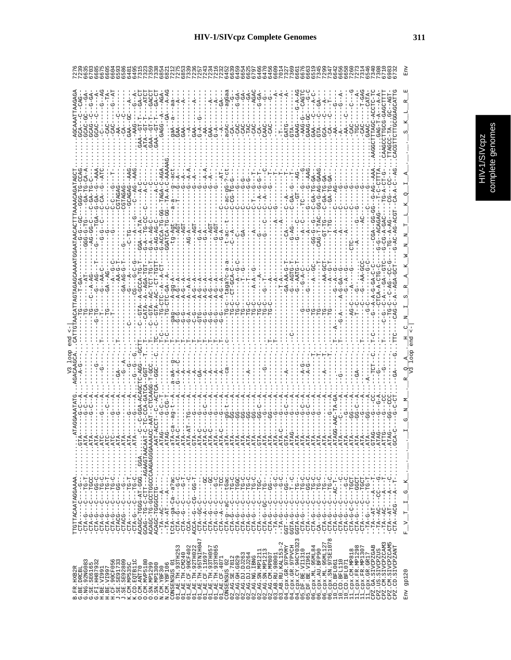| $\cdots$ $\mathbb{A}$ T.<br>$\cdots \cdots$ AT.<br>$\cdots \cdots$ AT.<br>$\cdots \cdots$ AT.<br>$\cdots \cdots$ AT.<br>5<br>5<br>5<br><br>Ę<br>$\cdots \cdots$ AT.<br>$\ldots$ AT)<br>$\ldots$ $\ldots$<br>$\ldots$ $\ldots$ $\ldots$ $\ldots$ $\ldots$ $\ldots$ $\ldots$ $\ldots$ $\ldots$ $\ldots$ $\ldots$ $\ldots$ $\ldots$ $\ldots$ $\ldots$ $\ldots$ $\ldots$ $\ldots$ $\ldots$ $\ldots$ $\ldots$ $\ldots$ $\ldots$ $\ldots$ $\ldots$ $\ldots$ $\ldots$ $\ldots$ $\ldots$ $\ldots$ $\ldots$ $\ldots$ $\ldots$ $\ldots$ $\ldots$ $\ldots$ $\ldots$<br>ĀТ.<br>$\cdots \cdots$ AT.<br>RT.<br>$\vdots$<br>$\ldots$ AT)<br>$\ldots$ AT)<br>U<br>U<br>.<br>$\cdots \cdots \cdots$<br>$\ldots$ $\ldots$ $\ldots$ $\ldots$ $\ldots$ $\ldots$ $\ldots$ $\ldots$ $\ldots$ $\ldots$ $\ldots$ $\ldots$ $\ldots$ $\ldots$ $\ldots$ $\ldots$ $\ldots$ $\ldots$ $\ldots$ $\ldots$ $\ldots$ $\ldots$ $\ldots$ $\ldots$ $\ldots$ $\ldots$ $\ldots$ $\ldots$ $\ldots$ $\ldots$ $\ldots$ $\ldots$ $\ldots$ $\ldots$ $\ldots$ $\ldots$ $\ldots$<br>$\cdots \cdots$ AT<br>$R_1, \ldots, R_T$<br>$\ldots$ $\ldots$ $\Lambda$ T.<br>$\ldots$ AT)<br>$\ldots$ AT.<br>$\ldots$ AT.<br>Ę<br>$\ldots$ AT.<br>$\vdots$<br>ACAGC-TGGCCTG----<br>--TA--AC----A----<br>$\begin{array}{l} t\in L\lambda_1 - g a_1 - a_1 - a_2 = c_1\\ -\{m\lambda_1 - d_1 - d_1 - d_1 - d_2 - c_1\\ -\{m\lambda_1 - d_1 - d_1 - d_1 - d_2 - c_1\\ -\{m\lambda_1 - d_1 - d_1 - d_2 - c_1\}\\ \lambda\{c\lambda_1 - d_1 - d_1 - d_2 - c_1\\ -\{m\lambda_1 - d_1 - d_2 - c_1\}\\ -\{m\lambda_1 - d_1 - d_2 - c_1\}\\ -\{m\lambda_1 - d_1 - c_1\}\\ -\{m\lambda_1 - d_1 - c_$<br>TTGTTACAATAGGAAAA<br>$\begin{bmatrix} 1 & 0 & 0 \\ 0 & 0 & 0 \\ 0 & 0 & 0 \\ 0 & 0 & 0 \\ 0 & 0 & 0 \\ 0 & 0 & 0 \\ 0 & 0 & 0 \\ 0 & 0 & 0 \\ 0 & 0 & 0 \\ 0 & 0 & 0 \\ 0 & 0 & 0 \\ 0 & 0 & 0 \\ 0 & 0 & 0 \\ 0 & 0 & 0 \\ 0 & 0 & 0 \\ 0 & 0 & 0 \\ 0 & 0 & 0 \\ 0 & 0 & 0 \\ 0 & 0 & 0 & 0 \\ 0 & 0 & 0 & 0 \\ 0 & 0 & 0 & 0 \\ 0 & 0 & 0 & 0 \\ 0 & $<br>$-1 - 1$<br>---DL----<br>$---TGCC$<br>$-599 - -$<br>$2 - -TGCT$<br>$-T - -T$<br>$-1$<br>$- - - - - - - -$<br>1599-1-1<br>T--T<br>--A----T<br>ن<br>ا<br>- 1<br>- 1<br>- 1<br>$- -$ A<br>$- - A$<br>$\overline{C}$<br>υU<br>U U<br>U<br>ּטְטְטָׁטְטְ֫טְטְ֫טְ<br>  פונונונונונונו<br> בונונונונונונונו<br>ひひひひひ<br>υU<br>U<br> <br>$C - C$<br>$\frac{1}{2}$<br>$\frac{1}{2}$<br>$CTA--AT--$<br>$CTA - ACG -$<br>$\frac{1}{1}$<br>$-{\bf T}{\bf A}-{\bf A}{\bf T}--$<br>U<br>$-1$<br>U<br> <br>Ť<br>$\frac{1}{1}$<br>f,<br>ШĪ<br>$\frac{1}{1}$<br>$\frac{1}{1}$<br>HH<br>Ť<br>T<br>$\blacksquare$<br>$\mathbf{I}$<br>$-TA--AC$<br>$-TA - AC$<br>Ť.<br>-CTA-G<br>CTA-G-<br>-CTACG<br>-CTACG<br>$-CTA -$<br>$\begin{array}{c} \texttt{GGLA-G} \\ \texttt{GGLA-G} \\ \texttt{CCLA} \\ \texttt{-CTA} \\ \texttt{-CTA} \\ \end{array}$<br>$-CTA-G$<br>$-CTA-G$<br>$-CTA-C$<br>-CTA-G<br>CTA-G<br>$-CTA-G$<br>$-6 - -$<br>$-CTA-G$<br>$-CTA-G$<br>$CTA--$<br>$-CTA -$<br>$CTA-G$<br>$CTA--$<br>$\blacksquare$<br>$\mathbf{I}$<br>$\blacksquare$<br>$\overline{\phantom{a}}$<br>T.<br>$\mathbf{I}$<br>$\blacksquare$<br>'n<br>.CM.SIVCPZCAM3<br>CM. SIVCPZCAM<br>MADZ GD. SIVCPZAMT<br>.US.SIVCPZUS<br>R.HXB2R<br>BE.DRCBL<br>FR. |
|-------------------------------------------------------------------------------------------------------------------------------------------------------------------------------------------------------------------------------------------------------------------------------------------------------------------------------------------------------------------------------------------------------------------------------------------------------------------------------------------------------------------------------------------------------------------------------------------------------------------------------------------------------------------------------------------------------------------------------------------------------------------------------------------------------------------------------------------------------------------------------------------------------------------------------------------------------------------------------------------------------------------------------------------------------------------------------------------------------------------------------------------------------------------------------------------------------------------------------------------------------------------------------------------------------------------------------------------------------------------------------------------------------------------------------------------------------------------------------------------------------------------------------------------------------------------------------------------------------------------------------------------------------------------------------------------------------------------------------------------------------------------------------------------------------------------------------------------------------------------------------------------------------------------------------------------------------------------------------------------------------------------------------------------------------------------------------------------------------------------------------------------------------------------------------------------------------------------------------------------------------------------------------------------------------------------------------------------------------------------------------------------------------------------------------------------------------------------------------------------------------------------------------------------------------------------------------------------------------------------------------------------------------------------------------------------------------------------------------------------------------------------------------------------------------------------------------------------------------------------------------------------------------------------------------------------------------------------------------------------------------------------------------------------------------------------------------------------------------------------------------------------------------------------------------------------------------------------------|
|                                                                                                                                                                                                                                                                                                                                                                                                                                                                                                                                                                                                                                                                                                                                                                                                                                                                                                                                                                                                                                                                                                                                                                                                                                                                                                                                                                                                                                                                                                                                                                                                                                                                                                                                                                                                                                                                                                                                                                                                                                                                                                                                                                                                                                                                                                                                                                                                                                                                                                                                                                                                                                                                                                                                                                                                                                                                                                                                                                                                                                                                                                                                                                                                                         |
|                                                                                                                                                                                                                                                                                                                                                                                                                                                                                                                                                                                                                                                                                                                                                                                                                                                                                                                                                                                                                                                                                                                                                                                                                                                                                                                                                                                                                                                                                                                                                                                                                                                                                                                                                                                                                                                                                                                                                                                                                                                                                                                                                                                                                                                                                                                                                                                                                                                                                                                                                                                                                                                                                                                                                                                                                                                                                                                                                                                                                                                                                                                                                                                                                         |
|                                                                                                                                                                                                                                                                                                                                                                                                                                                                                                                                                                                                                                                                                                                                                                                                                                                                                                                                                                                                                                                                                                                                                                                                                                                                                                                                                                                                                                                                                                                                                                                                                                                                                                                                                                                                                                                                                                                                                                                                                                                                                                                                                                                                                                                                                                                                                                                                                                                                                                                                                                                                                                                                                                                                                                                                                                                                                                                                                                                                                                                                                                                                                                                                                         |
|                                                                                                                                                                                                                                                                                                                                                                                                                                                                                                                                                                                                                                                                                                                                                                                                                                                                                                                                                                                                                                                                                                                                                                                                                                                                                                                                                                                                                                                                                                                                                                                                                                                                                                                                                                                                                                                                                                                                                                                                                                                                                                                                                                                                                                                                                                                                                                                                                                                                                                                                                                                                                                                                                                                                                                                                                                                                                                                                                                                                                                                                                                                                                                                                                         |
|                                                                                                                                                                                                                                                                                                                                                                                                                                                                                                                                                                                                                                                                                                                                                                                                                                                                                                                                                                                                                                                                                                                                                                                                                                                                                                                                                                                                                                                                                                                                                                                                                                                                                                                                                                                                                                                                                                                                                                                                                                                                                                                                                                                                                                                                                                                                                                                                                                                                                                                                                                                                                                                                                                                                                                                                                                                                                                                                                                                                                                                                                                                                                                                                                         |
|                                                                                                                                                                                                                                                                                                                                                                                                                                                                                                                                                                                                                                                                                                                                                                                                                                                                                                                                                                                                                                                                                                                                                                                                                                                                                                                                                                                                                                                                                                                                                                                                                                                                                                                                                                                                                                                                                                                                                                                                                                                                                                                                                                                                                                                                                                                                                                                                                                                                                                                                                                                                                                                                                                                                                                                                                                                                                                                                                                                                                                                                                                                                                                                                                         |
|                                                                                                                                                                                                                                                                                                                                                                                                                                                                                                                                                                                                                                                                                                                                                                                                                                                                                                                                                                                                                                                                                                                                                                                                                                                                                                                                                                                                                                                                                                                                                                                                                                                                                                                                                                                                                                                                                                                                                                                                                                                                                                                                                                                                                                                                                                                                                                                                                                                                                                                                                                                                                                                                                                                                                                                                                                                                                                                                                                                                                                                                                                                                                                                                                         |
|                                                                                                                                                                                                                                                                                                                                                                                                                                                                                                                                                                                                                                                                                                                                                                                                                                                                                                                                                                                                                                                                                                                                                                                                                                                                                                                                                                                                                                                                                                                                                                                                                                                                                                                                                                                                                                                                                                                                                                                                                                                                                                                                                                                                                                                                                                                                                                                                                                                                                                                                                                                                                                                                                                                                                                                                                                                                                                                                                                                                                                                                                                                                                                                                                         |
|                                                                                                                                                                                                                                                                                                                                                                                                                                                                                                                                                                                                                                                                                                                                                                                                                                                                                                                                                                                                                                                                                                                                                                                                                                                                                                                                                                                                                                                                                                                                                                                                                                                                                                                                                                                                                                                                                                                                                                                                                                                                                                                                                                                                                                                                                                                                                                                                                                                                                                                                                                                                                                                                                                                                                                                                                                                                                                                                                                                                                                                                                                                                                                                                                         |
|                                                                                                                                                                                                                                                                                                                                                                                                                                                                                                                                                                                                                                                                                                                                                                                                                                                                                                                                                                                                                                                                                                                                                                                                                                                                                                                                                                                                                                                                                                                                                                                                                                                                                                                                                                                                                                                                                                                                                                                                                                                                                                                                                                                                                                                                                                                                                                                                                                                                                                                                                                                                                                                                                                                                                                                                                                                                                                                                                                                                                                                                                                                                                                                                                         |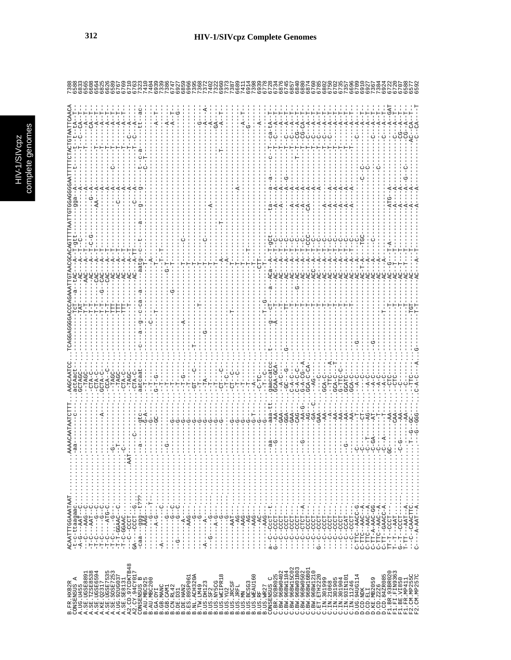| $\infty$ $\infty$                                                                                                                                                                                              |                                                                                                                                                                                                                                                                                                                                            |                                                                                                                                   |                                                                                                                                                                                                                                                                                                                                                                                                                                     |
|----------------------------------------------------------------------------------------------------------------------------------------------------------------------------------------------------------------|--------------------------------------------------------------------------------------------------------------------------------------------------------------------------------------------------------------------------------------------------------------------------------------------------------------------------------------------|-----------------------------------------------------------------------------------------------------------------------------------|-------------------------------------------------------------------------------------------------------------------------------------------------------------------------------------------------------------------------------------------------------------------------------------------------------------------------------------------------------------------------------------------------------------------------------------|
| нн<br>٣                                                                                                                                                                                                        |                                                                                                                                                                                                                                                                                                                                            | IJ<br>8888888                                                                                                                     | 666                                                                                                                                                                                                                                                                                                                                                                                                                                 |
| みみみみみみ<br>$-4 -$<br>U                                                                                                                                                                                          |                                                                                                                                                                                                                                                                                                                                            | 1222444444<br>1944   4444                                                                                                         | $A \land A$                                                                                                                                                                                                                                                                                                                                                                                                                         |
| $\circ$<br>--------                                                                                                                                                                                            |                                                                                                                                                                                                                                                                                                                                            | ַיְרַיְרַיְרַיִרְרַיִ <sup>י</sup> ן<br>רַיִּרְרַיִרְרַיִר<br>,,,,,,,,,<br>1111                                                   |                                                                                                                                                                                                                                                                                                                                                                                                                                     |
| Ë                                                                                                                                                                                                              |                                                                                                                                                                                                                                                                                                                                            | ወጃ                                                                                                                                |                                                                                                                                                                                                                                                                                                                                                                                                                                     |
| tcaat                                                                                                                                                                                                          | $\frac{1}{2}$                                                                                                                                                                                                                                                                                                                              | $\begin{array}{r} \mathtt{raaccat} \\ \mathtt{!CAA-GC1} \\ \mathtt{!CAA-GC2} \\ \mathtt{-A-C----} \\ \mathtt{!C----} \end{array}$ | ှင့်                                                                                                                                                                                                                                                                                                                                                                                                                                |
| $\ldots$ $\ldots$<br>$\vdots$<br>$\frac{1}{2}$<br>$\vdots$<br>$\begin{array}{c} \bullet & \bullet & \bullet \\ \bullet & \bullet & \bullet \\ \bullet & \bullet & \bullet \end{array}$<br>$\vdots$<br>$\vdots$ |                                                                                                                                                                                                                                                                                                                                            |                                                                                                                                   |                                                                                                                                                                                                                                                                                                                                                                                                                                     |
| $\vdots$<br>ACAATTTGGAAATAAT                                                                                                                                                                                   | $\vdots$<br>$\cdot$<br>$\vdots$<br>$\cdot$<br>j.<br>Ħ<br>J.<br>Ţ<br>$\frac{1}{2}$<br>$\frac{1}{4}$<br>$- -RAG - -$<br>$\frac{1}{3}$<br>$-1$ - D $-1$ - $-1$ - $-1$ - $-1$<br>$\frac{1}{1}$<br>$\frac{1}{3}$<br>$-1 - 1$<br>$\mathbb{I}_1$<br>$-4$<br>I<br>$\frac{1}{1}$<br>J<br>$\frac{1}{4}$<br>$\frac{1}{1}$<br>I<br>I<br>$\blacksquare$ | $\vdots$<br>$\vdots$<br>$\ddot{\cdot}$<br>$-1$<br>$- -A$ .                                                                        | $\begin{array}{l} C-TTC--AACC-G\\ C-TTC--AAC--A\\ C-TTC--AAC--A\\ C-TTC--AAC--A\\ \end{array}.$<br>$C-TT-T+AA-C-GG$<br>$C-TTT--GAACC-{\cal A}$<br>$C-TTC--PABC--P$<br>$-TT-PAA-T-1$<br>C--CAACTTC<br>--A-AAT--A<br>$1 - 2AT$<br>$--{\tt CCCT}--$<br>$\begin{array}{c} \mathbf{T}--\mathbf{T}\\ \mathbf{G}--\mathbf{T} \end{array}$<br>$C - C - C$<br>$\mathbb{T} - \mathbb{T} \mathbb{T}$<br>$\mathbb{T} - \mathbb{T} \mathbb{T}$ . |

 $\begin{smallmatrix} \texttt{R1} & \texttt{R1} & \texttt{R2} & \texttt{R3} & \texttt{R4} & \texttt{R5} & \texttt{R6} & \texttt{R6} & \texttt{R7} & \texttt{R8} & \texttt{R8} & \texttt{R9} & \texttt{R0} & \texttt{R1} & \texttt{R2} & \texttt{R2} & \texttt{R3} & \texttt{R4} & \texttt{R5} & \texttt{R6} & \texttt{R7} & \texttt{R8} & \texttt{R9} & \texttt{R0} & \texttt{R1} & \texttt{R2} & \texttt{R2$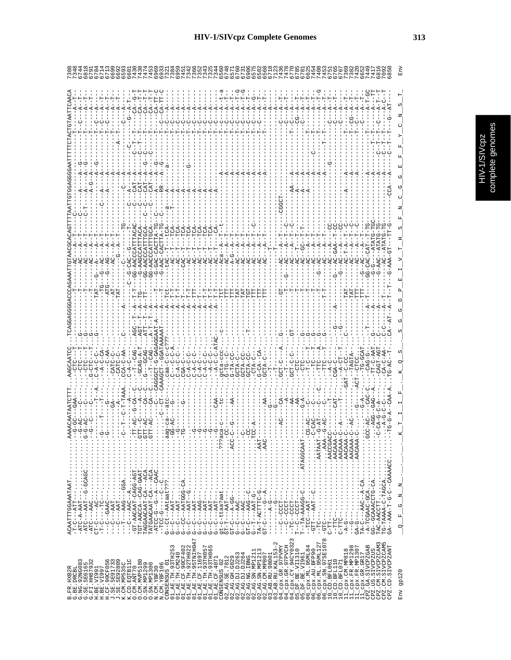|                                    |                    |               |  |  |  |  |                      |                                                                                                                                                                                                                                                                                                                                               |  |  |  |  |  |  |  |  |  |  |  |  |  |  |  |  |  |  |  |  |  |                                  | $\frac{1}{2}$ , $\frac{1}{2}$ , $\frac{1}{2}$ , $\frac{1}{2}$ , $\frac{1}{2}$ , $\frac{1}{2}$ , $\frac{1}{2}$ , $\frac{1}{2}$ , $\frac{1}{2}$ , $\frac{1}{2}$ |                                                                                                                      |            |               |  |
|------------------------------------|--------------------|---------------|--|--|--|--|----------------------|-----------------------------------------------------------------------------------------------------------------------------------------------------------------------------------------------------------------------------------------------------------------------------------------------------------------------------------------------|--|--|--|--|--|--|--|--|--|--|--|--|--|--|--|--|--|--|--|--|--|----------------------------------|---------------------------------------------------------------------------------------------------------------------------------------------------------------|----------------------------------------------------------------------------------------------------------------------|------------|---------------|--|
| $\frac{1}{2}$<br>$\mathbb{I}$      | $\mathbb{I}$<br>L. | $-1 - 3 - 1$  |  |  |  |  |                      |                                                                                                                                                                                                                                                                                                                                               |  |  |  |  |  |  |  |  |  |  |  |  |  |  |  |  |  |  |  |  |  |                                  |                                                                                                                                                               |                                                                                                                      | --CAAAACC. | z<br>z        |  |
| ACAATTTGGAAATAAT<br>$-TT-C----ATT$ | $-ATC - A - PAT$   | $-ATC---PART$ |  |  |  |  | TGT-AACCA--CAG-GAAT. | $\begin{array}{lll} \multicolumn{2}{l}{{\bf T}{\bf A}{\bf T}{\bf G}{\bf A}{\bf A}{\bf C}{\bf A}{\bf A}{\bf T}-{\bf A}{\bf C}{\bf A}{\bf A}{\bf T}. \end{array} \multicolumn{2}{l}{{\bf T}{\bf A}{\bf T}{\bf G}{\bf A}{\bf A}{\bf T}{\bf C}{\bf A}{\bf A}{\bf T}-{\bf A}{\bf C}{\bf A}{\bf A}{\bf T}. \end{array} \ldots \ldots \ldots \ldots$ |  |  |  |  |  |  |  |  |  |  |  |  |  |  |  |  |  |  |  |  |  | -A-TCGAAC-GCA<br>GG--GCAACCTG-CA | TAC-AACCTT<br>TG-TAAAA-C-TAGCA.                                                                                                                               | CA--AAA-T-C-C                                                                                                        |            | Ō,<br>国<br>oj |  |
|                                    |                    |               |  |  |  |  |                      |                                                                                                                                                                                                                                                                                                                                               |  |  |  |  |  |  |  |  |  |  |  |  |  |  |  |  |  |  |  |  |  |                                  |                                                                                                                                                               |                                                                                                                      |            |               |  |
| B.FR.HXB2R<br>G.BE.DRCBL           |                    |               |  |  |  |  |                      |                                                                                                                                                                                                                                                                                                                                               |  |  |  |  |  |  |  |  |  |  |  |  |  |  |  |  |  |  |  |  |  |                                  |                                                                                                                                                               | CHE CAN SIVOPEZAB<br>CPZ . US . SIVOPEZUS<br>CPZ . CM . SIVOPEZUM3<br>CPZ . CM . SIVOPEZUM5<br>CPZ . CD . SIVOPEZUMT |            | gp120<br>Env  |  |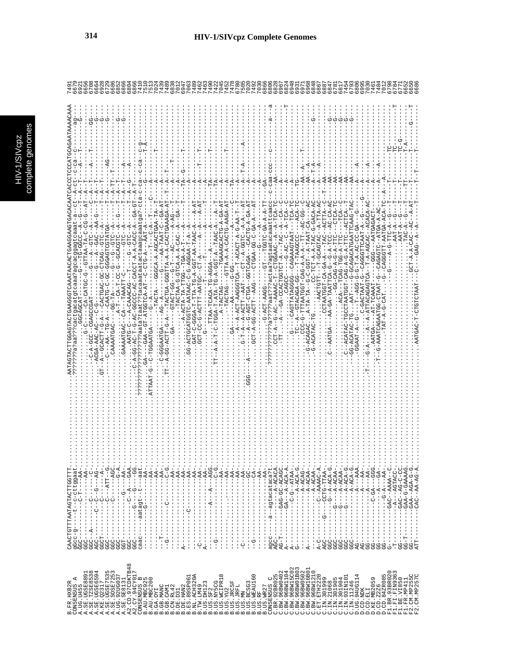HIV-1/SIVcpz<br>complete genomes complete genomes HIV-1/SIVcpz

| $\begin{smallmatrix} \texttt{B. F.R. HKB 2R}\\ \texttt{CMS IS 3R}\\ \texttt{CMS IS 4}\\ \texttt{A. S.B. TUSSE 8891}\\ \texttt{A. S.B. TUSSE 8892}\\ \texttt{A. S.B. TUSSE 8893}\\ \texttt{A. S.B. TUSSE 8893}\\ \texttt{A. S.B. TUSSE 8893}\\ \texttt{A. S.B. TUSSE 88131}\\ \texttt{A. S.B. TUSSE 88131}\\ \texttt{A. S.B. TUSSE 88131}\\ \texttt{A. S.B. SBSSE 8131}\\ \texttt{A. S.B. TUSSE $<br>мŌ                                  | CAACTGTTTAATAGTACTTGGTTT<br>ত                                                                                                                                                                                                                                                                                                                                                                                                   | ת<br>$-ca$<br>U<br>$\sum_{i=1}^{n}$<br>gag<br>tcaaa?agcacg<br>tgacatg                                                                                        |  |
|-----------------------------------------------------------------------------------------------------------------------------------------------------------------------------------------------------------------------------------------------------------------------------------------------------------------------------------------------------------------------------------------------------------------------------------------|---------------------------------------------------------------------------------------------------------------------------------------------------------------------------------------------------------------------------------------------------------------------------------------------------------------------------------------------------------------------------------------------------------------------------------|--------------------------------------------------------------------------------------------------------------------------------------------------------------|--|
|                                                                                                                                                                                                                                                                                                                                                                                                                                         | -<br>  0<br>  0<br>  0<br>  0<br>  0<br>  0<br> <br><b>CCC</b>                                                                                                                                                                                                                                                                                                                                                                  | <b>CGCAG</b>                                                                                                                                                 |  |
|                                                                                                                                                                                                                                                                                                                                                                                                                                         | $---AA$<br>J.<br>T.<br>T.<br>т<br>1<br>J.<br>T<br>$\frac{1}{1}$<br><b>COD</b>                                                                                                                                                                                                                                                                                                                                                   | J<br>- - AT<br>U-U-RH-RRHID--D-UDIRU-RU-<br>$\frac{1}{2}$<br>ひーひ                                                                                             |  |
|                                                                                                                                                                                                                                                                                                                                                                                                                                         | $\frac{1}{1}$<br>ł<br>$\mathsf I$<br>$\frac{1}{1}$<br>U<br>Ŧ<br>т<br>T<br>т<br>$-4$<br>GGC.                                                                                                                                                                                                                                                                                                                                     | $G---A$<br>-A-GCC--CGAGCCGAT-                                                                                                                                |  |
|                                                                                                                                                                                                                                                                                                                                                                                                                                         | $-54-19-1$<br>U<br>$-1$ - $-1$ - $-1$<br>$\frac{1}{1}$<br>AGC                                                                                                                                                                                                                                                                                                                                                                   | U<br>Ţ<br>$-AA-C$<br>$- -$ GAC<br>$G---A$<br>$-AC$<br>$-ACGA-AAC$                                                                                            |  |
|                                                                                                                                                                                                                                                                                                                                                                                                                                         | $-4 -$<br>$\frac{1}{4}$<br>$\mathsf I$<br>$\frac{1}{1}$<br>U<br>$-1$<br>$\frac{1}{1}$<br>$GGCT---$<br>CO.                                                                                                                                                                                                                                                                                                                       | $\overset{1}{\circ}$<br>ひ<br>-CC-GGAGTCGTATGA<br>$- -A$<br>UHU--UAUHU-UU-<br>UstDIUstU - - - 4 - D - IIIUstUU - -<br>U - U L K K U – – – K – U L – – K K – – |  |
|                                                                                                                                                                                                                                                                                                                                                                                                                                         | $-C---ATT--G.$<br>$\frac{1}{1}$<br>$\frac{1}{1}$<br>$\frac{1}{1}$<br>CO.                                                                                                                                                                                                                                                                                                                                                        | $-4 - 2 - T$<br>$-99-7A$<br>CAAATGAC-                                                                                                                        |  |
|                                                                                                                                                                                                                                                                                                                                                                                                                                         | $\frac{1}{1}$<br>CC.                                                                                                                                                                                                                                                                                                                                                                                                            | ひ<br>ŧ<br>--GCACCTC<br>U-UU-H-4U--<br>$-4.4 - T$                                                                                                             |  |
|                                                                                                                                                                                                                                                                                                                                                                                                                                         | $-155$                                                                                                                                                                                                                                                                                                                                                                                                                          | Ó<br>$-1$<br>$-4$<br>$-10-1$<br>GAAAATGAC--CA--TAAATT-C                                                                                                      |  |
| $\infty$<br>Æ                                                                                                                                                                                                                                                                                                                                                                                                                           | $\frac{1}{1}$<br>$\frac{1}{1}$<br>CC.                                                                                                                                                                                                                                                                                                                                                                                           | $-1$<br>$-4$<br><b>DHD--0-</b><br>Ļ<br>$\therefore$ AATG-C----A-CAAACAG-                                                                                     |  |
| Æ                                                                                                                                                                                                                                                                                                                                                                                                                                       | ひひーーーーひーーーーひーーーーーー<br>$\frac{1}{4}$<br>Ċ<br>CO                                                                                                                                                                                                                                                                                                                                                                                  | $-4 - A - T$<br>$-6A-6I$<br>4-0040-4-4-4-10040-04-00000-04-0-1-04-00-                                                                                        |  |
| ( )                                                                                                                                                                                                                                                                                                                                                                                                                                     | $---aat.$<br>$---aatan+t$<br>$caac -$                                                                                                                                                                                                                                                                                                                                                                                           | ወ⊄<br>U<br>$-ca$<br>Ü<br>tacaaataatactaaagcaaatga?-cta-c-ca<br>taat??<br>ceaeecccccccc<br>6.<br>6.                                                           |  |
|                                                                                                                                                                                                                                                                                                                                                                                                                                         | $\overset{1}{\circ}$<br>Ţ<br>-1                                                                                                                                                                                                                                                                                                                                                                                                 | $A-TAA$<br>A-UHU-U--HA-KUHUUHA-HU--KAU-<br>$-6A$                                                                                                             |  |
|                                                                                                                                                                                                                                                                                                                                                                                                                                         | $\frac{1}{1}$<br>ï.<br>I<br>I.<br>т<br>Ţ<br>I<br>I<br>I<br>ı<br>Ť<br>Ţ                                                                                                                                                                                                                                                                                                                                                          | ļ<br>APPAAT-C-TCAATGAATGA                                                                                                                                    |  |
|                                                                                                                                                                                                                                                                                                                                                                                                                                         | $\blacksquare$<br>$\mathbf I$<br>$\mathbf I$<br>$\,$ I<br>$\frac{1}{1}$<br>Ť.<br>$\blacksquare$<br>п<br>п<br>$\mathbf{I}$                                                                                                                                                                                                                                                                                                       | -TACTA---GGCA-A-AGCACTGAA-T                                                                                                                                  |  |
|                                                                                                                                                                                                                                                                                                                                                                                                                                         | ł<br>$\frac{1}{1}$<br>$\begin{array}{c} \hline \end{array}$<br>I<br>J<br>$\frac{1}{2}$                                                                                                                                                                                                                                                                                                                                          | $A - A'$<br>-AA-TAAT-C-<br>もーー<br>$-AG$ - $-A$<br>-GGGAATGA                                                                                                  |  |
| $\begin{array}{ll} \texttt{B}.\texttt{A}\texttt{U}.\texttt{MBC32} \\ \texttt{B}.\texttt{A}\texttt{U}.\texttt{MBC20} \\ \texttt{B}.\texttt{A}\texttt{U}.\texttt{MBC3} \\ \texttt{B}.\texttt{G}\texttt{A}.\texttt{O}.\texttt{VIA} \\ \texttt{B}.\texttt{G}\texttt{A}.\texttt{MAC} \\ \texttt{B}.\texttt{G}\texttt{A}.\texttt{VIA} \\ \texttt{B}.\texttt{G}\texttt{A}.\texttt{VIA} \\ \texttt{B}.\texttt{I}\texttt{B}.\texttt{I}\texttt{A$ | $-1 - 0 - 0 - 0$<br>$\blacksquare$<br>$\blacksquare$<br>j.<br>$-1$<br>j.<br>$\mathbf{I}$<br>п<br>؋                                                                                                                                                                                                                                                                                                                              | A-GG-ACTT-G-A-TACTGA-GGGTTA-A-A-CACTGAAAGA-AT-T-                                                                                                             |  |
|                                                                                                                                                                                                                                                                                                                                                                                                                                         | T<br>т<br>I<br>T<br>$\begin{array}{c} \rule{0pt}{2.5ex} \rule{0pt}{2.5ex} \rule{0pt}{2.5ex} \rule{0pt}{2.5ex} \rule{0pt}{2.5ex} \rule{0pt}{2.5ex} \rule{0pt}{2.5ex} \rule{0pt}{2.5ex} \rule{0pt}{2.5ex} \rule{0pt}{2.5ex} \rule{0pt}{2.5ex} \rule{0pt}{2.5ex} \rule{0pt}{2.5ex} \rule{0pt}{2.5ex} \rule{0pt}{2.5ex} \rule{0pt}{2.5ex} \rule{0pt}{2.5ex} \rule{0pt}{2.5ex} \rule{0pt}{2.5ex} \rule{0$<br>$\mathfrak l$<br>J<br>л | $A - AG$<br>$-AC-$<br>-99-HUAH5-                                                                                                                             |  |
|                                                                                                                                                                                                                                                                                                                                                                                                                                         | $---AA-$ .<br>$\,$ I<br>$\blacksquare$<br>- 1<br>$\frac{1}{4}$<br>j<br>$\mathbf{I}$<br>$\overline{1}$<br>п<br><b>I</b>                                                                                                                                                                                                                                                                                                          | $-45 - 1$<br>$- -A$<br>--TACTAA-G-CA-A-A-A-CAC                                                                                                               |  |
|                                                                                                                                                                                                                                                                                                                                                                                                                                         | $-AA-$<br>$\mathbf{I}$<br>J.<br>$\overline{1}$<br>$\mathbf{I}$<br>J.<br>Ť<br>K,                                                                                                                                                                                                                                                                                                                                                 | ن<br>۱<br>$-TGA - A - T$<br>- DULL-AL-ALUQ--                                                                                                                 |  |
| 9SP06                                                                                                                                                                                                                                                                                                                                                                                                                                   | $---A A -$<br>$\,$ I<br>$\frac{1}{1}$<br>$-1$<br>$-1$<br>$-1$<br>$-1$<br>$-1$<br>I<br>п<br>I.                                                                                                                                                                                                                                                                                                                                   | CTGCATGGTC-AATAAC-C-G-AGGAA-T-A--A                                                                                                                           |  |
| $\boldsymbol{\mathcal{A}}$<br>8. NL. ACH320A<br>8. LM49<br>8. LM49<br>8. LM423<br>8. LM3. NCLPR18<br>8. US. VCLPR18<br>8. US. JRFL<br>8. US. JRFL<br>m m m                                                                                                                                                                                                                                                                              | $---AA-$ .<br>$\,$ I<br>$\mathbf{I}$<br>-1<br>J.<br>T<br>Ť<br>T.<br>$\mathbf{I}$<br><b>I</b>                                                                                                                                                                                                                                                                                                                                    | $-A - A'$<br>GA-T-TTA-TG-A-GGT-AA-TAAC-A-<br>GAT-C-GG                                                                                                        |  |
|                                                                                                                                                                                                                                                                                                                                                                                                                                         | $---AA -$<br>$\frac{1}{1}$<br>$\frac{1}{1}$<br>I.<br>т<br>I.<br>÷<br>U                                                                                                                                                                                                                                                                                                                                                          | $-4 - A - A$<br>-4-HU--UUDHAA-HHHUA-U-UU-HUU .                                                                                                               |  |
|                                                                                                                                                                                                                                                                                                                                                                                                                                         | $---AA-.$<br>$\overline{\phantom{a}}$<br>$\frac{1}{1}$<br>$\begin{array}{c} \end{array}$<br>I.<br>ï<br>I<br>$\mathbb I$<br>п<br>J<br>$\frac{1}{1}$<br>K,                                                                                                                                                                                                                                                                        |                                                                                                                                                              |  |
| മമ                                                                                                                                                                                                                                                                                                                                                                                                                                      | J.<br>$\frac{1}{1}$<br>f.                                                                                                                                                                                                                                                                                                                                                                                                       | . TTAA-TCACA-AGGA                                                                                                                                            |  |
|                                                                                                                                                                                                                                                                                                                                                                                                                                         | $\frac{1}{4}$<br>ŧ<br>Ġ                                                                                                                                                                                                                                                                                                                                                                                                         | $--TAAC - A$<br>A-T-C-T-A-T-ATA-T-ATO-H-A-GH-A                                                                                                               |  |
| $^{\circ}$                                                                                                                                                                                                                                                                                                                                                                                                                              | $-AA-$<br>$\frac{1}{1}$<br>Ť.<br>$\mathsf I$<br>ł<br>J.                                                                                                                                                                                                                                                                                                                                                                         | --TGAAAGCACTG-A-GA-AT<br>$\ldots$ $\ldots$                                                                                                                   |  |
|                                                                                                                                                                                                                                                                                                                                                                                                                                         | $---AA -$<br>$\mathsf I$<br>$\begin{bmatrix} 1 & 1 & 1 & 1 \\ 1 & 1 & 1 & 1 \\ 1 & 1 & 1 & 1 \\ 1 & 1 & 1 & 1 \\ 1 & 1 & 1 & 1 \\ 1 & 1 & 1 & 1 \\ 1 & 1 & 1 & 1 \\ 1 & 1 & 1 & 1 \\ 1 & 1 & 1 & 1 \\ 1 & 1 & 1 & 1 \\ 1 & 1 & 1 & 1 \\ 1 & 1 & 1 & 1 \\ 1 & 1 & 1 & 1 & 1 \\ 1 & 1 & 1 & 1 & 1 \\ 1 & 1 & 1 & 1 & 1 \\ 1 & 1 & 1 & 1 & 1 \\ 1 & 1 & 1 & $<br>Î<br>$\begin{bmatrix} 1 \\ 1 \\ 1 \end{bmatrix}$                  | -CTTA-A-A-CACTG-AAGA-A<br>-TACTAG-                                                                                                                           |  |
|                                                                                                                                                                                                                                                                                                                                                                                                                                         | $---A A -$<br>$\mathsf I$<br>$\frac{1}{1}$<br>-1<br>$\frac{1}{1}$                                                                                                                                                                                                                                                                                                                                                               | 99<br>!                                                                                                                                                      |  |
|                                                                                                                                                                                                                                                                                                                                                                                                                                         | $---A A -$<br>$\frac{1}{1}$<br>$\frac{1}{1}$<br>I<br>l,                                                                                                                                                                                                                                                                                                                                                                         | - - A - - A - ACT - AAGGGTCA - - T - ACACT - A - G - AA - T -                                                                                                |  |
|                                                                                                                                                                                                                                                                                                                                                                                                                                         | $-AA-$<br>J.<br>п<br>п<br>U                                                                                                                                                                                                                                                                                                                                                                                                     | $-4 - A - A -$<br>$-CTD - A - TG$<br>$-1 - A - A C T T - A A T -$                                                                                            |  |
|                                                                                                                                                                                                                                                                                                                                                                                                                                         | $-90 -$<br>T<br>L.<br>T                                                                                                                                                                                                                                                                                                                                                                                                         | 4-40-4-0HU40--<br>- AUACHOU--AUHU-HUA-U--A                                                                                                                   |  |
| $\circ$<br>3. US. MN<br>B. US. BCSG3<br>B. US. WEAU160<br>B. US. RT                                                                                                                                                                                                                                                                                                                                                                     | $-1 - 1 - 1 - 1 = 0$<br>$\frac{1}{1}$<br>$-5-$                                                                                                                                                                                                                                                                                                                                                                                  | - 4-49-0-99-449HU-1<br>-DAA-1-T-T-DAC-A-C-AAC-                                                                                                               |  |
|                                                                                                                                                                                                                                                                                                                                                                                                                                         | $-4A-1$<br>--44<br>--44<br>--44<br>J.                                                                                                                                                                                                                                                                                                                                                                                           |                                                                                                                                                              |  |
|                                                                                                                                                                                                                                                                                                                                                                                                                                         | $\overline{\phantom{a}}$<br>п<br>ì                                                                                                                                                                                                                                                                                                                                                                                              | -TGGTC-GA-A-A-1<br>UUA-HOA-U                                                                                                                                 |  |
|                                                                                                                                                                                                                                                                                                                                                                                                                                         | igcc-<br>œ                                                                                                                                                                                                                                                                                                                                                                                                                      | ō<br>ပ<br>ပ<br>$C-Ca$ a-C<br>caac<br>?aat???actaa?agtaatacaaatt<br>ن<br>ن<br>ن<br>seccc.c.                                                                   |  |
|                                                                                                                                                                                                                                                                                                                                                                                                                                         | $\frac{1}{1}$<br>ġ<br>К                                                                                                                                                                                                                                                                                                                                                                                                         | $A - T$<br>UH-4--4--UARUDUHU--<br>--AAAAC-T<br>$-4-9-4-$                                                                                                     |  |
|                                                                                                                                                                                                                                                                                                                                                                                                                                         | ---a--agtacataca?t<br>------------ACACA<br>------GAG-GC-ACAGC<br>$-1 - 5$<br>A                                                                                                                                                                                                                                                                                                                                                  | --A--CA--<br>URH - - - R - LULUULURUU - RU -                                                                                                                 |  |
|                                                                                                                                                                                                                                                                                                                                                                                                                                         | $-1 - 1 - 1 - 4 - 2 - 2 - 4$<br>$\frac{1}{1}$<br>j,<br>К                                                                                                                                                                                                                                                                                                                                                                        | $-4-7$<br>$-10-0-0-0$<br>J,                                                                                                                                  |  |
|                                                                                                                                                                                                                                                                                                                                                                                                                                         | $- - - - - - - - - - - - - - - - - -$<br>$\overline{\phantom{a}}$<br>Ĵ,<br>A,                                                                                                                                                                                                                                                                                                                                                   | $A-T$<br>ن<br>-<br>-<br>-CAGAAAGTAAT-<br>じさし                                                                                                                 |  |
|                                                                                                                                                                                                                                                                                                                                                                                                                                         | $--A-ACA-G$<br>$\begin{bmatrix} 1 \\ 1 \\ 1 \end{bmatrix}$<br>$\frac{1}{1}$<br>T<br>Ť<br>ひ                                                                                                                                                                                                                                                                                                                                      | $---ACA-T$<br>UUUCANI----UUC-KUAUKUKID---                                                                                                                    |  |
|                                                                                                                                                                                                                                                                                                                                                                                                                                         | $- - - - - - - - - - - - - -$<br>$\mathsf I$<br>Ť<br>$\overline{\phantom{a}}$<br>J<br>$\mathbf{I}$<br>j<br>п                                                                                                                                                                                                                                                                                                                    | $AA - -A -$<br>--TTTAATGGT-CAG-A-A-A--TT---AC-GG--<br>ひーひひひ                                                                                                  |  |
|                                                                                                                                                                                                                                                                                                                                                                                                                                         | $---A-ACAA-$<br>$\frac{1}{1}$<br>$\frac{1}{1}$<br>$\frac{1}{1}$<br>j,<br>К                                                                                                                                                                                                                                                                                                                                                      | U-HAAH-4-H55-U-<br>-ACAGACA-TA-TA--G                                                                                                                         |  |
|                                                                                                                                                                                                                                                                                                                                                                                                                                         | $-$ A-ACAA-<br>I<br>J.<br>п<br>H<br>J.                                                                                                                                                                                                                                                                                                                                                                                          | $A - T - A$<br>C-TCT-A-A-TAC-GACA-A<br>ن<br>:<br>G-ACATAC-TG                                                                                                 |  |
|                                                                                                                                                                                                                                                                                                                                                                                                                                         | $-1 - 1 - 1 - 2AABCD - A$<br>1<br>Ť<br>$A-C$                                                                                                                                                                                                                                                                                                                                                                                    | A-AAL-A--OKHOKOO-H---HHDHOKA--                                                                                                                               |  |
|                                                                                                                                                                                                                                                                                                                                                                                                                                         | $-100T - 10T$<br>$-9 - -$<br>$\frac{1}{4}$<br>AGC.                                                                                                                                                                                                                                                                                                                                                                              | --ACTTA--<br>CCTAATGGT-CA-GA-A--TAC                                                                                                                          |  |
|                                                                                                                                                                                                                                                                                                                                                                                                                                         | $-G--A-RCA-G$<br>$\frac{1}{1}$<br>$\frac{1}{4}$<br>.<br>ფ                                                                                                                                                                                                                                                                                                                                                                       | $-4C-CA-A$<br>--4-5--<br>-AA-GA-TAATTCA<br>--AATGA                                                                                                           |  |
|                                                                                                                                                                                                                                                                                                                                                                                                                                         | ŧ<br>0 0<br>0 0<br>0 0                                                                                                                                                                                                                                                                                                                                                                                                          | Ġ<br>$-1 - 1$                                                                                                                                                |  |
|                                                                                                                                                                                                                                                                                                                                                                                                                                         | $\frac{1}{1}$                                                                                                                                                                                                                                                                                                                                                                                                                   | ά<br>$---ACA$<br>ł<br>ACA---TCAG-TGG-A-T                                                                                                                     |  |
|                                                                                                                                                                                                                                                                                                                                                                                                                                         | $\frac{1}{1}$<br>59<br>599                                                                                                                                                                                                                                                                                                                                                                                                      | ひ<br>$-40T2$<br>GCCTAATGGT-CAG-A-G-A-T                                                                                                                       |  |
|                                                                                                                                                                                                                                                                                                                                                                                                                                         | $\frac{1}{1}$                                                                                                                                                                                                                                                                                                                                                                                                                   | AH-DACADHARDHAUADO-D<br>$G \ldots AAT----$<br>GG-ACATAC-T                                                                                                    |  |
|                                                                                                                                                                                                                                                                                                                                                                                                                                         | ひ                                                                                                                                                                                                                                                                                                                                                                                                                               | - - 450 - 20 - 24 - 4 - 1- 1- 2 -<br><b>U-DDA-1</b><br>GGAAT-A                                                                                               |  |
|                                                                                                                                                                                                                                                                                                                                                                                                                                         | ひ<br>Æ                                                                                                                                                                                                                                                                                                                                                                                                                          | A-TAAT-TAAT-<br>C-GACTAAT-G                                                                                                                                  |  |
|                                                                                                                                                                                                                                                                                                                                                                                                                                         | п<br>$\mathsf I$<br>ひ<br>ひ                                                                                                                                                                                                                                                                                                                                                                                                      | $A - A$<br>--A-ATTACAGAGTCA--T-A-AGCAC                                                                                                                       |  |
|                                                                                                                                                                                                                                                                                                                                                                                                                                         | $\overline{1}$<br>Ť<br>v<br>ひ                                                                                                                                                                                                                                                                                                                                                                                                   | -AATGAGAC<br>AATGA                                                                                                                                           |  |
|                                                                                                                                                                                                                                                                                                                                                                                                                                         | $\overline{\phantom{a}}$<br>$\overline{\phantom{a}}$<br>ή<br>ひ                                                                                                                                                                                                                                                                                                                                                                  | --CAGAGTC--ATGA-A<br>CAGAATG-CTAAT-G<br>G-AAAT                                                                                                               |  |
|                                                                                                                                                                                                                                                                                                                                                                                                                                         | رح<br>ひ                                                                                                                                                                                                                                                                                                                                                                                                                         | -CAGGGTT-AATGA-AC                                                                                                                                            |  |
|                                                                                                                                                                                                                                                                                                                                                                                                                                         | U--AAAA--URU--<br>ï<br>ひ                                                                                                                                                                                                                                                                                                                                                                                                        |                                                                                                                                                              |  |
|                                                                                                                                                                                                                                                                                                                                                                                                                                         | i<br>F                                                                                                                                                                                                                                                                                                                                                                                                                          | AAT-A                                                                                                                                                        |  |
|                                                                                                                                                                                                                                                                                                                                                                                                                                         | UU-U-U41--U45--<br>$\mathbf{I}$<br>9                                                                                                                                                                                                                                                                                                                                                                                            |                                                                                                                                                              |  |
|                                                                                                                                                                                                                                                                                                                                                                                                                                         | --GAA-G-GAAAAG<br><b>U-U-AAA--AGA-U</b><br>I<br>$\mathbf i$<br>$-1 - 59$<br>99                                                                                                                                                                                                                                                                                                                                                  |                                                                                                                                                              |  |
|                                                                                                                                                                                                                                                                                                                                                                                                                                         | $CAC--AA-AG-AG$<br>Ť<br>ATT-                                                                                                                                                                                                                                                                                                                                                                                                    | $-A - A$<br>$-2AC-$<br>$GCT - A - A - CAC$<br>-GAG-<br>״דכידכידאמד                                                                                           |  |
|                                                                                                                                                                                                                                                                                                                                                                                                                                         |                                                                                                                                                                                                                                                                                                                                                                                                                                 |                                                                                                                                                              |  |

 $\begin{smallmatrix} \texttt{R}, \texttt{HKB} \\ \texttt{R}, \texttt{R}, \texttt{R}, \texttt{R}, \texttt{R}, \texttt{R}, \texttt{R}, \texttt{R}, \texttt{R}, \texttt{R}, \texttt{R}, \texttt{R}, \texttt{R}, \texttt{R}, \texttt{R}, \texttt{R}, \texttt{R}, \texttt{R}, \texttt{R}, \texttt{R}, \texttt{R}, \texttt{R}, \texttt{R}, \texttt{R}, \texttt{R}, \texttt{R}, \texttt{R}, \texttt{R}, \texttt{R}, \texttt{R}, \texttt{R}, \texttt{R}, \texttt{R}, \text$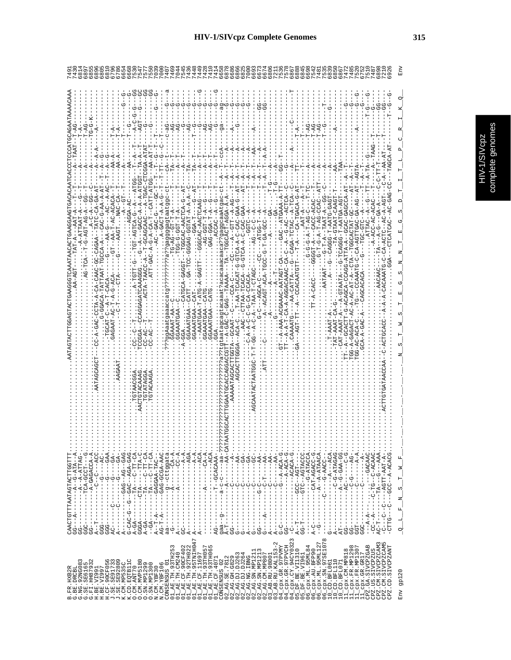| $\circ$ $\dashv$<br>തയ<br>Ō<br>44<br>Ó<br>$\infty$                                                                                                                                                                                                                                                                                                                                                                                                                                                                                                                                                                                                                                                                                                                                                                                                                                                                                                                                                                                                                                                                                                                                                                                                                                                                                                                                                                                                                                                                                                                                                                                                                                                                                                                                                                                                                                                                                                                                                                                                                                                                                                            |                     |
|---------------------------------------------------------------------------------------------------------------------------------------------------------------------------------------------------------------------------------------------------------------------------------------------------------------------------------------------------------------------------------------------------------------------------------------------------------------------------------------------------------------------------------------------------------------------------------------------------------------------------------------------------------------------------------------------------------------------------------------------------------------------------------------------------------------------------------------------------------------------------------------------------------------------------------------------------------------------------------------------------------------------------------------------------------------------------------------------------------------------------------------------------------------------------------------------------------------------------------------------------------------------------------------------------------------------------------------------------------------------------------------------------------------------------------------------------------------------------------------------------------------------------------------------------------------------------------------------------------------------------------------------------------------------------------------------------------------------------------------------------------------------------------------------------------------------------------------------------------------------------------------------------------------------------------------------------------------------------------------------------------------------------------------------------------------------------------------------------------------------------------------------------------------|---------------------|
| CCATGCAGAATAAAACAA<br>ပု<br>ပု<br>ც<br>ს<br>$\frac{1}{2}$<br>ひ<br>$-aa$<br>ひ<br>ひ<br>ひ<br>ひ<br>ひ<br>ひ<br>υ<br>じート<br>$-4-$<br>ga-<br>$T - AG$<br>$-AG$<br>Ā<br>-<br>ರ –<br>೦ –<br>$T - A$<br>F-A<br>A<br>-<br>- HATA-ROODD-ORDH-R----ORROOROO-H--<br>T-T<br>$T-T$<br>$---COA$<br>$-AA$<br>$C - A - A A - A T - C$<br>$A - A$<br>りー<br>$AA - A$<br>$A-A$<br>$-4$<br>Ť<br>$---T-A$<br>--TA-<br>$---T A -$<br>--CATT-ATG----A<br>$- - C$ A<br>FT<br>-<br>$-1$<br>$C - A - A - A - A - TGGT - - T$<br>Ţ<br>-CA-AGTTGAC-GA-AG--AT--AGT<br>$-1$<br>--AT--A--<br>$- - A - -$<br>ŧ,<br>Ť,<br>ŧ<br>$- - A$<br>$-1$<br>۲<br>ا<br>۲<br>ا<br>$-1$<br>$-4$<br>Ŧ<br>--<br>CCACOOKU-UKUU--<br>$A-TT$ -<br>$-AA$ CTCA $-$<br>$-9 - -1$<br>4-4-44-0-040-<br>-TA-GTAAT-CAAGT-T<br>$A - A$<br>$-4 - 4C - 4C - 4C$<br>-CA-ACTC--AC-AC-<br>ひじーー<br>$\ldots$ NAC-CA<br>--ATGAAA-<br>-GT--AA-T-AC-ACAC<br>$\ldots$ $AAT - A - -$<br>C-ACAC<br>-AG-CCAC<br>$-AGGA - A$<br>$- - CAGA - TCTAC - - A - T$<br>--ひひ-IKIDKUのひH--<br>$\overline{1}$<br>$- A - T - AG - C -$<br>$P - P - P - P$<br>$A - T - A$<br>$-4$<br><b>A-T-T-D-0-0-10-1</b><br>$-1 - 1 - 1$<br>A<br>ب<br><b>G-040--04---</b><br>$-AG - -C - C - -$<br>$-CAC - A - C - A - CA - T$<br>$\cdots$ GAG-GGA-'<br>--TGT-AGTCA<br>$CAC - C - C - C - C - C$<br>UUU-40-4-0-<br>CTCATCAC<br>$-4 - -1 - -4 - 2C$<br>부<br>5<br>$T-G-T-G$<br>$-CAGAA - -1$<br>$T-G-AG$<br>$-4T$ G<br>--TGGGAC<br>$-$ GAC $-$<br>-TATTAAT-TGCA-A<br>GGGGT-A<br>T-G-ACAGCA-COAGG-ATTA-A<br>$\cdots$ -TG<br>$A - C$<br>$- A - A C A G T - A C A - T G C C$<br>- A-AAA-ACGAAAC-AATAGT-CA<br>$-CTA$<br>Y<br>$T-A-D$ .<br>GRG-ROGHRD--<br>A-A-AGGACAAAC<br>ひひえけリーロー NAI - - N - U - N - - ひのーローロー<br>-CAGCACACA-<br>CTA-TAAC<br>-CACAAAT<br>$T - A$<br>--AA-CATT.<br>- A-5-A-<br>$- -A - T - CACA$<br>GG-A-GAGACT-AC-A-AC-A'<br><b>GRAATGAA--CATT</b><br>GEAAATGAA-CATG<br>GGAAATGAA--CAT<br>EJACACA<br>$T - \text{AC} - \text{T}$<br>۲.<br>.<br>U-TAAT-C<br>ں<br>ا<br>AT-AAAT-C<br>CAAAAT<br>$-4 - 4 - 6CACT$<br>$-CAT-APA'$<br>qqAaa<br>GG-AC-ACA-<br>TCCGGA<br>$\overline{C}$ – $\overline{C}$<br>J<br>CAATACTAATGG<br>TGTACAAAG<br>GTATAGGA<br>GTACAAG |                     |
| ${\tt CAACTTTAATRATACTTTGGTTTT} \label{eq: 3} $$ {\tt CAACTTTTAATAGTACTTTGGTTTT} $$ - n - - (1-ATA - - A) $$$<br>$\begin{array}{l} \mathbf{A}^{--}\mathbf{T}^{--}\cdots\cdots\mathbf{G}\mathbf{G}^{--}\mathbf{A}\mathbf{G}^{--}\mathbf{G}^{--}\cdots\mathbf{G}^{--}\mathbf{G}^{--}\mathbf{G}^{--}\cdots\mathbf{G}^{--}\mathbf{G}^{--}\mathbf{G}^{--}\mathbf{G}^{--}\mathbf{G}^{--}\mathbf{G}^{--}\mathbf{G}^{--}\mathbf{G}^{--}\mathbf{G}^{--}\mathbf{G}^{--}\mathbf{G}^{--}\mathbf{G}^{--}\mathbf{G}^{--}\mathbf{G}^{--}\mathbf{G}^{--}\mathbf{G}^{--$<br><b>のひえひえーイーーひひのーーー</b><br>$-4$<br>$AA - - - - -$<br>Ü<br>Ī<br>$- -A - A - -$<br>$-C - A - -D - -$<br>$-1 - -1 -$<br>$GGT----$<br>$AC-T--$<br>$GGC --$<br>CTTG.<br>$\mathsf I$<br>$\frac{1}{4}$<br>$\mathbf I$                                                                                                                                                                                                                                                                                                                                                                                                                                                                                                                                                                                                                                                                                                                                                                                                                                                                                                                                                                                                                                                                                                                                                                                                                                                                                                                                                                                      | z<br>C<br>z<br>Ŀ,   |
| $\begin{array}{l} 111-2927\cdot 700\cdot 100131\\ 111-2924\cdot 1001\cdot 10130\\ 111-2924\cdot 101\cdot 101\\ 112-292\cdot 101\cdot 101\\ 1027\cdot 101\cdot 101022031\\ 1028\cdot 101\cdot 1010202031\\ 1029\cdot 101\cdot 1010202031\\ 1020\cdot 101\cdot 1010202031\\ 1020\cdot 101\cdot 1010202$<br><b>IVCPZANT</b><br>FR.HXB2R<br>3E.DRCBL<br>S<br>$\ddot{a}$<br>$\mathbf m$<br>CPZ<br>Ŀц<br>∵∵<br>ጠට                                                                                                                                                                                                                                                                                                                                                                                                                                                                                                                                                                                                                                                                                                                                                                                                                                                                                                                                                                                                                                                                                                                                                                                                                                                                                                                                                                                                                                                                                                                                                                                                                                                                                                                                                   | <b>9p120</b><br>Env |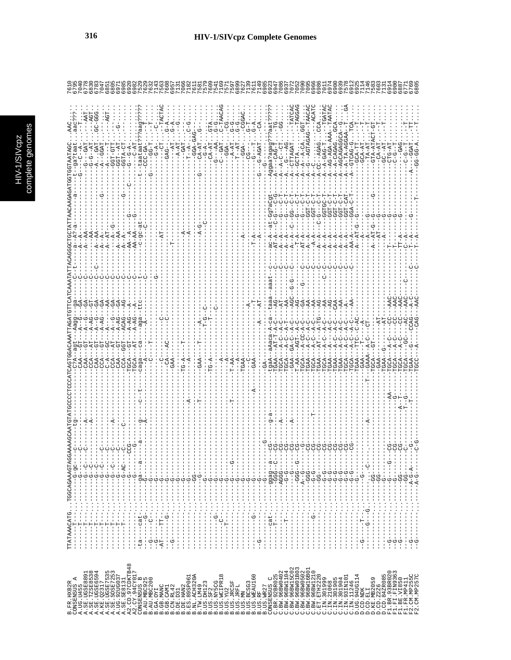|                                                                                                                                                                                                                                                                                                                                                                                                                              | $\begin{array}{c}\nA \\ A \\ C\n\end{array}$<br>ט ו                                                                                                                      | אֲצֶר : : : : : : : :<br>הוסי טיסי<br>לו טיסי ל                                                                                                                                                                                                                                                                                                                                                                                                                     | .CCA<br>.--TGATA<br>.A--TAATA                                                                                                                                                                                                                                                                                                                                                                                                | $\begin{array}{c} 0 \\ 1 \\ 1 \end{array}$                                                                                                                                                                                                                              |
|------------------------------------------------------------------------------------------------------------------------------------------------------------------------------------------------------------------------------------------------------------------------------------------------------------------------------------------------------------------------------------------------------------------------------|--------------------------------------------------------------------------------------------------------------------------------------------------------------------------|---------------------------------------------------------------------------------------------------------------------------------------------------------------------------------------------------------------------------------------------------------------------------------------------------------------------------------------------------------------------------------------------------------------------------------------------------------------------|------------------------------------------------------------------------------------------------------------------------------------------------------------------------------------------------------------------------------------------------------------------------------------------------------------------------------------------------------------------------------------------------------------------------------|-------------------------------------------------------------------------------------------------------------------------------------------------------------------------------------------------------------------------------------------------------------------------|
| באיטריה<br>הבוויים<br>המהודה                                                                                                                                                                                                                                                                                                                                                                                                 | $-GAG-$                                                                                                                                                                  | G-AGAT                                                                                                                                                                                                                                                                                                                                                                                                                                                              | $\begin{array}{l} \mathbf{A} \mathbf{g} = \mathbf{a} \mathbf{g} = \mathbf{a} \mathbf{g} = \mathbf{a} \mathbf{g} = \mathbf{a} \mathbf{g} = \mathbf{a} \mathbf{g} = \mathbf{a} \mathbf{g} = \mathbf{a} \mathbf{g} = \mathbf{a} \mathbf{g} = \mathbf{a} \mathbf{g} = \mathbf{a} \mathbf{g} = \mathbf{a} \mathbf{g} = \mathbf{a} \mathbf{g} = \mathbf{a} \mathbf{g} = \mathbf{a} \mathbf{g} = \mathbf{a} \mathbf{g} = \mathbf{a$ | -AGCAGA<br>--A-TA-A<br>--GTCAG-<br>---GCA-T                                                                                                                                                                                                                             |
|                                                                                                                                                                                                                                                                                                                                                                                                                              |                                                                                                                                                                          |                                                                                                                                                                                                                                                                                                                                                                                                                                                                     |                                                                                                                                                                                                                                                                                                                                                                                                                              | ひひひ                                                                                                                                                                                                                                                                     |
| $C - 9C - a$<br>$-AA - A -$<br>$-AA - A$                                                                                                                                                                                                                                                                                                                                                                                     |                                                                                                                                                                          |                                                                                                                                                                                                                                                                                                                                                                                                                                                                     |                                                                                                                                                                                                                                                                                                                                                                                                                              | $T-G-$                                                                                                                                                                                                                                                                  |
|                                                                                                                                                                                                                                                                                                                                                                                                                              |                                                                                                                                                                          |                                                                                                                                                                                                                                                                                                                                                                                                                                                                     | ā                                                                                                                                                                                                                                                                                                                                                                                                                            |                                                                                                                                                                                                                                                                         |
| <b>8885882882444</b><br>ひひひ                                                                                                                                                                                                                                                                                                                                                                                                  |                                                                                                                                                                          |                                                                                                                                                                                                                                                                                                                                                                                                                                                                     | ਕੋ ਉ<br>ਕ 4 4                                                                                                                                                                                                                                                                                                                                                                                                                |                                                                                                                                                                                                                                                                         |
| īīĀ<br>LIL<br>ĠĖ.<br>ca                                                                                                                                                                                                                                                                                                                                                                                                      |                                                                                                                                                                          |                                                                                                                                                                                                                                                                                                                                                                                                                                                                     |                                                                                                                                                                                                                                                                                                                                                                                                                              |                                                                                                                                                                                                                                                                         |
| rgca<br>2893<br>-- A                                                                                                                                                                                                                                                                                                                                                                                                         |                                                                                                                                                                          |                                                                                                                                                                                                                                                                                                                                                                                                                                                                     |                                                                                                                                                                                                                                                                                                                                                                                                                              |                                                                                                                                                                                                                                                                         |
|                                                                                                                                                                                                                                                                                                                                                                                                                              |                                                                                                                                                                          |                                                                                                                                                                                                                                                                                                                                                                                                                                                                     |                                                                                                                                                                                                                                                                                                                                                                                                                              |                                                                                                                                                                                                                                                                         |
|                                                                                                                                                                                                                                                                                                                                                                                                                              |                                                                                                                                                                          | I<br>п                                                                                                                                                                                                                                                                                                                                                                                                                                                              |                                                                                                                                                                                                                                                                                                                                                                                                                              | $\mathbf{I}$<br>J<br>$\mathbf{I}$                                                                                                                                                                                                                                       |
| $\frac{1}{2}$<br>$---G-AC$<br>л<br>Ť.<br>$-1$<br>$-1$<br>$-1$<br>$-1$<br>u<br>$\begin{bmatrix} 1 & 1 & 1 & 1 \\ 1 & 1 & 1 & 1 \\ 0 & 1 & 1 & 1 \\ 0 & 0 & 1 & 1 \\ 0 & 0 & 0 & 1 \\ 0 & 0 & 0 & 1 \\ 0 & 0 & 0 & 1 \\ 0 & 0 & 0 & 1 \\ 0 & 0 & 0 & 1 \\ 0 & 0 & 0 & 1 \\ 0 & 0 & 0 & 1 \\ 0 & 0 & 0 & 1 \\ 0 & 0 & 0 & 1 \\ 0 & 0 & 0 & 1 \\ 0 & 0 & 0 & 1 \\ 0 & 0 & 0 & 1 \\ 0 & 0 & 0 & 1 \\ 0 & 0 & 0 & $<br>I<br>п<br>Ï | т<br>1<br>$rac{1}{2}$<br>ł<br>$\mathsf I$<br>I<br>$\mathbf{I}$<br>J.<br>L.<br>לון ביט פי קיס<br>לון דון<br>စ်စုံစုံ<br>   <br>I.<br>I<br>T<br>Í<br>т<br>п<br>H<br>ï<br>1 | $\begin{array}{c} 1 \\ 0 \\ 1 \end{array}$<br>т<br>п<br>J.<br>т<br>$\mathfrak l$<br>ı<br>п<br>H.<br>л.<br>$\frac{1}{4}$<br>Ť<br>$\frac{1}{1}$<br>$\,$ I<br>$\,$ I<br>$\frac{1}{1}$<br>÷<br>T<br>L<br>$\mathbf{I}$<br>$\mathbf{I}$<br>$\mathbf{I}$<br>$\blacksquare$<br>ဗ်ဗံဗံဗံ<br>၂၂၂၂<br>ပ် ပုံ<br>   <br>ややや<br>I<br>I.<br>п<br>л<br>т<br>-1<br>п<br>ш<br>ï<br>I                                                                                                 | -1<br>п<br>J.<br>ï<br>$\mathbf I$<br>$\mathsf I$<br>$\mathbf{I}$<br>$\mathbf I$<br>$\mathbf{I}$<br>J.<br>$\mathbf{I}$                                                                                                                                                                                                                                                                                                        | $\frac{1}{6}$<br>J.<br>$\mathbf{I}$<br><b>I</b><br>т.<br>$-1 - 0 - 1 - 1$<br>$-9 - -$<br>п<br>$\mathbf{I}$<br>$-1 - 5$<br>$\frac{1}{1}$<br>$\mathbf{I}$<br>$\mathbf{I}$<br>J.<br>$\mathbf{I}$<br>L.<br>$\frac{1}{1}$<br>п<br>л.<br>L.<br>$\mathbf{I}$<br>$\mathfrak l$  |
| $\cdot$<br>TTATAAACATG.<br>$\bullet$<br>$\mathbf{I}$<br>$\mathbf{L}$<br>$\mathbf{I}$<br>$\mathbf{I}$<br>$\mathbf{I}$<br>I<br>$-ea$ t.<br>J<br>-1<br>÷<br>J<br>$\frac{1}{1}$<br>ł<br>$\frac{1}{1}$<br>J<br>J<br>J<br>Ť.<br>I<br>eee<br>TTT<br>투<br>투<br>부부부<br>부<br>투<br>T<br>H<br>п<br>$\mathbf{I}$<br>-1                                                                                                                    | ı<br>$-9 -$<br>$ -$ TT $  -$<br>I<br>I.<br>I<br>$\mathbf{I}$<br>т<br>п<br>ì<br>т<br>I.<br>п<br>J.<br>п<br>ı<br>ı<br>п                                                    | I<br>T<br>$-5 -$<br>$-1$<br>$-1$<br>$-1$<br>$-1$<br>$-1 - C - 1$<br>$\mathbf{I}$<br>$\mathbf{I}$<br>T.<br>$-1$<br>п<br>т<br>ł<br>Ť<br>ï<br>I.<br>I<br>J<br>$\frac{1}{1}$<br>I<br>ł<br>$\mathbf{I}$<br>$\mathbf{I}$<br>п<br>т<br>ш                                                                                                                                                                                                                                   | $\dot{f}$<br>$-9 - 1$<br>$--cat-$<br>$\mathbf{I}$<br>1<br>I<br>1<br>п<br>I<br>Т<br>п<br>$\frac{1}{1}$<br>J<br>ŧ<br>п<br>1<br>п<br>l.<br>п<br>п<br>J.<br>Ť<br>$\mathbf I$<br>$\mathbf{I}$<br>キーー<br>$\,$ I<br>$\mathsf I$<br>J<br>$\mathbf{I}$<br>J<br>J.<br>I<br>J.<br>J.<br>п<br>J.                                                                                                                                         | <b>ローーローー</b><br>J,<br>I.<br>$-1 - 1$<br>п<br>I<br>ı<br>п                                                                                                                                                                                                               |
| Ť.<br>ï<br>$\overline{\phantom{a}}$<br>$\mathbf{I}$<br>т<br>ı<br>1<br>ı<br>J.<br>ш<br>J,<br>ı<br>$\mathsf I$<br>$-ta$<br>т<br>J.<br>л<br>п<br>т<br>$\mathbf{I}$<br>п<br>л<br>л<br>т                                                                                                                                                                                                                                          | u<br>ı<br>$\begin{array}{c} 1 \\ 0 \\ 1 \end{array}$<br>I<br>I<br>т                                                                                                      | I<br>$\begin{array}{c} \rule{0pt}{2.5ex} \rule{0pt}{2.5ex} \rule{0pt}{2.5ex} \rule{0pt}{2.5ex} \rule{0pt}{2.5ex} \rule{0pt}{2.5ex} \rule{0pt}{2.5ex} \rule{0pt}{2.5ex} \rule{0pt}{2.5ex} \rule{0pt}{2.5ex} \rule{0pt}{2.5ex} \rule{0pt}{2.5ex} \rule{0pt}{2.5ex} \rule{0pt}{2.5ex} \rule{0pt}{2.5ex} \rule{0pt}{2.5ex} \rule{0pt}{2.5ex} \rule{0pt}{2.5ex} \rule{0pt}{2.5ex} \rule{0$<br>J,<br>ı<br>J.<br>$\frac{1}{9}$<br>Ţ<br>I.<br>÷<br>J<br>п<br>H.<br>-1<br>т. | -1<br>1<br>п<br>ı<br>u<br>I<br>J.<br>л<br>J.<br>$\mathbf{I}$<br>$\mathbf{I}$<br>L.<br>п                                                                                                                                                                                                                                                                                                                                      | $-1 - 5 -$<br>$\mathbf I$<br>J.<br>ı<br>J.<br>т<br>$\mathbf{I}$<br>Ш.<br>ш<br>J.<br>$\overline{c}_{\overline{1}}^{\overline{1}}$<br>$\begin{array}{c}\n\downarrow \\ \downarrow \\ \downarrow\n\end{array}$<br>ပ္ပံ<br>п<br>ပု<br>J.<br>H<br>т.<br>L.<br>$\blacksquare$ |

 $\begin{smallmatrix} \texttt{R1} & \texttt{R1} & \texttt{R2} & \texttt{R3} & \texttt{R4} & \texttt{R5} & \texttt{R6} & \texttt{R6} & \texttt{R7} & \texttt{R8} & \texttt{R8} & \texttt{R9} & \texttt{R0} & \texttt{R1} & \texttt{R2} & \texttt{R2} & \texttt{R3} & \texttt{R4} & \texttt{R5} & \texttt{R6} & \texttt{R7} & \texttt{R8} & \texttt{R9} & \texttt{R0} & \texttt{R1} & \texttt{R2} & \texttt{R2$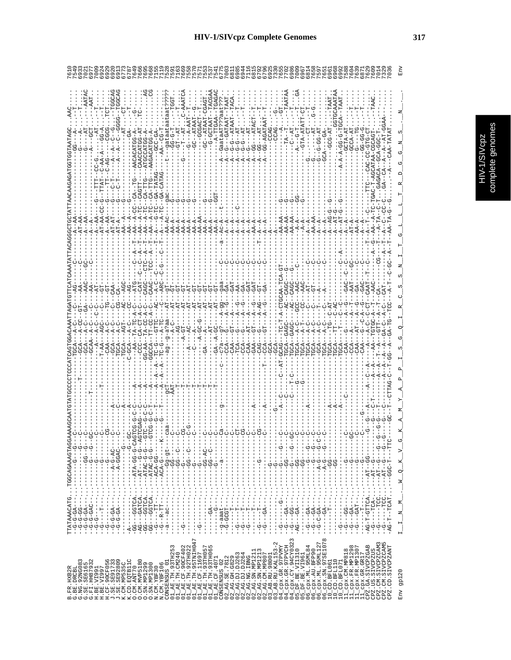| $A - A$<br>$A - A$<br>$A - A$<br>$A - A$<br>$A - A$                                                                                                                                                                                                                                                                                                                                                                                                                                                                                                                                                                                                                                                                                                                                                                                                                                                                                                                                                                                                                                                                                                                                                                                                                                                                                                                                      |                                     |
|------------------------------------------------------------------------------------------------------------------------------------------------------------------------------------------------------------------------------------------------------------------------------------------------------------------------------------------------------------------------------------------------------------------------------------------------------------------------------------------------------------------------------------------------------------------------------------------------------------------------------------------------------------------------------------------------------------------------------------------------------------------------------------------------------------------------------------------------------------------------------------------------------------------------------------------------------------------------------------------------------------------------------------------------------------------------------------------------------------------------------------------------------------------------------------------------------------------------------------------------------------------------------------------------------------------------------------------------------------------------------------------|-------------------------------------|
|                                                                                                                                                                                                                                                                                                                                                                                                                                                                                                                                                                                                                                                                                                                                                                                                                                                                                                                                                                                                                                                                                                                                                                                                                                                                                                                                                                                          |                                     |
|                                                                                                                                                                                                                                                                                                                                                                                                                                                                                                                                                                                                                                                                                                                                                                                                                                                                                                                                                                                                                                                                                                                                                                                                                                                                                                                                                                                          |                                     |
| TTATAAACATGTGGCAGAAAGTAGGA<br>ن<br> <br>!<br>$-7 - - - - - - - - - - - -$<br>$- -P1P2C - C - C - C - C$<br>$-8 -$<br>$-1 - 5 - 1$<br>f,<br>п<br>$-1$<br>$--\text{TTC}-$<br>$-1 - 5 - 5 - 7 + 7$<br>$\mathbf{I}$<br>$\mathsf I$<br>$-5 -$<br>$\mathsf I$<br>п<br>÷<br>$- -G - AC - C - -$<br>$\frac{6}{1}$<br>りー<br>$\begin{array}{c} 1 & 0 \\ 0 & 1 \\ 0 & 1 \end{array}$<br>$- -ACA - GG - -$<br>т<br>т<br>$G - C$<br>$- - - - - - - - - - -$<br>ł<br>Ť<br>$1 - 59 - - - - - - -$<br>$\frac{1}{1}$<br>Ť.<br>$-1 - 5 - 1$<br>ŧ<br>$\mathbf I$<br>$-1 - 0 - 1$<br>$\frac{1}{1}$<br>п<br>$\mathbf{I}$<br>J.<br>$-1$<br>$\frac{1}{4}$<br>$-6 -$<br>$\frac{1}{6}$<br>$\frac{1}{1}$<br>$\frac{1}{1}$<br>$-99 - - - -$<br>$\frac{1}{4}$<br>$-999 - -$<br>$-1$<br>1<br>$\mathbf{I}$<br>$\frac{1}{4}$<br>Ţ<br>$- - - - -$<br>J.<br>$- - - - - -$<br>C<br>ں<br>-<br>$-1 - 24T - 6$<br>ŏ<br>9<br>-----<br>ပုံ ပုံ<br>     <br>     <br>$\ddot{a}$<br>$-1$<br>$-\frac{c}{1}$<br>л<br>Ť<br>I<br>$\mathbf{I}$<br>Î<br>$\frac{1}{1}$<br>л<br>-1<br>Ť.<br>$\mathfrak l$<br>$\frac{1}{1}$<br>$\frac{1}{4}$<br>Í,<br>1<br>T.<br>Ì,<br>$\frac{1}{4}$<br>Ì,<br>Ì,<br>$\frac{1}{4}$<br>$\frac{1}{4}$<br>Ļ<br>$\frac{1}{4}$<br>I.<br>$\vdots$<br>$\cdot$<br>Ì<br>٠.<br>$\cdot$<br>$\cdot$<br>$\cdot$                                                                                                          | O,<br>$\frac{1}{2}$<br>×<br>d<br>z, |
| $-9 - -$<br>$\ddot{\phantom{0}}$<br>$-AG-T-TGTCA$ .<br>$-6 - - - - - 0$<br>$-$ -GGTCA<br>$\mathsf I$<br>ţ<br>$\mathsf I$<br>-----------<br>------------<br>RG-T--TCAT<br>$- - \mathbf{G} - - \mathbf{R} - \mathbf{T} \mathbf{T} -$<br>$\frac{1}{1}$<br>$\frac{1}{1}$<br>$--GAT--$<br>$-CQ - C - C - C - C$<br>$-6 - 9 - 0 - 0 - 0 - 0$<br>ţ<br>ł<br>ł<br>$--GA--$<br>J.<br>$-6 - 9 - 0 - 0 - 0 - 0$<br>J<br>т<br>-1<br>ł<br>$\frac{1}{1}$<br>ŧ<br>$\frac{1}{1}$<br>J<br>ł<br>$\frac{1}{1}$<br>J<br>j.<br>$-GA -$<br>j.<br>-1<br>$  -$<br>$\frac{1}{1}$<br>$-$ -GA $-$<br>- 1<br>- 1<br>$-aaat$<br>$\frac{1}{1}$<br>$-9A$<br>F<br>I<br>$-1$<br>$-1$<br>ד<br>-<br>$\frac{1}{2}$<br>$\frac{1}{2}$<br>LOD-D---<br>۳<br>ا<br>י<br>י<br>투<br>$\frac{1}{4}$<br>İ<br>$\mathbf{I}$<br>$\mathbf{I}$<br>J<br>$\frac{1}{1}$<br>л<br>J.<br>$\begin{array}{c} 0 & 1 & 1 \\ 0 & 0 & 0 \\ 0 & 0 & 0 \\ \vdots & \vdots & \vdots \end{array}$<br>$-5-5-$<br>T.<br>j.<br>ï<br>$\mathfrak l$<br>$\mathsf I$<br>$\frac{1}{9}$<br>Ţ<br>$\mathsf I$<br>$\mathsf I$<br>$\blacksquare$<br>$\mathbf{I}$<br>1<br>$-55 -$<br>$-5-7$<br>$\frac{1}{6}$<br>$\overline{c}$<br>$\overset{1}{\circ}$<br>ပ် ပုံ<br>   <br>$-\frac{6}{1}$<br>ပုံ<br>ġ<br>Ġ<br>$\ddot{\phi}$<br>$\ddot{\circ}$<br>– –<br> <br>I<br>$\frac{1}{2}$<br>1<br>$\frac{6}{1}$<br>$\frac{1}{1}$<br>I<br>÷<br>J<br>-1<br>л<br>₹,<br>1<br>$\mathbf{I}$ | $\sum_{i=1}^{N}$<br>H               |
| B.FR.HXB2R<br>G.BE.DRCBL                                                                                                                                                                                                                                                                                                                                                                                                                                                                                                                                                                                                                                                                                                                                                                                                                                                                                                                                                                                                                                                                                                                                                                                                                                                                                                                                                                 | gp120<br>Env                        |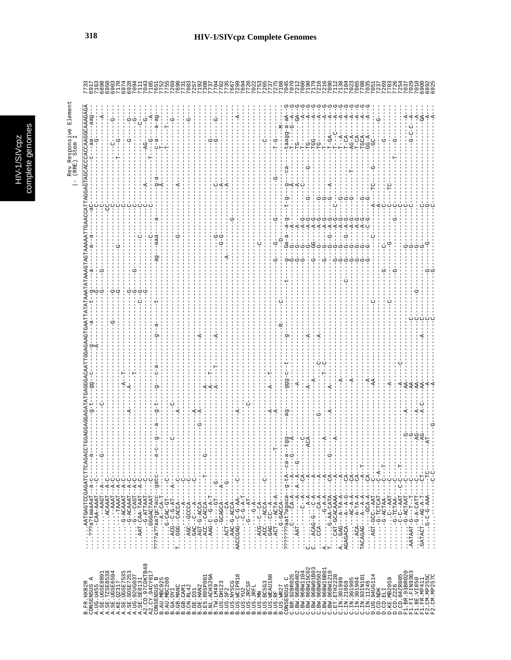Rev Responsive Element<br>|- (RRE) Stem I

| 1111111111<br>AAAAAAAAA<br>ှိ ပုံ<br>taagg-<br>てり<br>g<br>ပု<br>ט<br>ൽ<br>ወ ፈ ፈ<br><u> ዋዋዋ   ቀቀቀ</u><br><b>ひ ひ</b><br>ס<br>ひ<br>U<br>O<br>¦უ<br>ひ ひ ひ ひ ひ ひ ひ ひ ひ ひ<br>₫ <1<br>đ<br>$Ga^-$<br><u>ዋዋዋዋ</u> 8ዋዋዋዋዋዋዋዋዋ |  |     |  |  |     |    | $-10$<br>PL-<br>C<br>C<br>$\frac{1}{1}$<br>J.<br>$\,$ I<br>U<br>U<br>т<br>ł<br>$-1 - T T A - C A T T -$<br>$\frac{1}{1}$<br>т                                                                                                                                                                                                                                                                                                                                                                       |
|----------------------------------------------------------------------------------------------------------------------------------------------------------------------------------------------------------------------|--|-----|--|--|-----|----|-----------------------------------------------------------------------------------------------------------------------------------------------------------------------------------------------------------------------------------------------------------------------------------------------------------------------------------------------------------------------------------------------------------------------------------------------------------------------------------------------------|
|                                                                                                                                                                                                                      |  | じ じ |  |  |     |    | п<br>O<br>ł<br>ł<br>- 1141 - 11 - 1141 - 1141 - 1141 - 1141 - 1141 - 1141 - 1141 - 1141 - 1141 - 1141 - 1141 - 1141 - 11                                                                                                                                                                                                                                                                                                                                                                            |
|                                                                                                                                                                                                                      |  |     |  |  |     |    | $\frac{1}{1}$<br>$-1$<br>$-10 - 10 - 10 - 10 - 10 - 10$<br>I                                                                                                                                                                                                                                                                                                                                                                                                                                        |
|                                                                                                                                                                                                                      |  |     |  |  |     |    | $\frac{1}{1}$<br>$\Gamma$                                                                                                                                                                                                                                                                                                                                                                                                                                                                           |
|                                                                                                                                                                                                                      |  |     |  |  |     |    | Ţ<br>$-4$<br>$\frac{c}{1}$<br>$\frac{1}{1}$<br>I                                                                                                                                                                                                                                                                                                                                                                                                                                                    |
|                                                                                                                                                                                                                      |  |     |  |  |     |    | J<br>ပု<br>$\cdots A G T - G C C - A A T -$                                                                                                                                                                                                                                                                                                                                                                                                                                                         |
|                                                                                                                                                                                                                      |  |     |  |  |     |    | $-A$ -T<br>$-4C - C$<br>$\mathbf{I}$<br>J<br>I                                                                                                                                                                                                                                                                                                                                                                                                                                                      |
|                                                                                                                                                                                                                      |  |     |  |  |     |    | $---C A -$                                                                                                                                                                                                                                                                                                                                                                                                                                                                                          |
|                                                                                                                                                                                                                      |  |     |  |  |     |    | ı<br>$---C-A$<br>I.<br>$\mathbf{I}$                                                                                                                                                                                                                                                                                                                                                                                                                                                                 |
|                                                                                                                                                                                                                      |  |     |  |  |     |    | ı<br>К<br>I<br>H<br>I                                                                                                                                                                                                                                                                                                                                                                                                                                                                               |
|                                                                                                                                                                                                                      |  |     |  |  |     |    | $\frac{1}{1}$<br>т<br>$\overline{A}$                                                                                                                                                                                                                                                                                                                                                                                                                                                                |
|                                                                                                                                                                                                                      |  |     |  |  |     |    | К<br>$  CA$<br>I<br>T<br>T<br>ı<br>п                                                                                                                                                                                                                                                                                                                                                                                                                                                                |
|                                                                                                                                                                                                                      |  |     |  |  |     |    | т<br>ï<br>$\vec{A}$<br>$\mathbf{I}$<br>I<br>т<br>$\begin{array}{c}\n 2 \\  2 \\  3 \\  4 \\  5 \\  6\n \end{array}$<br>$\begin{array}{c}\n 2 \\  3 \\  4 \\  5 \\  6 \\  7 \\  8\n \end{array}$ $\begin{array}{c}\n 2 \\  3 \\  4 \\  7 \\  8 \\  7 \\  8\n \end{array}$ $\begin{array}{c}\n 2 \\  2 \\  3 \\  7 \\  8 \\  7 \\  8\n \end{array}$ $\begin{array}{c}\n 2 \\  2 \\  3 \\  7 \\  8 \\  7 \\  8\n \end{array}$ $\begin{array}{c}\n 2 \\  2 \\  3 \\  7 \\  8 \\  7 \\  8\n \end{array}$ |
|                                                                                                                                                                                                                      |  |     |  |  |     |    | L.<br>$\vec{A}$<br>J.                                                                                                                                                                                                                                                                                                                                                                                                                                                                               |
|                                                                                                                                                                                                                      |  |     |  |  |     |    | ш<br>$  CA$<br>$\ddot{A}$<br>$\mathbf{I}$<br>п<br>$\mathbf{I}$                                                                                                                                                                                                                                                                                                                                                                                                                                      |
|                                                                                                                                                                                                                      |  |     |  |  |     |    |                                                                                                                                                                                                                                                                                                                                                                                                                                                                                                     |
|                                                                                                                                                                                                                      |  |     |  |  | 999 |    |                                                                                                                                                                                                                                                                                                                                                                                                                                                                                                     |
|                                                                                                                                                                                                                      |  |     |  |  |     | بن | $-00 - 0$                                                                                                                                                                                                                                                                                                                                                                                                                                                                                           |
|                                                                                                                                                                                                                      |  |     |  |  |     |    |                                                                                                                                                                                                                                                                                                                                                                                                                                                                                                     |
|                                                                                                                                                                                                                      |  |     |  |  |     |    | J.<br>$\frac{1}{2}$<br>п<br>т<br>$\mathbf{I}$<br>$\overline{\phantom{a}}$<br>1                                                                                                                                                                                                                                                                                                                                                                                                                      |
|                                                                                                                                                                                                                      |  |     |  |  |     |    |                                                                                                                                                                                                                                                                                                                                                                                                                                                                                                     |
|                                                                                                                                                                                                                      |  |     |  |  |     |    | $\mathbf{I}$<br>$-1 - 4 - 5 - 5 - 1$                                                                                                                                                                                                                                                                                                                                                                                                                                                                |
|                                                                                                                                                                                                                      |  |     |  |  |     |    | $\frac{1}{2}$<br>I<br>AACCGAG--C-G-AA--                                                                                                                                                                                                                                                                                                                                                                                                                                                             |
|                                                                                                                                                                                                                      |  |     |  |  |     |    | $\overset{1}{\circ}$<br>T<br>H<br>т                                                                                                                                                                                                                                                                                                                                                                                                                                                                 |
|                                                                                                                                                                                                                      |  |     |  |  |     |    | $- -A - -$                                                                                                                                                                                                                                                                                                                                                                                                                                                                                          |
|                                                                                                                                                                                                                      |  |     |  |  |     |    | $. AAG-C--G-A-T----G--$                                                                                                                                                                                                                                                                                                                                                                                                                                                                             |
|                                                                                                                                                                                                                      |  |     |  |  |     |    | $-1$                                                                                                                                                                                                                                                                                                                                                                                                                                                                                                |
|                                                                                                                                                                                                                      |  |     |  |  |     |    | J.<br>$\mathsf I$<br>$\frac{1}{2}$<br>I<br>т<br>I<br>т<br>I.<br>T                                                                                                                                                                                                                                                                                                                                                                                                                                   |
|                                                                                                                                                                                                                      |  |     |  |  |     |    | H<br>$\begin{array}{c} 1 \\ 0 \\ 1 \end{array}$<br>J,<br>п                                                                                                                                                                                                                                                                                                                                                                                                                                          |
|                                                                                                                                                                                                                      |  |     |  |  |     |    |                                                                                                                                                                                                                                                                                                                                                                                                                                                                                                     |
|                                                                                                                                                                                                                      |  |     |  |  |     |    | п                                                                                                                                                                                                                                                                                                                                                                                                                                                                                                   |
|                                                                                                                                                                                                                      |  |     |  |  |     |    | J.<br>J.<br>$\mathsf I$<br>Ţ<br>L.                                                                                                                                                                                                                                                                                                                                                                                                                                                                  |
|                                                                                                                                                                                                                      |  |     |  |  |     |    | п<br>$- -$ gatc                                                                                                                                                                                                                                                                                                                                                                                                                                                                                     |
|                                                                                                                                                                                                                      |  |     |  |  |     |    | $\Gamma$                                                                                                                                                                                                                                                                                                                                                                                                                                                                                            |
|                                                                                                                                                                                                                      |  |     |  |  |     |    | $\mathbf{I}$<br>$\frac{1}{1}$<br>$\cdots$ $\cdots$ $\cdots$ $\cdots$                                                                                                                                                                                                                                                                                                                                                                                                                                |
|                                                                                                                                                                                                                      |  |     |  |  |     |    | l,                                                                                                                                                                                                                                                                                                                                                                                                                                                                                                  |
|                                                                                                                                                                                                                      |  |     |  |  |     |    | $-6 - ACAAAT - -A-C$                                                                                                                                                                                                                                                                                                                                                                                                                                                                                |
|                                                                                                                                                                                                                      |  |     |  |  |     |    | $-4-C$                                                                                                                                                                                                                                                                                                                                                                                                                                                                                              |
|                                                                                                                                                                                                                      |  |     |  |  |     |    |                                                                                                                                                                                                                                                                                                                                                                                                                                                                                                     |
|                                                                                                                                                                                                                      |  |     |  |  |     |    |                                                                                                                                                                                                                                                                                                                                                                                                                                                                                                     |
|                                                                                                                                                                                                                      |  |     |  |  |     |    |                                                                                                                                                                                                                                                                                                                                                                                                                                                                                                     |
|                                                                                                                                                                                                                      |  |     |  |  |     |    |                                                                                                                                                                                                                                                                                                                                                                                                                                                                                                     |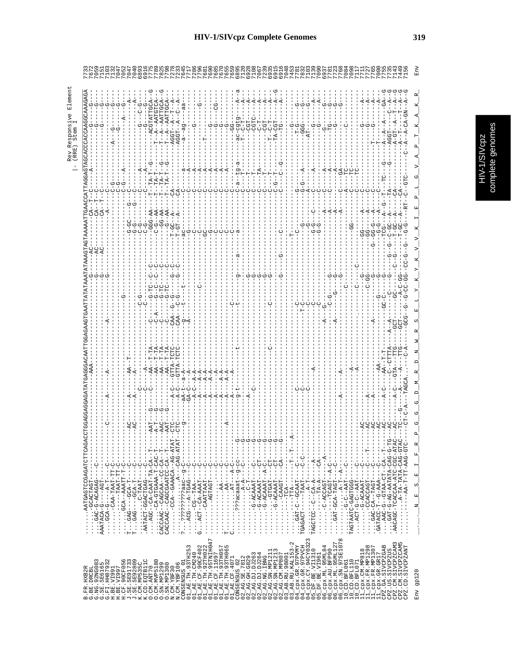| $a - ag$                                                                                                                                                                                                                                                                                                                                                                                                                                                                                                                                                                                                                                                                                                                                                                                                                                                                                                                                                                                                                                                                                                                                                                                                                                                                                                                                                                                                                                                                                                                                                                                                                                                                                                                                                                                                                                                                                                                                                                                                                                                                                                                                                                                                                                                                                                                                                                                                                                                   |                                       |
|------------------------------------------------------------------------------------------------------------------------------------------------------------------------------------------------------------------------------------------------------------------------------------------------------------------------------------------------------------------------------------------------------------------------------------------------------------------------------------------------------------------------------------------------------------------------------------------------------------------------------------------------------------------------------------------------------------------------------------------------------------------------------------------------------------------------------------------------------------------------------------------------------------------------------------------------------------------------------------------------------------------------------------------------------------------------------------------------------------------------------------------------------------------------------------------------------------------------------------------------------------------------------------------------------------------------------------------------------------------------------------------------------------------------------------------------------------------------------------------------------------------------------------------------------------------------------------------------------------------------------------------------------------------------------------------------------------------------------------------------------------------------------------------------------------------------------------------------------------------------------------------------------------------------------------------------------------------------------------------------------------------------------------------------------------------------------------------------------------------------------------------------------------------------------------------------------------------------------------------------------------------------------------------------------------------------------------------------------------------------------------------------------------------------------------------------------------|---------------------------------------|
|                                                                                                                                                                                                                                                                                                                                                                                                                                                                                                                                                                                                                                                                                                                                                                                                                                                                                                                                                                                                                                                                                                                                                                                                                                                                                                                                                                                                                                                                                                                                                                                                                                                                                                                                                                                                                                                                                                                                                                                                                                                                                                                                                                                                                                                                                                                                                                                                                                                            |                                       |
| ר ריטי<br>טסטיסט<br>טיייייייי<br>פייייייי                                                                                                                                                                                                                                                                                                                                                                                                                                                                                                                                                                                                                                                                                                                                                                                                                                                                                                                                                                                                                                                                                                                                                                                                                                                                                                                                                                                                                                                                                                                                                                                                                                                                                                                                                                                                                                                                                                                                                                                                                                                                                                                                                                                                                                                                                                                                                                                                                  |                                       |
| <b>ပုံ</b> ပုံ ပုံ ပုံ ပုံ<br>ወ⊄                                                                                                                                                                                                                                                                                                                                                                                                                                                                                                                                                                                                                                                                                                                                                                                                                                                                                                                                                                                                                                                                                                                                                                                                                                                                                                                                                                                                                                                                                                                                                                                                                                                                                                                                                                                                                                                                                                                                                                                                                                                                                                                                                                                                                                                                                                                                                                                                                           |                                       |
| תתתתתתתתתת<br>חובות חוורים<br>תותתתתותת<br>$\frac{1}{\sigma}$                                                                                                                                                                                                                                                                                                                                                                                                                                                                                                                                                                                                                                                                                                                                                                                                                                                                                                                                                                                                                                                                                                                                                                                                                                                                                                                                                                                                                                                                                                                                                                                                                                                                                                                                                                                                                                                                                                                                                                                                                                                                                                                                                                                                                                                                                                                                                                                              |                                       |
| $\frac{c}{1}$<br>$\frac{6}{1}$<br>$-1$<br>$C - C$<br>$\frac{c}{1}$<br>$\frac{6}{1}$<br>りー                                                                                                                                                                                                                                                                                                                                                                                                                                                                                                                                                                                                                                                                                                                                                                                                                                                                                                                                                                                                                                                                                                                                                                                                                                                                                                                                                                                                                                                                                                                                                                                                                                                                                                                                                                                                                                                                                                                                                                                                                                                                                                                                                                                                                                                                                                                                                                  | $\approx$                             |
| $\cdots$ $\cdots$ $A$ - $TA$ - $A$ - $T$ $A$ - $T$ $A$ - $T$ $A$ - $T$ $A$ - $C$ $A$ $C$ - $G$ $T$ $A$ $C$ -<br>$\cdots$ $\cdots$ $\cdots$<br>$C - C$<br>U-------U-<br>GAT-G-AG-AATATATA-CAG-TG<br>AACAGC-CAA-ATCOC-CGC-ATAC<br>$- - A A - T - T - A A C - G T C$<br>$-1 - 1 -$<br>-- H-- AAC-- HO-AATS-- 5-OAA<br>$---CTT---$<br>$\frac{1}{\mathbf{U}}$<br>$\mathbf{I}$<br>I<br>$--C\mathbf{T}^{--}$<br>$\frac{1}{1}$<br>$-177 - -$<br>$\frac{1}{1}$<br>п<br>$---A--$<br>$-40 - 1$<br>$\mathbf{I}$<br>$\frac{1}{1}$<br>$\frac{1}{1}$<br>$\frac{1}{4}$<br>$\frac{1}{1}$<br>Ť<br>$\frac{1}{1}$<br>Ť<br>ł<br>$\mathbf{I}$<br>$\frac{1}{1}$<br>Ť<br>$\frac{1}{4}$<br>f.<br>- 1<br>I<br>l.<br>$\frac{1}{1}$<br>$\frac{1}{1}$<br>$\mathbf{I}$<br><b>I</b><br>ł<br>f.<br>J.<br>Ť.<br>÷<br>$\frac{1}{1}$<br>$\frac{1}{1}$<br>$\frac{1}{2}$<br>$\frac{1}{2}$<br>r<br> <br>U<br> <br>$\frac{C}{1}$<br>ט<br> <br>$\Gamma$<br>ט<br> <br>ט<br> <br>$\Gamma$<br>$-4$<br>$\Gamma$<br>$\frac{C}{1}$<br>$\frac{1}{2}$<br>ט<br> <br>$\Gamma$<br>ט<br>¦<br>ט<br> <br>ט<br>ו<br>י<br>ו<br>$\frac{1}{1}$<br>$\mathbf{I}$<br>$\frac{1}{1}$<br>$\frac{1}{1}$<br>j<br>$\,$ I<br>J<br>j.<br>$\frac{1}{1}$<br>I<br>$---A-T-1$<br>$\frac{1}{1}$<br>$\overline{1}$<br>$\,$ I<br>J                                                                                                                                                                                                                                                                                                                                                                                                                                                                                                                                                                                                                                                                                                                                                                                                                                                                                                                                                                                                                                                                                                                                                                                                     | Ŀ,<br>Н<br>$\boxed{\mathbf{H}}$<br>ω, |
| $T$ - $-AC$ - $C = AC$ - $T = AC - CA$ - $T = C - CA$<br>$\cdots$ $-144AB + -14 - 4$<br>$\cdots$ $\cdots$ $\cdots$<br>U-HH-HAAH----------<br>$\cdots$ $\cdots$<br>$\begin{array}{cccccccccc}\nC & - & C & - & T & A & - & - \\ C & - & - & A & - & - & - \\ C & - & - & C & - & - & - & - \\ \end{array}$<br>$-1.5417943$<br>-- 040404-0-040<br>. AATACT-GGACTGAG--<br>--GGGHGAG-CHARHORH<br>$-1 - 1 - 1 - 0$<br>$-1$<br>$-1 - A - - - - - - - - - -$<br>AAATACA-G---AGT-<br>$. CAC-CA-C-A-BCAA-C-BAA--TAAA-C-C-AAA-$<br>$\ldots$ $ACT-G-CI-AAT$<br>TPAT-ACP-TAD<br>$\cdots \cdots \cdots$<br>--------<br>--TTA--<br>$-TCA-$<br>$\begin{bmatrix} 1 & 1 & 1 & 1 \\ 1 & 1 & 1 & 1 \\ 1 & 1 & 1 & 1 \\ 1 & 1 & 1 & 1 \\ 1 & 1 & 1 & 1 \\ 1 & 1 & 1 & 1 \\ 1 & 1 & 1 & 1 \\ 1 & 1 & 1 & 1 \\ 1 & 1 & 1 & 1 \\ 1 & 1 & 1 & 1 \\ 1 & 1 & 1 & 1 & 1 \\ 1 & 1 & 1 & 1 & 1 \\ 1 & 1 & 1 & 1 & 1 \\ 1 & 1 & 1 & 1 & 1 \\ 1 & 1 & 1 & 1 & 1 \\ 1 & 1 & 1 & 1 & 1 \\ 1 & $<br>$\overline{1}$<br>İ,<br>ŧ<br>$\ddot{\cdot}$<br>$\frac{1}{2}$<br>$\vdots$<br>$\vdots$<br>$\vdots$<br>$\vdots$                                                                                                                                                                                                                                                                                                                                                                                                                                                                                                                                                                                                                                                                                                                                                                                                                                                                                                                                                                                                                                                                                                                                                                                                                                                                                                                                                                             | 囸<br>Z                                |
| ${}^{\circ}$<br>$\begin{array}{l} (11-120,1240)\\ (12-120,1240)\\ (12-120,1240)\\ (12-120,1240)\\ (12-120,1240)\\ (12-120,1240)\\ (12-120,1240)\\ (12-120,1240)\\ (12-120,1240)\\ (12-120,1240)\\ (12-120,1240)\\ (120,1240)\\ (120,1240)\\ (120,1240)\\ (120,1240)\\ (120,1240)\\ (120$<br>$04-\text{cpx}$ . GR. 97 PVCH<br>$04-\text{cpx}$ . CY. 94 CV 0323<br>$05-\text{DF}$ . BE. VI1310<br>$05-\text{DF}$ . BE. VI961<br>$3 - 2$<br>$\begin{array}{l} 6\!-\!\cos\!x\,,\mathrm{M}\cdot\mathrm{BFD0}\\ 6\!-\!\cos\!x\,,\mathrm{M}\cdot\mathrm{95}^{\mathrm{WD1}}\\ 6\!-\!\cos\!x\,,\mathrm{M}\cdot\mathrm{95}^{\mathrm{HL}}\\ 2\!-\!\cos\!x\,,\mathrm{N}\cdot\mathrm{97}^{\mathrm{SB}}\\ 0\!-\!\mathrm{CD}\cdot\mathrm{BFL10}^{\mathrm{TH}}\\ 0\!-\!\mathrm{CD}\cdot\mathrm{BFL10}^{\mathrm{TH}}\\ 0\!-\!\mathrm{CD}\cdot\mathrm{BFL0}^{\mathrm{TH}} \end{array}$<br>CPZ.CM.SIVCPZCAM3<br>CPZ.CM.SIVCPZCAM5<br>CPX.GR.97PVMY<br>CNSENSUS 01<br>1_AE.TH.93TH253<br>срх. МІ. 95М184<br>$\begin{array}{l} 11 \, \rule{0pt}{2.5ex} \rule{0pt}{2.5ex} \rule{0pt}{2.5ex} \rule{0pt}{2.5ex} \rule{0pt}{2.5ex} \rule{0pt}{2.5ex} \rule{0pt}{2.5ex} \rule{0pt}{2.5ex} \rule{0pt}{2.5ex} \rule{0pt}{2.5ex} \rule{0pt}{2.5ex} \rule{0pt}{2.5ex} \rule{0pt}{2.5ex} \rule{0pt}{2.5ex} \rule{0pt}{2.5ex} \rule{0pt}{2.5ex} \rule{0pt}{2.5ex} \rule{0pt}{2.5ex} \rule{0pt}{2.5ex$<br>CPZ.CD.SIVCPZANT<br>CPZ.US.SIVCPZUS<br>$\begin{array}{l} \widetilde{\mathcal{M}}(\widetilde{\mathcal{M}}(\widetilde{\mathcal{M}}(\widetilde{\mathcal{M}}(\widetilde{\mathcal{M}}(\widetilde{\mathcal{M}}(\widetilde{\mathcal{M}}(\widetilde{\mathcal{M}}(\widetilde{\mathcal{M}}(\widetilde{\mathcal{M}}(\widetilde{\mathcal{M}}(\widetilde{\mathcal{M}}(\widetilde{\mathcal{M}}(\widetilde{\mathcal{M}}(\widetilde{\mathcal{M}}(\widetilde{\mathcal{M}}(\widetilde{\mathcal{M}}(\widetilde{\mathcal{M}}(\widetilde{\mathcal{M}}(\widetilde{\mathcal{M}}(\widetilde{\mathcal{M}}(\widet$<br>H.CF.90CF056<br>J.SE.SE91733<br>J.SE.SE92809<br>K.CM.MP535C<br>K.CD.EQTB11C<br>$\circ$<br>G.NG.92NG083<br>G.SE.SE6165<br>G.FI.HH87932<br>H.BE.VI991<br>O.CM.MP55180<br>O.SM.MP1299<br>O.SM.MP1300<br>N.CM.YBF30<br>N.CM.YBF106<br>.CM.ANT70<br>. FR. HXB2R<br>. BE. DRCBL<br>H.BE.VI997<br>O<br>$\mathbf{C}$<br>$\alpha$ $\alpha$<br>$\mathcal{L}$<br>$\alpha$<br>$\mathbf{C}$<br>$\mathbf{\Omega}$<br>$\omega$<br>4<br>G<br>0<br>0<br>$\circ$<br>$\circ$<br>$\circ$<br>四ひ<br>$\circ$ | gp120<br>Env                          |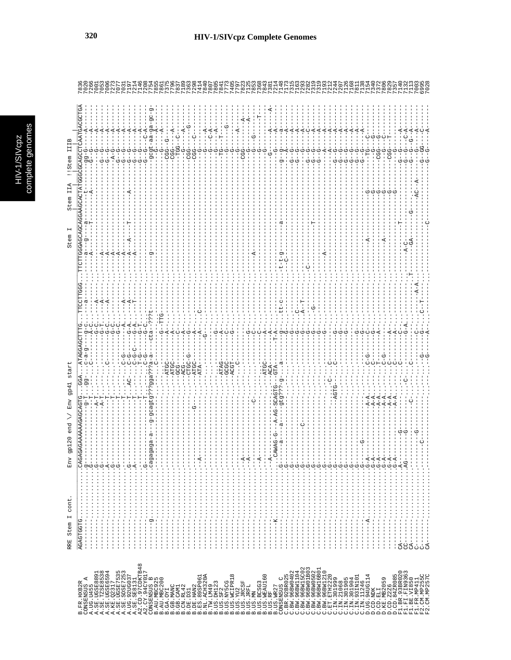complete genomes HIV-1/SIVcpz

> Env gp120 end \/ Env gp41 start Stem I cont.

**RRE** 

Stem IIA 11Stem IIIB  $\overline{H}$ Stem

| נובר                                                                                                                                                                                                                                                                                                                            |                                              |                            |                           |                            |                                                |                      |                                      |          |                                                                                                                                                                                                                                                 |
|---------------------------------------------------------------------------------------------------------------------------------------------------------------------------------------------------------------------------------------------------------------------------------------------------------------------------------|----------------------------------------------|----------------------------|---------------------------|----------------------------|------------------------------------------------|----------------------|--------------------------------------|----------|-------------------------------------------------------------------------------------------------------------------------------------------------------------------------------------------------------------------------------------------------|
| AGAGTGGTG.                                                                                                                                                                                                                                                                                                                      |                                              |                            | .ATAGGAGCTTTG             | TTCCTTGGG                  | TTCTTGGGAGCAGGAAGCACTATGGGCGCAGCCTCAATGACGCTGA |                      |                                      |          |                                                                                                                                                                                                                                                 |
| $\frac{1}{2}$                                                                                                                                                                                                                                                                                                                   |                                              | GGA.                       |                           |                            |                                                |                      |                                      |          |                                                                                                                                                                                                                                                 |
| $\mathsf I$                                                                                                                                                                                                                                                                                                                     |                                              | $-\overline{a}$<br>O<br>gg | তা                        | <b>J</b>                   | <b>G</b><br>$\frac{1}{2}$<br>п                 | -1<br>$\overline{v}$ | $\mathbf{I}$<br><b>I</b><br>ひ        | К        |                                                                                                                                                                                                                                                 |
| $\mathsf I$                                                                                                                                                                                                                                                                                                                     |                                              |                            | υU                        |                            | $\vec{p}$ =                                    | A                    | ひ<br>$-50 - 7$                       |          |                                                                                                                                                                                                                                                 |
|                                                                                                                                                                                                                                                                                                                                 |                                              |                            | U<br>$\overline{0}$ ក្នុង | A                          |                                                |                      | פ                                    | ⋖⋖       |                                                                                                                                                                                                                                                 |
|                                                                                                                                                                                                                                                                                                                                 |                                              |                            |                           |                            |                                                |                      |                                      |          |                                                                                                                                                                                                                                                 |
|                                                                                                                                                                                                                                                                                                                                 | 부<br>Ā,                                      |                            | Н<br>ά                    | K,                         |                                                |                      | ひ                                    | K,       |                                                                                                                                                                                                                                                 |
|                                                                                                                                                                                                                                                                                                                                 |                                              |                            | U<br>$\bar{5}$            | Ą                          | J.                                             |                      | ט<br>じ じ                             | K,       |                                                                                                                                                                                                                                                 |
|                                                                                                                                                                                                                                                                                                                                 |                                              |                            |                           |                            |                                                |                      |                                      |          |                                                                                                                                                                                                                                                 |
|                                                                                                                                                                                                                                                                                                                                 |                                              |                            | U<br>ස්                   |                            | $A = 1 - 1$                                    |                      | ひ<br>К<br>$\blacksquare$             | K,       | しつしっかいのけ<br>אפסטמסטרומאריונית המשמש של היום המשמש המשמש המשמש המשמש המשמש המשמש המשמש המשמש המשמש המשמש המשמש המשמש המשמש<br>המשמש המשמש המשמש המשמש המשמש המשמש המשמש המשמש המשמש המשמש המשמש המשמש המשמש המשמש המשמש המשמש המשמש המשמש ה<br>ה |
|                                                                                                                                                                                                                                                                                                                                 |                                              |                            | U<br>්                    |                            |                                                |                      | ひ                                    | ₫,       |                                                                                                                                                                                                                                                 |
|                                                                                                                                                                                                                                                                                                                                 |                                              | Ū                          | К                         | К                          |                                                |                      | ひ<br><b>ひひひひひひ</b>                   | К        |                                                                                                                                                                                                                                                 |
|                                                                                                                                                                                                                                                                                                                                 |                                              |                            |                           |                            |                                                |                      |                                      |          |                                                                                                                                                                                                                                                 |
|                                                                                                                                                                                                                                                                                                                                 |                                              | 한 한 한 한 만<br>UUH<br>Ä.     | RAH<br>မ                  | ΚH                         | Æ<br>ш                                         |                      | J<br>也                               |          |                                                                                                                                                                                                                                                 |
|                                                                                                                                                                                                                                                                                                                                 |                                              |                            | U                         |                            | Æ                                              |                      | ひ                                    | A        | 4                                                                                                                                                                                                                                               |
|                                                                                                                                                                                                                                                                                                                                 |                                              |                            |                           |                            |                                                |                      | $\blacksquare$                       |          |                                                                                                                                                                                                                                                 |
|                                                                                                                                                                                                                                                                                                                                 |                                              |                            | ずりの                       |                            |                                                |                      | $-4$<br>п<br>ひ                       |          | <b>000 4 10 4 10 70 L</b>                                                                                                                                                                                                                       |
|                                                                                                                                                                                                                                                                                                                                 |                                              | U                          | U                         |                            |                                                |                      | $ C - A$<br>ひ                        |          |                                                                                                                                                                                                                                                 |
|                                                                                                                                                                                                                                                                                                                                 | ᡣ.                                           | ൯<br>$\mathbf{I}$<br>ς.    | cta.                      |                            |                                                |                      |                                      |          |                                                                                                                                                                                                                                                 |
| ף –<br>י                                                                                                                                                                                                                                                                                                                        | $t_{\rm g}$<br>cag1<br>Ō<br>ਨਾ<br>Φ          | σU<br>gga'                 |                           |                            | ਨਾ                                             |                      | $-$ aa-g $-$<br>あひ<br>O<br>ס         | ā-ā      |                                                                                                                                                                                                                                                 |
|                                                                                                                                                                                                                                                                                                                                 |                                              |                            |                           |                            |                                                |                      |                                      |          |                                                                                                                                                                                                                                                 |
| ì                                                                                                                                                                                                                                                                                                                               | $\frac{1}{2}$                                |                            | 부                         |                            |                                                |                      | ひ                                    | К        |                                                                                                                                                                                                                                                 |
|                                                                                                                                                                                                                                                                                                                                 |                                              |                            |                           |                            |                                                |                      |                                      |          |                                                                                                                                                                                                                                                 |
|                                                                                                                                                                                                                                                                                                                                 |                                              | $-ATGC$                    |                           |                            |                                                |                      | $\mathbf{I}$<br>ပုံ<br>cee<br>Cee    |          |                                                                                                                                                                                                                                                 |
|                                                                                                                                                                                                                                                                                                                                 | T                                            | <b>ATG</b>                 |                           |                            |                                                |                      | Ť                                    | A        |                                                                                                                                                                                                                                                 |
|                                                                                                                                                                                                                                                                                                                                 |                                              | cc<br>G                    |                           |                            |                                                |                      | U)<br>TGG-                           |          |                                                                                                                                                                                                                                                 |
| ţ                                                                                                                                                                                                                                                                                                                               |                                              |                            |                           |                            |                                                |                      |                                      |          |                                                                                                                                                                                                                                                 |
| $\frac{1}{2}$                                                                                                                                                                                                                                                                                                                   |                                              | ACG                        | 0 < 0 < 0                 |                            |                                                |                      | نې<br>۱                              | K,       | തന                                                                                                                                                                                                                                              |
| i                                                                                                                                                                                                                                                                                                                               | $\frac{1}{2}$                                |                            |                           |                            |                                                |                      | CGG.                                 | ひ        |                                                                                                                                                                                                                                                 |
|                                                                                                                                                                                                                                                                                                                                 |                                              |                            |                           |                            |                                                |                      |                                      |          |                                                                                                                                                                                                                                                 |
| $\frac{1}{2}$                                                                                                                                                                                                                                                                                                                   |                                              | $-CTGC - CTC - C$          |                           |                            |                                                |                      | $\sigma$<br>ĊĠ                       |          |                                                                                                                                                                                                                                                 |
| $\ddot{A}$<br>ï                                                                                                                                                                                                                                                                                                                 |                                              | $-ATA$                     | $\mathbb{R}$              |                            |                                                |                      | ひ                                    |          |                                                                                                                                                                                                                                                 |
|                                                                                                                                                                                                                                                                                                                                 |                                              |                            |                           |                            |                                                |                      | ÷                                    |          |                                                                                                                                                                                                                                                 |
|                                                                                                                                                                                                                                                                                                                                 | Ť                                            |                            |                           |                            |                                                |                      | ひ                                    | К        |                                                                                                                                                                                                                                                 |
|                                                                                                                                                                                                                                                                                                                                 |                                              |                            |                           |                            |                                                |                      | $C - A$<br>ひ                         |          |                                                                                                                                                                                                                                                 |
|                                                                                                                                                                                                                                                                                                                                 | $\frac{1}{1}$                                |                            |                           |                            |                                                |                      |                                      |          |                                                                                                                                                                                                                                                 |
|                                                                                                                                                                                                                                                                                                                                 |                                              |                            | でり                        |                            |                                                |                      |                                      |          |                                                                                                                                                                                                                                                 |
| $\begin{bmatrix} 1 & 0 & 0 \\ 0 & 1 & 0 \\ 0 & 0 & 0 \\ 0 & 0 & 0 \\ 0 & 0 & 0 \\ 0 & 0 & 0 \\ 0 & 0 & 0 & 0 \\ 0 & 0 & 0 & 0 \\ 0 & 0 & 0 & 0 \\ 0 & 0 & 0 & 0 & 0 \\ 0 & 0 & 0 & 0 & 0 \\ 0 & 0 & 0 & 0 & 0 \\ 0 & 0 & 0 & 0 & 0 & 0 \\ 0 & 0 & 0 & 0 & 0 & 0 \\ 0 & 0 & 0 & 0 & 0 & 0 & 0 \\ 0 & 0 & 0 & 0 & 0 & 0 & 0 \\ $  |                                              | ATAG                       | K.                        |                            |                                                |                      | л.<br>н<br>н                         |          |                                                                                                                                                                                                                                                 |
|                                                                                                                                                                                                                                                                                                                                 |                                              |                            |                           |                            |                                                |                      |                                      |          |                                                                                                                                                                                                                                                 |
| $\frac{1}{2}$                                                                                                                                                                                                                                                                                                                   |                                              | <b>9999</b>                | ひひ                        |                            |                                                |                      |                                      | ひ        |                                                                                                                                                                                                                                                 |
| $\frac{1}{2}$                                                                                                                                                                                                                                                                                                                   |                                              | ACGI                       |                           |                            |                                                |                      |                                      |          |                                                                                                                                                                                                                                                 |
|                                                                                                                                                                                                                                                                                                                                 |                                              |                            |                           |                            |                                                |                      |                                      |          |                                                                                                                                                                                                                                                 |
| $\frac{1}{2}$                                                                                                                                                                                                                                                                                                                   |                                              |                            |                           |                            |                                                |                      | ひ                                    | A        |                                                                                                                                                                                                                                                 |
|                                                                                                                                                                                                                                                                                                                                 |                                              |                            |                           |                            |                                                |                      | 990                                  | $-4$     |                                                                                                                                                                                                                                                 |
|                                                                                                                                                                                                                                                                                                                                 |                                              |                            |                           |                            |                                                |                      |                                      |          |                                                                                                                                                                                                                                                 |
|                                                                                                                                                                                                                                                                                                                                 |                                              |                            |                           |                            |                                                |                      | υ                                    | К        |                                                                                                                                                                                                                                                 |
|                                                                                                                                                                                                                                                                                                                                 | C                                            |                            |                           |                            |                                                |                      | Ġ<br>ひ                               |          |                                                                                                                                                                                                                                                 |
|                                                                                                                                                                                                                                                                                                                                 |                                              |                            |                           |                            |                                                |                      |                                      |          |                                                                                                                                                                                                                                                 |
| $\begin{bmatrix} 1 & 1 & 1 & 1 \\ 1 & 1 & 1 & 1 \\ 1 & 1 & 1 & 1 \\ 1 & 1 & 1 & 1 \\ 1 & 1 & 1 & 1 \\ 1 & 1 & 1 & 1 \\ 1 & 1 & 1 & 1 \\ 1 & 1 & 1 & 1 \\ 1 & 1 & 1 & 1 \\ 1 & 1 & 1 & 1 \\ 1 & 1 & 1 & 1 \\ 1 & 1 & 1 & 1 \\ 1 & 1 & 1 & 1 \\ 1 & 1 & 1 & 1 \\ 1 & 1 & 1 & 1 \\ 1 & 1 & 1 & 1 \\ 1 & 1 & 1 & 1 \\ 1 & 1 & 1 & $ |                                              |                            | C)                        |                            |                                                |                      | ひ                                    |          | $\infty$ m                                                                                                                                                                                                                                      |
|                                                                                                                                                                                                                                                                                                                                 |                                              | ATG                        | K.                        |                            |                                                |                      | ひ                                    |          |                                                                                                                                                                                                                                                 |
|                                                                                                                                                                                                                                                                                                                                 |                                              |                            |                           |                            |                                                |                      |                                      |          |                                                                                                                                                                                                                                                 |
| I<br>I                                                                                                                                                                                                                                                                                                                          |                                              | $-ACA$                     | К                         |                            |                                                |                      | ひ                                    | K,       |                                                                                                                                                                                                                                                 |
| $---X$ .                                                                                                                                                                                                                                                                                                                        | <b>EDACS</b> .<br>$A-AG-$<br>υ<br><b>WAG</b> | $-GTA$                     | K,<br>ė                   |                            |                                                |                      | ひ                                    |          |                                                                                                                                                                                                                                                 |
|                                                                                                                                                                                                                                                                                                                                 |                                              |                            |                           |                            |                                                |                      |                                      |          | 400 സ 10                                                                                                                                                                                                                                        |
| $\mathbf I$<br>Ţ<br>í<br>Ţ                                                                                                                                                                                                                                                                                                      | sep <sub>5</sub><br>൯<br><b>Q</b>            | a<br>.<br>.<br>ים<br>!     |                           | tt-c                       | ים<br>י<br>F<br>ا<br>د                         |                      | თ                                    | <b>J</b> |                                                                                                                                                                                                                                                 |
|                                                                                                                                                                                                                                                                                                                                 |                                              |                            | のひ                        |                            | U                                              |                      | ወ⊄                                   |          |                                                                                                                                                                                                                                                 |
|                                                                                                                                                                                                                                                                                                                                 |                                              |                            |                           |                            |                                                |                      |                                      |          |                                                                                                                                                                                                                                                 |
|                                                                                                                                                                                                                                                                                                                                 |                                              |                            | てり                        |                            |                                                |                      | ℧<br>ひ                               |          |                                                                                                                                                                                                                                                 |
|                                                                                                                                                                                                                                                                                                                                 |                                              |                            | τŋ                        | -1<br>U                    |                                                |                      | ひ                                    |          |                                                                                                                                                                                                                                                 |
|                                                                                                                                                                                                                                                                                                                                 |                                              |                            |                           |                            |                                                |                      |                                      |          |                                                                                                                                                                                                                                                 |
|                                                                                                                                                                                                                                                                                                                                 |                                              |                            | てり                        | н<br>J<br>$\overline{A}$ . |                                                |                      |                                      |          |                                                                                                                                                                                                                                                 |
|                                                                                                                                                                                                                                                                                                                                 |                                              |                            | てり                        |                            |                                                |                      | U<br>ひひひ                             |          |                                                                                                                                                                                                                                                 |
|                                                                                                                                                                                                                                                                                                                                 |                                              |                            | てり                        | ပု                         |                                                |                      | ט                                    |          |                                                                                                                                                                                                                                                 |
|                                                                                                                                                                                                                                                                                                                                 |                                              |                            |                           |                            |                                                |                      |                                      |          |                                                                                                                                                                                                                                                 |
|                                                                                                                                                                                                                                                                                                                                 |                                              |                            | てり                        |                            |                                                |                      | U                                    | Æ        | ഗ                                                                                                                                                                                                                                               |
|                                                                                                                                                                                                                                                                                                                                 |                                              |                            | τŋ                        |                            | Æ                                              |                      | -1                                   | A        |                                                                                                                                                                                                                                                 |
|                                                                                                                                                                                                                                                                                                                                 |                                              |                            |                           |                            |                                                |                      |                                      |          |                                                                                                                                                                                                                                                 |
|                                                                                                                                                                                                                                                                                                                                 |                                              |                            |                           |                            |                                                |                      | $\overline{\phantom{a}}$<br>K.       | К        |                                                                                                                                                                                                                                                 |
|                                                                                                                                                                                                                                                                                                                                 | $-AGT$                                       |                            |                           |                            |                                                |                      | ひ                                    | K,       |                                                                                                                                                                                                                                                 |
|                                                                                                                                                                                                                                                                                                                                 |                                              |                            | てりてり                      |                            |                                                |                      | J.<br>ひ                              |          |                                                                                                                                                                                                                                                 |
|                                                                                                                                                                                                                                                                                                                                 |                                              |                            |                           |                            |                                                |                      |                                      | K,       |                                                                                                                                                                                                                                                 |
|                                                                                                                                                                                                                                                                                                                                 |                                              |                            | C                         |                            |                                                |                      | т<br>υυ<br>めめめめめめ                    | К        | ယ ထ                                                                                                                                                                                                                                             |
| I                                                                                                                                                                                                                                                                                                                               |                                              |                            |                           |                            |                                                |                      | J,<br>п<br>T<br>$\blacksquare$       | К        |                                                                                                                                                                                                                                                 |
|                                                                                                                                                                                                                                                                                                                                 |                                              |                            |                           |                            |                                                |                      |                                      |          | トトト                                                                                                                                                                                                                                             |
|                                                                                                                                                                                                                                                                                                                                 |                                              |                            |                           |                            |                                                |                      | $\mathsf I$                          | Ą        |                                                                                                                                                                                                                                                 |
| í                                                                                                                                                                                                                                                                                                                               |                                              |                            | じ じ                       |                            |                                                |                      | I<br>じ じ<br>Ť.                       | K,       |                                                                                                                                                                                                                                                 |
|                                                                                                                                                                                                                                                                                                                                 |                                              |                            |                           |                            |                                                |                      |                                      |          | ⊣∞ ↔                                                                                                                                                                                                                                            |
| $- - A$                                                                                                                                                                                                                                                                                                                         | $A - A$                                      | ပု                         |                           |                            |                                                |                      |                                      |          |                                                                                                                                                                                                                                                 |
|                                                                                                                                                                                                                                                                                                                                 |                                              |                            |                           |                            |                                                |                      | go d                                 |          | $\circ$                                                                                                                                                                                                                                         |
|                                                                                                                                                                                                                                                                                                                                 |                                              | J.<br>-1                   | $\cup$ $\circ$ $\circ$    |                            |                                                |                      | CGG-                                 |          | $\sim$ $\sim$ $\sim$ $\sim$                                                                                                                                                                                                                     |
|                                                                                                                                                                                                                                                                                                                                 |                                              |                            |                           |                            |                                                |                      |                                      |          |                                                                                                                                                                                                                                                 |
| Ţ<br>I                                                                                                                                                                                                                                                                                                                          |                                              | ပု                         |                           |                            | K,                                             |                      | ひ                                    |          |                                                                                                                                                                                                                                                 |
| I<br>$\mathbf{I}$                                                                                                                                                                                                                                                                                                               | $A - A$<br>$A - A$<br>$A - A$<br>$A - A$     | ひひけいひ                      | Ā,                        |                            |                                                | ひ ひ ひ ひ ひ ひ          | もああむら<br>CGG                         |          |                                                                                                                                                                                                                                                 |
|                                                                                                                                                                                                                                                                                                                                 |                                              |                            |                           |                            |                                                |                      |                                      |          |                                                                                                                                                                                                                                                 |
| $\frac{1}{1}$                                                                                                                                                                                                                                                                                                                   |                                              |                            | K.                        |                            |                                                |                      |                                      |          |                                                                                                                                                                                                                                                 |
|                                                                                                                                                                                                                                                                                                                                 |                                              |                            | ↻                         |                            |                                                |                      | ひ                                    |          |                                                                                                                                                                                                                                                 |
|                                                                                                                                                                                                                                                                                                                                 | C                                            |                            | ó                         |                            |                                                |                      | Ų<br>÷                               |          | レレレレ                                                                                                                                                                                                                                            |
| וֹוֹוֹוֹוֹ<br>  דוויון<br> מטסטטטל<br> מטסטטט                                                                                                                                                                                                                                                                                   |                                              |                            |                           |                            | К                                              |                      | ひ<br>めめめ                             | ΑA       | NGHMANANONDRAHHOOC                                                                                                                                                                                                                              |
| <b>I</b>                                                                                                                                                                                                                                                                                                                        | $\frac{1}{4}$                                |                            |                           |                            | 3                                              |                      | $\frac{1}{1}$<br>ပု<br>ひ<br><b>I</b> |          |                                                                                                                                                                                                                                                 |
|                                                                                                                                                                                                                                                                                                                                 |                                              |                            | O                         |                            |                                                |                      | ζŋ<br>- 1                            | R,       | $\sim$ $\sim$ 10 $\sim$                                                                                                                                                                                                                         |
|                                                                                                                                                                                                                                                                                                                                 |                                              |                            |                           |                            |                                                |                      | τŋ                                   |          |                                                                                                                                                                                                                                                 |
|                                                                                                                                                                                                                                                                                                                                 |                                              |                            |                           |                            |                                                |                      |                                      |          |                                                                                                                                                                                                                                                 |
|                                                                                                                                                                                                                                                                                                                                 |                                              |                            |                           |                            |                                                |                      |                                      |          |                                                                                                                                                                                                                                                 |

 $\begin{smallmatrix} \texttt{R}, \texttt{IRBR} \\ \texttt{MSBRS} \\ \texttt{MSBRS} \\ \texttt{MSBRS} \\ \texttt{MSBRS} \\ \texttt{MSBRS} \\ \texttt{MSBRS} \\ \texttt{MSBRS} \\ \texttt{MSBRS} \\ \texttt{MSBRS} \\ \texttt{MSBRS} \\ \texttt{MSBRS} \\ \texttt{MSBRS} \\ \texttt{MSBRS} \\ \texttt{MSBRS} \\ \texttt{MSBRS} \\ \texttt{MSBRS} \\ \texttt{MSBRS} \\ \texttt{MSBRS} \\ \texttt{MSBRS} \\ \texttt{MSBRS} \\ \texttt{MSBRS} \\ \texttt{MSBRS} \\ \text$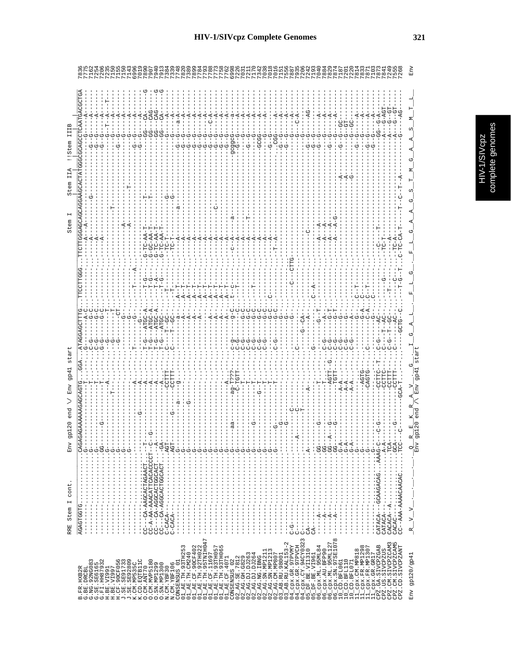|                                                                                                                                                                                                                                                                                                                                                                                                                                                                                      | cont<br>$\mathbf{H}$<br>Stem<br><b>RRE</b>                                                                                                                                                  | Env                                                                                                | star<br>9P4    |              |            | Stem                                                                      | Stem   |               |          |                                          |
|--------------------------------------------------------------------------------------------------------------------------------------------------------------------------------------------------------------------------------------------------------------------------------------------------------------------------------------------------------------------------------------------------------------------------------------------------------------------------------------|---------------------------------------------------------------------------------------------------------------------------------------------------------------------------------------------|----------------------------------------------------------------------------------------------------|----------------|--------------|------------|---------------------------------------------------------------------------|--------|---------------|----------|------------------------------------------|
|                                                                                                                                                                                                                                                                                                                                                                                                                                                                                      | $\bullet$<br>AGAGTGGTG                                                                                                                                                                      | CAGA                                                                                               |                | ATAGGA       |            | CTTGGGGGCAGCAGGA                                                          | GCACTA | CAATGA        |          |                                          |
|                                                                                                                                                                                                                                                                                                                                                                                                                                                                                      |                                                                                                                                                                                             |                                                                                                    |                |              |            |                                                                           |        |               |          |                                          |
|                                                                                                                                                                                                                                                                                                                                                                                                                                                                                      | $\frac{1}{1}$                                                                                                                                                                               |                                                                                                    |                | υυ           |            |                                                                           |        | てり            |          | ANNNHHHHOO 80 90 90 90 40 80 80          |
|                                                                                                                                                                                                                                                                                                                                                                                                                                                                                      | $\mathbf{I}$<br>$\frac{1}{1}$                                                                                                                                                               |                                                                                                    |                |              |            |                                                                           |        | てり            |          | <b>FFFFFFFF</b>                          |
|                                                                                                                                                                                                                                                                                                                                                                                                                                                                                      | J<br>J.                                                                                                                                                                                     | ŧ                                                                                                  |                | ひ            |            |                                                                           |        |               |          |                                          |
|                                                                                                                                                                                                                                                                                                                                                                                                                                                                                      | $\vdots$                                                                                                                                                                                    |                                                                                                    |                |              |            |                                                                           |        | 텃             |          |                                          |
|                                                                                                                                                                                                                                                                                                                                                                                                                                                                                      |                                                                                                                                                                                             |                                                                                                    |                |              |            |                                                                           |        |               |          |                                          |
|                                                                                                                                                                                                                                                                                                                                                                                                                                                                                      | <b>Production</b>                                                                                                                                                                           |                                                                                                    |                |              |            |                                                                           |        |               |          |                                          |
|                                                                                                                                                                                                                                                                                                                                                                                                                                                                                      |                                                                                                                                                                                             | 111                                                                                                |                |              |            |                                                                           |        |               |          |                                          |
|                                                                                                                                                                                                                                                                                                                                                                                                                                                                                      |                                                                                                                                                                                             |                                                                                                    |                |              |            |                                                                           |        |               |          |                                          |
|                                                                                                                                                                                                                                                                                                                                                                                                                                                                                      | $\vdots$                                                                                                                                                                                    |                                                                                                    |                |              |            |                                                                           |        | ひ             |          |                                          |
|                                                                                                                                                                                                                                                                                                                                                                                                                                                                                      |                                                                                                                                                                                             |                                                                                                    |                |              |            |                                                                           |        | てり            |          | $Q \cap I$                               |
|                                                                                                                                                                                                                                                                                                                                                                                                                                                                                      | $\vdots$<br>LUAGAGEUROURT-T<br>U                                                                                                                                                            | ÷<br>$-\frac{1}{2}$                                                                                | K,             |              | ひ          |                                                                           |        |               |          |                                          |
|                                                                                                                                                                                                                                                                                                                                                                                                                                                                                      | CC-A-AA-AAACATTCACCCCCT--C-                                                                                                                                                                 |                                                                                                    |                | စုံစုံစုံစုံ |            |                                                                           |        |               |          |                                          |
|                                                                                                                                                                                                                                                                                                                                                                                                                                                                                      |                                                                                                                                                                                             |                                                                                                    |                |              | YTT<br>HHH |                                                                           |        | $\frac{1}{1}$ |          |                                          |
|                                                                                                                                                                                                                                                                                                                                                                                                                                                                                      |                                                                                                                                                                                             | $\cdots$ $   -$                                                                                    |                |              |            |                                                                           |        |               |          |                                          |
|                                                                                                                                                                                                                                                                                                                                                                                                                                                                                      |                                                                                                                                                                                             |                                                                                                    | ₫              |              | 1          |                                                                           |        |               |          |                                          |
|                                                                                                                                                                                                                                                                                                                                                                                                                                                                                      |                                                                                                                                                                                             |                                                                                                    |                |              | $-1$       | ひ                                                                         |        |               |          |                                          |
|                                                                                                                                                                                                                                                                                                                                                                                                                                                                                      |                                                                                                                                                                                             |                                                                                                    | EUC            |              | 투          | <b>G-TC-AA</b><br>G-GC-AA<br>G-TC-AA<br>G-TC-AA<br>--TC-T---<br>--TC-T--- |        |               |          |                                          |
|                                                                                                                                                                                                                                                                                                                                                                                                                                                                                      |                                                                                                                                                                                             |                                                                                                    | σ              |              | ٣<br>Ī,    |                                                                           |        |               |          |                                          |
|                                                                                                                                                                                                                                                                                                                                                                                                                                                                                      | -1<br>Ť.                                                                                                                                                                                    |                                                                                                    |                |              |            |                                                                           |        |               |          |                                          |
|                                                                                                                                                                                                                                                                                                                                                                                                                                                                                      | $\frac{1}{1}$<br>$\mathbf{I}$                                                                                                                                                               |                                                                                                    |                |              | Ť          |                                                                           |        |               |          | $4N$ $\infty$ $\infty$ $\infty$ $\infty$ |
|                                                                                                                                                                                                                                                                                                                                                                                                                                                                                      | $-1$ $-1$ $-1$ $-1$ $-1$ $-1$                                                                                                                                                               |                                                                                                    |                |              | л.         |                                                                           |        |               |          |                                          |
|                                                                                                                                                                                                                                                                                                                                                                                                                                                                                      |                                                                                                                                                                                             |                                                                                                    |                |              |            |                                                                           |        |               |          |                                          |
|                                                                                                                                                                                                                                                                                                                                                                                                                                                                                      |                                                                                                                                                                                             |                                                                                                    |                |              | H.         |                                                                           |        |               |          |                                          |
|                                                                                                                                                                                                                                                                                                                                                                                                                                                                                      | ł                                                                                                                                                                                           |                                                                                                    |                |              |            |                                                                           |        |               |          |                                          |
|                                                                                                                                                                                                                                                                                                                                                                                                                                                                                      | $\frac{1}{1}$                                                                                                                                                                               |                                                                                                    |                |              |            |                                                                           |        |               |          |                                          |
|                                                                                                                                                                                                                                                                                                                                                                                                                                                                                      | $\begin{array}{c} \end{array}$<br>Í                                                                                                                                                         |                                                                                                    |                |              |            |                                                                           |        |               |          |                                          |
|                                                                                                                                                                                                                                                                                                                                                                                                                                                                                      |                                                                                                                                                                                             |                                                                                                    |                |              |            |                                                                           |        |               |          |                                          |
|                                                                                                                                                                                                                                                                                                                                                                                                                                                                                      |                                                                                                                                                                                             |                                                                                                    |                |              |            |                                                                           |        |               |          |                                          |
|                                                                                                                                                                                                                                                                                                                                                                                                                                                                                      |                                                                                                                                                                                             |                                                                                                    |                |              |            |                                                                           |        |               |          |                                          |
|                                                                                                                                                                                                                                                                                                                                                                                                                                                                                      |                                                                                                                                                                                             |                                                                                                    |                |              |            |                                                                           |        |               |          |                                          |
|                                                                                                                                                                                                                                                                                                                                                                                                                                                                                      | Ţ                                                                                                                                                                                           | 보다<br>하다                                                                                           |                | のひ           |            |                                                                           |        |               |          |                                          |
|                                                                                                                                                                                                                                                                                                                                                                                                                                                                                      | ł                                                                                                                                                                                           |                                                                                                    |                | ひ            |            |                                                                           |        |               |          |                                          |
|                                                                                                                                                                                                                                                                                                                                                                                                                                                                                      |                                                                                                                                                                                             |                                                                                                    |                |              |            |                                                                           |        |               |          |                                          |
|                                                                                                                                                                                                                                                                                                                                                                                                                                                                                      | $\begin{array}{c} \n\downarrow \\ \downarrow \\ \downarrow\n\end{array}$                                                                                                                    |                                                                                                    |                | υυ           |            |                                                                           |        |               |          |                                          |
|                                                                                                                                                                                                                                                                                                                                                                                                                                                                                      | l,                                                                                                                                                                                          |                                                                                                    |                |              |            |                                                                           |        |               |          |                                          |
|                                                                                                                                                                                                                                                                                                                                                                                                                                                                                      |                                                                                                                                                                                             |                                                                                                    |                | ひ            |            |                                                                           |        | ğ             |          |                                          |
|                                                                                                                                                                                                                                                                                                                                                                                                                                                                                      |                                                                                                                                                                                             |                                                                                                    |                | C            |            |                                                                           |        |               |          |                                          |
|                                                                                                                                                                                                                                                                                                                                                                                                                                                                                      |                                                                                                                                                                                             |                                                                                                    |                |              |            |                                                                           |        |               |          |                                          |
|                                                                                                                                                                                                                                                                                                                                                                                                                                                                                      |                                                                                                                                                                                             |                                                                                                    |                |              |            |                                                                           |        | てり            |          |                                          |
|                                                                                                                                                                                                                                                                                                                                                                                                                                                                                      |                                                                                                                                                                                             |                                                                                                    |                | U            |            |                                                                           |        | Ū             |          |                                          |
|                                                                                                                                                                                                                                                                                                                                                                                                                                                                                      | I<br>í                                                                                                                                                                                      | ひ<br>$\frac{1}{1}$                                                                                 |                |              |            |                                                                           |        | $\cdot$ ( )   |          | $\circ$ $-$                              |
|                                                                                                                                                                                                                                                                                                                                                                                                                                                                                      | $\frac{1}{1}$                                                                                                                                                                               | $\mathbf{I}$                                                                                       |                |              |            |                                                                           |        | てり            |          |                                          |
|                                                                                                                                                                                                                                                                                                                                                                                                                                                                                      |                                                                                                                                                                                             |                                                                                                    |                |              |            |                                                                           |        |               |          |                                          |
|                                                                                                                                                                                                                                                                                                                                                                                                                                                                                      | $\frac{1}{2}$ , $\frac{1}{2}$ , $\frac{1}{2}$ , $\frac{1}{2}$ , $\frac{1}{2}$ , $\frac{1}{2}$ , $\frac{1}{2}$ , $\frac{1}{2}$ , $\frac{1}{2}$<br>$\begin{array}{c} 1 \\ 0 \\ 1 \end{array}$ | $\frac{1}{1}$                                                                                      |                |              |            |                                                                           |        |               |          |                                          |
|                                                                                                                                                                                                                                                                                                                                                                                                                                                                                      | $\begin{array}{c} 1 \\ 1 \\ 1 \\ 1 \end{array}$<br>ţ<br>↻                                                                                                                                   | Í                                                                                                  |                |              |            |                                                                           |        |               | Æ        |                                          |
|                                                                                                                                                                                                                                                                                                                                                                                                                                                                                      | $\begin{array}{c} \begin{array}{c} \text{i} \end{array} & \text{ii} \end{array}$<br>U                                                                                                       | J<br>$\mathbf{I}$<br>ï                                                                             |                |              |            |                                                                           |        |               |          |                                          |
|                                                                                                                                                                                                                                                                                                                                                                                                                                                                                      | $CA - - - - - -$                                                                                                                                                                            |                                                                                                    |                |              |            |                                                                           |        |               |          |                                          |
|                                                                                                                                                                                                                                                                                                                                                                                                                                                                                      | $\cdots$ $\cdots$                                                                                                                                                                           |                                                                                                    |                |              |            |                                                                           |        |               |          |                                          |
|                                                                                                                                                                                                                                                                                                                                                                                                                                                                                      | $CA---$                                                                                                                                                                                     |                                                                                                    |                |              |            |                                                                           |        |               |          |                                          |
|                                                                                                                                                                                                                                                                                                                                                                                                                                                                                      | $\,$ I<br>$\mathbf{I}$                                                                                                                                                                      | $-55.1$                                                                                            |                |              |            |                                                                           |        |               |          |                                          |
|                                                                                                                                                                                                                                                                                                                                                                                                                                                                                      | $- - - - - - - - -$<br>$\blacksquare$                                                                                                                                                       | $-1 - 5 - 7$<br>$-1 - 5 - 7$<br>$-1 - 5 - 7$<br>$-1 - 5 - 7$<br>$-1 - 5 - 7$                       |                |              |            |                                                                           |        |               |          |                                          |
|                                                                                                                                                                                                                                                                                                                                                                                                                                                                                      | $- - A - -$                                                                                                                                                                                 | ひ                                                                                                  |                |              |            | A                                                                         |        |               |          |                                          |
|                                                                                                                                                                                                                                                                                                                                                                                                                                                                                      | $---A--$                                                                                                                                                                                    |                                                                                                    | -AGTT<br>--TGT | υυ           |            |                                                                           |        |               |          |                                          |
|                                                                                                                                                                                                                                                                                                                                                                                                                                                                                      |                                                                                                                                                                                             |                                                                                                    |                | ひ            |            |                                                                           |        | ς<br>Ρ        |          |                                          |
|                                                                                                                                                                                                                                                                                                                                                                                                                                                                                      | $\frac{1}{1}$                                                                                                                                                                               |                                                                                                    |                |              |            |                                                                           |        |               |          |                                          |
|                                                                                                                                                                                                                                                                                                                                                                                                                                                                                      | $\vdots$<br>$\frac{1}{4}$<br>$\frac{1}{1}$                                                                                                                                                  | $A - A$<br>$A - A$<br>$-1$<br>$-4$<br>$-4$<br>$-1$<br>$-4$<br>$-1$<br>$-1$<br>$-1$<br>$-1$<br>$-1$ |                | ひ            |            |                                                                           |        | 5             |          |                                          |
|                                                                                                                                                                                                                                                                                                                                                                                                                                                                                      | ł                                                                                                                                                                                           |                                                                                                    |                | ひ            |            |                                                                           |        | 9D<br>-       |          |                                          |
|                                                                                                                                                                                                                                                                                                                                                                                                                                                                                      | $\frac{1}{1}$<br>$\frac{1}{1}$                                                                                                                                                              | ŧ                                                                                                  |                |              |            |                                                                           |        |               |          |                                          |
|                                                                                                                                                                                                                                                                                                                                                                                                                                                                                      | J<br>ł                                                                                                                                                                                      | J,<br>סים<br>ב                                                                                     |                |              |            |                                                                           |        |               |          |                                          |
|                                                                                                                                                                                                                                                                                                                                                                                                                                                                                      |                                                                                                                                                                                             |                                                                                                    | AGT            |              | 텃          |                                                                           |        |               |          |                                          |
|                                                                                                                                                                                                                                                                                                                                                                                                                                                                                      | п<br>ï                                                                                                                                                                                      | ţ<br>ं एं<br>.                                                                                     | CAGTG          | $-4$         | U)         |                                                                           |        | ひ             |          |                                          |
|                                                                                                                                                                                                                                                                                                                                                                                                                                                                                      | $\vdots$                                                                                                                                                                                    | J.                                                                                                 |                |              |            |                                                                           |        | ひ             |          |                                          |
| $\begin{array}{l} 11 \overline{1} - \overline{c} \overline{p} \times \overline{c} \times 1, \overline{w} \in \mathbb{R} \, 1 \\ 11 \overline{1} - \overline{c} \overline{p} \times \overline{r} \overline{R}, \, \overline{w} \overline{1} \, 2 \, 9 \\ 11 \overline{1} - \overline{c} \overline{p} \times \overline{r} \overline{R}, \, \overline{w} \overline{1} \, 3 \, 07 \\ \overline{c} \overline{p} \times \overline{c} \times \overline{r} \times \overline{w} \times \over$ | -CCAAGACAGAAAG-C<br>CATACA--                                                                                                                                                                |                                                                                                    | <b>CCTTC</b>   |              |            |                                                                           |        |               |          | 108881228881882                          |
|                                                                                                                                                                                                                                                                                                                                                                                                                                                                                      | $\ddot{\cdot}$<br>Ť,<br>CATACA                                                                                                                                                              | $\cdots$ $A - A -$                                                                                 | CCTT           |              |            |                                                                           |        |               | $G - AG$ |                                          |
| CPZ.CM.SIVCPZCAM3                                                                                                                                                                                                                                                                                                                                                                                                                                                                    | $\vdots$<br>CACACA--A                                                                                                                                                                       | $TCA -$                                                                                            | EUCLI          | Ġ            |            |                                                                           |        | ひ             | 5        |                                          |
|                                                                                                                                                                                                                                                                                                                                                                                                                                                                                      |                                                                                                                                                                                             |                                                                                                    |                |              |            | ΰ                                                                         |        | ひ             |          |                                          |
| CPZ.CM.SIVCPZCAM5<br>CPZ.CD.SIVCPZANT                                                                                                                                                                                                                                                                                                                                                                                                                                                | --AAA-AAAACAACAC<br>CACAC-<br>CC--AJ                                                                                                                                                        | $\frac{1}{2}$                                                                                      |                |              |            |                                                                           |        |               |          |                                          |
|                                                                                                                                                                                                                                                                                                                                                                                                                                                                                      |                                                                                                                                                                                             |                                                                                                    |                |              |            |                                                                           |        |               |          |                                          |
|                                                                                                                                                                                                                                                                                                                                                                                                                                                                                      |                                                                                                                                                                                             |                                                                                                    |                |              |            |                                                                           |        |               |          |                                          |
| gp120/gp41<br>$_{\rm Env}$                                                                                                                                                                                                                                                                                                                                                                                                                                                           | $\triangleright$<br>$\triangleright$<br>α                                                                                                                                                   | $\mathbf{Q}$                                                                                       |                |              |            |                                                                           |        |               |          |                                          |
|                                                                                                                                                                                                                                                                                                                                                                                                                                                                                      |                                                                                                                                                                                             | Env                                                                                                |                |              |            |                                                                           |        |               |          |                                          |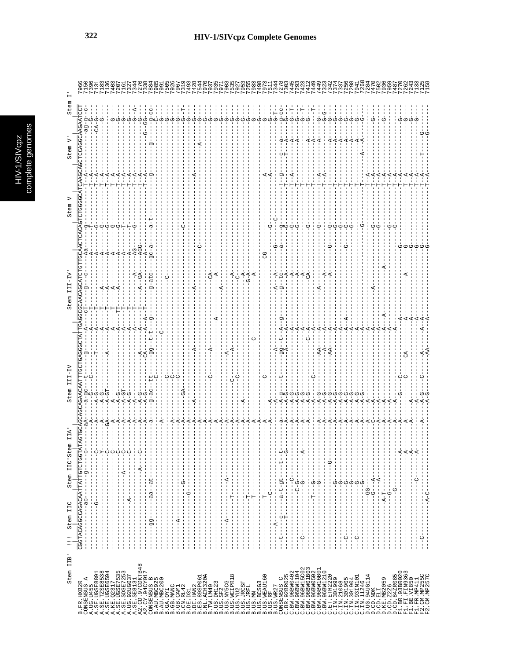|                           | ס המערכות המכונה המהורה המהורים המהורים במהורים המהורים המהורים המהורים המהורים המהורים המהורים המהורים המהורי<br>המהורים המהורים המהורים המהורים המהורים המהורים המהורים המהורים המהורים המהורים המהורים המהורים המהורים המהורי |                                                                                                                                                |                                                                         |    |                      | $\Gamma$    | $\overline{ }$ |     |      |                |         |                             |                   |                         |     |              |                   |   |                      |                      |                  |  |  |   |                                                                                                             |                       |                   |   |                               |      |    |                                         |                                 |    |   |         |                                 |                   |                                          |                   |               |    |    |                          |                    |         |                         |         |         |          |   |                 |                |                                    |                                |             |                |                         |                |            |             |           |                                |     |                                   |                                                  |               |                         |  |
|---------------------------|----------------------------------------------------------------------------------------------------------------------------------------------------------------------------------------------------------------------------------|------------------------------------------------------------------------------------------------------------------------------------------------|-------------------------------------------------------------------------|----|----------------------|-------------|----------------|-----|------|----------------|---------|-----------------------------|-------------------|-------------------------|-----|--------------|-------------------|---|----------------------|----------------------|------------------|--|--|---|-------------------------------------------------------------------------------------------------------------|-----------------------|-------------------|---|-------------------------------|------|----|-----------------------------------------|---------------------------------|----|---|---------|---------------------------------|-------------------|------------------------------------------|-------------------|---------------|----|----|--------------------------|--------------------|---------|-------------------------|---------|---------|----------|---|-----------------|----------------|------------------------------------|--------------------------------|-------------|----------------|-------------------------|----------------|------------|-------------|-----------|--------------------------------|-----|-----------------------------------|--------------------------------------------------|---------------|-------------------------|--|
| Stem                      |                                                                                                                                                                                                                                  |                                                                                                                                                |                                                                         |    |                      | ひ           | τŋ             |     |      |                |         |                             | てり                |                         | m C |              |                   |   |                      |                      |                  |  |  |   |                                                                                                             |                       |                   |   |                               |      |    |                                         |                                 |    |   |         |                                 |                   |                                          |                   |               |    |    |                          |                    | ひ       | ひ                       | てり      |         | ひひ       |   | ひ ひ             |                | ひ                                  |                                | ひ           |                |                         | ひ              |            |             |           |                                | めめめ |                                   |                                                  |               |                         |  |
| $\triangleright$<br>Stem  | CTCCAGGCAAGAATCCT                                                                                                                                                                                                                | $\frac{1}{9}$<br>$\frac{1}{9}$ $\frac{1}{9}$ $\frac{1}{9}$ $\frac{1}{9}$ $\frac{1}{9}$ $\frac{1}{9}$ $\frac{1}{9}$ $\frac{1}{9}$ $\frac{1}{9}$ |                                                                         |    |                      |             |                |     |      |                |         |                             | ひ                 | ᡎ                       |     |              |                   |   |                      |                      |                  |  |  |   |                                                                                                             |                       |                   |   |                               |      |    |                                         |                                 |    |   |         | <b>UQ</b>                       |                   | ⋖⋖                                       | Æ                 |               |    | ₫  | Æ                        | Æ                  |         | K,                      |         | AAAA    |          |   |                 | K,             |                                    |                                |             |                |                         |                |            |             |           |                                |     |                                   |                                                  |               |                         |  |
|                           | п                                                                                                                                                                                                                                | К<br>f,<br><b>HHHH</b>                                                                                                                         | AAAAAAAAAA<br>÷                                                         | f, | Ŧ                    | f,<br>HHHHH | $\frac{1}{1}$  | f,  |      | $\frac{1}{1}$  | ÷<br>HH | $\frac{1}{1}$               | $\mathbf{I}$<br>E | ᡃᡉ                      |     |              |                   |   |                      |                      |                  |  |  |   |                                                                                                             |                       |                   |   |                               |      |    |                                         |                                 |    |   |         | ת<br>е                          | F.<br>ь           | $\blacksquare$<br>Н                      |                   |               |    |    |                          |                    |         |                         |         |         |          |   |                 |                |                                    |                                | К           | ŧ              | $\triangle$ $\triangle$ | f,             | A<br>÷     | K,<br>J,    | Ą<br>ŧ    | f,                             |     | ÷                                 |                                                  |               |                         |  |
| ₽<br>Stem                 | <b>STCTGGGCATCAAGCAG</b>                                                                                                                                                                                                         |                                                                                                                                                |                                                                         |    |                      |             |                |     |      |                |         |                             |                   |                         |     |              |                   |   |                      |                      |                  |  |  |   |                                                                                                             |                       |                   |   |                               |      |    |                                         |                                 |    |   |         |                                 |                   |                                          |                   |               |    |    |                          |                    |         |                         |         |         |          |   |                 |                |                                    |                                |             |                |                         |                |            |             |           |                                |     |                                   |                                                  |               |                         |  |
|                           |                                                                                                                                                                                                                                  | চা⊟                                                                                                                                            | <b>ひひ</b>                                                               |    |                      | υυ          |                | む日  |      | Н              | ひ<br>Φ  | <u>ყ</u>                    |                   | œ<br>ত                  |     |              |                   |   |                      |                      |                  |  |  |   |                                                                                                             |                       |                   |   |                               |      |    |                                         |                                 |    | U | ひ       | あひ<br>ൽ                         |                   | ひ                                        | ひ                 |               |    | ๓  |                          |                    |         | פ<br>C.                 | ט       |         | υυ<br>てり | ひ |                 |                | ひ                                  |                                | ひ           | ひ              |                         |                | ↻          | פ           | ני ז      |                                | פי  | τŋ                                |                                                  |               |                         |  |
| $-1Y$                     | TGAGGCGCAACAGCATCTGTTGCAACTCACA<br>U                                                                                                                                                                                             | œ<br>A                                                                                                                                         |                                                                         |    |                      | ⋖⋖          |                | ΚK  |      |                |         | යි                          |                   | to<br>C<br>đ            |     |              |                   |   |                      |                      |                  |  |  | J | F                                                                                                           |                       | F                 | Ü |                               | $-4$ | τŋ |                                         |                                 |    |   | Æ       | $\mathbf I$                     | $U - A$           |                                          | 7770              |               |    |    |                          |                    | Æ       | К                       |         |         |          |   |                 |                |                                    |                                |             |                |                         |                |            |             |           |                                |     |                                   |                                                  |               |                         |  |
| III<br>Stem               |                                                                                                                                                                                                                                  | তা<br>U                                                                                                                                        | H                                                                       |    | Æ                    | Æ           |                |     |      |                | ⊢       | Æ<br>⊢                      | F                 | ᡕ                       |     |              |                   |   |                      |                      |                  |  |  |   |                                                                                                             |                       |                   |   |                               |      |    |                                         |                                 |    |   | K,      | তা                              |                   |                                          |                   |               |    |    |                          |                    |         |                         |         |         |          |   |                 |                |                                    |                                |             |                |                         |                |            |             |           |                                |     |                                   |                                                  |               |                         |  |
|                           |                                                                                                                                                                                                                                  | K,                                                                                                                                             | くくくくく                                                                   |    |                      |             |                | R R |      |                | RΚ      |                             | Ą<br>Æ            | তা                      |     |              |                   |   |                      |                      |                  |  |  |   |                                                                                                             |                       |                   |   |                               |      |    |                                         |                                 |    |   |         | ᡃᡉ<br>↵                         |                   |                                          |                   |               | ΚK | U  | RΚ                       |                    |         | RΚ                      |         |         |          | Æ |                 |                |                                    |                                |             | AAAA           |                         |                |            |             | K,        |                                |     |                                   |                                                  |               |                         |  |
| $-10$<br>III              | TTTGCTGAGGGCTA                                                                                                                                                                                                                   | তা<br>↵<br>U                                                                                                                                   | е                                                                       |    |                      |             |                |     |      |                |         |                             |                   | gg<br>↵<br>↵            | U   |              | U                 | U | C                    |                      |                  |  |  |   |                                                                                                             |                       | ⋖<br>U            | U |                               |      |    |                                         |                                 |    |   |         | ወ⊄                              |                   |                                          |                   |               |    |    |                          | Ą                  | К       | Ã                       |         |         |          |   |                 |                |                                    |                                |             |                |                         |                |            |             | U         | U                              |     |                                   |                                                  |               |                         |  |
| Stem                      |                                                                                                                                                                                                                                  | $\overline{O}$<br>קיט לי קי<br><b>G</b>                                                                                                        | K.                                                                      | K. | හි<br>$\overline{A}$ |             | Æ,             | いひ  | т    | <b>ئ</b><br>K, | K,      | 먼<br>K,                     | ט<br>K,           | Q<br>൯<br>তা            |     |              |                   |   |                      | යි                   |                  |  |  |   |                                                                                                             |                       |                   |   |                               |      |    |                                         |                                 |    |   |         |                                 |                   |                                          | あひひひひひ            | K.            |    | J. |                          | ひ                  | ひ       | ひ<br>т                  |         | ひ ひ ひ   | J.       |   | <b>ひ ひ</b><br>4 | J.<br>Æ        | てり<br>⋖                            | K.                             | К           |                |                         |                |            |             |           |                                |     |                                   |                                                  |               |                         |  |
| IIA                       | TAGTGCAGCAGCAGAACAA'                                                                                                                                                                                                             |                                                                                                                                                |                                                                         |    |                      |             |                |     |      |                |         |                             |                   |                         |     |              |                   |   |                      |                      |                  |  |  |   |                                                                                                             |                       |                   |   |                               |      |    |                                         |                                 |    |   |         |                                 |                   |                                          |                   |               |    |    |                          |                    |         |                         |         |         |          |   | Æ               |                |                                    |                                |             |                |                         |                |            | К           |           |                                |     |                                   |                                                  |               |                         |  |
| Stem IIC'St               |                                                                                                                                                                                                                                  | U<br>T<br>п<br>т<br>I<br>$\blacksquare$<br>ף<br>י                                                                                              |                                                                         |    |                      |             |                |     | $-A$ | т<br>1         |         | п<br>$-4 -$                 |                   | ı                       |     |              | J.                |   | ш<br>ш               |                      |                  |  |  |   | J<br>J.<br>$\mathbf{I}$                                                                                     |                       |                   |   |                               |      |    |                                         | $\overline{1}$                  |    |   |         | نڊ<br>T<br>نې<br>п              | ロー<br>п<br>п      | $\overline{1}$<br>J.<br>j.               | ı                 | $- - A$<br>J. |    |    | J<br>J.                  |                    | п       | $\frac{1}{2}$<br>п<br>п |         | J.      |          |   |                 |                | I<br>J                             |                                |             | $\overline{A}$ |                         |                |            |             | $\vec{A}$ | $\begin{array}{c} \end{array}$ |     | ⋖<br>$\frac{1}{1}$<br>I<br>J.     | $\overline{A}$<br>п                              |               |                         |  |
|                           | п                                                                                                                                                                                                                                | $\mathfrak l$<br>п<br>л.<br>$-a$ c                                                                                                             | п<br>$\mathbf{I}$<br>$\mathbf{I}$<br>$-1$                               |    | п                    |             |                |     |      | $-4 -$<br>H    |         | J<br>J<br>J.<br>I<br>I<br>п |                   | ↵<br>$-4$<br>$-aa$<br>п |     | J.<br>п<br>п | J.<br>п<br>H<br>H |   | I<br>п               | $\overset{-}{\circ}$ | ن<br>ب<br>J<br>л |  |  |   | $\overline{\phantom{a}}$<br>$\frac{1}{1}$<br>$\overline{\phantom{a}}$<br>J.<br>J.<br>j<br>J<br>$\mathbf{I}$ | $-4 -$<br>I<br>H<br>H | Ĥ<br>Ш.<br>л<br>л |   | J<br>$\overline{\phantom{a}}$ | Ę    | H  | $\frac{1}{1}$<br>부<br>$\mathbf{I}$<br>л | $\frac{1}{1}$<br>$-1$<br>I<br>п | ΥP |   | H       | $-a-t-gt$<br>п<br>т             | I<br>J.           | $\frac{1}{2}$                            | じし<br>I<br>п<br>ı | ပု            |    |    | $-1$<br>턱<br>J<br>J.     | ပု<br>$\mathbf{I}$ | л       | J.<br>п                 | ပု<br>H | ဗုံ ဗုံ |          |   | ဗုံ ဗုံ         |                | $C - C$<br>$\frac{1}{1}$<br>J<br>п | $-99 - -$<br>$\mathbf{I}$<br>п | $-4$<br>もーー | ł              |                         | $-1 - A - T -$ | უ<br> <br> | י<br>י<br>п |           |                                |     | I<br>I<br>$\frac{1}{1}$<br>J<br>л | $\sum_{i=1}^{n}$<br>Ţ<br>$\frac{1}{1}$<br>п<br>п |               | $-A-C-$<br>$\mathbf{I}$ |  |
| Stem IIC<br>$\frac{1}{2}$ | CGGTACAGCCAGACAATTATTGTCTGGT                                                                                                                                                                                                     | J.<br>H                                                                                                                                        | Ť.<br>$\,$ I<br>$\overline{\phantom{a}}$<br>п<br>п<br>$\mathbf{I}$<br>I |    |                      |             |                |     |      |                |         | L<br>п                      | п                 | $\frac{1}{9}$           |     | п            | J<br>J            |   | $-4-$<br>п<br>п<br>ш |                      | H<br>п           |  |  |   | J.<br>$\overline{\phantom{a}}$<br>$\begin{array}{c} \end{array}$<br>$\frac{1}{1}$<br>J<br>I<br>H            | $-4-$<br>H            | г<br>ш            | H | J.                            |      |    | J,<br>$\mathbf{I}$<br>л<br>Ţ            | J<br>$\frac{1}{1}$<br>í         |    |   | $- A -$ | п<br>$\frac{0}{1}$<br>т<br>$-t$ | J<br>I<br>п<br>J, | $\mathbf{I}$<br>$\overline{\phantom{a}}$ |                   | п<br>Ϋ́       |    | п  | J<br>$\frac{1}{1}$<br>J, |                    | п<br>J. | п                       | J,      | J.      | ပု       |   |                 | $\overline{C}$ | I<br>J<br>H                        |                                |             |                |                         |                |            |             |           |                                |     | I<br>ł                            |                                                  | $\frac{1}{2}$ |                         |  |
| Stem IIB'                 |                                                                                                                                                                                                                                  |                                                                                                                                                |                                                                         |    |                      |             |                |     |      |                |         |                             |                   |                         |     |              |                   |   |                      |                      |                  |  |  |   |                                                                                                             |                       |                   |   |                               |      |    |                                         |                                 |    |   |         |                                 |                   |                                          |                   |               |    |    |                          |                    |         |                         |         |         |          |   |                 |                |                                    |                                |             |                |                         |                |            |             |           |                                |     |                                   |                                                  |               |                         |  |
|                           |                                                                                                                                                                                                                                  |                                                                                                                                                |                                                                         |    |                      |             |                |     |      |                |         |                             |                   |                         |     |              |                   |   |                      |                      |                  |  |  |   |                                                                                                             |                       |                   |   |                               |      |    |                                         |                                 |    |   |         |                                 |                   |                                          |                   |               |    |    |                          |                    |         |                         |         |         |          |   |                 |                |                                    |                                |             |                |                         |                |            |             |           |                                |     |                                   |                                                  |               |                         |  |

**HIV-1/SIVcpz Complete Genomes**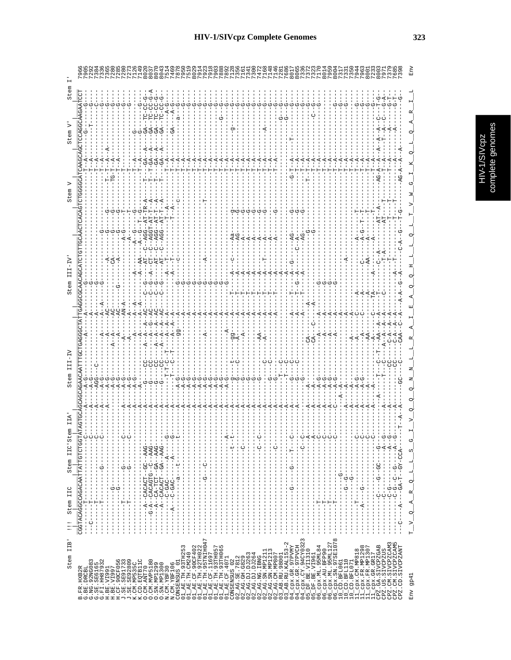| Stem               |                                                                                                                                                                                                                                                                                                                                                                                                              |                                                 |           |                            |                                                                     |                                       |                                                  |                                                                                                                                                                                                                                                                                                                                                                                                                                                    |                      |                                        |   |                            |                        |                |                                                   |              |                   |                              |                                                      |                                        |                                                                      |                                                                      |                                                                                                                                                                                                                                                                                                                                                                                                                                     |   |                   |                                                     |                                                           |   |            |              |                                                                              |                |          |                                                    |                                                                      |                                                 |  |              |                                                                       |                                                    |                                        |   |                                               |                                          |                |         |                                    |                                                             |                                                                           |                                 |                                  |                   |    |                           | r٦                            |                                                                                                                                                                                                                                                                                                                                                                                   |                               |                          |                    |                         |
|--------------------|--------------------------------------------------------------------------------------------------------------------------------------------------------------------------------------------------------------------------------------------------------------------------------------------------------------------------------------------------------------------------------------------------------------|-------------------------------------------------|-----------|----------------------------|---------------------------------------------------------------------|---------------------------------------|--------------------------------------------------|----------------------------------------------------------------------------------------------------------------------------------------------------------------------------------------------------------------------------------------------------------------------------------------------------------------------------------------------------------------------------------------------------------------------------------------------------|----------------------|----------------------------------------|---|----------------------------|------------------------|----------------|---------------------------------------------------|--------------|-------------------|------------------------------|------------------------------------------------------|----------------------------------------|----------------------------------------------------------------------|----------------------------------------------------------------------|-------------------------------------------------------------------------------------------------------------------------------------------------------------------------------------------------------------------------------------------------------------------------------------------------------------------------------------------------------------------------------------------------------------------------------------|---|-------------------|-----------------------------------------------------|-----------------------------------------------------------|---|------------|--------------|------------------------------------------------------------------------------|----------------|----------|----------------------------------------------------|----------------------------------------------------------------------|-------------------------------------------------|--|--------------|-----------------------------------------------------------------------|----------------------------------------------------|----------------------------------------|---|-----------------------------------------------|------------------------------------------|----------------|---------|------------------------------------|-------------------------------------------------------------|---------------------------------------------------------------------------|---------------------------------|----------------------------------|-------------------|----|---------------------------|-------------------------------|-----------------------------------------------------------------------------------------------------------------------------------------------------------------------------------------------------------------------------------------------------------------------------------------------------------------------------------------------------------------------------------|-------------------------------|--------------------------|--------------------|-------------------------|
| Stem               | CCAGGC                                                                                                                                                                                                                                                                                                                                                                                                       |                                                 |           |                            |                                                                     |                                       |                                                  |                                                                                                                                                                                                                                                                                                                                                                                                                                                    |                      |                                        |   |                            | -1<br>GA<br>GA         | C)             | $1 - 1$                                           |              |                   |                              | ൯                                                    |                                        |                                                                      |                                                                      |                                                                                                                                                                                                                                                                                                                                                                                                                                     |   |                   |                                                     |                                                           |   |            |              |                                                                              |                |          |                                                    |                                                                      |                                                 |  |              |                                                                       |                                                    |                                        |   |                                               |                                          |                |         |                                    |                                                             |                                                                           |                                 |                                  |                   |    | Õ                         | U                             |                                                                                                                                                                                                                                                                                                                                                                                   |                               |                          |                    |                         |
|                    |                                                                                                                                                                                                                                                                                                                                                                                                              |                                                 |           |                            |                                                                     |                                       |                                                  |                                                                                                                                                                                                                                                                                                                                                                                                                                                    |                      |                                        |   |                            |                        |                | AAAA                                              |              |                   |                              |                                                      |                                        |                                                                      |                                                                      |                                                                                                                                                                                                                                                                                                                                                                                                                                     |   |                   |                                                     |                                                           |   |            |              |                                                                              |                |          |                                                    |                                                                      |                                                 |  |              |                                                                       |                                                    |                                        |   |                                               |                                          |                |         |                                    |                                                             |                                                                           |                                 |                                  |                   |    |                           |                               |                                                                                                                                                                                                                                                                                                                                                                                   |                               |                          |                    |                         |
| Stem               |                                                                                                                                                                                                                                                                                                                                                                                                              |                                                 |           |                            |                                                                     |                                       | <b>σE</b>                                        |                                                                                                                                                                                                                                                                                                                                                                                                                                                    |                      |                                        |   |                            |                        |                |                                                   |              |                   |                              |                                                      |                                        |                                                                      |                                                                      |                                                                                                                                                                                                                                                                                                                                                                                                                                     |   |                   |                                                     |                                                           |   |            |              | てり                                                                           |                | פז פז פז |                                                    |                                                                      |                                                 |  |              |                                                                       |                                                    |                                        |   |                                               |                                          |                |         |                                    |                                                             |                                                                           |                                 |                                  |                   |    |                           |                               |                                                                                                                                                                                                                                                                                                                                                                                   |                               |                          |                    |                         |
|                    |                                                                                                                                                                                                                                                                                                                                                                                                              |                                                 |           |                            |                                                                     | てりてり                                  |                                                  |                                                                                                                                                                                                                                                                                                                                                                                                                                                    |                      |                                        |   |                            | Ť<br>5                 | $\blacksquare$ | $\mathbf{1}$<br>ひひひひ                              |              |                   |                              |                                                      |                                        |                                                                      |                                                                      |                                                                                                                                                                                                                                                                                                                                                                                                                                     |   |                   |                                                     |                                                           |   |            |              |                                                                              |                |          |                                                    |                                                                      |                                                 |  |              |                                                                       |                                                    |                                        |   |                                               |                                          |                |         |                                    |                                                             |                                                                           |                                 |                                  |                   |    |                           |                               |                                                                                                                                                                                                                                                                                                                                                                                   |                               |                          |                    |                         |
| Stem               | CAGCATCI                                                                                                                                                                                                                                                                                                                                                                                                     |                                                 |           |                            |                                                                     |                                       |                                                  |                                                                                                                                                                                                                                                                                                                                                                                                                                                    |                      |                                        |   |                            |                        |                | ひひひひ                                              |              |                   |                              |                                                      |                                        |                                                                      |                                                                      |                                                                                                                                                                                                                                                                                                                                                                                                                                     |   |                   |                                                     |                                                           |   |            |              |                                                                              |                |          |                                                    |                                                                      |                                                 |  |              |                                                                       |                                                    |                                        |   |                                               |                                          |                |         |                                    |                                                             |                                                                           |                                 |                                  |                   |    |                           |                               |                                                                                                                                                                                                                                                                                                                                                                                   |                               |                          |                    |                         |
|                    |                                                                                                                                                                                                                                                                                                                                                                                                              |                                                 |           |                            |                                                                     |                                       |                                                  |                                                                                                                                                                                                                                                                                                                                                                                                                                                    |                      |                                        |   |                            |                        |                | みGAAA<br>÷                                        |              |                   |                              |                                                      |                                        |                                                                      |                                                                      |                                                                                                                                                                                                                                                                                                                                                                                                                                     |   |                   |                                                     |                                                           |   |            |              |                                                                              |                |          |                                                    |                                                                      |                                                 |  |              |                                                                       |                                                    |                                        | U |                                               |                                          |                |         |                                    |                                                             |                                                                           |                                 |                                  |                   |    |                           |                               |                                                                                                                                                                                                                                                                                                                                                                                   |                               |                          |                    |                         |
|                    |                                                                                                                                                                                                                                                                                                                                                                                                              |                                                 |           |                            |                                                                     | <b>ひ ひ</b>                            |                                                  |                                                                                                                                                                                                                                                                                                                                                                                                                                                    |                      |                                        |   |                            |                        |                |                                                   |              |                   |                              |                                                      |                                        |                                                                      |                                                                      | <b>ひ ひ ひ ひ ひ</b>                                                                                                                                                                                                                                                                                                                                                                                                                    |   |                   | ↻                                                   | ひ                                                         | ு | あひ         |              |                                                                              |                |          |                                                    |                                                                      |                                                 |  |              |                                                                       |                                                    |                                        |   |                                               |                                          | <u>ບ ບ</u>     | ט       |                                    |                                                             |                                                                           |                                 |                                  |                   |    |                           |                               |                                                                                                                                                                                                                                                                                                                                                                                   |                               |                          |                    |                         |
| Stem               |                                                                                                                                                                                                                                                                                                                                                                                                              |                                                 |           |                            |                                                                     |                                       |                                                  |                                                                                                                                                                                                                                                                                                                                                                                                                                                    |                      |                                        |   |                            | てりてり                   |                |                                                   |              |                   |                              |                                                      |                                        |                                                                      |                                                                      | $A$ $A$ $A$ $A$                                                                                                                                                                                                                                                                                                                                                                                                                     |   |                   | A                                                   | k,                                                        |   |            |              |                                                                              |                |          |                                                    |                                                                      |                                                 |  |              |                                                                       |                                                    |                                        |   |                                               |                                          |                |         |                                    |                                                             |                                                                           |                                 |                                  |                   |    |                           |                               |                                                                                                                                                                                                                                                                                                                                                                                   |                               |                          |                    |                         |
| IIC'S<br>Stem      |                                                                                                                                                                                                                                                                                                                                                                                                              |                                                 |           | $-5 -$                     | п                                                                   | $\mathbf{I}$                          | -1                                               | J<br>ŧ                                                                                                                                                                                                                                                                                                                                                                                                                                             |                      | J,<br>J,<br>J.                         |   | $ AAG$                     | $-$ AAG                |                |                                                   |              | Ť<br>$-4$         | $- -A - -$                   |                                                      | 1<br>I.                                | $\frac{1}{1}$                                                        | $\mathfrak l$                                                        | f,                                                                                                                                                                                                                                                                                                                                                                                                                                  |   |                   | т<br>1<br>-<br>Ť.                                   | $\,$ I<br>Í<br>í                                          |   | $\ddot{ }$ | J,<br>п<br>Ţ | $\blacksquare$<br>$C - C$<br>$\frac{1}{1}$                                   | $\blacksquare$ |          | I<br>$\mathbf{I}$<br>U – – – – – –                 | J.<br>I<br>$\overline{\phantom{a}}$<br>$\mathbf{I}$<br>$\frac{1}{1}$ | $\frac{1}{2}$<br>$\overline{\phantom{a}}$<br>J. |  | $\mathbf{I}$ | т<br>I.<br>I<br>ł                                                     | $-1$<br>$\frac{1}{1}$                              | Í<br>í                                 |   | $\frac{1}{1}$<br>$\,$ I<br>$\mathbf{I}$<br>-1 | ţ                                        |                |         |                                    | l,                                                          |                                                                           |                                 |                                  |                   |    | ن<br>۱<br>f,              | $- - A - -$<br>I<br>т         | $- -A - -$<br>I<br>$\frac{1}{1}$                                                                                                                                                                                                                                                                                                                                                  | Ť<br>$- - P -$                |                          |                    | U<br>ω,<br>司            |
| Stem IIC           | CGGTACAGGCCAGACAATTATTGTCTGG<br>$\blacksquare$<br>투<br>$\mathbf{I}$                                                                                                                                                                                                                                                                                                                                          | п<br>$-1$<br>л<br>J.                            | п<br>$-1$ | J<br>J.<br>1<br>J.<br>$-1$ | J,<br>$\mathbf{I}$<br>л<br>J,<br>п<br>$\mathfrak l$<br>J,<br>л<br>п | J.<br>$\frac{1}{1}$<br>$-1 - 1$<br>J. | $\mathbf{I}$<br>$-1$<br>$\overline{\phantom{a}}$ | $\frac{6}{1}$<br>J,<br>т<br>$\mathbf{I}$<br>$-1 - T - -$<br>I.<br>$\begin{array}{c} \rule{0pt}{2.5ex} \rule{0pt}{2.5ex} \rule{0pt}{2.5ex} \rule{0pt}{2.5ex} \rule{0pt}{2.5ex} \rule{0pt}{2.5ex} \rule{0pt}{2.5ex} \rule{0pt}{2.5ex} \rule{0pt}{2.5ex} \rule{0pt}{2.5ex} \rule{0pt}{2.5ex} \rule{0pt}{2.5ex} \rule{0pt}{2.5ex} \rule{0pt}{2.5ex} \rule{0pt}{2.5ex} \rule{0pt}{2.5ex} \rule{0pt}{2.5ex} \rule{0pt}{2.5ex} \rule{0pt}{2.5ex} \rule{0$ | ن<br>۱<br>$-1 - 1 -$ | п<br>I<br>l,<br>J<br>$\mathbf{I}$<br>п | п | -- 00-<br>--CACACT<br>$-4$ | U-DHORURU-<br>$-G - A$ | J.             | --A--CA-TCT--GA--AAG<br>--A--CACACT--GA--AAG<br>ï | $-GAC - - -$ | U<br> <br>J<br>J. | $-GAC - - -$<br>$-1 - 4 - 1$ | $- - - - - - - - - - - - -$<br>I<br>п<br>I<br>ı<br>I | J.<br>ı<br>ı<br>ı<br>ï<br>I<br>J.<br>1 | $\mathbf{I}$<br>$\frac{1}{1}$<br>$\frac{1}{1}$<br>$\frac{1}{1}$<br>ï | т<br>I<br>$\frac{1}{4}$<br>J.<br>$\frac{1}{1}$<br>I<br>$\frac{1}{1}$ | <b>U---U-----</b><br>$\begin{array}{c} \rule{0pt}{2ex} \rule{0pt}{2ex} \rule{0pt}{2ex} \rule{0pt}{2ex} \rule{0pt}{2ex} \rule{0pt}{2ex} \rule{0pt}{2ex} \rule{0pt}{2ex} \rule{0pt}{2ex} \rule{0pt}{2ex} \rule{0pt}{2ex} \rule{0pt}{2ex} \rule{0pt}{2ex} \rule{0pt}{2ex} \rule{0pt}{2ex} \rule{0pt}{2ex} \rule{0pt}{2ex} \rule{0pt}{2ex} \rule{0pt}{2ex} \rule{0pt}{2ex} \rule{0pt}{2ex} \rule{0pt}{2ex} \rule{0pt}{2ex} \rule{0pt}{$ | ï | $\mathbf{I}$<br>п | Ť<br>$\mathsf I$<br>T<br>-<br>$\mathsf I$<br>T<br>Ť | $\frac{1}{1}$<br>J<br>$-1$ $-1$ $-1$ $-1$ $-1$<br>J<br>J, |   |            | п<br>ï       | Ť<br>п<br>$\mathsf I$<br>Ţ<br>$\frac{1}{1}$<br>$\overline{\phantom{a}}$<br>п | $\frac{1}{1}$  |          | $\frac{1}{1}$<br>$\frac{1}{1}$<br>ţ<br>I<br>ı<br>ı | $\frac{1}{1}$<br>$\frac{1}{1}$<br>J.<br>$\frac{1}{1}$<br>J<br>I<br>I |                                                 |  | $C - 1$      | ł<br>I<br>T<br>ï.<br>$\mathsf I$<br>т<br>$\frac{1}{4}$<br>I<br>т<br>ï | $\frac{1}{1}$<br>J<br>J.<br>J.<br>÷<br>ł<br>J<br>п | $\frac{1}{1}$<br>Í<br>I<br>J<br>Í<br>I |   | Ť<br>$\mathsf I$<br>$\mathbf{I}$<br>$-1$      | J.<br>J.<br>$\frac{1}{1}$<br>J<br>۲<br>ا | $-1$ – $T$ – – | -1<br>부 | ł<br>ن<br>۱<br>J.<br>J.<br>J.<br>I | $\frac{1}{1}$<br>$\frac{6}{1}$<br>$-1 - 1$<br>$\frac{1}{1}$ | $\frac{6}{1}$<br>J.<br>$\mathbb I$<br>$\frac{1}{1}$<br>$\mathbf{I}$<br>л. | H<br>J,<br>$-1 - 1 -$<br>J<br>J | $\mathbf{I}$<br><b>0--------</b> | $\mathbf{I}$<br>1 | J. | -- 10<br>$-1 - 6$<br>$-1$ | I<br>л<br>J,<br>$\frac{1}{1}$ | п<br>Í<br>5-2-1-<br>I<br>I<br>I                                                                                                                                                                                                                                                                                                                                                   | $\mathbf{I}$<br>л.<br>л.      | $\overline{\phantom{a}}$ | $- -$ A            | 크<br>O,<br>ĸ<br>A,<br>ö |
| $\Xi$<br>Stem IIB' | $\mathbf{I}$                                                                                                                                                                                                                                                                                                                                                                                                 | $\begin{array}{c} \end{array}$<br>$\frac{1}{1}$ |           | H                          | J                                                                   |                                       |                                                  |                                                                                                                                                                                                                                                                                                                                                                                                                                                    |                      |                                        |   |                            |                        |                |                                                   |              |                   | Í                            | I<br>I                                               | I<br>I                                 | $\overline{\phantom{a}}$<br>п                                        |                                                                      |                                                                                                                                                                                                                                                                                                                                                                                                                                     |   |                   |                                                     |                                                           |   |            |              |                                                                              |                |          |                                                    |                                                                      |                                                 |  |              | J,                                                                    |                                                    |                                        |   |                                               |                                          |                |         |                                    |                                                             |                                                                           |                                 |                                  |                   |    |                           |                               | I<br>ı                                                                                                                                                                                                                                                                                                                                                                            | $\overline{\phantom{a}}$<br>п |                          | ή<br>$\frac{1}{1}$ | $\triangleright$<br>н   |
|                    | $\begin{smallmatrix} \texttt{B.} & \texttt{B.} & \texttt{B.} & \texttt{B.} & \texttt{B.} & \texttt{B.} & \texttt{B.} & \texttt{B.} & \texttt{B.} & \texttt{B.} & \texttt{B.} & \texttt{B.} & \texttt{B.} & \texttt{B.} & \texttt{B.} & \texttt{B.} & \texttt{B.} & \texttt{B.} & \texttt{B.} & \texttt{B.} & \texttt{B.} & \texttt{B.} & \texttt{B.} & \texttt{B.} & \texttt{B.} & \texttt{B.} & \texttt{B.$ |                                                 |           |                            |                                                                     |                                       |                                                  |                                                                                                                                                                                                                                                                                                                                                                                                                                                    |                      |                                        |   |                            |                        |                |                                                   |              |                   |                              |                                                      |                                        |                                                                      |                                                                      |                                                                                                                                                                                                                                                                                                                                                                                                                                     |   |                   |                                                     |                                                           |   |            |              |                                                                              |                |          |                                                    |                                                                      |                                                 |  |              |                                                                       |                                                    |                                        |   |                                               |                                          |                |         |                                    |                                                             |                                                                           |                                 |                                  |                   |    |                           |                               | $\begin{array}{l} 0.08-{\rm cycx}, {\rm H}_{1,1,2} \\ 0.6-{\rm cycx}, {\rm H}_{1,1,35} \\ 0.6-{\rm cycx}, {\rm H}_{1,1,35} \\ 0.6-{\rm cycx}, {\rm H}_{1,1,35} \\ 0.6-{\rm cycx}, {\rm H}_{1,1,1} \\ 1.0-{\rm CD}, {\rm BFL1071} \\ 1.1-{\rm cycx}, {\rm F}_{1,1,1} \\ 1.1-{\rm cycx}, {\rm F}_{1,1,1} \\ 1.1-{\rm cycx}, {\rm F}_{1,1,1} \\ 1.1-{\rm cycx}, {\rm F}_{1,1,1} \\ $ |                               |                          |                    | 9P41<br>$_{\rm{Env}}$   |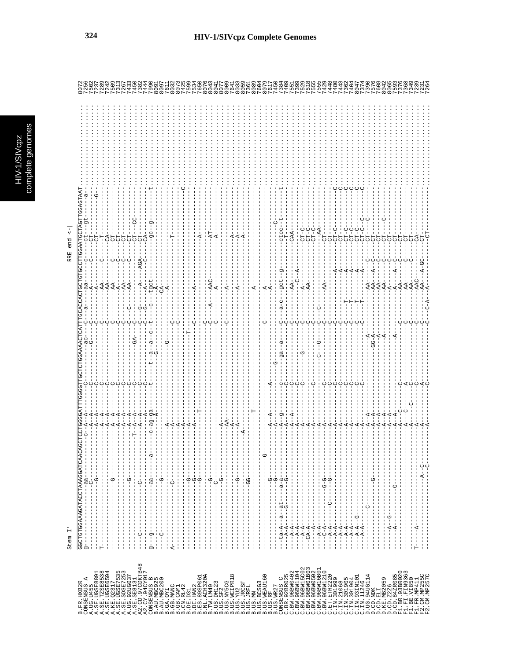| Stem I'                                                                                                                                                                                                                                                                                                                                                                                                                                                                                                                                                                                                                                                                                    |                               |     |                                                                                              |         |                                 | RRE    | $\frac{1}{\sqrt{2}}$<br>end |    |  |          |
|--------------------------------------------------------------------------------------------------------------------------------------------------------------------------------------------------------------------------------------------------------------------------------------------------------------------------------------------------------------------------------------------------------------------------------------------------------------------------------------------------------------------------------------------------------------------------------------------------------------------------------------------------------------------------------------------|-------------------------------|-----|----------------------------------------------------------------------------------------------|---------|---------------------------------|--------|-----------------------------|----|--|----------|
|                                                                                                                                                                                                                                                                                                                                                                                                                                                                                                                                                                                                                                                                                            |                               |     | <b>LATALOGODLLOGIAGODLLOUDLDLOUDLOUDUGOUGUDLLLAUDUGUGUDUDULDDDLLLOUDDLLLAUDUDLLOUGU</b><br>ā | π       | aa                              | U      | ס<br>U                      | ൯  |  |          |
|                                                                                                                                                                                                                                                                                                                                                                                                                                                                                                                                                                                                                                                                                            |                               |     | ပ္ပ်                                                                                         |         |                                 | U      |                             |    |  |          |
| п<br>$\mathbf{L}$<br>$\mathbb T$<br>$\mathsf I$<br>$\mathbf{I}$<br>$\blacksquare$<br>$\mathbf{I}$<br>$\mathbf{I}$<br>$\mathbf{I}$<br>$\blacksquare$<br>$\blacksquare$<br>$\mathbf{L}$<br>-1<br>$\mathbf{I}$<br>$\mathbf{I}$<br>Ť.<br>$\mathbb I$<br>붑                                                                                                                                                                                                                                                                                                                                                                                                                                      | $-1$<br>A                     |     |                                                                                              |         |                                 |        |                             | ċ٢ |  |          |
| $\mathbf{I}$<br>т<br>L.<br>т<br>$\mathbf{I}$<br>т<br>$\mathbf{I}$<br>- 1<br>$\begin{array}{c} \rule{0pt}{2.5ex} \rule{0pt}{2.5ex} \rule{0pt}{2.5ex} \rule{0pt}{2.5ex} \rule{0pt}{2.5ex} \rule{0pt}{2.5ex} \rule{0pt}{2.5ex} \rule{0pt}{2.5ex} \rule{0pt}{2.5ex} \rule{0pt}{2.5ex} \rule{0pt}{2.5ex} \rule{0pt}{2.5ex} \rule{0pt}{2.5ex} \rule{0pt}{2.5ex} \rule{0pt}{2.5ex} \rule{0pt}{2.5ex} \rule{0pt}{2.5ex} \rule{0pt}{2.5ex} \rule{0pt}{2.5ex} \rule{0$<br>$\mathbf{I}$<br>ш<br>$\mathbf{I}$<br>T<br>$\mathbf{I}$<br>т<br>Ι.<br>т<br>$\mathbf{I}$<br>$\blacksquare$<br>$\mathbf{I}$<br>-1<br>$\mathbf I$<br>T<br>$\mathbf{I}$<br>T<br>$\mathbf{I}$<br>$\mathbf I$<br>u<br>$\mathsf I$ | $-4$<br>$-4$<br>K,<br>Æ       |     |                                                                                              |         | ĀÄ.<br>AA                       | C      |                             |    |  | $\infty$ |
| $\overline{1}$<br>$\blacksquare$<br>$\mathbf{I}$<br>$- - - - - - -$<br>$\mathbf{I}$<br>$\,$ I<br>Ť<br>$\mathbf{I}$<br>$\overline{\phantom{a}}$<br>$\blacksquare$<br>$\blacksquare$<br>$\overline{1}$<br>$\overline{\phantom{a}}$<br>$\blacksquare$<br>п<br>$\overline{\phantom{a}}$<br>J<br>$\overline{1}$<br>п                                                                                                                                                                                                                                                                                                                                                                            | $- - A$<br>Æ                  |     |                                                                                              |         |                                 |        |                             |    |  |          |
| L.<br>$\mathbb{I}$<br>J.<br>Ţ<br>$\mathbb{I}$<br>$\blacksquare$<br>-1<br>$\mathbf{I}$<br>$\mathbf{I}$<br>$\mathbf{I}$<br>I.<br>J.<br>L.<br>J.<br>-1<br>$\overline{1}$                                                                                                                                                                                                                                                                                                                                                                                                                                                                                                                      | $-4$<br>Æ                     |     |                                                                                              |         |                                 |        |                             |    |  |          |
| т<br>Ι.<br>Ť.<br>I.<br>$\mathbf{I}$<br>$\mathbf{1}$<br>Ť<br>Τ.<br>Ť.<br>т<br>т<br>Ι.<br>$\mathbf I$<br>I.<br>т<br>I.<br>I<br>п<br>$\mathbf I$<br>I<br>J,                                                                                                                                                                                                                                                                                                                                                                                                                                                                                                                                   | $-4$<br>К                     |     |                                                                                              |         | Ą                               | U      |                             |    |  | ৩        |
| J.<br>$\mathbf{I}$<br>ပုံ<br>-1<br>$\mathbf I$<br>$\mathbf{I}$<br>$\mathbf{I}$<br>л.                                                                                                                                                                                                                                                                                                                                                                                                                                                                                                                                                                                                       | $-1$<br>K,                    | C)  |                                                                                              | Ü       | Ą                               | U      |                             |    |  |          |
| п<br>I<br>I<br>$\mathbf{I}$<br>ï<br>$\blacksquare$<br>л<br>$\mathbf{I}$<br>л<br>I<br>$\mathbf{I}$<br>п<br>Ţ<br>I                                                                                                                                                                                                                                                                                                                                                                                                                                                                                                                                                                           | $- - A$<br>F<br>1             | C J | S                                                                                            |         |                                 |        | g                           |    |  |          |
| $\overline{1}$<br>$\frac{1}{1}$<br>$\,$ I<br>f,<br>$\frac{1}{2}$<br>$\frac{1}{1}$<br>Ť.<br>$\overline{\phantom{a}}$<br>$\blacksquare$<br>п<br>$\overline{\phantom{a}}$<br>$\frac{1}{1}$<br>$\frac{1}{2}$                                                                                                                                                                                                                                                                                                                                                                                                                                                                                   | $-4$                          |     |                                                                                              | Ġ       | $-4$                            | $-AGA$ |                             |    |  |          |
| J.<br>J.<br>1<br>J<br>$\frac{1}{1}$<br>$\mathbf{I}$<br>$\mathbf{I}$<br>п<br>ı<br>$\frac{1}{1}$<br>J.<br>L.<br>J.                                                                                                                                                                                                                                                                                                                                                                                                                                                                                                                                                                           |                               |     |                                                                                              | ひ       | 4                               |        |                             |    |  |          |
| $-1$<br>ł<br>I<br>$-aa =$<br>Ť.<br>T<br>п<br>т<br>$9 - 9 - 1$                                                                                                                                                                                                                                                                                                                                                                                                                                                                                                                                                                                                                              | --ag-ga-<br>-------<br>U      |     | $\frac{0}{1}$<br>$-1a$<br>đ<br>ı                                                             | U<br>т  | $-t$ gct                        |        | ס<br>U<br>ᡃ                 |    |  | ᡡ        |
| $\frac{1}{6}$<br>$\mathbf{I}$<br>$\mathbf{I}$<br>$\mathbf{I}$<br>л.<br>$-1 - C - 1$                                                                                                                                                                                                                                                                                                                                                                                                                                                                                                                                                                                                        |                               |     | せ                                                                                            |         | Ā,<br>CA                        |        |                             |    |  | თ        |
| J.<br>п<br>ш<br>J<br>$\mathbf{I}$<br>$\blacksquare$<br>п<br>I<br>п<br>-1<br>п                                                                                                                                                                                                                                                                                                                                                                                                                                                                                                                                                                                                              |                               |     | ひ                                                                                            |         |                                 |        |                             |    |  |          |
| J.<br>-1<br>$\mathbf{I}$<br>$\mathbf{I}$<br>т.<br>$\mathbf{I}$<br>$\mathsf I$<br>$\frac{1}{4}$<br>$-1 - 1 - 1$<br>Ť.<br>$\mathbf{I}$<br>т.<br>$\mathsf I$<br>$\mathbf{I}$<br>J.<br>$\mathbf{I}$<br>$\mathbf{I}$<br>$\mathbf{I}$<br>-1<br>л.<br>I<br>$\,$ I<br>J.<br>$\mathbf{I}$<br>-1<br>$\mathbf{A}$<br>л.                                                                                                                                                                                                                                                                                                                                                                               | $\vec{A}$                     |     |                                                                                              |         |                                 |        |                             |    |  |          |
| п<br>ш<br>п<br>J.<br>ш                                                                                                                                                                                                                                                                                                                                                                                                                                                                                                                                                                                                                                                                     | $\triangle$ $\triangle$       |     |                                                                                              |         |                                 |        |                             |    |  |          |
| п<br>$\mathbf{I}$                                                                                                                                                                                                                                                                                                                                                                                                                                                                                                                                                                                                                                                                          | K,                            |     |                                                                                              |         |                                 |        |                             |    |  |          |
| J,<br>$\mathbf{I}$<br>$\begin{bmatrix} 1 \\ 1 \\ 1 \\ 1 \end{bmatrix}$<br>$\frac{1}{1}$                                                                                                                                                                                                                                                                                                                                                                                                                                                                                                                                                                                                    |                               |     |                                                                                              |         |                                 |        |                             |    |  |          |
| $\blacksquare$<br>I<br>$\begin{array}{c} \end{array}$<br>$\,$ I<br>$\mathbf{I}$<br>$\overline{\phantom{a}}$<br>$\mathbf I$<br>ł<br>-1<br>$\mathbf{I}$<br>I<br>Ĵ<br>I<br>I.<br>л                                                                                                                                                                                                                                                                                                                                                                                                                                                                                                            | $\vec{A}$                     |     |                                                                                              |         |                                 |        |                             |    |  |          |
| -1<br>п<br>Ť.<br>J.<br>ļ<br>J.                                                                                                                                                                                                                                                                                                                                                                                                                                                                                                                                                                                                                                                             |                               |     |                                                                                              |         |                                 |        |                             |    |  |          |
| п<br>ш<br>J.<br>$\mathbf{I}$<br>п<br>J,                                                                                                                                                                                                                                                                                                                                                                                                                                                                                                                                                                                                                                                    |                               |     |                                                                                              |         |                                 |        |                             |    |  |          |
| -1<br>$\begin{array}{c} 1 \\ 0 \\ 1 \end{array}$<br>L.                                                                                                                                                                                                                                                                                                                                                                                                                                                                                                                                                                                                                                     |                               |     |                                                                                              | ፋ       | $-AAC$                          |        | $\mathbf{A}\mathbf{T}$      |    |  |          |
| I<br>т<br>$\mathbf I$<br>I<br>I<br>I.<br>т<br>$\mathbf{I}$<br>т<br>т<br>I<br>$\frac{1}{1}$<br>$\mathbf{I}$                                                                                                                                                                                                                                                                                                                                                                                                                                                                                                                                                                                 |                               |     |                                                                                              |         |                                 |        |                             |    |  |          |
| $\frac{1}{1}$<br>Ť.<br>$\frac{1}{1}$<br>Ť.<br>$\mathbf{I}$<br>$\mathsf I$<br>$\overline{\phantom{a}}$<br>ï<br>$\begin{array}{c} \n 1 \\  1 \\  1 \\  1\n \end{array}$                                                                                                                                                                                                                                                                                                                                                                                                                                                                                                                      | م<br>آ                        |     |                                                                                              |         |                                 |        |                             |    |  |          |
| L.<br>-1                                                                                                                                                                                                                                                                                                                                                                                                                                                                                                                                                                                                                                                                                   | Ą                             |     |                                                                                              |         |                                 |        |                             |    |  |          |
| J,<br>$\mathbf{I}$<br>$\mathsf I$<br>I<br>J<br>$\blacksquare$<br>J.<br>$\mathbf{I}$<br>п<br>$\begin{array}{c} \rule{0pt}{2.5ex} \rule{0pt}{2.5ex} \rule{0pt}{2.5ex} \rule{0pt}{2.5ex} \rule{0pt}{2.5ex} \rule{0pt}{2.5ex} \rule{0pt}{2.5ex} \rule{0pt}{2.5ex} \rule{0pt}{2.5ex} \rule{0pt}{2.5ex} \rule{0pt}{2.5ex} \rule{0pt}{2.5ex} \rule{0pt}{2.5ex} \rule{0pt}{2.5ex} \rule{0pt}{2.5ex} \rule{0pt}{2.5ex} \rule{0pt}{2.5ex} \rule{0pt}{2.5ex} \rule{0pt}{2.5ex} \rule{0$<br>J,<br>л<br>п                                                                                                                                                                                               |                               |     |                                                                                              |         |                                 |        | K,                          |    |  |          |
| $\mathbf{I}$<br>$\blacksquare$<br>Ť.<br>$-5 -$<br>$\frac{1}{4}$<br>Ť<br>1<br>$\mathbf{I}$<br>I.                                                                                                                                                                                                                                                                                                                                                                                                                                                                                                                                                                                            | ç                             |     |                                                                                              |         | К                               |        | ⋖                           |    |  |          |
| п<br>1<br>$\mathsf I$<br>$\mathbb I$<br>$\frac{1}{1}$<br>$\mathbf{I}$<br>$\mathbf{I}$<br>J.<br>п<br>J.<br>Ţ<br>Ť<br>п<br>ı<br>J.                                                                                                                                                                                                                                                                                                                                                                                                                                                                                                                                                           |                               |     |                                                                                              |         |                                 |        |                             |    |  |          |
| I<br>J.<br>ı<br>$-99 - -$<br>ı<br>ı<br>J.<br>ı<br>H<br>J,                                                                                                                                                                                                                                                                                                                                                                                                                                                                                                                                                                                                                                  |                               |     |                                                                                              |         |                                 |        |                             |    |  |          |
| $\mathbf{I}$<br>-1<br>$\mathbf I$<br>ł<br>$\mathbf{I}$<br>$\mathbf{I}$<br>$\mathbf{I}$<br>-1<br>$\mathbf{I}$                                                                                                                                                                                                                                                                                                                                                                                                                                                                                                                                                                               |                               |     |                                                                                              |         |                                 |        |                             |    |  |          |
| I<br>I<br>I.<br>Ť.<br>I<br>$\frac{1}{1}$<br>J.<br>$\frac{1}{4}$<br>I<br>$\mathbf{I}$<br>ï<br>I<br>$\mathbf{I}$<br>т<br>T<br>$\mathbf{I}$<br>л<br>I.<br>J,<br>$\blacksquare$                                                                                                                                                                                                                                                                                                                                                                                                                                                                                                                |                               |     |                                                                                              |         |                                 |        |                             |    |  |          |
| $-\frac{5}{1}$<br>$\mathbb{I}$<br>$\mathsf I$<br>L.<br>п.<br>J.<br>л.<br>л.<br>$\mathbf{I}$<br>л.<br>л.                                                                                                                                                                                                                                                                                                                                                                                                                                                                                                                                                                                    |                               |     |                                                                                              |         | К                               |        |                             |    |  |          |
| I<br>п<br>$\mathbf{I}$<br>п<br>$-5 - -$<br>Ť<br>J.<br>п<br>J.<br>$\mathbf{I}$<br>п                                                                                                                                                                                                                                                                                                                                                                                                                                                                                                                                                                                                         | $\overline{A}$                |     |                                                                                              |         |                                 |        |                             |    |  |          |
| J.<br>L.<br>-1<br>J.<br>H<br>-1<br>$\mathbf{I}$<br>п<br>ш                                                                                                                                                                                                                                                                                                                                                                                                                                                                                                                                                                                                                                  |                               |     | ひ                                                                                            |         |                                 |        | U                           |    |  |          |
| $\frac{1}{4}$<br>$\mathbf I$                                                                                                                                                                                                                                                                                                                                                                                                                                                                                                                                                                                                                                                               | $\frac{1}{2}$<br>К            | U   | œ<br>ğ                                                                                       | U<br>൯  | তা<br>gct                       |        | ctcc-                       |    |  |          |
| $\frac{1}{1}$<br>$-48 + - -$                                                                                                                                                                                                                                                                                                                                                                                                                                                                                                                                                                                                                                                               |                               | C)  |                                                                                              |         |                                 |        |                             |    |  |          |
| $\mathbf{I}$<br>J.<br>$\mathbb{I}$<br>$\overline{1}$<br>J.<br>$\mathsf I$<br>$\mathbb{I}$<br>$\blacksquare$                                                                                                                                                                                                                                                                                                                                                                                                                                                                                                                                                                                | $- - A$<br>K,                 | U   |                                                                                              |         | AA.                             |        | CAA                         |    |  |          |
| I<br>$\mathbf{I}$<br>J.<br>$\,$ I<br>$\frac{1}{1}$<br>-1<br>Ť.<br>I<br>J.<br>$\mathbf{I}$<br>J.<br>$\,$ I<br>J.                                                                                                                                                                                                                                                                                                                                                                                                                                                                                                                                                                            | ⋖                             | C   |                                                                                              |         | $\overline{A}$<br>$\frac{1}{2}$ |        |                             |    |  |          |
| $\mathbf{I}$<br>п.<br>$\mathbb{I}$<br>$\mathsf I$<br>$\frac{1}{1}$<br>$\mathbf{L}$<br>п<br>-1<br>$\mathbf{I}$<br>$\mathbf I$<br>$\mathbf{I}$<br>Ţ                                                                                                                                                                                                                                                                                                                                                                                                                                                                                                                                          |                               |     | ひ                                                                                            |         | A                               |        | CT-C                        |    |  |          |
| $\mathbf{I}$<br>$\mathbb T$<br>$\,$ I<br>$\frac{1}{1}$<br>$\mathbf{I}$<br>Ţ<br>$\mathbf{I}$<br>Ť.<br>$\overline{\phantom{a}}$<br>$\mathbf{I}$<br>$\mathbf{I}$<br>$\mathsf I$<br>$\,$ I<br>T                                                                                                                                                                                                                                                                                                                                                                                                                                                                                                |                               |     |                                                                                              |         |                                 |        | º,                          |    |  |          |
| $\blacksquare$<br>$\blacksquare$<br>$\overline{\phantom{a}}$<br>$\blacksquare$                                                                                                                                                                                                                                                                                                                                                                                                                                                                                                                                                                                                             |                               |     |                                                                                              |         |                                 |        | º,                          |    |  |          |
| т<br>T<br>T<br>т<br>т<br>т<br>т<br>ï.                                                                                                                                                                                                                                                                                                                                                                                                                                                                                                                                                                                                                                                      |                               |     | ပု<br>U                                                                                      | U       |                                 |        | $-AA$                       |    |  |          |
| J,<br>$\mathbf{I}$<br>$\mathsf I$<br>л                                                                                                                                                                                                                                                                                                                                                                                                                                                                                                                                                                                                                                                     |                               |     |                                                                                              |         | AA                              |        |                             |    |  |          |
| п<br>$\mathbf{I}$<br>$\mathbb{I}$<br>п                                                                                                                                                                                                                                                                                                                                                                                                                                                                                                                                                                                                                                                     |                               |     |                                                                                              |         |                                 |        |                             |    |  |          |
| $\mathbf{I}$<br>$\mathbf{I}$<br>$\mathbf{I}$<br>$\mathbf{I}$<br>$\blacksquare$<br>-1<br>$\overline{1}$<br>$-1 - A - A$<br>$-1 - A - A$<br>$-1 - A - A$<br>$-1 - A - A$<br>$-1 - A - A$                                                                                                                                                                                                                                                                                                                                                                                                                                                                                                     |                               |     |                                                                                              |         | Æ                               |        | Ÿ                           |    |  |          |
| J.<br>$\blacksquare$<br>п<br>J.<br>$\blacksquare$<br>$\blacksquare$                                                                                                                                                                                                                                                                                                                                                                                                                                                                                                                                                                                                                        |                               |     |                                                                                              |         |                                 |        |                             |    |  |          |
| $\frac{1}{1}$<br>$\mathsf I$<br>$\frac{1}{1}$<br>Т<br>$\frac{1}{1}$<br>$\frac{1}{1}$<br>$\,$ I<br>Ţ.<br>ŧ<br>л                                                                                                                                                                                                                                                                                                                                                                                                                                                                                                                                                                             |                               |     |                                                                                              |         | К                               |        | p                           |    |  |          |
| J.<br>$\mathbf{I}$<br>$\mathbf{I}$<br>$\mathsf I$<br>$\frac{1}{1}$<br>ļ<br>$\mathbf{I}$<br>Ť.<br>п<br>T<br>$\mathbf{I}$<br>$\frac{1}{1}$<br>$\begin{array}{c} \n\cdot & \cdot & \cdot \\ \cdot & \cdot & \cdot \\ \cdot & \cdot & \cdot \\ \cdot & \cdot & \cdot\n\end{array}$<br>$-4 - A - A$<br>$-1 - A - A$<br>$-1 - A - A$<br>$-1 - A - A$                                                                                                                                                                                                                                                                                                                                             |                               | C.  |                                                                                              | ᄇ       | $\dot{A}$                       |        | C                           |    |  |          |
| п<br>$\overline{\phantom{a}}$<br>$\overline{\phantom{a}}$<br>$\overline{\phantom{a}}$<br>$\frac{1}{1}$<br>J<br>Ť<br>J<br>$\mathbf{I}$<br>J<br>H                                                                                                                                                                                                                                                                                                                                                                                                                                                                                                                                            |                               |     |                                                                                              |         | K,                              |        | Y                           |    |  |          |
| $\mathsf I$<br>Ť<br>$\mathbf{I}$<br>$\blacksquare$<br>$\mathbf I$                                                                                                                                                                                                                                                                                                                                                                                                                                                                                                                                                                                                                          |                               |     |                                                                                              |         |                                 |        | U<br>Ÿ                      |    |  |          |
| п<br>J.<br>$\overline{\phantom{a}}$<br>- 1<br>- 1<br>$\frac{1}{2}$<br>$\frac{1}{1}$<br>$\overline{\phantom{a}}$<br>$\overline{\phantom{a}}$<br>п<br>1<br>- 1                                                                                                                                                                                                                                                                                                                                                                                                                                                                                                                               | $-1$                          |     | ₫                                                                                            |         |                                 |        |                             |    |  |          |
| $\mathbf{I}$<br>т<br>$-5 - -$<br>ŧ<br>J.<br>$\mathbf{I}$<br>$\mathbf{I}$<br>$\mathbf{I}$<br>$\mathbf{I}$<br>$\mathbf{I}$<br>$\mathsf I$<br>Ţ<br>Ι.<br>Ť.<br>$\mathsf I$<br>J.                                                                                                                                                                                                                                                                                                                                                                                                                                                                                                              | $-1$                          |     | $G-G-A$                                                                                      |         | Ť.<br>Ā.                        |        |                             |    |  |          |
| Ι.<br>$\mathbf{I}$<br>L.<br>L.<br>L.<br>$\mathbf{I}$<br>L.<br>-1<br>$\overline{\phantom{a}}$                                                                                                                                                                                                                                                                                                                                                                                                                                                                                                                                                                                               | J.<br>$-4$                    |     | $-\vec{A}$                                                                                   |         | $AA-$                           |        |                             |    |  |          |
| т<br>т<br>J.<br><b>I</b><br>ï<br>I.<br>т<br>п<br>п<br>т<br>J.<br>т<br>ı<br>п<br>ш                                                                                                                                                                                                                                                                                                                                                                                                                                                                                                                                                                                                          | т<br>$-4$                     |     | $-4$                                                                                         |         | ĀÄ.                             |        | U                           |    |  |          |
| $\mathbf{I}$<br>$\mathsf I$<br>$\,$ I<br>$\frac{1}{4}$<br>j<br>$\mathbf{I}$<br>1<br>$\mathbf{I}$<br>$\mathbf{I}$<br>$\mathsf I$<br>$\frac{1}{1}$<br>$\mathbf{I}$                                                                                                                                                                                                                                                                                                                                                                                                                                                                                                                           | $-4$                          |     |                                                                                              |         |                                 |        |                             |    |  |          |
| J.<br>$\frac{1}{1}$<br>$\overline{\phantom{a}}$<br>$\overline{\phantom{a}}$<br>$-5 -$<br>$\overline{\phantom{a}}$<br>$\overline{\phantom{a}}$<br>$\mathbf{I}$<br>$\,$ I<br>$\blacksquare$<br>$\blacksquare$<br>- 1                                                                                                                                                                                                                                                                                                                                                                                                                                                                         | $-4$                          |     | $\overline{A}$                                                                               |         |                                 |        |                             |    |  |          |
| $\,$ I<br>$\frac{1}{4}$<br>$\mathsf I$<br>Ţ<br>$\frac{1}{4}$<br>T<br>$\frac{1}{4}$<br>$\overline{1}$<br>п<br>J.<br>L.<br>Ť.<br>I<br>J.<br>$\frac{1}{1}$<br>$\overline{\phantom{a}}$<br>J.<br>п                                                                                                                                                                                                                                                                                                                                                                                                                                                                                             | Ò<br>Т<br>$\frac{1}{1}$<br>K, |     |                                                                                              |         |                                 |        |                             |    |  |          |
| л<br>$\mathbf{I}$<br>-1<br>J,<br>$\mathsf I$<br>$\begin{array}{c} \end{array}$<br>$\mathbf{I}$<br>J.<br>ł<br>- 1<br>$\mathsf I$<br>Ť<br>л<br>п<br>I.<br>п<br>L.<br>J.<br>I<br>т<br>I<br>т<br>п<br>ı<br>H.<br>ı                                                                                                                                                                                                                                                                                                                                                                                                                                                                             | U<br>т<br>1<br>K,             | U   |                                                                                              |         |                                 |        |                             |    |  |          |
| п<br>$\,$ I<br>J<br>J.<br>п<br>п<br>$\mathbf{I}$<br>$\blacksquare$<br>$\blacksquare$<br>Ť.<br>$\overline{\phantom{a}}$<br>$T---A----- -$                                                                                                                                                                                                                                                                                                                                                                                                                                                                                                                                                   |                               |     |                                                                                              |         |                                 |        |                             |    |  |          |
| -1<br>$\overline{\phantom{a}}$<br>$\blacksquare$<br>$\mathbf{I}$<br>J.<br>$\overline{1}$<br>п<br>I<br>т<br>$\blacksquare$<br>$\mathbf{I}$                                                                                                                                                                                                                                                                                                                                                                                                                                                                                                                                                  |                               |     |                                                                                              |         |                                 | Ū<br>4 |                             |    |  |          |
| T<br>$-1 - 1 - 1 - 1 - 1$                                                                                                                                                                                                                                                                                                                                                                                                                                                                                                                                                                                                                                                                  |                               |     |                                                                                              | $C - A$ |                                 |        |                             |    |  | m w      |
|                                                                                                                                                                                                                                                                                                                                                                                                                                                                                                                                                                                                                                                                                            |                               |     |                                                                                              |         |                                 |        |                             |    |  |          |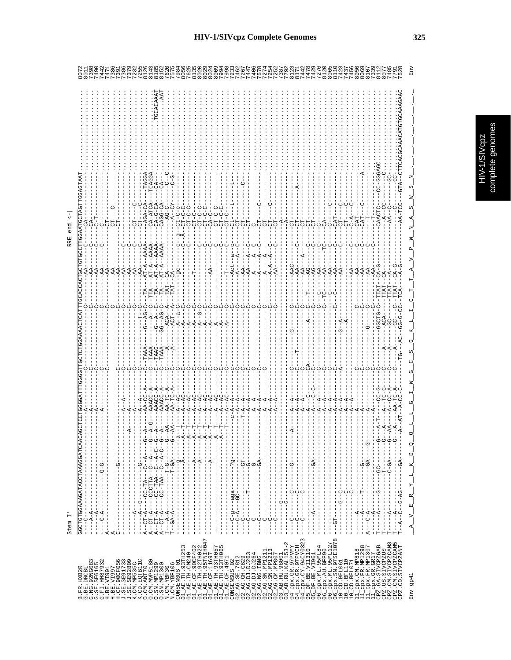| г |  |
|---|--|

| GGAGTAA'                                                                                                                                                                                                                                                                                                                                                                                                                                                        |                                                     |        |                                |                   |      |                     | TAGGA<br>$AGA-CP$ | TCAGGA<br>-CA---                           |                                                                                                                                                   | $-40 -$<br>U        | ں<br>ا<br>いし<br>ひ    | 5         | υ                                                         |              |          |               | U                                 |         |      | O                     |                         |  |                                  |                  |                                                                                                  |                         |                          |                                                                                            |                                                                                                                      |                                |                    |                                       |                                                         |                                     |                              |    |           |                                                  |   | C |            |                              | O                                                         | C                                       |               |        |                           |                      |        | <b>C-GGG2</b>                   |                              | $C_0$                               |
|-----------------------------------------------------------------------------------------------------------------------------------------------------------------------------------------------------------------------------------------------------------------------------------------------------------------------------------------------------------------------------------------------------------------------------------------------------------------|-----------------------------------------------------|--------|--------------------------------|-------------------|------|---------------------|-------------------|--------------------------------------------|---------------------------------------------------------------------------------------------------------------------------------------------------|---------------------|----------------------|-----------|-----------------------------------------------------------|--------------|----------|---------------|-----------------------------------|---------|------|-----------------------|-------------------------|--|----------------------------------|------------------|--------------------------------------------------------------------------------------------------|-------------------------|--------------------------|--------------------------------------------------------------------------------------------|----------------------------------------------------------------------------------------------------------------------|--------------------------------|--------------------|---------------------------------------|---------------------------------------------------------|-------------------------------------|------------------------------|----|-----------|--------------------------------------------------|---|---|------------|------------------------------|-----------------------------------------------------------|-----------------------------------------|---------------|--------|---------------------------|----------------------|--------|---------------------------------|------------------------------|-------------------------------------|
| ひなけひひけななひひけけひひひけい<br>రే<br>U                                                                                                                                                                                                                                                                                                                                                                                                                                    | けし<br>( )<br>O                                      | 5      | 턿                              |                   |      |                     |                   | $A-ATC$                                    | $2A-G-CA$                                                                                                                                         | CAGG-CA             | $-40-$               |           | $2t - 1$<br>ወ⊄                                            |              | ု        |               |                                   | ပု<br>- |      |                       |                         |  | ൯<br>Æ                           |                  | Æ                                                                                                | Æ                       | Æ                        |                                                                                            |                                                                                                                      |                                |                    |                                       |                                                         |                                     |                              |    |           |                                                  |   | O | O          |                              |                                                           |                                         |               |        |                           |                      |        | CAACTC                          | $-4$                         | AA                                  |
|                                                                                                                                                                                                                                                                                                                                                                                                                                                                 |                                                     |        |                                |                   |      |                     | – A–<br>– H       | $T - A -$                                  | -TTA---AT-A-<br>--TA---AT-A-<br>--TA---AT-A-                                                                                                      |                     |                      |           |                                                           |              |          |               |                                   |         |      |                       |                         |  | ಕ                                |                  | $AA-$                                                                                            |                         | К                        |                                                                                            | $-4$                                                                                                                 |                                |                    |                                       |                                                         |                                     |                              | ひ  | ひ         | U                                                | Ō | U | U          |                              |                                                           |                                         |               |        |                           |                      |        | ပု                              |                              |                                     |
|                                                                                                                                                                                                                                                                                                                                                                                                                                                                 |                                                     |        |                                |                   |      |                     | $-2A-$            | $-4$                                       | $G - A - -$                                                                                                                                       | $G - D - D - D - D$ | ACT.<br>$-ACA$<br>Ŗ  | ł         | $A - a$                                                   | К            | ÷,<br>A, | J<br>К        | Ġ<br> <br>$\triangle$ $\triangle$ |         | K,   |                       | $\triangle$ $\triangle$ |  |                                  |                  |                                                                                                  |                         |                          |                                                                                            |                                                                                                                      |                                |                    |                                       |                                                         |                                     |                              | ች  |           |                                                  |   |   |            | $\vec{A}$<br>ひ               | Ŗ                                                         |                                         |               |        |                           |                      |        | GGCTG-                          | $-ACA$                       | ن ن<br>ن ن<br>$\overline{A}$        |
|                                                                                                                                                                                                                                                                                                                                                                                                                                                                 |                                                     |        |                                |                   |      |                     | TAAA              | TAAA                                       | TAAG-                                                                                                                                             | TAAA-               | $C - A$<br>A<br>J    |           |                                                           |              |          |               |                                   |         | U    | ↻                     |                         |  |                                  |                  |                                                                                                  |                         |                          |                                                                                            |                                                                                                                      |                                |                    |                                       |                                                         |                                     |                              | U  | ن<br>ن    |                                                  |   |   |            |                              |                                                           |                                         |               |        |                           |                      |        |                                 | じし                           | $C - A$                             |
|                                                                                                                                                                                                                                                                                                                                                                                                                                                                 | K.                                                  |        |                                |                   |      |                     | U<br>4<br>ပု      | AAC<br>ပု<br>ပု                            | AAACC-A-<br>AAACC-A-<br>りー                                                                                                                        | $-1$                | $A - T$<br>ပုံ<br>ပု | $A - T$   |                                                           |              |          |               |                                   |         |      |                       |                         |  |                                  |                  |                                                                                                  |                         |                          |                                                                                            |                                                                                                                      |                                |                    |                                       |                                                         |                                     |                              |    |           |                                                  |   |   |            |                              |                                                           |                                         |               |        |                           | $-5$                 |        | $\frac{1}{1}$                   | ੍ਹਾਂ                         | ပုံ                                 |
|                                                                                                                                                                                                                                                                                                                                                                                                                                                                 | <b>0-9-1</b><br>п                                   | ł      | $\overline{\phantom{a}}$<br>J. | U<br>$\mathbf{I}$ |      | $\frac{6}{1}$       |                   |                                            | $\begin{array}{ll} & \cup -1A--C--A--\\ & \cup -1A--C--A--\\ A---C--C--PAA--C--A--\\ A---C--PAA--C--A--C--\\ A---C--PAA--C--A--C--\\ \end{array}$ |                     |                      |           | п<br>$\frac{1}{1}$<br>$\frac{1}{1}$<br>$\mathbf{I}$<br>л. | $\mathbf{I}$ | J.       | л<br>$-4 - P$ | $-4$                              |         | $-4$ | I.<br>т<br>т          | - 1                     |  | ï<br>ס<br>$\frac{1}{2}$          |                  | $-150 - -$<br>J.<br>ပု<br>1<br>$\begin{bmatrix} 1 \\ 1 \\ 1 \\ 1 \end{bmatrix}$<br>$\frac{1}{2}$ | $\mathsf I$<br>$-1$     | $-45 -$<br>$\frac{1}{4}$ |                                                                                            | $\overline{\phantom{a}}$                                                                                             | $\overline{\phantom{a}}$<br>-1 | ı<br>т             | $\begin{array}{c} \hline \end{array}$ | $\frac{1}{6}$<br>$\blacksquare$                         | п<br>$\mathbf{I}$<br>$\frac{1}{2}$  | $\overline{\phantom{a}}$     |    | $-45 -$   | т<br>Ť.<br>$\mathsf I$<br>Ţ<br>T<br>$\mathbf{I}$ |   |   |            |                              | 1<br>ł                                                    |                                         |               |        | 1<br>ーリー                  | $-45 -$<br>J.        |        | $-90-$<br>$\frac{1}{2}$         | I<br>т<br>i<br>H             | I<br>I<br>$-149 - 1$<br>1<br>т<br>т |
| GGCTGTGGAAAGATACCTAAAGGATCAA<br>$\begin{array}{c} \rule{0pt}{2.5ex} \rule{0pt}{2.5ex} \rule{0pt}{2.5ex} \rule{0pt}{2.5ex} \rule{0pt}{2.5ex} \rule{0pt}{2.5ex} \rule{0pt}{2.5ex} \rule{0pt}{2.5ex} \rule{0pt}{2.5ex} \rule{0pt}{2.5ex} \rule{0pt}{2.5ex} \rule{0pt}{2.5ex} \rule{0pt}{2.5ex} \rule{0pt}{2.5ex} \rule{0pt}{2.5ex} \rule{0pt}{2.5ex} \rule{0pt}{2.5ex} \rule{0pt}{2.5ex} \rule{0pt}{2.5ex} \rule{0$<br>$- -A - A$<br>$\mathbf{I}$<br>$\frac{1}{2}$ | $\frac{1}{1}$<br>I.<br>$-4$<br>$-9 - 7 -$<br>п<br>I | т<br>Ţ | $\frac{1}{1}$                  |                   | $-4$ | $rac{1}{2}$<br>$-4$ | $-CT - A$         | $A--CT-A$<br>$A--CTT-A$<br>$A--CTA--A-A-1$ |                                                                                                                                                   |                     | $- -A - A$           | $-6A - A$ |                                                           |              | л<br>п   |               |                                   |         |      | $\mathbf I$<br>п<br>л |                         |  | ï<br>ன்<br>⊥<br>↻<br>U<br>п<br>- | $\mathsf I$<br>U | 1<br>п<br>Ţ<br>ł<br>ł<br>U<br>п<br>J.                                                            | $\mathbf{I}$<br>O<br>-1 | Ť<br>◡<br>ŧ              | ï<br>$\overline{\phantom{a}}$<br>$\overline{\phantom{a}}$<br>1<br>ï<br>f,<br>$\frac{1}{1}$ | Ť.<br>$\,$ I<br>$\frac{1}{2}$<br>$\blacksquare$<br>$\begin{array}{c} \hline \end{array}$<br>$\blacksquare$<br>U<br>Ť | Ť.<br>$\mathbf{I}$<br>U<br>-1  | $-9 - -$<br>T<br>п | ţ<br>$\frac{6}{1}$<br>$\mathbf{I}$    | i<br>C<br>I<br>$\frac{1}{1}$<br>$\mathbf{I}$<br>U<br>-1 | п<br>т<br>$\blacksquare$<br>U<br>Ť. | J<br>J<br>Í<br>$\frac{C}{1}$ | J. | $\dot{A}$ | $\mathbf{I}$<br>I.<br>л<br>I<br>л                |   |   | J.<br>- GT | $-1 - 0 - 1$<br>J<br>-1<br>ï | $\frac{1}{2}$<br>$\frac{1}{1}$<br>1<br>$\mathbf{I}$<br>J. | $\frac{1}{2}$<br>I<br>J.<br>J<br>п<br>I | Ţ<br>L.<br>-1 | י<br>י | I<br>I,<br>$- - - A$<br>I | J.<br>ł<br>$A---C-A$ | К<br>Ţ | ţ<br>$-4$<br>j<br>$\frac{1}{1}$ | л<br>I<br>u<br>$\frac{1}{4}$ | Ť.<br>ŧ<br>$- - A$<br>т<br>÷        |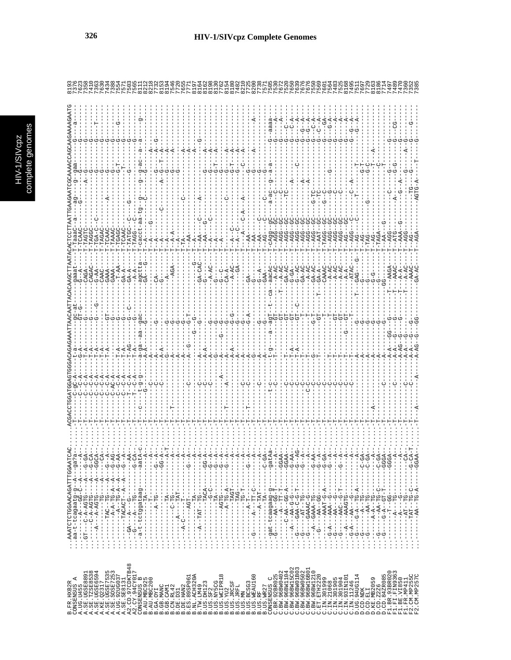|              |                                                   | $\begin{small} &\frac{1}{2} & \frac{1}{2} & \frac{1}{2} & \frac{1}{2} & \frac{1}{2} & \frac{1}{2} & \frac{1}{2} & \frac{1}{2} & \frac{1}{2} & \frac{1}{2} & \frac{1}{2} & \frac{1}{2} & \frac{1}{2} & \frac{1}{2} & \frac{1}{2} & \frac{1}{2} & \frac{1}{2} & \frac{1}{2} & \frac{1}{2} & \frac{1}{2} & \frac{1}{2} & \frac{1}{2} & \frac{1}{2} & \frac{1}{2} & \frac{1}{2} & \frac{1}{2} & \frac{1}{2$ |                                                          |  |    |                            |    |                                                             |  |
|--------------|---------------------------------------------------|---------------------------------------------------------------------------------------------------------------------------------------------------------------------------------------------------------------------------------------------------------------------------------------------------------------------------------------------------------------------------------------------------------|----------------------------------------------------------|--|----|----------------------------|----|-------------------------------------------------------------|--|
|              |                                                   |                                                                                                                                                                                                                                                                                                                                                                                                         |                                                          |  |    |                            |    |                                                             |  |
|              |                                                   |                                                                                                                                                                                                                                                                                                                                                                                                         |                                                          |  |    |                            |    |                                                             |  |
|              |                                                   |                                                                                                                                                                                                                                                                                                                                                                                                         |                                                          |  |    |                            |    |                                                             |  |
|              |                                                   |                                                                                                                                                                                                                                                                                                                                                                                                         |                                                          |  |    |                            |    |                                                             |  |
|              |                                                   |                                                                                                                                                                                                                                                                                                                                                                                                         |                                                          |  |    |                            |    |                                                             |  |
|              |                                                   |                                                                                                                                                                                                                                                                                                                                                                                                         |                                                          |  |    |                            |    |                                                             |  |
|              |                                                   |                                                                                                                                                                                                                                                                                                                                                                                                         |                                                          |  |    |                            |    |                                                             |  |
|              |                                                   |                                                                                                                                                                                                                                                                                                                                                                                                         |                                                          |  |    |                            |    |                                                             |  |
| ${}^{\circ}$ |                                                   |                                                                                                                                                                                                                                                                                                                                                                                                         |                                                          |  |    |                            |    |                                                             |  |
|              |                                                   |                                                                                                                                                                                                                                                                                                                                                                                                         | $-4A$<br>--0-04<br>--0-04                                |  |    |                            |    |                                                             |  |
|              |                                                   | Ţ                                                                                                                                                                                                                                                                                                                                                                                                       | --aatA-                                                  |  |    | agct                       |    |                                                             |  |
|              | Ť                                                 | .-a-t-tctggataag<br>$---TA-$<br>-1                                                                                                                                                                                                                                                                                                                                                                      | $-4$                                                     |  |    |                            |    |                                                             |  |
|              |                                                   |                                                                                                                                                                                                                                                                                                                                                                                                         | $-4$                                                     |  |    |                            |    |                                                             |  |
|              | Ì,                                                |                                                                                                                                                                                                                                                                                                                                                                                                         |                                                          |  |    |                            |    |                                                             |  |
|              | $\begin{bmatrix} 1 \\ 1 \\ 1 \end{bmatrix}$<br>Ì, | $\frac{1}{1}$<br>$\mathbf{I}$<br>$\,$ I<br>$\frac{1}{4}$<br>$\,$ I                                                                                                                                                                                                                                                                                                                                      | $-1 - -1 - -1 -$                                         |  |    |                            |    |                                                             |  |
|              | Ì,                                                |                                                                                                                                                                                                                                                                                                                                                                                                         | $-$ - $-$ - $A$                                          |  |    |                            |    |                                                             |  |
|              | $\frac{1}{1}$                                     | $\mathsf I$                                                                                                                                                                                                                                                                                                                                                                                             |                                                          |  |    |                            |    |                                                             |  |
|              | $\frac{1}{1}$                                     |                                                                                                                                                                                                                                                                                                                                                                                                         | $-1$ – $-1$                                              |  |    |                            |    |                                                             |  |
|              |                                                   |                                                                                                                                                                                                                                                                                                                                                                                                         | $- - - A$                                                |  |    |                            |    |                                                             |  |
|              |                                                   |                                                                                                                                                                                                                                                                                                                                                                                                         | $-4$                                                     |  |    |                            |    |                                                             |  |
|              | ţ.                                                |                                                                                                                                                                                                                                                                                                                                                                                                         | $-1 - 5 - 1$                                             |  |    |                            |    |                                                             |  |
|              |                                                   |                                                                                                                                                                                                                                                                                                                                                                                                         | $-1$                                                     |  |    |                            |    |                                                             |  |
|              |                                                   |                                                                                                                                                                                                                                                                                                                                                                                                         | $- - A$                                                  |  |    |                            |    |                                                             |  |
|              |                                                   | Ţ                                                                                                                                                                                                                                                                                                                                                                                                       | $- - - G - A$                                            |  |    |                            |    |                                                             |  |
|              | $\frac{1}{1}$                                     |                                                                                                                                                                                                                                                                                                                                                                                                         |                                                          |  |    | $-A - A$                   |    |                                                             |  |
|              |                                                   | -------------                                                                                                                                                                                                                                                                                                                                                                                           |                                                          |  |    |                            |    |                                                             |  |
|              |                                                   | $-10004$                                                                                                                                                                                                                                                                                                                                                                                                |                                                          |  |    |                            |    |                                                             |  |
|              |                                                   | $-1 - 1 - 1 - 1 - 1 - 1 - 1 - 1$                                                                                                                                                                                                                                                                                                                                                                        |                                                          |  |    |                            |    |                                                             |  |
|              |                                                   |                                                                                                                                                                                                                                                                                                                                                                                                         |                                                          |  |    |                            |    |                                                             |  |
|              | J,                                                |                                                                                                                                                                                                                                                                                                                                                                                                         |                                                          |  |    |                            |    |                                                             |  |
|              | -1<br>T,                                          | <b>H-91----</b><br>$\mathsf I$<br>$\mathbf{I}$                                                                                                                                                                                                                                                                                                                                                          | $   \overline{A}$                                        |  | もも |                            | U) |                                                             |  |
|              | $\mathsf I$                                       | j<br>$-1 - A - T$                                                                                                                                                                                                                                                                                                                                                                                       |                                                          |  | Æ  |                            |    |                                                             |  |
|              |                                                   |                                                                                                                                                                                                                                                                                                                                                                                                         | $-4 - -4 - -4 - -$                                       |  |    |                            |    |                                                             |  |
|              |                                                   |                                                                                                                                                                                                                                                                                                                                                                                                         | $-4 - 7$                                                 |  |    |                            |    |                                                             |  |
|              |                                                   |                                                                                                                                                                                                                                                                                                                                                                                                         | $-450-0$                                                 |  |    |                            |    |                                                             |  |
|              |                                                   | ł                                                                                                                                                                                                                                                                                                                                                                                                       | $---gatAa$                                               |  |    |                            |    |                                                             |  |
|              |                                                   |                                                                                                                                                                                                                                                                                                                                                                                                         | $- - - A$                                                |  |    |                            |    |                                                             |  |
|              |                                                   | Í                                                                                                                                                                                                                                                                                                                                                                                                       |                                                          |  |    |                            |    |                                                             |  |
|              |                                                   |                                                                                                                                                                                                                                                                                                                                                                                                         |                                                          |  |    |                            |    |                                                             |  |
|              |                                                   |                                                                                                                                                                                                                                                                                                                                                                                                         |                                                          |  |    |                            |    | $\begin{array}{c} 1 & -1 \\ -1 & -1 \\ -1 & -1 \end{array}$ |  |
|              |                                                   |                                                                                                                                                                                                                                                                                                                                                                                                         |                                                          |  |    | 5444<br>---44<br>--54      |    |                                                             |  |
|              |                                                   |                                                                                                                                                                                                                                                                                                                                                                                                         |                                                          |  |    |                            |    |                                                             |  |
|              |                                                   |                                                                                                                                                                                                                                                                                                                                                                                                         |                                                          |  |    |                            |    | ဗှံ ဗုံ                                                     |  |
|              |                                                   |                                                                                                                                                                                                                                                                                                                                                                                                         |                                                          |  |    |                            |    | ÷                                                           |  |
|              |                                                   |                                                                                                                                                                                                                                                                                                                                                                                                         |                                                          |  |    |                            |    |                                                             |  |
|              |                                                   |                                                                                                                                                                                                                                                                                                                                                                                                         |                                                          |  |    | CA-A                       |    | $\frac{1}{2}$                                               |  |
|              |                                                   |                                                                                                                                                                                                                                                                                                                                                                                                         | $-5 - 7$                                                 |  |    |                            |    |                                                             |  |
|              |                                                   |                                                                                                                                                                                                                                                                                                                                                                                                         |                                                          |  |    |                            |    |                                                             |  |
|              |                                                   |                                                                                                                                                                                                                                                                                                                                                                                                         |                                                          |  |    |                            |    |                                                             |  |
|              |                                                   |                                                                                                                                                                                                                                                                                                                                                                                                         |                                                          |  |    |                            |    |                                                             |  |
|              |                                                   |                                                                                                                                                                                                                                                                                                                                                                                                         | $-1 - 2$<br>$-1 - 2$<br>$-1 - 2$<br>$-1 - 2$<br>$-1 - 2$ |  |    |                            |    |                                                             |  |
|              |                                                   |                                                                                                                                                                                                                                                                                                                                                                                                         | $-4$                                                     |  |    |                            |    | じじ                                                          |  |
|              |                                                   |                                                                                                                                                                                                                                                                                                                                                                                                         | $-450 - 7 - - - -$                                       |  |    | $-2A1$<br>$-6AG$<br>$-6 -$ |    |                                                             |  |
|              |                                                   |                                                                                                                                                                                                                                                                                                                                                                                                         | $-450 - 1 - - -$                                         |  |    |                            |    |                                                             |  |
|              |                                                   |                                                                                                                                                                                                                                                                                                                                                                                                         | $-4$                                                     |  |    |                            |    |                                                             |  |
|              |                                                   |                                                                                                                                                                                                                                                                                                                                                                                                         | $-45 - 1$                                                |  |    |                            |    |                                                             |  |
|              |                                                   |                                                                                                                                                                                                                                                                                                                                                                                                         | $-4550 - - - -$                                          |  |    |                            |    |                                                             |  |
|              |                                                   |                                                                                                                                                                                                                                                                                                                                                                                                         | $-4550 - - -$                                            |  |    |                            |    |                                                             |  |
|              | ţ                                                 |                                                                                                                                                                                                                                                                                                                                                                                                         | $-1$ – $-1$                                              |  |    |                            |    |                                                             |  |
|              | Ì,                                                |                                                                                                                                                                                                                                                                                                                                                                                                         | $-1 - 1$                                                 |  |    |                            |    |                                                             |  |
|              |                                                   |                                                                                                                                                                                                                                                                                                                                                                                                         |                                                          |  |    |                            |    |                                                             |  |
|              |                                                   |                                                                                                                                                                                                                                                                                                                                                                                                         |                                                          |  |    |                            |    |                                                             |  |
|              |                                                   |                                                                                                                                                                                                                                                                                                                                                                                                         |                                                          |  |    |                            |    |                                                             |  |
|              |                                                   |                                                                                                                                                                                                                                                                                                                                                                                                         |                                                          |  |    |                            |    |                                                             |  |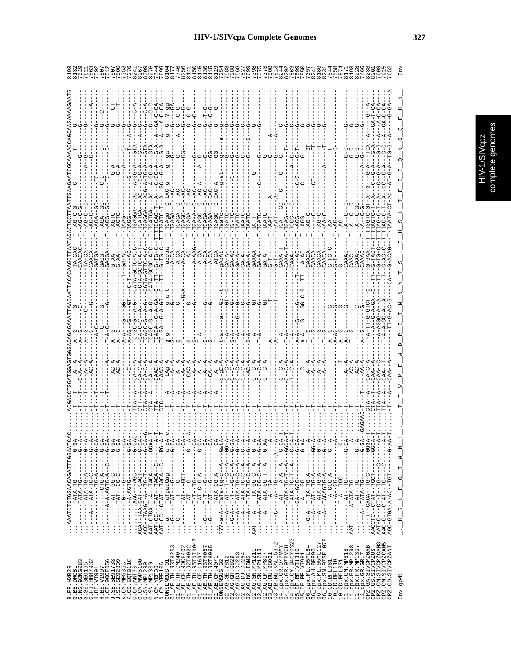| $-5 - 5 - 7$<br>υυ<br>$\begin{array}{c} 1 \\ 0 \\ 1 \\ 1 \end{array}$<br>ပုံ ပုံ                                                                                                                                                                                                                                                                                                                                                                                                                                                                                                                                                                                                                                                                |                             |
|-------------------------------------------------------------------------------------------------------------------------------------------------------------------------------------------------------------------------------------------------------------------------------------------------------------------------------------------------------------------------------------------------------------------------------------------------------------------------------------------------------------------------------------------------------------------------------------------------------------------------------------------------------------------------------------------------------------------------------------------------|-----------------------------|
|                                                                                                                                                                                                                                                                                                                                                                                                                                                                                                                                                                                                                                                                                                                                                 |                             |
| GTA<br>ga-                                                                                                                                                                                                                                                                                                                                                                                                                                                                                                                                                                                                                                                                                                                                      |                             |
|                                                                                                                                                                                                                                                                                                                                                                                                                                                                                                                                                                                                                                                                                                                                                 |                             |
|                                                                                                                                                                                                                                                                                                                                                                                                                                                                                                                                                                                                                                                                                                                                                 |                             |
|                                                                                                                                                                                                                                                                                                                                                                                                                                                                                                                                                                                                                                                                                                                                                 |                             |
| GAAA                                                                                                                                                                                                                                                                                                                                                                                                                                                                                                                                                                                                                                                                                                                                            |                             |
|                                                                                                                                                                                                                                                                                                                                                                                                                                                                                                                                                                                                                                                                                                                                                 |                             |
|                                                                                                                                                                                                                                                                                                                                                                                                                                                                                                                                                                                                                                                                                                                                                 |                             |
|                                                                                                                                                                                                                                                                                                                                                                                                                                                                                                                                                                                                                                                                                                                                                 |                             |
| $-tAg-$<br>$-2A-$                                                                                                                                                                                                                                                                                                                                                                                                                                                                                                                                                                                                                                                                                                                               |                             |
| תתתהוווותו<br>ייוטטטטטוט<br>$\pm\pm\pm$                                                                                                                                                                                                                                                                                                                                                                                                                                                                                                                                                                                                                                                                                                         |                             |
|                                                                                                                                                                                                                                                                                                                                                                                                                                                                                                                                                                                                                                                                                                                                                 |                             |
| $G-CA$<br>$-G-CA$ -<br>$-45 - 9 - - - -$<br>$---GGGA -$<br>$-1$<br>$-4$<br>$-4$<br>$-5 - -2$<br>$---RG - A$<br>$- - -G - CA$<br>$G-GA$<br>$-9 - - - -$<br>$- - C A$                                                                                                                                                                                                                                                                                                                                                                                                                                                                                                                                                                             | $G-AA$                      |
| Ī<br>$-1$<br>$-1$<br>$-1$<br>$-1$<br>ţ<br>Ť                                                                                                                                                                                                                                                                                                                                                                                                                                                                                                                                                                                                                                                                                                     | Z                           |
| U----UH--HRHU---                                                                                                                                                                                                                                                                                                                                                                                                                                                                                                                                                                                                                                                                                                                                | O<br>囯                      |
| . . AAATCTCTGGAACAGATTTGGAATCA<br>. - - - - - - - TATA-TG- - - - - - - - - - G-GA-<br>$\begin{split} &\mathcal{R}^{(1)} \times \mathcal{R}^{(2)} \rightarrow \mathcal{R}^{(3)} \times \mathcal{R}^{(4)} \rightarrow \mathcal{R}^{(5)} \times \mathcal{R}^{(6)} \times \mathcal{R}^{(6)} \times \mathcal{R}^{(6)} \times \mathcal{R}^{(6)} \times \mathcal{R}^{(6)} \times \mathcal{R}^{(6)} \times \mathcal{R}^{(6)} \times \mathcal{R}^{(6)} \times \mathcal{R}^{(6)} \times \mathcal{R}^{(6)} \times \mathcal{R}^{(6)} \times \mathcal{R}^{(6)} \times \mathcal{R}^{(6)}$<br>. - - - - - - - - A - - GG - - - .<br>. - - - - - - - TAT - TGC - -<br>. - - - - - - - TATAT - TG - - - .<br>AAT - - - - - ATATA - TG - - - .<br>AAT-C-<br>AAC-C | AGC-GTGA-A-AC-TGT<br>ω<br>× |
| $\begin{smallmatrix} 0.1021 & 0.0036 & 0.0036 & 0.0036 & 0.0036 & 0.0036 & 0.0036 & 0.0036 & 0.0036 & 0.0036 & 0.0036 & 0.0036 & 0.0036 & 0.0036 & 0.0036 & 0.0036 & 0.0036 & 0.0036 & 0.0036 & 0.0036 & 0.0036 & 0.0036 & 0.0036 & 0.0036 & 0.0036 & 0.0036 & 0.003$<br>CPZ.CM.SIVCPZCAM3<br>Z.CM.SIVCPZCAM5<br>S.SIVCPZUS                                                                                                                                                                                                                                                                                                                                                                                                                     | CPZ.CD.SIVCPZANT            |
| . FR. HXB2R<br>. BE. DRCBL<br>1PZ.U<br>$\overline{a}$<br>四ひ<br>τ,                                                                                                                                                                                                                                                                                                                                                                                                                                                                                                                                                                                                                                                                               | 9P4<br>Env                  |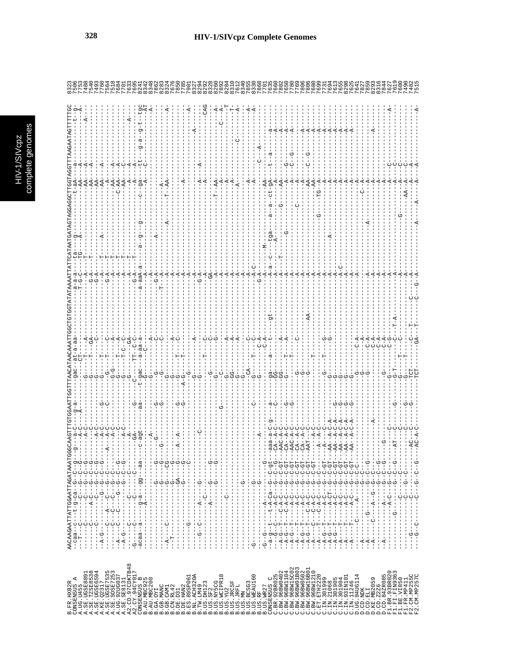| ¦<br>თ<br>Æ<br>$\cup$ $\leq$<br>てりてり<br>ଟ<br>ଜ ⊦<br>υ<br>aaA<br>$\ddot{\sigma}$<br>しし<br>ó<br>Ġ<br>$\frac{1}{\sigma}$<br>74444<br>↻<br>$a - a - a - a$<br>$- - - -$<br>U<br>$\zeta$<br>ひひひ<br>ု<br>てりてりてりてり<br>ひひひ<br>てりてり<br>てりてり<br>ನೆ<br>てりてり<br>agi<br>$Q -$<br>$A \text{OAA} \text{OAA} \text{STIR} \text{OAA} \text{STIR} \text{OAA} \text{STIR} \text{OAA} \text{STIR} \text{OAA} \text{STIR} \text{OAA} \text{STIR} \text{OAA} \text{STIR} \text{OAA} \text{STIR} \text{OAA} \text{STIR} \text{OAA} \text{STIR} \text{OAA} \text{STIR} \text{OAA} \text{STIR} \text{OAA} \text{F} \text{OAA} \text{F} \text{OAA} \text{F} \text{OAA} \text{F} \text{OAA} \text{F} \text{OAA} \text{F} \text{$<br>.<br>$\blacksquare$<br>- 1<br>- 1<br>L.<br>п<br>$\mathbf{I}$<br>L.<br>Τ.<br>-1<br>л.<br>$\mathbf{I}$<br>-1<br>$\blacksquare$<br>-1<br>$\mathbf{I}$<br>$\mathbf{I}$<br>$\blacksquare$<br>$\mathbf{I}$<br>п<br>$\mathbf{I}$<br><b>ひひひひひひ</b><br><b>ひ ひ</b><br>" ליוויין ליוויין ליוויין ליוויין<br>ליליליטיין ליוויין ליוויין ליוויין<br>לילילין ליוויין ליוויין ליוויין ליוויין<br>ひ<br>$\begin{matrix} 1 & 0 \\ 1 & 0 \\ 1 & 0 \end{matrix}$<br>$\blacksquare$<br>$\mathbf{I}$<br>-1<br>Ü<br>Ť<br>T<br>$\mathbf{I}$<br>- 11<br>$\mathsf I$<br>$\mathbf{I}$<br>$\mathbf{I}$<br>- 11<br>$\blacksquare$<br>$\mathbf{1}$<br>- 11<br>$\mathbf{I}$<br>- 11<br>$\mathbf{I}$<br>$\mathbf{I}$<br>-1<br>$\mathbf{I}$<br>- 11<br>$\mathbf{I}$<br>$\blacksquare$<br>$\blacksquare$<br>$\mathbf{I}$<br>-11<br>п<br>$\mathbf{I}$<br>ひひひひ<br>$\perp$<br>Τ.<br>- 1<br>- 11<br>$\blacksquare$<br>$\mathbf{I}$<br>$\mathbf{I}$<br>-1<br>- 1<br>п<br>$\mathbf{I}$<br>-1<br>$\mathbf{I}$<br>-11<br>-11<br>$\mathbf{I}$<br>- 1<br>- 11<br>ш<br>.<br>$\mathbf{L}$<br>$-1$<br>Ť.<br>$\mathbf{I}$<br>$\mathbf{I}$<br>$\mathbf{I}$<br>-1<br>Τ.<br>-11<br>т<br>-1<br>H.<br>H.<br>л.<br>ш<br>п.<br>J.<br>စုံစုံစုံစုံစုံ<br>එ<br>မှ မှ<br>ှုံ<br>$\begin{array}{cc}   & \downarrow \\   & \downarrow \end{array}$<br>ம் !<br>ပော်<br>$\mathbf{I}$<br>$\blacksquare$<br>$\blacksquare$<br>$\mathbf{I}$<br>$\mathbf{I}$<br>- 11<br>$\mathbf{L}$<br>-11<br>-1<br>H.<br>$-1$ $-1$ $-1$<br>$\mathbf I$<br>$\frac{1}{2}$<br>$\mathbf{I}$<br>$\mathbf{I}$<br>I.<br>- 1<br>$\mathbf{I}$<br>$\blacksquare$<br>$\blacksquare$<br>- 11<br>$\mathbf{I}$<br>$\blacksquare$<br>$\mathbf{I}$<br>-i<br>$\blacksquare$<br>$\mathbf{I}$<br>- 11<br>- 11<br>L.<br>- 11<br>-1<br>л.<br>- 1<br>$\mathbf{I}$<br>ပုံ<br>$\frac{1}{2}$<br>$\blacksquare$<br>$\blacksquare$<br>$\mathbf{I}$<br>п<br>- 1<br>$\mathbf{I}$<br>-11<br>-1<br>п<br>$\mathbf{I}$<br>- 11<br>п.<br>$\mathbf{I}$<br>$\blacksquare$<br>л.<br>$\mathbf{1}$<br>п<br>$\mathbf{I}$<br>ш<br>$-4$<br>$\mathbf{I}$<br>$\mathbf{I}$<br>L<br>$\mathbf{I}$<br>$\overline{\phantom{a}}$<br>$\blacksquare$<br>$\mathbf{I}$<br>J.<br>$\mathbf{I}$<br>$\mathbf{I}$<br>$\mathbf{I}$<br>$\mathbf{I}$<br>$\overline{A}$<br>I.<br>$\mathbf{I}$<br>$\mathbf{L}$<br>$\mathbf{I}$<br>L.<br>ш<br>$\Delta$<br>$\mathbf{I}$<br>I<br>$\mathbf{I}$<br>J.<br>J.<br>Ŧ<br>TH<br>$\blacksquare$<br>$\mathbf{I}$<br>$\blacksquare$<br>$\mathbf{I}$<br>$\blacksquare$<br>$\mathbf{I}$<br>$\mathbf{I}$<br>$\mathbf{I}$<br>$\begin{array}{c} \hline \end{array}$<br>$\frac{1}{1}$<br>п<br>$\mathbf{I}$<br>J.<br>$\blacksquare$<br>J.<br>W<br>÷<br>$\frac{1}{2}$<br>п<br>$\mathbf{I}$<br>п.<br>п<br>$\blacksquare$<br>- 11<br>- 1<br>- 1<br>$\blacksquare$<br>- 1<br>- 1<br>-11<br>-1<br>п<br>л<br>$\mathbf{I}$<br>$\blacksquare$<br>$\mathbf{I}$<br>$\mathbf{I}$<br>$\blacksquare$<br>- 1<br>$\mathbf{I}$<br>$\mathbf{I}$<br>л.<br>- 1<br>iiii<br>ひ<br>т.<br>ひ<br>$\mathbf{I}$<br>$\mathsf I$<br>$\mathsf I$<br>$\blacksquare$<br>$\mathbf I$<br>$\blacksquare$<br>Ι.<br>J.<br>$\mathbf{I}$<br>$\mathbf{I}$<br>$\mathbf{I}$<br>L.<br>- 1<br>$\mathbf{I}$<br>- 1<br>п<br>-1<br>- 1<br>ш<br>H.<br>-<br>-<br>$\mathsf I$<br>$\,$ I<br>$\begin{array}{c} \rule{0pt}{2.5ex} \rule{0pt}{2.5ex} \rule{0pt}{2.5ex} \rule{0pt}{2.5ex} \rule{0pt}{2.5ex} \rule{0pt}{2.5ex} \rule{0pt}{2.5ex} \rule{0pt}{2.5ex} \rule{0pt}{2.5ex} \rule{0pt}{2.5ex} \rule{0pt}{2.5ex} \rule{0pt}{2.5ex} \rule{0pt}{2.5ex} \rule{0pt}{2.5ex} \rule{0pt}{2.5ex} \rule{0pt}{2.5ex} \rule{0pt}{2.5ex} \rule{0pt}{2.5ex} \rule{0pt}{2.5ex} \rule{0$<br>Ť<br>$\perp$<br>$\mathsf I$<br>$\mathbf I$<br>Ť<br>$\overline{\phantom{a}}$<br>$\mathbf{I}$<br>Ι. |            |  |  |  |
|-------------------------------------------------------------------------------------------------------------------------------------------------------------------------------------------------------------------------------------------------------------------------------------------------------------------------------------------------------------------------------------------------------------------------------------------------------------------------------------------------------------------------------------------------------------------------------------------------------------------------------------------------------------------------------------------------------------------------------------------------------------------------------------------------------------------------------------------------------------------------------------------------------------------------------------------------------------------------------------------------------------------------------------------------------------------------------------------------------------------------------------------------------------------------------------------------------------------------------------------------------------------------------------------------------------------------------------------------------------------------------------------------------------------------------------------------------------------------------------------------------------------------------------------------------------------------------------------------------------------------------------------------------------------------------------------------------------------------------------------------------------------------------------------------------------------------------------------------------------------------------------------------------------------------------------------------------------------------------------------------------------------------------------------------------------------------------------------------------------------------------------------------------------------------------------------------------------------------------------------------------------------------------------------------------------------------------------------------------------------------------------------------------------------------------------------------------------------------------------------------------------------------------------------------------------------------------------------------------------------------------------------------------------------------------------------------------------------------------------------------------------------------------------------------------------------------------------------------------------------------------------------------------------------------------------------------------------------------------------------------------------------------------------------------------------------------------------------------------------------------------------------------------------------------------------------------------------------------------------------------------------------------------------------------------------------------------------------------------------------------------------------------------------------------------------------------------------------------------------------------------------------------------------------------------------------------------------------------------------------------------------------------------------------------------------------------------------------------------------------------------------------------------------------------------------------------------------------------------------------------------------------------------------------------------------------------------------------------------------------------------------------------------------------------------------------------------------------------------------------------------------------------------------------------------------------------------------------------------------------------------------------------------------------------------------------------------------------------------------------------------------------------------------------|------------|--|--|--|
|                                                                                                                                                                                                                                                                                                                                                                                                                                                                                                                                                                                                                                                                                                                                                                                                                                                                                                                                                                                                                                                                                                                                                                                                                                                                                                                                                                                                                                                                                                                                                                                                                                                                                                                                                                                                                                                                                                                                                                                                                                                                                                                                                                                                                                                                                                                                                                                                                                                                                                                                                                                                                                                                                                                                                                                                                                                                                                                                                                                                                                                                                                                                                                                                                                                                                                                                                                                                                                                                                                                                                                                                                                                                                                                                                                                                                                                                                                                                                                                                                                                                                                                                                                                                                                                                                                                                                                                                                   |            |  |  |  |
| $\blacksquare$<br>$\blacksquare$<br>$\mathbf{I}$<br>-1<br>T<br>$\mathbf{I}$<br>$\blacksquare$<br>L.<br>$\blacksquare$<br>- 11<br>- 11<br>$\mathbf{I}$<br>$\blacksquare$<br>$\blacksquare$<br>$\blacksquare$<br>$\mathbf{I}$<br>$\mathbf{I}$<br>п<br>п<br>L.<br>л<br>л<br>$\mathbf{I}$<br>- 1                                                                                                                                                                                                                                                                                                                                                                                                                                                                                                                                                                                                                                                                                                                                                                                                                                                                                                                                                                                                                                                                                                                                                                                                                                                                                                                                                                                                                                                                                                                                                                                                                                                                                                                                                                                                                                                                                                                                                                                                                                                                                                                                                                                                                                                                                                                                                                                                                                                                                                                                                                                                                                                                                                                                                                                                                                                                                                                                                                                                                                                                                                                                                                                                                                                                                                                                                                                                                                                                                                                                                                                                                                                                                                                                                                                                                                                                                                                                                                                                                                                                                                                      |            |  |  |  |
| $\blacksquare$                                                                                                                                                                                                                                                                                                                                                                                                                                                                                                                                                                                                                                                                                                                                                                                                                                                                                                                                                                                                                                                                                                                                                                                                                                                                                                                                                                                                                                                                                                                                                                                                                                                                                                                                                                                                                                                                                                                                                                                                                                                                                                                                                                                                                                                                                                                                                                                                                                                                                                                                                                                                                                                                                                                                                                                                                                                                                                                                                                                                                                                                                                                                                                                                                                                                                                                                                                                                                                                                                                                                                                                                                                                                                                                                                                                                                                                                                                                                                                                                                                                                                                                                                                                                                                                                                                                                                                                                    |            |  |  |  |
|                                                                                                                                                                                                                                                                                                                                                                                                                                                                                                                                                                                                                                                                                                                                                                                                                                                                                                                                                                                                                                                                                                                                                                                                                                                                                                                                                                                                                                                                                                                                                                                                                                                                                                                                                                                                                                                                                                                                                                                                                                                                                                                                                                                                                                                                                                                                                                                                                                                                                                                                                                                                                                                                                                                                                                                                                                                                                                                                                                                                                                                                                                                                                                                                                                                                                                                                                                                                                                                                                                                                                                                                                                                                                                                                                                                                                                                                                                                                                                                                                                                                                                                                                                                                                                                                                                                                                                                                                   |            |  |  |  |
|                                                                                                                                                                                                                                                                                                                                                                                                                                                                                                                                                                                                                                                                                                                                                                                                                                                                                                                                                                                                                                                                                                                                                                                                                                                                                                                                                                                                                                                                                                                                                                                                                                                                                                                                                                                                                                                                                                                                                                                                                                                                                                                                                                                                                                                                                                                                                                                                                                                                                                                                                                                                                                                                                                                                                                                                                                                                                                                                                                                                                                                                                                                                                                                                                                                                                                                                                                                                                                                                                                                                                                                                                                                                                                                                                                                                                                                                                                                                                                                                                                                                                                                                                                                                                                                                                                                                                                                                                   |            |  |  |  |
| $\frac{1}{2}$                                                                                                                                                                                                                                                                                                                                                                                                                                                                                                                                                                                                                                                                                                                                                                                                                                                                                                                                                                                                                                                                                                                                                                                                                                                                                                                                                                                                                                                                                                                                                                                                                                                                                                                                                                                                                                                                                                                                                                                                                                                                                                                                                                                                                                                                                                                                                                                                                                                                                                                                                                                                                                                                                                                                                                                                                                                                                                                                                                                                                                                                                                                                                                                                                                                                                                                                                                                                                                                                                                                                                                                                                                                                                                                                                                                                                                                                                                                                                                                                                                                                                                                                                                                                                                                                                                                                                                                                     |            |  |  |  |
|                                                                                                                                                                                                                                                                                                                                                                                                                                                                                                                                                                                                                                                                                                                                                                                                                                                                                                                                                                                                                                                                                                                                                                                                                                                                                                                                                                                                                                                                                                                                                                                                                                                                                                                                                                                                                                                                                                                                                                                                                                                                                                                                                                                                                                                                                                                                                                                                                                                                                                                                                                                                                                                                                                                                                                                                                                                                                                                                                                                                                                                                                                                                                                                                                                                                                                                                                                                                                                                                                                                                                                                                                                                                                                                                                                                                                                                                                                                                                                                                                                                                                                                                                                                                                                                                                                                                                                                                                   |            |  |  |  |
|                                                                                                                                                                                                                                                                                                                                                                                                                                                                                                                                                                                                                                                                                                                                                                                                                                                                                                                                                                                                                                                                                                                                                                                                                                                                                                                                                                                                                                                                                                                                                                                                                                                                                                                                                                                                                                                                                                                                                                                                                                                                                                                                                                                                                                                                                                                                                                                                                                                                                                                                                                                                                                                                                                                                                                                                                                                                                                                                                                                                                                                                                                                                                                                                                                                                                                                                                                                                                                                                                                                                                                                                                                                                                                                                                                                                                                                                                                                                                                                                                                                                                                                                                                                                                                                                                                                                                                                                                   |            |  |  |  |
|                                                                                                                                                                                                                                                                                                                                                                                                                                                                                                                                                                                                                                                                                                                                                                                                                                                                                                                                                                                                                                                                                                                                                                                                                                                                                                                                                                                                                                                                                                                                                                                                                                                                                                                                                                                                                                                                                                                                                                                                                                                                                                                                                                                                                                                                                                                                                                                                                                                                                                                                                                                                                                                                                                                                                                                                                                                                                                                                                                                                                                                                                                                                                                                                                                                                                                                                                                                                                                                                                                                                                                                                                                                                                                                                                                                                                                                                                                                                                                                                                                                                                                                                                                                                                                                                                                                                                                                                                   |            |  |  |  |
|                                                                                                                                                                                                                                                                                                                                                                                                                                                                                                                                                                                                                                                                                                                                                                                                                                                                                                                                                                                                                                                                                                                                                                                                                                                                                                                                                                                                                                                                                                                                                                                                                                                                                                                                                                                                                                                                                                                                                                                                                                                                                                                                                                                                                                                                                                                                                                                                                                                                                                                                                                                                                                                                                                                                                                                                                                                                                                                                                                                                                                                                                                                                                                                                                                                                                                                                                                                                                                                                                                                                                                                                                                                                                                                                                                                                                                                                                                                                                                                                                                                                                                                                                                                                                                                                                                                                                                                                                   |            |  |  |  |
|                                                                                                                                                                                                                                                                                                                                                                                                                                                                                                                                                                                                                                                                                                                                                                                                                                                                                                                                                                                                                                                                                                                                                                                                                                                                                                                                                                                                                                                                                                                                                                                                                                                                                                                                                                                                                                                                                                                                                                                                                                                                                                                                                                                                                                                                                                                                                                                                                                                                                                                                                                                                                                                                                                                                                                                                                                                                                                                                                                                                                                                                                                                                                                                                                                                                                                                                                                                                                                                                                                                                                                                                                                                                                                                                                                                                                                                                                                                                                                                                                                                                                                                                                                                                                                                                                                                                                                                                                   |            |  |  |  |
|                                                                                                                                                                                                                                                                                                                                                                                                                                                                                                                                                                                                                                                                                                                                                                                                                                                                                                                                                                                                                                                                                                                                                                                                                                                                                                                                                                                                                                                                                                                                                                                                                                                                                                                                                                                                                                                                                                                                                                                                                                                                                                                                                                                                                                                                                                                                                                                                                                                                                                                                                                                                                                                                                                                                                                                                                                                                                                                                                                                                                                                                                                                                                                                                                                                                                                                                                                                                                                                                                                                                                                                                                                                                                                                                                                                                                                                                                                                                                                                                                                                                                                                                                                                                                                                                                                                                                                                                                   |            |  |  |  |
|                                                                                                                                                                                                                                                                                                                                                                                                                                                                                                                                                                                                                                                                                                                                                                                                                                                                                                                                                                                                                                                                                                                                                                                                                                                                                                                                                                                                                                                                                                                                                                                                                                                                                                                                                                                                                                                                                                                                                                                                                                                                                                                                                                                                                                                                                                                                                                                                                                                                                                                                                                                                                                                                                                                                                                                                                                                                                                                                                                                                                                                                                                                                                                                                                                                                                                                                                                                                                                                                                                                                                                                                                                                                                                                                                                                                                                                                                                                                                                                                                                                                                                                                                                                                                                                                                                                                                                                                                   |            |  |  |  |
|                                                                                                                                                                                                                                                                                                                                                                                                                                                                                                                                                                                                                                                                                                                                                                                                                                                                                                                                                                                                                                                                                                                                                                                                                                                                                                                                                                                                                                                                                                                                                                                                                                                                                                                                                                                                                                                                                                                                                                                                                                                                                                                                                                                                                                                                                                                                                                                                                                                                                                                                                                                                                                                                                                                                                                                                                                                                                                                                                                                                                                                                                                                                                                                                                                                                                                                                                                                                                                                                                                                                                                                                                                                                                                                                                                                                                                                                                                                                                                                                                                                                                                                                                                                                                                                                                                                                                                                                                   |            |  |  |  |
|                                                                                                                                                                                                                                                                                                                                                                                                                                                                                                                                                                                                                                                                                                                                                                                                                                                                                                                                                                                                                                                                                                                                                                                                                                                                                                                                                                                                                                                                                                                                                                                                                                                                                                                                                                                                                                                                                                                                                                                                                                                                                                                                                                                                                                                                                                                                                                                                                                                                                                                                                                                                                                                                                                                                                                                                                                                                                                                                                                                                                                                                                                                                                                                                                                                                                                                                                                                                                                                                                                                                                                                                                                                                                                                                                                                                                                                                                                                                                                                                                                                                                                                                                                                                                                                                                                                                                                                                                   |            |  |  |  |
|                                                                                                                                                                                                                                                                                                                                                                                                                                                                                                                                                                                                                                                                                                                                                                                                                                                                                                                                                                                                                                                                                                                                                                                                                                                                                                                                                                                                                                                                                                                                                                                                                                                                                                                                                                                                                                                                                                                                                                                                                                                                                                                                                                                                                                                                                                                                                                                                                                                                                                                                                                                                                                                                                                                                                                                                                                                                                                                                                                                                                                                                                                                                                                                                                                                                                                                                                                                                                                                                                                                                                                                                                                                                                                                                                                                                                                                                                                                                                                                                                                                                                                                                                                                                                                                                                                                                                                                                                   |            |  |  |  |
|                                                                                                                                                                                                                                                                                                                                                                                                                                                                                                                                                                                                                                                                                                                                                                                                                                                                                                                                                                                                                                                                                                                                                                                                                                                                                                                                                                                                                                                                                                                                                                                                                                                                                                                                                                                                                                                                                                                                                                                                                                                                                                                                                                                                                                                                                                                                                                                                                                                                                                                                                                                                                                                                                                                                                                                                                                                                                                                                                                                                                                                                                                                                                                                                                                                                                                                                                                                                                                                                                                                                                                                                                                                                                                                                                                                                                                                                                                                                                                                                                                                                                                                                                                                                                                                                                                                                                                                                                   |            |  |  |  |
|                                                                                                                                                                                                                                                                                                                                                                                                                                                                                                                                                                                                                                                                                                                                                                                                                                                                                                                                                                                                                                                                                                                                                                                                                                                                                                                                                                                                                                                                                                                                                                                                                                                                                                                                                                                                                                                                                                                                                                                                                                                                                                                                                                                                                                                                                                                                                                                                                                                                                                                                                                                                                                                                                                                                                                                                                                                                                                                                                                                                                                                                                                                                                                                                                                                                                                                                                                                                                                                                                                                                                                                                                                                                                                                                                                                                                                                                                                                                                                                                                                                                                                                                                                                                                                                                                                                                                                                                                   |            |  |  |  |
|                                                                                                                                                                                                                                                                                                                                                                                                                                                                                                                                                                                                                                                                                                                                                                                                                                                                                                                                                                                                                                                                                                                                                                                                                                                                                                                                                                                                                                                                                                                                                                                                                                                                                                                                                                                                                                                                                                                                                                                                                                                                                                                                                                                                                                                                                                                                                                                                                                                                                                                                                                                                                                                                                                                                                                                                                                                                                                                                                                                                                                                                                                                                                                                                                                                                                                                                                                                                                                                                                                                                                                                                                                                                                                                                                                                                                                                                                                                                                                                                                                                                                                                                                                                                                                                                                                                                                                                                                   | Ġ          |  |  |  |
|                                                                                                                                                                                                                                                                                                                                                                                                                                                                                                                                                                                                                                                                                                                                                                                                                                                                                                                                                                                                                                                                                                                                                                                                                                                                                                                                                                                                                                                                                                                                                                                                                                                                                                                                                                                                                                                                                                                                                                                                                                                                                                                                                                                                                                                                                                                                                                                                                                                                                                                                                                                                                                                                                                                                                                                                                                                                                                                                                                                                                                                                                                                                                                                                                                                                                                                                                                                                                                                                                                                                                                                                                                                                                                                                                                                                                                                                                                                                                                                                                                                                                                                                                                                                                                                                                                                                                                                                                   |            |  |  |  |
|                                                                                                                                                                                                                                                                                                                                                                                                                                                                                                                                                                                                                                                                                                                                                                                                                                                                                                                                                                                                                                                                                                                                                                                                                                                                                                                                                                                                                                                                                                                                                                                                                                                                                                                                                                                                                                                                                                                                                                                                                                                                                                                                                                                                                                                                                                                                                                                                                                                                                                                                                                                                                                                                                                                                                                                                                                                                                                                                                                                                                                                                                                                                                                                                                                                                                                                                                                                                                                                                                                                                                                                                                                                                                                                                                                                                                                                                                                                                                                                                                                                                                                                                                                                                                                                                                                                                                                                                                   |            |  |  |  |
|                                                                                                                                                                                                                                                                                                                                                                                                                                                                                                                                                                                                                                                                                                                                                                                                                                                                                                                                                                                                                                                                                                                                                                                                                                                                                                                                                                                                                                                                                                                                                                                                                                                                                                                                                                                                                                                                                                                                                                                                                                                                                                                                                                                                                                                                                                                                                                                                                                                                                                                                                                                                                                                                                                                                                                                                                                                                                                                                                                                                                                                                                                                                                                                                                                                                                                                                                                                                                                                                                                                                                                                                                                                                                                                                                                                                                                                                                                                                                                                                                                                                                                                                                                                                                                                                                                                                                                                                                   |            |  |  |  |
|                                                                                                                                                                                                                                                                                                                                                                                                                                                                                                                                                                                                                                                                                                                                                                                                                                                                                                                                                                                                                                                                                                                                                                                                                                                                                                                                                                                                                                                                                                                                                                                                                                                                                                                                                                                                                                                                                                                                                                                                                                                                                                                                                                                                                                                                                                                                                                                                                                                                                                                                                                                                                                                                                                                                                                                                                                                                                                                                                                                                                                                                                                                                                                                                                                                                                                                                                                                                                                                                                                                                                                                                                                                                                                                                                                                                                                                                                                                                                                                                                                                                                                                                                                                                                                                                                                                                                                                                                   |            |  |  |  |
|                                                                                                                                                                                                                                                                                                                                                                                                                                                                                                                                                                                                                                                                                                                                                                                                                                                                                                                                                                                                                                                                                                                                                                                                                                                                                                                                                                                                                                                                                                                                                                                                                                                                                                                                                                                                                                                                                                                                                                                                                                                                                                                                                                                                                                                                                                                                                                                                                                                                                                                                                                                                                                                                                                                                                                                                                                                                                                                                                                                                                                                                                                                                                                                                                                                                                                                                                                                                                                                                                                                                                                                                                                                                                                                                                                                                                                                                                                                                                                                                                                                                                                                                                                                                                                                                                                                                                                                                                   |            |  |  |  |
|                                                                                                                                                                                                                                                                                                                                                                                                                                                                                                                                                                                                                                                                                                                                                                                                                                                                                                                                                                                                                                                                                                                                                                                                                                                                                                                                                                                                                                                                                                                                                                                                                                                                                                                                                                                                                                                                                                                                                                                                                                                                                                                                                                                                                                                                                                                                                                                                                                                                                                                                                                                                                                                                                                                                                                                                                                                                                                                                                                                                                                                                                                                                                                                                                                                                                                                                                                                                                                                                                                                                                                                                                                                                                                                                                                                                                                                                                                                                                                                                                                                                                                                                                                                                                                                                                                                                                                                                                   |            |  |  |  |
|                                                                                                                                                                                                                                                                                                                                                                                                                                                                                                                                                                                                                                                                                                                                                                                                                                                                                                                                                                                                                                                                                                                                                                                                                                                                                                                                                                                                                                                                                                                                                                                                                                                                                                                                                                                                                                                                                                                                                                                                                                                                                                                                                                                                                                                                                                                                                                                                                                                                                                                                                                                                                                                                                                                                                                                                                                                                                                                                                                                                                                                                                                                                                                                                                                                                                                                                                                                                                                                                                                                                                                                                                                                                                                                                                                                                                                                                                                                                                                                                                                                                                                                                                                                                                                                                                                                                                                                                                   |            |  |  |  |
|                                                                                                                                                                                                                                                                                                                                                                                                                                                                                                                                                                                                                                                                                                                                                                                                                                                                                                                                                                                                                                                                                                                                                                                                                                                                                                                                                                                                                                                                                                                                                                                                                                                                                                                                                                                                                                                                                                                                                                                                                                                                                                                                                                                                                                                                                                                                                                                                                                                                                                                                                                                                                                                                                                                                                                                                                                                                                                                                                                                                                                                                                                                                                                                                                                                                                                                                                                                                                                                                                                                                                                                                                                                                                                                                                                                                                                                                                                                                                                                                                                                                                                                                                                                                                                                                                                                                                                                                                   |            |  |  |  |
|                                                                                                                                                                                                                                                                                                                                                                                                                                                                                                                                                                                                                                                                                                                                                                                                                                                                                                                                                                                                                                                                                                                                                                                                                                                                                                                                                                                                                                                                                                                                                                                                                                                                                                                                                                                                                                                                                                                                                                                                                                                                                                                                                                                                                                                                                                                                                                                                                                                                                                                                                                                                                                                                                                                                                                                                                                                                                                                                                                                                                                                                                                                                                                                                                                                                                                                                                                                                                                                                                                                                                                                                                                                                                                                                                                                                                                                                                                                                                                                                                                                                                                                                                                                                                                                                                                                                                                                                                   |            |  |  |  |
|                                                                                                                                                                                                                                                                                                                                                                                                                                                                                                                                                                                                                                                                                                                                                                                                                                                                                                                                                                                                                                                                                                                                                                                                                                                                                                                                                                                                                                                                                                                                                                                                                                                                                                                                                                                                                                                                                                                                                                                                                                                                                                                                                                                                                                                                                                                                                                                                                                                                                                                                                                                                                                                                                                                                                                                                                                                                                                                                                                                                                                                                                                                                                                                                                                                                                                                                                                                                                                                                                                                                                                                                                                                                                                                                                                                                                                                                                                                                                                                                                                                                                                                                                                                                                                                                                                                                                                                                                   |            |  |  |  |
|                                                                                                                                                                                                                                                                                                                                                                                                                                                                                                                                                                                                                                                                                                                                                                                                                                                                                                                                                                                                                                                                                                                                                                                                                                                                                                                                                                                                                                                                                                                                                                                                                                                                                                                                                                                                                                                                                                                                                                                                                                                                                                                                                                                                                                                                                                                                                                                                                                                                                                                                                                                                                                                                                                                                                                                                                                                                                                                                                                                                                                                                                                                                                                                                                                                                                                                                                                                                                                                                                                                                                                                                                                                                                                                                                                                                                                                                                                                                                                                                                                                                                                                                                                                                                                                                                                                                                                                                                   |            |  |  |  |
|                                                                                                                                                                                                                                                                                                                                                                                                                                                                                                                                                                                                                                                                                                                                                                                                                                                                                                                                                                                                                                                                                                                                                                                                                                                                                                                                                                                                                                                                                                                                                                                                                                                                                                                                                                                                                                                                                                                                                                                                                                                                                                                                                                                                                                                                                                                                                                                                                                                                                                                                                                                                                                                                                                                                                                                                                                                                                                                                                                                                                                                                                                                                                                                                                                                                                                                                                                                                                                                                                                                                                                                                                                                                                                                                                                                                                                                                                                                                                                                                                                                                                                                                                                                                                                                                                                                                                                                                                   |            |  |  |  |
|                                                                                                                                                                                                                                                                                                                                                                                                                                                                                                                                                                                                                                                                                                                                                                                                                                                                                                                                                                                                                                                                                                                                                                                                                                                                                                                                                                                                                                                                                                                                                                                                                                                                                                                                                                                                                                                                                                                                                                                                                                                                                                                                                                                                                                                                                                                                                                                                                                                                                                                                                                                                                                                                                                                                                                                                                                                                                                                                                                                                                                                                                                                                                                                                                                                                                                                                                                                                                                                                                                                                                                                                                                                                                                                                                                                                                                                                                                                                                                                                                                                                                                                                                                                                                                                                                                                                                                                                                   |            |  |  |  |
|                                                                                                                                                                                                                                                                                                                                                                                                                                                                                                                                                                                                                                                                                                                                                                                                                                                                                                                                                                                                                                                                                                                                                                                                                                                                                                                                                                                                                                                                                                                                                                                                                                                                                                                                                                                                                                                                                                                                                                                                                                                                                                                                                                                                                                                                                                                                                                                                                                                                                                                                                                                                                                                                                                                                                                                                                                                                                                                                                                                                                                                                                                                                                                                                                                                                                                                                                                                                                                                                                                                                                                                                                                                                                                                                                                                                                                                                                                                                                                                                                                                                                                                                                                                                                                                                                                                                                                                                                   |            |  |  |  |
|                                                                                                                                                                                                                                                                                                                                                                                                                                                                                                                                                                                                                                                                                                                                                                                                                                                                                                                                                                                                                                                                                                                                                                                                                                                                                                                                                                                                                                                                                                                                                                                                                                                                                                                                                                                                                                                                                                                                                                                                                                                                                                                                                                                                                                                                                                                                                                                                                                                                                                                                                                                                                                                                                                                                                                                                                                                                                                                                                                                                                                                                                                                                                                                                                                                                                                                                                                                                                                                                                                                                                                                                                                                                                                                                                                                                                                                                                                                                                                                                                                                                                                                                                                                                                                                                                                                                                                                                                   |            |  |  |  |
|                                                                                                                                                                                                                                                                                                                                                                                                                                                                                                                                                                                                                                                                                                                                                                                                                                                                                                                                                                                                                                                                                                                                                                                                                                                                                                                                                                                                                                                                                                                                                                                                                                                                                                                                                                                                                                                                                                                                                                                                                                                                                                                                                                                                                                                                                                                                                                                                                                                                                                                                                                                                                                                                                                                                                                                                                                                                                                                                                                                                                                                                                                                                                                                                                                                                                                                                                                                                                                                                                                                                                                                                                                                                                                                                                                                                                                                                                                                                                                                                                                                                                                                                                                                                                                                                                                                                                                                                                   |            |  |  |  |
|                                                                                                                                                                                                                                                                                                                                                                                                                                                                                                                                                                                                                                                                                                                                                                                                                                                                                                                                                                                                                                                                                                                                                                                                                                                                                                                                                                                                                                                                                                                                                                                                                                                                                                                                                                                                                                                                                                                                                                                                                                                                                                                                                                                                                                                                                                                                                                                                                                                                                                                                                                                                                                                                                                                                                                                                                                                                                                                                                                                                                                                                                                                                                                                                                                                                                                                                                                                                                                                                                                                                                                                                                                                                                                                                                                                                                                                                                                                                                                                                                                                                                                                                                                                                                                                                                                                                                                                                                   |            |  |  |  |
|                                                                                                                                                                                                                                                                                                                                                                                                                                                                                                                                                                                                                                                                                                                                                                                                                                                                                                                                                                                                                                                                                                                                                                                                                                                                                                                                                                                                                                                                                                                                                                                                                                                                                                                                                                                                                                                                                                                                                                                                                                                                                                                                                                                                                                                                                                                                                                                                                                                                                                                                                                                                                                                                                                                                                                                                                                                                                                                                                                                                                                                                                                                                                                                                                                                                                                                                                                                                                                                                                                                                                                                                                                                                                                                                                                                                                                                                                                                                                                                                                                                                                                                                                                                                                                                                                                                                                                                                                   |            |  |  |  |
|                                                                                                                                                                                                                                                                                                                                                                                                                                                                                                                                                                                                                                                                                                                                                                                                                                                                                                                                                                                                                                                                                                                                                                                                                                                                                                                                                                                                                                                                                                                                                                                                                                                                                                                                                                                                                                                                                                                                                                                                                                                                                                                                                                                                                                                                                                                                                                                                                                                                                                                                                                                                                                                                                                                                                                                                                                                                                                                                                                                                                                                                                                                                                                                                                                                                                                                                                                                                                                                                                                                                                                                                                                                                                                                                                                                                                                                                                                                                                                                                                                                                                                                                                                                                                                                                                                                                                                                                                   |            |  |  |  |
|                                                                                                                                                                                                                                                                                                                                                                                                                                                                                                                                                                                                                                                                                                                                                                                                                                                                                                                                                                                                                                                                                                                                                                                                                                                                                                                                                                                                                                                                                                                                                                                                                                                                                                                                                                                                                                                                                                                                                                                                                                                                                                                                                                                                                                                                                                                                                                                                                                                                                                                                                                                                                                                                                                                                                                                                                                                                                                                                                                                                                                                                                                                                                                                                                                                                                                                                                                                                                                                                                                                                                                                                                                                                                                                                                                                                                                                                                                                                                                                                                                                                                                                                                                                                                                                                                                                                                                                                                   |            |  |  |  |
|                                                                                                                                                                                                                                                                                                                                                                                                                                                                                                                                                                                                                                                                                                                                                                                                                                                                                                                                                                                                                                                                                                                                                                                                                                                                                                                                                                                                                                                                                                                                                                                                                                                                                                                                                                                                                                                                                                                                                                                                                                                                                                                                                                                                                                                                                                                                                                                                                                                                                                                                                                                                                                                                                                                                                                                                                                                                                                                                                                                                                                                                                                                                                                                                                                                                                                                                                                                                                                                                                                                                                                                                                                                                                                                                                                                                                                                                                                                                                                                                                                                                                                                                                                                                                                                                                                                                                                                                                   |            |  |  |  |
| $\begin{matrix} 1 & 0 \\ 1 & 1 \end{matrix}$<br>O<br>$\frac{1}{2}$<br>$-5 - 5$<br>$\mathbf{I}$<br>$\mathbf{I}$<br>L.<br>$\mathbf{I}$<br>-1<br>-1<br>$\mathbf{I}$                                                                                                                                                                                                                                                                                                                                                                                                                                                                                                                                                                                                                                                                                                                                                                                                                                                                                                                                                                                                                                                                                                                                                                                                                                                                                                                                                                                                                                                                                                                                                                                                                                                                                                                                                                                                                                                                                                                                                                                                                                                                                                                                                                                                                                                                                                                                                                                                                                                                                                                                                                                                                                                                                                                                                                                                                                                                                                                                                                                                                                                                                                                                                                                                                                                                                                                                                                                                                                                                                                                                                                                                                                                                                                                                                                                                                                                                                                                                                                                                                                                                                                                                                                                                                                                  |            |  |  |  |
|                                                                                                                                                                                                                                                                                                                                                                                                                                                                                                                                                                                                                                                                                                                                                                                                                                                                                                                                                                                                                                                                                                                                                                                                                                                                                                                                                                                                                                                                                                                                                                                                                                                                                                                                                                                                                                                                                                                                                                                                                                                                                                                                                                                                                                                                                                                                                                                                                                                                                                                                                                                                                                                                                                                                                                                                                                                                                                                                                                                                                                                                                                                                                                                                                                                                                                                                                                                                                                                                                                                                                                                                                                                                                                                                                                                                                                                                                                                                                                                                                                                                                                                                                                                                                                                                                                                                                                                                                   |            |  |  |  |
|                                                                                                                                                                                                                                                                                                                                                                                                                                                                                                                                                                                                                                                                                                                                                                                                                                                                                                                                                                                                                                                                                                                                                                                                                                                                                                                                                                                                                                                                                                                                                                                                                                                                                                                                                                                                                                                                                                                                                                                                                                                                                                                                                                                                                                                                                                                                                                                                                                                                                                                                                                                                                                                                                                                                                                                                                                                                                                                                                                                                                                                                                                                                                                                                                                                                                                                                                                                                                                                                                                                                                                                                                                                                                                                                                                                                                                                                                                                                                                                                                                                                                                                                                                                                                                                                                                                                                                                                                   |            |  |  |  |
|                                                                                                                                                                                                                                                                                                                                                                                                                                                                                                                                                                                                                                                                                                                                                                                                                                                                                                                                                                                                                                                                                                                                                                                                                                                                                                                                                                                                                                                                                                                                                                                                                                                                                                                                                                                                                                                                                                                                                                                                                                                                                                                                                                                                                                                                                                                                                                                                                                                                                                                                                                                                                                                                                                                                                                                                                                                                                                                                                                                                                                                                                                                                                                                                                                                                                                                                                                                                                                                                                                                                                                                                                                                                                                                                                                                                                                                                                                                                                                                                                                                                                                                                                                                                                                                                                                                                                                                                                   |            |  |  |  |
|                                                                                                                                                                                                                                                                                                                                                                                                                                                                                                                                                                                                                                                                                                                                                                                                                                                                                                                                                                                                                                                                                                                                                                                                                                                                                                                                                                                                                                                                                                                                                                                                                                                                                                                                                                                                                                                                                                                                                                                                                                                                                                                                                                                                                                                                                                                                                                                                                                                                                                                                                                                                                                                                                                                                                                                                                                                                                                                                                                                                                                                                                                                                                                                                                                                                                                                                                                                                                                                                                                                                                                                                                                                                                                                                                                                                                                                                                                                                                                                                                                                                                                                                                                                                                                                                                                                                                                                                                   |            |  |  |  |
|                                                                                                                                                                                                                                                                                                                                                                                                                                                                                                                                                                                                                                                                                                                                                                                                                                                                                                                                                                                                                                                                                                                                                                                                                                                                                                                                                                                                                                                                                                                                                                                                                                                                                                                                                                                                                                                                                                                                                                                                                                                                                                                                                                                                                                                                                                                                                                                                                                                                                                                                                                                                                                                                                                                                                                                                                                                                                                                                                                                                                                                                                                                                                                                                                                                                                                                                                                                                                                                                                                                                                                                                                                                                                                                                                                                                                                                                                                                                                                                                                                                                                                                                                                                                                                                                                                                                                                                                                   |            |  |  |  |
|                                                                                                                                                                                                                                                                                                                                                                                                                                                                                                                                                                                                                                                                                                                                                                                                                                                                                                                                                                                                                                                                                                                                                                                                                                                                                                                                                                                                                                                                                                                                                                                                                                                                                                                                                                                                                                                                                                                                                                                                                                                                                                                                                                                                                                                                                                                                                                                                                                                                                                                                                                                                                                                                                                                                                                                                                                                                                                                                                                                                                                                                                                                                                                                                                                                                                                                                                                                                                                                                                                                                                                                                                                                                                                                                                                                                                                                                                                                                                                                                                                                                                                                                                                                                                                                                                                                                                                                                                   |            |  |  |  |
|                                                                                                                                                                                                                                                                                                                                                                                                                                                                                                                                                                                                                                                                                                                                                                                                                                                                                                                                                                                                                                                                                                                                                                                                                                                                                                                                                                                                                                                                                                                                                                                                                                                                                                                                                                                                                                                                                                                                                                                                                                                                                                                                                                                                                                                                                                                                                                                                                                                                                                                                                                                                                                                                                                                                                                                                                                                                                                                                                                                                                                                                                                                                                                                                                                                                                                                                                                                                                                                                                                                                                                                                                                                                                                                                                                                                                                                                                                                                                                                                                                                                                                                                                                                                                                                                                                                                                                                                                   |            |  |  |  |
|                                                                                                                                                                                                                                                                                                                                                                                                                                                                                                                                                                                                                                                                                                                                                                                                                                                                                                                                                                                                                                                                                                                                                                                                                                                                                                                                                                                                                                                                                                                                                                                                                                                                                                                                                                                                                                                                                                                                                                                                                                                                                                                                                                                                                                                                                                                                                                                                                                                                                                                                                                                                                                                                                                                                                                                                                                                                                                                                                                                                                                                                                                                                                                                                                                                                                                                                                                                                                                                                                                                                                                                                                                                                                                                                                                                                                                                                                                                                                                                                                                                                                                                                                                                                                                                                                                                                                                                                                   |            |  |  |  |
|                                                                                                                                                                                                                                                                                                                                                                                                                                                                                                                                                                                                                                                                                                                                                                                                                                                                                                                                                                                                                                                                                                                                                                                                                                                                                                                                                                                                                                                                                                                                                                                                                                                                                                                                                                                                                                                                                                                                                                                                                                                                                                                                                                                                                                                                                                                                                                                                                                                                                                                                                                                                                                                                                                                                                                                                                                                                                                                                                                                                                                                                                                                                                                                                                                                                                                                                                                                                                                                                                                                                                                                                                                                                                                                                                                                                                                                                                                                                                                                                                                                                                                                                                                                                                                                                                                                                                                                                                   |            |  |  |  |
|                                                                                                                                                                                                                                                                                                                                                                                                                                                                                                                                                                                                                                                                                                                                                                                                                                                                                                                                                                                                                                                                                                                                                                                                                                                                                                                                                                                                                                                                                                                                                                                                                                                                                                                                                                                                                                                                                                                                                                                                                                                                                                                                                                                                                                                                                                                                                                                                                                                                                                                                                                                                                                                                                                                                                                                                                                                                                                                                                                                                                                                                                                                                                                                                                                                                                                                                                                                                                                                                                                                                                                                                                                                                                                                                                                                                                                                                                                                                                                                                                                                                                                                                                                                                                                                                                                                                                                                                                   |            |  |  |  |
|                                                                                                                                                                                                                                                                                                                                                                                                                                                                                                                                                                                                                                                                                                                                                                                                                                                                                                                                                                                                                                                                                                                                                                                                                                                                                                                                                                                                                                                                                                                                                                                                                                                                                                                                                                                                                                                                                                                                                                                                                                                                                                                                                                                                                                                                                                                                                                                                                                                                                                                                                                                                                                                                                                                                                                                                                                                                                                                                                                                                                                                                                                                                                                                                                                                                                                                                                                                                                                                                                                                                                                                                                                                                                                                                                                                                                                                                                                                                                                                                                                                                                                                                                                                                                                                                                                                                                                                                                   |            |  |  |  |
|                                                                                                                                                                                                                                                                                                                                                                                                                                                                                                                                                                                                                                                                                                                                                                                                                                                                                                                                                                                                                                                                                                                                                                                                                                                                                                                                                                                                                                                                                                                                                                                                                                                                                                                                                                                                                                                                                                                                                                                                                                                                                                                                                                                                                                                                                                                                                                                                                                                                                                                                                                                                                                                                                                                                                                                                                                                                                                                                                                                                                                                                                                                                                                                                                                                                                                                                                                                                                                                                                                                                                                                                                                                                                                                                                                                                                                                                                                                                                                                                                                                                                                                                                                                                                                                                                                                                                                                                                   |            |  |  |  |
|                                                                                                                                                                                                                                                                                                                                                                                                                                                                                                                                                                                                                                                                                                                                                                                                                                                                                                                                                                                                                                                                                                                                                                                                                                                                                                                                                                                                                                                                                                                                                                                                                                                                                                                                                                                                                                                                                                                                                                                                                                                                                                                                                                                                                                                                                                                                                                                                                                                                                                                                                                                                                                                                                                                                                                                                                                                                                                                                                                                                                                                                                                                                                                                                                                                                                                                                                                                                                                                                                                                                                                                                                                                                                                                                                                                                                                                                                                                                                                                                                                                                                                                                                                                                                                                                                                                                                                                                                   |            |  |  |  |
|                                                                                                                                                                                                                                                                                                                                                                                                                                                                                                                                                                                                                                                                                                                                                                                                                                                                                                                                                                                                                                                                                                                                                                                                                                                                                                                                                                                                                                                                                                                                                                                                                                                                                                                                                                                                                                                                                                                                                                                                                                                                                                                                                                                                                                                                                                                                                                                                                                                                                                                                                                                                                                                                                                                                                                                                                                                                                                                                                                                                                                                                                                                                                                                                                                                                                                                                                                                                                                                                                                                                                                                                                                                                                                                                                                                                                                                                                                                                                                                                                                                                                                                                                                                                                                                                                                                                                                                                                   |            |  |  |  |
|                                                                                                                                                                                                                                                                                                                                                                                                                                                                                                                                                                                                                                                                                                                                                                                                                                                                                                                                                                                                                                                                                                                                                                                                                                                                                                                                                                                                                                                                                                                                                                                                                                                                                                                                                                                                                                                                                                                                                                                                                                                                                                                                                                                                                                                                                                                                                                                                                                                                                                                                                                                                                                                                                                                                                                                                                                                                                                                                                                                                                                                                                                                                                                                                                                                                                                                                                                                                                                                                                                                                                                                                                                                                                                                                                                                                                                                                                                                                                                                                                                                                                                                                                                                                                                                                                                                                                                                                                   |            |  |  |  |
|                                                                                                                                                                                                                                                                                                                                                                                                                                                                                                                                                                                                                                                                                                                                                                                                                                                                                                                                                                                                                                                                                                                                                                                                                                                                                                                                                                                                                                                                                                                                                                                                                                                                                                                                                                                                                                                                                                                                                                                                                                                                                                                                                                                                                                                                                                                                                                                                                                                                                                                                                                                                                                                                                                                                                                                                                                                                                                                                                                                                                                                                                                                                                                                                                                                                                                                                                                                                                                                                                                                                                                                                                                                                                                                                                                                                                                                                                                                                                                                                                                                                                                                                                                                                                                                                                                                                                                                                                   |            |  |  |  |
|                                                                                                                                                                                                                                                                                                                                                                                                                                                                                                                                                                                                                                                                                                                                                                                                                                                                                                                                                                                                                                                                                                                                                                                                                                                                                                                                                                                                                                                                                                                                                                                                                                                                                                                                                                                                                                                                                                                                                                                                                                                                                                                                                                                                                                                                                                                                                                                                                                                                                                                                                                                                                                                                                                                                                                                                                                                                                                                                                                                                                                                                                                                                                                                                                                                                                                                                                                                                                                                                                                                                                                                                                                                                                                                                                                                                                                                                                                                                                                                                                                                                                                                                                                                                                                                                                                                                                                                                                   |            |  |  |  |
|                                                                                                                                                                                                                                                                                                                                                                                                                                                                                                                                                                                                                                                                                                                                                                                                                                                                                                                                                                                                                                                                                                                                                                                                                                                                                                                                                                                                                                                                                                                                                                                                                                                                                                                                                                                                                                                                                                                                                                                                                                                                                                                                                                                                                                                                                                                                                                                                                                                                                                                                                                                                                                                                                                                                                                                                                                                                                                                                                                                                                                                                                                                                                                                                                                                                                                                                                                                                                                                                                                                                                                                                                                                                                                                                                                                                                                                                                                                                                                                                                                                                                                                                                                                                                                                                                                                                                                                                                   |            |  |  |  |
|                                                                                                                                                                                                                                                                                                                                                                                                                                                                                                                                                                                                                                                                                                                                                                                                                                                                                                                                                                                                                                                                                                                                                                                                                                                                                                                                                                                                                                                                                                                                                                                                                                                                                                                                                                                                                                                                                                                                                                                                                                                                                                                                                                                                                                                                                                                                                                                                                                                                                                                                                                                                                                                                                                                                                                                                                                                                                                                                                                                                                                                                                                                                                                                                                                                                                                                                                                                                                                                                                                                                                                                                                                                                                                                                                                                                                                                                                                                                                                                                                                                                                                                                                                                                                                                                                                                                                                                                                   |            |  |  |  |
|                                                                                                                                                                                                                                                                                                                                                                                                                                                                                                                                                                                                                                                                                                                                                                                                                                                                                                                                                                                                                                                                                                                                                                                                                                                                                                                                                                                                                                                                                                                                                                                                                                                                                                                                                                                                                                                                                                                                                                                                                                                                                                                                                                                                                                                                                                                                                                                                                                                                                                                                                                                                                                                                                                                                                                                                                                                                                                                                                                                                                                                                                                                                                                                                                                                                                                                                                                                                                                                                                                                                                                                                                                                                                                                                                                                                                                                                                                                                                                                                                                                                                                                                                                                                                                                                                                                                                                                                                   | - 1<br>- 1 |  |  |  |
|                                                                                                                                                                                                                                                                                                                                                                                                                                                                                                                                                                                                                                                                                                                                                                                                                                                                                                                                                                                                                                                                                                                                                                                                                                                                                                                                                                                                                                                                                                                                                                                                                                                                                                                                                                                                                                                                                                                                                                                                                                                                                                                                                                                                                                                                                                                                                                                                                                                                                                                                                                                                                                                                                                                                                                                                                                                                                                                                                                                                                                                                                                                                                                                                                                                                                                                                                                                                                                                                                                                                                                                                                                                                                                                                                                                                                                                                                                                                                                                                                                                                                                                                                                                                                                                                                                                                                                                                                   |            |  |  |  |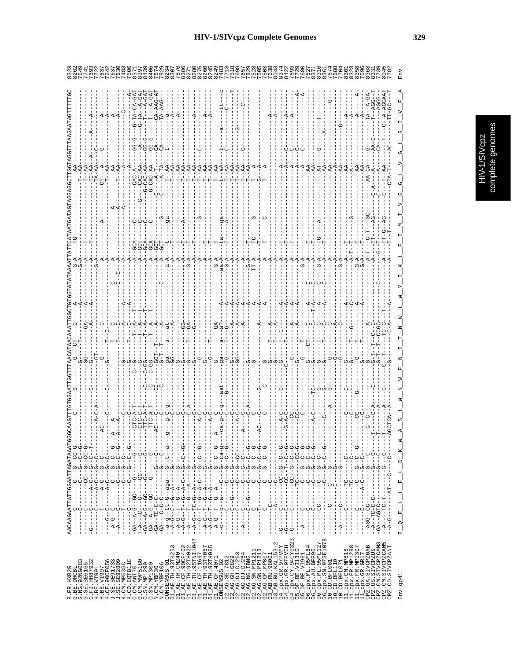| $\frac{1}{\alpha}$<br>$\overset{1}{\circ}$<br>$\begin{array}{c} -1 \\ -1 \end{array}$<br>Å<br>ပုံ<br>ပုံ ပုံ<br>   <br>$\begin{array}{c} \dot{\mathbf{p}} \\ \dot{\mathbf{p}} \\ \dot{\mathbf{p}} \end{array}$<br>ှု<br>-<br>$\frac{1}{\sqrt{2}}$<br>ن<br>ا<br>לי לי לי לי<br>לי לי לי לי<br>한다.<br>오토토<br>Ú<br>ひ<br>ひ<br>Ü<br>$-\frac{5}{1}$<br>$- - 2C - 6$<br>$-1$<br>.<br>_  <br>ღ  <br>C<br>Ħ<br>f,<br>Ť<br>п<br>ŧ<br>т<br>п<br>$\frac{1}{1}$<br>ŧ<br>ŧ<br>Ť.<br>J.<br>Ť<br>$\mathsf I$<br>昌<br>ŧ<br>$\frac{1}{1}$<br>J.<br>ひひひひひ<br>U<br>U<br>$\mathbf I$<br>I<br>U<br>υU<br>U<br>U<br>Ü<br>Ü<br>U<br>U<br>U<br>U<br>U<br>U<br>U<br>$\Gamma$<br>U<br>1<br>Ţ<br>Ţ.<br>÷<br>$\frac{1}{1}$<br>$\frac{1}{1}$<br>$\frac{1}{1}$<br>U<br>↻<br>U<br>↻<br>U<br>U<br>↻<br>τı<br>U<br>$\frac{0}{1}$<br>ι<br>Ο<br>$\frac{1}{1}$<br>Ť<br>ł<br>Ţ<br>U<br>τJ<br>r)<br>O<br>U<br>O<br>÷<br>÷<br>Ħ<br>T<br>÷<br>$\mathbf{I}$<br>$\mathbf{I}$<br>Ţ<br>÷<br>÷<br>Ť<br>÷<br>÷<br>$\frac{1}{1}$<br>п<br><b>I</b><br>$\blacksquare$<br>п<br>п<br>÷<br>п<br>J,<br>п<br>1<br>J.<br>п<br>-<br>п.<br>$\frac{1}{1}$<br>ł<br>-1<br>-<br>$\overline{\phantom{a}}$<br>-1<br>-1<br>-<br>Ţ.<br>$\mathbf{I}$<br>п<br>ш<br>ш<br>ဗုံ ဗုံ ဗုံ<br>       <br>ウーーしー<br>ひ<br>စုံစုံစုံ<br>၂၂၂၁<br>ひ<br>ひ<br>စုံစုံစုံစုံ<br>        <br>$\frac{1}{2}$ $\frac{1}{2}$ $\frac{1}{2}$ $\frac{1}{2}$ $\frac{1}{2}$<br>ひ<br>ひ<br>υ<br><b>しい</b><br>ひ<br>ひ<br>ひ<br>υ<br>ひ<br>U--UU--<br>ひ<br>ひ<br>ဗုံဗုံ<br>၂၂<br>၂၂<br>ひ<br>ひ<br>ပုံ ပုံ<br>   <br>   <br>ひ<br>$\frac{1}{1}$<br>ひ<br>ひ<br>ひ<br>ひ<br>ひ<br>ひ<br>$\frac{1}{\mathbf{C}}$<br>Ţ<br>$\frac{1}{1}$<br>Ţ<br>ŧ<br>Ŧ.<br>п<br>Å<br>$\frac{1}{1}$<br>-1<br>-1<br>п<br>H<br>Ŧ<br>Ħ<br>п<br>P,<br>ł,<br>Ţ<br>$\frac{1}{1}$<br>Ť<br>J.<br>$\frac{1}{1}$<br>$\mathbf{I}$<br>ш<br>J.<br>÷i.<br>Ť.<br>$\mathbf I$<br>$\mathbf{I}$<br>$\mathbf{I}$<br>-1<br>$\begin{array}{r} -2A-1A-3=-2C-1-1C-1\\ -2A-1-C=-2C-1-1C-1\\ -3A-1-C=-2C-1-1\\ -3A-1-C-1-C-1\\ -3A-1-C-1-C-1\\ -3A-1-C-1-C-1\\ -3A-1-C-1-C-1\\ -3A-1-C-1\\ -3A-1-C-1\\ -3A-1-C-1\\ -3A-1-C-1\\ -3A-1-C-1\\ -3A-1-C-1\\ -3A-1-C-1\\ -3A-1-C-1\\ -3A-1-C-1\\ -3A-1-C-1\\ -3A-1-C-1\\ -3A-1-C-1\\ -3A-1-C-$<br>$\mathsf I$<br>Ċ<br>-<br>$\overline{1}$<br>$\overline{1}$<br>$-1$ - $-1$<br>$\overline{1}$<br>$\mathsf I$<br>$\mathbf{I}$<br>$\mathbf{I}$<br>$\mathsf I$<br>f,<br>I<br>$-1 - 1 - 1$<br>U<br>$\overline{1}$<br>$\begin{array}{c}\n\bullet \\ \bullet \\ \bullet \\ \bullet \\ \bullet \\ \bullet\n\end{array}$<br>$\mathsf I$<br>$\frac{0}{1}$<br>$\frac{1}{1}$<br>$\frac{1}{1}$<br>U<br>$\blacksquare$<br>$\Gamma$<br>$-4-7$<br>I<br>U – – – – –<br>$\frac{1}{1}$<br>ţ<br>Ť<br>$\mathbf{I}$<br>-1<br>J.<br>T.<br>J.<br>$\,$ I<br>$\frac{1}{1}$<br>$\frac{1}{4}$<br>j<br>$\frac{1}{1}$<br>$\mathsf I$<br>$\frac{1}{1}$<br>$\frac{1}{1}$<br>$\blacksquare$<br>$\overline{\phantom{a}}$<br>J.<br>- I<br>-1<br>J.<br>$\frac{1}{1}$<br>I<br>J.<br>J.<br>$\blacksquare$<br>ּטְ לִוּ לִוּ לִוּ לִוּ<br>קוֹ<br>ပုံ<br>$--\mathbf{A}----\mathbf{T}C-\mathbf{T}$<br>I<br>$\frac{1}{1}$<br>$\frac{1}{4}$<br>$\frac{1}{1}$<br>-1<br>п<br>$\mathbf{I}$<br>ł<br>$-700 - -00 - -$<br>Ť.<br>j.<br>1<br>$\,$ I<br>$\,$ I<br>1<br>$\overline{\phantom{a}}$<br>$\mathbf{I}$<br>$\perp$<br>$\mathbb{I}$<br>$\frac{1}{2}$<br>$\,$ I<br>$\frac{1}{2}$<br>I<br>noon<br>All II<br>řee<br>III<br>$\frac{1}{1}$<br>$\frac{c}{1}$<br>$\frac{1}{2}$<br>U<br> <br>$\frac{0}{1}$<br>$\Gamma$<br>$\frac{1}{1}$<br>↻<br>부부<br>$\frac{1}{2}$<br>I<br>Ţ<br>$-1$<br>$\Gamma$<br>$\frac{1}{2}$<br>J.<br>T<br>$\blacksquare$<br>$\mathbf I$<br>ï<br>L<br>$\mathsf I$<br>ن<br>ا<br>$-A-C$<br>$\,$ I<br>J<br>$\begin{array}{cccc} \circ & \circ & \circ & \circ & \circ \\ \circ & \circ & \circ & \circ & \circ \\ \circ & \circ & \circ & \circ & \circ \\ \circ & \circ & \circ & \circ & \circ \end{array}$<br>$\,$ I<br>$-A$ --<br>$\frac{1}{1}$<br>I.<br>$\overline{\phantom{a}}$<br>$-A$ ---<br>I<br>I<br>$\frac{1}{1}$<br>$\frac{1}{2}$<br>$-$ A $-$<br>$\mathsf I$<br>I.<br>Ť<br>$\frac{1}{1}$<br>Ţ<br>$\overline{1}$<br>ł<br>ł<br>L<br>$\overline{\phantom{a}}$<br>T<br>T<br>I<br>ı<br>J<br>$\overline{\phantom{a}}$<br>ł<br>$\mathbf{I}$<br>L.<br>т<br><b>I</b><br>т<br>J.<br>т<br>т<br>п<br>п<br>п<br>$\frac{1}{1}$<br>J.<br>ひ<br>ひ<br>ひ<br>j<br>Î.<br>I<br>$\infty$<br>H_CERX . GK. I<br>CERZ .GA . SIVCEZGAB<br>CERZ .CM . SIVCEZGAB<br>CERZ .CM . SIVCEZGAMS<br>CERZ .CD . SIVCEZGAMT<br>CERZ .CD . SIVCEZAMT<br>HXB2R<br>DRCBL<br>1.581<br>四ひ<br>ひひ 出<br>呂<br>$\circ$<br>$\circ$<br>$\circ$<br>$\mathbf{z}$<br>z<br>ם ם<br>$\circ$<br>$\circ$<br>$\circ$<br>$\circ$<br>$\circ$<br>$\circ$<br>$\circ$<br>$\circ$<br>$\circ$ $\dashv$ |                             |                     |  |  |  |  |  |
|--------------------------------------------------------------------------------------------------------------------------------------------------------------------------------------------------------------------------------------------------------------------------------------------------------------------------------------------------------------------------------------------------------------------------------------------------------------------------------------------------------------------------------------------------------------------------------------------------------------------------------------------------------------------------------------------------------------------------------------------------------------------------------------------------------------------------------------------------------------------------------------------------------------------------------------------------------------------------------------------------------------------------------------------------------------------------------------------------------------------------------------------------------------------------------------------------------------------------------------------------------------------------------------------------------------------------------------------------------------------------------------------------------------------------------------------------------------------------------------------------------------------------------------------------------------------------------------------------------------------------------------------------------------------------------------------------------------------------------------------------------------------------------------------------------------------------------------------------------------------------------------------------------------------------------------------------------------------------------------------------------------------------------------------------------------------------------------------------------------------------------------------------------------------------------------------------------------------------------------------------------------------------------------------------------------------------------------------------------------------------------------------------------------------------------------------------------------------------------------------------------------------------------------------------------------------------------------------------------------------------------------------------------------------------------------------------------------------------------------------------------------------------------------------------------------------------------------------------------------------------------------------------------------------------------------------------------------------------------------------------------------------------------------------------------------------------------------------------------------------------------------------------------------------------------------------------------------------------------------------------------------------------------------------------------------------------------------------------------------------------------------------------------------------------------------------------------------------------------------------------------------------------------------------------------------------------------------------------------------------------------------------------------------------------------------------------------------------------------------------------------------------------------------------------------------------------------------------------------------------------------------------------------------------------------------------------------------------------------------------------------------------------------------------------------------------------------------------------------------------------------------------------------------------------------------------------------------------------------------------------------------------------------------------------------------------------------------------------------------------------------------------------------------------------------------------------------------------------------------------------------------------------------------------------------------------------------------------------------------------------------------------------------------------------------------------|-----------------------------|---------------------|--|--|--|--|--|
|                                                                                                                                                                                                                                                                                                                                                                                                                                                                                                                                                                                                                                                                                                                                                                                                                                                                                                                                                                                                                                                                                                                                                                                                                                                                                                                                                                                                                                                                                                                                                                                                                                                                                                                                                                                                                                                                                                                                                                                                                                                                                                                                                                                                                                                                                                                                                                                                                                                                                                                                                                                                                                                                                                                                                                                                                                                                                                                                                                                                                                                                                                                                                                                                                                                                                                                                                                                                                                                                                                                                                                                                                                                                                                                                                                                                                                                                                                                                                                                                                                                                                                                                                                                                                                                                                                                                                                                                                                                                                                                                                                                                                                                                                            |                             |                     |  |  |  |  |  |
|                                                                                                                                                                                                                                                                                                                                                                                                                                                                                                                                                                                                                                                                                                                                                                                                                                                                                                                                                                                                                                                                                                                                                                                                                                                                                                                                                                                                                                                                                                                                                                                                                                                                                                                                                                                                                                                                                                                                                                                                                                                                                                                                                                                                                                                                                                                                                                                                                                                                                                                                                                                                                                                                                                                                                                                                                                                                                                                                                                                                                                                                                                                                                                                                                                                                                                                                                                                                                                                                                                                                                                                                                                                                                                                                                                                                                                                                                                                                                                                                                                                                                                                                                                                                                                                                                                                                                                                                                                                                                                                                                                                                                                                                                            |                             |                     |  |  |  |  |  |
|                                                                                                                                                                                                                                                                                                                                                                                                                                                                                                                                                                                                                                                                                                                                                                                                                                                                                                                                                                                                                                                                                                                                                                                                                                                                                                                                                                                                                                                                                                                                                                                                                                                                                                                                                                                                                                                                                                                                                                                                                                                                                                                                                                                                                                                                                                                                                                                                                                                                                                                                                                                                                                                                                                                                                                                                                                                                                                                                                                                                                                                                                                                                                                                                                                                                                                                                                                                                                                                                                                                                                                                                                                                                                                                                                                                                                                                                                                                                                                                                                                                                                                                                                                                                                                                                                                                                                                                                                                                                                                                                                                                                                                                                                            |                             |                     |  |  |  |  |  |
|                                                                                                                                                                                                                                                                                                                                                                                                                                                                                                                                                                                                                                                                                                                                                                                                                                                                                                                                                                                                                                                                                                                                                                                                                                                                                                                                                                                                                                                                                                                                                                                                                                                                                                                                                                                                                                                                                                                                                                                                                                                                                                                                                                                                                                                                                                                                                                                                                                                                                                                                                                                                                                                                                                                                                                                                                                                                                                                                                                                                                                                                                                                                                                                                                                                                                                                                                                                                                                                                                                                                                                                                                                                                                                                                                                                                                                                                                                                                                                                                                                                                                                                                                                                                                                                                                                                                                                                                                                                                                                                                                                                                                                                                                            |                             |                     |  |  |  |  |  |
|                                                                                                                                                                                                                                                                                                                                                                                                                                                                                                                                                                                                                                                                                                                                                                                                                                                                                                                                                                                                                                                                                                                                                                                                                                                                                                                                                                                                                                                                                                                                                                                                                                                                                                                                                                                                                                                                                                                                                                                                                                                                                                                                                                                                                                                                                                                                                                                                                                                                                                                                                                                                                                                                                                                                                                                                                                                                                                                                                                                                                                                                                                                                                                                                                                                                                                                                                                                                                                                                                                                                                                                                                                                                                                                                                                                                                                                                                                                                                                                                                                                                                                                                                                                                                                                                                                                                                                                                                                                                                                                                                                                                                                                                                            |                             |                     |  |  |  |  |  |
|                                                                                                                                                                                                                                                                                                                                                                                                                                                                                                                                                                                                                                                                                                                                                                                                                                                                                                                                                                                                                                                                                                                                                                                                                                                                                                                                                                                                                                                                                                                                                                                                                                                                                                                                                                                                                                                                                                                                                                                                                                                                                                                                                                                                                                                                                                                                                                                                                                                                                                                                                                                                                                                                                                                                                                                                                                                                                                                                                                                                                                                                                                                                                                                                                                                                                                                                                                                                                                                                                                                                                                                                                                                                                                                                                                                                                                                                                                                                                                                                                                                                                                                                                                                                                                                                                                                                                                                                                                                                                                                                                                                                                                                                                            |                             |                     |  |  |  |  |  |
|                                                                                                                                                                                                                                                                                                                                                                                                                                                                                                                                                                                                                                                                                                                                                                                                                                                                                                                                                                                                                                                                                                                                                                                                                                                                                                                                                                                                                                                                                                                                                                                                                                                                                                                                                                                                                                                                                                                                                                                                                                                                                                                                                                                                                                                                                                                                                                                                                                                                                                                                                                                                                                                                                                                                                                                                                                                                                                                                                                                                                                                                                                                                                                                                                                                                                                                                                                                                                                                                                                                                                                                                                                                                                                                                                                                                                                                                                                                                                                                                                                                                                                                                                                                                                                                                                                                                                                                                                                                                                                                                                                                                                                                                                            |                             |                     |  |  |  |  |  |
|                                                                                                                                                                                                                                                                                                                                                                                                                                                                                                                                                                                                                                                                                                                                                                                                                                                                                                                                                                                                                                                                                                                                                                                                                                                                                                                                                                                                                                                                                                                                                                                                                                                                                                                                                                                                                                                                                                                                                                                                                                                                                                                                                                                                                                                                                                                                                                                                                                                                                                                                                                                                                                                                                                                                                                                                                                                                                                                                                                                                                                                                                                                                                                                                                                                                                                                                                                                                                                                                                                                                                                                                                                                                                                                                                                                                                                                                                                                                                                                                                                                                                                                                                                                                                                                                                                                                                                                                                                                                                                                                                                                                                                                                                            |                             |                     |  |  |  |  |  |
|                                                                                                                                                                                                                                                                                                                                                                                                                                                                                                                                                                                                                                                                                                                                                                                                                                                                                                                                                                                                                                                                                                                                                                                                                                                                                                                                                                                                                                                                                                                                                                                                                                                                                                                                                                                                                                                                                                                                                                                                                                                                                                                                                                                                                                                                                                                                                                                                                                                                                                                                                                                                                                                                                                                                                                                                                                                                                                                                                                                                                                                                                                                                                                                                                                                                                                                                                                                                                                                                                                                                                                                                                                                                                                                                                                                                                                                                                                                                                                                                                                                                                                                                                                                                                                                                                                                                                                                                                                                                                                                                                                                                                                                                                            |                             |                     |  |  |  |  |  |
|                                                                                                                                                                                                                                                                                                                                                                                                                                                                                                                                                                                                                                                                                                                                                                                                                                                                                                                                                                                                                                                                                                                                                                                                                                                                                                                                                                                                                                                                                                                                                                                                                                                                                                                                                                                                                                                                                                                                                                                                                                                                                                                                                                                                                                                                                                                                                                                                                                                                                                                                                                                                                                                                                                                                                                                                                                                                                                                                                                                                                                                                                                                                                                                                                                                                                                                                                                                                                                                                                                                                                                                                                                                                                                                                                                                                                                                                                                                                                                                                                                                                                                                                                                                                                                                                                                                                                                                                                                                                                                                                                                                                                                                                                            |                             |                     |  |  |  |  |  |
|                                                                                                                                                                                                                                                                                                                                                                                                                                                                                                                                                                                                                                                                                                                                                                                                                                                                                                                                                                                                                                                                                                                                                                                                                                                                                                                                                                                                                                                                                                                                                                                                                                                                                                                                                                                                                                                                                                                                                                                                                                                                                                                                                                                                                                                                                                                                                                                                                                                                                                                                                                                                                                                                                                                                                                                                                                                                                                                                                                                                                                                                                                                                                                                                                                                                                                                                                                                                                                                                                                                                                                                                                                                                                                                                                                                                                                                                                                                                                                                                                                                                                                                                                                                                                                                                                                                                                                                                                                                                                                                                                                                                                                                                                            |                             |                     |  |  |  |  |  |
|                                                                                                                                                                                                                                                                                                                                                                                                                                                                                                                                                                                                                                                                                                                                                                                                                                                                                                                                                                                                                                                                                                                                                                                                                                                                                                                                                                                                                                                                                                                                                                                                                                                                                                                                                                                                                                                                                                                                                                                                                                                                                                                                                                                                                                                                                                                                                                                                                                                                                                                                                                                                                                                                                                                                                                                                                                                                                                                                                                                                                                                                                                                                                                                                                                                                                                                                                                                                                                                                                                                                                                                                                                                                                                                                                                                                                                                                                                                                                                                                                                                                                                                                                                                                                                                                                                                                                                                                                                                                                                                                                                                                                                                                                            |                             |                     |  |  |  |  |  |
|                                                                                                                                                                                                                                                                                                                                                                                                                                                                                                                                                                                                                                                                                                                                                                                                                                                                                                                                                                                                                                                                                                                                                                                                                                                                                                                                                                                                                                                                                                                                                                                                                                                                                                                                                                                                                                                                                                                                                                                                                                                                                                                                                                                                                                                                                                                                                                                                                                                                                                                                                                                                                                                                                                                                                                                                                                                                                                                                                                                                                                                                                                                                                                                                                                                                                                                                                                                                                                                                                                                                                                                                                                                                                                                                                                                                                                                                                                                                                                                                                                                                                                                                                                                                                                                                                                                                                                                                                                                                                                                                                                                                                                                                                            |                             |                     |  |  |  |  |  |
|                                                                                                                                                                                                                                                                                                                                                                                                                                                                                                                                                                                                                                                                                                                                                                                                                                                                                                                                                                                                                                                                                                                                                                                                                                                                                                                                                                                                                                                                                                                                                                                                                                                                                                                                                                                                                                                                                                                                                                                                                                                                                                                                                                                                                                                                                                                                                                                                                                                                                                                                                                                                                                                                                                                                                                                                                                                                                                                                                                                                                                                                                                                                                                                                                                                                                                                                                                                                                                                                                                                                                                                                                                                                                                                                                                                                                                                                                                                                                                                                                                                                                                                                                                                                                                                                                                                                                                                                                                                                                                                                                                                                                                                                                            |                             |                     |  |  |  |  |  |
|                                                                                                                                                                                                                                                                                                                                                                                                                                                                                                                                                                                                                                                                                                                                                                                                                                                                                                                                                                                                                                                                                                                                                                                                                                                                                                                                                                                                                                                                                                                                                                                                                                                                                                                                                                                                                                                                                                                                                                                                                                                                                                                                                                                                                                                                                                                                                                                                                                                                                                                                                                                                                                                                                                                                                                                                                                                                                                                                                                                                                                                                                                                                                                                                                                                                                                                                                                                                                                                                                                                                                                                                                                                                                                                                                                                                                                                                                                                                                                                                                                                                                                                                                                                                                                                                                                                                                                                                                                                                                                                                                                                                                                                                                            |                             |                     |  |  |  |  |  |
|                                                                                                                                                                                                                                                                                                                                                                                                                                                                                                                                                                                                                                                                                                                                                                                                                                                                                                                                                                                                                                                                                                                                                                                                                                                                                                                                                                                                                                                                                                                                                                                                                                                                                                                                                                                                                                                                                                                                                                                                                                                                                                                                                                                                                                                                                                                                                                                                                                                                                                                                                                                                                                                                                                                                                                                                                                                                                                                                                                                                                                                                                                                                                                                                                                                                                                                                                                                                                                                                                                                                                                                                                                                                                                                                                                                                                                                                                                                                                                                                                                                                                                                                                                                                                                                                                                                                                                                                                                                                                                                                                                                                                                                                                            |                             |                     |  |  |  |  |  |
|                                                                                                                                                                                                                                                                                                                                                                                                                                                                                                                                                                                                                                                                                                                                                                                                                                                                                                                                                                                                                                                                                                                                                                                                                                                                                                                                                                                                                                                                                                                                                                                                                                                                                                                                                                                                                                                                                                                                                                                                                                                                                                                                                                                                                                                                                                                                                                                                                                                                                                                                                                                                                                                                                                                                                                                                                                                                                                                                                                                                                                                                                                                                                                                                                                                                                                                                                                                                                                                                                                                                                                                                                                                                                                                                                                                                                                                                                                                                                                                                                                                                                                                                                                                                                                                                                                                                                                                                                                                                                                                                                                                                                                                                                            |                             |                     |  |  |  |  |  |
|                                                                                                                                                                                                                                                                                                                                                                                                                                                                                                                                                                                                                                                                                                                                                                                                                                                                                                                                                                                                                                                                                                                                                                                                                                                                                                                                                                                                                                                                                                                                                                                                                                                                                                                                                                                                                                                                                                                                                                                                                                                                                                                                                                                                                                                                                                                                                                                                                                                                                                                                                                                                                                                                                                                                                                                                                                                                                                                                                                                                                                                                                                                                                                                                                                                                                                                                                                                                                                                                                                                                                                                                                                                                                                                                                                                                                                                                                                                                                                                                                                                                                                                                                                                                                                                                                                                                                                                                                                                                                                                                                                                                                                                                                            |                             |                     |  |  |  |  |  |
|                                                                                                                                                                                                                                                                                                                                                                                                                                                                                                                                                                                                                                                                                                                                                                                                                                                                                                                                                                                                                                                                                                                                                                                                                                                                                                                                                                                                                                                                                                                                                                                                                                                                                                                                                                                                                                                                                                                                                                                                                                                                                                                                                                                                                                                                                                                                                                                                                                                                                                                                                                                                                                                                                                                                                                                                                                                                                                                                                                                                                                                                                                                                                                                                                                                                                                                                                                                                                                                                                                                                                                                                                                                                                                                                                                                                                                                                                                                                                                                                                                                                                                                                                                                                                                                                                                                                                                                                                                                                                                                                                                                                                                                                                            |                             |                     |  |  |  |  |  |
|                                                                                                                                                                                                                                                                                                                                                                                                                                                                                                                                                                                                                                                                                                                                                                                                                                                                                                                                                                                                                                                                                                                                                                                                                                                                                                                                                                                                                                                                                                                                                                                                                                                                                                                                                                                                                                                                                                                                                                                                                                                                                                                                                                                                                                                                                                                                                                                                                                                                                                                                                                                                                                                                                                                                                                                                                                                                                                                                                                                                                                                                                                                                                                                                                                                                                                                                                                                                                                                                                                                                                                                                                                                                                                                                                                                                                                                                                                                                                                                                                                                                                                                                                                                                                                                                                                                                                                                                                                                                                                                                                                                                                                                                                            |                             |                     |  |  |  |  |  |
|                                                                                                                                                                                                                                                                                                                                                                                                                                                                                                                                                                                                                                                                                                                                                                                                                                                                                                                                                                                                                                                                                                                                                                                                                                                                                                                                                                                                                                                                                                                                                                                                                                                                                                                                                                                                                                                                                                                                                                                                                                                                                                                                                                                                                                                                                                                                                                                                                                                                                                                                                                                                                                                                                                                                                                                                                                                                                                                                                                                                                                                                                                                                                                                                                                                                                                                                                                                                                                                                                                                                                                                                                                                                                                                                                                                                                                                                                                                                                                                                                                                                                                                                                                                                                                                                                                                                                                                                                                                                                                                                                                                                                                                                                            |                             |                     |  |  |  |  |  |
|                                                                                                                                                                                                                                                                                                                                                                                                                                                                                                                                                                                                                                                                                                                                                                                                                                                                                                                                                                                                                                                                                                                                                                                                                                                                                                                                                                                                                                                                                                                                                                                                                                                                                                                                                                                                                                                                                                                                                                                                                                                                                                                                                                                                                                                                                                                                                                                                                                                                                                                                                                                                                                                                                                                                                                                                                                                                                                                                                                                                                                                                                                                                                                                                                                                                                                                                                                                                                                                                                                                                                                                                                                                                                                                                                                                                                                                                                                                                                                                                                                                                                                                                                                                                                                                                                                                                                                                                                                                                                                                                                                                                                                                                                            |                             |                     |  |  |  |  |  |
|                                                                                                                                                                                                                                                                                                                                                                                                                                                                                                                                                                                                                                                                                                                                                                                                                                                                                                                                                                                                                                                                                                                                                                                                                                                                                                                                                                                                                                                                                                                                                                                                                                                                                                                                                                                                                                                                                                                                                                                                                                                                                                                                                                                                                                                                                                                                                                                                                                                                                                                                                                                                                                                                                                                                                                                                                                                                                                                                                                                                                                                                                                                                                                                                                                                                                                                                                                                                                                                                                                                                                                                                                                                                                                                                                                                                                                                                                                                                                                                                                                                                                                                                                                                                                                                                                                                                                                                                                                                                                                                                                                                                                                                                                            |                             |                     |  |  |  |  |  |
|                                                                                                                                                                                                                                                                                                                                                                                                                                                                                                                                                                                                                                                                                                                                                                                                                                                                                                                                                                                                                                                                                                                                                                                                                                                                                                                                                                                                                                                                                                                                                                                                                                                                                                                                                                                                                                                                                                                                                                                                                                                                                                                                                                                                                                                                                                                                                                                                                                                                                                                                                                                                                                                                                                                                                                                                                                                                                                                                                                                                                                                                                                                                                                                                                                                                                                                                                                                                                                                                                                                                                                                                                                                                                                                                                                                                                                                                                                                                                                                                                                                                                                                                                                                                                                                                                                                                                                                                                                                                                                                                                                                                                                                                                            |                             |                     |  |  |  |  |  |
|                                                                                                                                                                                                                                                                                                                                                                                                                                                                                                                                                                                                                                                                                                                                                                                                                                                                                                                                                                                                                                                                                                                                                                                                                                                                                                                                                                                                                                                                                                                                                                                                                                                                                                                                                                                                                                                                                                                                                                                                                                                                                                                                                                                                                                                                                                                                                                                                                                                                                                                                                                                                                                                                                                                                                                                                                                                                                                                                                                                                                                                                                                                                                                                                                                                                                                                                                                                                                                                                                                                                                                                                                                                                                                                                                                                                                                                                                                                                                                                                                                                                                                                                                                                                                                                                                                                                                                                                                                                                                                                                                                                                                                                                                            |                             |                     |  |  |  |  |  |
|                                                                                                                                                                                                                                                                                                                                                                                                                                                                                                                                                                                                                                                                                                                                                                                                                                                                                                                                                                                                                                                                                                                                                                                                                                                                                                                                                                                                                                                                                                                                                                                                                                                                                                                                                                                                                                                                                                                                                                                                                                                                                                                                                                                                                                                                                                                                                                                                                                                                                                                                                                                                                                                                                                                                                                                                                                                                                                                                                                                                                                                                                                                                                                                                                                                                                                                                                                                                                                                                                                                                                                                                                                                                                                                                                                                                                                                                                                                                                                                                                                                                                                                                                                                                                                                                                                                                                                                                                                                                                                                                                                                                                                                                                            |                             |                     |  |  |  |  |  |
|                                                                                                                                                                                                                                                                                                                                                                                                                                                                                                                                                                                                                                                                                                                                                                                                                                                                                                                                                                                                                                                                                                                                                                                                                                                                                                                                                                                                                                                                                                                                                                                                                                                                                                                                                                                                                                                                                                                                                                                                                                                                                                                                                                                                                                                                                                                                                                                                                                                                                                                                                                                                                                                                                                                                                                                                                                                                                                                                                                                                                                                                                                                                                                                                                                                                                                                                                                                                                                                                                                                                                                                                                                                                                                                                                                                                                                                                                                                                                                                                                                                                                                                                                                                                                                                                                                                                                                                                                                                                                                                                                                                                                                                                                            |                             |                     |  |  |  |  |  |
|                                                                                                                                                                                                                                                                                                                                                                                                                                                                                                                                                                                                                                                                                                                                                                                                                                                                                                                                                                                                                                                                                                                                                                                                                                                                                                                                                                                                                                                                                                                                                                                                                                                                                                                                                                                                                                                                                                                                                                                                                                                                                                                                                                                                                                                                                                                                                                                                                                                                                                                                                                                                                                                                                                                                                                                                                                                                                                                                                                                                                                                                                                                                                                                                                                                                                                                                                                                                                                                                                                                                                                                                                                                                                                                                                                                                                                                                                                                                                                                                                                                                                                                                                                                                                                                                                                                                                                                                                                                                                                                                                                                                                                                                                            |                             |                     |  |  |  |  |  |
|                                                                                                                                                                                                                                                                                                                                                                                                                                                                                                                                                                                                                                                                                                                                                                                                                                                                                                                                                                                                                                                                                                                                                                                                                                                                                                                                                                                                                                                                                                                                                                                                                                                                                                                                                                                                                                                                                                                                                                                                                                                                                                                                                                                                                                                                                                                                                                                                                                                                                                                                                                                                                                                                                                                                                                                                                                                                                                                                                                                                                                                                                                                                                                                                                                                                                                                                                                                                                                                                                                                                                                                                                                                                                                                                                                                                                                                                                                                                                                                                                                                                                                                                                                                                                                                                                                                                                                                                                                                                                                                                                                                                                                                                                            |                             |                     |  |  |  |  |  |
|                                                                                                                                                                                                                                                                                                                                                                                                                                                                                                                                                                                                                                                                                                                                                                                                                                                                                                                                                                                                                                                                                                                                                                                                                                                                                                                                                                                                                                                                                                                                                                                                                                                                                                                                                                                                                                                                                                                                                                                                                                                                                                                                                                                                                                                                                                                                                                                                                                                                                                                                                                                                                                                                                                                                                                                                                                                                                                                                                                                                                                                                                                                                                                                                                                                                                                                                                                                                                                                                                                                                                                                                                                                                                                                                                                                                                                                                                                                                                                                                                                                                                                                                                                                                                                                                                                                                                                                                                                                                                                                                                                                                                                                                                            |                             |                     |  |  |  |  |  |
|                                                                                                                                                                                                                                                                                                                                                                                                                                                                                                                                                                                                                                                                                                                                                                                                                                                                                                                                                                                                                                                                                                                                                                                                                                                                                                                                                                                                                                                                                                                                                                                                                                                                                                                                                                                                                                                                                                                                                                                                                                                                                                                                                                                                                                                                                                                                                                                                                                                                                                                                                                                                                                                                                                                                                                                                                                                                                                                                                                                                                                                                                                                                                                                                                                                                                                                                                                                                                                                                                                                                                                                                                                                                                                                                                                                                                                                                                                                                                                                                                                                                                                                                                                                                                                                                                                                                                                                                                                                                                                                                                                                                                                                                                            |                             |                     |  |  |  |  |  |
|                                                                                                                                                                                                                                                                                                                                                                                                                                                                                                                                                                                                                                                                                                                                                                                                                                                                                                                                                                                                                                                                                                                                                                                                                                                                                                                                                                                                                                                                                                                                                                                                                                                                                                                                                                                                                                                                                                                                                                                                                                                                                                                                                                                                                                                                                                                                                                                                                                                                                                                                                                                                                                                                                                                                                                                                                                                                                                                                                                                                                                                                                                                                                                                                                                                                                                                                                                                                                                                                                                                                                                                                                                                                                                                                                                                                                                                                                                                                                                                                                                                                                                                                                                                                                                                                                                                                                                                                                                                                                                                                                                                                                                                                                            |                             |                     |  |  |  |  |  |
|                                                                                                                                                                                                                                                                                                                                                                                                                                                                                                                                                                                                                                                                                                                                                                                                                                                                                                                                                                                                                                                                                                                                                                                                                                                                                                                                                                                                                                                                                                                                                                                                                                                                                                                                                                                                                                                                                                                                                                                                                                                                                                                                                                                                                                                                                                                                                                                                                                                                                                                                                                                                                                                                                                                                                                                                                                                                                                                                                                                                                                                                                                                                                                                                                                                                                                                                                                                                                                                                                                                                                                                                                                                                                                                                                                                                                                                                                                                                                                                                                                                                                                                                                                                                                                                                                                                                                                                                                                                                                                                                                                                                                                                                                            |                             |                     |  |  |  |  |  |
|                                                                                                                                                                                                                                                                                                                                                                                                                                                                                                                                                                                                                                                                                                                                                                                                                                                                                                                                                                                                                                                                                                                                                                                                                                                                                                                                                                                                                                                                                                                                                                                                                                                                                                                                                                                                                                                                                                                                                                                                                                                                                                                                                                                                                                                                                                                                                                                                                                                                                                                                                                                                                                                                                                                                                                                                                                                                                                                                                                                                                                                                                                                                                                                                                                                                                                                                                                                                                                                                                                                                                                                                                                                                                                                                                                                                                                                                                                                                                                                                                                                                                                                                                                                                                                                                                                                                                                                                                                                                                                                                                                                                                                                                                            |                             |                     |  |  |  |  |  |
|                                                                                                                                                                                                                                                                                                                                                                                                                                                                                                                                                                                                                                                                                                                                                                                                                                                                                                                                                                                                                                                                                                                                                                                                                                                                                                                                                                                                                                                                                                                                                                                                                                                                                                                                                                                                                                                                                                                                                                                                                                                                                                                                                                                                                                                                                                                                                                                                                                                                                                                                                                                                                                                                                                                                                                                                                                                                                                                                                                                                                                                                                                                                                                                                                                                                                                                                                                                                                                                                                                                                                                                                                                                                                                                                                                                                                                                                                                                                                                                                                                                                                                                                                                                                                                                                                                                                                                                                                                                                                                                                                                                                                                                                                            |                             |                     |  |  |  |  |  |
|                                                                                                                                                                                                                                                                                                                                                                                                                                                                                                                                                                                                                                                                                                                                                                                                                                                                                                                                                                                                                                                                                                                                                                                                                                                                                                                                                                                                                                                                                                                                                                                                                                                                                                                                                                                                                                                                                                                                                                                                                                                                                                                                                                                                                                                                                                                                                                                                                                                                                                                                                                                                                                                                                                                                                                                                                                                                                                                                                                                                                                                                                                                                                                                                                                                                                                                                                                                                                                                                                                                                                                                                                                                                                                                                                                                                                                                                                                                                                                                                                                                                                                                                                                                                                                                                                                                                                                                                                                                                                                                                                                                                                                                                                            |                             |                     |  |  |  |  |  |
|                                                                                                                                                                                                                                                                                                                                                                                                                                                                                                                                                                                                                                                                                                                                                                                                                                                                                                                                                                                                                                                                                                                                                                                                                                                                                                                                                                                                                                                                                                                                                                                                                                                                                                                                                                                                                                                                                                                                                                                                                                                                                                                                                                                                                                                                                                                                                                                                                                                                                                                                                                                                                                                                                                                                                                                                                                                                                                                                                                                                                                                                                                                                                                                                                                                                                                                                                                                                                                                                                                                                                                                                                                                                                                                                                                                                                                                                                                                                                                                                                                                                                                                                                                                                                                                                                                                                                                                                                                                                                                                                                                                                                                                                                            |                             |                     |  |  |  |  |  |
|                                                                                                                                                                                                                                                                                                                                                                                                                                                                                                                                                                                                                                                                                                                                                                                                                                                                                                                                                                                                                                                                                                                                                                                                                                                                                                                                                                                                                                                                                                                                                                                                                                                                                                                                                                                                                                                                                                                                                                                                                                                                                                                                                                                                                                                                                                                                                                                                                                                                                                                                                                                                                                                                                                                                                                                                                                                                                                                                                                                                                                                                                                                                                                                                                                                                                                                                                                                                                                                                                                                                                                                                                                                                                                                                                                                                                                                                                                                                                                                                                                                                                                                                                                                                                                                                                                                                                                                                                                                                                                                                                                                                                                                                                            |                             |                     |  |  |  |  |  |
|                                                                                                                                                                                                                                                                                                                                                                                                                                                                                                                                                                                                                                                                                                                                                                                                                                                                                                                                                                                                                                                                                                                                                                                                                                                                                                                                                                                                                                                                                                                                                                                                                                                                                                                                                                                                                                                                                                                                                                                                                                                                                                                                                                                                                                                                                                                                                                                                                                                                                                                                                                                                                                                                                                                                                                                                                                                                                                                                                                                                                                                                                                                                                                                                                                                                                                                                                                                                                                                                                                                                                                                                                                                                                                                                                                                                                                                                                                                                                                                                                                                                                                                                                                                                                                                                                                                                                                                                                                                                                                                                                                                                                                                                                            |                             |                     |  |  |  |  |  |
|                                                                                                                                                                                                                                                                                                                                                                                                                                                                                                                                                                                                                                                                                                                                                                                                                                                                                                                                                                                                                                                                                                                                                                                                                                                                                                                                                                                                                                                                                                                                                                                                                                                                                                                                                                                                                                                                                                                                                                                                                                                                                                                                                                                                                                                                                                                                                                                                                                                                                                                                                                                                                                                                                                                                                                                                                                                                                                                                                                                                                                                                                                                                                                                                                                                                                                                                                                                                                                                                                                                                                                                                                                                                                                                                                                                                                                                                                                                                                                                                                                                                                                                                                                                                                                                                                                                                                                                                                                                                                                                                                                                                                                                                                            |                             |                     |  |  |  |  |  |
|                                                                                                                                                                                                                                                                                                                                                                                                                                                                                                                                                                                                                                                                                                                                                                                                                                                                                                                                                                                                                                                                                                                                                                                                                                                                                                                                                                                                                                                                                                                                                                                                                                                                                                                                                                                                                                                                                                                                                                                                                                                                                                                                                                                                                                                                                                                                                                                                                                                                                                                                                                                                                                                                                                                                                                                                                                                                                                                                                                                                                                                                                                                                                                                                                                                                                                                                                                                                                                                                                                                                                                                                                                                                                                                                                                                                                                                                                                                                                                                                                                                                                                                                                                                                                                                                                                                                                                                                                                                                                                                                                                                                                                                                                            |                             |                     |  |  |  |  |  |
|                                                                                                                                                                                                                                                                                                                                                                                                                                                                                                                                                                                                                                                                                                                                                                                                                                                                                                                                                                                                                                                                                                                                                                                                                                                                                                                                                                                                                                                                                                                                                                                                                                                                                                                                                                                                                                                                                                                                                                                                                                                                                                                                                                                                                                                                                                                                                                                                                                                                                                                                                                                                                                                                                                                                                                                                                                                                                                                                                                                                                                                                                                                                                                                                                                                                                                                                                                                                                                                                                                                                                                                                                                                                                                                                                                                                                                                                                                                                                                                                                                                                                                                                                                                                                                                                                                                                                                                                                                                                                                                                                                                                                                                                                            |                             |                     |  |  |  |  |  |
|                                                                                                                                                                                                                                                                                                                                                                                                                                                                                                                                                                                                                                                                                                                                                                                                                                                                                                                                                                                                                                                                                                                                                                                                                                                                                                                                                                                                                                                                                                                                                                                                                                                                                                                                                                                                                                                                                                                                                                                                                                                                                                                                                                                                                                                                                                                                                                                                                                                                                                                                                                                                                                                                                                                                                                                                                                                                                                                                                                                                                                                                                                                                                                                                                                                                                                                                                                                                                                                                                                                                                                                                                                                                                                                                                                                                                                                                                                                                                                                                                                                                                                                                                                                                                                                                                                                                                                                                                                                                                                                                                                                                                                                                                            |                             |                     |  |  |  |  |  |
|                                                                                                                                                                                                                                                                                                                                                                                                                                                                                                                                                                                                                                                                                                                                                                                                                                                                                                                                                                                                                                                                                                                                                                                                                                                                                                                                                                                                                                                                                                                                                                                                                                                                                                                                                                                                                                                                                                                                                                                                                                                                                                                                                                                                                                                                                                                                                                                                                                                                                                                                                                                                                                                                                                                                                                                                                                                                                                                                                                                                                                                                                                                                                                                                                                                                                                                                                                                                                                                                                                                                                                                                                                                                                                                                                                                                                                                                                                                                                                                                                                                                                                                                                                                                                                                                                                                                                                                                                                                                                                                                                                                                                                                                                            |                             |                     |  |  |  |  |  |
|                                                                                                                                                                                                                                                                                                                                                                                                                                                                                                                                                                                                                                                                                                                                                                                                                                                                                                                                                                                                                                                                                                                                                                                                                                                                                                                                                                                                                                                                                                                                                                                                                                                                                                                                                                                                                                                                                                                                                                                                                                                                                                                                                                                                                                                                                                                                                                                                                                                                                                                                                                                                                                                                                                                                                                                                                                                                                                                                                                                                                                                                                                                                                                                                                                                                                                                                                                                                                                                                                                                                                                                                                                                                                                                                                                                                                                                                                                                                                                                                                                                                                                                                                                                                                                                                                                                                                                                                                                                                                                                                                                                                                                                                                            |                             |                     |  |  |  |  |  |
|                                                                                                                                                                                                                                                                                                                                                                                                                                                                                                                                                                                                                                                                                                                                                                                                                                                                                                                                                                                                                                                                                                                                                                                                                                                                                                                                                                                                                                                                                                                                                                                                                                                                                                                                                                                                                                                                                                                                                                                                                                                                                                                                                                                                                                                                                                                                                                                                                                                                                                                                                                                                                                                                                                                                                                                                                                                                                                                                                                                                                                                                                                                                                                                                                                                                                                                                                                                                                                                                                                                                                                                                                                                                                                                                                                                                                                                                                                                                                                                                                                                                                                                                                                                                                                                                                                                                                                                                                                                                                                                                                                                                                                                                                            |                             |                     |  |  |  |  |  |
|                                                                                                                                                                                                                                                                                                                                                                                                                                                                                                                                                                                                                                                                                                                                                                                                                                                                                                                                                                                                                                                                                                                                                                                                                                                                                                                                                                                                                                                                                                                                                                                                                                                                                                                                                                                                                                                                                                                                                                                                                                                                                                                                                                                                                                                                                                                                                                                                                                                                                                                                                                                                                                                                                                                                                                                                                                                                                                                                                                                                                                                                                                                                                                                                                                                                                                                                                                                                                                                                                                                                                                                                                                                                                                                                                                                                                                                                                                                                                                                                                                                                                                                                                                                                                                                                                                                                                                                                                                                                                                                                                                                                                                                                                            |                             |                     |  |  |  |  |  |
|                                                                                                                                                                                                                                                                                                                                                                                                                                                                                                                                                                                                                                                                                                                                                                                                                                                                                                                                                                                                                                                                                                                                                                                                                                                                                                                                                                                                                                                                                                                                                                                                                                                                                                                                                                                                                                                                                                                                                                                                                                                                                                                                                                                                                                                                                                                                                                                                                                                                                                                                                                                                                                                                                                                                                                                                                                                                                                                                                                                                                                                                                                                                                                                                                                                                                                                                                                                                                                                                                                                                                                                                                                                                                                                                                                                                                                                                                                                                                                                                                                                                                                                                                                                                                                                                                                                                                                                                                                                                                                                                                                                                                                                                                            |                             |                     |  |  |  |  |  |
|                                                                                                                                                                                                                                                                                                                                                                                                                                                                                                                                                                                                                                                                                                                                                                                                                                                                                                                                                                                                                                                                                                                                                                                                                                                                                                                                                                                                                                                                                                                                                                                                                                                                                                                                                                                                                                                                                                                                                                                                                                                                                                                                                                                                                                                                                                                                                                                                                                                                                                                                                                                                                                                                                                                                                                                                                                                                                                                                                                                                                                                                                                                                                                                                                                                                                                                                                                                                                                                                                                                                                                                                                                                                                                                                                                                                                                                                                                                                                                                                                                                                                                                                                                                                                                                                                                                                                                                                                                                                                                                                                                                                                                                                                            |                             |                     |  |  |  |  |  |
|                                                                                                                                                                                                                                                                                                                                                                                                                                                                                                                                                                                                                                                                                                                                                                                                                                                                                                                                                                                                                                                                                                                                                                                                                                                                                                                                                                                                                                                                                                                                                                                                                                                                                                                                                                                                                                                                                                                                                                                                                                                                                                                                                                                                                                                                                                                                                                                                                                                                                                                                                                                                                                                                                                                                                                                                                                                                                                                                                                                                                                                                                                                                                                                                                                                                                                                                                                                                                                                                                                                                                                                                                                                                                                                                                                                                                                                                                                                                                                                                                                                                                                                                                                                                                                                                                                                                                                                                                                                                                                                                                                                                                                                                                            |                             |                     |  |  |  |  |  |
|                                                                                                                                                                                                                                                                                                                                                                                                                                                                                                                                                                                                                                                                                                                                                                                                                                                                                                                                                                                                                                                                                                                                                                                                                                                                                                                                                                                                                                                                                                                                                                                                                                                                                                                                                                                                                                                                                                                                                                                                                                                                                                                                                                                                                                                                                                                                                                                                                                                                                                                                                                                                                                                                                                                                                                                                                                                                                                                                                                                                                                                                                                                                                                                                                                                                                                                                                                                                                                                                                                                                                                                                                                                                                                                                                                                                                                                                                                                                                                                                                                                                                                                                                                                                                                                                                                                                                                                                                                                                                                                                                                                                                                                                                            |                             |                     |  |  |  |  |  |
|                                                                                                                                                                                                                                                                                                                                                                                                                                                                                                                                                                                                                                                                                                                                                                                                                                                                                                                                                                                                                                                                                                                                                                                                                                                                                                                                                                                                                                                                                                                                                                                                                                                                                                                                                                                                                                                                                                                                                                                                                                                                                                                                                                                                                                                                                                                                                                                                                                                                                                                                                                                                                                                                                                                                                                                                                                                                                                                                                                                                                                                                                                                                                                                                                                                                                                                                                                                                                                                                                                                                                                                                                                                                                                                                                                                                                                                                                                                                                                                                                                                                                                                                                                                                                                                                                                                                                                                                                                                                                                                                                                                                                                                                                            |                             |                     |  |  |  |  |  |
|                                                                                                                                                                                                                                                                                                                                                                                                                                                                                                                                                                                                                                                                                                                                                                                                                                                                                                                                                                                                                                                                                                                                                                                                                                                                                                                                                                                                                                                                                                                                                                                                                                                                                                                                                                                                                                                                                                                                                                                                                                                                                                                                                                                                                                                                                                                                                                                                                                                                                                                                                                                                                                                                                                                                                                                                                                                                                                                                                                                                                                                                                                                                                                                                                                                                                                                                                                                                                                                                                                                                                                                                                                                                                                                                                                                                                                                                                                                                                                                                                                                                                                                                                                                                                                                                                                                                                                                                                                                                                                                                                                                                                                                                                            |                             |                     |  |  |  |  |  |
|                                                                                                                                                                                                                                                                                                                                                                                                                                                                                                                                                                                                                                                                                                                                                                                                                                                                                                                                                                                                                                                                                                                                                                                                                                                                                                                                                                                                                                                                                                                                                                                                                                                                                                                                                                                                                                                                                                                                                                                                                                                                                                                                                                                                                                                                                                                                                                                                                                                                                                                                                                                                                                                                                                                                                                                                                                                                                                                                                                                                                                                                                                                                                                                                                                                                                                                                                                                                                                                                                                                                                                                                                                                                                                                                                                                                                                                                                                                                                                                                                                                                                                                                                                                                                                                                                                                                                                                                                                                                                                                                                                                                                                                                                            |                             |                     |  |  |  |  |  |
|                                                                                                                                                                                                                                                                                                                                                                                                                                                                                                                                                                                                                                                                                                                                                                                                                                                                                                                                                                                                                                                                                                                                                                                                                                                                                                                                                                                                                                                                                                                                                                                                                                                                                                                                                                                                                                                                                                                                                                                                                                                                                                                                                                                                                                                                                                                                                                                                                                                                                                                                                                                                                                                                                                                                                                                                                                                                                                                                                                                                                                                                                                                                                                                                                                                                                                                                                                                                                                                                                                                                                                                                                                                                                                                                                                                                                                                                                                                                                                                                                                                                                                                                                                                                                                                                                                                                                                                                                                                                                                                                                                                                                                                                                            |                             |                     |  |  |  |  |  |
|                                                                                                                                                                                                                                                                                                                                                                                                                                                                                                                                                                                                                                                                                                                                                                                                                                                                                                                                                                                                                                                                                                                                                                                                                                                                                                                                                                                                                                                                                                                                                                                                                                                                                                                                                                                                                                                                                                                                                                                                                                                                                                                                                                                                                                                                                                                                                                                                                                                                                                                                                                                                                                                                                                                                                                                                                                                                                                                                                                                                                                                                                                                                                                                                                                                                                                                                                                                                                                                                                                                                                                                                                                                                                                                                                                                                                                                                                                                                                                                                                                                                                                                                                                                                                                                                                                                                                                                                                                                                                                                                                                                                                                                                                            |                             |                     |  |  |  |  |  |
|                                                                                                                                                                                                                                                                                                                                                                                                                                                                                                                                                                                                                                                                                                                                                                                                                                                                                                                                                                                                                                                                                                                                                                                                                                                                                                                                                                                                                                                                                                                                                                                                                                                                                                                                                                                                                                                                                                                                                                                                                                                                                                                                                                                                                                                                                                                                                                                                                                                                                                                                                                                                                                                                                                                                                                                                                                                                                                                                                                                                                                                                                                                                                                                                                                                                                                                                                                                                                                                                                                                                                                                                                                                                                                                                                                                                                                                                                                                                                                                                                                                                                                                                                                                                                                                                                                                                                                                                                                                                                                                                                                                                                                                                                            |                             |                     |  |  |  |  |  |
|                                                                                                                                                                                                                                                                                                                                                                                                                                                                                                                                                                                                                                                                                                                                                                                                                                                                                                                                                                                                                                                                                                                                                                                                                                                                                                                                                                                                                                                                                                                                                                                                                                                                                                                                                                                                                                                                                                                                                                                                                                                                                                                                                                                                                                                                                                                                                                                                                                                                                                                                                                                                                                                                                                                                                                                                                                                                                                                                                                                                                                                                                                                                                                                                                                                                                                                                                                                                                                                                                                                                                                                                                                                                                                                                                                                                                                                                                                                                                                                                                                                                                                                                                                                                                                                                                                                                                                                                                                                                                                                                                                                                                                                                                            |                             |                     |  |  |  |  |  |
|                                                                                                                                                                                                                                                                                                                                                                                                                                                                                                                                                                                                                                                                                                                                                                                                                                                                                                                                                                                                                                                                                                                                                                                                                                                                                                                                                                                                                                                                                                                                                                                                                                                                                                                                                                                                                                                                                                                                                                                                                                                                                                                                                                                                                                                                                                                                                                                                                                                                                                                                                                                                                                                                                                                                                                                                                                                                                                                                                                                                                                                                                                                                                                                                                                                                                                                                                                                                                                                                                                                                                                                                                                                                                                                                                                                                                                                                                                                                                                                                                                                                                                                                                                                                                                                                                                                                                                                                                                                                                                                                                                                                                                                                                            |                             |                     |  |  |  |  |  |
|                                                                                                                                                                                                                                                                                                                                                                                                                                                                                                                                                                                                                                                                                                                                                                                                                                                                                                                                                                                                                                                                                                                                                                                                                                                                                                                                                                                                                                                                                                                                                                                                                                                                                                                                                                                                                                                                                                                                                                                                                                                                                                                                                                                                                                                                                                                                                                                                                                                                                                                                                                                                                                                                                                                                                                                                                                                                                                                                                                                                                                                                                                                                                                                                                                                                                                                                                                                                                                                                                                                                                                                                                                                                                                                                                                                                                                                                                                                                                                                                                                                                                                                                                                                                                                                                                                                                                                                                                                                                                                                                                                                                                                                                                            |                             |                     |  |  |  |  |  |
|                                                                                                                                                                                                                                                                                                                                                                                                                                                                                                                                                                                                                                                                                                                                                                                                                                                                                                                                                                                                                                                                                                                                                                                                                                                                                                                                                                                                                                                                                                                                                                                                                                                                                                                                                                                                                                                                                                                                                                                                                                                                                                                                                                                                                                                                                                                                                                                                                                                                                                                                                                                                                                                                                                                                                                                                                                                                                                                                                                                                                                                                                                                                                                                                                                                                                                                                                                                                                                                                                                                                                                                                                                                                                                                                                                                                                                                                                                                                                                                                                                                                                                                                                                                                                                                                                                                                                                                                                                                                                                                                                                                                                                                                                            |                             |                     |  |  |  |  |  |
|                                                                                                                                                                                                                                                                                                                                                                                                                                                                                                                                                                                                                                                                                                                                                                                                                                                                                                                                                                                                                                                                                                                                                                                                                                                                                                                                                                                                                                                                                                                                                                                                                                                                                                                                                                                                                                                                                                                                                                                                                                                                                                                                                                                                                                                                                                                                                                                                                                                                                                                                                                                                                                                                                                                                                                                                                                                                                                                                                                                                                                                                                                                                                                                                                                                                                                                                                                                                                                                                                                                                                                                                                                                                                                                                                                                                                                                                                                                                                                                                                                                                                                                                                                                                                                                                                                                                                                                                                                                                                                                                                                                                                                                                                            |                             |                     |  |  |  |  |  |
|                                                                                                                                                                                                                                                                                                                                                                                                                                                                                                                                                                                                                                                                                                                                                                                                                                                                                                                                                                                                                                                                                                                                                                                                                                                                                                                                                                                                                                                                                                                                                                                                                                                                                                                                                                                                                                                                                                                                                                                                                                                                                                                                                                                                                                                                                                                                                                                                                                                                                                                                                                                                                                                                                                                                                                                                                                                                                                                                                                                                                                                                                                                                                                                                                                                                                                                                                                                                                                                                                                                                                                                                                                                                                                                                                                                                                                                                                                                                                                                                                                                                                                                                                                                                                                                                                                                                                                                                                                                                                                                                                                                                                                                                                            |                             |                     |  |  |  |  |  |
|                                                                                                                                                                                                                                                                                                                                                                                                                                                                                                                                                                                                                                                                                                                                                                                                                                                                                                                                                                                                                                                                                                                                                                                                                                                                                                                                                                                                                                                                                                                                                                                                                                                                                                                                                                                                                                                                                                                                                                                                                                                                                                                                                                                                                                                                                                                                                                                                                                                                                                                                                                                                                                                                                                                                                                                                                                                                                                                                                                                                                                                                                                                                                                                                                                                                                                                                                                                                                                                                                                                                                                                                                                                                                                                                                                                                                                                                                                                                                                                                                                                                                                                                                                                                                                                                                                                                                                                                                                                                                                                                                                                                                                                                                            |                             |                     |  |  |  |  |  |
|                                                                                                                                                                                                                                                                                                                                                                                                                                                                                                                                                                                                                                                                                                                                                                                                                                                                                                                                                                                                                                                                                                                                                                                                                                                                                                                                                                                                                                                                                                                                                                                                                                                                                                                                                                                                                                                                                                                                                                                                                                                                                                                                                                                                                                                                                                                                                                                                                                                                                                                                                                                                                                                                                                                                                                                                                                                                                                                                                                                                                                                                                                                                                                                                                                                                                                                                                                                                                                                                                                                                                                                                                                                                                                                                                                                                                                                                                                                                                                                                                                                                                                                                                                                                                                                                                                                                                                                                                                                                                                                                                                                                                                                                                            |                             |                     |  |  |  |  |  |
|                                                                                                                                                                                                                                                                                                                                                                                                                                                                                                                                                                                                                                                                                                                                                                                                                                                                                                                                                                                                                                                                                                                                                                                                                                                                                                                                                                                                                                                                                                                                                                                                                                                                                                                                                                                                                                                                                                                                                                                                                                                                                                                                                                                                                                                                                                                                                                                                                                                                                                                                                                                                                                                                                                                                                                                                                                                                                                                                                                                                                                                                                                                                                                                                                                                                                                                                                                                                                                                                                                                                                                                                                                                                                                                                                                                                                                                                                                                                                                                                                                                                                                                                                                                                                                                                                                                                                                                                                                                                                                                                                                                                                                                                                            |                             |                     |  |  |  |  |  |
|                                                                                                                                                                                                                                                                                                                                                                                                                                                                                                                                                                                                                                                                                                                                                                                                                                                                                                                                                                                                                                                                                                                                                                                                                                                                                                                                                                                                                                                                                                                                                                                                                                                                                                                                                                                                                                                                                                                                                                                                                                                                                                                                                                                                                                                                                                                                                                                                                                                                                                                                                                                                                                                                                                                                                                                                                                                                                                                                                                                                                                                                                                                                                                                                                                                                                                                                                                                                                                                                                                                                                                                                                                                                                                                                                                                                                                                                                                                                                                                                                                                                                                                                                                                                                                                                                                                                                                                                                                                                                                                                                                                                                                                                                            |                             |                     |  |  |  |  |  |
| л<br>J<br>$\mathbf{I}$                                                                                                                                                                                                                                                                                                                                                                                                                                                                                                                                                                                                                                                                                                                                                                                                                                                                                                                                                                                                                                                                                                                                                                                                                                                                                                                                                                                                                                                                                                                                                                                                                                                                                                                                                                                                                                                                                                                                                                                                                                                                                                                                                                                                                                                                                                                                                                                                                                                                                                                                                                                                                                                                                                                                                                                                                                                                                                                                                                                                                                                                                                                                                                                                                                                                                                                                                                                                                                                                                                                                                                                                                                                                                                                                                                                                                                                                                                                                                                                                                                                                                                                                                                                                                                                                                                                                                                                                                                                                                                                                                                                                                                                                     | f,<br>$-A-G-$               | ↻<br>U<br>J.<br>AT. |  |  |  |  |  |
|                                                                                                                                                                                                                                                                                                                                                                                                                                                                                                                                                                                                                                                                                                                                                                                                                                                                                                                                                                                                                                                                                                                                                                                                                                                                                                                                                                                                                                                                                                                                                                                                                                                                                                                                                                                                                                                                                                                                                                                                                                                                                                                                                                                                                                                                                                                                                                                                                                                                                                                                                                                                                                                                                                                                                                                                                                                                                                                                                                                                                                                                                                                                                                                                                                                                                                                                                                                                                                                                                                                                                                                                                                                                                                                                                                                                                                                                                                                                                                                                                                                                                                                                                                                                                                                                                                                                                                                                                                                                                                                                                                                                                                                                                            |                             |                     |  |  |  |  |  |
|                                                                                                                                                                                                                                                                                                                                                                                                                                                                                                                                                                                                                                                                                                                                                                                                                                                                                                                                                                                                                                                                                                                                                                                                                                                                                                                                                                                                                                                                                                                                                                                                                                                                                                                                                                                                                                                                                                                                                                                                                                                                                                                                                                                                                                                                                                                                                                                                                                                                                                                                                                                                                                                                                                                                                                                                                                                                                                                                                                                                                                                                                                                                                                                                                                                                                                                                                                                                                                                                                                                                                                                                                                                                                                                                                                                                                                                                                                                                                                                                                                                                                                                                                                                                                                                                                                                                                                                                                                                                                                                                                                                                                                                                                            | 囯<br>o,<br>囯<br>9P41<br>Env | $\Box$<br>囯         |  |  |  |  |  |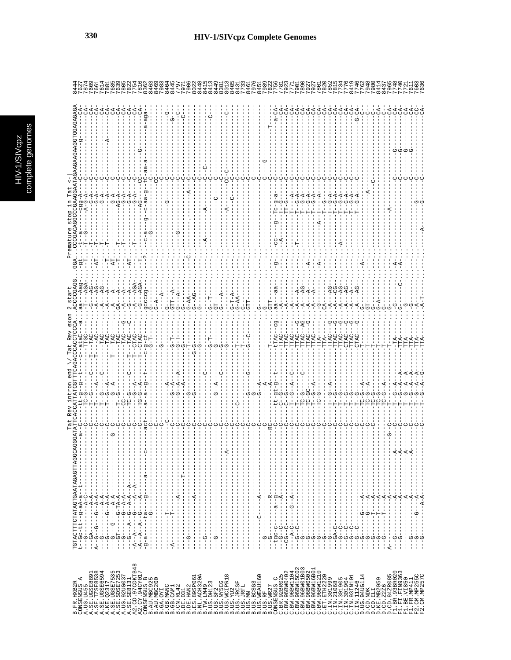|          |                                                              |                    |               | ۱o                                           | īΟ | $\infty$    | īΟ<br>īΟ          |                   |         |         |         |                                                                                                         |                          |                                               |                                                                   |                                                                                                          |                                                            |                                |                |                                                                        |         |                                                                   |                             |                                                                                                        |                                                     |                                                                          |                                                                                                                                                                                                                                             |                                        |                                                                                                                                                                                                                                                            |                                                       |                                                                                    |                   |                                                         |                                                                            |                  |                                                                                                                                                                                                                                                                                                                                                                                                                                         |                                                             |                               |                       |                                                         |                                             |                            |                                      |                                                                                                                                                                                                                                                                                                                                                                                                  |                                                          |                                                                     |                                             |                              |                                                        |                                  |                                |                             |                     |                                |                                                                      |                               |                                                                          |                          |                  |                         |
|----------|--------------------------------------------------------------|--------------------|---------------|----------------------------------------------|----|-------------|-------------------|-------------------|---------|---------|---------|---------------------------------------------------------------------------------------------------------|--------------------------|-----------------------------------------------|-------------------------------------------------------------------|----------------------------------------------------------------------------------------------------------|------------------------------------------------------------|--------------------------------|----------------|------------------------------------------------------------------------|---------|-------------------------------------------------------------------|-----------------------------|--------------------------------------------------------------------------------------------------------|-----------------------------------------------------|--------------------------------------------------------------------------|---------------------------------------------------------------------------------------------------------------------------------------------------------------------------------------------------------------------------------------------|----------------------------------------|------------------------------------------------------------------------------------------------------------------------------------------------------------------------------------------------------------------------------------------------------------|-------------------------------------------------------|------------------------------------------------------------------------------------|-------------------|---------------------------------------------------------|----------------------------------------------------------------------------|------------------|-----------------------------------------------------------------------------------------------------------------------------------------------------------------------------------------------------------------------------------------------------------------------------------------------------------------------------------------------------------------------------------------------------------------------------------------|-------------------------------------------------------------|-------------------------------|-----------------------|---------------------------------------------------------|---------------------------------------------|----------------------------|--------------------------------------|--------------------------------------------------------------------------------------------------------------------------------------------------------------------------------------------------------------------------------------------------------------------------------------------------------------------------------------------------------------------------------------------------|----------------------------------------------------------|---------------------------------------------------------------------|---------------------------------------------|------------------------------|--------------------------------------------------------|----------------------------------|--------------------------------|-----------------------------|---------------------|--------------------------------|----------------------------------------------------------------------|-------------------------------|--------------------------------------------------------------------------|--------------------------|------------------|-------------------------|
|          |                                                              |                    |               |                                              |    |             |                   |                   |         |         |         | a-ag                                                                                                    |                          |                                               |                                                                   |                                                                                                          |                                                            |                                |                |                                                                        |         |                                                                   |                             |                                                                                                        |                                                     |                                                                          |                                                                                                                                                                                                                                             |                                        |                                                                                                                                                                                                                                                            |                                                       |                                                                                    |                   |                                                         |                                                                            | ಗ                |                                                                                                                                                                                                                                                                                                                                                                                                                                         |                                                             |                               |                       |                                                         |                                             |                            |                                      |                                                                                                                                                                                                                                                                                                                                                                                                  |                                                          |                                                                     |                                             |                              | 1                                                      |                                  |                                |                             |                     |                                |                                                                      |                               |                                                                          |                          |                  |                         |
|          | COACACO COCORACAA CAACO ARCO COCORO AGAGA CA                 |                    |               |                                              |    |             |                   |                   |         |         |         |                                                                                                         |                          |                                               |                                                                   |                                                                                                          |                                                            |                                |                |                                                                        |         |                                                                   |                             |                                                                                                        |                                                     |                                                                          |                                                                                                                                                                                                                                             |                                        |                                                                                                                                                                                                                                                            |                                                       |                                                                                    |                   |                                                         |                                                                            |                  |                                                                                                                                                                                                                                                                                                                                                                                                                                         |                                                             |                               |                       |                                                         |                                             |                            |                                      |                                                                                                                                                                                                                                                                                                                                                                                                  |                                                          |                                                                     |                                             |                              |                                                        |                                  |                                |                             |                     |                                |                                                                      |                               |                                                                          |                          |                  |                         |
|          |                                                              |                    |               |                                              |    |             |                   |                   |         |         |         |                                                                                                         |                          |                                               |                                                                   |                                                                                                          |                                                            |                                |                |                                                                        |         |                                                                   |                             |                                                                                                        |                                                     |                                                                          |                                                                                                                                                                                                                                             |                                        |                                                                                                                                                                                                                                                            |                                                       |                                                                                    |                   |                                                         |                                                                            |                  |                                                                                                                                                                                                                                                                                                                                                                                                                                         |                                                             |                               |                       |                                                         |                                             |                            |                                      |                                                                                                                                                                                                                                                                                                                                                                                                  |                                                          |                                                                     |                                             |                              |                                                        |                                  |                                |                             |                     |                                |                                                                      |                               |                                                                          |                          |                  |                         |
|          |                                                              |                    |               | $\begin{array}{c}\nA \\ C \\ D\n\end{array}$ |    |             |                   | ת תולות<br>ו-טליס | $G - A$ | $G - A$ | ġ       | $-aa-9$<br>Ü                                                                                            |                          |                                               |                                                                   |                                                                                                          |                                                            |                                |                |                                                                        |         |                                                                   |                             |                                                                                                        |                                                     |                                                                          | U                                                                                                                                                                                                                                           |                                        |                                                                                                                                                                                                                                                            |                                                       |                                                                                    |                   |                                                         |                                                                            | σ<br>চা          | ני ז                                                                                                                                                                                                                                                                                                                                                                                                                                    | ひ                                                           |                               | K,<br>ひ               | К<br>Ψ                                                  | $\triangle$ $\triangle$<br>ස්               | ৬                          | A                                    | ひ                                                                                                                                                                                                                                                                                                                                                                                                | K,<br>いし                                                 | ፈ ⊄<br>Ġ                                                            | ৬                                           | $\triangle$ $\triangle$      | いし                                                     |                                  |                                |                             |                     |                                |                                                                      |                               |                                                                          |                          |                  |                         |
| top      | 4                                                            | ひ<br>$\frac{1}{1}$ |               |                                              |    |             |                   |                   |         |         |         | ة<br>œ<br>ΰ                                                                                             |                          |                                               |                                                                   |                                                                                                          |                                                            |                                |                |                                                                        |         |                                                                   |                             |                                                                                                        |                                                     |                                                                          |                                                                                                                                                                                                                                             |                                        |                                                                                                                                                                                                                                                            |                                                       |                                                                                    |                   |                                                         |                                                                            | চা               |                                                                                                                                                                                                                                                                                                                                                                                                                                         |                                                             |                               |                       |                                                         |                                             |                            |                                      |                                                                                                                                                                                                                                                                                                                                                                                                  |                                                          |                                                                     |                                             |                              |                                                        |                                  |                                |                             |                     |                                |                                                                      |                               |                                                                          |                          |                  |                         |
|          | GGA.<br>άp                                                   |                    | $\frac{1}{1}$ | $-AT$                                        |    | 부           | 턱<br>$-AT$        |                   | ЪŚ.     |         |         |                                                                                                         |                          |                                               |                                                                   |                                                                                                          |                                                            |                                |                |                                                                        |         |                                                                   |                             |                                                                                                        |                                                     |                                                                          |                                                                                                                                                                                                                                             |                                        |                                                                                                                                                                                                                                                            |                                                       |                                                                                    |                   |                                                         |                                                                            | U<br>U           | ٦,                                                                                                                                                                                                                                                                                                                                                                                                                                      |                                                             |                               |                       |                                                         | ķ                                           |                            | 4                                    |                                                                                                                                                                                                                                                                                                                                                                                                  |                                                          |                                                                     |                                             |                              |                                                        | ά                                |                                |                             |                     |                                | К                                                                    |                               |                                                                          |                          |                  |                         |
|          |                                                              |                    |               |                                              |    |             |                   |                   |         | AGA-    | AGA.    |                                                                                                         |                          |                                               |                                                                   |                                                                                                          |                                                            |                                |                |                                                                        |         |                                                                   |                             |                                                                                                        |                                                     |                                                                          |                                                                                                                                                                                                                                             |                                        |                                                                                                                                                                                                                                                            |                                                       |                                                                                    |                   |                                                         |                                                                            |                  |                                                                                                                                                                                                                                                                                                                                                                                                                                         |                                                             |                               |                       |                                                         |                                             |                            |                                      |                                                                                                                                                                                                                                                                                                                                                                                                  |                                                          |                                                                     |                                             |                              |                                                        |                                  |                                |                             |                     |                                |                                                                      |                               |                                                                          |                          |                  |                         |
|          | ACCCCGAGG<br>$a =$                                           |                    |               | AG                                           |    |             | K,                |                   |         |         | ά       | cccc                                                                                                    |                          |                                               |                                                                   |                                                                                                          | $TT = -A$                                                  | $-4$                           |                | $-44 - 5$                                                              | $-54-$  |                                                                   | $\ddot{r}$                  |                                                                                                        | $-4 - 2$                                            |                                                                          | $-T - A -$                                                                                                                                                                                                                                  |                                        |                                                                                                                                                                                                                                                            |                                                       |                                                                                    |                   |                                                         |                                                                            | ಥ                |                                                                                                                                                                                                                                                                                                                                                                                                                                         |                                                             |                               | $\overline{AB}$       |                                                         | $A -$                                       |                            |                                      |                                                                                                                                                                                                                                                                                                                                                                                                  | $-AG$                                                    | AG.<br>ပ္ပ                                                          | $- - AG$                                    | Ŗ                            |                                                        |                                  |                                |                             |                     |                                |                                                                      |                               |                                                                          |                          |                  |                         |
| exon     | ൯                                                            |                    |               |                                              |    |             | C<br>Ac           | ပု                | p       |         |         |                                                                                                         |                          |                                               |                                                                   |                                                                                                          |                                                            |                                |                |                                                                        |         |                                                                   |                             |                                                                                                        |                                                     |                                                                          |                                                                                                                                                                                                                                             |                                        |                                                                                                                                                                                                                                                            |                                                       |                                                                                    |                   |                                                         |                                                                            | Ωû               |                                                                                                                                                                                                                                                                                                                                                                                                                                         |                                                             |                               |                       | $-1 - 2$                                                | $\ddot{\circ}$                              |                            |                                      |                                                                                                                                                                                                                                                                                                                                                                                                  |                                                          | ひ ひ ひ ひ                                                             |                                             |                              | <b>v</b>                                               |                                  |                                |                             |                     |                                |                                                                      |                               |                                                                          |                          |                  |                         |
|          | TCAGACCCAC                                                   | ē                  | $---TAC$      | $-AC$                                        |    | TAC<br>TAC  |                   | TAC               | $-TAC$  | $-CTAC$ | $-CTAC$ | Ù                                                                                                       | $-9 - 2 -$<br>$-9 - 1 -$ |                                               | ๓                                                                 |                                                                                                          | פיז                                                        | פ                              | てり             | н<br>ம                                                                 | てり<br>ひ |                                                                   | てり                          | τŋ                                                                                                     | てり                                                  | てり                                                                       |                                                                                                                                                                                                                                             |                                        |                                                                                                                                                                                                                                                            |                                                       |                                                                                    |                   |                                                         |                                                                            | <b>LTAC</b>      | TTAC                                                                                                                                                                                                                                                                                                                                                                                                                                    | TTAC                                                        | TTAC-                         | TTAC-<br>TTAC-        |                                                         | TTAC-                                       | TTAC-                      |                                      |                                                                                                                                                                                                                                                                                                                                                                                                  | TTAC                                                     | <b>TTAC</b>                                                         | CTAC-                                       |                              |                                                        |                                  |                                |                             |                     |                                |                                                                      |                               |                                                                          |                          |                  |                         |
|          | i<br>U                                                       |                    | O             |                                              | U  |             |                   |                   |         |         |         | ত                                                                                                       |                          |                                               |                                                                   |                                                                                                          |                                                            | Ŗ<br>К                         |                |                                                                        |         |                                                                   |                             |                                                                                                        |                                                     |                                                                          |                                                                                                                                                                                                                                             |                                        |                                                                                                                                                                                                                                                            |                                                       |                                                                                    | K,                | R,                                                      | ₫                                                                          | তা               |                                                                                                                                                                                                                                                                                                                                                                                                                                         |                                                             | C                             |                       |                                                         |                                             |                            |                                      |                                                                                                                                                                                                                                                                                                                                                                                                  |                                                          |                                                                     |                                             |                              |                                                        |                                  |                                |                             |                     |                                |                                                                      |                               | Æ                                                                        | Æ                        | К                |                         |
|          |                                                              | tt-g-<br>TC-G-     |               |                                              | ひ  | ひ<br>ひ<br>н | ひ<br>$\mathbb{H}$ | ġ                 |         | ひ       | ᄞ<br>ġ  |                                                                                                         |                          |                                               |                                                                   |                                                                                                          |                                                            | ひ                              |                | ひ<br>てり                                                                |         |                                                                   |                             |                                                                                                        |                                                     |                                                                          |                                                                                                                                                                                                                                             |                                        |                                                                                                                                                                                                                                                            |                                                       | τŋ                                                                                 | ひ                 |                                                         |                                                                            | ס                | てり                                                                                                                                                                                                                                                                                                                                                                                                                                      | ↻                                                           | υ υ<br>$\mathsf{H}$           |                       | TC-G                                                    | C-GC                                        | ひ                          | ή                                    |                                                                                                                                                                                                                                                                                                                                                                                                  |                                                          |                                                                     |                                             |                              |                                                        |                                  |                                |                             |                     |                                |                                                                      |                               |                                                                          |                          |                  |                         |
| <u>ര</u> | CAGGGATATTCACCATTAT                                          |                    |               |                                              |    | てり          |                   |                   |         |         |         |                                                                                                         |                          |                                               |                                                                   |                                                                                                          |                                                            |                                |                |                                                                        |         |                                                                   |                             |                                                                                                        |                                                     |                                                                          |                                                                                                                                                                                                                                             |                                        |                                                                                                                                                                                                                                                            |                                                       |                                                                                    |                   |                                                         |                                                                            |                  |                                                                                                                                                                                                                                                                                                                                                                                                                                         |                                                             |                               |                       |                                                         |                                             |                            |                                      |                                                                                                                                                                                                                                                                                                                                                                                                  |                                                          |                                                                     |                                             |                              |                                                        |                                  |                                |                             |                     |                                |                                                                      |                               |                                                                          |                          |                  |                         |
|          |                                                              |                    |               |                                              |    |             |                   |                   |         |         |         |                                                                                                         |                          |                                               |                                                                   |                                                                                                          |                                                            |                                |                |                                                                        |         |                                                                   |                             |                                                                                                        |                                                     |                                                                          |                                                                                                                                                                                                                                             |                                        |                                                                                                                                                                                                                                                            |                                                       |                                                                                    |                   |                                                         |                                                                            |                  |                                                                                                                                                                                                                                                                                                                                                                                                                                         |                                                             |                               |                       |                                                         |                                             |                            |                                      |                                                                                                                                                                                                                                                                                                                                                                                                  |                                                          |                                                                     |                                             |                              |                                                        |                                  |                                |                             |                     |                                |                                                                      |                               |                                                                          |                          |                  |                         |
|          |                                                              |                    |               |                                              |    |             |                   |                   |         |         |         | $g_{---}$ - $a_{---}$                                                                                   | J.<br>$\frac{1}{2}$      | $\frac{1}{1}$                                 | $\begin{bmatrix} 1 \\ 1 \\ 1 \\ 1 \end{bmatrix}$                  | $\begin{array}{c} \begin{array}{c} \text{1} \\ \text{2} \\ \text{3} \\ \text{4} \end{array} \end{array}$ |                                                            | $\frac{1}{1}$<br>$\frac{1}{1}$ |                | I<br>$\frac{1}{1}$<br>$\begin{bmatrix} 1 \\ 1 \\ 1 \\ 1 \end{bmatrix}$ | I       |                                                                   |                             | $\begin{bmatrix} 1 \\ 1 \\ 1 \\ 1 \end{bmatrix}$                                                       |                                                     |                                                                          | $\begin{bmatrix} 1 \\ 1 \\ 1 \\ 1 \end{bmatrix}$                                                                                                                                                                                            |                                        |                                                                                                                                                                                                                                                            |                                                       |                                                                                    |                   |                                                         |                                                                            |                  |                                                                                                                                                                                                                                                                                                                                                                                                                                         |                                                             |                               |                       |                                                         |                                             |                            |                                      |                                                                                                                                                                                                                                                                                                                                                                                                  |                                                          |                                                                     |                                             |                              |                                                        |                                  |                                |                             |                     |                                |                                                                      |                               |                                                                          |                          |                  |                         |
|          | TGTACTTTCTATAGTGAATAGAGTTAGG<br>t--Gc-tt--g-aA-a--t--------- |                    |               |                                              |    |             |                   |                   |         |         |         | H<br>$\begin{bmatrix} 1 \\ 1 \end{bmatrix}$                                                             | J.                       | $\frac{1}{1}$<br>-1<br>$\mathbf{I}$<br>-1     | Ť.<br>$\mathbf{I}$<br>ŧ<br>$\mathsf I$<br>Ţ                       | J                                                                                                        | $\mathbf{I}$<br>$\mathbf{I}$<br>$\mathbf I$<br>$\mathbf I$ | $-1$ - $-1$ - $-1$ - $-1$      | $\mathbf{I}$   | $\,$ I<br>$\mathsf I$<br>т<br>Ť.<br>I.                                 |         | $-1$ $-1$ $-1$ $-1$ $-1$ $-1$ $-1$                                | $\mathsf I$<br>$\mathbf{I}$ | T<br>Ť.<br>Ť.<br>1<br>$\frac{1}{4}$<br>п<br>T.                                                         | $\blacksquare$<br>п<br>$\mathsf I$                  | $\mathbf{I}$<br>-1<br>Ť.<br>$\mathsf I$                                  | $\frac{1}{1}$<br>$\frac{1}{1}$                                                                                                                                                                                                              | п<br>т<br>Ţ                            | $\mathbf{I}$<br>ł                                                                                                                                                                                                                                          | $\mathbf{I}$<br>-1<br>Ť.                              | -1<br>$\mathbf{I}$<br>1<br>1<br>Ť.                                                 | п<br>$-4$         | J.                                                      | ł<br>$-$ R<br>$\mathbf{I}$<br>$\overline{\phantom{a}}$<br>J                | ł<br>.<br>-<br>- | п<br>_i<br>თ≮<br>$\frac{1}{1}$<br>ı<br>$\begin{array}{c} \rule{0pt}{2.5ex} \rule{0pt}{2.5ex} \rule{0pt}{2.5ex} \rule{0pt}{2.5ex} \rule{0pt}{2.5ex} \rule{0pt}{2.5ex} \rule{0pt}{2.5ex} \rule{0pt}{2.5ex} \rule{0pt}{2.5ex} \rule{0pt}{2.5ex} \rule{0pt}{2.5ex} \rule{0pt}{2.5ex} \rule{0pt}{2.5ex} \rule{0pt}{2.5ex} \rule{0pt}{2.5ex} \rule{0pt}{2.5ex} \rule{0pt}{2.5ex} \rule{0pt}{2.5ex} \rule{0pt}{2.5ex} \rule{0$<br>$\mathbf{I}$ | Ť.<br>$\mathsf I$<br>Ť<br>$\mathsf I$<br>J.<br>$\mathbf{I}$ | $-1$ $-1$ $-1$ $-1$ $-1$ $-1$ | $\frac{1}{1}$         | $\,$ I<br>$\mathbf{I}$<br>$\frac{1}{4}$<br>$\mathbf{I}$ | $\mathsf I$<br>$\frac{1}{1}$<br>$\mathsf I$ | J.<br>Ţ<br>J.              | ÷<br>$\mathbf{I}$<br>T.              | I.<br>п<br>$\begin{array}{c} \rule{0pt}{2.5ex} \rule{0pt}{2.5ex} \rule{0pt}{2.5ex} \rule{0pt}{2.5ex} \rule{0pt}{2.5ex} \rule{0pt}{2.5ex} \rule{0pt}{2.5ex} \rule{0pt}{2.5ex} \rule{0pt}{2.5ex} \rule{0pt}{2.5ex} \rule{0pt}{2.5ex} \rule{0pt}{2.5ex} \rule{0pt}{2.5ex} \rule{0pt}{2.5ex} \rule{0pt}{2.5ex} \rule{0pt}{2.5ex} \rule{0pt}{2.5ex} \rule{0pt}{2.5ex} \rule{0pt}{2.5ex} \rule{0$<br>T | л.<br>$\mathbf{I}$                                       | H.<br>J.                                                            | -1<br>$\mathbf{I}$<br>$\mathbf{I}$          | ш<br>Ť.<br>$\mathbf{I}$<br>Ţ | J.<br>J.                                               |                                  |                                | $-1 - h$<br>$-1 - h - -1$   | $\mathbf{A}^-$<br>Ħ | $\overline{A}$<br>$\mathbf{I}$ | $\overline{A}$ i<br>ŧ<br>Ť<br>Ť.<br>$\mathsf I$<br>$\mathbf{I}$<br>ı | $\mathbf I$<br>Ť<br>Ħ<br>J.   | Ť.<br>$\triangleleft$ $\triangleleft$<br>Ţ<br>$\mathbf I$<br>$\,$ I<br>1 | $-4-1$<br>Ť.<br>I.<br>Ţ. | $-4$<br>$-9 - -$ | $-4-$<br>$\blacksquare$ |
|          |                                                              |                    |               |                                              |    |             |                   |                   |         |         |         | $\frac{1}{1}$<br>$\frac{1}{1}$<br>$\frac{1}{1}$<br>$-1$<br>$-1$<br>$-1$<br>$-1$<br>$-1$<br>$-1$<br>$-1$ |                          | $\frac{1}{4}$<br>$\mathsf I$<br>-1<br>л.<br>Ħ | $\mathbf{I}$<br>Ť.<br>$\,$ I<br>$\mathbf{I}$<br>л.<br>$\mathsf I$ |                                                                                                          | ---------                                                  | I<br>I<br>I<br>j<br>I          | L.<br>J.<br>L. | $\frac{1}{1}$<br>Ť.<br>$\,$ I<br>$-1$<br>$-1$<br>$-1$                  | т       | $\begin{array}{c} \n 1 \\  1 \\  1 \\  1\n \end{array}$<br>$-5 -$ | $\sf I$<br>$\frac{1}{1}$    | $\begin{bmatrix} 1 \\ 1 \\ 1 \\ 1 \end{bmatrix}$<br>$\frac{1}{1}$<br>$\mathsf I$<br>T<br>$-9 - -$<br>ŧ | Ĵ<br>I<br>J.<br>J.<br>I<br>$\overline{\phantom{a}}$ | $\frac{1}{1}$<br>$\mathsf I$<br>$\mathsf I$<br>-1<br>J.<br>$\frac{1}{2}$ | $\begin{array}{cccccccccc} \cdot & \cdot & \cdot & \cdot & \cdot & \cdot \\ \cdot & \cdot & \cdot & \cdot & \cdot & \cdot \\ \cdot & \cdot & \cdot & \cdot & \cdot & \cdot \\ \cdot & \cdot & \cdot & \cdot & \cdot & \cdot \\ \end{array}$ | $\frac{1}{1}$<br>$\mathsf I$<br>T<br>т | $\begin{array}{c} \begin{array}{c} \begin{array}{c} \begin{array}{c} \end{array} \\ \begin{array}{c} \end{array} \\ \begin{array}{c} \end{array} \\ \begin{array}{c} \end{array} \\ \begin{array}{c} \end{array} \end{array} \end{array}$<br>$\frac{1}{1}$ | $\frac{1}{1}$<br>$\mathsf I$<br>$\mathsf I$<br>Ť<br>I | $\begin{bmatrix} 1 \\ 1 \\ 1 \end{bmatrix}$<br>Т<br>$\frac{1}{4}$<br>$\frac{1}{2}$ | T                 | $\mathbf{I}$<br>Ť.<br>$\mathsf I$<br>Ţ<br>$\frac{1}{1}$ | $\mathbf{I}$<br>J.<br>$\overline{\phantom{a}}$<br>$\mathbf{I}$<br>$-5 - 7$ | İ                | п<br>$\,$ I                                                                                                                                                                                                                                                                                                                                                                                                                             | л.<br>$\frac{1}{1}$                                         |                               | $\mathsf I$           | п<br>ţ                                                  | Ť<br>$\mathbb{I}$<br>-1<br>$\frac{1}{3}$    | J.<br>$\overline{1}$<br>J. | $\frac{1}{4}$<br>J.<br>$\frac{1}{1}$ | $\mathbf{I}$<br>Ť.<br>Т<br>ŧ                                                                                                                                                                                                                                                                                                                                                                     | $\mathbf{I}$<br>$\mathbf{I}$<br>л.<br>-1<br>$\mathbf{I}$ | т<br>-11<br>$\mathsf I$<br>$\mathbf{I}$<br>$\overline{\phantom{a}}$ | $\mathbf{I}$<br>$\mathbf{I}$<br>$\mathbf I$ | $\mathbf{I}$<br>-1           | $\begin{array}{c}\n0 \\ 1 \\ 1\n\end{array}$<br>ن<br>ب | $\frac{1}{1}$<br>$\ddot{\theta}$ | п<br>$\frac{1}{1}$             | <b></b><br>이 아이<br>J.<br>-1 | I<br>ł              | $\mathbf{I}$<br>ŧ              | $\mathbf{I}$<br>T<br>$\blacksquare$<br>т<br>1                        | п<br>$\mathbf{I}$<br>-1       | т<br>$\mathbf{I}$<br>п                                                   | I.                       |                  | - 1                     |
|          |                                                              |                    |               |                                              |    |             |                   |                   |         |         |         |                                                                                                         |                          |                                               | $\frac{1}{1}$                                                     |                                                                                                          | $-A$ --                                                    | I<br>л.                        | J.<br>L.       | $\frac{1}{1}$                                                          | ł       |                                                                   | L.                          |                                                                                                        | I                                                   | L.                                                                       | $\frac{1}{1}$                                                                                                                                                                                                                               | I.                                     |                                                                                                                                                                                                                                                            | $\sf I$<br>L.                                         | $\blacksquare$                                                                     | J<br>$\mathbf{I}$ | ל<br>י                                                  |                                                                            |                  |                                                                                                                                                                                                                                                                                                                                                                                                                                         |                                                             |                               | $^{0}_{+}$ $^{0}_{+}$ |                                                         | $-1$                                        |                            | $\frac{6}{1}$                        | $\frac{0}{1}$                                                                                                                                                                                                                                                                                                                                                                                    | $-1$                                                     |                                                                     |                                             | $\frac{6}{1}$                | J.                                                     | $\mathbf{I}$                     | $-\frac{6}{1}$<br>$\mathbf{I}$ |                             |                     | က်ပုံကို<br>၂၂၂၂<br>၂၂၂၁       | $\blacksquare$                                                       | $\frac{1}{2}$<br>$\mathbf{I}$ | Ţ<br>$\blacksquare$<br>$\mathbf{I}$                                      | $\mathbf{I}$             | H                |                         |

 $\begin{smallmatrix}R, HX B2R\\ 01838930\\ 01838931\\ 01838931\\ 01838931\\ 01838931\\ 01838931\\ 01838931\\ 01838931\\ 01838931\\ 01838931\\ 01838931\\ 01838931\\ 01838931\\ 01838931\\ 01838932\\ 01838932\\ 01838932\\ 01938932\\ 01938932\\ 010388932\\ 0103$ 

**HIV-1/SIVcpz Complete Genomes**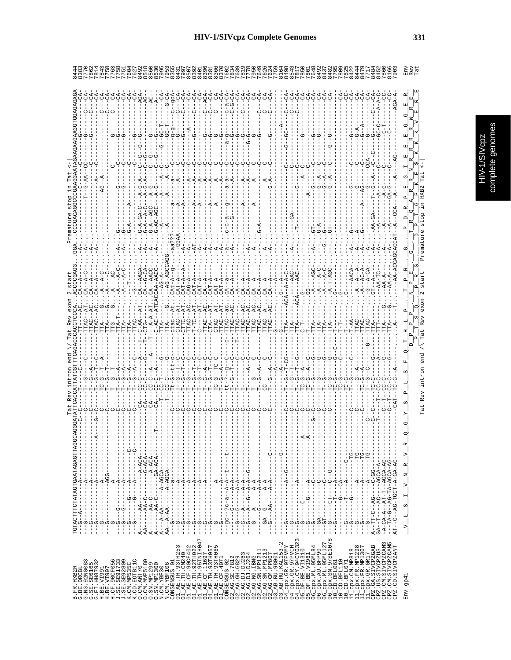|                                                                                                                                                                                                                                                                                                                                                                      | TGTACTTTCTATAGTGAATAGAGTTAGG<br>$-4-$<br>$-1$<br>ပု                                                                         |                                    |       |   |                                  |   |  |  |
|----------------------------------------------------------------------------------------------------------------------------------------------------------------------------------------------------------------------------------------------------------------------------------------------------------------------------------------------------------------------|-----------------------------------------------------------------------------------------------------------------------------|------------------------------------|-------|---|----------------------------------|---|--|--|
|                                                                                                                                                                                                                                                                                                                                                                      | I.<br>J,<br>п<br>л<br>ł<br>ပု                                                                                               |                                    |       |   |                                  |   |  |  |
|                                                                                                                                                                                                                                                                                                                                                                      | J.<br>J.<br>п<br>л<br>I<br>$\frac{1}{1}$<br>$-1$                                                                            |                                    |       |   |                                  |   |  |  |
|                                                                                                                                                                                                                                                                                                                                                                      | ပု                                                                                                                          |                                    |       |   |                                  |   |  |  |
|                                                                                                                                                                                                                                                                                                                                                                      | $\overline{\phantom{a}}$<br>К<br>$\mathbb{I}$<br>J.<br>J,<br>п<br>J.<br>л<br>H<br><b>I</b><br>ပု                            |                                    |       |   |                                  |   |  |  |
|                                                                                                                                                                                                                                                                                                                                                                      | $-504-$<br>К<br>$\mathbf{I}$<br>J<br>I<br>п<br>りー<br>りー                                                                     |                                    |       |   |                                  |   |  |  |
|                                                                                                                                                                                                                                                                                                                                                                      | K,<br>$\mathbf{I}$<br>$\blacksquare$<br>$\ddot{\phi}$<br>$\blacksquare$<br>ပု                                               |                                    |       |   |                                  |   |  |  |
|                                                                                                                                                                                                                                                                                                                                                                      | т<br>$\mathbf I$<br>$-4$<br>T<br>л<br>$\ddot{\theta}$<br>$\frac{6}{1}$                                                      | J,                                 |       |   |                                  |   |  |  |
|                                                                                                                                                                                                                                                                                                                                                                      | $\overline{\phantom{a}}$<br>К<br>$\frac{1}{2}$<br>Ġ<br>J.<br>ပု                                                             | $\overline{1}$<br>J                |       |   |                                  |   |  |  |
|                                                                                                                                                                                                                                                                                                                                                                      | $\mathbf{I}$<br>ţ<br>Ġ<br>л<br>$\frac{1}{2}$                                                                                | l.<br>ပုံပုံ<br>Í                  |       |   |                                  |   |  |  |
|                                                                                                                                                                                                                                                                                                                                                                      | п<br>I<br>$-AA--$<br>J.<br>f,<br>К                                                                                          | ł<br>$- -A - ACA$                  |       |   |                                  |   |  |  |
|                                                                                                                                                                                                                                                                                                                                                                      | $---AA-CC-$<br>$AA-$                                                                                                        |                                    |       |   | $G - A - A -$                    |   |  |  |
|                                                                                                                                                                                                                                                                                                                                                                      | í<br>ı<br>$\mathbf{I}$<br>К                                                                                                 |                                    |       |   | $- A - A G C - A G C$<br>$G - A$ |   |  |  |
|                                                                                                                                                                                                                                                                                                                                                                      | $-1$ - $-1$ - $-1$<br>$---AA-C$                                                                                             |                                    |       |   |                                  |   |  |  |
|                                                                                                                                                                                                                                                                                                                                                                      | $- -A - AGCA - -$<br>$- - - A - A - - - -$<br>$\begin{array}{l} A----A-A-\\ A--A-A-\\ A--A--A--\\ AA--A--A--\\ \end{array}$ | I                                  |       |   |                                  |   |  |  |
|                                                                                                                                                                                                                                                                                                                                                                      | $- -A - AGCA$                                                                                                               |                                    |       |   |                                  |   |  |  |
|                                                                                                                                                                                                                                                                                                                                                                      | $A -$<br>J.<br>4Q<br>I<br>Ť<br>j<br>т<br>$\overline{1}$<br>$\,$ I<br>ł<br>ł<br>ပု<br>ن<br>ٻ                                 |                                    |       |   |                                  |   |  |  |
|                                                                                                                                                                                                                                                                                                                                                                      | $\vec{A}$<br>ပု                                                                                                             |                                    |       |   |                                  |   |  |  |
|                                                                                                                                                                                                                                                                                                                                                                      | $\ddot{A}$<br>$\frac{1}{2}$                                                                                                 |                                    |       |   |                                  |   |  |  |
|                                                                                                                                                                                                                                                                                                                                                                      | l,<br>$-4$<br>Ţ<br>п<br>უ<br> <br>                                                                                          |                                    |       |   |                                  |   |  |  |
|                                                                                                                                                                                                                                                                                                                                                                      | ₫<br>ပု                                                                                                                     |                                    |       |   |                                  |   |  |  |
|                                                                                                                                                                                                                                                                                                                                                                      | $-4-$<br>ł<br>ပု                                                                                                            |                                    |       |   |                                  |   |  |  |
|                                                                                                                                                                                                                                                                                                                                                                      | $\mathbb{I}$<br>J.<br>$\frac{1}{1}$<br>$\frac{1}{2}$                                                                        |                                    |       |   |                                  |   |  |  |
|                                                                                                                                                                                                                                                                                                                                                                      | п<br>j<br>К<br>$\begin{array}{c} \hline \end{array}$<br>$\mathbf{I}$<br>л<br>п<br>л<br>п<br>J,<br>J.<br>ပု                  |                                    |       |   |                                  |   |  |  |
|                                                                                                                                                                                                                                                                                                                                                                      | K,<br>ひ<br>$\begin{array}{c} \hline \end{array}$                                                                            |                                    |       |   |                                  |   |  |  |
|                                                                                                                                                                                                                                                                                                                                                                      | $\pm$<br>$A - A - B - D$<br>$\mathfrak{g}$<br>$\frac{1}{\sigma}$<br>ּק<br>יִ                                                | $-1 -$                             |       |   |                                  | ಕ |  |  |
|                                                                                                                                                                                                                                                                                                                                                                      | $-A-A-$<br>-1<br>ひ<br>$\mathbf{I}$                                                                                          |                                    |       |   |                                  |   |  |  |
|                                                                                                                                                                                                                                                                                                                                                                      | ì<br>$A - A$<br>ï<br>I<br>f,<br>ひ<br>J,<br>ı<br>ပု                                                                          |                                    |       |   |                                  |   |  |  |
|                                                                                                                                                                                                                                                                                                                                                                      | $\frac{1}{1}$<br>$A - A$<br>T<br>Ť<br>К<br>Ť<br>ひ<br>Ţ                                                                      |                                    |       |   |                                  |   |  |  |
|                                                                                                                                                                                                                                                                                                                                                                      | $\frac{6}{1}$<br>$-4 - -5 - -1$<br>$-4$<br>ė<br>$\frac{1}{\sqrt{2}}$                                                        | $\frac{1}{1}$                      |       |   |                                  |   |  |  |
|                                                                                                                                                                                                                                                                                                                                                                      | $-A - A$<br>$-A-A$<br>I<br>Ť<br>ŧ<br>К<br>ひ<br>Ī<br>Ť<br>I.                                                                 | I                                  |       |   |                                  |   |  |  |
|                                                                                                                                                                                                                                                                                                                                                                      | H.<br>$-A-A$<br>$\mathbb I$<br>$\frac{1}{1}$<br>ひ<br>Ţ<br>$-GB-$<br>$\mathbf{I}$                                            |                                    |       |   |                                  |   |  |  |
|                                                                                                                                                                                                                                                                                                                                                                      | J.<br>$-4 - A - A$<br>$-AA -$<br>ï<br>ن<br>!<br>п                                                                           | $-1$ - $-1$                        |       |   |                                  |   |  |  |
|                                                                                                                                                                                                                                                                                                                                                                      |                                                                                                                             |                                    |       |   |                                  |   |  |  |
|                                                                                                                                                                                                                                                                                                                                                                      | л<br>$\blacksquare$<br>ш<br>I.<br>$\mathbf{I}$<br>т<br>I.<br>п<br>л                                                         | $-5 - 1$<br>п<br>I<br>$\mathbf{I}$ |       |   |                                  |   |  |  |
|                                                                                                                                                                                                                                                                                                                                                                      | ပု<br>К<br>T<br>п<br>ひ<br>$\blacksquare$                                                                                    |                                    |       |   |                                  |   |  |  |
|                                                                                                                                                                                                                                                                                                                                                                      | ひ<br>J.                                                                                                                     | H                                  |       |   |                                  |   |  |  |
|                                                                                                                                                                                                                                                                                                                                                                      | Ť<br>1<br>п<br>T<br>ပု                                                                                                      |                                    |       |   |                                  |   |  |  |
| $\begin{array}{l} (M= \text{cpx}, (37,97) \text{FWM}^2\\ (M= \text{cpx}, (37,97) \text{FWO}13\\ (M= \text{cpx}, (37,97) \text{FWO}13\\ (M= \text{cpx}, (37,97) \text{FWO}13\\ (M= \text{cpx}, (37,99) \text{FWO}13\\ (M= \text{cpx}, M= \text{bpx}, 990\\ (M= \text{cpx}, M= 97) \text{FWO}13\\ (M= \text{cpx}, (37,9) \text{FWO}13\\ (M= \text{cpx}, (37,9) \text{$ | п<br>Ť<br>п<br>п<br>J.<br>$-1$<br>U<br> <br>$\mathbf{I}$<br>п<br>ပု<br>ပု                                                   | J.                                 |       |   |                                  |   |  |  |
|                                                                                                                                                                                                                                                                                                                                                                      | $\frac{1}{1}$<br>ပု                                                                                                         |                                    |       |   |                                  |   |  |  |
|                                                                                                                                                                                                                                                                                                                                                                      | $\frac{1}{1}$<br>-<br>$\mathbf I$<br>$-6A$                                                                                  |                                    |       |   |                                  |   |  |  |
|                                                                                                                                                                                                                                                                                                                                                                      | ŧ<br>т<br>т<br>ט<br>י                                                                                                       |                                    |       |   |                                  |   |  |  |
|                                                                                                                                                                                                                                                                                                                                                                      | $-5 -$<br>Ī<br>$\blacksquare$<br>п<br>ひ<br>Ť                                                                                |                                    |       |   |                                  |   |  |  |
|                                                                                                                                                                                                                                                                                                                                                                      | ŧ,<br>Ť<br>Ť.<br>י<br>ד<br>무<br>п                                                                                           |                                    |       |   |                                  |   |  |  |
|                                                                                                                                                                                                                                                                                                                                                                      | $-ACA-$<br>ပု                                                                                                               |                                    |       |   |                                  |   |  |  |
|                                                                                                                                                                                                                                                                                                                                                                      | т<br>$-4 - 7$<br>부<br>ပု<br>L.                                                                                              | $\frac{1}{2}$                      |       |   |                                  |   |  |  |
|                                                                                                                                                                                                                                                                                                                                                                      | $\mathbf{I}$<br>$\mathbf{I}$<br>$\mathbf{I}$<br>J.<br>п<br>$\mathsf I$<br>ပု<br>$\mathbf{I}$<br>п<br>ပု<br>п                | $-5 - - - -$                       |       |   |                                  |   |  |  |
|                                                                                                                                                                                                                                                                                                                                                                      | ŧ<br>$-4$<br>J.<br>I<br>ပု                                                                                                  | $-1 - 10$                          |       |   |                                  |   |  |  |
|                                                                                                                                                                                                                                                                                                                                                                      | л<br>$-$ A $-$<br>먹<br>л                                                                                                    | $-7G-$                             |       |   |                                  |   |  |  |
|                                                                                                                                                                                                                                                                                                                                                                      | ŧ<br>$-4$<br>ï<br>п<br>1<br>I<br>$-1$<br>$\mathbf{I}$                                                                       | $-52-$<br>ï                        |       | Ţ |                                  |   |  |  |
|                                                                                                                                                                                                                                                                                                                                                                      | $-55 - 0 - -$<br>$-4G$<br>$-TTT-C$<br>A,                                                                                    |                                    |       |   |                                  |   |  |  |
|                                                                                                                                                                                                                                                                                                                                                                      | $- A - CA - A - A T - T - A G C A - A G -$<br>$-$ -AGCA $-$ A<br>$-4C$<br>J<br>$GA - T$                                     |                                    |       |   |                                  |   |  |  |
|                                                                                                                                                                                                                                                                                                                                                                      |                                                                                                                             | п<br>H.                            |       |   |                                  |   |  |  |
|                                                                                                                                                                                                                                                                                                                                                                      | ----TA-G--AG-TA-AGCA-AG<br>AT--G--AG-TGCT-A-GA-AG                                                                           |                                    |       |   |                                  |   |  |  |
|                                                                                                                                                                                                                                                                                                                                                                      | $\triangleright$                                                                                                            | œ<br>$\alpha$                      |       |   |                                  |   |  |  |
| 9P41<br>Env                                                                                                                                                                                                                                                                                                                                                          | z,<br>$\triangleright$<br>H,<br>co.<br>٩                                                                                    | $\triangleright$                   |       |   |                                  |   |  |  |
|                                                                                                                                                                                                                                                                                                                                                                      |                                                                                                                             |                                    |       |   |                                  |   |  |  |
|                                                                                                                                                                                                                                                                                                                                                                      |                                                                                                                             |                                    | ntror |   |                                  |   |  |  |
|                                                                                                                                                                                                                                                                                                                                                                      |                                                                                                                             |                                    |       |   |                                  |   |  |  |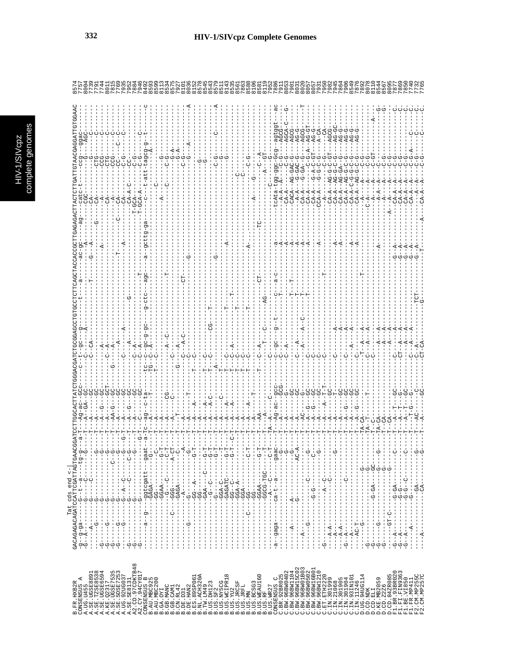complete genomes HIV-1/SIVCPZ

| <b>0-54-</b><br>AGCG<br>$-A-CA$<br>-AGCG<br>υ<br>$AG -$<br>$-40$<br>$AG -$<br>AG-<br>AG.<br>ረረ<br>Ծ<br>agcg-<br>Í<br>ひ<br>ပု<br>tgg-ggc<br>Š<br>$G-5$<br>こりし<br>්<br>ಀ<br>පි<br>ලි<br>$\vec{c}$ – $\vec{c}$<br>ひ<br>υ<br>უ<br>-att<br>υ<br>tcAta<br>$CA-A$<br>CA-A<br>$A - A$<br>A<br>A<br>ች<br>!<br>a−a<br>ō<br>К<br>К<br>J.<br>ひ<br>ひ<br>也<br>ā<br>Œ<br>C<br>C<br>ŭ<br>AG<br>ਨ<br>ᢐ<br>5<br>$\frac{1}{9}$<br>g<br>Ş<br>К<br>Æ<br>U<br>U<br>U<br>U<br>ΞÓ.<br>to.<br>5<br>- 1<br>Ü<br>ൽ<br>Y<br>U<br>უ<br>ø<br>ᡃᡉ<br>$\frac{1}{\sigma}$<br>ά<br>৬<br>$\begin{array}{l} \texttt{6A}\texttt{0A}\texttt{0A}\texttt{0A}\texttt{0A}\texttt{0A}\texttt{0A}\texttt{0A}\texttt{0A}\texttt{0A}\texttt{0A}\texttt{0A}\texttt{0A}\texttt{0A}\texttt{0A}\texttt{0A}\texttt{0A}\texttt{0A}\texttt{0A}\texttt{0A}\texttt{0A}\texttt{0A}\texttt{0A}\texttt{0A}\texttt{0A}\texttt{0A}\texttt{0A}\texttt{0A}\texttt{0A}\texttt{0A}\texttt{0A}\texttt{0A}\texttt{0A}\texttt{0A}\texttt{0A}\texttt$<br>C<br>$-1 - 0 - 0$<br>ှ<br>-- 988<br>-- - - -<br>- - -<br>$-1$ - $-1$<br>$\overline{C}$ <sup>1</sup><br>$-4-7$<br>$C - C$<br>$-5 - 6 - 6$<br>$-5 - - - -$<br>п.<br>Ť<br>$-1 - 1 - 1 - 1$<br>--gaa<br>ု<br>ပု<br>$\frac{6}{1}$<br>$-1$<br>$-1$<br>$-1$<br>$-1$<br>$-1$<br>$-1$<br>$-1$<br>$-1$<br>$-1$<br>$-1 - 1 - 1$<br>ပု<br>၂<br>ပု<br> <br>U<br> -<br> -<br>ں<br>ا<br>$-1$<br>T<br>$\frac{1}{1}$<br>$-1 - 6$<br>$-1$<br>$-1$<br>$\mathbf{I}$<br>J.<br>$\mathbf{I}$<br>$\mathbf{I}$<br>$\overline{\phantom{a}}$<br>I<br>I.<br>$\mathsf I$<br>$\mathsf I$<br>$\overline{\phantom{a}}$<br>$\mathsf I$<br>$\frac{1}{1}$<br>$\mathsf I$<br>$\frac{1}{1}$<br>$\begin{array}{c} 1 \\ 1 \end{array}$<br>т<br>$\frac{1}{1}$<br>$\frac{1}{1}$<br>$\frac{1}{4}$<br>ţ<br>ł<br>$\mathsf I$<br>$\begin{array}{c} \frac{1}{2} \\ \frac{1}{2} \end{array}$<br>$\frac{1}{1}$<br>$\begin{array}{c} \rule{0pt}{2ex} \rule{0pt}{2ex} \rule{0pt}{2ex} \rule{0pt}{2ex} \rule{0pt}{2ex} \rule{0pt}{2ex} \rule{0pt}{2ex} \rule{0pt}{2ex} \rule{0pt}{2ex} \rule{0pt}{2ex} \rule{0pt}{2ex} \rule{0pt}{2ex} \rule{0pt}{2ex} \rule{0pt}{2ex} \rule{0pt}{2ex} \rule{0pt}{2ex} \rule{0pt}{2ex} \rule{0pt}{2ex} \rule{0pt}{2ex} \rule{0pt}{2ex} \rule{0pt}{2ex} \rule{0pt}{2ex} \rule{0pt}{2ex} \rule{0pt}{$<br>$\frac{1}{1}$<br>ł<br>$\mathbf{I}$<br>$\mathbf{I}$<br>ł<br>$\frac{1}{1}$<br>$\mathbf{I}$<br>I<br>ł.<br>J.<br>т<br>$\mathbf{I}$<br>$\mathbf{I}$<br>$\overline{1}$<br>I<br>$\overline{1}$<br>$\mathbf{I}$<br>$\mathbf{I}$<br>$\frac{1}{4}$<br>$\blacksquare$<br>$\blacksquare$<br>$\mathbf{I}$<br>л<br>п<br>J.<br>$-1 - 1000 - 0000 - 0$<br>$\mathbf{I}$<br>$\mathbf{I}$<br>L.<br>п<br>Ť.<br>ï<br>Ť<br>Ť.<br>Ť.<br>Ť.<br>Ť.<br>ï.<br>$\mathbf{I}$<br>Ţ<br>1<br>$\mathsf I$<br>$\mathsf I$<br>$\mathbf{I}$<br>T<br>I<br>ı<br>J.<br>$\overline{\phantom{a}}$<br>$\begin{array}{c}\n1 \\ 1 \\ 1 \\ 1 \\ 2 \\ 2 \\ 3 \\ 3 \\ 4\n\end{array}$<br>--ggtcgatt-<br>--GAGA------<br>$\,$ I<br>I.<br>$\mathsf I$<br>$\begin{array}{c} \end{array}$<br>$\overline{1}$<br>$\mathsf I$<br>$\mathbb I$<br>$\mathsf I$<br>$\mathsf I$<br>$\mathbf I$<br>I<br>$\mathsf I$<br>J,<br>$\mathsf I$<br>$\frac{1}{1}$<br>J,<br>ţ<br>I<br>$\frac{1}{1}$<br>$\frac{1}{1}$<br>I<br>$-1$<br>$-1$<br>$-1$<br>$-1$<br>$-1$<br>$-1$<br>$\,$ I<br>J<br>Ť<br>ţ<br>$\frac{1}{1}$<br>$\frac{1}{2}$<br>-i<br>$- - 4 - - - -$<br>$\blacksquare$<br>$\blacksquare$<br>$\frac{1}{4}$<br>$\frac{1}{1}$<br>$\mathbf I$<br>L<br>-1<br>$\mathbf{I}$<br>$\blacksquare$<br>$\blacksquare$<br>$C - 1$<br>$-1 - 2 - 1$<br>$-1 - 1 - 1$<br>$---GAB - - -$<br>$- - - - - - - - - - - - - - - - -$<br>J.<br>$\frac{1}{1}$<br>-1<br>$\blacksquare$<br>п<br>л.<br>ł<br>$\mathbf{I}$<br>--45-5-----<br>ł.<br>$\mathbf{I}$<br>ï<br>$\mathsf I$<br>$\mathbf I$<br>$\mathbb{I}$<br>-1<br>-1<br>$\begin{array}{c cccc} &   &   &   &   &   &   &   \\ \hline A &   &   &   &   &   &   &   \\ \hline 0 &   &   &   &   &   &   \\ \hline 1 &   &   &   &   &   &   \\ \hline \end{array}$<br>$-A$ -<br>ţ<br>$---GGA -$<br>$\frac{1}{\mathbf{C}}$<br>$\frac{1}{9}$<br>J.<br>J.<br>$\mathbf{I}$<br>T<br><b>0-0-1-1</b><br>-1<br>$\frac{1}{1}$<br>-1<br>-1<br>п<br>$\frac{1}{1}$<br>ŧ<br>ŧ<br>$-1$<br>$-1$<br>$-1$<br>$-1$<br>$-1$<br>$-1$<br>I.<br>$\mathsf I$<br>$\blacksquare$<br>$-1$<br>ŏ<br> <br>Ġ<br> <br>$-1$ - $-1$ - $-1$<br>$\mathsf I$<br>$\,$ I<br>$\mathbf{I}$<br>$\mathsf I$<br>$\frac{1}{1}$<br>ಲ<br>Ţ<br>1<br>$\mathbf{I}$<br>$\mathbf{I}$<br>J<br>T<br>I<br>ł<br>Ţ<br>J.<br>п<br>$\frac{1}{1}$<br>$\mathbf{I}$<br>$\frac{1}{1}$<br>$\mathbf{I}$<br>$\blacksquare$<br>$\mathbf{I}$<br>$\mathbf{I}$<br>$\mathbf{I}$<br>-1<br>$\mathbf{I}$<br>п<br>L.<br>$\frac{1}{2}$<br>ţ<br>$\mathbf I$<br>J.<br>Ť.<br>J.<br>ı<br>-1<br>т<br>$\,$ I<br>$\frac{1}{1}$<br>$\overline{\phantom{a}}$<br>$\mathsf I$<br>$\mathsf I$<br>$\mathsf I$<br>I<br>$\,$ I<br>$\begin{array}{c} \end{array}$<br>$\overline{\phantom{a}}$<br>$\overline{\phantom{a}}$<br>$\,$ I<br>$\mathbb{I}$<br>$\mathbf I$<br>$\blacksquare$<br>I<br>ţ<br>$-\frac{9}{1}$<br>$-1 - 0 - 1 - 1$<br>$\begin{array}{c} \rule{0.2cm}{0.15mm} \rule{0.2cm}{0.15mm} \rule{0.2cm}{0.15mm} \rule{0.2cm}{0.15mm} \rule{0.2cm}{0.15mm} \rule{0.2cm}{0.15mm} \rule{0.2cm}{0.15mm} \rule{0.2cm}{0.15mm} \rule{0.2cm}{0.15mm} \rule{0.2cm}{0.15mm} \rule{0.2cm}{0.15mm} \rule{0.2cm}{0.15mm} \rule{0.2cm}{0.15mm} \rule{0.2cm}{0.15mm} \rule{0.2cm}{0.15mm} \rule{$<br>j.<br>Ţ<br>$\frac{1}{1}$<br>$----P-1-P-1$<br>U-HU-----<br>$\frac{1}{1}$<br>$\overline{\phantom{a}}$<br>J<br>$\frac{1}{1}$<br>$\frac{1}{1}$<br>$\overline{\phantom{a}}$<br>I<br>ţ<br>$\mathbf{I}$<br>т<br>$\blacksquare$<br>$\mathbf{I}$<br>п<br>$\blacksquare$<br>$\frac{1}{1}$<br>Ţ.<br>$\mathbf{I}$<br>т<br>$\mathbf{I}$<br>J.<br>п<br>$\mathbf{I}$<br>$\overline{\phantom{a}}$<br>Ţ<br>I<br>I<br>J.<br>$\frac{1}{1}$<br>$\frac{1}{1}$<br>$\mathbf{I}$<br>$\mathbf{I}$<br>$\mathbf{I}$<br>$\frac{1}{1}$<br>т<br>T<br>$\blacksquare$<br>$\overline{\phantom{a}}$<br>$\frac{1}{4}$<br>-1<br>J.<br>п<br>-1<br>$\mathbf{I}$<br>L.<br>$\mathbf{I}$<br>J<br>л<br>п<br>L.<br>-1<br>ł<br>ï<br>$-a - 9a9a -$<br>ï<br>$- - A - -$<br>$\mathbf{I}$<br>Ť.<br>$-1$<br>$\mathbf I$<br>L<br>$\mathbf{I}$<br>$\mathbf{I}$<br>$\mathbf{I}$<br>-1<br>J.<br>$\frac{1}{\sqrt{2}}$<br>.<br>-<br>-<br>$-\frac{6}{1}$<br>$\,$ I<br>$\begin{bmatrix} 1 \\ 1 \\ 1 \\ 1 \end{bmatrix}$<br>$\,$ I<br>$\overline{\phantom{a}}$<br>$\begin{bmatrix} 1 \\ 1 \\ 1 \\ 1 \end{bmatrix}$<br>$\begin{array}{c} 1 \\ 1 \\ 1 \\ 1 \end{array}$<br>$\begin{array}{c} \begin{array}{c} \text{1} \\ \text{1} \\ \text{1} \\ \text{1} \end{array} \\ \end{array}$<br>$\begin{array}{c} 1 \\ 1 \\ 1 \end{array}$<br>I<br>$\begin{bmatrix} 1 \\ 1 \\ 1 \\ 1 \end{bmatrix}$<br>$\frac{1}{1}$<br>U-------<br>$\mathsf I$<br>$- -A - A -$<br>やーー<br>п<br>I<br>I<br>T<br>J.<br>$\mathbf{I}$<br>Т<br>$\begin{bmatrix} 1 \\ 1 \\ 1 \\ 1 \end{bmatrix}$<br>$\frac{1}{1}$<br>$\frac{1}{1}$<br>$-G - -A - -$<br>J<br>$\frac{1}{4}$<br>$\frac{1}{1}$<br>$\frac{1}{1}$<br>$\frac{1}{1}$<br>I<br>J<br>$\begin{bmatrix} 1 & 1 & 1 \\ 1 & 1 & 1 \\ 1 & 1 & 1 \end{bmatrix}$<br>$\frac{1}{1}$<br>I<br>T<br>$\begin{array}{c} 1 \\ 1 \\ 1 \end{array}$<br>Ţ<br>$\frac{1}{1}$<br>$\frac{1}{4}$<br>I<br>$-1$ – $-1$<br>Ť<br>$\begin{array}{c} 1 \\ 1 \\ 1 \end{array}$<br>$\frac{1}{1}$<br>Т<br>I<br>$\frac{1}{1}$<br>H<br>$\frac{1}{1}$<br>T<br>$\blacksquare$<br>J.<br>ı<br>-1<br>п<br>т<br>$\mathbf{I}$<br>Ť.<br>j<br>J.<br>$-G - A$<br>$-4$<br>$\mathsf I$<br>$-4$<br>$\frac{1}{1}$<br>$\mathbf{I}$<br>J.<br>т<br>п<br>J<br>J.<br>Ť<br>Î<br>$\frac{1}{1}$<br>ł<br>$\frac{1}{1}$<br>ု ၂၂၂<br>၁၀၀၀<br>ţ<br>ł<br>$-5 -$ |  |  |  |
|----------------------------------------------------------------------------------------------------------------------------------------------------------------------------------------------------------------------------------------------------------------------------------------------------------------------------------------------------------------------------------------------------------------------------------------------------------------------------------------------------------------------------------------------------------------------------------------------------------------------------------------------------------------------------------------------------------------------------------------------------------------------------------------------------------------------------------------------------------------------------------------------------------------------------------------------------------------------------------------------------------------------------------------------------------------------------------------------------------------------------------------------------------------------------------------------------------------------------------------------------------------------------------------------------------------------------------------------------------------------------------------------------------------------------------------------------------------------------------------------------------------------------------------------------------------------------------------------------------------------------------------------------------------------------------------------------------------------------------------------------------------------------------------------------------------------------------------------------------------------------------------------------------------------------------------------------------------------------------------------------------------------------------------------------------------------------------------------------------------------------------------------------------------------------------------------------------------------------------------------------------------------------------------------------------------------------------------------------------------------------------------------------------------------------------------------------------------------------------------------------------------------------------------------------------------------------------------------------------------------------------------------------------------------------------------------------------------------------------------------------------------------------------------------------------------------------------------------------------------------------------------------------------------------------------------------------------------------------------------------------------------------------------------------------------------------------------------------------------------------------------------------------------------------------------------------------------------------------------------------------------------------------------------------------------------------------------------------------------------------------------------------------------------------------------------------------------------------------------------------------------------------------------------------------------------------------------------------------------------------------------------------------------------------------------------------------------------------------------------------------------------------------------------------------------------------------------------------------------------------------------------------------------------------------------------------------------------------------------------------------------------------------------------------------------------------------------------------------------------------------------------------------------------------------------------------------------------------------------------------------------------------------------------------------------------------------------------------------------------------------------------------------------------------------------------------------------------------------------------------------------------------------------------------------------------------------------------------------------------------------------------------------------------------------------------------------------------------------------------------------------------------------------------------------------------------------------------------------------------------------------------------------------------------------------------------------------------------------------------------------------------------------------------------------------------------------------------------------------------------------------------------------------------------------------------------------------------------------------------------------------------------------------------------------------------------------------------------------------------------------------------------------------------------------------------------------------------------------------------------------------------------------------------------------------------------------------------------------------------------------------------------------------------------------------------------------------------------------------------------------------------------------------------------------------------------------------------------------------------------------------------------------------------------------------------------------------------------------------------------------------------------------------------------------------------------------------------------------------------------------------------------------------------------------------------------------------------------------------------------------------------------------------------------------------------------------------------------------------------------------------------------------------------------------------------------------------------------------------------------------------------------------------------------------------------------------------------------------------------------------------------------------------------------------------------------------------------------------------------------------------------------------------------------------------------------------------------------------------------------------------------------------------------------------------------------------------------------------------------------------------------------------------------------------------------------------------------------------------------------------------------------------------------------------------------------------------------------------------------------------------------------------------------------------------------------------------------------------------------------------------------------------------------------------------------------------------------------------------------------------------------------------------------------------------------------------------------------------------------------------------------------------------------------------------------------------------|--|--|--|
|                                                                                                                                                                                                                                                                                                                                                                                                                                                                                                                                                                                                                                                                                                                                                                                                                                                                                                                                                                                                                                                                                                                                                                                                                                                                                                                                                                                                                                                                                                                                                                                                                                                                                                                                                                                                                                                                                                                                                                                                                                                                                                                                                                                                                                                                                                                                                                                                                                                                                                                                                                                                                                                                                                                                                                                                                                                                                                                                                                                                                                                                                                                                                                                                                                                                                                                                                                                                                                                                                                                                                                                                                                                                                                                                                                                                                                                                                                                                                                                                                                                                                                                                                                                                                                                                                                                                                                                                                                                                                                                                                                                                                                                                                                                                                                                                                                                                                                                                                                                                                                                                                                                                                                                                                                                                                                                                                                                                                                                                                                                                                                                                                                                                                                                                                                                                                                                                                                                                                                                                                                                                                                                                                                                                                                                                                                                                                                                                                                                                                                                                                                                                                                                                                                                                                                                                                                                                                                                                                                                                                                                                                                                                                                                                                                                                                                                                                                                                                                                                                                                                                                                                                                                                                                          |  |  |  |
|                                                                                                                                                                                                                                                                                                                                                                                                                                                                                                                                                                                                                                                                                                                                                                                                                                                                                                                                                                                                                                                                                                                                                                                                                                                                                                                                                                                                                                                                                                                                                                                                                                                                                                                                                                                                                                                                                                                                                                                                                                                                                                                                                                                                                                                                                                                                                                                                                                                                                                                                                                                                                                                                                                                                                                                                                                                                                                                                                                                                                                                                                                                                                                                                                                                                                                                                                                                                                                                                                                                                                                                                                                                                                                                                                                                                                                                                                                                                                                                                                                                                                                                                                                                                                                                                                                                                                                                                                                                                                                                                                                                                                                                                                                                                                                                                                                                                                                                                                                                                                                                                                                                                                                                                                                                                                                                                                                                                                                                                                                                                                                                                                                                                                                                                                                                                                                                                                                                                                                                                                                                                                                                                                                                                                                                                                                                                                                                                                                                                                                                                                                                                                                                                                                                                                                                                                                                                                                                                                                                                                                                                                                                                                                                                                                                                                                                                                                                                                                                                                                                                                                                                                                                                                                          |  |  |  |
|                                                                                                                                                                                                                                                                                                                                                                                                                                                                                                                                                                                                                                                                                                                                                                                                                                                                                                                                                                                                                                                                                                                                                                                                                                                                                                                                                                                                                                                                                                                                                                                                                                                                                                                                                                                                                                                                                                                                                                                                                                                                                                                                                                                                                                                                                                                                                                                                                                                                                                                                                                                                                                                                                                                                                                                                                                                                                                                                                                                                                                                                                                                                                                                                                                                                                                                                                                                                                                                                                                                                                                                                                                                                                                                                                                                                                                                                                                                                                                                                                                                                                                                                                                                                                                                                                                                                                                                                                                                                                                                                                                                                                                                                                                                                                                                                                                                                                                                                                                                                                                                                                                                                                                                                                                                                                                                                                                                                                                                                                                                                                                                                                                                                                                                                                                                                                                                                                                                                                                                                                                                                                                                                                                                                                                                                                                                                                                                                                                                                                                                                                                                                                                                                                                                                                                                                                                                                                                                                                                                                                                                                                                                                                                                                                                                                                                                                                                                                                                                                                                                                                                                                                                                                                                          |  |  |  |
|                                                                                                                                                                                                                                                                                                                                                                                                                                                                                                                                                                                                                                                                                                                                                                                                                                                                                                                                                                                                                                                                                                                                                                                                                                                                                                                                                                                                                                                                                                                                                                                                                                                                                                                                                                                                                                                                                                                                                                                                                                                                                                                                                                                                                                                                                                                                                                                                                                                                                                                                                                                                                                                                                                                                                                                                                                                                                                                                                                                                                                                                                                                                                                                                                                                                                                                                                                                                                                                                                                                                                                                                                                                                                                                                                                                                                                                                                                                                                                                                                                                                                                                                                                                                                                                                                                                                                                                                                                                                                                                                                                                                                                                                                                                                                                                                                                                                                                                                                                                                                                                                                                                                                                                                                                                                                                                                                                                                                                                                                                                                                                                                                                                                                                                                                                                                                                                                                                                                                                                                                                                                                                                                                                                                                                                                                                                                                                                                                                                                                                                                                                                                                                                                                                                                                                                                                                                                                                                                                                                                                                                                                                                                                                                                                                                                                                                                                                                                                                                                                                                                                                                                                                                                                                          |  |  |  |
|                                                                                                                                                                                                                                                                                                                                                                                                                                                                                                                                                                                                                                                                                                                                                                                                                                                                                                                                                                                                                                                                                                                                                                                                                                                                                                                                                                                                                                                                                                                                                                                                                                                                                                                                                                                                                                                                                                                                                                                                                                                                                                                                                                                                                                                                                                                                                                                                                                                                                                                                                                                                                                                                                                                                                                                                                                                                                                                                                                                                                                                                                                                                                                                                                                                                                                                                                                                                                                                                                                                                                                                                                                                                                                                                                                                                                                                                                                                                                                                                                                                                                                                                                                                                                                                                                                                                                                                                                                                                                                                                                                                                                                                                                                                                                                                                                                                                                                                                                                                                                                                                                                                                                                                                                                                                                                                                                                                                                                                                                                                                                                                                                                                                                                                                                                                                                                                                                                                                                                                                                                                                                                                                                                                                                                                                                                                                                                                                                                                                                                                                                                                                                                                                                                                                                                                                                                                                                                                                                                                                                                                                                                                                                                                                                                                                                                                                                                                                                                                                                                                                                                                                                                                                                                          |  |  |  |
|                                                                                                                                                                                                                                                                                                                                                                                                                                                                                                                                                                                                                                                                                                                                                                                                                                                                                                                                                                                                                                                                                                                                                                                                                                                                                                                                                                                                                                                                                                                                                                                                                                                                                                                                                                                                                                                                                                                                                                                                                                                                                                                                                                                                                                                                                                                                                                                                                                                                                                                                                                                                                                                                                                                                                                                                                                                                                                                                                                                                                                                                                                                                                                                                                                                                                                                                                                                                                                                                                                                                                                                                                                                                                                                                                                                                                                                                                                                                                                                                                                                                                                                                                                                                                                                                                                                                                                                                                                                                                                                                                                                                                                                                                                                                                                                                                                                                                                                                                                                                                                                                                                                                                                                                                                                                                                                                                                                                                                                                                                                                                                                                                                                                                                                                                                                                                                                                                                                                                                                                                                                                                                                                                                                                                                                                                                                                                                                                                                                                                                                                                                                                                                                                                                                                                                                                                                                                                                                                                                                                                                                                                                                                                                                                                                                                                                                                                                                                                                                                                                                                                                                                                                                                                                          |  |  |  |
|                                                                                                                                                                                                                                                                                                                                                                                                                                                                                                                                                                                                                                                                                                                                                                                                                                                                                                                                                                                                                                                                                                                                                                                                                                                                                                                                                                                                                                                                                                                                                                                                                                                                                                                                                                                                                                                                                                                                                                                                                                                                                                                                                                                                                                                                                                                                                                                                                                                                                                                                                                                                                                                                                                                                                                                                                                                                                                                                                                                                                                                                                                                                                                                                                                                                                                                                                                                                                                                                                                                                                                                                                                                                                                                                                                                                                                                                                                                                                                                                                                                                                                                                                                                                                                                                                                                                                                                                                                                                                                                                                                                                                                                                                                                                                                                                                                                                                                                                                                                                                                                                                                                                                                                                                                                                                                                                                                                                                                                                                                                                                                                                                                                                                                                                                                                                                                                                                                                                                                                                                                                                                                                                                                                                                                                                                                                                                                                                                                                                                                                                                                                                                                                                                                                                                                                                                                                                                                                                                                                                                                                                                                                                                                                                                                                                                                                                                                                                                                                                                                                                                                                                                                                                                                          |  |  |  |
|                                                                                                                                                                                                                                                                                                                                                                                                                                                                                                                                                                                                                                                                                                                                                                                                                                                                                                                                                                                                                                                                                                                                                                                                                                                                                                                                                                                                                                                                                                                                                                                                                                                                                                                                                                                                                                                                                                                                                                                                                                                                                                                                                                                                                                                                                                                                                                                                                                                                                                                                                                                                                                                                                                                                                                                                                                                                                                                                                                                                                                                                                                                                                                                                                                                                                                                                                                                                                                                                                                                                                                                                                                                                                                                                                                                                                                                                                                                                                                                                                                                                                                                                                                                                                                                                                                                                                                                                                                                                                                                                                                                                                                                                                                                                                                                                                                                                                                                                                                                                                                                                                                                                                                                                                                                                                                                                                                                                                                                                                                                                                                                                                                                                                                                                                                                                                                                                                                                                                                                                                                                                                                                                                                                                                                                                                                                                                                                                                                                                                                                                                                                                                                                                                                                                                                                                                                                                                                                                                                                                                                                                                                                                                                                                                                                                                                                                                                                                                                                                                                                                                                                                                                                                                                          |  |  |  |
|                                                                                                                                                                                                                                                                                                                                                                                                                                                                                                                                                                                                                                                                                                                                                                                                                                                                                                                                                                                                                                                                                                                                                                                                                                                                                                                                                                                                                                                                                                                                                                                                                                                                                                                                                                                                                                                                                                                                                                                                                                                                                                                                                                                                                                                                                                                                                                                                                                                                                                                                                                                                                                                                                                                                                                                                                                                                                                                                                                                                                                                                                                                                                                                                                                                                                                                                                                                                                                                                                                                                                                                                                                                                                                                                                                                                                                                                                                                                                                                                                                                                                                                                                                                                                                                                                                                                                                                                                                                                                                                                                                                                                                                                                                                                                                                                                                                                                                                                                                                                                                                                                                                                                                                                                                                                                                                                                                                                                                                                                                                                                                                                                                                                                                                                                                                                                                                                                                                                                                                                                                                                                                                                                                                                                                                                                                                                                                                                                                                                                                                                                                                                                                                                                                                                                                                                                                                                                                                                                                                                                                                                                                                                                                                                                                                                                                                                                                                                                                                                                                                                                                                                                                                                                                          |  |  |  |
|                                                                                                                                                                                                                                                                                                                                                                                                                                                                                                                                                                                                                                                                                                                                                                                                                                                                                                                                                                                                                                                                                                                                                                                                                                                                                                                                                                                                                                                                                                                                                                                                                                                                                                                                                                                                                                                                                                                                                                                                                                                                                                                                                                                                                                                                                                                                                                                                                                                                                                                                                                                                                                                                                                                                                                                                                                                                                                                                                                                                                                                                                                                                                                                                                                                                                                                                                                                                                                                                                                                                                                                                                                                                                                                                                                                                                                                                                                                                                                                                                                                                                                                                                                                                                                                                                                                                                                                                                                                                                                                                                                                                                                                                                                                                                                                                                                                                                                                                                                                                                                                                                                                                                                                                                                                                                                                                                                                                                                                                                                                                                                                                                                                                                                                                                                                                                                                                                                                                                                                                                                                                                                                                                                                                                                                                                                                                                                                                                                                                                                                                                                                                                                                                                                                                                                                                                                                                                                                                                                                                                                                                                                                                                                                                                                                                                                                                                                                                                                                                                                                                                                                                                                                                                                          |  |  |  |
|                                                                                                                                                                                                                                                                                                                                                                                                                                                                                                                                                                                                                                                                                                                                                                                                                                                                                                                                                                                                                                                                                                                                                                                                                                                                                                                                                                                                                                                                                                                                                                                                                                                                                                                                                                                                                                                                                                                                                                                                                                                                                                                                                                                                                                                                                                                                                                                                                                                                                                                                                                                                                                                                                                                                                                                                                                                                                                                                                                                                                                                                                                                                                                                                                                                                                                                                                                                                                                                                                                                                                                                                                                                                                                                                                                                                                                                                                                                                                                                                                                                                                                                                                                                                                                                                                                                                                                                                                                                                                                                                                                                                                                                                                                                                                                                                                                                                                                                                                                                                                                                                                                                                                                                                                                                                                                                                                                                                                                                                                                                                                                                                                                                                                                                                                                                                                                                                                                                                                                                                                                                                                                                                                                                                                                                                                                                                                                                                                                                                                                                                                                                                                                                                                                                                                                                                                                                                                                                                                                                                                                                                                                                                                                                                                                                                                                                                                                                                                                                                                                                                                                                                                                                                                                          |  |  |  |
|                                                                                                                                                                                                                                                                                                                                                                                                                                                                                                                                                                                                                                                                                                                                                                                                                                                                                                                                                                                                                                                                                                                                                                                                                                                                                                                                                                                                                                                                                                                                                                                                                                                                                                                                                                                                                                                                                                                                                                                                                                                                                                                                                                                                                                                                                                                                                                                                                                                                                                                                                                                                                                                                                                                                                                                                                                                                                                                                                                                                                                                                                                                                                                                                                                                                                                                                                                                                                                                                                                                                                                                                                                                                                                                                                                                                                                                                                                                                                                                                                                                                                                                                                                                                                                                                                                                                                                                                                                                                                                                                                                                                                                                                                                                                                                                                                                                                                                                                                                                                                                                                                                                                                                                                                                                                                                                                                                                                                                                                                                                                                                                                                                                                                                                                                                                                                                                                                                                                                                                                                                                                                                                                                                                                                                                                                                                                                                                                                                                                                                                                                                                                                                                                                                                                                                                                                                                                                                                                                                                                                                                                                                                                                                                                                                                                                                                                                                                                                                                                                                                                                                                                                                                                                                          |  |  |  |
|                                                                                                                                                                                                                                                                                                                                                                                                                                                                                                                                                                                                                                                                                                                                                                                                                                                                                                                                                                                                                                                                                                                                                                                                                                                                                                                                                                                                                                                                                                                                                                                                                                                                                                                                                                                                                                                                                                                                                                                                                                                                                                                                                                                                                                                                                                                                                                                                                                                                                                                                                                                                                                                                                                                                                                                                                                                                                                                                                                                                                                                                                                                                                                                                                                                                                                                                                                                                                                                                                                                                                                                                                                                                                                                                                                                                                                                                                                                                                                                                                                                                                                                                                                                                                                                                                                                                                                                                                                                                                                                                                                                                                                                                                                                                                                                                                                                                                                                                                                                                                                                                                                                                                                                                                                                                                                                                                                                                                                                                                                                                                                                                                                                                                                                                                                                                                                                                                                                                                                                                                                                                                                                                                                                                                                                                                                                                                                                                                                                                                                                                                                                                                                                                                                                                                                                                                                                                                                                                                                                                                                                                                                                                                                                                                                                                                                                                                                                                                                                                                                                                                                                                                                                                                                          |  |  |  |
|                                                                                                                                                                                                                                                                                                                                                                                                                                                                                                                                                                                                                                                                                                                                                                                                                                                                                                                                                                                                                                                                                                                                                                                                                                                                                                                                                                                                                                                                                                                                                                                                                                                                                                                                                                                                                                                                                                                                                                                                                                                                                                                                                                                                                                                                                                                                                                                                                                                                                                                                                                                                                                                                                                                                                                                                                                                                                                                                                                                                                                                                                                                                                                                                                                                                                                                                                                                                                                                                                                                                                                                                                                                                                                                                                                                                                                                                                                                                                                                                                                                                                                                                                                                                                                                                                                                                                                                                                                                                                                                                                                                                                                                                                                                                                                                                                                                                                                                                                                                                                                                                                                                                                                                                                                                                                                                                                                                                                                                                                                                                                                                                                                                                                                                                                                                                                                                                                                                                                                                                                                                                                                                                                                                                                                                                                                                                                                                                                                                                                                                                                                                                                                                                                                                                                                                                                                                                                                                                                                                                                                                                                                                                                                                                                                                                                                                                                                                                                                                                                                                                                                                                                                                                                                          |  |  |  |
|                                                                                                                                                                                                                                                                                                                                                                                                                                                                                                                                                                                                                                                                                                                                                                                                                                                                                                                                                                                                                                                                                                                                                                                                                                                                                                                                                                                                                                                                                                                                                                                                                                                                                                                                                                                                                                                                                                                                                                                                                                                                                                                                                                                                                                                                                                                                                                                                                                                                                                                                                                                                                                                                                                                                                                                                                                                                                                                                                                                                                                                                                                                                                                                                                                                                                                                                                                                                                                                                                                                                                                                                                                                                                                                                                                                                                                                                                                                                                                                                                                                                                                                                                                                                                                                                                                                                                                                                                                                                                                                                                                                                                                                                                                                                                                                                                                                                                                                                                                                                                                                                                                                                                                                                                                                                                                                                                                                                                                                                                                                                                                                                                                                                                                                                                                                                                                                                                                                                                                                                                                                                                                                                                                                                                                                                                                                                                                                                                                                                                                                                                                                                                                                                                                                                                                                                                                                                                                                                                                                                                                                                                                                                                                                                                                                                                                                                                                                                                                                                                                                                                                                                                                                                                                          |  |  |  |
|                                                                                                                                                                                                                                                                                                                                                                                                                                                                                                                                                                                                                                                                                                                                                                                                                                                                                                                                                                                                                                                                                                                                                                                                                                                                                                                                                                                                                                                                                                                                                                                                                                                                                                                                                                                                                                                                                                                                                                                                                                                                                                                                                                                                                                                                                                                                                                                                                                                                                                                                                                                                                                                                                                                                                                                                                                                                                                                                                                                                                                                                                                                                                                                                                                                                                                                                                                                                                                                                                                                                                                                                                                                                                                                                                                                                                                                                                                                                                                                                                                                                                                                                                                                                                                                                                                                                                                                                                                                                                                                                                                                                                                                                                                                                                                                                                                                                                                                                                                                                                                                                                                                                                                                                                                                                                                                                                                                                                                                                                                                                                                                                                                                                                                                                                                                                                                                                                                                                                                                                                                                                                                                                                                                                                                                                                                                                                                                                                                                                                                                                                                                                                                                                                                                                                                                                                                                                                                                                                                                                                                                                                                                                                                                                                                                                                                                                                                                                                                                                                                                                                                                                                                                                                                          |  |  |  |
|                                                                                                                                                                                                                                                                                                                                                                                                                                                                                                                                                                                                                                                                                                                                                                                                                                                                                                                                                                                                                                                                                                                                                                                                                                                                                                                                                                                                                                                                                                                                                                                                                                                                                                                                                                                                                                                                                                                                                                                                                                                                                                                                                                                                                                                                                                                                                                                                                                                                                                                                                                                                                                                                                                                                                                                                                                                                                                                                                                                                                                                                                                                                                                                                                                                                                                                                                                                                                                                                                                                                                                                                                                                                                                                                                                                                                                                                                                                                                                                                                                                                                                                                                                                                                                                                                                                                                                                                                                                                                                                                                                                                                                                                                                                                                                                                                                                                                                                                                                                                                                                                                                                                                                                                                                                                                                                                                                                                                                                                                                                                                                                                                                                                                                                                                                                                                                                                                                                                                                                                                                                                                                                                                                                                                                                                                                                                                                                                                                                                                                                                                                                                                                                                                                                                                                                                                                                                                                                                                                                                                                                                                                                                                                                                                                                                                                                                                                                                                                                                                                                                                                                                                                                                                                          |  |  |  |
|                                                                                                                                                                                                                                                                                                                                                                                                                                                                                                                                                                                                                                                                                                                                                                                                                                                                                                                                                                                                                                                                                                                                                                                                                                                                                                                                                                                                                                                                                                                                                                                                                                                                                                                                                                                                                                                                                                                                                                                                                                                                                                                                                                                                                                                                                                                                                                                                                                                                                                                                                                                                                                                                                                                                                                                                                                                                                                                                                                                                                                                                                                                                                                                                                                                                                                                                                                                                                                                                                                                                                                                                                                                                                                                                                                                                                                                                                                                                                                                                                                                                                                                                                                                                                                                                                                                                                                                                                                                                                                                                                                                                                                                                                                                                                                                                                                                                                                                                                                                                                                                                                                                                                                                                                                                                                                                                                                                                                                                                                                                                                                                                                                                                                                                                                                                                                                                                                                                                                                                                                                                                                                                                                                                                                                                                                                                                                                                                                                                                                                                                                                                                                                                                                                                                                                                                                                                                                                                                                                                                                                                                                                                                                                                                                                                                                                                                                                                                                                                                                                                                                                                                                                                                                                          |  |  |  |
|                                                                                                                                                                                                                                                                                                                                                                                                                                                                                                                                                                                                                                                                                                                                                                                                                                                                                                                                                                                                                                                                                                                                                                                                                                                                                                                                                                                                                                                                                                                                                                                                                                                                                                                                                                                                                                                                                                                                                                                                                                                                                                                                                                                                                                                                                                                                                                                                                                                                                                                                                                                                                                                                                                                                                                                                                                                                                                                                                                                                                                                                                                                                                                                                                                                                                                                                                                                                                                                                                                                                                                                                                                                                                                                                                                                                                                                                                                                                                                                                                                                                                                                                                                                                                                                                                                                                                                                                                                                                                                                                                                                                                                                                                                                                                                                                                                                                                                                                                                                                                                                                                                                                                                                                                                                                                                                                                                                                                                                                                                                                                                                                                                                                                                                                                                                                                                                                                                                                                                                                                                                                                                                                                                                                                                                                                                                                                                                                                                                                                                                                                                                                                                                                                                                                                                                                                                                                                                                                                                                                                                                                                                                                                                                                                                                                                                                                                                                                                                                                                                                                                                                                                                                                                                          |  |  |  |
|                                                                                                                                                                                                                                                                                                                                                                                                                                                                                                                                                                                                                                                                                                                                                                                                                                                                                                                                                                                                                                                                                                                                                                                                                                                                                                                                                                                                                                                                                                                                                                                                                                                                                                                                                                                                                                                                                                                                                                                                                                                                                                                                                                                                                                                                                                                                                                                                                                                                                                                                                                                                                                                                                                                                                                                                                                                                                                                                                                                                                                                                                                                                                                                                                                                                                                                                                                                                                                                                                                                                                                                                                                                                                                                                                                                                                                                                                                                                                                                                                                                                                                                                                                                                                                                                                                                                                                                                                                                                                                                                                                                                                                                                                                                                                                                                                                                                                                                                                                                                                                                                                                                                                                                                                                                                                                                                                                                                                                                                                                                                                                                                                                                                                                                                                                                                                                                                                                                                                                                                                                                                                                                                                                                                                                                                                                                                                                                                                                                                                                                                                                                                                                                                                                                                                                                                                                                                                                                                                                                                                                                                                                                                                                                                                                                                                                                                                                                                                                                                                                                                                                                                                                                                                                          |  |  |  |
|                                                                                                                                                                                                                                                                                                                                                                                                                                                                                                                                                                                                                                                                                                                                                                                                                                                                                                                                                                                                                                                                                                                                                                                                                                                                                                                                                                                                                                                                                                                                                                                                                                                                                                                                                                                                                                                                                                                                                                                                                                                                                                                                                                                                                                                                                                                                                                                                                                                                                                                                                                                                                                                                                                                                                                                                                                                                                                                                                                                                                                                                                                                                                                                                                                                                                                                                                                                                                                                                                                                                                                                                                                                                                                                                                                                                                                                                                                                                                                                                                                                                                                                                                                                                                                                                                                                                                                                                                                                                                                                                                                                                                                                                                                                                                                                                                                                                                                                                                                                                                                                                                                                                                                                                                                                                                                                                                                                                                                                                                                                                                                                                                                                                                                                                                                                                                                                                                                                                                                                                                                                                                                                                                                                                                                                                                                                                                                                                                                                                                                                                                                                                                                                                                                                                                                                                                                                                                                                                                                                                                                                                                                                                                                                                                                                                                                                                                                                                                                                                                                                                                                                                                                                                                                          |  |  |  |
|                                                                                                                                                                                                                                                                                                                                                                                                                                                                                                                                                                                                                                                                                                                                                                                                                                                                                                                                                                                                                                                                                                                                                                                                                                                                                                                                                                                                                                                                                                                                                                                                                                                                                                                                                                                                                                                                                                                                                                                                                                                                                                                                                                                                                                                                                                                                                                                                                                                                                                                                                                                                                                                                                                                                                                                                                                                                                                                                                                                                                                                                                                                                                                                                                                                                                                                                                                                                                                                                                                                                                                                                                                                                                                                                                                                                                                                                                                                                                                                                                                                                                                                                                                                                                                                                                                                                                                                                                                                                                                                                                                                                                                                                                                                                                                                                                                                                                                                                                                                                                                                                                                                                                                                                                                                                                                                                                                                                                                                                                                                                                                                                                                                                                                                                                                                                                                                                                                                                                                                                                                                                                                                                                                                                                                                                                                                                                                                                                                                                                                                                                                                                                                                                                                                                                                                                                                                                                                                                                                                                                                                                                                                                                                                                                                                                                                                                                                                                                                                                                                                                                                                                                                                                                                          |  |  |  |
|                                                                                                                                                                                                                                                                                                                                                                                                                                                                                                                                                                                                                                                                                                                                                                                                                                                                                                                                                                                                                                                                                                                                                                                                                                                                                                                                                                                                                                                                                                                                                                                                                                                                                                                                                                                                                                                                                                                                                                                                                                                                                                                                                                                                                                                                                                                                                                                                                                                                                                                                                                                                                                                                                                                                                                                                                                                                                                                                                                                                                                                                                                                                                                                                                                                                                                                                                                                                                                                                                                                                                                                                                                                                                                                                                                                                                                                                                                                                                                                                                                                                                                                                                                                                                                                                                                                                                                                                                                                                                                                                                                                                                                                                                                                                                                                                                                                                                                                                                                                                                                                                                                                                                                                                                                                                                                                                                                                                                                                                                                                                                                                                                                                                                                                                                                                                                                                                                                                                                                                                                                                                                                                                                                                                                                                                                                                                                                                                                                                                                                                                                                                                                                                                                                                                                                                                                                                                                                                                                                                                                                                                                                                                                                                                                                                                                                                                                                                                                                                                                                                                                                                                                                                                                                          |  |  |  |
|                                                                                                                                                                                                                                                                                                                                                                                                                                                                                                                                                                                                                                                                                                                                                                                                                                                                                                                                                                                                                                                                                                                                                                                                                                                                                                                                                                                                                                                                                                                                                                                                                                                                                                                                                                                                                                                                                                                                                                                                                                                                                                                                                                                                                                                                                                                                                                                                                                                                                                                                                                                                                                                                                                                                                                                                                                                                                                                                                                                                                                                                                                                                                                                                                                                                                                                                                                                                                                                                                                                                                                                                                                                                                                                                                                                                                                                                                                                                                                                                                                                                                                                                                                                                                                                                                                                                                                                                                                                                                                                                                                                                                                                                                                                                                                                                                                                                                                                                                                                                                                                                                                                                                                                                                                                                                                                                                                                                                                                                                                                                                                                                                                                                                                                                                                                                                                                                                                                                                                                                                                                                                                                                                                                                                                                                                                                                                                                                                                                                                                                                                                                                                                                                                                                                                                                                                                                                                                                                                                                                                                                                                                                                                                                                                                                                                                                                                                                                                                                                                                                                                                                                                                                                                                          |  |  |  |
|                                                                                                                                                                                                                                                                                                                                                                                                                                                                                                                                                                                                                                                                                                                                                                                                                                                                                                                                                                                                                                                                                                                                                                                                                                                                                                                                                                                                                                                                                                                                                                                                                                                                                                                                                                                                                                                                                                                                                                                                                                                                                                                                                                                                                                                                                                                                                                                                                                                                                                                                                                                                                                                                                                                                                                                                                                                                                                                                                                                                                                                                                                                                                                                                                                                                                                                                                                                                                                                                                                                                                                                                                                                                                                                                                                                                                                                                                                                                                                                                                                                                                                                                                                                                                                                                                                                                                                                                                                                                                                                                                                                                                                                                                                                                                                                                                                                                                                                                                                                                                                                                                                                                                                                                                                                                                                                                                                                                                                                                                                                                                                                                                                                                                                                                                                                                                                                                                                                                                                                                                                                                                                                                                                                                                                                                                                                                                                                                                                                                                                                                                                                                                                                                                                                                                                                                                                                                                                                                                                                                                                                                                                                                                                                                                                                                                                                                                                                                                                                                                                                                                                                                                                                                                                          |  |  |  |
|                                                                                                                                                                                                                                                                                                                                                                                                                                                                                                                                                                                                                                                                                                                                                                                                                                                                                                                                                                                                                                                                                                                                                                                                                                                                                                                                                                                                                                                                                                                                                                                                                                                                                                                                                                                                                                                                                                                                                                                                                                                                                                                                                                                                                                                                                                                                                                                                                                                                                                                                                                                                                                                                                                                                                                                                                                                                                                                                                                                                                                                                                                                                                                                                                                                                                                                                                                                                                                                                                                                                                                                                                                                                                                                                                                                                                                                                                                                                                                                                                                                                                                                                                                                                                                                                                                                                                                                                                                                                                                                                                                                                                                                                                                                                                                                                                                                                                                                                                                                                                                                                                                                                                                                                                                                                                                                                                                                                                                                                                                                                                                                                                                                                                                                                                                                                                                                                                                                                                                                                                                                                                                                                                                                                                                                                                                                                                                                                                                                                                                                                                                                                                                                                                                                                                                                                                                                                                                                                                                                                                                                                                                                                                                                                                                                                                                                                                                                                                                                                                                                                                                                                                                                                                                          |  |  |  |
|                                                                                                                                                                                                                                                                                                                                                                                                                                                                                                                                                                                                                                                                                                                                                                                                                                                                                                                                                                                                                                                                                                                                                                                                                                                                                                                                                                                                                                                                                                                                                                                                                                                                                                                                                                                                                                                                                                                                                                                                                                                                                                                                                                                                                                                                                                                                                                                                                                                                                                                                                                                                                                                                                                                                                                                                                                                                                                                                                                                                                                                                                                                                                                                                                                                                                                                                                                                                                                                                                                                                                                                                                                                                                                                                                                                                                                                                                                                                                                                                                                                                                                                                                                                                                                                                                                                                                                                                                                                                                                                                                                                                                                                                                                                                                                                                                                                                                                                                                                                                                                                                                                                                                                                                                                                                                                                                                                                                                                                                                                                                                                                                                                                                                                                                                                                                                                                                                                                                                                                                                                                                                                                                                                                                                                                                                                                                                                                                                                                                                                                                                                                                                                                                                                                                                                                                                                                                                                                                                                                                                                                                                                                                                                                                                                                                                                                                                                                                                                                                                                                                                                                                                                                                                                          |  |  |  |
|                                                                                                                                                                                                                                                                                                                                                                                                                                                                                                                                                                                                                                                                                                                                                                                                                                                                                                                                                                                                                                                                                                                                                                                                                                                                                                                                                                                                                                                                                                                                                                                                                                                                                                                                                                                                                                                                                                                                                                                                                                                                                                                                                                                                                                                                                                                                                                                                                                                                                                                                                                                                                                                                                                                                                                                                                                                                                                                                                                                                                                                                                                                                                                                                                                                                                                                                                                                                                                                                                                                                                                                                                                                                                                                                                                                                                                                                                                                                                                                                                                                                                                                                                                                                                                                                                                                                                                                                                                                                                                                                                                                                                                                                                                                                                                                                                                                                                                                                                                                                                                                                                                                                                                                                                                                                                                                                                                                                                                                                                                                                                                                                                                                                                                                                                                                                                                                                                                                                                                                                                                                                                                                                                                                                                                                                                                                                                                                                                                                                                                                                                                                                                                                                                                                                                                                                                                                                                                                                                                                                                                                                                                                                                                                                                                                                                                                                                                                                                                                                                                                                                                                                                                                                                                          |  |  |  |
|                                                                                                                                                                                                                                                                                                                                                                                                                                                                                                                                                                                                                                                                                                                                                                                                                                                                                                                                                                                                                                                                                                                                                                                                                                                                                                                                                                                                                                                                                                                                                                                                                                                                                                                                                                                                                                                                                                                                                                                                                                                                                                                                                                                                                                                                                                                                                                                                                                                                                                                                                                                                                                                                                                                                                                                                                                                                                                                                                                                                                                                                                                                                                                                                                                                                                                                                                                                                                                                                                                                                                                                                                                                                                                                                                                                                                                                                                                                                                                                                                                                                                                                                                                                                                                                                                                                                                                                                                                                                                                                                                                                                                                                                                                                                                                                                                                                                                                                                                                                                                                                                                                                                                                                                                                                                                                                                                                                                                                                                                                                                                                                                                                                                                                                                                                                                                                                                                                                                                                                                                                                                                                                                                                                                                                                                                                                                                                                                                                                                                                                                                                                                                                                                                                                                                                                                                                                                                                                                                                                                                                                                                                                                                                                                                                                                                                                                                                                                                                                                                                                                                                                                                                                                                                          |  |  |  |
|                                                                                                                                                                                                                                                                                                                                                                                                                                                                                                                                                                                                                                                                                                                                                                                                                                                                                                                                                                                                                                                                                                                                                                                                                                                                                                                                                                                                                                                                                                                                                                                                                                                                                                                                                                                                                                                                                                                                                                                                                                                                                                                                                                                                                                                                                                                                                                                                                                                                                                                                                                                                                                                                                                                                                                                                                                                                                                                                                                                                                                                                                                                                                                                                                                                                                                                                                                                                                                                                                                                                                                                                                                                                                                                                                                                                                                                                                                                                                                                                                                                                                                                                                                                                                                                                                                                                                                                                                                                                                                                                                                                                                                                                                                                                                                                                                                                                                                                                                                                                                                                                                                                                                                                                                                                                                                                                                                                                                                                                                                                                                                                                                                                                                                                                                                                                                                                                                                                                                                                                                                                                                                                                                                                                                                                                                                                                                                                                                                                                                                                                                                                                                                                                                                                                                                                                                                                                                                                                                                                                                                                                                                                                                                                                                                                                                                                                                                                                                                                                                                                                                                                                                                                                                                          |  |  |  |
|                                                                                                                                                                                                                                                                                                                                                                                                                                                                                                                                                                                                                                                                                                                                                                                                                                                                                                                                                                                                                                                                                                                                                                                                                                                                                                                                                                                                                                                                                                                                                                                                                                                                                                                                                                                                                                                                                                                                                                                                                                                                                                                                                                                                                                                                                                                                                                                                                                                                                                                                                                                                                                                                                                                                                                                                                                                                                                                                                                                                                                                                                                                                                                                                                                                                                                                                                                                                                                                                                                                                                                                                                                                                                                                                                                                                                                                                                                                                                                                                                                                                                                                                                                                                                                                                                                                                                                                                                                                                                                                                                                                                                                                                                                                                                                                                                                                                                                                                                                                                                                                                                                                                                                                                                                                                                                                                                                                                                                                                                                                                                                                                                                                                                                                                                                                                                                                                                                                                                                                                                                                                                                                                                                                                                                                                                                                                                                                                                                                                                                                                                                                                                                                                                                                                                                                                                                                                                                                                                                                                                                                                                                                                                                                                                                                                                                                                                                                                                                                                                                                                                                                                                                                                                                          |  |  |  |
|                                                                                                                                                                                                                                                                                                                                                                                                                                                                                                                                                                                                                                                                                                                                                                                                                                                                                                                                                                                                                                                                                                                                                                                                                                                                                                                                                                                                                                                                                                                                                                                                                                                                                                                                                                                                                                                                                                                                                                                                                                                                                                                                                                                                                                                                                                                                                                                                                                                                                                                                                                                                                                                                                                                                                                                                                                                                                                                                                                                                                                                                                                                                                                                                                                                                                                                                                                                                                                                                                                                                                                                                                                                                                                                                                                                                                                                                                                                                                                                                                                                                                                                                                                                                                                                                                                                                                                                                                                                                                                                                                                                                                                                                                                                                                                                                                                                                                                                                                                                                                                                                                                                                                                                                                                                                                                                                                                                                                                                                                                                                                                                                                                                                                                                                                                                                                                                                                                                                                                                                                                                                                                                                                                                                                                                                                                                                                                                                                                                                                                                                                                                                                                                                                                                                                                                                                                                                                                                                                                                                                                                                                                                                                                                                                                                                                                                                                                                                                                                                                                                                                                                                                                                                                                          |  |  |  |
|                                                                                                                                                                                                                                                                                                                                                                                                                                                                                                                                                                                                                                                                                                                                                                                                                                                                                                                                                                                                                                                                                                                                                                                                                                                                                                                                                                                                                                                                                                                                                                                                                                                                                                                                                                                                                                                                                                                                                                                                                                                                                                                                                                                                                                                                                                                                                                                                                                                                                                                                                                                                                                                                                                                                                                                                                                                                                                                                                                                                                                                                                                                                                                                                                                                                                                                                                                                                                                                                                                                                                                                                                                                                                                                                                                                                                                                                                                                                                                                                                                                                                                                                                                                                                                                                                                                                                                                                                                                                                                                                                                                                                                                                                                                                                                                                                                                                                                                                                                                                                                                                                                                                                                                                                                                                                                                                                                                                                                                                                                                                                                                                                                                                                                                                                                                                                                                                                                                                                                                                                                                                                                                                                                                                                                                                                                                                                                                                                                                                                                                                                                                                                                                                                                                                                                                                                                                                                                                                                                                                                                                                                                                                                                                                                                                                                                                                                                                                                                                                                                                                                                                                                                                                                                          |  |  |  |
|                                                                                                                                                                                                                                                                                                                                                                                                                                                                                                                                                                                                                                                                                                                                                                                                                                                                                                                                                                                                                                                                                                                                                                                                                                                                                                                                                                                                                                                                                                                                                                                                                                                                                                                                                                                                                                                                                                                                                                                                                                                                                                                                                                                                                                                                                                                                                                                                                                                                                                                                                                                                                                                                                                                                                                                                                                                                                                                                                                                                                                                                                                                                                                                                                                                                                                                                                                                                                                                                                                                                                                                                                                                                                                                                                                                                                                                                                                                                                                                                                                                                                                                                                                                                                                                                                                                                                                                                                                                                                                                                                                                                                                                                                                                                                                                                                                                                                                                                                                                                                                                                                                                                                                                                                                                                                                                                                                                                                                                                                                                                                                                                                                                                                                                                                                                                                                                                                                                                                                                                                                                                                                                                                                                                                                                                                                                                                                                                                                                                                                                                                                                                                                                                                                                                                                                                                                                                                                                                                                                                                                                                                                                                                                                                                                                                                                                                                                                                                                                                                                                                                                                                                                                                                                          |  |  |  |
|                                                                                                                                                                                                                                                                                                                                                                                                                                                                                                                                                                                                                                                                                                                                                                                                                                                                                                                                                                                                                                                                                                                                                                                                                                                                                                                                                                                                                                                                                                                                                                                                                                                                                                                                                                                                                                                                                                                                                                                                                                                                                                                                                                                                                                                                                                                                                                                                                                                                                                                                                                                                                                                                                                                                                                                                                                                                                                                                                                                                                                                                                                                                                                                                                                                                                                                                                                                                                                                                                                                                                                                                                                                                                                                                                                                                                                                                                                                                                                                                                                                                                                                                                                                                                                                                                                                                                                                                                                                                                                                                                                                                                                                                                                                                                                                                                                                                                                                                                                                                                                                                                                                                                                                                                                                                                                                                                                                                                                                                                                                                                                                                                                                                                                                                                                                                                                                                                                                                                                                                                                                                                                                                                                                                                                                                                                                                                                                                                                                                                                                                                                                                                                                                                                                                                                                                                                                                                                                                                                                                                                                                                                                                                                                                                                                                                                                                                                                                                                                                                                                                                                                                                                                                                                          |  |  |  |
|                                                                                                                                                                                                                                                                                                                                                                                                                                                                                                                                                                                                                                                                                                                                                                                                                                                                                                                                                                                                                                                                                                                                                                                                                                                                                                                                                                                                                                                                                                                                                                                                                                                                                                                                                                                                                                                                                                                                                                                                                                                                                                                                                                                                                                                                                                                                                                                                                                                                                                                                                                                                                                                                                                                                                                                                                                                                                                                                                                                                                                                                                                                                                                                                                                                                                                                                                                                                                                                                                                                                                                                                                                                                                                                                                                                                                                                                                                                                                                                                                                                                                                                                                                                                                                                                                                                                                                                                                                                                                                                                                                                                                                                                                                                                                                                                                                                                                                                                                                                                                                                                                                                                                                                                                                                                                                                                                                                                                                                                                                                                                                                                                                                                                                                                                                                                                                                                                                                                                                                                                                                                                                                                                                                                                                                                                                                                                                                                                                                                                                                                                                                                                                                                                                                                                                                                                                                                                                                                                                                                                                                                                                                                                                                                                                                                                                                                                                                                                                                                                                                                                                                                                                                                                                          |  |  |  |
|                                                                                                                                                                                                                                                                                                                                                                                                                                                                                                                                                                                                                                                                                                                                                                                                                                                                                                                                                                                                                                                                                                                                                                                                                                                                                                                                                                                                                                                                                                                                                                                                                                                                                                                                                                                                                                                                                                                                                                                                                                                                                                                                                                                                                                                                                                                                                                                                                                                                                                                                                                                                                                                                                                                                                                                                                                                                                                                                                                                                                                                                                                                                                                                                                                                                                                                                                                                                                                                                                                                                                                                                                                                                                                                                                                                                                                                                                                                                                                                                                                                                                                                                                                                                                                                                                                                                                                                                                                                                                                                                                                                                                                                                                                                                                                                                                                                                                                                                                                                                                                                                                                                                                                                                                                                                                                                                                                                                                                                                                                                                                                                                                                                                                                                                                                                                                                                                                                                                                                                                                                                                                                                                                                                                                                                                                                                                                                                                                                                                                                                                                                                                                                                                                                                                                                                                                                                                                                                                                                                                                                                                                                                                                                                                                                                                                                                                                                                                                                                                                                                                                                                                                                                                                                          |  |  |  |
|                                                                                                                                                                                                                                                                                                                                                                                                                                                                                                                                                                                                                                                                                                                                                                                                                                                                                                                                                                                                                                                                                                                                                                                                                                                                                                                                                                                                                                                                                                                                                                                                                                                                                                                                                                                                                                                                                                                                                                                                                                                                                                                                                                                                                                                                                                                                                                                                                                                                                                                                                                                                                                                                                                                                                                                                                                                                                                                                                                                                                                                                                                                                                                                                                                                                                                                                                                                                                                                                                                                                                                                                                                                                                                                                                                                                                                                                                                                                                                                                                                                                                                                                                                                                                                                                                                                                                                                                                                                                                                                                                                                                                                                                                                                                                                                                                                                                                                                                                                                                                                                                                                                                                                                                                                                                                                                                                                                                                                                                                                                                                                                                                                                                                                                                                                                                                                                                                                                                                                                                                                                                                                                                                                                                                                                                                                                                                                                                                                                                                                                                                                                                                                                                                                                                                                                                                                                                                                                                                                                                                                                                                                                                                                                                                                                                                                                                                                                                                                                                                                                                                                                                                                                                                                          |  |  |  |
|                                                                                                                                                                                                                                                                                                                                                                                                                                                                                                                                                                                                                                                                                                                                                                                                                                                                                                                                                                                                                                                                                                                                                                                                                                                                                                                                                                                                                                                                                                                                                                                                                                                                                                                                                                                                                                                                                                                                                                                                                                                                                                                                                                                                                                                                                                                                                                                                                                                                                                                                                                                                                                                                                                                                                                                                                                                                                                                                                                                                                                                                                                                                                                                                                                                                                                                                                                                                                                                                                                                                                                                                                                                                                                                                                                                                                                                                                                                                                                                                                                                                                                                                                                                                                                                                                                                                                                                                                                                                                                                                                                                                                                                                                                                                                                                                                                                                                                                                                                                                                                                                                                                                                                                                                                                                                                                                                                                                                                                                                                                                                                                                                                                                                                                                                                                                                                                                                                                                                                                                                                                                                                                                                                                                                                                                                                                                                                                                                                                                                                                                                                                                                                                                                                                                                                                                                                                                                                                                                                                                                                                                                                                                                                                                                                                                                                                                                                                                                                                                                                                                                                                                                                                                                                          |  |  |  |
|                                                                                                                                                                                                                                                                                                                                                                                                                                                                                                                                                                                                                                                                                                                                                                                                                                                                                                                                                                                                                                                                                                                                                                                                                                                                                                                                                                                                                                                                                                                                                                                                                                                                                                                                                                                                                                                                                                                                                                                                                                                                                                                                                                                                                                                                                                                                                                                                                                                                                                                                                                                                                                                                                                                                                                                                                                                                                                                                                                                                                                                                                                                                                                                                                                                                                                                                                                                                                                                                                                                                                                                                                                                                                                                                                                                                                                                                                                                                                                                                                                                                                                                                                                                                                                                                                                                                                                                                                                                                                                                                                                                                                                                                                                                                                                                                                                                                                                                                                                                                                                                                                                                                                                                                                                                                                                                                                                                                                                                                                                                                                                                                                                                                                                                                                                                                                                                                                                                                                                                                                                                                                                                                                                                                                                                                                                                                                                                                                                                                                                                                                                                                                                                                                                                                                                                                                                                                                                                                                                                                                                                                                                                                                                                                                                                                                                                                                                                                                                                                                                                                                                                                                                                                                                          |  |  |  |
|                                                                                                                                                                                                                                                                                                                                                                                                                                                                                                                                                                                                                                                                                                                                                                                                                                                                                                                                                                                                                                                                                                                                                                                                                                                                                                                                                                                                                                                                                                                                                                                                                                                                                                                                                                                                                                                                                                                                                                                                                                                                                                                                                                                                                                                                                                                                                                                                                                                                                                                                                                                                                                                                                                                                                                                                                                                                                                                                                                                                                                                                                                                                                                                                                                                                                                                                                                                                                                                                                                                                                                                                                                                                                                                                                                                                                                                                                                                                                                                                                                                                                                                                                                                                                                                                                                                                                                                                                                                                                                                                                                                                                                                                                                                                                                                                                                                                                                                                                                                                                                                                                                                                                                                                                                                                                                                                                                                                                                                                                                                                                                                                                                                                                                                                                                                                                                                                                                                                                                                                                                                                                                                                                                                                                                                                                                                                                                                                                                                                                                                                                                                                                                                                                                                                                                                                                                                                                                                                                                                                                                                                                                                                                                                                                                                                                                                                                                                                                                                                                                                                                                                                                                                                                                          |  |  |  |
|                                                                                                                                                                                                                                                                                                                                                                                                                                                                                                                                                                                                                                                                                                                                                                                                                                                                                                                                                                                                                                                                                                                                                                                                                                                                                                                                                                                                                                                                                                                                                                                                                                                                                                                                                                                                                                                                                                                                                                                                                                                                                                                                                                                                                                                                                                                                                                                                                                                                                                                                                                                                                                                                                                                                                                                                                                                                                                                                                                                                                                                                                                                                                                                                                                                                                                                                                                                                                                                                                                                                                                                                                                                                                                                                                                                                                                                                                                                                                                                                                                                                                                                                                                                                                                                                                                                                                                                                                                                                                                                                                                                                                                                                                                                                                                                                                                                                                                                                                                                                                                                                                                                                                                                                                                                                                                                                                                                                                                                                                                                                                                                                                                                                                                                                                                                                                                                                                                                                                                                                                                                                                                                                                                                                                                                                                                                                                                                                                                                                                                                                                                                                                                                                                                                                                                                                                                                                                                                                                                                                                                                                                                                                                                                                                                                                                                                                                                                                                                                                                                                                                                                                                                                                                                          |  |  |  |
|                                                                                                                                                                                                                                                                                                                                                                                                                                                                                                                                                                                                                                                                                                                                                                                                                                                                                                                                                                                                                                                                                                                                                                                                                                                                                                                                                                                                                                                                                                                                                                                                                                                                                                                                                                                                                                                                                                                                                                                                                                                                                                                                                                                                                                                                                                                                                                                                                                                                                                                                                                                                                                                                                                                                                                                                                                                                                                                                                                                                                                                                                                                                                                                                                                                                                                                                                                                                                                                                                                                                                                                                                                                                                                                                                                                                                                                                                                                                                                                                                                                                                                                                                                                                                                                                                                                                                                                                                                                                                                                                                                                                                                                                                                                                                                                                                                                                                                                                                                                                                                                                                                                                                                                                                                                                                                                                                                                                                                                                                                                                                                                                                                                                                                                                                                                                                                                                                                                                                                                                                                                                                                                                                                                                                                                                                                                                                                                                                                                                                                                                                                                                                                                                                                                                                                                                                                                                                                                                                                                                                                                                                                                                                                                                                                                                                                                                                                                                                                                                                                                                                                                                                                                                                                          |  |  |  |
|                                                                                                                                                                                                                                                                                                                                                                                                                                                                                                                                                                                                                                                                                                                                                                                                                                                                                                                                                                                                                                                                                                                                                                                                                                                                                                                                                                                                                                                                                                                                                                                                                                                                                                                                                                                                                                                                                                                                                                                                                                                                                                                                                                                                                                                                                                                                                                                                                                                                                                                                                                                                                                                                                                                                                                                                                                                                                                                                                                                                                                                                                                                                                                                                                                                                                                                                                                                                                                                                                                                                                                                                                                                                                                                                                                                                                                                                                                                                                                                                                                                                                                                                                                                                                                                                                                                                                                                                                                                                                                                                                                                                                                                                                                                                                                                                                                                                                                                                                                                                                                                                                                                                                                                                                                                                                                                                                                                                                                                                                                                                                                                                                                                                                                                                                                                                                                                                                                                                                                                                                                                                                                                                                                                                                                                                                                                                                                                                                                                                                                                                                                                                                                                                                                                                                                                                                                                                                                                                                                                                                                                                                                                                                                                                                                                                                                                                                                                                                                                                                                                                                                                                                                                                                                          |  |  |  |
|                                                                                                                                                                                                                                                                                                                                                                                                                                                                                                                                                                                                                                                                                                                                                                                                                                                                                                                                                                                                                                                                                                                                                                                                                                                                                                                                                                                                                                                                                                                                                                                                                                                                                                                                                                                                                                                                                                                                                                                                                                                                                                                                                                                                                                                                                                                                                                                                                                                                                                                                                                                                                                                                                                                                                                                                                                                                                                                                                                                                                                                                                                                                                                                                                                                                                                                                                                                                                                                                                                                                                                                                                                                                                                                                                                                                                                                                                                                                                                                                                                                                                                                                                                                                                                                                                                                                                                                                                                                                                                                                                                                                                                                                                                                                                                                                                                                                                                                                                                                                                                                                                                                                                                                                                                                                                                                                                                                                                                                                                                                                                                                                                                                                                                                                                                                                                                                                                                                                                                                                                                                                                                                                                                                                                                                                                                                                                                                                                                                                                                                                                                                                                                                                                                                                                                                                                                                                                                                                                                                                                                                                                                                                                                                                                                                                                                                                                                                                                                                                                                                                                                                                                                                                                                          |  |  |  |
|                                                                                                                                                                                                                                                                                                                                                                                                                                                                                                                                                                                                                                                                                                                                                                                                                                                                                                                                                                                                                                                                                                                                                                                                                                                                                                                                                                                                                                                                                                                                                                                                                                                                                                                                                                                                                                                                                                                                                                                                                                                                                                                                                                                                                                                                                                                                                                                                                                                                                                                                                                                                                                                                                                                                                                                                                                                                                                                                                                                                                                                                                                                                                                                                                                                                                                                                                                                                                                                                                                                                                                                                                                                                                                                                                                                                                                                                                                                                                                                                                                                                                                                                                                                                                                                                                                                                                                                                                                                                                                                                                                                                                                                                                                                                                                                                                                                                                                                                                                                                                                                                                                                                                                                                                                                                                                                                                                                                                                                                                                                                                                                                                                                                                                                                                                                                                                                                                                                                                                                                                                                                                                                                                                                                                                                                                                                                                                                                                                                                                                                                                                                                                                                                                                                                                                                                                                                                                                                                                                                                                                                                                                                                                                                                                                                                                                                                                                                                                                                                                                                                                                                                                                                                                                          |  |  |  |
|                                                                                                                                                                                                                                                                                                                                                                                                                                                                                                                                                                                                                                                                                                                                                                                                                                                                                                                                                                                                                                                                                                                                                                                                                                                                                                                                                                                                                                                                                                                                                                                                                                                                                                                                                                                                                                                                                                                                                                                                                                                                                                                                                                                                                                                                                                                                                                                                                                                                                                                                                                                                                                                                                                                                                                                                                                                                                                                                                                                                                                                                                                                                                                                                                                                                                                                                                                                                                                                                                                                                                                                                                                                                                                                                                                                                                                                                                                                                                                                                                                                                                                                                                                                                                                                                                                                                                                                                                                                                                                                                                                                                                                                                                                                                                                                                                                                                                                                                                                                                                                                                                                                                                                                                                                                                                                                                                                                                                                                                                                                                                                                                                                                                                                                                                                                                                                                                                                                                                                                                                                                                                                                                                                                                                                                                                                                                                                                                                                                                                                                                                                                                                                                                                                                                                                                                                                                                                                                                                                                                                                                                                                                                                                                                                                                                                                                                                                                                                                                                                                                                                                                                                                                                                                          |  |  |  |
|                                                                                                                                                                                                                                                                                                                                                                                                                                                                                                                                                                                                                                                                                                                                                                                                                                                                                                                                                                                                                                                                                                                                                                                                                                                                                                                                                                                                                                                                                                                                                                                                                                                                                                                                                                                                                                                                                                                                                                                                                                                                                                                                                                                                                                                                                                                                                                                                                                                                                                                                                                                                                                                                                                                                                                                                                                                                                                                                                                                                                                                                                                                                                                                                                                                                                                                                                                                                                                                                                                                                                                                                                                                                                                                                                                                                                                                                                                                                                                                                                                                                                                                                                                                                                                                                                                                                                                                                                                                                                                                                                                                                                                                                                                                                                                                                                                                                                                                                                                                                                                                                                                                                                                                                                                                                                                                                                                                                                                                                                                                                                                                                                                                                                                                                                                                                                                                                                                                                                                                                                                                                                                                                                                                                                                                                                                                                                                                                                                                                                                                                                                                                                                                                                                                                                                                                                                                                                                                                                                                                                                                                                                                                                                                                                                                                                                                                                                                                                                                                                                                                                                                                                                                                                                          |  |  |  |
|                                                                                                                                                                                                                                                                                                                                                                                                                                                                                                                                                                                                                                                                                                                                                                                                                                                                                                                                                                                                                                                                                                                                                                                                                                                                                                                                                                                                                                                                                                                                                                                                                                                                                                                                                                                                                                                                                                                                                                                                                                                                                                                                                                                                                                                                                                                                                                                                                                                                                                                                                                                                                                                                                                                                                                                                                                                                                                                                                                                                                                                                                                                                                                                                                                                                                                                                                                                                                                                                                                                                                                                                                                                                                                                                                                                                                                                                                                                                                                                                                                                                                                                                                                                                                                                                                                                                                                                                                                                                                                                                                                                                                                                                                                                                                                                                                                                                                                                                                                                                                                                                                                                                                                                                                                                                                                                                                                                                                                                                                                                                                                                                                                                                                                                                                                                                                                                                                                                                                                                                                                                                                                                                                                                                                                                                                                                                                                                                                                                                                                                                                                                                                                                                                                                                                                                                                                                                                                                                                                                                                                                                                                                                                                                                                                                                                                                                                                                                                                                                                                                                                                                                                                                                                                          |  |  |  |
|                                                                                                                                                                                                                                                                                                                                                                                                                                                                                                                                                                                                                                                                                                                                                                                                                                                                                                                                                                                                                                                                                                                                                                                                                                                                                                                                                                                                                                                                                                                                                                                                                                                                                                                                                                                                                                                                                                                                                                                                                                                                                                                                                                                                                                                                                                                                                                                                                                                                                                                                                                                                                                                                                                                                                                                                                                                                                                                                                                                                                                                                                                                                                                                                                                                                                                                                                                                                                                                                                                                                                                                                                                                                                                                                                                                                                                                                                                                                                                                                                                                                                                                                                                                                                                                                                                                                                                                                                                                                                                                                                                                                                                                                                                                                                                                                                                                                                                                                                                                                                                                                                                                                                                                                                                                                                                                                                                                                                                                                                                                                                                                                                                                                                                                                                                                                                                                                                                                                                                                                                                                                                                                                                                                                                                                                                                                                                                                                                                                                                                                                                                                                                                                                                                                                                                                                                                                                                                                                                                                                                                                                                                                                                                                                                                                                                                                                                                                                                                                                                                                                                                                                                                                                                                          |  |  |  |
|                                                                                                                                                                                                                                                                                                                                                                                                                                                                                                                                                                                                                                                                                                                                                                                                                                                                                                                                                                                                                                                                                                                                                                                                                                                                                                                                                                                                                                                                                                                                                                                                                                                                                                                                                                                                                                                                                                                                                                                                                                                                                                                                                                                                                                                                                                                                                                                                                                                                                                                                                                                                                                                                                                                                                                                                                                                                                                                                                                                                                                                                                                                                                                                                                                                                                                                                                                                                                                                                                                                                                                                                                                                                                                                                                                                                                                                                                                                                                                                                                                                                                                                                                                                                                                                                                                                                                                                                                                                                                                                                                                                                                                                                                                                                                                                                                                                                                                                                                                                                                                                                                                                                                                                                                                                                                                                                                                                                                                                                                                                                                                                                                                                                                                                                                                                                                                                                                                                                                                                                                                                                                                                                                                                                                                                                                                                                                                                                                                                                                                                                                                                                                                                                                                                                                                                                                                                                                                                                                                                                                                                                                                                                                                                                                                                                                                                                                                                                                                                                                                                                                                                                                                                                                                          |  |  |  |
|                                                                                                                                                                                                                                                                                                                                                                                                                                                                                                                                                                                                                                                                                                                                                                                                                                                                                                                                                                                                                                                                                                                                                                                                                                                                                                                                                                                                                                                                                                                                                                                                                                                                                                                                                                                                                                                                                                                                                                                                                                                                                                                                                                                                                                                                                                                                                                                                                                                                                                                                                                                                                                                                                                                                                                                                                                                                                                                                                                                                                                                                                                                                                                                                                                                                                                                                                                                                                                                                                                                                                                                                                                                                                                                                                                                                                                                                                                                                                                                                                                                                                                                                                                                                                                                                                                                                                                                                                                                                                                                                                                                                                                                                                                                                                                                                                                                                                                                                                                                                                                                                                                                                                                                                                                                                                                                                                                                                                                                                                                                                                                                                                                                                                                                                                                                                                                                                                                                                                                                                                                                                                                                                                                                                                                                                                                                                                                                                                                                                                                                                                                                                                                                                                                                                                                                                                                                                                                                                                                                                                                                                                                                                                                                                                                                                                                                                                                                                                                                                                                                                                                                                                                                                                                          |  |  |  |
|                                                                                                                                                                                                                                                                                                                                                                                                                                                                                                                                                                                                                                                                                                                                                                                                                                                                                                                                                                                                                                                                                                                                                                                                                                                                                                                                                                                                                                                                                                                                                                                                                                                                                                                                                                                                                                                                                                                                                                                                                                                                                                                                                                                                                                                                                                                                                                                                                                                                                                                                                                                                                                                                                                                                                                                                                                                                                                                                                                                                                                                                                                                                                                                                                                                                                                                                                                                                                                                                                                                                                                                                                                                                                                                                                                                                                                                                                                                                                                                                                                                                                                                                                                                                                                                                                                                                                                                                                                                                                                                                                                                                                                                                                                                                                                                                                                                                                                                                                                                                                                                                                                                                                                                                                                                                                                                                                                                                                                                                                                                                                                                                                                                                                                                                                                                                                                                                                                                                                                                                                                                                                                                                                                                                                                                                                                                                                                                                                                                                                                                                                                                                                                                                                                                                                                                                                                                                                                                                                                                                                                                                                                                                                                                                                                                                                                                                                                                                                                                                                                                                                                                                                                                                                                          |  |  |  |
|                                                                                                                                                                                                                                                                                                                                                                                                                                                                                                                                                                                                                                                                                                                                                                                                                                                                                                                                                                                                                                                                                                                                                                                                                                                                                                                                                                                                                                                                                                                                                                                                                                                                                                                                                                                                                                                                                                                                                                                                                                                                                                                                                                                                                                                                                                                                                                                                                                                                                                                                                                                                                                                                                                                                                                                                                                                                                                                                                                                                                                                                                                                                                                                                                                                                                                                                                                                                                                                                                                                                                                                                                                                                                                                                                                                                                                                                                                                                                                                                                                                                                                                                                                                                                                                                                                                                                                                                                                                                                                                                                                                                                                                                                                                                                                                                                                                                                                                                                                                                                                                                                                                                                                                                                                                                                                                                                                                                                                                                                                                                                                                                                                                                                                                                                                                                                                                                                                                                                                                                                                                                                                                                                                                                                                                                                                                                                                                                                                                                                                                                                                                                                                                                                                                                                                                                                                                                                                                                                                                                                                                                                                                                                                                                                                                                                                                                                                                                                                                                                                                                                                                                                                                                                                          |  |  |  |
|                                                                                                                                                                                                                                                                                                                                                                                                                                                                                                                                                                                                                                                                                                                                                                                                                                                                                                                                                                                                                                                                                                                                                                                                                                                                                                                                                                                                                                                                                                                                                                                                                                                                                                                                                                                                                                                                                                                                                                                                                                                                                                                                                                                                                                                                                                                                                                                                                                                                                                                                                                                                                                                                                                                                                                                                                                                                                                                                                                                                                                                                                                                                                                                                                                                                                                                                                                                                                                                                                                                                                                                                                                                                                                                                                                                                                                                                                                                                                                                                                                                                                                                                                                                                                                                                                                                                                                                                                                                                                                                                                                                                                                                                                                                                                                                                                                                                                                                                                                                                                                                                                                                                                                                                                                                                                                                                                                                                                                                                                                                                                                                                                                                                                                                                                                                                                                                                                                                                                                                                                                                                                                                                                                                                                                                                                                                                                                                                                                                                                                                                                                                                                                                                                                                                                                                                                                                                                                                                                                                                                                                                                                                                                                                                                                                                                                                                                                                                                                                                                                                                                                                                                                                                                                          |  |  |  |
|                                                                                                                                                                                                                                                                                                                                                                                                                                                                                                                                                                                                                                                                                                                                                                                                                                                                                                                                                                                                                                                                                                                                                                                                                                                                                                                                                                                                                                                                                                                                                                                                                                                                                                                                                                                                                                                                                                                                                                                                                                                                                                                                                                                                                                                                                                                                                                                                                                                                                                                                                                                                                                                                                                                                                                                                                                                                                                                                                                                                                                                                                                                                                                                                                                                                                                                                                                                                                                                                                                                                                                                                                                                                                                                                                                                                                                                                                                                                                                                                                                                                                                                                                                                                                                                                                                                                                                                                                                                                                                                                                                                                                                                                                                                                                                                                                                                                                                                                                                                                                                                                                                                                                                                                                                                                                                                                                                                                                                                                                                                                                                                                                                                                                                                                                                                                                                                                                                                                                                                                                                                                                                                                                                                                                                                                                                                                                                                                                                                                                                                                                                                                                                                                                                                                                                                                                                                                                                                                                                                                                                                                                                                                                                                                                                                                                                                                                                                                                                                                                                                                                                                                                                                                                                          |  |  |  |
|                                                                                                                                                                                                                                                                                                                                                                                                                                                                                                                                                                                                                                                                                                                                                                                                                                                                                                                                                                                                                                                                                                                                                                                                                                                                                                                                                                                                                                                                                                                                                                                                                                                                                                                                                                                                                                                                                                                                                                                                                                                                                                                                                                                                                                                                                                                                                                                                                                                                                                                                                                                                                                                                                                                                                                                                                                                                                                                                                                                                                                                                                                                                                                                                                                                                                                                                                                                                                                                                                                                                                                                                                                                                                                                                                                                                                                                                                                                                                                                                                                                                                                                                                                                                                                                                                                                                                                                                                                                                                                                                                                                                                                                                                                                                                                                                                                                                                                                                                                                                                                                                                                                                                                                                                                                                                                                                                                                                                                                                                                                                                                                                                                                                                                                                                                                                                                                                                                                                                                                                                                                                                                                                                                                                                                                                                                                                                                                                                                                                                                                                                                                                                                                                                                                                                                                                                                                                                                                                                                                                                                                                                                                                                                                                                                                                                                                                                                                                                                                                                                                                                                                                                                                                                                          |  |  |  |
|                                                                                                                                                                                                                                                                                                                                                                                                                                                                                                                                                                                                                                                                                                                                                                                                                                                                                                                                                                                                                                                                                                                                                                                                                                                                                                                                                                                                                                                                                                                                                                                                                                                                                                                                                                                                                                                                                                                                                                                                                                                                                                                                                                                                                                                                                                                                                                                                                                                                                                                                                                                                                                                                                                                                                                                                                                                                                                                                                                                                                                                                                                                                                                                                                                                                                                                                                                                                                                                                                                                                                                                                                                                                                                                                                                                                                                                                                                                                                                                                                                                                                                                                                                                                                                                                                                                                                                                                                                                                                                                                                                                                                                                                                                                                                                                                                                                                                                                                                                                                                                                                                                                                                                                                                                                                                                                                                                                                                                                                                                                                                                                                                                                                                                                                                                                                                                                                                                                                                                                                                                                                                                                                                                                                                                                                                                                                                                                                                                                                                                                                                                                                                                                                                                                                                                                                                                                                                                                                                                                                                                                                                                                                                                                                                                                                                                                                                                                                                                                                                                                                                                                                                                                                                                          |  |  |  |
|                                                                                                                                                                                                                                                                                                                                                                                                                                                                                                                                                                                                                                                                                                                                                                                                                                                                                                                                                                                                                                                                                                                                                                                                                                                                                                                                                                                                                                                                                                                                                                                                                                                                                                                                                                                                                                                                                                                                                                                                                                                                                                                                                                                                                                                                                                                                                                                                                                                                                                                                                                                                                                                                                                                                                                                                                                                                                                                                                                                                                                                                                                                                                                                                                                                                                                                                                                                                                                                                                                                                                                                                                                                                                                                                                                                                                                                                                                                                                                                                                                                                                                                                                                                                                                                                                                                                                                                                                                                                                                                                                                                                                                                                                                                                                                                                                                                                                                                                                                                                                                                                                                                                                                                                                                                                                                                                                                                                                                                                                                                                                                                                                                                                                                                                                                                                                                                                                                                                                                                                                                                                                                                                                                                                                                                                                                                                                                                                                                                                                                                                                                                                                                                                                                                                                                                                                                                                                                                                                                                                                                                                                                                                                                                                                                                                                                                                                                                                                                                                                                                                                                                                                                                                                                          |  |  |  |
|                                                                                                                                                                                                                                                                                                                                                                                                                                                                                                                                                                                                                                                                                                                                                                                                                                                                                                                                                                                                                                                                                                                                                                                                                                                                                                                                                                                                                                                                                                                                                                                                                                                                                                                                                                                                                                                                                                                                                                                                                                                                                                                                                                                                                                                                                                                                                                                                                                                                                                                                                                                                                                                                                                                                                                                                                                                                                                                                                                                                                                                                                                                                                                                                                                                                                                                                                                                                                                                                                                                                                                                                                                                                                                                                                                                                                                                                                                                                                                                                                                                                                                                                                                                                                                                                                                                                                                                                                                                                                                                                                                                                                                                                                                                                                                                                                                                                                                                                                                                                                                                                                                                                                                                                                                                                                                                                                                                                                                                                                                                                                                                                                                                                                                                                                                                                                                                                                                                                                                                                                                                                                                                                                                                                                                                                                                                                                                                                                                                                                                                                                                                                                                                                                                                                                                                                                                                                                                                                                                                                                                                                                                                                                                                                                                                                                                                                                                                                                                                                                                                                                                                                                                                                                                          |  |  |  |
|                                                                                                                                                                                                                                                                                                                                                                                                                                                                                                                                                                                                                                                                                                                                                                                                                                                                                                                                                                                                                                                                                                                                                                                                                                                                                                                                                                                                                                                                                                                                                                                                                                                                                                                                                                                                                                                                                                                                                                                                                                                                                                                                                                                                                                                                                                                                                                                                                                                                                                                                                                                                                                                                                                                                                                                                                                                                                                                                                                                                                                                                                                                                                                                                                                                                                                                                                                                                                                                                                                                                                                                                                                                                                                                                                                                                                                                                                                                                                                                                                                                                                                                                                                                                                                                                                                                                                                                                                                                                                                                                                                                                                                                                                                                                                                                                                                                                                                                                                                                                                                                                                                                                                                                                                                                                                                                                                                                                                                                                                                                                                                                                                                                                                                                                                                                                                                                                                                                                                                                                                                                                                                                                                                                                                                                                                                                                                                                                                                                                                                                                                                                                                                                                                                                                                                                                                                                                                                                                                                                                                                                                                                                                                                                                                                                                                                                                                                                                                                                                                                                                                                                                                                                                                                          |  |  |  |
|                                                                                                                                                                                                                                                                                                                                                                                                                                                                                                                                                                                                                                                                                                                                                                                                                                                                                                                                                                                                                                                                                                                                                                                                                                                                                                                                                                                                                                                                                                                                                                                                                                                                                                                                                                                                                                                                                                                                                                                                                                                                                                                                                                                                                                                                                                                                                                                                                                                                                                                                                                                                                                                                                                                                                                                                                                                                                                                                                                                                                                                                                                                                                                                                                                                                                                                                                                                                                                                                                                                                                                                                                                                                                                                                                                                                                                                                                                                                                                                                                                                                                                                                                                                                                                                                                                                                                                                                                                                                                                                                                                                                                                                                                                                                                                                                                                                                                                                                                                                                                                                                                                                                                                                                                                                                                                                                                                                                                                                                                                                                                                                                                                                                                                                                                                                                                                                                                                                                                                                                                                                                                                                                                                                                                                                                                                                                                                                                                                                                                                                                                                                                                                                                                                                                                                                                                                                                                                                                                                                                                                                                                                                                                                                                                                                                                                                                                                                                                                                                                                                                                                                                                                                                                                          |  |  |  |
|                                                                                                                                                                                                                                                                                                                                                                                                                                                                                                                                                                                                                                                                                                                                                                                                                                                                                                                                                                                                                                                                                                                                                                                                                                                                                                                                                                                                                                                                                                                                                                                                                                                                                                                                                                                                                                                                                                                                                                                                                                                                                                                                                                                                                                                                                                                                                                                                                                                                                                                                                                                                                                                                                                                                                                                                                                                                                                                                                                                                                                                                                                                                                                                                                                                                                                                                                                                                                                                                                                                                                                                                                                                                                                                                                                                                                                                                                                                                                                                                                                                                                                                                                                                                                                                                                                                                                                                                                                                                                                                                                                                                                                                                                                                                                                                                                                                                                                                                                                                                                                                                                                                                                                                                                                                                                                                                                                                                                                                                                                                                                                                                                                                                                                                                                                                                                                                                                                                                                                                                                                                                                                                                                                                                                                                                                                                                                                                                                                                                                                                                                                                                                                                                                                                                                                                                                                                                                                                                                                                                                                                                                                                                                                                                                                                                                                                                                                                                                                                                                                                                                                                                                                                                                                          |  |  |  |
|                                                                                                                                                                                                                                                                                                                                                                                                                                                                                                                                                                                                                                                                                                                                                                                                                                                                                                                                                                                                                                                                                                                                                                                                                                                                                                                                                                                                                                                                                                                                                                                                                                                                                                                                                                                                                                                                                                                                                                                                                                                                                                                                                                                                                                                                                                                                                                                                                                                                                                                                                                                                                                                                                                                                                                                                                                                                                                                                                                                                                                                                                                                                                                                                                                                                                                                                                                                                                                                                                                                                                                                                                                                                                                                                                                                                                                                                                                                                                                                                                                                                                                                                                                                                                                                                                                                                                                                                                                                                                                                                                                                                                                                                                                                                                                                                                                                                                                                                                                                                                                                                                                                                                                                                                                                                                                                                                                                                                                                                                                                                                                                                                                                                                                                                                                                                                                                                                                                                                                                                                                                                                                                                                                                                                                                                                                                                                                                                                                                                                                                                                                                                                                                                                                                                                                                                                                                                                                                                                                                                                                                                                                                                                                                                                                                                                                                                                                                                                                                                                                                                                                                                                                                                                                          |  |  |  |
|                                                                                                                                                                                                                                                                                                                                                                                                                                                                                                                                                                                                                                                                                                                                                                                                                                                                                                                                                                                                                                                                                                                                                                                                                                                                                                                                                                                                                                                                                                                                                                                                                                                                                                                                                                                                                                                                                                                                                                                                                                                                                                                                                                                                                                                                                                                                                                                                                                                                                                                                                                                                                                                                                                                                                                                                                                                                                                                                                                                                                                                                                                                                                                                                                                                                                                                                                                                                                                                                                                                                                                                                                                                                                                                                                                                                                                                                                                                                                                                                                                                                                                                                                                                                                                                                                                                                                                                                                                                                                                                                                                                                                                                                                                                                                                                                                                                                                                                                                                                                                                                                                                                                                                                                                                                                                                                                                                                                                                                                                                                                                                                                                                                                                                                                                                                                                                                                                                                                                                                                                                                                                                                                                                                                                                                                                                                                                                                                                                                                                                                                                                                                                                                                                                                                                                                                                                                                                                                                                                                                                                                                                                                                                                                                                                                                                                                                                                                                                                                                                                                                                                                                                                                                                                          |  |  |  |
|                                                                                                                                                                                                                                                                                                                                                                                                                                                                                                                                                                                                                                                                                                                                                                                                                                                                                                                                                                                                                                                                                                                                                                                                                                                                                                                                                                                                                                                                                                                                                                                                                                                                                                                                                                                                                                                                                                                                                                                                                                                                                                                                                                                                                                                                                                                                                                                                                                                                                                                                                                                                                                                                                                                                                                                                                                                                                                                                                                                                                                                                                                                                                                                                                                                                                                                                                                                                                                                                                                                                                                                                                                                                                                                                                                                                                                                                                                                                                                                                                                                                                                                                                                                                                                                                                                                                                                                                                                                                                                                                                                                                                                                                                                                                                                                                                                                                                                                                                                                                                                                                                                                                                                                                                                                                                                                                                                                                                                                                                                                                                                                                                                                                                                                                                                                                                                                                                                                                                                                                                                                                                                                                                                                                                                                                                                                                                                                                                                                                                                                                                                                                                                                                                                                                                                                                                                                                                                                                                                                                                                                                                                                                                                                                                                                                                                                                                                                                                                                                                                                                                                                                                                                                                                          |  |  |  |
|                                                                                                                                                                                                                                                                                                                                                                                                                                                                                                                                                                                                                                                                                                                                                                                                                                                                                                                                                                                                                                                                                                                                                                                                                                                                                                                                                                                                                                                                                                                                                                                                                                                                                                                                                                                                                                                                                                                                                                                                                                                                                                                                                                                                                                                                                                                                                                                                                                                                                                                                                                                                                                                                                                                                                                                                                                                                                                                                                                                                                                                                                                                                                                                                                                                                                                                                                                                                                                                                                                                                                                                                                                                                                                                                                                                                                                                                                                                                                                                                                                                                                                                                                                                                                                                                                                                                                                                                                                                                                                                                                                                                                                                                                                                                                                                                                                                                                                                                                                                                                                                                                                                                                                                                                                                                                                                                                                                                                                                                                                                                                                                                                                                                                                                                                                                                                                                                                                                                                                                                                                                                                                                                                                                                                                                                                                                                                                                                                                                                                                                                                                                                                                                                                                                                                                                                                                                                                                                                                                                                                                                                                                                                                                                                                                                                                                                                                                                                                                                                                                                                                                                                                                                                                                          |  |  |  |
|                                                                                                                                                                                                                                                                                                                                                                                                                                                                                                                                                                                                                                                                                                                                                                                                                                                                                                                                                                                                                                                                                                                                                                                                                                                                                                                                                                                                                                                                                                                                                                                                                                                                                                                                                                                                                                                                                                                                                                                                                                                                                                                                                                                                                                                                                                                                                                                                                                                                                                                                                                                                                                                                                                                                                                                                                                                                                                                                                                                                                                                                                                                                                                                                                                                                                                                                                                                                                                                                                                                                                                                                                                                                                                                                                                                                                                                                                                                                                                                                                                                                                                                                                                                                                                                                                                                                                                                                                                                                                                                                                                                                                                                                                                                                                                                                                                                                                                                                                                                                                                                                                                                                                                                                                                                                                                                                                                                                                                                                                                                                                                                                                                                                                                                                                                                                                                                                                                                                                                                                                                                                                                                                                                                                                                                                                                                                                                                                                                                                                                                                                                                                                                                                                                                                                                                                                                                                                                                                                                                                                                                                                                                                                                                                                                                                                                                                                                                                                                                                                                                                                                                                                                                                                                          |  |  |  |
|                                                                                                                                                                                                                                                                                                                                                                                                                                                                                                                                                                                                                                                                                                                                                                                                                                                                                                                                                                                                                                                                                                                                                                                                                                                                                                                                                                                                                                                                                                                                                                                                                                                                                                                                                                                                                                                                                                                                                                                                                                                                                                                                                                                                                                                                                                                                                                                                                                                                                                                                                                                                                                                                                                                                                                                                                                                                                                                                                                                                                                                                                                                                                                                                                                                                                                                                                                                                                                                                                                                                                                                                                                                                                                                                                                                                                                                                                                                                                                                                                                                                                                                                                                                                                                                                                                                                                                                                                                                                                                                                                                                                                                                                                                                                                                                                                                                                                                                                                                                                                                                                                                                                                                                                                                                                                                                                                                                                                                                                                                                                                                                                                                                                                                                                                                                                                                                                                                                                                                                                                                                                                                                                                                                                                                                                                                                                                                                                                                                                                                                                                                                                                                                                                                                                                                                                                                                                                                                                                                                                                                                                                                                                                                                                                                                                                                                                                                                                                                                                                                                                                                                                                                                                                                          |  |  |  |
|                                                                                                                                                                                                                                                                                                                                                                                                                                                                                                                                                                                                                                                                                                                                                                                                                                                                                                                                                                                                                                                                                                                                                                                                                                                                                                                                                                                                                                                                                                                                                                                                                                                                                                                                                                                                                                                                                                                                                                                                                                                                                                                                                                                                                                                                                                                                                                                                                                                                                                                                                                                                                                                                                                                                                                                                                                                                                                                                                                                                                                                                                                                                                                                                                                                                                                                                                                                                                                                                                                                                                                                                                                                                                                                                                                                                                                                                                                                                                                                                                                                                                                                                                                                                                                                                                                                                                                                                                                                                                                                                                                                                                                                                                                                                                                                                                                                                                                                                                                                                                                                                                                                                                                                                                                                                                                                                                                                                                                                                                                                                                                                                                                                                                                                                                                                                                                                                                                                                                                                                                                                                                                                                                                                                                                                                                                                                                                                                                                                                                                                                                                                                                                                                                                                                                                                                                                                                                                                                                                                                                                                                                                                                                                                                                                                                                                                                                                                                                                                                                                                                                                                                                                                                                                          |  |  |  |
|                                                                                                                                                                                                                                                                                                                                                                                                                                                                                                                                                                                                                                                                                                                                                                                                                                                                                                                                                                                                                                                                                                                                                                                                                                                                                                                                                                                                                                                                                                                                                                                                                                                                                                                                                                                                                                                                                                                                                                                                                                                                                                                                                                                                                                                                                                                                                                                                                                                                                                                                                                                                                                                                                                                                                                                                                                                                                                                                                                                                                                                                                                                                                                                                                                                                                                                                                                                                                                                                                                                                                                                                                                                                                                                                                                                                                                                                                                                                                                                                                                                                                                                                                                                                                                                                                                                                                                                                                                                                                                                                                                                                                                                                                                                                                                                                                                                                                                                                                                                                                                                                                                                                                                                                                                                                                                                                                                                                                                                                                                                                                                                                                                                                                                                                                                                                                                                                                                                                                                                                                                                                                                                                                                                                                                                                                                                                                                                                                                                                                                                                                                                                                                                                                                                                                                                                                                                                                                                                                                                                                                                                                                                                                                                                                                                                                                                                                                                                                                                                                                                                                                                                                                                                                                          |  |  |  |
|                                                                                                                                                                                                                                                                                                                                                                                                                                                                                                                                                                                                                                                                                                                                                                                                                                                                                                                                                                                                                                                                                                                                                                                                                                                                                                                                                                                                                                                                                                                                                                                                                                                                                                                                                                                                                                                                                                                                                                                                                                                                                                                                                                                                                                                                                                                                                                                                                                                                                                                                                                                                                                                                                                                                                                                                                                                                                                                                                                                                                                                                                                                                                                                                                                                                                                                                                                                                                                                                                                                                                                                                                                                                                                                                                                                                                                                                                                                                                                                                                                                                                                                                                                                                                                                                                                                                                                                                                                                                                                                                                                                                                                                                                                                                                                                                                                                                                                                                                                                                                                                                                                                                                                                                                                                                                                                                                                                                                                                                                                                                                                                                                                                                                                                                                                                                                                                                                                                                                                                                                                                                                                                                                                                                                                                                                                                                                                                                                                                                                                                                                                                                                                                                                                                                                                                                                                                                                                                                                                                                                                                                                                                                                                                                                                                                                                                                                                                                                                                                                                                                                                                                                                                                                                          |  |  |  |
|                                                                                                                                                                                                                                                                                                                                                                                                                                                                                                                                                                                                                                                                                                                                                                                                                                                                                                                                                                                                                                                                                                                                                                                                                                                                                                                                                                                                                                                                                                                                                                                                                                                                                                                                                                                                                                                                                                                                                                                                                                                                                                                                                                                                                                                                                                                                                                                                                                                                                                                                                                                                                                                                                                                                                                                                                                                                                                                                                                                                                                                                                                                                                                                                                                                                                                                                                                                                                                                                                                                                                                                                                                                                                                                                                                                                                                                                                                                                                                                                                                                                                                                                                                                                                                                                                                                                                                                                                                                                                                                                                                                                                                                                                                                                                                                                                                                                                                                                                                                                                                                                                                                                                                                                                                                                                                                                                                                                                                                                                                                                                                                                                                                                                                                                                                                                                                                                                                                                                                                                                                                                                                                                                                                                                                                                                                                                                                                                                                                                                                                                                                                                                                                                                                                                                                                                                                                                                                                                                                                                                                                                                                                                                                                                                                                                                                                                                                                                                                                                                                                                                                                                                                                                                                          |  |  |  |
| $-1 - 1$<br>$-4$<br>$\frac{1}{1}$<br>$-$ – – $\overline{A}$                                                                                                                                                                                                                                                                                                                                                                                                                                                                                                                                                                                                                                                                                                                                                                                                                                                                                                                                                                                                                                                                                                                                                                                                                                                                                                                                                                                                                                                                                                                                                                                                                                                                                                                                                                                                                                                                                                                                                                                                                                                                                                                                                                                                                                                                                                                                                                                                                                                                                                                                                                                                                                                                                                                                                                                                                                                                                                                                                                                                                                                                                                                                                                                                                                                                                                                                                                                                                                                                                                                                                                                                                                                                                                                                                                                                                                                                                                                                                                                                                                                                                                                                                                                                                                                                                                                                                                                                                                                                                                                                                                                                                                                                                                                                                                                                                                                                                                                                                                                                                                                                                                                                                                                                                                                                                                                                                                                                                                                                                                                                                                                                                                                                                                                                                                                                                                                                                                                                                                                                                                                                                                                                                                                                                                                                                                                                                                                                                                                                                                                                                                                                                                                                                                                                                                                                                                                                                                                                                                                                                                                                                                                                                                                                                                                                                                                                                                                                                                                                                                                                                                                                                                              |  |  |  |

 $\begin{smallmatrix}R. & 142488931\\ 1424508033000\\ 1424508000\\ 142508000\\ 142508000\\ 142508000\\ 142508000\\ 142508000\\ 142508000\\ 142508000\\ 142508000\\ 142508000\\ 142508000\\ 142508000\\ 142508000\\ 142508000\\ 142508000\\ 142508000\\ 1425080$ 

**HIV-1/SIVcpz Complete Genomes**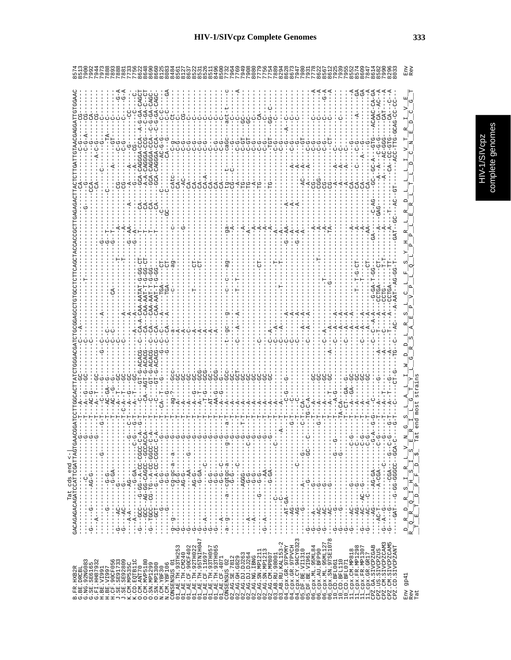| - AG-GG-CAGCC--GCCA<br>--CG-TG--A-CC-GGCC--<br><b>ローローーーー</b><br>$-9 - -$<br>$-AG$<br>نې<br>۱<br>п<br>$\frac{1}{1}$<br>J<br>$\overline{\phantom{a}}$<br>$\overline{1}$<br>п<br>-1<br>ı<br>H<br>j<br>Ŭ<br> <br>$\mathsf I$<br>I<br>т<br>I<br>$\,$ I<br>$\overline{\phantom{a}}$<br>I<br>$\frac{1}{1}$<br>$\blacksquare$<br>$\mathbf{I}$<br>-11<br>$\mathbf{I}$<br>$-999 - -9 - -$<br>$\mathbf{I}$<br>J.<br>$\ddot{\phi}$<br>$\ddot{\circ}$<br>Ġ٢<br>ပုံ<br>$- - AC$<br>$-100 - 1$<br>$-AC$<br>$-4 - A - A -$<br>т<br>п<br>п<br>I.<br>$-4-$<br>$\,$ I<br>$-4$<br>I<br>$\frac{1}{2}$<br>I<br>$\overline{\phantom{a}}$<br>т<br>л<br>п<br>п<br>÷<br>H<br>ï<br>J<br>J<br>ひ<br>ひ<br>ひ<br>J,<br>$\mathbf{I}$<br>I<br>J.<br>B.FR.HXB2R<br>G.BE.DRCBL<br>G.NG.92MG083<br>G.SE.SE6165<br>G.FI.HH87932 | L.<br>п<br>H.<br>ł<br>$\mathsf I$<br>$- - P - - - -$<br>$\frac{1}{1}$<br>J.  |  |  |  |  |  |  |
|--------------------------------------------------------------------------------------------------------------------------------------------------------------------------------------------------------------------------------------------------------------------------------------------------------------------------------------------------------------------------------------------------------------------------------------------------------------------------------------------------------------------------------------------------------------------------------------------------------------------------------------------------------------------------------------------------------------------------------------------------------------------------------------------|------------------------------------------------------------------------------|--|--|--|--|--|--|
|                                                                                                                                                                                                                                                                                                                                                                                                                                                                                                                                                                                                                                                                                                                                                                                            |                                                                              |  |  |  |  |  |  |
|                                                                                                                                                                                                                                                                                                                                                                                                                                                                                                                                                                                                                                                                                                                                                                                            |                                                                              |  |  |  |  |  |  |
|                                                                                                                                                                                                                                                                                                                                                                                                                                                                                                                                                                                                                                                                                                                                                                                            |                                                                              |  |  |  |  |  |  |
|                                                                                                                                                                                                                                                                                                                                                                                                                                                                                                                                                                                                                                                                                                                                                                                            | ပြီ                                                                          |  |  |  |  |  |  |
|                                                                                                                                                                                                                                                                                                                                                                                                                                                                                                                                                                                                                                                                                                                                                                                            | -ე<br>- ს                                                                    |  |  |  |  |  |  |
|                                                                                                                                                                                                                                                                                                                                                                                                                                                                                                                                                                                                                                                                                                                                                                                            | $-5-5-$                                                                      |  |  |  |  |  |  |
|                                                                                                                                                                                                                                                                                                                                                                                                                                                                                                                                                                                                                                                                                                                                                                                            |                                                                              |  |  |  |  |  |  |
|                                                                                                                                                                                                                                                                                                                                                                                                                                                                                                                                                                                                                                                                                                                                                                                            | J<br>л<br>л                                                                  |  |  |  |  |  |  |
|                                                                                                                                                                                                                                                                                                                                                                                                                                                                                                                                                                                                                                                                                                                                                                                            |                                                                              |  |  |  |  |  |  |
|                                                                                                                                                                                                                                                                                                                                                                                                                                                                                                                                                                                                                                                                                                                                                                                            |                                                                              |  |  |  |  |  |  |
|                                                                                                                                                                                                                                                                                                                                                                                                                                                                                                                                                                                                                                                                                                                                                                                            | ု<br>$-49 - 0 -$                                                             |  |  |  |  |  |  |
|                                                                                                                                                                                                                                                                                                                                                                                                                                                                                                                                                                                                                                                                                                                                                                                            | J-UUUU-UU-�--UU-U--                                                          |  |  |  |  |  |  |
|                                                                                                                                                                                                                                                                                                                                                                                                                                                                                                                                                                                                                                                                                                                                                                                            |                                                                              |  |  |  |  |  |  |
|                                                                                                                                                                                                                                                                                                                                                                                                                                                                                                                                                                                                                                                                                                                                                                                            |                                                                              |  |  |  |  |  |  |
|                                                                                                                                                                                                                                                                                                                                                                                                                                                                                                                                                                                                                                                                                                                                                                                            |                                                                              |  |  |  |  |  |  |
|                                                                                                                                                                                                                                                                                                                                                                                                                                                                                                                                                                                                                                                                                                                                                                                            |                                                                              |  |  |  |  |  |  |
|                                                                                                                                                                                                                                                                                                                                                                                                                                                                                                                                                                                                                                                                                                                                                                                            |                                                                              |  |  |  |  |  |  |
|                                                                                                                                                                                                                                                                                                                                                                                                                                                                                                                                                                                                                                                                                                                                                                                            | $-9-9$                                                                       |  |  |  |  |  |  |
|                                                                                                                                                                                                                                                                                                                                                                                                                                                                                                                                                                                                                                                                                                                                                                                            |                                                                              |  |  |  |  |  |  |
| ף<br>י<br>のひ                                                                                                                                                                                                                                                                                                                                                                                                                                                                                                                                                                                                                                                                                                                                                                               | $-1a$                                                                        |  |  |  |  |  |  |
| I<br>I<br>j<br>I<br>I<br>I<br>I<br>í<br>$\mathbf{I}$                                                                                                                                                                                                                                                                                                                                                                                                                                                                                                                                                                                                                                                                                                                                       | I<br>п<br>п                                                                  |  |  |  |  |  |  |
| - 1<br>ひ<br>$\mathbf{I}$                                                                                                                                                                                                                                                                                                                                                                                                                                                                                                                                                                                                                                                                                                                                                                   | $-4G-6$                                                                      |  |  |  |  |  |  |
| I<br>I<br>т<br>ł,<br>ŧ<br>Ġ٢                                                                                                                                                                                                                                                                                                                                                                                                                                                                                                                                                                                                                                                                                                                                                               | $\frac{1}{2}$<br>$-AA--$                                                     |  |  |  |  |  |  |
| $- - - - - - - - -$<br>I<br>I<br>$\frac{1}{4}$<br>ပု                                                                                                                                                                                                                                                                                                                                                                                                                                                                                                                                                                                                                                                                                                                                       | I                                                                            |  |  |  |  |  |  |
| ひ<br>1<br>47                                                                                                                                                                                                                                                                                                                                                                                                                                                                                                                                                                                                                                                                                                                                                                               | $-49 - - - - -$                                                              |  |  |  |  |  |  |
| I<br>п<br>п<br>$-4$<br>ပုံ                                                                                                                                                                                                                                                                                                                                                                                                                                                                                                                                                                                                                                                                                                                                                                 | í<br>ט<br>ו<br>$\overline{\phantom{a}}$<br>$\mathbf{I}$<br>п                 |  |  |  |  |  |  |
|                                                                                                                                                                                                                                                                                                                                                                                                                                                                                                                                                                                                                                                                                                                                                                                            |                                                                              |  |  |  |  |  |  |
| J.<br>-1<br>ひ<br>I                                                                                                                                                                                                                                                                                                                                                                                                                                                                                                                                                                                                                                                                                                                                                                         | $-5 - 5$                                                                     |  |  |  |  |  |  |
| I<br>т<br>т<br>ł<br>ひ                                                                                                                                                                                                                                                                                                                                                                                                                                                                                                                                                                                                                                                                                                                                                                      | ŧ<br>ローワー                                                                    |  |  |  |  |  |  |
| J<br>J.<br>$\overline{\phantom{a}}$<br>п<br>$-1$                                                                                                                                                                                                                                                                                                                                                                                                                                                                                                                                                                                                                                                                                                                                           | $-9 - - - -$                                                                 |  |  |  |  |  |  |
|                                                                                                                                                                                                                                                                                                                                                                                                                                                                                                                                                                                                                                                                                                                                                                                            |                                                                              |  |  |  |  |  |  |
| $-1 - a - -c$<br>ף<br> -<br>œ                                                                                                                                                                                                                                                                                                                                                                                                                                                                                                                                                                                                                                                                                                                                                              | יס<br>י                                                                      |  |  |  |  |  |  |
| I<br>п<br>I<br>I<br>$\mathbf{I}$<br>ı                                                                                                                                                                                                                                                                                                                                                                                                                                                                                                                                                                                                                                                                                                                                                      | ပု<br>ပုံ                                                                    |  |  |  |  |  |  |
| Ť                                                                                                                                                                                                                                                                                                                                                                                                                                                                                                                                                                                                                                                                                                                                                                                          | $\Gamma$                                                                     |  |  |  |  |  |  |
| ì<br>$\mathbf{I}$<br>п<br>J.<br>I                                                                                                                                                                                                                                                                                                                                                                                                                                                                                                                                                                                                                                                                                                                                                          | I<br>ì<br>$- - AGGG$                                                         |  |  |  |  |  |  |
| $-4$                                                                                                                                                                                                                                                                                                                                                                                                                                                                                                                                                                                                                                                                                                                                                                                       | ပုံ<br>ひーウー                                                                  |  |  |  |  |  |  |
| I                                                                                                                                                                                                                                                                                                                                                                                                                                                                                                                                                                                                                                                                                                                                                                                          | ن<br>-0-                                                                     |  |  |  |  |  |  |
| т<br>T<br>L<br>п<br>$-4$                                                                                                                                                                                                                                                                                                                                                                                                                                                                                                                                                                                                                                                                                                                                                                   | ł                                                                            |  |  |  |  |  |  |
| $-10 - 1 - 1$<br>I<br>I<br>п<br>п                                                                                                                                                                                                                                                                                                                                                                                                                                                                                                                                                                                                                                                                                                                                                          | I<br>ウーウー                                                                    |  |  |  |  |  |  |
| п<br>п<br>J.<br>$\mathsf I$<br>T<br>п<br>$- -A$<br>U<br>$\mathbf{I}$                                                                                                                                                                                                                                                                                                                                                                                                                                                                                                                                                                                                                                                                                                                       | $-AA-$                                                                       |  |  |  |  |  |  |
| I<br>I<br>I<br>$\begin{array}{c} 1 \\ 1 \\ 1 \end{array}$<br>I<br>п<br>п<br>п                                                                                                                                                                                                                                                                                                                                                                                                                                                                                                                                                                                                                                                                                                              | $-5 - 5 -$                                                                   |  |  |  |  |  |  |
| -1<br>$\frac{1}{2}$<br>J.<br>$\mathsf I$<br>L.                                                                                                                                                                                                                                                                                                                                                                                                                                                                                                                                                                                                                                                                                                                                             |                                                                              |  |  |  |  |  |  |
|                                                                                                                                                                                                                                                                                                                                                                                                                                                                                                                                                                                                                                                                                                                                                                                            | ပု                                                                           |  |  |  |  |  |  |
| I<br>T<br>$\frac{1}{2}$<br>ł<br>т                                                                                                                                                                                                                                                                                                                                                                                                                                                                                                                                                                                                                                                                                                                                                          | т<br>т                                                                       |  |  |  |  |  |  |
| I<br>$-4T - TA$<br>п<br>L                                                                                                                                                                                                                                                                                                                                                                                                                                                                                                                                                                                                                                                                                                                                                                  | п<br>L<br>J.<br>I                                                            |  |  |  |  |  |  |
|                                                                                                                                                                                                                                                                                                                                                                                                                                                                                                                                                                                                                                                                                                                                                                                            |                                                                              |  |  |  |  |  |  |
|                                                                                                                                                                                                                                                                                                                                                                                                                                                                                                                                                                                                                                                                                                                                                                                            |                                                                              |  |  |  |  |  |  |
| J,                                                                                                                                                                                                                                                                                                                                                                                                                                                                                                                                                                                                                                                                                                                                                                                         | りーー<br>I<br>л                                                                |  |  |  |  |  |  |
| $-4 -$<br>J.<br>ပုံ<br>$\mathbf{I}$<br>$\mathbf{I}$<br>$\mathbf{I}$                                                                                                                                                                                                                                                                                                                                                                                                                                                                                                                                                                                                                                                                                                                        | υ                                                                            |  |  |  |  |  |  |
| I<br>I<br>п<br>п<br>j<br>I<br>п<br>ပု                                                                                                                                                                                                                                                                                                                                                                                                                                                                                                                                                                                                                                                                                                                                                      | л.<br>Ť.<br>$-9$<br>I<br>п<br>$\mathbf{I}$<br>ပု                             |  |  |  |  |  |  |
|                                                                                                                                                                                                                                                                                                                                                                                                                                                                                                                                                                                                                                                                                                                                                                                            |                                                                              |  |  |  |  |  |  |
| J.<br>$\mathbf{I}$<br>$-4$<br>Ţ<br>ပု                                                                                                                                                                                                                                                                                                                                                                                                                                                                                                                                                                                                                                                                                                                                                      | J.<br>п<br>J.<br>υ                                                           |  |  |  |  |  |  |
| л<br>$\mathbf{I}$<br>$---AC-$<br>ł<br>ပု                                                                                                                                                                                                                                                                                                                                                                                                                                                                                                                                                                                                                                                                                                                                                   | I<br>I.<br>1<br>ひ                                                            |  |  |  |  |  |  |
| I<br>л<br>Ţ<br>$\mathbf{I}$<br>$- - AC -$<br>l.<br>ပု                                                                                                                                                                                                                                                                                                                                                                                                                                                                                                                                                                                                                                                                                                                                      | I<br>J.<br>j<br>ひ                                                            |  |  |  |  |  |  |
|                                                                                                                                                                                                                                                                                                                                                                                                                                                                                                                                                                                                                                                                                                                                                                                            |                                                                              |  |  |  |  |  |  |
| Ť<br>$\mathbf{I}$<br>п<br>$-AC$<br>J.<br>$\mathbf{I}$                                                                                                                                                                                                                                                                                                                                                                                                                                                                                                                                                                                                                                                                                                                                      | ひ                                                                            |  |  |  |  |  |  |
| $\frac{6}{1}$<br>$\mathsf I$<br>J.<br>-1<br>ひ                                                                                                                                                                                                                                                                                                                                                                                                                                                                                                                                                                                                                                                                                                                                              | $-1$<br>$-1$<br>$-1$<br>I<br>J.                                              |  |  |  |  |  |  |
| $\frac{6}{1}$<br>J.<br>$\mathbf{I}$<br>υ<br>J.                                                                                                                                                                                                                                                                                                                                                                                                                                                                                                                                                                                                                                                                                                                                             | J.<br>$\frac{1}{\sigma}$<br>$\overline{\phantom{a}}$<br>J.<br>$\overline{1}$ |  |  |  |  |  |  |
| I<br>$\begin{array}{c} \end{array}$<br>$\mathbf{I}$                                                                                                                                                                                                                                                                                                                                                                                                                                                                                                                                                                                                                                                                                                                                        | J.<br>$\mathbf{I}$                                                           |  |  |  |  |  |  |
| $\mathbf{I}$<br>1<br>J.<br>-1<br>ပု                                                                                                                                                                                                                                                                                                                                                                                                                                                                                                                                                                                                                                                                                                                                                        | ł<br>п                                                                       |  |  |  |  |  |  |
| $\overline{1}$<br>J.<br>J.<br>$- - \text{AC}$<br>$\overline{\phantom{a}}$<br>ပု                                                                                                                                                                                                                                                                                                                                                                                                                                                                                                                                                                                                                                                                                                            | ပုံ<br>J<br>$\frac{1}{1}$<br>ひ                                               |  |  |  |  |  |  |
| $-40$<br>$-40$<br>$-10$<br>$-10$<br>$\begin{array}{l} 111 - \text{cpx} \cdot \text{CN} \cdot \text{MFB} \, 18 \\ 111 - \text{cpx} \cdot \text{FR} \cdot \text{MP} \, 1298 \\ 111 - \text{cpx} \cdot \text{FR} \cdot \text{MP} \, 1307 \\ \text{CDZ} \cdot \text{CA} \cdot \text{SK} \cdot \text{GFC} \, 231 \\ \text{CDZ} \cdot \text{CA} \cdot \text{ST} \cdot \text{CFE} \, 231 \\ \text{CDZ} \cdot \text{CA} \cdot \text{ST} \cdot \text{CFE} \, 231 \\ \text{CDZ} \cdot \text$                                                                                                                                                                                                                                                                                                         | υ ύ<br>   <br>   <br>ひ                                                       |  |  |  |  |  |  |
| $- -AC - C$<br>$\frac{1}{1}$<br>ပု                                                                                                                                                                                                                                                                                                                                                                                                                                                                                                                                                                                                                                                                                                                                                         | п<br>Ţ<br>J<br>$\mathbf{I}$                                                  |  |  |  |  |  |  |
|                                                                                                                                                                                                                                                                                                                                                                                                                                                                                                                                                                                                                                                                                                                                                                                            |                                                                              |  |  |  |  |  |  |
| ပု<br>-1<br>Ġ                                                                                                                                                                                                                                                                                                                                                                                                                                                                                                                                                                                                                                                                                                                                                                              | $\frac{1}{2}$<br>$\mathbf{I}$                                                |  |  |  |  |  |  |
| т<br>$- - \overline{AC}$<br>$\frac{1}{1}$<br>J.                                                                                                                                                                                                                                                                                                                                                                                                                                                                                                                                                                                                                                                                                                                                            | Ţ<br>-1<br>-1<br>ï<br>$-40 - 4 - -$                                          |  |  |  |  |  |  |
| J.<br>J.<br>$\mathbf{I}$<br>$---AC-T$<br>J.                                                                                                                                                                                                                                                                                                                                                                                                                                                                                                                                                                                                                                                                                                                                                | $\frac{1}{1}$<br>I<br>$- - - - - - - - - - - -$                              |  |  |  |  |  |  |
| I<br>л<br>$\mathbf I$<br>$\frac{1}{4}$                                                                                                                                                                                                                                                                                                                                                                                                                                                                                                                                                                                                                                                                                                                                                     | л<br>I<br>$-1$<br>$-1$<br>1<br>п                                             |  |  |  |  |  |  |
| <b>ローー スーーワー</b>                                                                                                                                                                                                                                                                                                                                                                                                                                                                                                                                                                                                                                                                                                                                                                           |                                                                              |  |  |  |  |  |  |
| $\,$ I<br>$\,$ I<br>т<br>$\mathfrak l$<br>ט<br>י<br>$\frac{1}{1}$<br>Ü<br>T                                                                                                                                                                                                                                                                                                                                                                                                                                                                                                                                                                                                                                                                                                                | U--U----KUU--                                                                |  |  |  |  |  |  |
| $\,$ I<br>$\blacksquare$<br>$\blacksquare$<br>ш                                                                                                                                                                                                                                                                                                                                                                                                                                                                                                                                                                                                                                                                                                                                            |                                                                              |  |  |  |  |  |  |
|                                                                                                                                                                                                                                                                                                                                                                                                                                                                                                                                                                                                                                                                                                                                                                                            |                                                                              |  |  |  |  |  |  |
|                                                                                                                                                                                                                                                                                                                                                                                                                                                                                                                                                                                                                                                                                                                                                                                            |                                                                              |  |  |  |  |  |  |
| CO.<br>R<br>$\Box$<br>q<br>$\Box$<br>9P41                                                                                                                                                                                                                                                                                                                                                                                                                                                                                                                                                                                                                                                                                                                                                  | ⋗<br>F<br>R                                                                  |  |  |  |  |  |  |
| $-GAT$<br>Z.CM.SIVCPZCAM3<br>Z.CM.SIVCPZCAM5<br>Z.CD.SIVCPZANT                                                                                                                                                                                                                                                                                                                                                                                                                                                                                                                                                                                                                                                                                                                             | - 405--0009-0-0-                                                             |  |  |  |  |  |  |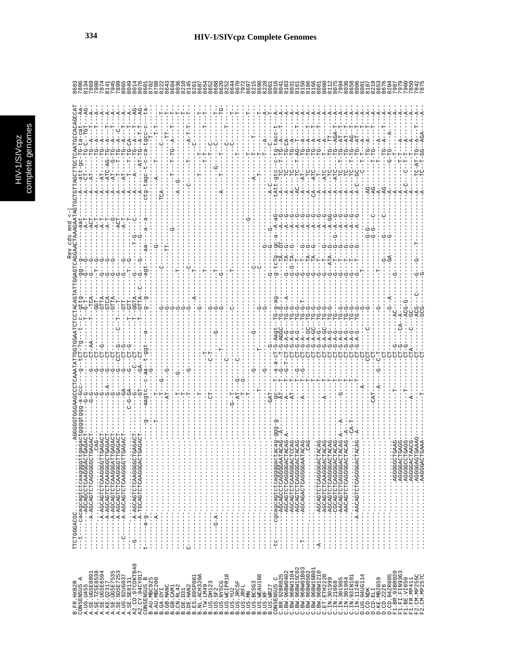complete genomes HIV-1/SIV<sub>C</sub>pz

| TTCTGGACGC                                                                                                                                                                                                                                                                                                                                                                                                                                                    |    |        |                         |              |                   |            |             |          |                     |          |  |
|---------------------------------------------------------------------------------------------------------------------------------------------------------------------------------------------------------------------------------------------------------------------------------------------------------------------------------------------------------------------------------------------------------------------------------------------------------------|----|--------|-------------------------|--------------|-------------------|------------|-------------|----------|---------------------|----------|--|
| $-1 -$                                                                                                                                                                                                                                                                                                                                                                                                                                                        |    |        |                         |              |                   |            |             |          |                     |          |  |
| I<br>J,<br>í<br>I                                                                                                                                                                                                                                                                                                                                                                                                                                             |    |        |                         |              |                   |            |             |          |                     |          |  |
| -A-AGCAGCRGGGGGC<br>1<br>п<br>п<br>п                                                                                                                                                                                                                                                                                                                                                                                                                          |    |        |                         |              | ひひひひひむ            |            |             |          |                     | $-4 - 4$ |  |
| $\frac{1}{1}$<br>J                                                                                                                                                                                                                                                                                                                                                                                                                                            |    |        |                         | زج<br>ت      |                   |            |             |          |                     |          |  |
| $\frac{1}{1}$                                                                                                                                                                                                                                                                                                                                                                                                                                                 | ひひ |        |                         |              |                   | $A-T$      |             |          |                     |          |  |
| ţ<br>ţ<br>Ţ<br>T                                                                                                                                                                                                                                                                                                                                                                                                                                              |    |        |                         |              |                   |            |             |          |                     |          |  |
| ----A-AGCAGTCTCAAGGGGCT<br>TIAGCAGTCTCAAGGGAT<br>J<br>$\frac{1}{1}$<br>$\overline{1}$                                                                                                                                                                                                                                                                                                                                                                         | ひひ |        |                         |              | いいいい              |            |             | RRR      |                     |          |  |
| ITOUUUARUHUHUUUA---<br>í                                                                                                                                                                                                                                                                                                                                                                                                                                      |    |        |                         | Ĥ            |                   | 5          |             |          |                     |          |  |
| IIDOOOKKUIUUDKUDK-K------U--<br>$\mathbf{I}$                                                                                                                                                                                                                                                                                                                                                                                                                  | õ  |        |                         |              | ט                 | ٣          |             |          |                     |          |  |
|                                                                                                                                                                                                                                                                                                                                                                                                                                                               | てり |        |                         |              |                   |            |             |          |                     |          |  |
|                                                                                                                                                                                                                                                                                                                                                                                                                                                               |    |        |                         | رج<br>ن      |                   |            |             |          |                     |          |  |
| --A-TGCAGTCTAAGGGACT<br>ï<br>$\frac{1}{1}$                                                                                                                                                                                                                                                                                                                                                                                                                    |    |        |                         | GTT.         |                   |            |             |          |                     |          |  |
| $\vdots$<br>$\frac{1}{2}$ , $\frac{1}{2}$ , $\frac{1}{2}$ , $\frac{1}{2}$ , $\frac{1}{2}$ , $\frac{1}{2}$ , $\frac{1}{2}$ , $\frac{1}{2}$ , $\frac{1}{2}$<br>$-5 - 5 -$<br>J<br>$\frac{1}{1}$<br>$\mathbf{I}$<br>$\overline{v}$                                                                                                                                                                                                                               |    |        |                         |              |                   |            |             | gд<br>ਨਾ |                     |          |  |
|                                                                                                                                                                                                                                                                                                                                                                                                                                                               |    |        |                         |              |                   |            |             |          |                     |          |  |
| J                                                                                                                                                                                                                                                                                                                                                                                                                                                             |    |        |                         |              |                   |            |             |          |                     |          |  |
| J.                                                                                                                                                                                                                                                                                                                                                                                                                                                            |    |        |                         |              |                   |            |             |          |                     |          |  |
| J.                                                                                                                                                                                                                                                                                                                                                                                                                                                            |    |        |                         |              |                   |            |             |          |                     |          |  |
| J,                                                                                                                                                                                                                                                                                                                                                                                                                                                            |    |        |                         |              |                   |            |             |          |                     |          |  |
|                                                                                                                                                                                                                                                                                                                                                                                                                                                               |    |        |                         |              |                   |            |             |          |                     |          |  |
| J.                                                                                                                                                                                                                                                                                                                                                                                                                                                            |    |        |                         | てりてりてりてりてり   |                   |            |             |          |                     |          |  |
| U                                                                                                                                                                                                                                                                                                                                                                                                                                                             |    |        |                         |              |                   |            |             |          |                     |          |  |
| J,                                                                                                                                                                                                                                                                                                                                                                                                                                                            |    |        |                         |              |                   |            |             |          |                     |          |  |
|                                                                                                                                                                                                                                                                                                                                                                                                                                                               |    |        |                         |              |                   |            |             |          |                     |          |  |
|                                                                                                                                                                                                                                                                                                                                                                                                                                                               |    |        |                         |              |                   |            |             |          |                     |          |  |
|                                                                                                                                                                                                                                                                                                                                                                                                                                                               |    |        |                         |              |                   |            |             |          |                     |          |  |
|                                                                                                                                                                                                                                                                                                                                                                                                                                                               |    |        |                         |              |                   |            |             |          |                     |          |  |
|                                                                                                                                                                                                                                                                                                                                                                                                                                                               |    |        |                         |              |                   |            |             |          |                     |          |  |
|                                                                                                                                                                                                                                                                                                                                                                                                                                                               |    |        |                         |              |                   |            |             |          |                     |          |  |
|                                                                                                                                                                                                                                                                                                                                                                                                                                                               |    |        |                         |              |                   |            |             |          |                     |          |  |
|                                                                                                                                                                                                                                                                                                                                                                                                                                                               |    |        |                         |              |                   |            |             |          |                     |          |  |
|                                                                                                                                                                                                                                                                                                                                                                                                                                                               |    |        |                         |              |                   |            |             |          |                     |          |  |
|                                                                                                                                                                                                                                                                                                                                                                                                                                                               |    |        |                         |              |                   |            |             |          |                     |          |  |
|                                                                                                                                                                                                                                                                                                                                                                                                                                                               |    |        |                         |              |                   |            |             |          |                     |          |  |
|                                                                                                                                                                                                                                                                                                                                                                                                                                                               |    |        |                         |              |                   |            |             |          |                     |          |  |
| I<br>т                                                                                                                                                                                                                                                                                                                                                                                                                                                        |    |        |                         |              |                   |            |             |          |                     |          |  |
| $\begin{aligned} \frac{1}{2} \left( \frac{1}{2} \left( \frac{1}{2} \right) + \frac{1}{2} \left( \frac{1}{2} \right) + \frac{1}{2} \left( \frac{1}{2} \right) + \frac{1}{2} \left( \frac{1}{2} \right) + \frac{1}{2} \left( \frac{1}{2} \right) + \frac{1}{2} \left( \frac{1}{2} \right) + \frac{1}{2} \left( \frac{1}{2} \right) + \frac{1}{2} \left( \frac{1}{2} \right) + \frac{1}{2} \left( \frac{1}{2} \right) + \frac{1}{2} \left( \frac{1}{2$<br>J<br>í |    |        |                         |              |                   |            |             |          |                     |          |  |
| $\begin{array}{c} \vdots \\ \vdots \\ \vdots \\ \vdots \end{array}$<br>$\vdots$<br>$\begin{array}{c} \begin{array}{c} \cdot \cdot \cdot \\ \cdot \cdot \end{array} \\ \begin{array}{c} \cdot \cdot \cdot \\ \cdot \end{array} \end{array}$                                                                                                                                                                                                                    |    |        |                         |              |                   |            |             |          |                     |          |  |
| --cgcagcagtctcagggggact<br>------AGCAGCCTCAGGGAAT<br>$-0.5 -$                                                                                                                                                                                                                                                                                                                                                                                                 |    |        |                         | gд           | 텅                 |            |             | ₿        |                     |          |  |
| т                                                                                                                                                                                                                                                                                                                                                                                                                                                             |    |        |                         | ዋ ዋና         |                   |            |             |          |                     |          |  |
| HUGUUUUGUHUHUGUUG-----<br>$\begin{array}{c} \n 1 \\  1 \\  1\n \end{array}$<br>$\mathbf{I}$                                                                                                                                                                                                                                                                                                                                                                   |    | ひ<br>ひ |                         | $\mathbf{I}$ | $-TA$<br>$+TAA$   |            |             |          |                     |          |  |
| -----AGCAGEDEAAGGACT<br>I<br>$\frac{1}{1}$                                                                                                                                                                                                                                                                                                                                                                                                                    |    | ひ      |                         |              |                   |            |             |          |                     |          |  |
| しょひひひひょりけいけんりひょーーーーー<br>$\begin{array}{c} 1 \\ 1 \\ 1 \end{array}$<br>Ţ                                                                                                                                                                                                                                                                                                                                                                                       |    | υυ     |                         |              |                   |            |             |          |                     |          |  |
| -----AGCAGACTCAGGGGAAT<br>$-1$                                                                                                                                                                                                                                                                                                                                                                                                                                |    | もっ     | $\triangle$ $\triangle$ |              |                   |            |             |          |                     |          |  |
| $\frac{1}{2}$                                                                                                                                                                                                                                                                                                                                                                                                                                                 |    | ひ      |                         |              |                   |            |             |          |                     |          |  |
| $\vdots$<br>Ţ<br>J.<br>J.<br>$\frac{1}{1}$                                                                                                                                                                                                                                                                                                                                                                                                                    |    | ひ      |                         |              | H H H H           | てりてりてり     |             |          |                     |          |  |
| U4000040HUH04004----<br>$-1 - -1$                                                                                                                                                                                                                                                                                                                                                                                                                             |    |        |                         |              | <b>99999999</b>   |            |             |          |                     |          |  |
| CORCORROPACIONAL-------<br>$\frac{1}{1}$<br>J,                                                                                                                                                                                                                                                                                                                                                                                                                |    | しし     |                         |              |                   | てり         |             |          |                     |          |  |
| $\mathbf{I}$<br>ł                                                                                                                                                                                                                                                                                                                                                                                                                                             |    | ひ      | A A A A                 | 5555555555   | 나 나<br>그러나<br>ATA |            |             |          |                     |          |  |
| I<br>Î                                                                                                                                                                                                                                                                                                                                                                                                                                                        |    | てり     | Æ                       |              |                   |            | ひひひひひひひひひひひ |          |                     |          |  |
|                                                                                                                                                                                                                                                                                                                                                                                                                                                               |    | てり     |                         | ひ            |                   | てりてり       |             |          |                     |          |  |
| UROOOGOLOHOROKT-----<br>I<br>ł<br>I                                                                                                                                                                                                                                                                                                                                                                                                                           |    |        |                         |              |                   |            |             |          |                     |          |  |
| $\mathbf{I}$<br>п<br>$\frac{1}{1}$                                                                                                                                                                                                                                                                                                                                                                                                                            |    |        |                         |              |                   | てりてりてり     |             |          |                     |          |  |
| Î                                                                                                                                                                                                                                                                                                                                                                                                                                                             |    |        |                         |              |                   |            |             |          |                     |          |  |
| $\mathsf I$<br>$\mathsf I$<br>I<br>I<br>í<br>ł<br>I                                                                                                                                                                                                                                                                                                                                                                                                           |    |        |                         |              |                   |            |             |          | $\Gamma$ – $\Gamma$ |          |  |
| $\frac{1}{1}$<br>J<br>í                                                                                                                                                                                                                                                                                                                                                                                                                                       |    |        |                         |              |                   |            |             |          |                     |          |  |
|                                                                                                                                                                                                                                                                                                                                                                                                                                                               |    |        |                         |              |                   | でりで<br>υ υ |             |          |                     |          |  |
|                                                                                                                                                                                                                                                                                                                                                                                                                                                               |    |        |                         |              |                   |            |             |          |                     |          |  |
|                                                                                                                                                                                                                                                                                                                                                                                                                                                               |    |        |                         |              |                   |            |             |          |                     |          |  |
| İ<br>I<br>I<br>ì<br>I                                                                                                                                                                                                                                                                                                                                                                                                                                         |    |        |                         |              |                   | ひ          |             |          |                     |          |  |
| $\begin{bmatrix} \mathbf{1} & \mathbf{1} & \mathbf{1} & \mathbf{1} & \mathbf{1} & \mathbf{1} & \mathbf{1} & \mathbf{1} & \mathbf{1} & \mathbf{1} & \mathbf{1} & \mathbf{1} & \mathbf{1} & \mathbf{1} & \mathbf{1} & \mathbf{1} & \mathbf{1} & \mathbf{1} & \mathbf{1} & \mathbf{1} & \mathbf{1} & \mathbf{1} & \mathbf{1} & \mathbf{1} & \mathbf{1} & \mathbf{1} & \mathbf{1} & \mathbf{1} & \mathbf{1} & \mathbf{1} & \mathbf{$                              |    |        |                         |              |                   |            |             |          |                     |          |  |
|                                                                                                                                                                                                                                                                                                                                                                                                                                                               |    |        |                         |              |                   |            |             |          |                     |          |  |
| COACCOCOCACTIC                                                                                                                                                                                                                                                                                                                                                                                                                                                |    |        |                         |              |                   |            |             |          |                     |          |  |
| AGGGGACT<br>$\vdots$                                                                                                                                                                                                                                                                                                                                                                                                                                          |    |        |                         |              |                   |            |             |          |                     |          |  |
| $\vdots$                                                                                                                                                                                                                                                                                                                                                                                                                                                      |    |        |                         |              |                   |            |             |          |                     |          |  |
|                                                                                                                                                                                                                                                                                                                                                                                                                                                               |    |        |                         |              |                   |            |             |          |                     |          |  |
| .AAGGGACI                                                                                                                                                                                                                                                                                                                                                                                                                                                     |    |        |                         |              |                   |            |             |          |                     |          |  |

 $\begin{smallmatrix} \texttt{R}, \texttt{HKB} \\ \texttt{R}, \texttt{G}, \texttt{G}, \texttt{G}, \texttt{G}, \texttt{G}, \texttt{G}, \texttt{G}, \texttt{G}, \texttt{G}, \texttt{G}, \texttt{G}, \texttt{G}, \texttt{G}, \texttt{G}, \texttt{G}, \texttt{G}, \texttt{G}, \texttt{G}, \texttt{G}, \texttt{G}, \texttt{G}, \texttt{G}, \texttt{G}, \texttt{G}, \texttt{G}, \texttt{G}, \texttt{G}, \texttt{G}, \texttt{G}, \texttt{G}, \texttt{G}, \texttt{G}, \text$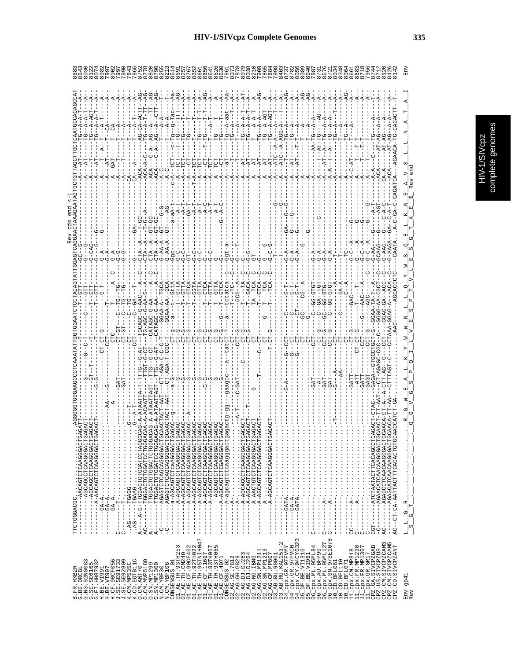| <b>GG-GTG</b><br>UUUHUUHAUUHUKUUUH-<br>-TTGGACTGTGATCCTGGG<br>--a-AGCAGTCTcaAGGGACT<br>-AGCAGTCTAAGGAACT<br>-A-agcagtctcaagggact<br>--AGCAGCTCAAGGGACT<br>-AGAGTCTCAGCAGGGACT<br>--A-AGCAGTCTACAGGGACT<br>--A-AGCAGTCTCAAGGGACT<br>-A-AGCACTOTOROGAGGA-<br>- A - AACTCTCHURACH<br>-AGAGCATCAACAAGGACT<br>AGCAGCUCAAGGAACI<br>--A-AACACTOTOAAGGACT<br>LURGQQQQQQQQQQULOLQRQR--<br>-A-AGCACTOTORAGGAACT<br>--A-AGCACLORADOR--<br>--A-AGCAGTCTCAAGGGACI<br>LUGUUUGACHULUGUUG-4--<br>LUGUUUGACUGULUUUGUG---<br>---AACAGTCTCAAGGGACT<br>--A-AGCAGTCTCAAGGACT<br>-A-AGCAGTCTCAAGGGACT<br>-A-AGCAGTCTCAAGGGACT<br>-ATCTAATACTTCACAGCT<br>--AGAACAACAACAAGGACT<br>$\begin{aligned} \frac{1}{2} \left( \frac{1}{2} \left( \frac{1}{2} \right) + \frac{1}{2} \left( \frac{1}{2} \right) + \frac{1}{2} \left( \frac{1}{2} \right) + \frac{1}{2} \left( \frac{1}{2} \right) + \frac{1}{2} \left( \frac{1}{2} \right) + \frac{1}{2} \left( \frac{1}{2} \right) + \frac{1}{2} \left( \frac{1}{2} \right) + \frac{1}{2} \left( \frac{1}{2} \right) + \frac{1}{2} \left( \frac{1}{2} \right) + \frac{1}{2} \left( \frac{1}{2$<br>.<br>.<br>$\cdots$ $\cdots$ $\cdots$ $\cdots$ $\cdots$ $\cdots$ $\cdots$ $\cdots$ $\cdots$ $\cdots$ $\cdots$ $\cdots$ $\cdots$ $\cdots$ $\cdots$ $\cdots$ $\cdots$ $\cdots$ $\cdots$ $\cdots$ $\cdots$ $\cdots$ $\cdots$ $\cdots$ $\cdots$ $\cdots$ $\cdots$ $\cdots$ $\cdots$ $\cdots$ $\cdots$ $\cdots$ $\cdots$ $\cdots$ $\cdots$ $\cdots$ $\cdots$<br>.<br>$+ - + - + - + - + - - + -$<br>$-6A-4$<br>$-$ -GATA<br>$\begin{array}{cccc}\n\vdots & \vdots & \vdots & \vdots \\ \vdots & \vdots & \vdots & \vdots \\ \vdots & \vdots & \vdots & \vdots \\ \end{array}$<br>$\begin{bmatrix} 1 & 1 & 1 \\ 1 & 1 & 1 \\ 1 & 1 & 1 \\ 1 & 1 & 1 \\ 1 & 1 & 1 \\ 1 & 1 & 1 \\ 1 & 1 & 1 \\ 1 & 1 & 1 \\ 1 & 1 & 1 \\ 1 & 1 & 1 \\ 1 & 1 & 1 \\ 1 & 1 & 1 \\ 1 & 1 & 1 \\ 1 & 1 & 1 \\ 1 & 1 & 1 & 1 \\ 1 & 1 & 1 & 1 \\ 1 & 1 & 1 & 1 \\ 1 & 1 & 1 & 1 \\ 1 & 1 & 1 & 1 \\ 1 & 1 & 1 & 1 & 1 \\ 1 & 1 & 1 & 1 & $<br>$\frac{1}{2}$<br>$\vdots$<br>$-1 - A - \ldots$<br>$-TGARG$ .<br>$--TGRGG$<br>$-2A - 1$ .<br>$\vdots$<br>$-4 - 2 - 1$<br>$-4 - 2 - 1$<br>$-GA - A$ .<br>$\mathbf{r}$<br>$-4 - -$<br>$\mathbf{I}$<br>$\begin{array}{c} 1 \\ 1 \\ 1 \end{array}$<br>Ţ<br>턱<br>$\frac{1}{1}$<br>J<br>ł<br>J<br>ł<br>ï<br>J<br>I<br>Ţ<br>$\mathbf{I}$<br>I<br>I<br>I<br>I<br>I<br>$\mathbf{I}$<br>I<br>I<br>I<br>J.<br>I<br>$-94.$<br>I<br>J<br>п<br>ì<br>J.<br>п<br>л<br>п<br>$\ddot{AB}$<br>I<br>I<br>Í<br>$\mathsf I$<br>$\overline{\phantom{a}}$<br>J,<br>I<br>п<br>I<br>I<br>I<br>J<br>$\frac{1}{1}$<br>$\frac{1}{1}$<br>$\,$ I<br><b>CGT</b><br>$AC -$<br>$A--$<br>I<br>ł<br>$\overline{\phantom{a}}$<br>I<br>I<br>I<br>ပုံ<br>Ŕ<br>g<br>$\mathbf{I}$<br>$\mathbf{I}$<br>$\mathbf{I}$<br>$\overline{1}$<br>ပု<br>п<br>Ť<br>п<br>ပို<br>Ť<br>Ü<br>U<br>U<br>U<br>U<br>$\mathbf{I}$<br>↻<br>U<br>C | TTCTGGGACGC.<br>$\begin{array}{l} 06 \hspace{-0.7mm}-\hspace{-0.7mm} \textbf{cpx.M.}\hspace{-0.7mm}, 95\text{ML127} \\ 06 \hspace{-0.7mm}-\hspace{-0.7mm} \textbf{cpx.SN}\hspace{-0.7mm}, 97\text{SL1078} \\ 10 \hspace{-0.7mm}-\hspace{-0.7mm} \textbf{cpx.SN}\hspace{-0.7mm}, 97\text{SL1078} \\ 10 \hspace{-0.7mm}-\hspace{-0.7mm} \textbf{cpx.SN}\hspace{-0.7mm}, 97\text{SL1078} \\ 10 \hspace{-0.7$<br>$\begin{array}{l} (11.181, 1311123 \\ (12.181, 131.123 \\ (13.181, 131.124) \\ (11.181, 131.124) \\ (12.181, 131.124) \\ (13.181, 131.124) \\ (14.181, 131.124) \\ (15.181, 131.124) \\ (16.181, 131.124) \\ (17.181, 131.124) \\ (18.181, 131.124) \\ (19.181, 131.124)$<br>CPZ.CM.SIVCPZCAM3<br>CPZ.CM.SIVCPZCAM5<br>$\begin{array}{l} 02\_AG.\; 381\; \text{MD}1211\\ 02\_AG.\; 381\; \text{MD}1213\\ 02\_AG.\; 381\; \text{MD}1213\\ 03\_AB.\; 701\; \text{30}\; 001\\ 04\_AB.\; 701\; \text{KM}153\_2\\ 04\_CB1\; \text{KM}153\_2\\ 04\_Cpx.\; 6R.\; 97\; \text{PVCH}\quad 0\\ 04\_Cpx.\; 6R.\; 97\; \text{PVCH}\quad 0\\ 04\_Cpx.\; 6R.\; 97\;$<br>LLCR.GA.SIVCPZGAB<br>$\begin{array}{l} 11\_Cpx. \dotsb . \dotsb . \\ 11\_Cpx. FR. MP1298 \\ 11\_Cpx. FR. MP1307 \\ 11\_Cpx. GR. GR17 \\ 11\_Cpx. GR. GR17 \\ \end{array}$<br>818<br>CPZ.US.SIVCPZUS<br>$\begin{smallmatrix} \texttt{B.} & \texttt{B.} & \texttt{B.} & \texttt{B.} & \texttt{B.} & \texttt{B.} \\ \texttt{B.} & \texttt{B.} & \texttt{B.} & \texttt{B.} & \texttt{B.} \\ \texttt{C.} & \texttt{C.} & \texttt{D.} & \texttt{D.} & \texttt{D.} \\ \texttt{C.} & \texttt{C.} & \texttt{D.} & \texttt{D.} & \texttt{D.} \\ \texttt{D.} & \texttt{D.} & \texttt{D.} & \texttt{D.} & \texttt{D.} \\ \texttt{D.$<br>$_{\text{Cpx.GM.MP}}$ |  |  |  |  |  |  |  |  |  |  |  |  |  |  |  |  |  |  |  |  |  |  |
|---------------------------------------------------------------------------------------------------------------------------------------------------------------------------------------------------------------------------------------------------------------------------------------------------------------------------------------------------------------------------------------------------------------------------------------------------------------------------------------------------------------------------------------------------------------------------------------------------------------------------------------------------------------------------------------------------------------------------------------------------------------------------------------------------------------------------------------------------------------------------------------------------------------------------------------------------------------------------------------------------------------------------------------------------------------------------------------------------------------------------------------------------------------------------------------------------------------------------------------------------------------------------------------------------------------------------------------------------------------------------------------------------------------------------------------------------------------------------------------------------------------------------------------------------------------------------------------------------------------------------------------------------------------------------------------------------------------------------------------------------------------------------------------------------------------------------------------------------------------------------------------------------------------------------------------------------------------------------------------------------------------------------------------------------------------------------------------------------------------------------------------------------------------------------------------------------------------------------------------------------------------------------------------------------------------------------------------------------------------------------------------------------------------------------------------------------------------------------------------------------------------------------------------------------------------------------------------------------------------------------------------------------------------------------------------------------------------------------------------------------------------------------------------------------------------------------------------------------------------------------------------------------------------------|-------------------------------------------------------------------------------------------------------------------------------------------------------------------------------------------------------------------------------------------------------------------------------------------------------------------------------------------------------------------------------------------------------------------------------------------------------------------------------------------------------------------------------------------------------------------------------------------------------------------------------------------------------------------------------------------------------------------------------------------------------------------------------------------------------------------------------------------------------------------------------------------------------------------------------------------------------------------------------------------------------------------------------------------------------------------------------------------------------------------------------------------------------------------------------------------------------------------------------------------------------------------------------------------------------------------------------------------------------------------------------------------------------------------------------------------------------------------------------------------------------------------------------------------------------------------------------------------------------------------------------------------------------------------------------------------------------------------------|--|--|--|--|--|--|--|--|--|--|--|--|--|--|--|--|--|--|--|--|--|--|
|                                                                                                                                                                                                                                                                                                                                                                                                                                                                                                                                                                                                                                                                                                                                                                                                                                                                                                                                                                                                                                                                                                                                                                                                                                                                                                                                                                                                                                                                                                                                                                                                                                                                                                                                                                                                                                                                                                                                                                                                                                                                                                                                                                                                                                                                                                                                                                                                                                                                                                                                                                                                                                                                                                                                                                                                                                                                                                                     |                                                                                                                                                                                                                                                                                                                                                                                                                                                                                                                                                                                                                                                                                                                                                                                                                                                                                                                                                                                                                                                                                                                                                                                                                                                                                                                                                                                                                                                                                                                                                                                                                                                                                                                         |  |  |  |  |  |  |  |  |  |  |  |  |  |  |  |  |  |  |  |  |  |  |
|                                                                                                                                                                                                                                                                                                                                                                                                                                                                                                                                                                                                                                                                                                                                                                                                                                                                                                                                                                                                                                                                                                                                                                                                                                                                                                                                                                                                                                                                                                                                                                                                                                                                                                                                                                                                                                                                                                                                                                                                                                                                                                                                                                                                                                                                                                                                                                                                                                                                                                                                                                                                                                                                                                                                                                                                                                                                                                                     |                                                                                                                                                                                                                                                                                                                                                                                                                                                                                                                                                                                                                                                                                                                                                                                                                                                                                                                                                                                                                                                                                                                                                                                                                                                                                                                                                                                                                                                                                                                                                                                                                                                                                                                         |  |  |  |  |  |  |  |  |  |  |  |  |  |  |  |  |  |  |  |  |  |  |
|                                                                                                                                                                                                                                                                                                                                                                                                                                                                                                                                                                                                                                                                                                                                                                                                                                                                                                                                                                                                                                                                                                                                                                                                                                                                                                                                                                                                                                                                                                                                                                                                                                                                                                                                                                                                                                                                                                                                                                                                                                                                                                                                                                                                                                                                                                                                                                                                                                                                                                                                                                                                                                                                                                                                                                                                                                                                                                                     |                                                                                                                                                                                                                                                                                                                                                                                                                                                                                                                                                                                                                                                                                                                                                                                                                                                                                                                                                                                                                                                                                                                                                                                                                                                                                                                                                                                                                                                                                                                                                                                                                                                                                                                         |  |  |  |  |  |  |  |  |  |  |  |  |  |  |  |  |  |  |  |  |  |  |
|                                                                                                                                                                                                                                                                                                                                                                                                                                                                                                                                                                                                                                                                                                                                                                                                                                                                                                                                                                                                                                                                                                                                                                                                                                                                                                                                                                                                                                                                                                                                                                                                                                                                                                                                                                                                                                                                                                                                                                                                                                                                                                                                                                                                                                                                                                                                                                                                                                                                                                                                                                                                                                                                                                                                                                                                                                                                                                                     |                                                                                                                                                                                                                                                                                                                                                                                                                                                                                                                                                                                                                                                                                                                                                                                                                                                                                                                                                                                                                                                                                                                                                                                                                                                                                                                                                                                                                                                                                                                                                                                                                                                                                                                         |  |  |  |  |  |  |  |  |  |  |  |  |  |  |  |  |  |  |  |  |  |  |
|                                                                                                                                                                                                                                                                                                                                                                                                                                                                                                                                                                                                                                                                                                                                                                                                                                                                                                                                                                                                                                                                                                                                                                                                                                                                                                                                                                                                                                                                                                                                                                                                                                                                                                                                                                                                                                                                                                                                                                                                                                                                                                                                                                                                                                                                                                                                                                                                                                                                                                                                                                                                                                                                                                                                                                                                                                                                                                                     |                                                                                                                                                                                                                                                                                                                                                                                                                                                                                                                                                                                                                                                                                                                                                                                                                                                                                                                                                                                                                                                                                                                                                                                                                                                                                                                                                                                                                                                                                                                                                                                                                                                                                                                         |  |  |  |  |  |  |  |  |  |  |  |  |  |  |  |  |  |  |  |  |  |  |
| AC--CT-CA-AATTACTTTCAGACTGTG                                                                                                                                                                                                                                                                                                                                                                                                                                                                                                                                                                                                                                                                                                                                                                                                                                                                                                                                                                                                                                                                                                                                                                                                                                                                                                                                                                                                                                                                                                                                                                                                                                                                                                                                                                                                                                                                                                                                                                                                                                                                                                                                                                                                                                                                                                                                                                                                                                                                                                                                                                                                                                                                                                                                                                                                                                                                                        |                                                                                                                                                                                                                                                                                                                                                                                                                                                                                                                                                                                                                                                                                                                                                                                                                                                                                                                                                                                                                                                                                                                                                                                                                                                                                                                                                                                                                                                                                                                                                                                                                                                                                                                         |  |  |  |  |  |  |  |  |  |  |  |  |  |  |  |  |  |  |  |  |  |  |
|                                                                                                                                                                                                                                                                                                                                                                                                                                                                                                                                                                                                                                                                                                                                                                                                                                                                                                                                                                                                                                                                                                                                                                                                                                                                                                                                                                                                                                                                                                                                                                                                                                                                                                                                                                                                                                                                                                                                                                                                                                                                                                                                                                                                                                                                                                                                                                                                                                                                                                                                                                                                                                                                                                                                                                                                                                                                                                                     | CPZ.CD.SIVCPZANT                                                                                                                                                                                                                                                                                                                                                                                                                                                                                                                                                                                                                                                                                                                                                                                                                                                                                                                                                                                                                                                                                                                                                                                                                                                                                                                                                                                                                                                                                                                                                                                                                                                                                                        |  |  |  |  |  |  |  |  |  |  |  |  |  |  |  |  |  |  |  |  |  |  |
|                                                                                                                                                                                                                                                                                                                                                                                                                                                                                                                                                                                                                                                                                                                                                                                                                                                                                                                                                                                                                                                                                                                                                                                                                                                                                                                                                                                                                                                                                                                                                                                                                                                                                                                                                                                                                                                                                                                                                                                                                                                                                                                                                                                                                                                                                                                                                                                                                                                                                                                                                                                                                                                                                                                                                                                                                                                                                                                     |                                                                                                                                                                                                                                                                                                                                                                                                                                                                                                                                                                                                                                                                                                                                                                                                                                                                                                                                                                                                                                                                                                                                                                                                                                                                                                                                                                                                                                                                                                                                                                                                                                                                                                                         |  |  |  |  |  |  |  |  |  |  |  |  |  |  |  |  |  |  |  |  |  |  |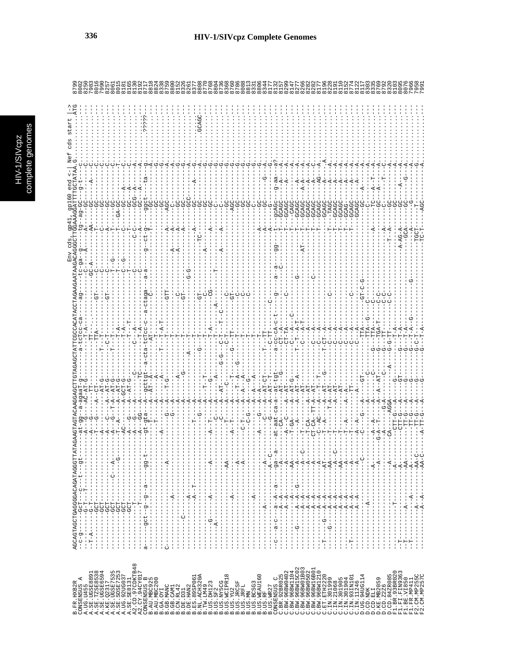|                                                                                                                                                                                                                                                                                                                                                                                                                                                        |                                                                                                                                                                                                                                                                                                                                                                                                              |          |              |         |               |            | 59       |  |         |
|--------------------------------------------------------------------------------------------------------------------------------------------------------------------------------------------------------------------------------------------------------------------------------------------------------------------------------------------------------------------------------------------------------------------------------------------------------|--------------------------------------------------------------------------------------------------------------------------------------------------------------------------------------------------------------------------------------------------------------------------------------------------------------------------------------------------------------------------------------------------------------|----------|--------------|---------|---------------|------------|----------|--|---------|
|                                                                                                                                                                                                                                                                                                                                                                                                                                                        |                                                                                                                                                                                                                                                                                                                                                                                                              |          |              |         |               |            |          |  |         |
|                                                                                                                                                                                                                                                                                                                                                                                                                                                        |                                                                                                                                                                                                                                                                                                                                                                                                              |          |              |         | へ<br>じ        |            |          |  |         |
| $\mathsf I$<br>$\blacksquare$<br>$\mathbf{I}$<br>$\begin{array}{c} 1 \\ 1 \\ 1 \end{array}$<br>ï                                                                                                                                                                                                                                                                                                                                                       | $\mathsf I$<br>$\frac{1}{1}$<br>$\mathbf I$<br>$\frac{1}{1}$<br>$\mathbb{I}$                                                                                                                                                                                                                                                                                                                                 |          | 한<br>-       | 5       |               |            |          |  | ဝ<br>စ် |
| I<br>$\blacksquare$<br>J.<br>J<br>Ţ<br>$\overline{\phantom{a}}$<br>J                                                                                                                                                                                                                                                                                                                                                                                   | J.<br>$\overline{\phantom{a}}$<br>J.<br>j.<br>I                                                                                                                                                                                                                                                                                                                                                              |          | AT-C         |         |               |            |          |  |         |
| Å<br>$\frac{1}{1}$                                                                                                                                                                                                                                                                                                                                                                                                                                     | $\mathbf{I}$<br>$\mathsf I$<br>$\begin{array}{c} \n 1 \\  1 \\  1\n \end{array}$<br>Ť.                                                                                                                                                                                                                                                                                                                       |          |              | 5       |               |            |          |  |         |
| Ħ<br>ï<br>$\,$ I<br>ł                                                                                                                                                                                                                                                                                                                                                                                                                                  |                                                                                                                                                                                                                                                                                                                                                                                                              |          |              |         |               |            |          |  |         |
| $\frac{1}{1}$                                                                                                                                                                                                                                                                                                                                                                                                                                          | $\frac{1}{1}$<br>$\frac{1}{1}$<br>$\mathsf I$                                                                                                                                                                                                                                                                                                                                                                | $-1$     |              |         |               | $-6A$      |          |  |         |
| Ţ<br>ţ<br>Å<br>Í<br>I<br>I<br>$\frac{1}{1}$                                                                                                                                                                                                                                                                                                                                                                                                            | J,<br>ţ<br>$\frac{1}{1}$<br>ï                                                                                                                                                                                                                                                                                                                                                                                | ά        |              |         | 먹             |            |          |  |         |
| $\mathbf I$<br>$\,$ I<br>j<br>Ť.<br>$\mathsf I$<br>$\begin{array}{c} \end{array}$<br>$\frac{1}{1}$                                                                                                                                                                                                                                                                                                                                                     | $\mathbf{I}$<br>$\mathbf I$<br>$\mathsf I$<br>ŧ<br>$\frac{1}{1}$<br>$\frac{1}{1}$<br>т.                                                                                                                                                                                                                                                                                                                      | ပု       |              |         |               |            |          |  |         |
| $-1$ – $T$ – –<br>п<br>$\mathsf I$<br>$\overline{\phantom{a}}$<br>T<br>п<br>ţ<br>$\mathbf{I}$<br>-1<br>1                                                                                                                                                                                                                                                                                                                                               | $\mathsf I$<br>$\mathbb T$<br>$\mathsf I$<br>1<br>-1<br>$\mathsf I$<br>ţ<br>п<br>Ť.                                                                                                                                                                                                                                                                                                                          | 95<br>ပု |              |         | έ             |            | К        |  |         |
| $\frac{5}{1}$<br>$\frac{1}{2}$<br>$--$ gct-<br>$a - - -$                                                                                                                                                                                                                                                                                                                                                                                               | $- -a - - - - 99$                                                                                                                                                                                                                                                                                                                                                                                            | -gta     |              |         | $\frac{1}{2}$ |            |          |  |         |
| $\mathbf I$<br>п.<br>- 11<br>$\mathbf{I}$<br>-1<br>-1<br>$\mathbf I$<br>-1<br>Ť<br>$\mathsf I$<br>$\frac{1}{1}$                                                                                                                                                                                                                                                                                                                                        | $\mathsf I$<br>ł<br>ŧ                                                                                                                                                                                                                                                                                                                                                                                        |          |              |         |               |            |          |  |         |
| Ţ<br>$\frac{1}{1}$<br>Ţ<br>$\frac{1}{1}$<br>$\frac{1}{1}$<br>$\overline{\phantom{a}}$<br>ł<br>$\mathsf I$                                                                                                                                                                                                                                                                                                                                              | п<br>$\mathbf I$<br>$\frac{1}{1}$<br>$\frac{1}{1}$                                                                                                                                                                                                                                                                                                                                                           |          |              |         |               |            |          |  |         |
| ţ<br>$\mathbf{I}$<br>-1<br>Ť.<br>$\frac{1}{1}$<br>T,<br>$\frac{1}{2}$<br>$\mathbf{I}$<br>$\frac{1}{1}$<br>$\mathsf I$                                                                                                                                                                                                                                                                                                                                  | $\frac{1}{1}$<br>Ť.<br>$\mathbf{I}$                                                                                                                                                                                                                                                                                                                                                                          |          |              |         |               |            |          |  |         |
| $\mathbf{I}$<br>$\overline{\phantom{a}}$<br>$\overline{1}$<br>$\frac{1}{1}$                                                                                                                                                                                                                                                                                                                                                                            | $\frac{1}{1}$                                                                                                                                                                                                                                                                                                                                                                                                | ပု       |              | EEP.    |               |            |          |  |         |
| $- -A - -$<br>$\mathsf I$<br>$\frac{1}{4}$<br>$\mathsf I$                                                                                                                                                                                                                                                                                                                                                                                              | $\mathbf{I}$<br>$\frac{1}{1}$<br>$\frac{1}{1}$                                                                                                                                                                                                                                                                                                                                                               |          |              |         |               |            |          |  |         |
| I<br>I<br>п<br>ï<br>I<br>$\begin{array}{c} 1 & 1 & 1 \\ 1 & 1 & 1 \\ 1 & 1 & 1 \\ 1 & 1 & 1 \\ 1 & 1 & 1 \\ 1 & 1 & 1 \\ 1 & 1 & 1 \\ 1 & 1 & 1 \\ 1 & 1 & 1 \\ 1 & 1 & 1 \\ 1 & 1 & 1 \\ 1 & 1 & 1 \\ 1 & 1 & 1 \\ 1 & 1 & 1 \\ 1 & 1 & 1 \\ 1 & 1 & 1 \\ 1 & 1 & 1 \\ 1 & 1 & 1 \\ 1 & 1 & 1 \\ 1 & 1 & 1 \\ 1 & 1 & 1 \\ 1 & 1 & 1 & 1 \\ 1 & 1 & 1 & 1 \\$<br>I<br>$\frac{1}{1}$                                                                   | I<br>$\frac{1}{1}$<br>$\frac{1}{1}$                                                                                                                                                                                                                                                                                                                                                                          |          |              | ပ္      |               |            |          |  |         |
| L.<br>L.<br>J.<br>$\blacksquare$<br>$\frac{1}{2}$<br>-1<br>-1                                                                                                                                                                                                                                                                                                                                                                                          | J.<br>L.<br>-1                                                                                                                                                                                                                                                                                                                                                                                               |          |              | 5       |               |            |          |  |         |
| I<br>$\frac{1}{4}$<br>$\mathbf I$<br>$\frac{1}{1}$<br>$\mathsf I$<br>$\frac{1}{1}$                                                                                                                                                                                                                                                                                                                                                                     | л<br>T<br>$\mathsf I$<br>$- - - - - - - - - - -$                                                                                                                                                                                                                                                                                                                                                             |          |              |         |               |            |          |  |         |
|                                                                                                                                                                                                                                                                                                                                                                                                                                                        | л<br>I.<br>$- - - - - - - - - -$                                                                                                                                                                                                                                                                                                                                                                             |          |              |         |               |            |          |  |         |
| $\frac{1}{1}$<br>I<br>т<br>1<br>$\frac{1}{1}$<br>I<br>I<br>Ţ                                                                                                                                                                                                                                                                                                                                                                                           | I<br>$\frac{1}{1}$<br>ţ                                                                                                                                                                                                                                                                                                                                                                                      |          |              | 5       |               |            |          |  |         |
| Ţ<br>$\frac{1}{1}$<br>I<br>Ţ<br>$\frac{1}{1}$<br>$\begin{bmatrix} 1 \\ 1 \\ 1 \\ 1 \end{bmatrix}$<br>п<br>Ţ<br>п                                                                                                                                                                                                                                                                                                                                       | п<br>1<br>$\mathsf I$<br>$-1$ $-1$ $-1$ $-1$ $-1$ $-1$ $-1$ $-1$                                                                                                                                                                                                                                                                                                                                             |          |              |         |               |            |          |  |         |
|                                                                                                                                                                                                                                                                                                                                                                                                                                                        | $- -A$ - - - - - - - - A                                                                                                                                                                                                                                                                                                                                                                                     |          |              |         |               |            |          |  |         |
| I<br>$\frac{1}{1}$<br>$\mathsf I$<br>Ţ<br>------------                                                                                                                                                                                                                                                                                                                                                                                                 | I.<br>$\begin{array}{c} 1 \\ 1 \\ 1 \\ 1 \end{array}$<br>$\frac{1}{1}$<br>T.                                                                                                                                                                                                                                                                                                                                 | ↻        |              |         |               |            |          |  |         |
| J<br>J<br>$\frac{1}{1}$<br>J<br>÷<br>$\blacksquare$<br>$\mathbf{I}$<br>$\begin{array}{c} 1 \\ 1 \\ 1 \end{array}$<br>J<br>J<br>$\overline{\phantom{a}}$<br>j                                                                                                                                                                                                                                                                                           | J.<br>J<br>J<br>I<br>J<br>ï<br>J.<br>Ť.                                                                                                                                                                                                                                                                                                                                                                      | U        | ب<br>$- -AT$ |         |               |            |          |  |         |
| $\overline{\phantom{a}}$<br>$\mathsf I$<br>-1<br>ï<br>J.<br>$\mathbf{I}$<br>J.<br>$\frac{1}{1}$<br>I<br>J.<br>$\frac{1}{1}$                                                                                                                                                                                                                                                                                                                            | $---AA$<br>$\frac{1}{1}$                                                                                                                                                                                                                                                                                                                                                                                     |          |              |         |               |            |          |  |         |
|                                                                                                                                                                                                                                                                                                                                                                                                                                                        | $\mathbf{I}$<br>$\begin{array}{c} 1 \\ 1 \\ 1 \\ 1 \end{array}$                                                                                                                                                                                                                                                                                                                                              |          |              |         |               |            |          |  |         |
| $\frac{1}{1}$<br>$\mathsf I$<br>$\mathsf I$<br>$\frac{1}{1}$<br>$\frac{1}{1}$<br>I<br>I<br>т                                                                                                                                                                                                                                                                                                                                                           | $-4$<br>ı<br>т<br>ï<br>т<br>$\begin{array}{c} \rule{0pt}{2.5ex} \rule{0pt}{2.5ex} \rule{0pt}{2.5ex} \rule{0pt}{2.5ex} \rule{0pt}{2.5ex} \rule{0pt}{2.5ex} \rule{0pt}{2.5ex} \rule{0pt}{2.5ex} \rule{0pt}{2.5ex} \rule{0pt}{2.5ex} \rule{0pt}{2.5ex} \rule{0pt}{2.5ex} \rule{0pt}{2.5ex} \rule{0pt}{2.5ex} \rule{0pt}{2.5ex} \rule{0pt}{2.5ex} \rule{0pt}{2.5ex} \rule{0pt}{2.5ex} \rule{0pt}{2.5ex} \rule{0$ |          |              |         |               |            |          |  |         |
| $\overline{\phantom{a}}$<br>$\frac{1}{1}$<br>$\overline{\phantom{a}}$<br>$\frac{1}{1}$<br>$\begin{array}{c} \n 1 \\  1 \\  1\n \end{array}$<br>$\frac{1}{1}$                                                                                                                                                                                                                                                                                           | J.<br>$\mathbf{I}$<br>Ť.                                                                                                                                                                                                                                                                                                                                                                                     |          |              |         |               |            |          |  |         |
| $\mathsf I$<br>$\mathsf I$<br>$\mathbf{I}$<br>J.<br>Ţ<br>$\mathbf{I}$<br>j.<br>$\frac{1}{1}$<br>I<br>I<br>J.                                                                                                                                                                                                                                                                                                                                           | $\frac{1}{1}$<br>$\mathsf I$<br>$\mathsf I$<br>J.<br>1<br>J.<br>j.                                                                                                                                                                                                                                                                                                                                           | 민        |              |         |               |            |          |  |         |
| $-4$<br>$\frac{1}{1}$<br>$\frac{1}{1}$<br>$\,$ I<br>I<br>-<br>$\mathfrak l$                                                                                                                                                                                                                                                                                                                                                                            | 1<br>Ť.<br>$\mathsf I$<br>$\mathsf I$<br>$\blacksquare$<br>1<br>$\frac{1}{4}$<br>$\mathsf I$                                                                                                                                                                                                                                                                                                                 |          |              |         |               |            |          |  |         |
| I<br>Ţ.<br>т<br>Ï<br>J.<br>-1<br>$\mathfrak l$<br>Ţ<br>Ţ<br>Í<br>I<br>I<br>J,                                                                                                                                                                                                                                                                                                                                                                          | л<br>I<br>л<br>Ţ<br>ł<br>$\mathsf I$                                                                                                                                                                                                                                                                                                                                                                         | יף<br>י  |              |         |               |            |          |  |         |
| $\mathbb I$<br>$- -A - - -$<br>$\mathbf I$<br>$\frac{1}{1}$<br>$\mathbb I$<br>$\frac{1}{1}$                                                                                                                                                                                                                                                                                                                                                            | $---A$<br>$\mathbf I$<br>$\frac{1}{1}$<br>$\mathbf I$                                                                                                                                                                                                                                                                                                                                                        |          | $AT-C$       |         |               |            | ؋        |  |         |
| $\mathbf{I}$<br>$\mathbf{I}$<br>п<br>Ť.<br>$\mathbf{I}$<br>T<br>$\mathbf{I}$<br>$\mathbf{I}$<br>$\overline{\phantom{a}}$<br>$\overline{\phantom{a}}$<br>$\frac{1}{1}$<br>$\overline{\phantom{a}}$<br>J<br>$\frac{1}{1}$                                                                                                                                                                                                                                | $-4-$<br>$\frac{1}{1}$<br>$\frac{1}{1}$                                                                                                                                                                                                                                                                                                                                                                      |          |              |         |               |            |          |  |         |
| Ţ<br>$\frac{1}{1}$<br>Ť.<br>ï<br>$-6 - - - - -$<br>$\mathsf I$<br>$\frac{1}{1}$<br>$\frac{1}{1}$                                                                                                                                                                                                                                                                                                                                                       | $-9a-$<br>T<br>ł<br>Ť.                                                                                                                                                                                                                                                                                                                                                                                       | ā        |              | č<br>زخ |               | o<br>9     | -aa<br>ة |  |         |
| Ť<br>$\mathbb{I}$<br>$\frac{1}{1}$<br>$\frac{1}{1}$<br>т                                                                                                                                                                                                                                                                                                                                                                                               | $-4$                                                                                                                                                                                                                                                                                                                                                                                                         | ή        |              | CT-TA   |               | GCA        | К        |  |         |
| $-4$<br>$\frac{1}{1}$<br>Ţ<br>I<br>$\frac{1}{1}$<br>I<br>I<br>J.<br>ı                                                                                                                                                                                                                                                                                                                                                                                  | $-1 - - - -$<br>-- AA<br>$\frac{1}{2}$                                                                                                                                                                                                                                                                                                                                                                       | $-GA$    | 먼<br>-       | Ú       |               | י<br>ד     |          |  |         |
| К<br>$-1$ $-1$ $-1$ $-1$ $-1$ $-1$ $-1$                                                                                                                                                                                                                                                                                                                                                                                                                |                                                                                                                                                                                                                                                                                                                                                                                                              |          |              |         |               | GCA        |          |  |         |
| K,<br>Ţ<br>$\frac{1}{1}$<br>$\,$ I<br>$\frac{1}{1}$                                                                                                                                                                                                                                                                                                                                                                                                    |                                                                                                                                                                                                                                                                                                                                                                                                              |          |              | ◡       |               | GCA        | ₫        |  |         |
| $\frac{1}{2}$<br>$\frac{1}{1}$                                                                                                                                                                                                                                                                                                                                                                                                                         |                                                                                                                                                                                                                                                                                                                                                                                                              | $-CA$    |              |         |               | GCA        | К        |  |         |
| J<br>Î<br>J<br>I<br>ı<br>J                                                                                                                                                                                                                                                                                                                                                                                                                             | A - - A - - G - - - - - - - A - .<br>A - - A - - - - - - - - - - A - .<br>A - - A - - - - - - - - - - A - .                                                                                                                                                                                                                                                                                                  | ED-      |              | τJ      |               | <b>GCA</b> |          |  |         |
|                                                                                                                                                                                                                                                                                                                                                                                                                                                        | $-4 - 2$<br>İ                                                                                                                                                                                                                                                                                                                                                                                                |          |              |         |               | CCA<br>CC  | AG       |  |         |
|                                                                                                                                                                                                                                                                                                                                                                                                                                                        |                                                                                                                                                                                                                                                                                                                                                                                                              |          |              | י<br>י  |               | GCA<br>O   |          |  |         |
|                                                                                                                                                                                                                                                                                                                                                                                                                                                        | $-1 - 24$                                                                                                                                                                                                                                                                                                                                                                                                    |          |              | ◡       |               |            |          |  |         |
|                                                                                                                                                                                                                                                                                                                                                                                                                                                        | $---A$                                                                                                                                                                                                                                                                                                                                                                                                       |          |              |         |               | Ğ          |          |  |         |
|                                                                                                                                                                                                                                                                                                                                                                                                                                                        | $-AA$ -                                                                                                                                                                                                                                                                                                                                                                                                      |          |              |         |               |            |          |  |         |
|                                                                                                                                                                                                                                                                                                                                                                                                                                                        | $------A$                                                                                                                                                                                                                                                                                                                                                                                                    | $-4$     |              |         |               | ಲ್ಲ        |          |  |         |
| -1<br>-1<br>$\mathbf{I}$<br>$-1$                                                                                                                                                                                                                                                                                                                                                                                                                       | $-4 - 0$<br>$-1 - 1$<br>$\mathbf{I}$                                                                                                                                                                                                                                                                                                                                                                         |          |              |         |               |            |          |  |         |
| $\mathbf{I}$<br>J.<br>I<br>I<br>т                                                                                                                                                                                                                                                                                                                                                                                                                      | $\frac{1}{1}$                                                                                                                                                                                                                                                                                                                                                                                                |          |              |         |               |            |          |  |         |
| $\mathbf{I}$<br>$\mathbf{I}$<br>J.<br>-1<br>-1<br>$\frac{1}{4}$                                                                                                                                                                                                                                                                                                                                                                                        | $\blacksquare$                                                                                                                                                                                                                                                                                                                                                                                               |          |              |         |               |            |          |  |         |
| $\mathsf I$<br>$-1$<br>$-1$<br>$-1$<br>$-1$<br>$\mathbb I$<br>$\frac{1}{1}$                                                                                                                                                                                                                                                                                                                                                                            | i.<br>Ť.<br>$\mathsf I$<br>$\frac{1}{1}$<br>т.<br>$\mathbf{I}$                                                                                                                                                                                                                                                                                                                                               |          |              |         |               |            |          |  |         |
| Ţ<br>J.<br>J.<br>Ť.<br>$\frac{1}{4}$<br>$\blacksquare$<br>$\mathsf I$<br>$\overline{\phantom{a}}$<br>$\blacksquare$<br>п<br>L.                                                                                                                                                                                                                                                                                                                         | $- -A - -$<br>J.<br>I.<br>J.                                                                                                                                                                                                                                                                                                                                                                                 |          |              |         |               |            |          |  |         |
| $\mathsf I$<br>Ţ<br>$\frac{1}{4}$<br>$\frac{1}{4}$<br>Ť.<br>$\overline{\phantom{a}}$<br>$\mathsf I$<br>ŧ<br>I<br>$\frac{1}{1}$                                                                                                                                                                                                                                                                                                                         | $-1 - -1$<br>$\mathbb{I}$<br>т<br>$\mathsf I$                                                                                                                                                                                                                                                                                                                                                                |          |              | ပို     |               |            |          |  |         |
| $\mathbf{I}$<br>Ť<br>-1<br>$\mathbf{I}$<br>- 1<br>$\mathbb{I}$<br>$\mathbf I$<br>$\mathbf{I}$<br>$\mathbf{I}$<br>1<br>Ť                                                                                                                                                                                                                                                                                                                                | ÷.<br>Ť.<br>$\mathsf I$<br>$\mathbf{I}$<br>$\mathbf{I}$<br>$\mathbf{I}$<br>п.                                                                                                                                                                                                                                                                                                                                |          |              | Ÿ       |               |            |          |  |         |
| $\mathsf I$<br>$\frac{1}{1}$<br>ţ<br>Ť.<br>$\mathsf I$<br>$\blacksquare$<br>т<br>$\begin{array}{c} \rule{0.2cm}{0.15mm} \rule{0.2cm}{0.15mm} \rule{0.2cm}{0.15mm} \rule{0.2cm}{0.15mm} \rule{0.2cm}{0.15mm} \rule{0.2cm}{0.15mm} \rule{0.2cm}{0.15mm} \rule{0.2cm}{0.15mm} \rule{0.2cm}{0.15mm} \rule{0.2cm}{0.15mm} \rule{0.2cm}{0.15mm} \rule{0.2cm}{0.15mm} \rule{0.2cm}{0.15mm} \rule{0.2cm}{0.15mm} \rule{0.2cm}{0.15mm} \rule{$<br>$\frac{1}{4}$ | $-4$<br>$\mathsf I$<br>$\blacksquare$<br>$\mathbf{I}$<br>1                                                                                                                                                                                                                                                                                                                                                   |          |              | י<br>ק  |               |            |          |  |         |
| $\,$ I<br>$-1 - 1 - 1 - 1 -$<br>$\overline{\phantom{a}}$<br>$\overline{\phantom{a}}$<br>I<br>I<br>$\frac{1}{1}$                                                                                                                                                                                                                                                                                                                                        | $-4-$<br>$\overline{\phantom{a}}$<br>ï<br>$\overline{\phantom{a}}$                                                                                                                                                                                                                                                                                                                                           |          |              |         |               |            |          |  |         |
| $\,$ I<br>ŧ<br>Ĵ<br>Ť.<br>$\overline{\phantom{a}}$<br>Ι.<br>-1<br>Ť<br>$-1 - T -$                                                                                                                                                                                                                                                                                                                                                                      | $\mathbf I$                                                                                                                                                                                                                                                                                                                                                                                                  |          | ි            |         | $-AG-7$       |            |          |  |         |
| $\mathsf I$<br>$\mathbf{I}$<br>$\mathbf{I}$<br>$\frac{1}{1}$<br>Ĵ<br>$\frac{1}{2}$                                                                                                                                                                                                                                                                                                                                                                     | I.<br>J.                                                                                                                                                                                                                                                                                                                                                                                                     |          | てり           |         |               |            |          |  |         |
| $-4 -$<br>$\begin{array}{c}\n1 \\ 1 \\ 1\n\end{array}$<br>$\mathsf I$<br>$\,$ I<br>Ţ<br>$\overline{\phantom{a}}$<br>т<br>п<br>j<br>부                                                                                                                                                                                                                                                                                                                   | $-4A$<br>$-4A$<br>$-4A$<br>$\frac{1}{1}$<br>$\blacksquare$<br>$\mathsf I$<br>$\frac{1}{1}$<br>т<br>$\mathbf I$<br>1                                                                                                                                                                                                                                                                                          |          | てり           |         |               |            |          |  |         |
| $\frac{1}{4} - \frac{1}{4}$<br>Ţ<br>j<br>$\overline{\phantom{a}}$<br>- 1<br>$\overline{\phantom{a}}$<br>Ť.<br>$\begin{bmatrix} 1 \\ 1 \\ 1 \end{bmatrix}$                                                                                                                                                                                                                                                                                              | $\overline{1}$<br>$\overline{1}$<br>$\overline{\phantom{a}}$                                                                                                                                                                                                                                                                                                                                                 |          |              |         |               |            |          |  |         |
| Ą                                                                                                                                                                                                                                                                                                                                                                                                                                                      |                                                                                                                                                                                                                                                                                                                                                                                                              |          |              |         |               |            |          |  |         |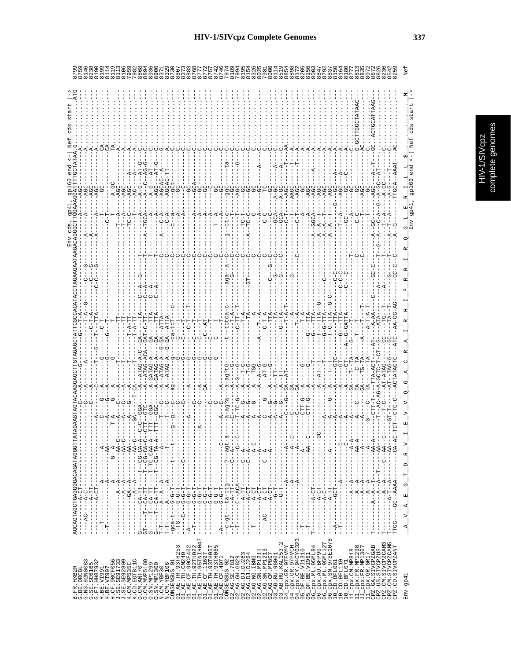| നനനനനന                                                                   |                |                                         |                                                          |          |                                |                                                |                                  |                             |                                                     |                 |                     |                       |                          |                               |                             |                  |                                |                                                            |              |                     |                               |             |                             |               |                       |               |                      |                                                                                                                                                                                                                                                                                                                                                                                                  |                                    |                               |                                     |                            |                             |                                                               |                                                            |                                                     |                           |                                              |                                                              | $\infty$                                          |                           |                                                          |                               |                          |                     |              |                              |                |            |                      |                           |
|--------------------------------------------------------------------------|----------------|-----------------------------------------|----------------------------------------------------------|----------|--------------------------------|------------------------------------------------|----------------------------------|-----------------------------|-----------------------------------------------------|-----------------|---------------------|-----------------------|--------------------------|-------------------------------|-----------------------------|------------------|--------------------------------|------------------------------------------------------------|--------------|---------------------|-------------------------------|-------------|-----------------------------|---------------|-----------------------|---------------|----------------------|--------------------------------------------------------------------------------------------------------------------------------------------------------------------------------------------------------------------------------------------------------------------------------------------------------------------------------------------------------------------------------------------------|------------------------------------|-------------------------------|-------------------------------------|----------------------------|-----------------------------|---------------------------------------------------------------|------------------------------------------------------------|-----------------------------------------------------|---------------------------|----------------------------------------------|--------------------------------------------------------------|---------------------------------------------------|---------------------------|----------------------------------------------------------|-------------------------------|--------------------------|---------------------|--------------|------------------------------|----------------|------------|----------------------|---------------------------|
|                                                                          |                |                                         |                                                          |          |                                |                                                |                                  |                             |                                                     |                 |                     |                       |                          |                               |                             |                  |                                |                                                            |              |                     |                               |             |                             |               |                       |               |                      |                                                                                                                                                                                                                                                                                                                                                                                                  |                                    |                               |                                     |                            |                             |                                                               |                                                            |                                                     |                           |                                              |                                                              |                                                   |                           |                                                          |                               |                          |                     |              |                              |                |            |                      |                           |
|                                                                          |                |                                         |                                                          |          |                                |                                                |                                  |                             |                                                     |                 |                     |                       |                          |                               |                             |                  |                                |                                                            |              |                     |                               |             |                             |               |                       |               |                      |                                                                                                                                                                                                                                                                                                                                                                                                  |                                    |                               |                                     |                            |                             |                                                               |                                                            |                                                     |                           |                                              |                                                              |                                                   |                           |                                                          |                               |                          |                     |              |                              |                |            |                      |                           |
|                                                                          |                |                                         |                                                          |          |                                |                                                |                                  |                             |                                                     |                 |                     |                       |                          |                               |                             |                  |                                |                                                            |              |                     |                               |             |                             |               |                       |               |                      |                                                                                                                                                                                                                                                                                                                                                                                                  |                                    |                               |                                     |                            |                             |                                                               |                                                            |                                                     |                           |                                              |                                                              |                                                   |                           |                                                          |                               |                          |                     |              |                              |                |            |                      |                           |
|                                                                          |                |                                         |                                                          |          |                                |                                                |                                  |                             |                                                     |                 |                     |                       |                          |                               |                             |                  |                                |                                                            |              |                     |                               |             |                             |               |                       |               |                      |                                                                                                                                                                                                                                                                                                                                                                                                  |                                    |                               |                                     |                            |                             |                                                               |                                                            |                                                     |                           |                                              |                                                              |                                                   |                           |                                                          |                               |                          |                     |              |                              |                |            |                      |                           |
| К                                                                        |                |                                         |                                                          |          |                                |                                                |                                  |                             | п                                                   |                 |                     |                       |                          |                               |                             |                  |                                |                                                            |              |                     | O                             |             |                             |               |                       |               |                      |                                                                                                                                                                                                                                                                                                                                                                                                  |                                    |                               |                                     |                            |                             |                                                               |                                                            |                                                     | K,                        | Æ                                            | $A -$                                                        |                                                   |                           |                                                          |                               |                          |                     |              |                              |                |            |                      |                           |
| כי ז                                                                     |                |                                         |                                                          |          |                                |                                                |                                  |                             |                                                     |                 |                     |                       |                          |                               |                             |                  |                                |                                                            |              |                     |                               |             |                             |               |                       |               |                      |                                                                                                                                                                                                                                                                                                                                                                                                  |                                    | C                             |                                     |                            |                             |                                                               |                                                            |                                                     |                           |                                              |                                                              |                                                   |                           |                                                          |                               |                          |                     |              |                              |                |            |                      |                           |
|                                                                          |                |                                         |                                                          |          |                                |                                                | C)                               |                             |                                                     |                 |                     |                       |                          |                               |                             |                  |                                |                                                            |              |                     |                               |             |                             |               |                       |               |                      |                                                                                                                                                                                                                                                                                                                                                                                                  |                                    |                               |                                     |                            |                             |                                                               |                                                            |                                                     |                           | ပု                                           | ن<br>ٻ                                                       |                                                   |                           |                                                          |                               |                          |                     |              |                              |                |            |                      |                           |
|                                                                          |                |                                         |                                                          |          |                                |                                                |                                  |                             | $G-5$                                               |                 |                     |                       |                          |                               |                             |                  |                                |                                                            |              |                     |                               |             |                             |               |                       |               |                      |                                                                                                                                                                                                                                                                                                                                                                                                  |                                    |                               |                                     |                            |                             |                                                               |                                                            |                                                     |                           |                                              |                                                              |                                                   |                           |                                                          |                               |                          |                     |              |                              |                |            |                      |                           |
|                                                                          |                |                                         |                                                          |          |                                |                                                | A-GATAG-                         | $-ATAG-PA$<br>ATAG          | $-ATAG$                                             |                 |                     |                       |                          |                               |                             |                  |                                |                                                            |              |                     | ס                             |             |                             |               |                       |               |                      |                                                                                                                                                                                                                                                                                                                                                                                                  |                                    |                               |                                     |                            |                             |                                                               |                                                            |                                                     |                           |                                              |                                                              |                                                   |                           |                                                          |                               |                          |                     |              |                              |                |            |                      |                           |
|                                                                          |                |                                         |                                                          |          |                                |                                                |                                  |                             |                                                     |                 |                     |                       |                          |                               |                             |                  |                                |                                                            |              |                     |                               |             |                             |               |                       |               |                      |                                                                                                                                                                                                                                                                                                                                                                                                  |                                    |                               |                                     |                            |                             |                                                               |                                                            |                                                     |                           |                                              |                                                              |                                                   |                           |                                                          |                               |                          |                     |              |                              |                |            |                      |                           |
|                                                                          | $-1$           | $-4 - -9 - -8 -$                        | $-----AA-C$<br>$    +$ $ +$ $ +$                         | $-AA$ -  | $- - A A - C -$<br>I           | $-4 - 4 - 4 - 4 - 4 - 4 - 4$                   | $-4 - T - T - C - C A A - A - C$ | $-4 - 4 - 4 - 0 - 0 - 0$    | $-1$ - $-1$ - $-1$                                  | $-$ - $      +$ | $\frac{1}{1}$<br>T  | $-1$                  |                          | ţ<br>Ţ                        |                             |                  | ÷                              |                                                            | $\mathbf{I}$ | J,<br>$-1 - 1$      | $-15e-15e-1$                  | $-4$ – $-1$ | $-1$ - $-1$<br>1            | $- - A - -$   | $-4-2$<br>$-4-1$<br>I |               | $-4-1$<br>$- -A - -$ | $- - A - -$<br>$\overline{\phantom{a}}$                                                                                                                                                                                                                                                                                                                                                          |                                    | Ι.<br>ł.                      | $- -A - -$<br>ţ                     | Ľ<br>$-4$<br>$\frac{1}{1}$ | $- -A - -$<br>$\frac{1}{1}$ | $- - - - - - -$                                               | $-1 - 4A - 1$                                              | $\frac{1}{1}$<br>$\,$ I<br>$\overline{\phantom{a}}$ | $\mathbf{I}$              |                                              | $- - - - - - - - - -$                                        | ł                                                 | ÷<br>$-1$                 | Ť<br>$\frac{1}{1}$<br>$\overline{\phantom{a}}$<br>$\,$ I | $-4 - A - A$<br>$\frac{1}{1}$ | $-AA - A -$<br>J         | $- - - - - - - - -$ | $-4$         | $-AA -AA -$                  | $-AA$ -        | $- -A - A$ | J,<br>$-AA$<br>I     | $-CA-A$<br>$\blacksquare$ |
| $\blacksquare$<br>J<br>$-10 - 2 - 4$                                     | $-4$           | $-1$ - $-1$ - $-1$ - $-1$ - $-1$ - $-1$ | ŧ,<br>t<br>$-1 - -2 - 2$                                 | $-4-4-7$ | $\frac{1}{1}$<br>ŧ<br>$-4-4-4$ | $--CTT-TT----$                                 |                                  |                             | ł.<br>$\frac{1}{1}$<br>--A---A---<br>ł<br>$-4$<br>ţ | $\blacksquare$  | п<br>$\overline{1}$ | ŧ                     |                          | $\mathbf{I}$<br>$\frac{1}{1}$ | $\blacksquare$              | $-1 - 9 - 9 - 1$ |                                | f.<br>$-9 - 9 - - -$                                       | ŧ            | $\frac{1}{1}$<br>J, |                               |             | ł                           | $\frac{1}{2}$ | $\Gamma$<br>í         | $\frac{1}{1}$ | $\frac{1}{2}$        | $\frac{1}{1}$<br>$\mathbf{I}$                                                                                                                                                                                                                                                                                                                                                                    | J<br>$\frac{1}{9}$                 | $\frac{1}{1}$<br>$-5 - - - -$ | $\frac{1}{1}$<br>$\mathbf{I}$       |                            |                             | $\mathbf{I}$<br>J.<br>$\frac{1}{1}$<br>$\mathbf{I}$<br>$\,$ I | Ť<br>Ť.<br>Ť<br>$\mathbf I$<br>$\mathsf I$<br>$\mathbf{I}$ |                                                     |                           | ł                                            | $- - 2\mathbf{I} - \mathbf{I} - - -$                         | -1<br>$-6CT$                                      | $-4$<br>$\mathsf I$<br>I. | $\frac{1}{1}$<br>$\frac{1}{1}$                           | $---A--A$                     | J<br>$-1$<br>$- - - - A$ | $-1 - -1 - -1 - 2$  | $-1$<br>$-4$ | ים<br>יו                     | 부부<br>$-4-4-4$ | ŧ,<br>$-4$ | I<br>$- -A - T - -A$ | п<br>$-99 - -92AB$        |
| UU-A--------<br>$---pAC---$<br>$\frac{1}{1}$<br>ł<br>I<br>$\overline{1}$ | ーーローロー<br>$-1$ | $\mathbb I$<br>$\mathbf{I}$             | I<br>I<br>I.<br>$\overline{\phantom{a}}$<br>$\mathbf{I}$ |          | J.<br>Ť.<br>ţ<br>Т             | $\mathbf{I}$<br>$\frac{1}{1}$<br>$\frac{1}{2}$ |                                  | $\frac{1}{1}$<br>$T-T$<br>ひ | $-4$<br>ļ<br>I<br>j<br>$\frac{1}{2}$                |                 |                     | $-1$ D $-1$ $-1$ $-1$ | $-C - - - - G - G - T -$ | $-1 - 4 - 1$                  | I<br>$- - \mathbf{T} - - -$ | I<br>T           | $\frac{1}{1}$<br>$\frac{1}{1}$ | $\frac{1}{1}$<br>$\frac{1}{4}$<br>$\overline{\phantom{a}}$ |              |                     | $- - - - - - - - - - - - - -$ | 부           | $- - - \frac{1}{2} - - - -$ |               |                       |               |                      | $\begin{split} -\frac{1}{2} \frac{1}{2} \frac{1}{2} \frac{1}{2} \frac{1}{2} \frac{1}{2} \frac{1}{2} \frac{1}{2} \frac{1}{2} \frac{1}{2} \frac{1}{2} \frac{1}{2} \frac{1}{2} \frac{1}{2} \frac{1}{2} \frac{1}{2} \frac{1}{2} \frac{1}{2} \frac{1}{2} \frac{1}{2} \frac{1}{2} \frac{1}{2} \frac{1}{2} \frac{1}{2} \frac{1}{2} \frac{1}{2} \frac{1}{2} \frac{1}{2} \frac{1}{2} \frac{1}{2} \frac{1$ | $\mathbf{I}$<br>$\frac{1}{1}$<br>Å | $\frac{1}{4}$<br>÷            | $\frac{1}{1}$<br>$\frac{1}{1}$<br>÷ | Ħ<br>$\frac{1}{1}$<br>÷    | $\frac{1}{1}$<br>f,         | ł<br>$-1$ $-1$ $-1$ $-1$ $-1$                                 | $\blacksquare$<br>$\frac{1}{1}$<br>T-T                     | $\frac{1}{1}$<br>$\Gamma - \Gamma$                  | Ť.<br>$\frac{1}{4}$<br>-1 | $-1$ - $-1$ - $-1$<br>T.<br>Ť<br>$\mathsf I$ | $\begin{bmatrix} 1 \\ 1 \\ 1 \end{bmatrix}$<br>$\frac{1}{1}$ | $\mathbf{I}$<br>J.<br>J.<br>J.<br>$-\overline{A}$ | т<br>J.<br>턴              | $\frac{1}{1}$<br>$\frac{1}{1}$<br>$\frac{1}{1}$          | Ť                             | $\overline{1}$           | $\frac{1}{1}$       | ł            | $-4-4-4$<br>$\frac{1}{\Box}$ | ł<br>f,        | J<br>ь     | f,<br>Е              | TTGG.                     |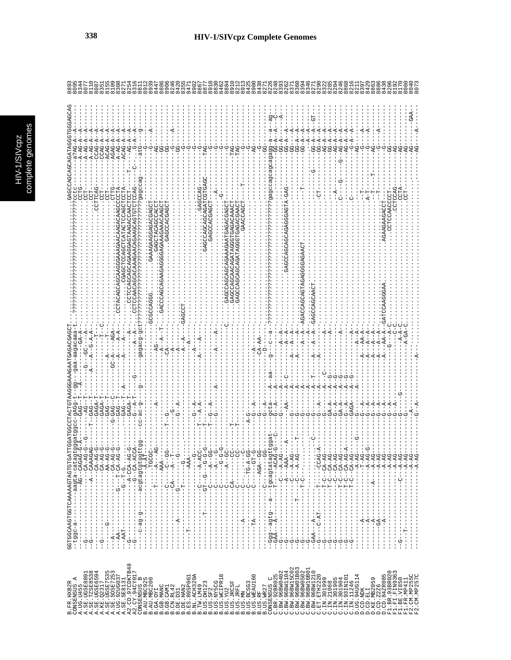| GGTGGCAAGTGAAAAAGTAGTGA<br>---aagta-catag<br>$\frac{1}{1}$<br>j.<br>$-5 - 2655 -$                                                                                                                                                                                                                                                                                                                        | gggat                                                 | GTAAGGAAAGAA<br>ه<br>6<br>َ ا<br>ק | TGAGACGAG<br>-aagacaaa              |                                                                                    |                                 |    |
|----------------------------------------------------------------------------------------------------------------------------------------------------------------------------------------------------------------------------------------------------------------------------------------------------------------------------------------------------------------------------------------------------------|-------------------------------------------------------|------------------------------------|-------------------------------------|------------------------------------------------------------------------------------|---------------------------------|----|
| <b>DRDRD--DR-----</b><br>$\frac{1}{4}$                                                                                                                                                                                                                                                                                                                                                                   | К                                                     |                                    |                                     |                                                                                    | A – AC                          |    |
| 1<br>-1                                                                                                                                                                                                                                                                                                                                                                                                  | ひ                                                     | GAG<br>Ğ                           | $-A$ – $B$ –– $B$ – $A$<br>ひりー<br>Ó | 팅                                                                                  | $- A - A G - A - A - A - A - A$ |    |
| 1                                                                                                                                                                                                                                                                                                                                                                                                        | ひ                                                     | GAGA-T                             |                                     |                                                                                    |                                 |    |
| J<br>Î<br>$\mathbf{I}$<br>$\overline{\phantom{a}}$                                                                                                                                                                                                                                                                                                                                                       | ひ                                                     |                                    |                                     | <b>CAG</b>                                                                         | CCAG-A<br>CCAG-                 | ္တ |
| $\frac{1}{1}$<br>$-1$ - $-1$ - $-1$                                                                                                                                                                                                                                                                                                                                                                      |                                                       | GAGA-<br>GAG.                      | К                                   |                                                                                    | Æ<br>$-ACAG - A$                |    |
| п<br>$- - - - - - - -$                                                                                                                                                                                                                                                                                                                                                                                   |                                                       | GAG.<br>ပ္ပ်                       | AGA<br>$G - A$                      | <b>PLIC</b>                                                                        | Æ<br>AGAG-A                     |    |
| J<br>$- - 2A - - -$                                                                                                                                                                                                                                                                                                                                                                                      |                                                       | GAG                                | $A - A$<br>К                        |                                                                                    | Æ<br>$A - AG - A$               |    |
| J<br>---AAT--                                                                                                                                                                                                                                                                                                                                                                                            |                                                       | GAG.                               | $- A -$<br>A,                       |                                                                                    | К<br>ACAG-A-                    |    |
|                                                                                                                                                                                                                                                                                                                                                                                                          |                                                       | GAGA-T                             | $\vec{A}$                           | せり<br>FUACUAGAREDAGORIONICO                                                        | $-AG - A$                       |    |
| п                                                                                                                                                                                                                                                                                                                                                                                                        |                                                       | $-1$<br>ひ                          | I                                   | UAAACHUHUHUAGAAGAOACHAU<br>ALANCA                                                  |                                 |    |
| п<br>$-5 - 5 - - - -$                                                                                                                                                                                                                                                                                                                                                                                    | --acgtagtgtgg<br>-----------A-AT                      | თ<br>ს<br>მ                        | ť<br>gagacg-g                       | gagccag                                                                            | ᠳ                               |    |
|                                                                                                                                                                                                                                                                                                                                                                                                          |                                                       |                                    |                                     |                                                                                    |                                 |    |
| ¦<br>I<br>ı<br>I                                                                                                                                                                                                                                                                                                                                                                                         |                                                       |                                    |                                     | CAAAGAAGAGACGAGCT.<br>COAGGG                                                       | Æ                               |    |
| J.<br>J<br>J<br>J.                                                                                                                                                                                                                                                                                                                                                                                       |                                                       |                                    | Ŗ.                                  |                                                                                    |                                 |    |
| J<br>J.<br>п                                                                                                                                                                                                                                                                                                                                                                                             | $- - A A A - -$                                       |                                    | $\mathbf I$<br>۴<br>$A - A -$       | GERORAGEMENTED<br>GACCCAGCAGAAGA                                                   |                                 |    |
| U--------                                                                                                                                                                                                                                                                                                                                                                                                | りーー                                                   | U                                  | రే                                  | GAGCCACGAGCT                                                                       |                                 |    |
| $\frac{1}{1}$<br>ï<br>ı                                                                                                                                                                                                                                                                                                                                                                                  | $-CA---A---A---T$                                     | ひ                                  | $-4$                                |                                                                                    |                                 |    |
| $-5 -$<br>$-1$<br>$-1$<br>$-1$<br>$-1$                                                                                                                                                                                                                                                                                                                                                                   | ပု<br>$\frac{1}{1}$                                   | A<br>ひ                             | К                                   |                                                                                    |                                 |    |
| ------------<br>ı<br>ı<br>ł<br>J                                                                                                                                                                                                                                                                                                                                                                         |                                                       |                                    | $-A--A-$                            |                                                                                    |                                 |    |
| ł<br>$\mathbf{I}$<br>-1<br>т<br>I<br>ーローーー                                                                                                                                                                                                                                                                                                                                                               |                                                       |                                    | م<br>آ                              |                                                                                    |                                 |    |
| $\frac{1}{1}$                                                                                                                                                                                                                                                                                                                                                                                            | უ<br> <br>                                            | $-4$<br>てり                         |                                     |                                                                                    |                                 |    |
| I<br>İ                                                                                                                                                                                                                                                                                                                                                                                                   |                                                       |                                    | $\overline{A}$                      |                                                                                    |                                 |    |
| $\overline{\phantom{a}}$<br>J                                                                                                                                                                                                                                                                                                                                                                            | <b>ローワー・ーワー ーロワーー</b>                                 |                                    |                                     | CAGCAGCAGATCGTGAGC                                                                 |                                 |    |
| $-1$<br>ł<br>J                                                                                                                                                                                                                                                                                                                                                                                           |                                                       | A<br>1<br>ပ္ပံ                     |                                     | AGCCACGAGCT                                                                        |                                 |    |
| $-\frac{1}{1}$<br>$\frac{1}{1}$                                                                                                                                                                                                                                                                                                                                                                          | )<br>フー・ーー スーーーー<br>フー・ーーーーーーー                        |                                    |                                     |                                                                                    |                                 |    |
| U<br>$\frac{1}{1}$<br>ł<br>$\overline{\phantom{a}}$<br>$\frac{1}{1}$<br>I<br>J                                                                                                                                                                                                                                                                                                                           |                                                       |                                    |                                     | ပု                                                                                 |                                 |    |
| Ţ<br>I<br>I<br>$\frac{1}{1}$<br>I                                                                                                                                                                                                                                                                                                                                                                        | U--4----0                                             |                                    |                                     | UUAUUAUHAU                                                                         |                                 |    |
| ł<br>$\begin{bmatrix} 1 \\ 1 \\ 1 \\ 1 \end{bmatrix}$                                                                                                                                                                                                                                                                                                                                                    | י<br>י                                                |                                    |                                     | GGGTGAGACAA                                                                        |                                 |    |
| U--------U----<br>I<br>$\frac{1}{1}$<br>I                                                                                                                                                                                                                                                                                                                                                                |                                                       |                                    |                                     | ARCOROROHOOOGHAOROOROOROOGO                                                        |                                 |    |
| Ú<br>Ī<br>$-4$<br>Í                                                                                                                                                                                                                                                                                                                                                                                      | $\frac{1}{1}$                                         |                                    |                                     | GAACCAGC"                                                                          |                                 |    |
| Ī                                                                                                                                                                                                                                                                                                                                                                                                        | <b>0-4-0T-1-0</b>                                     | ひ                                  |                                     |                                                                                    |                                 |    |
| $-1$ - $-1$ - $-1$<br>$---T - T -$                                                                                                                                                                                                                                                                                                                                                                       | -------                                               | U                                  |                                     |                                                                                    |                                 |    |
| $\frac{1}{2}$<br>п<br>т<br>т<br>ï<br>I                                                                                                                                                                                                                                                                                                                                                                   | $-1 - 2GA - C$                                        | 也                                  | $CA-AA$                             |                                                                                    |                                 |    |
| $\frac{1}{1}$<br>п                                                                                                                                                                                                                                                                                                                                                                                       | ט<br>י<br>$\frac{1}{1}$<br>$\frac{1}{1}$              | $-4$<br>ひ                          | ۹                                   |                                                                                    |                                 |    |
|                                                                                                                                                                                                                                                                                                                                                                                                          | tggat                                                 | œ<br>σ<br>ta-<br>Ò                 | ወ<br>п<br>$\frac{1}{2}$             | gagccag<br>$\alpha$<br>ċ.<br>۰۰.<br>۰؞<br>$\mathfrak{c}$<br>$\sim$<br>ç.<br>$\sim$ | ൯                               |    |
|                                                                                                                                                                                                                                                                                                                                                                                                          |                                                       | Ŕ<br>თ<br>てり                       | ס                                   |                                                                                    | ල<br>ල<br>cagcagagg             |    |
| $-1$                                                                                                                                                                                                                                                                                                                                                                                                     |                                                       | τη                                 | К                                   |                                                                                    | そっこ                             |    |
| $-5-5$                                                                                                                                                                                                                                                                                                                                                                                                   |                                                       |                                    |                                     | GAGCCAGCAGCAGAGGGA                                                                 |                                 |    |
|                                                                                                                                                                                                                                                                                                                                                                                                          |                                                       | U<br>К                             | К                                   | -GAG                                                                               | К<br>$G-G-A$                    |    |
| $\frac{1}{2}$<br>$\frac{1}{4}$<br>Ť                                                                                                                                                                                                                                                                                                                                                                      | $2 - -A - AG$<br>$2 - -1 - A - AG$                    |                                    | $\vec{A}$                           |                                                                                    |                                 |    |
| $\frac{1}{2}$<br>--------------<br>$\frac{1}{1}$                                                                                                                                                                                                                                                                                                                                                         |                                                       |                                    | Æ                                   |                                                                                    | К<br>$A - D$                    |    |
| U – L – – – – – – – – –<br>$\mathbf{I}$<br>J<br>ţ<br>$\frac{1}{4}$                                                                                                                                                                                                                                                                                                                                       | $\mathbf I$<br>$\blacksquare$                         |                                    | $\vec{A}$<br>Ŗ.                     | -AGACCA                                                                            | A<br>そっけい                       |    |
| $\frac{1}{1}$<br>J<br>J.<br>J<br>$\frac{1}{1}$<br>J.<br>$\overline{\phantom{a}}$<br>$\frac{1}{1}$<br>I<br>J<br>ł                                                                                                                                                                                                                                                                                         | $\vdots$<br>$\vdots$                                  |                                    |                                     |                                                                                    | Ŗ                               |    |
| $\frac{1}{2}$ $\frac{1}{2}$ $\frac{1}{2}$ $\frac{1}{2}$ $\frac{1}{2}$ $\frac{1}{2}$ $\frac{1}{2}$ $\frac{1}{2}$ $\frac{1}{2}$ $\frac{1}{2}$ $\frac{1}{2}$ $\frac{1}{2}$<br>Ť<br>$-4 - -1$                                                                                                                                                                                                                |                                                       |                                    | К<br>$-4$<br>K,                     | UARUDAOURU-                                                                        | $\overline{A}$<br>$-4-5$        |    |
| $1 - 1 -$                                                                                                                                                                                                                                                                                                                                                                                                | $\cdots$ $\cdots$ $\cdots$ $\cdots$ $\cdots$ $\cdots$ | ⋖<br>Ŗ                             |                                     |                                                                                    | $-4 - -3$                       |    |
| I<br>п<br>ŧ                                                                                                                                                                                                                                                                                                                                                                                              |                                                       | U                                  |                                     |                                                                                    | $- - - -$                       |    |
| $\overline{\phantom{a}}$<br>п<br>п<br>$\frac{1}{1}$                                                                                                                                                                                                                                                                                                                                                      |                                                       | ひ                                  |                                     |                                                                                    | $\vec{c}$ - $\vec{c}$           |    |
| -1<br>Ť                                                                                                                                                                                                                                                                                                                                                                                                  |                                                       | ひ<br>Æ<br>К                        |                                     | ፋ                                                                                  | К<br>$AG - A$                   |    |
| J.<br>J.<br>ł                                                                                                                                                                                                                                                                                                                                                                                            |                                                       | ひ<br>К<br>Ľ.                       |                                     | ٢.                                                                                 | Ľ.<br>$AG - A$                  |    |
| I<br>т<br>т<br>$\frac{1}{1}$                                                                                                                                                                                                                                                                                                                                                                             |                                                       | ひ<br>К<br>Æ                        |                                     |                                                                                    | К<br>$AG - A$                   |    |
|                                                                                                                                                                                                                                                                                                                                                                                                          |                                                       | ひ<br>GAGA                          |                                     |                                                                                    | Ľ.<br>$G - A$                   |    |
|                                                                                                                                                                                                                                                                                                                                                                                                          | U                                                     |                                    |                                     |                                                                                    | U.                              |    |
|                                                                                                                                                                                                                                                                                                                                                                                                          |                                                       | K,                                 | $-AA - P$                           | ۴                                                                                  | Æ                               |    |
| $-4$<br>$\frac{1}{1}$                                                                                                                                                                                                                                                                                                                                                                                    |                                                       |                                    | K,                                  |                                                                                    |                                 |    |
| $- - A - -$                                                                                                                                                                                                                                                                                                                                                                                              |                                                       |                                    | $\frac{1}{1}$<br>A,<br>A            |                                                                                    |                                 |    |
| $-4 - -$                                                                                                                                                                                                                                                                                                                                                                                                 |                                                       | К                                  | $-4$<br>$\ddot{A}$<br>K,            |                                                                                    |                                 |    |
| $-GA$ -<br>I                                                                                                                                                                                                                                                                                                                                                                                             |                                                       | ⋖                                  | $-1$<br>$\dot{A}$<br>$\overline{A}$ |                                                                                    |                                 |    |
| $-4 -$<br>Ţ                                                                                                                                                                                                                                                                                                                                                                                              |                                                       |                                    | $-AA - A$<br>A                      |                                                                                    |                                 |    |
|                                                                                                                                                                                                                                                                                                                                                                                                          |                                                       |                                    |                                     |                                                                                    |                                 |    |
|                                                                                                                                                                                                                                                                                                                                                                                                          |                                                       |                                    |                                     |                                                                                    |                                 |    |
| $\frac{1}{1}$<br>$-1$                                                                                                                                                                                                                                                                                                                                                                                    |                                                       |                                    |                                     |                                                                                    |                                 |    |
| $-1 - 1 - 1 -$                                                                                                                                                                                                                                                                                                                                                                                           |                                                       |                                    |                                     |                                                                                    |                                 |    |
| $\begin{minipage}[t]{0.99\textwidth} \begin{tabular}{ c c c c } \hline 1 & 0 & 0 & 0 & 0 & 0 & 0 \\ 0.99\textwidth} \begin{tabular}{ c c c c } \hline 1 & 0 & 0 & 0 & 0 & 0 & 0 \\ 0.99\textwidth} \begin{tabular}{ c c c c } \hline 1 & 0 & 0 & 0 & 0 & 0 & 0 \\ 0.99\textwidth} \begin{tabular}{ c c c } \hline 1 & 0 & 0 & 0 & 0 & 0 \\ 0.99\textwidth} \begin{tabular}{ c c c$<br>ł<br>$\frac{1}{1}$ |                                                       |                                    |                                     |                                                                                    |                                 |    |
|                                                                                                                                                                                                                                                                                                                                                                                                          |                                                       |                                    |                                     |                                                                                    |                                 |    |
|                                                                                                                                                                                                                                                                                                                                                                                                          |                                                       |                                    |                                     |                                                                                    |                                 |    |

 $\begin{smallmatrix} \texttt{R}, \texttt{HKB} \\ \texttt{R}, \texttt{R}, \texttt{R}, \texttt{R}, \texttt{R}, \texttt{R}, \texttt{R}, \texttt{R}, \texttt{R}, \texttt{R}, \texttt{R}, \texttt{R}, \texttt{R}, \texttt{R}, \texttt{R}, \texttt{R}, \texttt{R}, \texttt{R}, \texttt{R}, \texttt{R}, \texttt{R}, \texttt{R}, \texttt{R}, \texttt{R}, \texttt{R}, \texttt{R}, \texttt{R}, \texttt{R}, \texttt{R}, \texttt{R}, \texttt{R}, \texttt{R}, \texttt{R}, \text$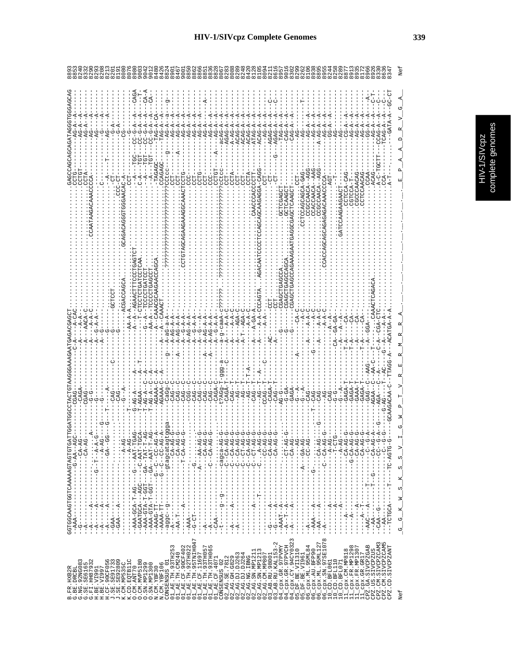| $-4-4-1-1-1-1-1$<br>$-----A-AG$<br>$\begin{array}{r} -\lambda A A - \mathcal{Q} \mathcal{Q} A - \mathcal{T} \cdot A \mathcal{Q} - -\mathcal{Q} - -\lambda A \mathcal{T} - \mathcal{T} \mathcal{Q} \mathcal{Q} \mathcal{Q} \\ -\mathcal{Q} A A \mathcal{T} \mathcal{Q} \mathcal{Q} A - -\mathcal{Q} \mathcal{Q} \mathcal{Q} - -\mathcal{Q} - \mathcal{Q} - \mathcal{Q} \mathcal{T} \mathcal{T} - \mathcal{T} \mathcal{Q} \mathcal{Q} \mathcal{Q} \mathcal{Q} \\ -\mathcal{Q} A \mathcal{Q} \mathcal{T} \mathcal{Q} \$<br>$\begin{array}{r} -\frac{1}{2} \frac{1}{2} \frac{1}{2} \frac{1}{2} \frac{1}{2} \frac{1}{2} \frac{1}{2} \frac{1}{2} \frac{1}{2} \frac{1}{2} \frac{1}{2} \frac{1}{2} \frac{1}{2} \frac{1}{2} \frac{1}{2} \frac{1}{2} \frac{1}{2} \frac{1}{2} \frac{1}{2} \frac{1}{2} \frac{1}{2} \frac{1}{2} \frac{1}{2} \frac{1}{2} \frac{1}{2} \frac{1}{2} \frac{1}{2} \frac{1}{2} \frac{1}{2} \frac{1}{2} \frac$ | -caai<br>ーペー<br>$G - A -$<br>$\mathcal{L}$ - $\mathcal{L}$<br>$A - B$<br>$\vec{A}$<br>$\overline{A}$ |  |  |
|---------------------------------------------------------------------------------------------------------------------------------------------------------------------------------------------------------------------------------------------------------------------------------------------------------------------------------------------------------------------------------------------------------------------------------------------------------------------------------------------------------------------------------------------------------------------------------------------------------------------------------------------------------------------------------------------------------------------------------------------------------------------------------------------------------------------------------------------------------------------------------------------------------------------------|------------------------------------------------------------------------------------------------------|--|--|
|                                                                                                                                                                                                                                                                                                                                                                                                                                                                                                                                                                                                                                                                                                                                                                                                                                                                                                                           |                                                                                                      |  |  |
|                                                                                                                                                                                                                                                                                                                                                                                                                                                                                                                                                                                                                                                                                                                                                                                                                                                                                                                           |                                                                                                      |  |  |
|                                                                                                                                                                                                                                                                                                                                                                                                                                                                                                                                                                                                                                                                                                                                                                                                                                                                                                                           |                                                                                                      |  |  |
|                                                                                                                                                                                                                                                                                                                                                                                                                                                                                                                                                                                                                                                                                                                                                                                                                                                                                                                           |                                                                                                      |  |  |
|                                                                                                                                                                                                                                                                                                                                                                                                                                                                                                                                                                                                                                                                                                                                                                                                                                                                                                                           |                                                                                                      |  |  |
|                                                                                                                                                                                                                                                                                                                                                                                                                                                                                                                                                                                                                                                                                                                                                                                                                                                                                                                           |                                                                                                      |  |  |
|                                                                                                                                                                                                                                                                                                                                                                                                                                                                                                                                                                                                                                                                                                                                                                                                                                                                                                                           |                                                                                                      |  |  |
|                                                                                                                                                                                                                                                                                                                                                                                                                                                                                                                                                                                                                                                                                                                                                                                                                                                                                                                           |                                                                                                      |  |  |
|                                                                                                                                                                                                                                                                                                                                                                                                                                                                                                                                                                                                                                                                                                                                                                                                                                                                                                                           |                                                                                                      |  |  |
|                                                                                                                                                                                                                                                                                                                                                                                                                                                                                                                                                                                                                                                                                                                                                                                                                                                                                                                           |                                                                                                      |  |  |
|                                                                                                                                                                                                                                                                                                                                                                                                                                                                                                                                                                                                                                                                                                                                                                                                                                                                                                                           |                                                                                                      |  |  |
|                                                                                                                                                                                                                                                                                                                                                                                                                                                                                                                                                                                                                                                                                                                                                                                                                                                                                                                           |                                                                                                      |  |  |
|                                                                                                                                                                                                                                                                                                                                                                                                                                                                                                                                                                                                                                                                                                                                                                                                                                                                                                                           |                                                                                                      |  |  |
|                                                                                                                                                                                                                                                                                                                                                                                                                                                                                                                                                                                                                                                                                                                                                                                                                                                                                                                           |                                                                                                      |  |  |
|                                                                                                                                                                                                                                                                                                                                                                                                                                                                                                                                                                                                                                                                                                                                                                                                                                                                                                                           |                                                                                                      |  |  |
|                                                                                                                                                                                                                                                                                                                                                                                                                                                                                                                                                                                                                                                                                                                                                                                                                                                                                                                           |                                                                                                      |  |  |
|                                                                                                                                                                                                                                                                                                                                                                                                                                                                                                                                                                                                                                                                                                                                                                                                                                                                                                                           |                                                                                                      |  |  |
|                                                                                                                                                                                                                                                                                                                                                                                                                                                                                                                                                                                                                                                                                                                                                                                                                                                                                                                           |                                                                                                      |  |  |
|                                                                                                                                                                                                                                                                                                                                                                                                                                                                                                                                                                                                                                                                                                                                                                                                                                                                                                                           |                                                                                                      |  |  |
|                                                                                                                                                                                                                                                                                                                                                                                                                                                                                                                                                                                                                                                                                                                                                                                                                                                                                                                           |                                                                                                      |  |  |
|                                                                                                                                                                                                                                                                                                                                                                                                                                                                                                                                                                                                                                                                                                                                                                                                                                                                                                                           |                                                                                                      |  |  |
|                                                                                                                                                                                                                                                                                                                                                                                                                                                                                                                                                                                                                                                                                                                                                                                                                                                                                                                           |                                                                                                      |  |  |
|                                                                                                                                                                                                                                                                                                                                                                                                                                                                                                                                                                                                                                                                                                                                                                                                                                                                                                                           |                                                                                                      |  |  |
|                                                                                                                                                                                                                                                                                                                                                                                                                                                                                                                                                                                                                                                                                                                                                                                                                                                                                                                           |                                                                                                      |  |  |
|                                                                                                                                                                                                                                                                                                                                                                                                                                                                                                                                                                                                                                                                                                                                                                                                                                                                                                                           |                                                                                                      |  |  |
|                                                                                                                                                                                                                                                                                                                                                                                                                                                                                                                                                                                                                                                                                                                                                                                                                                                                                                                           |                                                                                                      |  |  |
|                                                                                                                                                                                                                                                                                                                                                                                                                                                                                                                                                                                                                                                                                                                                                                                                                                                                                                                           |                                                                                                      |  |  |
|                                                                                                                                                                                                                                                                                                                                                                                                                                                                                                                                                                                                                                                                                                                                                                                                                                                                                                                           |                                                                                                      |  |  |
|                                                                                                                                                                                                                                                                                                                                                                                                                                                                                                                                                                                                                                                                                                                                                                                                                                                                                                                           |                                                                                                      |  |  |
|                                                                                                                                                                                                                                                                                                                                                                                                                                                                                                                                                                                                                                                                                                                                                                                                                                                                                                                           |                                                                                                      |  |  |
|                                                                                                                                                                                                                                                                                                                                                                                                                                                                                                                                                                                                                                                                                                                                                                                                                                                                                                                           |                                                                                                      |  |  |
|                                                                                                                                                                                                                                                                                                                                                                                                                                                                                                                                                                                                                                                                                                                                                                                                                                                                                                                           |                                                                                                      |  |  |
|                                                                                                                                                                                                                                                                                                                                                                                                                                                                                                                                                                                                                                                                                                                                                                                                                                                                                                                           |                                                                                                      |  |  |
|                                                                                                                                                                                                                                                                                                                                                                                                                                                                                                                                                                                                                                                                                                                                                                                                                                                                                                                           |                                                                                                      |  |  |
|                                                                                                                                                                                                                                                                                                                                                                                                                                                                                                                                                                                                                                                                                                                                                                                                                                                                                                                           |                                                                                                      |  |  |
|                                                                                                                                                                                                                                                                                                                                                                                                                                                                                                                                                                                                                                                                                                                                                                                                                                                                                                                           |                                                                                                      |  |  |
|                                                                                                                                                                                                                                                                                                                                                                                                                                                                                                                                                                                                                                                                                                                                                                                                                                                                                                                           |                                                                                                      |  |  |
|                                                                                                                                                                                                                                                                                                                                                                                                                                                                                                                                                                                                                                                                                                                                                                                                                                                                                                                           |                                                                                                      |  |  |
|                                                                                                                                                                                                                                                                                                                                                                                                                                                                                                                                                                                                                                                                                                                                                                                                                                                                                                                           |                                                                                                      |  |  |
|                                                                                                                                                                                                                                                                                                                                                                                                                                                                                                                                                                                                                                                                                                                                                                                                                                                                                                                           |                                                                                                      |  |  |
|                                                                                                                                                                                                                                                                                                                                                                                                                                                                                                                                                                                                                                                                                                                                                                                                                                                                                                                           |                                                                                                      |  |  |
|                                                                                                                                                                                                                                                                                                                                                                                                                                                                                                                                                                                                                                                                                                                                                                                                                                                                                                                           |                                                                                                      |  |  |
|                                                                                                                                                                                                                                                                                                                                                                                                                                                                                                                                                                                                                                                                                                                                                                                                                                                                                                                           |                                                                                                      |  |  |
|                                                                                                                                                                                                                                                                                                                                                                                                                                                                                                                                                                                                                                                                                                                                                                                                                                                                                                                           |                                                                                                      |  |  |
|                                                                                                                                                                                                                                                                                                                                                                                                                                                                                                                                                                                                                                                                                                                                                                                                                                                                                                                           |                                                                                                      |  |  |
|                                                                                                                                                                                                                                                                                                                                                                                                                                                                                                                                                                                                                                                                                                                                                                                                                                                                                                                           |                                                                                                      |  |  |
|                                                                                                                                                                                                                                                                                                                                                                                                                                                                                                                                                                                                                                                                                                                                                                                                                                                                                                                           |                                                                                                      |  |  |
| $- - AG$                                                                                                                                                                                                                                                                                                                                                                                                                                                                                                                                                                                                                                                                                                                                                                                                                                                                                                                  |                                                                                                      |  |  |
|                                                                                                                                                                                                                                                                                                                                                                                                                                                                                                                                                                                                                                                                                                                                                                                                                                                                                                                           |                                                                                                      |  |  |
| $-1 - -1 - -1 - -1 - 0$                                                                                                                                                                                                                                                                                                                                                                                                                                                                                                                                                                                                                                                                                                                                                                                                                                                                                                   |                                                                                                      |  |  |
|                                                                                                                                                                                                                                                                                                                                                                                                                                                                                                                                                                                                                                                                                                                                                                                                                                                                                                                           |                                                                                                      |  |  |
|                                                                                                                                                                                                                                                                                                                                                                                                                                                                                                                                                                                                                                                                                                                                                                                                                                                                                                                           |                                                                                                      |  |  |
|                                                                                                                                                                                                                                                                                                                                                                                                                                                                                                                                                                                                                                                                                                                                                                                                                                                                                                                           |                                                                                                      |  |  |
|                                                                                                                                                                                                                                                                                                                                                                                                                                                                                                                                                                                                                                                                                                                                                                                                                                                                                                                           |                                                                                                      |  |  |
|                                                                                                                                                                                                                                                                                                                                                                                                                                                                                                                                                                                                                                                                                                                                                                                                                                                                                                                           |                                                                                                      |  |  |
|                                                                                                                                                                                                                                                                                                                                                                                                                                                                                                                                                                                                                                                                                                                                                                                                                                                                                                                           |                                                                                                      |  |  |
|                                                                                                                                                                                                                                                                                                                                                                                                                                                                                                                                                                                                                                                                                                                                                                                                                                                                                                                           |                                                                                                      |  |  |
|                                                                                                                                                                                                                                                                                                                                                                                                                                                                                                                                                                                                                                                                                                                                                                                                                                                                                                                           |                                                                                                      |  |  |
|                                                                                                                                                                                                                                                                                                                                                                                                                                                                                                                                                                                                                                                                                                                                                                                                                                                                                                                           |                                                                                                      |  |  |
|                                                                                                                                                                                                                                                                                                                                                                                                                                                                                                                                                                                                                                                                                                                                                                                                                                                                                                                           |                                                                                                      |  |  |
| $- - - - - - - - - - - - - -$                                                                                                                                                                                                                                                                                                                                                                                                                                                                                                                                                                                                                                                                                                                                                                                                                                                                                             |                                                                                                      |  |  |
| $-1 - -1$                                                                                                                                                                                                                                                                                                                                                                                                                                                                                                                                                                                                                                                                                                                                                                                                                                                                                                                 |                                                                                                      |  |  |
|                                                                                                                                                                                                                                                                                                                                                                                                                                                                                                                                                                                                                                                                                                                                                                                                                                                                                                                           |                                                                                                      |  |  |
| $---CA-AG$                                                                                                                                                                                                                                                                                                                                                                                                                                                                                                                                                                                                                                                                                                                                                                                                                                                                                                                |                                                                                                      |  |  |
| ワー・レーーーーー                                                                                                                                                                                                                                                                                                                                                                                                                                                                                                                                                                                                                                                                                                                                                                                                                                                                                                                 |                                                                                                      |  |  |
| $         -$                                                                                                                                                                                                                                                                                                                                                                                                                                                                                                                                                                                                                                                                                                                                                                                                                                                                                                              |                                                                                                      |  |  |
|                                                                                                                                                                                                                                                                                                                                                                                                                                                                                                                                                                                                                                                                                                                                                                                                                                                                                                                           |                                                                                                      |  |  |
|                                                                                                                                                                                                                                                                                                                                                                                                                                                                                                                                                                                                                                                                                                                                                                                                                                                                                                                           |                                                                                                      |  |  |
|                                                                                                                                                                                                                                                                                                                                                                                                                                                                                                                                                                                                                                                                                                                                                                                                                                                                                                                           |                                                                                                      |  |  |
| <b>0-0104-01-1</b>                                                                                                                                                                                                                                                                                                                                                                                                                                                                                                                                                                                                                                                                                                                                                                                                                                                                                                        |                                                                                                      |  |  |

Ž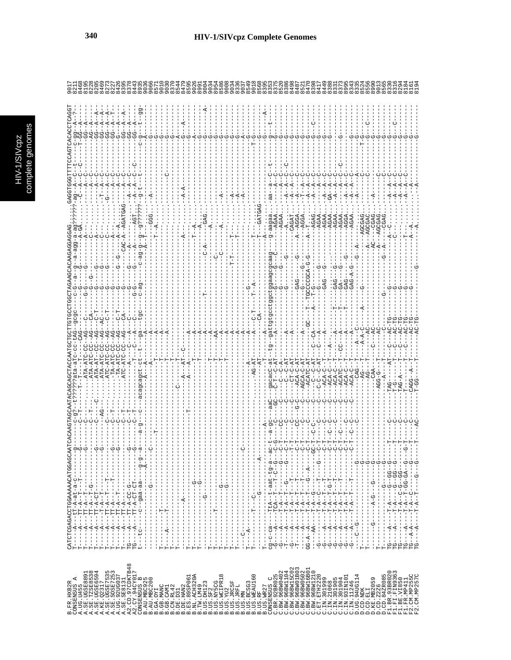complete genomes HIV-1/SIVcpz

| QQQFQQQF4wwQFHwF4F9QQDOwB8Owww4HQ9WFQ89&QFQQQDDAQD#\$FD\$<br>mmmmmmmmmonm                                                                                                                                                                                                                                                                                                                                                                                                                                                                                                                                                                                                                                                                                                                                                                                                                                                                                                                                                                                                                                                                                                                                                                                                                                                                                                                                                                                                                                                                                                                                                                                                                                                                                                                                                                                                                                                                                                                                                                                                                                                                                                                                                                                                                                                  |                                                                                                                      |
|----------------------------------------------------------------------------------------------------------------------------------------------------------------------------------------------------------------------------------------------------------------------------------------------------------------------------------------------------------------------------------------------------------------------------------------------------------------------------------------------------------------------------------------------------------------------------------------------------------------------------------------------------------------------------------------------------------------------------------------------------------------------------------------------------------------------------------------------------------------------------------------------------------------------------------------------------------------------------------------------------------------------------------------------------------------------------------------------------------------------------------------------------------------------------------------------------------------------------------------------------------------------------------------------------------------------------------------------------------------------------------------------------------------------------------------------------------------------------------------------------------------------------------------------------------------------------------------------------------------------------------------------------------------------------------------------------------------------------------------------------------------------------------------------------------------------------------------------------------------------------------------------------------------------------------------------------------------------------------------------------------------------------------------------------------------------------------------------------------------------------------------------------------------------------------------------------------------------------------------------------------------------------------------------------------------------------|----------------------------------------------------------------------------------------------------------------------|
|                                                                                                                                                                                                                                                                                                                                                                                                                                                                                                                                                                                                                                                                                                                                                                                                                                                                                                                                                                                                                                                                                                                                                                                                                                                                                                                                                                                                                                                                                                                                                                                                                                                                                                                                                                                                                                                                                                                                                                                                                                                                                                                                                                                                                                                                                                                            |                                                                                                                      |
| ť<br>$\triangle$ $\triangle$<br>÷                                                                                                                                                                                                                                                                                                                                                                                                                                                                                                                                                                                                                                                                                                                                                                                                                                                                                                                                                                                                                                                                                                                                                                                                                                                                                                                                                                                                                                                                                                                                                                                                                                                                                                                                                                                                                                                                                                                                                                                                                                                                                                                                                                                                                                                                                          |                                                                                                                      |
| ုံ ဗွံ ဗွံ                                                                                                                                                                                                                                                                                                                                                                                                                                                                                                                                                                                                                                                                                                                                                                                                                                                                                                                                                                                                                                                                                                                                                                                                                                                                                                                                                                                                                                                                                                                                                                                                                                                                                                                                                                                                                                                                                                                                                                                                                                                                                                                                                                                                                                                                                                                 |                                                                                                                      |
|                                                                                                                                                                                                                                                                                                                                                                                                                                                                                                                                                                                                                                                                                                                                                                                                                                                                                                                                                                                                                                                                                                                                                                                                                                                                                                                                                                                                                                                                                                                                                                                                                                                                                                                                                                                                                                                                                                                                                                                                                                                                                                                                                                                                                                                                                                                            |                                                                                                                      |
|                                                                                                                                                                                                                                                                                                                                                                                                                                                                                                                                                                                                                                                                                                                                                                                                                                                                                                                                                                                                                                                                                                                                                                                                                                                                                                                                                                                                                                                                                                                                                                                                                                                                                                                                                                                                                                                                                                                                                                                                                                                                                                                                                                                                                                                                                                                            |                                                                                                                      |
| AAAAAA<br>AAAAA<br>ΚK<br>თ<br>$H \triangleleft A$<br>K.                                                                                                                                                                                                                                                                                                                                                                                                                                                                                                                                                                                                                                                                                                                                                                                                                                                                                                                                                                                                                                                                                                                                                                                                                                                                                                                                                                                                                                                                                                                                                                                                                                                                                                                                                                                                                                                                                                                                                                                                                                                                                                                                                                                                                                                                    |                                                                                                                      |
|                                                                                                                                                                                                                                                                                                                                                                                                                                                                                                                                                                                                                                                                                                                                                                                                                                                                                                                                                                                                                                                                                                                                                                                                                                                                                                                                                                                                                                                                                                                                                                                                                                                                                                                                                                                                                                                                                                                                                                                                                                                                                                                                                                                                                                                                                                                            |                                                                                                                      |
|                                                                                                                                                                                                                                                                                                                                                                                                                                                                                                                                                                                                                                                                                                                                                                                                                                                                                                                                                                                                                                                                                                                                                                                                                                                                                                                                                                                                                                                                                                                                                                                                                                                                                                                                                                                                                                                                                                                                                                                                                                                                                                                                                                                                                                                                                                                            |                                                                                                                      |
| ण                                                                                                                                                                                                                                                                                                                                                                                                                                                                                                                                                                                                                                                                                                                                                                                                                                                                                                                                                                                                                                                                                                                                                                                                                                                                                                                                                                                                                                                                                                                                                                                                                                                                                                                                                                                                                                                                                                                                                                                                                                                                                                                                                                                                                                                                                                                          |                                                                                                                      |
| AGAAGCACAAGAGAG<br>$\overline{A}$<br>$\vec{A}$<br>$\sum_{i=1}^{n}$<br>ē.<br>てり                                                                                                                                                                                                                                                                                                                                                                                                                                                                                                                                                                                                                                                                                                                                                                                                                                                                                                                                                                                                                                                                                                                                                                                                                                                                                                                                                                                                                                                                                                                                                                                                                                                                                                                                                                                                                                                                                                                                                                                                                                                                                                                                                                                                                                             | $\triangle$ $\triangle$                                                                                              |
| ひ<br><b>ひ ひ</b><br>てり<br><b>しり</b><br>āğ<br>Ġ٢                                                                                                                                                                                                                                                                                                                                                                                                                                                                                                                                                                                                                                                                                                                                                                                                                                                                                                                                                                                                                                                                                                                                                                                                                                                                                                                                                                                                                                                                                                                                                                                                                                                                                                                                                                                                                                                                                                                                                                                                                                                                                                                                                                                                                                                                             |                                                                                                                      |
| ctgga<br>GAG<br>i d<br>GAG<br>E<br>āg<br>も も<br>යි<br>ひひ<br>ひひひひひひ<br>てり<br>てり<br>ひ<br>ひ<br>ひ                                                                                                                                                                                                                                                                                                                                                                                                                                                                                                                                                                                                                                                                                                                                                                                                                                                                                                                                                                                                                                                                                                                                                                                                                                                                                                                                                                                                                                                                                                                                                                                                                                                                                                                                                                                                                                                                                                                                                                                                                                                                                                                                                                                                                              | てりてり                                                                                                                 |
| ந<br>Σ                                                                                                                                                                                                                                                                                                                                                                                                                                                                                                                                                                                                                                                                                                                                                                                                                                                                                                                                                                                                                                                                                                                                                                                                                                                                                                                                                                                                                                                                                                                                                                                                                                                                                                                                                                                                                                                                                                                                                                                                                                                                                                                                                                                                                                                                                                                     |                                                                                                                      |
| itgc<br>$-58 - -58$<br>등<br>UUU<br>הָ                                                                                                                                                                                                                                                                                                                                                                                                                                                                                                                                                                                                                                                                                                                                                                                                                                                                                                                                                                                                                                                                                                                                                                                                                                                                                                                                                                                                                                                                                                                                                                                                                                                                                                                                                                                                                                                                                                                                                                                                                                                                                                                                                                                                                                                                                      |                                                                                                                      |
| <b>2222</b>                                                                                                                                                                                                                                                                                                                                                                                                                                                                                                                                                                                                                                                                                                                                                                                                                                                                                                                                                                                                                                                                                                                                                                                                                                                                                                                                                                                                                                                                                                                                                                                                                                                                                                                                                                                                                                                                                                                                                                                                                                                                                                                                                                                                                                                                                                                |                                                                                                                      |
|                                                                                                                                                                                                                                                                                                                                                                                                                                                                                                                                                                                                                                                                                                                                                                                                                                                                                                                                                                                                                                                                                                                                                                                                                                                                                                                                                                                                                                                                                                                                                                                                                                                                                                                                                                                                                                                                                                                                                                                                                                                                                                                                                                                                                                                                                                                            |                                                                                                                      |
| TR-AI<br>TC-AI<br>TA-AI<br>$\begin{array}{c}\nA - A' \\ C - A'\n\end{array}$<br>$TA-$<br>agct-                                                                                                                                                                                                                                                                                                                                                                                                                                                                                                                                                                                                                                                                                                                                                                                                                                                                                                                                                                                                                                                                                                                                                                                                                                                                                                                                                                                                                                                                                                                                                                                                                                                                                                                                                                                                                                                                                                                                                                                                                                                                                                                                                                                                                             |                                                                                                                      |
| $ACA-$                                                                                                                                                                                                                                                                                                                                                                                                                                                                                                                                                                                                                                                                                                                                                                                                                                                                                                                                                                                                                                                                                                                                                                                                                                                                                                                                                                                                                                                                                                                                                                                                                                                                                                                                                                                                                                                                                                                                                                                                                                                                                                                                                                                                                                                                                                                     |                                                                                                                      |
|                                                                                                                                                                                                                                                                                                                                                                                                                                                                                                                                                                                                                                                                                                                                                                                                                                                                                                                                                                                                                                                                                                                                                                                                                                                                                                                                                                                                                                                                                                                                                                                                                                                                                                                                                                                                                                                                                                                                                                                                                                                                                                                                                                                                                                                                                                                            |                                                                                                                      |
| $\frac{1}{2}$                                                                                                                                                                                                                                                                                                                                                                                                                                                                                                                                                                                                                                                                                                                                                                                                                                                                                                                                                                                                                                                                                                                                                                                                                                                                                                                                                                                                                                                                                                                                                                                                                                                                                                                                                                                                                                                                                                                                                                                                                                                                                                                                                                                                                                                                                                              |                                                                                                                      |
| O                                                                                                                                                                                                                                                                                                                                                                                                                                                                                                                                                                                                                                                                                                                                                                                                                                                                                                                                                                                                                                                                                                                                                                                                                                                                                                                                                                                                                                                                                                                                                                                                                                                                                                                                                                                                                                                                                                                                                                                                                                                                                                                                                                                                                                                                                                                          |                                                                                                                      |
| Ţ<br>$\mathbf{I}$<br>$\mathbf{I}$<br>-1<br>÷<br>$\mathbf{I}$<br>п<br>п<br>L.                                                                                                                                                                                                                                                                                                                                                                                                                                                                                                                                                                                                                                                                                                                                                                                                                                                                                                                                                                                                                                                                                                                                                                                                                                                                                                                                                                                                                                                                                                                                                                                                                                                                                                                                                                                                                                                                                                                                                                                                                                                                                                                                                                                                                                               | $\frac{1}{1}$<br>$\overline{\phantom{a}}$<br>$\mathbf{I}$<br>$\mathbf{I}$<br>$1 - 1 - 1$<br>÷<br>$\overline{1}$<br>п |
| $- - A$<br>A -- t - aat - t g - a<br>A -- T -- -- T - C -- G -<br>A -- T -- -- -- -- C --<br>A -- T - -- T - - - - - - -<br>A -- T - -- T - - - - - -<br>Ü<br>$\mathbf{I}$<br>J.<br>$\mathbf{I}$<br>$\blacksquare$<br>ወ⊄<br>$-1 - 1$<br>Ţ<br>Ť<br>$\mathbf{I}$<br>$\frac{1}{4}$<br>$\frac{1}{1}$<br>$\mathbf{I}$<br>$\blacksquare$<br>$\blacksquare$<br>$\mathbf{I}$<br>-1<br>$\blacksquare$<br>$\mathbf{I}$<br>J<br>$\mathbf{I}$<br>т<br>$\blacksquare$<br>$\mathbf{I}$<br>J.<br>$\frac{1}{1}$<br>$\mathbf{I}$<br>-11<br>- 1<br>Ť.<br>Ť.<br>- i<br>ï<br>J.<br>$\mathbf{I}$<br>$\mathbf{I}$<br>J.<br>-1<br>J.<br>-                                                                                                                                                                                                                                                                                                                                                                                                                                                                                                                                                                                                                                                                                                                                                                                                                                                                                                                                                                                                                                                                                                                                                                                                                                                                                                                                                                                                                                                                                                                                                                                                                                                                                                         | めめめめめめ                                                                                                               |
| $\begin{array}{c} 1 \\ 0 \\ 1 \\ 1 \end{array}$<br>Ţ<br>Ť<br>$\,$ I<br>$\mathbb I$<br>$-5 - 7$<br>$\frac{1}{6}$<br>$\mathsf I$<br>$\mathbf{I}$<br>다.<br>-<br>-<br>Н<br>- 14<br>- 14<br>- 1<br>법<br>$\begin{array}{c} \n\vdots \\ \downarrow \\ \downarrow \\ \downarrow\n\end{array}$<br>$\frac{1}{1}$<br>ŧ<br>÷<br>$\frac{1}{1}$<br>ł<br>$\frac{1}{1}$<br>$\frac{1}{1}$<br>$\frac{1}{4}$<br>$\frac{1}{1}$<br>33<br>$\frac{1}{1}$<br>$\frac{1}{1}$<br>$\mathbf{I}$<br>$\mathbf{1}$<br>$\,$ I<br>$\mathsf I$<br>Ť<br>÷,<br>$\overline{1}$<br>$\,$ I<br>$\mathbb{I}$<br>$\mathbf I$<br>$\mathsf I$<br>$\mathbf{I}$<br>Т<br>$\mathbf{I}$<br>I.<br>-1<br>$\mathbf{I}$<br>J.<br>$\mathbf{I}$<br>п.<br>$\mathbf{I}$<br>$\blacksquare$<br>J.<br>п                                                                                                                                                                                                                                                                                                                                                                                                                                                                                                                                                                                                                                                                                                                                                                                                                                                                                                                                                                                                                                                                                                                                                                                                                                                                                                                                                                                                                                                                                                                                                                                 |                                                                                                                      |
| i<br>T<br>$\begin{array}{c} 1 \\ -1 \end{array}$<br>Ť<br>$\mathbf{I}$<br>-1<br>$\mathbf{I}$<br>$\frac{1}{4}$<br>ל<br>י<br>$-T$ – – $-C$<br>$\mathbf{I}$<br>л.<br>-1<br>п<br>п<br>L.<br>т<br>п<br>п<br>п<br>L.<br>$\mathbf{I}$<br>$\mathbf{I}$<br>$\mathbf{I}$<br>$-4$<br>T.<br>Ť.<br>$\mathbb{L}$<br>$\mathbf I$<br>I.<br>$\begin{array}{c} \rule{0pt}{2.5ex} \rule{0pt}{2.5ex} \rule{0pt}{2.5ex} \rule{0pt}{2.5ex} \rule{0pt}{2.5ex} \rule{0pt}{2.5ex} \rule{0pt}{2.5ex} \rule{0pt}{2.5ex} \rule{0pt}{2.5ex} \rule{0pt}{2.5ex} \rule{0pt}{2.5ex} \rule{0pt}{2.5ex} \rule{0pt}{2.5ex} \rule{0pt}{2.5ex} \rule{0pt}{2.5ex} \rule{0pt}{2.5ex} \rule{0pt}{2.5ex} \rule{0pt}{2.5ex} \rule{0pt}{2.5ex} \rule{0$<br>$\mathsf I$<br>$\blacksquare$<br>$\mathbf{I}$<br>п<br>$\mathbb I$<br>I<br>$\mathbb I$<br>I<br>Ţ<br>$\mathbf{I}$<br>J.<br>$\frac{1}{4}$<br>J<br>I<br>п<br>Ţ<br>J.<br>L.<br>I.<br>J.<br>п                                                                                                                                                                                                                                                                                                                                                                                                                                                                                                                                                                                                                                                                                                                                                                                                                                                                                                                                                                                                                                                                                                                                                                                                                                                                                                                                                                                                                      |                                                                                                                      |
| $\begin{array}{c} \begin{array}{c} \vdots \\ \vdots \\ \vdots \end{array} \\ \begin{array}{c} \vdots \\ \vdots \end{array} \end{array}$<br>$\frac{1}{1}$<br>$\frac{1}{1}$<br>冒击<br>$\mathbf{I}$<br>$\mathbf{I}$<br>$\frac{1}{4}$<br>$\blacksquare$<br>-1<br>л<br>J.<br>т<br>п<br>Ť.<br>T.<br>Ť.<br>Ť.<br>Ţ<br>1<br>$\overline{1}$<br>T<br>п<br>H.<br>$\mathsf I$<br>ŧ<br>$\mathbf{I}$<br>$\mathbf{I}$<br>$\mathbf{I}$<br>$\blacksquare$<br>T<br>-1<br>п<br>$\blacksquare$<br>$\mathbf{I}$<br>$\mathbf{I}$<br>-1<br>л<br>п<br>Ι.<br>$\mathbf{I}$<br>т<br>-<br>J.<br>$\mathbf{I}$<br>п<br>т<br>п                                                                                                                                                                                                                                                                                                                                                                                                                                                                                                                                                                                                                                                                                                                                                                                                                                                                                                                                                                                                                                                                                                                                                                                                                                                                                                                                                                                                                                                                                                                                                                                                                                                                                                                             |                                                                                                                      |
| $\begin{array}{l} \texttt{CATCCTCGAABABCCTCGAABABCCTCGA}\ \texttt{7--} \ \texttt{8--} \ \texttt{9--} \ \texttt{1--} \ \texttt{1--} \ \texttt{1--} \ \texttt{1--} \ \texttt{1--} \ \texttt{2--} \ \texttt{1--} \ \texttt{2--} \ \texttt{3--} \ \texttt{4--} \ \texttt{5--} \ \texttt{6--} \ \texttt{7--} \ \texttt{7--} \ \texttt{8--} \ \texttt{1--} \ \texttt{1--} \ \texttt{1--} \ \texttt{1--} \ \texttt{2--} \ \texttt{1--$<br>$\begin{small} \mathbf{0} & -\mathbf{0} & -\mathbf{1} & -\mathbf{1} & -\mathbf{1} & -\mathbf{1} & -\mathbf{1} & -\mathbf{1} & -\mathbf{1} & -\mathbf{1} & -\mathbf{1} & -\mathbf{1} & -\mathbf{1} & -\mathbf{1} & -\mathbf{1} & -\mathbf{1} & -\mathbf{1} & -\mathbf{1} & -\mathbf{1} & -\mathbf{1} & -\mathbf{1} & -\mathbf{1} & -\mathbf{1} & -\mathbf{1} & -\mathbf{1} & -\mathbf{1} & -\mathbf{1} &$<br>U--U--<br>$\frac{1}{1}$<br>$-4 -$<br>$\begin{array}{l} \begin{array}{c} \mathsf{A} & \mathsf{A} & \mathsf{A} & \mathsf{C} \\ \mathsf{A} & \mathsf{A} & \mathsf{A} & \mathsf{A} \\ \mathsf{A} & \mathsf{A} & \mathsf{A} & \mathsf{A} \\ \mathsf{A} & \mathsf{A} & \mathsf{A} & \mathsf{A} \\ \mathsf{A} & \mathsf{A} & \mathsf{A} & \mathsf{A} \\ \mathsf{A} & \mathsf{A} & \mathsf{A} & \mathsf{A} \\ \mathsf{A} & \mathsf{A} & \mathsf{A} & \mathsf{A} \\ \mathsf{A} & \mathsf$<br>I<br>$\mathbf{I}$<br>I.<br>1<br>J.<br>$\mathbf{I}$<br>$\overline{\phantom{a}}$<br>$\ddot{A}$<br>$\,$ I<br>$\mathbf{I}$<br>I.<br>$\begin{array}{l} \mathbf{T} = \mathbf{I} = \mathbf{I} = \mathbf{I} \\ \mathbf{T} = \mathbf{I} = \mathbf{I} = \mathbf{I} \\ \mathbf{T} = \mathbf{I} = \mathbf{I} \end{array}$<br>$\frac{1}{4}$<br>$\frac{1}{1}$<br>I<br>I<br>J<br>U<br> <br>÷<br>$\frac{1}{1}$<br>$\begin{array}{c} \hline \end{array}$<br>л<br>J<br>ĵ<br>j<br>J.<br>т<br>H<br>$\frac{1}{1}$<br>ł<br>т<br>ı<br>$\blacksquare$<br>Ť.<br>T.<br>$\begin{array}{c} \rule{0pt}{2.5ex} \rule{0pt}{2.5ex} \rule{0pt}{2.5ex} \rule{0pt}{2.5ex} \rule{0pt}{2.5ex} \rule{0pt}{2.5ex} \rule{0pt}{2.5ex} \rule{0pt}{2.5ex} \rule{0pt}{2.5ex} \rule{0pt}{2.5ex} \rule{0pt}{2.5ex} \rule{0pt}{2.5ex} \rule{0pt}{2.5ex} \rule{0pt}{2.5ex} \rule{0pt}{2.5ex} \rule{0pt}{2.5ex} \rule{0pt}{2.5ex} \rule{0pt}{2.5ex} \rule{0pt}{2.5ex} \rule{0$<br>I.<br>$\mathsf I$<br>$\,$ I<br>1<br>$\mathbf{I}$<br>J. |                                                                                                                      |
| j<br>j<br>$\begin{array}{c} 1 \ 1 \ 1 \end{array}$<br>$\overline{\phantom{a}}$<br>Ţ<br>$\overline{\phantom{a}}$<br>$\blacksquare$<br>$\mathsf I$<br>$\mathbf{I}$<br>$\,$ I<br>$\mathbf{I}$<br>$\mathbf{I}$<br>$\mathbf{I}$<br>Τ.<br>HHH<br>$\mathbf{I}$<br><b>HHHHH</b><br>$\mathbf{I}$<br>Н                                                                                                                                                                                                                                                                                                                                                                                                                                                                                                                                                                                                                                                                                                                                                                                                                                                                                                                                                                                                                                                                                                                                                                                                                                                                                                                                                                                                                                                                                                                                                                                                                                                                                                                                                                                                                                                                                                                                                                                                                               |                                                                                                                      |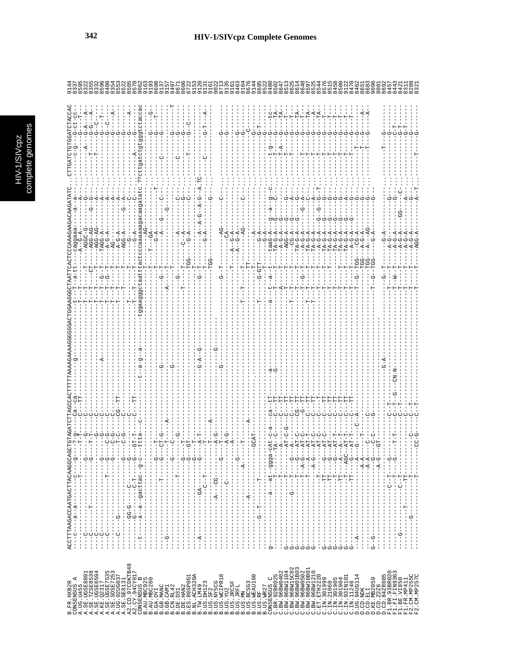| ACCTTTAAGACCAATGACTTACAAGGCAG                                                                                                                                                                                                                                                                                                                                                                                                                                                             |   | AGCCAC | LAAAGAAAAGGGGGACTGAAAGGG |               |                                 | CCAAAGAACAAGATA'        | CTCL                       |                                                                                           |
|-------------------------------------------------------------------------------------------------------------------------------------------------------------------------------------------------------------------------------------------------------------------------------------------------------------------------------------------------------------------------------------------------------------------------------------------------------------------------------------------|---|--------|--------------------------|---------------|---------------------------------|-------------------------|----------------------------|-------------------------------------------------------------------------------------------|
| $\,$ I<br>$\mathbb{I}$<br>$\frac{1}{1}$<br>$\overline{\phantom{a}}$                                                                                                                                                                                                                                                                                                                                                                                                                       |   |        |                          |               |                                 |                         | U<br>ά                     |                                                                                           |
| $\blacksquare$<br>$\mathbf{I}$<br>T<br>-1<br>J,                                                                                                                                                                                                                                                                                                                                                                                                                                           |   |        |                          |               |                                 |                         |                            |                                                                                           |
| L<br>$\mathbf{I}$<br>$rac{1}{6}$<br>ł.<br>$\overline{1}$<br>ï.<br>L<br>ł<br>т<br>т<br>Ť.<br>$\mathsf I$<br>$\frac{1}{1}$<br>÷<br>$\begin{array}{c} 1 & 1 \\ 1 & 1 \\ 1 & 1 \\ 1 & 1 \end{array}$                                                                                                                                                                                                                                                                                          |   |        |                          |               | $-AGGC - C$                     | じ じ<br>T.               | A                          |                                                                                           |
| - 1<br>$\frac{1}{4}$<br>$\,$ I<br>$\frac{1}{1}$<br>÷<br>$\mathsf I$<br>$\,$ I<br>$\mathbf{I}$<br>$\overline{\phantom{a}}$<br>$\blacksquare$<br>-1<br>$\mathbf{I}$<br>$\frac{1}{1}$<br>$\,$ I<br>$\frac{1}{2}$                                                                                                                                                                                                                                                                             |   |        |                          |               | $\overline{A}$<br>$-AGG-$       |                         | 66 F                       |                                                                                           |
| ÷<br>$\overline{\phantom{a}}$<br>$\frac{1}{1}$<br>-1<br>$\overline{1}$<br>$\,$ I<br>$\mathbf{I}$<br>$\frac{1}{1}$<br>Ţ<br>$\frac{1}{1}$                                                                                                                                                                                                                                                                                                                                                   |   |        |                          | ひ             | TAGG-                           | $\triangle$ $\triangle$ | 부모 - 이<br>- 이 이<br>- 이 이 이 |                                                                                           |
| Ť.<br>$\frac{1}{1}$<br>j<br>$\frac{1}{2}$                                                                                                                                                                                                                                                                                                                                                                                                                                                 | U |        |                          | ひ             | $-A-G-A$                        |                         | $\frac{0}{1}$              |                                                                                           |
| မှ မှ မှ<br>       <br>$\begin{bmatrix} 1 \\ 1 \\ 1 \\ 1 \end{bmatrix}$<br>$\,$ I<br>J.<br>$\overline{\phantom{a}}$<br>$\mathbf{I}$<br>$\frac{1}{1}$<br>J<br>$\frac{1}{1}$<br>J<br>J<br>$\frac{1}{1}$                                                                                                                                                                                                                                                                                     |   |        |                          | ь             | i C                             | $\triangle$ $\triangle$ | じ じ                        | $\infty$ $\infty$ $\infty$ $\infty$ $\infty$ $\infty$ $\infty$ $\infty$ $\infty$ $\infty$ |
| - 1<br>-1<br>$\mathbf{I}$<br>$\blacksquare$<br>$\frac{1}{1}$<br>$\mathsf I$<br>$\blacksquare$<br>$\blacksquare$<br>$\mathbf{I}$<br>$\mathbf{I}$<br>- 1<br>$-1 - 1$<br>$\frac{1}{1}$                                                                                                                                                                                                                                                                                                       |   |        |                          |               |                                 | A,                      | てり                         |                                                                                           |
| $\begin{array}{c} 1 \\ 0 \\ 1 \end{array}$<br>т<br>т<br>$\mathfrak l$                                                                                                                                                                                                                                                                                                                                                                                                                     |   |        |                          |               | A-G-<br>AGG-                    | A<br>C                  | ひ                          |                                                                                           |
| I<br>ł                                                                                                                                                                                                                                                                                                                                                                                                                                                                                    |   |        |                          |               |                                 | t.                      | ひ                          |                                                                                           |
| $-1$                                                                                                                                                                                                                                                                                                                                                                                                                                                                                      |   |        |                          |               | ひ                               |                         | τŋ                         |                                                                                           |
| $-1 - 2 - 2 = -3 = -1$                                                                                                                                                                                                                                                                                                                                                                                                                                                                    |   |        | ൯                        | tggaagggctaat | actcccaaaa                      | caagatat<br>ā<br>peel   | ttgatctgtgggtctacca        |                                                                                           |
| $\mathsf I$<br>$\mathbf{I}$<br>-1<br>Ţ<br>Ť<br>$\frac{1}{1}$<br>$\mathbb{I}$<br>$\frac{1}{1}$                                                                                                                                                                                                                                                                                                                                                                                             |   |        |                          |               |                                 |                         |                            |                                                                                           |
| $\frac{1}{1}$<br>$\frac{1}{1}$<br>ţ<br>$\mathbf{I}$<br>$\mathsf I$<br>Ť<br>I.<br>$\frac{1}{4}$<br>ï.<br>I<br>ŧ                                                                                                                                                                                                                                                                                                                                                                            |   |        |                          |               | н                               |                         | ပု<br>じ じ                  |                                                                                           |
| $\begin{array}{c} 1 \\ 0 \\ -1 \\ 1 \end{array}$<br>$\frac{1}{1}$<br>$\frac{1}{1}$<br>$\mathsf I$<br>$\mathbf{I}$<br>$\frac{1}{1}$                                                                                                                                                                                                                                                                                                                                                        |   |        |                          |               |                                 | К                       |                            |                                                                                           |
| $\frac{1}{1}$<br>$\frac{1}{1}$<br>$\frac{1}{1}$                                                                                                                                                                                                                                                                                                                                                                                                                                           |   |        | てり                       | ひ             |                                 | ๓<br>К                  | ひ                          | 0.0000000                                                                                 |
| I<br>$\frac{1}{1}$<br>$\frac{1}{1}$<br>j.<br>$\mathbf{I}$<br>$\mathsf I$<br>$\mathsf I$<br>$\mathbf{I}$<br>Ť<br>$\frac{1}{1}$<br>$-9 - 1$                                                                                                                                                                                                                                                                                                                                                 |   |        |                          |               |                                 | ひ                       |                            |                                                                                           |
| $\mathbf{I}$<br>$\mathbf I$<br>$\frac{1}{1}$<br>$\frac{1}{1}$<br>$\frac{1}{1}$<br>Ť                                                                                                                                                                                                                                                                                                                                                                                                       |   |        | τŋ                       |               |                                 |                         | ひ                          |                                                                                           |
| $\overline{\phantom{a}}$<br>$\,$ I<br>$\frac{1}{2}$<br>$\frac{1}{1}$<br>J<br>$\frac{1}{1}$<br>$\overline{\phantom{a}}$<br>I<br>$\frac{1}{1}$                                                                                                                                                                                                                                                                                                                                              |   |        |                          | ひ             |                                 |                         | てり                         |                                                                                           |
| $\begin{bmatrix} 1 & 1 & 1 \\ 1 & 1 & 1 \\ 1 & 1 & 1 \\ 1 & 1 & 1 \\ 1 & 1 & 1 \\ 1 & 1 & 1 \\ 1 & 1 & 1 \\ 1 & 1 & 1 \\ 1 & 1 & 1 \\ 1 & 1 & 1 \\ 1 & 1 & 1 \\ 1 & 1 & 1 \\ 1 & 1 & 1 \\ 1 & 1 & 1 \\ 1 & 1 & 1 & 1 \\ 1 & 1 & 1 & 1 \\ 1 & 1 & 1 & 1 \\ 1 & 1 & 1 & 1 \\ 1 & 1 & 1 & 1 \\ 1 & 1 & 1 & 1 \\ 1 & 1 & 1 & 1 \\ 1 & $<br>$\frac{1}{1}$<br>Ť.<br>$\mathsf I$<br>$\mathbf{I}$<br>$\frac{1}{1}$<br>J.<br>$\mathbb{I}$<br>ŧ                                                     |   |        |                          |               | U)                              | てり<br>Æ                 | てり                         | ιo                                                                                        |
| မှ မှ<br>   <br>   <br>$\frac{1}{4}$<br>$\begin{array}{c} \begin{array}{c} \text{1} \\ \text{2} \\ \text{3} \\ \text{4} \end{array} \end{array}$<br>$\mathsf I$<br>$\frac{1}{1}$<br>$\frac{1}{1}$<br>I<br>ŧ                                                                                                                                                                                                                                                                               |   |        |                          |               | $G - A$                         | ↻                       | C<br>ひ                     |                                                                                           |
| Ţ<br>$\frac{1}{4}$<br>İ<br>$\blacksquare$<br>$\frac{1}{1}$<br>$\,$ I<br>ł<br>$\frac{1}{1}$<br>I<br>$\frac{1}{1}$                                                                                                                                                                                                                                                                                                                                                                          |   |        |                          |               |                                 |                         |                            |                                                                                           |
| စုံစုံ<br>၂၂                                                                                                                                                                                                                                                                                                                                                                                                                                                                              |   |        |                          |               |                                 |                         |                            |                                                                                           |
| $\frac{1}{4}$<br>$\mathsf I$<br>$-1$ $-1$ $-1$ $-1$ $-1$ $-1$ $-1$<br>$\frac{1}{1}$<br>Ť.<br>$- -A - -$                                                                                                                                                                                                                                                                                                                                                                                   |   |        | చ్                       | ひ             |                                 | ひ<br>⋖<br>ひ<br>Æ<br>RΚ  |                            |                                                                                           |
| $\overline{\phantom{a}}$<br>$\frac{1}{1}$<br>I                                                                                                                                                                                                                                                                                                                                                                                                                                            |   |        |                          |               |                                 |                         | ひ                          |                                                                                           |
| $\frac{1}{1}$<br>$\frac{1}{1}$                                                                                                                                                                                                                                                                                                                                                                                                                                                            |   |        |                          |               |                                 |                         |                            |                                                                                           |
| Τ.<br>T<br>$\mathsf I$<br>- - - ひひ - - - ぱ - - - - - - - - -<br>Ţ<br>I<br>ŧ                                                                                                                                                                                                                                                                                                                                                                                                               | ひ |        |                          |               |                                 |                         |                            |                                                                                           |
| Ţ<br>$\frac{1}{1}$<br>$\mathsf I$<br>$\frac{1}{1}$<br>Ť                                                                                                                                                                                                                                                                                                                                                                                                                                   |   |        | τ٠                       | τ٠            |                                 |                         |                            |                                                                                           |
| Ţ<br>$\frac{1}{4}$<br>$\frac{1}{1}$<br>ŧ                                                                                                                                                                                                                                                                                                                                                                                                                                                  |   |        |                          |               |                                 |                         |                            |                                                                                           |
| $\mathbf{I}$<br>I<br>$\begin{bmatrix} 1 \\ 1 \\ 1 \end{bmatrix}$<br>$\begin{bmatrix} 1 \\ 1 \\ 1 \\ 1 \end{bmatrix}$<br>$\frac{1}{1}$<br>$\,$ I<br>$\frac{1}{1}$<br>ł                                                                                                                                                                                                                                                                                                                     |   |        |                          |               | イーク<br>J.<br>$\mathbf{I}$<br>K, |                         |                            |                                                                                           |
| $-1$<br>ł<br>$\frac{1}{4}$<br>Ţ<br>1<br>J.<br>ł                                                                                                                                                                                                                                                                                                                                                                                                                                           |   |        |                          |               | $G-\Delta$<br>Ť<br>К            |                         | ひ                          | ιo                                                                                        |
| $\mathbf{I}$<br>1<br>п<br>$\frac{1}{1}$                                                                                                                                                                                                                                                                                                                                                                                                                                                   |   |        |                          |               |                                 |                         | てり                         |                                                                                           |
| T<br>J.<br>ł                                                                                                                                                                                                                                                                                                                                                                                                                                                                              |   |        |                          |               |                                 |                         |                            |                                                                                           |
| $\frac{1}{1}$<br>$\mathbb{I}$<br>$\frac{1}{1}$<br>$\mathsf I$<br>$\frac{1}{1}$<br>Ţ<br>I                                                                                                                                                                                                                                                                                                                                                                                                  |   |        |                          |               |                                 |                         | לי                         |                                                                                           |
| ł<br>ł,                                                                                                                                                                                                                                                                                                                                                                                                                                                                                   |   |        |                          |               |                                 |                         |                            |                                                                                           |
| $\mathbf{I}$<br>I.<br>Ţ<br>$\frac{1}{1}$                                                                                                                                                                                                                                                                                                                                                                                                                                                  |   |        |                          | ひ             |                                 | Æ                       | Ę<br>ひ                     |                                                                                           |
| J<br>J<br>Ť.<br>т<br>$\frac{1}{1}$<br>J<br>п<br>$\mathbf{I}$<br>1<br>ł<br>$\mathbf{I}$<br>$\blacksquare$<br>J<br>J<br>$\frac{1}{1}$<br>$\mathbf{I}$                                                                                                                                                                                                                                                                                                                                       |   |        |                          |               |                                 |                         |                            |                                                                                           |
| $\,$ I<br>÷<br>$\frac{1}{1}$<br>J<br>Ţ<br>ł<br>g                                                                                                                                                                                                                                                                                                                                                                                                                                          |   |        | ጠ<br>൯                   | ൯             | taal                            | ת<br>σ                  | てり<br>J.                   |                                                                                           |
| Ţ<br>J.<br>Ť.                                                                                                                                                                                                                                                                                                                                                                                                                                                                             |   |        | 也                        |               | υ<br>$TA-$                      |                         |                            |                                                                                           |
| $-1 - 2 - 1 - 1$<br>$\frac{1}{1}$<br>Ţ<br>I<br>т<br>Ţ<br>I<br>T<br>I<br>ŧ<br>-                                                                                                                                                                                                                                                                                                                                                                                                            |   |        |                          |               | $\overline{A}$                  | あひ ひ ひ ひ                | υ υ<br>A<br>н              |                                                                                           |
| $\frac{1}{1}$<br>$\mathbf{I}$<br>$\mathbf{I}$<br>$\mathbf{I}$<br>$\mathbf{I}$<br>$\blacksquare$<br>1<br>ł                                                                                                                                                                                                                                                                                                                                                                                 |   |        |                          |               | Ğ.                              | てり                      | てり                         |                                                                                           |
| $\begin{array}{c} 1 \ \ \frac{1}{2} \ \ \frac{1}{2} \ \ \frac{1}{2} \ \ \frac{1}{2} \ \ \frac{1}{2} \ \ \frac{1}{2} \ \ \frac{1}{2} \ \ \frac{1}{2} \ \ \frac{1}{2} \ \ \frac{1}{2} \ \ \frac{1}{2} \ \ \frac{1}{2} \ \ \frac{1}{2} \ \ \frac{1}{2} \ \ \frac{1}{2} \ \ \frac{1}{2} \ \ \frac{1}{2} \ \ \frac{1}{2} \ \ \frac{1}{2} \ \ \frac{1}{2} \ \ \frac{1}{2} \ \ \frac{1}{2} \ \ \frac{1}{2} \ \ \frac$<br>$-5 -$<br>$\mathbf{I}$<br>-1<br>$\mathbf I$<br>-1<br>Ť<br><b>ひひひひひひ</b> |   |        |                          |               | ひ<br>U<br>H.                    | Æ,<br>Æ                 | ⊢                          |                                                                                           |
| L                                                                                                                                                                                                                                                                                                                                                                                                                                                                                         |   |        |                          |               |                                 | ひ                       |                            |                                                                                           |
| $\frac{1}{1}$<br>$\mathsf I$<br>1<br>п<br>I<br>I.<br>ı<br>ł                                                                                                                                                                                                                                                                                                                                                                                                                               |   |        |                          |               | $\tilde{A}$<br>ひ<br>$TA^{-}$    | ひ                       |                            |                                                                                           |
| $\overline{\phantom{a}}$<br>$\mathsf I$<br>$\mathbf{I}$<br>ï<br>J<br>J.<br>I<br>J<br>$\mathbf I$                                                                                                                                                                                                                                                                                                                                                                                          |   | Е      |                          | ひ             | ひ<br>$- A -$                    | R∪<br>Ġ                 |                            |                                                                                           |
| $\overline{\phantom{a}}$<br>п<br>$\blacksquare$                                                                                                                                                                                                                                                                                                                                                                                                                                           |   | Е      |                          |               |                                 |                         | FA                         |                                                                                           |
| $\mathbf{I}$                                                                                                                                                                                                                                                                                                                                                                                                                                                                              |   | E      |                          |               | $T A -$                         |                         | てり<br>Н                    |                                                                                           |
| $-1 - 2 - 1 - 1 -$<br>I<br>J.<br>ï<br>J.<br>-1<br>T.<br><b>I</b>                                                                                                                                                                                                                                                                                                                                                                                                                          |   | 부      |                          |               |                                 | ৰ ৩<br>ひ                | FA<br>てり<br>н              |                                                                                           |
| т<br>$\blacksquare$                                                                                                                                                                                                                                                                                                                                                                                                                                                                       |   | 呂      |                          |               | $TA-$                           | <b>ひ ひ ひ ひ ひ ひ</b>      |                            |                                                                                           |
|                                                                                                                                                                                                                                                                                                                                                                                                                                                                                           |   |        |                          |               |                                 |                         |                            |                                                                                           |
| $\mathbf{I}$<br>$\mathbf{I}$<br>÷                                                                                                                                                                                                                                                                                                                                                                                                                                                         |   | Е      |                          |               | $T A - C$                       |                         | ζŋ<br>н                    |                                                                                           |
| Ĵ                                                                                                                                                                                                                                                                                                                                                                                                                                                                                         |   | E      |                          |               |                                 |                         | てり<br>н                    |                                                                                           |
| $\overline{\phantom{a}}$<br>$\overline{1}$<br>$\overline{\phantom{a}}$<br>$\frac{1}{1}$<br>ŧ                                                                                                                                                                                                                                                                                                                                                                                              |   |        |                          |               | $TA-$                           |                         | ь                          |                                                                                           |
| л<br>Ť<br><b>ひ ひ ひ ひ ひ ひ</b>                                                                                                                                                                                                                                                                                                                                                                                                                                                              |   |        |                          |               | $TA-$                           | ひひひひはひひ                 |                            |                                                                                           |
| $\mathbf{I}$<br>ŧ                                                                                                                                                                                                                                                                                                                                                                                                                                                                         |   |        |                          |               |                                 | Œ                       |                            |                                                                                           |
| J.<br>ı<br>$- -A - -$<br>$\overline{\phantom{a}}$                                                                                                                                                                                                                                                                                                                                                                                                                                         |   |        |                          | ひ             |                                 |                         | ⊢                          |                                                                                           |
| п                                                                                                                                                                                                                                                                                                                                                                                                                                                                                         |   |        |                          |               |                                 |                         |                            |                                                                                           |
|                                                                                                                                                                                                                                                                                                                                                                                                                                                                                           |   |        |                          |               |                                 | てりてりてり                  |                            | $\circ$ $\circ$ $\circ$ $\circ$ $\circ$                                                   |
| п<br>I.<br>I<br>$\frac{1}{1}$<br>J.                                                                                                                                                                                                                                                                                                                                                                                                                                                       |   |        |                          |               |                                 |                         |                            |                                                                                           |
| $\mathsf I$<br>$\frac{1}{4}$<br>j.<br>$\mathsf I$<br>ŧ<br>$\mathbf{I}$<br>$G--G-$                                                                                                                                                                                                                                                                                                                                                                                                         |   |        |                          | 也             |                                 |                         |                            |                                                                                           |
| $\frac{1}{1}$<br>j.<br>J.<br>J.<br>J.<br>п<br>J.<br>Ť<br>$\overline{1}$                                                                                                                                                                                                                                                                                                                                                                                                                   |   |        |                          |               |                                 |                         |                            |                                                                                           |
| I<br>ł<br>J<br>л<br>$\mathbf I$<br>I<br>$\frac{1}{1}$<br>$\mathbf{I}$<br>$\mathbf{I}$                                                                                                                                                                                                                                                                                                                                                                                                     |   |        |                          |               |                                 |                         |                            | 4466006                                                                                   |
| I<br>п<br>I.<br>$\mathbf{I}$<br>1<br>Ť                                                                                                                                                                                                                                                                                                                                                                                                                                                    |   |        |                          |               |                                 |                         |                            |                                                                                           |
| $\frac{1}{1}$<br>$\mathbb{I}$<br>$\frac{1}{1}$                                                                                                                                                                                                                                                                                                                                                                                                                                            |   |        |                          | з             | K.                              | K,                      |                            | 4                                                                                         |
| Ţ<br>Ţ<br>$\frac{1}{1}$<br>$\frac{1}{4}$<br>$\overline{\phantom{a}}$<br>$\overline{\phantom{a}}$<br>$-9 - -$                                                                                                                                                                                                                                                                                                                                                                              |   |        |                          |               | Æ                               |                         |                            |                                                                                           |
|                                                                                                                                                                                                                                                                                                                                                                                                                                                                                           |   |        |                          |               |                                 |                         |                            |                                                                                           |
| -----------<br>$-1$ $-1$ $-1$ $-1$ $-1$ $-1$ $-1$<br>$\frac{1}{1}$                                                                                                                                                                                                                                                                                                                                                                                                                        |   |        |                          |               | ひ<br>k.                         |                         |                            |                                                                                           |
| $\begin{array}{c} \begin{array}{c} \cdot \\ \cdot \\ \cdot \\ \cdot \\ \cdot \end{array} \\ \begin{array}{c} \cdot \\ \cdot \\ \cdot \\ \cdot \end{array} \\ \begin{array}{c} \cdot \\ \cdot \\ \cdot \\ \cdot \\ \cdot \end{array} \end{array}$<br>$\begin{array}{c} 1 \\ 1 \\ 1 \end{array}$                                                                                                                                                                                            |   |        |                          |               | Æ                               |                         |                            |                                                                                           |
| $\overline{\phantom{a}}$                                                                                                                                                                                                                                                                                                                                                                                                                                                                  |   |        |                          |               |                                 |                         |                            |                                                                                           |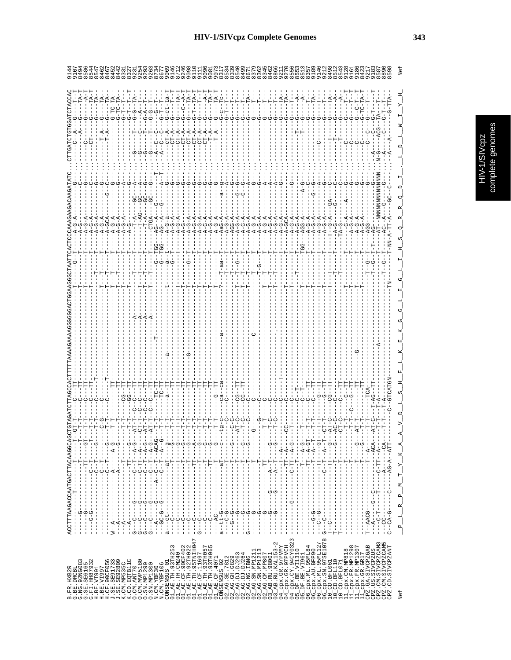|                                                                                                                                                                                                                                                             |                                                                                          |                                              |                               |                                                               |                                                          |                                        |                           |                               |                     |        |                                    |                    |               |               |                        |                 |                   |                        |                                                                                                                                                                                                                                                                                                                                                                                              |               |               |               |                       |                                                                                        |               |                                  |    |                               |               |         |                                                                                                   |                        |                                |                                           |                                                 |                              |                                                      |                                                                    |                                         |                                     |                                |                                                                                                                                                                                                                                                                                                                                 |                                    |              |             |               |                                                 |          |                                                                                                                                                                                                                                                                                                                                                                                       |                | ひひひむ                           |          |                         |                              |                           |                                   |                  |
|-------------------------------------------------------------------------------------------------------------------------------------------------------------------------------------------------------------------------------------------------------------|------------------------------------------------------------------------------------------|----------------------------------------------|-------------------------------|---------------------------------------------------------------|----------------------------------------------------------|----------------------------------------|---------------------------|-------------------------------|---------------------|--------|------------------------------------|--------------------|---------------|---------------|------------------------|-----------------|-------------------|------------------------|----------------------------------------------------------------------------------------------------------------------------------------------------------------------------------------------------------------------------------------------------------------------------------------------------------------------------------------------------------------------------------------------|---------------|---------------|---------------|-----------------------|----------------------------------------------------------------------------------------|---------------|----------------------------------|----|-------------------------------|---------------|---------|---------------------------------------------------------------------------------------------------|------------------------|--------------------------------|-------------------------------------------|-------------------------------------------------|------------------------------|------------------------------------------------------|--------------------------------------------------------------------|-----------------------------------------|-------------------------------------|--------------------------------|---------------------------------------------------------------------------------------------------------------------------------------------------------------------------------------------------------------------------------------------------------------------------------------------------------------------------------|------------------------------------|--------------|-------------|---------------|-------------------------------------------------|----------|---------------------------------------------------------------------------------------------------------------------------------------------------------------------------------------------------------------------------------------------------------------------------------------------------------------------------------------------------------------------------------------|----------------|--------------------------------|----------|-------------------------|------------------------------|---------------------------|-----------------------------------|------------------|
|                                                                                                                                                                                                                                                             |                                                                                          |                                              |                               |                                                               |                                                          |                                        |                           |                               |                     |        |                                    |                    |               |               |                        |                 |                   |                        |                                                                                                                                                                                                                                                                                                                                                                                              |               |               |               |                       |                                                                                        |               |                                  |    |                               |               |         |                                                                                                   |                        |                                |                                           |                                                 |                              |                                                      |                                                                    |                                         |                                     |                                |                                                                                                                                                                                                                                                                                                                                 |                                    |              |             |               |                                                 |          |                                                                                                                                                                                                                                                                                                                                                                                       |                |                                |          |                         |                              |                           |                                   |                  |
|                                                                                                                                                                                                                                                             |                                                                                          |                                              |                               |                                                               |                                                          |                                        |                           |                               |                     |        |                                    |                    |               |               |                        |                 |                   |                        |                                                                                                                                                                                                                                                                                                                                                                                              |               |               |               |                       |                                                                                        |               |                                  |    |                               |               |         |                                                                                                   |                        |                                |                                           |                                                 |                              |                                                      |                                                                    |                                         |                                     |                                |                                                                                                                                                                                                                                                                                                                                 |                                    |              |             |               |                                                 |          |                                                                                                                                                                                                                                                                                                                                                                                       |                |                                |          |                         |                              |                           |                                   |                  |
|                                                                                                                                                                                                                                                             |                                                                                          |                                              |                               |                                                               |                                                          |                                        |                           |                               |                     |        | 9999<br>9999                       |                    |               |               |                        |                 |                   |                        |                                                                                                                                                                                                                                                                                                                                                                                              |               |               |               |                       |                                                                                        |               |                                  |    |                               |               |         |                                                                                                   |                        |                                |                                           |                                                 |                              |                                                      |                                                                    |                                         |                                     |                                |                                                                                                                                                                                                                                                                                                                                 |                                    |              |             |               |                                                 |          |                                                                                                                                                                                                                                                                                                                                                                                       |                |                                |          |                         |                              |                           |                                   |                  |
|                                                                                                                                                                                                                                                             |                                                                                          |                                              |                               |                                                               |                                                          |                                        |                           |                               |                     |        |                                    |                    |               |               |                        |                 |                   |                        |                                                                                                                                                                                                                                                                                                                                                                                              |               |               |               |                       |                                                                                        |               |                                  |    |                               |               |         |                                                                                                   |                        |                                |                                           |                                                 |                              |                                                      |                                                                    |                                         |                                     |                                |                                                                                                                                                                                                                                                                                                                                 |                                    |              |             |               |                                                 |          |                                                                                                                                                                                                                                                                                                                                                                                       |                |                                |          |                         |                              |                           |                                   |                  |
|                                                                                                                                                                                                                                                             |                                                                                          |                                              |                               |                                                               |                                                          |                                        |                           |                               |                     |        |                                    |                    |               |               |                        |                 |                   |                        |                                                                                                                                                                                                                                                                                                                                                                                              |               |               |               |                       |                                                                                        |               |                                  |    |                               |               |         |                                                                                                   |                        |                                |                                           |                                                 |                              |                                                      |                                                                    |                                         |                                     |                                |                                                                                                                                                                                                                                                                                                                                 |                                    |              |             |               |                                                 |          |                                                                                                                                                                                                                                                                                                                                                                                       |                |                                |          |                         |                              |                           |                                   |                  |
|                                                                                                                                                                                                                                                             |                                                                                          |                                              |                               |                                                               |                                                          |                                        |                           |                               |                     |        |                                    |                    |               |               |                        |                 |                   |                        |                                                                                                                                                                                                                                                                                                                                                                                              |               |               |               |                       |                                                                                        |               |                                  |    |                               |               |         |                                                                                                   |                        |                                |                                           |                                                 |                              |                                                      |                                                                    |                                         |                                     |                                |                                                                                                                                                                                                                                                                                                                                 |                                    |              |             |               |                                                 |          |                                                                                                                                                                                                                                                                                                                                                                                       |                |                                |          |                         |                              |                           |                                   |                  |
|                                                                                                                                                                                                                                                             |                                                                                          |                                              |                               |                                                               |                                                          |                                        |                           |                               |                     |        |                                    |                    |               |               |                        |                 |                   |                        |                                                                                                                                                                                                                                                                                                                                                                                              |               |               |               |                       |                                                                                        |               | -aa                              |    |                               |               |         |                                                                                                   |                        |                                |                                           |                                                 |                              |                                                      |                                                                    |                                         |                                     |                                |                                                                                                                                                                                                                                                                                                                                 |                                    |              |             |               |                                                 |          |                                                                                                                                                                                                                                                                                                                                                                                       |                |                                |          |                         |                              |                           |                                   |                  |
|                                                                                                                                                                                                                                                             |                                                                                          |                                              |                               |                                                               |                                                          |                                        |                           |                               |                     |        |                                    |                    |               |               |                        |                 |                   |                        |                                                                                                                                                                                                                                                                                                                                                                                              |               |               |               |                       |                                                                                        |               |                                  |    |                               |               |         |                                                                                                   |                        |                                |                                           |                                                 |                              |                                                      |                                                                    |                                         |                                     |                                |                                                                                                                                                                                                                                                                                                                                 |                                    |              |             |               |                                                 |          |                                                                                                                                                                                                                                                                                                                                                                                       |                |                                |          |                         |                              |                           |                                   |                  |
|                                                                                                                                                                                                                                                             |                                                                                          |                                              |                               |                                                               |                                                          |                                        |                           |                               |                     |        |                                    |                    |               |               |                        |                 |                   |                        |                                                                                                                                                                                                                                                                                                                                                                                              |               |               |               |                       |                                                                                        |               |                                  |    |                               |               |         |                                                                                                   |                        |                                |                                           |                                                 |                              |                                                      |                                                                    |                                         |                                     |                                |                                                                                                                                                                                                                                                                                                                                 |                                    |              |             |               |                                                 |          |                                                                                                                                                                                                                                                                                                                                                                                       |                |                                |          |                         |                              |                           |                                   |                  |
|                                                                                                                                                                                                                                                             |                                                                                          |                                              |                               |                                                               |                                                          |                                        |                           |                               |                     |        |                                    |                    |               |               |                        |                 |                   |                        |                                                                                                                                                                                                                                                                                                                                                                                              |               |               |               |                       |                                                                                        |               |                                  |    |                               |               |         |                                                                                                   |                        |                                |                                           |                                                 |                              |                                                      |                                                                    |                                         |                                     |                                |                                                                                                                                                                                                                                                                                                                                 |                                    |              |             |               |                                                 |          |                                                                                                                                                                                                                                                                                                                                                                                       |                |                                |          |                         |                              |                           |                                   |                  |
|                                                                                                                                                                                                                                                             |                                                                                          |                                              |                               |                                                               |                                                          |                                        |                           |                               |                     |        |                                    |                    |               |               |                        |                 |                   |                        |                                                                                                                                                                                                                                                                                                                                                                                              |               |               |               |                       |                                                                                        |               |                                  |    |                               |               |         |                                                                                                   |                        |                                |                                           |                                                 |                              |                                                      |                                                                    |                                         |                                     |                                |                                                                                                                                                                                                                                                                                                                                 |                                    |              |             |               |                                                 |          |                                                                                                                                                                                                                                                                                                                                                                                       |                |                                |          |                         |                              |                           |                                   |                  |
|                                                                                                                                                                                                                                                             |                                                                                          |                                              |                               |                                                               |                                                          |                                        |                           |                               |                     |        |                                    |                    |               |               |                        |                 |                   |                        |                                                                                                                                                                                                                                                                                                                                                                                              |               |               |               |                       |                                                                                        |               |                                  |    |                               |               |         |                                                                                                   |                        |                                |                                           |                                                 |                              |                                                      |                                                                    |                                         |                                     |                                |                                                                                                                                                                                                                                                                                                                                 |                                    |              |             |               |                                                 |          |                                                                                                                                                                                                                                                                                                                                                                                       |                |                                |          |                         |                              |                           |                                   |                  |
|                                                                                                                                                                                                                                                             |                                                                                          |                                              |                               |                                                               |                                                          |                                        |                           |                               |                     |        |                                    |                    |               |               |                        |                 |                   |                        |                                                                                                                                                                                                                                                                                                                                                                                              |               |               |               |                       |                                                                                        |               |                                  |    |                               |               |         |                                                                                                   |                        |                                |                                           |                                                 |                              |                                                      |                                                                    |                                         |                                     |                                |                                                                                                                                                                                                                                                                                                                                 |                                    |              |             |               |                                                 |          |                                                                                                                                                                                                                                                                                                                                                                                       |                |                                |          |                         |                              |                           |                                   |                  |
|                                                                                                                                                                                                                                                             |                                                                                          |                                              |                               |                                                               |                                                          |                                        |                           |                               |                     |        |                                    |                    |               |               |                        |                 |                   |                        |                                                                                                                                                                                                                                                                                                                                                                                              |               |               |               |                       |                                                                                        |               |                                  |    |                               |               |         |                                                                                                   |                        |                                |                                           |                                                 |                              |                                                      |                                                                    |                                         |                                     |                                |                                                                                                                                                                                                                                                                                                                                 |                                    |              |             |               |                                                 |          |                                                                                                                                                                                                                                                                                                                                                                                       |                |                                |          |                         |                              |                           |                                   |                  |
|                                                                                                                                                                                                                                                             |                                                                                          |                                              |                               |                                                               |                                                          |                                        |                           |                               |                     |        |                                    |                    |               |               |                        |                 |                   |                        |                                                                                                                                                                                                                                                                                                                                                                                              |               |               |               |                       |                                                                                        |               |                                  |    |                               |               |         |                                                                                                   |                        |                                |                                           |                                                 |                              |                                                      |                                                                    |                                         |                                     |                                |                                                                                                                                                                                                                                                                                                                                 |                                    |              |             |               |                                                 |          |                                                                                                                                                                                                                                                                                                                                                                                       |                |                                |          |                         |                              |                           |                                   |                  |
|                                                                                                                                                                                                                                                             |                                                                                          |                                              |                               |                                                               |                                                          |                                        |                           |                               |                     |        |                                    |                    |               |               |                        |                 |                   |                        |                                                                                                                                                                                                                                                                                                                                                                                              |               |               |               |                       |                                                                                        |               |                                  |    |                               |               |         |                                                                                                   |                        |                                |                                           |                                                 |                              |                                                      |                                                                    |                                         |                                     |                                |                                                                                                                                                                                                                                                                                                                                 |                                    |              |             |               |                                                 |          |                                                                                                                                                                                                                                                                                                                                                                                       |                |                                |          |                         |                              |                           |                                   |                  |
|                                                                                                                                                                                                                                                             |                                                                                          |                                              |                               |                                                               |                                                          |                                        |                           |                               |                     |        |                                    |                    |               |               |                        |                 |                   |                        |                                                                                                                                                                                                                                                                                                                                                                                              |               |               |               |                       |                                                                                        |               |                                  |    |                               |               |         |                                                                                                   |                        |                                |                                           |                                                 |                              |                                                      |                                                                    |                                         |                                     |                                |                                                                                                                                                                                                                                                                                                                                 |                                    |              |             |               |                                                 |          |                                                                                                                                                                                                                                                                                                                                                                                       |                |                                |          |                         |                              |                           |                                   |                  |
| T<br>T<br>T<br>Ť                                                                                                                                                                                                                                            | ד<br>י<br>ı<br>$\blacksquare$                                                            | 당---<br>$\frac{1}{4}$                        | $   \Gamma$<br>$\frac{1}{1}$  | $\begin{array}{c} 1 \\ 0 \\ 1 \end{array}$<br>$\frac{1}{1}$   | $-\frac{c}{1}$<br>$\overline{1}$                         | $-4-7$<br>$\frac{1}{4}$                | $-\frac{c}{l}$<br>$\sf I$ | п<br>T.<br>J                  | $-\frac{c}{1}$<br>Ť | $-4-6$ |                                    |                    |               |               |                        | f,              | Ĵ                 | $\frac{1}{4}$          | ÷                                                                                                                                                                                                                                                                                                                                                                                            | $\frac{1}{1}$ | $\frac{1}{1}$ | $-1 - 0$<br>J | J,                    | $\frac{1}{2}$ $\frac{1}{2}$ $\frac{1}{2}$ $\frac{1}{2}$ $\frac{1}{2}$<br>$\frac{1}{1}$ | -i            | $\frac{1}{\nu}$<br>$\frac{1}{1}$ | j. | $-1 - 1$<br>$\frac{1}{1}$     |               | ï.<br>Ť | $\begin{array}{c}\n1 \\ 0\n\end{array}$<br>$\overset{1}{\circ}$<br>$\frac{1}{1}$<br>$\frac{1}{1}$ | ł                      | f,<br>$\frac{1}{1}$            | ÷<br>ł<br>j                               | $\begin{array}{c} 1 \\ 0 \\ 1 \end{array}$<br>Ĵ | $\frac{1}{2}$<br>j           | $- -A - -$                                           |                                                                    |                                         | $\frac{1}{1}$                       |                                |                                                                                                                                                                                                                                                                                                                                 |                                    |              |             | $\frac{1}{1}$ | $\begin{array}{c} 1 \\ 0 \\ 1 \end{array}$<br>÷ | ł<br>J.  | $\begin{array}{c} \rule{0pt}{2.5ex} \rule{0pt}{2.5ex} \rule{0pt}{2.5ex} \rule{0pt}{2.5ex} \rule{0pt}{2.5ex} \rule{0pt}{2.5ex} \rule{0pt}{2.5ex} \rule{0pt}{2.5ex} \rule{0pt}{2.5ex} \rule{0pt}{2.5ex} \rule{0pt}{2.5ex} \rule{0pt}{2.5ex} \rule{0pt}{2.5ex} \rule{0pt}{2.5ex} \rule{0pt}{2.5ex} \rule{0pt}{2.5ex} \rule{0pt}{2.5ex} \rule{0pt}{2.5ex} \rule{0pt}{2.5ex} \rule{0$<br>÷ | $\frac{1}{1}$  | $\frac{1}{2}$<br>$\frac{1}{1}$ | もーー<br>Ĵ | $- - A - -$             | $-ACA-$                      |                           |                                   | $AG - A - - ATT$ |
| י<br>ו<br>$\mathsf I$                                                                                                                                                                                                                                       | F<br>T<br>т<br>т                                                                         |                                              | $\frac{1}{1}$                 | EFFF<br>Taal<br>$\begin{array}{c} 0 & 0 \\ 1 & 1 \end{array}$ | $\frac{c}{1}$                                            | $- -C - T$                             | $- -A - -$                | Ι.                            | 特                   | Ŧ      | 다-다<br>- 다<br>- 이<br>$\frac{1}{2}$ | U<br>$\frac{1}{1}$ | $\frac{1}{2}$ |               | 현현현현<br>고고고고<br>ט<br>י | $-ar$           |                   |                        | $\begin{array}{l} \dot{\mathbf{r}}_{1} & \dot{\mathbf{r}}_{2} & \dot{\mathbf{r}}_{3} \\ \dot{\mathbf{r}}_{1} & \dot{\mathbf{r}}_{2} & \dot{\mathbf{r}}_{3} \\ \dot{\mathbf{r}}_{2} & \dot{\mathbf{r}}_{3} & \dot{\mathbf{r}}_{3} \\ \dot{\mathbf{r}}_{3} & \dot{\mathbf{r}}_{3} & \dot{\mathbf{r}}_{3} \\ \dot{\mathbf{r}}_{4} & \dot{\mathbf{r}}_{5} & \dot{\mathbf{r}}_{6} \\ \end{array}$ |               |               |               |                       |                                                                                        | $\frac{1}{2}$ | $-a -$<br>Ť,                     |    | Ţ                             | $\frac{1}{1}$ | $T - -$ | $-1$                                                                                              | ר<br>וְ<br>۲<br>ا<br>ł | $   \Gamma$                    | $-\mathbf{T} \mathbf{T}$ –<br>$\mathsf I$ |                                                 | $-1 - A - T$                 | י<br>ו<br>п<br>Ť.                                    |                                                                    |                                         | ļ                                   |                                | $\begin{split} & -1 - 2\,T - 1 \\ & - 1 - 2\,T - 2 \\ & - 1 - 2\,T - 2 \\ & - 1 - 2\,T - 2 \\ & - 1 - 2\,T - 2 \\ & - 1 - 2\,T - 2 \\ & - 1 - 2\,T - 2 \\ & - 1 - 2\,T - 2 \\ & - 1 - 2\,T - 2 \\ & - 1 - 2\,T - 2 \\ & - 1 - 2\,T - 2 \\ & - 1 - 2\,T - 2 \\ & - 1 - 2\,T - 2\,T - 2 \\ & - 1 - 2\,T - 2\,T - 2 \\ & - 1 - 2\$ |                                    |              | $-1$ - $-1$ | $-TT$         | ÷<br>T<br>$\mathbf{I}$                          | 부부<br>J. | 부<br>I.<br>ï                                                                                                                                                                                                                                                                                                                                                                          | י<br>ד         | Ţ                              | $-1$     | י<br>י<br>$\frac{1}{1}$ | J.<br>Ť.<br>I<br>ï           | $-1$ - $-1$ - $-1$ - $-1$ | $-4-1$                            | ÷                |
| $\mathsf I$<br>1<br>$-1 - 1 -$                                                                                                                                                                                                                              | $\mathbf{I}$<br>$\mathsf I$                                                              | $\mathbb{I}$<br>$\mathbf{I}$<br>$\mathbf{I}$ | $\mathbf{I}$<br>т             |                                                               |                                                          | 1<br>п                                 | $\blacksquare$            | $\mathsf I$<br>$\blacksquare$ |                     |        | $\frac{1}{1}$                      |                    | $\frac{1}{1}$ | $-4-1$        | $\frac{1}{1}$          | $\frac{1}{1}$   | ţ                 | $\mathsf I$<br>Ţ<br>ł. |                                                                                                                                                                                                                                                                                                                                                                                              |               |               |               |                       |                                                                                        |               |                                  |    |                               |               |         |                                                                                                   |                        |                                | $\overline{1}$                            | $\frac{1}{1}$                                   | I<br>$\frac{1}{1}$           |                                                      | п                                                                  | $\mathbf{I}$                            |                                     | - 11                           | $\,$ I                                                                                                                                                                                                                                                                                                                          | $\,$ I<br>$\overline{\phantom{a}}$ | $\,$ I<br>÷  |             |               |                                                 |          |                                                                                                                                                                                                                                                                                                                                                                                       |                |                                |          |                         | $\frac{1}{1}$                |                           | т<br>т<br>1<br>т                  | л<br>л<br>Ÿ      |
| Î                                                                                                                                                                                                                                                           | Ţ<br>$\mathbf{I}$<br>$\mathsf I$<br>$\overline{\phantom{a}}$                             | $\mathbf{L}$<br>Ť.<br>L                      | - 11<br>$\mathsf I$<br>$\,$ I | $\blacksquare$                                                |                                                          |                                        |                           | -1                            |                     | ÷      | ÷                                  | l.                 | ÷             | $\frac{1}{1}$ | $\frac{1}{1}$          |                 | Ţ<br>$\mathbf{I}$ |                        |                                                                                                                                                                                                                                                                                                                                                                                              |               |               | 韭韭            |                       |                                                                                        | f,            |                                  |    |                               | ï             | Ť<br>÷  | $\mathbf{I}$                                                                                      |                        |                                |                                           | $-1$<br>Ħ                                       | $-1 - 1$                     | $\frac{1}{4}$<br>ï.<br>$\mathsf I$<br>$\blacksquare$ | $\frac{1}{1}$<br>$\mathsf I$<br>$\,$ I<br>$\overline{\phantom{a}}$ | $\frac{1}{1}$<br>$\dot{q}$<br>Ţ         | Ť<br>$\mathsf I$<br>Ţ               | $\frac{1}{1}$<br>$\frac{1}{1}$ | $\blacksquare$<br>$\overline{1}$                                                                                                                                                                                                                                                                                                | $\mathbf{I}$                       | Ť<br>Ť.      |             |               |                                                 |          |                                                                                                                                                                                                                                                                                                                                                                                       |                |                                |          |                         | i<br>-<br>$\frac{1}{2}$<br>I | -------                   | J.<br>т<br>ï.<br>$\mathsf I$<br>I | -1               |
| ACCTTTAAGACCAATGACTTACAAGGCA                                                                                                                                                                                                                                | $\begin{array}{c}\n 1 \\  -1 \\  -1 \\  -1 \\  -1 \\  -1\n \end{array}$<br>$\frac{1}{4}$ |                                              |                               | $\mathbf{I}$                                                  | $\overline{\phantom{a}}$<br>$\mathbf{I}$<br>$\mathbf{I}$ | $\mathbf{I}$<br>$\blacksquare$<br>$-4$ | L.<br>$-4$                | $\mathbf{I}$<br>$-4$          | $- - A$             |        |                                    |                    |               |               |                        | $t - -$<br>$-1$ | Ť                 | $\frac{1}{1}$          | $\frac{1}{1}$                                                                                                                                                                                                                                                                                                                                                                                |               |               |               | $\frac{1}{1}$<br>$-1$ | $\frac{1}{1}$<br>$\frac{1}{2}$                                                         | $---AC$       | Ġ<br>$a - -t$ t                  |    | ၊ ဗုံ ဗုံ<br>၊ ပုံ ၂<br>, ၂ ၂ |               | ŧ<br>Ι. | י פי פי פי<br>יייייייי<br>J<br>ŧ                                                                  | $\mathbf{I}$           | $\frac{1}{2}$<br>$\frac{1}{1}$ | $\blacksquare$                            | $\mathbf{I}$                                    | စုံစုံစုံ<br>  <br>   <br>I. | I<br>т                                               | $\frac{1}{1}$<br>J<br>$\overline{\phantom{a}}$                     | $\frac{1}{4}$<br>$\mathsf I$<br>I<br>L. | $\mathbf{I}$<br>Ţ<br>$\blacksquare$ | ł                              | п<br>J<br>$\overline{1}$                                                                                                                                                                                                                                                                                                        | .<br>ს<br>ს<br>$\frac{1}{1}$       | $-1 - C - C$ | -<br>J.     | $-1 - 1$      | J.                                              |          | п.                                                                                                                                                                                                                                                                                                                                                                                    | Ţ<br>- 11      | $\blacksquare$                 | п        | --AACG                  |                              | $-1$ - $-1$               | $\frac{1}{4}$<br>$-1$             | $-45 -$          |
| Ť.                                                                                                                                                                                                                                                          |                                                                                          | I.                                           | т                             |                                                               |                                                          | z                                      |                           |                               |                     |        |                                    |                    |               |               |                        | J.<br><b>G</b>  |                   |                        |                                                                                                                                                                                                                                                                                                                                                                                              |               |               | ひ             |                       |                                                                                        |               |                                  |    |                               |               |         | ひ                                                                                                 |                        |                                |                                           |                                                 |                              |                                                      |                                                                    |                                         |                                     |                                |                                                                                                                                                                                                                                                                                                                                 |                                    |              | ひ           | Н             | J                                               | J<br>FF  | Ť.                                                                                                                                                                                                                                                                                                                                                                                    | $\blacksquare$ |                                |          | Н                       |                              |                           |                                   | U                |
| $\begin{smallmatrix} 1.81,120,200\\ 0.182,120,000\\ 0.183,120,000\\ 0.185,120,000\\ 0.187,11991\\ 0.187,11991\\ 0.188,11991\\ 0.189,1300\\ 0.181,1991\\ 0.181,1991\\ 0.182,1991\\ 0.183,1991\\ 0.184,1991\\ 0.185,1991\\ 0.186,1991\\ 0.187,1991\\ 0.188,1$ |                                                                                          |                                              |                               |                                                               |                                                          |                                        |                           |                               |                     |        |                                    |                    |               |               |                        |                 |                   |                        |                                                                                                                                                                                                                                                                                                                                                                                              |               |               |               |                       |                                                                                        |               |                                  |    |                               |               |         |                                                                                                   |                        |                                |                                           |                                                 |                              |                                                      |                                                                    |                                         |                                     |                                |                                                                                                                                                                                                                                                                                                                                 |                                    |              |             |               |                                                 |          |                                                                                                                                                                                                                                                                                                                                                                                       |                |                                |          |                         |                              |                           |                                   |                  |
|                                                                                                                                                                                                                                                             |                                                                                          |                                              |                               |                                                               |                                                          |                                        |                           |                               |                     |        |                                    |                    |               |               |                        |                 |                   |                        |                                                                                                                                                                                                                                                                                                                                                                                              |               |               |               |                       |                                                                                        |               |                                  |    |                               |               |         |                                                                                                   |                        |                                |                                           |                                                 |                              |                                                      |                                                                    |                                         |                                     |                                |                                                                                                                                                                                                                                                                                                                                 |                                    |              |             |               |                                                 |          |                                                                                                                                                                                                                                                                                                                                                                                       |                |                                |          |                         |                              |                           |                                   |                  |
|                                                                                                                                                                                                                                                             |                                                                                          |                                              |                               |                                                               |                                                          |                                        |                           |                               |                     |        |                                    |                    |               |               |                        |                 |                   |                        |                                                                                                                                                                                                                                                                                                                                                                                              |               |               |               |                       |                                                                                        |               |                                  |    |                               |               |         |                                                                                                   |                        |                                |                                           |                                                 |                              |                                                      |                                                                    |                                         |                                     |                                |                                                                                                                                                                                                                                                                                                                                 |                                    |              |             |               |                                                 |          |                                                                                                                                                                                                                                                                                                                                                                                       |                |                                |          |                         |                              |                           |                                   |                  |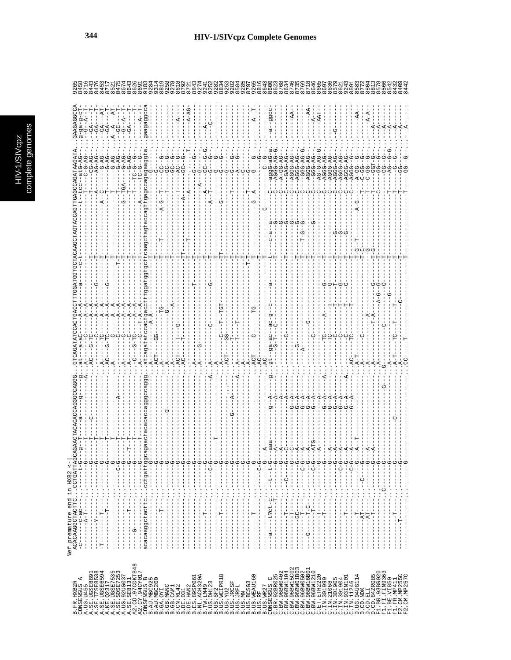HIV-1/SIVcpz<br>complete genomes

| gaagaggcc<br>$- -A - AC$<br>$-886$<br>-AAT<br>$-A-A$<br>$-AA$<br>$-A$ -<br>$-4$<br>$-1$<br>ပု<br>$-4$<br>S<br>$-4$<br>F<br>S<br>GA-<br>GA<br>y<br>К<br>К<br>К<br>К<br>Ó<br>Ů<br>œ<br>ひ‐‐<br>ししし<br>۳<br>ひ<br>ö<br>ひ<br>ひ<br>ひ<br>ひ<br>ひ<br>ひ<br>ひ<br>ひ<br>ひ<br>ひ<br>ひ<br>ひ<br>ひ<br>ひ<br>ひ<br>ひ<br>えーひ<br>$\overline{G}-\overline{D}$<br>accagttgagccagagaag<br>$A-G-A$<br>$\frac{1}{\mathbf{C}}$<br>$-AGGG-$<br>$-AGGG-$<br>$\sigma$<br>්<br>ά<br>$-6AC$<br>-999-<br>$-5 - 7 - 7 - 7$<br>$-AGGG-$<br>$-AGGG-$<br>$-AGGG-$<br>AGGG-<br>ق<br>ġ<br>C.<br><b>C-GG</b><br>ローワー<br>AGGC<br>$\overline{A} - G$<br>–<br>F∪<br>- A – C<br>შე<br>ს<br>- AGG<br>AGG<br>ල<br>どし<br>ひ<br>agg<br><b>CSA</b><br>τ.<br>К<br>C<br>$A - C$<br>ひ<br>ひ<br>ひ<br>ひ<br>U<br>ひ<br>てり<br>τŋ<br>൯<br>τŋ<br>caagctagt<br>ーリー<br>ひ<br>てり<br>也<br>൯<br>ℍ<br>ひ<br>U<br>ひ<br>ᄲ<br>aatact<br>ga<br>ひ<br>ט<br>U<br>უ<br>atcagatatccactgacctt<br>К<br>٣<br>むけっ<br>$\overline{A}$<br>$\mathbb{T}-\mathbb{A}-$<br>ά<br>$A - A$<br>Ŕ,<br>È<br>Ŕ,<br>K,<br>চা<br>$T - A$<br>o<br>G<br>ひ<br>ġ<br>"<br>--ga-ac-<br>---0---<br>U<br>-01-0-<br>언<br>ひ<br>₹<br>Ė<br>ACT<br>U<br><b>GBBBBBBBDDBDDBD</b><br>$-4$<br>*******<br>K,<br>Ŕ.<br>$\dot{A}$<br>A,<br>Ŗ<br><u>የየየየየ</u><br>Ġ<br>めめめめめ<br>ひ<br>ת<br>К<br>К<br>Æ<br>Æ<br>Ť<br>$\blacksquare$<br>$\mathbf{I}$<br>I.<br>$\overline{\phantom{a}}$<br>J<br>J.<br>ł<br>J,<br>$\begin{array}{c} \hline \end{array}$<br>J<br>1<br>$\mathbf{I}$<br>$\mathbf{I}$<br>$\mathbf{I}$<br>T<br>Ţ<br>Ţ<br>J.<br>$\mathbf{I}$<br>$\overline{\phantom{a}}$<br>п<br>л.<br>J.<br>п<br>п<br>ı<br>H<br>т<br>т<br>л<br>п<br>п<br>п<br>п<br>т<br>т<br>п<br>H<br>L.<br>$\mathbf{I}$<br>$\sigma$<br>$\overline{1}$<br>т<br>$\begin{array}{c} 1 \\ 0 \\ 1 \end{array}$<br>п<br>л<br>л<br>п<br>J.<br>л<br>л<br>Ġ<br>לון<br>קליון<br>ġ<br>Ü<br>Ġ<br> <br>U<br><b>ひ ひ</b><br>Ü<br>ひ<br>$\dot{c}$<br>ひ<br>ひ<br>$- -C - C$<br>نې<br>ب<br>U<br>Ü<br>ひ<br>לי לי לי<br>לי ל<br>ひ<br>$-5 - 0 -$<br>ن<br>۱<br>$-1 - t - -t - G$<br>ひ<br>ひ<br>ひ<br>ひ<br>5-2-1-<br>$-1 - C - G$<br>$-\frac{6}{1}$<br>ひ<br>ひ<br>ひ<br>Ġ<br>!<br>$- - -$ C $-$ G<br>$\frac{1}{\sqrt{2}}$<br>ひ<br>ひ<br>ひひ<br>ひ<br>ひ<br>ひ<br><b>ひひ</b><br>ひ<br>ひ<br><b>C-C-C-</b><br>Ī<br>Ĩ<br>ī<br>Í<br>ī<br>Ī<br>ł<br>Ť<br>ł<br>Ï<br>$\overline{1}$<br>$\mathbf{I}$<br>$\mathbf{I}$<br>L.<br>I<br>J.<br>л<br>J.<br>J.<br>ı<br>J.<br>J.<br>$\blacksquare$<br>$\frac{1}{1}$<br>$\frac{1}{1}$<br>п<br>-1<br>л<br>ł<br>п<br>п<br>п<br>л<br>п<br>п<br>J<br>п<br>J.<br>ţ<br>$-1$<br>$\begin{bmatrix} 1 \\ 1 \\ 1 \end{bmatrix}$<br>п<br>л<br>п<br>J.<br>п<br>п<br>$-1$<br>Ť.<br>Ť.<br>Ť<br>ï<br>j<br>j<br>Ť.<br>J.<br>$\mathsf I$<br>$\mathsf I$<br>I<br>$\mathbf{I}$<br>I<br>$\mathfrak l$<br>I<br>1<br>$\mathbf I$<br>Ţ<br>$\mathfrak l$<br>J.<br>J.<br>I<br>$\mathbf{I}$<br>J.<br>$\mathbf{I}$<br>ı<br>J,<br>T<br>$\mathbf{I}$<br>$\mathbf{I}$<br>ı<br>I<br>п<br>т<br>1<br>ı<br>$\,$ I<br>I<br>$\overline{\phantom{a}}$<br>Ţ<br>$\overline{\phantom{a}}$<br>I<br>$\mathbf{I}$<br>$\overline{\phantom{a}}$<br>J<br>Ţ<br>$\overline{\phantom{a}}$<br>Ţ<br>Ţ<br>I<br>$\mathbf{I}$<br>$\mathbf{I}$<br>J.<br>ł<br>J<br>$\mathbf{I}$<br>T<br>$\frac{1}{4}$<br>$\frac{1}{1}$<br>J.<br>$\overline{1}$<br>$\mathbf{I}$<br>$\mathbf{I}$<br>J.<br>ł<br>Ť<br>$\frac{1}{1}$<br>J.<br>$\mathbf{I}$<br>$\mathbf{I}$<br>J<br>I<br>$\mathbf{I}$<br>J<br>$\frac{1}{1}$<br>J<br>$\frac{1}{1}$<br>I<br>п<br>Ť<br>Ť.<br>Ť.<br>Ť.<br>Ť.<br>$\frac{1}{2}$<br>$\frac{1}{2}$<br>ı<br>п<br>т<br>-1<br>т<br>т<br>ı<br>т<br>п<br>ı<br>л.<br>J.<br>$\frac{1}{2}$<br>$\vdots$<br>$\vdots$<br>ţ<br>$\vdots$<br>$\vdots$<br>Ì<br>Ì<br>ن<br>:<br>Ŧ,<br>$\frac{1}{2}$ .<br>ţ<br>$\bullet$<br>Ì<br>$\vdots$<br>$\ddot{\cdot}$<br>$\vdots$<br>$\cdot$<br>$\vdots$<br>$\cdot$<br>$\vdots$<br>$\vdots$<br>$\ddot{\cdot}$<br>$\vdots$<br>$\vdots$<br>$\vdots$<br>$\vdots$<br>$\vdots$<br>Ì<br>$\vdots$<br>$\vdots$<br>$\vdots$<br>$\ddot{\cdot}$<br>$\vdots$<br>$\vdots$<br>ţ<br>$\vdots$<br>acacaaggctacttc<br>$- -a - - - -t$ ?ct-c<br>$\mathsf I$<br>I.<br>I<br>Ţ<br>Ţ<br>T<br>부<br>$-1 - T - C -$<br>$- - - \underline{T} - - - -$<br>$\overline{\phantom{a}}$<br>$\begin{bmatrix} 1 \\ 1 \\ 1 \end{bmatrix}$<br>j<br>$-1 - 1 - 1$<br>$-1 - 2 - 1 - 1 = -$<br>$\mathbf{I}$<br>$-1$<br>I<br>$-1$<br>$-1 - 1 - 1$<br>$\frac{1}{1}$<br>$-1$<br>$-1 - 1 - 1 -$<br>$-1 - 2 - -1$<br>$\frac{1}{1}$<br>I<br>$\overline{1}$<br>$-1$ $-1$ $-1$<br>$\frac{1}{1}$<br>J<br>$\frac{1}{1}$<br>í<br>$\frac{1}{4}$<br>$\frac{1}{4}$<br>I<br>$\mathbf{I}$<br>I<br>I<br>I.<br>I<br>I<br>$-1$<br>$-1$<br>$\frac{1}{1}$<br>I<br>I<br>Ť<br>J.<br>I<br>j.<br>I.<br>$\frac{1}{1}$<br>$\frac{1}{1}$<br>т<br>-1<br>т<br>п<br>п<br>H<br>J.<br>п<br>-1<br>H<br>$\mathbf I$<br>$-Y$ -<br>ï<br>j<br>I<br>Ť.<br>$-90 -$<br>$\frac{1}{2}$<br>$\overline{\phantom{a}}$<br>Ţ<br>F<br>F<br>F<br>$\mathbf{I}$<br>I<br>I<br>$\mathbf{I}$<br>т<br>т<br>п<br>т<br>I<br>H<br>J.<br>$\frac{1}{1}$<br>J<br>I<br>I<br>Ţ<br>I<br>J<br>Ţ<br>I<br>$\,$ I<br>I<br>I<br>J<br>J<br>$\mathbf{I}$<br>J.<br>J,<br>I<br>$\frac{1}{1}$<br>$\overline{1}$<br>I<br>$\mathbf{I}$<br>I<br>I<br>J<br>I<br>I.<br>T<br>I<br>I.<br>J.<br>$\mathbf{I}$<br>I<br>I<br>I<br>I.<br>J.<br>J.<br>$\frac{1}{1}$<br>$\frac{1}{1}$<br>J<br>$\frac{1}{1}$<br>$\frac{1}{1}$<br>$\frac{1}{1}$<br>$-1 - 5 - -$<br>$\frac{1}{1}$<br>п<br>л<br>H<br>i<br>1<br>п<br>п<br>I<br>I<br>J<br>ı<br>т<br>J.<br>п<br>т<br>I<br>п<br>í<br>п<br>п<br>ı | I<br>ı<br>I. | J.<br>$-1 - 5 - 1$<br>$-3 - 1 - 1 - 1 - 1 - 1 - 1 - 0 - 0$<br>ï<br>I | ď | ά |  | $A - B - C$ | $-9a-8-$ |
|---------------------------------------------------------------------------------------------------------------------------------------------------------------------------------------------------------------------------------------------------------------------------------------------------------------------------------------------------------------------------------------------------------------------------------------------------------------------------------------------------------------------------------------------------------------------------------------------------------------------------------------------------------------------------------------------------------------------------------------------------------------------------------------------------------------------------------------------------------------------------------------------------------------------------------------------------------------------------------------------------------------------------------------------------------------------------------------------------------------------------------------------------------------------------------------------------------------------------------------------------------------------------------------------------------------------------------------------------------------------------------------------------------------------------------------------------------------------------------------------------------------------------------------------------------------------------------------------------------------------------------------------------------------------------------------------------------------------------------------------------------------------------------------------------------------------------------------------------------------------------------------------------------------------------------------------------------------------------------------------------------------------------------------------------------------------------------------------------------------------------------------------------------------------------------------------------------------------------------------------------------------------------------------------------------------------------------------------------------------------------------------------------------------------------------------------------------------------------------------------------------------------------------------------------------------------------------------------------------------------------------------------------------------------------------------------------------------------------------------------------------------------------------------------------------------------------------------------------------------------------------------------------------------------------------------------------------------------------------------------------------------------------------------------------------------------------------------------------------------------------------------------------------------------------------------------------------------------------------------------------------------------------------------------------------------------------------------------------------------------------------------------------------------------------------------------------------------------------------------------------------------------------------------------------------------------------------------------------------------------------------------------------------------------------------------------------------------------------------------------------------------------------------------------------------------------------------------------------------------------------------------------------------------------------------------------------------------------------------------------------------------------------------------------------------------------------------------------------------------------------------------------------------------------------------------------------------------------------------------------------------------------------------------------------------------------------------------------------------------------------------------------------------------------------------------------------------------------------------------------------------------------------------------------------------------------------------------------------------------------------------------------------------------------------------------------------------------------------------------------------------------------------------------------------------------------------------------------------------------------------------------------------------------------------------------------------------------------------------------------------------------------------------------------------------------------------------------------------------------------------------------------------------------------------------------------------------------------------------------------------------------------------------------------------------------------------------------------------------------------------------------------------------------------------------------------------------|--------------|----------------------------------------------------------------------|---|---|--|-------------|----------|
|                                                                                                                                                                                                                                                                                                                                                                                                                                                                                                                                                                                                                                                                                                                                                                                                                                                                                                                                                                                                                                                                                                                                                                                                                                                                                                                                                                                                                                                                                                                                                                                                                                                                                                                                                                                                                                                                                                                                                                                                                                                                                                                                                                                                                                                                                                                                                                                                                                                                                                                                                                                                                                                                                                                                                                                                                                                                                                                                                                                                                                                                                                                                                                                                                                                                                                                                                                                                                                                                                                                                                                                                                                                                                                                                                                                                                                                                                                                                                                                                                                                                                                                                                                                                                                                                                                                                                                                                                                                                                                                                                                                                                                                                                                                                                                                                                                                                                                                                                                                                                                                                                                                                                                                                                                                                                                                                                                                                                                                         |              |                                                                      |   |   |  |             |          |
|                                                                                                                                                                                                                                                                                                                                                                                                                                                                                                                                                                                                                                                                                                                                                                                                                                                                                                                                                                                                                                                                                                                                                                                                                                                                                                                                                                                                                                                                                                                                                                                                                                                                                                                                                                                                                                                                                                                                                                                                                                                                                                                                                                                                                                                                                                                                                                                                                                                                                                                                                                                                                                                                                                                                                                                                                                                                                                                                                                                                                                                                                                                                                                                                                                                                                                                                                                                                                                                                                                                                                                                                                                                                                                                                                                                                                                                                                                                                                                                                                                                                                                                                                                                                                                                                                                                                                                                                                                                                                                                                                                                                                                                                                                                                                                                                                                                                                                                                                                                                                                                                                                                                                                                                                                                                                                                                                                                                                                                         |              |                                                                      |   |   |  |             |          |
|                                                                                                                                                                                                                                                                                                                                                                                                                                                                                                                                                                                                                                                                                                                                                                                                                                                                                                                                                                                                                                                                                                                                                                                                                                                                                                                                                                                                                                                                                                                                                                                                                                                                                                                                                                                                                                                                                                                                                                                                                                                                                                                                                                                                                                                                                                                                                                                                                                                                                                                                                                                                                                                                                                                                                                                                                                                                                                                                                                                                                                                                                                                                                                                                                                                                                                                                                                                                                                                                                                                                                                                                                                                                                                                                                                                                                                                                                                                                                                                                                                                                                                                                                                                                                                                                                                                                                                                                                                                                                                                                                                                                                                                                                                                                                                                                                                                                                                                                                                                                                                                                                                                                                                                                                                                                                                                                                                                                                                                         |              |                                                                      |   |   |  |             |          |
|                                                                                                                                                                                                                                                                                                                                                                                                                                                                                                                                                                                                                                                                                                                                                                                                                                                                                                                                                                                                                                                                                                                                                                                                                                                                                                                                                                                                                                                                                                                                                                                                                                                                                                                                                                                                                                                                                                                                                                                                                                                                                                                                                                                                                                                                                                                                                                                                                                                                                                                                                                                                                                                                                                                                                                                                                                                                                                                                                                                                                                                                                                                                                                                                                                                                                                                                                                                                                                                                                                                                                                                                                                                                                                                                                                                                                                                                                                                                                                                                                                                                                                                                                                                                                                                                                                                                                                                                                                                                                                                                                                                                                                                                                                                                                                                                                                                                                                                                                                                                                                                                                                                                                                                                                                                                                                                                                                                                                                                         |              |                                                                      |   |   |  |             |          |
|                                                                                                                                                                                                                                                                                                                                                                                                                                                                                                                                                                                                                                                                                                                                                                                                                                                                                                                                                                                                                                                                                                                                                                                                                                                                                                                                                                                                                                                                                                                                                                                                                                                                                                                                                                                                                                                                                                                                                                                                                                                                                                                                                                                                                                                                                                                                                                                                                                                                                                                                                                                                                                                                                                                                                                                                                                                                                                                                                                                                                                                                                                                                                                                                                                                                                                                                                                                                                                                                                                                                                                                                                                                                                                                                                                                                                                                                                                                                                                                                                                                                                                                                                                                                                                                                                                                                                                                                                                                                                                                                                                                                                                                                                                                                                                                                                                                                                                                                                                                                                                                                                                                                                                                                                                                                                                                                                                                                                                                         |              |                                                                      |   |   |  |             |          |
|                                                                                                                                                                                                                                                                                                                                                                                                                                                                                                                                                                                                                                                                                                                                                                                                                                                                                                                                                                                                                                                                                                                                                                                                                                                                                                                                                                                                                                                                                                                                                                                                                                                                                                                                                                                                                                                                                                                                                                                                                                                                                                                                                                                                                                                                                                                                                                                                                                                                                                                                                                                                                                                                                                                                                                                                                                                                                                                                                                                                                                                                                                                                                                                                                                                                                                                                                                                                                                                                                                                                                                                                                                                                                                                                                                                                                                                                                                                                                                                                                                                                                                                                                                                                                                                                                                                                                                                                                                                                                                                                                                                                                                                                                                                                                                                                                                                                                                                                                                                                                                                                                                                                                                                                                                                                                                                                                                                                                                                         |              |                                                                      |   |   |  |             |          |
|                                                                                                                                                                                                                                                                                                                                                                                                                                                                                                                                                                                                                                                                                                                                                                                                                                                                                                                                                                                                                                                                                                                                                                                                                                                                                                                                                                                                                                                                                                                                                                                                                                                                                                                                                                                                                                                                                                                                                                                                                                                                                                                                                                                                                                                                                                                                                                                                                                                                                                                                                                                                                                                                                                                                                                                                                                                                                                                                                                                                                                                                                                                                                                                                                                                                                                                                                                                                                                                                                                                                                                                                                                                                                                                                                                                                                                                                                                                                                                                                                                                                                                                                                                                                                                                                                                                                                                                                                                                                                                                                                                                                                                                                                                                                                                                                                                                                                                                                                                                                                                                                                                                                                                                                                                                                                                                                                                                                                                                         |              |                                                                      |   |   |  |             |          |
|                                                                                                                                                                                                                                                                                                                                                                                                                                                                                                                                                                                                                                                                                                                                                                                                                                                                                                                                                                                                                                                                                                                                                                                                                                                                                                                                                                                                                                                                                                                                                                                                                                                                                                                                                                                                                                                                                                                                                                                                                                                                                                                                                                                                                                                                                                                                                                                                                                                                                                                                                                                                                                                                                                                                                                                                                                                                                                                                                                                                                                                                                                                                                                                                                                                                                                                                                                                                                                                                                                                                                                                                                                                                                                                                                                                                                                                                                                                                                                                                                                                                                                                                                                                                                                                                                                                                                                                                                                                                                                                                                                                                                                                                                                                                                                                                                                                                                                                                                                                                                                                                                                                                                                                                                                                                                                                                                                                                                                                         |              |                                                                      |   |   |  |             |          |
|                                                                                                                                                                                                                                                                                                                                                                                                                                                                                                                                                                                                                                                                                                                                                                                                                                                                                                                                                                                                                                                                                                                                                                                                                                                                                                                                                                                                                                                                                                                                                                                                                                                                                                                                                                                                                                                                                                                                                                                                                                                                                                                                                                                                                                                                                                                                                                                                                                                                                                                                                                                                                                                                                                                                                                                                                                                                                                                                                                                                                                                                                                                                                                                                                                                                                                                                                                                                                                                                                                                                                                                                                                                                                                                                                                                                                                                                                                                                                                                                                                                                                                                                                                                                                                                                                                                                                                                                                                                                                                                                                                                                                                                                                                                                                                                                                                                                                                                                                                                                                                                                                                                                                                                                                                                                                                                                                                                                                                                         |              |                                                                      |   |   |  |             |          |
|                                                                                                                                                                                                                                                                                                                                                                                                                                                                                                                                                                                                                                                                                                                                                                                                                                                                                                                                                                                                                                                                                                                                                                                                                                                                                                                                                                                                                                                                                                                                                                                                                                                                                                                                                                                                                                                                                                                                                                                                                                                                                                                                                                                                                                                                                                                                                                                                                                                                                                                                                                                                                                                                                                                                                                                                                                                                                                                                                                                                                                                                                                                                                                                                                                                                                                                                                                                                                                                                                                                                                                                                                                                                                                                                                                                                                                                                                                                                                                                                                                                                                                                                                                                                                                                                                                                                                                                                                                                                                                                                                                                                                                                                                                                                                                                                                                                                                                                                                                                                                                                                                                                                                                                                                                                                                                                                                                                                                                                         |              |                                                                      |   |   |  |             |          |
|                                                                                                                                                                                                                                                                                                                                                                                                                                                                                                                                                                                                                                                                                                                                                                                                                                                                                                                                                                                                                                                                                                                                                                                                                                                                                                                                                                                                                                                                                                                                                                                                                                                                                                                                                                                                                                                                                                                                                                                                                                                                                                                                                                                                                                                                                                                                                                                                                                                                                                                                                                                                                                                                                                                                                                                                                                                                                                                                                                                                                                                                                                                                                                                                                                                                                                                                                                                                                                                                                                                                                                                                                                                                                                                                                                                                                                                                                                                                                                                                                                                                                                                                                                                                                                                                                                                                                                                                                                                                                                                                                                                                                                                                                                                                                                                                                                                                                                                                                                                                                                                                                                                                                                                                                                                                                                                                                                                                                                                         |              |                                                                      |   |   |  |             |          |
|                                                                                                                                                                                                                                                                                                                                                                                                                                                                                                                                                                                                                                                                                                                                                                                                                                                                                                                                                                                                                                                                                                                                                                                                                                                                                                                                                                                                                                                                                                                                                                                                                                                                                                                                                                                                                                                                                                                                                                                                                                                                                                                                                                                                                                                                                                                                                                                                                                                                                                                                                                                                                                                                                                                                                                                                                                                                                                                                                                                                                                                                                                                                                                                                                                                                                                                                                                                                                                                                                                                                                                                                                                                                                                                                                                                                                                                                                                                                                                                                                                                                                                                                                                                                                                                                                                                                                                                                                                                                                                                                                                                                                                                                                                                                                                                                                                                                                                                                                                                                                                                                                                                                                                                                                                                                                                                                                                                                                                                         |              |                                                                      |   |   |  |             |          |
|                                                                                                                                                                                                                                                                                                                                                                                                                                                                                                                                                                                                                                                                                                                                                                                                                                                                                                                                                                                                                                                                                                                                                                                                                                                                                                                                                                                                                                                                                                                                                                                                                                                                                                                                                                                                                                                                                                                                                                                                                                                                                                                                                                                                                                                                                                                                                                                                                                                                                                                                                                                                                                                                                                                                                                                                                                                                                                                                                                                                                                                                                                                                                                                                                                                                                                                                                                                                                                                                                                                                                                                                                                                                                                                                                                                                                                                                                                                                                                                                                                                                                                                                                                                                                                                                                                                                                                                                                                                                                                                                                                                                                                                                                                                                                                                                                                                                                                                                                                                                                                                                                                                                                                                                                                                                                                                                                                                                                                                         |              |                                                                      |   |   |  |             |          |
|                                                                                                                                                                                                                                                                                                                                                                                                                                                                                                                                                                                                                                                                                                                                                                                                                                                                                                                                                                                                                                                                                                                                                                                                                                                                                                                                                                                                                                                                                                                                                                                                                                                                                                                                                                                                                                                                                                                                                                                                                                                                                                                                                                                                                                                                                                                                                                                                                                                                                                                                                                                                                                                                                                                                                                                                                                                                                                                                                                                                                                                                                                                                                                                                                                                                                                                                                                                                                                                                                                                                                                                                                                                                                                                                                                                                                                                                                                                                                                                                                                                                                                                                                                                                                                                                                                                                                                                                                                                                                                                                                                                                                                                                                                                                                                                                                                                                                                                                                                                                                                                                                                                                                                                                                                                                                                                                                                                                                                                         |              |                                                                      |   |   |  |             |          |
|                                                                                                                                                                                                                                                                                                                                                                                                                                                                                                                                                                                                                                                                                                                                                                                                                                                                                                                                                                                                                                                                                                                                                                                                                                                                                                                                                                                                                                                                                                                                                                                                                                                                                                                                                                                                                                                                                                                                                                                                                                                                                                                                                                                                                                                                                                                                                                                                                                                                                                                                                                                                                                                                                                                                                                                                                                                                                                                                                                                                                                                                                                                                                                                                                                                                                                                                                                                                                                                                                                                                                                                                                                                                                                                                                                                                                                                                                                                                                                                                                                                                                                                                                                                                                                                                                                                                                                                                                                                                                                                                                                                                                                                                                                                                                                                                                                                                                                                                                                                                                                                                                                                                                                                                                                                                                                                                                                                                                                                         |              |                                                                      |   |   |  |             |          |
|                                                                                                                                                                                                                                                                                                                                                                                                                                                                                                                                                                                                                                                                                                                                                                                                                                                                                                                                                                                                                                                                                                                                                                                                                                                                                                                                                                                                                                                                                                                                                                                                                                                                                                                                                                                                                                                                                                                                                                                                                                                                                                                                                                                                                                                                                                                                                                                                                                                                                                                                                                                                                                                                                                                                                                                                                                                                                                                                                                                                                                                                                                                                                                                                                                                                                                                                                                                                                                                                                                                                                                                                                                                                                                                                                                                                                                                                                                                                                                                                                                                                                                                                                                                                                                                                                                                                                                                                                                                                                                                                                                                                                                                                                                                                                                                                                                                                                                                                                                                                                                                                                                                                                                                                                                                                                                                                                                                                                                                         |              |                                                                      |   |   |  |             |          |
|                                                                                                                                                                                                                                                                                                                                                                                                                                                                                                                                                                                                                                                                                                                                                                                                                                                                                                                                                                                                                                                                                                                                                                                                                                                                                                                                                                                                                                                                                                                                                                                                                                                                                                                                                                                                                                                                                                                                                                                                                                                                                                                                                                                                                                                                                                                                                                                                                                                                                                                                                                                                                                                                                                                                                                                                                                                                                                                                                                                                                                                                                                                                                                                                                                                                                                                                                                                                                                                                                                                                                                                                                                                                                                                                                                                                                                                                                                                                                                                                                                                                                                                                                                                                                                                                                                                                                                                                                                                                                                                                                                                                                                                                                                                                                                                                                                                                                                                                                                                                                                                                                                                                                                                                                                                                                                                                                                                                                                                         |              |                                                                      |   |   |  |             |          |
|                                                                                                                                                                                                                                                                                                                                                                                                                                                                                                                                                                                                                                                                                                                                                                                                                                                                                                                                                                                                                                                                                                                                                                                                                                                                                                                                                                                                                                                                                                                                                                                                                                                                                                                                                                                                                                                                                                                                                                                                                                                                                                                                                                                                                                                                                                                                                                                                                                                                                                                                                                                                                                                                                                                                                                                                                                                                                                                                                                                                                                                                                                                                                                                                                                                                                                                                                                                                                                                                                                                                                                                                                                                                                                                                                                                                                                                                                                                                                                                                                                                                                                                                                                                                                                                                                                                                                                                                                                                                                                                                                                                                                                                                                                                                                                                                                                                                                                                                                                                                                                                                                                                                                                                                                                                                                                                                                                                                                                                         |              |                                                                      |   |   |  |             |          |
|                                                                                                                                                                                                                                                                                                                                                                                                                                                                                                                                                                                                                                                                                                                                                                                                                                                                                                                                                                                                                                                                                                                                                                                                                                                                                                                                                                                                                                                                                                                                                                                                                                                                                                                                                                                                                                                                                                                                                                                                                                                                                                                                                                                                                                                                                                                                                                                                                                                                                                                                                                                                                                                                                                                                                                                                                                                                                                                                                                                                                                                                                                                                                                                                                                                                                                                                                                                                                                                                                                                                                                                                                                                                                                                                                                                                                                                                                                                                                                                                                                                                                                                                                                                                                                                                                                                                                                                                                                                                                                                                                                                                                                                                                                                                                                                                                                                                                                                                                                                                                                                                                                                                                                                                                                                                                                                                                                                                                                                         |              |                                                                      |   |   |  |             |          |
|                                                                                                                                                                                                                                                                                                                                                                                                                                                                                                                                                                                                                                                                                                                                                                                                                                                                                                                                                                                                                                                                                                                                                                                                                                                                                                                                                                                                                                                                                                                                                                                                                                                                                                                                                                                                                                                                                                                                                                                                                                                                                                                                                                                                                                                                                                                                                                                                                                                                                                                                                                                                                                                                                                                                                                                                                                                                                                                                                                                                                                                                                                                                                                                                                                                                                                                                                                                                                                                                                                                                                                                                                                                                                                                                                                                                                                                                                                                                                                                                                                                                                                                                                                                                                                                                                                                                                                                                                                                                                                                                                                                                                                                                                                                                                                                                                                                                                                                                                                                                                                                                                                                                                                                                                                                                                                                                                                                                                                                         |              |                                                                      |   |   |  |             |          |
|                                                                                                                                                                                                                                                                                                                                                                                                                                                                                                                                                                                                                                                                                                                                                                                                                                                                                                                                                                                                                                                                                                                                                                                                                                                                                                                                                                                                                                                                                                                                                                                                                                                                                                                                                                                                                                                                                                                                                                                                                                                                                                                                                                                                                                                                                                                                                                                                                                                                                                                                                                                                                                                                                                                                                                                                                                                                                                                                                                                                                                                                                                                                                                                                                                                                                                                                                                                                                                                                                                                                                                                                                                                                                                                                                                                                                                                                                                                                                                                                                                                                                                                                                                                                                                                                                                                                                                                                                                                                                                                                                                                                                                                                                                                                                                                                                                                                                                                                                                                                                                                                                                                                                                                                                                                                                                                                                                                                                                                         |              |                                                                      |   |   |  |             |          |
|                                                                                                                                                                                                                                                                                                                                                                                                                                                                                                                                                                                                                                                                                                                                                                                                                                                                                                                                                                                                                                                                                                                                                                                                                                                                                                                                                                                                                                                                                                                                                                                                                                                                                                                                                                                                                                                                                                                                                                                                                                                                                                                                                                                                                                                                                                                                                                                                                                                                                                                                                                                                                                                                                                                                                                                                                                                                                                                                                                                                                                                                                                                                                                                                                                                                                                                                                                                                                                                                                                                                                                                                                                                                                                                                                                                                                                                                                                                                                                                                                                                                                                                                                                                                                                                                                                                                                                                                                                                                                                                                                                                                                                                                                                                                                                                                                                                                                                                                                                                                                                                                                                                                                                                                                                                                                                                                                                                                                                                         |              |                                                                      |   |   |  |             |          |
|                                                                                                                                                                                                                                                                                                                                                                                                                                                                                                                                                                                                                                                                                                                                                                                                                                                                                                                                                                                                                                                                                                                                                                                                                                                                                                                                                                                                                                                                                                                                                                                                                                                                                                                                                                                                                                                                                                                                                                                                                                                                                                                                                                                                                                                                                                                                                                                                                                                                                                                                                                                                                                                                                                                                                                                                                                                                                                                                                                                                                                                                                                                                                                                                                                                                                                                                                                                                                                                                                                                                                                                                                                                                                                                                                                                                                                                                                                                                                                                                                                                                                                                                                                                                                                                                                                                                                                                                                                                                                                                                                                                                                                                                                                                                                                                                                                                                                                                                                                                                                                                                                                                                                                                                                                                                                                                                                                                                                                                         |              |                                                                      |   |   |  |             |          |
|                                                                                                                                                                                                                                                                                                                                                                                                                                                                                                                                                                                                                                                                                                                                                                                                                                                                                                                                                                                                                                                                                                                                                                                                                                                                                                                                                                                                                                                                                                                                                                                                                                                                                                                                                                                                                                                                                                                                                                                                                                                                                                                                                                                                                                                                                                                                                                                                                                                                                                                                                                                                                                                                                                                                                                                                                                                                                                                                                                                                                                                                                                                                                                                                                                                                                                                                                                                                                                                                                                                                                                                                                                                                                                                                                                                                                                                                                                                                                                                                                                                                                                                                                                                                                                                                                                                                                                                                                                                                                                                                                                                                                                                                                                                                                                                                                                                                                                                                                                                                                                                                                                                                                                                                                                                                                                                                                                                                                                                         |              |                                                                      |   |   |  |             |          |
|                                                                                                                                                                                                                                                                                                                                                                                                                                                                                                                                                                                                                                                                                                                                                                                                                                                                                                                                                                                                                                                                                                                                                                                                                                                                                                                                                                                                                                                                                                                                                                                                                                                                                                                                                                                                                                                                                                                                                                                                                                                                                                                                                                                                                                                                                                                                                                                                                                                                                                                                                                                                                                                                                                                                                                                                                                                                                                                                                                                                                                                                                                                                                                                                                                                                                                                                                                                                                                                                                                                                                                                                                                                                                                                                                                                                                                                                                                                                                                                                                                                                                                                                                                                                                                                                                                                                                                                                                                                                                                                                                                                                                                                                                                                                                                                                                                                                                                                                                                                                                                                                                                                                                                                                                                                                                                                                                                                                                                                         |              |                                                                      |   |   |  |             |          |
|                                                                                                                                                                                                                                                                                                                                                                                                                                                                                                                                                                                                                                                                                                                                                                                                                                                                                                                                                                                                                                                                                                                                                                                                                                                                                                                                                                                                                                                                                                                                                                                                                                                                                                                                                                                                                                                                                                                                                                                                                                                                                                                                                                                                                                                                                                                                                                                                                                                                                                                                                                                                                                                                                                                                                                                                                                                                                                                                                                                                                                                                                                                                                                                                                                                                                                                                                                                                                                                                                                                                                                                                                                                                                                                                                                                                                                                                                                                                                                                                                                                                                                                                                                                                                                                                                                                                                                                                                                                                                                                                                                                                                                                                                                                                                                                                                                                                                                                                                                                                                                                                                                                                                                                                                                                                                                                                                                                                                                                         |              |                                                                      |   |   |  |             |          |
|                                                                                                                                                                                                                                                                                                                                                                                                                                                                                                                                                                                                                                                                                                                                                                                                                                                                                                                                                                                                                                                                                                                                                                                                                                                                                                                                                                                                                                                                                                                                                                                                                                                                                                                                                                                                                                                                                                                                                                                                                                                                                                                                                                                                                                                                                                                                                                                                                                                                                                                                                                                                                                                                                                                                                                                                                                                                                                                                                                                                                                                                                                                                                                                                                                                                                                                                                                                                                                                                                                                                                                                                                                                                                                                                                                                                                                                                                                                                                                                                                                                                                                                                                                                                                                                                                                                                                                                                                                                                                                                                                                                                                                                                                                                                                                                                                                                                                                                                                                                                                                                                                                                                                                                                                                                                                                                                                                                                                                                         |              |                                                                      |   |   |  |             |          |
|                                                                                                                                                                                                                                                                                                                                                                                                                                                                                                                                                                                                                                                                                                                                                                                                                                                                                                                                                                                                                                                                                                                                                                                                                                                                                                                                                                                                                                                                                                                                                                                                                                                                                                                                                                                                                                                                                                                                                                                                                                                                                                                                                                                                                                                                                                                                                                                                                                                                                                                                                                                                                                                                                                                                                                                                                                                                                                                                                                                                                                                                                                                                                                                                                                                                                                                                                                                                                                                                                                                                                                                                                                                                                                                                                                                                                                                                                                                                                                                                                                                                                                                                                                                                                                                                                                                                                                                                                                                                                                                                                                                                                                                                                                                                                                                                                                                                                                                                                                                                                                                                                                                                                                                                                                                                                                                                                                                                                                                         |              |                                                                      |   |   |  |             |          |
|                                                                                                                                                                                                                                                                                                                                                                                                                                                                                                                                                                                                                                                                                                                                                                                                                                                                                                                                                                                                                                                                                                                                                                                                                                                                                                                                                                                                                                                                                                                                                                                                                                                                                                                                                                                                                                                                                                                                                                                                                                                                                                                                                                                                                                                                                                                                                                                                                                                                                                                                                                                                                                                                                                                                                                                                                                                                                                                                                                                                                                                                                                                                                                                                                                                                                                                                                                                                                                                                                                                                                                                                                                                                                                                                                                                                                                                                                                                                                                                                                                                                                                                                                                                                                                                                                                                                                                                                                                                                                                                                                                                                                                                                                                                                                                                                                                                                                                                                                                                                                                                                                                                                                                                                                                                                                                                                                                                                                                                         |              |                                                                      |   |   |  |             |          |
|                                                                                                                                                                                                                                                                                                                                                                                                                                                                                                                                                                                                                                                                                                                                                                                                                                                                                                                                                                                                                                                                                                                                                                                                                                                                                                                                                                                                                                                                                                                                                                                                                                                                                                                                                                                                                                                                                                                                                                                                                                                                                                                                                                                                                                                                                                                                                                                                                                                                                                                                                                                                                                                                                                                                                                                                                                                                                                                                                                                                                                                                                                                                                                                                                                                                                                                                                                                                                                                                                                                                                                                                                                                                                                                                                                                                                                                                                                                                                                                                                                                                                                                                                                                                                                                                                                                                                                                                                                                                                                                                                                                                                                                                                                                                                                                                                                                                                                                                                                                                                                                                                                                                                                                                                                                                                                                                                                                                                                                         |              |                                                                      |   |   |  |             |          |
|                                                                                                                                                                                                                                                                                                                                                                                                                                                                                                                                                                                                                                                                                                                                                                                                                                                                                                                                                                                                                                                                                                                                                                                                                                                                                                                                                                                                                                                                                                                                                                                                                                                                                                                                                                                                                                                                                                                                                                                                                                                                                                                                                                                                                                                                                                                                                                                                                                                                                                                                                                                                                                                                                                                                                                                                                                                                                                                                                                                                                                                                                                                                                                                                                                                                                                                                                                                                                                                                                                                                                                                                                                                                                                                                                                                                                                                                                                                                                                                                                                                                                                                                                                                                                                                                                                                                                                                                                                                                                                                                                                                                                                                                                                                                                                                                                                                                                                                                                                                                                                                                                                                                                                                                                                                                                                                                                                                                                                                         |              |                                                                      |   |   |  |             |          |
|                                                                                                                                                                                                                                                                                                                                                                                                                                                                                                                                                                                                                                                                                                                                                                                                                                                                                                                                                                                                                                                                                                                                                                                                                                                                                                                                                                                                                                                                                                                                                                                                                                                                                                                                                                                                                                                                                                                                                                                                                                                                                                                                                                                                                                                                                                                                                                                                                                                                                                                                                                                                                                                                                                                                                                                                                                                                                                                                                                                                                                                                                                                                                                                                                                                                                                                                                                                                                                                                                                                                                                                                                                                                                                                                                                                                                                                                                                                                                                                                                                                                                                                                                                                                                                                                                                                                                                                                                                                                                                                                                                                                                                                                                                                                                                                                                                                                                                                                                                                                                                                                                                                                                                                                                                                                                                                                                                                                                                                         |              |                                                                      |   |   |  |             |          |
|                                                                                                                                                                                                                                                                                                                                                                                                                                                                                                                                                                                                                                                                                                                                                                                                                                                                                                                                                                                                                                                                                                                                                                                                                                                                                                                                                                                                                                                                                                                                                                                                                                                                                                                                                                                                                                                                                                                                                                                                                                                                                                                                                                                                                                                                                                                                                                                                                                                                                                                                                                                                                                                                                                                                                                                                                                                                                                                                                                                                                                                                                                                                                                                                                                                                                                                                                                                                                                                                                                                                                                                                                                                                                                                                                                                                                                                                                                                                                                                                                                                                                                                                                                                                                                                                                                                                                                                                                                                                                                                                                                                                                                                                                                                                                                                                                                                                                                                                                                                                                                                                                                                                                                                                                                                                                                                                                                                                                                                         |              |                                                                      |   |   |  |             |          |
|                                                                                                                                                                                                                                                                                                                                                                                                                                                                                                                                                                                                                                                                                                                                                                                                                                                                                                                                                                                                                                                                                                                                                                                                                                                                                                                                                                                                                                                                                                                                                                                                                                                                                                                                                                                                                                                                                                                                                                                                                                                                                                                                                                                                                                                                                                                                                                                                                                                                                                                                                                                                                                                                                                                                                                                                                                                                                                                                                                                                                                                                                                                                                                                                                                                                                                                                                                                                                                                                                                                                                                                                                                                                                                                                                                                                                                                                                                                                                                                                                                                                                                                                                                                                                                                                                                                                                                                                                                                                                                                                                                                                                                                                                                                                                                                                                                                                                                                                                                                                                                                                                                                                                                                                                                                                                                                                                                                                                                                         |              |                                                                      |   |   |  |             |          |
|                                                                                                                                                                                                                                                                                                                                                                                                                                                                                                                                                                                                                                                                                                                                                                                                                                                                                                                                                                                                                                                                                                                                                                                                                                                                                                                                                                                                                                                                                                                                                                                                                                                                                                                                                                                                                                                                                                                                                                                                                                                                                                                                                                                                                                                                                                                                                                                                                                                                                                                                                                                                                                                                                                                                                                                                                                                                                                                                                                                                                                                                                                                                                                                                                                                                                                                                                                                                                                                                                                                                                                                                                                                                                                                                                                                                                                                                                                                                                                                                                                                                                                                                                                                                                                                                                                                                                                                                                                                                                                                                                                                                                                                                                                                                                                                                                                                                                                                                                                                                                                                                                                                                                                                                                                                                                                                                                                                                                                                         |              |                                                                      |   |   |  |             |          |
|                                                                                                                                                                                                                                                                                                                                                                                                                                                                                                                                                                                                                                                                                                                                                                                                                                                                                                                                                                                                                                                                                                                                                                                                                                                                                                                                                                                                                                                                                                                                                                                                                                                                                                                                                                                                                                                                                                                                                                                                                                                                                                                                                                                                                                                                                                                                                                                                                                                                                                                                                                                                                                                                                                                                                                                                                                                                                                                                                                                                                                                                                                                                                                                                                                                                                                                                                                                                                                                                                                                                                                                                                                                                                                                                                                                                                                                                                                                                                                                                                                                                                                                                                                                                                                                                                                                                                                                                                                                                                                                                                                                                                                                                                                                                                                                                                                                                                                                                                                                                                                                                                                                                                                                                                                                                                                                                                                                                                                                         |              |                                                                      |   |   |  |             |          |
|                                                                                                                                                                                                                                                                                                                                                                                                                                                                                                                                                                                                                                                                                                                                                                                                                                                                                                                                                                                                                                                                                                                                                                                                                                                                                                                                                                                                                                                                                                                                                                                                                                                                                                                                                                                                                                                                                                                                                                                                                                                                                                                                                                                                                                                                                                                                                                                                                                                                                                                                                                                                                                                                                                                                                                                                                                                                                                                                                                                                                                                                                                                                                                                                                                                                                                                                                                                                                                                                                                                                                                                                                                                                                                                                                                                                                                                                                                                                                                                                                                                                                                                                                                                                                                                                                                                                                                                                                                                                                                                                                                                                                                                                                                                                                                                                                                                                                                                                                                                                                                                                                                                                                                                                                                                                                                                                                                                                                                                         |              |                                                                      |   |   |  |             |          |
|                                                                                                                                                                                                                                                                                                                                                                                                                                                                                                                                                                                                                                                                                                                                                                                                                                                                                                                                                                                                                                                                                                                                                                                                                                                                                                                                                                                                                                                                                                                                                                                                                                                                                                                                                                                                                                                                                                                                                                                                                                                                                                                                                                                                                                                                                                                                                                                                                                                                                                                                                                                                                                                                                                                                                                                                                                                                                                                                                                                                                                                                                                                                                                                                                                                                                                                                                                                                                                                                                                                                                                                                                                                                                                                                                                                                                                                                                                                                                                                                                                                                                                                                                                                                                                                                                                                                                                                                                                                                                                                                                                                                                                                                                                                                                                                                                                                                                                                                                                                                                                                                                                                                                                                                                                                                                                                                                                                                                                                         |              |                                                                      |   |   |  |             |          |
|                                                                                                                                                                                                                                                                                                                                                                                                                                                                                                                                                                                                                                                                                                                                                                                                                                                                                                                                                                                                                                                                                                                                                                                                                                                                                                                                                                                                                                                                                                                                                                                                                                                                                                                                                                                                                                                                                                                                                                                                                                                                                                                                                                                                                                                                                                                                                                                                                                                                                                                                                                                                                                                                                                                                                                                                                                                                                                                                                                                                                                                                                                                                                                                                                                                                                                                                                                                                                                                                                                                                                                                                                                                                                                                                                                                                                                                                                                                                                                                                                                                                                                                                                                                                                                                                                                                                                                                                                                                                                                                                                                                                                                                                                                                                                                                                                                                                                                                                                                                                                                                                                                                                                                                                                                                                                                                                                                                                                                                         |              |                                                                      |   |   |  |             |          |
|                                                                                                                                                                                                                                                                                                                                                                                                                                                                                                                                                                                                                                                                                                                                                                                                                                                                                                                                                                                                                                                                                                                                                                                                                                                                                                                                                                                                                                                                                                                                                                                                                                                                                                                                                                                                                                                                                                                                                                                                                                                                                                                                                                                                                                                                                                                                                                                                                                                                                                                                                                                                                                                                                                                                                                                                                                                                                                                                                                                                                                                                                                                                                                                                                                                                                                                                                                                                                                                                                                                                                                                                                                                                                                                                                                                                                                                                                                                                                                                                                                                                                                                                                                                                                                                                                                                                                                                                                                                                                                                                                                                                                                                                                                                                                                                                                                                                                                                                                                                                                                                                                                                                                                                                                                                                                                                                                                                                                                                         |              |                                                                      |   |   |  |             |          |
|                                                                                                                                                                                                                                                                                                                                                                                                                                                                                                                                                                                                                                                                                                                                                                                                                                                                                                                                                                                                                                                                                                                                                                                                                                                                                                                                                                                                                                                                                                                                                                                                                                                                                                                                                                                                                                                                                                                                                                                                                                                                                                                                                                                                                                                                                                                                                                                                                                                                                                                                                                                                                                                                                                                                                                                                                                                                                                                                                                                                                                                                                                                                                                                                                                                                                                                                                                                                                                                                                                                                                                                                                                                                                                                                                                                                                                                                                                                                                                                                                                                                                                                                                                                                                                                                                                                                                                                                                                                                                                                                                                                                                                                                                                                                                                                                                                                                                                                                                                                                                                                                                                                                                                                                                                                                                                                                                                                                                                                         |              |                                                                      |   |   |  |             |          |
| $\frac{1}{1}$<br>L.<br>H                                                                                                                                                                                                                                                                                                                                                                                                                                                                                                                                                                                                                                                                                                                                                                                                                                                                                                                                                                                                                                                                                                                                                                                                                                                                                                                                                                                                                                                                                                                                                                                                                                                                                                                                                                                                                                                                                                                                                                                                                                                                                                                                                                                                                                                                                                                                                                                                                                                                                                                                                                                                                                                                                                                                                                                                                                                                                                                                                                                                                                                                                                                                                                                                                                                                                                                                                                                                                                                                                                                                                                                                                                                                                                                                                                                                                                                                                                                                                                                                                                                                                                                                                                                                                                                                                                                                                                                                                                                                                                                                                                                                                                                                                                                                                                                                                                                                                                                                                                                                                                                                                                                                                                                                                                                                                                                                                                                                                                |              |                                                                      |   |   |  |             |          |
|                                                                                                                                                                                                                                                                                                                                                                                                                                                                                                                                                                                                                                                                                                                                                                                                                                                                                                                                                                                                                                                                                                                                                                                                                                                                                                                                                                                                                                                                                                                                                                                                                                                                                                                                                                                                                                                                                                                                                                                                                                                                                                                                                                                                                                                                                                                                                                                                                                                                                                                                                                                                                                                                                                                                                                                                                                                                                                                                                                                                                                                                                                                                                                                                                                                                                                                                                                                                                                                                                                                                                                                                                                                                                                                                                                                                                                                                                                                                                                                                                                                                                                                                                                                                                                                                                                                                                                                                                                                                                                                                                                                                                                                                                                                                                                                                                                                                                                                                                                                                                                                                                                                                                                                                                                                                                                                                                                                                                                                         |              |                                                                      |   |   |  |             |          |
|                                                                                                                                                                                                                                                                                                                                                                                                                                                                                                                                                                                                                                                                                                                                                                                                                                                                                                                                                                                                                                                                                                                                                                                                                                                                                                                                                                                                                                                                                                                                                                                                                                                                                                                                                                                                                                                                                                                                                                                                                                                                                                                                                                                                                                                                                                                                                                                                                                                                                                                                                                                                                                                                                                                                                                                                                                                                                                                                                                                                                                                                                                                                                                                                                                                                                                                                                                                                                                                                                                                                                                                                                                                                                                                                                                                                                                                                                                                                                                                                                                                                                                                                                                                                                                                                                                                                                                                                                                                                                                                                                                                                                                                                                                                                                                                                                                                                                                                                                                                                                                                                                                                                                                                                                                                                                                                                                                                                                                                         |              |                                                                      |   |   |  |             |          |
| $--\textbf{AT}=-\textbf{Z}$<br>$---ATT$ -<br>$- - - - - - - - -$<br>$-1$<br>$-1$<br>H<br>т<br>т                                                                                                                                                                                                                                                                                                                                                                                                                                                                                                                                                                                                                                                                                                                                                                                                                                                                                                                                                                                                                                                                                                                                                                                                                                                                                                                                                                                                                                                                                                                                                                                                                                                                                                                                                                                                                                                                                                                                                                                                                                                                                                                                                                                                                                                                                                                                                                                                                                                                                                                                                                                                                                                                                                                                                                                                                                                                                                                                                                                                                                                                                                                                                                                                                                                                                                                                                                                                                                                                                                                                                                                                                                                                                                                                                                                                                                                                                                                                                                                                                                                                                                                                                                                                                                                                                                                                                                                                                                                                                                                                                                                                                                                                                                                                                                                                                                                                                                                                                                                                                                                                                                                                                                                                                                                                                                                                                         |              |                                                                      |   |   |  |             |          |
|                                                                                                                                                                                                                                                                                                                                                                                                                                                                                                                                                                                                                                                                                                                                                                                                                                                                                                                                                                                                                                                                                                                                                                                                                                                                                                                                                                                                                                                                                                                                                                                                                                                                                                                                                                                                                                                                                                                                                                                                                                                                                                                                                                                                                                                                                                                                                                                                                                                                                                                                                                                                                                                                                                                                                                                                                                                                                                                                                                                                                                                                                                                                                                                                                                                                                                                                                                                                                                                                                                                                                                                                                                                                                                                                                                                                                                                                                                                                                                                                                                                                                                                                                                                                                                                                                                                                                                                                                                                                                                                                                                                                                                                                                                                                                                                                                                                                                                                                                                                                                                                                                                                                                                                                                                                                                                                                                                                                                                                         |              |                                                                      |   |   |  |             |          |
|                                                                                                                                                                                                                                                                                                                                                                                                                                                                                                                                                                                                                                                                                                                                                                                                                                                                                                                                                                                                                                                                                                                                                                                                                                                                                                                                                                                                                                                                                                                                                                                                                                                                                                                                                                                                                                                                                                                                                                                                                                                                                                                                                                                                                                                                                                                                                                                                                                                                                                                                                                                                                                                                                                                                                                                                                                                                                                                                                                                                                                                                                                                                                                                                                                                                                                                                                                                                                                                                                                                                                                                                                                                                                                                                                                                                                                                                                                                                                                                                                                                                                                                                                                                                                                                                                                                                                                                                                                                                                                                                                                                                                                                                                                                                                                                                                                                                                                                                                                                                                                                                                                                                                                                                                                                                                                                                                                                                                                                         |              |                                                                      |   |   |  |             |          |
|                                                                                                                                                                                                                                                                                                                                                                                                                                                                                                                                                                                                                                                                                                                                                                                                                                                                                                                                                                                                                                                                                                                                                                                                                                                                                                                                                                                                                                                                                                                                                                                                                                                                                                                                                                                                                                                                                                                                                                                                                                                                                                                                                                                                                                                                                                                                                                                                                                                                                                                                                                                                                                                                                                                                                                                                                                                                                                                                                                                                                                                                                                                                                                                                                                                                                                                                                                                                                                                                                                                                                                                                                                                                                                                                                                                                                                                                                                                                                                                                                                                                                                                                                                                                                                                                                                                                                                                                                                                                                                                                                                                                                                                                                                                                                                                                                                                                                                                                                                                                                                                                                                                                                                                                                                                                                                                                                                                                                                                         |              |                                                                      |   |   |  |             |          |
|                                                                                                                                                                                                                                                                                                                                                                                                                                                                                                                                                                                                                                                                                                                                                                                                                                                                                                                                                                                                                                                                                                                                                                                                                                                                                                                                                                                                                                                                                                                                                                                                                                                                                                                                                                                                                                                                                                                                                                                                                                                                                                                                                                                                                                                                                                                                                                                                                                                                                                                                                                                                                                                                                                                                                                                                                                                                                                                                                                                                                                                                                                                                                                                                                                                                                                                                                                                                                                                                                                                                                                                                                                                                                                                                                                                                                                                                                                                                                                                                                                                                                                                                                                                                                                                                                                                                                                                                                                                                                                                                                                                                                                                                                                                                                                                                                                                                                                                                                                                                                                                                                                                                                                                                                                                                                                                                                                                                                                                         |              |                                                                      |   |   |  |             |          |
|                                                                                                                                                                                                                                                                                                                                                                                                                                                                                                                                                                                                                                                                                                                                                                                                                                                                                                                                                                                                                                                                                                                                                                                                                                                                                                                                                                                                                                                                                                                                                                                                                                                                                                                                                                                                                                                                                                                                                                                                                                                                                                                                                                                                                                                                                                                                                                                                                                                                                                                                                                                                                                                                                                                                                                                                                                                                                                                                                                                                                                                                                                                                                                                                                                                                                                                                                                                                                                                                                                                                                                                                                                                                                                                                                                                                                                                                                                                                                                                                                                                                                                                                                                                                                                                                                                                                                                                                                                                                                                                                                                                                                                                                                                                                                                                                                                                                                                                                                                                                                                                                                                                                                                                                                                                                                                                                                                                                                                                         |              |                                                                      |   |   |  |             |          |
|                                                                                                                                                                                                                                                                                                                                                                                                                                                                                                                                                                                                                                                                                                                                                                                                                                                                                                                                                                                                                                                                                                                                                                                                                                                                                                                                                                                                                                                                                                                                                                                                                                                                                                                                                                                                                                                                                                                                                                                                                                                                                                                                                                                                                                                                                                                                                                                                                                                                                                                                                                                                                                                                                                                                                                                                                                                                                                                                                                                                                                                                                                                                                                                                                                                                                                                                                                                                                                                                                                                                                                                                                                                                                                                                                                                                                                                                                                                                                                                                                                                                                                                                                                                                                                                                                                                                                                                                                                                                                                                                                                                                                                                                                                                                                                                                                                                                                                                                                                                                                                                                                                                                                                                                                                                                                                                                                                                                                                                         |              |                                                                      |   |   |  |             |          |
|                                                                                                                                                                                                                                                                                                                                                                                                                                                                                                                                                                                                                                                                                                                                                                                                                                                                                                                                                                                                                                                                                                                                                                                                                                                                                                                                                                                                                                                                                                                                                                                                                                                                                                                                                                                                                                                                                                                                                                                                                                                                                                                                                                                                                                                                                                                                                                                                                                                                                                                                                                                                                                                                                                                                                                                                                                                                                                                                                                                                                                                                                                                                                                                                                                                                                                                                                                                                                                                                                                                                                                                                                                                                                                                                                                                                                                                                                                                                                                                                                                                                                                                                                                                                                                                                                                                                                                                                                                                                                                                                                                                                                                                                                                                                                                                                                                                                                                                                                                                                                                                                                                                                                                                                                                                                                                                                                                                                                                                         |              |                                                                      |   |   |  |             |          |
|                                                                                                                                                                                                                                                                                                                                                                                                                                                                                                                                                                                                                                                                                                                                                                                                                                                                                                                                                                                                                                                                                                                                                                                                                                                                                                                                                                                                                                                                                                                                                                                                                                                                                                                                                                                                                                                                                                                                                                                                                                                                                                                                                                                                                                                                                                                                                                                                                                                                                                                                                                                                                                                                                                                                                                                                                                                                                                                                                                                                                                                                                                                                                                                                                                                                                                                                                                                                                                                                                                                                                                                                                                                                                                                                                                                                                                                                                                                                                                                                                                                                                                                                                                                                                                                                                                                                                                                                                                                                                                                                                                                                                                                                                                                                                                                                                                                                                                                                                                                                                                                                                                                                                                                                                                                                                                                                                                                                                                                         |              |                                                                      |   |   |  |             |          |
|                                                                                                                                                                                                                                                                                                                                                                                                                                                                                                                                                                                                                                                                                                                                                                                                                                                                                                                                                                                                                                                                                                                                                                                                                                                                                                                                                                                                                                                                                                                                                                                                                                                                                                                                                                                                                                                                                                                                                                                                                                                                                                                                                                                                                                                                                                                                                                                                                                                                                                                                                                                                                                                                                                                                                                                                                                                                                                                                                                                                                                                                                                                                                                                                                                                                                                                                                                                                                                                                                                                                                                                                                                                                                                                                                                                                                                                                                                                                                                                                                                                                                                                                                                                                                                                                                                                                                                                                                                                                                                                                                                                                                                                                                                                                                                                                                                                                                                                                                                                                                                                                                                                                                                                                                                                                                                                                                                                                                                                         |              |                                                                      |   |   |  |             |          |
|                                                                                                                                                                                                                                                                                                                                                                                                                                                                                                                                                                                                                                                                                                                                                                                                                                                                                                                                                                                                                                                                                                                                                                                                                                                                                                                                                                                                                                                                                                                                                                                                                                                                                                                                                                                                                                                                                                                                                                                                                                                                                                                                                                                                                                                                                                                                                                                                                                                                                                                                                                                                                                                                                                                                                                                                                                                                                                                                                                                                                                                                                                                                                                                                                                                                                                                                                                                                                                                                                                                                                                                                                                                                                                                                                                                                                                                                                                                                                                                                                                                                                                                                                                                                                                                                                                                                                                                                                                                                                                                                                                                                                                                                                                                                                                                                                                                                                                                                                                                                                                                                                                                                                                                                                                                                                                                                                                                                                                                         |              |                                                                      |   |   |  |             |          |
|                                                                                                                                                                                                                                                                                                                                                                                                                                                                                                                                                                                                                                                                                                                                                                                                                                                                                                                                                                                                                                                                                                                                                                                                                                                                                                                                                                                                                                                                                                                                                                                                                                                                                                                                                                                                                                                                                                                                                                                                                                                                                                                                                                                                                                                                                                                                                                                                                                                                                                                                                                                                                                                                                                                                                                                                                                                                                                                                                                                                                                                                                                                                                                                                                                                                                                                                                                                                                                                                                                                                                                                                                                                                                                                                                                                                                                                                                                                                                                                                                                                                                                                                                                                                                                                                                                                                                                                                                                                                                                                                                                                                                                                                                                                                                                                                                                                                                                                                                                                                                                                                                                                                                                                                                                                                                                                                                                                                                                                         |              |                                                                      |   |   |  |             |          |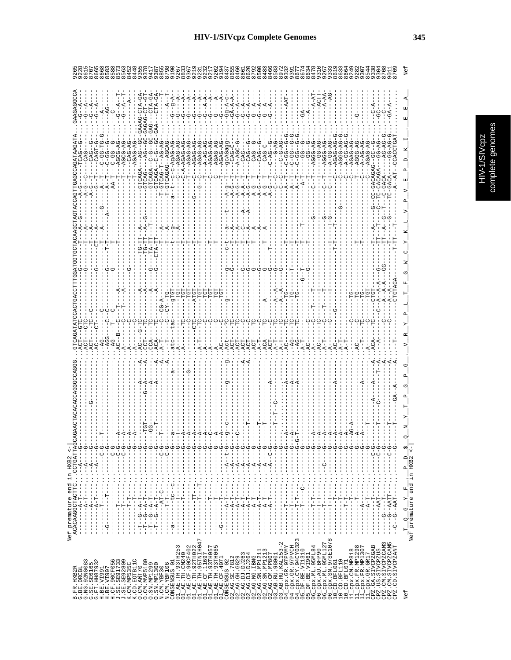| $\frac{1}{4}$<br>T<br>-1<br>j.<br>$\ddot{r}$<br>$\frac{1}{1}$<br>$\frac{1}{2}$<br>$-1$<br>$-1$<br>$-1$<br>$-1$<br>$\frac{1}{1}$<br>j<br>$\mathsf I$<br>$\,$ I<br>$\overline{\phantom{a}}$<br>$\mathbf{I}$<br>Ţ<br>$\overline{1}$<br>$\blacksquare$<br>$\mathbf{I}$<br>$\mathbf{I}$<br>Ť.<br>$\mathbf{I}$ | $\mathsf I$<br>$\mathbf{I}$ $\mathbf{I}$<br>ססססס<br>וווטו                                                                                                                                                                                                                                                                                                                            |  |  |              |               |               |
|----------------------------------------------------------------------------------------------------------------------------------------------------------------------------------------------------------------------------------------------------------------------------------------------------------|---------------------------------------------------------------------------------------------------------------------------------------------------------------------------------------------------------------------------------------------------------------------------------------------------------------------------------------------------------------------------------------|--|--|--------------|---------------|---------------|
|                                                                                                                                                                                                                                                                                                          |                                                                                                                                                                                                                                                                                                                                                                                       |  |  |              |               |               |
|                                                                                                                                                                                                                                                                                                          |                                                                                                                                                                                                                                                                                                                                                                                       |  |  |              |               | $-4$<br>ひ     |
|                                                                                                                                                                                                                                                                                                          |                                                                                                                                                                                                                                                                                                                                                                                       |  |  |              |               | $G - -A$      |
|                                                                                                                                                                                                                                                                                                          | $\mathbf{I}$<br>Ŧ<br>L.<br>Ì                                                                                                                                                                                                                                                                                                                                                          |  |  |              |               |               |
|                                                                                                                                                                                                                                                                                                          | I.<br>$\frac{1}{4}$<br>$\frac{1}{4}$                                                                                                                                                                                                                                                                                                                                                  |  |  |              |               | Ψ             |
| $\mathbf{I}$<br>f,<br>$\mathsf I$<br>$\frac{1}{2}$<br>$\blacksquare$<br>$\mathsf I$<br>$\mathbf{I}$                                                                                                                                                                                                      | $\cdot$                                                                                                                                                                                                                                                                                                                                                                               |  |  |              |               |               |
| $\frac{1}{1}$<br>$-1$<br>$\overline{1}$<br>J.                                                                                                                                                                                                                                                            | Ļ                                                                                                                                                                                                                                                                                                                                                                                     |  |  |              |               |               |
| Ι.<br>Ť.<br>$\frac{1}{1}$<br>ヤート<br>$\,$ I<br>I<br>п                                                                                                                                                                                                                                                     | ŧ                                                                                                                                                                                                                                                                                                                                                                                     |  |  |              |               |               |
| j<br>$\mathbb{T}-\mathbb{T}-\mathbb{T}-$<br>H<br>J.                                                                                                                                                                                                                                                      |                                                                                                                                                                                                                                                                                                                                                                                       |  |  |              |               |               |
|                                                                                                                                                                                                                                                                                                          | $\bullet$                                                                                                                                                                                                                                                                                                                                                                             |  |  |              |               |               |
| 1<br>Ĵ<br>Ţ<br>$\mathbf{I}$<br>$\mathsf I$                                                                                                                                                                                                                                                               | .                                                                                                                                                                                                                                                                                                                                                                                     |  |  |              |               |               |
| j<br>부                                                                                                                                                                                                                                                                                                   |                                                                                                                                                                                                                                                                                                                                                                                       |  |  |              |               |               |
| $---P-2---$<br>부                                                                                                                                                                                                                                                                                         | ÷.                                                                                                                                                                                                                                                                                                                                                                                    |  |  |              |               |               |
| Ĵ<br>부                                                                                                                                                                                                                                                                                                   | $\blacksquare$                                                                                                                                                                                                                                                                                                                                                                        |  |  |              |               |               |
| j<br>۲<br>ا                                                                                                                                                                                                                                                                                              | $\mathbf{I}$                                                                                                                                                                                                                                                                                                                                                                          |  |  |              |               |               |
|                                                                                                                                                                                                                                                                                                          |                                                                                                                                                                                                                                                                                                                                                                                       |  |  |              |               |               |
| ł<br>$---AT-C$<br>1<br>$\mathbf{I}$<br>п                                                                                                                                                                                                                                                                 | $-1$                                                                                                                                                                                                                                                                                                                                                                                  |  |  |              |               |               |
| j<br>$\begin{aligned} -\mathbf{T} - \mathbf{T} - \mathbf{T} \end{aligned}$<br>$\blacksquare$<br>$\mathbf{I}$<br>$\frac{1}{1}$<br>$\mathbf{I}$<br>-1                                                                                                                                                      |                                                                                                                                                                                                                                                                                                                                                                                       |  |  |              |               |               |
| $- -t$ c $- -c$<br>I.<br>т<br>$\frac{1}{\sigma}$<br>T                                                                                                                                                                                                                                                    |                                                                                                                                                                                                                                                                                                                                                                                       |  |  |              |               | $\frac{1}{2}$ |
| $\,$ I<br>$\frac{1}{1}$<br>÷<br>1                                                                                                                                                                                                                                                                        |                                                                                                                                                                                                                                                                                                                                                                                       |  |  | স¤           |               |               |
| $\mathbf{I}$<br>$\mathbf{I}$<br>$\mathbf{I}$                                                                                                                                                                                                                                                             |                                                                                                                                                                                                                                                                                                                                                                                       |  |  |              |               |               |
| $\blacksquare$<br>-1<br>$\mathbf{I}$                                                                                                                                                                                                                                                                     | 111111111                                                                                                                                                                                                                                                                                                                                                                             |  |  |              |               |               |
| ţ<br>q.<br>$\mathsf I$<br>Т<br>ţ<br>$\mathsf I$                                                                                                                                                                                                                                                          |                                                                                                                                                                                                                                                                                                                                                                                       |  |  |              |               |               |
| т<br>I.<br>1<br>$\mathsf I$<br>Т                                                                                                                                                                                                                                                                         |                                                                                                                                                                                                                                                                                                                                                                                       |  |  |              |               |               |
| י<br>ו<br>$\frac{1}{2}$<br>I.<br>$\mathbf I$<br>$\,$ I<br>Ţ                                                                                                                                                                                                                                              |                                                                                                                                                                                                                                                                                                                                                                                       |  |  |              |               |               |
| $\frac{1}{1}$<br>÷<br>$\frac{1}{1}$<br>$\begin{array}{c} \hline \end{array}$                                                                                                                                                                                                                             |                                                                                                                                                                                                                                                                                                                                                                                       |  |  |              |               |               |
|                                                                                                                                                                                                                                                                                                          |                                                                                                                                                                                                                                                                                                                                                                                       |  |  |              |               |               |
| 1<br>Ť.<br>부부<br>J.<br>J.<br>J.                                                                                                                                                                                                                                                                          | $\bullet$                                                                                                                                                                                                                                                                                                                                                                             |  |  |              |               |               |
| İÍ<br>$\begin{bmatrix} 1 \\ 1 \\ 1 \\ 1 \end{bmatrix}$<br>$\mathbf{I}$                                                                                                                                                                                                                                   |                                                                                                                                                                                                                                                                                                                                                                                       |  |  |              |               |               |
| $-\frac{1}{9}$                                                                                                                                                                                                                                                                                           |                                                                                                                                                                                                                                                                                                                                                                                       |  |  |              |               |               |
| - 11<br>$-1 - 2 - 1$                                                                                                                                                                                                                                                                                     | $\mathbf{1}=\mathbf{1}=\mathbf{1}$                                                                                                                                                                                                                                                                                                                                                    |  |  |              |               |               |
| т<br>I.                                                                                                                                                                                                                                                                                                  | $\cdot$                                                                                                                                                                                                                                                                                                                                                                               |  |  |              |               |               |
| $\frac{1}{1}$<br>J.                                                                                                                                                                                                                                                                                      | $\cdot$                                                                                                                                                                                                                                                                                                                                                                               |  |  |              |               |               |
| $\frac{1}{4}$<br>$---A-T$                                                                                                                                                                                                                                                                                | $\bullet$                                                                                                                                                                                                                                                                                                                                                                             |  |  |              | $A - A$<br>T. |               |
| Ĵ<br>л.<br>$\mathbf I$<br>$\overline{\phantom{a}}$<br>$\mathbf{I}$                                                                                                                                                                                                                                       |                                                                                                                                                                                                                                                                                                                                                                                       |  |  |              | $\tilde{A}$   |               |
| $\ddot{\cdot}$<br>т.<br>j.<br>$-1 - A - T -$                                                                                                                                                                                                                                                             | $\cdot$                                                                                                                                                                                                                                                                                                                                                                               |  |  |              |               |               |
| J<br>$\overline{\phantom{a}}$                                                                                                                                                                                                                                                                            | ÷,                                                                                                                                                                                                                                                                                                                                                                                    |  |  | $\cup$ at at |               |               |
| $\ddot{z}$<br>j.<br>$---A-T$<br>п<br>T                                                                                                                                                                                                                                                                   | $\cdot$                                                                                                                                                                                                                                                                                                                                                                               |  |  |              |               | てり            |
| Ĵ.<br>$\mathsf I$<br>$\mathbf{I}$                                                                                                                                                                                                                                                                        | $\bullet$                                                                                                                                                                                                                                                                                                                                                                             |  |  |              |               |               |
| j<br>п<br>$\mathsf I$<br>$\overline{\phantom{a}}$                                                                                                                                                                                                                                                        |                                                                                                                                                                                                                                                                                                                                                                                       |  |  |              | <b>७ ७ ७</b>  |               |
|                                                                                                                                                                                                                                                                                                          | ٠.                                                                                                                                                                                                                                                                                                                                                                                    |  |  |              |               |               |
| $\mathbf{I}$<br>$\mathbf{I}$<br>$\mathbf{I}$<br>Ť.<br>$\mathsf I$<br>$\mathbf{I}$                                                                                                                                                                                                                        | $-1$ $-1$ $-1$<br>٠.<br>$\bullet$                                                                                                                                                                                                                                                                                                                                                     |  |  |              |               |               |
| L.<br>$\mathbf{I}$<br>п<br>$\,$ I<br>$\overline{\phantom{a}}$                                                                                                                                                                                                                                            | Ĵ,                                                                                                                                                                                                                                                                                                                                                                                    |  |  |              |               |               |
| ţ<br>÷.<br>$\mathbf{I}$<br>L.<br>L.<br>I.<br>1<br>J,                                                                                                                                                                                                                                                     | Ă,                                                                                                                                                                                                                                                                                                                                                                                    |  |  |              |               |               |
| $\begin{array}{c} 1 \\ 1 \\ 1 \end{array}$<br>Ĵ<br>$- - - - 1$<br>$\,$ I<br>$\begin{array}{c} \hline \end{array}$                                                                                                                                                                                        |                                                                                                                                                                                                                                                                                                                                                                                       |  |  |              |               |               |
|                                                                                                                                                                                                                                                                                                          | $+ + +$<br>÷,<br>Ħ                                                                                                                                                                                                                                                                                                                                                                    |  |  |              |               |               |
| $\frac{1}{1}$<br>부부                                                                                                                                                                                                                                                                                      |                                                                                                                                                                                                                                                                                                                                                                                       |  |  |              | ひし            |               |
| j<br>エーエーエー<br>Ť.<br>$\mathbf{I}$                                                                                                                                                                                                                                                                        | Ġ                                                                                                                                                                                                                                                                                                                                                                                     |  |  |              |               |               |
|                                                                                                                                                                                                                                                                                                          | ŧ                                                                                                                                                                                                                                                                                                                                                                                     |  |  |              |               |               |
| $\begin{array}{c}\n0 \\ 1\n\end{array}$<br>Ĵ<br>$-1$<br>$\blacksquare$<br>$\mathsf I$<br>J.                                                                                                                                                                                                              | $\pm$<br>$\cdot$                                                                                                                                                                                                                                                                                                                                                                      |  |  |              |               | GA            |
| ţ<br>$\frac{1}{1}$<br>ł<br>$\mathsf I$<br>$\mathbf{I}$                                                                                                                                                                                                                                                   | $\frac{1}{2}$                                                                                                                                                                                                                                                                                                                                                                         |  |  |              |               |               |
| Ĵ<br>$-1 - T - T$<br>$\frac{1}{1}$<br>$\overline{\phantom{a}}$                                                                                                                                                                                                                                           | $\pm\pm\pm$                                                                                                                                                                                                                                                                                                                                                                           |  |  |              |               |               |
|                                                                                                                                                                                                                                                                                                          | ţ                                                                                                                                                                                                                                                                                                                                                                                     |  |  |              |               |               |
| ţ<br>エーエーエーエー<br>I                                                                                                                                                                                                                                                                                       | Ħ<br>Ì                                                                                                                                                                                                                                                                                                                                                                                |  |  |              |               |               |
| $\mathbf{I}$<br>$\mathbf I$<br>J<br>부<br>1                                                                                                                                                                                                                                                               | $-1$                                                                                                                                                                                                                                                                                                                                                                                  |  |  |              |               |               |
| J<br>$L - L - I$<br>J.                                                                                                                                                                                                                                                                                   | $\mathbf{I}$<br>$\mathbf{I}$<br>1<br>H                                                                                                                                                                                                                                                                                                                                                |  |  |              |               |               |
|                                                                                                                                                                                                                                                                                                          |                                                                                                                                                                                                                                                                                                                                                                                       |  |  |              |               |               |
| j<br>ד<br>ד<br>$\overline{1}$                                                                                                                                                                                                                                                                            | $\mathbf{I}$<br>$\frac{1}{1}$                                                                                                                                                                                                                                                                                                                                                         |  |  |              |               |               |
| -1<br>$-1$                                                                                                                                                                                                                                                                                               | $\mathbf{I}$<br>$\frac{1}{1}$<br>$\mathbf{I}$<br>$\mathbf{I}$                                                                                                                                                                                                                                                                                                                         |  |  |              |               |               |
| エーエーエー                                                                                                                                                                                                                                                                                                   | $\mathbf{I}$                                                                                                                                                                                                                                                                                                                                                                          |  |  |              |               |               |
| ţ<br>$\frac{1}{1}$<br>I                                                                                                                                                                                                                                                                                  | $\frac{1}{1}$                                                                                                                                                                                                                                                                                                                                                                         |  |  |              |               |               |
| j<br>۲<br>ا<br>$\begin{array}{c} 1 \\ 1 \\ 1 \end{array}$<br>$\overline{\phantom{a}}$<br>$\overline{\phantom{a}}$                                                                                                                                                                                        | $\blacksquare$<br>99                                                                                                                                                                                                                                                                                                                                                                  |  |  |              |               |               |
| 부<br>$\blacksquare$                                                                                                                                                                                                                                                                                      | $\mathbf{I}$                                                                                                                                                                                                                                                                                                                                                                          |  |  |              |               |               |
|                                                                                                                                                                                                                                                                                                          | ひ ひ ひ ひ ひ ひ ひ ひ ひ<br>HH<br>Ħ                                                                                                                                                                                                                                                                                                                                                          |  |  |              |               |               |
| Ť,<br>$-4$<br>Ť.<br>$\mathbf I$                                                                                                                                                                                                                                                                          | $\mathbf{I}$                                                                                                                                                                                                                                                                                                                                                                          |  |  |              |               |               |
| $--\mathbb{R}-\mathbb{R}-\mathbb{C}$ $--$<br>$\frac{1}{1}$<br>J.                                                                                                                                                                                                                                         | $\mathbf{I}$<br>÷<br>$\frac{1}{1}$                                                                                                                                                                                                                                                                                                                                                    |  |  |              |               |               |
| $\frac{1}{2}$<br>T<br>J.<br>J.<br>-1<br>$\mathsf I$                                                                                                                                                                                                                                                      | $\blacksquare$<br>みのみ<br>ひしー                                                                                                                                                                                                                                                                                                                                                          |  |  |              |               |               |
| $-AA$<br>п<br>$\mathsf I$<br>$\overline{\phantom{a}}$<br>$\overline{1}$<br>L.                                                                                                                                                                                                                            | $\blacksquare$                                                                                                                                                                                                                                                                                                                                                                        |  |  |              |               |               |
|                                                                                                                                                                                                                                                                                                          |                                                                                                                                                                                                                                                                                                                                                                                       |  |  |              |               |               |
| $-1 - 2 - - -1 - -1 -$<br>I<br>п                                                                                                                                                                                                                                                                         | $\begin{array}{c} \rule{0pt}{2.5ex} \rule{0pt}{2.5ex} \rule{0pt}{2.5ex} \rule{0pt}{2.5ex} \rule{0pt}{2.5ex} \rule{0pt}{2.5ex} \rule{0pt}{2.5ex} \rule{0pt}{2.5ex} \rule{0pt}{2.5ex} \rule{0pt}{2.5ex} \rule{0pt}{2.5ex} \rule{0pt}{2.5ex} \rule{0pt}{2.5ex} \rule{0pt}{2.5ex} \rule{0pt}{2.5ex} \rule{0pt}{2.5ex} \rule{0pt}{2.5ex} \rule{0pt}{2.5ex} \rule{0pt}{2.5ex} \rule{0$<br>I |  |  |              |               |               |
| <b>I</b>                                                                                                                                                                                                                                                                                                 | $\,$ I<br>ပ္ ပု<br>Ü<br>$\frac{1}{1}$                                                                                                                                                                                                                                                                                                                                                 |  |  |              |               |               |
| $\overline{\phantom{a}}$                                                                                                                                                                                                                                                                                 | - 1                                                                                                                                                                                                                                                                                                                                                                                   |  |  |              |               |               |
|                                                                                                                                                                                                                                                                                                          |                                                                                                                                                                                                                                                                                                                                                                                       |  |  |              |               |               |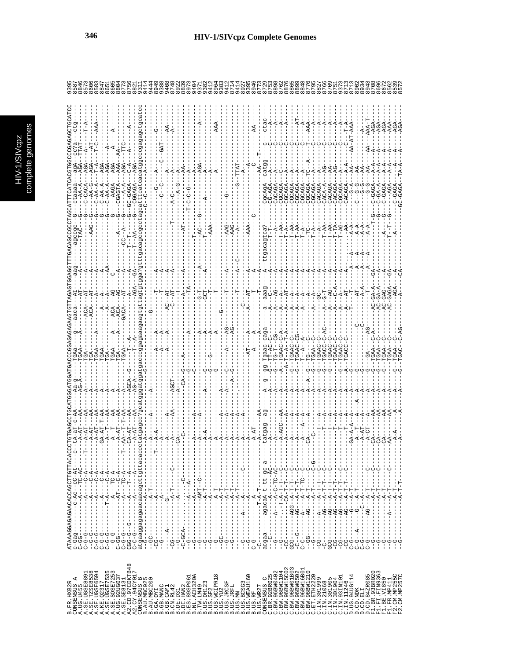complete genomes HIV-1/SIVcpz

| n v n ∞ v v ∞ r                                                                                                                                                                                                                                                                                                                                                                                                                                     | $\infty$                                                                                                                                                                                                   |                                                                                                                                                                                                                                                                                                                                                                                                                                                                                                                                                                                                                                                                                |                                                                                                                                                                                                                                                                                                                                                                                                                                                                                                                                                                                                                                             |                                                                                                                                                                                                                                                                                                                                                              |
|-----------------------------------------------------------------------------------------------------------------------------------------------------------------------------------------------------------------------------------------------------------------------------------------------------------------------------------------------------------------------------------------------------------------------------------------------------|------------------------------------------------------------------------------------------------------------------------------------------------------------------------------------------------------------|--------------------------------------------------------------------------------------------------------------------------------------------------------------------------------------------------------------------------------------------------------------------------------------------------------------------------------------------------------------------------------------------------------------------------------------------------------------------------------------------------------------------------------------------------------------------------------------------------------------------------------------------------------------------------------|---------------------------------------------------------------------------------------------------------------------------------------------------------------------------------------------------------------------------------------------------------------------------------------------------------------------------------------------------------------------------------------------------------------------------------------------------------------------------------------------------------------------------------------------------------------------------------------------------------------------------------------------|--------------------------------------------------------------------------------------------------------------------------------------------------------------------------------------------------------------------------------------------------------------------------------------------------------------------------------------------------------------|
|                                                                                                                                                                                                                                                                                                                                                                                                                                                     |                                                                                                                                                                                                            |                                                                                                                                                                                                                                                                                                                                                                                                                                                                                                                                                                                                                                                                                |                                                                                                                                                                                                                                                                                                                                                                                                                                                                                                                                                                                                                                             |                                                                                                                                                                                                                                                                                                                                                              |
|                                                                                                                                                                                                                                                                                                                                                                                                                                                     |                                                                                                                                                                                                            |                                                                                                                                                                                                                                                                                                                                                                                                                                                                                                                                                                                                                                                                                | ctac                                                                                                                                                                                                                                                                                                                                                                                                                                                                                                                                                                                                                                        | -AAA<br>AT-AAI                                                                                                                                                                                                                                                                                                                                               |
|                                                                                                                                                                                                                                                                                                                                                                                                                                                     |                                                                                                                                                                                                            |                                                                                                                                                                                                                                                                                                                                                                                                                                                                                                                                                                                                                                                                                |                                                                                                                                                                                                                                                                                                                                                                                                                                                                                                                                                                                                                                             |                                                                                                                                                                                                                                                                                                                                                              |
|                                                                                                                                                                                                                                                                                                                                                                                                                                                     |                                                                                                                                                                                                            |                                                                                                                                                                                                                                                                                                                                                                                                                                                                                                                                                                                                                                                                                |                                                                                                                                                                                                                                                                                                                                                                                                                                                                                                                                                                                                                                             |                                                                                                                                                                                                                                                                                                                                                              |
| $C-AA-A$<br>C-CAC<br>CGAGI<br>$C-AA$<br>ğ                                                                                                                                                                                                                                                                                                                                                                                                           |                                                                                                                                                                                                            |                                                                                                                                                                                                                                                                                                                                                                                                                                                                                                                                                                                                                                                                                |                                                                                                                                                                                                                                                                                                                                                                                                                                                                                                                                                                                                                                             | CACAG.                                                                                                                                                                                                                                                                                                                                                       |
| gcatt                                                                                                                                                                                                                                                                                                                                                                                                                                               |                                                                                                                                                                                                            |                                                                                                                                                                                                                                                                                                                                                                                                                                                                                                                                                                                                                                                                                |                                                                                                                                                                                                                                                                                                                                                                                                                                                                                                                                                                                                                                             |                                                                                                                                                                                                                                                                                                                                                              |
|                                                                                                                                                                                                                                                                                                                                                                                                                                                     |                                                                                                                                                                                                            |                                                                                                                                                                                                                                                                                                                                                                                                                                                                                                                                                                                                                                                                                |                                                                                                                                                                                                                                                                                                                                                                                                                                                                                                                                                                                                                                             |                                                                                                                                                                                                                                                                                                                                                              |
|                                                                                                                                                                                                                                                                                                                                                                                                                                                     |                                                                                                                                                                                                            |                                                                                                                                                                                                                                                                                                                                                                                                                                                                                                                                                                                                                                                                                |                                                                                                                                                                                                                                                                                                                                                                                                                                                                                                                                                                                                                                             |                                                                                                                                                                                                                                                                                                                                                              |
|                                                                                                                                                                                                                                                                                                                                                                                                                                                     |                                                                                                                                                                                                            |                                                                                                                                                                                                                                                                                                                                                                                                                                                                                                                                                                                                                                                                                |                                                                                                                                                                                                                                                                                                                                                                                                                                                                                                                                                                                                                                             |                                                                                                                                                                                                                                                                                                                                                              |
|                                                                                                                                                                                                                                                                                                                                                                                                                                                     |                                                                                                                                                                                                            |                                                                                                                                                                                                                                                                                                                                                                                                                                                                                                                                                                                                                                                                                | ΑA                                                                                                                                                                                                                                                                                                                                                                                                                                                                                                                                                                                                                                          |                                                                                                                                                                                                                                                                                                                                                              |
| ৳                                                                                                                                                                                                                                                                                                                                                                                                                                                   |                                                                                                                                                                                                            |                                                                                                                                                                                                                                                                                                                                                                                                                                                                                                                                                                                                                                                                                |                                                                                                                                                                                                                                                                                                                                                                                                                                                                                                                                                                                                                                             |                                                                                                                                                                                                                                                                                                                                                              |
|                                                                                                                                                                                                                                                                                                                                                                                                                                                     | $\triangle$ $\triangle$                                                                                                                                                                                    |                                                                                                                                                                                                                                                                                                                                                                                                                                                                                                                                                                                                                                                                                |                                                                                                                                                                                                                                                                                                                                                                                                                                                                                                                                                                                                                                             |                                                                                                                                                                                                                                                                                                                                                              |
|                                                                                                                                                                                                                                                                                                                                                                                                                                                     |                                                                                                                                                                                                            |                                                                                                                                                                                                                                                                                                                                                                                                                                                                                                                                                                                                                                                                                | TGAAC-<br>TGAAC<br>TGAAC<br>$T - T$ .                                                                                                                                                                                                                                                                                                                                                                                                                                                                                                                                                                                                       | $T = -A$<br>TGAA                                                                                                                                                                                                                                                                                                                                             |
| aggatgga                                                                                                                                                                                                                                                                                                                                                                                                                                            |                                                                                                                                                                                                            |                                                                                                                                                                                                                                                                                                                                                                                                                                                                                                                                                                                                                                                                                |                                                                                                                                                                                                                                                                                                                                                                                                                                                                                                                                                                                                                                             |                                                                                                                                                                                                                                                                                                                                                              |
|                                                                                                                                                                                                                                                                                                                                                                                                                                                     |                                                                                                                                                                                                            |                                                                                                                                                                                                                                                                                                                                                                                                                                                                                                                                                                                                                                                                                |                                                                                                                                                                                                                                                                                                                                                                                                                                                                                                                                                                                                                                             |                                                                                                                                                                                                                                                                                                                                                              |
|                                                                                                                                                                                                                                                                                                                                                                                                                                                     |                                                                                                                                                                                                            |                                                                                                                                                                                                                                                                                                                                                                                                                                                                                                                                                                                                                                                                                |                                                                                                                                                                                                                                                                                                                                                                                                                                                                                                                                                                                                                                             |                                                                                                                                                                                                                                                                                                                                                              |
|                                                                                                                                                                                                                                                                                                                                                                                                                                                     |                                                                                                                                                                                                            |                                                                                                                                                                                                                                                                                                                                                                                                                                                                                                                                                                                                                                                                                |                                                                                                                                                                                                                                                                                                                                                                                                                                                                                                                                                                                                                                             |                                                                                                                                                                                                                                                                                                                                                              |
| aca<br>$\mathbf{I}$                                                                                                                                                                                                                                                                                                                                                                                                                                 | $\frac{1}{2}$<br>J.<br>$\mathbf{I}$<br>ł<br>ł<br>$\mathbf{I}$<br>л<br>÷.<br>T.<br>п                                                                                                                        | $\frac{1}{2}$<br>I<br>I.<br>т<br>т<br>т<br>$\mathsf I$<br>т<br>J.                                                                                                                                                                                                                                                                                                                                                                                                                                                                                                                                                                                                              | $\overline{a}$<br>I.<br>п<br>-1<br>-<br>л.<br>$\overline{1}$<br>$\mathbf{I}$<br>$\overline{\phantom{a}}$<br>1<br>$\mathbf{I}$<br>$\mathbf{I}$<br>-11<br>$\mathbf{I}$<br>$1 - 1$<br>$\blacksquare$                                                                                                                                                                                                                                                                                                                                                                                                                                           | ن<br>!<br>$\frac{1}{4}$<br>ł<br>т<br>т<br>ш<br>ひひひ<br>υU<br>U<br>$\frac{1}{2}$<br>U<br>$\mathbf{I}$<br>U<br>п<br>1<br>$\frac{1}{1}$<br>Ť<br>ŧ<br>Ť<br>-1<br>Ť<br>ł<br>т<br>T.<br>$\mathbf I$<br>ï<br>J.<br>т<br>т<br>H<br>ш                                                                                                                                  |
|                                                                                                                                                                                                                                                                                                                                                                                                                                                     | $\cdots$<br>$\mathsf I$<br>$\,$ I<br>J<br>$\frac{1}{1}$<br>$-1 - 2 - 1$<br>$-1 - 2 - 1$<br>$-1 - 2 - 1$                                                                                                    | $\frac{1}{1}$<br>$\frac{1}{1}$<br>Ţ<br>J<br>$A-T$ .<br>2<br>17224444<br>Franti                                                                                                                                                                                                                                                                                                                                                                                                                                                                                                                                                                                                 | $\mathsf I$<br>$\mathbf{I}$<br>J.<br>-1                                                                                                                                                                                                                                                                                                                                                                                                                                                                                                                                                                                                     | $\mathfrak l$<br>Ţ<br>I<br>$-$ – $\mathrm{A}$ – $\mathrm{T}$ – $\mathrm{T}$<br>$A-T-T$ -<br>$- -A - T - T$<br>$A-T-T$<br>$\begin{array}{c} A - T - T \\ A - T - T \\ A - T - T \\ A - T - T \\ A - T - T \end{array}$<br>$\frac{1}{1}$<br>$\frac{1}{1}$<br>ł<br>I<br>$A-T-T-T$<br>I<br>$A-T$ .<br>1<br>$A-T$<br>$A-T$<br>$A-T$<br>$A-T$<br>$\mathbf{I}$<br>Æ |
|                                                                                                                                                                                                                                                                                                                                                                                                                                                     | $\mathbf{I}$<br>$\mathbf{1}$<br>÷Î,<br>$\blacksquare$<br>$\Box$<br>Ť.<br>$\mathbf{I}$<br>T.<br>$\mathbf{L}$<br>$\,$ I                                                                                      | Ţ<br>Ţ<br>ť<br>$\overline{\phantom{a}}$<br>-1<br>Ť<br>$\overline{\phantom{a}}$<br>$\mathsf I$<br>$\frac{1}{1}$<br>Ť<br>J.<br>$\mathbf{I}$<br>÷<br>$\overline{1}$<br>I<br>$- -A - -$<br>т<br>$\overline{\phantom{a}}$<br>I.<br>$\mathbf{I}$<br>п<br>п<br>п<br>j.<br>$\mathbf{I}$<br>I<br>I.<br>$\begin{array}{c} \rule{0pt}{2.5ex} \rule{0pt}{2.5ex} \rule{0pt}{2.5ex} \rule{0pt}{2.5ex} \rule{0pt}{2.5ex} \rule{0pt}{2.5ex} \rule{0pt}{2.5ex} \rule{0pt}{2.5ex} \rule{0pt}{2.5ex} \rule{0pt}{2.5ex} \rule{0pt}{2.5ex} \rule{0pt}{2.5ex} \rule{0pt}{2.5ex} \rule{0pt}{2.5ex} \rule{0pt}{2.5ex} \rule{0pt}{2.5ex} \rule{0pt}{2.5ex} \rule{0pt}{2.5ex} \rule{0pt}{2.5ex} \rule{0$ | $\begin{small} \texttt{r=1} & \texttt{r=2} & \texttt{r=2} & \texttt{r=2} & \texttt{r=2} & \texttt{r=2} & \texttt{r=2} & \texttt{r=2} & \texttt{r=2} & \texttt{r=2} & \texttt{r=2} & \texttt{r=2} & \texttt{r=2} & \texttt{r=2} & \texttt{r=2} & \texttt{r=2} & \texttt{r=2} & \texttt{r=2} & \texttt{r=2} & \texttt{r=2} & \texttt{r=2} & \texttt{r=2} & \texttt{r=2} & \texttt{r=2}$<br>$- - - a g a c a A - t - - - - - - - - - - - - - - - - - - - - - - - - - -$<br>$-1 - T - T - T$<br>T<br>T<br>$\overline{\phantom{a}}$<br>$\mathbf I$<br>$\frac{1}{1}$<br>$\frac{1}{1}$<br>ï<br>Ť.<br>$\overline{\phantom{a}}$<br>$\mathbf I$<br>J, | Ţ<br>Ţ<br>Ţ<br>ľ<br>T<br>ŧ<br>Ţ<br>$\mathsf I$<br>$\frac{1}{2}$<br>- 1<br>$\overline{1}$<br>I<br>$\frac{1}{1}$<br>$- -A - -$<br>$\mathbf{I}$<br>$- - P G -$<br>$\overline{1}$<br>J.<br>$\mathbf{I}$<br>J.<br>л.<br>$\mathsf I$                                                                                                                               |
| $\begin{array}{l} \texttt{ATAAAGGAGGAGGAGCAGCITGTHAAGG} \\ \texttt{C}-\texttt{G3G}^{--}\texttt{---}-\texttt{C}-\texttt{A}\texttt{---}-\texttt{C}-\texttt{A}\texttt{---}-\texttt{---} \\ \texttt{C}-\texttt{G3G}^{--}\texttt{---} & \texttt{A}--\texttt{---} & \texttt{C}-\texttt{A}-\texttt{---}-\texttt{---} \\ \texttt{C}-\texttt{G}-\texttt{G}-\texttt{---}-\texttt{---}-\texttt{A}-\texttt{---}-\texttt{---}-\texttt{--} \\ \texttt{C}-\texttt$ | ΠÌ<br>L.<br>- 1<br>$\mathbf{I}$<br>л.<br>- 1<br>$\mathsf I$<br>$\mathbf{I}$<br>- 1<br>$-$ – – $\mathbb{A}$<br>$C-GCA$<br>1<br>$\frac{1}{1}$<br>$\mathbf{I}$<br>J.<br>ŧ<br>$\blacksquare$<br>$\blacksquare$ | л<br>п<br>J.<br>ï<br>J<br>έ<br>I<br>J<br>l.<br>J<br>I<br>Í<br>ı<br>$\mathbf{I}$<br>$\mathbf{I}$<br>$\mathbf{I}$<br>п<br>п<br>т                                                                                                                                                                                                                                                                                                                                                                                                                                                                                                                                                 | J.<br>$\mathbf{I}$<br>T<br>$\mathbf{I}$<br>$\frac{1}{4}$<br>$\mathbf{I}$<br>H<br>т<br>т<br>т.<br>л.<br>-11<br>п<br>ΞĪ.<br>п<br>$\mathbf{I}$<br>$\mathbf{I}$<br>л<br>ш<br>ı<br>J.<br>I.<br>J<br>H<br>п                                                                                                                                                                                                                                                                                                                                                                                                                                       | T<br>$\mathbf{I}$<br>$\frac{1}{4}$<br>т<br>п<br>п<br>$\mathbf{1}$<br>ï<br>ı<br>ı<br>п<br>л                                                                                                                                                                                                                                                                   |
|                                                                                                                                                                                                                                                                                                                                                                                                                                                     | Ġ.<br>ひ<br>υ<br>$\mathsf I$<br>Ţ<br>Ť<br>$\mathbf{I}$<br>$\blacksquare$<br>$\mathbf{I}$                                                                                                                    | ဗုံ ဗုံ ဗုံ<br>ど!<br>やや<br>$\frac{5}{1}$<br>Ġ<br>$-\frac{c}{1}$<br>-<br>I<br>$\blacksquare$<br>$\blacksquare$<br>$\mathbf{I}$<br>$\mathbf{I}$                                                                                                                                                                                                                                                                                                                                                                                                                                                                                                                                  | acgaa<br>--- C-<br>$\begin{array}{c}\n1 \\ 1 \\ 1\n\end{array}$<br>ו ט<br>ט ה                                                                                                                                                                                                                                                                                                                                                                                                                                                                                                                                                               | $\frac{1}{2}$<br>י פי<br>דו<br>ĬΪ                                                                                                                                                                                                                                                                                                                            |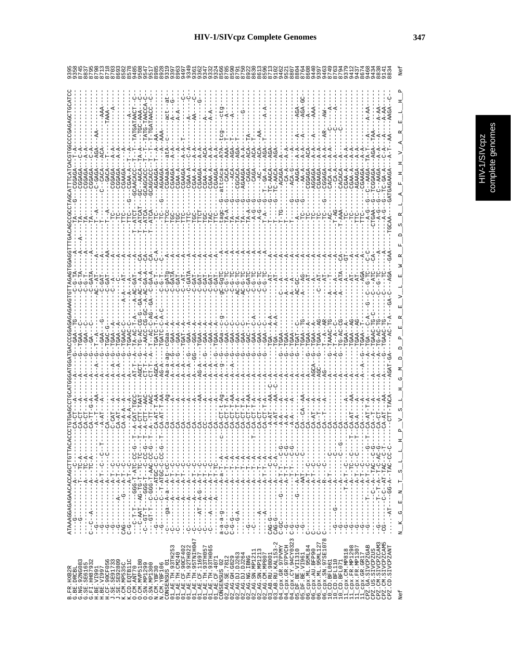| $\frac{1}{2}$<br>t<br>$-4$<br>Н<br>Ţ<br>$\mathbb{I}$<br>Ť.<br>$\mathsf I$<br>$\frac{1}{1}$<br>$-9 - -$<br>ţ                                                                                                                                                                                                                                                                                                                                                              |  |  |  |  |  |
|--------------------------------------------------------------------------------------------------------------------------------------------------------------------------------------------------------------------------------------------------------------------------------------------------------------------------------------------------------------------------------------------------------------------------------------------------------------------------|--|--|--|--|--|
|                                                                                                                                                                                                                                                                                                                                                                                                                                                                          |  |  |  |  |  |
| ŧ.<br>A<br>Ţ                                                                                                                                                                                                                                                                                                                                                                                                                                                             |  |  |  |  |  |
| $\mathbf{I}$<br>$-4$                                                                                                                                                                                                                                                                                                                                                                                                                                                     |  |  |  |  |  |
| $-4$                                                                                                                                                                                                                                                                                                                                                                                                                                                                     |  |  |  |  |  |
| 부<br>$\frac{1}{1}$<br>$- -P - 1 - C$<br>Ť.                                                                                                                                                                                                                                                                                                                                                                                                                               |  |  |  |  |  |
| $\blacksquare$<br>U<br>Ī<br>$A-T--C$<br>-<br>Ť.<br>$-1$ $-1$ $-1$<br>ï                                                                                                                                                                                                                                                                                                                                                                                                   |  |  |  |  |  |
| $\overline{\phantom{a}}$<br>$\mathbf{I}$<br>$\frac{1}{1}$<br>$\mathbf{I}$<br>$\frac{1}{1}$<br>$---A-TT$<br>Ï                                                                                                                                                                                                                                                                                                                                                             |  |  |  |  |  |
| T<br>$- - - - - - - - - - - - -$                                                                                                                                                                                                                                                                                                                                                                                                                                         |  |  |  |  |  |
| $\frac{1}{2}$<br>$A-T$<br>Ţ                                                                                                                                                                                                                                                                                                                                                                                                                                              |  |  |  |  |  |
| $\overline{C}$                                                                                                                                                                                                                                                                                                                                                                                                                                                           |  |  |  |  |  |
| $\mathbf{I}$                                                                                                                                                                                                                                                                                                                                                                                                                                                             |  |  |  |  |  |
|                                                                                                                                                                                                                                                                                                                                                                                                                                                                          |  |  |  |  |  |
| ָט ט<br>ט ט                                                                                                                                                                                                                                                                                                                                                                                                                                                              |  |  |  |  |  |
| ÷                                                                                                                                                                                                                                                                                                                                                                                                                                                                        |  |  |  |  |  |
| C-C                                                                                                                                                                                                                                                                                                                                                                                                                                                                      |  |  |  |  |  |
|                                                                                                                                                                                                                                                                                                                                                                                                                                                                          |  |  |  |  |  |
| $\mathbb{I}$                                                                                                                                                                                                                                                                                                                                                                                                                                                             |  |  |  |  |  |
|                                                                                                                                                                                                                                                                                                                                                                                                                                                                          |  |  |  |  |  |
|                                                                                                                                                                                                                                                                                                                                                                                                                                                                          |  |  |  |  |  |
|                                                                                                                                                                                                                                                                                                                                                                                                                                                                          |  |  |  |  |  |
| HH                                                                                                                                                                                                                                                                                                                                                                                                                                                                       |  |  |  |  |  |
|                                                                                                                                                                                                                                                                                                                                                                                                                                                                          |  |  |  |  |  |
|                                                                                                                                                                                                                                                                                                                                                                                                                                                                          |  |  |  |  |  |
|                                                                                                                                                                                                                                                                                                                                                                                                                                                                          |  |  |  |  |  |
|                                                                                                                                                                                                                                                                                                                                                                                                                                                                          |  |  |  |  |  |
|                                                                                                                                                                                                                                                                                                                                                                                                                                                                          |  |  |  |  |  |
|                                                                                                                                                                                                                                                                                                                                                                                                                                                                          |  |  |  |  |  |
| ŧ<br>$\frac{1}{4}$<br>$\begin{split} &\frac{1}{2} \left( \begin{array}{c} \frac{1}{2} \left( \frac{1}{2} \right) \frac{1}{2} \left( \frac{1}{2} \right) \frac{1}{2} \left( \frac{1}{2} \right) \frac{1}{2} \left( \frac{1}{2} \right) \frac{1}{2} \left( \frac{1}{2} \right) \frac{1}{2} \left( \frac{1}{2} \right) \frac{1}{2} \left( \frac{1}{2} \right) \frac{1}{2} \left( \frac{1}{2} \right) \frac{1}{2} \left( \frac{1}{2} \right) \frac{1}{2} \left( \frac{1}{2}$ |  |  |  |  |  |
|                                                                                                                                                                                                                                                                                                                                                                                                                                                                          |  |  |  |  |  |
| 十十                                                                                                                                                                                                                                                                                                                                                                                                                                                                       |  |  |  |  |  |
| $\mathbf{L}$                                                                                                                                                                                                                                                                                                                                                                                                                                                             |  |  |  |  |  |
| -1                                                                                                                                                                                                                                                                                                                                                                                                                                                                       |  |  |  |  |  |
| $\frac{1}{1}$                                                                                                                                                                                                                                                                                                                                                                                                                                                            |  |  |  |  |  |
| $\frac{1}{1}$                                                                                                                                                                                                                                                                                                                                                                                                                                                            |  |  |  |  |  |
| $\frac{1}{1}$                                                                                                                                                                                                                                                                                                                                                                                                                                                            |  |  |  |  |  |
| ш<br>-A-T-T-T---C<br>---T-T-T-A-                                                                                                                                                                                                                                                                                                                                                                                                                                         |  |  |  |  |  |
| - 1                                                                                                                                                                                                                                                                                                                                                                                                                                                                      |  |  |  |  |  |
| ももも<br>ししし<br>$\begin{small} \mathbf{0} = \mathbf{0} & \mathbf{0} & \mathbf{0} & \mathbf{0} & \mathbf{0} & \mathbf{0} & \mathbf{0} & \mathbf{0} & \mathbf{0} & \mathbf{0} & \mathbf{0} & \mathbf{0} & \mathbf{0} & \mathbf{0} & \mathbf{0} & \mathbf{0} & \mathbf{0} & \mathbf{0} & \mathbf{0} & \mathbf{0} & \mathbf{0} & \mathbf{0} & \mathbf{0} & \mathbf{0} & \mathbf{0} & \mathbf{0} & \mathbf{0} & \mathbf{0} & \mathbf{0} & \mathbf{0$                            |  |  |  |  |  |
| Ţ<br>$\mathbf{I}$<br>UUU                                                                                                                                                                                                                                                                                                                                                                                                                                                 |  |  |  |  |  |
| $\frac{1}{1}$                                                                                                                                                                                                                                                                                                                                                                                                                                                            |  |  |  |  |  |
| $\mathbf{I}$                                                                                                                                                                                                                                                                                                                                                                                                                                                             |  |  |  |  |  |
| $\blacksquare$                                                                                                                                                                                                                                                                                                                                                                                                                                                           |  |  |  |  |  |
| Ĥ                                                                                                                                                                                                                                                                                                                                                                                                                                                                        |  |  |  |  |  |
|                                                                                                                                                                                                                                                                                                                                                                                                                                                                          |  |  |  |  |  |
| $\frac{1}{1}$                                                                                                                                                                                                                                                                                                                                                                                                                                                            |  |  |  |  |  |
| $\frac{1}{1}$<br>j.<br>ŧ,<br>$\frac{1}{1}$<br>$\mathsf I$                                                                                                                                                                                                                                                                                                                                                                                                                |  |  |  |  |  |
| $\frac{1}{2}$<br>-11<br>$\mathbf{I}$<br>J.<br>÷,<br>Ţ<br>ţ                                                                                                                                                                                                                                                                                                                                                                                                               |  |  |  |  |  |
| Ţ<br>$\mathbf{I}$<br>i j dài<br>Ann a                                                                                                                                                                                                                                                                                                                                                                                                                                    |  |  |  |  |  |
| J.<br>U                                                                                                                                                                                                                                                                                                                                                                                                                                                                  |  |  |  |  |  |
| - 1<br>↻<br>$\frac{1}{1}$<br>$A-T--C$<br>ł<br>J.                                                                                                                                                                                                                                                                                                                                                                                                                         |  |  |  |  |  |
| $\frac{1}{4}$<br>ှ<br> <br>$A-T$<br>T<br>İ                                                                                                                                                                                                                                                                                                                                                                                                                               |  |  |  |  |  |
| $-5$                                                                                                                                                                                                                                                                                                                                                                                                                                                                     |  |  |  |  |  |
| $-1 - 1 - 1 - 1 - 1$                                                                                                                                                                                                                                                                                                                                                                                                                                                     |  |  |  |  |  |
| --T--T-A--T-RC-AC<br>--T-C--AT-TAC--C<br>$- -1 - 1 - -1 - -1$                                                                                                                                                                                                                                                                                                                                                                                                            |  |  |  |  |  |
| 5<br>5<br>5<br>5<br>5                                                                                                                                                                                                                                                                                                                                                                                                                                                    |  |  |  |  |  |
| ŏ<br>U<br>$A - T A$<br>$-59-$                                                                                                                                                                                                                                                                                                                                                                                                                                            |  |  |  |  |  |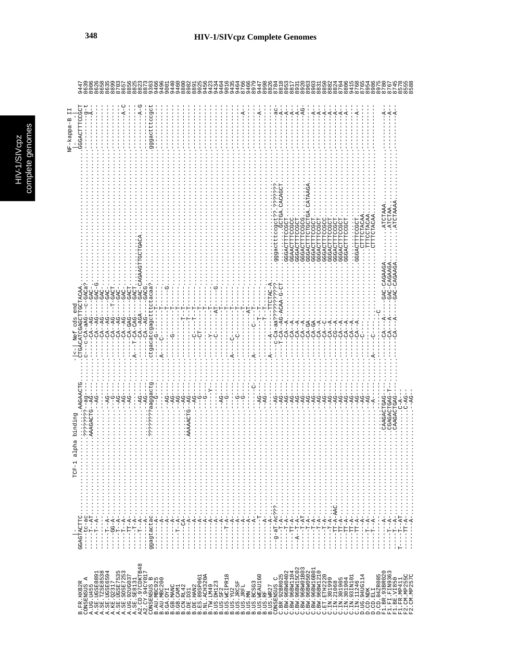HIV-1/SIVcpz<br>complete genomes

|                                    | Ō<br>4<br>4<br>$\sigma$                                                                                                                                                                                                                                                                                                                                         | ဖ                      | ဖ<br>$^{\circ}$                                                                                                                                                                                                                                                                |          | σ                                        |                          |           |                                                     |                     |                                       |                                                                                                                                                                                                                                                                                                                                      | $\infty$               | 4         | Ō<br>4         | C      | 4      | 4      | $\infty$             | 98                           | σ<br>$^\infty$                          | C            | 4                     | 4<br>4  | 4                          |         |                                  |     |     |                | ത                      | 4                                                                                                                                                                                                                                                                                                                                                                                                                                                                                           | $\sigma$             | $\infty$               |                   | $^{\circ}$                                               | C           | $\infty$                     | G                | $\sigma$                                | $\sigma$       | თ $\infty$                   | $\infty$                        | $^{\circ}_{\infty}$ | ${}^{\infty}$                |              | $^{\circ}$                    | 4                        | $^{\circ}$            | ∞                       | Ō                  | $\frac{8}{9}$<br>$\infty$       | G | $\infty$                 | $\overline{ }$<br>$\infty$<br>$^{\circ}$                    | LO                                                         | 851                              |   |
|------------------------------------|-----------------------------------------------------------------------------------------------------------------------------------------------------------------------------------------------------------------------------------------------------------------------------------------------------------------------------------------------------------------|------------------------|--------------------------------------------------------------------------------------------------------------------------------------------------------------------------------------------------------------------------------------------------------------------------------|----------|------------------------------------------|--------------------------|-----------|-----------------------------------------------------|---------------------|---------------------------------------|--------------------------------------------------------------------------------------------------------------------------------------------------------------------------------------------------------------------------------------------------------------------------------------------------------------------------------------|------------------------|-----------|----------------|--------|--------|--------|----------------------|------------------------------|-----------------------------------------|--------------|-----------------------|---------|----------------------------|---------|----------------------------------|-----|-----|----------------|------------------------|---------------------------------------------------------------------------------------------------------------------------------------------------------------------------------------------------------------------------------------------------------------------------------------------------------------------------------------------------------------------------------------------------------------------------------------------------------------------------------------------|----------------------|------------------------|-------------------|----------------------------------------------------------|-------------|------------------------------|------------------|-----------------------------------------|----------------|------------------------------|---------------------------------|---------------------|------------------------------|--------------|-------------------------------|--------------------------|-----------------------|-------------------------|--------------------|---------------------------------|---|--------------------------|-------------------------------------------------------------|------------------------------------------------------------|----------------------------------|---|
| NF-kappa-B                         | CGGACTTTCCGCT                                                                                                                                                                                                                                                                                                                                                   |                        |                                                                                                                                                                                                                                                                                |          |                                          |                          |           |                                                     |                     | $- A -$                               |                                                                                                                                                                                                                                                                                                                                      | gggactttccgc           |           |                |        |        |        |                      |                              |                                         |              |                       |         |                            |         |                                  |     |     |                |                        |                                                                                                                                                                                                                                                                                                                                                                                                                                                                                             |                      |                        | ac                |                                                          |             |                              |                  | $-AG$                                   | .CATAAG        |                              |                                 |                     |                              |              |                               |                          |                       |                         |                    |                                 |   | ATCTAAA                  | К<br>R<br>Ť.<br>ATCTAAA.<br>. ATCTAA                        |                                                            |                                  |   |
|                                    |                                                                                                                                                                                                                                                                                                                                                                 |                        |                                                                                                                                                                                                                                                                                |          |                                          |                          |           |                                                     | -GACT<br>-GAC-CAGAA | AUADIUDILID                           |                                                                                                                                                                                                                                                                                                                                      |                        |           |                |        |        |        |                      |                              |                                         |              |                       |         | c)<br>ا                    |         |                                  |     |     |                |                        |                                                                                                                                                                                                                                                                                                                                                                                                                                                                                             |                      |                        | gggactttccgct     | CORRECT THREES                                           |             | GGAACTTTCCGCC                | GGGACTTTCCG      | GGGACTTTCCGCG                           | GGGACTTCTGCTGA | GGGACTTTCCGCT<br>CCCACTTTCCC | GGGACTTTCCGC                    |                     | GGGACTTTCCGC<br>GGGACTTTCCGC | GGGACTTTCCGC | GGGACTTTCCGC                  |                          | GGGACTTTCCGC1         | CTTTCTACAA              | TTTCCTACAA         | CTTTCTACAA                      |   | GAC-CAGAAGA              | -GAC-CAGAAGA<br>GAC-CAGAAGA                                 |                                                            |                                  |   |
| end<br>cds<br>Nef<br>$\frac{1}{V}$ | CTGACATCGAGCTTGCTACAA<br>U                                                                                                                                                                                                                                                                                                                                      | $-40 - 40$<br>$-7-4-7$ | $-0.40 - 0.40 - 0.40 - 0.40 - 0.40 - 0.40 - 0.40 - 0.40 - 0.40 - 0.40 - 0.40 - 0.40 - 0.40 - 0.40 - 0.40 - 0.40 - 0.40 - 0.40 - 0.40 - 0.40 - 0.40 - 0.40 - 0.40 - 0.40 - 0.40 - 0.40 - 0.40 - 0.40 - 0.40 - 0.40 - 0.40 - 0.40 - 0.40 - 0.40 - 0.40 - 0.40 - 0.4$<br>$CA--AG$ | $-4-4-4$ | $-T-GACT$<br>$-CA - -AC$<br>$\mathbf{I}$ | $-040 -$<br>$-CA - - AC$ | $-AA$ -AG | -GACT<br>$-CA-CAC$                                  | $A---T-CA-CAG$      | $-CA - - AGA -$<br>$\frac{1}{1}$<br>ı | $-$ GACG<br>$-CA-AG$<br>$\mathbf{I}$<br>J.                                                                                                                                                                                                                                                                                           | ctgacatcgagctttctacaa? | ウーーー<br>I | $A - - - -C -$ |        | ڹ      |        | ٢                    | Ŧ<br>턱                       | 투<br>י<br>י<br><b>I</b><br>l.<br>U<br>т | رح           |                       | J.      | PAT                        |         | $\frac{1}{2}$                    | ပု  |     | $\overline{A}$ | $\frac{1}{2}$          | ין<br>ו<br>÷<br>T                                                                                                                                                                                                                                                                                                                                                                                                                                                                           | $-1$                 | TCTAC-A<br>$\tilde{A}$ | -c-Ca-aa????????? | --T-CA--AG-ACAA-C                                        | $-CA$ $-AA$ | $CA--A$ .                    | $CA--A$ .        | $CA--A$ .                               | CA-GA.         | $CA-GA$                      | $CA - - A$<br>$\overline{cA}$ – | К<br>$A - 1$        | $G--A$                       | К<br>$CA -$  | К<br>$-A$ -                   | $CA - - A$               | $CA--A$               |                         |                    | $\overline{A}$                  |   | $\vec{A}$<br>I<br>$CA -$ | л<br>$\ddot{A}$<br>$-4$<br>I<br>$CA -$<br>$\overline{c}$ A- |                                                            |                                  |   |
| binding<br>ilpha<br>$TCF-1$        | AAGAACTG<br>- 224 – - 21.0000000<br>- 525 – - 22.22.22<br>$\sim$<br>ᡣ.<br>5.55.5                                                                                                                                                                                                                                                                                | $-AG-$                 |                                                                                                                                                                                                                                                                                | $-AG-$   | $\frac{1}{2}$                            | $-AG$                    | $-AG-$    | $-AG-$                                              |                     | $-AG-$                                | $-AG-$                                                                                                                                                                                                                                                                                                                               | Paaggactg              | ှ         |                | $AG -$ | $AG -$ | $-AG-$ | $-AG-$               | $-76-$<br>Ë<br><b>AAAAAC</b> | $-AG-$                                  | U            | $\sum_{i=1}^{n}$<br>؋ |         | $-AG-$                     | Ů       |                                  | ပုံ | ပုံ |                | $\mathbb{I}$<br>ن<br>! | J,<br>I<br>$-AG-$                                                                                                                                                                                                                                                                                                                                                                                                                                                                           | <b>AG</b>            |                        | $AG-$             |                                                          |             |                              |                  |                                         |                |                              |                                 |                     |                              |              |                               | $-AG-$                   | $-49$                 | $-4G-$                  | $-AC$              |                                 |   | AAGACTGAG                | CGAGACTGAG-T<br>CAAGACTGAG                                  |                                                            |                                  |   |
|                                    | $\frac{1}{2}$ $\frac{1}{2}$ $\frac{1}{2}$ $\frac{1}{2}$ $\frac{1}{2}$ $\frac{1}{2}$ $\frac{1}{2}$ $\frac{1}{2}$ $\frac{1}{2}$ $\frac{1}{2}$ $\frac{1}{2}$ $\frac{1}{2}$ $\frac{1}{2}$ $\frac{1}{2}$ $\frac{1}{2}$ $\frac{1}{2}$ $\frac{1}{2}$ $\frac{1}{2}$ $\frac{1}{2}$ $\frac{1}{2}$ $\frac{1}{2}$ $\frac{1}{2}$<br>$\vdots$<br>$----10 = 00$<br>GGAGTACTTC. | $- - -T - -R -$<br>ł   | I                                                                                                                                                                                                                                                                              |          | .<br>$-1 - 4 - 1 - 4 - 1$                | $-1 - T - A - C$<br>J.   | I         | $- \mathbf{F} - \mathbf{L} \cdot \mathbf{L} -$<br>ı |                     | .<br>I                                | $\frac{1}{2}$ $\frac{1}{2}$ $\frac{1}{2}$ $\frac{1}{2}$ $\frac{1}{2}$ $\frac{1}{2}$ $\frac{1}{2}$ $\frac{1}{2}$ $\frac{1}{2}$ $\frac{1}{2}$ $\frac{1}{2}$ $\frac{1}{2}$ $\frac{1}{2}$ $\frac{1}{2}$ $\frac{1}{2}$ $\frac{1}{2}$ $\frac{1}{2}$ $\frac{1}{2}$ $\frac{1}{2}$ $\frac{1}{2}$ $\frac{1}{2}$ $\frac{1}{2}$<br>$\frac{1}{1}$ |                        |           |                |        |        | .      | $-1 - 1 - 1 - 1 - 1$ | $-1 - A - A$<br>I<br>I<br>п  | $-1 - 1 - 1$<br>п                       | $\mathbf{I}$ | ı                     | l.<br>Ţ | $-1 - 1 - 1 - 1$<br>I<br>I | I<br>J. | $---A---$<br>$\frac{1}{1}$<br>J. | I   | 1   | J              | $----1$<br>I           | $\begin{array}{cccccccccc} \multicolumn{2}{c}{} & \multicolumn{2}{c}{} & \multicolumn{2}{c}{} & \multicolumn{2}{c}{} & \multicolumn{2}{c}{} & \multicolumn{2}{c}{} & \multicolumn{2}{c}{} & \multicolumn{2}{c}{} & \multicolumn{2}{c}{} & \multicolumn{2}{c}{} & \multicolumn{2}{c}{} & \multicolumn{2}{c}{} & \multicolumn{2}{c}{} & \multicolumn{2}{c}{} & \multicolumn{2}{c}{} & \multicolumn{2}{c}{} & \multicolumn{2}{c}{} & \multicolumn{2}{c}{} & \multicolumn{2}{c}{} & \mult$<br>ł | $-1 - 1 - 1 - 1 - 1$ | .                      |                   | --------A-<br>---9-aT-Ac???.<br>------T-A-<br>------T-A- |             | $---T-TT-A$<br>$\frac{1}{1}$ | $- -A - T - A -$ | $-1 - T - A T$<br>$-1 - T - A - A$<br>Í | ı<br>1         |                              |                                 |                     |                              |              | $-$ - $T^{\ast}T$ – A –<br>J. | $--T$ $T$ $-A$ $-.$<br>I | $---T$ $T$ $ A$ $-$ . | $-4 -$<br>$\frac{1}{1}$ | $---T---A---$<br>п | $- - \mathbf{T} - \mathbf{A} -$ |   | I<br>J,                  | $- - - - - - - - -$<br>$- -\mathbf{T} - \mathbf{P} -$<br>I  | $--\mathbf{T}--\mathbf{A}\mathbf{T}$<br>$\frac{1}{1}$<br>ь | $-=-T$ T $\!$ T $\!-$ A $-$<br>ł | J |

 $\begin{smallmatrix} \texttt{R}, \texttt{IRBR} \\ \texttt{MSBRS} \\ \texttt{MSBRS} \\ \texttt{MSBRS} \\ \texttt{MSBRS} \\ \texttt{MSBRS} \\ \texttt{MSBRS} \\ \texttt{MSBRS} \\ \texttt{MSBRS} \\ \texttt{MSBRS} \\ \texttt{MSBRS} \\ \texttt{MSBRS} \\ \texttt{MSBRS} \\ \texttt{MSBRS} \\ \texttt{MSBRS} \\ \texttt{MSBRS} \\ \texttt{MSBRS} \\ \texttt{MSBRS} \\ \texttt{MSBRS} \\ \texttt{MSBRS} \\ \texttt{MSBRS} \\ \texttt{MSBRS} \\ \texttt{MSBRS} \\ \text$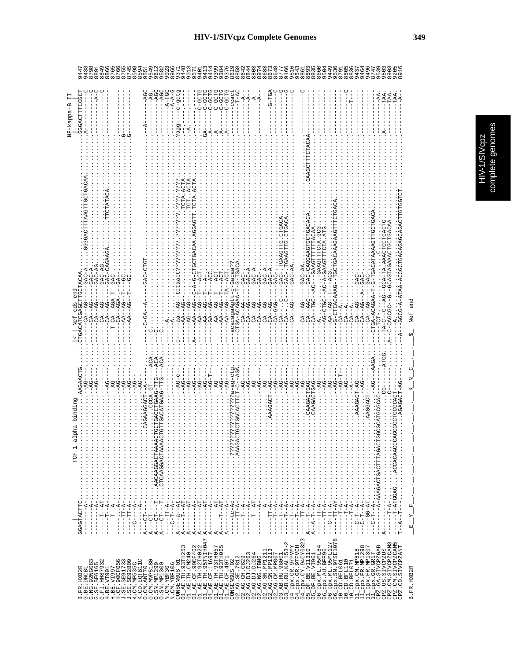| 6<br><b>6674</b><br>$\sigma$<br>$^{\circ}$<br>$\infty$ $\infty$ $\sim$<br>Б                                                        | மம<br>5<br>w<br>G                                                                                                                                                                                                                                                                                                                                                                                                                                           | りょしちょう<br>4<br>4<br>w<br>$\sigma$<br>$\sigma$<br>$\sigma$<br>$^{\circ}$<br>$\infty$                                                                                                                                                               | $\infty$ $\infty$<br>$\infty$<br>G<br>$\circ$<br>ما ما<br>S<br>$\infty$<br>$\infty$<br>$\infty$<br>$\infty$<br>$\infty$<br>$^\infty$<br>$^{\circ}$<br>ഗ | $n \infty \infty$<br>5<br>4<br>ഥ<br>$\infty$<br>∞<br>4<br>4<br>ഗ<br>G<br>$\alpha$<br>$\infty$<br>$\infty$<br>$\sigma$<br>Ō<br>G<br>$\infty$<br>$\infty$<br>G<br>G<br>$\sigma$<br>$\infty$<br>G<br>$\infty$<br>თ თ<br>$\infty$<br>Ō                                                                                                                                                                                                                                                                                              |
|------------------------------------------------------------------------------------------------------------------------------------|-------------------------------------------------------------------------------------------------------------------------------------------------------------------------------------------------------------------------------------------------------------------------------------------------------------------------------------------------------------------------------------------------------------------------------------------------------------|---------------------------------------------------------------------------------------------------------------------------------------------------------------------------------------------------------------------------------------------------|---------------------------------------------------------------------------------------------------------------------------------------------------------|---------------------------------------------------------------------------------------------------------------------------------------------------------------------------------------------------------------------------------------------------------------------------------------------------------------------------------------------------------------------------------------------------------------------------------------------------------------------------------------------------------------------------------|
| H                                                                                                                                  | $A - A - G$<br>$-c-9c+9$<br>$-40$<br>$-AG$<br>$-AG$<br>$A-TG$<br>$-AG$                                                                                                                                                                                                                                                                                                                                                                                      | F-A<br>-ccac<br>このこ<br>tp-<br>50P-<br><b>FOD-</b><br>-GCT<br>ים<br>י<br>U                                                                                                                                                                         | $G-TGA$<br>$-4$<br>$\overline{A}$<br>$-4$<br>A<br>1                                                                                                     | TAA                                                                                                                                                                                                                                                                                                                                                                                                                                                                                                                             |
| CCACTIFICO.<br>NF-kappa-B                                                                                                          | agg                                                                                                                                                                                                                                                                                                                                                                                                                                                         | $\overline{A}$<br>₹.                                                                                                                                                                                                                              |                                                                                                                                                         |                                                                                                                                                                                                                                                                                                                                                                                                                                                                                                                                 |
|                                                                                                                                    |                                                                                                                                                                                                                                                                                                                                                                                                                                                             |                                                                                                                                                                                                                                                   |                                                                                                                                                         |                                                                                                                                                                                                                                                                                                                                                                                                                                                                                                                                 |
|                                                                                                                                    |                                                                                                                                                                                                                                                                                                                                                                                                                                                             | ACTA                                                                                                                                                                                                                                              |                                                                                                                                                         |                                                                                                                                                                                                                                                                                                                                                                                                                                                                                                                                 |
|                                                                                                                                    |                                                                                                                                                                                                                                                                                                                                                                                                                                                             | 5                                                                                                                                                                                                                                                 |                                                                                                                                                         |                                                                                                                                                                                                                                                                                                                                                                                                                                                                                                                                 |
|                                                                                                                                    |                                                                                                                                                                                                                                                                                                                                                                                                                                                             |                                                                                                                                                                                                                                                   | G.CTGACA<br><b>TTPAACT</b>                                                                                                                              | <b>CAAGHEDAYS-</b><br>TACAA<br>ATG<br>GAAGT                                                                                                                                                                                                                                                                                                                                                                                                                                                                                     |
| GAC-CAG<br>GAC-AG<br>$GAC - A$<br>GAC-<br>Ò                                                                                        | こりロー                                                                                                                                                                                                                                                                                                                                                                                                                                                        | -G-LGFO<br>$-ACC$<br>ť<br>$- ACI$<br>$-4CT$<br>$-ACT$                                                                                                                                                                                             | -GAC-AA<br>$GAC -$ .<br>GAC-A<br>$GAC - A$<br>$GAC - A$<br>$GAC-P$<br>$G - D A C - P$<br>GAC-<br>$-GAC -$<br>GAC-                                       | GCA-TA.AAACTGCTGACTG<br>GCAGTAGAAACTGCTGACAA<br>-GAAGTTTCTA.<br>--GAC-CAC-DE<br>U<br>POR-<br>$\vdots$<br>A<br>U                                                                                                                                                                                                                                                                                                                                                                                                                 |
| C<br>E<br>end<br>$- -T - CA - - AGA - T$<br>$CA --AGA$<br>cds<br>$-CA$ $-AC$<br>$-CA$ -AS<br>$-7-4-4$<br>$-7-7-7$<br>$-CA$ - $-AC$ | t c                                                                                                                                                                                                                                                                                                                                                                                                                                                         | -acacagaAgtt-c-Gacaa<br>$---TTA---AC1$<br>-CTGA-ACAGAA-T<br><del>ו</del><br>ו<br>ין<br>ו<br>יך<br>י<br>ł<br>Ŧ<br>$AG - - AG$<br>$-AA$ - $-AG$<br>$-AA$ - $-AG$<br>$-AA$ - $-AG$<br>$-AA$ - $-AG$<br>$-AA$ - $-AG$<br>$-AA$ - $-AG$<br>$-49 - -AC$ | $-CA - - AC$<br>$CA--AG$<br>$CA--AG$<br>$-CA$ --AG<br>$CA - - AC$<br>$CA--AG$<br>$CA--AA$<br>$A-CAC$<br>$A -$                                           | FUUF--URREURUFU-U-<br>-ACAGAA-T-G<br>$-4C$<br>.<br>ٻ<br>$CA - PAC -$<br>CA--TGC<br>AG-CTGC<br>$\vec{A}$<br>end<br>$-CA-4$ .<br>$-CA - A$ .<br>$-CA - - AC$<br>$-CA - - AC$<br>$AA - -AG$<br>$-AA - A$<br>ں<br>ا                                                                                                                                                                                                                                                                                                                 |
|                                                                                                                                    | $A - a = -A$<br>U<br>O                                                                                                                                                                                                                                                                                                                                                                                                                                      |                                                                                                                                                                                                                                                   |                                                                                                                                                         | $-C-CACCGC-C-$<br>$-CA - A$<br>A.<br>Nef<br>$-TA-C$<br>-CTGA                                                                                                                                                                                                                                                                                                                                                                                                                                                                    |
|                                                                                                                                    |                                                                                                                                                                                                                                                                                                                                                                                                                                                             |                                                                                                                                                                                                                                                   |                                                                                                                                                         |                                                                                                                                                                                                                                                                                                                                                                                                                                                                                                                                 |
| AAGAACTG                                                                                                                           | AAA.                                                                                                                                                                                                                                                                                                                                                                                                                                                        | $-ctq$                                                                                                                                                                                                                                            |                                                                                                                                                         |                                                                                                                                                                                                                                                                                                                                                                                                                                                                                                                                 |
| binding                                                                                                                            |                                                                                                                                                                                                                                                                                                                                                                                                                                                             |                                                                                                                                                                                                                                                   |                                                                                                                                                         |                                                                                                                                                                                                                                                                                                                                                                                                                                                                                                                                 |
| pha<br>đ<br>$TCF-1$<br>$\vdots$                                                                                                    |                                                                                                                                                                                                                                                                                                                                                                                                                                                             |                                                                                                                                                                                                                                                   |                                                                                                                                                         | $\vdots$                                                                                                                                                                                                                                                                                                                                                                                                                                                                                                                        |
| .<br>.<br>.<br>$-1$ , $-1$ , $-1$ , $-1$ , $-1$ , $-1$ , $-1$<br>.                                                                 | .CTCAAGGACTAAAA<br>AACAAGGACTAAAA<br>$\frac{1}{2}$ $\frac{1}{2}$ $\frac{1}{2}$ $\frac{1}{2}$ $\frac{1}{2}$ $\frac{1}{2}$ $\frac{1}{2}$ $\frac{1}{2}$ $\frac{1}{2}$ $\frac{1}{2}$ $\frac{1}{2}$ $\frac{1}{2}$ $\frac{1}{2}$ $\frac{1}{2}$ $\frac{1}{2}$ $\frac{1}{2}$ $\frac{1}{2}$ $\frac{1}{2}$ $\frac{1}{2}$ $\frac{1}{2}$ $\frac{1}{2}$ $\frac{1}{2}$<br>$\vdots$                                                                                        |                                                                                                                                                                                                                                                   |                                                                                                                                                         |                                                                                                                                                                                                                                                                                                                                                                                                                                                                                                                                 |
| ÷.<br>$\mathbf I$<br>$-1$<br>$-1$                                                                                                  | $\vdots$                                                                                                                                                                                                                                                                                                                                                                                                                                                    |                                                                                                                                                                                                                                                   |                                                                                                                                                         | --A-AAAGACTGACTTRGACT<br>$---T-T - A - $<br>)-T---A-.<br>--GG-AT.<br>$-1-\bar{T}-A$<br>$-4$<br>$\mathfrak l$                                                                                                                                                                                                                                                                                                                                                                                                                    |
| GGAGTACTTC<br>Ť<br>T.<br>I                                                                                                         | $\begin{array}{l} \mathbf{A} \, \text{---}\, \text{--}\, \text{---} \, \text{---} \\ \mathbf{A} \, \text{---}\, \text{--}\, \text{--}\, \text{---} \, \text{---} \\ \mathbf{A} \, \text{---}\, \text{--}\, \text{--}\, \text{--}\, \text{--}\, \text{--} \\ \mathbf{A} \, \text{---}\, \text{--}\, \text{--}\, \text{--}\, \text{--}\, \text{--} \, \text{--} \\ \mathbf{A} \, \text{---}\, \text{--}\, \text{--}\, \text{--}\, \text{--}\, \text{--} \, \$ |                                                                                                                                                                                                                                                   |                                                                                                                                                         | $-$ - $-$ - $-$ - $R$<br>$-1$ - $T$ - $-1$<br>$-4 - 2 - 1$<br>탁<br>$-1$ - $C$ - $T$<br>$A - - - - -$<br>U<br> <br>$\frac{1}{1}$<br>$\mathsf I$<br>囸<br>I<br>Ť<br>$\frac{1}{4}$<br>$\mathbf{I}$<br>$\mathbf{I}$<br>Ť.<br>E                                                                                                                                                                                                                                                                                                       |
|                                                                                                                                    |                                                                                                                                                                                                                                                                                                                                                                                                                                                             |                                                                                                                                                                                                                                                   |                                                                                                                                                         | CPZ.CM.SIVCPZCAM3<br>CPZ.CM.SIVCPZCAM5<br>CPZ.CD.SIVCPZAMT                                                                                                                                                                                                                                                                                                                                                                                                                                                                      |
|                                                                                                                                    |                                                                                                                                                                                                                                                                                                                                                                                                                                                             |                                                                                                                                                                                                                                                   |                                                                                                                                                         | $\begin{smallmatrix} \texttt{B. R, HX2B1}\\ \texttt{0.91} \texttt{0.93} \texttt{0.93} \end{smallmatrix} \begin{smallmatrix} \texttt{0.91} \texttt{0.93} \end{smallmatrix} \begin{smallmatrix} \texttt{0.93} \texttt{0.93} \end{smallmatrix} \begin{smallmatrix} \texttt{0.94} \texttt{0.93} \end{smallmatrix} \begin{smallmatrix} \texttt{1.95} \texttt{0.93} \end{smallmatrix} \begin{smallmatrix} \texttt{1.96} \texttt{0.93} \end{smallmatrix} \begin{smallmatrix} \texttt{1.97} \text$<br>CPZ.US.SIVCPZUS<br>FR.HXB2R<br>ъ. |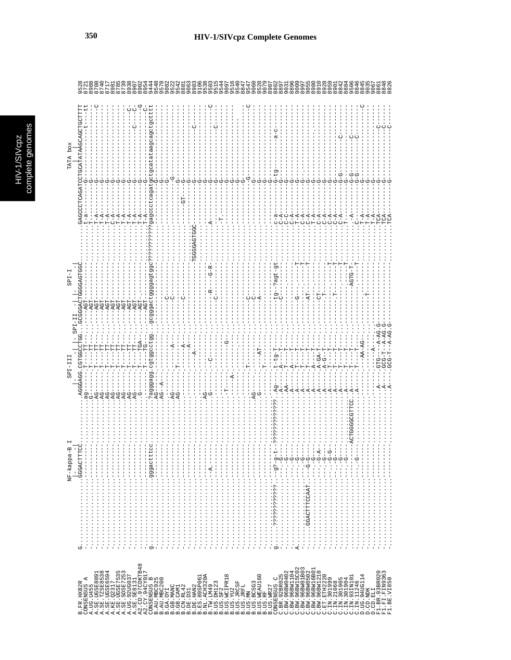complete genomes HIV-1/SIVcpz

| NF-kappa-<br>GGGACTT                                                                                                                | T<br>$\overline{m}$ | LII-IES                  | $5PI - II$<br>AGGGAGG.CGTGCCTGG.<br>Ï | TGGGGAGTGG<br>$I-TdS$<br>CGGGAC |                                    | GAGCCCTCAGATGCATATAAGCAGCTGCT<br>box<br>TATA | $^{\circ}$                 |
|-------------------------------------------------------------------------------------------------------------------------------------|---------------------|--------------------------|---------------------------------------|---------------------------------|------------------------------------|----------------------------------------------|----------------------------|
| $\frac{1}{2}$<br>т<br>$\frac{1}{2}$                                                                                                 |                     | ᡡ<br>൯                   |                                       | $- AGT$<br>AGI                  | $t - a -$                          | ひ                                            | $\infty$                   |
| п<br>J.                                                                                                                             |                     | ÄĠ<br>AG                 |                                       | <b>AGT</b><br>AGI               | $T - A -$<br>$T - A$               |                                              | $\infty$                   |
|                                                                                                                                     |                     | AG                       |                                       | AGT<br>AGT                      | $T - A$<br>$-4$<br>C)              |                                              |                            |
|                                                                                                                                     |                     | r)<br>G                  |                                       | Ę                               | $T - A$                            |                                              | ഥ<br>ന                     |
|                                                                                                                                     |                     | ă                        |                                       | AGT<br>ت<br>AC                  | $T - A$<br>$T - A$                 |                                              | ∞                          |
| J.<br>İ,                                                                                                                            |                     |                          |                                       | ت<br>AC                         | $T - A$                            |                                              |                            |
| -1<br>J.<br>Ì,                                                                                                                      |                     |                          | てり                                    | <b>AGT</b><br>č,                | $T - A$<br>$\mathbb{T}-\mathbb{A}$ |                                              |                            |
| gggacttt                                                                                                                            |                     | aggaagg.cgtggct5g        |                                       | 9C9998Ct99981950                |                                    | gagccctcagatgctgcatataagcagctgctttt          |                            |
| $\mathbf{I}$<br>т<br>$\frac{1}{2}$ , $\frac{1}{2}$ , $\frac{1}{2}$ , $\frac{1}{2}$ , $\frac{1}{2}$ , $\frac{1}{2}$<br>$\frac{1}{2}$ |                     | $A - -A$<br>т<br>п<br>U. |                                       |                                 |                                    |                                              |                            |
| Ì,                                                                                                                                  |                     |                          |                                       | U                               |                                    |                                              |                            |
|                                                                                                                                     |                     | ġ                        | $-A$ -                                | U                               |                                    |                                              |                            |
| 1                                                                                                                                   |                     |                          | $-A-$                                 | C                               | 5                                  |                                              |                            |
|                                                                                                                                     |                     |                          | $-4$                                  |                                 |                                    |                                              |                            |
| л<br>J,                                                                                                                             |                     |                          | К                                     |                                 |                                    |                                              |                            |
|                                                                                                                                     |                     |                          |                                       |                                 |                                    |                                              |                            |
| $- - - - -$<br>$\frac{1}{1}$                                                                                                        |                     |                          | C.                                    | G-R<br>$\alpha$                 |                                    |                                              |                            |
| ţ                                                                                                                                   |                     |                          |                                       |                                 |                                    |                                              |                            |
| $\mathbf{I}$                                                                                                                        |                     |                          |                                       |                                 |                                    |                                              |                            |
|                                                                                                                                     |                     |                          | C                                     |                                 |                                    |                                              |                            |
|                                                                                                                                     |                     | $\dot{A}$                |                                       |                                 |                                    |                                              |                            |
|                                                                                                                                     |                     |                          |                                       |                                 |                                    |                                              |                            |
|                                                                                                                                     |                     |                          |                                       | C                               |                                    |                                              |                            |
| п<br>I                                                                                                                              |                     | U.                       |                                       | U                               |                                    |                                              |                            |
|                                                                                                                                     |                     |                          | $-AT$                                 | A,                              |                                    |                                              |                            |
| Ţ                                                                                                                                   |                     |                          |                                       |                                 |                                    |                                              |                            |
| Ĩ.<br>$-9.5 - 9$<br>$\cdot$ $\circ$<br>5.5.5.5<br>$\cdot$ $\cdot$<br>$\frac{1}{2}$                                                  |                     | $\overline{A}$ g         | $-t-g-T$                              | 하<br>?agt-<br>J<br>J.<br>tg.    | ৻৻                                 | m<br>ত্য<br>↵                                |                            |
|                                                                                                                                     |                     | $\overline{A}$           |                                       | п<br>U                          | $\ddot{A}$<br>U                    |                                              |                            |
| ı<br>$\vdots$                                                                                                                       |                     | ĀA.                      |                                       |                                 | U<br>U                             |                                              |                            |
| J.                                                                                                                                  |                     | $\overline{A}$           |                                       |                                 | $C - A -$                          |                                              |                            |
| Í,<br>$\ddot{\cdot}$<br>$\ddot{\phantom{0}}$<br>$\frac{1}{2}$                                                                       |                     | A,                       |                                       | ひ                               | $\mathbb{T}-\mathbb{A}$            |                                              |                            |
| ţ.                                                                                                                                  | -1                  | Ā,<br>K,                 |                                       | $-AT$                           | $C - A -$<br>$C - A$               |                                              |                            |
| Ť<br>$\ddot{\theta}$<br>$\ddot{\theta}$<br>I<br>ţ<br>.                                                                              | J.                  | K,                       |                                       |                                 | $\mathbf{T}-\mathbf{A}$ –          |                                              |                            |
| $A-B-7$<br>$\bar{\rm I}$<br>Ţ<br>Í,                                                                                                 |                     | K,                       | Ī,<br>$-GA$                           | 튄                               | $C - A$                            |                                              |                            |
| Ť.<br>$\ddot{a}$ .<br>I                                                                                                             | Ш.                  | К<br>K,                  | نې                                    |                                 | $C - A -$                          |                                              | ∞                          |
| $\ddot{\phi}$ ; ; ;<br>$\ddot{\phi}$ ; $\ddot{\phi}$ ; ; ; ;<br>Ţ<br>I                                                              |                     | К                        |                                       |                                 | $C - A$                            |                                              | σ                          |
|                                                                                                                                     |                     | K,                       |                                       | F                               | $C - A -$                          |                                              |                            |
| I                                                                                                                                   |                     | К                        | ь                                     |                                 | $C - A$                            | τ.<br>ひ<br>ᄞ                                 |                            |
| ن<br>!<br>.<br>I                                                                                                                    |                     | К                        |                                       |                                 |                                    | ひ                                            |                            |
| ن<br>!<br>.                                                                                                                         |                     |                          |                                       | AGTG                            | $-4$                               | Ö<br>C<br>Ġ<br>ט<br>ひ<br>ひ                   |                            |
|                                                                                                                                     |                     |                          | $-AA-AG$                              |                                 | $T - A$                            |                                              |                            |
|                                                                                                                                     |                     |                          |                                       |                                 | $T - A$                            |                                              | $\circ$<br>$\sigma$        |
|                                                                                                                                     |                     |                          |                                       |                                 | $L - \overline{A}$                 |                                              | ৩<br>$\circ$<br>$\sigma$   |
|                                                                                                                                     |                     | Æ                        | U<br>U<br>U                           |                                 | g                                  |                                              | $\infty$ $\infty$ $\infty$ |
|                                                                                                                                     |                     | K,                       | ۴<br>ו<br>טַ                          |                                 |                                    |                                              | 4                          |
|                                                                                                                                     |                     |                          |                                       |                                 |                                    |                                              |                            |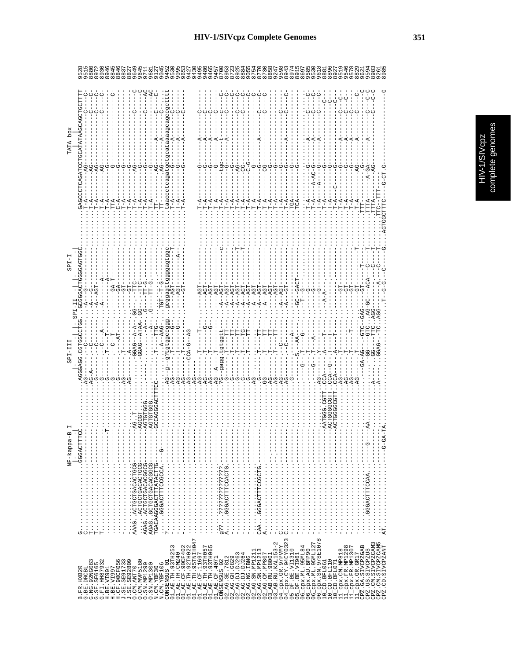|          |                   |               | $\infty$ |         |             |         |      |    |                                               | _________              |                                                                                                                                                                                                                                                                                                               | $\sigma$ |                                                                                                                                                                                              |               |                                                                               | ന                    |              |  |          |  |  |   |         |   | $\infty$    |             |             | $\infty$           |             | $\infty$    | $\infty$ |      | U N<br>თ თ | G<br>$\infty$ | $\sigma$<br>$\infty$ | $\infty$    | G<br>$\infty$                                                                                                                                                                                                                                                                                                                                                                                              | $\sigma$<br>$\sigma$ | <b>500</b><br>$\infty$ | $\infty$                |    | $\infty$ $\infty$ rv rv | $\infty$ on on on |         | $\infty$      |      |   |                                                            |
|----------|-------------------|---------------|----------|---------|-------------|---------|------|----|-----------------------------------------------|------------------------|---------------------------------------------------------------------------------------------------------------------------------------------------------------------------------------------------------------------------------------------------------------------------------------------------------------|----------|----------------------------------------------------------------------------------------------------------------------------------------------------------------------------------------------|---------------|-------------------------------------------------------------------------------|----------------------|--------------|--|----------|--|--|---|---------|---|-------------|-------------|-------------|--------------------|-------------|-------------|----------|------|------------|---------------|----------------------|-------------|------------------------------------------------------------------------------------------------------------------------------------------------------------------------------------------------------------------------------------------------------------------------------------------------------------------------------------------------------------------------------------------------------------|----------------------|------------------------|-------------------------|----|-------------------------|-------------------|---------|---------------|------|---|------------------------------------------------------------|
|          |                   |               |          |         |             |         |      |    |                                               |                        |                                                                                                                                                                                                                                                                                                               |          |                                                                                                                                                                                              |               |                                                                               |                      |              |  |          |  |  |   |         |   |             |             |             |                    |             |             |          |      |            |               |                      |             |                                                                                                                                                                                                                                                                                                                                                                                                            |                      |                        |                         |    |                         |                   |         |               |      |   |                                                            |
|          |                   |               | п<br>Ü   | Ů       |             |         |      |    |                                               |                        |                                                                                                                                                                                                                                                                                                               |          |                                                                                                                                                                                              | U             |                                                                               |                      |              |  |          |  |  |   | O       |   |             | C.          |             |                    |             |             |          |      |            |               |                      |             |                                                                                                                                                                                                                                                                                                                                                                                                            |                      |                        |                         |    |                         | Ü                 |         |               |      |   |                                                            |
| xox      | GCATATAAGCAGCT    |               |          |         |             |         |      |    |                                               |                        |                                                                                                                                                                                                                                                                                                               |          |                                                                                                                                                                                              |               |                                                                               | ctgcataaaagcagccgctt |              |  |          |  |  | К |         |   |             |             |             |                    |             |             |          |      |            |               |                      |             |                                                                                                                                                                                                                                                                                                                                                                                                            |                      |                        |                         |    |                         | A                 |         |               |      |   |                                                            |
| TATA     |                   |               |          |         |             |         |      |    |                                               |                        |                                                                                                                                                                                                                                                                                                               |          |                                                                                                                                                                                              |               |                                                                               |                      |              |  |          |  |  |   |         |   |             |             |             |                    |             |             |          |      |            |               |                      |             |                                                                                                                                                                                                                                                                                                                                                                                                            |                      |                        |                         |    |                         |                   |         |               |      |   |                                                            |
|          |                   |               |          |         |             |         |      |    |                                               |                        |                                                                                                                                                                                                                                                                                                               |          |                                                                                                                                                                                              |               |                                                                               | ত<br>ragat           |              |  |          |  |  |   | ס       | ひ |             | ਾਂ ਕੁ ਲੁ    |             | ひ                  | ひ           | ひ           | ひ        |      |            |               |                      |             |                                                                                                                                                                                                                                                                                                                                                                                                            |                      |                        |                         | ひ  |                         |                   |         |               |      |   |                                                            |
|          |                   |               |          |         |             |         |      |    |                                               |                        |                                                                                                                                                                                                                                                                                                               |          |                                                                                                                                                                                              |               |                                                                               |                      |              |  |          |  |  |   |         |   |             |             |             |                    |             |             |          |      |            |               |                      |             |                                                                                                                                                                                                                                                                                                                                                                                                            | $A - AC$             |                        |                         |    |                         |                   |         |               |      |   |                                                            |
|          |                   |               |          | $T - A$ | $\tilde{A}$ | $F - A$ | TTA  |    | $\begin{array}{c} C - A \\ C - A \end{array}$ |                        | $\begin{array}{c} 1.74 \\ 1.74 \\ 1.74 \\ 1.74 \\ 1.74 \\ 1.74 \\ 1.74 \\ 1.74 \\ 1.74 \\ 1.74 \\ 1.74 \\ 1.74 \\ 1.74 \\ 1.74 \\ 1.74 \\ 1.74 \\ 1.74 \\ 1.74 \\ 1.74 \\ 1.74 \\ 1.74 \\ 1.74 \\ 1.74 \\ 1.74 \\ 1.74 \\ 1.74 \\ 1.74 \\ 1.74 \\ 1.74 \\ 1.74 \\ 1.74 \\ 1.74 \\ 1.74 \\ 1.74 \\ 1.74 \\ 1.$ |          |                                                                                                                                                                                              | i<br>Fi       |                                                                               | taac                 |              |  |          |  |  |   | $-4$    |   | $\tilde{A}$ | $\tilde{A}$ | $\tilde{A}$ | $T - A$<br>$T - A$ | $\tilde{A}$ | $-4$        |          | $-4$ |            |               |                      |             |                                                                                                                                                                                                                                                                                                                                                                                                            | $T - A$              | $T - A$                | $\mathbb{T}-\mathbb{A}$ | Ā. | $\mathbb{T}-\mathbb{A}$ | $T - A$           | $T - A$ | $T - A$       |      |   |                                                            |
|          |                   |               |          |         |             |         |      |    |                                               |                        |                                                                                                                                                                                                                                                                                                               |          |                                                                                                                                                                                              |               |                                                                               |                      |              |  |          |  |  |   |         |   |             |             |             |                    |             |             |          |      |            |               |                      |             |                                                                                                                                                                                                                                                                                                                                                                                                            |                      |                        |                         |    |                         |                   |         |               |      |   |                                                            |
|          |                   |               |          |         |             |         |      |    |                                               |                        |                                                                                                                                                                                                                                                                                                               |          |                                                                                                                                                                                              |               |                                                                               |                      |              |  |          |  |  |   |         |   |             |             |             |                    |             |             |          |      |            |               |                      |             |                                                                                                                                                                                                                                                                                                                                                                                                            |                      |                        |                         |    |                         |                   |         |               |      |   |                                                            |
|          |                   |               |          |         |             |         |      |    |                                               |                        |                                                                                                                                                                                                                                                                                                               |          |                                                                                                                                                                                              |               |                                                                               |                      |              |  |          |  |  |   |         |   |             |             |             |                    |             |             |          |      |            |               |                      |             |                                                                                                                                                                                                                                                                                                                                                                                                            |                      |                        |                         |    |                         |                   |         |               |      |   |                                                            |
|          |                   |               |          |         |             |         | T-A5 |    |                                               |                        |                                                                                                                                                                                                                                                                                                               |          |                                                                                                                                                                                              |               |                                                                               |                      |              |  |          |  |  |   |         |   |             |             |             |                    |             |             |          |      |            |               |                      |             |                                                                                                                                                                                                                                                                                                                                                                                                            |                      |                        |                         |    |                         |                   |         |               |      |   |                                                            |
|          |                   |               |          |         |             |         |      | రే |                                               | 5                      |                                                                                                                                                                                                                                                                                                               |          |                                                                                                                                                                                              |               |                                                                               | gcggagttgg           |              |  |          |  |  |   | Ę       |   | ă           |             | AGT         | Ę<br>$-A$ -        | $-A$ -      | $-A$ - $-1$ |          |      | $-A$ -     | $- A$         |                      | $-90 - -90$ | ۲<br>ا                                                                                                                                                                                                                                                                                                                                                                                                     |                      | $-4-7$                 |                         |    |                         |                   | 5       |               |      |   |                                                            |
|          |                   |               |          |         |             |         |      |    |                                               |                        |                                                                                                                                                                                                                                                                                                               |          |                                                                                                                                                                                              |               |                                                                               |                      |              |  |          |  |  |   |         |   |             |             |             |                    |             |             |          |      |            |               |                      |             |                                                                                                                                                                                                                                                                                                                                                                                                            |                      |                        |                         |    |                         |                   |         |               |      |   |                                                            |
|          |                   |               |          |         |             |         |      |    |                                               |                        |                                                                                                                                                                                                                                                                                                               | $-A-A$   |                                                                                                                                                                                              |               |                                                                               | Faaca                |              |  | $-AG$    |  |  |   |         |   |             |             |             |                    |             |             |          |      |            |               |                      |             |                                                                                                                                                                                                                                                                                                                                                                                                            |                      |                        |                         |    |                         |                   |         |               |      |   |                                                            |
|          |                   |               |          | U       |             |         |      |    |                                               |                        |                                                                                                                                                                                                                                                                                                               | GAG-     |                                                                                                                                                                                              |               |                                                                               |                      |              |  | $-5 - 4$ |  |  |   | tgtggt  |   |             |             |             |                    |             |             |          |      |            |               |                      |             |                                                                                                                                                                                                                                                                                                                                                                                                            |                      |                        | Н                       |    |                         |                   |         |               |      |   |                                                            |
|          | AGGGAGG           |               |          |         |             |         |      |    |                                               |                        |                                                                                                                                                                                                                                                                                                               |          |                                                                                                                                                                                              |               |                                                                               |                      |              |  |          |  |  |   | $-9899$ |   |             |             |             |                    |             |             |          |      |            |               |                      |             |                                                                                                                                                                                                                                                                                                                                                                                                            |                      |                        |                         |    |                         |                   |         |               |      |   |                                                            |
|          |                   |               |          |         |             |         |      |    |                                               |                        |                                                                                                                                                                                                                                                                                                               |          |                                                                                                                                                                                              |               |                                                                               |                      |              |  |          |  |  |   |         |   |             |             |             |                    |             |             |          |      |            |               |                      |             |                                                                                                                                                                                                                                                                                                                                                                                                            |                      |                        |                         |    |                         |                   |         |               |      |   |                                                            |
|          |                   |               |          |         |             |         |      |    |                                               |                        |                                                                                                                                                                                                                                                                                                               |          |                                                                                                                                                                                              |               |                                                                               |                      |              |  |          |  |  |   |         |   |             |             |             |                    |             |             |          |      |            |               |                      |             |                                                                                                                                                                                                                                                                                                                                                                                                            |                      |                        |                         |    |                         |                   |         |               |      |   |                                                            |
|          |                   |               |          |         |             |         |      |    |                                               |                        |                                                                                                                                                                                                                                                                                                               |          |                                                                                                                                                                                              |               |                                                                               |                      |              |  |          |  |  |   |         |   |             |             |             |                    |             |             |          |      |            |               |                      |             |                                                                                                                                                                                                                                                                                                                                                                                                            |                      |                        |                         |    |                         |                   |         |               |      |   |                                                            |
|          |                   |               |          |         |             |         |      |    |                                               |                        |                                                                                                                                                                                                                                                                                                               |          |                                                                                                                                                                                              | $\frac{1}{1}$ |                                                                               |                      |              |  |          |  |  |   |         |   |             |             |             |                    |             |             |          |      |            |               |                      |             |                                                                                                                                                                                                                                                                                                                                                                                                            |                      |                        |                         |    |                         |                   |         | $\frac{1}{1}$ | $-1$ |   | $-5 - 0 - 1$                                               |
| NF-kappa | CGGACTT<br>$\,$ I | $\frac{1}{1}$ |          |         |             |         |      |    | $\frac{1}{2}$                                 |                        |                                                                                                                                                                                                                                                                                                               |          |                                                                                                                                                                                              |               | $-0$ - $ \cdot$ $\alpha$ ) $\alpha$ ) $\alpha$ ) $\alpha$ is a larger $\cdot$ |                      |              |  |          |  |  |   |         |   |             |             |             |                    |             |             |          |      |            |               |                      |             |                                                                                                                                                                                                                                                                                                                                                                                                            |                      |                        |                         |    |                         |                   |         |               |      |   |                                                            |
|          |                   |               |          | .       |             |         |      |    |                                               | ししょうこう こうこうこう こうこうこうこう |                                                                                                                                                                                                                                                                                                               |          | $\begin{split} &\dots\ldots\text{ACTGCTGACACTGCG--}\\ &\text{AGAG}\ldots\text{ACTGCTGACACGGCG--}\\ &\text{AGAG}\ldots\text{GCTGCTGACACGGCG--}\\ &\text{TGACAAGGGACTTTATACTTG--} \end{split}$ |               |                                                                               |                      |              |  |          |  |  |   |         |   |             |             |             |                    |             |             |          |      |            |               |                      |             |                                                                                                                                                                                                                                                                                                                                                                                                            |                      |                        |                         |    |                         |                   |         |               |      |   |                                                            |
|          |                   |               |          |         |             |         |      |    | .                                             |                        |                                                                                                                                                                                                                                                                                                               |          |                                                                                                                                                                                              |               |                                                                               |                      |              |  |          |  |  |   |         |   |             |             |             |                    |             |             |          |      |            |               |                      |             |                                                                                                                                                                                                                                                                                                                                                                                                            |                      |                        |                         |    |                         |                   |         |               |      | . | .                                                          |
|          |                   |               |          |         |             |         |      |    |                                               |                        |                                                                                                                                                                                                                                                                                                               |          |                                                                                                                                                                                              |               |                                                                               |                      |              |  |          |  |  |   |         |   |             |             |             |                    |             |             |          |      |            |               |                      |             |                                                                                                                                                                                                                                                                                                                                                                                                            |                      |                        |                         |    |                         |                   |         |               |      |   |                                                            |
|          |                   | OUHHH         |          |         |             |         |      |    |                                               |                        |                                                                                                                                                                                                                                                                                                               |          |                                                                                                                                                                                              |               |                                                                               | $\cdot$ $\circ$      |              |  |          |  |  |   |         |   |             |             |             |                    |             |             |          |      |            |               |                      |             |                                                                                                                                                                                                                                                                                                                                                                                                            |                      |                        |                         |    |                         |                   |         | $\frac{1}{1}$ |      |   |                                                            |
|          |                   |               |          |         |             |         |      |    |                                               |                        |                                                                                                                                                                                                                                                                                                               |          |                                                                                                                                                                                              |               |                                                                               |                      |              |  |          |  |  |   |         |   |             |             |             |                    |             |             |          |      |            |               |                      |             | $\begin{array}{l} (34 \text{--} \text{cpx.} \; (\text{R},\; 97 \text{FWM}) \\ (34 \text{--} \text{cpx.} \; (\text{R},\; 97 \text{FWM}) \\ (34 \text{--} \text{cpx.} \; (\text{R},\; 94 \text{C} \text{V} \text{J} \text{31}) \\ (5 \text{--} \text{D} \text{F} \; (\text{R},\; 94 \text{C} \text{V} \text{J} \text{J} \text{J}) \\ (6 \text{--} \text{cpx.} \; (\text{M},\; 95 \text{W} \text{L} \text{J}$ |                      |                        |                         |    |                         |                   |         |               |      |   |                                                            |
|          |                   |               |          |         |             |         |      |    |                                               |                        |                                                                                                                                                                                                                                                                                                               |          |                                                                                                                                                                                              |               |                                                                               |                      | AE.TH.93TH25 |  |          |  |  |   |         |   |             |             |             |                    |             |             |          |      |            |               |                      |             |                                                                                                                                                                                                                                                                                                                                                                                                            |                      |                        |                         |    |                         |                   |         |               |      |   | CPZ.CM.SIVCPZCAM3<br>CPZ.CM.SIVCPZCAM5<br>CPZ.CD.SIVCPZANT |
|          | R.HXB2R           | .BE.DRCBL     |          |         |             |         |      |    |                                               |                        |                                                                                                                                                                                                                                                                                                               |          |                                                                                                                                                                                              |               |                                                                               |                      |              |  |          |  |  |   |         |   |             |             |             |                    |             |             |          |      |            |               |                      |             |                                                                                                                                                                                                                                                                                                                                                                                                            |                      |                        |                         |    |                         |                   |         |               |      |   |                                                            |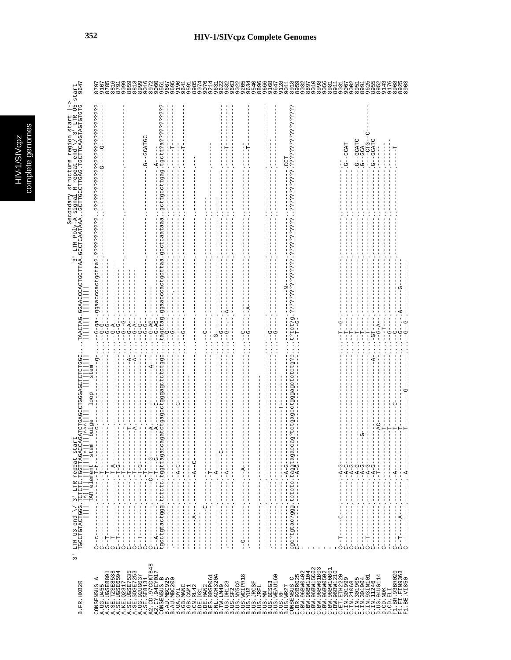complete genomes HIV-1/SIVcpz

ת טיס מספיט מספיט מסטיס שיט טיס מסטיס טיס טיס מסטיס טיס מסטיס מסטיס טיס מסטיס מסטיס מסטיס מסטיס מסטיס מסטיס מס<br>טיס טיס היה המסטים היהודים של היהודים היהודים היהודים היהודים היהודים היהודים היהודים היהודים היהודים היהודים<br> ပုံ  $-6$ <br>  $-6$ <br>  $-6$ <br>  $-6$ <br>  $-6$ <br>  $-6$ <br>  $-6$ <br>  $-6$ <br>  $-6$ <br>  $-6$ <br>  $-6$ <br>  $-6$ <br>  $-6$ <br>  $-6$ <br>  $-6$ <br>  $-6$ <br>  $-7$ <br>  $-7$ <br>  $-7$ <br>  $-6$ <br>  $-6$ <br>  $-6$ <br>  $-7$ <br>  $-7$ <br>  $-7$ <br>  $-6$ <br>  $-6$ <br>  $-7$ <br>  $-7$ <br>  $-7$ <br>  $-6$ <br>  $-7$ <br>  $-7$ <br>  $-7$ <br>  $-7$ <br>  $-7$ <br>  $-7$ <br>  $\begin{array}{l} \rule{0pt}{2.5ex} \rule{0pt}{2.5ex} \rule{0pt}{2.5ex} \rule{0pt}{2.5ex} \rule{0pt}{2.5ex} \rule{0pt}{2.5ex} \rule{0pt}{2.5ex} \rule{0pt}{2.5ex} \rule{0pt}{2.5ex} \rule{0pt}{2.5ex} \rule{0pt}{2.5ex} \rule{0pt}{2.5ex} \rule{0pt}{2.5ex} \rule{0pt}{2.5ex} \rule{0pt}{2.5ex} \rule{0pt}{2.5ex} \rule{0pt}{2.5ex} \rule{0pt}{2.5ex} \rule{0pt}{2.5ex} \rule{0$  $\frac{1}{2}$  $\begin{smallmatrix} \texttt{0.081818193} \texttt{0.081818394} \texttt{0.0818183938} \texttt{0.0818183938} \texttt{0.0818175339} \texttt{0.0818175339} \texttt{0.0818175339} \texttt{0.0818175339} \texttt{0.0818175339} \texttt{0.0818175339} \texttt{0.0818175339} \texttt{0.0818175339} \texttt{0.081817$ B. FR. HXB2R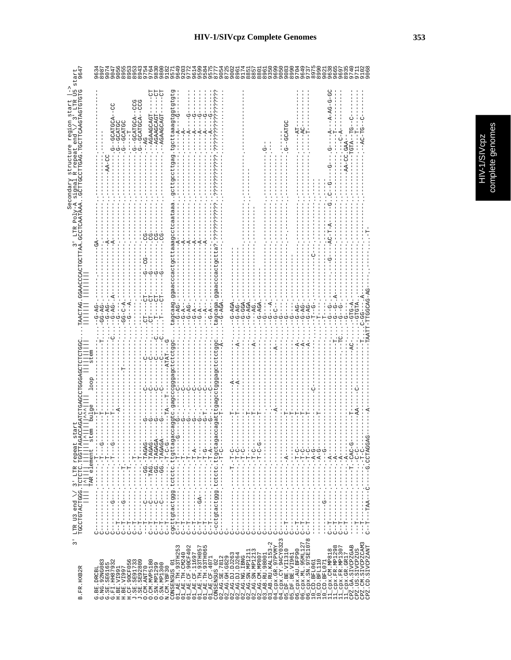| tagcaag.ggaaccoacttgattaaagcctcaataaa<br>$-A-$<br>Ŏ.<br>ς.<br>tagcaga.ggaacccactgctta<br>--G-AGA.----------------<br>TGGCAG-A<br>$-G-AG-.A$<br>$-9 - -$<br>$G---A$ .<br>G-GGA.<br>.<br>יף<br>י<br>$G - C - A$ .<br>G-AGA.<br>$-5$<br>$G-AGA$<br>$-AG$ .<br>$G - AG -$<br>$G - AG -$<br>$-1$<br>$G - AG -$<br>$G - AG$<br>$G - AG -$<br>ά<br>$G - 2G - G -$<br>$G - AGA$<br>$G - AG -$<br>GTG-A<br>GTGTA<br>$G - A -$<br>G-AG<br>$G - AG$<br>$G - A$<br>$G - A$<br>$-4$<br>$- - A$<br>ల్<br>Ė,<br>accagatttgagcctgggagctctctggc<br>tc.gagccoggagctctggc<br>Ù<br>loop<br>bulge<br>accagg<br>item<br>-- 1<br>-- 1<br>$-1 - 1 - -6$<br>$\frac{1}{1}$<br>$\frac{1}{1}$<br>$\frac{1}{1}$<br>----------<br>$\frac{1}{1}$<br>$\frac{1}{4}$<br>TAR element<br>$\frac{1}{1}$<br>$-1$<br>$\frac{1}{1}$<br>$\ddot{r}$<br><b>F-1-1-1-1</b><br>$- - - A$<br>$- - -$<br>$- - - A$<br>$\frac{1}{2}$<br>۱.<br>Ì,<br><b>H</b> --------<br>$\begin{bmatrix} 1 \\ 1 \\ 1 \\ 1 \end{bmatrix}$<br>$\begin{bmatrix} 1 \\ 1 \\ 1 \end{bmatrix}$<br>$\begin{array}{c} 1 \\ 1 \\ 1 \end{array}$<br>$\mathbf{I}$<br>T<br>т<br>$\mathsf I$<br>1<br>$\frac{1}{1}$<br>$\frac{1}{1}$<br>$\frac{1}{1}$<br>ļ.<br>ţ<br>$\frac{1}{1}$<br>$\vdots$<br>$\frac{1}{1}$<br>ļ.<br>È,<br>ŕ.<br>È<br>÷,<br>Î<br>$\mathsf I$ |                                 |
|----------------------------------------------------------------------------------------------------------------------------------------------------------------------------------------------------------------------------------------------------------------------------------------------------------------------------------------------------------------------------------------------------------------------------------------------------------------------------------------------------------------------------------------------------------------------------------------------------------------------------------------------------------------------------------------------------------------------------------------------------------------------------------------------------------------------------------------------------------------------------------------------------------------------------------------------------------------------------------------------------------------------------------------------------------------------------------------------------------------------------------------------------------------------------------------------------------------------------------------------------------------------------------|---------------------------------|
| ï<br>$\frac{1}{6}$<br>$\frac{1}{1}$                                                                                                                                                                                                                                                                                                                                                                                                                                                                                                                                                                                                                                                                                                                                                                                                                                                                                                                                                                                                                                                                                                                                                                                                                                              |                                 |
| $-9 - -$<br>T                                                                                                                                                                                                                                                                                                                                                                                                                                                                                                                                                                                                                                                                                                                                                                                                                                                                                                                                                                                                                                                                                                                                                                                                                                                                    | U<br>P<br>GCATGCA<br>$-AA-CC$   |
|                                                                                                                                                                                                                                                                                                                                                                                                                                                                                                                                                                                                                                                                                                                                                                                                                                                                                                                                                                                                                                                                                                                                                                                                                                                                                  | G--GCATGC                       |
| $\frac{1}{2}$<br>$-1$<br>ט<br>ו<br>ט<br>ו<br>Ť                                                                                                                                                                                                                                                                                                                                                                                                                                                                                                                                                                                                                                                                                                                                                                                                                                                                                                                                                                                                                                                                                                                                                                                                                                   | G--GCATGC                       |
|                                                                                                                                                                                                                                                                                                                                                                                                                                                                                                                                                                                                                                                                                                                                                                                                                                                                                                                                                                                                                                                                                                                                                                                                                                                                                  | ひひひーーstDDIstOのーーの.              |
|                                                                                                                                                                                                                                                                                                                                                                                                                                                                                                                                                                                                                                                                                                                                                                                                                                                                                                                                                                                                                                                                                                                                                                                                                                                                                  | G--GCATGCA--CCG                 |
|                                                                                                                                                                                                                                                                                                                                                                                                                                                                                                                                                                                                                                                                                                                                                                                                                                                                                                                                                                                                                                                                                                                                                                                                                                                                                  | -AGAAGCAGT                      |
| $- - - - - -$<br>$\frac{1}{1}$                                                                                                                                                                                                                                                                                                                                                                                                                                                                                                                                                                                                                                                                                                                                                                                                                                                                                                                                                                                                                                                                                                                                                                                                                                                   | 5<br>-AGAAGCAGT<br>-AGAAGCAGT   |
| tgtactggg.tctctc.ttgttag                                                                                                                                                                                                                                                                                                                                                                                                                                                                                                                                                                                                                                                                                                                                                                                                                                                                                                                                                                                                                                                                                                                                                                                                                                                         |                                 |
| $\frac{1}{1}$                                                                                                                                                                                                                                                                                                                                                                                                                                                                                                                                                                                                                                                                                                                                                                                                                                                                                                                                                                                                                                                                                                                                                                                                                                                                    | gcttgccttgag.tgcttaaagtggtgtgtg |
| $\frac{1}{1}$                                                                                                                                                                                                                                                                                                                                                                                                                                                                                                                                                                                                                                                                                                                                                                                                                                                                                                                                                                                                                                                                                                                                                                                                                                                                    |                                 |
|                                                                                                                                                                                                                                                                                                                                                                                                                                                                                                                                                                                                                                                                                                                                                                                                                                                                                                                                                                                                                                                                                                                                                                                                                                                                                  |                                 |
|                                                                                                                                                                                                                                                                                                                                                                                                                                                                                                                                                                                                                                                                                                                                                                                                                                                                                                                                                                                                                                                                                                                                                                                                                                                                                  |                                 |
|                                                                                                                                                                                                                                                                                                                                                                                                                                                                                                                                                                                                                                                                                                                                                                                                                                                                                                                                                                                                                                                                                                                                                                                                                                                                                  |                                 |
|                                                                                                                                                                                                                                                                                                                                                                                                                                                                                                                                                                                                                                                                                                                                                                                                                                                                                                                                                                                                                                                                                                                                                                                                                                                                                  |                                 |
|                                                                                                                                                                                                                                                                                                                                                                                                                                                                                                                                                                                                                                                                                                                                                                                                                                                                                                                                                                                                                                                                                                                                                                                                                                                                                  |                                 |
| $\frac{1}{1}$<br>$\frac{1}{1}$<br>$\frac{1}{1}$<br>$\frac{1}{1}$<br>$\frac{1}{1}$<br>j<br>$\frac{1}{1}$<br>$\frac{1}{1}$<br>$\frac{1}{1}$<br>$\frac{1}{1}$                                                                                                                                                                                                                                                                                                                                                                                                                                                                                                                                                                                                                                                                                                                                                                                                                                                                                                                                                                                                                                                                                                                       | ς.<br>ი.<br>ი                   |
|                                                                                                                                                                                                                                                                                                                                                                                                                                                                                                                                                                                                                                                                                                                                                                                                                                                                                                                                                                                                                                                                                                                                                                                                                                                                                  |                                 |
|                                                                                                                                                                                                                                                                                                                                                                                                                                                                                                                                                                                                                                                                                                                                                                                                                                                                                                                                                                                                                                                                                                                                                                                                                                                                                  |                                 |
|                                                                                                                                                                                                                                                                                                                                                                                                                                                                                                                                                                                                                                                                                                                                                                                                                                                                                                                                                                                                                                                                                                                                                                                                                                                                                  |                                 |
|                                                                                                                                                                                                                                                                                                                                                                                                                                                                                                                                                                                                                                                                                                                                                                                                                                                                                                                                                                                                                                                                                                                                                                                                                                                                                  |                                 |
|                                                                                                                                                                                                                                                                                                                                                                                                                                                                                                                                                                                                                                                                                                                                                                                                                                                                                                                                                                                                                                                                                                                                                                                                                                                                                  |                                 |
|                                                                                                                                                                                                                                                                                                                                                                                                                                                                                                                                                                                                                                                                                                                                                                                                                                                                                                                                                                                                                                                                                                                                                                                                                                                                                  |                                 |
|                                                                                                                                                                                                                                                                                                                                                                                                                                                                                                                                                                                                                                                                                                                                                                                                                                                                                                                                                                                                                                                                                                                                                                                                                                                                                  |                                 |
|                                                                                                                                                                                                                                                                                                                                                                                                                                                                                                                                                                                                                                                                                                                                                                                                                                                                                                                                                                                                                                                                                                                                                                                                                                                                                  |                                 |
|                                                                                                                                                                                                                                                                                                                                                                                                                                                                                                                                                                                                                                                                                                                                                                                                                                                                                                                                                                                                                                                                                                                                                                                                                                                                                  | <b>UDIRUD--5.</b>               |
|                                                                                                                                                                                                                                                                                                                                                                                                                                                                                                                                                                                                                                                                                                                                                                                                                                                                                                                                                                                                                                                                                                                                                                                                                                                                                  |                                 |
|                                                                                                                                                                                                                                                                                                                                                                                                                                                                                                                                                                                                                                                                                                                                                                                                                                                                                                                                                                                                                                                                                                                                                                                                                                                                                  | $-AT-$                          |
|                                                                                                                                                                                                                                                                                                                                                                                                                                                                                                                                                                                                                                                                                                                                                                                                                                                                                                                                                                                                                                                                                                                                                                                                                                                                                  |                                 |
|                                                                                                                                                                                                                                                                                                                                                                                                                                                                                                                                                                                                                                                                                                                                                                                                                                                                                                                                                                                                                                                                                                                                                                                                                                                                                  |                                 |
|                                                                                                                                                                                                                                                                                                                                                                                                                                                                                                                                                                                                                                                                                                                                                                                                                                                                                                                                                                                                                                                                                                                                                                                                                                                                                  |                                 |
|                                                                                                                                                                                                                                                                                                                                                                                                                                                                                                                                                                                                                                                                                                                                                                                                                                                                                                                                                                                                                                                                                                                                                                                                                                                                                  |                                 |
|                                                                                                                                                                                                                                                                                                                                                                                                                                                                                                                                                                                                                                                                                                                                                                                                                                                                                                                                                                                                                                                                                                                                                                                                                                                                                  |                                 |
|                                                                                                                                                                                                                                                                                                                                                                                                                                                                                                                                                                                                                                                                                                                                                                                                                                                                                                                                                                                                                                                                                                                                                                                                                                                                                  | $A - B - G - GC$<br>ပ္ပ်        |
|                                                                                                                                                                                                                                                                                                                                                                                                                                                                                                                                                                                                                                                                                                                                                                                                                                                                                                                                                                                                                                                                                                                                                                                                                                                                                  | $-5 - 7 -$                      |
|                                                                                                                                                                                                                                                                                                                                                                                                                                                                                                                                                                                                                                                                                                                                                                                                                                                                                                                                                                                                                                                                                                                                                                                                                                                                                  | AA-CC.GAA                       |
|                                                                                                                                                                                                                                                                                                                                                                                                                                                                                                                                                                                                                                                                                                                                                                                                                                                                                                                                                                                                                                                                                                                                                                                                                                                                                  | -TGTA--TG                       |
|                                                                                                                                                                                                                                                                                                                                                                                                                                                                                                                                                                                                                                                                                                                                                                                                                                                                                                                                                                                                                                                                                                                                                                                                                                                                                  |                                 |
|                                                                                                                                                                                                                                                                                                                                                                                                                                                                                                                                                                                                                                                                                                                                                                                                                                                                                                                                                                                                                                                                                                                                                                                                                                                                                  | $-AC-TC-$                       |
| ADDAIDO:D------D----AHI---D                                                                                                                                                                                                                                                                                                                                                                                                                                                                                                                                                                                                                                                                                                                                                                                                                                                                                                                                                                                                                                                                                                                                                                                                                                                      |                                 |

**HIV-1/SIVcpz Complete Genomes**